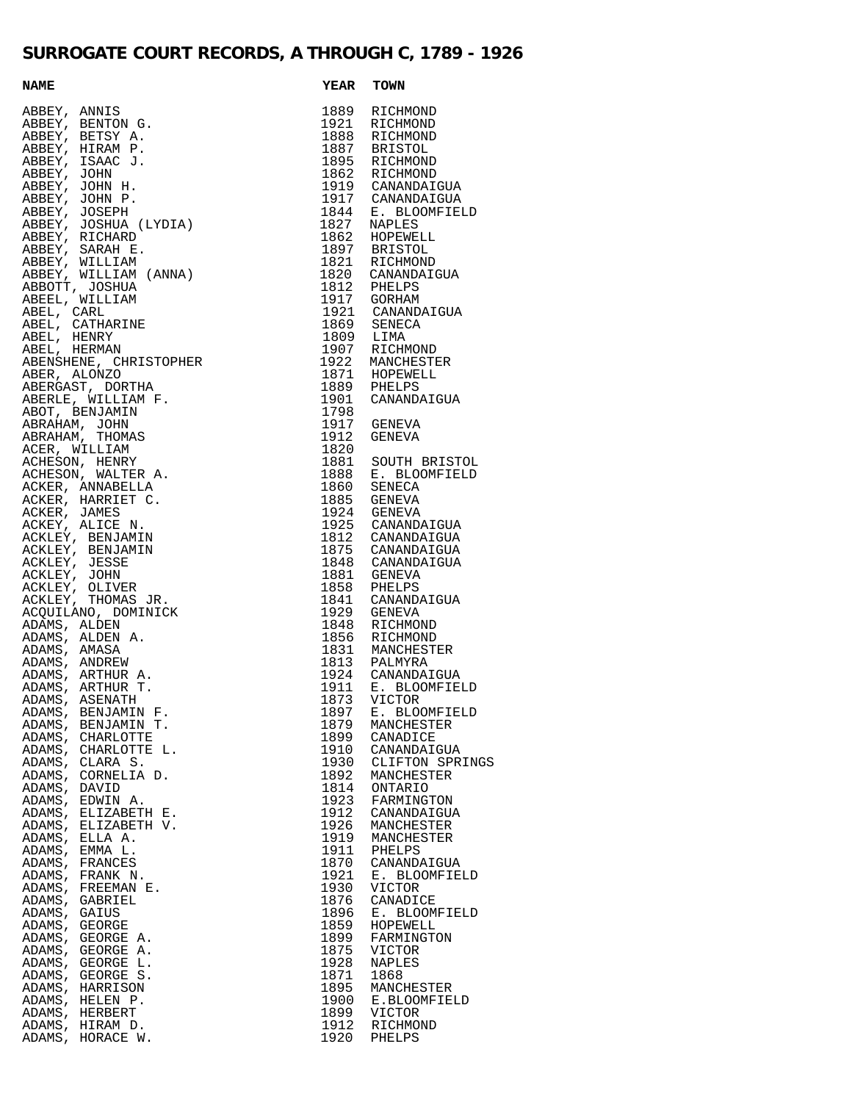## **SURROGATE COURT RECORDS, A THROUGH C, 1789 - 1926**

| $\begin{tabular}{c c c} \multicolumn{1}{c}{\textbf{1689}} & $\mathbf{K_{1}},\mathbf{K_{2}},\mathbf{K_{3}}$ & $\mathbf{1689}$ & $\mathbf{K_{1}},\mathbf{K_{2}},\mathbf{K_{3}}$ \\ \hline $\mathbf{1889}$ & $\mathbf{R}\mathbf{E}(\mathbf{15700\text{NID}})$ & $\mathbf{1889}$ & $\mathbf{R}\mathbf{E}(\mathbf{15700\text{NID}})$ \\ \hline $\mathbf{1889}$ & $\mathbf{R}\mathbf{E}(\mathbf{15700\text{NID}})$ & $\mathbf{188$ |      |               |
|------------------------------------------------------------------------------------------------------------------------------------------------------------------------------------------------------------------------------------------------------------------------------------------------------------------------------------------------------------------------------------------------------------------------------|------|---------------|
|                                                                                                                                                                                                                                                                                                                                                                                                                              |      |               |
|                                                                                                                                                                                                                                                                                                                                                                                                                              |      |               |
|                                                                                                                                                                                                                                                                                                                                                                                                                              |      |               |
|                                                                                                                                                                                                                                                                                                                                                                                                                              |      |               |
|                                                                                                                                                                                                                                                                                                                                                                                                                              |      |               |
|                                                                                                                                                                                                                                                                                                                                                                                                                              |      |               |
|                                                                                                                                                                                                                                                                                                                                                                                                                              |      |               |
|                                                                                                                                                                                                                                                                                                                                                                                                                              |      |               |
|                                                                                                                                                                                                                                                                                                                                                                                                                              |      |               |
|                                                                                                                                                                                                                                                                                                                                                                                                                              |      |               |
|                                                                                                                                                                                                                                                                                                                                                                                                                              |      |               |
|                                                                                                                                                                                                                                                                                                                                                                                                                              |      |               |
|                                                                                                                                                                                                                                                                                                                                                                                                                              |      |               |
|                                                                                                                                                                                                                                                                                                                                                                                                                              |      |               |
|                                                                                                                                                                                                                                                                                                                                                                                                                              |      |               |
|                                                                                                                                                                                                                                                                                                                                                                                                                              |      |               |
|                                                                                                                                                                                                                                                                                                                                                                                                                              |      |               |
|                                                                                                                                                                                                                                                                                                                                                                                                                              |      |               |
|                                                                                                                                                                                                                                                                                                                                                                                                                              |      |               |
|                                                                                                                                                                                                                                                                                                                                                                                                                              |      |               |
|                                                                                                                                                                                                                                                                                                                                                                                                                              |      |               |
|                                                                                                                                                                                                                                                                                                                                                                                                                              |      |               |
|                                                                                                                                                                                                                                                                                                                                                                                                                              |      |               |
|                                                                                                                                                                                                                                                                                                                                                                                                                              |      |               |
|                                                                                                                                                                                                                                                                                                                                                                                                                              |      |               |
|                                                                                                                                                                                                                                                                                                                                                                                                                              |      |               |
|                                                                                                                                                                                                                                                                                                                                                                                                                              |      |               |
|                                                                                                                                                                                                                                                                                                                                                                                                                              |      |               |
|                                                                                                                                                                                                                                                                                                                                                                                                                              |      |               |
|                                                                                                                                                                                                                                                                                                                                                                                                                              |      |               |
|                                                                                                                                                                                                                                                                                                                                                                                                                              |      |               |
|                                                                                                                                                                                                                                                                                                                                                                                                                              |      |               |
|                                                                                                                                                                                                                                                                                                                                                                                                                              |      |               |
|                                                                                                                                                                                                                                                                                                                                                                                                                              |      |               |
|                                                                                                                                                                                                                                                                                                                                                                                                                              |      |               |
|                                                                                                                                                                                                                                                                                                                                                                                                                              |      |               |
|                                                                                                                                                                                                                                                                                                                                                                                                                              |      |               |
|                                                                                                                                                                                                                                                                                                                                                                                                                              |      |               |
|                                                                                                                                                                                                                                                                                                                                                                                                                              |      |               |
|                                                                                                                                                                                                                                                                                                                                                                                                                              |      |               |
|                                                                                                                                                                                                                                                                                                                                                                                                                              |      |               |
|                                                                                                                                                                                                                                                                                                                                                                                                                              |      |               |
|                                                                                                                                                                                                                                                                                                                                                                                                                              |      |               |
|                                                                                                                                                                                                                                                                                                                                                                                                                              |      |               |
|                                                                                                                                                                                                                                                                                                                                                                                                                              |      |               |
|                                                                                                                                                                                                                                                                                                                                                                                                                              |      |               |
|                                                                                                                                                                                                                                                                                                                                                                                                                              |      |               |
|                                                                                                                                                                                                                                                                                                                                                                                                                              |      |               |
|                                                                                                                                                                                                                                                                                                                                                                                                                              |      |               |
|                                                                                                                                                                                                                                                                                                                                                                                                                              |      |               |
|                                                                                                                                                                                                                                                                                                                                                                                                                              |      |               |
|                                                                                                                                                                                                                                                                                                                                                                                                                              |      |               |
|                                                                                                                                                                                                                                                                                                                                                                                                                              |      |               |
|                                                                                                                                                                                                                                                                                                                                                                                                                              |      |               |
|                                                                                                                                                                                                                                                                                                                                                                                                                              |      |               |
|                                                                                                                                                                                                                                                                                                                                                                                                                              |      |               |
|                                                                                                                                                                                                                                                                                                                                                                                                                              |      |               |
|                                                                                                                                                                                                                                                                                                                                                                                                                              |      |               |
|                                                                                                                                                                                                                                                                                                                                                                                                                              |      |               |
|                                                                                                                                                                                                                                                                                                                                                                                                                              |      |               |
|                                                                                                                                                                                                                                                                                                                                                                                                                              |      |               |
|                                                                                                                                                                                                                                                                                                                                                                                                                              |      |               |
|                                                                                                                                                                                                                                                                                                                                                                                                                              |      |               |
| ADAMS, ELIZABETH V.                                                                                                                                                                                                                                                                                                                                                                                                          | 1926 | MANCHESTER    |
|                                                                                                                                                                                                                                                                                                                                                                                                                              |      |               |
| ADAMS, ELLA A.                                                                                                                                                                                                                                                                                                                                                                                                               | 1919 | MANCHESTER    |
| ADAMS, EMMA L.                                                                                                                                                                                                                                                                                                                                                                                                               | 1911 | PHELPS        |
| ADAMS, FRANCES                                                                                                                                                                                                                                                                                                                                                                                                               | 1870 | CANANDAIGUA   |
| ADAMS, FRANK N.                                                                                                                                                                                                                                                                                                                                                                                                              | 1921 | E. BLOOMFIELD |
| ADAMS, FREEMAN E.                                                                                                                                                                                                                                                                                                                                                                                                            | 1930 | VICTOR        |
| ADAMS, GABRIEL                                                                                                                                                                                                                                                                                                                                                                                                               | 1876 | CANADICE      |
|                                                                                                                                                                                                                                                                                                                                                                                                                              |      |               |
| ADAMS, GAIUS                                                                                                                                                                                                                                                                                                                                                                                                                 | 1896 | E. BLOOMFIELD |
| ADAMS, GEORGE                                                                                                                                                                                                                                                                                                                                                                                                                | 1859 | HOPEWELL      |
| ADAMS, GEORGE A.                                                                                                                                                                                                                                                                                                                                                                                                             | 1899 | FARMINGTON    |
| ADAMS, GEORGE A.                                                                                                                                                                                                                                                                                                                                                                                                             | 1875 | VICTOR        |
| ADAMS, GEORGE L.                                                                                                                                                                                                                                                                                                                                                                                                             | 1928 | NAPLES        |
| ADAMS, GEORGE S.                                                                                                                                                                                                                                                                                                                                                                                                             | 1871 | 1868          |
|                                                                                                                                                                                                                                                                                                                                                                                                                              |      |               |
| ADAMS, HARRISON                                                                                                                                                                                                                                                                                                                                                                                                              | 1895 | MANCHESTER    |
| ADAMS, HELEN P.                                                                                                                                                                                                                                                                                                                                                                                                              | 1900 | E.BLOOMFIELD  |
| ADAMS, HERBERT                                                                                                                                                                                                                                                                                                                                                                                                               | 1899 | VICTOR        |
| ADAMS, HIRAM D.                                                                                                                                                                                                                                                                                                                                                                                                              | 1912 | RICHMOND      |
| ADAMS, HORACE W.                                                                                                                                                                                                                                                                                                                                                                                                             | 1920 | PHELPS        |
|                                                                                                                                                                                                                                                                                                                                                                                                                              |      |               |

| NAME<br>ABBEY, ANNIS<br>ABBEY, BETSY A.<br>ABBEY, BETSY A.<br>ABBEY, HIRAM P.<br>ABBEY, HIRAM P.<br>ABBEY, JOHN P.<br>ABBEY, JOHN P.<br>ABBEY, JOHN P.<br>ABBEY, SARAC J.<br>ABBEY, SARAC IS (ICLIAM (ANNA)<br>ABBEY, SARAC IS (ICLIAM (ANNA)<br>ABBEY<br>1889 RICHMOND<br>1921 RICHMOND<br>1888 RICHMOND<br>1887 BRISTOL<br>1895 RICHMOND<br>1862 RICHMOND<br>1919 CANANDAIGUA<br>1917 CANANDAIGUA<br>1917 CANANDAIGUA<br>1844 E. BLOOMFIELD<br>1827 NAPLES<br>1862 HOPEWELL<br>1897 BRISTOL<br>1821 RICHMOND<br>1820 CANANDAIGUA<br>1812 PHELPS<br>1917 GORHAM<br>1921 CANANDAIGUA<br>1869 SENECA<br>1809 LIMA<br>1907 RICHMOND<br>1922 MANCHESTER<br>1871 HOPEWELL<br>1889 PHELPS<br>1901 CANANDAIGUA |  |
|----------------------------------------------------------------------------------------------------------------------------------------------------------------------------------------------------------------------------------------------------------------------------------------------------------------------------------------------------------------------------------------------------------------------------------------------------------------------------------------------------------------------------------------------------------------------------------------------------------------------------------------------------------------------------------------------------------|--|
|                                                                                                                                                                                                                                                                                                                                                                                                                                                                                                                                                                                                                                                                                                          |  |
|                                                                                                                                                                                                                                                                                                                                                                                                                                                                                                                                                                                                                                                                                                          |  |
|                                                                                                                                                                                                                                                                                                                                                                                                                                                                                                                                                                                                                                                                                                          |  |
|                                                                                                                                                                                                                                                                                                                                                                                                                                                                                                                                                                                                                                                                                                          |  |
|                                                                                                                                                                                                                                                                                                                                                                                                                                                                                                                                                                                                                                                                                                          |  |
|                                                                                                                                                                                                                                                                                                                                                                                                                                                                                                                                                                                                                                                                                                          |  |
|                                                                                                                                                                                                                                                                                                                                                                                                                                                                                                                                                                                                                                                                                                          |  |
|                                                                                                                                                                                                                                                                                                                                                                                                                                                                                                                                                                                                                                                                                                          |  |
|                                                                                                                                                                                                                                                                                                                                                                                                                                                                                                                                                                                                                                                                                                          |  |
|                                                                                                                                                                                                                                                                                                                                                                                                                                                                                                                                                                                                                                                                                                          |  |
|                                                                                                                                                                                                                                                                                                                                                                                                                                                                                                                                                                                                                                                                                                          |  |
|                                                                                                                                                                                                                                                                                                                                                                                                                                                                                                                                                                                                                                                                                                          |  |
|                                                                                                                                                                                                                                                                                                                                                                                                                                                                                                                                                                                                                                                                                                          |  |
|                                                                                                                                                                                                                                                                                                                                                                                                                                                                                                                                                                                                                                                                                                          |  |
|                                                                                                                                                                                                                                                                                                                                                                                                                                                                                                                                                                                                                                                                                                          |  |
|                                                                                                                                                                                                                                                                                                                                                                                                                                                                                                                                                                                                                                                                                                          |  |
|                                                                                                                                                                                                                                                                                                                                                                                                                                                                                                                                                                                                                                                                                                          |  |
|                                                                                                                                                                                                                                                                                                                                                                                                                                                                                                                                                                                                                                                                                                          |  |
|                                                                                                                                                                                                                                                                                                                                                                                                                                                                                                                                                                                                                                                                                                          |  |
|                                                                                                                                                                                                                                                                                                                                                                                                                                                                                                                                                                                                                                                                                                          |  |
|                                                                                                                                                                                                                                                                                                                                                                                                                                                                                                                                                                                                                                                                                                          |  |
|                                                                                                                                                                                                                                                                                                                                                                                                                                                                                                                                                                                                                                                                                                          |  |
|                                                                                                                                                                                                                                                                                                                                                                                                                                                                                                                                                                                                                                                                                                          |  |
| 1798                                                                                                                                                                                                                                                                                                                                                                                                                                                                                                                                                                                                                                                                                                     |  |
| 1917 GENEVA                                                                                                                                                                                                                                                                                                                                                                                                                                                                                                                                                                                                                                                                                              |  |
| 1912<br>GENEVA                                                                                                                                                                                                                                                                                                                                                                                                                                                                                                                                                                                                                                                                                           |  |
| 1820                                                                                                                                                                                                                                                                                                                                                                                                                                                                                                                                                                                                                                                                                                     |  |
| 1881 SOUTH BRISTOL                                                                                                                                                                                                                                                                                                                                                                                                                                                                                                                                                                                                                                                                                       |  |
| 1888 E. BLOOMFIELD<br>1860 SENECA                                                                                                                                                                                                                                                                                                                                                                                                                                                                                                                                                                                                                                                                        |  |
|                                                                                                                                                                                                                                                                                                                                                                                                                                                                                                                                                                                                                                                                                                          |  |
| 1885 GENEVA                                                                                                                                                                                                                                                                                                                                                                                                                                                                                                                                                                                                                                                                                              |  |
| 1924 GENEVA                                                                                                                                                                                                                                                                                                                                                                                                                                                                                                                                                                                                                                                                                              |  |
| 1925 CANANDAIGUA                                                                                                                                                                                                                                                                                                                                                                                                                                                                                                                                                                                                                                                                                         |  |
| 1812 CANANDAIGUA                                                                                                                                                                                                                                                                                                                                                                                                                                                                                                                                                                                                                                                                                         |  |
| 1875 CANANDAIGUA                                                                                                                                                                                                                                                                                                                                                                                                                                                                                                                                                                                                                                                                                         |  |
| 1848 CANANDAIGUA                                                                                                                                                                                                                                                                                                                                                                                                                                                                                                                                                                                                                                                                                         |  |
| 1881 GENEVA<br>1858 PHELPS                                                                                                                                                                                                                                                                                                                                                                                                                                                                                                                                                                                                                                                                               |  |
|                                                                                                                                                                                                                                                                                                                                                                                                                                                                                                                                                                                                                                                                                                          |  |
| 1841 CANANDAIGUA<br>1929 GENEVA                                                                                                                                                                                                                                                                                                                                                                                                                                                                                                                                                                                                                                                                          |  |
|                                                                                                                                                                                                                                                                                                                                                                                                                                                                                                                                                                                                                                                                                                          |  |
| 1848 RICHMOND<br>1856 RICHMOND                                                                                                                                                                                                                                                                                                                                                                                                                                                                                                                                                                                                                                                                           |  |
|                                                                                                                                                                                                                                                                                                                                                                                                                                                                                                                                                                                                                                                                                                          |  |
| 1831 MANCHESTER<br>1813 PALMYRA                                                                                                                                                                                                                                                                                                                                                                                                                                                                                                                                                                                                                                                                          |  |
| 1924 CANANDAIGUA                                                                                                                                                                                                                                                                                                                                                                                                                                                                                                                                                                                                                                                                                         |  |
| 1911 E. BLOOMFIELD<br>1873 VICTOR                                                                                                                                                                                                                                                                                                                                                                                                                                                                                                                                                                                                                                                                        |  |
| ADAMS, ASENATH                                                                                                                                                                                                                                                                                                                                                                                                                                                                                                                                                                                                                                                                                           |  |
| E. BLOOMFIELD<br>1897<br>ADAMS, BENJAMIN F.                                                                                                                                                                                                                                                                                                                                                                                                                                                                                                                                                                                                                                                              |  |
| BENJAMIN T.<br>1879<br>ADAMS,<br>MANCHESTER                                                                                                                                                                                                                                                                                                                                                                                                                                                                                                                                                                                                                                                              |  |
| 1899<br>ADAMS, CHARLOTTE<br>CANADICE                                                                                                                                                                                                                                                                                                                                                                                                                                                                                                                                                                                                                                                                     |  |
| CHARLOTTE L.<br>1910<br>ADAMS,<br>CANANDAIGUA                                                                                                                                                                                                                                                                                                                                                                                                                                                                                                                                                                                                                                                            |  |
| 1930<br>ADAMS, CLARA S.<br>CLIFTON SPRING                                                                                                                                                                                                                                                                                                                                                                                                                                                                                                                                                                                                                                                                |  |
| CORNELIA D.<br>1892<br>ADAMS,<br>MANCHESTER                                                                                                                                                                                                                                                                                                                                                                                                                                                                                                                                                                                                                                                              |  |
| 1814<br>ADAMS,<br>DAVID<br>ONTARIO                                                                                                                                                                                                                                                                                                                                                                                                                                                                                                                                                                                                                                                                       |  |
| EDWIN A.<br>1923<br>FARMINGTON<br>ADAMS,                                                                                                                                                                                                                                                                                                                                                                                                                                                                                                                                                                                                                                                                 |  |
| ADAMS, ELIZABETH E.<br>1912<br>CANANDAIGUA                                                                                                                                                                                                                                                                                                                                                                                                                                                                                                                                                                                                                                                               |  |
| ELIZABETH V.<br>1926<br>ADAMS,<br>MANCHESTER                                                                                                                                                                                                                                                                                                                                                                                                                                                                                                                                                                                                                                                             |  |
| ADAMS, ELLA A.<br>1919<br>MANCHESTER                                                                                                                                                                                                                                                                                                                                                                                                                                                                                                                                                                                                                                                                     |  |
| EMMA L.<br>1911<br>ADAMS,<br>PHELPS                                                                                                                                                                                                                                                                                                                                                                                                                                                                                                                                                                                                                                                                      |  |
| ADAMS, FRANCES<br>1870<br>CANANDAIGUA<br>FRANK N.<br>1921<br>E. BLOOMFIELD                                                                                                                                                                                                                                                                                                                                                                                                                                                                                                                                                                                                                               |  |
| ADAMS,<br>1930<br>ADAMS,<br>FREEMAN E.<br>VICTOR                                                                                                                                                                                                                                                                                                                                                                                                                                                                                                                                                                                                                                                         |  |
| 1876<br>ADAMS,<br>GABRIEL<br>CANADICE                                                                                                                                                                                                                                                                                                                                                                                                                                                                                                                                                                                                                                                                    |  |
| 1896<br>ADAMS,<br>GAIUS<br>E. BLOOMFIELD                                                                                                                                                                                                                                                                                                                                                                                                                                                                                                                                                                                                                                                                 |  |
| 1859<br>ADAMS,<br>GEORGE<br>HOPEWELL                                                                                                                                                                                                                                                                                                                                                                                                                                                                                                                                                                                                                                                                     |  |
| 1899<br>ADAMS,<br>GEORGE A.<br>FARMINGTON                                                                                                                                                                                                                                                                                                                                                                                                                                                                                                                                                                                                                                                                |  |
|                                                                                                                                                                                                                                                                                                                                                                                                                                                                                                                                                                                                                                                                                                          |  |
|                                                                                                                                                                                                                                                                                                                                                                                                                                                                                                                                                                                                                                                                                                          |  |
| GEORGE A.<br>1875<br>ADAMS,<br>VICTOR<br>1928<br>GEORGE L.<br>NAPLES                                                                                                                                                                                                                                                                                                                                                                                                                                                                                                                                                                                                                                     |  |
| ADAMS,<br>GEORGE S.<br>1871<br>1868<br>ADAMS,                                                                                                                                                                                                                                                                                                                                                                                                                                                                                                                                                                                                                                                            |  |
| ADAMS, HARRISON<br>1895<br>MANCHESTER                                                                                                                                                                                                                                                                                                                                                                                                                                                                                                                                                                                                                                                                    |  |
| HELEN P.<br>1900<br>ADAMS,<br>E.BLOOMFIELD                                                                                                                                                                                                                                                                                                                                                                                                                                                                                                                                                                                                                                                               |  |
| 1899<br><b>VICTOR</b><br>ADAMS, HERBERT                                                                                                                                                                                                                                                                                                                                                                                                                                                                                                                                                                                                                                                                  |  |
| 1912<br>ADAMS, HIRAM D.<br>RICHMOND<br>ADAMS, HORACE W.<br>1920<br>PHELPS                                                                                                                                                                                                                                                                                                                                                                                                                                                                                                                                                                                                                                |  |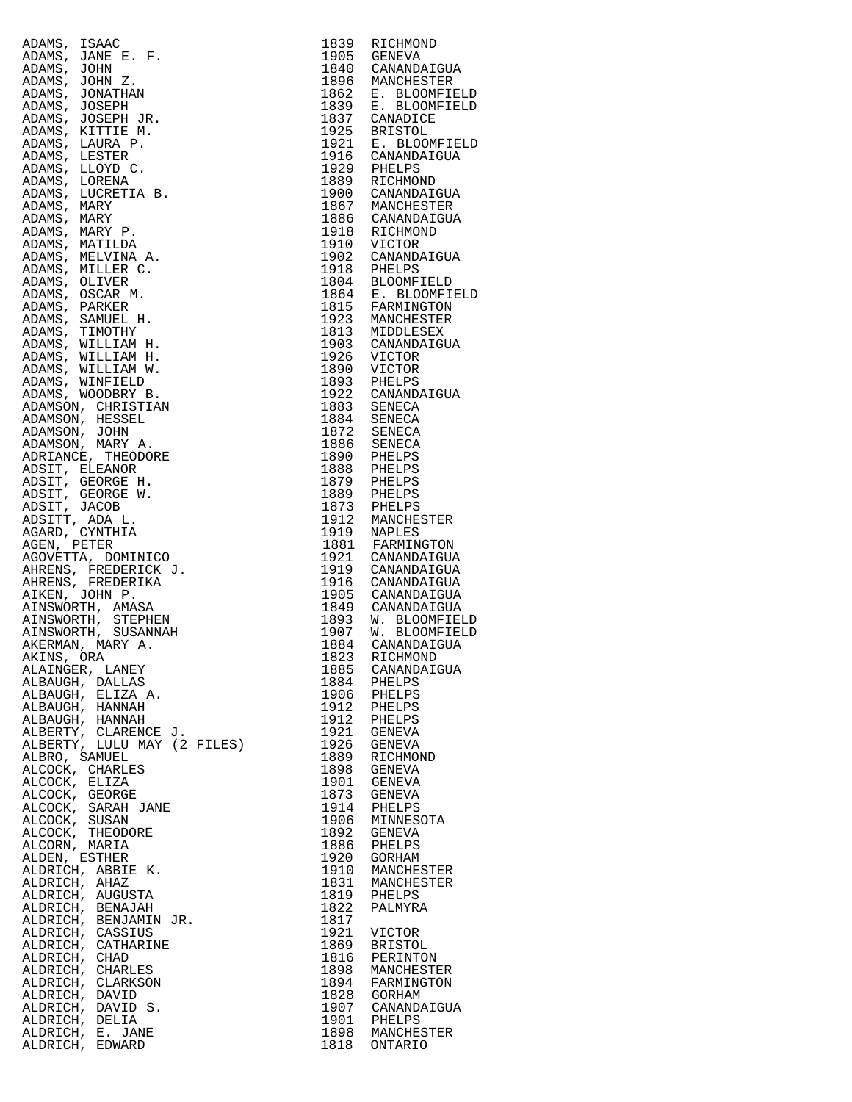| ADAMS, ISAAC                                                                                                                                                                                                              | 1839         | RICHMOND                                                  |
|---------------------------------------------------------------------------------------------------------------------------------------------------------------------------------------------------------------------------|--------------|-----------------------------------------------------------|
| ADAMS, JANE E. F.                                                                                                                                                                                                         | 1905         | GENEVA                                                    |
| ADAMS, JOHN<br>ADAMS, JOHN Z.                                                                                                                                                                                             | 1840         | CANANDAIGUA<br>1896 MANCHESTER                            |
| ADAMS, JONATHAN                                                                                                                                                                                                           |              |                                                           |
| ADAMS, JOSEPH                                                                                                                                                                                                             |              | 1862 E. BLOOMFIELD<br>1839 E. BLOOMFIELD<br>1837 CANADICE |
| ADAMS, JOSEPH JR.                                                                                                                                                                                                         |              |                                                           |
| ADAMS, KITTIE M.                                                                                                                                                                                                          |              | 1925 BRISTOL<br>1925 BRISTOL<br>1921 E. BLOOMFIELD        |
| ADAMS, LAURA P.<br>ADAMS, LESTER                                                                                                                                                                                          |              | 1916 CANANDAIGUA                                          |
| ADAMS, LLOYD C.                                                                                                                                                                                                           | 1929         | PHELPS                                                    |
| ADAMS, LORENA                                                                                                                                                                                                             |              | 1889 RICHMOND                                             |
| ADAMS, LUCRETIA B.                                                                                                                                                                                                        | 1900         | CANANDAIGUA                                               |
| ADAMS, MARY                                                                                                                                                                                                               | 1867         | 1867 MANCHESTER<br>1886 CANANDAIGUA                       |
| ADAMS, MARY<br>ADAMS, MARY P.                                                                                                                                                                                             |              | 1918 RICHMOND                                             |
| ADAMS, MATILDA                                                                                                                                                                                                            |              | 1910 VICTOR                                               |
| ADAMS, MELVINA A.                                                                                                                                                                                                         |              | 1902 CANANDAIGUA<br>1918 PHELPS                           |
| ADAMS, MILLER C.                                                                                                                                                                                                          |              |                                                           |
| ADAMS, OLIVER                                                                                                                                                                                                             |              | 1804 BLOOMFIELD<br>1864 E. BLOOMFIELD                     |
| ADAMS, OSCAR M.<br>ADAMS, PARKER                                                                                                                                                                                          |              | 1815 FARMINGTON                                           |
| ADAMS, SAMUEL H.                                                                                                                                                                                                          |              | 1923 MANCHESTER                                           |
| ADAMS, TIMOTHY                                                                                                                                                                                                            |              | 1813 MIDDLESEX<br>1903 CANANDAIGUA                        |
| ADAMS, WILLIAM H.                                                                                                                                                                                                         |              |                                                           |
| ADAMS, WILLIAM H.<br>ADAMS, WILLIAM W.                                                                                                                                                                                    | 1926<br>1890 | VICTOR<br>VICTOR                                          |
| ADAMS, WINFIELD                                                                                                                                                                                                           |              |                                                           |
| ADAMS, WOODBRY B.                                                                                                                                                                                                         |              | 1893 PHELPS<br>1922 CANANDAIGUA                           |
| ADAMSON, CHRISTIAN                                                                                                                                                                                                        |              | 1883 SENECA<br>1884 SENECA                                |
| ADAMSON, HESSEL                                                                                                                                                                                                           |              |                                                           |
| ADAMSON, JOHN                                                                                                                                                                                                             | 1872         | <b>SENECA</b>                                             |
| ADAMSON, MARY A.<br>ADRIANCE, THEODORE                                                                                                                                                                                    |              | 1886 SENECA                                               |
| ADSIT, ELEANOR                                                                                                                                                                                                            |              | 1890 PHELPS<br>1888 PHELPS                                |
| ADSIT, GEORGE H.                                                                                                                                                                                                          |              | 1879 PHELPS<br>1889 PHELPS                                |
| ADSIT, GEORGE W.                                                                                                                                                                                                          |              |                                                           |
| ADSIT, JACOB                                                                                                                                                                                                              | 1873         | PHELPS<br>1912 MANCHESTER                                 |
| ADSITT, ADA L.<br>AGARD, CYNTHIA                                                                                                                                                                                          |              | 1919 NAPLES                                               |
| AGEN, PETER                                                                                                                                                                                                               | 1881         | FARMINGTON                                                |
| AGOVETTA, DOMINICO                                                                                                                                                                                                        |              | 1921 CANANDAIGUA<br>1919 CANANDAIGUA                      |
| AHRENS, FREDERICK J.                                                                                                                                                                                                      |              |                                                           |
| AHRENS, FREDERIKA<br>AIKEN, JOHN P.                                                                                                                                                                                       |              | 1916 CANANDAIGUA<br>1905 CANANDAIGUA                      |
| AINSWORTH, AMASA                                                                                                                                                                                                          |              | 1849 CANANDAIGUA                                          |
| AINSWORTH, STEPHEN                                                                                                                                                                                                        |              |                                                           |
| AINSWORTH, SUSANNAH                                                                                                                                                                                                       |              | 1893 W. BLOOMFIELD<br>1907 W. BLOOMFIELD                  |
| AKERMAN, MARY A.                                                                                                                                                                                                          | 1884         | CANANDAIGUA                                               |
| AKINS, ORA<br>ALAINGER, LANEY                                                                                                                                                                                             | 1885         | 1823 RICHMOND<br>CANANDAIGUA                              |
| ALBAUGH, DALLAS                                                                                                                                                                                                           | 1884         | PHELPS                                                    |
| ALBAUGH, ELIZA A.                                                                                                                                                                                                         | 1906         | PHELPS                                                    |
| ALBAUGH, HANNAH                                                                                                                                                                                                           | 1912         | PHELPS                                                    |
| ALBAUGH, HANNAH                                                                                                                                                                                                           | 1912<br>1921 | PHELPS<br>GENEVA                                          |
| ALBERTY, CLARENCE J.<br>ALBERTY, LULU MAY (2 FILES)                                                                                                                                                                       | 1926         | GENEVA                                                    |
| ALBRO, SAMUEL                                                                                                                                                                                                             | 1889         | RICHMOND                                                  |
| ALCOCK, CHARLES                                                                                                                                                                                                           | 1898         | GENEVA                                                    |
| ALCOCK, ELIZA                                                                                                                                                                                                             | 1901         | GENEVA                                                    |
| ALCOCK, GEORGE<br>ALCOCK, SARAH JANE                                                                                                                                                                                      | 1873<br>1914 | GENEVA<br>PHELPS                                          |
| ALCOCK, SUSAN                                                                                                                                                                                                             | 1906         | MINNESOTA                                                 |
| ALCOCK, THEODORE                                                                                                                                                                                                          | 1892         | GENEVA                                                    |
| ALCORN, MARIA                                                                                                                                                                                                             | 1886         | PHELPS                                                    |
| ALDEN, ESTHER                                                                                                                                                                                                             | 1920<br>1910 | GORHAM                                                    |
| ALDRICH, ABBIE K.<br>ALDRICH, AHAZ                                                                                                                                                                                        | 1831         | MANCHESTER<br>MANCHESTER                                  |
|                                                                                                                                                                                                                           | 1819         | PHELPS                                                    |
|                                                                                                                                                                                                                           | 1822         | PALMYRA                                                   |
|                                                                                                                                                                                                                           | 1817         |                                                           |
| ALDRICH, AHAZ<br>ALDRICH, AUGUSTA<br>ALDRICH, BENAJAH<br>ALDRICH, BENJAMIN JR.<br>ALDRICH, CASSIUS<br>ALDRICH, CATHARINE<br>ALDRICH, CHAD<br>ALDRICH, CHARLES<br>ALDRICH, CLARKSON<br>ALDRICH, CLARKSON<br>ALDRICH, DAVID | 1921<br>1869 | <b>VICTOR</b><br><b>BRISTOL</b>                           |
|                                                                                                                                                                                                                           | 1816         | PERINTON                                                  |
|                                                                                                                                                                                                                           | 1898         | MANCHESTER                                                |
|                                                                                                                                                                                                                           | 1894         | FARMINGTON                                                |
| ALDRICH, DAVID                                                                                                                                                                                                            | 1828         | GORHAM                                                    |
| ALDRICH, DAVID S.<br>ALDRICH, DELIA                                                                                                                                                                                       | 1907<br>1901 | CANANDAIGUA<br>PHELPS                                     |
| ALDRICH, E. JANE                                                                                                                                                                                                          | 1898         | MANCHESTER                                                |
| ALDRICH, EDWARD                                                                                                                                                                                                           | 1818         | <b>ONTARIO</b>                                            |

| 1839         | RICHMOND                           |
|--------------|------------------------------------|
| 1905<br>1840 | GENEVA                             |
| 1896         | CANANDAIGUA<br>MANCHESTER          |
| 1862         | E. BLOOMFIELD                      |
| 1839         | <b>BLOOMFIELD</b><br>Ε.            |
| 1837<br>1925 | CANADICE                           |
| 1921         | <b>BRISTOL</b><br>Е.<br>BLOOMFIELD |
| 1916         | CANANDAIGUA                        |
| 1929         | PHELPS                             |
| 1889         | RICHMOND                           |
| 1900<br>1867 | CANANDAIGUA<br>MANCHESTER          |
| 1886         | CANANDAIGUA                        |
| 1918         | RICHMOND                           |
| 1910         | VICTOR                             |
| 1902<br>1918 | CANANDAIGUA<br>PHELPS              |
| 1804         | <b>BLOOMFIELD</b>                  |
| 1864         | Ε.<br><b>BLOOMFIELD</b>            |
| 1815         | FARMINGTON                         |
| 1923         | MANCHESTER                         |
| 1813<br>1903 | MIDDLESEX<br>CANANDAIGUA           |
| 1926         | VICTOR                             |
| 1890         | <b>VICTOR</b>                      |
| 1893         | PHELPS                             |
| 1922<br>1883 | CANANDAIGUA                        |
| 1884         | SENECA<br>SENECA                   |
| 1872         | SENECA                             |
| 1886         | SENECA                             |
| 1890         | PHELPS                             |
| 1888<br>1879 | PHELPS<br>PHELPS                   |
| 1889         | PHELPS                             |
| 1873         | PHELPS                             |
| 1912         | MANCHESTER                         |
| 1919<br>1881 | <b>NAPLES</b><br>FARMINGTON        |
| 1921         | CANANDAIGUA                        |
| 1919         | CANANDAIGUA                        |
| 1916         | CANANDAIGUA                        |
| 1905         | CANANDAIGUA                        |
| 1849<br>1893 | CANANDAIGUA<br>W. BLOOMFIELD       |
| 1907         | BLOOMFIELD<br>W.                   |
| 1884         | CANANDAIGUA                        |
| 1823         | RICHMOND                           |
| 1885<br>1884 | CANANDAIGUA<br>PHELPS              |
| 1906         | PHELPS                             |
| 1912         | PHELPS                             |
| 1912         | PHELPS                             |
| 1921<br>1926 | GENEVA                             |
| 1889         | GENEVA<br>RICHMOND                 |
| 1898         | GENEVA                             |
| 1901         | GENEVA                             |
| 1873         | GENEVA                             |
| 1914<br>1906 | PHELPS<br>MINNESOTA                |
| 1892         | GENEVA                             |
| 1886         | PHELPS                             |
| 1920         | GORHAM                             |
| 1910         | MANCHESTER                         |
| 1831<br>1819 | MANCHESTER<br>PHELPS               |
| 1822         | PALMYRA                            |
| 1817         |                                    |
| 1921         | VICTOR                             |
| 1869<br>1816 | <b>BRISTOL</b><br>PERINTON         |
| 1898         | MANCHESTER                         |
| 1894         | FARMINGTON                         |
| 1828         | GORHAM                             |
| 1907         | CANANDAIGUA                        |
| 1901<br>1898 | PHELPS<br>MANCHESTER               |
| 1818         | ONTARIO                            |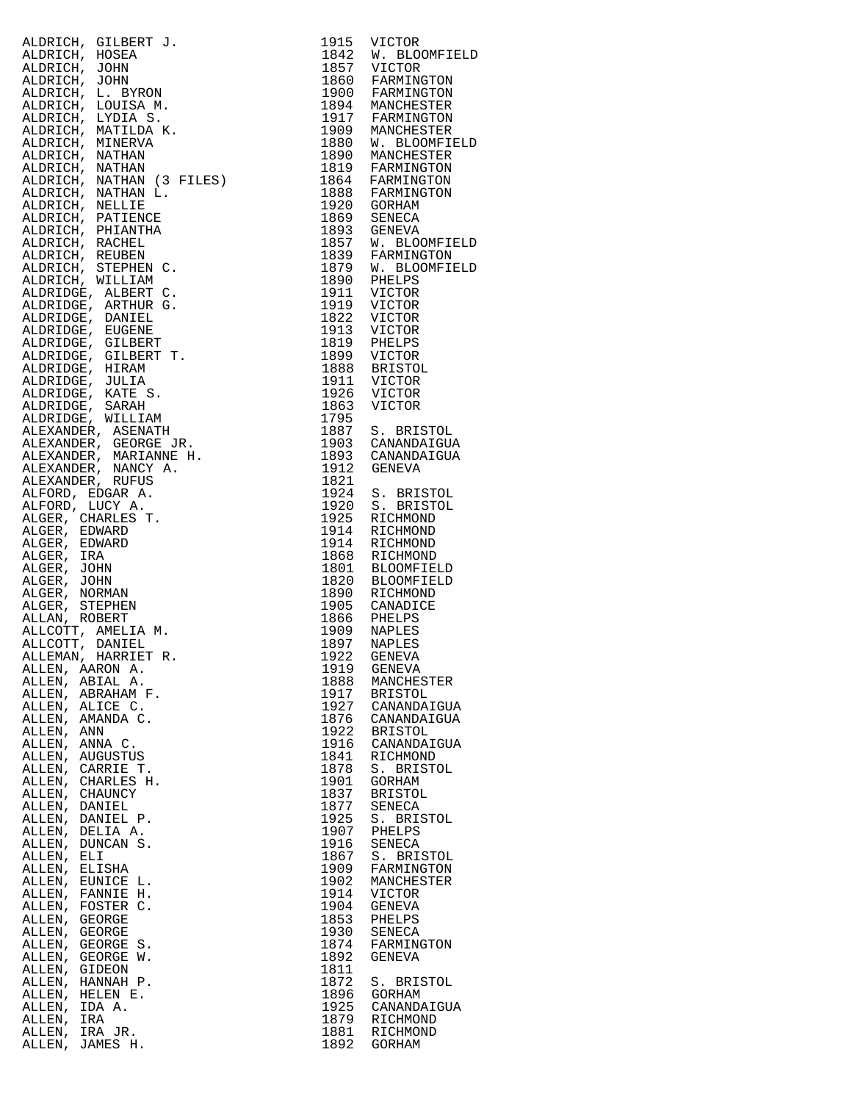|                                                                                                                                                                                                                                                        |              | 1842 W. BLOOMFIELD                                                                     |
|--------------------------------------------------------------------------------------------------------------------------------------------------------------------------------------------------------------------------------------------------------|--------------|----------------------------------------------------------------------------------------|
|                                                                                                                                                                                                                                                        |              |                                                                                        |
|                                                                                                                                                                                                                                                        |              | 1860 FARMINGTON                                                                        |
|                                                                                                                                                                                                                                                        |              | 1900 FARMINGTON                                                                        |
|                                                                                                                                                                                                                                                        |              | 1894 MANCHESTER<br>1917 FARMINGTON                                                     |
|                                                                                                                                                                                                                                                        |              |                                                                                        |
|                                                                                                                                                                                                                                                        |              | 1909 MANCHESTER                                                                        |
|                                                                                                                                                                                                                                                        |              | 1880 W. BLOOMFIELD                                                                     |
|                                                                                                                                                                                                                                                        |              | 1890 MANCHESTER                                                                        |
|                                                                                                                                                                                                                                                        |              | 1819 FARMINGTON                                                                        |
|                                                                                                                                                                                                                                                        |              | 1864 FARMINGTON                                                                        |
|                                                                                                                                                                                                                                                        |              | 1888 FARMINGTON                                                                        |
|                                                                                                                                                                                                                                                        |              |                                                                                        |
|                                                                                                                                                                                                                                                        |              |                                                                                        |
|                                                                                                                                                                                                                                                        |              | 1869 SENECA<br>1893 GENEVA<br>1955 GENEVA                                              |
|                                                                                                                                                                                                                                                        |              | 1857 W. BLOOMFIELD<br>1839 FARMINGTON                                                  |
|                                                                                                                                                                                                                                                        |              |                                                                                        |
|                                                                                                                                                                                                                                                        |              | 1879 W. BLOOMFIELD                                                                     |
|                                                                                                                                                                                                                                                        |              |                                                                                        |
|                                                                                                                                                                                                                                                        |              |                                                                                        |
|                                                                                                                                                                                                                                                        |              | 1911 VICTOR<br>1822 VICTOR<br>1913 VICTOR<br>1819 PHELPS<br>1899 VICTOR<br>1899 VICTOR |
|                                                                                                                                                                                                                                                        |              |                                                                                        |
|                                                                                                                                                                                                                                                        |              |                                                                                        |
|                                                                                                                                                                                                                                                        |              |                                                                                        |
|                                                                                                                                                                                                                                                        |              |                                                                                        |
|                                                                                                                                                                                                                                                        |              |                                                                                        |
|                                                                                                                                                                                                                                                        |              |                                                                                        |
|                                                                                                                                                                                                                                                        |              |                                                                                        |
|                                                                                                                                                                                                                                                        |              |                                                                                        |
|                                                                                                                                                                                                                                                        |              |                                                                                        |
|                                                                                                                                                                                                                                                        |              | 1887 S. BRISTOL                                                                        |
|                                                                                                                                                                                                                                                        |              | 1903 CANANDAIGUA                                                                       |
|                                                                                                                                                                                                                                                        |              | 1893 CANANDAIGUA                                                                       |
|                                                                                                                                                                                                                                                        |              |                                                                                        |
| ALDRICH, GILBERT J. (1913)<br>VALDRICH, SCHARLE J. (1915)<br>VALDRICH, JOHN (1917)<br>VALDRICH, JOHN (1917)<br>VALDRICH, JOHN (1917)<br>VALDRICH, LOTINA S. (1917)<br>VALDRICH, INTININA K. (1917)<br>VALDRICH, MATILDA K. (1917)<br>VALDRICH, MATILDA |              |                                                                                        |
|                                                                                                                                                                                                                                                        |              | 1924 S. BRISTOL                                                                        |
|                                                                                                                                                                                                                                                        |              | 1920 S. BRISTOL                                                                        |
|                                                                                                                                                                                                                                                        |              |                                                                                        |
|                                                                                                                                                                                                                                                        |              |                                                                                        |
|                                                                                                                                                                                                                                                        |              |                                                                                        |
|                                                                                                                                                                                                                                                        |              | $1868$ RICHMOND                                                                        |
|                                                                                                                                                                                                                                                        |              | 1801 BLOOMFIELD<br>1820 BLOOMFIELD                                                     |
|                                                                                                                                                                                                                                                        |              |                                                                                        |
|                                                                                                                                                                                                                                                        |              |                                                                                        |
|                                                                                                                                                                                                                                                        |              |                                                                                        |
|                                                                                                                                                                                                                                                        |              |                                                                                        |
|                                                                                                                                                                                                                                                        |              |                                                                                        |
|                                                                                                                                                                                                                                                        |              |                                                                                        |
|                                                                                                                                                                                                                                                        |              |                                                                                        |
| ALLEN, AARON A.                                                                                                                                                                                                                                        | 1919<br>1888 | GENEVA                                                                                 |
| ALLEN, ABIAL A.<br>ALLEN, ABRAHAM F.                                                                                                                                                                                                                   | 1917         | MANCHESTER                                                                             |
| ALLEN, ALICE C.                                                                                                                                                                                                                                        | 1927         | <b>BRISTOL</b>                                                                         |
| ALLEN, AMANDA C.                                                                                                                                                                                                                                       | 1876         | CANANDAIGUA                                                                            |
| ALLEN, ANN                                                                                                                                                                                                                                             | 1922         | CANANDAIGUA<br><b>BRISTOL</b>                                                          |
| ALLEN, ANNA C.                                                                                                                                                                                                                                         | 1916         | CANANDAIGUA                                                                            |
| ALLEN, AUGUSTUS                                                                                                                                                                                                                                        | 1841         | RICHMOND                                                                               |
| ALLEN, CARRIE T.                                                                                                                                                                                                                                       | 1878         | S. BRISTOL                                                                             |
| ALLEN, CHARLES H.                                                                                                                                                                                                                                      | 1901         | GORHAM                                                                                 |
| ALLEN, CHAUNCY                                                                                                                                                                                                                                         | 1837         | <b>BRISTOL</b>                                                                         |
| ALLEN, DANIEL                                                                                                                                                                                                                                          | 1877         | SENECA                                                                                 |
| ALLEN, DANIEL P.                                                                                                                                                                                                                                       | 1925         | S. BRISTOL                                                                             |
| ALLEN, DELIA A.                                                                                                                                                                                                                                        | 1907         | PHELPS                                                                                 |
| ALLEN, DUNCAN S.                                                                                                                                                                                                                                       | 1916         | <b>SENECA</b>                                                                          |
| ALLEN, ELI                                                                                                                                                                                                                                             | 1867         | S. BRISTOL                                                                             |
| ALLEN,<br>ELISHA                                                                                                                                                                                                                                       | 1909         | FARMINGTON                                                                             |
| ALLEN, EUNICE L.                                                                                                                                                                                                                                       | 1902         | MANCHESTER                                                                             |
| ALLEN, FANNIE H.                                                                                                                                                                                                                                       | 1914         | VICTOR                                                                                 |
| ALLEN, FOSTER C.                                                                                                                                                                                                                                       | 1904         | GENEVA                                                                                 |
| ALLEN,<br>GEORGE                                                                                                                                                                                                                                       | 1853         | PHELPS                                                                                 |
| ALLEN, GEORGE                                                                                                                                                                                                                                          | 1930         | SENECA                                                                                 |
| ALLEN, GEORGE S.                                                                                                                                                                                                                                       | 1874         | FARMINGTON                                                                             |
| ALLEN, GEORGE W.                                                                                                                                                                                                                                       | 1892         | GENEVA                                                                                 |
| ALLEN,<br>GIDEON                                                                                                                                                                                                                                       | 1811         |                                                                                        |
| ALLEN, HANNAH P.                                                                                                                                                                                                                                       | 1872         | S. BRISTOL                                                                             |
| ALLEN, HELEN E.                                                                                                                                                                                                                                        | 1896         | GORHAM                                                                                 |
| ALLEN, IDA A.                                                                                                                                                                                                                                          | 1925         | CANANDAIGUA                                                                            |
| ALLEN, IRA                                                                                                                                                                                                                                             | 1879         | RICHMOND                                                                               |
| ALLEN, IRA JR.                                                                                                                                                                                                                                         | 1881         | RICHMOND                                                                               |
| ALLEN, JAMES H.                                                                                                                                                                                                                                        | 1892         | GORHAM                                                                                 |
|                                                                                                                                                                                                                                                        |              |                                                                                        |

| 1915<br>1842<br>1857<br>1860<br>1900<br>1894<br>1917<br>1909<br>1880<br>1890<br>1819<br>1864<br>1888<br>1920<br>1869<br>1893<br>1857<br>1839<br>1879<br>1890<br>1911<br>1919<br>1822<br>1913<br>1819<br>1899<br>1888<br>1911<br>1926<br>1863<br>1795 | VICTOR<br>W. BLOOMFIELD<br>VICTOR<br>FARMINGTON<br>FARMINGTON<br>MANCHESTER<br>FARMINGTON<br>MANCHESTER<br>W. BLOOMFIELD<br>MANCHESTER<br>FARMINGTON<br>FARMINGTON<br>FARMINGTON<br>GORHAM<br><b>SENECA</b><br>GENEVA<br>W. BLOOMFIELD<br>FARMINGTON<br>W. BLOOMFIELD<br>PHELPS<br>VICTOR<br>VICTOR<br><b>VICTOR</b><br>VICTOR<br>PHELPS<br>VICTOR<br><b>BRISTOL</b><br>VICTOR<br><b>VICTOR</b><br>VICTOR |
|------------------------------------------------------------------------------------------------------------------------------------------------------------------------------------------------------------------------------------------------------|-----------------------------------------------------------------------------------------------------------------------------------------------------------------------------------------------------------------------------------------------------------------------------------------------------------------------------------------------------------------------------------------------------------|
| 1887<br>1903<br>1893<br>1912<br>1821                                                                                                                                                                                                                 | S. BRISTOL<br>CANANDAIGUA<br>CANANDAIGUA<br>GENEVA                                                                                                                                                                                                                                                                                                                                                        |
| 1924                                                                                                                                                                                                                                                 | S. BRISTOL                                                                                                                                                                                                                                                                                                                                                                                                |
| 1920                                                                                                                                                                                                                                                 | S. BRISTOL                                                                                                                                                                                                                                                                                                                                                                                                |
| 1925                                                                                                                                                                                                                                                 | RICHMOND                                                                                                                                                                                                                                                                                                                                                                                                  |
| 1914                                                                                                                                                                                                                                                 | RICHMOND                                                                                                                                                                                                                                                                                                                                                                                                  |
| 1914                                                                                                                                                                                                                                                 | RICHMOND                                                                                                                                                                                                                                                                                                                                                                                                  |
| 1868                                                                                                                                                                                                                                                 | RICHMOND                                                                                                                                                                                                                                                                                                                                                                                                  |
| 1801                                                                                                                                                                                                                                                 | <b>ELOOMFIELD</b>                                                                                                                                                                                                                                                                                                                                                                                         |
| 1820                                                                                                                                                                                                                                                 | <b>BLOOMFIELD</b>                                                                                                                                                                                                                                                                                                                                                                                         |
| 1890                                                                                                                                                                                                                                                 | RICHMOND                                                                                                                                                                                                                                                                                                                                                                                                  |
| 1905                                                                                                                                                                                                                                                 | CANADICE                                                                                                                                                                                                                                                                                                                                                                                                  |
| 1866                                                                                                                                                                                                                                                 | PHELPS                                                                                                                                                                                                                                                                                                                                                                                                    |
| 1909                                                                                                                                                                                                                                                 | NAPLES                                                                                                                                                                                                                                                                                                                                                                                                    |
| 1897                                                                                                                                                                                                                                                 | NAPLES                                                                                                                                                                                                                                                                                                                                                                                                    |
| 1922                                                                                                                                                                                                                                                 | GENEVA                                                                                                                                                                                                                                                                                                                                                                                                    |
| 1919                                                                                                                                                                                                                                                 | <b>GENEVA</b>                                                                                                                                                                                                                                                                                                                                                                                             |
| 1888                                                                                                                                                                                                                                                 | MANCHESTER                                                                                                                                                                                                                                                                                                                                                                                                |
| 1917                                                                                                                                                                                                                                                 | <b>BRISTOL</b>                                                                                                                                                                                                                                                                                                                                                                                            |
| 1927                                                                                                                                                                                                                                                 | CANANDAIGUA                                                                                                                                                                                                                                                                                                                                                                                               |
| 1876                                                                                                                                                                                                                                                 | CANANDAIGUA                                                                                                                                                                                                                                                                                                                                                                                               |
| 1922                                                                                                                                                                                                                                                 | <b>BRISTOL</b>                                                                                                                                                                                                                                                                                                                                                                                            |
| 1916                                                                                                                                                                                                                                                 | CANANDAIGUA                                                                                                                                                                                                                                                                                                                                                                                               |
| 1841                                                                                                                                                                                                                                                 | RICHMOND                                                                                                                                                                                                                                                                                                                                                                                                  |
| 1878                                                                                                                                                                                                                                                 | S.                                                                                                                                                                                                                                                                                                                                                                                                        |
| 1901                                                                                                                                                                                                                                                 | <b>BRISTOL</b>                                                                                                                                                                                                                                                                                                                                                                                            |
| 1837                                                                                                                                                                                                                                                 | <b>GORHAM</b>                                                                                                                                                                                                                                                                                                                                                                                             |
| 1877                                                                                                                                                                                                                                                 | <b>BRISTOL</b>                                                                                                                                                                                                                                                                                                                                                                                            |
| 1925                                                                                                                                                                                                                                                 | SENECA                                                                                                                                                                                                                                                                                                                                                                                                    |
| 1907                                                                                                                                                                                                                                                 | S. BRISTOL                                                                                                                                                                                                                                                                                                                                                                                                |
| 1916                                                                                                                                                                                                                                                 | PHELPS                                                                                                                                                                                                                                                                                                                                                                                                    |
| 1867                                                                                                                                                                                                                                                 | SENECA                                                                                                                                                                                                                                                                                                                                                                                                    |
| 1909                                                                                                                                                                                                                                                 | S. BRISTOL                                                                                                                                                                                                                                                                                                                                                                                                |
| 1902                                                                                                                                                                                                                                                 | FARMINGTON                                                                                                                                                                                                                                                                                                                                                                                                |
| 1914                                                                                                                                                                                                                                                 | MANCHESTER                                                                                                                                                                                                                                                                                                                                                                                                |
| 1904                                                                                                                                                                                                                                                 | VICTOR                                                                                                                                                                                                                                                                                                                                                                                                    |
| 1853                                                                                                                                                                                                                                                 | <b>GENEVA</b>                                                                                                                                                                                                                                                                                                                                                                                             |
| 1930                                                                                                                                                                                                                                                 | PHELPS                                                                                                                                                                                                                                                                                                                                                                                                    |
| 1874                                                                                                                                                                                                                                                 | SENECA                                                                                                                                                                                                                                                                                                                                                                                                    |
| 1892                                                                                                                                                                                                                                                 | FARMINGTON                                                                                                                                                                                                                                                                                                                                                                                                |
| 1811                                                                                                                                                                                                                                                 | <b>GENEVA</b>                                                                                                                                                                                                                                                                                                                                                                                             |
| 1872                                                                                                                                                                                                                                                 | S. BRISTOL                                                                                                                                                                                                                                                                                                                                                                                                |
| 1896                                                                                                                                                                                                                                                 | GORHAM                                                                                                                                                                                                                                                                                                                                                                                                    |
| 1925                                                                                                                                                                                                                                                 | CANANDAIGUA                                                                                                                                                                                                                                                                                                                                                                                               |
| 1879                                                                                                                                                                                                                                                 | RICHMOND                                                                                                                                                                                                                                                                                                                                                                                                  |
| 1881                                                                                                                                                                                                                                                 | RICHMOND                                                                                                                                                                                                                                                                                                                                                                                                  |
| 1892                                                                                                                                                                                                                                                 | GORHAM                                                                                                                                                                                                                                                                                                                                                                                                    |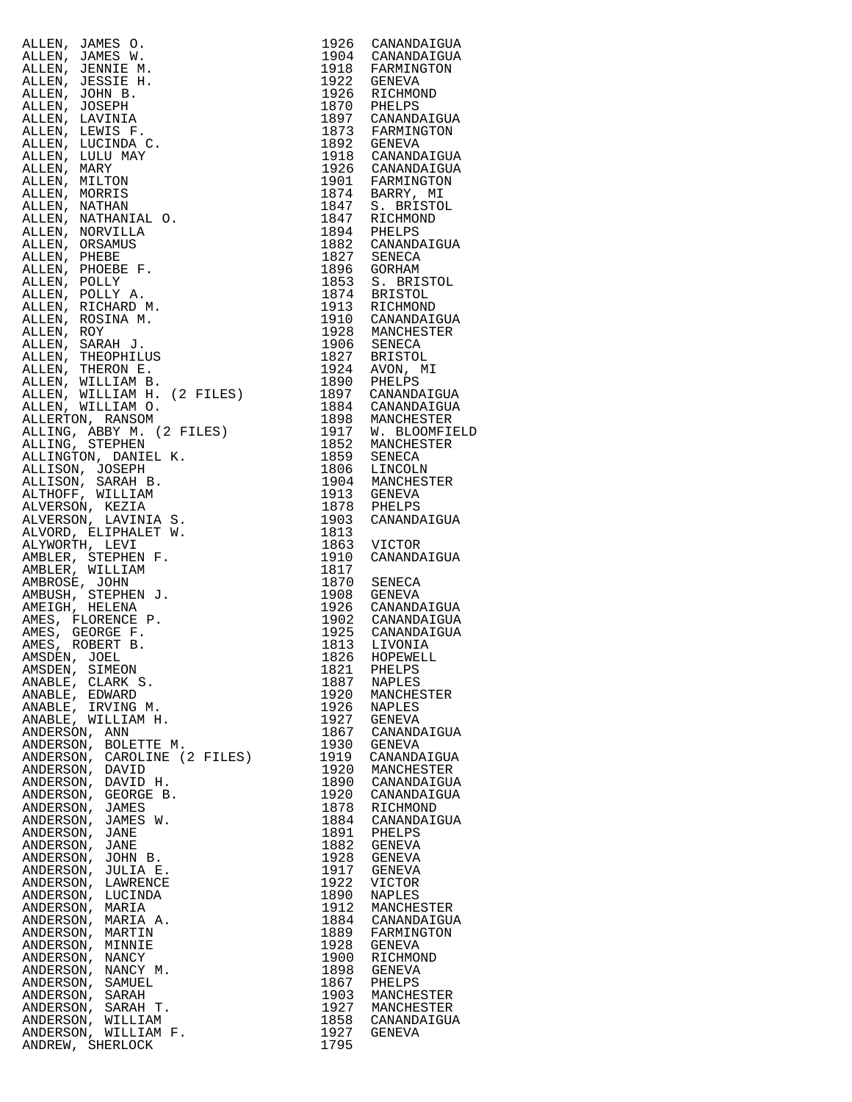| ALLEN, JAMES O.                                | 1926         | CANANDAIGUA                     |
|------------------------------------------------|--------------|---------------------------------|
| ALLEN, JAMES W.                                | 1904         | CANANDAIGUA                     |
| ALLEN, JENNIE M.                               | 1918         | FARMINGTON                      |
| ALLEN, JESSIE H.                               | 1922         | GENEVA                          |
| ALLEN, JOHN B.<br>ALLEN, JOSEPH                | 1926         | RICHMOND                        |
| ALLEN, LAVINIA                                 |              | 1870 PHELPS<br>1897 CANANDAIGUA |
| ALLEN, LEWIS F.                                | 1873         | FARMINGTON                      |
| ALLEN, LUCINDA C.                              | 1892         | GENEVA                          |
| ALLEN, LULU MAY                                |              | 1918 CANANDAIGUA                |
| ALLEN, MARY                                    |              | 1926 CANANDAIGUA                |
| ALLEN, MILTON                                  | 1901         | FARMINGTON                      |
| ALLEN, MORRIS                                  | 1874         | BARRY, MI                       |
| ALLEN, NATHAN                                  | 1847         | S. BRISTOL                      |
| ALLEN, NATHANIAL O.                            | 1847         | RICHMOND                        |
| ALLEN, NORVILLA<br>ALLEN, ORSAMUS              | 1894<br>1882 | PHELPS                          |
| ALLEN, PHEBE                                   |              | CANANDAIGUA<br>1827 SENECA      |
| ALLEN, PHOEBE F.                               | 1896         | GORHAM                          |
| ALLEN, POLLY                                   |              |                                 |
| ALLEN, POLLY A.                                |              | 1853 S. BRISTOL<br>1874 BRISTOL |
| ALLEN, RICHARD M.                              | 1913         | RICHMOND                        |
| ALLEN, ROSINA M.                               |              | 1910 CANANDAIGUA                |
| ALLEN, ROY                                     |              | 1928 MANCHESTER<br>1906 SENECA  |
| ALLEN, SARAH J.                                |              |                                 |
| ALLEN, THEOPHILUS                              | 1827<br>1924 | <b>BRISTOL</b><br>AVON, MI      |
| ALLEN, THERON E.<br>ALLEN, WILLIAM B.          | 1890         | PHELPS                          |
| ALLEN, WILLIAM H. (2 FILES)                    | 1897         | CANANDAIGUA                     |
| ALLEN, WILLIAM O.                              | 1884         | CANANDAIGUA                     |
| ALLERTON, RANSOM                               | 1898         | MANCHESTER                      |
| ALLING, ABBY M. (2 FILES)                      | 1917         | W. BLOOMFIELD                   |
| ALLING, STEPHEN                                |              | 1852 MANCHESTER                 |
| ALLINGTON, DANIEL K.                           | 1859         | SENECA                          |
| ALLISON, JOSEPH                                | 1806         | LINCOLN                         |
| ALLISON, SARAH B.<br>ALTHOFF, WILLIAM          | 1904<br>1913 | MANCHESTER<br>GENEVA            |
| ALVERSON, KEZIA                                | 1878         | PHELPS                          |
| ALVERSON, LAVINIA S.                           | 1903         | CANANDAIGUA                     |
| ALVORD, ELIPHALET W.                           | 1813         |                                 |
| ALYWORTH, LEVI                                 | 1863         | VICTOR                          |
| AMBLER, STEPHEN F.                             | 1910         | CANANDAIGUA                     |
| AMBLER, WILLIAM                                | 1817<br>1870 | SENECA                          |
| AMBROSE, JOHN<br>AMBUSH, STEPHEN J.            | 1908         | GENEVA                          |
| AMEIGH, HELENA                                 |              | 1926 CANANDAIGUA                |
| AMES, FLORENCE P.                              |              | 1902 CANANDAIGUA                |
| AMES, GEORGE F.                                |              | 1925 CANANDAIGUA                |
| AMES, ROBERT B.                                | 1813         | LIVONIA                         |
| AMSDEN, JOEL                                   | 1826         | HOPEWELL                        |
| SIMEON<br>AMSDEN,<br>ANABLE,<br>CLARK S.       | 1821<br>1887 | PHELPS<br>NAPLES                |
| ANABLE,<br>EDWARD                              | 1920         | MANCHESTER                      |
| ANABLE,<br>IRVING M.                           | 1926         | NAPLES                          |
| ANABLE,<br>WILLIAM H.                          | 1927         | GENEVA                          |
| ANDERSON,<br>ANN                               | 1867         | CANANDAIGUA                     |
| BOLETTE M.<br>ANDERSON,                        | 1930         | <b>GENEVA</b>                   |
| ANDERSON,<br>CAROLINE (2 FILES)                | 1919         | CANANDAIGUA                     |
| ANDERSON,<br>DAVID<br>ANDERSON,<br>DAVID H.    | 1920<br>1890 | MANCHESTER<br>CANANDAIGUA       |
| ANDERSON,<br>GEORGE B.                         | 1920         | CANANDAIGUA                     |
| ANDERSON,<br>JAMES                             | 1878         | RICHMOND                        |
| JAMES W.<br>ANDERSON,                          | 1884         | CANANDAIGUA                     |
| ANDERSON,<br>JANE                              | 1891         | PHELPS                          |
| ANDERSON,<br>JANE                              | 1882         | GENEVA                          |
| ANDERSON,<br>JOHN B.                           | 1928         | GENEVA                          |
| ANDERSON,<br>JULIA E.<br>ANDERSON,<br>LAWRENCE | 1917<br>1922 | GENEVA<br>VICTOR                |
| ANDERSON,<br>LUCINDA                           | 1890         | NAPLES                          |
| ANDERSON,<br>MARIA                             | 1912         | MANCHESTER                      |
| ANDERSON,<br>MARIA A.                          | 1884         | CANANDAIGUA                     |
| MARTIN<br>ANDERSON,                            | 1889         | FARMINGTON                      |
| ANDERSON,<br>MINNIE                            | 1928         | GENEVA                          |
| ANDERSON,<br>NANCY                             | 1900         | RICHMOND                        |
| ANDERSON,<br>NANCY M.<br>ANDERSON,<br>SAMUEL   | 1898<br>1867 | GENEVA<br>PHELPS                |
| ANDERSON,<br>SARAH                             |              |                                 |
| ANDERSON,<br>SARAH T.                          |              |                                 |
|                                                | 1903<br>1927 | MANCHESTER<br>MANCHESTER        |
| ANDERSON,<br>WILLIAM                           | 1858         | CANANDAIGUA                     |
| ANDERSON,<br>WILLIAM F.<br>ANDREW, SHERLOCK    | 1927<br>1795 | GENEVA                          |

| 1926         | CANANDAIGUA                 |
|--------------|-----------------------------|
| 1904<br>1918 | CANANDAIGUA<br>FARMINGTON   |
| 1922         | <b>GENEVA</b>               |
| 1926         | RICHMOND                    |
| 1870         | PHELPS                      |
| 1897<br>1873 | CANANDAIGUA                 |
| 1892         | FARMINGTON<br>GENEVA        |
| 1918         | CANANDAIGUA                 |
| 1926         | CANANDAIGUA                 |
| 1901         | FARMINGTON                  |
| 1874<br>1847 | BARRY, MI<br>S. BRISTOL     |
| 1847         | RICHMOND                    |
| 1894         | PHELPS                      |
| 1882         | CANANDAIGUA                 |
| 1827         | SENECA                      |
| 1896<br>1853 | <b>GORHAM</b><br>S. BRISTOL |
| 1874         | <b>BRISTOL</b>              |
| 1913         | RICHMOND                    |
| 1910         | CANANDAIGUA                 |
| 1928         | MANCHESTER                  |
| 1906<br>1827 | SENECA<br><b>BRISTOL</b>    |
| 1924         | AVON, MI                    |
| 1890         | PHELPS                      |
| 1897         | CANANDAIGUA                 |
| 1884         | CANANDAIGUA                 |
| 1898<br>1917 | MANCHESTER<br>W. BLOOMFIELD |
| 1852         | MANCHESTER                  |
| 1859         | SENECA                      |
| 1806         | LINCOLN                     |
| 1904         | MANCHESTER                  |
| 1913<br>1878 | GENEVA<br>PHELPS            |
| 1903         | CANANDAIGUA                 |
| 1813         |                             |
| 1863         | VICTOR                      |
| 1910<br>1817 | CANANDAIGUA                 |
| 1870         | SENECA                      |
| 1908         | GENEVA                      |
| 1926         | CANANDAIGUA                 |
| 1902         | CANANDAIGUA                 |
| 1925<br>1813 | CANANDAIGUA<br>LIVONIA      |
| 1826         | HOPEWELL                    |
| 1821         | PHELPS                      |
| 1887         | NAPLES                      |
| 1920         | MANCHESTER<br>NAPLES        |
| 1926<br>1927 | GENEVA                      |
| 1867         | CANANDAIGUA                 |
| 1930         | <b>GENEVA</b>               |
| 1919         | CANANDAIGUA                 |
| 1920<br>1890 | MANCHESTER                  |
| 1920         | CANANDAIGUA<br>CANANDAIGUA  |
| 1878         | RICHMOND                    |
| 1884         | CANANDAIGUA                 |
| 1891         | PHELPS                      |
| 1882         | GENEVA                      |
| 1928<br>1917 | GENEVA<br>GENEVA            |
| 1922         | VICTOR                      |
| 1890         | NAPLES                      |
| 1912         | MANCHESTER                  |
| 1884         | CANANDAIGUA                 |
| 1889<br>1928 | FARMINGTON<br><b>GENEVA</b> |
| 1900         | RICHMOND                    |
| 1898         | <b>GENEVA</b>               |
| 1867         | PHELPS                      |
| 1903<br>1927 | MANCHESTER<br>MANCHESTER    |
| 1858         | CANANDAIGUA                 |
| 1927         | <b>GENEVA</b>               |
| 1795         |                             |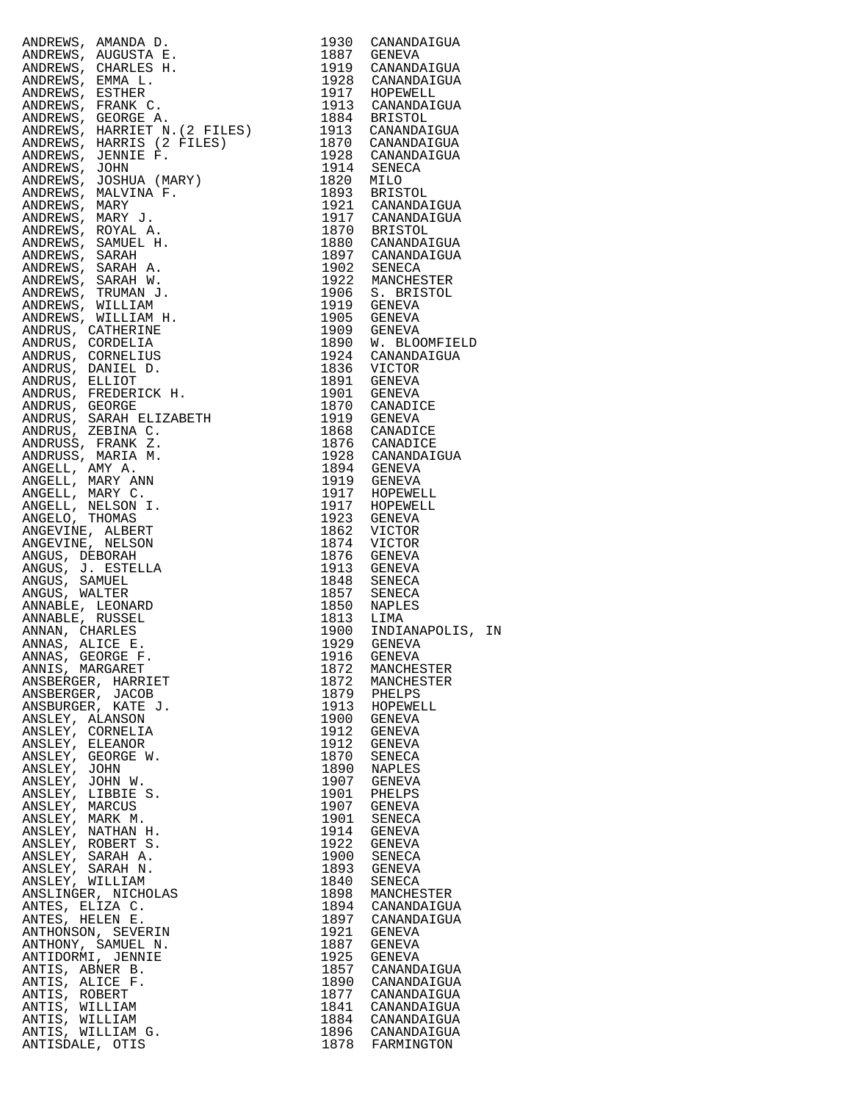| ANDERES, ANARONS, E. 1930 CANARIAICUS<br>ANDERES, ANGUSTRA E. 1947 CENERALIZOR (1947 CENERALIZOR ANDERES, ESPIERE<br>ANDERES, ESPIERE (1957 CENERALIZOR EN 1947 CENERALIZOR ANDERES, FRANCES (1958 CENERALIZOR ANDERES, FRANCES (195                           |              |                                      |
|----------------------------------------------------------------------------------------------------------------------------------------------------------------------------------------------------------------------------------------------------------------|--------------|--------------------------------------|
|                                                                                                                                                                                                                                                                |              |                                      |
|                                                                                                                                                                                                                                                                |              |                                      |
|                                                                                                                                                                                                                                                                |              |                                      |
|                                                                                                                                                                                                                                                                |              |                                      |
|                                                                                                                                                                                                                                                                |              |                                      |
|                                                                                                                                                                                                                                                                |              |                                      |
|                                                                                                                                                                                                                                                                |              |                                      |
|                                                                                                                                                                                                                                                                |              |                                      |
|                                                                                                                                                                                                                                                                |              |                                      |
|                                                                                                                                                                                                                                                                |              |                                      |
|                                                                                                                                                                                                                                                                |              |                                      |
|                                                                                                                                                                                                                                                                |              |                                      |
|                                                                                                                                                                                                                                                                |              |                                      |
|                                                                                                                                                                                                                                                                |              |                                      |
|                                                                                                                                                                                                                                                                |              |                                      |
|                                                                                                                                                                                                                                                                |              |                                      |
|                                                                                                                                                                                                                                                                |              |                                      |
|                                                                                                                                                                                                                                                                |              |                                      |
|                                                                                                                                                                                                                                                                |              |                                      |
|                                                                                                                                                                                                                                                                |              |                                      |
|                                                                                                                                                                                                                                                                |              |                                      |
|                                                                                                                                                                                                                                                                |              |                                      |
|                                                                                                                                                                                                                                                                |              |                                      |
|                                                                                                                                                                                                                                                                |              |                                      |
|                                                                                                                                                                                                                                                                |              |                                      |
|                                                                                                                                                                                                                                                                |              |                                      |
|                                                                                                                                                                                                                                                                |              |                                      |
|                                                                                                                                                                                                                                                                |              |                                      |
|                                                                                                                                                                                                                                                                |              |                                      |
|                                                                                                                                                                                                                                                                |              |                                      |
|                                                                                                                                                                                                                                                                |              |                                      |
|                                                                                                                                                                                                                                                                |              |                                      |
|                                                                                                                                                                                                                                                                |              |                                      |
|                                                                                                                                                                                                                                                                |              |                                      |
|                                                                                                                                                                                                                                                                |              |                                      |
|                                                                                                                                                                                                                                                                |              |                                      |
|                                                                                                                                                                                                                                                                |              |                                      |
|                                                                                                                                                                                                                                                                |              |                                      |
|                                                                                                                                                                                                                                                                |              |                                      |
| ANSBERGER, HARRIET                                                                                                                                                                                                                                             | 1872         | MANCHESTER                           |
| ANSBERGER, JACOB                                                                                                                                                                                                                                               |              | 1879 PHELPS                          |
| ANSBURGER, KATE J.<br>ANSLEY, ALANSON                                                                                                                                                                                                                          | 1913         | HOPEWELL<br>1900 GENEVA              |
| ANSLEY, CORNELIA                                                                                                                                                                                                                                               | 1912         | GENEVA                               |
| ANSLEY, ELEANOR                                                                                                                                                                                                                                                |              | 1912 GENEVA                          |
|                                                                                                                                                                                                                                                                | 1870         | SENECA                               |
|                                                                                                                                                                                                                                                                | 1890         | <b>NAPLES</b><br>1907 GENEVA         |
|                                                                                                                                                                                                                                                                | 1901         | PHELPS                               |
|                                                                                                                                                                                                                                                                | 1907         | GENEVA                               |
|                                                                                                                                                                                                                                                                | 1901         | SENECA                               |
|                                                                                                                                                                                                                                                                | 1914         | GENEVA<br>1922 GENEVA                |
|                                                                                                                                                                                                                                                                | 1900         | SENECA                               |
|                                                                                                                                                                                                                                                                | 1893         | GENEVA                               |
|                                                                                                                                                                                                                                                                | 1840         | SENECA<br>1898 MANCHESTER            |
|                                                                                                                                                                                                                                                                | 1894         | CANANDAIGUA                          |
|                                                                                                                                                                                                                                                                |              | 1897 CANANDAIGUA                     |
|                                                                                                                                                                                                                                                                | 1921         | GENEVA                               |
|                                                                                                                                                                                                                                                                | 1887<br>1925 | <b>GENEVA</b><br>GENEVA              |
|                                                                                                                                                                                                                                                                |              | 1857 CANANDAIGUA                     |
|                                                                                                                                                                                                                                                                | 1890         | CANANDAIGUA                          |
|                                                                                                                                                                                                                                                                |              | 1877 CANANDAIGUA                     |
| S.<br>S.<br>S.<br>AK M.<br>ARTHAN H.<br>4, ROBERT S.<br>LEY, SARAH N.<br>ANSLEY, SARAH N.<br>MSLEY, WILLIAM<br>NSLEY, WILLIAM<br>NSLENGER, NICHOLAS<br>TES, ELIZA C.<br>TES, HELEN E.<br>HONSON, SEWERIN<br>ONNY, JENNIE N.<br>1, ORMI, JENNIE 1<br>4, ABNER B |              | 1841 CANANDAIGUA<br>1884 CANANDAIGUA |
|                                                                                                                                                                                                                                                                |              | 1896 CANANDAIGUA                     |
|                                                                                                                                                                                                                                                                |              | 1878 FARMINGTON                      |

|                                                                                                                                                                                                                                                           |              | 1921 CANANDAIGUA           |  |
|-----------------------------------------------------------------------------------------------------------------------------------------------------------------------------------------------------------------------------------------------------------|--------------|----------------------------|--|
|                                                                                                                                                                                                                                                           |              |                            |  |
|                                                                                                                                                                                                                                                           |              |                            |  |
|                                                                                                                                                                                                                                                           |              |                            |  |
|                                                                                                                                                                                                                                                           |              |                            |  |
|                                                                                                                                                                                                                                                           |              |                            |  |
|                                                                                                                                                                                                                                                           |              |                            |  |
|                                                                                                                                                                                                                                                           |              |                            |  |
|                                                                                                                                                                                                                                                           |              |                            |  |
|                                                                                                                                                                                                                                                           |              | 1890 W. BLOOMFIELD         |  |
|                                                                                                                                                                                                                                                           |              |                            |  |
|                                                                                                                                                                                                                                                           |              |                            |  |
|                                                                                                                                                                                                                                                           |              |                            |  |
|                                                                                                                                                                                                                                                           |              |                            |  |
|                                                                                                                                                                                                                                                           |              |                            |  |
|                                                                                                                                                                                                                                                           |              |                            |  |
|                                                                                                                                                                                                                                                           |              |                            |  |
|                                                                                                                                                                                                                                                           |              |                            |  |
|                                                                                                                                                                                                                                                           |              |                            |  |
|                                                                                                                                                                                                                                                           |              |                            |  |
|                                                                                                                                                                                                                                                           |              |                            |  |
|                                                                                                                                                                                                                                                           |              |                            |  |
|                                                                                                                                                                                                                                                           |              |                            |  |
| ANDERWS, ANARO B. 1930<br>CANADERWS, ANARO B. 1930<br>CANADERWS, ANARO B. 1930<br>CANADERWS, CRANC E. 1942<br>ANDERWS, CRANC C. 1942<br>ANDERWS, ERANTS C. 1943<br>ANDERWS, FRANC C. 1943<br>ANDERWS, FRANC C. 1943<br>ANDERWS, SERVICT A. 2 FILES)<br>AN |              |                            |  |
|                                                                                                                                                                                                                                                           |              |                            |  |
|                                                                                                                                                                                                                                                           |              |                            |  |
|                                                                                                                                                                                                                                                           |              |                            |  |
|                                                                                                                                                                                                                                                           |              |                            |  |
|                                                                                                                                                                                                                                                           |              | 1900 INDIANAPOLIS, IN      |  |
|                                                                                                                                                                                                                                                           |              |                            |  |
| ANNIS, MARGARET                                                                                                                                                                                                                                           | 1872         | MANCHESTER                 |  |
| ANSBERGER, HARRIET                                                                                                                                                                                                                                        | 1872         | MANCHESTER                 |  |
| ANSBERGER, JACOB                                                                                                                                                                                                                                          | 1879         | PHELPS                     |  |
| ANSBURGER, KATE J.                                                                                                                                                                                                                                        | 1913         | HOPEWELL                   |  |
| ANSLEY, ALANSON                                                                                                                                                                                                                                           | 1900         | GENEVA                     |  |
| ANSLEY, CORNELIA<br>ANSLEY, ELEANOR                                                                                                                                                                                                                       | 1912<br>1912 | GENEVA<br>GENEVA           |  |
| ANSLEY, GEORGE W.                                                                                                                                                                                                                                         | 1870         | SENECA                     |  |
| ANSLEY, JOHN                                                                                                                                                                                                                                              | 1890         | NAPLES                     |  |
| ANSLEY, JOHN W.                                                                                                                                                                                                                                           | 1907         | GENEVA                     |  |
| ANSLEY, LIBBIE S.<br>ANSLEY, MARCUS                                                                                                                                                                                                                       | 1901<br>1907 | PHELPS                     |  |
| ANSLEY, MARK M.                                                                                                                                                                                                                                           | 1901         | GENEVA<br>SENECA           |  |
| ANSLEY, NATHAN H.                                                                                                                                                                                                                                         | 1914         | GENEVA                     |  |
| ANSLEY, ROBERT S.                                                                                                                                                                                                                                         | 1922         | GENEVA                     |  |
| ANSLEY, SARAH A.                                                                                                                                                                                                                                          | 1900         | SENECA                     |  |
| ANSLEY, SARAH N.<br>ANSLEY, WILLIAM                                                                                                                                                                                                                       | 1893<br>1840 | GENEVA<br>SENECA           |  |
| ANSLINGER, NICHOLAS                                                                                                                                                                                                                                       | 1898         | MANCHESTER                 |  |
| ANTES, ELIZA C.                                                                                                                                                                                                                                           | 1894         | CANANDAIGUA                |  |
| ANTES, HELEN E.                                                                                                                                                                                                                                           | 1897         | CANANDAIGUA                |  |
| ANTHONSON, SEVERIN                                                                                                                                                                                                                                        | 1921<br>1887 | GENEVA                     |  |
| ANTHONY, SAMUEL N.<br>ANTIDORMI, JENNIE                                                                                                                                                                                                                   | 1925         | GENEVA<br><b>GENEVA</b>    |  |
| ANTIS, ABNER B.                                                                                                                                                                                                                                           | 1857         | CANANDAIGUA                |  |
| ANTIS, ALICE F.                                                                                                                                                                                                                                           | 1890         | CANANDAIGUA                |  |
| ANTIS, ROBERT                                                                                                                                                                                                                                             | 1877         | CANANDAIGUA                |  |
| ANTIS, WILLIAM<br>ANTIS, WILLIAM                                                                                                                                                                                                                          | 1841<br>1884 | CANANDAIGUA<br>CANANDAIGUA |  |
| ANTIS, WILLIAM G.                                                                                                                                                                                                                                         | 1896         | CANANDAIGUA                |  |
| ANTISDALE, OTIS                                                                                                                                                                                                                                           | 1878         | FARMINGTON                 |  |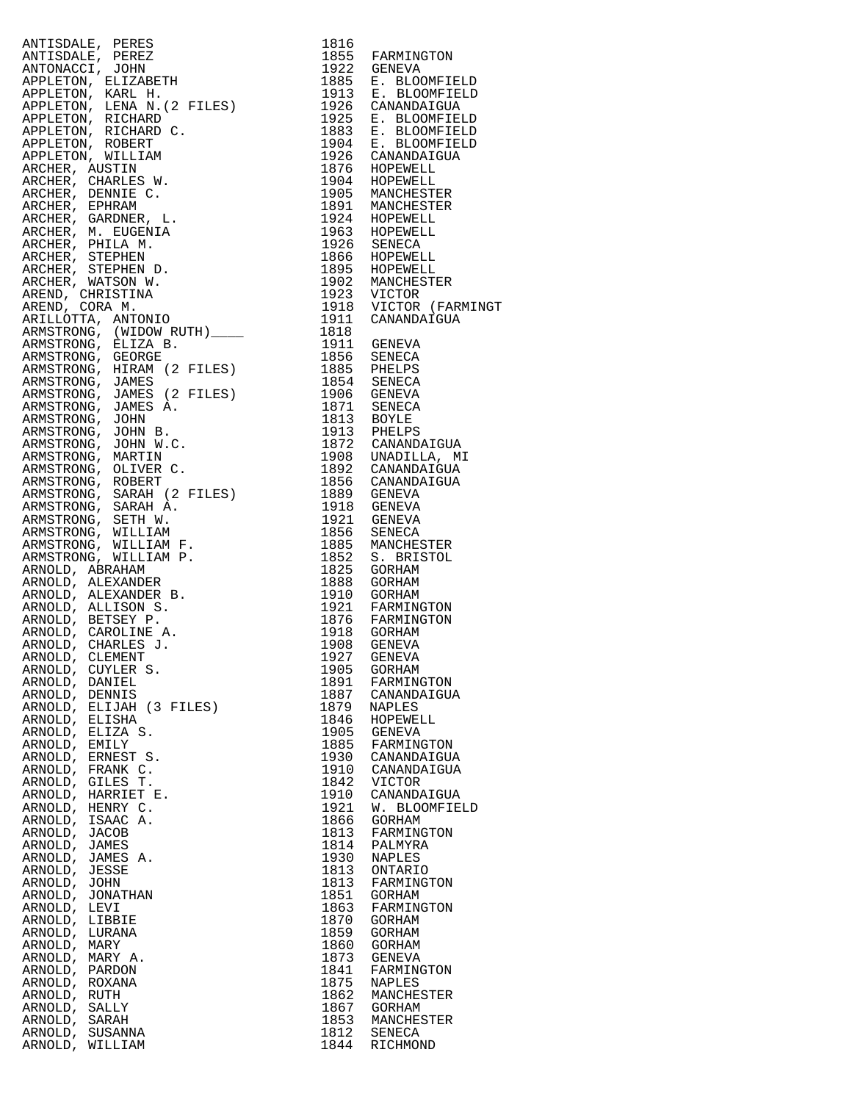ANTISDALE, PERES 1816 ANTISDALE, PEREZ 1855 FARMINGTON ANTONACCI, JOHN 1922 GENEVA APPLETON, ELIZABETH 1885 E. BLOOMFIELD APPLETON, KARL H. 1913 E. BLOOMFIELD APPLETON, LENA N.(2 FILES) 1926 CANANDAIGUA APPLETON, RICHARD 1925 E. BLOOMFIELD APPLETON, RICHARD C. 1883 E. BLOOMFIELD APPLETON, ROBERT 1904 E. BLOOMFIELD APPLETON, WILLIAM 1926 CANANDAIGUA ARCHER, AUSTIN 1876 HOPEWELL ARCHER, CHARLES W. 1904 HOPEWELL ARCHER, DENNIE C. 1905 MANCHESTER ARCHER, EPHRAM 1891 MANCHESTER ARCHER, GARDNER, L. 1924 HOPEWELL ARCHER, M. EUGENIA 1963 HOPEWELL ARCHER, PHILA M. 1926 SENECA ARCHER, STEPHEN 1866 HOPEWELL ARCHER, STEPHEN D. 1895 HOPEWELL ARCHER, WATSON W. 1902 MANCHESTER AREND, CHRISTINA 1923 VICTOR AREND, CORA M. 1918 VICTOR (FARMINGT ARILLOTTA, ANTONIO 1911 CANANDAIGUA ARMSTRONG, (WIDOW RUTH)\_\_\_\_ 1818 ARMSTRONG, ELIZA B. 1911 GENEVA ARMSTRONG, GEORGE 1856 SENECA ARMSTRONG, HIRAM (2 FILES) 1885 PHELPS ARMSTRONG, JAMES 1854 SENECA ARMSTRONG, JAMES (2 FILES) 1906 GENEVA ARMSTRONG, JAMES A. 1871 SENECA ARMSTRONG, JOHN 1813 BOYLE ARMSTRONG, JOHN B. 1913 PHELPS ARMSTRONG, JOHN W.C. 1872 CANANDAIGUA ARMSTRONG, MARTIN 1908 UNADILLA, MI ARMSTRONG, OLIVER C. 1892 CANANDAIGUA ARMSTRONG, ROBERT 1856 CANANDAIGUA ARMSTRONG, SARAH (2 FILES) 1889 GENEVA ARMSTRONG, SARAH A. 1918 GENEVA ARMSTRONG, SETH W. 1921 GENEVA ARMSTRONG, WILLIAM 1856 SENECA ARMSTRONG, WILLIAM F. 1885 MANCHESTER ARMSTRONG, WILLIAM P. 1852 S. BRISTOL ARNOLD, ABRAHAM 1825 GORHAM ARNOLD, ALEXANDER 1888 GORHAM ARNOLD, ALEXANDER B. 1910 GORHAM ARNOLD, ALLISON S. 1921 FARMINGTON ARNOLD, BETSEY P. 1876 FARMINGTON ARNOLD, CAROLINE A. 1918 GORHAM ARNOLD, CHARLES J. 1908 GENEVA ARNOLD, CLEMENT 1927 GENEVA ARNOLD, CUYLER S. 1905 GORHAM ARNOLD, DANIEL 1891 FARMINGTON ARNOLD, DENNIS 1887 CANANDAIGUA ARNOLD, ELIJAH (3 FILES) 1879 NAPLES ARNOLD, ELISHA 1846 HOPEWELL ARNOLD, ELIZA S. 1905 GENEVA ARNOLD, EMILY 1885 FARMINGTON ARNOLD, ERNEST S. 1930 CANANDAIGUA ARNOLD, FRANK C. 1910 CANANDAIGUA ARNOLD, GILES T. 1842 VICTOR ARNOLD, HARRIET E. 1910 CANANDAIGUA ARNOLD, HENRY C. 1921 W. BLOOMFIELD ARNOLD, ISAAC A. 1866 GORHAM ARNOLD, JACOB 1813 FARMINGTON ARNOLD, JAMES 1814 PALMYRA ARNOLD, JAMES A. 1930 NAPLES ARNOLD, JESSE 1813 ONTARIO ARNOLD, JOHN 1813 FARMINGTON ARNOLD, JONATHAN 1851 GORHAM ARNOLD, LEVI 1863 FARMINGTON ARNOLD, LIBBIE 1870 GORHAM ARNOLD, LURANA 1859 GORHAM ARNOLD, MARY 1860 GORHAM ARNOLD, MARY A. 1873 GENEVA ARNOLD, PARDON 1841 FARMINGTON ARNOLD, ROXANA 1875 NAPLES ARNOLD, RUTH 1862 MANCHESTER ARNOLD, SALLY 1867 GORHAM ARNOLD, SARAH 1853 MANCHESTER ARNOLD, SUSANNA 1812 SENECA<br>ARNOLD, WILLIAM 1844 RICHMOND ARNOLD, WILLIAM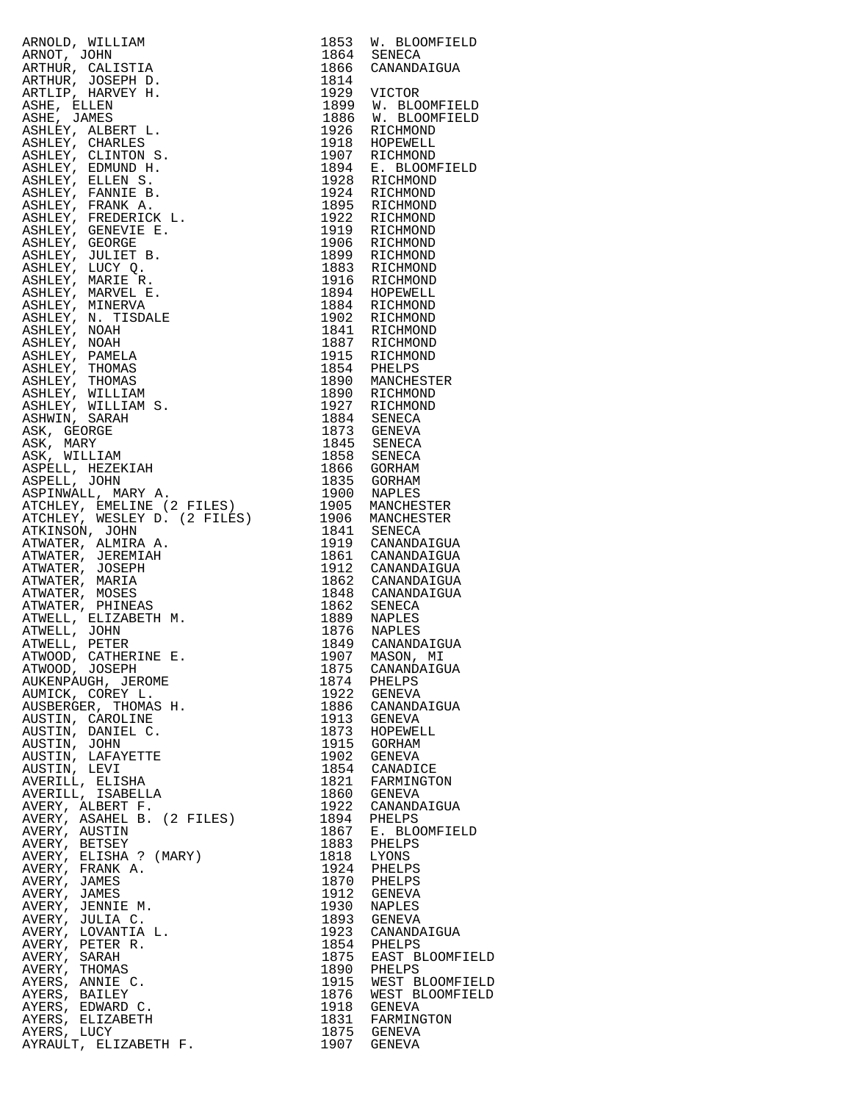| ARMOLD, WILLIAM 1953 W. BLOOMFIELD 1964 SENECA WANDALOUN (NELLES)<br>ARMOLD, NOLESTIA 1964 SENECA CANANDALOUN<br>ARMOLD, JOBET 1878 1986 CANANDALOUN ANTHONY (COMPTELD ARMOLD AND THE SAME IN THE SAME IN THE SAME IN THE SAME IN T |              |                                |
|-------------------------------------------------------------------------------------------------------------------------------------------------------------------------------------------------------------------------------------|--------------|--------------------------------|
|                                                                                                                                                                                                                                     |              |                                |
|                                                                                                                                                                                                                                     |              |                                |
|                                                                                                                                                                                                                                     |              |                                |
|                                                                                                                                                                                                                                     |              |                                |
|                                                                                                                                                                                                                                     |              |                                |
|                                                                                                                                                                                                                                     |              |                                |
|                                                                                                                                                                                                                                     |              |                                |
|                                                                                                                                                                                                                                     |              |                                |
|                                                                                                                                                                                                                                     |              |                                |
|                                                                                                                                                                                                                                     |              |                                |
|                                                                                                                                                                                                                                     |              |                                |
|                                                                                                                                                                                                                                     |              |                                |
|                                                                                                                                                                                                                                     |              |                                |
|                                                                                                                                                                                                                                     |              |                                |
|                                                                                                                                                                                                                                     |              |                                |
|                                                                                                                                                                                                                                     |              |                                |
|                                                                                                                                                                                                                                     |              |                                |
|                                                                                                                                                                                                                                     |              |                                |
|                                                                                                                                                                                                                                     |              |                                |
|                                                                                                                                                                                                                                     |              |                                |
|                                                                                                                                                                                                                                     |              |                                |
|                                                                                                                                                                                                                                     |              |                                |
|                                                                                                                                                                                                                                     |              |                                |
|                                                                                                                                                                                                                                     |              |                                |
|                                                                                                                                                                                                                                     |              |                                |
|                                                                                                                                                                                                                                     |              |                                |
|                                                                                                                                                                                                                                     |              |                                |
|                                                                                                                                                                                                                                     |              |                                |
|                                                                                                                                                                                                                                     |              |                                |
|                                                                                                                                                                                                                                     |              |                                |
|                                                                                                                                                                                                                                     |              |                                |
|                                                                                                                                                                                                                                     |              |                                |
|                                                                                                                                                                                                                                     |              |                                |
|                                                                                                                                                                                                                                     |              |                                |
|                                                                                                                                                                                                                                     |              |                                |
|                                                                                                                                                                                                                                     |              |                                |
|                                                                                                                                                                                                                                     |              |                                |
|                                                                                                                                                                                                                                     |              |                                |
|                                                                                                                                                                                                                                     |              |                                |
|                                                                                                                                                                                                                                     |              |                                |
|                                                                                                                                                                                                                                     |              |                                |
|                                                                                                                                                                                                                                     |              |                                |
| ATWOOD, CATHERINE E.<br>ATWOOD, JOSEPH                                                                                                                                                                                              |              |                                |
| AUKENPAUGH, JEROME                                                                                                                                                                                                                  | 1875<br>1874 | CANANDAIGUA                    |
| AUMICK, COREY L.                                                                                                                                                                                                                    | 1922         | PHELPS<br>GENEVA               |
| AUSBERGER, THOMAS H.                                                                                                                                                                                                                | 1886         | CANANDAIGUA                    |
| AUSTIN, CAROLINE                                                                                                                                                                                                                    | 1913         | GENEVA                         |
| AUSTIN, DANIEL C.                                                                                                                                                                                                                   | 1873         | HOPEWELL                       |
| AUSTIN, JOHN                                                                                                                                                                                                                        | 1915         | GORHAM                         |
| AUSTIN, LAFAYETTE                                                                                                                                                                                                                   | 1902         | GENEVA                         |
| AUSTIN, LEVI<br>AVERILL, ELISHA                                                                                                                                                                                                     | 1821         | 1854 CANADICE<br>FARMINGTON    |
| AVERILL, ISABELLA                                                                                                                                                                                                                   |              | 1860 GENEVA                    |
| AVERY, ALBERT F.                                                                                                                                                                                                                    | 1922         | CANANDAIGUA                    |
| AVERY, ASAHEL B. (2 FILES)                                                                                                                                                                                                          | 1894         | PHELPS                         |
| AVERY, AUSTIN                                                                                                                                                                                                                       | 1867         | E. BLOOMFIELD                  |
| AVERY, BETSEY                                                                                                                                                                                                                       | 1883         | PHELPS                         |
| AVERY, ELISHA ? (MARY)                                                                                                                                                                                                              | 1818         | LYONS                          |
| AVERY, FRANK A.<br>AVERY, JAMES                                                                                                                                                                                                     | 1924<br>1870 | PHELPS<br>PHELPS               |
| AVERY, JAMES                                                                                                                                                                                                                        | 1912         | GENEVA                         |
| AVERY, JENNIE M.                                                                                                                                                                                                                    | 1930         | NAPLES                         |
| AVERY, JULIA C.                                                                                                                                                                                                                     | 1893         | GENEVA                         |
| AVERY, LOVANTIA L.                                                                                                                                                                                                                  | 1923         | CANANDAIGUA                    |
| AVERY, PETER R.                                                                                                                                                                                                                     |              | 1854 PHELPS                    |
| AVERY, SARAH                                                                                                                                                                                                                        | 1875         | EAST BLOOMFIELD<br>1890 PHELPS |
| AVERY, THOMAS<br>AYERS, ANNIE C.                                                                                                                                                                                                    | 1915         | WEST BLOOMFIELD                |
| AYERS, BAILEY                                                                                                                                                                                                                       | 1876         | WEST BLOOMFIELD                |
| AYERS, EDWARD C.                                                                                                                                                                                                                    | 1918         | GENEVA                         |
| AYERS, ELIZABETH                                                                                                                                                                                                                    |              | 1831 FARMINGTON                |
| AYERS, LUCY<br>AYRAULT, ELIZABETH F.                                                                                                                                                                                                |              | 1875 GENEVA                    |
|                                                                                                                                                                                                                                     |              | 1907 GENEVA                    |

| 1853         | W. BLOOMFIELD                     |
|--------------|-----------------------------------|
| 1864<br>1866 | <b>SENECA</b><br>CANANDAIGUA      |
| 1814         |                                   |
| 1929<br>1899 | VICTOR                            |
| 1886         | W. BLOOMFIELD<br>W. BLOOMFIELD    |
| 1926<br>1918 | RICHMOND<br>HOPEWELL              |
| 1907         | RICHMOND                          |
| 1894<br>1928 | E. BLOOMFIELD<br>RICHMOND         |
| 1924         | RICHMOND                          |
| 1895<br>1922 | RICHMOND<br>RICHMOND              |
| 1919         | RICHMOND                          |
| 1906         | RICHMOND                          |
| 1899<br>1883 | RICHMOND<br>RICHMOND              |
| 1916         | RICHMOND                          |
| 1894<br>1884 | HOPEWELL<br>RICHMOND              |
| 1902         | RICHMOND                          |
| 1841<br>1887 | RICHMOND<br>RICHMOND              |
| 1915         | RICHMOND                          |
| 1854         | PHELPS                            |
| 1890<br>1890 | MANCHESTER<br>RICHMOND            |
| 1927         | RICHMOND                          |
| 1884<br>1873 | SENECA<br>GENEVA                  |
| 1845         | SENECA                            |
| 1858<br>1866 | SENECA<br>GORHAM                  |
| 1835         | GORHAM                            |
| 1900         | NAPLES                            |
| 1905<br>1906 | MANCHESTER<br>MANCHESTER          |
| 1841         | SENECA                            |
| 1919<br>1861 | CANANDAIGUA<br>CANANDAIGUA        |
| 1912         | CANANDAIGUA                       |
| 1862<br>1848 | CANANDAIGUA<br>CANANDAIGUA        |
| 1862         | SENECA                            |
| 1889<br>1876 | NAPLES<br>NAPLES                  |
| 1849         | CANANDAIGUA                       |
| 1907<br>1875 | MASON, MI                         |
| l874         | CANANDAIGUA<br>PHELPS             |
| 1922         | GENEVA                            |
| 1886<br>1913 | CANANDAIGUA<br>GENEVA             |
| 1873         | HOPEWELL                          |
| 1915<br>1902 | GORHAM<br>GENEVA                  |
| 1854         | CANADICE                          |
| 1821<br>1860 | FARMINGTON<br>GENEVA              |
| 1922         | CANANDAIGUA                       |
| l894<br>1867 | PHELPS<br>Е.                      |
| 1883         | <b>BLOOMFIELD</b><br>PHELPS       |
| L818         | LYONS                             |
| 1924<br>1870 | PHELPS<br>PHELPS                  |
| 1912         | <b>GENEVA</b>                     |
| 1930<br>1893 | NAPLES<br><b>GENEVA</b>           |
| 1923         | CANANDAIGUA                       |
| 1854<br>1875 | PHELPS<br>EAST BLOOMFIEL          |
| 1890         | PHELPS                            |
| 1915<br>1876 | WEST BLOOMFIEL<br>WEST BLOOMFIELI |
| 1918         | GENEVA                            |
| 1831         | FARMINGTON                        |
| 1875<br>1907 | GENEVA<br>GENEVA                  |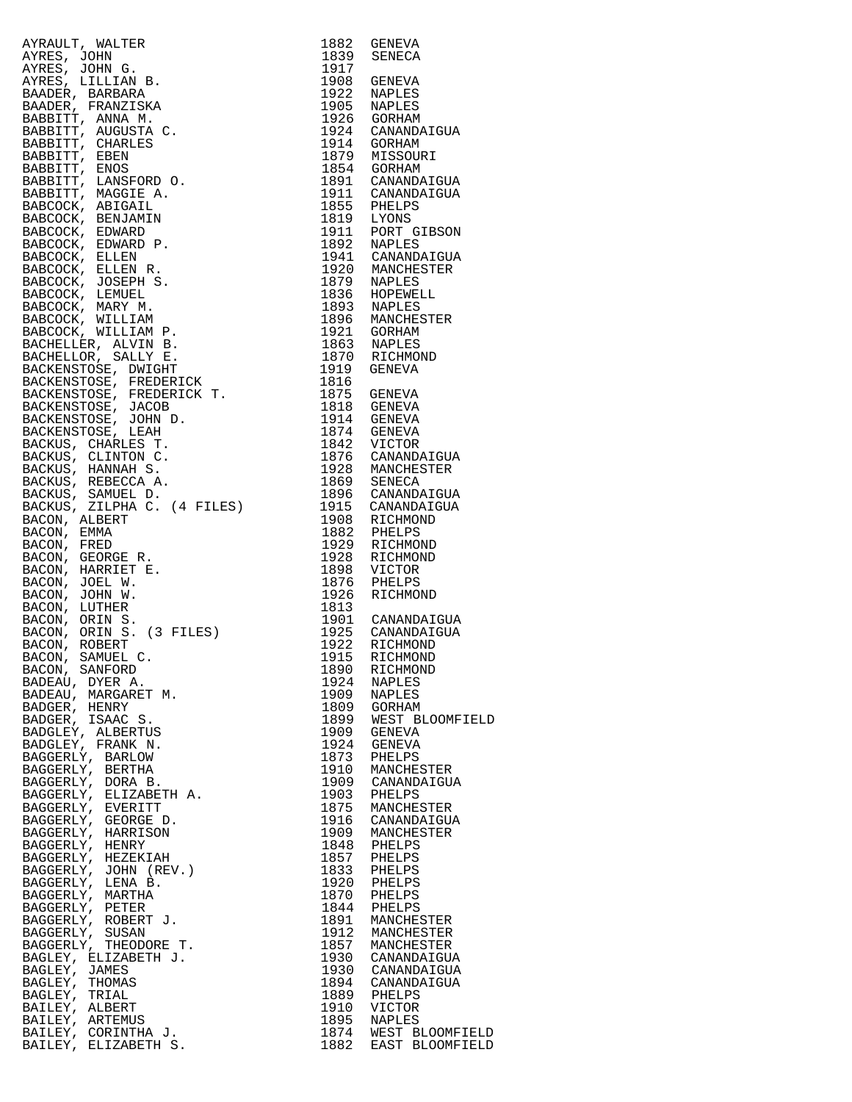| AYRAUT, WALTER (1992)<br>AYRES, JOHN G. 1839 SENEVA<br>AYRES, JOHN G. 1939 SENEVA<br>AYRES, JOHN G. 1939 SENEVA<br>AYRES, LILLIAN B. 1917<br>BAADER, BARBARA<br>BAADER, FRANZISKA 1922 NAPLES<br>BAADER, FRANZISKA 1939 SENEVA<br>BABBITT, AN |              |                                              |
|-----------------------------------------------------------------------------------------------------------------------------------------------------------------------------------------------------------------------------------------------|--------------|----------------------------------------------|
|                                                                                                                                                                                                                                               |              |                                              |
|                                                                                                                                                                                                                                               |              |                                              |
|                                                                                                                                                                                                                                               |              |                                              |
|                                                                                                                                                                                                                                               |              |                                              |
|                                                                                                                                                                                                                                               |              |                                              |
|                                                                                                                                                                                                                                               |              |                                              |
|                                                                                                                                                                                                                                               |              |                                              |
|                                                                                                                                                                                                                                               |              |                                              |
|                                                                                                                                                                                                                                               |              |                                              |
|                                                                                                                                                                                                                                               |              |                                              |
|                                                                                                                                                                                                                                               |              |                                              |
|                                                                                                                                                                                                                                               |              |                                              |
|                                                                                                                                                                                                                                               |              |                                              |
|                                                                                                                                                                                                                                               |              |                                              |
|                                                                                                                                                                                                                                               |              |                                              |
|                                                                                                                                                                                                                                               |              |                                              |
|                                                                                                                                                                                                                                               |              |                                              |
|                                                                                                                                                                                                                                               |              |                                              |
|                                                                                                                                                                                                                                               |              |                                              |
|                                                                                                                                                                                                                                               |              |                                              |
|                                                                                                                                                                                                                                               |              |                                              |
|                                                                                                                                                                                                                                               |              |                                              |
|                                                                                                                                                                                                                                               |              |                                              |
|                                                                                                                                                                                                                                               |              |                                              |
|                                                                                                                                                                                                                                               |              |                                              |
|                                                                                                                                                                                                                                               |              |                                              |
|                                                                                                                                                                                                                                               |              |                                              |
|                                                                                                                                                                                                                                               |              |                                              |
|                                                                                                                                                                                                                                               |              |                                              |
|                                                                                                                                                                                                                                               |              |                                              |
|                                                                                                                                                                                                                                               |              |                                              |
|                                                                                                                                                                                                                                               |              |                                              |
|                                                                                                                                                                                                                                               |              |                                              |
|                                                                                                                                                                                                                                               |              |                                              |
| BACKUS, SAMULLUS, CHERENCON, ALBERT (4 FILES)<br>BACON, ALBERT (1908 RICHMOND 1882 PHELPS<br>BACON, ERED 1929 RICHMOND 1929 RICHMOND<br>BACON, GEORGE R. 1928 RICHMOND<br>BACON, JOEL W. 1876 PHELPS<br>BACON, JOEL W. 1876 PHELPS<br>BACO    |              |                                              |
|                                                                                                                                                                                                                                               |              |                                              |
|                                                                                                                                                                                                                                               |              |                                              |
|                                                                                                                                                                                                                                               |              |                                              |
|                                                                                                                                                                                                                                               |              |                                              |
|                                                                                                                                                                                                                                               |              |                                              |
|                                                                                                                                                                                                                                               |              |                                              |
|                                                                                                                                                                                                                                               |              |                                              |
|                                                                                                                                                                                                                                               |              |                                              |
|                                                                                                                                                                                                                                               |              |                                              |
|                                                                                                                                                                                                                                               |              |                                              |
|                                                                                                                                                                                                                                               |              |                                              |
| BACON, SANFORD                                                                                                                                                                                                                                | 1890         | RICHMOND                                     |
| BADEAU, DYER A.                                                                                                                                                                                                                               | 1924         | <b>NAPLES</b>                                |
| BADEAU, MARGARET M.                                                                                                                                                                                                                           | 1909         | <b>NAPLES</b>                                |
| BADGER, HENRY                                                                                                                                                                                                                                 | 1809         | GORHAM                                       |
| BADGER, ISAAC S.                                                                                                                                                                                                                              | 1899         | WEST BLOOMFIELD                              |
| BADGLEY, ALBERTUS                                                                                                                                                                                                                             | 1909         | GENEVA                                       |
| BADGLEY, FRANK N.                                                                                                                                                                                                                             | 1924         | GENEVA                                       |
| BAGGERLY, BARLOW                                                                                                                                                                                                                              | 1873         | PHELPS                                       |
| BAGGERLY, BERTHA                                                                                                                                                                                                                              | 1910         | MANCHESTER                                   |
| BAGGERLY, DORA B.<br>BAGGERLY, ELIZABETH A.                                                                                                                                                                                                   | 1909<br>1903 | CANANDAIGUA<br>PHELPS                        |
| BAGGERLY, EVERITT                                                                                                                                                                                                                             | 1875         | MANCHESTER                                   |
| BAGGERLY, GEORGE D.                                                                                                                                                                                                                           | 1916         | CANANDAIGUA                                  |
| BAGGERLY, HARRISON                                                                                                                                                                                                                            | 1909         | MANCHESTER                                   |
| BAGGERLY, HENRY                                                                                                                                                                                                                               | 1848         | PHELPS                                       |
| BAGGERLY, HEZEKIAH                                                                                                                                                                                                                            | 1857         | PHELPS                                       |
| BAGGERLY, JOHN (REV.)                                                                                                                                                                                                                         | 1833         | PHELPS                                       |
| BAGGERLY, LENA B.                                                                                                                                                                                                                             | 1920         | PHELPS                                       |
| BAGGERLY, MARTHA                                                                                                                                                                                                                              | 1870         | PHELPS                                       |
| BAGGERLY, PETER                                                                                                                                                                                                                               | 1844         | PHELPS                                       |
| BAGGERLY, ROBERT J.                                                                                                                                                                                                                           | 1891         | MANCHESTER                                   |
| BAGGERLY, SUSAN                                                                                                                                                                                                                               | 1912         | MANCHESTER                                   |
| BAGGERLY, THEODORE T.                                                                                                                                                                                                                         | 1857         | MANCHESTER                                   |
| BAGLEY, ELIZABETH J.                                                                                                                                                                                                                          | 1930         | CANANDAIGUA                                  |
| BAGLEY, JAMES                                                                                                                                                                                                                                 | 1930         | CANANDAIGUA                                  |
| BAGLEY, THOMAS<br>BAGLEY, TRIAL                                                                                                                                                                                                               | 1894<br>1889 | CANANDAIGUA<br>PHELPS                        |
| BAILEY, ALBERT                                                                                                                                                                                                                                | 1910         | VICTOR                                       |
| BAILEY, ARTEMUS                                                                                                                                                                                                                               | 1895         | <b>NAPLES</b>                                |
| BAILEY, CORINTHA J.                                                                                                                                                                                                                           |              |                                              |
| ם שחתם מקורות יש דד גם                                                                                                                                                                                                                        |              | 1874 WEST BLOOMFIELD<br>1882 FAST BLOOMFIELD |

| ULT, WALTER                                                                                                                                                                                                                                                                    | 1882         | GENEVA                                                                 |
|--------------------------------------------------------------------------------------------------------------------------------------------------------------------------------------------------------------------------------------------------------------------------------|--------------|------------------------------------------------------------------------|
| S, JOHN                                                                                                                                                                                                                                                                        |              | 1839 SENECA                                                            |
|                                                                                                                                                                                                                                                                                |              |                                                                        |
|                                                                                                                                                                                                                                                                                |              |                                                                        |
|                                                                                                                                                                                                                                                                                |              |                                                                        |
|                                                                                                                                                                                                                                                                                |              |                                                                        |
|                                                                                                                                                                                                                                                                                |              | 1924 CANANDAIGUA                                                       |
|                                                                                                                                                                                                                                                                                |              |                                                                        |
|                                                                                                                                                                                                                                                                                |              |                                                                        |
|                                                                                                                                                                                                                                                                                |              |                                                                        |
|                                                                                                                                                                                                                                                                                |              | 1891 CANANDAIGUA                                                       |
|                                                                                                                                                                                                                                                                                |              | 1911 CANANDAIGUA                                                       |
|                                                                                                                                                                                                                                                                                |              |                                                                        |
|                                                                                                                                                                                                                                                                                |              |                                                                        |
|                                                                                                                                                                                                                                                                                |              | 1911 PORT GIBSON                                                       |
|                                                                                                                                                                                                                                                                                |              | 1892 NAPLEL<br>1941 CANANDAIGUA<br>1999 MANCHESTER                     |
|                                                                                                                                                                                                                                                                                |              |                                                                        |
|                                                                                                                                                                                                                                                                                |              | 1920 MANCHESTER<br>1879 NAPLES                                         |
|                                                                                                                                                                                                                                                                                |              |                                                                        |
|                                                                                                                                                                                                                                                                                |              |                                                                        |
|                                                                                                                                                                                                                                                                                |              |                                                                        |
|                                                                                                                                                                                                                                                                                |              | 1896 MANCHESTER                                                        |
|                                                                                                                                                                                                                                                                                |              |                                                                        |
|                                                                                                                                                                                                                                                                                |              |                                                                        |
|                                                                                                                                                                                                                                                                                |              |                                                                        |
|                                                                                                                                                                                                                                                                                |              |                                                                        |
|                                                                                                                                                                                                                                                                                |              |                                                                        |
|                                                                                                                                                                                                                                                                                |              |                                                                        |
|                                                                                                                                                                                                                                                                                |              |                                                                        |
| ENSTOSE, JACOB (MEDIAN 1. 1973)<br>ENSTOSE, JACOB (MEDIAN 1914 GENEVA<br>ENSTOSE, JOHN D. 1914 GENEVA<br>ENSTOSE, LEAH 1874 GENEVA<br>US, CHARLES T. 1842 VICTOR<br>US, CLINTON C. 1876 CANANDAIGUA<br>US, REBECCA A. 1928 MANCHESTER<br>US,                                   |              |                                                                        |
|                                                                                                                                                                                                                                                                                |              |                                                                        |
|                                                                                                                                                                                                                                                                                |              |                                                                        |
|                                                                                                                                                                                                                                                                                |              |                                                                        |
|                                                                                                                                                                                                                                                                                |              |                                                                        |
|                                                                                                                                                                                                                                                                                |              |                                                                        |
|                                                                                                                                                                                                                                                                                |              |                                                                        |
| N, ALBERT                                                                                                                                                                                                                                                                      |              | 1908 RICHMOND                                                          |
| N, EMMA                                                                                                                                                                                                                                                                        | 1882         | PHELPS                                                                 |
| N, FRED                                                                                                                                                                                                                                                                        |              | 1929 RICHMOND                                                          |
| N, GEORGE R.                                                                                                                                                                                                                                                                   | 1928         | RICHMOND                                                               |
| N, HARRIET E.                                                                                                                                                                                                                                                                  | 1898         | VICTOR                                                                 |
| N, JOEL W.                                                                                                                                                                                                                                                                     | 1876         | PHELPS                                                                 |
| N, JOHN W.                                                                                                                                                                                                                                                                     | 1926         | RICHMOND                                                               |
| N, LUTHER                                                                                                                                                                                                                                                                      | 1813         |                                                                        |
| N, ORIN S.<br>N, ORIN S. (3 FILES)<br>N, ROBERT                                                                                                                                                                                                                                |              | 1901 CANANDAIGUA<br>1925 CANANDAIGUA<br>1922 RICHMOND<br>1915 RICHMOND |
|                                                                                                                                                                                                                                                                                |              |                                                                        |
|                                                                                                                                                                                                                                                                                |              |                                                                        |
| N, SAMUEL C.                                                                                                                                                                                                                                                                   | 1915         | RICHMOND                                                               |
|                                                                                                                                                                                                                                                                                | 1890<br>1924 | RICHMOND                                                               |
|                                                                                                                                                                                                                                                                                | 1909         | NAPLES<br>NAPLES                                                       |
|                                                                                                                                                                                                                                                                                | 1809         | GORHAM                                                                 |
|                                                                                                                                                                                                                                                                                | 1899         | WEST BLOOMFIELD                                                        |
|                                                                                                                                                                                                                                                                                | 1909         | GENEVA                                                                 |
|                                                                                                                                                                                                                                                                                | 1924         | GENEVA                                                                 |
|                                                                                                                                                                                                                                                                                | 1873         | PHELPS                                                                 |
|                                                                                                                                                                                                                                                                                | 1910         | MANCHESTER                                                             |
|                                                                                                                                                                                                                                                                                | 1909         | CANANDAIGUA                                                            |
|                                                                                                                                                                                                                                                                                | 1903         | PHELPS                                                                 |
|                                                                                                                                                                                                                                                                                | 1875         | MANCHESTER                                                             |
|                                                                                                                                                                                                                                                                                |              | 1916 CANANDAIGUA                                                       |
|                                                                                                                                                                                                                                                                                | 1909         | MANCHESTER                                                             |
|                                                                                                                                                                                                                                                                                | 1848         | PHELPS                                                                 |
|                                                                                                                                                                                                                                                                                |              | 1857 PHELPS                                                            |
|                                                                                                                                                                                                                                                                                | 1833         | PHELPS                                                                 |
|                                                                                                                                                                                                                                                                                | 1920         | PHELPS                                                                 |
|                                                                                                                                                                                                                                                                                | 1870         | PHELPS                                                                 |
|                                                                                                                                                                                                                                                                                |              | 1844 PHELPS                                                            |
|                                                                                                                                                                                                                                                                                | 1891         | MANCHESTER                                                             |
|                                                                                                                                                                                                                                                                                | 1912         | MANCHESTER                                                             |
|                                                                                                                                                                                                                                                                                | 1857         | MANCHESTER                                                             |
|                                                                                                                                                                                                                                                                                |              | 1930 CANANDAIGUA                                                       |
|                                                                                                                                                                                                                                                                                |              | 1930 CANANDAIGUA                                                       |
|                                                                                                                                                                                                                                                                                |              | 1894 CANANDAIGUA                                                       |
|                                                                                                                                                                                                                                                                                | 1889         | PHELPS                                                                 |
|                                                                                                                                                                                                                                                                                | 1910         | VICTOR                                                                 |
| N, ROBERT<br>N, SAMUEL C.<br>N, SANFORD<br>AU, DYER A.<br>AU, DYER A.<br>ER, HENRY<br>LEY, ALBERTUS<br>LEY, ALBERTUS<br>LEY, FRANC S.<br>LEY, FRANC N.<br>ERLY, BARLOW<br>ERLY, EUIZABETH A.<br>ERLY, EUIZABETH A.<br>ERLY, HEZEKIAH<br>ERLY, HEZEKIAH<br>ERLY, HEZEKIAH<br>ER | 1895         | NAPLES<br>1874 WEST BLOOMFIELD                                         |
| EY, ELIZABETH S.                                                                                                                                                                                                                                                               | 1882         | EAST BLOOMFIELD                                                        |
|                                                                                                                                                                                                                                                                                |              |                                                                        |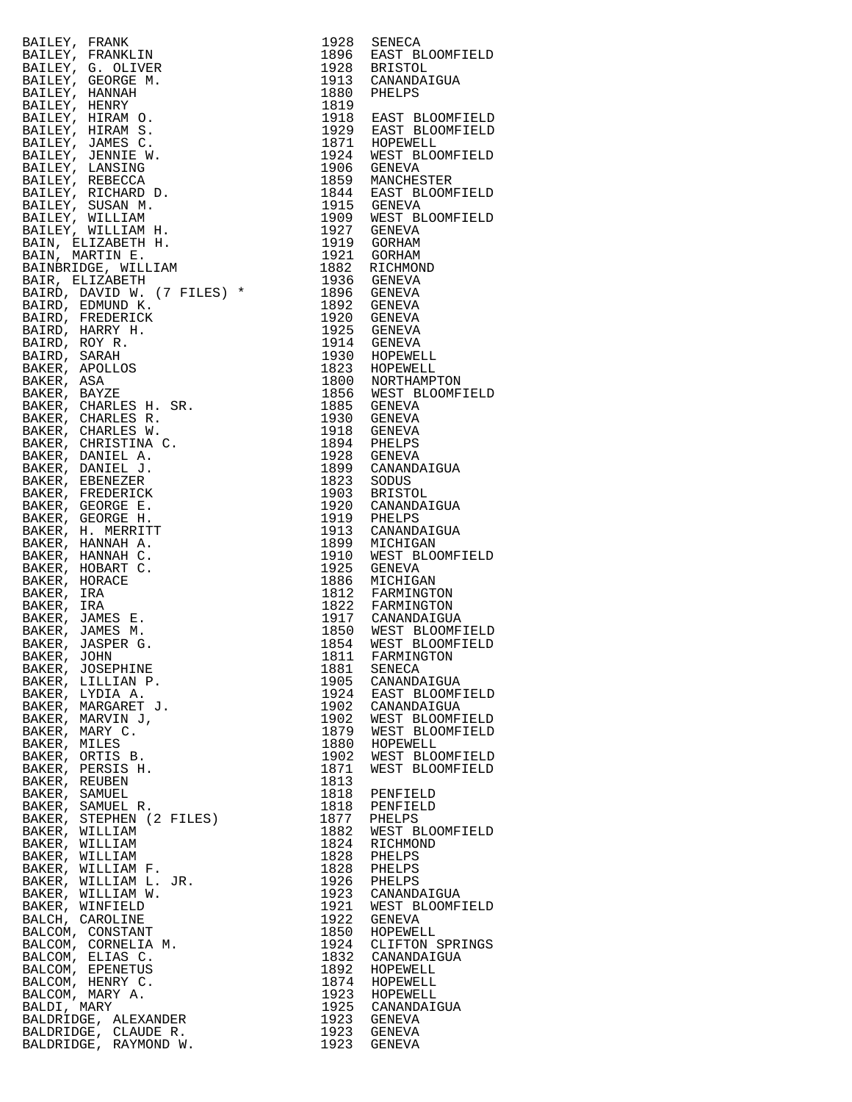| RAILEY, FRANKLINN 1993 SENECK<br>RAILEY, FRANKLINN 1994 SENECA<br>BALLEY, FRANKLINN 1994 BAST BLOOMPIELD<br>BALLEY, HANNAH 1994 BAST BLOOMPIELD<br>RAILEY, HARNAH 3. 1993 BALLEY, HARN 0.<br>BALLEY, HARNAH 3. 1993 BAST BLOOMPIELD<br>RAILEY, H                   |              |                                       |
|--------------------------------------------------------------------------------------------------------------------------------------------------------------------------------------------------------------------------------------------------------------------|--------------|---------------------------------------|
|                                                                                                                                                                                                                                                                    |              |                                       |
|                                                                                                                                                                                                                                                                    |              |                                       |
|                                                                                                                                                                                                                                                                    |              |                                       |
|                                                                                                                                                                                                                                                                    |              |                                       |
|                                                                                                                                                                                                                                                                    |              |                                       |
|                                                                                                                                                                                                                                                                    |              |                                       |
|                                                                                                                                                                                                                                                                    |              |                                       |
|                                                                                                                                                                                                                                                                    |              |                                       |
|                                                                                                                                                                                                                                                                    |              |                                       |
|                                                                                                                                                                                                                                                                    |              |                                       |
|                                                                                                                                                                                                                                                                    |              |                                       |
|                                                                                                                                                                                                                                                                    |              |                                       |
|                                                                                                                                                                                                                                                                    |              |                                       |
|                                                                                                                                                                                                                                                                    |              |                                       |
|                                                                                                                                                                                                                                                                    |              |                                       |
|                                                                                                                                                                                                                                                                    |              |                                       |
|                                                                                                                                                                                                                                                                    |              |                                       |
|                                                                                                                                                                                                                                                                    |              |                                       |
|                                                                                                                                                                                                                                                                    |              |                                       |
|                                                                                                                                                                                                                                                                    |              |                                       |
|                                                                                                                                                                                                                                                                    |              |                                       |
|                                                                                                                                                                                                                                                                    |              |                                       |
|                                                                                                                                                                                                                                                                    |              |                                       |
|                                                                                                                                                                                                                                                                    |              |                                       |
|                                                                                                                                                                                                                                                                    |              |                                       |
|                                                                                                                                                                                                                                                                    |              |                                       |
|                                                                                                                                                                                                                                                                    |              |                                       |
|                                                                                                                                                                                                                                                                    |              |                                       |
|                                                                                                                                                                                                                                                                    |              |                                       |
|                                                                                                                                                                                                                                                                    |              |                                       |
|                                                                                                                                                                                                                                                                    |              |                                       |
|                                                                                                                                                                                                                                                                    |              |                                       |
|                                                                                                                                                                                                                                                                    |              |                                       |
|                                                                                                                                                                                                                                                                    |              |                                       |
|                                                                                                                                                                                                                                                                    |              |                                       |
|                                                                                                                                                                                                                                                                    |              |                                       |
|                                                                                                                                                                                                                                                                    |              |                                       |
|                                                                                                                                                                                                                                                                    |              |                                       |
|                                                                                                                                                                                                                                                                    |              |                                       |
|                                                                                                                                                                                                                                                                    |              |                                       |
|                                                                                                                                                                                                                                                                    |              |                                       |
|                                                                                                                                                                                                                                                                    |              |                                       |
|                                                                                                                                                                                                                                                                    |              |                                       |
|                                                                                                                                                                                                                                                                    |              |                                       |
|                                                                                                                                                                                                                                                                    |              |                                       |
|                                                                                                                                                                                                                                                                    |              |                                       |
|                                                                                                                                                                                                                                                                    | 1881<br>1905 | SENECA<br>CANANDAIGUA                 |
|                                                                                                                                                                                                                                                                    |              | 1924 EAST BLOOMFIELD                  |
|                                                                                                                                                                                                                                                                    |              | 1902 CANANDAIGUA                      |
|                                                                                                                                                                                                                                                                    |              | 1902 WEST BLOOMFIELD                  |
|                                                                                                                                                                                                                                                                    |              |                                       |
|                                                                                                                                                                                                                                                                    |              | 1879 WEST BLOOMFIELD<br>1880 HOPEWELL |
|                                                                                                                                                                                                                                                                    | 1902         | WEST BLOOMFIELD                       |
|                                                                                                                                                                                                                                                                    | 1871         | WEST BLOOMFIELD                       |
|                                                                                                                                                                                                                                                                    | 1813         |                                       |
|                                                                                                                                                                                                                                                                    |              | 1818 PENFIELD                         |
|                                                                                                                                                                                                                                                                    | 1818         | PENFIELD                              |
|                                                                                                                                                                                                                                                                    |              | 1877 PHELPS                           |
|                                                                                                                                                                                                                                                                    |              | 1882 WEST BLOOMFIELD                  |
|                                                                                                                                                                                                                                                                    |              | 1824 RICHMOND                         |
|                                                                                                                                                                                                                                                                    |              | 1828 PHELPS<br>1828 PHELPS            |
|                                                                                                                                                                                                                                                                    |              | 1926 PHELPS                           |
|                                                                                                                                                                                                                                                                    |              | 1923 CANANDAIGUA                      |
|                                                                                                                                                                                                                                                                    |              | 1921 WEST BLOOMFIELD                  |
|                                                                                                                                                                                                                                                                    |              | 1922 GENEVA                           |
|                                                                                                                                                                                                                                                                    |              | 1850 HOPEWELL                         |
|                                                                                                                                                                                                                                                                    |              | 1924 CLIFTON SPRINGS                  |
|                                                                                                                                                                                                                                                                    |              | 1832 CANANDAIGUA                      |
|                                                                                                                                                                                                                                                                    |              | 1892 HOPEWELL                         |
|                                                                                                                                                                                                                                                                    |              | 1874 HOPEWELL<br>1923 HOPEWELL        |
|                                                                                                                                                                                                                                                                    |              |                                       |
|                                                                                                                                                                                                                                                                    |              | 1925 CANANDAIGUA<br>1923 GENEVA       |
| ENER, JASPER G.<br>BAKER, JASPER G.<br>BAKER, JOSEPHINE<br>BAKER, JOSEPHINE<br>BAKER, LILLIAN P.<br>BAKER, LILLIAN P.<br>BAKER, MARQARET J.<br>BAKER, MARQARET J.<br>BAKER, MARQARET J.<br>BAKER, MARVIC.<br>BAKER, MILLES<br>BAKER, CRITIS B.<br>BAKER, SAMUEL R. |              | 1923 GENEVA                           |
|                                                                                                                                                                                                                                                                    | 1923         | GENEVA                                |
|                                                                                                                                                                                                                                                                    |              |                                       |

| 1928          | SENECA                             |
|---------------|------------------------------------|
| L896<br>L928  | EAST BLOOMFIELD<br><b>BRISTOL</b>  |
| L913          | CANANDAIGUA                        |
| L880<br>1819  | PHELPS                             |
| 1918          | EAST BLOOMFIELD                    |
| 1929          | EAST BLOOMFIELD                    |
| 1871<br>L924  | HOPEWELL<br>WEST BLOOMFIELD        |
| L906          | GENEVA                             |
| L859          | MANCHESTER                         |
| l 844<br>1915 | EAST BLOOMFIELD<br><b>GENEVA</b>   |
| L909          | WEST BLOOMFIELD                    |
| L927          | GENEVA                             |
| 1919<br>1921  | GORHAM<br>GORHAM                   |
| .882          | RICHMOND                           |
| 1936<br>L896  | GENEVA<br><b>GENEVA</b>            |
| L892          | GENEVA                             |
| L920          | <b>GENEVA</b>                      |
| 1925<br>1914  | GENEVA<br><b>GENEVA</b>            |
| 1930          | HOPEWELL                           |
| L823          | HOPEWELL                           |
| 1800<br>1856  | NORTHAMPTON<br>WEST BLOOMFIELD     |
| L885          | GENEVA                             |
| L930          | <b>GENEVA</b>                      |
| L918<br>L894  | GENEVA<br>PHELPS                   |
| L928          | GENEVA                             |
| L899          | CANANDAIGUA                        |
| L823<br>L903  | SODUS<br><b>BRISTOL</b>            |
| L920          | CANANDAIGUA                        |
| L919<br>L913  | PHELPS<br>CANANDAIGUA              |
| L899          | MICHIGAN                           |
| L910          | WEST BLOOMFIELD                    |
| L925<br>L886  | <b>GENEVA</b><br>MICHIGAN          |
| 1812          | FARMINGTON                         |
| 1822          | FARMINGTON                         |
| 1917<br>1850  | CANANDAIGUA<br>WEST BLOOMFIELD     |
| L854          | WEST BLOOMFIELD                    |
| 1811          | FARMINGTON                         |
| L881<br>L905  | <b>SENECA</b><br>CANANDAIGUA       |
| 1924          | EAST BLOOMFIELD                    |
| L902<br>L902  | CANANDAIGUA<br>WEST BLOOMFIELD     |
| 1879          | WEST BLOOMFIELD                    |
| 1880          | HOPEWELL                           |
| 1902<br>L871  | WEST BLOOMFIELD<br>WEST BLOOMFIELD |
| L813          |                                    |
| L818          | PENFIELD                           |
| L818<br>.877  | PENFIELD<br>PHELPS                 |
| L882          | WEST BLOOMFIELD                    |
| L824          | RICHMOND                           |
| L828<br>L828  | PHELPS<br>PHELPS                   |
| L926          | PHELPS                             |
| L923          | CANANDAIGUA                        |
| L921<br>L922  | WEST BLOOMFIELD<br><b>GENEVA</b>   |
| L850          | HOPEWELL                           |
| l924          | CLIFTON SPRINGS                    |
| 1832<br>L892  | CANANDAIGUA<br>HOPEWELL            |
| 1874          | HOPEWELL                           |
| 1923          | HOPEWELL                           |
| 1925<br>1923  | CANANDAIGUA<br>GENEVA              |
| L923          | <b>GENEVA</b>                      |
| L923          | GENEVA                             |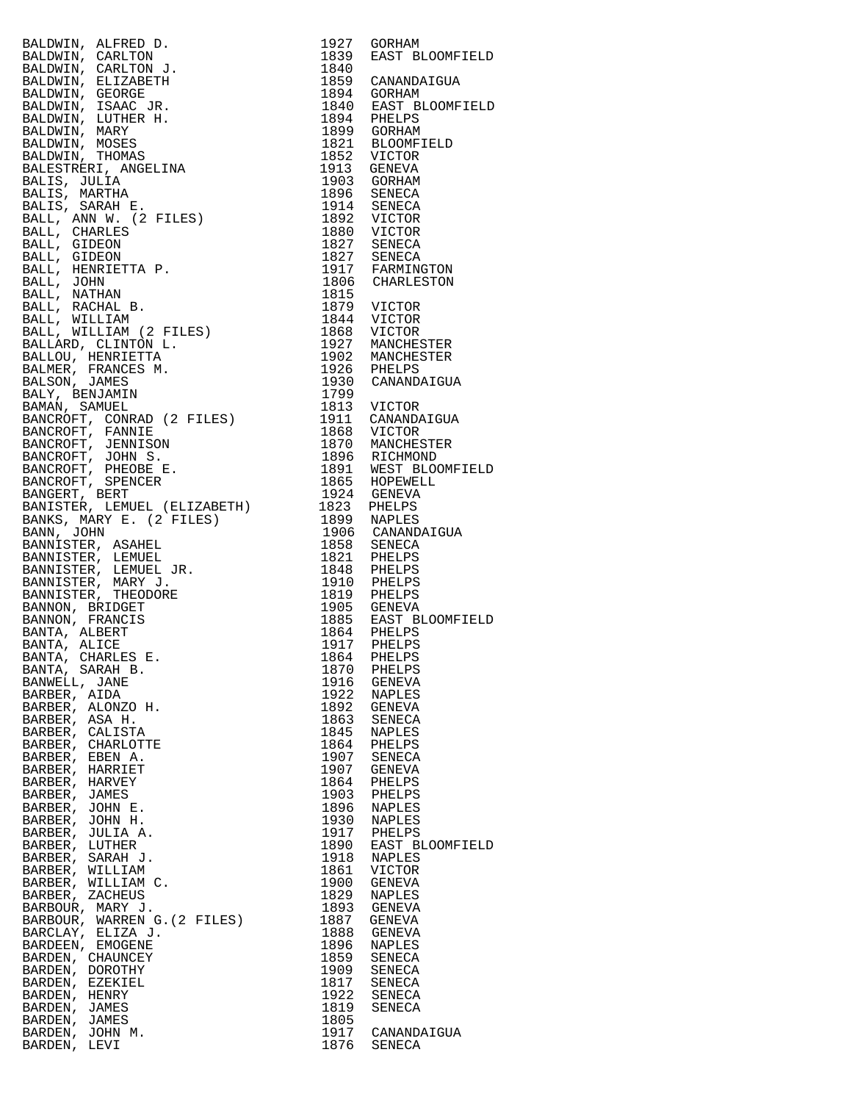BALDWIN, ALFRED D.<br>BALDWIN, CARLTON BALDWIN, CARLTON J. 1840 BALDWIN, ELIZABETH 1859 CANANDAIGUA BALDWIN, GEORGE 1894 GORHAM BALDWIN, ISAAC JR. 1840 EAST BLOOMFIELD BALDWIN, LUTHER H. 1894 PHELPS BALDWIN, MARY 1899 GORHAM BALDWIN, MOSES 1821 BLOOMFIELD BALDWIN, THOMAS 1852 VICTOR BALESTRERI, ANGELINA<br>BALIS, JULIA BALIS, JULIA 1903 GORHAM BALIS, MARTHA 1896 SENECA BALIS, SARAH E. 1914 SENECA BALL, ANN W. (2 FILES) 1892 VICTOR BALL, CHARLES 1880 VICTOR BALL, GIDEON 1827 SENECA BALL, GIDEON 1827 SENECA BALL, HENRIETTA P.<br>BALL, JOHN<br>BALL, NATHAN BALL, NATHAN 1815<br>BALL, RACHAL B. (1819) 1819 VICTOR<br>BALL WILLIAM (1844 VICTOR BALL, RACHAL B. 1879 VICTOR BALL, WILLIAM 1844 VICTOR BALL, WILLIAM (2 FILES) 1868 VICTOR BALLARD, CLINTON L. 1927 MANCHESTER BALLOU, HENRIETTA 1902 MANCHESTER BALMER, FRANCES M. 1926 PHELPS BALSON, JAMES 1930 CANANDAIGUA BALY, BENJAMIN 1799 BAMAN, SAMUEL 1813 VICTOR BANCROFT, CONRAD (2 FILES) 1911 CANANDAIGUA BANCROFT, FANNIE 1868 VICTOR BANCROFT, JENNISON 1870 MANCHESTER BANCROFT, JOHN S. 1896 RICHMOND BANCROFT, PHEOBE E. 1891 WEST BLOOMFIELD BANCROFT, SPENCER 1865 HOPEWELL BANGERT, BERT 1924 GENEVA BANISTER, LEMUEL (ELIZABETH) 1823 PHELPS BANKS, MARY E. (2 FILES) 1899 NAPLES BANN, JOHN 1906 CANANDAIGUA BANNISTER, ASAHEL 1858 SENECA BANNISTER, LEMUEL 1821 PHELPS BANNISTER, LEMUEL JR. 1848 PHELPS BANNISTER, MARY J. 1910 PHELPS BANNISTER, THEODORE 1819 PHELPS BANNON, BRIDGET 1905 GENEVA BANNON, FRANCIS 1885 EAST BLOOMFIELD BANTA, ALBERT 1864 PHELPS BANTA, ALICE 1917 PHELPS BANTA, CHARLES E. 1864 PHELPS BANTA, SARAH B. 1870 PHELPS BANWELL, JANE 1916 GENEVA BANTA, CHARLES E.<br>
BANTA, SARAH B.<br>
BANWELL, JANE 1916 GENEVA<br>
BARBER, AIDA 1922 NAPLES<br>
BARBER, ALONZO H. 1892 GENEVA<br>
BARBER, ASA H. 1863 SENECA<br>
BARBER, CALISTA 1945 NAPLES<br>
1845 NAPLES BARBER, ALONZO H. 1892 GENEVA BARBER, ASA H. 1863 SENECA BARBER, CALISTA 1845 NAPLES BARBER, CHARLOTTE 1864 PHELPS BARBER, EBEN A. 1907 SENECA BARBER, HARRIET 1907 GENEVA BARBER, CHILISIAN 1864 PHELPS<br>
BARBER, EBEN A. 1907 SENECA<br>
BARBER, HARRIET 1907 GENEVA<br>
BARBER, HARRIET 1907 GENEVA<br>
BARBER, HARVEY 1864 PHELPS BARBER, JAMES 1903 PHELPS BARBER, JOHN E. 1896 NAPLES BARBER, JAMES<br>BARBER, JOHN E. 1903 PHELPS<br>BARBER, JOHN H. 1930 NAPLES<br>1930 NAPLES BARBER, JULIA A.<br>BARBER, LUTHER<br>BARBER, SARAH J. BARBER, SARAH J. 1918 NAPLES BARBER, WILLIAM 1861 VICTOR BARBER, WILLIAM C. 1900 GENEVA BARBER, ZACHEUS 1829 NAPLES BARBOUR, MARY J. 1893 GENEVA BARBOUR, WARREN G.(2 FILES) 1887 GENEVA BARCLAY, ELIZA J. 1888 GENEVA BARDEEN, EMOGENE 1896 NAPLES BARDEN, CHAUNCEY 1859 SENECA BARDEN, DOROTHY 1909 SENECA BARDEN, EZEKIEL 1817 SENECA BARDEN, HENRY 1922 SENECA<br>BARDEN, JAMES 1819 SENECA BARDEN, JAMES 1819 SENECA BARDEN, JAMES 1805 BARDEN, JOHN M. 1917 CANANDAIGUA BARDEN, LEVI 1876 SENECA

1927 GORHAM<br>1839 EAST BLOOMFIELD<br>1840 1806 CHARLESTON<br>1815 1917 PHELPS<br>1917 PHELPS<br>1890 EAST BLOOMFIELD<br>1918 NAPLES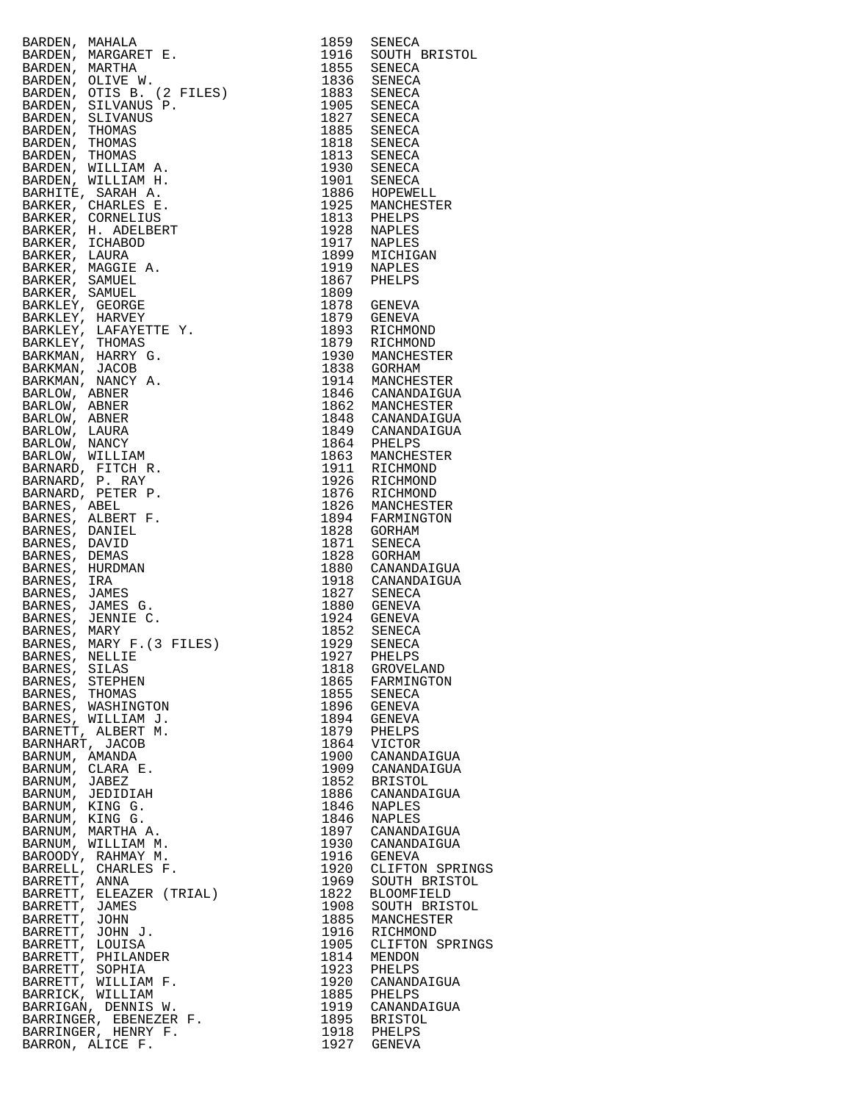|                                                                                                                                                                                                                                              |              | 1916 SOUTH BRISTOL<br>1855 SENECA       |
|----------------------------------------------------------------------------------------------------------------------------------------------------------------------------------------------------------------------------------------------|--------------|-----------------------------------------|
|                                                                                                                                                                                                                                              |              |                                         |
|                                                                                                                                                                                                                                              |              |                                         |
|                                                                                                                                                                                                                                              |              |                                         |
|                                                                                                                                                                                                                                              |              |                                         |
|                                                                                                                                                                                                                                              |              |                                         |
|                                                                                                                                                                                                                                              |              |                                         |
|                                                                                                                                                                                                                                              |              |                                         |
|                                                                                                                                                                                                                                              |              |                                         |
|                                                                                                                                                                                                                                              |              |                                         |
|                                                                                                                                                                                                                                              |              |                                         |
|                                                                                                                                                                                                                                              |              |                                         |
|                                                                                                                                                                                                                                              |              |                                         |
|                                                                                                                                                                                                                                              |              |                                         |
|                                                                                                                                                                                                                                              |              |                                         |
|                                                                                                                                                                                                                                              |              |                                         |
|                                                                                                                                                                                                                                              |              |                                         |
|                                                                                                                                                                                                                                              |              |                                         |
|                                                                                                                                                                                                                                              |              |                                         |
|                                                                                                                                                                                                                                              |              |                                         |
|                                                                                                                                                                                                                                              |              |                                         |
|                                                                                                                                                                                                                                              |              |                                         |
|                                                                                                                                                                                                                                              |              |                                         |
|                                                                                                                                                                                                                                              |              |                                         |
|                                                                                                                                                                                                                                              |              |                                         |
|                                                                                                                                                                                                                                              |              |                                         |
|                                                                                                                                                                                                                                              |              |                                         |
|                                                                                                                                                                                                                                              |              |                                         |
|                                                                                                                                                                                                                                              |              |                                         |
|                                                                                                                                                                                                                                              |              |                                         |
|                                                                                                                                                                                                                                              |              |                                         |
|                                                                                                                                                                                                                                              |              |                                         |
|                                                                                                                                                                                                                                              |              |                                         |
|                                                                                                                                                                                                                                              |              |                                         |
|                                                                                                                                                                                                                                              |              |                                         |
|                                                                                                                                                                                                                                              |              |                                         |
| RARDEN, MARIALA<br>1916 SOUTH MARGARET E. 1955 SENECA<br>BARDEN, MARGARET E. 1946 SOUTH BRISTO<br>BARDEN, OLIVE W. 1957 SENECA<br>BARDEN, OLIVE W. 1957 SENECA<br>BARDEN, THOMAS 1968 SENECA<br>BARDEN, THOMAS 1968 SENECA<br>BARDEN, THOMAS |              |                                         |
|                                                                                                                                                                                                                                              |              |                                         |
|                                                                                                                                                                                                                                              |              |                                         |
|                                                                                                                                                                                                                                              |              |                                         |
|                                                                                                                                                                                                                                              |              |                                         |
|                                                                                                                                                                                                                                              |              |                                         |
|                                                                                                                                                                                                                                              |              |                                         |
|                                                                                                                                                                                                                                              |              |                                         |
|                                                                                                                                                                                                                                              |              |                                         |
|                                                                                                                                                                                                                                              |              |                                         |
|                                                                                                                                                                                                                                              |              |                                         |
|                                                                                                                                                                                                                                              |              |                                         |
| BARNES, SILAS                                                                                                                                                                                                                                | 1818         | GROVELAND                               |
| BARNES, STEPHEN<br>BARNES, THOMAS                                                                                                                                                                                                            | 1865<br>1855 | FARMINGTON<br>SENECA                    |
| BARNES, WASHINGTON                                                                                                                                                                                                                           |              | 1896 GENEVA                             |
| BARNES, WILLIAM J.                                                                                                                                                                                                                           | 1894         | GENEVA                                  |
| BARNETT, ALBERT M.                                                                                                                                                                                                                           | 1879         | PHELPS                                  |
| BARNHART, JACOB                                                                                                                                                                                                                              | 1864         | VICTOR                                  |
| BARNUM, AMANDA                                                                                                                                                                                                                               |              | 1900 CANANDAIGUA                        |
| BARNUM, CLARA E.                                                                                                                                                                                                                             | 1909         | CANANDAIGUA                             |
| BARNUM, JABEZ                                                                                                                                                                                                                                |              | 1852 BRISTOL                            |
| BARNUM, JEDIDIAH                                                                                                                                                                                                                             |              | 1886 CANANDAIGUA                        |
| BARNUM, KING G.                                                                                                                                                                                                                              |              | 1846 NAPLES                             |
| BARNUM, KING G.                                                                                                                                                                                                                              |              | 1846 NAPLES                             |
| BARNUM, MARTHA A.                                                                                                                                                                                                                            |              | 1897 CANANDAIGUA                        |
| BARNUM, WILLIAM M.                                                                                                                                                                                                                           |              | 1930 CANANDAIGUA                        |
| BAROODY, RAHMAY M.                                                                                                                                                                                                                           |              | 1916 GENEVA                             |
| BARRELL, CHARLES F.                                                                                                                                                                                                                          |              | 1920 CLIFTON SPRINGS                    |
| BARRETT, ANNA<br>BARRETT, ELEAZER (TRIAL)                                                                                                                                                                                                    | 1822         | 1969 SOUTH BRISTOL<br><b>BLOOMFIELD</b> |
| BARRETT, JAMES                                                                                                                                                                                                                               |              | 1908 SOUTH BRISTOL                      |
| BARRETT, JOHN                                                                                                                                                                                                                                | 1885         | MANCHESTER                              |
| BARRETT, JOHN J.                                                                                                                                                                                                                             |              | 1916 RICHMOND                           |
| BARRETT, LOUISA                                                                                                                                                                                                                              | 1905         | CLIFTON SPRINGS                         |
| BARRETT, PHILANDER                                                                                                                                                                                                                           |              | 1814 MENDON                             |
| BARRETT, SOPHIA                                                                                                                                                                                                                              | 1923         | PHELPS                                  |
| BARRETT, WILLIAM F.                                                                                                                                                                                                                          |              | 1920 CANANDAIGUA                        |
| BARRICK, WILLIAM                                                                                                                                                                                                                             |              | 1885 PHELPS                             |
| BARRIGAN, DENNIS W.                                                                                                                                                                                                                          |              | 1919 CANANDAIGUA                        |
| BARRINGER, EBENEZER F.                                                                                                                                                                                                                       |              | 1895 BRISTOL                            |
| BARRINGER, HENRY F.<br>BARRON, ALICE F.                                                                                                                                                                                                      |              | 1918 PHELPS<br>1927 GENEVA              |
|                                                                                                                                                                                                                                              |              |                                         |

| 1859         | SENECA                        |
|--------------|-------------------------------|
| 1916<br>1855 | SOUTH BRISTOL<br>SENECA       |
| 1836         | SENECA                        |
| 1883         | SENECA                        |
| 1905         | SENECA                        |
| 1827         | SENECA                        |
| 1885<br>1818 | SENECA<br>SENECA              |
| 1813         | SENECA                        |
| 1930         | SENECA                        |
| 1901         | SENECA                        |
| 1886         | HOPEWELL                      |
| 1925         | MANCHESTER                    |
| 1813         | PHELPS                        |
| 1928<br>1917 | NAPLES<br>NAPLES              |
| 1899         | MICHIGAN                      |
| 1919         | NAPLES                        |
| 1867         | PHELPS                        |
| 1809         |                               |
| 1878         | GENEVA                        |
| 1879         | GENEVA<br>RICHMOND            |
| 1893<br>1879 | RICHMOND                      |
| 1930         | MANCHESTER                    |
| 1838         | GORHAM                        |
| 1914         | MANCHESTER                    |
| 1846         | CANANDAIGUA                   |
| 1862         | MANCHESTER                    |
| 1848<br>1849 | CANANDAIGUA<br>CANANDAIGUA    |
| 1864         | PHELPS                        |
| 1863         | MANCHESTER                    |
| 1911         | RICHMOND                      |
| 1926         | RICHMOND                      |
| 1876         | RICHMOND                      |
| 1826         | MANCHESTER                    |
| 1894<br>1828 | FARMINGTON<br>GORHAM          |
| 1871         | SENECA                        |
| 1828         | GORHAM                        |
| 1880         | CANANDAIGUA                   |
| 1918         | CANANDAIGUA                   |
| 1827<br>1880 | <b>SENECA</b>                 |
| 1924         | GENEVA<br><b>GENEVA</b>       |
| 1852         | SENECA                        |
| 1929         | SENECA                        |
| 1927         | PHELPS                        |
| 1818         | GROVELAND                     |
| 1865<br>1855 | FARMINGTON                    |
| 1896         | SENECA<br>GENEVA              |
| 1894         | GENEVA                        |
| 1879         | PHELPS                        |
| 1864         | VICTOR                        |
| 1900         | CANANDAIGUA                   |
| 1909<br>1852 | CANANDAIGUA<br><b>BRISTOL</b> |
| 1886         | CANANDAIGUA                   |
| 1846         | NAPLES                        |
| 1846         | NAPLES                        |
| 1897         | CANANDAIGUA                   |
| 1930         | CANANDAIGUA                   |
| 1916         | GENEVA<br>CLIFTON SPRING:     |
| 1920<br>1969 | SOUTH BRISTOL                 |
| 1822         | <b>BLOOMFIELD</b>             |
| 1908         | SOUTH<br>BRISTOL              |
| 1885         | MANCHESTER                    |
| 1916         | RICHMOND                      |
| 1905         | CLIFTON SPRING:               |
| 1814<br>1923 | MENDON<br>PHELPS              |
| 1920         | CANANDAIGUA                   |
| 1885         | PHELPS                        |
| 1919         | CANANDAIGUA                   |
| 1895         | <b>BRISTOL</b>                |
| 1918         | PHELPS                        |
| 1927         | GENEVA                        |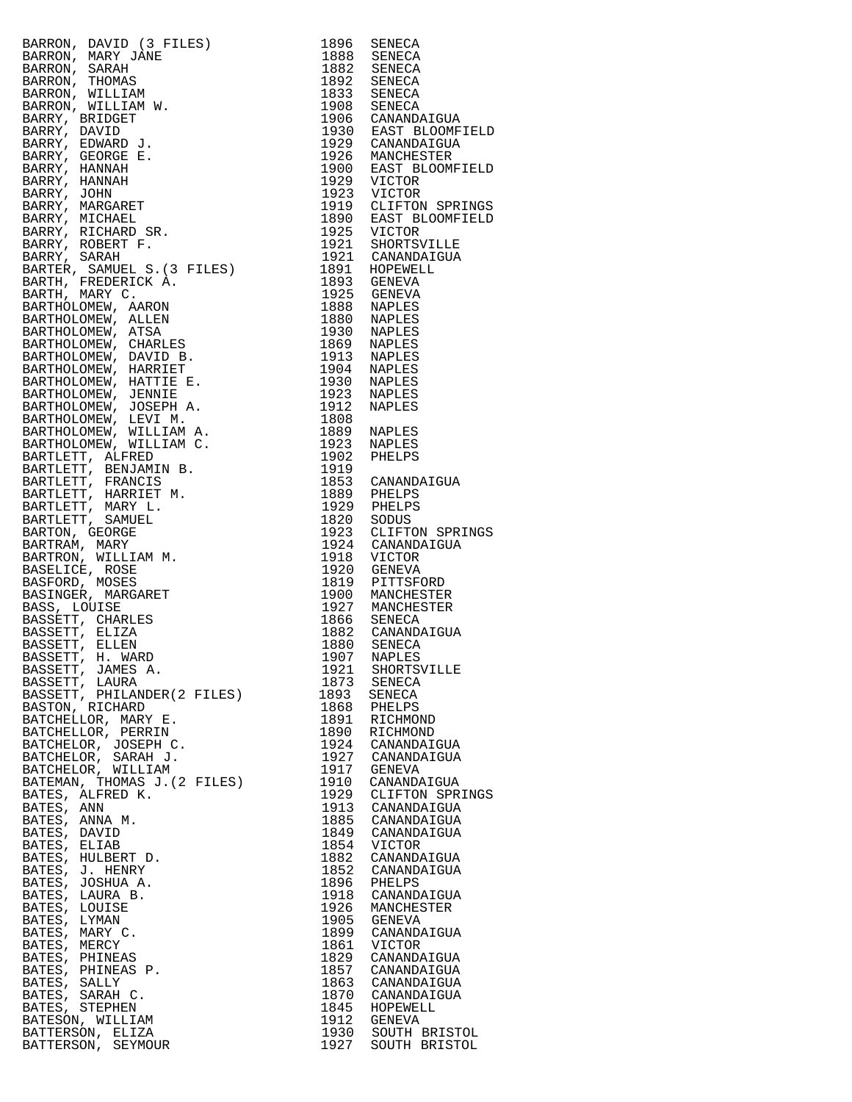| RARROM, DAVID (3 PILES)<br>RARROM, MARY JANE (1986 SENECA ARROM MARY JANE 1988 SENECA ARRANA SARAH 1982 SENECA ARRANA SARAH 1982 SENECA ARRANA (1982 SENECA ARRANA), WILLIAM (1982 SENECA ARRANA), PRIDGET (1986 SENECA ARRANA), |      |                      |
|----------------------------------------------------------------------------------------------------------------------------------------------------------------------------------------------------------------------------------|------|----------------------|
|                                                                                                                                                                                                                                  |      |                      |
|                                                                                                                                                                                                                                  |      |                      |
|                                                                                                                                                                                                                                  |      |                      |
|                                                                                                                                                                                                                                  |      |                      |
|                                                                                                                                                                                                                                  |      |                      |
|                                                                                                                                                                                                                                  |      |                      |
|                                                                                                                                                                                                                                  |      |                      |
|                                                                                                                                                                                                                                  |      |                      |
|                                                                                                                                                                                                                                  |      |                      |
|                                                                                                                                                                                                                                  |      |                      |
|                                                                                                                                                                                                                                  |      |                      |
|                                                                                                                                                                                                                                  |      |                      |
|                                                                                                                                                                                                                                  |      |                      |
|                                                                                                                                                                                                                                  |      |                      |
|                                                                                                                                                                                                                                  |      |                      |
|                                                                                                                                                                                                                                  |      |                      |
|                                                                                                                                                                                                                                  |      |                      |
|                                                                                                                                                                                                                                  |      |                      |
|                                                                                                                                                                                                                                  |      |                      |
|                                                                                                                                                                                                                                  |      |                      |
|                                                                                                                                                                                                                                  |      |                      |
|                                                                                                                                                                                                                                  |      |                      |
|                                                                                                                                                                                                                                  |      |                      |
|                                                                                                                                                                                                                                  |      |                      |
|                                                                                                                                                                                                                                  |      |                      |
|                                                                                                                                                                                                                                  |      |                      |
|                                                                                                                                                                                                                                  |      |                      |
|                                                                                                                                                                                                                                  |      |                      |
|                                                                                                                                                                                                                                  |      |                      |
|                                                                                                                                                                                                                                  |      |                      |
|                                                                                                                                                                                                                                  |      |                      |
|                                                                                                                                                                                                                                  |      |                      |
|                                                                                                                                                                                                                                  |      |                      |
|                                                                                                                                                                                                                                  |      |                      |
|                                                                                                                                                                                                                                  |      |                      |
|                                                                                                                                                                                                                                  |      |                      |
|                                                                                                                                                                                                                                  |      |                      |
|                                                                                                                                                                                                                                  |      |                      |
|                                                                                                                                                                                                                                  |      |                      |
|                                                                                                                                                                                                                                  |      |                      |
|                                                                                                                                                                                                                                  |      |                      |
|                                                                                                                                                                                                                                  |      |                      |
|                                                                                                                                                                                                                                  |      |                      |
|                                                                                                                                                                                                                                  |      |                      |
|                                                                                                                                                                                                                                  |      |                      |
|                                                                                                                                                                                                                                  |      |                      |
|                                                                                                                                                                                                                                  |      |                      |
|                                                                                                                                                                                                                                  |      |                      |
| BASSETT, JAMES A.                                                                                                                                                                                                                | 1921 | SHORTSVILLE          |
| BASSETT, LAURA                                                                                                                                                                                                                   | 1873 | SENECA               |
| BASSETT, PHILANDER(2 FILES)                                                                                                                                                                                                      | 1893 | SENECA               |
| BASTON, RICHARD                                                                                                                                                                                                                  | 1868 | PHELPS               |
| BATCHELLOR, MARY E.                                                                                                                                                                                                              | 1891 | RICHMOND             |
| BATCHELLOR, PERRIN                                                                                                                                                                                                               |      | 1890 RICHMOND        |
| BATCHELOR, JOSEPH C.                                                                                                                                                                                                             |      | 1924 CANANDAIGUA     |
| BATCHELOR, SARAH J.                                                                                                                                                                                                              |      | 1927 CANANDAIGUA     |
| BATCHELOR, WILLIAM                                                                                                                                                                                                               |      | 1917 GENEVA          |
| BATEMAN, THOMAS J. (2 FILES)                                                                                                                                                                                                     |      | 1910 CANANDAIGUA     |
| BATES, ALFRED K.                                                                                                                                                                                                                 |      | 1929 CLIFTON SPRINGS |
| BATES, ANN                                                                                                                                                                                                                       |      | 1913 CANANDAIGUA     |
| BATES, ANNA M.                                                                                                                                                                                                                   |      | 1885 CANANDAIGUA     |
| BATES, DAVID                                                                                                                                                                                                                     |      | 1849 CANANDAIGUA     |
| BATES, ELIAB                                                                                                                                                                                                                     | 1854 | VICTOR               |
| BATES, HULBERT D.                                                                                                                                                                                                                |      | 1882 CANANDAIGUA     |
| BATES, J. HENRY                                                                                                                                                                                                                  |      | 1852 CANANDAIGUA     |
| BATES, JOSHUA A.                                                                                                                                                                                                                 |      | 1896 PHELPS          |
| BATES, LAURA B.                                                                                                                                                                                                                  |      | 1918 CANANDAIGUA     |
| BATES, LOUISE                                                                                                                                                                                                                    | 1926 | MANCHESTER           |
| BATES, LYMAN                                                                                                                                                                                                                     | 1905 | GENEVA               |
| BATES, MARY C.                                                                                                                                                                                                                   |      | 1899 CANANDAIGUA     |
| BATES, MERCY                                                                                                                                                                                                                     | 1861 | VICTOR               |
| BATES, PHINEAS                                                                                                                                                                                                                   |      | 1829 CANANDAIGUA     |
| BATES, PHINEAS P.                                                                                                                                                                                                                |      | 1857 CANANDAIGUA     |
| BATES, SALLY                                                                                                                                                                                                                     |      | 1863 CANANDAIGUA     |
| BATES, SARAH C.                                                                                                                                                                                                                  |      | 1870 CANANDAIGUA     |
| BATES, STEPHEN                                                                                                                                                                                                                   |      | 1845 HOPEWELL        |
| BATESON, WILLIAM                                                                                                                                                                                                                 |      | 1912 GENEVA          |
| BATTERSON, ELIZA                                                                                                                                                                                                                 |      | 1930 SOUTH BRISTOL   |
| BATTERSON, SEYMOUR                                                                                                                                                                                                               |      | 1927 SOUTH BRISTOL   |

| 1896                                 | SENECA                                               |
|--------------------------------------|------------------------------------------------------|
| 1888                                 | SENECA                                               |
| 1882                                 | SENECA                                               |
| 1892                                 | SENECA                                               |
| 1833                                 | SENECA                                               |
| 1908                                 | SENECA                                               |
| 1906                                 | CANANDAIGUA                                          |
| 1930                                 | EAST BLOOMFIELD                                      |
| 1929                                 | CANANDAIGUA                                          |
| 1926                                 | MANCHESTER                                           |
| 1900                                 | EAST BLOOMFIELD                                      |
| 1929                                 | <b>VICTOR</b>                                        |
| 1923                                 | <b>VICTOR</b>                                        |
| 1919                                 | CLIFTON SPRINGS                                      |
| 1890                                 | EAST BLOOMFIELD                                      |
| 1925                                 | VICTOR                                               |
| 1921                                 | SHORTSVILLE                                          |
| 1921                                 | CANANDAIGUA                                          |
| 1891                                 | HOPEWELL                                             |
| 1893                                 | GENEVA                                               |
| 1925                                 | GENEVA                                               |
| 1888                                 | NAPLES                                               |
| 1880                                 | NAPLES                                               |
| 1930                                 | NAPLES                                               |
| 1869                                 | NAPLES                                               |
| 1913                                 | <b>NAPLES</b>                                        |
| 1904                                 | NAPLES                                               |
| 1930                                 | NAPLES                                               |
| 1923                                 | <b>NAPLES</b>                                        |
| 1912                                 | NAPLES                                               |
| 1808<br>1889<br>1923<br>1902<br>1919 | NAPLES<br>NAPLES<br>PHELPS                           |
| 1853                                 | CANANDAIGUA                                          |
| 1889                                 | PHELPS                                               |
| 1929                                 | PHELPS                                               |
| 1820                                 | SODUS                                                |
| 1923                                 | CLIFTON SPRINGS                                      |
| 1924                                 | CANANDAIGUA                                          |
| 1918                                 | VICTOR                                               |
| 1920                                 | GENEVA                                               |
| 1819                                 | PITTSFORD                                            |
| 1900                                 | MANCHESTER                                           |
| 1927                                 | MANCHESTER                                           |
| 1866                                 | SENECA                                               |
| 1882                                 | CANANDAIGUA                                          |
| 1880                                 | SENECA                                               |
| 1907                                 | NAPLES                                               |
| 1921                                 | SHORTSVILLE                                          |
| 1873                                 | SENECA                                               |
| 1893                                 | SENECA                                               |
| 1868                                 | PHELPS                                               |
| 1891                                 | RICHMOND                                             |
| 1890                                 | RICHMOND                                             |
| 1924                                 | CANANDAIGUA                                          |
| 1927                                 | CANANDAIGUA                                          |
| 1917                                 | GENEVA                                               |
| 1910                                 | CANANDAIGUA                                          |
| 1929                                 | CLIFTON SPRINGS                                      |
| 1913                                 | CANANDAIGUA                                          |
| 1885                                 | CANANDAIGUA                                          |
| 1849                                 | CANANDAIGUA                                          |
| 1854                                 | VICTOR                                               |
| 1882                                 | CANANDAIGUA                                          |
| 1852                                 | CANANDAIGUA                                          |
| 1896                                 | PHELPS                                               |
| 1918                                 | CANANDAIGUA                                          |
| 1926                                 | MANCHESTER                                           |
| 1905                                 | GENEVA                                               |
| 1899                                 | CANANDAIGUA                                          |
| 1861                                 | VICTOR                                               |
| 1829                                 | CANANDAIGUA                                          |
| 1857                                 | CANANDAIGUA                                          |
| 1863                                 | CANANDAIGUA                                          |
| 1870                                 | CANANDAIGUA                                          |
| 1845<br>1912<br>1930<br>1927         | HOPEWELL<br>GENEVA<br>SOUTH BRISTOL<br>SOUTH BRISTOL |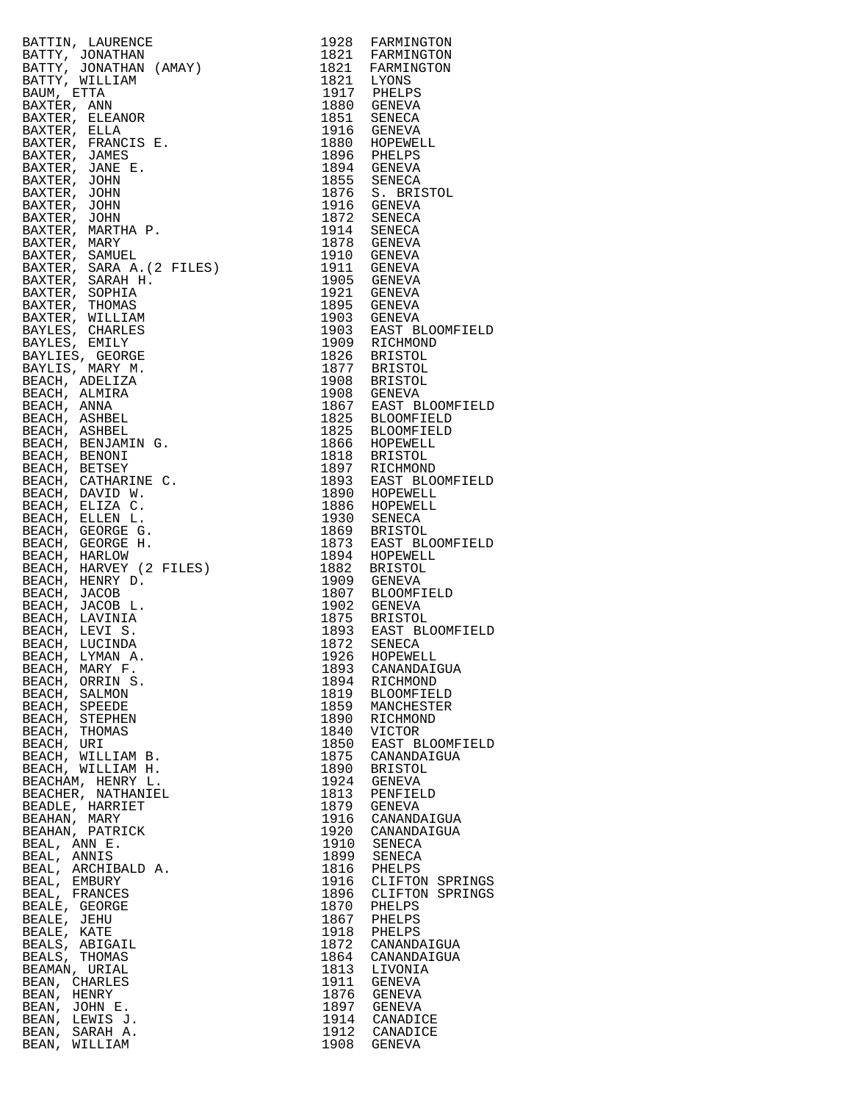| BATTIN, LAURENCE                                      |              | 1928 FARMINGTON<br>1821 FARMINGTON<br>1821 FARMINGTON<br>1821 FARMINGTON<br>1821 LYONS<br>1917 PHELPS<br>1880 GENEVA<br>1851 SENECA<br>1896 PHELPS<br>1896 PHELPS<br>1896 PHELPS<br>1896 PHELPS<br>1876 SENEVA<br>1875 SENECA<br>1876 SENEVA<br>1916 GENEVA<br>1910 GENEVA<br>191 |
|-------------------------------------------------------|--------------|-----------------------------------------------------------------------------------------------------------------------------------------------------------------------------------------------------------------------------------------------------------------------------------|
| BATTY, JONATHAN                                       |              |                                                                                                                                                                                                                                                                                   |
| BATTY, JONATHAN (AMAY)                                |              |                                                                                                                                                                                                                                                                                   |
| BATTY, WILLIAM                                        |              |                                                                                                                                                                                                                                                                                   |
| BAUM, ETTA                                            |              |                                                                                                                                                                                                                                                                                   |
| BAXTER, ANN<br>BAXTER, ELEANOR                        |              |                                                                                                                                                                                                                                                                                   |
| BAXTER, ELLA                                          |              |                                                                                                                                                                                                                                                                                   |
| BAXTER, FRANCIS E.                                    |              |                                                                                                                                                                                                                                                                                   |
| BAXTER, JAMES                                         |              |                                                                                                                                                                                                                                                                                   |
| BAXTER, JANE E.                                       |              |                                                                                                                                                                                                                                                                                   |
| BAXTER, JOHN                                          |              |                                                                                                                                                                                                                                                                                   |
| BAXTER, JOHN                                          |              |                                                                                                                                                                                                                                                                                   |
| BAXTER, JOHN                                          |              |                                                                                                                                                                                                                                                                                   |
| BAXTER, JOHN                                          |              |                                                                                                                                                                                                                                                                                   |
| BAXTER, MARTHA P.                                     |              |                                                                                                                                                                                                                                                                                   |
| BAXTER, MARY                                          |              |                                                                                                                                                                                                                                                                                   |
| BAXTER, SAMUEL                                        |              |                                                                                                                                                                                                                                                                                   |
| BAXTER, SARA A. (2 FILES)                             |              |                                                                                                                                                                                                                                                                                   |
| BAXTER, SARAH H.<br>BAXTER, SOPHIA                    |              |                                                                                                                                                                                                                                                                                   |
| BAXTER, THOMAS                                        |              |                                                                                                                                                                                                                                                                                   |
| BAXTER, WILLIAM                                       |              |                                                                                                                                                                                                                                                                                   |
| BAYLES, CHARLES                                       |              |                                                                                                                                                                                                                                                                                   |
| BAYLES, EMILY                                         |              |                                                                                                                                                                                                                                                                                   |
| BAYLIES, GEORGE                                       |              |                                                                                                                                                                                                                                                                                   |
| BAYLIS, MARY M.                                       |              |                                                                                                                                                                                                                                                                                   |
| BEACH, ADELIZA                                        |              |                                                                                                                                                                                                                                                                                   |
| BEACH, ALMIRA                                         |              |                                                                                                                                                                                                                                                                                   |
| BEACH, ANNA                                           |              |                                                                                                                                                                                                                                                                                   |
| BEACH, ASHBEL                                         |              |                                                                                                                                                                                                                                                                                   |
| BEACH, ASHBEL                                         |              |                                                                                                                                                                                                                                                                                   |
| BEACH, BENJAMIN G.                                    |              |                                                                                                                                                                                                                                                                                   |
| BEACH, BENONI<br>BEACH, BETSEY<br>BEACH, CATHARINE C. |              |                                                                                                                                                                                                                                                                                   |
|                                                       |              |                                                                                                                                                                                                                                                                                   |
|                                                       |              |                                                                                                                                                                                                                                                                                   |
|                                                       |              |                                                                                                                                                                                                                                                                                   |
|                                                       |              |                                                                                                                                                                                                                                                                                   |
| BEACH, ELLEN L.<br>BEACH, GEORGE G.                   |              |                                                                                                                                                                                                                                                                                   |
| BEACH, GEORGE H.<br>BEACH, HARLOW                     |              |                                                                                                                                                                                                                                                                                   |
|                                                       |              |                                                                                                                                                                                                                                                                                   |
| BEACH, HARVEY (2 FILES)                               |              |                                                                                                                                                                                                                                                                                   |
| BEACH, HENRY D.                                       |              |                                                                                                                                                                                                                                                                                   |
| BEACH, JACOB                                          |              |                                                                                                                                                                                                                                                                                   |
| BEACH, JACOB L.                                       |              |                                                                                                                                                                                                                                                                                   |
| BEACH, LAVINIA<br>BEACH, LEVI S.                      |              |                                                                                                                                                                                                                                                                                   |
| BEACH, LUCINDA                                        |              |                                                                                                                                                                                                                                                                                   |
| BEACH. LYMAN A.                                       |              | 1926 HOPEWELL                                                                                                                                                                                                                                                                     |
| BEACH, MARY F.                                        | 1893         | CANANDAIGUA                                                                                                                                                                                                                                                                       |
| BEACH, ORRIN S.                                       | 1894         | RICHMOND                                                                                                                                                                                                                                                                          |
| BEACH, SALMON                                         | 1819         | BLOOMFIELD                                                                                                                                                                                                                                                                        |
| BEACH, SPEEDE                                         | 1859         | MANCHESTER                                                                                                                                                                                                                                                                        |
| BEACH, STEPHEN                                        | 1890         | RICHMOND                                                                                                                                                                                                                                                                          |
| BEACH, THOMAS                                         | 1840         | VICTOR                                                                                                                                                                                                                                                                            |
| BEACH, URI                                            | 1850         | EAST BLOOMFI                                                                                                                                                                                                                                                                      |
| BEACH, WILLIAM B.<br>BEACH, WILLIAM H.                | 1890         | 1875 CANANDAIGUA<br><b>BRISTOL</b>                                                                                                                                                                                                                                                |
| BEACHAM, HENRY L.                                     | 1924         | GENEVA                                                                                                                                                                                                                                                                            |
| BEACHER, NATHANIEL                                    | 1813         | PENFIELD                                                                                                                                                                                                                                                                          |
| BEADLE, HARRIET                                       |              | 1879 GENEVA                                                                                                                                                                                                                                                                       |
| BEAHAN, MARY                                          |              | 1916 CANANDAIGUA                                                                                                                                                                                                                                                                  |
| BEAHAN, PATRICK                                       |              | 1920 CANANDAIGUA                                                                                                                                                                                                                                                                  |
| BEAL, ANN E.                                          | 1910         | SENECA                                                                                                                                                                                                                                                                            |
| BEAL, ANNIS                                           |              | 1899 SENECA                                                                                                                                                                                                                                                                       |
| BEAL, ARCHIBALD A.                                    | 1816         | PHELPS                                                                                                                                                                                                                                                                            |
| BEAL, EMBURY                                          |              | 1916 CLIFTON SPRI                                                                                                                                                                                                                                                                 |
| BEAL, FRANCES                                         | 1896         | CLIFTON SPRI                                                                                                                                                                                                                                                                      |
| BEALE, GEORGE<br>BEALE, JEHU                          | 1870<br>1867 | PHELPS<br>PHELPS                                                                                                                                                                                                                                                                  |
| BEALE, KATE                                           | 1918         | PHELPS                                                                                                                                                                                                                                                                            |
| BEALS, ABIGAIL                                        | 1872         | CANANDAIGUA                                                                                                                                                                                                                                                                       |
| BEALS, THOMAS                                         |              | 1864 CANANDAIGUA                                                                                                                                                                                                                                                                  |
| BEAMAN, URIAL                                         | 1813         | LIVONIA                                                                                                                                                                                                                                                                           |
| BEAN, CHARLES                                         | 1911         | GENEVA                                                                                                                                                                                                                                                                            |
| BEAN, HENRY                                           | 1876         | GENEVA                                                                                                                                                                                                                                                                            |
| BEAN, JOHN E.                                         |              | 1897 GENEVA                                                                                                                                                                                                                                                                       |
| BEAN, LEWIS J.                                        |              | 1914 CANADICE                                                                                                                                                                                                                                                                     |
| BEAN, SARAH A.                                        |              | 1912 CANADICE                                                                                                                                                                                                                                                                     |
| BEAN, WILLIAM                                         | 1908         | GENEVA                                                                                                                                                                                                                                                                            |

| $\begin{tabular}{c} $\mathsf{AUCS}\ \mathsf{B.C.}}$\\ \hline $\mathsf{AUCS}\ \mathsf{B.}$\\ $\mathsf{AUCS}\ \mathsf{B.}$\\ $\mathsf{AUCS}\ \mathsf{B.}$\\ $\mathsf{AUCR}\ \mathsf{AQUN}\ \mathsf{B.}$\\ $\mathsf{AUCR}\ \mathsf{AQUN}\ \mathsf{B.}$\\ $\mathsf{AUCR}\ \mathsf{AQUN}\ \mathsf{B.}$\\ $\mathsf{AUCR}\ \mathsf{AQUN}\ \mathsf{B.}$\\ $\mathsf{AUCR}\ \mathsf{A.}\ \mathsf{B.}\ \mathsf{A.}\ \mathsf{A.}\ \mathsf{A.}\ \mathsf{$ |      |                             |
|----------------------------------------------------------------------------------------------------------------------------------------------------------------------------------------------------------------------------------------------------------------------------------------------------------------------------------------------------------------------------------------------------------------------------------------------|------|-----------------------------|
|                                                                                                                                                                                                                                                                                                                                                                                                                                              |      |                             |
|                                                                                                                                                                                                                                                                                                                                                                                                                                              |      |                             |
|                                                                                                                                                                                                                                                                                                                                                                                                                                              |      |                             |
|                                                                                                                                                                                                                                                                                                                                                                                                                                              |      |                             |
|                                                                                                                                                                                                                                                                                                                                                                                                                                              |      |                             |
|                                                                                                                                                                                                                                                                                                                                                                                                                                              |      |                             |
|                                                                                                                                                                                                                                                                                                                                                                                                                                              |      |                             |
|                                                                                                                                                                                                                                                                                                                                                                                                                                              |      |                             |
|                                                                                                                                                                                                                                                                                                                                                                                                                                              |      |                             |
|                                                                                                                                                                                                                                                                                                                                                                                                                                              |      |                             |
|                                                                                                                                                                                                                                                                                                                                                                                                                                              |      |                             |
|                                                                                                                                                                                                                                                                                                                                                                                                                                              |      |                             |
|                                                                                                                                                                                                                                                                                                                                                                                                                                              |      |                             |
|                                                                                                                                                                                                                                                                                                                                                                                                                                              |      |                             |
|                                                                                                                                                                                                                                                                                                                                                                                                                                              |      |                             |
|                                                                                                                                                                                                                                                                                                                                                                                                                                              |      |                             |
|                                                                                                                                                                                                                                                                                                                                                                                                                                              |      |                             |
|                                                                                                                                                                                                                                                                                                                                                                                                                                              |      |                             |
|                                                                                                                                                                                                                                                                                                                                                                                                                                              |      |                             |
|                                                                                                                                                                                                                                                                                                                                                                                                                                              |      |                             |
|                                                                                                                                                                                                                                                                                                                                                                                                                                              |      |                             |
|                                                                                                                                                                                                                                                                                                                                                                                                                                              |      |                             |
|                                                                                                                                                                                                                                                                                                                                                                                                                                              |      |                             |
|                                                                                                                                                                                                                                                                                                                                                                                                                                              |      |                             |
|                                                                                                                                                                                                                                                                                                                                                                                                                                              |      |                             |
|                                                                                                                                                                                                                                                                                                                                                                                                                                              |      |                             |
|                                                                                                                                                                                                                                                                                                                                                                                                                                              |      |                             |
|                                                                                                                                                                                                                                                                                                                                                                                                                                              |      |                             |
|                                                                                                                                                                                                                                                                                                                                                                                                                                              |      |                             |
|                                                                                                                                                                                                                                                                                                                                                                                                                                              |      |                             |
|                                                                                                                                                                                                                                                                                                                                                                                                                                              |      |                             |
|                                                                                                                                                                                                                                                                                                                                                                                                                                              |      |                             |
|                                                                                                                                                                                                                                                                                                                                                                                                                                              |      |                             |
|                                                                                                                                                                                                                                                                                                                                                                                                                                              |      |                             |
|                                                                                                                                                                                                                                                                                                                                                                                                                                              |      |                             |
|                                                                                                                                                                                                                                                                                                                                                                                                                                              |      |                             |
|                                                                                                                                                                                                                                                                                                                                                                                                                                              |      |                             |
|                                                                                                                                                                                                                                                                                                                                                                                                                                              |      |                             |
|                                                                                                                                                                                                                                                                                                                                                                                                                                              |      |                             |
|                                                                                                                                                                                                                                                                                                                                                                                                                                              |      |                             |
|                                                                                                                                                                                                                                                                                                                                                                                                                                              |      |                             |
|                                                                                                                                                                                                                                                                                                                                                                                                                                              |      |                             |
|                                                                                                                                                                                                                                                                                                                                                                                                                                              |      |                             |
|                                                                                                                                                                                                                                                                                                                                                                                                                                              |      |                             |
|                                                                                                                                                                                                                                                                                                                                                                                                                                              |      |                             |
|                                                                                                                                                                                                                                                                                                                                                                                                                                              |      |                             |
| BEACHER, NATHANIEL                                                                                                                                                                                                                                                                                                                                                                                                                           |      | 1813 PENFIELD               |
| BEADLE, HARRIET                                                                                                                                                                                                                                                                                                                                                                                                                              | 1879 | GENEVA                      |
| BEAHAN, MARY                                                                                                                                                                                                                                                                                                                                                                                                                                 |      | 1916 CANANDAIGUA            |
| BEAHAN, PATRICK                                                                                                                                                                                                                                                                                                                                                                                                                              |      | 1920 CANANDAIGUA            |
| BEAL, ANN E.<br>BEAL, ANNIS                                                                                                                                                                                                                                                                                                                                                                                                                  | 1899 | 1910 SENECA<br>SENECA       |
| BEAL, ARCHIBALD A.                                                                                                                                                                                                                                                                                                                                                                                                                           |      | 1816 PHELPS                 |
| BEAL, EMBURY                                                                                                                                                                                                                                                                                                                                                                                                                                 |      | 1916 CLIFTON SPRINGS        |
| BEAL, FRANCES                                                                                                                                                                                                                                                                                                                                                                                                                                |      | 1896 CLIFTON SPRINGS        |
| BEALE, GEORGE<br>BEALE, JEHU                                                                                                                                                                                                                                                                                                                                                                                                                 |      | 1870 PHELPS<br>1867 PHELPS  |
| BEALE, KATE                                                                                                                                                                                                                                                                                                                                                                                                                                  |      | 1918 PHELPS                 |
| BEALS, ABIGAIL                                                                                                                                                                                                                                                                                                                                                                                                                               |      | 1872 CANANDAIGUA            |
| BEALS, THOMAS                                                                                                                                                                                                                                                                                                                                                                                                                                | 1864 | CANANDAIGUA                 |
| BEAMAN, URIAL<br>BEAN, CHARLES                                                                                                                                                                                                                                                                                                                                                                                                               |      | 1813 LIVONIA<br>1911 GENEVA |
| BEAN, HENRY                                                                                                                                                                                                                                                                                                                                                                                                                                  |      | 1876 GENEVA                 |
| BEAN, JOHN E.                                                                                                                                                                                                                                                                                                                                                                                                                                |      | 1897 GENEVA                 |
| BEAN, LEWIS J.<br>BEAN, SARAH A.                                                                                                                                                                                                                                                                                                                                                                                                             |      | 1914 CANADICE               |
| BEAN, WILLIAM                                                                                                                                                                                                                                                                                                                                                                                                                                | 1908 | 1912 CANADICE<br>GENEVA     |
|                                                                                                                                                                                                                                                                                                                                                                                                                                              |      |                             |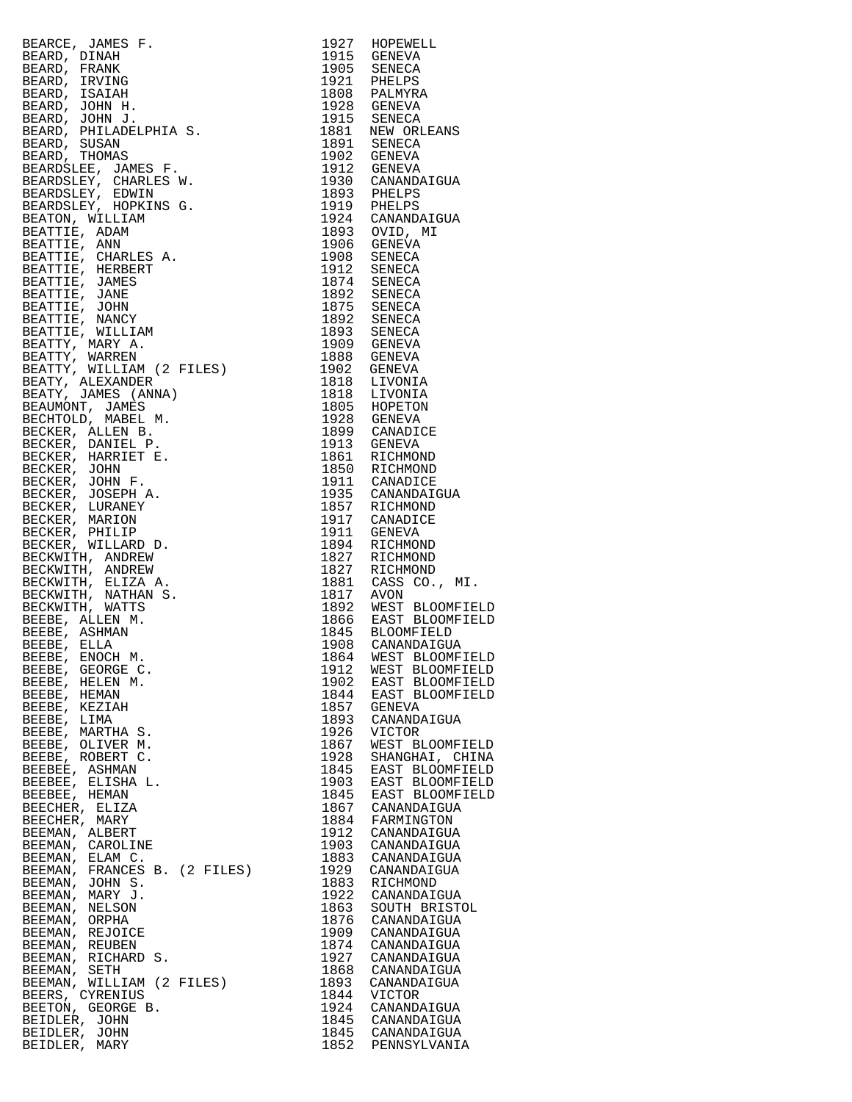| BEARCE, JAMES F. MANIM PIRARCE, JAMES F. RANK<br>BEARD, PRANK<br>BEARD, FRANK<br>BEARD, ISNING<br>BEARD, ISNING<br>BEARD, JOHN H.<br>BEARD, JOHN H.<br>BEARD, JOHN H.<br>BEARD, JOHN H.<br>BEARD, PHILADELPHIA S.<br>BEARD, THOMAS<br>BEARDSEEV, CHARLES W.<br>BEA | 1927         | HOPEWELL                                     |
|--------------------------------------------------------------------------------------------------------------------------------------------------------------------------------------------------------------------------------------------------------------------|--------------|----------------------------------------------|
|                                                                                                                                                                                                                                                                    |              | 1915 GENEVA                                  |
|                                                                                                                                                                                                                                                                    |              | 1905 SENECA                                  |
|                                                                                                                                                                                                                                                                    |              | 1921 PHELPS<br>1808 PALMYRA                  |
|                                                                                                                                                                                                                                                                    |              |                                              |
|                                                                                                                                                                                                                                                                    |              | 1928 GENEVA<br>1915 SENECA                   |
|                                                                                                                                                                                                                                                                    |              | 1881 NEW ORLEANS                             |
|                                                                                                                                                                                                                                                                    |              | 1891 SENECA                                  |
|                                                                                                                                                                                                                                                                    |              |                                              |
|                                                                                                                                                                                                                                                                    |              | 1902 GENEVA<br>1912 GENEVA                   |
|                                                                                                                                                                                                                                                                    |              | 1930 CANANDAIGUA<br>1893 PHELPS              |
|                                                                                                                                                                                                                                                                    |              |                                              |
|                                                                                                                                                                                                                                                                    |              | 1919 PHELPS<br>1924 CANANDAIGUA              |
|                                                                                                                                                                                                                                                                    |              |                                              |
|                                                                                                                                                                                                                                                                    |              | 1893 OVID, MI<br>1906 GENEVA                 |
|                                                                                                                                                                                                                                                                    |              |                                              |
|                                                                                                                                                                                                                                                                    |              | 1908 SENECA<br>1912 SENECA                   |
|                                                                                                                                                                                                                                                                    |              | 1874 SENECA                                  |
|                                                                                                                                                                                                                                                                    | 1892         | SENECA                                       |
|                                                                                                                                                                                                                                                                    |              | 1875 SENECA                                  |
|                                                                                                                                                                                                                                                                    | 1892         | SENECA                                       |
|                                                                                                                                                                                                                                                                    |              | 1893 SENECA<br>1909 GENEVA                   |
|                                                                                                                                                                                                                                                                    | 1888         | GENEVA                                       |
|                                                                                                                                                                                                                                                                    | 1902         | GENEVA                                       |
|                                                                                                                                                                                                                                                                    |              |                                              |
|                                                                                                                                                                                                                                                                    |              | 1818 LIVONIA<br>1818 LIVONIA                 |
|                                                                                                                                                                                                                                                                    |              |                                              |
|                                                                                                                                                                                                                                                                    |              | 1805 HOPETON<br>1928 GENEVA                  |
|                                                                                                                                                                                                                                                                    |              | 1899 CANADICE                                |
|                                                                                                                                                                                                                                                                    |              | 1913 GENEVA                                  |
|                                                                                                                                                                                                                                                                    |              | 1861 RICHMOND<br>1850 RICHMOND               |
|                                                                                                                                                                                                                                                                    |              |                                              |
|                                                                                                                                                                                                                                                                    |              | 1911 CANADICE<br>1935 CANANDAIGUA            |
|                                                                                                                                                                                                                                                                    |              |                                              |
|                                                                                                                                                                                                                                                                    |              | 1857 RICHMOND<br>1917 CANADICE               |
|                                                                                                                                                                                                                                                                    | 1911         | GENEVA                                       |
|                                                                                                                                                                                                                                                                    | 1894         | RICHMOND                                     |
|                                                                                                                                                                                                                                                                    | 1827<br>1827 | RICHMOND                                     |
|                                                                                                                                                                                                                                                                    |              | RICHMOND                                     |
|                                                                                                                                                                                                                                                                    | 1881         | CASS CO., MI.                                |
|                                                                                                                                                                                                                                                                    | 1817         | AVON                                         |
|                                                                                                                                                                                                                                                                    |              | 1892 WEST BLOOMFIELD<br>1866 EAST BLOOMFIELD |
|                                                                                                                                                                                                                                                                    |              |                                              |
|                                                                                                                                                                                                                                                                    |              | 1845 BLOOMFIELD<br>1908 CANANDAIGUA          |
|                                                                                                                                                                                                                                                                    | 1864         | WEST BLOOMFIELD                              |
| BEEBE, GEORGE C.                                                                                                                                                                                                                                                   | 1912         | WEST BLOOMFIELD                              |
| BEEBE, HELEN M.                                                                                                                                                                                                                                                    | 1902         | EAST BLOOMFIELD                              |
| BEEBE, HEMAN                                                                                                                                                                                                                                                       | 1844         | EAST BLOOMFIELD                              |
| BEEBE, KEZIAH                                                                                                                                                                                                                                                      | 1857         | GENEVA                                       |
| BEEBE, LIMA                                                                                                                                                                                                                                                        | 1893<br>1926 | CANANDAIGUA<br><b>VICTOR</b>                 |
| BEEBE, MARTHA S.<br>BEEBE, OLIVER M.                                                                                                                                                                                                                               | 1867         | WEST BLOOMFIELD                              |
| BEEBE, ROBERT C.                                                                                                                                                                                                                                                   | 1928         | SHANGHAI, CHINA                              |
| BEEBEE, ASHMAN                                                                                                                                                                                                                                                     | 1845         | EAST BLOOMFIELD                              |
| BEEBEE, ELISHA L.                                                                                                                                                                                                                                                  | 1903         | EAST BLOOMFIELD                              |
| BEEBEE, HEMAN                                                                                                                                                                                                                                                      | 1845         | EAST BLOOMFIELD                              |
| BEECHER, ELIZA                                                                                                                                                                                                                                                     | 1867         | CANANDAIGUA                                  |
| BEECHER, MARY                                                                                                                                                                                                                                                      | 1884         | FARMINGTON                                   |
| BEEMAN, ALBERT                                                                                                                                                                                                                                                     | 1912         | CANANDAIGUA                                  |
| BEEMAN, CAROLINE<br>BEEMAN, ELAM C.                                                                                                                                                                                                                                | 1903<br>1883 | CANANDAIGUA                                  |
| BEEMAN, FRANCES B. (2 FILES)                                                                                                                                                                                                                                       | 1929         | CANANDAIGUA<br>CANANDAIGUA                   |
| BEEMAN, JOHN S.                                                                                                                                                                                                                                                    | 1883         | RICHMOND                                     |
| BEEMAN, MARY J.                                                                                                                                                                                                                                                    | 1922         | CANANDAIGUA                                  |
| BEEMAN, NELSON                                                                                                                                                                                                                                                     | 1863         | SOUTH BRISTOL                                |
| BEEMAN, ORPHA                                                                                                                                                                                                                                                      | 1876         | CANANDAIGUA                                  |
| BEEMAN, REJOICE                                                                                                                                                                                                                                                    | 1909         | CANANDAIGUA                                  |
| BEEMAN, REUBEN                                                                                                                                                                                                                                                     | 1874         | CANANDAIGUA                                  |
| BEEMAN, RICHARD S.                                                                                                                                                                                                                                                 | 1927         | CANANDAIGUA                                  |
| BEEMAN, SETH<br>BEEMAN, WILLIAM (2 FILES)                                                                                                                                                                                                                          | 1868<br>1893 | CANANDAIGUA<br>CANANDAIGUA                   |
| BEERS, CYRENIUS                                                                                                                                                                                                                                                    | 1844         | VICTOR                                       |
| BEETON, GEORGE B.                                                                                                                                                                                                                                                  | 1924         | CANANDAIGUA                                  |
| BEIDLER, JOHN                                                                                                                                                                                                                                                      | 1845         | CANANDAIGUA                                  |
| BEIDLER, JOHN                                                                                                                                                                                                                                                      | 1845         | CANANDAIGUA                                  |
|                                                                                                                                                                                                                                                                    |              |                                              |

| 1927         | HOPEWELL                          |
|--------------|-----------------------------------|
| 1915         | GENEVA                            |
| 1905<br>1921 | <b>SENECA</b><br>PHELPS           |
| 1808         | PALMYRA                           |
| 1928         | GENEVA                            |
| 1915         | <b>SENECA</b>                     |
| 1881         | NEW ORLEANS                       |
| 1891<br>1902 | SENECA<br>GENEVA                  |
| 1912         | GENEVA                            |
| 1930         | CANANDAIGUA                       |
| 1893         | PHELPS                            |
| 1919         | PHELPS                            |
| 1924         | CANANDAIGUA                       |
| 1893<br>1906 | OVID, MI<br>GENEVA                |
| 1908         | <b>SENECA</b>                     |
| 1912         | SENECA                            |
| 1874         | SENECA                            |
| 1892         | SENECA                            |
| 1875<br>1892 | <b>SENECA</b>                     |
| 1893         | SENECA<br>SENECA                  |
| 1909         | GENEVA                            |
| 1888         | <b>GENEVA</b>                     |
| 1902         | GENEVA                            |
| 1818         | LIVONIA                           |
| 1818         | LIVONIA                           |
| 1805<br>1928 | HOPETON<br>GENEVA                 |
| 1899         | CANADICE                          |
| 1913         | GENEVA                            |
| 1861         | RICHMOND                          |
| 1850         | RICHMOND                          |
| 1911         | CANADICE                          |
| 1935<br>1857 | CANANDAIGUA<br>RICHMOND           |
| 1917         | CANADICE                          |
| 1911         | GENEVA                            |
| 1894         | RICHMOND                          |
| 1827         | RICHMOND                          |
| 1827<br>1881 | RICHMOND<br>CASS CO.,<br>MI.      |
| 1817         | AVON                              |
| 1892         |                                   |
| 1866         | WEST BLOOMFIEL<br>EAST BLOOMFIEL  |
| 1845         | <b>BLOOMFIELD</b>                 |
| 1908         | CANANDAIGUA                       |
| 1864<br>1912 | WEST BLOOMFIEL<br>WEST BLOOMFIELI |
| 1902         | <b>BLOOMFIELI</b>                 |
| 1844         | EAST<br>EAST<br><b>BLOOMFIELI</b> |
| 1857         | GENEVA                            |
| 1893<br>1926 | CANANDAIGUA                       |
| 1867         | VICTOR<br>WEST BLOOMFIELI         |
| 1928         | SHANGHAI, CHINA                   |
| 1845         | EAST BLOOMFIELI                   |
| 1903         | EAST BLOOMFIELD                   |
| 1845         |                                   |
| 1867<br>1884 | CANANDAIGUA<br>FARMINGTON         |
| 1912         | CANANDAIGUA                       |
| 1903         | CANANDAIGUA                       |
| 1883         | CANANDAIGUA                       |
| 1929         | CANANDAIGUA                       |
| 1883         | RICHMOND                          |
| 1922<br>1863 | CANANDAIGUA<br>SOUTH BRISTOL      |
| 1876         | CANANDAIGUA                       |
| 1909         | CANANDAIGUA                       |
| 1874         | CANANDAIGUA                       |
| 1927         | CANANDAIGUA                       |
| 1868         | CANANDAIGUA                       |
| 1893<br>1844 | CANANDAIGUA<br>VICTOR             |
| 1924         | CANANDAIGUA                       |
| 1845         | CANANDAIGUA                       |
| 1845         | CANANDAIGUA                       |
| 1852         | PENNSYLVANIA                      |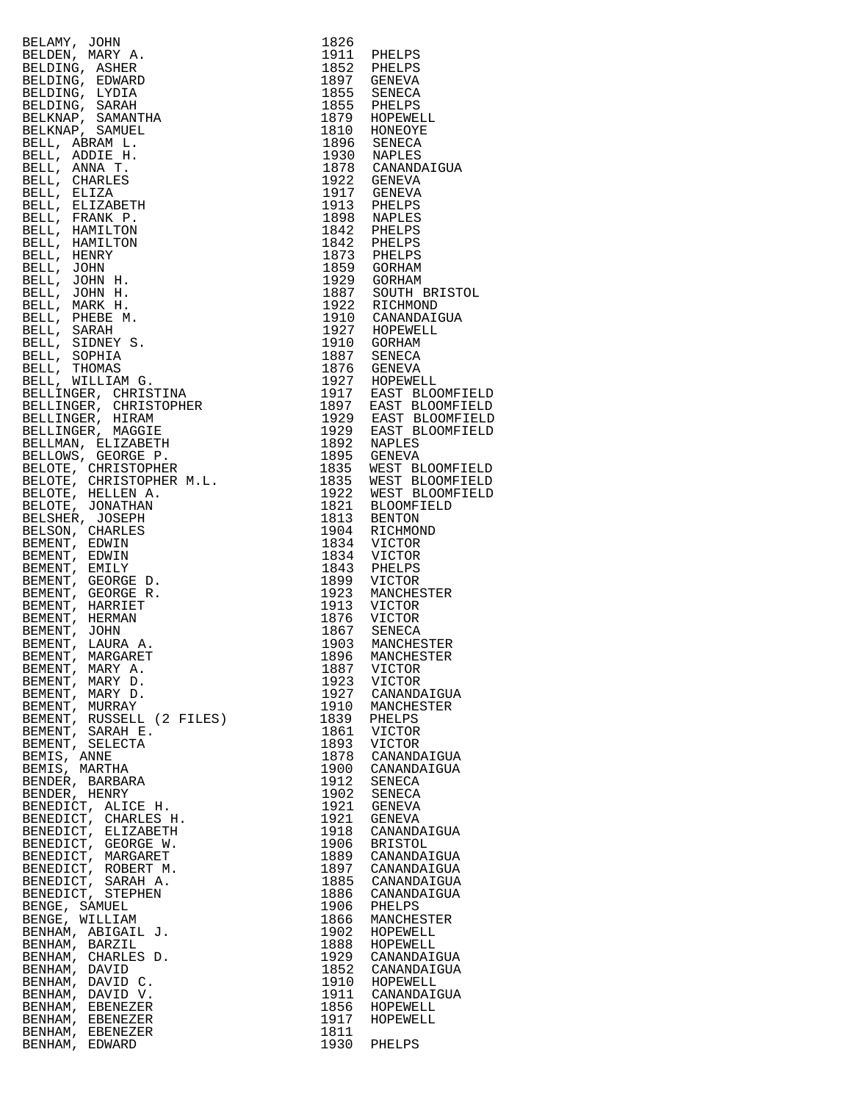| $\begin{tabular}{c c c} \hline 1.879 & \text{Hz} \\ 1.879 & \text{Hz} \\ 1.870 & \text{Hermon} \\ 1.810 & \text{RopM} \\ 1.810 & \text{RopM} \\ 1.810 & \text{RopM} \\ 1.810 & \text{RopM} \\ 1.810 & \text{RopM} \\ 1.810 & \text{RopM} \\ 1.810 & \text{RopM} \\ 1.811 & \text{RopM} \\ 1.811 & \text{RopM} \\ 1.812 & \text{RopM} \\ 1.82 & \text{RopM} \\$ |              |                |
|----------------------------------------------------------------------------------------------------------------------------------------------------------------------------------------------------------------------------------------------------------------------------------------------------------------------------------------------------------------|--------------|----------------|
|                                                                                                                                                                                                                                                                                                                                                                |              |                |
|                                                                                                                                                                                                                                                                                                                                                                |              |                |
|                                                                                                                                                                                                                                                                                                                                                                |              |                |
|                                                                                                                                                                                                                                                                                                                                                                |              |                |
|                                                                                                                                                                                                                                                                                                                                                                |              |                |
|                                                                                                                                                                                                                                                                                                                                                                |              |                |
|                                                                                                                                                                                                                                                                                                                                                                |              |                |
|                                                                                                                                                                                                                                                                                                                                                                |              |                |
|                                                                                                                                                                                                                                                                                                                                                                |              |                |
|                                                                                                                                                                                                                                                                                                                                                                |              |                |
|                                                                                                                                                                                                                                                                                                                                                                |              |                |
|                                                                                                                                                                                                                                                                                                                                                                |              |                |
|                                                                                                                                                                                                                                                                                                                                                                |              |                |
|                                                                                                                                                                                                                                                                                                                                                                |              |                |
|                                                                                                                                                                                                                                                                                                                                                                |              |                |
|                                                                                                                                                                                                                                                                                                                                                                |              |                |
|                                                                                                                                                                                                                                                                                                                                                                |              |                |
|                                                                                                                                                                                                                                                                                                                                                                |              |                |
|                                                                                                                                                                                                                                                                                                                                                                |              |                |
|                                                                                                                                                                                                                                                                                                                                                                |              |                |
|                                                                                                                                                                                                                                                                                                                                                                |              |                |
|                                                                                                                                                                                                                                                                                                                                                                |              |                |
|                                                                                                                                                                                                                                                                                                                                                                |              |                |
|                                                                                                                                                                                                                                                                                                                                                                |              |                |
|                                                                                                                                                                                                                                                                                                                                                                |              |                |
|                                                                                                                                                                                                                                                                                                                                                                |              |                |
|                                                                                                                                                                                                                                                                                                                                                                |              |                |
|                                                                                                                                                                                                                                                                                                                                                                |              |                |
|                                                                                                                                                                                                                                                                                                                                                                |              |                |
|                                                                                                                                                                                                                                                                                                                                                                |              |                |
|                                                                                                                                                                                                                                                                                                                                                                |              |                |
|                                                                                                                                                                                                                                                                                                                                                                |              |                |
|                                                                                                                                                                                                                                                                                                                                                                |              |                |
|                                                                                                                                                                                                                                                                                                                                                                |              |                |
|                                                                                                                                                                                                                                                                                                                                                                |              |                |
|                                                                                                                                                                                                                                                                                                                                                                |              |                |
|                                                                                                                                                                                                                                                                                                                                                                |              |                |
|                                                                                                                                                                                                                                                                                                                                                                |              |                |
|                                                                                                                                                                                                                                                                                                                                                                |              |                |
|                                                                                                                                                                                                                                                                                                                                                                |              |                |
|                                                                                                                                                                                                                                                                                                                                                                |              |                |
|                                                                                                                                                                                                                                                                                                                                                                |              |                |
|                                                                                                                                                                                                                                                                                                                                                                |              |                |
|                                                                                                                                                                                                                                                                                                                                                                |              |                |
|                                                                                                                                                                                                                                                                                                                                                                |              |                |
|                                                                                                                                                                                                                                                                                                                                                                |              |                |
|                                                                                                                                                                                                                                                                                                                                                                |              |                |
|                                                                                                                                                                                                                                                                                                                                                                |              |                |
|                                                                                                                                                                                                                                                                                                                                                                |              |                |
|                                                                                                                                                                                                                                                                                                                                                                |              |                |
|                                                                                                                                                                                                                                                                                                                                                                |              |                |
|                                                                                                                                                                                                                                                                                                                                                                |              |                |
|                                                                                                                                                                                                                                                                                                                                                                |              |                |
|                                                                                                                                                                                                                                                                                                                                                                |              |                |
|                                                                                                                                                                                                                                                                                                                                                                |              |                |
|                                                                                                                                                                                                                                                                                                                                                                |              |                |
|                                                                                                                                                                                                                                                                                                                                                                |              |                |
|                                                                                                                                                                                                                                                                                                                                                                |              |                |
|                                                                                                                                                                                                                                                                                                                                                                |              |                |
|                                                                                                                                                                                                                                                                                                                                                                |              |                |
|                                                                                                                                                                                                                                                                                                                                                                |              |                |
| BENDER, HENRY                                                                                                                                                                                                                                                                                                                                                  | 1902         | SENECA         |
| BENEDICT, ALICE H.                                                                                                                                                                                                                                                                                                                                             | 1921         | GENEVA         |
| BENEDICT, CHARLES H.                                                                                                                                                                                                                                                                                                                                           | 1921         | GENEVA         |
| BENEDICT, ELIZABETH                                                                                                                                                                                                                                                                                                                                            | 1918         | CANANDAIGUA    |
| BENEDICT, GEORGE W.                                                                                                                                                                                                                                                                                                                                            | 1906         | <b>BRISTOL</b> |
| BENEDICT, MARGARET                                                                                                                                                                                                                                                                                                                                             | 1889         | CANANDAIGUA    |
| BENEDICT, ROBERT M.                                                                                                                                                                                                                                                                                                                                            | 1897         | CANANDAIGUA    |
| BENEDICT, SARAH A.                                                                                                                                                                                                                                                                                                                                             | 1885         | CANANDAIGUA    |
| BENEDICT, STEPHEN                                                                                                                                                                                                                                                                                                                                              | 1886         | CANANDAIGUA    |
| BENGE, SAMUEL                                                                                                                                                                                                                                                                                                                                                  | 1906         | PHELPS         |
| BENGE, WILLIAM                                                                                                                                                                                                                                                                                                                                                 | 1866         | MANCHESTER     |
| BENHAM, ABIGAIL J.                                                                                                                                                                                                                                                                                                                                             | 1902         | HOPEWELL       |
| BENHAM, BARZIL                                                                                                                                                                                                                                                                                                                                                 | 1888         |                |
|                                                                                                                                                                                                                                                                                                                                                                |              | HOPEWELL       |
| BENHAM, CHARLES D.                                                                                                                                                                                                                                                                                                                                             | 1929<br>1852 | CANANDAIGUA    |
| BENHAM, DAVID                                                                                                                                                                                                                                                                                                                                                  |              | CANANDAIGUA    |
| BENHAM,<br>DAVID C.                                                                                                                                                                                                                                                                                                                                            | 1910         | HOPEWELL       |
| BENHAM, DAVID V.                                                                                                                                                                                                                                                                                                                                               | 1911         | CANANDAIGUA    |
| BENHAM,<br>EBENEZER                                                                                                                                                                                                                                                                                                                                            | 1856         | HOPEWELL       |
| BENHAM, EBENEZER                                                                                                                                                                                                                                                                                                                                               | 1917         | HOPEWELL       |
| BENHAM, EBENEZER                                                                                                                                                                                                                                                                                                                                               | 1811         |                |
| BENHAM, EDWARD                                                                                                                                                                                                                                                                                                                                                 | 1930         | PHELPS         |

| ⊥ㅇ∠ㅇ<br>1911 | PHELPS                             |
|--------------|------------------------------------|
| 1852<br>1897 | PHELPS<br>GENEVA                   |
| 1855         | SENECA                             |
| 1855<br>1879 | PHELPS<br>HOPEWELL                 |
| 1810         | HONEOYE                            |
| 1896         | SENECA                             |
| 1930<br>1878 | NAPLES<br>CANANDAIGUA              |
| 1922         | GENEVA                             |
| 1917<br>1913 | <b>GENEVA</b><br>PHELPS            |
| 1898         | NAPLES                             |
| 1842         | PHELPS                             |
| 1842<br>1873 | PHELPS<br>PHELPS                   |
| 1859         | GORHAM                             |
| 1929<br>1887 | GORHAM                             |
| 1922         | SOUTH BRISTOL<br>RICHMOND          |
| 1910         | CANANDAIGUA                        |
| 1927<br>1910 | HOPEWELL<br>GORHAM                 |
| 1887         | SENECA                             |
| 1876         | GENEVA                             |
| 1927<br>1917 | HOPEWELL<br>EAST BLOOMFIELD        |
| 1897         | EAST BLOOMFIELD                    |
| 1929<br>1929 | EAST BLOOMFIELD<br>EAST BLOOMFIELD |
| 1892         | NAPLES                             |
| 1895         | GENEVA                             |
| 1835<br>1835 | WEST BLOOMFIELD<br>WEST BLOOMFIELD |
| 1922         | WEST BLOOMFIELD                    |
| 1821<br>1813 | BLOOMFIELD<br><b>BENTON</b>        |
| 1904         | RICHMOND                           |
| 1834         | VICTOR                             |
| 1834<br>1843 | VICTOR<br>PHELPS                   |
| 1899         | VICTOR                             |
| 1923<br>1913 | MANCHESTER<br>VICTOR               |
| 1876         | VICTOR                             |
| 1867         | SENECA                             |
| 1903<br>1896 | MANCHESTER<br>MANCHESTER           |
| 1887         | <b>VICTOR</b>                      |
| 1923<br>1927 | VICTOR<br>CANANDAIGUA              |
| 1910         | MANCHESTER                         |
| 1839         | PHELPS                             |
| 1861<br>1893 | VICTOR<br>VICTOR                   |
| 1878         | CANANDAIGUA                        |
| 1900<br>1912 | CANANDAIGUA<br>SENECA              |
| 1902         | <b>SENECA</b>                      |
| 1921         | <b>GENEVA</b>                      |
| 1921<br>1918 | GENEVA<br>CANANDAIGUA              |
| 1906         | <b>BRISTOL</b>                     |
| 1889<br>1897 | CANANDAIGUA                        |
| 1885         | CANANDAIGUA<br>CANANDAIGUA         |
| 1886         | CANANDAIGUA                        |
| 1906<br>1866 | PHELPS<br>MANCHESTER               |
| 1902         | HOPEWELL                           |
| 1888         | HOPEWELL                           |
| 1929<br>1852 | CANANDAIGUA<br>CANANDAIGUA         |
| 1910         | HOPEWELL                           |
| 1911<br>1856 | CANANDAIGUA<br>HOPEWELL            |
| 1917         | HOPEWELL                           |
| 1811         |                                    |
| 1930         | PHELPS                             |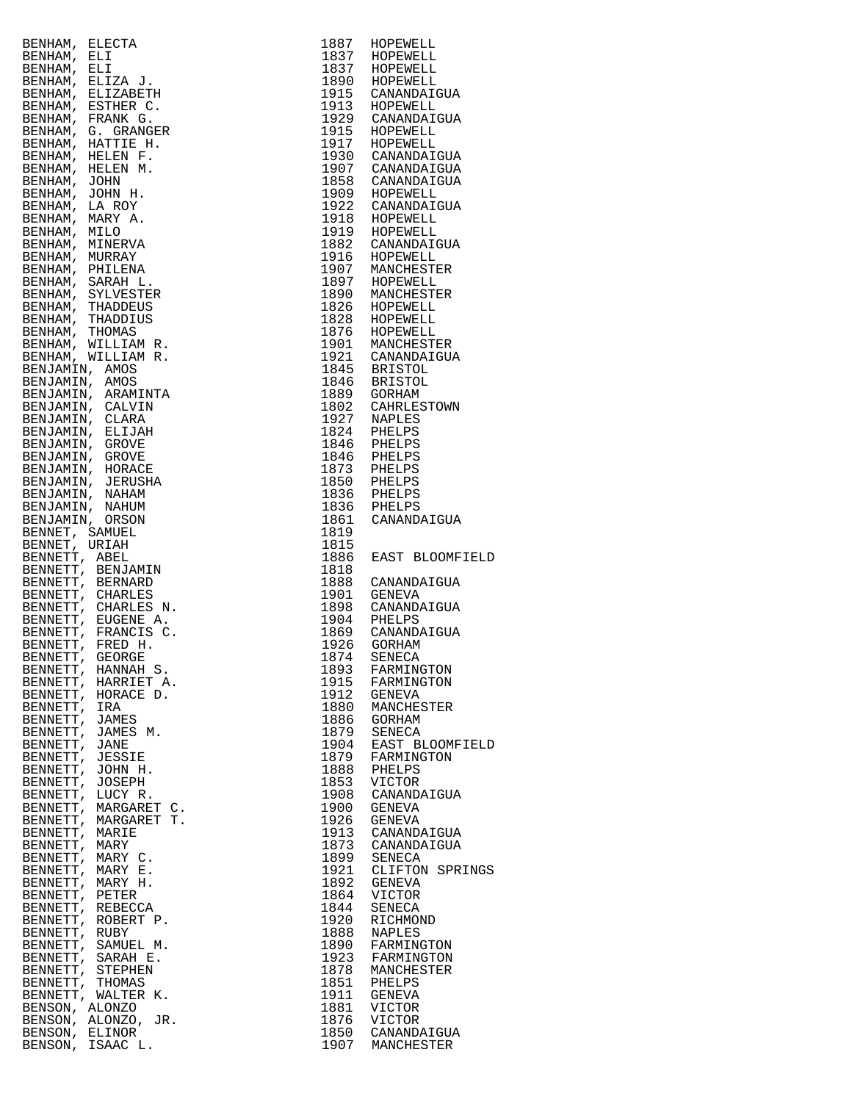| BENHAM,<br>ELECTA                  |      |                           |
|------------------------------------|------|---------------------------|
|                                    | 1887 | HOPEWELL                  |
| BENHAM,<br>ELI                     | 1837 | HOPEWELL                  |
| BENHAM, ELI                        | 1837 | HOPEWELL                  |
|                                    |      |                           |
| BENHAM, ELIZA J.                   | 1890 | HOPEWELL                  |
| BENHAM, ELIZABETH                  | 1915 | CANANDAIGUA               |
| BENHAM, ESTHER C.                  | 1913 | HOPEWELL                  |
| BENHAM, FRANK G.                   | 1929 | CANANDAIGUA               |
| BENHAM, G. GRANGER                 | 1915 | HOPEWELL                  |
|                                    |      |                           |
| BENHAM, HATTIE H.                  | 1917 | HOPEWELL                  |
| BENHAM, HELEN F.                   | 1930 | CANANDAIGUA               |
| BENHAM, HELEN M.                   | 1907 | CANANDAIGUA               |
| BENHAM, JOHN                       | 1858 | CANANDAIGUA               |
|                                    | 1909 |                           |
| BENHAM, JOHN H.                    |      | HOPEWELL                  |
| BENHAM, LA ROY                     | 1922 | CANANDAIGUA               |
| BENHAM, MARY A.                    | 1918 | HOPEWELL                  |
| BENHAM, MILO                       | 1919 | HOPEWELL                  |
| BENHAM, MINERVA                    | 1882 | CANANDAIGUA               |
|                                    |      |                           |
| BENHAM, MURRAY                     | 1916 | HOPEWELL                  |
| BENHAM, PHILENA                    | 1907 | MANCHESTER                |
| BENHAM, SARAH L.                   | 1897 | HOPEWELL                  |
| BENHAM, SYLVESTER                  | 1890 | MANCHESTER                |
| BENHAM, THADDEUS                   | 1826 | HOPEWELL                  |
|                                    |      |                           |
| BENHAM, THADDIUS                   | 1828 | HOPEWELL                  |
| BENHAM, THOMAS                     | 1876 | HOPEWELL                  |
| BENHAM, WILLIAM R.                 | 1901 | MANCHESTER                |
| BENHAM, WILLIAM R.                 | 1921 | CANANDAIGUA               |
|                                    | 1845 |                           |
| BENJAMIN, AMOS                     |      | BRISTOL                   |
| BENJAMIN, AMOS                     | 1846 | BRISTOL                   |
| BENJAMIN, ARAMINTA                 | 1889 | GORHAM                    |
| BENJAMIN, CALVIN                   | 1802 | CAHRLESTOWN               |
| BENJAMIN, CLARA                    | 1927 | NAPLES                    |
|                                    |      |                           |
| BENJAMIN, ELIJAH                   | 1824 | PHELPS                    |
| BENJAMIN,<br>GROVE                 | 1846 | PHELPS                    |
| BENJAMIN, GROVE                    | 1846 | PHELPS                    |
| BENJAMIN,<br>HORACE                | 1873 | PHELPS                    |
|                                    |      |                           |
| BENJAMIN, JERUSHA                  | 1850 | PHELPS                    |
| BENJAMIN,<br>NAHAM                 | 1836 | PHELPS                    |
| BENJAMIN, NAHUM                    | 1836 | PHELPS                    |
| BENJAMIN, ORSON                    | 1861 | CANANDAIGUA               |
| BENNET, SAMUEL                     | 1819 |                           |
|                                    |      |                           |
| BENNET, URIAH                      | 1815 |                           |
|                                    |      |                           |
| BENNETT, ABEL                      | 1886 | EAST BLOOMFI              |
|                                    |      |                           |
| BENNETT, BENJAMIN                  | 1818 |                           |
| BENNETT, BERNARD                   | 1888 | CANANDAIGUA               |
| BENNETT, CHARLES                   | 1901 | GENEVA                    |
| BENNETT, CHARLES N.                |      | 1898 CANANDAIGUA          |
|                                    | 1904 | PHELPS                    |
| BENNETT, EUGENE A.                 |      |                           |
| BENNETT, FRANCIS C.                | 1869 | CANANDAIGUA               |
| BENNETT, FRED H.                   | 1926 | GORHAM                    |
| BENNETT, GEORGE                    | 1874 | SENECA                    |
| BENNETT,<br>HANNAH S.              | 1893 | FARMINGTON                |
| BENNETT, HARRIET A.                |      | FARMINGTON                |
|                                    | 1915 |                           |
| BENNETT, HORACE D.                 | 1912 | GENEVA                    |
| BENNETT, IRA                       | 1880 | MANCHESTER                |
| BENNETT, JAMES                     | 1886 | GORHAM                    |
| BENNETT, JAMES M.                  | 1879 | SENECA                    |
| BENNETT, JANE                      | 1904 | EAST BLOOMFI              |
|                                    |      |                           |
| BENNETT, JESSIE                    | 1879 | FARMINGTON                |
| BENNETT, JOHN H.                   | 1888 | PHELPS                    |
| BENNETT, JOSEPH                    | 1853 | VICTOR                    |
| BENNETT, LUCY R.                   | 1908 | CANANDAIGUA               |
|                                    |      |                           |
| BENNETT, MARGARET C.               | 1900 | GENEVA                    |
| BENNETT, MARGARET T.               | 1926 | GENEVA                    |
| BENNETT, MARIE                     | 1913 | CANANDAIGUA               |
| BENNETT, MARY                      | 1873 | CANANDAIGUA               |
| BENNETT, MARY C.                   | 1899 | SENECA                    |
|                                    |      |                           |
| BENNETT, MARY E.                   | 1921 | CLIFTON SPRI              |
| BENNETT, MARY H.                   | 1892 | GENEVA                    |
| BENNETT, PETER                     | 1864 | VICTOR                    |
| BENNETT, REBECCA                   | 1844 | SENECA                    |
|                                    |      |                           |
| BENNETT, ROBERT P.                 | 1920 | RICHMOND                  |
| BENNETT, RUBY                      | 1888 | <b>NAPLES</b>             |
| BENNETT, SAMUEL M.                 | 1890 | FARMINGTON                |
| BENNETT, SARAH E.                  | 1923 | FARMINGTON                |
|                                    | 1878 | MANCHESTER                |
| BENNETT, STEPHEN                   |      |                           |
| BENNETT, THOMAS                    | 1851 | PHELPS                    |
| BENNETT, WALTER K.                 | 1911 | GENEVA                    |
| BENSON, ALONZO                     | 1881 | VICTOR                    |
| BENSON, ALONZO, JR.                | 1876 | VICTOR                    |
|                                    | 1850 |                           |
| BENSON, ELINOR<br>BENSON, ISAAC L. | 1907 | CANANDAIGUA<br>MANCHESTER |

|                                                                                                                                                                                                                                                  | 1887         | HOPEWELL                          |
|--------------------------------------------------------------------------------------------------------------------------------------------------------------------------------------------------------------------------------------------------|--------------|-----------------------------------|
|                                                                                                                                                                                                                                                  |              |                                   |
|                                                                                                                                                                                                                                                  |              | HOPEWELL                          |
|                                                                                                                                                                                                                                                  | 1837<br>1837 | HOPEWELL                          |
|                                                                                                                                                                                                                                                  | 1890         | HOPEWELL                          |
|                                                                                                                                                                                                                                                  |              |                                   |
|                                                                                                                                                                                                                                                  | 1915         | CANANDAIGUA                       |
|                                                                                                                                                                                                                                                  | 1913         | HOPEWELL                          |
|                                                                                                                                                                                                                                                  |              | 1929 CANANDAIGUA                  |
|                                                                                                                                                                                                                                                  |              |                                   |
|                                                                                                                                                                                                                                                  | 1915         | HOPEWELL                          |
|                                                                                                                                                                                                                                                  | 1917         | HOPEWELL                          |
|                                                                                                                                                                                                                                                  |              |                                   |
|                                                                                                                                                                                                                                                  |              | 1930 CANANDAIGUA                  |
|                                                                                                                                                                                                                                                  |              | 1907 CANANDAIGUA                  |
|                                                                                                                                                                                                                                                  |              | 1858 CANANDAIGUA<br>1909 HOPEWELL |
|                                                                                                                                                                                                                                                  |              |                                   |
|                                                                                                                                                                                                                                                  |              |                                   |
|                                                                                                                                                                                                                                                  |              |                                   |
|                                                                                                                                                                                                                                                  |              | 1922 CANANDAIGUA<br>1918 HOPEWELL |
|                                                                                                                                                                                                                                                  |              |                                   |
|                                                                                                                                                                                                                                                  | 1919         | HOPEWELL                          |
|                                                                                                                                                                                                                                                  |              | 1882 CANANDAIGUA                  |
|                                                                                                                                                                                                                                                  |              |                                   |
|                                                                                                                                                                                                                                                  | 1916         | HOPEWELL                          |
|                                                                                                                                                                                                                                                  |              | 1907 MANCHESTER                   |
|                                                                                                                                                                                                                                                  |              |                                   |
|                                                                                                                                                                                                                                                  |              | 1897 HOPEWELL                     |
|                                                                                                                                                                                                                                                  |              | 1890 MANCHESTER                   |
|                                                                                                                                                                                                                                                  |              |                                   |
|                                                                                                                                                                                                                                                  |              | 1826 HOPEWELL                     |
|                                                                                                                                                                                                                                                  |              | 1828 HOPEWELL                     |
|                                                                                                                                                                                                                                                  |              | 1876 HOPEWELL                     |
|                                                                                                                                                                                                                                                  |              |                                   |
|                                                                                                                                                                                                                                                  |              | 1901 MANCHESTER                   |
|                                                                                                                                                                                                                                                  |              | 1921 CANANDAIGUA<br>1845 BRISTOL  |
|                                                                                                                                                                                                                                                  |              |                                   |
|                                                                                                                                                                                                                                                  |              |                                   |
|                                                                                                                                                                                                                                                  |              | 1846 BRISTOL                      |
|                                                                                                                                                                                                                                                  | 1889         | GORHAM                            |
|                                                                                                                                                                                                                                                  |              |                                   |
|                                                                                                                                                                                                                                                  |              | 1802 CAHRLESTOWN                  |
|                                                                                                                                                                                                                                                  | 1927         | NAPLES                            |
|                                                                                                                                                                                                                                                  |              |                                   |
|                                                                                                                                                                                                                                                  | 1824         | PHELPS                            |
|                                                                                                                                                                                                                                                  |              | 1846 PHELPS                       |
|                                                                                                                                                                                                                                                  |              | 1846 PHELPS                       |
|                                                                                                                                                                                                                                                  |              |                                   |
|                                                                                                                                                                                                                                                  | 1873         | PHELPS                            |
|                                                                                                                                                                                                                                                  | 1850         | PHELPS                            |
|                                                                                                                                                                                                                                                  |              |                                   |
|                                                                                                                                                                                                                                                  | 1836         | PHELPS                            |
|                                                                                                                                                                                                                                                  |              | 1836 PHELPS                       |
|                                                                                                                                                                                                                                                  | 1861         | CANANDAIGUA                       |
|                                                                                                                                                                                                                                                  |              |                                   |
|                                                                                                                                                                                                                                                  | 1819         |                                   |
|                                                                                                                                                                                                                                                  | 1815         |                                   |
|                                                                                                                                                                                                                                                  |              |                                   |
|                                                                                                                                                                                                                                                  |              |                                   |
|                                                                                                                                                                                                                                                  | 1886         | EAST BLOOMFIELD                   |
|                                                                                                                                                                                                                                                  |              |                                   |
|                                                                                                                                                                                                                                                  | 1818         |                                   |
|                                                                                                                                                                                                                                                  | 1888         | CANANDAIGUA                       |
|                                                                                                                                                                                                                                                  | 1901         | GENEVA                            |
|                                                                                                                                                                                                                                                  |              |                                   |
|                                                                                                                                                                                                                                                  | 1898         | CANANDAIGUA                       |
|                                                                                                                                                                                                                                                  |              | 1904 PHELPS                       |
|                                                                                                                                                                                                                                                  |              |                                   |
|                                                                                                                                                                                                                                                  |              | 1869 CANANDAIGUA                  |
|                                                                                                                                                                                                                                                  |              | 1926 GORHAM                       |
|                                                                                                                                                                                                                                                  |              | 1874 SENECA                       |
|                                                                                                                                                                                                                                                  |              |                                   |
|                                                                                                                                                                                                                                                  | 1893         | FARMINGTON                        |
|                                                                                                                                                                                                                                                  | 1915         | FARMINGTON                        |
|                                                                                                                                                                                                                                                  |              |                                   |
|                                                                                                                                                                                                                                                  | 1912         | GENEVA                            |
|                                                                                                                                                                                                                                                  | 1880         | MANCHESTER                        |
|                                                                                                                                                                                                                                                  | 1886         | GORHAM                            |
|                                                                                                                                                                                                                                                  |              |                                   |
|                                                                                                                                                                                                                                                  | 1879         | SENECA                            |
|                                                                                                                                                                                                                                                  | 1904         | EAST BLOOMFIELD                   |
|                                                                                                                                                                                                                                                  |              |                                   |
|                                                                                                                                                                                                                                                  | 1879         | FARMINGTON                        |
|                                                                                                                                                                                                                                                  | 1888         | PHELPS                            |
|                                                                                                                                                                                                                                                  | 1853         | VICTOR                            |
|                                                                                                                                                                                                                                                  |              |                                   |
|                                                                                                                                                                                                                                                  | 1908         | CANANDAIGUA                       |
|                                                                                                                                                                                                                                                  | 1900         | GENEVA                            |
|                                                                                                                                                                                                                                                  | 1926         | GENEVA                            |
|                                                                                                                                                                                                                                                  |              |                                   |
|                                                                                                                                                                                                                                                  | 1913         | CANANDAIGUA                       |
|                                                                                                                                                                                                                                                  | 1873         | CANANDAIGUA                       |
|                                                                                                                                                                                                                                                  |              |                                   |
|                                                                                                                                                                                                                                                  | 1899         | SENECA                            |
|                                                                                                                                                                                                                                                  | 1921         | CLIFTON SPRINGS                   |
|                                                                                                                                                                                                                                                  | 1892         |                                   |
|                                                                                                                                                                                                                                                  |              | <b>GENEVA</b>                     |
|                                                                                                                                                                                                                                                  | 1864         | VICTOR                            |
|                                                                                                                                                                                                                                                  | 1844         | SENECA                            |
|                                                                                                                                                                                                                                                  |              |                                   |
|                                                                                                                                                                                                                                                  | 1920         | RICHMOND                          |
|                                                                                                                                                                                                                                                  | 1888         | <b>NAPLES</b>                     |
|                                                                                                                                                                                                                                                  | 1890         |                                   |
|                                                                                                                                                                                                                                                  |              | FARMINGTON                        |
|                                                                                                                                                                                                                                                  | 1923         | FARMINGTON                        |
|                                                                                                                                                                                                                                                  | 1878         | MANCHESTER                        |
|                                                                                                                                                                                                                                                  |              |                                   |
|                                                                                                                                                                                                                                                  | 1851         | PHELPS                            |
|                                                                                                                                                                                                                                                  | 1911         | GENEVA                            |
|                                                                                                                                                                                                                                                  | 1881         |                                   |
|                                                                                                                                                                                                                                                  |              | VICTOR                            |
|                                                                                                                                                                                                                                                  | 1876         | VICTOR                            |
| BENNIAM, ELECTRI<br>BENNIAM, ELECTRI<br>BENNIAM, ELECTRI (ELECTRICATE)<br>BENNIAM, ELECTRICATE (ELECTRICATE)<br>BENNIAM, ELECTRICATE (ELECTRICATE)<br>BENNIAM, GENTRICATE (ELECTRICATE)<br>BENNIAM, GENTRICATE EN ENTRICATE EN ENTRICATE EN ENTR | 1850         | CANANDAIGUA<br>1907 MANCHESTER    |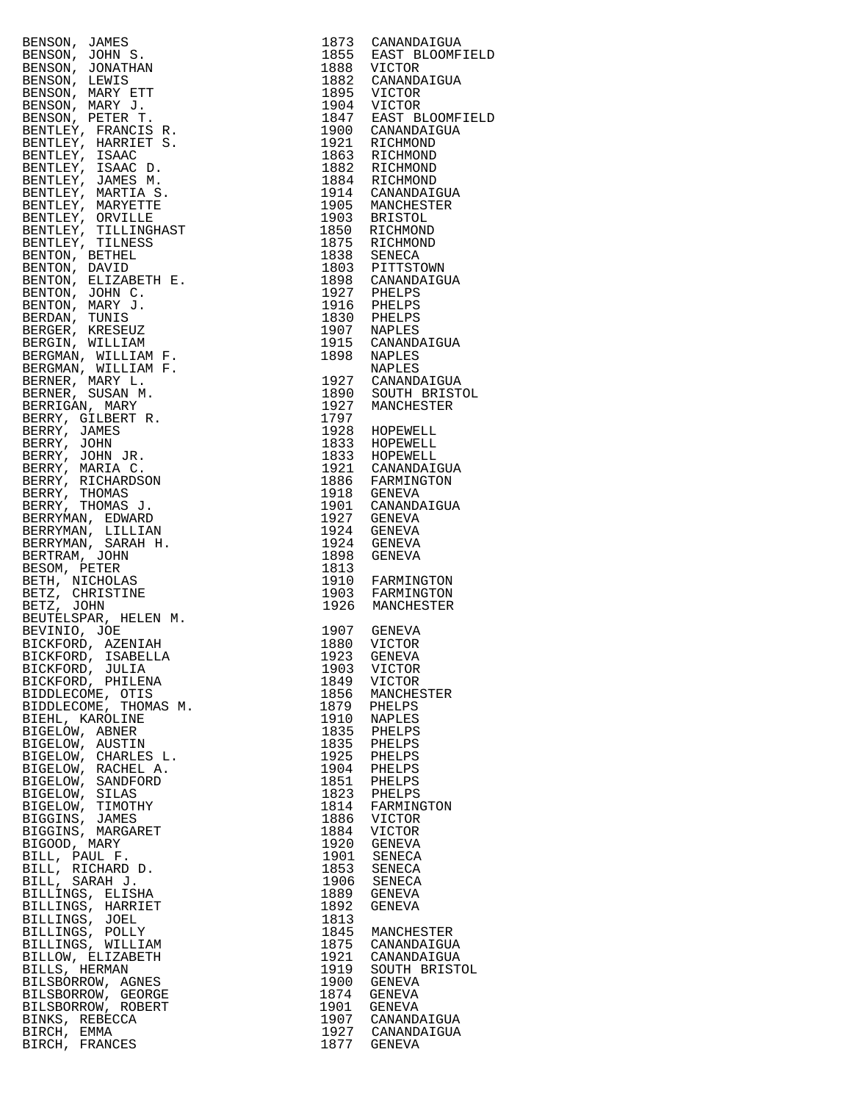| ERNON, JOHN F. 1973 CANADRATION<br>ERNON, JOHN S. 1973 CANADRATION<br>ERNON, JOHN S. 1982 CANADRATION<br>ERNON, JOHN S. 1982 CANADRATION<br>ERNON, NEW STT 1982 CANADRATION<br>ERNON, NEW STT 1993 VICTOR<br>ERNON, NEW STT 1993 VICTOR<br>E                |                                |
|-------------------------------------------------------------------------------------------------------------------------------------------------------------------------------------------------------------------------------------------------------------|--------------------------------|
|                                                                                                                                                                                                                                                             |                                |
|                                                                                                                                                                                                                                                             |                                |
|                                                                                                                                                                                                                                                             |                                |
|                                                                                                                                                                                                                                                             |                                |
|                                                                                                                                                                                                                                                             |                                |
|                                                                                                                                                                                                                                                             |                                |
|                                                                                                                                                                                                                                                             |                                |
|                                                                                                                                                                                                                                                             | 1856 MANCHESTER                |
|                                                                                                                                                                                                                                                             |                                |
|                                                                                                                                                                                                                                                             |                                |
|                                                                                                                                                                                                                                                             |                                |
|                                                                                                                                                                                                                                                             |                                |
|                                                                                                                                                                                                                                                             |                                |
|                                                                                                                                                                                                                                                             |                                |
|                                                                                                                                                                                                                                                             |                                |
|                                                                                                                                                                                                                                                             |                                |
|                                                                                                                                                                                                                                                             |                                |
|                                                                                                                                                                                                                                                             | 1823 PHELPS<br>1814 FARMINGTON |
|                                                                                                                                                                                                                                                             |                                |
|                                                                                                                                                                                                                                                             |                                |
|                                                                                                                                                                                                                                                             |                                |
|                                                                                                                                                                                                                                                             |                                |
|                                                                                                                                                                                                                                                             |                                |
|                                                                                                                                                                                                                                                             |                                |
|                                                                                                                                                                                                                                                             |                                |
|                                                                                                                                                                                                                                                             |                                |
|                                                                                                                                                                                                                                                             |                                |
|                                                                                                                                                                                                                                                             |                                |
|                                                                                                                                                                                                                                                             |                                |
|                                                                                                                                                                                                                                                             |                                |
|                                                                                                                                                                                                                                                             | 1845 MANCHESTER                |
|                                                                                                                                                                                                                                                             | 1875 CANANDAIGUA               |
|                                                                                                                                                                                                                                                             |                                |
|                                                                                                                                                                                                                                                             | 1921 CANANDAIGUA               |
|                                                                                                                                                                                                                                                             | 1919 SOUTH BRISTOL             |
|                                                                                                                                                                                                                                                             |                                |
|                                                                                                                                                                                                                                                             |                                |
|                                                                                                                                                                                                                                                             |                                |
|                                                                                                                                                                                                                                                             |                                |
|                                                                                                                                                                                                                                                             | 1907 CANANDAIGUA               |
| BIVINTO, JOE (1977)<br>BICKFORD, AZENIAH (1980)<br>BICKFORD, ISABELLA (1980)<br>ICTOR EICKFORD, USILLENA (1980)<br>VICTOR BIDDLECOME, OTILENA (1980)<br>ISO VICTOR SIDENCOME, THOMAS M. (1986)<br>MARVIER (1979)<br>PIERIL , KAROLINE (1979)<br>BIRCH, EMMA | 1927 CANANDAIGUA               |
|                                                                                                                                                                                                                                                             |                                |
| BIRCH, FRANCES                                                                                                                                                                                                                                              | 1877 GENEVA                    |

| 1873<br>1855<br>1888<br>1882<br>1895<br>1904<br>1847<br>1900<br>1921<br>1863<br>1882<br>1884<br>1914<br>1905<br>1903<br>1850<br>1875<br>1838<br>1803<br>1898<br>1927<br>1916<br>1830<br>1907<br>1915<br>1898<br>1927<br>1890<br>1927<br>1797<br>1928                         | CANANDAIGUA<br>EAST BLOOMFIEL<br>VICTOR<br>CANANDAIGUA<br>VICTOR<br><b>VICTOR</b><br>EAST BLOOMFIEL<br>CANANDAIGUA<br>RICHMOND<br>RICHMOND<br>RICHMOND<br>RICHMOND<br>CANANDAIGUA<br>MANCHESTER<br><b>BRISTOL</b><br>RICHMOND<br>RICHMOND<br>SENECA<br>PITTSTOWN<br>CANANDAIGUA<br>PHELPS<br>PHELPS<br>PHELPS<br><b>NAPLES</b><br>CANANDAIGUA<br><b>NAPLES</b><br><b>NAPLES</b><br>CANANDAIGUA<br>SOUTH BRISTOL<br>MANCHESTER<br>HOPEWELL |
|------------------------------------------------------------------------------------------------------------------------------------------------------------------------------------------------------------------------------------------------------------------------------|-------------------------------------------------------------------------------------------------------------------------------------------------------------------------------------------------------------------------------------------------------------------------------------------------------------------------------------------------------------------------------------------------------------------------------------------|
| 1833<br>1833<br>1921<br>1886<br>1918<br>1901<br>1927<br>1924<br>1924<br>1898<br>1813<br>1910<br>1903<br>1926                                                                                                                                                                 | HOPEWELL<br>HOPEWELL<br>CANANDAIGUA<br>FARMINGTON<br>GENEVA<br>CANANDAIGUA<br>GENEVA<br>GENEVA<br><b>GENEVA</b><br><b>GENEVA</b><br>FARMINGTON<br>FARMINGTON<br>MANCHESTER                                                                                                                                                                                                                                                                |
| 1907<br>1880<br>1923<br>1903<br>1849<br>1856<br>1879<br>1910<br>1835<br>1835<br>1925<br>1904<br>1851<br>1823<br>1814<br>1886<br>1884<br>1920<br>1901<br>1853<br>1906<br>1889<br>1892<br>1813<br>1845<br>1875<br>1921<br>1919<br>1900<br>1874<br>1901<br>1907<br>1927<br>1877 | GENEVA<br>VICTOR<br>GENEVA<br>VICTOR<br>VICTOR<br>MANCHESTER<br>PHELPS<br><b>NAPLES</b><br>PHELPS<br>PHELPS<br>PHELPS<br>PHELPS<br>PHELPS<br>PHELPS<br>FARMINGTON<br>VICTOR<br>VICTOR<br><b>GENEVA</b><br>SENECA<br>SENECA<br>SENECA<br>GENEVA<br>GENEVA<br>MANCHESTER<br>CANANDAIGUA<br>CANANDAIGUA<br>SOUTH BRISTOL<br>GENEVA<br>GENEVA<br>GENEVA<br>CANANDAIGUA<br>CANANDAIGUA<br>GENEVA                                               |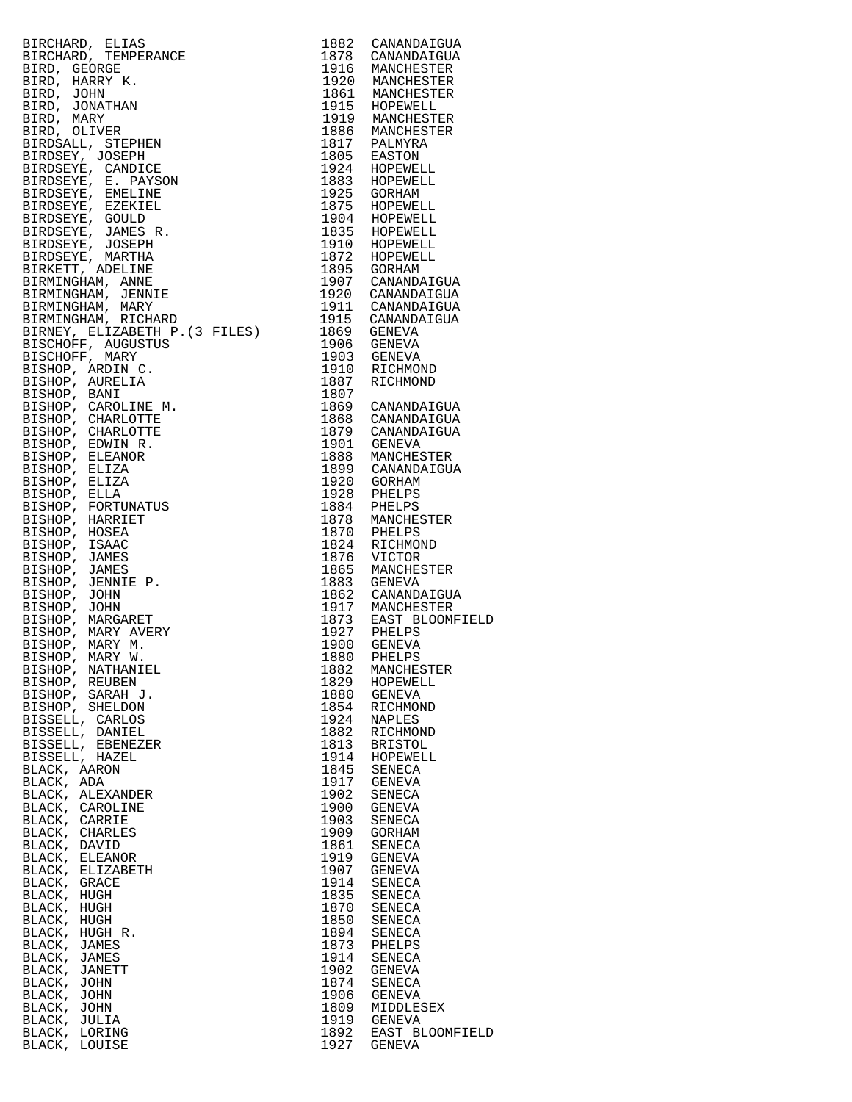|                                                                                                                                                                                                                                                           |      | 1903 GENEVA                               |
|-----------------------------------------------------------------------------------------------------------------------------------------------------------------------------------------------------------------------------------------------------------|------|-------------------------------------------|
|                                                                                                                                                                                                                                                           |      | 1910 RICHMOND                             |
|                                                                                                                                                                                                                                                           | 1887 | RICHMOND                                  |
|                                                                                                                                                                                                                                                           | 1807 |                                           |
|                                                                                                                                                                                                                                                           |      | 1869 CANANDAIGUA<br>1868 CANANDAIGUA      |
|                                                                                                                                                                                                                                                           |      |                                           |
|                                                                                                                                                                                                                                                           |      | 1879 CANANDAIGUA                          |
|                                                                                                                                                                                                                                                           |      | 1901 GENEVA                               |
|                                                                                                                                                                                                                                                           |      | 1888 MANCHESTER<br>1899 CANANDAIGUA       |
|                                                                                                                                                                                                                                                           |      |                                           |
|                                                                                                                                                                                                                                                           |      | 1920 GORHAM                               |
|                                                                                                                                                                                                                                                           |      | 1928 PHELPS                               |
|                                                                                                                                                                                                                                                           |      |                                           |
|                                                                                                                                                                                                                                                           |      | 1884 PHELPS<br>1878 MANCHES<br>MANCHESTER |
|                                                                                                                                                                                                                                                           |      | 1870 PHELPS                               |
|                                                                                                                                                                                                                                                           |      | 1824 RICHMOND                             |
|                                                                                                                                                                                                                                                           |      |                                           |
|                                                                                                                                                                                                                                                           |      | 1876 VICTOR                               |
|                                                                                                                                                                                                                                                           | 1865 | MANCHESTER                                |
|                                                                                                                                                                                                                                                           |      | 1883 GENEVA                               |
| BIRMINGMAN, ALLAMINGMAN, ALLAMINGMAN, ALLAMINI P. (3 FILES)<br>BIRNEY, ELIZABETH P. (3 FILES)<br>BISCHOFF, MARIN C.<br>BISHOP, ARDIN C.<br>BISHOP, ANDRILIA<br>BISHOP, CHARLOTTE M.<br>BISHOP, CHARLOTTE<br>BISHOP, CHARLOTTE<br>BISHOP, ELIZA<br>BISHOP, |      | 1862 CANANDAIGUA                          |
|                                                                                                                                                                                                                                                           |      | 1917 MANCHESTER<br>1873 EAST BLOOMFIELD   |
|                                                                                                                                                                                                                                                           |      |                                           |
|                                                                                                                                                                                                                                                           |      | 1927 PHELPS<br>1900 GENEVA                |
|                                                                                                                                                                                                                                                           |      |                                           |
| BISHOP, MARY W.                                                                                                                                                                                                                                           | 1880 | PHELPS                                    |
| BISHOP, NATHANIEL                                                                                                                                                                                                                                         | 1882 | MANCHESTER                                |
| BISHOP,<br>REUBEN                                                                                                                                                                                                                                         | 1829 | HOPEWELL                                  |
| BISHOP,<br>SARAH J.                                                                                                                                                                                                                                       | 1880 | GENEVA                                    |
| BISHOP, SHELDON                                                                                                                                                                                                                                           | 1854 | RICHMOND                                  |
| BISSELL, CARLOS                                                                                                                                                                                                                                           | 1924 | NAPLES                                    |
| BISSELL, DANIEL                                                                                                                                                                                                                                           | 1882 | RICHMOND                                  |
| BISSELL, EBENEZER                                                                                                                                                                                                                                         | 1813 | <b>BRISTOL</b>                            |
| BISSELL, HAZEL                                                                                                                                                                                                                                            | 1914 | HOPEWELL                                  |
| BLACK, AARON                                                                                                                                                                                                                                              | 1845 | SENECA                                    |
| BLACK, ADA                                                                                                                                                                                                                                                | 1917 | <b>GENEVA</b>                             |
| BLACK, ALEXANDER                                                                                                                                                                                                                                          | 1902 | SENECA                                    |
| BLACK, CAROLINE                                                                                                                                                                                                                                           | 1900 | <b>GENEVA</b>                             |
| BLACK, CARRIE                                                                                                                                                                                                                                             | 1903 | SENECA                                    |
| BLACK, CHARLES                                                                                                                                                                                                                                            | 1909 | GORHAM                                    |
| BLACK, DAVID                                                                                                                                                                                                                                              | 1861 |                                           |
|                                                                                                                                                                                                                                                           |      | SENECA                                    |
| BLACK, ELEANOR                                                                                                                                                                                                                                            | 1919 | <b>GENEVA</b>                             |
| BLACK, ELIZABETH                                                                                                                                                                                                                                          | 1907 | <b>GENEVA</b>                             |
| BLACK, GRACE                                                                                                                                                                                                                                              | 1914 | SENECA                                    |
| BLACK, HUGH                                                                                                                                                                                                                                               | 1835 | SENECA                                    |
| BLACK, HUGH                                                                                                                                                                                                                                               | 1870 | SENECA                                    |
| BLACK, HUGH                                                                                                                                                                                                                                               | 1850 | SENECA                                    |
| BLACK, HUGH R.                                                                                                                                                                                                                                            |      |                                           |
|                                                                                                                                                                                                                                                           | 1894 | SENECA                                    |
|                                                                                                                                                                                                                                                           | 1873 | PHELPS                                    |
| BLACK, JAMES<br>BLACK, JAMES                                                                                                                                                                                                                              | 1914 | SENECA                                    |
| BLACK, JANETT                                                                                                                                                                                                                                             | 1902 | <b>GENEVA</b>                             |
| BLACK, JOHN                                                                                                                                                                                                                                               | 1874 | SENECA                                    |
| BLACK, JOHN                                                                                                                                                                                                                                               | 1906 | GENEVA                                    |
| BLACK, JOHN                                                                                                                                                                                                                                               | 1809 | MIDDLESEX                                 |
| BLACK, JULIA                                                                                                                                                                                                                                              | 1919 | <b>GENEVA</b>                             |
| BLACK, LORING                                                                                                                                                                                                                                             | 1892 | EAST BLOOMFIELD                           |

| 1883<br>1878 | CANANDAIGUA<br>CANANDAIGUA       |
|--------------|----------------------------------|
| 1916         | MANCHESTER                       |
| 1920         | MANCHESTER                       |
| 1861         | MANCHESTER                       |
| 1915<br>1919 | HOPEWELL<br>MANCHESTER           |
| 1886         | MANCHESTER                       |
| 1817         | PALMYRA                          |
| 1805         | EASTON                           |
| 1924         | HOPEWELL                         |
| 1883<br>1925 | HOPEWELL<br>GORHAM               |
| 1875         | HOPEWELL                         |
| 1904         | HOPEWELL                         |
| 1835         | HOPEWELL                         |
| 1910<br>1872 | HOPEWELL<br>HOPEWELL             |
| 1895         | GORHAM                           |
| 1907         | CANANDAIGUA                      |
| 1920         | CANANDAIGUA                      |
| 1911         | CANANDAIGUA                      |
| 1915<br>1869 | CANANDAIGUA<br>GENEVA            |
| 1906         | GENEVA                           |
| 1903         | <b>GENEVA</b>                    |
| 1910         | RICHMOND                         |
| 1887         | RICHMOND                         |
| 1807<br>1869 | CANANDAIGUA                      |
| 1868         | CANANDAIGUA                      |
| 1879         | CANANDAIGUA                      |
| 1901         | <b>GENEVA</b>                    |
| 1888<br>1899 | MANCHESTER<br>CANANDAIGUA        |
| 1920         | GORHAM                           |
| 1928         | PHELPS                           |
| 1884         | PHELPS                           |
| 1878         | MANCHESTER                       |
| 1870<br>1824 | PHELPS<br>RICHMOND               |
| 1876         | VICTOR                           |
| 1865         | MANCHESTER                       |
| 1883         | GENEVA                           |
| 1862<br>1917 | CANANDAIGUA<br>MANCHESTER        |
| 1873         | EAST BLOOMFIELD                  |
| 1927         | PHELPS                           |
| 1900         | GENEVA                           |
| 1880         | PHELPS                           |
| 1882<br>1829 | MANCHESTER<br>HOPEWELL           |
| 1880         | <b>GENEVA</b>                    |
| 1854         | RICHMOND                         |
| 1924         | NAPLES                           |
| 1882<br>1813 | RICHMOND<br><b>BRISTOL</b>       |
| 1914         | HOPEWELL                         |
| 1845         | <b>SENECA</b>                    |
| 1917         | GENEVA                           |
| 1902         | SENECA                           |
| 1900<br>1903 | GENEVA<br>SENECA                 |
| 1909         | <b>GORHAM</b>                    |
| 1861         | SENECA                           |
| 1919         | GENEVA                           |
| 1907         | GENEVA                           |
| 1914<br>1835 | SENECA<br>SENECA                 |
| 1870         | SENECA                           |
| 1850         | SENECA                           |
| 1894         | SENECA                           |
| 1873<br>1914 | PHELPS<br>SENECA                 |
| 1902         | GENEVA                           |
| 1874         | SENECA                           |
| 1906         | GENEVA                           |
| 1809<br>1919 | MIDDLESEX                        |
|              |                                  |
| 1892         | <b>GENEVA</b><br>EAST BLOOMFIELD |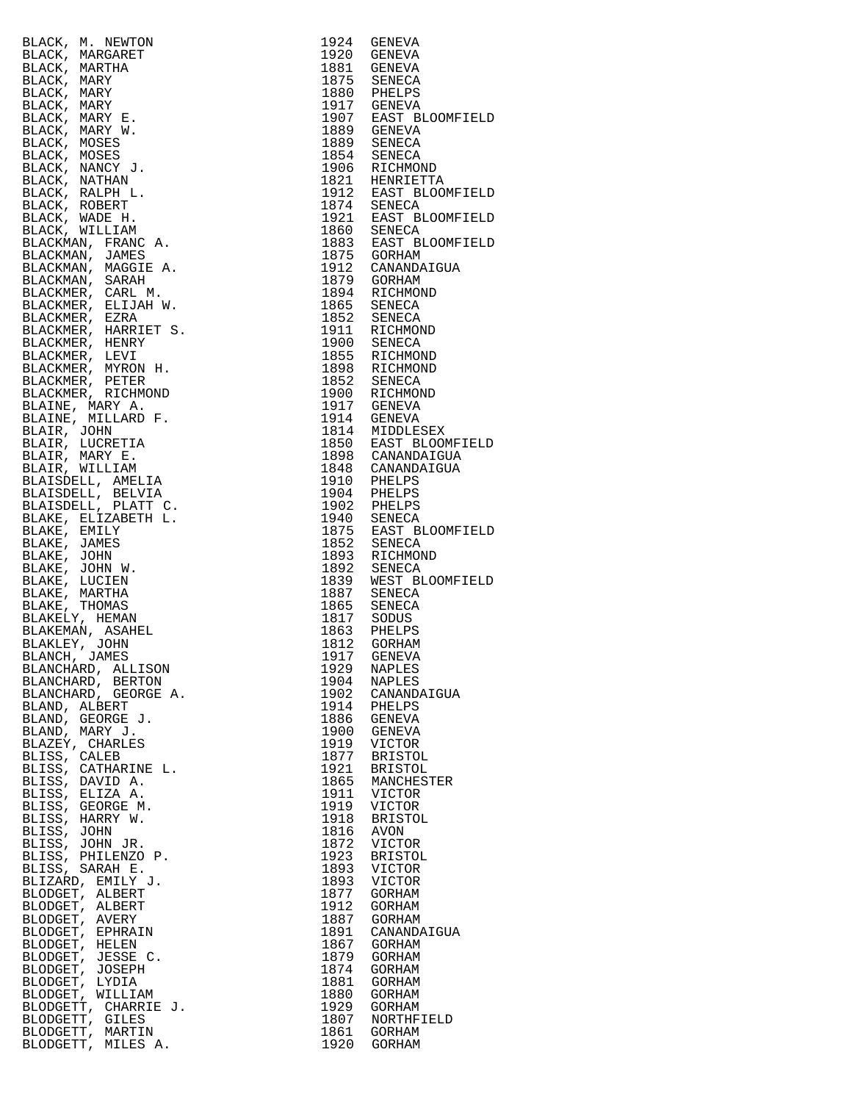|                                                                                                                                                                                                                                                                                |              | 1924 GENEVA                                                                                                                                                                                                                                                    |
|--------------------------------------------------------------------------------------------------------------------------------------------------------------------------------------------------------------------------------------------------------------------------------|--------------|----------------------------------------------------------------------------------------------------------------------------------------------------------------------------------------------------------------------------------------------------------------|
|                                                                                                                                                                                                                                                                                |              |                                                                                                                                                                                                                                                                |
|                                                                                                                                                                                                                                                                                |              |                                                                                                                                                                                                                                                                |
|                                                                                                                                                                                                                                                                                |              |                                                                                                                                                                                                                                                                |
|                                                                                                                                                                                                                                                                                |              |                                                                                                                                                                                                                                                                |
|                                                                                                                                                                                                                                                                                |              |                                                                                                                                                                                                                                                                |
|                                                                                                                                                                                                                                                                                |              |                                                                                                                                                                                                                                                                |
|                                                                                                                                                                                                                                                                                |              |                                                                                                                                                                                                                                                                |
|                                                                                                                                                                                                                                                                                |              |                                                                                                                                                                                                                                                                |
|                                                                                                                                                                                                                                                                                |              |                                                                                                                                                                                                                                                                |
|                                                                                                                                                                                                                                                                                |              |                                                                                                                                                                                                                                                                |
|                                                                                                                                                                                                                                                                                |              |                                                                                                                                                                                                                                                                |
|                                                                                                                                                                                                                                                                                |              |                                                                                                                                                                                                                                                                |
|                                                                                                                                                                                                                                                                                |              |                                                                                                                                                                                                                                                                |
|                                                                                                                                                                                                                                                                                |              |                                                                                                                                                                                                                                                                |
|                                                                                                                                                                                                                                                                                |              |                                                                                                                                                                                                                                                                |
|                                                                                                                                                                                                                                                                                |              |                                                                                                                                                                                                                                                                |
|                                                                                                                                                                                                                                                                                |              |                                                                                                                                                                                                                                                                |
|                                                                                                                                                                                                                                                                                |              |                                                                                                                                                                                                                                                                |
|                                                                                                                                                                                                                                                                                |              |                                                                                                                                                                                                                                                                |
|                                                                                                                                                                                                                                                                                |              |                                                                                                                                                                                                                                                                |
|                                                                                                                                                                                                                                                                                |              |                                                                                                                                                                                                                                                                |
|                                                                                                                                                                                                                                                                                |              |                                                                                                                                                                                                                                                                |
|                                                                                                                                                                                                                                                                                |              |                                                                                                                                                                                                                                                                |
|                                                                                                                                                                                                                                                                                |              |                                                                                                                                                                                                                                                                |
|                                                                                                                                                                                                                                                                                |              |                                                                                                                                                                                                                                                                |
|                                                                                                                                                                                                                                                                                |              |                                                                                                                                                                                                                                                                |
|                                                                                                                                                                                                                                                                                |              |                                                                                                                                                                                                                                                                |
|                                                                                                                                                                                                                                                                                |              |                                                                                                                                                                                                                                                                |
|                                                                                                                                                                                                                                                                                |              |                                                                                                                                                                                                                                                                |
|                                                                                                                                                                                                                                                                                |              |                                                                                                                                                                                                                                                                |
| BLACK, M. NEWTON<br>RACK, MARGARET<br>BLACK, MARGARET<br>BLACK, MARY<br>BLACK, MARY<br>BLACK, MARY<br>BLACK, MARY<br>BLACK, MARY<br>BLACK, MARY<br>BLACK, MARY<br>BLACK, MOSES<br>BLACK, MOSES<br>BLACK, NOSES<br>BLACK, NOSES<br>BLACK, RALPH<br>BLACK, RALPH<br>BLACK, RALPH |              | 1920 GENEVA<br>1881 GENEVA<br>1881 GENEVA<br>1881 GENEVA<br>1881 GENEVA<br>1880 PHELPS<br>1930 GENEVA<br>1937 GENEVA<br>1937 GENEVA<br>1937 GENEVA<br>1937 GENECA<br>1875 SENECA<br>1921 HENRIETTA<br>1921 HENRIETTA<br>1921 HENRIETTA<br>1921 HENRICA<br>1860 |
|                                                                                                                                                                                                                                                                                |              |                                                                                                                                                                                                                                                                |
|                                                                                                                                                                                                                                                                                |              |                                                                                                                                                                                                                                                                |
|                                                                                                                                                                                                                                                                                |              |                                                                                                                                                                                                                                                                |
|                                                                                                                                                                                                                                                                                |              |                                                                                                                                                                                                                                                                |
|                                                                                                                                                                                                                                                                                |              |                                                                                                                                                                                                                                                                |
|                                                                                                                                                                                                                                                                                |              |                                                                                                                                                                                                                                                                |
|                                                                                                                                                                                                                                                                                |              |                                                                                                                                                                                                                                                                |
|                                                                                                                                                                                                                                                                                |              |                                                                                                                                                                                                                                                                |
|                                                                                                                                                                                                                                                                                |              |                                                                                                                                                                                                                                                                |
|                                                                                                                                                                                                                                                                                |              |                                                                                                                                                                                                                                                                |
|                                                                                                                                                                                                                                                                                |              |                                                                                                                                                                                                                                                                |
|                                                                                                                                                                                                                                                                                |              |                                                                                                                                                                                                                                                                |
|                                                                                                                                                                                                                                                                                |              |                                                                                                                                                                                                                                                                |
|                                                                                                                                                                                                                                                                                |              |                                                                                                                                                                                                                                                                |
|                                                                                                                                                                                                                                                                                |              |                                                                                                                                                                                                                                                                |
|                                                                                                                                                                                                                                                                                |              |                                                                                                                                                                                                                                                                |
|                                                                                                                                                                                                                                                                                |              |                                                                                                                                                                                                                                                                |
|                                                                                                                                                                                                                                                                                |              |                                                                                                                                                                                                                                                                |
|                                                                                                                                                                                                                                                                                |              |                                                                                                                                                                                                                                                                |
|                                                                                                                                                                                                                                                                                |              |                                                                                                                                                                                                                                                                |
|                                                                                                                                                                                                                                                                                |              |                                                                                                                                                                                                                                                                |
|                                                                                                                                                                                                                                                                                |              |                                                                                                                                                                                                                                                                |
|                                                                                                                                                                                                                                                                                |              |                                                                                                                                                                                                                                                                |
|                                                                                                                                                                                                                                                                                |              |                                                                                                                                                                                                                                                                |
|                                                                                                                                                                                                                                                                                |              |                                                                                                                                                                                                                                                                |
|                                                                                                                                                                                                                                                                                |              | 1917 GENEVA                                                                                                                                                                                                                                                    |
| BLANCHARD, ALLISON                                                                                                                                                                                                                                                             | 1929         | <b>NAPLES</b>                                                                                                                                                                                                                                                  |
| BLANCHARD, BERTON                                                                                                                                                                                                                                                              | 1904         | NAPLES                                                                                                                                                                                                                                                         |
| BLANCHARD, GEORGE A.                                                                                                                                                                                                                                                           | 1902         |                                                                                                                                                                                                                                                                |
|                                                                                                                                                                                                                                                                                |              | CANANDAIGUA                                                                                                                                                                                                                                                    |
| BLAND, ALBERT                                                                                                                                                                                                                                                                  | 1914         | PHELPS                                                                                                                                                                                                                                                         |
| BLAND, GEORGE J.                                                                                                                                                                                                                                                               | 1886         | GENEVA                                                                                                                                                                                                                                                         |
| BLAND, MARY J.                                                                                                                                                                                                                                                                 | 1900         | GENEVA                                                                                                                                                                                                                                                         |
| BLAZEY, CHARLES                                                                                                                                                                                                                                                                | 1919         | <b>VICTOR</b>                                                                                                                                                                                                                                                  |
| BLISS, CALEB                                                                                                                                                                                                                                                                   | 1877         | BRISTOL                                                                                                                                                                                                                                                        |
| BLISS, CATHARINE L.                                                                                                                                                                                                                                                            | 1921         | <b>BRISTOL</b>                                                                                                                                                                                                                                                 |
| BLISS, DAVID A.                                                                                                                                                                                                                                                                | 1865         | MANCHESTER                                                                                                                                                                                                                                                     |
|                                                                                                                                                                                                                                                                                |              |                                                                                                                                                                                                                                                                |
| BLISS, ELIZA A.                                                                                                                                                                                                                                                                | 1911         | VICTOR                                                                                                                                                                                                                                                         |
| BLISS, GEORGE M.                                                                                                                                                                                                                                                               | 1919         | VICTOR                                                                                                                                                                                                                                                         |
| BLISS, HARRY W.                                                                                                                                                                                                                                                                | 1918         | <b>BRISTOL</b>                                                                                                                                                                                                                                                 |
| BLISS, JOHN                                                                                                                                                                                                                                                                    | 1816         | AVON                                                                                                                                                                                                                                                           |
| BLISS, JOHN JR.                                                                                                                                                                                                                                                                | 1872         | VICTOR                                                                                                                                                                                                                                                         |
|                                                                                                                                                                                                                                                                                |              |                                                                                                                                                                                                                                                                |
| BLISS, PHILENZO P.                                                                                                                                                                                                                                                             | 1923         | BRISTOL                                                                                                                                                                                                                                                        |
| BLISS, SARAH E.                                                                                                                                                                                                                                                                | 1893         | VICTOR                                                                                                                                                                                                                                                         |
| BLIZARD, EMILY J.                                                                                                                                                                                                                                                              | 1893         | VICTOR                                                                                                                                                                                                                                                         |
| BLODGET, ALBERT                                                                                                                                                                                                                                                                | 1877         | GORHAM                                                                                                                                                                                                                                                         |
| BLODGET, ALBERT                                                                                                                                                                                                                                                                | 1912         | GORHAM                                                                                                                                                                                                                                                         |
| BLODGET, AVERY                                                                                                                                                                                                                                                                 | 1887         | GORHAM                                                                                                                                                                                                                                                         |
| BLODGET, EPHRAIN                                                                                                                                                                                                                                                               | 1891         | CANANDAIGUA                                                                                                                                                                                                                                                    |
|                                                                                                                                                                                                                                                                                |              |                                                                                                                                                                                                                                                                |
| BLODGET, HELEN                                                                                                                                                                                                                                                                 | 1867         | GORHAM                                                                                                                                                                                                                                                         |
| BLODGET, JESSE C.                                                                                                                                                                                                                                                              | 1879         | GORHAM                                                                                                                                                                                                                                                         |
| BLODGET, JOSEPH                                                                                                                                                                                                                                                                | 1874         | GORHAM                                                                                                                                                                                                                                                         |
| BLODGET, LYDIA                                                                                                                                                                                                                                                                 | 1881         | GORHAM                                                                                                                                                                                                                                                         |
| BLODGET, WILLIAM                                                                                                                                                                                                                                                               | 1880         | GORHAM                                                                                                                                                                                                                                                         |
| BLODGETT, CHARRIE J.                                                                                                                                                                                                                                                           | 1929         | GORHAM                                                                                                                                                                                                                                                         |
| BLODGETT, GILES                                                                                                                                                                                                                                                                | 1807         |                                                                                                                                                                                                                                                                |
|                                                                                                                                                                                                                                                                                |              | NORTHFIELD                                                                                                                                                                                                                                                     |
| BLODGETT, MARTIN                                                                                                                                                                                                                                                               | 1861<br>1920 | GORHAM                                                                                                                                                                                                                                                         |
| BLODGETT, MILES A.                                                                                                                                                                                                                                                             |              | GORHAM                                                                                                                                                                                                                                                         |

|                                                                                                                                                                                                                                                                          | 1929         | NAPLES                       |
|--------------------------------------------------------------------------------------------------------------------------------------------------------------------------------------------------------------------------------------------------------------------------|--------------|------------------------------|
|                                                                                                                                                                                                                                                                          | 1904         | NAPLES<br>1902 CANANDAIGUA   |
|                                                                                                                                                                                                                                                                          | 1914         | PHELPS                       |
|                                                                                                                                                                                                                                                                          |              | 1886 GENEVA                  |
|                                                                                                                                                                                                                                                                          |              | 1900 GENEVA                  |
|                                                                                                                                                                                                                                                                          |              | 1919 VICTOR                  |
|                                                                                                                                                                                                                                                                          |              | 1877 BRISTOL<br>1921 BRISTOL |
|                                                                                                                                                                                                                                                                          | 1865         | MANCHESTER                   |
|                                                                                                                                                                                                                                                                          | 1911         | VICTOR                       |
|                                                                                                                                                                                                                                                                          | 1919         | VICTOR                       |
|                                                                                                                                                                                                                                                                          | 1918         | BRISTOL                      |
|                                                                                                                                                                                                                                                                          | 1816<br>1872 | AVON<br>VICTOR               |
|                                                                                                                                                                                                                                                                          | 1923         | BRISTOL                      |
|                                                                                                                                                                                                                                                                          | 1893         | VICTOR                       |
|                                                                                                                                                                                                                                                                          | 1893         | VICTOR                       |
|                                                                                                                                                                                                                                                                          | 1877<br>1912 | GORHAM<br>GORHAM             |
|                                                                                                                                                                                                                                                                          | 1887         | GORHAM                       |
|                                                                                                                                                                                                                                                                          | 1891         | CANANDAIGUA                  |
| BLAKLEY, JOHN<br>BLANCH, JAMES<br>BLANCHARD, ALLISON<br>BLANCHARD, BERTON<br>BLANCHARD, GEORGE A.<br>BLAND, ALBERT<br>BLAND, GEORGE J.<br>BLAND, MARY J.<br>BLAND, MARY J.<br>BLAND, MARY J.<br>BLISS, CHARLES<br>BLISS, CALEB<br>BLISS, CALEB<br>BLISS, GEORGE M.<br>BL |              | 1867 GORHAM                  |
|                                                                                                                                                                                                                                                                          | 1879         | GORHAM                       |
|                                                                                                                                                                                                                                                                          | 1874<br>1881 | GORHAM<br>GORHAM             |
|                                                                                                                                                                                                                                                                          | 1880         | GORHAM                       |
|                                                                                                                                                                                                                                                                          | 1929         | GORHAM                       |
|                                                                                                                                                                                                                                                                          | 1807         | NORTHFIELD                   |
|                                                                                                                                                                                                                                                                          |              | 1861 GORHAM                  |
|                                                                                                                                                                                                                                                                          |              | 1920 GORHAM                  |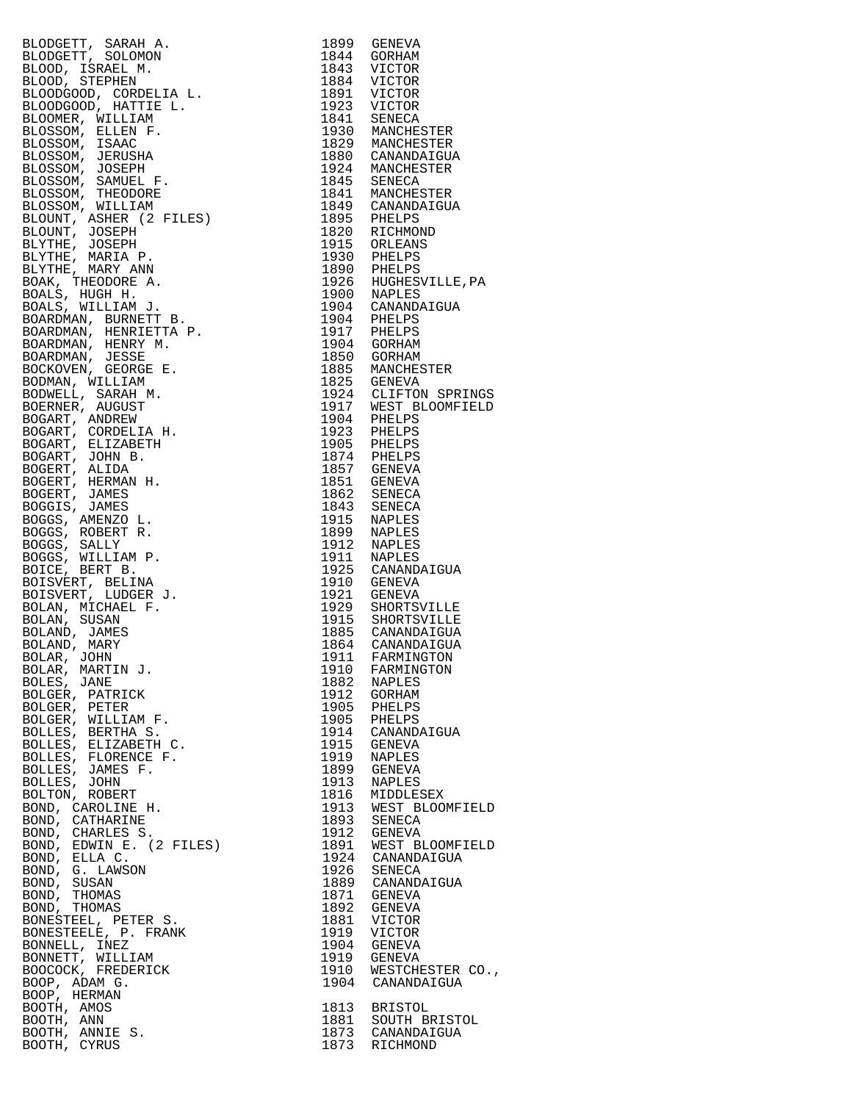|                                                                                                                                                                                                                                                                 |      | 1899 GENEVA                                                                                                            |
|-----------------------------------------------------------------------------------------------------------------------------------------------------------------------------------------------------------------------------------------------------------------|------|------------------------------------------------------------------------------------------------------------------------|
|                                                                                                                                                                                                                                                                 |      | 1844 GORHAM                                                                                                            |
|                                                                                                                                                                                                                                                                 |      |                                                                                                                        |
|                                                                                                                                                                                                                                                                 |      |                                                                                                                        |
|                                                                                                                                                                                                                                                                 |      |                                                                                                                        |
|                                                                                                                                                                                                                                                                 |      |                                                                                                                        |
|                                                                                                                                                                                                                                                                 |      | 1843 VICTOR<br>1884 VICTOR<br>1891 VICTOR<br>1923 VICTOR<br>1841 SENECA<br>1930 MANCHESTER                             |
|                                                                                                                                                                                                                                                                 |      |                                                                                                                        |
|                                                                                                                                                                                                                                                                 |      |                                                                                                                        |
|                                                                                                                                                                                                                                                                 |      |                                                                                                                        |
|                                                                                                                                                                                                                                                                 |      | 1829 MANCHESTER<br>1880 CANANDAIGUA                                                                                    |
|                                                                                                                                                                                                                                                                 |      |                                                                                                                        |
|                                                                                                                                                                                                                                                                 |      |                                                                                                                        |
|                                                                                                                                                                                                                                                                 |      |                                                                                                                        |
|                                                                                                                                                                                                                                                                 |      |                                                                                                                        |
|                                                                                                                                                                                                                                                                 |      |                                                                                                                        |
|                                                                                                                                                                                                                                                                 |      |                                                                                                                        |
|                                                                                                                                                                                                                                                                 |      | 1934 MANCHESTER<br>1934 MANCHESTER<br>1845 SENECA<br>1849 CANANDAIGUA<br>1895 PHELPS<br>1820 RICHMOND<br>1820 RICHMOND |
|                                                                                                                                                                                                                                                                 |      |                                                                                                                        |
|                                                                                                                                                                                                                                                                 |      |                                                                                                                        |
|                                                                                                                                                                                                                                                                 |      |                                                                                                                        |
|                                                                                                                                                                                                                                                                 |      |                                                                                                                        |
|                                                                                                                                                                                                                                                                 |      |                                                                                                                        |
|                                                                                                                                                                                                                                                                 |      |                                                                                                                        |
|                                                                                                                                                                                                                                                                 |      | 1915 ORLEANS<br>1915 ORLEANS<br>1930 PHELPS<br>1926 HUGHESVILLE, PA<br>1900 NAPLES<br>1904 CANANDAIGUA<br>1904 DEFI DE |
|                                                                                                                                                                                                                                                                 |      | 1904 PHELPS<br>1917 PHELPS                                                                                             |
|                                                                                                                                                                                                                                                                 |      |                                                                                                                        |
|                                                                                                                                                                                                                                                                 |      |                                                                                                                        |
|                                                                                                                                                                                                                                                                 |      | 1904 GORHAM<br>1850 GORHAM                                                                                             |
|                                                                                                                                                                                                                                                                 |      |                                                                                                                        |
|                                                                                                                                                                                                                                                                 |      | 1885 MANCHESTER<br>1825 GENEVA                                                                                         |
|                                                                                                                                                                                                                                                                 |      |                                                                                                                        |
|                                                                                                                                                                                                                                                                 |      |                                                                                                                        |
|                                                                                                                                                                                                                                                                 |      | 1924 CLIFTON SPRINGS<br>1917 WEST BLOOMFIELD<br>1904 PHELPS<br>1923 PHELPS                                             |
|                                                                                                                                                                                                                                                                 |      |                                                                                                                        |
|                                                                                                                                                                                                                                                                 |      |                                                                                                                        |
|                                                                                                                                                                                                                                                                 |      |                                                                                                                        |
|                                                                                                                                                                                                                                                                 |      | 1905 PHELPS<br>1874 PHELPS                                                                                             |
|                                                                                                                                                                                                                                                                 |      |                                                                                                                        |
|                                                                                                                                                                                                                                                                 |      |                                                                                                                        |
|                                                                                                                                                                                                                                                                 |      | 1857 GENEVA<br>1851 GENEVA<br>1862 SENECA<br>1843 SENECA                                                               |
|                                                                                                                                                                                                                                                                 |      |                                                                                                                        |
|                                                                                                                                                                                                                                                                 |      |                                                                                                                        |
|                                                                                                                                                                                                                                                                 |      |                                                                                                                        |
|                                                                                                                                                                                                                                                                 |      | 1915 NAPLES<br>1899 NAPLES                                                                                             |
|                                                                                                                                                                                                                                                                 |      |                                                                                                                        |
| BLODGETT, SRABH A.<br>BLOOBTT SOLOMN<br>BLOOD, ISRAEL M.<br>BLOOD, ISRAEL M.<br>BLOODSOOD, ISRAEL M.<br>BLOODSOOD, ISRAEL M.<br>BLOODSOOD, ISRAELE M.<br>BLOOMSER, WILLIAM F.<br>BLOSSOM, SEANCE, ISRAEL M.<br>BLOSSOM, SAMUEL F.<br>BLOSSOM, SAMUEL F.<br>BLOS |      | 1912 NAPLES<br>1911 NAPLES<br>1925 CANANDAIGUA<br>1910 GENEVA                                                          |
|                                                                                                                                                                                                                                                                 |      |                                                                                                                        |
|                                                                                                                                                                                                                                                                 |      |                                                                                                                        |
|                                                                                                                                                                                                                                                                 |      |                                                                                                                        |
|                                                                                                                                                                                                                                                                 |      |                                                                                                                        |
|                                                                                                                                                                                                                                                                 |      | 1921 GENEVA<br>1929 SHORTSVILLE                                                                                        |
|                                                                                                                                                                                                                                                                 |      |                                                                                                                        |
|                                                                                                                                                                                                                                                                 |      | 1915 SHORTSVILLE<br>1885 CANANDAIGUA                                                                                   |
|                                                                                                                                                                                                                                                                 |      |                                                                                                                        |
|                                                                                                                                                                                                                                                                 |      | 1864 CANANDAIGUA                                                                                                       |
| BOLAR, JOHN                                                                                                                                                                                                                                                     |      | 1911 FARMINGTON                                                                                                        |
| BOLAR, MARTIN J.                                                                                                                                                                                                                                                |      | 1910 FARMINGTON                                                                                                        |
| BOLES, JANE                                                                                                                                                                                                                                                     |      | 1882 NAPLES                                                                                                            |
|                                                                                                                                                                                                                                                                 |      |                                                                                                                        |
| BOLGER, PATRICK                                                                                                                                                                                                                                                 |      | 1912 GORHAM<br>1905 PHELPS                                                                                             |
| BOLGER, PETER                                                                                                                                                                                                                                                   |      |                                                                                                                        |
| BOLGER, WILLIAM F.<br>BOLLES, BERTHA S.                                                                                                                                                                                                                         |      | 1905 PHELPS                                                                                                            |
|                                                                                                                                                                                                                                                                 |      | 1914 CANANDAIGUA                                                                                                       |
| BOLLES, ELIZABETH C.                                                                                                                                                                                                                                            |      | 1915 GENEVA                                                                                                            |
| BOLLES, FLORENCE F.                                                                                                                                                                                                                                             |      | 1919 NAPLES                                                                                                            |
|                                                                                                                                                                                                                                                                 |      | 1899 GENEVA                                                                                                            |
| BOLLES, JAMES F.                                                                                                                                                                                                                                                |      |                                                                                                                        |
| BOLLES, JOHN                                                                                                                                                                                                                                                    |      | 1913 NAPLES                                                                                                            |
| BOLTON, ROBERT                                                                                                                                                                                                                                                  | 1816 | MIDDLESEX                                                                                                              |
| BOND, CAROLINE H.                                                                                                                                                                                                                                               |      | 1913 WEST BLOOMFIELD                                                                                                   |
| BOND, CATHARINE                                                                                                                                                                                                                                                 |      | 1893 SENECA                                                                                                            |
| BOND, CHARLES S.                                                                                                                                                                                                                                                |      | 1912 GENEVA                                                                                                            |
| BOND, EDWIN E. (2 FILES)                                                                                                                                                                                                                                        |      | 1891 WEST BLOOMFIELD                                                                                                   |
| BOND, ELLA C.                                                                                                                                                                                                                                                   |      | 1924 CANANDAIGUA                                                                                                       |
|                                                                                                                                                                                                                                                                 |      |                                                                                                                        |
| BOND, G. LAWSON                                                                                                                                                                                                                                                 |      | 1926 SENECA                                                                                                            |
| BOND, SUSAN                                                                                                                                                                                                                                                     |      | 1889 CANANDAIGUA                                                                                                       |
| BOND, THOMAS<br>BOND, THOMAS                                                                                                                                                                                                                                    |      | 1871 GENEVA                                                                                                            |
|                                                                                                                                                                                                                                                                 |      | 1892 GENEVA                                                                                                            |
|                                                                                                                                                                                                                                                                 |      | 1881 VICTOR                                                                                                            |
| BONESTEEL, PETER S.<br>BONESTEELE, P. FRANK                                                                                                                                                                                                                     |      | 1919 VICTOR                                                                                                            |
|                                                                                                                                                                                                                                                                 |      | 1904 GENEVA                                                                                                            |
| BONNELL, INEZ                                                                                                                                                                                                                                                   |      |                                                                                                                        |
| BONNETT, WILLIAM                                                                                                                                                                                                                                                |      | 1919 GENEVA                                                                                                            |
| BOOCOCK, FREDERICK                                                                                                                                                                                                                                              |      | 1910 WESTCHESTER CO.,                                                                                                  |
| BOOP, ADAM G.                                                                                                                                                                                                                                                   |      | 1904 CANANDAIGUA                                                                                                       |
| BOOP, HERMAN                                                                                                                                                                                                                                                    |      |                                                                                                                        |
| BOOTH, AMOS                                                                                                                                                                                                                                                     |      | 1813 BRISTOL                                                                                                           |
| BOOTH, ANN                                                                                                                                                                                                                                                      |      |                                                                                                                        |
| BOOTH, ANNIE S.                                                                                                                                                                                                                                                 |      | 1881 SOUTH BRISTOL<br>1873 CANANDAIGUA                                                                                 |
| BOOTH, CYRUS                                                                                                                                                                                                                                                    |      | 1873 RICHMOND                                                                                                          |
|                                                                                                                                                                                                                                                                 |      |                                                                                                                        |

| 1899 | GENEVA           |
|------|------------------|
| 1844 | GORHAM           |
| 1843 | VICTOR           |
| 1884 | <b>VICTOR</b>    |
| 1891 | VICTOR           |
| 1923 | VICTOR           |
| 1841 | SENECA           |
| 1930 | MANCHESTER       |
| 1829 | MANCHESTER       |
| 1880 | CANANDAIGUA      |
| 1924 | MANCHESTER       |
| 1845 | SENECA           |
| 1841 | MANCHESTER       |
| 1849 | CANANDAIGUA      |
| 1895 | PHELPS           |
| 1820 | RICHMOND         |
| 1915 | ORLEANS          |
| 1930 | PHELPS           |
| 1890 | PHELPS           |
| 1926 | HUGHESVILLE, PA  |
| 1900 | NAPLES           |
| 1904 | CANANDAIGUA      |
| 1904 | PHELPS           |
| 1917 | PHELPS           |
| 1904 | GORHAM           |
| 1850 | GORHAM           |
| 1885 | MANCHESTER       |
| 1825 | GENEVA           |
| 1924 | CLIFTON SPRINGS  |
| 1917 | WEST BLOOMFIELD  |
| 1904 | PHELPS           |
| 1923 | PHELPS           |
| 1905 | PHELPS           |
| 1874 | PHELPS           |
| 1857 | GENEVA           |
| 1851 | GENEVA           |
| 1862 | SENECA           |
| 1843 | SENECA           |
| 1915 | NAPLES           |
| 1899 | NAPLES           |
| 1912 | NAPLES           |
| 1911 | NAPLES           |
| 1925 | CANANDAIGUA      |
| 1910 | GENEVA           |
| 1921 | <b>GENEVA</b>    |
| 1929 | SHORTSVILLE      |
| 1915 | SHORTSVILLE      |
| 1885 | CANANDAIGUA      |
| 1864 | CANANDAIGUA      |
| 1911 | FARMINGTON       |
| 1910 | FARMINGTON       |
| 1882 | NAPLES           |
| 1912 | GORHAM           |
| 1905 | PHELPS           |
| 1905 | PHELPS           |
| 1914 | CANANDAIGUA      |
| 1915 | GENEVA           |
| 1919 | <b>NAPLES</b>    |
| 1899 | GENEVA           |
| 1913 | <b>NAPLES</b>    |
| 1816 | MIDDLESEX        |
| 1913 | WEST BLOOMFIELD  |
| 1893 | SENECA           |
| 1912 | <b>GENEVA</b>    |
| 1891 | WEST BLOOMFIELD  |
| 1924 | CANANDAIGUA      |
| 1926 | SENECA           |
| 1889 | CANANDAIGUA      |
| 1871 | GENEVA           |
| 1892 | <b>GENEVA</b>    |
| 1881 | VICTOR           |
| 1919 | VICTOR           |
| 1904 | GENEVA           |
| 1919 | GENEVA           |
| 1910 | WESTCHESTER CO., |
| 1904 | CANANDAIGUA      |
| 1813 | BRISTOL          |
| 1881 | SOUTH BRISTOL    |
| 1873 | CANANDAIGUA      |
| 1873 | RICHMOND         |
|      |                  |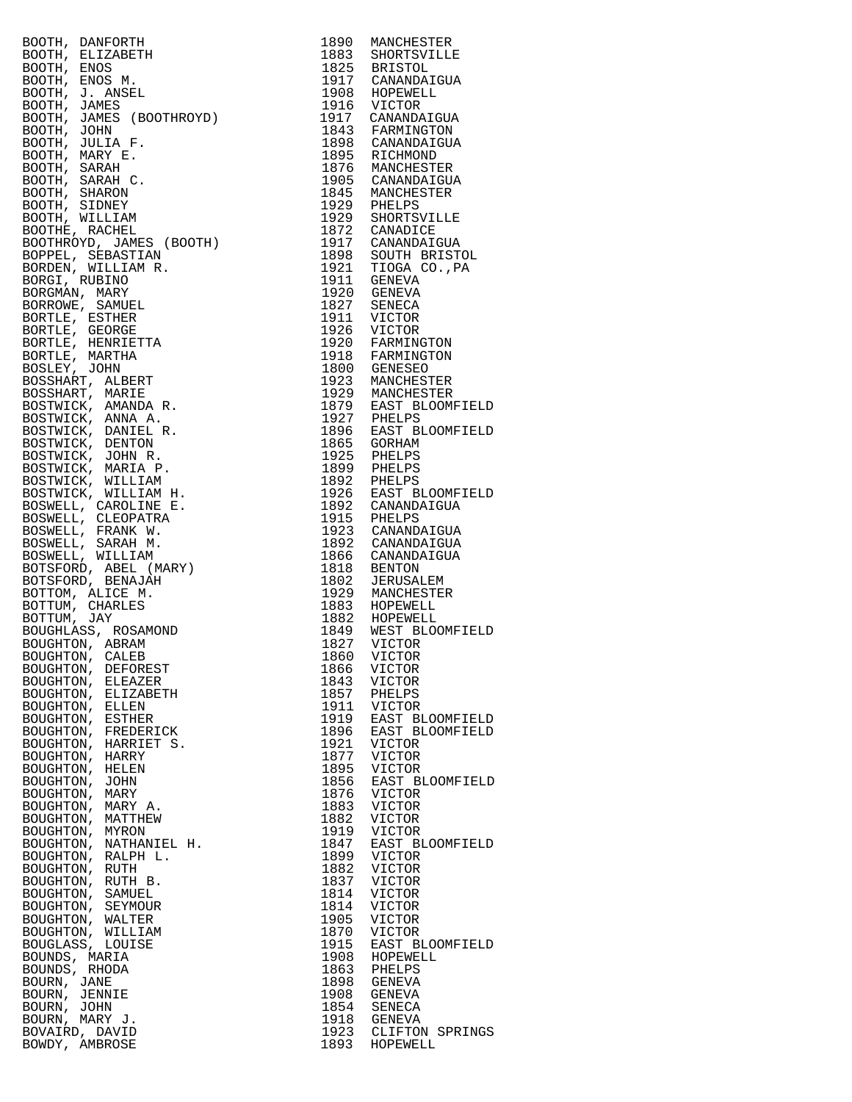| BOOTH, DANDORTH, 1980 MANUESTER<br>1990 MANUESTER<br>1990 MANUESTER<br>1990 MANUESTER 1990 MANUESTER<br>1990 MANUEST 1990 MANUESTER<br>1990 MANUEST JAMES (BOOTHROVE)<br>1990 MORPHAL JAMES (BOOTHROVE)<br>1990 MANUESTER<br>1990 MANUESTER<br>1990 MANUE |              |                                    |
|-----------------------------------------------------------------------------------------------------------------------------------------------------------------------------------------------------------------------------------------------------------|--------------|------------------------------------|
|                                                                                                                                                                                                                                                           |              |                                    |
|                                                                                                                                                                                                                                                           |              |                                    |
|                                                                                                                                                                                                                                                           |              |                                    |
|                                                                                                                                                                                                                                                           |              |                                    |
|                                                                                                                                                                                                                                                           |              |                                    |
|                                                                                                                                                                                                                                                           |              |                                    |
|                                                                                                                                                                                                                                                           |              |                                    |
|                                                                                                                                                                                                                                                           |              |                                    |
|                                                                                                                                                                                                                                                           |              |                                    |
|                                                                                                                                                                                                                                                           |              |                                    |
|                                                                                                                                                                                                                                                           |              |                                    |
|                                                                                                                                                                                                                                                           |              |                                    |
|                                                                                                                                                                                                                                                           |              |                                    |
|                                                                                                                                                                                                                                                           |              |                                    |
|                                                                                                                                                                                                                                                           |              |                                    |
|                                                                                                                                                                                                                                                           |              |                                    |
|                                                                                                                                                                                                                                                           |              |                                    |
|                                                                                                                                                                                                                                                           |              |                                    |
|                                                                                                                                                                                                                                                           |              |                                    |
|                                                                                                                                                                                                                                                           |              |                                    |
|                                                                                                                                                                                                                                                           |              |                                    |
|                                                                                                                                                                                                                                                           |              |                                    |
|                                                                                                                                                                                                                                                           |              |                                    |
|                                                                                                                                                                                                                                                           |              |                                    |
|                                                                                                                                                                                                                                                           |              |                                    |
|                                                                                                                                                                                                                                                           |              |                                    |
|                                                                                                                                                                                                                                                           |              |                                    |
|                                                                                                                                                                                                                                                           |              |                                    |
|                                                                                                                                                                                                                                                           |              |                                    |
|                                                                                                                                                                                                                                                           |              |                                    |
|                                                                                                                                                                                                                                                           |              |                                    |
|                                                                                                                                                                                                                                                           |              |                                    |
|                                                                                                                                                                                                                                                           |              |                                    |
|                                                                                                                                                                                                                                                           |              |                                    |
|                                                                                                                                                                                                                                                           |              |                                    |
|                                                                                                                                                                                                                                                           |              |                                    |
|                                                                                                                                                                                                                                                           |              |                                    |
|                                                                                                                                                                                                                                                           |              |                                    |
|                                                                                                                                                                                                                                                           |              |                                    |
|                                                                                                                                                                                                                                                           |              |                                    |
|                                                                                                                                                                                                                                                           |              |                                    |
|                                                                                                                                                                                                                                                           |              |                                    |
|                                                                                                                                                                                                                                                           |              |                                    |
|                                                                                                                                                                                                                                                           |              |                                    |
|                                                                                                                                                                                                                                                           |              |                                    |
|                                                                                                                                                                                                                                                           |              |                                    |
| BOUGHTON,<br>DEFOREST                                                                                                                                                                                                                                     | 1866         | VICTOR                             |
| BOUGHTON,<br>ELEAZER                                                                                                                                                                                                                                      | 1843         | VICTOR                             |
| BOUGHTON, ELIZABETH                                                                                                                                                                                                                                       | 1857         | PHELPS                             |
| BOUGHTON,<br>ELLEN<br>BOUGHTON, ESTHER                                                                                                                                                                                                                    | 1911<br>1919 | VICTOR                             |
| BOUGHTON,<br>FREDERICK                                                                                                                                                                                                                                    | 1896         | EAST BLOOMFIELD<br>EAST BLOOMFIELD |
| BOUGHTON, HARRIET S.                                                                                                                                                                                                                                      | 1921         | VICTOR                             |
| BOUGHTON,<br>HARRY                                                                                                                                                                                                                                        | 1877         | <b>VICTOR</b>                      |
| BOUGHTON, HELEN                                                                                                                                                                                                                                           | 1895         | <b>VICTOR</b>                      |
| BOUGHTON,<br>JOHN                                                                                                                                                                                                                                         | 1856         | EAST BLOOMFIELD                    |
| BOUGHTON, MARY                                                                                                                                                                                                                                            | 1876         | VICTOR                             |
| BOUGHTON,<br>MARY A.                                                                                                                                                                                                                                      | 1883         | <b>VICTOR</b>                      |
| BOUGHTON, MATTHEW                                                                                                                                                                                                                                         | 1882         | <b>VICTOR</b>                      |
| BOUGHTON,<br>MYRON                                                                                                                                                                                                                                        | 1919         | <b>VICTOR</b>                      |
| BOUGHTON, NATHANIEL H.                                                                                                                                                                                                                                    | 1847         | EAST BLOOMFIELD                    |
| BOUGHTON, RALPH L.                                                                                                                                                                                                                                        | 1899         | $\verb VICTOR $                    |
| BOUGHTON, RUTH                                                                                                                                                                                                                                            | 1882         | <b>VICTOR</b>                      |
| BOUGHTON, RUTH B.                                                                                                                                                                                                                                         | 1837         | <b>VICTOR</b>                      |
| BOUGHTON, SAMUEL<br>BOUGHTON, SEYMOUR                                                                                                                                                                                                                     | 1814<br>1814 | <b>VICTOR</b><br><b>VICTOR</b>     |
| BOUGHTON, WALTER                                                                                                                                                                                                                                          | 1905         | <b>VICTOR</b>                      |
| BOUGHTON, WILLIAM                                                                                                                                                                                                                                         | 1870         | <b>VICTOR</b>                      |
| BOUGLASS, LOUISE                                                                                                                                                                                                                                          | 1915         | EAST BLOOMFIELD                    |
| BOUNDS, MARIA                                                                                                                                                                                                                                             | 1908         | HOPEWELL                           |
| BOUNDS, RHODA                                                                                                                                                                                                                                             | 1863         | PHELPS                             |
| BOURN, JANE                                                                                                                                                                                                                                               | 1898         | GENEVA                             |
| BOURN, JENNIE                                                                                                                                                                                                                                             | 1908         | GENEVA                             |
| BOURN, JOHN                                                                                                                                                                                                                                               | 1854         | SENECA                             |
| BOURN, MARY J.                                                                                                                                                                                                                                            | 1918         | GENEVA                             |
| BOVAIRD, DAVID                                                                                                                                                                                                                                            | 1923         | CLIFTON SPRINGS                    |
| BOWDY, AMBROSE                                                                                                                                                                                                                                            | 1893         | HOPEWELL                           |

| 1890         | MANCHESTER                    |
|--------------|-------------------------------|
| 1883<br>1825 | SHORTSVILLE<br><b>BRISTOL</b> |
| 1917         | CANANDAIGUA                   |
| 1908<br>1916 | HOPEWELL                      |
|              | VICTOR                        |
| 1917<br>1843 | CANANDAIGUA<br>FARMINGTON     |
|              | CANANDAIGUA                   |
| 1898<br>1895 | RICHMOND                      |
| 1876         | MANCHESTER                    |
| 1905         | CANANDAIGUA                   |
| 1845<br>1929 | MANCHESTER<br>PHELPS          |
| 1929         | SHORTSVILLE                   |
| 1872         | CANADICE                      |
| 1917         | CANANDAIGUA                   |
| 1898         | SOUTH BRISTOL                 |
| 1921<br>1911 | TIOGA CO., PA<br>GENEVA       |
| 1920         | GENEVA                        |
| 1827         | SENECA                        |
| 1911         | VICTOR                        |
| 1926<br>1920 | VICTOR<br>FARMINGTON          |
| 1918         | FARMINGTON                    |
| 1800         | <b>GENESEO</b>                |
| 1923         | MANCHESTER                    |
| 1929         | MANCHESTER                    |
| 1879<br>1927 | EAST BLOOMFIELD<br>PHELPS     |
| 1896         | EAST BLOOMFIELD               |
| 1865         | GORHAM                        |
| 1925         | PHELPS                        |
| 1899         | PHELPS                        |
| 1892<br>1926 | PHELPS<br>EAST BLOOMFIELD     |
| 1892         | CANANDAIGUA                   |
| 1915         | PHELPS                        |
| 1923         | CANANDAIGUA                   |
| 1892<br>1866 | CANANDAIGUA<br>CANANDAIGUA    |
| 1818         | <b>BENTON</b>                 |
| 1802         | JERUSALEM                     |
| 1929         | MANCHESTER                    |
| 1883         | HOPEWELL                      |
| 1882<br>1849 | HOPEWELL<br>WEST BLOOMFIELD   |
| 1827         | VICTOR                        |
| 1860         | VICTOR                        |
| 1866         | VICTOR                        |
| 1843<br>1857 | VICTOR<br>PHELPS              |
| 1911         | VICTOR                        |
| 1919         | EAST BLOOMFIELD               |
| 1896         | EAST BLOOMFIELD               |
| 1921         | VICTOR<br>VICTOR              |
| 1877<br>1895 | VICTOR                        |
| 1856         | EAST BLOOMFIELD               |
| 1876         | VICTOR                        |
| 1883         | VICTOR                        |
| 1882<br>1919 | VICTOR<br>VICTOR              |
| 1847         | EAST BLOOMFIELD               |
| 1899         | <b>VICTOR</b>                 |
| 1882<br>1837 | VICTOR                        |
|              | VICTOR                        |
| 1814<br>1814 | VICTOR<br>VICTOR              |
| 1905         | VICTOR                        |
| 1870         | VICTOR                        |
| 1915         | EAST BLOOMFIELD               |
| 1908         | HOPEWELL                      |
| 1863<br>1898 | PHELPS<br>GENEVA              |
| 1908         | GENEVA                        |
| 1854         | SENECA                        |
| 1918         | GENEVA                        |
| 1923<br>1893 | CLIFTON SPRINGS<br>HOPEWELL   |
|              |                               |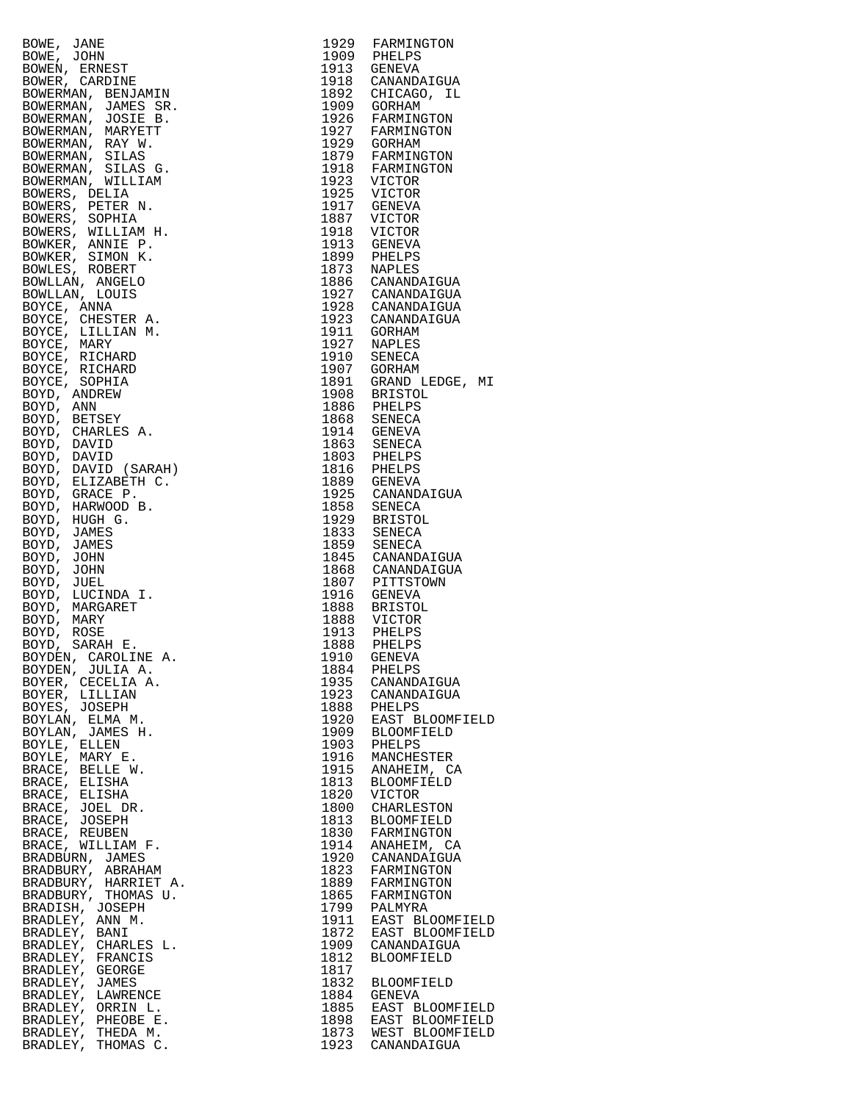|                                                                                                                                                                                                                                                                       |      | 1929 FARMINGTON<br>1909 PHELPS                                                                                                                                                                                                                                                    |
|-----------------------------------------------------------------------------------------------------------------------------------------------------------------------------------------------------------------------------------------------------------------------|------|-----------------------------------------------------------------------------------------------------------------------------------------------------------------------------------------------------------------------------------------------------------------------------------|
|                                                                                                                                                                                                                                                                       |      |                                                                                                                                                                                                                                                                                   |
|                                                                                                                                                                                                                                                                       |      | 1913 GENEVA                                                                                                                                                                                                                                                                       |
|                                                                                                                                                                                                                                                                       |      | 1918 CANANDAIGUA                                                                                                                                                                                                                                                                  |
|                                                                                                                                                                                                                                                                       |      |                                                                                                                                                                                                                                                                                   |
|                                                                                                                                                                                                                                                                       |      |                                                                                                                                                                                                                                                                                   |
|                                                                                                                                                                                                                                                                       |      | 1918 CANANDAIGUA<br>1892 CHICAGO, IL<br>1909 GORHAM<br>1926 FARMINGTON<br>1927 FARMINGTON<br>1929 GORHAM<br>1879 FARMINGTON<br>1918 FARMINGTON<br>1923 VICTOR<br>1925 VICTOR<br>1917 GENEVA<br>1917 GENEVA                                                                        |
|                                                                                                                                                                                                                                                                       |      |                                                                                                                                                                                                                                                                                   |
|                                                                                                                                                                                                                                                                       |      |                                                                                                                                                                                                                                                                                   |
|                                                                                                                                                                                                                                                                       |      |                                                                                                                                                                                                                                                                                   |
|                                                                                                                                                                                                                                                                       |      |                                                                                                                                                                                                                                                                                   |
|                                                                                                                                                                                                                                                                       |      |                                                                                                                                                                                                                                                                                   |
|                                                                                                                                                                                                                                                                       |      |                                                                                                                                                                                                                                                                                   |
|                                                                                                                                                                                                                                                                       |      |                                                                                                                                                                                                                                                                                   |
|                                                                                                                                                                                                                                                                       |      |                                                                                                                                                                                                                                                                                   |
|                                                                                                                                                                                                                                                                       |      |                                                                                                                                                                                                                                                                                   |
|                                                                                                                                                                                                                                                                       |      |                                                                                                                                                                                                                                                                                   |
|                                                                                                                                                                                                                                                                       |      | 1917<br>1887 VICTOR<br>1913 GENEVA<br>1899 PHELPS                                                                                                                                                                                                                                 |
|                                                                                                                                                                                                                                                                       |      | 1873 NAPLES<br>1886 CANANDAIGUA                                                                                                                                                                                                                                                   |
|                                                                                                                                                                                                                                                                       |      |                                                                                                                                                                                                                                                                                   |
|                                                                                                                                                                                                                                                                       |      | 1927 CANANDAIGUA<br>1928 CANANDAIGUA                                                                                                                                                                                                                                              |
|                                                                                                                                                                                                                                                                       |      |                                                                                                                                                                                                                                                                                   |
|                                                                                                                                                                                                                                                                       |      |                                                                                                                                                                                                                                                                                   |
|                                                                                                                                                                                                                                                                       |      |                                                                                                                                                                                                                                                                                   |
|                                                                                                                                                                                                                                                                       |      |                                                                                                                                                                                                                                                                                   |
|                                                                                                                                                                                                                                                                       |      |                                                                                                                                                                                                                                                                                   |
|                                                                                                                                                                                                                                                                       |      |                                                                                                                                                                                                                                                                                   |
|                                                                                                                                                                                                                                                                       |      |                                                                                                                                                                                                                                                                                   |
|                                                                                                                                                                                                                                                                       |      |                                                                                                                                                                                                                                                                                   |
|                                                                                                                                                                                                                                                                       |      |                                                                                                                                                                                                                                                                                   |
|                                                                                                                                                                                                                                                                       |      |                                                                                                                                                                                                                                                                                   |
|                                                                                                                                                                                                                                                                       |      |                                                                                                                                                                                                                                                                                   |
|                                                                                                                                                                                                                                                                       |      |                                                                                                                                                                                                                                                                                   |
|                                                                                                                                                                                                                                                                       |      |                                                                                                                                                                                                                                                                                   |
|                                                                                                                                                                                                                                                                       |      |                                                                                                                                                                                                                                                                                   |
|                                                                                                                                                                                                                                                                       |      |                                                                                                                                                                                                                                                                                   |
|                                                                                                                                                                                                                                                                       |      | 1928 CANANDAIGUA<br>1923 CANANDAIGUA<br>1911 GORHAM<br>1927 NAPLES<br>1907 GORHAM<br>1907 GORHAM<br>1907 GORHAM<br>1908 BRISTOL<br>1908 BRISTOL<br>1868 SENECA<br>1914 GENEVA<br>1914 GENEVA<br>1916 PHELPS<br>1803 PHELPS<br>1816 PHELPS<br>1816 PHELPS<br>1829 GENEVA<br>1925 C |
|                                                                                                                                                                                                                                                                       |      |                                                                                                                                                                                                                                                                                   |
|                                                                                                                                                                                                                                                                       |      | 1929 BRISTOL<br>1833 SENECA                                                                                                                                                                                                                                                       |
|                                                                                                                                                                                                                                                                       |      |                                                                                                                                                                                                                                                                                   |
|                                                                                                                                                                                                                                                                       |      |                                                                                                                                                                                                                                                                                   |
|                                                                                                                                                                                                                                                                       |      |                                                                                                                                                                                                                                                                                   |
| SOWE, JANE<br>SOWER, CREWST<br>SOWER, CREWST<br>SOWER , CREWST<br>BOWERMAN, BENJAMIN<br>BOWERMAN, JAMES SR.<br>BOWERMAN, VAMES SR.<br>BOWERMAN, MARYETT<br>BOWERMAN, NATY W.<br>BOWERMAN, SILAS G.<br>BOWERMAN, WILLIAM 5<br>BOWERMAN, WILLIAM H.<br>BOWERS, DELIA    |      | 1859 SENECA<br>1845 CANANDAIGUA<br>1868 CANANDAIGUA<br>1807 PITTSTOWN                                                                                                                                                                                                             |
|                                                                                                                                                                                                                                                                       |      | 1916 GENEVA<br>1888 BRISTOL<br>1888 VICTOR<br>1913 PHELPS                                                                                                                                                                                                                         |
|                                                                                                                                                                                                                                                                       |      |                                                                                                                                                                                                                                                                                   |
|                                                                                                                                                                                                                                                                       |      |                                                                                                                                                                                                                                                                                   |
|                                                                                                                                                                                                                                                                       |      |                                                                                                                                                                                                                                                                                   |
|                                                                                                                                                                                                                                                                       | 1888 | PHELPS                                                                                                                                                                                                                                                                            |
| BOYDEN, CAROLINE A.                                                                                                                                                                                                                                                   |      | 1910 GENEVA                                                                                                                                                                                                                                                                       |
| BOYDEN, JULIA A.<br>BOYER, CECELIA A.                                                                                                                                                                                                                                 |      | 1884 PHELPS<br>1935 CANANDAIGUA                                                                                                                                                                                                                                                   |
| BOYER, LILLIAN                                                                                                                                                                                                                                                        |      |                                                                                                                                                                                                                                                                                   |
| BOYES, JOSEPH                                                                                                                                                                                                                                                         |      | 1923 CANANDAIGUA<br>1888 PHELPS                                                                                                                                                                                                                                                   |
| BOYLAN, ELMA M.                                                                                                                                                                                                                                                       |      |                                                                                                                                                                                                                                                                                   |
| BOYLAN, JAMES H.                                                                                                                                                                                                                                                      |      | 1920 EAST BLOOMFI<br>1909 BLOOMFIELD                                                                                                                                                                                                                                              |
| BOYLE, ELLEN                                                                                                                                                                                                                                                          |      |                                                                                                                                                                                                                                                                                   |
| BOYLE, MARY E.                                                                                                                                                                                                                                                        |      | 1903 PHELPS<br>1916 MANCHESTER                                                                                                                                                                                                                                                    |
| BRACE, BELLE W.                                                                                                                                                                                                                                                       |      | ANAHEIM, CA                                                                                                                                                                                                                                                                       |
| BRACE, ELISHA                                                                                                                                                                                                                                                         |      | 1915 ANAHEIM, C.<br>1813 BLOOMFIELD                                                                                                                                                                                                                                               |
| BRACE, ELISHA                                                                                                                                                                                                                                                         | 1820 | VICTOR                                                                                                                                                                                                                                                                            |
| BRACE, JOEL DR.                                                                                                                                                                                                                                                       |      | 1800 CHARLESTON                                                                                                                                                                                                                                                                   |
|                                                                                                                                                                                                                                                                       |      |                                                                                                                                                                                                                                                                                   |
|                                                                                                                                                                                                                                                                       |      | 1813 BLOOMFIELD<br>1830 FARMINGTON                                                                                                                                                                                                                                                |
|                                                                                                                                                                                                                                                                       |      | 1914 ANAHEIM, CA<br>1920 CANANDAIGUA                                                                                                                                                                                                                                              |
|                                                                                                                                                                                                                                                                       |      |                                                                                                                                                                                                                                                                                   |
|                                                                                                                                                                                                                                                                       |      | 1823 FARMINGTON<br>1889 FARMINGTON                                                                                                                                                                                                                                                |
|                                                                                                                                                                                                                                                                       |      |                                                                                                                                                                                                                                                                                   |
|                                                                                                                                                                                                                                                                       |      | 1865 FARMINGT<br>1799 PALMYRA<br>FARMINGTON                                                                                                                                                                                                                                       |
|                                                                                                                                                                                                                                                                       |      |                                                                                                                                                                                                                                                                                   |
|                                                                                                                                                                                                                                                                       |      | 1911 EAST BLOOMFI<br>1872 EAST BLOOMFI                                                                                                                                                                                                                                            |
|                                                                                                                                                                                                                                                                       | 1909 | CANANDAIGUA                                                                                                                                                                                                                                                                       |
|                                                                                                                                                                                                                                                                       | 1812 | BLOOMFIELD                                                                                                                                                                                                                                                                        |
|                                                                                                                                                                                                                                                                       | 1817 |                                                                                                                                                                                                                                                                                   |
|                                                                                                                                                                                                                                                                       |      | 1832 BLOOMFIELD                                                                                                                                                                                                                                                                   |
|                                                                                                                                                                                                                                                                       | 1884 | GENEVA                                                                                                                                                                                                                                                                            |
| BRACE, ELISHA<br>BRACE, JOEL DR.<br>BRACE, JOEL DR.<br>BRACE, REUBEN<br>BRACE, WILLIAM F.<br>BRADBURN, JAMES<br>BRADBURY, ABRAHAM<br>BRADBURY, HARRIET A.<br>BRADBURY, THOMAS U.<br>BRADLEY, BANI<br>BRADLEY, GEORGE<br>BRADLEY, GEORGE<br>BRADLEY, JAMES<br>BRADLEY, |      | 1885 EAST BLOOMFI                                                                                                                                                                                                                                                                 |
|                                                                                                                                                                                                                                                                       |      | 1898 EAST BLOOMFI<br>1873 WEST BLOOMFI                                                                                                                                                                                                                                            |
|                                                                                                                                                                                                                                                                       |      |                                                                                                                                                                                                                                                                                   |
|                                                                                                                                                                                                                                                                       |      | 1923 CANANDAIGUA                                                                                                                                                                                                                                                                  |

|                                                                                                                                                                                                                                    | 1929 FARMINGTON                                                                                      |
|------------------------------------------------------------------------------------------------------------------------------------------------------------------------------------------------------------------------------------|------------------------------------------------------------------------------------------------------|
|                                                                                                                                                                                                                                    |                                                                                                      |
|                                                                                                                                                                                                                                    |                                                                                                      |
|                                                                                                                                                                                                                                    | 1918 CANANDAIGUA<br>1892 CHICAGO, IL                                                                 |
|                                                                                                                                                                                                                                    |                                                                                                      |
|                                                                                                                                                                                                                                    | 1926 FARMINGTON                                                                                      |
|                                                                                                                                                                                                                                    |                                                                                                      |
|                                                                                                                                                                                                                                    | 1927 FARMINGTON<br>1929 GORHAM                                                                       |
|                                                                                                                                                                                                                                    | 1879 FARMINGTON                                                                                      |
|                                                                                                                                                                                                                                    | 1918 FARMINGTON                                                                                      |
|                                                                                                                                                                                                                                    |                                                                                                      |
|                                                                                                                                                                                                                                    |                                                                                                      |
|                                                                                                                                                                                                                                    |                                                                                                      |
|                                                                                                                                                                                                                                    |                                                                                                      |
|                                                                                                                                                                                                                                    |                                                                                                      |
|                                                                                                                                                                                                                                    |                                                                                                      |
|                                                                                                                                                                                                                                    |                                                                                                      |
|                                                                                                                                                                                                                                    |                                                                                                      |
|                                                                                                                                                                                                                                    | 1886 CANANDAIGUA<br>1927 CANANDAIGUA                                                                 |
|                                                                                                                                                                                                                                    | 1928 CANANDAIGUA                                                                                     |
|                                                                                                                                                                                                                                    | 1923 CANANDAIGUA                                                                                     |
|                                                                                                                                                                                                                                    |                                                                                                      |
|                                                                                                                                                                                                                                    |                                                                                                      |
|                                                                                                                                                                                                                                    |                                                                                                      |
|                                                                                                                                                                                                                                    |                                                                                                      |
|                                                                                                                                                                                                                                    | 1923 CANANDAIGUA<br>1911 GORHAM<br>1927 NAPLES<br>1910 SENECA<br>1907 GORHAM<br>1891 GRAND LEDGE, MI |
|                                                                                                                                                                                                                                    | 1908 BRISTOL                                                                                         |
|                                                                                                                                                                                                                                    |                                                                                                      |
|                                                                                                                                                                                                                                    |                                                                                                      |
|                                                                                                                                                                                                                                    |                                                                                                      |
|                                                                                                                                                                                                                                    |                                                                                                      |
|                                                                                                                                                                                                                                    |                                                                                                      |
|                                                                                                                                                                                                                                    |                                                                                                      |
|                                                                                                                                                                                                                                    | 1925 CANANDAIGUA                                                                                     |
|                                                                                                                                                                                                                                    |                                                                                                      |
|                                                                                                                                                                                                                                    | 1929 BRISTOL                                                                                         |
|                                                                                                                                                                                                                                    |                                                                                                      |
|                                                                                                                                                                                                                                    |                                                                                                      |
|                                                                                                                                                                                                                                    | 1845 CANANDAIGUA<br>1868 CANANDAIGUA                                                                 |
|                                                                                                                                                                                                                                    | 1807 PITTSTOWN                                                                                       |
|                                                                                                                                                                                                                                    |                                                                                                      |
|                                                                                                                                                                                                                                    | 1888 BRISTOL                                                                                         |
|                                                                                                                                                                                                                                    |                                                                                                      |
|                                                                                                                                                                                                                                    |                                                                                                      |
|                                                                                                                                                                                                                                    |                                                                                                      |
|                                                                                                                                                                                                                                    |                                                                                                      |
|                                                                                                                                                                                                                                    |                                                                                                      |
|                                                                                                                                                                                                                                    | 1935 CANANDAIGUA<br>1923 CANANDAIGUA                                                                 |
|                                                                                                                                                                                                                                    |                                                                                                      |
|                                                                                                                                                                                                                                    | 1920 EAST BLOOMFIELD                                                                                 |
|                                                                                                                                                                                                                                    | 1909 BLOOMFIELD                                                                                      |
|                                                                                                                                                                                                                                    |                                                                                                      |
|                                                                                                                                                                                                                                    | 1916 MANCHESTER                                                                                      |
|                                                                                                                                                                                                                                    | 1915 ANAHEIM, CA                                                                                     |
|                                                                                                                                                                                                                                    | 1813 BLOOMFIELD                                                                                      |
|                                                                                                                                                                                                                                    | 1800 CHARLESTON                                                                                      |
|                                                                                                                                                                                                                                    | 1813 BLOOMFIELD                                                                                      |
|                                                                                                                                                                                                                                    | 1830 FARMINGTON                                                                                      |
|                                                                                                                                                                                                                                    | 1914 ANAHEIM, CA                                                                                     |
|                                                                                                                                                                                                                                    | 1920 CANANDAIGUA                                                                                     |
|                                                                                                                                                                                                                                    | FARMINGTON                                                                                           |
|                                                                                                                                                                                                                                    | 1889 FARMINGTON                                                                                      |
|                                                                                                                                                                                                                                    | 1865 FARMINGTON                                                                                      |
|                                                                                                                                                                                                                                    | 1799 PALMYRA                                                                                         |
|                                                                                                                                                                                                                                    | 1911 EAST BLOOMFIELD                                                                                 |
|                                                                                                                                                                                                                                    | 1872 EAST BLOOMFIELD<br>1909 CANANDAIGUA                                                             |
|                                                                                                                                                                                                                                    | <b>BLOOMFIELD</b>                                                                                    |
|                                                                                                                                                                                                                                    |                                                                                                      |
|                                                                                                                                                                                                                                    | 1832 BLOOMFIELD                                                                                      |
|                                                                                                                                                                                                                                    |                                                                                                      |
|                                                                                                                                                                                                                                    | 1885 EAST BLOOMFIELD                                                                                 |
| ENGRIS JANES PREMINISTRA 1992 PARKINSTRA 1993 PARKINSTRA 1993 PARKINSTRA (1993 PARKINSTRA)<br>ENGRIS CARDINER (1993 PARKINSTRA) 1993 PARKINSTRA 1993 PARKINSTRA (1993 PARKINSTRA)<br>CONSTRAIN (1993 PARKINSTRA) 1993 PARKINSTRA 1 | 1898 EAST BLOOMFIELD                                                                                 |
|                                                                                                                                                                                                                                    | 1873 WEST BLOOMFIELD                                                                                 |
|                                                                                                                                                                                                                                    | 1923 CANANDAIGUA                                                                                     |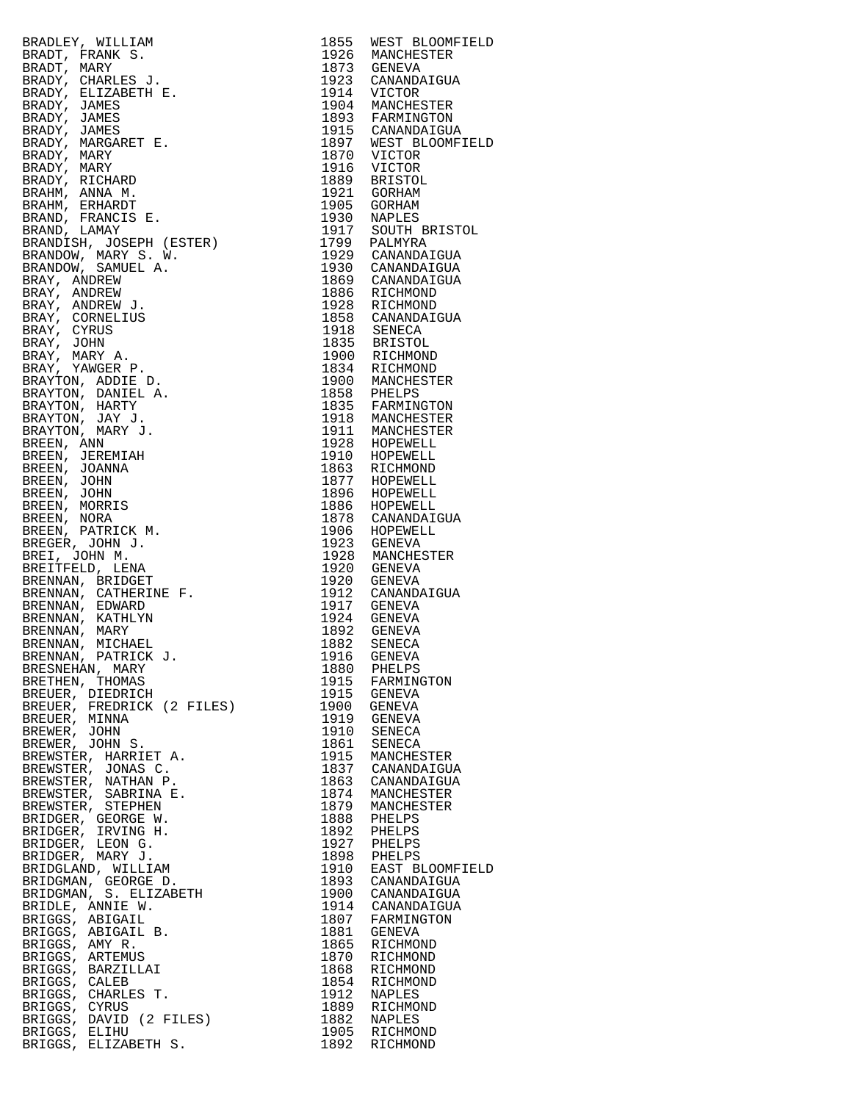BRADLEY, WILLIAM 1855 WEST BLOOMFIELD BRADT, FRANK S. BRADT, FRANK S. 1926 MANCHESTER BRADT, MARY 1873 GENEVA BRADY, CHARLES J. 1923 CANANDAIGUA BRADY, ELIZABETH E. 1914 VICTOR BRADY, JAMES 1904 MANCHESTER BRADY, JAMES 1893 FARMINGTON BRADY, JAMES 1915 CANANDAIGUA BRADY, MARGARET E. 1897 WEST BLOOMFIELD BRADY, MARY 1870 VICTOR BRADY, MARY 1916 VICTOR BRADY, RICHARD 1889 BRISTOL BRAHM, ANNA M. 1921 GORHAM BRAHM, ERHARDT 1905 GORHAM BRAND, FRANCIS E. 1930 NAPLES BRAND, LAMAY 1917 SOUTH BRISTOL BRANDISH, JOSEPH (ESTER) 1799 PALMYRA BRANDOW, MARY S. W. 1929 CANANDAIGUA BRANDOW, SAMUEL A. 1930 CANANDAIGUA BRAY, ANDREW 1869 CANANDAIGUA BRAY, ANDREW 1886 RICHMOND BRAY, ANDREW J. 1928 RICHMOND BRAY, CORNELIUS 1858 CANANDAIGUA BRAY, CYRUS 1918 SENECA BRAY, JOHN 1835 BRISTOL BRAY, MARY A. 1900 RICHMOND BRAY, YAWGER P. 1834 RICHMOND BRAYTON, ADDIE D. 1900 MANCHESTER BRAYTON, DANIEL A. 1858 PHELPS BRAYTON, HARTY 1835 FARMINGTON BRAYTON, JAY J. 1918 MANCHESTER BRAYTON, MARY J. 1911 MANCHESTER BREEN, ANN 1928 HOPEWELL BREEN, JEREMIAH 1910 HOPEWELL 1910 HOPEWELL BREEN, JOANNA 1863 RICHMOND BREEN, JOHN 1877 HOPEWELL BREEN, JOHN 1896 HOPEWELL BREEN, MORRIS 1886 HOPEWELL BREEN, NORA 1878 CANANDAIGUA BREEN, PATRICK M. 1906 HOPEWELL BREGER, JOHN J. 1923 GENEVA BREI, JOHN M. 1928 MANCHESTER BREITFELD, LENA 1920 GENEVA BRENNAN, BRIDGET 1920 GENEVA BRENNAN, CATHERINE F. 1912 CANANDAIGUA BRENNAN, EDWARD 1917 GENEVA BRENNAN, KATHLYN 1924 GENEVA BRENNAN, MARY 1892 GENEVA BRENNAN, MICHAEL 1882 SENECA BRENNAN, PATRICK J. 1916 GENEVA BRESNEHAN, MARY 1880 PHELPS BRETHEN, THOMAS 1915 FARMINGTON BREUER, DIEDRICH 1915 GENEVA BREUER, FREDRICK (2 FILES) 1900 GENEVA BREUER, MINNA 1919 GENEVA BREWER, JOHN 1910 SENECA BREWER, JOHN S. 1861 SENECA BREWSTER, HARRIET A. 1915 MANCHESTER BREWSTER, JONAS C. 1837 CANANDAIGUA BREWSTER, NATHAN P. 1863 CANANDAIGUA BREWSTER, SABRINA E. 1874 MANCHESTER BREWSTER, STEPHEN 1879 MANCHESTER BRIDGER, GEORGE W. 1888 PHELPS BRIDGER, IRVING H. 1892 PHELPS BRIDGER, LEON G. 1927 PHELPS BRIDGER, MARY J. 1898 PHELPS BRIDGLAND, WILLIAM 1910 EAST BLOOMFIELD BRIDGMAN, GEORGE D. 1893 CANANDAIGUA BRIDGMAN, S. ELIZABETH 1900 CANANDAIGUA BRIDLE, ANNIE W. 1914 CANANDAIGUA BRIGGS, ABIGAIL 1807 FARMINGTON BRIGGS, ABIGAIL B. 1881 GENEVA BRIGGS, AMY R. 1865 RICHMOND BRIGGS, ARTEMUS 1870 RICHMOND BRIGGS, BARZILLAI 1868 RICHMOND BRIGGS, CALEB 1854 RICHMOND BRIGGS, CHARLES T. 1912 NAPLES BRIGGS, CYRUS 1889 RICHMOND BRIGGS, DAVID (2 FILES) 1882 NAPLES BRIGGS, ELIHU 1905 RICHMOND

BRIGGS, ELIZABETH S. 1892 RICHMOND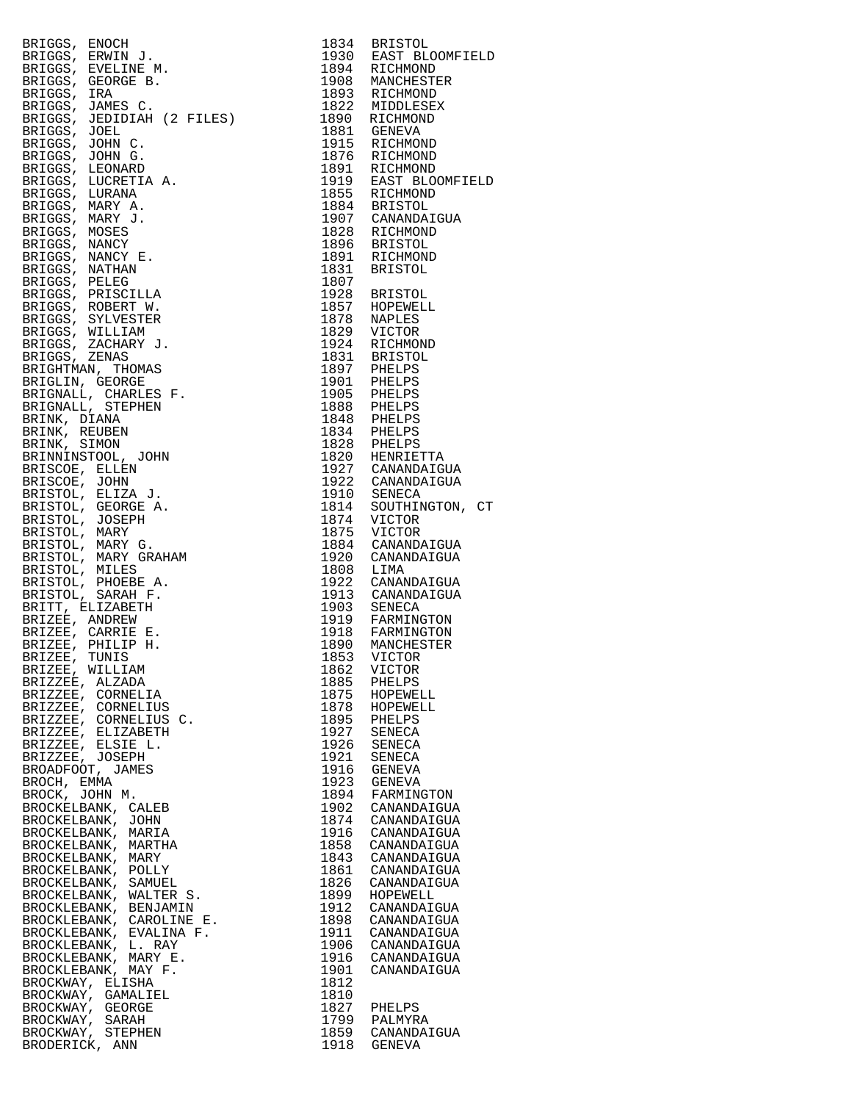| BRIGGS, ENOCH<br>BRIGGS, ERWIN J.<br>BRIGGS, EVELINE M.<br>BRIGGS, GEORGE B.<br>BRIGGS, IRA<br>BRIGGS, JAMES C.<br>BRIGGS, JAMES C.<br>BRIGGS, JEDIDIAH (2 FILES)                                                                                  |              | 1834 BRISTOL                                                     |
|----------------------------------------------------------------------------------------------------------------------------------------------------------------------------------------------------------------------------------------------------|--------------|------------------------------------------------------------------|
|                                                                                                                                                                                                                                                    |              |                                                                  |
|                                                                                                                                                                                                                                                    |              | 1934<br>1930 EAST BLOOMFIELD<br>1894 RICHMOND<br>1908 MANCHESTER |
|                                                                                                                                                                                                                                                    |              |                                                                  |
|                                                                                                                                                                                                                                                    |              |                                                                  |
|                                                                                                                                                                                                                                                    |              |                                                                  |
|                                                                                                                                                                                                                                                    |              |                                                                  |
|                                                                                                                                                                                                                                                    |              |                                                                  |
|                                                                                                                                                                                                                                                    |              |                                                                  |
|                                                                                                                                                                                                                                                    |              |                                                                  |
|                                                                                                                                                                                                                                                    |              |                                                                  |
|                                                                                                                                                                                                                                                    |              |                                                                  |
|                                                                                                                                                                                                                                                    |              |                                                                  |
|                                                                                                                                                                                                                                                    |              |                                                                  |
|                                                                                                                                                                                                                                                    |              |                                                                  |
|                                                                                                                                                                                                                                                    |              |                                                                  |
|                                                                                                                                                                                                                                                    |              |                                                                  |
|                                                                                                                                                                                                                                                    |              |                                                                  |
|                                                                                                                                                                                                                                                    |              |                                                                  |
|                                                                                                                                                                                                                                                    |              |                                                                  |
|                                                                                                                                                                                                                                                    |              |                                                                  |
|                                                                                                                                                                                                                                                    |              |                                                                  |
|                                                                                                                                                                                                                                                    |              |                                                                  |
|                                                                                                                                                                                                                                                    |              |                                                                  |
|                                                                                                                                                                                                                                                    |              |                                                                  |
|                                                                                                                                                                                                                                                    |              |                                                                  |
|                                                                                                                                                                                                                                                    |              |                                                                  |
|                                                                                                                                                                                                                                                    |              |                                                                  |
|                                                                                                                                                                                                                                                    |              |                                                                  |
|                                                                                                                                                                                                                                                    |              |                                                                  |
|                                                                                                                                                                                                                                                    |              |                                                                  |
|                                                                                                                                                                                                                                                    |              |                                                                  |
| BRIGGS, ERNIN, J. 1990<br>REGIONALISMO, ENGLANDI II.<br>REGIONALISMO, ENGLANDI II.<br>BRIGGS, EVELINDE M. 1994<br>BRIGGS, JAMES C. 1995<br>BRIGGS, JAMES C. 1995<br>BRIGGS, JAMES C. 1997<br>REGIONAL C. FILES) 1999<br>REGIONAL STRIP (2008)<br>R |              |                                                                  |
|                                                                                                                                                                                                                                                    |              |                                                                  |
|                                                                                                                                                                                                                                                    |              |                                                                  |
|                                                                                                                                                                                                                                                    |              |                                                                  |
|                                                                                                                                                                                                                                                    |              |                                                                  |
|                                                                                                                                                                                                                                                    |              |                                                                  |
|                                                                                                                                                                                                                                                    |              |                                                                  |
|                                                                                                                                                                                                                                                    |              |                                                                  |
| BRIZEE, WILLIAM<br>BRIZZEE, ALZADA                                                                                                                                                                                                                 | 1862<br>1885 | VICTOR<br>PHELPS                                                 |
| BRIZZEE, CORNELIA                                                                                                                                                                                                                                  | 1875         | HOPEWELL                                                         |
| BRIZZEE, CORNELIUS                                                                                                                                                                                                                                 |              | 1878 HOPEWELL                                                    |
| BRIZZEE, CORNELIUS C.                                                                                                                                                                                                                              |              | 1895 PHELPS<br>1927 SENECA                                       |
| BRIZZEE, ELIZABETH<br>BRIZZEE, ELSIE L.                                                                                                                                                                                                            | 1926         | SENECA                                                           |
| BRIZZEE, JOSEPH                                                                                                                                                                                                                                    | 1921         | SENECA                                                           |
| BROADFOOT, JAMES                                                                                                                                                                                                                                   | 1916         | GENEVA                                                           |
| BROCH, EMMA<br>BROCK, JOHN M.                                                                                                                                                                                                                      | 1894         | 1923 GENEVA<br>FARMINGTON                                        |
| BROCKELBANK, CALEB                                                                                                                                                                                                                                 | 1902         | CANANDAIGUA                                                      |
| BROCKELBANK, JOHN                                                                                                                                                                                                                                  | 1874         | CANANDAIGUA                                                      |
| BROCKELBANK, MARIA                                                                                                                                                                                                                                 |              | 1916 CANANDAIGUA                                                 |
| BROCKELBANK, MARTHA<br>BROCKELBANK, MARY                                                                                                                                                                                                           | 1858         | CANANDAIGUA<br>1843 CANANDAIGUA                                  |
| BROCKELBANK, POLLY                                                                                                                                                                                                                                 | 1861         | CANANDAIGUA                                                      |
| BROCKELBANK, SAMUEL                                                                                                                                                                                                                                | 1826         | CANANDAIGUA                                                      |
| BROCKELBANK, WALTER S.                                                                                                                                                                                                                             | 1899         | HOPEWELL                                                         |
| BROCKLEBANK, BENJAMIN<br>BROCKLEBANK, BENJAMIN<br>BROCKLEBANK, CAROLINE E.<br>BROCKLEBANK, EVALINA F.<br>BROCKLEBANK, L. RAY<br>BROCKLEBANK, MARY E.<br>BROCKLEBANK, MAY F.<br>BROCKWAY, ELISHA<br>BROCKWAY. GAMALIEL                              | 1898         | 1912 CANANDAIGUA<br>CANANDAIGUA                                  |
|                                                                                                                                                                                                                                                    | 1911         | CANANDAIGUA                                                      |
|                                                                                                                                                                                                                                                    | 1906         | CANANDAIGUA                                                      |
|                                                                                                                                                                                                                                                    | 1916<br>1901 | CANANDAIGUA<br>CANANDAIGUA                                       |
|                                                                                                                                                                                                                                                    | 1812         |                                                                  |
| BROCKWAY, GAMALIEL                                                                                                                                                                                                                                 | 1810         |                                                                  |
| BROCKWAY, GEORGE                                                                                                                                                                                                                                   | 1827         | PHELPS                                                           |
| BROCKWAY, SARAH<br>BROCKWAY, STEPHEN                                                                                                                                                                                                               | 1799<br>1859 | PALMYRA<br>CANANDAIGUA                                           |
| BRODERICK, ANN                                                                                                                                                                                                                                     |              | 1918 GENEVA                                                      |
|                                                                                                                                                                                                                                                    |              |                                                                  |

| 1834         | <b>BRISTOL</b>              |
|--------------|-----------------------------|
| 1930<br>1894 | EAST BLOOMFIELD<br>RICHMOND |
| 1908         | MANCHESTER                  |
| 1893         | RICHMOND                    |
| 1822         | MIDDLESEX                   |
| 1890<br>1881 | RICHMOND<br>GENEVA          |
| 1915         | RICHMOND                    |
| 1876         | RICHMOND                    |
| 1891         | RICHMOND                    |
| 1919         | EAST BLOOMFIELD             |
| 1855<br>1884 | RICHMOND<br><b>BRISTOL</b>  |
| 1907         | CANANDAIGUA                 |
| 1828         | RICHMOND                    |
| 1896         | BRISTOL                     |
| 1891         | RICHMOND                    |
| 1831         | BRISTOL                     |
| 1807<br>1928 | <b>BRISTOL</b>              |
| 1857         | HOPEWELL                    |
| 1878         | NAPLES                      |
| 1829         | VICTOR                      |
| 1924         | RICHMOND                    |
| 1831         | <b>BRISTOL</b>              |
| 1897<br>1901 | PHELPS<br>PHELPS            |
| 1905         | PHELPS                      |
| 1888         | PHELPS                      |
| 1848         | PHELPS                      |
| 1834         | PHELPS                      |
| 1828         | PHELPS                      |
| 1820<br>1927 | HENRIETTA<br>CANANDAIGUA    |
| 1922         | CANANDAIGUA                 |
| 1910         | SENECA                      |
| 1814         | SOUTHINGTON, CT             |
| 1874         | VICTOR                      |
| 1875<br>1884 | VICTOR<br>CANANDAIGUA       |
| 1920         | CANANDAIGUA                 |
| 1808         | LIMA                        |
| 1922         | CANANDAIGUA                 |
| 1913         | CANANDAIGUA                 |
| 1903         | SENECA                      |
| 1919<br>1918 | FARMINGTON<br>FARMINGTON    |
| 1890         | MANCHESTER                  |
| 1853         |                             |
| 1862         | VICTOR<br>VICTOR            |
| 1885         | PHELPS                      |
| 1875<br>1878 | HOPEWELL<br>HOPEWELL        |
| 1895         | PHELPS                      |
| 1927         | SENECA                      |
| 1926         | SENECA                      |
| 1921         | SENECA                      |
| 1916<br>1923 | GENEVA<br>GENEVA            |
| 1894         | FARMINGTON                  |
| 1902         | CANANDAIGUA                 |
| 1874         | CANANDAIGUA                 |
| 1916         | CANANDAIGUA                 |
| 1858         | CANANDAIGUA                 |
| 1843<br>1861 | CANANDAIGUA<br>CANANDAIGUA  |
| 1826         | CANANDAIGUA                 |
| 1899         | HOPEWELL                    |
| 1912         | CANANDAIGUA                 |
| 1898         | CANANDAIGUA                 |
| 1911         | CANANDAIGUA                 |
| 1906<br>1916 | CANANDAIGUA<br>CANANDAIGUA  |
| 1901         | CANANDAIGUA                 |
| 1812         |                             |
| 1810         |                             |
| 1827         | PHELPS                      |
| 1799<br>1859 | PALMYRA<br>CANANDAIGUA      |
| 1918         | GENEVA                      |
|              |                             |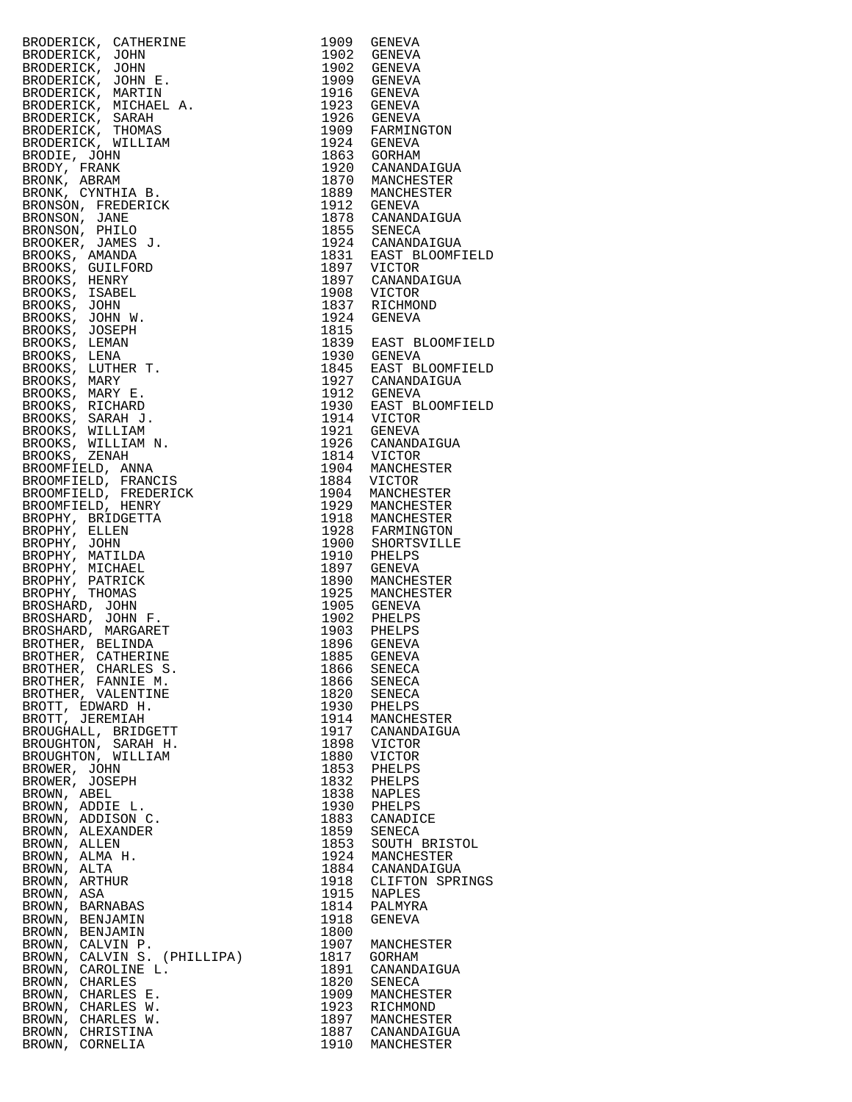| DERICK, CATHERINE 1961<br>DERICK, JOHN E. 1979<br>DERICK, JOHN E. 1979<br>DERICK, JOHN E. 1979<br>ODERICK, MARTIN E. 1979<br>ODERICK, MICHAEL A. 1979<br>ODERICK, MICHAEL A. 1979<br>ODERICK, WILLIAM<br>CODERICK, WILLIAM<br>CODERICK, WILLIAM<br> | 1909 | GENEVA                                                                                                             |
|-----------------------------------------------------------------------------------------------------------------------------------------------------------------------------------------------------------------------------------------------------|------|--------------------------------------------------------------------------------------------------------------------|
|                                                                                                                                                                                                                                                     |      | 1902 GENEVA                                                                                                        |
|                                                                                                                                                                                                                                                     |      |                                                                                                                    |
|                                                                                                                                                                                                                                                     |      | 1902 GENEVA<br>1909 GENEVA                                                                                         |
|                                                                                                                                                                                                                                                     |      | 1916 GENEVA                                                                                                        |
|                                                                                                                                                                                                                                                     |      | 1923 GENEVA                                                                                                        |
|                                                                                                                                                                                                                                                     |      |                                                                                                                    |
|                                                                                                                                                                                                                                                     |      | 1926 GENEVA<br>1909 FARMINGTON<br>1924 GENEVA                                                                      |
|                                                                                                                                                                                                                                                     |      |                                                                                                                    |
|                                                                                                                                                                                                                                                     |      | 1863 GORHAM                                                                                                        |
|                                                                                                                                                                                                                                                     |      | 1920 CANANDAIGUA                                                                                                   |
|                                                                                                                                                                                                                                                     |      | 1870 MANCHESTER                                                                                                    |
|                                                                                                                                                                                                                                                     |      |                                                                                                                    |
|                                                                                                                                                                                                                                                     |      | 1889 MANCHESTER<br>1912 GENEVA                                                                                     |
|                                                                                                                                                                                                                                                     |      |                                                                                                                    |
|                                                                                                                                                                                                                                                     |      | 1878 CANANDAIGUA<br>1855 SENECA                                                                                    |
|                                                                                                                                                                                                                                                     |      |                                                                                                                    |
|                                                                                                                                                                                                                                                     |      |                                                                                                                    |
|                                                                                                                                                                                                                                                     |      | 1924 CANANDAIGUA<br>1924 CANANDAIGUA<br>1831 EAST BLOOMFIELD<br>1897 CANANDAIGUA<br>1908 VICTOR                    |
|                                                                                                                                                                                                                                                     |      |                                                                                                                    |
|                                                                                                                                                                                                                                                     |      |                                                                                                                    |
|                                                                                                                                                                                                                                                     |      | 1837 RICHMOND                                                                                                      |
|                                                                                                                                                                                                                                                     |      | 1924 GENEVA                                                                                                        |
|                                                                                                                                                                                                                                                     | 1815 |                                                                                                                    |
|                                                                                                                                                                                                                                                     |      | 1839 EAST BLOOMFIELD                                                                                               |
|                                                                                                                                                                                                                                                     |      |                                                                                                                    |
|                                                                                                                                                                                                                                                     |      | 1930 GENEVA<br>1845 EAST BLOOMFIELD<br>1927 CANANDAIGUA                                                            |
|                                                                                                                                                                                                                                                     |      |                                                                                                                    |
|                                                                                                                                                                                                                                                     |      |                                                                                                                    |
|                                                                                                                                                                                                                                                     |      | 1912 GENEVA<br>1912 GENEVA<br>1930 EAST BLOOMFIELD<br>1914 VICTOR<br>1921 GENEVA                                   |
|                                                                                                                                                                                                                                                     |      |                                                                                                                    |
|                                                                                                                                                                                                                                                     |      |                                                                                                                    |
|                                                                                                                                                                                                                                                     |      |                                                                                                                    |
|                                                                                                                                                                                                                                                     |      | 1926 CANANDAIGUA<br>1814 VICTOR<br>1904 MANCHESTER                                                                 |
|                                                                                                                                                                                                                                                     |      |                                                                                                                    |
|                                                                                                                                                                                                                                                     |      |                                                                                                                    |
|                                                                                                                                                                                                                                                     |      | 1884 VICTOR                                                                                                        |
|                                                                                                                                                                                                                                                     |      | 1904 MANCHESTER                                                                                                    |
|                                                                                                                                                                                                                                                     |      | 1929 MANCHESTER<br>1918 MANCHESTER<br>1928 FARMINGTON                                                              |
|                                                                                                                                                                                                                                                     |      |                                                                                                                    |
|                                                                                                                                                                                                                                                     |      |                                                                                                                    |
|                                                                                                                                                                                                                                                     |      | 1920 FANTISVILLE<br>1910 BHELPS<br>1910 BHELPS<br>1897 GENEVA<br>1890 MANCHESTER<br>1925 MANCHESTER<br>1905 GENEVA |
|                                                                                                                                                                                                                                                     |      |                                                                                                                    |
|                                                                                                                                                                                                                                                     |      |                                                                                                                    |
|                                                                                                                                                                                                                                                     |      |                                                                                                                    |
|                                                                                                                                                                                                                                                     |      |                                                                                                                    |
|                                                                                                                                                                                                                                                     |      |                                                                                                                    |
|                                                                                                                                                                                                                                                     |      | 1902 PHELPS<br>1903 PHELPS<br>1896 GENEVA                                                                          |
|                                                                                                                                                                                                                                                     |      |                                                                                                                    |
|                                                                                                                                                                                                                                                     | 1896 | GENEVA                                                                                                             |
|                                                                                                                                                                                                                                                     |      | 1885 GENEVA                                                                                                        |
| BROTHER, CHARLES S.                                                                                                                                                                                                                                 | 1866 | SENECA                                                                                                             |
| BROTHER, FANNIE M.                                                                                                                                                                                                                                  | 1866 | SENECA                                                                                                             |
| BROTHER, VALENTINE                                                                                                                                                                                                                                  | 1820 | SENECA                                                                                                             |
| BROTT, EDWARD H.                                                                                                                                                                                                                                    |      | 1930 PHELPS                                                                                                        |
| BROTT, JEREMIAH                                                                                                                                                                                                                                     | 1914 | MANCHESTER                                                                                                         |
| BROUGHALL, BRIDGETT                                                                                                                                                                                                                                 |      | 1917 CANANDAIGUA                                                                                                   |
| BROUGHTON, SARAH H.                                                                                                                                                                                                                                 | 1898 | VICTOR                                                                                                             |
| BROUGHTON, WILLIAM                                                                                                                                                                                                                                  | 1880 | <b>VICTOR</b>                                                                                                      |
| BROWER, JOHN                                                                                                                                                                                                                                        | 1853 | PHELPS                                                                                                             |
| BROWER, JOSEPH                                                                                                                                                                                                                                      | 1832 | PHELPS                                                                                                             |
| BROWN, ABEL                                                                                                                                                                                                                                         | 1838 | NAPLES                                                                                                             |
| BROWN, ADDIE L.                                                                                                                                                                                                                                     |      | 1930 PHELPS                                                                                                        |
| BROWN, ADDISON C.                                                                                                                                                                                                                                   | 1883 | CANADICE                                                                                                           |
| BROWN, ALEXANDER                                                                                                                                                                                                                                    | 1859 | SENECA                                                                                                             |
| BROWN, ALLEN                                                                                                                                                                                                                                        | 1853 | SOUTH BRISTOL                                                                                                      |
| BROWN, ALMA H.                                                                                                                                                                                                                                      |      | 1924 MANCHESTER                                                                                                    |
| BROWN, ALTA                                                                                                                                                                                                                                         | 1884 | CANANDAIGUA                                                                                                        |
| BROWN, ARTHUR                                                                                                                                                                                                                                       | 1918 | CLIFTON SPRINGS                                                                                                    |
| BROWN, ASA                                                                                                                                                                                                                                          | 1915 | NAPLES                                                                                                             |
| BROWN, BARNABAS                                                                                                                                                                                                                                     | 1814 | PALMYRA                                                                                                            |
| BROWN, BENJAMIN                                                                                                                                                                                                                                     | 1918 | GENEVA                                                                                                             |
| BROWN, BENJAMIN                                                                                                                                                                                                                                     | 1800 |                                                                                                                    |
| BROWN, CALVIN P.                                                                                                                                                                                                                                    | 1907 | MANCHESTER                                                                                                         |
| BROWN, CALVIN S. (PHILLIPA)                                                                                                                                                                                                                         | 1817 | GORHAM                                                                                                             |
| BROWN, CAROLINE L.                                                                                                                                                                                                                                  | 1891 | CANANDAIGUA                                                                                                        |
| BROWN, CHARLES                                                                                                                                                                                                                                      | 1820 | SENECA                                                                                                             |
| BROWN, CHARLES E.                                                                                                                                                                                                                                   | 1909 | MANCHESTER                                                                                                         |
| BROWN, CHARLES W.                                                                                                                                                                                                                                   | 1923 | RICHMOND                                                                                                           |
| BROWN, CHARLES W.                                                                                                                                                                                                                                   | 1897 | MANCHESTER                                                                                                         |
| BROWN, CHRISTINA                                                                                                                                                                                                                                    |      | 1887 CANANDAIGUA                                                                                                   |
| BROWN, CORNELIA                                                                                                                                                                                                                                     |      | 1910 MANCHESTER                                                                                                    |

| 1909 | GENEAU                                                                                                                                         |
|------|------------------------------------------------------------------------------------------------------------------------------------------------|
|      |                                                                                                                                                |
|      | 1902 GENEVA<br>1902 GENEVA<br>1909 GENEVA<br>1916 GENEVA<br>1923 GENEVA                                                                        |
|      |                                                                                                                                                |
|      |                                                                                                                                                |
|      |                                                                                                                                                |
|      | 1925<br>1926 GENEVA<br>1909 FARMINGTON                                                                                                         |
|      |                                                                                                                                                |
|      | 1903 FINITELY<br>1920 CANANDAIGUA<br>1920 CANANDAIGUA<br>1912 GENEVA<br>1912 GENEVA<br>1912 GENEVAL                                            |
|      |                                                                                                                                                |
|      |                                                                                                                                                |
|      |                                                                                                                                                |
|      |                                                                                                                                                |
|      |                                                                                                                                                |
|      |                                                                                                                                                |
|      | 1878 CANANDAIGUA<br>1855 SENECA                                                                                                                |
|      |                                                                                                                                                |
|      | 1924 CANANDAIGUA<br>1831 EAST BLOOMFIELD<br>1>2.<br>1831 EAS.<br>1897 VICTOR<br>1897 CANANDAIGUA                                               |
|      |                                                                                                                                                |
|      |                                                                                                                                                |
|      |                                                                                                                                                |
|      |                                                                                                                                                |
|      |                                                                                                                                                |
|      | 1908 VICTOR<br>1837 RICHMOND<br>1924 GENEVA                                                                                                    |
| 1815 |                                                                                                                                                |
|      | 1839 EAST BLOOMFIELD<br>1930 GENEVA<br>1845 EAST BLOOMFIELD<br>1927 CANANDAIGUA<br>1912 GENEVA<br>1930 EAST BLOOMFIELD<br>1930 EAST BLOOMFIELD |
|      |                                                                                                                                                |
|      |                                                                                                                                                |
|      |                                                                                                                                                |
|      |                                                                                                                                                |
|      |                                                                                                                                                |
|      |                                                                                                                                                |
|      |                                                                                                                                                |
|      |                                                                                                                                                |
|      |                                                                                                                                                |
|      |                                                                                                                                                |
|      |                                                                                                                                                |
|      | 1914<br>1930 EAST BL.<br>1914 VICTOR<br>1921 GENEVA<br>1926 CANANDAIGUA<br>1814 VICTOR<br>1904 MANCHESTER<br>1884 VICTOR                       |
|      | 1904 MANCHESTER<br>1929 MANCHESTER                                                                                                             |
|      |                                                                                                                                                |
|      |                                                                                                                                                |
|      |                                                                                                                                                |
|      |                                                                                                                                                |
|      | 1918 MANCHESTER<br>1928 FARMINGTON<br>1900 SHORTSVILLE<br>1910 PHELPS                                                                          |
|      | 1387 HELLY<br>1897 GENEVA<br>1890 MANCHESTER<br>1905 GENEVA<br>1902 PHELPS<br>1903 PHELPS<br>1903 PHELPS                                       |
|      |                                                                                                                                                |
|      |                                                                                                                                                |
|      |                                                                                                                                                |
|      |                                                                                                                                                |
|      |                                                                                                                                                |
|      |                                                                                                                                                |
|      | 1896 GENEVA<br>1885 GENEVA                                                                                                                     |
| 1866 |                                                                                                                                                |
| 1866 | SENECA                                                                                                                                         |
|      | SENECA                                                                                                                                         |
| 1820 | SENECA                                                                                                                                         |
| 1930 | PHELPS                                                                                                                                         |
| 1914 | MANCHESTER                                                                                                                                     |
| 1917 | CANANDAIGUA                                                                                                                                    |
| 1898 | VICTOR                                                                                                                                         |
| 1880 | VICTOR                                                                                                                                         |
| 1853 | PHELPS                                                                                                                                         |
| 1832 | PHELPS                                                                                                                                         |
| 1838 | NAPLES                                                                                                                                         |
| 1930 | PHELPS                                                                                                                                         |
| 1883 | CANADICE                                                                                                                                       |
| 1859 | SENECA                                                                                                                                         |
| 1853 | SOUTH BRISTOL                                                                                                                                  |
| 1924 | MANCHESTER                                                                                                                                     |
| 1884 | CANANDAIGUA                                                                                                                                    |
| 1918 | CLIFTON SPRINGS                                                                                                                                |
| 1915 | NAPLES                                                                                                                                         |
| 1814 |                                                                                                                                                |
|      | PALMYRA                                                                                                                                        |
| 1918 | GENEVA                                                                                                                                         |
| 1800 |                                                                                                                                                |
| 1907 | MANCHESTER                                                                                                                                     |
| 1817 | GORHAM                                                                                                                                         |
| 1891 | CANANDAIGUA                                                                                                                                    |
| 1820 | SENECA                                                                                                                                         |
| 1909 | MANCHESTER                                                                                                                                     |
| 1923 | RICHMOND                                                                                                                                       |
| 1897 | MANCHESTER                                                                                                                                     |
| 1887 | CANANDAIGUA                                                                                                                                    |
| 1910 | MANCHESTER                                                                                                                                     |
|      |                                                                                                                                                |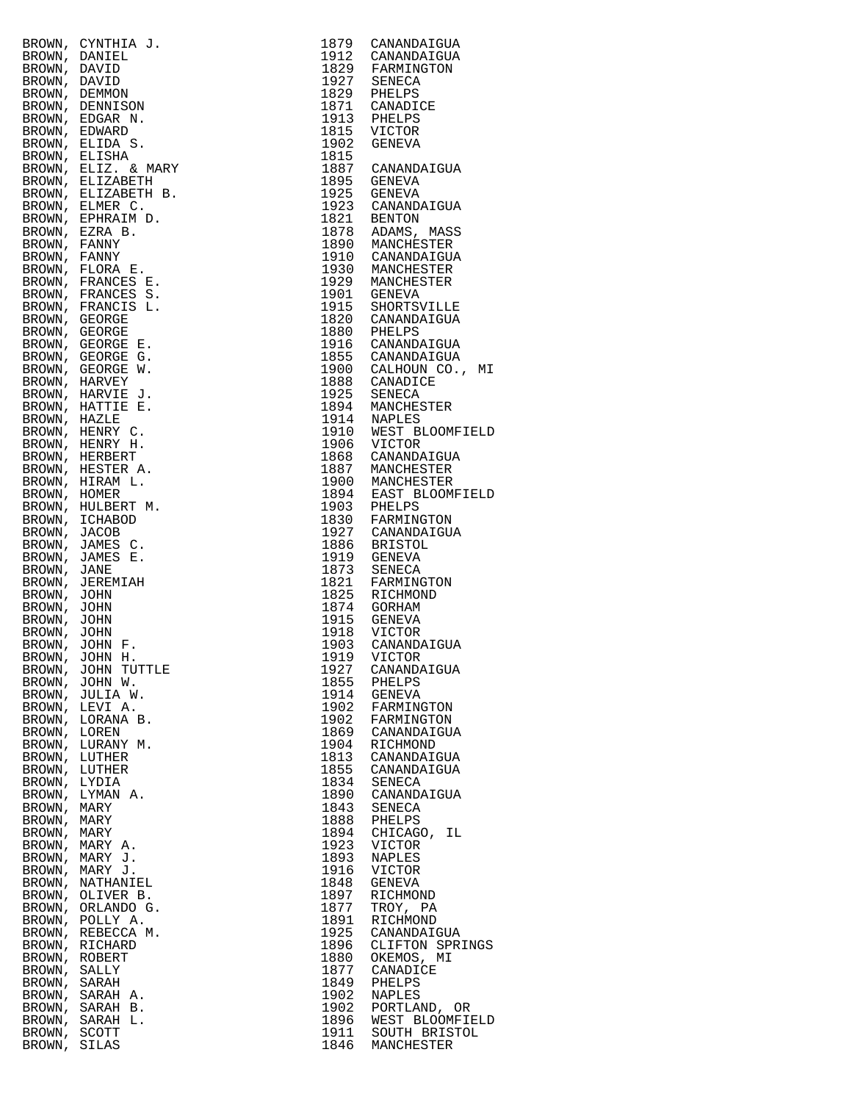|  | 1879         | CANANDAIGUA                     |
|--|--------------|---------------------------------|
|  | 1912         | CANANDAIGUA                     |
|  | 1927         | 1829 FARMINGTON                 |
|  | 1829         | SENECA<br>PHELPS                |
|  | 1871         | CANADICE                        |
|  | 1913         | PHELPS                          |
|  | 1815         | VICTOR                          |
|  | 1902         | GENEVA                          |
|  | 1815<br>1887 |                                 |
|  | 1895         | CANANDAIGUA<br>GENEVA           |
|  | 1925         | GENEVA                          |
|  | 1923         | CANANDAIGUA                     |
|  | 1821         | BENTON                          |
|  | 1878         | ADAMS, MASS                     |
|  | 1910         | 1890 MANCHESTER<br>CANANDAIGUA  |
|  | 1930         | MANCHESTER                      |
|  | 1929         | MANCHESTER                      |
|  | 1901         | GENEVA                          |
|  | 1915         | SHORTSVILLE                     |
|  | 1820         | CANANDAIGUA                     |
|  | 1880<br>1916 | PHELPS<br>CANANDAIGUA           |
|  | 1855         | CANANDAIGUA                     |
|  |              | 1900 CALHOUN CO.,               |
|  | 1888         | CANADICE                        |
|  | 1925         | SENECA                          |
|  | 1894         | MANCHESTER                      |
|  | 1914<br>1910 | NAPLES<br>WEST BLOOMFI          |
|  | 1906         | VICTOR                          |
|  | 1868         | CANANDAIGUA                     |
|  | 1887         | MANCHESTER                      |
|  | 1900         | MANCHESTER                      |
|  | 1894<br>1903 | EAST BLOOMFI<br>PHELPS          |
|  | 1830         | FARMINGTON                      |
|  | 1927         | CANANDAIGUA                     |
|  | 1886         | BRISTOL                         |
|  | 1919<br>1873 | GENEVA                          |
|  | 1821         | SENECA<br>FARMINGTON            |
|  | 1825         | RICHMOND                        |
|  | 1874         | GORHAM                          |
|  | 1915         | GENEVA                          |
|  |              | 1918 VICTOR<br>1903 CANANDAIGUA |
|  | 1919         | VICTOR                          |
|  | 1927         | CANANDAIGUA                     |
|  | 1855         | PHELPS                          |
|  | 1914         | GENEVA                          |
|  | 1902         | FARMINGTON                      |
|  | 1902<br>1869 | FARMINGTON<br>CANANDAIGUA       |
|  | 1904         | RICHMOND                        |
|  | 1813         | CANANDAIGUA                     |
|  | 1855         | CANANDAIGUA                     |
|  | 1834         | SENECA                          |
|  | 1890<br>1843 | CANANDAIGUA                     |
|  | 1888         | SENECA<br>PHELPS                |
|  | 1894         | ΙL<br>CHICAGO,                  |
|  | 1923         | VICTOR                          |
|  | 1893         | NAPLES                          |
|  | 1916<br>1848 | VICTOR<br>GENEVA                |
|  | 1897         | RICHMOND                        |
|  | 1877         | TROY, PA                        |
|  | 1891         | RICHMOND                        |
|  | 1925         | CANANDAIGUA                     |
|  | 1896<br>1880 | CLIFTON SPRI                    |
|  | 1877         | OKEMOS, MI<br>CANADICE          |
|  | 1849         | PHELPS                          |
|  | 1902         | NAPLES                          |
|  | 1902         | PORTLAND, OR                    |
|  | 1896<br>1911 | WEST BLOOMFI                    |
|  |              | SOUTH BRISTO<br>1846 MANCHECTED |

|                       | BROWN, CYNTHIA J.<br>BROWN, DANID<br>BROWN, DANID<br>BROWN, DANID<br>BROWN, DEMINISON<br>BROWN, DEMINISON<br>BROWN, EDGAR N.<br>BROWN, ELIZABETH<br>3ROWN, ELIZABETH B.<br>ROWN, ELIZABETH B.<br>ROWN, ELIZABETH B.<br>ROWN, ELIZABETH B.<br>ROWN, ELIZABETH B.<br>RO | 1879         | CANANDAIGUA                     |
|-----------------------|-----------------------------------------------------------------------------------------------------------------------------------------------------------------------------------------------------------------------------------------------------------------------|--------------|---------------------------------|
|                       |                                                                                                                                                                                                                                                                       | 1912<br>1829 | CANANDAIGUA<br>FARMINGTON       |
|                       |                                                                                                                                                                                                                                                                       | 1927         | SENECA                          |
|                       |                                                                                                                                                                                                                                                                       | 1829         | PHELPS                          |
|                       |                                                                                                                                                                                                                                                                       | 1871         | CANADICE                        |
|                       |                                                                                                                                                                                                                                                                       | 1913<br>1815 | PHELPS<br>VICTOR                |
|                       |                                                                                                                                                                                                                                                                       | 1902         | GENEVA                          |
|                       |                                                                                                                                                                                                                                                                       | 1815         |                                 |
|                       |                                                                                                                                                                                                                                                                       | 1887         | CANANDAIGUA                     |
|                       |                                                                                                                                                                                                                                                                       | 1895         | GENEVA                          |
|                       |                                                                                                                                                                                                                                                                       | 1925<br>1923 | <b>GENEVA</b><br>CANANDAIGUA    |
|                       |                                                                                                                                                                                                                                                                       | 1821         | BENTON                          |
|                       |                                                                                                                                                                                                                                                                       | 1878         | ADAMS, MASS                     |
|                       |                                                                                                                                                                                                                                                                       | 1890         | MANCHESTER                      |
|                       |                                                                                                                                                                                                                                                                       | 1910<br>1930 | CANANDAIGUA<br>MANCHESTER       |
|                       |                                                                                                                                                                                                                                                                       | 1929         | MANCHESTER                      |
|                       |                                                                                                                                                                                                                                                                       | 1901         | GENEVA                          |
|                       |                                                                                                                                                                                                                                                                       | 1915         | SHORTSVILLE                     |
|                       |                                                                                                                                                                                                                                                                       | 1820<br>1880 | CANANDAIGUA                     |
|                       |                                                                                                                                                                                                                                                                       | 1916         | PHELPS<br>CANANDAIGUA           |
|                       |                                                                                                                                                                                                                                                                       | 1855         | CANANDAIGUA                     |
|                       |                                                                                                                                                                                                                                                                       | 1900         | CALHOUN CO., MI                 |
|                       |                                                                                                                                                                                                                                                                       | 1888         | CANADICE                        |
|                       |                                                                                                                                                                                                                                                                       | 1925<br>1894 | SENECA<br>MANCHESTER            |
|                       |                                                                                                                                                                                                                                                                       | 1914         | NAPLES                          |
|                       |                                                                                                                                                                                                                                                                       | 1910         | WEST BLOOMFIELD                 |
|                       |                                                                                                                                                                                                                                                                       | 1906         | VICTOR                          |
|                       |                                                                                                                                                                                                                                                                       | 1868<br>1887 | CANANDAIGUA                     |
|                       |                                                                                                                                                                                                                                                                       | 1900         | MANCHESTER<br>MANCHESTER        |
|                       |                                                                                                                                                                                                                                                                       | 1894         | EAST BLOOMFIELD                 |
|                       |                                                                                                                                                                                                                                                                       | 1903         | PHELPS                          |
|                       |                                                                                                                                                                                                                                                                       | 1830         | FARMINGTON                      |
|                       |                                                                                                                                                                                                                                                                       | 1927<br>1886 | CANANDAIGUA<br>BRISTOL          |
|                       |                                                                                                                                                                                                                                                                       | 1919         | GENEVA                          |
|                       |                                                                                                                                                                                                                                                                       | 1873         | SENECA                          |
|                       |                                                                                                                                                                                                                                                                       | 1821         | FARMINGTON                      |
|                       |                                                                                                                                                                                                                                                                       | 1825<br>1874 | RICHMOND<br>GORHAM              |
|                       |                                                                                                                                                                                                                                                                       | 1915         | GENEVA                          |
|                       |                                                                                                                                                                                                                                                                       | 1918         | VICTOR                          |
|                       |                                                                                                                                                                                                                                                                       | 1903         | CANANDAIGUA                     |
|                       | BROWN, JOHN H.                                                                                                                                                                                                                                                        | 1919<br>1927 | VICTOR                          |
|                       | BROWN, JOHN TUTTLE<br>BROWN, JOHN W.                                                                                                                                                                                                                                  | 1855         | CANANDAIGUA<br>PHELPS           |
|                       | BROWN, JULIA W.                                                                                                                                                                                                                                                       | 1914         | GENEVA                          |
| BROWN,                | LEVI A.                                                                                                                                                                                                                                                               | 1902         | FARMINGTON                      |
| BROWN,                | LORANA B.                                                                                                                                                                                                                                                             | 1902         | FARMINGTON                      |
| BROWN,<br>BROWN,      | LOREN<br>LURANY M.                                                                                                                                                                                                                                                    | 1869<br>1904 | CANANDAIGUA<br>RICHMOND         |
| BROWN,                | LUTHER                                                                                                                                                                                                                                                                | 1813         | CANANDAIGUA                     |
| BROWN,                | LUTHER                                                                                                                                                                                                                                                                | 1855         | CANANDAIGUA                     |
| BROWN,                | LYDIA                                                                                                                                                                                                                                                                 | 1834         | SENECA                          |
| BROWN,<br>BROWN, MARY | LYMAN A.                                                                                                                                                                                                                                                              | 1890<br>1843 | CANANDAIGUA<br>SENECA           |
| BROWN,                | MARY                                                                                                                                                                                                                                                                  | 1888         | PHELPS                          |
| BROWN,                | MARY                                                                                                                                                                                                                                                                  | 1894         | CHICAGO,<br>ΙL                  |
|                       | BROWN, MARY A.                                                                                                                                                                                                                                                        | 1923         | VICTOR                          |
|                       | BROWN, MARY J.                                                                                                                                                                                                                                                        | 1893         | NAPLES                          |
| BROWN,<br>BROWN,      | MARY J.<br>NATHANIEL                                                                                                                                                                                                                                                  | 1916<br>1848 | VICTOR<br>GENEVA                |
|                       | BROWN, OLIVER B.                                                                                                                                                                                                                                                      | 1897         | RICHMOND                        |
|                       | BROWN, ORLANDO G.                                                                                                                                                                                                                                                     | 1877         | TROY, PA                        |
| BROWN,                | POLLY A.                                                                                                                                                                                                                                                              | 1891         | RICHMOND                        |
| BROWN,                | REBECCA M.                                                                                                                                                                                                                                                            | 1925<br>1896 | CANANDAIGUA                     |
| BROWN,<br>BROWN,      | RICHARD<br>ROBERT                                                                                                                                                                                                                                                     | 1880         | CLIFTON SPRINGS<br>OKEMOS, MI   |
| BROWN,                | SALLY                                                                                                                                                                                                                                                                 | 1877         | CANADICE                        |
| BROWN,                | SARAH                                                                                                                                                                                                                                                                 | 1849         | PHELPS                          |
| BROWN,                | SARAH A.                                                                                                                                                                                                                                                              | 1902         | NAPLES                          |
|                       | BROWN, SARAH B.<br>BROWN, SARAH L.                                                                                                                                                                                                                                    | 1902<br>1896 | PORTLAND, OR<br>WEST BLOOMFIELD |
| BROWN, SCOTT          |                                                                                                                                                                                                                                                                       | 1911         | SOUTH BRISTOL                   |
| BROWN,                | SILAS                                                                                                                                                                                                                                                                 | 1846         | MANCHESTER                      |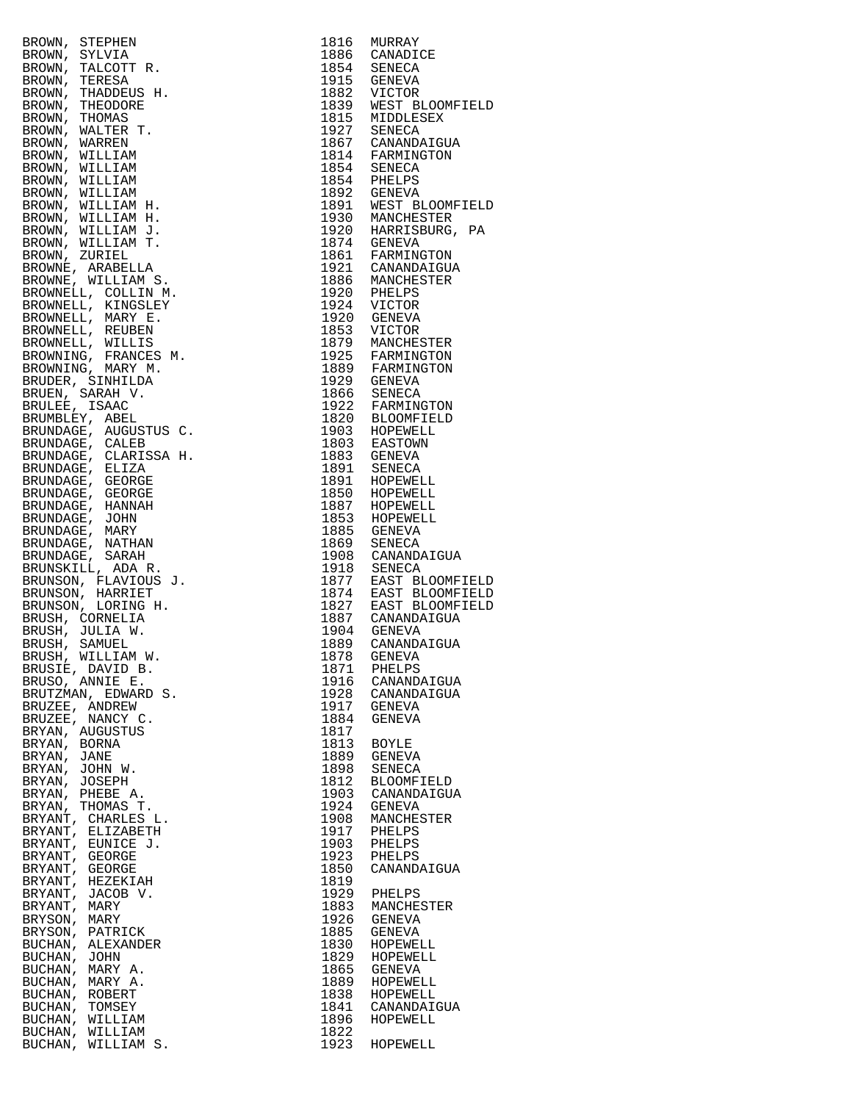| BROWN, STEPHEN                            |              | 1816 MURRAY<br>1816 MURRAY<br>1886 CANADICE<br>1854 SENECA<br>1915 GENECA<br>1915 GENECA<br>1839 WEST BLOOMFI<br>1815 MIDDLESEX<br>1927 SENECA<br>1857 CANANDAIGUA<br>1854 CANANDAIGUA<br>1854 SENECA<br>1892 GENECA<br>1892 GENECA<br>1920 MARRISBURG,<br>1974 GENEVA<br>1930 MARRISBURG,                                                                                                                                                               |
|-------------------------------------------|--------------|----------------------------------------------------------------------------------------------------------------------------------------------------------------------------------------------------------------------------------------------------------------------------------------------------------------------------------------------------------------------------------------------------------------------------------------------------------|
| BROWN, SYLVIA                             |              |                                                                                                                                                                                                                                                                                                                                                                                                                                                          |
| BROWN,<br>TALCOTT R.                      |              |                                                                                                                                                                                                                                                                                                                                                                                                                                                          |
| BROWN, TERESA                             |              |                                                                                                                                                                                                                                                                                                                                                                                                                                                          |
| BROWN, THADDEUS H.                        |              |                                                                                                                                                                                                                                                                                                                                                                                                                                                          |
| BROWN, THEODORE                           |              |                                                                                                                                                                                                                                                                                                                                                                                                                                                          |
| BROWN, THOMAS                             |              |                                                                                                                                                                                                                                                                                                                                                                                                                                                          |
| BROWN, WALTER T.                          |              |                                                                                                                                                                                                                                                                                                                                                                                                                                                          |
| BROWN, WARREN<br>BROWN, WILLIAM           |              |                                                                                                                                                                                                                                                                                                                                                                                                                                                          |
| BROWN, WILLIAM                            |              |                                                                                                                                                                                                                                                                                                                                                                                                                                                          |
| BROWN, WILLIAM                            |              |                                                                                                                                                                                                                                                                                                                                                                                                                                                          |
| BROWN, WILLIAM                            |              |                                                                                                                                                                                                                                                                                                                                                                                                                                                          |
| BROWN, WILLIAM H.                         |              |                                                                                                                                                                                                                                                                                                                                                                                                                                                          |
| BROWN, WILLIAM H.                         |              |                                                                                                                                                                                                                                                                                                                                                                                                                                                          |
| BROWN, WILLIAM J.                         |              |                                                                                                                                                                                                                                                                                                                                                                                                                                                          |
| BROWN, WILLIAM T.                         |              |                                                                                                                                                                                                                                                                                                                                                                                                                                                          |
| BROWN, ZURIEL                             |              |                                                                                                                                                                                                                                                                                                                                                                                                                                                          |
| BROWNE, ARABELLA                          |              |                                                                                                                                                                                                                                                                                                                                                                                                                                                          |
| BROWNE, WILLIAM S.                        |              |                                                                                                                                                                                                                                                                                                                                                                                                                                                          |
| BROWNELL, COLLIN M.                       |              |                                                                                                                                                                                                                                                                                                                                                                                                                                                          |
| BROWNELL, KINGSLEY                        |              |                                                                                                                                                                                                                                                                                                                                                                                                                                                          |
| BROWNELL, MARY E.                         |              |                                                                                                                                                                                                                                                                                                                                                                                                                                                          |
| BROWNELL, REUBEN                          |              |                                                                                                                                                                                                                                                                                                                                                                                                                                                          |
| BROWNELL, WILLIS                          |              |                                                                                                                                                                                                                                                                                                                                                                                                                                                          |
| BROWNING, FRANCES M.<br>BROWNING, MARY M. |              |                                                                                                                                                                                                                                                                                                                                                                                                                                                          |
| BRUDER, SINHILDA                          |              |                                                                                                                                                                                                                                                                                                                                                                                                                                                          |
| BRUEN, SARAH V.                           |              |                                                                                                                                                                                                                                                                                                                                                                                                                                                          |
| BRULEE, ISAAC                             |              |                                                                                                                                                                                                                                                                                                                                                                                                                                                          |
| BRUMBLEY, ABEL                            |              |                                                                                                                                                                                                                                                                                                                                                                                                                                                          |
| BRUNDAGE, AUGUSTUS C.                     |              |                                                                                                                                                                                                                                                                                                                                                                                                                                                          |
| BRUNDAGE, CALEB                           |              |                                                                                                                                                                                                                                                                                                                                                                                                                                                          |
| BRUNDAGE, CLARISSA H.                     |              |                                                                                                                                                                                                                                                                                                                                                                                                                                                          |
| BRUNDAGE, ELIZA                           |              |                                                                                                                                                                                                                                                                                                                                                                                                                                                          |
| BRUNDAGE, GEORGE                          |              |                                                                                                                                                                                                                                                                                                                                                                                                                                                          |
| BRUNDAGE, GEORGE                          |              |                                                                                                                                                                                                                                                                                                                                                                                                                                                          |
| BRUNDAGE, HANNAH                          |              |                                                                                                                                                                                                                                                                                                                                                                                                                                                          |
| BRUNDAGE, JOHN                            |              |                                                                                                                                                                                                                                                                                                                                                                                                                                                          |
| BRUNDAGE, MARY                            |              |                                                                                                                                                                                                                                                                                                                                                                                                                                                          |
| BRUNDAGE, NATHAN                          |              | 1879 MANCHESTER<br>1879 MANCHESTER<br>1925 FARMINGTON<br>1929 GENEVA<br>1866 SENECA<br>1922 FARMINGTON<br>1820 BLOOMFIELD<br>1820 BLOOMFIELD<br>1903 HOPEWELL<br>1891 SENECA<br>1891 SENECA<br>1891 HOPEWELL<br>1850 HOPEWELL<br>1850 HOPEWELL<br>1850 HOPEWELL<br>1850 HOP<br>1869 SENECA<br>1918 SANANDAIGUA<br>1918 SENECA<br>1877 EAST BLOOMFI<br>1877 EAST BLOOMFI<br>1827 EAST BLOOMFI<br>1889 CANANDAIGUA<br>1989 CANANDAIGUA<br>1889 CANANDAIGUA |
| BRUNDAGE, SARAH                           |              |                                                                                                                                                                                                                                                                                                                                                                                                                                                          |
| BRUNSKILL, ADA R.<br>BRUNSON, FLAVIOUS J. |              |                                                                                                                                                                                                                                                                                                                                                                                                                                                          |
| BRUNSON, HARRIET                          |              |                                                                                                                                                                                                                                                                                                                                                                                                                                                          |
| BRUNSON, LORING H.                        |              |                                                                                                                                                                                                                                                                                                                                                                                                                                                          |
| BRUSH, CORNELIA                           |              |                                                                                                                                                                                                                                                                                                                                                                                                                                                          |
| BRUSH, JULIA W.                           |              |                                                                                                                                                                                                                                                                                                                                                                                                                                                          |
| BRUSH, SAMUEL                             |              |                                                                                                                                                                                                                                                                                                                                                                                                                                                          |
| BRUSH, WILLIAM W.                         |              | 1878 GENEVA                                                                                                                                                                                                                                                                                                                                                                                                                                              |
| BRUSIE, DAVID B.                          | 1871         | PHELPS                                                                                                                                                                                                                                                                                                                                                                                                                                                   |
| BRUSO, ANNIE E.                           | 1916         | CANANDAIGUA                                                                                                                                                                                                                                                                                                                                                                                                                                              |
| BRUTZMAN, EDWARD S.                       | 1928         | CANANDAIGUA                                                                                                                                                                                                                                                                                                                                                                                                                                              |
| BRUZEE, ANDREW                            | 1917         | GENEVA                                                                                                                                                                                                                                                                                                                                                                                                                                                   |
| BRUZEE, NANCY C.                          | 1884         | GENEVA                                                                                                                                                                                                                                                                                                                                                                                                                                                   |
| BRYAN, AUGUSTUS                           | 1817         |                                                                                                                                                                                                                                                                                                                                                                                                                                                          |
| BRYAN, BORNA                              | 1813         | <b>BOYLE</b>                                                                                                                                                                                                                                                                                                                                                                                                                                             |
| BRYAN, JANE                               | 1889         | GENEVA                                                                                                                                                                                                                                                                                                                                                                                                                                                   |
| BRYAN, JOHN W.                            | 1898<br>1812 | SENECA<br>BLOOMFIELD                                                                                                                                                                                                                                                                                                                                                                                                                                     |
| BRYAN, JOSEPH<br>BRYAN, PHEBE A.          | 1903         | CANANDAIGUA                                                                                                                                                                                                                                                                                                                                                                                                                                              |
| BRYAN, THOMAS T.                          | 1924         | <b>GENEVA</b>                                                                                                                                                                                                                                                                                                                                                                                                                                            |
| BRYANT, CHARLES L.                        | 1908         | MANCHESTER                                                                                                                                                                                                                                                                                                                                                                                                                                               |
| BRYANT, ELIZABETH                         | 1917         | PHELPS                                                                                                                                                                                                                                                                                                                                                                                                                                                   |
| BRYANT, EUNICE J.                         | 1903         | PHELPS                                                                                                                                                                                                                                                                                                                                                                                                                                                   |
| BRYANT, GEORGE                            | 1923         | PHELPS                                                                                                                                                                                                                                                                                                                                                                                                                                                   |
| BRYANT, GEORGE                            | 1850         | CANANDAIGUA                                                                                                                                                                                                                                                                                                                                                                                                                                              |
| BRYANT, HEZEKIAH                          | 1819         |                                                                                                                                                                                                                                                                                                                                                                                                                                                          |
| BRYANT, JACOB V.                          | 1929         | PHELPS                                                                                                                                                                                                                                                                                                                                                                                                                                                   |
| BRYANT, MARY                              | 1883         | MANCHESTER                                                                                                                                                                                                                                                                                                                                                                                                                                               |
| BRYSON, MARY                              | 1926         | <b>GENEVA</b>                                                                                                                                                                                                                                                                                                                                                                                                                                            |
| BRYSON, PATRICK                           | 1885         | GENEVA                                                                                                                                                                                                                                                                                                                                                                                                                                                   |
| BUCHAN, ALEXANDER                         | 1830         | HOPEWELL                                                                                                                                                                                                                                                                                                                                                                                                                                                 |
| BUCHAN, JOHN                              | 1829         | HOPEWELL                                                                                                                                                                                                                                                                                                                                                                                                                                                 |
| BUCHAN, MARY A.<br>BUCHAN, MARY A.        | 1865<br>1889 | <b>GENEVA</b><br>HOPEWELL                                                                                                                                                                                                                                                                                                                                                                                                                                |
| BUCHAN, ROBERT                            | 1838         | HOPEWELL                                                                                                                                                                                                                                                                                                                                                                                                                                                 |
| BUCHAN, TOMSEY                            | 1841         | CANANDAIGUA                                                                                                                                                                                                                                                                                                                                                                                                                                              |
| BUCHAN, WILLIAM                           | 1896         | HOPEWELL                                                                                                                                                                                                                                                                                                                                                                                                                                                 |
| BUCHAN, WILLIAM                           | 1822         |                                                                                                                                                                                                                                                                                                                                                                                                                                                          |
| BUCHAN, WILLIAM S.                        | 1923         | HOPEWELL                                                                                                                                                                                                                                                                                                                                                                                                                                                 |
|                                           |              |                                                                                                                                                                                                                                                                                                                                                                                                                                                          |

| BUCHAN, WILLIAM                                                                                                                                                                                                                                      | 1822 |               |
|------------------------------------------------------------------------------------------------------------------------------------------------------------------------------------------------------------------------------------------------------|------|---------------|
| ROOM), STEPHEN (1992)<br>ROOM), THEORETA (1993) (1993) (1993) (1993) (1993) (1993) (1993) (1993) (1993) (1993) (1993) (1993) (1993) (1993) (1993) (1993) (1993) (1993) (1993) (1993) (1993) (1993) (1993) (1993) (1993) (1993)<br>BUCHAN, WILLIAM S. |      | 1923 HOPEWELL |
|                                                                                                                                                                                                                                                      |      |               |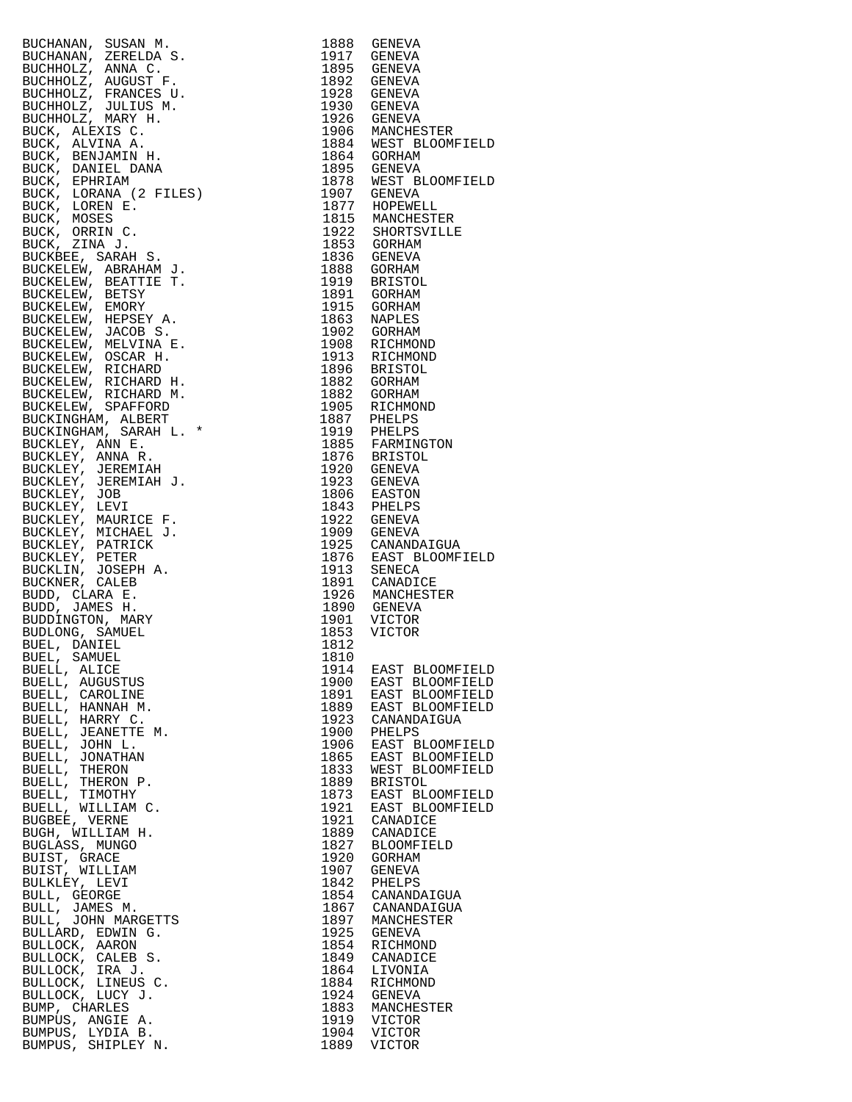| RUCHANAN, SUSAN M.<br>RUCHANAN, ZERELDA S.<br>RUCHANAN, ZERELDA S.<br>BUCHHOLZ, ANGROST P.<br>BUCHHOLZ, NOGUST P.<br>BUCHHOLZ, FUCHICO MARY H.<br>BUCHHOLZ, VULTUS M.<br>BUCK, ALEXIS C.<br>BUCK, ALEXIS C.<br>BUCK, ALEXIS C.<br>BUCK, DARINI H.<br>BUCK, DARI |      | 1888 GENEVA                                                                                    |
|-----------------------------------------------------------------------------------------------------------------------------------------------------------------------------------------------------------------------------------------------------------------|------|------------------------------------------------------------------------------------------------|
|                                                                                                                                                                                                                                                                 |      | 1917 GENEVA                                                                                    |
|                                                                                                                                                                                                                                                                 |      | 1895 GENEVA                                                                                    |
|                                                                                                                                                                                                                                                                 |      | 1892 GENEVA                                                                                    |
|                                                                                                                                                                                                                                                                 |      | 1928 GENEVA<br>1930 GENEVA                                                                     |
|                                                                                                                                                                                                                                                                 |      |                                                                                                |
|                                                                                                                                                                                                                                                                 |      | 1926 GENEVA<br>1906 MANCHESTER<br>1884 WEST BLOOMFI<br>1864 GORHAM                             |
|                                                                                                                                                                                                                                                                 |      |                                                                                                |
|                                                                                                                                                                                                                                                                 |      |                                                                                                |
|                                                                                                                                                                                                                                                                 |      |                                                                                                |
|                                                                                                                                                                                                                                                                 |      | 1895 GENEVA<br>1878 WEST BLOOMFI                                                               |
|                                                                                                                                                                                                                                                                 |      | 1907 GENEVA<br>1877 HOPEWELL<br>1815 MANCHESTER<br>1922 SHORTSVILLE                            |
|                                                                                                                                                                                                                                                                 |      |                                                                                                |
|                                                                                                                                                                                                                                                                 |      |                                                                                                |
|                                                                                                                                                                                                                                                                 |      |                                                                                                |
|                                                                                                                                                                                                                                                                 |      | 1853 GORHAM<br>1836 GENEVA                                                                     |
|                                                                                                                                                                                                                                                                 |      |                                                                                                |
|                                                                                                                                                                                                                                                                 |      | 1888 GORHAM                                                                                    |
|                                                                                                                                                                                                                                                                 |      | 1919 BRISTOL                                                                                   |
|                                                                                                                                                                                                                                                                 |      | 1891 GORHAM<br>1915 GORHAM                                                                     |
|                                                                                                                                                                                                                                                                 |      | 1863 NAPLES                                                                                    |
|                                                                                                                                                                                                                                                                 |      | 1902 GORHAM                                                                                    |
|                                                                                                                                                                                                                                                                 |      |                                                                                                |
|                                                                                                                                                                                                                                                                 |      |                                                                                                |
|                                                                                                                                                                                                                                                                 |      |                                                                                                |
|                                                                                                                                                                                                                                                                 |      | 1908 RICHMOND<br>1913 RICHMOND<br>1896 BRISTOL<br>1882 GORHAM                                  |
|                                                                                                                                                                                                                                                                 |      | 1882 GORHAM<br>1905 RICHMOND                                                                   |
|                                                                                                                                                                                                                                                                 |      |                                                                                                |
|                                                                                                                                                                                                                                                                 |      |                                                                                                |
|                                                                                                                                                                                                                                                                 |      | 1887 PHELPS<br>1919 PHELPS<br>1885 FARMINGTON<br>1876 BRISTOL                                  |
|                                                                                                                                                                                                                                                                 |      |                                                                                                |
|                                                                                                                                                                                                                                                                 |      | 1920 GENEVA                                                                                    |
|                                                                                                                                                                                                                                                                 |      | 1923 GENEVA                                                                                    |
|                                                                                                                                                                                                                                                                 |      |                                                                                                |
|                                                                                                                                                                                                                                                                 |      | 1806 EASTON<br>1843 PHELPS                                                                     |
|                                                                                                                                                                                                                                                                 |      |                                                                                                |
|                                                                                                                                                                                                                                                                 |      | 1922 GENEVA<br>1909 GENEVA                                                                     |
|                                                                                                                                                                                                                                                                 |      |                                                                                                |
|                                                                                                                                                                                                                                                                 |      | 1925 CANANDAIGUA<br>1876 EAST BLOOMFI                                                          |
|                                                                                                                                                                                                                                                                 |      | 1913 SENECA<br>1913 SENECA<br>1926 MANCHESTER<br>1926 MANCHESTER<br>1901 VICTOR<br>1953 VICTOR |
|                                                                                                                                                                                                                                                                 |      |                                                                                                |
|                                                                                                                                                                                                                                                                 |      |                                                                                                |
|                                                                                                                                                                                                                                                                 |      |                                                                                                |
|                                                                                                                                                                                                                                                                 |      |                                                                                                |
| BUEL, DANIEL                                                                                                                                                                                                                                                    | 1812 |                                                                                                |
| BUEL. SAMUEL                                                                                                                                                                                                                                                    | 1810 |                                                                                                |
| BUELL, ALICE                                                                                                                                                                                                                                                    |      | 1914 EAST BLOOMFI                                                                              |
| BUELL, AUGUSTUS                                                                                                                                                                                                                                                 | 1900 | EAST BLOOMFI                                                                                   |
| BUELL, CAROLINE                                                                                                                                                                                                                                                 |      |                                                                                                |
| BUELL, HANNAH M.                                                                                                                                                                                                                                                |      | 1891 EAST BLOOMFI<br>1889 EAST BLOOMFI                                                         |
| BUELL, HARRY C.                                                                                                                                                                                                                                                 | 1923 | CANANDAIGUA                                                                                    |
| BUELL, JEANETTE M.                                                                                                                                                                                                                                              |      | 1900 PHELPS                                                                                    |
| BUELL, JOHN L.                                                                                                                                                                                                                                                  |      | 1906 EAST BLOOMFI                                                                              |
| BUELL, JONATHAN                                                                                                                                                                                                                                                 |      | 1865 EAST BLOOMFI                                                                              |
| BUELL, THERON                                                                                                                                                                                                                                                   | 1833 | WEST BLOOMFI                                                                                   |
| BUELL, THERON P.                                                                                                                                                                                                                                                |      | 1889 BRISTOL                                                                                   |
| BUELL, TIMOTHY<br>BUELL, WILLIAM C.                                                                                                                                                                                                                             |      |                                                                                                |
| BUGBEE, VERNE                                                                                                                                                                                                                                                   |      | 1873 EAST BLOOMF1<br>1921 EAST BLOOMF1<br>1921 CANADICE                                        |
| BUGH, WILLIAM H.                                                                                                                                                                                                                                                |      | 1889 CANADICE                                                                                  |
| BUGLASS, MUNGO                                                                                                                                                                                                                                                  |      | 1827 BLOOMFIELD                                                                                |
| BUIST, GRACE                                                                                                                                                                                                                                                    |      | 1920 GORHAM                                                                                    |
| BUIST, WILLIAM                                                                                                                                                                                                                                                  | 1907 | GENEVA                                                                                         |
| BULKLEY, LEVI                                                                                                                                                                                                                                                   |      | 1842 PHELPS                                                                                    |
| BULL, GEORGE                                                                                                                                                                                                                                                    |      | 1854 CANANDAIGUA                                                                               |
| BULL, JAMES M.                                                                                                                                                                                                                                                  |      | 1867 CANANDAIGUA                                                                               |
| BULL, JOHN MARGETTS<br>PULLARD ROWIN G                                                                                                                                                                                                                          |      | 1897 MANCHESTER                                                                                |
| BULLARD, EDWIN G.                                                                                                                                                                                                                                               |      | 1925 GENEVA                                                                                    |
| BULLOCK, AARON                                                                                                                                                                                                                                                  |      | 1854 RICHMOND<br>1849 CANADICE                                                                 |
| BULLOCK, CALEB S.<br>BULLOCK, IRA J.                                                                                                                                                                                                                            |      | 1864 LIVONIA                                                                                   |
| BULLOCK, LINEUS C.                                                                                                                                                                                                                                              |      | 1884 RICHMOND                                                                                  |
| BULLOCK, LUCY J.                                                                                                                                                                                                                                                |      | 1924 GENEVA                                                                                    |
| BUMP, CHARLES                                                                                                                                                                                                                                                   |      | 1883 MANCHESTER                                                                                |
| BUMPUS, ANGIE A.                                                                                                                                                                                                                                                |      | 1919 VICTOR                                                                                    |
| BUMPUS, LYDIA B.                                                                                                                                                                                                                                                |      | 1904 VICTOR                                                                                    |
| BUMPUS, SHIPLEY N.                                                                                                                                                                                                                                              |      | 1889 VICTOR                                                                                    |

|                                                                                                                                                                                                                                                     | 1906 MANCHESTER<br>1884 WEST BLOOMFIELD |
|-----------------------------------------------------------------------------------------------------------------------------------------------------------------------------------------------------------------------------------------------------|-----------------------------------------|
|                                                                                                                                                                                                                                                     |                                         |
|                                                                                                                                                                                                                                                     |                                         |
|                                                                                                                                                                                                                                                     | 1878 WEST BLOOMFIELD                    |
|                                                                                                                                                                                                                                                     |                                         |
|                                                                                                                                                                                                                                                     | -<br>1877 HOPEWELL<br>1815 MANCHESTER   |
|                                                                                                                                                                                                                                                     |                                         |
|                                                                                                                                                                                                                                                     | 1922 SHORTSVILLE                        |
|                                                                                                                                                                                                                                                     |                                         |
|                                                                                                                                                                                                                                                     |                                         |
|                                                                                                                                                                                                                                                     | 1919 BRISTOL                            |
|                                                                                                                                                                                                                                                     |                                         |
|                                                                                                                                                                                                                                                     |                                         |
|                                                                                                                                                                                                                                                     |                                         |
|                                                                                                                                                                                                                                                     | 1908 RICHMOND                           |
|                                                                                                                                                                                                                                                     | 1913 RICHMOND                           |
|                                                                                                                                                                                                                                                     | 1896 BRISTOL                            |
|                                                                                                                                                                                                                                                     |                                         |
|                                                                                                                                                                                                                                                     | 1905 RICHMOND                           |
|                                                                                                                                                                                                                                                     |                                         |
|                                                                                                                                                                                                                                                     |                                         |
|                                                                                                                                                                                                                                                     | 1885 FARMINGTON<br>1876 BRISTOL         |
|                                                                                                                                                                                                                                                     |                                         |
|                                                                                                                                                                                                                                                     |                                         |
|                                                                                                                                                                                                                                                     |                                         |
|                                                                                                                                                                                                                                                     |                                         |
|                                                                                                                                                                                                                                                     |                                         |
|                                                                                                                                                                                                                                                     | 1925 CANANDAIGUA                        |
|                                                                                                                                                                                                                                                     | 1876 EAST BLOOMFIELD                    |
|                                                                                                                                                                                                                                                     |                                         |
|                                                                                                                                                                                                                                                     | 1891 CANADICE                           |
| BUCKBANN, SUGAR M. 1986 GENEVA<br>BUCHANN, ZERELDA S. 1986 GENEVA<br>BUCHANN, ZERELDA S. 1987 GENEVA<br>BUCHANN, ZERELDA S. 1995 GENEVA<br>BUCHANN, ZERELDA S. 1998 GENEVA<br>BUCHANN, ZERELDA S. 1998 GENEVA<br>BUCKBANN H. 1930 GENEVA<br>BUCK, A | 1926 MANCHESTER                         |
|                                                                                                                                                                                                                                                     |                                         |
|                                                                                                                                                                                                                                                     |                                         |
|                                                                                                                                                                                                                                                     |                                         |
|                                                                                                                                                                                                                                                     |                                         |
|                                                                                                                                                                                                                                                     | EAST BLOOMFIELD<br>EAST BLOOMFIELD      |
|                                                                                                                                                                                                                                                     | EAST BLOOMFIELD                         |
|                                                                                                                                                                                                                                                     | EAST BLOOMFIELD                         |
|                                                                                                                                                                                                                                                     | CANANDAIGUA                             |
|                                                                                                                                                                                                                                                     | PHELPS                                  |
|                                                                                                                                                                                                                                                     | EAST BLOOMFIELD<br>EAST BLOOMFIELD      |
|                                                                                                                                                                                                                                                     | WEST BLOOMFIELD                         |
|                                                                                                                                                                                                                                                     | BRISTOL                                 |
|                                                                                                                                                                                                                                                     | EAST BLOOMFIELD                         |
|                                                                                                                                                                                                                                                     | 1921 EAST BLOOMFIELD                    |
|                                                                                                                                                                                                                                                     | CANADICE<br>1889 CANADICE               |
|                                                                                                                                                                                                                                                     | BLOOMFIELD                              |
|                                                                                                                                                                                                                                                     | GORHAM                                  |
|                                                                                                                                                                                                                                                     | GENEVA                                  |
|                                                                                                                                                                                                                                                     | PHELPS                                  |
|                                                                                                                                                                                                                                                     | CANANDAIGUA<br>CANANDAIGUA              |
|                                                                                                                                                                                                                                                     | MANCHESTER                              |
|                                                                                                                                                                                                                                                     | GENEVA                                  |
|                                                                                                                                                                                                                                                     | RICHMOND                                |
|                                                                                                                                                                                                                                                     | CANADICE<br>LIVONIA                     |
|                                                                                                                                                                                                                                                     | RICHMOND                                |
|                                                                                                                                                                                                                                                     | GENEVA                                  |
|                                                                                                                                                                                                                                                     | MANCHESTER                              |
|                                                                                                                                                                                                                                                     | VICTOR<br>VICTOR                        |
| NODLONG, SAMUEL 1853<br>BUDLONG, SAMUEL 1853<br>BUDLONG, SAMUEL 1812<br>BUDLONG, SAMUEL 1812<br>BUBLL, ALICE 1914<br>BUBLL, ALICE 1914<br>BUBLL, ALICE 1914<br>BUBLL, JARNAH M. 1893<br>BUBLL, JARNAH M. 1923<br>BUBLL, JEANETTE M. 1900<br>BUBLL,  | VICTOR                                  |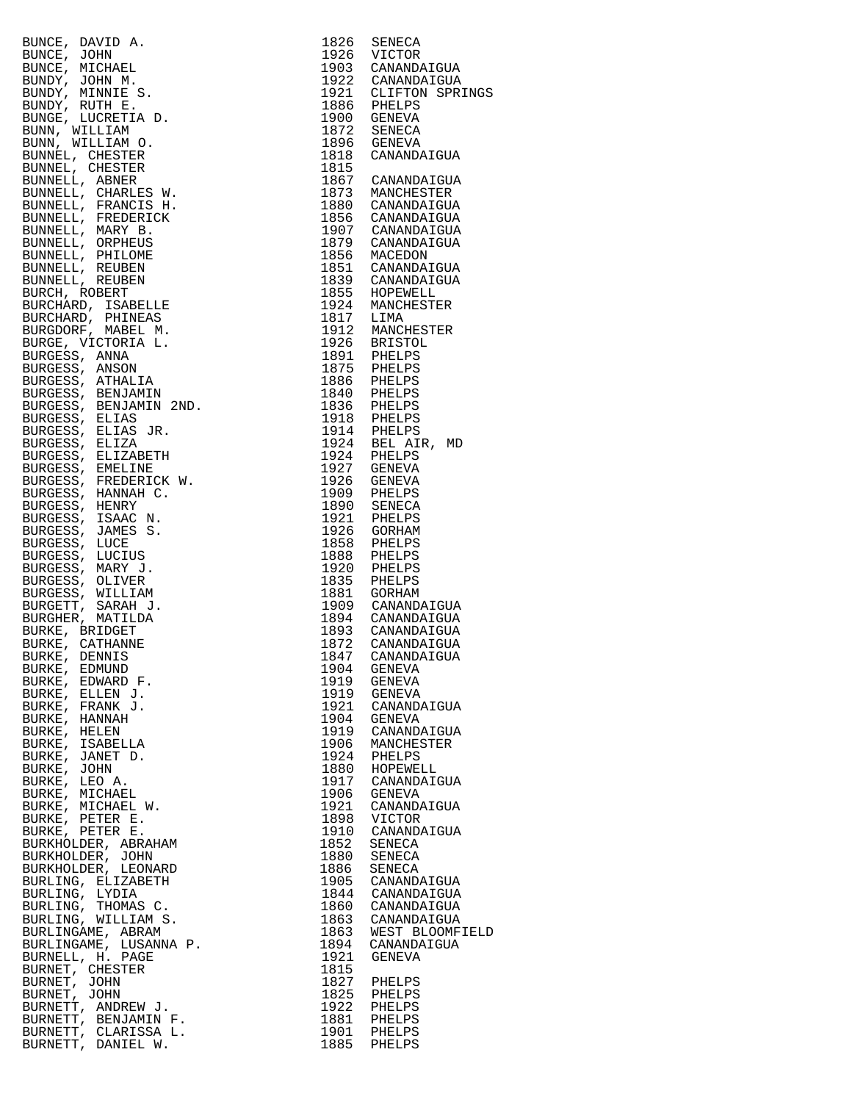| BUNCE, DAVID A. 1926 SENEGA (1920)<br>EUNCE, JOHN A. 1926 STATECOR<br>BUNCE, JOHN M. 1926 STATES<br>BUNCY, JOHN M. 1932 CANANDATGUA<br>BUNDY, JOHN M. 1932 CANANDATGUA<br>BUNDY, MUTHE S. 1932 CANANDATGUA<br>BUNDY, MUTHE S. 1932 CANANDA                               |      |                                       |
|--------------------------------------------------------------------------------------------------------------------------------------------------------------------------------------------------------------------------------------------------------------------------|------|---------------------------------------|
|                                                                                                                                                                                                                                                                          |      |                                       |
|                                                                                                                                                                                                                                                                          |      |                                       |
|                                                                                                                                                                                                                                                                          |      |                                       |
|                                                                                                                                                                                                                                                                          |      |                                       |
|                                                                                                                                                                                                                                                                          |      |                                       |
|                                                                                                                                                                                                                                                                          |      |                                       |
|                                                                                                                                                                                                                                                                          |      |                                       |
|                                                                                                                                                                                                                                                                          |      |                                       |
|                                                                                                                                                                                                                                                                          |      |                                       |
|                                                                                                                                                                                                                                                                          |      |                                       |
|                                                                                                                                                                                                                                                                          |      |                                       |
|                                                                                                                                                                                                                                                                          |      |                                       |
|                                                                                                                                                                                                                                                                          |      |                                       |
|                                                                                                                                                                                                                                                                          |      |                                       |
|                                                                                                                                                                                                                                                                          |      |                                       |
|                                                                                                                                                                                                                                                                          |      |                                       |
|                                                                                                                                                                                                                                                                          |      |                                       |
|                                                                                                                                                                                                                                                                          |      |                                       |
|                                                                                                                                                                                                                                                                          |      |                                       |
|                                                                                                                                                                                                                                                                          |      |                                       |
|                                                                                                                                                                                                                                                                          |      |                                       |
|                                                                                                                                                                                                                                                                          |      |                                       |
|                                                                                                                                                                                                                                                                          |      |                                       |
|                                                                                                                                                                                                                                                                          |      |                                       |
|                                                                                                                                                                                                                                                                          |      |                                       |
|                                                                                                                                                                                                                                                                          |      |                                       |
|                                                                                                                                                                                                                                                                          |      |                                       |
|                                                                                                                                                                                                                                                                          |      |                                       |
|                                                                                                                                                                                                                                                                          |      |                                       |
|                                                                                                                                                                                                                                                                          |      |                                       |
|                                                                                                                                                                                                                                                                          |      |                                       |
|                                                                                                                                                                                                                                                                          |      |                                       |
|                                                                                                                                                                                                                                                                          |      |                                       |
|                                                                                                                                                                                                                                                                          |      |                                       |
|                                                                                                                                                                                                                                                                          |      |                                       |
|                                                                                                                                                                                                                                                                          |      |                                       |
|                                                                                                                                                                                                                                                                          |      |                                       |
|                                                                                                                                                                                                                                                                          |      |                                       |
|                                                                                                                                                                                                                                                                          |      |                                       |
| BURKE, EDMUND                                                                                                                                                                                                                                                            | 1904 | GENEVA<br>1919 GENEVA                 |
| BURKE, EDWARD F.<br>BURKE, ELLEN J.                                                                                                                                                                                                                                      |      | 1919 GENEVA                           |
| BURKE, FRANK J.                                                                                                                                                                                                                                                          |      | 1921 CANANDAIGUA                      |
|                                                                                                                                                                                                                                                                          |      | 1904 GENEVA<br>1919 CANANDAIGUA       |
|                                                                                                                                                                                                                                                                          |      |                                       |
|                                                                                                                                                                                                                                                                          |      | 1906 MANCHESTER<br>1924 PHELPS        |
|                                                                                                                                                                                                                                                                          |      | 1880 HOPEWELL<br>1917 CANANDAIGUA     |
|                                                                                                                                                                                                                                                                          |      |                                       |
|                                                                                                                                                                                                                                                                          |      | 1906 GENEVA<br>1921 CANANDAIGUA       |
|                                                                                                                                                                                                                                                                          |      | 1898 VICTOR                           |
|                                                                                                                                                                                                                                                                          |      | 1910 CANANDAIGUA                      |
|                                                                                                                                                                                                                                                                          |      | 1852 SENECA<br>1880 SENECA            |
|                                                                                                                                                                                                                                                                          |      |                                       |
|                                                                                                                                                                                                                                                                          |      | 1886 SENECA<br>1905 CANANDAIGUA       |
|                                                                                                                                                                                                                                                                          |      | 1844 CANANDAIGUA<br>1860 CANANDAIGUA  |
| BURKE, FRANK J.<br>BURKE, HANNAH<br>BURKE, HANNAH<br>BURKE, HELEN<br>BURKE, JSABELLA<br>BURKE, JOHN<br>BURKE, JOHN<br>BURKE, MICHAEL W.<br>BURKE, MICHAEL W.<br>BURKE, PETER E.<br>BURKE, PETER E.<br>BURKE, PETER E.<br>BURKE, PETER E.<br>BURKHOLDER, ABRAHAM<br>BURKH |      |                                       |
|                                                                                                                                                                                                                                                                          |      | 1863 CANANDAIGUA<br>1863 WEST BLOOMFI |
|                                                                                                                                                                                                                                                                          |      | 1894 CANANDAIGUA                      |
|                                                                                                                                                                                                                                                                          |      | 1921 GENEVA                           |
|                                                                                                                                                                                                                                                                          | 1815 | 1827 PHELPS                           |
|                                                                                                                                                                                                                                                                          |      |                                       |
|                                                                                                                                                                                                                                                                          |      | 1825 PHELPS<br>1922 PHELPS            |
| BURNETT, BENJAMIN F.                                                                                                                                                                                                                                                     |      | 1881 PHELPS<br>1901 PHELPS            |
| BURNETT, CLARISSA L.<br>BURNETT, DANIEL W.                                                                                                                                                                                                                               |      | 1885 PHELPS                           |
|                                                                                                                                                                                                                                                                          |      |                                       |

|                                                                                                                                                                                                                                                                          |      | 1903 CANANDAIGUA<br>1922 CANANDAIGUA |
|--------------------------------------------------------------------------------------------------------------------------------------------------------------------------------------------------------------------------------------------------------------------------|------|--------------------------------------|
|                                                                                                                                                                                                                                                                          |      |                                      |
|                                                                                                                                                                                                                                                                          |      | 1921 CLIFTON SPRINGS<br>1886 PHELPS  |
|                                                                                                                                                                                                                                                                          |      |                                      |
|                                                                                                                                                                                                                                                                          |      |                                      |
|                                                                                                                                                                                                                                                                          |      |                                      |
|                                                                                                                                                                                                                                                                          |      |                                      |
|                                                                                                                                                                                                                                                                          |      |                                      |
|                                                                                                                                                                                                                                                                          |      |                                      |
|                                                                                                                                                                                                                                                                          |      |                                      |
|                                                                                                                                                                                                                                                                          |      |                                      |
|                                                                                                                                                                                                                                                                          |      |                                      |
|                                                                                                                                                                                                                                                                          |      |                                      |
|                                                                                                                                                                                                                                                                          |      |                                      |
|                                                                                                                                                                                                                                                                          |      |                                      |
|                                                                                                                                                                                                                                                                          |      |                                      |
|                                                                                                                                                                                                                                                                          |      | 1851 CANANDAIGUA                     |
|                                                                                                                                                                                                                                                                          |      | 1839 CANANDAIGUA                     |
|                                                                                                                                                                                                                                                                          |      |                                      |
|                                                                                                                                                                                                                                                                          |      |                                      |
|                                                                                                                                                                                                                                                                          |      |                                      |
|                                                                                                                                                                                                                                                                          |      |                                      |
|                                                                                                                                                                                                                                                                          |      |                                      |
|                                                                                                                                                                                                                                                                          |      |                                      |
|                                                                                                                                                                                                                                                                          |      |                                      |
|                                                                                                                                                                                                                                                                          |      |                                      |
|                                                                                                                                                                                                                                                                          |      |                                      |
|                                                                                                                                                                                                                                                                          |      |                                      |
|                                                                                                                                                                                                                                                                          |      |                                      |
|                                                                                                                                                                                                                                                                          |      |                                      |
|                                                                                                                                                                                                                                                                          |      |                                      |
|                                                                                                                                                                                                                                                                          |      |                                      |
|                                                                                                                                                                                                                                                                          |      |                                      |
|                                                                                                                                                                                                                                                                          |      |                                      |
|                                                                                                                                                                                                                                                                          |      |                                      |
|                                                                                                                                                                                                                                                                          |      |                                      |
|                                                                                                                                                                                                                                                                          |      |                                      |
|                                                                                                                                                                                                                                                                          |      |                                      |
|                                                                                                                                                                                                                                                                          |      |                                      |
|                                                                                                                                                                                                                                                                          |      |                                      |
|                                                                                                                                                                                                                                                                          |      |                                      |
|                                                                                                                                                                                                                                                                          |      |                                      |
|                                                                                                                                                                                                                                                                          |      |                                      |
| EUNICE DANTIFICATION (1972)<br>EUNICE ANNIVER (1972)<br>EUNICE (MICHAEL 1972)<br>EUNICE (MICHAEL 1972)<br>EUNICE (MICHAEL 1973)<br>CONNINING RINDY, MINITE S. 1973)<br>CONNAINT (CHERTER 1973)<br>EUNIC (CHERTER 1985)<br>EUNIC (CHERTER 198                             |      |                                      |
|                                                                                                                                                                                                                                                                          |      |                                      |
|                                                                                                                                                                                                                                                                          |      |                                      |
|                                                                                                                                                                                                                                                                          |      |                                      |
|                                                                                                                                                                                                                                                                          |      |                                      |
| 1847 CANANDAIGUA                                                                                                                                                                                                                                                         |      |                                      |
| BURKE, EDMUND                                                                                                                                                                                                                                                            | 1904 | GENEVA                               |
| BURKE, EDWARD F.                                                                                                                                                                                                                                                         | 1919 | GENEVA                               |
| BURKE, ELLEN J.                                                                                                                                                                                                                                                          | 1919 | GENEVA                               |
| BURKE, FRANK J.                                                                                                                                                                                                                                                          | 1921 | CANANDAIGUA                          |
|                                                                                                                                                                                                                                                                          | 1904 | GENEVA                               |
| BURKE, HANNAH                                                                                                                                                                                                                                                            |      | 1919 CANANDAIGUA                     |
| BURKE, HELEN                                                                                                                                                                                                                                                             | 1906 | MANCHESTER                           |
|                                                                                                                                                                                                                                                                          |      | 1924 PHELPS                          |
|                                                                                                                                                                                                                                                                          |      |                                      |
|                                                                                                                                                                                                                                                                          | 1880 | HOPEWELL<br>1917 CANANDAIGUA         |
|                                                                                                                                                                                                                                                                          |      |                                      |
|                                                                                                                                                                                                                                                                          | 1906 | GENEVA                               |
|                                                                                                                                                                                                                                                                          |      | 1921 CANANDAIGUA                     |
|                                                                                                                                                                                                                                                                          | 1898 | VICTOR                               |
|                                                                                                                                                                                                                                                                          | 1910 | CANANDAIGUA                          |
|                                                                                                                                                                                                                                                                          | 1852 | SENECA                               |
|                                                                                                                                                                                                                                                                          | 1880 | SENECA                               |
|                                                                                                                                                                                                                                                                          | 1886 | SENECA                               |
|                                                                                                                                                                                                                                                                          | 1905 | CANANDAIGUA                          |
|                                                                                                                                                                                                                                                                          | 1844 | CANANDAIGUA                          |
|                                                                                                                                                                                                                                                                          |      | 1860 CANANDAIGUA                     |
|                                                                                                                                                                                                                                                                          | 1863 | CANANDAIGUA                          |
|                                                                                                                                                                                                                                                                          | 1863 | WEST BLOOMFIELD                      |
|                                                                                                                                                                                                                                                                          | 1894 | CANANDAIGUA                          |
|                                                                                                                                                                                                                                                                          | 1921 | GENEVA                               |
|                                                                                                                                                                                                                                                                          | 1815 |                                      |
|                                                                                                                                                                                                                                                                          |      | 1827 PHELPS                          |
|                                                                                                                                                                                                                                                                          | 1825 | PHELPS                               |
|                                                                                                                                                                                                                                                                          |      | 1922 PHELPS                          |
|                                                                                                                                                                                                                                                                          |      |                                      |
|                                                                                                                                                                                                                                                                          |      | 1881 PHELPS<br>1901 PHELPS           |
| BURKE, HANNAH<br>BURKE, HELEN<br>BURKE, ISABELLA<br>BURKE, JOHN<br>BURKE, JOHN<br>BURKE, MICHAEL<br>BURKE, MICHAEL W.<br>BURKE, MICHAEL W.<br>BURKE, PETER E.<br>BURKE, PETER E.<br>BURKE, PETER E.<br>BURKE, PETER E.<br>BURKHOLDER, JOHN<br>BURKHOLDER, LEONARD<br>BUR |      | 1885 PHELPS                          |
|                                                                                                                                                                                                                                                                          |      |                                      |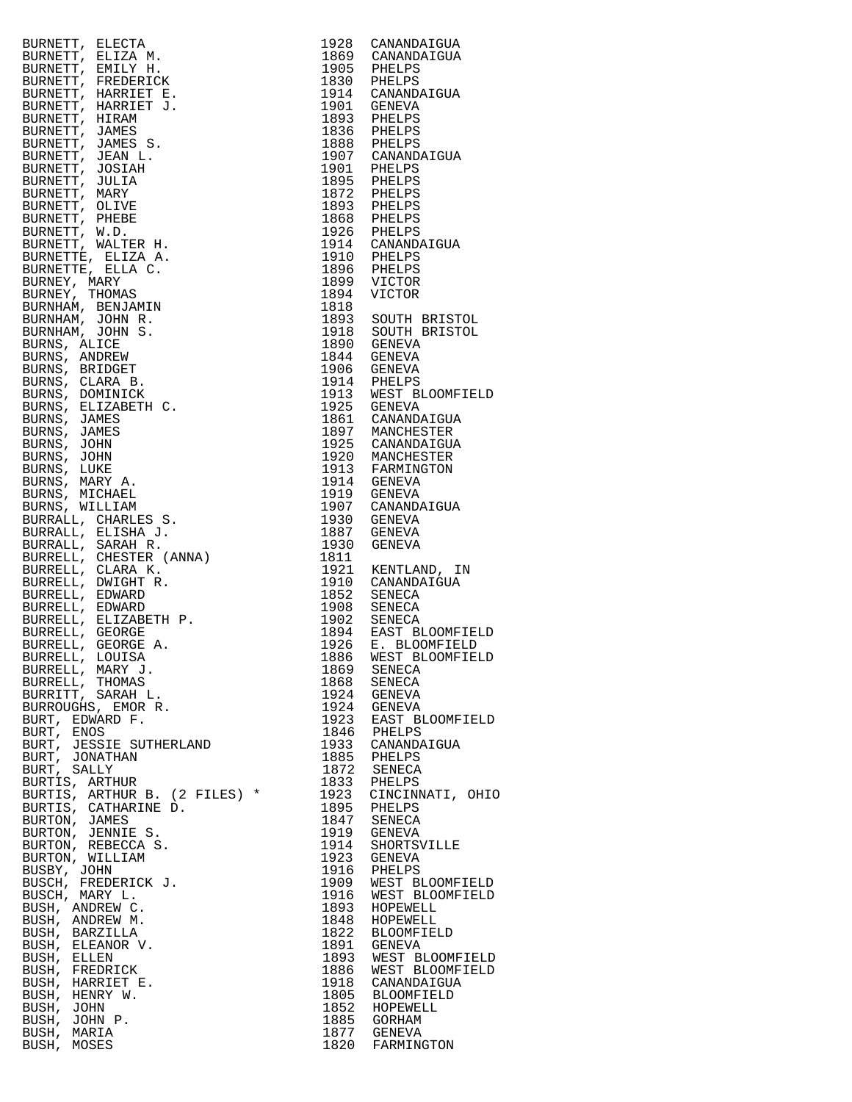| BURNETT, BLEVIA (1987)<br>BURNETT, ELECTA N. 1926 CANAMOATOUA<br>SURNETT, ENILY H. 1926 CANAMOATOUA<br>SURNETT, FRIEDERICK (1988)<br>FIRENCIA (1988)<br>BURNETT, JAMES S. 1939 PHELPS<br>SURNETT, JAMES S. 1939 PHELPS<br>SURNETT, JAMES S. |      |                                               |
|---------------------------------------------------------------------------------------------------------------------------------------------------------------------------------------------------------------------------------------------|------|-----------------------------------------------|
|                                                                                                                                                                                                                                             |      |                                               |
|                                                                                                                                                                                                                                             |      |                                               |
|                                                                                                                                                                                                                                             |      |                                               |
|                                                                                                                                                                                                                                             |      |                                               |
|                                                                                                                                                                                                                                             |      |                                               |
|                                                                                                                                                                                                                                             |      |                                               |
|                                                                                                                                                                                                                                             |      |                                               |
|                                                                                                                                                                                                                                             |      |                                               |
|                                                                                                                                                                                                                                             |      |                                               |
|                                                                                                                                                                                                                                             |      |                                               |
|                                                                                                                                                                                                                                             |      |                                               |
|                                                                                                                                                                                                                                             |      |                                               |
|                                                                                                                                                                                                                                             |      |                                               |
|                                                                                                                                                                                                                                             |      |                                               |
|                                                                                                                                                                                                                                             |      |                                               |
|                                                                                                                                                                                                                                             |      |                                               |
| BURRELL, MARY J.                                                                                                                                                                                                                            | 1869 | SENECA                                        |
| BURRELL, THOMAS                                                                                                                                                                                                                             |      | 1868 SENECA                                   |
|                                                                                                                                                                                                                                             |      |                                               |
| BURRITT, SARAH L.                                                                                                                                                                                                                           |      | 1924 GENEVA                                   |
| BURROUGHS, EMOR R.                                                                                                                                                                                                                          |      | 1924 GENEVA                                   |
|                                                                                                                                                                                                                                             |      |                                               |
| BURT, EDWARD F.                                                                                                                                                                                                                             |      | 1923 EAST BLOOMFIELD<br>1846 PHELPS           |
| BURT, ENOS                                                                                                                                                                                                                                  |      |                                               |
| BURT, JESSIE SUTHERLAND                                                                                                                                                                                                                     |      | 1933 CANANDAIGUA                              |
| BURT, JONATHAN                                                                                                                                                                                                                              |      | 1885 PHELPS                                   |
|                                                                                                                                                                                                                                             |      |                                               |
| BURT, SALLY                                                                                                                                                                                                                                 |      | 1872 SENECA                                   |
| BURTIS, ARTHUR                                                                                                                                                                                                                              |      | 1833 PHELPS                                   |
|                                                                                                                                                                                                                                             |      |                                               |
| BURTIS, ARTHUR B. (2 FILES) *                                                                                                                                                                                                               |      |                                               |
| BURTIS, CATHARINE D.                                                                                                                                                                                                                        |      | 1923 CINCINNATI, OHIO<br>1895 PHELPS          |
| BURTON, JAMES                                                                                                                                                                                                                               |      |                                               |
|                                                                                                                                                                                                                                             |      | 1847 SENECA<br>1919 GENEVA                    |
| BURTON, JENNIE S.                                                                                                                                                                                                                           |      |                                               |
| BURTON, REBECCA S.                                                                                                                                                                                                                          |      | 1914 SHORTSVILLE                              |
| BURTON, WILLIAM                                                                                                                                                                                                                             |      | 1923 GENEVA                                   |
|                                                                                                                                                                                                                                             |      |                                               |
| BUSBY, JOHN                                                                                                                                                                                                                                 |      |                                               |
| BUSCH, FREDERICK J.                                                                                                                                                                                                                         |      | 1916 PHELPS<br>1909 WEST BLOOMFIELD           |
| BUSCH, MARY L.                                                                                                                                                                                                                              |      |                                               |
|                                                                                                                                                                                                                                             |      |                                               |
| BUSH, ANDREW C.                                                                                                                                                                                                                             |      |                                               |
| BUSH, ANDREW M.                                                                                                                                                                                                                             |      | 1916 WEST BLOOMFIELD<br>1893 HOPEWELL         |
| BUSH, BARZILLA                                                                                                                                                                                                                              |      | 1848 HOPEWELL                                 |
|                                                                                                                                                                                                                                             |      |                                               |
| BUSH, ELEANOR V.                                                                                                                                                                                                                            |      | 1822 BLOOMFIELD                               |
|                                                                                                                                                                                                                                             |      |                                               |
| BUSH, ELLEN                                                                                                                                                                                                                                 |      | 1891 GENEVA<br>1893 WEST BLOOMFIELD           |
|                                                                                                                                                                                                                                             |      |                                               |
| BUSH, FREDRICK                                                                                                                                                                                                                              |      |                                               |
| BUSH, HARRIET E.                                                                                                                                                                                                                            |      | 1886 WEST BLOOMFIELD<br>1918 CANANDAIGUA      |
| BUSH, HENRY W.                                                                                                                                                                                                                              |      | 1805 BLOOMFIELD                               |
|                                                                                                                                                                                                                                             |      |                                               |
| BUSH, JOHN                                                                                                                                                                                                                                  |      | 1852 HOPEWELL                                 |
| BUSH, JOHN P.                                                                                                                                                                                                                               |      |                                               |
| BUSH, MARIA<br>BUSH, MOSES                                                                                                                                                                                                                  |      | 1885 GORHAM<br>1877 GENEVA<br>1820 FARMINGTON |

| 1928         | CANANDAIGUA       |
|--------------|-------------------|
| 1869         | CANANDAIGUA       |
| 1905         | PHELPS            |
| 1830         | PHELPS            |
| 1914         | CANANDAIGUA       |
| 1901         | GENEVA            |
| 1893         | PHELPS            |
| 1836         | PHELPS            |
| 1888         | PHELPS            |
| 1907         | CANANDAIGUA       |
| 1901         | PHELPS            |
| 1895         | PHELPS            |
| 1872         | PHELPS            |
| 1893         | PHELPS            |
| 1868         | PHELPS            |
| 1926         | PHELPS            |
| 1914         | CANANDAIGUA       |
| 1910         | PHELPS            |
| 1896         | PHELPS            |
| 1899         | VICTOR            |
| 1894         | VICTOR            |
| 1818         |                   |
| 1893         | SOUTH BRISTOL     |
| 1918         | SOUTH BRISTOL     |
| 1890         | <b>GENEVA</b>     |
| 1844         | <b>GENEVA</b>     |
| 1906         | <b>GENEVA</b>     |
| 1914         | PHELPS            |
| 1913         | WEST BLOOMFIELD   |
| 1925         | <b>GENEVA</b>     |
| 1861         | CANANDAIGUA       |
| 1897         | MANCHESTER        |
| 1925         | CANANDAIGUA       |
| 1920         | MANCHESTER        |
| 1913         | FARMINGTON        |
| 1914         | <b>GENEVA</b>     |
| 1919         | <b>GENEVA</b>     |
| 1907         | CANANDAIGUA       |
| 1930         | <b>GENEVA</b>     |
| 1887         | GENEVA            |
| 1930         | GENEVA            |
| 1811         |                   |
| 1921         | KENTLAND,<br>ΙN   |
| 1910         | CANANDAIGUA       |
| 1852         | SENECA            |
| 1908         | <b>SENECA</b>     |
| 1902         | <b>SENECA</b>     |
| 1894         | EAST BLOOMFIELD   |
| 1926         | E. BLOOMFIELD     |
| 1886         | WEST BLOOMFIELD   |
| 1869         | SENECA            |
| 1868         | SENECA            |
| 1924         | <b>GENEVA</b>     |
| 1924         | <b>GENEVA</b>     |
| 1923         | EAST BLOOMFIELD   |
| 1846         | PHELPS            |
| 1933         | CANANDAIGUA       |
| 1885         | PHELPS            |
| 1872         | SENECA            |
| 1833         | PHELPS            |
| 1923         | CINCINNATI, OHIO  |
| 1895         | PHELPS            |
| 1847         | <b>SENECA</b>     |
| 1919         | <b>GENEVA</b>     |
| 1914         | SHORTSVILLE       |
| 1923         | <b>GENEVA</b>     |
| 1916         | PHELPS            |
| 1909         | WEST BLOOMFIELD   |
| 1916         | WEST BLOOMFIELD   |
| 1893         | HOPEWELL          |
| 1848         | HOPEWELL          |
| 1822         | <b>BLOOMFIELD</b> |
| 1891         | <b>GENEVA</b>     |
| 1893         | WEST BLOOMFIELD   |
| 1886         | WEST BLOOMFIELD   |
| 1918         | CANANDAIGUA       |
| 1805         | <b>BLOOMFIELD</b> |
| 1852         | HOPEWELL          |
|              | <b>GORHAM</b>     |
| 1885<br>1877 | <b>GENEVA</b>     |
| 1820         | FARMINGTON        |
|              |                   |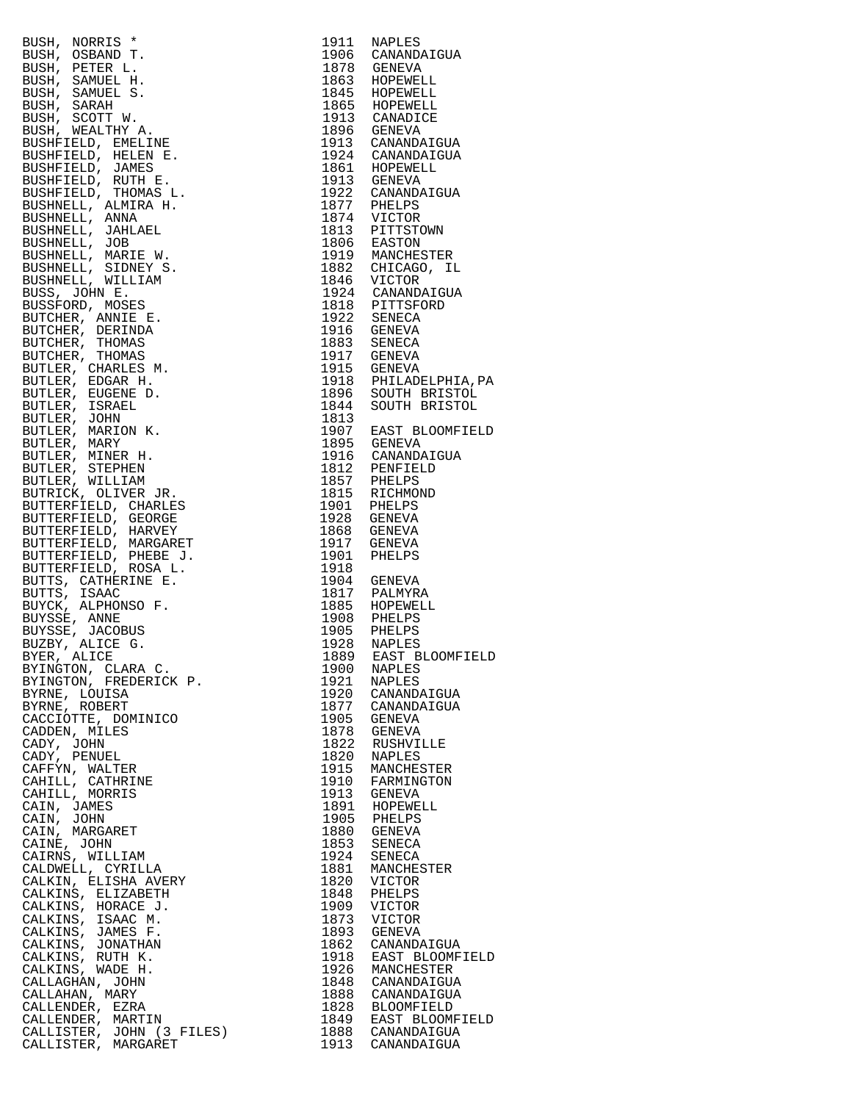| EUSH, NORRIS (1982)<br>RESER, NEW PRES 1990<br>RESER, SOSEAND T. 1991<br>SESE, PETRE L. 1997<br>SENE, SAMUEL S. 1978<br>SENE, SAMUEL S. 1987<br>SENE, SAMUEL S. 1987<br>SENE, NEW RESERVATION (1998)<br>RESERVATION (1998)<br>RESERVATION (1998)<br>RESERVAT |                                                                                                     |
|--------------------------------------------------------------------------------------------------------------------------------------------------------------------------------------------------------------------------------------------------------------|-----------------------------------------------------------------------------------------------------|
|                                                                                                                                                                                                                                                              |                                                                                                     |
|                                                                                                                                                                                                                                                              |                                                                                                     |
|                                                                                                                                                                                                                                                              |                                                                                                     |
|                                                                                                                                                                                                                                                              |                                                                                                     |
|                                                                                                                                                                                                                                                              |                                                                                                     |
|                                                                                                                                                                                                                                                              |                                                                                                     |
|                                                                                                                                                                                                                                                              |                                                                                                     |
|                                                                                                                                                                                                                                                              |                                                                                                     |
|                                                                                                                                                                                                                                                              |                                                                                                     |
|                                                                                                                                                                                                                                                              |                                                                                                     |
|                                                                                                                                                                                                                                                              |                                                                                                     |
|                                                                                                                                                                                                                                                              |                                                                                                     |
|                                                                                                                                                                                                                                                              |                                                                                                     |
|                                                                                                                                                                                                                                                              |                                                                                                     |
|                                                                                                                                                                                                                                                              |                                                                                                     |
|                                                                                                                                                                                                                                                              |                                                                                                     |
|                                                                                                                                                                                                                                                              |                                                                                                     |
|                                                                                                                                                                                                                                                              |                                                                                                     |
|                                                                                                                                                                                                                                                              |                                                                                                     |
|                                                                                                                                                                                                                                                              |                                                                                                     |
|                                                                                                                                                                                                                                                              |                                                                                                     |
|                                                                                                                                                                                                                                                              |                                                                                                     |
|                                                                                                                                                                                                                                                              |                                                                                                     |
|                                                                                                                                                                                                                                                              |                                                                                                     |
|                                                                                                                                                                                                                                                              |                                                                                                     |
|                                                                                                                                                                                                                                                              |                                                                                                     |
|                                                                                                                                                                                                                                                              |                                                                                                     |
|                                                                                                                                                                                                                                                              |                                                                                                     |
|                                                                                                                                                                                                                                                              |                                                                                                     |
|                                                                                                                                                                                                                                                              |                                                                                                     |
|                                                                                                                                                                                                                                                              |                                                                                                     |
|                                                                                                                                                                                                                                                              |                                                                                                     |
|                                                                                                                                                                                                                                                              |                                                                                                     |
|                                                                                                                                                                                                                                                              |                                                                                                     |
|                                                                                                                                                                                                                                                              |                                                                                                     |
|                                                                                                                                                                                                                                                              |                                                                                                     |
|                                                                                                                                                                                                                                                              |                                                                                                     |
|                                                                                                                                                                                                                                                              |                                                                                                     |
|                                                                                                                                                                                                                                                              |                                                                                                     |
|                                                                                                                                                                                                                                                              |                                                                                                     |
|                                                                                                                                                                                                                                                              |                                                                                                     |
|                                                                                                                                                                                                                                                              |                                                                                                     |
|                                                                                                                                                                                                                                                              |                                                                                                     |
|                                                                                                                                                                                                                                                              |                                                                                                     |
|                                                                                                                                                                                                                                                              |                                                                                                     |
|                                                                                                                                                                                                                                                              |                                                                                                     |
|                                                                                                                                                                                                                                                              |                                                                                                     |
|                                                                                                                                                                                                                                                              |                                                                                                     |
|                                                                                                                                                                                                                                                              |                                                                                                     |
|                                                                                                                                                                                                                                                              |                                                                                                     |
|                                                                                                                                                                                                                                                              |                                                                                                     |
|                                                                                                                                                                                                                                                              |                                                                                                     |
|                                                                                                                                                                                                                                                              |                                                                                                     |
|                                                                                                                                                                                                                                                              |                                                                                                     |
|                                                                                                                                                                                                                                                              |                                                                                                     |
|                                                                                                                                                                                                                                                              |                                                                                                     |
|                                                                                                                                                                                                                                                              |                                                                                                     |
|                                                                                                                                                                                                                                                              |                                                                                                     |
|                                                                                                                                                                                                                                                              |                                                                                                     |
|                                                                                                                                                                                                                                                              |                                                                                                     |
|                                                                                                                                                                                                                                                              |                                                                                                     |
|                                                                                                                                                                                                                                                              |                                                                                                     |
|                                                                                                                                                                                                                                                              |                                                                                                     |
|                                                                                                                                                                                                                                                              |                                                                                                     |
|                                                                                                                                                                                                                                                              |                                                                                                     |
|                                                                                                                                                                                                                                                              |                                                                                                     |
|                                                                                                                                                                                                                                                              |                                                                                                     |
|                                                                                                                                                                                                                                                              |                                                                                                     |
|                                                                                                                                                                                                                                                              |                                                                                                     |
|                                                                                                                                                                                                                                                              |                                                                                                     |
|                                                                                                                                                                                                                                                              |                                                                                                     |
| BYER, ALICE                                                                                                                                                                                                                                                  | 1889 EAST BLOOMFIELD                                                                                |
| BYINGTON, CLARA C.                                                                                                                                                                                                                                           | 1900 NAPLES<br>1921 NAPLES                                                                          |
|                                                                                                                                                                                                                                                              |                                                                                                     |
| BYINGTON, FREDERICK P.                                                                                                                                                                                                                                       |                                                                                                     |
| BYRNE, LOUISA                                                                                                                                                                                                                                                | 1920 CANANDAIGUA                                                                                    |
|                                                                                                                                                                                                                                                              |                                                                                                     |
| BYRNE, ROBERT                                                                                                                                                                                                                                                |                                                                                                     |
|                                                                                                                                                                                                                                                              | 1877 CANANDAIGUA                                                                                    |
|                                                                                                                                                                                                                                                              |                                                                                                     |
| CACCIOTTE, DOMINICO                                                                                                                                                                                                                                          | 1905 GENEVA                                                                                         |
| CADDEN, MILES                                                                                                                                                                                                                                                | 1878 GENEVA                                                                                         |
|                                                                                                                                                                                                                                                              |                                                                                                     |
| CADY, JOHN                                                                                                                                                                                                                                                   |                                                                                                     |
| CADY, PENUEL                                                                                                                                                                                                                                                 | 1822 RUSHVILLE<br>1820 NAPLES                                                                       |
| CAFFYN, WALTER                                                                                                                                                                                                                                               |                                                                                                     |
|                                                                                                                                                                                                                                                              |                                                                                                     |
| CAHILL, CATHRINE                                                                                                                                                                                                                                             | 1915 MANCHESTER<br>1910 FARMINGTON                                                                  |
| CAHILL, MORRIS                                                                                                                                                                                                                                               |                                                                                                     |
|                                                                                                                                                                                                                                                              | 1913 GENEVA                                                                                         |
| CAIN, JAMES                                                                                                                                                                                                                                                  | 1891 HOPEWELL                                                                                       |
| CAIN, JOHN                                                                                                                                                                                                                                                   |                                                                                                     |
|                                                                                                                                                                                                                                                              |                                                                                                     |
| CAIN, MARGARET                                                                                                                                                                                                                                               | 1905 PHELPS<br>1880 GENEVA                                                                          |
| CAINE, JOHN                                                                                                                                                                                                                                                  |                                                                                                     |
|                                                                                                                                                                                                                                                              |                                                                                                     |
| CAIRNS, WILLIAM                                                                                                                                                                                                                                              | 1853 SENECA<br>1924 SENECA                                                                          |
| CALDWELL, CYRILLA                                                                                                                                                                                                                                            |                                                                                                     |
| CALKIN, ELISHA AVERY                                                                                                                                                                                                                                         | 1881 MANCHESTER<br>1820 VICTOR                                                                      |
|                                                                                                                                                                                                                                                              |                                                                                                     |
| CALKINS, ELIZABETH                                                                                                                                                                                                                                           |                                                                                                     |
| CALKINS, HORACE J.                                                                                                                                                                                                                                           | 1848 PHELPS<br>1909 VICTOR                                                                          |
|                                                                                                                                                                                                                                                              |                                                                                                     |
| CALKINS, ISAAC M.                                                                                                                                                                                                                                            |                                                                                                     |
| CALKINS, JAMES F.                                                                                                                                                                                                                                            | 1873 VICTOR<br>1893 GENEVA                                                                          |
|                                                                                                                                                                                                                                                              |                                                                                                     |
| CALKINS, JONATHAN                                                                                                                                                                                                                                            | 1862 CANANDAIGUA                                                                                    |
| CALKINS, RUTH K.                                                                                                                                                                                                                                             | 1918 EAST BLOOMFIELD                                                                                |
|                                                                                                                                                                                                                                                              |                                                                                                     |
| CALKINS, WADE H.                                                                                                                                                                                                                                             |                                                                                                     |
| CALLAGHAN, JOHN                                                                                                                                                                                                                                              | 1926 MANCHESTER<br>1848 CANANDAIGUA                                                                 |
| CALLAHAN, MARY                                                                                                                                                                                                                                               |                                                                                                     |
|                                                                                                                                                                                                                                                              |                                                                                                     |
| CALLENDER, EZRA                                                                                                                                                                                                                                              |                                                                                                     |
|                                                                                                                                                                                                                                                              |                                                                                                     |
| CALLENDER, MARTIN                                                                                                                                                                                                                                            |                                                                                                     |
| CALLISTER, JOHN (3 FILES)<br>CALLISTER, MARGARET                                                                                                                                                                                                             | 1888 CANANDAIGUA<br>1828 BLOOMFIELD<br>1849 EAST BLOOMFIELD<br>1888 CANANDAIGUA<br>1913 CANANDAIGUA |

| 1911         | NAPLES                            |
|--------------|-----------------------------------|
| 1906<br>1878 | CANANDAIGUA<br><b>GENEVA</b>      |
| 1863         | HOPEWELL                          |
| 1845         | HOPEWELL                          |
| 1865         | HOPEWELL                          |
| 1913<br>1896 | CANADICE<br><b>GENEVA</b>         |
| 1913         | CANANDAIGUA                       |
| 1924         | CANANDAIGUA                       |
| 1861         | HOPEWELL                          |
| 1913<br>1922 | <b>GENEVA</b>                     |
| 1877         | CANANDAIGUA<br>PHELPS             |
| 1874         | VICTOR                            |
| 1813         | PITTSTOWN                         |
| 1806         | <b>EASTON</b>                     |
| 1919<br>1882 | MANCHESTER<br>CHICAGO, IL         |
| 1846         | VICTOR                            |
| 1924         | CANANDAIGUA                       |
| 1818         | PITTSFORD                         |
| 1922<br>1916 | SENECA<br><b>GENEVA</b>           |
| 1883         | SENECA                            |
| 1917         | <b>GENEVA</b>                     |
| 1915         | <b>GENEVA</b>                     |
| 1918<br>1896 | PHILADELPHIA, PA<br>SOUTH BRISTOL |
| 1844         | SOUTH BRISTOL                     |
| 1813         |                                   |
| 1907         | EAST BLOOMFIELD                   |
| 1895         | <b>GENEVA</b>                     |
| 1916<br>1812 | CANANDAIGUA<br>PENFIELD           |
| 1857         | PHELPS                            |
| 1815         | RICHMOND                          |
| 1901         | PHELPS                            |
| 1928<br>1868 | <b>GENEVA</b><br><b>GENEVA</b>    |
| 1917         | <b>GENEVA</b>                     |
| 1901         | PHELPS                            |
| 1918         |                                   |
| 1904<br>1817 | GENEVA<br>PALMYRA                 |
| 1885         | HOPEWELL                          |
| 1908         | PHELPS                            |
| 1905         | PHELPS                            |
| 1928<br>1889 | NAPLES<br>EAST BLOOMFIELD         |
| 1900         | NAPLES                            |
| 1921         | NAPLES                            |
| 1920         | CANANDAIGUA                       |
| 1877<br>1905 | CANANDAIGUA<br><b>GENEVA</b>      |
| 1878         | <b>GENEVA</b>                     |
| 1822         | <b>RUSHVILLE</b>                  |
| 1820         | <b>NAPLES</b>                     |
| 1915<br>1910 | MANCHESTER<br>FARMINGTON          |
| 1913         | <b>GENEVA</b>                     |
| 1891         | HOPEWELL                          |
| 1905         | PHELPS                            |
| 1880<br>1853 | <b>GENEVA</b>                     |
| 1924         | SENECA<br>SENECA                  |
| 1881         | MANCHESTER                        |
| 1820         | VICTOR                            |
| 1848         | PHELPS                            |
| 1909<br>1873 | VICTOR<br>VICTOR                  |
| 1893         | <b>GENEVA</b>                     |
| 1862         | CANANDAIGUA                       |
| 1918         | EAST BLOOMFIELD                   |
| 1926<br>1848 | MANCHESTER<br>CANANDAIGUA         |
| 1888         | CANANDAIGUA                       |
| 1828         | <b>BLOOMFIELD</b>                 |
| 1849         | EAST BLOOMFIELD                   |
| 1888         | CANANDAIGUA                       |
| 1913         | CANANDAIGUA                       |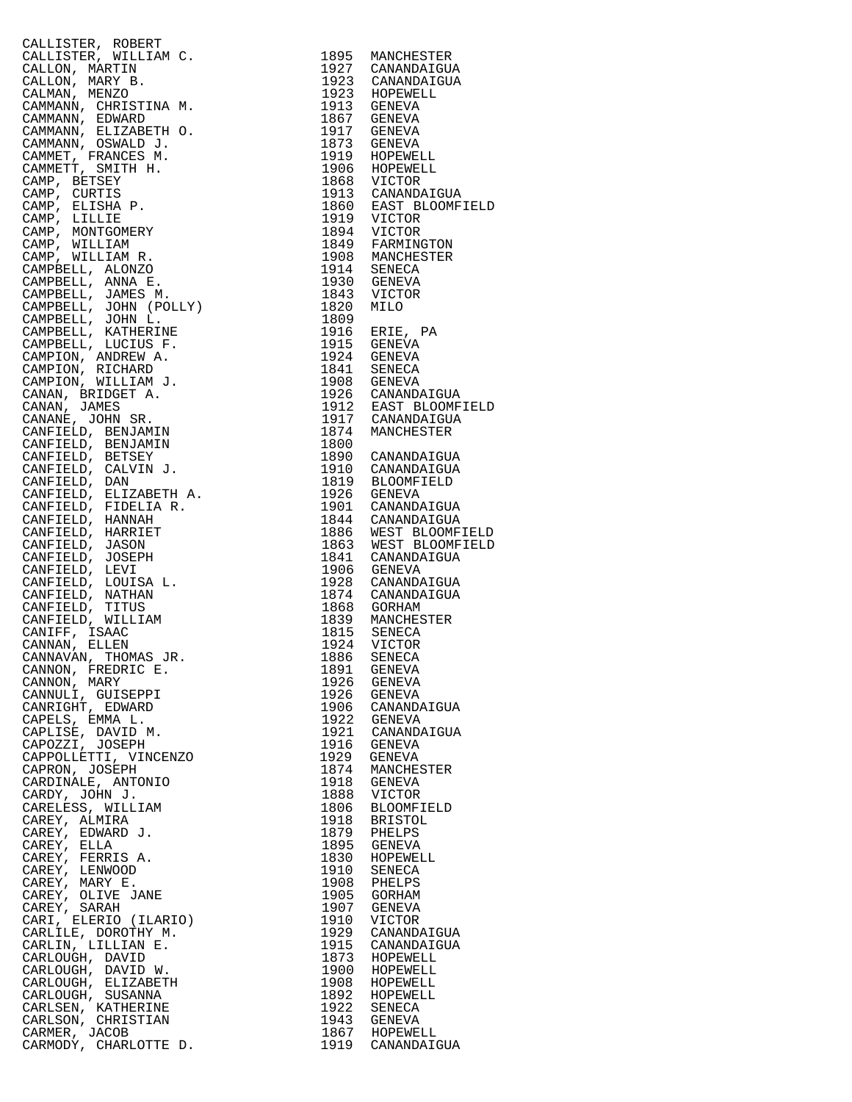| CALIFIFRE, ROBERT (1978)<br>CALIFIFRE, WILLIAM C. 1985 MANCHESTER<br>CALLON, MARTIN B. 1932 CANAMDATGILA<br>CALLON, MARTIN B. 1932 SCANARDATGILA<br>CALLON, MARTIN B. 1932 SCANARDATGILA<br>CAMANAN, EDIZABETH 9. 1937 SERVA AND MANY CONDUC                    |      |                              |
|-----------------------------------------------------------------------------------------------------------------------------------------------------------------------------------------------------------------------------------------------------------------|------|------------------------------|
|                                                                                                                                                                                                                                                                 |      |                              |
|                                                                                                                                                                                                                                                                 |      |                              |
|                                                                                                                                                                                                                                                                 |      |                              |
|                                                                                                                                                                                                                                                                 |      |                              |
|                                                                                                                                                                                                                                                                 |      |                              |
|                                                                                                                                                                                                                                                                 |      |                              |
|                                                                                                                                                                                                                                                                 |      |                              |
|                                                                                                                                                                                                                                                                 |      |                              |
|                                                                                                                                                                                                                                                                 |      |                              |
|                                                                                                                                                                                                                                                                 |      |                              |
|                                                                                                                                                                                                                                                                 |      |                              |
|                                                                                                                                                                                                                                                                 |      |                              |
|                                                                                                                                                                                                                                                                 |      |                              |
|                                                                                                                                                                                                                                                                 |      |                              |
|                                                                                                                                                                                                                                                                 |      |                              |
|                                                                                                                                                                                                                                                                 |      |                              |
|                                                                                                                                                                                                                                                                 |      |                              |
|                                                                                                                                                                                                                                                                 |      |                              |
|                                                                                                                                                                                                                                                                 |      |                              |
|                                                                                                                                                                                                                                                                 |      |                              |
|                                                                                                                                                                                                                                                                 |      |                              |
|                                                                                                                                                                                                                                                                 |      |                              |
|                                                                                                                                                                                                                                                                 |      |                              |
|                                                                                                                                                                                                                                                                 |      |                              |
|                                                                                                                                                                                                                                                                 |      |                              |
|                                                                                                                                                                                                                                                                 |      |                              |
|                                                                                                                                                                                                                                                                 |      |                              |
|                                                                                                                                                                                                                                                                 |      |                              |
|                                                                                                                                                                                                                                                                 |      |                              |
|                                                                                                                                                                                                                                                                 |      |                              |
|                                                                                                                                                                                                                                                                 |      |                              |
|                                                                                                                                                                                                                                                                 |      |                              |
|                                                                                                                                                                                                                                                                 |      |                              |
|                                                                                                                                                                                                                                                                 |      |                              |
|                                                                                                                                                                                                                                                                 |      |                              |
|                                                                                                                                                                                                                                                                 |      |                              |
|                                                                                                                                                                                                                                                                 |      |                              |
|                                                                                                                                                                                                                                                                 |      |                              |
|                                                                                                                                                                                                                                                                 |      |                              |
|                                                                                                                                                                                                                                                                 |      |                              |
|                                                                                                                                                                                                                                                                 |      |                              |
|                                                                                                                                                                                                                                                                 |      |                              |
|                                                                                                                                                                                                                                                                 |      |                              |
|                                                                                                                                                                                                                                                                 |      |                              |
|                                                                                                                                                                                                                                                                 |      |                              |
|                                                                                                                                                                                                                                                                 |      |                              |
|                                                                                                                                                                                                                                                                 |      |                              |
|                                                                                                                                                                                                                                                                 |      |                              |
|                                                                                                                                                                                                                                                                 |      |                              |
|                                                                                                                                                                                                                                                                 |      |                              |
|                                                                                                                                                                                                                                                                 |      |                              |
|                                                                                                                                                                                                                                                                 |      |                              |
|                                                                                                                                                                                                                                                                 |      |                              |
|                                                                                                                                                                                                                                                                 |      |                              |
|                                                                                                                                                                                                                                                                 |      |                              |
|                                                                                                                                                                                                                                                                 |      |                              |
|                                                                                                                                                                                                                                                                 |      |                              |
|                                                                                                                                                                                                                                                                 |      |                              |
|                                                                                                                                                                                                                                                                 |      |                              |
|                                                                                                                                                                                                                                                                 |      |                              |
|                                                                                                                                                                                                                                                                 |      |                              |
|                                                                                                                                                                                                                                                                 |      |                              |
|                                                                                                                                                                                                                                                                 |      |                              |
| CANNAN, JILIL.<br>CANNAVAN, THOMAS JR.<br>CANNON, FREDRIC E.                                                                                                                                                                                                    |      | 1886 SENECA                  |
|                                                                                                                                                                                                                                                                 | 1891 |                              |
|                                                                                                                                                                                                                                                                 |      | 1891 GENEVA<br>1926 GENEVA   |
|                                                                                                                                                                                                                                                                 |      |                              |
|                                                                                                                                                                                                                                                                 |      | 1926 GENEVA                  |
|                                                                                                                                                                                                                                                                 |      | 1906 CANANDAIGUA             |
|                                                                                                                                                                                                                                                                 |      | 1922 GENEVA                  |
|                                                                                                                                                                                                                                                                 |      |                              |
|                                                                                                                                                                                                                                                                 |      | 1921 CANANDAIGUA             |
|                                                                                                                                                                                                                                                                 |      | 1916 GENEVA                  |
|                                                                                                                                                                                                                                                                 |      | 1929 GENEVA                  |
|                                                                                                                                                                                                                                                                 | 1874 |                              |
|                                                                                                                                                                                                                                                                 |      | MANCHESTER                   |
|                                                                                                                                                                                                                                                                 |      | 1918 GENEVA                  |
|                                                                                                                                                                                                                                                                 | 1888 | VICTOR                       |
|                                                                                                                                                                                                                                                                 |      |                              |
|                                                                                                                                                                                                                                                                 | 1806 | BLOOMFIELD                   |
|                                                                                                                                                                                                                                                                 | 1918 | BRISTOL                      |
|                                                                                                                                                                                                                                                                 |      | 1879 PHELPS                  |
|                                                                                                                                                                                                                                                                 |      |                              |
|                                                                                                                                                                                                                                                                 |      | 1895 GENEVA                  |
|                                                                                                                                                                                                                                                                 |      | 1830 HOPEWELL                |
|                                                                                                                                                                                                                                                                 | 1910 | SENECA                       |
|                                                                                                                                                                                                                                                                 |      | 1908 PHELPS                  |
|                                                                                                                                                                                                                                                                 |      |                              |
|                                                                                                                                                                                                                                                                 | 1905 | GORHAM                       |
|                                                                                                                                                                                                                                                                 |      | 1907 GENEVA                  |
|                                                                                                                                                                                                                                                                 | 1910 | VICTOR                       |
|                                                                                                                                                                                                                                                                 |      |                              |
|                                                                                                                                                                                                                                                                 | 1929 | CANANDAIGUA                  |
|                                                                                                                                                                                                                                                                 | 1915 | CANANDAIGUA                  |
|                                                                                                                                                                                                                                                                 |      | 1873 HOPEWELL                |
|                                                                                                                                                                                                                                                                 |      |                              |
|                                                                                                                                                                                                                                                                 | 1900 | HOPEWELL                     |
|                                                                                                                                                                                                                                                                 |      | 1908 HOPEWELL                |
|                                                                                                                                                                                                                                                                 |      | 1892 HOPEWELL                |
|                                                                                                                                                                                                                                                                 |      |                              |
|                                                                                                                                                                                                                                                                 |      | 1922 SENECA                  |
|                                                                                                                                                                                                                                                                 |      |                              |
| CANNAVAN, INVMAS UR<br>CANNON, FREDRIC E.<br>CANNON, MARY<br>CANNULI, GUISEPPI<br>CAPRIGHT, EDWARD<br>CAPELISE, DAVID M.<br>CAPELISE, DAVID M.<br>CAPELISE, DAVID M.<br>CAPPOLILETTI, VINCENZO<br>CAPROZII, JOHN J.<br>CARDINALE, ANTONIO<br>CARDINALE, ANTONIO |      | 1943 GENEVA<br>1867 HOPEWELL |
|                                                                                                                                                                                                                                                                 | 1919 |                              |
| CARMODY, CHARLOTTE D.                                                                                                                                                                                                                                           |      | CANANDAIGUA                  |

| 1895         | MANCHESTER                 |
|--------------|----------------------------|
| 1927         | CANANDAIGUA                |
| 1923<br>1923 | CANANDAIGUA<br>HOPEWELL    |
| 1913         | GENEVA                     |
| 1867         | GENEVA                     |
| 1917         | GENEVA                     |
| 1873         | GENEVA                     |
| 1919         | HOPEWELL                   |
| 1906<br>1868 | HOPEWELL<br>VICTOR         |
| 1913         | CANANDAIGUA                |
| 1860         | EAST BLOOMFIELD            |
| 1919         | VICTOR                     |
| 1894         | VICTOR                     |
| 1849         | FARMINGTON                 |
| 1908         | MANCHESTER                 |
| 1914<br>1930 | SENECA<br>GENEVA           |
| 1843         | VICTOR                     |
| 1820         | MILO                       |
| 1809         |                            |
| 1916         | ERIE,<br>РA                |
| 1915         | GENEVA                     |
| 1924         | GENEVA                     |
| 1841<br>1908 | SENECA<br>GENEVA           |
| 1926         | CANANDAIGUA                |
| 1912         | EAST BLOOMFIELD            |
| 1917         | CANANDAIGUA                |
| 1874         | MANCHESTER                 |
| 1800         |                            |
| 1890         | CANANDAIGUA                |
| 1910<br>1819 | CANANDAIGUA<br>BLOOMFIELD  |
| 1926         | GENEVA                     |
| 1901         | CANANDAIGUA                |
| 1844         | CANANDAIGUA                |
| 1886         | WEST BLOOMFIELD            |
| 1863         | WEST BLOOMFIELD            |
| 1841         | CANANDAIGUA                |
| 1906<br>1928 | GENEVA<br>CANANDAIGUA      |
| 1874         | CANANDAIGUA                |
| 1868         | <b>GORHAM</b>              |
| 1839         | MANCHESTER                 |
| 1815         | SENECA                     |
| 1924         | VICTOR                     |
| 1886<br>1891 | SENECA<br>GENEVA           |
| 1926         | GENEVA                     |
| 1926         | GENEVA                     |
| 1906         | CANANDAIGUA                |
| 1922         | <b>GENEVA</b>              |
| 1921         | CANANDAIGUA                |
| 1916         | GENEVA                     |
| 1929<br>1874 | GENEVA<br>MANCHESTER       |
| 1918         | GENEVA                     |
| 1888         | VICTOR                     |
| 1806         | <b>BLOOMFIELD</b>          |
| 1918         | BRISTOL                    |
| 1879         | PHELPS                     |
| 1895<br>1830 | <b>GENEVA</b><br>HOPEWELL  |
| 1910         | SENECA                     |
| 1908         | PHELPS                     |
| 1905         | GORHAM                     |
| 1907         | GENEVA                     |
| 1910         | VICTOR                     |
| 1929<br>1915 | CANANDAIGUA<br>CANANDAIGUA |
| 1873         | HOPEWELL                   |
| 1900         | HOPEWELL                   |
| 1908         | HOPEWELL                   |
| 1892         | HOPEWELL                   |
| 1922         | SENECA                     |
| 1943<br>1867 | GENEVA<br>HOPEWELL         |
| 1919         | CANANDAIGUA                |
|              |                            |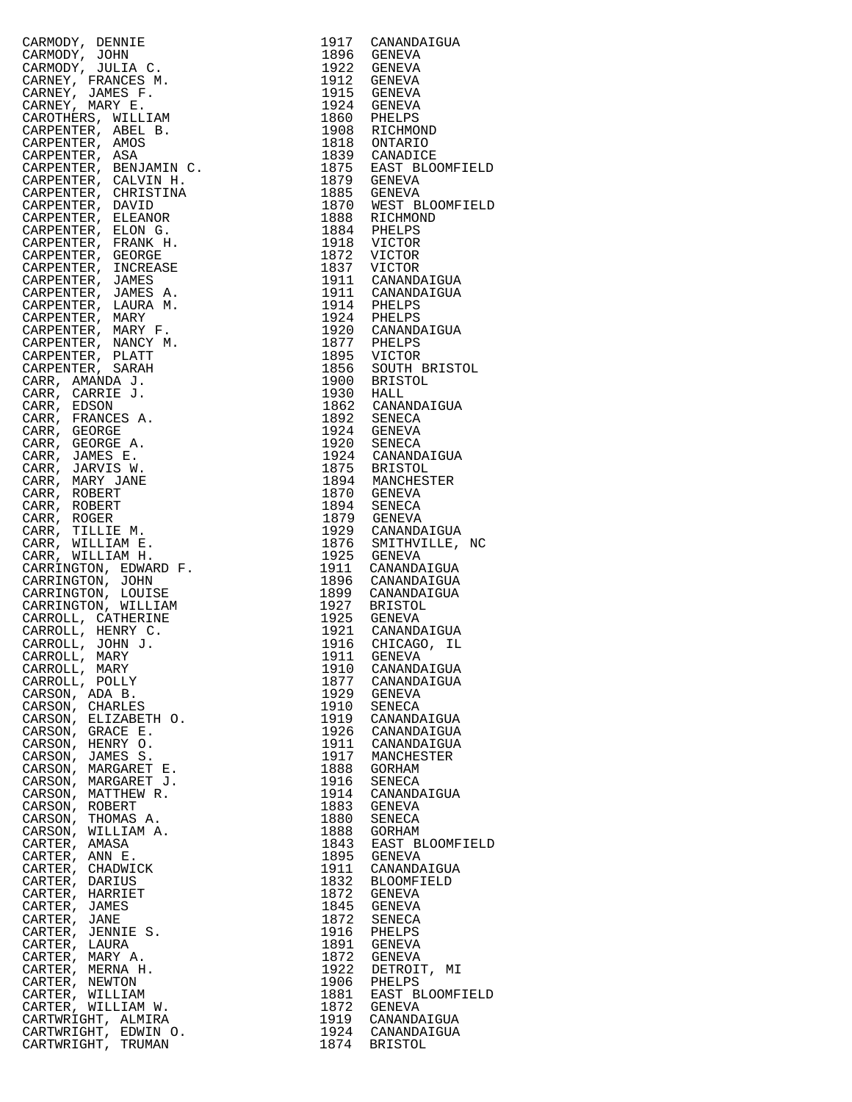| IIE<br>I.A.C.<br>I.E.S M.<br>F.<br>I.LLIAM<br>F.<br>E.<br>I.LLIAM<br>IOS<br>3A<br>INJMIN C.<br>INJNING M.<br>IRISTINA<br>VID JONG.<br>J.ONG.<br>JONG.<br>JONG.<br>JONG.<br>JONG.<br>JONG.<br>JONG.<br>JONG.<br>JONG.<br>JONG.<br>JONG.<br>JURA M.<br>NES A.<br>VIRX M.<br>NEY F.<br>NEY<br>CARMODY, DENNIE |              | 1917 CANANDAIGUA                                                                                                                                                                                                                                                               |
|------------------------------------------------------------------------------------------------------------------------------------------------------------------------------------------------------------------------------------------------------------------------------------------------------------|--------------|--------------------------------------------------------------------------------------------------------------------------------------------------------------------------------------------------------------------------------------------------------------------------------|
| CARMODY, JOHN                                                                                                                                                                                                                                                                                              |              | 1896 GENEVA                                                                                                                                                                                                                                                                    |
| CARMODY, JULIA C.                                                                                                                                                                                                                                                                                          |              |                                                                                                                                                                                                                                                                                |
| CARNEY, FRANCES M.                                                                                                                                                                                                                                                                                         |              |                                                                                                                                                                                                                                                                                |
| CARNEY, JAMES F.                                                                                                                                                                                                                                                                                           |              |                                                                                                                                                                                                                                                                                |
| CARNEY, MARY E.                                                                                                                                                                                                                                                                                            |              |                                                                                                                                                                                                                                                                                |
| CAROTHERS, WILLIAM                                                                                                                                                                                                                                                                                         |              |                                                                                                                                                                                                                                                                                |
| CARPENTER, ABEL B.                                                                                                                                                                                                                                                                                         |              |                                                                                                                                                                                                                                                                                |
| CARPENTER, AMOS                                                                                                                                                                                                                                                                                            |              |                                                                                                                                                                                                                                                                                |
| CARPENTER, ASA                                                                                                                                                                                                                                                                                             |              |                                                                                                                                                                                                                                                                                |
| CARPENTER, BENJAMIN C.                                                                                                                                                                                                                                                                                     |              |                                                                                                                                                                                                                                                                                |
| CARPENTER, CALVIN H.                                                                                                                                                                                                                                                                                       |              |                                                                                                                                                                                                                                                                                |
| CARPENTER, CHRISTINA                                                                                                                                                                                                                                                                                       |              | 1896 GENEVA<br>1922 GENEVA<br>1912 GENEVA<br>1915 GENEVA<br>1924 GENEVA<br>1860 PHELPS<br>1860 PHELPS<br>1808 RICHMOND<br>1818 CANADICE<br>1875 EAST BLOOMFIELD<br>1879 GENEVA<br>1885 GENEVA<br>1880 GENEVA<br>1880 GENEVA<br>1880 MEST BLOOMFIELD<br>1884 RICHMOND<br>1884 P |
| CARPENTER, DAVID                                                                                                                                                                                                                                                                                           |              |                                                                                                                                                                                                                                                                                |
| CARPENTER, ELEANOR                                                                                                                                                                                                                                                                                         |              |                                                                                                                                                                                                                                                                                |
| CARPENTER, ELON G.                                                                                                                                                                                                                                                                                         |              |                                                                                                                                                                                                                                                                                |
| CARPENTER, FRANK H.<br>CARPENTER, GEORGE                                                                                                                                                                                                                                                                   |              |                                                                                                                                                                                                                                                                                |
|                                                                                                                                                                                                                                                                                                            |              |                                                                                                                                                                                                                                                                                |
| CARPENTER, INCREASE                                                                                                                                                                                                                                                                                        |              | 1884 PHELPS<br>1918 VICTOR<br>1872 VICTOR<br>1837 VICTOR<br>1911 CANANDAIGUA<br>1911 PHELPS<br>1924 PHELPS<br>1924 PHELPS<br>1924 PHELPS<br>1924 CANANDAIGUA<br>1877 DHFLPS                                                                                                    |
| CARPENTER, JAMES                                                                                                                                                                                                                                                                                           |              |                                                                                                                                                                                                                                                                                |
| CARPENTER, JAMES A.                                                                                                                                                                                                                                                                                        |              |                                                                                                                                                                                                                                                                                |
| CARPENTER, LAURA M.                                                                                                                                                                                                                                                                                        |              |                                                                                                                                                                                                                                                                                |
| CARPENTER, MARY                                                                                                                                                                                                                                                                                            |              |                                                                                                                                                                                                                                                                                |
| CARPENTER, MARY F.                                                                                                                                                                                                                                                                                         |              |                                                                                                                                                                                                                                                                                |
| CARPENTER, NANCY M.                                                                                                                                                                                                                                                                                        |              |                                                                                                                                                                                                                                                                                |
| CARPENTER, PLATT                                                                                                                                                                                                                                                                                           |              |                                                                                                                                                                                                                                                                                |
| CARPENTER, SARAH<br>CARR, AMANDA J.                                                                                                                                                                                                                                                                        |              | 1877 PHELPS<br>1895 VICTOR<br>1856 SOUTH BRISTOL<br>1900 BRISTOL                                                                                                                                                                                                               |
|                                                                                                                                                                                                                                                                                                            | 1930 HALL    |                                                                                                                                                                                                                                                                                |
| CARR, CARRIE J.<br>CARR, EDSON                                                                                                                                                                                                                                                                             |              | 1862 CANANDAIGUA                                                                                                                                                                                                                                                               |
| CARR, FRANCES A.                                                                                                                                                                                                                                                                                           |              |                                                                                                                                                                                                                                                                                |
| CARR, GEORGE                                                                                                                                                                                                                                                                                               |              |                                                                                                                                                                                                                                                                                |
| CARR, GEORGE A.                                                                                                                                                                                                                                                                                            |              |                                                                                                                                                                                                                                                                                |
| CARR, JAMES E.                                                                                                                                                                                                                                                                                             |              | 1892 SENECA<br>1924 GENEVA<br>1920 SENECA<br>1924 CANANDAIGUA                                                                                                                                                                                                                  |
| CARR, JARVIS W.                                                                                                                                                                                                                                                                                            |              |                                                                                                                                                                                                                                                                                |
| CARR, MARY JANE                                                                                                                                                                                                                                                                                            |              | 1875 BRISTOL<br>1894 MANCHESTER                                                                                                                                                                                                                                                |
| CARR, ROBERT                                                                                                                                                                                                                                                                                               |              |                                                                                                                                                                                                                                                                                |
| CARR, ROBERT                                                                                                                                                                                                                                                                                               |              | 1870 GENEVA<br>1894 SENECA                                                                                                                                                                                                                                                     |
| CARR, ROGER                                                                                                                                                                                                                                                                                                |              | 1879 GENEVA                                                                                                                                                                                                                                                                    |
| CARR, TILLIE M.                                                                                                                                                                                                                                                                                            |              |                                                                                                                                                                                                                                                                                |
| CARR, WILLIAM E.                                                                                                                                                                                                                                                                                           |              | 1929 CANANDAIGUA<br>1876 SMITHVILLE, NC<br>1925 GENEVA                                                                                                                                                                                                                         |
| CARR, WILLIAM H.                                                                                                                                                                                                                                                                                           |              |                                                                                                                                                                                                                                                                                |
| CARRINGTON, EDWARD F.<br>CARRINGTON, JOHN                                                                                                                                                                                                                                                                  |              | 1911 CANANDAIGUA<br>1896 CANANDAIGUA<br>1899 CANANDAIGUA                                                                                                                                                                                                                       |
| CARRINGTON, LOUISE                                                                                                                                                                                                                                                                                         |              |                                                                                                                                                                                                                                                                                |
| CARRINGTON, WILLIAM                                                                                                                                                                                                                                                                                        |              |                                                                                                                                                                                                                                                                                |
| CARROLL, CATHERINE                                                                                                                                                                                                                                                                                         |              | 1927 BRISTOL<br>1925 GENEVA<br>1921 CANANDAIGUA<br>1916 CHICAGO, IL                                                                                                                                                                                                            |
| CARROLL, HENRY C.                                                                                                                                                                                                                                                                                          |              |                                                                                                                                                                                                                                                                                |
| CARROLL, JOHN J.                                                                                                                                                                                                                                                                                           |              |                                                                                                                                                                                                                                                                                |
| CARROLL, MARY                                                                                                                                                                                                                                                                                              |              | 1911 GENEVA                                                                                                                                                                                                                                                                    |
| CARROLL, MARY                                                                                                                                                                                                                                                                                              | 1910         | CANANDAIGUA                                                                                                                                                                                                                                                                    |
| CARROLL, POLLY                                                                                                                                                                                                                                                                                             | 1877         | CANANDAIGUA                                                                                                                                                                                                                                                                    |
| CARSON, ADA B.                                                                                                                                                                                                                                                                                             | 1929         | GENEVA                                                                                                                                                                                                                                                                         |
| CARSON, CHARLES                                                                                                                                                                                                                                                                                            | 1910         | SENECA                                                                                                                                                                                                                                                                         |
| CARSON, ELIZABETH O.                                                                                                                                                                                                                                                                                       | 1919         | CANANDAIGUA                                                                                                                                                                                                                                                                    |
| CARSON, GRACE E.                                                                                                                                                                                                                                                                                           | 1926         | CANANDAIGUA                                                                                                                                                                                                                                                                    |
| CARSON,<br>HENRY O.                                                                                                                                                                                                                                                                                        | 1911         | CANANDAIGUA                                                                                                                                                                                                                                                                    |
| CARSON, JAMES S.                                                                                                                                                                                                                                                                                           | 1917         | MANCHESTER                                                                                                                                                                                                                                                                     |
| CARSON, MARGARET E.                                                                                                                                                                                                                                                                                        | 1888<br>1916 | GORHAM                                                                                                                                                                                                                                                                         |
| CARSON, MARGARET J.<br>CARSON, MATTHEW R.                                                                                                                                                                                                                                                                  | 1914         | SENECA<br>CANANDAIGUA                                                                                                                                                                                                                                                          |
| CARSON, ROBERT                                                                                                                                                                                                                                                                                             | 1883         | GENEVA                                                                                                                                                                                                                                                                         |
| CARSON,<br>THOMAS A.                                                                                                                                                                                                                                                                                       | 1880         | SENECA                                                                                                                                                                                                                                                                         |
| CARSON, WILLIAM A.                                                                                                                                                                                                                                                                                         | 1888         | GORHAM                                                                                                                                                                                                                                                                         |
| CARTER, AMASA                                                                                                                                                                                                                                                                                              | 1843         | EAST BLOOMFIELD                                                                                                                                                                                                                                                                |
| CARTER, ANN E.                                                                                                                                                                                                                                                                                             | 1895         | GENEVA                                                                                                                                                                                                                                                                         |
| CARTER, CHADWICK                                                                                                                                                                                                                                                                                           | 1911         | CANANDAIGUA                                                                                                                                                                                                                                                                    |
| CARTER, DARIUS                                                                                                                                                                                                                                                                                             | 1832         | <b>BLOOMFIELD</b>                                                                                                                                                                                                                                                              |
| CARTER, HARRIET                                                                                                                                                                                                                                                                                            | 1872         | GENEVA                                                                                                                                                                                                                                                                         |
| CARTER, JAMES                                                                                                                                                                                                                                                                                              | 1845         | GENEVA                                                                                                                                                                                                                                                                         |
| CARTER, JANE                                                                                                                                                                                                                                                                                               | 1872         | SENECA                                                                                                                                                                                                                                                                         |
| CARTER, JENNIE S.                                                                                                                                                                                                                                                                                          | 1916         | PHELPS                                                                                                                                                                                                                                                                         |
| CARTER, LAURA<br>CARTER, MARY A.                                                                                                                                                                                                                                                                           | 1891<br>1872 | GENEVA                                                                                                                                                                                                                                                                         |
| CARTER, MERNA H.                                                                                                                                                                                                                                                                                           | 1922         | GENEVA<br>DETROIT, MI                                                                                                                                                                                                                                                          |
| CARTER, NEWTON                                                                                                                                                                                                                                                                                             | 1906         | PHELPS                                                                                                                                                                                                                                                                         |
| CARTER, WILLIAM                                                                                                                                                                                                                                                                                            | 1881         | EAST BLOOMFIELD                                                                                                                                                                                                                                                                |
| CARTER, WILLIAM W.                                                                                                                                                                                                                                                                                         | 1872         | GENEVA                                                                                                                                                                                                                                                                         |
| CARTWRIGHT, ALMIRA                                                                                                                                                                                                                                                                                         | 1919         | CANANDAIGUA                                                                                                                                                                                                                                                                    |
| CARTWRIGHT, EDWIN O.                                                                                                                                                                                                                                                                                       | 1924         | CANANDAIGUA                                                                                                                                                                                                                                                                    |
| CARTWRIGHT, TRUMAN                                                                                                                                                                                                                                                                                         | 1874         | <b>BRISTOL</b>                                                                                                                                                                                                                                                                 |

| $\begin{tabular}{cccccccc} \multicolumn{4}{c}{\begin{tabular}{cccccccccccc} $c_1$ & $c_1$ & $c_1$ & $c_1$ & $c_1$ & $c_1$ & $c_1$ & $c_1$ & $c_1$ & $c_1$ & $c_1$ & $c_1$ & $c_1$ & $c_1$ & $c_1$ & $c_1$ & $c_1$ & $c_1$ & $c_1$ & $c_1$ & $c_1$ & $c_1$ & $c_1$ & $c_1$ & $c_1$ & $c_1$ & $c_1$ & $c_1$ & $c_1$ & $c_1$ & $c_1$ & $c_1$ &$ |              |                                                                          |
|----------------------------------------------------------------------------------------------------------------------------------------------------------------------------------------------------------------------------------------------------------------------------------------------------------------------------------------------|--------------|--------------------------------------------------------------------------|
|                                                                                                                                                                                                                                                                                                                                              |              |                                                                          |
|                                                                                                                                                                                                                                                                                                                                              |              |                                                                          |
|                                                                                                                                                                                                                                                                                                                                              |              |                                                                          |
|                                                                                                                                                                                                                                                                                                                                              |              |                                                                          |
|                                                                                                                                                                                                                                                                                                                                              |              |                                                                          |
|                                                                                                                                                                                                                                                                                                                                              |              |                                                                          |
|                                                                                                                                                                                                                                                                                                                                              |              |                                                                          |
|                                                                                                                                                                                                                                                                                                                                              |              |                                                                          |
|                                                                                                                                                                                                                                                                                                                                              |              |                                                                          |
|                                                                                                                                                                                                                                                                                                                                              |              |                                                                          |
|                                                                                                                                                                                                                                                                                                                                              |              |                                                                          |
|                                                                                                                                                                                                                                                                                                                                              |              |                                                                          |
|                                                                                                                                                                                                                                                                                                                                              |              |                                                                          |
|                                                                                                                                                                                                                                                                                                                                              |              |                                                                          |
|                                                                                                                                                                                                                                                                                                                                              |              |                                                                          |
|                                                                                                                                                                                                                                                                                                                                              |              |                                                                          |
|                                                                                                                                                                                                                                                                                                                                              |              |                                                                          |
|                                                                                                                                                                                                                                                                                                                                              |              |                                                                          |
|                                                                                                                                                                                                                                                                                                                                              |              |                                                                          |
|                                                                                                                                                                                                                                                                                                                                              |              |                                                                          |
|                                                                                                                                                                                                                                                                                                                                              |              |                                                                          |
|                                                                                                                                                                                                                                                                                                                                              |              |                                                                          |
|                                                                                                                                                                                                                                                                                                                                              |              |                                                                          |
|                                                                                                                                                                                                                                                                                                                                              |              |                                                                          |
|                                                                                                                                                                                                                                                                                                                                              |              |                                                                          |
| CARSON, THOMAS A.                                                                                                                                                                                                                                                                                                                            | 1880         | SENECA                                                                   |
| CARSON, WILLIAM A.                                                                                                                                                                                                                                                                                                                           | 1888         |                                                                          |
|                                                                                                                                                                                                                                                                                                                                              |              | GORHAM                                                                   |
| CARTER, AMASA                                                                                                                                                                                                                                                                                                                                |              | EAST BLOOMFIELD                                                          |
| CARTER, ANN E.                                                                                                                                                                                                                                                                                                                               |              | 1843 EAST B<br>1895 GENEVA                                               |
| CARTER, CHADWICK                                                                                                                                                                                                                                                                                                                             | 1911         | CANANDAIGUA                                                              |
| CARTER, DARIUS                                                                                                                                                                                                                                                                                                                               | 1832         | <b>BLOOMFIELD</b>                                                        |
|                                                                                                                                                                                                                                                                                                                                              |              |                                                                          |
| CARTER, HARRIET                                                                                                                                                                                                                                                                                                                              | 1872         | GENEVA                                                                   |
| CARTER, JAMES                                                                                                                                                                                                                                                                                                                                |              | 1845 GENEVA                                                              |
| CARTER, JANE                                                                                                                                                                                                                                                                                                                                 | 1872         | SENECA                                                                   |
| CARTER, JENNIE S.                                                                                                                                                                                                                                                                                                                            | 1916         | PHELPS                                                                   |
| CARTER, LAURA                                                                                                                                                                                                                                                                                                                                |              | 1891 GENEVA                                                              |
|                                                                                                                                                                                                                                                                                                                                              |              |                                                                          |
| CARTER, MARY A.                                                                                                                                                                                                                                                                                                                              |              | 1872 GENEVA                                                              |
| CARTER, MERNA H.                                                                                                                                                                                                                                                                                                                             |              | DETROIT, MI                                                              |
| CARTER, NEWTON                                                                                                                                                                                                                                                                                                                               | 1922<br>1906 | PHELPS                                                                   |
| CARTER, WILLIAM                                                                                                                                                                                                                                                                                                                              |              | EAST BLOOMFIELD                                                          |
|                                                                                                                                                                                                                                                                                                                                              |              |                                                                          |
| CARTER, WILLIAM W.                                                                                                                                                                                                                                                                                                                           |              | 1881 EAST BLOOMF1<br>1872 GENEVA<br>1919 CANANDAIGUA<br>1924 CANANDAIGUA |
| CARTWRIGHT, ALMIRA                                                                                                                                                                                                                                                                                                                           |              |                                                                          |
| CARTWRIGHT, EDWIN O.                                                                                                                                                                                                                                                                                                                         |              |                                                                          |
| CARTWRIGHT, TRUMAN                                                                                                                                                                                                                                                                                                                           |              | 1874 BRISTOL                                                             |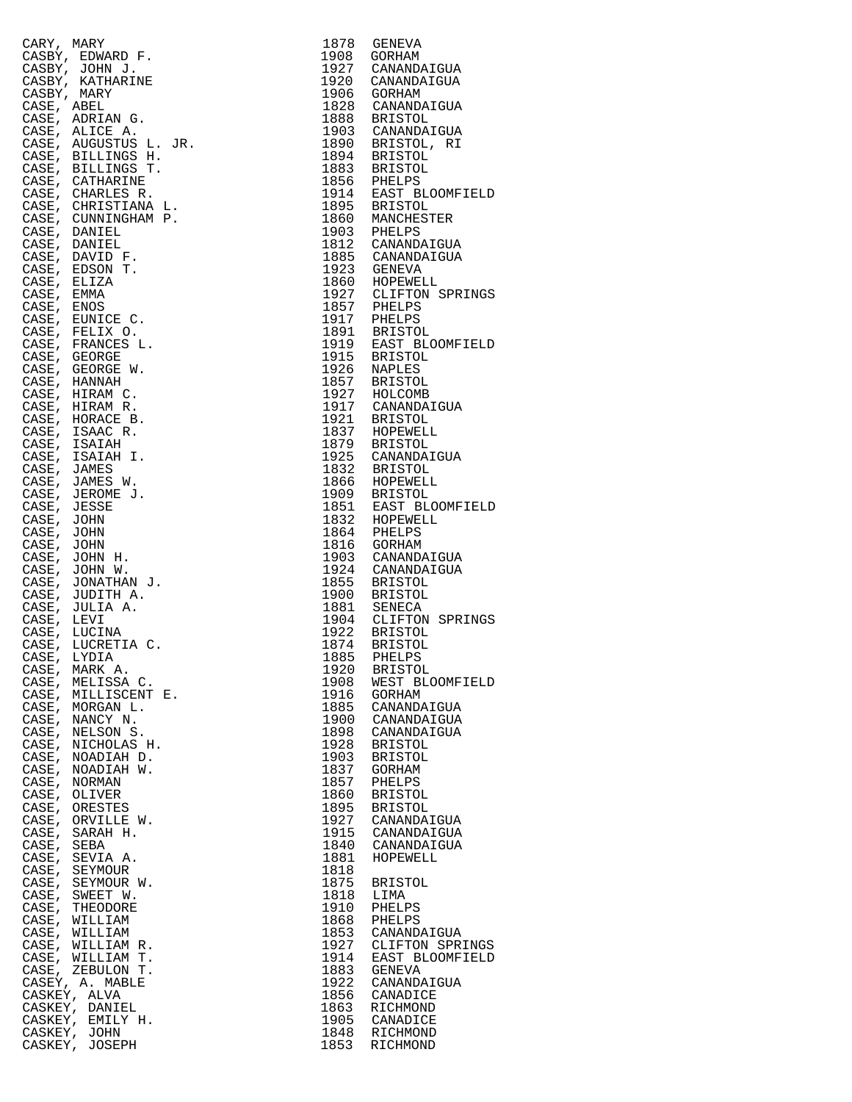| CARY, MARY     |                                      | 1878         | GENEVA                        |
|----------------|--------------------------------------|--------------|-------------------------------|
|                | CASBY, EDWARD F.                     | 1908         | GORHAM                        |
|                | CASBY, JOHN J.                       | 1927         | CANANDAIGUA                   |
| CASBY, MARY    | CASBY, KATHARINE                     | 1920<br>1906 | CANANDAIGUA<br>GORHAM         |
| CASE, ABEL     |                                      | 1828         | CANANDAIGUA                   |
| CASE,          | ADRIAN G.                            | 1888         | BRISTOL                       |
|                | CASE, ALICE A.                       | 1903         | CANANDAIGUA                   |
|                | CASE, AUGUSTUS L. JR.                | 1890         | BRISTOL, RI                   |
|                | CASE, BILLINGS H.                    | 1894         | BRISTOL                       |
|                | CASE, BILLINGS T.<br>CASE, CATHARINE | 1883<br>1856 | BRISTOL                       |
| CASE,          | CHARLES R.                           | 1914         | PHELPS<br>EAST BLOOMFI        |
|                | CASE, CHRISTIANA L.                  | 1895         | BRISTOL                       |
|                | CASE, CUNNINGHAM P.                  | 1860         | MANCHESTER                    |
|                | CASE, DANIEL                         | 1903         | PHELPS<br>CANANDAIGUA         |
| CASE,          | DANIEL                               | 1812         |                               |
| CASE,          | CASE, DAVID F.<br>EDSON T.           | 1885<br>1923 | CANANDAIGUA<br>GENEVA         |
| CASE, ELIZA    |                                      | 1860         | HOPEWELL                      |
| CASE,          | EMMA                                 | 1927         | CLIFTON SPRI                  |
| CASE, ENOS     |                                      | 1857         | PHELPS                        |
|                | CASE, EUNICE C.                      | 1917         | PHELPS                        |
|                | CASE, FELIX O.                       | 1891         | BRISTOL                       |
|                | CASE, FRANCES L.                     | 1919         | EAST BLOOMFI                  |
|                | CASE, GEORGE<br>CASE, GEORGE W.      | 1915<br>1926 | BRISTOL<br>NAPLES             |
|                | CASE, HANNAH                         | 1857         | BRISTOL                       |
|                | CASE, HIRAM C.                       | 1927         | HOLCOMB                       |
|                | CASE, HIRAM R.                       | 1917         | CANANDAIGUA                   |
|                | CASE, HORACE B.                      | 1921         | <b>BRISTOL</b>                |
|                | CASE, ISAAC R.                       | 1837         | HOPEWELL                      |
|                | CASE, ISAIAH<br>CASE, ISAIAH I.      | 1879<br>1925 | BRISTOL                       |
| CASE,          | JAMES                                | 1832         | CANANDAIGUA<br>BRISTOL        |
|                | CASE, JAMES W.                       | 1866         | HOPEWELL                      |
| CASE,          | JEROME J.                            | 1909         | BRISTOL                       |
| CASE, JESSE    |                                      | 1851         | EAST BLOOMFI                  |
| CASE,          | JOHN                                 | 1832         | HOPEWELL                      |
| CASE,          | JOHN                                 | 1864         | PHELPS                        |
| CASE,          | JOHN<br>CASE, JOHN H.                | 1816<br>1903 | GORHAM<br>CANANDAIGUA         |
| CASE,          | JOHN W.                              | 1924         | CANANDAIGUA                   |
|                | CASE, JONATHAN J.                    | 1855         | <b>BRISTOL</b>                |
| CASE,          | JUDITH A.                            | 1900         | BRISTOL                       |
|                | CASE, JULIA A.                       | 1881         | SENECA                        |
| CASE,          | LEVI                                 | 1904         | CLIFTON SPRI                  |
| CASE,          | CASE, LUCINA<br>LUCRETIA C.          | 1922<br>1874 | BRISTOL<br>BRISTOL            |
|                | CASE, LYDIA                          | 1885         | PHELPS                        |
| CASE,          | MARK A.                              | 1920         | <b>BRISTOL</b>                |
| CASE,          | MELISSA C.                           | 1908         | WEST BLOOMFI                  |
| CASE,          | MILLISCENT E.                        | 1916         | GORHAM                        |
| CASE,<br>CASE, | MORGAN L.                            | 1885         | CANANDAIGUA                   |
| CASE,          | NANCY N.<br>NELSON S.                | 1900<br>1898 | CANANDAIGUA<br>CANANDAIGUA    |
| CASE,          | NICHOLAS H.                          | 1928         | <b>BRISTOL</b>                |
| CASE,          | NOADIAH D.                           | 1903         | <b>BRISTOL</b>                |
| CASE,          | NOADIAH W.                           | 1837         | GORHAM                        |
| CASE,          | <b>NORMAN</b>                        | 1857         | PHELPS                        |
| CASE,<br>CASE, | OLIVER                               | 1860<br>1895 | <b>BRISTOL</b>                |
| CASE,          | ORESTES<br>ORVILLE W.                | 1927         | <b>BRISTOL</b><br>CANANDAIGUA |
| CASE,          | SARAH H.                             | 1915         | CANANDAIGUA                   |
| CASE,          | SEBA                                 | 1840         | CANANDAIGUA                   |
| CASE,          | SEVIA A.                             | 1881         | HOPEWELL                      |
| CASE,          | SEYMOUR                              | 1818         |                               |
| CASE,<br>CASE, | SEYMOUR W.                           | 1875         | <b>BRISTOL</b>                |
| CASE,          | SWEET W.<br>THEODORE                 | 1818<br>1910 | LIMA<br>PHELPS                |
| CASE,          | WILLIAM                              | 1868         | PHELPS                        |
| CASE,          | WILLIAM                              | 1853         | CANANDAIGUA                   |
| CASE,          | WILLIAM R.                           | 1927         | CLIFTON SPRI                  |
| CASE,          | WILLIAM T.                           | 1914         | EAST BLOOMFI                  |
| CASE,          | ZEBULON T.<br>CASEY, A. MABLE        | 1883<br>1922 | GENEVA<br>CANANDAIGUA         |
|                | CASKEY, ALVA                         | 1856         | CANADICE                      |
|                | CASKEY, DANIEL                       | 1863         | RICHMOND                      |
|                | CASKEY, EMILY H.                     | 1905         | CANADICE                      |
|                | CASKEY, JOHN                         | 1848         | RICHMOND                      |
|                | CASKEY, JOSEPH                       | 1853         | RICHMOND                      |

| CARY, MARY  |                                        | 1878         | GENEVA                                                              |
|-------------|----------------------------------------|--------------|---------------------------------------------------------------------|
|             | CASBY, EDWARD F.<br>CASBY, JOHN J.     | 1908<br>1927 | GORHAM<br>CANANDAIGUA                                               |
|             | CASBY, KATHARINE                       | 1920         | CANANDAIGUA                                                         |
| CASBY, MARY |                                        |              | 1906 GORHAM                                                         |
| CASE, ABEL  |                                        |              | 1828 CANANDAIGUA                                                    |
|             | CASE, ADRIAN G.                        |              | 1888 BRISTOL                                                        |
|             | CASE, ALICE A.                         |              | 1903 CANANDAIGUA                                                    |
|             | CASE, AUGUSTUS L. JR.                  |              | 1890 BRISTOL, RI<br>1894 BRISTOL                                    |
|             | CASE, BILLINGS H.<br>CASE, BILLINGS T. |              |                                                                     |
| CASE,       | CATHARINE                              |              |                                                                     |
|             | CASE, CHARLES R.                       |              |                                                                     |
|             | CASE, CHRISTIANA L.                    |              | 1883 BRISTOL<br>1856 PHELPS<br>1914 EAST BLOOMFIELD<br>1895 BRISTOL |
|             | CASE, CUNNINGHAM P.                    |              | 1860 MANCHESTER                                                     |
|             | CASE, DANIEL                           |              | 1903 PHELPS                                                         |
|             | CASE, DANIEL<br>CASE, DAVID F.         |              | 1812 CANANDAIGUA                                                    |
|             | CASE, EDSON T.                         |              | 1885 CANANDAIGUA<br>1923 GENEVA                                     |
| CASE, ELIZA |                                        |              | 1860 HOPEWELL                                                       |
| CASE, EMMA  |                                        |              | 1927 CLIFTON SPRINGS<br>1857 PHELPS                                 |
| CASE, ENOS  |                                        |              |                                                                     |
|             | CASE, EUNICE C.                        |              | 1917 PHELPS                                                         |
|             | CASE, FELIX O.                         |              | 1891 BRISTOL                                                        |
|             | CASE, FRANCES L.<br>CASE, GEORGE       |              | 1919 EAST BLOOMFIELD<br>1915 BRISTOL<br>1926 NAPLES                 |
|             | CASE, GEORGE W.                        |              |                                                                     |
|             | CASE, HANNAH                           |              | 1857 BRISTOL                                                        |
|             | CASE, HIRAM C.                         |              | 1927 HOLCOMB<br>1927 HOLCOMB                                        |
|             | CASE, HIRAM R.                         |              |                                                                     |
|             | CASE, HORACE B.                        |              | 1921 BRISTOL<br>1837 HOPEWELL                                       |
| CASE,       | ISAAC R.                               |              |                                                                     |
|             | CASE, ISAIAH                           |              | 1879 BRISTOL<br>1925 CANANDAIGUA                                    |
| CASE, JAMES | CASE, ISAIAH I.                        |              | 1832 BRISTOL                                                        |
|             | CASE, JAMES W.                         |              | 1866 HOPEWELL                                                       |
|             | CASE, JEROME J.                        |              | 1909 BRISTOL                                                        |
| CASE, JESSE |                                        |              | 1851 EAST BLOOMFIELD                                                |
| CASE, JOHN  |                                        |              | 1832 HOPEWELL                                                       |
| CASE, JOHN  |                                        |              | 1864 PHELPS                                                         |
| CASE, JOHN  | CASE, JOHN H.                          |              | 1816 GORHAM                                                         |
|             | CASE, JOHN W.                          |              | 1903 CANANDAIGUA<br>1924 CANANDAIGUA                                |
|             | CASE, JONATHAN J.                      |              | 1855 BRISTOL                                                        |
|             | CASE, JUDITH A.                        |              | 1900 BRISTOL<br>1881 SENECA                                         |
|             | CASE, JULIA A.                         |              |                                                                     |
| CASE, LEVI  |                                        |              | 1904 CLIFTON SPRINGS                                                |
|             | CASE, LUCINA                           |              | 1922 BRISTOL                                                        |
| CASE, LYDIA | CASE, LUCRETIA C.                      |              | 1874 BRISTOL<br>1885 PHELPS                                         |
|             | CASE, MARK A.                          | 1920         | <b>BRISTOL</b>                                                      |
|             | CASE, MELISSA C.                       | 1908         | WEST BLOOMFIELD                                                     |
|             | CASE, MILLISCENT E.                    | 1916         | GORHAM                                                              |
|             | CASE, MORGAN L.                        | 1885         | CANANDAIGUA                                                         |
| CASE,       | CASE, NANCY N.                         | 1900         | CANANDAIGUA                                                         |
|             | NELSON S.<br>CASE, NICHOLAS H.         | 1898<br>1928 | CANANDAIGUA<br><b>BRISTOL</b>                                       |
|             | CASE, NOADIAH D.                       | 1903         | <b>BRISTOL</b>                                                      |
|             | CASE, NOADIAH W.                       | 1837         | GORHAM                                                              |
|             | CASE, NORMAN                           | 1857         | PHELPS                                                              |
|             | CASE, OLIVER                           | 1860         | BRISTOL                                                             |
|             | CASE, ORESTES                          | 1895         | <b>BRISTOL</b>                                                      |
|             | CASE, ORVILLE W.<br>CASE, SARAH H.     | 1927<br>1915 | CANANDAIGUA<br>CANANDAIGUA                                          |
| CASE, SEBA  |                                        | 1840         | CANANDAIGUA                                                         |
|             | CASE, SEVIA A.                         | 1881         | HOPEWELL                                                            |
|             | CASE, SEYMOUR                          | 1818         |                                                                     |
|             | CASE, SEYMOUR W.                       | 1875         | <b>BRISTOL</b>                                                      |
|             | CASE, SWEET W.                         | 1818         | LIMA                                                                |
| CASE,       | THEODORE                               | 1910         | PHELPS                                                              |
|             | CASE, WILLIAM<br>CASE, WILLIAM         | 1868<br>1853 | PHELPS<br>CANANDAIGUA                                               |
|             | CASE, WILLIAM R.                       | 1927         | CLIFTON SPRINGS                                                     |
|             | CASE, WILLIAM T.                       | 1914         | EAST BLOOMFIELD                                                     |
|             | CASE, ZEBULON T.                       | 1883         | GENEVA                                                              |
|             | CASEY, A. MABLE                        | 1922         | CANANDAIGUA                                                         |
|             | CASKEY, ALVA                           | 1856         | CANADICE                                                            |
|             | CASKEY, DANIEL<br>CASKEY, EMILY H.     | 1863<br>1905 | RICHMOND<br>CANADICE                                                |
|             | CASKEY, JOHN                           | 1848         | RICHMOND                                                            |
|             | CASKEY, JOSEPH                         | 1853         | RICHMOND                                                            |
|             |                                        |              |                                                                     |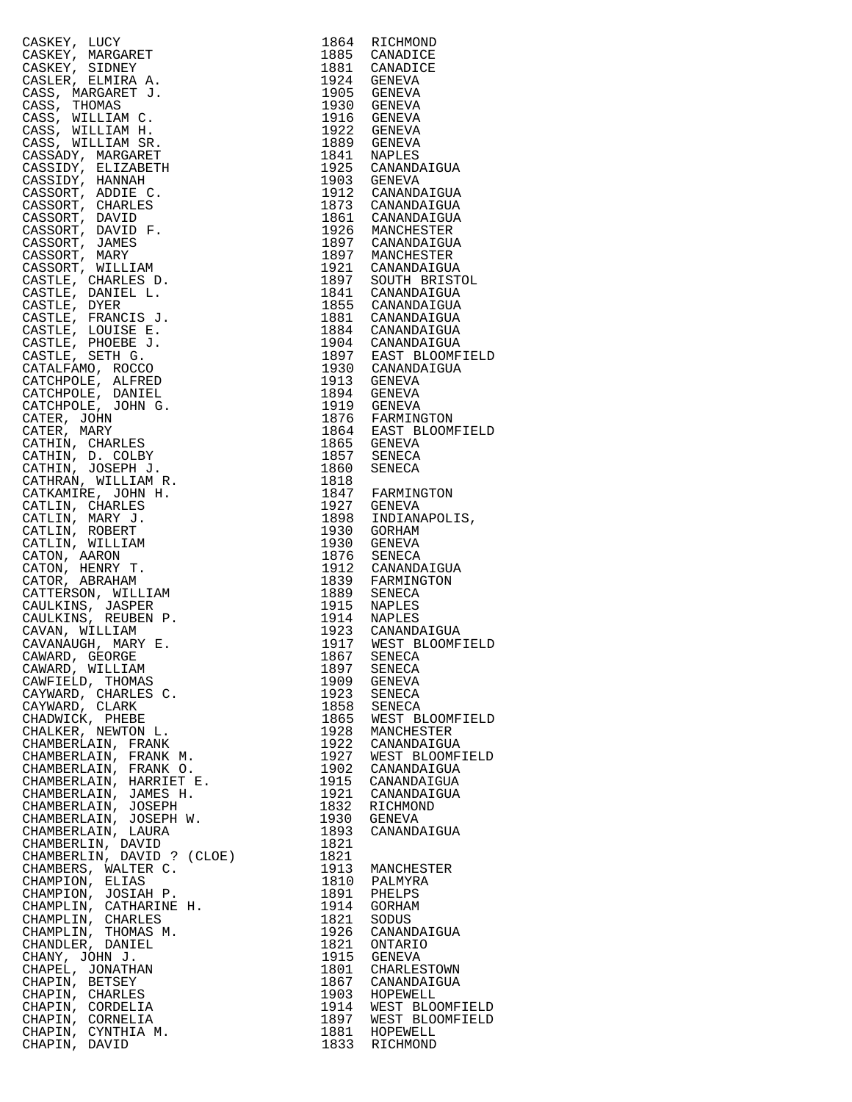| CASKEY, LUCY               | 1864 | RICHMOND                                 |
|----------------------------|------|------------------------------------------|
| CASKEY, MARGARET           | 1885 | CANADICE                                 |
| CASKEY, SIDNEY             |      | 1881 CANADICE                            |
| CASLER, ELMIRA A.          |      | 1924 GENEVA                              |
|                            |      |                                          |
| CASS, MARGARET J.          | 1905 | GENEVA                                   |
| CASS, THOMAS               | 1930 | GENEVA                                   |
| CASS, WILLIAM C.           | 1916 | GENEVA                                   |
| CASS, WILLIAM H.           | 1922 | GENEVA                                   |
|                            |      |                                          |
| CASS, WILLIAM SR.          |      | 1889 GENEVA                              |
| CASSADY, MARGARET          | 1841 | NAPLES                                   |
| CASSIDY, ELIZABETH         |      | 1925 CANANDAIGUA<br>1903 GENEVA          |
| CASSIDY, HANNAH            |      |                                          |
|                            |      |                                          |
| CASSORT, ADDIE C.          |      | 1912 CANANDAIGUA                         |
| CASSORT, CHARLES           |      | 1873 CANANDAIGUA                         |
| CASSORT, DAVID             |      |                                          |
| CASSORT, DAVID F.          |      | 1861 CANANDAIGUA<br>1926 MANCHESTER      |
|                            |      |                                          |
| CASSORT, JAMES             |      | 1897 CANANDAIGUA<br>1897 MANCHESTER      |
| CASSORT, MARY              |      |                                          |
| CASSORT, WILLIAM           |      | 1921 CANANDAIGUA<br>1897 SOUTH BRISTOL   |
| CASTLE, CHARLES D.         |      |                                          |
|                            |      |                                          |
| CASTLE, DANIEL L.          |      |                                          |
| CASTLE, DYER               |      | 1841 CANANDAIGUA<br>1855 CANANDAIGUA     |
| CASTLE, FRANCIS J.         |      |                                          |
| CASTLE, LOUISE E.          |      | 1881 CANANDAIGUA<br>1884 CANANDAIGUA     |
|                            |      |                                          |
| CASTLE, PHOEBE J.          |      | 1904 CANANDAIGUA<br>1897 EAST BLOOMFIELD |
| CASTLE, SETH G.            |      |                                          |
| CATALFAMO, ROCCO           | 1930 | CANANDAIGUA                              |
|                            |      |                                          |
| CATCHPOLE, ALFRED          |      | 1913 GENEVA                              |
| CATCHPOLE, DANIEL          | 1894 | GENEVA                                   |
| CATCHPOLE, JOHN G.         |      | 1919 GENEVA                              |
|                            |      |                                          |
| CATER, JOHN                |      | 1876 FARMINGTON                          |
| CATER, MARY                |      | 1864 EAST BLOOMFIELD                     |
| CATHIN, CHARLES            |      | 1865 GENEVA<br>1857 SENECA               |
| CATHIN, D. COLBY           |      |                                          |
|                            |      |                                          |
| CATHIN, JOSEPH J.          | 1860 | SENECA                                   |
| CATHRAN, WILLIAM R.        | 1818 |                                          |
| CATKAMIRE, JOHN H.         |      | 1847 FARMINGTON<br>1927 GENEVA           |
| CATLIN, CHARLES            |      |                                          |
|                            |      |                                          |
| CATLIN, MARY J.            | 1898 | INDIANAPOLIS,                            |
| CATLIN, ROBERT             | 1930 | GORHAM                                   |
| CATLIN, WILLIAM            | 1930 | GENEVA                                   |
|                            |      |                                          |
| CATON, AARON               | 1876 | SENECA                                   |
| CATON, HENRY T.            | 1912 | CANANDAIGUA                              |
| CATOR, ABRAHAM             |      | 1839 FARMINGTON                          |
| CATTERSON, WILLIAM         | 1889 |                                          |
|                            |      | SENECA<br>NAPLES                         |
| CAULKINS, JASPER           | 1915 |                                          |
| CAULKINS, REUBEN P.        |      |                                          |
| CAVAN, WILLIAM             |      | 1914 NAPLES<br>1923 CANANDAIGUA          |
| CAVANAUGH, MARY E.         | 1917 | WEST BLOOMFIELD                          |
|                            |      |                                          |
| CAWARD, GEORGE             |      | 1867 SENECA                              |
| CAWARD, WILLIAM            | 1897 | SENECA                                   |
| CAWFIELD, THOMAS           | 1909 | GENEVA                                   |
| CAYWARD, CHARLES C.        | 1923 | SENECA                                   |
| CAYWARD, CLARK             | 1858 |                                          |
|                            |      | SENECA                                   |
| CHADWICK, PHEBE            | 1865 | WEST BLOOMFIELD                          |
| CHALKER, NEWTON L.         | 1928 | MANCHESTER                               |
| CHAMBERLAIN, FRANK         | 1922 | CANANDAIGUA                              |
| CHAMBERLAIN, FRANK M.      | 1927 |                                          |
|                            |      | WEST BLOOMFIELD                          |
| CHAMBERLAIN, FRANK O.      | 1902 | CANANDAIGUA                              |
| CHAMBERLAIN, HARRIET E.    | 1915 | CANANDAIGUA                              |
| CHAMBERLAIN, JAMES H.      | 1921 | CANANDAIGUA                              |
|                            |      |                                          |
| CHAMBERLAIN, JOSEPH        | 1832 | RICHMOND                                 |
| CHAMBERLAIN, JOSEPH W.     | 1930 | <b>GENEVA</b>                            |
| CHAMBERLAIN, LAURA         | 1893 | CANANDAIGUA                              |
| CHAMBERLIN, DAVID          | 1821 |                                          |
|                            |      |                                          |
| CHAMBERLIN, DAVID ? (CLOE) | 1821 |                                          |
| CHAMBERS, WALTER C.        | 1913 | MANCHESTER                               |
| CHAMPION, ELIAS            | 1810 | PALMYRA                                  |
| CHAMPION, JOSIAH P.        | 1891 | PHELPS                                   |
|                            |      |                                          |
| CHAMPLIN, CATHARINE H.     | 1914 | GORHAM                                   |
| CHAMPLIN, CHARLES          | 1821 | SODUS                                    |
| CHAMPLIN, THOMAS M.        | 1926 | CANANDAIGUA                              |
|                            | 1821 | ONTARIO                                  |
| CHANDLER, DANIEL           |      |                                          |
| CHANY, JOHN J.             | 1915 | GENEVA                                   |
| CHAPEL, JONATHAN           | 1801 | CHARLESTOWN                              |
| CHAPIN, BETSEY             | 1867 | CANANDAIGUA                              |
| CHAPIN, CHARLES            | 1903 | HOPEWELL                                 |
|                            |      |                                          |
| CHAPIN, CORDELIA           | 1914 | WEST BLOOMFIELD                          |
| CHAPIN, CORNELIA           | 1897 | WEST BLOOMFIELD                          |
| CHAPIN, CYNTHIA M.         | 1881 | HOPEWELL                                 |
| CHAPIN, DAVID              | 1833 | RICHMOND                                 |
|                            |      |                                          |

| 1864         | RICHMOND                       |
|--------------|--------------------------------|
| 1885         | CANADICE                       |
| 1881<br>1924 | CANADICE<br>GENEVA             |
| 1905         | <b>GENEVA</b>                  |
| 1930         | GENEVA                         |
| 1916         | GENEVA                         |
| 1922         | GENEVA                         |
| 1889         | GENEVA                         |
| 1841<br>1925 | NAPLES<br>CANANDAIGUA          |
| 1903         | <b>GENEVA</b>                  |
| 1912         | CANANDAIGUA                    |
| 1873         | CANANDAIGUA                    |
| 1861         | CANANDAIGUA                    |
| 1926<br>1897 | MANCHESTER<br>CANANDAIGUA      |
| 1897         | MANCHESTER                     |
| 1921         | CANANDAIGUA                    |
| 1897         | SOUTH BRISTOL                  |
| 1841         | CANANDAIGUA                    |
| 1855<br>1881 | CANANDAIGUA                    |
| 1884         | CANANDAIGUA<br>CANANDAIGUA     |
| 1904         | CANANDAIGUA                    |
| 1897         | EAST BLOOMFIELD                |
| 1930         | CANANDAIGUA                    |
| 1913         | GENEVA                         |
| 1894<br>1919 | GENEVA<br><b>GENEVA</b>        |
| 1876         | FARMINGTON                     |
| 1864         | EAST BLOOMFIELD                |
| 1865         | GENEVA                         |
| 1857         | SENECA                         |
| 1860<br>1818 | SENECA                         |
| 1847         | FARMINGTON                     |
| 1927         | GENEVA                         |
| 1898         | INDIANAPOLIS,                  |
| 1930<br>1930 | GORHAM                         |
| 1876         | GENEVA<br>SENECA               |
| 1912         | CANANDAIGUA                    |
| 1839         | FARMINGTON                     |
| 1889         | <b>SENECA</b>                  |
| 1915<br>1914 | NAPLES<br>NAPLES               |
| 1923         | CANANDAIGUA                    |
| 1917         | WEST BLOOMFIELD                |
| 1867         | SENECA                         |
| 1897<br>1909 | SENECA<br><b>GENEVA</b>        |
| 1923         | <b>SENECA</b>                  |
|              | SENECA                         |
| 1858<br>1865 | WEST BLOOMFIELD                |
| 1928         | MANCHESTER                     |
| 1922<br>1927 | CANANDAIGUA<br>WEST BLOOMFIELD |
| 1902         | CANANDAIGUA                    |
| 1915         | CANANDAIGUA                    |
| 1921         | CANANDAIGUA                    |
| 1832         | RICHMOND                       |
| 1930<br>1893 | GENEVA<br>CANANDAIGUA          |
| 1821         |                                |
| 1821         |                                |
| 1913         | MANCHESTER                     |
| 1810         | PALMYRA                        |
| 1891<br>1914 | PHELPS<br><b>GORHAM</b>        |
| 1821         | SODUS                          |
| 1926         | CANANDAIGUA                    |
| 1821         | <b>ONTARIO</b>                 |
| 1915         | <b>GENEVA</b>                  |
| 1801<br>1867 | CHARLESTOWN<br>CANANDAIGUA     |
| 1903         | HOPEWELL                       |
| 1914         | WEST BLOOMFIELD                |
| 1897         | WEST BLOOMFIELD                |
| 1881<br>1833 | HOPEWELL<br>RICHMOND           |
|              |                                |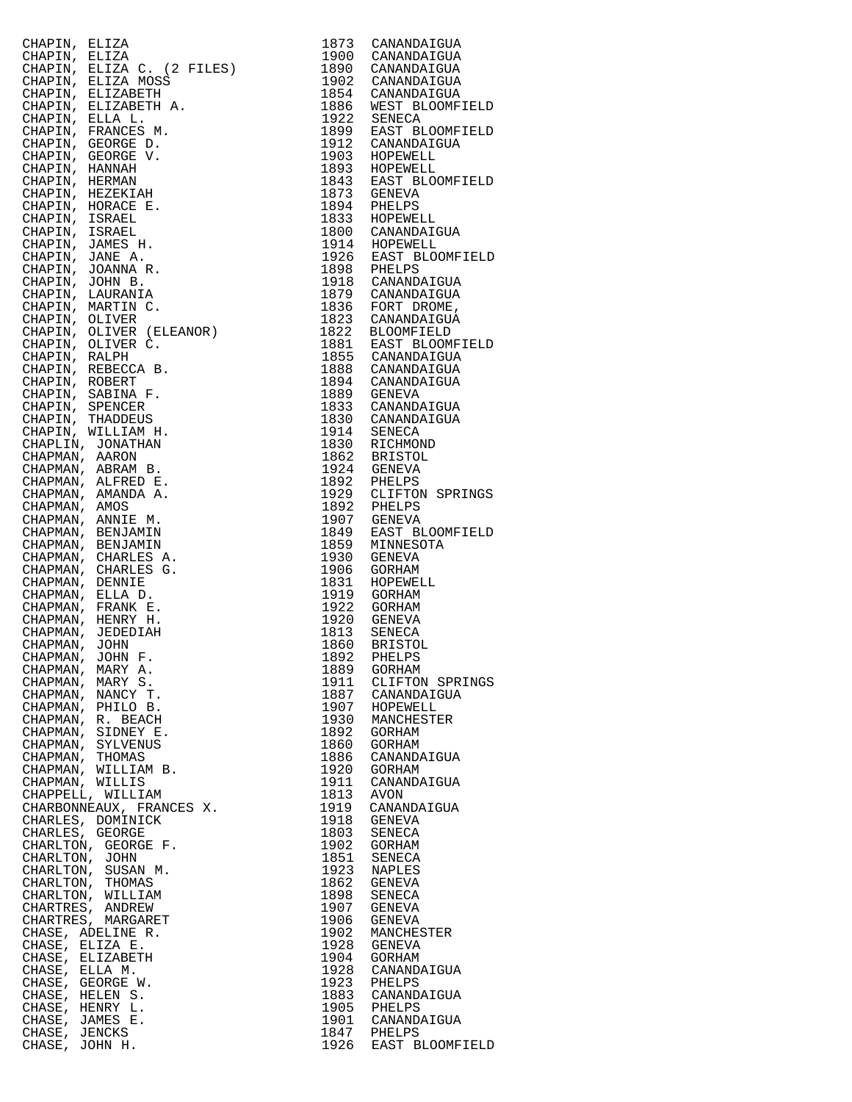|                                  | CHAPIN, ELIZA (1972)<br>CHAPIN, ELIZA (1972)<br>CHAPIN, ELIZA (1972)<br>(1980)<br>CHAPIN, ELIZA MOSS<br>(1980)<br>CHAPIN, ELIZA MOSS<br>(1980)<br>CHAPIN, ELIZA MOSS<br>CHAPIN, FRANCES M. 1992 CANANDATGUA<br>CHAPIN, FRANCES M. 1992<br>CHAPIN, F |           |                                                         |
|----------------------------------|-----------------------------------------------------------------------------------------------------------------------------------------------------------------------------------------------------------------------------------------------------|-----------|---------------------------------------------------------|
|                                  |                                                                                                                                                                                                                                                     |           |                                                         |
|                                  |                                                                                                                                                                                                                                                     |           |                                                         |
|                                  |                                                                                                                                                                                                                                                     |           |                                                         |
|                                  |                                                                                                                                                                                                                                                     |           |                                                         |
|                                  |                                                                                                                                                                                                                                                     |           |                                                         |
|                                  |                                                                                                                                                                                                                                                     |           |                                                         |
|                                  |                                                                                                                                                                                                                                                     |           |                                                         |
|                                  |                                                                                                                                                                                                                                                     |           |                                                         |
|                                  |                                                                                                                                                                                                                                                     |           |                                                         |
|                                  |                                                                                                                                                                                                                                                     |           |                                                         |
|                                  |                                                                                                                                                                                                                                                     |           |                                                         |
|                                  |                                                                                                                                                                                                                                                     |           |                                                         |
|                                  |                                                                                                                                                                                                                                                     |           |                                                         |
|                                  |                                                                                                                                                                                                                                                     |           |                                                         |
|                                  |                                                                                                                                                                                                                                                     |           |                                                         |
|                                  |                                                                                                                                                                                                                                                     |           |                                                         |
|                                  |                                                                                                                                                                                                                                                     |           |                                                         |
|                                  |                                                                                                                                                                                                                                                     |           |                                                         |
|                                  |                                                                                                                                                                                                                                                     |           |                                                         |
|                                  |                                                                                                                                                                                                                                                     |           |                                                         |
|                                  |                                                                                                                                                                                                                                                     |           |                                                         |
|                                  |                                                                                                                                                                                                                                                     |           |                                                         |
|                                  |                                                                                                                                                                                                                                                     |           |                                                         |
|                                  |                                                                                                                                                                                                                                                     |           |                                                         |
|                                  |                                                                                                                                                                                                                                                     |           |                                                         |
|                                  |                                                                                                                                                                                                                                                     |           |                                                         |
|                                  |                                                                                                                                                                                                                                                     |           |                                                         |
|                                  |                                                                                                                                                                                                                                                     |           |                                                         |
|                                  |                                                                                                                                                                                                                                                     |           |                                                         |
|                                  |                                                                                                                                                                                                                                                     |           |                                                         |
|                                  |                                                                                                                                                                                                                                                     |           |                                                         |
|                                  |                                                                                                                                                                                                                                                     |           |                                                         |
|                                  |                                                                                                                                                                                                                                                     |           |                                                         |
|                                  |                                                                                                                                                                                                                                                     |           |                                                         |
|                                  |                                                                                                                                                                                                                                                     |           |                                                         |
|                                  |                                                                                                                                                                                                                                                     |           |                                                         |
|                                  |                                                                                                                                                                                                                                                     |           |                                                         |
|                                  |                                                                                                                                                                                                                                                     |           |                                                         |
|                                  |                                                                                                                                                                                                                                                     |           |                                                         |
|                                  |                                                                                                                                                                                                                                                     |           |                                                         |
|                                  |                                                                                                                                                                                                                                                     |           |                                                         |
|                                  |                                                                                                                                                                                                                                                     |           |                                                         |
| CHAPMAN, JOHN F.                 | CHAPMAN, MARY A.                                                                                                                                                                                                                                    |           | 1889 GORHAM                                             |
|                                  | CHAPMAN, MARY S.                                                                                                                                                                                                                                    |           | 1911 CLIFTON SPRINGS                                    |
|                                  |                                                                                                                                                                                                                                                     |           |                                                         |
|                                  | CHAPMAN, NANCY T.<br>CHAPMAN, PHILO B.                                                                                                                                                                                                              |           | 1887 CANANDAIGUA<br>1907 HOPEWELL                       |
|                                  | CHAPMAN, R. BEACH                                                                                                                                                                                                                                   |           | 1930 MANCHESTER<br>1892 GORHAM                          |
|                                  | CHAPMAN, SIDNEY E.                                                                                                                                                                                                                                  |           |                                                         |
|                                  | CHAPMAN, SYLVENUS<br>CHAPMAN, THOMAS                                                                                                                                                                                                                |           | 1860 GORHAM<br>1886 CANANDAIGUA                         |
|                                  | CHAPMAN, WILLIAM B.                                                                                                                                                                                                                                 |           | 1920 GORHAM                                             |
| CHAPMAN, WILLIS                  |                                                                                                                                                                                                                                                     |           | 1911 CANANDAIGUA                                        |
|                                  | CHAPPELL, WILLIAM                                                                                                                                                                                                                                   | 1813 AVON |                                                         |
|                                  | CHARBONNEAUX, FRANCES X.                                                                                                                                                                                                                            |           | 1919 CANANDAIGUA                                        |
|                                  | CHARLES, DOMINICK                                                                                                                                                                                                                                   |           | 1918 GENEVA                                             |
| CHARLES, GEORGE                  |                                                                                                                                                                                                                                                     |           | 1803 SENECA<br>1902 GORHAM                              |
| CHARLTON, JOHN                   | CHARLTON, GEORGE F.                                                                                                                                                                                                                                 |           | 1851 SENECA                                             |
|                                  | CHARLTON, SUSAN M.                                                                                                                                                                                                                                  |           | 1923 NAPLES                                             |
|                                  | CHARLTON, THOMAS                                                                                                                                                                                                                                    |           | 1862 GENEVA                                             |
|                                  | CHARLTON, WILLIAM                                                                                                                                                                                                                                   |           | 1898 SENECA                                             |
|                                  | CHARTRES, ANDREW                                                                                                                                                                                                                                    |           | 1907 GENEVA                                             |
|                                  | CHARTRES, MARGARET<br>CHARTRES, MARGARET                                                                                                                                                                                                            |           | 1906 GENEVA                                             |
| CHASE, ELIZA E.                  | CHASE, ADELINE R.                                                                                                                                                                                                                                   |           | 1902 MANCHESTER<br>1928 GENEVA                          |
|                                  | CHASE, ELIZABETH                                                                                                                                                                                                                                    |           | 1904 GORHAM                                             |
| CHASE, ELLA M.                   |                                                                                                                                                                                                                                                     |           | 1928 CANANDAIGUA                                        |
|                                  | CHASE, GEORGE W.                                                                                                                                                                                                                                    |           | 1923 PHELPS                                             |
| CHASE, HELEN S.                  |                                                                                                                                                                                                                                                     |           | 1883 CANANDAIGUA<br>1905 PHELPS                         |
| CHASE, HENRY L.                  |                                                                                                                                                                                                                                                     |           |                                                         |
| CHASE, JAMES E.<br>CHASE, JENCKS |                                                                                                                                                                                                                                                     |           | 1901 CANANDAIGUA<br>1847 PHELPS<br>1926 EAST BLOOMFIELD |
| H MHOT, JOHN                     |                                                                                                                                                                                                                                                     |           |                                                         |

|                                         | 1873         | CANANDAIGUA                                                                                                                                 |
|-----------------------------------------|--------------|---------------------------------------------------------------------------------------------------------------------------------------------|
|                                         | 1900<br>1890 | CANANDAIGUA<br>CANANDAIGUA                                                                                                                  |
|                                         | 1902         |                                                                                                                                             |
|                                         | 1854         | CANANDAIGUA<br>CANANDAIGUA                                                                                                                  |
|                                         | 1886         | UINTIDI<br>WEST BI<br>SENECA<br>WEST BLOOMFIELD                                                                                             |
|                                         | 1922<br>1899 |                                                                                                                                             |
|                                         | 1912         | EAST BLOOMFIELD<br>CANANDAIGUA                                                                                                              |
|                                         |              |                                                                                                                                             |
|                                         |              |                                                                                                                                             |
|                                         |              | 1903 HOPEWELL<br>1893 HOPEWELL<br>1843 EAST BLOOMFIELD<br>1873 GENEVA                                                                       |
|                                         | 1894         |                                                                                                                                             |
|                                         |              | 1894 PHELPS<br>1833 HOPEWELL                                                                                                                |
|                                         |              | 1800 CANANDAIGUA<br>1914 HOPEWELL                                                                                                           |
|                                         |              |                                                                                                                                             |
|                                         |              | 1926 EAST BLOOMFIELD<br>1926 EAST BLOOMFIELD<br>1898 PHELPS<br>1918 CANANDAIGUA<br>1879 CANANDAIGUA<br>1823 CANANDAIGUA<br>1823 CANANDAIGUA |
|                                         |              |                                                                                                                                             |
|                                         |              |                                                                                                                                             |
|                                         |              |                                                                                                                                             |
|                                         | 1822         | <b>BLOOMFIELD</b>                                                                                                                           |
|                                         | 1881<br>1855 | EAST BLOOMFIELD                                                                                                                             |
|                                         |              | 1855 CANANDAIGUA<br>1888 CANANDAIGUA                                                                                                        |
|                                         |              | 1894 CANANDAIGUA<br>1889 GENEVA                                                                                                             |
|                                         |              |                                                                                                                                             |
|                                         | 1833<br>1830 | CANANDAIGUA<br>CANANDAIGUA                                                                                                                  |
|                                         | 1914         | SENECA<br>RICHMOND                                                                                                                          |
|                                         | 1830         |                                                                                                                                             |
|                                         |              | 1862 BRISTOL<br>1924 GENEVA                                                                                                                 |
|                                         |              |                                                                                                                                             |
|                                         |              | 1892 PHELPS<br>1929 CLIFTON SPRINGS                                                                                                         |
|                                         | 1892         | PHELPS<br>GENEVA                                                                                                                            |
|                                         | 1907<br>1849 | EAST BLOOMFIELD                                                                                                                             |
|                                         | 1859         | EAST BLOOD<br>MINNESOTA                                                                                                                     |
|                                         | 1930         | GENEVA                                                                                                                                      |
|                                         | 1906<br>1831 | GORHAM<br>HOPEWELL                                                                                                                          |
|                                         | 1919         | GORHAM                                                                                                                                      |
|                                         | 1922         | GORHAM                                                                                                                                      |
|                                         | 1813         | 1920 GENEVA                                                                                                                                 |
|                                         | 1860         | SENECA<br><b>BRISTOL</b>                                                                                                                    |
|                                         | 1892         | PHELPS                                                                                                                                      |
| CHAPMAN, MARY A.                        | 1889         | GORHAM                                                                                                                                      |
| CHAPMAN, MARY S.<br>CHAPMAN, NANCY T.   | 1911<br>1887 | CLIFTON SPRINGS<br>CANANDAIGUA                                                                                                              |
|                                         | 1907         | HOPEWELL                                                                                                                                    |
| CHAPMAN, PHILO B.<br>CHAPMAN, R. BEACH  | 1930         | MANCHESTER                                                                                                                                  |
| CHAPMAN, SIDNEY E.<br>CHAPMAN, SYLVENUS | 1892<br>1860 | GORHAM<br>GORHAM                                                                                                                            |
|                                         | 1886         | CANANDAIGUA                                                                                                                                 |
| CHAPMAN, THOMAS<br>CHAPMAN, WILLIAM B.  | 1920         | GORHAM                                                                                                                                      |
| CHAPMAN, WILLIS<br>CHAPPELL, WILLIAM    | 1911<br>1813 | CANANDAIGUA<br>AVON                                                                                                                         |
| CHARBONNEAUX, FRANCES X.                | 1919         | CANANDAIGUA                                                                                                                                 |
| CHARLES, DOMINICK                       | 1918         | GENEVA                                                                                                                                      |
| CHARLES, GEORGE                         | 1803         | SENECA                                                                                                                                      |
| CHARLTON, GEORGE F.<br>CHARLTON, JOHN   | 1902<br>1851 | GORHAM<br>SENECA                                                                                                                            |
| CHARLTON, SUSAN M.                      | 1923         | NAPLES                                                                                                                                      |
| CHARLTON, THOMAS                        | 1862         | GENEVA                                                                                                                                      |
| CHARLTON, WILLIAM<br>CHARTRES, ANDREW   | 1898<br>1907 | SENECA<br>GENEVA                                                                                                                            |
| CHARTRES, MARGARET                      | 1906         | GENEVA                                                                                                                                      |
| CHASE, ADELINE R.                       | 1902         | MANCHESTER                                                                                                                                  |
| CHASE, ELIZA E.                         | 1928         | GENEVA                                                                                                                                      |
| CHASE, ELIZABETH<br>CHASE, ELLA M.      | 1904<br>1928 | GORHAM<br>CANANDAIGUA                                                                                                                       |
| CHASE, GEORGE W.                        | 1923         | PHELPS                                                                                                                                      |
| CHASE, HELEN S.                         | 1883         | CANANDAIGUA                                                                                                                                 |
| CHASE, HENRY L.<br>CHASE, JAMES E.      | 1905<br>1901 | PHELPS<br>CANANDAIGUA                                                                                                                       |
| CHASE, JENCKS                           | 1847         |                                                                                                                                             |
| CHASE, JOHN H.                          | 1926         | PHELPS<br>EAST B<br>EAST BLOOMFIELD                                                                                                         |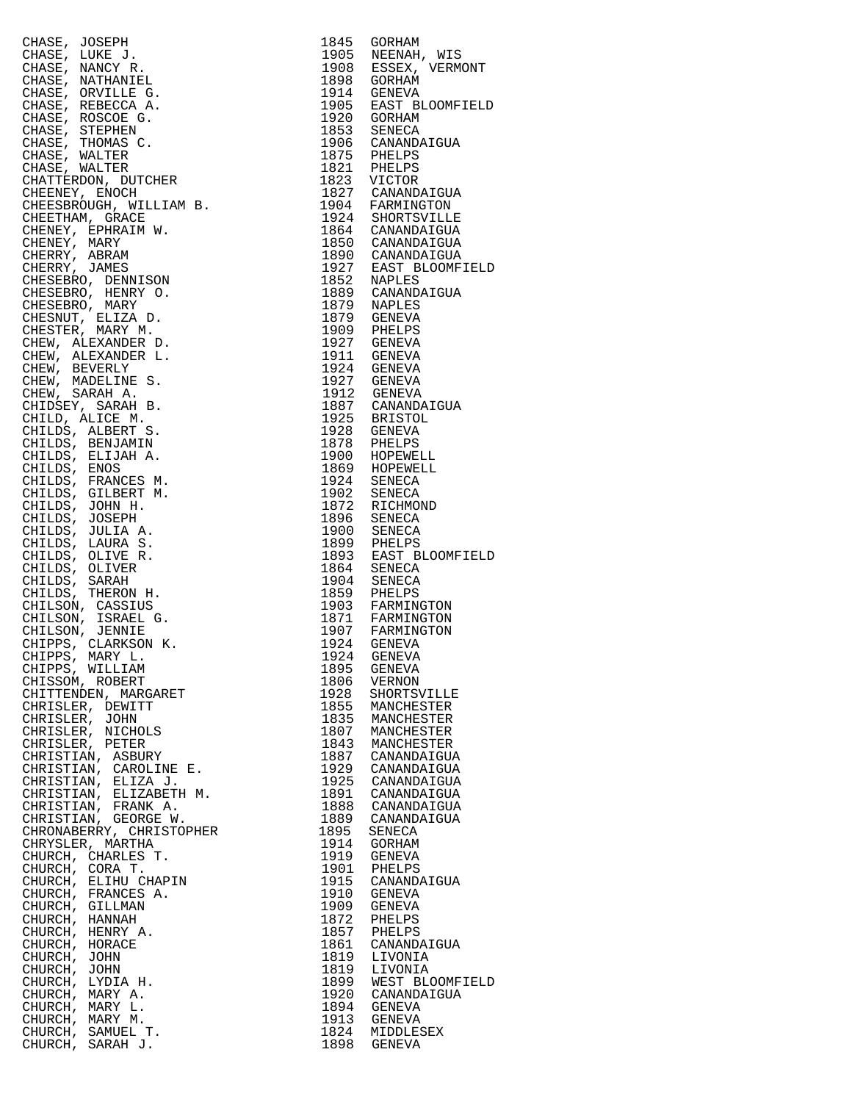| CHASE, JOSEPH                                  | 1845         | GORHAM                               |
|------------------------------------------------|--------------|--------------------------------------|
| CHASE, LUKE J.                                 | 1905<br>1908 | NEENAH, WIS                          |
| CHASE, NANCY R.<br>CHASE, NATHANIEL            | 1898         | ESSEX, VERMONT<br>GORHAM             |
| CHASE, ORVILLE G.                              | 1914         | GENEVA                               |
| CHASE, REBECCA A.                              | 1905         | EAST BLOOMFIELD                      |
| CHASE, ROSCOE G.                               | 1920         | GORHAM                               |
| CHASE, STEPHEN<br>CHASE, THOMAS C.             | 1853<br>1906 | SENECA<br>CANANDAIGUA                |
| CHASE, WALTER                                  | 1875         | PHELPS                               |
| CHASE, WALTER                                  | 1821         | PHELPS                               |
| CHATTERDON, DUTCHER                            | 1823         | VICTOR                               |
| CHEENEY, ENOCH<br>CHEESBROUGH, WILLIAM B.      | 1827<br>1904 | CANANDAIGUA<br>FARMINGTON            |
| CHEETHAM, GRACE                                |              | 1924 SHORTSVILLE                     |
| CHENEY, EPHRAIM W.                             |              | 1864 CANANDAIGUA<br>1850 CANANDAIGUA |
| CHENEY, MARY                                   | 1890         |                                      |
| CHERRY, ABRAM<br>CHERRY, JAMES                 | 1927         | CANANDAIGUA<br>EAST BLOOMFIELD       |
| CHESEBRO, DENNISON                             | 1852         | NAPLES                               |
| CHESEBRO, HENRY O.                             | 1889         | CANANDAIGUA                          |
| CHESEBRO, MARY<br>CHESNUT, ELIZA D.            | 1879         | NAPLES<br>1879 GENEVA                |
| CHESTER, MARY M.                               | 1909         | PHELPS                               |
| CHEW, ALEXANDER D.                             | 1927         | GENEVA                               |
| CHEW, ALEXANDER L.                             | 1911         | <b>GENEVA</b>                        |
| CHEW, BEVERLY                                  |              | 1924 GENEVA<br>1927 GENEVA           |
| CHEW, MADELINE S.<br>CHEW, SARAH A.            | 1912         | <b>GENEVA</b>                        |
| CHIDSEY, SARAH B.                              |              | 1887 CANANDAIGUA                     |
| CHILD, ALICE M.                                | 1925         | BRISTOL                              |
| CHILDS, ALBERT S.<br>CHILDS, BENJAMIN          | 1928<br>1878 | GENEVA<br>PHELPS                     |
| CHILDS, ELIJAH A.                              | 1900         | HOPEWELL                             |
| CHILDS, ENOS                                   |              | 1869 HOPEWELL                        |
| CHILDS, FRANCES M.                             | 1924         | SENECA                               |
| CHILDS, GILBERT M.<br>CHILDS, JOHN H.          | 1902<br>1872 | SENECA<br>RICHMOND                   |
| CHILDS, JOSEPH                                 | 1896         | SENECA                               |
| CHILDS, JULIA A.                               | 1900         | SENECA                               |
| CHILDS, LAURA S.                               | 1899         | PHELPS                               |
| CHILDS, OLIVE R.<br>CHILDS, OLIVER             | 1893<br>1864 | EAST BLOOMFIELD<br>SENECA            |
| CHILDS, SARAH                                  | 1904         | SENECA                               |
| CHILDS, THERON H.                              | 1859         | PHELPS                               |
| CHILSON, CASSIUS                               | 1903         | FARMINGTON                           |
| CHILSON, ISRAEL G.<br>CHILSON, JENNIE          | 1871         | FARMINGTON                           |
| CHIPPS, CLARKSON K.                            |              | 1907 FARMINGTON<br>1924 GENEVA       |
| CHIPPS, MARY L.<br>CHIPPS, WILLIAM             | 1924         | GENEVA                               |
|                                                | 1895         | GENEVA                               |
| CHISSOM, ROBERT<br>CHITTENDEN, MARGARET        | 1806<br>1928 | VERNON<br>SHORTSVILLE                |
| CHRISLER, DEWITT                               | 1855         | MANCHESTER                           |
| CHRISLER, JOHN                                 | 1835         | MANCHESTER                           |
| CHRISLER, NICHOLS<br>CHRISLER, PETER           | 1807<br>1843 | MANCHESTER                           |
| CHRISTIAN, ASBURY                              | 1887         | MANCHESTER<br>CANANDAIGUA            |
| CHRISTIAN, CAROLINE E.                         | 1929         | CANANDAIGUA                          |
| CHRISTIAN, ELIZA J.                            | 1925         | CANANDAIGUA                          |
| CHRISTIAN, ELIZABETH M.<br>CHRISTIAN, FRANK A. | 1891<br>1888 | CANANDAIGUA<br>CANANDAIGUA           |
| CHRISTIAN, GEORGE W.                           | 1889         | CANANDAIGUA                          |
| CHRONABERRY, CHRISTOPHER                       | 1895         | SENECA                               |
| CHRYSLER, MARTHA                               | 1914         | GORHAM                               |
| CHURCH, CHARLES T.<br>CHURCH, CORA T.          | 1919<br>1901 | GENEVA<br>PHELPS                     |
| CHURCH, ELIHU CHAPIN                           | 1915         | CANANDAIGUA                          |
| CHURCH, FRANCES A.                             | 1910         | GENEVA                               |
| CHURCH, GILLMAN                                | 1909         | <b>GENEVA</b>                        |
| CHURCH, HANNAH<br>CHURCH, HENRY A.             | 1872<br>1857 | PHELPS<br>PHELPS                     |
| CHURCH, HORACE                                 | 1861         | CANANDAIGUA                          |
| CHURCH, JOHN                                   | 1819         | LIVONIA                              |
| CHURCH, JOHN<br>CHURCH, LYDIA H.               | 1819<br>1899 | LIVONIA<br>WEST BLOOMFIELD           |
| CHURCH, MARY A.                                | 1920         | CANANDAIGUA                          |
| CHURCH, MARY L.                                | 1894         | GENEVA                               |
| CHURCH, MARY M.                                | 1913         | GENEVA                               |
| CHURCH, SAMUEL T.<br>CHURCH, SARAH J.          | 1824         | MIDDLESEX<br>1898 GENEVA             |
|                                                |              |                                      |

| 1845         | GORHAM                        |
|--------------|-------------------------------|
| 1905         |                               |
| 1908         | NEENAH, WIS<br>ESSEX, VERMONT |
| 1898         | GORHAM                        |
| 1914         | GENEVA                        |
| 1905         | EAST BLOOMFIELD               |
|              |                               |
| 1920         | GORHAM                        |
| 1853         | SENECA                        |
| 1906         | CANANDAIGUA                   |
| 1875         | PHELPS                        |
| 1821         | PHELPS                        |
| 1823         | VICTOR                        |
| 1827         | CANANDAIGUA                   |
| 1904         | FARMINGTON                    |
|              |                               |
| 1924         | SHORTSVILLE                   |
| 1864         | CANANDAIGUA                   |
| 1850         | CANANDAIGUA                   |
| 1890         | CANANDAIGUA                   |
| 1927         | EAST BLOOMFIELD               |
| 1852         | NAPLES                        |
| 1889         | CANANDAIGUA                   |
| 1879         | NAPLES                        |
| 1879         | <b>GENEVA</b>                 |
| 1909         |                               |
|              | PHELPS                        |
| 1927         | GENEVA                        |
| 1911         | GENEVA                        |
| 1924         | GENEVA                        |
| 1927         | GENEVA                        |
| 1912         | GENEVA                        |
| 1887         | CANANDAIGUA                   |
| 1925         | BRISTOL                       |
| 1928         | GENEVA                        |
| 1878         |                               |
|              | PHELPS                        |
| 1900         | HOPEWELL                      |
| 1869         | HOPEWELL                      |
| 1924         | SENECA                        |
| 1902         | SENECA                        |
| 1872         | RICHMOND                      |
| 1896         | SENECA                        |
| 1900         | SENECA                        |
| 1899         | PHELPS                        |
| 1893         | EAST BLOOMFIELD               |
|              |                               |
| 1864         | SENECA                        |
| 1904         | SENECA                        |
| 1859         | PHELPS                        |
| 1903         | FARMINGTON                    |
| 1871         | FARMINGTON                    |
| 1907         | FARMINGTON                    |
| 1924         | GENEVA                        |
| 1924         | GENEVA                        |
| 1895         | <b>GENEVA</b>                 |
|              |                               |
| 1806         | VERNON                        |
| 1928         | SHORTSVILLE                   |
| 1855         | MANCHESTER                    |
| 1835         | MANCHESTER                    |
| 1807         | MANCHESTER                    |
| 1843         | MANCHESTER                    |
| 1887         | CANANDAIGUA                   |
| 1929         | CANANDAIGUA                   |
| 1925         | CANANDAIGUA                   |
| 1891         | CANANDAIGUA                   |
| 1888         |                               |
|              | CANANDAIGUA                   |
| 1889         | CANANDAIGUA                   |
| 1895         | SENECA                        |
| 1914         | GORHAM                        |
| 1919         | GENEVA                        |
| 1901         | PHELPS                        |
| 1915         | CANANDAIGUA                   |
| 1910         | GENEVA                        |
| 1909         | GENEVA                        |
| 1872         | PHELPS                        |
|              |                               |
| 1857         |                               |
|              | PHELPS                        |
| 1861         | CANANDAIGUA                   |
| 1819         | LIVONIA                       |
| 1819         | LIVONIA                       |
| 1899         | WEST BLOOMFIELD               |
|              | CANANDAIGUA                   |
| 1920         |                               |
| 1894         | GENEVA                        |
| 1913         | <b>GENEVA</b>                 |
| 1824<br>1898 | MIDDLESEX<br><b>GENEVA</b>    |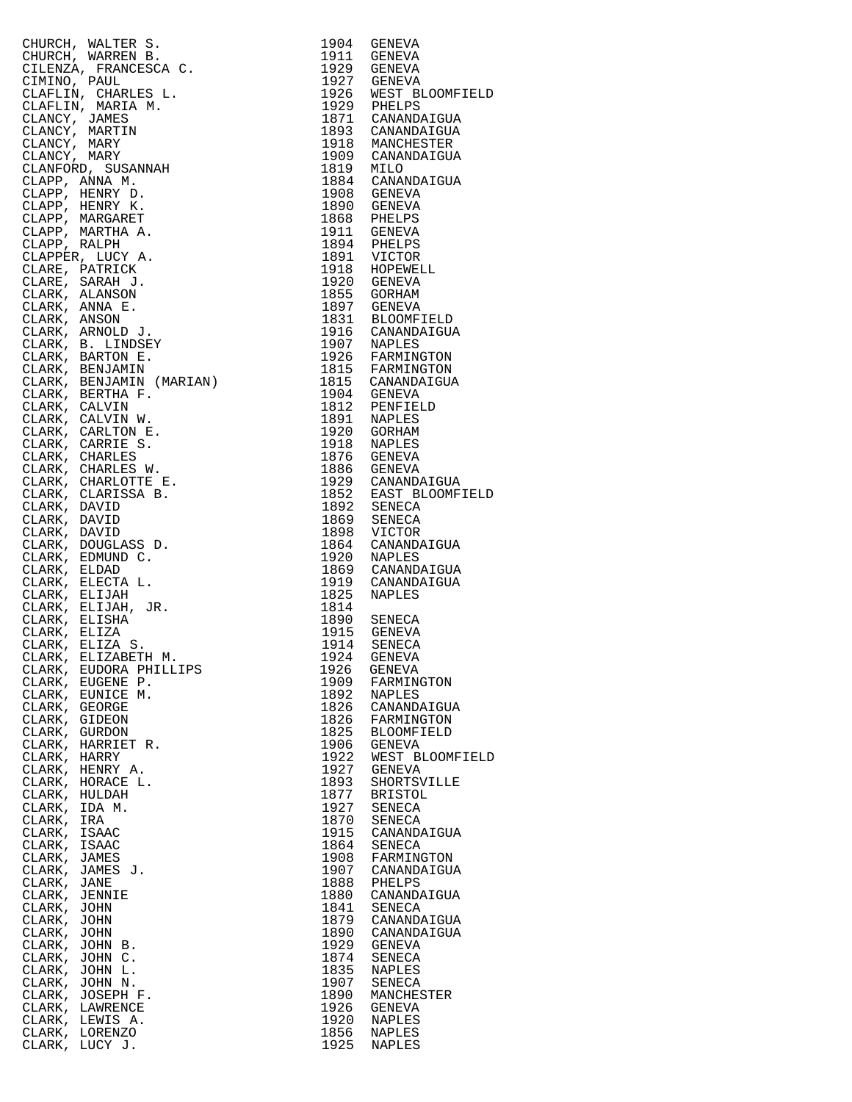|               | CHURCH, WALTER 3. 1904 GENEVA (MARELAN)<br>CHURCH, WARREN B. 1904 GENEVA (INDEENTATION CHURCH, WARREN B. 1927 GENEVA (INDEENTATION CHAPLE)<br>CLARIAN, CHARLES L. 1927 GENEVA (INDEENTATION CLARIATION)<br>CLARICAL (MARELAN M. 193 |      | 1911 GENEVA<br>1929 GENEVA<br>1927 GENEVA<br>1926 WEST BLOOMFIELD<br>1926 WEST BLOOMFIELD<br>1871 CANANDAIGUA<br>1893 CANANDAIGUA<br>1918 MANCHESTER<br>1909 CANANDAIGUA<br>1819 MILO<br>1884 CANANDAIGUA<br>1908 GENEVA<br>1890 GENEVA<br>1890 GENEVA<br>1868 PHELPS<br>19 |
|---------------|-------------------------------------------------------------------------------------------------------------------------------------------------------------------------------------------------------------------------------------|------|-----------------------------------------------------------------------------------------------------------------------------------------------------------------------------------------------------------------------------------------------------------------------------|
|               |                                                                                                                                                                                                                                     |      |                                                                                                                                                                                                                                                                             |
|               |                                                                                                                                                                                                                                     |      |                                                                                                                                                                                                                                                                             |
|               |                                                                                                                                                                                                                                     |      |                                                                                                                                                                                                                                                                             |
|               |                                                                                                                                                                                                                                     |      |                                                                                                                                                                                                                                                                             |
|               |                                                                                                                                                                                                                                     |      |                                                                                                                                                                                                                                                                             |
|               |                                                                                                                                                                                                                                     |      |                                                                                                                                                                                                                                                                             |
|               |                                                                                                                                                                                                                                     |      |                                                                                                                                                                                                                                                                             |
|               |                                                                                                                                                                                                                                     |      |                                                                                                                                                                                                                                                                             |
|               |                                                                                                                                                                                                                                     |      |                                                                                                                                                                                                                                                                             |
|               |                                                                                                                                                                                                                                     |      |                                                                                                                                                                                                                                                                             |
|               |                                                                                                                                                                                                                                     |      |                                                                                                                                                                                                                                                                             |
|               |                                                                                                                                                                                                                                     |      |                                                                                                                                                                                                                                                                             |
|               |                                                                                                                                                                                                                                     |      |                                                                                                                                                                                                                                                                             |
|               |                                                                                                                                                                                                                                     |      |                                                                                                                                                                                                                                                                             |
|               |                                                                                                                                                                                                                                     |      |                                                                                                                                                                                                                                                                             |
|               |                                                                                                                                                                                                                                     |      |                                                                                                                                                                                                                                                                             |
|               |                                                                                                                                                                                                                                     |      |                                                                                                                                                                                                                                                                             |
|               |                                                                                                                                                                                                                                     |      |                                                                                                                                                                                                                                                                             |
|               |                                                                                                                                                                                                                                     |      |                                                                                                                                                                                                                                                                             |
|               |                                                                                                                                                                                                                                     |      |                                                                                                                                                                                                                                                                             |
|               |                                                                                                                                                                                                                                     |      |                                                                                                                                                                                                                                                                             |
|               |                                                                                                                                                                                                                                     |      |                                                                                                                                                                                                                                                                             |
|               |                                                                                                                                                                                                                                     |      |                                                                                                                                                                                                                                                                             |
|               |                                                                                                                                                                                                                                     |      |                                                                                                                                                                                                                                                                             |
|               |                                                                                                                                                                                                                                     |      |                                                                                                                                                                                                                                                                             |
|               |                                                                                                                                                                                                                                     |      |                                                                                                                                                                                                                                                                             |
|               |                                                                                                                                                                                                                                     |      |                                                                                                                                                                                                                                                                             |
|               |                                                                                                                                                                                                                                     |      |                                                                                                                                                                                                                                                                             |
|               |                                                                                                                                                                                                                                     |      |                                                                                                                                                                                                                                                                             |
|               |                                                                                                                                                                                                                                     |      |                                                                                                                                                                                                                                                                             |
|               |                                                                                                                                                                                                                                     |      |                                                                                                                                                                                                                                                                             |
|               |                                                                                                                                                                                                                                     |      |                                                                                                                                                                                                                                                                             |
|               |                                                                                                                                                                                                                                     |      |                                                                                                                                                                                                                                                                             |
|               |                                                                                                                                                                                                                                     |      |                                                                                                                                                                                                                                                                             |
|               |                                                                                                                                                                                                                                     |      |                                                                                                                                                                                                                                                                             |
|               |                                                                                                                                                                                                                                     |      |                                                                                                                                                                                                                                                                             |
|               |                                                                                                                                                                                                                                     |      |                                                                                                                                                                                                                                                                             |
|               |                                                                                                                                                                                                                                     |      |                                                                                                                                                                                                                                                                             |
|               |                                                                                                                                                                                                                                     |      |                                                                                                                                                                                                                                                                             |
|               |                                                                                                                                                                                                                                     |      |                                                                                                                                                                                                                                                                             |
|               |                                                                                                                                                                                                                                     |      |                                                                                                                                                                                                                                                                             |
|               |                                                                                                                                                                                                                                     |      |                                                                                                                                                                                                                                                                             |
|               |                                                                                                                                                                                                                                     |      |                                                                                                                                                                                                                                                                             |
|               |                                                                                                                                                                                                                                     |      |                                                                                                                                                                                                                                                                             |
|               |                                                                                                                                                                                                                                     |      |                                                                                                                                                                                                                                                                             |
|               |                                                                                                                                                                                                                                     |      |                                                                                                                                                                                                                                                                             |
|               |                                                                                                                                                                                                                                     |      |                                                                                                                                                                                                                                                                             |
|               |                                                                                                                                                                                                                                     |      | 1876 GENEVA<br>1886 GENEVA<br>1929 CANANDAIGUA<br>1852 EAST BLOOMFIELD<br>1892 SENECA<br>1869 SENECA<br>1869 VICTOR<br>1898 VICTOR<br>1898 CANANDAIGUA<br>1920 NAPLES<br>1869 CANANDAIGUA<br>1910 CANANDAIGUA<br>1910 CANANDAIGUA<br>1910 CANANDAIGUA                       |
|               |                                                                                                                                                                                                                                     |      |                                                                                                                                                                                                                                                                             |
|               |                                                                                                                                                                                                                                     |      |                                                                                                                                                                                                                                                                             |
|               |                                                                                                                                                                                                                                     |      |                                                                                                                                                                                                                                                                             |
|               |                                                                                                                                                                                                                                     |      |                                                                                                                                                                                                                                                                             |
|               |                                                                                                                                                                                                                                     |      |                                                                                                                                                                                                                                                                             |
|               |                                                                                                                                                                                                                                     |      |                                                                                                                                                                                                                                                                             |
|               |                                                                                                                                                                                                                                     |      |                                                                                                                                                                                                                                                                             |
|               |                                                                                                                                                                                                                                     |      |                                                                                                                                                                                                                                                                             |
|               | CLARK, ELIZABETH M.<br>CLARK, ELIZABETH M.<br>FILLIPS                                                                                                                                                                               |      |                                                                                                                                                                                                                                                                             |
|               |                                                                                                                                                                                                                                     |      |                                                                                                                                                                                                                                                                             |
|               |                                                                                                                                                                                                                                     | 1926 | GENEVA                                                                                                                                                                                                                                                                      |
|               | CLARK, EUGENE P.                                                                                                                                                                                                                    | 1909 | FARMINGTON                                                                                                                                                                                                                                                                  |
|               |                                                                                                                                                                                                                                     | 1892 |                                                                                                                                                                                                                                                                             |
|               | CLARK, EUNICE M.                                                                                                                                                                                                                    |      | NAPLES                                                                                                                                                                                                                                                                      |
| CLARK, GEORGE |                                                                                                                                                                                                                                     | 1826 | CANANDAIGUA                                                                                                                                                                                                                                                                 |
| CLARK, GIDEON |                                                                                                                                                                                                                                     | 1826 | FARMINGTON                                                                                                                                                                                                                                                                  |
| CLARK, GURDON |                                                                                                                                                                                                                                     | 1825 | <b>BLOOMFIELD</b>                                                                                                                                                                                                                                                           |
|               | CLARK, HARRIET R.                                                                                                                                                                                                                   | 1906 | GENEVA                                                                                                                                                                                                                                                                      |
|               |                                                                                                                                                                                                                                     |      |                                                                                                                                                                                                                                                                             |
| CLARK, HARRY  |                                                                                                                                                                                                                                     | 1922 | WEST BLOOMFIELD                                                                                                                                                                                                                                                             |
|               | CLARK, HENRY A.                                                                                                                                                                                                                     | 1927 | GENEVA                                                                                                                                                                                                                                                                      |
|               | CLARK, HORACE L.                                                                                                                                                                                                                    | 1893 | SHORTSVILLE                                                                                                                                                                                                                                                                 |
| CLARK, HULDAH |                                                                                                                                                                                                                                     | 1877 | <b>BRISTOL</b>                                                                                                                                                                                                                                                              |
|               |                                                                                                                                                                                                                                     |      |                                                                                                                                                                                                                                                                             |
| CLARK, IDA M. |                                                                                                                                                                                                                                     | 1927 | SENECA                                                                                                                                                                                                                                                                      |
| CLARK, IRA    |                                                                                                                                                                                                                                     | 1870 | SENECA                                                                                                                                                                                                                                                                      |
| CLARK, ISAAC  |                                                                                                                                                                                                                                     | 1915 | CANANDAIGUA                                                                                                                                                                                                                                                                 |
| CLARK, ISAAC  |                                                                                                                                                                                                                                     | 1864 | SENECA                                                                                                                                                                                                                                                                      |
|               |                                                                                                                                                                                                                                     |      |                                                                                                                                                                                                                                                                             |
| CLARK, JAMES  |                                                                                                                                                                                                                                     | 1908 | FARMINGTON                                                                                                                                                                                                                                                                  |
|               | CLARK, JAMES J.                                                                                                                                                                                                                     | 1907 | CANANDAIGUA                                                                                                                                                                                                                                                                 |
| CLARK, JANE   |                                                                                                                                                                                                                                     | 1888 | PHELPS                                                                                                                                                                                                                                                                      |
| CLARK, JENNIE |                                                                                                                                                                                                                                     | 1880 | CANANDAIGUA                                                                                                                                                                                                                                                                 |
|               |                                                                                                                                                                                                                                     |      |                                                                                                                                                                                                                                                                             |
| CLARK, JOHN   |                                                                                                                                                                                                                                     | 1841 | SENECA                                                                                                                                                                                                                                                                      |
| CLARK, JOHN   |                                                                                                                                                                                                                                     | 1879 | CANANDAIGUA                                                                                                                                                                                                                                                                 |
| CLARK, JOHN   |                                                                                                                                                                                                                                     | 1890 | CANANDAIGUA                                                                                                                                                                                                                                                                 |
|               | CLARK, JOHN B.                                                                                                                                                                                                                      | 1929 | GENEVA                                                                                                                                                                                                                                                                      |
|               |                                                                                                                                                                                                                                     | 1874 |                                                                                                                                                                                                                                                                             |
|               | CLARK, JOHN C.                                                                                                                                                                                                                      |      | SENECA                                                                                                                                                                                                                                                                      |
|               | CLARK, JOHN L.                                                                                                                                                                                                                      | 1835 | NAPLES                                                                                                                                                                                                                                                                      |
|               | CLARK, JOHN N.                                                                                                                                                                                                                      | 1907 | SENECA                                                                                                                                                                                                                                                                      |
|               | CLARK, JOSEPH F.                                                                                                                                                                                                                    | 1890 | MANCHESTER                                                                                                                                                                                                                                                                  |
|               | CLARK, LAWRENCE                                                                                                                                                                                                                     | 1926 | GENEVA                                                                                                                                                                                                                                                                      |
|               |                                                                                                                                                                                                                                     |      |                                                                                                                                                                                                                                                                             |
|               | CLARK, LEWIS A.                                                                                                                                                                                                                     | 1920 | NAPLES                                                                                                                                                                                                                                                                      |
|               | CLARK, LORENZO                                                                                                                                                                                                                      | 1856 | NAPLES                                                                                                                                                                                                                                                                      |
|               | CLARK, LUCY J.                                                                                                                                                                                                                      | 1925 | NAPLES                                                                                                                                                                                                                                                                      |

| 1904         | GENEVA                         |
|--------------|--------------------------------|
| 1911<br>1929 | GENEVA                         |
| 1927         | GENEVA<br>GENEVA               |
| 1926         | WEST BLOOMFIELD                |
| 1929         | PHELPS                         |
| 1871<br>1893 | CANANDAIGUA<br>CANANDAIGUA     |
| 1918         | MANCHESTER                     |
| 1909         | CANANDAIGUA                    |
| 1819         | MILO                           |
| 1884<br>1908 | CANANDAIGUA<br>GENEVA          |
| 1890         | GENEVA                         |
| 1868         | PHELPS                         |
| 1911<br>1894 | GENEVA<br>PHELPS               |
| 1891         | VICTOR                         |
| 1918         | HOPEWELL                       |
| 1920         | <b>GENEVA</b>                  |
| 1855<br>1897 | <b>GORHAM</b><br><b>GENEVA</b> |
| 1831         | <b>BLOOMFIELD</b>              |
| 1916         | CANANDAIGUA                    |
| 1907<br>1926 | <b>NAPLES</b><br>FARMINGTON    |
| 1815         | FARMINGTON                     |
| 1815         | CANANDAIGUA                    |
| 1904         | <b>GENEVA</b>                  |
| 1812<br>1891 | PENFIELD<br>NAPLES             |
| 1920         | GORHAM                         |
| 1918         | <b>NAPLES</b>                  |
| 1876         | GENEVA                         |
| 1886<br>1929 | GENEVA<br>CANANDAIGUA          |
| 1852         | EAST BLOOMFIELD                |
| 1892         | SENECA                         |
| 1869<br>1898 | SENECA<br>VICTOR               |
| 1864         | CANANDAIGUA                    |
| 1920         | NAPLES                         |
| 1869         | CANANDAIGUA                    |
| 1919<br>1825 | CANANDAIGUA<br>NAPLES          |
| 1814         |                                |
| 1890         | SENECA                         |
| 1915<br>1914 | GENEVA<br>SENECA               |
| 1924         | <b>GENEVA</b>                  |
| 1926         | GENEVA                         |
| 1909         | FARMINGTON                     |
| 1892<br>1826 | NAPLES<br>CANANDAIGUA          |
| 1826         | FARMINGTON                     |
| 1825         | <b>BLOOMFIELD</b>              |
| 1906<br>1922 | GENEVA<br>WEST BLOOMFIELD      |
| 1927         | <b>GENEVA</b>                  |
| 1893         | SHORTSVILLE                    |
| 1877         | <b>BRISTOL</b>                 |
| 1927<br>1870 | SENECA<br>SENECA               |
| 1915         | CANANDAIGUA                    |
| 1864         | SENECA                         |
| 1908         | FARMINGTON<br>CANANDAIGUA      |
| 1907<br>1888 | PHELPS                         |
| 1880         | CANANDAIGUA                    |
| 1841         | SENECA                         |
| 1879<br>1890 | CANANDAIGUA<br>CANANDAIGUA     |
| 1929         | GENEVA                         |
| 1874         | <b>SENECA</b>                  |
| 1835<br>1907 | NAPLES                         |
| 1890         | SENECA<br>MANCHESTER           |
| 1926         | GENEVA                         |
| 1920         | NAPLES                         |
| 1856<br>1925 | NAPLES<br><b>NAPLES</b>        |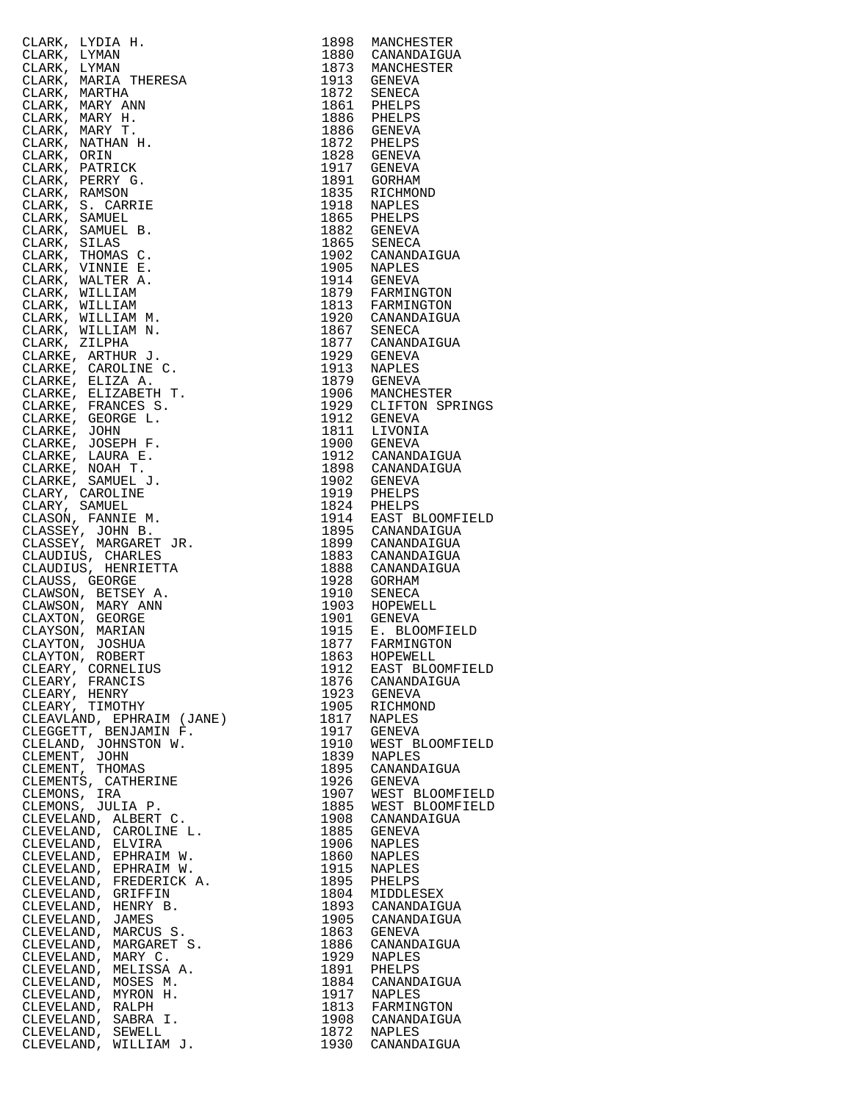| CLARK, LYDIA H. WANN<br>CLARK, LYMAN<br>CLARK, MARITA THERESA<br>CLARK, MARITA THERESA<br>CLARK, MARITA THERESA<br>CLARK, MARY H.<br>T. CLARK, MARY H.<br>CLARK, NARY H.<br>CLARK, PERINCK<br>CLARK, PERINCK<br>CLARK, PERINCK<br>CLARK, PERINCK<br>CLARK, S. CARR | 1898         | MANCHESTER                              |
|--------------------------------------------------------------------------------------------------------------------------------------------------------------------------------------------------------------------------------------------------------------------|--------------|-----------------------------------------|
|                                                                                                                                                                                                                                                                    |              | 1880 CANANDAIGUA<br>1873 MANCHESTER     |
|                                                                                                                                                                                                                                                                    |              |                                         |
|                                                                                                                                                                                                                                                                    |              | 1913 GENEVA                             |
|                                                                                                                                                                                                                                                                    |              | 1872 SENECA                             |
|                                                                                                                                                                                                                                                                    |              | 1861 PHELPS<br>1886 PHELPS              |
|                                                                                                                                                                                                                                                                    |              |                                         |
|                                                                                                                                                                                                                                                                    |              | 1886 GENEVA<br>1872 PHELPS              |
|                                                                                                                                                                                                                                                                    |              | 1828 GENEVA                             |
|                                                                                                                                                                                                                                                                    |              | 1917 GENEVA                             |
|                                                                                                                                                                                                                                                                    |              |                                         |
|                                                                                                                                                                                                                                                                    |              | T891 GORHAM<br>1835 RICHMON<br>RICHMOND |
|                                                                                                                                                                                                                                                                    |              | 1918 NAPLES<br>1865 PHELPS              |
|                                                                                                                                                                                                                                                                    |              |                                         |
|                                                                                                                                                                                                                                                                    |              | 1882 GENEVA                             |
|                                                                                                                                                                                                                                                                    |              | 1865 SENECA                             |
|                                                                                                                                                                                                                                                                    |              | 1902 CANANDAIGUA<br>1905 NAPLES         |
|                                                                                                                                                                                                                                                                    |              |                                         |
|                                                                                                                                                                                                                                                                    |              | 1914 GENEVA<br>1879 FARMINGTON          |
|                                                                                                                                                                                                                                                                    |              |                                         |
|                                                                                                                                                                                                                                                                    |              | 1813 FARMINGTON<br>1920 CANANDAIGUA     |
|                                                                                                                                                                                                                                                                    |              | 1867 SENECA<br>1877 CANANDAIGUA         |
|                                                                                                                                                                                                                                                                    |              |                                         |
|                                                                                                                                                                                                                                                                    |              | 1929 GENEVA<br>1913 NAPLES              |
|                                                                                                                                                                                                                                                                    |              |                                         |
|                                                                                                                                                                                                                                                                    |              | 1879 GENEVA<br>1906 MANCHESTER          |
|                                                                                                                                                                                                                                                                    |              |                                         |
|                                                                                                                                                                                                                                                                    |              | 1929 CLIFTON SPRINGS                    |
|                                                                                                                                                                                                                                                                    |              | 1912 GENEVA<br>1811 LIVONIA             |
|                                                                                                                                                                                                                                                                    |              | 1900 GENEVA                             |
|                                                                                                                                                                                                                                                                    |              |                                         |
|                                                                                                                                                                                                                                                                    |              | 1912 CANANDAIGUA<br>1898 CANANDAIGUA    |
|                                                                                                                                                                                                                                                                    |              | 1902 GENEVA                             |
|                                                                                                                                                                                                                                                                    | 1919         | PHELPS                                  |
|                                                                                                                                                                                                                                                                    |              | 1824 PHELPS<br>1914 EAST BLOOMFIELD     |
|                                                                                                                                                                                                                                                                    |              |                                         |
|                                                                                                                                                                                                                                                                    |              | 1895 CANANDAIGUA                        |
|                                                                                                                                                                                                                                                                    |              | 1899 CANANDAIGUA                        |
|                                                                                                                                                                                                                                                                    |              | 1883 CANANDAIGUA<br>1888 CANANDAIGUA    |
|                                                                                                                                                                                                                                                                    | 1928         | GORHAM                                  |
|                                                                                                                                                                                                                                                                    |              | 1910 SENECA                             |
|                                                                                                                                                                                                                                                                    | 1903         | HOPEWELL                                |
|                                                                                                                                                                                                                                                                    |              | 1901 GENEVA                             |
|                                                                                                                                                                                                                                                                    |              | 1915 E. BLOOMFIELD<br>1877 FARMINGTON   |
|                                                                                                                                                                                                                                                                    |              |                                         |
| CLAYTON, ROBERT                                                                                                                                                                                                                                                    |              | 1863 HOPEWELL                           |
| CLEARY, CORNELIUS<br>CLEARY, FRANCIS                                                                                                                                                                                                                               | 1912<br>1876 | EAST BLOOMFIELD                         |
| CLEARY, HENRY                                                                                                                                                                                                                                                      | 1923         | CANANDAIGUA<br>GENEVA                   |
| CLEARY, TIMOTHY                                                                                                                                                                                                                                                    | 1905         | RICHMOND                                |
| CLEAVLAND, EPHRAIM (JANE)                                                                                                                                                                                                                                          | 1817         | <b>NAPLES</b>                           |
| CLEGGETT, BENJAMIN F.                                                                                                                                                                                                                                              | 1917         | GENEVA                                  |
| CLELAND, JOHNSTON W.                                                                                                                                                                                                                                               | 1910         | WEST BLOOMFIELD                         |
| CLEMENT, JOHN                                                                                                                                                                                                                                                      | 1839         | <b>NAPLES</b>                           |
| CLEMENT,<br>THOMAS                                                                                                                                                                                                                                                 | 1895         | CANANDAIGUA                             |
| CLEMENTS, CATHERINE                                                                                                                                                                                                                                                | 1926         | <b>GENEVA</b>                           |
| CLEMONS, IRA                                                                                                                                                                                                                                                       | 1907         | WEST BLOOMFIELD                         |
| CLEMONS, JULIA P.                                                                                                                                                                                                                                                  | 1885<br>1908 | WEST BLOOMFIELD<br>CANANDAIGUA          |
| CLEVELAND, ALBERT C.<br>CLEVELAND, CAROLINE L.                                                                                                                                                                                                                     | 1885         | GENEVA                                  |
| CLEVELAND, ELVIRA                                                                                                                                                                                                                                                  | 1906         | NAPLES                                  |
| CLEVELAND, EPHRAIM W.                                                                                                                                                                                                                                              | 1860         | <b>NAPLES</b>                           |
| CLEVELAND,<br>EPHRAIM W.                                                                                                                                                                                                                                           | 1915         | NAPLES                                  |
| CLEVELAND, FREDERICK A.                                                                                                                                                                                                                                            | 1895         | PHELPS                                  |
| CLEVELAND, GRIFFIN                                                                                                                                                                                                                                                 | 1804         | MIDDLESEX                               |
| CLEVELAND,<br>HENRY B.                                                                                                                                                                                                                                             | 1893         | CANANDAIGUA                             |
| CLEVELAND,<br>JAMES                                                                                                                                                                                                                                                | 1905         | CANANDAIGUA                             |
| CLEVELAND,<br>MARCUS S.                                                                                                                                                                                                                                            | 1863         | <b>GENEVA</b>                           |
| CLEVELAND,<br>MARGARET S.<br>CLEVELAND,<br>MARY C.                                                                                                                                                                                                                 | 1886<br>1929 | CANANDAIGUA                             |
| CLEVELAND,<br>MELISSA A.                                                                                                                                                                                                                                           | 1891         | NAPLES<br>PHELPS                        |
| CLEVELAND,<br>MOSES M.                                                                                                                                                                                                                                             | 1884         | CANANDAIGUA                             |
| CLEVELAND,<br>MYRON H.                                                                                                                                                                                                                                             | 1917         | <b>NAPLES</b>                           |
| CLEVELAND, RALPH                                                                                                                                                                                                                                                   | 1813         | FARMINGTON                              |
| CLEVELAND, SABRA I.                                                                                                                                                                                                                                                | 1908         | CANANDAIGUA                             |
| CLEVELAND, SEWELL<br>MTTTTTTANT<br>$\alpha$ LEITELAND                                                                                                                                                                                                              |              | $1872$ NAPLES                           |

| CLARK, LYDIA H. 1930<br>KARK, LYMAN<br>CLARK, LYMAN<br>CLARK, LYMAN<br>CLARK, LYMAN<br>CLARK, MARTA<br>THERESSA (1930)<br>CANARY ANGELIAN<br>CLARK, MARTA THERESSA 1973<br>CLARK, MARTA THERESSA 1973<br>CLARK, MARTA H. 1986<br>CLARK, MARTA H. 1986<br>CLARK, MA    |              |                                                             |
|-----------------------------------------------------------------------------------------------------------------------------------------------------------------------------------------------------------------------------------------------------------------------|--------------|-------------------------------------------------------------|
|                                                                                                                                                                                                                                                                       |              |                                                             |
|                                                                                                                                                                                                                                                                       |              |                                                             |
|                                                                                                                                                                                                                                                                       |              |                                                             |
|                                                                                                                                                                                                                                                                       |              |                                                             |
|                                                                                                                                                                                                                                                                       |              |                                                             |
|                                                                                                                                                                                                                                                                       |              |                                                             |
|                                                                                                                                                                                                                                                                       |              |                                                             |
|                                                                                                                                                                                                                                                                       |              |                                                             |
|                                                                                                                                                                                                                                                                       |              |                                                             |
|                                                                                                                                                                                                                                                                       |              |                                                             |
|                                                                                                                                                                                                                                                                       |              |                                                             |
|                                                                                                                                                                                                                                                                       |              |                                                             |
|                                                                                                                                                                                                                                                                       |              |                                                             |
|                                                                                                                                                                                                                                                                       |              |                                                             |
|                                                                                                                                                                                                                                                                       |              |                                                             |
|                                                                                                                                                                                                                                                                       |              |                                                             |
|                                                                                                                                                                                                                                                                       |              |                                                             |
|                                                                                                                                                                                                                                                                       |              |                                                             |
|                                                                                                                                                                                                                                                                       |              |                                                             |
|                                                                                                                                                                                                                                                                       |              |                                                             |
|                                                                                                                                                                                                                                                                       |              |                                                             |
|                                                                                                                                                                                                                                                                       |              |                                                             |
|                                                                                                                                                                                                                                                                       |              |                                                             |
|                                                                                                                                                                                                                                                                       |              |                                                             |
|                                                                                                                                                                                                                                                                       |              | 1929 CLIFTON SPRINGS<br>1912 GENEVA                         |
|                                                                                                                                                                                                                                                                       |              |                                                             |
|                                                                                                                                                                                                                                                                       |              |                                                             |
|                                                                                                                                                                                                                                                                       |              | 1912 CANANDAIGUA                                            |
|                                                                                                                                                                                                                                                                       |              | 1898 CANANDAIGUA                                            |
|                                                                                                                                                                                                                                                                       |              |                                                             |
|                                                                                                                                                                                                                                                                       |              |                                                             |
|                                                                                                                                                                                                                                                                       |              | 1914 EAST BLOOMFIELD                                        |
|                                                                                                                                                                                                                                                                       |              |                                                             |
|                                                                                                                                                                                                                                                                       |              |                                                             |
|                                                                                                                                                                                                                                                                       |              |                                                             |
|                                                                                                                                                                                                                                                                       |              |                                                             |
|                                                                                                                                                                                                                                                                       |              | <b>DENECA</b><br>1903 HOPEWELL<br>1901 GENEVA<br>1915 E PIC |
|                                                                                                                                                                                                                                                                       |              |                                                             |
|                                                                                                                                                                                                                                                                       |              |                                                             |
|                                                                                                                                                                                                                                                                       |              | 1915 E. BLOOMFIELD<br>1877 FARMINGTON                       |
|                                                                                                                                                                                                                                                                       |              |                                                             |
|                                                                                                                                                                                                                                                                       | 1912         | EAST BLOOMFIELD                                             |
|                                                                                                                                                                                                                                                                       | 1876         | CANANDAIGUA                                                 |
|                                                                                                                                                                                                                                                                       | 1923<br>1905 | GENEVA<br>RICHMOND                                          |
|                                                                                                                                                                                                                                                                       | 1817         | NAPLES                                                      |
|                                                                                                                                                                                                                                                                       | 1917         | <b>GENEVA</b>                                               |
|                                                                                                                                                                                                                                                                       | 1910         | WEST BLOOMFIELD                                             |
|                                                                                                                                                                                                                                                                       | 1839         | <b>NAPLES</b>                                               |
|                                                                                                                                                                                                                                                                       | 1895<br>1926 | CANANDAIGUA                                                 |
|                                                                                                                                                                                                                                                                       | 1907         | GENEVA<br>WEST BLOOMFIELD                                   |
|                                                                                                                                                                                                                                                                       | 1885         | WEST BLOOMFIELD                                             |
|                                                                                                                                                                                                                                                                       | 1908         | CANANDAIGUA                                                 |
|                                                                                                                                                                                                                                                                       | 1885         | GENEVA                                                      |
|                                                                                                                                                                                                                                                                       | 1906         | NAPLES                                                      |
|                                                                                                                                                                                                                                                                       | 1860<br>1915 | NAPLES<br>NAPLES                                            |
|                                                                                                                                                                                                                                                                       | 1895         | PHELPS                                                      |
|                                                                                                                                                                                                                                                                       | 1804         | MIDDLESEX                                                   |
|                                                                                                                                                                                                                                                                       | 1893         | CANANDAIGUA                                                 |
|                                                                                                                                                                                                                                                                       | 1905         | CANANDAIGUA                                                 |
|                                                                                                                                                                                                                                                                       | 1863<br>1886 | GENEVA<br>CANANDAIGUA                                       |
|                                                                                                                                                                                                                                                                       | 1929         | NAPLES                                                      |
|                                                                                                                                                                                                                                                                       | 1891         | PHELPS                                                      |
|                                                                                                                                                                                                                                                                       | 1884         | CANANDAIGUA                                                 |
|                                                                                                                                                                                                                                                                       | 1917         | NAPLES                                                      |
|                                                                                                                                                                                                                                                                       | 1813         | FARMINGTON<br>1908 CANANDAIGUA                              |
|                                                                                                                                                                                                                                                                       |              | 1872 NAPLES                                                 |
| CLAYTON, "METHIM"<br>CLAYTON, JOSHUA<br>CLAYTON, JOSHUA<br>CLAYTON, ROBERT<br>CLEARY, FRANCIS<br>CLEARY, FRANCIS<br>CLEARY, HENRY<br>CLEARY, TIMOTHY<br>CLEARY, TIMOTHY<br>CLEARY, TIMOTHY<br>CLEARY, TIMOTHY<br>CLEARY, JOHNSTON W.<br>CLEMENT, JOHNSTON W.<br>CLEME | 1930         | CANANDAIGUA                                                 |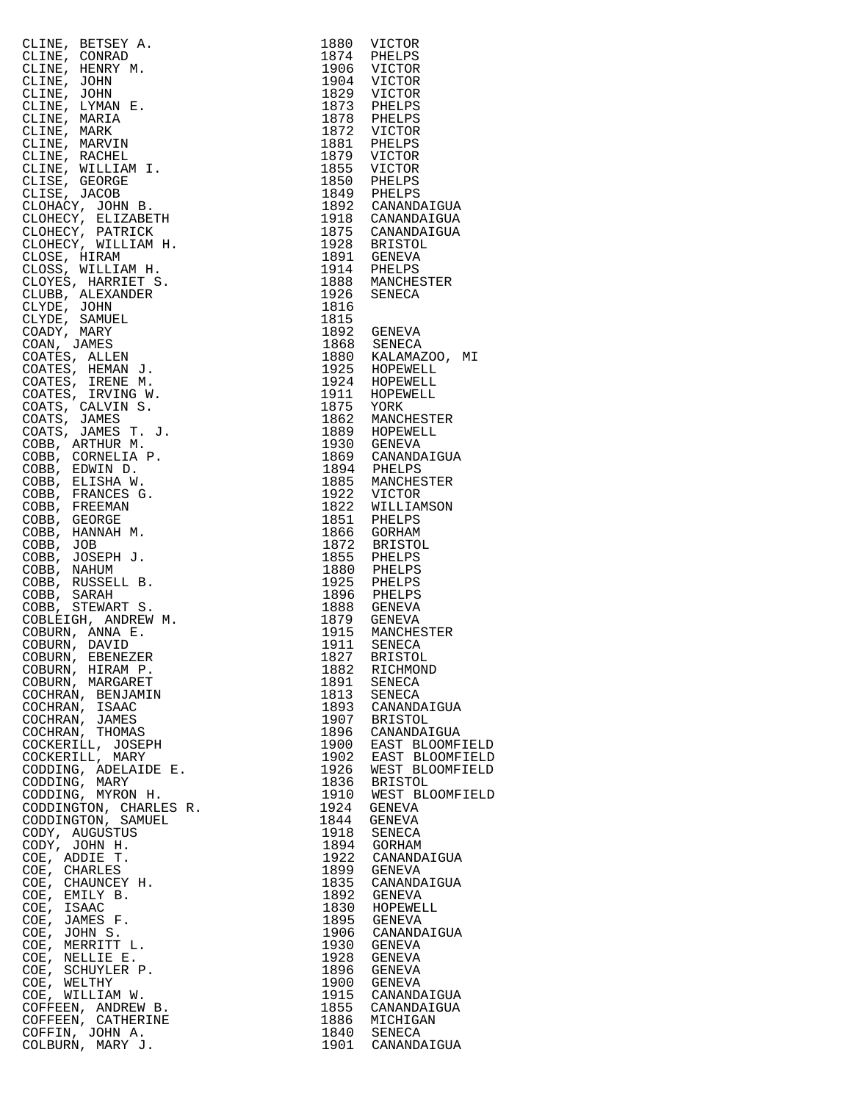|                                                                                                                                                                                                                                                                       |      | 1880 VICTOR                                                                                                                                                                                                                                                    |
|-----------------------------------------------------------------------------------------------------------------------------------------------------------------------------------------------------------------------------------------------------------------------|------|----------------------------------------------------------------------------------------------------------------------------------------------------------------------------------------------------------------------------------------------------------------|
|                                                                                                                                                                                                                                                                       |      | 1880 VICTOR<br>1974 PHELPS<br>1904 VICTOR<br>1829 VICTOR<br>1873 PHELPS<br>1873 PHELPS<br>1872 VICTOR<br>1881 PHELPS<br>1879 VICTOR<br>1879 VICTOR                                                                                                             |
|                                                                                                                                                                                                                                                                       |      |                                                                                                                                                                                                                                                                |
|                                                                                                                                                                                                                                                                       |      |                                                                                                                                                                                                                                                                |
|                                                                                                                                                                                                                                                                       |      |                                                                                                                                                                                                                                                                |
|                                                                                                                                                                                                                                                                       |      |                                                                                                                                                                                                                                                                |
|                                                                                                                                                                                                                                                                       |      |                                                                                                                                                                                                                                                                |
|                                                                                                                                                                                                                                                                       |      |                                                                                                                                                                                                                                                                |
|                                                                                                                                                                                                                                                                       |      |                                                                                                                                                                                                                                                                |
|                                                                                                                                                                                                                                                                       |      |                                                                                                                                                                                                                                                                |
|                                                                                                                                                                                                                                                                       |      | 1855 VICTOR                                                                                                                                                                                                                                                    |
|                                                                                                                                                                                                                                                                       |      | 1855 VICIOR<br>1850 PHELPS<br>1892 CANANDAIGUA                                                                                                                                                                                                                 |
|                                                                                                                                                                                                                                                                       |      |                                                                                                                                                                                                                                                                |
|                                                                                                                                                                                                                                                                       |      |                                                                                                                                                                                                                                                                |
|                                                                                                                                                                                                                                                                       |      | 1918 CANANDAIGUA                                                                                                                                                                                                                                               |
|                                                                                                                                                                                                                                                                       |      | 1875 CANANDAIGUA                                                                                                                                                                                                                                               |
|                                                                                                                                                                                                                                                                       |      |                                                                                                                                                                                                                                                                |
|                                                                                                                                                                                                                                                                       |      | 1928 BRISTOL<br>1891 GENEVA<br>1914 PHELPS<br>1888 MANCHESTER                                                                                                                                                                                                  |
|                                                                                                                                                                                                                                                                       |      |                                                                                                                                                                                                                                                                |
|                                                                                                                                                                                                                                                                       |      |                                                                                                                                                                                                                                                                |
|                                                                                                                                                                                                                                                                       |      | 1926 SENECA                                                                                                                                                                                                                                                    |
|                                                                                                                                                                                                                                                                       | 1816 |                                                                                                                                                                                                                                                                |
|                                                                                                                                                                                                                                                                       | 1815 |                                                                                                                                                                                                                                                                |
|                                                                                                                                                                                                                                                                       |      |                                                                                                                                                                                                                                                                |
|                                                                                                                                                                                                                                                                       |      |                                                                                                                                                                                                                                                                |
|                                                                                                                                                                                                                                                                       |      |                                                                                                                                                                                                                                                                |
|                                                                                                                                                                                                                                                                       |      |                                                                                                                                                                                                                                                                |
| CLINE, BETSEY A.<br>CLINE, CONRAD<br>CLINE, CONRAD<br>CLINE, JOHN<br>CLINE, HENRY M.<br>CLINE, HENRY M.<br>CLINE, LYMAN E.<br>CLINE, MARXIA E.<br>CLINE, MARXIA E.<br>CLINE, MARXIN E.<br>CLINE, MARXIN I.<br>CLINE, MARXIN I.<br>CLINE, MARXIN I.<br>CLINE, MARXIN I |      | 1815<br>1815<br>1892 GENEVA<br>1868 SENECA<br>1868 KALAMAZOO, MI<br>1925 HOPEWELL<br>1924 HOPEWELL<br>1971 HOPEWELL<br>1875 YORK<br>1862 MANCHESTER<br>1889 HOPEWELL<br>1930 GENEVA<br>1869 CANANDAIGUA<br>1894 PHELPS<br>1865 MANCHESTER<br>1822 VICTOR<br>18 |
|                                                                                                                                                                                                                                                                       |      |                                                                                                                                                                                                                                                                |
|                                                                                                                                                                                                                                                                       |      |                                                                                                                                                                                                                                                                |
|                                                                                                                                                                                                                                                                       |      |                                                                                                                                                                                                                                                                |
|                                                                                                                                                                                                                                                                       |      |                                                                                                                                                                                                                                                                |
|                                                                                                                                                                                                                                                                       |      |                                                                                                                                                                                                                                                                |
|                                                                                                                                                                                                                                                                       |      |                                                                                                                                                                                                                                                                |
|                                                                                                                                                                                                                                                                       |      |                                                                                                                                                                                                                                                                |
|                                                                                                                                                                                                                                                                       |      |                                                                                                                                                                                                                                                                |
|                                                                                                                                                                                                                                                                       |      |                                                                                                                                                                                                                                                                |
|                                                                                                                                                                                                                                                                       |      |                                                                                                                                                                                                                                                                |
|                                                                                                                                                                                                                                                                       |      |                                                                                                                                                                                                                                                                |
|                                                                                                                                                                                                                                                                       |      |                                                                                                                                                                                                                                                                |
|                                                                                                                                                                                                                                                                       |      | 1872 BRISTOL<br>1872 BRISTOL<br>1855 PHELPS<br>1880 PHELPS<br>1888 GENEVA                                                                                                                                                                                      |
|                                                                                                                                                                                                                                                                       |      |                                                                                                                                                                                                                                                                |
|                                                                                                                                                                                                                                                                       |      |                                                                                                                                                                                                                                                                |
|                                                                                                                                                                                                                                                                       |      |                                                                                                                                                                                                                                                                |
|                                                                                                                                                                                                                                                                       |      |                                                                                                                                                                                                                                                                |
|                                                                                                                                                                                                                                                                       |      |                                                                                                                                                                                                                                                                |
|                                                                                                                                                                                                                                                                       |      | 1879 GENEVA                                                                                                                                                                                                                                                    |
|                                                                                                                                                                                                                                                                       |      | 1915 MANCHESTER<br>1911 SENECA                                                                                                                                                                                                                                 |
|                                                                                                                                                                                                                                                                       |      |                                                                                                                                                                                                                                                                |
| COBURN, EBENEZER<br>COBURN, HIRAM P.                                                                                                                                                                                                                                  |      | 1827 BRISTOL                                                                                                                                                                                                                                                   |
|                                                                                                                                                                                                                                                                       | 1882 | RICHMOND                                                                                                                                                                                                                                                       |
| COBURN, MARGARET                                                                                                                                                                                                                                                      | 1891 | SENECA                                                                                                                                                                                                                                                         |
| COCHRAN, BENJAMIN                                                                                                                                                                                                                                                     | 1813 | SENECA                                                                                                                                                                                                                                                         |
| COCHRAN, ISAAC                                                                                                                                                                                                                                                        |      | 1893 CANANDAIGUA                                                                                                                                                                                                                                               |
| COCHRAN, JAMES                                                                                                                                                                                                                                                        |      | 1907 BRISTOL                                                                                                                                                                                                                                                   |
| COCHRAN, THOMAS                                                                                                                                                                                                                                                       |      | 1896 CANANDAIGUA                                                                                                                                                                                                                                               |
| COCKERILL, JOSEPH                                                                                                                                                                                                                                                     |      | 1900 EAST BLOOMFIEL<br>1902 EAST BLOOMFIEL                                                                                                                                                                                                                     |
| COCKERILL, MARY                                                                                                                                                                                                                                                       |      |                                                                                                                                                                                                                                                                |
| CODDING, ADELAIDE E.                                                                                                                                                                                                                                                  | 1926 | WEST BLOOMFIEL                                                                                                                                                                                                                                                 |
| CODDING, MARY                                                                                                                                                                                                                                                         |      | 1836 BRISTOL                                                                                                                                                                                                                                                   |
| CODDING, MYRON H.                                                                                                                                                                                                                                                     |      | 1910 WEST BLOOMFIEL                                                                                                                                                                                                                                            |
| CODDINGTON, CHARLES R.                                                                                                                                                                                                                                                | 1924 | GENEVA                                                                                                                                                                                                                                                         |
| CODDINGTON, SAMUEL                                                                                                                                                                                                                                                    | 1844 | GENEVA                                                                                                                                                                                                                                                         |
| CODY, AUGUSTUS                                                                                                                                                                                                                                                        |      | 1918 SENECA                                                                                                                                                                                                                                                    |
| CODY, JOHN H.                                                                                                                                                                                                                                                         |      | 1894 GORHAM                                                                                                                                                                                                                                                    |
| COE, ADDIE T.                                                                                                                                                                                                                                                         |      | 1922 CANANDAIGUA                                                                                                                                                                                                                                               |
| COE, CHARLES                                                                                                                                                                                                                                                          | 1899 | GENEVA                                                                                                                                                                                                                                                         |
| COE, CHAUNCEY H.                                                                                                                                                                                                                                                      |      | 1835 CANANDAIGUA                                                                                                                                                                                                                                               |
| COE, EMILY B.                                                                                                                                                                                                                                                         | 1892 | GENEVA                                                                                                                                                                                                                                                         |
| COE, ISAAC                                                                                                                                                                                                                                                            |      | 1830 HOPEWELL                                                                                                                                                                                                                                                  |
| COE, JAMES F.                                                                                                                                                                                                                                                         | 1895 | GENEVA                                                                                                                                                                                                                                                         |
| COE, JOHN S.                                                                                                                                                                                                                                                          |      | 1906 CANANDAIGUA                                                                                                                                                                                                                                               |
| COE, MERRITT L.                                                                                                                                                                                                                                                       | 1930 | GENEVA                                                                                                                                                                                                                                                         |
| COE, NELLIE E.                                                                                                                                                                                                                                                        |      | 1928 GENEVA                                                                                                                                                                                                                                                    |
| COE, SCHUYLER P.                                                                                                                                                                                                                                                      | 1896 | GENEVA                                                                                                                                                                                                                                                         |
| COE, WELTHY                                                                                                                                                                                                                                                           |      | 1900 GENEVA                                                                                                                                                                                                                                                    |
| COE, WILLIAM W.                                                                                                                                                                                                                                                       |      | 1915 CANANDAIGUA                                                                                                                                                                                                                                               |
| COFFEEN, ANDREW B.                                                                                                                                                                                                                                                    |      | 1855 CANANDAIGUA                                                                                                                                                                                                                                               |
| COFFEEN, CATHERINE                                                                                                                                                                                                                                                    |      | 1886 MICHIGAN                                                                                                                                                                                                                                                  |
| COFFIN, JOHN A.                                                                                                                                                                                                                                                       |      | 1840 SENECA                                                                                                                                                                                                                                                    |
| COLBURN, MARY J.                                                                                                                                                                                                                                                      |      | 1901 CANANDAIGUA                                                                                                                                                                                                                                               |

| CLINE, BETSEY A.       | 1880                    | VICTOR                               |
|------------------------|-------------------------|--------------------------------------|
| CLINE, CONRAD          | 1874                    | PHELPS                               |
| CLINE, HENRY M.        | 1906<br>1904            | VICTOR                               |
| CLINE, JOHN            | 1904                    | VICTOR                               |
| CLINE, JOHN            |                         | 1829 VICTOR<br>1873 PHELPS<br>VICTOR |
| CLINE, LYMAN E.        |                         |                                      |
| CLINE, MARIA           |                         | 1878 PHELPS<br>1872 VICTOR           |
| CLINE, MARK            |                         |                                      |
| CLINE, MARVIN          | 1881<br>1879            | PHELPS                               |
| CLINE, RACHEL          |                         | VICTOR                               |
| CLINE, WILLIAM I.      | 1855                    | VICTOR                               |
| CLISE, GEORGE          | 1850                    | PHELPS                               |
| CLISE, JACOB           |                         |                                      |
| CLOHACY, JOHN B.       |                         | 1849 PHELPS<br>1892 CANANDAIGUA      |
| CLOHECY, ELIZABETH     |                         | 1918 CANANDAIGUA                     |
| CLOHECY, PATRICK       |                         | 1875 CANANDAIGUA                     |
| CLOHECY, WILLIAM H.    |                         |                                      |
|                        |                         | 1928 BRISTOL                         |
| CLOSE, HIRAM           |                         | 1891 GENEVA                          |
| CLOSS, WILLIAM H.      |                         | 1914 PHELPS                          |
| CLOYES, HARRIET S.     |                         | 1888 MANCHESTER                      |
| CLUBB, ALEXANDER       | 1926                    | SENECA                               |
| CLYDE, JOHN            | 1816                    |                                      |
| CLYDE, SAMUEL          | 1815                    |                                      |
| COADY, MARY            |                         | 1892 GENEVA                          |
| COAN, JAMES            |                         |                                      |
| COATES, ALLEN          |                         | 1868 SENECA<br>1880 KALAMAZOO, MI    |
| COATES, HEMAN J.       |                         |                                      |
| COATES, IRENE M.       |                         | 1925 HOPEWELL<br>1924 HOPEWELL       |
| COATES, IRVING W.      |                         | HOPEWELL                             |
| COATS, CALVIN S.       | 1911 HOPET<br>1875 YORK |                                      |
| COATS, JAMES           |                         | 1862 MANCHESTER<br>1889 HOPEWELL     |
| COATS, JAMES T. J.     |                         |                                      |
| COBB, ARTHUR M.        |                         | 1930 GENEVA                          |
| COBB, CORNELIA P.      |                         | 1869 CANANDAIGUA                     |
| COBB, EDWIN D.         |                         |                                      |
|                        |                         | 1894 PHELPS<br>1885 MANCHESTER       |
| COBB, ELISHA W.        |                         |                                      |
| COBB, FRANCES G.       | 1922                    | VICTOR                               |
| COBB, FREEMAN          | 1822                    | WILLIAMSON                           |
| COBB, GEORGE           | 1851                    | PHELPS                               |
| COBB, HANNAH M.        | 1866                    | GORHAM                               |
| COBB, JOB              | 1872                    | BRISTOL                              |
| COBB, JOSEPH J.        | 1855                    | PHELPS                               |
| COBB, NAHUM            | 1880                    | PHELPS                               |
| COBB, RUSSELL B.       | 1925                    | PHELPS                               |
| COBB, SARAH            | 1896                    | PHELPS                               |
| COBB, STEWART S.       | 1888                    | GENEVA                               |
| COBLEIGH, ANDREW M.    | 1879                    | GENEVA                               |
| COBURN, ANNA E.        | 1915                    | MANCHESTER                           |
| COBURN, DAVID          | 1911                    | SENECA                               |
| COBURN, EBENEZER       | 1827                    | <b>BRISTOL</b>                       |
| COBURN, HIRAM P.       | 1882                    | RICHMOND                             |
| COBURN, MARGARET       | 1891                    | SENECA                               |
| COCHRAN, BENJAMIN      | 1813                    | SENECA                               |
| COCHRAN, ISAAC         | 1893                    | CANANDAIGUA                          |
| COCHRAN, JAMES         | 1907                    | <b>BRISTOL</b>                       |
| COCHRAN, THOMAS        | 1896                    | CANANDAIGUA                          |
| COCKERILL, JOSEPH      | 1900                    | EAST BLOOMFIELD                      |
| COCKERILL, MARY        | 1902                    | EAST BLOOMFIELD                      |
| CODDING, ADELAIDE E.   |                         | WEST BLOOMFIELD                      |
|                        | 1926                    |                                      |
| CODDING, MARY          | 1836                    | BRISTOL                              |
| CODDING, MYRON H.      | 1910                    | WEST BLOOMFIELD                      |
| CODDINGTON, CHARLES R. | 1924                    | GENEVA                               |
| CODDINGTON, SAMUEL     | 1844                    | GENEVA                               |
| CODY, AUGUSTUS         | 1918                    | SENECA                               |
| CODY, JOHN H.          | 1894                    | GORHAM                               |
| COE, ADDIE T.          | 1922                    | CANANDAIGUA                          |
| COE, CHARLES           | 1899                    | GENEVA                               |
| COE, CHAUNCEY H.       | 1835                    | CANANDAIGUA                          |
| COE,<br>EMILY B.       | 1892                    | GENEVA                               |
| COE,<br>ISAAC          | 1830                    | HOPEWELL                             |
| JAMES F.<br>COE,       | 1895                    | GENEVA                               |
| COE,<br>JOHN S.        | 1906                    | CANANDAIGUA                          |
| MERRITT L.<br>COE,     | 1930                    | GENEVA                               |
| COE,<br>NELLIE E.      | 1928                    | GENEVA                               |
| COE,<br>SCHUYLER P.    | 1896                    | GENEVA                               |
| COE,<br>WELTHY         | 1900                    | GENEVA                               |
| COE, WILLIAM W.        | 1915                    | CANANDAIGUA                          |
| COFFEEN, ANDREW B.     | 1855                    |                                      |
|                        |                         | CANANDAIGUA                          |
| COFFEEN, CATHERINE     | 1886                    | MICHIGAN                             |
| COFFIN, JOHN A.        | 1840                    | SENECA                               |
| COLBURN, MARY J.       |                         | 1901 CANANDAIGUA                     |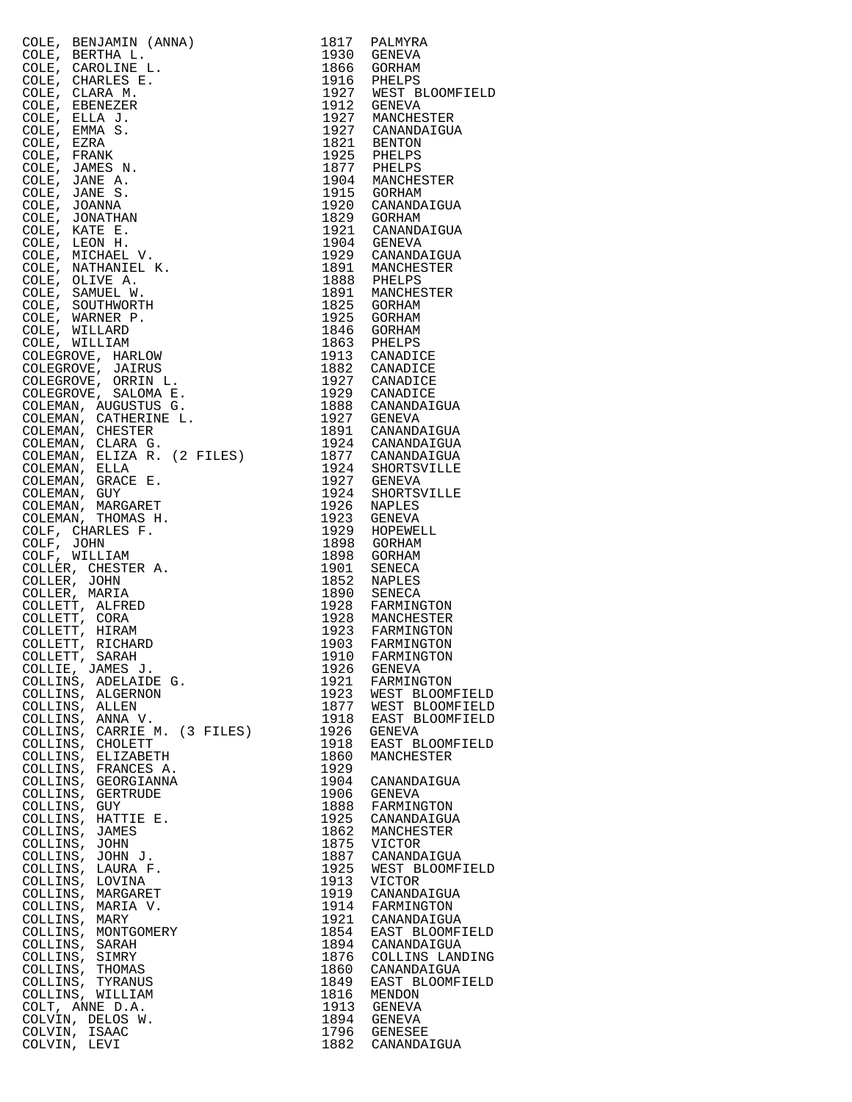| COLE, BERNAHIN (ARNA)<br>COLE, BERTHA L. (1817)<br>PALMONIA (2002), CLARKER L. (1817)<br>COLES, CHARA B. (1918)<br>COLES, ELEA J. (1918)<br>COLES, ELEA J. (1928)<br>COLES, ELEA J. (1929)<br>COLES, ELEA J. (1929)<br>COLES, ELEA J. (1929)<br> |              |                                                                                                                           |
|--------------------------------------------------------------------------------------------------------------------------------------------------------------------------------------------------------------------------------------------------|--------------|---------------------------------------------------------------------------------------------------------------------------|
|                                                                                                                                                                                                                                                  |              | 1930 GENEVA<br>1866 GORHAM<br>1916 PHELPS<br>1927 WEST BLOOMFIELD<br>1912 GENEVA<br>1927 MANCHESTER<br>1927 MANCHESTER    |
|                                                                                                                                                                                                                                                  |              |                                                                                                                           |
|                                                                                                                                                                                                                                                  |              |                                                                                                                           |
|                                                                                                                                                                                                                                                  |              |                                                                                                                           |
|                                                                                                                                                                                                                                                  |              |                                                                                                                           |
|                                                                                                                                                                                                                                                  |              |                                                                                                                           |
|                                                                                                                                                                                                                                                  |              |                                                                                                                           |
|                                                                                                                                                                                                                                                  |              |                                                                                                                           |
|                                                                                                                                                                                                                                                  |              |                                                                                                                           |
|                                                                                                                                                                                                                                                  |              |                                                                                                                           |
|                                                                                                                                                                                                                                                  |              |                                                                                                                           |
|                                                                                                                                                                                                                                                  |              |                                                                                                                           |
|                                                                                                                                                                                                                                                  |              |                                                                                                                           |
|                                                                                                                                                                                                                                                  |              |                                                                                                                           |
|                                                                                                                                                                                                                                                  |              |                                                                                                                           |
|                                                                                                                                                                                                                                                  |              |                                                                                                                           |
|                                                                                                                                                                                                                                                  |              |                                                                                                                           |
|                                                                                                                                                                                                                                                  |              |                                                                                                                           |
|                                                                                                                                                                                                                                                  |              |                                                                                                                           |
|                                                                                                                                                                                                                                                  |              |                                                                                                                           |
|                                                                                                                                                                                                                                                  |              |                                                                                                                           |
|                                                                                                                                                                                                                                                  |              |                                                                                                                           |
|                                                                                                                                                                                                                                                  |              |                                                                                                                           |
|                                                                                                                                                                                                                                                  |              |                                                                                                                           |
|                                                                                                                                                                                                                                                  |              |                                                                                                                           |
|                                                                                                                                                                                                                                                  |              |                                                                                                                           |
|                                                                                                                                                                                                                                                  |              |                                                                                                                           |
|                                                                                                                                                                                                                                                  |              |                                                                                                                           |
|                                                                                                                                                                                                                                                  |              |                                                                                                                           |
|                                                                                                                                                                                                                                                  |              |                                                                                                                           |
|                                                                                                                                                                                                                                                  |              |                                                                                                                           |
|                                                                                                                                                                                                                                                  |              |                                                                                                                           |
|                                                                                                                                                                                                                                                  |              | 1952 NAPLES<br>1852 NAPLES<br>1928 FARMINGTON<br>1928 MANCHESTER<br>1923 FARMINGTON<br>1903 FARMINGTON<br>1910 FARMINGTON |
|                                                                                                                                                                                                                                                  |              |                                                                                                                           |
|                                                                                                                                                                                                                                                  |              |                                                                                                                           |
|                                                                                                                                                                                                                                                  |              |                                                                                                                           |
|                                                                                                                                                                                                                                                  |              |                                                                                                                           |
| COLLIE, JAMES J.                                                                                                                                                                                                                                 | 1926         | GENEVA                                                                                                                    |
| COLLINS, ADELAIDE G.                                                                                                                                                                                                                             | 1921         | FARMINGTON                                                                                                                |
| COLLINS, ALGERNON<br>COLLINS, ALLEN                                                                                                                                                                                                              | 1923<br>1877 | WEST BLOOMFIELD<br>WEST BLOOMFIELD                                                                                        |
| COLLINS, ANNA V.                                                                                                                                                                                                                                 | 1918         | EAST BLOOMFIELD                                                                                                           |
| COLLINS, CARRIE M. (3 FILES)                                                                                                                                                                                                                     | 1926         | GENEVA                                                                                                                    |
| COLLINS, CHOLETT<br>COLLINS, ELIZABETH                                                                                                                                                                                                           | 1918<br>1860 | EAST BLOOMFIELD<br>MANCHESTER                                                                                             |
| COLLINS, FRANCES A.                                                                                                                                                                                                                              | 1929         |                                                                                                                           |
| COLLINS, GEORGIANNA                                                                                                                                                                                                                              | 1904         | CANANDAIGUA                                                                                                               |
| COLLINS, GERTRUDE<br>COLLINS, GUY                                                                                                                                                                                                                | 1906<br>1888 | GENEVA<br>FARMINGTON                                                                                                      |
| COLLINS, HATTIE E.                                                                                                                                                                                                                               | 1925         | CANANDAIGUA                                                                                                               |
| COLLINS, JAMES                                                                                                                                                                                                                                   | 1862         | MANCHESTER                                                                                                                |
| COLLINS, JOHN                                                                                                                                                                                                                                    | 1875         | <b>VICTOR</b>                                                                                                             |
| COLLINS, JOHN J.<br>COLLINS, LAURA F.                                                                                                                                                                                                            | 1887<br>1925 | CANANDAIGUA<br>WEST BLOOMFIELD                                                                                            |
| COLLINS, LOVINA                                                                                                                                                                                                                                  | 1913         | VICTOR                                                                                                                    |
| COLLINS, MARGARET                                                                                                                                                                                                                                | 1919         | CANANDAIGUA                                                                                                               |
| COLLINS, MARIA V.<br>COLLINS, MARY                                                                                                                                                                                                               | 1914<br>1921 | FARMINGTON<br>CANANDAIGUA                                                                                                 |
| COLLINS, MONTGOMERY                                                                                                                                                                                                                              | 1854         | EAST BLOOMFIELD                                                                                                           |
| COLLINS, SARAH                                                                                                                                                                                                                                   | 1894         | CANANDAIGUA                                                                                                               |
| COLLINS, SIMRY<br>COLLINS, THOMAS                                                                                                                                                                                                                | 1876<br>1860 | COLLINS LANDING<br>CANANDAIGUA                                                                                            |
| COLLINS, TYRANUS                                                                                                                                                                                                                                 | 1849         | EAST BLOOMFIELD                                                                                                           |
| COLLINS, WILLIAM                                                                                                                                                                                                                                 | 1816         | MENDON                                                                                                                    |
| $3$ Files)<br>COLT, ANNE D.A.<br>COLVIN, DELOS W.                                                                                                                                                                                                | 1913<br>1894 | GENEVA<br>GENEVA                                                                                                          |
| COLVIN, ISAAC                                                                                                                                                                                                                                    | 1796         | <b>GENESEE</b>                                                                                                            |
| COLVIN, LEVI                                                                                                                                                                                                                                     | 1882         | CANANDAIGUA                                                                                                               |

| 1817<br>1930 | PALMYRA                            |
|--------------|------------------------------------|
| 1866         | GENEVA<br>GORHAM                   |
| 1916         | PHELPS                             |
| 1927<br>1912 | WEST BLOOMFIELD<br>GENEVA          |
| 1927         | MANCHESTER                         |
| 1927         | CANANDAIGUA                        |
| 1821         | <b>BENTON</b>                      |
| 1925<br>1877 | PHELPS<br>PHELPS                   |
| 1904         | MANCHESTER                         |
| 1915         | GORHAM                             |
| 1920<br>1829 | CANANDAIGUA<br>GORHAM              |
| 1921         | CANANDAIGUA                        |
| 1904         | <b>GENEVA</b>                      |
| 1929<br>1891 | CANANDAIGUA<br>MANCHESTER          |
| 1888         | PHELPS                             |
| 1891         | MANCHESTER                         |
| 1825         | GORHAM<br>GORHAM                   |
| 1925<br>1846 | GORHAM                             |
| 1863         | PHELPS                             |
| 1913         | CANADICE                           |
| 1882<br>1927 | CANADICE<br>CANADICE               |
| 1929         | CANADICE                           |
| 1888         | CANANDAIGUA                        |
| 1927<br>1891 | <b>GENEVA</b><br>CANANDAIGUA       |
| 1924         | CANANDAIGUA                        |
| 1877         | CANANDAIGUA                        |
| 1924         | SHORTSVILLE                        |
| 1927<br>1924 | GENEVA<br>SHORTSVILLE              |
| 1926         | NAPLES                             |
| 1923         | GENEVA                             |
| 1929<br>1898 | HOPEWELL<br>GORHAM                 |
| 1898         | GORHAM                             |
| 1901         | SENECA                             |
| 1852<br>1890 | <b>NAPLES</b><br>SENECA            |
| 1928         | FARMINGTON                         |
| 1928         | MANCHESTER                         |
| 1923         | FARMINGTON                         |
| 1903<br>1910 | FARMINGTON<br>FARMINGTON           |
| 1926         | <b>GENEVA</b>                      |
| 1921         | FARMINGTON                         |
| 1923<br>1877 | WEST BLOOMFIELD<br>WEST BLOOMFIELD |
| 1918         | EAST BLOOMFIELD                    |
| L926         | GENEVA                             |
| 1918<br>1860 | EAST BLOOMFIELD<br>MANCHESTER      |
| 1929         |                                    |
| 1904         | CANANDAIGUA                        |
| 1906<br>1888 | GENEVA                             |
| 1925         | FARMINGTON<br>CANANDAIGUA          |
| 1862         | MANCHESTER                         |
| 1875         | VICTOR                             |
| 1887<br>1925 | CANANDAIGUA<br>WEST BLOOMFIELD     |
| 1913         | VICTOR                             |
| 1919         | CANANDAIGUA                        |
| 1914<br>1921 | FARMINGTON<br>CANANDAIGUA          |
| 1854         | EAST BLOOMFIELD                    |
| 1894         | CANANDAIGUA                        |
| 1876<br>1860 | COLLINS LANDING<br>CANANDAIGUA     |
| 1849         | EAST BLOOMFIELD                    |
| 1816         | MENDON                             |
| 1913         | <b>GENEVA</b>                      |
| 1894<br>1796 | GENEVA<br><b>GENESEE</b>           |
| 1882         | CANANDAIGUA                        |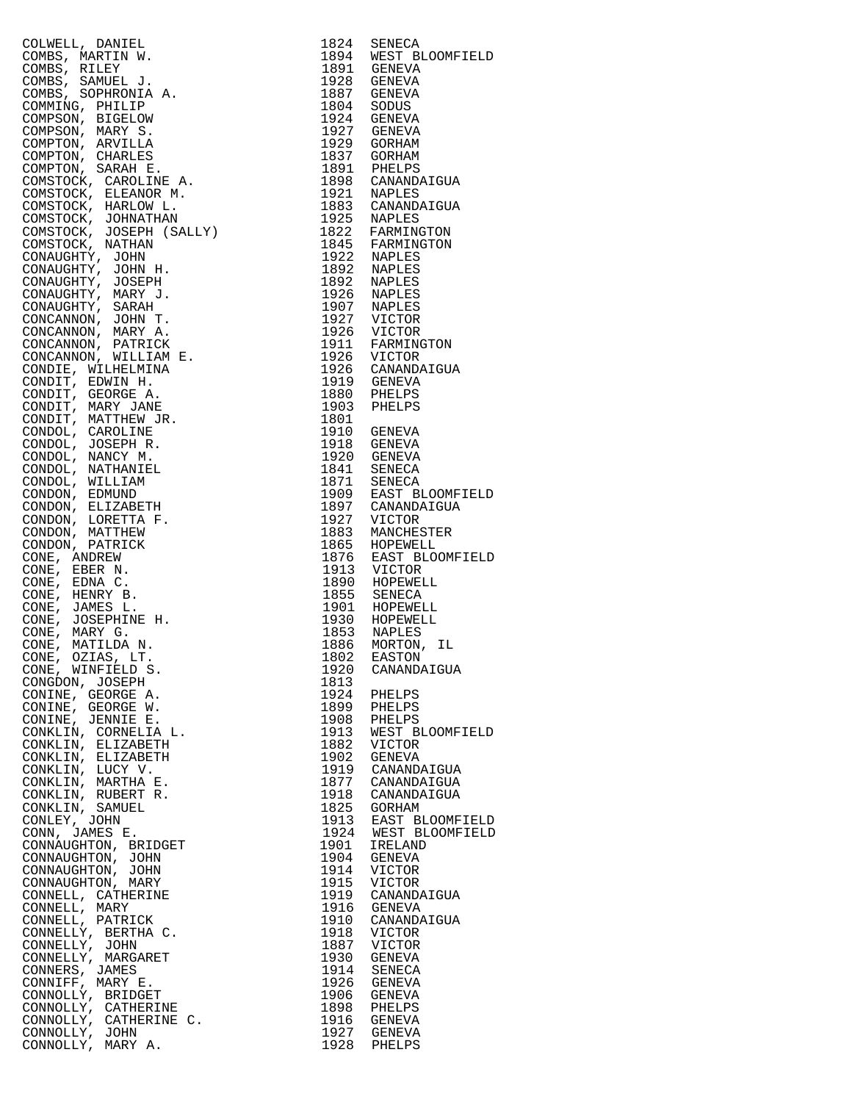|                                                                                                                                                                                                                                                                    | 1824       | SENECA                                   |
|--------------------------------------------------------------------------------------------------------------------------------------------------------------------------------------------------------------------------------------------------------------------|------------|------------------------------------------|
|                                                                                                                                                                                                                                                                    |            | 1894 WEST BLOOMFIELD                     |
|                                                                                                                                                                                                                                                                    |            |                                          |
| COLWELL, DANIEL<br>COMBS, MARTIN'W.<br>COMBS, RAILEY<br>COMBS, RAILEY<br>COMBS, SAMUEL J.<br>COMBS, SAMUEL J.<br>COMBS, SAMUEL J.<br>COMPON, MARY S.<br>COMPON, NARVILLA<br>COMPON, NARVILLA<br>COMPON, NARVILLA COMPON, SARAH E.<br>COMPTON, SARAH E.<br>COMPTON, |            | 1891 GENEVA                              |
|                                                                                                                                                                                                                                                                    |            | 1928 GENEVA                              |
|                                                                                                                                                                                                                                                                    |            | 1887 GENEVA                              |
|                                                                                                                                                                                                                                                                    |            |                                          |
|                                                                                                                                                                                                                                                                    | 1804 SODUS |                                          |
|                                                                                                                                                                                                                                                                    |            |                                          |
|                                                                                                                                                                                                                                                                    |            | 1924 GENEVA<br>1927 GENEVA               |
|                                                                                                                                                                                                                                                                    |            |                                          |
|                                                                                                                                                                                                                                                                    |            | 1929 GORHAM                              |
|                                                                                                                                                                                                                                                                    |            | 1837 GORHAM                              |
|                                                                                                                                                                                                                                                                    |            | 1891 PHELPS                              |
|                                                                                                                                                                                                                                                                    |            |                                          |
|                                                                                                                                                                                                                                                                    |            | 1898 CANANDAIGUA                         |
|                                                                                                                                                                                                                                                                    |            | 1921 NAPLES<br>1883 CANANDAIGUA          |
|                                                                                                                                                                                                                                                                    |            |                                          |
|                                                                                                                                                                                                                                                                    |            |                                          |
|                                                                                                                                                                                                                                                                    |            | 1925 NAPLES<br>1822 FARMINGTON           |
|                                                                                                                                                                                                                                                                    |            |                                          |
|                                                                                                                                                                                                                                                                    |            | 1845 FARMINGTON                          |
|                                                                                                                                                                                                                                                                    |            |                                          |
|                                                                                                                                                                                                                                                                    |            | 1922 NAPLES                              |
|                                                                                                                                                                                                                                                                    |            | 1892 NAPLES                              |
|                                                                                                                                                                                                                                                                    |            |                                          |
|                                                                                                                                                                                                                                                                    |            | 1892 NAPLES                              |
|                                                                                                                                                                                                                                                                    |            | 1926 NAPLES                              |
|                                                                                                                                                                                                                                                                    |            | 1907 NAPLES                              |
|                                                                                                                                                                                                                                                                    |            | 1927 VICTOR                              |
|                                                                                                                                                                                                                                                                    |            |                                          |
|                                                                                                                                                                                                                                                                    |            | 1926 VICTOR                              |
|                                                                                                                                                                                                                                                                    |            | 1911 FARMINGTON<br>1926 VICTOR           |
|                                                                                                                                                                                                                                                                    |            |                                          |
|                                                                                                                                                                                                                                                                    |            |                                          |
|                                                                                                                                                                                                                                                                    |            | 1926 CANANDAIGUA                         |
|                                                                                                                                                                                                                                                                    |            | 1919 GENEVA                              |
|                                                                                                                                                                                                                                                                    |            |                                          |
|                                                                                                                                                                                                                                                                    |            | 1880 PHELPS                              |
|                                                                                                                                                                                                                                                                    |            | 1903 PHELPS                              |
|                                                                                                                                                                                                                                                                    |            |                                          |
|                                                                                                                                                                                                                                                                    | 1801       |                                          |
|                                                                                                                                                                                                                                                                    |            | 1910 GENEVA                              |
|                                                                                                                                                                                                                                                                    |            | 1918 GENEVA                              |
|                                                                                                                                                                                                                                                                    |            |                                          |
|                                                                                                                                                                                                                                                                    |            | 1920 GENEVA                              |
|                                                                                                                                                                                                                                                                    |            |                                          |
|                                                                                                                                                                                                                                                                    |            | 1841 SENECA<br>1871 SENECA               |
|                                                                                                                                                                                                                                                                    |            |                                          |
|                                                                                                                                                                                                                                                                    |            | 1909 EAST BLOOMFIELD<br>1897 CANANDAIGUA |
|                                                                                                                                                                                                                                                                    |            |                                          |
|                                                                                                                                                                                                                                                                    |            | 1927 VICTOR                              |
|                                                                                                                                                                                                                                                                    |            |                                          |
|                                                                                                                                                                                                                                                                    |            | 1883 MANCHESTER                          |
|                                                                                                                                                                                                                                                                    |            | 1865 HOPEWELL                            |
|                                                                                                                                                                                                                                                                    |            | 1876 EAST BLOOMFIELD                     |
|                                                                                                                                                                                                                                                                    |            |                                          |
|                                                                                                                                                                                                                                                                    |            | 1913 VICTOR<br>1890 HOPEWELL             |
|                                                                                                                                                                                                                                                                    |            |                                          |
|                                                                                                                                                                                                                                                                    |            |                                          |
|                                                                                                                                                                                                                                                                    |            | 1855 SENECA<br>1901 HOPEWELL             |
|                                                                                                                                                                                                                                                                    |            |                                          |
|                                                                                                                                                                                                                                                                    |            |                                          |
|                                                                                                                                                                                                                                                                    |            | 1930 HOPEWELL<br>1853 NAPLES             |
|                                                                                                                                                                                                                                                                    |            |                                          |
|                                                                                                                                                                                                                                                                    | 1886       | MORTON, IL                               |
|                                                                                                                                                                                                                                                                    |            | 1802 EASTON                              |
|                                                                                                                                                                                                                                                                    |            |                                          |
| CONE, WINFIELD S.                                                                                                                                                                                                                                                  | 1920       | CANANDAIGUA                              |
| CONGDON, JOSEPH                                                                                                                                                                                                                                                    | 1813       |                                          |
| CONINE, GEORGE A.                                                                                                                                                                                                                                                  |            | 1924 PHELPS                              |
|                                                                                                                                                                                                                                                                    |            |                                          |
| CONINE, GEORGE W.                                                                                                                                                                                                                                                  |            | 1899 PHELPS                              |
| CONINE, JENNIE E.                                                                                                                                                                                                                                                  |            | 1908 PHELPS                              |
| CONKLIN, CORNELIA L.                                                                                                                                                                                                                                               |            | 1913 WEST BLOOMFIELD                     |
|                                                                                                                                                                                                                                                                    |            |                                          |
| CONKLIN, ELIZABETH                                                                                                                                                                                                                                                 | 1882       | VICTOR                                   |
| CONKLIN, ELIZABETH                                                                                                                                                                                                                                                 |            | 1902 GENEVA                              |
|                                                                                                                                                                                                                                                                    |            | 1919 CANANDAIGUA                         |
| CONKLIN, LUCY V.<br>CONKLIN, MARTHA E.                                                                                                                                                                                                                             |            |                                          |
|                                                                                                                                                                                                                                                                    |            | 1877 CANANDAIGUA                         |
| CONKLIN, RUBERT R.                                                                                                                                                                                                                                                 |            | 1918 CANANDAIGUA                         |
| CONKLIN, SAMUEL                                                                                                                                                                                                                                                    |            | 1825 GORHAM                              |
|                                                                                                                                                                                                                                                                    |            |                                          |
| CONLEY, JOHN                                                                                                                                                                                                                                                       |            | 1913 EAST BLOOMFIELD                     |
| CONN, JAMES E.                                                                                                                                                                                                                                                     |            | 1924 WEST BLOOMFIELD                     |
| CONNAUGHTON, BRIDGET                                                                                                                                                                                                                                               | 1901       |                                          |
|                                                                                                                                                                                                                                                                    |            | IRELAND                                  |
| CONNAUGHTON, JOHN                                                                                                                                                                                                                                                  |            | 1904 GENEVA                              |
| CONNAUGHTON, JOHN                                                                                                                                                                                                                                                  | 1914       | VICTOR                                   |
|                                                                                                                                                                                                                                                                    |            |                                          |
| CONNAUGHTON, MARY                                                                                                                                                                                                                                                  | 1915       | VICTOR                                   |
| CONNELL, CATHERINE                                                                                                                                                                                                                                                 |            | 1919 CANANDAIGUA                         |
| CONNELL, MARY                                                                                                                                                                                                                                                      |            | 1916 GENEVA                              |
|                                                                                                                                                                                                                                                                    |            |                                          |
| CONNELL, PATRICK                                                                                                                                                                                                                                                   |            | 1910 CANANDAIGUA                         |
| CONNELLY, BERTHA C.                                                                                                                                                                                                                                                | 1918       | VICTOR                                   |
| CONNELLY, JOHN                                                                                                                                                                                                                                                     |            | 1887 VICTOR                              |
|                                                                                                                                                                                                                                                                    |            |                                          |
| CONNELLY, MARGARET                                                                                                                                                                                                                                                 |            | 1930 GENEVA                              |
| CONNERS, JAMES                                                                                                                                                                                                                                                     | 1914       | SENECA                                   |
| CONNIFF, MARY E.                                                                                                                                                                                                                                                   |            | 1926 GENEVA                              |
|                                                                                                                                                                                                                                                                    |            |                                          |
| CONNOLLY, BRIDGET                                                                                                                                                                                                                                                  |            | 1906 GENEVA                              |
| CONNOLLY, CATHERINE                                                                                                                                                                                                                                                |            | 1898 PHELPS                              |
| CONNOLLY, CATHERINE C.                                                                                                                                                                                                                                             |            | 1916 GENEVA                              |
|                                                                                                                                                                                                                                                                    |            |                                          |
| CONNOLLY, JOHN                                                                                                                                                                                                                                                     |            | 1927 GENEVA                              |
| CONNOTIV MADY A                                                                                                                                                                                                                                                    |            | 1028 DUFLDC                              |

| ., DANIEL                                                                                                                                                                                                                                                     |      | 1824 SENECA<br>1894 WEST BLOOMFIELD<br>1891 GENEVA<br>1928 GENEVA<br>1887 GENEVA<br>1804 SODUS<br>1804 GENEVA                                                                                                                                                                        |
|---------------------------------------------------------------------------------------------------------------------------------------------------------------------------------------------------------------------------------------------------------------|------|--------------------------------------------------------------------------------------------------------------------------------------------------------------------------------------------------------------------------------------------------------------------------------------|
| MARTIN W.                                                                                                                                                                                                                                                     |      |                                                                                                                                                                                                                                                                                      |
| RILEY                                                                                                                                                                                                                                                         |      |                                                                                                                                                                                                                                                                                      |
| SAMUEL J.                                                                                                                                                                                                                                                     |      |                                                                                                                                                                                                                                                                                      |
|                                                                                                                                                                                                                                                               |      |                                                                                                                                                                                                                                                                                      |
| MARTIN W.<br>SAMUEL J.<br>SAMUEL J.<br>SAMUEL J.<br>3, PHILIP<br>7, BIGELOW<br>7, RIGELOW<br>7, RIGELOW<br>7, RARY S.<br>7, RARIE E.<br>7, CAROLINE A.<br>XK, CAROLINE A.<br>XK, CAROLINE A.<br>XK, TOSEPH (SALLY)<br>XK, NATHAN<br>TTY, JOHN H.<br>TTY, JOHN |      | 1804 SODUS<br>1804 SODUS<br>1924 GENEVA<br>1927 GENEVA<br>1837 GORHAM<br>1837 GORHAM<br>1837 GORHAM<br>1837 GORHAM<br>1837 GORHAM<br>1891 PHELPS<br>1892 NAPLES<br>1822 FARMINGTON<br>1922 NAPLES<br>1892 NAPLES<br>1892 NAPLES<br>1892 NAPLES<br>1926 NAPLES<br>1926 NAPLES<br>1926 |
|                                                                                                                                                                                                                                                               |      |                                                                                                                                                                                                                                                                                      |
|                                                                                                                                                                                                                                                               |      |                                                                                                                                                                                                                                                                                      |
|                                                                                                                                                                                                                                                               |      |                                                                                                                                                                                                                                                                                      |
|                                                                                                                                                                                                                                                               |      |                                                                                                                                                                                                                                                                                      |
|                                                                                                                                                                                                                                                               |      |                                                                                                                                                                                                                                                                                      |
|                                                                                                                                                                                                                                                               |      |                                                                                                                                                                                                                                                                                      |
|                                                                                                                                                                                                                                                               |      |                                                                                                                                                                                                                                                                                      |
|                                                                                                                                                                                                                                                               |      |                                                                                                                                                                                                                                                                                      |
|                                                                                                                                                                                                                                                               |      |                                                                                                                                                                                                                                                                                      |
|                                                                                                                                                                                                                                                               |      |                                                                                                                                                                                                                                                                                      |
|                                                                                                                                                                                                                                                               |      |                                                                                                                                                                                                                                                                                      |
|                                                                                                                                                                                                                                                               |      |                                                                                                                                                                                                                                                                                      |
|                                                                                                                                                                                                                                                               |      |                                                                                                                                                                                                                                                                                      |
|                                                                                                                                                                                                                                                               |      |                                                                                                                                                                                                                                                                                      |
|                                                                                                                                                                                                                                                               |      |                                                                                                                                                                                                                                                                                      |
|                                                                                                                                                                                                                                                               |      |                                                                                                                                                                                                                                                                                      |
|                                                                                                                                                                                                                                                               |      |                                                                                                                                                                                                                                                                                      |
|                                                                                                                                                                                                                                                               |      |                                                                                                                                                                                                                                                                                      |
|                                                                                                                                                                                                                                                               |      |                                                                                                                                                                                                                                                                                      |
|                                                                                                                                                                                                                                                               |      |                                                                                                                                                                                                                                                                                      |
|                                                                                                                                                                                                                                                               |      |                                                                                                                                                                                                                                                                                      |
|                                                                                                                                                                                                                                                               |      |                                                                                                                                                                                                                                                                                      |
|                                                                                                                                                                                                                                                               |      |                                                                                                                                                                                                                                                                                      |
|                                                                                                                                                                                                                                                               |      | 1880 PHELPS<br>1903 PHELPS                                                                                                                                                                                                                                                           |
|                                                                                                                                                                                                                                                               |      |                                                                                                                                                                                                                                                                                      |
|                                                                                                                                                                                                                                                               | 1801 |                                                                                                                                                                                                                                                                                      |
|                                                                                                                                                                                                                                                               |      | 1910 GENEVA<br>1918 GENEVA<br>1920 GENEVA                                                                                                                                                                                                                                            |
|                                                                                                                                                                                                                                                               |      |                                                                                                                                                                                                                                                                                      |
|                                                                                                                                                                                                                                                               |      |                                                                                                                                                                                                                                                                                      |
|                                                                                                                                                                                                                                                               |      |                                                                                                                                                                                                                                                                                      |
|                                                                                                                                                                                                                                                               |      |                                                                                                                                                                                                                                                                                      |
|                                                                                                                                                                                                                                                               |      |                                                                                                                                                                                                                                                                                      |
|                                                                                                                                                                                                                                                               |      |                                                                                                                                                                                                                                                                                      |
|                                                                                                                                                                                                                                                               |      |                                                                                                                                                                                                                                                                                      |
|                                                                                                                                                                                                                                                               |      |                                                                                                                                                                                                                                                                                      |
|                                                                                                                                                                                                                                                               |      | 1920 GENEVA<br>1841 SENECA<br>1871 SENECA<br>1909 EAST BLOOMFIELD<br>1897 CANANDAIGUA<br>1927 VICTOR<br>1883 MANCHESTER<br>1865 HOPEWELL<br>1876 EAST BLOOMFIELD<br>1876 EAST BLOOMFIELD<br>1876 EAST BLOOMFIELD                                                                     |
|                                                                                                                                                                                                                                                               |      |                                                                                                                                                                                                                                                                                      |
|                                                                                                                                                                                                                                                               |      | 1913 VICTOR<br>1890 HOPEWELL                                                                                                                                                                                                                                                         |
|                                                                                                                                                                                                                                                               |      |                                                                                                                                                                                                                                                                                      |
|                                                                                                                                                                                                                                                               |      | 1855 SENECA<br>1901 HOPEWELL                                                                                                                                                                                                                                                         |
|                                                                                                                                                                                                                                                               |      |                                                                                                                                                                                                                                                                                      |
|                                                                                                                                                                                                                                                               |      |                                                                                                                                                                                                                                                                                      |
|                                                                                                                                                                                                                                                               |      |                                                                                                                                                                                                                                                                                      |
|                                                                                                                                                                                                                                                               |      |                                                                                                                                                                                                                                                                                      |
|                                                                                                                                                                                                                                                               |      |                                                                                                                                                                                                                                                                                      |
| WINFIELD S.                                                                                                                                                                                                                                                   |      | 1920 CANANDAIGUA                                                                                                                                                                                                                                                                     |
| J, JOSEPH                                                                                                                                                                                                                                                     | 1813 |                                                                                                                                                                                                                                                                                      |
| GEORGE A.<br>GEORGE W.                                                                                                                                                                                                                                        |      | 1924 PHELPS<br>1899 PHELPS                                                                                                                                                                                                                                                           |
|                                                                                                                                                                                                                                                               |      |                                                                                                                                                                                                                                                                                      |
| JENNIE E.                                                                                                                                                                                                                                                     |      | 1908 PHELPS<br>1913 WEST BLOOMFIELD                                                                                                                                                                                                                                                  |
| J, CORNELIA L.                                                                                                                                                                                                                                                |      |                                                                                                                                                                                                                                                                                      |
| V, ELIZABETH                                                                                                                                                                                                                                                  |      | 1882 VICTOR<br>1902 GENEVA                                                                                                                                                                                                                                                           |
| V, ELIZABETH                                                                                                                                                                                                                                                  |      |                                                                                                                                                                                                                                                                                      |
| J, LUCY V.                                                                                                                                                                                                                                                    |      | 1919 CANANDAIGUA                                                                                                                                                                                                                                                                     |
| J, MARTHA E.                                                                                                                                                                                                                                                  |      | 1877 CANANDAIGUA                                                                                                                                                                                                                                                                     |
| W, RUBERT R.                                                                                                                                                                                                                                                  |      |                                                                                                                                                                                                                                                                                      |
| J, SAMUEL                                                                                                                                                                                                                                                     |      | 1918 CANANDAIGUA<br>1825 GORHAM                                                                                                                                                                                                                                                      |
| , JOHN                                                                                                                                                                                                                                                        |      |                                                                                                                                                                                                                                                                                      |
| JAMES E.                                                                                                                                                                                                                                                      |      | 1913 EAST BLOOMFIELD<br>1924 WEST BLOOMFIELD                                                                                                                                                                                                                                         |
| HTON, BRIDGET                                                                                                                                                                                                                                                 |      | 1901 IRELAND<br>1904 GENEVA                                                                                                                                                                                                                                                          |
| HTON, JOHN                                                                                                                                                                                                                                                    |      |                                                                                                                                                                                                                                                                                      |
| GHTON, JOHN                                                                                                                                                                                                                                                   |      |                                                                                                                                                                                                                                                                                      |
| HTON, MARY                                                                                                                                                                                                                                                    |      | 1914 VICTOR<br>1915 VICTOR                                                                                                                                                                                                                                                           |
| , CATHERINE                                                                                                                                                                                                                                                   |      |                                                                                                                                                                                                                                                                                      |
| , MARY                                                                                                                                                                                                                                                        |      | 1919 CANANDAIGUA<br>1916 GENEVA                                                                                                                                                                                                                                                      |
| , PATRICK                                                                                                                                                                                                                                                     |      |                                                                                                                                                                                                                                                                                      |
| Y, BERTHA C.                                                                                                                                                                                                                                                  |      | 1910 CANANDAIGUA<br>1918 VICTOR                                                                                                                                                                                                                                                      |
| Y, JOHN                                                                                                                                                                                                                                                       |      |                                                                                                                                                                                                                                                                                      |
| Y, MARGARET                                                                                                                                                                                                                                                   |      | 1887 VICTOR<br>1930 GENEVA                                                                                                                                                                                                                                                           |
| , JAMES                                                                                                                                                                                                                                                       |      |                                                                                                                                                                                                                                                                                      |
| $\overline{r}$ , MARY E.                                                                                                                                                                                                                                      |      | 1914 SENECA<br>1926 GENEVA                                                                                                                                                                                                                                                           |
| Y, BRIDGET                                                                                                                                                                                                                                                    |      |                                                                                                                                                                                                                                                                                      |
| Y, CATHERINE                                                                                                                                                                                                                                                  |      | 1906 GENEVA<br>1898 PHELPS                                                                                                                                                                                                                                                           |
| Y, CATHERINE C.                                                                                                                                                                                                                                               |      |                                                                                                                                                                                                                                                                                      |
| Y, JOHN                                                                                                                                                                                                                                                       |      | 1916 GENEVA<br>1927 GENEVA                                                                                                                                                                                                                                                           |
| Y, MARY A.                                                                                                                                                                                                                                                    |      | 1928 PHELPS                                                                                                                                                                                                                                                                          |
|                                                                                                                                                                                                                                                               |      |                                                                                                                                                                                                                                                                                      |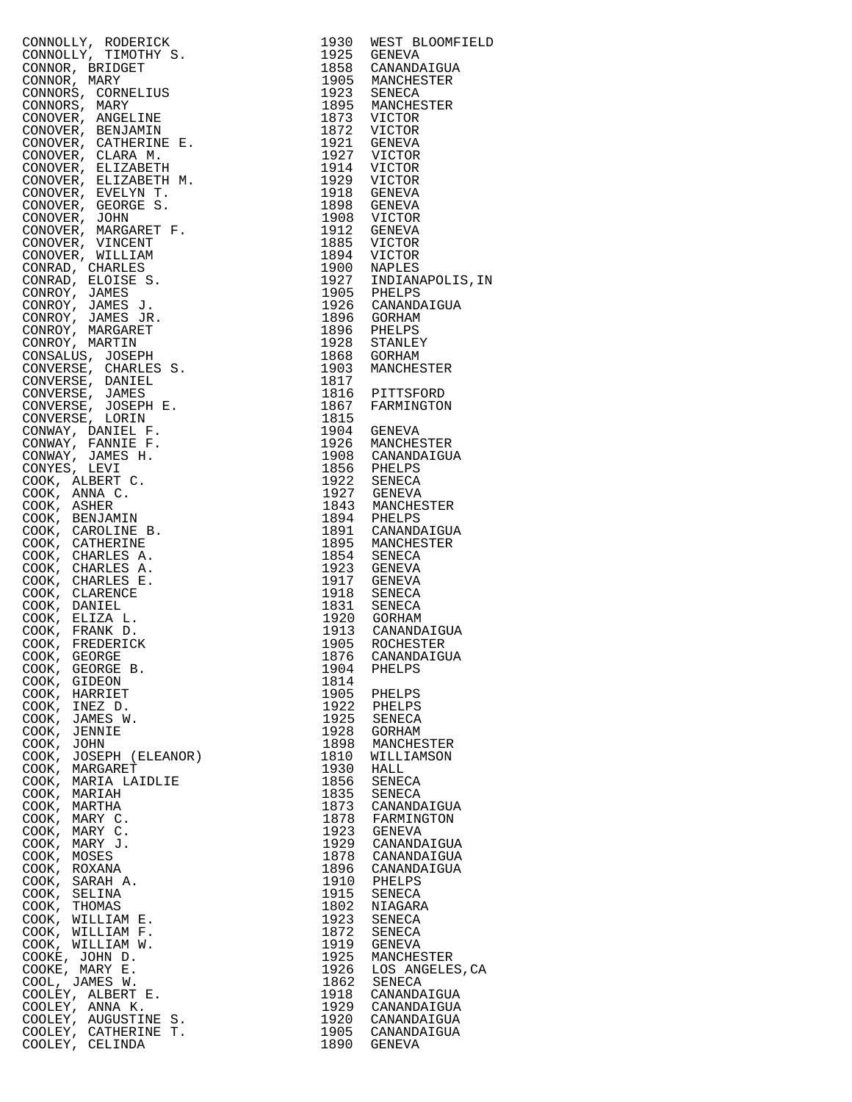| CONNOLLY, ROBERT<br>CONNOLLY, TIMOTENT S. 1930 NEST BLOOMFIELD<br>CONNOLLY, TIMOTENT S. 1935 GENEVA<br>CONNOR, BRITAGET<br>CONNOR, CORNELISTER<br>CONNORS, CORNELISTER<br>CONNORS, MARY TIMOTENT IS 1935 MANCIFESTER<br>CONNORS, MARY TIMOT |      |                  |
|---------------------------------------------------------------------------------------------------------------------------------------------------------------------------------------------------------------------------------------------|------|------------------|
|                                                                                                                                                                                                                                             |      |                  |
|                                                                                                                                                                                                                                             |      |                  |
|                                                                                                                                                                                                                                             |      |                  |
|                                                                                                                                                                                                                                             |      |                  |
|                                                                                                                                                                                                                                             |      |                  |
|                                                                                                                                                                                                                                             |      |                  |
|                                                                                                                                                                                                                                             |      |                  |
|                                                                                                                                                                                                                                             |      |                  |
|                                                                                                                                                                                                                                             |      |                  |
|                                                                                                                                                                                                                                             |      |                  |
|                                                                                                                                                                                                                                             |      |                  |
|                                                                                                                                                                                                                                             |      |                  |
|                                                                                                                                                                                                                                             |      |                  |
|                                                                                                                                                                                                                                             |      |                  |
|                                                                                                                                                                                                                                             |      |                  |
|                                                                                                                                                                                                                                             |      |                  |
|                                                                                                                                                                                                                                             |      |                  |
|                                                                                                                                                                                                                                             |      |                  |
|                                                                                                                                                                                                                                             |      |                  |
|                                                                                                                                                                                                                                             |      |                  |
|                                                                                                                                                                                                                                             |      |                  |
|                                                                                                                                                                                                                                             |      |                  |
|                                                                                                                                                                                                                                             |      |                  |
|                                                                                                                                                                                                                                             |      |                  |
|                                                                                                                                                                                                                                             |      |                  |
|                                                                                                                                                                                                                                             |      |                  |
|                                                                                                                                                                                                                                             |      |                  |
|                                                                                                                                                                                                                                             |      |                  |
|                                                                                                                                                                                                                                             |      |                  |
|                                                                                                                                                                                                                                             |      |                  |
|                                                                                                                                                                                                                                             |      |                  |
|                                                                                                                                                                                                                                             |      |                  |
|                                                                                                                                                                                                                                             |      |                  |
|                                                                                                                                                                                                                                             |      |                  |
|                                                                                                                                                                                                                                             |      |                  |
|                                                                                                                                                                                                                                             |      |                  |
|                                                                                                                                                                                                                                             |      |                  |
|                                                                                                                                                                                                                                             |      |                  |
|                                                                                                                                                                                                                                             |      |                  |
|                                                                                                                                                                                                                                             |      |                  |
|                                                                                                                                                                                                                                             |      |                  |
|                                                                                                                                                                                                                                             |      |                  |
|                                                                                                                                                                                                                                             |      |                  |
|                                                                                                                                                                                                                                             |      |                  |
|                                                                                                                                                                                                                                             |      |                  |
|                                                                                                                                                                                                                                             |      |                  |
|                                                                                                                                                                                                                                             |      |                  |
|                                                                                                                                                                                                                                             |      |                  |
|                                                                                                                                                                                                                                             |      |                  |
|                                                                                                                                                                                                                                             |      |                  |
|                                                                                                                                                                                                                                             |      |                  |
|                                                                                                                                                                                                                                             |      |                  |
|                                                                                                                                                                                                                                             |      |                  |
|                                                                                                                                                                                                                                             |      |                  |
|                                                                                                                                                                                                                                             |      |                  |
|                                                                                                                                                                                                                                             |      |                  |
|                                                                                                                                                                                                                                             |      |                  |
|                                                                                                                                                                                                                                             |      |                  |
|                                                                                                                                                                                                                                             |      |                  |
|                                                                                                                                                                                                                                             |      |                  |
|                                                                                                                                                                                                                                             |      |                  |
| COOK, GEORGE                                                                                                                                                                                                                                |      | 1876 CANANDAIGUA |
| COOK, GEORGE B.                                                                                                                                                                                                                             | 1904 | PHELPS           |
| COOK, GIDEON                                                                                                                                                                                                                                | 1814 |                  |
|                                                                                                                                                                                                                                             |      |                  |
| COOK, HARRIET                                                                                                                                                                                                                               | 1905 | PHELPS           |
| COOK, INEZ D.                                                                                                                                                                                                                               | 1922 | PHELPS           |
| COOK, JAMES W.                                                                                                                                                                                                                              | 1925 | SENECA           |
| COOK, JENNIE                                                                                                                                                                                                                                | 1928 |                  |
|                                                                                                                                                                                                                                             |      | GORHAM           |
| COOK, JOHN                                                                                                                                                                                                                                  | 1898 | MANCHESTER       |
| COOK, JOSEPH (ELEANOR)                                                                                                                                                                                                                      | 1810 | WILLIAMSON       |
| COOK, MARGARET                                                                                                                                                                                                                              | 1930 | HALL             |
|                                                                                                                                                                                                                                             |      |                  |
| COOK, MARIA LAIDLIE                                                                                                                                                                                                                         | 1856 | SENECA           |
| COOK, MARIAH                                                                                                                                                                                                                                | 1835 | SENECA           |
| COOK, MARTHA                                                                                                                                                                                                                                | 1873 | CANANDAIGUA      |
|                                                                                                                                                                                                                                             |      |                  |
| COOK, MARY C.                                                                                                                                                                                                                               | 1878 | FARMINGTON       |
| COOK, MARY C.                                                                                                                                                                                                                               | 1923 | GENEVA           |
|                                                                                                                                                                                                                                             |      |                  |
| COOK, MARY J.                                                                                                                                                                                                                               |      | 1929 CANANDAIGUA |
| COOK, MOSES                                                                                                                                                                                                                                 | 1878 | CANANDAIGUA      |
| COOK, ROXANA                                                                                                                                                                                                                                | 1896 | CANANDAIGUA      |
|                                                                                                                                                                                                                                             |      |                  |
| COOK,<br>SARAH A.                                                                                                                                                                                                                           | 1910 | PHELPS           |
| COOK, SELINA                                                                                                                                                                                                                                | 1915 | SENECA           |
| COOK, THOMAS                                                                                                                                                                                                                                | 1802 | NIAGARA          |
|                                                                                                                                                                                                                                             |      |                  |
| COOK, WILLIAM E.                                                                                                                                                                                                                            | 1923 | SENECA           |
| COOK, WILLIAM F.                                                                                                                                                                                                                            | 1872 | SENECA           |
| COOK, WILLIAM W.                                                                                                                                                                                                                            | 1919 | GENEVA           |
|                                                                                                                                                                                                                                             |      |                  |
| COOKE, JOHN D.                                                                                                                                                                                                                              | 1925 | MANCHESTER       |
| COOKE, MARY E.                                                                                                                                                                                                                              | 1926 | LOS ANGELES, CA  |
| COOL, JAMES W.                                                                                                                                                                                                                              | 1862 | SENECA           |
|                                                                                                                                                                                                                                             |      |                  |
| COOLEY, ALBERT E.                                                                                                                                                                                                                           | 1918 | CANANDAIGUA      |
| COOLEY, ANNA K.                                                                                                                                                                                                                             | 1929 | CANANDAIGUA      |
| COOLEY, AUGUSTINE S.                                                                                                                                                                                                                        | 1920 | CANANDAIGUA      |
|                                                                                                                                                                                                                                             |      |                  |
| COOLEY, CATHERINE T.                                                                                                                                                                                                                        | 1905 | CANANDAIGUA      |
| COOLEY, CELINDA                                                                                                                                                                                                                             | 1890 | GENEVA           |

| 1930         | WEST BLOOMFIELD            |
|--------------|----------------------------|
| 1925         | <b>GENEVA</b>              |
| 1858         | CANANDAIGUA                |
| 1905         | MANCHESTER                 |
| 1923         | SENECA                     |
| 1895         | MANCHESTER                 |
| 1873         | VICTOR                     |
| 1872         | VICTOR                     |
| 1921         | GENEVA                     |
| 1927         | VICTOR                     |
| 1914         | VICTOR                     |
| 1929         | VICTOR                     |
| 1918         | GENEVA                     |
| 1898         | GENEVA                     |
| 1908         | VICTOR                     |
| 1912         | GENEVA                     |
| 1885         | VICTOR                     |
| 1894<br>1900 | VICTOR                     |
| 1927         | NAPLES<br>INDIANAPOLIS, IN |
| 1905         |                            |
| 1926         | PHELPS<br>CANANDAIGUA      |
| 1896         | GORHAM                     |
| 1896         | PHELPS                     |
| 1928         | STANLEY                    |
| 1868         | GORHAM                     |
| 1903         | MANCHESTER                 |
| 1817         |                            |
| 1816         | PITTSFORD                  |
| 1867         | FARMINGTON                 |
| 1815         |                            |
| 1904         | GENEVA                     |
| 1926         | MANCHESTER                 |
| 1908         | CANANDAIGUA                |
| 1856         | PHELPS                     |
| 1922         | SENECA                     |
| 1927         | GENEVA                     |
| 1843         | MANCHESTER                 |
| 1894         | PHELPS                     |
| 1891         | CANANDAIGUA                |
| 1895         | MANCHESTER                 |
| 1854         | SENECA                     |
| 1923         | GENEVA                     |
| 1917         | GENEVA                     |
| 1918         | SENECA                     |
| 1831         | SENECA                     |
| 1920<br>1913 | GORHAM<br>CANANDAIGUA      |
| 1905         | ROCHESTER                  |
| 1876         | CANANDAIGUA                |
| 1904         |                            |
| 1814         | PHELPS                     |
| 1905         | PHELPS                     |
| 1922         | PHELPS                     |
| 1925         | SENECA                     |
| 1928         | GORHAM                     |
| 1898         | MANCHESTER                 |
| 1810         | WILLIAMSON                 |
| 1930         | HALL                       |
| 1856         | SENECA                     |
| 1835         | SENECA                     |
| 1873         | CANANDAIGUA                |
| 1878         | FARMINGTON                 |
| 1923         | GENEVA                     |
| 1929         | CANANDAIGUA                |
| 1878         | CANANDAIGUA                |
| 1896         | CANANDAIGUA                |
| 1910         | PHELPS                     |
| 1915         | SENECA                     |
| 1802         | NIAGARA                    |
| 1923         | SENECA                     |
| 1872         | SENECA                     |
| 1919         | GENEVA                     |
| 1925         | MANCHESTER                 |
| 1926         | LOS ANGELES, CA            |
| 1862         | SENECA                     |
| 1918         | CANANDAIGUA                |
| 1929<br>1920 | CANANDAIGUA                |
| 1905         | CANANDAIGUA                |
| 1890         | CANANDAIGUA<br>GENEVA      |
|              |                            |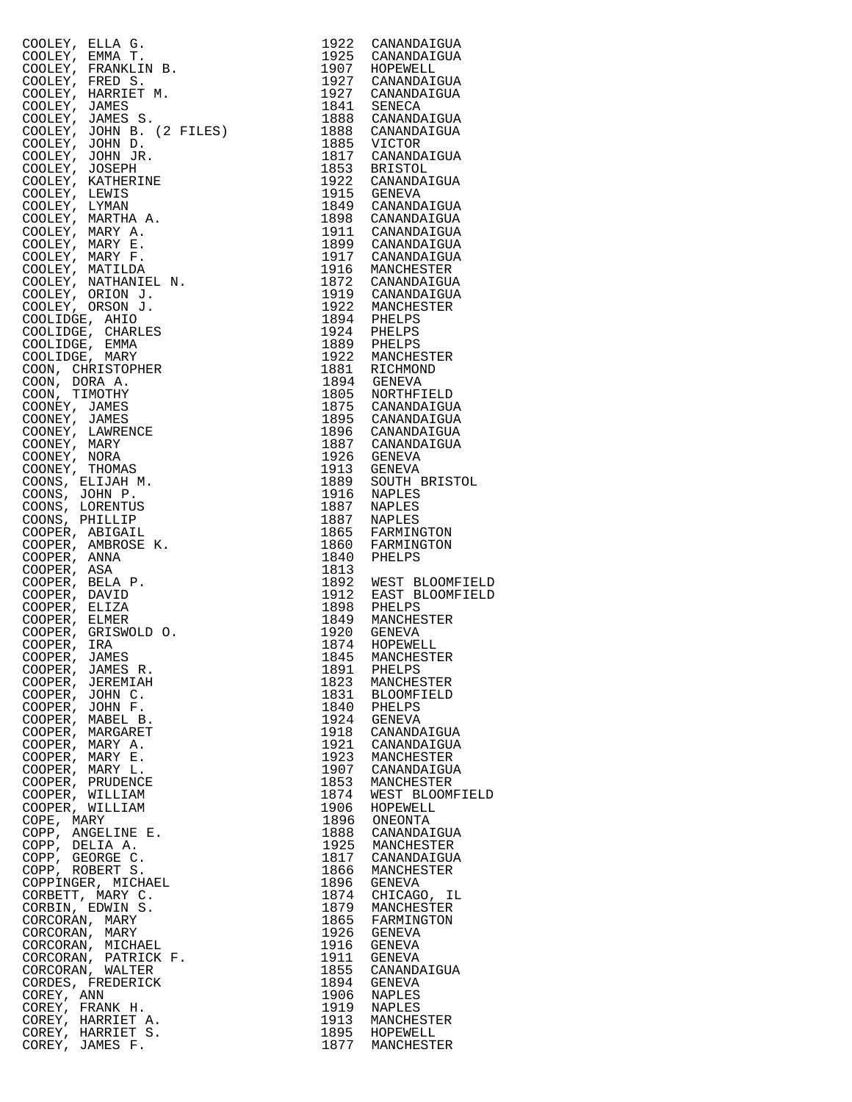| COOLEY, ELLA G.                          | 1922         | CANANDAIGUA                     |
|------------------------------------------|--------------|---------------------------------|
| COOLEY, EMMA T.                          | 1925         | CANANDAIGUA                     |
| COOLEY, FRANKLIN B.                      | 1907         | HOPEWELL                        |
| COOLEY, FRED S.<br>COOLEY, HARRIET M.    | 1927<br>1927 | CANANDAIGUA<br>CANANDAIGUA      |
| COOLEY, JAMES                            | 1841         | SENECA                          |
| COOLEY, JAMES S.                         | 1888         | CANANDAIGUA                     |
| COOLEY, JOHN B. (2 FILES)                | 1888         | CANANDAIGUA                     |
| COOLEY, JOHN D.                          | 1885         | VICTOR                          |
| COOLEY, JOHN JR.                         | 1817         | CANANDAIGUA                     |
| COOLEY, JOSEPH                           | 1853         | <b>BRISTOL</b>                  |
| COOLEY, KATHERINE<br>COOLEY, LEWIS       | 1922<br>1915 | CANANDAIGUA<br>GENEVA           |
| COOLEY, LYMAN                            | 1849         | CANANDAIGUA                     |
| COOLEY, MARTHA A.                        | 1898         | CANANDAIGUA                     |
| COOLEY, MARY A.                          | 1911         | CANANDAIGUA                     |
| COOLEY, MARY E.                          | 1899         | CANANDAIGUA                     |
| COOLEY, MARY F.                          | 1917         | CANANDAIGUA                     |
| COOLEY, MATILDA                          | 1916         | MANCHESTER                      |
| COOLEY, NATHANIEL N.<br>COOLEY, ORION J. | 1872         | CANANDAIGUA<br>1919 CANANDAIGUA |
| COOLEY, ORSON J.                         | 1922         | MANCHESTER                      |
| COOLIDGE, AHIO                           | 1894         | PHELPS                          |
| COOLIDGE, CHARLES                        | 1924         | PHELPS                          |
| COOLIDGE, EMMA                           | 1889         | PHELPS                          |
| COOLIDGE, MARY                           | 1922         | MANCHESTER                      |
| COON, CHRISTOPHER                        | 1881         | RICHMOND                        |
| COON, DORA A.                            | 1894         | GENEVA                          |
| COON, TIMOTHY                            | 1805<br>1875 | NORTHFIELD<br>CANANDAIGUA       |
| COONEY, JAMES<br>COONEY, JAMES           | 1895         | CANANDAIGUA                     |
| COONEY, LAWRENCE                         | 1896         | CANANDAIGUA                     |
| COONEY, MARY                             | 1887         | CANANDAIGUA                     |
| COONEY, NORA                             | 1926         | GENEVA                          |
| COONEY, THOMAS                           | 1913         | GENEVA                          |
| COONS, ELIJAH M.                         | 1889         | SOUTH BRISTOL                   |
| COONS, JOHN P.                           | 1916<br>1887 | NAPLES                          |
| COONS, LORENTUS<br>COONS, PHILLIP        | 1887         | NAPLES<br>NAPLES                |
| COOPER, ABIGAIL                          | 1865         | FARMINGTON                      |
| COOPER, AMBROSE K.                       | 1860         | FARMINGTON                      |
| COOPER, ANNA                             | 1840         | PHELPS                          |
| COOPER, ASA                              | 1813         |                                 |
| COOPER, BELA P.                          | 1892         | WEST BLOOMFIELD                 |
| COOPER, DAVID<br>COOPER, ELIZA           | 1912<br>1898 | EAST BLOOMFIELD<br>PHELPS       |
| COOPER, ELMER                            | 1849         | MANCHESTER                      |
| COOPER, GRISWOLD O.                      | 1920         | GENEVA                          |
| COOPER, IRA                              | 1874         | HOPEWELL                        |
| COOPER, JAMES                            | 1845         | MANCHESTER                      |
| COOPER, JAMES R.                         | 1891         | PHELPS                          |
| COOPER, JEREMIAH                         | 1823         | MANCHESTER                      |
| COOPER, JOHN C.<br>COOPER, JOHN F.       | 1831<br>1840 | <b>BLOOMFIELD</b><br>PHELPS     |
| COOPER, MABEL B.                         | 1924         | GENEVA                          |
| COOPER, MARGARET                         | 1918         | CANANDAIGUA                     |
| COOPER, MARY A.                          | 1921         | CANANDAIGUA                     |
| COOPER, MARY E.                          | 1923         | MANCHESTER                      |
| COOPER, MARY L.                          | 1907         | CANANDAIGUA                     |
| COOPER, PRUDENCE                         | 1853         | MANCHESTER                      |
| COOPER, WILLIAM<br>COOPER, WILLIAM       | 1874<br>1906 | WEST BLOOMFIELD<br>HOPEWELL     |
| COPE, MARY                               | 1896         | ONEONTA                         |
| COPP, ANGELINE E.                        | 1888         | CANANDAIGUA                     |
| COPP, DELIA A.                           | 1925         | MANCHESTER                      |
| COPP, GEORGE C.                          | 1817         | CANANDAIGUA                     |
| COPP, ROBERT S.                          | 1866         | MANCHESTER                      |
| COPPINGER, MICHAEL                       | 1896         | GENEVA                          |
| CORBETT, MARY C.<br>CORBIN, EDWIN S.     | 1874<br>1879 | CHICAGO, IL<br>MANCHESTER       |
| CORCORAN, MARY                           | 1865         | FARMINGTON                      |
| CORCORAN, MARY                           | 1926         | GENEVA                          |
| CORCORAN, MICHAEL                        | 1916         | GENEVA                          |
| CORCORAN, PATRICK F.                     | 1911         | GENEVA                          |
| CORCORAN, WALTER                         | 1855         | CANANDAIGUA                     |
| CORDES, FREDERICK                        | 1894         | <b>GENEVA</b>                   |
| COREY, ANN                               | 1906<br>1919 | NAPLES<br>NAPLES                |
| COREY, FRANK H.<br>COREY, HARRIET A.     | 1913         | MANCHESTER                      |
| COREY, HARRIET S.                        | 1895         | HOPEWELL                        |
| COREY, JAMES F.                          | 1877         | MANCHESTER                      |

| 1922         | CANANDAIGUA                        |
|--------------|------------------------------------|
| 1925<br>1907 | CANANDAIGUA                        |
| 1927         | HOPEWELL<br>CANANDAIGUA            |
| 1927         | CANANDAIGUA                        |
| 1841         | SENECA                             |
| 1888         | CANANDAIGUA                        |
| 1888<br>1885 | CANANDAIGUA<br>VICTOR              |
| 1817         | CANANDAIGUA                        |
| 1853         | BRISTOL                            |
| 1922         | CANANDAIGUA                        |
| 1915<br>1849 | GENEVA                             |
| 1898         | CANANDAIGUA<br>CANANDAIGUA         |
| 1911         | CANANDAIGUA                        |
| 1899         | CANANDAIGUA                        |
| 1917         | CANANDAIGUA                        |
| 1916<br>1872 | MANCHESTER<br>CANANDAIGUA          |
| 1919         | CANANDAIGUA                        |
| 1922         | MANCHESTER                         |
| 1894         | PHELPS                             |
| 1924         | PHELPS                             |
| 1889<br>1922 | PHELPS<br>MANCHESTER               |
| 1881         | RICHMOND                           |
| 1894         | GENEVA                             |
| 1805         | NORTHFIELD                         |
| 1875<br>1895 | CANANDAIGUA                        |
| 1896         | CANANDAIGUA<br>CANANDAIGUA         |
| 1887         | CANANDAIGUA                        |
| 1926         | GENEVA                             |
| 1913         | GENEVA                             |
| 1889<br>1916 | SOUTH BRISTOL<br>NAPLES            |
| 1887         | NAPLES                             |
| 1887         | NAPLES                             |
| 1865         | FARMINGTON                         |
| 1860         | FARMINGTON                         |
| 1840<br>1813 | PHELPS                             |
| 1892         |                                    |
| 1912         | WEST BLOOMFIELD<br>EAST BLOOMFIELD |
| 1898         | PHELPS                             |
| 1849         | MANCHESTER                         |
| 1920<br>1874 | GENEVA<br>HOPEWELL                 |
| 1845         |                                    |
| 1891         | MANCHESTER<br>PHELPS               |
| 1823         | MANCHESTER                         |
| 1831<br>1840 | <b>BLOOMFIELD</b>                  |
| 1924         | PHELPS<br><b>GENEVA</b>            |
| 1918         | CANANDAIGUA                        |
| 1921         | CANANDAIGUA                        |
| 1923         | MANCHESTER                         |
| 1907         | CANANDAIGUA                        |
| 1853<br>1874 | MANCHESTER<br>WEST BLOOMFIELD      |
| 1906         | HOPEWELL                           |
| 1896         | ONEONTA                            |
| 1888         | CANANDAIGUA                        |
| 1925         | MANCHESTER                         |
| 1817<br>1866 | CANANDAIGUA<br>MANCHESTER          |
| 1896         | GENEVA                             |
| 1874         | CHICAGO,<br>ΙL                     |
| 1879         | MANCHESTER                         |
| 1865         | FARMINGTON                         |
| 1926<br>1916 | <b>GENEVA</b><br>GENEVA            |
|              | <b>GENEVA</b>                      |
| 1911<br>1855 | CANANDAIGUA                        |
| 1894         | <b>GENEVA</b>                      |
| 1906<br>1919 | NAPLES                             |
| 1913         | NAPLES<br>MANCHESTER               |
| 1895         | HOPEWELL                           |
| 1877         | MANCHESTER                         |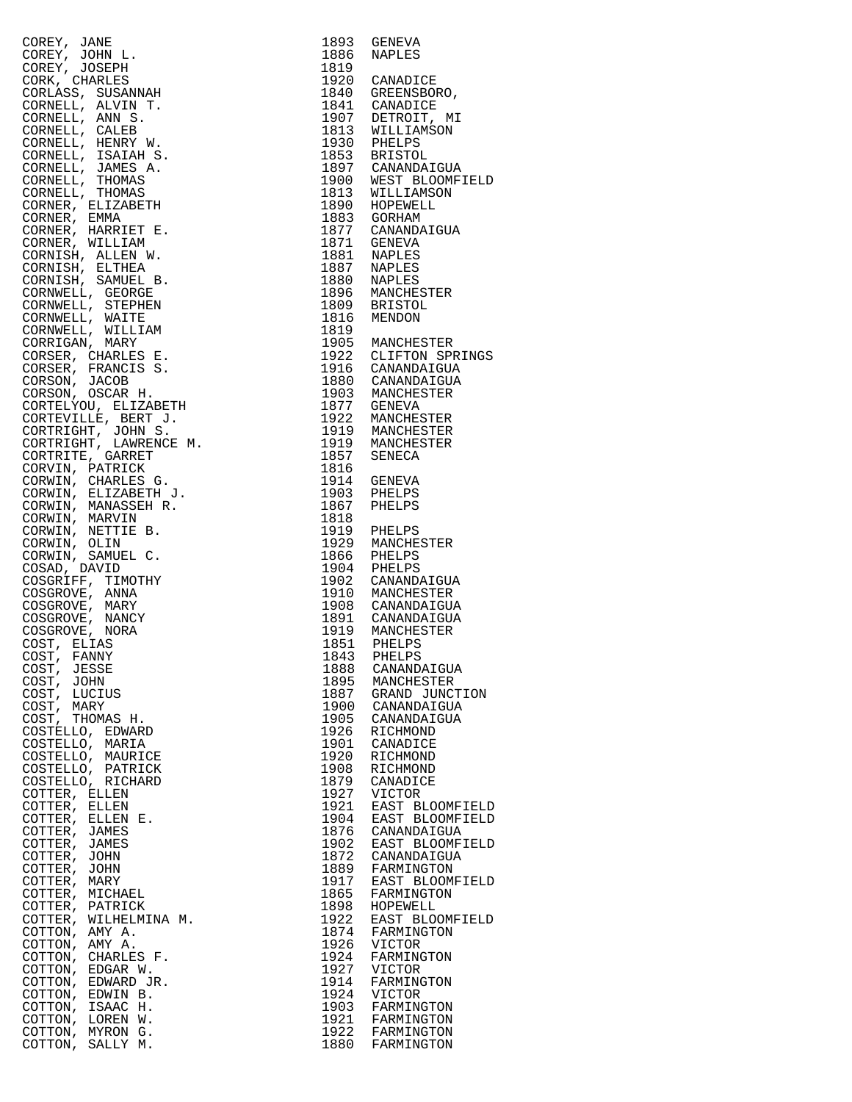| COREY, JANE                                  | 1893         | GENEVA                                                                   |
|----------------------------------------------|--------------|--------------------------------------------------------------------------|
| COREY, JOHN L.                               | 1886         | NAPLES                                                                   |
| COREY, JOSEPH<br>CORK, CHARLES               | 1819         |                                                                          |
| CORLASS, SUSANNAH                            |              | 1920 CANADICE<br>1840 GREENSBOR<br>GREENSBORO,                           |
| CORNELL, ALVIN T.                            |              |                                                                          |
| CORNELL, ANN S.                              |              |                                                                          |
| CORNELL, CALEB                               |              | 1841 CANADICE<br>1907 DETROIT, MI<br>1813 WILLIAMSON<br>1930 PHELPS      |
| CORNELL, HENRY W.                            |              |                                                                          |
| CORNELL, ISAIAH S.                           |              | 1853 BRISTOL<br>1897 CANANDAIGUA<br>1900 WEST BLOOMFI<br>1813 WILLIAMSON |
| CORNELL, JAMES A.                            |              | WEST BLOOMFIELD                                                          |
| CORNELL, THOMAS<br>CORNELL, THOMAS           |              |                                                                          |
| CORNER, ELIZABETH                            |              |                                                                          |
| CORNER, EMMA                                 |              | 1890 HOPEWELL<br>1890 HOPEWELL<br>1877 CANANDAIGUA<br>1871 GENEVA        |
| CORNER, HARRIET E.                           |              |                                                                          |
| CORNER, WILLIAM                              |              |                                                                          |
| CORNISH, ALLEN W.<br>CORNISH, ELTHEA         |              |                                                                          |
| CORNISH, SAMUEL B.                           |              |                                                                          |
| CORNWELL, GEORGE                             |              | 1881 NAPLES<br>1887 NAPLES<br>1880 NAPLES<br>1896 MANCHESTER             |
| CORNWELL, STEPHEN                            |              | 1809 BRISTON<br>BRISTOL                                                  |
| CORNWELL, WAITE                              |              |                                                                          |
| CORNWELL, WILLIAM                            | 1819         | 1905 MANCHESTER                                                          |
| CORRIGAN, MARY<br>CORSER, CHARLES E.         |              |                                                                          |
| CORSER, FRANCIS S.                           |              | 1922 CLIFTON SPRINGS<br>1916 CANANDAIGUA                                 |
| CORSON, JACOB                                |              |                                                                          |
| CORSON, OSCAR H.                             |              | 1880 CANANDAIGUA<br>1903 MANCHESTER                                      |
| CORTELYOU, ELIZABETH                         |              | 1877 GENEVA<br>1922 MANCHESTER                                           |
| CORTEVILLE, BERT J.                          |              |                                                                          |
| CORTRIGHT, JOHN S.                           |              | 1919 MANCHESTER<br>1919 MANCHESTER                                       |
| CORTRIGHT, LAWRENCE M.<br>CORTRITE, GARRET   | 1857         | SENECA                                                                   |
| CORVIN, PATRICK                              | 1816         |                                                                          |
| CORWIN, CHARLES G.                           | 1914         | GENEVA<br>PHELPS                                                         |
| CORWIN, ELIZABETH J.                         | 1903         | PHELPS                                                                   |
| CORWIN, MANASSEH R.                          | 1867         | PHELPS                                                                   |
| CORWIN, MARVIN<br>CORWIN, NETTIE B.          | 1818         |                                                                          |
| CORWIN, OLIN                                 |              | 1919 PHELPS<br>1929 MANCHESTER                                           |
| CORWIN, SAMUEL C.                            |              |                                                                          |
| COSAD, DAVID                                 |              | 1866 PHELPS<br>1904 PHELPS                                               |
| COSGRIFF, TIMOTHY                            |              | 1902 CANANDAIGUA<br>1910 MANCHESTER                                      |
| COSGROVE, ANNA                               |              |                                                                          |
| COSGROVE, MARY<br>COSGROVE, NANCY            |              |                                                                          |
| COSGROVE, NORA                               |              |                                                                          |
| COST, ELIAS                                  |              | 1908 CANANDAIGUA<br>1891 CANANDAIGUA<br>1919 MANCHESTER<br>1851 PHELPS   |
| COST, FANNY                                  | 1843         | PHELPS                                                                   |
| COST,<br>JESSE                               | 1888         | CANANDAIGUA                                                              |
| COST,<br>JOHN                                | 1895         | MANCHESTER                                                               |
| COST,<br>LUCIUS<br>COST,<br>MARY             | 1887<br>1900 | GRAND JUNCTION<br>CANANDAIGUA                                            |
| COST,<br>THOMAS H.                           | 1905         | CANANDAIGUA                                                              |
| COSTELLO, EDWARD                             | 1926         | RICHMOND                                                                 |
| COSTELLO,<br>MARIA                           | 1901         | CANADICE                                                                 |
| COSTELLO, MAURICE                            | 1920         | RICHMOND                                                                 |
| COSTELLO, PATRICK                            | 1908<br>1879 | RICHMOND                                                                 |
| COSTELLO, RICHARD<br>COTTER, ELLEN           | 1927         | CANADICE<br><b>VICTOR</b>                                                |
| COTTER, ELLEN                                | 1921         | EAST BLOOMFIELD                                                          |
| COTTER, ELLEN E.                             | 1904         | EAST BLOOMFIELD                                                          |
| COTTER, JAMES                                | 1876         | CANANDAIGUA                                                              |
| COTTER, JAMES                                | 1902         | EAST BLOOMFIELD                                                          |
| COTTER,<br>JOHN<br>COTTER, JOHN              | 1872<br>1889 | CANANDAIGUA                                                              |
| COTTER,<br>MARY                              | 1917         | FARMINGTON<br>EAST BLOOMFIELD                                            |
| COTTER, MICHAEL                              | 1865         | FARMINGTON                                                               |
| COTTER, PATRICK                              | 1898         | HOPEWELL                                                                 |
| COTTER, WILHELMINA M.                        | 1922         | EAST BLOOMFIELD                                                          |
| COTTON,<br>AMY A.                            | 1874         | FARMINGTON                                                               |
| COTTON,<br>AMY A.                            | 1926         | <b>VICTOR</b>                                                            |
| COTTON,<br>CHARLES F.<br>COTTON,<br>EDGAR W. | 1924<br>1927 | FARMINGTON<br><b>VICTOR</b>                                              |
| COTTON,<br>EDWARD JR.                        | 1914         | FARMINGTON                                                               |
| COTTON,<br>EDWIN B.                          | 1924         | <b>VICTOR</b>                                                            |
| COTTON,<br>ISAAC H.                          | 1903         | FARMINGTON                                                               |
| COTTON,<br>LOREN W.                          | 1921         | FARMINGTON                                                               |
| COTTON, MYRON G.<br>COTTON,<br>SALLY M.      | 1922<br>1880 | FARMINGTON<br>FARMINGTON                                                 |
|                                              |              |                                                                          |

|                                                                                                                           |                      | 1900 WEST BLOOMFIELD                    |
|---------------------------------------------------------------------------------------------------------------------------|----------------------|-----------------------------------------|
|                                                                                                                           |                      |                                         |
|                                                                                                                           |                      |                                         |
|                                                                                                                           |                      |                                         |
|                                                                                                                           |                      |                                         |
|                                                                                                                           |                      |                                         |
|                                                                                                                           |                      |                                         |
|                                                                                                                           |                      |                                         |
|                                                                                                                           |                      |                                         |
|                                                                                                                           |                      |                                         |
|                                                                                                                           |                      |                                         |
|                                                                                                                           |                      |                                         |
|                                                                                                                           |                      |                                         |
|                                                                                                                           |                      | 1896 MANCHESTER                         |
|                                                                                                                           |                      |                                         |
|                                                                                                                           |                      |                                         |
|                                                                                                                           |                      |                                         |
|                                                                                                                           |                      |                                         |
|                                                                                                                           |                      |                                         |
|                                                                                                                           |                      | 1905 MANCHESTER<br>1922 CLIFTON SPRINGS |
|                                                                                                                           |                      |                                         |
|                                                                                                                           |                      |                                         |
|                                                                                                                           |                      |                                         |
|                                                                                                                           |                      |                                         |
|                                                                                                                           |                      |                                         |
|                                                                                                                           |                      |                                         |
|                                                                                                                           |                      |                                         |
|                                                                                                                           |                      |                                         |
|                                                                                                                           |                      |                                         |
|                                                                                                                           |                      |                                         |
|                                                                                                                           |                      |                                         |
|                                                                                                                           |                      |                                         |
|                                                                                                                           |                      |                                         |
|                                                                                                                           |                      |                                         |
|                                                                                                                           |                      |                                         |
|                                                                                                                           |                      |                                         |
|                                                                                                                           |                      |                                         |
|                                                                                                                           |                      |                                         |
|                                                                                                                           |                      |                                         |
|                                                                                                                           |                      |                                         |
|                                                                                                                           |                      |                                         |
|                                                                                                                           |                      |                                         |
|                                                                                                                           |                      |                                         |
|                                                                                                                           |                      |                                         |
|                                                                                                                           |                      |                                         |
|                                                                                                                           |                      |                                         |
|                                                                                                                           |                      |                                         |
|                                                                                                                           |                      |                                         |
|                                                                                                                           |                      |                                         |
|                                                                                                                           |                      |                                         |
|                                                                                                                           |                      |                                         |
|                                                                                                                           |                      |                                         |
|                                                                                                                           |                      |                                         |
|                                                                                                                           |                      |                                         |
|                                                                                                                           |                      |                                         |
| COST, FANNY                                                                                                               |                      |                                         |
|                                                                                                                           |                      |                                         |
| COST, JESSE                                                                                                               | 1888                 | CANANDAIGUA                             |
| COST, JOHN                                                                                                                | 1895                 | MANCHESTER                              |
|                                                                                                                           | 1887                 | GRAND JUNCTION                          |
| COST, LUCIUS                                                                                                              |                      |                                         |
| COST, MARY                                                                                                                | 1900                 | CANANDAIGUA                             |
| COST, THOMAS H.                                                                                                           | 1905                 | CANANDAIGUA                             |
|                                                                                                                           |                      |                                         |
| COSTELLO, EDWARD                                                                                                          | 1926                 | RICHMOND                                |
| COSTELLO, MARIA                                                                                                           | 1901                 | CANADICE                                |
|                                                                                                                           |                      |                                         |
| COSTELLO, MAURICE                                                                                                         | 1920                 | RICHMOND                                |
| COSTELLO, PATRICK                                                                                                         | 1908                 | RICHMOND                                |
|                                                                                                                           | 1879                 |                                         |
| COSTELLO, RICHARD                                                                                                         |                      | CANADICE                                |
| COTTER, ELLEN                                                                                                             | 1927                 | VICTOR                                  |
| COTTER, ELLEN                                                                                                             | 1921                 | EAST BLOOMFIELD                         |
|                                                                                                                           |                      |                                         |
| COTTER, ELLEN E.                                                                                                          |                      |                                         |
| COTTER, JAMES                                                                                                             |                      |                                         |
|                                                                                                                           | 1904                 | EAST BLOOMFIELD                         |
|                                                                                                                           | 1876                 | CANANDAIGUA                             |
| COTTER, JAMES                                                                                                             | 1902                 | EAST BLOOMFIELD                         |
|                                                                                                                           |                      |                                         |
| COTTER, JOHN                                                                                                              | 1872                 | CANANDAIGUA                             |
| COTTER, JOHN                                                                                                              | 1889                 | FARMINGTON                              |
|                                                                                                                           |                      |                                         |
| COTTER, MARY                                                                                                              | 1917                 | EAST BLOOMFIELD                         |
| COTTER, MICHAEL                                                                                                           | 1865                 | FARMINGTON                              |
|                                                                                                                           |                      |                                         |
| COTTER, PATRICK                                                                                                           | 1898                 | HOPEWELL                                |
|                                                                                                                           | 1922                 | EAST BLOOMFIELD                         |
|                                                                                                                           | 1874                 |                                         |
|                                                                                                                           |                      | FARMINGTON                              |
|                                                                                                                           | 1926                 | VICTOR                                  |
|                                                                                                                           | 1924                 | FARMINGTON                              |
|                                                                                                                           |                      |                                         |
|                                                                                                                           | 1927                 | VICTOR                                  |
|                                                                                                                           | 1914                 | FARMINGTON                              |
| COTTER, WILHELMINA M.<br>COTTON, AMY A.<br>COTTON, AMY A.<br>COTTON, CHARLES F.<br>COTTON, EDGAR W.<br>COTTON, EDWARD JR. |                      |                                         |
| COTTON, EDWIN B.                                                                                                          | 1924                 | VICTOR                                  |
| COTTON, ISAAC H.                                                                                                          | 1903                 | FARMINGTON                              |
| COTTON, LOREN W.                                                                                                          |                      | FARMINGTON                              |
|                                                                                                                           |                      |                                         |
| A M.<br>.<br>.<br>.<br>COTTON, MYRON G.<br>COTTON,<br>SALLY M.                                                            | 1921<br>1922<br>1880 | FARMINGTON<br>FARMINGTON                |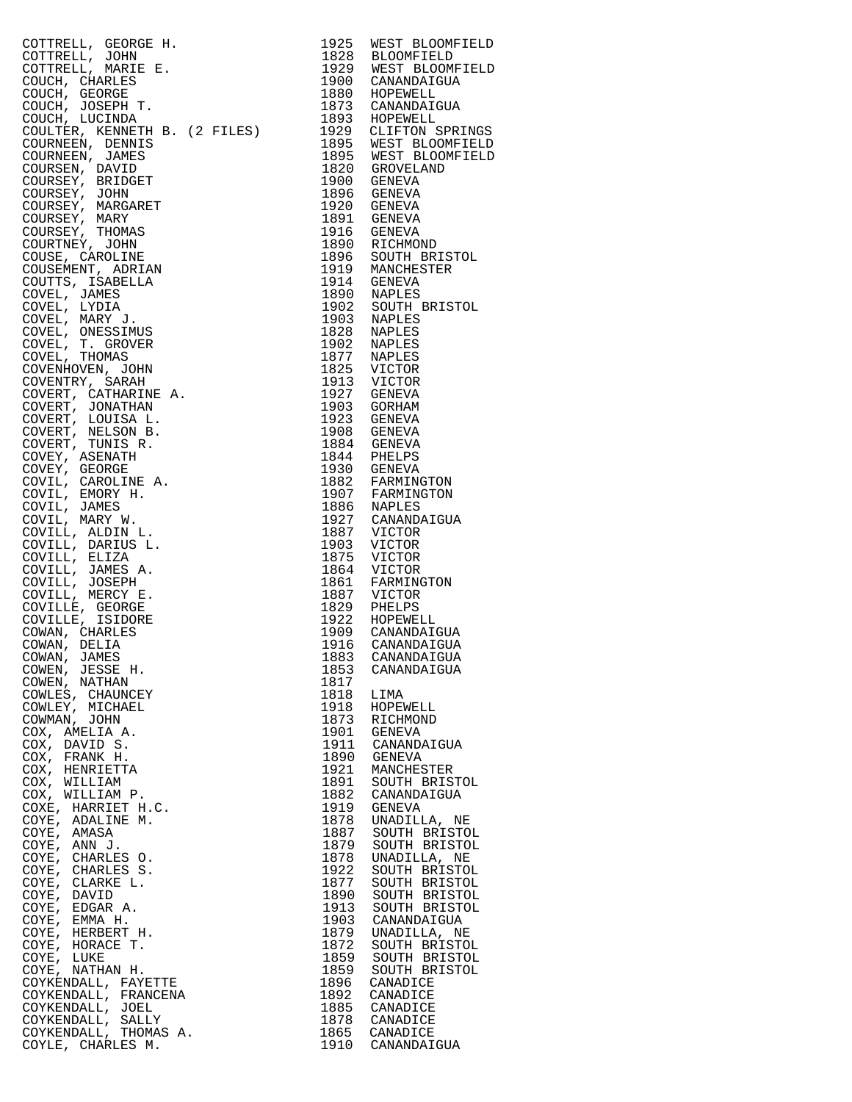COTTRELL, GEORGE H. 1925 WEST BLOOMFIELD COTTRELL, JOHN 1828 BLOOMFIELD COTTRELL, MARIE E. 1929 WEST BLOOMFIELD COUCH, CHARLES 1900 CANANDAIGUA COUCH, GEORGE 1880 HOPEWELL COUCH, JOSEPH T. 1873 CANANDAIGUA COUCH, LUCINDA 1893 HOPEWELL COULTER, KENNETH B. (2 FILES) 1929 CLIFTON SPRINGS COURNEEN, DENNIS<br>COURNEEN, JAMES<br>COURSEN, DAVID<br>COURSEY, BRIDGET COURNEEN, JAMES 1895 WEST BLOOMFIELD COURSEN, DAVID 1820 GROVELAND COURSEY, BRIDGET 1900 GENEVA COURSEY, JOHN 1896 GENEVA COURSEY, MARGARET 1920 GENEVA COURSEY, MARY 1891 GENEVA COURSEY, JOHN 1896 GENEVA<br>
COURSEY, MARGARET 1920 GENEVA<br>
COURSEY, MARGARET 1920 GENEVA<br>
COURSEY, THOMAS 1891 GENEVA<br>
COURSEY, THOMAS 1916 GENEVA<br>
COURTNEY, JOHN 1890 RICHMOND<br>
COUSE, CAROLINE 1896 SOUTH BRISTOL<br>
COUSEMENT COURTNEY, JOHN 1890 RICHMOND COUSE, CAROLINE 1896 SOUTH BRISTOL COUSEMENT, ADRIAN 1919 MANCHESTER COUTTS, ISABELLA 1914 GENEVA COVEL, JAMES 1890 NAPLES COVEL, LYDIA 1902 SOUTH BRISTOL COVEL, MARY J. 1903 NAPLES COVEL, ONESSIMUS 1828 NAPLES COVEL, T. GROVER 1902 NAPLES COVEL, THOMAS 1877 NAPLES COVENHOVEN, JOHN 1825 VICTOR COVENTRY, SARAH 1913 VICTOR COVERT, CATHARINE A. 1927 GENEVA COVERT, JONATHAN 1903 GORHAM COVERT, LOUISA L. 1923 GENEVA COVERT, NELSON B. 1908 GENEVA COVERT, TUNIS R. 1884 GENEVA COVEY, ASENATH 1844 PHELPS COVEY, GEORGE 1930 GENEVA COVIL, CAROLINE A. 1882 FARMINGTON COVIL, EMORY H. 1907 FARMINGTON COVIL, JAMES 1886 NAPLES COVIL, MARY W. 1927 CANANDAIGUA COVILL, ALDIN L. 1887 VICTOR COVILL, DARIUS L. 1903 VICTOR COVILL, ELIZA 1875 VICTOR COVILL, JAMES A. 1864 VICTOR COVILL, MERCY E. 1887 VICTOR COVILLE, GEORGE 1829 PHELPS COVILLE, ISIDORE 1922 HOPEWELL COWAN, CHARLES 1909 CANANDAIGUA COWAN, DELIA 1916 CANANDAIGUA COWAN, JAMES 1883 CANANDAIGUA COWEN, JESSE H. 1853 CANANDAIGUA COWEN, NATHAN 1817 COWLES, CHAUNCEY 1818 LIMA COWLEY, MICHAEL 1918 HOPEWELL COWMAN, JOHN 1873 RICHMOND COX, AMELIA A. 1901 GENEVA COX, DAVID S. 1911 CANANDAIGUA COX, FRANK H. 1890 GENEVA COX, HENRIETTA 1921 MANCHESTER COX, WILLIAM 1891 SOUTH BRISTOL COX, WILLIAM P. 1882 CANANDAIGUA COXE, HARRIET H.C. 1919 GENEVA COYE, ADALINE M. 1878 UNADILLA, NE COYE, AMASA 1887 SOUTH BRISTOL COYE, ANN J. 1879 SOUTH BRISTOL COYE, CHARLES O. 1878 UNADILLA, NE COYE, CHARLES S. 1922 SOUTH BRISTOL COYE, CLARKE L. 1877 SOUTH BRISTOL COYE, DAVID 1890 SOUTH BRISTOL COYE, EDGAR A. 1913 SOUTH BRISTOL COYE, EMMA H. 1903 CANANDAIGUA COYE, HERBERT H. 1879 UNADILLA, NE COYE, HORACE T. 1872 SOUTH BRISTOL COYE, LUKE 1859 SOUTH BRISTOL COYE, NATHAN H. 1859 SOUTH BRISTOL COYKENDALL, FAYETTE 1896 CANADICE COYKENDALL, FRANCENA 1892 CANADICE COYKENDALL, JOEL 1885 CANADICE COYKENDALL, SALLY 1878 CANADICE COYKENDALL, THOMAS A. 1865 CANADICE

1861 FARMINGTON<br>1861 FARMINGTON<br>1829 PHELPS COYLE, CHARLES M. 1910 CANANDAIGUA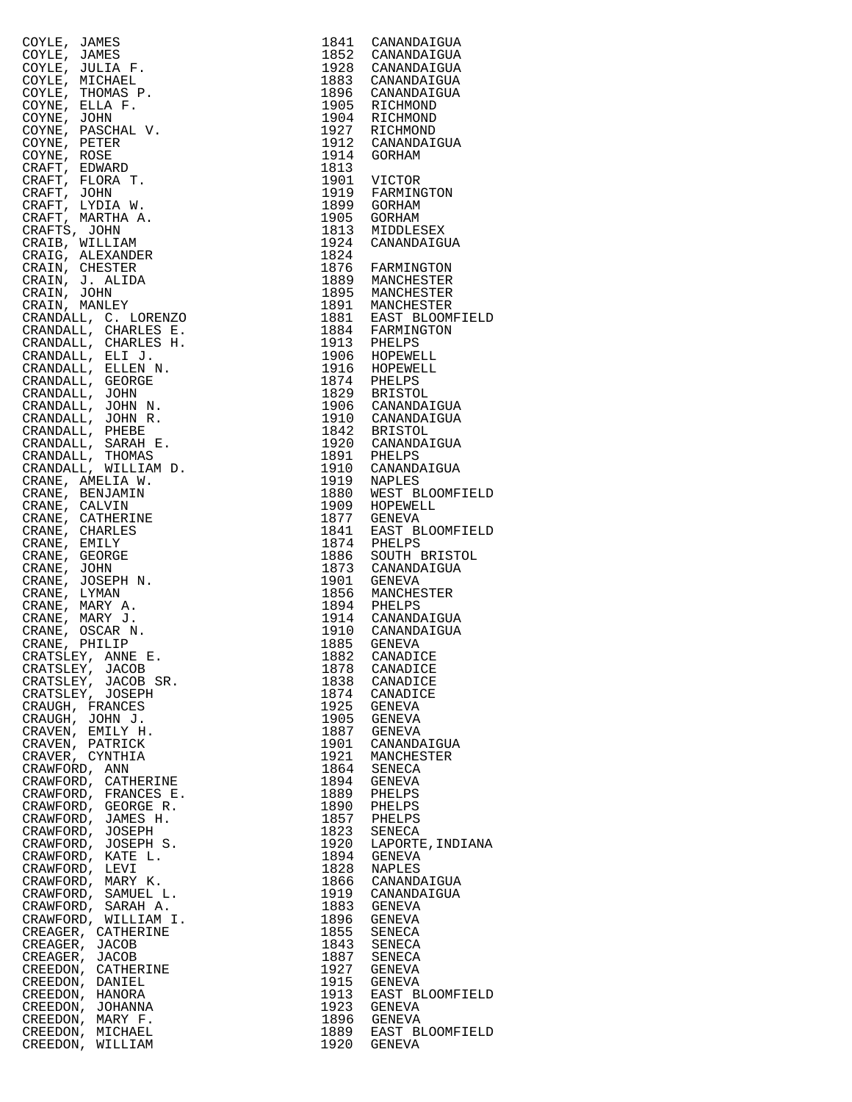| COYLE, JAMES                             |      | 1841 CANANDAIGUA                                                                                                                                                      |
|------------------------------------------|------|-----------------------------------------------------------------------------------------------------------------------------------------------------------------------|
| COYLE, JAMES                             |      |                                                                                                                                                                       |
| COYLE, JULIA F.                          |      | 1852 CANANDAIGUA<br>1928 CANANDAIGUA                                                                                                                                  |
|                                          |      |                                                                                                                                                                       |
| COYLE, MICHAEL                           |      | 1883 CANANDAIGUA                                                                                                                                                      |
| COYLE, THOMAS P.                         |      | 1896 CANANDAIGUA                                                                                                                                                      |
| COYNE, ELLA F.                           |      |                                                                                                                                                                       |
| COYNE, JOHN                              |      | 1905 RICHMOND<br>1904 RICHMOND<br>1927 RICHMOND<br>1912 CANANDAIGUA                                                                                                   |
| COYNE, PASCHAL V.                        |      |                                                                                                                                                                       |
| COYNE, PETER                             |      |                                                                                                                                                                       |
| COYNE, ROSE                              |      | 1914 GORHAM                                                                                                                                                           |
| CRAFT, EDWARD                            | 1813 |                                                                                                                                                                       |
|                                          |      |                                                                                                                                                                       |
| CRAFT, FLORA T.                          |      | 1901 VICTOR<br>1919 FARMINGTON                                                                                                                                        |
| CRAFT, JOHN                              |      |                                                                                                                                                                       |
| CRAFT, LYDIA W.                          |      | 1899 GORHAM                                                                                                                                                           |
| CRAFT, MARTHA A.                         |      | 1905 GORHAM                                                                                                                                                           |
| CRAFTS, JOHN                             |      | 1813 MIDDLESEX                                                                                                                                                        |
| CRAIB, WILLIAM                           |      | 1924 CANANDAIGUA                                                                                                                                                      |
| CRAIG, ALEXANDER                         |      |                                                                                                                                                                       |
|                                          |      | 1824<br>1876 FARMINGTON                                                                                                                                               |
| CRAIN, CHESTER                           |      |                                                                                                                                                                       |
| CRAIN, J. ALIDA                          |      | 1889 MANCHESTER<br>1895 MANCHESTER                                                                                                                                    |
| CRAIN, JOHN                              |      |                                                                                                                                                                       |
| CRAIN, MANLEY                            |      |                                                                                                                                                                       |
| CRANDALL, C. LORENZO                     |      | 1891 MANCHESTER<br>1881 EAST BLOOMFIEL<br>1884 FARMINGTON<br>1913 PHELPS                                                                                              |
| CRANDALL, CHARLES E.                     |      |                                                                                                                                                                       |
| CRANDALL, CHARLES H.                     |      |                                                                                                                                                                       |
|                                          |      |                                                                                                                                                                       |
| CRANDALL, ELI J.<br>CRANDALL, ELLEN N.   |      | 1906 HOPEWELL<br>1916 HOPEWELL                                                                                                                                        |
|                                          |      |                                                                                                                                                                       |
| CRANDALL, GEORGE<br>CRANDALL, JOHN       |      | 1916 HOPEWELL<br>1829 BRISTOL<br>1906 CANANDAIGUA<br>1910 CANANDAIGUA<br>1910 CANANDAIGUA<br>1842 BRISTOL<br>1920 CANANDAIGUA<br>1910 CANANDAIGUA<br>1910 CANANDAIGUA |
|                                          |      |                                                                                                                                                                       |
| CRANDALL, JOHN N.                        |      |                                                                                                                                                                       |
| CRANDALL, JOHN R.                        |      |                                                                                                                                                                       |
| CRANDALL, PHEBE                          |      |                                                                                                                                                                       |
| CRANDALL, SARAH E.                       |      |                                                                                                                                                                       |
|                                          |      |                                                                                                                                                                       |
| CRANDALL, THOMAS<br>CRANDALL, WILLIAM D. |      |                                                                                                                                                                       |
|                                          |      |                                                                                                                                                                       |
| CRANE, AMELIA W.                         |      | 1919 NAPLES<br>1880 WEST BLOOMFIEL                                                                                                                                    |
| CRANE, BENJAMIN                          |      |                                                                                                                                                                       |
| CRANE, CALVIN                            |      |                                                                                                                                                                       |
| CRANE, CATHERINE                         |      | 1909 HOPEWELL<br>1909 HOPEWELL                                                                                                                                        |
| CRANE, CHARLES                           |      |                                                                                                                                                                       |
| CRANE, EMILY                             |      | 1841 EAST BLOOMFIEL<br>1874 PHELPS                                                                                                                                    |
|                                          |      |                                                                                                                                                                       |
| CRANE, GEORGE                            |      | 1886 SOUTH BRISTOL                                                                                                                                                    |
| CRANE, JOHN                              |      | 1873 CANANDAIGUA                                                                                                                                                      |
| CRANE, JOSEPH N.                         |      | 1901 GENEVA                                                                                                                                                           |
| CRANE, LYMAN                             |      | 1856 MANCHESTER                                                                                                                                                       |
| CRANE, MARY A.                           |      | 1894 PHELPS<br>1914 CANANDAIGUA<br>1910 CANANDAIGUA<br>1885 GENEVA                                                                                                    |
| CRANE, MARY J.                           |      |                                                                                                                                                                       |
| CRANE, OSCAR N.                          |      |                                                                                                                                                                       |
| CRANE, PHILIP                            |      |                                                                                                                                                                       |
|                                          |      |                                                                                                                                                                       |
| CRATSLEY, ANNE E.                        |      | 1882 CANADICE                                                                                                                                                         |
| CRATSLEY, JACOB                          | 1878 | CANADICE                                                                                                                                                              |
| CRATSLEY, JACOB SR.                      | 1838 | CANADICE                                                                                                                                                              |
| CRATSLEY, JOSEPH                         | 1874 | CANADICE                                                                                                                                                              |
| CRAUGH, FRANCES                          | 1925 | GENEVA                                                                                                                                                                |
| CRAUGH, JOHN J.                          | 1905 | GENEVA                                                                                                                                                                |
|                                          | 1887 | GENEVA                                                                                                                                                                |
| CRAVEN, EMILY H.                         |      |                                                                                                                                                                       |
| CRAVEN, PATRICK                          | 1901 | CANANDAIGUA                                                                                                                                                           |
| CRAVER, CYNTHIA                          | 1921 | MANCHESTER                                                                                                                                                            |
| CRAWFORD, ANN                            | 1864 | SENECA                                                                                                                                                                |
| CRAWFORD, CATHERINE                      | 1894 | GENEVA                                                                                                                                                                |
| CRAWFORD, FRANCES E.                     | 1889 | PHELPS                                                                                                                                                                |
| CRAWFORD, GEORGE R.                      | 1890 | PHELPS                                                                                                                                                                |
| CRAWFORD, JAMES H.                       | 1857 | PHELPS                                                                                                                                                                |
|                                          |      |                                                                                                                                                                       |
| CRAWFORD, JOSEPH                         | 1823 | SENECA                                                                                                                                                                |
| CRAWFORD, JOSEPH S.                      | 1920 | LAPORTE, INDIAN.                                                                                                                                                      |
| CRAWFORD, KATE L.                        | 1894 | GENEVA                                                                                                                                                                |
| CRAWFORD, LEVI                           | 1828 | <b>NAPLES</b>                                                                                                                                                         |
| CRAWFORD, MARY K.                        | 1866 | CANANDAIGUA                                                                                                                                                           |
| CRAWFORD, SAMUEL L.                      | 1919 | CANANDAIGUA                                                                                                                                                           |
| CRAWFORD, SARAH A.                       | 1883 | GENEVA                                                                                                                                                                |
|                                          |      |                                                                                                                                                                       |
| CRAWFORD, WILLIAM I.                     | 1896 | GENEVA                                                                                                                                                                |
| CREAGER, CATHERINE                       | 1855 | SENECA                                                                                                                                                                |
| CREAGER, JACOB                           | 1843 | SENECA                                                                                                                                                                |
| CREAGER, JACOB                           | 1887 | SENECA                                                                                                                                                                |
| CREEDON, CATHERINE                       | 1927 | GENEVA                                                                                                                                                                |
| CREEDON, DANIEL                          | 1915 | GENEVA                                                                                                                                                                |
| CREEDON, HANORA                          | 1913 | EAST BLOOMFIEL                                                                                                                                                        |
|                                          |      |                                                                                                                                                                       |
| CREEDON, JOHANNA                         | 1923 | <b>GENEVA</b>                                                                                                                                                         |
| CREEDON, MARY F.                         | 1896 | GENEVA                                                                                                                                                                |
| CREEDON, MICHAEL                         | 1889 | EAST BLOOMFIEL                                                                                                                                                        |
| CREEDON, WILLIAM                         | 1920 | <b>GENEVA</b>                                                                                                                                                         |
|                                          |      |                                                                                                                                                                       |

| COYLE, JAMES<br>COYLE, JAMES<br>COYLE, JULIA F.<br>COYLE, MICHAEL<br>COYLE, MICHAEL<br>COYLE, MICHAEL<br>COYNE, EHOMAS P.<br>COYNE, EELA F.<br>COYNE, PASCHAI V.<br>COYNE, PASCHAI V.<br>COYNE, PASCHAI V.<br>COYNE, PETER<br>CRAFT, L'UDIA T.<br>CRAFT, JOHN<br>CRAFT, |      | 1841 CANANDAIGUA                               |
|-------------------------------------------------------------------------------------------------------------------------------------------------------------------------------------------------------------------------------------------------------------------------|------|------------------------------------------------|
|                                                                                                                                                                                                                                                                         |      | 1852 CANANDAIGUA                               |
|                                                                                                                                                                                                                                                                         |      | 1928 CANANDAIGUA                               |
|                                                                                                                                                                                                                                                                         |      | 1883 CANANDAIGUA<br>1896 CANANDAIGUA           |
|                                                                                                                                                                                                                                                                         |      |                                                |
|                                                                                                                                                                                                                                                                         |      | 1905 RICHMOND                                  |
|                                                                                                                                                                                                                                                                         |      | 1904 RICHMOND                                  |
|                                                                                                                                                                                                                                                                         |      |                                                |
|                                                                                                                                                                                                                                                                         |      | 1927 RICHMOND<br>1912 CANANDAIGUA              |
|                                                                                                                                                                                                                                                                         |      |                                                |
|                                                                                                                                                                                                                                                                         | 1914 | GORHAM                                         |
|                                                                                                                                                                                                                                                                         | 1813 |                                                |
|                                                                                                                                                                                                                                                                         |      | 1901 VICTOR<br>1919 FARMINGTON                 |
|                                                                                                                                                                                                                                                                         |      |                                                |
|                                                                                                                                                                                                                                                                         |      | 1899 GORHAM                                    |
|                                                                                                                                                                                                                                                                         |      | 1905 GORHAM                                    |
|                                                                                                                                                                                                                                                                         | 1813 | MIDDLESEX                                      |
|                                                                                                                                                                                                                                                                         | 1924 | CANANDAIGUA                                    |
|                                                                                                                                                                                                                                                                         | 1824 |                                                |
|                                                                                                                                                                                                                                                                         |      | 1876 FARMINGTON                                |
|                                                                                                                                                                                                                                                                         |      |                                                |
|                                                                                                                                                                                                                                                                         |      | 1889 MANCHESTER                                |
|                                                                                                                                                                                                                                                                         |      | 1895 MANCHESTER                                |
|                                                                                                                                                                                                                                                                         |      | 1891 MANCHESTER<br>1881 EAST BLOOMFIELD        |
|                                                                                                                                                                                                                                                                         |      |                                                |
|                                                                                                                                                                                                                                                                         |      | 1884 FARMINGTON<br>1913 PHELPS                 |
|                                                                                                                                                                                                                                                                         |      |                                                |
|                                                                                                                                                                                                                                                                         |      |                                                |
|                                                                                                                                                                                                                                                                         |      | 1906 HOPEWELL<br>1916 HOPEWELL                 |
|                                                                                                                                                                                                                                                                         |      |                                                |
|                                                                                                                                                                                                                                                                         |      | 1874 PHELPS<br>1829 BRISTOL                    |
|                                                                                                                                                                                                                                                                         |      |                                                |
|                                                                                                                                                                                                                                                                         |      | 1906 CANANDAIGUA                               |
|                                                                                                                                                                                                                                                                         |      | 1910 CANANDAIGUA                               |
|                                                                                                                                                                                                                                                                         |      | 1842 BRISTOL                                   |
|                                                                                                                                                                                                                                                                         |      | 1920 CANANDAIGUA                               |
|                                                                                                                                                                                                                                                                         |      | 1891 PHELPS<br>1910 CANANDAIGUA                |
|                                                                                                                                                                                                                                                                         |      |                                                |
|                                                                                                                                                                                                                                                                         |      |                                                |
|                                                                                                                                                                                                                                                                         |      | 1919 NAPLES<br>1880 WEST BLOOMFIELD            |
|                                                                                                                                                                                                                                                                         |      |                                                |
|                                                                                                                                                                                                                                                                         |      | 1909 HOPEWELL<br>1877 GENEVA                   |
|                                                                                                                                                                                                                                                                         |      |                                                |
|                                                                                                                                                                                                                                                                         |      | 1841 EAST BI<br>1874 PHELPS<br>EAST BLOOMFIELD |
|                                                                                                                                                                                                                                                                         |      |                                                |
|                                                                                                                                                                                                                                                                         | 1886 | SOUTH BRISTOL                                  |
|                                                                                                                                                                                                                                                                         |      | 1873 CANANDAIGUA                               |
|                                                                                                                                                                                                                                                                         |      | 1901 GENEVA                                    |
|                                                                                                                                                                                                                                                                         |      | 1856 MANCHESTER                                |
|                                                                                                                                                                                                                                                                         |      | 1894 PHELPS                                    |
|                                                                                                                                                                                                                                                                         |      | 1914 CANANDAIGUA                               |
|                                                                                                                                                                                                                                                                         |      |                                                |
|                                                                                                                                                                                                                                                                         |      | 1910 CANANDAIGUA<br>1885 GENEVA                |
|                                                                                                                                                                                                                                                                         |      |                                                |
|                                                                                                                                                                                                                                                                         | 1882 | CANADICE                                       |
| CRATSLEY, JACOB                                                                                                                                                                                                                                                         | 1878 | CANADICE                                       |
| CRATSLEY, JACOB SR.                                                                                                                                                                                                                                                     | 1838 | CANADICE                                       |
| CRATSLEY, JOSEPH                                                                                                                                                                                                                                                        | 1874 | CANADICE                                       |
| CRAUGH, FRANCES                                                                                                                                                                                                                                                         | 1925 | GENEVA                                         |
| CRAUGH, JOHN J.                                                                                                                                                                                                                                                         |      | 1905 GENEVA                                    |
| CRAVEN, EMILY H.                                                                                                                                                                                                                                                        |      | 1887 GENEVA                                    |
| CRAVEN, PATRICK                                                                                                                                                                                                                                                         |      | 1901 CANANDAIGUA                               |
| CRAVER, CYNTHIA                                                                                                                                                                                                                                                         | 1921 | MANCHESTER                                     |
| CRAWFORD, ANN                                                                                                                                                                                                                                                           |      | 1864 SENECA                                    |
| CRAWFORD, CATHERINE                                                                                                                                                                                                                                                     | 1894 | GENEVA                                         |
| CRAWFORD, FRANCES E.                                                                                                                                                                                                                                                    |      | 1889 PHELPS                                    |
| CRAWFORD, GEORGE R.                                                                                                                                                                                                                                                     | 1890 | PHELPS                                         |
|                                                                                                                                                                                                                                                                         |      | 1857 PHELPS                                    |
| CRAWFORD, JAMES H.                                                                                                                                                                                                                                                      |      |                                                |
| CRAWFORD, JOSEPH                                                                                                                                                                                                                                                        | 1823 | SENECA                                         |
| CRAWFORD, JOSEPH S.                                                                                                                                                                                                                                                     | 1920 | LAPORTE, INDIANA                               |
| CRAWFORD, KATE L.                                                                                                                                                                                                                                                       | 1894 | GENEVA                                         |
| CRAWFORD, LEVI                                                                                                                                                                                                                                                          |      | 1828 NAPLES                                    |
| CRAWFORD, MARY K.                                                                                                                                                                                                                                                       |      | 1866 CANANDAIGUA                               |
| CRAWFORD, SAMUEL L.                                                                                                                                                                                                                                                     | 1919 | CANANDAIGUA                                    |
| CRAWFORD, SARAH A.                                                                                                                                                                                                                                                      | 1883 | GENEVA                                         |
| CRAWFORD, WILLIAM I.                                                                                                                                                                                                                                                    | 1896 | GENEVA                                         |
| CREAGER, CATHERINE                                                                                                                                                                                                                                                      | 1855 | SENECA                                         |
| CREAGER, JACOB                                                                                                                                                                                                                                                          | 1843 | SENECA                                         |
| CREAGER, JACOB                                                                                                                                                                                                                                                          | 1887 | SENECA                                         |
|                                                                                                                                                                                                                                                                         |      |                                                |
| CREEDON, CATHERINE                                                                                                                                                                                                                                                      | 1927 | GENEVA                                         |
| CREEDON, DANIEL                                                                                                                                                                                                                                                         | 1915 | GENEVA                                         |
| CREEDON, HANORA                                                                                                                                                                                                                                                         | 1913 | EAST BLOOMFIELD                                |
| CREEDON, JOHANNA                                                                                                                                                                                                                                                        | 1923 | GENEVA                                         |
| CREEDON, MARY F.                                                                                                                                                                                                                                                        |      | 1896 GENEVA                                    |
| CREEDON, MICHAEL                                                                                                                                                                                                                                                        |      | 1889 EAST BLOOMFIELD<br>1920 GENEVA            |
| CREEDON, WILLIAM                                                                                                                                                                                                                                                        |      |                                                |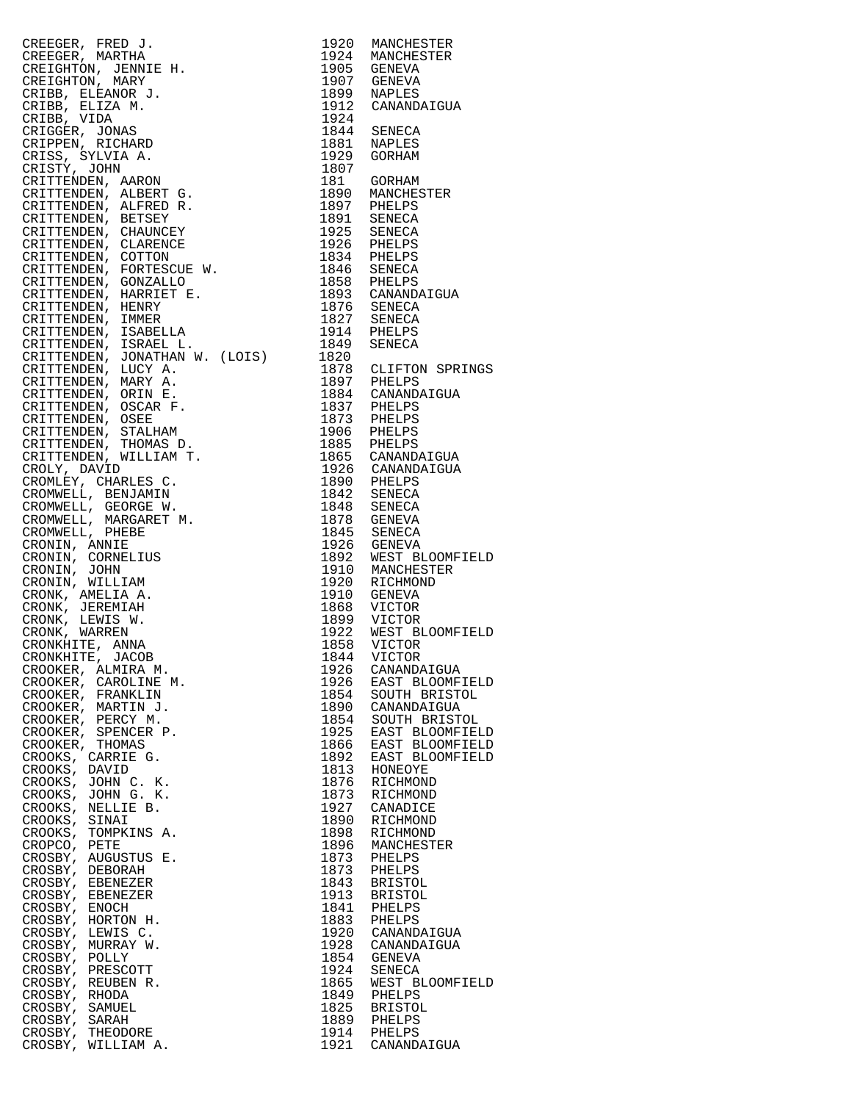CREEGER, FRED J. 1920 MANCHESTER CREEGER, MARTHA 1924 MANCHESTER CREIGHTON, JENNIE H. 1905 GENEVA CREIGHTON, MARY 1907 GENEVA CREIGHTON, JENNIE H. 1905 GENEVA<br>CREIGHTON, MARY 1907 GENEVA<br>CRIBB, ELEANOR J. 1899 NAPLES<br>CRIBB, ELIZA M. 1912 CANAND. CRIBB, ELIZA M.<br>
CRIBB, VIDA<br>
CRIGGER, JONAS<br>
CRIGGER, JONAS<br>
CRIPPEN, RICHARD<br>
CRIPPEN, RICHARD<br>
CRIPPEN, RICHARD<br>
CRIPPEN, SYLVIA A.<br>
1929<br>
1929<br>
1929<br>
1929<br>
1929<br>
1929<br>
1929<br>
1929<br>
1929<br>
1929<br>
1929<br>
1929<br>
1929<br>
1929<br>
19 CRIBB, VIDA 1924 CRIGGER, JONAS 1844 SENECA CRIPPEN, RICHARD 1881 NAPLES CRISS, SYLVIA A. 1929 GORHAM CRISTY, JOHN 1807 CRITTENDEN, AARON 181 GORHAM CRITTENDEN, ALBERT G. 1890 MANCHESTER CRITTENDEN, ALFRED R. 1897 PHELPS CRITTENDEN, BETSEY 1891 SENECA CRITTENDEN, CHAUNCEY 1925 SENECA CRITTENDEN, CLARENCE 1926 PHELPS CRITTENDEN, COTTON 1834 PHELPS CRITTENDEN, FORTESCUE W. 1846 SENECA CRITTENDEN, GONZALLO 1858 PHELPS CRITTENDEN, HARRIET E. 1893 CANANDAIGUA CRITTENDEN, HENRY 1876 SENECA CRITTENDEN, IMMER 1827 SENECA CRITTENDEN, ISABELLA 1914 PHELPS CRITTENDEN, ISRAEL L. 1849 SENECA CRITTENDEN, JONATHAN W. (LOIS) 1820 CRITTENDEN, LUCY A. 1878 CLIFTON SPRINGS CRITTENDEN, MARY A. 1897 PHELPS CRITTENDEN, ORIN E. 1884 CANANDAIGUA CRITTENDEN, OSCAR F. 1837 PHELPS CRITTENDEN, OSEE 1873 PHELPS CRITTENDEN, STALHAM 1906 PHELPS CRITTENDEN, THOMAS D. 1885 PHELPS CRITTENDEN, WILLIAM T. 1865 CANANDAIGUA CROLY, DAVID 1926 CANANDAIGUA CROMLEY, CHARLES C. 1890 PHELPS CROMWELL, BENJAMIN 1842 SENECA CROMWELL, GEORGE W. 1848 SENECA CROWLET, CHARLES CROMENT (CROMWELL, BENJAMIN 1842 SENECA CROMWELL, GEORGE W. 1842 SENECA (CROMWELL, MARGARET M. 1878 GENEVA CROMWELL, PHEBE CROMWELL, PHEBE 1845 SENECA CRONIN, ANNIE 1926 GENEVA CRONIN, CORNELIUS 1892 WEST BLOOMFIELD CRONIN, JOHN 1910 MANCHESTER CRONIN, WILLIAM 1920 RICHMOND CRONK, AMELIA A. 1910 GENEVA CRONK, JEREMIAH 1868 VICTOR CRONK, LEWIS W. 1899 VICTOR CRONK, WARREN 1922 WEST BLOOMFIELD CRONKHITE, ANNA 1858 VICTOR CRONKHITE, JACOB 1844 VICTOR CROOKER, ALMIRA M. 1926 CANANDAIGUA CROOKER, CAROLINE M. 1926 EAST BLOOMFIELD CROOKER, FRANKLIN 1854 SOUTH BRISTOL CROOKER, MARTIN J. 1890 CANANDAIGUA CROOKER, PERCY M. 1854 SOUTH BRISTOL CROOKER, SPENCER P. 1925 EAST BLOOMFIELD CROOKER, THOMAS 1866 EAST BLOOMFIELD CROOKS, CARRIE G. 1892 EAST BLOOMFIELD CROOKS, DAVID 1813 HONEOYE CROOKS, JOHN C. K. 1876 RICHMOND CROOKS, JOHN G. K. 1873 RICHMOND CROOKS, NELLIE B. 1927 CANADICE CROOKS, SINAI 1890 RICHMOND CROOKS, TOMPKINS A. 1898 RICHMOND CROPCO, PETE 1896 MANCHESTER CROSBY, AUGUSTUS E. 1873 PHELPS CROSBY, DEBORAH 1873 PHELPS CROSBY, EBENEZER 1843 BRISTOL CROSBY, EBENEZER 1913 BRISTOL CROSBY, ENOCH 1841 PHELPS CROSBY, HORTON H.<br>CROSBY, LEWIS C.<br>CROSBY, MURRAY W. CROSBY, LEWIS C. 1920 CANANDAIGUA CROSBY, MURRAY W. 1928 CANANDAIGUA CROSBY, POLLY 1854 GENEVA CROSBY, PRESCOTT 1924 SENECA CROSBY, REUBEN R. 1865 WEST BLOOMFIELD CROSBY, RHODA 1849 PHELPS CROSBY, SAMUEL 1825 BRISTOL CROSBY, SARAH 1889 PHELPS CROSBY, THEODORE 1914 PHELPS CROSBY, WILLIAM A. 1921 CANANDAIGUA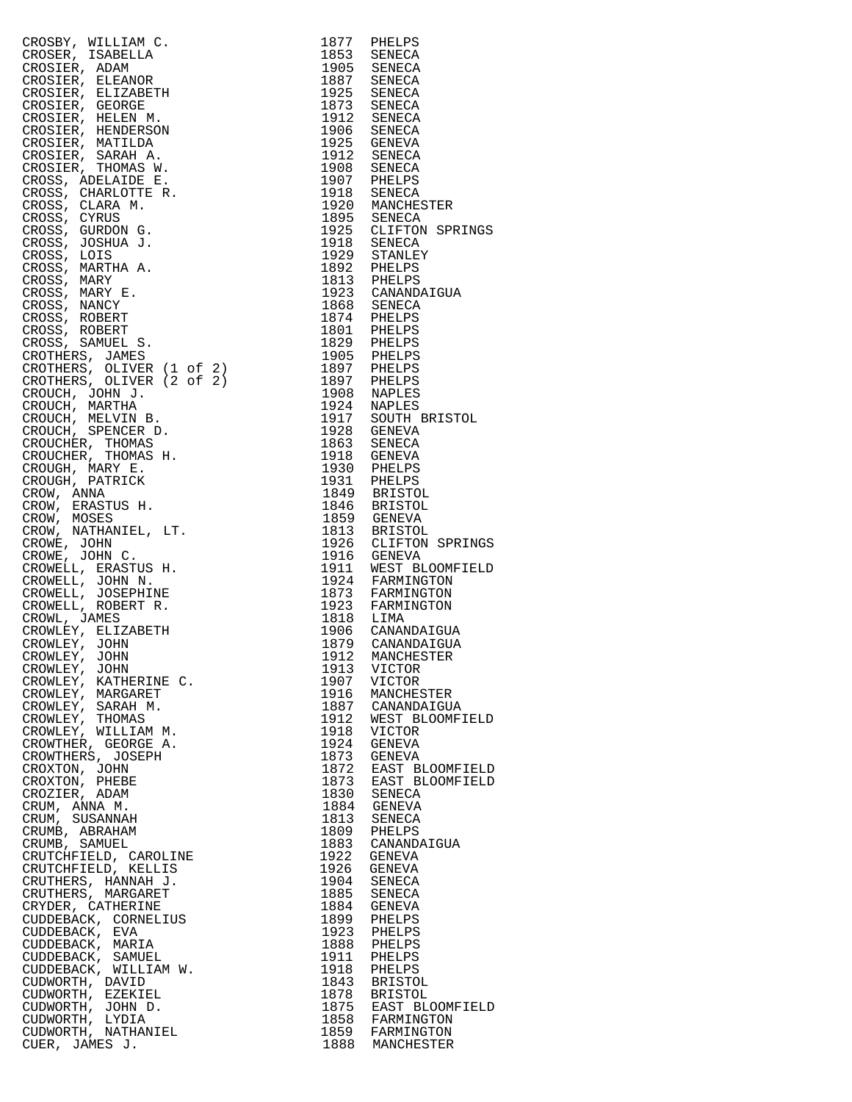|                                                                                                                                                                                                                                 |      | 1895 SENECA<br>1925 CLIFTON SPRINGS                                                                                                                                                    |
|---------------------------------------------------------------------------------------------------------------------------------------------------------------------------------------------------------------------------------|------|----------------------------------------------------------------------------------------------------------------------------------------------------------------------------------------|
|                                                                                                                                                                                                                                 |      |                                                                                                                                                                                        |
|                                                                                                                                                                                                                                 |      |                                                                                                                                                                                        |
|                                                                                                                                                                                                                                 |      |                                                                                                                                                                                        |
|                                                                                                                                                                                                                                 |      |                                                                                                                                                                                        |
|                                                                                                                                                                                                                                 |      |                                                                                                                                                                                        |
|                                                                                                                                                                                                                                 |      |                                                                                                                                                                                        |
|                                                                                                                                                                                                                                 |      |                                                                                                                                                                                        |
|                                                                                                                                                                                                                                 |      |                                                                                                                                                                                        |
|                                                                                                                                                                                                                                 |      |                                                                                                                                                                                        |
|                                                                                                                                                                                                                                 |      |                                                                                                                                                                                        |
|                                                                                                                                                                                                                                 |      |                                                                                                                                                                                        |
|                                                                                                                                                                                                                                 |      |                                                                                                                                                                                        |
|                                                                                                                                                                                                                                 |      |                                                                                                                                                                                        |
|                                                                                                                                                                                                                                 |      |                                                                                                                                                                                        |
|                                                                                                                                                                                                                                 |      |                                                                                                                                                                                        |
|                                                                                                                                                                                                                                 |      |                                                                                                                                                                                        |
|                                                                                                                                                                                                                                 |      |                                                                                                                                                                                        |
|                                                                                                                                                                                                                                 |      |                                                                                                                                                                                        |
|                                                                                                                                                                                                                                 |      |                                                                                                                                                                                        |
|                                                                                                                                                                                                                                 |      |                                                                                                                                                                                        |
|                                                                                                                                                                                                                                 |      |                                                                                                                                                                                        |
|                                                                                                                                                                                                                                 |      |                                                                                                                                                                                        |
|                                                                                                                                                                                                                                 |      |                                                                                                                                                                                        |
|                                                                                                                                                                                                                                 |      |                                                                                                                                                                                        |
|                                                                                                                                                                                                                                 |      |                                                                                                                                                                                        |
|                                                                                                                                                                                                                                 |      |                                                                                                                                                                                        |
|                                                                                                                                                                                                                                 |      |                                                                                                                                                                                        |
|                                                                                                                                                                                                                                 |      |                                                                                                                                                                                        |
|                                                                                                                                                                                                                                 |      |                                                                                                                                                                                        |
| CROSEY, WILLIAM C. (1977) PRELEPS CROSER, REAL PROPIECTS ADM<br>CROSER A DAM CROSSER AND DESCRIPTION (CROSSER A DAM CROSSER A DESCRIPTION ORDER A DESCRIPTION (CROSSER PROPIECTS) AND SERVED A CROSSER PROPIECTS, THE ENERGY AN |      | 1846 BRISTOL<br>1859 GENEVA<br>1813 BRISTOL<br>1926 CLIFTON SPRINGS<br>1916 GENEVA<br>1911 WEST BLOOMFIELD<br>1924 FARMINGTON<br>1873 FARMINGTON<br>1923 FARMINGTON<br>1923 FARMINGTON |
|                                                                                                                                                                                                                                 |      |                                                                                                                                                                                        |
|                                                                                                                                                                                                                                 |      |                                                                                                                                                                                        |
|                                                                                                                                                                                                                                 |      |                                                                                                                                                                                        |
|                                                                                                                                                                                                                                 |      |                                                                                                                                                                                        |
|                                                                                                                                                                                                                                 |      |                                                                                                                                                                                        |
|                                                                                                                                                                                                                                 |      |                                                                                                                                                                                        |
| CROWLEY, JOHN                                                                                                                                                                                                                   | 1913 | VICTOR                                                                                                                                                                                 |
| CROWLEY, KATHERINE C.                                                                                                                                                                                                           | 1907 | VICTOR                                                                                                                                                                                 |
| CROWLEY, MARGARET                                                                                                                                                                                                               |      |                                                                                                                                                                                        |
| CROWLEY, SARAH M.                                                                                                                                                                                                               |      | 1916 MANCHESTER<br>1887 CANANDAIGUA                                                                                                                                                    |
| CROWLEY, THOMAS                                                                                                                                                                                                                 | 1912 | WEST BLOOMFIELD                                                                                                                                                                        |
| CROWLEY, WILLIAM M.                                                                                                                                                                                                             | 1918 | VICTOR                                                                                                                                                                                 |
| CROWTHER, GEORGE A.                                                                                                                                                                                                             | 1924 | GENEVA                                                                                                                                                                                 |
| CROWTHERS, JOSEPH                                                                                                                                                                                                               |      | 1873 GENEVA                                                                                                                                                                            |
| CROXTON, JOHN                                                                                                                                                                                                                   |      |                                                                                                                                                                                        |
|                                                                                                                                                                                                                                 |      | 1872 EAST BLOOMFIELD                                                                                                                                                                   |
| CROXTON, PHEBE<br>CROZIER, ADAM                                                                                                                                                                                                 |      | 1873 EAST BLOOMFIELD                                                                                                                                                                   |
|                                                                                                                                                                                                                                 |      | 1830 SENECA<br>1884 GENEVA                                                                                                                                                             |
| CRUM, ANNA M.                                                                                                                                                                                                                   |      |                                                                                                                                                                                        |
| CRUM, SUSANNAH                                                                                                                                                                                                                  |      | 1813 SENECA<br>1809 PHELPS                                                                                                                                                             |
| CRUMB, ABRAHAM                                                                                                                                                                                                                  |      |                                                                                                                                                                                        |
| CRUMB, SAMUEL                                                                                                                                                                                                                   |      | 1883 CANANDAIGUA                                                                                                                                                                       |
| CRUTCHFIELD, CAROLINE                                                                                                                                                                                                           | 1922 | GENEVA                                                                                                                                                                                 |
| CRUTCHFIELD, KELLIS                                                                                                                                                                                                             | 1926 | GENEVA                                                                                                                                                                                 |
| CRUTHERS, HANNAH J.                                                                                                                                                                                                             |      | 1904 SENECA                                                                                                                                                                            |
| CRUTHERS, MARGARET                                                                                                                                                                                                              | 1885 | SENECA                                                                                                                                                                                 |
| CRYDER, CATHERINE                                                                                                                                                                                                               |      | 1884 GENEVA                                                                                                                                                                            |
| CUDDEBACK, CORNELIUS                                                                                                                                                                                                            | 1899 | PHELPS                                                                                                                                                                                 |
| CUDDEBACK, EVA                                                                                                                                                                                                                  |      | 1923 PHELPS                                                                                                                                                                            |
| CUDDEBACK, MARIA                                                                                                                                                                                                                |      | 1888 PHELPS                                                                                                                                                                            |
| CUDDEBACK, SAMUEL                                                                                                                                                                                                               |      | 1911 PHELPS                                                                                                                                                                            |
| CUDDEBACK, WILLIAM W.                                                                                                                                                                                                           |      | 1918 PHELPS                                                                                                                                                                            |
| CUDWORTH, DAVID                                                                                                                                                                                                                 |      | 1843 BRISTOL                                                                                                                                                                           |
| CUDWORTH, EZEKIEL                                                                                                                                                                                                               |      | 1878 BRISTOL<br>1875 EAST BLOOMFIELD                                                                                                                                                   |
| CUDWORTH, JOHN D.                                                                                                                                                                                                               |      |                                                                                                                                                                                        |
| CUDWORTH, LYDIA                                                                                                                                                                                                                 |      | 1858 FARMINGTON<br>1859 FARMINGTON                                                                                                                                                     |
| CUDWORTH, NATHANIEL                                                                                                                                                                                                             |      |                                                                                                                                                                                        |
| CUER, JAMES J.                                                                                                                                                                                                                  |      | 1888 MANCHESTER                                                                                                                                                                        |

| 1877         | PHELPS                            |
|--------------|-----------------------------------|
| 1853<br>1905 | SENECA<br>SENECA                  |
| 1887         | SENECA                            |
| 1925         | SENECA                            |
| 1873         | SENECA                            |
| 1912<br>1906 | SENECA<br>SENECA                  |
| 1925         | GENEVA                            |
| 1912         | SENECA                            |
| 1908         | SENECA                            |
| 1907<br>1918 | PHELPS                            |
| 1920         | SENECA<br>MANCHESTER              |
| 1895         | SENECA                            |
| 1925         | CLIFTON<br>SPRINGS                |
| 1918         | SENECA                            |
| 1929<br>1892 | STANLEY<br>PHELPS                 |
| 1813         | PHELPS                            |
| 1923         | CANANDAIGUA                       |
| 1868         | SENECA                            |
| 1874<br>1801 | PHELPS                            |
| 1829         | PHELPS<br>PHELPS                  |
| 1905         | PHELPS                            |
| 1897         | PHELPS                            |
| 1897         | PHELPS                            |
| 1908<br>1924 | NAPLES<br>NAPLES                  |
| 1917         | SOUTH BRISTOL                     |
| 1928         | <b>GENEVA</b>                     |
| 1863         | SENECA                            |
| 1918         | GENEVA                            |
| 1930<br>1931 | PHELPS<br>PHELPS                  |
| 1849         | BRISTOL                           |
| 1846         | <b>BRISTOL</b>                    |
| 1859         | GENEVA                            |
| 1813<br>1926 | <b>BRISTOL</b><br>CLIFTON SPRINGS |
| 1916         | GENEVA                            |
| 1911         | WEST BLOOMFIELD                   |
| 1924         | FARMINGTON                        |
| 1873<br>1923 | FARMINGTON<br>FARMINGTON          |
| 1818         | LIMA                              |
| 1906         | CANANDAIGUA                       |
| 1879         | CANANDAIGUA                       |
| 1912<br>1913 | MANCHESTER                        |
| 1907         | VICTOR<br>VICTOR                  |
| 1916         | MANCHESTER                        |
| 1887         | CANANDAIGUA                       |
| 1912         | WEST BLOOMFIELD                   |
| 1918<br>1924 | VICTOR<br>GENEVA                  |
| 1873         | GENEVA                            |
| 1872         | EAST BLOOMFIELD                   |
| 1873         | EAST<br><b>BLOOMFIELD</b>         |
| 1830         | SENECA                            |
| 1884<br>1813 | <b>GENEVA</b><br>SENECA           |
| 1809         | PHELPS                            |
| 1883         | CANANDAIGUA                       |
| 1922         | GENEVA                            |
| 1926<br>1904 | GENEVA<br>SENECA                  |
| 1885         | SENECA                            |
| 1884         | GENEVA                            |
| 1899         | PHELPS                            |
| 1923         | PHELPS                            |
| 1888<br>1911 | PHELPS<br>PHELPS                  |
| 1918         | PHELPS                            |
| 1843         | <b>BRISTOL</b>                    |
| 1878         | BRISTOL                           |
| 1875<br>1858 | EAST BLOOMFIELD<br>FARMINGTON     |
| 1859         | FARMINGTON                        |
| 1888         | MANCHESTER                        |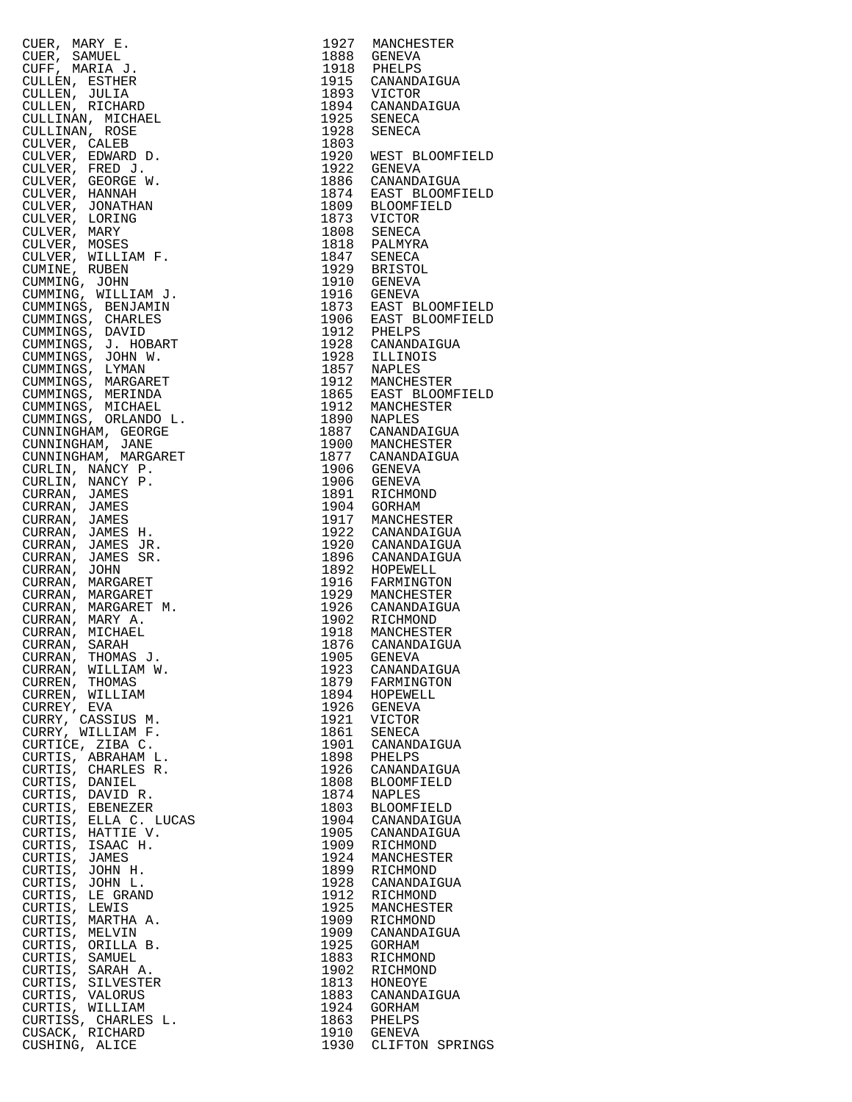|                 | CURR, MARY E.<br>CUER, SAMUEL<br>CUER, SAMUEL<br>CULLEN, ESTHER J.<br>CULLEN, ESTHER<br>CULLEN, ESTHER<br>CULLEN, ESTHER<br>CULLEN, R. ROSE<br>CULLEN, R. ROSE<br>CULLEN, R. ROSE<br>CULLEN, R. ROSE<br>CULVER, CALEB<br>CULVER, GERORE B.<br>CULVER, MANNING, JOHN<br>C |      | 1927 MANCHESTER                                                                                                                                                                                                                                              |
|-----------------|--------------------------------------------------------------------------------------------------------------------------------------------------------------------------------------------------------------------------------------------------------------------------|------|--------------------------------------------------------------------------------------------------------------------------------------------------------------------------------------------------------------------------------------------------------------|
|                 |                                                                                                                                                                                                                                                                          |      | 1888 GENEVA<br>1918 PHELPS                                                                                                                                                                                                                                   |
|                 |                                                                                                                                                                                                                                                                          |      |                                                                                                                                                                                                                                                              |
|                 |                                                                                                                                                                                                                                                                          |      | 1915 CANANDAIGUA<br>1893 VICTOR<br>1894 CANANDAIGUA<br>1925 SENECA                                                                                                                                                                                           |
|                 |                                                                                                                                                                                                                                                                          |      |                                                                                                                                                                                                                                                              |
|                 |                                                                                                                                                                                                                                                                          |      |                                                                                                                                                                                                                                                              |
|                 |                                                                                                                                                                                                                                                                          |      |                                                                                                                                                                                                                                                              |
|                 |                                                                                                                                                                                                                                                                          |      | 1928 SENECA                                                                                                                                                                                                                                                  |
|                 |                                                                                                                                                                                                                                                                          | 1803 |                                                                                                                                                                                                                                                              |
|                 |                                                                                                                                                                                                                                                                          |      | 1920 WEST BLOOMFI<br>1922 GENEVA                                                                                                                                                                                                                             |
|                 |                                                                                                                                                                                                                                                                          |      | 1922 GENEVA<br>1922 GENEVA<br>1886 CANANDAIGUA<br>1874 EAST BLOOMFIELD<br>1873 VICTOR<br>1809 BLOOMFIELD<br>1873 VICTOR<br>1808 SENECA<br>1813 VICTOR<br>1847 SENECA<br>1910 GENEVA<br>1910 GENEVA<br>1916 GENEVA<br>1916 EAST BLOOMFI<br>1912 PHELPS<br>192 |
|                 |                                                                                                                                                                                                                                                                          |      |                                                                                                                                                                                                                                                              |
|                 |                                                                                                                                                                                                                                                                          |      |                                                                                                                                                                                                                                                              |
|                 |                                                                                                                                                                                                                                                                          |      |                                                                                                                                                                                                                                                              |
|                 |                                                                                                                                                                                                                                                                          |      |                                                                                                                                                                                                                                                              |
|                 |                                                                                                                                                                                                                                                                          |      |                                                                                                                                                                                                                                                              |
|                 |                                                                                                                                                                                                                                                                          |      |                                                                                                                                                                                                                                                              |
|                 |                                                                                                                                                                                                                                                                          |      |                                                                                                                                                                                                                                                              |
|                 |                                                                                                                                                                                                                                                                          |      |                                                                                                                                                                                                                                                              |
|                 |                                                                                                                                                                                                                                                                          |      |                                                                                                                                                                                                                                                              |
|                 |                                                                                                                                                                                                                                                                          |      |                                                                                                                                                                                                                                                              |
|                 |                                                                                                                                                                                                                                                                          |      |                                                                                                                                                                                                                                                              |
|                 |                                                                                                                                                                                                                                                                          |      |                                                                                                                                                                                                                                                              |
|                 |                                                                                                                                                                                                                                                                          |      |                                                                                                                                                                                                                                                              |
|                 |                                                                                                                                                                                                                                                                          |      |                                                                                                                                                                                                                                                              |
|                 |                                                                                                                                                                                                                                                                          |      |                                                                                                                                                                                                                                                              |
|                 |                                                                                                                                                                                                                                                                          |      |                                                                                                                                                                                                                                                              |
|                 |                                                                                                                                                                                                                                                                          |      |                                                                                                                                                                                                                                                              |
|                 |                                                                                                                                                                                                                                                                          |      |                                                                                                                                                                                                                                                              |
|                 |                                                                                                                                                                                                                                                                          |      |                                                                                                                                                                                                                                                              |
|                 |                                                                                                                                                                                                                                                                          |      |                                                                                                                                                                                                                                                              |
|                 |                                                                                                                                                                                                                                                                          |      |                                                                                                                                                                                                                                                              |
|                 |                                                                                                                                                                                                                                                                          |      | 1887 CANANDAIGUA<br>1900 MANCHESTER                                                                                                                                                                                                                          |
|                 |                                                                                                                                                                                                                                                                          |      |                                                                                                                                                                                                                                                              |
|                 |                                                                                                                                                                                                                                                                          |      |                                                                                                                                                                                                                                                              |
|                 |                                                                                                                                                                                                                                                                          |      | 1877 CANANDAIGUA<br>1906 GENEVA<br>1906 GENEVA<br>1891 RICHMOND                                                                                                                                                                                              |
|                 |                                                                                                                                                                                                                                                                          |      |                                                                                                                                                                                                                                                              |
|                 |                                                                                                                                                                                                                                                                          |      | 1904 GORHAM<br>1917 MANCHESTER<br>1922 CANANDAIGUA<br>1920 CANANDAIGUA                                                                                                                                                                                       |
|                 |                                                                                                                                                                                                                                                                          |      |                                                                                                                                                                                                                                                              |
|                 |                                                                                                                                                                                                                                                                          |      |                                                                                                                                                                                                                                                              |
|                 |                                                                                                                                                                                                                                                                          |      |                                                                                                                                                                                                                                                              |
|                 |                                                                                                                                                                                                                                                                          |      |                                                                                                                                                                                                                                                              |
|                 |                                                                                                                                                                                                                                                                          |      |                                                                                                                                                                                                                                                              |
|                 |                                                                                                                                                                                                                                                                          |      |                                                                                                                                                                                                                                                              |
|                 |                                                                                                                                                                                                                                                                          |      |                                                                                                                                                                                                                                                              |
|                 |                                                                                                                                                                                                                                                                          |      |                                                                                                                                                                                                                                                              |
|                 |                                                                                                                                                                                                                                                                          |      |                                                                                                                                                                                                                                                              |
|                 |                                                                                                                                                                                                                                                                          |      |                                                                                                                                                                                                                                                              |
|                 |                                                                                                                                                                                                                                                                          |      | 1920 CANANDAIGUA<br>1896 CANANDAIGUA<br>1892 HOPEWELL<br>1916 FARMINGTON<br>1929 MANCHESTER<br>1926 CANANDAIGUA<br>1902 RICHMOND<br>1918 MANCHESTER<br>1876 CANANDAIGUA<br>1905 CANANDAIGUA                                                                  |
|                 |                                                                                                                                                                                                                                                                          | 1905 | GENEVA                                                                                                                                                                                                                                                       |
| CURRAN,         | WILLIAM W.                                                                                                                                                                                                                                                               | 1923 | CANANDAIGUA                                                                                                                                                                                                                                                  |
| CURREN,         | THOMAS                                                                                                                                                                                                                                                                   | 1879 | FARMINGTON                                                                                                                                                                                                                                                   |
| CURREN, WILLIAM |                                                                                                                                                                                                                                                                          | 1894 | HOPEWELL                                                                                                                                                                                                                                                     |
| CURREY, EVA     |                                                                                                                                                                                                                                                                          | 1926 | GENEVA                                                                                                                                                                                                                                                       |
|                 | CURRY, CASSIUS M.                                                                                                                                                                                                                                                        | 1921 | VICTOR                                                                                                                                                                                                                                                       |
|                 | CURRY, WILLIAM F.                                                                                                                                                                                                                                                        | 1861 | SENECA                                                                                                                                                                                                                                                       |
|                 | CURTICE, ZIBA C.                                                                                                                                                                                                                                                         | 1901 | CANANDAIGUA                                                                                                                                                                                                                                                  |
|                 | CURTIS, ABRAHAM L.                                                                                                                                                                                                                                                       | 1898 | PHELPS                                                                                                                                                                                                                                                       |
|                 | CURTIS, CHARLES R.                                                                                                                                                                                                                                                       | 1926 | CANANDAIGUA                                                                                                                                                                                                                                                  |
| CURTIS,         | DANIEL                                                                                                                                                                                                                                                                   | 1808 | <b>BLOOMFIELD</b>                                                                                                                                                                                                                                            |
|                 | CURTIS, DAVID R.                                                                                                                                                                                                                                                         | 1874 | NAPLES                                                                                                                                                                                                                                                       |
| CURTIS,         | EBENEZER                                                                                                                                                                                                                                                                 | 1803 | <b>BLOOMFIELD</b>                                                                                                                                                                                                                                            |
|                 | CURTIS, ELLA C. LUCAS                                                                                                                                                                                                                                                    | 1904 | CANANDAIGUA                                                                                                                                                                                                                                                  |
|                 | CURTIS, HATTIE V.                                                                                                                                                                                                                                                        | 1905 | CANANDAIGUA                                                                                                                                                                                                                                                  |
|                 | CURTIS, ISAAC H.                                                                                                                                                                                                                                                         | 1909 | RICHMOND                                                                                                                                                                                                                                                     |
| CURTIS, JAMES   |                                                                                                                                                                                                                                                                          | 1924 | MANCHESTER                                                                                                                                                                                                                                                   |
| CURTIS, JOHN H. |                                                                                                                                                                                                                                                                          | 1899 | RICHMOND                                                                                                                                                                                                                                                     |
| CURTIS,         | JOHN L.                                                                                                                                                                                                                                                                  | 1928 | CANANDAIGUA                                                                                                                                                                                                                                                  |
| CURTIS,         | LE GRAND                                                                                                                                                                                                                                                                 | 1912 | RICHMOND                                                                                                                                                                                                                                                     |
| CURTIS,         | LEWIS                                                                                                                                                                                                                                                                    | 1925 | MANCHESTER                                                                                                                                                                                                                                                   |
| CURTIS,         | MARTHA A.                                                                                                                                                                                                                                                                | 1909 | RICHMOND                                                                                                                                                                                                                                                     |
| CURTIS,         | MELVIN                                                                                                                                                                                                                                                                   | 1909 | CANANDAIGUA                                                                                                                                                                                                                                                  |
|                 | CURTIS, ORILLA B.                                                                                                                                                                                                                                                        | 1925 | GORHAM                                                                                                                                                                                                                                                       |
| CURTIS,         | SAMUEL                                                                                                                                                                                                                                                                   | 1883 | RICHMOND                                                                                                                                                                                                                                                     |
|                 | CURTIS, SARAH A.                                                                                                                                                                                                                                                         | 1902 | RICHMOND                                                                                                                                                                                                                                                     |
|                 | CURTIS, SILVESTER                                                                                                                                                                                                                                                        | 1813 | HONEOYE                                                                                                                                                                                                                                                      |
| CURTIS, VALORUS |                                                                                                                                                                                                                                                                          | 1883 | CANANDAIGUA                                                                                                                                                                                                                                                  |
| CURTIS, WILLIAM |                                                                                                                                                                                                                                                                          | 1924 | GORHAM                                                                                                                                                                                                                                                       |
|                 | CURTISS, CHARLES L.                                                                                                                                                                                                                                                      | 1863 | PHELPS                                                                                                                                                                                                                                                       |
| CUSACK,         | RICHARD                                                                                                                                                                                                                                                                  | 1910 | GENEVA                                                                                                                                                                                                                                                       |
| CUSHING, ALICE  |                                                                                                                                                                                                                                                                          |      | 1930 CLIFTON SPRI                                                                                                                                                                                                                                            |

| CURR, MARY E. 1992 MANUESTER<br>CURR, MANUESTER (MARKEL 1992 MANUESTER)<br>CURR, SAMUELT, 1993 CHEMAN 1993 CHEMAN 1997<br>CULLINAR, ROSENA<br>CULLINAR, ROSENA<br>CULLINAR, ROSENA<br>CULLINAR, NORREL 1993 CHEMAN 1997<br>CULLINAR, NORREL 1993 SE |              |                                    |
|-----------------------------------------------------------------------------------------------------------------------------------------------------------------------------------------------------------------------------------------------------|--------------|------------------------------------|
|                                                                                                                                                                                                                                                     |              |                                    |
|                                                                                                                                                                                                                                                     |              |                                    |
|                                                                                                                                                                                                                                                     |              |                                    |
|                                                                                                                                                                                                                                                     |              |                                    |
|                                                                                                                                                                                                                                                     |              |                                    |
|                                                                                                                                                                                                                                                     |              |                                    |
|                                                                                                                                                                                                                                                     |              |                                    |
|                                                                                                                                                                                                                                                     |              |                                    |
|                                                                                                                                                                                                                                                     |              |                                    |
|                                                                                                                                                                                                                                                     |              |                                    |
|                                                                                                                                                                                                                                                     |              |                                    |
|                                                                                                                                                                                                                                                     |              |                                    |
|                                                                                                                                                                                                                                                     |              |                                    |
|                                                                                                                                                                                                                                                     |              |                                    |
|                                                                                                                                                                                                                                                     |              |                                    |
|                                                                                                                                                                                                                                                     |              |                                    |
|                                                                                                                                                                                                                                                     |              |                                    |
|                                                                                                                                                                                                                                                     |              |                                    |
|                                                                                                                                                                                                                                                     |              |                                    |
|                                                                                                                                                                                                                                                     |              |                                    |
|                                                                                                                                                                                                                                                     |              |                                    |
|                                                                                                                                                                                                                                                     |              |                                    |
|                                                                                                                                                                                                                                                     |              |                                    |
|                                                                                                                                                                                                                                                     |              |                                    |
|                                                                                                                                                                                                                                                     |              |                                    |
|                                                                                                                                                                                                                                                     |              |                                    |
|                                                                                                                                                                                                                                                     |              |                                    |
|                                                                                                                                                                                                                                                     |              |                                    |
|                                                                                                                                                                                                                                                     |              |                                    |
|                                                                                                                                                                                                                                                     |              |                                    |
|                                                                                                                                                                                                                                                     |              |                                    |
|                                                                                                                                                                                                                                                     |              |                                    |
|                                                                                                                                                                                                                                                     |              |                                    |
|                                                                                                                                                                                                                                                     |              |                                    |
|                                                                                                                                                                                                                                                     |              |                                    |
|                                                                                                                                                                                                                                                     |              |                                    |
|                                                                                                                                                                                                                                                     |              |                                    |
|                                                                                                                                                                                                                                                     |              |                                    |
|                                                                                                                                                                                                                                                     |              |                                    |
|                                                                                                                                                                                                                                                     |              |                                    |
|                                                                                                                                                                                                                                                     |              |                                    |
|                                                                                                                                                                                                                                                     |              |                                    |
|                                                                                                                                                                                                                                                     |              |                                    |
|                                                                                                                                                                                                                                                     |              |                                    |
| CURRAN, THOMAS J.                                                                                                                                                                                                                                   | 1905         | GENEVA                             |
| CURRAN, WILLIAM W.                                                                                                                                                                                                                                  | 1923         | CANANDAIGUA                        |
| CURREN, THOMAS                                                                                                                                                                                                                                      | 1879         | FARMINGTON                         |
| CURREN, WILLIAM                                                                                                                                                                                                                                     | 1894         | HOPEWELL                           |
| CURREY, EVA                                                                                                                                                                                                                                         | 1926         | GENEVA                             |
| CURRY, CASSIUS M.                                                                                                                                                                                                                                   | 1921         | VICTOR                             |
| CURRY, WILLIAM F.                                                                                                                                                                                                                                   | 1861         | SENECA                             |
| CURTICE, ZIBA C.                                                                                                                                                                                                                                    | 1901         | CANANDAIGUA                        |
| CURTIS, ABRAHAM L.                                                                                                                                                                                                                                  | 1898         | PHELPS                             |
| CURTIS, CHARLES R.                                                                                                                                                                                                                                  | 1926         | CANANDAIGUA                        |
| CURTIS, DANIEL                                                                                                                                                                                                                                      | 1808         | <b>BLOOMFIELD</b>                  |
| CURTIS, DAVID R.<br>CURTIS, EBENEZER                                                                                                                                                                                                                | 1874<br>1803 | <b>NAPLES</b><br><b>BLOOMFIELD</b> |
| CURTIS, ELLA C. LUCAS                                                                                                                                                                                                                               | 1904         | CANANDAIGUA                        |
| CURTIS, HATTIE V.                                                                                                                                                                                                                                   | 1905         | CANANDAIGUA                        |
| CURTIS, ISAAC H.                                                                                                                                                                                                                                    | 1909         | RICHMOND                           |
| CURTIS, JAMES                                                                                                                                                                                                                                       | 1924         | MANCHESTER                         |
| CURTIS, JOHN H.                                                                                                                                                                                                                                     | 1899         | RICHMOND                           |
| CURTIS, JOHN L.                                                                                                                                                                                                                                     | 1928         | CANANDAIGUA                        |
| CURTIS, LE GRAND                                                                                                                                                                                                                                    | 1912         | RICHMOND                           |
| CURTIS, LEWIS                                                                                                                                                                                                                                       | 1925         | MANCHESTER                         |
| CURTIS, MARTHA A.                                                                                                                                                                                                                                   | 1909         | RICHMOND                           |
| CURTIS, MELVIN                                                                                                                                                                                                                                      | 1909         | CANANDAIGUA                        |
| CURTIS, ORILLA B.                                                                                                                                                                                                                                   | 1925         | GORHAM                             |
| CURTIS, SAMUEL<br>CURTIS, SARAH A.                                                                                                                                                                                                                  | 1883<br>1902 | RICHMOND<br>RICHMOND               |
| CURTIS, SILVESTER                                                                                                                                                                                                                                   | 1813         | HONEOYE                            |
| CURTIS, VALORUS                                                                                                                                                                                                                                     | 1883         | CANANDAIGUA                        |
| CURTIS, WILLIAM                                                                                                                                                                                                                                     | 1924         | GORHAM                             |
| CURTISS, CHARLES L.                                                                                                                                                                                                                                 | 1863         | PHELPS                             |
| CUSACK, RICHARD                                                                                                                                                                                                                                     | 1910         | GENEVA                             |
| CUSHING, ALICE                                                                                                                                                                                                                                      | 1930         | CLIFTON SPRINGS                    |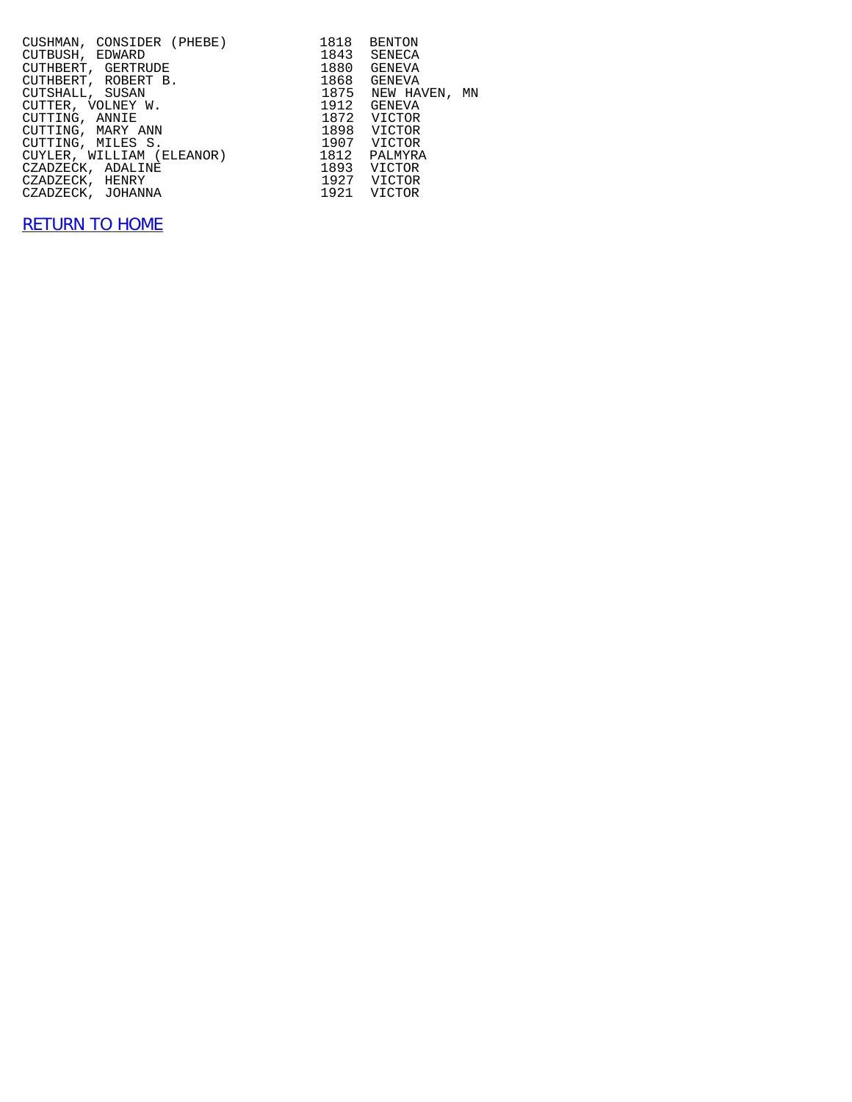| CUSHMAN, CONSIDER (PHEBE)<br>CUTBUSH, EDWARD<br>CUTHBERT, GERTRUDE<br>CUTHBERT, ROBERT B. | 1818 | BENTON<br>1843 SENECA<br>1880 GENEVA<br>1868 GENEVA |
|-------------------------------------------------------------------------------------------|------|-----------------------------------------------------|
| CUTSHALL, SUSAN                                                                           |      | 1875 NEW HAVEN, MN                                  |
| CUTTER, VOLNEY W.                                                                         |      | 1912 GENEVA                                         |
| CUTTING, ANNIE                                                                            |      | 1872 VICTOR                                         |
| CUTTING, MARY ANN                                                                         |      | 1898 VICTOR                                         |
| CUTTING, MILES S. 5. 2007 VICTOR                                                          |      |                                                     |
| CUYLER, WILLIAM (ELEANOR) 1812 PALMYRA                                                    |      |                                                     |
| CZADZECK, ADALINE                                                                         |      | 1893 VICTOR                                         |
| 1927 VICTOR<br>CZADZECK, HENRY                                                            |      |                                                     |
| CZADZECK, JOHANNA                                                                         |      | 1921 VICTOR                                         |
|                                                                                           |      |                                                     |

## [RETURN TO HOME](http://raims.com/home.html)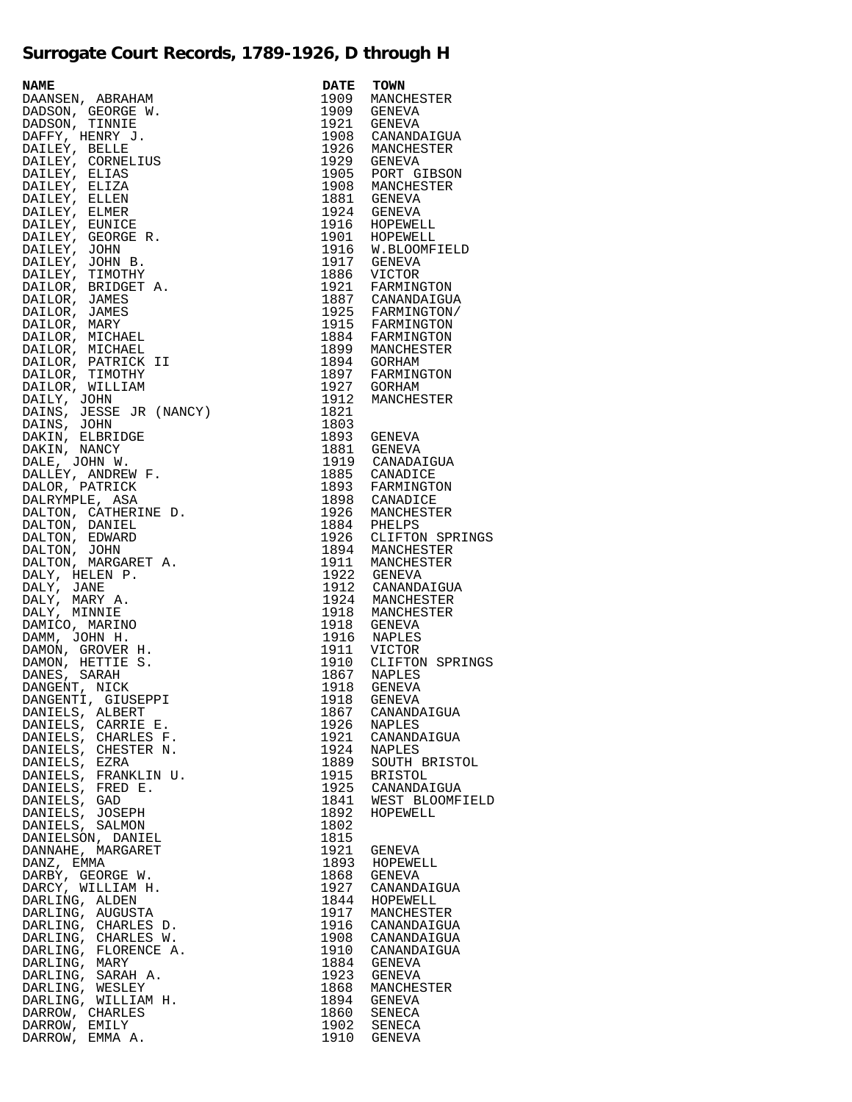## **Surrogate Court Records, 1789-1926, D through H**

| NAMERIN, ARRAHAM DANSEN, ARRAHAM DADSON, GEORGE WANDADSON, GEORGE WALLEY, EENITY, HENRY J.<br>DATLEY, HENRY J. ENETLE DATLEY, CONNELLIS<br>DATLEY, EELITZA CONNELLIS<br>DATLEY, ELITZA ELITZA DATLEY, ELITZA DATLEY, ELITZA DATLEY, ELI | <b>DATE</b>  | TOWN                                                                                                                |
|-----------------------------------------------------------------------------------------------------------------------------------------------------------------------------------------------------------------------------------------|--------------|---------------------------------------------------------------------------------------------------------------------|
|                                                                                                                                                                                                                                         | 1909         | MANCHESTER                                                                                                          |
|                                                                                                                                                                                                                                         |              | 1909 GENEVA                                                                                                         |
|                                                                                                                                                                                                                                         |              | 1921 GENEVA                                                                                                         |
|                                                                                                                                                                                                                                         |              | 1908 CANANDAIGUA                                                                                                    |
|                                                                                                                                                                                                                                         |              | 1926 MANCHESTER<br>1929 GENEVA                                                                                      |
|                                                                                                                                                                                                                                         |              | 1905 PORT GIBSON                                                                                                    |
|                                                                                                                                                                                                                                         |              | 1908 MANCHESTER                                                                                                     |
|                                                                                                                                                                                                                                         |              |                                                                                                                     |
|                                                                                                                                                                                                                                         |              | 1881 GENEVA<br>1924 GENEVA                                                                                          |
|                                                                                                                                                                                                                                         |              | 1924<br>1916 HOPEWELL<br>1901 HOPEWELL<br>1916 W.BLOOMFIELD                                                         |
|                                                                                                                                                                                                                                         |              |                                                                                                                     |
|                                                                                                                                                                                                                                         |              |                                                                                                                     |
|                                                                                                                                                                                                                                         |              | 1917 GENEVA<br>1886 VICTOR<br>1921 FARMINGTON                                                                       |
|                                                                                                                                                                                                                                         |              |                                                                                                                     |
|                                                                                                                                                                                                                                         |              |                                                                                                                     |
|                                                                                                                                                                                                                                         |              | 1887 CANANDAIGUA<br>1925 FARMINGTON/<br>1915 FARMINGTON                                                             |
|                                                                                                                                                                                                                                         |              |                                                                                                                     |
|                                                                                                                                                                                                                                         |              |                                                                                                                     |
|                                                                                                                                                                                                                                         |              | 1884 FARMINGTON<br>1899 MANCHESTER<br>1894 GORHAM                                                                   |
|                                                                                                                                                                                                                                         |              |                                                                                                                     |
|                                                                                                                                                                                                                                         |              | 1897 FARMINGTON<br>1897 FARMINGTON                                                                                  |
|                                                                                                                                                                                                                                         |              |                                                                                                                     |
|                                                                                                                                                                                                                                         | 1912         | MANCHESTER                                                                                                          |
|                                                                                                                                                                                                                                         | 1821         |                                                                                                                     |
|                                                                                                                                                                                                                                         | 1803         |                                                                                                                     |
|                                                                                                                                                                                                                                         |              | 1893 GENEVA                                                                                                         |
|                                                                                                                                                                                                                                         |              | 1881 GENEVA                                                                                                         |
|                                                                                                                                                                                                                                         |              | 1919 CANADAIGUA                                                                                                     |
|                                                                                                                                                                                                                                         |              | 1885 CANADICE<br>1893 FARMINGTON                                                                                    |
|                                                                                                                                                                                                                                         |              |                                                                                                                     |
|                                                                                                                                                                                                                                         |              |                                                                                                                     |
|                                                                                                                                                                                                                                         |              |                                                                                                                     |
|                                                                                                                                                                                                                                         |              |                                                                                                                     |
|                                                                                                                                                                                                                                         |              | 1893 FARMINGION<br>1926 MANCHESTER<br>1926 MANCHESTER<br>1926 CLIFTON SPRINGS<br>1894 MANCHESTER<br>1911 MANCHESTER |
|                                                                                                                                                                                                                                         |              |                                                                                                                     |
|                                                                                                                                                                                                                                         |              | 1922 GENEVA                                                                                                         |
|                                                                                                                                                                                                                                         |              | 1912 CANANDAIGUA                                                                                                    |
|                                                                                                                                                                                                                                         |              | 1924 MANCHESTER                                                                                                     |
|                                                                                                                                                                                                                                         |              | 1918 MANCHESTER                                                                                                     |
|                                                                                                                                                                                                                                         |              | 1918 GENEVA                                                                                                         |
|                                                                                                                                                                                                                                         |              | 1916 NAPLES                                                                                                         |
|                                                                                                                                                                                                                                         |              | 1911 VICTOR<br>1910 CLIFTON SPRINGS                                                                                 |
|                                                                                                                                                                                                                                         |              | 1910<br>1867 NAPLES<br>1918 GENEVA                                                                                  |
|                                                                                                                                                                                                                                         |              |                                                                                                                     |
|                                                                                                                                                                                                                                         |              | 1918 GENEVA                                                                                                         |
|                                                                                                                                                                                                                                         | 1867         | CANANDAIGUA                                                                                                         |
| DANIELS, CARRIE E.                                                                                                                                                                                                                      | 1926         | NAPLES                                                                                                              |
| DANIELS, CHARLES F.                                                                                                                                                                                                                     | 1921         | CANANDAIGUA                                                                                                         |
| DANIELS, CHESTER N.                                                                                                                                                                                                                     | 1924         | <b>NAPLES</b>                                                                                                       |
| DANIELS, EZRA                                                                                                                                                                                                                           | 1889         | SOUTH BRISTOL                                                                                                       |
| DANIELS, FRANKLIN U.                                                                                                                                                                                                                    | 1915         | <b>BRISTOL</b>                                                                                                      |
| DANIELS, FRED E.                                                                                                                                                                                                                        | 1925         | CANANDAIGUA                                                                                                         |
| DANIELS, GAD                                                                                                                                                                                                                            | 1841         | WEST BLOOMFIELD                                                                                                     |
| DANIELS, JOSEPH                                                                                                                                                                                                                         | 1892<br>1802 | HOPEWELL                                                                                                            |
| DANIELS, SALMON<br>DANIELSON, DANIEL                                                                                                                                                                                                    | 1815         |                                                                                                                     |
| DANNAHE, MARGARET                                                                                                                                                                                                                       | 1921         | GENEVA                                                                                                              |
| DANZ, EMMA                                                                                                                                                                                                                              | 1893         | HOPEWELL                                                                                                            |
| DARBY, GEORGE W.                                                                                                                                                                                                                        | 1868         | GENEVA                                                                                                              |
| DARCY, WILLIAM H.                                                                                                                                                                                                                       | 1927         | CANANDAIGUA                                                                                                         |
| DARLING, ALDEN                                                                                                                                                                                                                          | 1844         | HOPEWELL                                                                                                            |
| DARLING, AUGUSTA                                                                                                                                                                                                                        | 1917         | MANCHESTER                                                                                                          |
| DARLING, CHARLES D.                                                                                                                                                                                                                     | 1916         | CANANDAIGUA                                                                                                         |
| DARLING, CHARLES W.                                                                                                                                                                                                                     | 1908         | CANANDAIGUA                                                                                                         |
| DARLING, FLORENCE A.                                                                                                                                                                                                                    | 1910         | CANANDAIGUA                                                                                                         |
| DARLING, MARY                                                                                                                                                                                                                           | 1884         | GENEVA                                                                                                              |
| DARLING, SARAH A.                                                                                                                                                                                                                       | 1923         | GENEVA                                                                                                              |
| DARLING, WESLEY<br>DARLING, WILLIAM H.                                                                                                                                                                                                  | 1868<br>1894 | MANCHESTER<br>GENEVA                                                                                                |
| DARROW, CHARLES                                                                                                                                                                                                                         | 1860         | SENECA                                                                                                              |
| DARROW, EMILY                                                                                                                                                                                                                           | 1902         | SENECA                                                                                                              |
| DARROW, EMMA A.                                                                                                                                                                                                                         | 1910         | GENEVA                                                                                                              |

| <b>DATE</b>  | TOWN                      |
|--------------|---------------------------|
| 1909         | MANCHESTER                |
| 1909         | <b>GENEVA</b>             |
| 1921         | <b>GENEVA</b>             |
| 1908         | CANANDAIGUA               |
| 1926         | MANCHESTER                |
| 1929         | <b>GENEVA</b>             |
| 1905<br>1908 | PORT GIBSON<br>MANCHESTER |
| 1881         | <b>GENEVA</b>             |
| 1924         | <b>GENEVA</b>             |
| 1916         | HOPEWELL                  |
| 1901         | HOPEWELL                  |
| 1916         | W.BLOOMFIELD              |
| 1917         | <b>GENEVA</b>             |
| 1886         | <b>VICTOR</b>             |
| 1921<br>1887 | FARMINGTON<br>CANANDAIGUA |
| 1925         | FARMINGTON/               |
| 1915         | FARMINGTON                |
| 1884         | FARMINGTON                |
| 1899         | MANCHESTER                |
| 1894         | <b>GORHAM</b>             |
| 1897         | FARMINGTON                |
| 1927         | <b>GORHAM</b>             |
| 1912<br>1821 | MANCHESTER                |
| 1803         |                           |
| 1893         | GENEVA                    |
| 1881         | <b>GENEVA</b>             |
| 1919         | CANADAIGUA                |
| 1885         | CANADICE                  |
| 1893         | FARMINGTON                |
| 1898         | CANADICE                  |
| 1926<br>1884 | MANCHESTER<br>PHELPS      |
| 1926         | CLIFTON SPRINGS           |
| 1894         | MANCHESTER                |
| 1911         | MANCHESTER                |
| 1922         | <b>GENEVA</b>             |
| 1912         | CANANDAIGUA               |
| 1924<br>1918 | MANCHESTER<br>MANCHESTER  |
| 1918         | <b>GENEVA</b>             |
| 1916         | <b>NAPLES</b>             |
| 1911         | VICTOR                    |
| 1910         | CLIFTON SPRINGS           |
| 1867         | NAPLES                    |
| 1918         | <b>GENEVA</b>             |
| 1918<br>1867 | GENEVA                    |
| 1926         | CANANDAIGUA<br>NAPLES     |
| 1921         | CANANDAIGUA               |
| 1924         | <b>NAPLES</b>             |
| 1889         | SOUTH BRISTOL             |
| 1915         | <b>BRISTOL</b>            |
| 1925         | CANANDAIGUA               |
| 1841         | WEST BLOOMFIELD           |
| 1892<br>1802 | HOPEWELL                  |
| 1815         |                           |
| 1921         | <b>GENEVA</b>             |
| 1893         | HOPEWELL                  |
| 1868         | <b>GENEVA</b>             |
| 1927         | CANANDAIGUA               |
| 1844         | HOPEWELL                  |
| 1917<br>1916 | MANCHESTER<br>CANANDAIGUA |
| 1908         | CANANDAIGUA               |
| 1910         | CANANDAIGUA               |
| 1884         | <b>GENEVA</b>             |
| 1923         | <b>GENEVA</b>             |
| 1868         | MANCHESTER                |
| 1894         | <b>GENEVA</b>             |
| 1860<br>1902 | SENECA<br>SENECA          |
| 1910         | <b>GENEVA</b>             |
|              |                           |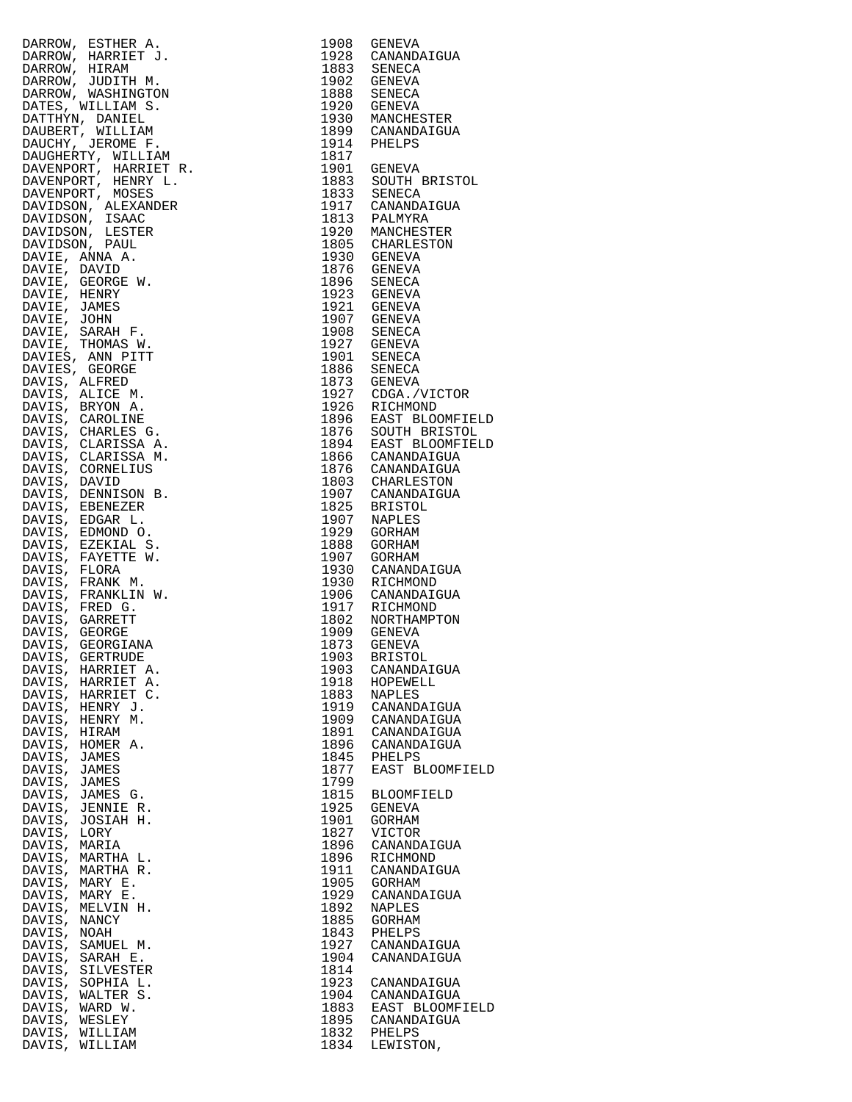| DARIOW, ESTIRER AN ARRISTA (1990 GENEVA DARIOM SARROW, HARRIET J. 1998 GENEVA DARIOM AND DRAWANDATON ROAD (1998 SENECA DARIOM MARRIET AT 1992 GENEVA DARIOM (1998 SENECA DARIOM MARRIET AT 1993 GENEVA DARIOM (1998 SENECA DA |              |                            |
|-------------------------------------------------------------------------------------------------------------------------------------------------------------------------------------------------------------------------------|--------------|----------------------------|
|                                                                                                                                                                                                                               |              |                            |
|                                                                                                                                                                                                                               |              |                            |
|                                                                                                                                                                                                                               |              |                            |
|                                                                                                                                                                                                                               |              |                            |
|                                                                                                                                                                                                                               |              |                            |
|                                                                                                                                                                                                                               |              |                            |
|                                                                                                                                                                                                                               |              |                            |
|                                                                                                                                                                                                                               |              |                            |
|                                                                                                                                                                                                                               |              |                            |
|                                                                                                                                                                                                                               |              |                            |
|                                                                                                                                                                                                                               |              |                            |
|                                                                                                                                                                                                                               |              |                            |
|                                                                                                                                                                                                                               |              |                            |
|                                                                                                                                                                                                                               |              |                            |
|                                                                                                                                                                                                                               |              |                            |
|                                                                                                                                                                                                                               |              |                            |
|                                                                                                                                                                                                                               |              |                            |
|                                                                                                                                                                                                                               |              |                            |
|                                                                                                                                                                                                                               |              |                            |
|                                                                                                                                                                                                                               |              |                            |
|                                                                                                                                                                                                                               |              |                            |
|                                                                                                                                                                                                                               |              |                            |
|                                                                                                                                                                                                                               |              |                            |
|                                                                                                                                                                                                                               |              |                            |
|                                                                                                                                                                                                                               |              |                            |
|                                                                                                                                                                                                                               |              |                            |
|                                                                                                                                                                                                                               |              |                            |
|                                                                                                                                                                                                                               |              |                            |
|                                                                                                                                                                                                                               |              |                            |
|                                                                                                                                                                                                                               |              |                            |
|                                                                                                                                                                                                                               |              |                            |
|                                                                                                                                                                                                                               |              |                            |
|                                                                                                                                                                                                                               |              |                            |
|                                                                                                                                                                                                                               |              |                            |
|                                                                                                                                                                                                                               |              |                            |
|                                                                                                                                                                                                                               |              |                            |
|                                                                                                                                                                                                                               |              |                            |
|                                                                                                                                                                                                                               |              |                            |
|                                                                                                                                                                                                                               |              |                            |
|                                                                                                                                                                                                                               |              |                            |
|                                                                                                                                                                                                                               |              |                            |
|                                                                                                                                                                                                                               |              |                            |
|                                                                                                                                                                                                                               |              |                            |
| DAVIS, HARRIET A.                                                                                                                                                                                                             | 1903         | CANANDAIGUA                |
| DAVIS, HARRIET A.                                                                                                                                                                                                             | 1918         | HOPEWELL                   |
| DAVIS, HARRIET C.                                                                                                                                                                                                             | 1883         | NAPLES                     |
| DAVIS, HENRY J.                                                                                                                                                                                                               | 1919         | CANANDAIGUA                |
| DAVIS, HENRY M.<br>DAVIS, HIRAM                                                                                                                                                                                               | 1909<br>1891 | CANANDAIGUA<br>CANANDAIGUA |
| DAVIS, HOMER A.                                                                                                                                                                                                               | 1896         | CANANDAIGUA                |
| DAVIS, JAMES                                                                                                                                                                                                                  | 1845         | PHELPS                     |
| DAVIS, JAMES                                                                                                                                                                                                                  | 1877         | EAST BLOOMFI               |
| DAVIS, JAMES                                                                                                                                                                                                                  | 1799         |                            |
| DAVIS, JAMES G.                                                                                                                                                                                                               | 1815         | BLOOMFIELD                 |
| DAVIS, JENNIE R.                                                                                                                                                                                                              | 1925<br>1901 | GENEVA                     |
| DAVIS, JOSIAH H.<br>DAVIS, LORY                                                                                                                                                                                               | 1827         | GORHAM<br>VICTOR           |
| DAVIS, MARIA                                                                                                                                                                                                                  | 1896         | CANANDAIGUA                |
| DAVIS, MARTHA L.                                                                                                                                                                                                              | 1896         | RICHMOND                   |
| DAVIS, MARTHA R.                                                                                                                                                                                                              | 1911         | CANANDAIGUA                |
| DAVIS, MARY E.                                                                                                                                                                                                                | 1905         | GORHAM                     |
| DAVIS, MARY E.                                                                                                                                                                                                                | 1929         | CANANDAIGUA                |
| DAVIS, MELVIN H.                                                                                                                                                                                                              | 1892         | NAPLES                     |
| DAVIS, NANCY                                                                                                                                                                                                                  | 1885<br>1843 | GORHAM<br>PHELPS           |
| DAVIS, NOAH<br>DAVIS, SAMUEL M.                                                                                                                                                                                               | 1927         | CANANDAIGUA                |
| DAVIS, SARAH E.                                                                                                                                                                                                               | 1904         | CANANDAIGUA                |
| DAVIS,<br>SILVESTER                                                                                                                                                                                                           | 1814         |                            |
| DAVIS, SOPHIA L.                                                                                                                                                                                                              | 1923         | CANANDAIGUA                |
| DAVIS, WALTER S.                                                                                                                                                                                                              | 1904         | CANANDAIGUA                |
| DAVIS, WARD W.                                                                                                                                                                                                                | 1883         | EAST BLOOMFI               |
| DAVIS, WESLEY                                                                                                                                                                                                                 | 1895         | CANANDAIGUA<br>1832 PHELPS |
| DAVIS, WILLIAM<br>DAVIS, WILLIAM                                                                                                                                                                                              |              | 1834 LEWISTON,             |
|                                                                                                                                                                                                                               |              |                            |

| DARKON, ESTIER A. 1903 GENEZA (1922)<br>DARKON, BARRIET J. 1903 GENEZA (1922)<br>DARKON, HARRIET J. 1932 SCANANDAIGUA<br>DARKON, HARRIET J. 1933 SCANANDAIGUA<br>DARKON, NUGLIMATON<br>DARKON, NUGLIMATON<br>DARKON, NUGLIMATON<br>DARKON, NUGLIMAT |      |                                            |
|-----------------------------------------------------------------------------------------------------------------------------------------------------------------------------------------------------------------------------------------------------|------|--------------------------------------------|
|                                                                                                                                                                                                                                                     |      |                                            |
|                                                                                                                                                                                                                                                     |      |                                            |
|                                                                                                                                                                                                                                                     |      |                                            |
|                                                                                                                                                                                                                                                     |      |                                            |
|                                                                                                                                                                                                                                                     |      |                                            |
|                                                                                                                                                                                                                                                     |      |                                            |
|                                                                                                                                                                                                                                                     |      |                                            |
|                                                                                                                                                                                                                                                     |      | 1930 MANCHESTER                            |
|                                                                                                                                                                                                                                                     |      |                                            |
|                                                                                                                                                                                                                                                     |      |                                            |
|                                                                                                                                                                                                                                                     |      |                                            |
|                                                                                                                                                                                                                                                     |      |                                            |
|                                                                                                                                                                                                                                                     |      | 1901 GENEVA<br>1883 SOUTH BRISTOL          |
|                                                                                                                                                                                                                                                     |      |                                            |
|                                                                                                                                                                                                                                                     |      |                                            |
|                                                                                                                                                                                                                                                     |      |                                            |
|                                                                                                                                                                                                                                                     |      |                                            |
|                                                                                                                                                                                                                                                     |      |                                            |
|                                                                                                                                                                                                                                                     |      |                                            |
|                                                                                                                                                                                                                                                     |      |                                            |
|                                                                                                                                                                                                                                                     |      | 1805 CHARLESTON<br>1930 GENEVA             |
|                                                                                                                                                                                                                                                     |      |                                            |
|                                                                                                                                                                                                                                                     |      |                                            |
|                                                                                                                                                                                                                                                     |      |                                            |
|                                                                                                                                                                                                                                                     |      |                                            |
|                                                                                                                                                                                                                                                     |      |                                            |
|                                                                                                                                                                                                                                                     |      |                                            |
|                                                                                                                                                                                                                                                     |      |                                            |
|                                                                                                                                                                                                                                                     |      |                                            |
|                                                                                                                                                                                                                                                     |      |                                            |
|                                                                                                                                                                                                                                                     |      |                                            |
|                                                                                                                                                                                                                                                     |      |                                            |
|                                                                                                                                                                                                                                                     |      |                                            |
|                                                                                                                                                                                                                                                     |      |                                            |
|                                                                                                                                                                                                                                                     |      |                                            |
|                                                                                                                                                                                                                                                     |      |                                            |
|                                                                                                                                                                                                                                                     |      | 1927 CDGA./VICTOR<br>1926 RICHMOND         |
|                                                                                                                                                                                                                                                     |      |                                            |
|                                                                                                                                                                                                                                                     |      |                                            |
|                                                                                                                                                                                                                                                     |      | 1896 EAST BLOOMFIELD<br>1876 SOUTH BRISTOL |
|                                                                                                                                                                                                                                                     |      |                                            |
|                                                                                                                                                                                                                                                     |      |                                            |
|                                                                                                                                                                                                                                                     |      | 1894 EAST BLOOMFIELD                       |
|                                                                                                                                                                                                                                                     |      |                                            |
|                                                                                                                                                                                                                                                     |      |                                            |
|                                                                                                                                                                                                                                                     |      |                                            |
|                                                                                                                                                                                                                                                     |      |                                            |
|                                                                                                                                                                                                                                                     |      | 1907 CANANDAIGUA                           |
|                                                                                                                                                                                                                                                     |      |                                            |
|                                                                                                                                                                                                                                                     |      |                                            |
|                                                                                                                                                                                                                                                     |      |                                            |
|                                                                                                                                                                                                                                                     |      |                                            |
|                                                                                                                                                                                                                                                     |      |                                            |
|                                                                                                                                                                                                                                                     |      |                                            |
|                                                                                                                                                                                                                                                     |      |                                            |
|                                                                                                                                                                                                                                                     |      |                                            |
|                                                                                                                                                                                                                                                     |      | 1930 CANANDAIGUA<br>1930 RICHMOND          |
|                                                                                                                                                                                                                                                     |      |                                            |
|                                                                                                                                                                                                                                                     |      | 1906 CANANDAIGUA<br>1917 RICHMOND          |
|                                                                                                                                                                                                                                                     |      |                                            |
|                                                                                                                                                                                                                                                     |      |                                            |
|                                                                                                                                                                                                                                                     |      |                                            |
|                                                                                                                                                                                                                                                     |      |                                            |
|                                                                                                                                                                                                                                                     |      |                                            |
|                                                                                                                                                                                                                                                     |      |                                            |
|                                                                                                                                                                                                                                                     |      |                                            |
| DAVIS, HARRIET A.                                                                                                                                                                                                                                   | 1903 | CANANDAIGUA                                |
|                                                                                                                                                                                                                                                     |      |                                            |
| DAVIS, HARRIET A.                                                                                                                                                                                                                                   | 1918 | HOPEWELL                                   |
| DAVIS, HARRIET C.                                                                                                                                                                                                                                   | 1883 | <b>NAPLES</b>                              |
| DAVIS, HENRY J.                                                                                                                                                                                                                                     | 1919 | CANANDAIGUA                                |
|                                                                                                                                                                                                                                                     |      |                                            |
| DAVIS, HENRY M.                                                                                                                                                                                                                                     | 1909 | CANANDAIGUA                                |
| DAVIS, HIRAM                                                                                                                                                                                                                                        | 1891 | CANANDAIGUA                                |
| DAVIS, HOMER A.                                                                                                                                                                                                                                     | 1896 | CANANDAIGUA                                |
|                                                                                                                                                                                                                                                     |      |                                            |
| DAVIS, JAMES                                                                                                                                                                                                                                        | 1845 | PHELPS                                     |
| DAVIS, JAMES                                                                                                                                                                                                                                        | 1877 | EAST BLOOMFIELD                            |
| DAVIS, JAMES                                                                                                                                                                                                                                        | 1799 |                                            |
|                                                                                                                                                                                                                                                     |      |                                            |
| DAVIS, JAMES G.                                                                                                                                                                                                                                     | 1815 | <b>BLOOMFIELD</b>                          |
| DAVIS, JENNIE R.                                                                                                                                                                                                                                    | 1925 | GENEVA                                     |
|                                                                                                                                                                                                                                                     | 1901 |                                            |
| DAVIS, JOSIAH H.                                                                                                                                                                                                                                    |      | GORHAM                                     |
| DAVIS, LORY                                                                                                                                                                                                                                         | 1827 | VICTOR                                     |
| DAVIS, MARIA                                                                                                                                                                                                                                        | 1896 | CANANDAIGUA                                |
|                                                                                                                                                                                                                                                     |      |                                            |
| DAVIS, MARTHA L.                                                                                                                                                                                                                                    | 1896 | RICHMOND                                   |
| DAVIS, MARTHA R.                                                                                                                                                                                                                                    | 1911 | CANANDAIGUA                                |
| DAVIS, MARY E.                                                                                                                                                                                                                                      | 1905 | GORHAM                                     |
|                                                                                                                                                                                                                                                     |      |                                            |
| DAVIS, MARY E.                                                                                                                                                                                                                                      | 1929 | CANANDAIGUA                                |
| DAVIS, MELVIN H.                                                                                                                                                                                                                                    | 1892 | NAPLES                                     |
| DAVIS, NANCY                                                                                                                                                                                                                                        | 1885 | GORHAM                                     |
|                                                                                                                                                                                                                                                     |      |                                            |
| DAVIS, NOAH                                                                                                                                                                                                                                         | 1843 | PHELPS                                     |
| DAVIS, SAMUEL M.                                                                                                                                                                                                                                    | 1927 | CANANDAIGUA                                |
|                                                                                                                                                                                                                                                     | 1904 |                                            |
| DAVIS, SARAH E.                                                                                                                                                                                                                                     |      | CANANDAIGUA                                |
| DAVIS,<br>SILVESTER                                                                                                                                                                                                                                 | 1814 |                                            |
|                                                                                                                                                                                                                                                     |      |                                            |
|                                                                                                                                                                                                                                                     |      |                                            |
| DAVIS,<br>SOPHIA L.                                                                                                                                                                                                                                 | 1923 | CANANDAIGUA                                |
| DAVIS, WALTER S.                                                                                                                                                                                                                                    | 1904 | CANANDAIGUA                                |
| DAVIS, WARD W.                                                                                                                                                                                                                                      | 1883 | EAST BLOOMFIELD                            |
|                                                                                                                                                                                                                                                     |      |                                            |
| DAVIS, WESLEY                                                                                                                                                                                                                                       | 1895 | CANANDAIGUA                                |
| DAVIS, WILLIAM                                                                                                                                                                                                                                      | 1832 | PHELPS                                     |
| DAVIS, WILLIAM                                                                                                                                                                                                                                      | 1834 | LEWISTON,                                  |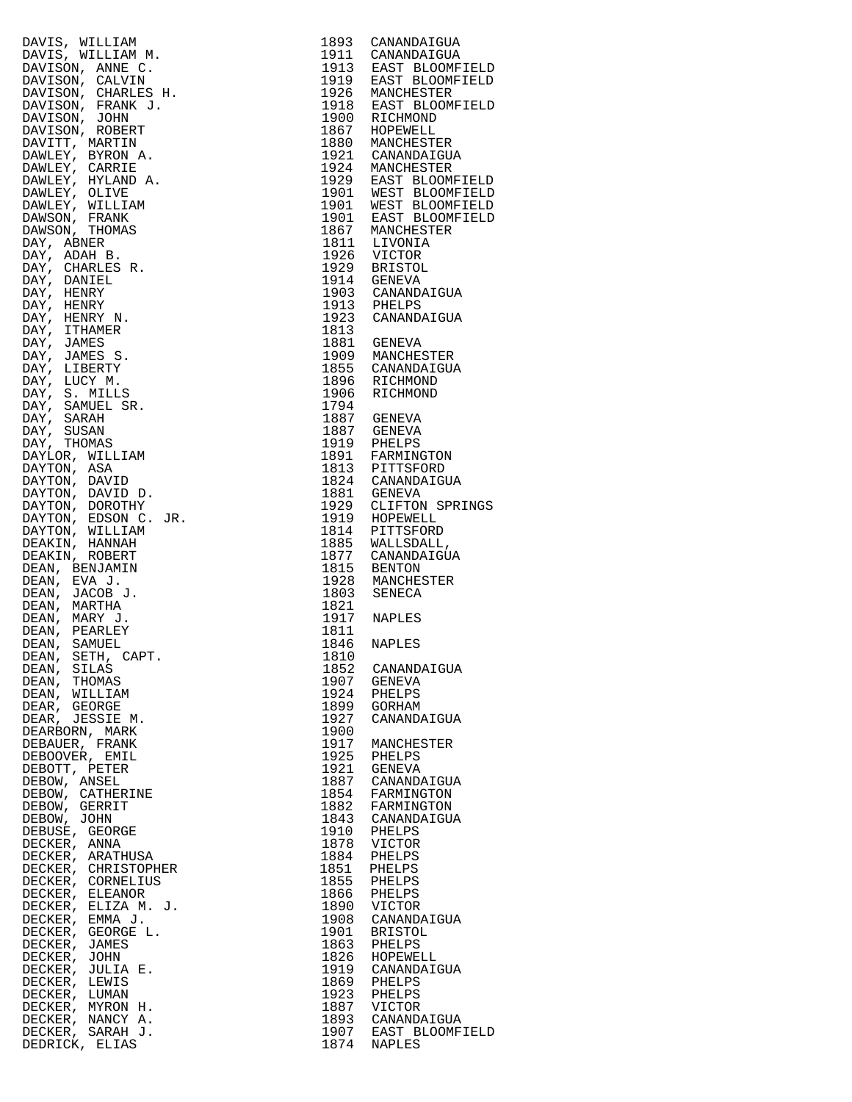|                                                                                                                                                                                                                                                              |      | 1893 CANANDAIGUA<br>1911 CANANDAIGUA                                                                                                                                                                                                                                  |
|--------------------------------------------------------------------------------------------------------------------------------------------------------------------------------------------------------------------------------------------------------------|------|-----------------------------------------------------------------------------------------------------------------------------------------------------------------------------------------------------------------------------------------------------------------------|
|                                                                                                                                                                                                                                                              |      |                                                                                                                                                                                                                                                                       |
|                                                                                                                                                                                                                                                              |      |                                                                                                                                                                                                                                                                       |
|                                                                                                                                                                                                                                                              |      | 1933 CANANDAIGUA<br>1911 CANANDAIGUA<br>1913 EAST BLOOMFI<br>1926 MANCHESTER<br>1926 MANCHESTER<br>1926 MANCHESTER<br>1926 MANCHESTER<br>1900 RICHMOND<br>1867 HOPEWELL<br>1924 MANCHESTER<br>1929 EAST BLOOMFI<br>1901 WEST BLOOMFI<br>1901 WEST BLOOMFI<br>1901 WES |
|                                                                                                                                                                                                                                                              |      |                                                                                                                                                                                                                                                                       |
|                                                                                                                                                                                                                                                              |      |                                                                                                                                                                                                                                                                       |
|                                                                                                                                                                                                                                                              |      |                                                                                                                                                                                                                                                                       |
|                                                                                                                                                                                                                                                              |      |                                                                                                                                                                                                                                                                       |
|                                                                                                                                                                                                                                                              |      |                                                                                                                                                                                                                                                                       |
|                                                                                                                                                                                                                                                              |      |                                                                                                                                                                                                                                                                       |
|                                                                                                                                                                                                                                                              |      |                                                                                                                                                                                                                                                                       |
|                                                                                                                                                                                                                                                              |      |                                                                                                                                                                                                                                                                       |
|                                                                                                                                                                                                                                                              |      |                                                                                                                                                                                                                                                                       |
|                                                                                                                                                                                                                                                              |      |                                                                                                                                                                                                                                                                       |
|                                                                                                                                                                                                                                                              |      |                                                                                                                                                                                                                                                                       |
|                                                                                                                                                                                                                                                              |      |                                                                                                                                                                                                                                                                       |
|                                                                                                                                                                                                                                                              |      |                                                                                                                                                                                                                                                                       |
|                                                                                                                                                                                                                                                              |      |                                                                                                                                                                                                                                                                       |
|                                                                                                                                                                                                                                                              |      |                                                                                                                                                                                                                                                                       |
|                                                                                                                                                                                                                                                              |      |                                                                                                                                                                                                                                                                       |
|                                                                                                                                                                                                                                                              |      |                                                                                                                                                                                                                                                                       |
|                                                                                                                                                                                                                                                              |      |                                                                                                                                                                                                                                                                       |
|                                                                                                                                                                                                                                                              |      |                                                                                                                                                                                                                                                                       |
|                                                                                                                                                                                                                                                              |      |                                                                                                                                                                                                                                                                       |
|                                                                                                                                                                                                                                                              |      |                                                                                                                                                                                                                                                                       |
|                                                                                                                                                                                                                                                              |      |                                                                                                                                                                                                                                                                       |
|                                                                                                                                                                                                                                                              |      |                                                                                                                                                                                                                                                                       |
|                                                                                                                                                                                                                                                              |      |                                                                                                                                                                                                                                                                       |
|                                                                                                                                                                                                                                                              |      | 1923 CANANDAIGUA                                                                                                                                                                                                                                                      |
|                                                                                                                                                                                                                                                              | 1813 |                                                                                                                                                                                                                                                                       |
|                                                                                                                                                                                                                                                              |      |                                                                                                                                                                                                                                                                       |
|                                                                                                                                                                                                                                                              |      | 1881 GENEVA<br>1909 MANCHESTER                                                                                                                                                                                                                                        |
|                                                                                                                                                                                                                                                              |      |                                                                                                                                                                                                                                                                       |
|                                                                                                                                                                                                                                                              |      | 1855 CANANDAIGUA<br>1896 RICHMOND                                                                                                                                                                                                                                     |
|                                                                                                                                                                                                                                                              |      |                                                                                                                                                                                                                                                                       |
|                                                                                                                                                                                                                                                              |      |                                                                                                                                                                                                                                                                       |
|                                                                                                                                                                                                                                                              |      | 1906 RICHMOND                                                                                                                                                                                                                                                         |
|                                                                                                                                                                                                                                                              | 1794 |                                                                                                                                                                                                                                                                       |
|                                                                                                                                                                                                                                                              |      |                                                                                                                                                                                                                                                                       |
|                                                                                                                                                                                                                                                              |      |                                                                                                                                                                                                                                                                       |
|                                                                                                                                                                                                                                                              |      |                                                                                                                                                                                                                                                                       |
|                                                                                                                                                                                                                                                              |      |                                                                                                                                                                                                                                                                       |
|                                                                                                                                                                                                                                                              |      |                                                                                                                                                                                                                                                                       |
|                                                                                                                                                                                                                                                              |      |                                                                                                                                                                                                                                                                       |
|                                                                                                                                                                                                                                                              |      |                                                                                                                                                                                                                                                                       |
|                                                                                                                                                                                                                                                              |      |                                                                                                                                                                                                                                                                       |
|                                                                                                                                                                                                                                                              |      | 1794<br>1887 GENEVA<br>1919 PHELPS<br>1919 PHELPS<br>1813 PITTSFORD<br>1824 CANANDAIGUA<br>1881 GENEVA<br>1929 CLIFTON SPRII<br>1919 CLIFTON SPRII                                                                                                                    |
|                                                                                                                                                                                                                                                              |      |                                                                                                                                                                                                                                                                       |
|                                                                                                                                                                                                                                                              |      | 1919 HOPEWELL<br>1919 HOPEWELL<br>1814 PITTSFORD                                                                                                                                                                                                                      |
|                                                                                                                                                                                                                                                              |      |                                                                                                                                                                                                                                                                       |
|                                                                                                                                                                                                                                                              |      |                                                                                                                                                                                                                                                                       |
|                                                                                                                                                                                                                                                              |      | 1885 WALLSDALL,<br>1885 WALLSDALL,<br>1877 CANANDAIGUA                                                                                                                                                                                                                |
|                                                                                                                                                                                                                                                              |      |                                                                                                                                                                                                                                                                       |
|                                                                                                                                                                                                                                                              |      |                                                                                                                                                                                                                                                                       |
|                                                                                                                                                                                                                                                              |      | 1815 BENTON<br>1815 BENTON<br>1928 MANCHESTER                                                                                                                                                                                                                         |
|                                                                                                                                                                                                                                                              |      |                                                                                                                                                                                                                                                                       |
|                                                                                                                                                                                                                                                              |      | 1803 SENECA                                                                                                                                                                                                                                                           |
|                                                                                                                                                                                                                                                              | 1821 |                                                                                                                                                                                                                                                                       |
|                                                                                                                                                                                                                                                              |      |                                                                                                                                                                                                                                                                       |
|                                                                                                                                                                                                                                                              |      | 1917 NAPLES                                                                                                                                                                                                                                                           |
|                                                                                                                                                                                                                                                              | 1811 |                                                                                                                                                                                                                                                                       |
|                                                                                                                                                                                                                                                              | 1846 | <b>NAPLES</b>                                                                                                                                                                                                                                                         |
| DAVIS, WILLIAM M.<br>DAVISON, CALVIN M.<br>DAVISON, ANDE C.<br>DAVISON, CALVIN C.<br>DAVISON, CHARLES H.<br>DAVISON, FRANK J.<br>DAVISON, FRANK J.<br>DAVISON, FRANK J.<br>DAVISON, FRANK PINT PRETT<br>DAVISON, ROBERT PORTET DAVIST OF DAVISON, FRANK<br>D |      |                                                                                                                                                                                                                                                                       |
| DEAN, SETH, CAPT.                                                                                                                                                                                                                                            | 1810 |                                                                                                                                                                                                                                                                       |
| DEAN, SILAS                                                                                                                                                                                                                                                  | 1852 | CANANDAIGUA                                                                                                                                                                                                                                                           |
| DEAN, THOMAS                                                                                                                                                                                                                                                 | 1907 | GENEVA                                                                                                                                                                                                                                                                |
| DEAN, WILLIAM                                                                                                                                                                                                                                                | 1924 | PHELPS                                                                                                                                                                                                                                                                |
|                                                                                                                                                                                                                                                              |      |                                                                                                                                                                                                                                                                       |
| DEAR, GEORGE                                                                                                                                                                                                                                                 | 1899 | GORHAM                                                                                                                                                                                                                                                                |
| DEAR, JESSIE M.                                                                                                                                                                                                                                              | 1927 | CANANDAIGUA                                                                                                                                                                                                                                                           |
| DEARBORN, MARK                                                                                                                                                                                                                                               | 1900 |                                                                                                                                                                                                                                                                       |
| DEBAUER, FRANK                                                                                                                                                                                                                                               |      |                                                                                                                                                                                                                                                                       |
|                                                                                                                                                                                                                                                              | 1917 | MANCHESTER                                                                                                                                                                                                                                                            |
| DEBOOVER, EMIL                                                                                                                                                                                                                                               | 1925 | PHELPS                                                                                                                                                                                                                                                                |
| DEBOTT, PETER                                                                                                                                                                                                                                                | 1921 | GENEVA                                                                                                                                                                                                                                                                |
| DEBOW, ANSEL                                                                                                                                                                                                                                                 | 1887 | CANANDAIGUA                                                                                                                                                                                                                                                           |
|                                                                                                                                                                                                                                                              | 1854 | FARMINGTON                                                                                                                                                                                                                                                            |
| DEBOW, CATHERINE                                                                                                                                                                                                                                             |      |                                                                                                                                                                                                                                                                       |
| DEBOW, GERRIT                                                                                                                                                                                                                                                | 1882 | FARMINGTON                                                                                                                                                                                                                                                            |
| DEBOW, JOHN                                                                                                                                                                                                                                                  |      | 1843 CANANDAIGUA                                                                                                                                                                                                                                                      |
| DEBUSE, GEORGE                                                                                                                                                                                                                                               | 1910 | PHELPS                                                                                                                                                                                                                                                                |
|                                                                                                                                                                                                                                                              |      |                                                                                                                                                                                                                                                                       |
| DECKER, ANNA                                                                                                                                                                                                                                                 | 1878 | VICTOR                                                                                                                                                                                                                                                                |
| DECKER, ARATHUSA                                                                                                                                                                                                                                             | 1884 | PHELPS                                                                                                                                                                                                                                                                |
| DECKER, CHRISTOPHER                                                                                                                                                                                                                                          | 1851 | PHELPS                                                                                                                                                                                                                                                                |
| DECKER, CORNELIUS                                                                                                                                                                                                                                            | 1855 | PHELPS                                                                                                                                                                                                                                                                |
|                                                                                                                                                                                                                                                              |      |                                                                                                                                                                                                                                                                       |
| DECKER, ELEANOR                                                                                                                                                                                                                                              | 1866 | PHELPS                                                                                                                                                                                                                                                                |
| DECKER, ELIZA M. J.                                                                                                                                                                                                                                          | 1890 | VICTOR                                                                                                                                                                                                                                                                |
| DECKER, EMMA J.                                                                                                                                                                                                                                              | 1908 | CANANDAIGUA                                                                                                                                                                                                                                                           |
|                                                                                                                                                                                                                                                              |      |                                                                                                                                                                                                                                                                       |
| DECKER, GEORGE L.                                                                                                                                                                                                                                            | 1901 | <b>BRISTOL</b>                                                                                                                                                                                                                                                        |
| DECKER, JAMES                                                                                                                                                                                                                                                | 1863 | PHELPS                                                                                                                                                                                                                                                                |
| DECKER, JOHN                                                                                                                                                                                                                                                 | 1826 | HOPEWELL                                                                                                                                                                                                                                                              |
|                                                                                                                                                                                                                                                              |      |                                                                                                                                                                                                                                                                       |
| DECKER, JULIA E.                                                                                                                                                                                                                                             | 1919 | CANANDAIGUA                                                                                                                                                                                                                                                           |
| DECKER, LEWIS                                                                                                                                                                                                                                                | 1869 | PHELPS                                                                                                                                                                                                                                                                |
| DECKER, LUMAN                                                                                                                                                                                                                                                | 1923 | PHELPS                                                                                                                                                                                                                                                                |
| DECKER, MYRON H.                                                                                                                                                                                                                                             | 1887 | VICTOR                                                                                                                                                                                                                                                                |
|                                                                                                                                                                                                                                                              |      |                                                                                                                                                                                                                                                                       |
| DECKER, NANCY A.                                                                                                                                                                                                                                             | 1893 | CANANDAIGUA                                                                                                                                                                                                                                                           |
| DECKER, SARAH J.                                                                                                                                                                                                                                             | 1907 | EAST BLOOMFI                                                                                                                                                                                                                                                          |
| DEDRICK, ELIAS                                                                                                                                                                                                                                               | 1874 | <b>NAPLES</b>                                                                                                                                                                                                                                                         |
|                                                                                                                                                                                                                                                              |      |                                                                                                                                                                                                                                                                       |

| DAVIS, WILLIAM M, 1993 CANARDATOIA<br>DAVIS, WILLIAM M, 1993 CANARDATOIA<br>DAVISON, ANNE D, 1994 ENGENEES II, 1994 ENGENEES<br>DAVISON, CHARLES I, 1994 ENGENEES IN ANNEBRE BLOOMFTELD<br>DAVISON, FRANK J, 1994 MANUEL (1994 MANUEL |              |                              |
|---------------------------------------------------------------------------------------------------------------------------------------------------------------------------------------------------------------------------------------|--------------|------------------------------|
|                                                                                                                                                                                                                                       |              |                              |
|                                                                                                                                                                                                                                       |              |                              |
|                                                                                                                                                                                                                                       |              |                              |
|                                                                                                                                                                                                                                       |              |                              |
|                                                                                                                                                                                                                                       |              |                              |
|                                                                                                                                                                                                                                       |              |                              |
|                                                                                                                                                                                                                                       |              |                              |
|                                                                                                                                                                                                                                       |              |                              |
|                                                                                                                                                                                                                                       |              |                              |
|                                                                                                                                                                                                                                       |              |                              |
|                                                                                                                                                                                                                                       |              |                              |
|                                                                                                                                                                                                                                       |              |                              |
|                                                                                                                                                                                                                                       |              |                              |
|                                                                                                                                                                                                                                       |              |                              |
|                                                                                                                                                                                                                                       |              |                              |
|                                                                                                                                                                                                                                       |              |                              |
|                                                                                                                                                                                                                                       |              |                              |
|                                                                                                                                                                                                                                       |              |                              |
|                                                                                                                                                                                                                                       |              |                              |
|                                                                                                                                                                                                                                       |              |                              |
|                                                                                                                                                                                                                                       |              |                              |
|                                                                                                                                                                                                                                       |              |                              |
|                                                                                                                                                                                                                                       |              |                              |
|                                                                                                                                                                                                                                       |              |                              |
|                                                                                                                                                                                                                                       |              |                              |
|                                                                                                                                                                                                                                       |              |                              |
|                                                                                                                                                                                                                                       |              |                              |
|                                                                                                                                                                                                                                       |              |                              |
|                                                                                                                                                                                                                                       |              |                              |
|                                                                                                                                                                                                                                       |              |                              |
|                                                                                                                                                                                                                                       |              |                              |
|                                                                                                                                                                                                                                       |              |                              |
|                                                                                                                                                                                                                                       |              |                              |
|                                                                                                                                                                                                                                       |              |                              |
|                                                                                                                                                                                                                                       |              |                              |
|                                                                                                                                                                                                                                       |              |                              |
|                                                                                                                                                                                                                                       |              |                              |
|                                                                                                                                                                                                                                       |              |                              |
|                                                                                                                                                                                                                                       |              |                              |
|                                                                                                                                                                                                                                       |              |                              |
|                                                                                                                                                                                                                                       |              |                              |
|                                                                                                                                                                                                                                       |              |                              |
|                                                                                                                                                                                                                                       |              |                              |
| DEAN, SILAS<br>DEAN, THOMAS                                                                                                                                                                                                           | 1852<br>1907 | CANANDAIGUA<br>GENEVA        |
| DEAN, WILLIAM                                                                                                                                                                                                                         | 1924         | PHELPS                       |
| DEAR, GEORGE                                                                                                                                                                                                                          | 1899         | GORHAM                       |
| DEAR, JESSIE M.                                                                                                                                                                                                                       | 1927         | CANANDAIGUA                  |
| DEARBORN, MARK                                                                                                                                                                                                                        | 1900         |                              |
| DEBAUER, FRANK                                                                                                                                                                                                                        | 1917         | MANCHESTER                   |
| DEBOOVER, EMIL<br>DEBOTT, PETER                                                                                                                                                                                                       | 1925         | PHELPS<br>1921 GENEVA        |
| DEBOW, ANSEL                                                                                                                                                                                                                          | 1887         | CANANDAIGUA                  |
| DEBOW, CATHERINE                                                                                                                                                                                                                      |              | 1854 FARMINGTON              |
| DEBOW, GERRIT                                                                                                                                                                                                                         |              | 1882 FARMINGTON              |
| DEBOW, JOHN                                                                                                                                                                                                                           |              | 1843 CANANDAIGUA             |
| DEBUSE, GEORGE                                                                                                                                                                                                                        | 1910         | PHELPS                       |
| DECKER, ANNA                                                                                                                                                                                                                          |              | 1878 VICTOR                  |
| DECKER, ARATHUSA<br>DECKER, CHRISTOPHER                                                                                                                                                                                               | 1884<br>1851 | PHELPS<br>PHELPS             |
| DECKER, CORNELIUS                                                                                                                                                                                                                     | 1855         | PHELPS                       |
| DECKER, ELEANOR                                                                                                                                                                                                                       |              | 1866 PHELPS                  |
| DECKER, ELIZA M. J.                                                                                                                                                                                                                   | 1890         | VICTOR                       |
| DECKER, EMMA J.                                                                                                                                                                                                                       | 1908         | CANANDAIGUA                  |
| ER<br>J.<br>DECKER, GEORGE L.                                                                                                                                                                                                         | 1901         | BRISTOL                      |
| DECKER, JAMES                                                                                                                                                                                                                         |              | 1863 PHELPS                  |
| DECKER, JOHN<br>DECKER, JULIA E.                                                                                                                                                                                                      | 1826         | HOPEWELL<br>1919 CANANDAIGUA |
| DECKER, LEWIS                                                                                                                                                                                                                         | 1869         | PHELPS                       |
| DECKER, LUMAN                                                                                                                                                                                                                         | 1923         | PHELPS                       |
| DECKER, MYRON H.                                                                                                                                                                                                                      | 1887         | VICTOR                       |
| DECKER, NANCY A.                                                                                                                                                                                                                      |              | 1893 CANANDAIGUA             |
| DECKER, SARAH J.                                                                                                                                                                                                                      | 1907         | EAST BLOOMFIELD              |
| DEDRICK, ELIAS                                                                                                                                                                                                                        | 1874         | NAPLES                       |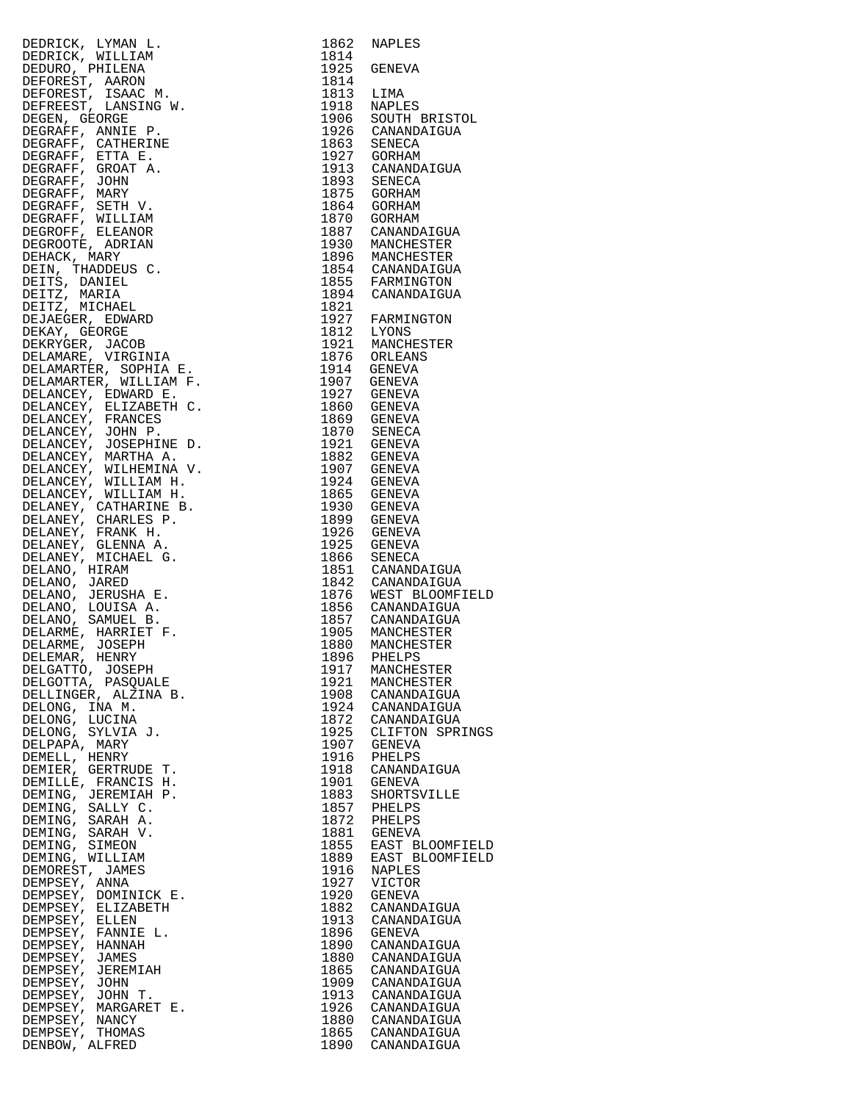| DERRICK, IVNAR 1976<br>DERRICK, AVILLIAN 1982<br>DERRICK, AVILLIAN 1982<br>DERRICK, AVILLIAN 1982<br>DERRICK, AVILLIAN 1982<br>DERRICKSET, LARGON H. 1991<br>DERRICKSET, LARGON H. 1991<br>DERRICKSET, LARGON H. 1991<br>DERRICKSET, CATHERINE |      |                                      |
|------------------------------------------------------------------------------------------------------------------------------------------------------------------------------------------------------------------------------------------------|------|--------------------------------------|
|                                                                                                                                                                                                                                                |      |                                      |
|                                                                                                                                                                                                                                                |      |                                      |
|                                                                                                                                                                                                                                                |      |                                      |
|                                                                                                                                                                                                                                                |      |                                      |
|                                                                                                                                                                                                                                                |      |                                      |
|                                                                                                                                                                                                                                                |      |                                      |
|                                                                                                                                                                                                                                                |      |                                      |
|                                                                                                                                                                                                                                                |      |                                      |
|                                                                                                                                                                                                                                                |      |                                      |
|                                                                                                                                                                                                                                                |      |                                      |
|                                                                                                                                                                                                                                                |      |                                      |
|                                                                                                                                                                                                                                                |      |                                      |
|                                                                                                                                                                                                                                                |      |                                      |
|                                                                                                                                                                                                                                                |      |                                      |
|                                                                                                                                                                                                                                                |      |                                      |
|                                                                                                                                                                                                                                                |      |                                      |
|                                                                                                                                                                                                                                                |      |                                      |
|                                                                                                                                                                                                                                                |      |                                      |
|                                                                                                                                                                                                                                                |      |                                      |
|                                                                                                                                                                                                                                                |      |                                      |
|                                                                                                                                                                                                                                                |      |                                      |
|                                                                                                                                                                                                                                                |      |                                      |
|                                                                                                                                                                                                                                                |      |                                      |
|                                                                                                                                                                                                                                                |      |                                      |
|                                                                                                                                                                                                                                                |      |                                      |
|                                                                                                                                                                                                                                                |      |                                      |
|                                                                                                                                                                                                                                                |      |                                      |
|                                                                                                                                                                                                                                                |      |                                      |
|                                                                                                                                                                                                                                                |      |                                      |
|                                                                                                                                                                                                                                                |      |                                      |
|                                                                                                                                                                                                                                                |      |                                      |
|                                                                                                                                                                                                                                                |      |                                      |
|                                                                                                                                                                                                                                                |      |                                      |
|                                                                                                                                                                                                                                                |      |                                      |
|                                                                                                                                                                                                                                                |      |                                      |
|                                                                                                                                                                                                                                                |      |                                      |
|                                                                                                                                                                                                                                                |      |                                      |
|                                                                                                                                                                                                                                                |      |                                      |
|                                                                                                                                                                                                                                                |      |                                      |
|                                                                                                                                                                                                                                                |      |                                      |
|                                                                                                                                                                                                                                                |      |                                      |
|                                                                                                                                                                                                                                                |      |                                      |
|                                                                                                                                                                                                                                                |      |                                      |
|                                                                                                                                                                                                                                                |      |                                      |
| DELEMAR, HENRY                                                                                                                                                                                                                                 |      | 1896 PHELPS                          |
| DELGATTO, JOSEPH<br>DELGOTTA, PASQUALE                                                                                                                                                                                                         |      | 1917 MANCHESTER<br>1921 MANCHESTER   |
| DELLINGER, ALZINA B.                                                                                                                                                                                                                           |      | 1908 CANANDAIGUA                     |
| DELONG, INA M.                                                                                                                                                                                                                                 |      | 1924 CANANDAIGUA                     |
| DELONG, LUCINA                                                                                                                                                                                                                                 |      | 1872 CANANDAIGUA                     |
| DELONG, SYLVIA J.                                                                                                                                                                                                                              |      | 1925 CLIFTON SPRINGS                 |
| DELPAPA, MARY                                                                                                                                                                                                                                  |      | 1907 GENEVA                          |
| DEMELL, HENRY                                                                                                                                                                                                                                  |      | 1916 PHELPS                          |
| DEMIER, GERTRUDE T.                                                                                                                                                                                                                            |      | 1918 CANANDAIGUA                     |
| DEMILLE, FRANCIS H.                                                                                                                                                                                                                            | 1901 | <b>GENEVA</b>                        |
| DEMING, JEREMIAH P.                                                                                                                                                                                                                            | 1883 | SHORTSVILLE<br>1857 PHELPS           |
| DEMING, SALLY C.<br>DEMING, SARAH A.                                                                                                                                                                                                           | 1872 | PHELPS                               |
| DEMING, SARAH V.                                                                                                                                                                                                                               |      | 1881 GENEVA                          |
| DEMING, SIMEON                                                                                                                                                                                                                                 | 1855 | EAST BLOOMFIELD                      |
| DEMING, WILLIAM                                                                                                                                                                                                                                |      | 1889 EAST BLOOMFIELD                 |
| DEMOREST, JAMES                                                                                                                                                                                                                                | 1916 | NAPLES                               |
| DEMPSEY, ANNA                                                                                                                                                                                                                                  |      | 1927 VICTOR                          |
| DEMPSEY, DOMINICK E.                                                                                                                                                                                                                           | 1920 | GENEVA                               |
| DEMPSEY, ELIZABETH                                                                                                                                                                                                                             |      | 1882 CANANDAIGUA                     |
| DEMPSEY, ELLEN                                                                                                                                                                                                                                 |      | 1913 CANANDAIGUA                     |
| DEMPSEY, FANNIE L.<br>DEMPSEY, HANNAH                                                                                                                                                                                                          | 1890 | 1896 GENEVA<br>CANANDAIGUA           |
| DEMPSEY, JAMES                                                                                                                                                                                                                                 |      | 1880 CANANDAIGUA                     |
| DEMPSEY, JEREMIAH                                                                                                                                                                                                                              |      | 1865 CANANDAIGUA                     |
| DEMPSEY, JOHN                                                                                                                                                                                                                                  |      | 1909 CANANDAIGUA                     |
| DEMPSEY, JOHN T.                                                                                                                                                                                                                               |      | 1913 CANANDAIGUA                     |
| DEMPSEY, MARGARET E.                                                                                                                                                                                                                           |      | 1926 CANANDAIGUA                     |
| DEMPSEY, NANCY                                                                                                                                                                                                                                 |      | 1880 CANANDAIGUA                     |
| DEMPSEY, THOMAS                                                                                                                                                                                                                                |      | 1865 CANANDAIGUA<br>1890 CANANDAIGUA |
| DENBOW, ALFRED                                                                                                                                                                                                                                 |      |                                      |

| 1862         | NAPLES                                 |
|--------------|----------------------------------------|
| 1814<br>1925 | GENEVA                                 |
| 1814<br>1813 | LIMA                                   |
| 1918         | NAPLES                                 |
| 1906<br>1926 | SOUTH BRISTOL<br>CANANDAIGUA           |
| 1863         | SENECA                                 |
| 1927<br>1913 | GORHAM<br>CANANDAIGUA                  |
| 1893         | SENECA                                 |
| 1875<br>1864 | <b>GORHAM</b><br>GORHAM                |
| 1870         | GORHAM                                 |
| 1887<br>1930 | CANANDAIGUA<br>MANCHESTER              |
| 1896         | MANCHESTER                             |
| 1854<br>1855 | CANANDAIGUA<br>FARMINGTON              |
| 1894         | CANANDAIGUA                            |
| 1821<br>1927 | FARMINGTON                             |
| 1812         | LYONS                                  |
| 1921<br>1876 | MANCHESTER<br>ORLEANS                  |
| 1914         | GENEVA                                 |
| 1907<br>1927 | GENEVA<br>GENEVA                       |
| 1860         | GENEVA                                 |
| 1869<br>1870 | GENEVA<br>SENECA                       |
| 1921<br>1882 | GENEVA                                 |
| 1907         | GENEVA<br>GENEVA                       |
| 1924<br>1865 | GENEVA<br>GENEVA                       |
| 1930         | GENEVA                                 |
| 1899<br>1926 | GENEVA<br>GENEVA                       |
| 1925         | GENEVA                                 |
| 1866<br>1851 | SENECA<br>CANANDAIGUA                  |
| 1842         | CANANDAIGUA                            |
| 1876<br>1856 | WEST BLOOMFIELD<br>CANANDAIGUA         |
| 1857         | CANANDAIGUA                            |
| 1905<br>1880 | MANCHESTER<br>MANCHESTER<br>MANCHESTER |
| 1896         | PHELPS                                 |
| 1917<br>1921 | MANCHESTER<br>MANCHESTER               |
| 1908         | CANANDAIGUA                            |
| 1924<br>1872 | CANANDAIGUA<br>CANANDAIGUA             |
| 1925         | CLIFTON SPRINGS                        |
| 1907<br>1916 | <b>GENEVA</b><br>PHELPS                |
| 1918         | CANANDAIGUA                            |
| 1901<br>1883 | GENEVA<br>SHORTSVILLE                  |
| 1857<br>1872 | PHELPS<br>PHELPS                       |
| 1881         | <b>GENEVA</b>                          |
| 1855<br>1889 | EAST BLOOMFIELD<br>EAST BLOOMFIELD     |
| 1916         | <b>NAPLES</b>                          |
| 1927<br>1920 | VICTOR<br>GENEVA                       |
| 1882         | CANANDAIGUA                            |
| 1913<br>1896 | CANANDAIGUA<br>GENEVA                  |
| 1890         | CANANDAIGUA                            |
| 1880<br>1865 | CANANDAIGUA<br>CANANDAIGUA             |
| 1909         | CANANDAIGUA                            |
| 1913<br>1926 | CANANDAIGUA<br>CANANDAIGUA             |
| 1880         | CANANDAIGUA                            |
| 1865<br>1890 | CANANDAIGUA<br>CANANDAIGUA             |
|              |                                        |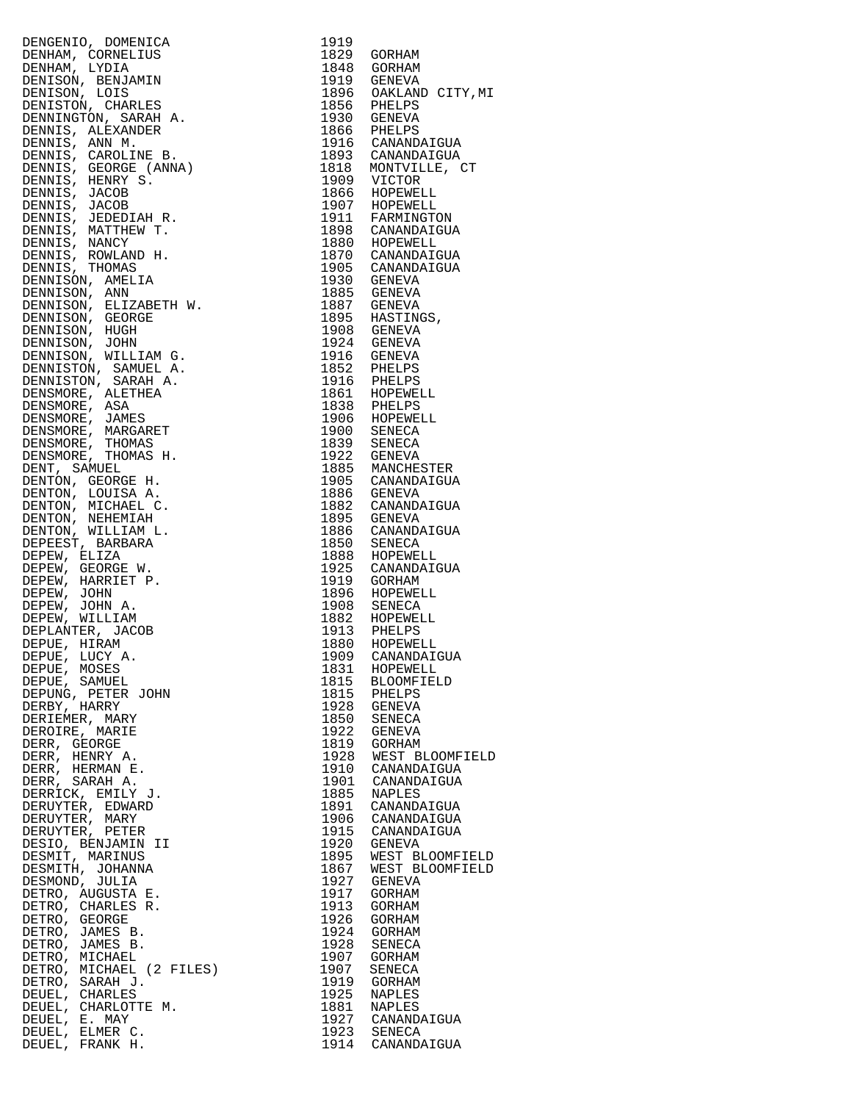| ICA 1919<br>1829 GORHAM<br>1829 GORHAM<br>1829 GORHAM<br>1829 GORHAM<br>1829 GORHAM<br>1919 GENEVA<br>1916 GENEVA<br>1916 GENEVA<br>1916 GENEVA<br>1916 GENEVA<br>1916 GENEVA<br>1866 PIELPS<br>2010 CANAMD;<br>1899 MATING<br>1890 GARAMDA<br>1890 GARAMDA<br><br>DENGENIO, DOMENICA |      |                                                                                                                                  |
|---------------------------------------------------------------------------------------------------------------------------------------------------------------------------------------------------------------------------------------------------------------------------------------|------|----------------------------------------------------------------------------------------------------------------------------------|
| DENHAM, CORNELIUS<br>DENHAM, LYDIA                                                                                                                                                                                                                                                    |      |                                                                                                                                  |
| DENISON, BENJAMIN                                                                                                                                                                                                                                                                     |      | 1848 GORHAM<br>1919 GENEVA<br>1896 OAKLAND CITY,MI<br>1856 PHELPS                                                                |
| DENISON, LOIS                                                                                                                                                                                                                                                                         |      |                                                                                                                                  |
| DENISTON, CHARLES                                                                                                                                                                                                                                                                     |      |                                                                                                                                  |
| DENNINGTON, SARAH A.<br>DENNIS, ALEXANDER                                                                                                                                                                                                                                             |      |                                                                                                                                  |
| DENNIS, ANN M.                                                                                                                                                                                                                                                                        |      | 1866 PHELPS<br>1916 CANANDAIGUA<br>1893 CANANDAIGUA                                                                              |
| DENNIS, CAROLINE B.                                                                                                                                                                                                                                                                   |      |                                                                                                                                  |
| DENNIS, GEORGE (ANNA)<br>DENNIS, HENRY S.                                                                                                                                                                                                                                             |      |                                                                                                                                  |
|                                                                                                                                                                                                                                                                                       |      | 1818 MONTVILLE, CT<br>1918 MONTVILLE, CT<br>1909 VICTOR<br>1866 HOPEWELL<br>1907 HOPEWELL<br>1911 FARMINGTON<br>1898 CANANDAIGUA |
| DENNIS, JACOB<br>DENNIS, JACOB                                                                                                                                                                                                                                                        |      |                                                                                                                                  |
| DENNIS, JEDEDIAH R.                                                                                                                                                                                                                                                                   |      |                                                                                                                                  |
| DENNIS, MATTHEW T.                                                                                                                                                                                                                                                                    |      |                                                                                                                                  |
| DENNIS, NANCY                                                                                                                                                                                                                                                                         |      | 1880 HOPEWELL<br>1870 CANANDAIGUA                                                                                                |
| DENNIS, ROWLAND H.<br>DENNIS, THOMAS                                                                                                                                                                                                                                                  |      |                                                                                                                                  |
| DENNIS, THOMAS<br>DENNISON, AMELIA                                                                                                                                                                                                                                                    |      | 1905 CANANDAIGUA<br>1930 GENEVA<br>1885 GENEVA                                                                                   |
| DENNISON, ANN                                                                                                                                                                                                                                                                         |      |                                                                                                                                  |
| DENNISON, ELIZABETH W.<br>DENNISON, GEORGE                                                                                                                                                                                                                                            |      |                                                                                                                                  |
| DENNISON, HUGH                                                                                                                                                                                                                                                                        |      |                                                                                                                                  |
| DENNISON, JOHN                                                                                                                                                                                                                                                                        |      |                                                                                                                                  |
| DENNISON, WILLIAM G.                                                                                                                                                                                                                                                                  |      |                                                                                                                                  |
| DENNISTON, SAMUEL A.                                                                                                                                                                                                                                                                  |      |                                                                                                                                  |
| DENNISTON, SARAH A.<br>DENSMORE, ALETHEA                                                                                                                                                                                                                                              |      |                                                                                                                                  |
|                                                                                                                                                                                                                                                                                       |      |                                                                                                                                  |
|                                                                                                                                                                                                                                                                                       |      |                                                                                                                                  |
| DENSMORE, ALETHEA<br>DENSMORE, ASA<br>DENSMORE, JAMES<br>DENSMORE, MARGARET<br>DENSMORE, THOMAS                                                                                                                                                                                       |      |                                                                                                                                  |
| DENSMORE, THOMAS<br>DENSMORE, THOMAS H.                                                                                                                                                                                                                                               |      |                                                                                                                                  |
| DENT, SAMUEL                                                                                                                                                                                                                                                                          |      |                                                                                                                                  |
| DENTON, GEORGE H.                                                                                                                                                                                                                                                                     |      | 1905 CANANDAIGUA                                                                                                                 |
| DENTON, LOUISA A.                                                                                                                                                                                                                                                                     |      |                                                                                                                                  |
| DENTON, MICHAEL C.<br>DENTON, NEHEMIAH                                                                                                                                                                                                                                                |      | 1882 CANANDAIGUA                                                                                                                 |
| DENTON, WILLIAM L.                                                                                                                                                                                                                                                                    |      | 1895 GENEVA<br>1886 CANANDAIGUA                                                                                                  |
| DEPEEST, BARBARA                                                                                                                                                                                                                                                                      |      |                                                                                                                                  |
| DEPEW, ELIZA                                                                                                                                                                                                                                                                          |      |                                                                                                                                  |
| DEPEW, GEORGE W.<br>DEPEW, HARRIET P.                                                                                                                                                                                                                                                 |      | 1925 CANANDAIGUA<br>1919 GORHAM                                                                                                  |
| DEPEW, JOHN                                                                                                                                                                                                                                                                           |      |                                                                                                                                  |
| DEPEW, JOHN A.                                                                                                                                                                                                                                                                        |      |                                                                                                                                  |
| DEPEW, WILLIAM<br>DEPLANTER, JACOB                                                                                                                                                                                                                                                    |      |                                                                                                                                  |
| DEPUE, HIRAM                                                                                                                                                                                                                                                                          |      |                                                                                                                                  |
| DEPUE, $LUCY$ A.                                                                                                                                                                                                                                                                      |      | 1909 CANANDAIGUA                                                                                                                 |
| DEPUE, MOSES                                                                                                                                                                                                                                                                          |      | 1831 HOPEWELL                                                                                                                    |
| DEPUE, SAMUEL<br>DEPUNG, PETER JOHN                                                                                                                                                                                                                                                   |      | 1815 BLOOMFIELD                                                                                                                  |
| DERBY, HARRY                                                                                                                                                                                                                                                                          |      | 1815 PHELPS<br>1928 GENEVA                                                                                                       |
| DERIEMER, MARY                                                                                                                                                                                                                                                                        |      | 1850 SENECA                                                                                                                      |
| DEROIRE, MARIE                                                                                                                                                                                                                                                                        |      | 1922 GENEVA                                                                                                                      |
| DERR, GEORGE<br>DERR, HENRY A.                                                                                                                                                                                                                                                        |      | 1819 GORHAM<br>1928 WEST BLOOMFIELD                                                                                              |
| DERR, HERMAN E.                                                                                                                                                                                                                                                                       |      | 1910 CANANDAIGUA                                                                                                                 |
| DERR, SARAH A.                                                                                                                                                                                                                                                                        |      | 1901 CANANDAIGUA                                                                                                                 |
| DERRICK, EMILY J.                                                                                                                                                                                                                                                                     | 1885 | NAPLES                                                                                                                           |
| DERUYTER, EDWARD<br>DERUYTER, MARY                                                                                                                                                                                                                                                    |      | 1891 CANANDAIGUA<br>1906 CANANDAIGUA                                                                                             |
| DERUYTER, PETER                                                                                                                                                                                                                                                                       |      | 1915 CANANDAIGUA                                                                                                                 |
| DESIO, BENJAMIN II                                                                                                                                                                                                                                                                    |      | 1920 GENEVA                                                                                                                      |
| DESMIT, MARINUS                                                                                                                                                                                                                                                                       |      | 1895 WEST BLOOMFIELD                                                                                                             |
| DESMITH, JOHANNA<br>DESMOND, JULIA                                                                                                                                                                                                                                                    |      | 1867 WEST BLOOMFIELD<br>1927 GENEVA                                                                                              |
|                                                                                                                                                                                                                                                                                       |      | 1917 GORHAM                                                                                                                      |
|                                                                                                                                                                                                                                                                                       |      | 1913 GORHAM                                                                                                                      |
| DESMOND, JULIA<br>DETRO, AUGUSTA E.<br>DETRO, CHARLES R.<br>DETRO, GEORGE<br>DETRO, JAMES B.<br>DETRO, JAMES B.<br>DETRO, MICHAEL (2 FILES)<br>DETRO, MICHAEL (2 FILES)                                                                                                               | 1926 | GORHAM<br>1924 GORHAM                                                                                                            |
|                                                                                                                                                                                                                                                                                       |      | 1928 SENECA                                                                                                                      |
|                                                                                                                                                                                                                                                                                       |      | 1907 GORHAM                                                                                                                      |
|                                                                                                                                                                                                                                                                                       | 1907 | SENECA                                                                                                                           |
| DETRO, SARAH J.<br>DEUEL, CHARLES                                                                                                                                                                                                                                                     | 1925 | 1919 GORHAM<br>NAPLES                                                                                                            |
| DEUEL, CHARLOTTE M.                                                                                                                                                                                                                                                                   |      | 1881 NAPLES                                                                                                                      |
| DEUEL, E. MAY                                                                                                                                                                                                                                                                         |      | 1927 CANANDAIGUA                                                                                                                 |
| DEUEL, ELMER C.                                                                                                                                                                                                                                                                       |      | 1923 SENECA                                                                                                                      |
| DEUEL, FRANK H.                                                                                                                                                                                                                                                                       |      | 1914 CANANDAIGUA                                                                                                                 |

| 1919                      |                                       |
|---------------------------|---------------------------------------|
| 1829                      | GORHAM                                |
| 1848                      | GORHAM                                |
| 1919<br>1896              | GENEVA                                |
| 1856                      | OAKLAND CITY, MI<br>PHELPS            |
| 1930                      | PHL_<br>GENEVA<br>TELPS               |
| 1866                      | PHELPS                                |
| 1916                      | CANANDAIGUA                           |
| 1893                      | CANANDAIGUA                           |
| 1818                      | MONTVILLE, CT                         |
| 1909<br>1866              | VICTOR                                |
|                           | HOPEWELL                              |
| 1907                      | HOPEWELL                              |
| 1911                      | FARMINGTON                            |
| 1898                      | CANANDAIGUA                           |
| 1880                      | HOPEWELL                              |
| 1870<br>1905              | CANANDAIGUA<br>CANANDAIGUA            |
|                           | GENEVA                                |
| 1930<br>1885              | <b>GENEVA</b>                         |
| 1887                      | GENEVA                                |
| 1895                      | HASTINGS,                             |
| 1908                      |                                       |
| 1924                      | GENEVA<br>GENEVA                      |
|                           |                                       |
|                           | 1916 GENEVA<br>1852 PHELPS            |
| 1916                      | PHELPS<br>HOPEWELL                    |
| 1861                      |                                       |
|                           | 1838 PHELPS<br>1906 HOPEWELL          |
|                           |                                       |
| 1900                      | SENECA<br>SENECA                      |
| 1839<br>1922              | GENEVA                                |
| 1885                      | MANCHESTER                            |
| 1905                      |                                       |
| 1886                      | CANANDAIGUA<br>GENEVA                 |
| 1882                      |                                       |
| 1895                      | CANANDAIGUA<br>GENEVA                 |
| 1886                      | CANANDAIGUA                           |
| 1850                      | SENECA                                |
|                           | 1888 HOPEWELL<br>1925 CANANDAIGUA     |
|                           |                                       |
| 1919                      | GORHAM<br>GUINE<br>HOPEWELL<br>TENECA |
| 1896                      |                                       |
| $\frac{15}{1908}$<br>1882 | SENECA<br>HOPEWELL                    |
|                           |                                       |
| 1913<br>1880              | PHELPS<br>HOPEWELL                    |
| 1909                      | CANANDAIGUA                           |
| 1831                      | HOPEWELL                              |
| 1815                      | <b>BLOOMFIELD</b>                     |
| 1815                      | PHELPS                                |
| 1928                      | <b>GENEVA</b>                         |
| 1850                      | SENECA                                |
| 1922                      | <b>GENEVA</b>                         |
| 1819                      | GORHAM                                |
| 1928<br>1910              | WEST BLOOMFIELD                       |
| 1901                      | CANANDAIGUA<br>CANANDAIGUA            |
| 1885                      | NAPLES                                |
| 1891                      | CANANDAIGUA                           |
| 1906                      | CANANDAIGUA                           |
| 1915                      | CANANDAIGUA                           |
| 1920                      | GENEVA                                |
| 1895                      | WEST BLOOMFIELD                       |
| 1867                      | <b>BLOOMFIELD</b><br>WEST             |
| 1927                      | GENEVA                                |
| 1917                      | GORHAM                                |
| 1913<br>1926              | GORHAM                                |
|                           | GORHAM<br>GORHAM                      |
| 1924<br>1928              | SENECA                                |
| 1907                      | GORHAM                                |
| 1907                      | SENECA                                |
| 1919                      | GORHAM                                |
| 1925                      | NAPLES                                |
| 1881                      | NAPLES                                |
| 1927<br>1923<br>1914      | CANANDAIGUA                           |
|                           | SENECA                                |
|                           | CANANDAIGUA                           |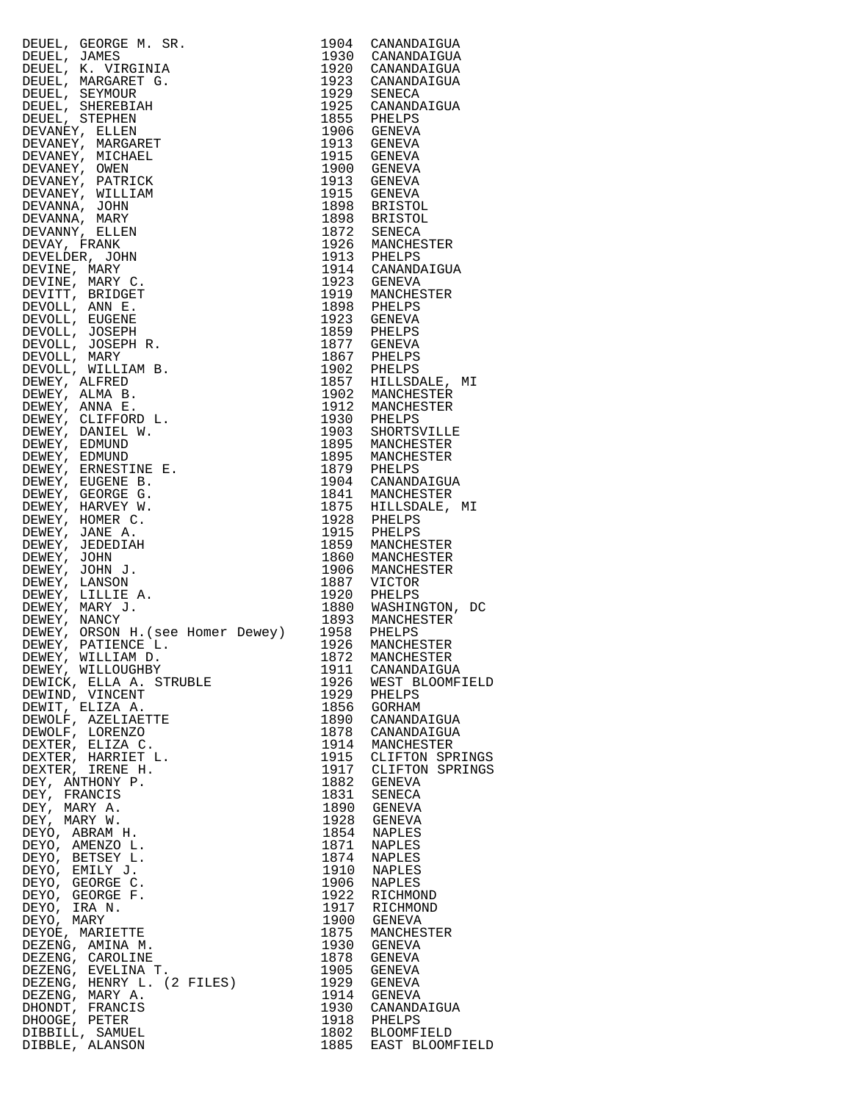| $\begin{tabular}{c} 1.5 \\ 1.65.1906 \\ 1.906 \\ 1.916 \\ 1.916 \\ 1.917 \\ 1.917 \\ 1.918 \\ 1.919 \\ 1.910 \\ 1.911 \\ 1.911 \\ 1.912 \\ 1.913 \\ 1.914 \\ 1.915 \\ 1.916 \\ 1.917 \\ 1.917 \\ 1.918 \\ 1.919 \\ 1.910 \\ 1.911 \\ 1.911 \\ 1.912 \\ 1.913 \\ 1.914 \\ 1.915 \\ 1.916 \\ 1.917 \\$ |                                                              |
|------------------------------------------------------------------------------------------------------------------------------------------------------------------------------------------------------------------------------------------------------------------------------------------------------|--------------------------------------------------------------|
|                                                                                                                                                                                                                                                                                                      |                                                              |
|                                                                                                                                                                                                                                                                                                      |                                                              |
|                                                                                                                                                                                                                                                                                                      |                                                              |
|                                                                                                                                                                                                                                                                                                      |                                                              |
|                                                                                                                                                                                                                                                                                                      |                                                              |
|                                                                                                                                                                                                                                                                                                      |                                                              |
|                                                                                                                                                                                                                                                                                                      |                                                              |
|                                                                                                                                                                                                                                                                                                      |                                                              |
|                                                                                                                                                                                                                                                                                                      |                                                              |
|                                                                                                                                                                                                                                                                                                      |                                                              |
|                                                                                                                                                                                                                                                                                                      |                                                              |
|                                                                                                                                                                                                                                                                                                      |                                                              |
|                                                                                                                                                                                                                                                                                                      |                                                              |
|                                                                                                                                                                                                                                                                                                      |                                                              |
|                                                                                                                                                                                                                                                                                                      |                                                              |
|                                                                                                                                                                                                                                                                                                      |                                                              |
|                                                                                                                                                                                                                                                                                                      |                                                              |
|                                                                                                                                                                                                                                                                                                      |                                                              |
|                                                                                                                                                                                                                                                                                                      |                                                              |
|                                                                                                                                                                                                                                                                                                      |                                                              |
|                                                                                                                                                                                                                                                                                                      |                                                              |
|                                                                                                                                                                                                                                                                                                      |                                                              |
|                                                                                                                                                                                                                                                                                                      |                                                              |
|                                                                                                                                                                                                                                                                                                      |                                                              |
|                                                                                                                                                                                                                                                                                                      |                                                              |
|                                                                                                                                                                                                                                                                                                      |                                                              |
|                                                                                                                                                                                                                                                                                                      |                                                              |
|                                                                                                                                                                                                                                                                                                      |                                                              |
|                                                                                                                                                                                                                                                                                                      |                                                              |
|                                                                                                                                                                                                                                                                                                      |                                                              |
|                                                                                                                                                                                                                                                                                                      |                                                              |
|                                                                                                                                                                                                                                                                                                      |                                                              |
|                                                                                                                                                                                                                                                                                                      |                                                              |
|                                                                                                                                                                                                                                                                                                      |                                                              |
|                                                                                                                                                                                                                                                                                                      |                                                              |
|                                                                                                                                                                                                                                                                                                      |                                                              |
|                                                                                                                                                                                                                                                                                                      |                                                              |
|                                                                                                                                                                                                                                                                                                      |                                                              |
|                                                                                                                                                                                                                                                                                                      |                                                              |
|                                                                                                                                                                                                                                                                                                      |                                                              |
|                                                                                                                                                                                                                                                                                                      |                                                              |
|                                                                                                                                                                                                                                                                                                      |                                                              |
|                                                                                                                                                                                                                                                                                                      |                                                              |
|                                                                                                                                                                                                                                                                                                      |                                                              |
|                                                                                                                                                                                                                                                                                                      |                                                              |
|                                                                                                                                                                                                                                                                                                      |                                                              |
|                                                                                                                                                                                                                                                                                                      |                                                              |
|                                                                                                                                                                                                                                                                                                      |                                                              |
|                                                                                                                                                                                                                                                                                                      |                                                              |
|                                                                                                                                                                                                                                                                                                      |                                                              |
|                                                                                                                                                                                                                                                                                                      |                                                              |
|                                                                                                                                                                                                                                                                                                      |                                                              |
|                                                                                                                                                                                                                                                                                                      |                                                              |
|                                                                                                                                                                                                                                                                                                      |                                                              |
|                                                                                                                                                                                                                                                                                                      |                                                              |
|                                                                                                                                                                                                                                                                                                      |                                                              |
|                                                                                                                                                                                                                                                                                                      |                                                              |
|                                                                                                                                                                                                                                                                                                      | 1911 CANANDAIGUA<br>1911 CANANDAIGUA<br>1926 WEST BLOOMFIELD |
| DEWICK, ELLA A. STRUBLE                                                                                                                                                                                                                                                                              |                                                              |
| DEWIND, VINCENT                                                                                                                                                                                                                                                                                      | 1929 PHELPS                                                  |
| DEWIT, ELIZA A.                                                                                                                                                                                                                                                                                      | 1856 GORHAM                                                  |
|                                                                                                                                                                                                                                                                                                      |                                                              |
| DEWOLF, AZELIAETTE                                                                                                                                                                                                                                                                                   | 1890 CANANDAIGUA<br>1878 CANANDAIGUA                         |
| DEWOLF, LORENZO                                                                                                                                                                                                                                                                                      |                                                              |
| DEXTER, ELIZA C.                                                                                                                                                                                                                                                                                     | 1914 MANCHESTER                                              |
| DEXTER, HARRIET L.                                                                                                                                                                                                                                                                                   | 1915 CLIFTON SPRINGS                                         |
| DEXTER, IRENE H.                                                                                                                                                                                                                                                                                     | 1917 CLIFTON SPRINGS                                         |
|                                                                                                                                                                                                                                                                                                      | 1882 GENEVA                                                  |
| DEY, ANTHONY P.                                                                                                                                                                                                                                                                                      |                                                              |
| DEY, FRANCIS                                                                                                                                                                                                                                                                                         | 1831 SENECA<br>1890 GENEVA                                   |
| DEY, MARY A.                                                                                                                                                                                                                                                                                         |                                                              |
| DEY, MARY W.                                                                                                                                                                                                                                                                                         | 1928 GENEVA                                                  |
| DEYO, ABRAM H.                                                                                                                                                                                                                                                                                       | 1854 NAPLES                                                  |
|                                                                                                                                                                                                                                                                                                      |                                                              |
| DEYO, AMENZO L.                                                                                                                                                                                                                                                                                      | 1871 NAPLES                                                  |
| DEYO, BETSEY L.                                                                                                                                                                                                                                                                                      | 1874 NAPLES                                                  |
|                                                                                                                                                                                                                                                                                                      | 1910 NAPLES<br>1906 NAPLES                                   |
|                                                                                                                                                                                                                                                                                                      |                                                              |
|                                                                                                                                                                                                                                                                                                      | 1922 RICHMOND                                                |
|                                                                                                                                                                                                                                                                                                      | 1917 RICHMOND                                                |
|                                                                                                                                                                                                                                                                                                      |                                                              |
|                                                                                                                                                                                                                                                                                                      | 1900 GENEVA                                                  |
|                                                                                                                                                                                                                                                                                                      | 1875 MANCHESTER                                              |
|                                                                                                                                                                                                                                                                                                      | 1930 GENEVA                                                  |
|                                                                                                                                                                                                                                                                                                      | 1878 GENEVA                                                  |
|                                                                                                                                                                                                                                                                                                      |                                                              |
|                                                                                                                                                                                                                                                                                                      | 1905 GENEVA<br>1929 GENEVA                                   |
| DEYO, EMILY J.<br>DEYO, EMILY J.<br>DEYO, GEORGE F.<br>DEYO, TRA N.<br>DEYO, IRA N.<br>DEYO, MARY<br>DEZENG, MARIETTE<br>DEZENG, AMINA M.<br>DEZENG, CAROLINE<br>DEZENG, EVELINA T.<br>DEZENG, EVELINA T.<br>DEZENG, HENRY L. (2 FILES)<br>DEZENG, HENRY L. (2 FIL                                   |                                                              |
| DEZENG, MARY A.                                                                                                                                                                                                                                                                                      | 1914 GENEVA                                                  |
| DHONDT, FRANCIS                                                                                                                                                                                                                                                                                      | 1930 CANANDAIGUA                                             |
|                                                                                                                                                                                                                                                                                                      |                                                              |
| DHOOGE, PETER                                                                                                                                                                                                                                                                                        |                                                              |
|                                                                                                                                                                                                                                                                                                      |                                                              |
| DIBBILL, SAMUEL<br>DIBBLE, ALANSON                                                                                                                                                                                                                                                                   | 1918 PHELPS<br>1802 BLOOMFIELD<br>1885 EAST BLOOMFIELD       |

| 1904         | CANANDAIGUA                    |
|--------------|--------------------------------|
| 1930<br>1920 | CANANDAIGUA<br>CANANDAIGUA     |
| 1923         | CANANDAIGUA                    |
| 1929         | SENECA                         |
| 1925         | CANANDAIGUA                    |
| 1855         | PHELPS                         |
| 1906         | <b>GENEVA</b>                  |
| 1913<br>1915 | GENEVA<br>GENEVA               |
| 1900         | GENEVA                         |
| 1913         | <b>GENEVA</b>                  |
| 1915         | GENEVA                         |
| 1898         | <b>BRISTOL</b>                 |
| 1898         | <b>BRISTOL</b>                 |
| 1872         | SENECA                         |
| 1926<br>1913 | MANCHESTER<br>PHELPS           |
| 1914         | CANANDAIGUA                    |
| 1923         | GENEVA                         |
| 1919         | MANCHESTER                     |
| 1898         | PHELPS                         |
| 1923         | GENEVA                         |
| 1859         | PHELPS                         |
| 1877<br>1867 | GENEVA<br>PHELPS               |
| 1902         | PHELPS                         |
| 1857         | HILLSDALE,<br>MΙ               |
| 1902         | MANCHESTER                     |
| 1912         | MANCHESTER                     |
| 1930         | PHELPS                         |
| 1903         | SHORTSVILLE                    |
| 1895         | MANCHESTER                     |
| 1895         | MANCHESTER                     |
| 1879<br>1904 | PHELPS<br>CANANDAIGUA          |
| 1841         | MANCHESTER                     |
| 1875         | HILLSDALE,<br>MΙ               |
| 1928         | PHELPS                         |
| 1915         | PHELPS                         |
| 1859         | MANCHESTER                     |
| 1860         | MANCHESTER                     |
| 1906<br>1887 | MANCHESTER<br>VICTOR           |
| 1920         | PHELPS                         |
| 1880         | WASHINGTON,<br>DC              |
| 1893         | MANCHESTER                     |
| 1958         | PHELPS                         |
| 1926         | MANCHESTER                     |
| 1872         | MANCHESTER                     |
| 1911<br>1926 | CANANDAIGUA<br>WEST BLOOMFIELD |
| 1929         | PHELPS                         |
| 1856         | <b>GORHAM</b>                  |
| 1890         | CANANDAIGUA                    |
| 1878         | CANANDAIGUA                    |
| 1914         | MANCHESTER                     |
| 1915         | CLIFTON SPRINGS                |
| 1917         | CLIFTON SPRINGS                |
| 1882<br>1831 | <b>GENEVA</b><br><b>SENECA</b> |
| 1890         | <b>GENEVA</b>                  |
| 1928         | <b>GENEVA</b>                  |
| 1854         | NAPLES                         |
| 1871         | <b>NAPLES</b>                  |
| 1874         | <b>NAPLES</b>                  |
| 1910         | NAPLES                         |
| 1906<br>1922 | <b>NAPLES</b><br>RICHMOND      |
| 1917         | RICHMOND                       |
| 1900         | GENEVA                         |
| 1875         | MANCHESTER                     |
| 1930         | <b>GENEVA</b>                  |
| 1878         | <b>GENEVA</b>                  |
| 1905         | <b>GENEVA</b>                  |
| 1929<br>1914 | <b>GENEVA</b><br><b>GENEVA</b> |
| 1930         | CANANDAIGUA                    |
| 1918         | PHELPS                         |
| 1802         | <b>BLOOMFIELD</b>              |
| 1885         | EAST BLOOMFIELD                |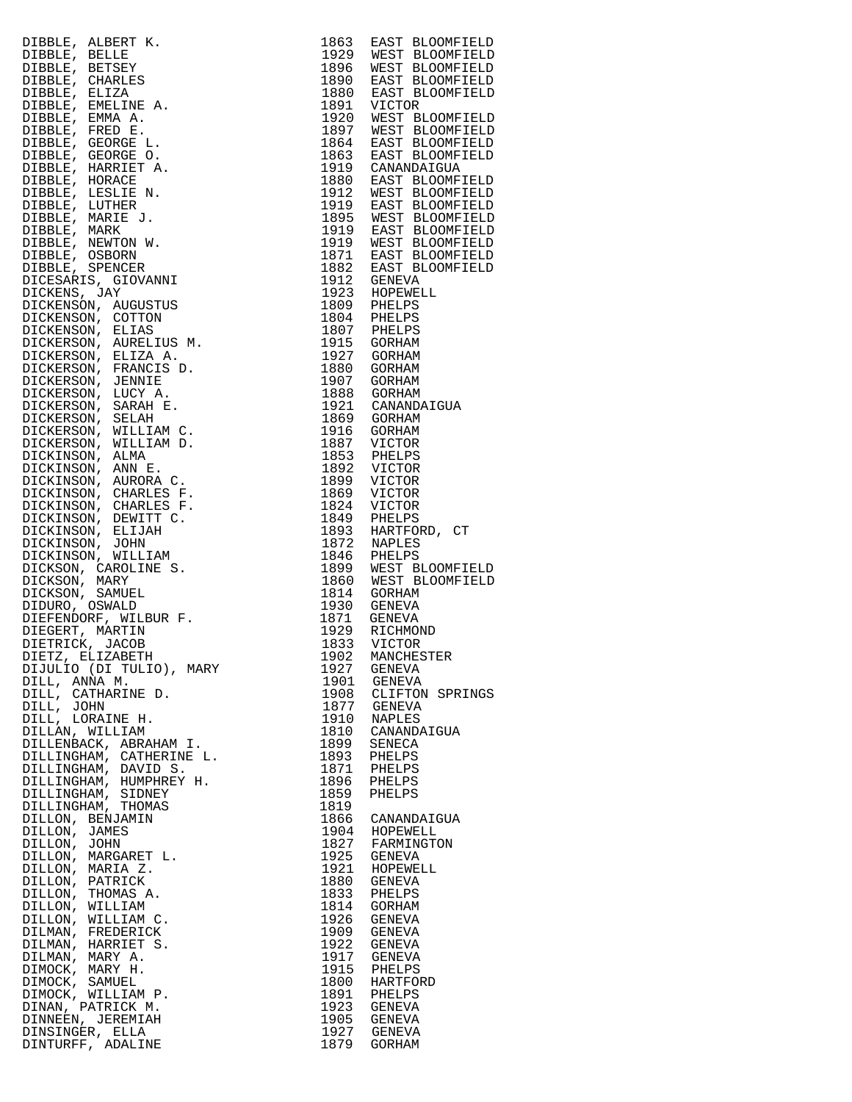|                                                                                                                                                                                                                                                   |              | EAST BLOOMFIELD                              |
|---------------------------------------------------------------------------------------------------------------------------------------------------------------------------------------------------------------------------------------------------|--------------|----------------------------------------------|
|                                                                                                                                                                                                                                                   |              | 1929 WEST BLOOMFIELD                         |
|                                                                                                                                                                                                                                                   |              | 1896 WEST BLOOMFIELD                         |
|                                                                                                                                                                                                                                                   |              | 1890 EAST BLOOMFIELD                         |
|                                                                                                                                                                                                                                                   |              |                                              |
|                                                                                                                                                                                                                                                   |              | EAST BLOOMFIELD                              |
|                                                                                                                                                                                                                                                   |              |                                              |
|                                                                                                                                                                                                                                                   |              | 1920 WEST BLOOMFIELD                         |
|                                                                                                                                                                                                                                                   |              | 1897 WEST BLOOMFIELD                         |
|                                                                                                                                                                                                                                                   |              | EAST BLOOMFIELD                              |
|                                                                                                                                                                                                                                                   |              | 1863 EAST BLOOMFIELD                         |
|                                                                                                                                                                                                                                                   |              | 1919 CANANDAIGUA                             |
|                                                                                                                                                                                                                                                   |              | 1880 EAST BLOOMFIELD                         |
|                                                                                                                                                                                                                                                   |              | 1912 WEST BLOOMFIELD                         |
|                                                                                                                                                                                                                                                   |              | 1919 EAST BLOOMFIELD                         |
|                                                                                                                                                                                                                                                   |              |                                              |
|                                                                                                                                                                                                                                                   |              | 1895 WEST BLOOMFIELD<br>1919 EAST BLOOMFIELD |
|                                                                                                                                                                                                                                                   |              | 1919 WEST BLOOMFIELD                         |
|                                                                                                                                                                                                                                                   |              | 1871 EAST BLOOMFIELD                         |
|                                                                                                                                                                                                                                                   |              | 1882 EAST BLOOMFIELD                         |
|                                                                                                                                                                                                                                                   |              |                                              |
|                                                                                                                                                                                                                                                   |              |                                              |
|                                                                                                                                                                                                                                                   |              |                                              |
|                                                                                                                                                                                                                                                   |              |                                              |
|                                                                                                                                                                                                                                                   |              |                                              |
|                                                                                                                                                                                                                                                   |              |                                              |
|                                                                                                                                                                                                                                                   |              |                                              |
|                                                                                                                                                                                                                                                   |              |                                              |
|                                                                                                                                                                                                                                                   |              |                                              |
|                                                                                                                                                                                                                                                   |              |                                              |
|                                                                                                                                                                                                                                                   |              |                                              |
|                                                                                                                                                                                                                                                   |              | 1921 CANANDAIGUA                             |
|                                                                                                                                                                                                                                                   |              |                                              |
|                                                                                                                                                                                                                                                   |              |                                              |
|                                                                                                                                                                                                                                                   |              |                                              |
|                                                                                                                                                                                                                                                   |              |                                              |
|                                                                                                                                                                                                                                                   |              |                                              |
|                                                                                                                                                                                                                                                   |              |                                              |
|                                                                                                                                                                                                                                                   |              |                                              |
|                                                                                                                                                                                                                                                   |              |                                              |
|                                                                                                                                                                                                                                                   |              |                                              |
|                                                                                                                                                                                                                                                   |              | 1893 HARTFORD, CT                            |
|                                                                                                                                                                                                                                                   |              |                                              |
|                                                                                                                                                                                                                                                   |              |                                              |
|                                                                                                                                                                                                                                                   |              |                                              |
|                                                                                                                                                                                                                                                   |              |                                              |
|                                                                                                                                                                                                                                                   |              | 1899 WEST BLOOMFIELD                         |
|                                                                                                                                                                                                                                                   |              | 1860 WEST BLOOMFIELD                         |
|                                                                                                                                                                                                                                                   |              |                                              |
|                                                                                                                                                                                                                                                   |              |                                              |
|                                                                                                                                                                                                                                                   |              |                                              |
|                                                                                                                                                                                                                                                   |              |                                              |
|                                                                                                                                                                                                                                                   |              |                                              |
|                                                                                                                                                                                                                                                   |              | 1902 MANCHESTER                              |
| DIJULIO (DI TULIO), MARY                                                                                                                                                                                                                          | 1927         | GENEVA                                       |
| DIBBLE, ALBERT K. 1965<br>REBERA ELIZARET K. 1963<br>REBERA ELIZAREN 1972 WEST BLOG MEST BLOG MEST BLOG MEST BLOG MEST RESERVATION DIBBLE, CHARLES A. 1974 WEST BLOG WEST BLOG MEST BLOG MEST BLOG MEST BLOG MEST REDUCED IN THE<br>DILL, ANNA M. | 1901         | GENEVA                                       |
| DILL, CATHARINE D.                                                                                                                                                                                                                                | 1908         | CLIFTON SPRINGS                              |
| DILL, JOHN                                                                                                                                                                                                                                        |              | 1877 GENEVA                                  |
| DILL, LORAINE H.                                                                                                                                                                                                                                  | 1910         | <b>NAPLES</b>                                |
|                                                                                                                                                                                                                                                   |              | 1810 CANANDAIGUA                             |
|                                                                                                                                                                                                                                                   | 1899         | SENECA                                       |
| DILLAN, WILLIAM<br>DILLENBACK, ABRAHAM I.<br>DILLINGHAM, CATHERINE L.<br>DILLINGHAM, CATHERINE L.                                                                                                                                                 | 1893         | PHELPS                                       |
| DILLINGHAM, DAVID S.                                                                                                                                                                                                                              | 1871         | PHELPS                                       |
| DILLINGHAM, HUMPHREY H.                                                                                                                                                                                                                           | 1896         | PHELPS                                       |
| DILLINGHAM, SIDNEY                                                                                                                                                                                                                                | 1859         | PHELPS                                       |
| DILLINGHAM, THOMAS                                                                                                                                                                                                                                | 1819         |                                              |
| DILLON, BENJAMIN                                                                                                                                                                                                                                  | 1866         | CANANDAIGUA                                  |
| DILLON, JAMES                                                                                                                                                                                                                                     | 1904         | HOPEWELL                                     |
| DILLON, JOHN                                                                                                                                                                                                                                      | 1827         | FARMINGTON                                   |
| DILLON, MARGARET L.                                                                                                                                                                                                                               | 1925         | GENEVA                                       |
| DILLON, MARIA Z.                                                                                                                                                                                                                                  | 1921         | HOPEWELL                                     |
| DILLON, PATRICK                                                                                                                                                                                                                                   | 1880         | GENEVA                                       |
| DILLON, THOMAS A.                                                                                                                                                                                                                                 | 1833         | PHELPS                                       |
| DILLON, WILLIAM                                                                                                                                                                                                                                   | 1814         | GORHAM                                       |
| DILLON, WILLIAM C.                                                                                                                                                                                                                                | 1926         | GENEVA                                       |
| DILMAN, FREDERICK                                                                                                                                                                                                                                 | 1909         | GENEVA                                       |
| DILMAN, HARRIET S.                                                                                                                                                                                                                                | 1922         | GENEVA                                       |
| DILMAN, MARY A.                                                                                                                                                                                                                                   |              | 1917 GENEVA                                  |
| DIMOCK, MARY H.                                                                                                                                                                                                                                   | 1915         | PHELPS                                       |
| DIMOCK, SAMUEL                                                                                                                                                                                                                                    | 1800         | HARTFORD                                     |
| DIMOCK, WILLIAM P.                                                                                                                                                                                                                                | 1891         | PHELPS                                       |
| DINAN, PATRICK M.                                                                                                                                                                                                                                 | 1923         | GENEVA                                       |
| DINNEEN, JEREMIAH                                                                                                                                                                                                                                 | 1905         | GENEVA                                       |
| DINSINGER, ELLA<br>DINTURFF, ADALINE                                                                                                                                                                                                              | 1927<br>1879 | GENEVA<br>GORHAM                             |

| 1863<br>1929 | EAST<br><b>BLOOMFIELD</b>                              |
|--------------|--------------------------------------------------------|
| 1896         | WEST<br><b>BLOOMFIELD</b><br>WEST<br><b>BLOOMFIELD</b> |
| 1890         | <b>BLOOMFIELD</b><br>EAST                              |
| 1880<br>1891 | <b>BLOOMFIELD</b><br>EAST<br>VICTOR                    |
| 1920         | WEST<br>BLOOMFIELD                                     |
| 1897         | WEST<br><b>BLOOMFIELD</b>                              |
| 1864<br>1863 | <b>BLOOMFIELD</b><br>EAST<br>EAST<br><b>BLOOMFIELD</b> |
| 1919         | CANANDAIGUA                                            |
| 1880<br>1912 | EAST<br><b>BLOOMFIELD</b><br>WEST                      |
| 1919         | <b>BLOOMFIELD</b><br>EAST<br><b>BLOOMFIELD</b>         |
| 1895         | <b>BLOOMFIELD</b><br>WEST                              |
| 1919<br>1919 | EAST<br><b>BLOOMFIELD</b><br><b>BLOOMFIELD</b><br>WEST |
| 1871         | EAST<br><b>BLOOMFIELD</b>                              |
| 1882         | <b>BLOOMFIELD</b><br>EAST                              |
| 1912<br>1923 | GENEVA<br>HOPEWELL                                     |
| 1809         | PHELPS                                                 |
| 1804<br>1807 | PHELPS<br>PHELPS                                       |
| 1915         | GORHAM                                                 |
| 1927         | GORHAM                                                 |
| 1880<br>1907 | GORHAM<br>GORHAM                                       |
| 1888         | GORHAM                                                 |
| 1921         | CANANDAIGUA                                            |
| 1869<br>1916 | GORHAM<br>GORHAM                                       |
| 1887         | VICTOR                                                 |
| 1853<br>1892 | PHELPS<br>VICTOR                                       |
| 1899         | VICTOR                                                 |
| 1869         | VICTOR                                                 |
| 1824<br>1849 | VICTOR<br>PHELPS                                       |
| 1893         | HARTFORD,<br>CT                                        |
| 1872<br>1846 | NAPLES<br>PHELPS                                       |
| 1899         | WEST<br><b>BLOOMFIELD</b>                              |
| 1860         | WEST<br><b>BLOOMFIELD</b>                              |
| 1814<br>1930 | GORHAM<br>GENEVA                                       |
| 1871         | GENEVA                                                 |
| 1929<br>1833 | RICHMOND<br><b>VICTOR</b>                              |
| 1902         | MANCHESTER                                             |
| 1927         | <b>GENEVA</b>                                          |
| 1901<br>1908 | <b>GENEVA</b><br>CLIFTON SPRINGS                       |
| 1877         | <b>GENEVA</b>                                          |
| 1910<br>1810 | NAPLES<br>CANANDAIGUA                                  |
| 1899         | SENECA                                                 |
| 1893         | PHELPS                                                 |
| 1871<br>1896 | PHELPS<br>PHELPS                                       |
| 1859         | PHELPS                                                 |
| 1819         |                                                        |
| 1866<br>1904 | CANANDAIGUA<br>HOPEWELL                                |
| 1827         | FARMINGTON                                             |
| 1925<br>1921 | <b>GENEVA</b><br>HOPEWELL                              |
| 1880         | GENEVA                                                 |
| 1833         | PHELPS                                                 |
| 1814<br>1926 | GORHAM<br>GENEVA                                       |
| 1909         | GENEVA                                                 |
| 1922         | GENEVA                                                 |
| 1917<br>1915 | GENEVA<br>PHELPS                                       |
| 1800         | HARTFORD                                               |
| 1891<br>1923 | PHELPS<br>GENEVA                                       |
| 1905         | GENEVA                                                 |
| 1927         | <b>GENEVA</b>                                          |
| 1879         | <b>GORHAM</b>                                          |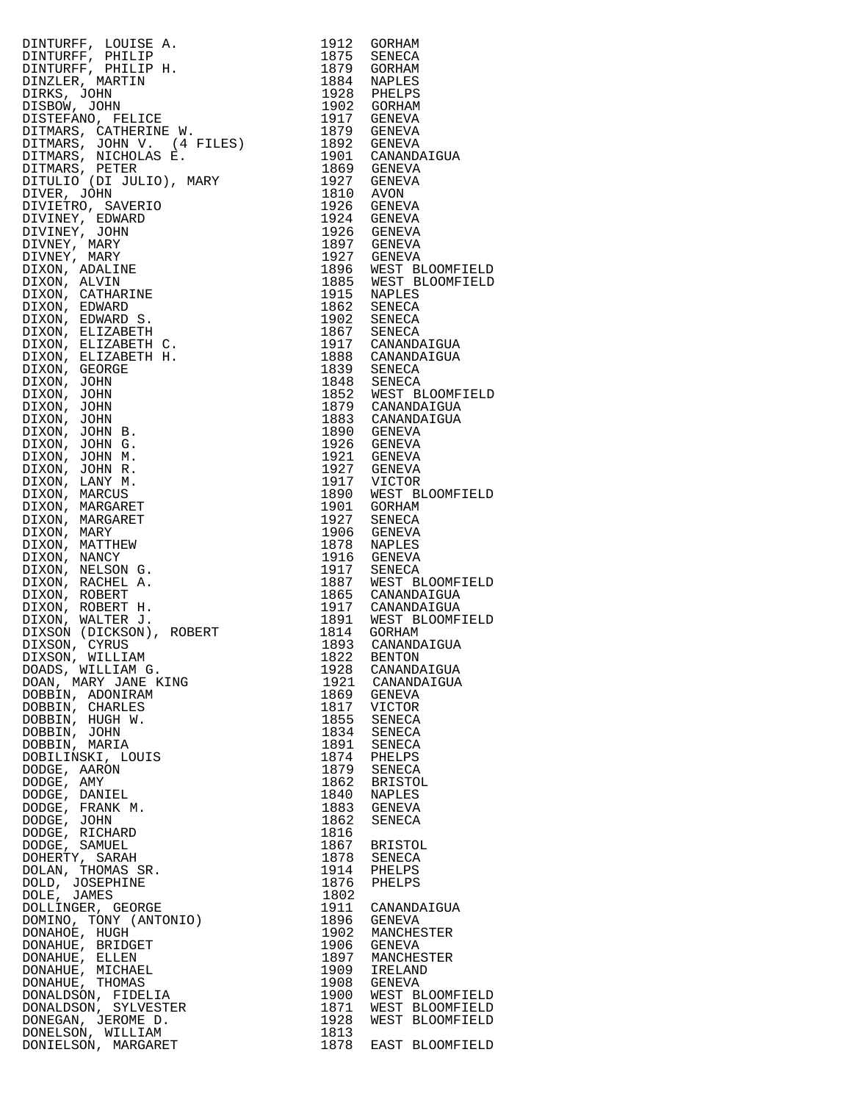| NEW TOUTS A MANUFA (1992)<br>DENTURE , MALLE (1993)<br>DENTURE , MALLE (1993)<br>DENTURE , MARY 1993)<br>DENTURE , MARY 1993)<br>DESIGN, JOHN (FILLE )<br>DENTURE , MARY (4 FILES)<br>DESIGNATION (1993)<br>DENTURE S, MICHAETIEN W.<br>DENTURE |      |                      |
|-------------------------------------------------------------------------------------------------------------------------------------------------------------------------------------------------------------------------------------------------|------|----------------------|
|                                                                                                                                                                                                                                                 |      |                      |
|                                                                                                                                                                                                                                                 |      |                      |
|                                                                                                                                                                                                                                                 |      |                      |
|                                                                                                                                                                                                                                                 |      |                      |
|                                                                                                                                                                                                                                                 |      |                      |
|                                                                                                                                                                                                                                                 |      |                      |
|                                                                                                                                                                                                                                                 |      |                      |
|                                                                                                                                                                                                                                                 |      |                      |
|                                                                                                                                                                                                                                                 |      |                      |
|                                                                                                                                                                                                                                                 |      |                      |
|                                                                                                                                                                                                                                                 |      |                      |
|                                                                                                                                                                                                                                                 |      |                      |
|                                                                                                                                                                                                                                                 |      |                      |
|                                                                                                                                                                                                                                                 |      |                      |
|                                                                                                                                                                                                                                                 |      |                      |
|                                                                                                                                                                                                                                                 |      |                      |
|                                                                                                                                                                                                                                                 |      |                      |
|                                                                                                                                                                                                                                                 |      |                      |
|                                                                                                                                                                                                                                                 |      |                      |
|                                                                                                                                                                                                                                                 |      |                      |
|                                                                                                                                                                                                                                                 |      |                      |
|                                                                                                                                                                                                                                                 |      |                      |
|                                                                                                                                                                                                                                                 |      |                      |
|                                                                                                                                                                                                                                                 |      |                      |
|                                                                                                                                                                                                                                                 |      |                      |
|                                                                                                                                                                                                                                                 |      |                      |
|                                                                                                                                                                                                                                                 |      |                      |
|                                                                                                                                                                                                                                                 |      |                      |
|                                                                                                                                                                                                                                                 |      |                      |
|                                                                                                                                                                                                                                                 |      |                      |
|                                                                                                                                                                                                                                                 |      |                      |
|                                                                                                                                                                                                                                                 |      |                      |
|                                                                                                                                                                                                                                                 |      |                      |
|                                                                                                                                                                                                                                                 |      |                      |
|                                                                                                                                                                                                                                                 |      |                      |
|                                                                                                                                                                                                                                                 |      |                      |
|                                                                                                                                                                                                                                                 |      |                      |
|                                                                                                                                                                                                                                                 |      |                      |
|                                                                                                                                                                                                                                                 |      |                      |
|                                                                                                                                                                                                                                                 |      |                      |
|                                                                                                                                                                                                                                                 |      |                      |
|                                                                                                                                                                                                                                                 |      |                      |
|                                                                                                                                                                                                                                                 |      |                      |
|                                                                                                                                                                                                                                                 |      |                      |
|                                                                                                                                                                                                                                                 |      |                      |
|                                                                                                                                                                                                                                                 |      |                      |
|                                                                                                                                                                                                                                                 |      |                      |
|                                                                                                                                                                                                                                                 |      |                      |
|                                                                                                                                                                                                                                                 |      |                      |
|                                                                                                                                                                                                                                                 |      |                      |
|                                                                                                                                                                                                                                                 |      |                      |
|                                                                                                                                                                                                                                                 |      |                      |
|                                                                                                                                                                                                                                                 |      |                      |
|                                                                                                                                                                                                                                                 |      |                      |
|                                                                                                                                                                                                                                                 |      |                      |
|                                                                                                                                                                                                                                                 |      |                      |
|                                                                                                                                                                                                                                                 |      |                      |
|                                                                                                                                                                                                                                                 |      |                      |
|                                                                                                                                                                                                                                                 |      |                      |
|                                                                                                                                                                                                                                                 |      |                      |
|                                                                                                                                                                                                                                                 |      |                      |
| DIXSON, WILLIAM<br>DOADS, WILLIAM G.<br>DOADS, WILLIAM G.<br>DOAN, MARY JANE KING<br>DOBBIN, ADONIRAM<br>DOBBIN, CHARLES                                                                                                                        |      |                      |
|                                                                                                                                                                                                                                                 |      |                      |
|                                                                                                                                                                                                                                                 | 1928 | CANANDAIGUA          |
|                                                                                                                                                                                                                                                 |      | 1921 CANANDAIGUA     |
|                                                                                                                                                                                                                                                 | 1869 | GENEVA               |
|                                                                                                                                                                                                                                                 | 1817 |                      |
|                                                                                                                                                                                                                                                 |      | VICTOR               |
| DOBBIN, HUGH W.                                                                                                                                                                                                                                 | 1855 | SENECA               |
| DOBBIN, JOHN                                                                                                                                                                                                                                    | 1834 | SENECA               |
| DOBBIN, MARIA                                                                                                                                                                                                                                   | 1891 | SENECA               |
| DOBILINSKI, LOUIS                                                                                                                                                                                                                               |      |                      |
|                                                                                                                                                                                                                                                 |      | 1874 PHELPS          |
| DODGE, AARON                                                                                                                                                                                                                                    |      | 1879 SENECA          |
| DODGE, AMY                                                                                                                                                                                                                                      |      | 1862 BRISTOL         |
| DODGE, DANIEL                                                                                                                                                                                                                                   | 1840 | NAPLES               |
|                                                                                                                                                                                                                                                 |      |                      |
| DODGE, FRANK M.                                                                                                                                                                                                                                 |      | 1883 GENEVA          |
| DODGE, JOHN                                                                                                                                                                                                                                     | 1862 | SENECA               |
| DODGE, RICHARD                                                                                                                                                                                                                                  | 1816 |                      |
| DODGE, SAMUEL                                                                                                                                                                                                                                   |      | 1867 BRISTOL         |
|                                                                                                                                                                                                                                                 |      |                      |
| DOHERTY, SARAH                                                                                                                                                                                                                                  |      | 1878 SENECA          |
| DOLAN, THOMAS SR.                                                                                                                                                                                                                               | 1914 | PHELPS               |
| DOLD, JOSEPHINE                                                                                                                                                                                                                                 | 1876 | PHELPS               |
|                                                                                                                                                                                                                                                 |      |                      |
| DOLE, JAMES                                                                                                                                                                                                                                     | 1802 |                      |
| DOLLINGER, GEORGE                                                                                                                                                                                                                               | 1911 | CANANDAIGUA          |
| DOMINO, TONY (ANTONIO)                                                                                                                                                                                                                          | 1896 | GENEVA               |
| DONAHOE, HUGH                                                                                                                                                                                                                                   | 1902 | MANCHESTER           |
|                                                                                                                                                                                                                                                 |      |                      |
| DONAHUE, BRIDGET                                                                                                                                                                                                                                | 1906 | GENEVA               |
| DONAHUE, ELLEN                                                                                                                                                                                                                                  | 1897 | MANCHESTER           |
| DONAHUE, MICHAEL                                                                                                                                                                                                                                | 1909 | IRELAND              |
|                                                                                                                                                                                                                                                 |      |                      |
| DONAHUE, THOMAS                                                                                                                                                                                                                                 |      | 1908 GENEVA          |
| DONALDSON, FIDELIA                                                                                                                                                                                                                              |      | 1900 WEST BLOOMFIELD |
| DONALDSON, SYLVESTER                                                                                                                                                                                                                            |      | 1871 WEST BLOOMFIELD |
|                                                                                                                                                                                                                                                 |      | 1928 WEST BLOOMFIELD |
|                                                                                                                                                                                                                                                 |      |                      |
| - <------>UN, WILLIAM<br>DONIEI CON MADOARET                                                                                                                                                                                                    | 1813 | 1979 FACT DIOOMETEID |
|                                                                                                                                                                                                                                                 |      |                      |

| DINYURF, LOUISE A. 1914 GORHAM<br>DINYURF, PHILIP H. 1915 GORHAM<br>DINYURF, PHILIP H. 1975 GORNAL<br>DINYURF, PHILIP H. 1975 GORNAL<br>DINYURF, PHILIP H. 1975 GORNAL<br>DINYURF, MARYIN 1988 P. 1926 MENDA<br>DITIRANG, NGUNUNG F. 1976 GORNAL |                                              |
|--------------------------------------------------------------------------------------------------------------------------------------------------------------------------------------------------------------------------------------------------|----------------------------------------------|
|                                                                                                                                                                                                                                                  |                                              |
|                                                                                                                                                                                                                                                  |                                              |
|                                                                                                                                                                                                                                                  |                                              |
|                                                                                                                                                                                                                                                  |                                              |
|                                                                                                                                                                                                                                                  |                                              |
|                                                                                                                                                                                                                                                  |                                              |
|                                                                                                                                                                                                                                                  |                                              |
|                                                                                                                                                                                                                                                  |                                              |
|                                                                                                                                                                                                                                                  |                                              |
|                                                                                                                                                                                                                                                  |                                              |
|                                                                                                                                                                                                                                                  |                                              |
|                                                                                                                                                                                                                                                  |                                              |
|                                                                                                                                                                                                                                                  |                                              |
|                                                                                                                                                                                                                                                  |                                              |
|                                                                                                                                                                                                                                                  |                                              |
|                                                                                                                                                                                                                                                  |                                              |
|                                                                                                                                                                                                                                                  |                                              |
|                                                                                                                                                                                                                                                  |                                              |
|                                                                                                                                                                                                                                                  |                                              |
|                                                                                                                                                                                                                                                  |                                              |
|                                                                                                                                                                                                                                                  |                                              |
|                                                                                                                                                                                                                                                  |                                              |
|                                                                                                                                                                                                                                                  |                                              |
|                                                                                                                                                                                                                                                  |                                              |
|                                                                                                                                                                                                                                                  |                                              |
|                                                                                                                                                                                                                                                  |                                              |
|                                                                                                                                                                                                                                                  |                                              |
|                                                                                                                                                                                                                                                  |                                              |
|                                                                                                                                                                                                                                                  |                                              |
|                                                                                                                                                                                                                                                  |                                              |
|                                                                                                                                                                                                                                                  |                                              |
|                                                                                                                                                                                                                                                  |                                              |
|                                                                                                                                                                                                                                                  |                                              |
|                                                                                                                                                                                                                                                  |                                              |
|                                                                                                                                                                                                                                                  |                                              |
|                                                                                                                                                                                                                                                  |                                              |
|                                                                                                                                                                                                                                                  |                                              |
|                                                                                                                                                                                                                                                  |                                              |
|                                                                                                                                                                                                                                                  |                                              |
|                                                                                                                                                                                                                                                  |                                              |
|                                                                                                                                                                                                                                                  |                                              |
|                                                                                                                                                                                                                                                  |                                              |
|                                                                                                                                                                                                                                                  |                                              |
|                                                                                                                                                                                                                                                  |                                              |
|                                                                                                                                                                                                                                                  |                                              |
|                                                                                                                                                                                                                                                  |                                              |
|                                                                                                                                                                                                                                                  |                                              |
|                                                                                                                                                                                                                                                  |                                              |
|                                                                                                                                                                                                                                                  |                                              |
|                                                                                                                                                                                                                                                  |                                              |
|                                                                                                                                                                                                                                                  |                                              |
|                                                                                                                                                                                                                                                  |                                              |
|                                                                                                                                                                                                                                                  |                                              |
|                                                                                                                                                                                                                                                  |                                              |
|                                                                                                                                                                                                                                                  |                                              |
|                                                                                                                                                                                                                                                  |                                              |
|                                                                                                                                                                                                                                                  |                                              |
|                                                                                                                                                                                                                                                  |                                              |
|                                                                                                                                                                                                                                                  |                                              |
|                                                                                                                                                                                                                                                  |                                              |
|                                                                                                                                                                                                                                                  |                                              |
|                                                                                                                                                                                                                                                  |                                              |
|                                                                                                                                                                                                                                                  |                                              |
|                                                                                                                                                                                                                                                  |                                              |
|                                                                                                                                                                                                                                                  | CANANDAIGUA                                  |
|                                                                                                                                                                                                                                                  | 1921 CANANDAIGUA                             |
|                                                                                                                                                                                                                                                  |                                              |
|                                                                                                                                                                                                                                                  |                                              |
|                                                                                                                                                                                                                                                  |                                              |
|                                                                                                                                                                                                                                                  |                                              |
|                                                                                                                                                                                                                                                  |                                              |
|                                                                                                                                                                                                                                                  |                                              |
|                                                                                                                                                                                                                                                  |                                              |
|                                                                                                                                                                                                                                                  |                                              |
|                                                                                                                                                                                                                                                  |                                              |
|                                                                                                                                                                                                                                                  |                                              |
|                                                                                                                                                                                                                                                  |                                              |
|                                                                                                                                                                                                                                                  |                                              |
|                                                                                                                                                                                                                                                  |                                              |
|                                                                                                                                                                                                                                                  |                                              |
|                                                                                                                                                                                                                                                  |                                              |
|                                                                                                                                                                                                                                                  |                                              |
|                                                                                                                                                                                                                                                  |                                              |
|                                                                                                                                                                                                                                                  |                                              |
|                                                                                                                                                                                                                                                  |                                              |
|                                                                                                                                                                                                                                                  |                                              |
|                                                                                                                                                                                                                                                  |                                              |
|                                                                                                                                                                                                                                                  |                                              |
|                                                                                                                                                                                                                                                  |                                              |
|                                                                                                                                                                                                                                                  | 1911 CANANDAIGUA                             |
|                                                                                                                                                                                                                                                  |                                              |
|                                                                                                                                                                                                                                                  | 1896 GENEVA<br>1902 MANCHESTER               |
|                                                                                                                                                                                                                                                  |                                              |
|                                                                                                                                                                                                                                                  | 1906 GENEVA<br>1897 MANCHESTER               |
|                                                                                                                                                                                                                                                  |                                              |
|                                                                                                                                                                                                                                                  |                                              |
|                                                                                                                                                                                                                                                  |                                              |
|                                                                                                                                                                                                                                                  |                                              |
|                                                                                                                                                                                                                                                  |                                              |
|                                                                                                                                                                                                                                                  | 1900 WEST BLOOMFIELD<br>1871 WEST BLOOMFIELD |
|                                                                                                                                                                                                                                                  |                                              |
| DIXSON (DICKSON), ROBERT 1814 GORHAM<br>DIXSON, CYRUS 1893 CANANDAIC<br>DIXSON, WILLIAM G. 1823 BENTON<br>DOAN, MARY JANE KING 1823 BENTON<br>DOAN, MARY JANE KING 1822 BENTON<br>DOBBIN, CHARLES 1863 GENECA 1874 VICTOR<br>DOBBIN, GURIN       | WEST BLOOMFIELD                              |
|                                                                                                                                                                                                                                                  |                                              |
|                                                                                                                                                                                                                                                  | EAST BLOOMFIELD                              |
|                                                                                                                                                                                                                                                  |                                              |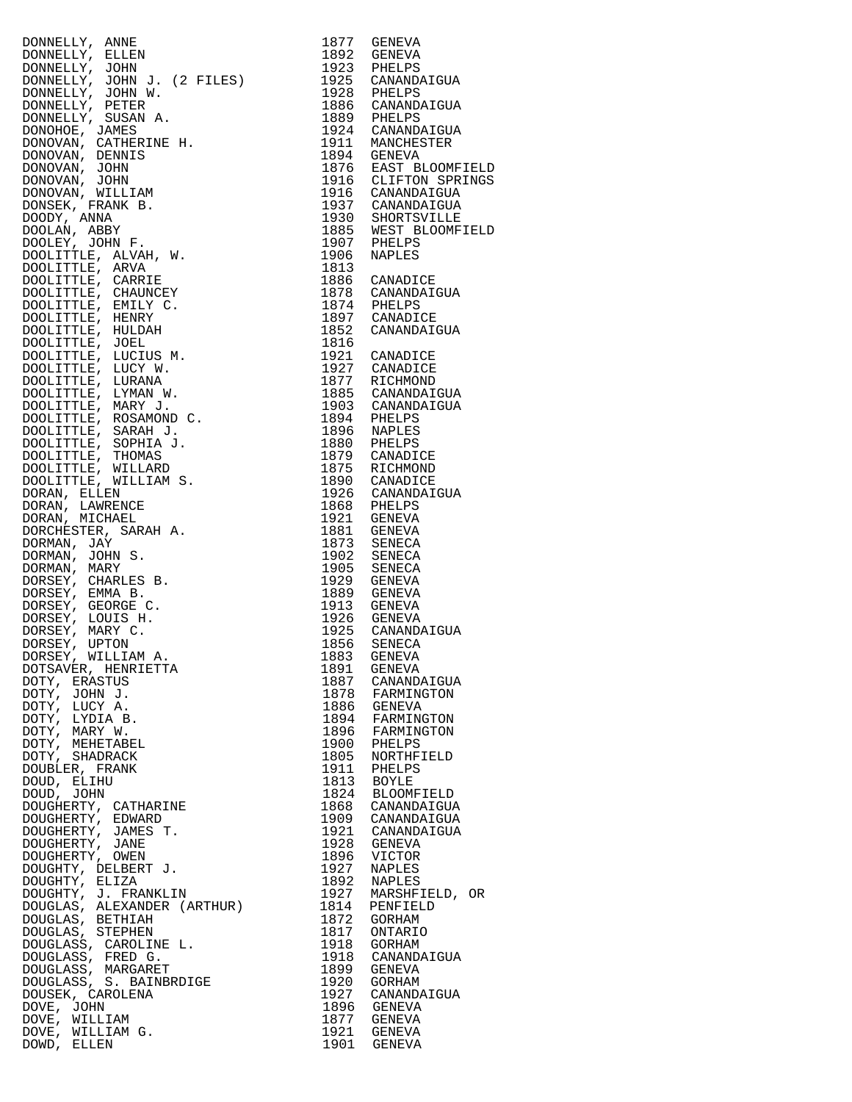| DONNELLY, ANNE                                                                                                                                                                                                                                                                                                                  | 1877         | GENEVA                               |
|---------------------------------------------------------------------------------------------------------------------------------------------------------------------------------------------------------------------------------------------------------------------------------------------------------------------------------|--------------|--------------------------------------|
| DONNELLY, ELLEN                                                                                                                                                                                                                                                                                                                 | 1892         | GENEVA                               |
| DONNELLY, JOHN<br>DONNELLY, JOHN J. (2 FILES)                                                                                                                                                                                                                                                                                   | 1923         | PHELPS<br>1925 CANANDAIGUA           |
|                                                                                                                                                                                                                                                                                                                                 | 1928         | PHELPS                               |
|                                                                                                                                                                                                                                                                                                                                 |              | 1886 CANANDAIGUA                     |
|                                                                                                                                                                                                                                                                                                                                 |              | 1889 PHELPS                          |
|                                                                                                                                                                                                                                                                                                                                 | 1911         | 1924 CANANDAIGUA<br>MANCHESTER       |
|                                                                                                                                                                                                                                                                                                                                 |              | 1894 GENEVA                          |
|                                                                                                                                                                                                                                                                                                                                 |              | 1876 EAST BLOOMFIELD                 |
|                                                                                                                                                                                                                                                                                                                                 |              | 1916 CLIFTON SPRINGS                 |
|                                                                                                                                                                                                                                                                                                                                 |              | 1916 CANANDAIGUA<br>1937 CANANDAIGUA |
|                                                                                                                                                                                                                                                                                                                                 |              | 1930 SHORTSVILLE                     |
|                                                                                                                                                                                                                                                                                                                                 |              | 1885 WEST BLOOMFIELD                 |
|                                                                                                                                                                                                                                                                                                                                 | 1907         | PHELPS                               |
|                                                                                                                                                                                                                                                                                                                                 | 1906<br>1813 | NAPLES                               |
|                                                                                                                                                                                                                                                                                                                                 |              | 1886 CANADICE                        |
|                                                                                                                                                                                                                                                                                                                                 |              | 1878 CANANDAIGUA                     |
|                                                                                                                                                                                                                                                                                                                                 |              | 1874 PHELPS                          |
|                                                                                                                                                                                                                                                                                                                                 |              | 1897 CANADICE<br>1852 CANANDAIGUA    |
|                                                                                                                                                                                                                                                                                                                                 | 1816         |                                      |
|                                                                                                                                                                                                                                                                                                                                 |              | 1921 CANADICE                        |
|                                                                                                                                                                                                                                                                                                                                 |              | 1927 CANADICE                        |
|                                                                                                                                                                                                                                                                                                                                 | 1885         | 1877 RICHMOND<br>CANANDAIGUA         |
|                                                                                                                                                                                                                                                                                                                                 | 1903         | CANANDAIGUA                          |
|                                                                                                                                                                                                                                                                                                                                 | 1894         | PHELPS                               |
|                                                                                                                                                                                                                                                                                                                                 |              | 1896 NAPLES                          |
|                                                                                                                                                                                                                                                                                                                                 | 1880         | PHELPS<br>1879 CANADICE              |
|                                                                                                                                                                                                                                                                                                                                 |              | 1875 RICHMOND                        |
|                                                                                                                                                                                                                                                                                                                                 |              | 1890 CANADICE                        |
|                                                                                                                                                                                                                                                                                                                                 |              | 1926 CANANDAIGUA                     |
|                                                                                                                                                                                                                                                                                                                                 | 1921         | 1868 PHELPS<br>GENEVA                |
|                                                                                                                                                                                                                                                                                                                                 |              | 1881 GENEVA                          |
|                                                                                                                                                                                                                                                                                                                                 | 1873         | SENECA                               |
|                                                                                                                                                                                                                                                                                                                                 | 1902<br>1905 | SENECA<br>SENECA                     |
|                                                                                                                                                                                                                                                                                                                                 |              | 1929 GENEVA                          |
|                                                                                                                                                                                                                                                                                                                                 | 1889         | GENEVA                               |
|                                                                                                                                                                                                                                                                                                                                 | 1913         | GENEVA                               |
|                                                                                                                                                                                                                                                                                                                                 |              | 1926 GENEVA<br>1925 CANANDAIGUA      |
|                                                                                                                                                                                                                                                                                                                                 | 1856         | SENECA                               |
| DONNELLY, JOHN J. (2 FILES)<br>DONNELLY, JOHN J. (2 FILES)<br>DONNELLY, JOHN J. (2 FILES)<br>DONNELLY, JOHN W.<br>DONNELLY, SUSAN A.<br>DONNELLY, SUSAN A.<br>DONOVAN, CRIMERINE H.<br>DONOVAN, CRIMERINE H.<br>DONOVAN, JOHN<br>DONNOVAN, JOHN<br>DONNELLY,<br>DORSEY, WILLIAM A.<br>DORSEY, WILLIAM A.<br>DOTSAVER, HENRIETTA |              | 1883 GENEVA                          |
|                                                                                                                                                                                                                                                                                                                                 | 1891         | GENEVA                               |
| DOTY, ERASTUS<br>DOTY, JOHN J.                                                                                                                                                                                                                                                                                                  | 1887<br>1878 | CANANDAIGUA<br>FARMINGTON            |
| DOTY, LUCY A.                                                                                                                                                                                                                                                                                                                   |              | 1886 GENEVA                          |
| DOTY, LYDIA B.                                                                                                                                                                                                                                                                                                                  | 1894         | FARMINGTON                           |
| DOTY, MARY W.<br>DOTY, MEHETABEL                                                                                                                                                                                                                                                                                                | 1896<br>1900 | FARMINGTON<br>PHELPS                 |
| DOTY, SHADRACK                                                                                                                                                                                                                                                                                                                  | 1805         | NORTHFIELD                           |
| DOUBLER, FRANK                                                                                                                                                                                                                                                                                                                  | 1911         | PHELPS                               |
| DOUD, ELIHU                                                                                                                                                                                                                                                                                                                     | 1813         | BOYLE                                |
|                                                                                                                                                                                                                                                                                                                                 | 1824<br>1868 | BLOOMFIELD<br>CANANDAIGUA            |
|                                                                                                                                                                                                                                                                                                                                 | 1909         | CANANDAIGUA                          |
|                                                                                                                                                                                                                                                                                                                                 | 1921         | CANANDAIGUA                          |
|                                                                                                                                                                                                                                                                                                                                 | 1928         | GENEVA                               |
|                                                                                                                                                                                                                                                                                                                                 | 1896<br>1927 | VICTOR<br><b>NAPLES</b>              |
|                                                                                                                                                                                                                                                                                                                                 | 1892         | NAPLES                               |
|                                                                                                                                                                                                                                                                                                                                 | 1927         | MARSHFIELD, OR                       |
| DOUD, JOHN<br>DOUGHERTY, CATHARINE<br>DOUGHERTY, EDWARD<br>DOUGHERTY, JAMES T.<br>DOUGHERTY, JAMES T.<br>DOUGHERTY, JANE<br>DOUGHERTY, DELBERT J.<br>DOUGHTY, ELIZA<br>DOUGHTY, J. FRANKLIN<br>DOUGHTY, J. FRANKLIN<br>DOUGLAS. ALEXANDER (ARTHUR)<br>DOUGLAS.                                                                  | 1814         | PENFIELD                             |
| DOUGLAS, BETHIAH                                                                                                                                                                                                                                                                                                                | 1872<br>1817 | GORHAM<br>ONTARIO                    |
|                                                                                                                                                                                                                                                                                                                                 | 1918         | GORHAM                               |
|                                                                                                                                                                                                                                                                                                                                 | 1918         | CANANDAIGUA                          |
|                                                                                                                                                                                                                                                                                                                                 | 1899<br>1920 | GENEVA<br>GORHAM                     |
| DOUGLAS, BETHIAH<br>DOUGLASS, CREPHEN<br>DOUGLASS, CAROLINE L.<br>DOUGLASS, FRED G.<br>DOUGLASS, MARGARET<br>DOUGLASS, S. BAINBRDIGE<br>DOUGLASS, S. BAINBRDIGE<br>DOUSEK, CAROLENA<br>DOVE, JOHN                                                                                                                               | 1927         | CANANDAIGUA                          |
| DOVE, JOHN                                                                                                                                                                                                                                                                                                                      | 1896         | GENEVA                               |
| DOVE, WILLIAM                                                                                                                                                                                                                                                                                                                   | 1877         | GENEVA                               |
| DOVE, WILLIAM G.<br>DOWD, ELLEN                                                                                                                                                                                                                                                                                                 |              | 1921 GENEVA<br>1901 GENEVA           |
|                                                                                                                                                                                                                                                                                                                                 |              |                                      |

| 1877         | GENEVA           |
|--------------|------------------|
| 1892         | GENEVA           |
| 1923         | PHELPS           |
| 1925         | CANANDAIGUA      |
| 1928         | PHELPS           |
| 1886         | CANANDAIGUA      |
| 1889         | PHELPS           |
| 1924         | CANANDAIGUA      |
| 1911         | MANCHESTER       |
| 1894         | <b>GENEVA</b>    |
| 1876         | EAST BLOOMFIELD  |
| 1916         | CLIFTON SPRINGS  |
| 1916         | CANANDAIGUA      |
| 1937         | CANANDAIGUA      |
| 1930         | SHORTSVILLE      |
| 1885         | WEST BLOOMFIELD  |
| 1907         | PHELPS           |
| 1906<br>1813 | <b>NAPLES</b>    |
| 1886         | CANADICE         |
| 1878         | CANANDAIGUA      |
| 1874         | PHELPS           |
| 1897         | CANADICE         |
| 1852<br>1816 | CANANDAIGUA      |
| 1921         | CANADICE         |
| 1927         | CANADICE         |
| 1877         | RICHMOND         |
| 1885         | CANANDAIGUA      |
| 1903         | CANANDAIGUA      |
| 1894         | PHELPS           |
| 1896         | <b>NAPLES</b>    |
| 1880         | PHELPS           |
| 1879         | CANADICE         |
| 1875         | RICHMOND         |
| 1890         | CANADICE         |
| 1926         | CANANDAIGUA      |
| 1868         | PHELPS           |
| 1921         | GENEVA           |
| 1881         | GENEVA           |
| 1873<br>1902 | SENECA           |
| 1905         | SENECA<br>SENECA |
| 1929         | GENEVA           |
| 1889         | <b>GENEVA</b>    |
| 1913         | GENEVA           |
| 1926         | <b>GENEVA</b>    |
| 1925         | CANANDAIGUA      |
| 1856         | SENECA           |
| 1883         | GENEVA           |
| 1891         | <b>GENEVA</b>    |
| 1887         | CANANDAIGUA      |
| 1878         | FARMINGTON       |
| 1886         | GENEVA           |
| 1894         | FARMINGTON       |
| 1896         | FARMINGTON       |
| 1900         | PHELPS           |
| 1805         | NORTHFIELD       |
| 1911         | PHELPS           |
| 1813         | <b>BOYLE</b>     |
| 1824         | BLOOMFIELD       |
| 1868         | CANANDAIGUA      |
| 1909         | CANANDAIGUA      |
| 1921         | CANANDAIGUA      |
| 1928         | GENEVA           |
| 1896         | VICTOR           |
| 1927         | NAPLES           |
| 1892         | NAPLES           |
| 1927         | MARSHFIELD, OR   |
| 1814         | PENFIELD         |
| 1872         | GORHAM           |
| 1817         | ONTARIO          |
| 1918         | GORHAM           |
| 1918         | CANANDAIGUA      |
| 1899         | GENEVA           |
| 1920         | GORHAM           |
| 1927         | CANANDAIGUA      |
| 1896         | GENEVA           |
| 1877         | GENEVA           |
| 1921         | <b>GENEVA</b>    |
| 1901         | <b>GENEVA</b>    |
|              |                  |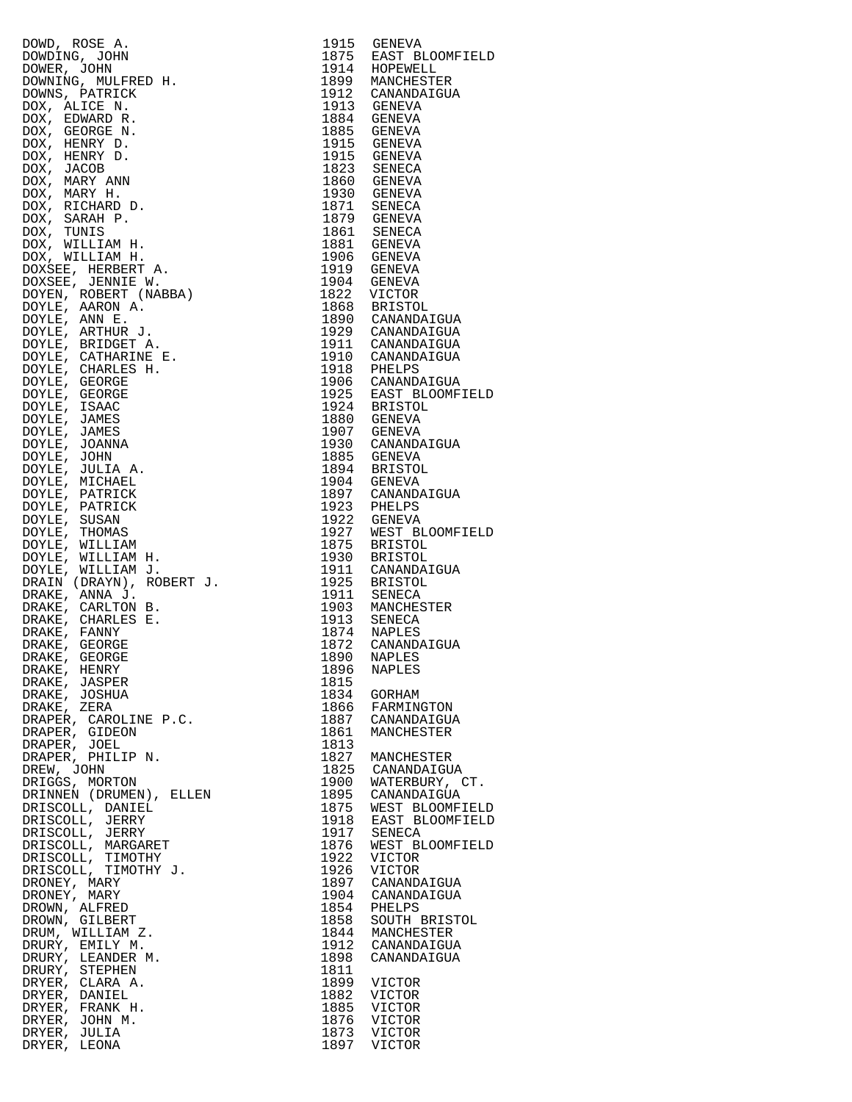| DOWDING, NOER A<br>DOWNER, JOHN<br>DOWNER, JOHN<br>DOWNER, JOHN<br>DOWNER, JOHN<br>DOWNER, JOHN<br>DOWNER, DATICK<br>DOX, HENRY D.<br>DOX, HENRY D.<br>DOX, HENRY D.<br>DOX, MARY ANN<br>DOX, MARY ANN<br>DOX, MARY ANN<br>DOX, NARY ANN<br>DOX, NILLIAM H | 1915         | GENEVA                               |
|------------------------------------------------------------------------------------------------------------------------------------------------------------------------------------------------------------------------------------------------------------|--------------|--------------------------------------|
|                                                                                                                                                                                                                                                            | 1875         | EAST BLOOMFIELD                      |
|                                                                                                                                                                                                                                                            |              | 1914 HOPEWELL                        |
|                                                                                                                                                                                                                                                            |              | 1899 MANCHESTER                      |
|                                                                                                                                                                                                                                                            |              | 1912 CANANDAIGUA                     |
|                                                                                                                                                                                                                                                            |              | 1913 GENEVA<br>1884 GENEVA           |
|                                                                                                                                                                                                                                                            |              | 1885 GENEVA                          |
|                                                                                                                                                                                                                                                            | 1915         | GENEVA                               |
|                                                                                                                                                                                                                                                            |              | 1915 GENEVA                          |
|                                                                                                                                                                                                                                                            | 1823         | SENECA                               |
|                                                                                                                                                                                                                                                            |              | 1860 GENEVA                          |
|                                                                                                                                                                                                                                                            | 1930         | GENEVA                               |
|                                                                                                                                                                                                                                                            |              | 1871 SENECA                          |
|                                                                                                                                                                                                                                                            |              | 1879 GENEVA                          |
|                                                                                                                                                                                                                                                            |              | 1861 SENECA                          |
|                                                                                                                                                                                                                                                            | 1881         | GENEVA<br>1906 GENEVA                |
|                                                                                                                                                                                                                                                            | 1919         | GENEVA                               |
|                                                                                                                                                                                                                                                            |              | 1904 GENEVA                          |
|                                                                                                                                                                                                                                                            | 1822         | VICTOR                               |
|                                                                                                                                                                                                                                                            |              | 1868 BRISTOL                         |
|                                                                                                                                                                                                                                                            |              | 1890 CANANDAIGUA                     |
|                                                                                                                                                                                                                                                            |              | 1929 CANANDAIGUA                     |
|                                                                                                                                                                                                                                                            |              | 1911 CANANDAIGUA                     |
|                                                                                                                                                                                                                                                            |              | 1910 CANANDAIGUA                     |
|                                                                                                                                                                                                                                                            |              | 1918 PHELPS                          |
|                                                                                                                                                                                                                                                            |              | 1906 CANANDAIGUA                     |
|                                                                                                                                                                                                                                                            |              | 1925 EAST BLOOMFIELD<br>1924 BRISTOL |
|                                                                                                                                                                                                                                                            |              | 1880 GENEVA                          |
|                                                                                                                                                                                                                                                            |              | 1907 GENEVA                          |
|                                                                                                                                                                                                                                                            | 1930         | CANANDAIGUA                          |
|                                                                                                                                                                                                                                                            | 1885         | GENEVA                               |
|                                                                                                                                                                                                                                                            |              | 1894 BRISTOL                         |
|                                                                                                                                                                                                                                                            |              | 1904 GENEVA                          |
|                                                                                                                                                                                                                                                            | 1897         | CANANDAIGUA                          |
|                                                                                                                                                                                                                                                            | 1922         | 1923 PHELPS                          |
|                                                                                                                                                                                                                                                            | 1927         | GENEVA<br>WEST BLOOMFIELD            |
|                                                                                                                                                                                                                                                            | 1875         | <b>BRISTOL</b>                       |
|                                                                                                                                                                                                                                                            | 1930         | BRISTOL                              |
|                                                                                                                                                                                                                                                            | 1911         | CANANDAIGUA                          |
|                                                                                                                                                                                                                                                            |              | 1925 BRISTOL                         |
| DRAKE, ANNA J.                                                                                                                                                                                                                                             |              | 1911 SENECA                          |
| DRAKE, CARLTON B.                                                                                                                                                                                                                                          |              | 1903 MANCHESTER                      |
| DRAKE, CHARLES E.                                                                                                                                                                                                                                          |              | 1913 SENECA<br>1874 NAPLES           |
| DRAKE, FANNY<br>DRAKE, GEORGE                                                                                                                                                                                                                              | 1872         | CANANDAIGUA                          |
| DRAKE, GEORGE                                                                                                                                                                                                                                              |              | 1890 NAPLES                          |
| DRAKE, HENRY                                                                                                                                                                                                                                               | 1896         | NAPLES                               |
| DRAKE, JASPER                                                                                                                                                                                                                                              | 1815         |                                      |
| DRAKE, JOSHUA                                                                                                                                                                                                                                              | 1834         | GORHAM                               |
| DRAKE, ZERA                                                                                                                                                                                                                                                | 1866         | FARMINGTON                           |
| DRAPER, CAROLINE P.C.                                                                                                                                                                                                                                      | 1887         | CANANDAIGUA                          |
| DRAPER, GIDEON<br>DRAPER, JOEL                                                                                                                                                                                                                             | 1861<br>1813 | MANCHESTER                           |
| DRAPER, PHILIP N.                                                                                                                                                                                                                                          |              |                                      |
|                                                                                                                                                                                                                                                            |              |                                      |
|                                                                                                                                                                                                                                                            | 1827         | MANCHESTER                           |
| DREW, JOHN                                                                                                                                                                                                                                                 | 1825         | CANANDAIGUA                          |
| DRIGGS, MORTON<br>DRINNEN (DRUMEN), ELLEN                                                                                                                                                                                                                  | 1900<br>1895 | WATERBURY, CT.<br>CANANDAIGUA        |
| DRISCOLL, DANIEL                                                                                                                                                                                                                                           | 1875         | WEST BLOOMFIELD                      |
| DRISCOLL, JERRY                                                                                                                                                                                                                                            | 1918         | EAST BLOOMFIELD                      |
| DRISCOLL, JERRY                                                                                                                                                                                                                                            |              | 1917 SENECA                          |
| DRISCOLL, MARGARET                                                                                                                                                                                                                                         | 1876         | WEST BLOOMFIELD                      |
| DRISCOLL, TIMOTHY                                                                                                                                                                                                                                          | 1922         | VICTOR                               |
| DRISCOLL, TIMOTHY J.                                                                                                                                                                                                                                       | 1926         | VICTOR                               |
| DRONEY, MARY                                                                                                                                                                                                                                               | 1897         | CANANDAIGUA                          |
| DRONEY, MARY<br>DROWN, ALFRED                                                                                                                                                                                                                              | 1904<br>1854 | CANANDAIGUA<br>PHELPS                |
| DROWN, GILBERT                                                                                                                                                                                                                                             | 1858         | SOUTH BRISTOL                        |
| DRUM, WILLIAM Z.                                                                                                                                                                                                                                           |              | 1844 MANCHESTER                      |
| DRURY, EMILY M.                                                                                                                                                                                                                                            | 1912         | CANANDAIGUA                          |
| DRURY, LEANDER M.                                                                                                                                                                                                                                          | 1898         | CANANDAIGUA                          |
| DRURY, STEPHEN                                                                                                                                                                                                                                             | 1811         |                                      |
| DRYER, CLARA A.                                                                                                                                                                                                                                            | 1899         | VICTOR                               |
| DRYER, DANIEL<br>DRYER, FRANK H.                                                                                                                                                                                                                           | 1882<br>1885 | VICTOR<br>VICTOR                     |
| DRYER, JOHN M.                                                                                                                                                                                                                                             | 1876         | VICTOR                               |
| DRYER, JULIA<br>DRYER, LEONA                                                                                                                                                                                                                               | 1873         | VICTOR<br>1897 VICTOR                |

| 1915         | GENEVA                           |
|--------------|----------------------------------|
| 1875         | EAST BLOOMFIELD                  |
| 1914<br>1899 | HOPEWELL<br>MANCHESTER           |
| 1912         | CANANDAIGUA                      |
| 1913         | GENEVA                           |
| 1884         | GENEVA                           |
| 1885<br>1915 | GENEVA<br>GENEVA                 |
| 1915         | GENEVA                           |
| 1823         | SENECA                           |
| 1860         | <b>GENEVA</b>                    |
| 1930<br>1871 | GENEVA<br>SENECA                 |
| 1879         | GENEVA                           |
| 1861         | <b>SENECA</b>                    |
| 1881         | GENEVA                           |
| 1906<br>1919 | GENEVA<br>GENEVA                 |
| 1904         | GENEVA                           |
| 1822         | VICTOR                           |
| 1868         | BRISTOL                          |
| 1890<br>1929 | CANANDAIGUA<br>CANANDAIGUA       |
| 1911         | CANANDAIGUA                      |
| 1910         | CANANDAIGUA                      |
| 1918         | PHELPS                           |
| 1906<br>1925 | CANANDAIGUA<br>EAST BLOOMFIELD   |
| 1924         | <b>BRISTOL</b>                   |
| 1880         | GENEVA                           |
| 1907         | GENEVA                           |
| 1930<br>1885 | CANANDAIGUA                      |
| 1894         | GENEVA<br><b>BRISTOL</b>         |
| 1904         | GENEVA                           |
| 1897         | CANANDAIGUA                      |
| 1923<br>1922 | PHELPS<br>GENEVA                 |
| 1927         | WEST BLOOMFIELD                  |
| 1875         | <b>BRISTOL</b>                   |
| 1930         | <b>BRISTOL</b>                   |
| 1911<br>1925 | CANANDAIGUA<br><b>BRISTOL</b>    |
| 1911         | SENECA                           |
| 1903         | MANCHESTER                       |
| 1913         | SENECA                           |
| 1874<br>1872 | NAPLES<br>CANANDAIGUA            |
| 1890         | NAPLES                           |
| 1896         | NAPLES                           |
| 1815         |                                  |
| 1834<br>1866 | GORHAM<br>FARMINGTON             |
| 1887         | CANANDAIGUA                      |
| 1861         | MANCHESTER                       |
| 1813         |                                  |
| 1827<br>1825 | MANCHESTER<br>CANANDAIGUA        |
| 1900         | WATERBURY, CT.                   |
| 1895         | CANANDAIGUA                      |
| 1875         | WEST BLOOMFIELD                  |
| 1918<br>1917 | EAST BLOOMFIELD<br><b>SENECA</b> |
| 1876         | WEST BLOOMFIELD                  |
| 1922         | VICTOR                           |
| 1926         | <b>VICTOR</b>                    |
| 1897<br>1904 | CANANDAIGUA<br>CANANDAIGUA       |
| 1854         | PHELPS                           |
| 1858         | SOUTH BRISTOL                    |
| 1844         | MANCHESTER                       |
| 1912<br>1898 | CANANDAIGUA<br>CANANDAIGUA       |
| 1811         |                                  |
| 1899         | VICTOR                           |
| 1882         | VICTOR<br>VICTOR                 |
| 1885<br>1876 | VICTOR                           |
| 1873         | <b>VICTOR</b>                    |
| 1897         | VICTOR                           |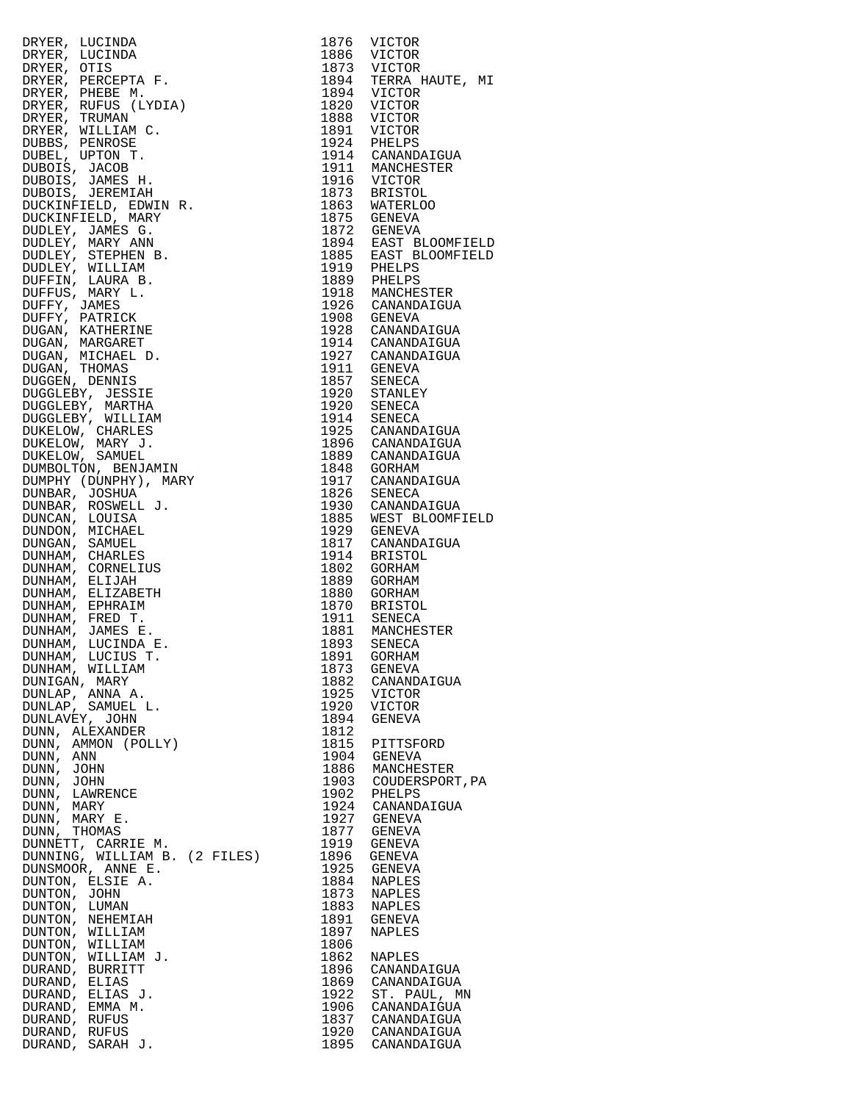|                                                                                                                                                                                                                                                        | 1876 |                                              |
|--------------------------------------------------------------------------------------------------------------------------------------------------------------------------------------------------------------------------------------------------------|------|----------------------------------------------|
| DRYER, LUCINDA<br>DRYER, LUCINDA<br>DRYER, CUCINDA<br>DRYER, PEREBETA F.<br>DRYER, PHEBETA F.<br>DRYER, RUFUS (LYDIA)<br>DRYER, RUFUS (LYDIA)<br>DRYER, TRUMAN C.<br>DUBOIS, JANES H.<br>DUBOIS, JANES H.<br>DUBOIS, JANES H.<br>DUBOIS, JANES H.<br>D |      | VICTOR                                       |
|                                                                                                                                                                                                                                                        |      | 1886 VICTOR                                  |
|                                                                                                                                                                                                                                                        |      |                                              |
|                                                                                                                                                                                                                                                        |      | 1873 VICTOR<br>1894 TERRA HAUTE, MI          |
|                                                                                                                                                                                                                                                        |      | 1894 VICTOR                                  |
|                                                                                                                                                                                                                                                        |      |                                              |
|                                                                                                                                                                                                                                                        |      | 1820 VICTOR                                  |
|                                                                                                                                                                                                                                                        |      | 1888 VICTOR                                  |
|                                                                                                                                                                                                                                                        |      | 1891 VICTOR                                  |
|                                                                                                                                                                                                                                                        |      | 1924 PHELPS                                  |
|                                                                                                                                                                                                                                                        |      | 1914 CANANDAIGUA                             |
|                                                                                                                                                                                                                                                        |      |                                              |
|                                                                                                                                                                                                                                                        |      | 1911 MANCHESTER<br>1916 VICTOR               |
|                                                                                                                                                                                                                                                        |      |                                              |
|                                                                                                                                                                                                                                                        |      |                                              |
|                                                                                                                                                                                                                                                        |      | 1873 BRISTOL<br>1863 WATERLOO                |
|                                                                                                                                                                                                                                                        |      |                                              |
|                                                                                                                                                                                                                                                        |      |                                              |
|                                                                                                                                                                                                                                                        |      | 1875 GENEVA<br>1872 GENEVA                   |
|                                                                                                                                                                                                                                                        |      |                                              |
|                                                                                                                                                                                                                                                        |      | 1894 EAST BLOOMFIELD<br>1885 EAST BLOOMFIELD |
|                                                                                                                                                                                                                                                        |      |                                              |
|                                                                                                                                                                                                                                                        |      | 1919 PHELPS<br>1889 PHELPS                   |
|                                                                                                                                                                                                                                                        |      |                                              |
|                                                                                                                                                                                                                                                        |      |                                              |
|                                                                                                                                                                                                                                                        |      | 1918 MANCHESTER<br>1926 CANANDAIGUA          |
|                                                                                                                                                                                                                                                        |      |                                              |
|                                                                                                                                                                                                                                                        |      | 1908 GENEVA<br>1928 CANANDAIGUA              |
|                                                                                                                                                                                                                                                        |      |                                              |
|                                                                                                                                                                                                                                                        |      | 1914 CANANDAIGUA<br>1927 CANANDAIGUA         |
|                                                                                                                                                                                                                                                        |      |                                              |
|                                                                                                                                                                                                                                                        |      |                                              |
|                                                                                                                                                                                                                                                        |      | 1911 GENEVA<br>1857 SENECA                   |
|                                                                                                                                                                                                                                                        |      |                                              |
|                                                                                                                                                                                                                                                        |      | 1920 STANLEY<br>1920 SENECA                  |
|                                                                                                                                                                                                                                                        |      |                                              |
|                                                                                                                                                                                                                                                        |      |                                              |
|                                                                                                                                                                                                                                                        |      | 1914 SENECA<br>1925 CANANDAIGUA              |
|                                                                                                                                                                                                                                                        |      |                                              |
|                                                                                                                                                                                                                                                        |      | 1896 CANANDAIGUA<br>1889 CANANDAIGUA         |
|                                                                                                                                                                                                                                                        |      |                                              |
|                                                                                                                                                                                                                                                        |      |                                              |
|                                                                                                                                                                                                                                                        |      | 1848 GORHAM<br>1917 CANANDAIGUA              |
|                                                                                                                                                                                                                                                        |      |                                              |
|                                                                                                                                                                                                                                                        |      | 1826 SENECA                                  |
|                                                                                                                                                                                                                                                        |      | 1930 CANANDAIGUA                             |
|                                                                                                                                                                                                                                                        |      |                                              |
|                                                                                                                                                                                                                                                        |      | 1885 WEST BLOOMFIELD                         |
|                                                                                                                                                                                                                                                        |      | 1929 GENEVA                                  |
|                                                                                                                                                                                                                                                        |      | 1817 CANANDAIGUA                             |
|                                                                                                                                                                                                                                                        |      | 1914 BRISTOL                                 |
|                                                                                                                                                                                                                                                        |      | 1802 GORHAM                                  |
|                                                                                                                                                                                                                                                        |      |                                              |
|                                                                                                                                                                                                                                                        |      | 1889 GORHAM                                  |
|                                                                                                                                                                                                                                                        |      | 1880 GORHAM                                  |
|                                                                                                                                                                                                                                                        |      | 1870 BRISTOL                                 |
|                                                                                                                                                                                                                                                        |      |                                              |
|                                                                                                                                                                                                                                                        |      | 1911 SENECA<br>1881 MANCHESTER               |
|                                                                                                                                                                                                                                                        |      |                                              |
|                                                                                                                                                                                                                                                        | 1893 | SENECA                                       |
| DUNHAM, LUCIUS T.                                                                                                                                                                                                                                      |      | 1891 GORHAM                                  |
| DUNHAM, WILLIAM                                                                                                                                                                                                                                        | 1873 | GENEVA                                       |
|                                                                                                                                                                                                                                                        |      |                                              |
| DUNIGAN, MARY                                                                                                                                                                                                                                          | 1882 | CANANDAIGUA                                  |
| DUNLAP, ANNA A.                                                                                                                                                                                                                                        | 1925 | VICTOR                                       |
| DUNLAP, SAMUEL L.                                                                                                                                                                                                                                      | 1920 | VICTOR                                       |
| DUNLAVEY, JOHN                                                                                                                                                                                                                                         | 1894 | GENEVA                                       |
| DUNN, ALEXANDER                                                                                                                                                                                                                                        | 1812 |                                              |
|                                                                                                                                                                                                                                                        |      |                                              |
| DUNN, AMMON (POLLY)                                                                                                                                                                                                                                    | 1815 | PITTSFORD                                    |
| DUNN, ANN                                                                                                                                                                                                                                              | 1904 | GENEVA                                       |
| DUNN, JOHN                                                                                                                                                                                                                                             | 1886 | MANCHESTER                                   |
| DUNN, JOHN                                                                                                                                                                                                                                             | 1903 | COUDERSPORT, PA                              |
|                                                                                                                                                                                                                                                        |      |                                              |
| DUNN, LAWRENCE                                                                                                                                                                                                                                         | 1902 | PHELPS                                       |
| DUNN, MARY                                                                                                                                                                                                                                             | 1924 | CANANDAIGUA                                  |
| DUNN, MARY E.                                                                                                                                                                                                                                          | 1927 | GENEVA                                       |
| DUNN,<br>THOMAS                                                                                                                                                                                                                                        | 1877 | GENEVA                                       |
|                                                                                                                                                                                                                                                        |      |                                              |
| DUNNETT, CARRIE M.                                                                                                                                                                                                                                     | 1919 | GENEVA                                       |
| DUNNING, WILLIAM B. (2 FILES)                                                                                                                                                                                                                          | 1896 | GENEVA                                       |
| DUNSMOOR, ANNE E.                                                                                                                                                                                                                                      | 1925 | GENEVA                                       |
| DUNTON, ELSIE A.                                                                                                                                                                                                                                       | 1884 | NAPLES                                       |
|                                                                                                                                                                                                                                                        | 1873 |                                              |
| DUNTON, JOHN                                                                                                                                                                                                                                           |      | NAPLES                                       |
| DUNTON, LUMAN                                                                                                                                                                                                                                          | 1883 | NAPLES                                       |
| DUNTON, NEHEMIAH                                                                                                                                                                                                                                       | 1891 | GENEVA                                       |
| DUNTON, WILLIAM                                                                                                                                                                                                                                        | 1897 | NAPLES                                       |
|                                                                                                                                                                                                                                                        | 1806 |                                              |
| DUNTON, WILLIAM<br>DUNTON, WILLIAM J.                                                                                                                                                                                                                  |      |                                              |
|                                                                                                                                                                                                                                                        | 1862 | NAPLES                                       |
| DURAND, BURRITT                                                                                                                                                                                                                                        | 1896 | CANANDAIGUA                                  |
| DURAND, ELIAS                                                                                                                                                                                                                                          | 1869 | CANANDAIGUA                                  |
| DURAND, ELIAS J.                                                                                                                                                                                                                                       | 1922 | ST. PAUL, MN                                 |
|                                                                                                                                                                                                                                                        |      |                                              |
| DURAND, EMMA M.                                                                                                                                                                                                                                        | 1906 | CANANDAIGUA                                  |
| DURAND, RUFUS                                                                                                                                                                                                                                          | 1837 | CANANDAIGUA                                  |
| DURAND, RUFUS                                                                                                                                                                                                                                          | 1920 | CANANDAIGUA                                  |
| DURAND, SARAH J.                                                                                                                                                                                                                                       | 1895 | CANANDAIGUA                                  |
|                                                                                                                                                                                                                                                        |      |                                              |

| 1876 | VICTOR          |
|------|-----------------|
| 1886 | VICTOR          |
| 1873 | VICTOR          |
| 1894 | TERRA HAUTE, MI |
| 1894 | VICTOR          |
| 1820 | <b>VICTOR</b>   |
| 1888 | <b>VICTOR</b>   |
| 1891 | VICTOR          |
|      |                 |
| 1924 | PHELPS          |
| 1914 | CANANDAIGUA     |
| 1911 | MANCHESTER      |
| 1916 | VICTOR          |
| 1873 | BRISTOL         |
| 1863 | <b>WATERLOO</b> |
| 1875 | GENEVA          |
| 1872 | GENEVA          |
| 1894 | EAST BLOOMFIELD |
| 1885 | EAST BLOOMFIELD |
| 1919 | PHELPS          |
| 1889 | PHELPS          |
| 1918 | MANCHESTER      |
| 1926 | CANANDAIGUA     |
| 1908 | <b>GENEVA</b>   |
| 1928 | CANANDAIGUA     |
| 1914 | CANANDAIGUA     |
| 1927 |                 |
|      | CANANDAIGUA     |
| 1911 | GENEVA          |
| 1857 | SENECA          |
| 1920 | STANLEY         |
| 1920 | SENECA          |
| 1914 | SENECA          |
| 1925 | CANANDAIGUA     |
| 1896 | CANANDAIGUA     |
| 1889 | CANANDAIGUA     |
| 1848 | GORHAM          |
| 1917 | CANANDAIGUA     |
| 1826 | SENECA          |
| 1930 | CANANDAIGUA     |
| 1885 | WEST BLOOMFIELD |
| 1929 | GENEVA          |
| 1817 | CANANDAIGUA     |
| 1914 | BRISTOL         |
| 1802 | GORHAM          |
| 1889 | GORHAM          |
| 1880 | GORHAM          |
| 1870 | BRISTOL         |
| 1911 | <b>SENECA</b>   |
| 1881 | MANCHESTER      |
| 1893 |                 |
|      | SENECA          |
| 1891 | GORHAM          |
| 1873 | GENEVA          |
| 1882 | CANANDAIGUA     |
| 1925 | VICTOR          |
| 1920 | VICTOR          |
| 1894 | GENEVA          |
| 1812 |                 |
| 1815 | PITTSFORD       |
| 1904 | <b>GENEVA</b>   |
| 1886 | MANCHESTER      |
| 1903 | COUDERSPORT, PA |
| 1902 | PHELPS          |
| 1924 | CANANDAIGUA     |
| 1927 | <b>GENEVA</b>   |
| 1877 | GENEVA          |
| 1919 | GENEVA          |
| 1896 | GENEVA          |
| 1925 | GENEVA          |
| 1884 | NAPLES          |
| 1873 | NAPLES          |
| 1883 | NAPLES          |
| 1891 | GENEVA          |
|      |                 |
| 1897 | NAPLES          |
| 1806 |                 |
| 1862 | NAPLES          |
| 1896 | CANANDAIGUA     |
| 1869 | CANANDAIGUA     |
| 1922 | ST. PAUL,<br>ΜN |
| 1906 | CANANDAIGUA     |
| 1837 | CANANDAIGUA     |
| 1920 | CANANDAIGUA     |
| 1895 | CANANDAIGUA     |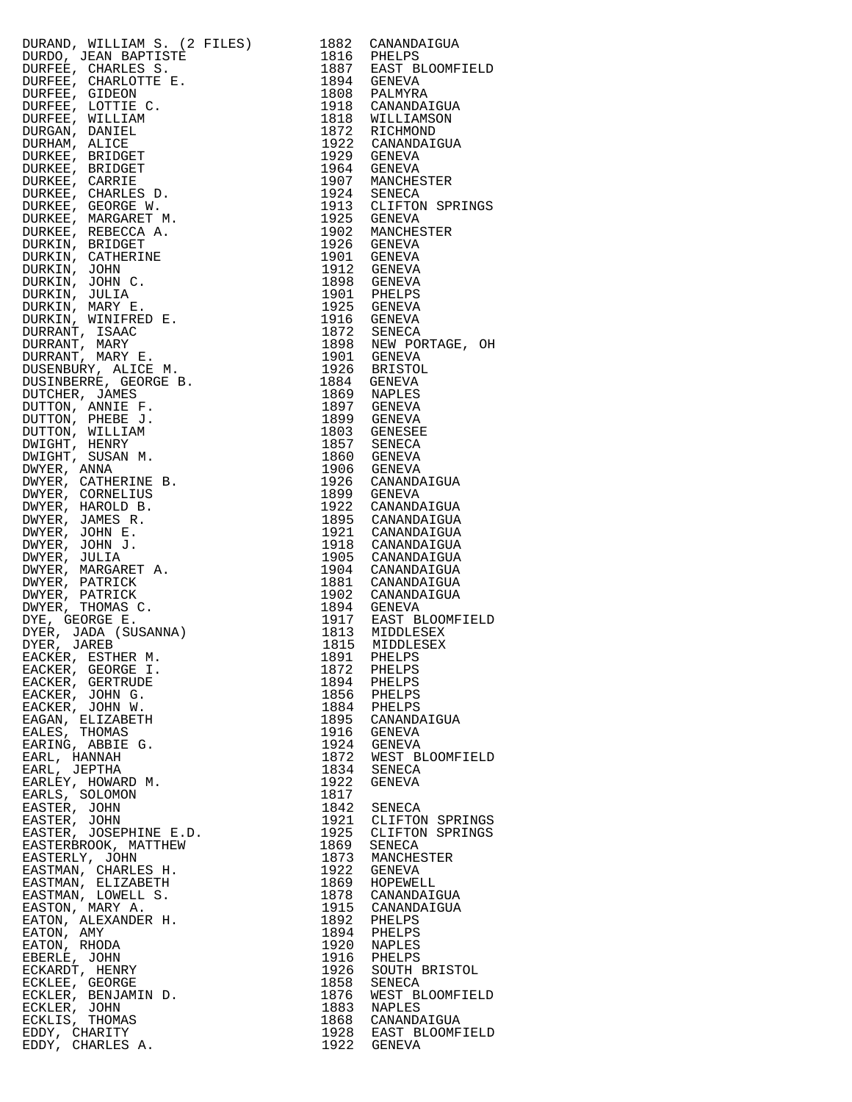| DURAND, NILLIAM S. (2 FILES)<br>1834 CANADONICAN S. (2 FILES)<br>DURAD, JEAN BAPTISTE<br>DUREE, CHARLOTTE F. 1897 BAPTISTE<br>DUREER, CHARLOTTE F. 1897 BAPTISTE<br>DUREER, GRANDATED, 1898 CANNANA DUREAM ALICE<br>DUREER, SERIORET 1992 |                                           |                                                                                                                    |
|-------------------------------------------------------------------------------------------------------------------------------------------------------------------------------------------------------------------------------------------|-------------------------------------------|--------------------------------------------------------------------------------------------------------------------|
|                                                                                                                                                                                                                                           |                                           |                                                                                                                    |
|                                                                                                                                                                                                                                           |                                           |                                                                                                                    |
|                                                                                                                                                                                                                                           |                                           |                                                                                                                    |
|                                                                                                                                                                                                                                           |                                           |                                                                                                                    |
|                                                                                                                                                                                                                                           |                                           |                                                                                                                    |
|                                                                                                                                                                                                                                           |                                           |                                                                                                                    |
|                                                                                                                                                                                                                                           |                                           |                                                                                                                    |
|                                                                                                                                                                                                                                           |                                           |                                                                                                                    |
|                                                                                                                                                                                                                                           |                                           |                                                                                                                    |
|                                                                                                                                                                                                                                           |                                           |                                                                                                                    |
|                                                                                                                                                                                                                                           |                                           |                                                                                                                    |
|                                                                                                                                                                                                                                           |                                           |                                                                                                                    |
|                                                                                                                                                                                                                                           |                                           |                                                                                                                    |
|                                                                                                                                                                                                                                           |                                           |                                                                                                                    |
|                                                                                                                                                                                                                                           |                                           |                                                                                                                    |
|                                                                                                                                                                                                                                           |                                           |                                                                                                                    |
|                                                                                                                                                                                                                                           |                                           |                                                                                                                    |
|                                                                                                                                                                                                                                           |                                           |                                                                                                                    |
|                                                                                                                                                                                                                                           |                                           |                                                                                                                    |
|                                                                                                                                                                                                                                           |                                           |                                                                                                                    |
|                                                                                                                                                                                                                                           |                                           |                                                                                                                    |
|                                                                                                                                                                                                                                           |                                           |                                                                                                                    |
|                                                                                                                                                                                                                                           |                                           |                                                                                                                    |
|                                                                                                                                                                                                                                           |                                           |                                                                                                                    |
|                                                                                                                                                                                                                                           |                                           |                                                                                                                    |
|                                                                                                                                                                                                                                           |                                           |                                                                                                                    |
|                                                                                                                                                                                                                                           |                                           |                                                                                                                    |
|                                                                                                                                                                                                                                           |                                           |                                                                                                                    |
|                                                                                                                                                                                                                                           |                                           |                                                                                                                    |
|                                                                                                                                                                                                                                           |                                           |                                                                                                                    |
|                                                                                                                                                                                                                                           |                                           |                                                                                                                    |
|                                                                                                                                                                                                                                           |                                           |                                                                                                                    |
|                                                                                                                                                                                                                                           |                                           |                                                                                                                    |
|                                                                                                                                                                                                                                           |                                           |                                                                                                                    |
|                                                                                                                                                                                                                                           |                                           |                                                                                                                    |
|                                                                                                                                                                                                                                           |                                           |                                                                                                                    |
|                                                                                                                                                                                                                                           |                                           |                                                                                                                    |
|                                                                                                                                                                                                                                           |                                           |                                                                                                                    |
|                                                                                                                                                                                                                                           |                                           |                                                                                                                    |
|                                                                                                                                                                                                                                           |                                           |                                                                                                                    |
|                                                                                                                                                                                                                                           |                                           |                                                                                                                    |
|                                                                                                                                                                                                                                           |                                           |                                                                                                                    |
|                                                                                                                                                                                                                                           |                                           |                                                                                                                    |
|                                                                                                                                                                                                                                           |                                           |                                                                                                                    |
|                                                                                                                                                                                                                                           |                                           |                                                                                                                    |
|                                                                                                                                                                                                                                           |                                           |                                                                                                                    |
|                                                                                                                                                                                                                                           |                                           |                                                                                                                    |
|                                                                                                                                                                                                                                           |                                           |                                                                                                                    |
|                                                                                                                                                                                                                                           |                                           |                                                                                                                    |
|                                                                                                                                                                                                                                           |                                           |                                                                                                                    |
| EACKER, ESTHER M.<br>EACKER, GEORGE I.                                                                                                                                                                                                    | 1891 PHELPS<br>1872 PHELPS<br>1894 PHELPS |                                                                                                                    |
| EACKER, GERTRUDE                                                                                                                                                                                                                          |                                           |                                                                                                                    |
| EACKER, JOHN G.                                                                                                                                                                                                                           |                                           |                                                                                                                    |
| EACKER, JOHN W.                                                                                                                                                                                                                           | 1856 PHELPS<br>1884 PHELPS                |                                                                                                                    |
|                                                                                                                                                                                                                                           |                                           |                                                                                                                    |
| EAGAN, ELIZABETH<br>EALES, THOMAS                                                                                                                                                                                                         |                                           | 1895 CANANDAIGUA<br>1916 GENEVA                                                                                    |
| EARING, ABBIE G.                                                                                                                                                                                                                          |                                           |                                                                                                                    |
| EARL, HANNAH                                                                                                                                                                                                                              |                                           | 1924 GENEVA<br>1872 WEST BLOOMFIEL                                                                                 |
| EARL, JEPTHA                                                                                                                                                                                                                              |                                           |                                                                                                                    |
| EARLEY, HOWARD M.                                                                                                                                                                                                                         | 1834 SENECA<br>1922 GENEVA                |                                                                                                                    |
| EARLS, SOLOMON                                                                                                                                                                                                                            | 1817                                      |                                                                                                                    |
| EASTER, JOHN                                                                                                                                                                                                                              | 1842 SENECA                               |                                                                                                                    |
| EASTER, JOHN                                                                                                                                                                                                                              |                                           |                                                                                                                    |
| EASTER, JOSEPHINE E.D.                                                                                                                                                                                                                    |                                           |                                                                                                                    |
| EASTERBROOK, MATTHEW                                                                                                                                                                                                                      |                                           |                                                                                                                    |
|                                                                                                                                                                                                                                           |                                           | 1921 CLIFTON SPRING<br>1925 CLIFTON SPRING<br>1869 SENECA<br>1873 MANCHESTER                                       |
| EASTERLY, JOHN<br>EASTMAN, CHARLES H.                                                                                                                                                                                                     |                                           |                                                                                                                    |
| EASTMAN, ELIZABETH                                                                                                                                                                                                                        |                                           | 1922 GENEVA<br>1869 HOPEWELL<br>1878 CANANDAIGUA<br>1915 CANANDAIGUA                                               |
| EASTMAN, LOWELL S.                                                                                                                                                                                                                        |                                           |                                                                                                                    |
|                                                                                                                                                                                                                                           |                                           |                                                                                                                    |
| EASTON, MARY A.                                                                                                                                                                                                                           |                                           |                                                                                                                    |
| EATON, ALEXANDER H.                                                                                                                                                                                                                       | 1892 PHELPS<br>1894 PHELPS                |                                                                                                                    |
| EATON, AMY                                                                                                                                                                                                                                |                                           |                                                                                                                    |
| EATON, RHODA                                                                                                                                                                                                                              | 1920 NAPLES<br>1916 PHELPS                |                                                                                                                    |
| EBERLE, JOHN                                                                                                                                                                                                                              |                                           |                                                                                                                    |
| ECKARDT, HENRY                                                                                                                                                                                                                            |                                           |                                                                                                                    |
| ECKLEE, GEORGE                                                                                                                                                                                                                            |                                           |                                                                                                                    |
| ECKLER, BENJAMIN D.                                                                                                                                                                                                                       |                                           |                                                                                                                    |
| ECKLER, JOHN                                                                                                                                                                                                                              |                                           | 1916 SOUTH BRISTOL<br>1926 SENECA<br>1876 WEST BLOOMFIEL<br>1883 NAPLES<br>1868 CANANDAIGUA<br>1928 EAST BLOOMFIEL |
| ECKLIS, THOMAS                                                                                                                                                                                                                            |                                           |                                                                                                                    |
| EDDY, CHARITY                                                                                                                                                                                                                             |                                           |                                                                                                                    |
| EDDY, CHARLES A.                                                                                                                                                                                                                          | 1922 GENEVA                               |                                                                                                                    |

|                                                                                                                                                                                                                                                                    |      | 1882 CANANDAIGUA                                                                                                                          |
|--------------------------------------------------------------------------------------------------------------------------------------------------------------------------------------------------------------------------------------------------------------------|------|-------------------------------------------------------------------------------------------------------------------------------------------|
|                                                                                                                                                                                                                                                                    |      |                                                                                                                                           |
|                                                                                                                                                                                                                                                                    |      |                                                                                                                                           |
|                                                                                                                                                                                                                                                                    |      | 1816 PHELPS<br>1887 EAST BLOOMFIELD<br>1894 GENEVA                                                                                        |
|                                                                                                                                                                                                                                                                    |      |                                                                                                                                           |
|                                                                                                                                                                                                                                                                    |      | 1808 PALMYRA<br>1918 CANANDAIGUA                                                                                                          |
|                                                                                                                                                                                                                                                                    |      |                                                                                                                                           |
|                                                                                                                                                                                                                                                                    |      | 1818 WILLIAMSON                                                                                                                           |
|                                                                                                                                                                                                                                                                    |      | 1872 RICHMOND<br>1922 CANANDAIGUA                                                                                                         |
|                                                                                                                                                                                                                                                                    |      |                                                                                                                                           |
|                                                                                                                                                                                                                                                                    |      | 1929 GENEVA                                                                                                                               |
|                                                                                                                                                                                                                                                                    |      | 1964 GENEVA                                                                                                                               |
|                                                                                                                                                                                                                                                                    |      |                                                                                                                                           |
|                                                                                                                                                                                                                                                                    |      | 1907 MANCHESTER                                                                                                                           |
|                                                                                                                                                                                                                                                                    |      | 1924 SENECA                                                                                                                               |
|                                                                                                                                                                                                                                                                    |      | 1913 CLIFTON SPRINGS                                                                                                                      |
|                                                                                                                                                                                                                                                                    |      | 1925 GENEVA                                                                                                                               |
|                                                                                                                                                                                                                                                                    |      | 1902 MANCHESTER                                                                                                                           |
|                                                                                                                                                                                                                                                                    |      |                                                                                                                                           |
|                                                                                                                                                                                                                                                                    |      | 1926 GENEVA                                                                                                                               |
|                                                                                                                                                                                                                                                                    |      | 1901 GENEVA                                                                                                                               |
|                                                                                                                                                                                                                                                                    |      |                                                                                                                                           |
|                                                                                                                                                                                                                                                                    |      |                                                                                                                                           |
|                                                                                                                                                                                                                                                                    |      |                                                                                                                                           |
|                                                                                                                                                                                                                                                                    |      | 1912 GENEVA<br>1898 GENEVA<br>1901 PHELPS<br>1925 GENEVA                                                                                  |
|                                                                                                                                                                                                                                                                    |      |                                                                                                                                           |
|                                                                                                                                                                                                                                                                    |      | 1916 GENEVA                                                                                                                               |
|                                                                                                                                                                                                                                                                    |      |                                                                                                                                           |
|                                                                                                                                                                                                                                                                    |      | 1872 SENECA<br>1898 NEW PORTAGE, OH<br>1901 GENEVA<br>1926 BRISTOL                                                                        |
|                                                                                                                                                                                                                                                                    |      |                                                                                                                                           |
|                                                                                                                                                                                                                                                                    |      |                                                                                                                                           |
|                                                                                                                                                                                                                                                                    |      |                                                                                                                                           |
|                                                                                                                                                                                                                                                                    |      | 1884 GENEVA                                                                                                                               |
|                                                                                                                                                                                                                                                                    |      |                                                                                                                                           |
|                                                                                                                                                                                                                                                                    |      | 1869 NAPLES<br>1897 GENEVA<br>1899 GENEVA                                                                                                 |
|                                                                                                                                                                                                                                                                    |      |                                                                                                                                           |
|                                                                                                                                                                                                                                                                    |      | 1803 GENESEE                                                                                                                              |
|                                                                                                                                                                                                                                                                    |      |                                                                                                                                           |
|                                                                                                                                                                                                                                                                    |      |                                                                                                                                           |
|                                                                                                                                                                                                                                                                    |      |                                                                                                                                           |
|                                                                                                                                                                                                                                                                    |      |                                                                                                                                           |
|                                                                                                                                                                                                                                                                    |      | 1857 SENECA<br>1860 GENEVA<br>1906 GENEVA<br>1926 CANANDAIGUA                                                                             |
|                                                                                                                                                                                                                                                                    |      | 1899 GENEVA                                                                                                                               |
|                                                                                                                                                                                                                                                                    |      | 1922 CANANDAIGUA                                                                                                                          |
|                                                                                                                                                                                                                                                                    |      |                                                                                                                                           |
|                                                                                                                                                                                                                                                                    |      |                                                                                                                                           |
| DURAND, WILLIAM S. (2)<br>DURAND, WILLIAM S. (2)<br>DURAND, JEAN BAPTISTE<br>DUREE, CHARLES S.<br>DUREE, CHARLES S.<br>DUREE, CHARLOTTE E.<br>DUREE, GIDEON<br>DUREE, GIDEON<br>DUREE, MILLIAM<br>DUREAN, DAIDE<br>DUREE, WILLIAM<br>DURAND, DAIDE<br>DUREE, REIDG |      | 1895 CANANDAIGUA<br>1921 CANANDAIGUA                                                                                                      |
|                                                                                                                                                                                                                                                                    |      | 1918 CANANDAIGUA<br>1905 CANANDAIGUA                                                                                                      |
|                                                                                                                                                                                                                                                                    |      |                                                                                                                                           |
|                                                                                                                                                                                                                                                                    |      | 1904 CANANDAIGUA                                                                                                                          |
|                                                                                                                                                                                                                                                                    |      | 1881 CANANDAIGUA                                                                                                                          |
|                                                                                                                                                                                                                                                                    |      |                                                                                                                                           |
|                                                                                                                                                                                                                                                                    |      | 1902 CANANDAIGUA                                                                                                                          |
|                                                                                                                                                                                                                                                                    |      | 1894 GENEVA                                                                                                                               |
|                                                                                                                                                                                                                                                                    |      |                                                                                                                                           |
|                                                                                                                                                                                                                                                                    |      |                                                                                                                                           |
|                                                                                                                                                                                                                                                                    |      | 1917 EAST BLOOMFIELD<br>1813 MIDDLESEX<br>1815 MIDDLESEX                                                                                  |
|                                                                                                                                                                                                                                                                    |      |                                                                                                                                           |
|                                                                                                                                                                                                                                                                    |      |                                                                                                                                           |
|                                                                                                                                                                                                                                                                    |      |                                                                                                                                           |
| EACKER, GERTRUDE                                                                                                                                                                                                                                                   |      | 1894 PHELPS<br>1856 PHELPS<br>1884 PHELPS                                                                                                 |
| EACKER, JOHN G.                                                                                                                                                                                                                                                    |      |                                                                                                                                           |
| EACKER, JOHN W.                                                                                                                                                                                                                                                    |      |                                                                                                                                           |
| EAGAN, ELIZABETH                                                                                                                                                                                                                                                   |      | 1895 CANANDAIGUA                                                                                                                          |
| EALES, THOMAS                                                                                                                                                                                                                                                      |      | 1916 GENEVA                                                                                                                               |
| EARING, ABBIE G.                                                                                                                                                                                                                                                   |      |                                                                                                                                           |
|                                                                                                                                                                                                                                                                    |      | 1924 GENEVA<br>1872 WEST BLOOMFIELD<br>1834 SENECA                                                                                        |
| EARL, HANNAH                                                                                                                                                                                                                                                       |      |                                                                                                                                           |
| EARL, JEPTHA                                                                                                                                                                                                                                                       |      |                                                                                                                                           |
| EARLEY, HOWARD M.                                                                                                                                                                                                                                                  |      | 1922 GENEVA                                                                                                                               |
| EARLS, SOLOMON                                                                                                                                                                                                                                                     | 1817 |                                                                                                                                           |
| EASTER, JOHN                                                                                                                                                                                                                                                       |      | 1842 SENECA                                                                                                                               |
| EASTER, JOHN                                                                                                                                                                                                                                                       |      | 1921 CLIFTON SPRINGS                                                                                                                      |
|                                                                                                                                                                                                                                                                    |      | 1925 CLIFTON SPRINGS                                                                                                                      |
| EASTER, JOSEPHINE E.D.                                                                                                                                                                                                                                             |      |                                                                                                                                           |
| EASTERBROOK, MATTHEW                                                                                                                                                                                                                                               |      | 1869 SENECA<br>1873 MANCHESTER                                                                                                            |
| EASTERLY, JOHN                                                                                                                                                                                                                                                     |      |                                                                                                                                           |
| EASTMAN, CHARLES H.                                                                                                                                                                                                                                                |      | 1922 GENEVA                                                                                                                               |
| EASTMAN, ELIZABETH                                                                                                                                                                                                                                                 |      |                                                                                                                                           |
| EASTMAN, LOWELL S.                                                                                                                                                                                                                                                 |      | 1869 HOPEWELL<br>1878 CANANDAIGUA                                                                                                         |
| EASTON, MARY A.                                                                                                                                                                                                                                                    |      | 1915 CANANDAIGUA                                                                                                                          |
|                                                                                                                                                                                                                                                                    |      |                                                                                                                                           |
| EATON, ALEXANDER H.                                                                                                                                                                                                                                                |      |                                                                                                                                           |
| EATON, AMY                                                                                                                                                                                                                                                         |      |                                                                                                                                           |
| EATON, RHODA                                                                                                                                                                                                                                                       |      |                                                                                                                                           |
| EBERLE, JOHN                                                                                                                                                                                                                                                       |      |                                                                                                                                           |
| ECKARDT, HENRY                                                                                                                                                                                                                                                     |      |                                                                                                                                           |
| ECKLEE, GEORGE                                                                                                                                                                                                                                                     |      |                                                                                                                                           |
|                                                                                                                                                                                                                                                                    |      |                                                                                                                                           |
| ECKLER, BENJAMIN D.                                                                                                                                                                                                                                                |      | 1913 CANANDAIGUA<br>1892 PHELPS<br>1920 NAPLES<br>1920 NAPLES<br>1916 PHELPS<br>1926 SOUTH BRISTOL<br>1858 SENECA<br>1876 WEST BLOOMFIELD |
| ECKLER, JOHN                                                                                                                                                                                                                                                       |      | 1883 NAPLES<br>1868 CANANDAIGUA<br>1928 EAST BLOOMFIELD                                                                                   |
| ECKLIS, THOMAS                                                                                                                                                                                                                                                     |      |                                                                                                                                           |
| EDDY, CHARITY                                                                                                                                                                                                                                                      |      |                                                                                                                                           |
| EDDY, CHARLES A.                                                                                                                                                                                                                                                   |      | 1922 GENEVA                                                                                                                               |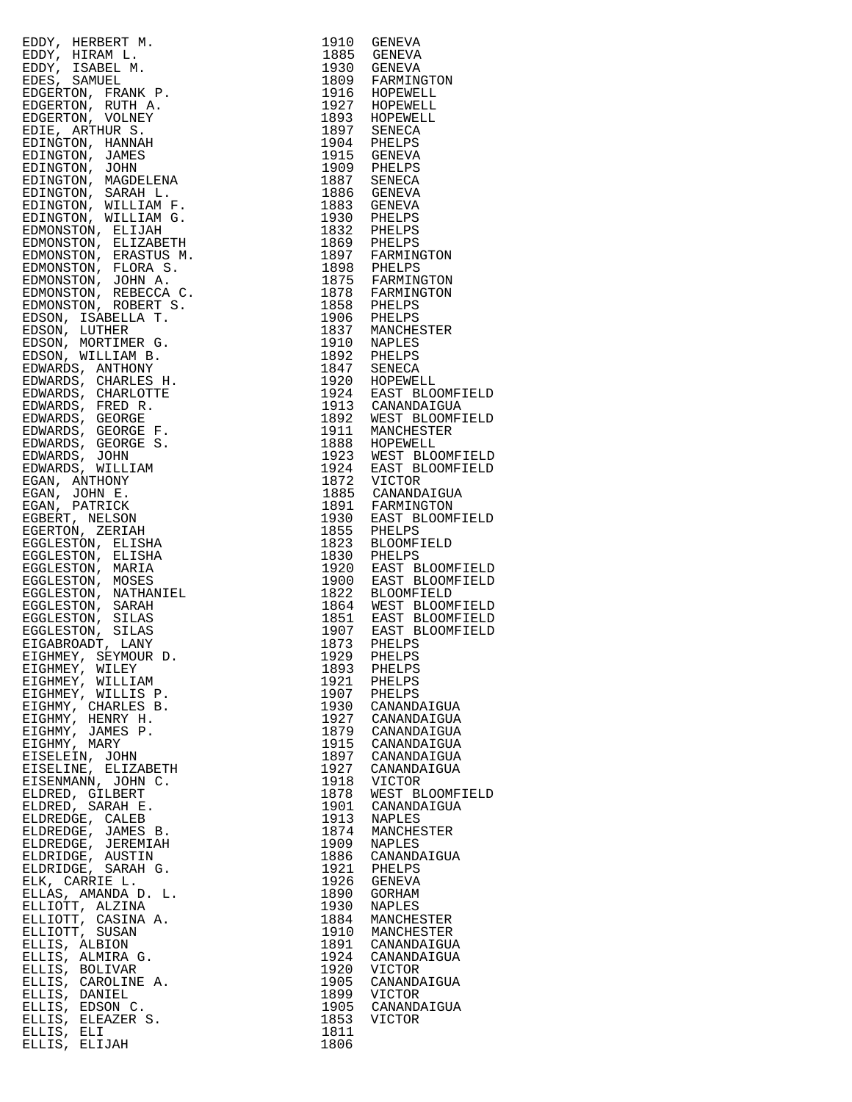| EDWY, HERBERT M. 1910 GENEVAL 1985<br>EDWY, HERBER M. 1985<br>EDWY, HERBER M. 1985<br>EDENTIFICAN DERS, SAMUEL M. 1985<br>SCREETON, FRANCISCO (1987)<br>EDENTIFICAN CROSSETON, VOLMEY 1997<br>EDENTIFICANT MANARS<br>2009 FRANCISCO (1987)<br> |      |                  |
|------------------------------------------------------------------------------------------------------------------------------------------------------------------------------------------------------------------------------------------------|------|------------------|
|                                                                                                                                                                                                                                                |      |                  |
|                                                                                                                                                                                                                                                |      |                  |
|                                                                                                                                                                                                                                                |      |                  |
|                                                                                                                                                                                                                                                |      |                  |
|                                                                                                                                                                                                                                                |      |                  |
|                                                                                                                                                                                                                                                |      |                  |
|                                                                                                                                                                                                                                                |      |                  |
|                                                                                                                                                                                                                                                |      |                  |
|                                                                                                                                                                                                                                                |      |                  |
|                                                                                                                                                                                                                                                |      |                  |
|                                                                                                                                                                                                                                                |      |                  |
|                                                                                                                                                                                                                                                |      |                  |
|                                                                                                                                                                                                                                                |      |                  |
|                                                                                                                                                                                                                                                |      |                  |
|                                                                                                                                                                                                                                                |      |                  |
|                                                                                                                                                                                                                                                |      |                  |
|                                                                                                                                                                                                                                                |      |                  |
|                                                                                                                                                                                                                                                |      |                  |
|                                                                                                                                                                                                                                                |      |                  |
|                                                                                                                                                                                                                                                |      |                  |
|                                                                                                                                                                                                                                                |      |                  |
|                                                                                                                                                                                                                                                |      |                  |
|                                                                                                                                                                                                                                                |      |                  |
|                                                                                                                                                                                                                                                |      |                  |
|                                                                                                                                                                                                                                                |      |                  |
|                                                                                                                                                                                                                                                |      |                  |
|                                                                                                                                                                                                                                                |      |                  |
|                                                                                                                                                                                                                                                |      |                  |
|                                                                                                                                                                                                                                                |      |                  |
|                                                                                                                                                                                                                                                |      |                  |
|                                                                                                                                                                                                                                                |      |                  |
|                                                                                                                                                                                                                                                |      |                  |
|                                                                                                                                                                                                                                                |      |                  |
|                                                                                                                                                                                                                                                |      |                  |
|                                                                                                                                                                                                                                                |      |                  |
|                                                                                                                                                                                                                                                |      |                  |
|                                                                                                                                                                                                                                                |      |                  |
|                                                                                                                                                                                                                                                |      |                  |
|                                                                                                                                                                                                                                                |      |                  |
|                                                                                                                                                                                                                                                |      |                  |
|                                                                                                                                                                                                                                                |      |                  |
|                                                                                                                                                                                                                                                |      |                  |
|                                                                                                                                                                                                                                                |      |                  |
|                                                                                                                                                                                                                                                |      |                  |
|                                                                                                                                                                                                                                                |      |                  |
|                                                                                                                                                                                                                                                |      |                  |
|                                                                                                                                                                                                                                                |      |                  |
|                                                                                                                                                                                                                                                |      |                  |
|                                                                                                                                                                                                                                                |      |                  |
|                                                                                                                                                                                                                                                |      |                  |
|                                                                                                                                                                                                                                                |      |                  |
|                                                                                                                                                                                                                                                |      |                  |
|                                                                                                                                                                                                                                                |      |                  |
|                                                                                                                                                                                                                                                |      |                  |
|                                                                                                                                                                                                                                                |      |                  |
|                                                                                                                                                                                                                                                |      |                  |
|                                                                                                                                                                                                                                                |      |                  |
| EIGHMEY, WILEY                                                                                                                                                                                                                                 | 1893 | PHELPS           |
|                                                                                                                                                                                                                                                | 1921 | PHELPS           |
| EIGHMEY, WILLIAM<br>EIGHMEY, WILLIS P.                                                                                                                                                                                                         | 1907 | PHELPS           |
|                                                                                                                                                                                                                                                |      |                  |
| EIGHMY, CHARLES B.                                                                                                                                                                                                                             |      | 1930 CANANDAIGUA |
| EIGHMY, HENRY H.                                                                                                                                                                                                                               |      | 1927 CANANDAIGUA |
| EIGHMY, JAMES P.                                                                                                                                                                                                                               |      | 1879 CANANDAIGUA |
| EIGHMY, MARY                                                                                                                                                                                                                                   |      | 1915 CANANDAIGUA |
| EISELEIN, JOHN                                                                                                                                                                                                                                 |      | 1897 CANANDAIGUA |
| EISELINE, ELIZABETH                                                                                                                                                                                                                            | 1927 | CANANDAIGUA      |
|                                                                                                                                                                                                                                                |      |                  |
| EISENMANN, JOHN C.                                                                                                                                                                                                                             | 1918 | VICTOR           |
| ELDRED, GILBERT                                                                                                                                                                                                                                | 1878 | WEST BLOOMFI     |
| ELDRED, SARAH E.                                                                                                                                                                                                                               |      | 1901 CANANDAIGUA |
| ELDREDGE, CALEB                                                                                                                                                                                                                                | 1913 | NAPLES           |
| ELDREDGE, JAMES B.                                                                                                                                                                                                                             | 1874 | MANCHESTER       |
| ELDREDGE, JEREMIAH                                                                                                                                                                                                                             | 1909 | <b>NAPLES</b>    |
|                                                                                                                                                                                                                                                |      |                  |
| ELDRIDGE, AUSTIN                                                                                                                                                                                                                               | 1886 | CANANDAIGUA      |
| ELDRIDGE, SARAH G.                                                                                                                                                                                                                             | 1921 | PHELPS           |
| ELK, CARRIE L.                                                                                                                                                                                                                                 | 1926 | GENEVA           |
| ELLAS, AMANDA D. L.                                                                                                                                                                                                                            | 1890 | GORHAM           |
| ELLIOTT, ALZINA                                                                                                                                                                                                                                | 1930 | NAPLES           |
| ELLIOTT, CASINA A.                                                                                                                                                                                                                             | 1884 | MANCHESTER       |
|                                                                                                                                                                                                                                                |      |                  |
| ELLIOTT, SUSAN                                                                                                                                                                                                                                 | 1910 | MANCHESTER       |
| ELLIS, ALBION                                                                                                                                                                                                                                  | 1891 | CANANDAIGUA      |
| ELLIS, ALMIRA G.                                                                                                                                                                                                                               | 1924 | CANANDAIGUA      |
| ELLIS, BOLIVAR                                                                                                                                                                                                                                 | 1920 | VICTOR           |
| ELLIS, CAROLINE A.                                                                                                                                                                                                                             | 1905 | CANANDAIGUA      |
|                                                                                                                                                                                                                                                |      |                  |
| ELLIS, DANIEL                                                                                                                                                                                                                                  | 1899 | VICTOR           |
| ELLIS, EDSON C.                                                                                                                                                                                                                                | 1905 | CANANDAIGUA      |
| ELLIS, ELEAZER S.                                                                                                                                                                                                                              | 1853 | <b>VICTOR</b>    |
| ELLIS, ELI                                                                                                                                                                                                                                     | 1811 |                  |
| ELLIS, ELIJAH                                                                                                                                                                                                                                  | 1806 |                  |
|                                                                                                                                                                                                                                                |      |                  |

| EDDW, HERBET M. 1910 GENEVA<br>EDDW, HIRAM L. 1910 GENEVA<br>EDDW, HIRAM L. 1910 GENEVA<br>EDDE SAMUEL MR P. 1920 GENEVA<br>EDESERVON, RUTHAM P. 1920 FARMINGTON<br>EDESERVON, RUTHAM 1923<br>EDITORY MANUELENA<br>EDESERVON, THE RANGELENA<br> |              |                                      |
|-------------------------------------------------------------------------------------------------------------------------------------------------------------------------------------------------------------------------------------------------|--------------|--------------------------------------|
|                                                                                                                                                                                                                                                 |              |                                      |
|                                                                                                                                                                                                                                                 |              |                                      |
|                                                                                                                                                                                                                                                 |              |                                      |
|                                                                                                                                                                                                                                                 |              |                                      |
|                                                                                                                                                                                                                                                 |              |                                      |
|                                                                                                                                                                                                                                                 |              |                                      |
|                                                                                                                                                                                                                                                 |              |                                      |
|                                                                                                                                                                                                                                                 |              |                                      |
|                                                                                                                                                                                                                                                 |              |                                      |
|                                                                                                                                                                                                                                                 |              |                                      |
|                                                                                                                                                                                                                                                 |              |                                      |
|                                                                                                                                                                                                                                                 |              |                                      |
|                                                                                                                                                                                                                                                 |              |                                      |
|                                                                                                                                                                                                                                                 |              |                                      |
|                                                                                                                                                                                                                                                 |              |                                      |
|                                                                                                                                                                                                                                                 |              |                                      |
|                                                                                                                                                                                                                                                 |              |                                      |
|                                                                                                                                                                                                                                                 |              |                                      |
|                                                                                                                                                                                                                                                 |              |                                      |
|                                                                                                                                                                                                                                                 |              |                                      |
|                                                                                                                                                                                                                                                 |              |                                      |
|                                                                                                                                                                                                                                                 |              |                                      |
|                                                                                                                                                                                                                                                 |              |                                      |
|                                                                                                                                                                                                                                                 |              |                                      |
|                                                                                                                                                                                                                                                 |              |                                      |
|                                                                                                                                                                                                                                                 |              |                                      |
|                                                                                                                                                                                                                                                 |              |                                      |
|                                                                                                                                                                                                                                                 |              |                                      |
|                                                                                                                                                                                                                                                 |              |                                      |
|                                                                                                                                                                                                                                                 |              |                                      |
|                                                                                                                                                                                                                                                 |              |                                      |
|                                                                                                                                                                                                                                                 |              |                                      |
|                                                                                                                                                                                                                                                 |              |                                      |
|                                                                                                                                                                                                                                                 |              |                                      |
|                                                                                                                                                                                                                                                 |              |                                      |
|                                                                                                                                                                                                                                                 |              |                                      |
|                                                                                                                                                                                                                                                 |              |                                      |
|                                                                                                                                                                                                                                                 |              |                                      |
|                                                                                                                                                                                                                                                 |              |                                      |
|                                                                                                                                                                                                                                                 |              |                                      |
|                                                                                                                                                                                                                                                 |              |                                      |
|                                                                                                                                                                                                                                                 |              |                                      |
|                                                                                                                                                                                                                                                 |              |                                      |
|                                                                                                                                                                                                                                                 |              |                                      |
|                                                                                                                                                                                                                                                 |              |                                      |
|                                                                                                                                                                                                                                                 |              |                                      |
|                                                                                                                                                                                                                                                 |              |                                      |
|                                                                                                                                                                                                                                                 |              |                                      |
|                                                                                                                                                                                                                                                 |              |                                      |
|                                                                                                                                                                                                                                                 |              |                                      |
|                                                                                                                                                                                                                                                 |              |                                      |
|                                                                                                                                                                                                                                                 |              |                                      |
|                                                                                                                                                                                                                                                 |              |                                      |
|                                                                                                                                                                                                                                                 |              |                                      |
|                                                                                                                                                                                                                                                 |              |                                      |
|                                                                                                                                                                                                                                                 |              |                                      |
|                                                                                                                                                                                                                                                 |              |                                      |
|                                                                                                                                                                                                                                                 |              |                                      |
|                                                                                                                                                                                                                                                 |              |                                      |
|                                                                                                                                                                                                                                                 |              |                                      |
|                                                                                                                                                                                                                                                 |              |                                      |
|                                                                                                                                                                                                                                                 |              |                                      |
|                                                                                                                                                                                                                                                 |              |                                      |
|                                                                                                                                                                                                                                                 |              |                                      |
|                                                                                                                                                                                                                                                 |              |                                      |
|                                                                                                                                                                                                                                                 |              |                                      |
|                                                                                                                                                                                                                                                 |              |                                      |
|                                                                                                                                                                                                                                                 |              |                                      |
|                                                                                                                                                                                                                                                 |              |                                      |
|                                                                                                                                                                                                                                                 |              |                                      |
|                                                                                                                                                                                                                                                 |              |                                      |
|                                                                                                                                                                                                                                                 |              |                                      |
|                                                                                                                                                                                                                                                 |              |                                      |
|                                                                                                                                                                                                                                                 |              |                                      |
|                                                                                                                                                                                                                                                 |              |                                      |
|                                                                                                                                                                                                                                                 |              | 1893 PHELPS<br>1921 PHELPS           |
|                                                                                                                                                                                                                                                 |              |                                      |
| EIGHMEY, WILLIAM                                                                                                                                                                                                                                |              |                                      |
| EIGHMEY, WILLIS P.                                                                                                                                                                                                                              |              | 1907 PHELPS                          |
|                                                                                                                                                                                                                                                 |              | 1930 CANANDAIGUA                     |
| EIGHMY, CHARLES B.                                                                                                                                                                                                                              |              |                                      |
| EIGHMY, HENRY H.                                                                                                                                                                                                                                |              |                                      |
|                                                                                                                                                                                                                                                 |              | 1927 CANANDAIGUA<br>1879 CANANDAIGUA |
| EIGHMY, JAMES P.                                                                                                                                                                                                                                |              |                                      |
| EIGHMY, MARY                                                                                                                                                                                                                                    |              | 1915 CANANDAIGUA<br>1897 CANANDAIGUA |
| EISELEIN, JOHN                                                                                                                                                                                                                                  |              |                                      |
|                                                                                                                                                                                                                                                 |              |                                      |
| EISELINE, ELIZABETH                                                                                                                                                                                                                             |              | 1927 CANANDAIGUA                     |
|                                                                                                                                                                                                                                                 |              | 1918 VICTOR                          |
| EISENMANN, JOHN C.                                                                                                                                                                                                                              |              |                                      |
| ELDRED, GILBERT                                                                                                                                                                                                                                 |              | 1878 WEST BLOOMFIELD                 |
|                                                                                                                                                                                                                                                 |              |                                      |
| ELDRED, SARAH E.                                                                                                                                                                                                                                |              | 1901 CANANDAIGUA                     |
| ELDREDGE, CALEB                                                                                                                                                                                                                                 |              |                                      |
|                                                                                                                                                                                                                                                 |              |                                      |
| ELDREDGE, JAMES B.                                                                                                                                                                                                                              |              | 1913 NAPLES<br>1874 MANCHESTER       |
| ELDREDGE, JEREMIAH                                                                                                                                                                                                                              | 1909         | NAPLES                               |
|                                                                                                                                                                                                                                                 |              |                                      |
| ELDRIDGE, AUSTIN                                                                                                                                                                                                                                |              | 1886 CANANDAIGUA                     |
| ELDRIDGE, SARAH G.                                                                                                                                                                                                                              |              |                                      |
|                                                                                                                                                                                                                                                 |              | 1921 PHELPS                          |
| ELK, CARRIE L.                                                                                                                                                                                                                                  |              | 1926 GENEVA                          |
| ELLAS, AMANDA D. L.                                                                                                                                                                                                                             | 1890         |                                      |
|                                                                                                                                                                                                                                                 |              | GORHAM                               |
| ELLIOTT, ALZINA                                                                                                                                                                                                                                 |              | 1930 NAPLES                          |
|                                                                                                                                                                                                                                                 |              |                                      |
| ELLIOTT, CASINA A.<br>ELLIOTT, SUSAN                                                                                                                                                                                                            | 1884         | MANCHESTER                           |
|                                                                                                                                                                                                                                                 |              | 1910 MANCHESTER                      |
|                                                                                                                                                                                                                                                 |              |                                      |
| ELLIS, ALBION                                                                                                                                                                                                                                   |              | 1891 CANANDAIGUA                     |
| ELLIS, ALMIRA G.                                                                                                                                                                                                                                |              | 1924 CANANDAIGUA                     |
|                                                                                                                                                                                                                                                 |              |                                      |
| ELLIS, BOLIVAR                                                                                                                                                                                                                                  |              | 1920 VICTOR                          |
| ELLIS, CAROLINE A.                                                                                                                                                                                                                              |              |                                      |
|                                                                                                                                                                                                                                                 |              |                                      |
|                                                                                                                                                                                                                                                 |              | 1905 CANANDAIGUA                     |
| ELLIS, DANIEL                                                                                                                                                                                                                                   |              | 1899 VICTOR                          |
|                                                                                                                                                                                                                                                 |              |                                      |
| ELLIS, EDSON C.                                                                                                                                                                                                                                 |              | 1905 CANANDAIGUA                     |
| ELLIS, ELEAZER S.                                                                                                                                                                                                                               |              | 1853 VICTOR                          |
|                                                                                                                                                                                                                                                 |              |                                      |
| ELLIS, ELI<br>ELLIS, ELIJAH                                                                                                                                                                                                                     | 1811<br>1806 |                                      |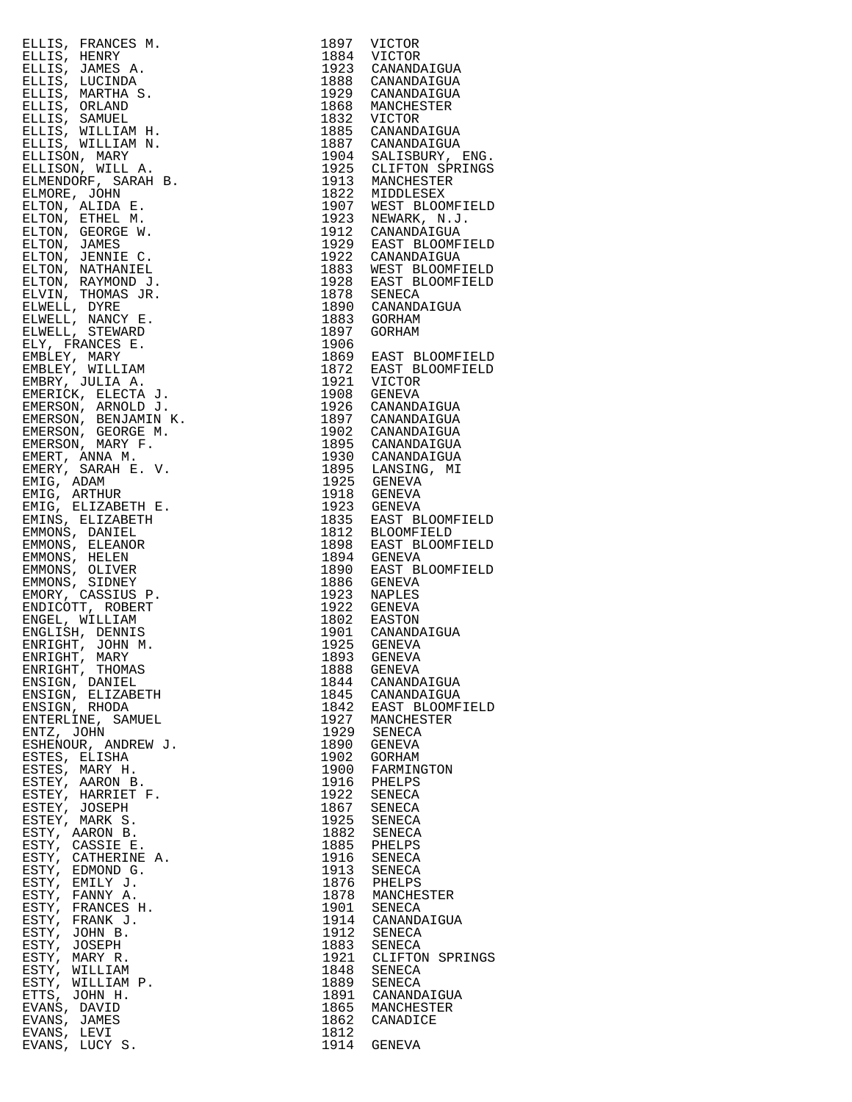| ELLIS, FRANCES M.                   |      | 1897 VICTOR<br>1884 VICTOR<br>1923 CANANDAIGUA<br>1888 CANANDAIGUA                                                                                                                                                                                                      |
|-------------------------------------|------|-------------------------------------------------------------------------------------------------------------------------------------------------------------------------------------------------------------------------------------------------------------------------|
| ELLIS, HENRY                        |      |                                                                                                                                                                                                                                                                         |
| ELLIS, JAMES A.                     |      |                                                                                                                                                                                                                                                                         |
| ELLIS, LUCINDA                      |      | 1923 CANANDATGUA<br>1888 CANANDATGUA<br>1929 CANANDATGUA<br>1868 MANCHESTER<br>1832 VICTOR<br>1885 CANANDATGUA<br>1887 CANANDATGUA<br>1925 CANANDATGUA<br>1925 CLIFTON SPRIN<br>1925 MIDDLESEX<br>1922 MIDDLESEX<br>1923 NEWARK, N.J.<br>1912 NEWARK,                   |
| ELLIS, MARTHA S.                    |      |                                                                                                                                                                                                                                                                         |
| ELLIS, ORLAND                       |      |                                                                                                                                                                                                                                                                         |
| ELLIS, SAMUEL                       |      |                                                                                                                                                                                                                                                                         |
| ELLIS, WILLIAM H.                   |      |                                                                                                                                                                                                                                                                         |
| ELLIS, WILLIAM N.                   |      |                                                                                                                                                                                                                                                                         |
| ELLISON, MARY                       |      |                                                                                                                                                                                                                                                                         |
| ELLISON, WILL A.                    |      |                                                                                                                                                                                                                                                                         |
| ELMENDORF, SARAH B.                 |      |                                                                                                                                                                                                                                                                         |
| ELMORE, JOHN                        |      |                                                                                                                                                                                                                                                                         |
| ELTON, ALIDA E.                     |      |                                                                                                                                                                                                                                                                         |
| ELTON, ETHEL M.                     |      |                                                                                                                                                                                                                                                                         |
| ELTON, GEORGE W.                    |      |                                                                                                                                                                                                                                                                         |
| ELTON, JAMES                        |      |                                                                                                                                                                                                                                                                         |
| ELTON, JENNIE C.                    |      |                                                                                                                                                                                                                                                                         |
| ELTON, NATHANIEL                    |      |                                                                                                                                                                                                                                                                         |
| ELTON, RAYMOND J.                   |      |                                                                                                                                                                                                                                                                         |
| ELVIN, THOMAS JR.                   |      |                                                                                                                                                                                                                                                                         |
| ELWELL, DYRE                        |      |                                                                                                                                                                                                                                                                         |
| ELWELL, NANCY E.<br>ELWELL, STEWARD |      |                                                                                                                                                                                                                                                                         |
|                                     |      |                                                                                                                                                                                                                                                                         |
| ELY, FRANCES E.                     |      |                                                                                                                                                                                                                                                                         |
| EMBLEY, MARY                        |      |                                                                                                                                                                                                                                                                         |
| EMBLEY, WILLIAM                     |      |                                                                                                                                                                                                                                                                         |
| EMBRY, JULIA A.                     |      |                                                                                                                                                                                                                                                                         |
| EMERICK, ELECTA J.                  |      |                                                                                                                                                                                                                                                                         |
| EMERSON, ARNOLD J.                  |      |                                                                                                                                                                                                                                                                         |
| EMERSON, BENJAMIN K.                |      |                                                                                                                                                                                                                                                                         |
| EMERSON, GEORGE M.                  |      |                                                                                                                                                                                                                                                                         |
| EMERSON, MARY F.                    |      |                                                                                                                                                                                                                                                                         |
| EMERT, ANNA M.                      |      |                                                                                                                                                                                                                                                                         |
| EMERY, SARAH E. V.                  |      |                                                                                                                                                                                                                                                                         |
| EMIG, ADAM                          |      |                                                                                                                                                                                                                                                                         |
| EMIG, ARTHUR                        |      |                                                                                                                                                                                                                                                                         |
| EMIG, ELIZABETH E.                  |      |                                                                                                                                                                                                                                                                         |
| EMINS, ELIZABETH                    |      | 1897 GORHAM<br>1906 EAST BLOOMFIE<br>1872 EAST BLOOMFIE<br>1921 VICTOR<br>1908 GENEVA<br>1926 CANANDAIGUA<br>1897 CANANDAIGUA<br>1897 CANANDAIGUA<br>1895 CANANDAIGUA<br>1895 CANANDAIGUA<br>1895 LANSING, MI<br>1925 GENEVA<br>1923 GENEVA<br>1923 GENEVA<br>1835 EAST |
| EMMONS, DANIEL                      |      |                                                                                                                                                                                                                                                                         |
| EMMONS, ELEANOR                     |      |                                                                                                                                                                                                                                                                         |
| EMMONS, HELEN                       |      |                                                                                                                                                                                                                                                                         |
| EMMONS, OLIVER                      |      |                                                                                                                                                                                                                                                                         |
| EMMONS, SIDNEY                      |      |                                                                                                                                                                                                                                                                         |
| EMORY, CASSIUS P.                   |      |                                                                                                                                                                                                                                                                         |
| ENDICOTT, ROBERT                    |      |                                                                                                                                                                                                                                                                         |
| ENGEL, WILLIAM                      |      |                                                                                                                                                                                                                                                                         |
| ENGLISH, DENNIS                     |      |                                                                                                                                                                                                                                                                         |
| ENRIGHT, JOHN M.                    |      | 1982 USAN MARINA 1802 EASTON<br>1901 CANANDAIGUA<br>1925 GENEVA                                                                                                                                                                                                         |
| ENRIGHT, MARY                       |      | 1893 GENEVA                                                                                                                                                                                                                                                             |
| ENRIGHT, THOMAS                     | 1888 | GENEVA                                                                                                                                                                                                                                                                  |
| ENSIGN, DANIEL                      |      | 1844 CANANDAIGUA                                                                                                                                                                                                                                                        |
| ENSIGN, ELIZABETH<br>ENSIGN, RHODA  |      |                                                                                                                                                                                                                                                                         |
|                                     |      |                                                                                                                                                                                                                                                                         |
| ENTERLINE, SAMUEL                   |      |                                                                                                                                                                                                                                                                         |
| ENTZ, JOHN                          |      | 1845 CANANDAIGUA<br>1842 EAST BLOOMFIE<br>1927 MANCHESTER<br>1929 SENECA                                                                                                                                                                                                |
| ESHENOUR, ANDREW J.                 |      | 1890 GENEVA                                                                                                                                                                                                                                                             |
| ESTES, ELISHA                       |      | 1902 GORHAM                                                                                                                                                                                                                                                             |
| ESTES, MARY H.                      |      |                                                                                                                                                                                                                                                                         |
| ESTEY, AARON B.                     |      |                                                                                                                                                                                                                                                                         |
| ESTEY, HARRIET F.                   |      |                                                                                                                                                                                                                                                                         |
| ESTEY, JOSEPH                       |      | 1900 FARMINGTON<br>1916 PHELPS<br>1922 SENECA<br>1867 SENECA                                                                                                                                                                                                            |
| ESTEY, MARK S.                      |      | 1925 SENECA<br>1882 SENECA                                                                                                                                                                                                                                              |
| ESTY, AARON B.                      |      |                                                                                                                                                                                                                                                                         |
| ESTY, CASSIE E.                     |      | 1885 PHELPS<br>1916 SENECA<br>1913 SENECA<br>1876 PHELPS                                                                                                                                                                                                                |
| ESTY, CATHERINE A.                  |      |                                                                                                                                                                                                                                                                         |
| ESTY, EDMOND G.                     |      |                                                                                                                                                                                                                                                                         |
| ESTY, EMILY J.                      |      |                                                                                                                                                                                                                                                                         |
| ESTY, FANNY A.                      |      | 1878 MANCHESTER<br>1901 SENECA                                                                                                                                                                                                                                          |
| ESTY, FRANCES H.                    |      |                                                                                                                                                                                                                                                                         |
| ESTY, FRANK J.                      |      | 1914 CANANDAIGUA<br>1912 SENECA                                                                                                                                                                                                                                         |
| ESTY, JOHN B.                       |      |                                                                                                                                                                                                                                                                         |
| ESTY, JOSEPH                        |      | 1883 SENECA<br>1921 CLIFTON SPRIN                                                                                                                                                                                                                                       |
| ESTY, MARY R.                       |      |                                                                                                                                                                                                                                                                         |
| ESTY, WILLIAM                       |      | 1848 SENECA<br>1889 SENECA                                                                                                                                                                                                                                              |
| ESTY, WILLIAM P.                    |      |                                                                                                                                                                                                                                                                         |
| ETTS, JOHN H.                       |      | 1891 CANANDAIGUA<br>1865 MANCHESTER                                                                                                                                                                                                                                     |
| EVANS, DAVID                        |      |                                                                                                                                                                                                                                                                         |
| EVANS, JAMES                        |      | 1862 CANADICE                                                                                                                                                                                                                                                           |
| EVANS, LEVI                         | 1812 |                                                                                                                                                                                                                                                                         |
| EVANS, LUCY S.                      |      | 1914 GENEVA                                                                                                                                                                                                                                                             |

| ELLIS, FRANCES M.    | 1897 | VICTOR                                  |
|----------------------|------|-----------------------------------------|
| ELLIS, HENRY         |      | 1884 VICTOR                             |
|                      |      |                                         |
| ELLIS, JAMES A.      |      | 1923 CANANDAIGUA                        |
| ELLIS, LUCINDA       |      | 1888 CANANDAIGUA                        |
| ELLIS, MARTHA S.     |      | 1929 CANANDAIGUA                        |
| ELLIS, ORLAND        | 1868 | MANCHESTER                              |
| ELLIS, SAMUEL        | 1832 | VICTOR                                  |
| ELLIS, WILLIAM H.    | 1885 | CANANDAIGUA                             |
|                      |      |                                         |
| ELLIS, WILLIAM N.    |      | 1887 CANANDAIGUA                        |
| ELLISON, MARY        |      | 1904 SALISBURY, ENG.                    |
| ELLISON, WILL A.     |      | 1925 CLIFTON SPRINGS<br>1913 MANCHESTER |
| ELMENDORF, SARAH B.  |      |                                         |
|                      |      |                                         |
| ELMORE, JOHN         |      | 1822 MIDDLESEX<br>1907 WEST BLOOMFIELD  |
| ELTON, ALIDA E.      |      |                                         |
| ELTON, ETHEL M.      |      | 1923 NEWARK, N.J.                       |
| ELTON, GEORGE W.     |      | 1912 CANANDAIGUA                        |
| ELTON, JAMES         |      | 1929 EAST BLOOMFIELD                    |
|                      |      | 1922 CANANDAIGUA                        |
| ELTON, JENNIE C.     |      |                                         |
| ELTON, NATHANIEL     |      | 1883 WEST BLOOMFIELD                    |
| ELTON, RAYMOND J.    |      | 1928 EAST BLOOMFIELD                    |
| ELVIN, THOMAS JR.    |      | 1878 SENECA                             |
| ELWELL, DYRE         |      | 1890 CANANDAIGUA                        |
|                      | 1883 | GORHAM                                  |
| ELWELL, NANCY E.     |      |                                         |
| ELWELL, STEWARD      | 1897 | GORHAM                                  |
| ELY, FRANCES E.      | 1906 |                                         |
| EMBLEY, MARY         |      | 1869 EAST BLOOMFIELD                    |
| EMBLEY, WILLIAM      | 1872 | EAST BLOOMFIELD                         |
| EMBRY, JULIA A.      |      | 1921 VICTOR                             |
|                      |      |                                         |
| EMERICK, ELECTA J.   | 1908 | GENEVA                                  |
| EMERSON, ARNOLD J.   | 1926 | CANANDAIGUA                             |
| EMERSON, BENJAMIN K. |      | 1897 CANANDAIGUA                        |
| EMERSON, GEORGE M.   |      | 1902 CANANDAIGUA                        |
|                      |      |                                         |
| EMERSON, MARY F.     |      | 1895 CANANDAIGUA                        |
| EMERT, ANNA M.       |      | 1930 CANANDAIGUA                        |
| EMERY, SARAH E. V.   |      |                                         |
| EMIG, ADAM           |      | 1895 LANSING, MI<br>1925 GENEVA         |
| EMIG, ARTHUR         |      | 1918 GENEVA                             |
| EMIG, ELIZABETH E.   |      | 1923 GENEVA                             |
|                      |      |                                         |
| EMINS, ELIZABETH     |      | 1835 EAST BLOOMFIELD                    |
| EMMONS, DANIEL       |      | 1812 BLOOMFIELD                         |
| EMMONS, ELEANOR      | 1898 | EAST BLOOMFIELD                         |
| EMMONS, HELEN        | 1894 | GENEVA                                  |
| EMMONS, OLIVER       | 1890 | EAST BLOOMFIELD                         |
|                      |      |                                         |
| EMMONS, SIDNEY       | 1886 | GENEVA                                  |
| EMORY, CASSIUS P.    | 1923 | NAPLES                                  |
| ENDICOTT, ROBERT     | 1922 | GENEVA                                  |
| ENGEL, WILLIAM       |      | 1802 EASTON<br>1901 CANANDAIGUA         |
| ENGLISH, DENNIS      |      |                                         |
|                      | 1925 | GENEVA                                  |
| ENRIGHT, JOHN M.     |      |                                         |
| ENRIGHT, MARY        |      | 1893 GENEVA                             |
| ENRIGHT, THOMAS      | 1888 | GENEVA                                  |
| ENSIGN, DANIEL       |      | 1844 CANANDAIGUA                        |
| ENSIGN, ELIZABETH    |      | 1845 CANANDAIGUA                        |
| ENSIGN, RHODA        | 1842 | EAST BLOOMFIELD                         |
|                      | 1927 |                                         |
| ENTERLINE, SAMUEL    |      | MANCHESTER                              |
| ENTZ, JOHN           |      | 1929 SENECA                             |
| ESHENOUR, ANDREW J.  | 1890 | GENEVA                                  |
| ESTES, ELISHA        | 1902 | GORHAM                                  |
| ESTES, MARY H.       | 1900 | FARMINGTON                              |
| ESTEY, AARON B.      | 1916 | PHELPS                                  |
|                      |      |                                         |
| ESTEY, HARRIET F.    | 1922 | SENECA                                  |
| ESTEY, JOSEPH        | 1867 | SENECA                                  |
| ESTEY, MARK S.       | 1925 | SENECA                                  |
| ESTY, AARON B.       | 1882 | SENECA                                  |
| ESTY, CASSIE E.      | 1885 | PHELPS                                  |
|                      |      |                                         |
| ESTY, CATHERINE A.   | 1916 | SENECA                                  |
| ESTY, EDMOND G.      | 1913 | SENECA                                  |
| ESTY, EMILY J.       | 1876 | PHELPS                                  |
| ESTY, FANNY A.       | 1878 | MANCHESTER                              |
| ESTY, FRANCES H.     |      | 1901 SENECA                             |
| ESTY, FRANK J.       |      | 1914 CANANDAIGUA                        |
|                      |      |                                         |
| ESTY, JOHN B.        | 1912 | SENECA                                  |
| ESTY, JOSEPH         | 1883 | SENECA                                  |
| ESTY, MARY R.        | 1921 | CLIFTON SPRINGS                         |
| ESTY, WILLIAM        | 1848 | SENECA                                  |
| ESTY, WILLIAM P.     |      |                                         |
|                      | 1889 | SENECA                                  |
| ETTS, JOHN H.        | 1891 | CANANDAIGUA                             |
| EVANS, DAVID         | 1865 | MANCHESTER                              |
| EVANS, JAMES         |      | 1862 CANADICE                           |
| EVANS, LEVI          | 1812 |                                         |
| EVANS, LUCY S.       |      | 1914 GENEVA                             |
|                      |      |                                         |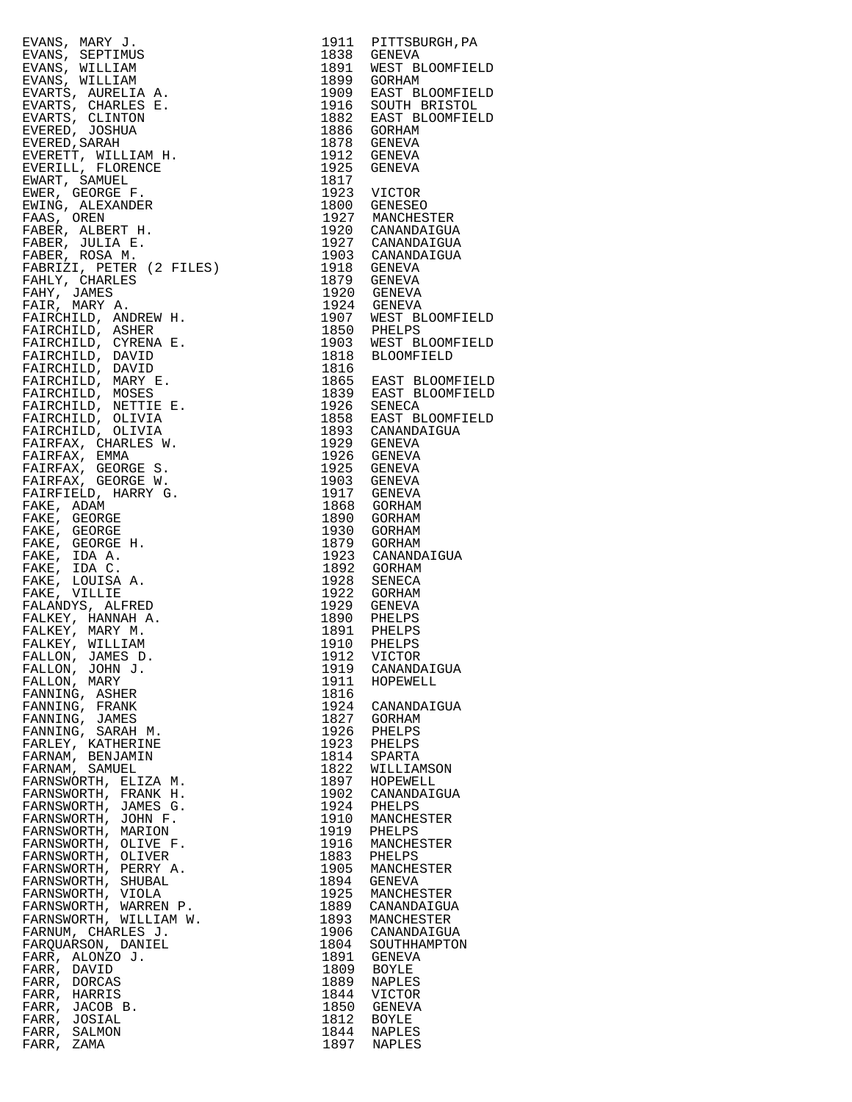EVANS, MARY J. 1911 PITTSBURGH,PA EVANS, SEPTIMUS 1838 GENEVA EVANS, WILLIAM 1891 WEST BLOOMFIELD EVANS, WILLIAM<br>EVANS, WILLIAM<br>EVARTS, AURELIA A. EVARTS, AURELIA A. 1909 EAST BLOOMFIELD EVARTS, CHARLES E. 1916 SOUTH BRISTOL EVARTS, CLINTON 1882 EAST BLOOMFIELD EVERED, JOSHUA 1886 GORHAM EVERED,SARAH 1878 GENEVA EVERETT, WILLIAM H. 1912 GENEVA EVERILL, FLORENCE 1925 GENEVA EWART, SAMUEL 1817 EWER, GEORGE F. 1923 VICTOR EWING, ALEXANDER 1800 GENESEO FAAS, OREN 1927 MANCHESTER FABER, ALBERT H. 1920 CANANDAIGUA FABER, JULIA E. 1927 CANANDAIGUA FABER, ROSA M. 1903 CANANDAIGUA FABRIZI, PETER (2 FILES) 1918 GENEVA FAHLY, CHARLES 1879 GENEVA FAHY, JAMES 1920 GENEVA FAIR, MARY A. 1924 GENEVA FAIRCHILD, ANDREW H. 1907 WEST BLOOMFIELD FAIRCHILD, ASHER 1850 PHELPS FAIRCHILD, CYRENA E. 1903 WEST BLOOMFIELD FAIRCHILD, DAVID 1818 BLOOMFIELD FAIRCHILD, DAVID 1816 FAIRCHILD, MARY E. 1865 EAST BLOOMFIELD FAIRCHILD, MOSES 1839 EAST BLOOMFIELD FAIRCHILD, NETTIE E. 1926 SENECA FAIRCHILD, OLIVIA 1858 EAST BLOOMFIELD FAIRCHILD, OLIVIA 1893 CANANDAIGUA FAIRFAX, CHARLES W. 1929 GENEVA FAIRFAX, EMMA 1926 GENEVA FAIRFAX, GEORGE S. 1925 GENEVA FAIRFAX, GEORGE W. 1903 GENEVA FAIRFIELD, HARRY G.<br>FAKE, ADAM FAKE, ADAM 1868 GORHAM FAKE, GEORGE 1890 GORHAM FAKE, GEORGE 1930 GORHAM FAKE, GEORGE H. 1879 GORHAM FAKE, IDA A. 1923 CANANDAIGUA FAKE, IDA C. 1892 GORHAM FAKE, LOUISA A. 1928 SENECA FAKE, VILLIE 1922 GORHAM FALANDYS, ALFRED 1929 GENEVA FALKEY, HANNAH A.<br>FALKEY, HANNAH A.<br>FALKEY, WILLIAM FALKEY, MARY M. 1891 PHELPS FALKEY, WILLIAM 1910 PHELPS FALLON, JAMES D. 1912 VICTOR FALLON, JOHN J. 1919 CANANDAIGUA FALLON, MARY 1911 HOPEWELL FANNING, ASHER 1816 FANNING, FRANK 1924 CANANDAIGUA FANNING, JAMES 1827 GORHAM FANNING, SARAH M. 1926 PHELPS FARLEY, KATHERINE 1923 PHELPS FARNAM, BENJAMIN 1814 SPARTA FARNAM, SAMUEL 1822 WILLIAMSON FARNSWORTH, ELIZA M. 1897 HOPEWELL FARNSWORTH, FRANK H. 1902 CANANDAIGUA FARNSWORTH, JAMES G. 1924 PHELPS FARNSWORTH, JOHN F. 1910 MANCHESTER FARNSWORTH, MARION 1919 PHELPS FARNSWORTH, OLIVE F. 1916 MANCHESTER FARNSWORTH, OLIVER 1883 PHELPS FARNSWORTH, PERRY A. 1905 MANCHESTER FARNSWORTH, SHUBAL 1894 GENEVA FARNSWORTH, VIOLA 1925 MANCHESTER FARNSWORTH, WARREN P. 1889 CANANDAIGUA FARNSWORTH, WILLIAM W. 1893 MANCHESTER FARNUM, CHARLES J. 1906 CANANDAIGUA FARQUARSON, DANIEL 1804 SOUTHHAMPTON FARR, ALONZO J. 1891 GENEVA FARR, DAVID 1809 BOYLE FARR, DORCAS 1889 NAPLES FARR, HARRIS 1844 VICTOR FARR, JACOB B. 1850 GENEVA FARR, JOSIAL 1812 BOYLE FARR, SALMON 1844 NAPLES FARR, ZAMA 1897 NAPLES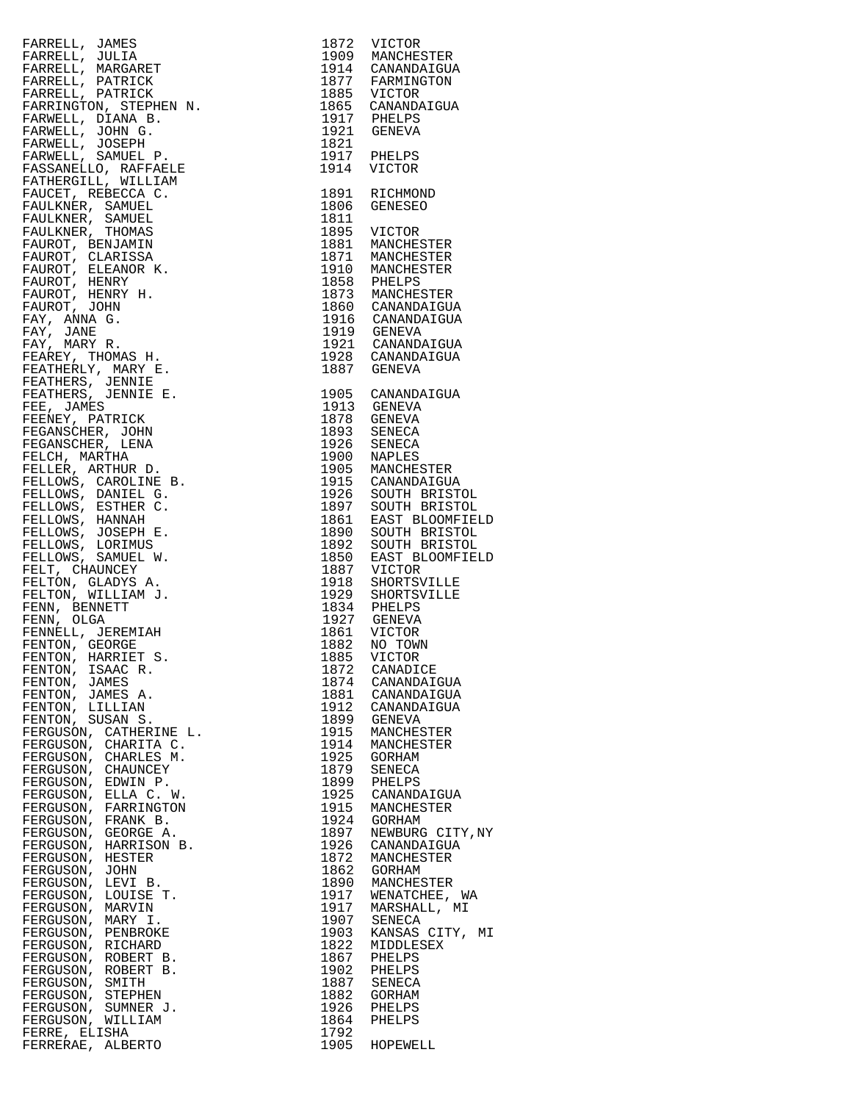| FARRELL, JAMES                                                          |              | 1872 VICTOR<br>1909 MANCHESTER             |
|-------------------------------------------------------------------------|--------------|--------------------------------------------|
|                                                                         |              |                                            |
| FARRELL, JULIA                                                          |              |                                            |
| FARRELL, MARGARET                                                       |              |                                            |
| FARRELL, PATRICK                                                        |              | 1914 CANANDAIGUA<br>1877 FARMINGTON        |
| FARRELL, PATRICK                                                        |              | 1885 VICTOR                                |
| FARRINGTON, STEPHEN N.                                                  |              | 1865 CANANDAIGUA                           |
|                                                                         |              |                                            |
| FARWELL, DIANA B.                                                       |              |                                            |
| FARWELL, JOHN G.                                                        |              | 1917 PHELPS<br>1921 GENEVA                 |
| FARWELL, JOSEPH                                                         | 1821         |                                            |
|                                                                         |              | 1917 PHELPS                                |
| FARWELL, SAMUEL P.                                                      |              |                                            |
| FASSANELLO, RAFFAELE                                                    | 1914         | VICTOR                                     |
| FATHERGILL, WILLIAM                                                     |              |                                            |
|                                                                         | 1891         | RICHMOND                                   |
| FAUCET, REBECCA C.                                                      |              |                                            |
| FAULKNER, SAMUEL                                                        | 1806         | GENESEO                                    |
| FAULKNER, SAMUEL                                                        | 1811         |                                            |
| FAULKNER, THOMAS                                                        |              | 1895 VICTOR                                |
|                                                                         |              |                                            |
| FAUROT, BENJAMIN                                                        |              | 1881 MANCHESTER                            |
| FAUROT, CLARISSA                                                        |              | 1871 MANCHESTER                            |
| FAUROT, ELEANOR K.                                                      |              | 1910 MANCHESTER<br>1858 PHELPS             |
| FAUROT, HENRY                                                           |              |                                            |
|                                                                         |              |                                            |
| FAUROT, HENRY H.                                                        |              |                                            |
| FAUROT, JOHN                                                            |              | 1873 MANCHESTER<br>1860 CANANDAIGUA        |
| FAY, ANNA G.                                                            |              | 1916 CANANDAIGUA                           |
| FAY, JANE                                                               |              |                                            |
|                                                                         |              | 1919 GENEVA                                |
| FAY, MARY R.                                                            |              |                                            |
| FEAREY, THOMAS H.                                                       |              | 1921 CANANDAIGUA<br>1928 CANANDAIGUA       |
| FEATHERLY, MARY E.                                                      |              | 1887 GENEVA                                |
|                                                                         |              |                                            |
| FEATHERS, JENNIE                                                        |              |                                            |
| FEATHERS, JENNIE E.                                                     |              | 1905 CANANDAIGUA                           |
| FEE, JAMES                                                              |              | 1913 GENEVA                                |
|                                                                         |              |                                            |
| FEENEY, PATRICK                                                         |              |                                            |
| FEGANSCHER, JOHN                                                        |              | 1878 GENEVA<br>1893 SENECA                 |
| FEGANSCHER, LENA                                                        |              | 1926 SENECA<br>1900 NAPLES                 |
| FELCH, MARTHA                                                           |              |                                            |
|                                                                         |              |                                            |
| FELLER, ARTHUR D.                                                       |              | 1905 MANCHESTER<br>1915 CANANDAIGUA        |
| FELLOWS, CAROLINE B.                                                    |              |                                            |
| FELLOWS, DANIEL G.                                                      |              | 1926 SOUTH BRISTOL<br>1897 SOUTH BRISTOL   |
|                                                                         |              |                                            |
| FELLOWS, ESTHER C.                                                      |              |                                            |
| FELLOWS, HANNAH                                                         |              | 1861 EAST BLOOMFIELD<br>1890 SOUTH BRISTOL |
| FELLOWS, JOSEPH E.                                                      |              |                                            |
| FELLOWS, LORIMUS                                                        |              | DOUTH BRISTOL SOUTH BRISTOL                |
|                                                                         |              |                                            |
| FELLOWS, SAMUEL W.                                                      |              | EAST BLOOMFIELD                            |
| FELT, CHAUNCEY                                                          |              |                                            |
| FELTON, GLADYS A.                                                       |              | 1887 VICTOR<br>1918 SHORTSVILLE            |
|                                                                         |              |                                            |
| FELTON, WILLIAM J.                                                      |              | 1929 SHORTSVILLE<br>1834 PHELPS            |
| FENN, BENNETT                                                           |              |                                            |
| FENN, OLGA                                                              |              |                                            |
| FENNELL, JEREMIAH                                                       |              | 1927 GENEVA<br>1861 VICTOR                 |
|                                                                         |              |                                            |
| FENTON, GEORGE<br>FENTON, GEOROL<br>FENTON, HARRIET S.<br>TION TEARC R. | 1882         | NO TOWN                                    |
|                                                                         |              | 1885 VICTOR                                |
|                                                                         | 1872         | CANADICE                                   |
| FENTON, JAMES                                                           | 1874         | CANANDAIGUA                                |
|                                                                         |              |                                            |
| FENTON, JAMES A.                                                        | 1881         | CANANDAIGUA                                |
| FENTON, LILLIAN                                                         | 1912         | CANANDAIGUA                                |
| FENTON, SUSAN S.                                                        | 1899         | GENEVA                                     |
| FERGUSON, CATHERINE L.                                                  | 1915         | MANCHESTER                                 |
|                                                                         |              |                                            |
| FERGUSON, CHARITA C.                                                    | 1914         | MANCHESTER                                 |
| FERGUSON, CHARLES M.                                                    | 1925         | GORHAM                                     |
| FERGUSON, CHAUNCEY                                                      | 1879         | SENECA                                     |
| FERGUSON, EDWIN P.                                                      | 1899         |                                            |
|                                                                         |              |                                            |
|                                                                         |              | PHELPS                                     |
| FERGUSON, ELLA C. W.                                                    | 1925         | CANANDAIGUA                                |
| FERGUSON, FARRINGTON                                                    | 1915         | MANCHESTER                                 |
|                                                                         |              |                                            |
| FERGUSON, FRANK B.                                                      | 1924         | GORHAM                                     |
| FERGUSON, GEORGE A.                                                     | 1897         | NEWBURG CITY, NY                           |
| FERGUSON, HARRISON B.                                                   | 1926         | CANANDAIGUA                                |
| FERGUSON, HESTER                                                        | 1872         | MANCHESTER                                 |
|                                                                         |              |                                            |
| FERGUSON, JOHN                                                          | 1862         | GORHAM                                     |
| FERGUSON, LEVI B.                                                       | 1890         | MANCHESTER                                 |
| FERGUSON, LOUISE T.                                                     | 1917         | WENATCHEE, WA                              |
| FERGUSON, MARVIN                                                        | 1917         | MARSHALL, MI                               |
|                                                                         |              |                                            |
| FERGUSON, MARY I.                                                       | 1907         | SENECA                                     |
| FERGUSON, PENBROKE                                                      | 1903         | KANSAS CITY, MI                            |
| FERGUSON, RICHARD                                                       | 1822         | MIDDLESEX                                  |
|                                                                         | 1867         | PHELPS                                     |
|                                                                         |              |                                            |
|                                                                         | 1902         | PHELPS                                     |
| FERGUSON, ROBERT B.<br>FERGUSON, ROBERT B.<br>FERGUSON, SMITH           | 1887         | SENECA                                     |
| FERGUSON, STEPHEN                                                       | 1882         | GORHAM                                     |
| FERGUSON, SUMNER J.                                                     | 1926         | PHELPS                                     |
|                                                                         |              |                                            |
| FERGUSON, WILLIAM                                                       | 1864         | PHELPS                                     |
| FERRE, ELISHA<br>FERRERAE, ALBERTO                                      | 1792<br>1905 | HOPEWELL                                   |

| 1872<br>1909<br>1914<br>1877<br>1885<br>1865<br>1917<br>1921<br>1821<br>1917<br>1914                                                                                                                                                                                                                                                                                                                                              | VICTOR<br>MANCHESTER<br>CANANDAIGUA<br>FARMINGTON<br>VICTOR<br>CANANDAIGUA<br>PHELPS<br>GENEVA<br>PHELPS<br>VICTOR                                                                                                                                                                                                                                                                                                                                                                                                                                                                                                                                                                            |
|-----------------------------------------------------------------------------------------------------------------------------------------------------------------------------------------------------------------------------------------------------------------------------------------------------------------------------------------------------------------------------------------------------------------------------------|-----------------------------------------------------------------------------------------------------------------------------------------------------------------------------------------------------------------------------------------------------------------------------------------------------------------------------------------------------------------------------------------------------------------------------------------------------------------------------------------------------------------------------------------------------------------------------------------------------------------------------------------------------------------------------------------------|
| 1891<br>1806<br>1811<br>1895<br>1881<br>1871<br>1910<br>1858<br>1873<br>1860<br>1916<br>1919<br>1921<br>1928<br>1887                                                                                                                                                                                                                                                                                                              | RICHMOND<br>GENESEO<br>VICTOR<br>MANCHESTER<br>MANCHESTER<br>MANCHESTER<br>PHELPS<br>MANCHESTER<br>CANANDAIGUA<br>CANANDAIGUA<br>GENEVA<br>CANANDAIGUA<br>CANANDAIGUA<br>GENEVA                                                                                                                                                                                                                                                                                                                                                                                                                                                                                                               |
| 1905<br>1913<br>1878<br>1893<br>1926<br>1900<br>1905<br>1915<br>1926<br>1897<br>1861<br>1890<br>1892<br>1850<br>1887<br>1918<br>1929<br>$\frac{1}{2}$ 834<br>1927<br>1861<br>1882<br>1885<br>1872<br>1874<br>1881<br>1912<br>1899<br>1915<br>1914<br>1925<br>1879<br>1899<br>1925<br>1915<br>1924<br>1897<br>1926<br>1872<br>1862<br>1890<br>1917<br>1917<br>1907<br>1903<br>1822<br>1867<br>1902<br>1887<br>1882<br>1926<br>1864 | CANANDAIGUA<br>GENEVA<br>GENEVA<br>SENECA<br>SENECA<br>NAPLES<br>MANCHESTER<br>CANANDAIGUA<br>SOUTH BRISTOL<br>SOUTH BRISTOL<br>EAST BLOOMFIELD<br>SOUTH BRISTOL<br>SOUTH BRISTOL<br>EAST BLOOMFIELD<br>VICTOR<br>SHORTSVILLE<br>SHORTSVILLE<br>PHELPS<br>GENEVA<br>VICTOR<br>NO TOWN<br>VICTOR<br>CANADICE<br>CANANDAIGUA<br>CANANDAIGUA<br>CANANDAIGUA<br>GENEVA<br>MANCHESTER<br>MANCHESTER<br><b>GORHAM</b><br>SENECA<br>PHELPS<br>CANANDAIGUA<br>MANCHESTER<br>GORHAM<br>NEWBURG CITY, NY<br>CANANDAIGUA<br>MANCHESTER<br>GORHAM<br>MANCHESTER<br>WENATCHEE,<br>WΑ<br>MARSHALL, MI<br>SENECA<br>KANSAS CITY, MI<br>MIDDLESEX<br>PHELPS<br>PHELPS<br>SENECA<br>GORHAM<br>PHELPS<br>PHELPS |
| 1792                                                                                                                                                                                                                                                                                                                                                                                                                              | 1905 HOPEWELL                                                                                                                                                                                                                                                                                                                                                                                                                                                                                                                                                                                                                                                                                 |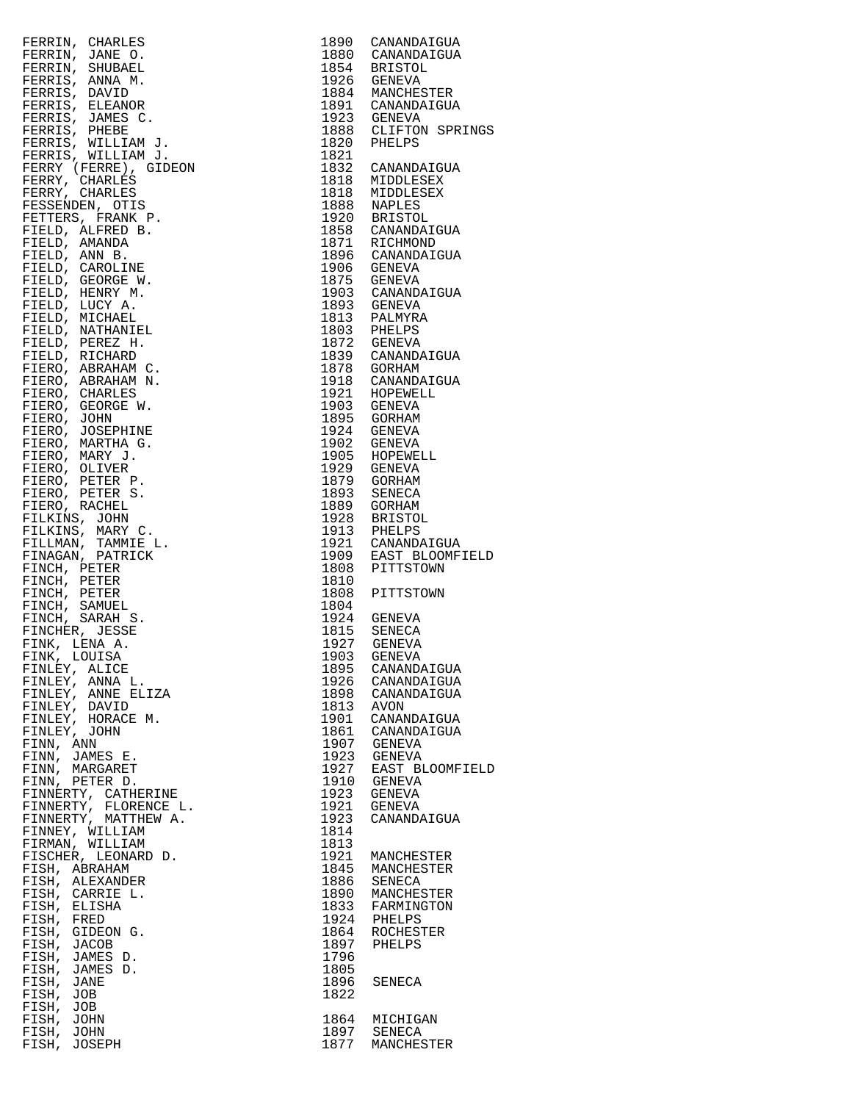|                                                                                                                                                                                                                                                                       |             | 1890 CANANDAIGUA                                                  |
|-----------------------------------------------------------------------------------------------------------------------------------------------------------------------------------------------------------------------------------------------------------------------|-------------|-------------------------------------------------------------------|
|                                                                                                                                                                                                                                                                       |             | 1880 CANANDAIGUA                                                  |
|                                                                                                                                                                                                                                                                       |             |                                                                   |
|                                                                                                                                                                                                                                                                       |             | 1854 BRISTOL<br>1926 GENEVA                                       |
|                                                                                                                                                                                                                                                                       |             |                                                                   |
|                                                                                                                                                                                                                                                                       |             | 1884 MANCHESTER<br>1891 CANANDAIGUA                               |
|                                                                                                                                                                                                                                                                       |             |                                                                   |
|                                                                                                                                                                                                                                                                       |             | 1923 GENEVA<br>1888 CLIFTON SPRINGS                               |
|                                                                                                                                                                                                                                                                       |             |                                                                   |
|                                                                                                                                                                                                                                                                       |             | 1820 PHELPS                                                       |
|                                                                                                                                                                                                                                                                       | 1821        |                                                                   |
|                                                                                                                                                                                                                                                                       |             | 1832 CANANDAIGUA                                                  |
|                                                                                                                                                                                                                                                                       |             | 1818 MIDDLESEX                                                    |
|                                                                                                                                                                                                                                                                       |             |                                                                   |
|                                                                                                                                                                                                                                                                       |             |                                                                   |
|                                                                                                                                                                                                                                                                       |             |                                                                   |
|                                                                                                                                                                                                                                                                       |             |                                                                   |
|                                                                                                                                                                                                                                                                       |             | 1818 MIDDLESEX<br>1888 NAPLES<br>1920 BRISTOL<br>1858 CANANDAIGUA |
|                                                                                                                                                                                                                                                                       |             | 1871 RICHMOND<br>1896 CANANDAIGUA                                 |
|                                                                                                                                                                                                                                                                       |             |                                                                   |
|                                                                                                                                                                                                                                                                       |             | 1906 GENEVA                                                       |
|                                                                                                                                                                                                                                                                       |             | 1875 GENEVA                                                       |
|                                                                                                                                                                                                                                                                       |             |                                                                   |
|                                                                                                                                                                                                                                                                       |             | 1903 CANANDAIGUA<br>1893 GENEVA                                   |
|                                                                                                                                                                                                                                                                       |             |                                                                   |
|                                                                                                                                                                                                                                                                       |             | 1813 PALMYRA<br>1803 PHELPS                                       |
|                                                                                                                                                                                                                                                                       |             |                                                                   |
|                                                                                                                                                                                                                                                                       |             | 1872 GENEVA                                                       |
|                                                                                                                                                                                                                                                                       |             | 1839 CANANDAIGUA                                                  |
|                                                                                                                                                                                                                                                                       | 1878 GORHAM |                                                                   |
|                                                                                                                                                                                                                                                                       |             | 1918 CANANDAIGUA                                                  |
|                                                                                                                                                                                                                                                                       |             |                                                                   |
|                                                                                                                                                                                                                                                                       |             | 1921 HOPEWELL<br>1903 GENEVA                                      |
|                                                                                                                                                                                                                                                                       |             |                                                                   |
|                                                                                                                                                                                                                                                                       |             | 1895 GORHAM                                                       |
|                                                                                                                                                                                                                                                                       |             | 1924 GENEVA                                                       |
|                                                                                                                                                                                                                                                                       |             | 1902 GENEVA                                                       |
|                                                                                                                                                                                                                                                                       |             | 1905 HOPEWELL                                                     |
|                                                                                                                                                                                                                                                                       |             | 1929 GENEVA                                                       |
|                                                                                                                                                                                                                                                                       |             | 1879 GORHAM                                                       |
|                                                                                                                                                                                                                                                                       |             | 1893 SENECA                                                       |
|                                                                                                                                                                                                                                                                       |             | 1889 GORHAM                                                       |
|                                                                                                                                                                                                                                                                       |             |                                                                   |
|                                                                                                                                                                                                                                                                       |             | 1928 BRISTOL<br>1913 PHELPS                                       |
|                                                                                                                                                                                                                                                                       |             |                                                                   |
|                                                                                                                                                                                                                                                                       |             | 1921 CANANDAIGUA<br>1909 EAST BLOOMFIELD                          |
|                                                                                                                                                                                                                                                                       |             |                                                                   |
|                                                                                                                                                                                                                                                                       |             | 1808 PITTSTOWN                                                    |
|                                                                                                                                                                                                                                                                       | 1810        |                                                                   |
|                                                                                                                                                                                                                                                                       |             | 1808 PITTSTOWN                                                    |
|                                                                                                                                                                                                                                                                       | 1804        |                                                                   |
|                                                                                                                                                                                                                                                                       |             |                                                                   |
|                                                                                                                                                                                                                                                                       |             |                                                                   |
|                                                                                                                                                                                                                                                                       |             |                                                                   |
|                                                                                                                                                                                                                                                                       |             | 1924 GENEVA<br>1815 SENECA                                        |
| FINK, LENA A.                                                                                                                                                                                                                                                         | 1927        | GENEVA                                                            |
| FINK, LOUISA                                                                                                                                                                                                                                                          | 1903 GENEVA |                                                                   |
| FINLEY, ALICE                                                                                                                                                                                                                                                         | 1895        | CANANDAIGUA                                                       |
| FRERIN, CHARLES<br>FERRIN, JAME O,<br>FERRIN, JAME O,<br>FERRIN, SHUBARL<br>FERRIN, DAVID<br>FERRIN, DAVID<br>FERRIN, JAMES C.<br>FERRIN, JAMES C.<br>FERRIN, JAMES C.<br>FERRIN, WILLIAM J.<br>FERRIN, CHARLES<br>FERRIN, WILLIAM J.<br>FERRIN, CHARLES<br>FERRY, CH |             | 1926 CANANDAIGUA                                                  |
| FINLEY, ANNA L.                                                                                                                                                                                                                                                       | 1898        | CANANDAIGUA                                                       |
| FINLEY, ANNE ELIZA                                                                                                                                                                                                                                                    |             |                                                                   |
| FINLEY, DAVID                                                                                                                                                                                                                                                         | 1813        | AVON                                                              |
| FINLEY, HORACE M.                                                                                                                                                                                                                                                     | 1901        | CANANDAIGUA                                                       |
| FINLEY, JOHN                                                                                                                                                                                                                                                          |             | 1861 CANANDAIGUA                                                  |
| FINN, ANN                                                                                                                                                                                                                                                             | 1907        | GENEVA                                                            |
| FINN, JAMES E.                                                                                                                                                                                                                                                        |             | 1923 GENEVA                                                       |
| FINN, MARGARET                                                                                                                                                                                                                                                        | 1927        | EAST BLOOMFIELD                                                   |
| FINN, PETER D.                                                                                                                                                                                                                                                        |             | 1910 GENEVA                                                       |
| FINNERTY, CATHERINE                                                                                                                                                                                                                                                   | 1923        | GENEVA                                                            |
|                                                                                                                                                                                                                                                                       |             |                                                                   |
| FINNERTY, FLORENCE L.                                                                                                                                                                                                                                                 | 1921        | GENEVA                                                            |
| FINNERTY, MATTHEW A.                                                                                                                                                                                                                                                  | 1923        | CANANDAIGUA                                                       |
| FINNEY, WILLIAM                                                                                                                                                                                                                                                       | 1814        |                                                                   |
| FIRMAN, WILLIAM                                                                                                                                                                                                                                                       | 1813        |                                                                   |
| FISCHER, LEONARD D.                                                                                                                                                                                                                                                   | 1921        | MANCHESTER                                                        |
| FISH, ABRAHAM                                                                                                                                                                                                                                                         | 1845        | MANCHESTER                                                        |
| FISH, ALEXANDER                                                                                                                                                                                                                                                       |             | 1886 SENECA                                                       |
| FISH, CARRIE L.                                                                                                                                                                                                                                                       | 1890        | MANCHESTER                                                        |
| FISH, ELISHA                                                                                                                                                                                                                                                          |             | 1833 FARMINGTON                                                   |
| FISH, FRED                                                                                                                                                                                                                                                            |             | 1924 PHELPS                                                       |
| FISH, GIDEON G.                                                                                                                                                                                                                                                       |             | 1864 ROCHESTER                                                    |
|                                                                                                                                                                                                                                                                       |             |                                                                   |
| FISH, JACOB                                                                                                                                                                                                                                                           | 1897        | PHELPS                                                            |
| FISH, JAMES D.                                                                                                                                                                                                                                                        | 1796        |                                                                   |
| FISH, JAMES D.                                                                                                                                                                                                                                                        | 1805        |                                                                   |
| FISH, JANE                                                                                                                                                                                                                                                            | 1896        | SENECA                                                            |
| FISH, JOB                                                                                                                                                                                                                                                             | 1822        |                                                                   |
| FISH, JOB                                                                                                                                                                                                                                                             |             |                                                                   |
| FISH, JOHN                                                                                                                                                                                                                                                            | 1864        | MICHIGAN                                                          |
| FISH, JOHN<br>FISH, JOSEPH                                                                                                                                                                                                                                            |             | 1897 SENECA<br>1877 MANCHESTER                                    |

| 1890<br>1880<br>1854<br>1926<br>1884<br>1891<br>$1923$<br>$1888$<br>1820<br>1821                                                                                                                                                                            | CANANDAIGUA<br>CANANDAIGUA<br><b>BRISTOL</b><br><b>GENEVA</b><br>MANCHESTER<br>CANANDAIGUA<br><b>GENEVA</b><br>CLIFTON SPRINGS<br>PHELPS                                                                                                                                                                                                                                                                                                                                               |
|-------------------------------------------------------------------------------------------------------------------------------------------------------------------------------------------------------------------------------------------------------------|----------------------------------------------------------------------------------------------------------------------------------------------------------------------------------------------------------------------------------------------------------------------------------------------------------------------------------------------------------------------------------------------------------------------------------------------------------------------------------------|
| 1832<br>1818<br>1818<br>1888<br>1920<br>1896<br>1906<br>1875<br>1903<br>1893<br>1813<br>1803<br>1872<br>1839<br>1878<br>- ^<br>1918<br>1921<br>1903<br>1895<br>1924<br>1902<br>1905<br>1929<br>----<br>1879<br>1893<br>1889<br>1928<br>1913<br>1921<br>1909 | CANANDAIGUA<br>MIDDLESEX<br>MIDDLESEX<br>NAPLES<br>BRISTOL<br>1858 CANANAL<br>1871 RICHMOND<br>2008 CANANDAI<br>CANANDAIGUA<br>CANANDAIGUA<br>GENEVA<br>GENEVA<br>CANANDAIGUA<br><b>GENEVA</b><br>PALMYRA<br>PHELPS<br>GENEVA<br>CANANDAIGUA<br>GORHAM<br>CANANDAIGUA<br>HOPEWELL<br><b>GENEVA</b><br>GORHAM<br>GENEVA<br><b>GENEVA</b><br>HOPEWELL<br>GENEVA<br>GORHAM<br>SENECA<br>GORHAM<br><b>BRISTOL</b><br>PHELPS<br>CANANDAIGUA<br>CANANDAIGUA<br>C™ פור∩OMF<br>EAST BLOOMFIELD |
| 1808<br>1810<br>1808                                                                                                                                                                                                                                        | PITTSTOWN<br>PITTSTOWN                                                                                                                                                                                                                                                                                                                                                                                                                                                                 |
| 1804<br>1903<br>1895<br>1926<br>1898<br>1813<br>1901<br>1861<br>1907<br>1923<br>1927<br>1910<br>1923<br>1921<br>1923<br>1814<br>1813<br>1921<br>1845<br>1886                                                                                                | 1884<br>1924 GENEVA<br>1815 SENECA<br>1927 GENEVA<br>GENEVA<br>CANANDAIGUA<br>CANANDAIGUA<br>CANANDAIGUA<br><b>AVON</b><br>CANANDAIGUA<br>CANANDAIGUA<br>GENEVA<br><b>GENEVA</b><br>EAST BLOOMFIELD<br><b>GENEVA</b><br>GENEVA<br>GENEVA<br>CANANDAIGUA<br>MANCHESTER<br>MANCHESTER<br>SENECA                                                                                                                                                                                          |
| 1890<br>1890<br>1833<br>1924<br>1864<br>1897<br>1796<br>1805<br>1896<br>1822                                                                                                                                                                                | MANCHESTER<br>FARMINGTON<br>PHELPS<br><b>ROCHESTER</b><br>PHELPS<br>SENECA                                                                                                                                                                                                                                                                                                                                                                                                             |
| 1864<br>1897<br>1877                                                                                                                                                                                                                                        | MICHIGAN<br>SENECA<br>MANCHESTER                                                                                                                                                                                                                                                                                                                                                                                                                                                       |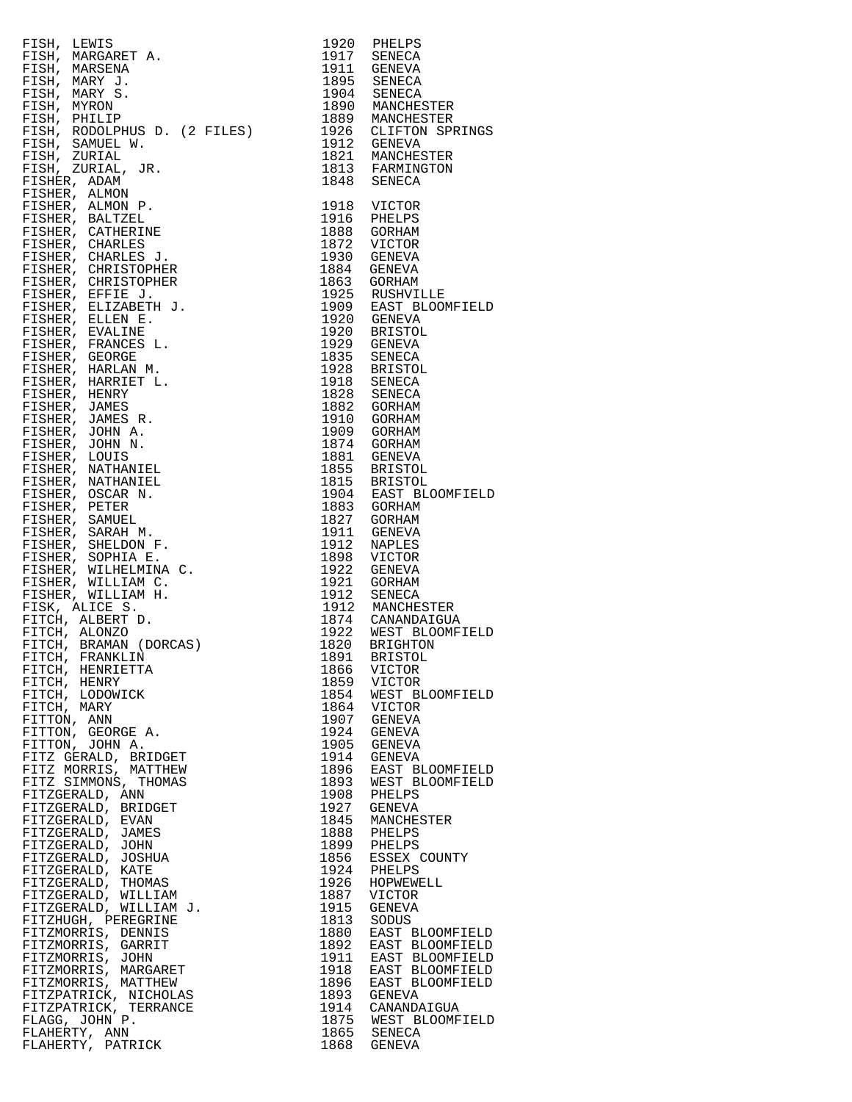| FISH, LEWIS                                                                                                                                                                                                                                                        |                                                    |
|--------------------------------------------------------------------------------------------------------------------------------------------------------------------------------------------------------------------------------------------------------------------|----------------------------------------------------|
|                                                                                                                                                                                                                                                                    |                                                    |
| FISH, MARGARET A.                                                                                                                                                                                                                                                  |                                                    |
| FISH, MARSENA                                                                                                                                                                                                                                                      |                                                    |
| FISH, MARY J.                                                                                                                                                                                                                                                      |                                                    |
| FISH, MARY S.                                                                                                                                                                                                                                                      |                                                    |
| 1895<br>1904 SENE<br>1890 MANCHESTER<br>1889 MANCHESTER<br>1926 CLIFTON SPRINGS<br>1912 GENEVA<br>1821 MANCHESTER<br>1813 FARMINGTON<br>1848 SENECA<br>1948 SENECA<br>FISH, MYRON                                                                                  |                                                    |
| FISH, PHILIP                                                                                                                                                                                                                                                       |                                                    |
|                                                                                                                                                                                                                                                                    |                                                    |
|                                                                                                                                                                                                                                                                    |                                                    |
|                                                                                                                                                                                                                                                                    |                                                    |
|                                                                                                                                                                                                                                                                    |                                                    |
|                                                                                                                                                                                                                                                                    |                                                    |
|                                                                                                                                                                                                                                                                    |                                                    |
|                                                                                                                                                                                                                                                                    |                                                    |
|                                                                                                                                                                                                                                                                    |                                                    |
|                                                                                                                                                                                                                                                                    |                                                    |
|                                                                                                                                                                                                                                                                    |                                                    |
|                                                                                                                                                                                                                                                                    |                                                    |
|                                                                                                                                                                                                                                                                    |                                                    |
|                                                                                                                                                                                                                                                                    |                                                    |
|                                                                                                                                                                                                                                                                    |                                                    |
|                                                                                                                                                                                                                                                                    |                                                    |
|                                                                                                                                                                                                                                                                    |                                                    |
|                                                                                                                                                                                                                                                                    |                                                    |
|                                                                                                                                                                                                                                                                    |                                                    |
|                                                                                                                                                                                                                                                                    |                                                    |
|                                                                                                                                                                                                                                                                    |                                                    |
|                                                                                                                                                                                                                                                                    |                                                    |
|                                                                                                                                                                                                                                                                    |                                                    |
|                                                                                                                                                                                                                                                                    |                                                    |
|                                                                                                                                                                                                                                                                    |                                                    |
|                                                                                                                                                                                                                                                                    |                                                    |
|                                                                                                                                                                                                                                                                    |                                                    |
|                                                                                                                                                                                                                                                                    |                                                    |
|                                                                                                                                                                                                                                                                    |                                                    |
|                                                                                                                                                                                                                                                                    |                                                    |
|                                                                                                                                                                                                                                                                    |                                                    |
|                                                                                                                                                                                                                                                                    |                                                    |
|                                                                                                                                                                                                                                                                    |                                                    |
|                                                                                                                                                                                                                                                                    |                                                    |
|                                                                                                                                                                                                                                                                    |                                                    |
|                                                                                                                                                                                                                                                                    |                                                    |
|                                                                                                                                                                                                                                                                    |                                                    |
|                                                                                                                                                                                                                                                                    |                                                    |
|                                                                                                                                                                                                                                                                    |                                                    |
|                                                                                                                                                                                                                                                                    |                                                    |
|                                                                                                                                                                                                                                                                    |                                                    |
|                                                                                                                                                                                                                                                                    |                                                    |
|                                                                                                                                                                                                                                                                    |                                                    |
| FISH, RODOLPHUS D. (2 FILES)<br>1989 MANCHESTER<br>FISH, SAMUEL W. 1999 MANCHESTER<br>FISH, SAMUEL W. 1999 MANCHESTER<br>FISH, ZURIAL, JR. 1991 MANCHESTER<br>FISHER, ADAM D. 1991 MANCHESTER<br>FISHER, ALANON D. 1992 UNITOR<br>FISHER, CH                       |                                                    |
|                                                                                                                                                                                                                                                                    |                                                    |
| FITCH, HENRY                                                                                                                                                                                                                                                       | 1866 VICTOR<br>1859 VICTOR                         |
| FITCH, LODOWICK                                                                                                                                                                                                                                                    |                                                    |
| FITCH, MARY                                                                                                                                                                                                                                                        | 1854 WEST BLOOMFIELD<br>1864 VICTOR<br>1907 GENEVA |
|                                                                                                                                                                                                                                                                    |                                                    |
|                                                                                                                                                                                                                                                                    | 1924 GENEVA                                        |
|                                                                                                                                                                                                                                                                    | 1905 GENEVA                                        |
|                                                                                                                                                                                                                                                                    | 1914 GENEVA                                        |
|                                                                                                                                                                                                                                                                    |                                                    |
|                                                                                                                                                                                                                                                                    | 1896 EAST BLOOMFIELD<br>1893 WEST BLOOMFIELD       |
|                                                                                                                                                                                                                                                                    | 1908 PHELPS                                        |
|                                                                                                                                                                                                                                                                    | 1927 GENEVA                                        |
|                                                                                                                                                                                                                                                                    |                                                    |
|                                                                                                                                                                                                                                                                    | 1845 MANCHESTER<br>1888 PHELPS                     |
|                                                                                                                                                                                                                                                                    |                                                    |
|                                                                                                                                                                                                                                                                    | 1899 PHELPS<br>1856 ESSEX COUNTY                   |
|                                                                                                                                                                                                                                                                    |                                                    |
|                                                                                                                                                                                                                                                                    | 1924 PHELPS<br>1926 HOPWEWELL                      |
|                                                                                                                                                                                                                                                                    | 1887 VICTOR                                        |
|                                                                                                                                                                                                                                                                    | 1915 GENEVA                                        |
|                                                                                                                                                                                                                                                                    |                                                    |
|                                                                                                                                                                                                                                                                    | 1813 SODUS<br>1880 EAST BLOOMFIELD                 |
|                                                                                                                                                                                                                                                                    |                                                    |
|                                                                                                                                                                                                                                                                    | 1892 EAST BLOOMFIELD<br>1911 EAST BLOOMFIELD       |
|                                                                                                                                                                                                                                                                    |                                                    |
|                                                                                                                                                                                                                                                                    | 1918 EAST BLOOMFIELD<br>1896 EAST BLOOMFIELD       |
|                                                                                                                                                                                                                                                                    | 1893 GENEVA                                        |
|                                                                                                                                                                                                                                                                    | 1914 CANANDAIGUA                                   |
|                                                                                                                                                                                                                                                                    |                                                    |
| FITTON, ANN A.<br>FITTON, GEORGE A.<br>FITTON, JOHN A.<br>FITTON, JOHN A.<br>FITZ GERALD, BRIDGET<br>FITZ GERALD, BRIDGET<br>FITZ MORRIS, MATTHEW<br>FITZGERALD, ANN<br>FITZGERALD, EVAN<br>FITZGERALD, JOHN<br>FITZGERALD, JOHN<br>FITZGERALD, JOHN<br>FITZGERALD | 1875 WEST BLOOMFIELD<br>1865 SENECA                |
| FLAHERTY, ANN<br>FLAHERTY, PATRICK                                                                                                                                                                                                                                 | 1868 GENEVA                                        |
|                                                                                                                                                                                                                                                                    |                                                    |

| 1920<br>1917<br>1911<br>1895<br>1904<br>1890<br>1889<br>1926<br>1912<br>1821<br>1813<br>1848                                                                                                                                                                                                                                                                                                                                                                                                                                                 | PHELPS<br>SENECA<br>GENEVA<br><b>SENECA</b><br><b>SENECA</b><br>MANCHESTER<br>MANCHESTER<br>CLIFTON SPRINGS<br>GENEVA<br>MANCHESTER<br>FARMINGTON<br>SENECA                                                                                                                                                                                                                                                                                                                                                                                                                                                                                                                                                                                                                                                                                                                                                                 |
|----------------------------------------------------------------------------------------------------------------------------------------------------------------------------------------------------------------------------------------------------------------------------------------------------------------------------------------------------------------------------------------------------------------------------------------------------------------------------------------------------------------------------------------------|-----------------------------------------------------------------------------------------------------------------------------------------------------------------------------------------------------------------------------------------------------------------------------------------------------------------------------------------------------------------------------------------------------------------------------------------------------------------------------------------------------------------------------------------------------------------------------------------------------------------------------------------------------------------------------------------------------------------------------------------------------------------------------------------------------------------------------------------------------------------------------------------------------------------------------|
| 1918<br>1916<br>1888<br>1872<br>1930<br>1884<br>1863<br>1925<br>1909<br>1920<br>1920<br>1929<br>1835<br>1928<br>1918<br>1828<br>1882<br>1910<br>1909<br>1874<br>1881<br>1855<br>1815<br>1904<br>1883<br>1827<br>1911<br>1912<br>1898<br>1922<br>1921<br>1912<br>1912<br>1874<br>1922<br>1820<br>1891<br>1866<br>1859<br>1854<br>1864<br>1907<br>1924<br>1905<br>1914<br>1896<br>1893<br>1908<br>1927<br>1845<br>1888<br>1899<br>1856<br>1924<br>1926<br>1887<br>1915<br>1813<br>1880<br>1892<br>1911<br>1918<br>1896<br>1893<br>1914<br>1875 | VICTOR<br>PHELPS<br>GORHAM<br>VICTOR<br>GENEVA<br>GENEVA<br>GORHAM<br>RUSHVILLE<br>EAST BLOOMFIELD<br>GENEVA<br><b>BRISTOL</b><br><b>GENEVA</b><br>SENECA<br><b>BRISTOL</b><br>SENECA<br>SENECA<br><b>GORHAM</b><br>GORHAM<br>GORHAM<br>GORHAM<br><b>GENEVA</b><br><b>BRISTOL</b><br><b>BRISTOL</b><br>EAST BLOOMFIELD<br>GORHAM<br>GORHAM<br><b>GENEVA</b><br>NAPLES<br>VICTOR<br>GENEVA<br>GORHAM<br>SENECA<br>MANCHESTER<br>CANANDAIGUA<br>WEST BLOOMFIELD<br><b>BRIGHTON</b><br><b>BRISTOL</b><br>VICTOR<br>VICTOR<br>WEST BLOOMFIELD<br>VICTOR<br><b>GENEVA</b><br>GENEVA<br><b>GENEVA</b><br>GENEVA<br>EAST BLOOMFIELD<br>WEST BLOOMFIELD<br>PHELPS<br>GENEVA<br>MANCHESTER<br>PHELPS<br>PHELPS<br>ESSEX COUNTY<br>PHELPS<br>HOPWEWELL<br>VICTOR<br><b>GENEVA</b><br>SODUS<br>EAST BLOOMFIELD<br>EAST BLOOMFIELD<br>EAST BLOOMFIELD<br>EAST BLOOMFIELD<br>EAST BLOOMFIELD<br>GENEVA<br>CANANDAIGUA<br>WEST BLOOMFIELD |
| 1865<br>1868                                                                                                                                                                                                                                                                                                                                                                                                                                                                                                                                 | SENECA<br><b>GENEVA</b>                                                                                                                                                                                                                                                                                                                                                                                                                                                                                                                                                                                                                                                                                                                                                                                                                                                                                                     |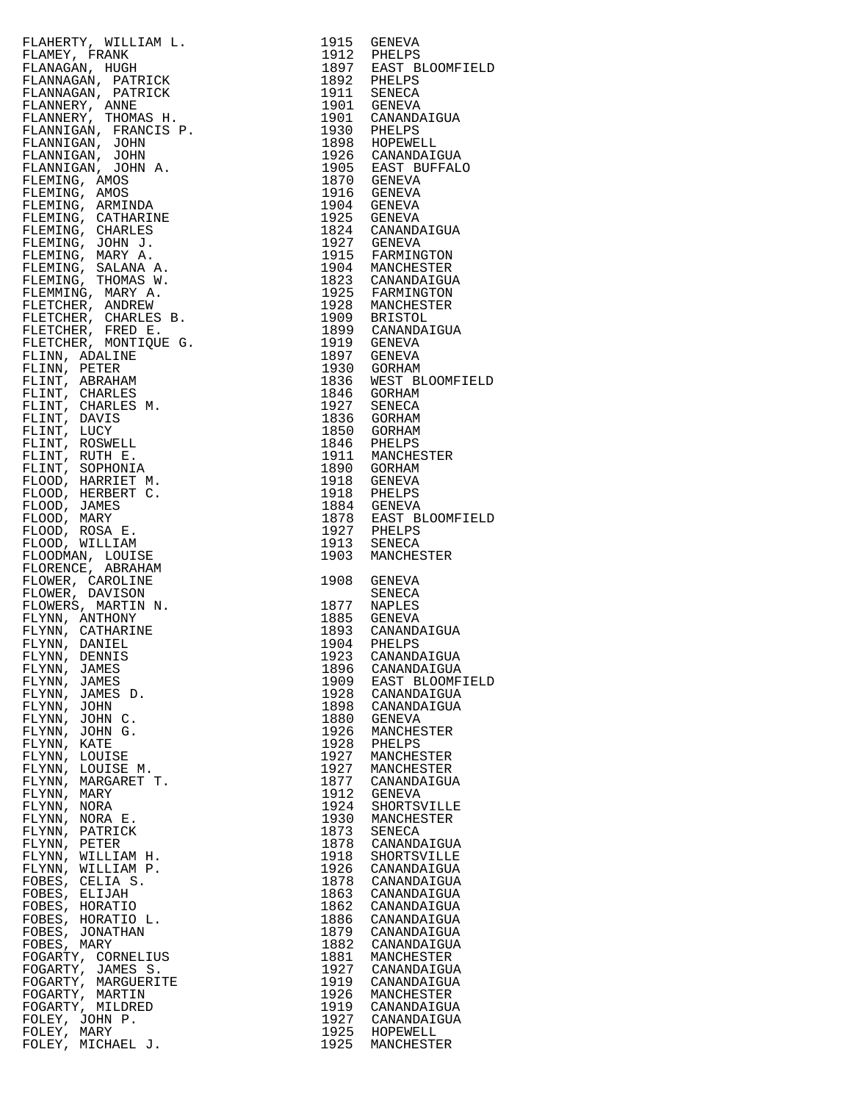| FLAMERY, WILLIAM L. 1915 GENERY<br>FLAMERY, FRANK HUGH, 1915 GENERA<br>FLAMERY, FRANK HUGH, 1921 BELLES<br>FLAMERIAN, HUGH, 1932 BELLES<br>FLAMERICAN, FRANCIS F. 1901 GENERAL<br>FLAMERICAN, FRANCIS F. 1901 GENERAL<br>FLAMERICAN, FRANC |              |                           |
|--------------------------------------------------------------------------------------------------------------------------------------------------------------------------------------------------------------------------------------------|--------------|---------------------------|
|                                                                                                                                                                                                                                            |              |                           |
|                                                                                                                                                                                                                                            |              |                           |
|                                                                                                                                                                                                                                            |              |                           |
|                                                                                                                                                                                                                                            |              |                           |
|                                                                                                                                                                                                                                            |              |                           |
|                                                                                                                                                                                                                                            |              |                           |
|                                                                                                                                                                                                                                            |              |                           |
|                                                                                                                                                                                                                                            |              |                           |
|                                                                                                                                                                                                                                            |              |                           |
|                                                                                                                                                                                                                                            |              |                           |
|                                                                                                                                                                                                                                            |              |                           |
|                                                                                                                                                                                                                                            |              |                           |
|                                                                                                                                                                                                                                            |              |                           |
|                                                                                                                                                                                                                                            |              |                           |
|                                                                                                                                                                                                                                            |              |                           |
|                                                                                                                                                                                                                                            |              |                           |
|                                                                                                                                                                                                                                            |              |                           |
|                                                                                                                                                                                                                                            |              |                           |
|                                                                                                                                                                                                                                            |              |                           |
|                                                                                                                                                                                                                                            |              |                           |
|                                                                                                                                                                                                                                            |              |                           |
|                                                                                                                                                                                                                                            |              |                           |
|                                                                                                                                                                                                                                            |              |                           |
|                                                                                                                                                                                                                                            |              |                           |
|                                                                                                                                                                                                                                            |              |                           |
|                                                                                                                                                                                                                                            |              |                           |
|                                                                                                                                                                                                                                            |              |                           |
|                                                                                                                                                                                                                                            |              |                           |
|                                                                                                                                                                                                                                            |              |                           |
|                                                                                                                                                                                                                                            |              |                           |
|                                                                                                                                                                                                                                            |              |                           |
|                                                                                                                                                                                                                                            |              |                           |
|                                                                                                                                                                                                                                            |              |                           |
|                                                                                                                                                                                                                                            |              |                           |
|                                                                                                                                                                                                                                            |              |                           |
|                                                                                                                                                                                                                                            |              |                           |
|                                                                                                                                                                                                                                            |              |                           |
|                                                                                                                                                                                                                                            |              |                           |
|                                                                                                                                                                                                                                            |              |                           |
|                                                                                                                                                                                                                                            |              |                           |
|                                                                                                                                                                                                                                            |              |                           |
|                                                                                                                                                                                                                                            |              |                           |
| FLYNN, DANIDL<br>FLYNN, DENNIS<br>TAMES                                                                                                                                                                                                    |              |                           |
|                                                                                                                                                                                                                                            | 1896         | CANANDAIGUA               |
| FLYNN, JAMES                                                                                                                                                                                                                               |              | 1909 EAST BLOOMFIE        |
| FLYNN, JAMES D.                                                                                                                                                                                                                            | 1928         | CANANDAIGUA               |
| FLYNN, JOHN                                                                                                                                                                                                                                |              | 1898 CANANDAIGUA          |
| FLYNN, JOHN C.<br>FLYNN, JOHN G.                                                                                                                                                                                                           | 1880         | GENEVA<br>1926 MANCHESTER |
| FLYNN, KATE                                                                                                                                                                                                                                | 1928         | PHELPS                    |
| FLYNN, LOUISE                                                                                                                                                                                                                              | 1927         | MANCHESTER                |
| FLYNN, LOUISE M.                                                                                                                                                                                                                           | 1927         | MANCHESTER                |
| FLYNN, MARGARET T.                                                                                                                                                                                                                         |              | 1877 CANANDAIGUA          |
| FLYNN, MARY                                                                                                                                                                                                                                |              | 1912 GENEVA               |
| FLYNN, NORA                                                                                                                                                                                                                                |              | 1924 SHORTSVILLE          |
| FLYNN, NORA E.                                                                                                                                                                                                                             | 1930         | MANCHESTER                |
| FLYNN, PATRICK<br>FLYNN, PETER                                                                                                                                                                                                             | 1873<br>1878 | SENECA<br>CANANDAIGUA     |
| FLYNN, WILLIAM H.                                                                                                                                                                                                                          | 1918         | SHORTSVILLE               |
| FLYNN, WILLIAM P.                                                                                                                                                                                                                          | 1926         | CANANDAIGUA               |
| FOBES, CELIA S.                                                                                                                                                                                                                            |              | 1878 CANANDAIGUA          |
| FOBES, ELIJAH                                                                                                                                                                                                                              | 1863         | CANANDAIGUA               |
| FOBES, HORATIO                                                                                                                                                                                                                             | 1862         | CANANDAIGUA               |
| FOBES, HORATIO L.                                                                                                                                                                                                                          | 1886         | CANANDAIGUA               |
| FOBES, JONATHAN                                                                                                                                                                                                                            | 1879         | CANANDAIGUA               |
| FOBES, MARY<br>FOGARTY, CORNELIUS                                                                                                                                                                                                          | 1882<br>1881 | CANANDAIGUA<br>MANCHESTER |
| FOGARTY, JAMES S.                                                                                                                                                                                                                          | 1927         | CANANDAIGUA               |
| FOGARTY, MARGUERITE                                                                                                                                                                                                                        | 1919         | CANANDAIGUA               |
| FOGARTY, MARTIN                                                                                                                                                                                                                            | 1926         | MANCHESTER                |
| FOGARTY, MILDRED                                                                                                                                                                                                                           |              | 1919 CANANDAIGUA          |
| FOLEY, JOHN P.                                                                                                                                                                                                                             |              | 1927 CANANDAIGUA          |
| FOLEY, MARY                                                                                                                                                                                                                                |              | 1925 HOPEWELL             |
| FOLEY, MICHAEL J.                                                                                                                                                                                                                          | 1925         | MANCHESTER                |

|                                                                                                                                                                                                                                                              |              | 1915 GENEVA<br>1912 PHELPS<br>1897 EAST BLOOMFIELD<br>1892 PHELPS<br>1911 SENEVA<br>1901 GENEVA<br>1901 CANANDAIGUA<br>1930 PHELPS<br>1898 HOPEWELL<br>1926 CANANDAIGUA<br>1905 EAST BUFFALO                                                                                                                                                                                       |
|--------------------------------------------------------------------------------------------------------------------------------------------------------------------------------------------------------------------------------------------------------------|--------------|------------------------------------------------------------------------------------------------------------------------------------------------------------------------------------------------------------------------------------------------------------------------------------------------------------------------------------------------------------------------------------|
|                                                                                                                                                                                                                                                              |              |                                                                                                                                                                                                                                                                                                                                                                                    |
|                                                                                                                                                                                                                                                              |              |                                                                                                                                                                                                                                                                                                                                                                                    |
|                                                                                                                                                                                                                                                              |              |                                                                                                                                                                                                                                                                                                                                                                                    |
|                                                                                                                                                                                                                                                              |              |                                                                                                                                                                                                                                                                                                                                                                                    |
|                                                                                                                                                                                                                                                              |              |                                                                                                                                                                                                                                                                                                                                                                                    |
|                                                                                                                                                                                                                                                              |              |                                                                                                                                                                                                                                                                                                                                                                                    |
|                                                                                                                                                                                                                                                              |              |                                                                                                                                                                                                                                                                                                                                                                                    |
|                                                                                                                                                                                                                                                              |              |                                                                                                                                                                                                                                                                                                                                                                                    |
|                                                                                                                                                                                                                                                              |              |                                                                                                                                                                                                                                                                                                                                                                                    |
|                                                                                                                                                                                                                                                              |              |                                                                                                                                                                                                                                                                                                                                                                                    |
|                                                                                                                                                                                                                                                              |              |                                                                                                                                                                                                                                                                                                                                                                                    |
|                                                                                                                                                                                                                                                              |              |                                                                                                                                                                                                                                                                                                                                                                                    |
|                                                                                                                                                                                                                                                              |              |                                                                                                                                                                                                                                                                                                                                                                                    |
|                                                                                                                                                                                                                                                              |              |                                                                                                                                                                                                                                                                                                                                                                                    |
|                                                                                                                                                                                                                                                              |              |                                                                                                                                                                                                                                                                                                                                                                                    |
|                                                                                                                                                                                                                                                              |              |                                                                                                                                                                                                                                                                                                                                                                                    |
|                                                                                                                                                                                                                                                              |              |                                                                                                                                                                                                                                                                                                                                                                                    |
|                                                                                                                                                                                                                                                              |              |                                                                                                                                                                                                                                                                                                                                                                                    |
|                                                                                                                                                                                                                                                              |              |                                                                                                                                                                                                                                                                                                                                                                                    |
|                                                                                                                                                                                                                                                              |              |                                                                                                                                                                                                                                                                                                                                                                                    |
|                                                                                                                                                                                                                                                              |              |                                                                                                                                                                                                                                                                                                                                                                                    |
|                                                                                                                                                                                                                                                              |              |                                                                                                                                                                                                                                                                                                                                                                                    |
|                                                                                                                                                                                                                                                              |              |                                                                                                                                                                                                                                                                                                                                                                                    |
|                                                                                                                                                                                                                                                              |              |                                                                                                                                                                                                                                                                                                                                                                                    |
|                                                                                                                                                                                                                                                              |              |                                                                                                                                                                                                                                                                                                                                                                                    |
|                                                                                                                                                                                                                                                              |              |                                                                                                                                                                                                                                                                                                                                                                                    |
|                                                                                                                                                                                                                                                              |              |                                                                                                                                                                                                                                                                                                                                                                                    |
|                                                                                                                                                                                                                                                              |              |                                                                                                                                                                                                                                                                                                                                                                                    |
|                                                                                                                                                                                                                                                              |              |                                                                                                                                                                                                                                                                                                                                                                                    |
|                                                                                                                                                                                                                                                              |              |                                                                                                                                                                                                                                                                                                                                                                                    |
|                                                                                                                                                                                                                                                              |              | $\begin{tabular}{llllll} 1897 & GENEVA \\ 1930 & GORHAM \\ 1836 & WEST BLOOMFIELD \\ 1846 & GORHAM \\ 1927 & SENECA \\ 1836 & GORHAM \\ 1850 & GORHAM \\ 1850 & GORHAM \\ 1846 & PHELPS \\ 1911 & MANCHESTER \\ 1890 & GORHAM \\ 1918 & GENEVA \\ 1918 & PHELPS \\ 1884 & GENEVA \\ 1918 & PHELPS \\ 1918 & PHELPS \\ 1918 & PHELPS \\ 1918 & PHELPS \\ 1919 & PHELPS \\ 1918 & S$ |
|                                                                                                                                                                                                                                                              |              |                                                                                                                                                                                                                                                                                                                                                                                    |
|                                                                                                                                                                                                                                                              |              |                                                                                                                                                                                                                                                                                                                                                                                    |
|                                                                                                                                                                                                                                                              |              |                                                                                                                                                                                                                                                                                                                                                                                    |
|                                                                                                                                                                                                                                                              |              |                                                                                                                                                                                                                                                                                                                                                                                    |
|                                                                                                                                                                                                                                                              |              |                                                                                                                                                                                                                                                                                                                                                                                    |
|                                                                                                                                                                                                                                                              |              |                                                                                                                                                                                                                                                                                                                                                                                    |
|                                                                                                                                                                                                                                                              |              |                                                                                                                                                                                                                                                                                                                                                                                    |
|                                                                                                                                                                                                                                                              |              |                                                                                                                                                                                                                                                                                                                                                                                    |
|                                                                                                                                                                                                                                                              |              |                                                                                                                                                                                                                                                                                                                                                                                    |
| FLYNN, JAMES<br>FLYNN, JAMES                                                                                                                                                                                                                                 | 1896<br>1909 | CANANDAIGUA<br>EAST BLOOMFIELD                                                                                                                                                                                                                                                                                                                                                     |
| FLANERY, WILLIAM L. 1915 GENEVA<br>FLANERY, FRANK II.JAM L. 1915 GENEVA<br>FLANERAIR, HUGH PARK 1922 FIELDS<br>FLANERAIR, HUGH PARK 1922 FIELDS<br>FLANERAIR, DREAG 1923 FIELDS<br>FLANERAIR (1923 FIELDS)<br>FLANERAIR (1934 F. 1930 FIE<br>FLYNN, JAMES D. | 1928         | CANANDAIGUA                                                                                                                                                                                                                                                                                                                                                                        |
|                                                                                                                                                                                                                                                              | 1898         | CANANDAIGUA                                                                                                                                                                                                                                                                                                                                                                        |
| FLYNN, JOHN<br>FLYNN, JOHN C.                                                                                                                                                                                                                                | 1880         | GENEVA                                                                                                                                                                                                                                                                                                                                                                             |
| FLYNN, JOHN G.                                                                                                                                                                                                                                               | 1926         | MANCHESTER                                                                                                                                                                                                                                                                                                                                                                         |
| FLYNN, KATE                                                                                                                                                                                                                                                  | 1928         | PHELPS                                                                                                                                                                                                                                                                                                                                                                             |
| FLYNN, LOUISE                                                                                                                                                                                                                                                | 1927         | MANCHESTER                                                                                                                                                                                                                                                                                                                                                                         |
| FLYNN, LOUISE M.                                                                                                                                                                                                                                             | 1927         | MANCHESTER                                                                                                                                                                                                                                                                                                                                                                         |
| FLYNN, MARGARET T.                                                                                                                                                                                                                                           | 1877         | CANANDAIGUA<br>GENEVA                                                                                                                                                                                                                                                                                                                                                              |
| FLYNN, MARY<br>FLYNN, NORA                                                                                                                                                                                                                                   | 1912<br>1924 | SHORTSVILLE                                                                                                                                                                                                                                                                                                                                                                        |
| FLYNN, NORA E.                                                                                                                                                                                                                                               | 1930         | MANCHESTER                                                                                                                                                                                                                                                                                                                                                                         |
| FLYNN, PATRICK                                                                                                                                                                                                                                               | 1873         | SENECA                                                                                                                                                                                                                                                                                                                                                                             |
| FLYNN, PETER                                                                                                                                                                                                                                                 | 1878         | CANANDAIGUA                                                                                                                                                                                                                                                                                                                                                                        |
| FLYNN, WILLIAM H.                                                                                                                                                                                                                                            | 1918         | SHORTSVILLE                                                                                                                                                                                                                                                                                                                                                                        |
| FLYNN, WILLIAM P.                                                                                                                                                                                                                                            | 1926         | CANANDAIGUA                                                                                                                                                                                                                                                                                                                                                                        |
| FOBES, CELIA S.                                                                                                                                                                                                                                              | 1878         | CANANDAIGUA                                                                                                                                                                                                                                                                                                                                                                        |
| FOBES, ELIJAH                                                                                                                                                                                                                                                | 1863         | CANANDAIGUA                                                                                                                                                                                                                                                                                                                                                                        |
| FOBES, HORATIO                                                                                                                                                                                                                                               | 1862<br>1886 | CANANDAIGUA<br>CANANDAIGUA                                                                                                                                                                                                                                                                                                                                                         |
| FOBES, HORATIO L.<br>FOBES, JONATHAN                                                                                                                                                                                                                         | 1879         | CANANDAIGUA                                                                                                                                                                                                                                                                                                                                                                        |
|                                                                                                                                                                                                                                                              | 1882         | CANANDAIGUA                                                                                                                                                                                                                                                                                                                                                                        |
|                                                                                                                                                                                                                                                              | 1881         | MANCHESTER                                                                                                                                                                                                                                                                                                                                                                         |
|                                                                                                                                                                                                                                                              | 1927         | CANANDAIGUA                                                                                                                                                                                                                                                                                                                                                                        |
|                                                                                                                                                                                                                                                              | 1919         | CANANDAIGUA                                                                                                                                                                                                                                                                                                                                                                        |
| FOBES, MARY<br>FOGARTY, CORNELIUS<br>FOGARTY, JAMES S.<br>FOGARTY, MARGUERITE<br>FOGARTY, MARTIN                                                                                                                                                             | 1926         | MANCHESTER                                                                                                                                                                                                                                                                                                                                                                         |
| FOGARTY, MILDRED                                                                                                                                                                                                                                             | 1919         | CANANDAIGUA                                                                                                                                                                                                                                                                                                                                                                        |
| FOLEY, JOHN P.<br>FOLEY, MARY                                                                                                                                                                                                                                | 1927         | CANANDAIGUA<br>1925 HOPEWELL<br>MANCHESTER                                                                                                                                                                                                                                                                                                                                         |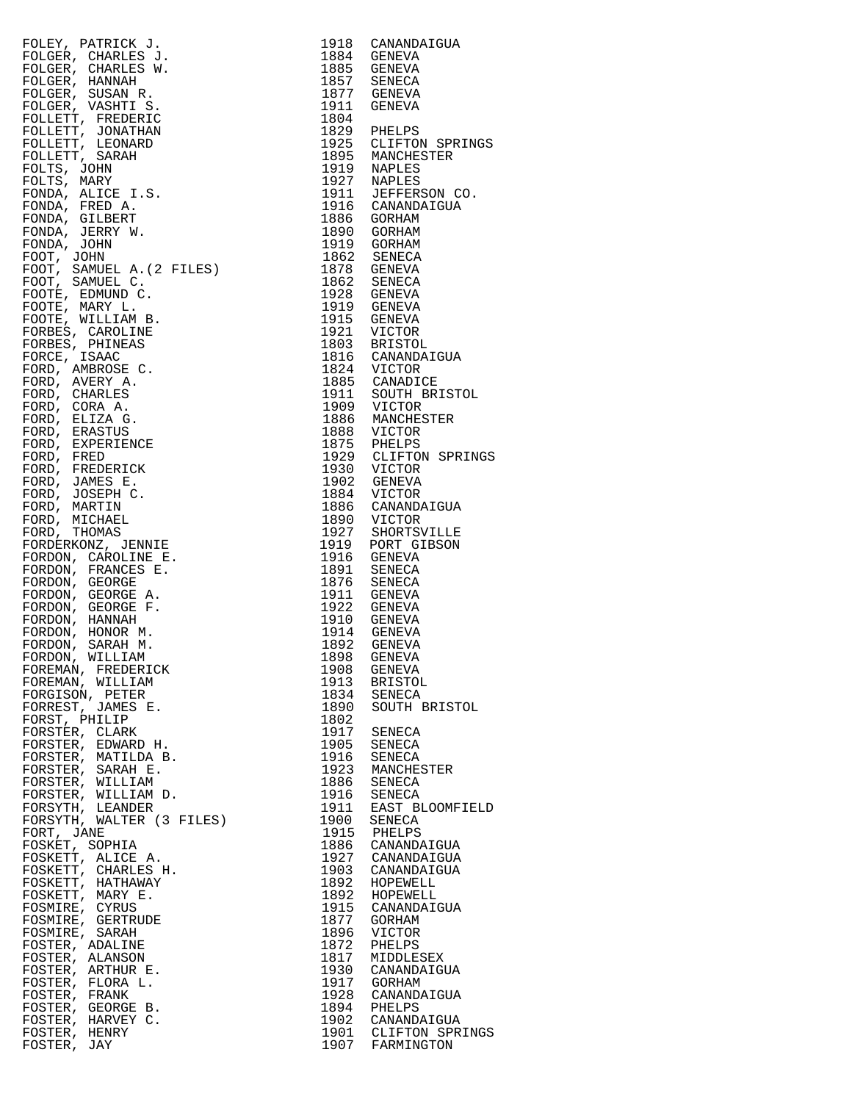| ${\small \begin{tabular}{l} 1918 \\ 1918 \\ 1884 & GENANDA \\ 1885 & GENENA \\ 1886 & GENENA \\ 1887 & SENENA \\ 1897 & SENENA \\ 1911 & GENENA \\ 1911 & 1911 \\ 1894 & 1829 \\ 1895 & CHINENA \\ 1912 & CLLTTON \\ 1914 & 1829 \\ 1915 & CLLTTON \\ 1919 & NAPLES \\ 1911 & JDFFERS \\ 1911 & JDFFERS \\ 1912 & GCKINANDA \\ 1919 & GORMAM \\ 1886 & GORMAM$<br>FOLEY, PATRICK J. |              | CANANDAIGUA                         |
|-------------------------------------------------------------------------------------------------------------------------------------------------------------------------------------------------------------------------------------------------------------------------------------------------------------------------------------------------------------------------------------|--------------|-------------------------------------|
| FOLGER, CHARLES J.                                                                                                                                                                                                                                                                                                                                                                  |              |                                     |
| FOLGER, CHARLES W.                                                                                                                                                                                                                                                                                                                                                                  |              |                                     |
| FOLGER, HANNAH                                                                                                                                                                                                                                                                                                                                                                      |              |                                     |
| FOLGER, SUSAN R.<br>FOLGER, VASHTI S.                                                                                                                                                                                                                                                                                                                                               |              |                                     |
| FOLLETT, FREDERIC                                                                                                                                                                                                                                                                                                                                                                   |              |                                     |
| FOLLETT, JONATHAN                                                                                                                                                                                                                                                                                                                                                                   |              |                                     |
| FOLLETT, LEONARD                                                                                                                                                                                                                                                                                                                                                                    |              | 1829 PHELPS<br>1925 CLIFTON SPRINGS |
| FOLLETT, SARAH                                                                                                                                                                                                                                                                                                                                                                      |              | 1895 MANCHESTER                     |
| FOLTS, JOHN                                                                                                                                                                                                                                                                                                                                                                         |              |                                     |
| FOLTS, MARY                                                                                                                                                                                                                                                                                                                                                                         |              | 1927 NAPLES<br>1911 JEFFERSON CO.   |
| FONDA, ALICE I.S.                                                                                                                                                                                                                                                                                                                                                                   |              |                                     |
| FONDA, FRED A.<br>FONDA, GILBERT                                                                                                                                                                                                                                                                                                                                                    |              | 1916 CANANDAIGUA                    |
| FONDA, JERRY W.                                                                                                                                                                                                                                                                                                                                                                     |              |                                     |
| FONDA, JOHN                                                                                                                                                                                                                                                                                                                                                                         |              |                                     |
| FOOT, JOHN                                                                                                                                                                                                                                                                                                                                                                          |              |                                     |
| FOOT, SAMUEL A. (2 FILES)                                                                                                                                                                                                                                                                                                                                                           |              |                                     |
| FOOT, SAMUEL C.                                                                                                                                                                                                                                                                                                                                                                     |              |                                     |
| FOOTE, EDMUND C.                                                                                                                                                                                                                                                                                                                                                                    |              |                                     |
| FOOTE, MARY L.                                                                                                                                                                                                                                                                                                                                                                      |              |                                     |
| FOOTE, WILLIAM B.                                                                                                                                                                                                                                                                                                                                                                   |              |                                     |
| FORBES, CAROLINE<br>FORBES, PHINEAS                                                                                                                                                                                                                                                                                                                                                 |              |                                     |
| FORCE, ISAAC                                                                                                                                                                                                                                                                                                                                                                        |              | 1816 CANANDAIGUA                    |
| FORD, AMBROSE C.                                                                                                                                                                                                                                                                                                                                                                    |              |                                     |
| FORD, AVERY A.                                                                                                                                                                                                                                                                                                                                                                      |              |                                     |
| FORD, CHARLES                                                                                                                                                                                                                                                                                                                                                                       |              | 1911 SOUTH BRISTOL                  |
| FORD, CORA A.                                                                                                                                                                                                                                                                                                                                                                       |              |                                     |
| FORD, ELIZA G.                                                                                                                                                                                                                                                                                                                                                                      |              | 1886 MANCHESTER                     |
| FORD, ERASTUS                                                                                                                                                                                                                                                                                                                                                                       |              |                                     |
| FORD, EXPERIENCE<br>FORD, FRED                                                                                                                                                                                                                                                                                                                                                      |              | 1929 CLIFTON SPRINGS                |
| FORD, FREDERICK                                                                                                                                                                                                                                                                                                                                                                     |              |                                     |
| FORD, JAMES E.                                                                                                                                                                                                                                                                                                                                                                      |              |                                     |
| FORD, JOSEPH C.                                                                                                                                                                                                                                                                                                                                                                     |              |                                     |
| FORD, MARTIN                                                                                                                                                                                                                                                                                                                                                                        |              | 1886 CANANDAIGUA                    |
| FORD, MICHAEL                                                                                                                                                                                                                                                                                                                                                                       |              |                                     |
| FORD, THOMAS                                                                                                                                                                                                                                                                                                                                                                        |              | 1927 SHORTSVILLE                    |
| FORDERKONZ, JENNIE                                                                                                                                                                                                                                                                                                                                                                  |              | PORT GIBSON                         |
| FORDON, CAROLINE E.<br>FORDON, FRANCES E.                                                                                                                                                                                                                                                                                                                                           |              |                                     |
| FORDON, GEORGE                                                                                                                                                                                                                                                                                                                                                                      |              |                                     |
| FORDON, GEORGE A.                                                                                                                                                                                                                                                                                                                                                                   |              |                                     |
| FORDON, GEORGE F.                                                                                                                                                                                                                                                                                                                                                                   |              |                                     |
| FORDON, HANNAH                                                                                                                                                                                                                                                                                                                                                                      |              |                                     |
| FORDON, HONOR M.                                                                                                                                                                                                                                                                                                                                                                    |              |                                     |
| FORDON, SARAH M.                                                                                                                                                                                                                                                                                                                                                                    |              |                                     |
| FORDON, WILLIAM<br>FOREMAN, FREDERICK                                                                                                                                                                                                                                                                                                                                               | 1908         | GENEVA                              |
| FOREMAN, WILLIAM                                                                                                                                                                                                                                                                                                                                                                    | 1913         | <b>BRISTOL</b>                      |
| FORGISON, PETER                                                                                                                                                                                                                                                                                                                                                                     | 1834         | SENECA                              |
| FORREST, JAMES E.                                                                                                                                                                                                                                                                                                                                                                   | 1890         | SOUTH BRISTOL                       |
| FORST, PHILIP                                                                                                                                                                                                                                                                                                                                                                       | 1802         |                                     |
| FORSTER, CLARK                                                                                                                                                                                                                                                                                                                                                                      | 1917         | SENECA                              |
| FORSTER, EDWARD H.                                                                                                                                                                                                                                                                                                                                                                  | 1905         | SENECA                              |
| FORSTER, MATILDA B.                                                                                                                                                                                                                                                                                                                                                                 | 1916         | SENECA                              |
| FORSTER, SARAH E.<br>FORSTER, WILLIAM                                                                                                                                                                                                                                                                                                                                               | 1923<br>1886 | MANCHESTER<br>SENECA                |
| FORSTER, WILLIAM D.                                                                                                                                                                                                                                                                                                                                                                 | 1916         | SENECA                              |
| FORSYTH, LEANDER                                                                                                                                                                                                                                                                                                                                                                    | 1911         | EAST BLOOMFIELD                     |
| FORSYTH, WALTER (3 FILES)                                                                                                                                                                                                                                                                                                                                                           | 1900         | <b>SENECA</b>                       |
| FORT, JANE                                                                                                                                                                                                                                                                                                                                                                          | 1915         | PHELPS                              |
| FOSKET, SOPHIA                                                                                                                                                                                                                                                                                                                                                                      | 1886         | CANANDAIGUA                         |
| FOSKETT, ALICE A.                                                                                                                                                                                                                                                                                                                                                                   |              | 1927 CANANDAIGUA                    |
| FOSKETT, CHARLES H.                                                                                                                                                                                                                                                                                                                                                                 | 1903         | CANANDAIGUA                         |
| FOSKETT, HATHAWAY<br>FOSKETT, MARY E.                                                                                                                                                                                                                                                                                                                                               | 1892<br>1892 | HOPEWELL<br>HOPEWELL                |
| FOSMIRE, CYRUS                                                                                                                                                                                                                                                                                                                                                                      |              | 1915 CANANDAIGUA                    |
| FOSMIRE, GERTRUDE                                                                                                                                                                                                                                                                                                                                                                   | 1877         | GORHAM                              |
| FOSMIRE, SARAH                                                                                                                                                                                                                                                                                                                                                                      | 1896         | VICTOR                              |
| FOSTER, ADALINE                                                                                                                                                                                                                                                                                                                                                                     | 1872         | PHELPS                              |
| FOSTER, ALANSON                                                                                                                                                                                                                                                                                                                                                                     | 1817         | MIDDLESEX                           |
| FOSTER, ARTHUR E.                                                                                                                                                                                                                                                                                                                                                                   | 1930         | CANANDAIGUA                         |
| FOSTER, FLORA L.                                                                                                                                                                                                                                                                                                                                                                    |              | 1917 GORHAM                         |
| FOSTER, FRANK                                                                                                                                                                                                                                                                                                                                                                       | 1928         | CANANDAIGUA                         |
| FOSTER, GEORGE B.<br>FOSTER, HARVEY C.                                                                                                                                                                                                                                                                                                                                              |              | 1894 PHELPS<br>1902 CANANDAIGUA     |
| FOSTER, HENRY                                                                                                                                                                                                                                                                                                                                                                       |              | 1901 CLIFTON SPRINGS                |
| FOSTER, JAY                                                                                                                                                                                                                                                                                                                                                                         |              | 1907 FARMINGTON                     |

| 1918         | CANANDAIGUA                   |
|--------------|-------------------------------|
| 1884<br>1885 | GENEVA<br>GENEVA              |
| 1857         | SENECA                        |
| 1877<br>1911 | GENEVA<br>GENEVA              |
| 1804<br>1829 | PHELPS                        |
| 1925         | CLIFTON SPRINGS               |
| 1895<br>1919 | MANCHESTER<br>NAPLES          |
| 1927         | NAPLES                        |
| 1911<br>1916 | JEFFERSON CO.<br>CANANDAIGUA  |
| 1886         | GORHAM                        |
| 1890<br>1919 | GORHAM<br>GORHAM              |
| 1862         | SENECA                        |
| 1878<br>1862 | GENEVA<br>SENECA              |
| 1928<br>1919 | GENEVA<br>GENEVA              |
| 1915         | GENEVA                        |
| 1921<br>1803 | VICTOR<br><b>BRISTOL</b>      |
| 1816         | CANANDAIGUA                   |
| 1824<br>1885 | VICTOR<br>CANADICE            |
| 1911         | SOUTH BRISTOL                 |
| 1909<br>1886 | <b>VICTOR</b><br>MANCHESTER   |
| 1888         | VICTOR                        |
| 1875<br>1929 | PHELPS<br>CLIFTON SPRINGS     |
| 1930         | VICTOR                        |
| 1902<br>1884 | GENEVA<br>VICTOR              |
| 1886<br>1890 | CANANDAIGUA<br>VICTOR         |
| 1927         | SHORTSVILLE                   |
| 1919<br>1916 | PORT GIBSON<br>GENEVA         |
| 1891         | SENECA                        |
| 1876<br>1911 | SENECA<br>GENEVA              |
| 1922         | GENEVA                        |
| 1910<br>1914 | GENEVA<br>GENEVA              |
| 1892         | GENEVA                        |
| 1898<br>1908 | GENEVA<br><b>GENEVA</b>       |
| 1913<br>1834 | <b>BRISTOL</b><br>SENECA      |
| 1890         | SOUTH BRISTOL                 |
| 1802<br>1917 | SENECA                        |
| 1905         | SENECA                        |
| 1916<br>1923 | SENECA<br>MANCHESTER          |
| 1886         | SENECA                        |
| 1916<br>1911 | SENECA<br>EAST BLOOMFIELD     |
| 1900<br>1915 | SENECA                        |
| 1886         | PHELPS<br>CANANDAIGUA         |
| 1927<br>1903 | CANANDAIGUA<br>CANANDAIGUA    |
| 1892         | HOPEWELL                      |
| 1892<br>1915 | HOPEWELL<br>CANANDAIGUA       |
| 1877         | GORHAM                        |
| 1896         | VICTOR<br>PHELPS              |
| 1872<br>1817 | MIDDLESEX                     |
| 1930<br>1917 | CANANDAIGUA<br>GORHAM         |
| 1928<br>1894 | CANANDAIGUA                   |
| 1902         | PHELPS<br>CANANDAIGUA         |
| 1901<br>1907 | CLIFTON SPRINGS<br>FARMINGTON |
|              |                               |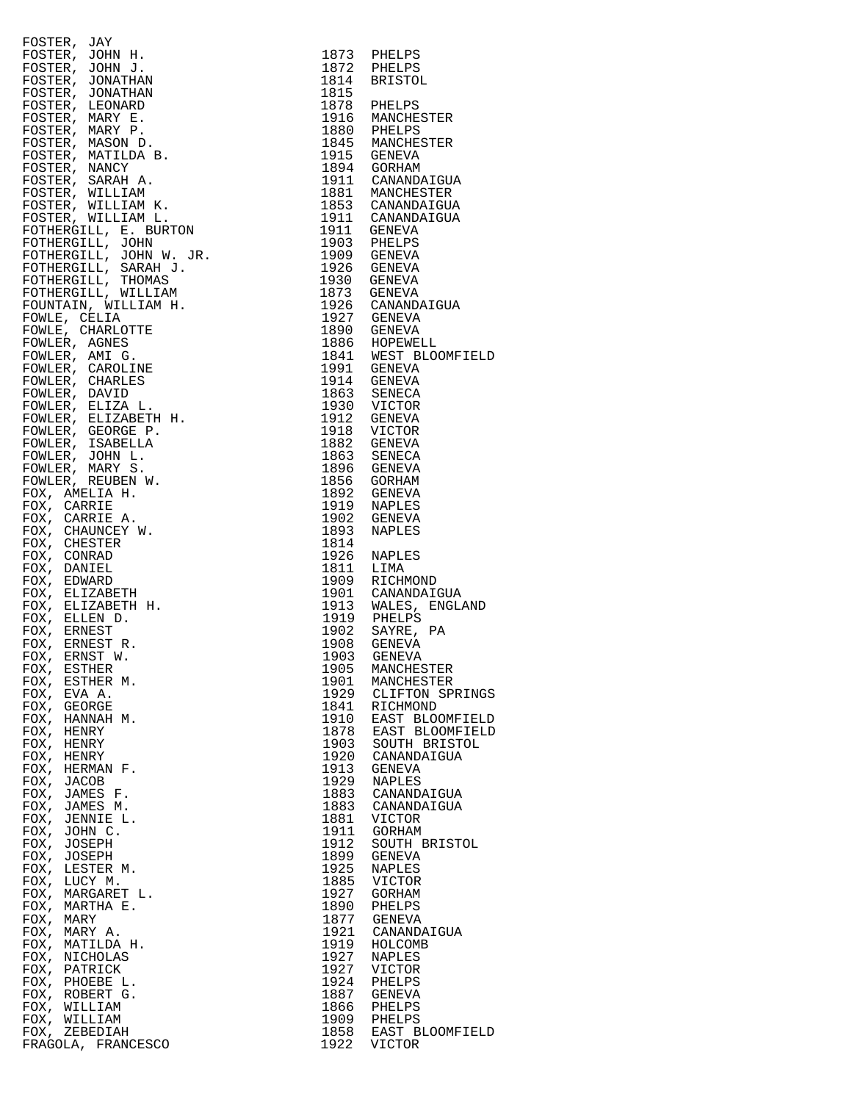|                                                                                                                                                                                                                                                                          |      | 1873 PHELPS<br>1872 PHELPS                                                                                         |
|--------------------------------------------------------------------------------------------------------------------------------------------------------------------------------------------------------------------------------------------------------------------------|------|--------------------------------------------------------------------------------------------------------------------|
|                                                                                                                                                                                                                                                                          |      |                                                                                                                    |
|                                                                                                                                                                                                                                                                          | 1814 | BRISTOL                                                                                                            |
|                                                                                                                                                                                                                                                                          | 1815 |                                                                                                                    |
|                                                                                                                                                                                                                                                                          |      |                                                                                                                    |
|                                                                                                                                                                                                                                                                          |      | 1878 PHELPS<br>1916 MANCHESTER                                                                                     |
|                                                                                                                                                                                                                                                                          |      |                                                                                                                    |
|                                                                                                                                                                                                                                                                          |      | 1880 PHELPS<br>1845 MANCHESTER                                                                                     |
|                                                                                                                                                                                                                                                                          |      |                                                                                                                    |
|                                                                                                                                                                                                                                                                          |      |                                                                                                                    |
|                                                                                                                                                                                                                                                                          |      |                                                                                                                    |
|                                                                                                                                                                                                                                                                          |      | 1915 GENEVA<br>1894 GORHAM<br>1911 CANANDAIGUA<br>1881 MANCHESTER                                                  |
|                                                                                                                                                                                                                                                                          |      |                                                                                                                    |
|                                                                                                                                                                                                                                                                          |      |                                                                                                                    |
|                                                                                                                                                                                                                                                                          |      |                                                                                                                    |
|                                                                                                                                                                                                                                                                          |      |                                                                                                                    |
|                                                                                                                                                                                                                                                                          |      | 1853 CANANDAIGUA<br>1911 CANANDAIGUA<br>1911 GENEVA<br>1903 PHELPS                                                 |
|                                                                                                                                                                                                                                                                          |      | 1909 GENEVA<br>1926 GENEVA<br>1930 GENEVA<br>1930 GENEVA<br>1926 CANANDAIGUA<br>1927 GENEVA                        |
|                                                                                                                                                                                                                                                                          |      |                                                                                                                    |
|                                                                                                                                                                                                                                                                          |      |                                                                                                                    |
|                                                                                                                                                                                                                                                                          |      |                                                                                                                    |
|                                                                                                                                                                                                                                                                          |      |                                                                                                                    |
|                                                                                                                                                                                                                                                                          |      |                                                                                                                    |
|                                                                                                                                                                                                                                                                          |      |                                                                                                                    |
|                                                                                                                                                                                                                                                                          |      |                                                                                                                    |
|                                                                                                                                                                                                                                                                          |      |                                                                                                                    |
|                                                                                                                                                                                                                                                                          |      |                                                                                                                    |
| FOSTER, JAY<br>FOSTER, JONN H.<br>FOSTER, JOHN H.<br>FOSTER, JONATHAN<br>FOSTER, JONATHAN<br>FOSTER, MARY E.<br>FOSTER, MARY E.<br>FOSTER, MARY E.<br>FOSTER, MARY E.<br>FOSTER, MARY E.<br>FOSTER, MARY E.<br>FOSTER, MARY E.<br>FOSTER, MARY E.<br>FOSTER, MARY E.<br> |      | 1890 GENEVA<br>1886 HOPEWELL<br>1841 WEST BLOOMFI<br>1991 GENEVA                                                   |
|                                                                                                                                                                                                                                                                          |      | 1914 GENEVA<br>1863 SENECA<br>1930 VICTOR<br>1912 GENEVA<br>1982 GENEVA<br>1882 GENEVA                             |
|                                                                                                                                                                                                                                                                          |      |                                                                                                                    |
|                                                                                                                                                                                                                                                                          |      |                                                                                                                    |
|                                                                                                                                                                                                                                                                          |      |                                                                                                                    |
|                                                                                                                                                                                                                                                                          |      |                                                                                                                    |
|                                                                                                                                                                                                                                                                          |      |                                                                                                                    |
|                                                                                                                                                                                                                                                                          |      |                                                                                                                    |
|                                                                                                                                                                                                                                                                          |      | 1863 SENECA<br>1896 GENEVA                                                                                         |
|                                                                                                                                                                                                                                                                          |      |                                                                                                                    |
|                                                                                                                                                                                                                                                                          |      |                                                                                                                    |
|                                                                                                                                                                                                                                                                          |      |                                                                                                                    |
|                                                                                                                                                                                                                                                                          |      | 1856 GORHAM<br>1892 GENEVA<br>1919 NAPLES<br>1902 GENEVA                                                           |
|                                                                                                                                                                                                                                                                          | 1893 | NAPLES                                                                                                             |
|                                                                                                                                                                                                                                                                          | 1814 |                                                                                                                    |
|                                                                                                                                                                                                                                                                          |      |                                                                                                                    |
|                                                                                                                                                                                                                                                                          |      | 1926 NAPLES<br>1811 LIMA                                                                                           |
|                                                                                                                                                                                                                                                                          |      |                                                                                                                    |
|                                                                                                                                                                                                                                                                          |      | 1909 RICHMOND<br>1909 RICHMOND<br>1913 WALES, ENGLA<br>1913 PHELPS<br>1902 SAYRE, PA<br>1908 GENEVA<br>1908 GENEVA |
|                                                                                                                                                                                                                                                                          |      |                                                                                                                    |
|                                                                                                                                                                                                                                                                          |      |                                                                                                                    |
|                                                                                                                                                                                                                                                                          |      |                                                                                                                    |
|                                                                                                                                                                                                                                                                          |      |                                                                                                                    |
|                                                                                                                                                                                                                                                                          |      |                                                                                                                    |
|                                                                                                                                                                                                                                                                          | 1903 | GENEVA                                                                                                             |
| FOX,<br>ESTHER                                                                                                                                                                                                                                                           | 1905 | MANCHESTER                                                                                                         |
| FOX, ESTHER M.                                                                                                                                                                                                                                                           | 1901 | MANCHESTER                                                                                                         |
| FOX, EVA A.                                                                                                                                                                                                                                                              | 1929 | CLIFTON SPRI                                                                                                       |
| FOX,<br>GEORGE                                                                                                                                                                                                                                                           | 1841 | RICHMOND                                                                                                           |
| FOX,<br>HANNAH M.                                                                                                                                                                                                                                                        | 1910 | EAST BLOOMFI                                                                                                       |
| FOX, HENRY                                                                                                                                                                                                                                                               | 1878 | EAST BLOOMFI                                                                                                       |
| FOX, HENRY                                                                                                                                                                                                                                                               | 1903 | SOUTH BRISTO                                                                                                       |
| FOX, HENRY                                                                                                                                                                                                                                                               | 1920 | CANANDAIGUA                                                                                                        |
| FOX, HERMAN F.                                                                                                                                                                                                                                                           | 1913 | GENEVA                                                                                                             |
| FOX, JACOB                                                                                                                                                                                                                                                               | 1929 | NAPLES                                                                                                             |
| FOX, JAMES F.                                                                                                                                                                                                                                                            | 1883 | CANANDAIGUA                                                                                                        |
| FOX, JAMES M.                                                                                                                                                                                                                                                            | 1883 | CANANDAIGUA                                                                                                        |
| FOX, JENNIE L.                                                                                                                                                                                                                                                           | 1881 | VICTOR                                                                                                             |
| FOX, JOHN C.                                                                                                                                                                                                                                                             | 1911 | GORHAM                                                                                                             |
| FOX, JOSEPH                                                                                                                                                                                                                                                              | 1912 | SOUTH BRISTO                                                                                                       |
| FOX, JOSEPH                                                                                                                                                                                                                                                              | 1899 | GENEVA                                                                                                             |
| FOX, LESTER M.                                                                                                                                                                                                                                                           | 1925 | NAPLES                                                                                                             |
|                                                                                                                                                                                                                                                                          | 1885 |                                                                                                                    |
| FOX, LUCY M.<br>FOX, MARGARET L.                                                                                                                                                                                                                                         | 1927 | VICTOR                                                                                                             |
|                                                                                                                                                                                                                                                                          |      | GORHAM                                                                                                             |
| FOX, MARTHA E.                                                                                                                                                                                                                                                           | 1890 | PHELPS                                                                                                             |
| FOX, MARY                                                                                                                                                                                                                                                                | 1877 | GENEVA                                                                                                             |
| FOX, MARY A.                                                                                                                                                                                                                                                             | 1921 | CANANDAIGUA                                                                                                        |
| FOX, MATILDA H.                                                                                                                                                                                                                                                          | 1919 | HOLCOMB                                                                                                            |
| FOX, NICHOLAS                                                                                                                                                                                                                                                            | 1927 | NAPLES                                                                                                             |
| FOX, PATRICK                                                                                                                                                                                                                                                             | 1927 | VICTOR                                                                                                             |
| FOX, PHOEBE L.                                                                                                                                                                                                                                                           | 1924 | PHELPS                                                                                                             |
| FOX, ROBERT G.                                                                                                                                                                                                                                                           | 1887 | GENEVA                                                                                                             |
| FOX, WILLIAM                                                                                                                                                                                                                                                             | 1866 | PHELPS                                                                                                             |
| FOX, WILLIAM                                                                                                                                                                                                                                                             | 1909 | PHELPS                                                                                                             |
| FOX, ZEBEDIAH                                                                                                                                                                                                                                                            | 1858 | EAST BLOOMFI                                                                                                       |
| FRAGOLA, FRANCESCO                                                                                                                                                                                                                                                       | 1922 | VICTOR                                                                                                             |
|                                                                                                                                                                                                                                                                          |      |                                                                                                                    |

| FOSTER, JOHN H.<br>FOSTER, JOHN H. H. (2018)<br>FOSTER, JOHN H. (2018)<br>FOSTER, JOHNAHAN<br>FOSTER, JOHNAHAN<br>FOSTER, MARY E.<br>FOSTER, MARY E.<br>FOSTER, MARY E.<br>FOSTER, MARY E.<br>FOSTER, MARY E.<br>FOSTER, WATILDA B.<br>FOSTER, WALLIAM L.<br>FOSTER, WILLIAM L.<br>FO |              | 1873 PHELPS                                                           |
|---------------------------------------------------------------------------------------------------------------------------------------------------------------------------------------------------------------------------------------------------------------------------------------|--------------|-----------------------------------------------------------------------|
| FOSTER, JOHN J.                                                                                                                                                                                                                                                                       |              | 1872 PHELPS<br>1814 BRISTOL                                           |
|                                                                                                                                                                                                                                                                                       | 1815         |                                                                       |
|                                                                                                                                                                                                                                                                                       |              | 1878 PHELPS                                                           |
|                                                                                                                                                                                                                                                                                       |              |                                                                       |
|                                                                                                                                                                                                                                                                                       |              |                                                                       |
|                                                                                                                                                                                                                                                                                       |              | 1916 MANCHESTER<br>1880 PHELPS<br>1845 MANCHESTER                     |
|                                                                                                                                                                                                                                                                                       |              | 1915 GENEVA                                                           |
|                                                                                                                                                                                                                                                                                       |              | 1894 GORHAM                                                           |
|                                                                                                                                                                                                                                                                                       |              | 1911 CANANDAIGUA                                                      |
|                                                                                                                                                                                                                                                                                       |              | 1881 MANCHESTER<br>1853 CANANDAIGUA                                   |
|                                                                                                                                                                                                                                                                                       |              | 1911 CANANDAIGUA<br>1911 GENEVA                                       |
|                                                                                                                                                                                                                                                                                       |              |                                                                       |
|                                                                                                                                                                                                                                                                                       |              | 1903 PHELPS                                                           |
|                                                                                                                                                                                                                                                                                       |              | 1909 GENEVA                                                           |
|                                                                                                                                                                                                                                                                                       |              | 1926 GENEVA<br>1930 GENEVA                                            |
|                                                                                                                                                                                                                                                                                       |              |                                                                       |
|                                                                                                                                                                                                                                                                                       |              | 1873 GENEVA<br>1926 CANANDAIGUA                                       |
|                                                                                                                                                                                                                                                                                       |              | 1927 GENEVA                                                           |
|                                                                                                                                                                                                                                                                                       |              | 1890 GENEVA                                                           |
|                                                                                                                                                                                                                                                                                       |              | 1886 HOPEWELL<br>1886 HOPEWELL<br>1841 WEST BLOOMFIELD<br>1914 GENEVA |
|                                                                                                                                                                                                                                                                                       |              |                                                                       |
|                                                                                                                                                                                                                                                                                       |              |                                                                       |
|                                                                                                                                                                                                                                                                                       |              |                                                                       |
|                                                                                                                                                                                                                                                                                       |              | 1863 SENECA<br>1930 VICTOR                                            |
|                                                                                                                                                                                                                                                                                       |              | 1912 GENEVA                                                           |
|                                                                                                                                                                                                                                                                                       |              | 1918 VICTOR                                                           |
|                                                                                                                                                                                                                                                                                       |              | 1882 GENEVA<br>1863 SENECA                                            |
|                                                                                                                                                                                                                                                                                       |              | 1896 GENEVA                                                           |
|                                                                                                                                                                                                                                                                                       |              | 1856 GORHAM                                                           |
|                                                                                                                                                                                                                                                                                       |              | 1892 GENEVA                                                           |
|                                                                                                                                                                                                                                                                                       |              | 1919 NAPLES                                                           |
|                                                                                                                                                                                                                                                                                       |              | 1902 GENEVA                                                           |
|                                                                                                                                                                                                                                                                                       | 1814         | 1893 NAPLES                                                           |
|                                                                                                                                                                                                                                                                                       |              | 1926 NAPLES                                                           |
|                                                                                                                                                                                                                                                                                       |              | 1811 LIMA<br>1909 RICHMOND                                            |
|                                                                                                                                                                                                                                                                                       |              |                                                                       |
|                                                                                                                                                                                                                                                                                       |              | 1901 CANANDAIGUA<br>1913 WALES, ENGLAND                               |
|                                                                                                                                                                                                                                                                                       |              |                                                                       |
|                                                                                                                                                                                                                                                                                       |              | 1919 PHELPS<br>1902 SAYRE, PA                                         |
|                                                                                                                                                                                                                                                                                       |              | 1908 GENEVA                                                           |
|                                                                                                                                                                                                                                                                                       | 1903         | <b>GENEVA</b>                                                         |
|                                                                                                                                                                                                                                                                                       |              | 1905 MANCHESTER                                                       |
| FOX, ESTHER M.<br>FOX, EVA A.                                                                                                                                                                                                                                                         |              | 1901 MANCHESTER<br>1929 CLIFTON SPRINGS                               |
| FOX, GEORGE                                                                                                                                                                                                                                                                           | 1841         | RICHMOND                                                              |
| FOX, HANNAH M.                                                                                                                                                                                                                                                                        | 1910         | EAST BLOOMFIELD                                                       |
| FOX, HENRY                                                                                                                                                                                                                                                                            |              | 1878 EAST BLOOMFIELD                                                  |
| FOX, HENRY                                                                                                                                                                                                                                                                            |              | 1903 SOUTH BRISTOL                                                    |
| FOX, HENRY                                                                                                                                                                                                                                                                            |              | 1920 CANANDAIGUA                                                      |
| FOX, HERMAN F.<br>FOX, JACOB                                                                                                                                                                                                                                                          | 1913<br>1929 | <b>GENEVA</b><br><b>NAPLES</b>                                        |
| FOX, JAMES F.                                                                                                                                                                                                                                                                         | 1883         | CANANDAIGUA                                                           |
| FOX, JAMES M.                                                                                                                                                                                                                                                                         | 1883         | CANANDAIGUA                                                           |
| FOX, JENNIE L.                                                                                                                                                                                                                                                                        | 1881         | VICTOR                                                                |
| FOX, JOHN C.                                                                                                                                                                                                                                                                          | 1911         | GORHAM                                                                |
| FOX, JOSEPH                                                                                                                                                                                                                                                                           | 1912         | SOUTH BRISTOL                                                         |
| FOX, JOSEPH<br>FOX, LESTER M.                                                                                                                                                                                                                                                         | 1899<br>1925 | <b>GENEVA</b><br><b>NAPLES</b>                                        |
| FOX, LUCY M.                                                                                                                                                                                                                                                                          | 1885         | VICTOR                                                                |
| FOX, MARGARET L.                                                                                                                                                                                                                                                                      | 1927         | GORHAM                                                                |
| FOX, MARTHA E.                                                                                                                                                                                                                                                                        | 1890         | PHELPS                                                                |
| FOX, MARY                                                                                                                                                                                                                                                                             |              | 1877 GENEVA                                                           |
| FOX, MARY A.<br>FOX, MATILDA H.                                                                                                                                                                                                                                                       | 1921<br>1919 | CANANDAIGUA<br>HOLCOMB                                                |
| FOX, NICHOLAS                                                                                                                                                                                                                                                                         | 1927         | <b>NAPLES</b>                                                         |
| FOX, PATRICK                                                                                                                                                                                                                                                                          | 1927         | VICTOR                                                                |
| FOX, PHOEBE L.                                                                                                                                                                                                                                                                        | 1924         | PHELPS                                                                |
| FOX, ROBERT G.                                                                                                                                                                                                                                                                        |              | 1887 GENEVA                                                           |
| FOX, WILLIAM                                                                                                                                                                                                                                                                          |              | 1866 PHELPS                                                           |
| FOX, WILLIAM<br>FOX, ZEBEDIAH                                                                                                                                                                                                                                                         |              | 1909 PHELPS<br>1858 EAST BLOOMFIELD                                   |
| FRAGOLA, FRANCESCO                                                                                                                                                                                                                                                                    | 1922         | <b>VICTOR</b>                                                         |
|                                                                                                                                                                                                                                                                                       |              |                                                                       |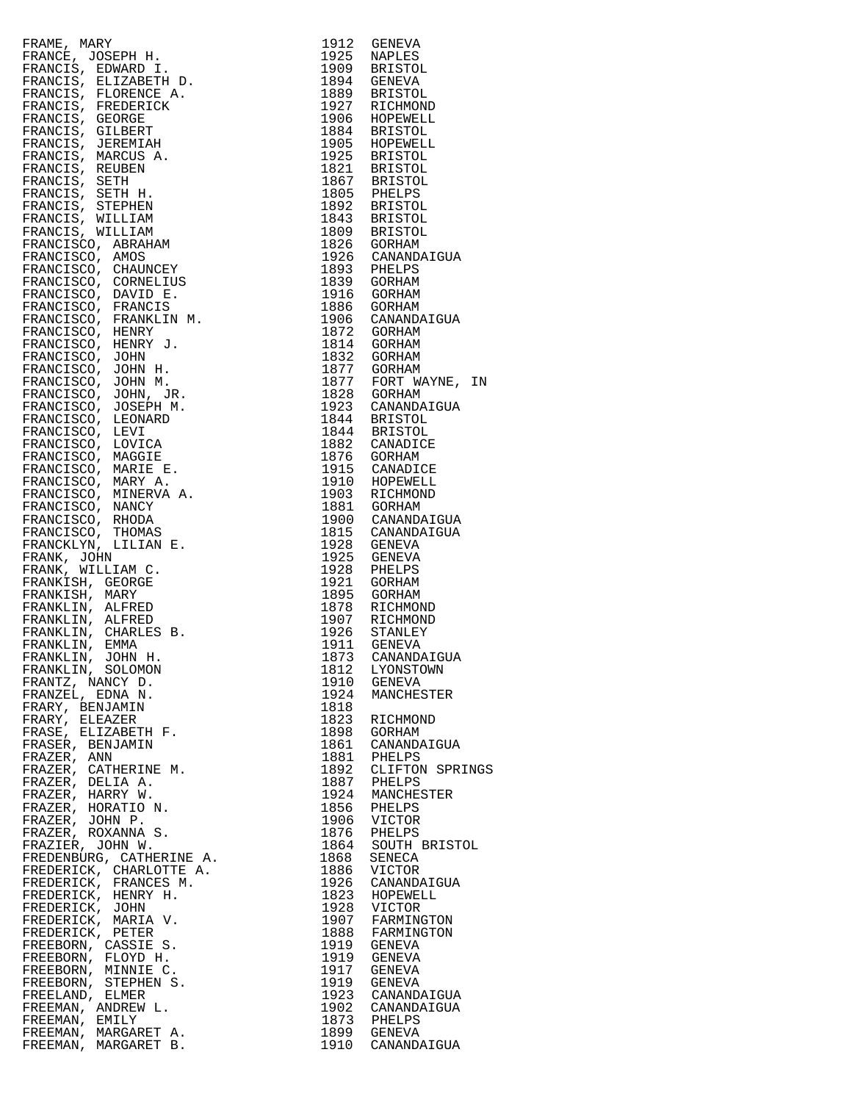| FRAME, MARY 1990<br>FRANCES, EDWARD I, 1912 (ENERVA<br>FRANCES, EDWARD I, 1922 (ENERVA<br>FRANCES, ELIZABETH D. 1999 BRESTOL<br>FRANCES, FLORENCE A. 1894 GENEVA<br>FRANCES, FLORENCE<br>FRANCES, FREDRICK 1989 BRESTOL<br>FRANCES, SERBITAR                                  |      |                      |
|-------------------------------------------------------------------------------------------------------------------------------------------------------------------------------------------------------------------------------------------------------------------------------|------|----------------------|
|                                                                                                                                                                                                                                                                               |      |                      |
|                                                                                                                                                                                                                                                                               |      |                      |
|                                                                                                                                                                                                                                                                               |      |                      |
|                                                                                                                                                                                                                                                                               |      |                      |
|                                                                                                                                                                                                                                                                               |      |                      |
|                                                                                                                                                                                                                                                                               |      |                      |
|                                                                                                                                                                                                                                                                               |      |                      |
|                                                                                                                                                                                                                                                                               |      |                      |
|                                                                                                                                                                                                                                                                               |      |                      |
|                                                                                                                                                                                                                                                                               |      |                      |
|                                                                                                                                                                                                                                                                               |      |                      |
|                                                                                                                                                                                                                                                                               |      |                      |
|                                                                                                                                                                                                                                                                               |      |                      |
|                                                                                                                                                                                                                                                                               |      |                      |
|                                                                                                                                                                                                                                                                               |      |                      |
|                                                                                                                                                                                                                                                                               |      |                      |
|                                                                                                                                                                                                                                                                               |      |                      |
|                                                                                                                                                                                                                                                                               |      |                      |
|                                                                                                                                                                                                                                                                               |      |                      |
|                                                                                                                                                                                                                                                                               |      |                      |
|                                                                                                                                                                                                                                                                               |      |                      |
|                                                                                                                                                                                                                                                                               |      |                      |
|                                                                                                                                                                                                                                                                               |      |                      |
|                                                                                                                                                                                                                                                                               |      |                      |
|                                                                                                                                                                                                                                                                               |      |                      |
|                                                                                                                                                                                                                                                                               |      |                      |
|                                                                                                                                                                                                                                                                               |      |                      |
|                                                                                                                                                                                                                                                                               |      |                      |
|                                                                                                                                                                                                                                                                               |      |                      |
|                                                                                                                                                                                                                                                                               |      |                      |
|                                                                                                                                                                                                                                                                               |      |                      |
|                                                                                                                                                                                                                                                                               |      |                      |
|                                                                                                                                                                                                                                                                               |      |                      |
|                                                                                                                                                                                                                                                                               |      |                      |
|                                                                                                                                                                                                                                                                               |      |                      |
|                                                                                                                                                                                                                                                                               |      |                      |
|                                                                                                                                                                                                                                                                               |      |                      |
|                                                                                                                                                                                                                                                                               |      |                      |
|                                                                                                                                                                                                                                                                               |      |                      |
|                                                                                                                                                                                                                                                                               |      |                      |
|                                                                                                                                                                                                                                                                               |      |                      |
|                                                                                                                                                                                                                                                                               |      |                      |
|                                                                                                                                                                                                                                                                               |      |                      |
|                                                                                                                                                                                                                                                                               |      |                      |
|                                                                                                                                                                                                                                                                               |      |                      |
|                                                                                                                                                                                                                                                                               |      |                      |
|                                                                                                                                                                                                                                                                               |      |                      |
|                                                                                                                                                                                                                                                                               |      |                      |
|                                                                                                                                                                                                                                                                               |      |                      |
|                                                                                                                                                                                                                                                                               |      |                      |
|                                                                                                                                                                                                                                                                               |      |                      |
|                                                                                                                                                                                                                                                                               |      |                      |
|                                                                                                                                                                                                                                                                               |      |                      |
|                                                                                                                                                                                                                                                                               |      |                      |
|                                                                                                                                                                                                                                                                               |      |                      |
|                                                                                                                                                                                                                                                                               |      | 1873 CANANDAIGUA     |
| FRANKLIN, JOHN H.                                                                                                                                                                                                                                                             |      |                      |
| FRANKLIN, SOLOMON                                                                                                                                                                                                                                                             |      | 1812 LYONSTOWN       |
| FRANTZ, NANCY D.                                                                                                                                                                                                                                                              |      | 1910 GENEVA          |
| FRANZEL, EDNA N.                                                                                                                                                                                                                                                              |      | 1924 MANCHESTER      |
|                                                                                                                                                                                                                                                                               |      |                      |
| FRARY, BENJAMIN                                                                                                                                                                                                                                                               | 1818 |                      |
| FRARY, ELEAZER                                                                                                                                                                                                                                                                |      | 1823 RICHMOND        |
| FRASE, ELIZABETH F.                                                                                                                                                                                                                                                           | 1898 | GORHAM               |
|                                                                                                                                                                                                                                                                               |      |                      |
| FRASER, BENJAMIN                                                                                                                                                                                                                                                              |      | 1861 CANANDAIGUA     |
| FRAZER, ANN                                                                                                                                                                                                                                                                   |      | 1881 PHELPS          |
| FRAZER, CATHERINE M.                                                                                                                                                                                                                                                          |      | 1892 CLIFTON SPRINGS |
| FRAZER, DELIA A.                                                                                                                                                                                                                                                              |      | 1887 PHELPS          |
|                                                                                                                                                                                                                                                                               |      |                      |
| FRAZER, HARRY W.                                                                                                                                                                                                                                                              |      | 1924 MANCHESTER      |
| FRAZER, HORATIO N.                                                                                                                                                                                                                                                            |      | 1856 PHELPS          |
|                                                                                                                                                                                                                                                                               |      |                      |
| FRAZER, JOHN P.                                                                                                                                                                                                                                                               |      | 1906 VICTOR          |
| FRAZER, ROXANNA S.                                                                                                                                                                                                                                                            |      | 1876 PHELPS          |
|                                                                                                                                                                                                                                                                               |      | 1864 SOUTH BRISTOL   |
|                                                                                                                                                                                                                                                                               |      |                      |
|                                                                                                                                                                                                                                                                               | 1868 | SENECA               |
|                                                                                                                                                                                                                                                                               |      | 1886 VICTOR          |
|                                                                                                                                                                                                                                                                               | 1926 | CANANDAIGUA          |
|                                                                                                                                                                                                                                                                               |      | 1823 HOPEWELL        |
|                                                                                                                                                                                                                                                                               |      |                      |
|                                                                                                                                                                                                                                                                               |      | 1928 VICTOR          |
|                                                                                                                                                                                                                                                                               |      | 1907 FARMINGTON      |
|                                                                                                                                                                                                                                                                               |      |                      |
|                                                                                                                                                                                                                                                                               |      | 1888 FARMINGTON      |
|                                                                                                                                                                                                                                                                               |      | 1919 GENEVA          |
|                                                                                                                                                                                                                                                                               |      | 1919 GENEVA          |
|                                                                                                                                                                                                                                                                               |      | 1917 GENEVA          |
|                                                                                                                                                                                                                                                                               |      |                      |
|                                                                                                                                                                                                                                                                               |      | 1919 GENEVA          |
|                                                                                                                                                                                                                                                                               |      | 1923 CANANDAIGUA     |
|                                                                                                                                                                                                                                                                               |      | 1902 CANANDAIGUA     |
|                                                                                                                                                                                                                                                                               |      |                      |
| FRAZIER, JOHN W.<br>FREDENBURG, CATHERINE A.<br>FREDERICK, CHARLOTTE A.<br>FREDERICK, FRANCES M.<br>FREDERICK, HENRY H.<br>FREDERICK, MARIA V.<br>FREDERICK, MARIA V.<br>FREDERICK, PETER<br>FREEBORN, CASSIE S.<br>FREEBORN, FLOYD H.<br>FREEBORN, STEPHEN<br>FREEMAN, EMILY |      | 1873 PHELPS          |
| FREEMAN, MARGARET A.                                                                                                                                                                                                                                                          |      | 1899 GENEVA          |
| FREEMAN, MARGARET B.                                                                                                                                                                                                                                                          |      | 1910 CANANDAIGUA     |

| 1912         | GENEVA                      |
|--------------|-----------------------------|
| 1925         | NAPLES                      |
| 1909         | <b>BRISTOL</b>              |
| 1894         | GENEVA                      |
| 1889         | <b>BRISTOL</b>              |
| 1927         | RICHMOND                    |
| 1906         | HOPEWELL                    |
| 1884         | <b>BRISTOL</b>              |
| 1905         | HOPEWELL                    |
| 1925         | <b>BRISTOL</b>              |
| 1821         | <b>BRISTOL</b>              |
| 1867         | <b>BRISTOL</b>              |
| 1805         | PHELPS                      |
| 1892         | <b>BRISTOL</b>              |
| 1843         | <b>BRISTOL</b>              |
| 1809         | <b>BRISTOL</b>              |
| 1826         | GORHAM                      |
| 1926         | CANANDAIGUA                 |
| 1893         | PHELPS                      |
| 1839         | GORHAM                      |
| 1916<br>1886 | GORHAM                      |
| 1906         | GORHAM<br>CANANDAIGUA       |
| 1872         | GORHAM                      |
| 1814         | GORHAM                      |
| 1832         | GORHAM                      |
| 1877         | GORHAM                      |
| 1877<br>1828 | FORT WAYNE,<br>ΙN<br>GORHAM |
| 1923         | CANANDAIGUA                 |
| 1844         | <b>BRISTOL</b>              |
| 1844         | BRISTOL                     |
| 1882         | CANADICE                    |
| 1876         | GORHAM                      |
| 1915         | CANADICE                    |
| 1910         | HOPEWELL                    |
| 1903         | RICHMOND                    |
| 1881         | GORHAM                      |
| 1900         | CANANDAIGUA                 |
| 1815         | CANANDAIGUA                 |
| 1928         | GENEVA                      |
| 1925         | GENEVA                      |
| 1928         | PHELPS                      |
| 1921         | GORHAM                      |
| 1895         | GORHAM                      |
| 1878         | RICHMOND                    |
| 1907         | RICHMOND                    |
| 1926         | STANLEY                     |
| 1911         | <b>GENEVA</b>               |
| 1873         | CANANDAIGUA                 |
| 1812         | LYONSTOWN                   |
| 1910         | <b>GENEVA</b>               |
| 1924         | MANCHESTER                  |
| 1818         |                             |
| 1823         | RICHMOND                    |
| 1898         | GORHAM                      |
| 1861<br>1881 | CANANDAIGUA<br>PHELPS       |
| 1892<br>1887 | CLIFTON SPRINGS<br>PHELPS   |
| 1924         | MANCHESTER                  |
| 1856         | PHELPS                      |
| 1906<br>1876 | VICTOR<br>PHELPS            |
| 1864         | SOUTH BRISTOL               |
| 1868         | SENECA                      |
| 1886         | VICTOR                      |
| 1926         | CANANDAIGUA                 |
| 1823         | HOPEWELL                    |
| 1928         | VICTOR                      |
| 1907         | FARMINGTON                  |
| 1888         | FARMINGTON                  |
| 1919         | <b>GENEVA</b>               |
| 1919         | <b>GENEVA</b>               |
| 1917         | GENEVA                      |
| 1919         | <b>GENEVA</b>               |
| 1923         | CANANDAIGUA                 |
| 1902         | CANANDAIGUA                 |
| 1873         | PHELPS                      |
| 1899         | GENEVA                      |
| 1910         | CANANDAIGUA                 |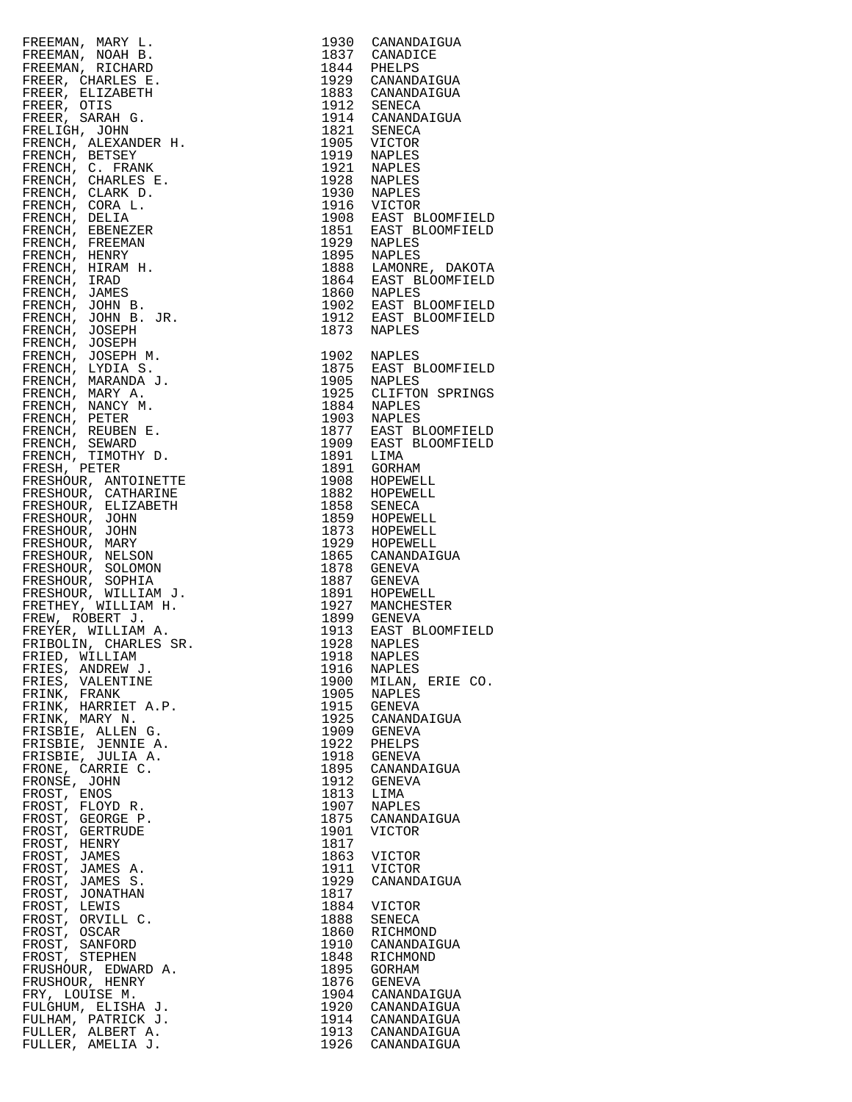| FREEMAN, NARY L. (1930)<br>CRIMAN, NOAH B. (1930)<br>CANADICE<br>FREEMAN, NOAH B. (1944)<br>PREEMAN, RICHARD<br>PREEMAN, RICHARD<br>PREEM. CHARLES B. (1944)<br>PREEM. CHARLES B. (1944)<br>PREEM. SARAH G. (1945)<br>PREEM. ALEXANDER H. 1951)<br> |      |                                      |
|-----------------------------------------------------------------------------------------------------------------------------------------------------------------------------------------------------------------------------------------------------|------|--------------------------------------|
|                                                                                                                                                                                                                                                     |      |                                      |
|                                                                                                                                                                                                                                                     |      |                                      |
|                                                                                                                                                                                                                                                     |      |                                      |
|                                                                                                                                                                                                                                                     |      |                                      |
|                                                                                                                                                                                                                                                     |      |                                      |
|                                                                                                                                                                                                                                                     |      |                                      |
|                                                                                                                                                                                                                                                     |      |                                      |
|                                                                                                                                                                                                                                                     |      |                                      |
|                                                                                                                                                                                                                                                     |      |                                      |
|                                                                                                                                                                                                                                                     |      |                                      |
|                                                                                                                                                                                                                                                     |      |                                      |
|                                                                                                                                                                                                                                                     |      |                                      |
|                                                                                                                                                                                                                                                     |      |                                      |
|                                                                                                                                                                                                                                                     |      |                                      |
|                                                                                                                                                                                                                                                     |      |                                      |
|                                                                                                                                                                                                                                                     |      |                                      |
|                                                                                                                                                                                                                                                     |      |                                      |
|                                                                                                                                                                                                                                                     |      |                                      |
|                                                                                                                                                                                                                                                     |      |                                      |
|                                                                                                                                                                                                                                                     |      |                                      |
|                                                                                                                                                                                                                                                     |      |                                      |
|                                                                                                                                                                                                                                                     |      |                                      |
|                                                                                                                                                                                                                                                     |      |                                      |
|                                                                                                                                                                                                                                                     |      |                                      |
|                                                                                                                                                                                                                                                     |      |                                      |
|                                                                                                                                                                                                                                                     |      |                                      |
|                                                                                                                                                                                                                                                     |      |                                      |
|                                                                                                                                                                                                                                                     |      |                                      |
|                                                                                                                                                                                                                                                     |      |                                      |
|                                                                                                                                                                                                                                                     |      |                                      |
|                                                                                                                                                                                                                                                     |      |                                      |
|                                                                                                                                                                                                                                                     |      |                                      |
|                                                                                                                                                                                                                                                     |      |                                      |
|                                                                                                                                                                                                                                                     |      |                                      |
|                                                                                                                                                                                                                                                     |      |                                      |
|                                                                                                                                                                                                                                                     |      |                                      |
|                                                                                                                                                                                                                                                     |      |                                      |
|                                                                                                                                                                                                                                                     |      |                                      |
|                                                                                                                                                                                                                                                     |      |                                      |
|                                                                                                                                                                                                                                                     |      |                                      |
|                                                                                                                                                                                                                                                     |      |                                      |
|                                                                                                                                                                                                                                                     |      |                                      |
|                                                                                                                                                                                                                                                     |      |                                      |
|                                                                                                                                                                                                                                                     |      |                                      |
|                                                                                                                                                                                                                                                     |      |                                      |
|                                                                                                                                                                                                                                                     |      |                                      |
|                                                                                                                                                                                                                                                     |      |                                      |
|                                                                                                                                                                                                                                                     |      |                                      |
| FRIED, WILLIAM<br>FRIES, ANDREW J.                                                                                                                                                                                                                  | 1916 | <b>NAPLES</b>                        |
| FRIES, VALENTINE                                                                                                                                                                                                                                    | 1900 | MILAN, ERIE                          |
| FRINK, FRANK                                                                                                                                                                                                                                        | 1905 | <b>NAPLES</b>                        |
| FRINK, HARRIET A.P.                                                                                                                                                                                                                                 | 1915 | GENEVA                               |
| FRINK, MARY N.                                                                                                                                                                                                                                      | 1925 | CANANDAIGUA                          |
| FRISBIE, ALLEN G.                                                                                                                                                                                                                                   | 1909 | GENEVA                               |
| FRISBIE, JENNIE A.                                                                                                                                                                                                                                  | 1922 | PHELPS                               |
| FRISBIE, JULIA A.                                                                                                                                                                                                                                   | 1918 | GENEVA                               |
| FRONE, CARRIE C.                                                                                                                                                                                                                                    | 1895 | CANANDAIGUA                          |
| FRONSE, JOHN                                                                                                                                                                                                                                        | 1912 | GENEVA                               |
| FROST, ENOS                                                                                                                                                                                                                                         | 1813 | LIMA                                 |
| FROST, FLOYD R.                                                                                                                                                                                                                                     | 1907 | <b>NAPLES</b>                        |
| FROST, GEORGE P.                                                                                                                                                                                                                                    | 1875 | CANANDAIGUA                          |
| FROST, GERTRUDE                                                                                                                                                                                                                                     | 1901 | <b>VICTOR</b>                        |
| FROST, HENRY                                                                                                                                                                                                                                        | 1817 |                                      |
| FROST, JAMES                                                                                                                                                                                                                                        | 1863 | <b>VICTOR</b>                        |
| FROST, JAMES A.                                                                                                                                                                                                                                     | 1911 | VICTOR                               |
| FROST, JAMES S.                                                                                                                                                                                                                                     | 1929 | CANANDAIGUA                          |
| FROST, JONATHAN                                                                                                                                                                                                                                     | 1817 |                                      |
| FROST, LEWIS                                                                                                                                                                                                                                        | 1884 | <b>VICTOR</b>                        |
| FROST, ORVILL C.                                                                                                                                                                                                                                    | 1888 | SENECA                               |
| FROST, OSCAR                                                                                                                                                                                                                                        | 1860 | RICHMOND                             |
| FROST, SANFORD                                                                                                                                                                                                                                      | 1910 | CANANDAIGUA                          |
| FROST, STEPHEN                                                                                                                                                                                                                                      | 1848 | RICHMOND                             |
| FRUSHOUR, EDWARD A.                                                                                                                                                                                                                                 | 1895 | GORHAM                               |
| FRUSHOUR, HENRY                                                                                                                                                                                                                                     | 1876 | GENEVA                               |
| FRY, LOUISE M.                                                                                                                                                                                                                                      | 1904 | CANANDAIGUA                          |
| FULGHUM, ELISHA J.                                                                                                                                                                                                                                  |      | 1920 CANANDAIGUA                     |
| FULHAM, PATRICK J.                                                                                                                                                                                                                                  |      | 1914 CANANDAIGUA                     |
| FULLER, ALBERT A.                                                                                                                                                                                                                                   |      |                                      |
| ד גדוקואג כיסודוויס                                                                                                                                                                                                                                 |      | 1913 CANANDAIGUA<br>1926 CANANDAIGUA |

| FREEMONT, ARREST 1990 GARANTAR (1990 GARANTAR 1991 GARANTAR 1991 GARANTAR 1990 GARANTAR (1990 GARANTAR 1992 GARANTAR 1992 GARANTAR 1992 GARANTAR 1992 GARANTAR 1992 GARANTAR 1992 GARANTAR 1992 GARANTAR 1992 GARANTAR 1992 G |  |
|-------------------------------------------------------------------------------------------------------------------------------------------------------------------------------------------------------------------------------|--|
|                                                                                                                                                                                                                               |  |
|                                                                                                                                                                                                                               |  |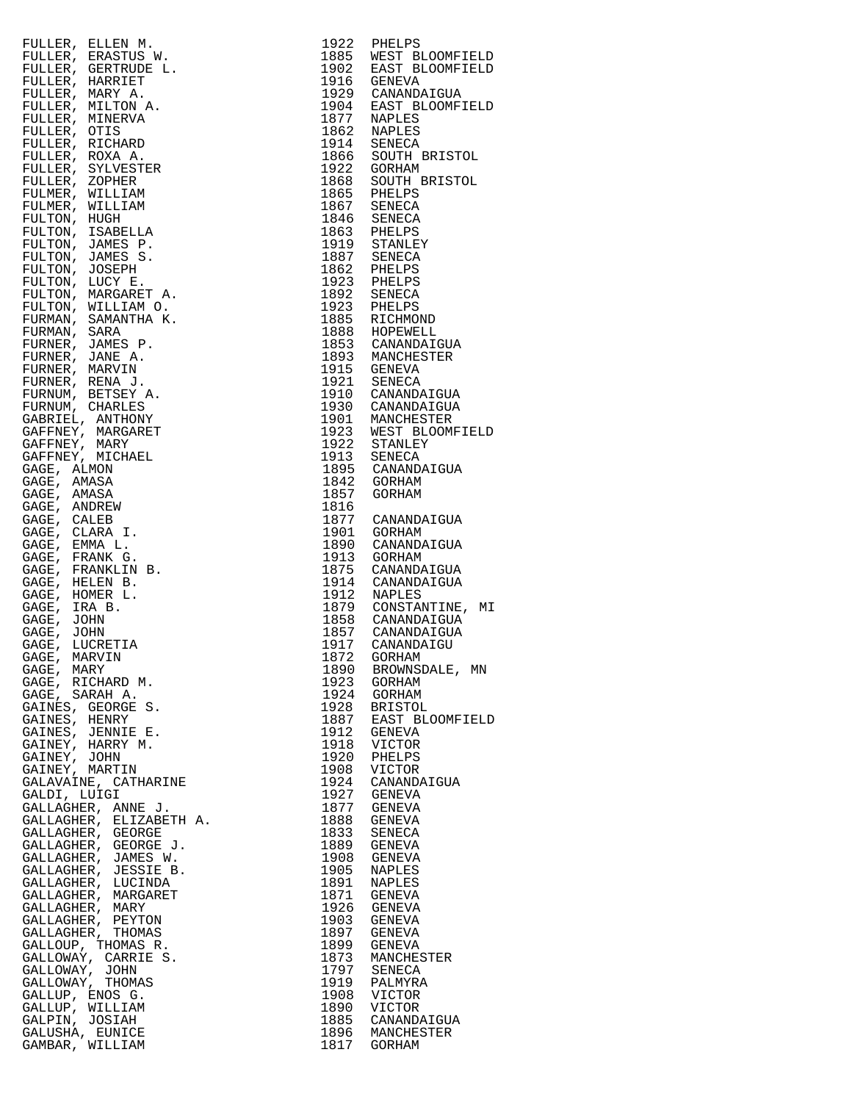| FULLER, ELLEN M.                                                                                                                                                                                                                                                                                                                                                                          | 1922 | PHELPS                                                                          |
|-------------------------------------------------------------------------------------------------------------------------------------------------------------------------------------------------------------------------------------------------------------------------------------------------------------------------------------------------------------------------------------------|------|---------------------------------------------------------------------------------|
| $\begin{array}{lllllllll} \text{1.} & \text{W.} & \text{} & \text{} & \text{} & \text{} & \text{} & \text{} & \text{} & \text{} & \text{} & \text{} & \text{} & \text{} & \text{} & \text{} & \text{} & \text{} & \text{} & \text{} & \text{} & \text{} & \text{} & \text{} & \text{} & \text{} & \text{} & \text{} & \text{} & \text{} & \text{} & \text{} & \text{} & \text{} & \text{$ |      |                                                                                 |
| FULLER, ERASTUS W.                                                                                                                                                                                                                                                                                                                                                                        |      | 1885 WEST BLOOMFIELD                                                            |
| FULLER, GERTRUDE L.                                                                                                                                                                                                                                                                                                                                                                       |      | 1902 EAST BLOOMFIELD                                                            |
| FULLER, HARRIET                                                                                                                                                                                                                                                                                                                                                                           |      | 1916 GENEVA                                                                     |
|                                                                                                                                                                                                                                                                                                                                                                                           |      |                                                                                 |
| FULLER, MARY A.                                                                                                                                                                                                                                                                                                                                                                           |      | 1929 CANANDAIGUA                                                                |
| FULLER, MILTON A.                                                                                                                                                                                                                                                                                                                                                                         |      | 1904 EAST BLOOMFIELD<br>1877 NAPLES                                             |
| FULLER, MINERVA                                                                                                                                                                                                                                                                                                                                                                           |      |                                                                                 |
|                                                                                                                                                                                                                                                                                                                                                                                           |      |                                                                                 |
| FULLER, OTIS                                                                                                                                                                                                                                                                                                                                                                              |      | 1862 NAPLES<br>1914 SENECA                                                      |
| FULLER, RICHARD                                                                                                                                                                                                                                                                                                                                                                           |      |                                                                                 |
|                                                                                                                                                                                                                                                                                                                                                                                           |      |                                                                                 |
| FULLER, ROXA A.                                                                                                                                                                                                                                                                                                                                                                           |      | 1866 SOUTH BRISTOL                                                              |
| FULLER, SYLVESTER                                                                                                                                                                                                                                                                                                                                                                         | 1922 | GORHAM                                                                          |
| FULLER, ZOPHER                                                                                                                                                                                                                                                                                                                                                                            |      | 1868 SOUTH BRISTOL<br>1865 PHELPS                                               |
|                                                                                                                                                                                                                                                                                                                                                                                           |      |                                                                                 |
| FULMER, WILLIAM                                                                                                                                                                                                                                                                                                                                                                           |      |                                                                                 |
| FULMER, WILLIAM                                                                                                                                                                                                                                                                                                                                                                           |      | 1867 SENECA<br>1846 SENECA<br>1863 PHELPS<br>1919 STANLEY                       |
| FULTON, HUGH                                                                                                                                                                                                                                                                                                                                                                              |      |                                                                                 |
|                                                                                                                                                                                                                                                                                                                                                                                           |      |                                                                                 |
| FULTON, ISABELLA                                                                                                                                                                                                                                                                                                                                                                          |      |                                                                                 |
| FULTON, JAMES P.                                                                                                                                                                                                                                                                                                                                                                          |      |                                                                                 |
|                                                                                                                                                                                                                                                                                                                                                                                           |      |                                                                                 |
| FULTON, JAMES S.                                                                                                                                                                                                                                                                                                                                                                          |      |                                                                                 |
| FULTON, JOSEPH                                                                                                                                                                                                                                                                                                                                                                            |      | 1887 SENECA<br>1862 PHELPS                                                      |
| FULTON, LUCY E.                                                                                                                                                                                                                                                                                                                                                                           |      | 1923 PHELPS<br>1892 SENECA                                                      |
|                                                                                                                                                                                                                                                                                                                                                                                           |      |                                                                                 |
| FULTON, MARGARET A.                                                                                                                                                                                                                                                                                                                                                                       |      |                                                                                 |
| FULTON, WILLIAM O.                                                                                                                                                                                                                                                                                                                                                                        |      | 1923 PHELPS<br>1885 RICHMOND                                                    |
| FURMAN, SAMANTHA K.                                                                                                                                                                                                                                                                                                                                                                       |      |                                                                                 |
|                                                                                                                                                                                                                                                                                                                                                                                           |      |                                                                                 |
| FURMAN, SARA                                                                                                                                                                                                                                                                                                                                                                              |      | 1888 HOPEWELL<br>1853 CANANDAIGUA                                               |
| FURNER, JAMES P.                                                                                                                                                                                                                                                                                                                                                                          |      |                                                                                 |
|                                                                                                                                                                                                                                                                                                                                                                                           |      |                                                                                 |
| FURNER, JANE A.                                                                                                                                                                                                                                                                                                                                                                           |      | 1893 MANCHESTER<br>1915 GENEVA                                                  |
| FURNER, MARVIN                                                                                                                                                                                                                                                                                                                                                                            |      |                                                                                 |
| FURNER, RENA J.                                                                                                                                                                                                                                                                                                                                                                           |      |                                                                                 |
|                                                                                                                                                                                                                                                                                                                                                                                           |      | 1921 SENECA<br>1910 CANANDAIGUA                                                 |
| FURNUM, BETSEY A.                                                                                                                                                                                                                                                                                                                                                                         |      |                                                                                 |
| FURNUM, CHARLES                                                                                                                                                                                                                                                                                                                                                                           |      | 1930 CANANDAIGUA                                                                |
|                                                                                                                                                                                                                                                                                                                                                                                           |      |                                                                                 |
| GABRIEL, ANTHONY                                                                                                                                                                                                                                                                                                                                                                          |      | 1901 MANCHESTER                                                                 |
| GAFFNEY, MARGARET                                                                                                                                                                                                                                                                                                                                                                         |      | 1923 WEST BLOOMFIELD                                                            |
| GAFFNEY, MARY                                                                                                                                                                                                                                                                                                                                                                             |      | 1922 STANLEY                                                                    |
|                                                                                                                                                                                                                                                                                                                                                                                           |      |                                                                                 |
| GAFFNEY, MICHAEL                                                                                                                                                                                                                                                                                                                                                                          |      | 1913 SENECA<br>1895 CANANDAIGUA                                                 |
| GAGE, ALMON                                                                                                                                                                                                                                                                                                                                                                               |      |                                                                                 |
| GAGE, AMASA                                                                                                                                                                                                                                                                                                                                                                               |      |                                                                                 |
|                                                                                                                                                                                                                                                                                                                                                                                           |      |                                                                                 |
| GAGE, AMASA                                                                                                                                                                                                                                                                                                                                                                               |      | 1842 GORHAM                                                                     |
| GAGE, ANDREW                                                                                                                                                                                                                                                                                                                                                                              | 1816 |                                                                                 |
|                                                                                                                                                                                                                                                                                                                                                                                           |      | 1877 CANANDAIGUA                                                                |
| GAGE, CALEB                                                                                                                                                                                                                                                                                                                                                                               |      |                                                                                 |
| GAGE, CLARA I.                                                                                                                                                                                                                                                                                                                                                                            | 1901 | GORHAM<br>CANAND                                                                |
| GAGE, EMMA L.                                                                                                                                                                                                                                                                                                                                                                             | 1890 | CANANDAIGUA                                                                     |
|                                                                                                                                                                                                                                                                                                                                                                                           |      |                                                                                 |
| GAGE, FRANK G.                                                                                                                                                                                                                                                                                                                                                                            |      | 1913 GORHAM<br>1875 CANANDA                                                     |
| GAGE, FRANKLIN B.                                                                                                                                                                                                                                                                                                                                                                         |      | CANANDAIGUA                                                                     |
| GAGE, HELEN B.                                                                                                                                                                                                                                                                                                                                                                            |      |                                                                                 |
|                                                                                                                                                                                                                                                                                                                                                                                           |      |                                                                                 |
| GAGE, HOMER L.                                                                                                                                                                                                                                                                                                                                                                            |      | 1914 CANANDAIGUA<br>1912 NAPLES                                                 |
| GAGE, IRA B.                                                                                                                                                                                                                                                                                                                                                                              |      |                                                                                 |
|                                                                                                                                                                                                                                                                                                                                                                                           |      |                                                                                 |
| GAGE, JOHN                                                                                                                                                                                                                                                                                                                                                                                |      |                                                                                 |
| GAGE, JOHN                                                                                                                                                                                                                                                                                                                                                                                |      | 1879 CONSTANTINE, MI<br>1858 CANANDAIGUA<br>1857 CANANDAIGUA<br>1917 CANANDAIGU |
| GAGE,<br>LUCRETIA                                                                                                                                                                                                                                                                                                                                                                         |      |                                                                                 |
|                                                                                                                                                                                                                                                                                                                                                                                           |      |                                                                                 |
| GAGE, MARVIN                                                                                                                                                                                                                                                                                                                                                                              |      | 1872 GORHAM                                                                     |
| GAGE, MARY                                                                                                                                                                                                                                                                                                                                                                                | 1890 | BROWNSDALE, MN                                                                  |
|                                                                                                                                                                                                                                                                                                                                                                                           |      |                                                                                 |
| GAGE, RICHARD M.                                                                                                                                                                                                                                                                                                                                                                          | 1923 | GORHAM                                                                          |
| GAGE, SARAH A.                                                                                                                                                                                                                                                                                                                                                                            | 1924 | GORHAM                                                                          |
| GAINES, GEORGE S.                                                                                                                                                                                                                                                                                                                                                                         |      |                                                                                 |
|                                                                                                                                                                                                                                                                                                                                                                                           |      | 1928 BRISTOL<br>1887 EAST BLOOMFIELD                                            |
| GAINES, HENRY                                                                                                                                                                                                                                                                                                                                                                             |      |                                                                                 |
| GAINES, JENNIE E.                                                                                                                                                                                                                                                                                                                                                                         |      | 1912 GENEVA<br>1918 VICTOR                                                      |
| GAINEY, HARRY M.                                                                                                                                                                                                                                                                                                                                                                          |      |                                                                                 |
|                                                                                                                                                                                                                                                                                                                                                                                           |      | 1920 PHELPS<br>1908 VICTOR                                                      |
| GAINEY, JOHN                                                                                                                                                                                                                                                                                                                                                                              |      |                                                                                 |
| GAINEY, MARTIN                                                                                                                                                                                                                                                                                                                                                                            |      |                                                                                 |
| GALAVAINE, CATHARINE                                                                                                                                                                                                                                                                                                                                                                      |      |                                                                                 |
|                                                                                                                                                                                                                                                                                                                                                                                           |      | 1924 CANANDAIGUA                                                                |
| GALDI, LUIGI                                                                                                                                                                                                                                                                                                                                                                              |      | 1927 GENEVA                                                                     |
| GALLAGHER, ANNE J.                                                                                                                                                                                                                                                                                                                                                                        |      | 1877 GENEVA                                                                     |
|                                                                                                                                                                                                                                                                                                                                                                                           |      |                                                                                 |
| GALLAGHER, ELIZABETH A.                                                                                                                                                                                                                                                                                                                                                                   | 1888 | <b>GENEVA</b>                                                                   |
| GALLAGHER, GEORGE                                                                                                                                                                                                                                                                                                                                                                         |      | 1833 SENECA                                                                     |
| GALLAGHER, GEORGE J.                                                                                                                                                                                                                                                                                                                                                                      |      | 1889 GENEVA                                                                     |
|                                                                                                                                                                                                                                                                                                                                                                                           |      |                                                                                 |
| GALLAGHER, JAMES W.                                                                                                                                                                                                                                                                                                                                                                       |      | 1908 GENEVA                                                                     |
| GALLAGHER, JESSIE B.                                                                                                                                                                                                                                                                                                                                                                      | 1905 | <b>NAPLES</b>                                                                   |
| GALLAGHER, LUCINDA                                                                                                                                                                                                                                                                                                                                                                        | 1891 | <b>NAPLES</b>                                                                   |
|                                                                                                                                                                                                                                                                                                                                                                                           |      |                                                                                 |
| GALLAGHER, MARGARET                                                                                                                                                                                                                                                                                                                                                                       | 1871 | GENEVA                                                                          |
| GALLAGHER, MARY                                                                                                                                                                                                                                                                                                                                                                           |      | 1926 GENEVA                                                                     |
|                                                                                                                                                                                                                                                                                                                                                                                           |      |                                                                                 |
| GALLAGHER, PEYTON                                                                                                                                                                                                                                                                                                                                                                         | 1903 | GENEVA                                                                          |
| GALLAGHER, THOMAS                                                                                                                                                                                                                                                                                                                                                                         |      | 1897 GENEVA                                                                     |
| GALLOUP, THOMAS R.                                                                                                                                                                                                                                                                                                                                                                        |      | 1899 GENEVA                                                                     |
|                                                                                                                                                                                                                                                                                                                                                                                           |      |                                                                                 |
| GALLOWAY, CARRIE S.                                                                                                                                                                                                                                                                                                                                                                       |      | 1873 MANCHESTER                                                                 |
| GALLOWAY, JOHN                                                                                                                                                                                                                                                                                                                                                                            |      | 1797 SENECA                                                                     |
|                                                                                                                                                                                                                                                                                                                                                                                           |      |                                                                                 |
| GALLOWAY, THOMAS                                                                                                                                                                                                                                                                                                                                                                          |      |                                                                                 |
| GALLUP, ENOS G.                                                                                                                                                                                                                                                                                                                                                                           |      | 1919 PALMYRA<br>1908 VICTOR                                                     |
|                                                                                                                                                                                                                                                                                                                                                                                           |      |                                                                                 |
|                                                                                                                                                                                                                                                                                                                                                                                           |      |                                                                                 |
| GALLUP, WILLIAM                                                                                                                                                                                                                                                                                                                                                                           | 1890 | VICTOR                                                                          |
| GALPIN, JOSIAH                                                                                                                                                                                                                                                                                                                                                                            |      | 1885 CANANDAIGUA                                                                |
|                                                                                                                                                                                                                                                                                                                                                                                           |      |                                                                                 |
| GALUSHA, EUNICE<br>GAMBAR, WILLIAM                                                                                                                                                                                                                                                                                                                                                        |      | 1896 MANCHESTER<br>1817 GORHAM                                                  |

| FULLER, ELEEN M. 1992 ENERGY MARINET EN 1992 ENERGY MARINET EN ANALY PRINCIPAL AND MANUSING COMPINITION (THERE SERVES AND TULER) AND MANUSING THE SERVES AND TULER IN A SERVE SURVEY TO A BASIL SURVEY TO A BASIL AND TULER IN                                                                                                                  |      |                                          |
|-------------------------------------------------------------------------------------------------------------------------------------------------------------------------------------------------------------------------------------------------------------------------------------------------------------------------------------------------|------|------------------------------------------|
|                                                                                                                                                                                                                                                                                                                                                 |      | 1885 WEST BLOOMFIELD                     |
|                                                                                                                                                                                                                                                                                                                                                 |      | 1902 EAST BLOOMFIELD                     |
|                                                                                                                                                                                                                                                                                                                                                 |      |                                          |
|                                                                                                                                                                                                                                                                                                                                                 |      |                                          |
|                                                                                                                                                                                                                                                                                                                                                 |      | 1929 CANANDAIGUA<br>1904 EAST BLOOMFIELD |
|                                                                                                                                                                                                                                                                                                                                                 |      |                                          |
|                                                                                                                                                                                                                                                                                                                                                 |      |                                          |
|                                                                                                                                                                                                                                                                                                                                                 |      |                                          |
|                                                                                                                                                                                                                                                                                                                                                 |      |                                          |
|                                                                                                                                                                                                                                                                                                                                                 |      | 1866 SOUTH BRISTOL                       |
|                                                                                                                                                                                                                                                                                                                                                 |      |                                          |
|                                                                                                                                                                                                                                                                                                                                                 |      | 1868 SOUTH BRISTOL                       |
|                                                                                                                                                                                                                                                                                                                                                 |      |                                          |
|                                                                                                                                                                                                                                                                                                                                                 |      |                                          |
|                                                                                                                                                                                                                                                                                                                                                 |      |                                          |
|                                                                                                                                                                                                                                                                                                                                                 |      |                                          |
|                                                                                                                                                                                                                                                                                                                                                 |      |                                          |
|                                                                                                                                                                                                                                                                                                                                                 |      |                                          |
|                                                                                                                                                                                                                                                                                                                                                 |      |                                          |
|                                                                                                                                                                                                                                                                                                                                                 |      |                                          |
|                                                                                                                                                                                                                                                                                                                                                 |      |                                          |
|                                                                                                                                                                                                                                                                                                                                                 |      |                                          |
|                                                                                                                                                                                                                                                                                                                                                 |      |                                          |
|                                                                                                                                                                                                                                                                                                                                                 |      |                                          |
|                                                                                                                                                                                                                                                                                                                                                 |      |                                          |
|                                                                                                                                                                                                                                                                                                                                                 |      |                                          |
|                                                                                                                                                                                                                                                                                                                                                 |      |                                          |
|                                                                                                                                                                                                                                                                                                                                                 |      |                                          |
|                                                                                                                                                                                                                                                                                                                                                 |      |                                          |
|                                                                                                                                                                                                                                                                                                                                                 |      |                                          |
|                                                                                                                                                                                                                                                                                                                                                 |      |                                          |
|                                                                                                                                                                                                                                                                                                                                                 |      |                                          |
|                                                                                                                                                                                                                                                                                                                                                 |      |                                          |
|                                                                                                                                                                                                                                                                                                                                                 |      | 1923 WEST BLOOMFIELD                     |
|                                                                                                                                                                                                                                                                                                                                                 |      |                                          |
|                                                                                                                                                                                                                                                                                                                                                 |      |                                          |
|                                                                                                                                                                                                                                                                                                                                                 |      |                                          |
|                                                                                                                                                                                                                                                                                                                                                 |      |                                          |
|                                                                                                                                                                                                                                                                                                                                                 |      |                                          |
|                                                                                                                                                                                                                                                                                                                                                 |      |                                          |
|                                                                                                                                                                                                                                                                                                                                                 |      |                                          |
|                                                                                                                                                                                                                                                                                                                                                 |      |                                          |
|                                                                                                                                                                                                                                                                                                                                                 |      |                                          |
|                                                                                                                                                                                                                                                                                                                                                 |      |                                          |
|                                                                                                                                                                                                                                                                                                                                                 |      |                                          |
|                                                                                                                                                                                                                                                                                                                                                 |      |                                          |
|                                                                                                                                                                                                                                                                                                                                                 |      | 1914 CANANDAIGUA                         |
|                                                                                                                                                                                                                                                                                                                                                 |      |                                          |
|                                                                                                                                                                                                                                                                                                                                                 |      | 1912 NAPLES<br>1879 CONSTANTINE, MI      |
|                                                                                                                                                                                                                                                                                                                                                 |      |                                          |
|                                                                                                                                                                                                                                                                                                                                                 |      |                                          |
|                                                                                                                                                                                                                                                                                                                                                 |      | 1857 CANANDAIGUA                         |
|                                                                                                                                                                                                                                                                                                                                                 |      | 1917 CANANDAIGU                          |
|                                                                                                                                                                                                                                                                                                                                                 |      |                                          |
|                                                                                                                                                                                                                                                                                                                                                 | 1890 | BROWNSDALE, MN                           |
|                                                                                                                                                                                                                                                                                                                                                 | 1923 | GORHAM                                   |
|                                                                                                                                                                                                                                                                                                                                                 | 1924 | GORHAM                                   |
|                                                                                                                                                                                                                                                                                                                                                 | 1928 | <b>BRISTOL</b>                           |
|                                                                                                                                                                                                                                                                                                                                                 | 1887 | EAST BLOOMFIELD                          |
|                                                                                                                                                                                                                                                                                                                                                 | 1912 | GENEVA                                   |
|                                                                                                                                                                                                                                                                                                                                                 | 1918 | VICTOR                                   |
|                                                                                                                                                                                                                                                                                                                                                 |      |                                          |
|                                                                                                                                                                                                                                                                                                                                                 | 1920 | PHELPS                                   |
|                                                                                                                                                                                                                                                                                                                                                 | 1908 | VICTOR                                   |
|                                                                                                                                                                                                                                                                                                                                                 | 1924 | CANANDAIGUA                              |
|                                                                                                                                                                                                                                                                                                                                                 |      | 1927 GENEVA                              |
|                                                                                                                                                                                                                                                                                                                                                 | 1877 | GENEVA                                   |
|                                                                                                                                                                                                                                                                                                                                                 | 1888 | GENEVA                                   |
|                                                                                                                                                                                                                                                                                                                                                 | 1833 | SENECA                                   |
|                                                                                                                                                                                                                                                                                                                                                 |      | 1889 GENEVA                              |
|                                                                                                                                                                                                                                                                                                                                                 | 1908 | GENEVA                                   |
|                                                                                                                                                                                                                                                                                                                                                 |      |                                          |
|                                                                                                                                                                                                                                                                                                                                                 | 1905 | NAPLES                                   |
|                                                                                                                                                                                                                                                                                                                                                 | 1891 | NAPLES                                   |
|                                                                                                                                                                                                                                                                                                                                                 |      | 1871 GENEVA                              |
|                                                                                                                                                                                                                                                                                                                                                 | 1926 | GENEVA                                   |
|                                                                                                                                                                                                                                                                                                                                                 | 1903 | GENEVA                                   |
|                                                                                                                                                                                                                                                                                                                                                 | 1897 | GENEVA                                   |
|                                                                                                                                                                                                                                                                                                                                                 | 1899 | GENEVA                                   |
|                                                                                                                                                                                                                                                                                                                                                 | 1873 | MANCHESTER                               |
|                                                                                                                                                                                                                                                                                                                                                 |      | 1797 SENECA                              |
|                                                                                                                                                                                                                                                                                                                                                 | 1919 | PALMYRA                                  |
|                                                                                                                                                                                                                                                                                                                                                 | 1908 | VICTOR                                   |
|                                                                                                                                                                                                                                                                                                                                                 |      |                                          |
|                                                                                                                                                                                                                                                                                                                                                 | 1890 | VICTOR                                   |
| GAGE, LUCRETIA<br>GAGE, MARVIN<br>GAGE, MARVIN<br>GAGE, MARVIN<br>GAGE, SARAH A.<br>GAINES, GEORGE S.<br>GAINES, HENRY<br>GAINES, HENRY M.<br>GAINES, JENNIE E.<br>GAINEY, MARTIN<br>GAINEY, MARTIN<br>GAINEY, MARTIN<br>GAILAVAINE, CATHARINE<br>GALLAGHER, ELIZABET<br>GALPIN, JOSIAH<br>GALPIN, JOSIAH<br>GALUSHA, EUNICE<br>GAMBAR, WILLIAM |      | 1885 CANANDAIGUA                         |
|                                                                                                                                                                                                                                                                                                                                                 |      | 1896 MANCHESTER                          |
|                                                                                                                                                                                                                                                                                                                                                 |      | 1817 GORHAM                              |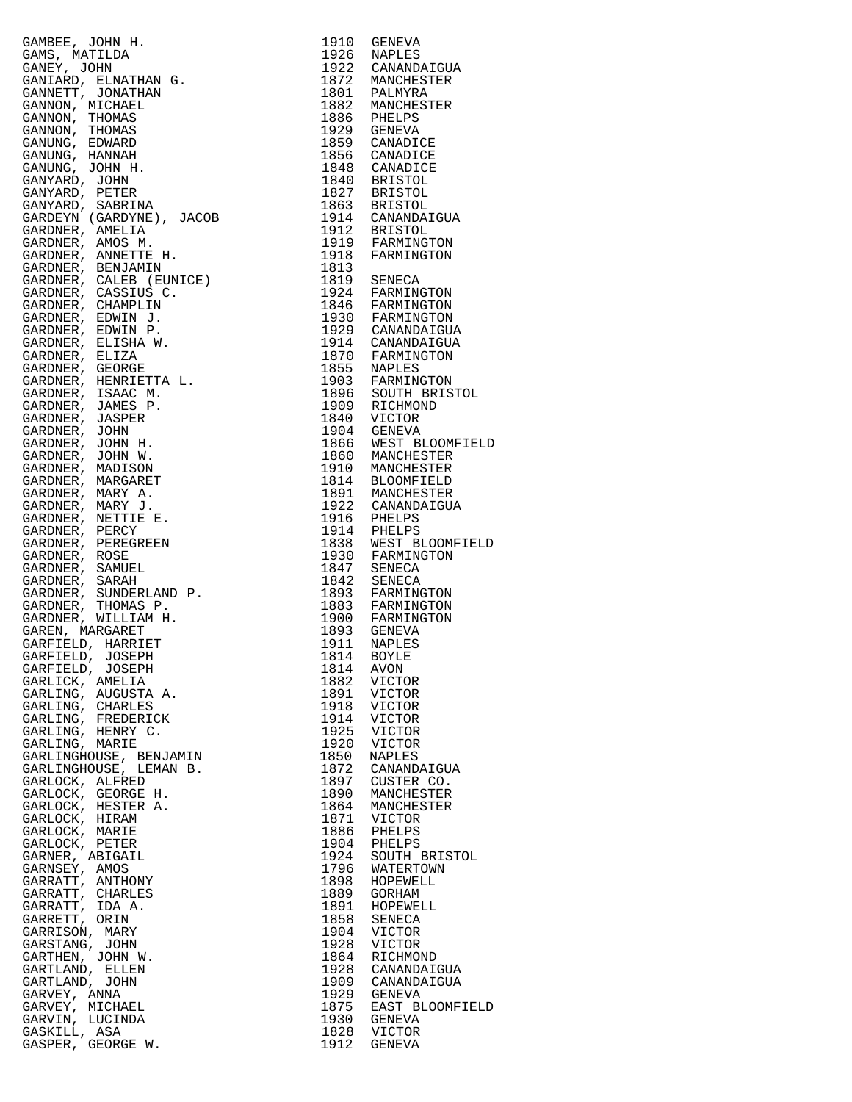| GAMBEE, JOHN H.<br>CARDING, JOHN H. 1991 GRAPING<br>CARDING AND MINIMA (1992 CARDING COMPANY)<br>CARDING AND COMPANY CONTINUES (1992 CARDING COMPANY)<br>CARDING COMPANY (1993 CARD 1993 CANDING)<br>CARDING THOMAS 1993 CANDING<br>CARDING THOMAS 1993 CANDICID                      |      | 1910 GENEVA                                                     |
|---------------------------------------------------------------------------------------------------------------------------------------------------------------------------------------------------------------------------------------------------------------------------------------|------|-----------------------------------------------------------------|
| GAMS, MATILDA                                                                                                                                                                                                                                                                         |      | 1926 NAPLES<br>1922 CANANDAIGUA                                 |
|                                                                                                                                                                                                                                                                                       |      |                                                                 |
|                                                                                                                                                                                                                                                                                       |      |                                                                 |
|                                                                                                                                                                                                                                                                                       |      |                                                                 |
|                                                                                                                                                                                                                                                                                       |      |                                                                 |
|                                                                                                                                                                                                                                                                                       |      |                                                                 |
|                                                                                                                                                                                                                                                                                       |      |                                                                 |
|                                                                                                                                                                                                                                                                                       |      |                                                                 |
|                                                                                                                                                                                                                                                                                       |      |                                                                 |
|                                                                                                                                                                                                                                                                                       |      |                                                                 |
|                                                                                                                                                                                                                                                                                       |      |                                                                 |
|                                                                                                                                                                                                                                                                                       |      |                                                                 |
|                                                                                                                                                                                                                                                                                       |      |                                                                 |
|                                                                                                                                                                                                                                                                                       |      |                                                                 |
|                                                                                                                                                                                                                                                                                       |      |                                                                 |
|                                                                                                                                                                                                                                                                                       |      |                                                                 |
|                                                                                                                                                                                                                                                                                       |      |                                                                 |
|                                                                                                                                                                                                                                                                                       |      |                                                                 |
|                                                                                                                                                                                                                                                                                       |      |                                                                 |
|                                                                                                                                                                                                                                                                                       |      |                                                                 |
|                                                                                                                                                                                                                                                                                       |      |                                                                 |
|                                                                                                                                                                                                                                                                                       |      |                                                                 |
|                                                                                                                                                                                                                                                                                       |      |                                                                 |
|                                                                                                                                                                                                                                                                                       |      |                                                                 |
|                                                                                                                                                                                                                                                                                       |      |                                                                 |
|                                                                                                                                                                                                                                                                                       |      |                                                                 |
|                                                                                                                                                                                                                                                                                       |      |                                                                 |
|                                                                                                                                                                                                                                                                                       |      |                                                                 |
|                                                                                                                                                                                                                                                                                       |      |                                                                 |
|                                                                                                                                                                                                                                                                                       |      |                                                                 |
|                                                                                                                                                                                                                                                                                       |      |                                                                 |
|                                                                                                                                                                                                                                                                                       |      |                                                                 |
|                                                                                                                                                                                                                                                                                       |      |                                                                 |
|                                                                                                                                                                                                                                                                                       |      |                                                                 |
|                                                                                                                                                                                                                                                                                       |      |                                                                 |
|                                                                                                                                                                                                                                                                                       |      |                                                                 |
|                                                                                                                                                                                                                                                                                       |      |                                                                 |
|                                                                                                                                                                                                                                                                                       |      |                                                                 |
|                                                                                                                                                                                                                                                                                       |      |                                                                 |
|                                                                                                                                                                                                                                                                                       |      |                                                                 |
|                                                                                                                                                                                                                                                                                       |      |                                                                 |
|                                                                                                                                                                                                                                                                                       |      |                                                                 |
|                                                                                                                                                                                                                                                                                       |      |                                                                 |
|                                                                                                                                                                                                                                                                                       |      |                                                                 |
| GARLING, AUGUSTA A.<br>GARLING, CHARLES                                                                                                                                                                                                                                               |      | 1891 VICTOR<br>1918 VICTOR                                      |
| GARLING, FREDERICK                                                                                                                                                                                                                                                                    |      | 1914 VICTOR                                                     |
| GARLING, HENRY C.                                                                                                                                                                                                                                                                     |      | 1925 VICTOR                                                     |
| GARLING, MARIE                                                                                                                                                                                                                                                                        |      | 1920 VICTOR                                                     |
|                                                                                                                                                                                                                                                                                       |      | 1850 NAPLES                                                     |
|                                                                                                                                                                                                                                                                                       |      | 1872 CANANDAIGUA                                                |
|                                                                                                                                                                                                                                                                                       |      | 1897 CUSTER CO.<br>1890 MANCHESTER                              |
|                                                                                                                                                                                                                                                                                       |      | 1864 MANCHESTER                                                 |
|                                                                                                                                                                                                                                                                                       |      |                                                                 |
|                                                                                                                                                                                                                                                                                       |      |                                                                 |
|                                                                                                                                                                                                                                                                                       |      |                                                                 |
|                                                                                                                                                                                                                                                                                       |      | 1871 VICTOR<br>1886 PHELPS<br>1904 PHELPS<br>1924 SOUTH BRISTOL |
|                                                                                                                                                                                                                                                                                       |      | 1796 WATERTOWN                                                  |
|                                                                                                                                                                                                                                                                                       |      | 1898 HOPEWELL<br>1889 GORHAM                                    |
|                                                                                                                                                                                                                                                                                       |      | 1891 HOPEWELL                                                   |
|                                                                                                                                                                                                                                                                                       |      | 1858 SENECA                                                     |
|                                                                                                                                                                                                                                                                                       |      | 1904 VICTOR                                                     |
|                                                                                                                                                                                                                                                                                       | 1928 | VICTOR                                                          |
|                                                                                                                                                                                                                                                                                       |      | 1864 RICHMOND                                                   |
|                                                                                                                                                                                                                                                                                       |      | 1928 CANANDAIGUA<br>1909 CANANDAIGUA                            |
|                                                                                                                                                                                                                                                                                       |      | 1929 GENEVA                                                     |
|                                                                                                                                                                                                                                                                                       |      | 1875 EAST BLOOMFIELD                                            |
| GARLING, HENRY C.<br>GARLING, MARIE<br>GARLINGHOUSE, EEMJAMIN<br>GARLINGHOUSE, LEMAN B.<br>GARLOCK, ALFRED<br>GARLOCK, HESTER A.<br>GARLOCK, HESTER A.<br>GARLOCK, HESTER A.<br>GARLOCK, HESTER A.<br>GARLOCK, MARIE<br>GARLOCK, PETER<br>GARNER, ABIGAIL<br>GARNE<br>GARVIN, LUCINDA |      | 1930 GENEVA                                                     |
| GASKILL, ASA                                                                                                                                                                                                                                                                          |      | 1828 VICTOR                                                     |
| GASPER, GEORGE W.                                                                                                                                                                                                                                                                     |      | 1912 GENEVA                                                     |

| 1910         | GENEVA                           |
|--------------|----------------------------------|
| 1926<br>1922 | NAPLES<br>CANANDAIGUA            |
| 1872         | MANCHESTER                       |
| 1801         | PALMYRA                          |
| 1882<br>1886 | MANCHESTER                       |
| 1929         | PHELPS<br>GENEVA                 |
| 1859         | CANADICE                         |
| 1856         | CANADICE                         |
| 1848         | CANADICE                         |
| 1840<br>1827 | <b>BRISTOL</b><br><b>BRISTOL</b> |
| 1863         | <b>BRISTOL</b>                   |
| 1914         | CANANDAIGUA                      |
| 1912         | <b>BRISTOL</b>                   |
| 1919<br>1918 | FARMINGTON                       |
| 1813         | FARMINGTON                       |
| 1819         | SENECA                           |
| 1924         | FARMINGTON                       |
| 1846         | FARMINGTON                       |
| 1930<br>1929 | FARMINGTON<br>CANANDAIGUA        |
| 1914         | CANANDAIGUA                      |
| 1870         | FARMINGTON                       |
| 1855         | NAPLES                           |
| 1903<br>1896 | FARMINGTON<br>SOUTH BRISTOL      |
| 1909         | RICHMOND                         |
| 1840         | VICTOR                           |
| 1904<br>1866 | <b>GENEVA</b>                    |
|              | WEST BLOOMFIELD                  |
| 1860<br>1910 | MANCHESTER<br>MANCHESTER         |
| 1814         | <b>BLOOMFIELD</b>                |
| 1891         | MANCHESTER                       |
| 1922         | CANANDAIGUA                      |
| 1916<br>1914 | PHELPS<br>PHELPS                 |
| 1838         | WEST BLOOMFIELD                  |
| 1930         | FARMINGTON                       |
| 1847         | SENECA                           |
| 1842<br>1893 | <b>SENECA</b>                    |
| 1883         | FARMINGTON<br>FARMINGTON         |
| 1900         | FARMINGTON                       |
| 1893         | <b>GENEVA</b>                    |
| 1911         | NAPLES                           |
| 1814<br>1814 | BOYLE<br>AVON                    |
| 1882         | VICTOR                           |
| 1891         | VICTOR                           |
| 1918         | VICTOR                           |
| 1914         | VICTOR<br><b>VICTOR</b>          |
| 1925<br>1920 | VICTOR                           |
| 1850         | NAPLES                           |
| 1872         | CANANDAIGUA                      |
| 1897<br>1890 | CUSTER CO.<br>MANCHESTER         |
| 1864         | MANCHESTER                       |
| 1871         | VICTOR                           |
| 1886         | PHELPS                           |
| 1904         | PHELPS                           |
| 1924<br>1796 | SOUTH BRISTOL<br>WATERTOWN       |
| 1898         | HOPEWELL                         |
| 1889         | GORHAM                           |
| 1891         | HOPEWELL                         |
| 1858<br>1904 | <b>SENECA</b><br>VICTOR          |
| 1928         | VICTOR                           |
| 1864         | RICHMOND                         |
| 1928         | CANANDAIGUA                      |
| 1909<br>1929 | CANANDAIGUA<br><b>GENEVA</b>     |
| 1875         | EAST BLOOMFIELD                  |
| 1930         | GENEVA                           |
| 1828<br>1912 | VICTOR                           |
|              | <b>GENEVA</b>                    |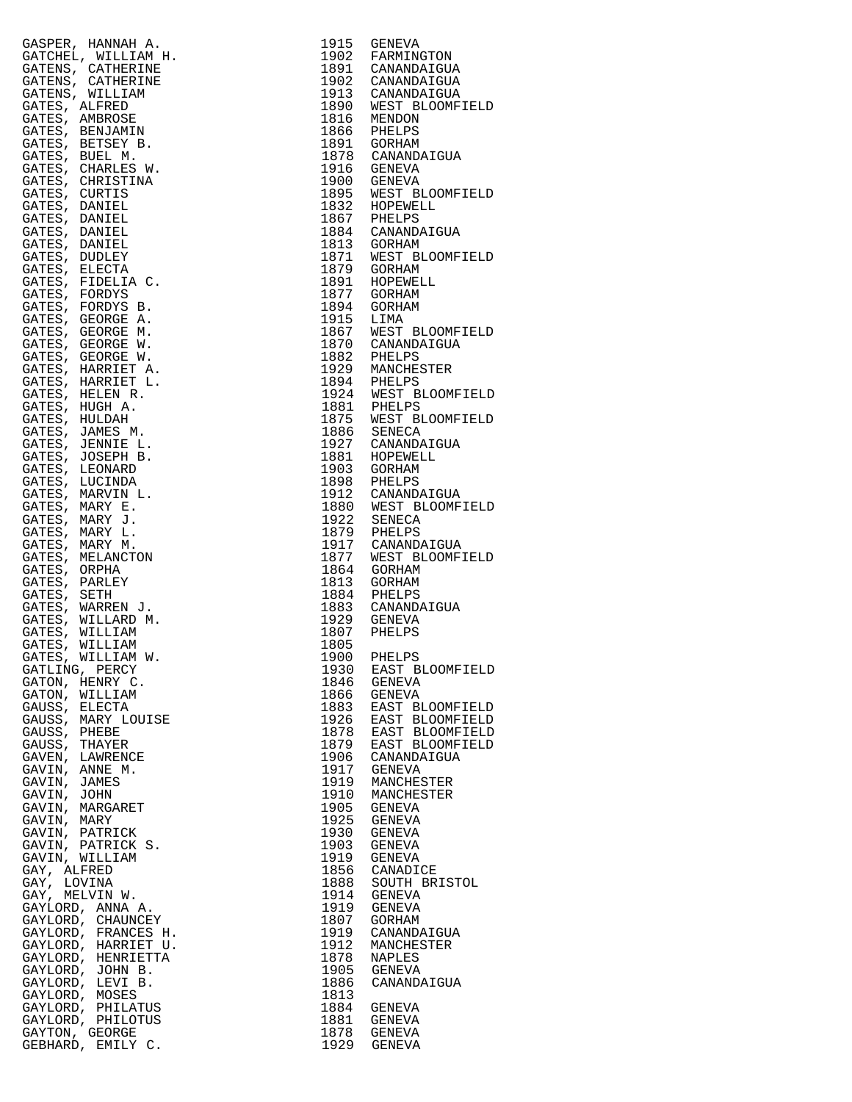|                                | GASPER, HANNAH A.                        | 1915                    | GENEVA                                                                   |
|--------------------------------|------------------------------------------|-------------------------|--------------------------------------------------------------------------|
|                                | GATCHEL, WILLIAM H.<br>GATENS, CATHERINE |                         | 1902 FARMINGTON<br>1891 CANANDAIGUA                                      |
|                                | GATENS, CATHERINE                        |                         |                                                                          |
|                                | GATENS, WILLIAM                          |                         | 1902 CANANDAIGUA<br>1913 CANANDAIGUA<br>1890 WEST BLOOMFI<br>1816 MENDON |
| GATES, ALFRED                  |                                          |                         |                                                                          |
|                                | GATES, AMBROSE                           |                         |                                                                          |
|                                | GATES, BENJAMIN<br>GATES, BETSEY B.      |                         | 1866 PHELPS<br>1891 GORHAM                                               |
|                                | GATES, BUEL M.                           |                         |                                                                          |
|                                | GATES, CHARLES W.                        |                         | 1878 CANANDAIGUA<br>1916 GENEVA                                          |
|                                | GATES, CHRISTINA                         |                         | 1900 GENEVA<br>1895 WEST BLOOMFI                                         |
| GATES, CURTIS                  |                                          |                         |                                                                          |
| GATES, DANIEL<br>GATES, DANIEL |                                          |                         | 1832 HOPEWELL<br>1867 PHELPS                                             |
| GATES, DANIEL                  |                                          |                         |                                                                          |
| GATES, DANIEL                  |                                          |                         | 1884 CANANDAIGUA<br>1813 GORHAM                                          |
| GATES, DUDLEY                  |                                          |                         | 1871 WEST BLOOMFI<br>1879 GORHAM                                         |
| GATES, ELECTA                  |                                          |                         |                                                                          |
| GATES, FORDYS                  | GATES, FIDELIA C.                        |                         | 1891 HOPEWEI<br>1877 GORHAM<br>HOPEWELL                                  |
|                                | GATES, FORDYS B.                         | 1894                    | GORHAM                                                                   |
|                                | GATES, GEORGE A.                         | 1894 GORHA<br>1915 LIMA |                                                                          |
|                                | GATES, GEORGE M.                         |                         | 1867 WEST BLOOMFI<br>1870 CANANDAIGUA                                    |
|                                | GATES, GEORGE W.                         |                         |                                                                          |
|                                | GATES, GEORGE W.<br>GATES, HARRIET A.    |                         | 1882 PHELPS<br>1929 MANCHESTER                                           |
|                                | GATES, HARRIET L.                        |                         |                                                                          |
|                                | GATES, HELEN R.                          |                         |                                                                          |
|                                | GATES, HUGH A.                           |                         | 1894 PHELPS<br>1924 WEST BLOOMFI<br>1881 PHELPS<br>1875 WEST BLOOMFI     |
| GATES, HULDAH                  |                                          |                         |                                                                          |
|                                | GATES, JAMES M.<br>GATES, JENNIE L.      |                         | 1886 SENECA<br>1927 CANANDAIGUA                                          |
|                                | GATES, JOSEPH B.                         |                         |                                                                          |
|                                | GATES, LEONARD                           |                         | 1881 HOPEWELL<br>1903 GORHAM                                             |
|                                | GATES, LUCINDA                           |                         | 1898 PHELPS<br>1912 CANANDAIGUA                                          |
|                                | GATES, MARVIN L.                         |                         |                                                                          |
|                                | GATES, MARY E.<br>GATES, MARY J.         |                         | 1880 WEST BLOOMFI<br>1922 SENECA                                         |
|                                | GATES, MARY L.                           |                         |                                                                          |
|                                | GATES, MARY M.                           |                         | 1879 PHELPS<br>1917 CANANDAIGUA                                          |
|                                | GATES, MELANCTON                         |                         | 1877 WEST BLOOMFI                                                        |
| GATES, ORPHA                   |                                          | 1864                    | GORHAM                                                                   |
| GATES, PARLEY<br>GATES, SETH   |                                          | 1813<br>1884            | GORHAM<br>PHELPS                                                         |
|                                | GATES, WARREN J.                         |                         |                                                                          |
|                                | GATES, WILLARD M.                        |                         | 1883 CANANDAIGUA<br>1929 GENEVA                                          |
|                                | GATES, WILLIAM                           |                         | 1807 PHELPS                                                              |
|                                | GATES, WILLIAM                           | 1805                    |                                                                          |
|                                | GATES, WILLIAM W.<br>GATLING, PERCY      | 1900                    | PHELPS                                                                   |
|                                | GATON, HENRY C.                          | 1930<br>1846            | EAST BLOOMFI<br>GENEVA                                                   |
|                                | GATON, WILLIAM                           | 1866                    | GENEVA                                                                   |
| GAUSS, ELECTA                  |                                          | 1883                    | EAST BLOOMFI                                                             |
|                                | GAUSS, MARY LOUISE                       | 1926                    | EAST BLOOMFI                                                             |
| GAUSS, PHEBE                   |                                          | 1878                    | EAST BLOOMFI                                                             |
| GAUSS, THAYER                  | GAVEN, LAWRENCE                          | 1879<br>1906            | EAST BLOOMFI<br>CANANDAIGUA                                              |
|                                | GAVIN, ANNE M.                           | 1917                    | GENEVA                                                                   |
| GAVIN, JAMES                   |                                          | 1919                    | MANCHESTER                                                               |
| GAVIN, JOHN                    |                                          | 1910                    | MANCHESTER                                                               |
|                                | GAVIN, MARGARET                          | 1905                    | GENEVA                                                                   |
| GAVIN, MARY                    | GAVIN, PATRICK                           | 1925<br>1930            | GENEVA<br>GENEVA                                                         |
|                                | GAVIN, PATRICK S.                        | 1903                    | GENEVA                                                                   |
|                                | GAVIN, WILLIAM                           | 1919                    | GENEVA                                                                   |
| GAY, ALFRED                    |                                          | 1856                    | CANADICE                                                                 |
| GAY, LOVINA                    |                                          | 1888                    | SOUTH BRISTO                                                             |
|                                | GAY, MELVIN W.<br>GAYLORD, ANNA A.       | 1914<br>1919            | GENEVA<br>GENEVA                                                         |
|                                | GAYLORD, CHAUNCEY                        | 1807                    | GORHAM                                                                   |
|                                | GAYLORD, FRANCES H.                      | 1919                    | CANANDAIGUA                                                              |
|                                | GAYLORD, HARRIET U.                      | 1912                    | MANCHESTER                                                               |
|                                | GAYLORD, HENRIETTA                       | 1878                    | NAPLES                                                                   |
|                                | GAYLORD, JOHN B.<br>GAYLORD, LEVI B.     | 1905<br>1886            | GENEVA<br>CANANDAIGUA                                                    |
|                                | GAYLORD, MOSES                           | 1813                    |                                                                          |
|                                | GAYLORD, PHILATUS                        | 1884                    | GENEVA                                                                   |
|                                | GAYLORD, PHILOTUS                        | 1881                    | GENEVA                                                                   |
|                                | GAYTON, GEORGE                           |                         | 1878 GENEVA                                                              |
|                                | GEBHARD, EMILY C.                        |                         | 1929 GENEVA                                                              |

|                                                                                                                                                                                                                                                                 | 1915         | GENEVA                              |
|-----------------------------------------------------------------------------------------------------------------------------------------------------------------------------------------------------------------------------------------------------------------|--------------|-------------------------------------|
|                                                                                                                                                                                                                                                                 | 1902         | FARMINGTON                          |
|                                                                                                                                                                                                                                                                 |              | 1891 CANANDAIGUA                    |
|                                                                                                                                                                                                                                                                 |              | 1902 CANANDAIGUA                    |
|                                                                                                                                                                                                                                                                 |              | 1913 CANANDAIGUA                    |
|                                                                                                                                                                                                                                                                 |              | 1890 WEST BLOOMFIELD                |
|                                                                                                                                                                                                                                                                 |              | 1816 MENDON                         |
|                                                                                                                                                                                                                                                                 |              | 1866 PHELPS                         |
|                                                                                                                                                                                                                                                                 |              | 1891 GORHAM                         |
|                                                                                                                                                                                                                                                                 |              | 1878 CANANDAIGUA                    |
|                                                                                                                                                                                                                                                                 |              | 1916 GENEVA                         |
|                                                                                                                                                                                                                                                                 |              | 1900 GENEVA                         |
|                                                                                                                                                                                                                                                                 |              | 1895 WEST BLOOMFIELD                |
|                                                                                                                                                                                                                                                                 |              | 1832 HOPEWELL                       |
|                                                                                                                                                                                                                                                                 |              | 1867 PHELPS                         |
|                                                                                                                                                                                                                                                                 |              | 1884 CANANDAIGUA                    |
|                                                                                                                                                                                                                                                                 |              | 1813 GORHAM                         |
|                                                                                                                                                                                                                                                                 |              | 1871 WEST BLOOMFIELD<br>1879 GORHAM |
|                                                                                                                                                                                                                                                                 |              |                                     |
|                                                                                                                                                                                                                                                                 | 1891         | HOPEWELL<br>1877 GORHAM             |
|                                                                                                                                                                                                                                                                 | 1894         | GORHAM                              |
|                                                                                                                                                                                                                                                                 | 1915 LIMA    |                                     |
|                                                                                                                                                                                                                                                                 |              | 1867 WEST BLOOMFIELD                |
|                                                                                                                                                                                                                                                                 |              | 1870 CANANDAIGUA                    |
|                                                                                                                                                                                                                                                                 |              | 1882 PHELPS                         |
|                                                                                                                                                                                                                                                                 |              | 1929 MANCHESTER                     |
|                                                                                                                                                                                                                                                                 |              |                                     |
|                                                                                                                                                                                                                                                                 |              | 1894 PHELPS<br>1924 WEST BLOOMFIELD |
|                                                                                                                                                                                                                                                                 |              | 1881 PHELPS                         |
|                                                                                                                                                                                                                                                                 |              | 1875 WEST BLOOMFIELD                |
|                                                                                                                                                                                                                                                                 |              | 1886 SENECA                         |
|                                                                                                                                                                                                                                                                 |              | 1927 CANANDAIGUA                    |
|                                                                                                                                                                                                                                                                 |              | 1881 HOPEWELL                       |
|                                                                                                                                                                                                                                                                 |              | 1903 GORHAM                         |
|                                                                                                                                                                                                                                                                 |              | 1898 PHELPS                         |
|                                                                                                                                                                                                                                                                 |              | 1912 CANANDAIGUA                    |
|                                                                                                                                                                                                                                                                 |              | 1880 WEST BLOOMFIELD<br>1922 SENECA |
|                                                                                                                                                                                                                                                                 |              |                                     |
|                                                                                                                                                                                                                                                                 | 1879         | PHELPS<br>1917 CANANDAIGUA          |
|                                                                                                                                                                                                                                                                 | 1877         |                                     |
|                                                                                                                                                                                                                                                                 | 1864         | WEST BLOOMFIELD<br>GORHAM           |
|                                                                                                                                                                                                                                                                 | 1813         | GORHAM                              |
|                                                                                                                                                                                                                                                                 |              | 1884 PHELPS                         |
|                                                                                                                                                                                                                                                                 | 1883         | PHELPS<br>CANANDAIGUA<br>CHILITI    |
|                                                                                                                                                                                                                                                                 |              | 1929 GENEVA                         |
|                                                                                                                                                                                                                                                                 | 1807         | PHELPS                              |
|                                                                                                                                                                                                                                                                 | 1805         |                                     |
|                                                                                                                                                                                                                                                                 | 1900         | PHELPS                              |
|                                                                                                                                                                                                                                                                 | 1930         | EAST BLOOMFIELD                     |
|                                                                                                                                                                                                                                                                 | 1846         | GENEVA                              |
|                                                                                                                                                                                                                                                                 | 1866         | GENEVA                              |
|                                                                                                                                                                                                                                                                 | 1883         | EAST BLOOMFIELD                     |
|                                                                                                                                                                                                                                                                 | 1926         | EAST BLOOMFIELD                     |
|                                                                                                                                                                                                                                                                 | 1878         | EAST BLOOMFIELD                     |
|                                                                                                                                                                                                                                                                 | 1879         | EAST BLOOMFIELD                     |
|                                                                                                                                                                                                                                                                 | 1906         | CANANDAIGUA                         |
|                                                                                                                                                                                                                                                                 |              | 1917 GENEVA                         |
|                                                                                                                                                                                                                                                                 | 1919         | MANCHESTER                          |
|                                                                                                                                                                                                                                                                 | 1910         | MANCHESTER                          |
|                                                                                                                                                                                                                                                                 | 1905         | GENEVA                              |
|                                                                                                                                                                                                                                                                 | 1925         | GENEVA                              |
|                                                                                                                                                                                                                                                                 | 1930<br>1903 | GENEVA                              |
|                                                                                                                                                                                                                                                                 | 1919         | GENEVA<br>GENEVA                    |
|                                                                                                                                                                                                                                                                 | 1856         | CANADICE                            |
|                                                                                                                                                                                                                                                                 | 1888         | SOUTH BRISTOL                       |
|                                                                                                                                                                                                                                                                 | 1914         | GENEVA                              |
|                                                                                                                                                                                                                                                                 | 1919         | GENEVA                              |
|                                                                                                                                                                                                                                                                 | 1807         | GORHAM                              |
|                                                                                                                                                                                                                                                                 | 1919         | CANANDAIGUA                         |
|                                                                                                                                                                                                                                                                 | 1912         | MANCHESTER                          |
|                                                                                                                                                                                                                                                                 | 1878         | NAPLES                              |
|                                                                                                                                                                                                                                                                 | 1905         | GENEVA                              |
|                                                                                                                                                                                                                                                                 | 1886<br>1813 | CANANDAIGUA                         |
|                                                                                                                                                                                                                                                                 | 1884         | GENEVA                              |
|                                                                                                                                                                                                                                                                 | 1881         | GENEVA                              |
|                                                                                                                                                                                                                                                                 |              | 1878 GENEVA                         |
| GAFEER, HANNAH A.<br>CATCHEL, WILLIAM H.<br>CATCHEL, WILLIAM H.<br>CATCHEL, WILLIAM H.<br>CATCHEL, WILLIAM H.<br>CATENS, ALTHERINE<br>GATES, S. MIRICAN<br>CATES, BENEVALUATION<br>CATES, BENEVALUATION<br>CATES, BENEVALUATION<br>CATES, BENEVALUATION<br>CATE |              | 1929 GENEVA                         |
|                                                                                                                                                                                                                                                                 |              |                                     |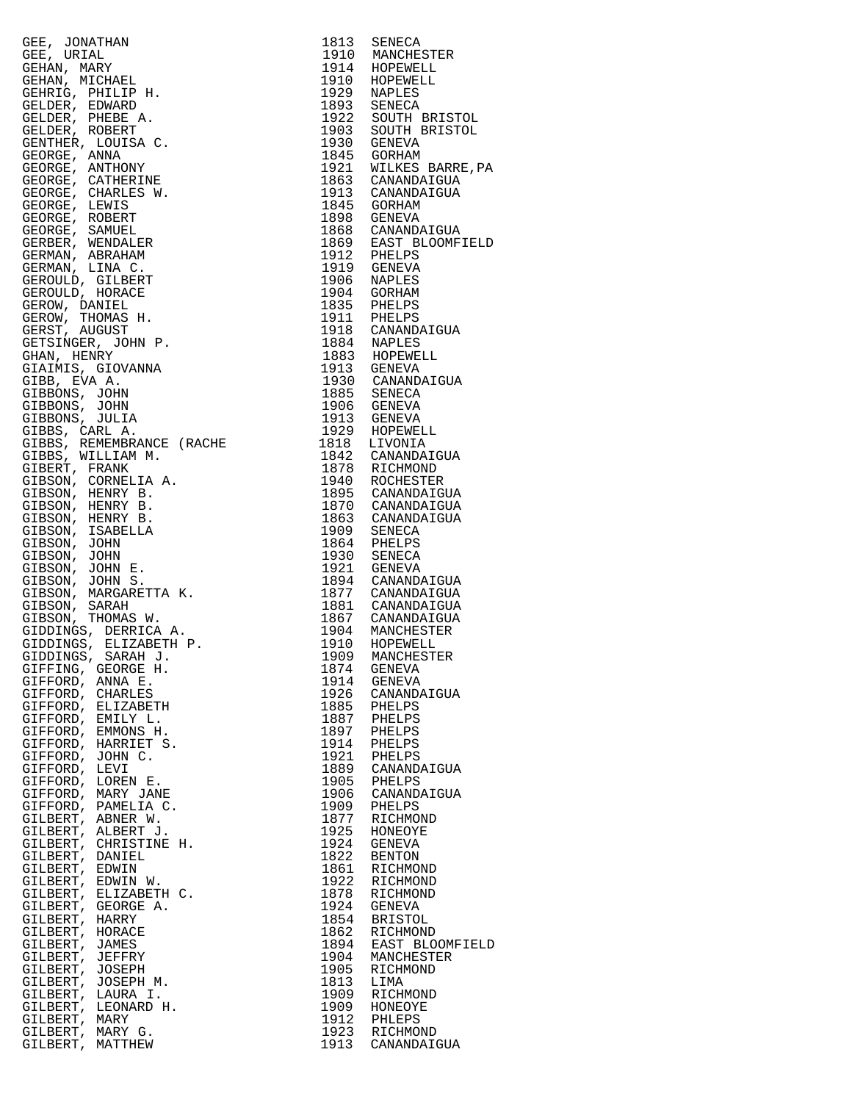| GEE, JONATHAN<br>GEE, JURIAL<br>GEE, JURIAL<br>GEHAN, MICHAEL<br>GEHAN, MICHAEL<br>GEHAN, MICHAEL<br>GEHAN, PHILIP H.<br>GELDER, EPHERE PARED<br>GELDER, PHERE A.<br>GENDER, PHERE A.<br>GENORGE, ANYAN CROSSET COULSA C.<br>GEORGE, LEWIS WANN GORGE, COULSA G |              |                                                                                                                           |
|-----------------------------------------------------------------------------------------------------------------------------------------------------------------------------------------------------------------------------------------------------------------|--------------|---------------------------------------------------------------------------------------------------------------------------|
|                                                                                                                                                                                                                                                                 |              | 1813 SENECA<br>1910 MANCHESTER                                                                                            |
|                                                                                                                                                                                                                                                                 |              |                                                                                                                           |
|                                                                                                                                                                                                                                                                 |              |                                                                                                                           |
|                                                                                                                                                                                                                                                                 |              |                                                                                                                           |
|                                                                                                                                                                                                                                                                 |              |                                                                                                                           |
|                                                                                                                                                                                                                                                                 |              | 1914 HOPEWELL<br>1914 HOPEWELL<br>1910 HOPEWELL<br>1929 NAPLES<br>1893 SENECA<br>1922 SOUTH BRISTOL<br>1903 SOUTH BRISTOL |
|                                                                                                                                                                                                                                                                 |              |                                                                                                                           |
|                                                                                                                                                                                                                                                                 |              | 1930 GENEVA<br>1845 GORHAM<br>1921 WILKES BARRE,PA<br>1863 CANANDAIGUA                                                    |
|                                                                                                                                                                                                                                                                 |              |                                                                                                                           |
|                                                                                                                                                                                                                                                                 |              |                                                                                                                           |
|                                                                                                                                                                                                                                                                 |              | 1913 CANANDAIGUA                                                                                                          |
|                                                                                                                                                                                                                                                                 |              | 1845 GORHAM                                                                                                               |
|                                                                                                                                                                                                                                                                 |              | 1898 GENEVA                                                                                                               |
|                                                                                                                                                                                                                                                                 |              | 1868 CANANDAIGUA                                                                                                          |
|                                                                                                                                                                                                                                                                 |              |                                                                                                                           |
|                                                                                                                                                                                                                                                                 |              |                                                                                                                           |
|                                                                                                                                                                                                                                                                 |              | 1869 EAST BLOOMFIELD<br>1912 PHELPS<br>1919 GENEVA<br>1906 NAPLES                                                         |
|                                                                                                                                                                                                                                                                 |              | 1904 GORHAM                                                                                                               |
|                                                                                                                                                                                                                                                                 |              |                                                                                                                           |
|                                                                                                                                                                                                                                                                 |              | 1835 PHELPS<br>1911 PHELPS<br>1918 CANANDAIGUA                                                                            |
|                                                                                                                                                                                                                                                                 |              |                                                                                                                           |
|                                                                                                                                                                                                                                                                 |              |                                                                                                                           |
|                                                                                                                                                                                                                                                                 |              | 1884 NAPLES<br>1883 HOPEWELL                                                                                              |
|                                                                                                                                                                                                                                                                 |              | 1913 GENEVA                                                                                                               |
|                                                                                                                                                                                                                                                                 |              | 1930 CANANDAIGUA                                                                                                          |
|                                                                                                                                                                                                                                                                 |              |                                                                                                                           |
|                                                                                                                                                                                                                                                                 |              |                                                                                                                           |
|                                                                                                                                                                                                                                                                 |              | 1885 SENECA<br>1906 GENEVA<br>1913 GENEVA<br>1929 HOPEWELL                                                                |
|                                                                                                                                                                                                                                                                 |              |                                                                                                                           |
|                                                                                                                                                                                                                                                                 |              | 1818 LIVONIA<br>1842 CANANDAIGUA                                                                                          |
|                                                                                                                                                                                                                                                                 |              |                                                                                                                           |
|                                                                                                                                                                                                                                                                 |              |                                                                                                                           |
|                                                                                                                                                                                                                                                                 |              |                                                                                                                           |
|                                                                                                                                                                                                                                                                 |              | 1878 RICHMOND<br>1878 RICHMOND<br>1940 ROCHESTER<br>1895 CANANDAIGUA<br>1863 CANANDAIGUA<br>1909 SENELCA                  |
|                                                                                                                                                                                                                                                                 |              |                                                                                                                           |
|                                                                                                                                                                                                                                                                 |              |                                                                                                                           |
|                                                                                                                                                                                                                                                                 |              | 1864 PHELPS<br>1930 SENECA<br>1921 GENEVA<br>1894 CANANDAIGUA                                                             |
|                                                                                                                                                                                                                                                                 |              |                                                                                                                           |
|                                                                                                                                                                                                                                                                 |              |                                                                                                                           |
|                                                                                                                                                                                                                                                                 |              | 1877 CANANDAIGUA                                                                                                          |
|                                                                                                                                                                                                                                                                 |              | 1881 CANANDAIGUA                                                                                                          |
|                                                                                                                                                                                                                                                                 |              | 1867 CANANDAIGUA                                                                                                          |
|                                                                                                                                                                                                                                                                 |              | 1904 MANCHESTER                                                                                                           |
|                                                                                                                                                                                                                                                                 |              | 1910 HOPEWELL                                                                                                             |
| GIDDINGS, SARAH J.<br>GIDDINGS, SARAH J.<br>GIFFING, GEORGE H.                                                                                                                                                                                                  |              | 1909 MANCHESTER                                                                                                           |
|                                                                                                                                                                                                                                                                 | 1874         | GENEVA                                                                                                                    |
| GIFFORD, ANNA E.                                                                                                                                                                                                                                                |              | 1914 GENEVA                                                                                                               |
| GIFFORD, CHARLES<br>GIFFORD, ELIZABETH                                                                                                                                                                                                                          |              | 1926 CANANDAIGUA<br>1885 PHELPS                                                                                           |
| GIFFORD, EMILY L.                                                                                                                                                                                                                                               |              |                                                                                                                           |
| GIFFORD, EMMONS H.                                                                                                                                                                                                                                              |              | 1887 PHELPS<br>1897 PHELPS                                                                                                |
| GIFFORD, HARRIET S.                                                                                                                                                                                                                                             |              |                                                                                                                           |
| GIFFORD, JOHN C.                                                                                                                                                                                                                                                |              | 1914 PHELPS<br>1921 PHELPS                                                                                                |
| GIFFORD, LEVI                                                                                                                                                                                                                                                   |              | 1889 CANANDAIGUA<br>1905 PHELPS                                                                                           |
| GIFFORD, LOREN E.                                                                                                                                                                                                                                               |              |                                                                                                                           |
| GIFFORD, MARY JANE                                                                                                                                                                                                                                              | 1906         | CANANDAIGUA                                                                                                               |
| GIFFORD, PAMELIA C.                                                                                                                                                                                                                                             | 1909         | PHELPS                                                                                                                    |
| GILBERT, ABNER W.<br>GILBERT, ALBERT J.                                                                                                                                                                                                                         | 1877<br>1925 | RICHMOND<br>HONEOYE                                                                                                       |
| GILBERT, CHRISTINE H.                                                                                                                                                                                                                                           | 1924         | GENEVA                                                                                                                    |
| GILBERT, DANIEL                                                                                                                                                                                                                                                 | 1822         | BENTON                                                                                                                    |
| GILBERT, EDWIN                                                                                                                                                                                                                                                  |              |                                                                                                                           |
| GILBERT, EDWIN W.                                                                                                                                                                                                                                               |              | 1861 RICHMOND<br>1922 RICHMOND                                                                                            |
| GILBERT, ELIZABETH C.                                                                                                                                                                                                                                           | 1878         | RICHMOND                                                                                                                  |
| GILBERT, GEORGE A.                                                                                                                                                                                                                                              |              | 1924 GENEVA                                                                                                               |
| GILBERT, HARRY                                                                                                                                                                                                                                                  | 1854         | BRISTOL                                                                                                                   |
| GILBERT, HORACE                                                                                                                                                                                                                                                 | 1862         | RICHMOND                                                                                                                  |
| GILBERT, JAMES<br>GILBERT, JEFFRY                                                                                                                                                                                                                               | 1904         | 1894 EAST BLOOMFIELD                                                                                                      |
| GILBERT, JOSEPH                                                                                                                                                                                                                                                 | 1905         | MANCHESTER<br>RICHMOND                                                                                                    |
| GILBERT, JOSEPH M.                                                                                                                                                                                                                                              | 1813         | LIMA                                                                                                                      |
| GILBERT, LAURA I.                                                                                                                                                                                                                                               | 1909         | RICHMOND                                                                                                                  |
| GILBERT, LEONARD H.                                                                                                                                                                                                                                             | 1909         | HONEOYE                                                                                                                   |
| GILBERT, MARY                                                                                                                                                                                                                                                   |              | 1912 PHLEPS<br>1923 RICHMOND                                                                                              |
| GILBERT, MARY G.                                                                                                                                                                                                                                                |              |                                                                                                                           |
| GILBERT, MATTHEW                                                                                                                                                                                                                                                |              | 1913 CANANDAIGUA                                                                                                          |

| 1813         | SENECA                     |
|--------------|----------------------------|
| 1910         | MANCHESTER                 |
| 1914         | HOPEWELL                   |
| 1910         | HOPEWELL                   |
| 1929         | NAPLES                     |
| 1893         | SENECA                     |
| 1922         | SOUTH BRISTOL              |
| 1903         | SOUTH BRISTOL              |
| 1930         | GENEVA                     |
| 1845         | GORHAM                     |
| 1921         | WILKES BARRE, PA           |
| 1863         | CANANDAIGUA                |
| 1913         | CANANDAIGUA                |
| 1845         | <b>GORHAM</b>              |
| 1898         | GENEVA                     |
| 1868         | CANANDAIGUA                |
| 1869         | EAST BLOOMFIELD            |
| 1912         | PHELPS                     |
| 1919         | <b>GENEVA</b>              |
| 1906         | NAPLES                     |
| 1904         | GORHAM                     |
| 1835         | PHELPS                     |
| 1911         | PHELPS                     |
| 1918         | CANANDAIGUA                |
| 1884         | NAPLES                     |
| 1883         | HOPEWELL                   |
| 1913         | <b>GENEVA</b>              |
| 1930         | CANANDAIGUA                |
| 1885         | SENECA                     |
| 1906         | GENEVA                     |
| 1913<br>1929 | <b>GENEVA</b>              |
| 1818         | HOPEWELL<br>LIVONIA        |
| 1842         | CANANDAIGUA                |
| 1878         | RICHMOND                   |
| 1940         | ROCHESTER                  |
| 1895         | CANANDAIGUA                |
| 1870         | CANANDAIGUA                |
| 1863         | CANANDAIGUA                |
| 1909         | SENECA                     |
| 1864         | PHELPS                     |
| 1930         | SENECA                     |
| 1921         | GENEVA                     |
| 1894         | CANANDAIGUA                |
| 1877<br>1881 | CANANDAIGUA                |
| 1867         | CANANDAIGUA<br>CANANDAIGUA |
| 1904         | MANCHESTER                 |
| 1910         | HOPEWELL                   |
| 1909         | MANCHESTER                 |
| 1874         | GENEVA                     |
| 1914         | <b>GENEVA</b>              |
| 1926         | CANANDAIGUA                |
| 1885         | PHELPS                     |
| 1887         | PHELPS                     |
| 1897         | PHELPS                     |
| 1914         | PHELPS                     |
| 1921         | PHELPS                     |
| 1889         | CANANDAIGUA                |
| 1905         | PHELPS                     |
| 1906         | CANANDAIGUA                |
| 1909         | PHELPS                     |
| 1877         | RICHMOND                   |
| 1925         | HONEOYE                    |
| 1924         | GENEVA                     |
| 1822         | <b>BENTON</b>              |
| 1861         | RICHMOND                   |
| 1922         | RICHMOND                   |
| 1878         | RICHMOND                   |
| 1924         | <b>GENEVA</b>              |
| 1854         | <b>BRISTOL</b>             |
| 1862         | RICHMOND                   |
| 1894         | EAST BLOOMFIELD            |
| 1904         | MANCHESTER                 |
| 1905         | RICHMOND                   |
| 1813         | LIMA                       |
| 1909         | RICHMOND                   |
| 1909         | HONEOYE                    |
| 1912         | PHLEPS                     |
| 1923         | RICHMOND                   |
| 1913         | CANANDAIGUA                |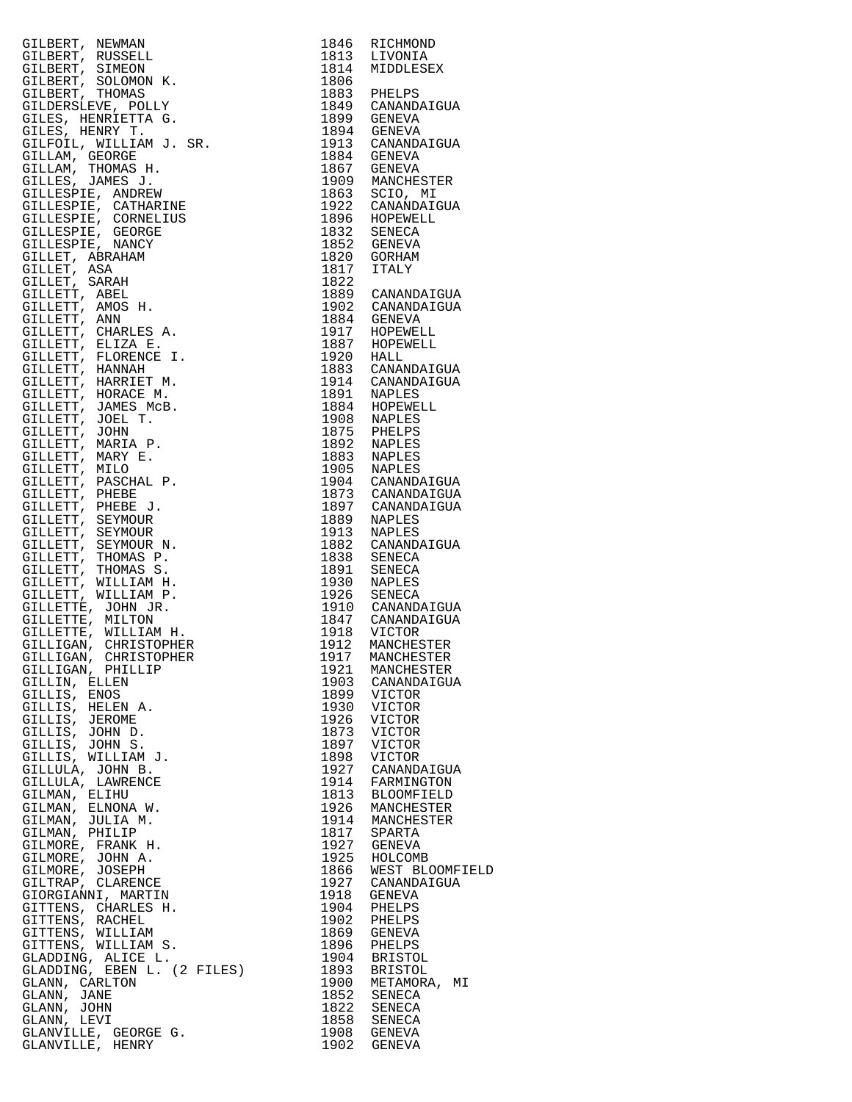| GILERET, NEWANI 1944 REPAIR (STEPANDATOIR 1944 REPAIR (STEPANDATOIR CHEAPT), SINGON N. 1944 ALDELESEX<br>GILERET, SUNGON K. 1944 ALDELESEX<br>GILERET, SUNGON K. 1944 ALDELESEX<br>GILERET, SUNGON K. 1949 GENEVA<br>GILERET, SUNGON |      |                  |
|--------------------------------------------------------------------------------------------------------------------------------------------------------------------------------------------------------------------------------------|------|------------------|
|                                                                                                                                                                                                                                      |      |                  |
|                                                                                                                                                                                                                                      |      |                  |
|                                                                                                                                                                                                                                      |      |                  |
|                                                                                                                                                                                                                                      |      |                  |
|                                                                                                                                                                                                                                      |      |                  |
|                                                                                                                                                                                                                                      |      |                  |
|                                                                                                                                                                                                                                      |      |                  |
| GILLIGAN, CHRISTOPHER                                                                                                                                                                                                                |      | 1917 MANCHESTER  |
| GILLIGAN, PHILLIP                                                                                                                                                                                                                    | 1921 | MANCHESTER       |
| GILLIN, ELLEN                                                                                                                                                                                                                        |      | 1903 CANANDAIGUA |
|                                                                                                                                                                                                                                      |      |                  |
| GILLIS, ENOS                                                                                                                                                                                                                         | 1899 | VICTOR           |
| GILLIS, HELEN A.                                                                                                                                                                                                                     | 1930 | VICTOR           |
| GILLIS, JEROME                                                                                                                                                                                                                       | 1926 | VICTOR           |
|                                                                                                                                                                                                                                      |      |                  |
| GILLIS, JOHN D.                                                                                                                                                                                                                      | 1873 | VICTOR           |
| GILLIS, JOHN S.                                                                                                                                                                                                                      | 1897 | VICTOR           |
| GILLIS, WILLIAM J.                                                                                                                                                                                                                   | 1898 | VICTOR           |
|                                                                                                                                                                                                                                      |      |                  |
| GILLULA, JOHN B.                                                                                                                                                                                                                     | 1927 | CANANDAIGUA      |
| GILLULA, LAWRENCE                                                                                                                                                                                                                    | 1914 | FARMINGTON       |
| GILMAN, ELIHU                                                                                                                                                                                                                        |      | 1813 BLOOMFIELD  |
|                                                                                                                                                                                                                                      |      |                  |
| GILMAN, ELNONA W.                                                                                                                                                                                                                    | 1926 | MANCHESTER       |
| GILMAN, JULIA M.                                                                                                                                                                                                                     |      | 1914 MANCHESTER  |
| GILMAN, PHILIP                                                                                                                                                                                                                       | 1817 | SPARTA           |
|                                                                                                                                                                                                                                      |      |                  |
| GILMORE, FRANK H.                                                                                                                                                                                                                    | 1927 | <b>GENEVA</b>    |
| GILMORE, JOHN A.                                                                                                                                                                                                                     | 1925 | HOLCOMB          |
| GILMORE, JOSEPH                                                                                                                                                                                                                      | 1866 | WEST BLOOMFIELD  |
|                                                                                                                                                                                                                                      |      |                  |
| GILTRAP, CLARENCE                                                                                                                                                                                                                    | 1927 | CANANDAIGUA      |
| GIORGIANNI, MARTIN                                                                                                                                                                                                                   | 1918 | <b>GENEVA</b>    |
| GITTENS, CHARLES H.                                                                                                                                                                                                                  | 1904 | PHELPS           |
|                                                                                                                                                                                                                                      |      |                  |
| GITTENS, RACHEL                                                                                                                                                                                                                      | 1902 | PHELPS           |
| GITTENS, WILLIAM                                                                                                                                                                                                                     | 1869 | GENEVA           |
| GITTENS, WILLIAM S.                                                                                                                                                                                                                  | 1896 | PHELPS           |
|                                                                                                                                                                                                                                      |      |                  |
| GLADDING, ALICE L.                                                                                                                                                                                                                   | 1904 | BRISTOL          |
| GLADDING, EBEN L. (2 FILES)                                                                                                                                                                                                          | 1893 | BRISTOL          |
| GLANN, CARLTON                                                                                                                                                                                                                       | 1900 | METAMORA, MI     |
|                                                                                                                                                                                                                                      |      |                  |
| GLANN, JANE                                                                                                                                                                                                                          | 1852 | SENECA           |
| GLANN, JOHN                                                                                                                                                                                                                          |      | 1822 SENECA      |
| GLANN, LEVI                                                                                                                                                                                                                          |      | 1858 SENECA      |
|                                                                                                                                                                                                                                      |      |                  |
| GLANVILLE, GEORGE G.<br>GLANVILLE, HENRY                                                                                                                                                                                             | 1908 | GENEVA           |
|                                                                                                                                                                                                                                      | 1902 | GENEVA           |

| 1846         | RICHMOND                      |
|--------------|-------------------------------|
| 1813<br>1814 | LIVONIA<br>MIDDLESEX          |
| 1806         |                               |
| 1883         | PHELPS                        |
| 1849<br>1899 | CANANDAIGUA<br>GENEVA         |
| 1894         | <b>GENEVA</b>                 |
| 1913         | CANANDAIGUA                   |
| 1884         | GENEVA                        |
| 1867         | GENEVA                        |
| 1909<br>1863 | MANCHESTER<br>SCIO, MI        |
| 1922         | CANANDAIGUA                   |
| 1896         | HOPEWELL                      |
| 1832         | SENECA                        |
| 1852<br>1820 | GENEVA<br>GORHAM              |
| 1817         | <b>ITALY</b>                  |
| 1822         |                               |
| 1889<br>1902 | CANANDAIGUA                   |
| 1884         | CANANDAIGUA<br><b>GENEVA</b>  |
| 1917         | HOPEWELL                      |
| 1887         | HOPEWELL                      |
| 1920         | HALL                          |
| 1883<br>1914 | CANANDAIGUA<br>CANANDAIGUA    |
| 1891         | NAPLES                        |
| 1884         | HOPEWELL                      |
| 1908         | <b>NAPLES</b>                 |
| 1875<br>1892 | PHELPS<br>NAPLES              |
| 1883         | NAPLES                        |
| 1905         | NAPLES                        |
| 1904         | CANANDAIGUA                   |
| 1873<br>1897 | CANANDAIGUA<br>CANANDAIGUA    |
| 1889         | NAPLES                        |
| 1913         | NAPLES                        |
| 1882         | CANANDAIGUA                   |
| 1838<br>1891 | SENECA<br>SENECA              |
| 1930         | <b>NAPLES</b>                 |
| 1926         | SENECA                        |
| 1910         | CANANDAIGUA                   |
| 1847<br>1918 | CANANDAIGUA<br>VICTOR         |
| 1912         | MANCHESTER                    |
| 1917         | MANCHESTER                    |
| 1921         | MANCHESTER                    |
| 1903<br>1899 | CANANDAIGUA<br>VICTOR         |
| 1930         | VICTOR                        |
| 1926         | VICTOR                        |
| 1873         | VICTOR                        |
| 1897<br>1898 | VICTOR<br>VICTOR              |
| 1927         | CANANDAIGUA                   |
| 1914         | FARMINGTON                    |
| 1813<br>1926 | <b>BLOOMFIELD</b>             |
| 1914         | MANCHESTER<br>MANCHESTER      |
| 1817         | SPARTA                        |
| 1927         | <b>GENEVA</b>                 |
| 1925<br>1866 | HOLCOMB                       |
| 1927         | WEST BLOOMFIEL<br>CANANDAIGUA |
| 1918         | GENEVA                        |
| 1904         | PHELPS                        |
| 1902<br>1869 | PHELPS                        |
| 1896         | GENEVA<br>PHELPS              |
| 1904         | <b>BRISTOL</b>                |
| 1893         | <b>BRISTOL</b>                |
| 1900         | METAMORA,<br>MΙ               |
| 1852<br>1822 | SENECA<br>SENECA              |
| 1858         | SENECA                        |
| 1908         | GENEVA                        |
| 1902         | <b>GENEVA</b>                 |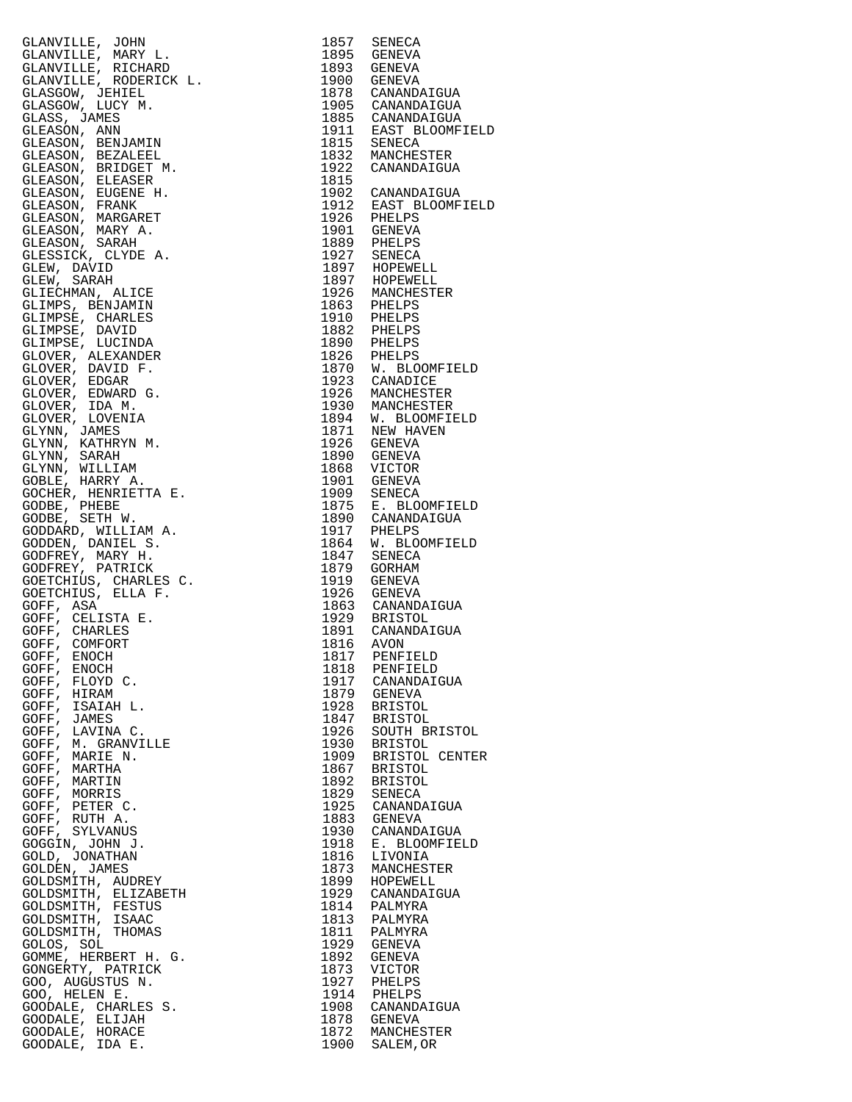GLANVILLE, JOHN GLANVILLE, MARY L. GLANVILLE, RICHARD 1893 GENEVA GLANVILLE, RODERICK L. 1900 GENEVA GLASGOW, JEHIEL GLASGOW, LUCY M. GLASS, JAMES 1885 CANANDAIGUA GLEASON, ANN 1911 EAST BLOOMFIELD GLEASON, BENJAMIN GLEASON, BEZALEEL 1832 MANCHESTER GLEASON, BRIDGET M. 1922 CANANDAIGUA GLEASON, ELEASER GLEASON, EUGENE H. 1902 CANANDAIGUA GLEASON, FRANK 1912 EAST BLOOMFIELD GLEASON, MARGARET 1926 PHELPS GLEASON, MARY A. GLEASON, SARAH GLESSICK, CLYDE A. GLEW, DAVID GLEW, SARAH 1897 HOPEWELL GLIECHMAN, ALICE 1926 MANCHESTER GLIMPS, BENJAMIN GLIMPSE, CHARLES 1910 PHELPS GLIMPSE, DAVID 1882 PHELPS GLIMPSE, LUCINDA 1890 PHELPS GLOVER, ALEXANDER GLOVER, DAVID F. 1870 W. BLOOMFIELD GLOVER, EDGAR 1923 CANADICE GLOVER, EDWARD G. 1926 MANCHESTER GLOVER, IDA M. 1930 MANCHESTER GLOVER, LOVENIA 1894 W. BLOOMFIELD GLYNN, JAMES 1871 NEW HAVEN GLYNN, KATHRYN M. GLYNN, SARAH 1890 GENEVA GLYNN, WILLIAM 1868 VICTOR GOBLE, HARRY A. GOCHER, HENRIETTA E. GODBE, PHEBE GODBE, SETH W. GODDARD, WILLIAM A. GODDEN, DANIEL S. 1864 W. BLOOMFIELD GODFREY, MARY H. 1847 SENECA GODFREY, PATRICK GOETCHIUS, CHARLES C. 1919 GENEVA GOETCHIUS, ELLA F. 1926 GENEVA GOFF, ASA 1863 CANANDAIGUA GOFF, CELISTA E. 1929 BRISTOL GOFF, CHARLES 1891 CANANDAIGUA GOFF, COMFORT 1816 AVON GOFF, ENOCH 1817 PENFIELD GOFF, ENOCH 1818 PENFIELD GOFF, FLOYD C. 1917 CANANDAIGUA GOFF, HIRAM GOFF, ISAIAH L. 1928 BRISTOL GOFF, JAMES 1847 BRISTOL GOFF, LAVINA C. 1926 SOUTH BRISTOL GOFF, M. GRANVILLE 1930 BRISTOL GOFF, MARIE N. 1909 BRISTOL CENTER GOFF, MARTHA 1867 BRISTOL GOFF, MARTIN GOFF, MORRIS 1829 SENECA GOFF, PETER C. 1925 CANANDAIGUA GOFF, RUTH  $A$ . GOFF, SYLVANUS GOGGIN, JOHN J. GOLD, JONATHAN<br>GOLDEN, JAMES GOLDEN, JAMES 1873 MANCHESTER GOLDSMITH, AUDREY 1899 HOPEWELL GOLDSMITH, ELIZABETH 1929 CANANDAIGUA GOLDSMITH, FESTUS GOLDSMITH, ISAAC 1813 PALMYRA GOLDSMITH, THOMAS 1811 PALMYRA GOLOS, SOL GOMME, HERBERT H. G. GONGERTY, PATRICK GOO, AUGUSTUS N. GOO, HELEN E. GOODALE, CHARLES S. 1908 CANANDAIGUA GOODALE, ELIJAH 1878 GENEVA GOODALE, HORACE GOODALE, IDA E.

| 1857         | SENECA                          |
|--------------|---------------------------------|
| 1895<br>1893 | <b>GENEVA</b><br><b>GENEVA</b>  |
| 1900         | <b>GENEVA</b>                   |
| 1878         | CANANDAIGUA                     |
| 1905<br>1885 | CANANDAIGUA<br>CANANDAIGUA      |
| 1911         | EAST BLOOMFIELD                 |
| 1815         | SENECA                          |
| 1832<br>1922 | MANCHESTER<br>CANANDAIGUA       |
| 1815         |                                 |
| 1902         | CANANDAIGUA                     |
| 1912<br>1926 | EAST BLOOMFIELD<br>PHELPS       |
| 1901         | <b>GENEVA</b>                   |
| 1889         | PHELPS                          |
| 1927         | <b>SENECA</b>                   |
| 1897<br>1897 | HOPEWELL<br>HOPEWELL            |
| 1926         | MANCHESTER                      |
| 1863         | PHELPS                          |
| 1910<br>1882 | PHELPS<br>PHELPS                |
| 1890         | PHELPS                          |
| 1826         | PHELPS                          |
| 1870         | W. BLOOMFIELD                   |
| 1923<br>1926 | CANADICE<br>MANCHESTER          |
| 1930         | MANCHESTER                      |
| 1894         | W. BLOOMFIELD                   |
| 1871         | NEW HAVEN                       |
| 1926<br>1890 | <b>GENEVA</b><br><b>GENEVA</b>  |
| 1868         | VICTOR                          |
| 1901         | <b>GENEVA</b>                   |
| 1909<br>1875 | SENECA<br>E. BLOOMFIELD         |
| 1890         | CANANDAIGUA                     |
| 1917         | PHELPS                          |
| 1864         | W. BLOOMFIELD                   |
| 1847<br>1879 | SENECA<br><b>GORHAM</b>         |
| 1919         | <b>GENEVA</b>                   |
| 1926         | <b>GENEVA</b>                   |
| 1863<br>1929 | CANANDAIGUA<br><b>BRISTOL</b>   |
| 1891         | CANANDAIGUA                     |
| 1816         | <b>AVON</b>                     |
| 1817         | PENFIELD                        |
| 1818<br>1917 | PENFIELD<br>CANANDAIGUA         |
| 1879         | <b>GENEVA</b>                   |
| 1928         | <b>BRISTOL</b>                  |
| 1847<br>1926 | <b>BRISTOL</b>                  |
| 1930         | SOUTH BRISTOL<br><b>BRISTOL</b> |
| 1909         | <b>BRISTOL</b><br>CENTER        |
| 1867         | <b>BRISTOL</b>                  |
| 1892<br>1829 | <b>BRISTOL</b><br><b>SENECA</b> |
| 1925         | CANANDAIGUA                     |
| 1883         | <b>GENEVA</b>                   |
| 1930<br>1918 | CANANDAIGUA<br>E. BLOOMFIELD    |
| 1816         | LIVONIA                         |
| 1873         | MANCHESTER                      |
| 1899         | HOPEWELL                        |
| 1929<br>1814 | CANANDAIGUA<br>PALMYRA          |
| 1813         | PALMYRA                         |
| 1811         | PALMYRA                         |
| 1929         | GENEVA                          |
| 1892<br>1873 | <b>GENEVA</b><br>VICTOR         |
| 1927         | PHELPS                          |
| 1914         | PHELPS                          |
| 1908<br>1878 | CANANDAIGUA<br><b>GENEVA</b>    |
| 1872         | MANCHESTER                      |
| 1900         | SALEM, OR                       |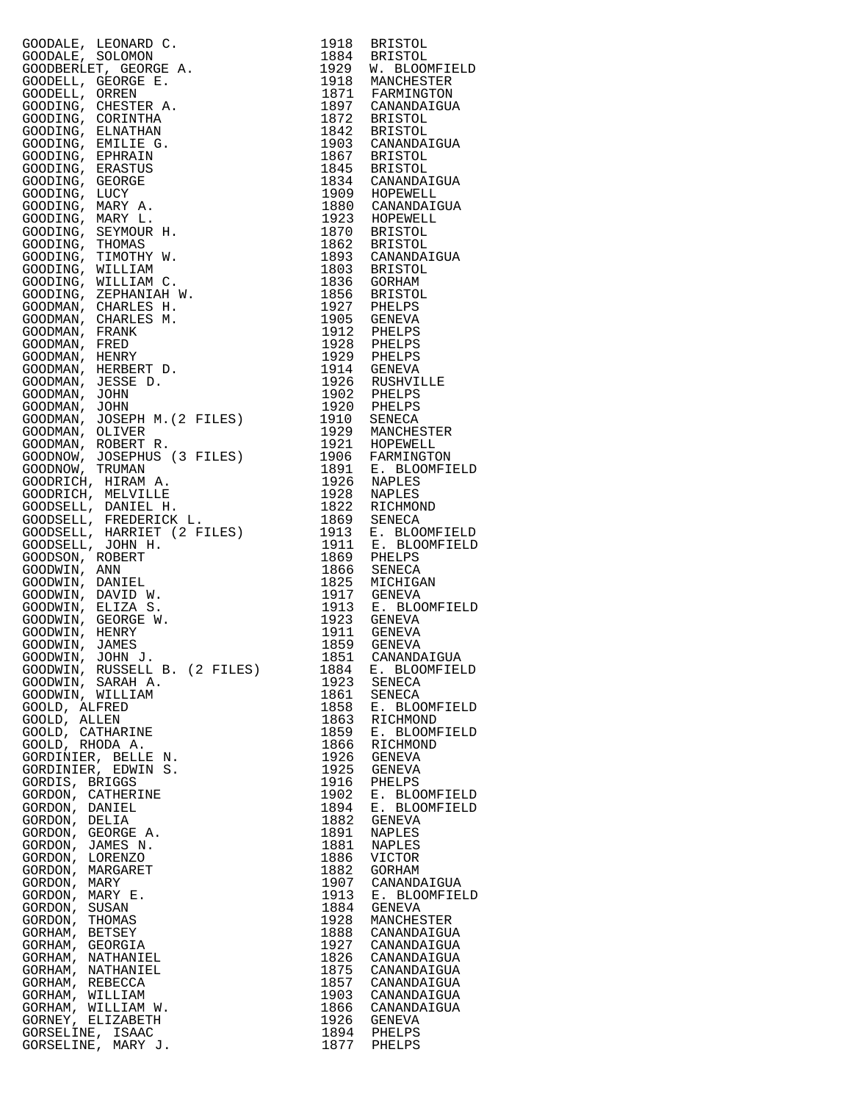| GOODALE, LEONARD C.                                | 1918         | <b>BRISTOL</b>                 |
|----------------------------------------------------|--------------|--------------------------------|
| GOODALE, SOLOMON                                   | 1884         | <b>BRISTOL</b>                 |
| GOODBERLET, GEORGE A.                              | 1929         | W. BLOOMFIELD                  |
| GOODELL, GEORGE E.                                 | 1918         | MANCHESTER                     |
| GOODELL,<br>ORREN<br>CHESTER A.                    | 1871<br>1897 | FARMINGTON                     |
| GOODING,<br>GOODING,<br>CORINTHA                   | 1872         | CANANDAIGUA<br><b>BRISTOL</b>  |
| GOODING,<br>ELNATHAN                               | 1842         | <b>BRISTOL</b>                 |
| GOODING,<br>EMILIE G.                              | 1903         | CANANDAIGUA                    |
| GOODING, EPHRAIN                                   | 1867         | <b>BRISTOL</b>                 |
| GOODING, ERASTUS                                   | 1845         | <b>BRISTOL</b>                 |
| GOODING, GEORGE                                    | 1834         | CANANDAIGUA                    |
| GOODING,<br>LUCY                                   | 1909         | HOPEWELL                       |
| GOODING, MARY A.                                   | 1880         | CANANDAIGUA                    |
| GOODING, MARY L.                                   | 1923         | HOPEWELL                       |
| GOODING, SEYMOUR H.                                | 1870         | <b>BRISTOL</b>                 |
| GOODING,<br>THOMAS                                 | 1862         | <b>BRISTOL</b>                 |
| GOODING, TIMOTHY W.                                | 1893         | CANANDAIGUA                    |
| GOODING,<br>WILLIAM                                | 1803         | <b>BRISTOL</b>                 |
| WILLIAM C.<br>GOODING,<br>GOODING,<br>ZEPHANIAH W. | 1836<br>1856 | GORHAM<br><b>BRISTOL</b>       |
| GOODMAN, CHARLES H.                                | 1927         | PHELPS                         |
| GOODMAN,<br>CHARLES M.                             | 1905         | GENEVA                         |
| GOODMAN,<br>FRANK                                  | 1912         | PHELPS                         |
| GOODMAN,<br>FRED                                   | 1928         | PHELPS                         |
| GOODMAN,<br>HENRY                                  | 1929         | PHELPS                         |
| HERBERT D.<br>GOODMAN,                             | 1914         | <b>GENEVA</b>                  |
| GOODMAN, JESSE D.                                  | 1926         | RUSHVILLE                      |
| GOODMAN,<br>JOHN                                   | 1902         | PHELPS                         |
| GOODMAN,<br>JOHN                                   | 1920         | PHELPS                         |
| JOSEPH M. (2 FILES)<br>GOODMAN,                    | 1910         | SENECA                         |
| GOODMAN,<br>OLIVER                                 | 1929         | MANCHESTER                     |
| GOODMAN,<br>ROBERT R.                              | 1921         | HOPEWELL                       |
| GOODNOW, JOSEPHUS (3 FILES)                        | 1906         | FARMINGTON                     |
| GOODNOW,<br>TRUMAN<br>GOODRICH, HIRAM A.           | 1891<br>1926 | E. BLOOMFIELD<br>NAPLES        |
| GOODRICH, MELVILLE                                 | 1928         | NAPLES                         |
| GOODSELL, DANIEL H.                                | 1822         | RICHMOND                       |
| GOODSELL,<br>FREDERICK L.                          | 1869         | SENECA                         |
| HARRIET (2 FILES)<br>GOODSELL,                     | 1913         | E. BLOOMFIELD                  |
| GOODSELL, JOHN H.                                  | 1911         | E. BLOOMFIELD                  |
| GOODSON, ROBERT                                    | 1869         | PHELPS                         |
| GOODWIN, ANN                                       | 1866         | SENECA                         |
| GOODWIN, DANIEL                                    | 1825         | MICHIGAN                       |
| GOODWIN,<br>DAVID W.                               | 1917         | GENEVA                         |
| GOODWIN, ELIZA S.                                  | 1913         | E. BLOOMFIELD                  |
| GOODWIN,<br>GEORGE W.                              | 1923         | GENEVA                         |
| GOODWIN, HENRY<br>GOODWIN, JAMES                   | 1911<br>1859 | GENEVA<br>GENEVA               |
| GOODWIN, JOHN J.                                   | 1851         | CANANDAIGUA                    |
| GOODWIN, RUSSELL B. (2 FILES)                      | 1884         | E. BLOOMFIELD                  |
| GOODWIN, SARAH A.                                  | 1923         | SENECA                         |
| GOODWIN, WILLIAM                                   | 1861         | SENECA                         |
| GOOLD, ALFRED                                      | 1858         | E. BLOOMFIELD                  |
| GOOLD, ALLEN                                       | 1863         | RICHMOND                       |
| GOOLD, CATHARINE                                   | 1859         | E. BLOOMFIELD                  |
| GOOLD, RHODA A.                                    | 1866         | RICHMOND                       |
| GORDINIER, BELLE N.                                | 1926         | GENEVA                         |
| GORDINIER, EDWIN S.                                | 1925         | GENEVA                         |
| GORDIS, BRIGGS                                     | 1916         | PHELPS                         |
| GORDON, CATHERINE<br>GORDON, DANIEL                | 1902<br>1894 | E. BLOOMFIELD<br>E. BLOOMFIELD |
| GORDON, DELIA                                      | 1882         | <b>GENEVA</b>                  |
| GORDON, GEORGE A.                                  | 1891         | NAPLES                         |
| GORDON, JAMES N.                                   | 1881         | NAPLES                         |
| GORDON, LORENZO                                    | 1886         | VICTOR                         |
| GORDON, MARGARET                                   | 1882         | GORHAM                         |
| GORDON, MARY                                       | 1907         | CANANDAIGUA                    |
| GORDON, MARY E.                                    | 1913         | E. BLOOMFIELD                  |
| GORDON,<br>SUSAN                                   | 1884         | GENEVA                         |
| GORDON,<br>THOMAS                                  | 1928         | MANCHESTER                     |
| GORHAM, BETSEY                                     | 1888         | CANANDAIGUA                    |
| GORHAM, GEORGIA<br>GORHAM, NATHANIEL               | 1927<br>1826 | CANANDAIGUA<br>CANANDAIGUA     |
| GORHAM, NATHANIEL                                  | 1875         | CANANDAIGUA                    |
| GORHAM, REBECCA                                    | 1857         | CANANDAIGUA                    |
| GORHAM, WILLIAM                                    | 1903         | CANANDAIGUA                    |
| GORHAM, WILLIAM W.                                 | 1866         | CANANDAIGUA                    |
| GORNEY, ELIZABETH                                  | 1926         | GENEVA                         |
| GORSELINE, ISAAC                                   | 1894         | PHELPS                         |
| GORSELINE, MARY J.                                 | 1877         | PHELPS                         |

| 1918         | <b>BRISTOL</b>                  |
|--------------|---------------------------------|
| 1884<br>1929 | <b>BRISTOL</b><br>W. BLOOMFIELD |
| 1918<br>1871 | MANCHESTER                      |
| 1897         | FARMINGTON<br>CANANDAIGUA       |
| 1872         | <b>BRISTOL</b>                  |
| 1842         | <b>BRISTOL</b>                  |
| 1903<br>1867 | CANANDAIGUA                     |
| 1845         | BRISTOL<br>BRISTOL              |
| 1834<br>1909 | CANANDAIGUA                     |
|              | HOPEWELL<br>CANANDAIGUA         |
| 1880<br>1923 | HOPEWELL                        |
| 1870         | <b>BRISTOL</b>                  |
| 1862<br>1893 | <b>BRISTOL</b><br>CANANDAIGUA   |
| 1803         | <b>BRISTOL</b>                  |
| 1836         | GORHAM                          |
| 1856<br>1927 | BRISTOL<br>PHELPS               |
| 1905         | GENEVA                          |
| 1912<br>1928 | PHELPS                          |
| 1929         | PHELPS<br>PHELPS                |
| 1914         | GENEVA                          |
| 1926<br>1902 | RUSHVILLE                       |
| 1920         | PHELPS<br>PHELPS                |
| 1910         | SENECA                          |
| 1929         | MANCHESTER                      |
| 1921<br>1906 | HOPEWELL<br>FARMINGTON          |
| 1891         | E. BLOOMFIELD                   |
| 1926         | NAPLES                          |
| 1928<br>1822 | NAPLES<br>RICHMOND              |
| 1869         | SENECA                          |
| 1913         | E. BLOOMFIELD                   |
| 1911         | E. BLOOMFIELD<br>PHELPS         |
| 1869<br>1866 | SENECA                          |
| 1825<br>1917 | MICHIGAN                        |
| 1913         | GENEVA<br>E. BLOOMFIELD         |
| 1923         | GENEVA                          |
| 1911<br>1859 | GENEVA                          |
| 1851         | <b>GENEVA</b><br>CANANDAIGUA    |
| 1884         | E. BLOOMFIELD                   |
| 1923         | SENECA                          |
| 1861         | SENECA<br>E. BLOOMFIELD         |
| 1858<br>1863 | RICHMOND                        |
| 1859<br>1866 | E. BLOOMFIELD                   |
|              | RICHMOND<br><b>GENEVA</b>       |
| 1926<br>1925 | <b>GENEVA</b>                   |
| 1916<br>1902 | PHELPS<br>E. BLOOMFIELD         |
|              | E. BLOOMFIELD                   |
| 1894<br>1882 | <b>GENEVA</b>                   |
| 1891<br>1881 | NAPLES<br>NAPLES                |
| 1886         | VICTOR                          |
| 1882         | GORHAM                          |
| 1907<br>1913 | CANANDAIGUA<br>E. BLOOMFIELD    |
| 1884         | <b>GENEVA</b>                   |
| 1928         | MANCHESTER                      |
| 1888<br>1927 | CANANDAIGUA<br>CANANDAIGUA      |
| 1826         | CANANDAIGUA                     |
| 1875         | CANANDAIGUA                     |
| 1857<br>1903 | CANANDAIGUA<br>CANANDAIGUA      |
| 1866         | CANANDAIGUA                     |
| 1926         | GENEVA                          |
| 1894<br>1877 | PHELPS<br>PHELPS                |
|              |                                 |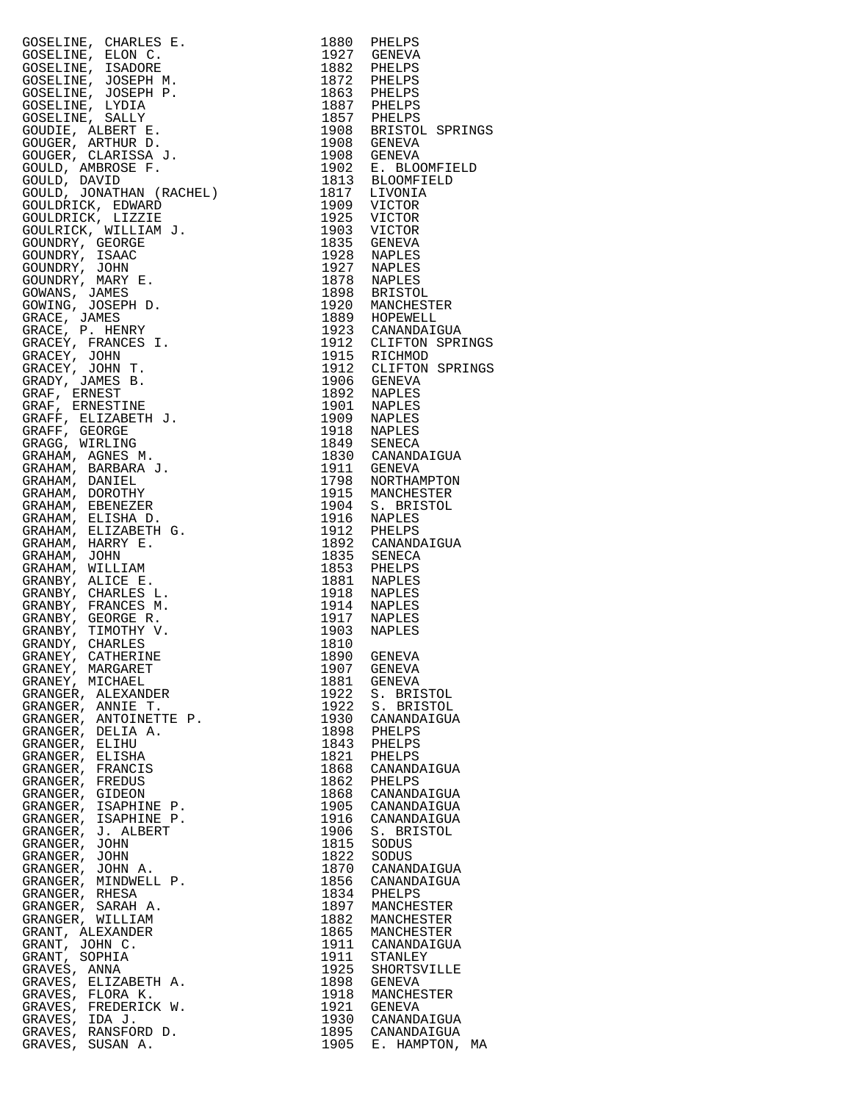| CONELINE, CHARLES R. 1982 PIELLES (SALLINE), 1982 PIELLES (SALLINE, LIADORE IN 1982 PIELLES (SALLINE, 1992)<br>COSELINE, ISLAM P. 1982 PIELLES (SALLINE, 1992)<br>COSELINE, JOSEPH M. 1992 PIELLES (SALLINE, 1992)<br>COSELINE, ARLI |              |                       |
|--------------------------------------------------------------------------------------------------------------------------------------------------------------------------------------------------------------------------------------|--------------|-----------------------|
|                                                                                                                                                                                                                                      |              |                       |
|                                                                                                                                                                                                                                      |              |                       |
|                                                                                                                                                                                                                                      |              |                       |
|                                                                                                                                                                                                                                      |              |                       |
|                                                                                                                                                                                                                                      |              |                       |
|                                                                                                                                                                                                                                      |              |                       |
|                                                                                                                                                                                                                                      |              |                       |
|                                                                                                                                                                                                                                      |              |                       |
|                                                                                                                                                                                                                                      |              |                       |
|                                                                                                                                                                                                                                      |              |                       |
| GRANEY, MARGARET                                                                                                                                                                                                                     | 1907         | GENEVA                |
| GRANEY, MICHAEL                                                                                                                                                                                                                      | 1881         | GENEVA                |
| GRANGER, ALEXANDER                                                                                                                                                                                                                   | 1922         | S. BRISTOL            |
| GRANGER, ANNIE T.                                                                                                                                                                                                                    | 1922         | S. BRISTOL            |
| GRANGER, ANTOINETTE P.<br>GRANGER, DELIA A.                                                                                                                                                                                          | 1930<br>1898 | CANANDAIGUA           |
| GRANGER, ELIHU                                                                                                                                                                                                                       | 1843         | PHELPS<br>PHELPS      |
| GRANGER, ELISHA                                                                                                                                                                                                                      | 1821         | PHELPS                |
| GRANGER, FRANCIS                                                                                                                                                                                                                     | 1868         | CANANDAIGUA           |
| GRANGER, FREDUS                                                                                                                                                                                                                      | 1862         | PHELPS                |
| GRANGER, GIDEON                                                                                                                                                                                                                      | 1868         | CANANDAIGUA           |
| GRANGER, ISAPHINE P.                                                                                                                                                                                                                 | 1905         | CANANDAIGUA           |
| GRANGER, ISAPHINE P.                                                                                                                                                                                                                 | 1916         | CANANDAIGUA           |
| GRANGER, J. ALBERT                                                                                                                                                                                                                   | 1906         | S. BRISTOL            |
| GRANGER, JOHN                                                                                                                                                                                                                        | 1815         | SODUS                 |
| GRANGER, JOHN                                                                                                                                                                                                                        | 1822         | SODUS                 |
| GRANGER, JOHN A.                                                                                                                                                                                                                     | 1870         | CANANDAIGUA           |
| GRANGER, MINDWELL P.                                                                                                                                                                                                                 | 1856         | CANANDAIGUA           |
| GRANGER, RHESA                                                                                                                                                                                                                       | 1834         | PHELPS                |
| GRANGER, SARAH A.                                                                                                                                                                                                                    | 1897         | MANCHESTER            |
| GRANGER, WILLIAM                                                                                                                                                                                                                     | 1882         | MANCHESTER            |
| GRANT, ALEXANDER                                                                                                                                                                                                                     | 1865         | MANCHESTER            |
| GRANT, JOHN C.                                                                                                                                                                                                                       | 1911         | CANANDAIGUA           |
| GRANT, SOPHIA<br>GRAVES, ANNA                                                                                                                                                                                                        | 1911<br>1925 | STANLEY               |
| GRAVES, ELIZABETH A.                                                                                                                                                                                                                 | 1898         | SHORTSVILLE<br>GENEVA |
| GRAVES, FLORA K.                                                                                                                                                                                                                     | 1918         | MANCHESTER            |
| GRAVES, FREDERICK W.                                                                                                                                                                                                                 | 1921         | GENEVA                |
| GRAVES, IDA J.                                                                                                                                                                                                                       | 1930         | CANANDAIGUA           |
| GRAVES, RANSFORD D.                                                                                                                                                                                                                  |              | 1895 CANANDAIGUA      |
| GRAVES, SUSAN A.                                                                                                                                                                                                                     |              | 1905 E. HAMPTON, MA   |

| 1880<br>1927 | PHELPS                         |
|--------------|--------------------------------|
| 1882         | GENEVA<br>PHELPS               |
| 1872         | PHELPS                         |
| 1863         | PHELPS                         |
| 1887<br>1857 | PHELPS<br>PHELPS               |
| 1908         | BRISTOL SPRINGS                |
| 1908         | <b>GENEVA</b>                  |
| 1908         | <b>GENEVA</b>                  |
| 1902         | E. BLOOMFIELD                  |
| 1813<br>1817 | <b>BLOOMFIELD</b><br>LIVONIA   |
| 1909         | VICTOR                         |
| 1925         | VICTOR                         |
| 1903         | VICTOR                         |
| 1835<br>1928 | GENEVA                         |
| 1927         | NAPLES<br>NAPLES               |
| 1878         | <b>NAPLES</b>                  |
| 1898         | <b>BRISTOL</b>                 |
| 1920<br>1889 | MANCHESTER                     |
| 1923         | HOPEWELL<br>CANANDAIGUA        |
| 1912         | CLIFTON SPRINGS                |
| 1915         | RICHMOD                        |
| 1912         | CLIFTON SPRINGS                |
| 1906<br>1892 | <b>GENEVA</b><br>NAPLES        |
| 1901         | <b>NAPLES</b>                  |
| 1909         | NAPLES                         |
| 1918         | <b>NAPLES</b>                  |
| 1849         | <b>SENECA</b>                  |
| 1830<br>1911 | CANANDAIGUA<br>GENEVA          |
| 1798         | NORTHAMPTON                    |
| 1915         | MANCHESTER                     |
| 1904         | <b>BRISTOL</b><br>S.           |
| 1916<br>1912 | NAPLES<br>PHELPS               |
| 1892         | CANANDAIGUA                    |
| 1835         | SENECA                         |
| 1853         | PHELPS                         |
| 1881<br>1918 | <b>NAPLES</b><br><b>NAPLES</b> |
| 1914         | NAPLES                         |
| 1917         | NAPLES                         |
| 1903         | NAPLES                         |
| 1810         |                                |
| 1890<br>1907 | GENEVA<br><b>GENEVA</b>        |
| 1881         | GENEVA                         |
| 1922         | S. BRISTOL                     |
| 1922         | S.<br><b>BRISTOL</b>           |
| 1930<br>1898 | CANANDAIGUA<br>PHELPS          |
| 1843         | PHELPS                         |
| 1821         | PHELPS                         |
| 1868         | CANANDAIGUA                    |
| 1862<br>1868 | PHELPS<br>CANANDAIGUA          |
| 1905         | CANANDAIGUA                    |
| 1916         | CANANDAIGUA                    |
| 1906         | S. BRISTOL                     |
| 1815<br>1822 | SODUS                          |
| 1870         | SODUS<br>CANANDAIGUA           |
| 1856         | CANANDAIGUA                    |
| 1834         | PHELPS                         |
| 1897         | MANCHESTER                     |
| 1882<br>1865 | MANCHESTER<br>MANCHESTER       |
| 1911         | CANANDAIGUA                    |
| 1911         | STANLEY                        |
| 1925         | SHORTSVILLE                    |
| 1898         | GENEVA                         |
| 1918<br>1921 | MANCHESTER<br>GENEVA           |
| 1930         | CANANDAIGUA                    |
| 1895         | CANANDAIGUA                    |
| 1905         | E. HAMPTON, MA                 |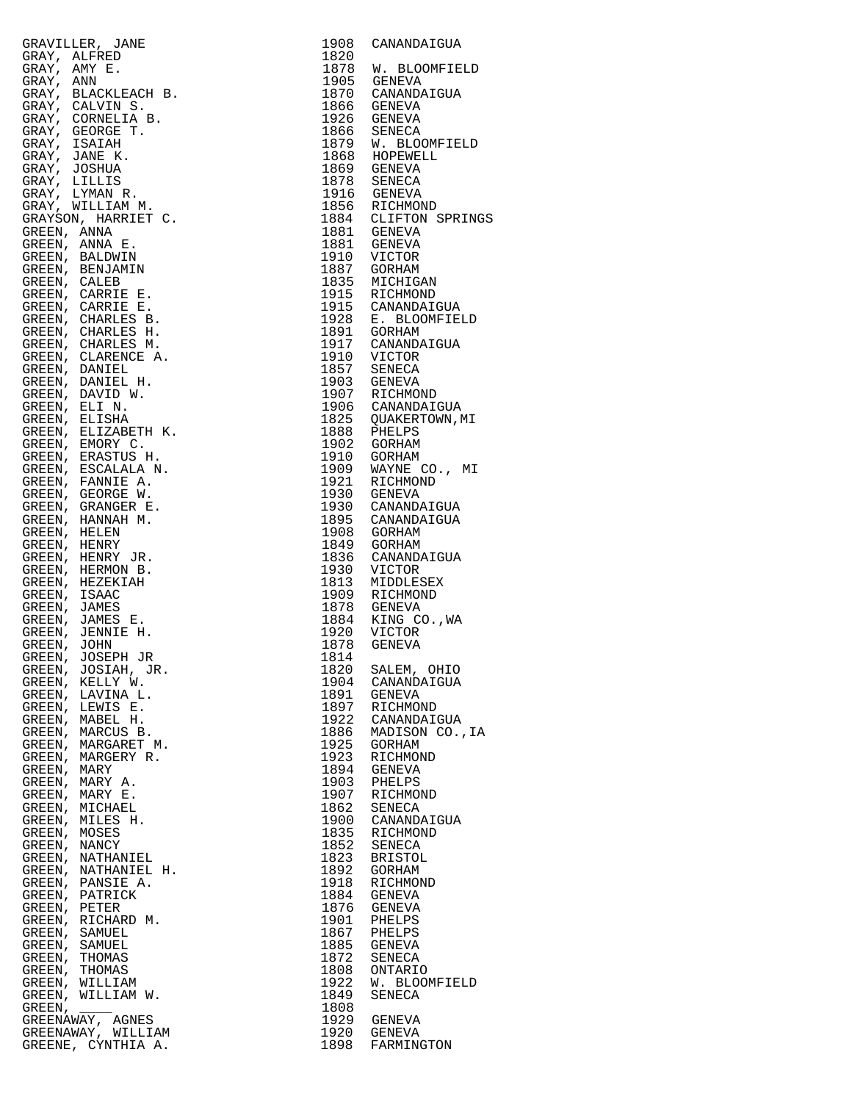|                                                                                                                                                                                                                                                                    | 1908         | CANANDAIGUA                       |
|--------------------------------------------------------------------------------------------------------------------------------------------------------------------------------------------------------------------------------------------------------------------|--------------|-----------------------------------|
|                                                                                                                                                                                                                                                                    | 1820<br>1878 | W. BLOOMFIEL                      |
|                                                                                                                                                                                                                                                                    |              | 1905 GENEVA                       |
|                                                                                                                                                                                                                                                                    |              | 1870 CANANDAIGUA                  |
|                                                                                                                                                                                                                                                                    |              | 1866 GENEVA                       |
|                                                                                                                                                                                                                                                                    |              | 1926 GENEVA<br>1866 SENECA        |
|                                                                                                                                                                                                                                                                    |              | 1879 W. BLOOMFIEL                 |
|                                                                                                                                                                                                                                                                    |              | 1868 HOPEWELL                     |
|                                                                                                                                                                                                                                                                    |              | 1869 GENEVA                       |
|                                                                                                                                                                                                                                                                    |              | 1878 SENECA                       |
|                                                                                                                                                                                                                                                                    |              | 1916 GENEVA                       |
|                                                                                                                                                                                                                                                                    |              | 1856 RICHMOND                     |
|                                                                                                                                                                                                                                                                    |              | 1884 CLIFTON SPRI<br>1881 GENEVA  |
|                                                                                                                                                                                                                                                                    |              | 1881 GENEVA                       |
|                                                                                                                                                                                                                                                                    | 1910         | VICTOR                            |
|                                                                                                                                                                                                                                                                    | 1887         | GORHAM                            |
|                                                                                                                                                                                                                                                                    |              | 1835 MICHIGAN                     |
|                                                                                                                                                                                                                                                                    | 1915         | RICHMOND<br>1915 CANANDAIGUA      |
|                                                                                                                                                                                                                                                                    |              | 1928 E. BLOOMFIEL                 |
|                                                                                                                                                                                                                                                                    |              | 1891 GORHAM                       |
|                                                                                                                                                                                                                                                                    | 1917         | CANANDAIGUA                       |
|                                                                                                                                                                                                                                                                    |              | 1910 VICTOR                       |
|                                                                                                                                                                                                                                                                    |              | 1857 SENECA                       |
|                                                                                                                                                                                                                                                                    |              | 1903 GENEVA                       |
|                                                                                                                                                                                                                                                                    |              | 1907 RICHMOND<br>1906 CANANDAIGUA |
|                                                                                                                                                                                                                                                                    |              | 1825 QUAKERTOWN, MI               |
|                                                                                                                                                                                                                                                                    |              | 1888 PHELPS                       |
|                                                                                                                                                                                                                                                                    |              | 1902 GORHAM                       |
|                                                                                                                                                                                                                                                                    |              | 1910 GORHAM                       |
|                                                                                                                                                                                                                                                                    |              | 1909 WAYNE CO., M                 |
|                                                                                                                                                                                                                                                                    | 1921         | RICHMOND                          |
|                                                                                                                                                                                                                                                                    | 1930         | GENEVA<br>1930 CANANDAIGUA        |
|                                                                                                                                                                                                                                                                    |              | 1895 CANANDAIGUA                  |
|                                                                                                                                                                                                                                                                    |              | 1908 GORHAM                       |
|                                                                                                                                                                                                                                                                    |              | 1849 GORHAM                       |
|                                                                                                                                                                                                                                                                    |              | 1836 CANANDAIGUA                  |
|                                                                                                                                                                                                                                                                    | 1930         | VICTOR                            |
|                                                                                                                                                                                                                                                                    | 1813         | MIDDLESEX<br>1909 RICHMOND        |
|                                                                                                                                                                                                                                                                    |              | 1878 GENEVA                       |
|                                                                                                                                                                                                                                                                    |              | 1884 KING CO., WA                 |
|                                                                                                                                                                                                                                                                    |              | 1920 VICTOR                       |
|                                                                                                                                                                                                                                                                    | 1878         | GENEVA                            |
|                                                                                                                                                                                                                                                                    | 1814         |                                   |
|                                                                                                                                                                                                                                                                    | 1820         | SALEM, OHIO                       |
|                                                                                                                                                                                                                                                                    | 1904<br>1891 | CANANDAIGUA<br>GENEVA             |
|                                                                                                                                                                                                                                                                    | 1897         | RICHMOND                          |
|                                                                                                                                                                                                                                                                    | 1922         | CANANDAIGUA                       |
|                                                                                                                                                                                                                                                                    | 1886         | MADISON CO.,                      |
|                                                                                                                                                                                                                                                                    | 1925         | GORHAM                            |
|                                                                                                                                                                                                                                                                    | 1923         | RICHMOND                          |
|                                                                                                                                                                                                                                                                    | 1894<br>1903 | GENEVA<br>PHELPS                  |
|                                                                                                                                                                                                                                                                    | 1907         | RICHMOND                          |
|                                                                                                                                                                                                                                                                    | 1862         | SENECA                            |
|                                                                                                                                                                                                                                                                    | 1900         | CANANDAIGUA                       |
|                                                                                                                                                                                                                                                                    | 1835         | RICHMOND                          |
|                                                                                                                                                                                                                                                                    | 1852         | SENECA                            |
|                                                                                                                                                                                                                                                                    | 1823         | BRISTOL                           |
|                                                                                                                                                                                                                                                                    | 1892<br>1918 | GORHAM<br>RICHMOND                |
|                                                                                                                                                                                                                                                                    | 1884         | GENEVA                            |
|                                                                                                                                                                                                                                                                    | 1876         | GENEVA                            |
|                                                                                                                                                                                                                                                                    | 1901         | PHELPS                            |
|                                                                                                                                                                                                                                                                    | 1867         | PHELPS                            |
|                                                                                                                                                                                                                                                                    | 1885         | GENEVA                            |
|                                                                                                                                                                                                                                                                    | 1872         | SENECA                            |
|                                                                                                                                                                                                                                                                    | 1808<br>1922 | ONTARIO<br>W. BLOOMFIEL           |
|                                                                                                                                                                                                                                                                    | 1849         | SENECA                            |
| GRAVILLER, JAME<br>GRAVILLER, JAME<br>GRAVIL ALFRED<br>GRAVIL AME<br>GRAVILLER<br>GRAVILLER<br>GRAVIL ANN E.<br>GRAVIL STANDER (GRAVILLER)<br>GRAVIL STANDER (GRAVILLER)<br>GRAVIL STANDER (GRAVILLER)<br>GRAVILLER GRAVILLER<br>GRAVILLER GRAVILLER)<br>GRAVILLER | 1808         |                                   |
|                                                                                                                                                                                                                                                                    |              | 1929 GENEVA                       |
|                                                                                                                                                                                                                                                                    | 1920         | GENEVA                            |
| GREENE. CYNTHIA A.                                                                                                                                                                                                                                                 |              | 1898 FARMINGTON                   |

| GRAVILLER, JAME<br>GRAV, ALFRED<br>GRAV, ALFRED<br>GRAV, AMN E.<br>GRAV, AMN E.<br>GRAV, KANN E.<br>GRAV, CALVIN S. B.<br>GRAV, CALVIN S. B.<br>GRAV, CALVIN S. B.<br>GRAV, CALVIN S. B.<br>GRAV, JAME B. B.<br>GRAV, JAMELILIS SRAV, SUSILIA SRAV, SUSILIA<br>GRA | 1908<br>1820 | CANANDAIGUA                             |
|--------------------------------------------------------------------------------------------------------------------------------------------------------------------------------------------------------------------------------------------------------------------|--------------|-----------------------------------------|
|                                                                                                                                                                                                                                                                    |              | 1878 W. BLOOMFIELD                      |
|                                                                                                                                                                                                                                                                    |              | 1905 GENEVA                             |
|                                                                                                                                                                                                                                                                    |              | 1870 CANANDAIGUA                        |
|                                                                                                                                                                                                                                                                    | 1866         | GENEVA<br>1926 GENEVA                   |
|                                                                                                                                                                                                                                                                    |              | 1866 SENECA                             |
|                                                                                                                                                                                                                                                                    |              | 1879 W. BLOOMFIELD                      |
|                                                                                                                                                                                                                                                                    |              | 1868 HOPEWELL                           |
|                                                                                                                                                                                                                                                                    |              | 1869 GENEVA                             |
|                                                                                                                                                                                                                                                                    | 1878         | SENECA<br>1916 GENEVA                   |
|                                                                                                                                                                                                                                                                    |              |                                         |
|                                                                                                                                                                                                                                                                    |              | 1856 RICHMOND<br>1884 CLIFTON SPRINGS   |
|                                                                                                                                                                                                                                                                    |              | 1881 GENEVA                             |
|                                                                                                                                                                                                                                                                    |              | 1881 GENEVA<br>VICTOR                   |
|                                                                                                                                                                                                                                                                    | 1887         | GORHAM                                  |
|                                                                                                                                                                                                                                                                    |              | 1835 MICHIGAN<br>1915 RICHMOND          |
|                                                                                                                                                                                                                                                                    |              |                                         |
|                                                                                                                                                                                                                                                                    |              | 1915 CANANDAIGUA<br>1928 E. BLOOMFIELD  |
|                                                                                                                                                                                                                                                                    |              |                                         |
|                                                                                                                                                                                                                                                                    |              | 1891 GORHAM<br>1917 CANANDAIGUA         |
|                                                                                                                                                                                                                                                                    |              | 1910 VICTOR<br>1857 SENECA              |
|                                                                                                                                                                                                                                                                    | 1903         | GENEVA                                  |
|                                                                                                                                                                                                                                                                    |              | 1907 RICHMOND                           |
|                                                                                                                                                                                                                                                                    |              | 1906 CANANDAIGUA<br>1825 QUAKERTOWN, MI |
|                                                                                                                                                                                                                                                                    |              |                                         |
|                                                                                                                                                                                                                                                                    |              | 1888 PHELPS<br>1902 GORHAM              |
|                                                                                                                                                                                                                                                                    |              |                                         |
|                                                                                                                                                                                                                                                                    |              | 1910 GORHAM<br>1909 WAYNE CO., MI       |
|                                                                                                                                                                                                                                                                    | 1921         | RICHMOND                                |
|                                                                                                                                                                                                                                                                    |              | 1930 GENEVA                             |
|                                                                                                                                                                                                                                                                    | 1930         | CANANDAIGUA<br>1895 CANANDAIGUA         |
|                                                                                                                                                                                                                                                                    | 1908         | GORHAM                                  |
|                                                                                                                                                                                                                                                                    |              | 1849 GORHAM                             |
|                                                                                                                                                                                                                                                                    | 1836         | CANANDAIGUA                             |
|                                                                                                                                                                                                                                                                    | 1930<br>1813 | VICTOR<br>MIDDLESEX                     |
|                                                                                                                                                                                                                                                                    |              | 1909 RICHMOND                           |
|                                                                                                                                                                                                                                                                    |              | 1878 GENEVA                             |
|                                                                                                                                                                                                                                                                    |              | 1884 KING CO., WA                       |
|                                                                                                                                                                                                                                                                    | 1878         | 1920 VICTOR<br>GENEVA                   |
|                                                                                                                                                                                                                                                                    | 1814         |                                         |
|                                                                                                                                                                                                                                                                    | 1820         | SALEM, OHIO                             |
|                                                                                                                                                                                                                                                                    | 1904         | CANANDAIGUA                             |
|                                                                                                                                                                                                                                                                    | 1891<br>1897 | GENEVA<br>RICHMOND                      |
|                                                                                                                                                                                                                                                                    | 1922         | CANANDAIGUA                             |
|                                                                                                                                                                                                                                                                    | 1886         | MADISON CO., IA                         |
|                                                                                                                                                                                                                                                                    | 1925         | GORHAM                                  |
|                                                                                                                                                                                                                                                                    | 1923<br>1894 | RICHMOND<br>GENEVA                      |
|                                                                                                                                                                                                                                                                    | 1903         | PHELPS                                  |
|                                                                                                                                                                                                                                                                    | 1907         | RICHMOND                                |
|                                                                                                                                                                                                                                                                    | 1862         | SENECA                                  |
|                                                                                                                                                                                                                                                                    | 1900<br>1835 | CANANDAIGUA<br>RICHMOND                 |
|                                                                                                                                                                                                                                                                    | 1852         | SENECA                                  |
|                                                                                                                                                                                                                                                                    | 1823         | <b>BRISTOL</b>                          |
|                                                                                                                                                                                                                                                                    | 1892         | GORHAM                                  |
|                                                                                                                                                                                                                                                                    | 1918<br>1884 | RICHMOND<br>GENEVA                      |
| GREEN, PETER                                                                                                                                                                                                                                                       | 1876         | GENEVA                                  |
| GREEN, RICHARD M.                                                                                                                                                                                                                                                  | 1901         | PHELPS                                  |
| GREEN, SAMUEL                                                                                                                                                                                                                                                      | 1867         | PHELPS                                  |
| GREEN, SAMUEL<br>GREEN, THOMAS                                                                                                                                                                                                                                     | 1885<br>1872 | GENEVA<br>SENECA                        |
| GREEN, THOMAS                                                                                                                                                                                                                                                      | 1808         | ONTARIO                                 |
| GREEN, WILLIAM                                                                                                                                                                                                                                                     | 1922         | W. BLOOMFIELD                           |
| GREEN, WILLIAM W.                                                                                                                                                                                                                                                  | 1849         | SENECA                                  |
| GREEN,<br>GREENAWAY, AGNES                                                                                                                                                                                                                                         | 1808<br>1929 | GENEVA                                  |
| GREENAWAY, WILLIAM                                                                                                                                                                                                                                                 | 1920         | GENEVA                                  |
| GREENE, CYNTHIA A.                                                                                                                                                                                                                                                 | 1898         | FARMINGTON                              |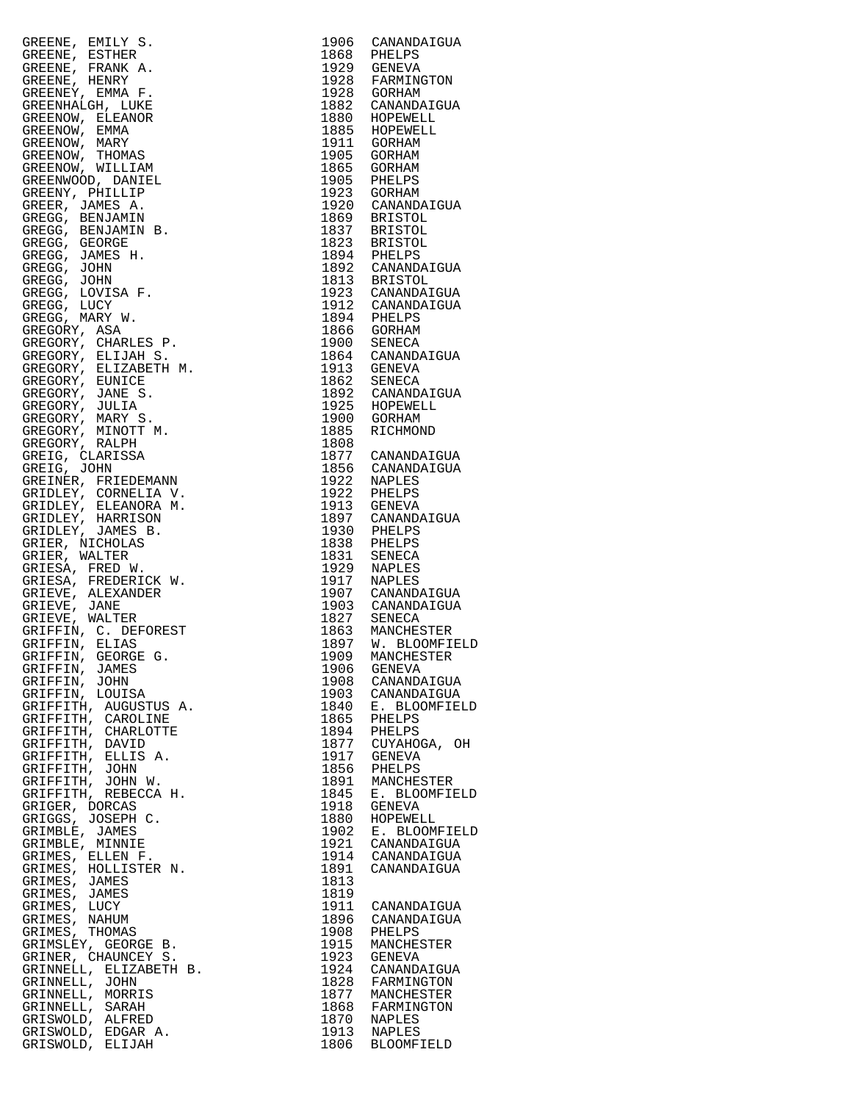| GREENE, EMILY S.                             |              | 1906 CANANDAIGUA                                                    |
|----------------------------------------------|--------------|---------------------------------------------------------------------|
| GREENE, ESTHER<br>GREENE, FRANK A.           |              | 1868 PHELPS<br>1929 GENEVA                                          |
| GREENE, HENRY                                |              | 1928 FARMINGTON<br>1928 GORHAM                                      |
| GREENEY, EMMA F.                             |              |                                                                     |
| GREENHALGH, LUKE                             |              | 1882 CANANDAIGUA<br>1880 HOPEWELL                                   |
| GREENOW, ELEANOR<br>GREENOW, EMMA            |              |                                                                     |
| GREENOW, MARY                                |              | 1885 HOPEWELL<br>1911 GORHAM                                        |
| GREENOW, THOMAS<br>GREENOW, WILLIAM          |              | 1905 GORHAM                                                         |
| GREENWOOD, DANIEL                            |              | 1865 GORHAM                                                         |
| GREENY, PHILLIP                              |              | 1905 PHELPS<br>1923 GORHAM                                          |
| GREER, JAMES A.                              |              |                                                                     |
| GREGG, BENJAMIN<br>GREGG, BENJAMIN B.        |              | 1920 CANANDAIGUA<br>1869 BRISTOL<br>1837 BRISTOL<br>1823 BRISTOL    |
| GREGG, GEORGE                                |              |                                                                     |
| GREGG, JAMES H.                              |              |                                                                     |
| GREGG, JOHN                                  |              | 1894 PHELPS<br>1892 CANANDAIGUA<br>1813 BRISTOL<br>1923 CANANDAIGUA |
| GREGG, JOHN<br>GREGG, LOVISA F.              |              |                                                                     |
| GREGG, LUCY                                  |              |                                                                     |
| GREGG, MARY W.                               |              | 1912 CANANDAIGUA<br>1894 PHELPS<br>1866 GORHAM<br>1900 SENECA       |
| GREGORY, ASA<br>GREGORY, CHARLES P.          |              |                                                                     |
| GREGORY, ELIJAH S.                           |              | 1864 CANANDAIGUA                                                    |
| GREGORY, ELIZABETH M.                        |              | 1913 GENEVA                                                         |
| GREGORY, EUNICE                              |              | 1862 SENECA<br>1892 CANANDAIGUA                                     |
| GREGORY, JANE S.<br>GREGORY, JULIA           |              |                                                                     |
| GREGORY, MARY S.                             |              | 1925 HOPEWELL<br>1900 GORHAM                                        |
| GREGORY, MINOTT M.                           | 1885         | RICHMOND                                                            |
| GREGORY, RALPH<br>GREIG, CLARISSA            | 1808         |                                                                     |
| GREIG, JOHN                                  |              | 1877 CANANDAIGUA<br>1856 CANANDAIGUA                                |
| GREINER, FRIEDEMANN                          |              | 1922 NAPLES<br>1922 PHELPS                                          |
| GRIDLEY, CORNELIA V.<br>GRIDLEY, ELEANORA M. |              | 1913 GENEVA                                                         |
| GRIDLEY, HARRISON                            |              | 1897 CANANDAIGUA                                                    |
| GRIDLEY, JAMES B.                            |              | 1930 PHELPS<br>1838 PHELPS                                          |
| GRIER, NICHOLAS                              |              |                                                                     |
| GRIER, WALTER<br>GRIESA, FRED W.             |              | 1831 SENECA<br>1929 NAPLES                                          |
| GRIESA, FREDERICK W.                         |              | 1917 NAPLES<br>1907 CANANDAIGUA                                     |
| GRIEVE, ALEXANDER                            |              |                                                                     |
| GRIEVE, JANE<br>GRIEVE, WALTER               |              | 1903 CANANDAIGUA<br>1827 SENECA                                     |
| GRIFFIN, C. DEFOREST                         |              | 1863 MANCHESTER<br>1897 W. BLOOMFIELD                               |
| GRIFFIN, ELIAS                               |              |                                                                     |
| GRIFFIN, GEORGE G.<br>GRIFFIN, JAMES         | 1909<br>1906 | MANCHESTER<br>GENEVA                                                |
| GRIFFIN,<br>JOHN                             | 1908         | CANANDAIGUA                                                         |
| GRIFFIN, LOUISA                              | 1903         | CANANDAIGUA                                                         |
| GRIFFITH, AUGUSTUS A.<br>GRIFFITH, CAROLINE  | 1840<br>1865 | E. BLOOMFIELD<br>PHELPS                                             |
| GRIFFITH, CHARLOTTE                          | 1894         | PHELPS                                                              |
| GRIFFITH, DAVID                              | 1877         | CUYAHOGA, OH                                                        |
| GRIFFITH, ELLIS A.                           | 1917         | GENEVA                                                              |
| GRIFFITH, JOHN<br>GRIFFITH, JOHN W.          | 1856<br>1891 | PHELPS<br>MANCHESTER                                                |
| GRIFFITH, REBECCA H.                         | 1845         | E. BLOOMFIELD                                                       |
| GRIGER, DORCAS                               | 1918         | GENEVA                                                              |
| GRIGGS, JOSEPH C.<br>GRIMBLE, JAMES          | 1880<br>1902 | HOPEWELL<br>E. BLOOMFIELD                                           |
| GRIMBLE, MINNIE                              | 1921         | CANANDAIGUA                                                         |
| GRIMES, ELLEN F.                             | 1914         | CANANDAIGUA                                                         |
| GRIMES, HOLLISTER N.<br>GRIMES, JAMES        | 1891<br>1813 | CANANDAIGUA                                                         |
| GRIMES, JAMES                                | 1819         |                                                                     |
| GRIMES, LUCY                                 | 1911         | CANANDAIGUA                                                         |
| GRIMES, NAHUM<br>GRIMES, THOMAS              | 1896<br>1908 | CANANDAIGUA                                                         |
| GRIMSLEY, GEORGE B.                          | 1915         | PHELPS<br>MANCHESTER                                                |
| GRINER, CHAUNCEY S.                          | 1923         | GENEVA                                                              |
| GRINNELL, ELIZABETH B.                       | 1924         | CANANDAIGUA                                                         |
| GRINNELL, JOHN<br>GRINNELL, MORRIS           | 1828<br>1877 | FARMINGTON<br>MANCHESTER                                            |
| GRINNELL, SARAH                              | 1868         | FARMINGTON                                                          |
| GRISWOLD, ALFRED                             | 1870         | NAPLES                                                              |
| GRISWOLD, EDGAR A.<br>GRISWOLD, ELIJAH       | 1913<br>1806 | NAPLES<br><b>BLOOMFIELD</b>                                         |
|                                              |              |                                                                     |

| 1906                                | CANANDAIGUA                |
|-------------------------------------|----------------------------|
| 1868<br>1929                        | PHELPS<br>GENEVA           |
| 1928                                | FARMINGTON                 |
| 1928                                | GORHAM                     |
| 1882                                | CANANDAIGUA                |
| 1880                                | HOPEWELL<br>HOPEWELL       |
| 1885<br>1911                        | GORHAM                     |
| 1905                                | GORHAM                     |
| 1865                                | GORHAM                     |
| 1905                                | PHELPS                     |
| 1923<br>1920                        | GORHAM<br>CANANDAIGUA      |
| 1869                                | <b>BRISTOL</b>             |
| 1837                                | <b>BRISTOL</b>             |
| 1823                                | <b>BRISTOL</b>             |
| $\frac{1894}{1892}$<br>1892<br>1813 | PHELPS<br>CANANDAIGUA      |
|                                     | <b>BRISTOL</b>             |
| 1923                                | CANANDAIGUA                |
| 1912<br>1894                        | CANANDAIGUA                |
| 1866                                | PHELPS                     |
| 1900                                | GORHAM<br>SENECA           |
| 1864                                | CANANDAIGUA                |
| 1913                                | GENEVA                     |
| 1862                                | SENECA                     |
| 1892<br>1925                        | CANANDAIGUA<br>HOPEWELL    |
| 1900                                | GORHAM                     |
| 1885                                | RICHMOND                   |
| 1808                                |                            |
| 1877<br>1856                        | CANANDAIGUA                |
| 1922                                | CANANDAIGUA<br>NAPLES      |
| 1922<br>1913                        | PHELPS                     |
|                                     | <b>GENEVA</b>              |
| 1897                                | CANANDAIGUA                |
| 1930<br>1838                        | PHELPS<br>PHELPS           |
| ----<br>1831                        | SENECA                     |
| 1929                                | NAPLES                     |
| 1917                                | NAPLES                     |
| 1907<br>1903                        | CANANDAIGUA<br>CANANDAIGUA |
| 1827                                | SENECA                     |
| 1863<br>1897                        | MANCHESTER                 |
|                                     | W.<br>BLOOMFIELD           |
| 1909<br>1906                        | MANCHESTER                 |
| 1908                                | GENEVA<br>CANANDAIGUA      |
| 1903                                | CANANDAIGUA                |
| 1840                                | E. BLOOMFIELD              |
| 1865                                | PHELPS                     |
| 1894                                | PHELPS<br>CUYAHOGA, OH     |
| 1877<br>1917<br>1856                | <b>GENEVA</b>              |
|                                     | PHELPS                     |
| 1891                                | MANCHESTER                 |
| 1845<br>1918                        | E. BLOOMFIELD<br>GENEVA    |
| 1880                                | HOPEWELL                   |
| 1902                                | E. BLOOMFIELD              |
| 1921                                | CANANDAIGUA                |
| 1914                                | CANANDAIGUA<br>CANANDAIGUA |
| 1891<br>1813                        |                            |
| 1819                                |                            |
| 1911                                | CANANDAIGUA                |
| 1896                                | CANANDAIGUA                |
| 1908<br>1915                        | PHELPS<br>MANCHESTER       |
| 1923                                | <b>GENEVA</b>              |
| 1924                                | CANANDAIGUA                |
| 1828                                | FARMINGTON                 |
| 1877<br>1868                        | MANCHESTER                 |
| 1870                                | FARMINGTON<br>NAPLES       |
| 1913                                | <b>NAPLES</b>              |
| 1806                                | <b>BLOOMFIELD</b>          |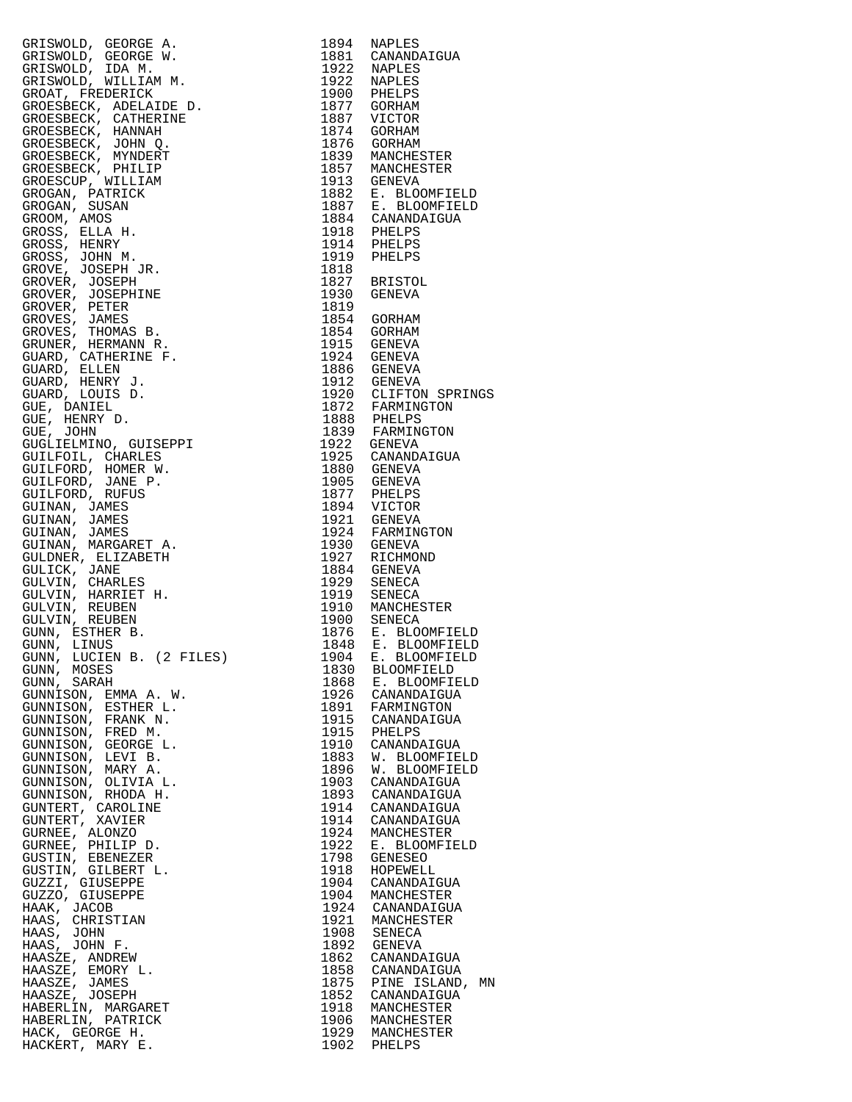| GRISWOLD, GEORGE A. (1994 NAPLES)<br>GRISWOLD, GEORGE A. (1994 NAPLES)<br>GRISWOLD, IDAO N. 1992<br>GRISWOLD, IDAO N. 1992<br>GRISWOLD, IDAO N. 1992<br>GRISWOLD, IDAO NELLE AN 1992<br>GRISWOLD, IDAO NELLE AN 1992<br>GRISWOLD PERILLER IN 1992<br> |              |                                                                                                     |
|-------------------------------------------------------------------------------------------------------------------------------------------------------------------------------------------------------------------------------------------------------|--------------|-----------------------------------------------------------------------------------------------------|
|                                                                                                                                                                                                                                                       |              |                                                                                                     |
|                                                                                                                                                                                                                                                       |              |                                                                                                     |
|                                                                                                                                                                                                                                                       |              |                                                                                                     |
|                                                                                                                                                                                                                                                       |              |                                                                                                     |
|                                                                                                                                                                                                                                                       |              |                                                                                                     |
|                                                                                                                                                                                                                                                       |              |                                                                                                     |
|                                                                                                                                                                                                                                                       |              |                                                                                                     |
|                                                                                                                                                                                                                                                       |              |                                                                                                     |
|                                                                                                                                                                                                                                                       |              |                                                                                                     |
|                                                                                                                                                                                                                                                       |              |                                                                                                     |
|                                                                                                                                                                                                                                                       |              |                                                                                                     |
|                                                                                                                                                                                                                                                       |              |                                                                                                     |
|                                                                                                                                                                                                                                                       |              |                                                                                                     |
|                                                                                                                                                                                                                                                       |              |                                                                                                     |
|                                                                                                                                                                                                                                                       |              |                                                                                                     |
|                                                                                                                                                                                                                                                       |              |                                                                                                     |
|                                                                                                                                                                                                                                                       |              |                                                                                                     |
|                                                                                                                                                                                                                                                       |              |                                                                                                     |
|                                                                                                                                                                                                                                                       |              |                                                                                                     |
|                                                                                                                                                                                                                                                       |              |                                                                                                     |
|                                                                                                                                                                                                                                                       |              |                                                                                                     |
|                                                                                                                                                                                                                                                       |              |                                                                                                     |
|                                                                                                                                                                                                                                                       |              |                                                                                                     |
|                                                                                                                                                                                                                                                       |              |                                                                                                     |
|                                                                                                                                                                                                                                                       |              |                                                                                                     |
|                                                                                                                                                                                                                                                       |              |                                                                                                     |
|                                                                                                                                                                                                                                                       |              | 1924 GENEVA<br>1886 GENEVA<br>1912 GENEVA<br>1920 CLIFTON SPRINGS<br>1872 FARMINGTON<br>1888 PHELPS |
|                                                                                                                                                                                                                                                       |              |                                                                                                     |
|                                                                                                                                                                                                                                                       |              |                                                                                                     |
|                                                                                                                                                                                                                                                       |              |                                                                                                     |
|                                                                                                                                                                                                                                                       |              |                                                                                                     |
|                                                                                                                                                                                                                                                       |              |                                                                                                     |
|                                                                                                                                                                                                                                                       |              |                                                                                                     |
|                                                                                                                                                                                                                                                       |              |                                                                                                     |
|                                                                                                                                                                                                                                                       |              |                                                                                                     |
|                                                                                                                                                                                                                                                       |              |                                                                                                     |
|                                                                                                                                                                                                                                                       |              |                                                                                                     |
|                                                                                                                                                                                                                                                       |              |                                                                                                     |
|                                                                                                                                                                                                                                                       |              |                                                                                                     |
|                                                                                                                                                                                                                                                       |              |                                                                                                     |
|                                                                                                                                                                                                                                                       |              |                                                                                                     |
|                                                                                                                                                                                                                                                       |              |                                                                                                     |
|                                                                                                                                                                                                                                                       |              |                                                                                                     |
|                                                                                                                                                                                                                                                       |              |                                                                                                     |
|                                                                                                                                                                                                                                                       |              |                                                                                                     |
|                                                                                                                                                                                                                                                       |              |                                                                                                     |
|                                                                                                                                                                                                                                                       |              |                                                                                                     |
| GUNN, MOSES                                                                                                                                                                                                                                           | 1830         | <b>BLOOMFIELD</b>                                                                                   |
| GUNN, SARAH                                                                                                                                                                                                                                           | 1868         | E. BLOOMFIELD                                                                                       |
| GUNNISON, EMMA A. W.<br>GUNNISON, ESTHER L.                                                                                                                                                                                                           | 1926<br>1891 | CANANDAIGUA<br>FARMINGTON                                                                           |
| GUNNISON, FRANK N.                                                                                                                                                                                                                                    | 1915         | CANANDAIGUA                                                                                         |
| GUNNISON, FRED M.                                                                                                                                                                                                                                     | 1915         | PHELPS                                                                                              |
| GUNNISON, GEORGE L.                                                                                                                                                                                                                                   | 1910         | CANANDAIGUA                                                                                         |
| GUNNISON, LEVI B.                                                                                                                                                                                                                                     | 1883         | W. BLOOMFIELD                                                                                       |
| GUNNISON, MARY A.                                                                                                                                                                                                                                     | 1896         | W. BLOOMFIELD                                                                                       |
| GUNNISON, OLIVIA L.                                                                                                                                                                                                                                   | 1903         | CANANDAIGUA                                                                                         |
| GUNNISON, RHODA H.                                                                                                                                                                                                                                    | 1893         | CANANDAIGUA                                                                                         |
| GUNTERT, CAROLINE                                                                                                                                                                                                                                     | 1914         | CANANDAIGUA                                                                                         |
| GUNTERT, XAVIER                                                                                                                                                                                                                                       | 1914         | CANANDAIGUA                                                                                         |
| GURNEE, ALONZO                                                                                                                                                                                                                                        | 1924         | MANCHESTER                                                                                          |
| GURNEE, PHILIP D.                                                                                                                                                                                                                                     | 1922         | E. BLOOMFIELD                                                                                       |
| GUSTIN, EBENEZER                                                                                                                                                                                                                                      | 1798         | GENESEO                                                                                             |
| GUSTIN, GILBERT L.                                                                                                                                                                                                                                    | 1918         | HOPEWELL                                                                                            |
| GUZZI, GIUSEPPE<br>GUZZO, GIUSEPPE                                                                                                                                                                                                                    | 1904<br>1904 | CANANDAIGUA<br>MANCHESTER                                                                           |
| HAAK, JACOB                                                                                                                                                                                                                                           | 1924         | CANANDAIGUA                                                                                         |
| HAAS, CHRISTIAN                                                                                                                                                                                                                                       | 1921         | MANCHESTER                                                                                          |
| HAAS, JOHN                                                                                                                                                                                                                                            | 1908         | SENECA                                                                                              |
| HAAS, JOHN F.                                                                                                                                                                                                                                         | 1892         | GENEVA                                                                                              |
| HAASZE, ANDREW                                                                                                                                                                                                                                        | 1862         | CANANDAIGUA                                                                                         |
| HAASZE, EMORY L.                                                                                                                                                                                                                                      | 1858         | CANANDAIGUA                                                                                         |
| HAASZE, JAMES                                                                                                                                                                                                                                         | 1875         | PINE ISLAND,<br>MN                                                                                  |
| HAASZE, JOSEPH                                                                                                                                                                                                                                        | 1852         | CANANDAIGUA                                                                                         |
| HABERLIN, MARGARET                                                                                                                                                                                                                                    | 1918         | MANCHESTER                                                                                          |
| HABERLIN, PATRICK                                                                                                                                                                                                                                     | 1906         | MANCHESTER                                                                                          |
| HACK, GEORGE H.                                                                                                                                                                                                                                       |              | 1929 MANCHESTER                                                                                     |
| HACKERT, MARY E.                                                                                                                                                                                                                                      |              | 1902 PHELPS                                                                                         |

| 1894<br>1881 | NAPLES<br>CANANDAIGUA                       |
|--------------|---------------------------------------------|
| 1922         | NAPLES                                      |
| 1922<br>1900 | NAPLES<br>PHELPS                            |
| 1877<br>1887 | GORHAM<br>VICTOR                            |
| 1874         | <b>GORHAM</b>                               |
| 1876<br>1839 | GORHAM<br>MANCHESTER                        |
| 1857         | MANCHESTER                                  |
| 1913<br>1882 | <b>GENEVA</b><br>E. BLOOMFIELD              |
| 1887         | BLOOMFIELD<br>Ε.                            |
| 1884<br>1918 | CANANDAIGUA<br>PHELPS                       |
| 1914         | PHELPS                                      |
| 1919<br>1818 | PHELPS                                      |
| 1827         | BRISTOL                                     |
| 1930<br>1819 | GENEVA                                      |
| 1854         | GORHAM                                      |
| 1854<br>1915 | GORHAM<br>GENEVA                            |
| 1924<br>1886 | GENEVA                                      |
| 1912         | <b>GENEVA</b><br>GENEVA                     |
| 1920<br>1872 | CLIFTON SPRINGS<br>FARMINGTON               |
| 1888         | PHELPS                                      |
| 1839<br>1922 | FARMINGTON<br>GENEVA                        |
| 1925         | CANANDAIGUA                                 |
| 1880<br>1905 | GENEVA<br>GENEVA                            |
| 1877         | PHELPS                                      |
| 1894<br>1921 | VICTOR<br>GENEVA                            |
| 1924         | FARMINGTON                                  |
| 1930<br>1927 | GENEVA<br>RICHMOND                          |
| 1884<br>1929 | GENEVA<br>SENECA                            |
| 1919         | SENECA                                      |
| 1910<br>1900 | MANCHESTER<br>SENECA                        |
| 1876         | BLOOMFIELD<br>Ε.                            |
| 1848<br>1904 | E. BLOOMFIELD<br><b>BLOOMFIELD</b><br>$E$ . |
| 1830         | <b>BLOOMFIELD</b>                           |
| 1868<br>1926 | E. BLOOMFIELD<br>CANANDAIGUA                |
| 1891         | FARMINGTON                                  |
| 1915<br>1915 | CANANDAIGUA<br>PHELPS                       |
| 1910<br>1883 | CANANDAIGUA                                 |
| 1896         | W. BLOOMFIELD<br>W. BLOOMFIELD              |
| 1903<br>1893 | CANANDAIGUA<br>CANANDAIGUA                  |
| 1914         | CANANDAIGUA                                 |
| 1914<br>1924 | CANANDAIGUA<br>MANCHESTER                   |
| 1922         | E. BLOOMFIELD                               |
| 1798<br>1918 | GENESEO<br>HOPEWELL                         |
| 1904         | CANANDAIGUA                                 |
| 1904<br>1924 | MANCHESTER<br>CANANDAIGUA                   |
| 1921         | MANCHESTER                                  |
| 1908<br>1892 | SENECA<br>GENEVA                            |
| 1862<br>1858 | CANANDAIGUA<br>CANANDAIGUA                  |
| 1875         | MN<br>PINE ISLAND,                          |
| 1852<br>1918 | CANANDAIGUA<br>MANCHESTER                   |
| 1906         | MANCHESTER                                  |
| 1929<br>1902 | MANCHESTER<br>PHELPS                        |
|              |                                             |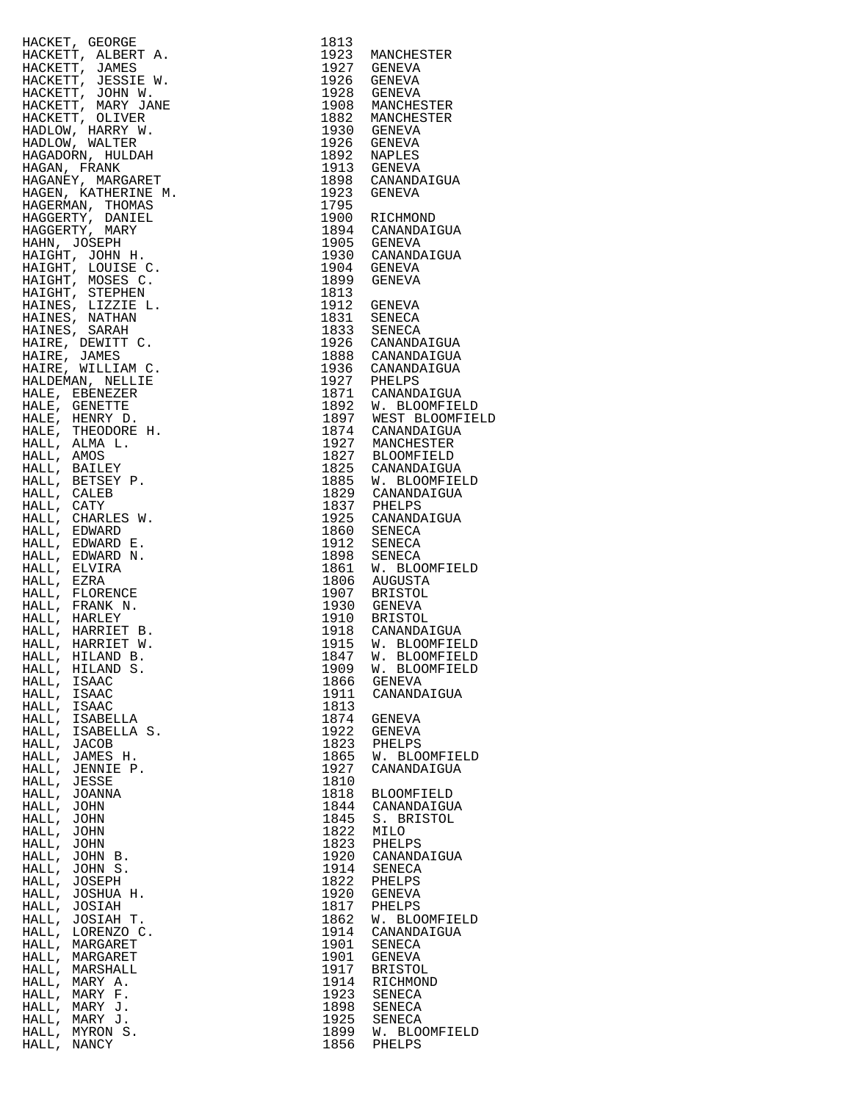| HACKETT, JAMES, RATHAN (1932)<br>HACKETT, JAMES R. 1943<br>HACKETT, JAMES R. 1952<br>HACKETT, JAMES R. 1952<br>HACKETT, JOHN W. 1932<br>HACKETT, JOHN W. 1932<br>HACKETT, JOHN W. 1932<br>HACKETT, MARY MARGARINE (1930)<br>HACKETT, MARY MARG |              |                                  |
|------------------------------------------------------------------------------------------------------------------------------------------------------------------------------------------------------------------------------------------------|--------------|----------------------------------|
|                                                                                                                                                                                                                                                |              |                                  |
|                                                                                                                                                                                                                                                |              |                                  |
|                                                                                                                                                                                                                                                |              |                                  |
|                                                                                                                                                                                                                                                |              |                                  |
|                                                                                                                                                                                                                                                |              |                                  |
|                                                                                                                                                                                                                                                |              |                                  |
|                                                                                                                                                                                                                                                |              |                                  |
|                                                                                                                                                                                                                                                |              |                                  |
|                                                                                                                                                                                                                                                |              |                                  |
|                                                                                                                                                                                                                                                |              |                                  |
|                                                                                                                                                                                                                                                |              |                                  |
|                                                                                                                                                                                                                                                |              |                                  |
|                                                                                                                                                                                                                                                |              |                                  |
|                                                                                                                                                                                                                                                |              |                                  |
|                                                                                                                                                                                                                                                |              |                                  |
|                                                                                                                                                                                                                                                |              |                                  |
|                                                                                                                                                                                                                                                |              |                                  |
|                                                                                                                                                                                                                                                |              |                                  |
|                                                                                                                                                                                                                                                |              |                                  |
|                                                                                                                                                                                                                                                |              |                                  |
|                                                                                                                                                                                                                                                |              |                                  |
|                                                                                                                                                                                                                                                |              |                                  |
|                                                                                                                                                                                                                                                |              |                                  |
|                                                                                                                                                                                                                                                |              |                                  |
|                                                                                                                                                                                                                                                |              |                                  |
|                                                                                                                                                                                                                                                |              |                                  |
|                                                                                                                                                                                                                                                |              |                                  |
|                                                                                                                                                                                                                                                |              |                                  |
|                                                                                                                                                                                                                                                |              |                                  |
|                                                                                                                                                                                                                                                |              |                                  |
|                                                                                                                                                                                                                                                |              |                                  |
|                                                                                                                                                                                                                                                |              |                                  |
|                                                                                                                                                                                                                                                |              |                                  |
|                                                                                                                                                                                                                                                |              |                                  |
|                                                                                                                                                                                                                                                |              |                                  |
|                                                                                                                                                                                                                                                |              |                                  |
|                                                                                                                                                                                                                                                |              |                                  |
|                                                                                                                                                                                                                                                |              |                                  |
|                                                                                                                                                                                                                                                |              |                                  |
|                                                                                                                                                                                                                                                |              |                                  |
|                                                                                                                                                                                                                                                |              |                                  |
|                                                                                                                                                                                                                                                |              |                                  |
|                                                                                                                                                                                                                                                |              |                                  |
|                                                                                                                                                                                                                                                |              |                                  |
| HALL,<br>HILAND S.                                                                                                                                                                                                                             | 1909         | W. BLOOMFIEL                     |
| HALL,<br>ISAAC                                                                                                                                                                                                                                 | 1866         | GENEVA                           |
| HALL,<br>ISAAC                                                                                                                                                                                                                                 | 1911         | CANANDAIGUA                      |
| HALL,<br>ISAAC<br>HALL,<br>ISABELLA                                                                                                                                                                                                            | 1813<br>1874 | GENEVA                           |
| HALL,<br>ISABELLA S.                                                                                                                                                                                                                           | 1922         | GENEVA                           |
| HALL,<br>JACOB                                                                                                                                                                                                                                 | 1823         | PHELPS                           |
| HALL,<br>JAMES H.                                                                                                                                                                                                                              | 1865         | W. BLOOMFIEL                     |
| HALL,<br>JENNIE P.                                                                                                                                                                                                                             | 1927         | CANANDAIGUA                      |
| HALL, JESSE                                                                                                                                                                                                                                    | 1810         |                                  |
| HALL,<br>JOANNA                                                                                                                                                                                                                                | 1818         | BLOOMFIELD                       |
| HALL,<br>JOHN                                                                                                                                                                                                                                  |              | 1844 CANANDAIGUA                 |
| HALL,<br>JOHN<br>HALL, JOHN                                                                                                                                                                                                                    | 1845<br>1822 | S. BRISTOL                       |
| HALL,<br>JOHN                                                                                                                                                                                                                                  | 1823         | MILO<br>PHELPS                   |
| HALL,<br>JOHN B.                                                                                                                                                                                                                               |              | 1920 CANANDAIGUA                 |
| HALL,<br>JOHN S.                                                                                                                                                                                                                               | 1914         | SENECA                           |
| HALL, JOSEPH                                                                                                                                                                                                                                   | 1822         | PHELPS                           |
| HALL,<br>JOSHUA H.                                                                                                                                                                                                                             | 1920         | GENEVA                           |
| HALL,<br>JOSIAH                                                                                                                                                                                                                                | 1817         | PHELPS                           |
| HALL,<br>JOSIAH T.                                                                                                                                                                                                                             | 1862         | W. BLOOMFIEL                     |
| HALL,<br>LORENZO C.                                                                                                                                                                                                                            | 1914         | CANANDAIGUA                      |
| HALL,<br>MARGARET                                                                                                                                                                                                                              | 1901         | SENECA                           |
| HALL,<br>MARGARET<br>HALL,                                                                                                                                                                                                                     | 1901<br>1917 | GENEVA                           |
| MARSHALL<br>HALL,<br>MARY A.                                                                                                                                                                                                                   | 1914         | BRISTOL<br>RICHMOND              |
| HALL,<br>MARY F.                                                                                                                                                                                                                               | 1923         | SENECA                           |
| HALL,<br>MARY J.                                                                                                                                                                                                                               |              | 1898 SENECA                      |
| HALL,<br>MARY J.                                                                                                                                                                                                                               |              | 1925 SENECA<br>1899 W. BLOOMFIEL |
| HALL, MYRON S.                                                                                                                                                                                                                                 |              |                                  |
| HALL, NANCY                                                                                                                                                                                                                                    |              | 1856 PHELPS                      |

|             | $\begin{tabular}{c c c} $a$ & $a$ \\ \hline $a$ & $x$ \\ $a$ & $x$ \\ $x$ & $x$ \\ $x$ & $x$ \\ $x$ & $x$ \\ $x$ & $x$ \\ $x$ & $x$ \\ $x$ & $x$ \\ $x$ & $x$ \\ $x$ & $x$ \\ $x$ & $x$ \\ $x$ & $x$ \\ $x$ & $x$ \\ $x$ & $x$ \\ $x$ & $x$ \\ $x$ & $x$ \\ $x$ & $x$ \\ $x$ & $x$ \\ $x$ & $x$ \\ $x$ & $x$ \\ $x$ & $x$ \\ $x$ & $x$ \\ $x$ & $x$ \\ $x$ & $x$ \\ $x$ & $$ |      |                |
|-------------|------------------------------------------------------------------------------------------------------------------------------------------------------------------------------------------------------------------------------------------------------------------------------------------------------------------------------------------------------------------------------|------|----------------|
|             |                                                                                                                                                                                                                                                                                                                                                                              |      |                |
|             |                                                                                                                                                                                                                                                                                                                                                                              |      |                |
|             |                                                                                                                                                                                                                                                                                                                                                                              |      |                |
|             |                                                                                                                                                                                                                                                                                                                                                                              |      |                |
|             |                                                                                                                                                                                                                                                                                                                                                                              |      |                |
|             |                                                                                                                                                                                                                                                                                                                                                                              |      |                |
|             |                                                                                                                                                                                                                                                                                                                                                                              |      |                |
|             |                                                                                                                                                                                                                                                                                                                                                                              |      |                |
|             |                                                                                                                                                                                                                                                                                                                                                                              |      |                |
|             |                                                                                                                                                                                                                                                                                                                                                                              |      |                |
|             |                                                                                                                                                                                                                                                                                                                                                                              |      |                |
|             |                                                                                                                                                                                                                                                                                                                                                                              |      |                |
|             |                                                                                                                                                                                                                                                                                                                                                                              |      |                |
|             |                                                                                                                                                                                                                                                                                                                                                                              |      |                |
|             |                                                                                                                                                                                                                                                                                                                                                                              |      |                |
|             |                                                                                                                                                                                                                                                                                                                                                                              |      |                |
|             |                                                                                                                                                                                                                                                                                                                                                                              |      |                |
|             |                                                                                                                                                                                                                                                                                                                                                                              |      |                |
|             |                                                                                                                                                                                                                                                                                                                                                                              |      |                |
|             |                                                                                                                                                                                                                                                                                                                                                                              |      |                |
|             |                                                                                                                                                                                                                                                                                                                                                                              |      |                |
|             |                                                                                                                                                                                                                                                                                                                                                                              |      |                |
|             |                                                                                                                                                                                                                                                                                                                                                                              |      |                |
|             |                                                                                                                                                                                                                                                                                                                                                                              |      |                |
|             |                                                                                                                                                                                                                                                                                                                                                                              |      |                |
|             |                                                                                                                                                                                                                                                                                                                                                                              |      |                |
|             |                                                                                                                                                                                                                                                                                                                                                                              |      |                |
|             |                                                                                                                                                                                                                                                                                                                                                                              |      |                |
|             |                                                                                                                                                                                                                                                                                                                                                                              |      |                |
|             |                                                                                                                                                                                                                                                                                                                                                                              |      |                |
|             |                                                                                                                                                                                                                                                                                                                                                                              |      |                |
|             |                                                                                                                                                                                                                                                                                                                                                                              |      |                |
|             |                                                                                                                                                                                                                                                                                                                                                                              |      |                |
|             |                                                                                                                                                                                                                                                                                                                                                                              |      |                |
|             |                                                                                                                                                                                                                                                                                                                                                                              |      |                |
|             |                                                                                                                                                                                                                                                                                                                                                                              |      |                |
|             |                                                                                                                                                                                                                                                                                                                                                                              |      |                |
|             |                                                                                                                                                                                                                                                                                                                                                                              |      |                |
|             |                                                                                                                                                                                                                                                                                                                                                                              |      |                |
|             |                                                                                                                                                                                                                                                                                                                                                                              |      |                |
|             |                                                                                                                                                                                                                                                                                                                                                                              |      |                |
|             |                                                                                                                                                                                                                                                                                                                                                                              |      |                |
|             |                                                                                                                                                                                                                                                                                                                                                                              |      |                |
|             |                                                                                                                                                                                                                                                                                                                                                                              |      |                |
|             |                                                                                                                                                                                                                                                                                                                                                                              |      |                |
|             |                                                                                                                                                                                                                                                                                                                                                                              |      |                |
|             |                                                                                                                                                                                                                                                                                                                                                                              |      |                |
|             |                                                                                                                                                                                                                                                                                                                                                                              |      |                |
|             |                                                                                                                                                                                                                                                                                                                                                                              |      |                |
|             |                                                                                                                                                                                                                                                                                                                                                                              |      |                |
|             |                                                                                                                                                                                                                                                                                                                                                                              |      |                |
|             |                                                                                                                                                                                                                                                                                                                                                                              |      |                |
|             |                                                                                                                                                                                                                                                                                                                                                                              |      |                |
|             |                                                                                                                                                                                                                                                                                                                                                                              |      |                |
|             |                                                                                                                                                                                                                                                                                                                                                                              |      |                |
| HALL, JESSE |                                                                                                                                                                                                                                                                                                                                                                              | 1810 |                |
|             | HALL, JOANNA                                                                                                                                                                                                                                                                                                                                                                 | 1818 | BLOOMFIELD     |
| HALL, JOHN  |                                                                                                                                                                                                                                                                                                                                                                              | 1844 | CANANDAIGUA    |
| HALL, JOHN  |                                                                                                                                                                                                                                                                                                                                                                              | 1845 | S. BRISTOL     |
| HALL, JOHN  |                                                                                                                                                                                                                                                                                                                                                                              | 1822 | MILO           |
| HALL, JOHN  |                                                                                                                                                                                                                                                                                                                                                                              | 1823 | PHELPS         |
|             | HALL, JOHN B.                                                                                                                                                                                                                                                                                                                                                                | 1920 | CANANDAIGUA    |
|             | HALL, JOHN S.                                                                                                                                                                                                                                                                                                                                                                | 1914 | SENECA         |
|             | HALL, JOSEPH                                                                                                                                                                                                                                                                                                                                                                 | 1822 | PHELPS         |
|             | HALL, JOSHUA H.                                                                                                                                                                                                                                                                                                                                                              | 1920 | GENEVA         |
|             | HALL, JOSIAH                                                                                                                                                                                                                                                                                                                                                                 | 1817 | PHELPS         |
|             | HALL, JOSIAH T.                                                                                                                                                                                                                                                                                                                                                              | 1862 | W. BLOOMFIELD  |
|             | HALL, LORENZO C.                                                                                                                                                                                                                                                                                                                                                             | 1914 | CANANDAIGUA    |
|             | HALL, MARGARET                                                                                                                                                                                                                                                                                                                                                               | 1901 | SENECA         |
|             |                                                                                                                                                                                                                                                                                                                                                                              | 1901 |                |
|             | HALL, MARGARET                                                                                                                                                                                                                                                                                                                                                               |      | GENEVA         |
|             | HALL, MARSHALL                                                                                                                                                                                                                                                                                                                                                               | 1917 | <b>BRISTOL</b> |
|             | HALL, MARY A.                                                                                                                                                                                                                                                                                                                                                                | 1914 | RICHMOND       |
|             | HALL, MARY F.                                                                                                                                                                                                                                                                                                                                                                | 1923 | SENECA         |
|             | HALL, MARY J.                                                                                                                                                                                                                                                                                                                                                                | 1898 | SENECA         |
|             | HALL, MARY J.                                                                                                                                                                                                                                                                                                                                                                | 1925 | SENECA         |
|             | HALL, MYRON S.                                                                                                                                                                                                                                                                                                                                                               | 1899 | W. BLOOMFIELD  |
| HALL, NANCY |                                                                                                                                                                                                                                                                                                                                                                              | 1856 | PHELPS         |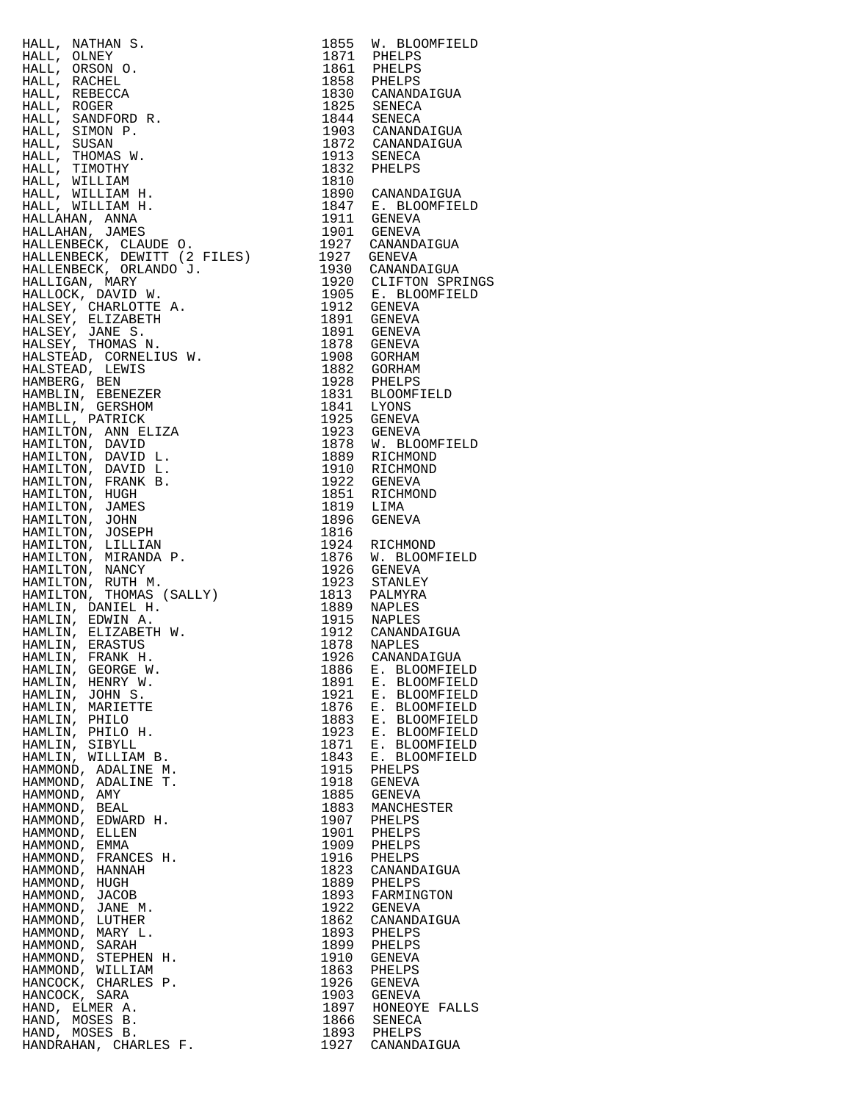HALL, NATHAN S. 1855 W. BLOOMFIELD HALL, OLNEY 1871 PHELPS HALL, ORSON O. 1861 PHELPS HALL, RACHEL 1858 PHELPS HALL, REBECCA 1830 CANANDAIGUA HALL, ROGER 1825 SENECA HALL, SANDFORD R.<br>HALL, SIMON P. HALL, SIMON P. 1903 CANANDAIGUA HALL, SUSAN 1872 CANANDAIGUA HALL, THOMAS W. 1913 SENECA HALL, TIMOTHY 1832 PHELPS HALL, WILLIAM 1810 HALL, WILLIAM H. 1890 CANANDAIGUA HALL, WILLIAM H. 1847 E. BLOOMFIELD HALLAHAN, ANNA 1911 GENEVA HALLAHAN, JAMES 1901 GENEVA HALLENBECK, CLAUDE O. 1927 CANANDAIGUA HALLENBECK, DEWITT (2 FILES) 1927 GENEVA HALLENBECK, ORLANDO J. 1930 CANANDAIGUA HALLIGAN, MARY 1920 CLIFTON SPRINGS HALLOCK, DAVID W. 1905 E. BLOOMFIELD HALSEY, CHARLOTTE A. 1912 GENEVA HALSEY, ELIZABETH 1891 GENEVA HALSEY, JANE S. 1891 GENEVA HALSEY, THOMAS N. 1878 GENEVA HALSTEAD, CORNELIUS W. 1908 GORHAM HALSTEAD, LEWIS 1882 GORHAM HAMBERG, BEN 1928 PHELPS HAMBLIN, EBENEZER 1831 BLOOMFIELD HAMBLIN, GERSHOM 1841 LYONS HAMILL, PATRICK 1925 GENEVA HAMILTON, ANN ELIZA 1923 GENEVA HAMILTON, DAVID 1878 W. BLOOMFIELD HAMILTON, DAVID L. 1889 RICHMOND HAMILTON, DAVID L. 1910 RICHMOND HAMILTON, FRANK B. 1922 GENEVA HAMILTON, HUGH 1851 RICHMOND HAMILTON, JAMES 1819 LIMA HAMILTON, JOHN 1896 GENEVA HAMILTON, JOSEPH 1816 HAMILTON, LILLIAN 1924 RICHMOND HAMILTON, MIRANDA P. 1876 W. BLOOMFIELD HAMILTON, NANCY 1926 GENEVA HAMILTON, RUTH M. 1923 STANLEY HAMILTON, THOMAS (SALLY) 1813 PALMYRA HAMLIN, DANIEL H. 1889 NAPLES HAMLIN, EDWIN A. 1915 NAPLES HAMLIN, ELIZABETH W. 1912 CANANDAIGUA HAMLIN, ERASTUS 1878 NAPLES HAMLIN, FRANK H. 1926 CANANDAIGUA HAMLIN, GEORGE W. 1886 E. BLOOMFIELD HAMLIN, HENRY W. 1891 E. BLOOMFIELD HAMLIN, JOHN S. 1921 E. BLOOMFIELD HAMLIN, MARIETTE 1876 E. BLOOMFIELD HAMLIN, PHILO 1883 E. BLOOMFIELD HAMLIN, PHILO H. 1923 E. BLOOMFIELD HAMLIN, SIBYLL 1871 E. BLOOMFIELD HAMLIN, WILLIAM B. 1843 E. BLOOMFIELD HAMMOND, ADALINE M. 1915 PHELPS HAMMOND, ADALINE T. 1918 GENEVA HAMMOND, AMY 1885 GENEVA HAMMOND, BEAL 1883 MANCHESTER HAMMOND, EDWARD H. 1907 PHELPS HAMMOND, ELLEN 1901 PHELPS HAMMOND, EMMA 1909 PHELPS HAMMOND, FRANCES H. 1916 PHELPS HAMMOND, HANNAH 1823 CANANDAIGUA HAMMOND, HUGH<br>HAMMOND, JACOB HAMMOND, JANE M. 1922 GENEVA HAMMOND, LUTHER 1862 CANANDAIGUA HAMMOND, MARY L. 1893 PHELPS HAMMOND, SARAH 1899 PHELPS HAMMOND, STEPHEN H.<br>
HAMMOND, WILLIAM 1910 GENEVA<br>
HAMMOND, WILLIAM 1863 PHELPS<br>
HANCOCK, CHARLES P. 1926 GENEVA HAMMOND, WILLIAM 1863 PHELPS HANCOCK, CHARLES P. 1926 GENEVA HANCOCK, SARA 1903 GENEVA HAND, ELMER A. 1897 HONEOYE FALLS HAND, MOSES B. 1866 SENECA HAND, MOSES B. 1893 PHELPS

1907 PHELPS<br>1909 PHELPS<br>1916 PHELPS<br>1823 CANANDAIGUA<br>1889 PHELPS<br>1922 GENEVA<br>1922 GENEVAL HANDRAHAN, CHARLES F. 1927 CANANDAIGUA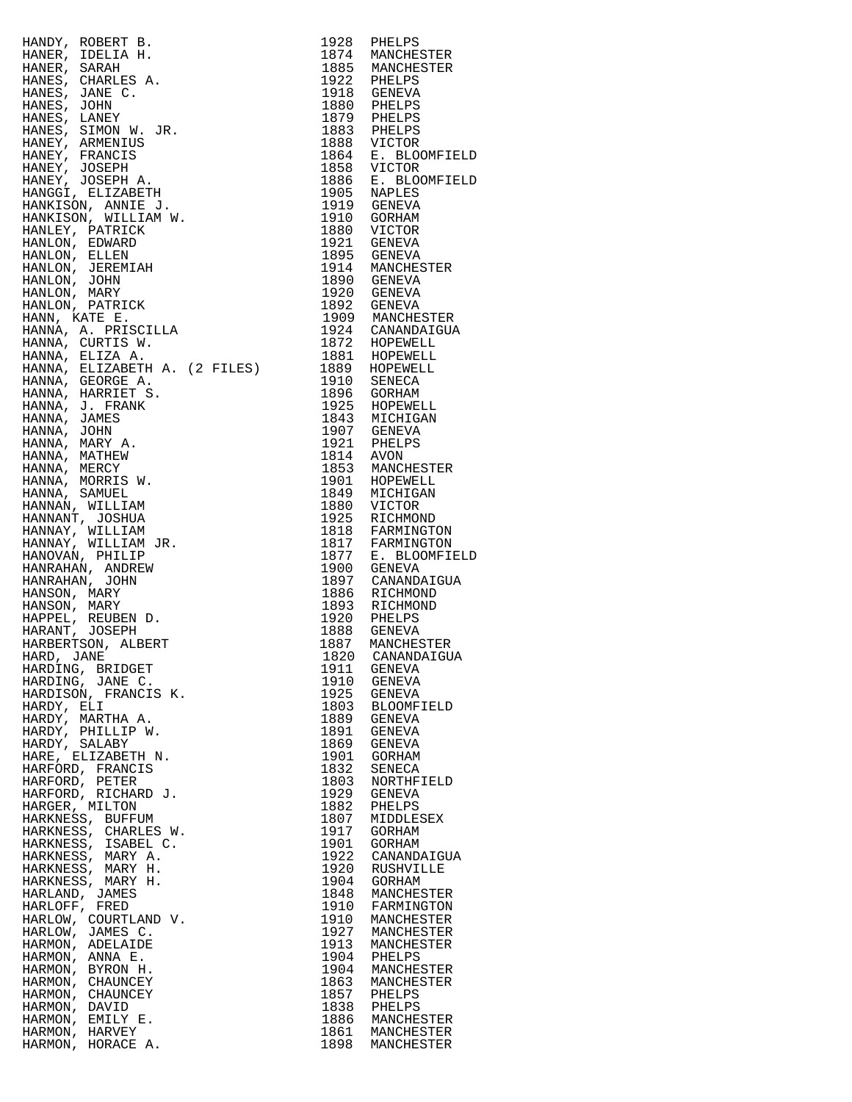| HANDY, ROBERT B. 1924 PHELES (1924)<br>HANDY, ROBERT BANK (1921)<br>HANDY, ROBERT BANK (1938)<br>HANDES, JAME C. 1885 PARKINGERER<br>HANDES, JAME C. 1949 PHELES SANCHESTER<br>HANDES, JAME C. 1949 PHELES STANDARD (1937)<br>HANDY, JAMENT J. |              |                                           |
|------------------------------------------------------------------------------------------------------------------------------------------------------------------------------------------------------------------------------------------------|--------------|-------------------------------------------|
|                                                                                                                                                                                                                                                |              |                                           |
|                                                                                                                                                                                                                                                |              |                                           |
|                                                                                                                                                                                                                                                |              |                                           |
|                                                                                                                                                                                                                                                |              |                                           |
|                                                                                                                                                                                                                                                |              |                                           |
|                                                                                                                                                                                                                                                |              |                                           |
|                                                                                                                                                                                                                                                |              |                                           |
|                                                                                                                                                                                                                                                |              |                                           |
|                                                                                                                                                                                                                                                |              |                                           |
|                                                                                                                                                                                                                                                |              |                                           |
|                                                                                                                                                                                                                                                |              |                                           |
|                                                                                                                                                                                                                                                |              |                                           |
|                                                                                                                                                                                                                                                |              |                                           |
|                                                                                                                                                                                                                                                |              |                                           |
|                                                                                                                                                                                                                                                |              |                                           |
|                                                                                                                                                                                                                                                |              |                                           |
|                                                                                                                                                                                                                                                |              |                                           |
|                                                                                                                                                                                                                                                |              |                                           |
|                                                                                                                                                                                                                                                |              |                                           |
|                                                                                                                                                                                                                                                |              |                                           |
|                                                                                                                                                                                                                                                |              |                                           |
|                                                                                                                                                                                                                                                |              |                                           |
|                                                                                                                                                                                                                                                |              |                                           |
|                                                                                                                                                                                                                                                |              |                                           |
|                                                                                                                                                                                                                                                |              |                                           |
|                                                                                                                                                                                                                                                |              |                                           |
|                                                                                                                                                                                                                                                |              |                                           |
|                                                                                                                                                                                                                                                |              |                                           |
|                                                                                                                                                                                                                                                |              |                                           |
|                                                                                                                                                                                                                                                |              |                                           |
|                                                                                                                                                                                                                                                |              |                                           |
|                                                                                                                                                                                                                                                |              |                                           |
|                                                                                                                                                                                                                                                |              |                                           |
|                                                                                                                                                                                                                                                |              |                                           |
|                                                                                                                                                                                                                                                |              |                                           |
|                                                                                                                                                                                                                                                |              |                                           |
|                                                                                                                                                                                                                                                |              |                                           |
|                                                                                                                                                                                                                                                |              |                                           |
| HARDING, BRIDGET                                                                                                                                                                                                                               | 1911         | GENEVA                                    |
| HARDING, JANE C.                                                                                                                                                                                                                               | 1910         | GENEVA                                    |
| HARDISON, FRANCIS K.                                                                                                                                                                                                                           |              | 1925 GENEVA                               |
| HARDY, ELI<br>HARDY, MARTHA A.                                                                                                                                                                                                                 |              | 1803 BLOOMFIELD<br>1889 GENEVA            |
| HARDY, PHILLIP W.                                                                                                                                                                                                                              | 1891         | GENEVA                                    |
| HARDY, SALABY                                                                                                                                                                                                                                  |              | 1869 GENEVA                               |
| HARE, ELIZABETH N.<br>HARFORD, FRANCIS                                                                                                                                                                                                         | 1901<br>1832 | GORHAM<br>SENECA                          |
| HARFORD, PETER                                                                                                                                                                                                                                 | 1803         | NORTHFIELD                                |
| HARFORD, RICHARD J.                                                                                                                                                                                                                            |              | 1929 GENEVA                               |
| HARGER, MILTON                                                                                                                                                                                                                                 | 1882         | PHELPS                                    |
| HARKNESS, BUFFUM<br>HARKNESS, CHARLES W.                                                                                                                                                                                                       | 1807<br>1917 | MIDDLESEX<br>GORHAM                       |
| HARKNESS, ISABEL C.                                                                                                                                                                                                                            |              | 1901 GORHAM                               |
| HARKNESS, MARY A.                                                                                                                                                                                                                              | 1922         | CANANDAIGUA                               |
| HARKNESS, MARY H.<br>HARKNESS, MARY H.                                                                                                                                                                                                         | 1904         | 1920 RUSHVILLE<br>GORHAM                  |
| HARLAND, JAMES                                                                                                                                                                                                                                 |              | 1848 MANCHESTER                           |
| HARLOFF, FRED                                                                                                                                                                                                                                  | 1910         | FARMINGTON                                |
| HARLOW, COURTLAND V.                                                                                                                                                                                                                           |              | 1910 MANCHESTER<br>1927 MANCHESTER        |
| HARLOW, JAMES C.<br>HARMON, ADELAIDE                                                                                                                                                                                                           |              | 1913 MANCHESTER                           |
| HARMON, ANNA E.                                                                                                                                                                                                                                |              | 1904 PHELPS<br>1904 MANCHESTER            |
| HARMON, BYRON H.                                                                                                                                                                                                                               |              |                                           |
| HARMON, CHAUNCEY<br>HARMON, CHAUNCEY                                                                                                                                                                                                           |              | 1863 MANCHES<br>1857 PHELPS<br>MANCHESTER |
| HARMON, DAVID                                                                                                                                                                                                                                  |              |                                           |
| HARMON, EMILY E.                                                                                                                                                                                                                               |              | 1838 PHELPS<br>1886 MANCHESTER            |
| HARMON, HARVEY                                                                                                                                                                                                                                 |              | 1861 MANCHESTER<br>1898 MANCHESTER        |
| HARMON, HORACE A.                                                                                                                                                                                                                              |              |                                           |

| 1928                 | PHELPS                               |
|----------------------|--------------------------------------|
| 1874                 | MANCHESTER                           |
| 1885<br>1922         | MANCHESTER<br>PHELPS                 |
| 1918                 | GENEVA                               |
| 1880                 | PHELPS                               |
| 1879                 | PHELPS                               |
| 1883<br>1888         | PHELPS                               |
| 1864                 | VICTOR<br>$E$ .<br><b>BLOOMFIELD</b> |
| 1858                 | VICTOR                               |
| 1886                 | <b>BLOOMFIELD</b><br>Ε.              |
| 1905                 | NAPLES                               |
| 1919<br>1910         | GENEVA<br>GORHAM                     |
| 1880                 | VICTOR                               |
| 1921                 | GENEVA                               |
| 1895                 | GENEVA                               |
| 1914                 | MANCHESTER                           |
| 1890<br>1920         | <b>GENEVA</b><br>GENEVA              |
| 1892                 | GENEVA                               |
| 1909                 | MANCHESTER                           |
| 1924                 | CANANDAIGUA                          |
| 1872<br>1881         | HOPEWELL<br>HOPEWELL                 |
| 1889                 | HOPEWELL                             |
| 1910                 | SENECA                               |
| 1896                 | GORHAM                               |
| 1925<br>1843         | HOPEWELL                             |
| 1907                 | MICHIGAN<br>GENEVA                   |
| 1921                 | PHELPS                               |
| 1814                 | AVON                                 |
| 1853                 | MANCHESTER                           |
| 1901<br>1849         | HOPEWELL                             |
| 1880                 | MICHIGAN<br>VICTOR                   |
| 1925                 | RICHMOND                             |
| 1818                 | FARMINGTON                           |
| 1817                 | FARMINGTON                           |
| 1877<br>1900         | <b>BLOOMFIELD</b><br>Ε.              |
| 1897                 | GENEVA<br>CANANDAIGUA                |
| 1886                 | RICHMOND                             |
| 1893                 | RICHMOND                             |
| 1920                 | PHELPS                               |
| 1888<br>1887         | <b>GENEVA</b><br>MANCHESTER          |
| 1820                 | CANANDAIGUA                          |
| 1911                 | GENEVA                               |
| 1910                 | <b>GENEVA</b>                        |
| 1925<br>1803         | GENEVA                               |
| 1889                 | BLOOMFIELD<br>GENEVA                 |
| 1891                 | GENEVA                               |
| 1869                 | <b>GENEVA</b>                        |
| 1901                 | GORHAM                               |
| 1832<br>1803         | SENECA<br>NORTHFIELD                 |
| 1929                 | GENEVA                               |
| 1882                 | PHELPS                               |
| 1807                 | MIDDLESEX                            |
| 1917                 | GORHAM                               |
| 1901<br>1922<br>1920 | GORHAM<br>CANANDAIGUA                |
|                      | RUSHVILLE                            |
| 1904<br>1848         | GORHAM                               |
|                      | MANCHESTER                           |
| 1910                 | FARMINGTON                           |
| 1910<br>1927         | MANCHESTER<br>MANCHESTER             |
| 1913                 | MANCHESTER                           |
| 1904<br>1904         | PHELPS                               |
|                      | MANCHESTER                           |
| 1863<br>1857         | MANCHESTER<br>PHELPS                 |
|                      | PHELPS                               |
| 1838<br>1886         | MANCHESTER                           |
| 1861                 | MANCHESTER<br>MANCHESTER             |
| 1898                 |                                      |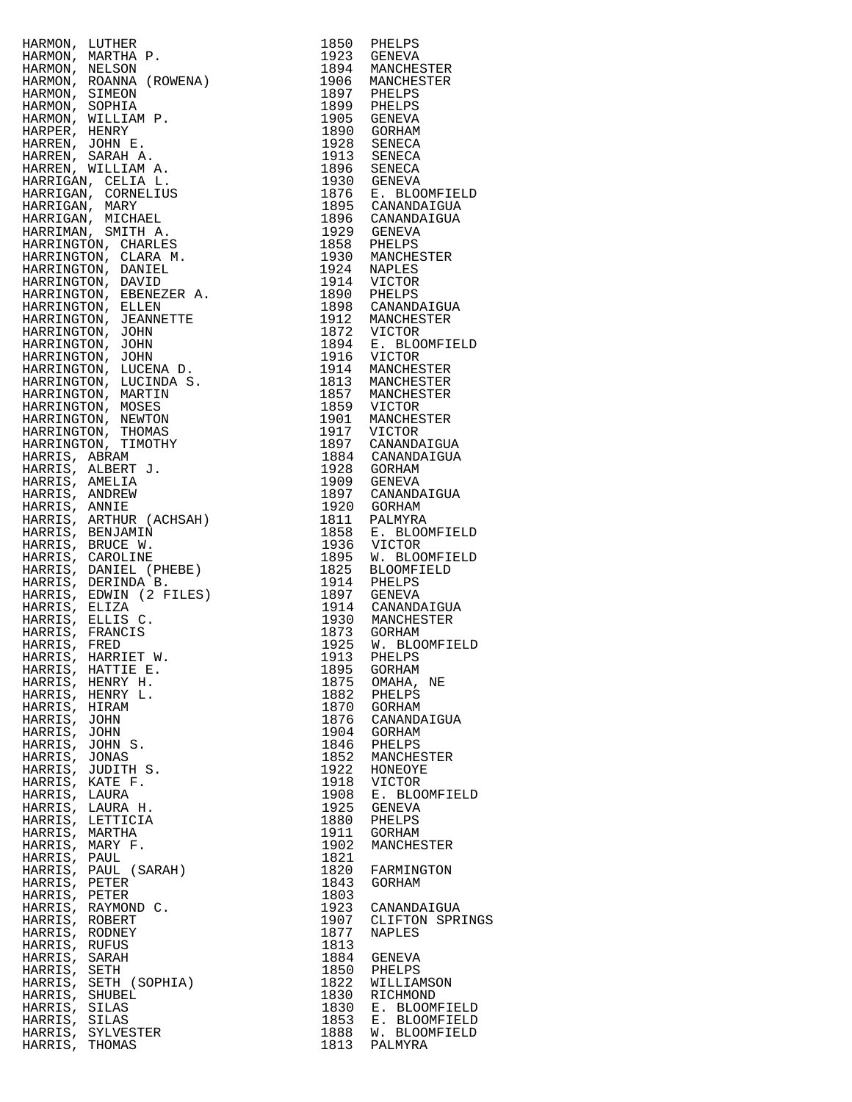| HARRIS, LAURA                  |                                      | 1908         | E. BLOOMFIELD                  |
|--------------------------------|--------------------------------------|--------------|--------------------------------|
|                                | HARRIS, LAURA H.<br>HARRIS, LETTICIA | 1925<br>1880 | GENEVA<br>PHELPS               |
| HARRIS, MARTHA                 |                                      | 1911         | GORHAM                         |
| HARRIS, MARY F.                |                                      | 1902         | MANCHESTER                     |
| HARRIS, PAUL                   |                                      | 1821         |                                |
|                                | HARRIS, PAUL (SARAH)                 | 1820         | FARMINGTON                     |
| HARRIS, PETER<br>HARRIS, PETER |                                      | 1843<br>1803 | GORHAM                         |
|                                | HARRIS, RAYMOND C.                   | 1923         | CANANDAIGUA                    |
| HARRIS, ROBERT                 |                                      | 1907         | CLIFTON SPRING                 |
| HARRIS, RODNEY                 |                                      | 1877         | NAPLES                         |
| HARRIS, RUFUS                  |                                      | 1813         |                                |
| HARRIS,<br>HARRIS, SETH        | SARAH                                | 1884<br>1850 | GENEVA<br>PHELPS               |
|                                | HARRIS, SETH (SOPHIA)                | 1822         | WILLIAMSON                     |
| HARRIS, SHUBEL                 |                                      | 1830         | RICHMOND                       |
| HARRIS, SILAS                  |                                      | 1830         | E. BLOOMFIELD                  |
| HARRIS, SILAS                  | HARRIS, SYLVESTER                    | 1853<br>1888 | E. BLOOMFIELD<br>W. BLOOMFIELD |
| HARRIS, THOMAS                 |                                      | 1813         | PALMYRA                        |
|                                |                                      |              |                                |

| 1850         | PHELPS                             |  |
|--------------|------------------------------------|--|
| 1923         | GENEVA                             |  |
| 1894         | MANCHESTER                         |  |
| 1906         | MANCHESTER                         |  |
| 1897         | PHELPS                             |  |
| 1899<br>1905 | PHELPS<br>GENEVA                   |  |
| 1890         | GORHAM                             |  |
| 1928         | SENECA                             |  |
| 1913         | SENECA                             |  |
| 1896         | SENECA                             |  |
| 1930         | GENEVA                             |  |
| 1876         | Е.<br><b>BLOOMFIELD</b>            |  |
| 1895         | CANANDAIGUA                        |  |
| 1896         | CANANDAIGUA                        |  |
| 1929         | GENEVA                             |  |
| 1858         | PHELPS                             |  |
| 1930         | MANCHESTER                         |  |
| 1924         | NAPLES                             |  |
| 1914         | VICTOR                             |  |
| 1890         | PHELPS                             |  |
| 1898         | CANANDAIGUA                        |  |
| 1912<br>1872 | MANCHESTER<br>VICTOR               |  |
| 1894         | Е.<br><b>BLOOMFIELD</b>            |  |
| 1916         | VICTOR                             |  |
| 1914         | MANCHESTER                         |  |
| 1813         | MANCHESTER                         |  |
| 1857         | MANCHESTER                         |  |
| 1859         | <b>VICTOR</b>                      |  |
| 1901         | MANCHESTER                         |  |
| 1917         | VICTOR                             |  |
| 1897         | CANANDAIGUA                        |  |
| 1884         | CANANDAIGUA                        |  |
| 1928         | GORHAM                             |  |
| 1909         | GENEVA                             |  |
| 1897         | CANANDAIGUA                        |  |
| 1920         | GORHAM                             |  |
| 1811<br>1858 | PALMYRA<br>Е.                      |  |
| 1936         | <b>BLOOMFIELD</b><br><b>VICTOR</b> |  |
| 1895         | W. BLOOMFIELD                      |  |
| 1825         | BLOOMFIELD                         |  |
| 1914         | PHELPS                             |  |
| 1897         | GENEVA                             |  |
| 1914         | CANANDAIGUA                        |  |
| 1930         | MANCHESTER                         |  |
| 1873         | GORHAM                             |  |
| 1925         | W.<br><b>BLOOMFIELD</b>            |  |
| 1913         | PHELPS                             |  |
| 1895         | GORHAM                             |  |
| 1875         | OMAHA,<br>ΝE                       |  |
| 1882         | PHELPS                             |  |
| 1870         | GORHAM                             |  |
| 1876<br>1904 | CANANDAIGUA<br>GORHAM              |  |
| 1846         | PHELPS                             |  |
| 1852         | MANCHESTER                         |  |
| 1922         | HONEOYE                            |  |
| 1918         | <b>VICTOR</b>                      |  |
| 1908         | Е.<br><b>BLOOMFIELD</b>            |  |
| 1925         | GENEVA                             |  |
| 1880         | PHELPS                             |  |
| 1911         | GORHAM                             |  |
| 1902         | MANCHESTER                         |  |
| 1821         |                                    |  |
| 1820         | FARMINGTON                         |  |
| 1843         | GORHAM                             |  |
| 1803<br>1923 |                                    |  |
| 1907         | CANANDAIGUA<br>CLIFTON SPRINGS     |  |
| 1877         | NAPLES                             |  |
| 1813         |                                    |  |
| 1884         | GENEVA                             |  |
| 1850         | PHELPS                             |  |
| 1822         | WILLIAMSON                         |  |
| 1830         | RICHMOND                           |  |
| 1830         | <b>BLOOMFIELD</b><br>Е.            |  |
| 1853         | Ε.<br><b>BLOOMFIELD</b>            |  |
| 1888         | W. BLOOMFIELD                      |  |
| 1813         | PALMYRA                            |  |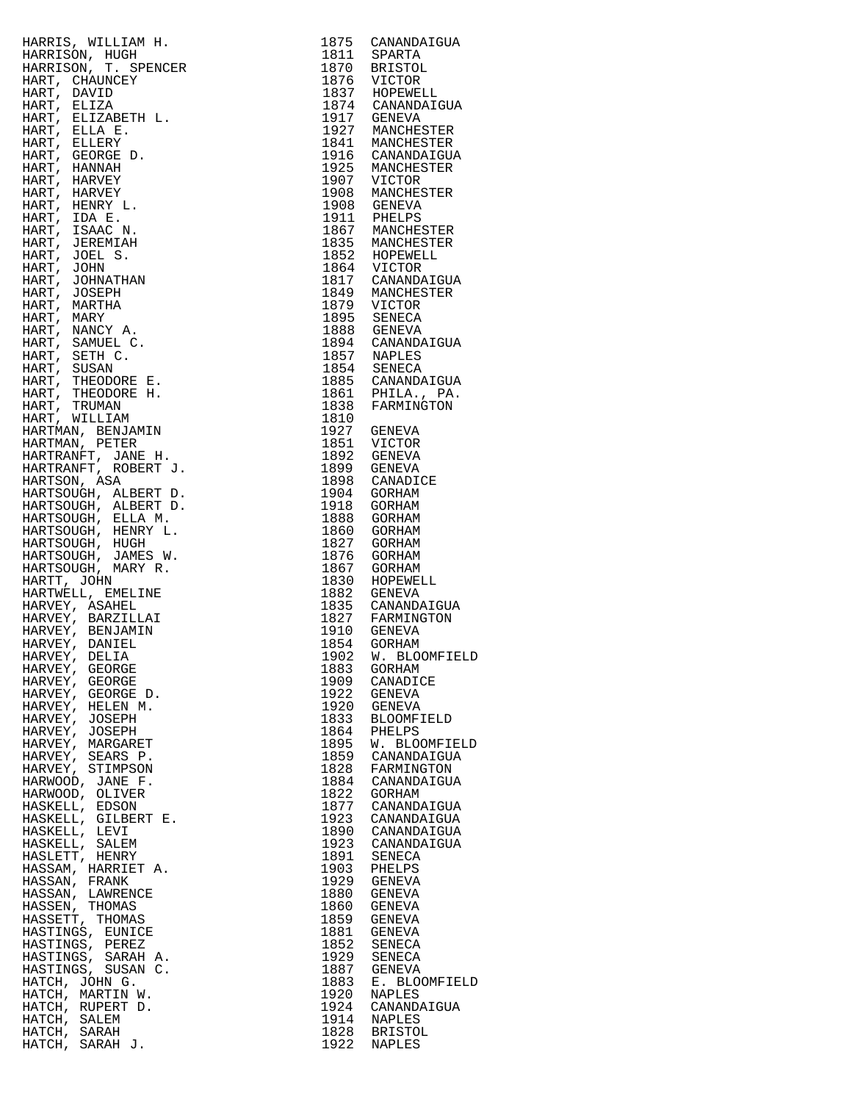|                                                                                                                                                                                                                                                              |              | 1875 CANANDAIGUA<br>1811 SPARTA                                        |
|--------------------------------------------------------------------------------------------------------------------------------------------------------------------------------------------------------------------------------------------------------------|--------------|------------------------------------------------------------------------|
|                                                                                                                                                                                                                                                              |              |                                                                        |
|                                                                                                                                                                                                                                                              |              |                                                                        |
|                                                                                                                                                                                                                                                              |              | 1870 BRISTOL<br>1876 VICTOR<br>1837 HOPEWELL<br>1874 CANANDAIGUA       |
|                                                                                                                                                                                                                                                              |              |                                                                        |
|                                                                                                                                                                                                                                                              |              | 1977 GENEVA<br>1927 MANCHESTER<br>1841 MANCHESTER<br>1916 CANANDAIGUA  |
|                                                                                                                                                                                                                                                              |              |                                                                        |
|                                                                                                                                                                                                                                                              |              |                                                                        |
|                                                                                                                                                                                                                                                              |              |                                                                        |
|                                                                                                                                                                                                                                                              |              |                                                                        |
|                                                                                                                                                                                                                                                              |              | 1925 MANCHESTER<br>1907 VICTOR                                         |
|                                                                                                                                                                                                                                                              |              |                                                                        |
|                                                                                                                                                                                                                                                              |              | 1908 MANCHESTER<br>1908 GENEVA                                         |
|                                                                                                                                                                                                                                                              |              |                                                                        |
|                                                                                                                                                                                                                                                              |              |                                                                        |
|                                                                                                                                                                                                                                                              |              | 1911 PHELPS<br>1867 MANCHESTER                                         |
|                                                                                                                                                                                                                                                              |              |                                                                        |
|                                                                                                                                                                                                                                                              |              |                                                                        |
|                                                                                                                                                                                                                                                              |              | 1835 MANCHESTER<br>1852 HOPEWELL<br>1864 VICTOR<br>1817 CANANDAIGUA    |
|                                                                                                                                                                                                                                                              |              |                                                                        |
|                                                                                                                                                                                                                                                              |              |                                                                        |
|                                                                                                                                                                                                                                                              |              | 1849 MANCHESTER<br>1879 VICTOR                                         |
|                                                                                                                                                                                                                                                              |              |                                                                        |
|                                                                                                                                                                                                                                                              |              | 1895 SENECA<br>1888 GENEVA                                             |
|                                                                                                                                                                                                                                                              |              |                                                                        |
|                                                                                                                                                                                                                                                              |              | 1894 CANANDAIGUA<br>1857 NAPLES                                        |
|                                                                                                                                                                                                                                                              |              |                                                                        |
|                                                                                                                                                                                                                                                              |              |                                                                        |
|                                                                                                                                                                                                                                                              |              | 1854 SENECA<br>1885 CANANDAIGUA<br>1861 PHILA., PA.<br>1838 FARMINGTON |
|                                                                                                                                                                                                                                                              |              |                                                                        |
|                                                                                                                                                                                                                                                              | 1810         |                                                                        |
|                                                                                                                                                                                                                                                              |              | 1927 GENEVA                                                            |
|                                                                                                                                                                                                                                                              |              |                                                                        |
|                                                                                                                                                                                                                                                              |              | 1851 VICTOR<br>1892 GENEVA                                             |
|                                                                                                                                                                                                                                                              |              |                                                                        |
|                                                                                                                                                                                                                                                              |              | 1899 GENEVA<br>1898 CANADICE                                           |
|                                                                                                                                                                                                                                                              |              |                                                                        |
|                                                                                                                                                                                                                                                              |              | 1904 GORHAM<br>1918 GORHAM                                             |
| HARRIS, WILLIAM H.<br>HARRISON, IUGH H.<br>HARRISON, T. SPENCER<br>HARR, CHAUNDEY<br>HARR, DAVID<br>HARR, BLUZABETH L.<br>HARR, BLUZABETH L.<br>HARR, BLUZABETH L.<br>HARR, ELLERY<br>HARR, ELLERY HARVEY HARR, F.<br>HARR, HARRY, HARVEY HARR, HARRY, INDUS |              |                                                                        |
|                                                                                                                                                                                                                                                              |              | 1888 GORHAM                                                            |
|                                                                                                                                                                                                                                                              |              | 1860 GORHAM                                                            |
|                                                                                                                                                                                                                                                              |              | 1827 GORHAM                                                            |
|                                                                                                                                                                                                                                                              |              | 1876 GORHAM                                                            |
|                                                                                                                                                                                                                                                              |              | 1867 GORHAM<br>1830 HOPEWELL                                           |
|                                                                                                                                                                                                                                                              |              |                                                                        |
|                                                                                                                                                                                                                                                              |              | 1882 GENEVA<br>1835 CANANDAIGUA<br>1827 FARMINGTON<br>1910 GENEVA      |
|                                                                                                                                                                                                                                                              |              |                                                                        |
|                                                                                                                                                                                                                                                              |              |                                                                        |
|                                                                                                                                                                                                                                                              |              |                                                                        |
|                                                                                                                                                                                                                                                              |              | 1854 GORHAM                                                            |
| HARVEY, DELIA                                                                                                                                                                                                                                                |              | 1902 W. BLOOMFIELD                                                     |
| HARVEY, GEORGE                                                                                                                                                                                                                                               | 1883         | GORHAM                                                                 |
| HARVEY, GEORGE                                                                                                                                                                                                                                               | 1909         | CANADICE                                                               |
| HARVEY, GEORGE D.                                                                                                                                                                                                                                            | 1922         | GENEVA                                                                 |
| HARVEY, HELEN M.                                                                                                                                                                                                                                             | 1920         | GENEVA                                                                 |
| HARVEY, JOSEPH                                                                                                                                                                                                                                               | 1833         | BLOOMFIELD                                                             |
| HARVEY, JOSEPH                                                                                                                                                                                                                                               | 1864         | PHELPS                                                                 |
| HARVEY, MARGARET                                                                                                                                                                                                                                             | 1895         | W. BLOOMFIELD                                                          |
| HARVEY, SEARS P.                                                                                                                                                                                                                                             | 1859         | CANANDAIGUA                                                            |
| HARVEY, STIMPSON                                                                                                                                                                                                                                             | 1828         | FARMINGTON                                                             |
| HARWOOD, JANE F.                                                                                                                                                                                                                                             | 1884         | CANANDAIGUA                                                            |
| HARWOOD, OLIVER                                                                                                                                                                                                                                              | 1822         | GORHAM                                                                 |
| HASKELL, EDSON                                                                                                                                                                                                                                               | 1877         | CANANDAIGUA                                                            |
| HASKELL, GILBERT E.                                                                                                                                                                                                                                          | 1923         | CANANDAIGUA                                                            |
| HASKELL, LEVI                                                                                                                                                                                                                                                | 1890         | CANANDAIGUA                                                            |
| HASKELL, SALEM                                                                                                                                                                                                                                               | 1923         | CANANDAIGUA                                                            |
| HASLETT, HENRY                                                                                                                                                                                                                                               | 1891         | SENECA                                                                 |
| HASSAM, HARRIET A.                                                                                                                                                                                                                                           | 1903         | PHELPS                                                                 |
| HASSAN, FRANK                                                                                                                                                                                                                                                | 1929         | GENEVA                                                                 |
| HASSAN, LAWRENCE                                                                                                                                                                                                                                             | 1880         | GENEVA                                                                 |
| HASSEN, THOMAS                                                                                                                                                                                                                                               | 1860         | GENEVA                                                                 |
| HASSETT, THOMAS                                                                                                                                                                                                                                              | 1859         | GENEVA                                                                 |
| HASTINGS, EUNICE                                                                                                                                                                                                                                             | 1881         | GENEVA                                                                 |
| HASTINGS, PEREZ                                                                                                                                                                                                                                              | 1852         | SENECA                                                                 |
| HASTINGS, SARAH A.                                                                                                                                                                                                                                           | 1929         | SENECA                                                                 |
| HASTINGS, SUSAN C.                                                                                                                                                                                                                                           | 1887         | GENEVA                                                                 |
| HATCH, JOHN G.                                                                                                                                                                                                                                               |              |                                                                        |
| HATCH, MARTIN W.                                                                                                                                                                                                                                             | 1883         | E. BLOOMFIELD                                                          |
|                                                                                                                                                                                                                                                              | 1920         | NAPLES                                                                 |
| HATCH, RUPERT D.                                                                                                                                                                                                                                             | 1924         | CANANDAIGUA                                                            |
| HATCH, SALEM                                                                                                                                                                                                                                                 | 1914         | NAPLES                                                                 |
| HATCH, SARAH<br>HATCH, SARAH J.                                                                                                                                                                                                                              | 1828<br>1922 | <b>BRISTOL</b><br>NAPLES                                               |

| 1875         | CANANDAIGUA                        |
|--------------|------------------------------------|
| 1811<br>1870 | SPARTA<br><b>BRISTOL</b>           |
| 1876         | VICTOR                             |
| 1837         | HOPEWELL                           |
| 1874         | CANANDAIGUA                        |
| 1917         | <b>GENEVA</b>                      |
| 1927<br>1841 | MANCHESTER<br>MANCHESTER           |
| 1916         | CANANDAIGUA                        |
| 1925         | MANCHESTER                         |
| 1907         | VICTOR                             |
| 1908         | MANCHESTER                         |
| 1908         | GENEVA                             |
| 1911         | PHELPS<br>MANCHESTER               |
| 1867<br>1835 | MANCHESTER                         |
| 1852         | HOPEWELL                           |
| 1864         | VICTOR                             |
| 1817         | CANANDAIGUA                        |
| 1849         | MANCHESTER                         |
| 1879         | VICTOR                             |
| 1895<br>1888 | <b>SENECA</b>                      |
| 1894         | GENEVA<br>CANANDAIGUA              |
| 1857         | <b>NAPLES</b>                      |
| 1854         | SENECA                             |
| 1885         | CANANDAIGUA                        |
| 1861         | PHILA.,<br>PA.                     |
| 1838         | FARMINGTON                         |
| 1810         |                                    |
| 1927<br>1851 | GENEVA<br>VICTOR                   |
| 1892         | GENEVA                             |
| 1899         | <b>GENEVA</b>                      |
| 1898         | CANADICE                           |
| 1904         | GORHAM                             |
| 1918         | GORHAM                             |
| 1888<br>1860 | GORHAM                             |
| 1827         | GORHAM<br>GORHAM                   |
| 1876         | GORHAM                             |
| 1867         | GORHAM                             |
| 1830         | HOPEWELL                           |
| 1882         | <b>GENEVA</b>                      |
| 1835         | CANANDAIGUA                        |
| 1827<br>1910 | FARMINGTON<br><b>GENEVA</b>        |
| 1854         | <b>GORHAM</b>                      |
| 1902         | W. BLOOMFIELD                      |
| 1883         | <b>GORHAM</b>                      |
| 1909         | CANADICE                           |
| 1922         | GENEVA                             |
| 1920<br>1833 | <b>GENEVA</b><br><b>BLOOMFIELD</b> |
| 1864         | PHELPS                             |
| 1895         | W. BLOOMFIELD                      |
| 1859         | CANANDAIGUA                        |
| 1828         | FARMINGTON                         |
| 1884         | CANANDAIGUA                        |
| 1822         | <b>GORHAM</b>                      |
| 1877<br>1923 | CANANDAIGUA<br>CANANDAIGUA         |
| 1890         | CANANDAIGUA                        |
| 1923         | CANANDAIGUA                        |
| 1891         | SENECA                             |
| 1903         | PHELPS                             |
| 1929         | <b>GENEVA</b>                      |
| 1880<br>1860 | GENEVA<br><b>GENEVA</b>            |
| 1859         | <b>GENEVA</b>                      |
| 1881         | <b>GENEVA</b>                      |
| 1852         | SENECA                             |
| 1929         | SENECA                             |
| 1887         | <b>GENEVA</b>                      |
| 1883         | E. BLOOMFIELD                      |
| 1920<br>1924 | NAPLES<br>CANANDAIGUA              |
| 1914         | <b>NAPLES</b>                      |
| 1828         | <b>BRISTOL</b>                     |
|              | 1922 NAPLES                        |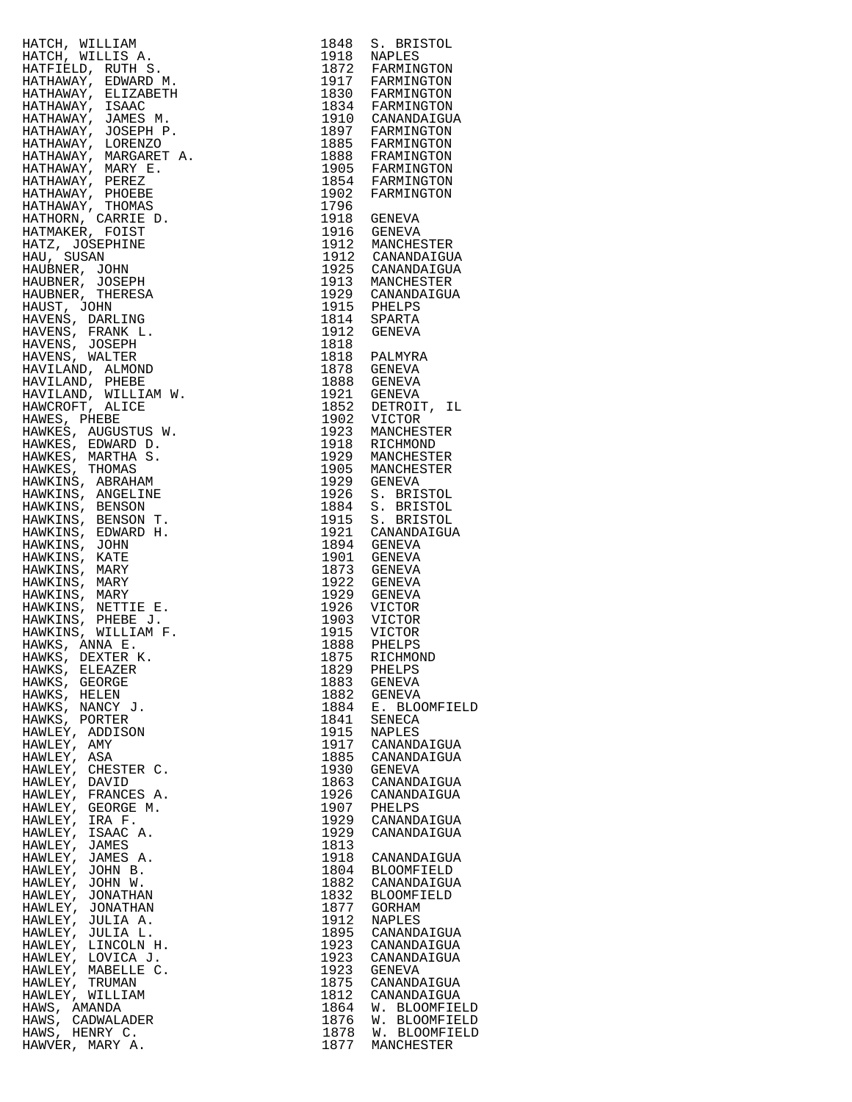|                                                                                                                                                                                                                                                              |      | 1848 S. BRISTOL                                                           |
|--------------------------------------------------------------------------------------------------------------------------------------------------------------------------------------------------------------------------------------------------------------|------|---------------------------------------------------------------------------|
|                                                                                                                                                                                                                                                              |      | 1918 NAPLES                                                               |
|                                                                                                                                                                                                                                                              |      |                                                                           |
|                                                                                                                                                                                                                                                              |      | 1872 FARMINGTON<br>1917 FARMINGTON                                        |
|                                                                                                                                                                                                                                                              |      |                                                                           |
|                                                                                                                                                                                                                                                              |      | 1830 FARMINGTON<br>1834 FARMINGTON                                        |
|                                                                                                                                                                                                                                                              |      |                                                                           |
|                                                                                                                                                                                                                                                              |      | 1910 CANANDAIGUA<br>1897 FARMINGTON<br>1885 FARMINGTON<br>1888 FRAMINGTON |
|                                                                                                                                                                                                                                                              |      |                                                                           |
|                                                                                                                                                                                                                                                              |      |                                                                           |
|                                                                                                                                                                                                                                                              |      |                                                                           |
|                                                                                                                                                                                                                                                              |      | 1905 FARMINGTON<br>1854 FARMINGTON<br>1902 FARMINGTON                     |
|                                                                                                                                                                                                                                                              |      |                                                                           |
|                                                                                                                                                                                                                                                              |      |                                                                           |
|                                                                                                                                                                                                                                                              | 1796 |                                                                           |
|                                                                                                                                                                                                                                                              |      |                                                                           |
|                                                                                                                                                                                                                                                              |      | 1918 GENEVA<br>1916 GENEVA                                                |
|                                                                                                                                                                                                                                                              |      |                                                                           |
|                                                                                                                                                                                                                                                              |      | 1912 MANCHESTER<br>1912 CANANDAIGUA                                       |
|                                                                                                                                                                                                                                                              |      |                                                                           |
|                                                                                                                                                                                                                                                              |      | 1925 CANANDAIGUA<br>1913 MANCHESTER                                       |
|                                                                                                                                                                                                                                                              |      |                                                                           |
|                                                                                                                                                                                                                                                              |      | 1929 CANANDAIGUA<br>1915 PHELPS                                           |
|                                                                                                                                                                                                                                                              |      |                                                                           |
|                                                                                                                                                                                                                                                              |      | 1814 SPARTA<br>1912 GENEVA                                                |
|                                                                                                                                                                                                                                                              |      |                                                                           |
|                                                                                                                                                                                                                                                              |      |                                                                           |
|                                                                                                                                                                                                                                                              |      | 1818<br>1818 PALMYRA                                                      |
|                                                                                                                                                                                                                                                              |      | 1878 GENEVA                                                               |
| HATCH , WILLIEN A.<br>HATCH, WILLIEN A.<br>HATFIELD, RUTH S.<br>HATFIELD, RUTH S.<br>HATHAWAY, EDMARD M.<br>HATHAWAY, USARC MEXICANETH<br>HATHAWAY, JOANES M.<br>HATHAWAY, JOANES M.<br>HATHAWAY, MARGARET A.<br>HATHAWAY, MARGARET A.<br>HATHAWAY, MARGARET |      | 1888 GENEVA                                                               |
|                                                                                                                                                                                                                                                              |      |                                                                           |
|                                                                                                                                                                                                                                                              |      | 1921 GENEVA<br>1852 DETROIT, IL                                           |
|                                                                                                                                                                                                                                                              |      |                                                                           |
|                                                                                                                                                                                                                                                              |      | 1902 VICTOR<br>1923 MANCHES                                               |
|                                                                                                                                                                                                                                                              |      | MANCHESTER                                                                |
|                                                                                                                                                                                                                                                              |      | 1918 RICHMOND<br>1929 MANCHESTER                                          |
|                                                                                                                                                                                                                                                              |      |                                                                           |
|                                                                                                                                                                                                                                                              |      | 1905 MANCHESTER                                                           |
|                                                                                                                                                                                                                                                              |      | 1929 GENEVA                                                               |
|                                                                                                                                                                                                                                                              | 1926 | S. BRISTOL                                                                |
|                                                                                                                                                                                                                                                              | 1884 | S. BRISTOL                                                                |
|                                                                                                                                                                                                                                                              |      | 1915 S. BRISTOL                                                           |
|                                                                                                                                                                                                                                                              |      | 1921 CANANDAIGUA                                                          |
|                                                                                                                                                                                                                                                              |      | 1894 GENEVA<br>1901 GENEVA                                                |
|                                                                                                                                                                                                                                                              |      |                                                                           |
|                                                                                                                                                                                                                                                              |      |                                                                           |
|                                                                                                                                                                                                                                                              |      | 1873 GENEVA<br>1922 GENEVA                                                |
|                                                                                                                                                                                                                                                              |      |                                                                           |
|                                                                                                                                                                                                                                                              |      | 1929 GENEVA<br>1926 VICTOR                                                |
|                                                                                                                                                                                                                                                              |      |                                                                           |
|                                                                                                                                                                                                                                                              |      | 1903 VICTOR<br>1915 VICTOR                                                |
|                                                                                                                                                                                                                                                              |      |                                                                           |
|                                                                                                                                                                                                                                                              |      | 1888 PHELPS                                                               |
| HAWKS, DEXTER K.                                                                                                                                                                                                                                             |      | 1875 RICHMOND                                                             |
| HAWKS, ELEAZER                                                                                                                                                                                                                                               | 1829 | PHELPS                                                                    |
| HAWKS, GEORGE                                                                                                                                                                                                                                                | 1883 | GENEVA                                                                    |
| HAWKS, HELEN                                                                                                                                                                                                                                                 | 1882 | GENEVA                                                                    |
| HAWKS, NANCY J.                                                                                                                                                                                                                                              | 1884 | Ε.<br><b>BLOOMFIEL</b>                                                    |
| HAWKS, PORTER                                                                                                                                                                                                                                                | 1841 | SENECA                                                                    |
| HAWLEY, ADDISON                                                                                                                                                                                                                                              | 1915 | NAPLES                                                                    |
| HAWLEY, AMY                                                                                                                                                                                                                                                  | 1917 | CANANDAIGUA                                                               |
| HAWLEY, ASA                                                                                                                                                                                                                                                  | 1885 | CANANDAIGUA                                                               |
| HAWLEY, CHESTER C.                                                                                                                                                                                                                                           | 1930 | GENEVA                                                                    |
| HAWLEY, DAVID                                                                                                                                                                                                                                                | 1863 | CANANDAIGUA                                                               |
| HAWLEY, FRANCES A.                                                                                                                                                                                                                                           | 1926 | CANANDAIGUA                                                               |
|                                                                                                                                                                                                                                                              |      |                                                                           |
| HAWLEY, GEORGE M.                                                                                                                                                                                                                                            | 1907 | PHELPS                                                                    |
| HAWLEY, IRA F.                                                                                                                                                                                                                                               | 1929 | CANANDAIGUA                                                               |
| HAWLEY, ISAAC A.                                                                                                                                                                                                                                             | 1929 | CANANDAIGUA                                                               |
| HAWLEY, JAMES                                                                                                                                                                                                                                                | 1813 |                                                                           |
| HAWLEY, JAMES A.                                                                                                                                                                                                                                             | 1918 | CANANDAIGUA                                                               |
| HAWLEY, JOHN B.                                                                                                                                                                                                                                              | 1804 | <b>BLOOMFIELD</b>                                                         |
| HAWLEY, JOHN W.                                                                                                                                                                                                                                              | 1882 | CANANDAIGUA                                                               |
| HAWLEY, JONATHAN                                                                                                                                                                                                                                             | 1832 | <b>BLOOMFIELD</b>                                                         |
| HAWLEY, JONATHAN                                                                                                                                                                                                                                             | 1877 | GORHAM                                                                    |
| HAWLEY, JULIA A.                                                                                                                                                                                                                                             | 1912 | NAPLES                                                                    |
| HAWLEY, JULIA L.                                                                                                                                                                                                                                             | 1895 | CANANDAIGUA                                                               |
| HAWLEY, LINCOLN H.                                                                                                                                                                                                                                           | 1923 | CANANDAIGUA                                                               |
| HAWLEY, LOVICA J.                                                                                                                                                                                                                                            | 1923 | CANANDAIGUA                                                               |
| HAWLEY, MABELLE C.                                                                                                                                                                                                                                           | 1923 | GENEVA                                                                    |
| HAWLEY, TRUMAN                                                                                                                                                                                                                                               | 1875 | CANANDAIGUA                                                               |
|                                                                                                                                                                                                                                                              |      |                                                                           |
| HAWLEY, WILLIAM                                                                                                                                                                                                                                              | 1812 | CANANDAIGUA                                                               |
| HAWS, AMANDA                                                                                                                                                                                                                                                 | 1864 | W. BLOOMFIEL                                                              |
| HAWS, CADWALADER                                                                                                                                                                                                                                             | 1876 | W. BLOOMFIEL                                                              |
| HAWS, HENRY C.                                                                                                                                                                                                                                               | 1878 | W. BLOOMFIEL                                                              |
| HAWVER, MARY A.                                                                                                                                                                                                                                              | 1877 | MANCHESTER                                                                |

| HATCH, WILLIAM (1978)<br>HATCH, WILLIAM (1978)<br>HATCH, WILLIAM (1978)<br>HATCH, WILLIAM (1978)<br>HATCH ANNE MARN (1979)<br>HATHAMAY, EDMARD M. 1972)<br>HATHAMAY, JOMES M. 1982<br>HATHAMAY, JOMES M. 1993<br>HATHAMAY, JOMES M. 1993<br>HATH |              |                                       |
|--------------------------------------------------------------------------------------------------------------------------------------------------------------------------------------------------------------------------------------------------|--------------|---------------------------------------|
|                                                                                                                                                                                                                                                  |              |                                       |
|                                                                                                                                                                                                                                                  |              |                                       |
|                                                                                                                                                                                                                                                  |              |                                       |
|                                                                                                                                                                                                                                                  |              |                                       |
|                                                                                                                                                                                                                                                  |              |                                       |
|                                                                                                                                                                                                                                                  |              |                                       |
|                                                                                                                                                                                                                                                  |              |                                       |
|                                                                                                                                                                                                                                                  |              |                                       |
|                                                                                                                                                                                                                                                  |              |                                       |
|                                                                                                                                                                                                                                                  |              |                                       |
|                                                                                                                                                                                                                                                  |              |                                       |
|                                                                                                                                                                                                                                                  |              |                                       |
|                                                                                                                                                                                                                                                  |              |                                       |
|                                                                                                                                                                                                                                                  |              |                                       |
|                                                                                                                                                                                                                                                  |              |                                       |
|                                                                                                                                                                                                                                                  |              |                                       |
|                                                                                                                                                                                                                                                  |              |                                       |
|                                                                                                                                                                                                                                                  |              |                                       |
|                                                                                                                                                                                                                                                  |              |                                       |
|                                                                                                                                                                                                                                                  |              |                                       |
|                                                                                                                                                                                                                                                  |              |                                       |
|                                                                                                                                                                                                                                                  |              |                                       |
|                                                                                                                                                                                                                                                  |              |                                       |
|                                                                                                                                                                                                                                                  |              |                                       |
|                                                                                                                                                                                                                                                  |              |                                       |
|                                                                                                                                                                                                                                                  |              |                                       |
|                                                                                                                                                                                                                                                  |              |                                       |
|                                                                                                                                                                                                                                                  |              |                                       |
|                                                                                                                                                                                                                                                  |              |                                       |
|                                                                                                                                                                                                                                                  |              |                                       |
|                                                                                                                                                                                                                                                  |              |                                       |
|                                                                                                                                                                                                                                                  |              |                                       |
|                                                                                                                                                                                                                                                  |              |                                       |
|                                                                                                                                                                                                                                                  |              |                                       |
|                                                                                                                                                                                                                                                  |              |                                       |
|                                                                                                                                                                                                                                                  |              |                                       |
|                                                                                                                                                                                                                                                  |              |                                       |
|                                                                                                                                                                                                                                                  |              |                                       |
|                                                                                                                                                                                                                                                  |              |                                       |
|                                                                                                                                                                                                                                                  |              |                                       |
|                                                                                                                                                                                                                                                  |              |                                       |
|                                                                                                                                                                                                                                                  |              |                                       |
| HAWKS, ANNA E.<br>HAWKS, DEXTER K. (1875 RICHMOND)<br>HAWKS, ELEAZER (1829 PHELPS)<br>HAWKS, GEORGE (1883 GENEVA)<br>HAWKS. HELEN (1882 GENEVA)                                                                                                  |              |                                       |
|                                                                                                                                                                                                                                                  |              |                                       |
|                                                                                                                                                                                                                                                  |              |                                       |
| HAWKS, NANCY J.                                                                                                                                                                                                                                  |              | 1884 E. BLOOMFIELD                    |
| HAWKS, PORTER                                                                                                                                                                                                                                    | 1841         | SENECA                                |
| HAWLEY, ADDISON                                                                                                                                                                                                                                  |              | 1915 NAPLES                           |
| HAWLEY, AMY                                                                                                                                                                                                                                      |              | 1917 CANANDAIGUA                      |
| HAWLEY, ASA                                                                                                                                                                                                                                      |              | 1885 CANANDAIGUA                      |
| HAWLEY, CHESTER C.                                                                                                                                                                                                                               | 1930         | GENEVA                                |
| HAWLEY, DAVID<br>HAWLEY, FRANCES A.                                                                                                                                                                                                              | 1863<br>1926 | CANANDAIGUA<br>CANANDAIGUA            |
| HAWLEY, GEORGE M.                                                                                                                                                                                                                                |              | 1907 PHELPS                           |
| HAWLEY, IRA F.                                                                                                                                                                                                                                   | 1929         | CANANDAIGUA                           |
| HAWLEY, ISAAC A.                                                                                                                                                                                                                                 | 1929         | CANANDAIGUA                           |
| HAWLEY, JAMES                                                                                                                                                                                                                                    | 1813         |                                       |
| HAWLEY, JAMES A.                                                                                                                                                                                                                                 |              | 1918 CANANDAIGUA                      |
| HAWLEY, JOHN B.                                                                                                                                                                                                                                  | 1804         | BLOOMFIELD                            |
| HAWLEY, JOHN W.<br>HAWLEY, JONATHAN                                                                                                                                                                                                              | 1832         | 1882 CANANDAIGUA<br><b>BLOOMFIELD</b> |
| HAWLEY, JONATHAN                                                                                                                                                                                                                                 |              | 1877 GORHAM                           |
| HAWLEY, JULIA A.                                                                                                                                                                                                                                 | 1912         | NAPLES                                |
| HAWLEY, JULIA L.                                                                                                                                                                                                                                 |              | 1895 CANANDAIGUA                      |
| HAWLEY, LINCOLN H.                                                                                                                                                                                                                               | 1923         | CANANDAIGUA                           |
| HAWLEY, LOVICA J.                                                                                                                                                                                                                                |              | 1923 CANANDAIGUA                      |
| HAWLEY, MABELLE C.                                                                                                                                                                                                                               | 1923         | GENEVA                                |
| HAWLEY, TRUMAN<br>HAWLEY, WILLIAM                                                                                                                                                                                                                |              | 1875 CANANDAIGUA<br>1812 CANANDAIGUA  |
| HAWS, AMANDA                                                                                                                                                                                                                                     |              | 1864 W. BLOOMFIELD                    |
| HAWS, CADWALADER                                                                                                                                                                                                                                 | 1876         | W. BLOOMFIELD                         |
| HAWS, HENRY C.                                                                                                                                                                                                                                   |              | 1878 W. BLOOMFIELD                    |
| HAWVER, MARY A.                                                                                                                                                                                                                                  |              | 1877 MANCHESTER                       |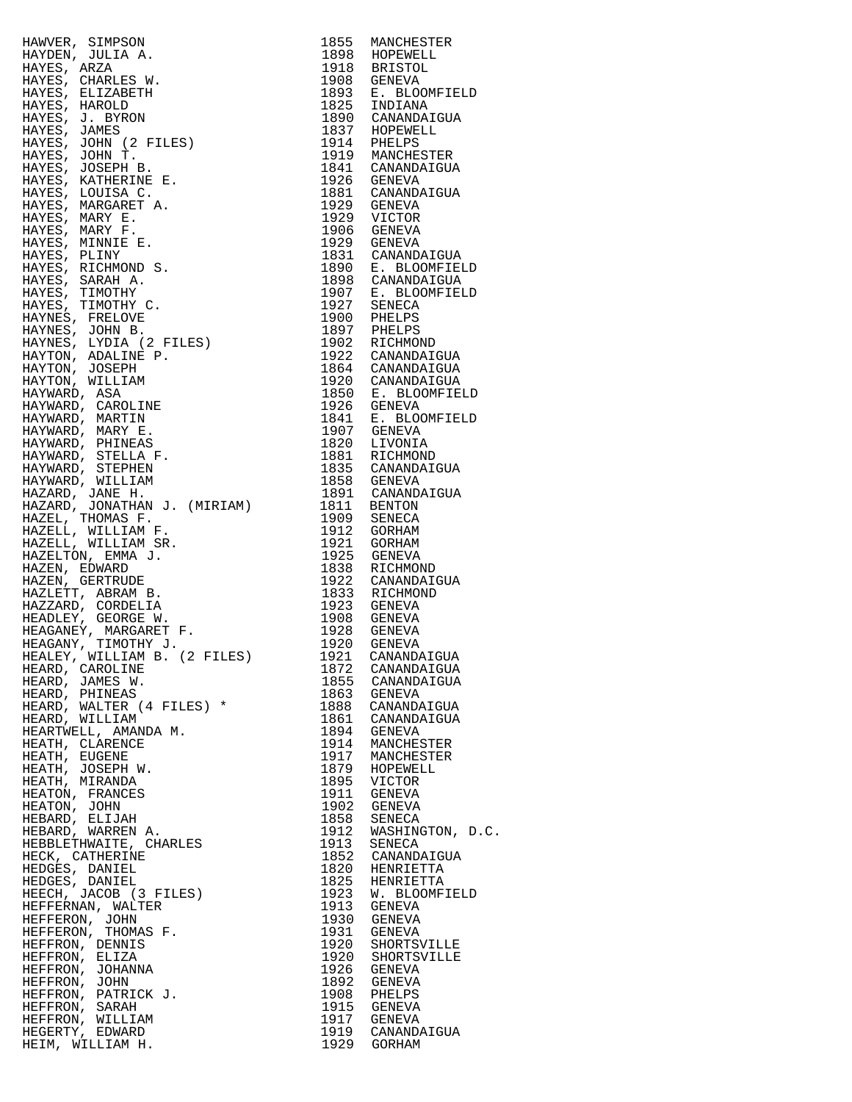| HAWER, SIMPSON (1970)<br>HAWER, JONES MANCHESTER<br>HAYDEN, JOLLA A. 1898 HOPENELL<br>HAYDEN, JOLLA A. 1998 HOPENELL<br>HAYES, CELEABE W. 1998 GERIOD CANADATOUR<br>HAYES, JORNAL (2 FILES)<br>1997 CANADATOUR<br>HAYES, JORNAL (2 FILES)<br> |              |                                                                                                                                                                                                                               |
|-----------------------------------------------------------------------------------------------------------------------------------------------------------------------------------------------------------------------------------------------|--------------|-------------------------------------------------------------------------------------------------------------------------------------------------------------------------------------------------------------------------------|
|                                                                                                                                                                                                                                               |              | 1898 HOPEWELL<br>1918 BRISTOL<br>1908 GENEVA<br>1893 E. BLOOMFIELD<br>1825 INDIANA<br>1890 CANANDAIGUA<br>1890 CANANDAIGUA                                                                                                    |
|                                                                                                                                                                                                                                               |              |                                                                                                                                                                                                                               |
|                                                                                                                                                                                                                                               |              |                                                                                                                                                                                                                               |
|                                                                                                                                                                                                                                               |              |                                                                                                                                                                                                                               |
|                                                                                                                                                                                                                                               |              |                                                                                                                                                                                                                               |
|                                                                                                                                                                                                                                               |              |                                                                                                                                                                                                                               |
|                                                                                                                                                                                                                                               |              |                                                                                                                                                                                                                               |
|                                                                                                                                                                                                                                               |              |                                                                                                                                                                                                                               |
|                                                                                                                                                                                                                                               |              |                                                                                                                                                                                                                               |
|                                                                                                                                                                                                                                               |              |                                                                                                                                                                                                                               |
|                                                                                                                                                                                                                                               |              |                                                                                                                                                                                                                               |
|                                                                                                                                                                                                                                               |              |                                                                                                                                                                                                                               |
|                                                                                                                                                                                                                                               |              |                                                                                                                                                                                                                               |
|                                                                                                                                                                                                                                               |              |                                                                                                                                                                                                                               |
|                                                                                                                                                                                                                                               |              |                                                                                                                                                                                                                               |
|                                                                                                                                                                                                                                               |              |                                                                                                                                                                                                                               |
|                                                                                                                                                                                                                                               |              |                                                                                                                                                                                                                               |
|                                                                                                                                                                                                                                               |              | 1823 GENEVA<br>1831 CANANDAIGUA<br>1898 CANANDAIGUA<br>1907 E. BLOOMFIELD<br>1927 SENECA<br>1900 PHELPS<br>1907 PHELPS                                                                                                        |
|                                                                                                                                                                                                                                               |              |                                                                                                                                                                                                                               |
|                                                                                                                                                                                                                                               |              |                                                                                                                                                                                                                               |
|                                                                                                                                                                                                                                               |              |                                                                                                                                                                                                                               |
|                                                                                                                                                                                                                                               |              |                                                                                                                                                                                                                               |
|                                                                                                                                                                                                                                               |              |                                                                                                                                                                                                                               |
|                                                                                                                                                                                                                                               |              |                                                                                                                                                                                                                               |
|                                                                                                                                                                                                                                               |              |                                                                                                                                                                                                                               |
|                                                                                                                                                                                                                                               |              |                                                                                                                                                                                                                               |
|                                                                                                                                                                                                                                               |              |                                                                                                                                                                                                                               |
|                                                                                                                                                                                                                                               |              |                                                                                                                                                                                                                               |
|                                                                                                                                                                                                                                               |              |                                                                                                                                                                                                                               |
|                                                                                                                                                                                                                                               |              |                                                                                                                                                                                                                               |
|                                                                                                                                                                                                                                               |              |                                                                                                                                                                                                                               |
|                                                                                                                                                                                                                                               |              |                                                                                                                                                                                                                               |
|                                                                                                                                                                                                                                               |              | 1902 RICHMOND<br>1922 CANANDAIGUA<br>1864 CANANDAIGUA<br>1920 CANANDAIGUA<br>1920 E. BLOOMFIELD<br>1926 GENEVA<br>1841 E. BLOOMFIELD<br>1907 GENEVA<br>1881 RICHMOND<br>1831 RICHMOND<br>1835 CANANDAIGUA<br>1853 CANANDAIGUA |
|                                                                                                                                                                                                                                               |              |                                                                                                                                                                                                                               |
|                                                                                                                                                                                                                                               |              |                                                                                                                                                                                                                               |
|                                                                                                                                                                                                                                               |              |                                                                                                                                                                                                                               |
|                                                                                                                                                                                                                                               |              |                                                                                                                                                                                                                               |
|                                                                                                                                                                                                                                               |              |                                                                                                                                                                                                                               |
|                                                                                                                                                                                                                                               |              |                                                                                                                                                                                                                               |
|                                                                                                                                                                                                                                               |              |                                                                                                                                                                                                                               |
|                                                                                                                                                                                                                                               |              |                                                                                                                                                                                                                               |
|                                                                                                                                                                                                                                               |              |                                                                                                                                                                                                                               |
|                                                                                                                                                                                                                                               |              |                                                                                                                                                                                                                               |
|                                                                                                                                                                                                                                               |              |                                                                                                                                                                                                                               |
|                                                                                                                                                                                                                                               |              |                                                                                                                                                                                                                               |
|                                                                                                                                                                                                                                               |              |                                                                                                                                                                                                                               |
|                                                                                                                                                                                                                                               |              |                                                                                                                                                                                                                               |
|                                                                                                                                                                                                                                               |              |                                                                                                                                                                                                                               |
|                                                                                                                                                                                                                                               |              |                                                                                                                                                                                                                               |
|                                                                                                                                                                                                                                               |              |                                                                                                                                                                                                                               |
|                                                                                                                                                                                                                                               |              |                                                                                                                                                                                                                               |
|                                                                                                                                                                                                                                               |              |                                                                                                                                                                                                                               |
| HEARD, CAROLINE                                                                                                                                                                                                                               | 1872         | CANANDAIGUA                                                                                                                                                                                                                   |
| HEARD, JAMES W.                                                                                                                                                                                                                               |              | 1855 CANANDAIGUA                                                                                                                                                                                                              |
| HEARD, PHINEAS                                                                                                                                                                                                                                |              | 1863 GENEVA                                                                                                                                                                                                                   |
| HEARD, WALTER (4 FILES) *                                                                                                                                                                                                                     |              | 1888 CANANDAIGUA                                                                                                                                                                                                              |
| HEARD, WILLIAM                                                                                                                                                                                                                                |              | 1861 CANANDAIGUA                                                                                                                                                                                                              |
| HEARTWELL, AMANDA M.                                                                                                                                                                                                                          |              | 1894 GENEVA                                                                                                                                                                                                                   |
|                                                                                                                                                                                                                                               |              | 1914 MANCHESTER                                                                                                                                                                                                               |
| HEATH, CLARENCE                                                                                                                                                                                                                               |              |                                                                                                                                                                                                                               |
| HEATH, EUGENE                                                                                                                                                                                                                                 |              | 1917 MANCHESTER                                                                                                                                                                                                               |
| HEATH, JOSEPH W.                                                                                                                                                                                                                              |              | 1879 HOPEWELL                                                                                                                                                                                                                 |
| HEATH, MIRANDA                                                                                                                                                                                                                                |              | 1895 VICTOR<br>1911 GENEVA                                                                                                                                                                                                    |
| HEATON, FRANCES                                                                                                                                                                                                                               |              |                                                                                                                                                                                                                               |
| HEATON, JOHN                                                                                                                                                                                                                                  |              | 1902 GENEVA                                                                                                                                                                                                                   |
| HEBARD, ELIJAH                                                                                                                                                                                                                                | 1858         | SENECA                                                                                                                                                                                                                        |
| HEBARD, WARREN A.                                                                                                                                                                                                                             | 1912         | WASHINGTON, D.C.                                                                                                                                                                                                              |
| HEBBLETHWAITE, CHARLES                                                                                                                                                                                                                        | 1913         | SENECA                                                                                                                                                                                                                        |
| HECK, CATHERINE                                                                                                                                                                                                                               |              | 1852 CANANDAIGUA                                                                                                                                                                                                              |
| HEDGES, DANIEL                                                                                                                                                                                                                                |              | 1820 HENRIETTA                                                                                                                                                                                                                |
| HEDGES, DANIEL                                                                                                                                                                                                                                |              | 1825 HENRIETTA                                                                                                                                                                                                                |
| HEECH, JACOB (3 FILES)                                                                                                                                                                                                                        |              | 1923 W. BLOOMFIELD                                                                                                                                                                                                            |
| HEFFERNAN, WALTER                                                                                                                                                                                                                             |              | 1913 GENEVA                                                                                                                                                                                                                   |
| HEFFERON, JOHN                                                                                                                                                                                                                                |              | 1930 GENEVA                                                                                                                                                                                                                   |
|                                                                                                                                                                                                                                               |              |                                                                                                                                                                                                                               |
| HEFFERON, THOMAS F.                                                                                                                                                                                                                           | 1931<br>1920 | GENEVA                                                                                                                                                                                                                        |
| HEFFRON, DENNIS                                                                                                                                                                                                                               |              | SHORTSVILLE                                                                                                                                                                                                                   |
| HEFFRON, ELIZA                                                                                                                                                                                                                                | 1920         | SHORTSVILLE                                                                                                                                                                                                                   |
| HEFFRON, JOHANNA                                                                                                                                                                                                                              | 1926         | GENEVA                                                                                                                                                                                                                        |
| HEFFRON, JOHN                                                                                                                                                                                                                                 |              | 1892 GENEVA                                                                                                                                                                                                                   |
| HEFFRON, PATRICK J.                                                                                                                                                                                                                           |              | 1908 PHELPS                                                                                                                                                                                                                   |
| HEFFRON, SARAH                                                                                                                                                                                                                                |              | 1915 GENEVA                                                                                                                                                                                                                   |
| HEFFRON, WILLIAM                                                                                                                                                                                                                              |              | 1917 GENEVA                                                                                                                                                                                                                   |
| HEGERTY, EDWARD                                                                                                                                                                                                                               |              | 1919 CANANDAIGUA                                                                                                                                                                                                              |
| HEIM, WILLIAM H.                                                                                                                                                                                                                              |              | 1929 GORHAM                                                                                                                                                                                                                   |

| 1855         | MANCHESTER                   |
|--------------|------------------------------|
| 1898<br>1918 | HOPEWELL<br>BRISTOL          |
| 1908         | GENEVA                       |
| 1893         | E. BLOOMFIELD                |
| 1825         | INDIANA                      |
| 1890         | CANANDAIGUA                  |
| 1837<br>1914 | HOPEWELL<br>PHELPS           |
| 1919         | MANCHESTER                   |
| 1841         | CANANDAIGUA                  |
| 1926         | GENEVA                       |
| 1881<br>1929 | CANANDAIGUA                  |
| 1929         | GENEVA<br>VICTOR             |
| 1906         | GENEVA                       |
| 1929         | GENEVA                       |
| 1831         | CANANDAIGUA                  |
| 1890         | E. BLOOMFIELD                |
| 1898<br>1907 | CANANDAIGUA<br>E. BLOOMFIELD |
| 1927         | SENECA                       |
| 1900         | PHELPS                       |
| 1897         | PHELPS                       |
| 1902         | RICHMOND                     |
| 1922<br>1864 | CANANDAIGUA<br>CANANDAIGUA   |
| 1920         | CANANDAIGUA                  |
| 1850         | Ε.<br>BLOOMFIELD             |
| 1926         | <b>GENEVA</b>                |
| 1841         | E. BLOOMFIELD                |
| 1907<br>1820 | <b>GENEVA</b>                |
| 1881         | LIVONIA<br>RICHMOND          |
| 1835         | CANANDAIGUA                  |
| 1858         | GENEVA                       |
| 1891         | CANANDAIGUA                  |
| 1811<br>1909 | <b>BENTON</b>                |
| 1912         | SENECA<br>GORHAM             |
| 1921         | GORHAM                       |
| 1925         | GENEVA                       |
| 1838         | RICHMOND                     |
| 1922         | CANANDAIGUA                  |
| 1833<br>1923 | RICHMOND<br>GENEVA           |
| 1908         | GENEVA                       |
| 1928         | GENEVA                       |
| 1920         | GENEVA                       |
| 1921         | CANANDAIGUA                  |
| 1872         | CANANDAIGUA                  |
| 1855<br>1863 | CANANDAIGUA<br><b>GENEVA</b> |
| 1888         | CANANDAIGUA                  |
| 1861         | CANANDAIGUA                  |
| 1894         | GENEVA                       |
| 1914         | MANCHESTER                   |
| 1917<br>1879 | MANCHESTER<br>HOPEWELL       |
| 1895         | VICTOR                       |
| 1911         | GENEVA                       |
| 1902         | <b>GENEVA</b>                |
| 1858         | <b>SENECA</b>                |
| 1912<br>1913 | WASHINGTON, D.C.<br>SENECA   |
| 1852         | CANANDAIGUA                  |
| 1820         | HENRIETTA                    |
| 1825         | HENRIETTA                    |
| 1923         | W. BLOOMFIELD                |
| 1913<br>1930 | GENEVA                       |
| 1931         | GENEVA<br>GENEVA             |
| 1920         | SHORTSVILLE                  |
| 1920         | SHORTSVILLE                  |
| 1926         | GENEVA                       |
| 1892         | <b>GENEVA</b>                |
| 1908<br>1915 | PHELPS<br><b>GENEVA</b>      |
| 1917         | GENEVA                       |
| 1919         | CANANDAIGUA                  |
| 1929         | GORHAM                       |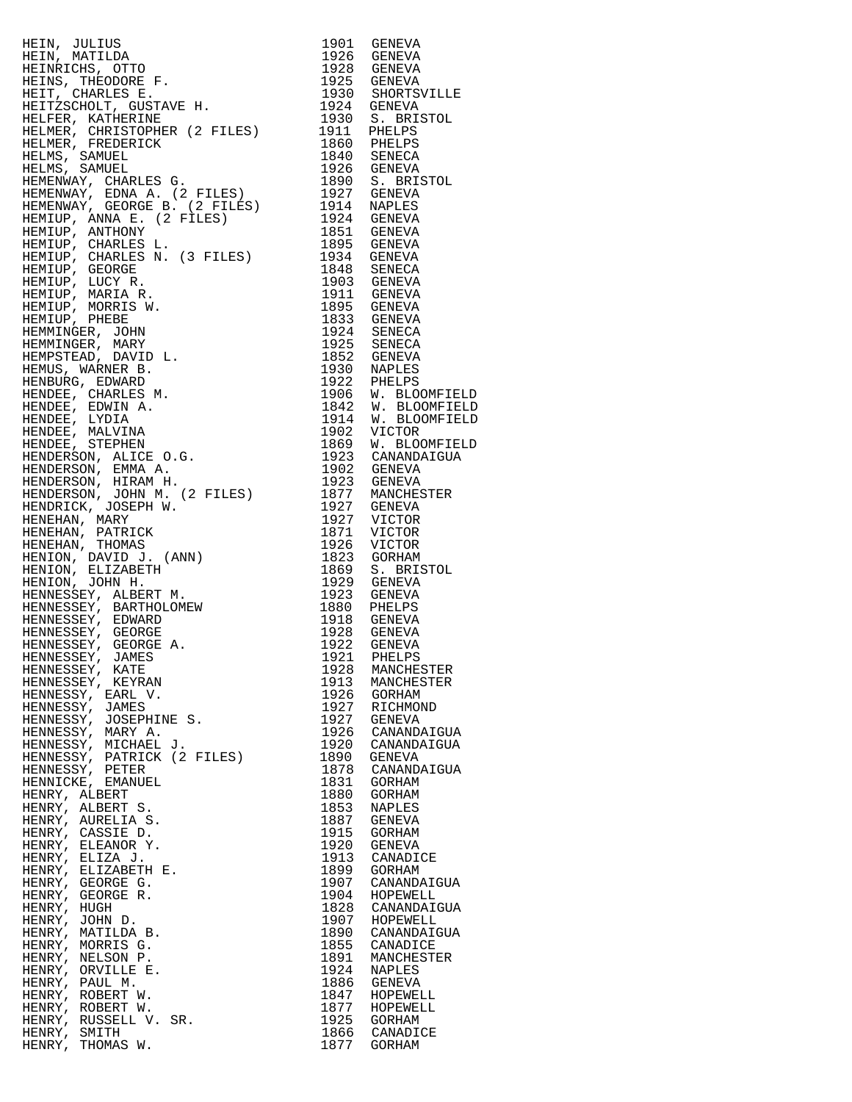HEIN, JULIUS 1901 GENEVA HEIN, MATILDA 1926 GENEVA HEINRICHS, OTTO 1928 GENEVA HEINS, THEODORE F. 1925 GENEVA HEIT, CHARLES E. 1930 SHORTSVILLE HEITZSCHOLT, GUSTAVE H. 1924 GENEVA HELFER, KATHERINE 1930 S. BRISTOL HELMER, CHRISTOPHER (2 FILES) 1911 PHELPS HELMER, FREDERICK 1860 PHELPS HELMS, SAMUEL 1840 SENECA HELMS, SAMUEL 1926 GENEVA HEMENWAY, CHARLES G. 1890 S. BRISTOL HEMENWAY, EDNA A. (2 FILES) 1927 GENEVA HEMENWAY, GEORGE B. (2 FILES) 1914 NAPLES HEMIUP, ANNA E. (2 FILES) 1924 GENEVA HEMIUP, ANTHONY 1851 GENEVA HEMIUP, CHARLES L. 1895 GENEVA HEMIUP, CHARLES N. (3 FILES) 1934 GENEVA HEMIUP, GEORGE 1848 SENECA HEMIUP, LUCY R. 1903 GENEVA HEMIUP, MARIA R. 1911 GENEVA HEMIUP, MORRIS W. 1895 GENEVA HEMIUP, PHEBE 1833 GENEVA HEMMINGER, JOHN 1924 SENECA HEMMINGER, MARY 1925 SENECA HEMPSTEAD, DAVID L. 1852 GENEVA HEMUS, WARNER B. 1930 NAPLES HENBURG, EDWARD 1922 PHELPS HENDEE, CHARLES M. 1906 W. BLOOMFIELD HENDEE, EDWIN A. 1842 W. BLOOMFIELD HENDEE, LYDIA 1914 W. BLOOMFIELD HENDEE, MALVINA 1902 VICTOR HENDEE, STEPHEN 1869 W. BLOOMFIELD HENDERSON, ALICE O.G. 1923 CANANDAIGUA HENDERSON, EMMA A. 1902 GENEVA HENDERSON, HIRAM H. 1923 GENEVA HENDERSON, JOHN M. (2 FILES) 1877 MANCHESTER HENDRICK, JOSEPH W. 1927 GENEVA HENEHAN, MARY 1927 VICTOR HENEHAN, PATRICK 1871 VICTOR HENEHAN, THOMAS 1926 VICTOR HENION, DAVID J. (ANN) 1823 GORHAM HENION, ELIZABETH 1869 S. BRISTOL HENION, JOHN H. 1929 GENEVA HENNESSEY, ALBERT M. 1923 GENEVA HENNESSEY, BARTHOLOMEW 1880 PHELPS HENNESSEY, EDWARD 1918 GENEVA HENNESSEY, GEORGE 1928 GENEVA HENNESSEY, GEORGE A. 1922 GENEVA HENNESSEY, JAMES 1921 PHELPS HENNESSEY, KATE 1928 MANCHESTER HENNESSEY, KEYRAN 1913 MANCHESTER HENNESSY, EARL V. 1926 GORHAM HENNESSY, JAMES 1927 RICHMOND HENNESSY, JOSEPHINE S. 1927 GENEVA HENNESSY, MARY A. 1926 CANANDAIGUA HENNESSY, MICHAEL J. 1920 CANANDAIGUA HENNESSY, PATRICK (2 FILES) 1890 GENEVA HENNESSY, PETER 1878 CANANDAIGUA HENNICKE, EMANUEL 1831 GORHAM HENRY, ALBERT 1880 GORHAM HENRY, ALBERT S. 1853 NAPLES HENRY, AURELIA S. 1887 GENEVA HENRY, CASSIE D. 1915 GORHAM HENRY, ELEANOR Y. 1920 GENEVA HENRY, ELIZA J. 1913 CANADICE HENRY, ELIZABETH E. 1899 GORHAM HENRY, GEORGE G. 1907 CANANDAIGUA HENRY, GEORGE R. 1904 HOPEWELL HENRY, HUGH 1828 CANANDAIGUA HENRY, JOHN D. 1907 HOPEWELL HENRY, MORRIS G. 1855 CANADICE HENRY, NELSON P. 1891 MANCHESTER HENRY, ORVILLE E. 1924 NAPLES HENRY, PAUL M. 1886 GENEVA HENRY, ORVILLE E. 1991 MANCHEST.<br>
HENRY, PAUL M. 1886 GENEVA<br>
HENRY, ROBERT W. 1847 HOPEWELL<br>
HENRY, ROBERT W. 1877 HOPEWELL<br>
HENRY, RUSSELL V. SR. 1925 GORHAM<br>
HENRY, SMITH 1866 CANADICE HENRY, ROBERT W. 1877 HOPEWELL HENRY, RUSSELL V. SR. 1925 GORHAM HENRY, SMITH 1866 CANADICE

1899<br>1904 CANANDAIGUA<br>1904 HOPEWELL<br>1828 CANANDAIGUA<br>1907 HOPEWELL<br>1890 CANANDAIGUA<br>1855 CANADICE HENRY, THOMAS W. 1877 GORHAM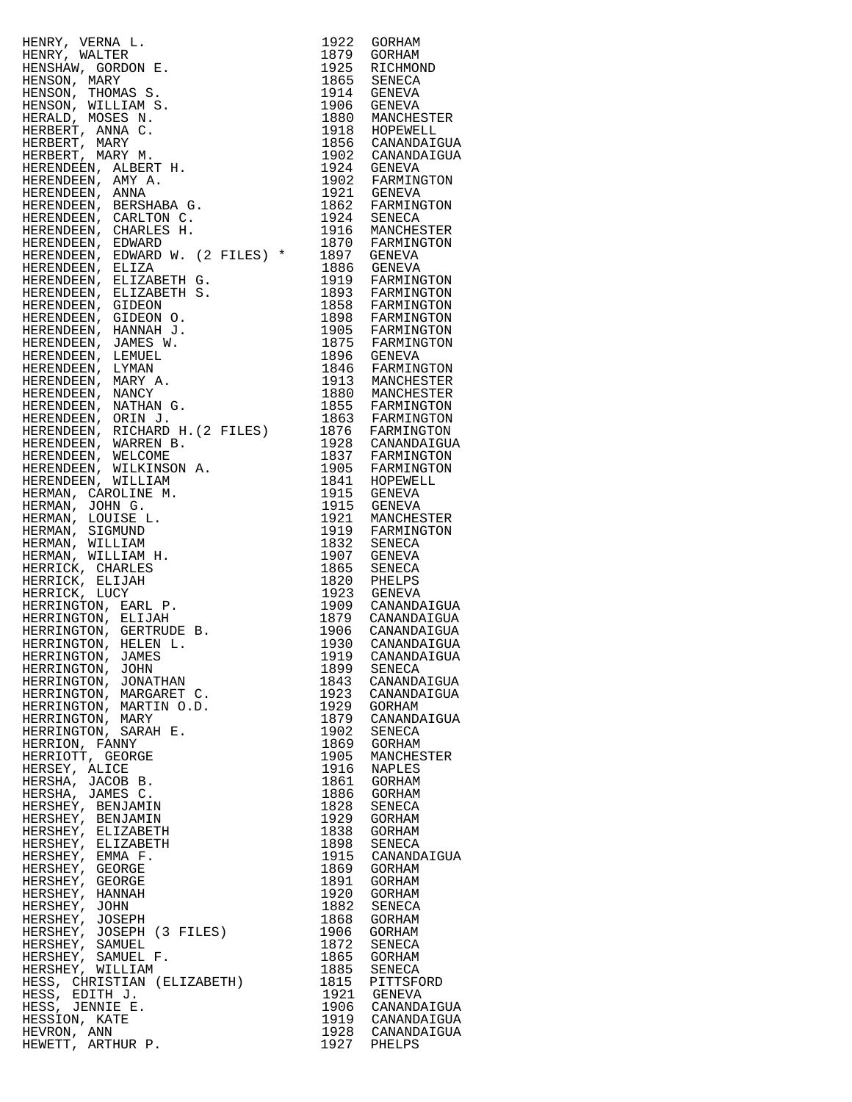| HESS, EDITH J.                                                                                                                                                                                                                                                                                                                                             |                                                     |
|------------------------------------------------------------------------------------------------------------------------------------------------------------------------------------------------------------------------------------------------------------------------------------------------------------------------------------------------------------|-----------------------------------------------------|
| HESS, JENNIE E.                                                                                                                                                                                                                                                                                                                                            | 1921 GENEVA<br>1906 CANANDAIGUA                     |
| HESSION, KATE                                                                                                                                                                                                                                                                                                                                              |                                                     |
| $\begin{tabular}{@{}c c c} \hline new & P1042 & G06488 & 1122 & G06488 \\ \hline P10800000 & 16.7 & 1222 & G06488 \\ \hline P10800000 & 16.7 & 1222 & G06488 \\ \hline P10800000 & 16.7 & 1222 & G06488 \\ \hline P10800000 & 16.7 & 1222 & G06488 \\ \hline Q18000000 & 16.7 & 1222 & G06488 \\ \hline Q18000000 & 1$<br>HEVRON, ANN<br>HEWETT, ARTHUR P. | 1919 CANANDAIGUA<br>1928 CANANDAIGUA<br>1927 PHELPS |

| 1922         | GORHAM                      |
|--------------|-----------------------------|
| 1879         | GORHAM                      |
| 1925         | RICHMOND                    |
| 1865<br>1914 | <b>SENECA</b>               |
| 1906         | GENEVA<br>GENEVA            |
| 1880         | MANCHESTER                  |
| 1918         | HOPEWELL                    |
| 1856         | CANANDAIGUA                 |
| 1902         | CANANDAIGUA                 |
| 1924         | GENEVA                      |
| 1902<br>1921 | FARMINGTON                  |
|              | <b>GENEVA</b>               |
| 1862         | FARMINGTON                  |
| 1924         | SENECA                      |
| 1916<br>1870 | MANCHESTER<br>FARMINGTON    |
| 1897         | GENEVA                      |
| 1886         | GENEVA                      |
| 1919         | FARMINGTON                  |
| 1893         | FARMINGTON                  |
| 1858         | FARMINGTON                  |
| 1898         | FARMINGTON                  |
| 1905<br>1875 | FARMINGTON                  |
|              | FARMINGTON                  |
| 1896<br>1846 | GENEVA                      |
| 1913         | FARMINGTON<br>MANCHESTER    |
| 1880         | MANCHESTER                  |
| 1855         | FARMINGTON                  |
| 1863         | FARMINGTON                  |
| 1876         | FARMINGTON                  |
| 1928         | CANANDAIGUA                 |
| 1837         | FARMINGTON                  |
| 1905         | FARMINGTON                  |
| 1841         | HOPEWELL                    |
| 1915         | GENEVA                      |
| 1915<br>1921 | <b>GENEVA</b><br>MANCHESTER |
| 1919         | FARMINGTON                  |
| 1832         | SENECA                      |
| 1907         | <b>GENEVA</b>               |
| 1865         | SENECA                      |
| 1820<br>1923 | PHELPS                      |
|              | <b>GENEVA</b>               |
| 1909<br>1879 | CANANDAIGUA<br>CANANDAIGUA  |
|              | CANANDAIGUA                 |
| 1906<br>1930 | CANANDAIGUA                 |
| 1919         | CANANDAIGUA                 |
| 1899         | SENECA                      |
| 1843         | CANANDAIGUA                 |
| 1923         | CANANDAIGUA                 |
| 1929<br>1879 | GORHAM                      |
|              | CANANDAIGUA                 |
| 1902<br>1869 | SENECA<br>GORHAM            |
| 1905         | MANCHESTER                  |
| 1916         | <b>NAPLES</b>               |
| 1861         | GORHAM                      |
| 1886         | GORHAM                      |
| 1828         | SENECA                      |
| 1929         | GORHAM                      |
| 1838         | <b>GORHAM</b>               |
| 1898         | SENECA                      |
| 1915<br>1869 | CANANDAIGUA<br>GORHAM       |
| 1891         | GORHAM                      |
| 1920         | GORHAM                      |
| 1882         | SENECA                      |
| 1868         | GORHAM                      |
| 1906<br>1872 | GORHAM                      |
|              | SENECA                      |
| 1865         | GORHAM                      |
| 1885         | SENECA                      |
| 1815<br>1921 | PITTSFORD<br>GENEVA         |
|              | CANANDAIGUA                 |
| 1906<br>1919 | CANANDAIGUA                 |
| 1928         | CANANDAIGUA                 |
| 1927         | PHELPS                      |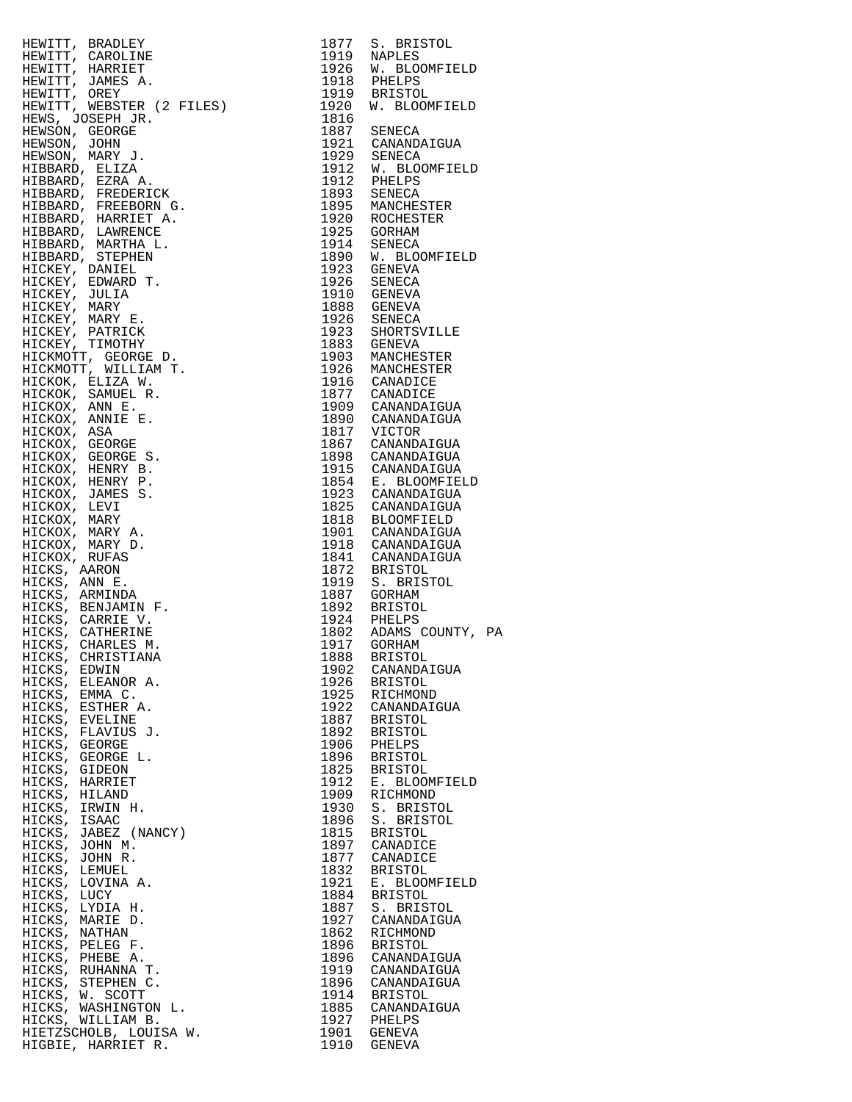| IRENTTP, REAGLES MARIZEN 1977 S. BRISTON, INC. BETWEEN 1980 SERIEVAL DENINITY, REAGNEMENT (ARRIER 1978) 1981 BETWEEN 1980 SERIES AND HOMOGETEIN (1980) WAS BETWEEN 1980 SERIES AND MARIZEN 1980 SERIES AND MARIZEN IN THE CON                                               |              |                             |  |
|-----------------------------------------------------------------------------------------------------------------------------------------------------------------------------------------------------------------------------------------------------------------------------|--------------|-----------------------------|--|
|                                                                                                                                                                                                                                                                             |              |                             |  |
|                                                                                                                                                                                                                                                                             |              |                             |  |
|                                                                                                                                                                                                                                                                             |              |                             |  |
|                                                                                                                                                                                                                                                                             |              |                             |  |
|                                                                                                                                                                                                                                                                             |              |                             |  |
|                                                                                                                                                                                                                                                                             |              |                             |  |
|                                                                                                                                                                                                                                                                             |              |                             |  |
|                                                                                                                                                                                                                                                                             |              |                             |  |
|                                                                                                                                                                                                                                                                             |              |                             |  |
|                                                                                                                                                                                                                                                                             |              |                             |  |
|                                                                                                                                                                                                                                                                             |              |                             |  |
|                                                                                                                                                                                                                                                                             |              |                             |  |
|                                                                                                                                                                                                                                                                             |              |                             |  |
|                                                                                                                                                                                                                                                                             |              |                             |  |
|                                                                                                                                                                                                                                                                             |              |                             |  |
|                                                                                                                                                                                                                                                                             |              |                             |  |
|                                                                                                                                                                                                                                                                             |              |                             |  |
|                                                                                                                                                                                                                                                                             |              |                             |  |
|                                                                                                                                                                                                                                                                             |              |                             |  |
|                                                                                                                                                                                                                                                                             |              |                             |  |
|                                                                                                                                                                                                                                                                             |              |                             |  |
|                                                                                                                                                                                                                                                                             |              |                             |  |
|                                                                                                                                                                                                                                                                             |              |                             |  |
|                                                                                                                                                                                                                                                                             |              |                             |  |
|                                                                                                                                                                                                                                                                             |              |                             |  |
|                                                                                                                                                                                                                                                                             |              |                             |  |
|                                                                                                                                                                                                                                                                             |              |                             |  |
|                                                                                                                                                                                                                                                                             |              |                             |  |
|                                                                                                                                                                                                                                                                             |              |                             |  |
|                                                                                                                                                                                                                                                                             |              |                             |  |
|                                                                                                                                                                                                                                                                             |              |                             |  |
|                                                                                                                                                                                                                                                                             |              |                             |  |
|                                                                                                                                                                                                                                                                             |              |                             |  |
|                                                                                                                                                                                                                                                                             |              |                             |  |
|                                                                                                                                                                                                                                                                             |              |                             |  |
|                                                                                                                                                                                                                                                                             |              |                             |  |
|                                                                                                                                                                                                                                                                             |              |                             |  |
|                                                                                                                                                                                                                                                                             |              |                             |  |
|                                                                                                                                                                                                                                                                             |              |                             |  |
|                                                                                                                                                                                                                                                                             |              |                             |  |
|                                                                                                                                                                                                                                                                             |              |                             |  |
|                                                                                                                                                                                                                                                                             |              |                             |  |
|                                                                                                                                                                                                                                                                             |              |                             |  |
|                                                                                                                                                                                                                                                                             |              |                             |  |
|                                                                                                                                                                                                                                                                             |              |                             |  |
|                                                                                                                                                                                                                                                                             |              |                             |  |
|                                                                                                                                                                                                                                                                             | 1922         | CANANDAIGUA                 |  |
|                                                                                                                                                                                                                                                                             | 1887         | BRISTOL                     |  |
|                                                                                                                                                                                                                                                                             | 1892         | BRISTOL<br>BRISTOL          |  |
|                                                                                                                                                                                                                                                                             | 1906         | PHELPS<br>PHELPS<br>BRISTOL |  |
|                                                                                                                                                                                                                                                                             | 1896         |                             |  |
|                                                                                                                                                                                                                                                                             | 1825         | <b>BRISTOL</b>              |  |
|                                                                                                                                                                                                                                                                             | 1912         | E. BLOOMFIELD               |  |
|                                                                                                                                                                                                                                                                             | 1909<br>1930 | RICHMOND<br>S. BRISTOL      |  |
|                                                                                                                                                                                                                                                                             | 1896         | S. BRISTOL                  |  |
|                                                                                                                                                                                                                                                                             | 1815         | BRISTOL                     |  |
|                                                                                                                                                                                                                                                                             | 1897         | CANADICE                    |  |
| ICKS, ELEANOR<br>ICKS, EMMA C.<br>ICKS, ESTHER A.<br>ICKS, EVELINE<br>ICKS, EVELINE<br>ICKS, FLAVIUS J.<br>ICKS, GEORGE L.<br>ICKS, GEORGE L.<br>ICKS, GIDEON<br>ICKS, HARRIET<br>ICKS, HARRIET<br>ICKS, IRLAND<br>HICKS, IRMIN H.<br>HICKS, ISAAC<br>HICKS, ISAAC<br>HICKS | 1877         | CANADICE                    |  |
|                                                                                                                                                                                                                                                                             | 1832         | <b>BRISTOL</b>              |  |
|                                                                                                                                                                                                                                                                             | 1921         | E. BLOOMFIELD               |  |
|                                                                                                                                                                                                                                                                             | 1884         | <b>BRISTOL</b>              |  |
|                                                                                                                                                                                                                                                                             | 1887<br>1927 | S. BRISTOL<br>CANANDAIGUA   |  |
|                                                                                                                                                                                                                                                                             | 1862         | RICHMOND                    |  |
|                                                                                                                                                                                                                                                                             | 1896         | BRISTOL                     |  |
|                                                                                                                                                                                                                                                                             | 1896         | CANANDAIGUA                 |  |
|                                                                                                                                                                                                                                                                             | 1919         | CANANDAIGUA                 |  |
|                                                                                                                                                                                                                                                                             |              | 1896 CANANDAIGUA            |  |
|                                                                                                                                                                                                                                                                             |              | 1914 BRISTOL                |  |
| HICKS, JOHN R.<br>HICKS, LEMUEL<br>HICKS, LOVINA A.<br>HICKS, LUCY<br>HICKS, MARIE D.<br>HICKS, MARIE D.<br>HICKS, MATHAN<br>HICKS, PELEG F.<br>HICKS, PHEBE A.<br>HICKS, RUHANNA T.<br>HICKS, STEPHEN C.<br>HICKS, W. SCOTT<br>HICKS, WASHINGTON L.<br>HICKS, WASHIN       |              | 1885 CANANDAIGUA            |  |
| HICKS, WILLIAM B.<br>HIETZSCHOLB, LOUISA W.                                                                                                                                                                                                                                 |              | 1927 PHELPS<br>1901 GENEVA  |  |
| ס חיתדססגע תדממדע                                                                                                                                                                                                                                                           |              | $1010$ $C$ FNFVZ            |  |

|                                                                                                                                                                                                                                                                          |      | 1919 NAPLES<br>1926 W. BLOOMFIELD    |  |
|--------------------------------------------------------------------------------------------------------------------------------------------------------------------------------------------------------------------------------------------------------------------------|------|--------------------------------------|--|
|                                                                                                                                                                                                                                                                          |      |                                      |  |
|                                                                                                                                                                                                                                                                          |      |                                      |  |
|                                                                                                                                                                                                                                                                          |      |                                      |  |
| HEWITT, BRADLEY<br>HEWITT, CAROLINE 1919 NAPLES<br>HEWITT, HARRIET 1926 W. BLOOMFIELD<br>HEWITT, JAMES A. 1918 PHELPS<br>HEWITT, OREY 1919 BRISTOL<br>HEWITT, WEBSTER (2 FILES) 1920 W. BLOOMFIELD<br>HEWITT, WEBSTER (2 FILES) 1920 W. BL                               |      |                                      |  |
|                                                                                                                                                                                                                                                                          | 1816 |                                      |  |
|                                                                                                                                                                                                                                                                          |      |                                      |  |
|                                                                                                                                                                                                                                                                          |      | 1887 SENECA                          |  |
|                                                                                                                                                                                                                                                                          |      | 1921 CANANDAIGUA                     |  |
|                                                                                                                                                                                                                                                                          |      | 1929 SENECA                          |  |
|                                                                                                                                                                                                                                                                          |      | 1912 W. BLOOMFIELD                   |  |
|                                                                                                                                                                                                                                                                          |      |                                      |  |
|                                                                                                                                                                                                                                                                          |      | 1912 PHELPS                          |  |
|                                                                                                                                                                                                                                                                          |      | 1893 SENECA                          |  |
|                                                                                                                                                                                                                                                                          |      | 1895 MANCHESTER                      |  |
|                                                                                                                                                                                                                                                                          |      | 1920 ROCHESTER                       |  |
|                                                                                                                                                                                                                                                                          |      | 1925 GORHAM                          |  |
|                                                                                                                                                                                                                                                                          |      |                                      |  |
|                                                                                                                                                                                                                                                                          |      | 1914 SENECA                          |  |
|                                                                                                                                                                                                                                                                          |      | 1890 W. BLOOMFIELD                   |  |
|                                                                                                                                                                                                                                                                          |      | 1923 GENEVA                          |  |
|                                                                                                                                                                                                                                                                          |      | 1926 SENECA                          |  |
|                                                                                                                                                                                                                                                                          |      | 1910 GENEVA                          |  |
|                                                                                                                                                                                                                                                                          |      | 1888 GENEVA                          |  |
|                                                                                                                                                                                                                                                                          |      |                                      |  |
|                                                                                                                                                                                                                                                                          |      | 1926 SENECA                          |  |
|                                                                                                                                                                                                                                                                          |      | 1923 SHORTSVILLE                     |  |
|                                                                                                                                                                                                                                                                          |      | 1883 GENEVA                          |  |
|                                                                                                                                                                                                                                                                          |      | 1903 MANCHESTER                      |  |
|                                                                                                                                                                                                                                                                          |      | 1926 MANCHESTER                      |  |
|                                                                                                                                                                                                                                                                          |      |                                      |  |
|                                                                                                                                                                                                                                                                          |      | 1916 CANADICE                        |  |
|                                                                                                                                                                                                                                                                          |      | 1877 CANADICE                        |  |
|                                                                                                                                                                                                                                                                          |      | 1909 CANANDAIGUA                     |  |
|                                                                                                                                                                                                                                                                          |      | 1890 CANANDAIGUA                     |  |
|                                                                                                                                                                                                                                                                          |      |                                      |  |
|                                                                                                                                                                                                                                                                          |      | 1817 VICTOR<br>1867 CANANDAIGUA      |  |
|                                                                                                                                                                                                                                                                          |      |                                      |  |
|                                                                                                                                                                                                                                                                          |      | 1898 CANANDAIGUA                     |  |
|                                                                                                                                                                                                                                                                          |      | 1915 CANANDAIGUA                     |  |
|                                                                                                                                                                                                                                                                          |      | 1854 E. BLOOMFIELD                   |  |
|                                                                                                                                                                                                                                                                          |      | 1923 CANANDAIGUA                     |  |
|                                                                                                                                                                                                                                                                          |      |                                      |  |
|                                                                                                                                                                                                                                                                          |      | 1825 CANANDAIGUA                     |  |
|                                                                                                                                                                                                                                                                          |      | 1818 BLOOMFIELD                      |  |
| HEWITT, OREY<br>HEWITT, WEBSTER (2 FILES)<br>HEWITT, WEBSTER (2 FILES)<br>HEWSON, GEORGE JR.<br>HEWSON, MARY J.<br>HEWSON, MARY J.<br>HEWSON, MARY J.<br>HIBBARD, EXERA A.<br>HIBBARD, FREDERICK<br>HIBBARD, FREDERICK<br>HIBBARD, FREDERICK<br>HIBBARD, FREDER          |      | 1901 CANANDAIGUA                     |  |
|                                                                                                                                                                                                                                                                          |      | 1918 CANANDAIGUA                     |  |
|                                                                                                                                                                                                                                                                          |      | 1841 CANANDAIGUA                     |  |
|                                                                                                                                                                                                                                                                          |      | 1872 BRISTOL                         |  |
|                                                                                                                                                                                                                                                                          |      |                                      |  |
|                                                                                                                                                                                                                                                                          |      | 1919 S. BRISTOL                      |  |
|                                                                                                                                                                                                                                                                          |      | 1887 GORHAM                          |  |
|                                                                                                                                                                                                                                                                          |      | 1892 BRISTOL                         |  |
|                                                                                                                                                                                                                                                                          |      | 1924 PHELPS                          |  |
|                                                                                                                                                                                                                                                                          |      |                                      |  |
|                                                                                                                                                                                                                                                                          |      | 1802 ADAMS COUNTY, PA<br>1917 GORHAM |  |
|                                                                                                                                                                                                                                                                          |      |                                      |  |
|                                                                                                                                                                                                                                                                          |      |                                      |  |
| HICKS, EDWIN                                                                                                                                                                                                                                                             | 1902 | CANANDAIGUA                          |  |
| HICKS, ELEANOR A.                                                                                                                                                                                                                                                        | 1926 | <b>BRISTOL</b>                       |  |
| HICKS, EMMA C.                                                                                                                                                                                                                                                           | 1925 | RICHMOND                             |  |
| HICKS, ESTHER A.                                                                                                                                                                                                                                                         | 1922 | CANANDAIGUA                          |  |
|                                                                                                                                                                                                                                                                          | 1887 |                                      |  |
| HICKS, EVELINE                                                                                                                                                                                                                                                           |      | <b>BRISTOL</b>                       |  |
| HICKS, FLAVIUS J.                                                                                                                                                                                                                                                        | 1892 | <b>BRISTOL</b>                       |  |
| HICKS, GEORGE                                                                                                                                                                                                                                                            | 1906 | PHELPS                               |  |
| HICKS, GEORGE L.                                                                                                                                                                                                                                                         | 1896 | <b>BRISTOL</b>                       |  |
| HICKS, GIDEON                                                                                                                                                                                                                                                            | 1825 | <b>BRISTOL</b>                       |  |
| HICKS, HARRIET                                                                                                                                                                                                                                                           | 1912 | E. BLOOMFIELD                        |  |
|                                                                                                                                                                                                                                                                          |      |                                      |  |
| HICKS, HILAND                                                                                                                                                                                                                                                            | 1909 | RICHMOND                             |  |
| HICKS, IRWIN H.                                                                                                                                                                                                                                                          | 1930 | S. BRISTOL                           |  |
| HICKS, ISAAC                                                                                                                                                                                                                                                             | 1896 | S. BRISTOL                           |  |
| HICKS, JABEZ (NANCY)                                                                                                                                                                                                                                                     | 1815 | <b>BRISTOL</b>                       |  |
| HICKS, JOHN M.                                                                                                                                                                                                                                                           | 1897 | CANADICE                             |  |
|                                                                                                                                                                                                                                                                          |      |                                      |  |
| HICKS, JOHN R.                                                                                                                                                                                                                                                           | 1877 | CANADICE                             |  |
|                                                                                                                                                                                                                                                                          | 1832 | <b>BRISTOL</b>                       |  |
|                                                                                                                                                                                                                                                                          | 1921 | E. BLOOMFIELD                        |  |
|                                                                                                                                                                                                                                                                          | 1884 | <b>BRISTOL</b>                       |  |
|                                                                                                                                                                                                                                                                          | 1887 | S. BRISTOL                           |  |
|                                                                                                                                                                                                                                                                          | 1927 | CANANDAIGUA                          |  |
|                                                                                                                                                                                                                                                                          |      |                                      |  |
|                                                                                                                                                                                                                                                                          | 1862 | RICHMOND                             |  |
|                                                                                                                                                                                                                                                                          | 1896 | <b>BRISTOL</b>                       |  |
|                                                                                                                                                                                                                                                                          | 1896 | CANANDAIGUA                          |  |
|                                                                                                                                                                                                                                                                          | 1919 | CANANDAIGUA                          |  |
|                                                                                                                                                                                                                                                                          | 1896 | CANANDAIGUA                          |  |
|                                                                                                                                                                                                                                                                          | 1914 | <b>BRISTOL</b>                       |  |
|                                                                                                                                                                                                                                                                          |      |                                      |  |
| HICKS, LEMUEL<br>HICKS, LEMUEL<br>HICKS, LOVINA A.<br>HICKS, LUCY<br>HICKS, LUCY<br>HICKS, NARIE D.<br>HICKS, NATHAN<br>HICKS, PELEG F.<br>HICKS, PHEBE A.<br>HICKS, RUHANNA T.<br>HICKS, STEPHEN C.<br>HICKS, W. SCOTT<br>HICKS, W. SCOTT<br>HICKS, WASHINGTON L.<br>HI | 1885 | CANANDAIGUA                          |  |
| HICKS, WILLIAM B.                                                                                                                                                                                                                                                        | 1927 | PHELPS                               |  |
| HIETZSCHOLB, LOUISA W.                                                                                                                                                                                                                                                   | 1901 | GENEVA                               |  |
| HIGBIE, HARRIET R.                                                                                                                                                                                                                                                       | 1910 | GENEVA                               |  |
|                                                                                                                                                                                                                                                                          |      |                                      |  |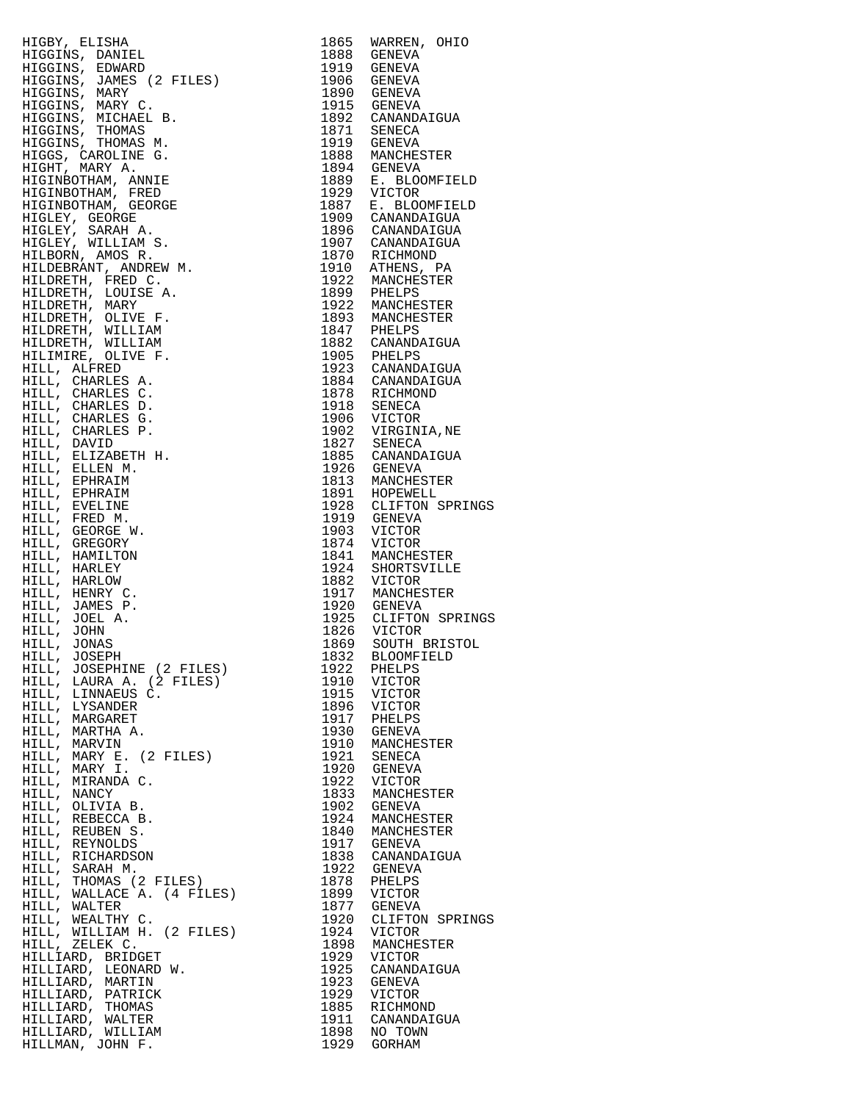| HIGBY, ELISHA                                                                                                                                                                                         |      | 1865 WARREN, OHIO                                                              |
|-------------------------------------------------------------------------------------------------------------------------------------------------------------------------------------------------------|------|--------------------------------------------------------------------------------|
| HIGGINS, DANIEL                                                                                                                                                                                       |      | 1888 GENEVA                                                                    |
| HIGGINS, EDWARD                                                                                                                                                                                       |      | 1919 GENEVA                                                                    |
| HIGGINS, JAMES (2 FILES)                                                                                                                                                                              |      | 1906 GENEVA                                                                    |
|                                                                                                                                                                                                       |      |                                                                                |
| HIGGINS, MARY                                                                                                                                                                                         |      | 1890 GENEVA<br>1915 GENEVA                                                     |
| HIGGINS, MARY C.                                                                                                                                                                                      |      |                                                                                |
| HIGGINS, MICHAEL B.                                                                                                                                                                                   |      | 1892 CANANDAIGUA                                                               |
| HIGGINS, THOMAS                                                                                                                                                                                       |      | 1871 SENECA                                                                    |
|                                                                                                                                                                                                       |      |                                                                                |
| HIGGINS, THOMAS M.                                                                                                                                                                                    |      | 1919 GENEVA                                                                    |
| HIGGS, CAROLINE G.                                                                                                                                                                                    |      | 1888 MANCHESTER                                                                |
| HIGHT, MARY A.                                                                                                                                                                                        |      | 1894 GENEVA<br>1889 E. BLOOMFIELD                                              |
| HIGINBOTHAM, ANNIE                                                                                                                                                                                    |      |                                                                                |
|                                                                                                                                                                                                       |      |                                                                                |
| HIGINBOTHAM, FRED                                                                                                                                                                                     | 1929 | VICTOR                                                                         |
| HIGINBOTHAM, GEORGE                                                                                                                                                                                   |      | 1887 E. BLOOMFIELD                                                             |
| HIGLEY, GEORGE                                                                                                                                                                                        |      | 1909 CANANDAIGUA                                                               |
|                                                                                                                                                                                                       |      | 1896 CANANDAIGUA                                                               |
| HIGLEY, SARAH A.                                                                                                                                                                                      |      |                                                                                |
| HIGLEY, WILLIAM S.                                                                                                                                                                                    |      | 1907 CANANDAIGUA                                                               |
| HILBORN, AMOS R.                                                                                                                                                                                      |      | 1870 RICHMOND                                                                  |
| HILDEBRANT, ANDREW M.                                                                                                                                                                                 |      | 1910 ATHENS, PA<br>1922 MANCHESTER                                             |
|                                                                                                                                                                                                       |      |                                                                                |
| HILDRETH, FRED C.                                                                                                                                                                                     |      |                                                                                |
| HILDRETH, LOUISE A.                                                                                                                                                                                   |      |                                                                                |
| HILDRETH, MARY                                                                                                                                                                                        |      | 1899 PHELPS<br>1922 MANCHESTER<br>1893 MANCHESTER<br>1847 PHELPS               |
| HILDRETH, OLIVE F.                                                                                                                                                                                    |      |                                                                                |
|                                                                                                                                                                                                       |      |                                                                                |
| HILDRETH, WILLIAM                                                                                                                                                                                     |      |                                                                                |
| HILDRETH, WILLIAM                                                                                                                                                                                     |      | 1882 CANANDAIGUA                                                               |
| HILIMIRE, OLIVE F.                                                                                                                                                                                    |      |                                                                                |
| HILL, ALFRED                                                                                                                                                                                          |      |                                                                                |
|                                                                                                                                                                                                       |      | 1905 PHELPS<br>1905 PHELPS<br>1923 CANANDAIGUA<br>1878 RICHMOND<br>1918 SENECA |
| HILL, CHARLES A.                                                                                                                                                                                      |      |                                                                                |
| HILL, CHARLES C.                                                                                                                                                                                      |      |                                                                                |
| HILL, CHARLES D.                                                                                                                                                                                      |      |                                                                                |
|                                                                                                                                                                                                       |      |                                                                                |
| HILL, CHARLES G.                                                                                                                                                                                      |      |                                                                                |
| HILL, CHARLES P.                                                                                                                                                                                      |      | 1906 VICTOR<br>1902 VIRGINIA, NE                                               |
| HILL, DAVID                                                                                                                                                                                           |      | 1827 SENECA<br>1827 SENECA<br>1885 CANANDAIGUA                                 |
| HILL, ELIZABETH H.                                                                                                                                                                                    |      |                                                                                |
| HILL, ELLEN M.                                                                                                                                                                                        |      |                                                                                |
|                                                                                                                                                                                                       |      |                                                                                |
| HILL, EPHRAIM                                                                                                                                                                                         |      | 1926 GENEVA<br>1813 MANCHESTER                                                 |
| HILL, EPHRAIM                                                                                                                                                                                         |      |                                                                                |
| HILL, EVELINE                                                                                                                                                                                         |      | 1891 HOPEWELL<br>1928 CLIFTON SPRINGS                                          |
| HILL, FRED M.                                                                                                                                                                                         |      | 1919 GENEVA                                                                    |
|                                                                                                                                                                                                       |      | 1903 VICTOR                                                                    |
| HILL, GEORGE W.                                                                                                                                                                                       |      |                                                                                |
| HILL, GREGORY                                                                                                                                                                                         |      | 1874 VICTOR                                                                    |
| HILL, HAMILTON                                                                                                                                                                                        |      | 1841 MANCHESTER                                                                |
| HILL, HARLEY                                                                                                                                                                                          |      |                                                                                |
| HILL, HARLOW                                                                                                                                                                                          |      | 1924 SHORTSVILLE<br>1882 VICTOR                                                |
| HILL, HENRY C.                                                                                                                                                                                        |      | 1917 MANCHESTER                                                                |
|                                                                                                                                                                                                       |      | 1920 GENEVA                                                                    |
| HILL, JAMES P.                                                                                                                                                                                        |      |                                                                                |
| HILL, JOEL A.                                                                                                                                                                                         |      | 1925 CLIFTON SPRINGS<br>1826 VICTOR                                            |
| HILL, JOHN                                                                                                                                                                                            |      |                                                                                |
| HILL, JONAS                                                                                                                                                                                           | 1869 | SOUTH BRISTOL                                                                  |
| HILL, JOSEPH                                                                                                                                                                                          |      | 1832 BLOOMFIELD                                                                |
| HILL, JOSEPHINE (2 FILES)                                                                                                                                                                             | 1922 | PHELPS                                                                         |
|                                                                                                                                                                                                       |      | 1910 VICTOR                                                                    |
| HILL, LAURA A. (2 FILES)                                                                                                                                                                              |      |                                                                                |
| HILL, LINNAEUS C.                                                                                                                                                                                     | 1915 | VICTOR                                                                         |
| HILL, LYSANDER                                                                                                                                                                                        |      | 1896 VICTOR                                                                    |
| HILL, MARGARET                                                                                                                                                                                        |      | 1917 PHELPS                                                                    |
| HILL, MARTHA A.                                                                                                                                                                                       |      | 1930 GENEVA                                                                    |
| HILL, MARVIN                                                                                                                                                                                          |      |                                                                                |
| HILL, MARY E. (2 FILES)                                                                                                                                                                               |      | 1910 MANCHESTER<br>1921 SENECA                                                 |
|                                                                                                                                                                                                       |      |                                                                                |
| HILL, MARY I.                                                                                                                                                                                         |      | 1920 GENEVA                                                                    |
| HILL, MIRANDA C.                                                                                                                                                                                      |      | 1922 VICTOR                                                                    |
| HILL, NANCY                                                                                                                                                                                           |      | 1833 MANCHESTER                                                                |
| HILL, OLIVIA B.                                                                                                                                                                                       |      | 1902 GENEVA                                                                    |
|                                                                                                                                                                                                       |      |                                                                                |
|                                                                                                                                                                                                       |      | 1924 MANCHESTER<br>1840 MANCHESTER                                             |
|                                                                                                                                                                                                       |      |                                                                                |
|                                                                                                                                                                                                       |      | 1917 GENEVA<br>1838 CANANDAIGUA                                                |
|                                                                                                                                                                                                       |      |                                                                                |
|                                                                                                                                                                                                       |      | 1922 GENEVA                                                                    |
|                                                                                                                                                                                                       |      |                                                                                |
| HILL, REBECCA B.<br>HILL, REBECCA B.<br>HILL, REUBEN S.<br>HILL, REYNOLDS<br>HILL, RICHARDSON<br>HILL, SARAH M.<br>HILL, THOMAS (2 FILES)<br>HILL, WALLACE A. (4 FILES)<br>HILL, WALLACE A. (4 FILES) |      | 1878 PHELPS                                                                    |
|                                                                                                                                                                                                       |      | 1899 VICTOR<br>1877 GENEVA                                                     |
| HILL, WALTER                                                                                                                                                                                          |      |                                                                                |
| HILL, WEALTHY C.                                                                                                                                                                                      | 1920 | CLIFTON SPRINGS                                                                |
| HILL, WILLIAM H. (2 FILES)                                                                                                                                                                            | 1924 | VICTOR                                                                         |
|                                                                                                                                                                                                       |      |                                                                                |
| HILL, ZELEK C.                                                                                                                                                                                        | 1898 | MANCHESTER                                                                     |
| HILLIARD, BRIDGET                                                                                                                                                                                     | 1929 | VICTOR                                                                         |
| HILLIARD, LEONARD W.                                                                                                                                                                                  | 1925 | CANANDAIGUA                                                                    |
| HILLIARD, MARTIN                                                                                                                                                                                      | 1923 | GENEVA                                                                         |
| HILLIARD, PATRICK                                                                                                                                                                                     | 1929 | VICTOR                                                                         |
| HILLIARD, THOMAS                                                                                                                                                                                      | 1885 | RICHMOND                                                                       |
|                                                                                                                                                                                                       |      |                                                                                |
| HILLIARD, WALTER                                                                                                                                                                                      | 1911 | CANANDAIGUA                                                                    |
| HILLIARD, WILLIAM                                                                                                                                                                                     |      | 1898 NO TOWN                                                                   |
| HILLMAN, JOHN F.                                                                                                                                                                                      |      | 1929 GORHAM                                                                    |

| 1865         | WARREN, OHIO                       |
|--------------|------------------------------------|
| 1888         | <b>GENEVA</b>                      |
| 1919         | <b>GENEVA</b>                      |
| 1906<br>1890 | <b>GENEVA</b><br><b>GENEVA</b>     |
| 1915         | <b>GENEVA</b>                      |
| 1892         | CANANDAIGUA                        |
| 1871         | SENECA                             |
| 1919         | <b>GENEVA</b>                      |
| 1888<br>1894 | MANCHESTER                         |
|              | GENEVA                             |
| 1889<br>1929 | E. BLOOMFIELD<br>VICTOR            |
| 1887         | E. BLOOMFIELD                      |
| 1909         | CANANDAIGUA                        |
| 1896         | CANANDAIGUA                        |
| 1907         | CANANDAIGUA                        |
| 1870         | RICHMOND                           |
| 1910         | ATHENS, PA<br>MANCHESTER           |
| 1922<br>1899 | PHELPS                             |
|              |                                    |
| 1922<br>1893 | MANCHESTER<br>MANCHESTER           |
| 1847         | PHELPS                             |
| 1882         | CANANDAIGUA                        |
| 1905<br>1923 | PHELPS                             |
| 1884         | CANANDAIGUA<br>CANANDAIGUA         |
| 1878         | RICHMOND                           |
| 1918         | SENECA                             |
| 1906         | VICTOR                             |
| 1902         | VIRGINIA, NE                       |
| 1827         | SENECA                             |
| 1885<br>1926 | CANANDAIGUA                        |
| 1813         | GENEVA<br>MANCHESTER               |
| 1891         | HOPEWELL                           |
| 1928         | CLIFTON SPRINGS                    |
| 1919         | <b>GENEVA</b>                      |
| 1903         | VICTOR                             |
| 1874         | VICTOR                             |
| 1841<br>1924 | MANCHESTER<br>SHORTSVILLE          |
| 1882         | VICTOR                             |
| 1917         | MANCHESTER                         |
| 1920         | <b>GENEVA</b>                      |
| 1925         | CLIFTON SPRINGS                    |
| 1826         | VICTOR                             |
| 1869<br>1832 | SOUTH BRISTOL<br><b>BLOOMFIELD</b> |
| 1922         | PHELPS                             |
| 1910         | VICTOR                             |
| 1915         | VICTOR                             |
| 1896         | VICTOR                             |
| 1917         | PHELPS                             |
| 1930<br>1910 | <b>GENEVA</b><br>MANCHESTER        |
|              | SENECA                             |
| 1921<br>1920 | <b>GENEVA</b>                      |
| 1922<br>1833 | VICTOR                             |
|              | MANCHESTER                         |
| 1902         | <b>GENEVA</b>                      |
| 1924         | MANCHESTER                         |
| 1840<br>1917 | MANCHESTER<br><b>GENEVA</b>        |
|              | CANANDAIGUA                        |
| 1838<br>1922 | <b>GENEVA</b>                      |
| 1878         | PHELPS                             |
| 1899         | VICTOR                             |
| 1877         | <b>GENEVA</b>                      |
| 1920         | CLIFTON SPRINGS                    |
| 1924<br>1898 | VICTOR<br>MANCHESTER               |
|              | VICTOR                             |
| 1929<br>1925 | CANANDAIGUA                        |
| 1923         | <b>GENEVA</b>                      |
| 1929         | VICTOR                             |
| 1885<br>1911 | RICHMOND<br>CANANDAIGUA            |
|              | NO TOWN                            |
| 1898<br>1929 | GORHAM                             |
|              |                                    |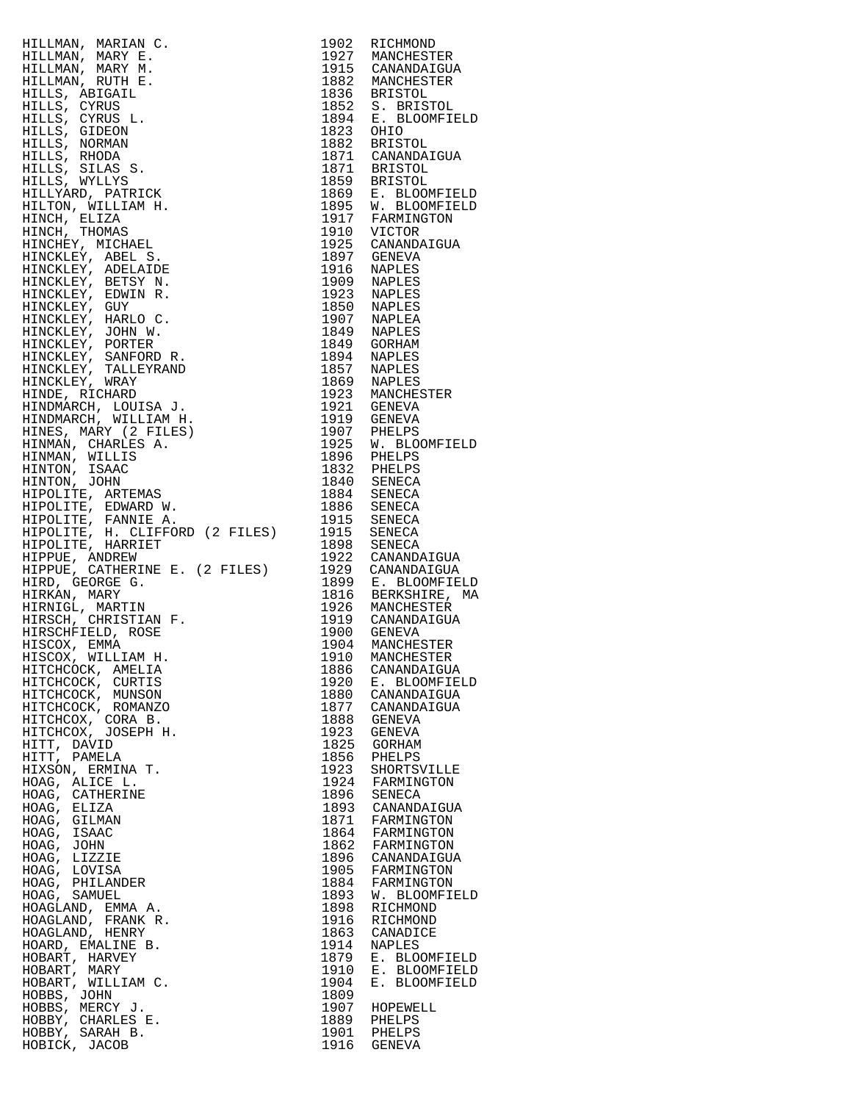HILLMAN, MARIAN C. 1902 RICHMOND HILLMAN, MARY E. 1927 MANCHESTER HILLMAN, MARY M. 1915 CANANDAIGUA HILLMAN, RUTH E. 1882 MANCHESTER HILLS, ABIGAIL 1836 BRISTOL HILLS, CYRUS 1852 S. BRISTOL HILLS, CYRUS L. 1894 E. BLOOMFIELD HILLS, CYRUS L.<br>HILLS, GIDEON<br>HILLS, NORMAN HILLS, NORMAN 1882 BRISTOL HILLS, RHODA 1871 CANANDAIGUA HILLS, SILAS S. 1871 BRISTOL HILLS, WYLLYS 1859 BRISTOL HILLYARD, PATRICK<br>HILLYARD, PATRICK<br>HILTON, WILLIAM H. HILTON, WILLIAM H. 1895 W. BLOOMFIELD HINCH, ELIZA 1917 FARMINGTON HINCH, THOMAS 1910 VICTOR HINCHEY, MICHAEL 1925 CANANDAIGUA HINCKLEY, ABEL S. 1897 GENEVA HINCKLEY, ADELAIDE 1916 NAPLES HINCKLEY, BETSY N. 1909 NAPLES HINCKLEY, EDWIN R. 1923 NAPLES HINCKLEY, GUY 1850 NAPLES HINCKLEY, HARLO C. 1907 NAPLEA HINCKLEY, JOHN W. 1849 NAPLES HINCKLEY, PORTER 1849 GORHAM HINCKLEY, SANFORD R. 1894 NAPLES HINCKLEY, TALLEYRAND 1857 NAPLES HINCKLEY, WRAY 1869 NAPLES HINDE, RICHARD 1923 MANCHESTER HINDMARCH, LOUISA J. 1921 GENEVA HINDMARCH, WILLIAM H. 1919 GENEVA HINES, MARY (2 FILES) 1907 PHELPS HINMAN, CHARLES A. 1925 W. BLOOMFIELD HINMAN, WILLIS 1896 PHELPS HINTON, ISAAC 1832 PHELPS HINTON, JOHN 1840 SENECA HIPOLITE, ARTEMAS 1884 SENECA HIPOLITE, EDWARD W. 1886 SENECA HIPOLITE, FANNIE A. 1915 SENECA HIPOLITE, H. CLIFFORD (2 FILES) 1915 SENECA HIPOLITE, HARRIET 1898 SENECA HIPPUE, ANDREW 1922 CANANDAIGUA HIPPUE, CATHERINE E. (2 FILES) 1929 CANANDAIGUA HIRD, GEORGE G. 1899 E. BLOOMFIELD HIRKAN, MARY 1816 BERKSHIRE, MA HIRNIGL, MARTIN 1926 MANCHESTER HIRSCH, CHRISTIAN F. 1919 CANANDAIGUA HIRSCHFIELD, ROSE 1900 GENEVA HISCOX, EMMA 1904 MANCHESTER HISCOX, WILLIAM H. 1910 MANCHESTER HITCHCOCK, AMELIA 1886 CANANDAIGUA HITCHCOCK, CURTIS 1920 E. BLOOMFIELD HITCHCOCK, MUNSON 1880 CANANDAIGUA HITCHCOCK, ROMANZO 1877 CANANDAIGUA HITCHCOX, CORA B. 1888 GENEVA HITCHCOX, JOSEPH H. 1923 GENEVA HITT, DAVID 1825 GORHAM HITT, PAMELA 1856 PHELPS HIXSON, ERMINA T. 1923 SHORTSVILLE HOAG, ALICE L. 1924 FARMINGTON HOAG, CATHERINE<br>HOAG, ELIZA HOAG, ELIZA 1893 CANANDAIGUA HOAG, GILMAN 1871 FARMINGTON HOAG, ISAAC 1864 FARMINGTON HOAG, JOHN 1862 FARMINGTON HOAG, LIZZIE 1896 CANANDAIGUA HOAG, LOVISA 1905 FARMINGTON HOAG, PHILANDER 1884 FARMINGTON HOAG, SAMUEL 1893 W. BLOOMFIELD HOAGLAND, EMMA A. 1898 RICHMOND HOAGLAND, FRANK R. 1916 RICHMOND HOAGLAND, HENRY 1863 CANADICE HOARD, EMALINE B.<br>HOBART, HARVEY HOBART, HARVEY 1879 E. BLOOMFIELD HOBART, MARY 1910 E. BLOOMFIELD HOBART, WILLIAM C. 1904 E. BLOOMFIELD HOBBS, JOHN 1809<br>HOBBS, MERCY J. 1907 HOBBY, CHARLES E. 1889 PHELPS HOBBY, SARAH B. 1901 PHELPS HOBICK, JACOB 1916 GENEVA

1907 HOPEWELL<br>1889 PHELPS<br>1901 PHELPS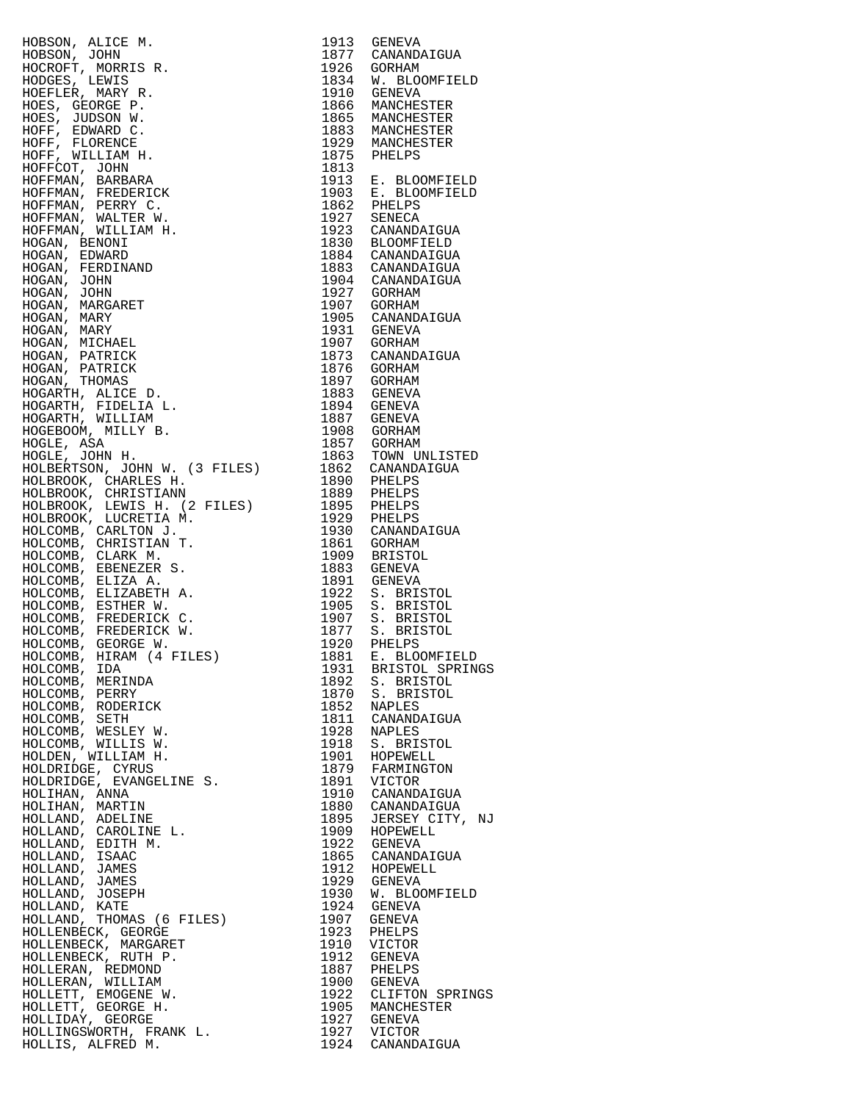HOBSON, ALICE M. 1913 GENEVA HOBSON, JOHN 1877 CANANDAIGUA HOCROFT, MORRIS R.<br>HODGES, LEWIS<br>HOEFLER, MARY R. HODGES, LEWIS 1834 W. BLOOMFIELD HOEFLER, MARY R. 1910 GENEVA HOES, GEORGE P. 1866 MANCHESTER HOES, JUDSON W. 1865 MANCHESTER HOFF, EDWARD C. 1883 MANCHESTER HOFF, FLORENCE 1929 MANCHESTER HOFF, WILLIAM H. 1875 PHELPS HOFFCOT, JOHN 1813 HOFFMAN, BARBARA 1913 E. BLOOMFIELD HOFFMAN, FREDERICK 1903 E. BLOOMFIELD HOFFMAN, PERRY C. 1862 PHELPS HOFFMAN, WALTER W. 1927 SENECA HOFFMAN, WILLIAM H. 1923 CANANDAIGUA HOGAN, BENONI 1830 BLOOMFIELD HOGAN, EDWARD 1884 CANANDAIGUA HOGAN, FERDINAND 1883 CANANDAIGUA HOGAN, JOHN 1904 CANANDAIGUA HOGAN, JOHN 1927 GORHAM HOGAN, MARGARET 1907 GORHAM HOGAN, MARY 1905 CANANDAIGUA HOGAN, MARY 1931 GENEVA HOGAN, MICHAEL 1907 GORHAM HOGAN, PATRICK 1873 CANANDAIGUA HOGAN, PATRICK 1876 GORHAM HOGAN, THOMAS 1897 GORHAM HOGARTH, ALICE D. 1883 GENEVA HOGARTH, FIDELIA L. 1894 GENEVA HOGARTH, WILLIAM 1887 GENEVA HOGEBOOM, MILLY B. 1908 GORHAM HOGLE, ASA 1857 GORHAM HOGLE, JOHN H. 1863 TOWN UNLISTED HOLBERTSON, JOHN W. (3 FILES) 1862 CANANDAIGUA HOLBROOK, CHARLES H. 1890 PHELPS HOLBROOK, CHRISTIANN 1889 PHELPS HOLBROOK, LEWIS H. (2 FILES) 1895 PHELPS HOLBROOK, LUCRETIA M. 1929 PHELPS HOLCOMB, CARLTON J. 1930 CANANDAIGUA HOLCOMB, CHRISTIAN T. 1861 GORHAM HOLCOMB, CLARK M. 1909 BRISTOL HOLCOMB, EBENEZER S. 1883 GENEVA HOLCOMB, ELIZA A. 1891 GENEVA HOLCOMB, ELIZABETH A. 1922 S. BRISTOL HOLCOMB, ESTHER W. 1905 S. BRISTOL HOLCOMB, FREDERICK C. 1907 S. BRISTOL HOLCOMB, FREDERICK W. 1877 S. BRISTOL HOLCOMB, GEORGE W. 1920 PHELPS HOLCOMB, HIRAM (4 FILES) 1881 E. BLOOMFIELD HOLCOMB, IDA 1931 BRISTOL SPRINGS HOLCOMB, MERINDA 1892 S. BRISTOL HOLCOMB, PERRY 1870 S. BRISTOL HOLCOMB, RODERICK 1852 NAPLES HOLCOMB, SETH 1811 CANANDAIGUA HOLCOMB, WESLEY W. 1928 NAPLES HOLCOMB, WILLIS W. 1918 S. BRISTOL HOLDEN, WILLIAM H. 1901 HOPEWELL HOLDRIDGE, CYRUS 1879 FARMINGTON HOLDRIDGE, EVANGELINE S. 1891 VICTOR HOLIHAN, ANNA 1910 CANANDAIGUA HOLIHAN, MARTIN 1880 CANANDAIGUA HOLLAND, ADELINE 1895 JERSEY CITY, NJ HOLLAND, CAROLINE L. 1909 HOPEWELL HOLLAND, EDITH M. 1922 GENEVA HOLLAND, ISAAC 1865 CANANDAIGUA HOLLAND, JAMES 1912 HOPEWELL HOLLAND, JAMES 1929 GENEVA HOLLAND, JOSEPH 1930 W. BLOOMFIELD HOLLAND, KATE 1924 GENEVA HOLLAND, THOMAS (6 FILES) 1907 GENEVA HOLLENBECK, GEORGE 1923 PHELPS HOLLENBECK, MARGARET 1910 VICTOR HOLLENBECK, RUTH P. 1912 GENEVA HOLLERAN, REDMOND 1887 PHELPS HOLLERAN, WILLIAM 1900 GENEVA HOLLETT, EMOGENE W. 1922 CLIFTON SPRINGS HOLLETT, GEORGE H. 1905 MANCHESTER HOLLIDAY, GEORGE 1927 GENEVA HOLLINGSWORTH, FRANK L. 1927 VICTOR

HOLLIS, ALFRED M. 1924 CANANDAIGUA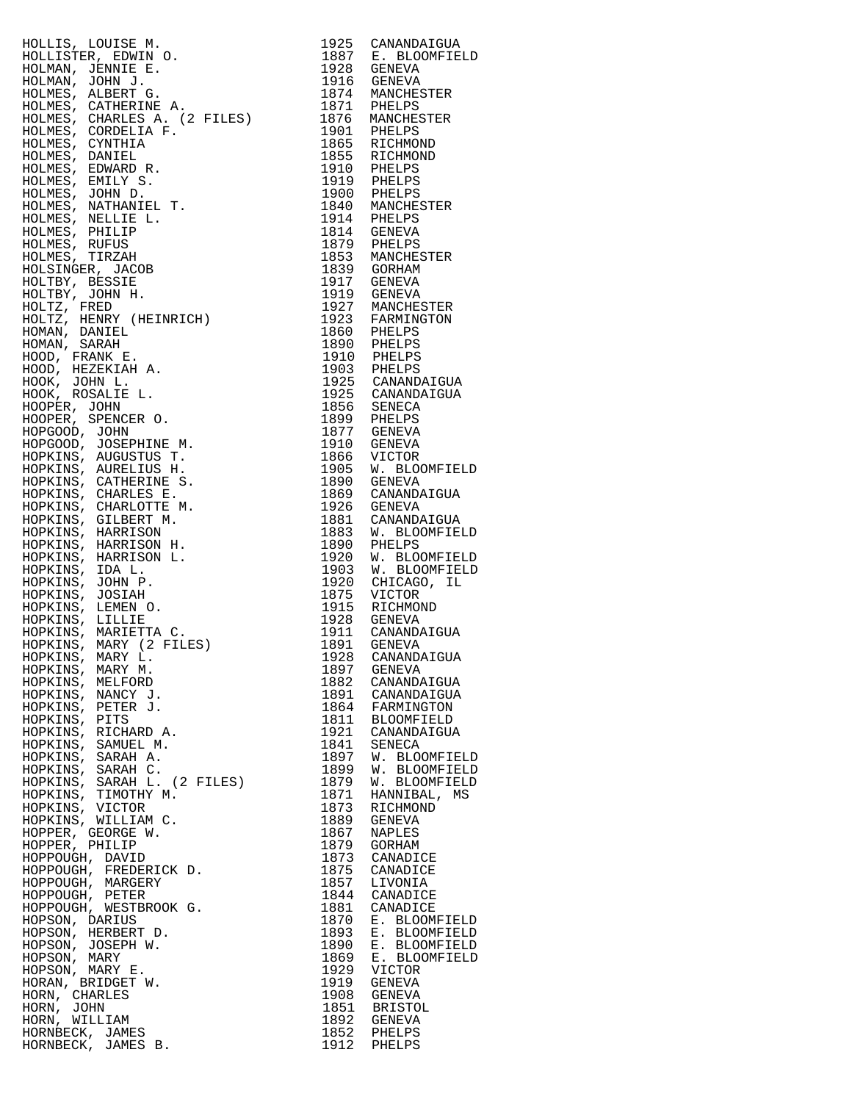|                                                                                                                                                                                                                                                |      | 1925 CANANDAIGUA                   |
|------------------------------------------------------------------------------------------------------------------------------------------------------------------------------------------------------------------------------------------------|------|------------------------------------|
|                                                                                                                                                                                                                                                |      | 1887 E. BLOOMFIELD                 |
|                                                                                                                                                                                                                                                |      |                                    |
|                                                                                                                                                                                                                                                |      |                                    |
|                                                                                                                                                                                                                                                |      |                                    |
|                                                                                                                                                                                                                                                |      |                                    |
|                                                                                                                                                                                                                                                |      |                                    |
|                                                                                                                                                                                                                                                |      |                                    |
|                                                                                                                                                                                                                                                |      |                                    |
|                                                                                                                                                                                                                                                |      |                                    |
|                                                                                                                                                                                                                                                |      |                                    |
|                                                                                                                                                                                                                                                |      |                                    |
|                                                                                                                                                                                                                                                |      |                                    |
|                                                                                                                                                                                                                                                |      |                                    |
|                                                                                                                                                                                                                                                |      |                                    |
|                                                                                                                                                                                                                                                |      |                                    |
|                                                                                                                                                                                                                                                |      |                                    |
|                                                                                                                                                                                                                                                |      |                                    |
|                                                                                                                                                                                                                                                |      |                                    |
|                                                                                                                                                                                                                                                |      |                                    |
|                                                                                                                                                                                                                                                |      |                                    |
|                                                                                                                                                                                                                                                |      |                                    |
|                                                                                                                                                                                                                                                |      |                                    |
|                                                                                                                                                                                                                                                |      |                                    |
|                                                                                                                                                                                                                                                |      |                                    |
|                                                                                                                                                                                                                                                |      |                                    |
|                                                                                                                                                                                                                                                |      |                                    |
|                                                                                                                                                                                                                                                |      |                                    |
|                                                                                                                                                                                                                                                |      |                                    |
|                                                                                                                                                                                                                                                |      |                                    |
|                                                                                                                                                                                                                                                |      |                                    |
|                                                                                                                                                                                                                                                |      |                                    |
|                                                                                                                                                                                                                                                |      |                                    |
|                                                                                                                                                                                                                                                |      |                                    |
|                                                                                                                                                                                                                                                |      |                                    |
|                                                                                                                                                                                                                                                |      |                                    |
|                                                                                                                                                                                                                                                |      |                                    |
|                                                                                                                                                                                                                                                |      |                                    |
|                                                                                                                                                                                                                                                |      |                                    |
|                                                                                                                                                                                                                                                |      |                                    |
| ROLMES, ALERET G. 1974 WANCHESTER<br>ROLMES, ACRESTINE A. (2 FILES)<br>1971 WELLES ACRESS CRANCES A. (2 FILES)<br>1971 PERICANO ACRESS CRANCES A. (2 FILES)<br>1971 PERICANO ACRESS DANIEL 1971 PERICHANON<br>1972 NECESS DANIEL 1983 PRODUCT  |      |                                    |
|                                                                                                                                                                                                                                                |      |                                    |
|                                                                                                                                                                                                                                                |      |                                    |
|                                                                                                                                                                                                                                                |      |                                    |
|                                                                                                                                                                                                                                                |      |                                    |
|                                                                                                                                                                                                                                                |      |                                    |
|                                                                                                                                                                                                                                                |      |                                    |
|                                                                                                                                                                                                                                                |      |                                    |
|                                                                                                                                                                                                                                                |      |                                    |
|                                                                                                                                                                                                                                                |      |                                    |
|                                                                                                                                                                                                                                                |      |                                    |
|                                                                                                                                                                                                                                                |      |                                    |
|                                                                                                                                                                                                                                                |      |                                    |
|                                                                                                                                                                                                                                                |      |                                    |
|                                                                                                                                                                                                                                                |      |                                    |
|                                                                                                                                                                                                                                                |      |                                    |
|                                                                                                                                                                                                                                                |      |                                    |
|                                                                                                                                                                                                                                                |      |                                    |
|                                                                                                                                                                                                                                                |      |                                    |
|                                                                                                                                                                                                                                                |      |                                    |
|                                                                                                                                                                                                                                                |      |                                    |
|                                                                                                                                                                                                                                                |      | 1871 HANNIBAL, MS<br>1873 RICHMOND |
|                                                                                                                                                                                                                                                |      | 1889 GENEVA                        |
|                                                                                                                                                                                                                                                |      | 1867 NAPLES                        |
|                                                                                                                                                                                                                                                |      | 1879 GORHAM                        |
|                                                                                                                                                                                                                                                |      | 1873 CANADICE                      |
|                                                                                                                                                                                                                                                |      | 1875 CANADICE<br>1857 LIVONIA      |
|                                                                                                                                                                                                                                                |      |                                    |
|                                                                                                                                                                                                                                                |      | 1844 CANADICE                      |
|                                                                                                                                                                                                                                                |      | 1881 CANADICE                      |
|                                                                                                                                                                                                                                                |      | 1870 E. BLOOMFIELD                 |
|                                                                                                                                                                                                                                                |      | 1893 E. BLOOMFIELD                 |
|                                                                                                                                                                                                                                                |      | 1890 E. BLOOMFIELD                 |
|                                                                                                                                                                                                                                                |      | 1869 E. BLOOMFIELD                 |
|                                                                                                                                                                                                                                                | 1929 | VICTOR                             |
|                                                                                                                                                                                                                                                |      | 1919 GENEVA                        |
|                                                                                                                                                                                                                                                |      | 1908 GENEVA                        |
|                                                                                                                                                                                                                                                |      | 1851 BRISTOL                       |
| AND THE TRIM (NOTE)<br>THE SECTION OF THE SECTION OF PODOUGH, PARTICLE OF PODOUGH, FREDERICK D.<br>IOPPOUGH, FREDERICK D.<br>IOPPOUGH, MARGERY<br>OPPOUGH, NESTBROOK G.<br>PEON, HERBERT D.<br>PSON, HERBERT D.<br>PSON, JOSEPH W.<br>"SON, MA |      | 1892 GENEVA                        |
|                                                                                                                                                                                                                                                |      | 1852 PHELPS                        |

| HOLLIST LOUISE M. 1925 CANAMBATION (1925 CANAMBATION)<br>HOLLISTER, EDWIN O. 1987 & BACAMBATION<br>HOLLISTER, ENERGY C. 1996 & SELOWETELD<br>HOLLISTER, CATHERINE R. 1997 & GREEN MANUESTER<br>HOLLISTER SCHEME TREE.<br>HOLLIST CONDELLA F.                    |              |                                     |
|-----------------------------------------------------------------------------------------------------------------------------------------------------------------------------------------------------------------------------------------------------------------|--------------|-------------------------------------|
|                                                                                                                                                                                                                                                                 |              |                                     |
|                                                                                                                                                                                                                                                                 |              |                                     |
|                                                                                                                                                                                                                                                                 |              |                                     |
|                                                                                                                                                                                                                                                                 |              |                                     |
|                                                                                                                                                                                                                                                                 |              |                                     |
|                                                                                                                                                                                                                                                                 |              |                                     |
|                                                                                                                                                                                                                                                                 |              |                                     |
|                                                                                                                                                                                                                                                                 |              |                                     |
|                                                                                                                                                                                                                                                                 |              |                                     |
|                                                                                                                                                                                                                                                                 |              |                                     |
|                                                                                                                                                                                                                                                                 |              |                                     |
|                                                                                                                                                                                                                                                                 |              |                                     |
|                                                                                                                                                                                                                                                                 |              |                                     |
|                                                                                                                                                                                                                                                                 |              |                                     |
|                                                                                                                                                                                                                                                                 |              |                                     |
|                                                                                                                                                                                                                                                                 |              |                                     |
|                                                                                                                                                                                                                                                                 |              |                                     |
|                                                                                                                                                                                                                                                                 |              |                                     |
|                                                                                                                                                                                                                                                                 |              |                                     |
|                                                                                                                                                                                                                                                                 |              |                                     |
|                                                                                                                                                                                                                                                                 |              |                                     |
|                                                                                                                                                                                                                                                                 |              |                                     |
|                                                                                                                                                                                                                                                                 |              |                                     |
|                                                                                                                                                                                                                                                                 |              |                                     |
|                                                                                                                                                                                                                                                                 |              |                                     |
|                                                                                                                                                                                                                                                                 |              |                                     |
|                                                                                                                                                                                                                                                                 |              |                                     |
|                                                                                                                                                                                                                                                                 |              |                                     |
|                                                                                                                                                                                                                                                                 |              |                                     |
|                                                                                                                                                                                                                                                                 |              |                                     |
|                                                                                                                                                                                                                                                                 |              |                                     |
|                                                                                                                                                                                                                                                                 |              |                                     |
|                                                                                                                                                                                                                                                                 |              |                                     |
|                                                                                                                                                                                                                                                                 |              |                                     |
|                                                                                                                                                                                                                                                                 |              |                                     |
|                                                                                                                                                                                                                                                                 |              |                                     |
|                                                                                                                                                                                                                                                                 |              |                                     |
|                                                                                                                                                                                                                                                                 |              |                                     |
| HOPKINS, MARY L.<br>HOPKINS, MARY M.<br>HOPKINS, MELFORD<br>HOPKINS, NANCY J.<br>HOPKINS, PETER J.<br>HOPKINS, RICHARD A.<br>HOPKINS, SAMUEL M.<br>HOPKINS, SARAH A.<br>HOPKINS, SARAH A.<br>HOPKINS, SARAH A.                                                  |              |                                     |
|                                                                                                                                                                                                                                                                 | 1897<br>1882 | GENEVA<br>CANANDAIGUA               |
|                                                                                                                                                                                                                                                                 |              | 1891 CANANDAIGUA                    |
|                                                                                                                                                                                                                                                                 |              | 1864 FARMINGTON                     |
|                                                                                                                                                                                                                                                                 |              | 1811 BLOOMFIELD<br>1921 CANANDAIGUA |
|                                                                                                                                                                                                                                                                 |              | 1841 SENECA                         |
|                                                                                                                                                                                                                                                                 | 1897         | W. BLOOMFIELD                       |
| HOPKINS, SARAH C.<br>NOTATING, SARAH U.<br>HONKINS, SARAH L. (2 FILES)                                                                                                                                                                                          | 1899         | W. BLOOMFIELD                       |
| HOPKINS, TIMOTHY M.                                                                                                                                                                                                                                             | 1879<br>1871 | W. BLOOMFIELD<br>HANNIBAL, MS       |
|                                                                                                                                                                                                                                                                 | 1873         | RICHMOND                            |
|                                                                                                                                                                                                                                                                 | 1889         | GENEVA                              |
|                                                                                                                                                                                                                                                                 | 1867         | NAPLES                              |
|                                                                                                                                                                                                                                                                 | 1879<br>1873 | GORHAM<br>CANADICE                  |
|                                                                                                                                                                                                                                                                 |              | 1875 CANADICE                       |
|                                                                                                                                                                                                                                                                 | 1857         | LIVONIA                             |
|                                                                                                                                                                                                                                                                 | 1844         | CANADICE                            |
|                                                                                                                                                                                                                                                                 | 1881<br>1870 | CANADICE<br>E. BLOOMFIELD           |
|                                                                                                                                                                                                                                                                 | 1893         | E. BLOOMFIELD                       |
|                                                                                                                                                                                                                                                                 | 1890         | E. BLOOMFIELD                       |
|                                                                                                                                                                                                                                                                 | 1869<br>1929 | E. BLOOMFIELD<br>VICTOR             |
|                                                                                                                                                                                                                                                                 | 1919         | GENEVA                              |
|                                                                                                                                                                                                                                                                 | 1908         | GENEVA                              |
|                                                                                                                                                                                                                                                                 | 1851         | BRISTOL                             |
|                                                                                                                                                                                                                                                                 |              | 1892 GENEVA                         |
| HOPKINS, SARAH L. (2 FILES)<br>HOPKINS, TIMOTHY M.<br>HOPKINS, VICTOR<br>HOPKINS, WILLIAM C.<br>HOPER, GEORGE W.<br>HOPPER, PHILIP<br>HOPPOUGH, DAVID<br>HOPPOUGH, MARGERY<br>HOPPOUGH, MARGERY<br>HOPPOUGH, MESTBROOK G.<br>HOPPOUGH, MESTBROOK G.<br>HOPPOUGH |              | 1852 PHELPS<br>1912 PHELPS          |
|                                                                                                                                                                                                                                                                 |              |                                     |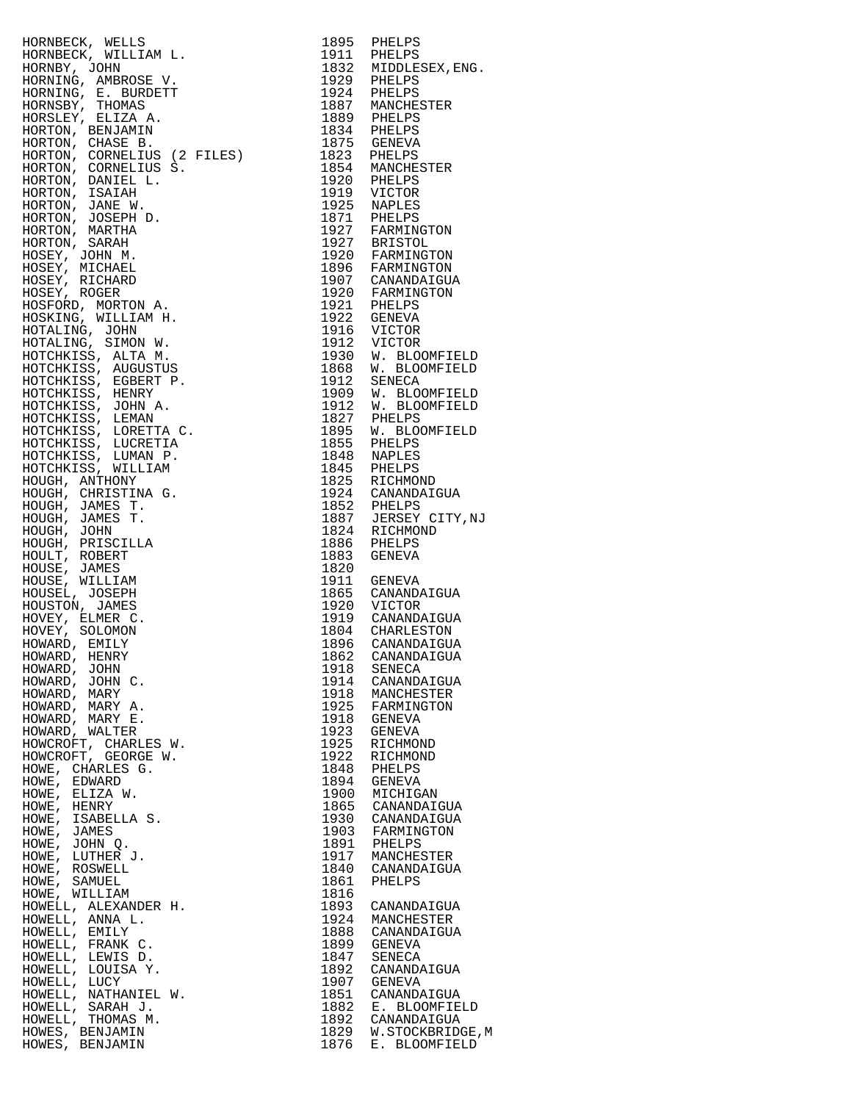| HORNBECK, WELLS                                                                                                                                  | 1895         | PHELPS                              |
|--------------------------------------------------------------------------------------------------------------------------------------------------|--------------|-------------------------------------|
| HORNBECK, WILLIAM L.                                                                                                                             |              | 1911 PHELPS                         |
| HORNBY, JOHN                                                                                                                                     |              | 1832 MIDDLESEX, ENG.                |
| HORNING, AMBROSE V.                                                                                                                              |              | 1929 PHELPS                         |
|                                                                                                                                                  |              |                                     |
| HORNING, E. BURDETT                                                                                                                              | 1924         | PHELPS                              |
| HORNSBY, THOMAS                                                                                                                                  |              | 1887 MANCHESTER                     |
| HORSLEY, ELIZA A.                                                                                                                                |              |                                     |
| HORTON, BENJAMIN                                                                                                                                 |              | 1889 PHELPS<br>1834 PHELPS          |
|                                                                                                                                                  |              |                                     |
| HORTON, CHASE B.                                                                                                                                 |              |                                     |
| HORTON, CORNELIUS (2 FILES)                                                                                                                      |              | FHELPS<br>1875 GENEVA<br>1823 DILL  |
| HORTON, CORNELIUS S.                                                                                                                             |              | 1854 MANCHESTER                     |
| HORTON, DANIEL L.                                                                                                                                |              | 1920 PHELPS                         |
|                                                                                                                                                  |              |                                     |
| HORTON, ISAIAH                                                                                                                                   |              | 1919 VICTOR                         |
| HORTON, JANE W.                                                                                                                                  |              | 1925 NAPLES                         |
| HORTON, JOSEPH D.                                                                                                                                |              | 1871 PHELPS<br>1927 FARMINGTON      |
| HORTON, MARTHA                                                                                                                                   |              |                                     |
|                                                                                                                                                  |              |                                     |
| HORTON, SARAH                                                                                                                                    |              | 1927 BRISTOL<br>1920 FARMINGTON     |
| HOSEY, JOHN M.                                                                                                                                   |              |                                     |
| HOSEY, MICHAEL                                                                                                                                   |              | 1896 FARMINGTON<br>1907 CANANDAIGUA |
| HOSEY, RICHARD                                                                                                                                   |              |                                     |
| HOSEY, ROGER                                                                                                                                     |              | 1920 FARMINGTON<br>1921 PHELPS      |
| HOSFORD, MORTON A.                                                                                                                               |              |                                     |
|                                                                                                                                                  |              |                                     |
| HOSKING, WILLIAM H.                                                                                                                              |              | 1922 GENEVA<br>1916 VICTOR          |
| HOTALING, JOHN                                                                                                                                   |              |                                     |
| HOTALING, SIMON W.                                                                                                                               |              | 1912 VICTOR                         |
| HOTCHKISS, ALTA M.                                                                                                                               |              | 1930 W. BLOOMFIELD                  |
|                                                                                                                                                  |              | 1868 W. BLOOMFIELD                  |
| HOTCHKISS, AUGUSTUS                                                                                                                              |              |                                     |
| HOTCHKISS, EGBERT P.                                                                                                                             |              | 1912 SENECA                         |
| HOTCHKISS, HENRY                                                                                                                                 |              | 1909 W. BLOOMFIELD                  |
| HOTCHKISS, JOHN A.                                                                                                                               |              | 1912 W. BLOOMFIELD                  |
| HOTCHKISS, LEMAN                                                                                                                                 |              |                                     |
|                                                                                                                                                  |              | 1827 PHELPS<br>1895 W. BLOOMFIELD   |
| HOTCHKISS, LORETTA C.                                                                                                                            |              |                                     |
| HOTCHKISS, LUCRETIA                                                                                                                              |              | 1855 PHELPS                         |
| HOTCHKISS, LUMAN P.                                                                                                                              |              | 1848 NAPLES                         |
| HOTCHKISS, WILLIAM                                                                                                                               |              | 1845 PHELPS                         |
| HOUGH, ANTHONY                                                                                                                                   |              | 1825 RICHMOND                       |
|                                                                                                                                                  |              |                                     |
| HOUGH, CHRISTINA G.                                                                                                                              |              | 1924 CANANDAIGUA                    |
| HOUGH, JAMES T.                                                                                                                                  |              | 1852 PHELPS                         |
| HOUGH, JAMES T.                                                                                                                                  |              | 1887 JERSEY CITY, NJ                |
| HOUGH, JOHN                                                                                                                                      |              | 1824 RICHMOND                       |
|                                                                                                                                                  | 1886         | PHELPS                              |
| HOUGH, PRISCILLA                                                                                                                                 |              |                                     |
| HOULT, ROBERT                                                                                                                                    | 1883         | GENEVA                              |
| HOUSE, JAMES                                                                                                                                     | 1820         |                                     |
| HOUSE, WILLIAM                                                                                                                                   |              | 1911 GENEVA                         |
| HOUSEL, JOSEPH                                                                                                                                   |              | 1865 CANANDAIGUA<br>1920 VICTOR     |
| HOUSTON, JAMES                                                                                                                                   |              |                                     |
|                                                                                                                                                  |              |                                     |
| HOVEY, ELMER C.                                                                                                                                  |              | 1919 CANANDAIGUA                    |
| HOVEY, SOLOMON                                                                                                                                   |              | 1804 CHARLESTON                     |
| HR (2 FILES)<br>IUS (2 FILES)<br>IUS S.<br>L.<br>D.<br>D.<br>A.<br>M.<br>W.<br>TP.<br>A.<br>TA C.<br>TIA<br>P.<br>M<br>G.<br>C.<br>HOWARD, EMILY | 1896         | CANANDAIGUA                         |
| HOWARD, HENRY                                                                                                                                    |              | 1862 CANANDAIGUA                    |
| HOWARD, JOHN                                                                                                                                     | 1918         | SENECA                              |
| HOWARD, JOHN C.                                                                                                                                  | 1914         |                                     |
|                                                                                                                                                  |              | CANANDAIGUA                         |
| HOWARD, MARY                                                                                                                                     | 1918         | MANCHESTER                          |
| HOWARD, MARY A.                                                                                                                                  | 1925         | FARMINGTON                          |
| HOWARD, MARY E.                                                                                                                                  | 1918         | GENEVA                              |
| HOWARD, WALTER                                                                                                                                   | 1923         | GENEVA                              |
| HOWCROFT, CHARLES W.                                                                                                                             | 1925         | RICHMOND                            |
|                                                                                                                                                  |              |                                     |
| HOWCROFT, GEORGE W.                                                                                                                              | 1922         | RICHMOND                            |
| HOWE, CHARLES G.                                                                                                                                 | 1848         | PHELPS                              |
| HOWE,<br>EDWARD                                                                                                                                  | 1894         | GENEVA                              |
| HOWE,<br>ELIZA W.                                                                                                                                | 1900         | MICHIGAN                            |
| HOWE,<br>HENRY                                                                                                                                   | 1865         | CANANDAIGUA                         |
|                                                                                                                                                  |              |                                     |
| ISABELLA S.<br>HOWE,                                                                                                                             | 1930         | CANANDAIGUA                         |
| HOWE,<br>JAMES                                                                                                                                   | 1903         | FARMINGTON                          |
| HOWE,<br>JOHN Q.                                                                                                                                 | 1891         | PHELPS                              |
| LUTHER J.<br>HOWE,                                                                                                                               | 1917         | MANCHESTER                          |
| HOWE,<br>ROSWELL                                                                                                                                 | 1840         | CANANDAIGUA                         |
|                                                                                                                                                  |              |                                     |
| HOWE,<br>SAMUEL                                                                                                                                  | 1861         | PHELPS                              |
| HOWE, WILLIAM                                                                                                                                    | 1816         |                                     |
| HOWELL, ALEXANDER H.                                                                                                                             | 1893         | CANANDAIGUA                         |
| HOWELL, ANNA L.                                                                                                                                  | 1924         | MANCHESTER                          |
| HOWELL, EMILY                                                                                                                                    | 1888         | CANANDAIGUA                         |
| HOWELL, FRANK C.                                                                                                                                 | 1899         | GENEVA                              |
|                                                                                                                                                  |              |                                     |
| HOWELL, LEWIS D.                                                                                                                                 | 1847         | SENECA                              |
| HOWELL, LOUISA Y.                                                                                                                                | 1892         | CANANDAIGUA                         |
| HOWELL, LUCY                                                                                                                                     | 1907         | GENEVA                              |
| HOWELL, NATHANIEL W.                                                                                                                             | 1851         | CANANDAIGUA                         |
| HOWELL, SARAH J.                                                                                                                                 | 1882         | E. BLOOMFIELD                       |
|                                                                                                                                                  | 1892         | CANANDAIGUA                         |
| HOWELL, THOMAS M.                                                                                                                                |              |                                     |
|                                                                                                                                                  |              |                                     |
| HOWES, BENJAMIN<br>HOWES, BENJAMIN                                                                                                               | 1829<br>1876 | W.STOCKBRIDGE, M<br>E. BLOOMFIELD   |

| 1895                 | PHELPS                          |
|----------------------|---------------------------------|
| 1911<br>1832         | PHELPS<br>MIDDLESEX, ENG.       |
| 1929                 | PHELPS                          |
| 1924                 | PHELPS                          |
| 1887                 | MANCHESTER                      |
| 1889<br>1834         | PHELPS<br>PHELPS                |
| 1875                 | GENEVA                          |
| 1823                 | PHELPS                          |
| 1854                 | MANCHESTER                      |
| 1920<br>1919         | PHELPS<br>VICTOR                |
| 1925                 | <b>NAPLES</b>                   |
| 1871                 | PHELPS                          |
| 1927<br>1927         | FARMINGTON<br><b>BRISTOL</b>    |
| 1920                 | FARMINGTON                      |
| 1896                 | FARMINGTON                      |
| 1907                 | CANANDAIGUA                     |
| 1920<br>1921         | FARMINGTON<br>PHELPS            |
| 1922                 | GENEVA                          |
| 1916                 | VICTOR                          |
| 1912                 | VICTOR                          |
| 1930<br>1868         | W. BLOOMFIELD<br>W. BLOOMFIELD  |
| 1912                 | SENECA                          |
| 1909                 | W. BLOOMFIELD                   |
| 1912                 | W. BLOOMFIELD                   |
| 1827<br>1895         | PHELPS<br>W. BLOOMFIELD         |
| 1855                 | PHELPS                          |
| 1848                 | NAPLES                          |
| 1845<br>1825         | PHELPS<br>RICHMOND              |
| 1924                 | CANANDAIGUA                     |
| 1852                 | PHELPS                          |
| 1887                 | JERSEY CITY, NJ                 |
| 1824<br>1886         | RICHMOND<br>PHELPS              |
| 1883                 | GENEVA                          |
| 1820                 |                                 |
| 1911<br>1865         | GENEVA                          |
| 1920                 | CANANDAIGUA<br>VICTOR           |
| 1919                 | CANANDAIGUA                     |
| 1804                 | CHARLESTON                      |
| 1896<br>1862         | CANANDAIGUA<br>CANANDAIGUA      |
| 1918                 | SENECA                          |
| 1914                 | CANANDAIGUA                     |
| 1918                 | MANCHESTER                      |
| 1925<br>1918         | FARMINGTON<br><b>GENEVA</b>     |
| 1923                 | GENEVA                          |
| 1925                 | RICHMOND                        |
| 1922                 | RICHMOND                        |
| 1848<br>1894         | PHELPS                          |
|                      |                                 |
| 1900                 | <b>GENEVA</b>                   |
| 1865                 | MICHIGAN<br>CANANDAIGUA         |
| 1930                 | CANANDAIGUA                     |
| 1903                 | FARMINGTON                      |
| 1891<br>1917         | PHELPS<br>MANCHESTER            |
| 1840                 | CANANDAIGUA                     |
| 1861                 | PHELPS                          |
| 1816                 |                                 |
| 1893<br>1924         | CANANDAIGUA<br>MANCHESTER       |
| 1888                 | CANANDAIGUA                     |
| 1899                 | GENEVA                          |
| 1847                 | SENECA                          |
| 1892<br>1907         | CANANDAIGUA<br>GENEVA           |
| 1851                 | CANANDAIGUA                     |
| 1882                 | E. BLOOMFIELD                   |
| 1892<br>1829<br>1876 | CANANDAIGUA<br>W.STOCKBRIDGE, M |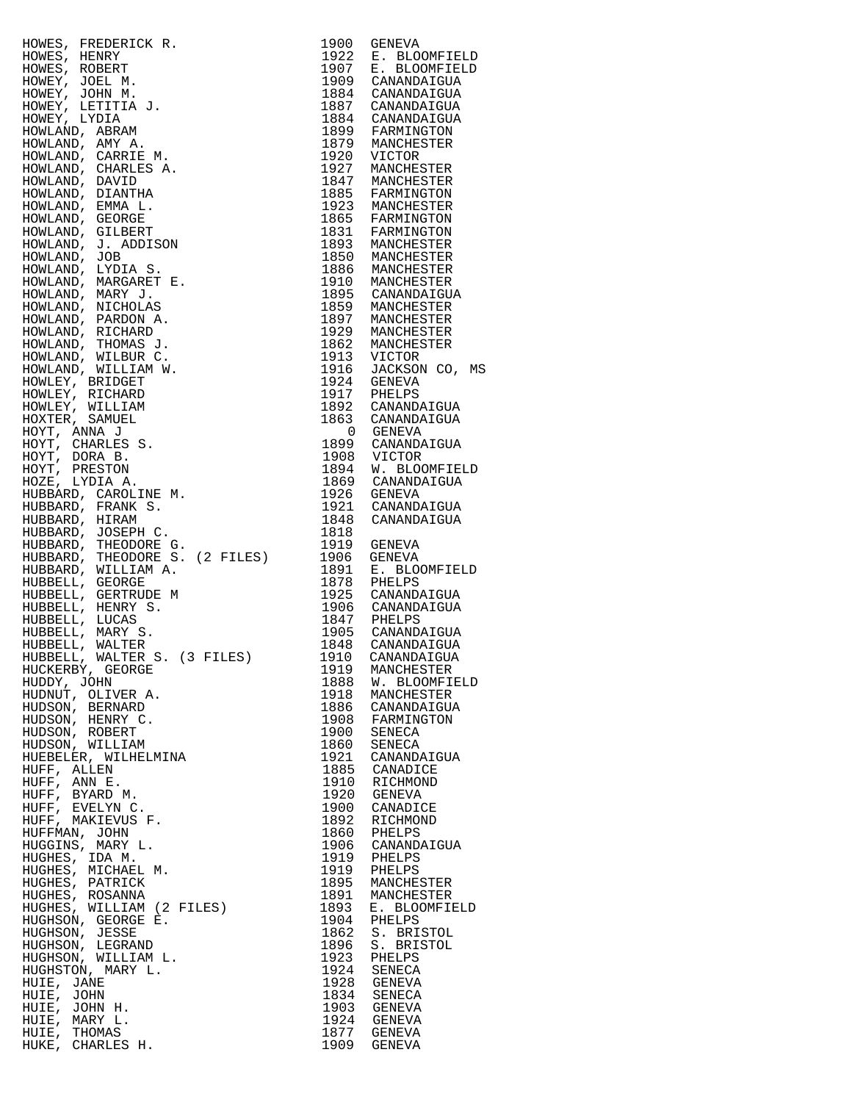| HOWES, FREDERICK R.<br>HOWES, FIENNY<br>HOWES, RENER<br>HOWES, ROBERT<br>HOWEY, JOHN M.<br>HOWEY, LYDIA M.<br>HOWEY, LYDIA M.<br>HOWEY, LYDIA M.<br>HOWLAND, ABRAM R.<br>HOWLAND, CHARLES A.<br>HOWLAND, CHARLES A.<br>HOWLAND, DIANTHA LOWLAND, DIANGER<br>HOWLAN | 1900         | GENEVA                                                                                                                                                                                                                        |
|--------------------------------------------------------------------------------------------------------------------------------------------------------------------------------------------------------------------------------------------------------------------|--------------|-------------------------------------------------------------------------------------------------------------------------------------------------------------------------------------------------------------------------------|
|                                                                                                                                                                                                                                                                    |              | 1922 E. BLOOMFIELD<br>1907 E. BLOOMFIELD                                                                                                                                                                                      |
|                                                                                                                                                                                                                                                                    |              | 1909 CANANDAIGUA                                                                                                                                                                                                              |
|                                                                                                                                                                                                                                                                    |              | 1884 CANANDAIGUA                                                                                                                                                                                                              |
|                                                                                                                                                                                                                                                                    |              |                                                                                                                                                                                                                               |
|                                                                                                                                                                                                                                                                    |              | 1887 CANANDAIGUA<br>1884 CANANDAIGUA                                                                                                                                                                                          |
|                                                                                                                                                                                                                                                                    |              |                                                                                                                                                                                                                               |
|                                                                                                                                                                                                                                                                    |              | 1899 FARMINGTON<br>1879 MANCHESTER                                                                                                                                                                                            |
|                                                                                                                                                                                                                                                                    |              |                                                                                                                                                                                                                               |
|                                                                                                                                                                                                                                                                    |              | 1920 VICTOR<br>1927 MANCHESTER                                                                                                                                                                                                |
|                                                                                                                                                                                                                                                                    |              | 1847 MANCHESTER<br>1885 FARMINGTON                                                                                                                                                                                            |
|                                                                                                                                                                                                                                                                    |              |                                                                                                                                                                                                                               |
|                                                                                                                                                                                                                                                                    |              | 1923 MANCHESTER<br>1865 FARMINGTON<br>1831 FARMINGTON<br>1893 MANCHESTER                                                                                                                                                      |
|                                                                                                                                                                                                                                                                    |              |                                                                                                                                                                                                                               |
|                                                                                                                                                                                                                                                                    |              |                                                                                                                                                                                                                               |
|                                                                                                                                                                                                                                                                    |              | 1893 MANCHESTER<br>1850 MANCHESTER<br>1886 MANCHESTER<br>1910 MANCHESTER<br>1895 CANANDAIGUA<br>1859 MANCHESTER<br>1897 MANCHESTER<br>1929 MANCHESTER<br>1929 MANCHESTER<br>1913 VICTOR<br>1916 JACKSON CO, MS<br>1924 GENEVA |
|                                                                                                                                                                                                                                                                    |              |                                                                                                                                                                                                                               |
|                                                                                                                                                                                                                                                                    |              |                                                                                                                                                                                                                               |
|                                                                                                                                                                                                                                                                    |              |                                                                                                                                                                                                                               |
|                                                                                                                                                                                                                                                                    |              |                                                                                                                                                                                                                               |
|                                                                                                                                                                                                                                                                    |              |                                                                                                                                                                                                                               |
|                                                                                                                                                                                                                                                                    |              |                                                                                                                                                                                                                               |
|                                                                                                                                                                                                                                                                    |              |                                                                                                                                                                                                                               |
|                                                                                                                                                                                                                                                                    |              |                                                                                                                                                                                                                               |
|                                                                                                                                                                                                                                                                    |              |                                                                                                                                                                                                                               |
|                                                                                                                                                                                                                                                                    |              | 1924 GENEVA<br>1917 PHELPS                                                                                                                                                                                                    |
|                                                                                                                                                                                                                                                                    |              |                                                                                                                                                                                                                               |
|                                                                                                                                                                                                                                                                    |              | 1892 CANANDAIGUA<br>1863 CANANDAIGUA                                                                                                                                                                                          |
|                                                                                                                                                                                                                                                                    |              | 0 GENEVA                                                                                                                                                                                                                      |
|                                                                                                                                                                                                                                                                    |              | 1899 CANANDAIGUA                                                                                                                                                                                                              |
|                                                                                                                                                                                                                                                                    |              |                                                                                                                                                                                                                               |
|                                                                                                                                                                                                                                                                    |              | 1908 VICTOR<br>1894 W. BLOOMFIELD                                                                                                                                                                                             |
|                                                                                                                                                                                                                                                                    |              | 1869 CANANDAIGUA<br>1926 GENEVA                                                                                                                                                                                               |
|                                                                                                                                                                                                                                                                    |              |                                                                                                                                                                                                                               |
|                                                                                                                                                                                                                                                                    |              | 1921 CANANDAIGUA<br>1848 CANANDAIGUA                                                                                                                                                                                          |
|                                                                                                                                                                                                                                                                    |              |                                                                                                                                                                                                                               |
|                                                                                                                                                                                                                                                                    | 1818         |                                                                                                                                                                                                                               |
|                                                                                                                                                                                                                                                                    |              | 1919 GENEVA                                                                                                                                                                                                                   |
| HUBBARD, WILLIAM A.                                                                                                                                                                                                                                                |              |                                                                                                                                                                                                                               |
| HUBBELL, GEORGE                                                                                                                                                                                                                                                    |              | 1906 GENEVA<br>1891 E. BLOOMFIELD<br>1878 PHELPS<br>1925 CANANDAIGUA                                                                                                                                                          |
| HUBBELL, GERTRUDE M                                                                                                                                                                                                                                                |              |                                                                                                                                                                                                                               |
| HUBBELL, HENRY S.                                                                                                                                                                                                                                                  |              | 1906 CANANDAIGUA<br>1847 PHELPS                                                                                                                                                                                               |
| HUBBELL, LUCAS                                                                                                                                                                                                                                                     |              |                                                                                                                                                                                                                               |
| HUBBELL, MARY S.                                                                                                                                                                                                                                                   |              | 1905 CANANDAIGUA<br>1848 CANANDAIGUA                                                                                                                                                                                          |
| HUBBELL, WALTER                                                                                                                                                                                                                                                    |              |                                                                                                                                                                                                                               |
| HUBBELL, WALTER S. (3 FILES)                                                                                                                                                                                                                                       | 1910         | CANANDAIGUA                                                                                                                                                                                                                   |
| HUCKERBY, GEORGE<br>HUDDY, JOHN                                                                                                                                                                                                                                    | 1919<br>1888 | MANCHESTER<br>W. BLOOMFIELD                                                                                                                                                                                                   |
| HUDNUT, OLIVER A.                                                                                                                                                                                                                                                  | 1918         | MANCHESTER                                                                                                                                                                                                                    |
| HUDSON, BERNARD                                                                                                                                                                                                                                                    | 1886         | CANANDAIGUA                                                                                                                                                                                                                   |
| HUDSON, HENRY C.                                                                                                                                                                                                                                                   |              | 1908 FARMINGTON                                                                                                                                                                                                               |
| HUDSON, ROBERT                                                                                                                                                                                                                                                     | 1900         | SENECA                                                                                                                                                                                                                        |
| HUDSON, WILLIAM                                                                                                                                                                                                                                                    | 1860         | SENECA                                                                                                                                                                                                                        |
| HUEBELER, WILHELMINA                                                                                                                                                                                                                                               |              | 1921 CANANDAIO<br>1885 CANADICE<br>CANANDAIGUA                                                                                                                                                                                |
| HUFF, ALLEN                                                                                                                                                                                                                                                        |              |                                                                                                                                                                                                                               |
| HUFF, ANN E.                                                                                                                                                                                                                                                       | 1910         | RICHMOND                                                                                                                                                                                                                      |
| HUFF, BYARD M.                                                                                                                                                                                                                                                     |              | 1920 GENEVA                                                                                                                                                                                                                   |
| HUFF, EVELYN C.<br>HUFF, MAKIEVUS F.                                                                                                                                                                                                                               | 1892         | 1900 CANADICE<br>RICHMOND                                                                                                                                                                                                     |
| HUFFMAN, JOHN                                                                                                                                                                                                                                                      | 1860         | PHELPS                                                                                                                                                                                                                        |
| HUGGINS, MARY L.                                                                                                                                                                                                                                                   |              | 1906 CANANDAIGUA                                                                                                                                                                                                              |
| HUGHES, IDA M.                                                                                                                                                                                                                                                     | 1919         | PHELPS                                                                                                                                                                                                                        |
| HUGHES, MICHAEL M.                                                                                                                                                                                                                                                 |              | 1919 PHELPS                                                                                                                                                                                                                   |
| HUGHES, PATRICK                                                                                                                                                                                                                                                    |              | 1895 MANCHESTER                                                                                                                                                                                                               |
| HUGHES, ROSANNA                                                                                                                                                                                                                                                    |              | 1891 MANCHESTER                                                                                                                                                                                                               |
| HUGHES, WILLIAM (2 FILES)                                                                                                                                                                                                                                          | 1893         | E. BLOOMFIELD                                                                                                                                                                                                                 |
| HUGHSON, GEORGE E.                                                                                                                                                                                                                                                 | 1904         | PHELPS                                                                                                                                                                                                                        |
| HUGHSON, JESSE                                                                                                                                                                                                                                                     | 1862         | S. BRISTOL                                                                                                                                                                                                                    |
| HUGHSON, LEGRAND<br>HUGHSON, WILLIAM L.                                                                                                                                                                                                                            | 1896<br>1923 | S. BRISTOL<br>PHELPS                                                                                                                                                                                                          |
| HUGHSTON, MARY L.                                                                                                                                                                                                                                                  | 1924         | SENECA                                                                                                                                                                                                                        |
| HUIE, JANE                                                                                                                                                                                                                                                         |              | 1928 GENEVA                                                                                                                                                                                                                   |
| HUIE, JOHN                                                                                                                                                                                                                                                         |              | 1834 SENECA                                                                                                                                                                                                                   |
| HUIE, JOHN H.                                                                                                                                                                                                                                                      |              | 1903 GENEVA                                                                                                                                                                                                                   |
| HUIE, MARY L.                                                                                                                                                                                                                                                      |              | 1924 GENEVA                                                                                                                                                                                                                   |
| HUIE, THOMAS                                                                                                                                                                                                                                                       |              | 1877 GENEVA                                                                                                                                                                                                                   |
| HUKE, CHARLES H.                                                                                                                                                                                                                                                   |              | 1909 GENEVA                                                                                                                                                                                                                   |

| 1900         | <b>GENEVA</b>                          |
|--------------|----------------------------------------|
| 1922         | E. BLOOMFIELD                          |
| 1907<br>1909 | Е.<br><b>BLOOMFIELD</b><br>CANANDAIGUA |
| 1884         | CANANDAIGUA                            |
| 1887         | CANANDAIGUA                            |
| 1884         | CANANDAIGUA                            |
| 1899         | FARMINGTON                             |
| 1879         | MANCHESTER                             |
| 1920<br>1927 | VICTOR                                 |
| 1847         | MANCHESTER<br>MANCHESTER               |
| 1885         | FARMINGTON                             |
| 1923         | MANCHESTER                             |
| 1865         | FARMINGTON                             |
| 1831         | FARMINGTON                             |
| 1893<br>1850 | MANCHESTER                             |
| 1886         | MANCHESTER<br>MANCHESTER               |
| 1910         | MANCHESTER                             |
| 1895         | CANANDAIGUA                            |
| 1859         | MANCHESTER                             |
| 1897         | MANCHESTER                             |
| 1929         | MANCHESTER                             |
| 1862<br>1913 | MANCHESTER<br>VICTOR                   |
| 1916         | JACKSON CO, MS                         |
| 1924         | <b>GENEVA</b>                          |
| 1917         | PHELPS                                 |
| 1892         | CANANDAIGUA                            |
| 1863         | CANANDAIGUA                            |
| 0            | <b>GENEVA</b>                          |
| 1899<br>1908 | CANANDAIGUA<br>VICTOR                  |
| 1894         | W. BLOOMFIELD                          |
| 1869         | CANANDAIGUA                            |
| 1926         | <b>GENEVA</b>                          |
| 1921         | CANANDAIGUA                            |
| 1848<br>1818 | CANANDAIGUA                            |
| 1919         | GENEVA                                 |
| 1906         | <b>GENEVA</b>                          |
| 1891         | Е.<br>BLOOMFIELD                       |
| 1878         | PHELPS                                 |
| 1925<br>1906 | CANANDAIGUA<br>CANANDAIGUA             |
| 1847         | PHELPS                                 |
| 1905         | CANANDAIGUA                            |
| 1848         | CANANDAIGUA                            |
| 1910         | CANANDAIGUA                            |
| 1919         | MANCHESTER                             |
| 1888<br>1918 | W.<br><b>BLOOMFIELD</b><br>MANCHESTER  |
| 1886         | CANANDAIGUA                            |
| 1908         | FARMINGTON                             |
| 1900         | SENECA                                 |
| 1860         | SENECA                                 |
| 1921<br>1885 | CANANDAIGUA<br>CANADICE                |
| 1910         | RICHMOND                               |
| 1920         | <b>GENEVA</b>                          |
| 1900         | CANADICE                               |
| 1892         | RICHMOND                               |
| 1860         | PHELPS                                 |
| 1906<br>1919 | CANANDAIGUA<br>PHELPS                  |
| 1919         | PHELPS                                 |
| 1895         | MANCHESTER                             |
| 1891         | MANCHESTER                             |
| 1893         | E. BLOOMFIELD                          |
| 1904         | PHELPS<br>S. BRISTOL                   |
| 1862<br>1896 | S. BRISTOL                             |
| 1923         | PHELPS                                 |
| 1924         | <b>SENECA</b>                          |
| 1928         | <b>GENEVA</b>                          |
| 1834<br>1903 | SENECA<br><b>GENEVA</b>                |
| 1924         | GENEVA                                 |
| 1877         | <b>GENEVA</b>                          |
| 1909         | GENEVA                                 |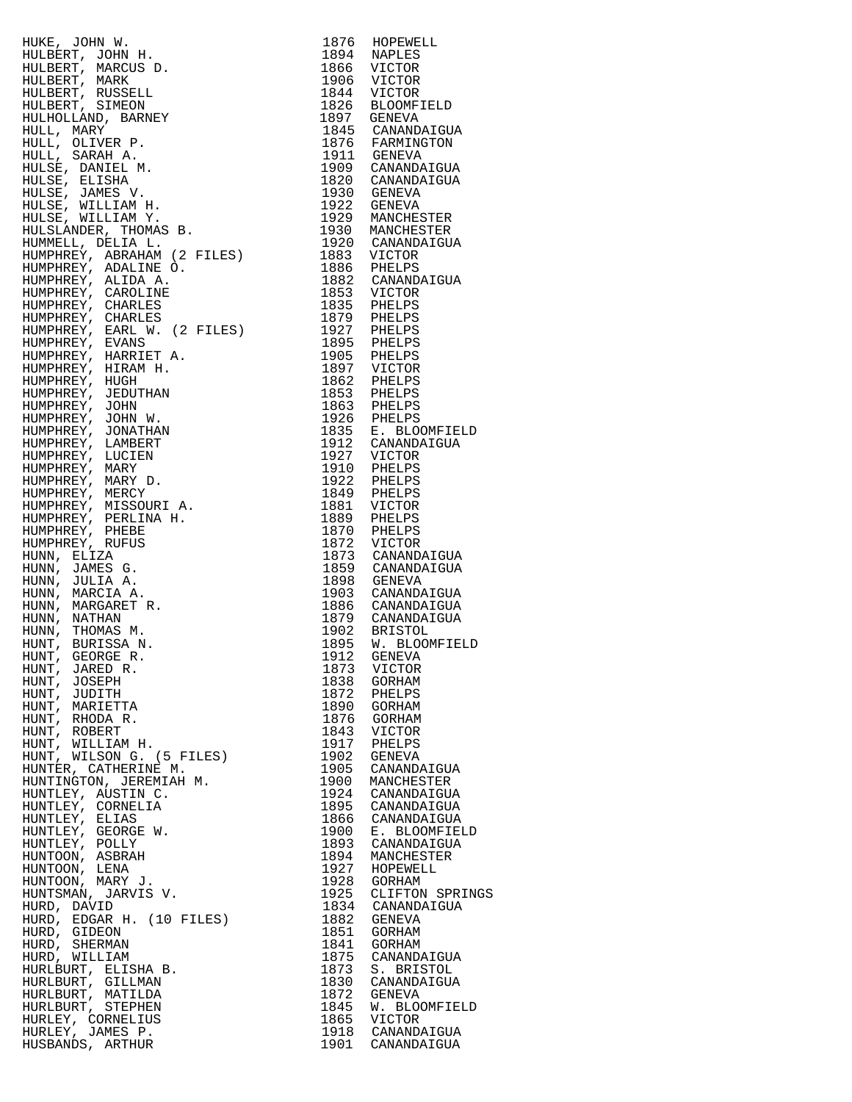HUKE, JOHN W.<br>HULBERT, JOHN H. 1894 NAPLES HULBERT, JOHN H. 1894 NAPLES HULBERT, MARCUS D. 1866 VICTOR HULBERT, MARK 1906 VICTOR HULBERT, RUSSELL 1844 VICTOR HULBERT, SIMEON 1826 BLOOMFIELD HULHOLLAND, BARNEY 1897 GENEVA HULL, MARY 1845 CANANDAIGUA HULL, OLIVER P. 1876 FARMINGTON HULL, SARAH A. 1911 GENEVA HULSE, DANIEL M. 1909 CANANDAIGUA HULSE, ELISHA 1820 CANANDAIGUA HULSE, JAMES V. 1930 GENEVA HULSE, WILLIAM H. 1922 GENEVA HULSE, WILLIAM Y. 1929 MANCHESTER HULSLANDER, THOMAS B. 1930 MANCHESTER HUMMELL, DELIA L. 1920 CANANDAIGUA HUMPHREY, ABRAHAM (2 FILES) 1883 VICTOR HUMPHREY, ADALINE O. 1886 PHELPS HUMPHREY, ALIDA A. 1882 CANANDAIGUA HUMPHREY, CAROLINE 1853 VICTOR HUMPHREY, CHARLES 1835 PHELPS HUMPHREY, CHARLES 1879 PHELPS HUMPHREY, EARL W. (2 FILES) 1927 PHELPS HUMPHREY, EVANS 1895 PHELPS HUMPHREY, HARRIET A. 1905 PHELPS HUMPHREY, HIRAM H. 1897 VICTOR HUMPHREY, HUGH 1862 PHELPS HUMPHREY, JEDUTHAN 1853 PHELPS HUMPHREY, JOHN 1863 PHELPS HUMPHREY, JOHN W. 1926 PHELPS HUMPHREY, JONATHAN 1835 E. BLOOMFIELD HUMPHREY, LAMBERT 1912 CANANDAIGUA HUMPHREY, LUCIEN 1927 VICTOR HUMPHREY, MARY 1910 PHELPS HUMPHREY, MARY D. 1922 PHELPS HUMPHREY, MERCY 1849 PHELPS HUMPHREY, MISSOURI A. 1881 VICTOR HUMPHREY, PERLINA H. 1889 PHELPS HUMPHREY, PHEBE 1870 PHELPS HUMPHREY, RUFUS 1872 VICTOR HUNN, ELIZA 1873 CANANDAIGUA HUNN, JAMES G. 1859 CANANDAIGUA HUNN, JULIA A. 1898 GENEVA HUNN, MARCIA A. 1903 CANANDAIGUA HUNN, MARGARET R. 1886 CANANDAIGUA HUNN, NATHAN 1879 CANANDAIGUA HUNN, THOMAS M. 1902 BRISTOL HUNT, BURISSA N. 1895 W. BLOOMFIELD HUNT, GEORGE R. 1912 GENEVA HUNT, JARED R. 1873 VICTOR HUNT, JOSEPH 1838 GORHAM HUNT, JUDITH 1872 PHELPS HUNT, MARIETTA 1890 GORHAM HUNT, RHODA R. 1876 GORHAM HUNT, ROBERT 1843 VICTOR HUNT, WILLIAM H. 1917 PHELPS HUNT, WILSON G. (5 FILES) 1902 GENEVA HUNTER, CATHERINE M. 1905 CANANDAIGUA HUNTINGTON, JEREMIAH M. 1900 MANCHESTER HUNTLEY, AUSTIN C. 1924 CANANDAIGUA HUNTLEY, CORNELIA 1895 CANANDAIGUA HUNTLEY, ELIAS 1866 CANANDAIGUA HUNTLEY, GEORGE W. 1900 E. BLOOMFIELD HUNTLEY, POLLY 1893 CANANDAIGUA HUNTOON, ASBRAH 1894 MANCHESTER HUNTOON, LENA 1927 HOPEWELL HUNTOON, MARY J. 1928 GORHAM HUNTSMAN, JARVIS V. 1925 CLIFTON SPRINGS HURD, DAVID 1834 CANANDAIGUA HURD, EDGAR H. (10 FILES) 1882 GENEVA HURD, GIDEON 1851 GORHAM HURD, DANUD V. 1923 CANANDAIGUA<br>
HURD, EDGAR H. (10 FILES) 1834 CANANDAIGUA<br>
HURD, GIDEON 1851 GORHAM<br>
HURD, SHERMAN 1841 GORHAM<br>
HURD, MILLIAM 1875 CANANDAIGUA HURD, WILLIAM 1875 CANANDAIGUA HURLBURT, ELISHA B. 1873 S. BRISTOL HURLBURT, GILLMAN 1830 CANANDAIGUA HURLBURT, MATILDA 1872 GENEVA HURLBURT, MATILDA<br>HURLBURT, STEPHEN<br>HURLEY, CORNELIUS<br>HURLEY, JAMES P. HUSBANDS, ARTHUR

1841 GORMAN<br>1875 CANANDAIGUA<br>1873 S. BRISTOL<br>1830 CANANDAIGUA<br>1872 GENEVA<br>1845 W. BLOOMFIELD<br>1865 VICTOR 1918 CANANDAIGUA<br>1901 CANANDAIGUA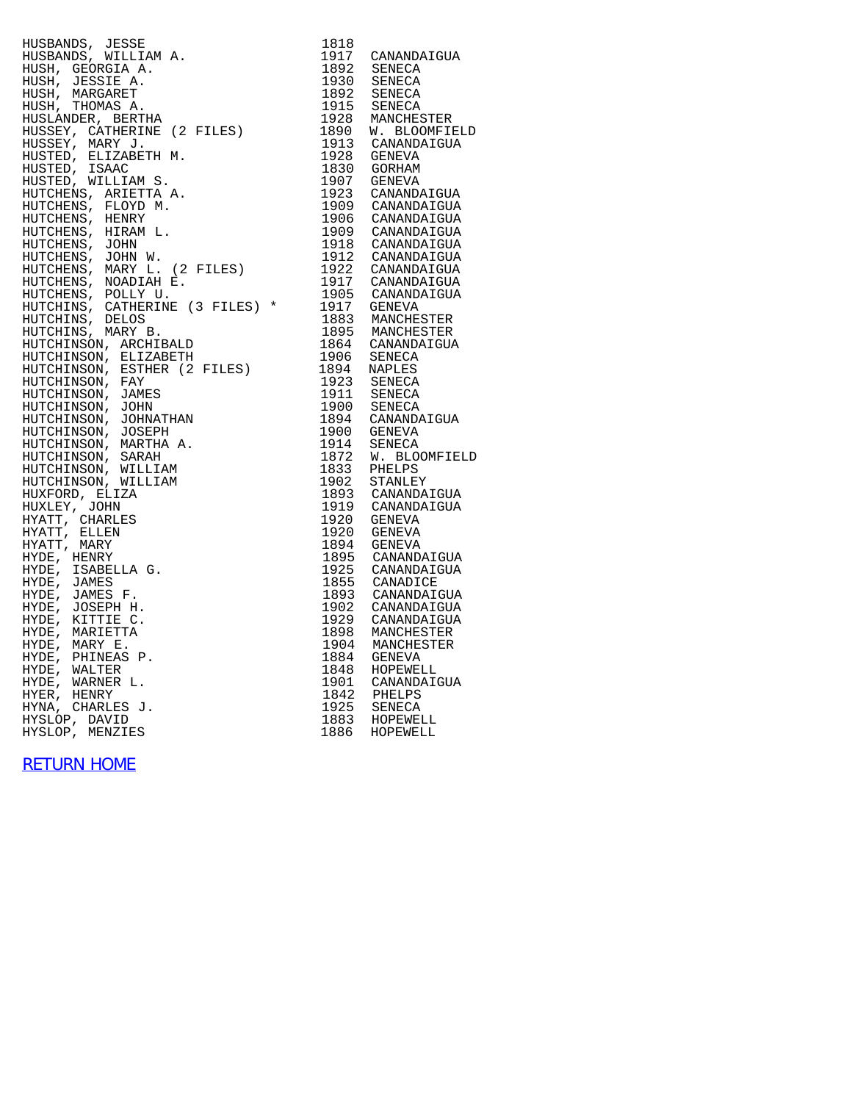HUSBANDS, JESSE 1818 HUSBANDS, WILLIAM A. 1917 CANANDAIGUA HUSH, GEORGIA A. 1892 SENECA HUSH, JESSIE A. 1930 SENECA HUSH, MARGARET 1892 SENECA HUSH, THOMAS A. 1915 SENECA HUSLANDER, BERTHA 1928 MANCHESTER HUSSEY, CATHERINE (2 FILES) 1890 W. BLOOMFIELD HUSSEY, MARY J. 1913 CANANDAIGUA HUSTED, ELIZABETH M. 1928 GENEVA HUSTED, ISAAC 1830 GORHAM HUSTED, WILLIAM S. 1907 GENEVA HUTCHENS, ARIETTA A. 1923 CANANDAIGUA HUTCHENS, FLOYD M. 1909 CANANDAIGUA HUTCHENS, HENRY 1906 CANANDAIGUA HUTCHENS, HIRAM L. 1909 CANANDAIGUA HUTCHENS, JOHN 1918 CANANDAIGUA HUTCHENS, JOHN W. 1912 CANANDAIGUA HUTCHENS, MARY L. (2 FILES) 1922 CANANDAIGUA HUTCHENS, NOADIAH E. 1917 CANANDAIGUA HUTCHENS, POLLY U. 1905 CANANDAIGUA HUTCHINS, CATHERINE (3 FILES) \* 1917 GENEVA HUTCHINS, DELOS 1883 MANCHESTER HUTCHINS, MARY B. 1895 MANCHESTER HUTCHINSON, ARCHIBALD 1864 CANANDAIGUA HUTCHINSON, ELIZABETH 1906 SENECA HUTCHINSON, ESTHER (2 FILES) 1894 NAPLES HUTCHINSON, FAY 1923 SENECA HUTCHINSON, JAMES 1911 SENECA HUTCHINSON, JOHN 1900 SENECA HUTCHINSON, JOHNATHAN 1894 CANANDAIGUA HUTCHINSON, JOSEPH 1900 GENEVA HUTCHINSON, MARTHA A. 1914 SENECA HUTCHINSON, SARAH 1872 W. BLOOMFIELD HUTCHINSON, WILLIAM 1833 PHELPS HUTCHINSON, WILLIAM 1902 STANLEY HUXFORD, ELIZA 1893 CANANDAIGUA HUXLEY, JOHN 1919 CANANDAIGUA HYATT, CHARLES 1920 GENEVA HYATT, ELLEN 1920 GENEVA HYATT, MARY 1894 GENEVA HYDE, HENRY 1895 CANANDAIGUA HYDE, ISABELLA G. 1925 CANANDAIGUA HYDE, JAMES 1855 CANADICE HYDE, JAMES F. 1893 CANANDAIGUA HYDE, JOSEPH H. 1902 CANANDAIGUA HYDE, KITTIE C. 1929 CANANDAIGUA HYDE, MARIETTA 1898 MANCHESTER HYDE, MARY E. 1904 MANCHESTER HYDE, PHINEAS P. 1884 GENEVA HYDE, WALTER 1848 HOPEWELL HYDE, WARNER L. 1901 CANANDAIGUA HYER, HENRY 1842 PHELPS HYNA, CHARLES J. 1925 SENECA HYSLOP, DAVID 1883 HOPEWELL

HYSLOP, MENZIES 1886 HOPEWELL

[RETURN HOME](http://raims.com/home.html)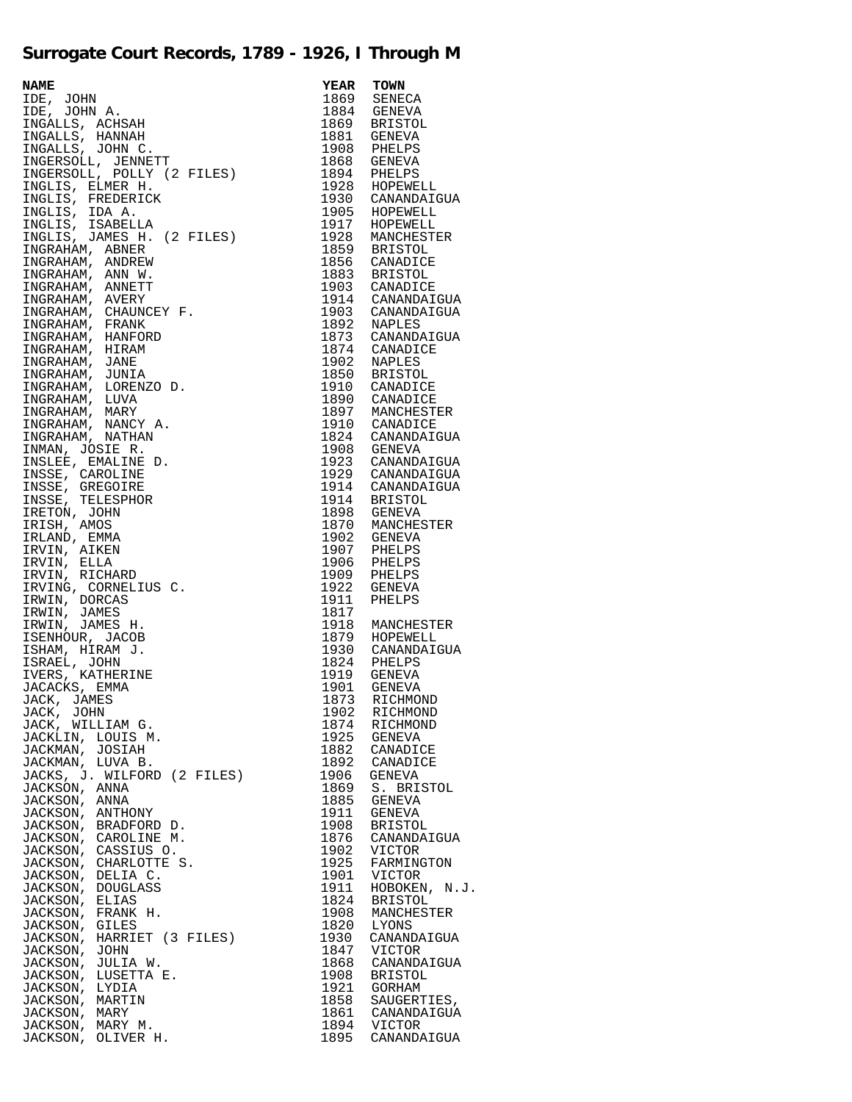## **Surrogate Court Records, 1789 - 1926, I Through M**

| $\begin{tabular}{c c c} \multicolumn{1}{c}{\textbf{0.1}} \multicolumn{1}{c}{\textbf{0.1}} \multicolumn{1}{c}{\textbf{0.1}} \multicolumn{1}{c}{\textbf{0.1}} \multicolumn{1}{c}{\textbf{0.1}} \multicolumn{1}{c}{\textbf{0.1}} \multicolumn{1}{c}{\textbf{0.1}} \multicolumn{1}{c}{\textbf{0.1}} \multicolumn{1}{c}{\textbf{0.1}} \multicolumn{1}{c}{\textbf{0.1}} \multicolumn{1}{c}{\textbf{0.1}} \multicolumn{1}{c}{\textbf{0.1}} \multicolumn$ |              |                       |
|---------------------------------------------------------------------------------------------------------------------------------------------------------------------------------------------------------------------------------------------------------------------------------------------------------------------------------------------------------------------------------------------------------------------------------------------------|--------------|-----------------------|
|                                                                                                                                                                                                                                                                                                                                                                                                                                                   |              |                       |
|                                                                                                                                                                                                                                                                                                                                                                                                                                                   |              |                       |
|                                                                                                                                                                                                                                                                                                                                                                                                                                                   |              |                       |
|                                                                                                                                                                                                                                                                                                                                                                                                                                                   |              |                       |
|                                                                                                                                                                                                                                                                                                                                                                                                                                                   |              |                       |
|                                                                                                                                                                                                                                                                                                                                                                                                                                                   |              |                       |
|                                                                                                                                                                                                                                                                                                                                                                                                                                                   |              |                       |
|                                                                                                                                                                                                                                                                                                                                                                                                                                                   |              |                       |
|                                                                                                                                                                                                                                                                                                                                                                                                                                                   |              |                       |
|                                                                                                                                                                                                                                                                                                                                                                                                                                                   |              |                       |
|                                                                                                                                                                                                                                                                                                                                                                                                                                                   |              |                       |
|                                                                                                                                                                                                                                                                                                                                                                                                                                                   |              |                       |
|                                                                                                                                                                                                                                                                                                                                                                                                                                                   |              |                       |
|                                                                                                                                                                                                                                                                                                                                                                                                                                                   |              |                       |
|                                                                                                                                                                                                                                                                                                                                                                                                                                                   |              |                       |
| JACKMAN,<br>LUVA B.                                                                                                                                                                                                                                                                                                                                                                                                                               | 1892         | CANADICE              |
| JACKS, J. WILFORD (2 FILES)                                                                                                                                                                                                                                                                                                                                                                                                                       | 1906         | GENEVA                |
| JACKSON, ANNA<br>JACKSON, ANNA                                                                                                                                                                                                                                                                                                                                                                                                                    | 1869<br>1885 | S. BRISTOL<br>GENEVA  |
| JACKSON,<br>ANTHONY                                                                                                                                                                                                                                                                                                                                                                                                                               | 1911         | GENEVA                |
| JACKSON,<br>BRADFORD D.                                                                                                                                                                                                                                                                                                                                                                                                                           | 1908         | <b>BRISTOL</b>        |
| JACKSON,<br>CAROLINE M.                                                                                                                                                                                                                                                                                                                                                                                                                           | 1876         | CANANDAIGUA           |
| JACKSON,<br>CASSIUS O.                                                                                                                                                                                                                                                                                                                                                                                                                            | 1902         | VICTOR                |
| JACKSON,<br>CHARLOTTE S.                                                                                                                                                                                                                                                                                                                                                                                                                          | 1925         | FARMINGTON            |
| JACKSON,<br>DELIA C.                                                                                                                                                                                                                                                                                                                                                                                                                              | 1901         | VICTOR                |
| JACKSON,<br><b>DOUGLASS</b>                                                                                                                                                                                                                                                                                                                                                                                                                       | 1911         | HOBOKEN, N.J.         |
| JACKSON,<br>ELIAS<br>JACKSON,                                                                                                                                                                                                                                                                                                                                                                                                                     | 1824<br>1908 | <b>BRISTOL</b>        |
| FRANK H.<br>JACKSON,<br>GILES                                                                                                                                                                                                                                                                                                                                                                                                                     | 1820         | MANCHESTER<br>LYONS   |
| JACKSON,<br>HARRIET (3 FILES)                                                                                                                                                                                                                                                                                                                                                                                                                     | 1930         | CANANDAIGUA           |
| JACKSON,<br>JOHN                                                                                                                                                                                                                                                                                                                                                                                                                                  | 1847         | VICTOR                |
| JACKSON,<br>JULIA W.                                                                                                                                                                                                                                                                                                                                                                                                                              | 1868         | CANANDAIGUA           |
| JACKSON,<br>LUSETTA E.                                                                                                                                                                                                                                                                                                                                                                                                                            | 1908         | <b>BRISTOL</b>        |
| JACKSON,<br>LYDIA                                                                                                                                                                                                                                                                                                                                                                                                                                 | 1921         | GORHAM                |
| JACKSON,<br>MARTIN                                                                                                                                                                                                                                                                                                                                                                                                                                | 1858         | SAUGERTIES,           |
| JACKSON,<br>MARY                                                                                                                                                                                                                                                                                                                                                                                                                                  | 1861         | CANANDAIGUA           |
| JACKSON, MARY M.<br>JACKSON, OLIVER H.                                                                                                                                                                                                                                                                                                                                                                                                            | 1894<br>1895 | VICTOR<br>CANANDAIGUA |
|                                                                                                                                                                                                                                                                                                                                                                                                                                                   |              |                       |

| <b>YEAR</b>  | TOWN                          |
|--------------|-------------------------------|
| 1869         | SENECA                        |
| 1884         | <b>GENEVA</b>                 |
| 1869         | <b>BRISTOL</b>                |
| 1881         | GENEVA                        |
| 1908<br>1868 | PHELPS<br><b>GENEVA</b>       |
| 1894         | PHELPS                        |
| 1928         | HOPEWELL                      |
| 1930         | CANANDAIGUA                   |
| 1905         | HOPEWELL                      |
| 1917         | HOPEWELL                      |
| 1928         | MANCHESTER                    |
| 1859         | <b>BRISTOL</b>                |
| 1856         | CANADICE                      |
| 1883         | <b>BRISTOL</b>                |
| 1903<br>1914 | CANADICE                      |
| 1903         | CANANDAIGUA<br>CANANDAIGUA    |
| 1892         | NAPLES                        |
| 1873         | CANANDAIGUA                   |
| 1874         | CANADICE                      |
| 1902         | <b>NAPLES</b>                 |
| 1850         | <b>BRISTOL</b>                |
| 1910         | CANADICE                      |
| 1890         | CANADICE                      |
| 1897         | MANCHESTER                    |
| 1910<br>1824 | CANADICE                      |
| 1908         | CANANDAIGUA<br>GENEVA         |
| 1923         | CANANDAIGUA                   |
| 1929         | CANANDAIGUA                   |
| 1914         | CANANDAIGUA                   |
| 1914         | <b>BRISTOL</b>                |
| 1898         | <b>GENEVA</b>                 |
| 1870         | MANCHESTER                    |
| 1902         | GENEVA                        |
| 1907         | PHELPS                        |
| 1906         | PHELPS                        |
| 1909<br>1922 | PHELPS<br>GENEVA              |
| 1911         | PHELPS                        |
| 1817         |                               |
| 1918         | MANCHESTER                    |
| 1879         | HOPEWELL                      |
| 1930         | CANANDAIGUA                   |
| 1824         | PHELPS                        |
| 1919         | GENEVA                        |
| 1901<br>1873 | GENEVA                        |
| 1902         | RICHMOND<br>RICHMOND          |
| 1874         | RICHMOND                      |
| 1925         | GENEVA                        |
| 1882         | CANADICE                      |
| 1892         | CANADICE                      |
| 1906         | <b>GENEVA</b>                 |
| 1869         | S. BRISTOL                    |
| 1885         | <b>GENEVA</b>                 |
| 1911<br>1908 | GENEVA                        |
| 1876         | <b>BRISTOL</b><br>CANANDAIGUA |
| 1902         | VICTOR                        |
| 1925         | FARMINGTON                    |
| 1901         | VICTOR                        |
| 1911         | HOBOKEN, N.J.                 |
| 1824         | BRISTOL                       |
| 1908         | MANCHESTER                    |
| 1820         | LYONS                         |
| 1930         | CANANDAIGUA                   |
| 1847<br>1868 | VICTOR<br>CANANDAIGUA         |
| 1908         | <b>BRISTOL</b>                |
| 1921         | GORHAM                        |
| 1858         | SAUGERTIES,                   |
| 1861         | CANANDAIGUA                   |
| 1894         | VICTOR                        |
| 1895         | CANANDAIGUA                   |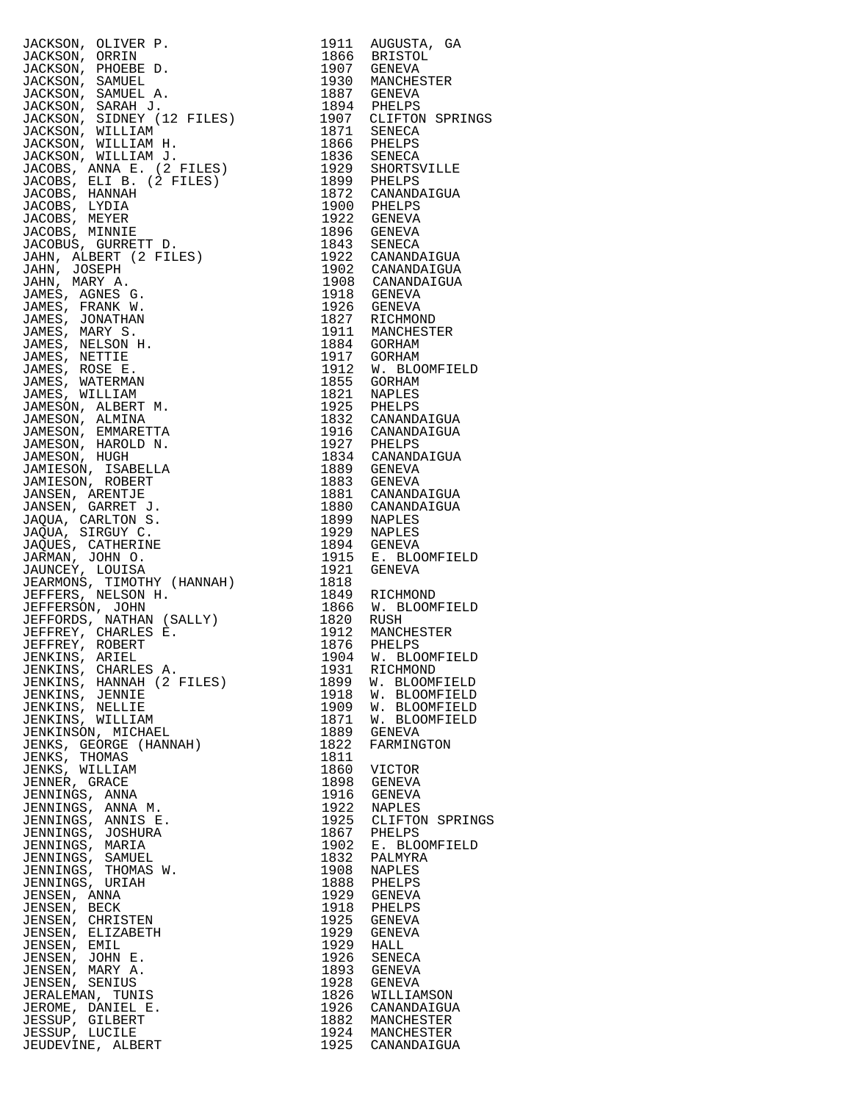JACKSON, OLIVER P. 1911 AUGUSTA, GA JACKSON, ORRIN 1866 BRISTOL<br>JACKSON, PHOEBE D. 1907 GENEVA<br>JACKSON, SAMUEL 1930 MANCHESTER<br>JACKSON, SAMUEL A. 1887 GENEVA JACKSON, PHOEBE D.<br>JACKSON, SAMUEL<br>JACKSON, SAMUEL A. JACKSON, SAMUEL 1930 MANCHESTER JACKSON, SAMUEL A. 1887 GENEVA JACKSON, SARAH J. 1894 PHELPS JACKSON, SIDNEY (12 FILES) 1907 CLIFTON SPRINGS JACKSON, WILLIAM 1871 SENECA JACKSON, WILLIAM H. 1866 PHELPS JACKSON, WILLIAM J. 1836 SENECA JACOBS, ANNA E. (2 FILES) 1929 SHORTSVILLE JACOBS, ELI B. (2 FILES) 1899 PHELPS JACOBS, HANNAH 1872 CANANDAIGUA JACOBS, LYDIA 1900 PHELPS JACOBS, MEYER 1922 GENEVA JACOBS, MINNIE 1896 GENEVA JACOBUS, GURRETT D. 1843 SENECA JAHN, ALBERT (2 FILES) 1922 CANANDAIGUA JAHN, JOSEPH 1902 CANANDAIGUA JAHN, MARY A. 1908 CANANDAIGUA JAMES, AGNES G. 1918 GENEVA JAMES, FRANK W. 1926 GENEVA JAMES, JONATHAN 1827 RICHMOND JAMES, MARY S. 1911 MANCHESTER JAMES, MARY S.<br>JAMES, NELSON H.<br>JAMES, NETTIE JAMES, NETTIE 1917 GORHAM JAMES, ROSE E. 1912 W. BLOOMFIELD JAMES, ROSE E.<br>
JAMES, WATERMAN 1855 GORHAM<br>
JAMES, WILLIAM 1821 NAPLES JAMES, WILLIAM 1821 NAPLES JAMESON, ALBERT M. 1925 PHELPS JAMESON, ALMINA 1832 CANANDAIGUA JAMESON, EMMARETTA 1916 CANANDAIGUA JAMESON, ALBERT M.<br>
JAMESON, ALMINA<br>
JAMESON, EMMARETTA<br>
JAMESON, EMMARETTA<br>
JAMESON, HAROLD N.<br>
JAMESON, HOGH 1927 PHELPS<br>
JAMESON, HUGH 1834 CANANDAIGUA<br>
JAMIESON, ISABELLA<br>
1834 CANANDAIGUA<br>
JAMIESON, ISABELLA<br>
1889 GEN JAMESON, HUGH 1834 CANANDAIGUA JAMIESON, ISABELLA 1889 GENEVA JAMIESON, ROBERT 1883 GENEVA JANSEN, ARENTJE 1881 CANANDAIGUA JANSEN, GARRET J. 1880 CANANDAIGUA JAQUA, CARLTON S. 1899 NAPLES JAQUA, SIRGUY C. 1929 NAPLES JAQUES, CATHERINE 1894 GENEVA JARMAN, JOHN O. 1915 E. BLOOMFIELD JAUNCEY, LOUISA 1921 GENEVA JEARMONS, TIMOTHY (HANNAH) 1818 JEFFERS, NELSON H. 1849 RICHMOND JEFFERSON, JOHN 1866 W. BLOOMFIELD JEFFORDS, NATHAN (SALLY) 1820 RUSH JEFFREY, CHARLES E. 1912 MANCHESTER JEFFREY, ROBERT 1876 PHELPS JENKINS, ARIEL 1904 W. BLOOMFIELD JENKINS, CHARLES A. 1931 RICHMOND JENKINS, HANNAH (2 FILES) 1899 W. BLOOMFIELD JENKINS, JENNIE 1918 W. BLOOMFIELD JENKINS, NELLIE 1909 W. BLOOMFIELD JENKINS, WILLIAM 1871 W. BLOOMFIELD JENKINSON, MICHAEL 1889 GENEVA JENKS, GEORGE (HANNAH) 1822 FARMINGTON JENKS, THOMAS 1811 JENKS, WILLIAM 1860 VICTOR JENNER, GRACE 1898 GENEVA JENNINGS, ANNA 1916 GENEVA JENNINGS, ANNA M. 1922 NAPLES JENNINGS, ANNIS E. 1925 CLIFTON SPRINGS JENNINGS, JOSHURA 1867 PHELPS JENNINGS, MARIA 1902 E. BLOOMFIELD JENNINGS, SAMUEL 1832 PALMYRA JENNINGS, THOMAS W. 1908 NAPLES JENNINGS, URIAH 1888 PHELPS JENNINGS, URIAH 1888 PHELPS<br>JENNINGS, URIAH 1929 GENEVA<br>JENSEN, BECK 1918 PHELPS JENSEN, BECK 1918 PHELPS JENSEN, CHRISTEN 1925 GENEVA JENSEN, ELIZABETH 1929 GENEVA JENSEN, EMIL 1929 HALL JENSEN, JOHN E. 1926 SENECA JENSEN, MARY A. 1893 GENEVA JENSEN, JOHN E.<br>
JENSEN, JOHN E.<br>
JENSEN, SENIUS 1928 GENEVA<br>
JENSEN, SENIUS 1928 GENEVA<br>
JERALEMAN, TUNIS 1826 WILLIA JERALEMAN, TUNIS 1826 WILLIAMSON JEROME, DANIEL E. 1926 CANANDAIGUA JESSUP, GILBERT 1882 MANCHESTER JESSUP, LUCILE 1924 MANCHESTER

JEUDEVINE, ALBERT 1925 CANANDAIGUA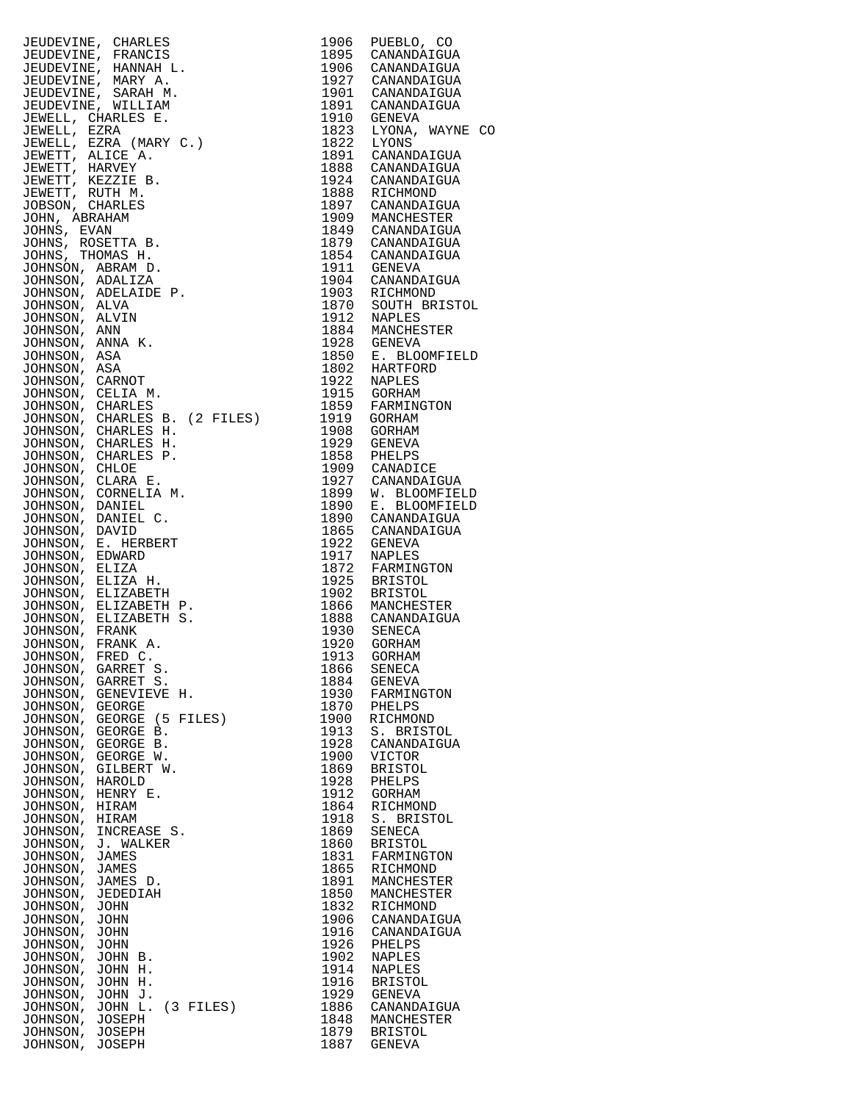| JEUDEVINE, CHARLES                 | 1906 | PUEBLO, CO                                               |
|------------------------------------|------|----------------------------------------------------------|
| JEUDEVINE, FRANCIS                 |      | 1895 CANANDAIGUA                                         |
| JEUDEVINE, HANNAH L.               |      | 1906 CANANDAIGUA                                         |
| JEUDEVINE, MARY A.                 |      | 1927 CANANDAIGUA<br>1901 CANANDAIGUA                     |
| JEUDEVINE, SARAH M.                |      |                                                          |
| JEUDEVINE, WILLIAM                 |      | 1891 CANANDAIGUA                                         |
| JEWELL, CHARLES E.                 |      | 1910 GENEVA                                              |
| JEWELL, EZRA                       |      | 1823 LYONA, WAYNE CO                                     |
|                                    |      | 1822 LYONS                                               |
| JEWELL, EZRA (MARY C.)             |      |                                                          |
| JEWETT, ALICE A.                   |      | 1891 CANANDAIGUA<br>1888 CANANDAIGUA                     |
| JEWETT, HARVEY                     |      |                                                          |
| JEWETT, KEZZIE B.                  |      | 1924 CANANDAIGUA                                         |
| JEWETT, RUTH M.                    |      | 1888 RICHMOND                                            |
| JOBSON, CHARLES                    |      | 1897 CANANDAIGUA                                         |
| JOHN, ABRAHAM                      |      | 1909 MANCHESTER                                          |
| JOHNS, EVAN                        |      |                                                          |
| JOHNS, ROSETTA B.                  |      | 1849 CANANDAIGUA<br>1879 CANANDAIGUA                     |
| JOHNS, THOMAS H.                   |      | 1854 CANANDAIGUA                                         |
| JOHNSON, ABRAM D.                  |      | 1911 GENEVA                                              |
| JOHNSON, ADALIZA                   |      |                                                          |
| JOHNSON, ADELAIDE P.               |      | 1904 CANANDAIGUA<br>1903 RICHMOND                        |
| JOHNSON, ALVA                      |      | 1870 SOUTH BRISTOL                                       |
|                                    |      | 1912 NAPLES                                              |
| JOHNSON, ALVIN                     |      |                                                          |
| JOHNSON, ANN                       |      | 1884 MANCHESTER<br>1928 GENEVA                           |
| JOHNSON, ANNA K.                   |      |                                                          |
| JOHNSON, ASA                       |      | 1850 E. BLOOMFIELD                                       |
| JOHNSON, ASA                       |      | 1802 HARTFORD                                            |
| JOHNSON, CARNOT                    |      | 1922 NAPLES<br>1915 GORHAM                               |
| JOHNSON, CELIA M.                  |      | دست<br>1859 FARMINGTON<br>1919 GORHAM<br>1919 GORHAM     |
| JOHNSON, CHARLES                   |      |                                                          |
| JOHNSON, CHARLES B. (2 FILES)      |      |                                                          |
| JOHNSON, CHARLES H.                | 1908 | GORHAM                                                   |
| JOHNSON, CHARLES H.                | 1929 | GENEVA                                                   |
| JOHNSON, CHARLES P.                |      |                                                          |
| JOHNSON, CHLOE                     |      | 1858 PHELPS<br>1909 CANADICE                             |
|                                    |      |                                                          |
| JOHNSON, CLARA E.                  |      | 1927 CANADAIGUA<br>1927 CANANDAIGUA<br>1899 W. BLOOMFTET |
| JOHNSON, CORNELIA M.               |      | W. BLOOMFIELD                                            |
| JOHNSON, DANIEL                    | 1890 | E. BLOOMFIELD                                            |
| JOHNSON, DANIEL C.                 |      | 1890 CANANDAIGUA                                         |
| JOHNSON, DAVID                     |      | 1865 CANANDAIGUA                                         |
| JOHNSON, E. HERBERT                | 1922 | GENEVA                                                   |
| JOHNSON, EDWARD                    |      | 1917 NAPLES                                              |
| JOHNSON, ELIZA                     | 1872 | FARMINGTON                                               |
| JOHNSON, ELIZA H.                  |      | 1925 BRISTOL                                             |
| JOHNSON, ELIZABETH                 | 1902 | BRISTOL                                                  |
| JOHNSON, ELIZABETH P.              |      | 1866 MANCHESTER<br>1888 CANANDAIGUA                      |
| JOHNSON, ELIZABETH S.              |      |                                                          |
| JOHNSON, FRANK                     |      | 1930 SENECA                                              |
| JOHNSON, FRANK A.                  | 1920 | GORHAM                                                   |
| JOHNSON, FRED C.                   |      | 1913 GORHAM                                              |
|                                    |      |                                                          |
| JOHNSON, GARRET S.                 | 1866 | SENECA                                                   |
| JOHNSON, GARRET S.                 | 1884 | GENEVA                                                   |
| JOHNSON, GENEVIEVE H.              | 1930 | FARMINGTON                                               |
| JOHNSON, GEORGE                    | 1870 | PHELPS                                                   |
| JOHNSON, GEORGE (5 FILES)          | 1900 | RICHMOND                                                 |
| JOHNSON, GEORGE B.                 | 1913 | S. BRISTOL                                               |
| JOHNSON, GEORGE B.                 | 1928 | CANANDAIGUA                                              |
| JOHNSON, GEORGE W.                 | 1900 | <b>VICTOR</b>                                            |
| JOHNSON, GILBERT W.                | 1869 | <b>BRISTOL</b>                                           |
| JOHNSON, HAROLD                    | 1928 | PHELPS                                                   |
| JOHNSON, HENRY E.                  | 1912 | <b>GORHAM</b>                                            |
| JOHNSON, HIRAM                     | 1864 | RICHMOND                                                 |
| JOHNSON, HIRAM                     | 1918 | S. BRISTOL                                               |
| JOHNSON, INCREASE S.               | 1869 | <b>SENECA</b>                                            |
| JOHNSON, J. WALKER                 | 1860 | <b>BRISTOL</b>                                           |
| JOHNSON, JAMES                     | 1831 | FARMINGTON                                               |
|                                    | 1865 |                                                          |
| JOHNSON, JAMES                     |      | RICHMOND                                                 |
| JOHNSON, JAMES D.                  | 1891 | MANCHESTER                                               |
| JOHNSON, JEDEDIAH                  | 1850 | MANCHESTER                                               |
| JOHNSON,<br>JOHN                   | 1832 | RICHMOND                                                 |
| JOHNSON,<br>JOHN                   | 1906 | CANANDAIGUA                                              |
| JOHNSON,<br>JOHN                   | 1916 | CANANDAIGUA                                              |
| JOHNSON,<br>JOHN                   | 1926 | PHELPS                                                   |
| JOHNSON,<br>JOHN B.                | 1902 | NAPLES                                                   |
| JOHNSON,<br>JOHN H.                | 1914 | NAPLES                                                   |
| JOHNSON,<br>JOHN H.                | 1916 | <b>BRISTOL</b>                                           |
| JOHNSON, JOHN J.                   | 1929 | GENEVA                                                   |
| $(3$ FILES)<br>JOHN L.<br>JOHNSON, | 1886 | CANANDAIGUA                                              |
| JOSEPH<br>JOHNSON,                 | 1848 | MANCHESTER                                               |
| JOHNSON, JOSEPH                    | 1879 | <b>BRISTOL</b>                                           |
| JOHNSON, JOSEPH                    | 1887 | <b>GENEVA</b>                                            |
|                                    |      |                                                          |

| 1906                         | PUEBLO, CO                                                 |
|------------------------------|------------------------------------------------------------|
| 1895                         | CANANDAIGUA                                                |
| 1906                         | CANANDAIGUA                                                |
| 1927                         | CANANDAIGUA                                                |
| 1901                         | CANANDAIGUA                                                |
| 1891<br>1910                 | CANANDAIGUA                                                |
| 1823                         | GENEVA                                                     |
| 1822<br>1891<br>1888         | C١<br>LYONA, WAYNE<br>LYONS<br>CANANDAIGUA<br>CANANDAIGUA  |
| 1924                         | CANANDAIGUA                                                |
| 1888                         | RICHMOND                                                   |
| 1897                         | CANANDAIGUA                                                |
| 1909                         | MANCHESTER                                                 |
| 1849                         | CANANDAIGUA                                                |
| 1879                         | CANANDAIGUA                                                |
| 1854                         | CANANDAIGUA                                                |
| 1911                         | GENEVA                                                     |
| 1904                         | CANANDAIGUA                                                |
| 1903                         | RICHMOND                                                   |
| 1870                         | SOUTH BRISTOL                                              |
| 1912                         | NAPLES                                                     |
| 1884                         | MANCHESTER                                                 |
| 1928                         | GENEVA                                                     |
| 1850                         | E. BLOOMFIELD                                              |
| 1802                         | HARTFORD                                                   |
| 1922                         | NAPLES                                                     |
| 1915                         | GORHAM                                                     |
| 1859                         | FARMINGTON                                                 |
| 1919                         | GORHAM                                                     |
| 1908                         | GORHAM                                                     |
| 1929                         | <b>GENEVA</b>                                              |
| 1858                         | PHELPS                                                     |
| 1909                         | CANADICE                                                   |
| 1927<br>1899<br>1890         | CANANDAIGUA<br>BLOOMFIELD<br>W.<br>Е.<br><b>BLOOMFIELD</b> |
| 1890                         | CANANDAIGUA                                                |
| 1865                         | CANANDAIGUA                                                |
| 1922                         | GENEVA                                                     |
| 1917                         | NAPLES                                                     |
| 1872                         | FARMINGTON                                                 |
| 1925                         | <b>BRISTOL</b>                                             |
| 1902                         | <b>BRISTOL</b>                                             |
| 1866                         | MANCHESTER                                                 |
| 1888                         | CANANDAIGUA                                                |
| 1930                         | SENECA                                                     |
| 1920                         | GORHAM                                                     |
| 1913                         | GORHAM                                                     |
| 1866                         | SENECA                                                     |
| 1884                         | GENEVA                                                     |
| 1930                         | FARMINGTON                                                 |
| 1870                         | PHELPS                                                     |
| 1900<br>1913<br>1928         | RICHMOND<br>S. BRISTOL<br>CANANDAIGUA                      |
| 1900                         | VICTOR                                                     |
| 1869                         | <b>BRISTOL</b>                                             |
| 1928                         | PHELPS                                                     |
| 1912                         | <b>GORHAM</b>                                              |
| 1864                         | RICHMOND                                                   |
| 1918                         | S. BRISTOL                                                 |
| 1869<br>1860<br>1831<br>1865 | SENECA<br><b>BRISTOL</b><br>FARMINGTON                     |
| 1891<br>1850<br>1832         | RICHMOND<br>MANCHESTER<br>MANCHESTER<br>RICHMOND           |
| 1906<br>1916<br>1926         | CANANDAIGUA<br>CANANDAIGUA<br>PHELPS                       |
| 1902                         | NAPLES                                                     |
| 1914                         | NAPLES                                                     |
| 1916                         | <b>BRISTOL</b>                                             |
| 1929                         | GENEVA                                                     |
| 1886                         | CANANDAIGUA                                                |
| 1848                         | MANCHESTER                                                 |
|                              | 1879 BRISTO<br><b>BRISTOL</b>                              |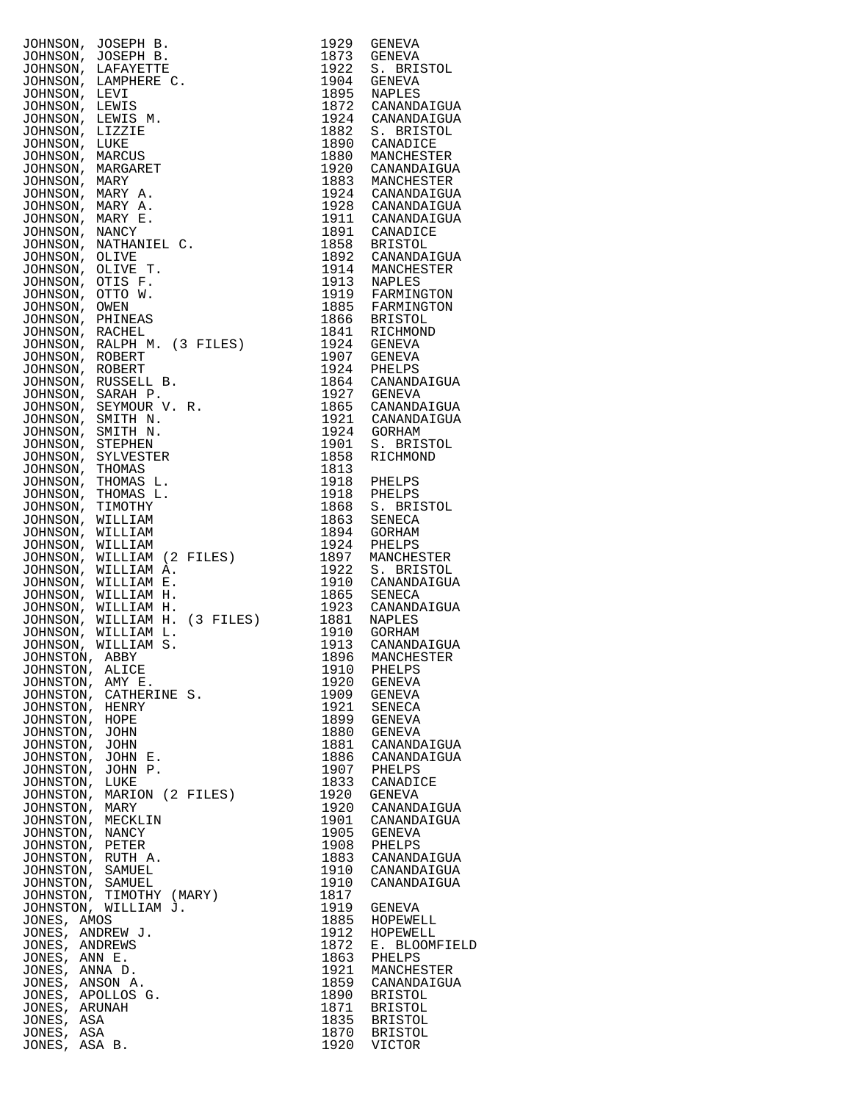| JOHNSON,<br>JOHNSON,            | JOSEPH B.<br>JOSEPH B.              | 1929<br>1873 | GENEVA<br>GENEVA                 |
|---------------------------------|-------------------------------------|--------------|----------------------------------|
| JOHNSON,                        | LAFAYETTE                           | 1922         | S. BRISTOL                       |
| JOHNSON,                        | LAMPHERE C.                         | 1904         | GENEVA                           |
| JOHNSON,                        | LEVI                                | 1895         | NAPLES                           |
| JOHNSON,                        | LEWIS                               | 1872         | CANANDAIGUA                      |
| JOHNSON,                        | LEWIS M.                            | 1924<br>1882 | CANANDAIGUA                      |
| JOHNSON,<br>JOHNSON,            | LIZZIE<br>LUKE                      | 1890         | S. BRISTOL<br>CANADICE           |
| JOHNSON,                        | MARCUS                              | 1880         | MANCHESTER                       |
| JOHNSON,                        | MARGARET                            | 1920         | CANANDAIGUA                      |
| JOHNSON,                        | MARY                                | 1883         | MANCHESTER                       |
| JOHNSON,                        | MARY A.                             | 1924         | CANANDAIGUA                      |
| JOHNSON,<br>JOHNSON,            | MARY A.<br>MARY E.                  | 1928<br>1911 | CANANDAIGUA<br>CANANDAIGUA       |
| JOHNSON,                        | <b>NANCY</b>                        | 1891         | CANADICE                         |
| JOHNSON,                        | NATHANIEL C.                        | 1858         | <b>BRISTOL</b>                   |
| JOHNSON,                        | OLIVE                               | 1892         | CANANDAIGUA                      |
| JOHNSON,                        | OLIVE T.<br>OTIS F.                 | 1914         | MANCHESTER                       |
| JOHNSON,<br>JOHNSON,            | OTTO W.                             | 1913<br>1919 | NAPLES<br>FARMINGTON             |
| JOHNSON,                        | OWEN                                | 1885         | FARMINGTON                       |
| JOHNSON,                        | PHINEAS                             | 1866         | <b>BRISTOL</b>                   |
| JOHNSON,                        | RACHEL                              | 1841         | RICHMOND                         |
| JOHNSON,                        | RALPH M. (3 FILES)<br><b>ROBERT</b> | 1924<br>1907 | GENEVA<br><b>GENEVA</b>          |
| JOHNSON,<br>JOHNSON,            | ROBERT                              | 1924         | PHELPS                           |
| JOHNSON,                        | RUSSELL B.                          | 1864         | CANANDAIGUA                      |
| JOHNSON,                        | SARAH P.                            | 1927         | <b>GENEVA</b>                    |
| JOHNSON,                        | SEYMOUR V.<br>R.                    | 1865         | CANANDAIGUA                      |
| JOHNSON,                        | SMITH N.                            | 1921         | CANANDAIGUA                      |
| JOHNSON,<br>JOHNSON,            | SMITH N.<br>STEPHEN                 | 1924<br>1901 | GORHAM<br>S. BRISTOL             |
| JOHNSON,                        | SYLVESTER                           | 1858         | RICHMOND                         |
| JOHNSON,                        | THOMAS                              | 1813         |                                  |
| JOHNSON,                        | THOMAS L.                           | 1918         | PHELPS                           |
| JOHNSON,                        | THOMAS L.                           | 1918         | PHELPS                           |
| JOHNSON,                        | TIMOTHY                             | 1868         | S. BRISTOL                       |
| JOHNSON,<br>JOHNSON,            | WILLIAM<br>WILLIAM                  | 1863<br>1894 | SENECA<br>GORHAM                 |
| JOHNSON,                        | WILLIAM                             | 1924         | PHELPS                           |
| JOHNSON,                        | WILLIAM (2<br>FILES)                | 1897         | MANCHESTER                       |
| JOHNSON,                        | WILLIAM A.                          | 1922         | S. BRISTOL                       |
| JOHNSON,<br>JOHNSON,            | WILLIAM E.<br>WILLIAM H.            | 1910<br>1865 | CANANDAIGUA<br>SENECA            |
| JOHNSON,                        | WILLIAM H.                          | 1923         | CANANDAIGUA                      |
| JOHNSON,                        | WILLIAM H. (3 FILES)                | 1881         | NAPLES                           |
| JOHNSON,                        | WILLIAM L.                          | 1910         | GORHAM                           |
| JOHNSON,                        | WILLIAM S.                          | 1913         | CANANDAIGUA                      |
| JOHNSTON, ABBY<br>JOHNSTON,     | ALICE                               | 1896<br>1910 | MANCHESTER<br>PHELPS             |
| JOHNSTON,                       | AMY E.                              | 1920         | <b>GENEVA</b>                    |
| JOHNSTON,                       | CATHERINE S.                        | 1909         | GENEVA                           |
| JOHNSTON,                       | HENRY                               | 1921         | SENECA                           |
| JOHNSTON,                       | HOPE                                | 1899         | GENEVA                           |
| JOHNSTON,<br>JOHNSTON,          | JOHN<br>JOHN                        | 1880<br>1881 | GENEVA<br>CANANDAIGUA            |
| JOHNSTON,                       | JOHN E.                             | 1886         | CANANDAIGUA                      |
| JOHNSTON,                       | JOHN P.                             | 1907         | PHELPS                           |
| JOHNSTON,                       | LUKE                                | 1833         | CANADICE                         |
| JOHNSTON,                       | MARION (2 FILES)                    | 1920         | GENEVA                           |
| JOHNSTON,<br>JOHNSTON,          | MARY<br>MECKLIN                     | 1920<br>1901 | CANANDAIGUA<br>CANANDAIGUA       |
| JOHNSTON,                       | NANCY                               | 1905         | GENEVA                           |
| JOHNSTON,                       | PETER                               | 1908         | PHELPS                           |
| JOHNSTON,                       | RUTH A.                             | 1883         | CANANDAIGUA                      |
| JOHNSTON,                       | SAMUEL                              | 1910         | CANANDAIGUA                      |
| JOHNSTON,<br>JOHNSTON,          | SAMUEL<br>TIMOTHY (MARY)            | 1910<br>1817 | CANANDAIGUA                      |
|                                 | JOHNSTON, WILLIAM J.                | 1919         | GENEVA                           |
| JONES, AMOS                     |                                     | 1885         | HOPEWELL                         |
| JONES, ANDREW J.                |                                     | 1912         | HOPEWELL                         |
| JONES, ANDREWS<br>JONES, ANN E. |                                     | 1872<br>1863 | Е.<br><b>BLOOMFIEL</b><br>PHELPS |
| JONES, ANNA D.                  |                                     | 1921         | MANCHESTER                       |
| JONES, ANSON A.                 |                                     | 1859         | CANANDAIGUA                      |
| JONES, APOLLOS G.               |                                     | 1890         | <b>BRISTOL</b>                   |
| JONES, ARUNAH                   |                                     | 1871         | <b>BRISTOL</b>                   |
| JONES, ASA<br>JONES, ASA        |                                     | 1835<br>1870 | <b>BRISTOL</b><br><b>BRISTOL</b> |
| JONES, ASA B.                   |                                     | 1920         | VICTOR                           |

| 1929         | GENEVA                     |  |
|--------------|----------------------------|--|
| 1873<br>1922 | GENEVA<br>S. BRISTOL       |  |
| 1904         | GENEVA                     |  |
| 1895         | NAPLES                     |  |
| 1872<br>1924 | CANANDAIGUA<br>CANANDAIGUA |  |
| 1882         | S.<br><b>BRISTOL</b>       |  |
| 1890         | CANADICE                   |  |
| 1880         | MANCHESTER                 |  |
| 1920<br>1883 | CANANDAIGUA<br>MANCHESTER  |  |
| 1924         | CANANDAIGUA                |  |
| 1928         | CANANDAIGUA                |  |
| 1911<br>1891 | CANANDAIGUA<br>CANADICE    |  |
| 1858         | <b>BRISTOL</b>             |  |
| 1892         | CANANDAIGUA                |  |
| 1914<br>1913 | MANCHESTER<br>NAPLES       |  |
| 1919         | FARMINGTON                 |  |
| 1885         | FARMINGTON                 |  |
| 1866<br>1841 | BRISTOL<br>RICHMOND        |  |
| 1924         | GENEVA                     |  |
| 1907         | <b>GENEVA</b>              |  |
| 1924<br>1864 | PHELPS<br>CANANDAIGUA      |  |
| 1927         | GENEVA                     |  |
| 1865         | CANANDAIGUA                |  |
| 1921         | CANANDAIGUA                |  |
| 1924<br>1901 | GORHAM<br>S. BRISTOL       |  |
| 1858         | RICHMOND                   |  |
| 1813         |                            |  |
| 1918<br>1918 | PHELPS<br>PHELPS           |  |
| 1868         | S. BRISTOL                 |  |
| 1863         | SENECA                     |  |
| 1894<br>1924 | GORHAM                     |  |
| 1897         | PHELPS<br>MANCHESTER       |  |
| 1922         | S. BRISTOL                 |  |
| 1910         | CANANDAIGUA                |  |
| 1865<br>1923 | SENECA<br>CANANDAIGUA      |  |
| 1881         | NAPLES                     |  |
| 1910         | GORHAM                     |  |
| 1913<br>1896 | CANANDAIGUA<br>MANCHESTER  |  |
| 1910         | PHELPS                     |  |
| 1920         | GENEVA                     |  |
| 1909<br>1921 | GENEVA<br>SENECA           |  |
| 1899         | GENEVA                     |  |
| 1880         | GENEVA                     |  |
| 1881<br>1886 | CANANDAIGUA<br>CANANDAIGUA |  |
| 1907         | PHELPS                     |  |
| 1833         | CANADICE                   |  |
| 1920<br>1920 | GENEVA                     |  |
| 1901         | CANANDAIGUA<br>CANANDAIGUA |  |
| 1905         | GENEVA                     |  |
| 1908         | PHELPS                     |  |
| 1883<br>1910 | CANANDAIGUA<br>CANANDAIGUA |  |
| 1910         | CANANDAIGUA                |  |
| 1817         |                            |  |
| 1919<br>1885 | GENEVA<br>HOPEWELL         |  |
| 1912         | HOPEWELL                   |  |
| 1872         | Е.<br>BLOOMFIELD           |  |
| 1863<br>1921 | PHELPS<br>MANCHESTER       |  |
| 1859         | CANANDAIGUA                |  |
| 1890         | BRISTOL                    |  |
| 1871         | BRISTOL                    |  |
| 1835<br>1870 | BRISTOL<br>BRISTOL         |  |
| 1920         | VICTOR                     |  |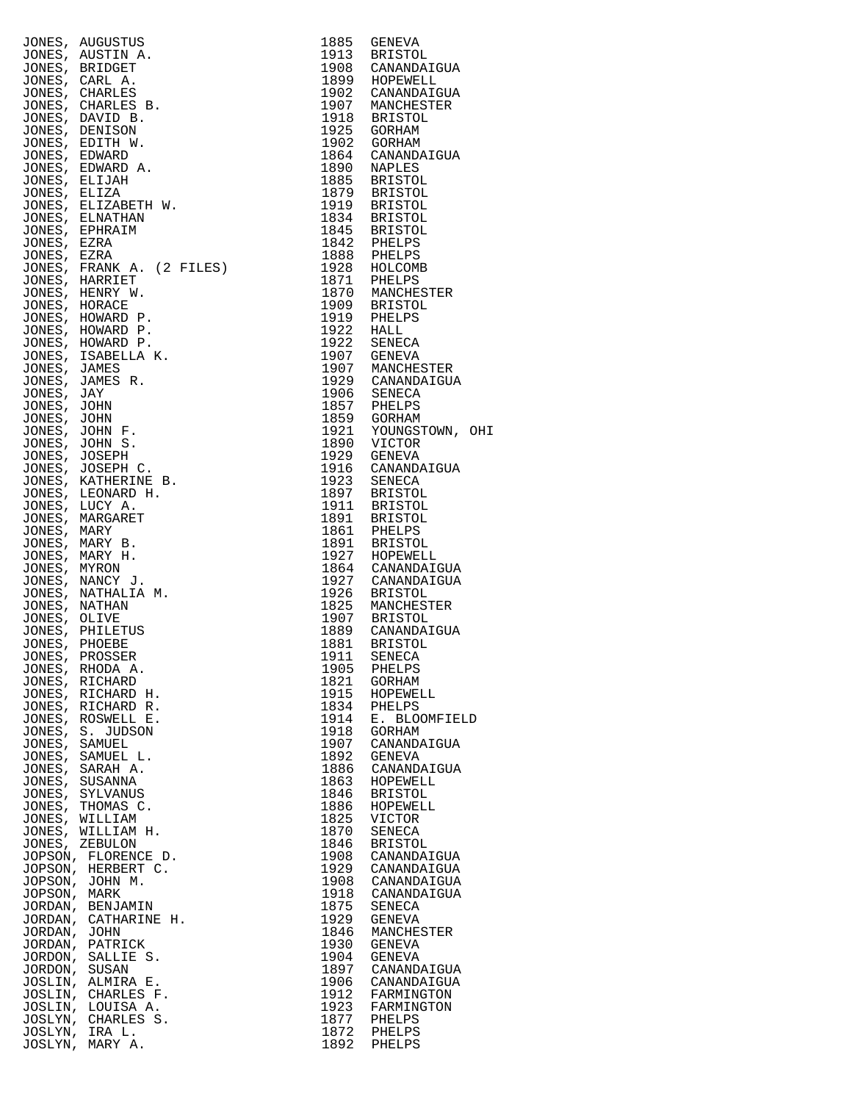|                               | JONES, AUGUSTUS<br>JONES, AUSTIN A.         | 1885<br>1913 | GENEVA<br>BRISTOL               |
|-------------------------------|---------------------------------------------|--------------|---------------------------------|
|                               | JONES, BRIDGET                              |              | 1908 CANANDAIGUA                |
|                               | JONES, CARL A.                              |              | 1899 HOPEWELL                   |
|                               | JONES, CHARLES                              | 1902         | CANANDAIGUA                     |
|                               | JONES, CHARLES B.<br>JONES, DAVID B.        |              | 1907 MANCHESTER<br>1918 BRISTOL |
|                               | JONES, DENISON                              |              | 1925 GORHAM                     |
|                               | JONES, EDITH W.                             | 1902         | GORHAM                          |
| JONES, EDWARD                 | JONES, EDWARD A.                            | 1864<br>1890 | CANANDAIGUA<br>NAPLES           |
| JONES, ELIJAH                 |                                             | 1885         | BRISTOL                         |
| JONES, ELIZA                  |                                             |              | 1879 BRISTOL                    |
|                               | JONES, ELIZABETH W.                         |              | 1919 BRISTOL                    |
|                               | JONES, ELNATHAN<br>JONES, EPHRAIM           |              | 1834 BRISTOL<br>1845 BRISTOL    |
| JONES, EZRA                   |                                             |              | 1842 PHELPS                     |
| JONES, EZRA                   |                                             |              | 1888 PHELPS                     |
|                               | JONES, FRANK A. (2 FILES)<br>JONES, HARRIET |              | 1928 HOLCOMB<br>1871 PHELPS     |
|                               | JONES, HENRY W.                             |              | 1870 MANCHESTER                 |
| JONES, HORACE                 |                                             |              | 1909 BRISTOL                    |
|                               | JONES, HOWARD P.                            | $1922$ HALL  | 1919 PHELPS                     |
|                               | JONES, HOWARD P.<br>JONES, HOWARD P.        | 1922         | SENECA                          |
|                               | JONES, ISABELLA K.                          | 1907         | GENEVA                          |
| JONES, JAMES                  |                                             |              | 1907 MANCHESTER                 |
| JONES, JAY                    | JONES, JAMES R.                             |              | 1929 CANANDAIGUA<br>1906 SENECA |
| JONES, JOHN                   |                                             | 1857         | PHELPS                          |
| JONES, JOHN                   |                                             |              | 1859 GORHAM                     |
|                               | JONES, JOHN F.                              | 1921<br>1890 | YOUNGSTOWN, OHI<br>VICTOR       |
| JONES, JOSEPH                 | JONES, JOHN S.                              | 1929         | GENEVA                          |
|                               | JONES, JOSEPH C.                            |              | 1916 CANANDAIGUA                |
|                               | JONES, KATHERINE B.                         | 1923         | SENECA                          |
|                               | JONES, LEONARD H.<br>JONES, LUCY A.         |              | 1897 BRISTOL<br>1911 BRISTOL    |
|                               | JONES, MARGARET                             |              | 1891 BRISTOL                    |
| JONES, MARY                   |                                             | 1861         | PHELPS                          |
|                               | JONES, MARY B.<br>JONES, MARY H.            |              | 1891 BRISTOL<br>1927 HOPEWELL   |
| JONES, MYRON                  |                                             |              | 1864 CANANDAIGUA                |
|                               | JONES, NANCY J.                             |              | 1927 CANANDAIGUA                |
|                               | JONES, NATHALIA M.                          |              | 1926 BRISTOL<br>1825 MANCHESTER |
| JONES, NATHAN<br>JONES, OLIVE |                                             |              | 1907 BRISTOL                    |
|                               | JONES, PHILETUS                             |              | 1889 CANANDAIGUA                |
| JONES, PHOEBE                 |                                             | 1881         | <b>BRISTOL</b>                  |
| JONES,                        | JONES, PROSSER<br>RHODA A.                  | 1911<br>1905 | SENECA<br>PHELPS                |
| JONES,                        | RICHARD                                     | 1821         | GORHAM                          |
|                               | JONES, RICHARD H.                           | 1915         | HOPEWELL                        |
| JONES,                        | RICHARD R.<br>JONES, ROSWELL E.             | 1834<br>1914 | PHELPS<br>E. BLOOMFIELD         |
| JONES,                        | S. JUDSON                                   | 1918         | GORHAM                          |
| JONES, SAMUEL                 |                                             | 1907         | CANANDAIGUA                     |
| JONES,                        | SAMUEL L.<br>JONES, SARAH A.                | 1892<br>1886 | GENEVA<br>CANANDAIGUA           |
| JONES,                        | SUSANNA                                     | 1863         | HOPEWELL                        |
|                               | JONES, SYLVANUS                             | 1846         | <b>BRISTOL</b>                  |
| JONES,                        | THOMAS C.                                   | 1886         | HOPEWELL                        |
| JONES,                        | JONES, WILLIAM<br>WILLIAM H.                | 1825<br>1870 | VICTOR<br>SENECA                |
|                               | JONES, ZEBULON                              | 1846         | BRISTOL                         |
| JOPSON,                       | FLORENCE D.                                 | 1908         | CANANDAIGUA                     |
|                               | JOPSON, HERBERT C.<br>JOPSON, JOHN M.       | 1929<br>1908 | CANANDAIGUA<br>CANANDAIGUA      |
| JOPSON,                       | MARK                                        | 1918         | CANANDAIGUA                     |
| JORDAN,                       | BENJAMIN                                    | 1875         | SENECA                          |
|                               | JORDAN, CATHARINE H.                        | 1929         | GENEVA                          |
| JORDAN, JOHN<br>JORDAN,       | PATRICK                                     | 1846<br>1930 | MANCHESTER<br>GENEVA            |
| JORDON,                       | SALLIE S.                                   | 1904         | GENEVA                          |
| JORDON, SUSAN                 |                                             | 1897         | CANANDAIGUA                     |
| JOSLIN,                       | ALMIRA E.<br>JOSLIN, CHARLES F.             | 1906<br>1912 | CANANDAIGUA<br>FARMINGTON       |
|                               | JOSLIN, LOUISA A.                           | 1923         | FARMINGTON                      |
|                               | JOSLYN, CHARLES S.                          | 1877         | PHELPS                          |
|                               | JOSLYN, IRA L.<br>JOSLYN, MARY A.           | 1872<br>1892 | PHELPS<br>PHELPS                |
|                               |                                             |              |                                 |

| 1885                                              | GENEVA                                                                          |
|---------------------------------------------------|---------------------------------------------------------------------------------|
| 1913                                              | <b>BRISTOL</b>                                                                  |
| 1908                                              | CANANDAIGUA                                                                     |
| 1899                                              | HOPEWELL                                                                        |
| 1902                                              | CANANDAIGUA                                                                     |
| 1907<br>1918<br>1925<br>1902<br>1864<br>1890      | MANCHESTER<br><b>BRISTOL</b><br>GORHAM<br>GORHAM<br>CANANDAIGUA                 |
| 1885<br>1879<br>1919<br>1834<br>1845              | NAPLES<br>BRISTOL<br><b>BRISTOL</b><br>BRISTOL<br>RRISTOL<br>BRISTOL<br>BRISTOL |
| 1842<br>1888<br>1870<br>1909                      | PHELPS<br>PHELPS<br>1928 HOLCOMB<br>1871 PHELPS<br>MANCHESTER<br>BRISTOL        |
| 1919<br>1022                                      | PHELPS<br>HALL                                                                  |
| 1922                                              | SENECA                                                                          |
| 1922                                              | GENEVA                                                                          |
| 1907                                              | 1907 MANCHESTER<br>1929 CANANDAIGUA                                             |
| 1906                                              | SENECA                                                                          |
| 1857                                              | PHELPS                                                                          |
| 1859                                              | GORHAM                                                                          |
| 1921                                              | YOUNGSTOWN, OHI                                                                 |
| 1890<br>1929<br>1916<br>1923<br>1897<br>1911      | VICTOR<br>GENEVA<br>CANANDAIGUA<br>SENECA<br><b>BRISTOL</b><br><b>BRISTOL</b>   |
| 1891<br>1861<br>1891<br>1927<br>$\frac{15}{1864}$ | <b>BRISTOL</b><br>PHELPS<br><b>BRISTOL</b><br>HOPEWELL                          |
| 1927<br>1926<br>1825<br>1907<br>1889              | CANANDAIGUA<br>CANANDAIGUA<br>BRISTOL<br>MANCHESTER<br>BRISTOL<br>CANANDAIGUA   |
| 1881                                              | <b>BRISTOL</b>                                                                  |
| 1911                                              | SENECA                                                                          |
| 1905                                              | PHELPS                                                                          |
| 1821                                              | GORHAM                                                                          |
| 1915                                              | HOPEWELL                                                                        |
| 1834                                              | PHELPS                                                                          |
| 1914                                              | E. BLOOMFIELD                                                                   |
| 1918                                              | GORHAM                                                                          |
| 1907                                              | CANANDAIGUA                                                                     |
| 1892                                              | GENEVA                                                                          |
| 1886                                              | CANANDAIGUA                                                                     |
| 1863                                              | HOPEWELL                                                                        |
| 1846                                              | <b>BRISTOL</b>                                                                  |
| 1886                                              | HOPEWELL                                                                        |
| 1825                                              | VICTOR                                                                          |
| 1870                                              | <b>SENECA</b>                                                                   |
| 1846                                              | <b>BRISTOL</b>                                                                  |
| 1908                                              | CANANDAIGUA                                                                     |
| 1929                                              | CANANDAIGUA                                                                     |
| 1908                                              | CANANDAIGUA                                                                     |
| 1918                                              | CANANDAIGUA                                                                     |
| 1875                                              | SENECA                                                                          |
| 1929                                              | GENEVA                                                                          |
| 1846                                              | MANCHESTER                                                                      |
| 1930                                              | GENEVA                                                                          |
| 1904                                              | GENEVA                                                                          |
| 1897                                              | CANANDAIGUA                                                                     |
| 1906                                              | CANANDAIGUA                                                                     |
| 1912                                              | FARMINGTON                                                                      |
| 1923                                              | FARMINGTON                                                                      |
| 1877                                              | PHELPS                                                                          |
| 1872                                              | PHELPS                                                                          |
|                                                   | 1892 PHELPS                                                                     |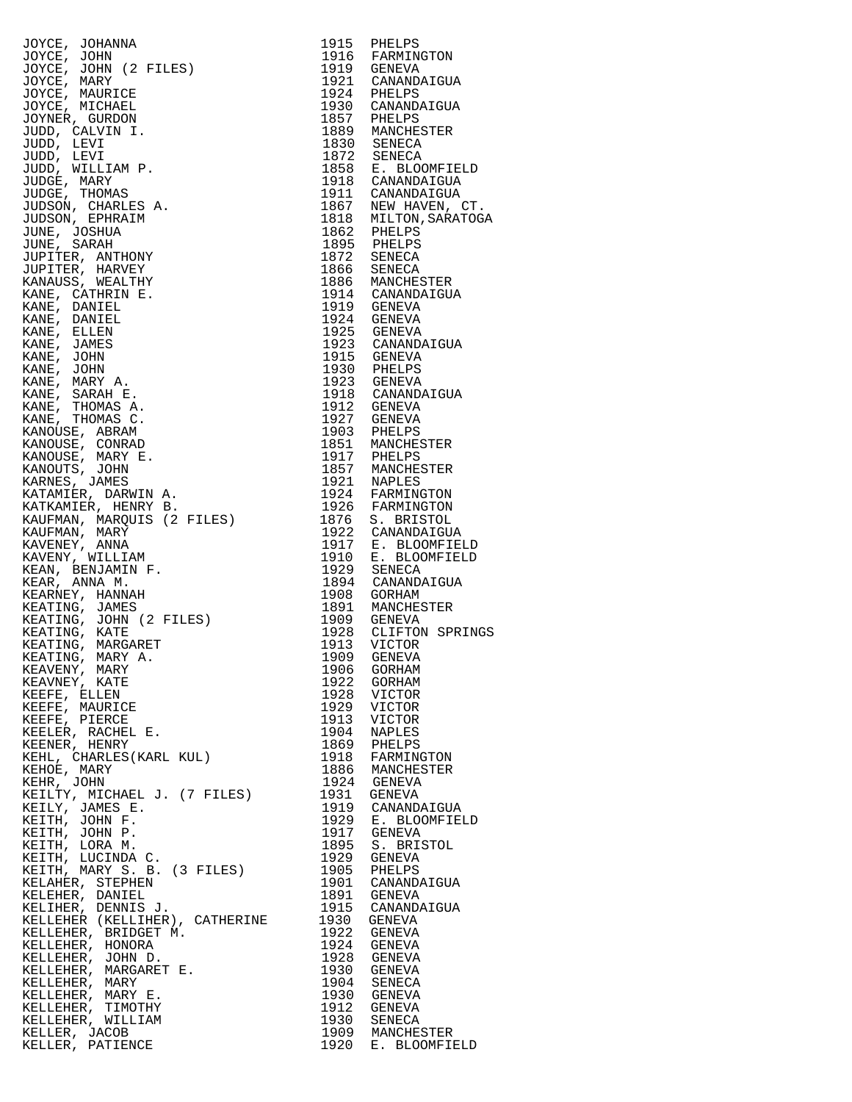JOYCE, JOHANNA 1915 PHELPS<br>JOYCE, JOHN 1916 FARMINGTON JOYCE, JOHN 1916 FARMINGTON JOYCE, JOHN (2 FILES) 1919 GENEVA JOYCE, MARY 1921 CANANDAIGUA JOYCE, MAURICE 1924 PHELPS JOYCE, MICHAEL 1930 CANANDAIGUA JOYNER, GURDON 1857 PHELPS JUDD, CALVIN I. 1889 MANCHESTER JUDD, LEVI 1830 SENECA JUDD, LEVI<br>JUDD, LEVI<br>JUDD, WILLIAM P.<br>JUDGE, MARY JUDD, WILLIAM P. 1858 E. BLOOMFIELD JUDGE, MARY 1918 CANANDAIGUA JUDGE, THOMAS 1911 CANANDAIGUA JUDSON, CHARLES A. 1867 NEW HAVEN, CT. JUDSON, EPHRAIM 1818 MILTON,SARATOGA JUNE, JOSHUA 1862 PHELPS JUNE, SARAH 1895 PHELPS JUPITER, ANTHONY 1872 SENECA JUPITER, HARVEY 1866 SENECA KANAUSS, WEALTHY 1886 MANCHESTER KANE, CATHRINE.<br>
KANE, DANIEL 1914 GANAND<br>
KANE, DANIEL 1919 GENEVA<br>
1924 GENEVA KANE, DANIEL 1924 GENEVA KANE, ELLEN 1925 GENEVA KANE, JAMES 1923 CANANDAIGUA KANE, JOHN 1915 GENEVA KANE, JOHN 1930 PHELPS KANE, MARY A. 1923 GENEVA KANE, SARAH E. 1918 CANANDAIGUA KANE, THOMAS A.<br>KANE, THOMAS C. KANE, THOMAS C. 1927 GENEVA KANOUSE, ABRAM 1903 PHELPS KANOUSE, CONRAD 1851 MANCHESTER KANOUSE, MARY E. 1917 PHELPS KANOUTS, JOHN 1857 MANCHESTER KARNES, JAMES 1921 NAPLES KATAMIER, DARWIN A. 1924 FARMINGTON KATKAMIER, HENRY B. 1926 FARMINGTON KAUFMAN, MARQUIS (2 FILES) 1876 S. BRISTOL KAUFMAN, MARY 1922 CANANDAIGUA KAVENEY, ANNA 1917 E. BLOOMFIELD KAVENY, WILLIAM 1910 E. BLOOMFIELD KEAN, BENJAMIN F. 1929 SENECA KEAR, ANNA M. 1894 CANANDAIGUA KEARNEY, HANNAH 1908 GORHAM KEATING, JAMES 1891 MANCHESTER KEATING, JOHN (2 FILES) 1909 GENEVA KEATING, KATE 1928 CLIFTON SPRINGS KEATING, MARGARET 1913 VICTOR KEATING, MARY A. 1909 GENEVA KEAVENY, MARY 1906 GORHAM KEAVNEY, KATE 1922 GORHAM KEEFE, ELLEN 1928 VICTOR KEEFE, MAURICE 1929 VICTOR KEEFE, PIERCE 1913 VICTOR KEELER, RACHEL E. 1904 NAPLES KEENER, HENRY 1869 PHELPS KEHL, CHARLES(KARL KUL) 1918 FARMINGTON KEHOE, MARY 1886 MANCHESTER KEHR, JOHN 1924 GENEVA KEILTY, MICHAEL J. (7 FILES) 1931 GENEVA KEILY, JAMES E. 1919 CANANDAIGUA KEITH, JOHN F. 1929 E. BLOOMFIELD KEITH, JOHN P. 1917 GENEVA KEITH, LORA M. 1895 S. BRISTOL KEITH, LUCINDA C. 1929 GENEVA KEITH, MARY S. B. (3 FILES) 1905 PHELPS KELAHER, STEPHEN 1901 CANANDAIGUA KELEHER, DANIEL 1891 GENEVA KELIHER, DENNIS J. 1915 CANANDAIGUA KELLEHER (KELLIHER), CATHERINE 1930 GENEVA KELLEHER, BRIDGET M. 1922 GENEVA KELLEHER, HONORA 1924 GENEVA KELLEHER, JOHN D. 1928 GENEVA KELLEHER, MARGARET E. 1930 GENEVA KELLEHER, MARY 1904 SENECA KELLEHER, MARY E. 1930 GENEVA KELLEHER, TIMOTHY<br>KELLEHER, WILLIAM KELLEHER, WILLIAM 1930 SENECA KELLER, JACOB 1909 MANCHESTER

1914 CANANDAIGUA<br>1919 GENEVA KELLER, PATIENCE 1920 E. BLOOMFIELD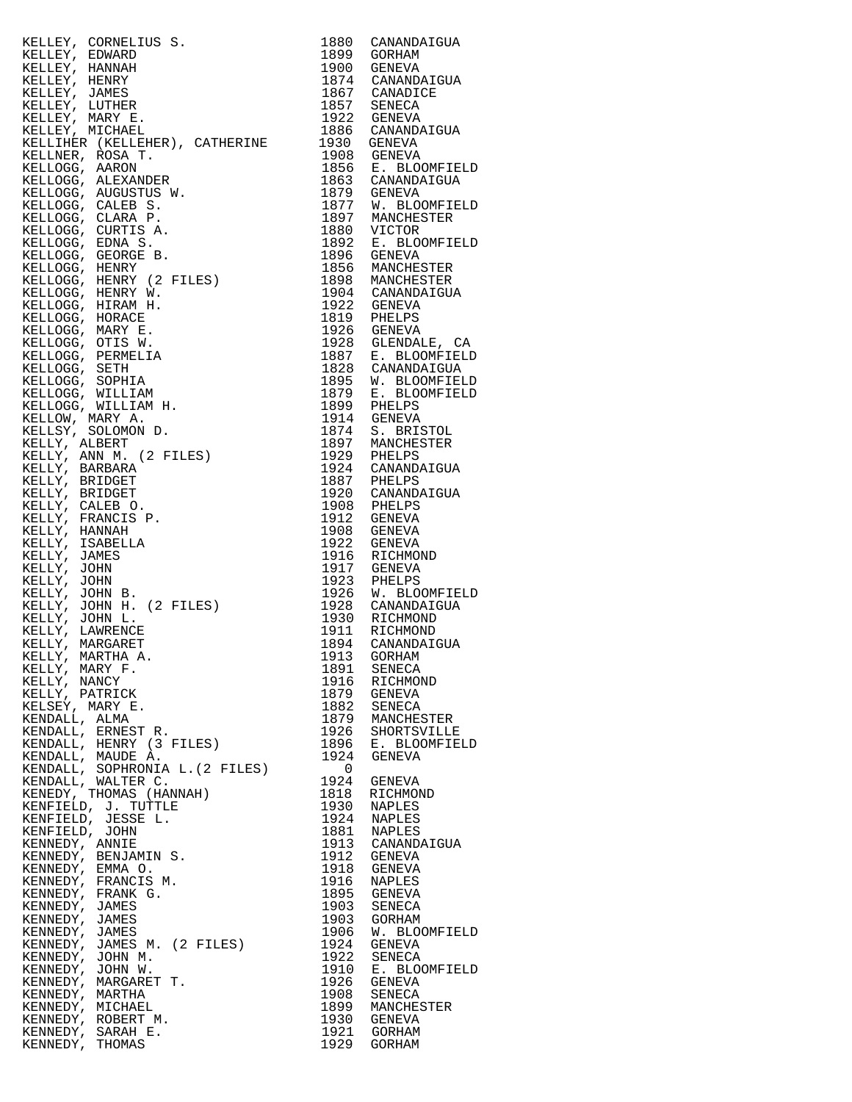KELLEY, CORNELIUS S.<br>
KELLEY, EDWARD
1899
GORHAM KELLEY, EDWARD KELLEY, HANNAH<br>KELLEY, HENRY<br>KELLEY, JAMES<br>TILLEY, JAMES KELLEY, HENRY 1874 CANANDAIGUA KELLEY, JAMES 1867 CANADICE KELLEY, LUTHER 1857 SENECA KELLEY, MARY E. 1922 GENEVA KELLEY, MICHAEL 1886 CANANDAIGUA KELLIHER (KELLEHER), CATHERINE 1930 GENEVA KELLNER, ROSA T. 1908 GENEVA KELLOGG, AARON 1856 E. BLOOMFIELD KELLOGG, ALEXANDER 1863 CANANDAIGUA KELLOGG, AUGUSTUS W. 1879 GENEVA KELLOGG, CALEB S. 1877 W. BLOOMFIELD KELLOGG, CLARA P. 1897 MANCHESTER KELLOGG, CURTIS A. 1880 VICTOR KELLOGG, EDNA S. 1892 E. BLOOMFIELD KELLOGG, GEORGE B. 1896 GENEVA KELLOGG, HENRY 1856 MANCHESTER KELLOGG, HENRY (2 FILES) 1898 MANCHESTER KELLOGG, HENRY W. 1904 CANANDAIGUA KELLOGG, HIRAM H. 1922 GENEVA KELLOGG, HORACE 1819 PHELPS KELLOGG, MARY E. 1926 GENEVA KELLOGG, OTIS W. 1928 GLENDALE, CA KELLOGG, PERMELIA 1887 E. BLOOMFIELD KELLOGG, SETH 1828 CANANDAIGUA KELLOGG, SOPHIA 1895 W. BLOOMFIELD KELLOGG, WILLIAM 1879 E. BLOOMFIELD KELLOGG, WILLIAM H. 1899 PHELPS KELLOW, MARY A. 1914 GENEVA KELLSY, SOLOMON D. 1874 S. BRISTOL KELLY, ALBERT 1897 MANCHESTER KELLY, ANN M. (2 FILES) 1929 PHELPS KELLY, BARBARA 1924 CANANDAIGUA KELLY, BRIDGET 1887 PHELPS KELLY, BRIDGET 1920 CANANDAIGUA KELLY, CALEB O. 1908 PHELPS KELLY, FRANCIS P. 1912 GENEVA KELLY, HANNAH 1908 GENEVA KELLY, ISABELLA 1922 GENEVA KELLY, JAMES 1916 RICHMOND KELLY, JOHN 1917 GENEVA KELLY, JOHN 1923 PHELPS KELLY, JOHN B. 1926 W. BLOOMFIELD KELLY, JOHN H. (2 FILES) 1928 CANANDAIGUA KELLY, JOHN L. 1930 RICHMOND KELLY, LAWRENCE 1911 RICHMOND KELLY, MARGARET 1894 CANANDAIGUA KELLY, MARTHA A. 1913 GORHAM KELLY, MARY F. 1891 SENECA KELLY, NANCY 1916 RICHMOND KELLY, PATRICK 1879 GENEVA KELSEY, MARY E. 1882 SENECA KENDALL, ALMA 1879 MANCHESTER KENDALL, ERNEST R. 1926 SHORTSVILLE KENDALL, HENRY (3 FILES) 1896 E. BLOOMFIELD KENDALL, MAUDE A. 1924 GENEVA KENDALL, SOPHRONIA L.(2 FILES) 0 KENDALL, WALTER C. 1924 GENEVA KENEDY, THOMAS (HANNAH) 1818 RICHMOND KENFIELD, J. TUTTLE 1930 NAPLES KENFIELD, JESSE L. 1924 NAPLES KENFIELD, JOHN 1881 NAPLES KENNEDY, ANNIE 1913 CANANDAIGUA KENNEDY, BENJAMIN S. 1912 GENEVA KENNEDY, EMMA O. 1918 GENEVA KENNEDY, FRANCIS M. 1916 NAPLES KENNEDY, FRANK G. 1895 GENEVA KENNEDY, JAMES 1903 SENECA KENNEDY, JAMES 1903 GORHAM KENNEDY, JAMES 1906 W. BLOOMFIELD KENNEDY, JAMES M. (2 FILES) 1924 GENEVA KENNEDY, JOHN M. 1922 SENECA KENNEDY, JOHN W. 1910 E. BLOOMFIELD KENNEDY, MARGARET T. 1926 GENEVA KENNEDY, MARTHA 1908 SENECA KENNEDY, MARTHA 1998 SENECA<br>
KENNEDY, MICHAEL 1899 MANCHESTER<br>
KENNEDY, ROBERT M. 1930 GENEVA KENNEDY, ROBERT M. 1930 GENEVA KENNEDY, SARAH E.<br>KENNEDY, THOMAS

KENNEDY, THOMAS 1929 GORHAM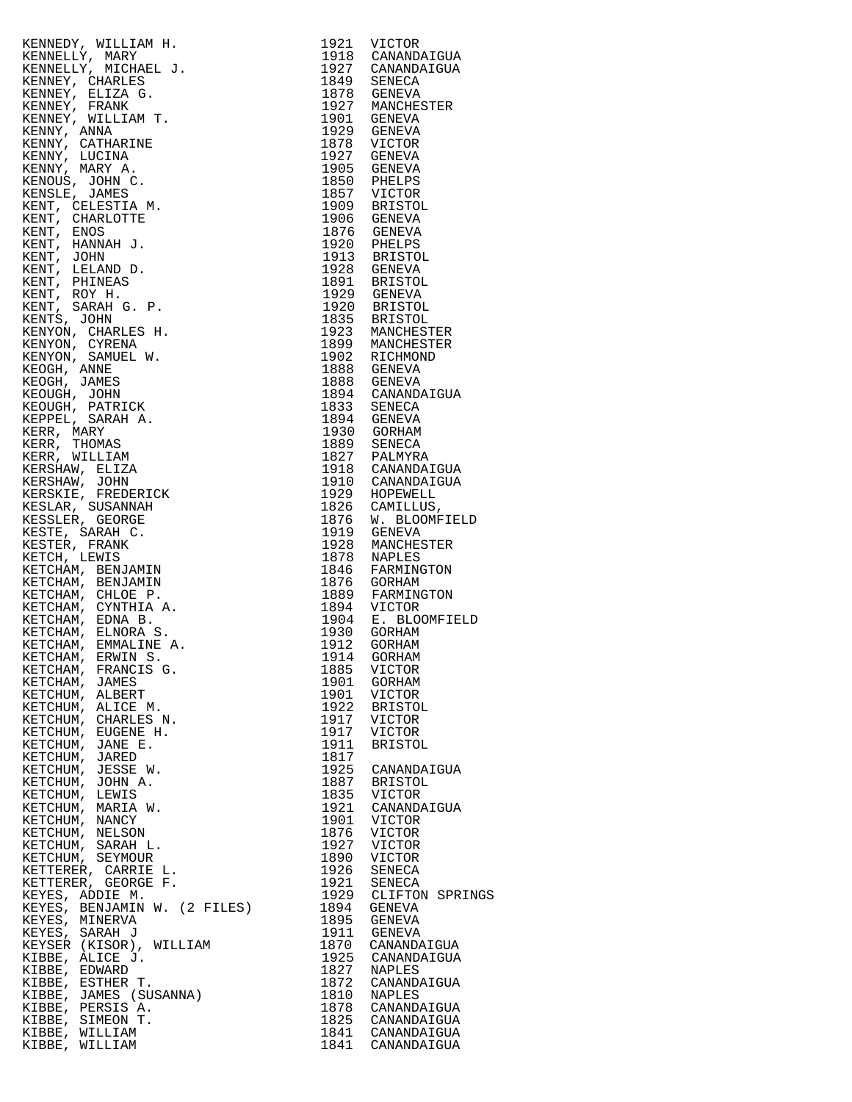| KENNEDY, WILLIAM H.                                                                                                                                                                                                                                                                                                                              |      |                                                 |
|--------------------------------------------------------------------------------------------------------------------------------------------------------------------------------------------------------------------------------------------------------------------------------------------------------------------------------------------------|------|-------------------------------------------------|
|                                                                                                                                                                                                                                                                                                                                                  |      | 1921 VICTOR                                     |
| KENNELLY, MARY                                                                                                                                                                                                                                                                                                                                   |      | 1918 CANANDAIGUA                                |
|                                                                                                                                                                                                                                                                                                                                                  |      |                                                 |
| KENNELLY, MICHAEL J.                                                                                                                                                                                                                                                                                                                             |      | 1927 CANANDAIGUA<br>1849 SENECA                 |
| KENNEY, CHARLES                                                                                                                                                                                                                                                                                                                                  |      |                                                 |
| KENNEY, ELIZA G.                                                                                                                                                                                                                                                                                                                                 |      | 1878 GENEVA                                     |
|                                                                                                                                                                                                                                                                                                                                                  |      |                                                 |
| KENNEY, FRANK                                                                                                                                                                                                                                                                                                                                    |      | 1927 MANCHESTER                                 |
| KENNEY, WILLIAM T.                                                                                                                                                                                                                                                                                                                               |      |                                                 |
| KENNY, ANNA                                                                                                                                                                                                                                                                                                                                      |      | 1901 GENEVA<br>1929 GENEVA                      |
|                                                                                                                                                                                                                                                                                                                                                  |      |                                                 |
| KENNY, CATHARINE                                                                                                                                                                                                                                                                                                                                 |      |                                                 |
| KENNY, LUCINA                                                                                                                                                                                                                                                                                                                                    |      | 1878 VICTOR<br>1927 GENEVA                      |
|                                                                                                                                                                                                                                                                                                                                                  |      | 1905 GENEVA                                     |
| KENNY, MARY A.                                                                                                                                                                                                                                                                                                                                   |      |                                                 |
| KENOUS, JOHN C.                                                                                                                                                                                                                                                                                                                                  |      | 1850 PHELPS                                     |
| KENSLE, JAMES                                                                                                                                                                                                                                                                                                                                    |      | 1857 VICTOR<br>1909 BRISTOL                     |
|                                                                                                                                                                                                                                                                                                                                                  |      |                                                 |
| KENT, CELESTIA M.                                                                                                                                                                                                                                                                                                                                |      |                                                 |
| KENT, CHARLOTTE                                                                                                                                                                                                                                                                                                                                  |      | 1906 GENEVA                                     |
| KENT, ENOS                                                                                                                                                                                                                                                                                                                                       |      |                                                 |
|                                                                                                                                                                                                                                                                                                                                                  |      |                                                 |
| KENT, HANNAH J.                                                                                                                                                                                                                                                                                                                                  |      |                                                 |
| KENT, JOHN                                                                                                                                                                                                                                                                                                                                       |      | 1876 GENEVA<br>1920 PHELPS<br>1913 BRISTOL      |
| KENT, LELAND D.                                                                                                                                                                                                                                                                                                                                  |      | 1928 GENEVA                                     |
|                                                                                                                                                                                                                                                                                                                                                  |      |                                                 |
| KENT, PHINEAS                                                                                                                                                                                                                                                                                                                                    |      | 1891 BRISTOL                                    |
| KENT, ROY H.                                                                                                                                                                                                                                                                                                                                     |      |                                                 |
|                                                                                                                                                                                                                                                                                                                                                  |      | 1929 GENEVA<br>1929 GENEVA<br>1920 BRISTOL      |
| KENT, SARAH G. P.                                                                                                                                                                                                                                                                                                                                |      |                                                 |
| KENTS, JOHN                                                                                                                                                                                                                                                                                                                                      |      | 1835 BRISTOL                                    |
| KENYON, CHARLES H.                                                                                                                                                                                                                                                                                                                               |      | 1923 MANCHESTER                                 |
|                                                                                                                                                                                                                                                                                                                                                  |      |                                                 |
| KENYON, CYRENA                                                                                                                                                                                                                                                                                                                                   |      | 1899 MANCHESTER                                 |
| KENYON, SAMUEL W.                                                                                                                                                                                                                                                                                                                                |      | 1902 RICHMOND                                   |
| $\verb KEOGH ,$ ANNE                                                                                                                                                                                                                                                                                                                             |      | 1888 GENEVA                                     |
|                                                                                                                                                                                                                                                                                                                                                  |      |                                                 |
| KEOGH, JAMES                                                                                                                                                                                                                                                                                                                                     |      | 1888 GENEVA                                     |
| KEOUGH, JOHN                                                                                                                                                                                                                                                                                                                                     |      | 1894 CANANDAIGUA                                |
| KEOUGH, PATRICK                                                                                                                                                                                                                                                                                                                                  |      | 1833 SENECA                                     |
|                                                                                                                                                                                                                                                                                                                                                  |      |                                                 |
| KEPPEL, SARAH A.                                                                                                                                                                                                                                                                                                                                 |      | 1894 GENEVA                                     |
| KERR, MARY                                                                                                                                                                                                                                                                                                                                       |      | 1930 GORHAM                                     |
| KERR, THOMAS                                                                                                                                                                                                                                                                                                                                     |      | 1889 SENECA<br>1827 PALMYRA<br>1918 CANANDAIGUA |
|                                                                                                                                                                                                                                                                                                                                                  |      |                                                 |
| KERR, WILLIAM                                                                                                                                                                                                                                                                                                                                    |      |                                                 |
| KERSHAW, ELIZA                                                                                                                                                                                                                                                                                                                                   |      |                                                 |
|                                                                                                                                                                                                                                                                                                                                                  |      | 1910 CANANDAIGUA                                |
| KERSHAW, JOHN                                                                                                                                                                                                                                                                                                                                    |      |                                                 |
| KERSKIE, FREDERICK                                                                                                                                                                                                                                                                                                                               |      | 1929 HOPEWELL<br>1826 CAMILLUS,                 |
| KESLAR, SUSANNAH                                                                                                                                                                                                                                                                                                                                 |      |                                                 |
|                                                                                                                                                                                                                                                                                                                                                  |      |                                                 |
| KESSLER, GEORGE                                                                                                                                                                                                                                                                                                                                  |      | 1876 W. BLOOMFIELD                              |
| KESTE, SARAH C.                                                                                                                                                                                                                                                                                                                                  |      | 1919 GENEVA                                     |
| KESTER, FRANK                                                                                                                                                                                                                                                                                                                                    |      | 1928 MANCHESTER                                 |
|                                                                                                                                                                                                                                                                                                                                                  |      |                                                 |
| KETCH, LEWIS                                                                                                                                                                                                                                                                                                                                     |      | 1878 NAPLES                                     |
| KETCHAM, BENJAMIN                                                                                                                                                                                                                                                                                                                                |      | 1846 FARMINGTON                                 |
|                                                                                                                                                                                                                                                                                                                                                  |      |                                                 |
|                                                                                                                                                                                                                                                                                                                                                  |      |                                                 |
| KETCHAM, BENJAMIN                                                                                                                                                                                                                                                                                                                                |      | 1876 GORHAM                                     |
|                                                                                                                                                                                                                                                                                                                                                  |      |                                                 |
| KETCHAM, CHLOE P.                                                                                                                                                                                                                                                                                                                                |      | 1889 FARMINGTON                                 |
| KETCHAM, CYNTHIA A.                                                                                                                                                                                                                                                                                                                              |      | 1894 VICTOR                                     |
| KETCHAM, EDNA B.                                                                                                                                                                                                                                                                                                                                 |      |                                                 |
| KETCHAM, ELNORA S.                                                                                                                                                                                                                                                                                                                               |      | 1904 E. BLOOMFIELD<br>1930 GORHAM               |
|                                                                                                                                                                                                                                                                                                                                                  |      |                                                 |
| KETCHAM, EMMALINE A.                                                                                                                                                                                                                                                                                                                             | 1912 | GORHAM                                          |
| IRM H.<br>HAMEL J.<br>ES<br>C.<br>C.<br>AM T.<br>INE<br>C.<br>C.<br>AM.<br>J.<br>C.<br>C.<br>C.<br>C.<br>C.<br>AM L W.<br>CK<br>CK<br>A L W.<br>CK<br>CK<br>A L W.<br>CERICK<br>CK<br>CK<br>A L W.<br>CERICK<br>CR A L M L A L R A L M L A L R A L M L A R A L M L A R A L M L GERICK<br>CC.<br>C.<br>M M M H H R R L H H R<br>KETCHAM, ERWIN S. |      | 1914 GORHAM                                     |
| KETCHAM, FRANCIS G.                                                                                                                                                                                                                                                                                                                              | 1885 | VICTOR                                          |
|                                                                                                                                                                                                                                                                                                                                                  |      |                                                 |
| KETCHAM, JAMES                                                                                                                                                                                                                                                                                                                                   | 1901 | GORHAM                                          |
| KETCHUM, ALBERT                                                                                                                                                                                                                                                                                                                                  | 1901 | VICTOR                                          |
| KETCHUM, ALICE M.                                                                                                                                                                                                                                                                                                                                | 1922 | BRISTOL                                         |
|                                                                                                                                                                                                                                                                                                                                                  |      |                                                 |
| KETCHUM, CHARLES N.                                                                                                                                                                                                                                                                                                                              | 1917 | VICTOR                                          |
| KETCHUM, EUGENE H.                                                                                                                                                                                                                                                                                                                               | 1917 | VICTOR                                          |
| KETCHUM, JANE E.                                                                                                                                                                                                                                                                                                                                 | 1911 | <b>BRISTOL</b>                                  |
|                                                                                                                                                                                                                                                                                                                                                  |      |                                                 |
| KETCHUM, JARED                                                                                                                                                                                                                                                                                                                                   | 1817 |                                                 |
| KETCHUM, JESSE W.                                                                                                                                                                                                                                                                                                                                | 1925 | CANANDAIGUA                                     |
| KETCHUM, JOHN A.                                                                                                                                                                                                                                                                                                                                 | 1887 | BRISTOL                                         |
|                                                                                                                                                                                                                                                                                                                                                  |      |                                                 |
| KETCHUM, LEWIS                                                                                                                                                                                                                                                                                                                                   | 1835 | VICTOR                                          |
| KETCHUM, MARIA W.                                                                                                                                                                                                                                                                                                                                | 1921 | CANANDAIGUA                                     |
| KETCHUM, NANCY                                                                                                                                                                                                                                                                                                                                   | 1901 | VICTOR                                          |
|                                                                                                                                                                                                                                                                                                                                                  |      |                                                 |
| KETCHUM, NELSON                                                                                                                                                                                                                                                                                                                                  | 1876 | <b>VICTOR</b>                                   |
| KETCHUM, SARAH L.                                                                                                                                                                                                                                                                                                                                | 1927 | VICTOR                                          |
| KETCHUM, SEYMOUR                                                                                                                                                                                                                                                                                                                                 | 1890 | VICTOR                                          |
|                                                                                                                                                                                                                                                                                                                                                  |      |                                                 |
| KETTERER, CARRIE L.                                                                                                                                                                                                                                                                                                                              | 1926 | SENECA                                          |
| KETTERER, GEORGE F.                                                                                                                                                                                                                                                                                                                              | 1921 | SENECA                                          |
| KEYES, ADDIE M.                                                                                                                                                                                                                                                                                                                                  | 1929 | CLIFTON SPRINGS                                 |
|                                                                                                                                                                                                                                                                                                                                                  |      |                                                 |
| KEYES, BENJAMIN W. (2 FILES)                                                                                                                                                                                                                                                                                                                     | 1894 | GENEVA                                          |
| KEYES, MINERVA                                                                                                                                                                                                                                                                                                                                   | 1895 | GENEVA                                          |
| KEYES, SARAH J                                                                                                                                                                                                                                                                                                                                   | 1911 | GENEVA                                          |
|                                                                                                                                                                                                                                                                                                                                                  |      |                                                 |
| KEYSER (KISOR), WILLIAM                                                                                                                                                                                                                                                                                                                          | 1870 | CANANDAIGUA                                     |
| KIBBE, ALICE J.                                                                                                                                                                                                                                                                                                                                  | 1925 | CANANDAIGUA                                     |
| KIBBE, EDWARD                                                                                                                                                                                                                                                                                                                                    | 1827 | NAPLES                                          |
|                                                                                                                                                                                                                                                                                                                                                  |      |                                                 |
| KIBBE, ESTHER T.                                                                                                                                                                                                                                                                                                                                 | 1872 | CANANDAIGUA                                     |
| KIBBE, JAMES (SUSANNA)                                                                                                                                                                                                                                                                                                                           | 1810 | NAPLES                                          |
| KIBBE, PERSIS A.                                                                                                                                                                                                                                                                                                                                 | 1878 | CANANDAIGUA                                     |
|                                                                                                                                                                                                                                                                                                                                                  |      |                                                 |
| KIBBE, SIMEON T.                                                                                                                                                                                                                                                                                                                                 |      | 1825 CANANDAIGUA                                |
| KIBBE, WILLIAM<br>KIBBE, WILLIAM                                                                                                                                                                                                                                                                                                                 | 1841 | 1841 CANANDAIGUA<br>CANANDAIGUA                 |

| 1921         | VICTOR          |
|--------------|-----------------|
| 1918         | CANANDAIGUA     |
| 1927         | CANANDAIGUA     |
| 1849         | <b>SENECA</b>   |
| 1878         | GENEVA          |
| 1927         | MANCHESTER      |
| 1901         | GENEVA          |
| 1929         | GENEVA          |
| 1878         | VICTOR          |
| 1927         | GENEVA          |
| 1905         | <b>GENEVA</b>   |
| 1850         | PHELPS          |
| 1857         | VICTOR          |
| 1909         | <b>BRISTOL</b>  |
| 1906         | <b>GENEVA</b>   |
| 1876         | GENEVA          |
| 1920         | PHELPS          |
| 1913         | <b>BRISTOL</b>  |
| 1928         | <b>GENEVA</b>   |
| 1891         | <b>BRISTOL</b>  |
| 1929         | GENEVA          |
| 1920         | <b>BRISTOL</b>  |
| 1835         | BRISTOL         |
| 1923         | MANCHESTER      |
| 1899         | MANCHESTER      |
| 1902         | RICHMOND        |
| 1888         | <b>GENEVA</b>   |
| 1888         | <b>GENEVA</b>   |
| 1894         | CANANDAIGUA     |
| 1833         | <b>SENECA</b>   |
| 1894         | GENEVA          |
| 1930         | GORHAM          |
| 1889         | SENECA          |
| 1827         | PALMYRA         |
| 1918         | CANANDAIGUA     |
| 1910         | CANANDAIGUA     |
| 1929         | HOPEWELL        |
| 1826         | CAMILLUS,       |
| 1876         | W. BLOOMFIELD   |
| 1919         | GENEVA          |
| 1928         | MANCHESTER      |
| 1878         | <b>NAPLES</b>   |
| 1846         | FARMINGTON      |
| 1876         | GORHAM          |
| 1889         | FARMINGTON      |
| 1894         | VICTOR          |
| 1904         | E. BLOOMFIELD   |
| 1930         | GORHAM          |
| 1912         | GORHAM          |
| 1914         | GORHAM          |
| 1885         | VICTOR          |
| 1901         | GORHAM          |
| 1901         | VICTOR          |
| 1922         | <b>BRISTOL</b>  |
| 1917         | VICTOR          |
| 1917<br>1911 | VICTOR          |
| 1817         | <b>BRISTOL</b>  |
| 1925         | CANANDAIGUA     |
| 1887         | <b>BRISTOL</b>  |
| 1835         | VICTOR          |
| 1921         | CANANDAIGUA     |
| 1901         | VICTOR          |
| 1876         | VICTOR          |
| 1927         | VICTOR          |
| 1890         | VICTOR          |
| 1926         | SENECA          |
| 1921         | SENECA          |
| 1929         | CLIFTON SPRINGS |
| 1894         | GENEVA          |
| 1895         | GENEVA          |
| 1911         | <b>GENEVA</b>   |
| 1870         | CANANDAIGUA     |
| 1925         | CANANDAIGUA     |
| 1827         | NAPLES          |
| 1872         | CANANDAIGUA     |
| 1810         | NAPLES          |
| 1878         | CANANDAIGUA     |
| 1825         | CANANDAIGUA     |
| 1841         | CANANDAIGUA     |
| 1841         | CANANDAIGUA     |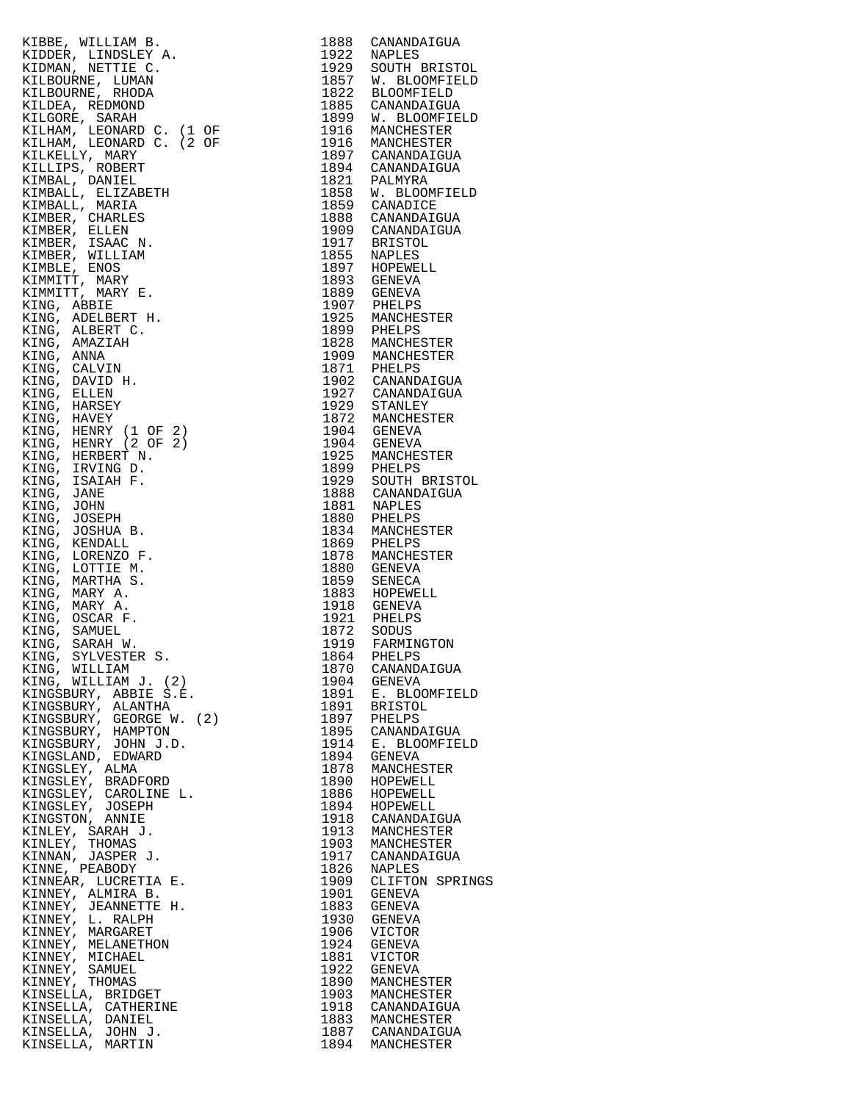| KIBBE, WILLIAM B.                                         | 1888 | CANANDAIGUA                 |
|-----------------------------------------------------------|------|-----------------------------|
| KIDDER, LINDSLEY A.                                       | 1922 | NAPLES                      |
|                                                           |      |                             |
| KIDMAN, NETTIE C.                                         | 1929 | SOUTH BRISTOL               |
| KILBOURNE, LUMAN                                          | 1857 | W. BLOOMFIELD               |
| KILBOURNE, RHODA                                          |      | 1822 BLOOMFIELD             |
|                                                           |      |                             |
| KILDEA, REDMOND                                           | 1885 | CANANDAIGUA                 |
| KILGORE, SARAH                                            |      | 1899 W. BLOOMFIELD          |
| KILHAM, LEONARD C. (1 OF                                  |      | 1916 MANCHESTER             |
|                                                           |      |                             |
| KILHAM, LEONARD C. (2 OF                                  |      | 1916 MANCHESTER             |
| KILKELLY, MARY                                            |      | 1897 CANANDAIGUA            |
| KILLIPS, ROBERT                                           |      | 1894 CANANDAIGUA            |
|                                                           |      |                             |
| KIMBAL, DANIEL                                            |      | 1821 PALMYRA                |
| KIMBALL, ELIZABETH                                        |      | 1858 W. BLOOMFIELD          |
| KIMBALL, MARIA                                            |      | 1859 CANADICE               |
|                                                           |      |                             |
| KIMBER, CHARLES                                           |      | 1888 CANANDAIGUA            |
| KIMBER, ELLEN                                             |      | 1909 CANANDAIGUA            |
|                                                           |      |                             |
| KIMBER, ISAAC N.                                          |      | 1917 BRISTOL<br>1855 NAPLES |
| KIMBER, WILLIAM                                           |      |                             |
| KIMBLE, ENOS                                              |      | 1897 HOPEWELL               |
|                                                           |      |                             |
| KIMMITT, MARY                                             |      | 1893 GENEVA                 |
| KIMMITT, MARY E.                                          |      | 1889 GENEVA                 |
| KING, ABBIE                                               |      | 1907 PHELPS                 |
|                                                           |      |                             |
| KING, ADELBERT H.                                         |      | 1925 MANCHESTER             |
| KING, ALBERT C.                                           |      | 1899 PHELPS                 |
| KING, AMAZIAH                                             |      | 1828 MANCHESTER             |
|                                                           |      |                             |
| KING, ANNA                                                |      | 1909 MANCHESTER             |
| KING, CALVIN                                              |      | 1871 PHELPS                 |
| KING, DAVID H.                                            |      | 1902 CANANDAIGUA            |
|                                                           |      |                             |
| KING, ELLEN                                               |      | 1927 CANANDAIGUA            |
| KING, HARSEY                                              | 1929 | STANLEY                     |
| KING, HAVEY                                               |      | 1872 MANCHESTER             |
|                                                           |      |                             |
| KING, HENRY (1 OF 2)                                      |      | 1904 GENEVA                 |
| KING, HENRY (2 OF 2)                                      |      | 1904 GENEVA                 |
|                                                           |      | 1925 MANCHESTER             |
| KING, HERBERT N.                                          |      |                             |
| KING, IRVING D.                                           |      | 1899 PHELPS                 |
| KING, ISAIAH F.                                           | 1929 | SOUTH BRISTOL               |
| KING, JANE                                                |      | 1888 CANANDAIGUA            |
|                                                           |      |                             |
| KING, JOHN                                                |      | 1881 NAPLES                 |
| KING, JOSEPH                                              |      | 1880 PHELPS                 |
| KING, JOSHUA B.                                           |      | 1834 MANCHESTER             |
|                                                           |      |                             |
| KING, KENDALL                                             |      | 1869 PHELPS                 |
| KING, LORENZO F.                                          |      | 1878 MANCHESTER             |
| KING, LOTTIE M.                                           |      | 1880 GENEVA                 |
|                                                           |      |                             |
| KING, MARTHA S.                                           | 1859 | SENECA                      |
| KING, MARY A.                                             |      | 1883 HOPEWELL               |
| KING, MARY A.                                             |      | 1918 GENEVA                 |
|                                                           |      |                             |
| KING, OSCAR F.                                            |      | 1921 PHELPS                 |
| ETH<br>.<br>.<br>OF 2)<br>OF 2)<br>.<br>.<br>KING, SAMUEL | 1872 | SODUS                       |
| KING, SARAH W.                                            | 1919 | FARMINGTON                  |
|                                                           |      |                             |
| KING, SYLVESTER S.                                        |      | 1864 PHELPS                 |
| KING, WILLIAM                                             | 1870 | CANANDAIGUA                 |
| KING, WILLIAM J. (2)                                      | 1904 | GENEVA                      |
| KINGSBURY, ABBIE S.E.                                     | 1891 | E. BLOOMFIELD               |
|                                                           |      |                             |
| KINGSBURY, ALANTHA                                        | 1891 | <b>BRISTOL</b>              |
| KINGSBURY, GEORGE W. (2)                                  |      | 1897 PHELPS                 |
| KINGSBURY, HAMPTON                                        | 1895 | CANANDAIGUA                 |
| KINGSBURY, JOHN J.D.                                      | 1914 | E. BLOOMFIELD               |
|                                                           |      |                             |
| KINGSLAND, EDWARD                                         | 1894 | GENEVA                      |
| KINGSLEY, ALMA                                            | 1878 | MANCHESTER                  |
| KINGSLEY, BRADFORD                                        | 1890 | HOPEWELL                    |
|                                                           |      |                             |
| KINGSLEY, CAROLINE L.                                     | 1886 | HOPEWELL                    |
| KINGSLEY, JOSEPH                                          | 1894 | HOPEWELL                    |
| KINGSTON, ANNIE                                           |      | 1918 CANANDAIGUA            |
|                                                           |      |                             |
| KINLEY, SARAH J.                                          | 1913 | MANCHESTER                  |
| KINLEY, THOMAS                                            | 1903 | MANCHESTER                  |
| KINNAN, JASPER J.                                         |      | 1917 CANANDAIGUA            |
|                                                           |      |                             |
| KINNE, PEABODY                                            | 1826 | NAPLES                      |
| KINNEAR, LUCRETIA E.                                      | 1909 | CLIFTON SPRINGS             |
| KINNEY, ALMIRA B.                                         | 1901 | GENEVA                      |
|                                                           |      |                             |
| KINNEY, JEANNETTE H.                                      | 1883 | GENEVA                      |
| KINNEY, L. RALPH                                          | 1930 | GENEVA                      |
| KINNEY, MARGARET                                          | 1906 | VICTOR                      |
|                                                           |      |                             |
| KINNEY, MELANETHON                                        | 1924 | GENEVA                      |
| KINNEY, MICHAEL                                           | 1881 | VICTOR                      |
| KINNEY, SAMUEL                                            | 1922 | GENEVA                      |
| KINNEY, THOMAS                                            | 1890 | MANCHESTER                  |
|                                                           |      |                             |
| KINSELLA, BRIDGET                                         | 1903 | MANCHESTER                  |
| KINSELLA, CATHERINE                                       |      | 1918 CANANDAIGUA            |
| KINSELLA, DANIEL                                          |      | 1883 MANCHESTER             |
|                                                           |      |                             |
| KINSELLA, JOHN J.                                         |      | 1887 CANANDAIGUA            |
| KINSELLA, MARTIN                                          | 1894 | MANCHESTER                  |

| 1888         | CANANDAIGUA                              |
|--------------|------------------------------------------|
| 1922<br>1929 | NAPLES                                   |
| 1857         | SOUTH BRISTOL<br>W. BLOOMFIELD           |
| 1822         | <b>BLOOMFIELD</b>                        |
| 1885         | CANANDAIGUA                              |
| 1899         | W. BLOOMFIELD                            |
| 1916         | MANCHESTER                               |
| 1916<br>1897 | MANCHESTER                               |
| 1894         | CANANDAIGUA<br>CANANDAIGUA               |
| 1821         | PALMYRA                                  |
| 1858         | W. BLOOMFIELD                            |
| 1859         | CANADICE                                 |
| 1888         | CANANDAIGUA                              |
| 1909<br>1917 | CANANDAIGUA                              |
| 1855         | <b>BRISTOL</b><br>NAPLES                 |
| 1897         | HOPEWELL                                 |
| 1893         | <b>GENEVA</b>                            |
| 1889         | <b>GENEVA</b>                            |
| 1907         | PHELPS                                   |
| 1925<br>1899 | MANCHESTER                               |
| 1828         | PHELPS<br>MANCHESTER                     |
| 1909         | MANCHESTER                               |
| 1871         | PHELPS                                   |
| 1902         | CANANDAIGUA                              |
| 1927         | CANANDAIGUA                              |
| 1929<br>1872 | STANLEY                                  |
| 1904         | MANCHESTER<br><b>GENEVA</b>              |
| 1904         | <b>GENEVA</b>                            |
| 1925         | MANCHESTER                               |
| 1899         | PHELPS                                   |
| 1929         | SOUTH BRISTOL                            |
| 1888         | CANANDAIGUA                              |
| 1881<br>1880 | NAPLES<br>PHELPS                         |
| 1834         | MANCHESTER                               |
| 1869         | PHELPS                                   |
| 1878         | MANCHESTER                               |
| 1880         | <b>GENEVA</b>                            |
| 1859         | SENECA                                   |
| 1883<br>1918 | HOPEWELL<br><b>GENEVA</b>                |
| 1921         | PHELPS                                   |
| 1872         | SODUS                                    |
| 1919         | FARMINGTON                               |
| 1864         | PHELPS                                   |
| 1870<br>1904 | CANANDAIGUA<br>GENEVA                    |
| 1891         | $E$ .<br><b>BLOOMFIELD</b>               |
| 1891         | <b>BRISTOL</b>                           |
| 1897         | PHELPS                                   |
| 1895         | CANANDAIGUA                              |
| 1914<br>1894 | <b>BLOOMFIELD</b><br>Ε.<br><b>GENEVA</b> |
| 1878         | MANCHESTER                               |
| 1890         | HOPEWELL                                 |
| 1886         | HOPEWELL                                 |
| 1894         | HOPEWELL                                 |
| 1918<br>1913 | CANANDAIGUA                              |
| 1903         | MANCHESTER<br>MANCHESTER                 |
| <b>1917</b>  | CANANDAIGUA                              |
| 1826         | NAPLES                                   |
| 1909<br>1901 | CLIFTON SPRINGS                          |
|              | GENEVA                                   |
| 1883<br>1930 | GENEVA                                   |
| 1906         | <b>GENEVA</b><br>VICTOR                  |
| 1924         | <b>GENEVA</b>                            |
| 1881         | VICTOR                                   |
| 1922         | <b>GENEVA</b>                            |
| 1890         | MANCHESTER                               |
| 1903<br>1918 | MANCHESTER                               |
| 1883         | CANANDAIGUA<br>MANCHESTER                |
|              | CANANDAIGUA                              |
| 1887<br>1894 | MANCHESTER                               |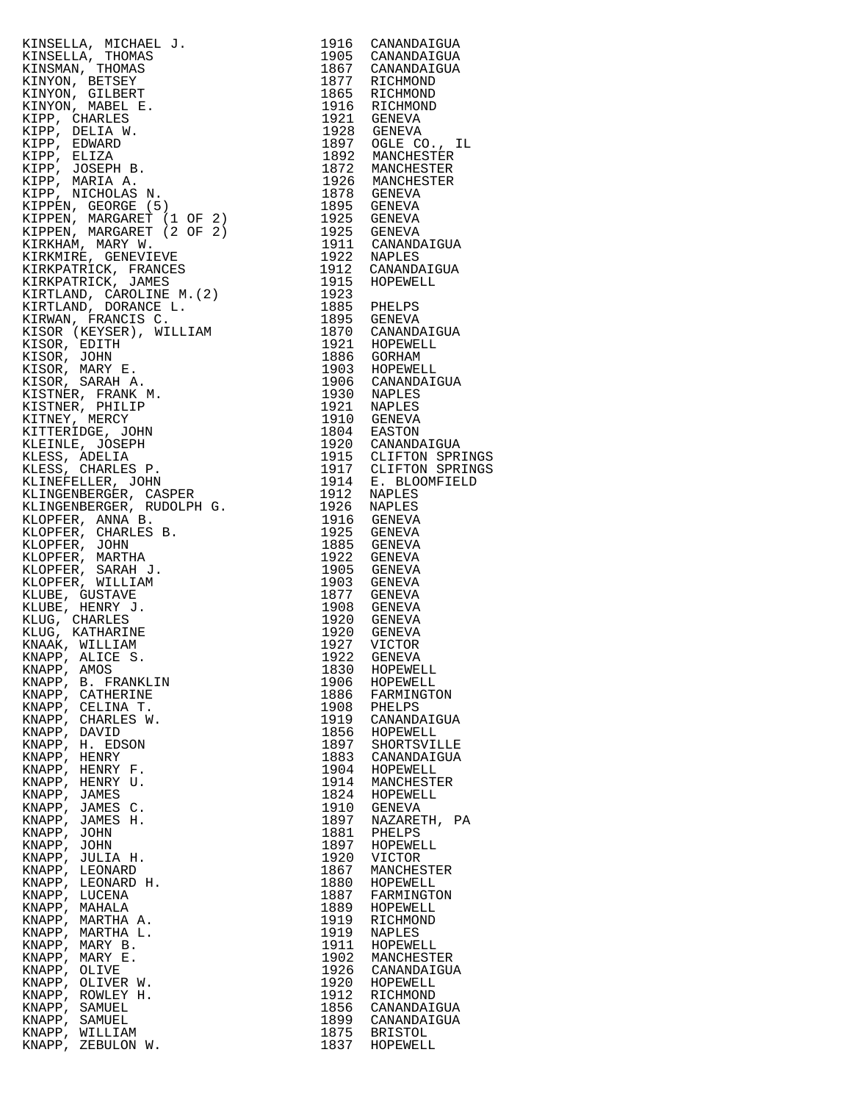KINSELLA, MICHAEL J. 1916 CANANDAIGUA KINSELLA, THOMAS 1905 CANANDAIGUA KINSELLA, MICHAEL J.<br>
KINSELLA, THOMAS 1905 CANANDAIGUA<br>
KINSMAN, THOMAS 1867 CANANDAIGUA<br>
KINYON, BETSEY 1877 RICHMOND<br>
KINYON, GILBERT 1865 RICHMOND<br>
KINYON, GILBERT 1865 RICHMOND KINYON, BETSEY 1877 RICHMOND KINYON, GILBERT 1865 RICHMOND KINYON, MABEL E. 1916 RICHMOND KIPP, CHARLES 1921 GENEVA KIPP, DELIA W. 1928 GENEVA KIPP, EDWARD 1897 OGLE CO., IL KIPP, ELIZA 1892 MANCHESTER KIPP, JOSEPH B. 1872 MANCHESTER KIPP, MARIA A. 1926 MANCHESTER KIPP, NICHOLAS N. 1878 GENEVA KIPPEN, GEORGE (5) 1895 GENEVA KIPPEN, MARGARET (1 OF 2) 1925 GENEVA KIPPEN, MARGARET (2 OF 2) 1925 GENEVA KIRKHAM, MARY W. 1911 CANANDAIGUA KIRKMIRE, GENEVIEVE 1922 NAPLES KIRKPATRICK, FRANCES 1912 CANANDAIGUA KIRKPATRICK, JAMES 1915 HOPEWELL KIRTLAND, CAROLINE M.(2) 1923 KIRTLAND, DORANCE L. 1885 PHELPS KIRWAN, FRANCIS C. 1895 GENEVA KISOR (KEYSER), WILLIAM 1870 CANANDAIGUA KISOR, EDITH 1921 HOPEWELL KISOR, JOHN 1886 GORHAM KISOR, MARY E. 1903 HOPEWELL KISOR, SARAH A. 1906 CANANDAIGUA KISTNER, FRANK M. 1930 NAPLES KISTNER, PHILIP 1921 NAPLES KITNEY, MERCY 1910 GENEVA KITTERIDGE, JOHN 1804 EASTON KLEINLE, JOSEPH 1920 CANANDAIGUA KLESS, ADELIA 1915 CLIFTON SPRINGS KLESS, CHARLES P. 1917 CLIFTON SPRINGS KLINEFELLER, JOHN 1914 E. BLOOMFIELD KLINGENBERGER, CASPER 1912 NAPLES KLINGENBERGER, RUDOLPH G. 1926 NAPLES KLOPFER, ANNA B. 1916 GENEVA KLOPFER, CHARLES B. 1925 GENEVA KLOPFER, JOHN 1885 GENEVA KLOPFER, MARTHA 1922 GENEVA KLOPFER, SARAH J. 1905 GENEVA KLOPFER, WILLIAM 1903 GENEVA KLUBE, GUSTAVE 1877 GENEVA KLUBE, HENRY J. 1908 GENEVA KLUG, CHARLES 1920 GENEVA KLUG, KATHARINE 1920 GENEVA KNAAK, WILLIAM 1927 VICTOR KNAPP, ALICE S. 1922 GENEVA KNAPP, AMOS 1830 HOPEWELL KNAPP, B. FRANKLIN 1906 HOPEWELL KNAPP, CATHERINE 1886 FARMINGTON KNAPP, CELINA T.<br>KNAPP, CHARLES W.<br>KNAPP, DAVID KNAPP, CHARLES W. 1919 CANANDAIGUA KNAPP, DAVID 1856 HOPEWELL KNAPP, H. EDSON 1897 SHORTSVILLE KNAPP, HENRY 1883 CANANDAIGUA KNAPP, HENRY F. 1904 HOPEWELL KNAPP, HENRY U. 1914 MANCHESTER KNAPP, JAMES 1824 HOPEWELL KNAPP, JAMES<br>KNAPP, JAMES C.<br>KNAPP, JAMES H. KNAPP, JOHN 1881 PHELPS KNAPP, JULIA H. 1920 VICTOR KNAPP, LEONARD 1867 MANCHESTER KNAPP, LEONARD<br>KNAPP, LEONARD H.<br>KNAPP, LUCENA KNAPP, LUCENA 1887 FARMINGTON KNAPP, MAHALA 1889 HOPEWELL KNAPP, MARTHA A. 1919 RICHMOND KNAPP, MARTHA L. 1919 NAPLES KNAPP, MARY B. 1911 HOPEWELL KNAPP, MARY E. 1902 MANCHESTER KNAPP, OLIVE 1926 CANANDAIGUA KNAPP, OLIVER W. 1920 HOPEWELL KNAPP, ROWLEY H. 1912 RICHMOND<br>
KNAPP, SAMUEL 1856 CANANDAI<br>
KNAPP, SAMUEL 1899 CANANDAI KNAPP, SAMUEL 1856 CANANDAIGUA KNAPP, SAMUEL 1899 CANANDAIGUA KNAPP, WILLIAM 1875 BRISTOL KNAPP, ZEBULON W.

1824 HOPEWELL<br>1910 GENEVA<br>1897 NAZARETH, PA 1881 RHELPS<br>1897 HOPEWELL<br>1920 VICTOR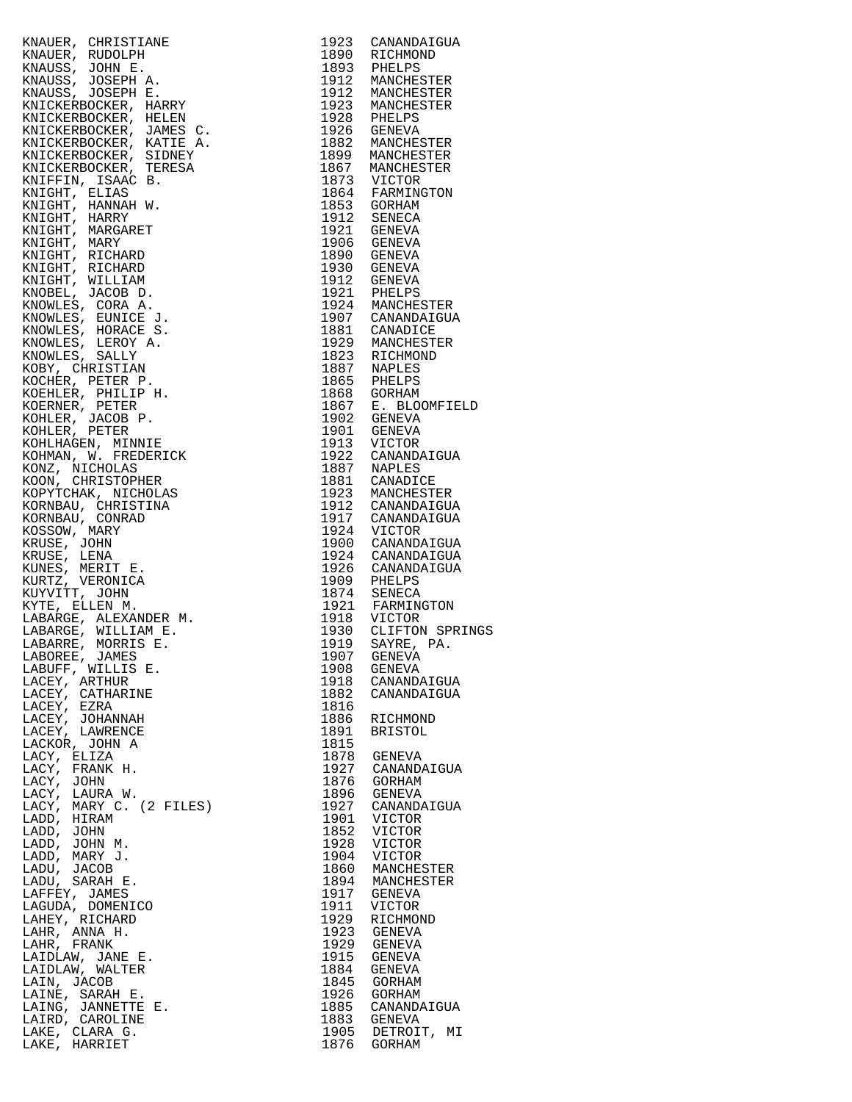| KNAUER, CHRISTIANE (1872)<br>RAMER, RUDOLPH (1973)<br>RAMER, RUDOLPH (1973)<br>RAMERS, JOSEPH A. 1989)<br>RAMERS (2002)<br>RAMERS (2002)<br>RAMERS (2002)<br>RAMERS (2002)<br>RAMERS (2002)<br>RAMERS (2002)<br>RAMERS (2002)<br>RAMERS (2002)<br>RAMERS (2002)<br>R |      |                                    |
|----------------------------------------------------------------------------------------------------------------------------------------------------------------------------------------------------------------------------------------------------------------------|------|------------------------------------|
|                                                                                                                                                                                                                                                                      |      |                                    |
|                                                                                                                                                                                                                                                                      |      |                                    |
|                                                                                                                                                                                                                                                                      |      |                                    |
|                                                                                                                                                                                                                                                                      |      |                                    |
|                                                                                                                                                                                                                                                                      |      |                                    |
|                                                                                                                                                                                                                                                                      |      |                                    |
|                                                                                                                                                                                                                                                                      |      |                                    |
|                                                                                                                                                                                                                                                                      |      |                                    |
|                                                                                                                                                                                                                                                                      |      |                                    |
|                                                                                                                                                                                                                                                                      |      |                                    |
|                                                                                                                                                                                                                                                                      |      |                                    |
|                                                                                                                                                                                                                                                                      |      |                                    |
|                                                                                                                                                                                                                                                                      |      |                                    |
|                                                                                                                                                                                                                                                                      |      |                                    |
|                                                                                                                                                                                                                                                                      |      |                                    |
|                                                                                                                                                                                                                                                                      |      |                                    |
|                                                                                                                                                                                                                                                                      |      |                                    |
|                                                                                                                                                                                                                                                                      |      |                                    |
|                                                                                                                                                                                                                                                                      |      |                                    |
|                                                                                                                                                                                                                                                                      |      |                                    |
|                                                                                                                                                                                                                                                                      |      |                                    |
|                                                                                                                                                                                                                                                                      |      |                                    |
|                                                                                                                                                                                                                                                                      |      |                                    |
|                                                                                                                                                                                                                                                                      |      |                                    |
|                                                                                                                                                                                                                                                                      |      |                                    |
|                                                                                                                                                                                                                                                                      |      |                                    |
|                                                                                                                                                                                                                                                                      |      |                                    |
|                                                                                                                                                                                                                                                                      |      |                                    |
|                                                                                                                                                                                                                                                                      |      |                                    |
|                                                                                                                                                                                                                                                                      |      |                                    |
|                                                                                                                                                                                                                                                                      |      |                                    |
|                                                                                                                                                                                                                                                                      |      |                                    |
|                                                                                                                                                                                                                                                                      |      |                                    |
|                                                                                                                                                                                                                                                                      |      |                                    |
|                                                                                                                                                                                                                                                                      |      |                                    |
|                                                                                                                                                                                                                                                                      |      |                                    |
|                                                                                                                                                                                                                                                                      |      |                                    |
|                                                                                                                                                                                                                                                                      |      |                                    |
|                                                                                                                                                                                                                                                                      |      |                                    |
|                                                                                                                                                                                                                                                                      |      |                                    |
|                                                                                                                                                                                                                                                                      |      |                                    |
|                                                                                                                                                                                                                                                                      |      |                                    |
|                                                                                                                                                                                                                                                                      |      |                                    |
|                                                                                                                                                                                                                                                                      |      |                                    |
|                                                                                                                                                                                                                                                                      |      |                                    |
|                                                                                                                                                                                                                                                                      |      |                                    |
|                                                                                                                                                                                                                                                                      |      |                                    |
|                                                                                                                                                                                                                                                                      |      |                                    |
|                                                                                                                                                                                                                                                                      |      |                                    |
|                                                                                                                                                                                                                                                                      |      |                                    |
| 1919 SAYRE, I<br>1907 GENEVA<br>1908 GENEVA<br>1918 CANANDAI<br>1882 CANANDAI<br>1816 RICHMOND<br>1891 BRISTOL<br>1815                                                                                                                                               |      |                                    |
| LABUFF, WILLIS E.                                                                                                                                                                                                                                                    |      |                                    |
| LACEY, ARTHUR                                                                                                                                                                                                                                                        |      | 1918 CANANDAIGUA                   |
| LACEY, CATHARINE                                                                                                                                                                                                                                                     |      | CANANDAIGUA                        |
| LACEY, EZRA                                                                                                                                                                                                                                                          |      |                                    |
| LACEY, JOHANNAH                                                                                                                                                                                                                                                      |      | RICHMOND                           |
| LACEY, LAWRENCE                                                                                                                                                                                                                                                      |      |                                    |
| LACKOR, JOHN A                                                                                                                                                                                                                                                       | 1815 |                                    |
| LACY, ELIZA                                                                                                                                                                                                                                                          |      | 1878 GENEVA                        |
|                                                                                                                                                                                                                                                                      |      | 1927 CANANDAIGUA<br>1876 GORHAM    |
|                                                                                                                                                                                                                                                                      |      |                                    |
|                                                                                                                                                                                                                                                                      | 1896 | GENEVA                             |
|                                                                                                                                                                                                                                                                      | 1927 | CANANDAIGUA                        |
|                                                                                                                                                                                                                                                                      | 1901 | VICTOR                             |
|                                                                                                                                                                                                                                                                      | 1852 | VICTOR                             |
|                                                                                                                                                                                                                                                                      | 1928 | VICTOR                             |
|                                                                                                                                                                                                                                                                      | 1904 | VICTOR                             |
|                                                                                                                                                                                                                                                                      |      |                                    |
|                                                                                                                                                                                                                                                                      |      | 1860 MANCHESTER<br>1894 MANCHESTER |
|                                                                                                                                                                                                                                                                      |      | 1917 GENEVA                        |
|                                                                                                                                                                                                                                                                      |      | 1911 VICTOR                        |
|                                                                                                                                                                                                                                                                      | 1929 | RICHMOND                           |
|                                                                                                                                                                                                                                                                      |      | 1923 GENEVA                        |
|                                                                                                                                                                                                                                                                      | 1929 | GENEVA                             |
|                                                                                                                                                                                                                                                                      |      | 1915 GENEVA                        |
|                                                                                                                                                                                                                                                                      |      | 1884 GENEVA                        |
|                                                                                                                                                                                                                                                                      |      | 1845 GORHAM                        |
|                                                                                                                                                                                                                                                                      |      | 1926 GORHAM                        |
|                                                                                                                                                                                                                                                                      |      | 1885 CANANDAIGUA                   |
|                                                                                                                                                                                                                                                                      |      |                                    |
| FILIZ.<br>FRANK .<br>JOHN , LAURA W.<br>, MARY C. (2 F1.<br>), HIRAM D, JOHN M.<br>D, JOHN M.<br>DD, JARY J.<br>DU, JACOB ADU, SARAH E.<br>AFFEY, JAMES AGUDA, DOMENICO<br>LAHEY, RICHARD AGUDA, DOMENICO<br>NHEY, RICHARD AHR, ANNA H.<br>, FRANK  THANK M.         |      | 1883 GENEVA<br>1905 DETROIT, MI    |
|                                                                                                                                                                                                                                                                      |      | 1876 GORHAM                        |
|                                                                                                                                                                                                                                                                      |      |                                    |

| 1923         | CANANDAIGUA                  |  |
|--------------|------------------------------|--|
| 1890         | RICHMOND                     |  |
| 1893         | PHELPS                       |  |
| 1912         | MANCHESTER                   |  |
| 1912<br>1923 | MANCHESTER<br>MANCHESTER     |  |
| 1928         | PHELPS                       |  |
| 1926         | <b>GENEVA</b>                |  |
| 1882         | MANCHESTER                   |  |
| 1899         | MANCHESTER                   |  |
| 1867         | MANCHESTER                   |  |
| 1873         | <b>VICTOR</b>                |  |
| 1864         | FARMINGTON                   |  |
| 1853<br>1912 | GORHAM<br>SENECA             |  |
| 1921         | GENEVA                       |  |
| 1906         | GENEVA                       |  |
| 1890         | GENEVA                       |  |
| 1930         | GENEVA                       |  |
| 1912         | GENEVA                       |  |
| 1921         | PHELPS                       |  |
| 1924<br>1907 | MANCHESTER<br>CANANDAIGUA    |  |
| 1881         | CANADICE                     |  |
| 1929         | MANCHESTER                   |  |
| 1823         | RICHMOND                     |  |
| 1887         | NAPLES                       |  |
| 1865         | PHELPS                       |  |
| 1868         | GORHAM                       |  |
| 1867<br>1902 | E. BLOOMFIELD<br>GENEVA      |  |
| 1901         | <b>GENEVA</b>                |  |
| 1913         | <b>VICTOR</b>                |  |
| 1922         | CANANDAIGUA                  |  |
| 1887         | NAPLES                       |  |
| 1881         | CANADICE                     |  |
| 1923         | MANCHESTER                   |  |
| 1912<br>1917 | CANANDAIGUA                  |  |
| 1924         | CANANDAIGUA<br><b>VICTOR</b> |  |
| 1900         | CANANDAIGUA                  |  |
| 1924         | CANANDAIGUA                  |  |
| 1926         | CANANDAIGUA                  |  |
| 1909         | PHELPS                       |  |
| 1874         | SENECA                       |  |
| 1921<br>1918 | FARMINGTON<br>VICTOR         |  |
| 1930         | CLIFTON SPRINGS              |  |
| 1919         | SAYRE, PA.                   |  |
| 1907         | <b>GENEVA</b>                |  |
| 1908         | GENEVA                       |  |
| 1918         | CANANDAIGUA                  |  |
| 1882         | CANANDAIGUA                  |  |
| 1816<br>1886 | RICHMOND                     |  |
| 1891         | <b>BRISTOL</b>               |  |
| 1815         |                              |  |
| 1878         | GENEVA                       |  |
| 1927         | CANANDAIGUA                  |  |
| 1876         | GORHAM                       |  |
| 1896         | GENEVA                       |  |
| 1927<br>1901 | CANANDAIGUA<br>VICTOR        |  |
| 1852         | VICTOR                       |  |
| 1928         | <b>VICTOR</b>                |  |
| 1904         | VICTOR                       |  |
| 1860         | MANCHESTER                   |  |
| 1894         | MANCHESTER                   |  |
| 1917         | GENEVA                       |  |
| 1911<br>1929 | VICTOR                       |  |
| 1923         | RICHMOND<br>GENEVA           |  |
| 1929         | GENEVA                       |  |
| 1915         | GENEVA                       |  |
| 1884         | GENEVA                       |  |
| 1845         | GORHAM                       |  |
| 1926         | GORHAM                       |  |
| 1885<br>1883 | CANANDAIGUA                  |  |
| 1905         | GENEVA<br>DETROIT, MI        |  |
| 1876         | GORHAM                       |  |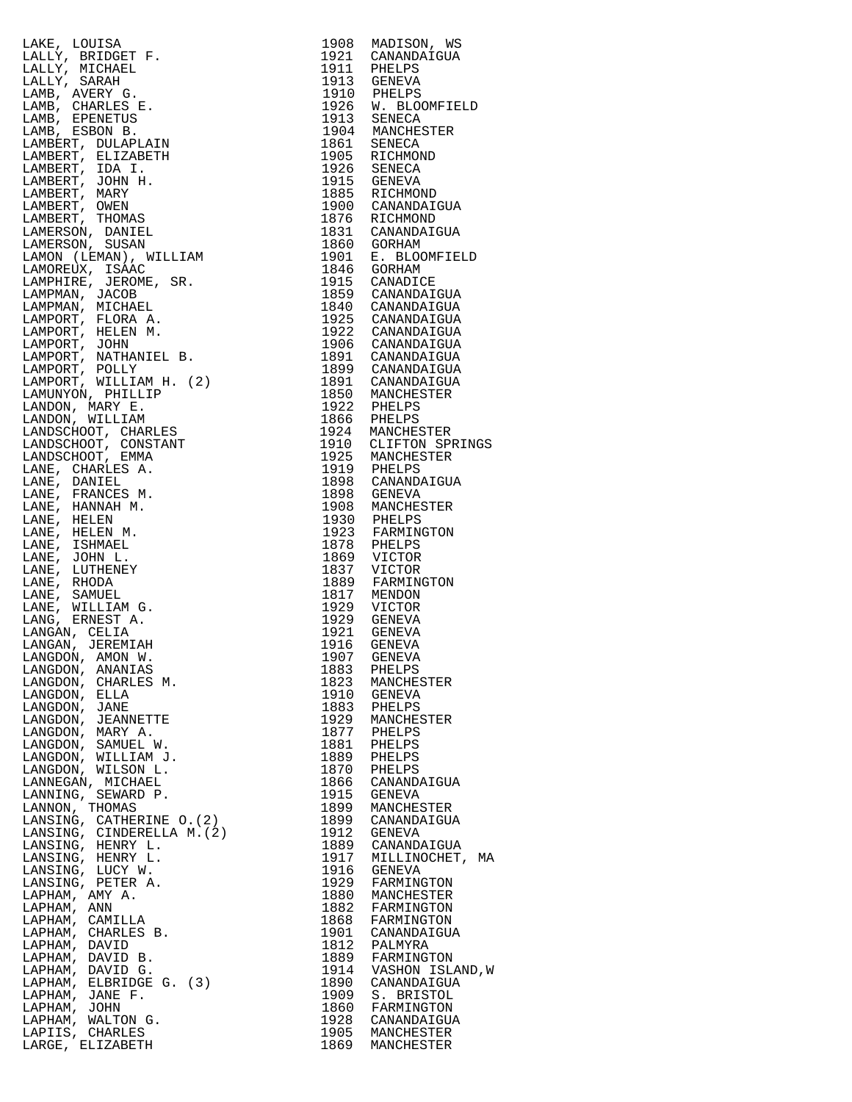LAKE, LOUISA 1908 MADISON, WS<br>
LALLY, BRIDGET F. 1921 CANANDAIGUA LALLY, BRIDGET F. 1921 CANANDAIGUA LALLY, MICHAEL 1911 PHELPS LALLY, SARAH 1913 GENEVA LAMB, AVERY G. 1910 PHELPS LAMB, CHARLES E. 1926 W. BLOOMFIELD LAMB, CHARLES E.<br>LAMB, EPENETUS<br>LAMB, ESBON B. LAMB, ESBON B. 1904 MANCHESTER LAMBERT, DULAPLAIN LAMBERT, ELIZABETH 1905 RICHMOND LAMBERT, IDA I. 1926 SENECA LAMBERT, JOHN H. 1915 GENEVA LAMBERT, MARY 1885 RICHMOND LAMBERT, OWEN 1900 CANANDAIGUA LAMBERT, THOMAS 1876 RICHMOND LAMERSON, DANIEL 1831 CANANDAIGUA LAMERSON, SUSAN 1860 GORHAM LAMON (LEMAN), WILLIAM 1901 E. BLOOMFIELD LAMOREUX, ISAAC 1846 GORHAM LAMPHIRE, JEROME, SR. 1915 CANADICE LAMPMAN, JACOB 1859 CANANDAIGUA LAMPMAN, MICHAEL 1840 CANANDAIGUA LAMPORT, FLORA A. 1925 CANANDAIGUA LAMPORT, HELEN M. 1922 CANANDAIGUA LAMPORT, JOHN 1906 CANANDAIGUA LAMPORT, NATHANIEL B. 1891 CANANDAIGUA LAMPORT, POLLY 1899 CANANDAIGUA LAMPORT, WILLIAM H. (2) 1891 CANANDAIGUA LAMUNYON, PHILLIP 1850 MANCHESTER LANDON, MARY E. 1922 PHELPS LANDON, WILLIAM 1866 PHELPS LANDSCHOOT, CHARLES 1924 MANCHESTER LANDSCHOOT, CONSTANT 1910 CLIFTON SPRINGS LANDSCHOOT, EMMA 1925 MANCHESTER LANE, CHARLES A. 1919 PHELPS LANE, DANIEL 1898 CANANDAIGUA LANE, FRANCES M. 1898 GENEVA LANE, HANNAH M. 1908 MANCHESTER LANE, HELEN 1930 PHELPS LANE, HELEN M. 1923 FARMINGTON LANE, ISHMAEL 1878 PHELPS LANE, JOHN L. 1869 VICTOR LANE, LUTHENEY 1837 VICTOR LANE, RHODA 1889 FARMINGTON LANE, SAMUEL<br>LANE, WILLIAM G. LANE, WILLIAM G. 1929 VICTOR LANG, ERNEST A. 1929 GENEVA LANGAN, CELIA<br>LANGAN, JEREMIAH LANGAN, JEREMIAH 1916 GENEVA LANGDON, AMON W. 1907 GENEVA LANGDON, ANANIAS 1883 PHELPS LANGDON, CHARLES M. 1823 MANCHESTER LANGDON, ELLA 1910 GENEVA LANGDON, JANE<br>LANGDON, JEANNETTE<br>LANGDON, MARY A. LANGDON, JEANNETTE 1929 MANCHESTER LANGDON, MARY A. 1877 PHELPS LANGDON, SAMUEL W. 1881 PHELPS LANGDON, WILLIAM J. 1889 PHELPS LANGDON, WILSON L. 1870 PHELPS LANNEGAN, MICHAEL 1866 CANANDAIGUA LANNING, SEWARD P. 1915 GENEVA LANNON, THOMAS 1899 MANCHESTER LANSING, CATHERINE O.(2) 1899 CANANDAIGUA LANSING, CINDERELLA M.(2) 1912 GENEVA LANSING, HENRY L. 1889 CANANDAIGUA LANSING, HENRY L. 1917 MILLINOCHET, MA LANSING, LUCY W. 1916 GENEVA LANSING, PETER A. 1929 FARMINGTON LAPHAM, AMY A. 1880 MANCHESTER LAPHAM, ANN 1882 FARMINGTON LAPHAM, CAMILLA 1868 FARMINGTON LAPHAM, CHARLES B. 1901 CANANDAIGUA LAPHAM, DAVID 1812 PALMYRA LAPHAM, DAVID B. 1889 FARMINGTON LAPHAM, DAVID G. 1914 VASHON ISLAND,W LAPHAM, ELBRIDGE G. (3) 1890 CANANDAIGUA LAPHAM, JANE F. 1909 S. BRISTOL LAPHAM, JOHN 1860 FARMINGTON LAPHAM, WALTON G. 1928 CANANDAIGUA LAPIIS, CHARLES 1905 MANCHESTER

LARGE, ELIZABETH 1869 MANCHESTER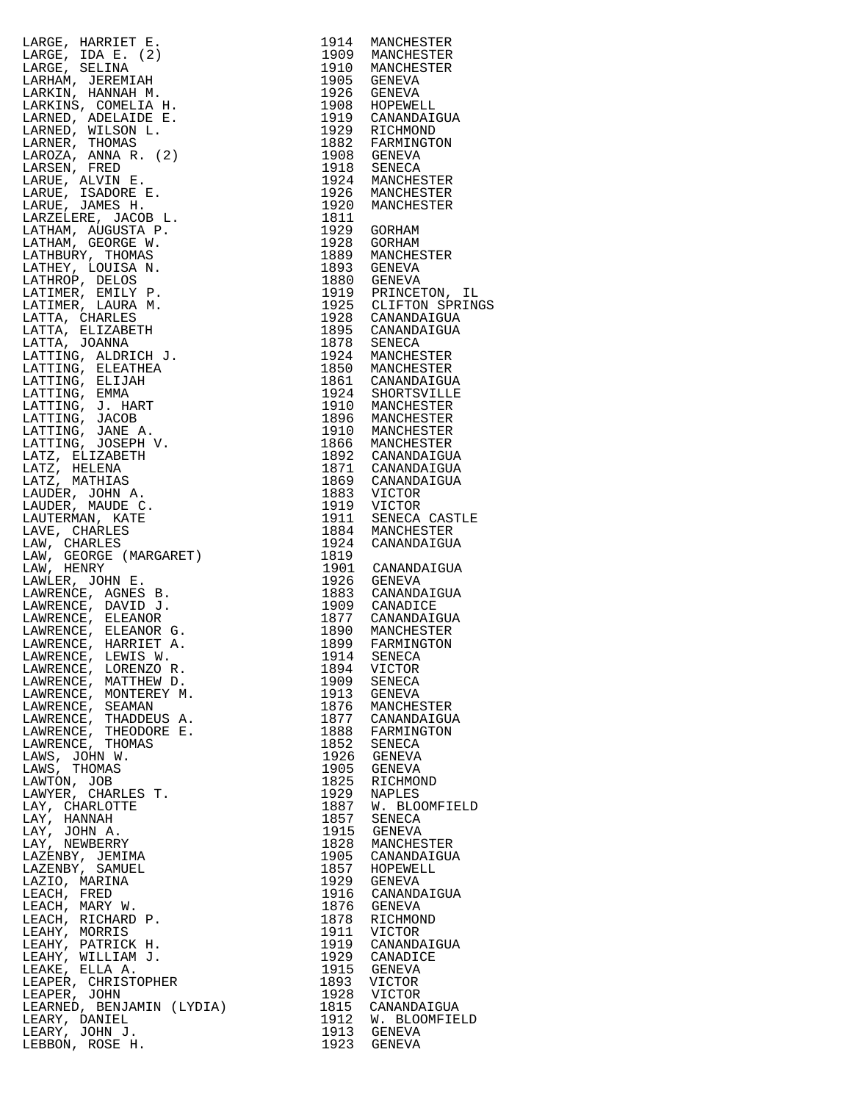| LARGE, HARRIET E. 1974<br>LARGE, HARGE, IDA E. 1974<br>LARGE, IDA E. 1975<br>LARGE, IDA E. 1975<br>LARGE, IDA E. 1976<br>LARKINS, COMELLA H. 1976<br>LARKINS, ADERBIDE E. 1976<br>LARKINS, ADERBIDE E. 1976<br>LARKINS, ADERBIDE E. 1976<br>LAR                                |      |                                                    |
|--------------------------------------------------------------------------------------------------------------------------------------------------------------------------------------------------------------------------------------------------------------------------------|------|----------------------------------------------------|
|                                                                                                                                                                                                                                                                                |      |                                                    |
|                                                                                                                                                                                                                                                                                |      |                                                    |
|                                                                                                                                                                                                                                                                                |      |                                                    |
|                                                                                                                                                                                                                                                                                |      |                                                    |
|                                                                                                                                                                                                                                                                                |      |                                                    |
|                                                                                                                                                                                                                                                                                |      |                                                    |
|                                                                                                                                                                                                                                                                                |      |                                                    |
|                                                                                                                                                                                                                                                                                |      |                                                    |
|                                                                                                                                                                                                                                                                                |      |                                                    |
|                                                                                                                                                                                                                                                                                |      |                                                    |
|                                                                                                                                                                                                                                                                                |      |                                                    |
|                                                                                                                                                                                                                                                                                |      |                                                    |
|                                                                                                                                                                                                                                                                                |      |                                                    |
|                                                                                                                                                                                                                                                                                |      |                                                    |
|                                                                                                                                                                                                                                                                                |      |                                                    |
|                                                                                                                                                                                                                                                                                |      |                                                    |
|                                                                                                                                                                                                                                                                                |      |                                                    |
|                                                                                                                                                                                                                                                                                |      |                                                    |
|                                                                                                                                                                                                                                                                                |      |                                                    |
|                                                                                                                                                                                                                                                                                |      |                                                    |
|                                                                                                                                                                                                                                                                                |      |                                                    |
|                                                                                                                                                                                                                                                                                |      |                                                    |
|                                                                                                                                                                                                                                                                                |      |                                                    |
|                                                                                                                                                                                                                                                                                |      |                                                    |
|                                                                                                                                                                                                                                                                                |      |                                                    |
|                                                                                                                                                                                                                                                                                |      |                                                    |
|                                                                                                                                                                                                                                                                                |      |                                                    |
|                                                                                                                                                                                                                                                                                |      |                                                    |
|                                                                                                                                                                                                                                                                                |      |                                                    |
|                                                                                                                                                                                                                                                                                |      |                                                    |
|                                                                                                                                                                                                                                                                                |      |                                                    |
|                                                                                                                                                                                                                                                                                |      |                                                    |
|                                                                                                                                                                                                                                                                                |      |                                                    |
|                                                                                                                                                                                                                                                                                |      |                                                    |
|                                                                                                                                                                                                                                                                                |      |                                                    |
|                                                                                                                                                                                                                                                                                |      |                                                    |
|                                                                                                                                                                                                                                                                                |      |                                                    |
|                                                                                                                                                                                                                                                                                |      |                                                    |
|                                                                                                                                                                                                                                                                                |      |                                                    |
|                                                                                                                                                                                                                                                                                |      |                                                    |
|                                                                                                                                                                                                                                                                                | 1894 | VICTOR                                             |
|                                                                                                                                                                                                                                                                                | 1909 | SENECA                                             |
|                                                                                                                                                                                                                                                                                | 1913 | GENEVA                                             |
|                                                                                                                                                                                                                                                                                | 1876 | MANCHESTER                                         |
|                                                                                                                                                                                                                                                                                |      | 1877 CANANDAIGUA<br>1888 FARMINGTON<br>1852 SENECA |
|                                                                                                                                                                                                                                                                                |      |                                                    |
|                                                                                                                                                                                                                                                                                |      | 1926 GENEVA                                        |
|                                                                                                                                                                                                                                                                                |      | 1905 GENEVA                                        |
|                                                                                                                                                                                                                                                                                |      | 1825 RICHMOND                                      |
|                                                                                                                                                                                                                                                                                |      | 1929 NAPLES<br>1887 W. BLOOMFIELD                  |
|                                                                                                                                                                                                                                                                                |      | 1857 SENECA                                        |
|                                                                                                                                                                                                                                                                                |      | 1915 GENEVA                                        |
|                                                                                                                                                                                                                                                                                |      | 1828 MANCHESTER                                    |
|                                                                                                                                                                                                                                                                                |      | 1905 CANANDAIGUA<br>1857 HOPEWELL<br>1929 GENEVA   |
|                                                                                                                                                                                                                                                                                |      |                                                    |
|                                                                                                                                                                                                                                                                                |      | 1916 CANANDAIGUA                                   |
|                                                                                                                                                                                                                                                                                | 1876 | GENEVA                                             |
|                                                                                                                                                                                                                                                                                |      | 1878 RICHMOND                                      |
|                                                                                                                                                                                                                                                                                |      | 1911 VICTOR<br>1919 CANANDAIGUA                    |
|                                                                                                                                                                                                                                                                                |      | 1929 CANADICE                                      |
|                                                                                                                                                                                                                                                                                |      | 1915 GENEVA                                        |
|                                                                                                                                                                                                                                                                                | 1893 | VICTOR                                             |
|                                                                                                                                                                                                                                                                                |      | 1928 VICTOR                                        |
| LEARY, DANIEL                                                                                                                                                                                                                                                                  | 1815 | CANANDAIGUA<br>1912 W. BLOOMFIELD                  |
| LAWRENCE, HARRIET A.<br>LAWRENCE, LEWIS W.<br>LAWRENCE, LEWIS W.<br>LAWRENCE, LORENZO R.<br>LAWRENCE, MONTEREY M.<br>LAWRENCE, SEAMAN<br>LAWRENCE, SEAMAN<br>LAWRENCE, THEODORE E.<br>LAWRENCE, THEODORE E.<br>LAWRENCE, THEODORE E.<br>LAWRENCE, THEODORE E<br>LEARY, JOHN J. |      | 1913 GENEVA                                        |
| LEBBON, ROSE H.                                                                                                                                                                                                                                                                |      | 1923 GENEVA                                        |
|                                                                                                                                                                                                                                                                                |      |                                                    |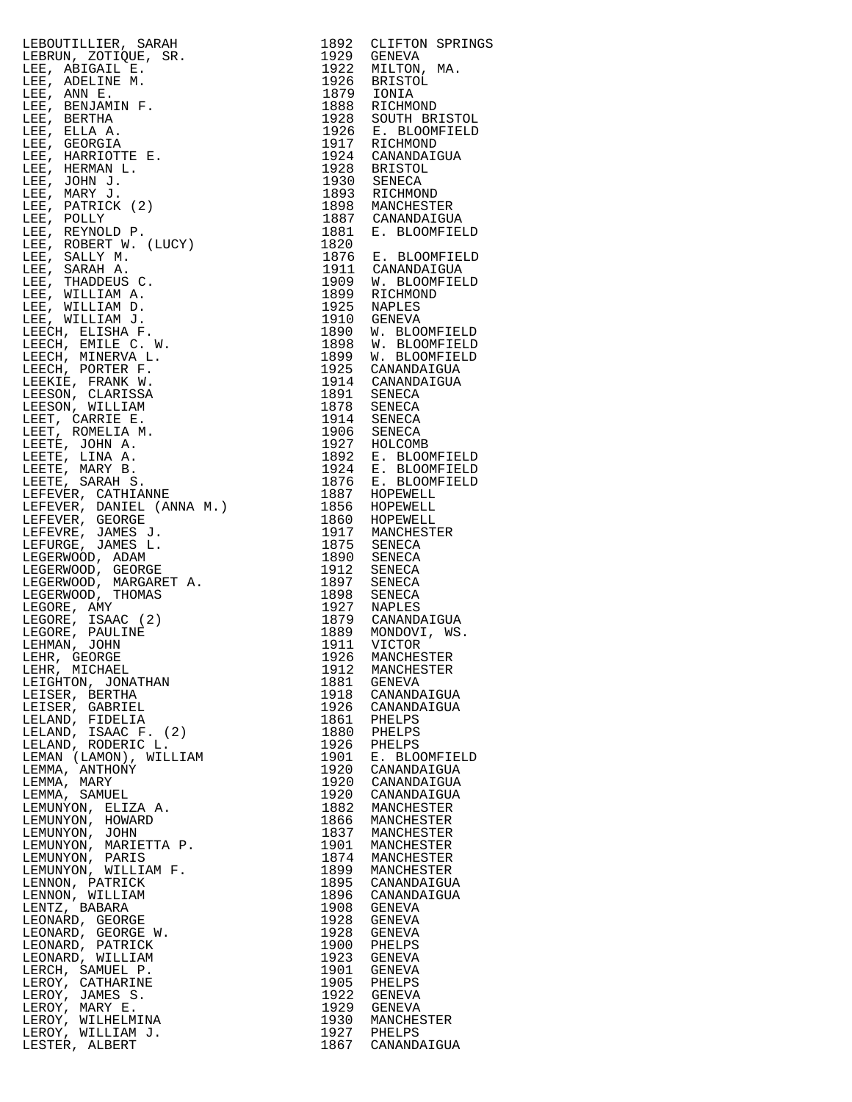LEBOUTILLIER, SARAH 1892 CLIFTON SPRINGS LEBRUN, ZOTIQUE, SR. 1929 GENEVA LEE, ABIGAIL E. 1922 MILTON, MA. LEE, ADELINE M. 1926 BRISTOL LEE, ANN E. 1879 IONIA LEE, BENJAMIN F.<br>LEE, BENJAMIN F.<br>LEE, ELLA A. LEE, BERTHA 1928 SOUTH BRISTOL LEE, ELLA A. 1926 E. BLOOMFIELD LEE, GEORGIA 1917 RICHMOND LEE, HARRIOTTE E. 1924 CANANDAIGUA LEE, HERMAN L.<br>--- 1928 BRISTOL LEE, JOHN J. 1930 SENECA LEE, MARY J. 1893 RICHMOND LEE, PATRICK (2) 1898 MANCHESTER LEE, POLLY 1887 CANANDAIGUA LEE, REYNOLD P. 1881 E. BLOOMFIELD LEE, ROBERT W. (LUCY) 1820 LEE, SALLY M. 1876 E. BLOOMFIELD LEE, SARAH A. 1911 CANANDAIGUA LEE, THADDEUS C. 1909 W. BLOOMFIELD LEE, WILLIAM A. 1899 RICHMOND LEE, WILLIAM D. 1925 NAPLES LEE, WILLIAM J. 1910 GENEVA LEECH, ELISHA F. 1890 W. BLOOMFIELD LEECH, EMILE C. W. 1898 W. BLOOMFIELD LEECH, MINERVA L. 1899 W. BLOOMFIELD LEECH, PORTER F. 1925 CANANDAIGUA LEEKIE, FRANK W. 1914 CANANDAIGUA LEESON, CLARISSA 1891 SENECA LEESON, WILLIAM 1878 SENECA LEET, CARRIE E. 1914 SENECA LEET, ROMELIA M. 1906 SENECA LEETE, JOHN A. 1927 HOLCOMB LEETE, LINA A. 1892 E. BLOOMFIELD LEETE, MARY B. 1924 E. BLOOMFIELD LEETE, SARAH S. 1876 E. BLOOMFIELD LEFEVER, CATHIANNE 1887 HOPEWELL LEFEVER, DANIEL (ANNA M.) 1856 HOPEWELL LEFEVER, GEORGE 1860 HOPEWELL LEFEVRE, JAMES J. 1917 MANCHESTER LEFURGE, JAMES L. 1875 SENECA LEGERWOOD, ADAM 1890 SENECA LEGERWOOD, GEORGE 1912 SENECA LEGERWOOD, MARGARET A. 1897 SENECA LEGERWOOD, THOMAS 1898 SENECA LEGORE, AMY 1927 NAPLES LEGORE, ISAAC (2) 1879 CANANDAIGUA LEGORE, PAULINE 1889 MONDOVI, WS. LEHMAN, JOHN 1911 VICTOR LEHR, GEORGE 1926 MANCHESTER LEHR, MICHAEL 1912 MANCHESTER LEIGHTON, JONATHAN 1881 GENEVA LEISER, BERTHA 1918 CANANDAIGUA LEISER, GABRIEL 1926 CANANDAIGUA LELAND, FIDELIA 1861 PHELPS LELAND, ISAAC F. (2) 1880 PHELPS LELAND, RODERIC L. 1926 PHELPS LEMAN (LAMON), WILLIAM 1901 E. BLOOMFIELD LEMMA, ANTHONY 1920 CANANDAIGUA LEMMA, MARY 1920 CANANDAIGUA LEMMA, SAMUEL 1920 CANANDAIGUA LEMUNYON, ELIZA A. 1882 MANCHESTER LEMUNYON, HOWARD 1866 MANCHESTER LEMUNYON, JOHN 1837 MANCHESTER LEMUNYON, MARIETTA P. 1901 MANCHESTER LEMUNYON, PARIS 1874 MANCHESTER LEMUNYON, WILLIAM F. 1899 MANCHESTER LENNON, PATRICK 1895 CANANDAIGUA LENNON, WILLIAM 1896 CANANDAIGUA LENTZ, BABARA 1908 GENEVA LEONARD, GEORGE 1928 GENEVA LEONARD, GEORGE W. 1928 GENEVA LEONARD, PATRICK 1900 PHELPS LEONARD, WILLIAM 1923 GENEVA LERCH, SAMUEL P. 1901 GENEVA LEROY, CATHARINE 1905 PHELPS LEROY, JAMES S. 1922 GENEVA LEROY, MARY E. 1929 GENEVA LEROY, MARY E.<br>LEROY, MARY E.<br>LEROY, WILLIAM J.<br>LESTER, ALBERT

1923 GENEVA<br>1901 GENEUPS<br>1922 GENEVA<br>1929 GENEVA<br>1930 MANCHESTER<br>1927 PHELPS 1867 CANANDAIGUA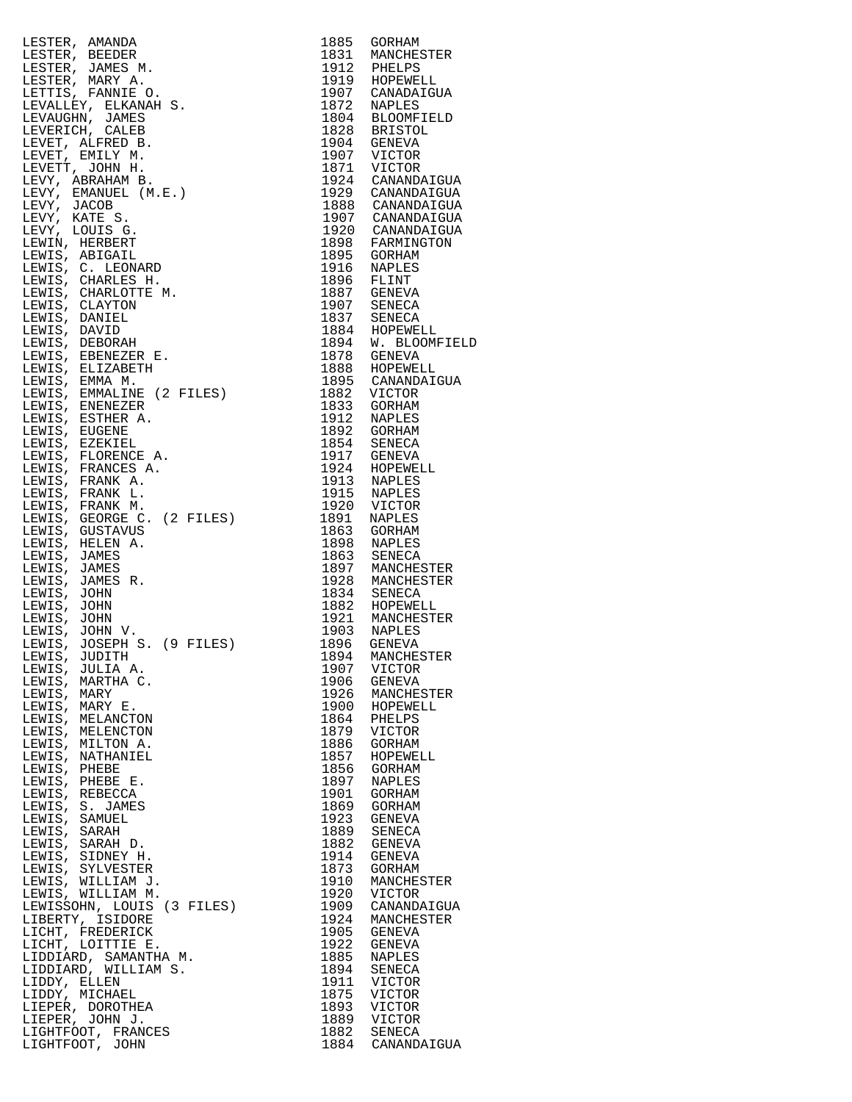| $\begin{tabular}{c} 1885 & 608HAM \\ 1831 & MAMCHESTER \\ 1912 & PHELES \\ 1913 & HORCHESTER \\ 1919 & HORRMDICUA \\ 1919 & HORRMDICUA \\ 1919 & HORRMDICUA \\ 1828 & BRISTOL \\ 1929 & NAPLES \\ 1929 & V1CTOR \\ 1929 & V1CTOR \\ 1929 & V1CTOR \\ 1920 & V1CTOR \\ 1920 & CANANDAIGUA \\ 1920 & CANANDAIGUA \\ 1920 & CANANDAIGUA \\ 1920 & CANANDAIGUA \\ 1920 & CANANDA$<br>LESTER, AMANDA |              |                                                                                                                                                                         |
|-------------------------------------------------------------------------------------------------------------------------------------------------------------------------------------------------------------------------------------------------------------------------------------------------------------------------------------------------------------------------------------------------|--------------|-------------------------------------------------------------------------------------------------------------------------------------------------------------------------|
| LESTER, BEEDER                                                                                                                                                                                                                                                                                                                                                                                  |              |                                                                                                                                                                         |
| LESTER, JAMES M.                                                                                                                                                                                                                                                                                                                                                                                |              |                                                                                                                                                                         |
| LESTER, MARY A.                                                                                                                                                                                                                                                                                                                                                                                 |              |                                                                                                                                                                         |
| LETTIS, FANNIE O.                                                                                                                                                                                                                                                                                                                                                                               |              |                                                                                                                                                                         |
| LEVALLEY, ELKANAH S.<br>LEVAUGHN, JAMES                                                                                                                                                                                                                                                                                                                                                         |              |                                                                                                                                                                         |
| LEVERICH, CALEB                                                                                                                                                                                                                                                                                                                                                                                 |              |                                                                                                                                                                         |
| LEVET, ALFRED B.                                                                                                                                                                                                                                                                                                                                                                                |              |                                                                                                                                                                         |
| LEVET, EMILY M.                                                                                                                                                                                                                                                                                                                                                                                 |              |                                                                                                                                                                         |
| LEVETT, JOHN H.                                                                                                                                                                                                                                                                                                                                                                                 |              |                                                                                                                                                                         |
| LEVY, ABRAHAM B.                                                                                                                                                                                                                                                                                                                                                                                |              |                                                                                                                                                                         |
| LEVY, EMANUEL (M.E.)                                                                                                                                                                                                                                                                                                                                                                            |              |                                                                                                                                                                         |
| LEVY, JACOB                                                                                                                                                                                                                                                                                                                                                                                     |              |                                                                                                                                                                         |
| LEVY, KATE S.                                                                                                                                                                                                                                                                                                                                                                                   |              |                                                                                                                                                                         |
| LEVY, LOUIS G.<br>LEWIN, HERBERT                                                                                                                                                                                                                                                                                                                                                                |              |                                                                                                                                                                         |
| LEWIS, ABIGAIL                                                                                                                                                                                                                                                                                                                                                                                  |              |                                                                                                                                                                         |
| LEWIS, C. LEONARD                                                                                                                                                                                                                                                                                                                                                                               |              |                                                                                                                                                                         |
| LEWIS, CHARLES H.                                                                                                                                                                                                                                                                                                                                                                               |              |                                                                                                                                                                         |
| LEWIS, CHARLOTTE M.                                                                                                                                                                                                                                                                                                                                                                             |              |                                                                                                                                                                         |
| LEWIS, CLAYTON                                                                                                                                                                                                                                                                                                                                                                                  |              |                                                                                                                                                                         |
| LEWIS, DANIEL                                                                                                                                                                                                                                                                                                                                                                                   |              | 1896 FARMINGION<br>1895 GORHAM<br>1916 NAPLES<br>1896 FLINT<br>1887 GENEVA<br>1907 SENECA<br>1884 HOPEWELL<br>1894 MOPEWELL<br>1894 M. BLOOMFIELD<br>1894 M. BLOOMFIELD |
| LEWIS, DAVID                                                                                                                                                                                                                                                                                                                                                                                    |              |                                                                                                                                                                         |
| LEWIS, DEBORAH                                                                                                                                                                                                                                                                                                                                                                                  |              |                                                                                                                                                                         |
| LEWIS, EBENEZER E.<br>LEWIS, ELIZABETH                                                                                                                                                                                                                                                                                                                                                          |              |                                                                                                                                                                         |
| LEWIS, EMMA M.                                                                                                                                                                                                                                                                                                                                                                                  |              |                                                                                                                                                                         |
| LEWIS, EMMALINE (2 FILES)                                                                                                                                                                                                                                                                                                                                                                       |              |                                                                                                                                                                         |
| LEWIS, ENENEZER                                                                                                                                                                                                                                                                                                                                                                                 |              |                                                                                                                                                                         |
| LEWIS, ESTHER A.                                                                                                                                                                                                                                                                                                                                                                                |              |                                                                                                                                                                         |
| LEWIS, EUGENE                                                                                                                                                                                                                                                                                                                                                                                   |              |                                                                                                                                                                         |
| LEWIS, EZEKIEL                                                                                                                                                                                                                                                                                                                                                                                  |              |                                                                                                                                                                         |
| LEWIS, FLORENCE A.                                                                                                                                                                                                                                                                                                                                                                              |              |                                                                                                                                                                         |
| LEWIS, FRANCES A.                                                                                                                                                                                                                                                                                                                                                                               |              |                                                                                                                                                                         |
| LEWIS, FRANK A.<br>LEWIS, FRANK L.                                                                                                                                                                                                                                                                                                                                                              |              |                                                                                                                                                                         |
| LEWIS, FRANK M.                                                                                                                                                                                                                                                                                                                                                                                 |              |                                                                                                                                                                         |
| LEWIS, GEORGE C. (2 FILES)                                                                                                                                                                                                                                                                                                                                                                      |              |                                                                                                                                                                         |
| LEWIS, GUSTAVUS                                                                                                                                                                                                                                                                                                                                                                                 |              |                                                                                                                                                                         |
| LEWIS, HELEN A.                                                                                                                                                                                                                                                                                                                                                                                 |              |                                                                                                                                                                         |
| LEWIS, JAMES                                                                                                                                                                                                                                                                                                                                                                                    |              |                                                                                                                                                                         |
| LEWIS, JAMES                                                                                                                                                                                                                                                                                                                                                                                    |              |                                                                                                                                                                         |
| LEWIS, JAMES R.                                                                                                                                                                                                                                                                                                                                                                                 |              |                                                                                                                                                                         |
| LEWIS, JOHN<br>LEWIS, JOHN                                                                                                                                                                                                                                                                                                                                                                      |              |                                                                                                                                                                         |
| LEWIS, JOHN                                                                                                                                                                                                                                                                                                                                                                                     |              |                                                                                                                                                                         |
| LEWIS, JOHN V.                                                                                                                                                                                                                                                                                                                                                                                  |              |                                                                                                                                                                         |
| LEWIS, JOSEPH S. (9 FILES)                                                                                                                                                                                                                                                                                                                                                                      |              |                                                                                                                                                                         |
| LEWIS, JUDITH                                                                                                                                                                                                                                                                                                                                                                                   |              |                                                                                                                                                                         |
| LEWIS, JULIA A.                                                                                                                                                                                                                                                                                                                                                                                 | 1907         | VICTOR                                                                                                                                                                  |
| LEWIS, MARTHA C.                                                                                                                                                                                                                                                                                                                                                                                | 1906         | GENEVA                                                                                                                                                                  |
| LEWIS, MARY                                                                                                                                                                                                                                                                                                                                                                                     | 1926         | MANCHESTER                                                                                                                                                              |
| LEWIS, MARY E.<br>LEWIS, MELANCTON                                                                                                                                                                                                                                                                                                                                                              | 1900<br>1864 | HOPEWELL<br>PHELPS                                                                                                                                                      |
| LEWIS, MELENCTON                                                                                                                                                                                                                                                                                                                                                                                | 1879         | VICTOR                                                                                                                                                                  |
| LEWIS, MILTON A.                                                                                                                                                                                                                                                                                                                                                                                | 1886         | GORHAM                                                                                                                                                                  |
| LEWIS, NATHANIEL                                                                                                                                                                                                                                                                                                                                                                                | 1857         | HOPEWELL                                                                                                                                                                |
| LEWIS, PHEBE                                                                                                                                                                                                                                                                                                                                                                                    | 1856         | GORHAM                                                                                                                                                                  |
| LEWIS, PHEBE E.                                                                                                                                                                                                                                                                                                                                                                                 | 1897         | NAPLES                                                                                                                                                                  |
| LEWIS, REBECCA                                                                                                                                                                                                                                                                                                                                                                                  | 1901         | GORHAM                                                                                                                                                                  |
| LEWIS, S. JAMES<br>LEWIS, SAMUEL                                                                                                                                                                                                                                                                                                                                                                | 1869         | GORHAM                                                                                                                                                                  |
| LEWIS, SARAH                                                                                                                                                                                                                                                                                                                                                                                    | 1923<br>1889 | GENEVA<br>SENECA                                                                                                                                                        |
| LEWIS, SARAH D.                                                                                                                                                                                                                                                                                                                                                                                 | 1882         | GENEVA                                                                                                                                                                  |
| LEWIS, SIDNEY H.                                                                                                                                                                                                                                                                                                                                                                                | 1914         | GENEVA                                                                                                                                                                  |
| LEWIS, SYLVESTER                                                                                                                                                                                                                                                                                                                                                                                | 1873         | GORHAM                                                                                                                                                                  |
| LEWIS, WILLIAM J.                                                                                                                                                                                                                                                                                                                                                                               | 1910         | MANCHESTER                                                                                                                                                              |
| LEWIS, WILLIAM M.                                                                                                                                                                                                                                                                                                                                                                               | 1920         | VICTOR                                                                                                                                                                  |
| LEWISSOHN, LOUIS (3 FILES)                                                                                                                                                                                                                                                                                                                                                                      | 1909         | CANANDAIGUA                                                                                                                                                             |
| LIBERTY, ISIDORE<br>LICHT, FREDERICK                                                                                                                                                                                                                                                                                                                                                            | 1924<br>1905 | MANCHESTER<br>GENEVA                                                                                                                                                    |
| LICHT, LOITTIE E.                                                                                                                                                                                                                                                                                                                                                                               | 1922         | GENEVA                                                                                                                                                                  |
| LIDDIARD, SAMANTHA M.                                                                                                                                                                                                                                                                                                                                                                           | 1885         | NAPLES                                                                                                                                                                  |
| LIDDIARD, WILLIAM S.                                                                                                                                                                                                                                                                                                                                                                            | 1894         | SENECA                                                                                                                                                                  |
| LIDDY, ELLEN                                                                                                                                                                                                                                                                                                                                                                                    | 1911         | VICTOR                                                                                                                                                                  |
| LIDDY, MICHAEL                                                                                                                                                                                                                                                                                                                                                                                  | 1875         | VICTOR                                                                                                                                                                  |
| LIEPER, DOROTHEA                                                                                                                                                                                                                                                                                                                                                                                | 1893         | VICTOR                                                                                                                                                                  |
| LIEPER, JOHN J.<br>LIGHTFOOT, FRANCES                                                                                                                                                                                                                                                                                                                                                           | 1889         | VICTOR<br>1882 SENECA                                                                                                                                                   |
| LIGHTFOOT, JOHN                                                                                                                                                                                                                                                                                                                                                                                 |              | 1884 CANANDAIGUA                                                                                                                                                        |
|                                                                                                                                                                                                                                                                                                                                                                                                 |              |                                                                                                                                                                         |

| 1885         | GORHAM                      |
|--------------|-----------------------------|
| 1831         | MANCHESTER                  |
| 1912<br>1919 | PHELPS<br>HOPEWELL          |
| 1907         | CANADAIGUA                  |
| 1872         | NAPLES                      |
| 1804         | <b>BLOOMFIELD</b>           |
| 1828<br>1904 | <b>BRISTOL</b><br>GENEVA    |
| 1907         | VICTOR                      |
| 1871         | VICTOR                      |
| 1924         | CANANDAIGUA                 |
| 1929<br>1888 | CANANDAIGUA<br>CANANDAIGUA  |
| 1907         | CANANDAIGUA                 |
| 1920         | CANANDAIGUA                 |
| 1898         | FARMINGTON                  |
| 1895<br>1916 | <b>GORHAM</b><br>NAPLES     |
| 1896         | FLINT                       |
| 1887         | <b>GENEVA</b>               |
| 1907<br>1837 | SENECA                      |
| 1884         | SENECA<br>HOPEWELL          |
| 1894         | W.<br><b>BLOOMFIEL</b>      |
| 1878         | <b>GENEVA</b>               |
| 1888         | HOPEWELL                    |
| 1895<br>1882 | CANANDAIGUA<br>VICTOR       |
| 1833         | GORHAM                      |
| 1912         | NAPLES                      |
| 1892         | <b>GORHAM</b>               |
| 1854<br>1917 | SENECA<br><b>GENEVA</b>     |
| 1924         | HOPEWELL                    |
| 1913         | <b>NAPLES</b>               |
| 1915<br>1920 | NAPLES                      |
| 1891         | VICTOR<br><b>NAPLES</b>     |
| 1863         | GORHAM                      |
| 1898         | <b>NAPLES</b>               |
| 1863         | SENECA                      |
| 1897<br>1928 | MANCHESTER<br>MANCHESTER    |
| 1834         | SENECA                      |
| 1882         | HOPEWELL                    |
| 1921<br>1903 | MANCHESTER<br><b>NAPLES</b> |
| 1896         | GENEVA                      |
| 1894         | MANCHESTER                  |
| 1907         | VICTOR                      |
| 1906<br>1926 | GENEVA                      |
| 1900         | MANCHESTER<br>HOPEWELL      |
| 1864         | PHELPS                      |
| 1879         | VICTOR                      |
| 1886<br>1857 | GORHAM<br>HOPEWELL          |
| 1856         | <b>GORHAM</b>               |
| 1897         | <b>NAPLES</b>               |
| 1901         | GORHAM                      |
| 1869<br>1923 | GORHAM<br><b>GENEVA</b>     |
| 1889         | SENECA                      |
| 1882         | <b>GENEVA</b>               |
| 1914         | GENEVA                      |
| 1873<br>1910 | <b>GORHAM</b><br>MANCHESTER |
| 1920         | VICTOR                      |
| 1909         | CANANDAIGUA                 |
| 1924         | MANCHESTER                  |
| 1905<br>1922 | GENEVA<br><b>GENEVA</b>     |
| 1885         | NAPLES                      |
| 1894         | SENECA                      |
| 1911<br>1875 | VICTOR                      |
| 1893         | VICTOR<br>VICTOR            |
| 1889         | VICTOR                      |
| 1882         | SENECA                      |
| 1884         | CANANDAIGUA                 |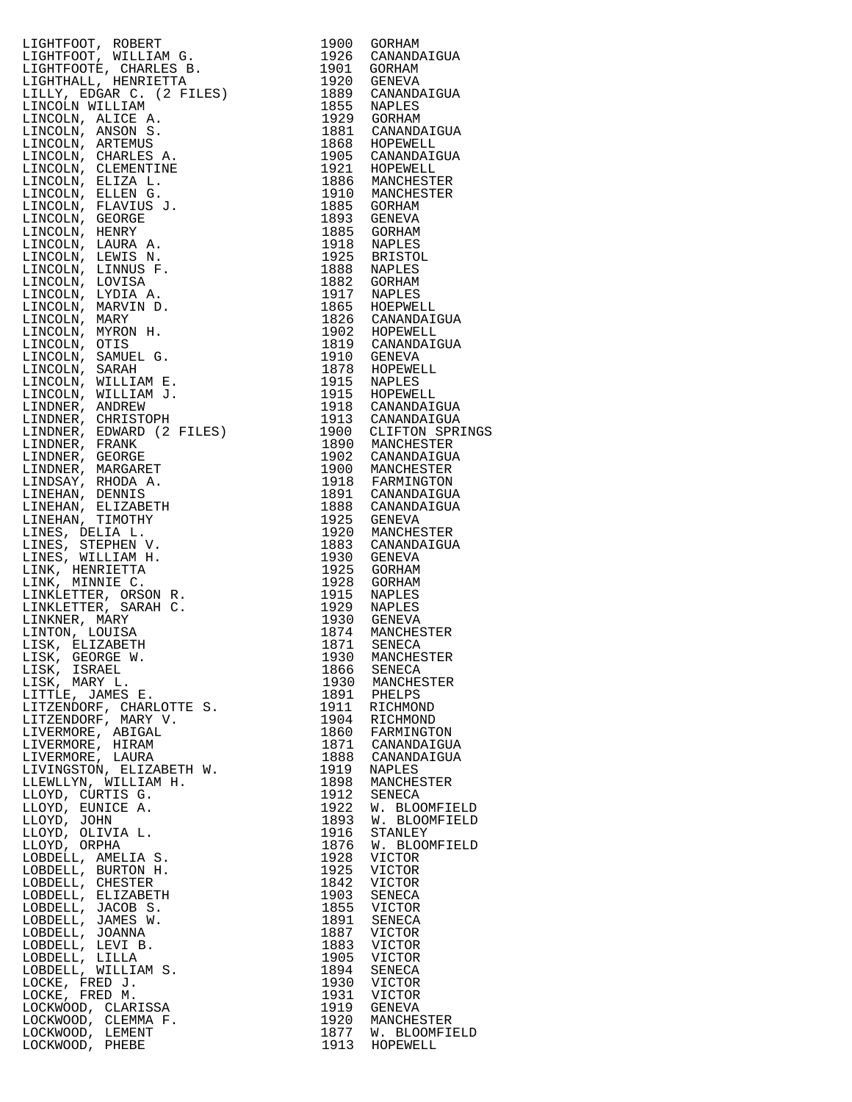LIGHTFOOT, ROBERT 1900 GORHAM LIGHTFOOT, WILLIAM G. 1926 CANANDAIGUA LIGHTFOOTE, CHARLES B. 1901 GORHAM LIGHTHALL, HENRIETTA 1920 GENEVA LILLY, EDGAR C. (2 FILES) 1889 CANANDAIGUA LINCOLN WILLIAM 1855 NAPLES LINCOLN, ALICE A. 1929 GORHAM LINCOLN, ANSON S. 1881 CANANDAIGUA LINCOLN, ARTEMUS 1868 HOPEWELL LINCOLN, CHARLES A. 1905 CANANDAIGUA LINCOLN, CLEMENTINE 1921 HOPEWELL LINCOLN, ELIZA L. 1886 MANCHESTER LINCOLN, ELLEN G. 1910 MANCHESTER LINCOLN, FLAVIUS J. 1885 GORHAM LINCOLN, GEORGE 1893 GENEVA LINCOLN, HENRY 1885 GORHAM LINCOLN, LAURA A. 1918 NAPLES LINCOLN, LEWIS N. 1925 BRISTOL LINCOLN, LAURA A.<br>
LINCOLN, LAURA A.<br>
LINCOLN, LEWIS N. 1925 BRISTOL<br>
LINCOLN, LINNUS F. 1888 NAPLES<br>
LINCOLN, LOVISA 1882 GORHAM<br>
LINCOLN, LYDIA A. 1917 NAPLES<br>
LINCOLN, MARVIN D. 1865 HOEPWELL LINCOLN, LOVISA<br>LINCOLN, LYDIA A.<br>LINCOLN, MARVIN D. LINCOLN, LYDIA A. 1917 NAPLES LINCOLN, MARVIN D. 1865 HOEPWELL LINCOLN, MARY 1826 CANANDAIGUA LINCOLN, MYRON H. 1902 HOPEWELL LINCOLN, OTIS 1819 CANANDAIGUA LINCOLN, SAMUEL G. 1910 GENEVA LINCOLN, SARAH 1878 HOPEWELL LINCOLN, WILLIAM E. 1915 NAPLES LINCOLN, WILLIAM J. 1915 HOPEWELL LINDNER, ANDREW 1918 CANANDAIGUA LINDNER, CHRISTOPH 1913 CANANDAIGUA LINDNER, EDWARD (2 FILES) 1900 CLIFTON SPRINGS LINDNER, FRANK 1890 MANCHESTER LINDNER, GEORGE 1902 CANANDAIGUA LINDNER, MARGARET 1900 MANCHESTER LINDSAY, RHODA A. 1918 FARMINGTON LINEHAN, DENNIS 1891 CANANDAIGUA LINEHAN, ELIZABETH 1888 CANANDAIGUA LINEHAN, TIMOTHY 1925 GENEVA LINES, DELIA L. 1920 MANCHESTER LINES, STEPHEN V. 1883 CANANDAIGUA LINES, WILLIAM H. 1930 GENEVA LINK, HENRIETTA 1925 GORHAM LINK, MINNIE C. 1928 GORHAM LINKLETTER, ORSON R. 1915 NAPLES LINKLETTER, SARAH C. 1929 NAPLES LINKNER, MARY 1930 GENEVA LINTON, LOUISA 1874 MANCHESTER LISK, ELIZABETH 1871 SENECA LISK, GEORGE W. 1930 MANCHESTER LISK, ISRAEL 1866 SENECA LISK, MARY L. 1930 MANCHESTER LITTLE, JAMES E. 1891 PHELPS LITZENDORF, CHARLOTTE S. 1911 RICHMOND LITZENDORF, MARY V. 1904 RICHMOND LIVERMORE, ABIGAL 1860 FARMINGTON LIVERMORE, HIRAM 1871 CANANDAIGUA LIVERMORE, LAURA 1888 CANANDAIGUA LIVINGSTON, ELIZABETH W. 1919 NAPLES LLEWLLYN, WILLIAM H. 1898 MANCHESTER LLOYD, CURTIS G. 1912 SENECA LLOYD, EUNICE A. 1922 W. BLOOMFIELD LLOYD, JOHN 1893 W. BLOOMFIELD LLOYD, OLIVIA L. 1916 STANLEY LLOYD, ORPHA 1876 W. BLOOMFIELD LOBDELL, AMELIA S. 1928 VICTOR LOBDELL, BURTON H. 1925 VICTOR LOBDELL, CHESTER 1842 VICTOR LOBDELL, ELIZABETH 1903 SENECA LOBDELL, JACOB S. 1855 VICTOR LOBDELL, JAMES W. 1891 SENECA LOBDELL, JOANNA 1887 VICTOR LOBDELL, LEVI B. 1883 VICTOR LOBDELL, LILLA 1905 VICTOR LOBDELL, WILLIAM S. 1894 SENECA LOCKE, FRED J. 1930 VICTOR LOCKE, FRED M. 1931 VICTOR LOCKWOOD, CLARISSA 1919 GENEVA LOCKWOOD, CLEMMA F. 1920 MANCHESTER LOCKWOOD, LEMENT 1877 W. BLOOMFIELD

LOCKWOOD, PHEBE 1913 HOPEWELL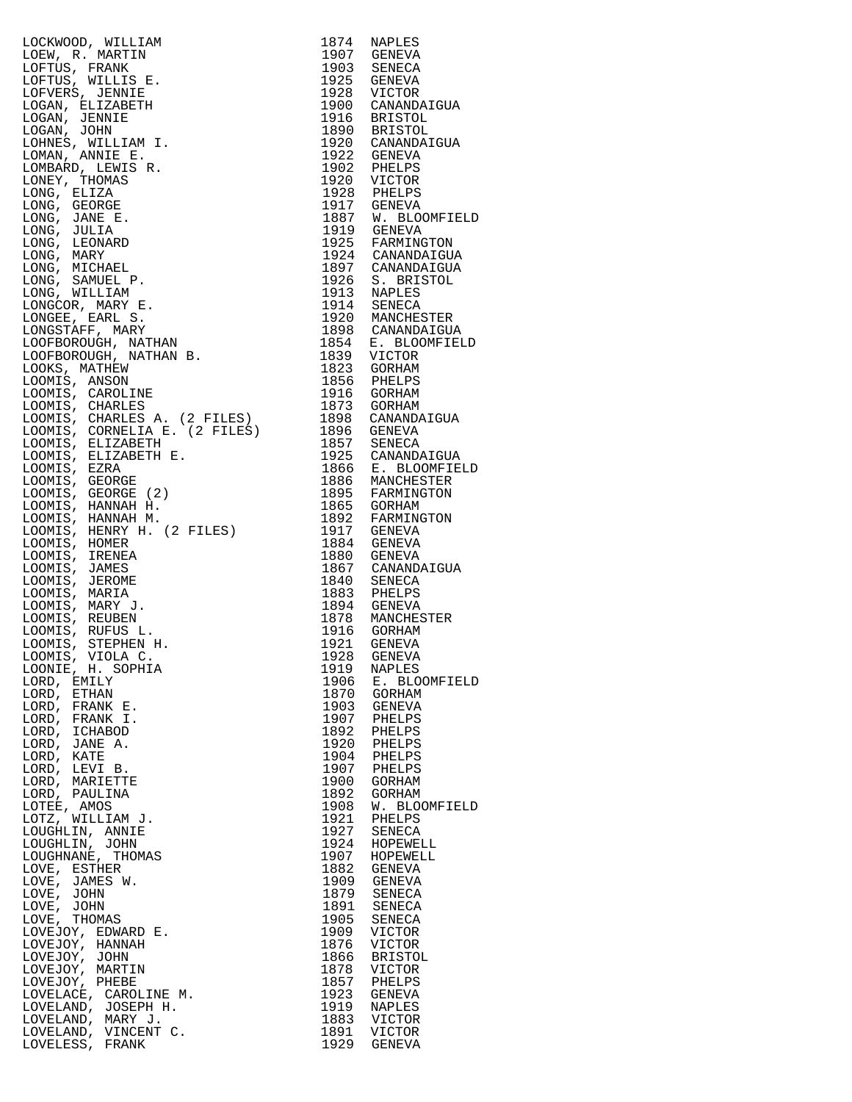LOCKWOOD, WILLIAM 1874 NAPLES<br>LOEW, R. MARTIN 1907 GENEVA LOEW, R. MARTIN 1907 GENEVA<br>
LOFTUS, FRANK 1903 SENECA<br>
LOFTUS, WILLIS E. 1925 GENEVA<br>
LOFVERS, JENNIE 1928 VICTOR LOFTUS, FRANK 1903 SENECA LOFTUS, WILLIS E. 1925 GENEVA LOFVERS, JENNIE 1928 VICTOR LOGAN, ELIZABETH 1900 CANANDAIGUA<br>
LOGAN, JENNIE 1900 CANANDAIGUA<br>
LOGAN, JOHN 1916 BRISTOL<br>
LOGAN, JOHN 1890 BRISTOL<br>
LOHNES, MILLIAM I. 1920 CANANDAIGUA LOGAN, JENNIE<br>LOGAN, JOHN LOGAN, JOHN 1890 BRISTOL LOHNES, WILLIAM I. 1920 CANANDAIGUA LOMAN, ANNIE E. 1922 GENEVA LOMBARD, LEWIS R. 1902 PHELPS LONEY, THOMAS 1920 VICTOR LONG, ELIZA 1928 PHELPS LONG, GEORGE 1917 GENEVA LONG, JANE E. 1887 W. BLOOMFIELD LONG, JULIA 1919 GENEVA LONG, LEONARD 1925 FARMINGTON LONG, MARY 1924 CANANDAIGUA LONG, MICHAEL 1897 CANANDAIGUA LONG, SAMUEL P. 1926 S. BRISTOL LONG, WILLIAM 1913 NAPLES LONGCOR, MARY E. 1914 SENECA LONGEE, EARL S. 1920 MANCHESTER LONGSTAFF, MARY 1898 CANANDAIGUA LOOFBOROUGH, NATHAN 1854 E. BLOOMFIELD LOOFBOROUGH, NATHAN B. 1839 VICTOR LOOKS, MATHEW 1823 GORHAM LOOMIS, ANSON 1856 PHELPS LOOMIS, CAROLINE 1916 GORHAM LOOMIS, CHARLES 1873 GORHAM LOOMIS, CHARLES A. (2 FILES) 1898 CANANDAIGUA LOOMIS, CORNELIA E. (2 FILES) 1896 GENEVA LOOMIS, ELIZABETH 1857 SENECA LOOMIS, ELIZABETH E. 1925 CANANDAIGUA LOOMIS, EZRA 1866 E. BLOOMFIELD LOOMIS, GEORGE 1886 MANCHESTER LOOMIS, GEORGE (2) 1895 FARMINGTON LOOMIS, HANNAH H. 1865 GORHAM LOOMIS, HANNAH M. 1892 FARMINGTON LOOMIS, HENRY H. (2 FILES) 1917 GENEVA LOOMIS, HOMER 1884 GENEVA LOOMIS, IRENEA 1880 GENEVA LOOMIS, JAMES 1867 CANANDAIGUA LOOMIS, JEROME 1840 SENECA LOOMIS, MARIA 1883 PHELPS LOOMIS, MARY J. 1894 GENEVA LOOMIS, RUFUS L. 1916 GORHAM LOOMIS, STEPHEN H. 1921 GENEVA LOOMIS, VIOLA C.<br>LOONIE, H. SOPHIA LOONIE, H. SOPHIA 1919 NAPLES LORD, EMILY 1906 E. BLOOMFIELD LORD, ETHAN 1870 GORHAM LORD, FRANK E. 1903 GENEVA LORD, FRANK I. 1907 PHELPS LORD, ICHABOD 1892 PHELPS LORD, JANE A. 1920 PHELPS LORD, KATE 1904 PHELPS LORD, LEVI B. 1907 PHELPS LORD, MARIETTE 1900 GORHAM LORD, PAULINA 1892 GORHAM LOTEE, AMOS 1908 W. BLOOMFIELD LOTZ, WILLIAM J. 1921 PHELPS LOUGHLIN, ANNIE 1927 SENECA LOUGHLIN, ANNIE<br>LOUGHLIN, JOHN<br>LOUGHNANE, THOMAS LOUGHLIN, ANNIE<br>
LOUGHLIN, JOHN<br>
LOUGHLIN, JOHN<br>
LOUGHNANE, THOMAS<br>
LOUGHNANE, THOMAS<br>
LOVE, ESTHER<br>
1907 HOPEWELL<br>
1907 HOPEWELL<br>
1907 HOPEWELL LOVE, JAMES W. 1909 GENEVA LOVE, JOHN 1879 SENECA LOVE, JOHN 1891 SENECA LOVE, THOMAS 1905 SENECA LOVEJOY, EDWARD E. 1909 VICTOR LOVEJOY, HANNAH 1876 VICTOR LOVEJOY, JOHN 1866 BRISTOL LOVEJOY, MARTIN 1878 VICTOR LOVEJOY, PHEBE 1857 PHELPS LOVELACE, CAROLINE M. 1923 GENEVA LOVELAND, JOSEPH H. 1919 NAPLES LOVELAND, MARY J. 1883 VICTOR LOVELAND, VINCENT C. 1891 VICTOR LOVELESS, FRANK 1929 GENEVA

1878 MANCHESTER<br>1916 GORHAM<br>1921 GENEVA 1882 GENEVA<br>1909 GENEVA<br>1879 SENECA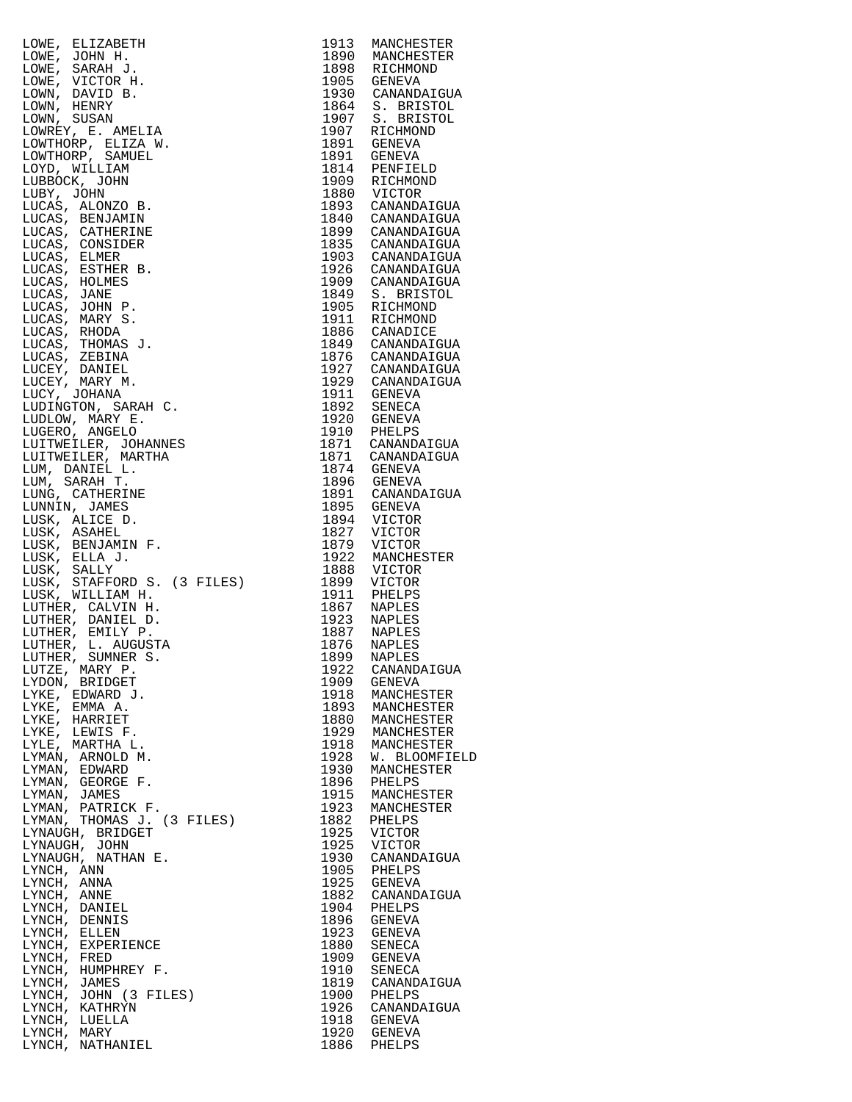| LOWE, ELIZABETH                                | 1913         | MANCHESTER                           |
|------------------------------------------------|--------------|--------------------------------------|
| LOWE, JOHN H.<br>LOWE, SARAH J.                | 1890<br>1898 | MANCHESTER<br>RICHMOND               |
| LOWE, VICTOR H.                                | 1905         | GENEVA                               |
| LOWN, DAVID B.                                 | 1930         | CANANDAIGUA                          |
| LOWN, HENRY                                    | 1864         | S. BRISTOL                           |
| LOWN, SUSAN<br>LOWREY, E. AMELIA               | 1907         | 1907 S. BRISTOL<br>RICHMOND          |
| LOWTHORP, ELIZA W.                             | 1891         | GENEVA                               |
| LOWTHORP, SAMUEL                               |              | 1891 GENEVA                          |
| LOYD, WILLIAM                                  |              | 1814 PENFIELD                        |
| LUBBOCK, JOHN<br>LUBY, JOHN                    | 1880         | 1909 RICHMOND<br>VICTOR              |
| LUCAS, ALONZO B.                               |              | 1893 CANANDAIGUA                     |
| LUCAS, BENJAMIN                                | 1840         | CANANDAIGUA                          |
| LUCAS, CATHERINE<br>LUCAS, CONSIDER            | 1899<br>1835 | CANANDAIGUA                          |
| LUCAS, ELMER                                   | 1903         | CANANDAIGUA<br>CANANDAIGUA           |
| LUCAS, ESTHER B.                               | 1926         | CANANDAIGUA                          |
| LUCAS, HOLMES                                  | 1909         | CANANDAIGUA                          |
| LUCAS, JANE<br>LUCAS, JOHN P.                  | 1849<br>1905 | S. BRISTOL<br>RICHMOND               |
| LUCAS, MARY S.                                 | 1911         | RICHMOND                             |
| LUCAS, RHODA                                   |              | 1886 CANADICE                        |
| LUCAS, THOMAS J.                               |              | 1849 CANANDAIGUA                     |
| LUCAS, ZEBINA<br>LUCEY, DANIEL                 |              | 1876 CANANDAIGUA<br>1927 CANANDAIGUA |
| LUCEY, MARY M.                                 |              | 1929 CANANDAIGUA                     |
| LUCY, JOHANA                                   |              | 1911 GENEVA                          |
| LUDINGTON, SARAH C.                            | 1892         | SENECA                               |
| LUDLOW, MARY E.<br>LUGERO, ANGELO              |              | 1920 GENEVA                          |
| LUITWEILER, JOHANNES                           |              | 1910 PHELPS<br>1871 CANANDAIGUA      |
| LUITWEILER, MARTHA                             |              | 1871 CANANDAIGUA                     |
| LUM, DANIEL L.                                 |              | 1874 GENEVA                          |
| LUM, SARAH T.<br>LUNG, CATHERINE               |              | 1896 GENEVA<br>1891 CANANDAIGUA      |
| LUNNIN, JAMES                                  |              | 1895 GENEVA                          |
| LUSK, ALICE D.                                 |              | 1894 VICTOR                          |
| LUSK, ASAHEL<br>LUSK, BENJAMIN F.              | 1827<br>1879 | VICTOR<br>VICTOR                     |
| LUSK, ELLA J.                                  | 1922         | MANCHESTER                           |
| LUSK, SALLY                                    |              | 1888 VICTOR                          |
| LUSK, STAFFORD S. (3 FILES)                    | 1899         | <b>VICTOR</b>                        |
| LUSK, WILLIAM H.<br>LUTHER, CALVIN H.          | 1911<br>1867 | PHELPS<br>NAPLES                     |
| LUTHER, DANIEL D.                              | 1923         | NAPLES                               |
| LUTHER, EMILY P.                               | 1887         | NAPLES<br>NAPLES                     |
| LUTHER, L. AUGUSTA<br>LUTHER, SUMNER S.        | 1876<br>1899 | NAPLES<br>NAPLES                     |
| LUTZE, MARY P.                                 | 1922         | CANANDAIGUA                          |
| LYDON, BRIDGET                                 | 1909         | GENEVA                               |
| LYKE, EDWARD J.                                | 1918<br>1893 | MANCHESTER                           |
| LYKE, EMMA A.<br>LYKE, HARRIET                 | 1880         | MANCHESTER<br>MANCHESTER             |
| LYKE, LEWIS F.                                 | 1929         | MANCHESTER                           |
| LYLE, MARTHA L.                                | 1918         | MANCHESTER                           |
| LYMAN, ARNOLD M.<br>LYMAN, EDWARD              | 1928<br>1930 | W. BLOOMFIELD<br>MANCHESTER          |
| LYMAN, GEORGE F.                               | 1896         | PHELPS                               |
| LYMAN, JAMES                                   | 1915         | MANCHESTER                           |
| LYMAN, PATRICK F.                              | 1923         | MANCHESTER                           |
| LYMAN, THOMAS J. (3 FILES)<br>LYNAUGH, BRIDGET | 1882<br>1925 | PHELPS<br>VICTOR                     |
| LYNAUGH, JOHN                                  | 1925         | <b>VICTOR</b>                        |
| LYNAUGH, NATHAN E.                             | 1930         | CANANDAIGUA                          |
| LYNCH, ANN<br>LYNCH, ANNA                      | 1905<br>1925 | PHELPS<br>GENEVA                     |
| LYNCH, ANNE                                    | 1882         | CANANDAIGUA                          |
| LYNCH, DANIEL                                  | 1904         | PHELPS                               |
| LYNCH, DENNIS                                  | 1896         | GENEVA                               |
| LYNCH, ELLEN<br>LYNCH, EXPERIENCE              | 1923<br>1880 | GENEVA<br>SENECA                     |
| LYNCH, FRED                                    | 1909         | GENEVA                               |
| LYNCH, HUMPHREY F.                             | 1910         | SENECA                               |
| LYNCH, JAMES<br>LYNCH, JOHN (3 FILES)          | 1819<br>1900 | CANANDAIGUA<br>PHELPS                |
| LYNCH, KATHRYN                                 | 1926         | CANANDAIGUA                          |
| LYNCH, LUELLA                                  | 1918         | GENEVA                               |
| LYNCH, MARY<br>LYNCH, NATHANIEL                | 1920<br>1886 | GENEVA<br>PHELPS                     |
|                                                |              |                                      |

| 1913                 | MANCHESTER                          |
|----------------------|-------------------------------------|
| 1890<br>1898         | MANCHESTER                          |
| 1905                 | RICHMOND<br>GENEVA                  |
| 1930                 | CANANDAIGUA                         |
| 1864                 | <b>BRISTOL</b><br>s.                |
| 1907                 | <b>BRISTOL</b><br>s.                |
| 1907<br>1891         | RICHMOND                            |
| 1891                 | GENEVA<br>GENEVA                    |
| 1814                 | PENFIELD                            |
| 1909                 | RICHMOND                            |
| 1880                 | VICTOR                              |
| 1893<br>1840         | CANANDAIGUA<br>CANANDAIGUA          |
|                      | CANANDAIGUA                         |
| 1899<br>1835         | CANANDAIGUA                         |
| 1903                 | CANANDAIGUA                         |
| 1926                 | CANANDAIGUA                         |
| 1909<br>1849         | CANANDAIGUA<br>S.<br><b>BRISTOL</b> |
| 1905                 | RICHMOND                            |
| 1911                 | RICHMOND                            |
| 1886                 | CANADICE                            |
| 1849                 | CANANDAIGUA                         |
| 1876                 | CANANDAIGUA                         |
| 1927<br>1929         | CANANDAIGUA<br>CANANDAIGUA          |
| 1911                 | GENEVA                              |
| 1892                 | SENECA                              |
| 1920                 | GENEVA                              |
| 1910                 | PHELPS                              |
| 1871<br>1871         | CANANDAIGUA<br>CANANDAIGUA          |
| 1874                 | GENEVA                              |
| 1896                 | <b>GENEVA</b>                       |
| 1891                 | CANANDAIGUA                         |
| 1895                 | GENEVA                              |
| 1894<br>1827         | VICTOR<br><b>VICTOR</b>             |
| 1879                 | VICTOR                              |
| 1922                 | MANCHESTER                          |
| 1888                 | VICTOR                              |
| 1899                 | VICTOR                              |
| 1911                 | PHELPS                              |
| 1867<br>1923         | NAPLES<br>NAPLES                    |
| 1887                 | <b>NAPLES</b>                       |
| 1876                 | NAPLES                              |
| 1899<br>1922         | NAPLES                              |
|                      | CANANDAIGUA                         |
| 1909<br>1918         | <b>GENEVA</b><br>MANCHESTER         |
| 1893                 | MANCHESTER                          |
| 1880                 | MANCHESTER                          |
| 1929                 | MANCHESTER                          |
| 1918                 | MANCHESTER                          |
| 1928<br>1930         | W. BLOOMFIELD                       |
| 1896                 | MANCHESTER<br>PHELPS                |
| 1915                 | MANCHESTER                          |
| 1923                 | MANCHESTER                          |
| 1882                 | PHELPS                              |
| 1925<br>1925         | VICTOR                              |
|                      | VICTOR<br>CANANDAIGUA               |
| 1930<br>1905         | PHELPS                              |
| 1925                 | <b>GENEVA</b>                       |
| 1882                 | CANANDAIGUA                         |
| 1904                 | PHELPS                              |
| 1896<br>1923         | GENEVA                              |
| 1880                 | <b>GENEVA</b><br>SENECA             |
| 1909                 | GENEVA                              |
| 1910                 | SENECA                              |
| 1819                 | CANANDAIGUA                         |
| 1900                 | PHELPS                              |
| 1926<br>1918<br>1920 | CANANDAIGUA<br>GENEVA               |
|                      | GENEVA                              |
| 1886                 | PHELPS                              |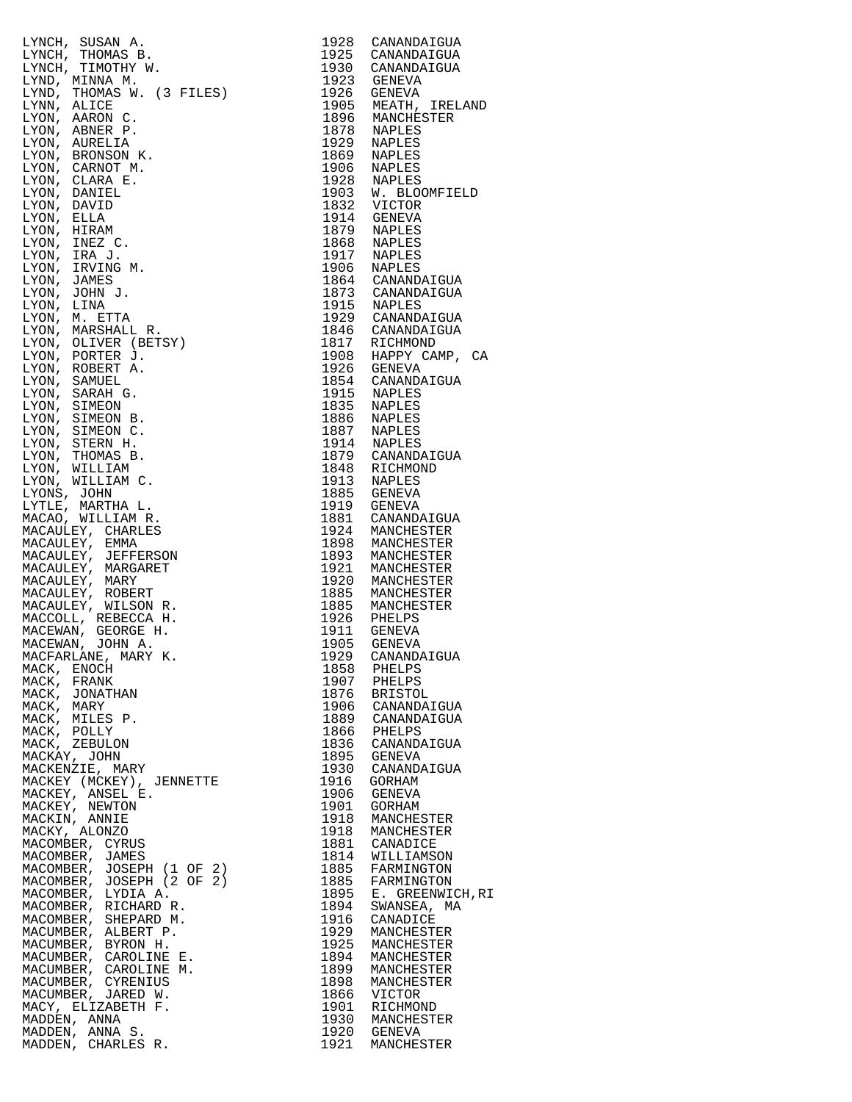|                                                                                                                                                                                                 | 1928 |                                      |
|-------------------------------------------------------------------------------------------------------------------------------------------------------------------------------------------------|------|--------------------------------------|
| LYNCH, SUSAN A.                                                                                                                                                                                 |      | CANANDAIGUA                          |
| LYNCH, THOMAS B.                                                                                                                                                                                |      | 1925 CANANDAIGUA                     |
| LYNCH, TIMOTHY W.                                                                                                                                                                               | 1930 | CANANDAIGUA                          |
| LYND, MINNA M.                                                                                                                                                                                  | 1923 | GENEVA                               |
| LYND, THOMAS W. (3 FILES)                                                                                                                                                                       | 1926 | GENEVA                               |
| LYNN, ALICE                                                                                                                                                                                     | 1905 | MEATH, IRELAND                       |
| LYON, AARON C.                                                                                                                                                                                  | 1896 | MANCHESTER                           |
| LYON, ABNER P.                                                                                                                                                                                  |      | 1878 NAPLES                          |
| LYON, AURELIA                                                                                                                                                                                   | 1929 | NAPLES                               |
| LYON, BRONSON K.                                                                                                                                                                                | 1869 | NAPLES                               |
| LYON, CARNOT M.                                                                                                                                                                                 | 1906 | NAPLES                               |
| LYON, CLARA E.                                                                                                                                                                                  |      | 1928 NAPLES                          |
| LYON, DANIEL                                                                                                                                                                                    |      | 1903 W. BLOOMFIELD                   |
| LYON, DAVID                                                                                                                                                                                     |      | 1832 VICTOR                          |
| LYON, ELLA                                                                                                                                                                                      |      | 1914 GENEVA                          |
| LYON, HIRAM                                                                                                                                                                                     |      | 1879 NAPLES                          |
| LYON, INEZ C.                                                                                                                                                                                   | 1868 | NAPLES                               |
| LYON, IRA J.                                                                                                                                                                                    |      | 1917 NAPLES                          |
| LYON, IRVING M.                                                                                                                                                                                 |      |                                      |
|                                                                                                                                                                                                 |      | 1906 NAPLES<br>1864 CANANDAIGUA      |
| LYON, JAMES                                                                                                                                                                                     |      |                                      |
| LYON, JOHN J.                                                                                                                                                                                   |      | 1873 CANANDAIGUA                     |
| LYON, LINA                                                                                                                                                                                      |      | 1915 NAPLES                          |
| LYON, M. ETTA                                                                                                                                                                                   |      | 1929 CANANDAIGUA                     |
| LYON, MARSHALL R.                                                                                                                                                                               |      | 1846 CANANDAIGUA                     |
| LYON, OLIVER (BETSY)                                                                                                                                                                            |      | 1817 RICHMOND<br>1908 HAPPY CAMP, CA |
| LYON, PORTER J.                                                                                                                                                                                 |      |                                      |
| LYON, ROBERT A.                                                                                                                                                                                 |      | 1926 GENEVA                          |
| LYON, SAMUEL                                                                                                                                                                                    |      | 1854 CANANDAIGUA                     |
| LYON, SARAH G.                                                                                                                                                                                  |      | 1915 NAPLES                          |
| LYON, SIMEON                                                                                                                                                                                    |      | 1835 NAPLES                          |
| LYON, SIMEON B.                                                                                                                                                                                 | 1886 | NAPLES<br>NAPLES                     |
| LYON, SIMEON C.                                                                                                                                                                                 | 1887 |                                      |
| LYON, STERN H.                                                                                                                                                                                  | 1914 | NAPLES                               |
| LYON, THOMAS B.                                                                                                                                                                                 |      | 1879 CANANDAIGUA                     |
| LYON, WILLIAM                                                                                                                                                                                   | 1848 | RICHMOND                             |
| LYON, WILLIAM C.                                                                                                                                                                                |      | 1913 NAPLES                          |
| LYONS, JOHN                                                                                                                                                                                     |      | 1885 GENEVA                          |
| LYTLE, MARTHA L.                                                                                                                                                                                |      | 1919 GENEVA                          |
| MACAO, WILLIAM R.                                                                                                                                                                               |      | 1881 CANANDAIGUA                     |
| MACAULEY, CHARLES                                                                                                                                                                               | 1924 | MANCHESTER                           |
| $(3 \text{ FILES})$<br>$(3 \text{ FILES})$<br>$(3 \text{ SON})$<br>$(3 \text{ FILS})$<br>$(4 \text{ FILS})$<br>$(5 \text{ FILS})$<br>$(6 \text{ FILS})$<br>$(7 \text{ FILS})$<br>MACAULEY, EMMA | 1898 | MANCHESTER                           |
| MACAULEY, JEFFERSON                                                                                                                                                                             | 1893 | MANCHESTER                           |
| MACAULEY, MARGARET                                                                                                                                                                              | 1921 | MANCHESTER                           |
| MACAULEY, MARY                                                                                                                                                                                  |      | 1920 MANCHESTER                      |
| MACAULEY, ROBERT                                                                                                                                                                                |      |                                      |
| MACAULEY, WILSON R.                                                                                                                                                                             |      | 1885 MANCHESTER<br>1885 MANCHESTER   |
| MACCOLL, REBECCA H.                                                                                                                                                                             |      |                                      |
| MACEWAN, GEORGE H.                                                                                                                                                                              |      | 1926 PHELPS<br>1911 GENEVA           |
| MACEWAN, JOHN A.                                                                                                                                                                                | 1905 | GENEVA                               |
| MACFARLANE, MARY K.                                                                                                                                                                             |      | 1929 CANANDAIGUA                     |
| MACK, ENOCH                                                                                                                                                                                     | 1858 | PHELPS                               |
| MACK, FRANK                                                                                                                                                                                     |      | 1907 PHELPS                          |
| MACK, JONATHAN                                                                                                                                                                                  |      | 1876 BRISTOL                         |
| MACK, MARY                                                                                                                                                                                      | 1906 | CANANDAIGUA                          |
| MACK, MILES P.                                                                                                                                                                                  |      | 1889 CANANDAIGUA                     |
| MACK, POLLY                                                                                                                                                                                     | 1866 | PHELPS                               |
| MACK, ZEBULON                                                                                                                                                                                   |      | 1836 CANANDAIGUA                     |
| MACKAY, JOHN                                                                                                                                                                                    |      | 1895 GENEVA                          |
|                                                                                                                                                                                                 |      |                                      |
| MACKENZIE, MARY                                                                                                                                                                                 | 1930 | CANANDAIGUA                          |
| MACKEY (MCKEY), JENNETTE                                                                                                                                                                        | 1916 | GORHAM                               |
| MACKEY, ANSEL E.                                                                                                                                                                                | 1906 | GENEVA                               |
| MACKEY, NEWTON                                                                                                                                                                                  | 1901 | GORHAM                               |
| MACKIN, ANNIE                                                                                                                                                                                   | 1918 | MANCHESTER                           |
| MACKY, ALONZO                                                                                                                                                                                   | 1918 | MANCHESTER                           |
| MACOMBER, CYRUS                                                                                                                                                                                 |      | 1881 CANADICE                        |
| MACOMBER, JAMES                                                                                                                                                                                 | 1814 | WILLIAMSON                           |
| MACOMBER, JOSEPH (1 OF 2)                                                                                                                                                                       | 1885 | FARMINGTON                           |
| MACOMBER, JOSEPH (2 OF 2)                                                                                                                                                                       | 1885 | FARMINGTON                           |
| MACOMBER, LYDIA A.                                                                                                                                                                              | 1895 | E. GREENWICH, RI                     |
| MACOMBER, RICHARD R.                                                                                                                                                                            | 1894 | SWANSEA, MA                          |
| MACOMBER, SHEPARD M.                                                                                                                                                                            | 1916 | CANADICE                             |
| MACUMBER, ALBERT P.                                                                                                                                                                             | 1929 | MANCHESTER                           |
| MACUMBER, BYRON H.                                                                                                                                                                              | 1925 | MANCHESTER                           |
| MACUMBER, CAROLINE E.                                                                                                                                                                           | 1894 | MANCHESTER                           |
| MACUMBER, CAROLINE M.                                                                                                                                                                           | 1899 | MANCHESTER                           |
| MACUMBER, CYRENIUS                                                                                                                                                                              | 1898 | MANCHESTER                           |
| MACUMBER, JARED W.                                                                                                                                                                              | 1866 | VICTOR                               |
| MACY, ELIZABETH F.                                                                                                                                                                              | 1901 | RICHMOND                             |
| MADDEN, ANNA                                                                                                                                                                                    |      | 1930 MANCHESTER                      |
| MADDEN, ANNA S.                                                                                                                                                                                 | 1920 | GENEVA                               |

| LYNCH, SUSAN A.<br>LYNCH, SUSAN A.<br>LYNCH, THOMAS B.<br>LYNCH, THOMAS B.<br>LYND, MINNA M.<br>LYND, MINNA M.<br>LYND, NARCON C.<br>LYND, ARACON C.<br>LYND, ARACON C.<br>LYND, ARACON C.<br>LYND, ARACON C.<br>LYND, ARACON N.<br>LYND, CARNOT M.<br>LYND, DANIBLE. | 1928         | CANANDAIGUA                            |
|-----------------------------------------------------------------------------------------------------------------------------------------------------------------------------------------------------------------------------------------------------------------------|--------------|----------------------------------------|
|                                                                                                                                                                                                                                                                       |              | 1925 CANANDAIGUA                       |
|                                                                                                                                                                                                                                                                       | 1923         | 1930 CANANDAIGUA<br>GENEVA             |
|                                                                                                                                                                                                                                                                       |              | 1926 GENEVA                            |
|                                                                                                                                                                                                                                                                       | 1905         | 1905 MEATH, IRELAND<br>1896 MANCHESTER |
|                                                                                                                                                                                                                                                                       |              |                                        |
|                                                                                                                                                                                                                                                                       |              | 1878 NAPLES<br>1929 NAPLES             |
|                                                                                                                                                                                                                                                                       | 1869         | NAPLES                                 |
|                                                                                                                                                                                                                                                                       | 1906         | NAPLES                                 |
|                                                                                                                                                                                                                                                                       | 1928         | NAPLES                                 |
|                                                                                                                                                                                                                                                                       |              | 1903 W. BLOOMFIELD                     |
|                                                                                                                                                                                                                                                                       | 1832         | VICTOR<br>1914 GENEVA                  |
|                                                                                                                                                                                                                                                                       |              | 1879 NAPLES                            |
|                                                                                                                                                                                                                                                                       | 1868         | NAPLES                                 |
|                                                                                                                                                                                                                                                                       |              | 1917 NAPLES                            |
|                                                                                                                                                                                                                                                                       |              | 1906 NAPLES                            |
|                                                                                                                                                                                                                                                                       |              | 1864 CANANDAIGUA<br>1873 CANANDAIGUA   |
|                                                                                                                                                                                                                                                                       |              | 1915 NAPLES<br>1929 CANANDAIGUA        |
|                                                                                                                                                                                                                                                                       |              |                                        |
|                                                                                                                                                                                                                                                                       |              | 1846 CANANDAIGUA                       |
|                                                                                                                                                                                                                                                                       | 1817         | RICHMOND<br>1908 HAPPY CAMP, CA        |
|                                                                                                                                                                                                                                                                       |              | 1926 GENEVA                            |
|                                                                                                                                                                                                                                                                       |              | 1854 CANANDAIGUA                       |
|                                                                                                                                                                                                                                                                       |              | 1915 NAPLES                            |
|                                                                                                                                                                                                                                                                       |              | 1835 NAPLES                            |
|                                                                                                                                                                                                                                                                       | 1886         | NAPLES                                 |
|                                                                                                                                                                                                                                                                       |              | 1887 NAPLES<br>1914 NAPLES             |
|                                                                                                                                                                                                                                                                       |              | 1879 CANANDAIGUA                       |
|                                                                                                                                                                                                                                                                       |              | 1848 RICHMOND                          |
|                                                                                                                                                                                                                                                                       |              | 1913 NAPLES                            |
|                                                                                                                                                                                                                                                                       | 1885         | GENEVA                                 |
|                                                                                                                                                                                                                                                                       |              | 1919 GENEVA<br>1881 CANANDAIGUA        |
|                                                                                                                                                                                                                                                                       |              | 1924 MANCHESTER                        |
|                                                                                                                                                                                                                                                                       |              | 1898 MANCHESTER                        |
|                                                                                                                                                                                                                                                                       | 1893         | MANCHESTER                             |
|                                                                                                                                                                                                                                                                       | 1921         | MANCHESTER<br>1920 MANCHESTER          |
|                                                                                                                                                                                                                                                                       |              | 1885 MANCHESTER                        |
|                                                                                                                                                                                                                                                                       |              | 1885 MANCHESTER                        |
|                                                                                                                                                                                                                                                                       |              | 1926 PHELPS                            |
|                                                                                                                                                                                                                                                                       |              | 1911 GENEVA<br>1905 GENEVA             |
|                                                                                                                                                                                                                                                                       | 1929         | CANANDAIGUA                            |
| MACK, ENOCH                                                                                                                                                                                                                                                           | 1858         | PHELPS                                 |
| MACK, FRANK                                                                                                                                                                                                                                                           | 1907         | PHELPS                                 |
| MACK, JONATHAN                                                                                                                                                                                                                                                        |              | 1876 BRISTOL                           |
| MACK, MARY                                                                                                                                                                                                                                                            | 1906         | CANANDAIGUA                            |
| MACK, MILES P.<br>MACK, POLLY                                                                                                                                                                                                                                         | 1866         | 1889 CANANDAIGUA<br>PHELPS             |
| MACK, ZEBULON                                                                                                                                                                                                                                                         | 1836         | CANANDAIGUA                            |
| HICK, ZZZZZX<br>MACKAY, JOHN<br>MACKENZIE, MARY<br>MACKEY (MCKEY), JENNETTE                                                                                                                                                                                           | 1895         | GENEVA                                 |
|                                                                                                                                                                                                                                                                       | 1930         | CANANDAIGUA                            |
| MACKEY, ANSEL E.                                                                                                                                                                                                                                                      | 1916<br>1906 | GORHAM<br>GENEVA                       |
| MACKEY, NEWTON                                                                                                                                                                                                                                                        | 1901         | GORHAM                                 |
| MACKIN, ANNIE                                                                                                                                                                                                                                                         | 1918         | MANCHESTER                             |
| MACKY, ALONZO                                                                                                                                                                                                                                                         | 1918         | MANCHESTER                             |
| MACOMBER, CYRUS                                                                                                                                                                                                                                                       | 1881         | CANADICE                               |
| MACOMBER, JAMES<br>MACOMBER, JOSEPH (1 OF 2)                                                                                                                                                                                                                          | 1814<br>1885 | WILLIAMSON<br>FARMINGTON               |
| MACOMBER, JOSEPH (2 OF 2)                                                                                                                                                                                                                                             | 1885         | FARMINGTON                             |
| MACOMBER, LYDIA A.                                                                                                                                                                                                                                                    | 1895         | E. GREENWICH, RI                       |
| MACOMBER, RICHARD R.                                                                                                                                                                                                                                                  | 1894         | SWANSEA, MA                            |
| MACOMBER, SHEPARD M.                                                                                                                                                                                                                                                  | 1916         | CANADICE                               |
| MACUMBER, ALBERT P.<br>MACUMBER, BYRON H.                                                                                                                                                                                                                             | 1929<br>1925 | MANCHESTER<br>MANCHESTER               |
| MACUMBER, CAROLINE E.                                                                                                                                                                                                                                                 | 1894         | MANCHESTER                             |
| MACUMBER, CAROLINE M.                                                                                                                                                                                                                                                 | 1899         | MANCHESTER                             |
| MACUMBER, CYRENIUS                                                                                                                                                                                                                                                    | 1898         | MANCHESTER                             |
| MACUMBER, JARED W.                                                                                                                                                                                                                                                    | 1866         | VICTOR                                 |
| $\begin{array}{c} E. \\ \n\therefore \\ \n\therefore \\ JS \\ \n\end{array}$<br>MACY, ELIZABETH F.<br>MADDEN, ANNA                                                                                                                                                    | 1901         | RICHMOND<br>1930 MANCHESTER            |
| MADDEN, ANNA S.                                                                                                                                                                                                                                                       |              | 1920 GENEVA                            |
| MADDEN, CHARLES R.                                                                                                                                                                                                                                                    | 1921         | MANCHESTER                             |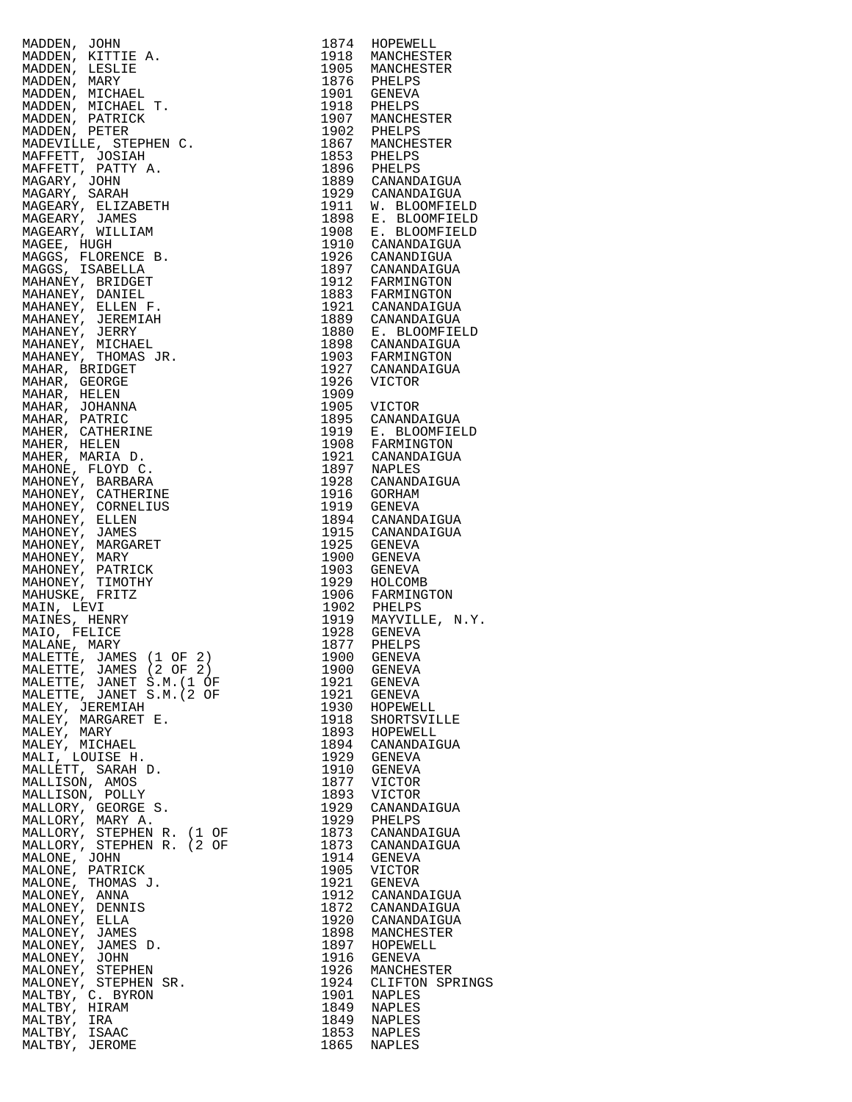| $\begin{tabular}{c c c} \multicolumn{4}{c}{\begin{tabular}{c} \multicolumn{4}{c}{\begin{tabular}{c} $n$ & $n$ & $n$ & $n$ \\ \multicolumn{4}{c}{\begin{tabular}{c} $n$ & $n$ & $n$ \\ \multicolumn{4}{c}{\begin{tabular}{c} $n$ & $n$ & $n$ \\ \multicolumn{4}{c}{\begin{tabular}{c} $n$ & $n$ & $n$ \\ \multicolumn{4}{c}{\begin{tabular}{c} $n$ & $n$ & $n$ \\ \hline $n$ & $n$ & $n$ & $n$ \\ \hline $n$ & $n$ & $n$ & $n$ \\ \hline $$ |      |                                      |
|--------------------------------------------------------------------------------------------------------------------------------------------------------------------------------------------------------------------------------------------------------------------------------------------------------------------------------------------------------------------------------------------------------------------------------------------|------|--------------------------------------|
|                                                                                                                                                                                                                                                                                                                                                                                                                                            |      |                                      |
|                                                                                                                                                                                                                                                                                                                                                                                                                                            |      |                                      |
|                                                                                                                                                                                                                                                                                                                                                                                                                                            |      |                                      |
|                                                                                                                                                                                                                                                                                                                                                                                                                                            |      |                                      |
|                                                                                                                                                                                                                                                                                                                                                                                                                                            |      |                                      |
|                                                                                                                                                                                                                                                                                                                                                                                                                                            |      |                                      |
|                                                                                                                                                                                                                                                                                                                                                                                                                                            |      |                                      |
|                                                                                                                                                                                                                                                                                                                                                                                                                                            |      |                                      |
|                                                                                                                                                                                                                                                                                                                                                                                                                                            |      |                                      |
|                                                                                                                                                                                                                                                                                                                                                                                                                                            |      |                                      |
|                                                                                                                                                                                                                                                                                                                                                                                                                                            |      |                                      |
|                                                                                                                                                                                                                                                                                                                                                                                                                                            |      |                                      |
|                                                                                                                                                                                                                                                                                                                                                                                                                                            |      |                                      |
|                                                                                                                                                                                                                                                                                                                                                                                                                                            |      |                                      |
|                                                                                                                                                                                                                                                                                                                                                                                                                                            |      |                                      |
|                                                                                                                                                                                                                                                                                                                                                                                                                                            |      |                                      |
|                                                                                                                                                                                                                                                                                                                                                                                                                                            |      |                                      |
|                                                                                                                                                                                                                                                                                                                                                                                                                                            |      |                                      |
|                                                                                                                                                                                                                                                                                                                                                                                                                                            |      |                                      |
|                                                                                                                                                                                                                                                                                                                                                                                                                                            |      |                                      |
|                                                                                                                                                                                                                                                                                                                                                                                                                                            |      |                                      |
|                                                                                                                                                                                                                                                                                                                                                                                                                                            |      |                                      |
|                                                                                                                                                                                                                                                                                                                                                                                                                                            |      |                                      |
|                                                                                                                                                                                                                                                                                                                                                                                                                                            |      |                                      |
|                                                                                                                                                                                                                                                                                                                                                                                                                                            |      |                                      |
|                                                                                                                                                                                                                                                                                                                                                                                                                                            |      |                                      |
|                                                                                                                                                                                                                                                                                                                                                                                                                                            |      |                                      |
|                                                                                                                                                                                                                                                                                                                                                                                                                                            |      |                                      |
|                                                                                                                                                                                                                                                                                                                                                                                                                                            |      |                                      |
|                                                                                                                                                                                                                                                                                                                                                                                                                                            |      |                                      |
|                                                                                                                                                                                                                                                                                                                                                                                                                                            |      |                                      |
|                                                                                                                                                                                                                                                                                                                                                                                                                                            |      |                                      |
|                                                                                                                                                                                                                                                                                                                                                                                                                                            |      |                                      |
|                                                                                                                                                                                                                                                                                                                                                                                                                                            |      |                                      |
|                                                                                                                                                                                                                                                                                                                                                                                                                                            |      |                                      |
|                                                                                                                                                                                                                                                                                                                                                                                                                                            |      |                                      |
|                                                                                                                                                                                                                                                                                                                                                                                                                                            |      |                                      |
|                                                                                                                                                                                                                                                                                                                                                                                                                                            |      |                                      |
|                                                                                                                                                                                                                                                                                                                                                                                                                                            |      |                                      |
|                                                                                                                                                                                                                                                                                                                                                                                                                                            |      |                                      |
|                                                                                                                                                                                                                                                                                                                                                                                                                                            |      |                                      |
|                                                                                                                                                                                                                                                                                                                                                                                                                                            |      |                                      |
|                                                                                                                                                                                                                                                                                                                                                                                                                                            |      |                                      |
|                                                                                                                                                                                                                                                                                                                                                                                                                                            |      |                                      |
| MALETTE, JANET S.M. (2 OF                                                                                                                                                                                                                                                                                                                                                                                                                  | 1921 | GENEVA                               |
| MALEY, JEREMIAH                                                                                                                                                                                                                                                                                                                                                                                                                            | 1930 | HOPEWELL                             |
| MALEY, MARGARET E.<br>MALEY, MARY                                                                                                                                                                                                                                                                                                                                                                                                          | 1918 | SHORTSVILLE                          |
| MALEY, MICHAEL                                                                                                                                                                                                                                                                                                                                                                                                                             |      | 1893 HOPEWELL<br>1894 CANANDAIGUA    |
| MALI, LOUISE H.                                                                                                                                                                                                                                                                                                                                                                                                                            |      | 1929 GENEVA                          |
| MALLETT, SARAH D.                                                                                                                                                                                                                                                                                                                                                                                                                          |      | 1910 GENEVA                          |
| MALLISON, AMOS                                                                                                                                                                                                                                                                                                                                                                                                                             |      | 1877 VICTOR                          |
| MALLISON, POLLY                                                                                                                                                                                                                                                                                                                                                                                                                            | 1893 | VICTOR                               |
| MALLORY, GEORGE S.<br>MALLORY, MARY A.                                                                                                                                                                                                                                                                                                                                                                                                     | 1929 | 1929 CANANDAIGUA<br>PHELPS           |
| MALLORY, STEPHEN R. (1 OF                                                                                                                                                                                                                                                                                                                                                                                                                  |      | 1873 CANANDAIGUA                     |
| MALLORY, STEPHEN R. (2 OF                                                                                                                                                                                                                                                                                                                                                                                                                  |      | 1873 CANANDAIGUA                     |
| MALONE, JOHN                                                                                                                                                                                                                                                                                                                                                                                                                               |      | 1914 GENEVA                          |
| MALONE, PATRICK                                                                                                                                                                                                                                                                                                                                                                                                                            |      | 1905 VICTOR                          |
| MALONE, THOMAS J.                                                                                                                                                                                                                                                                                                                                                                                                                          |      | 1921 GENEVA                          |
| MALONEY, ANNA                                                                                                                                                                                                                                                                                                                                                                                                                              |      | 1912 CANANDAIGUA<br>1872 CANANDAIGUA |
| MALONEY, DENNIS<br>MALONEY, ELLA                                                                                                                                                                                                                                                                                                                                                                                                           |      | 1920 CANANDAIGUA                     |
| MALONEY, JAMES                                                                                                                                                                                                                                                                                                                                                                                                                             |      | 1898 MANCHESTER                      |
| MALONEY, JAMES D.                                                                                                                                                                                                                                                                                                                                                                                                                          |      | 1897 HOPEWELL                        |
| MALONEY, JOHN                                                                                                                                                                                                                                                                                                                                                                                                                              |      | 1916 GENEVA                          |
| MALONEY, STEPHEN                                                                                                                                                                                                                                                                                                                                                                                                                           | 1926 | MANCHESTER                           |
| MALONEY, STEPHEN SR.<br>MALTBY, C. BYRON                                                                                                                                                                                                                                                                                                                                                                                                   | 1901 | 1924 CLIFTON SPRINGS<br>NAPLES       |
| MALTBY, HIRAM                                                                                                                                                                                                                                                                                                                                                                                                                              |      | 1849 NAPLES                          |
| MALTBY, IRA                                                                                                                                                                                                                                                                                                                                                                                                                                |      | 1849 NAPLES                          |
| MALTBY, ISAAC                                                                                                                                                                                                                                                                                                                                                                                                                              |      | 1853 NAPLES                          |
| MALTBY, JEROME                                                                                                                                                                                                                                                                                                                                                                                                                             | 1865 | NAPLES                               |

| 1874         | HOPEWELL                       |
|--------------|--------------------------------|
| 1918<br>1905 | MANCHESTER<br>MANCHESTER       |
| 1876         | PHELPS                         |
| 1901         | GENEVA                         |
| 1918<br>1907 | PHELPS<br>MANCHESTER           |
| 1902         | PHELPS                         |
| 1867         | MANCHESTER                     |
| 1853         | PHELPS                         |
| 1896<br>1889 | PHELPS<br>CANANDAIGUA          |
| 1929         | CANANDAIGUA                    |
| 1911         | W.<br>BLOOMFIELD               |
| 1898<br>1908 | E. BLOOMFIELD<br>E. BLOOMFIELD |
| 1910         | CANANDAIGUA                    |
| 1926         | CANANDIGUA                     |
| 1897         | CANANDAIGUA                    |
| 1912<br>1883 | FARMINGTON<br>FARMINGTON       |
| 1921         | CANANDAIGUA                    |
| 1889         | CANANDAIGUA                    |
| 1880<br>1898 | E. BLOOMFIELD<br>CANANDAIGUA   |
| 1903         | FARMINGTON                     |
| 1927         | CANANDAIGUA                    |
| 1926         | VICTOR                         |
| 1909<br>1905 | VICTOR                         |
| 1895         | CANANDAIGUA                    |
| 1919         | E. BLOOMFIELD                  |
| 1908         | FARMINGTON                     |
| 1921<br>1897 | CANANDAIGUA<br>NAPLES          |
| 1928         | CANANDAIGUA                    |
| 1916         | GORHAM                         |
| 1919         | GENEVA                         |
| 1894<br>1915 | CANANDAIGUA<br>CANANDAIGUA     |
| 1925         | GENEVA                         |
| 1900         | GENEVA                         |
| 1903<br>1929 | GENEVA<br>HOLCOMB              |
| 1906         | FARMINGTON                     |
| 1902         | PHELPS                         |
| 1919         | MAYVILLE,<br>N.Y.              |
| 1928<br>1877 | <b>GENEVA</b><br>PHELPS        |
| 1900         | GENEVA                         |
| 1900         | GENEVA                         |
| 1921         | GENEVA                         |
| 1921<br>1930 | GENEVA<br>HOPEWELL             |
| 1918         | SHORTSVILLE                    |
| 1893         | HOPEWELL                       |
| 1894<br>1929 | CANANDAIGUA<br>GENEVA          |
| 1910         | <b>GENEVA</b>                  |
| 1877         | VICTOR                         |
| 1893         | VICTOR                         |
| 1929<br>1929 | CANANDAIGUA<br>PHELPS          |
| 1873         | CANANDAIGUA                    |
| 1873         | CANANDAIGUA                    |
| 1914         | GENEVA                         |
| 1905<br>1921 | VICTOR<br>GENEVA               |
| 1912         | CANANDAIGUA                    |
| 1872         | CANANDAIGUA                    |
| 1920<br>1898 | CANANDAIGUA                    |
| 1897         | MANCHESTER<br>HOPEWELL         |
| 1916         | <b>GENEVA</b>                  |
| 1926         | MANCHESTER                     |
| 1924<br>1901 | CLIFTON SPRINGS<br>NAPLES      |
| 1849         | NAPLES                         |
| 1849         | NAPLES                         |
| 1853         | NAPLES                         |
| 1865         | NAPLES                         |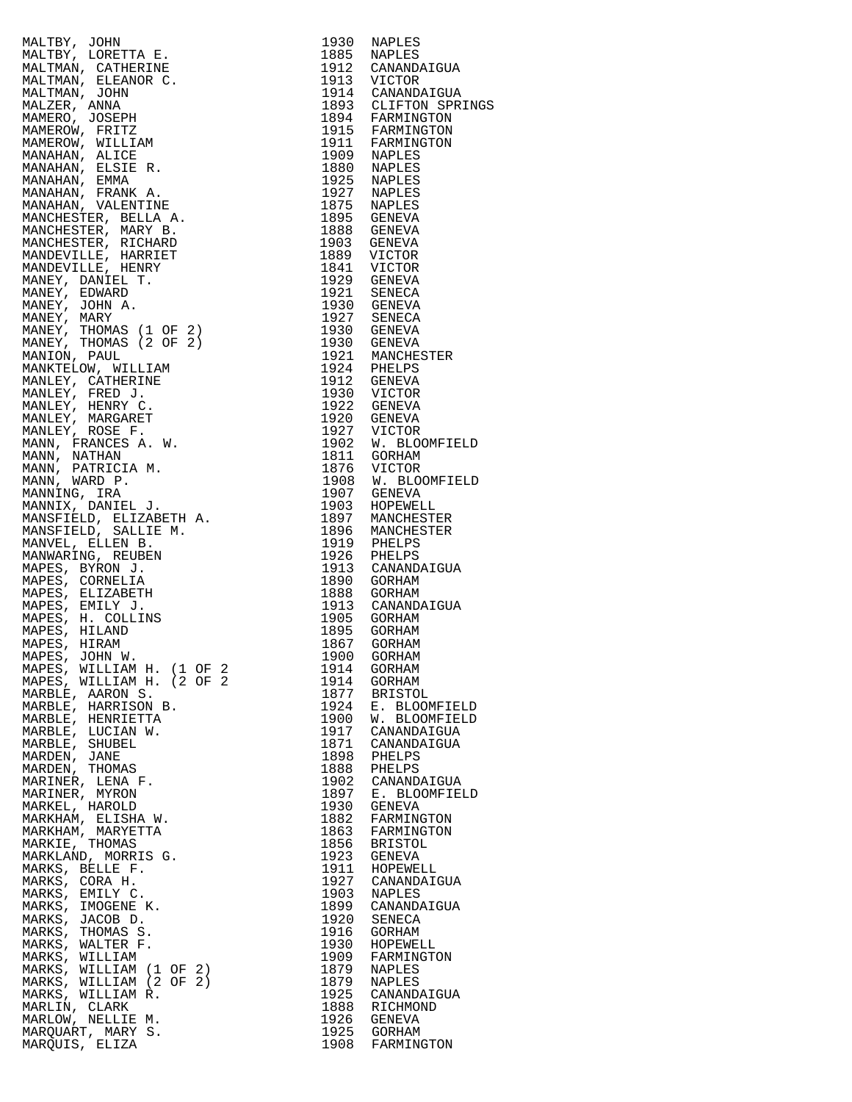|                                      |              | 1893 CLIFTON SPRINGS<br>1894 FARMINGTON |
|--------------------------------------|--------------|-----------------------------------------|
|                                      |              |                                         |
|                                      |              |                                         |
|                                      |              |                                         |
|                                      |              |                                         |
|                                      |              |                                         |
|                                      |              |                                         |
|                                      |              |                                         |
|                                      |              |                                         |
|                                      |              |                                         |
|                                      |              |                                         |
|                                      |              |                                         |
|                                      |              |                                         |
|                                      |              |                                         |
|                                      |              |                                         |
|                                      |              |                                         |
|                                      |              |                                         |
|                                      |              |                                         |
|                                      |              |                                         |
|                                      |              |                                         |
|                                      |              |                                         |
|                                      |              |                                         |
|                                      |              |                                         |
|                                      |              | 1927 VICTOR<br>1902 W. BLOOMFIELD       |
|                                      |              |                                         |
|                                      |              |                                         |
|                                      |              | 1908 W. BLOOMFIELD                      |
|                                      |              |                                         |
|                                      |              |                                         |
|                                      |              |                                         |
|                                      |              |                                         |
|                                      |              |                                         |
|                                      |              |                                         |
|                                      |              |                                         |
|                                      |              |                                         |
|                                      |              |                                         |
|                                      |              |                                         |
|                                      |              |                                         |
|                                      |              |                                         |
|                                      |              |                                         |
| MAPES, WILLIAM H. (2 OF 2            | 1914         | GORHAM                                  |
| MARBLE, AARON S.                     | 1877         | <b>BRISTOL</b>                          |
| MARBLE, HARRISON B.                  | 1924         | E. BLOOMFIELD                           |
| MARBLE, HENRIETTA                    | 1900         | W. BLOOMFIELD                           |
| MARBLE, LUCIAN W.                    | 1917         | CANANDAIGUA                             |
| MARBLE, SHUBEL                       | 1871         | CANANDAIGUA                             |
| MARDEN, JANE                         | 1898         | PHELPS                                  |
| MARDEN, THOMAS                       | 1888         | PHELPS<br>CANANDAIGUA                   |
| MARINER, LENA F.<br>MARINER, MYRON   | 1902<br>1897 | E. BLOOMFIELD                           |
| MARKEL, HAROLD                       | 1930         | <b>GENEVA</b>                           |
| MARKHAM, ELISHA W.                   | 1882         | FARMINGTON                              |
| MARKHAM, MARYETTA                    | 1863         | FARMINGTON                              |
| MARKIE, THOMAS                       | 1856         | <b>BRISTOL</b>                          |
| MARKLAND, MORRIS G.                  | 1923         | GENEVA                                  |
| MARKS, BELLE F.                      | 1911         | HOPEWELL                                |
| MARKS, CORA H.                       | 1927         | CANANDAIGUA                             |
| MARKS, EMILY C.<br>MARKS, IMOGENE K. | 1903<br>1899 | NAPLES<br>CANANDAIGUA                   |
| MARKS, JACOB D.                      | 1920         | SENECA                                  |
| MARKS, THOMAS S.                     | 1916         | GORHAM                                  |
| MARKS, WALTER F.                     | 1930         | HOPEWELL                                |
| MARKS, WILLIAM                       | 1909         | FARMINGTON                              |
| MARKS, WILLIAM (1 OF 2)              | 1879         | NAPLES                                  |
| MARKS, WILLIAM (2 OF 2)              | 1879         | NAPLES                                  |
| MARKS, WILLIAM R.                    | 1925         | CANANDAIGUA                             |
| MARLIN, CLARK<br>MARLOW, NELLIE M.   | 1888<br>1926 | RICHMOND<br><b>GENEVA</b>               |
| MARQUART, MARY S.                    | 1925         | GORHAM                                  |
| MAROUIS, ELIZA                       |              | 1908 FARMINGTON                         |

| MALTRY, JOHN 1972<br>MALTRY, LORETTA E. 1930 NAPLES<br>MALTRY, LORETTA E. 1985 NAPLES<br>MALTRAM, CATHERINE 1912 CRANDATOUR<br>MALTMAM, SLEGANOR C. 1912 CRANDATOUR<br>MALTMAM, SLEGANOR (1913)<br>MALTMAM, SLEGAN (1913)<br>MAMEROW, PRITZ<br>                       |      |                    |
|-----------------------------------------------------------------------------------------------------------------------------------------------------------------------------------------------------------------------------------------------------------------------|------|--------------------|
|                                                                                                                                                                                                                                                                       |      |                    |
|                                                                                                                                                                                                                                                                       |      |                    |
|                                                                                                                                                                                                                                                                       |      |                    |
|                                                                                                                                                                                                                                                                       |      |                    |
|                                                                                                                                                                                                                                                                       |      |                    |
|                                                                                                                                                                                                                                                                       |      |                    |
|                                                                                                                                                                                                                                                                       |      |                    |
|                                                                                                                                                                                                                                                                       |      |                    |
|                                                                                                                                                                                                                                                                       |      |                    |
|                                                                                                                                                                                                                                                                       |      |                    |
|                                                                                                                                                                                                                                                                       |      |                    |
|                                                                                                                                                                                                                                                                       |      |                    |
|                                                                                                                                                                                                                                                                       |      |                    |
|                                                                                                                                                                                                                                                                       |      |                    |
|                                                                                                                                                                                                                                                                       |      |                    |
|                                                                                                                                                                                                                                                                       |      |                    |
|                                                                                                                                                                                                                                                                       |      |                    |
|                                                                                                                                                                                                                                                                       |      |                    |
|                                                                                                                                                                                                                                                                       |      |                    |
|                                                                                                                                                                                                                                                                       |      | 1900 GORHAM        |
| MAPES, JOHN W.<br>MAPES, WILLIAM H. (1 OF 2<br>ALLIAM H. (2 OF 2                                                                                                                                                                                                      |      | 1914 GORHAM        |
| MAPES, WILLIAM H. (2 OF 2                                                                                                                                                                                                                                             |      | 1914 GORHAM        |
| MARBLE, AARON S.                                                                                                                                                                                                                                                      |      | 1877 BRISTOL       |
|                                                                                                                                                                                                                                                                       |      | 1924 E. BLOOMFIELD |
|                                                                                                                                                                                                                                                                       |      |                    |
|                                                                                                                                                                                                                                                                       |      | 1900 W. BLOOMFIELD |
|                                                                                                                                                                                                                                                                       |      | 1917 CANANDAIGUA   |
|                                                                                                                                                                                                                                                                       |      | 1871 CANANDAIGUA   |
|                                                                                                                                                                                                                                                                       |      | 1898 PHELPS        |
|                                                                                                                                                                                                                                                                       |      | 1888 PHELPS        |
|                                                                                                                                                                                                                                                                       |      | 1902 CANANDAIGUA   |
|                                                                                                                                                                                                                                                                       |      | 1897 E. BLOOMFIELD |
|                                                                                                                                                                                                                                                                       |      |                    |
|                                                                                                                                                                                                                                                                       |      | 1930 GENEVA        |
|                                                                                                                                                                                                                                                                       |      | 1882 FARMINGTON    |
|                                                                                                                                                                                                                                                                       |      | 1863 FARMINGTON    |
|                                                                                                                                                                                                                                                                       |      | 1856 BRISTOL       |
|                                                                                                                                                                                                                                                                       |      | 1923 GENEVA        |
|                                                                                                                                                                                                                                                                       |      |                    |
|                                                                                                                                                                                                                                                                       |      | 1911 HOPEWELL      |
|                                                                                                                                                                                                                                                                       |      | 1927 CANANDAIGUA   |
|                                                                                                                                                                                                                                                                       |      | 1903 NAPLES        |
|                                                                                                                                                                                                                                                                       |      | 1899 CANANDAIGUA   |
|                                                                                                                                                                                                                                                                       |      | 1920 SENECA        |
|                                                                                                                                                                                                                                                                       | 1916 | GORHAM             |
|                                                                                                                                                                                                                                                                       |      |                    |
|                                                                                                                                                                                                                                                                       |      | 1930 HOPEWELL      |
|                                                                                                                                                                                                                                                                       |      | 1909 FARMINGTON    |
|                                                                                                                                                                                                                                                                       |      | 1879 NAPLES        |
|                                                                                                                                                                                                                                                                       |      | 1879 NAPLES        |
| MARKS, WILLIAM R.                                                                                                                                                                                                                                                     |      | 1925 CANANDAIGUA   |
| MARELS, WILLIAM A.<br>MARBLE, AARON S.<br>MARBLE, HARRISON B.<br>MARBLE, HENRIETTA<br>MARBLE, LUCIAN W.<br>MARBLE, SHUBEL<br>MARDEN, JANE<br>MARDEN, JANE<br>MARDEN, JANE<br>MARINER, LENA F.<br>MARKEL, HAROLD<br>MARKEL, HAROLD<br>MARKEL, THOMAS<br>MARKEL, THOMAS |      |                    |
| MARLIN, CLARK                                                                                                                                                                                                                                                         |      | 1888 RICHMOND      |
| MARLOW, NELLIE M.                                                                                                                                                                                                                                                     |      | 1926 GENEVA        |
| MARQUART, MARY S.                                                                                                                                                                                                                                                     |      | 1925 GORHAM        |
| MARQUIS, ELIZA                                                                                                                                                                                                                                                        |      | 1908 FARMINGTON    |
|                                                                                                                                                                                                                                                                       |      |                    |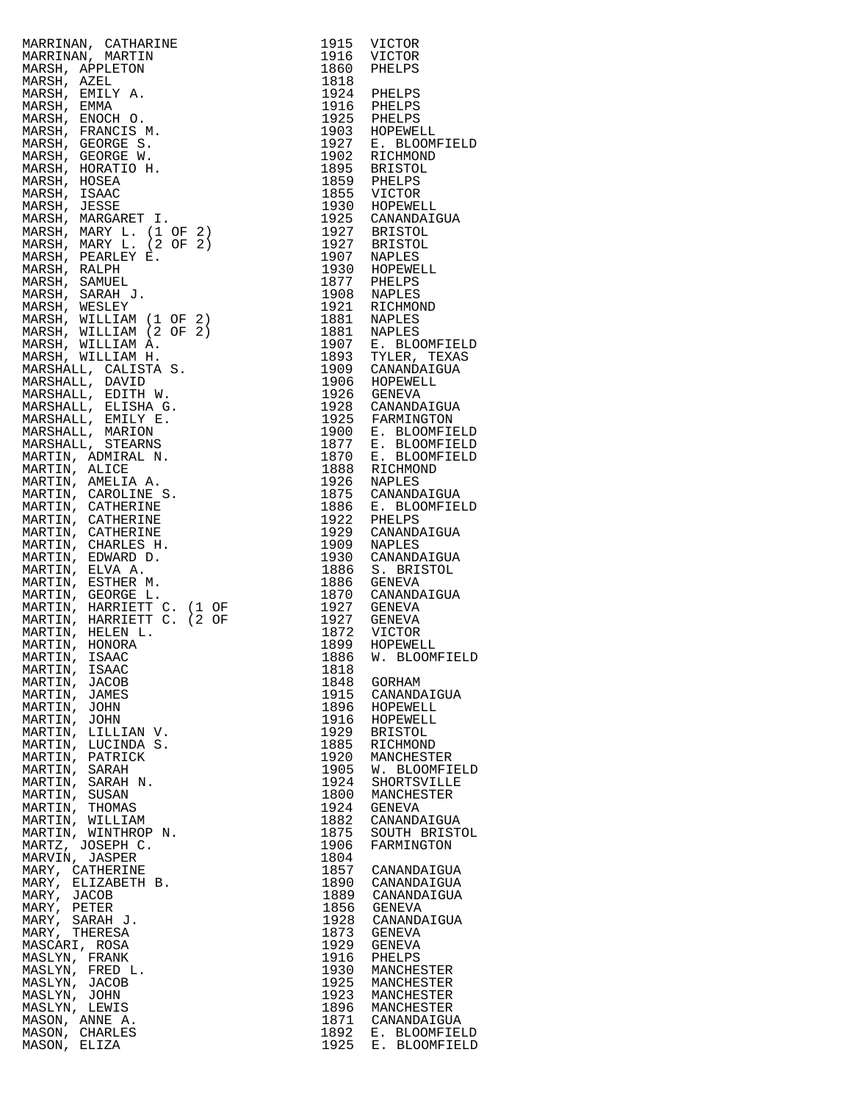| MARRINAN, CATRARINE 1915 VICTOR MARRINAL, REAL MARRINAN, CARRING AND PRESS. AREN'S MARRIN, REAL 1916 VICTOR MARSH, AZEL 1916 VICTOR MARSH, ENGLE 1916 PHELPS MARRIN, ENGLE 1922 E. BLOOMFIELD MARRIN, CROSSE 1923 REPORT MARR |      |                 |
|-------------------------------------------------------------------------------------------------------------------------------------------------------------------------------------------------------------------------------|------|-----------------|
|                                                                                                                                                                                                                               |      |                 |
| MARTIN, ISAAC                                                                                                                                                                                                                 | 1818 |                 |
| MARTIN, JACOB                                                                                                                                                                                                                 | 1848 | GORHAM          |
| MARTIN, JAMES                                                                                                                                                                                                                 | 1915 | CANANDAIGUA     |
| MARTIN, JOHN                                                                                                                                                                                                                  | 1896 | HOPEWELL        |
| MARTIN, JOHN                                                                                                                                                                                                                  | 1916 | HOPEWELL        |
| MARTIN, LILLIAN V.                                                                                                                                                                                                            | 1929 | <b>BRISTOL</b>  |
| MARTIN, LUCINDA S.                                                                                                                                                                                                            | 1885 | RICHMOND        |
| MARTIN, PATRICK                                                                                                                                                                                                               | 1920 | MANCHESTER      |
| MARTIN, SARAH                                                                                                                                                                                                                 | 1905 | W. BLOOMFIELD   |
| MARTIN, SARAH N.                                                                                                                                                                                                              | 1924 | SHORTSVILLE     |
| MARTIN, SUSAN                                                                                                                                                                                                                 | 1800 | MANCHESTER      |
| MARTIN, THOMAS                                                                                                                                                                                                                | 1924 | GENEVA          |
| MARTIN, WILLIAM                                                                                                                                                                                                               | 1882 | CANANDAIGUA     |
| MARTIN, WINTHROP N.                                                                                                                                                                                                           | 1875 | SOUTH BRISTOL   |
| MARTZ, JOSEPH C.                                                                                                                                                                                                              | 1906 | FARMINGTON      |
| MARVIN, JASPER                                                                                                                                                                                                                | 1804 |                 |
| MARY, CATHERINE                                                                                                                                                                                                               | 1857 | CANANDAIGUA     |
| MARY, ELIZABETH B.                                                                                                                                                                                                            | 1890 | CANANDAIGUA     |
| MARY, JACOB                                                                                                                                                                                                                   | 1889 | CANANDAIGUA     |
| MARY, PETER                                                                                                                                                                                                                   | 1856 | GENEVA          |
| MARY, SARAH J.                                                                                                                                                                                                                | 1928 | CANANDAIGUA     |
| MARY, THERESA                                                                                                                                                                                                                 | 1873 | GENEVA          |
| MASCARI, ROSA                                                                                                                                                                                                                 | 1929 | GENEVA          |
| MASLYN, FRANK                                                                                                                                                                                                                 | 1916 | PHELPS          |
| MASLYN, FRED L.                                                                                                                                                                                                               | 1930 | MANCHESTER      |
| MASLYN, JACOB                                                                                                                                                                                                                 | 1925 | MANCHESTER      |
| MASLYN, JOHN                                                                                                                                                                                                                  | 1923 | MANCHESTER      |
| MASLYN, LEWIS                                                                                                                                                                                                                 |      | 1896 MANCHESTER |
| MASON, ANNE A.                                                                                                                                                                                                                | 1871 | CANANDAIGUA     |
| MASON, CHARLES                                                                                                                                                                                                                | 1892 | E. BLOOMFIELD   |
| MASON, ELIZA                                                                                                                                                                                                                  | 1925 | E. BLOOMFIELD   |

| 1915                                 | VICTOR                                                                              |
|--------------------------------------|-------------------------------------------------------------------------------------|
| 1916                                 | VICTOR                                                                              |
| 1860                                 | PHELPS                                                                              |
| 1818<br>1924<br>1916<br>1925<br>1903 | PHELPS<br>PHELPS<br>PHELPS<br>HOPEWELL                                              |
| 1927                                 | E. BLOOMFIELD                                                                       |
| 1902                                 | RICHMOND                                                                            |
| 1895                                 | <b>BRISTOL</b>                                                                      |
| 1859                                 | PHELPS                                                                              |
| 1855                                 | VICTOR                                                                              |
| 1930                                 | HOPEWELL                                                                            |
| 1925                                 | CANANDAIGUA                                                                         |
| 1927                                 | <b>BRISTOL</b>                                                                      |
| 1927                                 | <b>BRISTOL</b>                                                                      |
| 1907                                 | NAPLES                                                                              |
| 1930                                 | HOPEWELL                                                                            |
| 1877                                 | PHELPS                                                                              |
| 1908                                 | <b>NAPLES</b>                                                                       |
| 1921                                 | RICHMOND                                                                            |
| 1881                                 | NAPLES                                                                              |
| 1881                                 | <b>NAPLES</b>                                                                       |
| 1907                                 | E. BLOOMFIELD                                                                       |
| 1893                                 | TYLER, TEXAS                                                                        |
| 1909                                 | CANANDAIGUA                                                                         |
| 1906                                 | HOPEWELL                                                                            |
| 1926                                 | GENEVA                                                                              |
| 1928                                 | CANANDAIGUA                                                                         |
| 1925<br>1900<br>1877<br>1870<br>1888 | FARMINGTON<br>E. BLOOMFIELD<br>Ε.<br><b>BLOOMFIELD</b><br>E. BLOOMFIELD<br>RICHMOND |
| 1926                                 | NAPLES                                                                              |
| 1875                                 | CANANDAIGUA                                                                         |
| 1886                                 | E. BLOOMFIELD                                                                       |
| 1922                                 | PHELPS                                                                              |
| 1929                                 | CANANDAIGUA                                                                         |
| 1909                                 | NAPLES                                                                              |
| 1930                                 | CANANDAIGUA                                                                         |
| 1886                                 | S. BRISTOL                                                                          |
| 1886                                 | <b>GENEVA</b>                                                                       |
| 1870                                 | CANANDAIGUA                                                                         |
| 1927                                 | <b>GENEVA</b>                                                                       |
| 1927                                 | GENEVA                                                                              |
| 1872                                 | VICTOR                                                                              |
| 1899<br>1886<br>1818<br>1848         | HOPEWELL<br>W. BLOOMFIELD<br>GORHAM                                                 |
| 1915                                 | CANANDAIGUA                                                                         |
| 1896                                 | HOPEWELL                                                                            |
| 1916                                 | HOPEWELL                                                                            |
| 1929                                 | <b>BRISTOL</b>                                                                      |
| 1885                                 | RICHMOND                                                                            |
| 1920                                 | MANCHESTER                                                                          |
| 1905                                 | W. BLOOMFIELD                                                                       |
| 1924                                 | SHORTSVILLE                                                                         |
| 1800                                 | MANCHESTER                                                                          |
| 1924<br>1882<br>1875<br>1906<br>1804 | GENEVA<br>CANANDAIGUA<br>SOUTH BRISTOL<br>FARMINGTON                                |
| 1857                                 | CANANDAIGUA                                                                         |
| 1890                                 | CANANDAIGUA                                                                         |
| 1889                                 | CANANDAIGUA                                                                         |
| 1856                                 | <b>GENEVA</b>                                                                       |
| 1928                                 | CANANDAIGUA                                                                         |
| 1873                                 | <b>GENEVA</b>                                                                       |
| 1929                                 | <b>GENEVA</b>                                                                       |
| 1916                                 | PHELPS                                                                              |
| 1930                                 | MANCHESTER                                                                          |
| 1925                                 | MANCHESTER                                                                          |
| 1923                                 | MANCHESTER                                                                          |
| 1896                                 | MANCHESTER                                                                          |
| 1871                                 | CANANDAIGUA                                                                         |
| 1892<br>1925                         | E. BLOOMFIELD<br>E. BLOOMFIELD                                                      |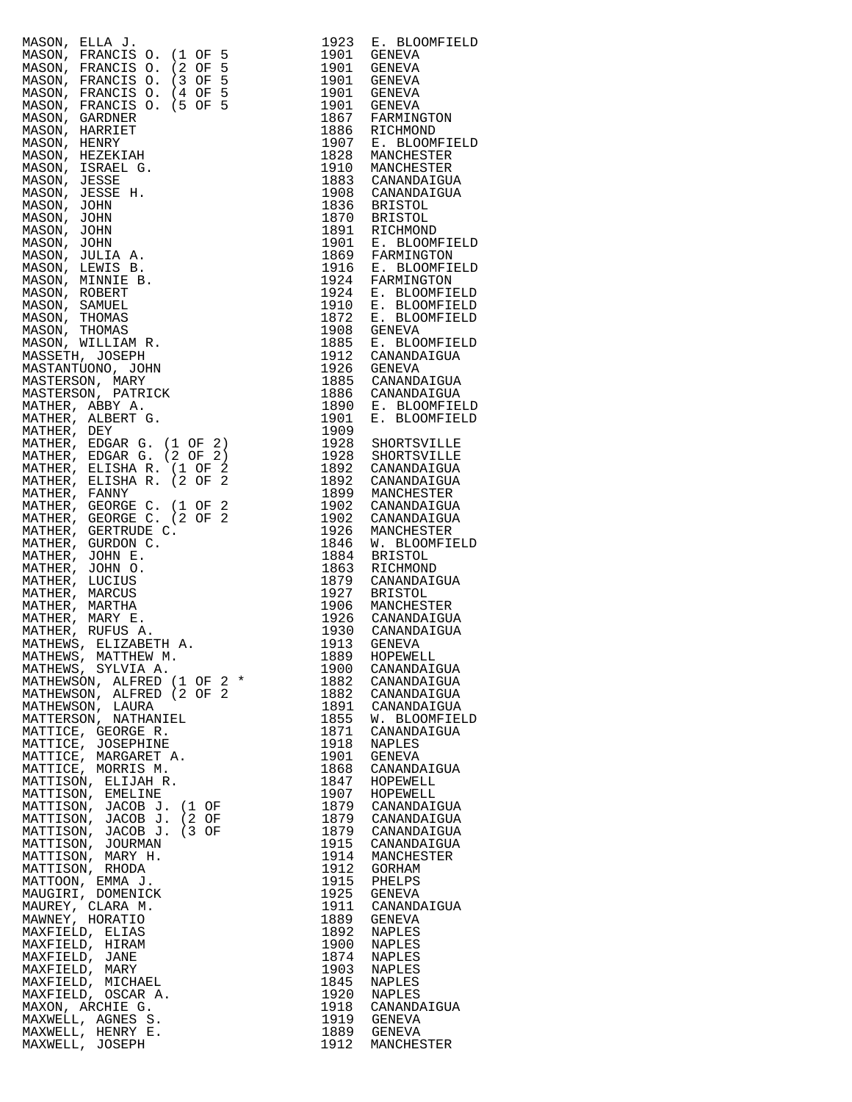| MASON, ELLA J.                                                                                            | 1923         | E. BLOOMFIELD                  |
|-----------------------------------------------------------------------------------------------------------|--------------|--------------------------------|
| MASON, FRANCIS O.<br>$(1$ OF<br>$\frac{5}{2}$<br>5<br>MASON, FRANCIS O.<br>(2)<br>OF                      | 1901<br>1901 | GENEVA<br>GENEVA               |
| MASON, FRANCIS O.<br>$(3$ OF<br>5                                                                         | 1901         | GENEVA                         |
| (4 OF 5<br>MASON, FRANCIS O.                                                                              | 1901         | GENEVA                         |
| $(5$ OF<br>5<br>MASON, FRANCIS O.<br>MASON, GARDNER                                                       | 1901<br>1867 | GENEVA<br>FARMINGTON           |
| MASON, HARRIET                                                                                            | 1886         | RICHMOND                       |
| MASON, HENRY                                                                                              | 1907         | E. BLOOMFIELD                  |
| MASON, HEZEKIAH                                                                                           | 1828         | MANCHESTER                     |
| MASON, ISRAEL G.<br>MASON, JESSE                                                                          | 1910         | MANCHESTER<br>1883 CANANDAIGUA |
| MASON, JESSE H.                                                                                           | 1908         | CANANDAIGUA                    |
| MASON, JOHN                                                                                               | 1836         | BRISTOL                        |
| MASON, JOHN<br>MASON, JOHN                                                                                | 1870<br>1891 | BRISTOL<br>RICHMOND            |
| MASON, JOHN                                                                                               | 1901         | E. BLOOMFIELD                  |
| MASON, JULIA A.                                                                                           | 1869         | FARMINGTON                     |
| MASON, LEWIS B.<br>MASON, MINNIE B.                                                                       | 1916<br>1924 | E. BLOOMFIELD<br>FARMINGTON    |
| MASON, ROBERT                                                                                             | 1924         | E. BLOOMFIELD                  |
| MASON, SAMUEL                                                                                             | 1910         | E. BLOOMFIELD                  |
| MASON, THOMAS                                                                                             | 1872         | E. BLOOMFIELD                  |
| MASON, THOMAS<br>MASON, WILLIAM R.                                                                        | 1908<br>1885 | GENEVA<br>E. BLOOMFIELD        |
| MASSETH, JOSEPH                                                                                           | 1912         | CANANDAIGUA                    |
| MASTANTUONO, JOHN                                                                                         | 1926         | GENEVA                         |
| MASTERSON, MARY<br>MASTERSON, PATRICK                                                                     | 1885<br>1886 | CANANDAIGUA<br>CANANDAIGUA     |
| MATHER, ABBY A.                                                                                           | 1890         | E. BLOOMFIELD                  |
| MATHER, ALBERT G.                                                                                         | 1901         | E. BLOOMFIELD                  |
| MATHER, DEY                                                                                               | 1909<br>1928 |                                |
| MATHER, EDGAR G. (1 OF 2)<br>MATHER, EDGAR G. (2 OF 2)                                                    | 1928         | SHORTSVILLE<br>SHORTSVILLE     |
| MATHER, ELISHA R. (1 OF 2                                                                                 | 1892         | CANANDAIGUA                    |
| MATHER, ELISHA R. (2 OF                                                                                   | 1892         | CANANDAIGUA                    |
| MATHER, FANNY<br>MATHER, GEORGE C. (1 OF 2                                                                | 1899<br>1902 | MANCHESTER<br>CANANDAIGUA      |
| MATHER, GEORGE C. (2 OF 2                                                                                 | 1902         | CANANDAIGUA                    |
| MATHER, GERTRUDE C.                                                                                       | 1926         | MANCHESTER                     |
| MATHER, GURDON C.<br>MATHER, JOHN E.                                                                      | 1846<br>1884 | W. BLOOMFIELD<br>BRISTOL       |
| $(2 \text{ OF } 2)$<br>$C$ .<br>A.<br>A.<br>$1 \text{ OF } 2 *$<br>$2 \text{ OF } 2 *$<br>MATHER, JOHN O. | 1863         | RICHMOND                       |
| MATHER, LUCIUS                                                                                            | 1879         | CANANDAIGUA                    |
| MATHER, MARCUS<br>MATHER, MARTHA                                                                          | 1927<br>1906 | <b>BRISTOL</b><br>MANCHESTER   |
| MATHER, MARY E.                                                                                           |              | 1926 CANANDAIGUA               |
| MATHER, RUFUS A.                                                                                          |              | 1930 CANANDAIGUA               |
| MATHEWS, ELIZABETH A.                                                                                     | 1913<br>1889 | GENEVA<br>HOPEWELL             |
| MATHEWS, MATTHEW M.<br>MATHEWS, SYLVIA A.                                                                 | 1900         | CANANDAIGUA                    |
| MATHEWSON, ALFRED (1 OF 2 *                                                                               | 1882         | CANANDAIGUA                    |
| MATHEWSON, ALFRED (2 OF 2<br>MATHEWSON, LAURA                                                             | 1882<br>1891 | CANANDAIGUA<br>CANANDAIGUA     |
| MATTERSON, NATHANIEL                                                                                      | 1855         | W. BLOOMFIELD                  |
| MATTICE, GEORGE R.                                                                                        | 1871         | CANANDAIGUA                    |
| MATTICE, JOSEPHINE<br>MATTICE, MARGARET A.                                                                | 1918<br>1901 | NAPLES<br><b>GENEVA</b>        |
| MATTICE, MORRIS M.                                                                                        | 1868         | CANANDAIGUA                    |
| MATTISON, ELIJAH R.                                                                                       | 1847         | HOPEWELL                       |
| MATTISON, EMELINE                                                                                         | 1907<br>1879 | HOPEWELL<br>CANANDAIGUA        |
| MATTISON, JACOB J. (1 OF<br>MATTISON, JACOB J. (2 OF                                                      | 1879         | CANANDAIGUA                    |
| MATTISON, JACOB J. (3 OF                                                                                  | 1879         | CANANDAIGUA                    |
| MATTISON, JOURMAN                                                                                         | 1915<br>1914 | CANANDAIGUA                    |
| MATTISON, MARY H.<br>MATTISON, RHODA                                                                      | 1912         | MANCHESTER<br>GORHAM           |
| MATTOON, EMMA J.                                                                                          | 1915         | PHELPS                         |
| MAUGIRI, DOMENICK                                                                                         | 1925         | GENEVA                         |
| MAUREY, CLARA M.<br>MAWNEY, HORATIO                                                                       | 1911<br>1889 | CANANDAIGUA<br>GENEVA          |
| MAXFIELD, ELIAS                                                                                           | 1892         | NAPLES                         |
| MAXFIELD, HIRAM                                                                                           | 1900         | NAPLES                         |
| MAXFIELD, JANE<br>MAXFIELD, MARY                                                                          | 1874<br>1903 | NAPLES<br>NAPLES               |
| MAXFIELD, MICHAEL                                                                                         | 1845         | NAPLES                         |
| MAXFIELD, OSCAR A.                                                                                        | 1920         | NAPLES                         |
| MAXON, ARCHIE G.<br>MAXWELL, AGNES S.                                                                     | 1918<br>1919 | CANANDAIGUA<br>GENEVA          |
| MAXWELL, HENRY E.                                                                                         |              | 1889 GENEVA                    |
| MAXWELL, JOSEPH                                                                                           | 1912         | MANCHESTER                     |

| 1923         | E. BLOOMFIETD                  |
|--------------|--------------------------------|
| 1901<br>1901 | GENEVA                         |
| 1901         | GENEVA<br>GENEVA               |
| 1901         | GENEVA                         |
| 1901         | GENEVA                         |
| 1867         | FARMINGTON                     |
| 1886         | RICHMOND                       |
| 1907         | E. BLOOMFIELD                  |
| 1828         | MANCHESTER                     |
| 1910         | MANCHESTER                     |
| 1883         | CANANDAIGUA                    |
| 1908         | CANANDAIGUA                    |
| 1836         | <b>BRISTOL</b>                 |
| 1870         | <b>BRISTOL</b>                 |
| 1891         | RICHMOND                       |
| 1901         | E. BLOOMFIELD                  |
| 1869         | FARMINGTON                     |
| 1916         | E. BLOOMFIELD                  |
| 1924         | FARMINGTON                     |
| 1924<br>1910 | E. BLOOMFIELD<br>E. BLOOMFIELD |
| 1872         | E. BLOOMFIELD                  |
| 1908         | GENEVA                         |
| 1885         | E. BLOOMFIELD                  |
| 1912         | CANANDAIGUA                    |
| 1926         | GENEVA                         |
| 1885         | CANANDAIGUA                    |
| 1886         | CANANDAIGUA                    |
| 1890         | E. BLOOMFIELD                  |
| 1901         | E. BLOOMFIELD                  |
| 1909         |                                |
| 1928         | SHORTSVILLE                    |
| 1928         | SHORTSVILLE                    |
| 1892         | CANANDAIGUA                    |
| 1892         | CANANDAIGUA                    |
| 1899         | MANCHESTER                     |
| 1902         | CANANDAIGUA                    |
| 1902         | CANANDAIGUA                    |
| 1926         | MANCHESTER                     |
| 1846         | W. BLOOMFIELD                  |
| 1884         | <b>BRISTOL</b>                 |
| 1863         | RICHMOND                       |
| 1879         | CANANDAIGUA                    |
| 1927         | <b>BRISTOL</b>                 |
| 1906         | MANCHESTER                     |
| 1926         | CANANDAIGUA                    |
| 1930         | CANANDAIGUA                    |
| 1913         | GENEVA                         |
| 1889         | HOPEWELL                       |
| 1900         | CANANDAIGUA                    |
| 1882<br>1882 | CANANDAIGUA                    |
|              | CANANDAIGUA<br>CANANDAIGUA     |
| 1891<br>1855 | W. BLOOMFIELD                  |
| 1871         | CANANDAIGUA                    |
| 1918         | NAPLES                         |
| 1901         | GENEVA                         |
| 1868         | CANANDAIGUA                    |
| 1847         | HOPEWELL                       |
| 1907         | HOPEWELL                       |
| 1879         | CANANDAIGUA                    |
| 1879         | CANANDAIGUA                    |
| 1879         | CANANDAIGUA                    |
| 1915<br>1914 | CANANDAIGUA                    |
|              | MANCHESTER                     |
| 1912         | GORHAM                         |
| 1915         | PHELPS                         |
| 1925         | GENEVA                         |
| 1911         | CANANDAIGUA                    |
| 1889         | GENEVA                         |
| 1892         | NAPLES                         |
| 1900         | NAPLES                         |
| 1874         | NAPLES                         |
| 1903         | NAPLES                         |
| 1845         | NAPLES                         |
| 1920         | NAPLES                         |
| 1918<br>1919 | CANANDAIGUA                    |
|              | <b>GENEVA</b>                  |
| 1889         | <b>GENEVA</b>                  |
| 1912         | MANCHESTER                     |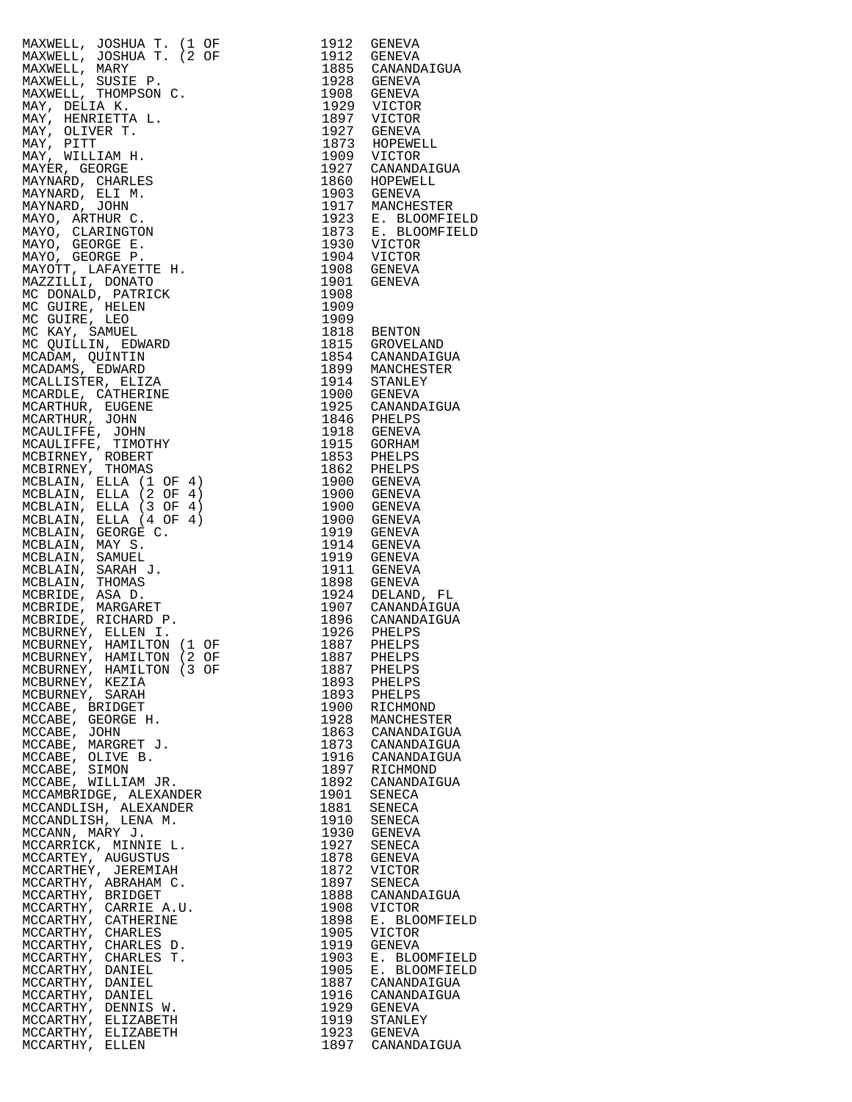| MAXWELL, JOSHUA T. (1 $\overline{OP}$ 1912 GENEVA MAXWELL, JOSHUA T. (2 $\overline{OP}$ 1912 GENEVA MAXWELL, MARY PARKET (1928 GENEVA MAXWELL, MARY PISIT PARKET (1928 GENEVA MAXWELL, SUSTEP, 1928 GENEVA MAXWELL, SUSTEP, 1929 GENEVA MAXWELL        |              |                                                                                                   |
|--------------------------------------------------------------------------------------------------------------------------------------------------------------------------------------------------------------------------------------------------------|--------------|---------------------------------------------------------------------------------------------------|
|                                                                                                                                                                                                                                                        |              |                                                                                                   |
|                                                                                                                                                                                                                                                        |              |                                                                                                   |
|                                                                                                                                                                                                                                                        |              |                                                                                                   |
|                                                                                                                                                                                                                                                        |              |                                                                                                   |
|                                                                                                                                                                                                                                                        |              |                                                                                                   |
|                                                                                                                                                                                                                                                        |              |                                                                                                   |
|                                                                                                                                                                                                                                                        |              |                                                                                                   |
|                                                                                                                                                                                                                                                        |              |                                                                                                   |
|                                                                                                                                                                                                                                                        |              |                                                                                                   |
| MCBURNEY, HAMILTON (1 C.<br>MCBURNEY, HAMILTON (2 OF<br>MCBURNEY, HAMILTON (3 OF<br>MCBURNEY, KEZIA                                                                                                                                                    |              |                                                                                                   |
|                                                                                                                                                                                                                                                        |              |                                                                                                   |
|                                                                                                                                                                                                                                                        |              | 1887 PHELPS<br>1893 PHELPS<br>1893 PHELPS<br>1900 RICHMOND<br>1928 MANCHESTER<br>1863 CANANDAIGUA |
|                                                                                                                                                                                                                                                        |              |                                                                                                   |
|                                                                                                                                                                                                                                                        |              |                                                                                                   |
|                                                                                                                                                                                                                                                        |              |                                                                                                   |
|                                                                                                                                                                                                                                                        |              |                                                                                                   |
|                                                                                                                                                                                                                                                        |              |                                                                                                   |
|                                                                                                                                                                                                                                                        |              | 1873 CANANDAIGUA<br>1916 CANANDAIGUA<br>1897 RICHMOND<br>1892 CANANDAIGUA                         |
|                                                                                                                                                                                                                                                        |              |                                                                                                   |
|                                                                                                                                                                                                                                                        |              |                                                                                                   |
|                                                                                                                                                                                                                                                        |              |                                                                                                   |
|                                                                                                                                                                                                                                                        |              | 1901 SENECA<br>1881 SENECA                                                                        |
|                                                                                                                                                                                                                                                        |              |                                                                                                   |
|                                                                                                                                                                                                                                                        |              | 1910 SENECA<br>1930 GENEVA<br>1927 SENECA<br>1878 GENEVA                                          |
|                                                                                                                                                                                                                                                        |              |                                                                                                   |
|                                                                                                                                                                                                                                                        |              |                                                                                                   |
|                                                                                                                                                                                                                                                        |              |                                                                                                   |
|                                                                                                                                                                                                                                                        |              | 1872 VICTOR<br>1897 SENECA                                                                        |
|                                                                                                                                                                                                                                                        |              |                                                                                                   |
|                                                                                                                                                                                                                                                        |              | 1888 CANANDAIGUA                                                                                  |
|                                                                                                                                                                                                                                                        |              | 1908 VICTOR                                                                                       |
|                                                                                                                                                                                                                                                        | 1898<br>1905 | E. BLOOMFIELD                                                                                     |
|                                                                                                                                                                                                                                                        |              | VICTOR                                                                                            |
|                                                                                                                                                                                                                                                        | 1919         | GENEVA                                                                                            |
|                                                                                                                                                                                                                                                        |              | 1903 E. BLOOMFIELD                                                                                |
|                                                                                                                                                                                                                                                        |              | 1905 E. BLOOMFIEI<br>1887 CANANDAIGUA<br>E. BLOOMFIELD                                            |
|                                                                                                                                                                                                                                                        |              |                                                                                                   |
|                                                                                                                                                                                                                                                        |              | 1916 CANANDAIGUA                                                                                  |
|                                                                                                                                                                                                                                                        |              | 1929 GENEVA                                                                                       |
| WE H.<br>ABE, MARGRET J.<br>MCCABE, OLIVE B.<br>MCCABE, SIMON<br>MCCABE, SIMON<br>MCCABE, WILLIAM JR.<br>CCAMDLISH, ALEXANDER<br>CCAMDLISH, ALEXANDER<br>CCANDLISH, LENA M.<br>CCANDLISH, LENA M.<br>CCANDLISH, LENA M.<br>CCANDLISH, LENA M.<br>CCAND |              | 1919 STANLEY<br>1923 GENEVA                                                                       |
|                                                                                                                                                                                                                                                        |              |                                                                                                   |
|                                                                                                                                                                                                                                                        |              | 1897 CANANDAIGUA                                                                                  |

| 1912<br>1912<br>1885<br>1928<br>1908<br>1929<br>1897<br>1927<br>1873<br>1909<br>1927<br>1860<br>1903<br>1917<br>1923<br>1873<br>1930<br>1904<br>1908<br>1901<br>1908                                                                                                                                                 | GENEVA<br>GENEVA<br>CANANDAIGUA<br>GENEVA<br>GENEVA<br>VICTOR<br>VICTOR<br>GENEVA<br>HOPEWELL<br>VICTOR<br>CANANDAIGUA<br>HOPEWELL<br><b>GENEVA</b><br>MANCHESTER<br>$E_{\star}$<br><b>BLOOMFIELD</b><br>Ε.<br>BLOOMFIELD<br><b>VICTOR</b><br>VICTOR<br>GENEVA<br>GENEVA                                                                                                                                                                                               |
|----------------------------------------------------------------------------------------------------------------------------------------------------------------------------------------------------------------------------------------------------------------------------------------------------------------------|------------------------------------------------------------------------------------------------------------------------------------------------------------------------------------------------------------------------------------------------------------------------------------------------------------------------------------------------------------------------------------------------------------------------------------------------------------------------|
| 1909<br>1909<br>1818<br>1815<br>1854<br>1899<br>1914<br>1900<br>1925<br>1846<br>1918<br>1915<br>1853<br>1862<br>1900<br>1900<br>1900<br>1900<br>1919<br>1914<br>1919<br>1911<br>1898<br>1924<br>1907<br>1896<br>1926<br>1887<br>1887<br>1887<br>1893<br>1893<br>1900<br>1928<br>1863<br>1873<br>1916<br>1897<br>1892 | <b>BENTON</b><br>GROVELAND<br>CANANDAIGUA<br>MANCHESTER<br>STANLEY<br>GENEVA<br>CANANDAIGUA<br>PHELPS<br>GENEVA<br>GORHAM<br>PHELPS<br>PHELPS<br>GENEVA<br>GENEVA<br>GENEVA<br><b>GENEVA</b><br>GENEVA<br><b>GENEVA</b><br>GENEVA<br><b>GENEVA</b><br>GENEVA<br>DELAND, FL<br>CANANDAIGUA<br>CANANDAIGUA<br>PHELPS<br>PHELPS<br>PHELPS<br>PHELPS<br>PHELPS<br>PHELPS<br>RICHMOND<br>MANCHESTER<br>CANANDAIGUA<br>CANANDAIGUA<br>CANANDAIGUA<br>RICHMOND<br>CANANDAIGUA |
| 1901<br>1881<br>1910<br>1930<br>1927<br>1878<br>1872<br>1897<br>1888<br>1908                                                                                                                                                                                                                                         | SENECA<br><b>SENECA</b><br>SENECA<br>GENEVA<br>SENECA<br><b>GENEVA</b><br>VICTOR<br>SENECA<br>CANANDAIGUA<br>VICTOR                                                                                                                                                                                                                                                                                                                                                    |
| 1898<br>1905<br>1919<br>1903<br>1905<br>1887<br>1916<br>1929<br>1919<br>1923<br>1897                                                                                                                                                                                                                                 | BLOOMFIELD<br>Е.<br>VICTOR<br>GENEVA<br>Ε.<br><b>BLOOMFIELD</b><br><b>BLOOMFIELD</b><br>Е.<br>CANANDAIGUA<br>CANANDAIGUA<br>GENEVA<br>STANLEY<br>GENEVA<br>CANANDAIGUA                                                                                                                                                                                                                                                                                                 |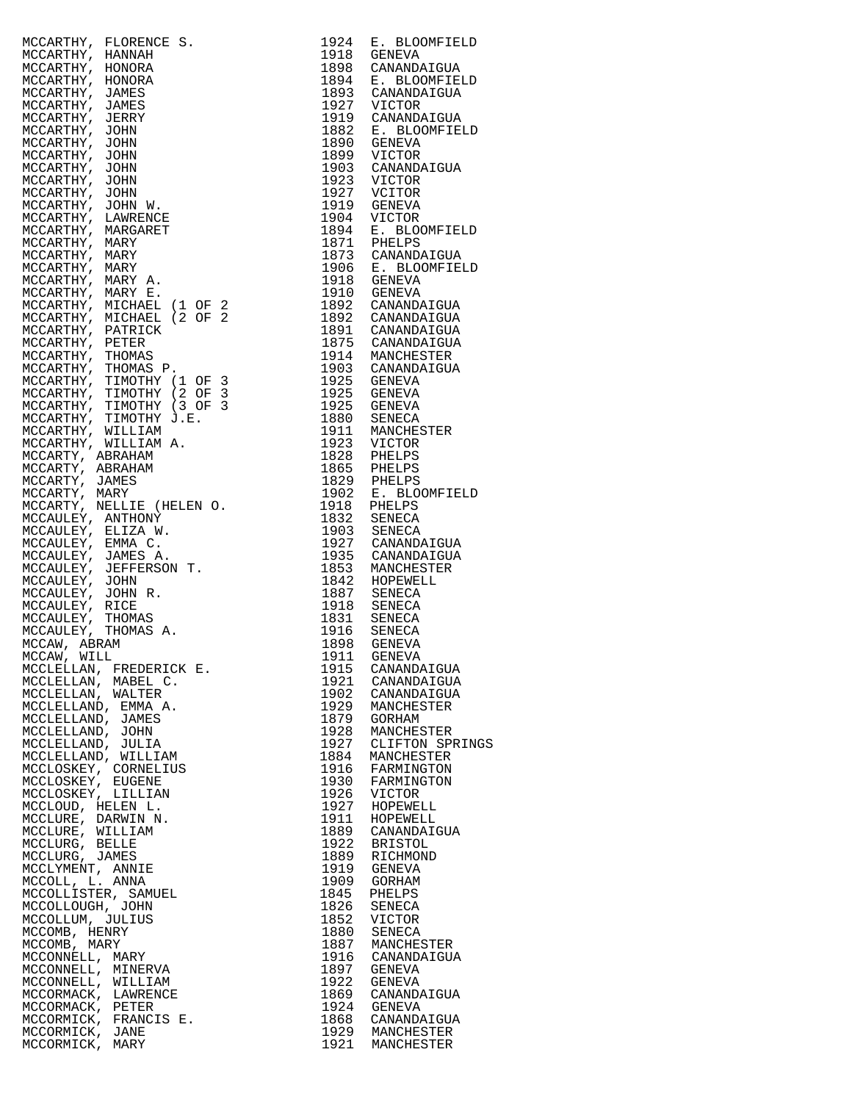| MCCARTHY, FLORENCE S.<br>MCCARTHY, HANNAH<br>MCCARTHY, HONORA<br>MCCARTHY, HONORA<br>MCCARTHY, JOMNES<br>MCCARTHY, JOMNES<br>MCCARTHY, JOMN<br>MCCARTHY, JOHN<br>MCCARTHY, JOHN<br>MCCARTHY, JOHN<br>MCCARTHY, JOHN<br>MCCARTHY, JOHN<br>MCCARTHY, JOHN<br>MCCARTHY, | 1924         | E. BLOOMFIELD                          |
|----------------------------------------------------------------------------------------------------------------------------------------------------------------------------------------------------------------------------------------------------------------------|--------------|----------------------------------------|
|                                                                                                                                                                                                                                                                      | 1918<br>1898 | GENEVA<br>CANANDAIGUA                  |
|                                                                                                                                                                                                                                                                      | 1894         | E. BLOOMFIELD                          |
|                                                                                                                                                                                                                                                                      |              | 1893 CANANDAIGUA                       |
|                                                                                                                                                                                                                                                                      |              | 1927 VICTOR                            |
|                                                                                                                                                                                                                                                                      | 1882         | 1919 CANANDAIGUA<br>E. BLOOMFIELD      |
|                                                                                                                                                                                                                                                                      | 1890         | GENEVA                                 |
|                                                                                                                                                                                                                                                                      | 1899         | VICTOR                                 |
|                                                                                                                                                                                                                                                                      | 1903         | CANANDAIGUA                            |
|                                                                                                                                                                                                                                                                      | 1923         | VICTOR                                 |
|                                                                                                                                                                                                                                                                      | 1919         | 1927 VCITOR<br>GENEVA                  |
|                                                                                                                                                                                                                                                                      | 1904         | VICTOR                                 |
|                                                                                                                                                                                                                                                                      | 1894         | E. BLOOMFIELD                          |
|                                                                                                                                                                                                                                                                      | 1871         | PHELPS                                 |
|                                                                                                                                                                                                                                                                      |              | 1873 CANANDAIGUA<br>1906 E. BLOOMFIELD |
|                                                                                                                                                                                                                                                                      |              | 1918 GENEVA                            |
|                                                                                                                                                                                                                                                                      |              | 1910 GENEVA                            |
|                                                                                                                                                                                                                                                                      |              | 1892 CANANDAIGUA<br>1892 CANANDAIGUA   |
|                                                                                                                                                                                                                                                                      |              |                                        |
|                                                                                                                                                                                                                                                                      |              | 1891 CANANDAIGUA<br>1875 CANANDAIGUA   |
|                                                                                                                                                                                                                                                                      | 1914         | MANCHESTER                             |
|                                                                                                                                                                                                                                                                      |              | 1903 CANANDAIGUA                       |
|                                                                                                                                                                                                                                                                      | 1925         | GENEVA                                 |
|                                                                                                                                                                                                                                                                      | 1925<br>1925 | GENEVA<br>GENEVA                       |
|                                                                                                                                                                                                                                                                      | 1880         | SENECA                                 |
|                                                                                                                                                                                                                                                                      | 1911         | MANCHESTER                             |
|                                                                                                                                                                                                                                                                      | 1923         | VICTOR                                 |
|                                                                                                                                                                                                                                                                      | 1828         | PHELPS                                 |
|                                                                                                                                                                                                                                                                      | 1865         | PHELPS<br>1829 PHELPS                  |
|                                                                                                                                                                                                                                                                      | 1902         | E. BLOOMFIELD                          |
|                                                                                                                                                                                                                                                                      | 1918         | PHELPS                                 |
|                                                                                                                                                                                                                                                                      | 1832         | SENECA                                 |
|                                                                                                                                                                                                                                                                      | 1903         | SENECA<br>1927 CANANDAIGUA             |
|                                                                                                                                                                                                                                                                      | 1935         | CANANDAIGUA                            |
|                                                                                                                                                                                                                                                                      | 1853         | MANCHESTER                             |
|                                                                                                                                                                                                                                                                      | 1842         | HOPEWELL                               |
|                                                                                                                                                                                                                                                                      | 1918         | 1887 SENECA<br>SENECA                  |
|                                                                                                                                                                                                                                                                      | 1831         | SENECA                                 |
|                                                                                                                                                                                                                                                                      | 1916<br>1898 | SENECA                                 |
|                                                                                                                                                                                                                                                                      |              | GENEVA                                 |
| MCCLELLAN, FREDERICK E.                                                                                                                                                                                                                                              | 1911<br>1915 | <b>GENEVA</b><br>CANANDAIGUA           |
| MCCLELLAN, MABEL C.                                                                                                                                                                                                                                                  | 1921         | CANANDAIGUA                            |
| MCCLELLAN, WALTER                                                                                                                                                                                                                                                    | 1902         | CANANDAIGUA                            |
| MCCLELLAND, EMMA A.                                                                                                                                                                                                                                                  | 1929         | MANCHESTER                             |
| MCCLELLAND, JAMES                                                                                                                                                                                                                                                    | 1879         | GORHAM                                 |
| MCCLELLAND, JOHN<br>MCCLELLAND, JULIA                                                                                                                                                                                                                                | 1928<br>1927 | MANCHESTER<br>CLIFTON SPRINGS          |
| MCCLELLAND, WILLIAM                                                                                                                                                                                                                                                  | 1884         | MANCHESTER                             |
| MCCLOSKEY, CORNELIUS                                                                                                                                                                                                                                                 | 1916         | FARMINGTON                             |
| MCCLOSKEY, EUGENE                                                                                                                                                                                                                                                    | 1930         | FARMINGTON                             |
| MCCLOSKEY, LILLIAN<br>MCCLOUD, HELEN L.                                                                                                                                                                                                                              | 1926<br>1927 | VICTOR<br>HOPEWELL                     |
| MCCLURE, DARWIN N.                                                                                                                                                                                                                                                   | 1911         | HOPEWELL                               |
| MCCLURE, WILLIAM                                                                                                                                                                                                                                                     | 1889         | CANANDAIGUA                            |
| MCCLURG, BELLE                                                                                                                                                                                                                                                       | 1922         | BRISTOL                                |
| MCCLURG, JAMES<br>MCCLYMENT, ANNIE                                                                                                                                                                                                                                   | 1889<br>1919 | RICHMOND<br>GENEVA                     |
| MCCOLL, L. ANNA                                                                                                                                                                                                                                                      | 1909         | GORHAM                                 |
| MCCOLLISTER, SAMUEL                                                                                                                                                                                                                                                  | 1845         | PHELPS                                 |
| MCCOLLOUGH, JOHN                                                                                                                                                                                                                                                     | 1826         | SENECA                                 |
| MCCOLLUM, JULIUS                                                                                                                                                                                                                                                     | 1852         | VICTOR                                 |
| MCCOMB, HENRY<br>MCCOMB, MARY                                                                                                                                                                                                                                        | 1880<br>1887 | SENECA<br>MANCHESTER                   |
| MCCONNELL, MARY                                                                                                                                                                                                                                                      | 1916         | CANANDAIGUA                            |
| MCCONNELL, MINERVA                                                                                                                                                                                                                                                   | 1897         | GENEVA                                 |
| MCCONNELL, WILLIAM                                                                                                                                                                                                                                                   | 1922         | GENEVA                                 |
| MCCORMACK, LAWRENCE<br>MCCORMACK, PETER                                                                                                                                                                                                                              | 1869<br>1924 | CANANDAIGUA<br>GENEVA                  |
| MCCORMICK, FRANCIS E.                                                                                                                                                                                                                                                | 1868         | CANANDAIGUA                            |
| MCCORMICK, JANE                                                                                                                                                                                                                                                      |              | 1929 MANCHESTER                        |
| MCCORMICK, MARY                                                                                                                                                                                                                                                      | 1921         | MANCHESTER                             |

| 1924         | E. BLOOMFIELD                  |
|--------------|--------------------------------|
| 1918         | <b>GENEVA</b>                  |
| 1898<br>1894 | CANANDAIGUA<br>E. BLOOMFIELD   |
| 1893         | CANANDAIGUA                    |
| 1927         | VICTOR                         |
| 1919         | CANANDAIGUA                    |
| 1882<br>1890 | E. BLOOMFIELD<br><b>GENEVA</b> |
| 1899         | VICTOR                         |
| 1903         | CANANDAIGUA                    |
| 1923         | VICTOR                         |
| 1927<br>1919 | VCITOR<br><b>GENEVA</b>        |
| 1904         | VICTOR                         |
| 1894         | Ε.<br><b>BLOOMFIELD</b>        |
| 1871         | PHELPS                         |
| 1873<br>1906 | CANANDAIGUA<br>E. BLOOMFIELD   |
| 1918         | <b>GENEVA</b>                  |
| 1910         | <b>GENEVA</b>                  |
| 1892<br>1892 | CANANDAIGUA<br>CANANDAIGUA     |
| 1891         | CANANDAIGUA                    |
| 1875         | CANANDAIGUA                    |
| 1914         | MANCHESTER                     |
| 1903<br>1925 | CANANDAIGUA<br><b>GENEVA</b>   |
| 1925         | <b>GENEVA</b>                  |
| 1925         | <b>GENEVA</b>                  |
| 1880         | SENECA                         |
| 1911<br>1923 | MANCHESTER<br>VICTOR           |
| 1828         | PHELPS                         |
| 1865         | PHELPS                         |
| 1829         | PHELPS                         |
| 1902<br>1918 | E. BLOOMFIELD<br>PHELPS        |
| 1832         | SENECA                         |
| 1903         | SENECA                         |
| 1927         | CANANDAIGUA                    |
| 1935<br>1853 | CANANDAIGUA<br>MANCHESTER      |
| 1842         | HOPEWELL                       |
| 1887         | <b>SENECA</b>                  |
| 1918<br>1831 | SENECA<br>SENECA               |
| 1916         | SENECA                         |
| 1898         | <b>GENEVA</b>                  |
| 1911         | <b>GENEVA</b>                  |
| 1915<br>1921 | CANANDAIGUA<br>CANANDAIGUA     |
| 1902         | CANANDAIGUA                    |
| 1929         | MANCHESTER                     |
| 1879         | <b>GORHAM</b>                  |
| 1928<br>1927 | MANCHESTER<br>CLIFTON SPRINGS  |
| 1884         | MANCHESTER                     |
| 1916         | FARMINGTON                     |
| 1930         | FARMINGTON                     |
| 1926<br>1927 | VICTOR<br>HOPEWELL             |
| 1911         | HOPEWELL                       |
| 1889         | CANANDAIGUA                    |
| 1922<br>1889 | <b>BRISTOL</b><br>RICHMOND     |
| 1919         | <b>GENEVA</b>                  |
| 1909         | <b>GORHAM</b>                  |
| 1845         | PHELPS                         |
| 1826<br>1852 | SENECA<br>VICTOR               |
| 1880         | <b>SENECA</b>                  |
| 1887         | MANCHESTER                     |
| 1916         | CANANDAIGUA                    |
| 1897<br>1922 | <b>GENEVA</b><br><b>GENEVA</b> |
| 1869         | CANANDAIGUA                    |
| 1924         | <b>GENEVA</b>                  |
| 1868         | CANANDAIGUA                    |
| 1929<br>1921 | MANCHESTER<br>MANCHESTER       |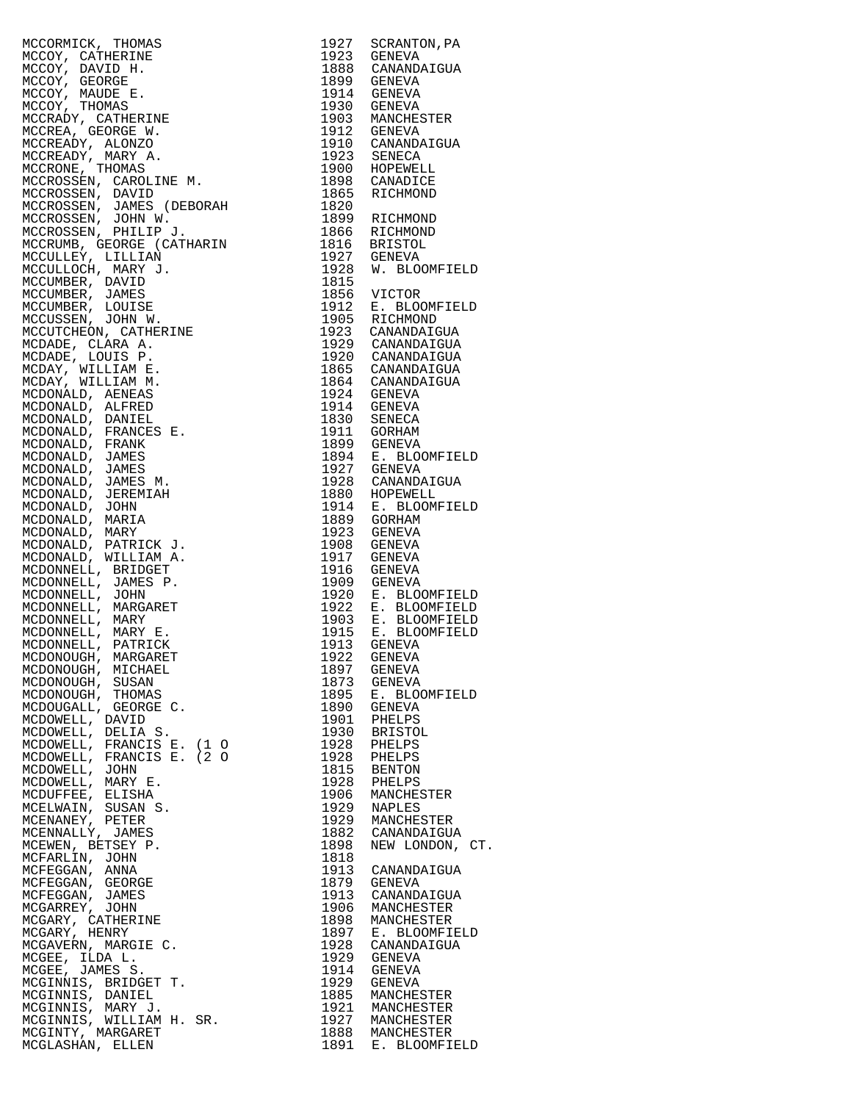MCCORMICK, THOMAS 1927 SCRANTON,PA MCCOY, CATHERINE<br>MCCOY, DAVID H. MCCOY, DAVID H. 1888 CANANDAIGUA MCCOY, GEORGE<br>MCCOY, MAUDE E. MCCOY, MAUDE E. 1914 GENEVA MCCOY, THOMAS 1930 GENEVA MCCRADY, CATHERINE 1903 MANCHESTER MCCREA, GEORGE W. 1912 GENEVA MCCREADY, ALONZO 1910 CANANDAIGUA MCCREADY, MARY A. 1923 SENECA MCCRONE, THOMAS 1900 HOPEWELL MCCROSSEN, CAROLINE M. 1898 CANADICE MCCROSSEN, DAVID 1865 RICHMOND MCCROSSEN, JAMES (DEBORAH 1820 MCCROSSEN, JOHN W. 1899 RICHMOND MCCROSSEN, PHILIP J. 1866 RICHMOND MCCRUMB, GEORGE (CATHARIN 1816 BRISTOL) MCCULLEY, LILLIAN 1927 GENEVA MCCULLOCH, MARY J. 1928 W. BLOOMFIELD MCCUMBER, DAVID 1815 MCCUMBER, JAMES 1856 VICTOR MCCUMBER, LOUISE 1912 E. BLOOMFIELD MCCUSSEN, JOHN W. 1905 RICHMOND MCCUTCHEON, CATHERINE 1923 CANANDAIGUA MCDADE, CLARA A. 1929 CANANDAIGUA MCDADE, LOUIS P. 1920 CANANDAIGUA MCDAY, WILLIAM E. 1865 CANANDAIGUA MCDAY, WILLIAM M. 1864 CANANDAIGUA MCDONALD, AENEAS 1924 GENEVA MCDONALD, ALFRED 1914 GENEVA MCDONALD, DANIEL 1830 SENECA MCDONALD, FRANCES E. 1911 GORHAM MCDONALD, FRANK 1899 GENEVA MCDONALD, JAMES 1894 E. BLOOMFIELD MCDONALD, JAMES 1927 GENEVA MCDONALD, JAMES M. 1928 CANANDAIGUA MCDONALD, JEREMIAH 1880 HOPEWELL MCDONALD, JOHN 1914 E. BLOOMFIELD MCDONALD, MARIA 1889 GORHAM MCDONALD, MARY 1923 GENEVA MCDONALD, PATRICK J. 1908 GENEVA MCDONALD, WILLIAM A. 1917 GENEVA MCDONNELL, BRIDGET 1916 GENEVA MCDONNELL, JAMES P. 1909 GENEVA MCDONNELL, JOHN 1920 E. BLOOMFIELD MCDONNELL, MARGARET 1922 E. BLOOMFIELD MCDONNELL, MARY 1903 E. BLOOMFIELD MCDONNELL, MARY E. 1915 E. BLOOMFIELD MCDONNELL, PATRICK 1913 GENEVA MCDONOUGH, MARGARET 1922 GENEVA MCDONOUGH, MICHAEL 1897 GENEVA MCDONOUGH, SUSAN 1873 GENEVA MCDONOUGH, THOMAS 1895 E. BLOOMFIELD MCDOUGALL, GEORGE C. 1890 GENEVA MCDOWELL, DAVID 1901 PHELPS MCDOWELL, DELIA S. 1930 BRISTOL MCDOWELL, FRANCIS E. (1 O 1928 PHELPS MCDOWELL, FRANCIS E. (2 O 1928 PHELPS MCDOWELL, JOHN 1815 BENTON MCDOWELL, MARY E. 1928 PHELPS MCDUFFEE, ELISHA 1906 MANCHESTER MCELWAIN, SUSAN S. 1929 NAPLES MCENANEY, PETER 1929 MANCHESTER MCENNALLY, JAMES 1882 CANANDAIGUA MCEWEN, BETSEY P. 1898 NEW LONDON, CT. MCFARLIN, JOHN 1818 MCFEGGAN, ANNA 1913 CANANDAIGUA MCFEGGAN, GEORGE 1879 GENEVA MCFEGGAN, JAMES 1913 CANANDAIGUA MCGARREY, JOHN 1906 MANCHESTER MCGARY, CATHERINE 1898 MANCHESTER MCGARY, HENRY 1897 E. BLOOMFIELD MCGAVERN, MARGIE C. 1928 CANANDAIGUA MCGEE, ILDA L. 1929 GENEVA MCGEE, JAMES S. 1914 GENEVA MCGINNIS, BRIDGET T. 1929 GENEVA MCGINNIS, DANIEL 1885 MANCHESTER MCGINNIS, MARY J. 1921 MANCHESTER MCGINNIS, WILLIAM H. SR. 1927 MANCHESTER MCGINTY, MARGARET 1888 MANCHESTER

MCGLASHAN, ELLEN 1891 E. BLOOMFIELD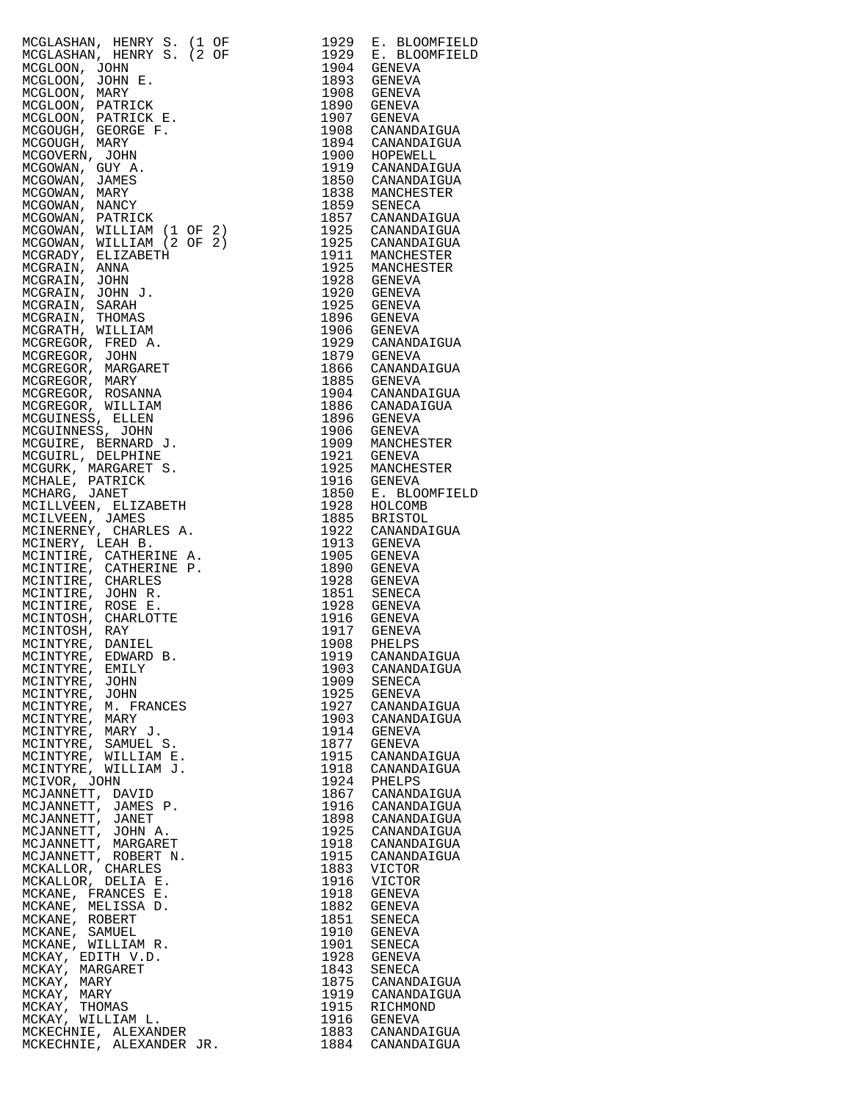| MCGLASHAN, HENRY S. (1 OF<br>MCGLASHAN, HENRY S. (2 OF<br>MCGLASHAN, HENRY S. (2 OF<br>MCGLOON, JOHN<br>MCGLOON, JOHN E.<br>MCGLOON, PATRICK<br>MCGLOON, PATRICK<br>MCGLOON, PATRICK<br>MCGOUGH, GEORGE F.<br>MCGOUGH, MARY<br>MCGOWAN, JOHN<br>MCGOWAN, MARY<br>M |              | 1929 E. BLOOMFIELD<br>1929 E. BLOOMFIELD                               |
|--------------------------------------------------------------------------------------------------------------------------------------------------------------------------------------------------------------------------------------------------------------------|--------------|------------------------------------------------------------------------|
|                                                                                                                                                                                                                                                                    |              |                                                                        |
|                                                                                                                                                                                                                                                                    |              | 1904 GENEVA<br>1893 GENEVA<br>1908 GENEVA<br>1890 GENEVA               |
|                                                                                                                                                                                                                                                                    |              |                                                                        |
|                                                                                                                                                                                                                                                                    |              |                                                                        |
|                                                                                                                                                                                                                                                                    |              | 1907 GENEVA<br>1908 CANANDAIGUA                                        |
|                                                                                                                                                                                                                                                                    |              |                                                                        |
|                                                                                                                                                                                                                                                                    |              | 1894 CANANDAIGUA<br>1900 HOPEWELL                                      |
|                                                                                                                                                                                                                                                                    |              |                                                                        |
|                                                                                                                                                                                                                                                                    |              |                                                                        |
|                                                                                                                                                                                                                                                                    |              |                                                                        |
|                                                                                                                                                                                                                                                                    |              | 1919 CANANDAIGUA<br>1850 CANANDAIGUA<br>1838 MANCHESTER<br>1859 SENECA |
|                                                                                                                                                                                                                                                                    |              | 1857 CANANDAIGUA<br>1925 CANANDAIGUA                                   |
|                                                                                                                                                                                                                                                                    |              | 1925 CANANDAIGUA                                                       |
|                                                                                                                                                                                                                                                                    |              | 1911 MANCHESTER                                                        |
|                                                                                                                                                                                                                                                                    |              | 1925 MANCHESTER<br>1928 GENEVA<br>1920 GENEVA<br>1925 GENEVA           |
|                                                                                                                                                                                                                                                                    |              |                                                                        |
|                                                                                                                                                                                                                                                                    |              |                                                                        |
|                                                                                                                                                                                                                                                                    |              |                                                                        |
|                                                                                                                                                                                                                                                                    |              | 1896 GENEVA<br>1906 GENEVA                                             |
|                                                                                                                                                                                                                                                                    |              | 1929 CANANDAIGUA<br>1879 GENEVA                                        |
|                                                                                                                                                                                                                                                                    |              |                                                                        |
|                                                                                                                                                                                                                                                                    |              | 1866 CANANDAIGUA<br>1885 GENEVA                                        |
|                                                                                                                                                                                                                                                                    |              |                                                                        |
|                                                                                                                                                                                                                                                                    |              | 1904 CANANDAIGUA<br>1886 CANADAIGUA                                    |
|                                                                                                                                                                                                                                                                    |              |                                                                        |
|                                                                                                                                                                                                                                                                    |              | 1896 GENEVA<br>1906 GENEVA                                             |
|                                                                                                                                                                                                                                                                    |              | 1909 MANCHESTER<br>1921 GENEVA                                         |
|                                                                                                                                                                                                                                                                    |              |                                                                        |
|                                                                                                                                                                                                                                                                    |              | 1925 MANCHESTER                                                        |
|                                                                                                                                                                                                                                                                    |              | 1916 GENEVA                                                            |
|                                                                                                                                                                                                                                                                    |              | 1850 E. BLOOMFIELD<br>1928 HOLCOMB                                     |
|                                                                                                                                                                                                                                                                    |              |                                                                        |
|                                                                                                                                                                                                                                                                    |              | 1885 BRISTOL<br>1922 CANANDAIGUA                                       |
|                                                                                                                                                                                                                                                                    |              | 1913 GENEVA                                                            |
|                                                                                                                                                                                                                                                                    |              | 1905 GENEVA                                                            |
|                                                                                                                                                                                                                                                                    |              | 1890 GENEVA<br>1928 GENEVA                                             |
|                                                                                                                                                                                                                                                                    |              |                                                                        |
|                                                                                                                                                                                                                                                                    |              | 1851 SENECA<br>1928 GENEVA                                             |
|                                                                                                                                                                                                                                                                    |              | 1916 GENEVA<br>1917 GENEVA                                             |
|                                                                                                                                                                                                                                                                    |              |                                                                        |
| MCINTYRE, EDWARD B.                                                                                                                                                                                                                                                | 1908         | PHELPS<br>1919 CANANDAIGUA                                             |
| MCINTYRE, EMILY                                                                                                                                                                                                                                                    | 1903         | CANANDAIGUA                                                            |
| MCINTYRE, JOHN                                                                                                                                                                                                                                                     | 1909         | SENECA                                                                 |
| MCINTYRE, JOHN                                                                                                                                                                                                                                                     | 1925         | GENEVA                                                                 |
| MCINTYRE, M. FRANCES                                                                                                                                                                                                                                               | 1927         | CANANDAIGUA                                                            |
| MCINTYRE, MARY                                                                                                                                                                                                                                                     | 1903         | CANANDAIGUA                                                            |
| MCINTYRE, MARY J.<br>MCINTYRE, SAMUEL S.                                                                                                                                                                                                                           | 1914<br>1877 | GENEVA<br>GENEVA                                                       |
| MCINTYRE, WILLIAM E.                                                                                                                                                                                                                                               | 1915         | CANANDAIGUA                                                            |
| MCINTYRE, WILLIAM J.                                                                                                                                                                                                                                               | 1918         | CANANDAIGUA                                                            |
| MCIVOR, JOHN                                                                                                                                                                                                                                                       | 1924         | PHELPS                                                                 |
| MCJANNETT, DAVID                                                                                                                                                                                                                                                   | 1867         | CANANDAIGUA                                                            |
| MCJANNETT, JAMES P.                                                                                                                                                                                                                                                | 1916         | CANANDAIGUA                                                            |
| MCJANNETT, JANET<br>MCJANNETT, JOHN A.                                                                                                                                                                                                                             | 1898<br>1925 | CANANDAIGUA<br>CANANDAIGUA                                             |
| MCJANNETT, MARGARET                                                                                                                                                                                                                                                | 1918         | CANANDAIGUA                                                            |
| MCJANNETT, ROBERT N.                                                                                                                                                                                                                                               | 1915         | CANANDAIGUA                                                            |
| MCKALLOR, CHARLES                                                                                                                                                                                                                                                  | 1883         | VICTOR                                                                 |
| MCKALLOR, DELIA E.                                                                                                                                                                                                                                                 | 1916         | VICTOR                                                                 |
| MCKANE, FRANCES E.                                                                                                                                                                                                                                                 | 1918         | GENEVA                                                                 |
| MCKANE, MELISSA D.<br>MCKANE, ROBERT                                                                                                                                                                                                                               | 1882<br>1851 | GENEVA<br>SENECA                                                       |
| MCKANE, SAMUEL                                                                                                                                                                                                                                                     | 1910         | GENEVA                                                                 |
| MCKANE, WILLIAM R.                                                                                                                                                                                                                                                 | 1901         | SENECA                                                                 |
| MCKAY, EDITH V.D.                                                                                                                                                                                                                                                  | 1928         | GENEVA                                                                 |
| MCKAY, MARGARET                                                                                                                                                                                                                                                    | 1843         | SENECA                                                                 |
| MCKAY, MARY                                                                                                                                                                                                                                                        | 1875<br>1919 | CANANDAIGUA                                                            |
| MCKAY, MARY<br>MCKAY, THOMAS                                                                                                                                                                                                                                       | 1915         | CANANDAIGUA<br>RICHMOND                                                |
| MCKAY, WILLIAM L.                                                                                                                                                                                                                                                  | 1916         | GENEVA                                                                 |
| MCKECHNIE, ALEXANDER                                                                                                                                                                                                                                               | 1883         | CANANDAIGUA                                                            |
| MCKECHNIE, ALEXANDER JR.                                                                                                                                                                                                                                           | 1884         | CANANDAIGUA                                                            |

| 1929         | <b>BLOOMFIELD</b><br>Е.<br>E. BLOOMFIELD |
|--------------|------------------------------------------|
| 1929<br>1904 | GENEVA                                   |
| 1893         | GENEVA                                   |
| 1908<br>1890 | GENEVA<br>GENEVA                         |
| 1907         | GENEVA                                   |
| 1908         | CANANDAIGUA                              |
| 1894<br>1900 | CANANDAIGUA<br>HOPEWELL                  |
| 1919         | CANANDAIGUA                              |
| 1850         | CANANDAIGUA                              |
| 1838<br>1859 | MANCHESTER<br><b>SENECA</b>              |
| 1857         | CANANDAIGUA                              |
| 1925<br>1925 | CANANDAIGUA                              |
| 1911         | CANANDAIGUA<br>MANCHESTER                |
| 1925         | MANCHESTER                               |
| 1928<br>1920 | GENEVA<br>GENEVA                         |
| 1925         | GENEVA                                   |
| 1896         | GENEVA                                   |
| 1906<br>1929 | GENEVA<br>CANANDAIGUA                    |
| 1879         | GENEVA                                   |
| 1866         | CANANDAIGUA                              |
| 1885<br>1904 | GENEVA<br>CANANDAIGUA                    |
| 1886         | CANADAIGUA                               |
| 1896         | GENEVA                                   |
| 1906<br>1909 | GENEVA<br>MANCHESTER                     |
| 1921         | <b>GENEVA</b>                            |
| 1925         | MANCHESTER                               |
| 1916<br>1850 | <b>GENEVA</b><br><b>BLOOMFIELD</b>       |
| 1928         | Е.<br>HOLCOMB                            |
| 1885         | <b>BRISTOL</b>                           |
| 1922<br>1913 | CANANDAIGUA                              |
| 1905         | GENEVA<br>GENEVA                         |
| 1890         | <b>GENEVA</b>                            |
| 1928<br>1851 | GENEVA<br>SENECA                         |
| 1928         | GENEVA                                   |
| 1916         | GENEVA                                   |
| 1917<br>1908 | GENEVA<br>PHELPS                         |
| 1919         | CANANDAIGUA                              |
| 1903         | CANANDAIGUA                              |
| 1909<br>1925 | SENECA<br>GENEVA                         |
| 1927         | CANANDAIGUA                              |
| 1903         | CANANDAIGUA                              |
| 1914<br>1877 | GENEVA<br><b>GENEVA</b>                  |
| 1915         | CANANDAIGUA                              |
| 1918         | CANANDAIGUA                              |
| 1924<br>1867 | PHELPS<br>CANANDAIGUA                    |
| 1916         | CANANDAIGUA                              |
| 1898         | CANANDAIGUA                              |
| 1925<br>1918 | CANANDAIGUA<br>CANANDAIGUA               |
| 1915         | CANANDAIGUA                              |
| 1883         | VICTOR                                   |
| 1916<br>1918 | VICTOR<br>GENEVA                         |
| 1882         | GENEVA                                   |
| 1851         | SENECA                                   |
| 1910<br>1901 | GENEVA<br>SENECA                         |
| 1928         | <b>GENEVA</b>                            |
| 1843         | SENECA                                   |
| 1875<br>1919 | CANANDAIGUA<br>CANANDAIGUA               |
| 1915         | RICHMOND                                 |
| 1916         | <b>GENEVA</b>                            |
| 1883<br>1884 | CANANDAIGUA<br>CANANDAIGUA               |
|              |                                          |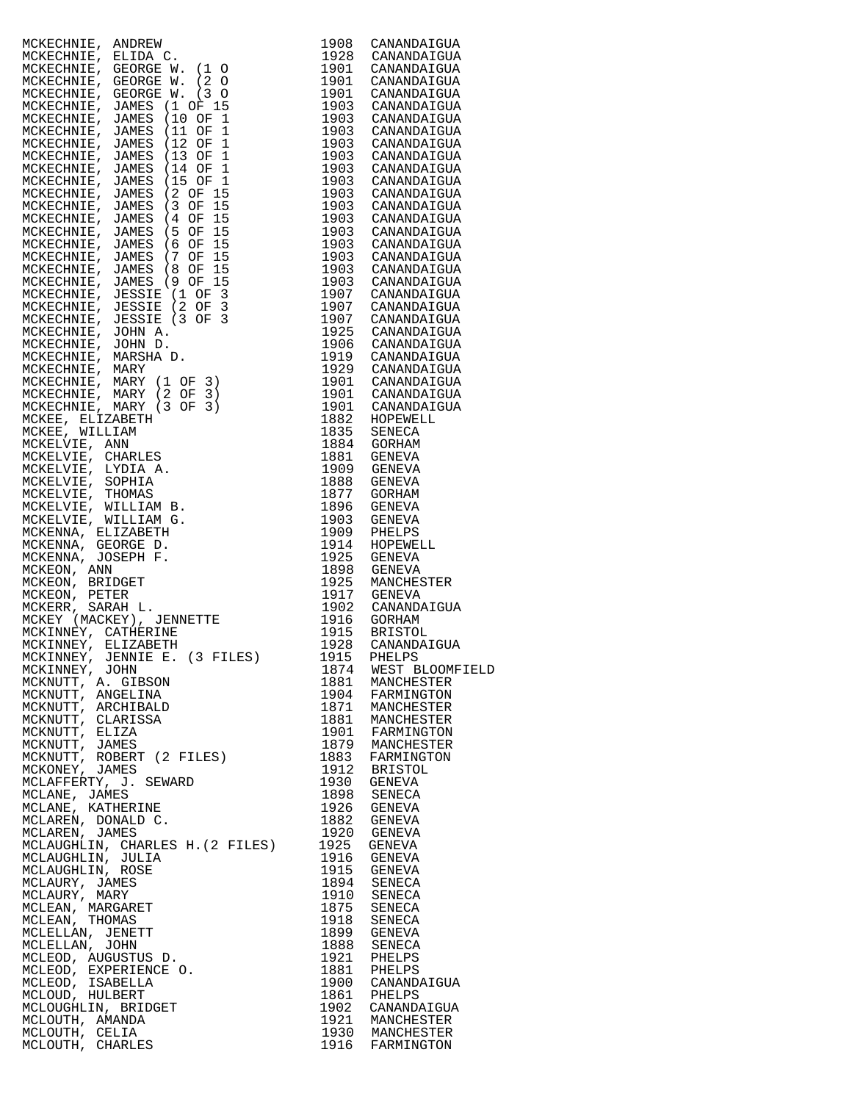| MCKECHNIE, ARDESIN, 1997<br>MCKECHNIE, GEORGE W. (1990) CANADATION<br>MCKECHNIE, GEORGE W. (1990) CANADATION<br>MCKECHNIE, GEORGE W. (1991) CANADATION<br>MCKECHNIE, JAMES (1991) 1993 CANADATION<br>MCKECHNIE, JAMES (1991) 1993 CANAD |              |                                    |
|-----------------------------------------------------------------------------------------------------------------------------------------------------------------------------------------------------------------------------------------|--------------|------------------------------------|
|                                                                                                                                                                                                                                         |              |                                    |
|                                                                                                                                                                                                                                         |              |                                    |
|                                                                                                                                                                                                                                         |              |                                    |
|                                                                                                                                                                                                                                         |              |                                    |
|                                                                                                                                                                                                                                         |              |                                    |
|                                                                                                                                                                                                                                         |              |                                    |
|                                                                                                                                                                                                                                         |              |                                    |
|                                                                                                                                                                                                                                         |              |                                    |
|                                                                                                                                                                                                                                         |              |                                    |
|                                                                                                                                                                                                                                         |              |                                    |
|                                                                                                                                                                                                                                         |              |                                    |
|                                                                                                                                                                                                                                         |              |                                    |
|                                                                                                                                                                                                                                         |              |                                    |
|                                                                                                                                                                                                                                         |              |                                    |
|                                                                                                                                                                                                                                         |              |                                    |
|                                                                                                                                                                                                                                         |              |                                    |
|                                                                                                                                                                                                                                         |              |                                    |
|                                                                                                                                                                                                                                         |              |                                    |
|                                                                                                                                                                                                                                         |              |                                    |
|                                                                                                                                                                                                                                         |              |                                    |
|                                                                                                                                                                                                                                         |              |                                    |
|                                                                                                                                                                                                                                         |              |                                    |
|                                                                                                                                                                                                                                         |              |                                    |
|                                                                                                                                                                                                                                         |              |                                    |
|                                                                                                                                                                                                                                         |              |                                    |
|                                                                                                                                                                                                                                         |              |                                    |
|                                                                                                                                                                                                                                         |              |                                    |
|                                                                                                                                                                                                                                         |              |                                    |
|                                                                                                                                                                                                                                         |              |                                    |
|                                                                                                                                                                                                                                         |              |                                    |
|                                                                                                                                                                                                                                         |              |                                    |
|                                                                                                                                                                                                                                         |              |                                    |
|                                                                                                                                                                                                                                         |              |                                    |
|                                                                                                                                                                                                                                         |              |                                    |
|                                                                                                                                                                                                                                         |              |                                    |
|                                                                                                                                                                                                                                         |              |                                    |
|                                                                                                                                                                                                                                         |              |                                    |
| MCKINNEY, JENNIE E. (3 FILES)                                                                                                                                                                                                           |              |                                    |
| MCKINNEY, JOHN                                                                                                                                                                                                                          | 1915<br>1874 | PHELPS<br>WEST BLOOMFIELD          |
| MCKNUTT, A. GIBSON                                                                                                                                                                                                                      | 1881         | MANCHESTER                         |
| MCKNUTT, ANGELINA                                                                                                                                                                                                                       | 1904         | FARMINGTON                         |
| MCKNUTT, ARCHIBALD<br>MCKNUTT, CLARISSA                                                                                                                                                                                                 | 1871         | MANCHESTER<br>1881 MANCHESTER      |
| MCKNUTT, ELIZA                                                                                                                                                                                                                          |              |                                    |
| MCKNUTT, JAMES                                                                                                                                                                                                                          |              | 1901 FARMINGTON<br>1879 MANCHESTER |
| MCKNUTT, ROBERT (2 FILES)<br>MCKONEY, JAMES                                                                                                                                                                                             | 1883<br>1912 | FARMINGTON<br>BRISTOL              |
| MCLAFFERTY, J. SEWARD                                                                                                                                                                                                                   | 1930         | GENEVA                             |
| MCLANE, JAMES                                                                                                                                                                                                                           | 1898         | SENECA                             |
| MCLANE, KATHERINE                                                                                                                                                                                                                       | 1926         | GENEVA                             |
| MCLAREN, DONALD C.<br>MCLAREN, JAMES                                                                                                                                                                                                    | 1882<br>1920 | GENEVA<br>GENEVA                   |
| MCLAUGHLIN, CHARLES H. (2 FILES)                                                                                                                                                                                                        | 1925         | GENEVA                             |
| MCLAUGHLIN, JULIA                                                                                                                                                                                                                       |              | 1916 GENEVA                        |
| MCLAUGHLIN, ROSE<br>MCLAURY, JAMES                                                                                                                                                                                                      |              | 1915 GENEVA                        |
| MCLAURY, MARY                                                                                                                                                                                                                           |              | 1894 SENECA<br>1910 SENECA         |
| MCLEAN, MARGARET                                                                                                                                                                                                                        | 1875         | SENECA                             |
| MCLEAN, THOMAS                                                                                                                                                                                                                          | 1918         | SENECA                             |
| MCLELLAN, JENETT<br>MCLELLAN, JOHN                                                                                                                                                                                                      | 1899<br>1888 | GENEVA<br>SENECA                   |
| MCLEOD, AUGUSTUS D.                                                                                                                                                                                                                     | 1921         | PHELPS                             |
| MCLEOD, EXPERIENCE O.                                                                                                                                                                                                                   | 1881         | PHELPS                             |
| MCLEOD, ISABELLA<br>MCLOUD, HULBERT                                                                                                                                                                                                     | 1900<br>1861 | CANANDAIGUA<br>PHELPS              |
| MCLOUGHLIN, BRIDGET                                                                                                                                                                                                                     |              | 1902 CANANDAIGUA                   |
| MCLOUTH, AMANDA                                                                                                                                                                                                                         |              | 1921 MANCHESTER                    |
| MCLOUTH, CELIA<br>MCLOUTH, CHARLES                                                                                                                                                                                                      | 1916         | 1930 MANCHESTER<br>FARMINGTON      |
|                                                                                                                                                                                                                                         |              |                                    |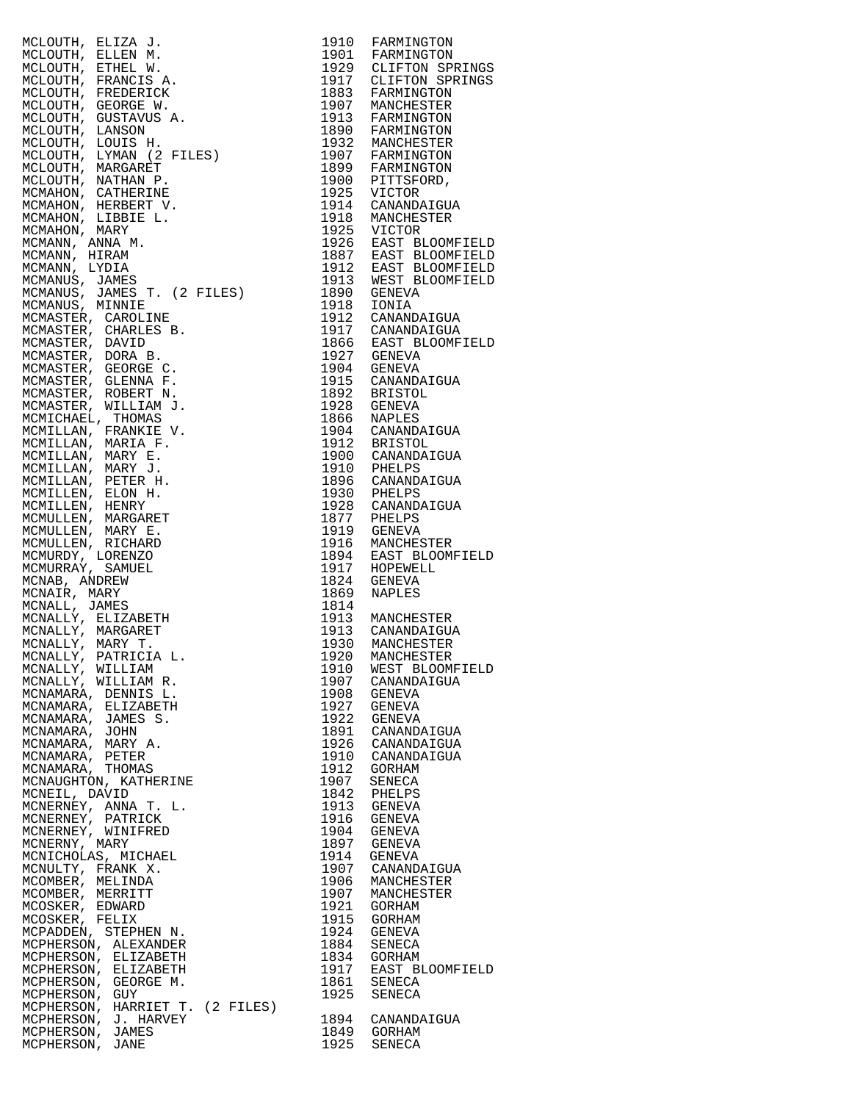| MCLOUTIE, BLIZA J. (1910 PARMINOTON MCLOUTIE, N. 1910 PARMINOTON MCLOUTIE, RENES AND MANUFACTOR (NEW ANNOUNCED MANUFACTOR CONDUCTIES (1971) PARMINOTON MCLOUTIE, CHARACTER (1971) 1973 NANCHER<br>MCLOUTIE, FRANCIS A. 1993 CLIP |              |                            |
|----------------------------------------------------------------------------------------------------------------------------------------------------------------------------------------------------------------------------------|--------------|----------------------------|
|                                                                                                                                                                                                                                  |              |                            |
|                                                                                                                                                                                                                                  |              |                            |
|                                                                                                                                                                                                                                  |              |                            |
|                                                                                                                                                                                                                                  |              |                            |
|                                                                                                                                                                                                                                  |              |                            |
|                                                                                                                                                                                                                                  |              |                            |
|                                                                                                                                                                                                                                  |              |                            |
|                                                                                                                                                                                                                                  |              |                            |
|                                                                                                                                                                                                                                  |              |                            |
|                                                                                                                                                                                                                                  |              |                            |
|                                                                                                                                                                                                                                  |              |                            |
|                                                                                                                                                                                                                                  |              |                            |
|                                                                                                                                                                                                                                  |              |                            |
|                                                                                                                                                                                                                                  |              |                            |
|                                                                                                                                                                                                                                  |              |                            |
|                                                                                                                                                                                                                                  |              |                            |
|                                                                                                                                                                                                                                  |              |                            |
|                                                                                                                                                                                                                                  |              |                            |
|                                                                                                                                                                                                                                  |              |                            |
|                                                                                                                                                                                                                                  |              |                            |
|                                                                                                                                                                                                                                  |              |                            |
|                                                                                                                                                                                                                                  |              |                            |
|                                                                                                                                                                                                                                  |              |                            |
|                                                                                                                                                                                                                                  |              |                            |
|                                                                                                                                                                                                                                  |              |                            |
|                                                                                                                                                                                                                                  |              |                            |
|                                                                                                                                                                                                                                  |              |                            |
|                                                                                                                                                                                                                                  |              |                            |
|                                                                                                                                                                                                                                  |              |                            |
|                                                                                                                                                                                                                                  |              |                            |
|                                                                                                                                                                                                                                  |              |                            |
|                                                                                                                                                                                                                                  |              |                            |
|                                                                                                                                                                                                                                  |              |                            |
|                                                                                                                                                                                                                                  |              |                            |
|                                                                                                                                                                                                                                  |              |                            |
|                                                                                                                                                                                                                                  |              |                            |
|                                                                                                                                                                                                                                  |              |                            |
|                                                                                                                                                                                                                                  |              |                            |
|                                                                                                                                                                                                                                  |              |                            |
| MCNALLY, WILLIAM                                                                                                                                                                                                                 | 1910         | WEST BLOOMFIELD            |
| MCNALLY, WILLIAM R.                                                                                                                                                                                                              |              | 1907 CANANDAIGUA           |
| MCNAMARA, DENNIS L.                                                                                                                                                                                                              | 1908         | GENEVA<br>1927 GENEVA      |
| MCNAMARA, ELIZABETH<br>MCNAMARA, JAMES S.                                                                                                                                                                                        |              | 1922 GENEVA                |
| MCNAMARA, JOHN                                                                                                                                                                                                                   |              | 1891 CANANDAIGUA           |
| MCNAMARA, MARY A.                                                                                                                                                                                                                |              | 1926 CANANDAIGUA           |
| MCNAMARA, PETER<br>MCNAMARA, THOMAS                                                                                                                                                                                              | 1912         | 1910 CANANDAIGUA<br>GORHAM |
| MCNAUGHTON, KATHERINE                                                                                                                                                                                                            | 1907         | SENECA                     |
| MCNEIL, DAVID                                                                                                                                                                                                                    | 1842         | PHELPS                     |
| MCNERNEY, ANNA T. L.                                                                                                                                                                                                             |              | 1913 GENEVA                |
| MCNERNEY, PATRICK<br>MCNERNEY, WINIFRED                                                                                                                                                                                          | 1916         | GENEVA<br>1904 GENEVA      |
| MCNERNY, MARY                                                                                                                                                                                                                    |              | 1897 GENEVA                |
| MCNICHOLAS, MICHAEL                                                                                                                                                                                                              | 1914         | GENEVA                     |
| MCNULTY, FRANK X.                                                                                                                                                                                                                |              | 1907 CANANDAIGUA           |
| MCOMBER, MELINDA<br>MCOMBER, MERRITT                                                                                                                                                                                             | 1906<br>1907 | MANCHESTER<br>MANCHESTER   |
| MCOSKER, EDWARD                                                                                                                                                                                                                  |              | 1921 GORHAM                |
| MCOSKER, FELIX                                                                                                                                                                                                                   |              | 1915 GORHAM                |
| MCPADDEN, STEPHEN N.                                                                                                                                                                                                             |              | 1924 GENEVA                |
| MCPHERSON, ALEXANDER<br>MCPHERSON, ELIZABETH                                                                                                                                                                                     | 1884         | SENECA<br>1834 GORHAM      |
| MCPHERSON, ELIZABETH                                                                                                                                                                                                             | 1917         | EAST BLOOMFIELD            |
| MCPHERSON, GEORGE M.                                                                                                                                                                                                             | 1861         | SENECA                     |
| MCPHERSON, GUY                                                                                                                                                                                                                   | 1925         | SENECA                     |
| MCPHERSON, HARRIET T. (2 FILES)<br>MCPHERSON, J. HARVEY                                                                                                                                                                          | 1894         | CANANDAIGUA                |
| MCPHERSON, JAMES                                                                                                                                                                                                                 | 1849         | GORHAM                     |
| MCPHERSON, JANE                                                                                                                                                                                                                  | 1925         | SENECA                     |

| 1910         | FARMINGTON                         |
|--------------|------------------------------------|
| 1901<br>1929 | FARMINGTON<br>CLIFTON SPRINGS      |
| 1917         | CLIFTON SPRINGS                    |
| 1883         | FARMINGTON                         |
| 1907<br>1913 | MANCHESTER<br>FARMINGTON           |
| 1890         | FARMINGTON                         |
| 1932         | MANCHESTER                         |
| 1907         | FARMINGTON                         |
| 1899         | FARMINGTON                         |
| 1900<br>1925 | PITTSFORD,<br>VICTOR               |
| 1914         | CANANDAIGUA                        |
| 1918         | MANCHESTER                         |
| 1925         | VICTOR                             |
| 1926<br>1887 | EAST BLOOMFIELD                    |
| 1912         | EAST BLOOMFIELD<br>EAST BLOOMFIELD |
| 1913         | WEST BLOOMFIELD                    |
| 1890         | GENEVA                             |
| 1918         | IONIA<br>CANANDAIGUA               |
| 1912<br>1917 | CANANDAIGUA                        |
| 1866         | EAST BLOOMFIELD                    |
| 1927         | GENEVA                             |
| 1904         | GENEVA                             |
| 1915<br>1892 | CANANDAIGUA<br><b>BRISTOL</b>      |
| 1928         | GENEVA                             |
| 1866         | NAPLES                             |
| 1904         | CANANDAIGUA                        |
| 1912<br>1900 | BRISTOL<br>CANANDAIGUA             |
| 1910         | PHELPS                             |
| 1896         | CANANDAIGUA                        |
| 1930         | PHELPS                             |
| 1928         | CANANDAIGUA                        |
| 1877<br>1919 | PHELPS<br>GENEVA                   |
| 1916         | MANCHESTER                         |
| 1894         | EAST BLOOMFIELD                    |
| 1917         | HOPEWELL                           |
| 1824<br>1869 | GENEVA<br>NAPLES                   |
| 1814         |                                    |
| 1913         | MANCHESTER                         |
| 1913         | CANANDAIGUA                        |
| 1930<br>1920 | MANCHESTER                         |
| 1910         | MANCHESTER<br>WEST BLOOMFIELD      |
| 1907         | CANANDAIGUA                        |
| 1908         | GENEVA                             |
| 1927<br>1922 | GENEVA                             |
| 1891         | GENEVA<br>CANANDAIGUA              |
| 1926         | CANANDAIGUA                        |
| 1910         | CANANDAIGUA                        |
| 1912         | GORHAM                             |
| 1907<br>1842 | SENECA<br>PHELPS                   |
| 1913         | <b>GENEVA</b>                      |
| 1916         | GENEVA                             |
| 1904         | GENEVA                             |
| 1897<br>1914 | GENEVA<br>GENEVA                   |
| 1907         | CANANDAIGUA                        |
| 1906         | MANCHESTER                         |
| 1907         | MANCHESTER                         |
| 1921         | <b>GORHAM</b>                      |
| 1915<br>1924 | GORHAM<br>GENEVA                   |
| 1884         | SENECA                             |
| 1834         | GORHAM                             |
| 1917         | EAST BLOOMFIELD                    |
| 1861<br>1925 | SENECA<br><b>SENECA</b>            |
|              |                                    |
| 1894         | CANANDAIGUA                        |
| 1849         | GORHAM                             |
| 1925         | SENECA                             |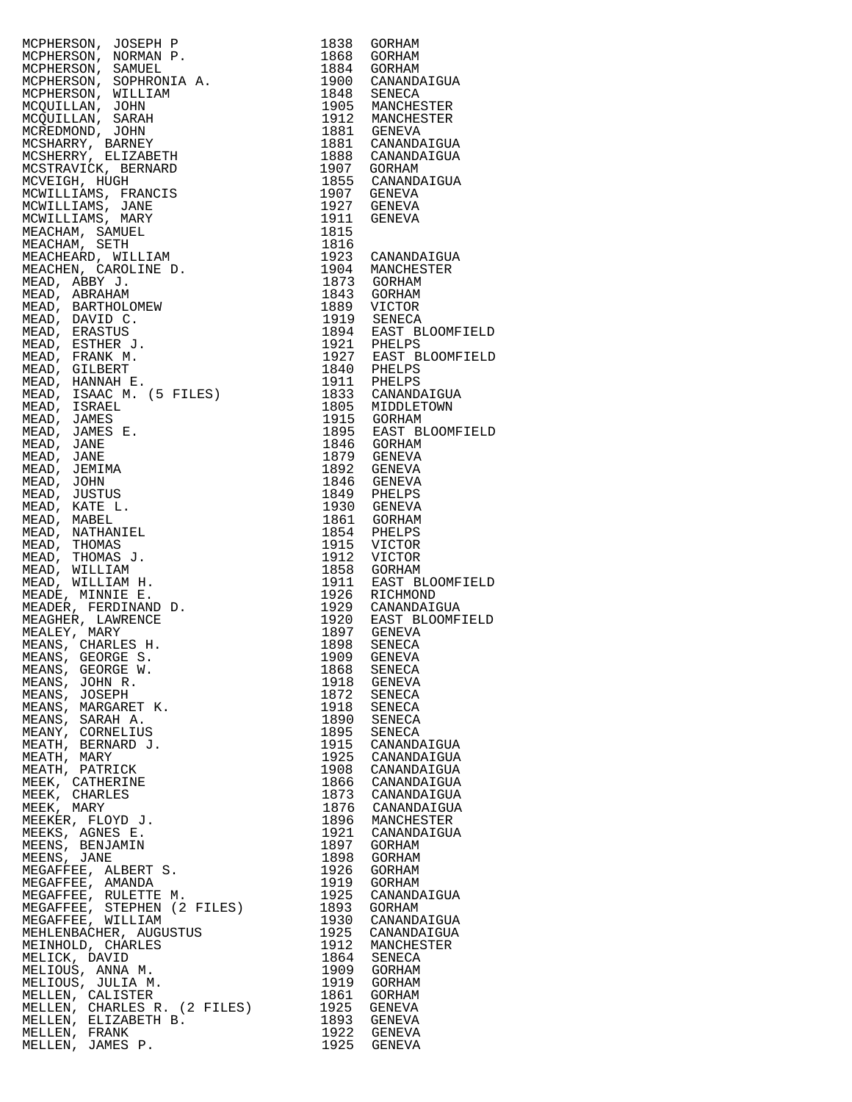| MCPHERSON, JOSEPH P               |              |                                      |
|-----------------------------------|--------------|--------------------------------------|
|                                   | 1838         | GORHAM                               |
| MCPHERSON, NORMAN P.              | 1868         | GORHAM                               |
| MCPHERSON, SAMUEL                 | 1884         | GORHAM                               |
| MCPHERSON, SOPHRONIA A.           | 1900         | CANANDAIGUA                          |
| MCPHERSON, WILLIAM                | 1848         | SENECA                               |
| MCQUILLAN, JOHN                   |              | 1905 MANCHESTER                      |
| MCQUILLAN, SARAH                  |              | 1912 MANCHESTER                      |
|                                   |              |                                      |
| MCREDMOND, JOHN                   |              | 1881 GENEVA                          |
| MCSHARRY, BARNEY                  |              | 1881 CANANDAIGUA                     |
| MCSHERRY, ELIZABETH               | 1888         | CANANDAIGUA                          |
| MCSTRAVICK, BERNARD               | 1907         | GORHAM                               |
| MCVEIGH, HUGH                     | 1855         | CANANDAIGUA                          |
|                                   |              |                                      |
| MCWILLIAMS, FRANCIS               | 1907         | GENEVA                               |
| MCWILLIAMS, JANE                  | 1927         | GENEVA                               |
| MCWILLIAMS, MARY                  | 1911         | GENEVA                               |
| MEACHAM, SAMUEL                   | 1815         |                                      |
| MEACHAM, SETH                     | 1816         |                                      |
|                                   |              |                                      |
| MEACHEARD, WILLIAM                |              | 1923 CANANDAIGUA                     |
| MEACHEN, CAROLINE D.              | 1904         | MANCHESTER                           |
| MEAD, ABBY J.                     |              | 1873 GORHAM                          |
| MEAD, ABRAHAM                     | 1843         | GORHAM                               |
| MEAD, BARTHOLOMEW                 |              | 1889 VICTOR                          |
| MEAD, DAVID C.                    |              | 1919 SENECA                          |
|                                   |              |                                      |
| MEAD, ERASTUS                     |              | 1894 EAST BLOOMFIELD                 |
| MEAD, ESTHER J.                   |              | 1921 PHELPS                          |
| MEAD, FRANK M.                    |              | 1927 EAST BLOOMFIELD                 |
| MEAD, GILBERT                     |              | 1840 PHELPS                          |
| MEAD, HANNAH E.                   | 1911         | PHELPS                               |
| .<br>A A.<br>ILES)                |              | 1833 CANANDAIGUA                     |
| MEAD, ISAAC M. (5 FILES)          |              |                                      |
| MEAD, ISRAEL                      | 1805         | MIDDLETOWN                           |
| MEAD, JAMES                       |              | 1915 GORHAM                          |
| MEAD, JAMES E.                    |              | 1895 EAST BLOOMFIELD                 |
| MEAD, JANE                        |              | 1846 GORHAM                          |
| MEAD, JANE                        |              | 1879 GENEVA                          |
|                                   |              |                                      |
| MEAD, JEMIMA                      | 1892         | GENEVA                               |
| MEAD, JOHN                        |              | 1846 GENEVA                          |
| MEAD, JUSTUS                      | 1849         | PHELPS                               |
| MEAD, KATE L.                     |              | 1930 GENEVA                          |
| MEAD, MABEL                       |              | 1861 GORHAM                          |
|                                   |              |                                      |
| MEAD, NATHANIEL                   | 1854         | PHELPS                               |
| MEAD, THOMAS                      | 1915         | VICTOR                               |
| MEAD, THOMAS J.                   | 1912         | VICTOR                               |
| MEAD, WILLIAM                     |              | 1858 GORHAM                          |
|                                   |              |                                      |
|                                   |              |                                      |
| MEAD, WILLIAM H.                  |              | 1911 EAST BLOOMFIELD                 |
| MEADE, MINNIE E.                  | 1926         | RICHMOND                             |
| MEADER, FERDINAND D.              | 1929         | CANANDAIGUA                          |
| MEAGHER, LAWRENCE                 | 1920         | EAST BLOOMFIELD                      |
| MEALEY, MARY                      |              |                                      |
| MEANS, CHARLES H.                 | 1898         | 1897 GENEVA<br>1898 SENECA<br>SENECA |
|                                   |              |                                      |
| MEANS, GEORGE S.                  | 1909         | <b>GENEVA</b>                        |
| MEANS, GEORGE W.                  | 1868         | SENECA                               |
| MEANS, JOHN R.                    | 1918         | GENEVA                               |
| MEANS, JOSEPH                     | 1872         | SENECA                               |
| MEANS, MARGARET K.                | 1918         | SENECA                               |
| MEANS, SARAH A.                   | 1890         | SENECA                               |
| MEANY, CORNELIUS                  | 1895         | SENECA                               |
|                                   |              |                                      |
| MEATH, BERNARD J.                 | 1915         | CANANDAIGUA                          |
| MEATH, MARY                       | 1925         | CANANDAIGUA                          |
| MEATH, PATRICK                    | 1908         | CANANDAIGUA                          |
| MEEK, CATHERINE                   | 1866         | CANANDAIGUA                          |
| MEEK, CHARLES                     | 1873         | CANANDAIGUA                          |
| MEEK, MARY                        | 1876         | CANANDAIGUA                          |
|                                   |              |                                      |
| MEEKER, FLOYD J.                  | 1896         | MANCHESTER                           |
| MEEKS, AGNES E.                   | 1921         | CANANDAIGUA                          |
| MEENS, BENJAMIN                   | 1897         | GORHAM                               |
| MEENS, JANE                       | 1898         | GORHAM                               |
| MEGAFFEE, ALBERT S.               | 1926         | GORHAM                               |
| MEGAFFEE, AMANDA                  | 1919         | GORHAM                               |
| MEGAFFEE, RULETTE M.              | 1925         | CANANDAIGUA                          |
|                                   |              |                                      |
| MEGAFFEE, STEPHEN (2 FILES)       | 1893         | GORHAM                               |
| MEGAFFEE, WILLIAM                 | 1930         | CANANDAIGUA                          |
| MEHLENBACHER, AUGUSTUS            | 1925         | CANANDAIGUA                          |
| MEINHOLD, CHARLES                 | 1912         | MANCHESTER                           |
| MELICK, DAVID                     | 1864         | SENECA                               |
| MELIOUS, ANNA M.                  | 1909         | GORHAM                               |
|                                   |              |                                      |
| MELIOUS, JULIA M.                 | 1919         | GORHAM                               |
| MELLEN, CALISTER                  | 1861         | GORHAM                               |
| MELLEN, CHARLES R. (2 FILES)      | 1925         | GENEVA                               |
| MELLEN, ELIZABETH B.              | 1893         | GENEVA                               |
| MELLEN, FRANK<br>MELLEN, JAMES P. | 1922<br>1925 | GENEVA<br>GENEVA                     |

| 1838<br>1868<br>1884<br>1900<br>1848<br>1905<br>1912<br>1881<br>1881<br>1888<br>1907<br>1855<br>1907<br>1927<br>1911<br>1815<br>1816 | GORHAM<br>GORHAM<br>GORHAM<br>CANANDAIGUA<br>SENECA<br>MANCHESTER<br>MANCHESTER<br>GENEVA<br>CANANDAIGUA<br>CANANDAIGUA<br>GORHAM<br>CANANDAIGUA<br>GENEVA<br>GENEVA<br><b>GENEVA</b> |
|--------------------------------------------------------------------------------------------------------------------------------------|---------------------------------------------------------------------------------------------------------------------------------------------------------------------------------------|
| 1923                                                                                                                                 | CANANDAIGUA                                                                                                                                                                           |
| 1904                                                                                                                                 | MANCHESTER                                                                                                                                                                            |
| 1873                                                                                                                                 | GORHAM                                                                                                                                                                                |
| 1843                                                                                                                                 | GORHAM                                                                                                                                                                                |
| 1889                                                                                                                                 | VICTOR                                                                                                                                                                                |
| 1919                                                                                                                                 | SENECA                                                                                                                                                                                |
| 1894                                                                                                                                 | EAST BLOOMFIELD                                                                                                                                                                       |
| 1921                                                                                                                                 | PHELPS                                                                                                                                                                                |
| 1927                                                                                                                                 | EAST BLOOMFIELD                                                                                                                                                                       |
| 1840                                                                                                                                 | PHELPS                                                                                                                                                                                |
| 1911                                                                                                                                 | PHELPS                                                                                                                                                                                |
| 1833                                                                                                                                 | CANANDAIGUA                                                                                                                                                                           |
| 1805                                                                                                                                 | MIDDLETOWN                                                                                                                                                                            |
| 1915                                                                                                                                 | <b>GORHAM</b>                                                                                                                                                                         |
| 1895                                                                                                                                 | EAST BLOOMFIELD                                                                                                                                                                       |
| 1846                                                                                                                                 | GORHAM                                                                                                                                                                                |
| 1879                                                                                                                                 | GENEVA                                                                                                                                                                                |
| 1892                                                                                                                                 | GENEVA                                                                                                                                                                                |
| 1846                                                                                                                                 | GENEVA                                                                                                                                                                                |
| 1849                                                                                                                                 | PHELPS                                                                                                                                                                                |
| 1930                                                                                                                                 | <b>GENEVA</b>                                                                                                                                                                         |
| 1861                                                                                                                                 | GORHAM                                                                                                                                                                                |
| 1854                                                                                                                                 | PHELPS                                                                                                                                                                                |
| 1915                                                                                                                                 | VICTOR                                                                                                                                                                                |
| 1912                                                                                                                                 | VICTOR                                                                                                                                                                                |
| 1858                                                                                                                                 | <b>GORHAM</b>                                                                                                                                                                         |
| 1911                                                                                                                                 | EAST BLOOMFIELD                                                                                                                                                                       |
| 1926                                                                                                                                 | RICHMOND                                                                                                                                                                              |
| 1929                                                                                                                                 | CANANDAIGUA                                                                                                                                                                           |
| 1920                                                                                                                                 | EAST BLOOMFIELD                                                                                                                                                                       |
| 1897                                                                                                                                 | GENEVA                                                                                                                                                                                |
| 1898                                                                                                                                 | SENECA                                                                                                                                                                                |
| 1909                                                                                                                                 | <b>GENEVA</b>                                                                                                                                                                         |
| 1868                                                                                                                                 | SENECA                                                                                                                                                                                |
| 1918                                                                                                                                 | GENEVA                                                                                                                                                                                |
| 1872                                                                                                                                 | SENECA                                                                                                                                                                                |
| 1918                                                                                                                                 | SENECA                                                                                                                                                                                |
| 1890                                                                                                                                 | SENECA                                                                                                                                                                                |
| 1895                                                                                                                                 | SENECA                                                                                                                                                                                |
| 1915                                                                                                                                 | CANANDAIGUA                                                                                                                                                                           |
| 1925                                                                                                                                 | CANANDAIGUA                                                                                                                                                                           |
| 1908                                                                                                                                 | CANANDAIGUA                                                                                                                                                                           |
| 1866                                                                                                                                 | CANANDAIGUA                                                                                                                                                                           |
| 1873                                                                                                                                 | CANANDAIGUA                                                                                                                                                                           |
| 1876                                                                                                                                 | CANANDAIGUA                                                                                                                                                                           |
| 1896                                                                                                                                 | MANCHESTER                                                                                                                                                                            |
| 1921                                                                                                                                 | CANANDAIGUA                                                                                                                                                                           |
| 1897                                                                                                                                 | GORHAM                                                                                                                                                                                |
| 1898                                                                                                                                 | GORHAM                                                                                                                                                                                |
| 1926                                                                                                                                 | GORHAM                                                                                                                                                                                |
| 1919                                                                                                                                 | GORHAM                                                                                                                                                                                |
| 1925                                                                                                                                 | CANANDAIGUA                                                                                                                                                                           |
| 1893                                                                                                                                 | GORHAM                                                                                                                                                                                |
| 1930                                                                                                                                 | CANANDAIGUA                                                                                                                                                                           |
| 1925                                                                                                                                 | CANANDAIGUA                                                                                                                                                                           |
| 1912                                                                                                                                 | MANCHESTER                                                                                                                                                                            |
| 1864                                                                                                                                 | SENECA                                                                                                                                                                                |
| 1909                                                                                                                                 | GORHAM                                                                                                                                                                                |
| 1919                                                                                                                                 | GORHAM                                                                                                                                                                                |
| 1861                                                                                                                                 | GORHAM                                                                                                                                                                                |
| 1925                                                                                                                                 | GENEVA                                                                                                                                                                                |
| 1893                                                                                                                                 | GENEVA                                                                                                                                                                                |
| 1922                                                                                                                                 | GENEVA                                                                                                                                                                                |
| 1925                                                                                                                                 | GENEVA                                                                                                                                                                                |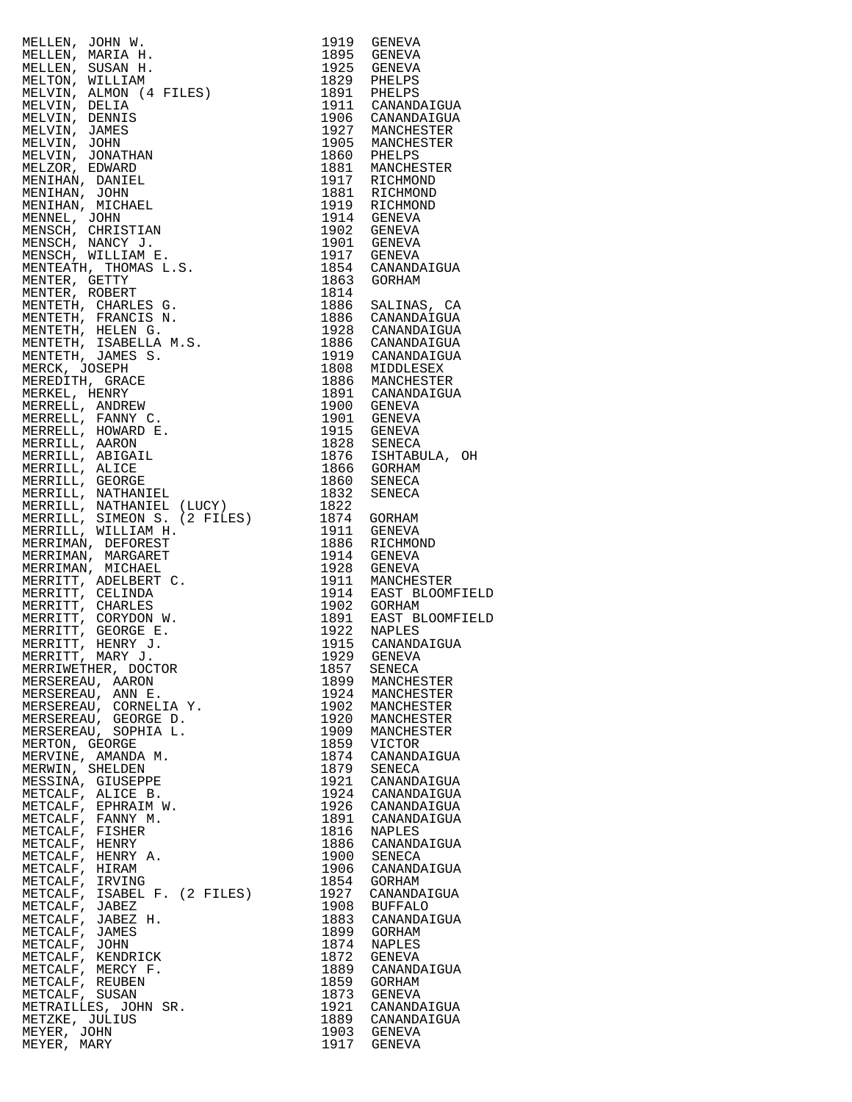| MELLER, JORN H. 1991<br>STRILLER, MARIA H. 1995<br>SENEMBAR, SUSAN H. 1995<br>SENEMBAR, SUSAN H. 1995<br>SENEMA SUSAN H. 1995<br>SENEMA SUSAN H. 1995<br>SENEMA PRINCIPALE (1995)<br>MELVIR, DERNIS DEN SUSAN 1997<br>MELVIR, DERNIS JORN H. 1995<br>MELV |              |                               |
|-----------------------------------------------------------------------------------------------------------------------------------------------------------------------------------------------------------------------------------------------------------|--------------|-------------------------------|
|                                                                                                                                                                                                                                                           |              |                               |
|                                                                                                                                                                                                                                                           |              |                               |
|                                                                                                                                                                                                                                                           |              |                               |
|                                                                                                                                                                                                                                                           |              |                               |
|                                                                                                                                                                                                                                                           |              |                               |
|                                                                                                                                                                                                                                                           |              |                               |
|                                                                                                                                                                                                                                                           |              |                               |
|                                                                                                                                                                                                                                                           |              |                               |
|                                                                                                                                                                                                                                                           |              |                               |
|                                                                                                                                                                                                                                                           |              |                               |
|                                                                                                                                                                                                                                                           |              |                               |
|                                                                                                                                                                                                                                                           |              |                               |
|                                                                                                                                                                                                                                                           |              |                               |
|                                                                                                                                                                                                                                                           |              |                               |
|                                                                                                                                                                                                                                                           |              |                               |
|                                                                                                                                                                                                                                                           |              |                               |
|                                                                                                                                                                                                                                                           |              |                               |
|                                                                                                                                                                                                                                                           |              |                               |
|                                                                                                                                                                                                                                                           |              |                               |
|                                                                                                                                                                                                                                                           |              |                               |
|                                                                                                                                                                                                                                                           |              |                               |
|                                                                                                                                                                                                                                                           |              |                               |
|                                                                                                                                                                                                                                                           |              |                               |
|                                                                                                                                                                                                                                                           |              |                               |
|                                                                                                                                                                                                                                                           |              |                               |
|                                                                                                                                                                                                                                                           |              |                               |
|                                                                                                                                                                                                                                                           |              |                               |
|                                                                                                                                                                                                                                                           |              |                               |
|                                                                                                                                                                                                                                                           |              |                               |
|                                                                                                                                                                                                                                                           |              |                               |
|                                                                                                                                                                                                                                                           |              |                               |
|                                                                                                                                                                                                                                                           |              |                               |
|                                                                                                                                                                                                                                                           |              |                               |
|                                                                                                                                                                                                                                                           |              |                               |
|                                                                                                                                                                                                                                                           |              |                               |
|                                                                                                                                                                                                                                                           |              |                               |
|                                                                                                                                                                                                                                                           |              |                               |
|                                                                                                                                                                                                                                                           |              |                               |
|                                                                                                                                                                                                                                                           |              |                               |
|                                                                                                                                                                                                                                                           |              |                               |
|                                                                                                                                                                                                                                                           |              |                               |
| MERRIWETHER, DOCTOR                                                                                                                                                                                                                                       | 1857         | SENECA                        |
| MERSEREAU, AARON                                                                                                                                                                                                                                          | 1899         | MANCHESTER                    |
| MERSEREAU, ANN E.<br>MERSEREAU, CORNELIA Y.                                                                                                                                                                                                               | 1924<br>1902 | MANCHESTER<br>MANCHESTER      |
| MERSEREAU, GEORGE D.                                                                                                                                                                                                                                      | 1920         | MANCHESTER                    |
| MERSEREAU, SOPHIA L.                                                                                                                                                                                                                                      | 1909         | MANCHESTER                    |
| MERTON, GEORGE                                                                                                                                                                                                                                            | 1859         | VICTOR                        |
| MERVINE, AMANDA M.                                                                                                                                                                                                                                        | 1874         | CANANDAIGUA                   |
| MERWIN, SHELDEN<br>MESSINA, GIUSEPPE                                                                                                                                                                                                                      | 1879<br>1921 | SENECA<br>CANANDAIGUA         |
| METCALF, ALICE B.                                                                                                                                                                                                                                         | 1924         | CANANDAIGUA                   |
| METCALF, EPHRAIM W.                                                                                                                                                                                                                                       | 1926         | CANANDAIGUA                   |
| METCALF, FANNY M.                                                                                                                                                                                                                                         | 1891         | CANANDAIGUA                   |
| METCALF, FISHER                                                                                                                                                                                                                                           | 1816         | NAPLES                        |
| METCALF, HENRY<br>METCALF, HENRY A.                                                                                                                                                                                                                       | 1886<br>1900 | CANANDAIGUA<br>SENECA         |
| METCALF, HIRAM                                                                                                                                                                                                                                            | 1906         | CANANDAIGUA                   |
| METCALF, IRVING                                                                                                                                                                                                                                           | 1854         | GORHAM                        |
| METCALF, ISABEL F. (2 FILES)                                                                                                                                                                                                                              | 1927         | CANANDAIGUA                   |
| METCALF, JABEZ<br>METCALF, JABEZ H.                                                                                                                                                                                                                       | 1908<br>1883 | <b>BUFFALO</b><br>CANANDAIGUA |
| METCALF, JAMES                                                                                                                                                                                                                                            | 1899         | GORHAM                        |
| METCALF, JOHN                                                                                                                                                                                                                                             | 1874         | NAPLES                        |
| METCALF, KENDRICK                                                                                                                                                                                                                                         | 1872         | GENEVA                        |
| METCALF, MERCY F.                                                                                                                                                                                                                                         | 1889<br>1859 | CANANDAIGUA                   |
| METCALF, REUBEN<br>METCALF, SUSAN                                                                                                                                                                                                                         | 1873         | GORHAM<br>GENEVA              |
| METRAILLES, JOHN SR.                                                                                                                                                                                                                                      | 1921         | CANANDAIGUA                   |
| METZKE, JULIUS                                                                                                                                                                                                                                            | 1889         | CANANDAIGUA                   |
| MEYER, JOHN                                                                                                                                                                                                                                               |              | 1903 GENEVA                   |
| MEYER, MARY                                                                                                                                                                                                                                               | 1917         | GENEVA                        |

| 1919<br>1895 | GENEVA<br>GENEVA                 |
|--------------|----------------------------------|
| 1925         | GENEVA                           |
| 1829         | PHELPS                           |
| 1891<br>1911 | PHELPS<br>CANANDAIGUA            |
| 1906         | CANANDAIGUA                      |
| 1927         | MANCHESTER                       |
| 1905<br>1860 | MANCHESTER<br>PHELPS             |
| 1881         | MANCHESTER                       |
| 1917         | RICHMOND                         |
| 1881         | RICHMOND<br>RICHMOND             |
| 1919<br>1914 | GENEVA                           |
| 1902         | GENEVA                           |
| 1901         | GENEVA                           |
| 1917<br>1854 | GENEVA<br>CANANDAIGUA            |
| 1863         | GORHAM                           |
| 1814         |                                  |
| 1886<br>1886 | SALINAS, CA<br>CANANDAIGUA       |
| 1928         | CANANDAIGUA                      |
| 1886         | CANANDAIGUA                      |
| 1919<br>1808 | CANANDAIGUA<br>MIDDLESEX         |
| 1886         | MANCHESTER                       |
| 1891         | CANANDAIGUA                      |
| 1900<br>1901 | GENEVA                           |
| 1915         | GENEVA<br>GENEVA                 |
| 1828         | SENECA                           |
| 1876         | ISHTABULA, OH                    |
| 1866<br>1860 | GORHAM<br>SENECA                 |
| 1832         | SENECA                           |
| 1822         |                                  |
| 1874<br>1911 | GORHAM<br>GENEVA                 |
| 1886         | RICHMOND                         |
| 1914         | GENEVA                           |
| 1928<br>1911 | GENEVA<br>MANCHESTER             |
| 1914         | EAST BLOOMFIELD                  |
| 1902         | GORHAM                           |
| 1891<br>1922 | EAST BLOOMFIELD<br><b>NAPLES</b> |
| 1915         | CANANDAIGUA                      |
| 1929         | GENEVA                           |
| 1857<br>1899 | SENECA<br>MANCHESTER             |
| 1924         | MANCHESTER                       |
| 1902         | MANCHESTER                       |
| 1920<br>1909 | MANCHESTER<br>MANCHESTER         |
| 1859         | VICTOR                           |
| 1874         | CANANDAIGUA                      |
| 1879<br>1921 | SENECA<br>CANANDAIGUA            |
| 1924         | CANANDAIGUA                      |
| 1926         | CANANDAIGUA                      |
| 1891<br>1816 | CANANDAIGUA<br>NAPLES            |
| 1886         | CANANDAIGUA                      |
| 1900         | SENECA                           |
| 1906<br>1854 | CANANDAIGUA                      |
| 1927         | GORHAM<br>CANANDAIGUA            |
| 1908         | <b>BUFFALO</b>                   |
| 1883         | CANANDAIGUA                      |
| 1899<br>1874 | GORHAM<br>NAPLES                 |
| 1872         | GENEVA                           |
| 1889         | CANANDAIGUA                      |
| 1859<br>1873 | GORHAM<br>GENEVA                 |
| 1921         | CANANDAIGUA                      |
| 1889         | CANANDAIGUA                      |
| 1903<br>1917 | <b>GENEVA</b><br>GENEVA          |
|              |                                  |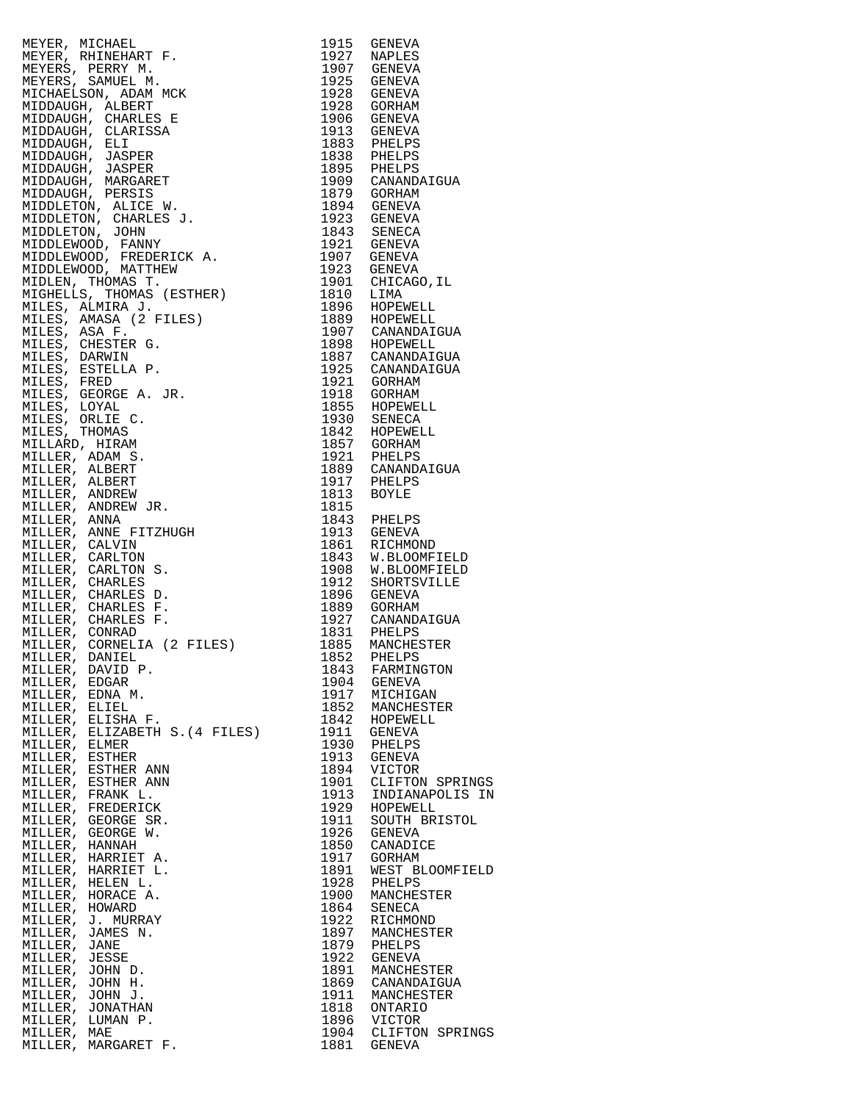| METER, NICHAEL (MARRET 1913)<br>SETERA METERA (MARRET F. 1915)<br>SETERA METERS, PERENY M. 1977 NAPILES SENEVA METERS PERENY METERS, PERENY MANUSING (MARRET 1932)<br>SENEVA AND MONOGE (MARRET 1932)<br>SENEVA AND MONOGE (MARRET 1933)<br> |      |                 |
|----------------------------------------------------------------------------------------------------------------------------------------------------------------------------------------------------------------------------------------------|------|-----------------|
|                                                                                                                                                                                                                                              |      |                 |
|                                                                                                                                                                                                                                              |      |                 |
|                                                                                                                                                                                                                                              |      |                 |
|                                                                                                                                                                                                                                              |      |                 |
|                                                                                                                                                                                                                                              |      |                 |
|                                                                                                                                                                                                                                              |      |                 |
|                                                                                                                                                                                                                                              |      |                 |
|                                                                                                                                                                                                                                              |      |                 |
|                                                                                                                                                                                                                                              |      |                 |
| MILLER, EDGAR                                                                                                                                                                                                                                | 1904 | GENEVA          |
| MILLER, EDNA M.                                                                                                                                                                                                                              | 1917 | MICHIGAN        |
| MILLER, ELIEL                                                                                                                                                                                                                                | 1852 | MANCHESTER      |
| MILLER, ELISHA F.                                                                                                                                                                                                                            | 1842 | HOPEWELL        |
| MILLER, ELIZABETH S. (4 FILES)                                                                                                                                                                                                               | 1911 | GENEVA          |
| MILLER, ELMER                                                                                                                                                                                                                                | 1930 | PHELPS          |
| MILLER, ESTHER                                                                                                                                                                                                                               | 1913 | GENEVA          |
| MILLER, ESTHER ANN                                                                                                                                                                                                                           | 1894 | <b>VICTOR</b>   |
| MILLER, ESTHER ANN                                                                                                                                                                                                                           | 1901 | CLIFTON SPRINGS |
| MILLER, FRANK L.                                                                                                                                                                                                                             | 1913 | INDIANAPOLIS IN |
| MILLER, FREDERICK                                                                                                                                                                                                                            | 1929 | HOPEWELL        |
| MILLER, GEORGE SR.                                                                                                                                                                                                                           | 1911 | SOUTH BRISTOL   |
| MILLER, GEORGE W.                                                                                                                                                                                                                            | 1926 | GENEVA          |
| MILLER, HANNAH                                                                                                                                                                                                                               | 1850 | CANADICE        |
| MILLER, HARRIET A.                                                                                                                                                                                                                           | 1917 | GORHAM          |
| MILLER, HARRIET L.                                                                                                                                                                                                                           | 1891 | WEST BLOOMFIELD |
| MILLER, HELEN L.                                                                                                                                                                                                                             | 1928 | PHELPS          |
| MILLER, HORACE A.                                                                                                                                                                                                                            | 1900 | MANCHESTER      |
| MILLER, HOWARD                                                                                                                                                                                                                               | 1864 | SENECA          |
| MILLER, J. MURRAY                                                                                                                                                                                                                            | 1922 | RICHMOND        |
| MILLER, JAMES N.                                                                                                                                                                                                                             | 1897 | MANCHESTER      |
| MILLER, JANE                                                                                                                                                                                                                                 | 1879 | PHELPS          |
| MILLER, JESSE                                                                                                                                                                                                                                | 1922 | GENEVA          |
| MILLER, JOHN D.                                                                                                                                                                                                                              | 1891 | MANCHESTER      |
| MILLER, JOHN H.                                                                                                                                                                                                                              | 1869 | CANANDAIGUA     |
| MILLER, JOHN J.                                                                                                                                                                                                                              | 1911 | MANCHESTER      |
| MILLER, JONATHAN                                                                                                                                                                                                                             | 1818 | ONTARIO         |
| MILLER, LUMAN P.                                                                                                                                                                                                                             | 1896 | <b>VICTOR</b>   |
| MILLER, MAE                                                                                                                                                                                                                                  | 1904 | CLIFTON SPRINGS |
| MILLER, MARGARET F.                                                                                                                                                                                                                          | 1881 | GENEVA          |

| 1915         | GENEVA                      |
|--------------|-----------------------------|
| 1927         | NAPLES                      |
| 1907         | GENEVA                      |
| 1925         | GENEVA                      |
| 1928<br>1928 | GENEVA                      |
| 1906         | GORHAM<br>GENEVA            |
| 1913         | GENEVA                      |
| 1883         | PHELPS                      |
| 1838         | PHELPS                      |
| 1895         | PHELPS                      |
| 1909         | CANANDAIGUA                 |
| 1879         | GORHAM                      |
| 1894         | GENEVA                      |
| 1923         | GENEVA                      |
| 1843         | SENECA                      |
| 1921         | GENEVA                      |
| 1907         | GENEVA                      |
| 1923         | GENEVA                      |
| 1901         | CHICAGO, IL                 |
| 1810<br>1896 | LIMA<br>HOPEWELL            |
| 1889         | HOPEWELL                    |
| 1907         | CANANDAIGUA                 |
| 1898         | HOPEWELL                    |
| 1887         | CANANDAIGUA                 |
| 1925         | CANANDAIGUA                 |
| 1921         | GORHAM                      |
| 1918         | GORHAM                      |
| 1855         | HOPEWELL                    |
| 1930         | SENECA                      |
| 1842         | HOPEWELL                    |
| 1857         | GORHAM                      |
| 1921         | PHELPS                      |
| 1889<br>1917 | CANANDAIGUA                 |
| 1813         | PHELPS<br>BOYLE             |
| 1815         |                             |
| 1843         | PHELPS                      |
| 1913         | GENEVA                      |
| 1861         | RICHMOND                    |
| 1843         | W.BLOOMFIELD                |
| 1908         | W.BLOOMFIELD                |
| 1912         | SHORTSVILLE                 |
| 1896         | GENEVA                      |
| 1889         | GORHAM                      |
| 1927         | CANANDAIGUA                 |
| 1831<br>1885 | PHELPS<br>MANCHESTER        |
| 1852         | PHELPS                      |
| 1843         | FARMINGTON                  |
| 1904         | GENEVA                      |
| 1917         | MICHIGAN                    |
| 1852         | MANCHESTER                  |
| 1842         | HOPEWELL                    |
| 1911         | GENEVA                      |
| 1930         | PHELPS                      |
| 1913         | GENEVA                      |
| 1894         | VICTOR                      |
| 1901         | CLIFTON SPRINGS             |
| 1913<br>1929 | INDIANAPOLIS IN<br>HOPEWELL |
| 1911         | SOUTH BRISTOL               |
| 1926         | GENEVA                      |
| 1850         | CANADICE                    |
| 1917         | GORHAM                      |
| 1891         | WEST<br><b>BLOOMFIELD</b>   |
| 1928         | PHELPS                      |
| 1900         | MANCHESTER                  |
| 1864         | SENECA                      |
| 1922         | RICHMOND                    |
| 1897         | MANCHESTER                  |
| 1879         | PHELPS                      |
| 1922         | GENEVA                      |
| 1891<br>1869 | MANCHESTER<br>CANANDAIGUA   |
| 1911         | MANCHESTER                  |
| 1818         | ONTARIO                     |
| 1896         | VICTOR                      |
| 1904         | CLIFTON SPRINGS             |
| 1881         | GENEVA                      |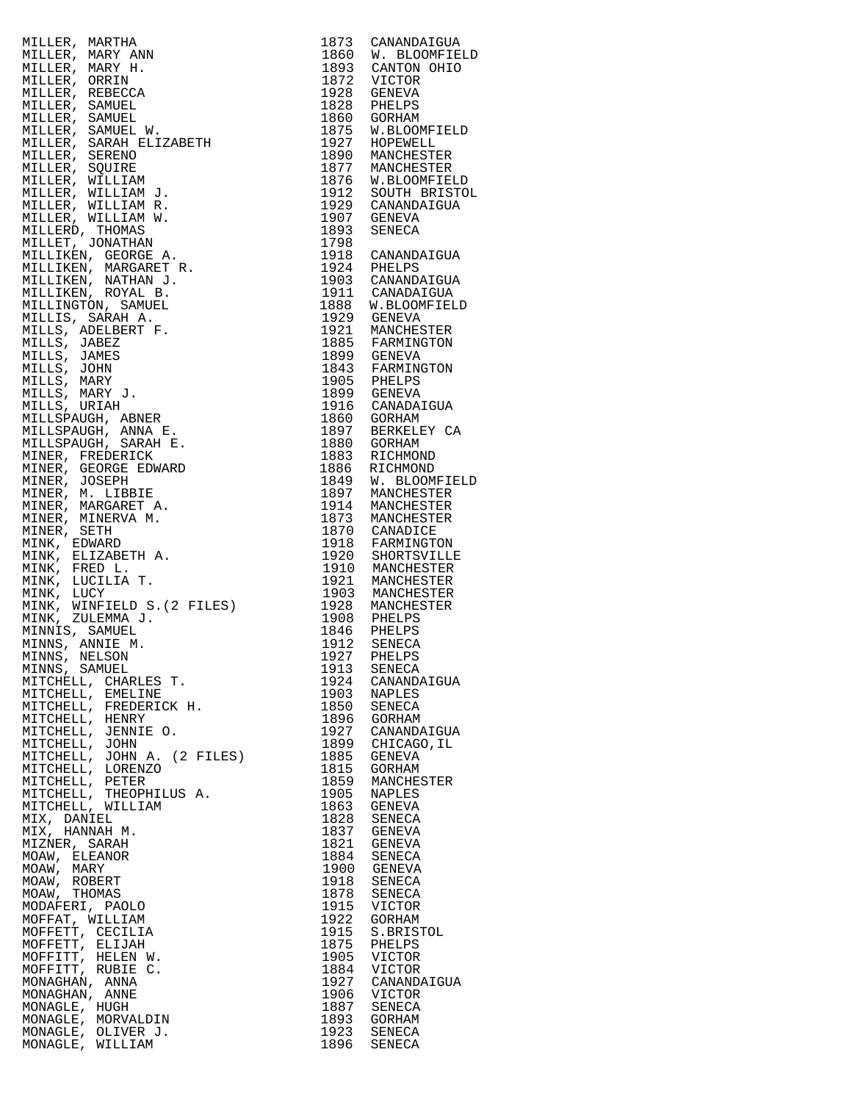| MILLER, MARTHA 1974<br>MILLER, MARY ANN 1973 CANADAIGUA<br>MILLER, MARY ANN 1974 CANADAIGUA<br>MILLER, SAMUEL 1982 CANTON CHICAGON<br>MILLER, SAMUEL TREEL (1982 PRELIPS)<br>MILLER, SAMUEL TREEL IN THE SAMUEL CONTRACT (1982 PRELIPS) |              |                                         |
|-----------------------------------------------------------------------------------------------------------------------------------------------------------------------------------------------------------------------------------------|--------------|-----------------------------------------|
|                                                                                                                                                                                                                                         |              | 1860 W. BLOOMFIELD<br>1893 CANTON OHIO  |
|                                                                                                                                                                                                                                         |              |                                         |
|                                                                                                                                                                                                                                         |              |                                         |
|                                                                                                                                                                                                                                         |              |                                         |
|                                                                                                                                                                                                                                         |              |                                         |
|                                                                                                                                                                                                                                         |              |                                         |
|                                                                                                                                                                                                                                         |              |                                         |
|                                                                                                                                                                                                                                         |              |                                         |
|                                                                                                                                                                                                                                         |              |                                         |
|                                                                                                                                                                                                                                         |              | 1876 W.BLOOMFIELD<br>1912 SOUTH BRISTOL |
|                                                                                                                                                                                                                                         |              |                                         |
|                                                                                                                                                                                                                                         |              |                                         |
|                                                                                                                                                                                                                                         |              |                                         |
|                                                                                                                                                                                                                                         |              |                                         |
|                                                                                                                                                                                                                                         |              |                                         |
|                                                                                                                                                                                                                                         |              |                                         |
|                                                                                                                                                                                                                                         |              |                                         |
|                                                                                                                                                                                                                                         |              |                                         |
|                                                                                                                                                                                                                                         |              |                                         |
|                                                                                                                                                                                                                                         |              |                                         |
|                                                                                                                                                                                                                                         |              |                                         |
|                                                                                                                                                                                                                                         |              |                                         |
|                                                                                                                                                                                                                                         |              |                                         |
|                                                                                                                                                                                                                                         |              |                                         |
|                                                                                                                                                                                                                                         |              |                                         |
|                                                                                                                                                                                                                                         |              |                                         |
|                                                                                                                                                                                                                                         |              |                                         |
|                                                                                                                                                                                                                                         |              |                                         |
|                                                                                                                                                                                                                                         |              |                                         |
|                                                                                                                                                                                                                                         |              | 1849 W. BLOOMFIELD                      |
|                                                                                                                                                                                                                                         |              |                                         |
|                                                                                                                                                                                                                                         |              |                                         |
|                                                                                                                                                                                                                                         |              |                                         |
|                                                                                                                                                                                                                                         |              |                                         |
|                                                                                                                                                                                                                                         |              |                                         |
|                                                                                                                                                                                                                                         |              |                                         |
|                                                                                                                                                                                                                                         |              |                                         |
|                                                                                                                                                                                                                                         |              |                                         |
|                                                                                                                                                                                                                                         |              |                                         |
|                                                                                                                                                                                                                                         |              |                                         |
|                                                                                                                                                                                                                                         |              |                                         |
| MINNS, SAMUEL<br>MITCHELL, CHARLES T.                                                                                                                                                                                                   | 1913<br>1924 | SENECA<br>CANANDAIGUA                   |
| MITCHELL, EMELINE                                                                                                                                                                                                                       | 1903         | NAPLES                                  |
| MITCHELL, FREDERICK H.                                                                                                                                                                                                                  | 1850         | SENECA                                  |
| MITCHELL, HENRY                                                                                                                                                                                                                         | 1896         | GORHAM                                  |
| MITCHELL, JENNIE O.<br>MITCHELL, JOHN                                                                                                                                                                                                   | 1927<br>1899 | CANANDAIGUA<br>CHICAGO, IL              |
| MITCHELL, JOHN A. (2 FILES)                                                                                                                                                                                                             | 1885         | GENEVA                                  |
| MITCHELL, LORENZO                                                                                                                                                                                                                       | 1815         | GORHAM                                  |
| MITCHELL, PETER                                                                                                                                                                                                                         | 1859         | MANCHESTER                              |
| MITCHELL, THEOPHILUS A.<br>MITCHELL, WILLIAM                                                                                                                                                                                            | 1905<br>1863 | NAPLES<br><b>GENEVA</b>                 |
| MIX, DANIEL                                                                                                                                                                                                                             | 1828         | SENECA                                  |
| MIX, HANNAH M.                                                                                                                                                                                                                          | 1837         | GENEVA                                  |
| MIZNER, SARAH                                                                                                                                                                                                                           | 1821         | GENEVA                                  |
| MOAW, ELEANOR                                                                                                                                                                                                                           | 1884         | SENECA                                  |
| MOAW, MARY<br>MOAW, ROBERT                                                                                                                                                                                                              | 1900<br>1918 | GENEVA<br>SENECA                        |
| MOAW, THOMAS                                                                                                                                                                                                                            | 1878         | SENECA                                  |
| MODAFERI, PAOLO                                                                                                                                                                                                                         | 1915         | VICTOR                                  |
| MOFFAT, WILLIAM                                                                                                                                                                                                                         | 1922         | GORHAM                                  |
| MOFFETT, CECILIA<br>MOFFETT, ELIJAH                                                                                                                                                                                                     | 1915<br>1875 | S.BRISTOL<br>PHELPS                     |
| MOFFITT, HELEN W.                                                                                                                                                                                                                       | 1905         | VICTOR                                  |
| MOFFITT, RUBIE C.                                                                                                                                                                                                                       | 1884         | VICTOR                                  |
| MONAGHAN, ANNA                                                                                                                                                                                                                          | 1927         | CANANDAIGUA                             |
| MONAGHAN, ANNE<br>MONAGLE, HUGH                                                                                                                                                                                                         | 1906<br>1887 | VICTOR<br>SENECA                        |
| MONAGLE, MORVALDIN                                                                                                                                                                                                                      | 1893         | GORHAM                                  |
| MONAGLE, OLIVER J.                                                                                                                                                                                                                      | 1923         | SENECA                                  |
| MONAGLE, WILLIAM                                                                                                                                                                                                                        | 1896         | SENECA                                  |

| 1873         | CANANDAIGUA                  |
|--------------|------------------------------|
| 1860         | W. BLOOMFIELD                |
| 1893<br>1872 | CANTON OHIO                  |
| 1928         | VICTOR<br><b>GENEVA</b>      |
| 1828         | PHELPS                       |
| 1860         | <b>GORHAM</b>                |
| 1875<br>1927 | W.BLOOMFIELD                 |
| 1890         | HOPEWELL<br>MANCHESTER       |
| 1877         | MANCHESTER                   |
| 1876         | W.BLOOMFIELD                 |
| 1912<br>1929 | SOUTH BRISTOL<br>CANANDAIGUA |
| 1907         | <b>GENEVA</b>                |
| 1893         | SENECA                       |
| 1798         |                              |
| 1918<br>1924 | CANANDAIGUA<br>PHELPS        |
| 1903         | CANANDAIGUA                  |
| 1911         | CANADAIGUA                   |
| 1888         | W.BLOOMFIELD                 |
| 1929<br>1921 | <b>GENEVA</b><br>MANCHESTER  |
| 1885         | FARMINGTON                   |
| 1899         | <b>GENEVA</b>                |
| 1843         | FARMINGTON                   |
| 1905<br>1899 | PHELPS<br><b>GENEVA</b>      |
| 1916         | CANADAIGUA                   |
| 1860         | GORHAM                       |
| 1897         | BERKELEY CA                  |
| 1880<br>1883 | GORHAM<br>RICHMOND           |
| 1886         | RICHMOND                     |
| 1849         | W. BLOOMFIELD                |
| 1897         | MANCHESTER                   |
| 1914         | MANCHESTER                   |
| 1873<br>1870 | MANCHESTER<br>CANADICE       |
| 1918         | FARMINGTON                   |
| 1920         | SHORTSVILLE                  |
| 1910         | MANCHESTER                   |
| 1921<br>1903 | MANCHESTER                   |
| 1928         | MANCHESTER<br>MANCHESTER     |
| 1908         | PHELPS                       |
| 1846         | PHELPS                       |
| 1912<br>7    | SENECA                       |
| 192          | PHELPS<br>SENECA             |
| 1913<br>1924 | CANANDAIGUA                  |
| 1903         | <b>NAPLES</b>                |
| 1850         | SENECA                       |
| 1896<br>1927 | GORHAM<br>CANANDAIGUA        |
| 1899         | CHICAGO, IL                  |
| 1885         | GENEVA                       |
| 1815         | GORHAM                       |
| 1859<br>1905 | MANCHESTER<br><b>NAPLES</b>  |
| 1863         | <b>GENEVA</b>                |
| 1828         | SENECA                       |
| 1837         | GENEVA                       |
| 1821         | <b>GENEVA</b>                |
| 1884<br>1900 | SENECA<br><b>GENEVA</b>      |
| 1918         | SENECA                       |
| 1878         | SENECA                       |
| 1915         | VICTOR                       |
| 1922<br>1915 | GORHAM<br>S.BRISTOL          |
| 1875         | PHELPS                       |
| 1905         | VICTOR                       |
| 1884         | VICTOR                       |
| 1927<br>1906 | CANANDAIGUA<br>VICTOR        |
| 1887         | SENECA                       |
| 1893         | GORHAM                       |
| 1923         | SENECA                       |
| 1896         | SENECA                       |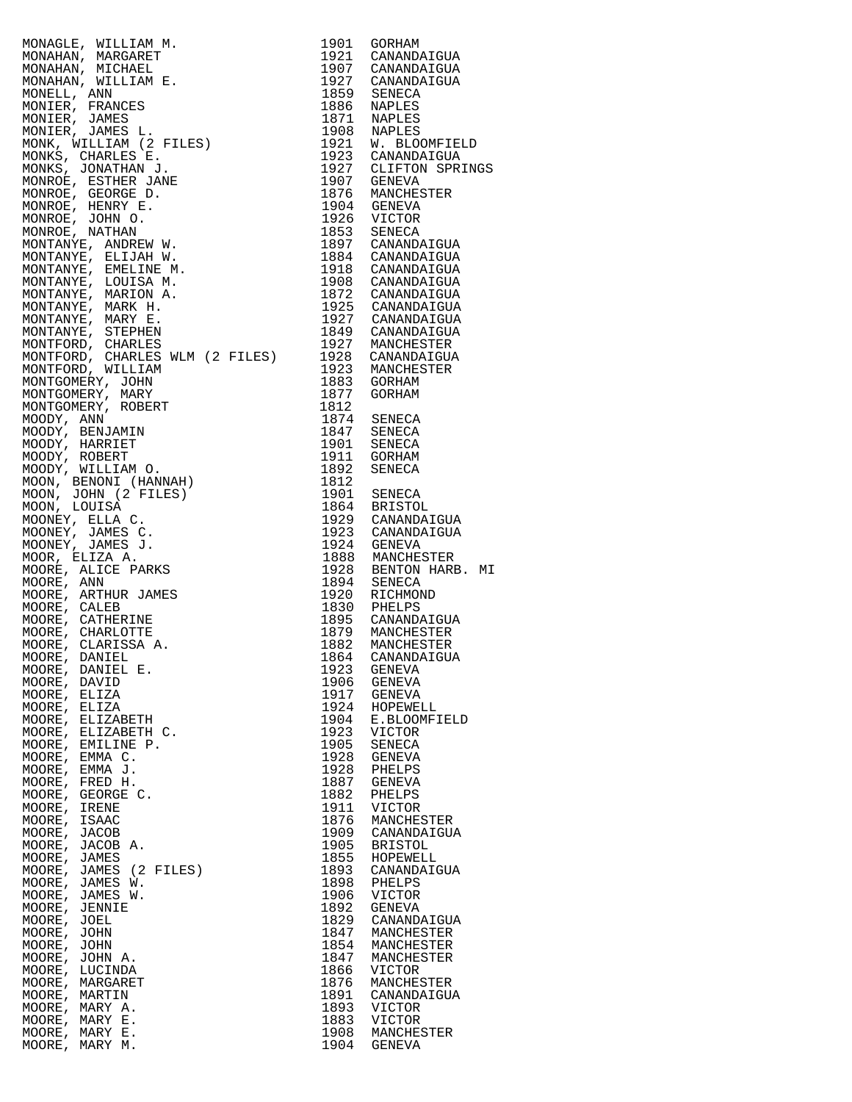|                                                                                       |              | 1921 W. BLOOMFIELD                      |
|---------------------------------------------------------------------------------------|--------------|-----------------------------------------|
|                                                                                       |              |                                         |
|                                                                                       |              | 1927 CLIFTON SPRINGS                    |
|                                                                                       |              |                                         |
|                                                                                       |              |                                         |
|                                                                                       |              |                                         |
|                                                                                       |              |                                         |
|                                                                                       |              |                                         |
|                                                                                       |              |                                         |
|                                                                                       |              |                                         |
|                                                                                       |              |                                         |
|                                                                                       |              |                                         |
|                                                                                       |              |                                         |
|                                                                                       |              |                                         |
|                                                                                       |              |                                         |
|                                                                                       |              |                                         |
| NONTFORD, CHARLES WLM (2 FILES) 1928 CANANDAIGUA<br>MONTFORD, WILLIAM 1923 MANCHESTER |              |                                         |
|                                                                                       |              | 1883 GORHAM                             |
|                                                                                       |              | 1877 GORHAM                             |
|                                                                                       |              |                                         |
|                                                                                       |              | 1874 SENECA                             |
|                                                                                       |              | 1847 SENECA<br>1901 SENECA              |
|                                                                                       |              |                                         |
|                                                                                       |              | 1911 GORHAM                             |
|                                                                                       |              | 1892 SENECA                             |
|                                                                                       |              | 1901 SENECA                             |
|                                                                                       |              | 1864 BRISTOL                            |
|                                                                                       |              | 1929 CANANDAIGUA                        |
|                                                                                       |              | 1923 CANANDAIGUA                        |
|                                                                                       |              | 1924 GENEVA                             |
|                                                                                       |              | 1888 MANCHESTER<br>1928 BENTON HARB. MI |
|                                                                                       |              |                                         |
|                                                                                       |              | 1894 SENECA                             |
|                                                                                       |              | 1920 RICHMOND<br>1830 PHELPS            |
|                                                                                       |              | 1895 CANANDAIGUA                        |
|                                                                                       |              |                                         |
|                                                                                       |              | 1879 MANCHESTER<br>1882 MANCHESTER      |
|                                                                                       |              | 1864 CANANDAIGUA                        |
|                                                                                       |              | GENEVA                                  |
|                                                                                       |              | <b>GENEVA</b>                           |
|                                                                                       |              | <b>GENEVA</b>                           |
| MOORE, ELIZABETH                                                                      | 1904         | HOPEWELL<br>E.BLOOMFIELD                |
| MOORE,<br>ELIZABETH C.                                                                | 1923         | VICTOR                                  |
| MOORE, EMILINE P.                                                                     | 1905         | SENECA                                  |
| MOORE,<br>EMMA C.                                                                     | 1928         | <b>GENEVA</b>                           |
| MOORE, EMMA J.                                                                        | 1928         | PHELPS                                  |
| MOORE, FRED H.                                                                        | 1887         | <b>GENEVA</b>                           |
| MOORE, GEORGE C.                                                                      | 1882         | PHELPS                                  |
| MOORE,<br>IRENE                                                                       | 1911         | <b>VICTOR</b>                           |
| MOORE,<br>ISAAC<br>MOORE, JACOB                                                       | 1876<br>1909 | MANCHESTER<br>CANANDAIGUA               |
| MOORE, JACOB A.                                                                       | 1905         | <b>BRISTOL</b>                          |
| MOORE, JAMES                                                                          | 1855         | HOPEWELL                                |
| MOORE, JAMES (2 FILES)                                                                | 1893         | CANANDAIGUA                             |
| MOORE, JAMES W.                                                                       | 1898         | PHELPS                                  |
| MOORE, JAMES W.                                                                       | 1906         | <b>VICTOR</b>                           |
| MOORE, JENNIE                                                                         | 1892         | <b>GENEVA</b>                           |
| MOORE, JOEL                                                                           | 1829         | CANANDAIGUA                             |
| MOORE,<br>JOHN<br>MOORE, JOHN                                                         | 1847<br>1854 | MANCHESTER<br>MANCHESTER                |
| MOORE,<br>JOHN A.                                                                     | 1847         | MANCHESTER                              |
| MOORE, LUCINDA                                                                        | 1866         | VICTOR                                  |
| MOORE, MARGARET                                                                       | 1876         | MANCHESTER                              |
| MOORE, MARTIN                                                                         | 1891         | CANANDAIGUA                             |
| MOORE,<br>MARY A.                                                                     | 1893         | <b>VICTOR</b>                           |
| MOORE, MARY E.                                                                        | 1883         | <b>VICTOR</b>                           |
| MOORE, MARY E.<br>MOORE, MARY M.                                                      | 1908<br>1904 | MANCHESTER<br><b>GENEVA</b>             |
|                                                                                       |              |                                         |

| 1901                                                                                                                                                                                                                                                                                                                                                                                 | GORHAM                                                                                                                                                                                                                                                                                                                                                                                                                                                                                                                                                                                  |
|--------------------------------------------------------------------------------------------------------------------------------------------------------------------------------------------------------------------------------------------------------------------------------------------------------------------------------------------------------------------------------------|-----------------------------------------------------------------------------------------------------------------------------------------------------------------------------------------------------------------------------------------------------------------------------------------------------------------------------------------------------------------------------------------------------------------------------------------------------------------------------------------------------------------------------------------------------------------------------------------|
| 1921                                                                                                                                                                                                                                                                                                                                                                                 | CANANDAIGUA                                                                                                                                                                                                                                                                                                                                                                                                                                                                                                                                                                             |
| 1907                                                                                                                                                                                                                                                                                                                                                                                 | CANANDAIGUA                                                                                                                                                                                                                                                                                                                                                                                                                                                                                                                                                                             |
| 1927                                                                                                                                                                                                                                                                                                                                                                                 | CANANDAIGUA                                                                                                                                                                                                                                                                                                                                                                                                                                                                                                                                                                             |
| 1859                                                                                                                                                                                                                                                                                                                                                                                 | SENECA                                                                                                                                                                                                                                                                                                                                                                                                                                                                                                                                                                                  |
| 1886                                                                                                                                                                                                                                                                                                                                                                                 | <b>NAPLES</b>                                                                                                                                                                                                                                                                                                                                                                                                                                                                                                                                                                           |
| 1871                                                                                                                                                                                                                                                                                                                                                                                 | NAPLES                                                                                                                                                                                                                                                                                                                                                                                                                                                                                                                                                                                  |
| 1908                                                                                                                                                                                                                                                                                                                                                                                 | NAPLES                                                                                                                                                                                                                                                                                                                                                                                                                                                                                                                                                                                  |
| 1921                                                                                                                                                                                                                                                                                                                                                                                 | W. BLOOMFIELD                                                                                                                                                                                                                                                                                                                                                                                                                                                                                                                                                                           |
| 1923                                                                                                                                                                                                                                                                                                                                                                                 | CANANDAIGUA                                                                                                                                                                                                                                                                                                                                                                                                                                                                                                                                                                             |
| 1927                                                                                                                                                                                                                                                                                                                                                                                 | CLIFTON SPRINGS                                                                                                                                                                                                                                                                                                                                                                                                                                                                                                                                                                         |
| 1907                                                                                                                                                                                                                                                                                                                                                                                 | <b>GENEVA</b>                                                                                                                                                                                                                                                                                                                                                                                                                                                                                                                                                                           |
| 1876                                                                                                                                                                                                                                                                                                                                                                                 | MANCHESTER                                                                                                                                                                                                                                                                                                                                                                                                                                                                                                                                                                              |
| 1904                                                                                                                                                                                                                                                                                                                                                                                 | <b>GENEVA</b>                                                                                                                                                                                                                                                                                                                                                                                                                                                                                                                                                                           |
| 1926                                                                                                                                                                                                                                                                                                                                                                                 | VICTOR                                                                                                                                                                                                                                                                                                                                                                                                                                                                                                                                                                                  |
| 1853                                                                                                                                                                                                                                                                                                                                                                                 | SENECA                                                                                                                                                                                                                                                                                                                                                                                                                                                                                                                                                                                  |
| 1897                                                                                                                                                                                                                                                                                                                                                                                 | CANANDAIGUA                                                                                                                                                                                                                                                                                                                                                                                                                                                                                                                                                                             |
| 1884                                                                                                                                                                                                                                                                                                                                                                                 | CANANDAIGUA                                                                                                                                                                                                                                                                                                                                                                                                                                                                                                                                                                             |
| 1918                                                                                                                                                                                                                                                                                                                                                                                 | CANANDAIGUA                                                                                                                                                                                                                                                                                                                                                                                                                                                                                                                                                                             |
| 1908                                                                                                                                                                                                                                                                                                                                                                                 | CANANDAIGUA                                                                                                                                                                                                                                                                                                                                                                                                                                                                                                                                                                             |
| 1872                                                                                                                                                                                                                                                                                                                                                                                 | CANANDAIGUA                                                                                                                                                                                                                                                                                                                                                                                                                                                                                                                                                                             |
| 1925                                                                                                                                                                                                                                                                                                                                                                                 | CANANDAIGUA                                                                                                                                                                                                                                                                                                                                                                                                                                                                                                                                                                             |
| 1927                                                                                                                                                                                                                                                                                                                                                                                 | CANANDAIGUA                                                                                                                                                                                                                                                                                                                                                                                                                                                                                                                                                                             |
| 1849                                                                                                                                                                                                                                                                                                                                                                                 | CANANDAIGUA                                                                                                                                                                                                                                                                                                                                                                                                                                                                                                                                                                             |
| 1927                                                                                                                                                                                                                                                                                                                                                                                 | MANCHESTER                                                                                                                                                                                                                                                                                                                                                                                                                                                                                                                                                                              |
| 1928                                                                                                                                                                                                                                                                                                                                                                                 | CANANDAIGUA                                                                                                                                                                                                                                                                                                                                                                                                                                                                                                                                                                             |
| 1923                                                                                                                                                                                                                                                                                                                                                                                 | MANCHESTER                                                                                                                                                                                                                                                                                                                                                                                                                                                                                                                                                                              |
| 1883                                                                                                                                                                                                                                                                                                                                                                                 | GORHAM                                                                                                                                                                                                                                                                                                                                                                                                                                                                                                                                                                                  |
| 1877                                                                                                                                                                                                                                                                                                                                                                                 | GORHAM                                                                                                                                                                                                                                                                                                                                                                                                                                                                                                                                                                                  |
| 1812<br>1874<br>1847<br>1901<br>1911<br>1892<br>1812<br>1901<br>1864<br>1929<br>1923<br>1924<br>1888<br>1928<br>1894<br>1920<br>1830<br>1895<br>1879<br>1882<br>1864<br>1923<br>1906<br>1917<br>1924<br>1904<br>1923<br>1905<br>1928<br>1928<br>1887<br>1882<br>1911<br>1876<br>1909<br>1905<br>1855<br>1893<br>1898<br>1906<br>1892<br>1829<br>1847<br>1854<br>1847<br>1866<br>1876 | SENECA<br>SENECA<br>SENECA<br>GORHAM<br>SENECA<br>SENECA<br><b>BRISTOL</b><br>CANANDAIGUA<br>CANANDAIGUA<br>GENEVA<br>MANCHESTER<br>BENTON HARB.<br>MΙ<br><b>SENECA</b><br>RICHMOND<br>PHELPS<br>CANANDAIGUA<br>MANCHESTER<br>MANCHESTER<br>CANANDAIGUA<br>GENEVA<br>GENEVA<br>GENEVA<br>HOPEWELL<br>E.BLOOMFIELD<br>VICTOR<br>SENECA<br>GENEVA<br>PHELPS<br>GENEVA<br>PHELPS<br>VICTOR<br>MANCHESTER<br>CANANDAIGUA<br><b>BRISTOL</b><br>HOPEWELL<br>CANANDAIGUA<br>PHELPS<br>VICTOR<br><b>GENEVA</b><br>CANANDAIGUA<br>MANCHESTER<br>MANCHESTER<br>MANCHESTER<br>VICTOR<br>MANCHESTER |
| 1891                                                                                                                                                                                                                                                                                                                                                                                 | CANANDAIGUA                                                                                                                                                                                                                                                                                                                                                                                                                                                                                                                                                                             |
| 1893                                                                                                                                                                                                                                                                                                                                                                                 | VICTOR                                                                                                                                                                                                                                                                                                                                                                                                                                                                                                                                                                                  |
| 1883                                                                                                                                                                                                                                                                                                                                                                                 | VICTOR                                                                                                                                                                                                                                                                                                                                                                                                                                                                                                                                                                                  |
| 1908                                                                                                                                                                                                                                                                                                                                                                                 | MANCHESTER                                                                                                                                                                                                                                                                                                                                                                                                                                                                                                                                                                              |
| 1904                                                                                                                                                                                                                                                                                                                                                                                 | GENEVA                                                                                                                                                                                                                                                                                                                                                                                                                                                                                                                                                                                  |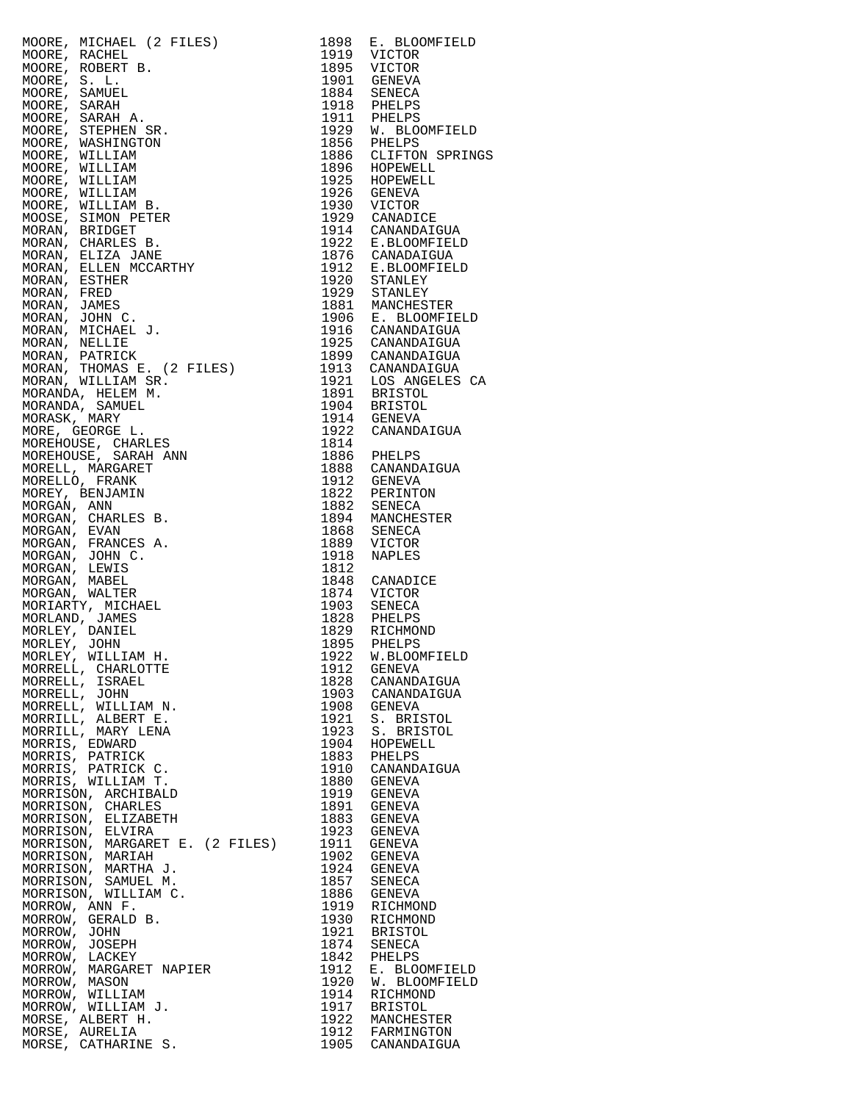MOORE, MICHAEL (2 FILES) 1898 E. BLOOMFIELD<br>MOORE, RACHEL 1919 VICTOR MOORE, ROBERT B. 1895 VICTOR MOORE, S. L. 1901 GENEVA MOORE, SAMUEL 1884 SENECA MOORE, SARAH 1918 PHELPS MOORE, SARAH A. 1911 PHELPS MOORE, WASHINGTON<br>MOORE, WILLIAM<br>MOORE, WILLIAM MOORE, WILLIAM 1896 HOPEWELL MOORE, WILLIAM 1925 HOPEWELL MOORE, WILLIAM 1926 GENEVA MOORE, WILLIAM B. 1930 VICTOR MOOSE, SIMON PETER 1929 CANADICE MORAN, BRIDGET 1914 CANANDAIGUA MORAN, CHARLES B. 1922 E.BLOOMFIELD MORAN, ELIZA JANE 1876 CANADAIGUA MORAN, ELLEN MCCARTHY 1912 E.BLOOMFIELD MORAN, ESTHER 1920 STANLEY MORAN, FRED 1929 STANLEY MORAN, JAMES 1881 MANCHESTER MORAN, JOHN C. 1906 E. BLOOMFIELD MORAN, MICHAEL J. 1916 CANANDAIGUA MORAN, NELLIE 1925 CANANDAIGUA MORAN, PATRICK 1899 CANANDAIGUA MORAN, THOMAS E. (2 FILES) 1913 CANANDAIGUA MORAN, WILLIAM SR. 1921 LOS ANGELES CA MORANDA, HELEM M. 1891 BRISTOL MORANDA, SAMUEL 1904 BRISTOL MORASK, MARY 1914 GENEVA MORANDA, SAMUEL 1904 BRISTOL<br>
MORASK, MARY 1914 GENEVA<br>
MORE, GEORGE L. 1922 CANANDAIGUA<br>
MORE, GEORGE L. 1922 CANANDAIGUA<br>
MOREHOUSE, CHARLES<br>
1814 1922 CANANDAIGUA MOREHOUSE, CHARLES 1814 MOREHOUSE, SARAH ANN 1886 PHELPS MOREHOUSE, SARAH ANN 1886 PHELPS<br>
MORELL, MARGARET 1888 CANANDAIGUA<br>
MORELLO, FRANK 1912 GENEVA MORELLO, FRANK 1912 GENEVA MOREY, BENJAMIN 1822 PERINTON MORGAN, ANN 1882 SENECA MORGAN, CHARLES B. 1894 MANCHESTER MORGAN, EVAN 1868 SENECA MORGAN, FRANCES A. 1889 VICTOR MORGAN, JOHN C. 1918 NAPLES MORGAN, LEWIS 1812<br>
MORGAN, MABEL 1848<br>
MORGAN, WALTER 1874 MORGAN, MABEL 1848 CANADICE MORGAN, WALTER 1874 VICTOR MORIARTY, MICHAEL<br>MORLAND, JAMES MORLAND, JAMES 1828 PHELPS MORLEY, DANIEL 1829 RICHMOND MORLEY, JOHN 1895 PHELPS MORLEY, WILLIAM H. 1922 W.BLOOMFIELD MORRELL, CHARLOTTE 1912 GENEVA MORRELL, ISRAEL 1828 CANANDAIGUA MORRELL, JOHN 1903 CANANDAIGUA MORRELL, WILLIAM N.<br>MORRELL, WILLIAM N.<br>MORRILL, ALBERT E. MORRILL, ALBERT E. 1921 S. BRISTOL MORRILL, MARY LENA 1923 S. BRISTOL MORRIS, EDWARD 1904 HOPEWELL MORRIS, PATRICK 1883 PHELPS MORRIS, PATRICK C. 1910 CANANDAIGUA MORRIS, WILLIAM T. 1880 GENEVA MORRISON, ARCHIBALD 1919 GENEVA MORRISON, CHARLES 1891 GENEVA MORRISON, ELIZABETH 1883 GENEVA MORRISON, ELVIRA 1923 GENEVA MORRISON, MARGARET E. (2 FILES) 1911 GENEVA MORRISON, MARIAH 1902 GENEVA MORRISON, MARTHA J. 1924 GENEVA MORRISON, SAMUEL M. 1857 SENECA MORRISON, WILLIAM C. 1886 GENEVA MORROW, ANN F. 1919 RICHMOND MORROW, GERALD B. 1930 RICHMOND MORROW, JOHN 1921 BRISTOL MORROW, JOSEPH 1874 SENECA MORROW, USBEN<br>MORROW, LACKEY<br>MORROW, MASON<br>MORROW, MASON MORROW, MARGARET NAPIER 1912 E. BLOOMFIELD MORROW, MASON 1920 W. BLOOMFIELD MORROW, WILLIAM 1914 RICHMOND MORROW, WILLIAM J. 1917 BRISTOL MORSE, ALBERT H. 1922 MANCHESTER MORSE, AURELIA 1912 FARMINGTON

1919 VICTOR<br>1895 VICTOR<br>1901 GENEVA<br>1834 SENECA 1918 PHELPS<br>1911 PHELPS<br>1929 W. BLOOMFIELD 1929 W. BLOOMFIELD<br>1856 PHELPS<br>1886 CLIFTON SPRINGS<br>1896 HOPEWELL<br>1925 HOPEWELL MORSE, CATHARINE S. 1905 CANANDAIGUA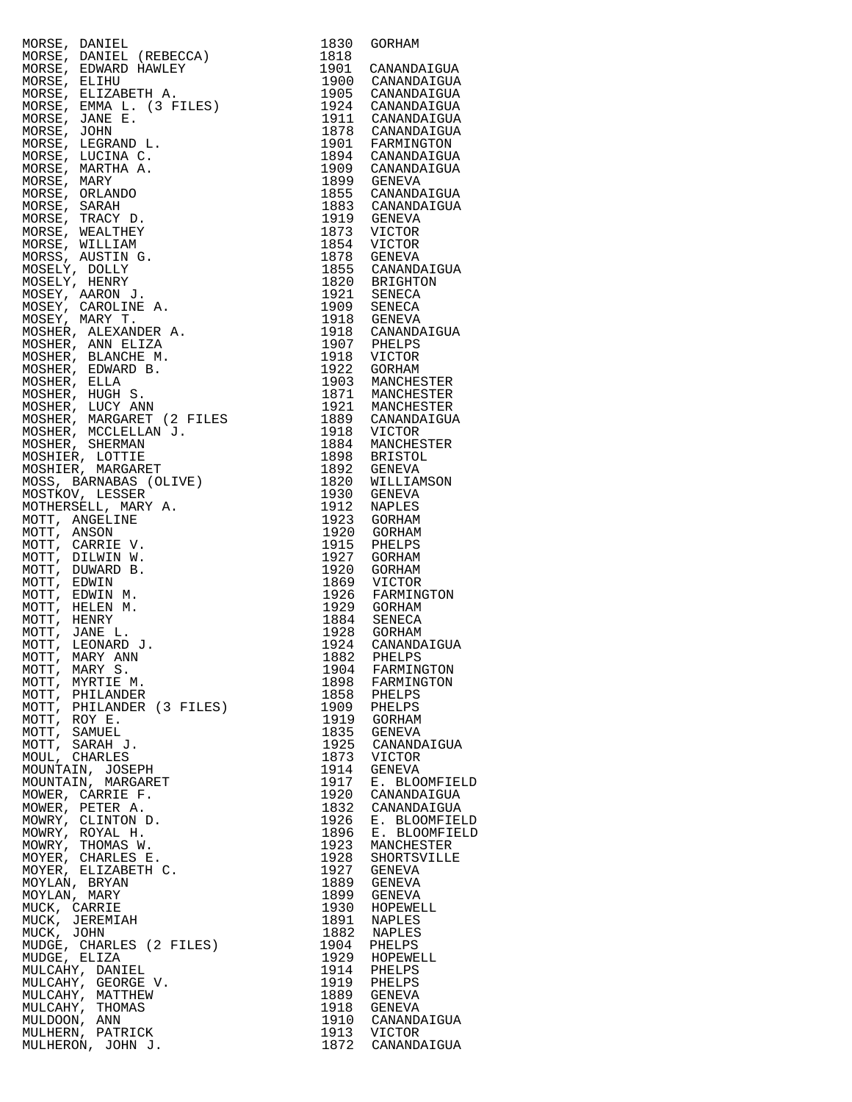| 'A)<br>LES)<br>MORSE, DANIEL                                | 1830         | GORHAM                                     |
|-------------------------------------------------------------|--------------|--------------------------------------------|
| MORSE, DANIEL (REBECCA)                                     | 1818         |                                            |
| MORSE, EDWARD HAWLEY<br>MORSE, ELIHU                        |              | 1901 CANANDAIGUA<br>1900 CANANDAIGUA       |
| MORSE, ELIZABETH A.                                         |              | 1905 CANANDAIGUA                           |
| MORSE, EMMA L. (3 FILES)                                    |              |                                            |
| MORSE, JANE E.                                              |              | 1924 CANANDAIGUA<br>1911 CANANDAIGUA       |
| MORSE, JOHN                                                 |              | 1878 CANANDAIGUA                           |
| MORSE, LEGRAND L.                                           |              | 1901 FARMINGTON                            |
| MORSE, LUCINA C.                                            |              | 1894 CANANDAIGUA<br>1909 CANANDAIGUA       |
| MORSE, MARTHA A.<br>MORSE, MARY                             |              | 1899 GENEVA                                |
| MORSE, ORLANDO                                              |              | 1855 CANANDAIGUA                           |
| MORSE, SARAH                                                |              | 1883 CANANDAIGUA                           |
| MORSE, TRACY D.                                             |              | 1919 GENEVA                                |
| MORSE, WEALTHEY                                             | 1873         | VICTOR                                     |
| MORSE, WILLIAM<br>MORSS, AUSTIN G.                          | 1854         | VICTOR                                     |
| MOSELY, DOLLY                                               |              | 1878 GENEVA<br>1855 CANANDAIGUA            |
| MOSELY, HENRY                                               |              |                                            |
| MOSEY, AARON J.                                             |              | 1820 BRIGHTON<br>1921 SENECA               |
| MOSEY, CAROLINE A.                                          |              | 1909 SENECA<br>1918 GENEVA                 |
| MOSEY, MARY T.<br>MOSHER, ALEXANDER A.                      |              |                                            |
| MOSHER, ANN ELIZA                                           |              | 1918 CANANDAIGUA<br>1907 PHELPS            |
| MOSHER, BLANCHE M.                                          |              | 1918 VICTOR                                |
| MOSHER, EDWARD B.                                           |              | 1922 GORHAM                                |
| MOSHER, ELLA                                                |              | 1903 MANCHESTER                            |
| MOSHER, HUGH S.                                             |              | 1871 MANCHESTER                            |
| MOSHER, LUCY ANN                                            |              | 1921 MANCHESTER<br>1889 CANANDAIGUA        |
| MOSHER, MARGARET (2 FILES<br>MOSHER, MCCLELLAN J.           |              | 1918 VICTOR                                |
| MOSHER, SHERMAN                                             | 1884         | MANCHESTER                                 |
| MOSHIER, LOTTIE                                             |              |                                            |
| MOSHIER, MARGARET                                           |              | 1898 BRISTOL<br>1892 GENEVA                |
| MOSS, BARNABAS (OLIVE)                                      |              | 1820 WILLIAMSON                            |
| MOSTKOV, LESSER<br>MOTHERSELL, MARY A.                      | 1930<br>1912 | GENEVA<br>NAPLES                           |
| MOTT, ANGELINE                                              |              | 1923 GORHAM                                |
| MOTT, ANSON                                                 | 1920         | GORHAM                                     |
| MOTT, CARRIE V.                                             | 1915         | PHELPS                                     |
| MOTT, DILWIN W.                                             | 1927         | GORHAM                                     |
| 2 FILES<br>J.<br>IVE)<br><br>MOTT, DUWARD B.<br>MOTT, EDWIN | 1920         | GORHAM                                     |
| MOTT, EDWIN M.                                              |              | 1869 VICTOR<br>1926 FARMINGTON             |
| MOTT, HELEN M.                                              |              | 1929 GORHAM<br>1884 SENECA                 |
| MOTT, HENRY                                                 |              |                                            |
| MOTT, JANE L.<br>MOTT, LEONARD J.                           |              | 1928 GORHAM<br>1924 CANANDA<br>CANANDAIGUA |
| MOTT, MARY ANN                                              | 1882         | PHELPS                                     |
| MOTT, MARY S.                                               | 1904         | FARMINGTON                                 |
| MOTT, MYRTIE M.                                             | 1898         | FARMINGTON                                 |
| MOTT, PHILANDER<br>MOTT, PHILANDER (3 FILES)                | 1858<br>1909 | PHELPS<br>PHELPS                           |
| MOTT, ROY E.                                                | 1919         | GORHAM                                     |
| MOTT, SAMUEL                                                | 1835         | GENEVA                                     |
| MOTT, SARAH J.                                              | 1925         | CANANDAIGUA                                |
| MOUL, CHARLES                                               | 1873         | VICTOR                                     |
| MOUNTAIN, JOSEPH<br>MOUNTAIN, MARGARET                      | 1914<br>1917 | GENEVA                                     |
| MOWER, CARRIE F.                                            | 1920         | E. BLOOMFIELD<br>CANANDAIGUA               |
| MOWER, PETER A.                                             | 1832         | CANANDAIGUA                                |
| MOWRY, CLINTON D.                                           | 1926         | E. BLOOMFIELD                              |
| MOWRY, ROYAL H.                                             | 1896         | E. BLOOMFIELD                              |
| MOWRY, THOMAS W.<br>MOYER, CHARLES E.                       | 1923<br>1928 | MANCHESTER<br>SHORTSVILLE                  |
| MOYER, ELIZABETH C.                                         | 1927         | GENEVA                                     |
| MOYLAN, BRYAN                                               | 1889         | GENEVA                                     |
| MOYLAN, MARY                                                | 1899         | GENEVA                                     |
| MUCK, CARRIE                                                | 1930<br>1891 | HOPEWELL<br>NAPLES                         |
| MUCK, JEREMIAH<br>MUCK, JOHN                                | 1882         | NAPLES                                     |
| MUDGE, CHARLES (2 FILES)                                    | 1904         | PHELPS                                     |
| MUDGE, ELIZA                                                | 1929         | HOPEWELL                                   |
| MULCAHY, DANIEL                                             | 1914         | PHELPS                                     |
| MULCAHY, GEORGE V.<br>MULCAHY, MATTHEW                      | 1919<br>1889 | PHELPS<br>GENEVA                           |
| MULCAHY, THOMAS                                             | 1918         | GENEVA                                     |
| MULDOON, ANN                                                | 1910         | CANANDAIGUA                                |
| MULHERN, PATRICK                                            |              | 1913 VICTOR                                |
| MULHERON, JOHN J.                                           |              | 1872 CANANDAIGUA                           |

| 1830         | GORHAM                         |
|--------------|--------------------------------|
| 1818<br>1901 | CANANDAIGUA                    |
| 1900         | CANANDAIGUA                    |
| 1905         | CANANDAIGUA                    |
| 1924         | CANANDAIGUA                    |
| 1911<br>1878 | CANANDAIGUA<br>CANANDAIGUA     |
| 1901         | FARMINGTON                     |
| 1894         | CANANDAIGUA                    |
| 1909         | CANANDAIGUA                    |
| 1899         | <b>GENEVA</b>                  |
| 1855         | CANANDAIGUA                    |
| 1883         | CANANDAIGUA                    |
| 1919<br>1873 | <b>GENEVA</b><br>VICTOR        |
| 1854         | VICTOR                         |
| 1878         | <b>GENEVA</b>                  |
| 1855         | CANANDAIGUA                    |
| 1820         | <b>BRIGHTON</b>                |
| 1921         | <b>SENECA</b>                  |
| 1909<br>1918 | SENECA<br><b>GENEVA</b>        |
| 1918         | CANANDAIGUA                    |
| 1907         | PHELPS                         |
| 1918         | VICTOR                         |
| 1922         | <b>GORHAM</b>                  |
| 1903         | MANCHESTER                     |
| 1871<br>1921 | MANCHESTER<br>MANCHESTER       |
| 1889         | CANANDAIGUA                    |
| 1918         | VICTOR                         |
| 1884         | MANCHESTER                     |
| 1898         | <b>BRISTOL</b>                 |
| 1892         | <b>GENEVA</b>                  |
| 1820<br>1930 | WILLIAMSON<br><b>GENEVA</b>    |
| 1912         | <b>NAPLES</b>                  |
| 1923         | GORHAM                         |
| 1920         | GORHAM                         |
| 1915         | PHELPS                         |
| 1927         | <b>GORHAM</b>                  |
| 1920<br>1869 | <b>GORHAM</b><br>VICTOR        |
| 1926         | FARMINGTON                     |
| 1929         | GORHAM                         |
| 1884         | <b>SENECA</b>                  |
| 1928         | <b>GORHAM</b>                  |
| 1924         | CANANDAIGUA                    |
| 1882<br>1904 | PHELPS<br>FARMINGTON           |
| 1898         | FARMINGTON                     |
| 1858         | PHELPS                         |
| 1909         | PHELPS                         |
| 1919         | <b>GORHAM</b>                  |
| 1835         | <b>GENEVA</b>                  |
| 1925<br>1873 | CANANDAIGUA<br>VICTOR          |
| 1914         | <b>GENEVA</b>                  |
| 1917         | E. BLOOMFIELD                  |
| 1920         | CANANDAIGUA                    |
| 1832         | CANANDAIGUA                    |
| 1926         | E. BLOOMFIELD                  |
| 1896<br>1923 | E. BLOOMFIELD<br>MANCHESTER    |
| 1928         | SHORTSVILLE                    |
| 1927         | <b>GENEVA</b>                  |
| 1889         | <b>GENEVA</b>                  |
| 1899         | <b>GENEVA</b>                  |
| 1930         | HOPEWELL                       |
| 1891<br>1882 | <b>NAPLES</b><br><b>NAPLES</b> |
| 1904         | PHELPS                         |
| 1929         | HOPEWELL                       |
| 1914         | PHELPS                         |
| 1919         | PHELPS                         |
| 1889         | <b>GENEVA</b>                  |
| 1918<br>1910 | <b>GENEVA</b><br>CANANDAIGUA   |
| 1913         | VICTOR                         |
| 1872         | CANANDAIGUA                    |
|              |                                |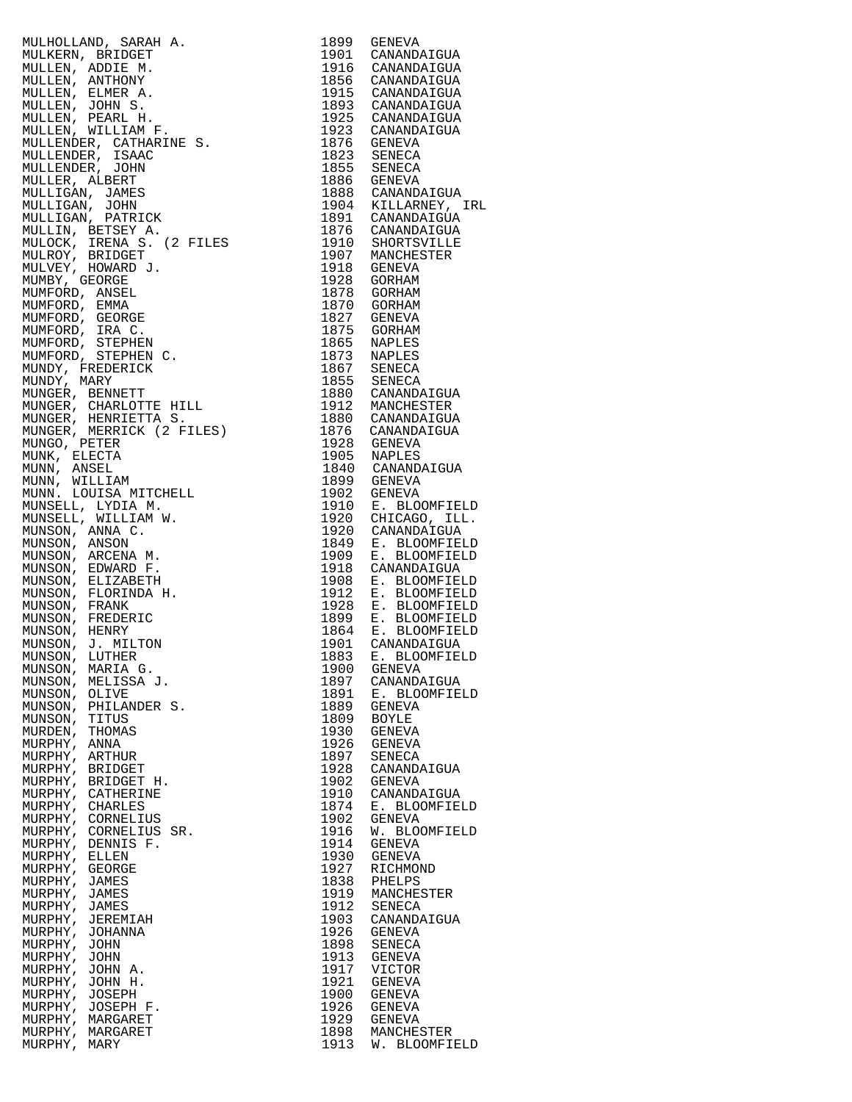MULHOLLAND, SARAH A. 1899 GENEVA MULKERN, BRIDGET 1901 CANANDAIGUA MULLEN, ADDIE M. 1916 CANANDAIGUA MULLEN, ANTHONY 1856 CANANDAIGUA MULLEN, ELMER A. 1915 CANANDAIGUA MULLEN, JOHN S. 1893 CANANDAIGUA MULLEN, PEARL H. 1925 CANANDAIGUA MULLEN, WILLIAM F. 1923 CANANDAIGUA MULLENDER, CATHARINE S. 1876 GENEVA MULLENDER, ISAAC 1823 SENECA MULLENDER, JOHN 1855 SENECA MULLER, ALBERT 1886 GENEVA MULLIGAN, JAMES 1888 CANANDAIGUA MULLIGAN, JOHN 1904 KILLARNEY, IRL MULLIGAN, PATRICK 1891 CANANDAIGUA MULLIN, BETSEY A. 1876 CANANDAIGUA MULOCK, IRENA S. (2 FILES 1910 SHORTSVILLE) MULROY, BRIDGET 1907 MANCHESTER MULVEY, HOWARD J. 1918 GENEVA MUMBY, GEORGE 1928 GORHAM MUMFORD, ANSEL 1878 GORHAM MUMFORD, EMMA 1870 GORHAM MUMFORD, GEORGE 1827 GENEVA MUMFORD, IRA C. 1875 GORHAM MUMFORD, STEPHEN 1865 NAPLES MUMFORD, STEPHEN C. 1873 NAPLES MUNDY, FREDERICK 1867 SENECA MUNDY, MARY 1855 SENECA MUNGER, BENNETT 1880 CANANDAIGUA MUNGER, CHARLOTTE HILL 1912 MANCHESTER MUNGER, HENRIETTA S. 1880 CANANDAIGUA MUNGER, MERRICK (2 FILES) 1876 CANANDAIGUA MUNGO, PETER 1928 GENEVA MUNK, ELECTA 1905 NAPLES MUNN, ANSEL 1840 CANANDAIGUA MUNN, WILLIAM 1899 GENEVA MUNN. LOUISA MITCHELL 1902 GENEVA MUNSELL, LYDIA M. 1910 E. BLOOMFIELD MUNSELL, WILLIAM W. 1920 CHICAGO, ILL. MUNSON, ANNA C. 1920 CANANDAIGUA MUNSON, ANSON 1849 E. BLOOMFIELD MUNSON, ARCENA M. 1909 E. BLOOMFIELD MUNSON, EDWARD F. 1918 CANANDAIGUA MUNSON, ELIZABETH 1908 E. BLOOMFIELD MUNSON, FLORINDA H. 1912 E. BLOOMFIELD MUNSON, FRANK 1928 E. BLOOMFIELD MUNSON, FREDERIC 1899 E. BLOOMFIELD MUNSON, HENRY 1864 E. BLOOMFIELD MUNSON, J. MILTON 1901 CANANDAIGUA MUNSON, LUTHER 1883 E. BLOOMFIELD MUNSON, MARIA G. 1900 GENEVA MUNSON, MELISSA J. 1897 CANANDAIGUA MUNSON, OLIVE 1891 E. BLOOMFIELD MUNSON, PHILANDER S. 1889 GENEVA MUNSON, TITUS 1809 BOYLE MURDEN, THOMAS 1930 GENEVA MURPHY, ANNA 1926 GENEVA MURPHY, ARTHUR 1897 SENECA MURPHY, BRIDGET 1928 CANANDAIGUA MURPHY, BRIDGET H. 1902 GENEVA MURPHY, CATHERINE 1910 CANANDAIGUA MURPHY, CHARLES 1874 E. BLOOMFIELD MURPHY, ANNA 1930 GENEVA<br>
MURPHY, ANNA 1926 GENEVA<br>
MURPHY, ARTHUR 1928 CANANDAIGUA<br>
MURPHY, BRIDGET 1928 CANANDAIGUA<br>
MURPHY, CATHERINE 1902 GENEVA<br>
MURPHY, CATHERINE 1974 E. BLOOMFIELD<br>
MURPHY, CORNELIUS SR. 1916 W. BLOO MURPHY, CORNELIUS SR. 1916 W. BLOOMFIELD MURPHY, DENNIS F. 1914 GENEVA MURPHY, ELLEN 1930 GENEVA MURPHY, GEORGE 1927 RICHMOND MURPHY, JAMES 1838 PHELPS MURPHY, JAMES 1919 MANCHESTER MURPHY, JAMES 1912 SENECA MURPHY, JEREMIAH 1903 CANANDAIGUA MURPHY, JEREMIAH<br>MURPHY, JOHANNA<br>MURPHY, JOHN MURPHY, JOHN 1913 GENEVA MURPHY, JOHN A. 1917 VICTOR MURPHY, JOHN H. 1921 GENEVA MURPHY, JOSEPH 1900 GENEVA MURPHY, JOSEPH F. 1926 GENEVA MURPHY, MARGARET 1929 GENEVA MURPHY, MARGARET 1898 MANCHESTER MURPHY, MARY 1913 W. BLOOMFI

1898 SENECA<br>1913 GENEVA<br>1917 VICTOR<br>1921 GENEVA<br>1906 GENEVA 1913 W. BLOOMFIELD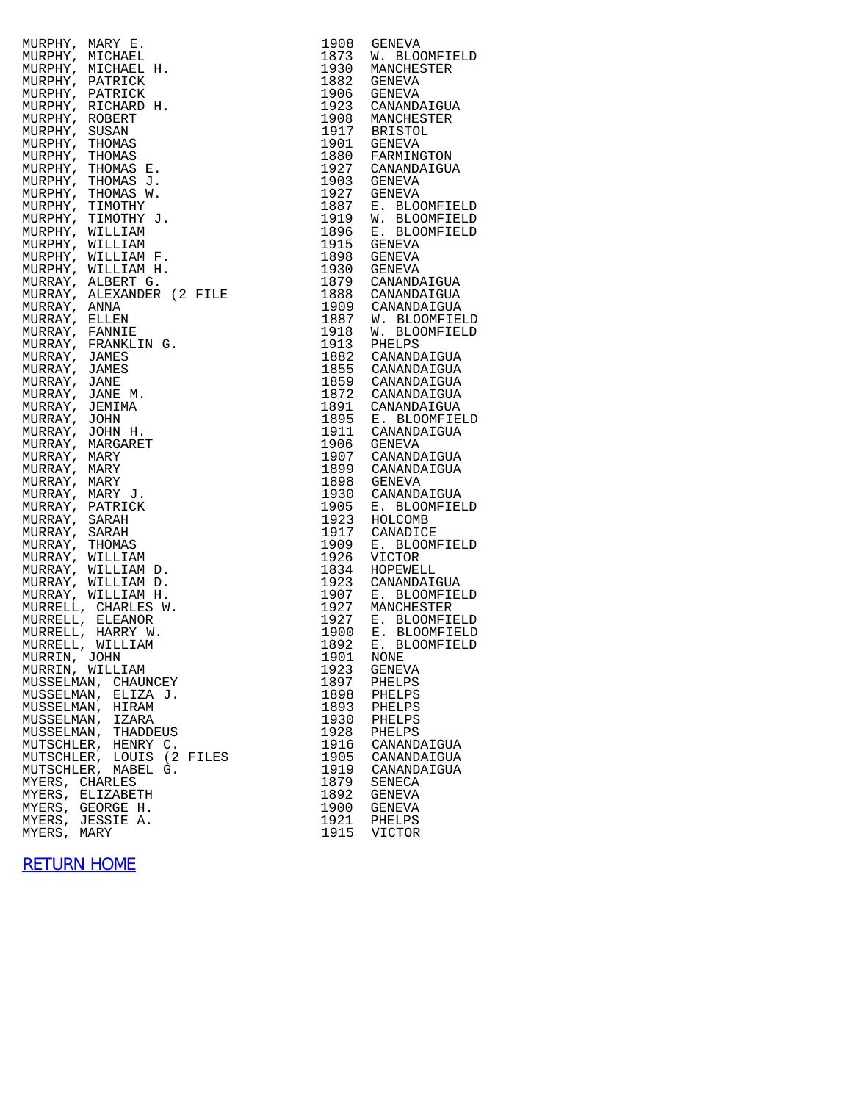| MURPHY, MARY E. |                           | 1908         | <b>GENEVA</b>                                                   |
|-----------------|---------------------------|--------------|-----------------------------------------------------------------|
|                 | MURPHY, MICHAEL           | 1873         | W. BLOOMFIELD                                                   |
|                 | MURPHY, MICHAEL H.        | 1930         | MANCHESTER                                                      |
|                 | MURPHY, PATRICK           |              | 1882 GENEVA                                                     |
|                 |                           |              |                                                                 |
|                 | MURPHY, PATRICK           |              | 1906 GENEVA                                                     |
|                 | MURPHY, RICHARD H.        |              | 1923 CANANDAIGUA                                                |
| MURPHY, ROBERT  |                           |              | 1908 MANCHESTER<br>1917 BRISTOL                                 |
| MURPHY, SUSAN   |                           |              |                                                                 |
| MURPHY, THOMAS  |                           |              | 1901 GENEVA                                                     |
| MURPHY, THOMAS  |                           |              | 1880 FARMINGTON                                                 |
|                 | MURPHY, THOMAS E.         |              | 1927 CANANDAIGUA                                                |
|                 | MURPHY, THOMAS J.         |              | 1903 GENEVA                                                     |
|                 | MURPHY, THOMAS W.         | 1927         | GENEVA                                                          |
|                 | MURPHY, TIMOTHY           | 1887         | E. BLOOMFIELD                                                   |
|                 | MURPHY, TIMOTHY J.        | 1919         | W. BLOOMFIELD                                                   |
|                 | MURPHY, WILLIAM           | 1896         | E. BLOOMFIELD                                                   |
|                 | MURPHY, WILLIAM           | 1915         | GENEVA                                                          |
|                 | MURPHY, WILLIAM F.        |              | 1898 GENEVA                                                     |
|                 |                           |              | 1930 GENEVA                                                     |
|                 | MURPHY, WILLIAM H.        |              | 1879 CANANDAIGUA                                                |
|                 | MURRAY, ALBERT G.         |              |                                                                 |
|                 | MURRAY, ALEXANDER (2 FILE |              | 1888 CANANDAIGUA                                                |
| MURRAY, ANNA    |                           |              | 1909 CANANDAIGUA                                                |
| MURRAY, ELLEN   |                           | 1887         | W. BLOOMFIELD                                                   |
| MURRAY, FANNIE  |                           | 1918         | W. BLOOMFIELD                                                   |
|                 | MURRAY, FRANKLIN G.       | 1913         | PHELPS                                                          |
| MURRAY, JAMES   |                           |              | 1882 CANANDAIGUA                                                |
| MURRAY, JAMES   |                           |              | 1855 CANANDAIGUA<br>1859 CANANDAIGUA                            |
| MURRAY, JANE    |                           |              |                                                                 |
| MURRAY, JANE M. |                           |              | 1872 CANANDAIGUA                                                |
| MURRAY, JEMIMA  |                           |              | 1891 CANANDAIGUA                                                |
| MURRAY, JOHN    |                           |              |                                                                 |
| MURRAY, JOHN H. |                           |              | 1895 E. BLOOMFIELD<br>1911 CANANDAIGUA                          |
|                 | MURRAY, MARGARET          | 1906         | GENEVA                                                          |
| MURRAY, MARY    |                           |              | 1907 CANANDAIGUA                                                |
| MURRAY, MARY    |                           |              | 1899 CANANDAIGUA                                                |
| MURRAY, MARY    |                           |              | 1898 GENEVA                                                     |
| MURRAY, MARY J. |                           | 1930         | CANANDAIGUA                                                     |
|                 | MURRAY, PATRICK           |              | 1905 E. BLOOM<br>1923 HOLCOMB<br>1917 CANADICE<br>E. BLOOMFIELD |
| MURRAY, SARAH   |                           |              |                                                                 |
| MURRAY, SARAH   |                           |              |                                                                 |
| MURRAY, THOMAS  |                           | 1909         | E. BLOOMFIELD                                                   |
|                 | MURRAY, WILLIAM           | 1926         | <b>VICTOR</b>                                                   |
|                 | MURRAY, WILLIAM D.        | 1834         | HOPEWELL                                                        |
|                 |                           |              |                                                                 |
|                 | MURRAY, WILLIAM D.        | 1923         | CANANDAIGUA                                                     |
|                 | MURRAY, WILLIAM H.        | 1907<br>1927 | E. BLOOMFIELD                                                   |
|                 | MURRELL, CHARLES W.       |              | MANCHESTER                                                      |
|                 | MURRELL, ELEANOR          |              | 1927 E. BLOOMFIELD<br>1900 E. BLOOMFIELD                        |
|                 | MURRELL, HARRY W.         |              |                                                                 |
|                 | MURRELL, WILLIAM          | 1892         | E. BLOOMFIELD                                                   |
| MURRIN, JOHN    |                           |              | 1901 NONE                                                       |
|                 | MURRIN, WILLIAM           | 1923         | <b>GENEVA</b>                                                   |
|                 | MUSSELMAN, CHAUNCEY       | 1897         | PHELPS                                                          |
|                 | MUSSELMAN, ELIZA J.       | 1898         | PHELPS                                                          |
|                 | MUSSELMAN, HIRAM          | 1893         | PHELPS                                                          |
|                 | MUSSELMAN, IZARA          | 1930         | PHELPS                                                          |
|                 | MUSSELMAN, THADDEUS       | 1928         | PHELPS                                                          |
|                 | MUTSCHLER, HENRY C.       | 1916         | CANANDAIGUA                                                     |
|                 | MUTSCHLER, LOUIS (2 FILES | 1905         | CANANDAIGUA                                                     |
|                 | MUTSCHLER, MABEL G.       | 1919         | CANANDAIGUA                                                     |
| MYERS, CHARLES  |                           | 1879         | SENECA                                                          |
|                 | MYERS, ELIZABETH          | 1892         | <b>GENEVA</b>                                                   |
|                 | MYERS, GEORGE H.          | 1900         | GENEVA                                                          |
|                 | MYERS, JESSIE A.          | 1921         | PHELPS                                                          |
| MYERS, MARY     |                           | 1915         | <b>VICTOR</b>                                                   |

| 1908<br>1873<br>1930<br>1882<br>1906<br>1923<br>1908<br>1917<br>1901<br>1880<br>1927<br>1903<br>1927<br>1887<br>1919<br>1896<br>1915<br>1898 | GENEVA<br>W. BLOOMFIELD<br>MANCHESTER<br>GENEVA<br>GENEVA<br>CANANDAIGUA<br>MANCHESTER<br><b>BRISTOL</b><br>GENEVA<br>FARMINGTON<br>CANANDAIGUA<br>GENEVA<br>GENEVA<br>E. BLOOMFIELD<br>W. BLOOMFIELD<br>E. BLOOMFIELD<br>GENEVA<br>GENEVA |
|----------------------------------------------------------------------------------------------------------------------------------------------|--------------------------------------------------------------------------------------------------------------------------------------------------------------------------------------------------------------------------------------------|
| 1930<br>1879                                                                                                                                 | GENEVA<br>CANANDAIGUA                                                                                                                                                                                                                      |
| 1888<br>1909                                                                                                                                 | CANANDAIGUA                                                                                                                                                                                                                                |
| 1887                                                                                                                                         | CANANDAIGUA<br>W. BLOOMFIELD                                                                                                                                                                                                               |
| 1918<br>1913                                                                                                                                 | W.<br><b>BLOOMFIELD</b><br>PHELPS                                                                                                                                                                                                          |
| 1882                                                                                                                                         | CANANDAIGUA                                                                                                                                                                                                                                |
| 1855                                                                                                                                         | CANANDAIGUA                                                                                                                                                                                                                                |
| 1859<br>1872                                                                                                                                 | CANANDAIGUA<br>CANANDAIGUA                                                                                                                                                                                                                 |
| 1891                                                                                                                                         | CANANDAIGUA                                                                                                                                                                                                                                |
| 1895<br>1911                                                                                                                                 | E. BLOOMFIELD<br>CANANDAIGUA                                                                                                                                                                                                               |
| 1906                                                                                                                                         | GENEVA                                                                                                                                                                                                                                     |
| 1907                                                                                                                                         | CANANDAIGUA                                                                                                                                                                                                                                |
| 1899<br>1898                                                                                                                                 | CANANDAIGUA<br>GENEVA                                                                                                                                                                                                                      |
| 1930                                                                                                                                         | CANANDAIGUA                                                                                                                                                                                                                                |
| 1905<br>1923                                                                                                                                 | E. BLOOMFIELD<br>HOLCOMB                                                                                                                                                                                                                   |
| 1917                                                                                                                                         | CANADICE                                                                                                                                                                                                                                   |
| 1909                                                                                                                                         | <b>BLOOMFIELD</b><br>Е.                                                                                                                                                                                                                    |
| 1926<br>1834                                                                                                                                 | <b>VICTOR</b><br>HOPEWELL                                                                                                                                                                                                                  |
| 1923                                                                                                                                         | CANANDAIGUA                                                                                                                                                                                                                                |
| 1907<br>1927                                                                                                                                 | E. BLOOMFIELD<br>MANCHESTER                                                                                                                                                                                                                |
| 1927                                                                                                                                         | E. BLOOMFIELD<br>E. BLOOMFIELD                                                                                                                                                                                                             |
| 1900                                                                                                                                         | E. BLOOMFIELD                                                                                                                                                                                                                              |
| 1892<br>1901                                                                                                                                 | NONE                                                                                                                                                                                                                                       |
| 1923                                                                                                                                         | GENEVA                                                                                                                                                                                                                                     |
| 1897<br>1898                                                                                                                                 | PHELPS<br>PHELPS                                                                                                                                                                                                                           |
| 1893                                                                                                                                         | PHELPS                                                                                                                                                                                                                                     |
| 1930<br>1928                                                                                                                                 | PHELPS                                                                                                                                                                                                                                     |
| 1916                                                                                                                                         | PHELPS<br>CANANDAIGUA                                                                                                                                                                                                                      |
| 1905                                                                                                                                         | CANANDAIGUA                                                                                                                                                                                                                                |
| 1919<br>1879                                                                                                                                 | CANANDAIGUA<br>SENECA                                                                                                                                                                                                                      |
| 1892                                                                                                                                         | GENEVA                                                                                                                                                                                                                                     |
| 1900<br>1921                                                                                                                                 | GENEVA<br>PHELPS                                                                                                                                                                                                                           |
| 1915                                                                                                                                         | VICTOR                                                                                                                                                                                                                                     |

## [RETURN HOME](http://raims.com/home.html)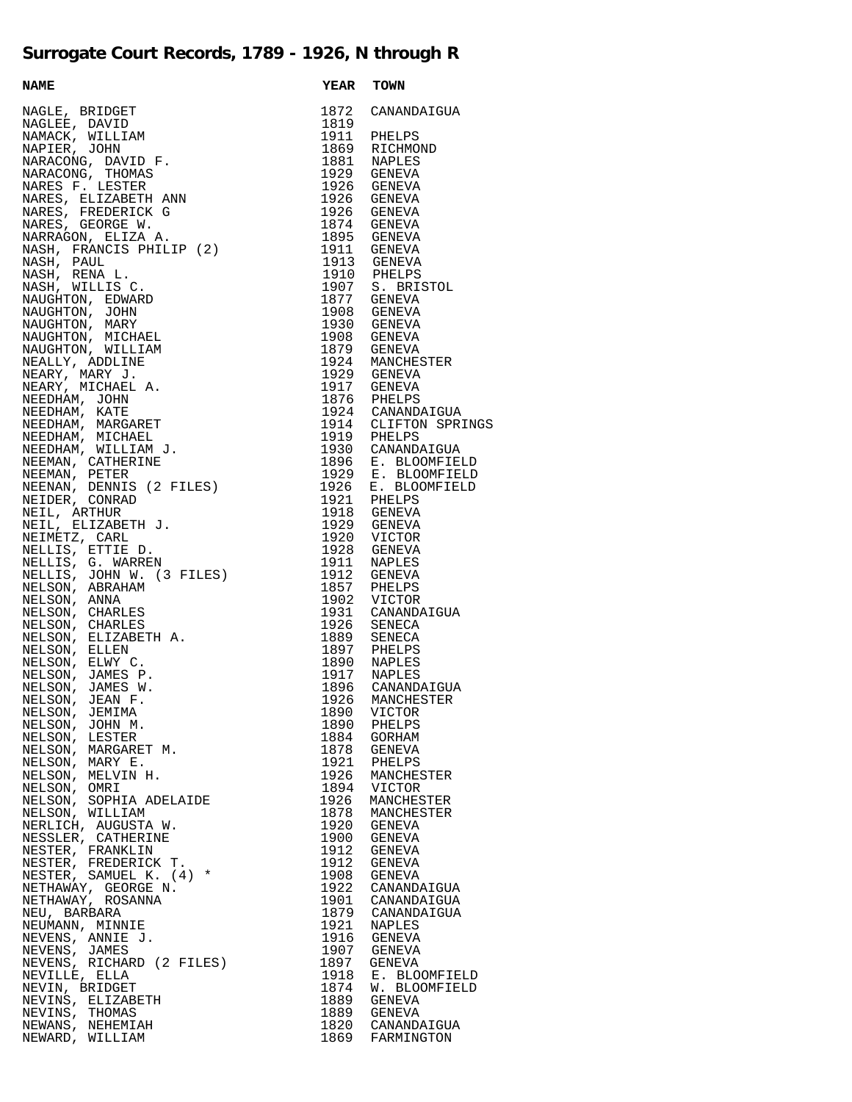## **Surrogate Court Records, 1789 - 1926, N through R**

**NAME YEAR** TOWN NAGLE, BRIDGET NAGLEE, DAVID 1819 NAMACK, WILLIAM 1911 PHELPS NAPIER, JOHN NARACONG, DAVID F. 1881 NAPLES NARACONG, THOMAS 1929 GENEVA NARES F. LESTER 1926 GENEVA NARES, ELIZABETH ANN 1926 GENEVA NARES, FREDERICK G 1926 GENEVA NARES, GEORGE W. NARRAGON, ELIZA A. NASH, FRANCIS PHILIP (2) 1911 GENEVA NASH, PAUL 1913 GENEVA NASH, RENA L. 1910 PHELPS NASH, WILLIS C. 1907 S. BRISTOL NAUGHTON, EDWARD NAUGHTON, JOHN NAUGHTON, MARY 1930 GENEVA NAUGHTON, MICHAEL 1908 GENEVA NAUGHTON, WILLIAM 1879 GENEVA NEALLY, ADDLINE NEARY, MARY J. 1929 GENEVA NEARY, MICHAEL A. 1917 GENEVA NEEDHAM, JOHN NEEDHAM, KATE 1924 CANANDAIGUA NEEDHAM, MARGARET 1914 CLIFTON SPRINGS NEEDHAM, MICHAEL NEEDHAM, WILLIAM J. NEEMAN, CATHERINE 1896 E. BLOOMFIELD NEEMAN, PETER 1929 E. BLOOMFIELD NEENAN, DENNIS (2 FILES) NEIDER, CONRAD NEIL, ARTHUR NEIL, ELIZABETH J. NEIMETZ, CARL 1920 VICTOR NELLIS, ETTIE D. 1928 GENEVA NELLIS, G. WARREN 1911 NAPLES NELLIS, JOHN W. (3 FILES) 1912 GENEVA NELSON, ABRAHAM 1857 PHELPS NELSON, ANNA 1902 VICTOR NELSON, CHARLES 1931 CANANDAIGUA NELSON, CHARLES 1926 SENECA NELSON, ELIZABETH A. 1889 SENECA NELSON, ELLEN NELSON, ELWY C. 1890 NAPLES NELSON, JAMES P. 1917 NAPLES NELSON, JAMES W. 1896 CANANDAIGUA NELSON, JEAN F. 1926 MANCHESTER NELSON, JEMIMA 1890 VICTOR NELSON, JOHN M. 1890 PHELPS NELSON, LESTER NELSON, MARGARET M. 1878 GENEVA NELSON, MARY E. 1921 PHELPS NELSON, MELVIN H. NELSON, OMRI 1894 VICTOR NELSON, SOPHIA ADELAIDE 1926 MANCHESTER NELSON, WILLIAM 1878 MANCHESTER NERLICH, AUGUSTA W. 1920 GENEVA NESSLER, CATHERINE 1900 GENEVA NESTER, FRANKLIN 1912 GENEVA NESTER, FREDERICK T. NESTER, SAMUEL K.  $(4)$  \* NETHAWAY, GEORGE N. NETHAWAY, ROSANNA NEU, BARBARA NEUMANN, MINNIE NEVENS, ANNIE J. NEVENS, JAMES NEVENS, RICHARD (2 FILES) NEVILLE, ELLA NEVIN, BRIDGET NEVINS, ELIZABETH 1889 GENEVA NEVINS, THOMAS 1889 GENEVA NEWANS, NEHEMIAH 1820 CANANDAIGUA NEWARD, WILLIAM

| <b>YEAR</b>  | TOWN                           |
|--------------|--------------------------------|
| 1872         | CANANDAIGUA                    |
| 1819         |                                |
| 1911         | PHELPS                         |
| 1869         | RICHMOND                       |
| 1881<br>1929 | <b>NAPLES</b><br>GENEVA        |
| 1926         | GENEVA                         |
| 1926         | GENEVA                         |
| 1926         | GENEVA                         |
| 1874         | GENEVA                         |
| 1895<br>1911 | GENEVA<br>GENEVA               |
| 1913         | GENEVA                         |
| 1910         | PHELPS                         |
| 1907         | S. BRISTOL                     |
| 1877         | GENEVA                         |
| 1908<br>1930 | GENEVA<br>GENEVA               |
| 1908         | GENEVA                         |
| 1879         | GENEVA                         |
| 1924         | MANCHESTER                     |
| 1929         | GENEVA                         |
| 1917<br>1876 | GENEVA<br>PHELPS               |
| 1924         | CANANDAIGUA                    |
| 1914         | CLIFTON SPRINGS                |
| 1919         | PHELPS                         |
| 1930<br>1896 | CANANDAIGUA                    |
| 1929         | E. BLOOMFIELD                  |
| 1926         | E. BLOOMFIELD<br>E. BLOOMFIELD |
| 1921         | PHELPS                         |
| 1918         | GENEVA                         |
| 1929<br>1920 | GENEVA<br>VICTOR               |
| 1928         | GENEVA                         |
| 1911         | NAPLES                         |
| 1912         | GENEVA                         |
| 1857<br>1902 | PHELPS                         |
| 1931         | VICTOR<br>CANANDAIGUA          |
| 1926         | SENECA                         |
| 1889         | <b>SENECA</b>                  |
| 1897<br>1890 | PHELPS                         |
| 1917         | <b>NAPLES</b><br>NAPLES        |
| 1896         | CANANDAIGUA                    |
| 1926         | MANCHESTER                     |
| 1890         | VICTOR                         |
| 1890<br>1884 | PHELPS<br>GORHAM               |
| 1878         | <b>GENEVA</b>                  |
| 1921         | PHELPS                         |
| 1926         | MANCHESTER                     |
| 1894<br>1926 | <b>VICTOR</b><br>MANCHESTER    |
| 1878         | MANCHESTER                     |
| 1920         | GENEVA                         |
| 1900         | GENEVA                         |
| 1912<br>1912 | GENEVA                         |
| 1908         | GENEVA<br>GENEVA               |
| 1922         | CANANDAIGUA                    |
| 1901         | CANANDAIGUA                    |
| 1879         | CANANDAIGUA                    |
| 1921<br>1916 | <b>NAPLES</b><br><b>GENEVA</b> |
| 1907         | GENEVA                         |
| 1897         | GENEVA                         |
| 1918         | BLOOMFIELD<br>Ε.               |
| 1874<br>1889 | W. BLOOMFIELD<br>GENEVA        |
| 1889         | GENEVA                         |
| 1820         | CANANDAIGUA                    |
| 1869         | FARMINGTON                     |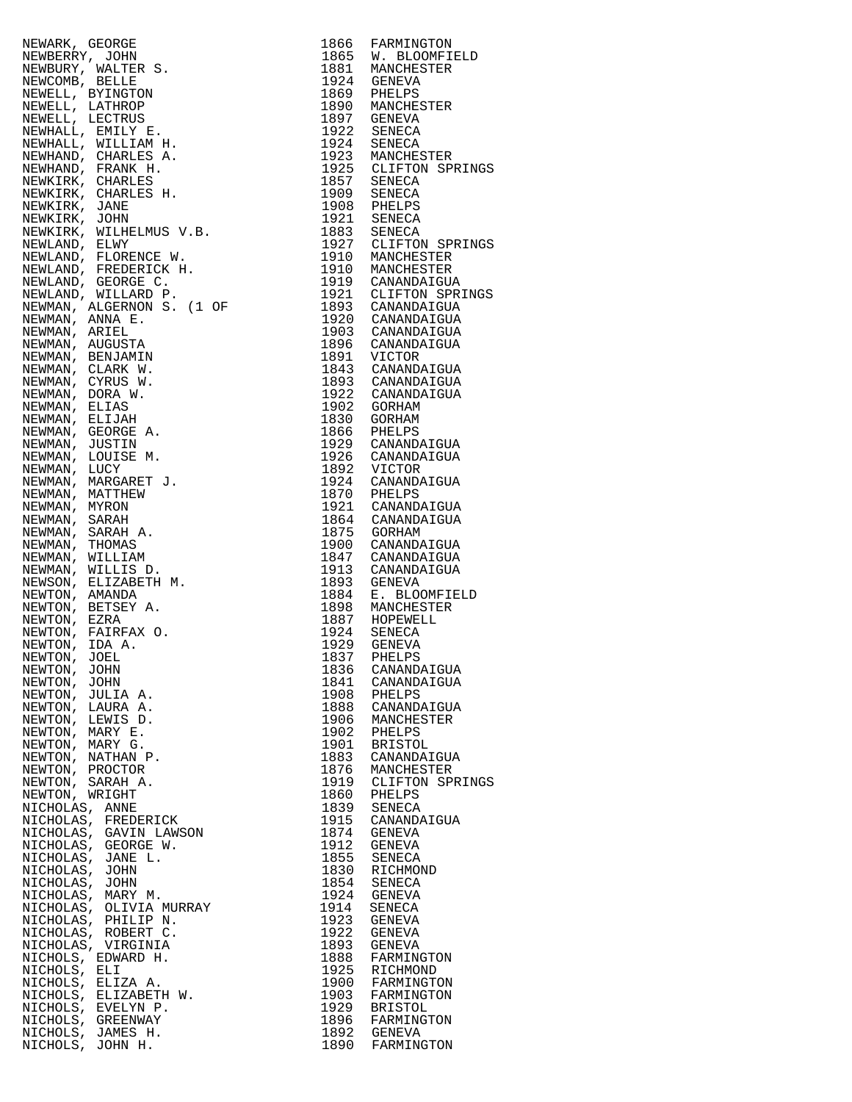|                                                                                                                                                                                                                                                                          |      | 1865 W. BLOOMFIELD                          |
|--------------------------------------------------------------------------------------------------------------------------------------------------------------------------------------------------------------------------------------------------------------------------|------|---------------------------------------------|
|                                                                                                                                                                                                                                                                          |      |                                             |
|                                                                                                                                                                                                                                                                          |      |                                             |
|                                                                                                                                                                                                                                                                          |      |                                             |
|                                                                                                                                                                                                                                                                          |      |                                             |
|                                                                                                                                                                                                                                                                          |      |                                             |
|                                                                                                                                                                                                                                                                          |      |                                             |
|                                                                                                                                                                                                                                                                          |      |                                             |
|                                                                                                                                                                                                                                                                          |      |                                             |
|                                                                                                                                                                                                                                                                          |      |                                             |
|                                                                                                                                                                                                                                                                          |      |                                             |
|                                                                                                                                                                                                                                                                          |      | 1925 CLIFTON SPRINGS                        |
|                                                                                                                                                                                                                                                                          |      |                                             |
|                                                                                                                                                                                                                                                                          |      |                                             |
|                                                                                                                                                                                                                                                                          |      |                                             |
|                                                                                                                                                                                                                                                                          |      |                                             |
|                                                                                                                                                                                                                                                                          |      |                                             |
|                                                                                                                                                                                                                                                                          |      |                                             |
|                                                                                                                                                                                                                                                                          |      | 1927 CLIFTON SPRINGS                        |
|                                                                                                                                                                                                                                                                          |      |                                             |
|                                                                                                                                                                                                                                                                          |      |                                             |
|                                                                                                                                                                                                                                                                          |      |                                             |
|                                                                                                                                                                                                                                                                          |      |                                             |
|                                                                                                                                                                                                                                                                          |      | 1921 CLIFTON SPRINGS                        |
|                                                                                                                                                                                                                                                                          |      |                                             |
|                                                                                                                                                                                                                                                                          |      |                                             |
|                                                                                                                                                                                                                                                                          |      | 1920 CANANDAIGUA                            |
|                                                                                                                                                                                                                                                                          |      | 1903 CANANDAIGUA                            |
|                                                                                                                                                                                                                                                                          |      | 1896 CANANDAIGUA                            |
|                                                                                                                                                                                                                                                                          |      |                                             |
|                                                                                                                                                                                                                                                                          |      | 1891 VICTOR<br>1843 CANANDAIGUA             |
|                                                                                                                                                                                                                                                                          |      |                                             |
|                                                                                                                                                                                                                                                                          |      | 1893 CANANDAIGUA                            |
|                                                                                                                                                                                                                                                                          |      | 1922 CANANDAIGUA                            |
|                                                                                                                                                                                                                                                                          |      |                                             |
|                                                                                                                                                                                                                                                                          |      | 1902 GORHAM                                 |
|                                                                                                                                                                                                                                                                          | 1830 | GORHAM                                      |
|                                                                                                                                                                                                                                                                          |      | 1866 PHELPS                                 |
|                                                                                                                                                                                                                                                                          |      |                                             |
|                                                                                                                                                                                                                                                                          |      | 1929 CANANDAIGUA                            |
|                                                                                                                                                                                                                                                                          |      | 1926 CANANDAIGUA                            |
|                                                                                                                                                                                                                                                                          |      | 1892 VICTOR                                 |
|                                                                                                                                                                                                                                                                          |      | 1924 CANANDAIGUA                            |
|                                                                                                                                                                                                                                                                          |      |                                             |
|                                                                                                                                                                                                                                                                          | 1870 | PHELPS                                      |
|                                                                                                                                                                                                                                                                          |      | 1921 CANANDAIGUA                            |
|                                                                                                                                                                                                                                                                          |      | 1864 CANANDAIGUA                            |
|                                                                                                                                                                                                                                                                          |      | 1875 GORHAM                                 |
|                                                                                                                                                                                                                                                                          |      |                                             |
|                                                                                                                                                                                                                                                                          | 1900 | CANANDAIGUA                                 |
|                                                                                                                                                                                                                                                                          |      | 1847 CANANDAIGUA                            |
|                                                                                                                                                                                                                                                                          | 1913 | CANANDAIGUA                                 |
|                                                                                                                                                                                                                                                                          | 1893 |                                             |
|                                                                                                                                                                                                                                                                          |      | GENEVA                                      |
|                                                                                                                                                                                                                                                                          | 1884 | E. BLOOMFIELD                               |
|                                                                                                                                                                                                                                                                          |      | 1898 MANCHESTER                             |
|                                                                                                                                                                                                                                                                          |      |                                             |
|                                                                                                                                                                                                                                                                          |      |                                             |
|                                                                                                                                                                                                                                                                          |      |                                             |
| NEWLAND, WILLIARD P.<br>NEWMAN, ALGERNON S. (1 OF<br>NEWMAN, ALGERNON S. (1 OF<br>NEWMAN, ARIEL<br>NEWMAN, ARIEL<br>NEWMAN, AUGUSTA<br>NEWMAN, CLARK W.<br>NEWMAN, CLARK W.<br>NEWMAN, CLARK W.<br>NEWMAN, CLARK W.<br>NEWMAN, SEORGE A.<br>NEWMAN, JUCT<br>NEWMAN       |      | 1887 HOPEWELL<br>1924 SENECA<br>1929 GENEVA |
| 1837 PHELPS                                                                                                                                                                                                                                                              |      |                                             |
|                                                                                                                                                                                                                                                                          | 1836 | CANANDAIGUA                                 |
|                                                                                                                                                                                                                                                                          | 1841 |                                             |
|                                                                                                                                                                                                                                                                          |      | CANANDAIGUA                                 |
|                                                                                                                                                                                                                                                                          | 1908 | PHELPS                                      |
|                                                                                                                                                                                                                                                                          | 1888 | CANANDAIGUA                                 |
|                                                                                                                                                                                                                                                                          | 1906 | MANCHESTER                                  |
|                                                                                                                                                                                                                                                                          | 1902 |                                             |
|                                                                                                                                                                                                                                                                          |      | PHELPS                                      |
|                                                                                                                                                                                                                                                                          | 1901 | <b>BRISTOL</b>                              |
|                                                                                                                                                                                                                                                                          | 1883 | CANANDAIGUA                                 |
|                                                                                                                                                                                                                                                                          | 1876 | MANCHESTER                                  |
|                                                                                                                                                                                                                                                                          |      |                                             |
|                                                                                                                                                                                                                                                                          | 1919 | CLIFTON SPRINGS                             |
|                                                                                                                                                                                                                                                                          | 1860 | PHELPS                                      |
|                                                                                                                                                                                                                                                                          | 1839 | SENECA                                      |
|                                                                                                                                                                                                                                                                          | 1915 | CANANDAIGUA                                 |
|                                                                                                                                                                                                                                                                          |      |                                             |
|                                                                                                                                                                                                                                                                          | 1874 | GENEVA                                      |
|                                                                                                                                                                                                                                                                          | 1912 | GENEVA                                      |
|                                                                                                                                                                                                                                                                          | 1855 | SENECA                                      |
|                                                                                                                                                                                                                                                                          | 1830 | RICHMOND                                    |
|                                                                                                                                                                                                                                                                          |      |                                             |
|                                                                                                                                                                                                                                                                          | 1854 | SENECA                                      |
|                                                                                                                                                                                                                                                                          | 1924 | GENEVA                                      |
|                                                                                                                                                                                                                                                                          | 1914 | SENECA                                      |
|                                                                                                                                                                                                                                                                          | 1923 | GENEVA                                      |
|                                                                                                                                                                                                                                                                          |      |                                             |
|                                                                                                                                                                                                                                                                          | 1922 | GENEVA                                      |
|                                                                                                                                                                                                                                                                          | 1893 | GENEVA                                      |
|                                                                                                                                                                                                                                                                          | 1888 | FARMINGTON                                  |
|                                                                                                                                                                                                                                                                          |      |                                             |
|                                                                                                                                                                                                                                                                          | 1925 | RICHMOND                                    |
|                                                                                                                                                                                                                                                                          | 1900 | FARMINGTON                                  |
|                                                                                                                                                                                                                                                                          | 1903 | FARMINGTON                                  |
|                                                                                                                                                                                                                                                                          | 1929 | BRISTOL                                     |
|                                                                                                                                                                                                                                                                          |      |                                             |
|                                                                                                                                                                                                                                                                          | 1896 | FARMINGTON                                  |
| NEWTON, JDA A.<br>MEWTON, JOEL<br>NEWTON, JOEL<br>NEWTON, JOEN<br>NEWTON, JOHN<br>NEWTON, JOHN<br>NEWTON, LAURA A.<br>NEWTON, MARY E.<br>NEWTON, MARY E.<br>NEWTON, MARY E.<br>NEWTON, MARY E.<br>NEWTON, NARY G.<br>NEWTON, SARAH A.<br>NEWTON, SARAH A.<br>NEWTON, SAR | 1892 | GENEVA                                      |
| NICHOLS, JOHN H.                                                                                                                                                                                                                                                         |      | 1890 FARMINGTON                             |

| 1866         | FARMINGTON                     |
|--------------|--------------------------------|
| 1865         | W. BLOOMFIELD                  |
| 1881<br>1924 | MANCHESTER<br>GENEVA           |
| 1869         | PHELPS                         |
| 1890         | MANCHESTER                     |
| 1897         | GENEVA                         |
| 1922         | SENECA                         |
| 1924<br>1923 | SENECA<br>MANCHESTER           |
| 1925         | CLIFTON SPRINGS                |
| 1857         | SENECA                         |
| 1909         | SENECA                         |
| 1908<br>1921 | PHELPS<br>SENECA               |
| 1883         | SENECA                         |
| 1927         | CLIFTON SPRINGS                |
| 1910         | MANCHESTER                     |
| 1910         | MANCHESTER                     |
| 1919<br>1921 | CANANDAIGUA<br>CLIFTON SPRINGS |
| 1893         | CANANDAIGUA                    |
| 1920         | CANANDAIGUA                    |
| 1903         | CANANDAIGUA                    |
| 1896<br>1891 | CANANDAIGUA                    |
| 1843         | VICTOR<br>CANANDAIGUA          |
| 1893         | CANANDAIGUA                    |
| 1922         | CANANDAIGUA                    |
| 1902         | GORHAM                         |
| 1830<br>1866 | GORHAM<br>PHELPS               |
| 1929         | CANANDAIGUA                    |
| 1926         | CANANDAIGUA                    |
| 1892         | VICTOR                         |
| 1924         | CANANDAIGUA                    |
| 1870<br>1921 | PHELPS<br>CANANDAIGUA          |
| 1864         | CANANDAIGUA                    |
| 1875         | GORHAM                         |
| 1900         | CANANDAIGUA                    |
| 1847<br>1913 | CANANDAIGUA<br>CANANDAIGUA     |
| 1893         | GENEVA                         |
| 1884         | E. BLOOMFIELD                  |
| 1898         | MANCHESTER                     |
| 1887         | HOPEWELL                       |
| 1924<br>1929 | SENECA<br>GENEVA               |
| 1837         | PHELPS                         |
| 1836         | CANANDAIGUA                    |
| 1841         | CANANDAIGUA                    |
| 1908<br>1888 | PHELPS<br>CANANDAIGUA          |
| 1906         | MANCHESTER                     |
| 1902         | PHELPS                         |
| 1901         | <b>BRISTOL</b>                 |
| 1883<br>1876 | CANANDAIGUA<br>MANCHESTER      |
| 1919         | CLIFTON SPRINGS                |
| 1860         | PHELPS                         |
| 1839         | SENECA                         |
| 1915         | CANANDAIGUA                    |
| 1874<br>1912 | GENEVA<br>GENEVA               |
| 1855         | SENECA                         |
| 1830         | RICHMOND                       |
| 1854         | <b>SENECA</b>                  |
| 1924         | GENEVA                         |
| 1914<br>1923 | SENECA<br>GENEVA               |
| 1922         | GENEVA                         |
| 1893         | <b>GENEVA</b>                  |
| 1888         | FARMINGTON                     |
| 1925<br>1900 | RICHMOND<br>FARMINGTON         |
| 1903         | FARMINGTON                     |
| 1929         | <b>BRISTOL</b>                 |
| 1896         | FARMINGTON                     |
| 1892<br>1890 | GENEVA<br>FARMINGTON           |
|              |                                |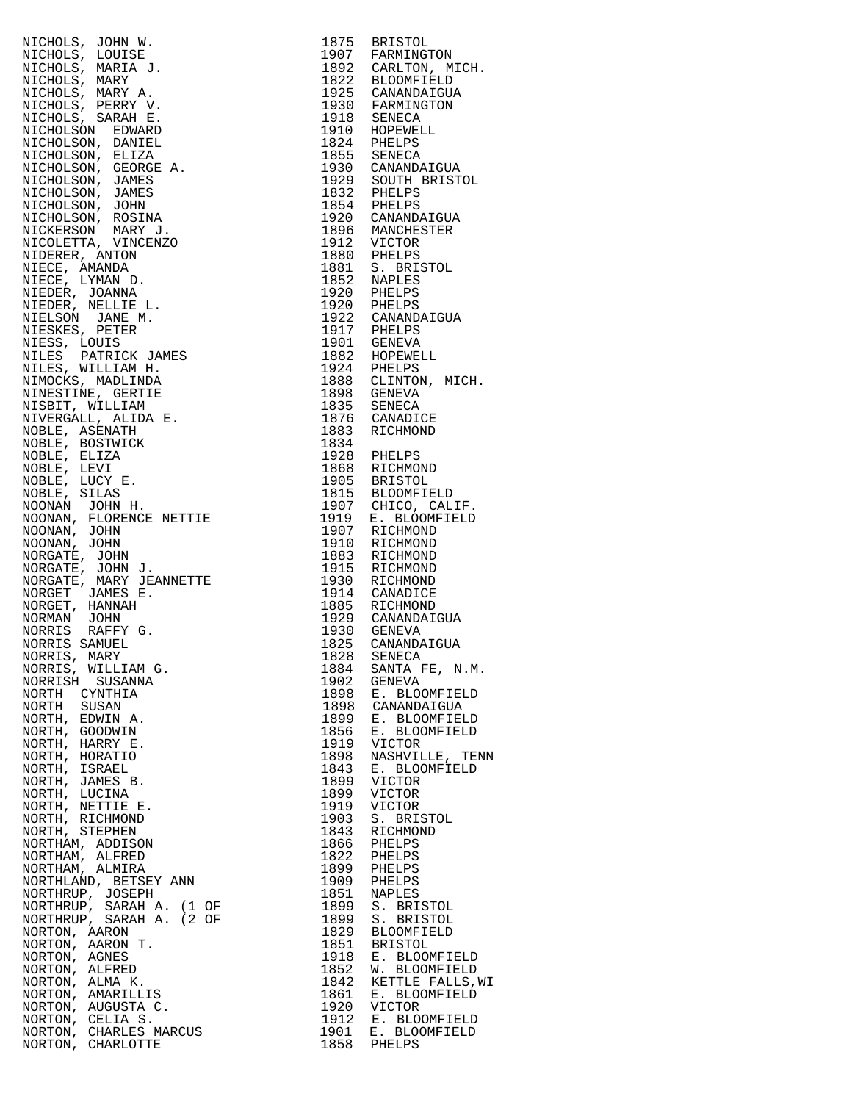|                                           |              | <b>BRISTOL</b>                                                         |
|-------------------------------------------|--------------|------------------------------------------------------------------------|
|                                           |              | 1907 FARMINGTON                                                        |
|                                           |              | 1892 CARLTON, MICH.                                                    |
|                                           |              | 1822 BLOOMFIELD<br>1925 CANANDAIGUA                                    |
|                                           |              |                                                                        |
|                                           |              |                                                                        |
|                                           |              | 1930 FARMINGTON<br>1918 SENECA<br>1910 HOPEWELL                        |
|                                           |              | 1824 PHELPS                                                            |
|                                           |              | 1855 SENECA                                                            |
|                                           |              | 1930 CANANDAIGUA                                                       |
|                                           |              | 1929 SOUTH BRISTOL                                                     |
|                                           |              | 1832 PHELPS<br>1854 PHELPS                                             |
|                                           |              |                                                                        |
|                                           |              | 1920 CANANDAIGUA<br>1896 MANCHESTER                                    |
|                                           |              |                                                                        |
|                                           |              |                                                                        |
|                                           |              | 1912 VICTOR<br>1880 PHELPS<br>1881 S. BRISTOL<br>1852 NAPLES           |
|                                           |              |                                                                        |
|                                           |              | 1920 PHELPS<br>1920 PHELPS                                             |
|                                           |              | 1922 CANANDAIGUA                                                       |
|                                           |              |                                                                        |
|                                           |              | 1917 PHELPS<br>1917 PHELPS<br>1901 GENEVA                              |
|                                           |              |                                                                        |
|                                           |              | 1882 HOPEWELL<br>1924 PHELPS<br>1888 CLINTON, MICH.                    |
|                                           |              |                                                                        |
|                                           |              | 1898 GENEVA                                                            |
|                                           |              | 1835 SENECA                                                            |
|                                           |              | 1876 CANADICE                                                          |
|                                           |              | 1883 RICHMOND                                                          |
|                                           |              | 1928 PHELPS                                                            |
|                                           |              |                                                                        |
|                                           |              |                                                                        |
|                                           |              | 1868 RICHMOND<br>1905 BRISTOL<br>1815 BLOOMFIELD<br>1907 CHICO, CALIF. |
|                                           |              |                                                                        |
|                                           |              | 1919 E. BLOOMFIELD                                                     |
|                                           |              | 1907 RICHMOND                                                          |
|                                           |              | RICHMOND<br>1883 RICHMOND                                              |
|                                           |              | 1915 RICHMOND                                                          |
|                                           |              | 1930 RICHMOND                                                          |
|                                           |              | 1914 CANADICE                                                          |
|                                           |              | 1885 RICHMOND                                                          |
|                                           |              | 1929 CANANDAIGUA                                                       |
|                                           |              | 1930 GENEVA                                                            |
|                                           |              | CANANDAIGUA                                                            |
| NORRIS, MARY<br>NORRIS, WILLIAM G.        | 1884         | 1828 SENECA<br>SANTA FE, N.M.                                          |
| NORRISH SUSANNA                           | 1902         | GENEVA                                                                 |
| NORTH CYNTHIA                             | 1898         | E. BLOOMFIELD                                                          |
| NORTH SUSAN                               | 1898         | CANANDAIGUA                                                            |
| NORTH, EDWIN A.                           | 1899         | E. BLOOMFIELD                                                          |
| NORTH, GOODWIN                            | 1856         | E. BLOOMFIELD                                                          |
| NORTH, HARRY E.                           | 1919         | VICTOR                                                                 |
| NORTH, HORATIO<br>NORTH, ISRAEL           | 1898<br>1843 | NASHVILLE, TENN<br>E. BLOOMFIELD                                       |
| NORTH, JAMES B.                           | 1899         | VICTOR                                                                 |
| NORTH, LUCINA                             | 1899         | VICTOR                                                                 |
| NORTH, NETTIE E.                          | 1919         | VICTOR                                                                 |
| NORTH, RICHMOND                           | 1903         | S. BRISTOL                                                             |
| NORTH, STEPHEN                            | 1843         | RICHMOND                                                               |
| NORTHAM, ADDISON                          | 1866         | PHELPS                                                                 |
| NORTHAM, ALFRED                           | 1822         | PHELPS                                                                 |
| NORTHAM, ALMIRA                           | 1899         | PHELPS                                                                 |
| NORTHLAND, BETSEY ANN<br>NORTHRUP, JOSEPH | 1909<br>1851 | PHELPS<br><b>NAPLES</b>                                                |
| NORTHRUP, SARAH A. (1 OF                  | 1899         | S. BRISTOL                                                             |
| NORTHRUP, SARAH A. (2 OF                  | 1899         | S. BRISTOL                                                             |
| NORTON, AARON                             | 1829         | BLOOMFIELD                                                             |
| NORTON, AARON T.                          | 1851         | <b>BRISTOL</b>                                                         |
| NORTON, AGNES                             | 1918         | E. BLOOMFIELD                                                          |
| NORTON, ALFRED                            | 1852         | W. BLOOMFIELD                                                          |
| NORTON, ALMA K.<br>NORTON, AMARILLIS      | 1842<br>1861 | KETTLE FALLS, WI<br>E. BLOOMFIELD                                      |
| NORTON, AUGUSTA C.                        | 1920         | VICTOR                                                                 |
| NORTON, CELIA S.                          | 1912         | E. BLOOMFIELD                                                          |
| NORTON, CHARLES MARCUS                    | 1901         | E. BLOOMFIELD                                                          |
| NORTON, CHARLOTTE                         | 1858         | PHELPS                                                                 |

| 1875         | <b>BRISTOL</b>                                                                          |
|--------------|-----------------------------------------------------------------------------------------|
| 1907<br>1892 | FARMINGTON                                                                              |
|              | CARLTON, MICH.<br><b>BLOOMFIELD</b>                                                     |
| 1822<br>1925 | CANANDAIGUA                                                                             |
| 1930         | FARMINGTON                                                                              |
| 1918         | <b>SENECA</b>                                                                           |
| 1910         | HOPEWELL                                                                                |
| 1824         | PHELPS                                                                                  |
| 1855         | SENECA                                                                                  |
| 1930<br>1929 | CANANDAIGUA<br>SOUTH BRISTOL                                                            |
| 1832         | PHELPS                                                                                  |
| 1854         | PHELPS                                                                                  |
| 1920         | CANANDAIGUA                                                                             |
| 1896         | MANCHESTER                                                                              |
| 1912<br>1880 | VICTOR<br>PHELPS                                                                        |
| 1881         | S. BRISTOL                                                                              |
| 1852         | NAPLES                                                                                  |
| 1920         | PHELPS                                                                                  |
| 1920<br>1922 | PHELPS                                                                                  |
|              | CANANDAIGUA                                                                             |
| 1917<br>1901 | PHELPS                                                                                  |
| 1882         | <b>GENEVA</b><br>HOPEWELL                                                               |
| 1924         | PHELPS                                                                                  |
| 1888         | CLINTON, MICH.                                                                          |
| 1898         | GENEVA                                                                                  |
| 1835<br>1876 | <b>SENECA</b>                                                                           |
|              | CANADICE                                                                                |
| 1883<br>1834 | RICHMOND                                                                                |
| 1928         | PHELPS                                                                                  |
| 1868         | RICHMOND                                                                                |
| 1905         | <b>BRISTOL</b>                                                                          |
| 1815         | <b>BLOOMFIELD</b>                                                                       |
| 1907         | CHICO, CALIF.                                                                           |
| 1919<br>1907 | E. BLOOMFIELD<br>RICHMOND                                                               |
| 1910         | RICHMOND                                                                                |
| 1883         | RICHMOND                                                                                |
| 1915         | RICHMOND                                                                                |
| 1930         | RICHMOND                                                                                |
| 1914         | CANADICE                                                                                |
| 1885<br>1929 | RICHMOND                                                                                |
| 1930         | CANANDAIGUA<br>GENEVA                                                                   |
| 1825         | CANANDAIGUA                                                                             |
| 1828         | SENECA                                                                                  |
| 1884         | SANTA FE, N.M.                                                                          |
| 1902<br>1898 | <b>GENEVA</b>                                                                           |
| 1898         | E. BLOOMFIELD<br>CANANDAIGUA                                                            |
| 1899         | E. BLOOMFIELD                                                                           |
| 1856         | E. BLOOMFIELD                                                                           |
| 1919         | <b>VICTOR</b>                                                                           |
| 1898         | NASHVILLE, TENN                                                                         |
| 1843         | E. BLOOMFIELD                                                                           |
| 1899<br>1899 | VICTOR<br>VICTOR                                                                        |
| 1919         |                                                                                         |
| 1903         | VICTOR<br>S. BRISTOL                                                                    |
|              | 1983 RICHMOND<br>1866 PHELPS<br>1822 PHELPS<br>1899 PHELPS                              |
|              |                                                                                         |
|              |                                                                                         |
|              | 1909 PHELPS                                                                             |
| 1851         | <b>NAPLES</b>                                                                           |
|              | 1899 S. BRISTOL                                                                         |
| 1899         | S. BRISTOL                                                                              |
|              | 1829 BLOOMFIELD<br>1851 BRISTOL<br>1918 E. BLOOMFIELD                                   |
|              |                                                                                         |
|              |                                                                                         |
|              |                                                                                         |
|              | 1777<br>1852 W. BLOOMFIELD<br>1842 KETTLE FALLS,WI<br>1861 E. BLOOMFIELD<br>1861 TIATOR |
|              |                                                                                         |
|              | 1991 E. ELOOMFIELD<br>1912 E. BLOOMFIELD<br>1901 E. BLOOMFIELD                          |
|              |                                                                                         |
|              | 1858 PHELPS                                                                             |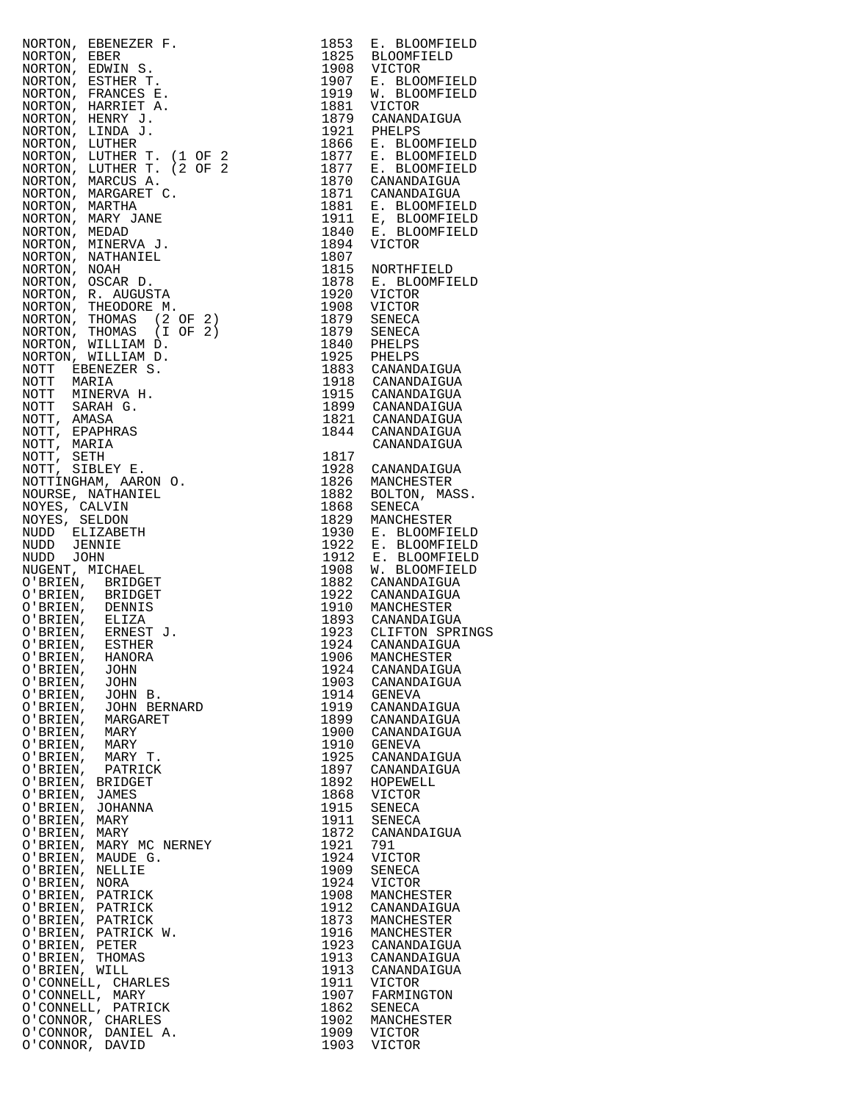| O'BRIEN,<br>JOHN                                                                                                                                                                                                                                                       | 1924 | CANANDAIGUA   |
|------------------------------------------------------------------------------------------------------------------------------------------------------------------------------------------------------------------------------------------------------------------------|------|---------------|
|                                                                                                                                                                                                                                                                        |      |               |
| O'BRIEN,<br>JOHN                                                                                                                                                                                                                                                       | 1903 | CANANDAIGUA   |
| NORTON, ERENEZER F. 1853 E. ELOOPFIELD<br>NORTON, ERENEZER F. 19708 E. ELOOPFIELD<br>NORTON, ESPAINE S. 1970<br>NORTON, ERREST T. 1970 S. BLOOMFIELD<br>NORTON, ERREST T. 1970 S. BLOOMFIELD<br>NORTON, ERREST T. 1971 S. BLOOMFIELD<br>NORTON,<br>O'BRIEN,<br>JOHN B. | 1914 | GENEVA        |
| O'BRIEN, JOHN BERNARD                                                                                                                                                                                                                                                  | 1919 | CANANDAIGUA   |
|                                                                                                                                                                                                                                                                        |      |               |
| O'BRIEN,<br>MARGARET                                                                                                                                                                                                                                                   | 1899 | CANANDAIGUA   |
| O'BRIEN, MARY                                                                                                                                                                                                                                                          | 1900 | CANANDAIGUA   |
| O'BRIEN,<br>MARY                                                                                                                                                                                                                                                       | 1910 | GENEVA        |
|                                                                                                                                                                                                                                                                        | 1925 | CANANDAIGUA   |
| O'BRIEN, MARY T.                                                                                                                                                                                                                                                       |      |               |
| O'BRIEN,<br>PATRICK                                                                                                                                                                                                                                                    | 1897 | CANANDAIGUA   |
| O'BRIEN, BRIDGET                                                                                                                                                                                                                                                       | 1892 | HOPEWELL      |
| O'BRIEN,<br>JAMES                                                                                                                                                                                                                                                      | 1868 | VICTOR        |
|                                                                                                                                                                                                                                                                        |      |               |
| O'BRIEN,<br><b>JOHANNA</b>                                                                                                                                                                                                                                             | 1915 | SENECA        |
| O'BRIEN,<br>MARY                                                                                                                                                                                                                                                       | 1911 | SENECA        |
| O'BRIEN, MARY                                                                                                                                                                                                                                                          | 1872 | CANANDAIGUA   |
|                                                                                                                                                                                                                                                                        |      |               |
| O'BRIEN, MARY MC NERNEY                                                                                                                                                                                                                                                | 1921 | 791           |
| O'BRIEN, MAUDE G.                                                                                                                                                                                                                                                      | 1924 | <b>VICTOR</b> |
|                                                                                                                                                                                                                                                                        | 1909 |               |
| O'BRIEN, NELLIE                                                                                                                                                                                                                                                        |      | SENECA        |
| O'BRIEN, NORA                                                                                                                                                                                                                                                          | 1924 | VICTOR        |
| O'BRIEN, PATRICK                                                                                                                                                                                                                                                       | 1908 | MANCHESTER    |
|                                                                                                                                                                                                                                                                        | 1912 | CANANDAIGUA   |
| O'BRIEN, PATRICK                                                                                                                                                                                                                                                       |      |               |
| O'BRIEN, PATRICK                                                                                                                                                                                                                                                       | 1873 | MANCHESTER    |
| O'BRIEN, PATRICK W.                                                                                                                                                                                                                                                    | 1916 | MANCHESTER    |
|                                                                                                                                                                                                                                                                        |      |               |
|                                                                                                                                                                                                                                                                        | 1923 | CANANDAIGUA   |
|                                                                                                                                                                                                                                                                        | 1913 | CANANDAIGUA   |
|                                                                                                                                                                                                                                                                        | 1913 | CANANDAIGUA   |
|                                                                                                                                                                                                                                                                        | 1911 |               |
| O'BRIEN, PETER<br>O'BRIEN, THOMAS<br>O'BRIEN, WILL<br>O'CONNELL, CHARLES                                                                                                                                                                                               |      | VICTOR        |
| O'CONNELL, MARY                                                                                                                                                                                                                                                        | 1907 | FARMINGTON    |
| O'CONNELL, PATRICK                                                                                                                                                                                                                                                     | 1862 | SENECA        |
|                                                                                                                                                                                                                                                                        | 1902 | MANCHESTER    |
| O'CONNOR, CHARLES                                                                                                                                                                                                                                                      |      |               |
| O'CONNOR, DANIEL A.                                                                                                                                                                                                                                                    | 1909 | <b>VICTOR</b> |
| O'CONNOR, DAVID                                                                                                                                                                                                                                                        | 1903 | VICTOR        |

| 1853<br>1825 | E. BLOOMFIELD<br><b>BLOOMFIELD</b>           |  |
|--------------|----------------------------------------------|--|
| 1908<br>1907 | <b>VICTOR</b><br>E. BLOOMFIELD               |  |
| 1919<br>1881 | W. BLOOMFIELD<br>VICTOR                      |  |
| 1879<br>1921 | CANANDAIGUA<br>PHELPS                        |  |
| 1866<br>1877 | E. BLOOMFIELD<br><b>BLOOMFIELD</b><br>Ε.     |  |
| 1877<br>1870 | E. BLOOMFIELD<br>CANANDAIGUA                 |  |
| 1871<br>1881 | CANANDAIGUA<br>E. BLOOMFIELD                 |  |
| 1911<br>1840 | E, BLOOMFIELD<br>E. BLOOMFIELD               |  |
| 1894<br>1807 | VICTOR                                       |  |
| 1815<br>1878 | NORTHFIELD<br>E. BLOOMFIELD                  |  |
| 1920         | VICTOR                                       |  |
| 1908<br>1879 | VICTOR<br><b>SENECA</b>                      |  |
| 1879<br>1840 | SENECA<br>PHELPS                             |  |
| 1925<br>1883 | PHELPS<br>CANANDAIGUA                        |  |
| 1918<br>1915 | CANANDAIGUA<br>CANANDAIGUA                   |  |
| 1899<br>1821 | CANANDAIGUA<br>CANANDAIGUA                   |  |
| 1844         | CANANDAIGUA<br>CANANDAIGUA                   |  |
| 1817<br>1928 | CANANDAIGUA                                  |  |
| 1826<br>1882 | MANCHESTER<br>BOLTON, MASS.                  |  |
| 1868<br>1829 | SENECA<br>MANCHESTER                         |  |
| 1930<br>1922 | E. BLOOMFIELD<br>E. BLOOMFIELD               |  |
| 1912<br>1908 | E. BLOOMFIELD<br>W. BLOOMFIELD<br>BLOOMFIELD |  |
| 1882         | CANANDAIGUA                                  |  |
| 1922<br>1910 | CANANDAIGUA<br>MANCHESTER                    |  |
| 1893<br>1923 | CANANDAIGUA<br>CLIFTON SPRINGS               |  |
| 1924<br>1906 | CANANDAIGUA<br>MANCHESTER                    |  |
| 1924<br>1903 | CANANDAIGUA<br>CANANDAIGUA                   |  |
| 1914<br>1919 | GENEVA<br>CANANDAIGUA                        |  |
| 1899<br>1900 | CANANDAIGUA<br>CANANDAIGUA                   |  |
| 1910<br>1925 | <b>GENEVA</b><br>CANANDAIGUA                 |  |
| 1897<br>1892 | CANANDAIGUA<br>HOPEWELL                      |  |
| 1868<br>1915 | VICTOR<br>SENECA                             |  |
| 1911<br>1872 | SENECA<br>CANANDAIGUA                        |  |
| 1921<br>1924 | 791<br>VICTOR                                |  |
| 1909<br>1924 | SENECA<br>VICTOR                             |  |
| 1908         | MANCHESTER                                   |  |
| 1912<br>1873 | CANANDAIGUA<br>MANCHESTER                    |  |
| 1916<br>1923 | MANCHESTER<br>CANANDAIGUA                    |  |
| 1913<br>1913 | CANANDAIGUA<br>CANANDAIGUA                   |  |
| 1911<br>1907 | VICTOR<br>FARMINGTON                         |  |
| 1862<br>1902 | SENECA<br>MANCHESTER                         |  |
| 1909<br>1903 | VICTOR<br>VICTOR                             |  |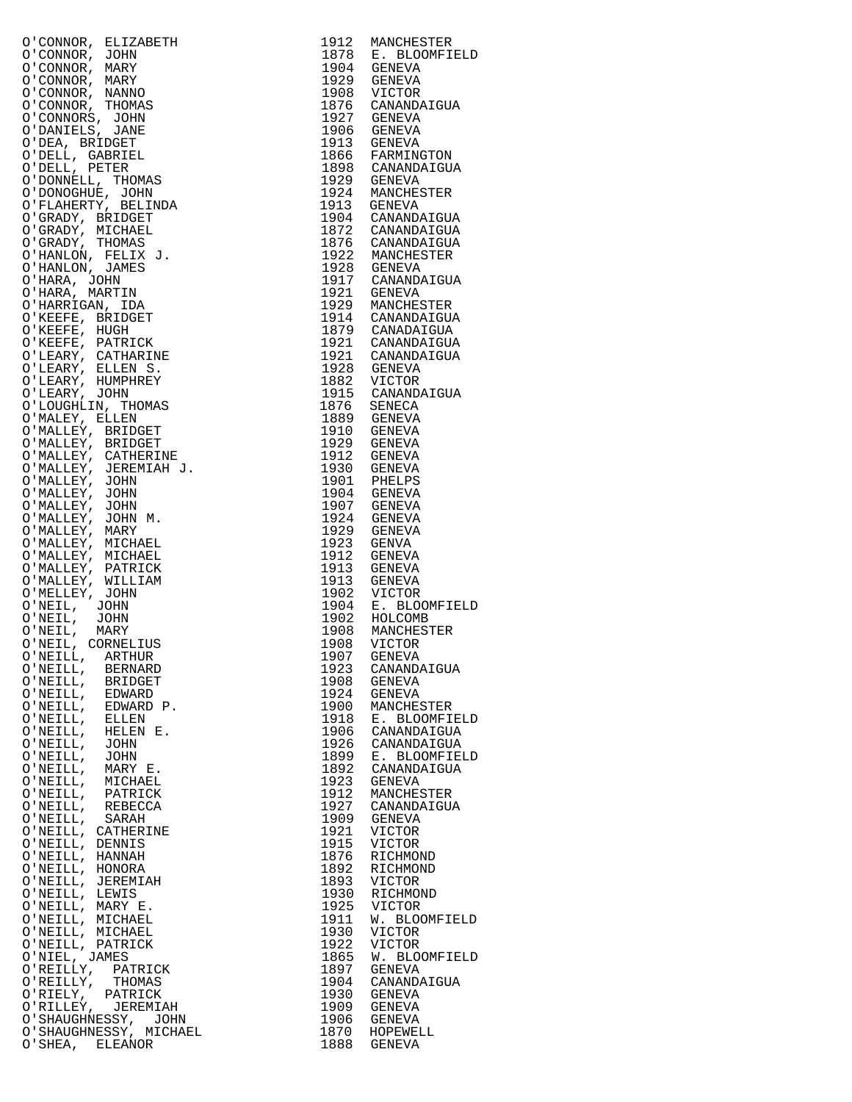| $\begin{tabular}{c c c c} \multicolumn{4}{c}{\textbf{180.5 }} \multicolumn{4}{c}{\textbf{190.5 }} \multicolumn{4}{c}{\textbf{191.5 }} \multicolumn{4}{c}{\textbf{192.5 }} \multicolumn{4}{c}{\textbf{193.5 }} \multicolumn{4}{c}{\textbf{194.5 }} \multicolumn{4}{c}{\textbf{195.5 }} \multicolumn{4}{c}{\textbf{196.5 }} \multicolumn{4}{c}{\textbf{197.5 }} \multicolumn{4}{c}{\textbf{199.5 }} \multicolumn{4}{c}{\textbf{199$ |              |                         |
|-----------------------------------------------------------------------------------------------------------------------------------------------------------------------------------------------------------------------------------------------------------------------------------------------------------------------------------------------------------------------------------------------------------------------------------|--------------|-------------------------|
|                                                                                                                                                                                                                                                                                                                                                                                                                                   |              |                         |
|                                                                                                                                                                                                                                                                                                                                                                                                                                   |              |                         |
|                                                                                                                                                                                                                                                                                                                                                                                                                                   |              |                         |
|                                                                                                                                                                                                                                                                                                                                                                                                                                   |              |                         |
|                                                                                                                                                                                                                                                                                                                                                                                                                                   |              |                         |
|                                                                                                                                                                                                                                                                                                                                                                                                                                   |              |                         |
|                                                                                                                                                                                                                                                                                                                                                                                                                                   |              |                         |
|                                                                                                                                                                                                                                                                                                                                                                                                                                   |              |                         |
|                                                                                                                                                                                                                                                                                                                                                                                                                                   |              |                         |
|                                                                                                                                                                                                                                                                                                                                                                                                                                   |              |                         |
|                                                                                                                                                                                                                                                                                                                                                                                                                                   |              |                         |
|                                                                                                                                                                                                                                                                                                                                                                                                                                   |              |                         |
|                                                                                                                                                                                                                                                                                                                                                                                                                                   |              |                         |
|                                                                                                                                                                                                                                                                                                                                                                                                                                   |              |                         |
|                                                                                                                                                                                                                                                                                                                                                                                                                                   |              |                         |
|                                                                                                                                                                                                                                                                                                                                                                                                                                   |              |                         |
|                                                                                                                                                                                                                                                                                                                                                                                                                                   |              |                         |
|                                                                                                                                                                                                                                                                                                                                                                                                                                   |              |                         |
|                                                                                                                                                                                                                                                                                                                                                                                                                                   |              |                         |
|                                                                                                                                                                                                                                                                                                                                                                                                                                   |              |                         |
|                                                                                                                                                                                                                                                                                                                                                                                                                                   |              |                         |
|                                                                                                                                                                                                                                                                                                                                                                                                                                   |              |                         |
|                                                                                                                                                                                                                                                                                                                                                                                                                                   |              |                         |
|                                                                                                                                                                                                                                                                                                                                                                                                                                   |              |                         |
|                                                                                                                                                                                                                                                                                                                                                                                                                                   |              |                         |
|                                                                                                                                                                                                                                                                                                                                                                                                                                   |              |                         |
|                                                                                                                                                                                                                                                                                                                                                                                                                                   |              |                         |
|                                                                                                                                                                                                                                                                                                                                                                                                                                   |              |                         |
|                                                                                                                                                                                                                                                                                                                                                                                                                                   |              |                         |
|                                                                                                                                                                                                                                                                                                                                                                                                                                   |              |                         |
|                                                                                                                                                                                                                                                                                                                                                                                                                                   |              |                         |
|                                                                                                                                                                                                                                                                                                                                                                                                                                   |              |                         |
|                                                                                                                                                                                                                                                                                                                                                                                                                                   |              |                         |
|                                                                                                                                                                                                                                                                                                                                                                                                                                   |              |                         |
|                                                                                                                                                                                                                                                                                                                                                                                                                                   |              |                         |
|                                                                                                                                                                                                                                                                                                                                                                                                                                   |              |                         |
|                                                                                                                                                                                                                                                                                                                                                                                                                                   |              |                         |
|                                                                                                                                                                                                                                                                                                                                                                                                                                   |              |                         |
|                                                                                                                                                                                                                                                                                                                                                                                                                                   |              |                         |
|                                                                                                                                                                                                                                                                                                                                                                                                                                   |              |                         |
|                                                                                                                                                                                                                                                                                                                                                                                                                                   |              |                         |
|                                                                                                                                                                                                                                                                                                                                                                                                                                   |              |                         |
|                                                                                                                                                                                                                                                                                                                                                                                                                                   |              |                         |
|                                                                                                                                                                                                                                                                                                                                                                                                                                   |              |                         |
|                                                                                                                                                                                                                                                                                                                                                                                                                                   |              |                         |
|                                                                                                                                                                                                                                                                                                                                                                                                                                   |              |                         |
|                                                                                                                                                                                                                                                                                                                                                                                                                                   |              |                         |
|                                                                                                                                                                                                                                                                                                                                                                                                                                   |              |                         |
|                                                                                                                                                                                                                                                                                                                                                                                                                                   |              |                         |
|                                                                                                                                                                                                                                                                                                                                                                                                                                   |              |                         |
| O'NEILL, MICHAEL<br>O'NEILL,<br>PATRICK                                                                                                                                                                                                                                                                                                                                                                                           | 1923<br>1912 | GENEVA<br>MANCHESTER    |
| O'NEILL, REBECCA                                                                                                                                                                                                                                                                                                                                                                                                                  | 1927         | CANANDAIGUA             |
| O'NEILL,<br>SARAH                                                                                                                                                                                                                                                                                                                                                                                                                 | 1909         | GENEVA                  |
| O'NEILL,<br>CATHERINE                                                                                                                                                                                                                                                                                                                                                                                                             | 1921         | VICTOR                  |
| O'NEILL,<br>DENNIS                                                                                                                                                                                                                                                                                                                                                                                                                | 1915         | VICTOR                  |
| O'NEILL,<br>HANNAH                                                                                                                                                                                                                                                                                                                                                                                                                | 1876         | RICHMOND                |
| O'NEILL, HONORA<br>O'NEILL, JEREMIAH                                                                                                                                                                                                                                                                                                                                                                                              | 1892<br>1893 | RICHMOND<br>VICTOR      |
| O'NEILL, LEWIS                                                                                                                                                                                                                                                                                                                                                                                                                    | 1930         | RICHMOND                |
| O'NEILL, MARY E.                                                                                                                                                                                                                                                                                                                                                                                                                  | 1925         | VICTOR                  |
| O'NEILL, MICHAEL                                                                                                                                                                                                                                                                                                                                                                                                                  | 1911         | W. BLOOMFIELD           |
| O'NEILL, MICHAEL                                                                                                                                                                                                                                                                                                                                                                                                                  | 1930         | VICTOR                  |
| O'NEILL, PATRICK                                                                                                                                                                                                                                                                                                                                                                                                                  | 1922         | VICTOR                  |
| O'NIEL, JAMES<br>O'REILLY, PATRICK                                                                                                                                                                                                                                                                                                                                                                                                | 1865<br>1897 | W. BLOOMFIELD<br>GENEVA |
| O'REILLY, THOMAS                                                                                                                                                                                                                                                                                                                                                                                                                  | 1904         | CANANDAIGUA             |
| PATRICK<br>O'RIELY,                                                                                                                                                                                                                                                                                                                                                                                                               | 1930         | GENEVA                  |
| O'RILLEY, JEREMIAH                                                                                                                                                                                                                                                                                                                                                                                                                | 1909         | GENEVA                  |
| O'SHAUGHNESSY, JOHN                                                                                                                                                                                                                                                                                                                                                                                                               | 1906         | GENEVA                  |
| O'SHAUGHNESSY, MICHAEL<br>O'SHEA, ELEANOR                                                                                                                                                                                                                                                                                                                                                                                         | 1870<br>1888 | HOPEWELL<br>GENEVA      |
|                                                                                                                                                                                                                                                                                                                                                                                                                                   |              |                         |

| 1912                 | MANCHESTER                   |
|----------------------|------------------------------|
| 1878<br>1904         | E. BLOOMFIELD                |
|                      | GENEVA<br>GENEVA             |
| 1929<br>1908         | VICTOR                       |
|                      | CANANDAIGUA                  |
| 1876<br>1927         | GENEVA                       |
| 1906                 | GENEVA                       |
| 1913                 | GENEVA                       |
| 1866<br>1898         | FARMINGTON<br>CANANDAIGUA    |
| 1929                 | GENEVA                       |
| 1924                 | MANCHESTER                   |
| 1913                 | <b>GENEVA</b>                |
| 1904                 | CANANDAIGUA                  |
| 1872                 | CANANDAIGUA                  |
| 1876<br>1922<br>1928 | CANANDAIGUA                  |
|                      | MANCHESTER<br>GENEVA         |
| 1917                 | CANANDAIGUA                  |
| 1921                 | GENEVA                       |
| 1929                 | MANCHESTER                   |
| 1914                 | CANANDAIGUA                  |
| 1879<br>1921         | CANADAIGUA<br>CANANDAIGUA    |
|                      | CANANDAIGUA                  |
| 1921<br>1928         | GENEVA                       |
| 1882<br>1915         | VICTOR                       |
|                      | VICION<br>CANANDAIGUA        |
| 1876<br>1889         | SENECA                       |
| 1910                 | GENEVA<br>GENEVA             |
| 1929                 | GENEVA                       |
| 1912                 | GENEVA                       |
| 1930                 | GENEVA                       |
| 1901<br>1904         | PHELPS                       |
|                      | GENEVA                       |
| 1907<br>1924         | GENEVA<br>GENEVA             |
| 1929                 | GENEVA                       |
| 1923                 | GENVA                        |
| 1912                 | GENEVA                       |
| 1913                 | GENEVA                       |
| 1913<br>1902         | GENEVA<br>VICTOR             |
| 1904                 | E. BLOOMFIELD                |
| 1902                 | HOLCOMB                      |
| 1908                 | MANCHESTER                   |
| 1908                 | VICTOR                       |
| 1907<br>1923         | GENEVA<br>CANANDAIGUA        |
| 1908                 | GENEVA                       |
| 1924                 | GENEVA                       |
| 1900<br>1918         | MANCHESTER                   |
|                      | E. BLOOMFIELD                |
| 1906<br>1926         | CANANDAIGUA<br>CANANDAIGUA   |
|                      |                              |
| 1899<br>1892         | E. BLOOMFIELD<br>CANANDAIGUA |
| 1923                 | GENEVA                       |
| 1912                 | MANCHESTER                   |
| 1927<br>1909         | CANANDAIGUA                  |
| 1921                 | GENEVA<br>VICTOR             |
| 1915                 | VICTOR                       |
| 1876                 | RICHMOND                     |
| 1892                 | RICHMOND                     |
| 1893<br>1930         | VICTOR                       |
| 1925                 | RICHMOND                     |
| 1911                 | VICTOR<br>W. BLOOMFIELD      |
| 1930                 | VICTOR                       |
| 1922                 | VICTOR<br>W. BLOOMFIELD      |
| 1865                 |                              |
| 1897<br>1904         | GENEVA<br>CANANDAIGUA        |
| 1930                 | <b>GENEVA</b>                |
| 1909                 | GENEVA                       |
| 1906                 | GENEVA                       |
| 1870                 | HOPEWELL                     |
| 1888                 | GENEVA                       |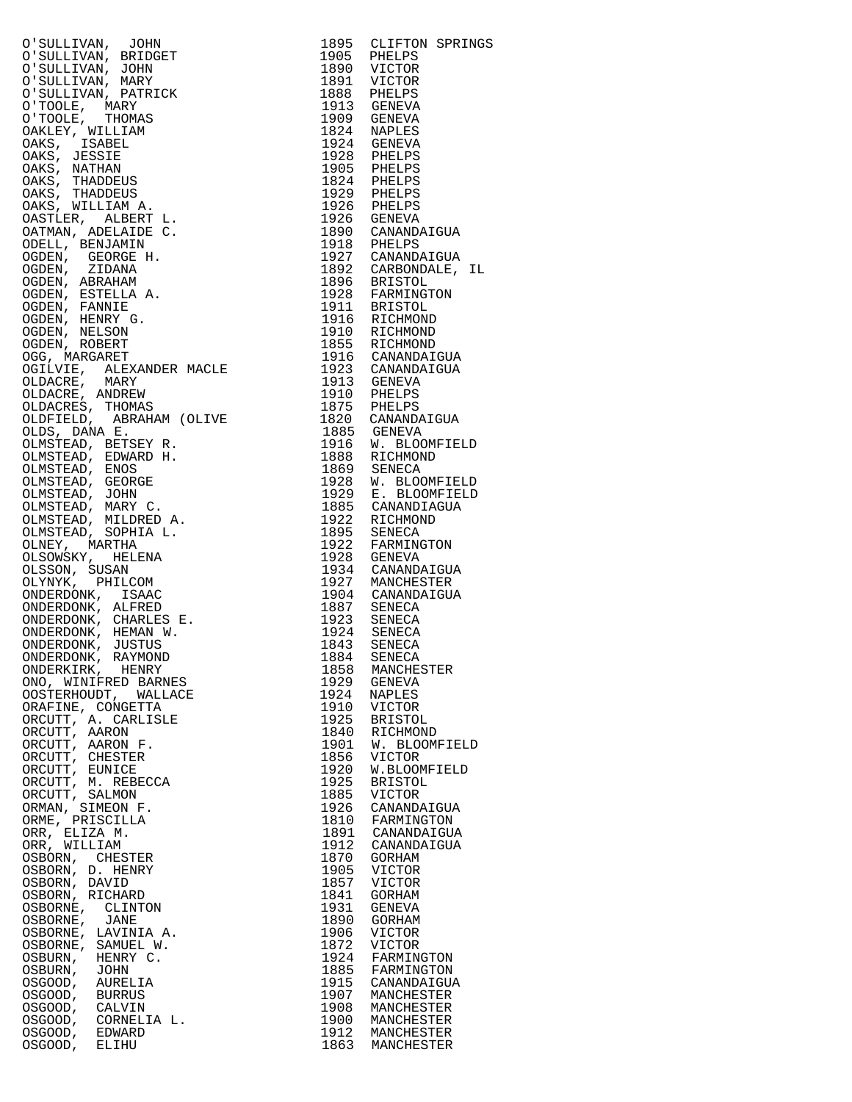| O'SULLIVAN, JOHN<br>TOHN<br>NIDGET<br>RIDGET<br>NAS<br>SARRY<br>TRICK<br>THE CARRY L.<br>SERT L.<br>DE C.<br>3<br>3<br>AANDER MACLE<br>FIR A.<br>SARNDER MACLE<br>SEY R.<br>RANDER MACLE<br>SEY R.<br>RANAS<br>RAHAM (OLIVE<br>SEY R.<br>RANAS<br>RAHAM (OLIVE<br>SEY R.<br>RAD H.<br>SCEE V.<br>C.<br>DRED A.<br>DRED A.<br>DRED A.<br>D<br>O'SULLIVAN, BRIDGET                                                                                                                                                                                                                                                              | 1895<br>1905 | CLIFTON SPRINGS                                                                                                                                                               |
|-------------------------------------------------------------------------------------------------------------------------------------------------------------------------------------------------------------------------------------------------------------------------------------------------------------------------------------------------------------------------------------------------------------------------------------------------------------------------------------------------------------------------------------------------------------------------------------------------------------------------------|--------------|-------------------------------------------------------------------------------------------------------------------------------------------------------------------------------|
| O'SULLIVAN, JOHN                                                                                                                                                                                                                                                                                                                                                                                                                                                                                                                                                                                                              |              | PHELPS                                                                                                                                                                        |
| O'SULLIVAN, MARY                                                                                                                                                                                                                                                                                                                                                                                                                                                                                                                                                                                                              |              | 1890 VICTOR<br>1891 VICTOR<br>1888 PHELPS<br>1913 GENEVA                                                                                                                      |
| O'SULLIVAN, PATRICK                                                                                                                                                                                                                                                                                                                                                                                                                                                                                                                                                                                                           |              |                                                                                                                                                                               |
| O'TOOLE, MARY                                                                                                                                                                                                                                                                                                                                                                                                                                                                                                                                                                                                                 |              |                                                                                                                                                                               |
| O'TOOLE, THOMAS                                                                                                                                                                                                                                                                                                                                                                                                                                                                                                                                                                                                               |              | 1909 GENEVA<br>1824 NAPLES                                                                                                                                                    |
| OAKLEY, WILLIAM                                                                                                                                                                                                                                                                                                                                                                                                                                                                                                                                                                                                               |              |                                                                                                                                                                               |
| OAKS, ISABEL                                                                                                                                                                                                                                                                                                                                                                                                                                                                                                                                                                                                                  |              | 1924 GENEVA                                                                                                                                                                   |
| OAKS, JESSIE                                                                                                                                                                                                                                                                                                                                                                                                                                                                                                                                                                                                                  |              | 1928 PHELPS<br>1905 PHELPS<br>1824 PHELPS                                                                                                                                     |
| OAKS, NATHAN                                                                                                                                                                                                                                                                                                                                                                                                                                                                                                                                                                                                                  |              |                                                                                                                                                                               |
| OAKS, THADDEUS                                                                                                                                                                                                                                                                                                                                                                                                                                                                                                                                                                                                                |              |                                                                                                                                                                               |
| OAKS, THADDEUS<br>OAKS, WILLIAM A.                                                                                                                                                                                                                                                                                                                                                                                                                                                                                                                                                                                            |              |                                                                                                                                                                               |
| OASTLER, ALBERT L.                                                                                                                                                                                                                                                                                                                                                                                                                                                                                                                                                                                                            |              | 1024 PHELPS<br>1926 PHELPS<br>1926 GENEVA<br>1890 CANANDAIGUA                                                                                                                 |
| OATMAN, ADELAIDE C.                                                                                                                                                                                                                                                                                                                                                                                                                                                                                                                                                                                                           |              |                                                                                                                                                                               |
| ODELL, BENJAMIN                                                                                                                                                                                                                                                                                                                                                                                                                                                                                                                                                                                                               |              |                                                                                                                                                                               |
| OGDEN, GEORGE H.                                                                                                                                                                                                                                                                                                                                                                                                                                                                                                                                                                                                              |              |                                                                                                                                                                               |
| OGDEN, ZIDANA                                                                                                                                                                                                                                                                                                                                                                                                                                                                                                                                                                                                                 |              | 1890 CANANDAIGUA<br>1918 PHELPS<br>1892 CARBONDALE, IL<br>1896 BRISTOL<br>1928 FARMINGTON<br>1911 BRISTOL<br>1916 RICHMOND<br>1916 RICHMOND<br>1916 RICHMOND<br>1916 RICHMOND |
| OGDEN, ABRAHAM                                                                                                                                                                                                                                                                                                                                                                                                                                                                                                                                                                                                                |              |                                                                                                                                                                               |
| OGDEN, ESTELLA A.                                                                                                                                                                                                                                                                                                                                                                                                                                                                                                                                                                                                             |              |                                                                                                                                                                               |
| OGDEN, FANNIE                                                                                                                                                                                                                                                                                                                                                                                                                                                                                                                                                                                                                 |              |                                                                                                                                                                               |
| OGDEN, HENRY G.<br>OGDEN, NELSON                                                                                                                                                                                                                                                                                                                                                                                                                                                                                                                                                                                              |              |                                                                                                                                                                               |
| OGDEN, ROBERT                                                                                                                                                                                                                                                                                                                                                                                                                                                                                                                                                                                                                 |              |                                                                                                                                                                               |
| OGG, MARGARET                                                                                                                                                                                                                                                                                                                                                                                                                                                                                                                                                                                                                 |              | 1855 RICHMOND<br>1916 CANANDAIGUA                                                                                                                                             |
| OGILVIE, ALEXANDER MACLE                                                                                                                                                                                                                                                                                                                                                                                                                                                                                                                                                                                                      |              | 1923 CANANDAIGUA                                                                                                                                                              |
| OLDACRE, MARY                                                                                                                                                                                                                                                                                                                                                                                                                                                                                                                                                                                                                 |              | 1913 GENEVA                                                                                                                                                                   |
| OLDACRE, ANDREW                                                                                                                                                                                                                                                                                                                                                                                                                                                                                                                                                                                                               |              |                                                                                                                                                                               |
| OLDACRES, THOMAS                                                                                                                                                                                                                                                                                                                                                                                                                                                                                                                                                                                                              |              |                                                                                                                                                                               |
| OLDFIELD, ABRAHAM (OLIVE                                                                                                                                                                                                                                                                                                                                                                                                                                                                                                                                                                                                      |              | 1910 PHELPS<br>1875 PHELPS<br>1820 CANANDAIGUA<br>1885 GENEVA                                                                                                                 |
| OLDS, DANA E.                                                                                                                                                                                                                                                                                                                                                                                                                                                                                                                                                                                                                 |              |                                                                                                                                                                               |
| OLMSTEAD, BETSEY R.                                                                                                                                                                                                                                                                                                                                                                                                                                                                                                                                                                                                           |              | 1916 W. BLOOMFIELD                                                                                                                                                            |
| OLMSTEAD, EDWARD H.<br>OLMSTEAD, ENOS                                                                                                                                                                                                                                                                                                                                                                                                                                                                                                                                                                                         |              | 1888 RICHMOND                                                                                                                                                                 |
| OLMSTEAD, GEORGE                                                                                                                                                                                                                                                                                                                                                                                                                                                                                                                                                                                                              |              | 1869 SENECA<br>1928 W. BLOOMFIELD                                                                                                                                             |
| OLMSTEAD, JOHN                                                                                                                                                                                                                                                                                                                                                                                                                                                                                                                                                                                                                |              |                                                                                                                                                                               |
| OLMSTEAD, MARY C.                                                                                                                                                                                                                                                                                                                                                                                                                                                                                                                                                                                                             |              | 1929 E. BLOOMFIELD<br>1885 CANANDIAGUA                                                                                                                                        |
| OLMSTEAD, MILDRED A.                                                                                                                                                                                                                                                                                                                                                                                                                                                                                                                                                                                                          |              | 1922 RICHMOND<br>1895 SENECA                                                                                                                                                  |
| OLMSTEAD, SOPHIA L.                                                                                                                                                                                                                                                                                                                                                                                                                                                                                                                                                                                                           |              |                                                                                                                                                                               |
| OLNEY, MARTHA                                                                                                                                                                                                                                                                                                                                                                                                                                                                                                                                                                                                                 |              | 1922 FARMINGTON<br>1928 GENEVA                                                                                                                                                |
| OLSOWSKY, HELENA                                                                                                                                                                                                                                                                                                                                                                                                                                                                                                                                                                                                              |              |                                                                                                                                                                               |
| OLSSON, SUSAN<br>OLYNYK, PHILCOM                                                                                                                                                                                                                                                                                                                                                                                                                                                                                                                                                                                              |              | 1934 CANANDAIGUA<br>1927 MANCHESTER                                                                                                                                           |
| ONDERDONK, ISAAC                                                                                                                                                                                                                                                                                                                                                                                                                                                                                                                                                                                                              |              |                                                                                                                                                                               |
| ONDERDONK, ALFRED                                                                                                                                                                                                                                                                                                                                                                                                                                                                                                                                                                                                             |              | 1904 CANANDAIGUA<br>1887 SENECA<br>1923 SENECA<br>1924 SENECA                                                                                                                 |
| ONDERDONK, CHARLES E.                                                                                                                                                                                                                                                                                                                                                                                                                                                                                                                                                                                                         |              |                                                                                                                                                                               |
| $\begin{minipage}{0000\textwidth} \begin{minipage}{0.03\textwidth} \begin{minipage}{0.03\textwidth} \centering\color{blue} \centering\color{blue} \centering\color{blue} \centering\color{blue} \centering\color{blue} \centering\color{blue} \centering\color{blue} \centering\color{blue} \centering\color{blue} \centering\color{blue} \centering\color{blue} \centering\color{blue} \centering\color{blue} \centering\color{blue} \centering\color{blue} \centering\color{blue} \centering\color{blue} \centering\color{blue} \centering\color{blue} \centering\color{blue} \centering\color{blue} \centering\color{blue$ |              |                                                                                                                                                                               |
|                                                                                                                                                                                                                                                                                                                                                                                                                                                                                                                                                                                                                               |              | 1843 SENECA<br>1884 SENECA                                                                                                                                                    |
| ONDERDONK, RAYMOND                                                                                                                                                                                                                                                                                                                                                                                                                                                                                                                                                                                                            |              |                                                                                                                                                                               |
| ONDERKIRK, HENRY<br>ONO, WINIFRED BARNES                                                                                                                                                                                                                                                                                                                                                                                                                                                                                                                                                                                      | 1858<br>1929 | MANCHESTER<br>GENEVA                                                                                                                                                          |
| WALLACE<br>OOSTERHOUDT,                                                                                                                                                                                                                                                                                                                                                                                                                                                                                                                                                                                                       | 1924         | NAPLES                                                                                                                                                                        |
| ORAFINE, CONGETTA                                                                                                                                                                                                                                                                                                                                                                                                                                                                                                                                                                                                             | 1910         | VICTOR                                                                                                                                                                        |
| ORCUTT, A. CARLISLE                                                                                                                                                                                                                                                                                                                                                                                                                                                                                                                                                                                                           | 1925         | <b>BRISTOL</b>                                                                                                                                                                |
| ORCUTT, AARON                                                                                                                                                                                                                                                                                                                                                                                                                                                                                                                                                                                                                 | 1840         | RICHMOND                                                                                                                                                                      |
| ORCUTT, AARON F.                                                                                                                                                                                                                                                                                                                                                                                                                                                                                                                                                                                                              | 1901         | W. BLOOMFIELD                                                                                                                                                                 |
| ORCUTT, CHESTER                                                                                                                                                                                                                                                                                                                                                                                                                                                                                                                                                                                                               | 1856         | VICTOR                                                                                                                                                                        |
| ORCUTT, EUNICE                                                                                                                                                                                                                                                                                                                                                                                                                                                                                                                                                                                                                | 1920         | W.BLOOMFIELD                                                                                                                                                                  |
| ORCUTT, M. REBECCA                                                                                                                                                                                                                                                                                                                                                                                                                                                                                                                                                                                                            | 1925<br>1885 | <b>BRISTOL</b><br>VICTOR                                                                                                                                                      |
| ORCUTT, SALMON<br>ORMAN, SIMEON F.                                                                                                                                                                                                                                                                                                                                                                                                                                                                                                                                                                                            | 1926         | CANANDAIGUA                                                                                                                                                                   |
| ORME, PRISCILLA                                                                                                                                                                                                                                                                                                                                                                                                                                                                                                                                                                                                               | 1810         | FARMINGTON                                                                                                                                                                    |
| ORR, ELIZA M.                                                                                                                                                                                                                                                                                                                                                                                                                                                                                                                                                                                                                 | 1891         | CANANDAIGUA                                                                                                                                                                   |
| ORR, WILLIAM                                                                                                                                                                                                                                                                                                                                                                                                                                                                                                                                                                                                                  | 1912         | CANANDAIGUA                                                                                                                                                                   |
| OSBORN, CHESTER                                                                                                                                                                                                                                                                                                                                                                                                                                                                                                                                                                                                               | 1870         | GORHAM                                                                                                                                                                        |
| OSBORN, D. HENRY                                                                                                                                                                                                                                                                                                                                                                                                                                                                                                                                                                                                              | 1905         | VICTOR                                                                                                                                                                        |
| OSBORN, DAVID                                                                                                                                                                                                                                                                                                                                                                                                                                                                                                                                                                                                                 | 1857         | VICTOR                                                                                                                                                                        |
| OSBORN, RICHARD<br>OSBORNE,<br>CLINTON                                                                                                                                                                                                                                                                                                                                                                                                                                                                                                                                                                                        | 1841<br>1931 | GORHAM<br>GENEVA                                                                                                                                                              |
| OSBORNE,<br>JANE                                                                                                                                                                                                                                                                                                                                                                                                                                                                                                                                                                                                              | 1890         | GORHAM                                                                                                                                                                        |
| OSBORNE,<br>LAVINIA A.                                                                                                                                                                                                                                                                                                                                                                                                                                                                                                                                                                                                        | 1906         | VICTOR                                                                                                                                                                        |
| OSBORNE,<br>SAMUEL W.                                                                                                                                                                                                                                                                                                                                                                                                                                                                                                                                                                                                         | 1872         | <b>VICTOR</b>                                                                                                                                                                 |
| OSBURN,<br>HENRY C.                                                                                                                                                                                                                                                                                                                                                                                                                                                                                                                                                                                                           | 1924         | FARMINGTON                                                                                                                                                                    |
| OSBURN,<br>JOHN                                                                                                                                                                                                                                                                                                                                                                                                                                                                                                                                                                                                               | 1885         | FARMINGTON                                                                                                                                                                    |
| OSGOOD,<br>AURELIA                                                                                                                                                                                                                                                                                                                                                                                                                                                                                                                                                                                                            | 1915         | CANANDAIGUA                                                                                                                                                                   |
| OSGOOD,<br><b>BURRUS</b><br>OSGOOD,<br>CALVIN                                                                                                                                                                                                                                                                                                                                                                                                                                                                                                                                                                                 | 1907<br>1908 | MANCHESTER<br>MANCHESTER                                                                                                                                                      |
| CORNELIA L.<br>OSGOOD,                                                                                                                                                                                                                                                                                                                                                                                                                                                                                                                                                                                                        | 1900         | MANCHESTER                                                                                                                                                                    |
| OSGOOD,<br>EDWARD                                                                                                                                                                                                                                                                                                                                                                                                                                                                                                                                                                                                             | 1912         | MANCHESTER                                                                                                                                                                    |
| OSGOOD,<br>ELIHU                                                                                                                                                                                                                                                                                                                                                                                                                                                                                                                                                                                                              | 1863         | MANCHESTER                                                                                                                                                                    |

| 1895         | CLIFTON SPRINGS              |
|--------------|------------------------------|
| 1905         | PHELPS                       |
| 1890         | VICTOR                       |
| 1891         | VICTOR                       |
| 1888<br>1913 | PHELPS                       |
| 1909         | GENEVA<br>GENEVA             |
| 1824         | NAPLES                       |
| 1924         | <b>GENEVA</b>                |
| 1928         | PHELPS                       |
| 1905         | PHELPS                       |
| 1824         | PHELPS                       |
| 1929<br>1926 | PHELPS<br>PHELPS             |
| 1926         | GENEVA                       |
| 1890         | CANANDAIGUA                  |
| 1918         | PHELPS                       |
| 1927         | CANANDAIGUA                  |
| 1892<br>1896 | CARBONDALE,<br>ΙL            |
| 1928         | <b>BRISTOL</b><br>FARMINGTON |
| 1911         | BRISTOL                      |
| 1916         | RICHMOND                     |
| 1910         | RICHMOND                     |
| 1855         | RICHMOND                     |
| 1916<br>1923 | CANANDAIGUA<br>CANANDAIGUA   |
| 1913         | GENEVA                       |
| 1910         | PHELPS                       |
| 1875         | PHELPS                       |
| 1820         | CANANDAIGUA                  |
| 1885         | GENEVA                       |
| 1916<br>1888 | BLOOMFIELD<br>W.<br>RICHMOND |
| 1869         | SENECA                       |
| 1928         | W. BLOOMFIELD                |
| 1929         | E. BLOOMFIELD                |
| 1885         | CANANDIAGUA                  |
| 1922         | RICHMOND                     |
| 1895<br>1922 | <b>SENECA</b><br>FARMINGTON  |
| 1928         | GENEVA                       |
| 1934         | CANANDAIGUA                  |
| 1927         | MANCHESTER                   |
| 1904         | CANANDAIGUA                  |
| 1887         | SENECA                       |
| 1923<br>1924 | SENECA<br>SENECA             |
| 1843         | SENECA                       |
| 1884         | SENECA                       |
| 1858         | MANCHESTER                   |
| 1929         | GENEVA                       |
| 1924<br>1910 | NAPLES<br>VICTOR             |
| 1925         | <b>BRISTOL</b>               |
| 1840         | RICHMOND                     |
| 1901         | W.<br><b>BLOOMFIELD</b>      |
| 1856         | VICTOR                       |
| 1920<br>1925 | W.BLOOMFIELD                 |
| 1885         | <b>BRISTOL</b><br>VICTOR     |
| 1926         | CANANDAIGUA                  |
| 1810         | FARMINGTON                   |
| 1891         | CANANDAIGUA                  |
| 1912         | CANANDAIGUA                  |
| 1870<br>1905 | GORHAM<br>VICTOR             |
| 1857         | VICTOR                       |
| 1841         | GORHAM                       |
| 1931         | GENEVA                       |
| 1890         | GORHAM                       |
| 1906<br>1872 | VICTOR<br>VICTOR             |
| 1924         | FARMINGTON                   |
| 1885         | FARMINGTON                   |
| 1915         | CANANDAIGUA                  |
| 1907         | MANCHESTER                   |
| 1908<br>1900 | MANCHESTER<br>MANCHESTER     |
| 1912         | MANCHESTER                   |
| 1863         | MANCHESTER                   |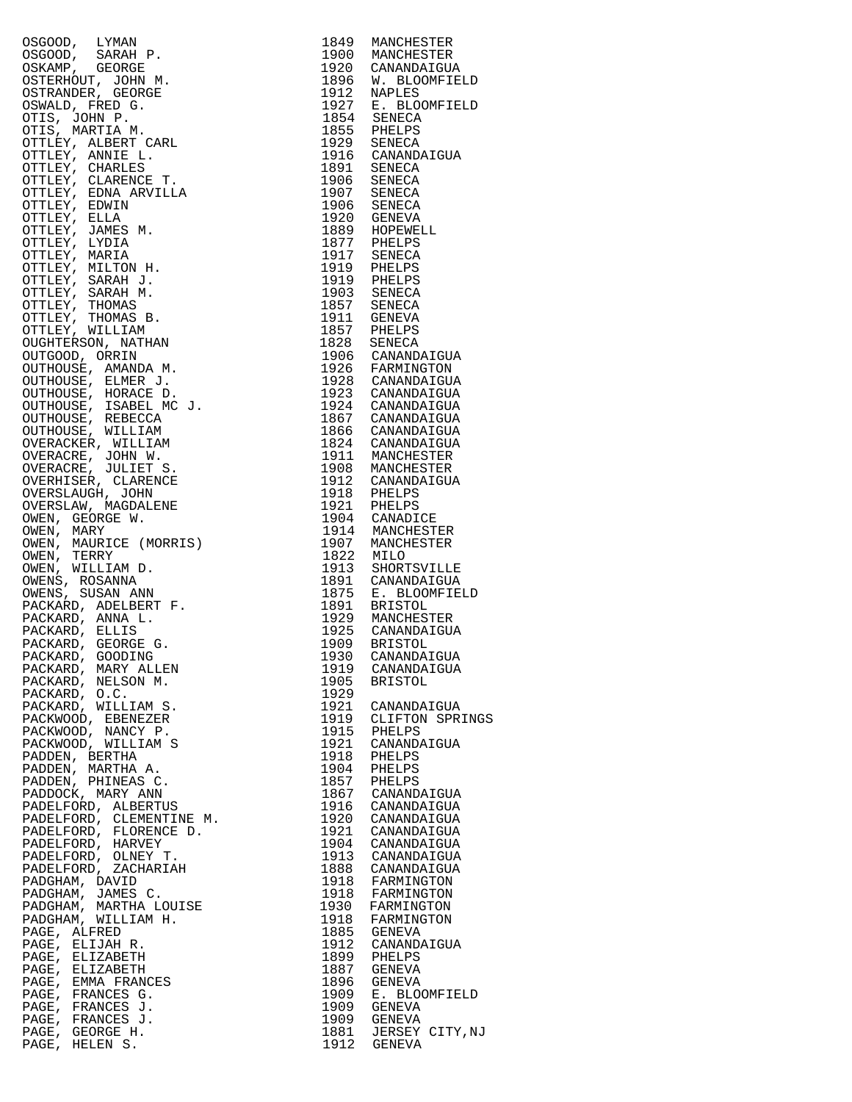| OSGOOD, LYMAN<br>OSGOOD, SARAH P.<br>OSKOOD, SARAH P.<br>OSKOOD, SARAH P.<br>OSKANDER, JGEORGE<br>OTITS, JOHN P.<br>OTITS, JOHN P.<br>OTITS, JOHN P.<br>OTITS, ARRILE I.<br>OTITS, ARRIER CARL<br>OTITS, CARRIES TILE TILE TORING THE CONTRACT CON           | 1849         | MANCHESTER                                                                                                                                                                                                                                                                                  |
|--------------------------------------------------------------------------------------------------------------------------------------------------------------------------------------------------------------------------------------------------------------|--------------|---------------------------------------------------------------------------------------------------------------------------------------------------------------------------------------------------------------------------------------------------------------------------------------------|
|                                                                                                                                                                                                                                                              |              | 1900 MANCHESTER<br>1920 CANANDAIGUA<br>1896 W. BLOOMFIELD<br>1912 NAPLES                                                                                                                                                                                                                    |
|                                                                                                                                                                                                                                                              |              |                                                                                                                                                                                                                                                                                             |
|                                                                                                                                                                                                                                                              |              |                                                                                                                                                                                                                                                                                             |
|                                                                                                                                                                                                                                                              |              |                                                                                                                                                                                                                                                                                             |
|                                                                                                                                                                                                                                                              |              | 1927 E. BLOOMFIELD<br>1854 SENECA                                                                                                                                                                                                                                                           |
|                                                                                                                                                                                                                                                              |              |                                                                                                                                                                                                                                                                                             |
|                                                                                                                                                                                                                                                              |              | 1855 PHELPS<br>1855 PHELPS<br>1929 SENECA<br>1916 CANANDAIGUA<br>1906 SENECA<br>1907 SENECA                                                                                                                                                                                                 |
|                                                                                                                                                                                                                                                              |              |                                                                                                                                                                                                                                                                                             |
|                                                                                                                                                                                                                                                              |              |                                                                                                                                                                                                                                                                                             |
|                                                                                                                                                                                                                                                              |              |                                                                                                                                                                                                                                                                                             |
|                                                                                                                                                                                                                                                              |              |                                                                                                                                                                                                                                                                                             |
|                                                                                                                                                                                                                                                              |              | 1906 SENECA<br>1920 GENEVA                                                                                                                                                                                                                                                                  |
|                                                                                                                                                                                                                                                              |              |                                                                                                                                                                                                                                                                                             |
|                                                                                                                                                                                                                                                              |              | 1889 HOPEWELL<br>1877 PHELPS                                                                                                                                                                                                                                                                |
|                                                                                                                                                                                                                                                              |              |                                                                                                                                                                                                                                                                                             |
|                                                                                                                                                                                                                                                              |              | 1917 SENECA<br>1919 PHELPS                                                                                                                                                                                                                                                                  |
|                                                                                                                                                                                                                                                              |              |                                                                                                                                                                                                                                                                                             |
|                                                                                                                                                                                                                                                              |              | 1919 PHELPS<br>1903 SENECA                                                                                                                                                                                                                                                                  |
|                                                                                                                                                                                                                                                              |              |                                                                                                                                                                                                                                                                                             |
|                                                                                                                                                                                                                                                              |              | 1857 SENECA<br>1857 SENECA<br>1911 GENEVA<br>1857 PHELPS<br>1828 SENECA<br>1906 CANANDAIGUA<br>1926 FARMINGTON                                                                                                                                                                              |
|                                                                                                                                                                                                                                                              |              |                                                                                                                                                                                                                                                                                             |
|                                                                                                                                                                                                                                                              |              |                                                                                                                                                                                                                                                                                             |
|                                                                                                                                                                                                                                                              |              |                                                                                                                                                                                                                                                                                             |
|                                                                                                                                                                                                                                                              |              |                                                                                                                                                                                                                                                                                             |
|                                                                                                                                                                                                                                                              |              |                                                                                                                                                                                                                                                                                             |
|                                                                                                                                                                                                                                                              |              |                                                                                                                                                                                                                                                                                             |
|                                                                                                                                                                                                                                                              |              |                                                                                                                                                                                                                                                                                             |
|                                                                                                                                                                                                                                                              |              |                                                                                                                                                                                                                                                                                             |
|                                                                                                                                                                                                                                                              |              |                                                                                                                                                                                                                                                                                             |
|                                                                                                                                                                                                                                                              |              |                                                                                                                                                                                                                                                                                             |
|                                                                                                                                                                                                                                                              |              |                                                                                                                                                                                                                                                                                             |
|                                                                                                                                                                                                                                                              |              |                                                                                                                                                                                                                                                                                             |
|                                                                                                                                                                                                                                                              |              |                                                                                                                                                                                                                                                                                             |
|                                                                                                                                                                                                                                                              |              |                                                                                                                                                                                                                                                                                             |
|                                                                                                                                                                                                                                                              |              |                                                                                                                                                                                                                                                                                             |
|                                                                                                                                                                                                                                                              |              | 1926 FARMINGTON<br>1928 CANANDAIGUA<br>1923 CANANDAIGUA<br>1924 CANANDAIGUA<br>1866 CANANDAIGUA<br>1866 CANANDAIGUA<br>1824 CANANDAIGUA<br>1911 MANCHESTER<br>1912 CANANDAIGUA<br>1912 CANANDAIGUA<br>1912 PHELPS<br>1921 PHELPS<br>1921 PHELPS<br>1914 CANADICE<br>1914<br>1914 MANCHESTER |
|                                                                                                                                                                                                                                                              |              | 1907 MANCHESTER                                                                                                                                                                                                                                                                             |
|                                                                                                                                                                                                                                                              | 1822 MILO    |                                                                                                                                                                                                                                                                                             |
|                                                                                                                                                                                                                                                              |              | 1913 SHORTSVILLE                                                                                                                                                                                                                                                                            |
|                                                                                                                                                                                                                                                              |              | 1891 CANANDAIGUA<br>1875 E. BLOOMFIELD                                                                                                                                                                                                                                                      |
|                                                                                                                                                                                                                                                              |              |                                                                                                                                                                                                                                                                                             |
|                                                                                                                                                                                                                                                              |              |                                                                                                                                                                                                                                                                                             |
|                                                                                                                                                                                                                                                              |              | 1891 BRISTOL<br>1929 MANCHESTER<br>1925 CANANDAIGUA<br>1909 BRISTOL                                                                                                                                                                                                                         |
|                                                                                                                                                                                                                                                              |              |                                                                                                                                                                                                                                                                                             |
|                                                                                                                                                                                                                                                              |              |                                                                                                                                                                                                                                                                                             |
|                                                                                                                                                                                                                                                              |              | 1930 CANANDAIGUA                                                                                                                                                                                                                                                                            |
| PACKARD, MARY ALLEN                                                                                                                                                                                                                                          | 1919         | CANANDAIGUA<br><b>BRISTOL</b>                                                                                                                                                                                                                                                               |
| PACKARD, NELSON M.<br>PACKARD, O.C.                                                                                                                                                                                                                          | 1905<br>1929 |                                                                                                                                                                                                                                                                                             |
| PACKARD, WILLIAM S.                                                                                                                                                                                                                                          | 1921         |                                                                                                                                                                                                                                                                                             |
| PACKWOOD, EBENEZER                                                                                                                                                                                                                                           | 1919         | CANANDAIGUA<br>CLIFTON SPR<br>CLIFTON SPRINGS                                                                                                                                                                                                                                               |
| PACKWOOD, NANCY P.                                                                                                                                                                                                                                           | 1915         | PHELPS                                                                                                                                                                                                                                                                                      |
| PACKWOOD, WILLIAM S                                                                                                                                                                                                                                          | 1921         | CANANDAIGUA                                                                                                                                                                                                                                                                                 |
| PADDEN, BERTHA                                                                                                                                                                                                                                               | 1918         | PHELPS                                                                                                                                                                                                                                                                                      |
| PADDEN, MARTHA A.                                                                                                                                                                                                                                            | 1904         | PHELPS                                                                                                                                                                                                                                                                                      |
| PADDEN, PHINEAS C.                                                                                                                                                                                                                                           | 1857         | PHELPS<br>CANANDAIGUA                                                                                                                                                                                                                                                                       |
| PADDOCK, MARY ANN                                                                                                                                                                                                                                            | 1867         |                                                                                                                                                                                                                                                                                             |
| PADELFORD, ALBERTUS                                                                                                                                                                                                                                          | 1916         | CANANDAIGUA<br>CANANDAIGUA                                                                                                                                                                                                                                                                  |
|                                                                                                                                                                                                                                                              | 1920         |                                                                                                                                                                                                                                                                                             |
|                                                                                                                                                                                                                                                              |              | 1921 CANANDAIGUA<br>1904 CANANDAIGUA                                                                                                                                                                                                                                                        |
|                                                                                                                                                                                                                                                              |              | 1913 CANANDAIGUA                                                                                                                                                                                                                                                                            |
|                                                                                                                                                                                                                                                              |              | 1888 CANANDAIGUA                                                                                                                                                                                                                                                                            |
|                                                                                                                                                                                                                                                              |              | 1918 FARMINGTON                                                                                                                                                                                                                                                                             |
|                                                                                                                                                                                                                                                              |              | 1918 FARMINGTON                                                                                                                                                                                                                                                                             |
|                                                                                                                                                                                                                                                              |              | 1930 FARMINGTON                                                                                                                                                                                                                                                                             |
|                                                                                                                                                                                                                                                              | 1918         | FARMINGTON                                                                                                                                                                                                                                                                                  |
| PADELFORD, ALBERTUS<br>PADELFORD, CLEMENTINE M.<br>PADELFORD, FLORENCE D.<br>PADELFORD, HARVEY<br>PADELFORD, CACHARIAH<br>PADELFORD, ZACHARIAH<br>PADELFORD, ZACHARIAH<br>PADGHAM, JAMES C.<br>PADGHAM, MARTHA LOUISE<br>PADGHAM, MILLIAM H.<br>PAGE, ALFRED |              | 1885 GENEVA                                                                                                                                                                                                                                                                                 |
|                                                                                                                                                                                                                                                              | 1912         | CANANDAIGUA                                                                                                                                                                                                                                                                                 |
| PAGE, ELIZABETH                                                                                                                                                                                                                                              | 1899         | PHELPS                                                                                                                                                                                                                                                                                      |
| PAGE, ELIZABETH                                                                                                                                                                                                                                              | 1887         | <b>GENEVA</b>                                                                                                                                                                                                                                                                               |
| PAGE, EMMA FRANCES                                                                                                                                                                                                                                           | 1896         | GENEVA                                                                                                                                                                                                                                                                                      |
| PAGE, FRANCES G.<br>PAGE, FRANCES J.                                                                                                                                                                                                                         | 1909<br>1909 | E. BLOOMFIELD<br><b>GENEVA</b>                                                                                                                                                                                                                                                              |
| PAGE, FRANCES J.                                                                                                                                                                                                                                             | 1909         | GENEVA                                                                                                                                                                                                                                                                                      |
| PAGE, GEORGE H.                                                                                                                                                                                                                                              |              | 1881 JERSEY CITY, NJ                                                                                                                                                                                                                                                                        |
| PAGE, HELEN S.                                                                                                                                                                                                                                               |              | 1912 GENEVA                                                                                                                                                                                                                                                                                 |

| 1849         | MANCHESTER                     |
|--------------|--------------------------------|
| 1900<br>1920 | MANCHESTER<br>CANANDAIGUA      |
| 1896         | W. BLOOMFIELD                  |
| 1912         | NAPLES                         |
| 1927         | E. BLOOMFIELD                  |
| 1854<br>1855 | SENECA<br>PHELPS               |
| 1929         | SENECA                         |
| 1916         | CANANDAIGUA                    |
| 1891<br>1906 | SENECA                         |
| 1907         | SENECA<br>SENECA               |
| 1906         | SENECA                         |
| 1920         | GENEVA                         |
| 1889<br>1877 | HOPEWELL<br>PHELPS             |
| 1917         | SENECA                         |
| 1919         | PHELPS                         |
| 1919<br>1903 | PHELPS<br>SENECA               |
| 1857         | <b>SENECA</b>                  |
| 1911         | GENEVA                         |
| 1857<br>1828 | PHELPS                         |
| 1906         | SENECA<br>CANANDAIGUA          |
| 1926         | FARMINGTON                     |
| 1928         | CANANDAIGUA                    |
| 1923<br>1924 | CANANDAIGUA<br>CANANDAIGUA     |
| 1867         | CANANDAIGUA                    |
| 1866         | CANANDAIGUA                    |
| 1824<br>1911 | CANANDAIGUA<br>MANCHESTER      |
| 1908         | MANCHESTER                     |
| 1912         | CANANDAIGUA                    |
| 1918<br>1921 | PHELPS<br>PHELPS               |
| 1904         | CANADICE                       |
| 1914         | MANCHESTER                     |
| 1907         | MANCHESTER                     |
| 1822<br>1913 | MILO<br>SHORTSVILLE            |
| 1891         | CANANDAIGUA                    |
| 1875         | E. BLOOMFIELD                  |
| 1891<br>1929 | <b>BRISTOL</b><br>MANCHESTER   |
| 1925         | CANANDAIGUA                    |
| 1909         | <b>BRISTOL</b>                 |
| 1930<br>1919 | CANANDAIGUA<br>CANANDAIGUA     |
| 1905         | <b>BRISTOL</b>                 |
| 1929         |                                |
| 1921<br>1919 | CANANDAIGUA<br>CLIFTON SPRINGS |
| 1915         | PHELPS                         |
| 1921         | CANANDAIGUA                    |
| 1918         | PHELPS                         |
| 1904<br>1857 | PHELPS<br>PHELPS               |
| 1867         | CANANDAIGUA                    |
| 1916         | CANANDAIGUA                    |
| 1920<br>1921 | CANANDAIGUA<br>CANANDAIGUA     |
| 1904         | CANANDAIGUA                    |
| 1913         | CANANDAIGUA                    |
| 1888<br>1918 | CANANDAIGUA<br>FARMINGTON      |
| 1918         | FARMINGTON                     |
| 1930         | FARMINGTON                     |
| 1918<br>1885 | FARMINGTON                     |
| 1912         | GENEVA<br>CANANDAIGUA          |
| 1899         | PHELPS                         |
| 1887         | GENEVA                         |
| 1896<br>1909 | GENEVA<br>E. BLOOMFIELD        |
| 1909         | GENEVA                         |
| 1909         | GENEVA                         |
| 1881<br>1912 | JERSEY CITY, NJ<br>GENEVA      |
|              |                                |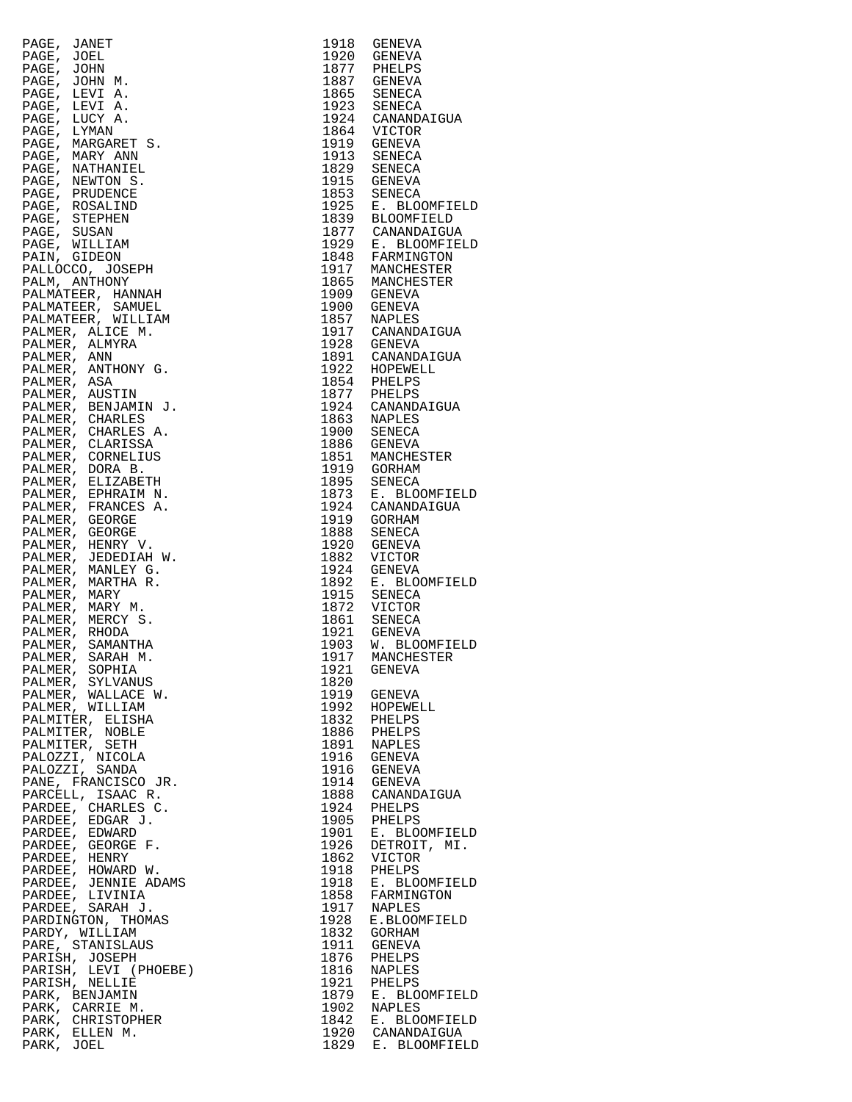|                                                                                                                                                                                                                                                                          | 1918 | GENEVA                                                                                                                                                                                                                                                                         |
|--------------------------------------------------------------------------------------------------------------------------------------------------------------------------------------------------------------------------------------------------------------------------|------|--------------------------------------------------------------------------------------------------------------------------------------------------------------------------------------------------------------------------------------------------------------------------------|
| PAGE, JANET<br>PAGE, JOHN M.<br>PAGE, JOHN M.<br>PAGE, JOHN M.<br>PAGE, LEVI A.<br>PAGE, LEVI A.<br>PAGE, LEVI A.<br>PAGE, LIVANA REARET S.<br>PAGE, MARGARET S.<br>PAGE, MARGARET S.<br>PAGE, MARGARET S.<br>PAGE, NATHANIEL<br>PAGE, NATHANIEL<br>PAGE, REMUNDIND<br>P |      | 1918 GENEVA<br>1920 GENEVA<br>1877 PHELPS<br>1887 GENEVA<br>1865 SENECA<br>1923 SENECA<br>1923 SENECA<br>1924 CANANDAIGUA<br>1864 VICTOR<br>1913 SENECA<br>1915 GENEVA<br>1853 SENECA<br>1929 E. BLOOMFIELD<br>1877 CANANDAIGUA<br>1929 E. BLOOMFIELD<br>1848 FARMINDAIGUA<br> |
|                                                                                                                                                                                                                                                                          |      |                                                                                                                                                                                                                                                                                |
|                                                                                                                                                                                                                                                                          |      |                                                                                                                                                                                                                                                                                |
|                                                                                                                                                                                                                                                                          |      |                                                                                                                                                                                                                                                                                |
|                                                                                                                                                                                                                                                                          |      |                                                                                                                                                                                                                                                                                |
|                                                                                                                                                                                                                                                                          |      |                                                                                                                                                                                                                                                                                |
|                                                                                                                                                                                                                                                                          |      |                                                                                                                                                                                                                                                                                |
|                                                                                                                                                                                                                                                                          |      |                                                                                                                                                                                                                                                                                |
|                                                                                                                                                                                                                                                                          |      |                                                                                                                                                                                                                                                                                |
|                                                                                                                                                                                                                                                                          |      |                                                                                                                                                                                                                                                                                |
|                                                                                                                                                                                                                                                                          |      |                                                                                                                                                                                                                                                                                |
|                                                                                                                                                                                                                                                                          |      |                                                                                                                                                                                                                                                                                |
|                                                                                                                                                                                                                                                                          |      |                                                                                                                                                                                                                                                                                |
|                                                                                                                                                                                                                                                                          |      |                                                                                                                                                                                                                                                                                |
|                                                                                                                                                                                                                                                                          |      |                                                                                                                                                                                                                                                                                |
|                                                                                                                                                                                                                                                                          |      |                                                                                                                                                                                                                                                                                |
|                                                                                                                                                                                                                                                                          |      |                                                                                                                                                                                                                                                                                |
|                                                                                                                                                                                                                                                                          |      |                                                                                                                                                                                                                                                                                |
|                                                                                                                                                                                                                                                                          |      |                                                                                                                                                                                                                                                                                |
|                                                                                                                                                                                                                                                                          |      | 1900 GENEVA<br>1900 - January<br>1857 - NAPLES<br>1917 - CANANDAIGUA<br>1928 - GENEVA<br>1929 - CANANDAIGUA                                                                                                                                                                    |
|                                                                                                                                                                                                                                                                          |      |                                                                                                                                                                                                                                                                                |
|                                                                                                                                                                                                                                                                          |      |                                                                                                                                                                                                                                                                                |
|                                                                                                                                                                                                                                                                          |      |                                                                                                                                                                                                                                                                                |
|                                                                                                                                                                                                                                                                          |      |                                                                                                                                                                                                                                                                                |
|                                                                                                                                                                                                                                                                          |      |                                                                                                                                                                                                                                                                                |
|                                                                                                                                                                                                                                                                          |      |                                                                                                                                                                                                                                                                                |
|                                                                                                                                                                                                                                                                          |      | 1920<br>1891 CANANDAIGUA<br>1922 HOPEWELL<br>1854 PHELPS<br>1977 PHELPS<br>1924 CANANDAIGUA<br>1863 NAPLES<br>1900 SENECA                                                                                                                                                      |
|                                                                                                                                                                                                                                                                          |      |                                                                                                                                                                                                                                                                                |
|                                                                                                                                                                                                                                                                          |      |                                                                                                                                                                                                                                                                                |
|                                                                                                                                                                                                                                                                          |      | 1900 SENECA<br>1886 GENEVA                                                                                                                                                                                                                                                     |
|                                                                                                                                                                                                                                                                          |      |                                                                                                                                                                                                                                                                                |
|                                                                                                                                                                                                                                                                          |      |                                                                                                                                                                                                                                                                                |
|                                                                                                                                                                                                                                                                          |      | 1851 MANCHESTER<br>1919 GORHAM<br>1895 SENECA<br>1873 E. BLOOMFIELD                                                                                                                                                                                                            |
|                                                                                                                                                                                                                                                                          |      |                                                                                                                                                                                                                                                                                |
|                                                                                                                                                                                                                                                                          |      | 1924 CANANDAIGUA<br>1919 GORHAM                                                                                                                                                                                                                                                |
|                                                                                                                                                                                                                                                                          |      |                                                                                                                                                                                                                                                                                |
|                                                                                                                                                                                                                                                                          |      | 1888 SENECA<br>1920 GENEVA                                                                                                                                                                                                                                                     |
|                                                                                                                                                                                                                                                                          |      |                                                                                                                                                                                                                                                                                |
|                                                                                                                                                                                                                                                                          |      | 1882 VICTOR<br>1924 GENEVA                                                                                                                                                                                                                                                     |
|                                                                                                                                                                                                                                                                          |      |                                                                                                                                                                                                                                                                                |
|                                                                                                                                                                                                                                                                          |      | 1892 E. BLOOMFIELD<br>1915 SENECA                                                                                                                                                                                                                                              |
|                                                                                                                                                                                                                                                                          |      |                                                                                                                                                                                                                                                                                |
|                                                                                                                                                                                                                                                                          |      |                                                                                                                                                                                                                                                                                |
|                                                                                                                                                                                                                                                                          |      |                                                                                                                                                                                                                                                                                |
|                                                                                                                                                                                                                                                                          |      | 1872 VICTOR<br>1861 SENECA<br>1921 GENEVA<br>1903 W. BLOOMFIELD<br>1917 MANCHESTER                                                                                                                                                                                             |
| PALMER, SARAH M.                                                                                                                                                                                                                                                         |      |                                                                                                                                                                                                                                                                                |
|                                                                                                                                                                                                                                                                          | 1921 | GENEVA                                                                                                                                                                                                                                                                         |
|                                                                                                                                                                                                                                                                          | 1820 |                                                                                                                                                                                                                                                                                |
|                                                                                                                                                                                                                                                                          |      | 1919 GENEVA                                                                                                                                                                                                                                                                    |
|                                                                                                                                                                                                                                                                          |      |                                                                                                                                                                                                                                                                                |
|                                                                                                                                                                                                                                                                          |      | 1992 HOPEWELL<br>1832 PHELPS<br>1886 PHELPS<br>1891 NAPLES                                                                                                                                                                                                                     |
|                                                                                                                                                                                                                                                                          |      |                                                                                                                                                                                                                                                                                |
|                                                                                                                                                                                                                                                                          |      | 1891 NAPLES<br>1916 GENEVA<br>1916 GENEVA<br>1914 GENEVA<br>1888 CANANDAIGUA<br>1924 PHELPS<br>1905 PHELPS<br>1905 E. BLOOMFIELD<br>1926 DETROOMFIELD<br>1926 DETROOMFIELD<br>1926 DETROOMFIELD<br>1926 DETROOMFIELD                                                           |
|                                                                                                                                                                                                                                                                          |      |                                                                                                                                                                                                                                                                                |
|                                                                                                                                                                                                                                                                          |      |                                                                                                                                                                                                                                                                                |
|                                                                                                                                                                                                                                                                          |      |                                                                                                                                                                                                                                                                                |
|                                                                                                                                                                                                                                                                          |      |                                                                                                                                                                                                                                                                                |
|                                                                                                                                                                                                                                                                          |      |                                                                                                                                                                                                                                                                                |
|                                                                                                                                                                                                                                                                          |      |                                                                                                                                                                                                                                                                                |
|                                                                                                                                                                                                                                                                          |      |                                                                                                                                                                                                                                                                                |
|                                                                                                                                                                                                                                                                          |      |                                                                                                                                                                                                                                                                                |
|                                                                                                                                                                                                                                                                          |      |                                                                                                                                                                                                                                                                                |
|                                                                                                                                                                                                                                                                          |      |                                                                                                                                                                                                                                                                                |
|                                                                                                                                                                                                                                                                          |      |                                                                                                                                                                                                                                                                                |
|                                                                                                                                                                                                                                                                          |      | 1862 VICTOR<br>1918 BHELPS<br>1918 E. BLOOMFIELD<br>1858 FARMINGTON<br>1917 NAPLES<br>1928 E.BLOOMFIELD                                                                                                                                                                        |
|                                                                                                                                                                                                                                                                          |      | 1832 GORHAM                                                                                                                                                                                                                                                                    |
|                                                                                                                                                                                                                                                                          |      | 1911 GENEVA                                                                                                                                                                                                                                                                    |
|                                                                                                                                                                                                                                                                          |      |                                                                                                                                                                                                                                                                                |
|                                                                                                                                                                                                                                                                          |      | 1876 PHELPS<br>1816 NAPLES                                                                                                                                                                                                                                                     |
|                                                                                                                                                                                                                                                                          |      |                                                                                                                                                                                                                                                                                |
|                                                                                                                                                                                                                                                                          |      |                                                                                                                                                                                                                                                                                |
| PALMER, SAMANTHA<br>PALMER, SARAH M.<br>PALMER, SOPHIA<br>PALMER, WALLACE W.<br>PALMER, WALLACE W.<br>PALMER, WALLACE W.<br>PALMER, WILLIAM<br>PALMITER, SETH<br>PALMITER, SETH<br>PALOZZI, NICOLA<br>PALOZZI, SANDA<br>PALOZZI, SANDA<br>PAROEE, EDARAECO JR.<br>PAR    |      | 1921 PHELPS<br>1879 E. BLOOMFIELD<br>1902 NAPLES<br>1842 E. BLOOMFIELD<br>1920 CANANDAIGUA<br>1829 E. BLOOMFIELD                                                                                                                                                               |
|                                                                                                                                                                                                                                                                          |      |                                                                                                                                                                                                                                                                                |
|                                                                                                                                                                                                                                                                          |      |                                                                                                                                                                                                                                                                                |
|                                                                                                                                                                                                                                                                          |      |                                                                                                                                                                                                                                                                                |

| PAGE, JANET | PAGE, JANET (1918)<br>PAGE, JOEL<br>PAGE, JOEN<br>PAGE, JOEN<br>PAGE, LEVI A.<br>PAGE, LEVI A.<br>PAGE, LEVI A.<br>PAGE, LEVI A.<br>PAGE, LEVI A.<br>PAGE, MARY ANN<br>PAGE, MARY ANN<br>PAGE, NARY ANNIVER<br>PAGE, NARY ANNIVER<br>PAGE, NARY ANNIVERS<br>PAGE, NARY A |      | 1918 GENEVA                              |
|-------------|--------------------------------------------------------------------------------------------------------------------------------------------------------------------------------------------------------------------------------------------------------------------------|------|------------------------------------------|
| PAGE, JOEL  |                                                                                                                                                                                                                                                                          |      | 1920 GENEVA                              |
|             |                                                                                                                                                                                                                                                                          |      | 1877 PHELPS<br>1887 GENEVA               |
|             |                                                                                                                                                                                                                                                                          |      | 1865 SENECA                              |
|             |                                                                                                                                                                                                                                                                          |      | 1923 SENECA                              |
|             |                                                                                                                                                                                                                                                                          |      | 1924 CANANDAIGUA                         |
|             |                                                                                                                                                                                                                                                                          |      | 1864 VICTOR                              |
|             |                                                                                                                                                                                                                                                                          |      | 1919 GENEVA<br>1913 SENECA               |
|             |                                                                                                                                                                                                                                                                          |      |                                          |
|             |                                                                                                                                                                                                                                                                          |      | 1829 SENECA<br>1915 GENEVA               |
|             |                                                                                                                                                                                                                                                                          |      |                                          |
|             |                                                                                                                                                                                                                                                                          |      | 1853 SENECA<br>1925 E. BLOOMFIELD        |
|             |                                                                                                                                                                                                                                                                          |      | 1839 BLOOMFIELD<br>1877 CANANDAIGUA      |
|             |                                                                                                                                                                                                                                                                          |      |                                          |
|             |                                                                                                                                                                                                                                                                          |      | 1929 E. BLOOMFIELD<br>1929 E. BLOOMFIELD |
|             |                                                                                                                                                                                                                                                                          |      |                                          |
|             |                                                                                                                                                                                                                                                                          |      | 1917 MANCHESTER<br>1917 MANCHESTER       |
|             |                                                                                                                                                                                                                                                                          |      | 1909 GENEVA                              |
|             |                                                                                                                                                                                                                                                                          |      | 1900 GENEVA                              |
|             |                                                                                                                                                                                                                                                                          |      | 1857 NAPLES<br>1917 CANANDAIGUA          |
|             |                                                                                                                                                                                                                                                                          |      |                                          |
|             |                                                                                                                                                                                                                                                                          |      | 1928 GENEVA                              |
|             |                                                                                                                                                                                                                                                                          |      | 1891 CANANDAIGUA<br>1922 HOPEWELL        |
|             |                                                                                                                                                                                                                                                                          |      | 1854 PHELPS                              |
|             |                                                                                                                                                                                                                                                                          |      |                                          |
|             |                                                                                                                                                                                                                                                                          |      | 1877 PHELPS<br>1924 CANANDAIGUA          |
|             |                                                                                                                                                                                                                                                                          |      | 1863 NAPLES                              |
|             |                                                                                                                                                                                                                                                                          |      | 1900 SENECA                              |
|             |                                                                                                                                                                                                                                                                          |      | 1886 GENEVA                              |
|             |                                                                                                                                                                                                                                                                          |      | 1851 MANCHESTER                          |
|             |                                                                                                                                                                                                                                                                          |      | 1919 GORHAM<br>1895 SENECA               |
|             |                                                                                                                                                                                                                                                                          |      | 1873 E. BLOOMFIELD                       |
|             |                                                                                                                                                                                                                                                                          |      | 1924 CANANDAIGUA                         |
|             |                                                                                                                                                                                                                                                                          |      | 1919 GORHAM                              |
|             |                                                                                                                                                                                                                                                                          | 1888 | SENECA                                   |
|             |                                                                                                                                                                                                                                                                          |      | 1920 GENEVA<br>1882 VICTOR               |
|             |                                                                                                                                                                                                                                                                          |      | 1924 GENEVA                              |
|             |                                                                                                                                                                                                                                                                          |      | 1892 E. BLOOMFIELD                       |
|             |                                                                                                                                                                                                                                                                          |      | 1915 SENECA                              |
|             |                                                                                                                                                                                                                                                                          |      | 1872 VICTOR                              |
|             |                                                                                                                                                                                                                                                                          |      | 1861 SENECA<br>1921 GENEVA               |
|             |                                                                                                                                                                                                                                                                          |      |                                          |
|             |                                                                                                                                                                                                                                                                          |      | 1903 W. BLOOMFIELD<br>1917 MANCHESTER    |
|             |                                                                                                                                                                                                                                                                          | 1921 |                                          |
|             |                                                                                                                                                                                                                                                                          | 1820 | GENEVA                                   |
|             |                                                                                                                                                                                                                                                                          |      | 1919 GENEVA                              |
|             |                                                                                                                                                                                                                                                                          |      | 1992 HOPEWELL                            |
|             |                                                                                                                                                                                                                                                                          |      | 1832 PHELPS                              |
|             |                                                                                                                                                                                                                                                                          |      | 1886 PHELPS                              |
|             |                                                                                                                                                                                                                                                                          |      | 1891 NAPLES<br>1916 GENEVA               |
|             |                                                                                                                                                                                                                                                                          |      | 1916 GENEVA                              |
|             |                                                                                                                                                                                                                                                                          |      | 1914 GENEVA                              |
|             |                                                                                                                                                                                                                                                                          |      | 1888 CANANDAIGUA                         |
|             |                                                                                                                                                                                                                                                                          |      | 1924 PHELPS                              |
|             |                                                                                                                                                                                                                                                                          |      | 1905 PHELPS<br>1901 E. BLOOMFIELD        |
|             |                                                                                                                                                                                                                                                                          |      |                                          |
|             |                                                                                                                                                                                                                                                                          |      | 1926 DETROIT, MI.<br>1862 VICTOR         |
|             |                                                                                                                                                                                                                                                                          |      | 1918 PHELPS                              |
|             |                                                                                                                                                                                                                                                                          |      | 1918 E. BLOOMFIELD                       |
|             |                                                                                                                                                                                                                                                                          |      | 1858 FARMINGTON                          |
|             |                                                                                                                                                                                                                                                                          |      | 1917 NAPLES                              |
|             |                                                                                                                                                                                                                                                                          | 1928 | E.BLOOMFIELD                             |
|             |                                                                                                                                                                                                                                                                          |      | 1832 GORHAM                              |
|             |                                                                                                                                                                                                                                                                          |      | 1911 GENEVA<br>1876 PHELPS               |
|             |                                                                                                                                                                                                                                                                          |      | 1816 NAPLES                              |
|             |                                                                                                                                                                                                                                                                          |      | 1921 PHELPS                              |
|             |                                                                                                                                                                                                                                                                          |      | 1879 E. BLOOMFIELD<br>1902 NAPLES        |
|             |                                                                                                                                                                                                                                                                          |      |                                          |
|             | PALMER, SAMANTHA<br>PALMER, SARAH M.<br>PALMER, SARAH M.<br>PALMER, WALLACE W.<br>PALMER, WALLACE W.<br>PALMER, WILLIAM<br>PALMITER, NOBLE<br>PALMITER, NOBLE<br>PALMITER, NOBLE<br>PALMITER, NOBLE<br>PALMITER, NOBLE<br>PALOZZI, SANDA<br>PANCE, SETH<br>PALOZZI, S    |      | 1842 E. BLOOMFIELD                       |
|             |                                                                                                                                                                                                                                                                          |      | 1920 CANANDAIGUA<br>1829 E. BLOOMFIELD   |
|             |                                                                                                                                                                                                                                                                          |      |                                          |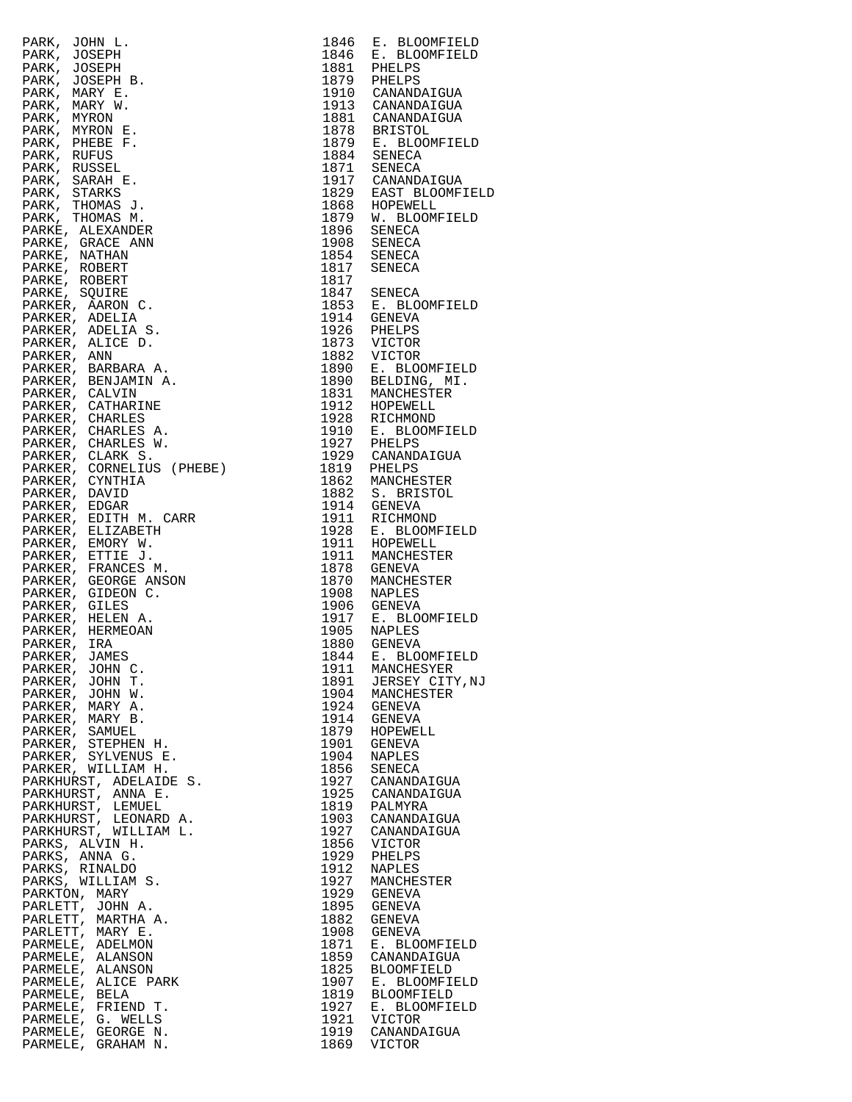| $\begin{tabular}{c c c} $19$ & $19$ & $19$ \\ $19$ & $1876 \\ $1878 & $1874 \\ $1917 & $1917 & $1900 \\ $1917 & $1917 & $1900 \\ $1918 & $1917 & $1900 \\ $1928 & $1919 & $1900 \\ $1928 & $1919 & $1900 \\ $1928 & $1919 & $1900 \\ $1939 & $19100 \\ $1939 & $1910 \\ $1949 & $1910 \\ $1950 & $1911 \\ $1950 & $1911 \\ $$                                                                                                                                                                               |                         |
|-------------------------------------------------------------------------------------------------------------------------------------------------------------------------------------------------------------------------------------------------------------------------------------------------------------------------------------------------------------------------------------------------------------------------------------------------------------------------------------------------------------|-------------------------|
|                                                                                                                                                                                                                                                                                                                                                                                                                                                                                                             |                         |
|                                                                                                                                                                                                                                                                                                                                                                                                                                                                                                             |                         |
|                                                                                                                                                                                                                                                                                                                                                                                                                                                                                                             |                         |
|                                                                                                                                                                                                                                                                                                                                                                                                                                                                                                             |                         |
|                                                                                                                                                                                                                                                                                                                                                                                                                                                                                                             |                         |
|                                                                                                                                                                                                                                                                                                                                                                                                                                                                                                             |                         |
|                                                                                                                                                                                                                                                                                                                                                                                                                                                                                                             |                         |
|                                                                                                                                                                                                                                                                                                                                                                                                                                                                                                             |                         |
|                                                                                                                                                                                                                                                                                                                                                                                                                                                                                                             |                         |
|                                                                                                                                                                                                                                                                                                                                                                                                                                                                                                             |                         |
|                                                                                                                                                                                                                                                                                                                                                                                                                                                                                                             |                         |
|                                                                                                                                                                                                                                                                                                                                                                                                                                                                                                             |                         |
|                                                                                                                                                                                                                                                                                                                                                                                                                                                                                                             |                         |
|                                                                                                                                                                                                                                                                                                                                                                                                                                                                                                             |                         |
|                                                                                                                                                                                                                                                                                                                                                                                                                                                                                                             |                         |
|                                                                                                                                                                                                                                                                                                                                                                                                                                                                                                             |                         |
|                                                                                                                                                                                                                                                                                                                                                                                                                                                                                                             |                         |
|                                                                                                                                                                                                                                                                                                                                                                                                                                                                                                             |                         |
|                                                                                                                                                                                                                                                                                                                                                                                                                                                                                                             |                         |
|                                                                                                                                                                                                                                                                                                                                                                                                                                                                                                             |                         |
|                                                                                                                                                                                                                                                                                                                                                                                                                                                                                                             |                         |
|                                                                                                                                                                                                                                                                                                                                                                                                                                                                                                             |                         |
|                                                                                                                                                                                                                                                                                                                                                                                                                                                                                                             |                         |
|                                                                                                                                                                                                                                                                                                                                                                                                                                                                                                             |                         |
|                                                                                                                                                                                                                                                                                                                                                                                                                                                                                                             |                         |
|                                                                                                                                                                                                                                                                                                                                                                                                                                                                                                             |                         |
|                                                                                                                                                                                                                                                                                                                                                                                                                                                                                                             |                         |
|                                                                                                                                                                                                                                                                                                                                                                                                                                                                                                             |                         |
|                                                                                                                                                                                                                                                                                                                                                                                                                                                                                                             |                         |
|                                                                                                                                                                                                                                                                                                                                                                                                                                                                                                             |                         |
|                                                                                                                                                                                                                                                                                                                                                                                                                                                                                                             |                         |
|                                                                                                                                                                                                                                                                                                                                                                                                                                                                                                             |                         |
|                                                                                                                                                                                                                                                                                                                                                                                                                                                                                                             |                         |
|                                                                                                                                                                                                                                                                                                                                                                                                                                                                                                             |                         |
|                                                                                                                                                                                                                                                                                                                                                                                                                                                                                                             |                         |
|                                                                                                                                                                                                                                                                                                                                                                                                                                                                                                             |                         |
|                                                                                                                                                                                                                                                                                                                                                                                                                                                                                                             |                         |
|                                                                                                                                                                                                                                                                                                                                                                                                                                                                                                             |                         |
|                                                                                                                                                                                                                                                                                                                                                                                                                                                                                                             |                         |
|                                                                                                                                                                                                                                                                                                                                                                                                                                                                                                             |                         |
|                                                                                                                                                                                                                                                                                                                                                                                                                                                                                                             |                         |
|                                                                                                                                                                                                                                                                                                                                                                                                                                                                                                             |                         |
|                                                                                                                                                                                                                                                                                                                                                                                                                                                                                                             |                         |
|                                                                                                                                                                                                                                                                                                                                                                                                                                                                                                             |                         |
|                                                                                                                                                                                                                                                                                                                                                                                                                                                                                                             |                         |
|                                                                                                                                                                                                                                                                                                                                                                                                                                                                                                             |                         |
|                                                                                                                                                                                                                                                                                                                                                                                                                                                                                                             |                         |
|                                                                                                                                                                                                                                                                                                                                                                                                                                                                                                             |                         |
|                                                                                                                                                                                                                                                                                                                                                                                                                                                                                                             |                         |
|                                                                                                                                                                                                                                                                                                                                                                                                                                                                                                             |                         |
|                                                                                                                                                                                                                                                                                                                                                                                                                                                                                                             |                         |
|                                                                                                                                                                                                                                                                                                                                                                                                                                                                                                             |                         |
|                                                                                                                                                                                                                                                                                                                                                                                                                                                                                                             |                         |
|                                                                                                                                                                                                                                                                                                                                                                                                                                                                                                             |                         |
|                                                                                                                                                                                                                                                                                                                                                                                                                                                                                                             |                         |
|                                                                                                                                                                                                                                                                                                                                                                                                                                                                                                             |                         |
|                                                                                                                                                                                                                                                                                                                                                                                                                                                                                                             |                         |
|                                                                                                                                                                                                                                                                                                                                                                                                                                                                                                             |                         |
|                                                                                                                                                                                                                                                                                                                                                                                                                                                                                                             | 1903 CANANDAIGUA        |
|                                                                                                                                                                                                                                                                                                                                                                                                                                                                                                             | CANANDAIGUA             |
|                                                                                                                                                                                                                                                                                                                                                                                                                                                                                                             | 1856 VICTOR             |
|                                                                                                                                                                                                                                                                                                                                                                                                                                                                                                             | PHELPS                  |
|                                                                                                                                                                                                                                                                                                                                                                                                                                                                                                             | NAPLES                  |
|                                                                                                                                                                                                                                                                                                                                                                                                                                                                                                             | MANCHESTER              |
|                                                                                                                                                                                                                                                                                                                                                                                                                                                                                                             | 1929 GENEVA             |
|                                                                                                                                                                                                                                                                                                                                                                                                                                                                                                             | GENEVA                  |
|                                                                                                                                                                                                                                                                                                                                                                                                                                                                                                             | GENEVA                  |
| $\begin{tabular}{ccccc} & $\mathcal{S}\mathbf{O}$. \\ & $\mathcal{S}$. \\ & $\mathcal{S}$. \\ & $\mathcal{S}$. \\ & $\mathcal{S}$. \\ & $\mathcal{S}$. \\ & $\mathcal{S}$. \\ & $\mathcal{S}$. \\ & $\mathcal{S}$. \\ & $\mathcal{S}$. \\ & $\mathcal{S}$. \\ & $\mathcal{S}$. \\ & $\mathcal{S}$. \\ & $\mathcal{S}$. \\ & $\mathcal{S}$. \\ & $\mathcal{S}$. \\ & $\mathcal{S}$. \\ & $\mathcal{S}$. \\ & $\mathcal{S}$. \\ & $\mathcal{S}$. \\ & $\mathcal{S}$. \\ & $\mathcal{S}$. \\ & $\mathcal{S}$.$ | GENEVA<br>E. BLOOMFIELD |
|                                                                                                                                                                                                                                                                                                                                                                                                                                                                                                             | CANANDAIGUA             |
|                                                                                                                                                                                                                                                                                                                                                                                                                                                                                                             | BLOOMFIELD              |
|                                                                                                                                                                                                                                                                                                                                                                                                                                                                                                             | E. BLOOMFIELD           |
|                                                                                                                                                                                                                                                                                                                                                                                                                                                                                                             | BLOOMFIELD              |
|                                                                                                                                                                                                                                                                                                                                                                                                                                                                                                             | E. BLOOMFIELD           |
|                                                                                                                                                                                                                                                                                                                                                                                                                                                                                                             | VICTOR                  |
|                                                                                                                                                                                                                                                                                                                                                                                                                                                                                                             | CANANDAIGUA             |
|                                                                                                                                                                                                                                                                                                                                                                                                                                                                                                             | VICTOR                  |

| 1846         | E. BLOOMFIELD                                   |
|--------------|-------------------------------------------------|
| 1846         | E. BLOOMFIELD                                   |
| 1881<br>1879 | PHELPS<br>PHELPS                                |
| 1910         | CANANDAIGUA                                     |
| 1913         | CANANDAIGUA                                     |
| 1881         | CANANDAIGUA                                     |
| 1878<br>1879 | <b>BRISTOL</b><br>E. BLOOMFIELD                 |
| 1884         | SENECA                                          |
| 1871         | SENECA                                          |
| 1917         | CANANDAIGUA                                     |
| 1829<br>1868 | EAST BLOOMFIELD                                 |
| 1879         | HOPEWELL<br>W. BLOOMFIELD                       |
| 1896         | SENECA                                          |
| 1908         | SENECA                                          |
| 1854         | SENECA                                          |
| 1817<br>1817 | SENECA                                          |
| 1847         | SENECA                                          |
| 1853         | E. BLOOMFIELD                                   |
| 1914         | GENEVA                                          |
| 1926         | PHELPS                                          |
| 1873<br>1882 | VICTOR<br><b>VICTOR</b>                         |
| 1890         | E. BLOOMFIELD                                   |
| 1890         | BELDING, MI.                                    |
| 1831         | MANCHESTER                                      |
| 1912<br>1928 | HOPEWELL                                        |
| 1910         | RICHMOND<br>E. BLOOMFIELD                       |
| 1927         | PHELPS                                          |
| 1929         | CANANDAIGUA                                     |
| 1819         | PHELPS                                          |
| 1862<br>1882 | MANCHESTER<br>S. BRISTOL                        |
| 1914         | GENEVA                                          |
| 1911         | RICHMOND                                        |
| 1928         | E. BLOOMFIELD                                   |
| 1911<br>1911 | HOPEWELL<br>MANCHESTER                          |
| 1878         | GENEVA                                          |
| 1870         | MANCHESTER                                      |
| 1908         | NAPLES                                          |
| 1906         | GENEVA                                          |
| 1917<br>1905 | E. BLOOMFIELD<br>NAPLES                         |
| 1880         | GENEVA                                          |
| 1844         | E. BLOOMFIELD                                   |
| 1911         | MANCHESYER                                      |
| 1891<br>1904 | JERSEY CITY, NJ<br>MANCHESTER                   |
| 1924         | GENEVA                                          |
| 1914         | <b>GENEVA</b>                                   |
| 1879         | HOPEWELL                                        |
| 1901         | GENEVA                                          |
| 1904<br>1856 | NAPLES<br>SENECA                                |
| 1927         | CANANDAIGUA                                     |
| 1925         | CANANDAIGUA                                     |
| 1819         | PALMYRA                                         |
| 1903<br>1927 | CANANDAIGUA<br>CANANDAIGUA                      |
| 1856         | VICTOR                                          |
| 1929         | PHELPS                                          |
| 1912         | NAPLES                                          |
| 1927         | MANCHESTER                                      |
| 1929<br>1895 | GENEVA<br><b>GENEVA</b>                         |
| 1882         | GENEVA                                          |
| 1908         | <b>GENEVA</b>                                   |
| 1871         | <b>BLOOMFIELD</b><br>Ε.                         |
| 1859         | CANANDAIGUA                                     |
| 1825<br>1907 | <b>BLOOMFIELD</b><br>$E$ .<br><b>BLOOMFIELD</b> |
| 1819         | <b>BLOOMFIELD</b>                               |
| 1927         | <b>BLOOMFIELD</b><br>Е.                         |
| 1921         | VICTOR                                          |
| 1919<br>1869 | CANANDAIGUA<br><b>VICTOR</b>                    |
|              |                                                 |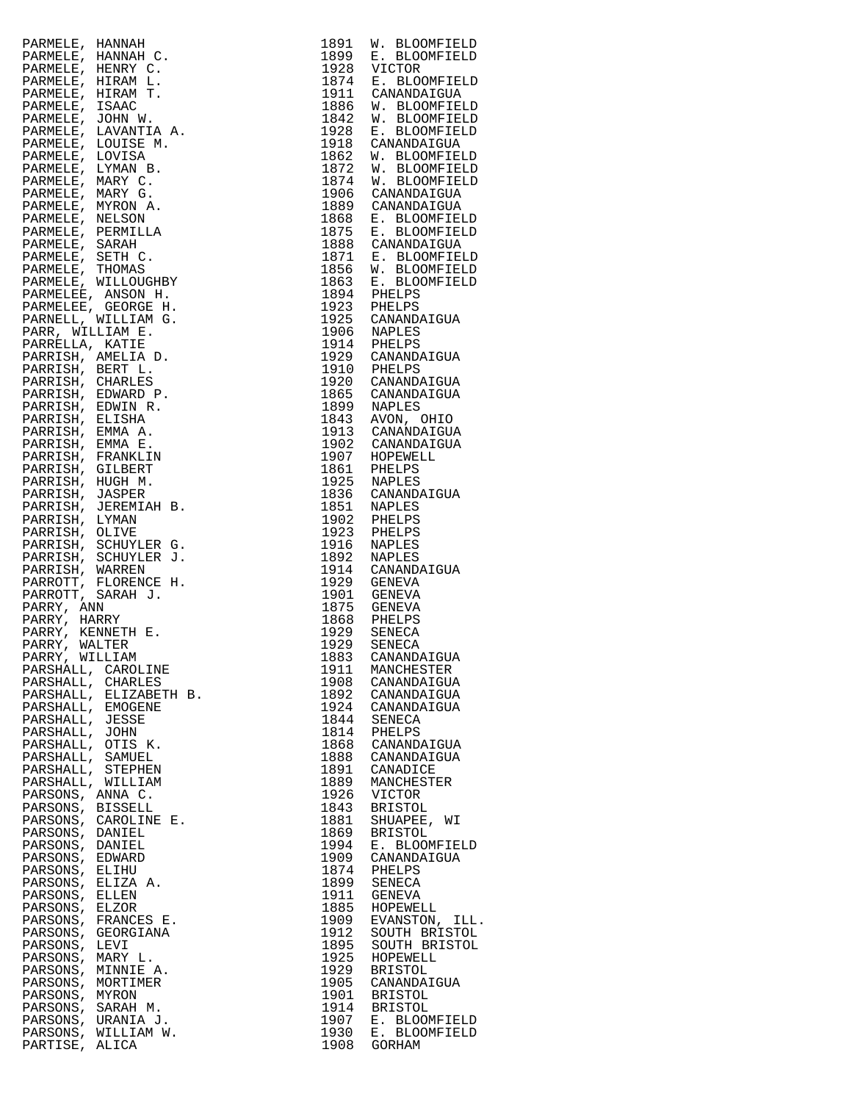| PARMELE, HANNAH            | 1891         | W. BLOOMFIELD                                                |
|----------------------------|--------------|--------------------------------------------------------------|
| PARMELE,<br>HANNAH C.      | 1899         | E. BLOOMFIELD                                                |
| PARMELE,<br>HENRY C.       | 1928         | VICTOR                                                       |
|                            |              | 1874 E. BLOOMFIELD                                           |
| PARMELE,<br>HIRAM L.       |              |                                                              |
| PARMELE,<br>HIRAM T.       |              | 1911 CANANDAIGUA<br>1886 W. BLOOMFIE                         |
| PARMELE,<br>ISAAC          |              | W. BLOOMFIELD                                                |
| PARMELE, JOHN W.           | 1842         | W. BLOOMFIELD                                                |
|                            |              |                                                              |
| LAVANTIA A.<br>PARMELE,    | 1928         | E. BLOOMFIELD                                                |
| PARMELE,<br>LOUISE M.      |              |                                                              |
| PARMELE,<br>LOVISA         |              | 1918 CANANDAIGUA<br>1862 W. BLOOMFIELD                       |
| PARMELE, LYMAN B.          | 1872         | W. BLOOMFIELD                                                |
|                            |              |                                                              |
| PARMELE, MARY C.           |              | 1874 W. BLOOMFIELD                                           |
| PARMELE, MARY G.           |              | 1906 CANANDAIGUA                                             |
| PARMELE, MYRON A.          |              | 1889 CANANDAIGUA                                             |
|                            |              |                                                              |
| PARMELE, NELSON            |              | 1868 E. BLOOMFIELD<br>1875 E. BLOOMFIELD<br>1888 CANANDAIGUA |
| PARMELE, PERMILLA          |              |                                                              |
| PARMELE, SARAH             |              |                                                              |
| PARMELE, SETH C.           |              | 1871 E. BLOOMFIELD                                           |
| PARMELE, THOMAS            |              | W. BLOOMFIELD                                                |
|                            | 1856<br>1863 |                                                              |
| PARMELE, WILLOUGHBY        |              | E. BLOOMFIELD                                                |
| PARMELEE, ANSON H.         |              | 1894 PHELPS<br>1923 PHELPS                                   |
| PARMELEE, GEORGE H.        |              |                                                              |
| PARNELL, WILLIAM G.        |              | 1925 CANANDAIGUA<br>1906 NAPLES                              |
| PARR, WILLIAM E.           |              |                                                              |
|                            |              |                                                              |
| PARRELLA, KATIE            |              |                                                              |
| PARRISH, AMELIA D.         |              | 1914 PHELPS<br>1929 CANANDAIGUA                              |
| PARRISH, BERT L.           | 1910         | PHELPS                                                       |
|                            | 1920         | CANANDAIGUA                                                  |
| PARRISH, CHARLES           |              |                                                              |
| PARRISH, EDWARD P.         |              | 1865 CANANDAIGUA<br>1899 NAPLES                              |
| PARRISH, EDWIN R.          |              |                                                              |
| PARRISH, ELISHA            |              | 1843 AVON, OHIO<br>1913 CANANDAIGUA                          |
| PARRISH, EMMA A.           |              |                                                              |
|                            |              |                                                              |
| PARRISH, EMMA E.           |              | 1902 CANANDAIGUA<br>1907 HOPEWELL                            |
| PARRISH, FRANKLIN          |              |                                                              |
| PARRISH, GILBERT           |              | 1861 PHELPS<br>1925 NAPLES                                   |
| PARRISH, HUGH M.           |              |                                                              |
|                            | 1836         |                                                              |
| PARRISH, JASPER            |              | CANANDAIGUA<br>NAPLES                                        |
| PARRISH, JEREMIAH B.       | 1851         |                                                              |
| PARRISH, LYMAN             | 1902         | PHELPS                                                       |
| PARRISH, OLIVE             | 1923         | PHELPS                                                       |
| PARRISH, SCHUYLER G.       | 1916         | NAPLES                                                       |
|                            | 1892         |                                                              |
| PARRISH, SCHUYLER J.       |              | NAPLES                                                       |
| PARRISH, WARREN            |              |                                                              |
| PARROTT, FLORENCE H.       |              | 1914 CANANDAIGUA<br>1929 GENEVA                              |
| PARROTT, SARAH J.          |              | 1901 GENEVA<br>1875 GENEVA                                   |
| PARRY, ANN                 |              |                                                              |
|                            |              |                                                              |
| PARRY, HARRY               | 1868         | PHELPS<br>SENECA                                             |
| PARRY, KENNETH E.          | 1929         |                                                              |
| PARRY, WALTER              | 1929         | SENECA                                                       |
| PARRY, WILLIAM             | 1883         | CANANDAIGUA                                                  |
| PARSHALL, CAROLINE         | 1911         | MANCHESTER                                                   |
|                            |              |                                                              |
| PARSHALL, CHARLES          | 1908         | CANANDAIGUA                                                  |
| PARSHALL, ELIZABETH B.     | 1892         | CANANDAIGUA                                                  |
| PARSHALL, EMOGENE          | 1924         | CANANDAIGUA                                                  |
| PARSHALL, JESSE            | 1844         | SENECA                                                       |
| PARSHALL, JOHN             | 1814         | PHELPS                                                       |
| PARSHALL, OTIS K.          | 1868         | CANANDAIGUA                                                  |
|                            |              |                                                              |
| PARSHALL, SAMUEL           | 1888         | CANANDAIGUA                                                  |
| PARSHALL, STEPHEN          | 1891         | CANADICE                                                     |
| PARSHALL, WILLIAM          | 1889         | MANCHESTER                                                   |
| PARSONS, ANNA C.           | 1926         | VICTOR                                                       |
| <b>BISSELL</b><br>PARSONS, | 1843         | <b>BRISTOL</b>                                               |
|                            |              |                                                              |
| PARSONS,<br>CAROLINE E.    | 1881         | SHUAPEE, WI                                                  |
| PARSONS,<br>DANIEL         | 1869         | <b>BRISTOL</b>                                               |
| PARSONS,<br>DANIEL         | 1994         | E. BLOOMFIELD                                                |
| PARSONS,<br>EDWARD         | 1909         | CANANDAIGUA                                                  |
| PARSONS,<br>ELIHU          | 1874         | PHELPS                                                       |
|                            |              |                                                              |
| ELIZA A.<br>PARSONS,       | 1899         | SENECA                                                       |
| PARSONS,<br>ELLEN          | 1911         | GENEVA                                                       |
| PARSONS,<br>ELZOR          | 1885         | HOPEWELL                                                     |
| PARSONS,<br>FRANCES E.     | 1909         | EVANSTON, ILL.                                               |
| PARSONS,<br>GEORGIANA      | 1912         | SOUTH BRISTOL                                                |
|                            |              |                                                              |
| PARSONS,<br>LEVI           | 1895         | SOUTH BRISTOL                                                |
| MARY L.<br>PARSONS,        | 1925         | HOPEWELL                                                     |
| MINNIE A.<br>PARSONS,      | 1929         | <b>BRISTOL</b>                                               |
| PARSONS,<br>MORTIMER       | 1905         | CANANDAIGUA                                                  |
| PARSONS,<br>MYRON          | 1901         | <b>BRISTOL</b>                                               |
|                            |              |                                                              |
| PARSONS,<br>SARAH M.       | 1914         | <b>BRISTOL</b>                                               |
| PARSONS,<br>URANIA J.      | 1907         | E. BLOOMFIELD                                                |
| PARSONS,<br>WILLIAM W.     | 1930         | Е.<br><b>BLOOMFIELD</b>                                      |
| PARTISE, ALICA             | 1908         | GORHAM                                                       |
|                            |              |                                                              |

| 1891         | <b>BLOOMFIELD</b><br>W.                  |
|--------------|------------------------------------------|
| 1899         | E. BLOOMFIELD                            |
| 1928<br>1874 | VICTOR<br>Ε.<br>BLOOMFIELD               |
| 1911         | CANANDAIGUA                              |
| 1886         | W. BLOOMFIELD                            |
| 1842<br>1928 | <b>BLOOMFIELD</b><br>W.<br>E. BLOOMFIELD |
| 1918         | CANANDAIGUA                              |
| 1862         | W. BLOOMFIELD                            |
| 1872         | W.<br><b>BLOOMFIELD</b>                  |
| 1874<br>1906 | W. BLOOMFIELD<br>CANANDAIGUA             |
| 1889         | CANANDAIGUA                              |
| 1868         | E. BLOOMFIELD                            |
| 1875         | E. BLOOMFIELD                            |
| 1888<br>1871 | CANANDAIGUA<br>E. BLOOMFIELD             |
| 1856         | <b>BLOOMFIELD</b><br>W.                  |
| 1863         | E. BLOOMFIELD                            |
| 1894         | PHELPS                                   |
| 1923<br>1925 | PHELPS<br>CANANDAIGUA                    |
| 1906         | <b>NAPLES</b>                            |
| 1914         | PHELPS                                   |
| 1929         | CANANDAIGUA                              |
| 1910<br>1920 | PHELPS<br>CANANDAIGUA                    |
| 1865         | CANANDAIGUA                              |
| 1899         | NAPLES                                   |
| 1843         | AVON, OHIO                               |
| 1913<br>1902 | CANANDAIGUA<br>CANANDAIGUA               |
| 1907         | HOPEWELL                                 |
| 1861         | PHELPS                                   |
| 1925         | NAPLES                                   |
| 1836<br>1851 | CANANDAIGUA<br>NAPLES                    |
| 1902         | PHELPS                                   |
| 1923         | PHELPS                                   |
| 1916<br>1892 | NAPLES                                   |
| 1914         | NAPLES<br>CANANDAIGUA                    |
| 1929         | GENEVA                                   |
| 1901         | <b>GENEVA</b>                            |
| 1875<br>1868 | <b>GENEVA</b><br>PHELPS                  |
| 1929         | SENECA                                   |
| 1929         | SENECA                                   |
| 1883         | CANANDAIGUA                              |
| 1911<br>1908 | MANCHESTER<br>CANANDAIGUA                |
| 1892         | CANANDAIGUA                              |
| 1924         | CANANDAIGUA                              |
| 1844         | SENECA                                   |
| 1814<br>1868 | PHELPS<br>CANANDAIGUA                    |
| 1888         | CANANDAIGUA                              |
| 1891         | CANADICE                                 |
| 1889<br>1926 | MANCHESTER                               |
| 1843         | VICTOR<br><b>BRISTOL</b>                 |
| 1881         | SHUAPEE,<br>WΙ                           |
| 1869         | <b>BRISTOL</b>                           |
| 1994<br>1909 | E. BLOOMFIELD<br>CANANDAIGUA             |
| 1874         | PHELPS                                   |
| 1899         | SENECA                                   |
| 1911         | GENEVA                                   |
| 1885<br>1909 | HOPEWELL<br>EVANSTON, ILL.               |
| 1912         | SOUTH BRISTOL                            |
| 1895         | SOUTH BRISTOL                            |
| 1925         | HOPEWELL                                 |
| 1929<br>1905 | <b>BRISTOL</b><br>CANANDAIGUA            |
| 1901         | <b>BRISTOL</b>                           |
| 1914         | <b>BRISTOL</b>                           |
| 1907<br>1930 | E. BLOOMFIELD<br>E. BLOOMFIELD           |
| 1908         | GORHAM                                   |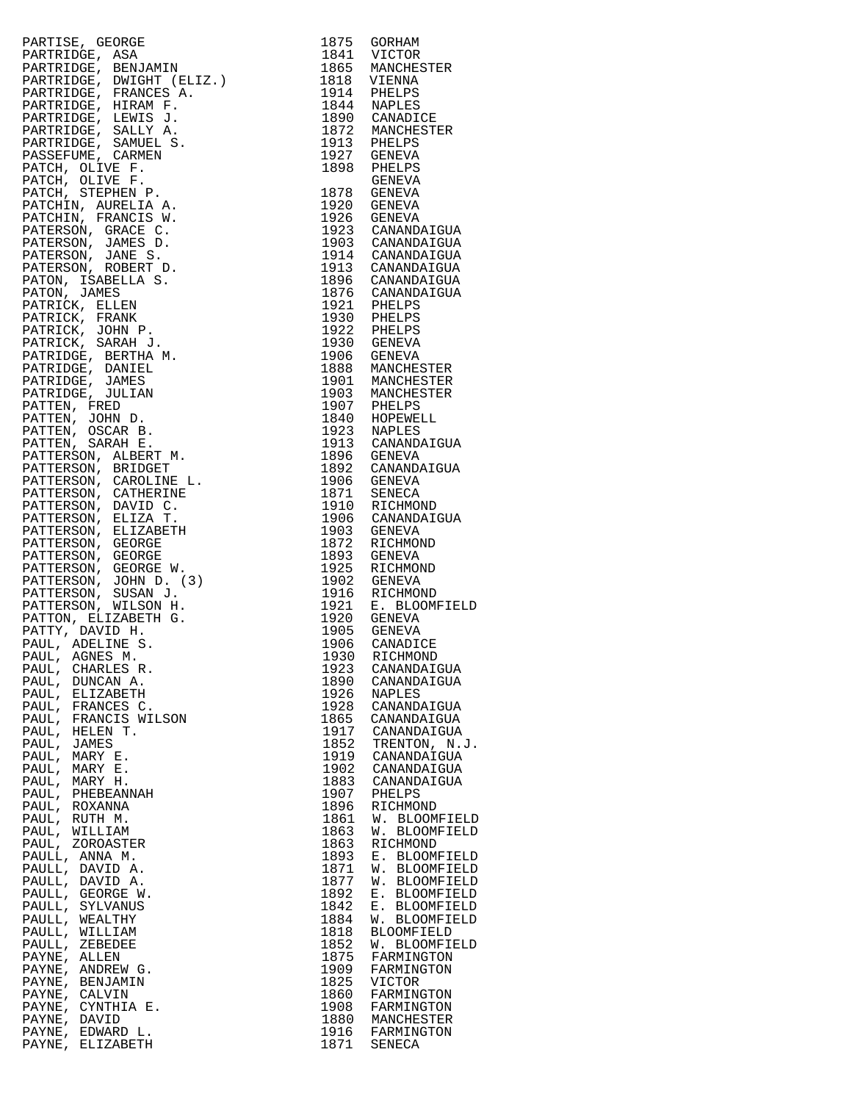|                                                                                                                                                                                                                                                                 |      | 1875 GORHAM                                                                                 |
|-----------------------------------------------------------------------------------------------------------------------------------------------------------------------------------------------------------------------------------------------------------------|------|---------------------------------------------------------------------------------------------|
|                                                                                                                                                                                                                                                                 |      | 1841 VICTOR                                                                                 |
|                                                                                                                                                                                                                                                                 |      | 1865 MANCHESTER                                                                             |
|                                                                                                                                                                                                                                                                 |      |                                                                                             |
|                                                                                                                                                                                                                                                                 |      | 1818 VIENNA                                                                                 |
|                                                                                                                                                                                                                                                                 |      | 1914 PHELPS<br>1844 NAPLES                                                                  |
|                                                                                                                                                                                                                                                                 |      |                                                                                             |
|                                                                                                                                                                                                                                                                 |      | 1890 CANADICE<br>1872 MANCHESTER<br>1913 PHELPS<br>1927 GENEVA                              |
|                                                                                                                                                                                                                                                                 |      |                                                                                             |
|                                                                                                                                                                                                                                                                 |      |                                                                                             |
|                                                                                                                                                                                                                                                                 |      |                                                                                             |
|                                                                                                                                                                                                                                                                 |      |                                                                                             |
|                                                                                                                                                                                                                                                                 |      | 1898 PHELPS<br>GENEVA                                                                       |
|                                                                                                                                                                                                                                                                 |      |                                                                                             |
|                                                                                                                                                                                                                                                                 |      |                                                                                             |
|                                                                                                                                                                                                                                                                 |      | 1878 GENEVA                                                                                 |
|                                                                                                                                                                                                                                                                 |      | 1920 GENEVA                                                                                 |
|                                                                                                                                                                                                                                                                 |      |                                                                                             |
|                                                                                                                                                                                                                                                                 |      | 1926 GENEVA<br>1923 CANANDAIGUA                                                             |
|                                                                                                                                                                                                                                                                 |      |                                                                                             |
|                                                                                                                                                                                                                                                                 |      |                                                                                             |
|                                                                                                                                                                                                                                                                 |      | 1903 CANANDAIGUA<br>1914 CANANDAIGUA                                                        |
|                                                                                                                                                                                                                                                                 |      |                                                                                             |
|                                                                                                                                                                                                                                                                 |      | 1913 CANANDAIGUA                                                                            |
|                                                                                                                                                                                                                                                                 |      | 1896 CANANDAIGUA                                                                            |
|                                                                                                                                                                                                                                                                 |      |                                                                                             |
|                                                                                                                                                                                                                                                                 |      |                                                                                             |
|                                                                                                                                                                                                                                                                 |      | 1890 CANANDAIGUA<br>1921 PHELPS<br>1930 PHELPS<br>1930 GENEVA<br>1930 GENEVA<br>1936 CENEVA |
|                                                                                                                                                                                                                                                                 |      |                                                                                             |
|                                                                                                                                                                                                                                                                 |      |                                                                                             |
|                                                                                                                                                                                                                                                                 |      |                                                                                             |
|                                                                                                                                                                                                                                                                 |      | 1906 GENEVA                                                                                 |
|                                                                                                                                                                                                                                                                 |      |                                                                                             |
|                                                                                                                                                                                                                                                                 |      | 1888 MANCHESTER<br>1901 MANCHESTER                                                          |
|                                                                                                                                                                                                                                                                 |      |                                                                                             |
|                                                                                                                                                                                                                                                                 |      | 1903 MANCHESTER<br>1907 PHELPS                                                              |
|                                                                                                                                                                                                                                                                 |      |                                                                                             |
|                                                                                                                                                                                                                                                                 |      |                                                                                             |
|                                                                                                                                                                                                                                                                 |      |                                                                                             |
|                                                                                                                                                                                                                                                                 |      |                                                                                             |
|                                                                                                                                                                                                                                                                 |      | 1840 HOPEWELL<br>1923 NAPLES<br>1913 CANANDAIGUA                                            |
|                                                                                                                                                                                                                                                                 |      | 1896 GENEVA                                                                                 |
|                                                                                                                                                                                                                                                                 |      |                                                                                             |
|                                                                                                                                                                                                                                                                 |      | 1892 CANANDAIGUA                                                                            |
|                                                                                                                                                                                                                                                                 |      | 1906 GENEVA                                                                                 |
|                                                                                                                                                                                                                                                                 |      |                                                                                             |
|                                                                                                                                                                                                                                                                 |      | 1871 SENECA<br>1910 RICHMOND                                                                |
| PARTIESE, ASA<br>PARTRIDGE, ASA<br>PARTRIDGE, BENJAMIN<br>PARTRIDGE, BENJAMIN<br>PARTRIDGE, BENJAMIN<br>PARTRIDGE, FRANCES A.<br>PARTRIDGE, ERRIS J.<br>PARTRIDGE, ERRIS J.<br>PARTRIDGE, SAMUEL S.<br>PARTRIDGE, SAMUEL S.<br>PARTRIDGE, SAMUEL S.<br>PARTRIDG |      |                                                                                             |
|                                                                                                                                                                                                                                                                 |      | 1906 CANANDAIGUA                                                                            |
|                                                                                                                                                                                                                                                                 |      | 1903 GENEVA                                                                                 |
|                                                                                                                                                                                                                                                                 |      | 1872 RICHMOND                                                                               |
|                                                                                                                                                                                                                                                                 |      | 1893 GENEVA                                                                                 |
|                                                                                                                                                                                                                                                                 |      | 1925 RICHMOND                                                                               |
|                                                                                                                                                                                                                                                                 |      |                                                                                             |
|                                                                                                                                                                                                                                                                 |      | 1902 GENEVA                                                                                 |
|                                                                                                                                                                                                                                                                 |      | 1916 RICHMOND<br>1921 E. BLOOMFIELD                                                         |
|                                                                                                                                                                                                                                                                 |      |                                                                                             |
|                                                                                                                                                                                                                                                                 |      | 1920 GENEVA<br>1905 GENEVA                                                                  |
|                                                                                                                                                                                                                                                                 |      |                                                                                             |
|                                                                                                                                                                                                                                                                 |      |                                                                                             |
|                                                                                                                                                                                                                                                                 | 1906 | CANADICE                                                                                    |
| PAUL, AGNES M.                                                                                                                                                                                                                                                  |      | 1930 RICHMOND                                                                               |
| CHARLES R.<br>PAUL,                                                                                                                                                                                                                                             | 1923 | CANANDAIGUA                                                                                 |
| PAUL,<br>DUNCAN A.                                                                                                                                                                                                                                              | 1890 | CANANDAIGUA                                                                                 |
| PAUL,<br>ELIZABETH                                                                                                                                                                                                                                              | 1926 |                                                                                             |
|                                                                                                                                                                                                                                                                 |      | NAPLES                                                                                      |
| PAUL,<br>FRANCES C.                                                                                                                                                                                                                                             | 1928 | CANANDAIGUA                                                                                 |
| PAUL, FRANCIS WILSON                                                                                                                                                                                                                                            | 1865 | CANANDAIGUA                                                                                 |
| PAUL,<br>HELEN T.                                                                                                                                                                                                                                               | 1917 | CANANDAIGUA                                                                                 |
| PAUL, JAMES                                                                                                                                                                                                                                                     | 1852 | TRENTON, N.J.                                                                               |
|                                                                                                                                                                                                                                                                 |      |                                                                                             |
| PAUL,<br>MARY E.                                                                                                                                                                                                                                                | 1919 | CANANDAIGUA                                                                                 |
| PAUL,<br>MARY E.                                                                                                                                                                                                                                                | 1902 | CANANDAIGUA                                                                                 |
| PAUL,<br>MARY H.                                                                                                                                                                                                                                                | 1883 | CANANDAIGUA                                                                                 |
| PAUL, PHEBEANNAH                                                                                                                                                                                                                                                | 1907 | PHELPS                                                                                      |
|                                                                                                                                                                                                                                                                 |      | RICHMOND                                                                                    |
| PAUL,<br>ROXANNA                                                                                                                                                                                                                                                | 1896 |                                                                                             |
| PAUL, RUTH M.                                                                                                                                                                                                                                                   | 1861 | W. BLOOMFIELD                                                                               |
| PAUL,<br>WILLIAM                                                                                                                                                                                                                                                | 1863 | W.<br><b>BLOOMFIELD</b>                                                                     |
| PAUL, ZOROASTER                                                                                                                                                                                                                                                 | 1863 | RICHMOND                                                                                    |
| PAULL, ANNA M.                                                                                                                                                                                                                                                  | 1893 | E. BLOOMFIELD                                                                               |
|                                                                                                                                                                                                                                                                 |      |                                                                                             |
| PAULL, DAVID A.                                                                                                                                                                                                                                                 | 1871 | W. BLOOMFIELD                                                                               |
| PAULL, DAVID A.                                                                                                                                                                                                                                                 | 1877 | W. BLOOMFIELD                                                                               |
| PAULL, GEORGE W.                                                                                                                                                                                                                                                | 1892 | E. BLOOMFIELD                                                                               |
| PAULL, SYLVANUS                                                                                                                                                                                                                                                 | 1842 | E. BLOOMFIELD                                                                               |
| PAULL, WEALTHY                                                                                                                                                                                                                                                  | 1884 | W. BLOOMFIELD                                                                               |
|                                                                                                                                                                                                                                                                 |      |                                                                                             |
| PAULL, WILLIAM                                                                                                                                                                                                                                                  | 1818 | <b>BLOOMFIELD</b>                                                                           |
| PAULL, ZEBEDEE                                                                                                                                                                                                                                                  | 1852 | W. BLOOMFIELD                                                                               |
| PAYNE, ALLEN                                                                                                                                                                                                                                                    | 1875 | FARMINGTON                                                                                  |
| PAYNE, ANDREW G.                                                                                                                                                                                                                                                | 1909 | FARMINGTON                                                                                  |
|                                                                                                                                                                                                                                                                 |      |                                                                                             |
| PAYNE, BENJAMIN                                                                                                                                                                                                                                                 | 1825 | <b>VICTOR</b>                                                                               |
| PAYNE, CALVIN                                                                                                                                                                                                                                                   | 1860 | FARMINGTON                                                                                  |
| PAYNE, CYNTHIA E.                                                                                                                                                                                                                                               | 1908 | FARMINGTON                                                                                  |
| PAYNE, DAVID                                                                                                                                                                                                                                                    | 1880 | MANCHESTER                                                                                  |
| PAYNE, EDWARD L.                                                                                                                                                                                                                                                | 1916 |                                                                                             |
|                                                                                                                                                                                                                                                                 |      | FARMINGTON                                                                                  |
| PAYNE, ELIZABETH                                                                                                                                                                                                                                                | 1871 | SENECA                                                                                      |

| 1875         | GORHAM                                        |
|--------------|-----------------------------------------------|
| 1841<br>1865 | VICTOR<br>MANCHESTER                          |
| 1818         | VIENNA                                        |
| 1914         | PHELPS                                        |
| 1844         | NAPLES                                        |
| 1890<br>1872 | CANADICE<br>MANCHESTER                        |
| 1913         | PHELPS                                        |
| 1927         | <b>GENEVA</b>                                 |
| 1898         | PHELPS                                        |
| 1878         | GENEVA                                        |
| 1920         | GENEVA<br>GENEVA                              |
| 1926         | GENEVA                                        |
| 1923         | CANANDAIGUA                                   |
| 1903<br>1914 | CANANDAIGUA<br>CANANDAIGUA                    |
| 1913         | CANANDAIGUA                                   |
| 1896         | CANANDAIGUA                                   |
| 1876         | CANANDAIGUA                                   |
| 1921<br>1930 | PHELPS                                        |
| 1922         | PHELPS<br>PHELPS                              |
| 1930         | GENEVA                                        |
| 1906         | GENEVA                                        |
| 1888<br>1901 | MANCHESTER                                    |
| 1903         | MANCHESTER<br>MANCHESTER                      |
| 1907         | PHELPS                                        |
| 1840         | HOPEWELL                                      |
| 1923         | <b>NAPLES</b>                                 |
| 1913<br>1896 | CANANDAIGUA<br>GENEVA                         |
| 1892         | CANANDAIGUA                                   |
| 1906         | GENEVA                                        |
| 1871         | <b>SENECA</b>                                 |
| 1910<br>1906 | RICHMOND<br>CANANDAIGUA                       |
| 1903         | GENEVA                                        |
| 1872         | RICHMOND                                      |
| 1893         | GENEVA                                        |
| 1925<br>1902 | RICHMOND<br><b>GENEVA</b>                     |
| 1916         | RICHMOND                                      |
| 1921         | E. BLOOMFIELD                                 |
| 1920         | GENEVA                                        |
| 1905<br>1906 | GENEVA<br>CANADICE                            |
| 1930         | RICHMOND                                      |
| 1923         | CANANDAIGUA                                   |
| 1890         | CANANDAIGUA                                   |
| 1926<br>1928 | NAPLES<br>CANANDAIGUA                         |
| 1865         | CANANDAIGUA                                   |
| 1917         | CANANDAIGUA                                   |
| 1852         | TRENTON, N.J                                  |
| 1919<br>1902 | CANANDAIGUA<br>CANANDAIGUA                    |
| 1883         | CANANDAIGUA                                   |
| 1907         | PHELPS                                        |
| 1896         | RICHMOND                                      |
| 1861<br>1863 | W.<br><b>BLOOMFIELD</b><br>BLOOMFIELD<br>W.   |
| 1863         | RICHMOND                                      |
| 1893         | BLOOMFIELD<br>$\boldsymbol{\text{E}}$ .       |
| 1871         | W.<br><b>BLOOMFIELD</b>                       |
| 1877<br>1892 | W. BLOOMFIELD<br>E. BLOOMFIELD<br>${\bf E}$ . |
| 1842         |                                               |
| 1884         | E. BLOOMFIELD<br>W. BLOOMFIELD                |
| 1818         | <b>BLOOMFIELD</b>                             |
| 1852<br>1875 | W.<br><b>BLOOMFIELD</b><br>FARMINGTON         |
| 1909         | FARMINGTON                                    |
| 1825         | VICTOR                                        |
| 1860         | FARMINGTON                                    |
| 1908<br>1880 | FARMINGTON<br>MANCHESTER                      |
| 1916         | FARMINGTON                                    |
| 1871         | SENECA                                        |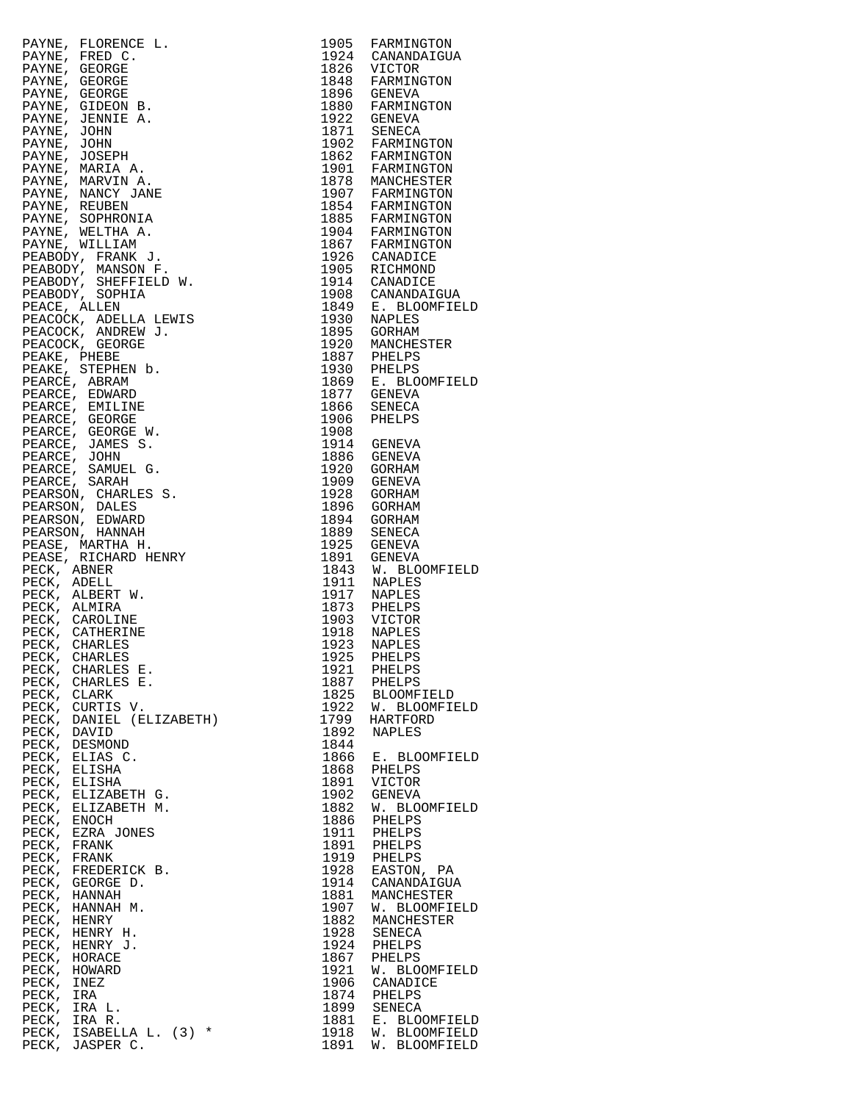|                                                                                                                                                                                                                                                                                        |              | 1905 FARMINGTON                                                                                                                                           |
|----------------------------------------------------------------------------------------------------------------------------------------------------------------------------------------------------------------------------------------------------------------------------------------|--------------|-----------------------------------------------------------------------------------------------------------------------------------------------------------|
|                                                                                                                                                                                                                                                                                        |              | 1924 CANANDAIGUA<br>1826 VICTOR                                                                                                                           |
|                                                                                                                                                                                                                                                                                        |              |                                                                                                                                                           |
|                                                                                                                                                                                                                                                                                        |              | 1848 FARMINGTON                                                                                                                                           |
|                                                                                                                                                                                                                                                                                        |              | 1896 GENEVA                                                                                                                                               |
|                                                                                                                                                                                                                                                                                        |              | 1880 FARMINGTON<br>1922 GENEVA                                                                                                                            |
|                                                                                                                                                                                                                                                                                        |              |                                                                                                                                                           |
|                                                                                                                                                                                                                                                                                        |              | 1922 GENEVA<br>1902 FARMINGTON<br>1862 FARMINGTON<br>1901 FARMINGTON                                                                                      |
|                                                                                                                                                                                                                                                                                        |              |                                                                                                                                                           |
|                                                                                                                                                                                                                                                                                        |              |                                                                                                                                                           |
|                                                                                                                                                                                                                                                                                        |              |                                                                                                                                                           |
|                                                                                                                                                                                                                                                                                        |              | 1878 MANCHESTER                                                                                                                                           |
|                                                                                                                                                                                                                                                                                        |              |                                                                                                                                                           |
|                                                                                                                                                                                                                                                                                        |              |                                                                                                                                                           |
|                                                                                                                                                                                                                                                                                        |              |                                                                                                                                                           |
|                                                                                                                                                                                                                                                                                        |              |                                                                                                                                                           |
|                                                                                                                                                                                                                                                                                        |              |                                                                                                                                                           |
|                                                                                                                                                                                                                                                                                        |              |                                                                                                                                                           |
|                                                                                                                                                                                                                                                                                        |              | 1976 MARCHESTER<br>1907 FARMINGTON<br>1854 FARMINGTON<br>1904 FARMINGTON<br>1904 FARMINGTON<br>1926 CANADICE<br>1905 RICHMOND                             |
|                                                                                                                                                                                                                                                                                        |              | 1914 CANADICE                                                                                                                                             |
|                                                                                                                                                                                                                                                                                        |              | 1908 CANANDAIGUA                                                                                                                                          |
|                                                                                                                                                                                                                                                                                        |              | 1849 E. BLOOMFIELD                                                                                                                                        |
|                                                                                                                                                                                                                                                                                        |              | 1930 NAPLES                                                                                                                                               |
|                                                                                                                                                                                                                                                                                        |              | 1895 GORHAM<br>1920 MANCHESTER                                                                                                                            |
|                                                                                                                                                                                                                                                                                        |              |                                                                                                                                                           |
|                                                                                                                                                                                                                                                                                        |              | 1887 PHELPS<br>1930 PHELPS<br>1869 E. BLOOMFIELD                                                                                                          |
|                                                                                                                                                                                                                                                                                        |              |                                                                                                                                                           |
|                                                                                                                                                                                                                                                                                        |              | 1877 GENEVA                                                                                                                                               |
|                                                                                                                                                                                                                                                                                        |              | 1866 SENECA                                                                                                                                               |
|                                                                                                                                                                                                                                                                                        |              | 1906 PHELPS                                                                                                                                               |
|                                                                                                                                                                                                                                                                                        |              |                                                                                                                                                           |
|                                                                                                                                                                                                                                                                                        |              | 1908<br>1914 GENEVA                                                                                                                                       |
|                                                                                                                                                                                                                                                                                        |              | 1886 GENEVA                                                                                                                                               |
|                                                                                                                                                                                                                                                                                        |              | 1920 GORHAM                                                                                                                                               |
|                                                                                                                                                                                                                                                                                        |              | 1909 GENEVA                                                                                                                                               |
|                                                                                                                                                                                                                                                                                        |              | 1928 GORHAM                                                                                                                                               |
|                                                                                                                                                                                                                                                                                        |              | 1896 GORHAM                                                                                                                                               |
|                                                                                                                                                                                                                                                                                        |              | 1894 GORHAM                                                                                                                                               |
|                                                                                                                                                                                                                                                                                        |              | 1889 SENECA                                                                                                                                               |
|                                                                                                                                                                                                                                                                                        |              | 1925 GENEVA                                                                                                                                               |
|                                                                                                                                                                                                                                                                                        |              |                                                                                                                                                           |
|                                                                                                                                                                                                                                                                                        |              |                                                                                                                                                           |
|                                                                                                                                                                                                                                                                                        |              |                                                                                                                                                           |
|                                                                                                                                                                                                                                                                                        |              |                                                                                                                                                           |
|                                                                                                                                                                                                                                                                                        |              |                                                                                                                                                           |
|                                                                                                                                                                                                                                                                                        |              |                                                                                                                                                           |
|                                                                                                                                                                                                                                                                                        |              |                                                                                                                                                           |
|                                                                                                                                                                                                                                                                                        |              |                                                                                                                                                           |
|                                                                                                                                                                                                                                                                                        |              | 1923 GENEVA<br>1891 GENEVA<br>1843 W. BLOOMFIELD<br>1911 NAPLES<br>1917 NAPLES<br>1873 PHELPS<br>1903 VICTOR<br>1918 NAPLES<br>1923 NAPLES<br>1925 PHELPS |
| PECK,<br>CHARLES E.                                                                                                                                                                                                                                                                    | 1921         | PHELPS                                                                                                                                                    |
| PECK, CHARLES E.                                                                                                                                                                                                                                                                       | 1887         | PHELPS                                                                                                                                                    |
| PAYNE, FLORENCE L.<br>PAYNE, FLORENCE L.<br>PAYNE, FLORENCE L.<br>PAYNE, GEORGE<br>PAYNE, GEORGE<br>PAYNE, GEORGE<br>PAYNE, GEORGE<br>PAYNE, JOBNIE A.<br>PAYNE, JOBNIE A.<br>PAYNE, MARILA L.<br>PAYNE, MARILA L.<br>PAYNE, MARILA L.<br>PAYNE, MARILA L.<br>PAYNE,<br>PECK,<br>CLARK | 1825         | BLOOMFIELD                                                                                                                                                |
| CURTIS V.<br>PECK,                                                                                                                                                                                                                                                                     | 1922         | W. BLOOMFIELD                                                                                                                                             |
| PECK,<br>DANIEL (ELIZABETH)                                                                                                                                                                                                                                                            | 1799         | <b>HARTFORD</b>                                                                                                                                           |
| PECK,<br>DAVID                                                                                                                                                                                                                                                                         | 1892         | NAPLES                                                                                                                                                    |
| PECK,<br>DESMOND                                                                                                                                                                                                                                                                       | 1844         |                                                                                                                                                           |
| PECK, ELIAS C.                                                                                                                                                                                                                                                                         | 1866         | E. BLOOMFIELD                                                                                                                                             |
| PECK,<br>ELISHA                                                                                                                                                                                                                                                                        | 1868         | PHELPS                                                                                                                                                    |
| PECK, ELISHA                                                                                                                                                                                                                                                                           | 1891         | <b>VICTOR</b>                                                                                                                                             |
| PECK, ELIZABETH G.                                                                                                                                                                                                                                                                     | 1902         | GENEVA                                                                                                                                                    |
| PECK, ELIZABETH M.                                                                                                                                                                                                                                                                     | 1882<br>1886 | W. BLOOMFIELD                                                                                                                                             |
| PECK, ENOCH<br>PECK, EZRA JONES                                                                                                                                                                                                                                                        | 1911         | PHELPS<br>PHELPS                                                                                                                                          |
| PECK, FRANK                                                                                                                                                                                                                                                                            | 1891         | PHELPS                                                                                                                                                    |
| PECK, FRANK                                                                                                                                                                                                                                                                            | 1919         | PHELPS                                                                                                                                                    |
| PECK, FREDERICK B.                                                                                                                                                                                                                                                                     | 1928         | EASTON, PA                                                                                                                                                |
| PECK, GEORGE D.                                                                                                                                                                                                                                                                        | 1914         | CANANDAIGUA                                                                                                                                               |
| PECK, HANNAH                                                                                                                                                                                                                                                                           | 1881         | MANCHESTER                                                                                                                                                |
| PECK, HANNAH M.                                                                                                                                                                                                                                                                        | 1907         | W. BLOOMFIELD                                                                                                                                             |
| PECK, HENRY                                                                                                                                                                                                                                                                            | 1882         | MANCHESTER                                                                                                                                                |
| PECK, HENRY H.                                                                                                                                                                                                                                                                         | 1928         | SENECA                                                                                                                                                    |
| PECK, HENRY J.                                                                                                                                                                                                                                                                         | 1924         | PHELPS                                                                                                                                                    |
| PECK, HORACE                                                                                                                                                                                                                                                                           | 1867         | PHELPS                                                                                                                                                    |
| PECK,<br>HOWARD                                                                                                                                                                                                                                                                        | 1921         | W. BLOOMFIELD                                                                                                                                             |
| PECK, INEZ<br>IRA                                                                                                                                                                                                                                                                      | 1906<br>1874 | CANADICE                                                                                                                                                  |
| PECK,<br>PECK, IRA L.                                                                                                                                                                                                                                                                  | 1899         | PHELPS<br>SENECA                                                                                                                                          |
| PECK, IRA R.                                                                                                                                                                                                                                                                           | 1881         | E. BLOOMFIELD                                                                                                                                             |
| PECK, ISABELLA L. (3) *<br>PECK, JASPER C.                                                                                                                                                                                                                                             | 1918<br>1891 | W. BLOOMFIELD<br>W. BLOOMFIELD                                                                                                                            |

| 1905         | FARMINGTON                     |
|--------------|--------------------------------|
| 1924         | CANANDAIGUA                    |
| 1826         | VICTOR                         |
| 1848         | FARMINGTON                     |
| 1896         | GENEVA                         |
| 1880         | FARMINGTON                     |
| 1922         | <b>GENEVA</b>                  |
| 1871         | <b>SENECA</b>                  |
| 1902         | FARMINGTON                     |
| 1862         | FARMINGTON                     |
| 1901         | FARMINGTON                     |
| 1878         | MANCHESTER                     |
| 1907         | FARMINGTON                     |
| 1854         | FARMINGTON                     |
| 1885         | FARMINGTON                     |
| 1904         | FARMINGTON                     |
| 1867         | FARMINGTON                     |
| 1926         | CANADICE                       |
| 1905         | RICHMOND                       |
| 1914         | CANADICE                       |
| 1908         | CANANDAIGUA                    |
| 1849         | E. BLOOMFIELD                  |
| 1930         | NAPLES                         |
| 1895         | GORHAM                         |
| 1920         | MANCHESTER                     |
| 1887         | PHELPS                         |
| 1930         | PHELPS                         |
| 1869         | E. BLOOMFIELD                  |
| 1877<br>1866 | <b>GENEVA</b>                  |
| 1906         | SENECA                         |
| 1908         | PHELPS                         |
| 1914         | GENEVA                         |
| 1886         | <b>GENEVA</b>                  |
| 1920         | GORHAM                         |
| 1909         | <b>GENEVA</b>                  |
| 1928         | GORHAM                         |
| 1896         | GORHAM                         |
| 1894         | GORHAM                         |
| 1889         | SENECA                         |
| 1925         | GENEVA                         |
| 1891         | GENEVA                         |
| 1843         | W. BLOOMFIELD                  |
| 1911         | NAPLES                         |
| 1917         | NAPLES                         |
| 1873         | PHELPS                         |
| 1903         | VICTOR                         |
| 1918         | <b>NAPLES</b>                  |
| 1923         | NAPLES                         |
| 1925         | PHELPS                         |
| 1921         | PHELPS                         |
| 1887         | PHELPS                         |
| 1825         | BLOOMFIELD                     |
| 1922         | W. BLOOMFIELD                  |
| 1799         | HARTFORD                       |
| 1892         | NAPLES                         |
| 1844<br>1866 | E. BLOOMFIELD                  |
| 1868         | PHELPS                         |
| 1891         | VICTOR                         |
| 1902         | <b>GENEVA</b>                  |
| 1882         | W. BLOOMFIELD                  |
| 1886         | PHELPS                         |
| 1911         | PHELPS                         |
| 1891         | PHELPS                         |
| 1919         | PHELPS                         |
| 1928         | EASTON, PA                     |
| 1914         | CANANDAIGUA                    |
| 1881         | MANCHESTER                     |
| 1907         | W. BLOOMFIELD                  |
| 1882<br>1928 | MANCHESTER<br>SENECA           |
| 1924         | PHELPS                         |
| 1867         | PHELPS                         |
| 1921         | W. BLOOMFIELD                  |
| 1906         | CANADICE                       |
| 1874<br>1899 | PHELPS<br>SENECA               |
| 1881<br>1918 | E. BLOOMFIELD<br>W. BLOOMFIELD |
| 1891         | W. BLOOMFIELD                  |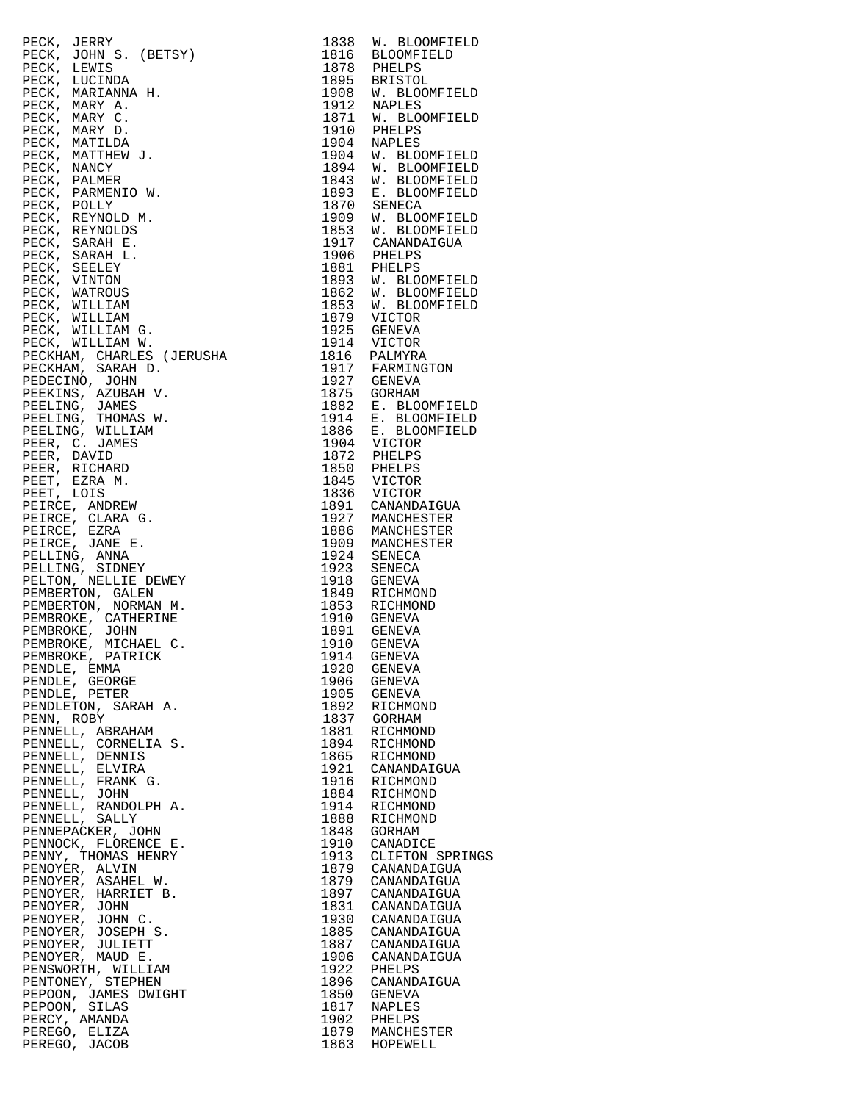PECK, JERRY 1838 W. BLOOMFIELD PECK, JOHN S. (BETSY) 1816 BLOOMFIELD PECK, LEWIS 1878 PHELPS PECK, LUCINDA 1895 BRISTOL PECK, JOHN S. (BETSY)<br>
PECK, JOHN S. (BETSY)<br>
PECK, LEWIS<br>
PECK, LUCINDA<br>
PECK, MARIANNA H. 1908 W. BLOOMFIELD<br>
PECK, MARIANNA H. 1908 W. BLOOMFIELD<br>
PECK, MARY A. 1912 NAPLES<br>
PECK, MARY C. 1871 W. BLOOMFIELD<br>
PECK, MARY PECK, MARY A. 1912 NAPLES PECK, MARY C. 1871 W. BLOOMFIELD PECK, MARY D. 1910 PHELPS PECK, MATILDA 1904 NAPLES PECK, MATTHEW J. 1904 W. BLOOMFIELD PECK, NANCY 1894 W. BLOOMFIELD PECK, PALMER 1843 W. BLOOMFIELD PECK, PARMENIO W. 1893 E. BLOOMFIELD PECK, POLLY 1870 SENECA PECK, REYNOLD M. 1909 W. BLOOMFIELD PECK, REYNOLDS 1853 W. BLOOMFIELD PECK, SARAH E. 1917 CANANDAIGUA PECK, SARAH L. 1906 PHELPS PECK, SEELEY 1881 PHELPS PECK, VINTON 1893 W. BLOOMFIELD PECK, WATROUS 1862 W. BLOOMFIELD PECK, WILLIAM 1853 W. BLOOMFIELD PECK, WILLIAM 1879 VICTOR PECK, WILLIAM G. 1925 GENEVA PECK, WILLIAM W. 1914 VICTOR PECKHAM, CHARLES (JERUSHA 1816 PALMYRA PECKHAM, SARAH D. 1917 FARMINGTON PEDECINO, JOHN 1927 GENEVA PEEKINS, AZUBAH V. 1875 GORHAM PEELING, JAMES 1882 E. BLOOMFIELD PEELING, THOMAS W. 1914 E. BLOOMFIELD PEELING, WILLIAM 1886 E. BLOOMFIELD PEER, C. JAMES 1904 VICTOR PEER, DAVID 1872 PHELPS PEER, RICHARD 1850 PHELPS PEET, EZRA M. 1845 VICTOR PEET, LOIS 1836 VICTOR PEIRCE, ANDREW 1891 CANANDAIGUA PEIRCE, CLARA G. 1927 MANCHESTER PEIRCE, EZRA 1886 MANCHESTER PEIRCE, JANE E. 1909 MANCHESTER PELLING, ANNA 1924 SENECA PELLING, SIDNEY 1923 SENECA PELTON, NELLIE DEWEY 1918 GENEVA PEMBERTON, GALEN 1849 RICHMOND PEMBERTON, NORMAN M. 1853 RICHMOND PEMBROKE, CATHERINE 1910 GENEVA PEMBROKE, JOHN 1891 GENEVA PEMBROKE, MICHAEL C. 1910 GENEVA PEMBROKE, PATRICK 1914 GENEVA PENDLE, EMMA 1920 GENEVA PENDLE, GEORGE 1906 GENEVA PENDLE, PETER 1905 GENEVA PENDLETON, SARAH A. 1892 RICHMOND PENN, ROBY 1837 GORHAM PENNELL, ABRAHAM 1881 RICHMOND PENNELL, CORNELIA S. 1894 RICHMOND PENNELL, DENNIS 1865 RICHMOND PENNELL, ELVIRA 1921 CANANDAIGUA PENNELL, FRANK G. 1916 RICHMOND PENNELL, JOHN 1884 RICHMOND PENNELL, RANDOLPH A. 1914 RICHMOND PENNELL, SALLY 1888 RICHMOND PENNEPACKER, JOHN 1848 GORHAM PENNOCK, FLORENCE E. 1910 CANADICE PENNY, THOMAS HENRY 1913 CLIFTON SPRINGS PENOYER, ALVIN 1879 CANANDAIGUA PENOYER, ASAHEL W. 1879 CANANDAIGUA PENOYER, HARRIET B. 1897 CANANDAIGUA PENOYER, JOHN 1831 CANANDAIGUA PENOYER, JOHN C. 1930 CANANDAIGUA PENOYER, JOSEPH S. 1885 CANANDAIGUA PENOYER, JULIETT 1887 CANANDAIGUA PENOYER, MAUD E. 1906 CANANDAIGUA PENSWORTH, WILLIAM<br>PENTONEY, STEPHEN PENTONEY, STEPHEN 1896 CANANDAIGUA PEPOON, JAMES DWIGHT 1850 GENEVA PEPOON, SILAS 1817 NAPLES PERCY, AMANDA 1902 PHELPS PEREGO, ELIZA 1879 MANCHESTER PEREGO, JACOB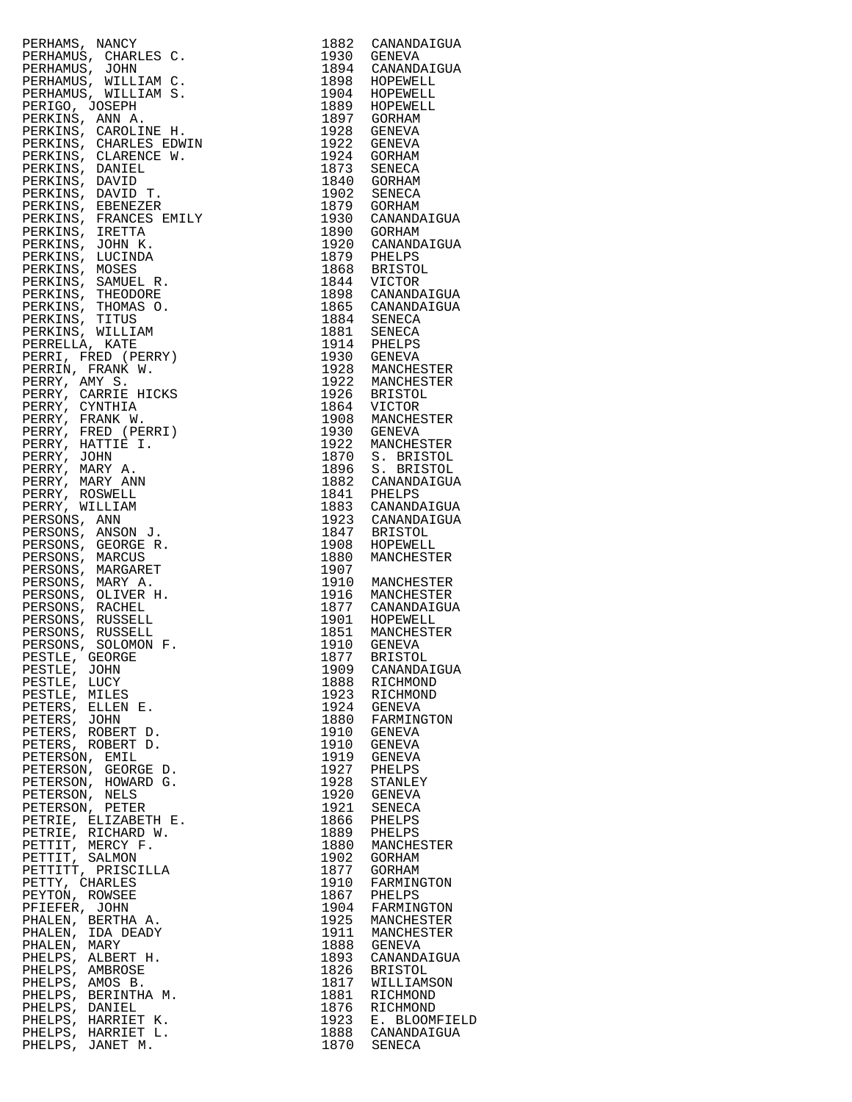|                                                                                                                                                                                                                                                                                      |      | 1882 CANANDAIGUA                                                                                                                          |
|--------------------------------------------------------------------------------------------------------------------------------------------------------------------------------------------------------------------------------------------------------------------------------------|------|-------------------------------------------------------------------------------------------------------------------------------------------|
|                                                                                                                                                                                                                                                                                      |      | 1930 GENEVA                                                                                                                               |
|                                                                                                                                                                                                                                                                                      |      |                                                                                                                                           |
|                                                                                                                                                                                                                                                                                      |      |                                                                                                                                           |
|                                                                                                                                                                                                                                                                                      |      |                                                                                                                                           |
|                                                                                                                                                                                                                                                                                      |      |                                                                                                                                           |
|                                                                                                                                                                                                                                                                                      |      |                                                                                                                                           |
|                                                                                                                                                                                                                                                                                      |      |                                                                                                                                           |
|                                                                                                                                                                                                                                                                                      |      |                                                                                                                                           |
|                                                                                                                                                                                                                                                                                      |      | 1930 GENEVA<br>1898 HOPEWELL<br>1904 HOPEWELL<br>1889 HOPEWELL<br>1897 GORHAM<br>1928 GENEVA<br>1922 GENEVA<br>1924 GORHAM<br>1973 GENEVA |
|                                                                                                                                                                                                                                                                                      |      |                                                                                                                                           |
|                                                                                                                                                                                                                                                                                      |      |                                                                                                                                           |
|                                                                                                                                                                                                                                                                                      |      |                                                                                                                                           |
|                                                                                                                                                                                                                                                                                      |      |                                                                                                                                           |
|                                                                                                                                                                                                                                                                                      |      |                                                                                                                                           |
|                                                                                                                                                                                                                                                                                      |      |                                                                                                                                           |
|                                                                                                                                                                                                                                                                                      |      | 1923 SENECA<br>1840 GORHAM<br>1902 SENECA<br>1879 GORHAM                                                                                  |
|                                                                                                                                                                                                                                                                                      |      |                                                                                                                                           |
|                                                                                                                                                                                                                                                                                      |      |                                                                                                                                           |
|                                                                                                                                                                                                                                                                                      |      |                                                                                                                                           |
|                                                                                                                                                                                                                                                                                      |      | 1930 CANANDAIGUA<br>1890 GORHAM                                                                                                           |
|                                                                                                                                                                                                                                                                                      |      |                                                                                                                                           |
|                                                                                                                                                                                                                                                                                      |      |                                                                                                                                           |
|                                                                                                                                                                                                                                                                                      |      |                                                                                                                                           |
|                                                                                                                                                                                                                                                                                      |      | 1920 CANANDAIGUA<br>1879 PHELPS<br>1868 BRISTOL<br>1844 VICTOR                                                                            |
|                                                                                                                                                                                                                                                                                      |      |                                                                                                                                           |
|                                                                                                                                                                                                                                                                                      |      |                                                                                                                                           |
|                                                                                                                                                                                                                                                                                      |      |                                                                                                                                           |
|                                                                                                                                                                                                                                                                                      |      |                                                                                                                                           |
|                                                                                                                                                                                                                                                                                      |      |                                                                                                                                           |
|                                                                                                                                                                                                                                                                                      |      | 1898 CANANDAIGUA<br>1865 CANANDAIGUA                                                                                                      |
|                                                                                                                                                                                                                                                                                      |      |                                                                                                                                           |
|                                                                                                                                                                                                                                                                                      |      |                                                                                                                                           |
|                                                                                                                                                                                                                                                                                      |      | 1884 SENECA<br>1881 SENECA<br>1914 PHELPS<br>1930 GENEVA                                                                                  |
|                                                                                                                                                                                                                                                                                      |      |                                                                                                                                           |
|                                                                                                                                                                                                                                                                                      |      |                                                                                                                                           |
|                                                                                                                                                                                                                                                                                      |      |                                                                                                                                           |
|                                                                                                                                                                                                                                                                                      |      |                                                                                                                                           |
|                                                                                                                                                                                                                                                                                      |      |                                                                                                                                           |
| PERHAMS, NANCY<br>PERHAMUS, CHARLES C.<br>PERHAMUS, JOHN<br>PERHAMUS, WILLIAM C.<br>PERHAMUS, WILLIAM C.<br>PERHAMUS, WILLIAM C.<br>PERHAMUS, WILLIAM S.<br>PERKINS, CARRIES EDNIN<br>PERKINS, CHARLES EDNIN<br>PERKINS, CHARLES EDNIN<br>PERKINS, DANID T.<br>                      |      | 1930 GENEVA<br>1922 MANCHESTER<br>1922 MANCHESTER<br>1926 BRISTOL<br>1864 VICTOR<br>1908 MANCHESTER<br>1930 GENEVA                        |
|                                                                                                                                                                                                                                                                                      |      |                                                                                                                                           |
|                                                                                                                                                                                                                                                                                      |      |                                                                                                                                           |
|                                                                                                                                                                                                                                                                                      |      |                                                                                                                                           |
|                                                                                                                                                                                                                                                                                      |      |                                                                                                                                           |
|                                                                                                                                                                                                                                                                                      |      |                                                                                                                                           |
|                                                                                                                                                                                                                                                                                      |      |                                                                                                                                           |
|                                                                                                                                                                                                                                                                                      |      |                                                                                                                                           |
|                                                                                                                                                                                                                                                                                      |      |                                                                                                                                           |
|                                                                                                                                                                                                                                                                                      |      |                                                                                                                                           |
|                                                                                                                                                                                                                                                                                      |      |                                                                                                                                           |
|                                                                                                                                                                                                                                                                                      |      |                                                                                                                                           |
|                                                                                                                                                                                                                                                                                      |      |                                                                                                                                           |
|                                                                                                                                                                                                                                                                                      |      |                                                                                                                                           |
|                                                                                                                                                                                                                                                                                      |      |                                                                                                                                           |
|                                                                                                                                                                                                                                                                                      |      | 1930 GANEVA<br>1922 MANCHESTER<br>1870 S. BRISTOL<br>1896 S. BRISTOL<br>1882 CANANDAIGUA<br>1883 CANANDAIGUA<br>1883 CANANDAIGUA          |
|                                                                                                                                                                                                                                                                                      |      |                                                                                                                                           |
|                                                                                                                                                                                                                                                                                      |      |                                                                                                                                           |
|                                                                                                                                                                                                                                                                                      |      |                                                                                                                                           |
|                                                                                                                                                                                                                                                                                      |      |                                                                                                                                           |
|                                                                                                                                                                                                                                                                                      |      | 1923 CANANDAIGUA<br>1847 BRISTOL<br>1908 HOPEWELL<br>1880 MANCHESTER                                                                      |
|                                                                                                                                                                                                                                                                                      |      |                                                                                                                                           |
|                                                                                                                                                                                                                                                                                      | 1907 |                                                                                                                                           |
|                                                                                                                                                                                                                                                                                      |      | 1910 MANCHESTER                                                                                                                           |
|                                                                                                                                                                                                                                                                                      |      |                                                                                                                                           |
|                                                                                                                                                                                                                                                                                      |      | 1916 MANCHESTER                                                                                                                           |
|                                                                                                                                                                                                                                                                                      |      | 1877 CANANDAIGUA                                                                                                                          |
|                                                                                                                                                                                                                                                                                      |      |                                                                                                                                           |
|                                                                                                                                                                                                                                                                                      |      | 1901 HOPEWELL<br>1851 MANCHESTER                                                                                                          |
|                                                                                                                                                                                                                                                                                      |      |                                                                                                                                           |
|                                                                                                                                                                                                                                                                                      |      | 1910 GENEVA                                                                                                                               |
|                                                                                                                                                                                                                                                                                      |      |                                                                                                                                           |
| PESTLE, GEORGE                                                                                                                                                                                                                                                                       |      | 1877 BRISTOL                                                                                                                              |
| PESTLE, JOHN                                                                                                                                                                                                                                                                         |      | 1909 CANANDAIGUA                                                                                                                          |
|                                                                                                                                                                                                                                                                                      |      |                                                                                                                                           |
| PESTLE, LUCY                                                                                                                                                                                                                                                                         | 1888 | RICHMOND                                                                                                                                  |
| PESTLE, MILES                                                                                                                                                                                                                                                                        |      | 1923 RICHMOND<br>1924 GENEVA                                                                                                              |
|                                                                                                                                                                                                                                                                                      |      |                                                                                                                                           |
| PETERS, ELLEN E.                                                                                                                                                                                                                                                                     |      |                                                                                                                                           |
| PETERS, JOHN                                                                                                                                                                                                                                                                         |      | 1880 FARMINGTON                                                                                                                           |
| PETERS, ROBERT D.                                                                                                                                                                                                                                                                    | 1910 | GENEVA                                                                                                                                    |
|                                                                                                                                                                                                                                                                                      |      |                                                                                                                                           |
| PETERS, ROBERT D.                                                                                                                                                                                                                                                                    |      | 1910 GENEVA                                                                                                                               |
| PETERSON, EMIL<br>PETERSON, EMIL<br>PETERSON, GEORGE D.<br>PETERSON, HOWARD G.<br>PETERSON, NELS<br>PETERSON, PETER<br>PETRIE, ELIZABETH E.<br>PETRIE, ELIZABETH E.<br>PETTIT, MERCY F.<br>PETTIT, PRISCILLA<br>PETTIT, PRISCILLA<br>PETTIT, PRISCILLA<br>PETTIT, CHARLES<br>PEYTON, |      | 1919 GENEVA                                                                                                                               |
|                                                                                                                                                                                                                                                                                      |      |                                                                                                                                           |
|                                                                                                                                                                                                                                                                                      |      | 1927 PHELPS<br>1928 STANLEY                                                                                                               |
|                                                                                                                                                                                                                                                                                      |      |                                                                                                                                           |
|                                                                                                                                                                                                                                                                                      |      |                                                                                                                                           |
|                                                                                                                                                                                                                                                                                      |      | 1920 GENEVA                                                                                                                               |
|                                                                                                                                                                                                                                                                                      | 1921 | SENECA                                                                                                                                    |
|                                                                                                                                                                                                                                                                                      | 1866 | PHELPS                                                                                                                                    |
|                                                                                                                                                                                                                                                                                      |      |                                                                                                                                           |
|                                                                                                                                                                                                                                                                                      | 1889 | PHELPS                                                                                                                                    |
|                                                                                                                                                                                                                                                                                      |      | 1880 MANCHESTER                                                                                                                           |
|                                                                                                                                                                                                                                                                                      |      |                                                                                                                                           |
|                                                                                                                                                                                                                                                                                      | 1902 | GORHAM                                                                                                                                    |
|                                                                                                                                                                                                                                                                                      | 1877 | GORHAM                                                                                                                                    |
|                                                                                                                                                                                                                                                                                      |      |                                                                                                                                           |
|                                                                                                                                                                                                                                                                                      | 1910 | FARMINGTON                                                                                                                                |
|                                                                                                                                                                                                                                                                                      | 1867 | PHELPS                                                                                                                                    |
| PFIEFER, JOHN                                                                                                                                                                                                                                                                        | 1904 | FARMINGTON                                                                                                                                |
|                                                                                                                                                                                                                                                                                      |      |                                                                                                                                           |
| PHALEN, BERTHA A.                                                                                                                                                                                                                                                                    | 1925 | MANCHESTER                                                                                                                                |
| PHALEN, IDA DEADY                                                                                                                                                                                                                                                                    | 1911 | MANCHESTER                                                                                                                                |
|                                                                                                                                                                                                                                                                                      |      |                                                                                                                                           |
| PHALEN, MARY                                                                                                                                                                                                                                                                         |      | 1888 GENEVA                                                                                                                               |
| PHELPS, ALBERT H.                                                                                                                                                                                                                                                                    | 1893 | CANANDAIGUA                                                                                                                               |
|                                                                                                                                                                                                                                                                                      |      |                                                                                                                                           |
| PHELPS, AMBROSE                                                                                                                                                                                                                                                                      | 1826 | BRISTOL                                                                                                                                   |
| PHELPS, AMOS B.                                                                                                                                                                                                                                                                      |      | 1817 WILLIAMSON                                                                                                                           |
| PHELPS, BERINTHA M.                                                                                                                                                                                                                                                                  | 1881 | RICHMOND                                                                                                                                  |
|                                                                                                                                                                                                                                                                                      |      |                                                                                                                                           |
| PHELPS, DANIEL                                                                                                                                                                                                                                                                       |      | 1876 RICHMOND                                                                                                                             |
| PHELPS, HARRIET K.                                                                                                                                                                                                                                                                   |      | 1923 E. BLOOMFIELD                                                                                                                        |
|                                                                                                                                                                                                                                                                                      |      |                                                                                                                                           |
|                                                                                                                                                                                                                                                                                      |      |                                                                                                                                           |
| PHELPS, HARRIET L.                                                                                                                                                                                                                                                                   |      | 1888 CANANDAIGUA                                                                                                                          |
| PHELPS, JANET M.                                                                                                                                                                                                                                                                     |      | 1870 SENECA                                                                                                                               |

| 1882         | CANANDAIGUA                   |
|--------------|-------------------------------|
| 1930         | GENEVA                        |
| 1894<br>1898 | CANANDAIGUA<br>HOPEWELL       |
| 1904         | HOPEWELL                      |
| 1889         | HOPEWELL                      |
| 1897         | GORHAM                        |
| 1928         | GENEVA                        |
| 1922         | GENEVA                        |
| 1924         | GORHAM                        |
| 1873         | SENECA                        |
| 1840         | GORHAM                        |
| 1902<br>1879 | SENECA                        |
| 1930         | GORHAM<br>CANANDAIGUA         |
| 1890         | GORHAM                        |
| 1920         | CANANDAIGUA                   |
| 1879         | PHELPS                        |
| 1868         | <b>BRISTOL</b>                |
| 1844         | VICTOR                        |
| 1898         | CANANDAIGUA                   |
| 1865         | CANANDAIGUA                   |
| 1884         | <b>SENECA</b>                 |
| 1881         | SENECA                        |
| 1914<br>1930 | PHELPS                        |
| 1928         | GENEVA<br>MANCHESTER          |
| 1922         | MANCHESTER                    |
| 1926         | <b>BRISTOL</b>                |
| 1864         | VICTOR                        |
| 1908         | MANCHESTER                    |
| 1930         | <b>GENEVA</b>                 |
| 1922         | MANCHESTER                    |
| 1870         | S. BRISTOL                    |
| 1896         | S. BRISTOL                    |
| 1882         | CANANDAIGUA                   |
| 1841         | PHELPS                        |
| 1883<br>1923 | CANANDAIGUA                   |
| 1847         | CANANDAIGUA<br><b>BRISTOL</b> |
| 1908         | HOPEWELL                      |
| 1880         | MANCHESTER                    |
| 1907         |                               |
| 1910         | MANCHESTER                    |
| 1916         | MANCHESTER                    |
| 1877         | CANANDAIGUA                   |
| 1901         | HOPEWELL                      |
| 1851         | MANCHESTER                    |
| 1910<br>1877 | GENEVA                        |
| 1909         | <b>BRISTOL</b><br>CANANDAIGUA |
| 1888         | RICHMOND                      |
| 1923         | RICHMOND                      |
| 1924         | <b>GENEVA</b>                 |
| 1880         | FARMINGTON                    |
| 1910         | <b>GENEVA</b>                 |
| 1910         | GENEVA                        |
| 1919         | <b>GENEVA</b>                 |
| 1927         | PHELPS                        |
| 1928         | STANLEY                       |
| 1920         | <b>GENEVA</b>                 |
| 1921<br>1866 | <b>SENECA</b>                 |
| 1889         | PHELPS<br>PHELPS              |
| 1880         | MANCHESTER                    |
| 1902         | GORHAM                        |
| 1877         | GORHAM                        |
| 1910         | FARMINGTON                    |
| 1867         | PHELPS                        |
| 1904         | FARMINGTON                    |
| 1925         | MANCHESTER                    |
| 1911         | MANCHESTER                    |
| 1888         | <b>GENEVA</b>                 |
| 1893         | CANANDAIGUA                   |
| 1826<br>1817 | <b>BRISTOL</b>                |
| 1881         | WILLIAMSON<br>RICHMOND        |
| 1876         | RICHMOND                      |
| 1923         | <b>BLOOMFIELD</b><br>Ε.       |
| 1888         | CANANDAIGUA                   |
| 1870         | SENECA                        |
|              |                               |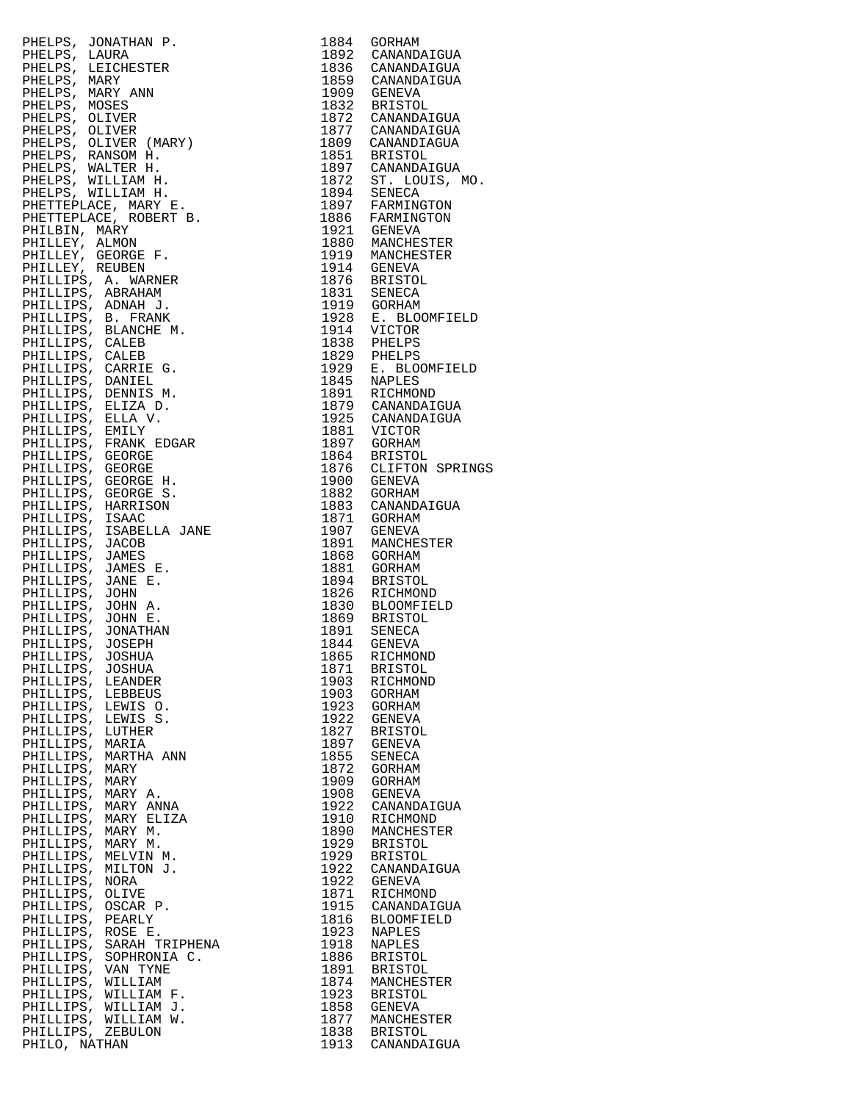|                                                                                                                                                                                                                                                                                     |      | 1975 CANANDAIGUA<br>1881 VICTOR<br>1897 GORHAM<br>1864 BRISTOL<br>1876 CLIFTON SPRINGS<br>1900 GENEVA |
|-------------------------------------------------------------------------------------------------------------------------------------------------------------------------------------------------------------------------------------------------------------------------------------|------|-------------------------------------------------------------------------------------------------------|
|                                                                                                                                                                                                                                                                                     |      |                                                                                                       |
|                                                                                                                                                                                                                                                                                     |      |                                                                                                       |
|                                                                                                                                                                                                                                                                                     |      |                                                                                                       |
|                                                                                                                                                                                                                                                                                     |      |                                                                                                       |
|                                                                                                                                                                                                                                                                                     |      |                                                                                                       |
|                                                                                                                                                                                                                                                                                     |      |                                                                                                       |
|                                                                                                                                                                                                                                                                                     |      |                                                                                                       |
|                                                                                                                                                                                                                                                                                     |      |                                                                                                       |
|                                                                                                                                                                                                                                                                                     |      |                                                                                                       |
|                                                                                                                                                                                                                                                                                     |      |                                                                                                       |
|                                                                                                                                                                                                                                                                                     |      |                                                                                                       |
|                                                                                                                                                                                                                                                                                     |      |                                                                                                       |
|                                                                                                                                                                                                                                                                                     |      |                                                                                                       |
|                                                                                                                                                                                                                                                                                     |      |                                                                                                       |
|                                                                                                                                                                                                                                                                                     |      |                                                                                                       |
|                                                                                                                                                                                                                                                                                     |      |                                                                                                       |
|                                                                                                                                                                                                                                                                                     |      |                                                                                                       |
|                                                                                                                                                                                                                                                                                     |      |                                                                                                       |
|                                                                                                                                                                                                                                                                                     |      |                                                                                                       |
| PHELDER, JONATHAN P. 1984 CONNER<br>PHELDES, JONATHAN P. 1984 CANAMDAIGUA<br>PHELDES, LARIY 2008<br>PHELDES, MARY 2008<br>PHELDES, MARY 2008<br>PHELDES, OLIVER (MARY) 1972 CANAMDAIGUA<br>PHELDES, OLIVER (MARY) 1972 CANAMDAIGUA<br>PHELDES, CLIV                                 |      |                                                                                                       |
| ----------<br>PHILLIPS, JOSHUA<br>PHILLIPS, JOSHUA<br>PHILLIPS, LEANDER                                                                                                                                                                                                             |      |                                                                                                       |
|                                                                                                                                                                                                                                                                                     |      |                                                                                                       |
|                                                                                                                                                                                                                                                                                     |      | 1871 BRISTOL<br>1903 RICHMOND                                                                         |
|                                                                                                                                                                                                                                                                                     |      |                                                                                                       |
|                                                                                                                                                                                                                                                                                     |      | 1903 GORHAM<br>1923 GORHAM                                                                            |
|                                                                                                                                                                                                                                                                                     |      |                                                                                                       |
|                                                                                                                                                                                                                                                                                     |      |                                                                                                       |
|                                                                                                                                                                                                                                                                                     | 1922 | GENEVA                                                                                                |
|                                                                                                                                                                                                                                                                                     |      | 1827 BRISTOL                                                                                          |
|                                                                                                                                                                                                                                                                                     |      | 1897 GENEVA                                                                                           |
|                                                                                                                                                                                                                                                                                     |      | 1855 SENECA                                                                                           |
|                                                                                                                                                                                                                                                                                     |      |                                                                                                       |
|                                                                                                                                                                                                                                                                                     | 1872 | GORHAM                                                                                                |
|                                                                                                                                                                                                                                                                                     |      | 1909 GORHAM                                                                                           |
|                                                                                                                                                                                                                                                                                     | 1908 | GENEVA                                                                                                |
|                                                                                                                                                                                                                                                                                     |      | 1922 CANANDAIGUA                                                                                      |
|                                                                                                                                                                                                                                                                                     |      |                                                                                                       |
|                                                                                                                                                                                                                                                                                     | 1910 | RICHMOND                                                                                              |
|                                                                                                                                                                                                                                                                                     |      | 1890 MANCHESTER                                                                                       |
|                                                                                                                                                                                                                                                                                     |      | 1929 BRISTOL                                                                                          |
|                                                                                                                                                                                                                                                                                     |      | 1929 BRISTOL                                                                                          |
|                                                                                                                                                                                                                                                                                     |      |                                                                                                       |
|                                                                                                                                                                                                                                                                                     | 1922 | CANANDAIGUA                                                                                           |
|                                                                                                                                                                                                                                                                                     |      | 1922 GENEVA                                                                                           |
|                                                                                                                                                                                                                                                                                     | 1871 | RICHMOND                                                                                              |
|                                                                                                                                                                                                                                                                                     |      |                                                                                                       |
|                                                                                                                                                                                                                                                                                     |      | 1915 CANANDAIGUA                                                                                      |
|                                                                                                                                                                                                                                                                                     | 1816 | BLOOMFIELD                                                                                            |
|                                                                                                                                                                                                                                                                                     |      | 1923 NAPLES                                                                                           |
|                                                                                                                                                                                                                                                                                     | 1918 | NAPLES                                                                                                |
|                                                                                                                                                                                                                                                                                     |      |                                                                                                       |
|                                                                                                                                                                                                                                                                                     |      | 1886 BRISTOL                                                                                          |
|                                                                                                                                                                                                                                                                                     | 1891 | BRISTOL                                                                                               |
|                                                                                                                                                                                                                                                                                     |      | 1874 MANCHESTER                                                                                       |
|                                                                                                                                                                                                                                                                                     |      |                                                                                                       |
|                                                                                                                                                                                                                                                                                     |      | 1923 BRISTOL<br>1858 GENEVA                                                                           |
|                                                                                                                                                                                                                                                                                     |      |                                                                                                       |
|                                                                                                                                                                                                                                                                                     |      |                                                                                                       |
| PHILLIPS, ZEBULON                                                                                                                                                                                                                                                                   |      | 1877 MANCHESTER<br>1838 BRISTOL                                                                       |
| PHILLIPS, JOSHUA<br>PHILLIPS, LEANDER<br>PHILLIPS, LEANDER<br>PHILLIPS, LEANDER<br>PHILLIPS, LEWIS 0.<br>PHILLIPS, LUTHER<br>PHILLIPS, MARTHA ANN<br>PHILLIPS, MARTHA ANN<br>PHILLIPS, MARY A.<br>PHILLIPS, MARY A.<br>PHILLIPS, MARY A.<br>PHILLIPS, MARY A.<br>P<br>PHILO, NATHAN |      | 1913 CANANDAIGUA                                                                                      |
|                                                                                                                                                                                                                                                                                     |      |                                                                                                       |

|                        | PHELES, JONATHAN P.<br>PHELPS, JOANNA P.<br>PHELPS, LAURA<br>PHELPS, MARY<br>PHELPS, MARY<br>PHELPS, MARY<br>PHELPS, MORES<br>PHELPS, MARY<br>PHELPS, OLIVER (MARY)<br>PHELPS, RAINGER (MARY)<br>PHELPS, RAINGER H.<br>PHELPS, WILLIAM H.<br>PHELPS, WILLIAM H.<br>PH | 1884         | GORHAM                                                                                                                                                                                                                     |
|------------------------|-----------------------------------------------------------------------------------------------------------------------------------------------------------------------------------------------------------------------------------------------------------------------|--------------|----------------------------------------------------------------------------------------------------------------------------------------------------------------------------------------------------------------------------|
|                        |                                                                                                                                                                                                                                                                       |              | 1892 CANANDAIGUA<br>1836 CANANDAIGUA                                                                                                                                                                                       |
|                        |                                                                                                                                                                                                                                                                       |              |                                                                                                                                                                                                                            |
|                        |                                                                                                                                                                                                                                                                       |              | 1859 CANANDAIGUA<br>1909 GENEVA                                                                                                                                                                                            |
|                        |                                                                                                                                                                                                                                                                       |              |                                                                                                                                                                                                                            |
|                        |                                                                                                                                                                                                                                                                       |              |                                                                                                                                                                                                                            |
|                        |                                                                                                                                                                                                                                                                       |              |                                                                                                                                                                                                                            |
|                        |                                                                                                                                                                                                                                                                       |              |                                                                                                                                                                                                                            |
|                        |                                                                                                                                                                                                                                                                       |              | 1909 GENEVA<br>1832 BRISTOL<br>1877 CANANDAIGUA<br>1877 CANANDAIGUA<br>1809 CANANDIAGUA<br>1851 BRISTOL<br>1897 CANANDAIGUA<br>1872 ST. LOUIS, MO.<br>1894 SENECA<br>1897 FARMINGTON<br>1886 FARMINGTON<br>1886 FARMINGTON |
|                        |                                                                                                                                                                                                                                                                       |              |                                                                                                                                                                                                                            |
|                        |                                                                                                                                                                                                                                                                       |              |                                                                                                                                                                                                                            |
|                        |                                                                                                                                                                                                                                                                       |              |                                                                                                                                                                                                                            |
|                        |                                                                                                                                                                                                                                                                       |              | 1921 GENEVA<br>1880 MANCHESTER                                                                                                                                                                                             |
|                        |                                                                                                                                                                                                                                                                       |              |                                                                                                                                                                                                                            |
|                        |                                                                                                                                                                                                                                                                       |              | 1919 MANCHESTER<br>1914 GENEVA                                                                                                                                                                                             |
|                        |                                                                                                                                                                                                                                                                       |              | 1876 BRISTOL<br>1831 SENECA                                                                                                                                                                                                |
|                        |                                                                                                                                                                                                                                                                       |              |                                                                                                                                                                                                                            |
|                        |                                                                                                                                                                                                                                                                       |              | 1919 GORHAM<br>1919 GORHAM<br>1928 E. BLOOMFIELD<br>1914 VICTOR<br>1838 PHELPS<br>1929 E. BLOOMFIELD<br>1929 E. BLOOMFIELD                                                                                                 |
|                        |                                                                                                                                                                                                                                                                       |              |                                                                                                                                                                                                                            |
|                        |                                                                                                                                                                                                                                                                       |              |                                                                                                                                                                                                                            |
|                        |                                                                                                                                                                                                                                                                       |              |                                                                                                                                                                                                                            |
|                        |                                                                                                                                                                                                                                                                       |              |                                                                                                                                                                                                                            |
|                        |                                                                                                                                                                                                                                                                       |              | 1845 NAPLES<br>1891 RICHMOND                                                                                                                                                                                               |
|                        |                                                                                                                                                                                                                                                                       |              |                                                                                                                                                                                                                            |
|                        |                                                                                                                                                                                                                                                                       |              |                                                                                                                                                                                                                            |
|                        |                                                                                                                                                                                                                                                                       |              | 1879 CANANDAIGUA<br>1925 CANANDAIGUA<br>1881 VICTOR<br>1897 GORHAM                                                                                                                                                         |
|                        |                                                                                                                                                                                                                                                                       |              | 1864 BRISTOL<br>1876 CLIFTON SPRINGS                                                                                                                                                                                       |
|                        |                                                                                                                                                                                                                                                                       |              |                                                                                                                                                                                                                            |
|                        |                                                                                                                                                                                                                                                                       |              | 1900 GENEVA<br>1882 GORHAM                                                                                                                                                                                                 |
|                        |                                                                                                                                                                                                                                                                       |              | 1883 CANANDAIGUA                                                                                                                                                                                                           |
|                        |                                                                                                                                                                                                                                                                       |              | 1871 GORHAM                                                                                                                                                                                                                |
|                        |                                                                                                                                                                                                                                                                       |              | 1907 GENEVA<br>1891 MANCHESTER                                                                                                                                                                                             |
|                        |                                                                                                                                                                                                                                                                       |              | 1868 GORHAM                                                                                                                                                                                                                |
|                        |                                                                                                                                                                                                                                                                       |              | 1881 GORHAM                                                                                                                                                                                                                |
|                        |                                                                                                                                                                                                                                                                       |              |                                                                                                                                                                                                                            |
|                        |                                                                                                                                                                                                                                                                       |              | 1881 BRISTOL<br>1826 RICHMOND<br>1830 BLOOMFIELD<br>1869 BRISTOL<br>1891 SENECA<br>1844 GENEVA                                                                                                                             |
|                        |                                                                                                                                                                                                                                                                       |              |                                                                                                                                                                                                                            |
|                        |                                                                                                                                                                                                                                                                       |              |                                                                                                                                                                                                                            |
|                        |                                                                                                                                                                                                                                                                       |              |                                                                                                                                                                                                                            |
| PHILLIPS,              | JOSHUA                                                                                                                                                                                                                                                                | 1865<br>1871 | RICHMOND<br><b>BRISTOL</b>                                                                                                                                                                                                 |
| PHILLIPS,              | LEANDER                                                                                                                                                                                                                                                               | 1903         | RICHMOND                                                                                                                                                                                                                   |
| PHILLIPS, LEBBEUS      |                                                                                                                                                                                                                                                                       |              | GORHAM                                                                                                                                                                                                                     |
| PHILLIPS,              |                                                                                                                                                                                                                                                                       |              | GORHAM                                                                                                                                                                                                                     |
| PHILLIPS,<br>PHILLIPS, |                                                                                                                                                                                                                                                                       |              | GENEVA<br>BRISTOL                                                                                                                                                                                                          |
| PHILLIPS,              |                                                                                                                                                                                                                                                                       |              | GENEVA                                                                                                                                                                                                                     |
| PHILLIPS,              |                                                                                                                                                                                                                                                                       |              | SENECA                                                                                                                                                                                                                     |
| PHILLIPS,              |                                                                                                                                                                                                                                                                       |              | GORHAM                                                                                                                                                                                                                     |
| PHILLIPS,<br>PHILLIPS, |                                                                                                                                                                                                                                                                       |              | GORHAM<br>GENEVA                                                                                                                                                                                                           |
| PHILLIPS,              |                                                                                                                                                                                                                                                                       |              | CANANDAIGUA                                                                                                                                                                                                                |
| PHILLIPS,              |                                                                                                                                                                                                                                                                       |              | RICHMOND                                                                                                                                                                                                                   |
| PHILLIPS,              |                                                                                                                                                                                                                                                                       |              | MANCHESTER                                                                                                                                                                                                                 |
| PHILLIPS,<br>PHILLIPS, |                                                                                                                                                                                                                                                                       |              | BRISTOL<br><b>BRISTOL</b>                                                                                                                                                                                                  |
| PHILLIPS,              |                                                                                                                                                                                                                                                                       |              | CANANDAIGUA                                                                                                                                                                                                                |
| PHILLIPS,              |                                                                                                                                                                                                                                                                       |              | GENEVA                                                                                                                                                                                                                     |
| PHILLIPS,<br>PHILLIPS, |                                                                                                                                                                                                                                                                       |              | RICHMOND<br>CANANDAIGUA                                                                                                                                                                                                    |
| PHILLIPS,              |                                                                                                                                                                                                                                                                       |              | <b>BLOOMFIELD</b>                                                                                                                                                                                                          |
| PHILLIPS,              |                                                                                                                                                                                                                                                                       |              | NAPLES                                                                                                                                                                                                                     |
| PHILLIPS,              |                                                                                                                                                                                                                                                                       |              | NAPLES                                                                                                                                                                                                                     |
| PHILLIPS,<br>PHILLIPS, |                                                                                                                                                                                                                                                                       |              | <b>BRISTOL</b><br>BRISTOL                                                                                                                                                                                                  |
| PHILLIPS,              |                                                                                                                                                                                                                                                                       |              | MANCHESTER                                                                                                                                                                                                                 |
|                        | PHILLIPS, WILLIAM F.                                                                                                                                                                                                                                                  |              | BRISTOL                                                                                                                                                                                                                    |
|                        | PHILLIPS, WILLIAM J.                                                                                                                                                                                                                                                  |              | GENEVA                                                                                                                                                                                                                     |
| PHILLIPS, ZEBULON      | PHILLIPS, WILLIAM W.                                                                                                                                                                                                                                                  |              | MANCHESTER<br>BRISTOL                                                                                                                                                                                                      |
| PHILO, NATHAN          |                                                                                                                                                                                                                                                                       |              | CANANDAIGUA                                                                                                                                                                                                                |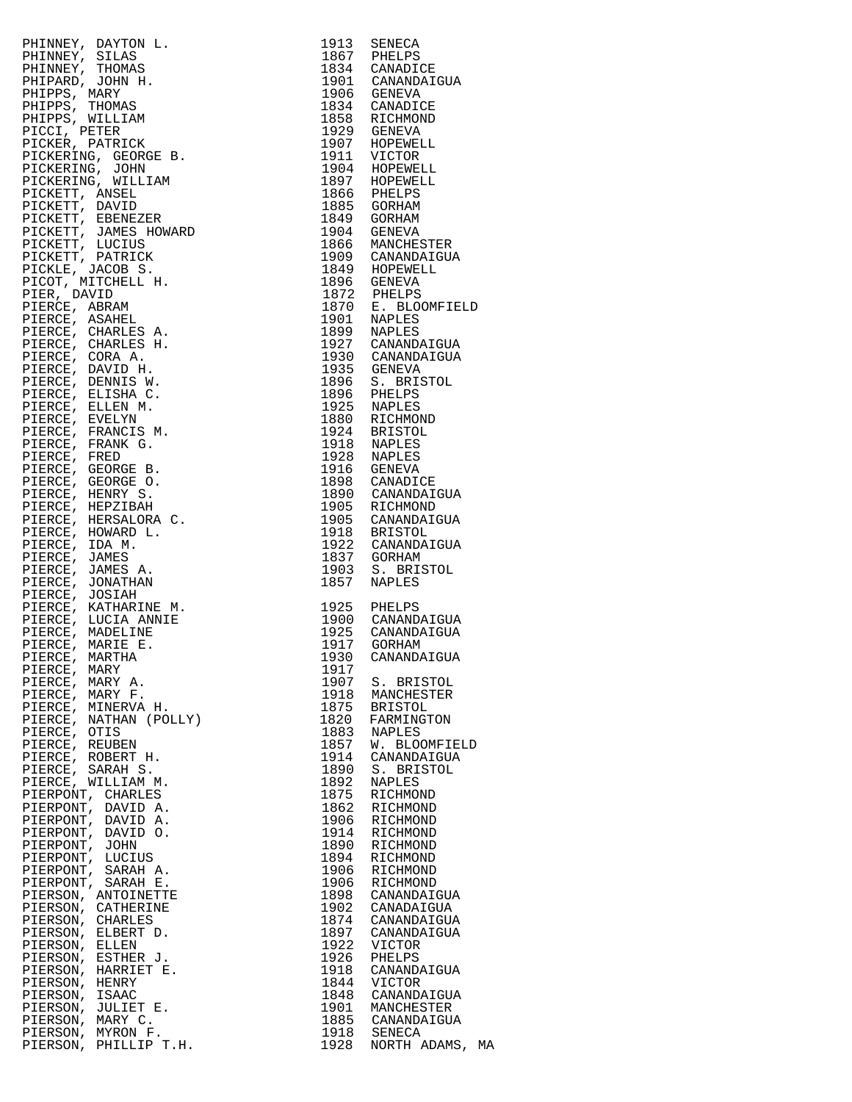| PHINNEY, DAYTON I. 1913 SENEGA<br>PHINNEY, SILLAS 1967 PHELPS<br>PHINNEY, SILLAS 1967 PHELPS<br>PHINNEY, TIOMAS 1936 CANADIOUS<br>PHIPPES, MARY 1970<br>PHIPPES, THOMAS 1990<br>PHIPPES, THOMAS 1990<br>PICCIS, PRINCISCON 1990<br>PICCES, THE |      |                                                                                                                  |
|------------------------------------------------------------------------------------------------------------------------------------------------------------------------------------------------------------------------------------------------|------|------------------------------------------------------------------------------------------------------------------|
|                                                                                                                                                                                                                                                |      |                                                                                                                  |
|                                                                                                                                                                                                                                                |      |                                                                                                                  |
|                                                                                                                                                                                                                                                |      |                                                                                                                  |
|                                                                                                                                                                                                                                                |      |                                                                                                                  |
|                                                                                                                                                                                                                                                |      |                                                                                                                  |
|                                                                                                                                                                                                                                                |      |                                                                                                                  |
|                                                                                                                                                                                                                                                |      |                                                                                                                  |
|                                                                                                                                                                                                                                                |      |                                                                                                                  |
|                                                                                                                                                                                                                                                |      |                                                                                                                  |
|                                                                                                                                                                                                                                                |      |                                                                                                                  |
|                                                                                                                                                                                                                                                |      |                                                                                                                  |
|                                                                                                                                                                                                                                                |      |                                                                                                                  |
|                                                                                                                                                                                                                                                |      |                                                                                                                  |
|                                                                                                                                                                                                                                                |      |                                                                                                                  |
|                                                                                                                                                                                                                                                |      |                                                                                                                  |
|                                                                                                                                                                                                                                                |      |                                                                                                                  |
|                                                                                                                                                                                                                                                |      |                                                                                                                  |
|                                                                                                                                                                                                                                                |      |                                                                                                                  |
|                                                                                                                                                                                                                                                |      | 1949 HOPEWELL<br>1849 HOPEWELL<br>1896 GENEVA<br>1872 PHELPS<br>1870 E. BLOOMFIELD<br>1901 NAPLES<br>1899 NAPLES |
|                                                                                                                                                                                                                                                |      |                                                                                                                  |
|                                                                                                                                                                                                                                                |      |                                                                                                                  |
|                                                                                                                                                                                                                                                |      |                                                                                                                  |
|                                                                                                                                                                                                                                                |      |                                                                                                                  |
|                                                                                                                                                                                                                                                |      |                                                                                                                  |
|                                                                                                                                                                                                                                                |      |                                                                                                                  |
|                                                                                                                                                                                                                                                |      |                                                                                                                  |
|                                                                                                                                                                                                                                                |      |                                                                                                                  |
|                                                                                                                                                                                                                                                |      |                                                                                                                  |
|                                                                                                                                                                                                                                                |      |                                                                                                                  |
|                                                                                                                                                                                                                                                |      |                                                                                                                  |
|                                                                                                                                                                                                                                                |      |                                                                                                                  |
|                                                                                                                                                                                                                                                |      |                                                                                                                  |
|                                                                                                                                                                                                                                                |      |                                                                                                                  |
|                                                                                                                                                                                                                                                |      |                                                                                                                  |
|                                                                                                                                                                                                                                                |      |                                                                                                                  |
|                                                                                                                                                                                                                                                |      |                                                                                                                  |
|                                                                                                                                                                                                                                                |      |                                                                                                                  |
|                                                                                                                                                                                                                                                |      |                                                                                                                  |
|                                                                                                                                                                                                                                                |      |                                                                                                                  |
|                                                                                                                                                                                                                                                |      |                                                                                                                  |
|                                                                                                                                                                                                                                                |      |                                                                                                                  |
|                                                                                                                                                                                                                                                |      | 1918 BRISTOL<br>1922 CANANDAIGUA<br>1837 GORHAM                                                                  |
|                                                                                                                                                                                                                                                |      |                                                                                                                  |
|                                                                                                                                                                                                                                                |      |                                                                                                                  |
|                                                                                                                                                                                                                                                |      |                                                                                                                  |
|                                                                                                                                                                                                                                                |      |                                                                                                                  |
|                                                                                                                                                                                                                                                |      | 1925 PHELPS<br>1900 CANANDAIGUA<br>1925 CANANDAIGUA<br>1917 GORHAM                                               |
|                                                                                                                                                                                                                                                |      |                                                                                                                  |
|                                                                                                                                                                                                                                                |      |                                                                                                                  |
|                                                                                                                                                                                                                                                |      |                                                                                                                  |
|                                                                                                                                                                                                                                                |      | 1930 CANANDAIGUA                                                                                                 |
| PIERCE, MARY                                                                                                                                                                                                                                   | 1917 |                                                                                                                  |
| PIERCE, MARY A.                                                                                                                                                                                                                                |      | 1907 S. BRISTOL                                                                                                  |
| PIERCE, MARY F.                                                                                                                                                                                                                                | 1918 | MANCHESTER                                                                                                       |
| PIERCE, MINERVA H.                                                                                                                                                                                                                             |      | 1875 BRISTOL                                                                                                     |
| PIERCE, NATHAN (POLLY)                                                                                                                                                                                                                         | 1820 | FARMINGTON                                                                                                       |
| PIERCE, OTIS                                                                                                                                                                                                                                   |      | 1883 NAPLES                                                                                                      |
| PIERCE, REUBEN                                                                                                                                                                                                                                 | 1857 | W. BLOOMFIELD                                                                                                    |
| PIERCE, ROBERT H.                                                                                                                                                                                                                              | 1914 | CANANDAIGUA                                                                                                      |
| PIERCE, SARAH S.                                                                                                                                                                                                                               | 1890 | S. BRISTOL                                                                                                       |
| PIERCE, WILLIAM M.                                                                                                                                                                                                                             | 1892 | NAPLES                                                                                                           |
| PIERPONT, CHARLES                                                                                                                                                                                                                              | 1875 | RICHMOND                                                                                                         |
| PIERPONT, DAVID A.                                                                                                                                                                                                                             | 1862 | RICHMOND                                                                                                         |
| PIERPONT, DAVID A.                                                                                                                                                                                                                             | 1906 | RICHMOND                                                                                                         |
| PIERPONT, DAVID O.                                                                                                                                                                                                                             | 1914 | RICHMOND                                                                                                         |
| PIERPONT, JOHN                                                                                                                                                                                                                                 | 1890 | RICHMOND                                                                                                         |
| PIERPONT, LUCIUS                                                                                                                                                                                                                               | 1894 | RICHMOND                                                                                                         |
|                                                                                                                                                                                                                                                |      |                                                                                                                  |
| PIERPONT, SARAH A.                                                                                                                                                                                                                             | 1906 | RICHMOND<br>1906 RICHMOND                                                                                        |
| PIERPONT, SARAH E.                                                                                                                                                                                                                             |      |                                                                                                                  |
| PIERSON, ANTOINETTE                                                                                                                                                                                                                            |      | 1898 CANANDAIGUA                                                                                                 |
| PIERSON, CATHERINE                                                                                                                                                                                                                             |      | 1902 CANADAIGUA                                                                                                  |
| PIERSON, CHARLES                                                                                                                                                                                                                               | 1874 | CANANDAIGUA                                                                                                      |
| PIERSON, ELBERT D.                                                                                                                                                                                                                             |      | 1897 CANANDAIGUA                                                                                                 |
| PIERSON, ELLEN                                                                                                                                                                                                                                 | 1922 | VICTOR                                                                                                           |
| PIERSON, ESTHER J.                                                                                                                                                                                                                             | 1926 | PHELPS                                                                                                           |
| PIERSON, HARRIET E.                                                                                                                                                                                                                            | 1918 | CANANDAIGUA                                                                                                      |
| PIERSON, HENRY                                                                                                                                                                                                                                 |      | 1844 VICTOR                                                                                                      |
| PIERSON,<br>ISAAC                                                                                                                                                                                                                              |      | 1848 CANANDAIGUA                                                                                                 |
| PIERSON, JULIET E.                                                                                                                                                                                                                             |      | 1901 MANCHESTER                                                                                                  |
| PIERSON, MARY C.                                                                                                                                                                                                                               |      |                                                                                                                  |
| PIERSON, MYRON F.                                                                                                                                                                                                                              |      | 1885 CANANDAIGUA<br>1918 SENECA                                                                                  |
| PIERSON, PHILLIP T.H.                                                                                                                                                                                                                          |      | 1928 NORTH ADAMS, M                                                                                              |

| 1857<br>W. BLOOMFIELD                                                                                                                                                                                                                                                                       |                 |
|---------------------------------------------------------------------------------------------------------------------------------------------------------------------------------------------------------------------------------------------------------------------------------------------|-----------------|
| 1914<br>CANANDAIGUA                                                                                                                                                                                                                                                                         |                 |
| 1890<br>S. BRISTOL                                                                                                                                                                                                                                                                          |                 |
| 1892<br><b>NAPLES</b>                                                                                                                                                                                                                                                                       |                 |
| 1875<br>RICHMOND                                                                                                                                                                                                                                                                            |                 |
| 1862<br>RICHMOND                                                                                                                                                                                                                                                                            |                 |
| 1906<br>RICHMOND                                                                                                                                                                                                                                                                            |                 |
| 1914<br>RICHMOND                                                                                                                                                                                                                                                                            |                 |
| 1890<br>RICHMOND                                                                                                                                                                                                                                                                            |                 |
| 1894                                                                                                                                                                                                                                                                                        |                 |
| RICHMOND                                                                                                                                                                                                                                                                                    |                 |
| 1906<br>RICHMOND                                                                                                                                                                                                                                                                            |                 |
| 1906<br>RICHMOND                                                                                                                                                                                                                                                                            |                 |
| 1898<br>CANANDAIGUA                                                                                                                                                                                                                                                                         |                 |
| 1902<br>CANADAIGUA                                                                                                                                                                                                                                                                          |                 |
| 1874<br>CANANDAIGUA                                                                                                                                                                                                                                                                         |                 |
| 1897<br>CANANDAIGUA                                                                                                                                                                                                                                                                         |                 |
| 1922<br>VICTOR                                                                                                                                                                                                                                                                              |                 |
| 1926<br>PHELPS                                                                                                                                                                                                                                                                              |                 |
| 1918<br>CANANDAIGUA                                                                                                                                                                                                                                                                         |                 |
| 1844<br>VICTOR                                                                                                                                                                                                                                                                              |                 |
| 1848<br>CANANDAIGUA                                                                                                                                                                                                                                                                         |                 |
| 1901<br>MANCHESTER                                                                                                                                                                                                                                                                          |                 |
| 1885<br>CANANDAIGUA                                                                                                                                                                                                                                                                         |                 |
| PIERCE, NATHAN (POLLY)<br>PIERCE, OTIS<br>PIERCE, CEUBEN<br>PIERCE, REUBEN<br>PIERCE, ROBERT H.<br>PIERCE, SARAH S.<br>PIERCE, SARAH S.<br>PIERCE, WILLIAM M.<br>PIERCE, WILLIAM M.<br>PIERPONT, DAVID A.<br>PIERPONT, DAVID O.<br>PIERPONT, JOHN O.<br>PIERPONT,<br>1918<br>SENECA<br>1928 | NORTH ADAMS, MA |
|                                                                                                                                                                                                                                                                                             |                 |
|                                                                                                                                                                                                                                                                                             |                 |
|                                                                                                                                                                                                                                                                                             |                 |
|                                                                                                                                                                                                                                                                                             |                 |
|                                                                                                                                                                                                                                                                                             |                 |
|                                                                                                                                                                                                                                                                                             |                 |
|                                                                                                                                                                                                                                                                                             |                 |
|                                                                                                                                                                                                                                                                                             |                 |
|                                                                                                                                                                                                                                                                                             |                 |
|                                                                                                                                                                                                                                                                                             |                 |
|                                                                                                                                                                                                                                                                                             |                 |
|                                                                                                                                                                                                                                                                                             |                 |
|                                                                                                                                                                                                                                                                                             |                 |
|                                                                                                                                                                                                                                                                                             |                 |
|                                                                                                                                                                                                                                                                                             |                 |
|                                                                                                                                                                                                                                                                                             |                 |
|                                                                                                                                                                                                                                                                                             |                 |
|                                                                                                                                                                                                                                                                                             |                 |
|                                                                                                                                                                                                                                                                                             |                 |
|                                                                                                                                                                                                                                                                                             |                 |
|                                                                                                                                                                                                                                                                                             |                 |
|                                                                                                                                                                                                                                                                                             |                 |
|                                                                                                                                                                                                                                                                                             |                 |
|                                                                                                                                                                                                                                                                                             |                 |
|                                                                                                                                                                                                                                                                                             |                 |
|                                                                                                                                                                                                                                                                                             |                 |
|                                                                                                                                                                                                                                                                                             |                 |
|                                                                                                                                                                                                                                                                                             |                 |
|                                                                                                                                                                                                                                                                                             |                 |
|                                                                                                                                                                                                                                                                                             |                 |
|                                                                                                                                                                                                                                                                                             |                 |
|                                                                                                                                                                                                                                                                                             |                 |
|                                                                                                                                                                                                                                                                                             |                 |
|                                                                                                                                                                                                                                                                                             |                 |
|                                                                                                                                                                                                                                                                                             |                 |
|                                                                                                                                                                                                                                                                                             |                 |
|                                                                                                                                                                                                                                                                                             |                 |
|                                                                                                                                                                                                                                                                                             |                 |
|                                                                                                                                                                                                                                                                                             |                 |
|                                                                                                                                                                                                                                                                                             |                 |
|                                                                                                                                                                                                                                                                                             |                 |
|                                                                                                                                                                                                                                                                                             |                 |
|                                                                                                                                                                                                                                                                                             |                 |
|                                                                                                                                                                                                                                                                                             |                 |
|                                                                                                                                                                                                                                                                                             |                 |
|                                                                                                                                                                                                                                                                                             |                 |
|                                                                                                                                                                                                                                                                                             |                 |
|                                                                                                                                                                                                                                                                                             |                 |
|                                                                                                                                                                                                                                                                                             |                 |
|                                                                                                                                                                                                                                                                                             |                 |
|                                                                                                                                                                                                                                                                                             |                 |
|                                                                                                                                                                                                                                                                                             |                 |
|                                                                                                                                                                                                                                                                                             |                 |
|                                                                                                                                                                                                                                                                                             |                 |
|                                                                                                                                                                                                                                                                                             |                 |
|                                                                                                                                                                                                                                                                                             |                 |
|                                                                                                                                                                                                                                                                                             |                 |
|                                                                                                                                                                                                                                                                                             |                 |
|                                                                                                                                                                                                                                                                                             |                 |
|                                                                                                                                                                                                                                                                                             |                 |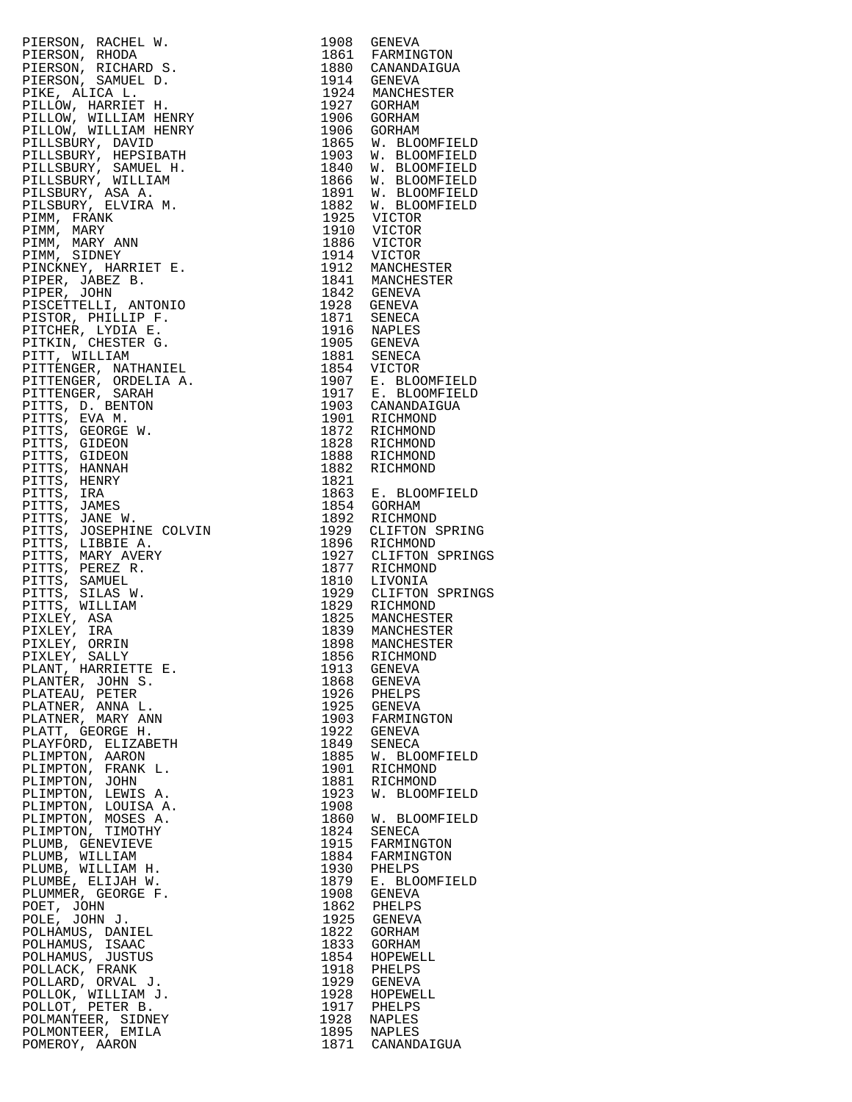PIERSON, RACHEL W. 1908 GENEVA PIERSON, RHODA 1861 FARMINGTON PIERSON, RICHARD S. 1880 CANANDAIGUA PIERSON, SAMUEL D. 1914 GENEVA PIKE, ALICA L. 1924 MANCHESTER PILLOW, HARRIET H. 1927 GORHAM PILLOW, WILLIAM HENRY 1906 GORHAM PILLOW, WILLIAM HENRY 1906 GORHAM PILLSBURY, DAVID 1865 W. BLOOMFIELD PILLSBURY, HEPSIBATH 1903 W. BLOOMFIELD PILLSBURY, SAMUEL H. 1840 W. BLOOMFIELD PILLSBURY, WILLIAM 1866 W. BLOOMFIELD PILSBURY, ASA A. 1891 W. BLOOMFIELD PILSBURY, ELVIRA M. 1882 W. BLOOMFIELD PIMM, FRANK 1925 VICTOR PIMM, MARY 1910 VICTOR PIMM, MARY ANN 1886 VICTOR PIMM, SIDNEY 1914 VICTOR PINCKNEY, HARRIET E. 1912 MANCHESTER PIPER, JABEZ B. 1841 MANCHESTER PIPER, JOHN 1842 GENEVA PISCETTELLI, ANTONIO 1928 GENEVA PISTOR, PHILLIP F. 1871 SENECA PITCHER, LYDIA E. 1916 NAPLES PITKIN, CHESTER G. 1905 GENEVA PITT, WILLIAM 1881 SENECA PITTENGER, NATHANIEL 1854 VICTOR PITTENGER, ORDELIA A. 1907 E. BLOOMFIELD PITTENGER, SARAH 1917 E. BLOOMFIELD PITTS, D. BENTON 1903 CANANDAIGUA PITTS, EVA M. 1901 RICHMOND PITTS, GEORGE W. 1872 RICHMOND PITTS, GIDEON 1828 RICHMOND PITTS, GIDEON 1888 RICHMOND PITTS, HANNAH 1882 RICHMOND PITTS, HENRY 1821 PITTS, IRA 1863 E. BLOOMFIELD PITTS, JAMES 1854 GORHAM PITTS, JANE W. 1892 RICHMOND PITTS, JOSEPHINE COLVIN 1929 CLIFTON SPRING PITTS, LIBBIE A. 1896 RICHMOND PITTS, MARY AVERY 1927 CLIFTON SPRINGS PITTS, PEREZ R. 1877 RICHMOND PITTS, SAMUEL 1810 LIVONIA PITTS, SILAS W. 1929 CLIFTON SPRINGS PITTS, WILLIAM 1829 RICHMOND PIXLEY, ASA 1825 MANCHESTER PIXLEY, IRA 1839 MANCHESTER PIXLEY, ORRIN 1898 MANCHESTER PIXLEY, SALLY 1856 RICHMOND PLANT, HARRIETTE E. 1913 GENEVA PLANTER, JOHN S. 1868 GENEVA PLATEAU, PETER 1926 PHELPS PLATNER, ANNA L. 1925 GENEVA PLATNER, MARY ANN 1903 FARMINGTON PLATT, GEORGE H. 1922 GENEVA PLAYFORD, ELIZABETH 1849 SENECA PLIMPTON, AARON 1885 W. BLOOMFIELD PLIMPTON, FRANK L. 1901 RICHMOND PLIMPTON, JOHN 1881 RICHMOND PLIMPTON, LEWIS A. 1923 W. BLOOMFIELD PLIMPTON, LOUISA A. 1908 PLIMPTON, MOSES A. 1860 W. BLOOMFIELD PLIMPTON, TIMOTHY 1824 SENECA PLUMB, GENEVIEVE 1915 FARMINGTON PLUMB, WILLIAM 1884 FARMINGTON PLUMB, WILLIAM H. 1930 PHELPS PLUMBE, ELIJAH W. 1879 E. BLOOMFIELD PLUMMER, GEORGE F. 1908 GENEVA POET, JOHN 1862 PHELPS POLE, JOHN J. 1925 GENEVA POLHAMUS, DANIEL 1822 GORHAM POLHAMUS, ISAAC 1833 GORHAM POLHAMUS, JUSTUS 1854 HOPEWELL POLLACK, FRANK 1918 PHELPS POLLARD, ORVAL J. 1929 GENEVA POLLOK, WILLIAM J.<br>POLLOT, PETER B. POLMANTEER, SIDNEY 1928 NAPLES POLMONTEER, EMILA<br>POMEROY, AARON

1929 GENEVA<br>1928 HOPEWELL<br>1917 PHELPS<br>1928 NAPLES 1871 CANANDAIGUA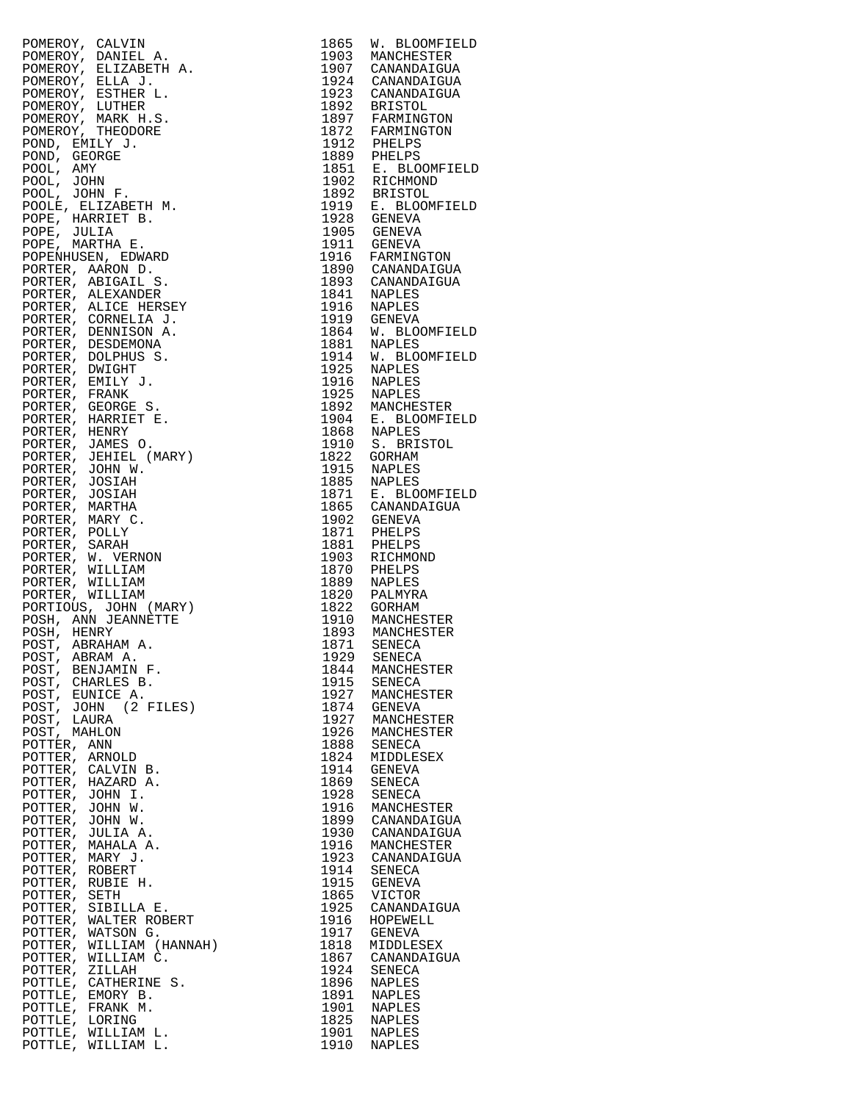|                                                                                                                                                                                                                                                                    |      | 1865 W. BLOOMFIELD                                                                                                            |
|--------------------------------------------------------------------------------------------------------------------------------------------------------------------------------------------------------------------------------------------------------------------|------|-------------------------------------------------------------------------------------------------------------------------------|
|                                                                                                                                                                                                                                                                    |      | 1903 MANCHESTER                                                                                                               |
|                                                                                                                                                                                                                                                                    |      |                                                                                                                               |
|                                                                                                                                                                                                                                                                    |      | 1907 CANANDAIGUA                                                                                                              |
|                                                                                                                                                                                                                                                                    |      | 1924 CANANDAIGUA                                                                                                              |
| POMEROY, CALVIN ALEL A.<br>POMEROY, ELLEA POMEROY, ELLEA JEDETH A.<br>POMEROY, ELLEA J.<br>POMEROY, ELLEA J.<br>POMEROY, ETHER L.<br>POMEROY, IUTHER E.<br>POMEROY, MIRK H.S.<br>POMEROY, MIRK H.S.<br>POMEROY, MIRK H.S.<br>POMD, GEORGE J.<br>POOL, JAMY<br>P    |      | 1923 CANANDAIGUA<br>1892 BRISTOL                                                                                              |
|                                                                                                                                                                                                                                                                    |      |                                                                                                                               |
|                                                                                                                                                                                                                                                                    |      |                                                                                                                               |
|                                                                                                                                                                                                                                                                    |      | 1897 FARMINGTON<br>1872 FARMINGTON                                                                                            |
|                                                                                                                                                                                                                                                                    |      |                                                                                                                               |
|                                                                                                                                                                                                                                                                    |      | 1912 PHELPS<br>1889 PHELPS<br>1851 E. BLOOMFIELD<br>1902 RICHMOND<br>1922 BRISTOL<br>1919 E. BLOOMFIELD<br>1919 E. BLOOMFIELD |
|                                                                                                                                                                                                                                                                    |      |                                                                                                                               |
|                                                                                                                                                                                                                                                                    |      |                                                                                                                               |
|                                                                                                                                                                                                                                                                    |      |                                                                                                                               |
|                                                                                                                                                                                                                                                                    |      |                                                                                                                               |
|                                                                                                                                                                                                                                                                    |      |                                                                                                                               |
|                                                                                                                                                                                                                                                                    |      |                                                                                                                               |
|                                                                                                                                                                                                                                                                    |      |                                                                                                                               |
|                                                                                                                                                                                                                                                                    |      |                                                                                                                               |
|                                                                                                                                                                                                                                                                    |      |                                                                                                                               |
|                                                                                                                                                                                                                                                                    |      |                                                                                                                               |
|                                                                                                                                                                                                                                                                    |      | 1928 GENEVA<br>1905 GENEVA                                                                                                    |
|                                                                                                                                                                                                                                                                    |      | 1911 GENEVA<br>1916 FARMINGTON                                                                                                |
|                                                                                                                                                                                                                                                                    |      |                                                                                                                               |
|                                                                                                                                                                                                                                                                    |      |                                                                                                                               |
|                                                                                                                                                                                                                                                                    |      | 1890 CANANDAIGUA                                                                                                              |
|                                                                                                                                                                                                                                                                    |      | 1893 CANANDAIGUA                                                                                                              |
|                                                                                                                                                                                                                                                                    |      |                                                                                                                               |
|                                                                                                                                                                                                                                                                    |      |                                                                                                                               |
|                                                                                                                                                                                                                                                                    |      | 1841 NAPLES<br>1916 NAPLES                                                                                                    |
|                                                                                                                                                                                                                                                                    |      | 1919 GENEVA                                                                                                                   |
|                                                                                                                                                                                                                                                                    |      |                                                                                                                               |
|                                                                                                                                                                                                                                                                    |      | 1864 W. BLOOMFIELD                                                                                                            |
|                                                                                                                                                                                                                                                                    |      | 1881 NAPLES                                                                                                                   |
|                                                                                                                                                                                                                                                                    |      | 1914 W. BLOOMFIELD                                                                                                            |
|                                                                                                                                                                                                                                                                    |      |                                                                                                                               |
|                                                                                                                                                                                                                                                                    |      | 1925 NAPLES<br>1916 NAPLES<br>1925 NAPLES<br>1892 MANCHESTER                                                                  |
|                                                                                                                                                                                                                                                                    |      |                                                                                                                               |
|                                                                                                                                                                                                                                                                    |      |                                                                                                                               |
|                                                                                                                                                                                                                                                                    |      |                                                                                                                               |
|                                                                                                                                                                                                                                                                    |      |                                                                                                                               |
|                                                                                                                                                                                                                                                                    |      |                                                                                                                               |
|                                                                                                                                                                                                                                                                    |      |                                                                                                                               |
|                                                                                                                                                                                                                                                                    |      | 1904 E. BLOOMFIELD<br>1868 NAPLES                                                                                             |
|                                                                                                                                                                                                                                                                    |      | 1910 S. BRISTOL                                                                                                               |
|                                                                                                                                                                                                                                                                    |      |                                                                                                                               |
|                                                                                                                                                                                                                                                                    |      | 1822 GORHAM                                                                                                                   |
|                                                                                                                                                                                                                                                                    |      |                                                                                                                               |
|                                                                                                                                                                                                                                                                    |      | 1915 NAPLES<br>1885 NAPLES                                                                                                    |
|                                                                                                                                                                                                                                                                    |      |                                                                                                                               |
|                                                                                                                                                                                                                                                                    |      | 1871 E. BLOOMFIELD<br>1865 CANANDAIGUA                                                                                        |
|                                                                                                                                                                                                                                                                    |      |                                                                                                                               |
|                                                                                                                                                                                                                                                                    |      |                                                                                                                               |
|                                                                                                                                                                                                                                                                    |      |                                                                                                                               |
|                                                                                                                                                                                                                                                                    |      |                                                                                                                               |
|                                                                                                                                                                                                                                                                    |      |                                                                                                                               |
|                                                                                                                                                                                                                                                                    |      | 1902 GENEVA<br>1871 PHELPS<br>1881 PHELPS<br>1903 RICHMOND                                                                    |
|                                                                                                                                                                                                                                                                    |      |                                                                                                                               |
|                                                                                                                                                                                                                                                                    |      |                                                                                                                               |
|                                                                                                                                                                                                                                                                    |      | 1870 PHELPS<br>1889 NAPLES                                                                                                    |
|                                                                                                                                                                                                                                                                    |      |                                                                                                                               |
|                                                                                                                                                                                                                                                                    |      | 1820 PALMYRA<br>1822 GORHAM                                                                                                   |
|                                                                                                                                                                                                                                                                    |      |                                                                                                                               |
|                                                                                                                                                                                                                                                                    |      |                                                                                                                               |
|                                                                                                                                                                                                                                                                    |      |                                                                                                                               |
|                                                                                                                                                                                                                                                                    |      |                                                                                                                               |
|                                                                                                                                                                                                                                                                    |      | 1910 MANCHESTER<br>1893 MANCHESTER<br>1871 SENECA                                                                             |
|                                                                                                                                                                                                                                                                    |      |                                                                                                                               |
| POST, ABRAM A.                                                                                                                                                                                                                                                     |      | 1929 SENECA                                                                                                                   |
| POST, BENJAMIN F.                                                                                                                                                                                                                                                  | 1844 | MANCHESTER                                                                                                                    |
| POST, CHARLES B.                                                                                                                                                                                                                                                   | 1915 | SENECA                                                                                                                        |
|                                                                                                                                                                                                                                                                    |      |                                                                                                                               |
| POST, EUNICE A.                                                                                                                                                                                                                                                    | 1927 | MANCHESTER                                                                                                                    |
| POST, JOHN (2 FILES)                                                                                                                                                                                                                                               | 1874 | GENEVA                                                                                                                        |
| POST, LAURA                                                                                                                                                                                                                                                        | 1927 | MANCHESTER                                                                                                                    |
|                                                                                                                                                                                                                                                                    |      |                                                                                                                               |
| POST, MAHLON                                                                                                                                                                                                                                                       | 1926 | MANCHESTER                                                                                                                    |
| POTTER, ANN                                                                                                                                                                                                                                                        | 1888 | SENECA                                                                                                                        |
| POTTER, ARNOLD                                                                                                                                                                                                                                                     | 1824 | MIDDLESEX                                                                                                                     |
|                                                                                                                                                                                                                                                                    |      |                                                                                                                               |
| POTTER, CALVIN B.                                                                                                                                                                                                                                                  | 1914 | GENEVA                                                                                                                        |
| POTTER, HAZARD A.                                                                                                                                                                                                                                                  | 1869 | SENECA                                                                                                                        |
|                                                                                                                                                                                                                                                                    |      |                                                                                                                               |
| POTTER, JOHN I.                                                                                                                                                                                                                                                    | 1928 | SENECA                                                                                                                        |
|                                                                                                                                                                                                                                                                    | 1916 | MANCHESTER                                                                                                                    |
|                                                                                                                                                                                                                                                                    | 1899 | CANANDAIGUA                                                                                                                   |
|                                                                                                                                                                                                                                                                    |      |                                                                                                                               |
|                                                                                                                                                                                                                                                                    | 1930 | CANANDAIGUA                                                                                                                   |
|                                                                                                                                                                                                                                                                    | 1916 | MANCHESTER                                                                                                                    |
|                                                                                                                                                                                                                                                                    | 1923 |                                                                                                                               |
|                                                                                                                                                                                                                                                                    |      | CANANDAIGUA                                                                                                                   |
|                                                                                                                                                                                                                                                                    | 1914 | SENECA                                                                                                                        |
| POTTER, JOHN 1.<br>POTTER, JOHN W.<br>POTTER, JOHN W.<br>POTTER, JULIA A.<br>POTTER, MAHALA A.<br>POTTER, MARY J.<br>POTTER, ROBERT<br>POTTER, RUBIE H.<br>POTTER, STBILLA E.<br>POTTER, STBILLA E.<br>POTTER, WALTER ROBERT<br>POTTER, WALTER ROBERT<br>POTTER, W | 1915 | GENEVA                                                                                                                        |
|                                                                                                                                                                                                                                                                    |      |                                                                                                                               |
|                                                                                                                                                                                                                                                                    | 1865 | VICTOR                                                                                                                        |
|                                                                                                                                                                                                                                                                    | 1925 | CANANDAIGUA                                                                                                                   |
|                                                                                                                                                                                                                                                                    | 1916 | HOPEWELL                                                                                                                      |
|                                                                                                                                                                                                                                                                    |      |                                                                                                                               |
|                                                                                                                                                                                                                                                                    | 1917 | GENEVA                                                                                                                        |
|                                                                                                                                                                                                                                                                    | 1818 | MIDDLESEX                                                                                                                     |
|                                                                                                                                                                                                                                                                    |      | 1867 CANANDAIGUA                                                                                                              |
| POTTER, WILLIAM C.                                                                                                                                                                                                                                                 |      |                                                                                                                               |
| POTTER, ZILLAH                                                                                                                                                                                                                                                     | 1924 | SENECA                                                                                                                        |
| POTTLE, CATHERINE S.                                                                                                                                                                                                                                               | 1896 | NAPLES                                                                                                                        |
|                                                                                                                                                                                                                                                                    |      |                                                                                                                               |
| POTTLE, EMORY B.                                                                                                                                                                                                                                                   | 1891 | NAPLES                                                                                                                        |
| POTTLE, FRANK M.                                                                                                                                                                                                                                                   | 1901 | NAPLES                                                                                                                        |
|                                                                                                                                                                                                                                                                    |      |                                                                                                                               |
| POTTLE, LORING                                                                                                                                                                                                                                                     | 1825 | NAPLES                                                                                                                        |
| POTTLE, WILLIAM L.                                                                                                                                                                                                                                                 | 1901 | NAPLES                                                                                                                        |
|                                                                                                                                                                                                                                                                    | 1910 | NAPLES                                                                                                                        |
| POTTLE, WILLIAM L.                                                                                                                                                                                                                                                 |      |                                                                                                                               |

| 1865         | W. BLOOMFIELD                            |
|--------------|------------------------------------------|
| 1903<br>1907 | MANCHESTER<br>CANANDAIGUA                |
| 1924         | CANANDAIGUA                              |
| 1923<br>1892 | CANANDAIGUA<br><b>BRISTOL</b>            |
| 1897         | FARMINGTON                               |
| 1872<br>1912 | FARMINGTON<br>PHELPS                     |
| 1889         | PHELPS                                   |
| 1851         | E. BLOOMFIELD<br>RICHMOND                |
| 1902<br>1892 | <b>BRISTOL</b>                           |
| 1919         | E. BLOOMFIELD                            |
| 1928<br>1905 | <b>GENEVA</b><br>GENEVA                  |
| 1911         | <b>GENEVA</b>                            |
| 1916<br>1890 | FARMINGTON<br>CANANDAIGUA                |
| 1893         | CANANDAIGUA                              |
| 1841<br>1916 | NAPLES<br>NAPLES                         |
| 1919         | <b>GENEVA</b>                            |
| 1864         | W. BLOOMFIELD                            |
| 1881<br>1914 | <b>NAPLES</b><br>W.<br><b>BLOOMFIELD</b> |
| 1925         | NAPLES                                   |
| 1916<br>1925 | <b>NAPLES</b><br><b>NAPLES</b>           |
| 1892         | MANCHESTER                               |
| 1904<br>1868 | E. BLOOMFIELD<br>NAPLES                  |
| 1910         | S. BRISTOL                               |
| 1822         | GORHAM                                   |
| 1915<br>1885 | NAPLES<br>NAPLES                         |
| 1871         | E. BLOOMFIELD                            |
| 1865<br>1902 | CANANDAIGUA<br><b>GENEVA</b>             |
| 1871         | PHELPS                                   |
| 1881<br>1903 | PHELPS<br>RICHMOND                       |
| 1870         | PHELPS                                   |
| 1889<br>1820 | NAPLES<br>PALMYRA                        |
| 1822         | GORHAM                                   |
| 1910         | MANCHESTER                               |
| 1893<br>1871 | MANCHESTER<br>SENECA                     |
| 1929         | <b>SENECA</b>                            |
| 1844<br>1915 | MANCHESTER<br>SENECA                     |
| 1927         | MANCHESTER                               |
| 1874<br>1927 | <b>GENEVA</b><br>MANCHESTER              |
| 1926         | MANCHESTER                               |
| 1888         | SENECA                                   |
| 1824<br>1914 | MIDDLESEX<br><b>GENEVA</b>               |
| 1869         | SENECA                                   |
| 1928<br>1916 | SENECA<br>MANCHESTER                     |
| 1899         | CANANDAIGUA                              |
| 1930<br>1916 | CANANDAIGUA<br>MANCHESTER                |
| 1923         | CANANDAIGUA                              |
| 1914<br>1915 | SENECA<br><b>GENEVA</b>                  |
| 1865         | VICTOR                                   |
| 1925         | CANANDAIGUA                              |
| 1916<br>1917 | HOPEWELL<br><b>GENEVA</b>                |
| 1818         | MIDDLESEX                                |
| 1867<br>1924 | CANANDAIGUA<br>SENECA                    |
| 1896         | NAPLES                                   |
| 1891<br>1901 | NAPLES<br>NAPLES                         |
| 1825         | NAPLES                                   |
| 1901         | NAPLES                                   |
| 1910         | NAPLES                                   |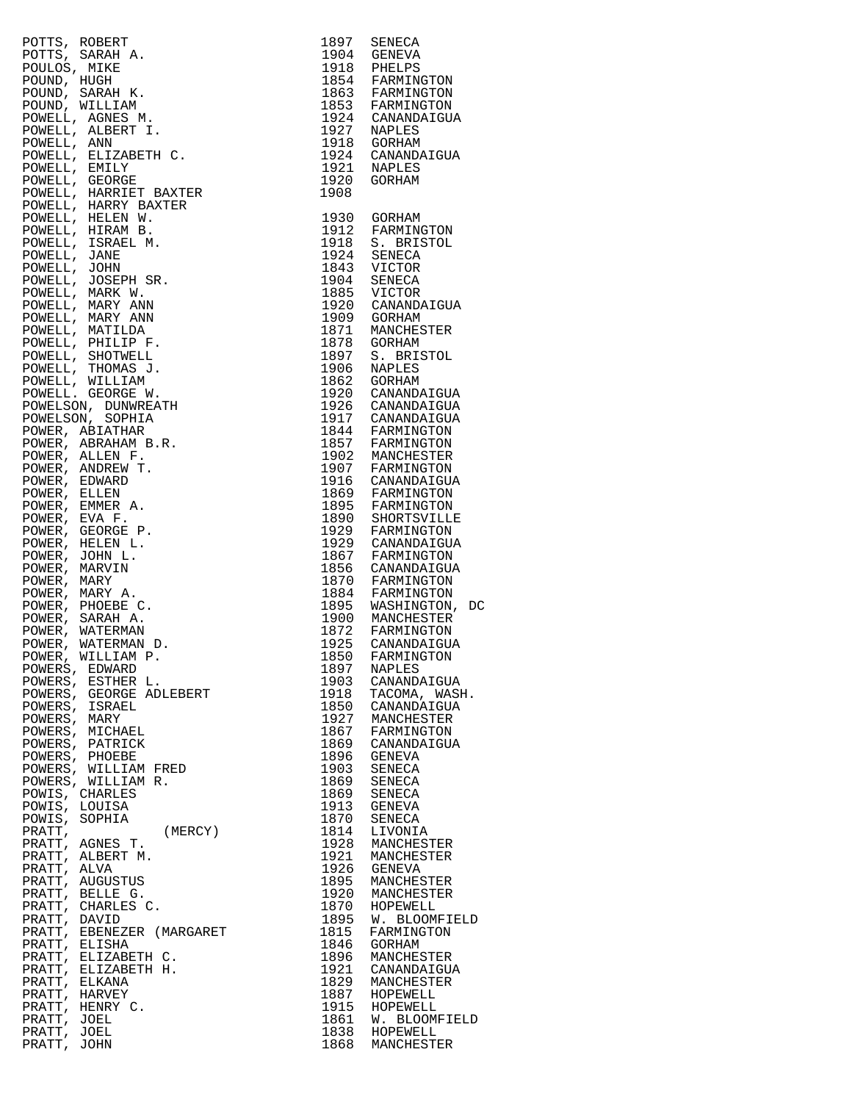| POTTS, ROBERT                                  | 1897         | SENECA                               |
|------------------------------------------------|--------------|--------------------------------------|
| POTTS, SARAH A.<br>POULOS, MIKE                | 1904<br>1918 | GENEVA<br>PHELPS                     |
| POUND, HUGH                                    |              |                                      |
| POUND, SARAH K.                                |              | 1854 FARMINGTON<br>1863 FARMINGTON   |
| POUND, WILLIAM                                 | 1853         | FARMINGTON                           |
| POWELL, AGNES M.<br>POWELL, ALBERT I.          | 1927         | 1924 CANANDAIGUA<br>NAPLES           |
| POWELL, ANN                                    | 1918         | GORHAM                               |
| POWELL, ELIZABETH C.                           | 1924<br>1921 | CANANDAIGUA                          |
| POWELL, EMILY                                  |              | NAPLES                               |
| POWELL, GEORGE                                 | 1920<br>1908 | GORHAM                               |
| POWELL, HARRIET BAXTER<br>POWELL, HARRY BAXTER |              |                                      |
| POWELL, HELEN W.                               | 1930         | GORHAM                               |
| POWELL, HIRAM B.                               | 1912         | FARMINGTON                           |
| POWELL, ISRAEL M.<br>POWELL, JANE              | 1918<br>1924 | S. BRISTOL<br>SENECA                 |
| POWELL, JOHN                                   | 1843         | VICTOR                               |
| POWELL, JOSEPH SR.                             | 1904<br>1885 | SENECA                               |
| POWELL, MARK W.                                |              | VICTOR                               |
| POWELL, MARY ANN                               | 1920<br>1909 | CANANDAIGUA<br>GORHAM                |
| POWELL, MARY ANN<br>POWELL, MATILDA            | 1871         | MANCHESTER                           |
| POWELL, PHILIP F.                              | 1878         | GORHAM                               |
| POWELL, SHOTWELL                               | 1897         | S. BRISTOL                           |
| POWELL, THOMAS J.<br>POWELL, WILLIAM           | 1906<br>1862 | NAPLES<br>GORHAM                     |
| POWELL. GEORGE W.                              | 1920         | CANANDAIGUA                          |
| POWELSON, DUNWREATH                            |              | 1926 CANANDAIGUA<br>1917 CANANDAIGUA |
| POWELSON, SOPHIA                               |              |                                      |
| POWER, ABIATHAR                                |              | 1844 FARMINGTON<br>1857 FARMINGTON   |
| POWER, ABRAHAM B.R.<br>POWER, ALLEN F.         |              | MANCHESTER                           |
| POWER, ANDREW T.                               | 1902<br>1907 | FARMINGTON                           |
| POWER, EDWARD                                  | 1916         | CANANDAIGUA                          |
| POWER, ELLEN                                   | 1869         | FARMINGTON                           |
| POWER, EMMER A.<br>POWER, EVA F.               | 1895<br>1890 | FARMINGTON<br>SHORTSVILLE            |
| POWER, GEORGE P.                               | 1929         | FARMINGTON                           |
| POWER, HELEN L.                                | 1929         | CANANDAIGUA                          |
| POWER, JOHN L.                                 | 1867<br>1856 | FARMINGTON                           |
| POWER, MARVIN<br>POWER, MARY                   |              | CANANDAIGUA<br>FARMINGTON            |
| POWER, MARY A.                                 | 1870<br>1884 | FARMINGTON                           |
| POWER, PHOEBE C.                               | 1895<br>1900 | WASHINGTON, DC                       |
| POWER, SARAH A.                                | 1872         | MANCHESTER                           |
| POWER, WATERMAN<br>POWER, WATERMAN D.          | 1925         | FARMINGTON<br>CANANDAIGUA            |
| POWER, WILLIAM P.                              | 1850         | FARMINGTON                           |
| POWERS, EDWARD                                 | 1897         | NAPLES                               |
| POWERS, ESTHER L.<br>POWERS, GEORGE ADLEBERT   | 1903<br>1918 | CANANDAIGUA<br>TACOMA, WASH.         |
| POWERS, ISRAEL                                 | 1850         | CANANDAIGUA                          |
| POWERS, MARY                                   | 1927         | MANCHESTER                           |
| POWERS, MICHAEL                                | 1867         | FARMINGTON                           |
| POWERS, PATRICK<br>POWERS, PHOEBE              | 1869<br>1896 | CANANDAIGUA<br>GENEVA                |
| POWERS, WILLIAM FRED                           | 1903         | SENECA                               |
| POWERS, WILLIAM R.                             | 1869         | SENECA                               |
| POWIS, CHARLES                                 | 1869         | SENECA                               |
| POWIS, LOUISA<br>POWIS, SOPHIA                 | 1913<br>1870 | GENEVA<br>SENECA                     |
| PRATT,<br>(MERCY)                              | 1814         | LIVONIA                              |
| PRATT, AGNES T.                                | 1928         | MANCHESTER                           |
| PRATT, ALBERT M.                               | 1921         | MANCHESTER                           |
| PRATT, ALVA<br>PRATT, AUGUSTUS                 | 1926<br>1895 | GENEVA<br>MANCHESTER                 |
| PRATT, BELLE G.                                | 1920         | MANCHESTER                           |
| PRATT, CHARLES C.                              | 1870         | HOPEWELL                             |
| PRATT, DAVID                                   | 1895<br>1815 | W. BLOOMFIELD                        |
| PRATT, EBENEZER (MARGARET<br>PRATT, ELISHA     | 1846         | FARMINGTON<br>GORHAM                 |
| PRATT, ELIZABETH C.                            | 1896         | MANCHESTER                           |
| PRATT, ELIZABETH H.                            | 1921         | CANANDAIGUA                          |
| PRATT, ELKANA<br>PRATT, HARVEY                 | 1829<br>1887 | MANCHESTER<br>HOPEWELL               |
| PRATT, HENRY C.                                | 1915         | HOPEWELL                             |
| PRATT, JOEL                                    | 1861         | W. BLOOMFIELD                        |
| PRATT, JOEL                                    |              | 1838 HOPEWELL                        |
| PRATT, JOHN                                    | 1868         | MANCHESTER                           |

| 1930<br>GORHAM<br>1912<br>FARMINGTON<br>1918<br>S. BRISTOL<br>1924<br>SENECA<br>1843<br>VICTOR<br>1904<br>SENECA<br>1885<br>VICTOR<br>1920<br>CANANDAIGUA<br>1909<br><b>GORHAM</b><br>1871<br>MANCHESTER<br>1878<br>GORHAM<br>1897<br>S. BRISTOL<br>1906<br>NAPLES<br>1862<br>GORHAM<br>1920<br>CANANDAIGUA<br>1926<br>CANANDAIGUA<br>1917<br>CANANDAIGUA<br>1844<br>FARMINGTON<br>1857<br>FARMINGTON<br>1902<br>MANCHESTER<br>1907<br>FARMINGTON<br>1916<br>CANANDAIGUA<br>1869<br>FARMINGTON<br>1895<br>FARMINGTON<br>1890<br>SHORTSVILLE<br>1929<br>FARMINGTON<br>1929<br>CANANDAIGUA<br>1867<br>FARMINGTON<br>1856<br>CANANDAIGUA<br>1870<br>FARMINGTON<br>1884<br>FARMINGTON<br>WASHINGTON,<br>1895<br>1900<br>MANCHESTER<br>1872<br>FARMINGTON<br>1925<br>CANANDAIGUA<br>1850<br>FARMINGTON<br>1897<br>NAPLES<br>1903<br>CANANDAIGUA<br>1918<br>TACOMA, WASH.<br>1850<br>CANANDAIGUA<br>1927<br>MANCHESTER<br>1867<br>FARMINGTON<br>1869<br>CANANDAIGUA<br>1896<br>GENEVA<br>1903<br><b>SENECA</b><br>1869<br><b>SENECA</b><br>1869<br>SENECA<br>1913<br>GENEVA<br>1870<br><b>SENECA</b><br>1814<br>LIVONIA<br>1928<br>MANCHESTER<br>1921<br>MANCHESTER<br>1926<br>GENEVA<br>1895<br>MANCHESTER<br>1920<br>MANCHESTER<br>1870<br>HOPEWELL<br>1895<br>W. BLOOMFIELD<br>1815<br>FARMINGTON<br>1846<br>GORHAM<br>1896<br>MANCHESTER | 1897<br>1904<br>1918<br>1854<br>1863<br>1853<br>1924<br>1927<br>1918<br>1924<br>1921<br>1920<br>1908 | SENECA<br><b>GENEVA</b><br>PHELPS<br>FARMINGTON<br>FARMINGTON<br>FARMINGTON<br>CANANDAIGUA<br>NAPLES<br>GORHAM<br>CANANDAIGUA<br>NAPLES<br>GORHAM |
|----------------------------------------------------------------------------------------------------------------------------------------------------------------------------------------------------------------------------------------------------------------------------------------------------------------------------------------------------------------------------------------------------------------------------------------------------------------------------------------------------------------------------------------------------------------------------------------------------------------------------------------------------------------------------------------------------------------------------------------------------------------------------------------------------------------------------------------------------------------------------------------------------------------------------------------------------------------------------------------------------------------------------------------------------------------------------------------------------------------------------------------------------------------------------------------------------------------------------------------------------------------------------------------------------------------------------------------|------------------------------------------------------------------------------------------------------|---------------------------------------------------------------------------------------------------------------------------------------------------|
| 1829<br>MANCHESTER<br>1887<br>HOPEWELL<br>1915<br>HOPEWELL<br>1861<br>W. BLOOMFIELD<br>1838<br>HOPEWELL<br>1868<br>MANCHESTER                                                                                                                                                                                                                                                                                                                                                                                                                                                                                                                                                                                                                                                                                                                                                                                                                                                                                                                                                                                                                                                                                                                                                                                                          | 1921                                                                                                 | DC<br>CANANDAIGUA                                                                                                                                 |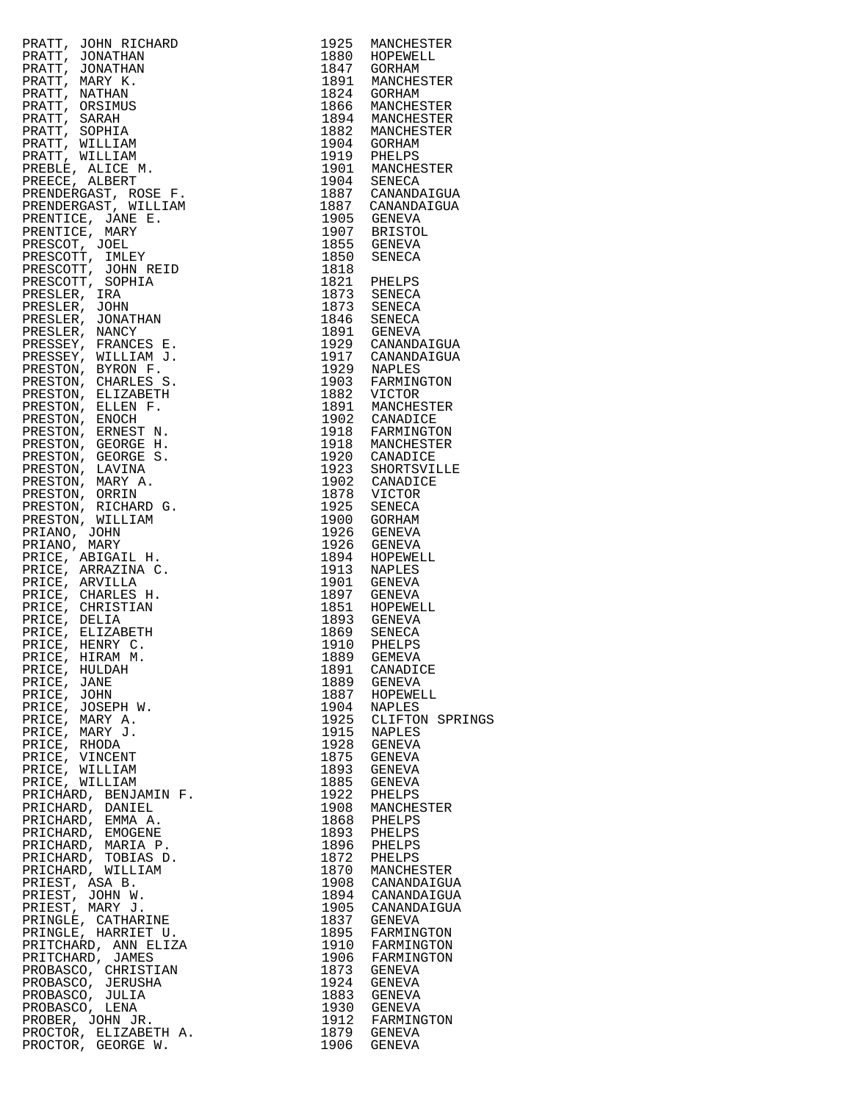| PRATT, JOIN RICHARD 1925 MARCHESTER (REALITEAR 1925 MARCHESTER PRESERVATION IN THE PRATT, JONATHAN 1934 MACHESTER PRATT, NARRI 1934 MACHESTER PRATT, SARAH<br>PRATT, JONATHAN 1934 MACHESTER 1940 MACHESTER PRATT, NART (REALITE                                      |      |                  |
|-----------------------------------------------------------------------------------------------------------------------------------------------------------------------------------------------------------------------------------------------------------------------|------|------------------|
|                                                                                                                                                                                                                                                                       |      |                  |
|                                                                                                                                                                                                                                                                       |      |                  |
|                                                                                                                                                                                                                                                                       |      |                  |
|                                                                                                                                                                                                                                                                       |      |                  |
|                                                                                                                                                                                                                                                                       |      |                  |
|                                                                                                                                                                                                                                                                       |      |                  |
|                                                                                                                                                                                                                                                                       |      |                  |
|                                                                                                                                                                                                                                                                       |      |                  |
|                                                                                                                                                                                                                                                                       |      |                  |
|                                                                                                                                                                                                                                                                       |      |                  |
|                                                                                                                                                                                                                                                                       |      |                  |
|                                                                                                                                                                                                                                                                       |      |                  |
|                                                                                                                                                                                                                                                                       |      |                  |
|                                                                                                                                                                                                                                                                       |      |                  |
|                                                                                                                                                                                                                                                                       |      |                  |
|                                                                                                                                                                                                                                                                       |      |                  |
|                                                                                                                                                                                                                                                                       |      |                  |
|                                                                                                                                                                                                                                                                       |      |                  |
|                                                                                                                                                                                                                                                                       |      |                  |
|                                                                                                                                                                                                                                                                       |      |                  |
|                                                                                                                                                                                                                                                                       |      |                  |
|                                                                                                                                                                                                                                                                       |      |                  |
|                                                                                                                                                                                                                                                                       |      |                  |
|                                                                                                                                                                                                                                                                       |      |                  |
|                                                                                                                                                                                                                                                                       |      |                  |
|                                                                                                                                                                                                                                                                       |      |                  |
|                                                                                                                                                                                                                                                                       |      |                  |
|                                                                                                                                                                                                                                                                       |      |                  |
|                                                                                                                                                                                                                                                                       |      |                  |
|                                                                                                                                                                                                                                                                       |      |                  |
|                                                                                                                                                                                                                                                                       |      |                  |
|                                                                                                                                                                                                                                                                       |      |                  |
|                                                                                                                                                                                                                                                                       |      |                  |
|                                                                                                                                                                                                                                                                       |      |                  |
|                                                                                                                                                                                                                                                                       |      |                  |
|                                                                                                                                                                                                                                                                       |      |                  |
|                                                                                                                                                                                                                                                                       |      |                  |
|                                                                                                                                                                                                                                                                       |      |                  |
|                                                                                                                                                                                                                                                                       |      |                  |
|                                                                                                                                                                                                                                                                       |      |                  |
|                                                                                                                                                                                                                                                                       |      |                  |
|                                                                                                                                                                                                                                                                       |      |                  |
|                                                                                                                                                                                                                                                                       |      |                  |
|                                                                                                                                                                                                                                                                       |      |                  |
|                                                                                                                                                                                                                                                                       |      |                  |
|                                                                                                                                                                                                                                                                       |      |                  |
|                                                                                                                                                                                                                                                                       |      |                  |
|                                                                                                                                                                                                                                                                       |      |                  |
|                                                                                                                                                                                                                                                                       |      |                  |
|                                                                                                                                                                                                                                                                       |      |                  |
|                                                                                                                                                                                                                                                                       |      |                  |
| PRICE, HULDAH                                                                                                                                                                                                                                                         | 1891 | CANADICE         |
| PRICE, JANE                                                                                                                                                                                                                                                           |      | 1889 GENEVA      |
| PRICE, JOHN                                                                                                                                                                                                                                                           |      | 1887 HOPEWELL    |
| PRICE, JOSEPH W.                                                                                                                                                                                                                                                      |      | 1904 NAPLES      |
| PRICE, MARY A.                                                                                                                                                                                                                                                        | 1925 | CLIFTON SPRINGS  |
|                                                                                                                                                                                                                                                                       |      | 1915 NAPLES      |
|                                                                                                                                                                                                                                                                       | 1928 | GENEVA           |
|                                                                                                                                                                                                                                                                       |      | 1875 GENEVA      |
|                                                                                                                                                                                                                                                                       | 1893 | GENEVA           |
|                                                                                                                                                                                                                                                                       | 1885 |                  |
|                                                                                                                                                                                                                                                                       | 1922 | GENEVA           |
|                                                                                                                                                                                                                                                                       |      | PHELPS           |
|                                                                                                                                                                                                                                                                       |      | 1908 MANCHESTER  |
|                                                                                                                                                                                                                                                                       |      | 1868 PHELPS      |
|                                                                                                                                                                                                                                                                       |      | 1893 PHELPS      |
|                                                                                                                                                                                                                                                                       |      | 1896 PHELPS      |
|                                                                                                                                                                                                                                                                       |      | 1872 PHELPS      |
|                                                                                                                                                                                                                                                                       |      | 1870 MANCHESTER  |
|                                                                                                                                                                                                                                                                       |      | 1908 CANANDAIGUA |
|                                                                                                                                                                                                                                                                       |      | 1894 CANANDAIGUA |
|                                                                                                                                                                                                                                                                       |      | 1905 CANANDAIGUA |
|                                                                                                                                                                                                                                                                       | 1837 | GENEVA           |
|                                                                                                                                                                                                                                                                       |      | 1895 FARMINGTON  |
|                                                                                                                                                                                                                                                                       |      | 1910 FARMINGTON  |
|                                                                                                                                                                                                                                                                       |      | 1906 FARMINGTON  |
|                                                                                                                                                                                                                                                                       |      | 1873 GENEVA      |
|                                                                                                                                                                                                                                                                       |      | 1924 GENEVA      |
|                                                                                                                                                                                                                                                                       |      | 1883 GENEVA      |
|                                                                                                                                                                                                                                                                       |      | 1930 GENEVA      |
| PRICE, MARY A.<br>PRICE, MARY A.<br>PRICE, MARY A.<br>PRICE, RHODA<br>PRICE, WILLIAM<br>PRICE, WILLIAM<br>PRICE, WILLIAM<br>PRICE, WILLIAM<br>PRICHARD, DANIEL<br>PRICHARD, DANIEL<br>PRICHARD, MARIA P.<br>PRICHARD, MARIA P.<br>PRICHARD, MILLIAM<br>PRICHARD, MILL |      | 1912 FARMINGTON  |
| PROGER, UCIIN UN.<br>PROCTOR, ELIZABETH A.                                                                                                                                                                                                                            |      | 1879 GENEVA      |
| PROCTOR, GEORGE W.                                                                                                                                                                                                                                                    |      | 1906 GENEVA      |

| 1925         | MANCHESTER                       |
|--------------|----------------------------------|
| 1880<br>1847 | HOPEWELL<br>GORHAM               |
| 1891         | MANCHESTER                       |
| 1824<br>1866 | GORHAM<br>MANCHESTER             |
| 1894         | MANCHESTER                       |
| 1882         | MANCHESTER                       |
| 1904<br>1919 | GORHAM<br>PHELPS                 |
| 1901         | MANCHESTER                       |
| 1904<br>1887 | SENECA<br>CANANDAIGUA            |
| 1887         | CANANDAIGUA                      |
| 1905         | GENEVA                           |
| 1907<br>1855 | <b>BRISTOL</b><br>GENEVA         |
| 1850         | SENECA                           |
| 1818         |                                  |
| 1821<br>1873 | PHELPS<br>SENECA                 |
| 1873         | SENECA                           |
| 1846         | SENECA                           |
| 1891<br>1929 | GENEVA<br>CANANDAIGUA            |
| 1917         | CANANDAIGUA                      |
| 1929<br>1903 | <b>NAPLES</b><br>FARMINGTON      |
| 1882         | VICTOR                           |
| 1891         | MANCHESTER                       |
| 1902<br>1918 | CANADICE<br>FARMINGTON           |
| 1918         | MANCHESTER                       |
| 1920         | CANADICE                         |
| 1923<br>1902 | SHORTSVILLE<br>CANADICE          |
| 1878         | VICTOR                           |
| 1925         | SENECA                           |
| 1900<br>1926 | GORHAM<br><b>GENEVA</b>          |
| 1926         | <b>GENEVA</b>                    |
| 1894<br>1913 | HOPEWELL                         |
| 1901         | NAPLES<br>GENEVA                 |
| 1897         | GENEVA                           |
| 1851<br>1893 | HOPEWELL<br><b>GENEVA</b>        |
| 1869         | SENECA                           |
| 1910         | PHELPS                           |
| 1889<br>1891 | GEMEVA<br>CANADICE               |
| 1889         | <b>GENEVA</b>                    |
| 1887         | HOPEWELL                         |
| 1904<br>1925 | <b>NAPLES</b><br>CLIFTON SPRINGS |
| 1915         | NAPLES                           |
| 1928         | <b>GENEVA</b>                    |
| 1875<br>1893 | GENEVA<br><b>GENEVA</b>          |
| 1885         | <b>GENEVA</b>                    |
| 1922<br>1908 | PHELPS                           |
| 1868         | MANCHESTER<br>PHELPS             |
| 1893         | PHELPS                           |
| 1896<br>1872 | PHELPS<br>PHELPS                 |
| 1870         | MANCHESTER                       |
| 1908         | CANANDAIGUA                      |
| 1894<br>1905 | CANANDAIGUA<br>CANANDAIGUA       |
| 1837         | GENEVA                           |
| 1895         | FARMINGTON                       |
| 1910<br>1906 | FARMINGTON<br>FARMINGTON         |
| 1873         | GENEVA                           |
| 1924         | GENEVA                           |
| 1883<br>1930 | <b>GENEVA</b><br><b>GENEVA</b>   |
| 1912         | FARMINGTON                       |
| 1879         | GENEVA                           |
| 1906         | GENEVA                           |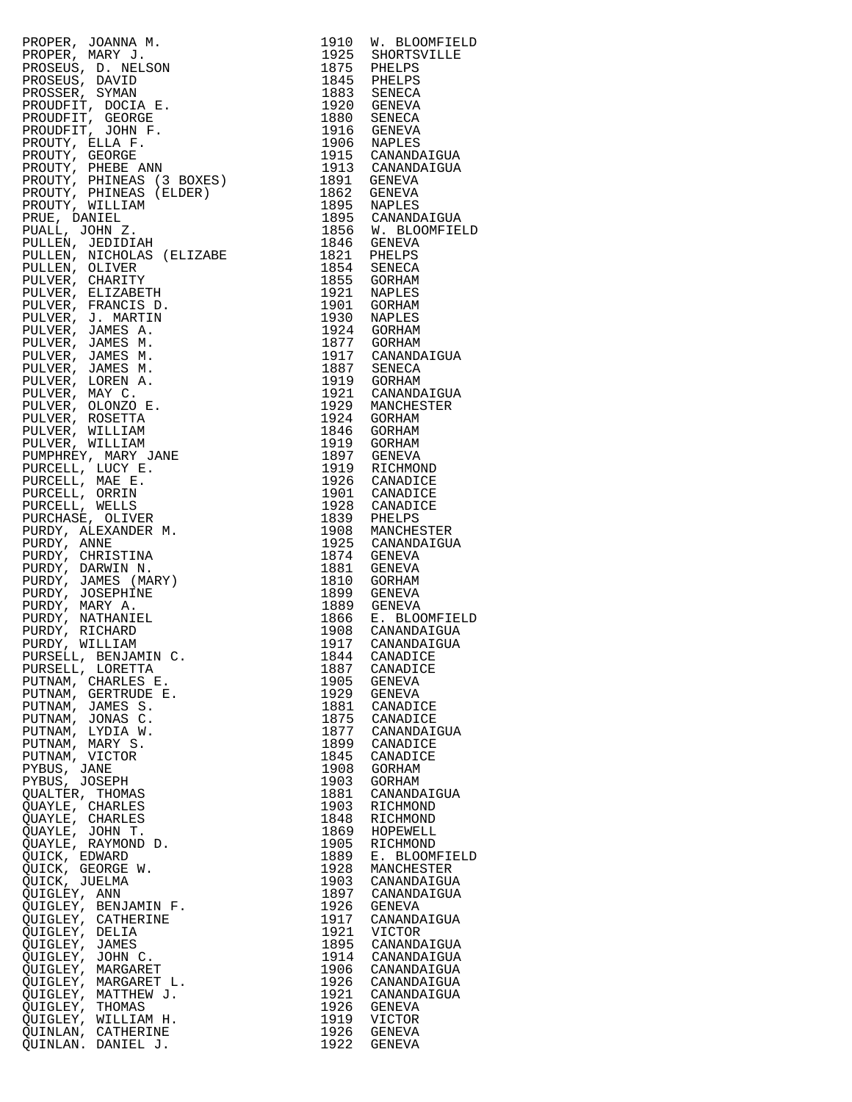| PROPER, JOANNA M.<br>PROPER, MARY J.<br>PROSEUS, D. NELSON<br>PROSEUS, D. NELSON<br>PROSEUS, D. NELSON<br>PROSEUS, STAVAN<br>PROUDFIT, GOORGE<br>PROUDFIT, JOCIA E.<br>PROUDFIT, JOCIA E.<br>PROUDFIT, JOCIA F.<br>PROUDFIT, JOCIA F.<br>PROUTY, PHINEAS (ELDER |              | 1910 W. BLOOMFIELD                                                                                      |
|-----------------------------------------------------------------------------------------------------------------------------------------------------------------------------------------------------------------------------------------------------------------|--------------|---------------------------------------------------------------------------------------------------------|
|                                                                                                                                                                                                                                                                 |              | 1925 SHORTSVILLE<br>1875 PHELPS                                                                         |
|                                                                                                                                                                                                                                                                 |              |                                                                                                         |
|                                                                                                                                                                                                                                                                 |              | 1845 PHELPS<br>1883 SENECA                                                                              |
|                                                                                                                                                                                                                                                                 |              |                                                                                                         |
|                                                                                                                                                                                                                                                                 |              | 1920 GENEVA<br>1880 SENECA                                                                              |
|                                                                                                                                                                                                                                                                 |              | 1916 GENEVA<br>1906 NAPLES                                                                              |
|                                                                                                                                                                                                                                                                 |              |                                                                                                         |
|                                                                                                                                                                                                                                                                 |              | 1915 CANANDAIGUA<br>1913 CANANDAIGUA                                                                    |
|                                                                                                                                                                                                                                                                 |              |                                                                                                         |
|                                                                                                                                                                                                                                                                 |              | 1891 GENEVA<br>1862 GENEVA                                                                              |
|                                                                                                                                                                                                                                                                 |              |                                                                                                         |
|                                                                                                                                                                                                                                                                 |              | 1895 NAPLES<br>1895 CANANDAIGUA<br>1856 W. BLOOMFIELD<br>1846 GENEVA                                    |
|                                                                                                                                                                                                                                                                 |              |                                                                                                         |
|                                                                                                                                                                                                                                                                 |              |                                                                                                         |
|                                                                                                                                                                                                                                                                 |              | 1821 PHELPS<br>1854 SENECA                                                                              |
|                                                                                                                                                                                                                                                                 |              |                                                                                                         |
|                                                                                                                                                                                                                                                                 |              | 1855 GORHAM<br>1921 NAPLES                                                                              |
|                                                                                                                                                                                                                                                                 |              |                                                                                                         |
|                                                                                                                                                                                                                                                                 |              | 1901 GORHAM<br>1930 NAPLES<br>1924 GORHAM<br>1877 GORHAM                                                |
|                                                                                                                                                                                                                                                                 |              |                                                                                                         |
|                                                                                                                                                                                                                                                                 |              |                                                                                                         |
|                                                                                                                                                                                                                                                                 |              | 1917 CANANDAIGUA<br>1887 SENECA                                                                         |
|                                                                                                                                                                                                                                                                 |              |                                                                                                         |
|                                                                                                                                                                                                                                                                 |              | 1919 GORHAM<br>1921 CANANDAIGUA                                                                         |
|                                                                                                                                                                                                                                                                 |              |                                                                                                         |
|                                                                                                                                                                                                                                                                 |              | 1929 MANCHESTER<br>1924 GORHAM                                                                          |
|                                                                                                                                                                                                                                                                 |              | 1924 <b>Johnson</b><br>1846 GORHAM<br>1919 GORHAM<br>1007 GENEVA                                        |
|                                                                                                                                                                                                                                                                 |              |                                                                                                         |
|                                                                                                                                                                                                                                                                 |              | 1897 GENEVA<br>1919 RICHMOND                                                                            |
|                                                                                                                                                                                                                                                                 |              |                                                                                                         |
|                                                                                                                                                                                                                                                                 |              | 1926 CANADICE<br>1901 CANADICE                                                                          |
|                                                                                                                                                                                                                                                                 |              |                                                                                                         |
|                                                                                                                                                                                                                                                                 |              | 1928 CANADICE<br>1839 PHELPS                                                                            |
|                                                                                                                                                                                                                                                                 |              | 1908 MANCHESTER<br>1925 CANANDAIGUA                                                                     |
|                                                                                                                                                                                                                                                                 |              |                                                                                                         |
|                                                                                                                                                                                                                                                                 |              | 1874 GENEVA<br>1881 GENEVA                                                                              |
|                                                                                                                                                                                                                                                                 |              | 1810 GORHAM                                                                                             |
|                                                                                                                                                                                                                                                                 |              |                                                                                                         |
|                                                                                                                                                                                                                                                                 |              | 1899 GENEVA<br>1899 GENEVA<br>1889 GENEVA<br>1866 E. BLOOMFIELD<br>1908 CANANDAIGUA<br>1917 CANANDAIGUA |
|                                                                                                                                                                                                                                                                 |              |                                                                                                         |
|                                                                                                                                                                                                                                                                 |              |                                                                                                         |
|                                                                                                                                                                                                                                                                 |              |                                                                                                         |
|                                                                                                                                                                                                                                                                 | 1887         | 1844 CANADICE<br>CANADICE                                                                               |
|                                                                                                                                                                                                                                                                 | 1905         | <b>GENEVA</b>                                                                                           |
|                                                                                                                                                                                                                                                                 | 1929         | GENEVA                                                                                                  |
|                                                                                                                                                                                                                                                                 | 1881         | CANADICE                                                                                                |
|                                                                                                                                                                                                                                                                 | 1875         | CANADICE                                                                                                |
|                                                                                                                                                                                                                                                                 | 1877         | CANANDAIGUA                                                                                             |
|                                                                                                                                                                                                                                                                 | 1899<br>1845 | CANADICE<br>CANADICE                                                                                    |
|                                                                                                                                                                                                                                                                 | 1908         | GORHAM                                                                                                  |
|                                                                                                                                                                                                                                                                 | 1903         | GORHAM                                                                                                  |
|                                                                                                                                                                                                                                                                 | 1881         | CANANDAIGUA                                                                                             |
| QUAYLE, CHARLES                                                                                                                                                                                                                                                 | 1903         | RICHMOND                                                                                                |
| QUAYLE, CHARLES                                                                                                                                                                                                                                                 | 1848         | RICHMOND                                                                                                |
| QUAYLE, JOHN T.                                                                                                                                                                                                                                                 | 1869         | HOPEWELL                                                                                                |
| QUAYLE, RAYMOND D.<br>QUICK, EDWARD                                                                                                                                                                                                                             | 1905<br>1889 | RICHMOND<br>E. BLOOMFIELD                                                                               |
| QUICK, GEORGE W.                                                                                                                                                                                                                                                | 1928         | MANCHESTER                                                                                              |
| QUICK, JUELMA                                                                                                                                                                                                                                                   | 1903         | CANANDAIGUA                                                                                             |
| QUIGLEY, ANN                                                                                                                                                                                                                                                    | 1897         | CANANDAIGUA                                                                                             |
| QUIGLEY, BENJAMIN F.                                                                                                                                                                                                                                            | 1926         | GENEVA                                                                                                  |
| QUIGLEY, CATHERINE                                                                                                                                                                                                                                              | 1917         | CANANDAIGUA                                                                                             |
| QUIGLEY, DELIA<br>QUIGLEY, JAMES                                                                                                                                                                                                                                | 1921<br>1895 | VICTOR<br>CANANDAIGUA                                                                                   |
| QUIGLEY, JOHN C.                                                                                                                                                                                                                                                | 1914         | CANANDAIGUA                                                                                             |
| QUIGLEY, MARGARET                                                                                                                                                                                                                                               | 1906         | CANANDAIGUA                                                                                             |
| QUIGLEY, MARGARET L.                                                                                                                                                                                                                                            | 1926         | CANANDAIGUA                                                                                             |
| QUIGLEY, MATTHEW J.                                                                                                                                                                                                                                             | 1921         | CANANDAIGUA                                                                                             |
| QUIGLEY, THOMAS                                                                                                                                                                                                                                                 | 1926         | GENEVA                                                                                                  |
| QUIGLEY, WILLIAM H.<br>QUINLAN, CATHERINE                                                                                                                                                                                                                       | 1919         | VICTOR<br>1926 GENEVA                                                                                   |
| QUINLAN. DANIEL J.                                                                                                                                                                                                                                              |              | 1922 GENEVA                                                                                             |
|                                                                                                                                                                                                                                                                 |              |                                                                                                         |

| 1910         | W.<br><b>BLOOMFIELD</b>    |
|--------------|----------------------------|
| 1925         | SHORTSVILLE                |
| 1875<br>1845 | PHELPS                     |
| 1883         | PHELPS<br>SENECA           |
| 1920         | GENEVA                     |
| 1880         | SENECA                     |
| 1916         | GENEVA                     |
| 1906         | NAPLES                     |
| 1915         | CANANDAIGUA                |
| 1913<br>1891 | CANANDAIGUA<br>GENEVA      |
| 1862         | GENEVA                     |
| 1895         | NAPLES                     |
| 1895         | CANANDAIGUA                |
| 1856         | W.<br>BLOOMFIELD           |
| 1846         | GENEVA                     |
| 1821<br>1854 | PHELPS<br>SENECA           |
| 1855         | GORHAM                     |
| 1921         | NAPLES                     |
| 1901         | GORHAM                     |
| 1930         | NAPLES                     |
| 1924         | GORHAM                     |
| 1877<br>1917 | GORHAM                     |
| 1887         | CANANDAIGUA<br>SENECA      |
| 1919         | GORHAM                     |
| 1921         | CANANDAIGUA                |
| 1929         | MANCHESTER                 |
| 1924         | GORHAM                     |
| 1846         | GORHAM                     |
| 1919<br>1897 | GORHAM                     |
| 1919         | GENEVA<br>RICHMOND         |
| 1926         | CANADICE                   |
| 1901         | CANADICE                   |
| 1928         | CANADICE                   |
| 1839         | PHELPS                     |
| 1908         | MANCHESTER                 |
| 1925<br>1874 | CANANDAIGUA<br>GENEVA      |
| 1881         | GENEVA                     |
| 1810         | GORHAM                     |
| 1899         | GENEVA                     |
| 1889         | <b>GENEVA</b>              |
| 1866         | Ε.<br>BLOOMFIELD           |
| 1908<br>1917 | CANANDAIGUA<br>CANANDAIGUA |
| 1844         | CANADICE                   |
| 1887         | CANADICE                   |
| 1905         | GENEVA                     |
| 1929         | GENEVA                     |
| 1881         | CANADICE                   |
| 1875<br>1877 | CANADICE<br>CANANDAIGUA    |
| 1899         | CANADICE                   |
| 1845         | CANADICE                   |
| 1908         | GORHAM                     |
| 1903         | GORHAM                     |
| 1881         | CANANDAIGUA                |
| 1903<br>1848 | RICHMOND<br>RICHMOND       |
| 1869         | HOPEWELL                   |
| 1905         | RICHMOND                   |
| 1889         | E. BLOOMFIELD              |
| 1928         | MANCHESTER                 |
| 1903         | CANANDAIGUA                |
| 1897         | CANANDAIGUA                |
| 1926<br>1917 | GENEVA<br>CANANDAIGUA      |
| 1921         | VICTOR                     |
| 1895         | CANANDAIGUA                |
| 1914         | CANANDAIGUA                |
| 1906         | CANANDAIGUA                |
| 1926         | CANANDAIGUA                |
| 1921<br>1926 | CANANDAIGUA<br>GENEVA      |
| 1919         | VICTOR                     |
| 1926         | <b>GENEVA</b>              |
| 1922         | <b>GENEVA</b>              |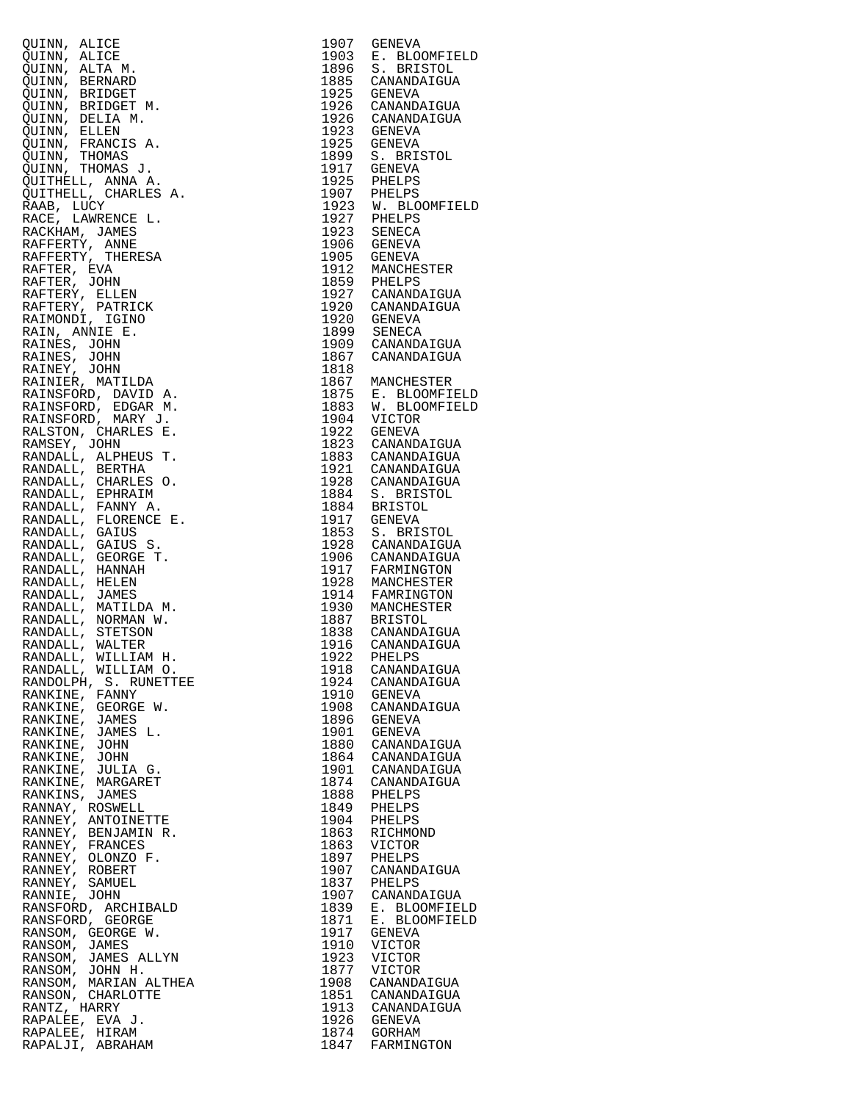| QUINN, ALICE                                                                                                                                                                                                                                                                                                                                                                                                    | 1907 | GENEVA                                                                      |
|-----------------------------------------------------------------------------------------------------------------------------------------------------------------------------------------------------------------------------------------------------------------------------------------------------------------------------------------------------------------------------------------------------------------|------|-----------------------------------------------------------------------------|
| QUINN, ALICE                                                                                                                                                                                                                                                                                                                                                                                                    | 1903 | E. BLOOMFIELD                                                               |
| QUINN, ALTA M.                                                                                                                                                                                                                                                                                                                                                                                                  |      | 1896 S. BRISTOL<br>1885 CANANDAIGUA<br>1925 GENEVA                          |
| QUINN, BERNARD                                                                                                                                                                                                                                                                                                                                                                                                  |      |                                                                             |
| QUINN, BRIDGET                                                                                                                                                                                                                                                                                                                                                                                                  |      |                                                                             |
| QUINN, BRIDGET M.                                                                                                                                                                                                                                                                                                                                                                                               |      | 1926 CANANDAIGUA<br>1926 CANANDAIGUA                                        |
| QUINN, DELIA M.                                                                                                                                                                                                                                                                                                                                                                                                 |      |                                                                             |
| QUINN, ELLEN                                                                                                                                                                                                                                                                                                                                                                                                    |      | 1923 GENEVA<br>1925 GENEVA                                                  |
| QUINN, FRANCIS A.                                                                                                                                                                                                                                                                                                                                                                                               |      |                                                                             |
| QUINN, THOMAS                                                                                                                                                                                                                                                                                                                                                                                                   |      | 1899 S. BRISTOL<br>1899 S. BRISTOL                                          |
| QUINN, THOMAS J.                                                                                                                                                                                                                                                                                                                                                                                                |      |                                                                             |
| QUITHELL, ANNA A.                                                                                                                                                                                                                                                                                                                                                                                               |      | 1925 PHELPS                                                                 |
| QUITHELL, CHARLES A.                                                                                                                                                                                                                                                                                                                                                                                            |      | 1907 PHELPS                                                                 |
| RAAB, LUCY<br>RACE, LAWRENCE L.                                                                                                                                                                                                                                                                                                                                                                                 |      | 1923 W. BLOOMFIELD<br>1927 PHELPS<br>1923 SENECA                            |
|                                                                                                                                                                                                                                                                                                                                                                                                                 |      |                                                                             |
| RACKHAM, JAMES                                                                                                                                                                                                                                                                                                                                                                                                  |      |                                                                             |
| RAFFERTY, ANNE                                                                                                                                                                                                                                                                                                                                                                                                  |      | 1906 GENEVA                                                                 |
| RAFFERTY, THERESA                                                                                                                                                                                                                                                                                                                                                                                               |      | 1905 GENEVA<br>1912 MANCHESTER                                              |
| RAFTER, EVA                                                                                                                                                                                                                                                                                                                                                                                                     |      |                                                                             |
| RAFTER, JOHN                                                                                                                                                                                                                                                                                                                                                                                                    |      | 1912 FANCHLISTING<br>1927 CANANDAIGUA<br>1920 CANANDAIGUA<br>1920 GENEVA    |
| RAFTERY, ELLEN                                                                                                                                                                                                                                                                                                                                                                                                  |      |                                                                             |
| RAFTERY, PATRICK<br>$\begin{tabular}{ll} & $\mathbb{Z}$ & $\mathbb{C}$ \\ & $\mathbb{Z}$ & $\mathbb{E}$ \\ & $\mathbb{A}\mathbb{E}\mathbb{S}$, \mathbb{J}\mathbb{O}\mathbb{H}\mathbb{N}$ \\ \text{RAINEY, JOHN} \\ \text{RAINSE}, \text{ MATILDA} \\ \text{RAINSEORD}, \text{ BAVID A} \\ \text{AANSEORD}, \text{ EDGA} \\ \text{'AINSEORD}, \text{W} \\ \text{ALSTON} \\ \text{MSE}^{\text{r}}. \end{tabular}$ |      |                                                                             |
|                                                                                                                                                                                                                                                                                                                                                                                                                 |      |                                                                             |
|                                                                                                                                                                                                                                                                                                                                                                                                                 |      | 1899 SENECA                                                                 |
|                                                                                                                                                                                                                                                                                                                                                                                                                 |      | 1909 CANANDAIGUA<br>1867 CANANDAIGUA                                        |
|                                                                                                                                                                                                                                                                                                                                                                                                                 |      |                                                                             |
|                                                                                                                                                                                                                                                                                                                                                                                                                 | 1818 |                                                                             |
|                                                                                                                                                                                                                                                                                                                                                                                                                 |      | 1867 MANCHESTER<br>1875 E. BLOOMFIELD                                       |
|                                                                                                                                                                                                                                                                                                                                                                                                                 |      |                                                                             |
|                                                                                                                                                                                                                                                                                                                                                                                                                 |      | 1883 W. BLOOMFIELD                                                          |
|                                                                                                                                                                                                                                                                                                                                                                                                                 |      | 1904 VICTOR                                                                 |
|                                                                                                                                                                                                                                                                                                                                                                                                                 |      | 1922 GENEVA<br>1823 CANANDAIGUA                                             |
| RAMSEY, JOHN                                                                                                                                                                                                                                                                                                                                                                                                    |      |                                                                             |
| RANDALL, ALPHEUS T.                                                                                                                                                                                                                                                                                                                                                                                             |      | 1883 CANANDAIGUA<br>1921 CANANDAIGUA<br>1928 CANANDAIGUA<br>1884 S. BRISTOL |
| RANDALL, BERTHA                                                                                                                                                                                                                                                                                                                                                                                                 |      |                                                                             |
| RANDALL, CHARLES O.                                                                                                                                                                                                                                                                                                                                                                                             |      |                                                                             |
| RANDALL, EPHRAIM                                                                                                                                                                                                                                                                                                                                                                                                |      |                                                                             |
| RANDALL, FANNY A.                                                                                                                                                                                                                                                                                                                                                                                               |      | 1884 BRISTOL<br>1917 GENEVA                                                 |
| RANDALL, FLORENCE E.                                                                                                                                                                                                                                                                                                                                                                                            |      |                                                                             |
| RANDALL, GAIUS                                                                                                                                                                                                                                                                                                                                                                                                  |      | 1853 S. BRISTOL                                                             |
| RANDALL, GAIUS S.                                                                                                                                                                                                                                                                                                                                                                                               |      | 1928 CANANDAIGUA                                                            |
| RANDALL, GEORGE T.                                                                                                                                                                                                                                                                                                                                                                                              |      |                                                                             |
| RANDALL, HANNAH                                                                                                                                                                                                                                                                                                                                                                                                 |      | 1906 CANANDAIGUA<br>1917 FARMINGTON<br>1928 MANCHESTER                      |
| RANDALL, HELEN                                                                                                                                                                                                                                                                                                                                                                                                  |      |                                                                             |
| RANDALL, JAMES                                                                                                                                                                                                                                                                                                                                                                                                  |      | 1914 FAMRINGTON                                                             |
| RANDALL, MATILDA M.                                                                                                                                                                                                                                                                                                                                                                                             |      |                                                                             |
| RANDALL, NORMAN W.                                                                                                                                                                                                                                                                                                                                                                                              |      |                                                                             |
| RANDALL, STETSON                                                                                                                                                                                                                                                                                                                                                                                                |      | 1930 MANCHESTER<br>1887 BRISTOL<br>1838 CANANDAIGUA<br>1916 CANANDAIGUA     |
| RANDALL, WALTER                                                                                                                                                                                                                                                                                                                                                                                                 |      | 1922 PHELPS                                                                 |
| RANDALL, WILLIAM H.<br>RANDALL, WILLIAM O.                                                                                                                                                                                                                                                                                                                                                                      | 1918 | CANANDAIGUA                                                                 |
| RANDOLPH, S. RUNETTEE                                                                                                                                                                                                                                                                                                                                                                                           | 1924 | CANANDAIGUA                                                                 |
| RANKINE, FANNY                                                                                                                                                                                                                                                                                                                                                                                                  | 1910 | GENEVA                                                                      |
| RANKINE, GEORGE W.                                                                                                                                                                                                                                                                                                                                                                                              |      | 1908 CANANDAIGUA                                                            |
| RANKINE, JAMES                                                                                                                                                                                                                                                                                                                                                                                                  | 1896 | GENEVA                                                                      |
| RANKINE, JAMES L.                                                                                                                                                                                                                                                                                                                                                                                               | 1901 | GENEVA                                                                      |
| RANKINE, JOHN                                                                                                                                                                                                                                                                                                                                                                                                   |      | 1880 CANANDAIGUA                                                            |
| RANKINE, JOHN                                                                                                                                                                                                                                                                                                                                                                                                   |      | 1864 CANANDAIGUA                                                            |
| RANKINE, JULIA G.                                                                                                                                                                                                                                                                                                                                                                                               |      | 1901 CANANDAIGUA                                                            |
| RANKINE, MARGARET                                                                                                                                                                                                                                                                                                                                                                                               |      | 1874 CANANDAIGUA                                                            |
| RANKINS, JAMES                                                                                                                                                                                                                                                                                                                                                                                                  |      | 1888 PHELPS                                                                 |
| RANNAY, ROSWELL                                                                                                                                                                                                                                                                                                                                                                                                 |      | 1849 PHELPS                                                                 |
| RANNEY, ANTOINETTE                                                                                                                                                                                                                                                                                                                                                                                              | 1904 | PHELPS                                                                      |
| RANNEY, BENJAMIN R.                                                                                                                                                                                                                                                                                                                                                                                             | 1863 | RICHMOND                                                                    |
| RANNEY, FRANCES                                                                                                                                                                                                                                                                                                                                                                                                 | 1863 | VICTOR                                                                      |
| RANNEY, OLONZO F.                                                                                                                                                                                                                                                                                                                                                                                               | 1897 | PHELPS                                                                      |
| RANNEY, ROBERT                                                                                                                                                                                                                                                                                                                                                                                                  | 1907 | CANANDAIGUA                                                                 |
| RANNEY, SAMUEL                                                                                                                                                                                                                                                                                                                                                                                                  |      | 1837 PHELPS                                                                 |
| RANNIE, JOHN                                                                                                                                                                                                                                                                                                                                                                                                    | 1907 | CANANDAIGUA                                                                 |
| RANSFORD, ARCHIBALD                                                                                                                                                                                                                                                                                                                                                                                             | 1839 | E. BLOOMFIELD                                                               |
| RANSFORD, GEORGE                                                                                                                                                                                                                                                                                                                                                                                                | 1871 | E. BLOOMFIELD                                                               |
| RANSOM, GEORGE W.                                                                                                                                                                                                                                                                                                                                                                                               | 1917 | GENEVA                                                                      |
| RANSOM, JAMES                                                                                                                                                                                                                                                                                                                                                                                                   | 1910 | VICTOR                                                                      |
| RANSOM, JAMES ALLYN                                                                                                                                                                                                                                                                                                                                                                                             | 1923 | VICTOR                                                                      |
| RANSOM, JOHN H.                                                                                                                                                                                                                                                                                                                                                                                                 | 1877 | VICTOR                                                                      |
| RANSOM, MARIAN ALTHEA                                                                                                                                                                                                                                                                                                                                                                                           | 1908 | CANANDAIGUA                                                                 |
| RANSON, CHARLOTTE                                                                                                                                                                                                                                                                                                                                                                                               |      | 1851 CANANDAIGUA                                                            |
| RANTZ, HARRY                                                                                                                                                                                                                                                                                                                                                                                                    |      |                                                                             |
|                                                                                                                                                                                                                                                                                                                                                                                                                 |      |                                                                             |
|                                                                                                                                                                                                                                                                                                                                                                                                                 |      | 1913 CANANDAIGUA                                                            |
| RAPALEE, EVA J.<br>RAPALEE, HIRAM                                                                                                                                                                                                                                                                                                                                                                               |      | 1926 GENEVA<br>1874 GORHAM                                                  |

| 1907                 | GENEVA                                           |
|----------------------|--------------------------------------------------|
| 1903<br>1896         | E. BLOOMFIELD<br>S. BRISTOL                      |
| 1885                 | CANANDAIGUA                                      |
| 1925                 | <b>GENEVA</b>                                    |
| 1926                 | CANANDAIGUA                                      |
| 1926                 | CANANDAIGUA                                      |
| 1923                 | <b>GENEVA</b>                                    |
| 1925                 | GENEVA                                           |
| 1899                 | S. BRISTOL                                       |
| 1917                 | <b>GENEVA</b>                                    |
| 1925                 | PHELPS                                           |
| 1907                 | PHELPS                                           |
| 1923                 | W. BLOOMFIELD                                    |
| 1927                 | PHELPS                                           |
| 1923<br>1906         | SENECA<br>GENEVA                                 |
|                      | <b>GENEVA</b>                                    |
| 1>、<br>1905<br>^12   | MANCHESTER                                       |
| 1859                 | PHELPS                                           |
| 1927                 | CANANDAIGUA                                      |
| 1920                 | CANANDAIGUA                                      |
| 1920                 | GENEVA                                           |
| 1899                 | <b>SENECA</b>                                    |
| 1909                 | CANANDAIGUA                                      |
| 1867                 | CANANDAIGUA                                      |
| 1818                 |                                                  |
| 1867                 | MANCHESTER                                       |
| 1875                 | E. BLOOMFIELD<br>W. BLOOMFIELD                   |
| 1883<br>1904         |                                                  |
| 1922                 | VICTOR<br><b>GENEVA</b>                          |
| 1823                 | CANANDAIGUA                                      |
| 1883                 | CANANDAIGUA                                      |
| 1921                 | CANANDAIGUA                                      |
| 1928                 | CANANDAIGUA                                      |
| 1884                 | S. BRISTOL                                       |
| 1884                 | <b>BRISTOL</b>                                   |
| 1917                 | GENEVA                                           |
| 1853                 | S. BRISTOL                                       |
| 1928                 | CANANDAIGUA                                      |
| 1906                 | CANANDAIGUA                                      |
| 1917                 | FARMINGTON<br>MANCHESTER                         |
| 1928                 | MANCHESTER                                       |
| 1914<br>1930         | FAMRINGTON<br>MANCHESTER                         |
|                      |                                                  |
|                      | 1887 BRISTOL<br>1887 BRISTOL<br>1838 CANANDAIGUA |
|                      |                                                  |
| 1922                 | 1916 CANANDAIGUA<br>1922 PHELPS<br>PHELPS        |
| 1918                 | CANANDAIGUA                                      |
| 1924                 | CANANDAIGUA                                      |
| 1910                 | <b>GENEVA</b>                                    |
| 1908                 | CANANDAIGUA                                      |
| 1896<br>1901         | <b>GENEVA</b>                                    |
|                      | <b>GENEVA</b>                                    |
| 1880                 | CANANDAIGUA                                      |
| 1864                 | CANANDAIGUA                                      |
| 1901                 | CANANDAIGUA                                      |
| 1874<br>1888         | CANANDAIGUA<br>PHELPS                            |
| 1849                 | PHELPS                                           |
| 1904                 | PHELPS                                           |
| 1863                 | RICHMOND                                         |
| 1863                 | VICTOR                                           |
| 1897                 | PHELPS                                           |
| 1907<br>1837<br>1907 | CANANDAIGUA                                      |
|                      | PHELPS                                           |
|                      | CANANDAIGUA                                      |
| 1839                 | E. BLOOMFIELD                                    |
| 1871<br>1917         | <b>BLOOMFIELD</b><br>Е.                          |
|                      | <b>GENEVA</b>                                    |
| 1910                 | VICTOR                                           |
| 1923<br>1877         | VICTOR<br>VICTOR                                 |
| 1908                 | CANANDAIGUA                                      |
|                      | CANANDAIGUA                                      |
| 1851<br>1913         | CANANDAIGUA                                      |
|                      | <b>GENEVA</b>                                    |
| 1926<br>1874         | GORHAM                                           |
| 1847                 | FARMINGTON                                       |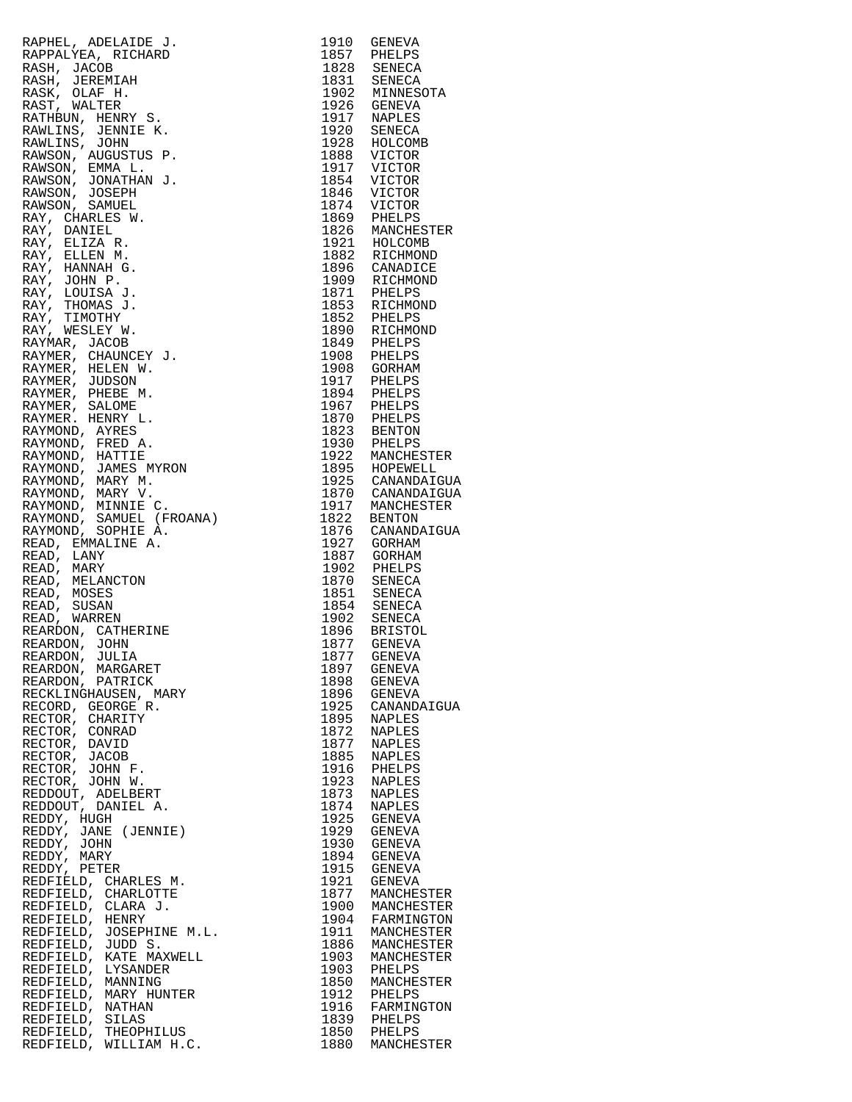| REARDON, JULIA                                                                                                                                                                                                                                                   |      |                                               |
|------------------------------------------------------------------------------------------------------------------------------------------------------------------------------------------------------------------------------------------------------------------|------|-----------------------------------------------|
| REARDON, MARGARET                                                                                                                                                                                                                                                |      | 1897 GENEVA                                   |
| RAFRIE, ADELAIN N. 1910 GRENZA (1920)<br>RAPRAJEKA, RICHARD 1915 (PRELIDE RANGGA RAPRAJEKA, RICHARD 1923 SENEGA RASH, JUREWIN 1932 SENEGA RASH, JUREWIN 1932 (1920)<br>RANGGA RASH (1920)<br>RANGGA RASH (1920)<br>RANGGA RASH (1920)<br>RAN<br>REARDON, PATRICK |      | 1898 GENEVA                                   |
| RECKLINGHAUSEN, MARY                                                                                                                                                                                                                                             |      |                                               |
| RECORD, GEORGE R.                                                                                                                                                                                                                                                |      | 1896 GENEVA<br>1925 CANANDAIGUA               |
| RECTOR, CHARITY<br>RECTOR, CONRAD                                                                                                                                                                                                                                |      | 1895 NAPLES<br>1872 NAPLES                    |
| RECTOR, DAVID                                                                                                                                                                                                                                                    |      |                                               |
| RECTOR, JACOB                                                                                                                                                                                                                                                    |      | 1877 NAPLES<br>1885 NAPLES                    |
| RECTOR, JOHN F.                                                                                                                                                                                                                                                  |      |                                               |
| RECTOR, JOHN W.                                                                                                                                                                                                                                                  |      | 1916 PHELPS<br>1923 NAPLES                    |
| REDDOUT, ADELBERT                                                                                                                                                                                                                                                | 1873 | NAPLES                                        |
| REDDOUT, DANIEL A.                                                                                                                                                                                                                                               |      | 1874 NAPLES                                   |
| REDDY, HUGH                                                                                                                                                                                                                                                      |      |                                               |
| REDDY, JANE (JENNIE)                                                                                                                                                                                                                                             |      | 1925 GENEVA<br>1929 GENEVA<br>1930 GENEVA     |
| REDDY, JOHN<br>REDDY, MARY                                                                                                                                                                                                                                       |      | 1894 GENEVA                                   |
| REDDY, PETER                                                                                                                                                                                                                                                     |      |                                               |
| REDFIELD, CHARLES M.                                                                                                                                                                                                                                             |      | 1915 GENEVA<br>1921 GENEVA                    |
| REDFIELD, CHARLOTTE                                                                                                                                                                                                                                              |      |                                               |
| REDFIELD, CLARA J.                                                                                                                                                                                                                                               |      | 1877 MANCHESTER<br>1900 MANCHESTER            |
| REDFIELD, HENRY                                                                                                                                                                                                                                                  |      |                                               |
| REDFIELD, JOSEPHINE M.L.                                                                                                                                                                                                                                         |      | 1904 FARMINGTON<br>1911 MANCHESTER            |
| REDFIELD, JUDD S.                                                                                                                                                                                                                                                |      |                                               |
| REDFIELD, KATE MAXWELL<br>REDFIELD, LYSANDER                                                                                                                                                                                                                     |      | 1886 MANCHESTER<br>1903 MANCHESTER            |
| REDFIELD, MANNING                                                                                                                                                                                                                                                |      | 1903 PHELPS<br>1850 MANCHESTER                |
| REDFIELD, MARY HUNTER                                                                                                                                                                                                                                            |      |                                               |
| REDFIELD, NATHAN                                                                                                                                                                                                                                                 |      | 1912 PHELPS<br>1916 FARMINGTON                |
|                                                                                                                                                                                                                                                                  |      |                                               |
| REDFIELD, SILAS<br>REDFIELD, THEOPHILUS<br>REDFIELD, WILLIAM H.C.                                                                                                                                                                                                |      | 1839 PHELPS<br>1850 PHELPS<br>1880 MANCHESTER |

| 1910<br>1857 | GENEVA                   |
|--------------|--------------------------|
| 1828         | PHELPS<br>SENECA         |
| 1831         | SENECA                   |
| 1902         | MINNESOTA                |
| 1926<br>1917 | GENEVA                   |
| 1920         | NAPLES<br>SENECA         |
| 1928         | HOLCOMB                  |
| 1888         | VICTOR                   |
| 1917         | VICTOR                   |
| 1854         | VICTOR                   |
| 1846<br>1874 | VICTOR<br>VICTOR         |
| 1869         | PHELPS                   |
| 1826         | MANCHESTER               |
| 1921         | HOLCOMB                  |
| 1882<br>1896 | RICHMOND<br>CANADICE     |
| 1909         | RICHMOND                 |
| 1871         | PHELPS                   |
| 1853         | RICHMOND                 |
| 1852         | PHELPS                   |
| 1890<br>1849 | RICHMOND<br>PHELPS       |
| 1908         | PHELPS                   |
| 1908         | GORHAM                   |
| 1917         | PHELPS                   |
| 1894         | PHELPS                   |
| 1967<br>1870 | PHELPS<br>PHELPS         |
| 1823         | BENTON                   |
| 1930         | PHELPS                   |
| 1922         | MANCHESTER               |
| 1895<br>1925 | HOPEWELL<br>CANANDAIGUA  |
| 1870         | CANANDAIGUA              |
| 1917         | MANCHESTER               |
| 1822         | BENTON                   |
| 1876         | CANANDAIGUA              |
| 1927<br>1887 | GORHAM<br>GORHAM         |
| 1902         | PHELPS                   |
| 1870         | SENECA                   |
| 1851         | SENECA                   |
| 1854<br>1902 | SENECA<br>SENECA         |
| 1896         | <b>BRISTOL</b>           |
| 1877         | <b>GENEVA</b>            |
| 1877         | <b>GENEVA</b>            |
| 1897<br>1898 | GENEVA<br><b>GENEVA</b>  |
|              | GENEVA                   |
| 1896<br>1925 | CANANDAIGUA              |
| 1895<br>1872 | <b>NAPLES</b>            |
|              | NAPLES                   |
| 1877<br>1885 | NAPLES<br>NAPLES         |
| 1916         | PHELPS                   |
| 1923         | NAPLES                   |
| 1873         | NAPLES                   |
| 1874<br>1925 | NAPLES<br><b>GENEVA</b>  |
| 1929         | GENEVA                   |
| 1930         | <b>GENEVA</b>            |
| 1894         | GENEVA                   |
| 1915<br>1921 | <b>GENEVA</b>            |
| 1877         | GENEVA<br>MANCHESTER     |
| 1900         | MANCHESTER               |
| 1904         | FARMINGTON               |
| 1911         | MANCHESTER               |
| 1886<br>1903 | MANCHESTER<br>MANCHESTER |
| 1903         | PHELPS                   |
| 1850         | MANCHESTER               |
| 1912         | PHELPS                   |
| 1916         | FARMINGTON               |
| 1839<br>1850 | PHELPS<br>PHELPS         |
| 1880         | MANCHESTER               |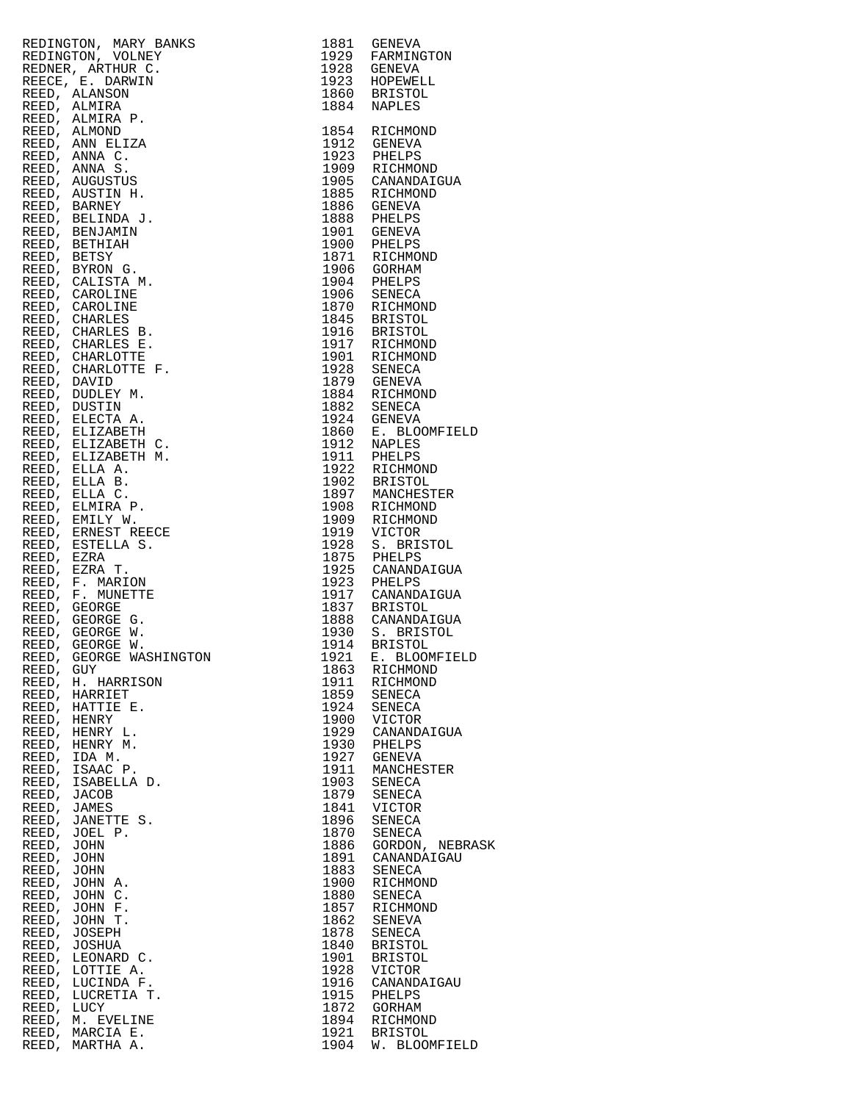|             | REDINGTON, MARY BANKS<br>BANKS<br>ERNES<br>EXAMENATION 1928 GENERAL<br>1929 FARMINGTON<br>1923 GENERAL<br>1860 BRISTOL<br>1864 RICHMOND<br>1923 GENERAL<br>1884 NAPLES<br>1884 RICHMOND<br>1923 PHELPS<br>1923 PHELPS<br>1923 PHELPS<br>1923 PHELPS<br>1923 CENNOND<br>1905 CANANDATG<br>REDINGTON, VOLNEY |              |                                                                                                              |
|-------------|------------------------------------------------------------------------------------------------------------------------------------------------------------------------------------------------------------------------------------------------------------------------------------------------------------|--------------|--------------------------------------------------------------------------------------------------------------|
|             | REDNER, ARTHUR C.                                                                                                                                                                                                                                                                                          |              |                                                                                                              |
|             | REECE, E. DARWIN                                                                                                                                                                                                                                                                                           |              |                                                                                                              |
|             | REED, ALANSON                                                                                                                                                                                                                                                                                              |              |                                                                                                              |
|             | REED, ALMIRA<br>REED, ALMIRA P.                                                                                                                                                                                                                                                                            |              |                                                                                                              |
|             | REED, ALMOND                                                                                                                                                                                                                                                                                               |              |                                                                                                              |
|             | REED, ANN ELIZA                                                                                                                                                                                                                                                                                            |              |                                                                                                              |
|             | REED, ANNA C.                                                                                                                                                                                                                                                                                              |              |                                                                                                              |
|             | REED, ANNA S.                                                                                                                                                                                                                                                                                              |              |                                                                                                              |
|             | REED, AUGUSTUS                                                                                                                                                                                                                                                                                             |              |                                                                                                              |
|             | REED, AUSTIN H.<br>REED, BARNEY                                                                                                                                                                                                                                                                            |              | 1905 CANANDAIGUA<br>1886 GENEVA<br>1886 GENEVA<br>1888 PHELPS<br>1901 GENEVA<br>1900 PHELPS<br>1971 PTCHMOND |
|             | REED, BELINDA J.                                                                                                                                                                                                                                                                                           |              |                                                                                                              |
|             | REED, BENJAMIN                                                                                                                                                                                                                                                                                             |              |                                                                                                              |
|             | REED, BETHIAH                                                                                                                                                                                                                                                                                              |              |                                                                                                              |
| REED, BETSY |                                                                                                                                                                                                                                                                                                            |              |                                                                                                              |
|             | REED, BYRON G.<br>REED, CALISTA M.                                                                                                                                                                                                                                                                         |              |                                                                                                              |
|             | REED, CAROLINE                                                                                                                                                                                                                                                                                             |              |                                                                                                              |
|             | REED, CAROLINE                                                                                                                                                                                                                                                                                             |              |                                                                                                              |
|             | REED, CHARLES                                                                                                                                                                                                                                                                                              |              |                                                                                                              |
|             | REED, CHARLES B.                                                                                                                                                                                                                                                                                           |              |                                                                                                              |
|             | REED, CHARLES E.<br>REED, CHARLOTTE                                                                                                                                                                                                                                                                        |              |                                                                                                              |
|             | REED, CHARLOTTE F.                                                                                                                                                                                                                                                                                         |              |                                                                                                              |
| REED, DAVID |                                                                                                                                                                                                                                                                                                            |              |                                                                                                              |
|             | REED, DUDLEY M.                                                                                                                                                                                                                                                                                            |              |                                                                                                              |
|             | REED, DUSTIN                                                                                                                                                                                                                                                                                               |              |                                                                                                              |
|             | REED, ELECTA A.                                                                                                                                                                                                                                                                                            |              |                                                                                                              |
|             | REED, ELIZABETH<br>REED, ELIZABETH C.                                                                                                                                                                                                                                                                      |              |                                                                                                              |
|             | REED, ELIZABETH M.                                                                                                                                                                                                                                                                                         |              | 1860 E. BLOOMFIELD<br>1912 NAPLES<br>1911 PHELPS                                                             |
|             | REED, ELLA A.                                                                                                                                                                                                                                                                                              |              |                                                                                                              |
|             | REED, ELLA B.                                                                                                                                                                                                                                                                                              |              |                                                                                                              |
|             | REED, ELLA C.<br>REED, ELMIRA P.                                                                                                                                                                                                                                                                           |              |                                                                                                              |
|             | REED, EMILY W.                                                                                                                                                                                                                                                                                             |              |                                                                                                              |
|             | REED, ERNEST REECE                                                                                                                                                                                                                                                                                         |              |                                                                                                              |
|             | REED, ESTELLA S.                                                                                                                                                                                                                                                                                           |              |                                                                                                              |
| REED, EZRA  | REED, EZRA T.                                                                                                                                                                                                                                                                                              |              | 1925 CANANDAIGUA                                                                                             |
|             | REED, F. MARION                                                                                                                                                                                                                                                                                            |              |                                                                                                              |
|             | REED, F. MUNETTE                                                                                                                                                                                                                                                                                           |              | 1917 CANANDAIGUA                                                                                             |
|             | REED, GEORGE                                                                                                                                                                                                                                                                                               |              | 1837 BRISTOL<br>1888 CANANDAIGUA                                                                             |
|             | REED, GEORGE G.<br>REED, GEORGE W.                                                                                                                                                                                                                                                                         |              |                                                                                                              |
|             | REED, GEORGE W.                                                                                                                                                                                                                                                                                            |              |                                                                                                              |
|             | REED, GEORGE WASHINGTON                                                                                                                                                                                                                                                                                    |              | E. BLOOMFIELD                                                                                                |
| REED, GUY   |                                                                                                                                                                                                                                                                                                            | 1863         | RICHMOND                                                                                                     |
|             | REED, H. HARRISON<br>REED, HARRIET                                                                                                                                                                                                                                                                         | 1911<br>1859 | RICHMOND<br>SENECA                                                                                           |
|             | REED, HATTIE E.                                                                                                                                                                                                                                                                                            | 1924         | SENECA                                                                                                       |
| REED, HENRY |                                                                                                                                                                                                                                                                                                            | 1900         | <b>VICTOR</b>                                                                                                |
|             | REED, HENRY L.                                                                                                                                                                                                                                                                                             | 1929         | CANANDAIGUA                                                                                                  |
|             | REED, HENRY M.                                                                                                                                                                                                                                                                                             | 1930<br>1927 | PHELPS                                                                                                       |
| REED,       | IDA M.<br>REED, ISAAC P.                                                                                                                                                                                                                                                                                   | 1911         | <b>GENEVA</b><br>MANCHESTER                                                                                  |
| REED,       | ISABELLA D.                                                                                                                                                                                                                                                                                                | 1903         | SENECA                                                                                                       |
| REED, JACOB |                                                                                                                                                                                                                                                                                                            | 1879         | SENECA                                                                                                       |
| REED, JAMES |                                                                                                                                                                                                                                                                                                            | 1841         | <b>VICTOR</b>                                                                                                |
|             | REED, JANETTE S.<br>REED, JOEL P.                                                                                                                                                                                                                                                                          | 1896<br>1870 | SENECA<br>SENECA                                                                                             |
| REED, JOHN  |                                                                                                                                                                                                                                                                                                            | 1886         | GORDON, NEBRASK                                                                                              |
| REED,       | JOHN                                                                                                                                                                                                                                                                                                       | 1891         | CANANDAIGAU                                                                                                  |
| REED, JOHN  |                                                                                                                                                                                                                                                                                                            | 1883         | SENECA                                                                                                       |
|             | REED, JOHN A.                                                                                                                                                                                                                                                                                              | 1900         | RICHMOND                                                                                                     |
| REED,       | REED, JOHN C.<br>JOHN F.                                                                                                                                                                                                                                                                                   | 1880<br>1857 | SENECA<br>RICHMOND                                                                                           |
|             | REED, JOHN T.                                                                                                                                                                                                                                                                                              | 1862         | SENEVA                                                                                                       |
| REED,       | JOSEPH                                                                                                                                                                                                                                                                                                     | 1878         | SENECA                                                                                                       |
|             | REED, JOSHUA                                                                                                                                                                                                                                                                                               | 1840         | BRISTOL                                                                                                      |
|             | REED, LEONARD C.<br>REED, LOTTIE A.                                                                                                                                                                                                                                                                        | 1901<br>1928 | <b>BRISTOL</b><br>VICTOR                                                                                     |
|             | REED, LUCINDA F.                                                                                                                                                                                                                                                                                           | 1916         | CANANDAIGAU                                                                                                  |
|             | REED, LUCRETIA T.                                                                                                                                                                                                                                                                                          | 1915         | PHELPS                                                                                                       |
| REED, LUCY  |                                                                                                                                                                                                                                                                                                            | 1872         | GORHAM                                                                                                       |
|             | REED, M. EVELINE<br>REED, MARCIA E.                                                                                                                                                                                                                                                                        | 1894<br>1921 | RICHMOND<br><b>BRISTOL</b>                                                                                   |
|             | REED, MARTHA A.                                                                                                                                                                                                                                                                                            | 1904         | W. BLOOMFIELD                                                                                                |

| 1881                         | 1929<br>1928<br>1923<br>1860<br>1884                                                                                                                                                                                                                                                                                                                                                                                                                                                                                         | <b>GENEVA</b><br>FARMINGTON<br>GENEVA<br>HOPEWELL<br><b>BRISTOL</b><br>NAPLES                                                                                                                                                                                                                                                                                                                                                                                                                                                                                                                                                                                                                                                                                                                                                                                    |
|------------------------------|------------------------------------------------------------------------------------------------------------------------------------------------------------------------------------------------------------------------------------------------------------------------------------------------------------------------------------------------------------------------------------------------------------------------------------------------------------------------------------------------------------------------------|------------------------------------------------------------------------------------------------------------------------------------------------------------------------------------------------------------------------------------------------------------------------------------------------------------------------------------------------------------------------------------------------------------------------------------------------------------------------------------------------------------------------------------------------------------------------------------------------------------------------------------------------------------------------------------------------------------------------------------------------------------------------------------------------------------------------------------------------------------------|
| 1901<br>1914<br>1840<br>1901 | 1854<br>1912<br>1923<br>1909<br>1905<br>1885<br>1886<br>1888<br>1901<br>1900<br>1871<br>1906<br>1904<br>1906<br>1870<br>1845<br>1916<br>1917<br>1928<br>1879<br>1884<br>1882<br>1924<br>1860<br>1912<br>1911<br>1922<br>1902<br>1897<br>1908<br>1909<br>1919<br>1928<br>1875<br>1925<br>1923<br>1917<br>1837<br>1888<br>1930<br>1921<br>1863<br>1911<br>1859<br>1924<br>1900<br>1929<br>1930<br>1927<br>1911<br>1903<br>1879<br>1841<br>1896<br>1870<br>1886<br>1891<br>1883<br>1900<br>1880<br>1857<br>1862<br>1878<br>1928 | RICHMOND<br>GENEVA<br>PHELPS<br>RICHMOND<br>CANANDAIGUA<br>RICHMOND<br>GENEVA<br>PHELPS<br>GENEVA<br>PHELPS<br>RICHMOND<br>GORHAM<br>PHELPS<br>SENECA<br>SENEUR<br>RICHMOND<br>BRISTOL<br>BRISTOL<br>RICHMOND<br>RICHMOND<br>SENECA<br>GENEVA<br>RICHMOND<br>SENECA<br>GENEVA<br>E. BLOOMFIELD<br>NAPLES<br>PHELPS<br>RICHMOND<br>BRISTOL<br>MANCHESTER<br>MANCHEST<br>RICHMOND<br>RICHMOND<br>VICTOR<br>S. BRISTOL<br>PHELPS<br>CANANDAIGUA<br>PHELPS<br>CANANDAIGUA<br><b>BRISTOL</b><br>CANANDAIGUA<br>S. BRISTOL<br><b>BRISTOL</b><br>E. BLOOMFIELD<br>RICHMOND<br>RICHMOND<br>SENECA<br>SENECA<br>VICTOR<br>CANANDAIGUA<br>PHELPS<br>GENEVA<br>MANCHESTER<br>SENECA<br>SENECA<br>VICTOR<br>SENECA<br>SENECA<br>GORDON, NEBRASI<br>CANANDAIGAU<br>SENECA<br>RICHMOND<br>SENECA<br>RICHMOND<br>SENEVA<br>SENECA<br><b>BRISTOL</b><br><b>BRISTOL</b><br>VICTOR |
| 1916<br>1921<br>1904         | 1915<br>1915<br>1872<br>1894                                                                                                                                                                                                                                                                                                                                                                                                                                                                                                 | CANANDAIGAU<br>PHELPS<br>GORHAM<br>RICHMOND<br><b>BRISTOL</b><br>W. BLOOMFIELD                                                                                                                                                                                                                                                                                                                                                                                                                                                                                                                                                                                                                                                                                                                                                                                   |
|                              |                                                                                                                                                                                                                                                                                                                                                                                                                                                                                                                              |                                                                                                                                                                                                                                                                                                                                                                                                                                                                                                                                                                                                                                                                                                                                                                                                                                                                  |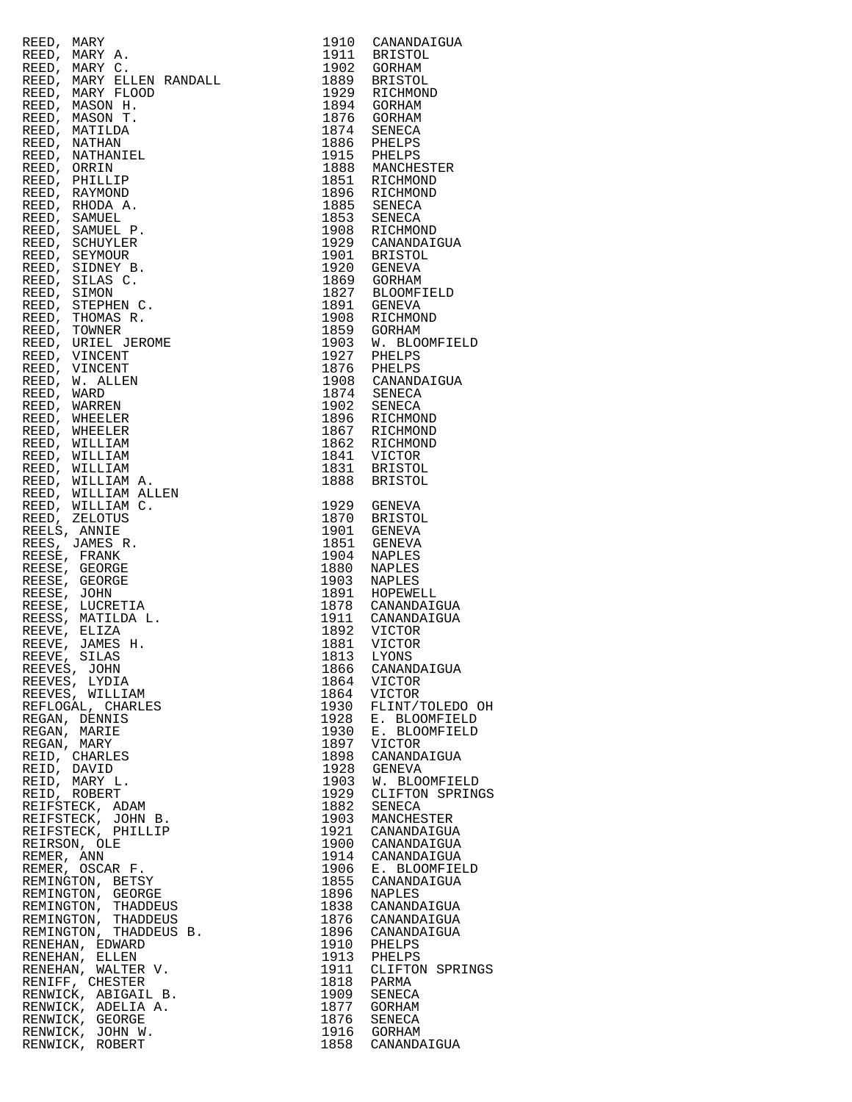| REED,<br>MARY<br>REED, MARY C.<br>REED, MARY A.<br>REED, MARY C.<br>REED, MARY ELLEN RANDALL<br>REED, MARY FLUEN RANDALL<br>REED, MARON H.<br>REED, MARON H.<br>REED, NATHILAR<br>REED, NATHILAR<br>REED, DRIHANTEL<br>REED, DRIHANTEL<br>REED, DRIHANTEL<br>REED, DRIHANTEL<br>REED, | 1910                      | CANANDAIGUA                            |
|---------------------------------------------------------------------------------------------------------------------------------------------------------------------------------------------------------------------------------------------------------------------------------------|---------------------------|----------------------------------------|
|                                                                                                                                                                                                                                                                                       | 1911                      | <b>BRISTOL</b>                         |
|                                                                                                                                                                                                                                                                                       | 1902                      | GORHAM                                 |
|                                                                                                                                                                                                                                                                                       |                           |                                        |
|                                                                                                                                                                                                                                                                                       | 1889                      | <b>BRISTOL</b>                         |
|                                                                                                                                                                                                                                                                                       | 1929                      | RICHMOND                               |
|                                                                                                                                                                                                                                                                                       | 1894                      | GORHAM                                 |
|                                                                                                                                                                                                                                                                                       | 1876                      | GORHAM                                 |
|                                                                                                                                                                                                                                                                                       | 1874                      | SENECA                                 |
|                                                                                                                                                                                                                                                                                       |                           |                                        |
|                                                                                                                                                                                                                                                                                       | 1886                      | 1886 PHELPS<br>1915 PHELPS             |
|                                                                                                                                                                                                                                                                                       |                           |                                        |
|                                                                                                                                                                                                                                                                                       | 1888<br>1851              | MANCHESTER                             |
|                                                                                                                                                                                                                                                                                       |                           | RICHMOND                               |
|                                                                                                                                                                                                                                                                                       | 1896                      | RICHMOND                               |
|                                                                                                                                                                                                                                                                                       |                           | RICIL<br>SENECA<br>TNECA               |
|                                                                                                                                                                                                                                                                                       | 1885                      |                                        |
|                                                                                                                                                                                                                                                                                       |                           | SENECA                                 |
|                                                                                                                                                                                                                                                                                       | 1853<br>1908              | RICHMOND                               |
|                                                                                                                                                                                                                                                                                       |                           | CANANDAIGUA                            |
|                                                                                                                                                                                                                                                                                       | 1929<br>1901              |                                        |
|                                                                                                                                                                                                                                                                                       |                           | BRISTOL                                |
|                                                                                                                                                                                                                                                                                       | 1920                      | GENEVA                                 |
|                                                                                                                                                                                                                                                                                       |                           | 1869 GORHAM                            |
|                                                                                                                                                                                                                                                                                       | 1827                      | BLOOMFIELD                             |
|                                                                                                                                                                                                                                                                                       | 1891                      | GENEVA                                 |
|                                                                                                                                                                                                                                                                                       |                           |                                        |
|                                                                                                                                                                                                                                                                                       | 1908                      | RICHMOND                               |
|                                                                                                                                                                                                                                                                                       | 1859                      | GORHAM                                 |
|                                                                                                                                                                                                                                                                                       | 1903                      | W. BLOOMFIELD                          |
|                                                                                                                                                                                                                                                                                       | 1927                      | PHELPS                                 |
|                                                                                                                                                                                                                                                                                       | 1876                      |                                        |
|                                                                                                                                                                                                                                                                                       |                           | PHELPS<br>CANANDAIGUA                  |
|                                                                                                                                                                                                                                                                                       | 1908                      |                                        |
|                                                                                                                                                                                                                                                                                       |                           | $1874$ SENECA<br>1902 SENECA           |
|                                                                                                                                                                                                                                                                                       |                           |                                        |
|                                                                                                                                                                                                                                                                                       | 1896<br>1867              | RICHMOND                               |
|                                                                                                                                                                                                                                                                                       |                           | RICHMOND                               |
|                                                                                                                                                                                                                                                                                       |                           |                                        |
|                                                                                                                                                                                                                                                                                       | 1862<br>1841              | RICHMOND                               |
|                                                                                                                                                                                                                                                                                       |                           | VICTOR                                 |
|                                                                                                                                                                                                                                                                                       | 1831                      | BRISTOL                                |
|                                                                                                                                                                                                                                                                                       | 1888                      | BRISTOL                                |
|                                                                                                                                                                                                                                                                                       |                           |                                        |
|                                                                                                                                                                                                                                                                                       | 1929                      |                                        |
|                                                                                                                                                                                                                                                                                       |                           | GENEVA                                 |
|                                                                                                                                                                                                                                                                                       | 1870                      | BRISTOL                                |
|                                                                                                                                                                                                                                                                                       | 1901                      | GENEVA                                 |
|                                                                                                                                                                                                                                                                                       | 1851                      | GENEVA                                 |
|                                                                                                                                                                                                                                                                                       | 1904                      | NAPLES                                 |
|                                                                                                                                                                                                                                                                                       | 1880                      | NAPLES                                 |
|                                                                                                                                                                                                                                                                                       |                           |                                        |
|                                                                                                                                                                                                                                                                                       |                           | 1903 NAPLES                            |
|                                                                                                                                                                                                                                                                                       | 1891                      | HOPEWELL                               |
|                                                                                                                                                                                                                                                                                       |                           | 1878 CANANDAIGUA                       |
|                                                                                                                                                                                                                                                                                       |                           | CANANDAIGUA                            |
|                                                                                                                                                                                                                                                                                       |                           | 1911 CANANDA<br>1892 VICTOR            |
|                                                                                                                                                                                                                                                                                       |                           |                                        |
|                                                                                                                                                                                                                                                                                       | 1881                      | VICTOR                                 |
|                                                                                                                                                                                                                                                                                       |                           | 1813 LYONS                             |
| REEVES, JOHN                                                                                                                                                                                                                                                                          | 1866                      | CANANDAIGUA                            |
| REEVES, LYDIA                                                                                                                                                                                                                                                                         | 1864                      | VICTOR                                 |
| REEVES, WILLIAM                                                                                                                                                                                                                                                                       | 1864                      | VICTOR                                 |
| REFLOGAL, CHARLES                                                                                                                                                                                                                                                                     | 1930                      | FLINT/TOLEDO OI                        |
|                                                                                                                                                                                                                                                                                       |                           |                                        |
| REGAN, DENNIS                                                                                                                                                                                                                                                                         | 1928                      | E. BLOOMFIELD                          |
| REGAN, MARIE                                                                                                                                                                                                                                                                          | 1930                      | E. BLOOMFIELD                          |
| REGAN, MARY                                                                                                                                                                                                                                                                           | 1897                      | VICTOR                                 |
| REID, CHARLES                                                                                                                                                                                                                                                                         | 1898                      | CANANDAIGUA                            |
| REID, DAVID                                                                                                                                                                                                                                                                           | 1928                      | GENEVA                                 |
| REID, MARY L.                                                                                                                                                                                                                                                                         | 1903                      | W. BLOOMFIELD                          |
|                                                                                                                                                                                                                                                                                       |                           |                                        |
| REID, ROBERT                                                                                                                                                                                                                                                                          | 1929                      | CLIFTON SPRING                         |
| REIFSTECK, ADAM                                                                                                                                                                                                                                                                       | 1882                      | SENECA                                 |
| REIFSTECK, JOHN B.                                                                                                                                                                                                                                                                    | 1903                      | MANCHESTER                             |
| REIFSTECK, PHILLIP                                                                                                                                                                                                                                                                    | 1921                      | CANANDAIGUA                            |
| REIRSON, OLE                                                                                                                                                                                                                                                                          |                           | 1900 CANANDAIGUA                       |
|                                                                                                                                                                                                                                                                                       |                           |                                        |
| REMER, ANN                                                                                                                                                                                                                                                                            |                           | 1914 CANANDAIGUA                       |
| REMER, OSCAR F.                                                                                                                                                                                                                                                                       |                           |                                        |
| REMINGTON, BETSY                                                                                                                                                                                                                                                                      |                           | 1906 E. BLOOMFIELD<br>1855 CANANDAIGUA |
| REMINGTON, GEORGE                                                                                                                                                                                                                                                                     | 1896                      | NAPLES                                 |
| REMINGTON, THADDEUS                                                                                                                                                                                                                                                                   |                           | 1838 CANANDAIGUA                       |
|                                                                                                                                                                                                                                                                                       |                           |                                        |
| REMINGTON, THADDEUS<br>REMINGTON, THADDEUS B.                                                                                                                                                                                                                                         | 1876                      | CANANDAIGUA                            |
|                                                                                                                                                                                                                                                                                       |                           | 1896 CANANDAIGUA                       |
| RENEHAN, EDWARD                                                                                                                                                                                                                                                                       |                           | 1910 PHELPS<br>1913 PHELPS             |
| RENEHAN, ELLEN                                                                                                                                                                                                                                                                        |                           |                                        |
| RENEHAN, WALTER V.                                                                                                                                                                                                                                                                    |                           | CLIFTON SPRING:                        |
|                                                                                                                                                                                                                                                                                       | 1911 CLIFTO<br>1818 PARMA |                                        |
| RENIFF, CHESTER                                                                                                                                                                                                                                                                       |                           |                                        |
| RENWICK, ABIGAIL B.                                                                                                                                                                                                                                                                   | 1909                      | SENECA                                 |
| RENWICK, ADELIA A.                                                                                                                                                                                                                                                                    |                           | 1877 GORHAM                            |
| RENWICK, GEORGE                                                                                                                                                                                                                                                                       | 1876                      | SENECA                                 |
| RENWICK, JOHN W.                                                                                                                                                                                                                                                                      |                           | 1916 GORHAM                            |
|                                                                                                                                                                                                                                                                                       |                           |                                        |
| RENWICK, ROBERT                                                                                                                                                                                                                                                                       | 1858                      | CANANDAIGUA                            |

|                     | CRED), WARY RESERVED, THOMAS R. 1991 SANTANISMON, 1992<br>REBED, MARY C. 1991 SOCREMA<br>REBED, MARY C. 1992 STICHNON<br>REBED, MARY FLOOD RANDALL, 1992 STICHNON<br>REBED, MARY FLOOD 1992 STICHNON<br>REBED, MARY FLOOD 1992 STICHNON<br>REBED                            |      |                                  |
|---------------------|-----------------------------------------------------------------------------------------------------------------------------------------------------------------------------------------------------------------------------------------------------------------------------|------|----------------------------------|
|                     |                                                                                                                                                                                                                                                                             |      |                                  |
|                     |                                                                                                                                                                                                                                                                             |      |                                  |
|                     |                                                                                                                                                                                                                                                                             |      |                                  |
|                     |                                                                                                                                                                                                                                                                             |      |                                  |
|                     |                                                                                                                                                                                                                                                                             |      |                                  |
|                     |                                                                                                                                                                                                                                                                             |      |                                  |
|                     |                                                                                                                                                                                                                                                                             |      |                                  |
|                     |                                                                                                                                                                                                                                                                             |      |                                  |
|                     |                                                                                                                                                                                                                                                                             |      |                                  |
|                     |                                                                                                                                                                                                                                                                             |      |                                  |
|                     |                                                                                                                                                                                                                                                                             |      |                                  |
|                     |                                                                                                                                                                                                                                                                             |      |                                  |
|                     |                                                                                                                                                                                                                                                                             |      |                                  |
|                     |                                                                                                                                                                                                                                                                             |      |                                  |
|                     |                                                                                                                                                                                                                                                                             |      |                                  |
|                     |                                                                                                                                                                                                                                                                             |      |                                  |
|                     |                                                                                                                                                                                                                                                                             |      |                                  |
|                     |                                                                                                                                                                                                                                                                             |      | 1929 CANANDAIGUA<br>1901 BRISTOL |
|                     |                                                                                                                                                                                                                                                                             |      |                                  |
|                     |                                                                                                                                                                                                                                                                             |      |                                  |
|                     |                                                                                                                                                                                                                                                                             |      |                                  |
|                     |                                                                                                                                                                                                                                                                             |      |                                  |
|                     |                                                                                                                                                                                                                                                                             |      |                                  |
|                     |                                                                                                                                                                                                                                                                             |      |                                  |
|                     |                                                                                                                                                                                                                                                                             |      |                                  |
|                     |                                                                                                                                                                                                                                                                             |      | W. BLOOMFIELD                    |
|                     |                                                                                                                                                                                                                                                                             |      |                                  |
|                     |                                                                                                                                                                                                                                                                             |      |                                  |
|                     |                                                                                                                                                                                                                                                                             |      |                                  |
|                     |                                                                                                                                                                                                                                                                             |      |                                  |
|                     |                                                                                                                                                                                                                                                                             |      |                                  |
|                     |                                                                                                                                                                                                                                                                             |      |                                  |
|                     |                                                                                                                                                                                                                                                                             |      |                                  |
|                     |                                                                                                                                                                                                                                                                             |      |                                  |
|                     |                                                                                                                                                                                                                                                                             |      |                                  |
|                     |                                                                                                                                                                                                                                                                             |      |                                  |
|                     |                                                                                                                                                                                                                                                                             |      |                                  |
|                     |                                                                                                                                                                                                                                                                             |      |                                  |
|                     |                                                                                                                                                                                                                                                                             |      |                                  |
|                     |                                                                                                                                                                                                                                                                             |      |                                  |
|                     |                                                                                                                                                                                                                                                                             |      |                                  |
|                     |                                                                                                                                                                                                                                                                             |      |                                  |
|                     |                                                                                                                                                                                                                                                                             |      |                                  |
|                     |                                                                                                                                                                                                                                                                             |      |                                  |
|                     |                                                                                                                                                                                                                                                                             |      |                                  |
|                     |                                                                                                                                                                                                                                                                             |      |                                  |
|                     |                                                                                                                                                                                                                                                                             |      |                                  |
|                     |                                                                                                                                                                                                                                                                             |      |                                  |
|                     |                                                                                                                                                                                                                                                                             |      |                                  |
|                     |                                                                                                                                                                                                                                                                             |      |                                  |
|                     |                                                                                                                                                                                                                                                                             |      |                                  |
|                     |                                                                                                                                                                                                                                                                             |      |                                  |
|                     |                                                                                                                                                                                                                                                                             |      |                                  |
| REEVES, JOHN        |                                                                                                                                                                                                                                                                             |      | 1866 CANANDAIGUA                 |
| REEVES, LYDIA       |                                                                                                                                                                                                                                                                             | 1864 | VICTOR                           |
| REEVES, WILLIAM     |                                                                                                                                                                                                                                                                             | 1864 | VICTOR                           |
| REFLOGAL, CHARLES   |                                                                                                                                                                                                                                                                             | 1930 | FLINT/TOLEDO OH                  |
| REGAN, DENNIS       |                                                                                                                                                                                                                                                                             | 1928 | E. BLOOMFIELD                    |
|                     |                                                                                                                                                                                                                                                                             | 1930 | E. BLOOMFIELD                    |
|                     |                                                                                                                                                                                                                                                                             | 1897 | VICTOR                           |
|                     |                                                                                                                                                                                                                                                                             | 1898 | CANANDAIGUA                      |
|                     |                                                                                                                                                                                                                                                                             | 1928 | GENEVA                           |
|                     |                                                                                                                                                                                                                                                                             |      | W. BLOOMFIELD                    |
|                     |                                                                                                                                                                                                                                                                             | 1903 |                                  |
|                     |                                                                                                                                                                                                                                                                             | 1929 | CLIFTON SPRINGS                  |
|                     |                                                                                                                                                                                                                                                                             | 1882 | SENECA                           |
|                     |                                                                                                                                                                                                                                                                             | 1903 | MANCHESTER                       |
|                     |                                                                                                                                                                                                                                                                             | 1921 | CANANDAIGUA                      |
|                     |                                                                                                                                                                                                                                                                             | 1900 | CANANDAIGUA                      |
|                     |                                                                                                                                                                                                                                                                             | 1914 | CANANDAIGUA                      |
|                     |                                                                                                                                                                                                                                                                             | 1906 | E. BLOOMFIELD                    |
|                     | EGAN, DENNIE<br>EGAN, MARIE<br>EGAN, MARY<br>EID, CHARLES<br>EID, DAVID<br>EID, MARY L.<br>EID, ROBERT<br>(EIFSTECK, ADAM<br>EIFSTECK, DHILIP<br>EIFSTECK, DHILIP<br>REIFSTECK, DHILIP<br>REIRSON, OLE<br>REMER, ANN<br>REMER, OSCAR F.<br>REMINGTON, BETSY<br>REMINGTON, T | 1855 | CANANDAIGUA                      |
|                     |                                                                                                                                                                                                                                                                             | 1896 | NAPLES                           |
|                     |                                                                                                                                                                                                                                                                             | 1838 | CANANDAIGUA                      |
|                     |                                                                                                                                                                                                                                                                             | 1876 |                                  |
|                     |                                                                                                                                                                                                                                                                             |      | CANANDAIGUA                      |
|                     |                                                                                                                                                                                                                                                                             | 1896 | CANANDAIGUA                      |
|                     |                                                                                                                                                                                                                                                                             | 1910 | PHELPS                           |
| RENEHAN, ELLEN      |                                                                                                                                                                                                                                                                             | 1913 | PHELPS                           |
| RENEHAN, WALTER V.  |                                                                                                                                                                                                                                                                             | 1911 | CLIFTON SPRINGS                  |
| RENIFF, CHESTER     |                                                                                                                                                                                                                                                                             | 1818 | PARMA                            |
| RENWICK, ABIGAIL B. |                                                                                                                                                                                                                                                                             | 1909 | SENECA                           |
| RENWICK, ADELIA A.  |                                                                                                                                                                                                                                                                             | 1877 | GORHAM                           |
| RENWICK, GEORGE     |                                                                                                                                                                                                                                                                             | 1876 | SENECA                           |
| RENWICK, JOHN W.    |                                                                                                                                                                                                                                                                             |      | 1916 GORHAM                      |
| RENWICK, ROBERT     |                                                                                                                                                                                                                                                                             | 1858 | CANANDAIGUA                      |
|                     |                                                                                                                                                                                                                                                                             |      |                                  |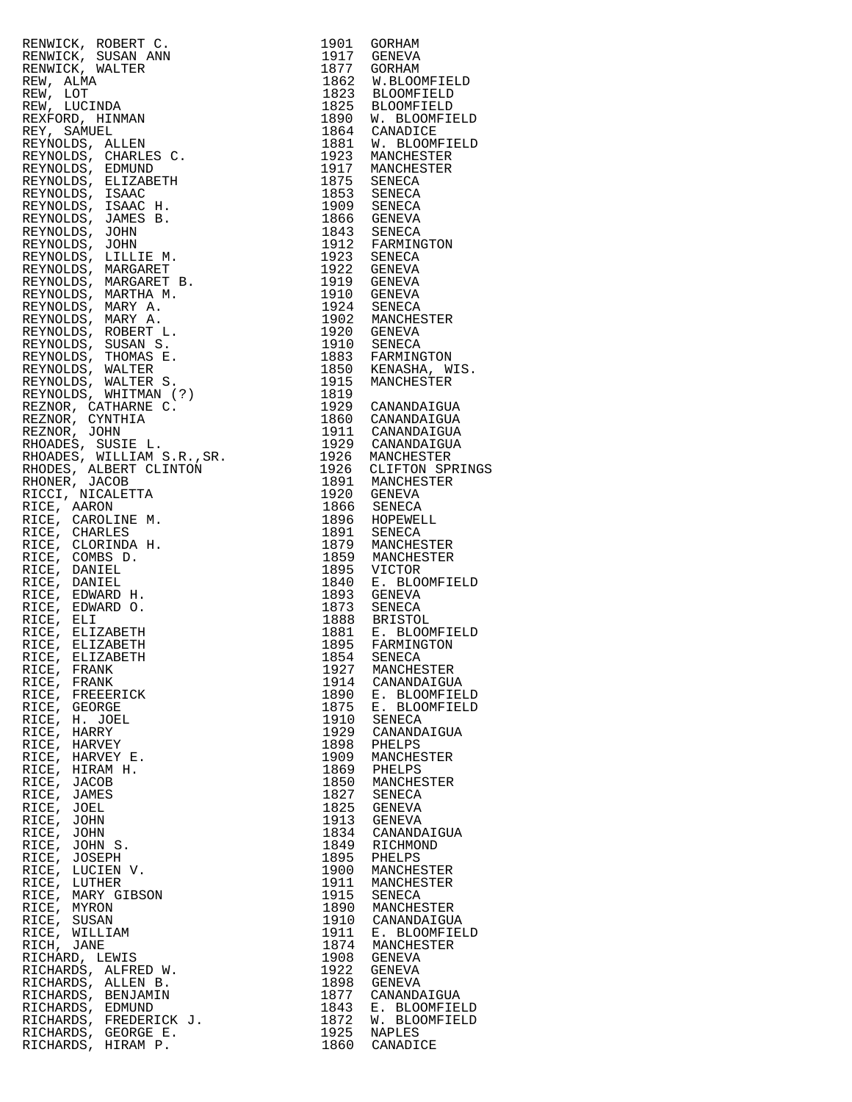| 1917 GENEVA<br>RENWICK, SUSAN ANN<br>1877<br>RENWICK, WALTER<br>GORHAM<br>1862 W.BLOOMFIELD<br>1823 BLOOMFIELD<br>REW, ALMA<br>REW, LOT<br>1825 BLOOMFIELD<br>1890 W. BLOOMFIELD<br>REW, LUCINDA<br>REXFORD, HINMAN<br>1864 CANADICE<br>REY, SAMUEL<br>1881 W. BLOOMFIELD<br>REYNOLDS, ALLEN<br>1923 MANCHESTER<br>REYNOLDS, CHARLES C.<br>1917 MANCHESTER<br>REYNOLDS, EDMUND<br>1875 SENECA<br>REYNOLDS, ELIZABETH<br>1853 SENECA<br>1909 SENECA<br>1866 GENEVA<br>REYNOLDS, ISAAC<br>REYNOLDS, ISAAC H.<br>REYNOLDS, JAMES B.<br>1843 SENECA<br>1843 SENECA<br>1912 FARMINGTON<br>REYNOLDS, JOHN<br>REYNOLDS, JOHN<br>1923 SENECA<br>REYNOLDS, LILLIE M.<br>1922<br>REYNOLDS, MARGARET<br>GENEVA<br>1919 GENEVA<br>REYNOLDS, MARGARET B.<br>1910<br>REYNOLDS, MARTHA M.<br>GENEVA<br>1924 SENECA<br>1902 MANCHESTER<br>REYNOLDS, MARY A.<br>REYNOLDS, MARY A.<br>1920 GENEVA<br>REYNOLDS, ROBERT L.<br>1910 SENECA<br>1883 FARMINGTON<br>1850 KENASHA, WIS.<br>1915 MANCHESTER<br>REYNOLDS, SUSAN S.<br>REYNOLDS, THOMAS E.<br>REYNOLDS, WALTER<br>REYNOLDS, WALTER S.<br>REYNOLDS, WHITMAN (?)<br>1819<br>1929 CANANDAIGUA<br>REZNOR, CATHARNE C.<br>1860 CANANDAIGUA<br>REZNOR, CYNTHIA<br>1911 CANANDAIGUA<br>1929 CANANDAIGUA<br>REZNOR, JOHN<br>1929 CANANDAIGUA<br>1929 CANANDAIGUA<br>1926 CLIFTON SPRINGS<br>RHOADES, SUSIE L.<br>RHOADES, WILLIAM S.R., SR.<br>RHODES, ALBERT CLINTON<br>1891 MANCHESTER<br>RHONER, JACOB<br>1920 GENEVA<br>RICCI, NICALETTA<br>1866 SENECA<br>RICE, AARON<br>1896 HOPEWELL<br>1891 SENECA<br>RICE, CAROLINE M.<br>RICE, CHARLES<br>1879 MANCHESTER<br>RICE, CLORINDA H.<br>1859 MANCHESTER<br>RICE, COMBS D.<br>1895 VICTOR<br>1840 E. BLOOMFIELD<br>RICE,<br>DANIEL<br>RICE, DANIEL<br>1893<br>RICE,<br>EDWARD H.<br>GENEVA<br>1873 SENECA<br>1888 BRISTOL<br>1881 E. BLOOMFIELD<br>1895 FARMINGTON<br>RICE, EDWARD O.<br>RICE, ELI<br>RICE, ELIZABETH<br>RICE, ELIZABETH<br>1854 SENECA<br>RICE, ELIZABETH<br>RICE,<br>1927<br>FRANK<br>MANCHESTER<br>1914<br>RICE,<br>FRANK<br>CANANDAIGUA<br>RICE.<br>1890<br>E. BLOOMFIELD<br>FREEERICK<br>1875<br>E. BLOOMFIELD<br>RICE, GEORGE<br>1910<br>RICE,<br>H. JOEL<br>SENECA<br>1929<br>HARRY<br>RICE,<br>CANANDAIGUA<br>RICE,<br>HARVEY<br>1898<br>PHELPS<br>RICE, HARVEY E.<br>1909<br>MANCHESTER<br>1869<br>RICE,<br>HIRAM H.<br>PHELPS<br>1850<br>RICE, JACOB<br>MANCHESTER<br>RICE,<br>1827<br>JAMES<br>SENECA<br>1825<br>RICE, JOEL<br>GENEVA<br>1913<br>RICE,<br><b>GENEVA</b><br>JOHN<br>1834<br>RICE, JOHN<br>CANANDAIGUA<br>RICE,<br>1849<br>JOHN S.<br>RICHMOND<br>1895<br>RICE, JOSEPH<br>PHELPS<br>1900<br>RICE,<br>MANCHESTER<br>LUCIEN V.<br>RICE, LUTHER<br>1911<br>MANCHESTER<br>RICE,<br>1915<br>MARY GIBSON<br>SENECA<br>1890<br>MANCHESTER<br>RICE, MYRON<br>1910<br>RICE,<br>CANANDAIGUA<br>SUSAN<br>1911<br>RICE, WILLIAM<br>E. BLOOMFIELD<br>1874<br>RICH, JANE<br>MANCHESTER<br>1908<br>RICHARD, LEWIS<br>GENEVA<br>1922<br>RICHARDS, ALFRED W.<br>GENEVA<br>1898<br>RICHARDS, ALLEN B.<br>GENEVA<br>1877<br>RICHARDS, BENJAMIN<br>CANANDAIGUA<br>1843<br>RICHARDS, EDMUND<br>E. BLOOMFIELD<br>1872<br>RICHARDS, FREDERICK J.<br>W. BLOOMFIELD<br>1925<br>RICHARDS, GEORGE E.<br><b>NAPLES</b><br>1860<br>RICHARDS, HIRAM P.<br>CANADICE | RENWICK, ROBERT C. | 1901 | GORHAM |
|--------------------------------------------------------------------------------------------------------------------------------------------------------------------------------------------------------------------------------------------------------------------------------------------------------------------------------------------------------------------------------------------------------------------------------------------------------------------------------------------------------------------------------------------------------------------------------------------------------------------------------------------------------------------------------------------------------------------------------------------------------------------------------------------------------------------------------------------------------------------------------------------------------------------------------------------------------------------------------------------------------------------------------------------------------------------------------------------------------------------------------------------------------------------------------------------------------------------------------------------------------------------------------------------------------------------------------------------------------------------------------------------------------------------------------------------------------------------------------------------------------------------------------------------------------------------------------------------------------------------------------------------------------------------------------------------------------------------------------------------------------------------------------------------------------------------------------------------------------------------------------------------------------------------------------------------------------------------------------------------------------------------------------------------------------------------------------------------------------------------------------------------------------------------------------------------------------------------------------------------------------------------------------------------------------------------------------------------------------------------------------------------------------------------------------------------------------------------------------------------------------------------------------------------------------------------------------------------------------------------------------------------------------------------------------------------------------------------------------------------------------------------------------------------------------------------------------------------------------------------------------------------------------------------------------------------------------------------------------------------------------------------------------------------------------------------------------------------------------------------------------------------------------------------------------------------------------------------------------------------------------------|--------------------|------|--------|
|                                                                                                                                                                                                                                                                                                                                                                                                                                                                                                                                                                                                                                                                                                                                                                                                                                                                                                                                                                                                                                                                                                                                                                                                                                                                                                                                                                                                                                                                                                                                                                                                                                                                                                                                                                                                                                                                                                                                                                                                                                                                                                                                                                                                                                                                                                                                                                                                                                                                                                                                                                                                                                                                                                                                                                                                                                                                                                                                                                                                                                                                                                                                                                                                                                                              |                    |      |        |
|                                                                                                                                                                                                                                                                                                                                                                                                                                                                                                                                                                                                                                                                                                                                                                                                                                                                                                                                                                                                                                                                                                                                                                                                                                                                                                                                                                                                                                                                                                                                                                                                                                                                                                                                                                                                                                                                                                                                                                                                                                                                                                                                                                                                                                                                                                                                                                                                                                                                                                                                                                                                                                                                                                                                                                                                                                                                                                                                                                                                                                                                                                                                                                                                                                                              |                    |      |        |
|                                                                                                                                                                                                                                                                                                                                                                                                                                                                                                                                                                                                                                                                                                                                                                                                                                                                                                                                                                                                                                                                                                                                                                                                                                                                                                                                                                                                                                                                                                                                                                                                                                                                                                                                                                                                                                                                                                                                                                                                                                                                                                                                                                                                                                                                                                                                                                                                                                                                                                                                                                                                                                                                                                                                                                                                                                                                                                                                                                                                                                                                                                                                                                                                                                                              |                    |      |        |
|                                                                                                                                                                                                                                                                                                                                                                                                                                                                                                                                                                                                                                                                                                                                                                                                                                                                                                                                                                                                                                                                                                                                                                                                                                                                                                                                                                                                                                                                                                                                                                                                                                                                                                                                                                                                                                                                                                                                                                                                                                                                                                                                                                                                                                                                                                                                                                                                                                                                                                                                                                                                                                                                                                                                                                                                                                                                                                                                                                                                                                                                                                                                                                                                                                                              |                    |      |        |
|                                                                                                                                                                                                                                                                                                                                                                                                                                                                                                                                                                                                                                                                                                                                                                                                                                                                                                                                                                                                                                                                                                                                                                                                                                                                                                                                                                                                                                                                                                                                                                                                                                                                                                                                                                                                                                                                                                                                                                                                                                                                                                                                                                                                                                                                                                                                                                                                                                                                                                                                                                                                                                                                                                                                                                                                                                                                                                                                                                                                                                                                                                                                                                                                                                                              |                    |      |        |
|                                                                                                                                                                                                                                                                                                                                                                                                                                                                                                                                                                                                                                                                                                                                                                                                                                                                                                                                                                                                                                                                                                                                                                                                                                                                                                                                                                                                                                                                                                                                                                                                                                                                                                                                                                                                                                                                                                                                                                                                                                                                                                                                                                                                                                                                                                                                                                                                                                                                                                                                                                                                                                                                                                                                                                                                                                                                                                                                                                                                                                                                                                                                                                                                                                                              |                    |      |        |
|                                                                                                                                                                                                                                                                                                                                                                                                                                                                                                                                                                                                                                                                                                                                                                                                                                                                                                                                                                                                                                                                                                                                                                                                                                                                                                                                                                                                                                                                                                                                                                                                                                                                                                                                                                                                                                                                                                                                                                                                                                                                                                                                                                                                                                                                                                                                                                                                                                                                                                                                                                                                                                                                                                                                                                                                                                                                                                                                                                                                                                                                                                                                                                                                                                                              |                    |      |        |
|                                                                                                                                                                                                                                                                                                                                                                                                                                                                                                                                                                                                                                                                                                                                                                                                                                                                                                                                                                                                                                                                                                                                                                                                                                                                                                                                                                                                                                                                                                                                                                                                                                                                                                                                                                                                                                                                                                                                                                                                                                                                                                                                                                                                                                                                                                                                                                                                                                                                                                                                                                                                                                                                                                                                                                                                                                                                                                                                                                                                                                                                                                                                                                                                                                                              |                    |      |        |
|                                                                                                                                                                                                                                                                                                                                                                                                                                                                                                                                                                                                                                                                                                                                                                                                                                                                                                                                                                                                                                                                                                                                                                                                                                                                                                                                                                                                                                                                                                                                                                                                                                                                                                                                                                                                                                                                                                                                                                                                                                                                                                                                                                                                                                                                                                                                                                                                                                                                                                                                                                                                                                                                                                                                                                                                                                                                                                                                                                                                                                                                                                                                                                                                                                                              |                    |      |        |
|                                                                                                                                                                                                                                                                                                                                                                                                                                                                                                                                                                                                                                                                                                                                                                                                                                                                                                                                                                                                                                                                                                                                                                                                                                                                                                                                                                                                                                                                                                                                                                                                                                                                                                                                                                                                                                                                                                                                                                                                                                                                                                                                                                                                                                                                                                                                                                                                                                                                                                                                                                                                                                                                                                                                                                                                                                                                                                                                                                                                                                                                                                                                                                                                                                                              |                    |      |        |
|                                                                                                                                                                                                                                                                                                                                                                                                                                                                                                                                                                                                                                                                                                                                                                                                                                                                                                                                                                                                                                                                                                                                                                                                                                                                                                                                                                                                                                                                                                                                                                                                                                                                                                                                                                                                                                                                                                                                                                                                                                                                                                                                                                                                                                                                                                                                                                                                                                                                                                                                                                                                                                                                                                                                                                                                                                                                                                                                                                                                                                                                                                                                                                                                                                                              |                    |      |        |
|                                                                                                                                                                                                                                                                                                                                                                                                                                                                                                                                                                                                                                                                                                                                                                                                                                                                                                                                                                                                                                                                                                                                                                                                                                                                                                                                                                                                                                                                                                                                                                                                                                                                                                                                                                                                                                                                                                                                                                                                                                                                                                                                                                                                                                                                                                                                                                                                                                                                                                                                                                                                                                                                                                                                                                                                                                                                                                                                                                                                                                                                                                                                                                                                                                                              |                    |      |        |
|                                                                                                                                                                                                                                                                                                                                                                                                                                                                                                                                                                                                                                                                                                                                                                                                                                                                                                                                                                                                                                                                                                                                                                                                                                                                                                                                                                                                                                                                                                                                                                                                                                                                                                                                                                                                                                                                                                                                                                                                                                                                                                                                                                                                                                                                                                                                                                                                                                                                                                                                                                                                                                                                                                                                                                                                                                                                                                                                                                                                                                                                                                                                                                                                                                                              |                    |      |        |
|                                                                                                                                                                                                                                                                                                                                                                                                                                                                                                                                                                                                                                                                                                                                                                                                                                                                                                                                                                                                                                                                                                                                                                                                                                                                                                                                                                                                                                                                                                                                                                                                                                                                                                                                                                                                                                                                                                                                                                                                                                                                                                                                                                                                                                                                                                                                                                                                                                                                                                                                                                                                                                                                                                                                                                                                                                                                                                                                                                                                                                                                                                                                                                                                                                                              |                    |      |        |
|                                                                                                                                                                                                                                                                                                                                                                                                                                                                                                                                                                                                                                                                                                                                                                                                                                                                                                                                                                                                                                                                                                                                                                                                                                                                                                                                                                                                                                                                                                                                                                                                                                                                                                                                                                                                                                                                                                                                                                                                                                                                                                                                                                                                                                                                                                                                                                                                                                                                                                                                                                                                                                                                                                                                                                                                                                                                                                                                                                                                                                                                                                                                                                                                                                                              |                    |      |        |
|                                                                                                                                                                                                                                                                                                                                                                                                                                                                                                                                                                                                                                                                                                                                                                                                                                                                                                                                                                                                                                                                                                                                                                                                                                                                                                                                                                                                                                                                                                                                                                                                                                                                                                                                                                                                                                                                                                                                                                                                                                                                                                                                                                                                                                                                                                                                                                                                                                                                                                                                                                                                                                                                                                                                                                                                                                                                                                                                                                                                                                                                                                                                                                                                                                                              |                    |      |        |
|                                                                                                                                                                                                                                                                                                                                                                                                                                                                                                                                                                                                                                                                                                                                                                                                                                                                                                                                                                                                                                                                                                                                                                                                                                                                                                                                                                                                                                                                                                                                                                                                                                                                                                                                                                                                                                                                                                                                                                                                                                                                                                                                                                                                                                                                                                                                                                                                                                                                                                                                                                                                                                                                                                                                                                                                                                                                                                                                                                                                                                                                                                                                                                                                                                                              |                    |      |        |
|                                                                                                                                                                                                                                                                                                                                                                                                                                                                                                                                                                                                                                                                                                                                                                                                                                                                                                                                                                                                                                                                                                                                                                                                                                                                                                                                                                                                                                                                                                                                                                                                                                                                                                                                                                                                                                                                                                                                                                                                                                                                                                                                                                                                                                                                                                                                                                                                                                                                                                                                                                                                                                                                                                                                                                                                                                                                                                                                                                                                                                                                                                                                                                                                                                                              |                    |      |        |
|                                                                                                                                                                                                                                                                                                                                                                                                                                                                                                                                                                                                                                                                                                                                                                                                                                                                                                                                                                                                                                                                                                                                                                                                                                                                                                                                                                                                                                                                                                                                                                                                                                                                                                                                                                                                                                                                                                                                                                                                                                                                                                                                                                                                                                                                                                                                                                                                                                                                                                                                                                                                                                                                                                                                                                                                                                                                                                                                                                                                                                                                                                                                                                                                                                                              |                    |      |        |
|                                                                                                                                                                                                                                                                                                                                                                                                                                                                                                                                                                                                                                                                                                                                                                                                                                                                                                                                                                                                                                                                                                                                                                                                                                                                                                                                                                                                                                                                                                                                                                                                                                                                                                                                                                                                                                                                                                                                                                                                                                                                                                                                                                                                                                                                                                                                                                                                                                                                                                                                                                                                                                                                                                                                                                                                                                                                                                                                                                                                                                                                                                                                                                                                                                                              |                    |      |        |
|                                                                                                                                                                                                                                                                                                                                                                                                                                                                                                                                                                                                                                                                                                                                                                                                                                                                                                                                                                                                                                                                                                                                                                                                                                                                                                                                                                                                                                                                                                                                                                                                                                                                                                                                                                                                                                                                                                                                                                                                                                                                                                                                                                                                                                                                                                                                                                                                                                                                                                                                                                                                                                                                                                                                                                                                                                                                                                                                                                                                                                                                                                                                                                                                                                                              |                    |      |        |
|                                                                                                                                                                                                                                                                                                                                                                                                                                                                                                                                                                                                                                                                                                                                                                                                                                                                                                                                                                                                                                                                                                                                                                                                                                                                                                                                                                                                                                                                                                                                                                                                                                                                                                                                                                                                                                                                                                                                                                                                                                                                                                                                                                                                                                                                                                                                                                                                                                                                                                                                                                                                                                                                                                                                                                                                                                                                                                                                                                                                                                                                                                                                                                                                                                                              |                    |      |        |
|                                                                                                                                                                                                                                                                                                                                                                                                                                                                                                                                                                                                                                                                                                                                                                                                                                                                                                                                                                                                                                                                                                                                                                                                                                                                                                                                                                                                                                                                                                                                                                                                                                                                                                                                                                                                                                                                                                                                                                                                                                                                                                                                                                                                                                                                                                                                                                                                                                                                                                                                                                                                                                                                                                                                                                                                                                                                                                                                                                                                                                                                                                                                                                                                                                                              |                    |      |        |
|                                                                                                                                                                                                                                                                                                                                                                                                                                                                                                                                                                                                                                                                                                                                                                                                                                                                                                                                                                                                                                                                                                                                                                                                                                                                                                                                                                                                                                                                                                                                                                                                                                                                                                                                                                                                                                                                                                                                                                                                                                                                                                                                                                                                                                                                                                                                                                                                                                                                                                                                                                                                                                                                                                                                                                                                                                                                                                                                                                                                                                                                                                                                                                                                                                                              |                    |      |        |
|                                                                                                                                                                                                                                                                                                                                                                                                                                                                                                                                                                                                                                                                                                                                                                                                                                                                                                                                                                                                                                                                                                                                                                                                                                                                                                                                                                                                                                                                                                                                                                                                                                                                                                                                                                                                                                                                                                                                                                                                                                                                                                                                                                                                                                                                                                                                                                                                                                                                                                                                                                                                                                                                                                                                                                                                                                                                                                                                                                                                                                                                                                                                                                                                                                                              |                    |      |        |
|                                                                                                                                                                                                                                                                                                                                                                                                                                                                                                                                                                                                                                                                                                                                                                                                                                                                                                                                                                                                                                                                                                                                                                                                                                                                                                                                                                                                                                                                                                                                                                                                                                                                                                                                                                                                                                                                                                                                                                                                                                                                                                                                                                                                                                                                                                                                                                                                                                                                                                                                                                                                                                                                                                                                                                                                                                                                                                                                                                                                                                                                                                                                                                                                                                                              |                    |      |        |
|                                                                                                                                                                                                                                                                                                                                                                                                                                                                                                                                                                                                                                                                                                                                                                                                                                                                                                                                                                                                                                                                                                                                                                                                                                                                                                                                                                                                                                                                                                                                                                                                                                                                                                                                                                                                                                                                                                                                                                                                                                                                                                                                                                                                                                                                                                                                                                                                                                                                                                                                                                                                                                                                                                                                                                                                                                                                                                                                                                                                                                                                                                                                                                                                                                                              |                    |      |        |
|                                                                                                                                                                                                                                                                                                                                                                                                                                                                                                                                                                                                                                                                                                                                                                                                                                                                                                                                                                                                                                                                                                                                                                                                                                                                                                                                                                                                                                                                                                                                                                                                                                                                                                                                                                                                                                                                                                                                                                                                                                                                                                                                                                                                                                                                                                                                                                                                                                                                                                                                                                                                                                                                                                                                                                                                                                                                                                                                                                                                                                                                                                                                                                                                                                                              |                    |      |        |
|                                                                                                                                                                                                                                                                                                                                                                                                                                                                                                                                                                                                                                                                                                                                                                                                                                                                                                                                                                                                                                                                                                                                                                                                                                                                                                                                                                                                                                                                                                                                                                                                                                                                                                                                                                                                                                                                                                                                                                                                                                                                                                                                                                                                                                                                                                                                                                                                                                                                                                                                                                                                                                                                                                                                                                                                                                                                                                                                                                                                                                                                                                                                                                                                                                                              |                    |      |        |
|                                                                                                                                                                                                                                                                                                                                                                                                                                                                                                                                                                                                                                                                                                                                                                                                                                                                                                                                                                                                                                                                                                                                                                                                                                                                                                                                                                                                                                                                                                                                                                                                                                                                                                                                                                                                                                                                                                                                                                                                                                                                                                                                                                                                                                                                                                                                                                                                                                                                                                                                                                                                                                                                                                                                                                                                                                                                                                                                                                                                                                                                                                                                                                                                                                                              |                    |      |        |
|                                                                                                                                                                                                                                                                                                                                                                                                                                                                                                                                                                                                                                                                                                                                                                                                                                                                                                                                                                                                                                                                                                                                                                                                                                                                                                                                                                                                                                                                                                                                                                                                                                                                                                                                                                                                                                                                                                                                                                                                                                                                                                                                                                                                                                                                                                                                                                                                                                                                                                                                                                                                                                                                                                                                                                                                                                                                                                                                                                                                                                                                                                                                                                                                                                                              |                    |      |        |
|                                                                                                                                                                                                                                                                                                                                                                                                                                                                                                                                                                                                                                                                                                                                                                                                                                                                                                                                                                                                                                                                                                                                                                                                                                                                                                                                                                                                                                                                                                                                                                                                                                                                                                                                                                                                                                                                                                                                                                                                                                                                                                                                                                                                                                                                                                                                                                                                                                                                                                                                                                                                                                                                                                                                                                                                                                                                                                                                                                                                                                                                                                                                                                                                                                                              |                    |      |        |
|                                                                                                                                                                                                                                                                                                                                                                                                                                                                                                                                                                                                                                                                                                                                                                                                                                                                                                                                                                                                                                                                                                                                                                                                                                                                                                                                                                                                                                                                                                                                                                                                                                                                                                                                                                                                                                                                                                                                                                                                                                                                                                                                                                                                                                                                                                                                                                                                                                                                                                                                                                                                                                                                                                                                                                                                                                                                                                                                                                                                                                                                                                                                                                                                                                                              |                    |      |        |
|                                                                                                                                                                                                                                                                                                                                                                                                                                                                                                                                                                                                                                                                                                                                                                                                                                                                                                                                                                                                                                                                                                                                                                                                                                                                                                                                                                                                                                                                                                                                                                                                                                                                                                                                                                                                                                                                                                                                                                                                                                                                                                                                                                                                                                                                                                                                                                                                                                                                                                                                                                                                                                                                                                                                                                                                                                                                                                                                                                                                                                                                                                                                                                                                                                                              |                    |      |        |
|                                                                                                                                                                                                                                                                                                                                                                                                                                                                                                                                                                                                                                                                                                                                                                                                                                                                                                                                                                                                                                                                                                                                                                                                                                                                                                                                                                                                                                                                                                                                                                                                                                                                                                                                                                                                                                                                                                                                                                                                                                                                                                                                                                                                                                                                                                                                                                                                                                                                                                                                                                                                                                                                                                                                                                                                                                                                                                                                                                                                                                                                                                                                                                                                                                                              |                    |      |        |
|                                                                                                                                                                                                                                                                                                                                                                                                                                                                                                                                                                                                                                                                                                                                                                                                                                                                                                                                                                                                                                                                                                                                                                                                                                                                                                                                                                                                                                                                                                                                                                                                                                                                                                                                                                                                                                                                                                                                                                                                                                                                                                                                                                                                                                                                                                                                                                                                                                                                                                                                                                                                                                                                                                                                                                                                                                                                                                                                                                                                                                                                                                                                                                                                                                                              |                    |      |        |
|                                                                                                                                                                                                                                                                                                                                                                                                                                                                                                                                                                                                                                                                                                                                                                                                                                                                                                                                                                                                                                                                                                                                                                                                                                                                                                                                                                                                                                                                                                                                                                                                                                                                                                                                                                                                                                                                                                                                                                                                                                                                                                                                                                                                                                                                                                                                                                                                                                                                                                                                                                                                                                                                                                                                                                                                                                                                                                                                                                                                                                                                                                                                                                                                                                                              |                    |      |        |
|                                                                                                                                                                                                                                                                                                                                                                                                                                                                                                                                                                                                                                                                                                                                                                                                                                                                                                                                                                                                                                                                                                                                                                                                                                                                                                                                                                                                                                                                                                                                                                                                                                                                                                                                                                                                                                                                                                                                                                                                                                                                                                                                                                                                                                                                                                                                                                                                                                                                                                                                                                                                                                                                                                                                                                                                                                                                                                                                                                                                                                                                                                                                                                                                                                                              |                    |      |        |
|                                                                                                                                                                                                                                                                                                                                                                                                                                                                                                                                                                                                                                                                                                                                                                                                                                                                                                                                                                                                                                                                                                                                                                                                                                                                                                                                                                                                                                                                                                                                                                                                                                                                                                                                                                                                                                                                                                                                                                                                                                                                                                                                                                                                                                                                                                                                                                                                                                                                                                                                                                                                                                                                                                                                                                                                                                                                                                                                                                                                                                                                                                                                                                                                                                                              |                    |      |        |
|                                                                                                                                                                                                                                                                                                                                                                                                                                                                                                                                                                                                                                                                                                                                                                                                                                                                                                                                                                                                                                                                                                                                                                                                                                                                                                                                                                                                                                                                                                                                                                                                                                                                                                                                                                                                                                                                                                                                                                                                                                                                                                                                                                                                                                                                                                                                                                                                                                                                                                                                                                                                                                                                                                                                                                                                                                                                                                                                                                                                                                                                                                                                                                                                                                                              |                    |      |        |
|                                                                                                                                                                                                                                                                                                                                                                                                                                                                                                                                                                                                                                                                                                                                                                                                                                                                                                                                                                                                                                                                                                                                                                                                                                                                                                                                                                                                                                                                                                                                                                                                                                                                                                                                                                                                                                                                                                                                                                                                                                                                                                                                                                                                                                                                                                                                                                                                                                                                                                                                                                                                                                                                                                                                                                                                                                                                                                                                                                                                                                                                                                                                                                                                                                                              |                    |      |        |
|                                                                                                                                                                                                                                                                                                                                                                                                                                                                                                                                                                                                                                                                                                                                                                                                                                                                                                                                                                                                                                                                                                                                                                                                                                                                                                                                                                                                                                                                                                                                                                                                                                                                                                                                                                                                                                                                                                                                                                                                                                                                                                                                                                                                                                                                                                                                                                                                                                                                                                                                                                                                                                                                                                                                                                                                                                                                                                                                                                                                                                                                                                                                                                                                                                                              |                    |      |        |
|                                                                                                                                                                                                                                                                                                                                                                                                                                                                                                                                                                                                                                                                                                                                                                                                                                                                                                                                                                                                                                                                                                                                                                                                                                                                                                                                                                                                                                                                                                                                                                                                                                                                                                                                                                                                                                                                                                                                                                                                                                                                                                                                                                                                                                                                                                                                                                                                                                                                                                                                                                                                                                                                                                                                                                                                                                                                                                                                                                                                                                                                                                                                                                                                                                                              |                    |      |        |
|                                                                                                                                                                                                                                                                                                                                                                                                                                                                                                                                                                                                                                                                                                                                                                                                                                                                                                                                                                                                                                                                                                                                                                                                                                                                                                                                                                                                                                                                                                                                                                                                                                                                                                                                                                                                                                                                                                                                                                                                                                                                                                                                                                                                                                                                                                                                                                                                                                                                                                                                                                                                                                                                                                                                                                                                                                                                                                                                                                                                                                                                                                                                                                                                                                                              |                    |      |        |
|                                                                                                                                                                                                                                                                                                                                                                                                                                                                                                                                                                                                                                                                                                                                                                                                                                                                                                                                                                                                                                                                                                                                                                                                                                                                                                                                                                                                                                                                                                                                                                                                                                                                                                                                                                                                                                                                                                                                                                                                                                                                                                                                                                                                                                                                                                                                                                                                                                                                                                                                                                                                                                                                                                                                                                                                                                                                                                                                                                                                                                                                                                                                                                                                                                                              |                    |      |        |
|                                                                                                                                                                                                                                                                                                                                                                                                                                                                                                                                                                                                                                                                                                                                                                                                                                                                                                                                                                                                                                                                                                                                                                                                                                                                                                                                                                                                                                                                                                                                                                                                                                                                                                                                                                                                                                                                                                                                                                                                                                                                                                                                                                                                                                                                                                                                                                                                                                                                                                                                                                                                                                                                                                                                                                                                                                                                                                                                                                                                                                                                                                                                                                                                                                                              |                    |      |        |
|                                                                                                                                                                                                                                                                                                                                                                                                                                                                                                                                                                                                                                                                                                                                                                                                                                                                                                                                                                                                                                                                                                                                                                                                                                                                                                                                                                                                                                                                                                                                                                                                                                                                                                                                                                                                                                                                                                                                                                                                                                                                                                                                                                                                                                                                                                                                                                                                                                                                                                                                                                                                                                                                                                                                                                                                                                                                                                                                                                                                                                                                                                                                                                                                                                                              |                    |      |        |
|                                                                                                                                                                                                                                                                                                                                                                                                                                                                                                                                                                                                                                                                                                                                                                                                                                                                                                                                                                                                                                                                                                                                                                                                                                                                                                                                                                                                                                                                                                                                                                                                                                                                                                                                                                                                                                                                                                                                                                                                                                                                                                                                                                                                                                                                                                                                                                                                                                                                                                                                                                                                                                                                                                                                                                                                                                                                                                                                                                                                                                                                                                                                                                                                                                                              |                    |      |        |
|                                                                                                                                                                                                                                                                                                                                                                                                                                                                                                                                                                                                                                                                                                                                                                                                                                                                                                                                                                                                                                                                                                                                                                                                                                                                                                                                                                                                                                                                                                                                                                                                                                                                                                                                                                                                                                                                                                                                                                                                                                                                                                                                                                                                                                                                                                                                                                                                                                                                                                                                                                                                                                                                                                                                                                                                                                                                                                                                                                                                                                                                                                                                                                                                                                                              |                    |      |        |
|                                                                                                                                                                                                                                                                                                                                                                                                                                                                                                                                                                                                                                                                                                                                                                                                                                                                                                                                                                                                                                                                                                                                                                                                                                                                                                                                                                                                                                                                                                                                                                                                                                                                                                                                                                                                                                                                                                                                                                                                                                                                                                                                                                                                                                                                                                                                                                                                                                                                                                                                                                                                                                                                                                                                                                                                                                                                                                                                                                                                                                                                                                                                                                                                                                                              |                    |      |        |
|                                                                                                                                                                                                                                                                                                                                                                                                                                                                                                                                                                                                                                                                                                                                                                                                                                                                                                                                                                                                                                                                                                                                                                                                                                                                                                                                                                                                                                                                                                                                                                                                                                                                                                                                                                                                                                                                                                                                                                                                                                                                                                                                                                                                                                                                                                                                                                                                                                                                                                                                                                                                                                                                                                                                                                                                                                                                                                                                                                                                                                                                                                                                                                                                                                                              |                    |      |        |
|                                                                                                                                                                                                                                                                                                                                                                                                                                                                                                                                                                                                                                                                                                                                                                                                                                                                                                                                                                                                                                                                                                                                                                                                                                                                                                                                                                                                                                                                                                                                                                                                                                                                                                                                                                                                                                                                                                                                                                                                                                                                                                                                                                                                                                                                                                                                                                                                                                                                                                                                                                                                                                                                                                                                                                                                                                                                                                                                                                                                                                                                                                                                                                                                                                                              |                    |      |        |
|                                                                                                                                                                                                                                                                                                                                                                                                                                                                                                                                                                                                                                                                                                                                                                                                                                                                                                                                                                                                                                                                                                                                                                                                                                                                                                                                                                                                                                                                                                                                                                                                                                                                                                                                                                                                                                                                                                                                                                                                                                                                                                                                                                                                                                                                                                                                                                                                                                                                                                                                                                                                                                                                                                                                                                                                                                                                                                                                                                                                                                                                                                                                                                                                                                                              |                    |      |        |
|                                                                                                                                                                                                                                                                                                                                                                                                                                                                                                                                                                                                                                                                                                                                                                                                                                                                                                                                                                                                                                                                                                                                                                                                                                                                                                                                                                                                                                                                                                                                                                                                                                                                                                                                                                                                                                                                                                                                                                                                                                                                                                                                                                                                                                                                                                                                                                                                                                                                                                                                                                                                                                                                                                                                                                                                                                                                                                                                                                                                                                                                                                                                                                                                                                                              |                    |      |        |
|                                                                                                                                                                                                                                                                                                                                                                                                                                                                                                                                                                                                                                                                                                                                                                                                                                                                                                                                                                                                                                                                                                                                                                                                                                                                                                                                                                                                                                                                                                                                                                                                                                                                                                                                                                                                                                                                                                                                                                                                                                                                                                                                                                                                                                                                                                                                                                                                                                                                                                                                                                                                                                                                                                                                                                                                                                                                                                                                                                                                                                                                                                                                                                                                                                                              |                    |      |        |
|                                                                                                                                                                                                                                                                                                                                                                                                                                                                                                                                                                                                                                                                                                                                                                                                                                                                                                                                                                                                                                                                                                                                                                                                                                                                                                                                                                                                                                                                                                                                                                                                                                                                                                                                                                                                                                                                                                                                                                                                                                                                                                                                                                                                                                                                                                                                                                                                                                                                                                                                                                                                                                                                                                                                                                                                                                                                                                                                                                                                                                                                                                                                                                                                                                                              |                    |      |        |
|                                                                                                                                                                                                                                                                                                                                                                                                                                                                                                                                                                                                                                                                                                                                                                                                                                                                                                                                                                                                                                                                                                                                                                                                                                                                                                                                                                                                                                                                                                                                                                                                                                                                                                                                                                                                                                                                                                                                                                                                                                                                                                                                                                                                                                                                                                                                                                                                                                                                                                                                                                                                                                                                                                                                                                                                                                                                                                                                                                                                                                                                                                                                                                                                                                                              |                    |      |        |
|                                                                                                                                                                                                                                                                                                                                                                                                                                                                                                                                                                                                                                                                                                                                                                                                                                                                                                                                                                                                                                                                                                                                                                                                                                                                                                                                                                                                                                                                                                                                                                                                                                                                                                                                                                                                                                                                                                                                                                                                                                                                                                                                                                                                                                                                                                                                                                                                                                                                                                                                                                                                                                                                                                                                                                                                                                                                                                                                                                                                                                                                                                                                                                                                                                                              |                    |      |        |
|                                                                                                                                                                                                                                                                                                                                                                                                                                                                                                                                                                                                                                                                                                                                                                                                                                                                                                                                                                                                                                                                                                                                                                                                                                                                                                                                                                                                                                                                                                                                                                                                                                                                                                                                                                                                                                                                                                                                                                                                                                                                                                                                                                                                                                                                                                                                                                                                                                                                                                                                                                                                                                                                                                                                                                                                                                                                                                                                                                                                                                                                                                                                                                                                                                                              |                    |      |        |
|                                                                                                                                                                                                                                                                                                                                                                                                                                                                                                                                                                                                                                                                                                                                                                                                                                                                                                                                                                                                                                                                                                                                                                                                                                                                                                                                                                                                                                                                                                                                                                                                                                                                                                                                                                                                                                                                                                                                                                                                                                                                                                                                                                                                                                                                                                                                                                                                                                                                                                                                                                                                                                                                                                                                                                                                                                                                                                                                                                                                                                                                                                                                                                                                                                                              |                    |      |        |
|                                                                                                                                                                                                                                                                                                                                                                                                                                                                                                                                                                                                                                                                                                                                                                                                                                                                                                                                                                                                                                                                                                                                                                                                                                                                                                                                                                                                                                                                                                                                                                                                                                                                                                                                                                                                                                                                                                                                                                                                                                                                                                                                                                                                                                                                                                                                                                                                                                                                                                                                                                                                                                                                                                                                                                                                                                                                                                                                                                                                                                                                                                                                                                                                                                                              |                    |      |        |
|                                                                                                                                                                                                                                                                                                                                                                                                                                                                                                                                                                                                                                                                                                                                                                                                                                                                                                                                                                                                                                                                                                                                                                                                                                                                                                                                                                                                                                                                                                                                                                                                                                                                                                                                                                                                                                                                                                                                                                                                                                                                                                                                                                                                                                                                                                                                                                                                                                                                                                                                                                                                                                                                                                                                                                                                                                                                                                                                                                                                                                                                                                                                                                                                                                                              |                    |      |        |
|                                                                                                                                                                                                                                                                                                                                                                                                                                                                                                                                                                                                                                                                                                                                                                                                                                                                                                                                                                                                                                                                                                                                                                                                                                                                                                                                                                                                                                                                                                                                                                                                                                                                                                                                                                                                                                                                                                                                                                                                                                                                                                                                                                                                                                                                                                                                                                                                                                                                                                                                                                                                                                                                                                                                                                                                                                                                                                                                                                                                                                                                                                                                                                                                                                                              |                    |      |        |
|                                                                                                                                                                                                                                                                                                                                                                                                                                                                                                                                                                                                                                                                                                                                                                                                                                                                                                                                                                                                                                                                                                                                                                                                                                                                                                                                                                                                                                                                                                                                                                                                                                                                                                                                                                                                                                                                                                                                                                                                                                                                                                                                                                                                                                                                                                                                                                                                                                                                                                                                                                                                                                                                                                                                                                                                                                                                                                                                                                                                                                                                                                                                                                                                                                                              |                    |      |        |
|                                                                                                                                                                                                                                                                                                                                                                                                                                                                                                                                                                                                                                                                                                                                                                                                                                                                                                                                                                                                                                                                                                                                                                                                                                                                                                                                                                                                                                                                                                                                                                                                                                                                                                                                                                                                                                                                                                                                                                                                                                                                                                                                                                                                                                                                                                                                                                                                                                                                                                                                                                                                                                                                                                                                                                                                                                                                                                                                                                                                                                                                                                                                                                                                                                                              |                    |      |        |
|                                                                                                                                                                                                                                                                                                                                                                                                                                                                                                                                                                                                                                                                                                                                                                                                                                                                                                                                                                                                                                                                                                                                                                                                                                                                                                                                                                                                                                                                                                                                                                                                                                                                                                                                                                                                                                                                                                                                                                                                                                                                                                                                                                                                                                                                                                                                                                                                                                                                                                                                                                                                                                                                                                                                                                                                                                                                                                                                                                                                                                                                                                                                                                                                                                                              |                    |      |        |
|                                                                                                                                                                                                                                                                                                                                                                                                                                                                                                                                                                                                                                                                                                                                                                                                                                                                                                                                                                                                                                                                                                                                                                                                                                                                                                                                                                                                                                                                                                                                                                                                                                                                                                                                                                                                                                                                                                                                                                                                                                                                                                                                                                                                                                                                                                                                                                                                                                                                                                                                                                                                                                                                                                                                                                                                                                                                                                                                                                                                                                                                                                                                                                                                                                                              |                    |      |        |
|                                                                                                                                                                                                                                                                                                                                                                                                                                                                                                                                                                                                                                                                                                                                                                                                                                                                                                                                                                                                                                                                                                                                                                                                                                                                                                                                                                                                                                                                                                                                                                                                                                                                                                                                                                                                                                                                                                                                                                                                                                                                                                                                                                                                                                                                                                                                                                                                                                                                                                                                                                                                                                                                                                                                                                                                                                                                                                                                                                                                                                                                                                                                                                                                                                                              |                    |      |        |
|                                                                                                                                                                                                                                                                                                                                                                                                                                                                                                                                                                                                                                                                                                                                                                                                                                                                                                                                                                                                                                                                                                                                                                                                                                                                                                                                                                                                                                                                                                                                                                                                                                                                                                                                                                                                                                                                                                                                                                                                                                                                                                                                                                                                                                                                                                                                                                                                                                                                                                                                                                                                                                                                                                                                                                                                                                                                                                                                                                                                                                                                                                                                                                                                                                                              |                    |      |        |
|                                                                                                                                                                                                                                                                                                                                                                                                                                                                                                                                                                                                                                                                                                                                                                                                                                                                                                                                                                                                                                                                                                                                                                                                                                                                                                                                                                                                                                                                                                                                                                                                                                                                                                                                                                                                                                                                                                                                                                                                                                                                                                                                                                                                                                                                                                                                                                                                                                                                                                                                                                                                                                                                                                                                                                                                                                                                                                                                                                                                                                                                                                                                                                                                                                                              |                    |      |        |
|                                                                                                                                                                                                                                                                                                                                                                                                                                                                                                                                                                                                                                                                                                                                                                                                                                                                                                                                                                                                                                                                                                                                                                                                                                                                                                                                                                                                                                                                                                                                                                                                                                                                                                                                                                                                                                                                                                                                                                                                                                                                                                                                                                                                                                                                                                                                                                                                                                                                                                                                                                                                                                                                                                                                                                                                                                                                                                                                                                                                                                                                                                                                                                                                                                                              |                    |      |        |
|                                                                                                                                                                                                                                                                                                                                                                                                                                                                                                                                                                                                                                                                                                                                                                                                                                                                                                                                                                                                                                                                                                                                                                                                                                                                                                                                                                                                                                                                                                                                                                                                                                                                                                                                                                                                                                                                                                                                                                                                                                                                                                                                                                                                                                                                                                                                                                                                                                                                                                                                                                                                                                                                                                                                                                                                                                                                                                                                                                                                                                                                                                                                                                                                                                                              |                    |      |        |
|                                                                                                                                                                                                                                                                                                                                                                                                                                                                                                                                                                                                                                                                                                                                                                                                                                                                                                                                                                                                                                                                                                                                                                                                                                                                                                                                                                                                                                                                                                                                                                                                                                                                                                                                                                                                                                                                                                                                                                                                                                                                                                                                                                                                                                                                                                                                                                                                                                                                                                                                                                                                                                                                                                                                                                                                                                                                                                                                                                                                                                                                                                                                                                                                                                                              |                    |      |        |

| 1901                                                                                                                                                                                         | GORHAM                                                                                                                                                                                                                                                                                                                      |
|----------------------------------------------------------------------------------------------------------------------------------------------------------------------------------------------|-----------------------------------------------------------------------------------------------------------------------------------------------------------------------------------------------------------------------------------------------------------------------------------------------------------------------------|
| 1917                                                                                                                                                                                         | GENEVA                                                                                                                                                                                                                                                                                                                      |
| 1877                                                                                                                                                                                         | GORHAM                                                                                                                                                                                                                                                                                                                      |
| 1862                                                                                                                                                                                         | W.BLOOMFIELD                                                                                                                                                                                                                                                                                                                |
| 1823                                                                                                                                                                                         | <b>BLOOMFIELD</b>                                                                                                                                                                                                                                                                                                           |
| 1825                                                                                                                                                                                         | <b>BLOOMFIELD</b>                                                                                                                                                                                                                                                                                                           |
| 1890                                                                                                                                                                                         | W. BLOOMFIELD                                                                                                                                                                                                                                                                                                               |
| 1864                                                                                                                                                                                         | CANADICE                                                                                                                                                                                                                                                                                                                    |
| 1881                                                                                                                                                                                         | W. BLOOMFIELD                                                                                                                                                                                                                                                                                                               |
| 1923                                                                                                                                                                                         | MANCHESTER                                                                                                                                                                                                                                                                                                                  |
| 1917                                                                                                                                                                                         | MANCHESTER                                                                                                                                                                                                                                                                                                                  |
| 1875                                                                                                                                                                                         | <b>SENECA</b>                                                                                                                                                                                                                                                                                                               |
| 1853                                                                                                                                                                                         | <b>SENECA</b>                                                                                                                                                                                                                                                                                                               |
| 1909                                                                                                                                                                                         | SENECA                                                                                                                                                                                                                                                                                                                      |
| 1866                                                                                                                                                                                         | <b>GENEVA</b>                                                                                                                                                                                                                                                                                                               |
| 1843                                                                                                                                                                                         | <b>SENECA</b>                                                                                                                                                                                                                                                                                                               |
| 1912                                                                                                                                                                                         | FARMINGTON                                                                                                                                                                                                                                                                                                                  |
| 1923                                                                                                                                                                                         | SENECA                                                                                                                                                                                                                                                                                                                      |
| 1922                                                                                                                                                                                         | GENEVA                                                                                                                                                                                                                                                                                                                      |
| 1919                                                                                                                                                                                         | <b>GENEVA</b>                                                                                                                                                                                                                                                                                                               |
| 1910                                                                                                                                                                                         | <b>GENEVA</b>                                                                                                                                                                                                                                                                                                               |
| 1924                                                                                                                                                                                         | SENECA                                                                                                                                                                                                                                                                                                                      |
| 1902                                                                                                                                                                                         | MANCHESTER                                                                                                                                                                                                                                                                                                                  |
| 1920                                                                                                                                                                                         | <b>GENEVA</b>                                                                                                                                                                                                                                                                                                               |
| 1910                                                                                                                                                                                         | SENECA                                                                                                                                                                                                                                                                                                                      |
| 1883                                                                                                                                                                                         | FARMINGTON                                                                                                                                                                                                                                                                                                                  |
| 1850                                                                                                                                                                                         | KENASHA, WIS.                                                                                                                                                                                                                                                                                                               |
| 1915                                                                                                                                                                                         | MANCHESTER                                                                                                                                                                                                                                                                                                                  |
| 1819<br>1929<br>1860<br>1911<br>1929<br>1926<br>1926<br>1891<br>1920<br>1866<br>1896<br>1891<br>1879<br>1859<br>1895<br>1840<br>1893<br>1873<br>1888<br>1881<br>1895<br>1854<br>1927<br>1914 | CANANDAIGUA<br>CANANDAIGUA<br>CANANDAIGUA<br>CANANDAIGUA<br>MANCHESTER<br>CLIFTON SPRINGS<br>MANCHESTER<br>GENEVA<br>SENECA<br>HOPEWELL<br>SENECA<br>MANCHESTER<br>MANCHESTER<br>VICTOR<br>E. BLOOMFIELD<br><b>GENEVA</b><br>SENECA<br><b>BRISTOL</b><br>E. BLOOMFIELD<br>FARMINGTON<br>SENECA<br>MANCHESTER<br>CANANDAIGUA |
| 1890                                                                                                                                                                                         | E. BLOOMFIELD                                                                                                                                                                                                                                                                                                               |
| 1875                                                                                                                                                                                         | E. BLOOMFIELD                                                                                                                                                                                                                                                                                                               |
| 1910                                                                                                                                                                                         | SENECA                                                                                                                                                                                                                                                                                                                      |
| 1929                                                                                                                                                                                         | CANANDAIGUA                                                                                                                                                                                                                                                                                                                 |
| 1898                                                                                                                                                                                         | PHELPS                                                                                                                                                                                                                                                                                                                      |
| 1909                                                                                                                                                                                         | MANCHESTER                                                                                                                                                                                                                                                                                                                  |
| 1869                                                                                                                                                                                         | PHELPS                                                                                                                                                                                                                                                                                                                      |
| 1850                                                                                                                                                                                         | MANCHESTER                                                                                                                                                                                                                                                                                                                  |
| 1827                                                                                                                                                                                         | SENECA                                                                                                                                                                                                                                                                                                                      |
| 1825                                                                                                                                                                                         | GENEVA                                                                                                                                                                                                                                                                                                                      |
| 1913                                                                                                                                                                                         | GENEVA                                                                                                                                                                                                                                                                                                                      |
| 1834                                                                                                                                                                                         | CANANDAIGUA                                                                                                                                                                                                                                                                                                                 |
| 1849                                                                                                                                                                                         | RICHMOND                                                                                                                                                                                                                                                                                                                    |
| 1895                                                                                                                                                                                         | PHELPS                                                                                                                                                                                                                                                                                                                      |
| 1900                                                                                                                                                                                         | MANCHESTER                                                                                                                                                                                                                                                                                                                  |
| 1911                                                                                                                                                                                         | MANCHESTER                                                                                                                                                                                                                                                                                                                  |
| 1915                                                                                                                                                                                         | SENECA                                                                                                                                                                                                                                                                                                                      |
| 1890                                                                                                                                                                                         | MANCHESTER                                                                                                                                                                                                                                                                                                                  |
| 1910                                                                                                                                                                                         | CANANDAIGUA                                                                                                                                                                                                                                                                                                                 |
| 1911                                                                                                                                                                                         | E. BLOOMFIELD                                                                                                                                                                                                                                                                                                               |
| 1874                                                                                                                                                                                         | MANCHESTER                                                                                                                                                                                                                                                                                                                  |
| 1908                                                                                                                                                                                         | GENEVA                                                                                                                                                                                                                                                                                                                      |
| 1922                                                                                                                                                                                         | GENEVA                                                                                                                                                                                                                                                                                                                      |
| 1898                                                                                                                                                                                         | GENEVA                                                                                                                                                                                                                                                                                                                      |
| 1877                                                                                                                                                                                         | CANANDAIGUA                                                                                                                                                                                                                                                                                                                 |
| 1843                                                                                                                                                                                         | E. BLOOMFIELD                                                                                                                                                                                                                                                                                                               |
| 1872                                                                                                                                                                                         | W. BLOOMFIELD                                                                                                                                                                                                                                                                                                               |
| 1925                                                                                                                                                                                         | NAPLES                                                                                                                                                                                                                                                                                                                      |
| 1860                                                                                                                                                                                         | CANADICE                                                                                                                                                                                                                                                                                                                    |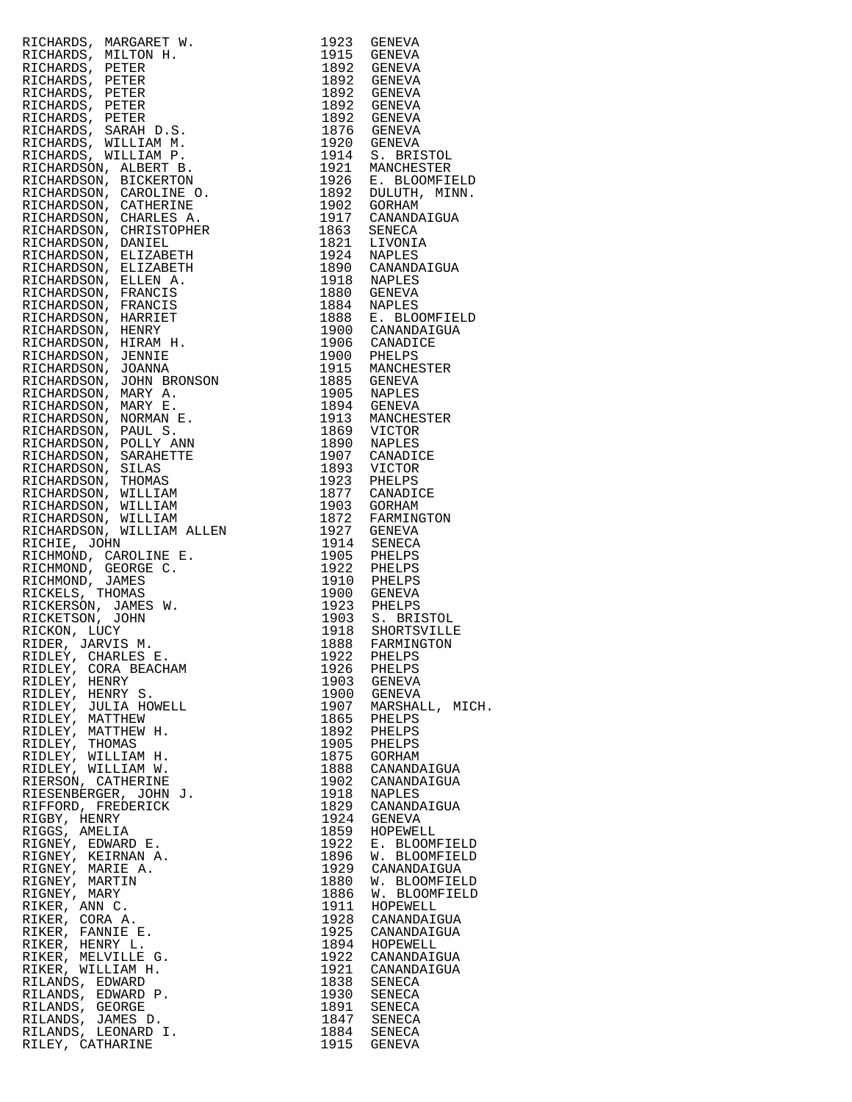| RICHARDS, MARGARET W. 1923 GENERAL<br>RICHARDS, MILITON H. 1923 GENERAL<br>RICHARDS, MILITON H. 1938 GENERAL<br>RICHARDS, PETER 1892 GENERAL<br>RICHARDS, PETER 1892 GENERAL<br>RICHARDS, PETER 1892 GENERAL<br>RICHARDS, PETER 1892 GENERAL<br>RIC |              |                                                                                                                                                                                                                   |
|-----------------------------------------------------------------------------------------------------------------------------------------------------------------------------------------------------------------------------------------------------|--------------|-------------------------------------------------------------------------------------------------------------------------------------------------------------------------------------------------------------------|
|                                                                                                                                                                                                                                                     |              |                                                                                                                                                                                                                   |
|                                                                                                                                                                                                                                                     |              |                                                                                                                                                                                                                   |
|                                                                                                                                                                                                                                                     |              |                                                                                                                                                                                                                   |
|                                                                                                                                                                                                                                                     |              |                                                                                                                                                                                                                   |
|                                                                                                                                                                                                                                                     |              |                                                                                                                                                                                                                   |
|                                                                                                                                                                                                                                                     |              |                                                                                                                                                                                                                   |
|                                                                                                                                                                                                                                                     |              |                                                                                                                                                                                                                   |
|                                                                                                                                                                                                                                                     |              | 1920 GENEVA<br>1914 S. BRISTOL<br>1921 MANCHESTER<br>1926 E. BLOOMFIELD<br>1892 DULUTH, MINN.<br>1902 GORHAM<br>1917 CANANDAIGUA<br>1863 SENECA<br>1821 LIVONIA<br>1924 NAPLES<br>1890 CANANDAIGUA<br>1918 NAPLES |
|                                                                                                                                                                                                                                                     |              |                                                                                                                                                                                                                   |
|                                                                                                                                                                                                                                                     |              |                                                                                                                                                                                                                   |
|                                                                                                                                                                                                                                                     |              |                                                                                                                                                                                                                   |
|                                                                                                                                                                                                                                                     |              |                                                                                                                                                                                                                   |
|                                                                                                                                                                                                                                                     |              |                                                                                                                                                                                                                   |
|                                                                                                                                                                                                                                                     |              |                                                                                                                                                                                                                   |
|                                                                                                                                                                                                                                                     |              |                                                                                                                                                                                                                   |
|                                                                                                                                                                                                                                                     |              |                                                                                                                                                                                                                   |
|                                                                                                                                                                                                                                                     |              |                                                                                                                                                                                                                   |
|                                                                                                                                                                                                                                                     |              | 1884 NAPLES<br>1888 E. BLOOMFIELD<br>1900 CANANDAIGUA<br>1906 CANADICE                                                                                                                                            |
|                                                                                                                                                                                                                                                     |              |                                                                                                                                                                                                                   |
|                                                                                                                                                                                                                                                     |              |                                                                                                                                                                                                                   |
|                                                                                                                                                                                                                                                     |              |                                                                                                                                                                                                                   |
|                                                                                                                                                                                                                                                     |              | 1900 PHELPS<br>1915 MANCHESTER<br>1885 GENEVA<br>1905 NAPLES                                                                                                                                                      |
|                                                                                                                                                                                                                                                     |              |                                                                                                                                                                                                                   |
|                                                                                                                                                                                                                                                     |              |                                                                                                                                                                                                                   |
|                                                                                                                                                                                                                                                     |              | 1894 GENEVA<br>1913 MANCHESTER                                                                                                                                                                                    |
|                                                                                                                                                                                                                                                     |              |                                                                                                                                                                                                                   |
|                                                                                                                                                                                                                                                     |              |                                                                                                                                                                                                                   |
|                                                                                                                                                                                                                                                     |              |                                                                                                                                                                                                                   |
|                                                                                                                                                                                                                                                     |              | 1907 CANADICE<br>1893 VICTOR<br>1923 PHELPS<br>1877 CANADICE                                                                                                                                                      |
|                                                                                                                                                                                                                                                     |              |                                                                                                                                                                                                                   |
|                                                                                                                                                                                                                                                     |              |                                                                                                                                                                                                                   |
|                                                                                                                                                                                                                                                     |              |                                                                                                                                                                                                                   |
|                                                                                                                                                                                                                                                     |              |                                                                                                                                                                                                                   |
|                                                                                                                                                                                                                                                     |              | 1903 GORHAM<br>1872 FARMINGTON<br>1927 GENEVA<br>1914 SENECA                                                                                                                                                      |
|                                                                                                                                                                                                                                                     |              |                                                                                                                                                                                                                   |
|                                                                                                                                                                                                                                                     |              |                                                                                                                                                                                                                   |
|                                                                                                                                                                                                                                                     |              |                                                                                                                                                                                                                   |
|                                                                                                                                                                                                                                                     |              |                                                                                                                                                                                                                   |
|                                                                                                                                                                                                                                                     |              | 1923 PHELPS<br>1903 S. BRISTOL<br>1918 SHORTSVILLE<br>1888 FARMINGTON                                                                                                                                             |
|                                                                                                                                                                                                                                                     |              |                                                                                                                                                                                                                   |
|                                                                                                                                                                                                                                                     |              |                                                                                                                                                                                                                   |
|                                                                                                                                                                                                                                                     |              |                                                                                                                                                                                                                   |
|                                                                                                                                                                                                                                                     |              |                                                                                                                                                                                                                   |
|                                                                                                                                                                                                                                                     |              |                                                                                                                                                                                                                   |
|                                                                                                                                                                                                                                                     |              | MARSHALL, MICH                                                                                                                                                                                                    |
|                                                                                                                                                                                                                                                     |              |                                                                                                                                                                                                                   |
|                                                                                                                                                                                                                                                     |              |                                                                                                                                                                                                                   |
|                                                                                                                                                                                                                                                     |              |                                                                                                                                                                                                                   |
|                                                                                                                                                                                                                                                     |              |                                                                                                                                                                                                                   |
|                                                                                                                                                                                                                                                     |              | CANANDAIGUA<br>CANANDAIGUA                                                                                                                                                                                        |
|                                                                                                                                                                                                                                                     |              |                                                                                                                                                                                                                   |
|                                                                                                                                                                                                                                                     |              | CANANDAIGUA                                                                                                                                                                                                       |
|                                                                                                                                                                                                                                                     |              |                                                                                                                                                                                                                   |
|                                                                                                                                                                                                                                                     |              | HOPEWELL                                                                                                                                                                                                          |
| RIGNEY, EDWARD E.                                                                                                                                                                                                                                   | 1922         | E. BLOOMFIELD                                                                                                                                                                                                     |
| RIGNEY, KEIRNAN A.<br>RIGNEY, MARIE A.                                                                                                                                                                                                              | 1896<br>1929 | W. BLOOMFIELD<br>CANANDAIGUA                                                                                                                                                                                      |
| RIGNEY, MARTIN                                                                                                                                                                                                                                      | 1880         | W. BLOOMFIELD                                                                                                                                                                                                     |
| RIGNEY, MARY                                                                                                                                                                                                                                        | 1886         | W. BLOOMFIELD                                                                                                                                                                                                     |
| RIKER, ANN C.                                                                                                                                                                                                                                       | 1911         | HOPEWELL                                                                                                                                                                                                          |
| RIKER, CORA A.                                                                                                                                                                                                                                      | 1928         | CANANDAIGUA                                                                                                                                                                                                       |
| RIKER, FANNIE E.<br>RIKER, HENRY L.                                                                                                                                                                                                                 | 1925<br>1894 | CANANDAIGUA<br>HOPEWELL                                                                                                                                                                                           |
| RIKER, MELVILLE G.                                                                                                                                                                                                                                  | 1922         | CANANDAIGUA                                                                                                                                                                                                       |
| RIKER, WILLIAM H.                                                                                                                                                                                                                                   | 1921         | CANANDAIGUA                                                                                                                                                                                                       |
| RILANDS, EDWARD                                                                                                                                                                                                                                     | 1838         | SENECA                                                                                                                                                                                                            |
| RILANDS, EDWARD P.                                                                                                                                                                                                                                  | 1930         | SENECA                                                                                                                                                                                                            |
| RILANDS, GEORGE<br>RILANDS, JAMES D.                                                                                                                                                                                                                |              | 1891 SENECA<br>1847 SENECA                                                                                                                                                                                        |
| RILANDS, LEONARD I.                                                                                                                                                                                                                                 | 1884         | SENECA                                                                                                                                                                                                            |
| RILEY, CATHARINE                                                                                                                                                                                                                                    |              | 1915 GENEVA                                                                                                                                                                                                       |

| 1923<br>1915 | GENEVA<br>GENEVA                    |  |
|--------------|-------------------------------------|--|
| 1892         | GENEVA                              |  |
| 1892         | GENEVA                              |  |
| 1892<br>1892 | GENEVA<br>GENEVA                    |  |
| 1892         | <b>GENEVA</b>                       |  |
| 1876         | GENEVA                              |  |
| 1920         | GENEVA                              |  |
| 1914<br>1921 | S.<br><b>BRISTOL</b><br>MANCHESTER  |  |
| 1926         | $E_{\perp}$<br><b>BLOOMFIELD</b>    |  |
| 1892         | DULUTH,<br>MINN.                    |  |
| 1902<br>1917 | GORHAM<br>CANANDAIGUA               |  |
| 1863         | SENECA                              |  |
| 1821         | LIVONIA                             |  |
| 1924<br>1890 | NAPLES<br>CANANDAIGUA               |  |
| 1918         | NAPLES                              |  |
| 1880         | GENEVA                              |  |
| 1884<br>1888 | NAPLES<br>Ε.<br><b>BLOOMFIELD</b>   |  |
| 1900         | CANANDAIGUA                         |  |
| 1906         | CANADICE                            |  |
| 1900         | PHELPS                              |  |
| 1915<br>1885 | MANCHESTER<br><b>GENEVA</b>         |  |
| 1905         | NAPLES                              |  |
| 1894         | GENEVA                              |  |
| 1913<br>1869 | MANCHESTER<br>VICTOR                |  |
| 1890         | NAPLES                              |  |
| 1907         | CANADICE                            |  |
| 1893<br>1923 | VICTOR<br>PHELPS                    |  |
| 1877         | CANADICE                            |  |
| 1903         | GORHAM                              |  |
| 1872<br>1927 | FARMINGTON<br>GENEVA                |  |
| 1914         | SENECA                              |  |
| 1905         | PHELPS                              |  |
| 1922<br>1910 | PHELPS<br>PHELPS                    |  |
| 1900         | <b>GENEVA</b>                       |  |
| 1923         | PHELPS                              |  |
| 1903<br>1918 | S.<br><b>BRISTOL</b><br>SHORTSVILLE |  |
| 1888         | FARMINGTON                          |  |
| 1922         | PHELPS                              |  |
| 1926<br>1903 | PHELPS<br>GENEVA                    |  |
| 1900         | GENEVA                              |  |
| 1907         | MARSHALL, MICH.                     |  |
| 1865<br>1892 | PHELPS<br>PHELPS                    |  |
| 1905         | PHELPS                              |  |
| 1875         | GORHAM                              |  |
| 1888<br>1902 | CANANDAIGUA<br>CANANDAIGUA          |  |
| 1918         | <b>NAPLES</b>                       |  |
| 1829         | CANANDAIGUA                         |  |
| 1924<br>1859 | GENEVA<br>HOPEWELL                  |  |
| 1922         | Е.<br><b>BLOOMFIELD</b>             |  |
| 1896         | <b>BLOOMFIELD</b><br>W.             |  |
| 1929<br>1880 | CANANDAIGUA<br><b>BLOOMFIELD</b>    |  |
| 1886         | W.<br>W. BLOOMFIELD                 |  |
| 1911         | HOPEWELL                            |  |
| 1928         | CANANDAIGUA                         |  |
| 1925<br>1894 | CANANDAIGUA<br>HOPEWELL             |  |
| 1922         | CANANDAIGUA                         |  |
| 1921         | CANANDAIGUA                         |  |
| 1838<br>1930 | SENECA<br>SENECA                    |  |
| 1891         | SENECA                              |  |
| 1847         | SENECA                              |  |
| 1884<br>1915 | SENECA<br>GENEVA                    |  |
|              |                                     |  |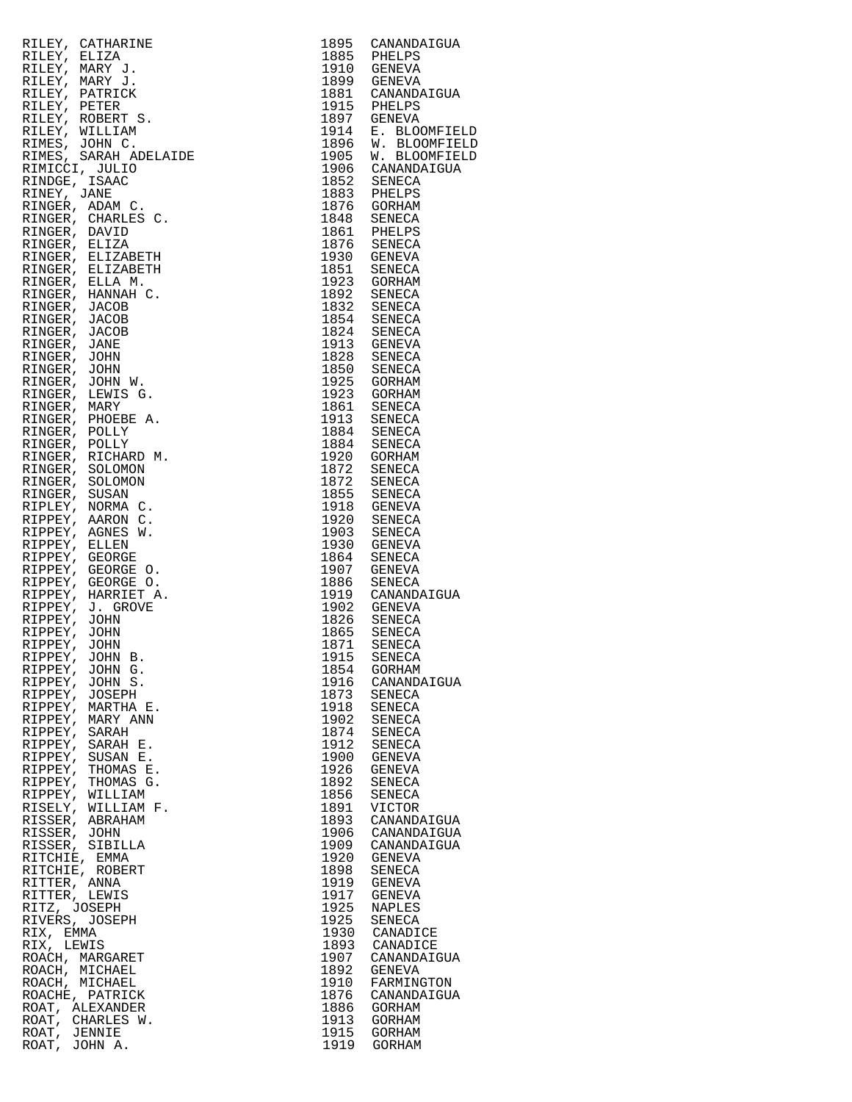|                               | RILEY, CATHARINE<br>RILEY, ELIZA<br>RILEY, MARY J.<br>RILEY, MARY J.<br>RILEY, MARY J.<br>RILEY, PATRICK<br>RILEY, PATRICK<br>RILEY, PODERT S. ROBIN C.<br>RINEY, PODERT S. JOHN C.<br>RINEY, JANE<br>RINEY, JANE<br>RINEY, JANE<br>RINEY, JANE<br>RINGER, ADAM C.<br>RI |              | 1895 CANANDAIGUA                  |
|-------------------------------|--------------------------------------------------------------------------------------------------------------------------------------------------------------------------------------------------------------------------------------------------------------------------|--------------|-----------------------------------|
|                               |                                                                                                                                                                                                                                                                          |              | 1885 PHELPS                       |
|                               |                                                                                                                                                                                                                                                                          |              | 1910 GENEVA<br>1899 GENEVA        |
|                               |                                                                                                                                                                                                                                                                          |              | 1881 CANANDAIGUA                  |
|                               |                                                                                                                                                                                                                                                                          |              |                                   |
|                               |                                                                                                                                                                                                                                                                          |              | 1915 PHELPS<br>1897 GENEVA        |
|                               |                                                                                                                                                                                                                                                                          | 1914         | E. BLOOMFIELD                     |
|                               |                                                                                                                                                                                                                                                                          |              | 1896 W. BLOOMFIELD                |
|                               |                                                                                                                                                                                                                                                                          | 1905         | W. BLOOMFIELD<br>1906 CANANDAIGUA |
|                               |                                                                                                                                                                                                                                                                          |              | $1852$ SENECA                     |
|                               |                                                                                                                                                                                                                                                                          |              | 1883 PHELPS                       |
|                               |                                                                                                                                                                                                                                                                          |              | 1876 GORHAM                       |
|                               |                                                                                                                                                                                                                                                                          |              | 1848 SENECA                       |
|                               |                                                                                                                                                                                                                                                                          |              | 1861 PHELPS<br>1876 SENECA        |
|                               |                                                                                                                                                                                                                                                                          |              |                                   |
|                               |                                                                                                                                                                                                                                                                          |              | 1930 GENEVA<br>1851 SENECA        |
|                               |                                                                                                                                                                                                                                                                          |              | 1923 GORHAM                       |
|                               |                                                                                                                                                                                                                                                                          |              | 1892 SENECA                       |
|                               |                                                                                                                                                                                                                                                                          |              | 1832 SENECA<br>1854 SENECA        |
|                               |                                                                                                                                                                                                                                                                          |              |                                   |
|                               |                                                                                                                                                                                                                                                                          |              | 1824 SENECA<br>1913 GENEVA        |
|                               |                                                                                                                                                                                                                                                                          |              |                                   |
|                               |                                                                                                                                                                                                                                                                          |              | 1828 SENECA<br>1850 SENECA        |
|                               |                                                                                                                                                                                                                                                                          |              | 1925 GORHAM                       |
|                               |                                                                                                                                                                                                                                                                          |              | 1923 GORHAM                       |
|                               |                                                                                                                                                                                                                                                                          |              | 1861 SENECA<br>1913 SENECA        |
|                               |                                                                                                                                                                                                                                                                          |              |                                   |
|                               |                                                                                                                                                                                                                                                                          |              | 1884 SENECA<br>1884 SENECA        |
|                               |                                                                                                                                                                                                                                                                          |              | 1920 GORHAM                       |
|                               |                                                                                                                                                                                                                                                                          |              | 1872 SENECA                       |
|                               |                                                                                                                                                                                                                                                                          |              | 1872 SENECA<br>1855 SENECA        |
|                               |                                                                                                                                                                                                                                                                          |              |                                   |
|                               |                                                                                                                                                                                                                                                                          |              | 1918 GENEVA<br>1920 SENECA        |
|                               |                                                                                                                                                                                                                                                                          |              | 1903 SENECA                       |
|                               |                                                                                                                                                                                                                                                                          |              | 1930 GENEVA                       |
|                               |                                                                                                                                                                                                                                                                          |              | 1864 SENECA<br>1907 GENEVA        |
|                               |                                                                                                                                                                                                                                                                          |              | 1886 SENECA                       |
|                               |                                                                                                                                                                                                                                                                          |              | 1919 CANANDAIGUA                  |
|                               |                                                                                                                                                                                                                                                                          |              | 1902 GENEVA<br>1826 SENECA        |
|                               |                                                                                                                                                                                                                                                                          |              |                                   |
|                               |                                                                                                                                                                                                                                                                          |              | 1865 SENECA<br>1871 SENECA        |
|                               |                                                                                                                                                                                                                                                                          |              | 1915 SENECA                       |
|                               | RIPPEY, JOHN G.                                                                                                                                                                                                                                                          | 1854         | GORHAM                            |
| RIPPEY,                       | JOHN S.                                                                                                                                                                                                                                                                  | 1916         | CANANDAIGUA                       |
| RIPPEY,                       | JOSEPH                                                                                                                                                                                                                                                                   | 1873         | SENECA                            |
| RIPPEY,                       | MARTHA E.                                                                                                                                                                                                                                                                | 1918         | SENECA                            |
| RIPPEY,<br>RIPPEY, SARAH      | MARY ANN                                                                                                                                                                                                                                                                 | 1902<br>1874 | SENECA<br>SENECA                  |
|                               | RIPPEY, SARAH E.                                                                                                                                                                                                                                                         | 1912         | SENECA                            |
|                               | RIPPEY, SUSAN E.                                                                                                                                                                                                                                                         | 1900         | GENEVA                            |
| RIPPEY,                       | THOMAS E.                                                                                                                                                                                                                                                                | 1926         | GENEVA                            |
|                               | RIPPEY, THOMAS G.                                                                                                                                                                                                                                                        | 1892         | SENECA                            |
|                               | RIPPEY, WILLIAM<br>RISELY, WILLIAM F.                                                                                                                                                                                                                                    | 1856         | SENECA                            |
|                               | RISSER, ABRAHAM                                                                                                                                                                                                                                                          | 1891<br>1893 | VICTOR<br>CANANDAIGUA             |
| RISSER, JOHN                  |                                                                                                                                                                                                                                                                          | 1906         | CANANDAIGUA                       |
|                               | RISSER, SIBILLA                                                                                                                                                                                                                                                          | 1909         | CANANDAIGUA                       |
| RITCHIE, EMMA                 |                                                                                                                                                                                                                                                                          | 1920         | GENEVA                            |
|                               | RITCHIE, ROBERT                                                                                                                                                                                                                                                          | 1898         | SENECA                            |
| RITTER, ANNA<br>RITTER, LEWIS |                                                                                                                                                                                                                                                                          | 1919<br>1917 | GENEVA<br>GENEVA                  |
| RITZ, JOSEPH                  |                                                                                                                                                                                                                                                                          | 1925         | NAPLES                            |
|                               | RIVERS, JOSEPH                                                                                                                                                                                                                                                           | 1925         | SENECA                            |
| RIX, EMMA                     |                                                                                                                                                                                                                                                                          | 1930         | CANADICE                          |
| RIX, LEWIS                    |                                                                                                                                                                                                                                                                          | 1893         | CANADICE                          |
|                               | ROACH, MARGARET<br>ROACH, MICHAEL                                                                                                                                                                                                                                        | 1907<br>1892 | CANANDAIGUA<br>GENEVA             |
|                               | ROACH, MICHAEL                                                                                                                                                                                                                                                           | 1910         | FARMINGTON                        |
|                               | ROACHE, PATRICK                                                                                                                                                                                                                                                          | 1876         | CANANDAIGUA                       |
|                               | ROAT, ALEXANDER                                                                                                                                                                                                                                                          | 1886         | GORHAM                            |
|                               | ROAT, CHARLES W.                                                                                                                                                                                                                                                         | 1913         | GORHAM                            |
| ROAT, JENNIE<br>ROAT, JOHN A. |                                                                                                                                                                                                                                                                          | 1915<br>1919 | GORHAM<br>GORHAM                  |
|                               |                                                                                                                                                                                                                                                                          |              |                                   |

| 1895         | CANANDAIGUA                    |
|--------------|--------------------------------|
| 1885         | PHELPS                         |
| 1910<br>1899 | GENEVA                         |
| 1881         | GENEVA<br>CANANDAIGUA          |
| 1915         | PHELPS                         |
| 1897         | GENEVA                         |
| 1914         | <b>BLOOMFIELD</b><br>Ε.        |
| 1896         | <b>BLOOMFIELI</b><br>W.        |
| 1905         | W.<br><b>BLOOMFIELD</b>        |
| 1906<br>1852 | CANANDAIGUA<br>SENECA          |
| 1883         | PHELPS                         |
| 1876         | GORHAM                         |
| 1848         | SENECA                         |
| 1861         | PHELPS                         |
| 1876         | SENECA                         |
| 1930<br>1851 | <b>GENEVA</b><br>SENECA        |
| 1923         | GORHAM                         |
| 1892         | SENECA                         |
| 1832         | SENECA                         |
| 1854         | SENECA                         |
| 1824<br>1913 | SENECA<br><b>GENEVA</b>        |
| 1828         | SENECA                         |
| 1850         | SENECA                         |
| 1925         | GORHAM                         |
| 1923         | GORHAM                         |
| 1861         | SENECA                         |
| 1913<br>1884 | SENECA<br>SENECA               |
| 1884         | SENECA                         |
| 1920         | GORHAM                         |
| 1872         | SENECA                         |
| 1872         | SENECA                         |
| 1855<br>1918 | SENECA<br>GENEVA               |
| 1920         | SENECA                         |
| 1903         | SENECA                         |
| 1930         | <b>GENEVA</b>                  |
| 1864<br>1907 | SENECA<br>GENEVA               |
| 1886         | SENECA                         |
| 1919         | CANANDAIGUA                    |
| 1902         | GENEVA                         |
| 1826         | <b>SENECA</b>                  |
| 1865<br>1871 | SENECA<br>SENECA               |
| 1915         | SENECA                         |
| 1854         | GORHAM                         |
| 1916         | CANANDAIGUA                    |
| 1873<br>1918 | SENECA                         |
| 1902         | SENECA<br>SENECA               |
| 1874         | SENECA                         |
| 1912         | SENECA                         |
| 1900         | <b>GENEVA</b>                  |
| 1926<br>1892 | <b>GENEVA</b><br><b>SENECA</b> |
| 1856         | SENECA                         |
| 1891         | VICTOR                         |
| 1893         | CANANDAIGUA                    |
| 1906<br>1909 | CANANDAIGUA<br>CANANDAIGUA     |
| 1920         | GENEVA                         |
| 1898         | SENECA                         |
| 1919         | GENEVA                         |
| 1917         | <b>GENEVA</b>                  |
| 1925<br>1925 | NAPLES<br>SENECA               |
| 1930         | CANADICE                       |
| 1893         | CANADICE                       |
| 1907         | CANANDAIGUA                    |
| 1892<br>1910 | <b>GENEVA</b>                  |
| 1876         | FARMINGTON<br>CANANDAIGUA      |
| 1886         | GORHAM                         |
| 1913         | <b>GORHAM</b>                  |
| 1915         | GORHAM                         |
| 1919         | GORHAM                         |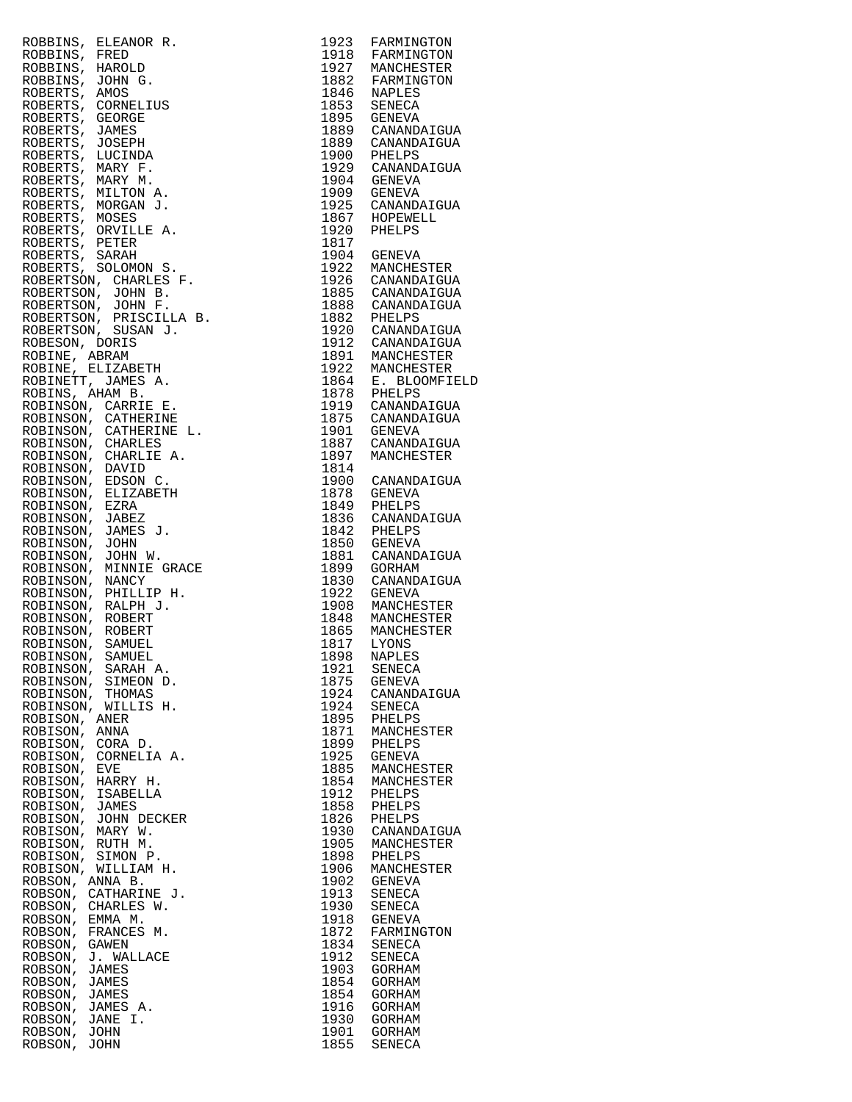| ROBBINS, ELEANOR R.                           | 1923         | FARMINGTON                                 |
|-----------------------------------------------|--------------|--------------------------------------------|
| ROBBINS,<br>FRED<br>HAROLD                    |              | 1918 FARMINGTON<br>1927 MANCHESTER         |
| ROBBINS,<br>ROBBINS,<br>JOHN G.               |              |                                            |
| ROBERTS, AMOS                                 |              | 1882 FARMINGTON<br>1846 NAPLES             |
| ROBERTS, CORNELIUS                            | 1853         | SENECA                                     |
| ROBERTS, GEORGE                               |              | 1895 GENEVA                                |
| ROBERTS, JAMES<br>ROBERTS, JOSEPH             | 1889         | 1889 CANANDAIGUA<br>CANANDAIGUA            |
| ROBERTS, LUCINDA                              |              |                                            |
| ROBERTS, MARY F.                              |              | 1900 PHELPS<br>1929 CANANDAIGUA            |
| ROBERTS, MARY M.                              |              | 1904 GENEVA                                |
| ROBERTS, MILTON A.                            | 1909         | GENEVA                                     |
| ROBERTS, MORGAN J.<br>ROBERTS, MOSES          |              | 1925 CANANDAIGUA<br>1867 HOPEWELL          |
| ROBERTS, ORVILLE A.                           | 1920         | PHELPS                                     |
| ROBERTS, PETER                                | 1817         |                                            |
| ROBERTS, SARAH                                | 1904         | GENEVA                                     |
| ROBERTS, SOLOMON S.<br>ROBERTSON, CHARLES F.  | 1922         | MANCHESTER                                 |
| ROBERTSON, JOHN B.                            |              | 1926 CANANDAIGUA<br>1885 CANANDAIGUA       |
| ROBERTSON, JOHN F.                            |              |                                            |
| ROBERTSON, PRISCILLA B.                       |              | 1888 CANANDAIGUA<br>1882 PHELPS            |
| ROBERTSON, SUSAN J.                           |              | 1920 CANANDAIGUA<br>1912 CANANDAIGUA       |
| ROBESON, DORIS<br>ROBINE, ABRAM               |              |                                            |
| ROBINE, ELIZABETH                             |              | 1891 MANCHESTER<br>1922 MANCHESTER         |
| ROBINETT, JAMES A.                            |              |                                            |
| ROBINS, AHAM B.                               |              | 1864 E. BLOOMFIELD<br>1878 PHELPS          |
| ROBINSON, CARRIE E.                           |              | 1919 CANANDAIGUA                           |
| ROBINSON, CATHERINE<br>ROBINSON, CATHERINE L. |              | 1875 CANANDAIGUA                           |
| ROBINSON, CHARLES                             |              | 1901 GENEVA<br>1887 CANANDA<br>CANANDAIGUA |
| ROBINSON, CHARLIE A.                          | 1897         | MANCHESTER                                 |
| ROBINSON, DAVID                               | 1814         |                                            |
| ROBINSON, EDSON C.                            |              | 1900 CANANDAIGUA                           |
| ROBINSON, ELIZABETH<br>ROBINSON, EZRA         | 1878         | GENEVA                                     |
| ROBINSON, JABEZ                               |              | 1849 PHELPS<br>1836 CANANDAIGUA            |
| ROBINSON, JAMES J.                            |              |                                            |
| ROBINSON, JOHN                                |              | 1842 PHELPS<br>1850 GENEVA                 |
| ROBINSON, JOHN W.                             | 1881         | CANANDAIGUA                                |
| ROBINSON, MINNIE GRACE<br>ROBINSON, NANCY     | 1899<br>1830 | GORHAM<br>CANANDAIGUA                      |
| ROBINSON, PHILLIP H.                          | 1922         | GENEVA                                     |
| ROBINSON, RALPH J.                            | 1908         | MANCHESTER                                 |
| ROBINSON, ROBERT                              | 1848         | MANCHESTER                                 |
| ROBINSON, ROBERT                              | 1865<br>1817 | MANCHESTER                                 |
| ROBINSON,<br>SAMUEL<br>ROBINSON, SAMUEL       | 1817<br>1898 | LYONS<br>NAPLES                            |
| SARAH A.<br>ROBINSON,                         | 1921         | SENECA                                     |
| ROBINSON,<br>SIMEON D.                        | 1875         | GENEVA                                     |
| ROBINSON,<br>THOMAS                           | 1924         | CANANDAIGUA                                |
| ROBINSON,<br>WILLIS H.                        | 1924         | SENECA                                     |
| ROBISON, ANER<br>ROBISON,<br>ANNA             | 1895<br>1871 | PHELPS<br>MANCHESTER                       |
| ROBISON,<br>CORA D.                           | 1899         | PHELPS                                     |
| CORNELIA A.<br>ROBISON,                       | 1925         | GENEVA                                     |
| ROBISON,<br>EVE                               | 1885         | MANCHESTER                                 |
| HARRY H.<br>ROBISON,<br>ROBISON,<br>ISABELLA  | 1854<br>1912 | MANCHESTER<br>PHELPS                       |
| ROBISON,<br>JAMES                             | 1858         | PHELPS                                     |
| ROBISON,<br>JOHN DECKER                       | 1826         | PHELPS                                     |
| ROBISON,<br>MARY W.                           | 1930         | CANANDAIGUA                                |
| ROBISON,<br>RUTH M.                           | 1905         | MANCHESTER                                 |
| ROBISON,<br>SIMON P.<br>ROBISON, WILLIAM H.   | 1898<br>1906 | PHELPS<br>MANCHESTER                       |
| ROBSON, ANNA B.                               | 1902         | GENEVA                                     |
| ROBSON, CATHARINE J.                          | 1913         | SENECA                                     |
| ROBSON, CHARLES W.                            | 1930         | SENECA                                     |
| ROBSON, EMMA M.                               | 1918         | GENEVA                                     |
| ROBSON, FRANCES M.<br>ROBSON, GAWEN           | 1872<br>1834 | FARMINGTON<br>SENECA                       |
| ROBSON, J. WALLACE                            | 1912         | SENECA                                     |
| JAMES<br>ROBSON,                              | 1903         | GORHAM                                     |
| ROBSON,<br>JAMES                              | 1854         | GORHAM                                     |
| ROBSON, JAMES                                 | 1854         | GORHAM                                     |
| ROBSON, JAMES A.<br>ROBSON, JANE I.           | 1916<br>1930 | GORHAM<br>GORHAM                           |
| ROBSON, JOHN                                  | 1901         | GORHAM                                     |
| ROBSON, JOHN                                  | 1855         | SENECA                                     |

| 1923<br>1918<br>1927<br>1882<br>1846<br>1853<br>1895<br>1889<br>1889<br>1900<br>1929<br>1904<br>1909<br>1925<br>1867<br>1920<br>1817                                                                         | FARMINGTON<br>FARMINGTON<br>MANCHESTER<br>FARMINGTON<br>NAPLES<br>SENECA<br>GENEVA<br>CANANDAIGUA<br>CANANDAIGUA<br>PHELPS<br>CANANDAIGUA<br>GENEVA<br>GENEVA<br>CANANDAIGUA<br>HOPEWELL<br>PHELPS                                                                                            |
|--------------------------------------------------------------------------------------------------------------------------------------------------------------------------------------------------------------|-----------------------------------------------------------------------------------------------------------------------------------------------------------------------------------------------------------------------------------------------------------------------------------------------|
| 1904<br>1922<br>1926<br>1885<br>1888<br>1882<br>1920<br>1912<br>1891<br>1922<br>1864<br>1878<br>1919<br>1875<br>1901<br>1887<br>1897                                                                         | GENEVA<br>MANCHESTER<br>CANANDAIGUA<br>CANANDAIGUA<br>CANANDAIGUA<br>PHELPS<br>CANANDAIGUA<br>CANANDAIGUA<br>MANCHESTER<br>MANCHESTER<br>Ε.<br><b>BLOOMFIELD</b><br>PHELPS<br>CANANDAIGUA<br>CANANDAIGUA<br>GENEVA<br>CANANDAIGUA<br>MANCHESTER                                               |
| 1814<br>1900<br>1878<br>1849<br>1836<br>1842<br>1850<br>1881<br>1899<br>1830<br>1922<br>1908<br>1848<br>1865<br>1817<br>1898<br>1921<br>1875<br>1924<br>1924<br>1895                                         | CANANDAIGUA<br><b>GENEVA</b><br>PHELPS<br>CANANDAIGUA<br>PHELPS<br>GENEVA<br>CANANDAIGUA<br>GORHAM<br>CANANDAIGUA<br><b>GENEVA</b><br>MANCHESTER<br>MANCHESTER<br>MANCHESTER<br>LYONS<br>NAPLES<br>SENECA<br>GENEVA<br>CANANDAIGUA<br>SENECA<br>PHELPS                                        |
| 1871<br>1899<br>1925<br>1885<br>1854<br>1912<br>1858<br>1826<br>1930<br>1905<br>1898<br>1906<br>1902<br>1913<br>1930<br>1918<br>1872<br>1834<br>1912<br>1903<br>1854<br>1854<br>1916<br>1930<br>1901<br>1855 | MANCHESTER<br>PHELPS<br>GENEVA<br>MANCHESTER<br>MANCHESTER<br>PHELPS<br>PHELPS<br>PHELPS<br>CANANDAIGUA<br>MANCHESTER<br>PHELPS<br>MANCHESTER<br>GENEVA<br>SENECA<br>SENECA<br>GENEVA<br>FARMINGTON<br>SENECA<br>SENECA<br>GORHAM<br>GORHAM<br>GORHAM<br>GORHAM<br>GORHAM<br>GORHAM<br>SENECA |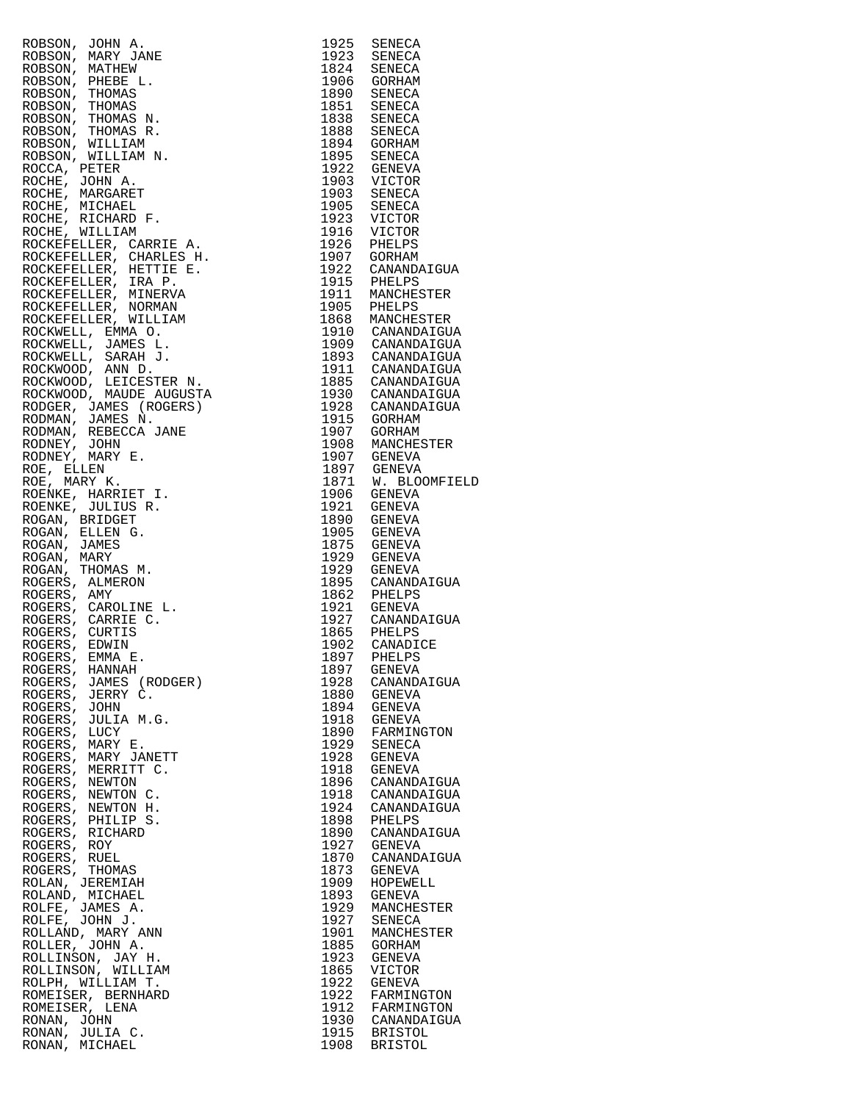| ROBSON, JOHN A.<br>ROBSON, MARY JANE<br>ROBSON, MARY JANE<br>ROBSON, MARY JANE<br>ROBSON, THOMAS R.<br>ROBSON, THOMAS R.<br>ROBSON, THOMAS R.<br>ROBSON, WILLIAM N.<br>ROBSON, WILLIAM N.<br>ROCCA, PETER<br>ROCCA, MARGARET TREAT ROCCHE, MICHAEL<br>ROCCHE, M |              | 1925 SENECA<br>1925 SENECA<br>1923 SENECA<br>1824 SENECA<br>1906 GORHAM<br>1890 SENECA<br>1838 SENECA<br>1838 SENECA<br>1838 SENECA<br>1894 GORHAM<br>1895 SENECA<br>1922 GENEVA<br>1903 SENECA<br>1903 SENECA<br>1903 SENECA<br>1903 SENECA<br>1923 VICTOR<br>1926 VICTOR<br>1926 PHELPS<br>1916 V |
|-----------------------------------------------------------------------------------------------------------------------------------------------------------------------------------------------------------------------------------------------------------------|--------------|-----------------------------------------------------------------------------------------------------------------------------------------------------------------------------------------------------------------------------------------------------------------------------------------------------|
|                                                                                                                                                                                                                                                                 |              |                                                                                                                                                                                                                                                                                                     |
|                                                                                                                                                                                                                                                                 |              |                                                                                                                                                                                                                                                                                                     |
|                                                                                                                                                                                                                                                                 |              |                                                                                                                                                                                                                                                                                                     |
|                                                                                                                                                                                                                                                                 |              |                                                                                                                                                                                                                                                                                                     |
|                                                                                                                                                                                                                                                                 |              |                                                                                                                                                                                                                                                                                                     |
|                                                                                                                                                                                                                                                                 |              |                                                                                                                                                                                                                                                                                                     |
|                                                                                                                                                                                                                                                                 |              |                                                                                                                                                                                                                                                                                                     |
|                                                                                                                                                                                                                                                                 |              |                                                                                                                                                                                                                                                                                                     |
|                                                                                                                                                                                                                                                                 |              |                                                                                                                                                                                                                                                                                                     |
|                                                                                                                                                                                                                                                                 |              |                                                                                                                                                                                                                                                                                                     |
|                                                                                                                                                                                                                                                                 |              |                                                                                                                                                                                                                                                                                                     |
|                                                                                                                                                                                                                                                                 |              |                                                                                                                                                                                                                                                                                                     |
|                                                                                                                                                                                                                                                                 |              |                                                                                                                                                                                                                                                                                                     |
|                                                                                                                                                                                                                                                                 |              |                                                                                                                                                                                                                                                                                                     |
|                                                                                                                                                                                                                                                                 |              |                                                                                                                                                                                                                                                                                                     |
|                                                                                                                                                                                                                                                                 |              |                                                                                                                                                                                                                                                                                                     |
|                                                                                                                                                                                                                                                                 |              |                                                                                                                                                                                                                                                                                                     |
|                                                                                                                                                                                                                                                                 |              |                                                                                                                                                                                                                                                                                                     |
|                                                                                                                                                                                                                                                                 |              |                                                                                                                                                                                                                                                                                                     |
|                                                                                                                                                                                                                                                                 |              |                                                                                                                                                                                                                                                                                                     |
|                                                                                                                                                                                                                                                                 |              |                                                                                                                                                                                                                                                                                                     |
|                                                                                                                                                                                                                                                                 |              |                                                                                                                                                                                                                                                                                                     |
|                                                                                                                                                                                                                                                                 |              |                                                                                                                                                                                                                                                                                                     |
|                                                                                                                                                                                                                                                                 |              |                                                                                                                                                                                                                                                                                                     |
|                                                                                                                                                                                                                                                                 |              |                                                                                                                                                                                                                                                                                                     |
|                                                                                                                                                                                                                                                                 |              | 1907 GORHAM<br>1922 CANANDAIGUA<br>1915 PHELPS<br>1911 MANCHESTER<br>1905 PHELPS<br>1868 MANCHESTER<br>1868 MANCHESTER<br>1909 CANANDAIGUA<br>1909 CANANDAIGUA<br>1933 CANANDAIGUA<br>1933 CANANDAIGUA<br>1913 CANANDAIGUA<br>1928 CANANDAIGUA<br>1907 GORHAM<br>1907 GO                            |
|                                                                                                                                                                                                                                                                 |              |                                                                                                                                                                                                                                                                                                     |
|                                                                                                                                                                                                                                                                 |              |                                                                                                                                                                                                                                                                                                     |
|                                                                                                                                                                                                                                                                 |              |                                                                                                                                                                                                                                                                                                     |
|                                                                                                                                                                                                                                                                 |              |                                                                                                                                                                                                                                                                                                     |
|                                                                                                                                                                                                                                                                 |              |                                                                                                                                                                                                                                                                                                     |
|                                                                                                                                                                                                                                                                 |              |                                                                                                                                                                                                                                                                                                     |
|                                                                                                                                                                                                                                                                 |              |                                                                                                                                                                                                                                                                                                     |
|                                                                                                                                                                                                                                                                 |              |                                                                                                                                                                                                                                                                                                     |
|                                                                                                                                                                                                                                                                 |              |                                                                                                                                                                                                                                                                                                     |
|                                                                                                                                                                                                                                                                 |              |                                                                                                                                                                                                                                                                                                     |
|                                                                                                                                                                                                                                                                 |              |                                                                                                                                                                                                                                                                                                     |
|                                                                                                                                                                                                                                                                 |              |                                                                                                                                                                                                                                                                                                     |
| ROGERS, HANNAH                                                                                                                                                                                                                                                  | 1897         | GENEVA                                                                                                                                                                                                                                                                                              |
| ROGERS, JAMES (RODGER)<br>ROGERS, JERRY C.                                                                                                                                                                                                                      | 1928<br>1880 | CANANDAIGUA<br>GENEVA                                                                                                                                                                                                                                                                               |
| ROGERS, JOHN                                                                                                                                                                                                                                                    | 1894         | GENEVA                                                                                                                                                                                                                                                                                              |
| ROGERS, JULIA M.G.                                                                                                                                                                                                                                              | 1918         | GENEVA                                                                                                                                                                                                                                                                                              |
| ROGERS, LUCY<br>ROGERS, MARY E.                                                                                                                                                                                                                                 | 1890<br>1929 | FARMINGTON<br>SENECA                                                                                                                                                                                                                                                                                |
| ROGERS, MARY JANETT                                                                                                                                                                                                                                             | 1928         | GENEVA                                                                                                                                                                                                                                                                                              |
| ROGERS, MERRITT C.                                                                                                                                                                                                                                              | 1918         | GENEVA                                                                                                                                                                                                                                                                                              |
| ROGERS, NEWTON                                                                                                                                                                                                                                                  | 1896         | CANANDAIGUA                                                                                                                                                                                                                                                                                         |
| ROGERS, NEWTON C.<br>ROGERS, NEWTON H.                                                                                                                                                                                                                          | 1918<br>1924 | CANANDAIGUA<br>CANANDAIGUA                                                                                                                                                                                                                                                                          |
| ROGERS, PHILIP S.                                                                                                                                                                                                                                               | 1898         | PHELPS                                                                                                                                                                                                                                                                                              |
| ROGERS, RICHARD                                                                                                                                                                                                                                                 | 1890         | CANANDAIGUA                                                                                                                                                                                                                                                                                         |
| ROGERS, ROY                                                                                                                                                                                                                                                     | 1927         | GENEVA                                                                                                                                                                                                                                                                                              |
| ROGERS, RUEL<br>ROGERS, THOMAS                                                                                                                                                                                                                                  | 1870<br>1873 | CANANDAIGUA<br>GENEVA                                                                                                                                                                                                                                                                               |
| ROLAN, JEREMIAH                                                                                                                                                                                                                                                 | 1909         | HOPEWELL                                                                                                                                                                                                                                                                                            |
| ROLAND, MICHAEL                                                                                                                                                                                                                                                 | 1893         | GENEVA                                                                                                                                                                                                                                                                                              |
| ROLFE, JAMES A.<br>ROLFE, JOHN J.                                                                                                                                                                                                                               | 1929<br>1927 | MANCHESTER<br>SENECA                                                                                                                                                                                                                                                                                |
| ROLLAND, MARY ANN                                                                                                                                                                                                                                               | 1901         | MANCHESTER                                                                                                                                                                                                                                                                                          |
| ROLLER, JOHN A.                                                                                                                                                                                                                                                 | 1885         | GORHAM                                                                                                                                                                                                                                                                                              |
| ROLLINSON, JAY H.                                                                                                                                                                                                                                               | 1923         | <b>GENEVA</b>                                                                                                                                                                                                                                                                                       |
| ROLLINSON, WILLIAM<br>ROLPH, WILLIAM T.                                                                                                                                                                                                                         | 1865<br>1922 | <b>VICTOR</b><br><b>GENEVA</b>                                                                                                                                                                                                                                                                      |
| ROMEISER, BERNHARD                                                                                                                                                                                                                                              | 1922         | FARMINGTON                                                                                                                                                                                                                                                                                          |
| ROMEISER, LENA                                                                                                                                                                                                                                                  | 1912         | FARMINGTON                                                                                                                                                                                                                                                                                          |
| RONAN, JOHN                                                                                                                                                                                                                                                     |              | 1930 CANANDAIGUA                                                                                                                                                                                                                                                                                    |
| RONAN, JULIA C.<br>RONAN, MICHAEL                                                                                                                                                                                                                               |              | 1915 BRISTOL<br>1908 BRISTOL                                                                                                                                                                                                                                                                        |
|                                                                                                                                                                                                                                                                 |              |                                                                                                                                                                                                                                                                                                     |

| 1925         | SENECA                            |  |
|--------------|-----------------------------------|--|
| 1923         | SENECA                            |  |
| 1824<br>1906 | SENECA<br>GORHAM                  |  |
| 1890         | SENECA                            |  |
| 1851         | SENECA                            |  |
| 1838         | SENECA                            |  |
| 1888         | SENECA                            |  |
| 1894<br>1895 | GORHAM<br>SENECA                  |  |
| 1922         | GENEVA                            |  |
| 1903         | VICTOR                            |  |
| 1903         | SENECA                            |  |
| 1905<br>1923 | SENECA<br>VICTOR                  |  |
| 1916         | VICTOR                            |  |
| 1926         | PHELPS                            |  |
| 1907         | GORHAM                            |  |
| 1922<br>1915 | CANANDAIGUA<br>PHELPS             |  |
| 1911         | MANCHESTER                        |  |
| 1905         | PHELPS                            |  |
| 1868         | MANCHESTER                        |  |
| 1910<br>1909 | CANANDAIGUA                       |  |
| 1893         | CANANDAIGUA<br>CANANDAIGUA        |  |
| 1911         | CANANDAIGUA                       |  |
| 1885         | CANANDAIGUA                       |  |
| 1930         | CANANDAIGUA                       |  |
| 1928<br>1915 | CANANDAIGUA<br>GORHAM             |  |
| 1907         | GORHAM                            |  |
| 1908         | MANCHESTER                        |  |
| 1907         | GENEVA                            |  |
| 1897<br>1871 | GENEVA<br>W.<br><b>BLOOMFIELD</b> |  |
| 1906         | <b>GENEVA</b>                     |  |
| 1921         | GENEVA                            |  |
| 1890         | GENEVA                            |  |
| 1905<br>1875 | GENEVA                            |  |
| 1929         | GENEVA<br>GENEVA                  |  |
| 1929         | GENEVA                            |  |
| 1895         | CANANDAIGUA                       |  |
| 1862         | PHELPS                            |  |
| 1921<br>1927 | GENEVA<br>CANANDAIGUA             |  |
| 1865         | PHELPS                            |  |
| 1902         | CANADICE                          |  |
| 1897         | PHELPS                            |  |
| 1897<br>1928 | <b>GENEVA</b><br>CANANDAIGUA      |  |
| 1880         | GENEVA                            |  |
| 1894         | <b>GENEVA</b>                     |  |
| 1918         | GENEVA                            |  |
| 1890<br>1929 | FARMINGTON<br><b>SENECA</b>       |  |
| 1928         | <b>GENEVA</b>                     |  |
| 1918         | GENEVA                            |  |
| 1896         | CANANDAIGUA                       |  |
| 1918         | CANANDAIGUA                       |  |
| 1924<br>1898 | CANANDAIGUA<br>PHELPS             |  |
| 1890         | CANANDAIGUA                       |  |
| 1927         | GENEVA                            |  |
| 1870         | CANANDAIGUA                       |  |
| 1873<br>1909 | GENEVA<br>HOPEWELL                |  |
| 1893         | GENEVA                            |  |
| 1929         | MANCHESTER                        |  |
| 1927         | SENECA                            |  |
| 1901<br>1885 | MANCHESTER<br>GORHAM              |  |
| 1923         | <b>GENEVA</b>                     |  |
| 1865         | VICTOR                            |  |
| 1922         | GENEVA                            |  |
| 1922<br>1912 | FARMINGTON<br>FARMINGTON          |  |
| 1930         | CANANDAIGUA                       |  |
| 1915         | <b>BRISTOL</b>                    |  |
| 1908         | <b>BRISTOL</b>                    |  |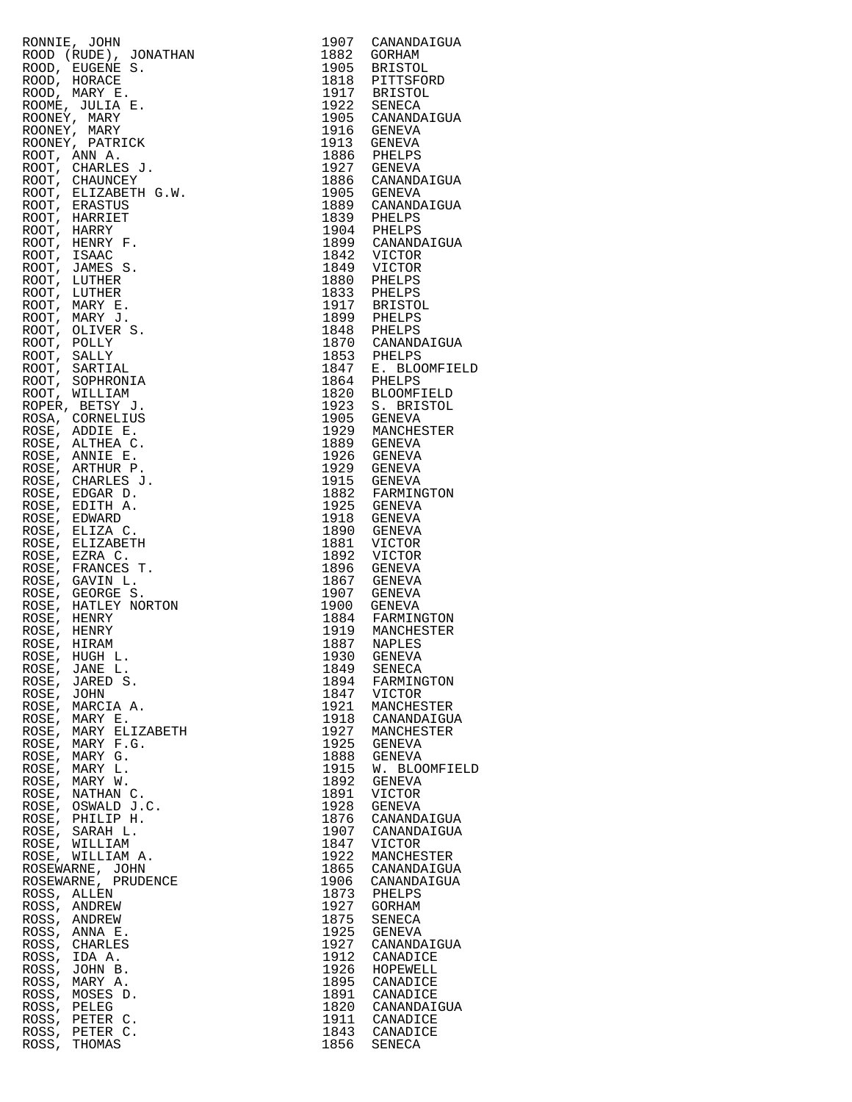| RONNIE, JOHN                                             | 1907         | CANANDAIGUA                        |
|----------------------------------------------------------|--------------|------------------------------------|
| ROOD (RUDE), JONATHAN                                    | 1882         | GORHAM                             |
| ROOD, EUGENE S.                                          | 1905         | BRISTOL<br>1818 PITTSFORD          |
| ROOD, HORACE<br>ROOD, MARY E.                            |              |                                    |
| ROOME, JULIA E.                                          |              | 1917 BRISTOL<br>1922 SENECA        |
| ROONEY, MARY                                             |              | 1905 CANANDAIGUA                   |
| ROONEY, MARY                                             |              | 1916 GENEVA                        |
| ROONEY, PATRICK<br>ROOT, ANN A.                          | 1913<br>1886 | GENEVA<br>PHELPS                   |
| ROOT, CHARLES J.                                         |              | 1927 GENEVA                        |
| ROOT, CHAUNCEY                                           |              | 1886 CANANDAIGUA                   |
| ROOT, ELIZABETH G.W.                                     | 1905         | <b>GENEVA</b>                      |
| ROOT, ERASTUS                                            |              | 1889 CANANDAIGUA                   |
| ROOT, HARRIET<br>ROOT, HARRY                             |              | 1839 PHELPS<br>1904 PHELPS         |
| ROOT, HENRY F.                                           |              | 1899 CANANDAIGUA                   |
| ROOT, ISAAC                                              |              | 1842 VICTOR                        |
| ROOT, JAMES S.                                           |              | 1849 VICTOR                        |
| ROOT, LUTHER                                             |              | 1880 PHELPS                        |
| ROOT, LUTHER<br>ROOT, MARY E.                            |              | 1833 PHELPS<br>1917 BRISTOL        |
| ROOT, MARY J.                                            |              |                                    |
| ROOT, OLIVER S.                                          |              | 1899 PHELPS<br>1848 PHELPS         |
| ROOT, POLLY                                              |              | 1870 CANANDAIGUA                   |
| ROOT, SALLY                                              |              | 1853 PHELPS                        |
| ROOT, SARTIAL<br>ROOT, SOPHRONIA                         |              | 1847 E. BLOOMFIELD<br>1864 PHELPS  |
| ROOT, WILLIAM                                            |              | 1820 BLOOMFIELD                    |
| ROPER, BETSY J.                                          |              | 1923 S. BRISTOL                    |
| ROSA, CORNELIUS                                          |              | 1905 GENEVA                        |
| ROSE, ADDIE E.                                           |              | 1929 MANCHESTER                    |
| ROSE, ALTHEA C.                                          | 1889         | GENEVA<br>1926 GENEVA              |
| ROSE, ANNIE E.<br>ROSE, ARTHUR P.                        | 1929         | GENEVA                             |
| ROSE, CHARLES J.                                         |              | 1915 GENEVA                        |
| ROSE, EDGAR D.                                           |              | 1882 FARMINGTON<br>1925 GENEVA     |
| ROSE, EDITH A.                                           |              |                                    |
| ROSE, EDWARD                                             | 1918         | GENEVA<br><b>GENEVA</b>            |
| ROSE, ELIZA C.<br>$\texttt{ROSE}$ , $\texttt{ELIZABETH}$ | 1890<br>1881 | VICTOR                             |
| ROSE, EZRA C.                                            | 1892         | VICTOR                             |
| ROSE, FRANCES T.                                         |              | 1896 GENEVA                        |
| ROSE, GAVIN L.                                           |              | 1867 GENEVA                        |
| ROSE, GEORGE S.                                          | 1907         | GENEVA<br>1900 GENEVA              |
| ROSE, HATLEY NORTON<br>ROSE, HENRY                       |              |                                    |
| ROSE, HENRY                                              |              | 1884 FARMINGTON<br>1919 MANCHESTER |
| ROSE, HIRAM                                              | 1887         | NAPLES                             |
| ROSE, HUGH L.                                            |              | 1930 GENEVA                        |
| ROSE, JANE L.<br>ROSE, JARED S.                          | 1849<br>1894 | SENECA<br>FARMINGTON               |
| ROSE, JOHN                                               | 1847         | VICTOR                             |
| ROSE, MARCIA A.                                          | 1921         | MANCHESTER                         |
| ROSE, MARY E.                                            | 1918         | CANANDAIGUA                        |
| ROSE, MARY ELIZABETH                                     | 1927         | MANCHESTER                         |
| ROSE, MARY F.G.<br>ROSE, MARY G.                         | 1925<br>1888 | GENEVA<br>GENEVA                   |
| ROSE, MARY L.                                            | 1915         | W. BLOOMFIELD                      |
| ROSE, MARY W.                                            | 1892         | GENEVA                             |
| ROSE, NATHAN C.                                          | 1891         | VICTOR                             |
| ROSE, OSWALD J.C.                                        | 1928         | GENEVA                             |
| ROSE, PHILIP H.<br>ROSE, SARAH L.                        | 1876<br>1907 | CANANDAIGUA<br>CANANDAIGUA         |
| ROSE, WILLIAM                                            | 1847         | VICTOR                             |
| ROSE, WILLIAM A.                                         | 1922         | MANCHESTER                         |
| ROSEWARNE, JOHN                                          | 1865         | CANANDAIGUA                        |
| ROSEWARNE, PRUDENCE                                      | 1906         | CANANDAIGUA                        |
| ROSS, ALLEN<br>ROSS, ANDREW                              | 1873<br>1927 | PHELPS<br>GORHAM                   |
| ROSS, ANDREW                                             | 1875         | SENECA                             |
| ROSS, ANNA E.                                            | 1925         | GENEVA                             |
| ROSS, CHARLES                                            | 1927         | CANANDAIGUA                        |
| ROSS, IDA A.                                             | 1912         | CANADICE                           |
| ROSS, JOHN B.<br>ROSS, MARY A.                           | 1926<br>1895 | HOPEWELL<br>CANADICE               |
| ROSS, MOSES D.                                           | 1891         | CANADICE                           |
| ROSS, PELEG                                              | 1820         | CANANDAIGUA                        |
| ROSS, PETER C.                                           | 1911         | CANADICE                           |
| ROSS, PETER C.                                           |              | 1843 CANADICE                      |
| ROSS, THOMAS                                             | 1856         | SENECA                             |

| 1907         | CANANDAIGUA                              |
|--------------|------------------------------------------|
| 1882<br>1905 | GORHAM                                   |
| 1818         | <b>BRISTOL</b><br>PITTSFORD              |
| 1917         | <b>BRISTOL</b>                           |
| 1922         | SENECA                                   |
| 1905         | CANANDAIGUA                              |
| 1916<br>1913 | GENEVA<br>GENEVA                         |
| 1886         | PHELPS                                   |
| 1927         | GENEVA                                   |
| 1886<br>1905 | CANANDAIGUA<br>GENEVA                    |
| 1889         | CANANDAIGUA                              |
| 1839         | PHELPS                                   |
| 1904         | PHELPS                                   |
| 1899<br>1842 | CANANDAIGUA<br>VICTOR                    |
| 1849         | VICTOR                                   |
| 1880         | PHELPS                                   |
| 1833         | PHELPS                                   |
| 1917<br>1899 | <b>BRISTOL</b><br>PHELPS                 |
| 1848         | PHELPS                                   |
| 1870         | CANANDAIGUA                              |
| 1853<br>1847 | PHELPS<br>E. BLOOMFIELD                  |
| 1864         | PHELPS                                   |
| 1820         | <b>BLOOMFIELD</b>                        |
| 1923         | S. BRISTOL                               |
| 1905<br>1929 | GENEVA<br>MANCHESTER                     |
| 1889         | <b>GENEVA</b>                            |
| 1926         | <b>GENEVA</b>                            |
| 1929         | GENEVA                                   |
| 1915<br>1882 | GENEVA<br>FARMINGTON                     |
| 1925         | <b>GENEVA</b>                            |
| 1918         | <b>GENEVA</b>                            |
| 1890<br>1881 | <b>GENEVA</b><br>VICTOR                  |
| 1892         | VICTOR                                   |
| 1896         | <b>GENEVA</b>                            |
| 1867<br>1907 | <b>GENEVA</b><br>GENEVA                  |
| 1900         | GENEVA                                   |
| 1884         | FARMINGTON                               |
| 1919         | MANCHESTER                               |
| 1887<br>1930 | NAPLES<br><b>GENEVA</b>                  |
| 1849         | SENECA                                   |
| 1894         | FARMINGTON                               |
| 1847<br>1921 | VICTOR<br>MANCHESTER                     |
| 1918         | CANANDAIGUA                              |
| 1927         | MANCHESTER                               |
| 1925         | GENEVA                                   |
| 1888<br>1915 | <b>GENEVA</b><br>W.<br><b>BLOOMFIELD</b> |
| 1892         | <b>GENEVA</b>                            |
| 1891         | VICTOR                                   |
| 1928<br>1876 | <b>GENEVA</b><br>CANANDAIGUA             |
| 1907         | CANANDAIGUA                              |
| 1847         | VICTOR                                   |
| 1922         | MANCHESTER                               |
| 1865<br>1906 | CANANDAIGUA<br>CANANDAIGUA               |
| 1873         | PHELPS                                   |
| 1927         | <b>GORHAM</b>                            |
| 1875         | SENECA                                   |
| 1925<br>1927 | <b>GENEVA</b><br>CANANDAIGUA             |
| 1912         | CANADICE                                 |
| 1926         | HOPEWELL                                 |
| 1895<br>1891 | CANADICE<br>CANADICE                     |
|              | CANANDAIGUA                              |
| 1820<br>1911 | CANADICE                                 |
| 1843         | CANADICE                                 |
| 1856         | <b>SENECA</b>                            |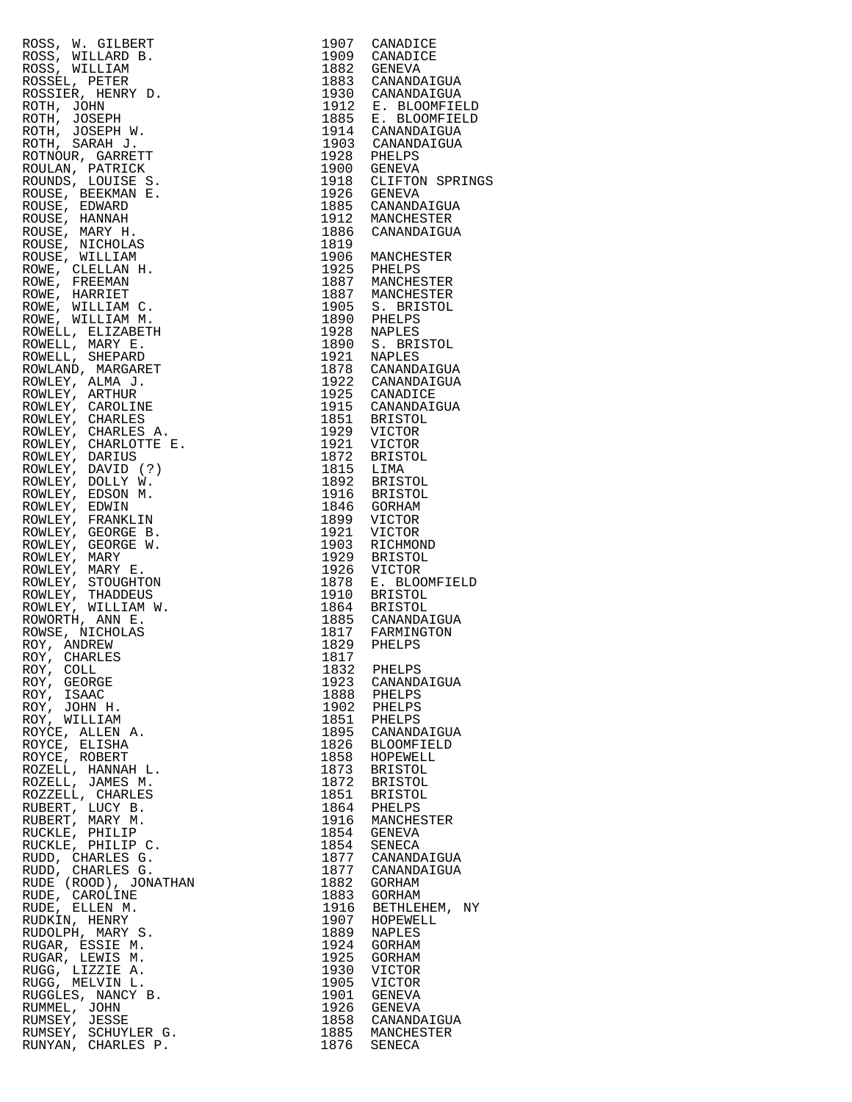| ROSS,<br>W. GILBERT                    | 1907 | CANADICE                                                                                                                                                                                                                                                                          |
|----------------------------------------|------|-----------------------------------------------------------------------------------------------------------------------------------------------------------------------------------------------------------------------------------------------------------------------------------|
| ROSS, WILLARD B.                       |      | 1909 CANADICE                                                                                                                                                                                                                                                                     |
| ROSS, WILLIAM                          |      |                                                                                                                                                                                                                                                                                   |
| ROSSEL, PETER                          |      |                                                                                                                                                                                                                                                                                   |
| ROSSIER, HENRY D.                      |      |                                                                                                                                                                                                                                                                                   |
| ROTH, JOHN                             |      | 1882 GENEVA<br>1883 CANANDAIGUA<br>1930 CANANDAIGUA<br>1912 E. BLOOMFIEL                                                                                                                                                                                                          |
| ROTH, JOSEPH                           |      |                                                                                                                                                                                                                                                                                   |
| ROTH, JOSEPH W.                        |      | 1885 E. BLOOMFIEL<br>1914 CANANDAIGUA                                                                                                                                                                                                                                             |
| ROTH, SARAH J.                         |      |                                                                                                                                                                                                                                                                                   |
|                                        |      | 1903 CANANDAIGUA<br>1928 PHELPS                                                                                                                                                                                                                                                   |
| ROTNOUR, GARRETT                       |      |                                                                                                                                                                                                                                                                                   |
| ROULAN, PATRICK                        |      | 1900 GENEVA<br>1918 CLIFTON SPRI                                                                                                                                                                                                                                                  |
| ROUNDS, LOUISE S.                      |      |                                                                                                                                                                                                                                                                                   |
| ROUSE, BEEKMAN E.                      |      |                                                                                                                                                                                                                                                                                   |
| ROUSE, EDWARD                          |      |                                                                                                                                                                                                                                                                                   |
| ROUSE, HANNAH                          |      |                                                                                                                                                                                                                                                                                   |
| ROUSE, MARY H.                         |      | 1926 GENEVA<br>1885 CANANDAIGUA<br>1912 MANCHESTER<br>1886 CANANDAIGUA                                                                                                                                                                                                            |
| ROUSE, NICHOLAS                        | 1819 |                                                                                                                                                                                                                                                                                   |
| ROUSE, WILLIAM                         |      | 1906 MANCHESTER                                                                                                                                                                                                                                                                   |
| ROWE, CLELLAN H.                       |      | 1906<br>1925 PHELPS<br>1887 MANCHESTER<br>1887 MANCHESTER<br>1905 S. BRISTOL<br>1900 PHELPS<br>1928 NAPLES<br>1928 NAPLES<br>1928 NAPLES<br>1921 NAPLES<br>1921 NAPLES                                                                                                            |
| ROWE, FREEMAN                          |      |                                                                                                                                                                                                                                                                                   |
| ROWE, HARRIET                          |      |                                                                                                                                                                                                                                                                                   |
| ROWE, WILLIAM C.                       |      |                                                                                                                                                                                                                                                                                   |
| ROWE, WILLIAM M.                       |      |                                                                                                                                                                                                                                                                                   |
| ROWELL, ELIZABETH                      |      |                                                                                                                                                                                                                                                                                   |
| ROWELL, MARY E.                        |      |                                                                                                                                                                                                                                                                                   |
| ROWELL, SHEPARD                        |      |                                                                                                                                                                                                                                                                                   |
| ROWLAND, MARGARET                      |      |                                                                                                                                                                                                                                                                                   |
| ROWLEY, ALMA J.                        |      |                                                                                                                                                                                                                                                                                   |
| ROWLEY, ARTHUR                         |      |                                                                                                                                                                                                                                                                                   |
| ROWLEY, CAROLINE                       |      |                                                                                                                                                                                                                                                                                   |
| ROWLEY, CHARLES                        |      |                                                                                                                                                                                                                                                                                   |
| ROWLEY, CHARLES A.                     |      |                                                                                                                                                                                                                                                                                   |
| ROWLEY, CHARLOTTE E.                   |      |                                                                                                                                                                                                                                                                                   |
| ROWLEY, DARIUS                         |      |                                                                                                                                                                                                                                                                                   |
|                                        |      |                                                                                                                                                                                                                                                                                   |
| ROWLEY, DAVID (?)<br>ROWLEY, DOLLY W.  |      |                                                                                                                                                                                                                                                                                   |
| ROWLEY, EDSON M.                       |      | 1921 NAPLES<br>1878 CANANDAIGUA<br>1922 CANANDAIGUA<br>1925 CANADICE<br>1925 CANADICE<br>1851 BRISTOL<br>1851 BRISTOL<br>1929 VICTOR<br>1921 VICTOR<br>1872 BRISTOL<br>1815 LIMA<br>1892 BRISTOL<br>1946 GORHAM<br>1892 WICTOL<br>1946 GORHAM<br>1899 VICTOR<br>1921 VICTOR<br>19 |
| ROWLEY, EDWIN                          |      |                                                                                                                                                                                                                                                                                   |
| ROWLEY, FRANKLIN                       |      |                                                                                                                                                                                                                                                                                   |
| ROWLEY, GEORGE B.                      |      |                                                                                                                                                                                                                                                                                   |
| ROWLEY, GEORGE W.                      |      | RICHMOND                                                                                                                                                                                                                                                                          |
| ROWLEY, MARY                           |      | 1903 RICHMONI<br>1929 BRISTOL                                                                                                                                                                                                                                                     |
| ROWLEY, MARY E.                        |      |                                                                                                                                                                                                                                                                                   |
| ROWLEY, STOUGHTON                      |      | 1926 VICTOR<br>1878 E. BLOOMFIEL                                                                                                                                                                                                                                                  |
|                                        |      | 1910 BRISTOL<br>1910 BRISTOL<br>1885 CANANDAIGUA<br>1817 FARMINGTON<br>1829 PHELPS                                                                                                                                                                                                |
| ROWLEY, THADDEUS<br>ROWLEY, WILLIAM W. |      |                                                                                                                                                                                                                                                                                   |
| ROWORTH, ANN E.                        |      |                                                                                                                                                                                                                                                                                   |
| ROWSE, NICHOLAS                        |      |                                                                                                                                                                                                                                                                                   |
| ROY, ANDREW                            |      |                                                                                                                                                                                                                                                                                   |
| ROY, CHARLES                           | 1817 |                                                                                                                                                                                                                                                                                   |
| ROY, COLL                              | 1832 | PHELPS                                                                                                                                                                                                                                                                            |
| ROY, GEORGE                            |      | 1923 CANANDAIGUA                                                                                                                                                                                                                                                                  |
| ROY, ISAAC                             | 1888 | PHELPS                                                                                                                                                                                                                                                                            |
| ROY, JOHN H.                           | 1902 | PHELPS                                                                                                                                                                                                                                                                            |
| ROY, WILLIAM                           | 1851 | PHELPS                                                                                                                                                                                                                                                                            |
| ROYCE, ALLEN A.                        | 1895 |                                                                                                                                                                                                                                                                                   |
| ROYCE, ELISHA                          | 1826 | CANANDAIGUA<br><b>BLOOMFIELD</b>                                                                                                                                                                                                                                                  |
| ROYCE, ROBERT                          | 1858 |                                                                                                                                                                                                                                                                                   |
|                                        | 1873 | HOPEWELL<br>BRISTOL                                                                                                                                                                                                                                                               |
| ROZELL, HANNAH L.                      | 1872 |                                                                                                                                                                                                                                                                                   |
| ROZELL, JAMES M.<br>ROZZELL, CHARLES   | 1851 | BRISTOL                                                                                                                                                                                                                                                                           |
|                                        | 1864 | BRISTOL                                                                                                                                                                                                                                                                           |
| RUBERT, LUCY B.                        | 1916 | PHELPS                                                                                                                                                                                                                                                                            |
| RUBERT, MARY M.<br>RUCKLE, PHILIP      | 1854 | MANCHESTER                                                                                                                                                                                                                                                                        |
|                                        |      | GENEVA                                                                                                                                                                                                                                                                            |
| RUCKLE, PHILIP C.                      |      | 1854 SENECA<br>1877 CANANDAIGUA                                                                                                                                                                                                                                                   |
| RUDD, CHARLES G.                       |      |                                                                                                                                                                                                                                                                                   |
| RUDD, CHARLES G.                       | 1877 | CANANDAIGUA                                                                                                                                                                                                                                                                       |
| RUDE (ROOD), JONATHAN                  | 1882 | GORHAM                                                                                                                                                                                                                                                                            |
| RUDE, CAROLINE                         | 1883 | GORHAM                                                                                                                                                                                                                                                                            |
| RUDE, ELLEN M.                         | 1916 | BETHLEHEM, N                                                                                                                                                                                                                                                                      |
| RUDKIN, HENRY                          | 1907 | HOPEWELL                                                                                                                                                                                                                                                                          |
| RUDOLPH, MARY S.                       | 1889 | NAPLES                                                                                                                                                                                                                                                                            |
| RUGAR, ESSIE M.                        | 1924 | GORHAM                                                                                                                                                                                                                                                                            |
| RUGAR, LEWIS M.                        | 1925 | GORHAM                                                                                                                                                                                                                                                                            |
| RUGG, LIZZIE A.                        | 1930 | VICTOR                                                                                                                                                                                                                                                                            |
| RUGG, MELVIN L.                        | 1905 | VICTOR                                                                                                                                                                                                                                                                            |
| RUGGLES, NANCY B.                      | 1901 | GENEVA                                                                                                                                                                                                                                                                            |
| RUMMEL, JOHN                           | 1926 | GENEVA                                                                                                                                                                                                                                                                            |
| RUMSEY, JESSE                          |      | 1858 CANANDAIGUA<br>1885 MANCHESTER                                                                                                                                                                                                                                               |
| RUMSEY, SCHUYLER G.                    |      |                                                                                                                                                                                                                                                                                   |
| RUNYAN, CHARLES P.                     | 1876 | SENECA                                                                                                                                                                                                                                                                            |

| ROSS, W. GILBERT<br>ROSS, WILLIAM<br>ROSS, WILLIAM<br>ROSS, WILLIAM<br>ROSSIL, PETER<br>ROSSILER, HENRY D.<br>ROTH, JOSEPH W.<br>ROTH, JOSEPH W.<br>ROTH, JOSEPH W.<br>ROTH, SARAH J.<br>COTONOUR, GARRETT<br>RONDAR, LOUISE S. ELEVANN E.<br>ROUISA, LOUISE S. EN       |           | 1907 CANADICE                       |
|--------------------------------------------------------------------------------------------------------------------------------------------------------------------------------------------------------------------------------------------------------------------------|-----------|-------------------------------------|
|                                                                                                                                                                                                                                                                          |           | 1909 CANADICE                       |
|                                                                                                                                                                                                                                                                          |           | 1882 GENEVA                         |
|                                                                                                                                                                                                                                                                          |           |                                     |
|                                                                                                                                                                                                                                                                          |           | 1883 CANANDAIGUA                    |
|                                                                                                                                                                                                                                                                          |           | 1930 CANANDAIGUA                    |
|                                                                                                                                                                                                                                                                          |           | 1912 E. BLOOMFIELD                  |
|                                                                                                                                                                                                                                                                          |           | 1885 E. BLOOMFIELD                  |
|                                                                                                                                                                                                                                                                          |           | 1914 CANANDAIGUA                    |
|                                                                                                                                                                                                                                                                          |           | 1903 CANANDAIGUA                    |
|                                                                                                                                                                                                                                                                          |           | 1928 PHELPS<br>1900 GENEVA          |
|                                                                                                                                                                                                                                                                          |           |                                     |
|                                                                                                                                                                                                                                                                          |           | 1918 CLIFTON SPRINGS<br>1926 GENEVA |
|                                                                                                                                                                                                                                                                          |           |                                     |
|                                                                                                                                                                                                                                                                          |           | 1885 CANANDAIGUA<br>1912 MANCHESTER |
|                                                                                                                                                                                                                                                                          |           |                                     |
|                                                                                                                                                                                                                                                                          |           | 1886 CANANDAIGUA                    |
|                                                                                                                                                                                                                                                                          | 1819      |                                     |
|                                                                                                                                                                                                                                                                          |           |                                     |
|                                                                                                                                                                                                                                                                          |           | 1906 MANCHESTER<br>1925 PHELPS      |
|                                                                                                                                                                                                                                                                          |           | 1887 MANCHESTER                     |
|                                                                                                                                                                                                                                                                          |           | 1887 MANCHESTER                     |
|                                                                                                                                                                                                                                                                          | 1905      |                                     |
|                                                                                                                                                                                                                                                                          |           | S. BRISTOL<br>1890 PHELPS           |
|                                                                                                                                                                                                                                                                          |           |                                     |
|                                                                                                                                                                                                                                                                          |           | 1928 NAPLES<br>1890 S. BRISTOL      |
|                                                                                                                                                                                                                                                                          |           |                                     |
|                                                                                                                                                                                                                                                                          |           | 1921 NAPLES<br>1878 CANANDAIGUA     |
|                                                                                                                                                                                                                                                                          |           |                                     |
|                                                                                                                                                                                                                                                                          |           | 1922 CANANDAIGUA<br>1925 CANADICE   |
|                                                                                                                                                                                                                                                                          |           |                                     |
|                                                                                                                                                                                                                                                                          |           |                                     |
|                                                                                                                                                                                                                                                                          |           | 1915 CANANDAIGUA<br>1851 BRISTOL    |
|                                                                                                                                                                                                                                                                          |           |                                     |
|                                                                                                                                                                                                                                                                          |           | 1929 VICTOR<br>1921 VICTOR          |
|                                                                                                                                                                                                                                                                          |           | 1872 BRISTOL                        |
|                                                                                                                                                                                                                                                                          | 1815 LIMA |                                     |
|                                                                                                                                                                                                                                                                          |           | 1892 BRISTOL                        |
|                                                                                                                                                                                                                                                                          |           | 1916 BRISTOL                        |
|                                                                                                                                                                                                                                                                          |           |                                     |
|                                                                                                                                                                                                                                                                          |           | 1846 GORHAM<br>1899 VICTOR          |
|                                                                                                                                                                                                                                                                          |           |                                     |
|                                                                                                                                                                                                                                                                          | 1921      | VICTOR                              |
|                                                                                                                                                                                                                                                                          | 1903      | RICHMOND                            |
|                                                                                                                                                                                                                                                                          |           | 1929 BRISTOL                        |
|                                                                                                                                                                                                                                                                          |           | 1926 VICTOR                         |
|                                                                                                                                                                                                                                                                          |           | 1878 E. BLOOMFIELD<br>1910 BRISTOL  |
|                                                                                                                                                                                                                                                                          |           |                                     |
|                                                                                                                                                                                                                                                                          |           | 1864 BRISTOL<br>1885 CANANDAIGUA    |
|                                                                                                                                                                                                                                                                          |           |                                     |
|                                                                                                                                                                                                                                                                          |           | 1817 FARMINGTON<br>1829 PHELPS      |
|                                                                                                                                                                                                                                                                          |           |                                     |
|                                                                                                                                                                                                                                                                          | 1817      |                                     |
|                                                                                                                                                                                                                                                                          | 1832      | PHELPS                              |
|                                                                                                                                                                                                                                                                          | 1923      | CANANDAIGUA                         |
|                                                                                                                                                                                                                                                                          | 1888      | PHELPS                              |
|                                                                                                                                                                                                                                                                          | 1902      | PHELPS                              |
|                                                                                                                                                                                                                                                                          | 1851      | PHELPS                              |
|                                                                                                                                                                                                                                                                          | 1895      | CANANDAIGUA                         |
|                                                                                                                                                                                                                                                                          | 1826      | <b>BLOOMFIELD</b>                   |
|                                                                                                                                                                                                                                                                          | 1858      | HOPEWELL                            |
|                                                                                                                                                                                                                                                                          | 1873      | BRISTOL                             |
|                                                                                                                                                                                                                                                                          | 1872      | BRISTOL                             |
|                                                                                                                                                                                                                                                                          | 1851      | BRISTOL                             |
|                                                                                                                                                                                                                                                                          | 1864      | PHELPS                              |
|                                                                                                                                                                                                                                                                          | 1916      |                                     |
|                                                                                                                                                                                                                                                                          |           | MANCHESTER                          |
|                                                                                                                                                                                                                                                                          | 1854      | GENEVA                              |
|                                                                                                                                                                                                                                                                          | 1854      | SENECA                              |
|                                                                                                                                                                                                                                                                          | 1877      | CANANDAIGUA                         |
|                                                                                                                                                                                                                                                                          | 1877      | CANANDAIGUA                         |
|                                                                                                                                                                                                                                                                          | 1882      | GORHAM                              |
|                                                                                                                                                                                                                                                                          | 1883      | GORHAM                              |
|                                                                                                                                                                                                                                                                          | 1916      | BETHLEHEM, NY                       |
|                                                                                                                                                                                                                                                                          | 1907      | HOPEWELL                            |
|                                                                                                                                                                                                                                                                          | 1889      | NAPLES                              |
|                                                                                                                                                                                                                                                                          | 1924      | GORHAM                              |
|                                                                                                                                                                                                                                                                          | 1925      | GORHAM                              |
|                                                                                                                                                                                                                                                                          | 1930      | VICTOR                              |
|                                                                                                                                                                                                                                                                          | 1905      | VICTOR                              |
|                                                                                                                                                                                                                                                                          | 1901      | GENEVA                              |
|                                                                                                                                                                                                                                                                          | 1926      | GENEVA                              |
| RUMSEY, JESSE                                                                                                                                                                                                                                                            |           | 1858 CANANDAIGUA                    |
| ROWSE, NICHOLAS<br>ROY, ANDREW<br>ROY, ANDREW<br>ROY, CHARLES<br>ROY, GEORGE<br>ROY, JOAN H.<br>ROY, JOAN H.<br>ROYCE, ROBERT<br>ROYCE, RILLIN A.<br>ROYCE, RILLIN A.<br>ROYCE, ROBERT LUCY B.<br>ROZELL, JAMES M.<br>ROZELL, CHARLES<br>ROZELL, CHARLES<br>ROZELL, CHAR |           |                                     |
| RUMSEY, SCHUYLER G.<br>RUNYAN, CHARLES P.                                                                                                                                                                                                                                |           | 1885 MANCHESTER<br>1876 SENECA      |
|                                                                                                                                                                                                                                                                          |           |                                     |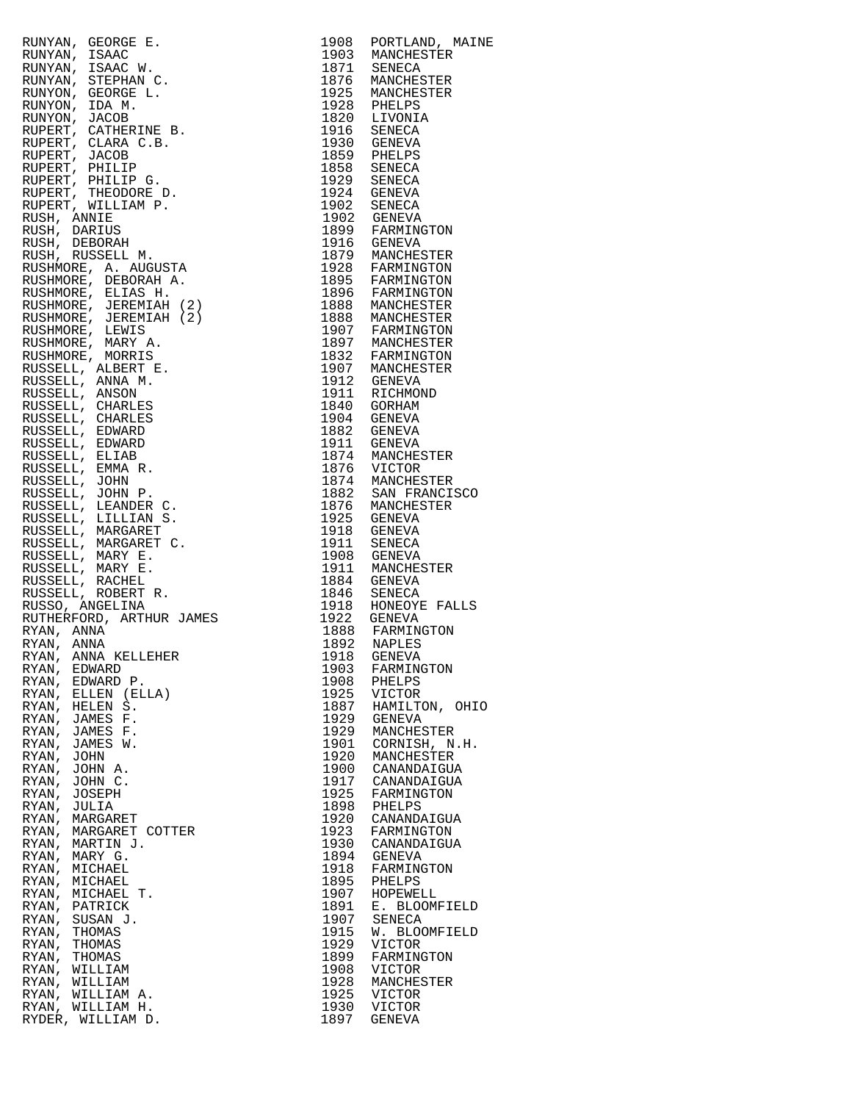| RUNNYAN, GEORGE E. 1904 PORTLAMP, MARINDON MANINGER RUSSING, MANINGER RUSSING (1905 NANDERSTER RUSSING), CHARLES ENDRICA (1907 SENECA ARTESTER RUSSING), THE MANINGER CONTRACT CARRIELES (1907 SENECA ARTEST CARRIELES (1908 P |              | 1908 PORTLAND, MAINE           |
|--------------------------------------------------------------------------------------------------------------------------------------------------------------------------------------------------------------------------------|--------------|--------------------------------|
|                                                                                                                                                                                                                                |              |                                |
|                                                                                                                                                                                                                                |              |                                |
|                                                                                                                                                                                                                                |              |                                |
|                                                                                                                                                                                                                                |              |                                |
|                                                                                                                                                                                                                                |              |                                |
|                                                                                                                                                                                                                                |              |                                |
|                                                                                                                                                                                                                                |              |                                |
|                                                                                                                                                                                                                                |              |                                |
|                                                                                                                                                                                                                                |              |                                |
|                                                                                                                                                                                                                                |              |                                |
|                                                                                                                                                                                                                                |              |                                |
|                                                                                                                                                                                                                                |              |                                |
|                                                                                                                                                                                                                                |              |                                |
|                                                                                                                                                                                                                                |              |                                |
|                                                                                                                                                                                                                                |              |                                |
|                                                                                                                                                                                                                                |              |                                |
|                                                                                                                                                                                                                                |              |                                |
|                                                                                                                                                                                                                                |              |                                |
|                                                                                                                                                                                                                                |              |                                |
|                                                                                                                                                                                                                                |              |                                |
|                                                                                                                                                                                                                                |              |                                |
|                                                                                                                                                                                                                                |              |                                |
|                                                                                                                                                                                                                                |              |                                |
|                                                                                                                                                                                                                                |              |                                |
|                                                                                                                                                                                                                                |              |                                |
|                                                                                                                                                                                                                                |              |                                |
|                                                                                                                                                                                                                                |              |                                |
|                                                                                                                                                                                                                                |              |                                |
|                                                                                                                                                                                                                                |              |                                |
|                                                                                                                                                                                                                                |              |                                |
|                                                                                                                                                                                                                                |              |                                |
|                                                                                                                                                                                                                                |              |                                |
|                                                                                                                                                                                                                                |              |                                |
|                                                                                                                                                                                                                                |              |                                |
|                                                                                                                                                                                                                                |              |                                |
|                                                                                                                                                                                                                                |              |                                |
|                                                                                                                                                                                                                                |              |                                |
|                                                                                                                                                                                                                                |              |                                |
|                                                                                                                                                                                                                                |              |                                |
|                                                                                                                                                                                                                                |              |                                |
|                                                                                                                                                                                                                                |              |                                |
| RYAN, EDWARD                                                                                                                                                                                                                   | 1903         | FARMINGTON                     |
| RYAN,<br>EDWARD P.                                                                                                                                                                                                             | 1908         | PHELPS                         |
| RYAN, ELLEN (ELLA)<br>RYAN,<br>HELEN S.                                                                                                                                                                                        | 1925<br>1887 | VICTOR<br>HAMILTON, OHIO       |
| RYAN, JAMES F.                                                                                                                                                                                                                 | 1929         | <b>GENEVA</b>                  |
| RYAN,<br>JAMES F.                                                                                                                                                                                                              | 1929         | MANCHESTER                     |
| RYAN, JAMES W.                                                                                                                                                                                                                 | 1901         | CORNISH, N.H.                  |
| RYAN,<br>JOHN                                                                                                                                                                                                                  | 1920         | MANCHESTER                     |
| RYAN, JOHN A.<br>RYAN,<br>JOHN C.                                                                                                                                                                                              | 1900<br>1917 | CANANDAIGUA<br>CANANDAIGUA     |
| RYAN,<br>JOSEPH                                                                                                                                                                                                                | 1925         | FARMINGTON                     |
| RYAN,<br>JULIA                                                                                                                                                                                                                 | 1898         | PHELPS                         |
| RYAN, MARGARET                                                                                                                                                                                                                 | 1920         | CANANDAIGUA                    |
| RYAN,<br>MARGARET COTTER                                                                                                                                                                                                       | 1923         | FARMINGTON                     |
| RYAN, MARTIN J.                                                                                                                                                                                                                | 1930         | CANANDAIGUA                    |
| RYAN,<br>MARY G.<br>RYAN, MICHAEL                                                                                                                                                                                              | 1894<br>1918 | <b>GENEVA</b><br>FARMINGTON    |
| RYAN,<br>MICHAEL                                                                                                                                                                                                               | 1895         | PHELPS                         |
| RYAN,<br>MICHAEL T.                                                                                                                                                                                                            | 1907         | HOPEWELL                       |
|                                                                                                                                                                                                                                | 1891         | E. BLOOMFIELD                  |
| RYAN,<br>PATRICK                                                                                                                                                                                                               |              |                                |
| RYAN,<br>SUSAN J.                                                                                                                                                                                                              | 1907         | SENECA                         |
| RYAN,<br>THOMAS                                                                                                                                                                                                                | 1915         | W. BLOOMFIELD                  |
| RYAN,<br>THOMAS                                                                                                                                                                                                                | 1929         | <b>VICTOR</b>                  |
| RYAN,<br>THOMAS<br>RYAN, WILLIAM                                                                                                                                                                                               | 1899<br>1908 | FARMINGTON<br><b>VICTOR</b>    |
| RYAN,<br>WILLIAM                                                                                                                                                                                                               | 1928         | MANCHESTER                     |
| RYAN, WILLIAM A.                                                                                                                                                                                                               | 1925         | <b>VICTOR</b>                  |
| RYAN, WILLIAM H.<br>RYDER, WILLIAM D.                                                                                                                                                                                          | 1930<br>1897 | <b>VICTOR</b><br><b>GENEVA</b> |

| 1908         | PORTLAND, MAINE          |
|--------------|--------------------------|
| 1903         | MANCHESTER               |
| 1871         | SENECA                   |
| 1876         | MANCHESTER               |
| 1925         | MANCHESTER               |
| 1928         | PHELPS                   |
| 1820         | LIVONIA                  |
| 1916         | SENECA                   |
| 1930         | GENEVA                   |
| 1859         | PHELPS                   |
| 1858         | SENECA                   |
| 1929         | SENECA                   |
| 1924         | GENEVA                   |
| 1902         | SENECA                   |
| 1902         | <b>GENEVA</b>            |
| 1899         | FARMINGTON               |
| 1916         | GENEVA                   |
| 1879<br>1928 | MANCHESTER<br>FARMINGTON |
| 1895         | FARMINGTON               |
| 1896         | FARMINGTON               |
| 1888         |                          |
| 1888         | MANCHESTER<br>MANCHESTER |
| 1907         | FARMINGTON               |
| 1897         | MANCHESTER               |
| 1832         | FARMINGTON               |
| 1907         | MANCHESTER               |
| 1912         | GENEVA                   |
| 1911         | RICHMOND                 |
| 1840         | GORHAM                   |
| 1904         | GENEVA                   |
| 1882         | <b>GENEVA</b>            |
| 1911         | <b>GENEVA</b>            |
| 1874         | MANCHESTER               |
| 1876         | VICTOR                   |
| 1874         | MANCHESTER               |
| 1882         | SAN FRANCISCO            |
| 1876         | MANCHESTER               |
| 1925         | GENEVA                   |
| 1918         | <b>GENEVA</b>            |
| 1911         | SENECA                   |
| 1908         | GENEVA                   |
| 1911         | MANCHESTER               |
| 1884         | <b>GENEVA</b>            |
| 1846         | SENECA                   |
| 1918         | HONEOYE FALLS            |
| 1922         | GENEVA                   |
|              | FARMINGTON               |
| 1888<br>1892 | NAPLES                   |
| 1918         | <b>GENEVA</b>            |
| 1903         | FARMINGTON               |
| 1908         | PHELPS                   |
| 1925         | VICTOR                   |
| 1887         | HAMILTON, OHIO           |
| 1929         | <b>GENEVA</b>            |
| 1929         | MANCHESTER               |
| 1901         | CORNISH, N.H.            |
| 1920         | MANCHESTER               |
| 1900         | CANANDAIGUA              |
| 1917         | CANANDAIGUA              |
| 1925         | FARMINGTON               |
| 1898         | PHELPS                   |
| 1920         | CANANDAIGUA              |
| 1923         | FARMINGTON               |
| 1930         | CANANDAIGUA              |
| 1894         | GENEVA                   |
| 1918         | FARMINGTON               |
| 1895         | PHELPS                   |
| 1907         | HOPEWELL                 |
| 1891<br>1907 | E. BLOOMFIELD            |
|              | SENECA                   |
| 1915         | W. BLOOMFIELD            |
| 1929         | VICTOR                   |
| 1899         | FARMINGTON               |
| 1908         | VICTOR                   |
| 1928         | MANCHESTER               |
| 1925         | VICTOR                   |
| 1930         | <b>VICTOR</b>            |
| 1897         | GENEVA                   |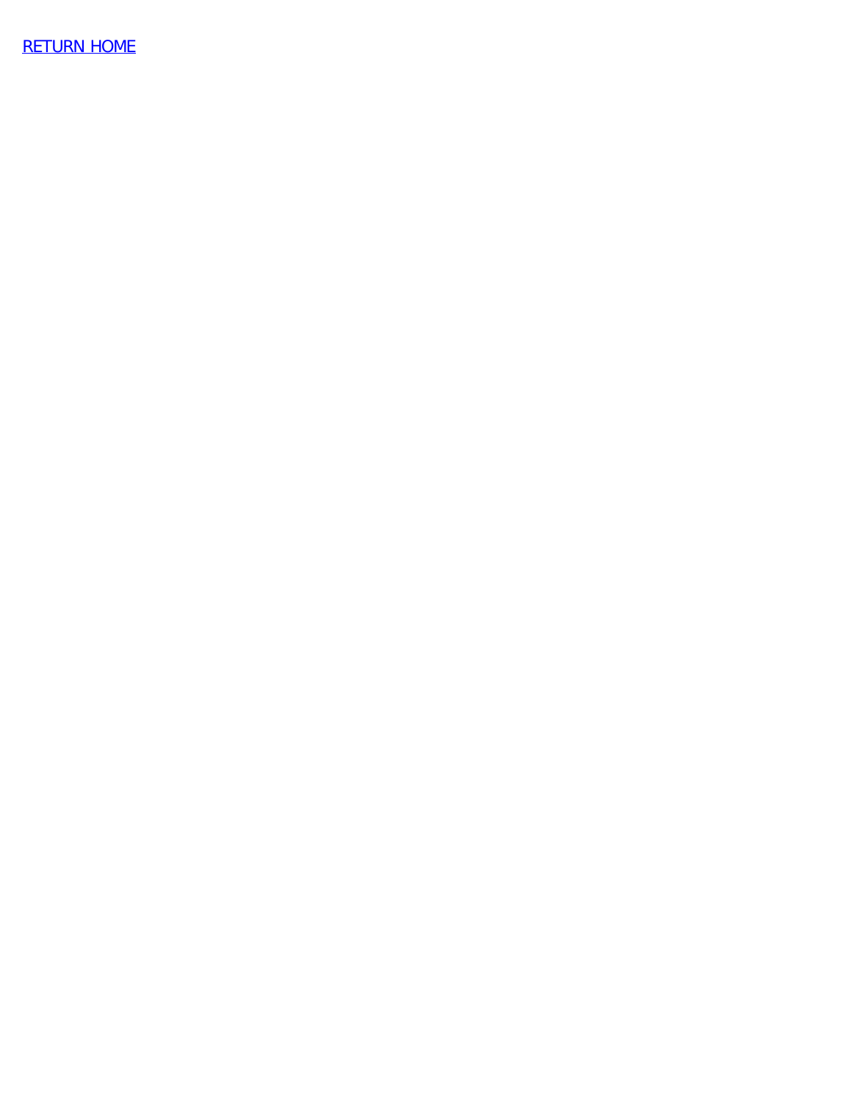[RETURN HOME](http://raims.com.home.html/)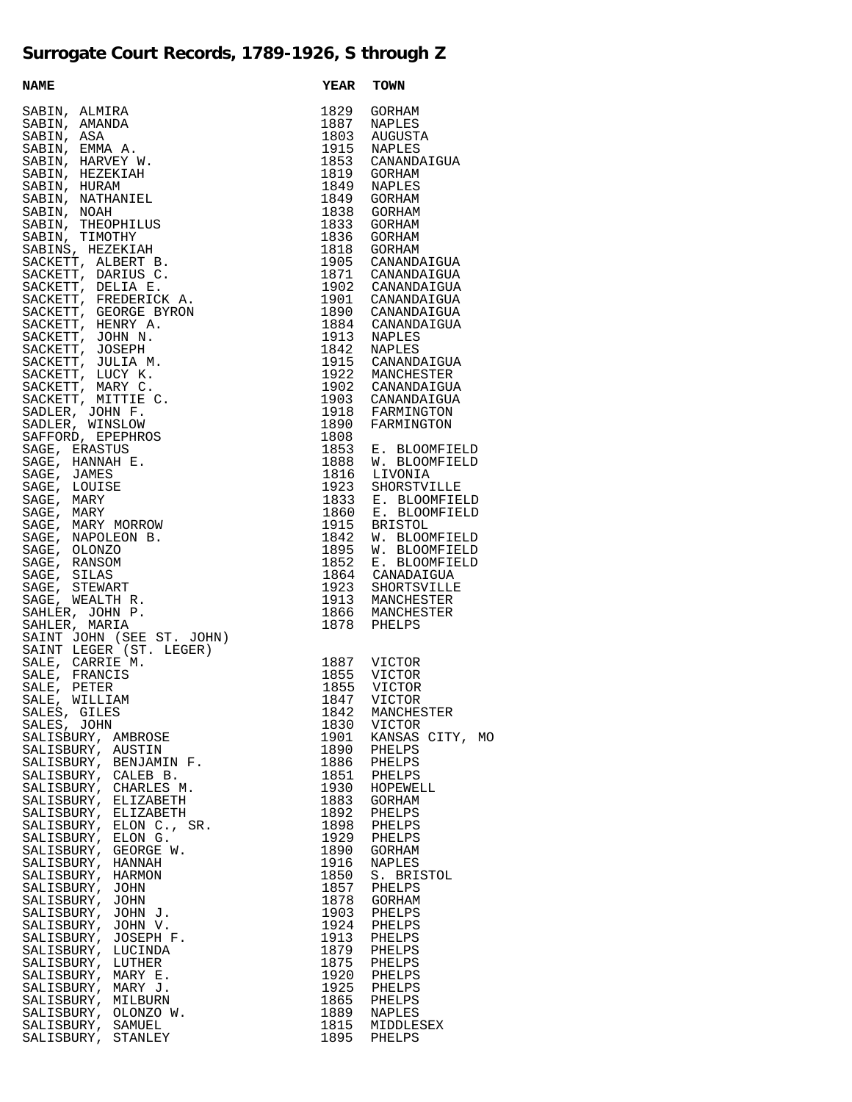## **Surrogate Court Records, 1789-1926, S through Z**

| <b>NAME</b><br>NAME<br>SABIN, ALMIRA<br>SABIN, ANNO<br>SABIN, ANN A.<br>SABIN, ENN AR, A.<br>SABIN, HARVEY W.<br>SABIN, HARVEY W.<br>SABIN, NOTHER ALMIRAL<br>SABIN, NOTHER SABIN, NATHANIEL<br>SABIN, THEOPHILUS<br>SABIN, THEOPHILUS<br>SABIN, THEOPHILUS<br>SABIN, | <b>YEAR</b> | <b>TOWN</b>                                           |
|-----------------------------------------------------------------------------------------------------------------------------------------------------------------------------------------------------------------------------------------------------------------------|-------------|-------------------------------------------------------|
|                                                                                                                                                                                                                                                                       |             | 1829 GORHAM                                           |
|                                                                                                                                                                                                                                                                       |             | 1887 NAPLES                                           |
|                                                                                                                                                                                                                                                                       |             | 1803 AUGUSTA                                          |
|                                                                                                                                                                                                                                                                       |             | 1915 NAPLES                                           |
|                                                                                                                                                                                                                                                                       |             | 1853 CANANDAIGUA                                      |
|                                                                                                                                                                                                                                                                       |             | 1819 GORHAM                                           |
|                                                                                                                                                                                                                                                                       |             | 1849 NAPLES                                           |
|                                                                                                                                                                                                                                                                       |             | 1849 GORHAM                                           |
|                                                                                                                                                                                                                                                                       |             | 1838 GORHAM                                           |
|                                                                                                                                                                                                                                                                       | 1833        | GORHAM                                                |
|                                                                                                                                                                                                                                                                       |             | 1836 GORHAM                                           |
|                                                                                                                                                                                                                                                                       |             | 1818 GORHAM                                           |
|                                                                                                                                                                                                                                                                       |             |                                                       |
|                                                                                                                                                                                                                                                                       |             | 1905 CANANDAIGUA<br>1871 CANANDAIGUA                  |
|                                                                                                                                                                                                                                                                       |             |                                                       |
|                                                                                                                                                                                                                                                                       |             | 1902 CANANDAIGUA<br>1901 CANANDAIGUA                  |
|                                                                                                                                                                                                                                                                       |             |                                                       |
|                                                                                                                                                                                                                                                                       |             | 1890 CANANDAIGUA<br>1884 CANANDAIGUA                  |
|                                                                                                                                                                                                                                                                       |             |                                                       |
|                                                                                                                                                                                                                                                                       |             | 1913 NAPLES<br>1842 NAPLES                            |
|                                                                                                                                                                                                                                                                       |             |                                                       |
|                                                                                                                                                                                                                                                                       |             | 1915 CANANDAIGUA                                      |
|                                                                                                                                                                                                                                                                       |             | 1922 MANCHESTER                                       |
|                                                                                                                                                                                                                                                                       |             | 1902 CANANDAIGUA<br>1903 CANANDAIGUA                  |
|                                                                                                                                                                                                                                                                       |             | 1918 FARMINGTON<br>1890 FARMINGTON<br>1808 FARMINGTON |
|                                                                                                                                                                                                                                                                       |             |                                                       |
|                                                                                                                                                                                                                                                                       |             |                                                       |
|                                                                                                                                                                                                                                                                       |             |                                                       |
|                                                                                                                                                                                                                                                                       |             | 1853 E. BLOOMFIELD                                    |
|                                                                                                                                                                                                                                                                       |             | 1888 W. BLOOMFIELD<br>1816 LIVONIA                    |
|                                                                                                                                                                                                                                                                       |             |                                                       |
|                                                                                                                                                                                                                                                                       |             | 1923 SHORSTVILLE<br>1833 E. BLOOMFIELD                |
|                                                                                                                                                                                                                                                                       |             |                                                       |
|                                                                                                                                                                                                                                                                       |             | 1860 E. BLOOMFIELD                                    |
|                                                                                                                                                                                                                                                                       |             | 1915 BRISTOL                                          |
|                                                                                                                                                                                                                                                                       |             | 1842 W. BLOOMFIELD<br>1895 W. BLOOMFIELD              |
|                                                                                                                                                                                                                                                                       |             |                                                       |
|                                                                                                                                                                                                                                                                       |             | 1852 E. BLOOMFIELD                                    |
|                                                                                                                                                                                                                                                                       |             | 1864 CANADAIGUA                                       |
|                                                                                                                                                                                                                                                                       |             | 1923 SHORTSVILLE                                      |
|                                                                                                                                                                                                                                                                       |             | 1913 MANCHESTER                                       |
|                                                                                                                                                                                                                                                                       |             | 1866 MANCHESTER                                       |
| SAINT JOHN (SEE ST. JOHN)                                                                                                                                                                                                                                             |             | 1878 PHELPS                                           |
|                                                                                                                                                                                                                                                                       |             |                                                       |
| SAINT LEGER (ST. LEGER)                                                                                                                                                                                                                                               |             |                                                       |
| SALE, CARRIE M.<br>SALE, FRANCIS                                                                                                                                                                                                                                      |             | 1887 VICTOR<br>1855 VICTOR                            |
| SALE, PETER                                                                                                                                                                                                                                                           | 1855        | <b>VICTOR</b>                                         |
| SALE, WILLIAM                                                                                                                                                                                                                                                         |             | 1847 VICTOR                                           |
| SALES, GILES                                                                                                                                                                                                                                                          | 1842        | MANCHESTER                                            |
| SALES, JOHN                                                                                                                                                                                                                                                           |             | 1830 VICTOR                                           |
| SALISBURY, AMBROSE                                                                                                                                                                                                                                                    |             | 1901 KANSAS CITY, MO                                  |
|                                                                                                                                                                                                                                                                       | 1890        | PHELPS                                                |
|                                                                                                                                                                                                                                                                       | 1886        | PHELPS                                                |
|                                                                                                                                                                                                                                                                       | 1851        | PHELPS                                                |
|                                                                                                                                                                                                                                                                       | 1930        | HOPEWELL                                              |
|                                                                                                                                                                                                                                                                       | 1883        | GORHAM                                                |
|                                                                                                                                                                                                                                                                       | 1892        | PHELPS                                                |
|                                                                                                                                                                                                                                                                       | 1898        | PHELPS                                                |
|                                                                                                                                                                                                                                                                       |             | 1929 PHELPS                                           |
| SALISBURY, AUSTIN<br>SALISBURY, AUSTIN<br>SALISBURY, BENJAMIN F.<br>SALISBURY, CALEB B.<br>SALISBURY, CHARLES M.<br>SALISBURY, ELIZABETH<br>SALISBURY, ELIZABETH<br>SALISBURY, ELON C., SR.<br>SALISBURY, ELON G.<br>SALISBURY, ELON G.<br>SALISBURY, GEORGE          |             | 1890 GORHAM                                           |
| SALISBURY, HANNAH                                                                                                                                                                                                                                                     | 1916        | <b>NAPLES</b>                                         |
| SALISBURY, HARMON                                                                                                                                                                                                                                                     | 1850        | S. BRISTOL                                            |
| SALISBURY, JOHN                                                                                                                                                                                                                                                       |             | 1857 PHELPS                                           |
| SALISBURY, JOHN                                                                                                                                                                                                                                                       |             | 1878 GORHAM                                           |
| SALISBURY, JOHN J.                                                                                                                                                                                                                                                    | 1903        | PHELPS                                                |
| SALISBURY, JOHN V.                                                                                                                                                                                                                                                    |             | 1924 PHELPS                                           |
| SALISBURY, JOSEPH F.                                                                                                                                                                                                                                                  |             | 1913 PHELPS                                           |
| SALISBURY, LUCINDA                                                                                                                                                                                                                                                    | 1879        | PHELPS                                                |
| SALISBURY, LUTHER                                                                                                                                                                                                                                                     | 1875        | PHELPS                                                |
| SALISBURY, MARY E.                                                                                                                                                                                                                                                    |             | 1920 PHELPS                                           |
| SALISBURY, MARY J.                                                                                                                                                                                                                                                    | 1925        | PHELPS                                                |
| SALISBURY, MILBURN                                                                                                                                                                                                                                                    | 1865        | PHELPS                                                |
| SALISBURY, OLONZO W.                                                                                                                                                                                                                                                  | 1889        | <b>NAPLES</b>                                         |
| SALISBURY, SAMUEL                                                                                                                                                                                                                                                     | 1815        | MIDDLESEX                                             |
| SALISBURY, STANLEY                                                                                                                                                                                                                                                    | 1895        | PHELPS                                                |

| 1887                                                                                                                                                                                                                                                 | NAPLES                                                                                                                                                                                                                                                                                                                                                          |
|------------------------------------------------------------------------------------------------------------------------------------------------------------------------------------------------------------------------------------------------------|-----------------------------------------------------------------------------------------------------------------------------------------------------------------------------------------------------------------------------------------------------------------------------------------------------------------------------------------------------------------|
| 1803                                                                                                                                                                                                                                                 | AUGUSTA                                                                                                                                                                                                                                                                                                                                                         |
| 1915                                                                                                                                                                                                                                                 | NAPLES                                                                                                                                                                                                                                                                                                                                                          |
| 1853                                                                                                                                                                                                                                                 | CANANDAIGUA                                                                                                                                                                                                                                                                                                                                                     |
| 1819                                                                                                                                                                                                                                                 | GORHAM                                                                                                                                                                                                                                                                                                                                                          |
| 1849                                                                                                                                                                                                                                                 | <b>NAPLES</b>                                                                                                                                                                                                                                                                                                                                                   |
| 1849                                                                                                                                                                                                                                                 | GORHAM                                                                                                                                                                                                                                                                                                                                                          |
| 1838                                                                                                                                                                                                                                                 | GORHAM                                                                                                                                                                                                                                                                                                                                                          |
| 1833                                                                                                                                                                                                                                                 | GORHAM                                                                                                                                                                                                                                                                                                                                                          |
| 1836                                                                                                                                                                                                                                                 | GORHAM                                                                                                                                                                                                                                                                                                                                                          |
| 1818                                                                                                                                                                                                                                                 | GORHAM                                                                                                                                                                                                                                                                                                                                                          |
| 1905                                                                                                                                                                                                                                                 | CANANDAIGUA                                                                                                                                                                                                                                                                                                                                                     |
| 1871                                                                                                                                                                                                                                                 | CANANDAIGUA                                                                                                                                                                                                                                                                                                                                                     |
| 1902                                                                                                                                                                                                                                                 | CANANDAIGUA                                                                                                                                                                                                                                                                                                                                                     |
| 1901                                                                                                                                                                                                                                                 | CANANDAIGUA                                                                                                                                                                                                                                                                                                                                                     |
| 1890                                                                                                                                                                                                                                                 | CANANDAIGUA                                                                                                                                                                                                                                                                                                                                                     |
| 1884                                                                                                                                                                                                                                                 | CANANDAIGUA                                                                                                                                                                                                                                                                                                                                                     |
| 1913                                                                                                                                                                                                                                                 | NAPLES                                                                                                                                                                                                                                                                                                                                                          |
| 1842                                                                                                                                                                                                                                                 | NAPLES                                                                                                                                                                                                                                                                                                                                                          |
| 1915                                                                                                                                                                                                                                                 | CANANDAIGUA                                                                                                                                                                                                                                                                                                                                                     |
| 1922                                                                                                                                                                                                                                                 | MANCHESTER                                                                                                                                                                                                                                                                                                                                                      |
| 1902                                                                                                                                                                                                                                                 | CANANDAIGUA                                                                                                                                                                                                                                                                                                                                                     |
| 1903                                                                                                                                                                                                                                                 | CANANDAIGUA                                                                                                                                                                                                                                                                                                                                                     |
| 1918                                                                                                                                                                                                                                                 | FARMINGTON                                                                                                                                                                                                                                                                                                                                                      |
| 1890                                                                                                                                                                                                                                                 | FARMINGTON                                                                                                                                                                                                                                                                                                                                                      |
| 1808                                                                                                                                                                                                                                                 | <b>BLOOMFIELD</b>                                                                                                                                                                                                                                                                                                                                               |
| 1853                                                                                                                                                                                                                                                 | Е.                                                                                                                                                                                                                                                                                                                                                              |
| 1888                                                                                                                                                                                                                                                 | W.                                                                                                                                                                                                                                                                                                                                                              |
| 1816                                                                                                                                                                                                                                                 | <b>BLOOMFIELD</b>                                                                                                                                                                                                                                                                                                                                               |
| 1923                                                                                                                                                                                                                                                 | LIVONIA                                                                                                                                                                                                                                                                                                                                                         |
| 1833                                                                                                                                                                                                                                                 | SHORSTVILLE                                                                                                                                                                                                                                                                                                                                                     |
| 1860                                                                                                                                                                                                                                                 | E. BLOOMFIELD                                                                                                                                                                                                                                                                                                                                                   |
| 1915                                                                                                                                                                                                                                                 | E. BLOOMFIELD                                                                                                                                                                                                                                                                                                                                                   |
| 1842                                                                                                                                                                                                                                                 | <b>BRISTOL</b>                                                                                                                                                                                                                                                                                                                                                  |
| 1895                                                                                                                                                                                                                                                 | W. BLOOMFIELD<br>W. BLOOMFIELD                                                                                                                                                                                                                                                                                                                                  |
| 1852                                                                                                                                                                                                                                                 | E. BLOOMFIELD                                                                                                                                                                                                                                                                                                                                                   |
| 1864                                                                                                                                                                                                                                                 | CANADAIGUA                                                                                                                                                                                                                                                                                                                                                      |
| 1923                                                                                                                                                                                                                                                 | SHORTSVILLE                                                                                                                                                                                                                                                                                                                                                     |
| 1913                                                                                                                                                                                                                                                 | MANCHESTER                                                                                                                                                                                                                                                                                                                                                      |
| 1866                                                                                                                                                                                                                                                 | MANCHESTER                                                                                                                                                                                                                                                                                                                                                      |
| 1878                                                                                                                                                                                                                                                 | PHELPS                                                                                                                                                                                                                                                                                                                                                          |
| 1887<br>1855<br>1855<br>1847<br>1842<br>1830<br>1901<br>1890<br>1886<br>1851<br>1930<br>1883<br>1892<br>1898<br>1929<br>1890<br>1916<br>1850<br>1857<br>1878<br>1903<br>1924<br>1913<br>1879<br>1875<br>1920<br>1925<br>1865<br>1889<br>1815<br>1895 | VICTOR<br>VICTOR<br><b>VICTOR</b><br>VICTOR<br>MANCHESTER<br>VICTOR<br>CITY,<br>KANSAS<br>MO<br>PHELPS<br>PHELPS<br>PHELPS<br>HOPEWELL<br>GORHAM<br>PHELPS<br>PHELPS<br>PHELPS<br>GORHAM<br>NAPLES<br><b>BRISTOL</b><br>S.<br>PHELPS<br>GORHAM<br>PHELPS<br>PHELPS<br>PHELPS<br>PHELPS<br>PHELPS<br>PHELPS<br>PHELPS<br>PHELPS<br>NAPLES<br>MIDDLESEX<br>PHELPS |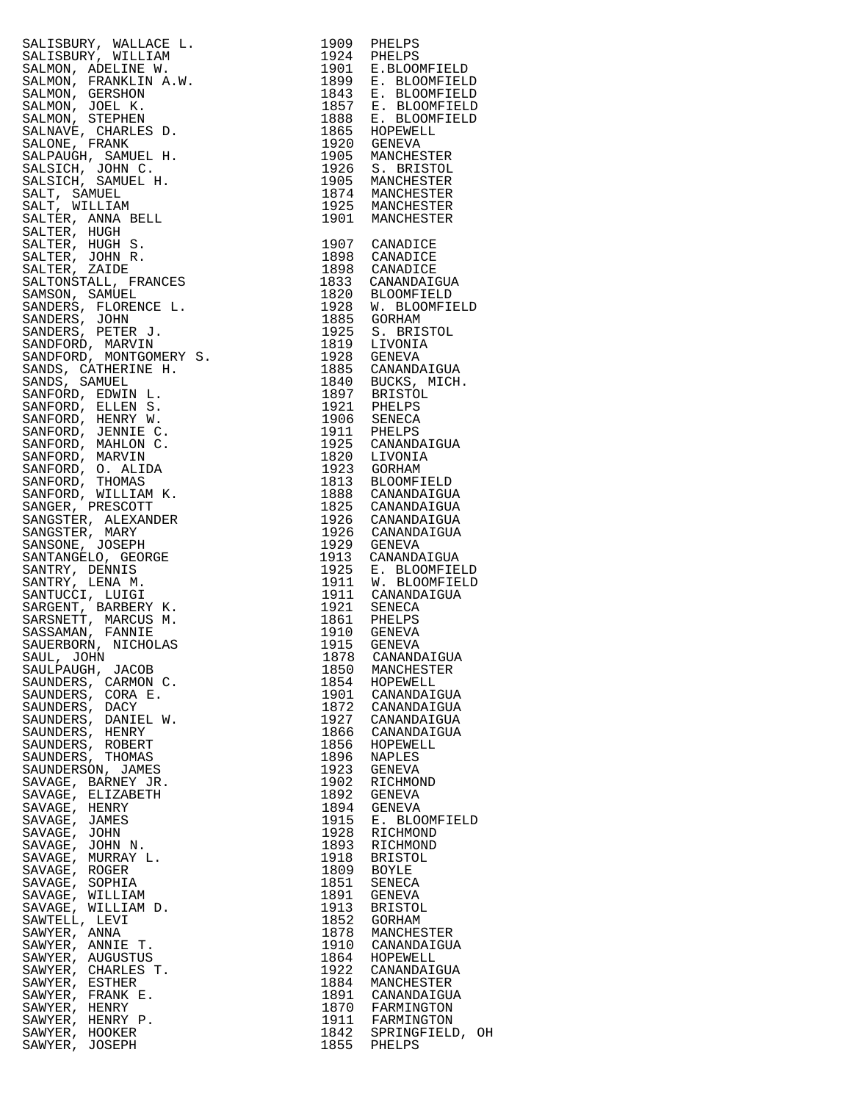SALISBURY, WALLACE L. 1909 PHELPS SALISBURY, WILLIAM 1924 PHELPS SALMON, ADELINE W. 1901 E.BLOOMFIELD SALMON, FRANKLIN A.W. 1899 E. BLOOMFIELD SALMON, GERSHON 1843 E. BLOOMFIELD SALMON, JOEL K. SALMON, STEPHEN SALNAVE, CHARLES D. 1865 HOPEWELL SALONE, FRANK 1920 GENEVA SALPAUGH, SAMUEL H. 1905 MANCHESTER SALSICH, JOHN C. 1926 S. BRISTOL SALSICH, SAMUEL H. 1905 MANCHESTER SALT, SAMUEL 1874 MANCHESTER SALT, WILLIAM 1925 MANCHESTER SALTER, ANNA BELL SALTER, HUGH SALTER, HUGH S. 1907 CANADICE SALTER, JOHN R. 1898 CANADICE SALTER, ZAIDE 1898 CANADICE SALTONSTALL, FRANCES SAMSON, SAMUEL 1820 BLOOMFIELD SANDERS, FLORENCE L. 1928 W. BLOOMFIELD SANDERS, JOHN 1885 GORHAM SANDERS, PETER J. 1925 S. BRISTOL SANDFORD, MARVIN SANDFORD, MONTGOMERY S. SANDS, CATHERINE H. 1885 CANANDAIGUA SANDS, SAMUEL 1840 BUCKS, MICH. SANFORD, EDWIN L. SANFORD, ELLEN S. 1921 PHELPS SANFORD, HENRY W. 1906 SENECA SANFORD, JENNIE C. 1911 PHELPS SANFORD, MAHLON C. SANFORD, MARVIN 1820 LIVONIA SANFORD, O. ALIDA 1923 GORHAM SANFORD, THOMAS 1813 BLOOMFIELD SANFORD, WILLIAM K. 1888 CANANDAIGUA SANGER, PRESCOTT 1825 CANANDAIGUA SANGSTER, ALEXANDER SANGSTER, MARY 1926 CANANDAIGUA SANSONE, JOSEPH 1929 GENEVA SANTANGELO, GEORGE SANTRY, DENNIS SANTRY, LENA M. 1911 W. BLOOMFIELD SANTUCCI, LUIGI 1911 CANANDAIGUA SARGENT, BARBERY K. 1921 SENECA SARSNETT, MARCUS M. SASSAMAN, FANNIE 1910 GENEVA SAUERBORN, NICHOLAS 1915 GENEVA SAUL, JOHN 1878 CANANDAIGUA SAULPAUGH, JACOB 1850 MANCHESTER SAUNDERS, CARMON C. 1854 HOPEWELL SAUNDERS, CORA E. SAUNDERS, DACY SAUNDERS, DANIEL W. 1927 CANANDAIGUA SAUNDERS, HENRY 1866 CANANDAIGUA SAUNDERS, ROBERT 1856 HOPEWELL SAUNDERS, THOMAS 1896 NAPLES SAUNDERSON, JAMES 1923 GENEVA SAVAGE, BARNEY JR. SAVAGE, ELIZABETH 1892 GENEVA SAVAGE, HENRY 1894 GENEVA SAVAGE, JAMES 1915 E. BLOOMFIELD SAVAGE, JOHN 1928 RICHMOND SAVAGE, JOHN N. 1893 RICHMOND SAVAGE, MURRAY L. 1918 BRISTOL SAVAGE, ROGER 1809 BOYLE SAVAGE, SOPHIA 1851 SENECA SAVAGE, WILLIAM 1891 GENEVA SAVAGE, WILLIAM D. 1913 BRISTOL SAWTELL, LEVI 1852 GORHAM SAWYER, ANNA 1878 MANCHESTER SAWYER, ANNIE T. 1910 CANANDAIGUA SAWYER, AUGUSTUS 1864 HOPEWELL SAWYER, CHARLES T. 1922 CANANDAIGUA SAWYER, ESTHER 1884 MANCHESTER SAWYER, FRANK E. SAWYER, HENRY 1870 FARMINGTON SAWYER, HENRY P. 1911 FARMINGTON SAWYER, HOOKER 1842 SPRINGFIELD, OH SAWYER, JOSEPH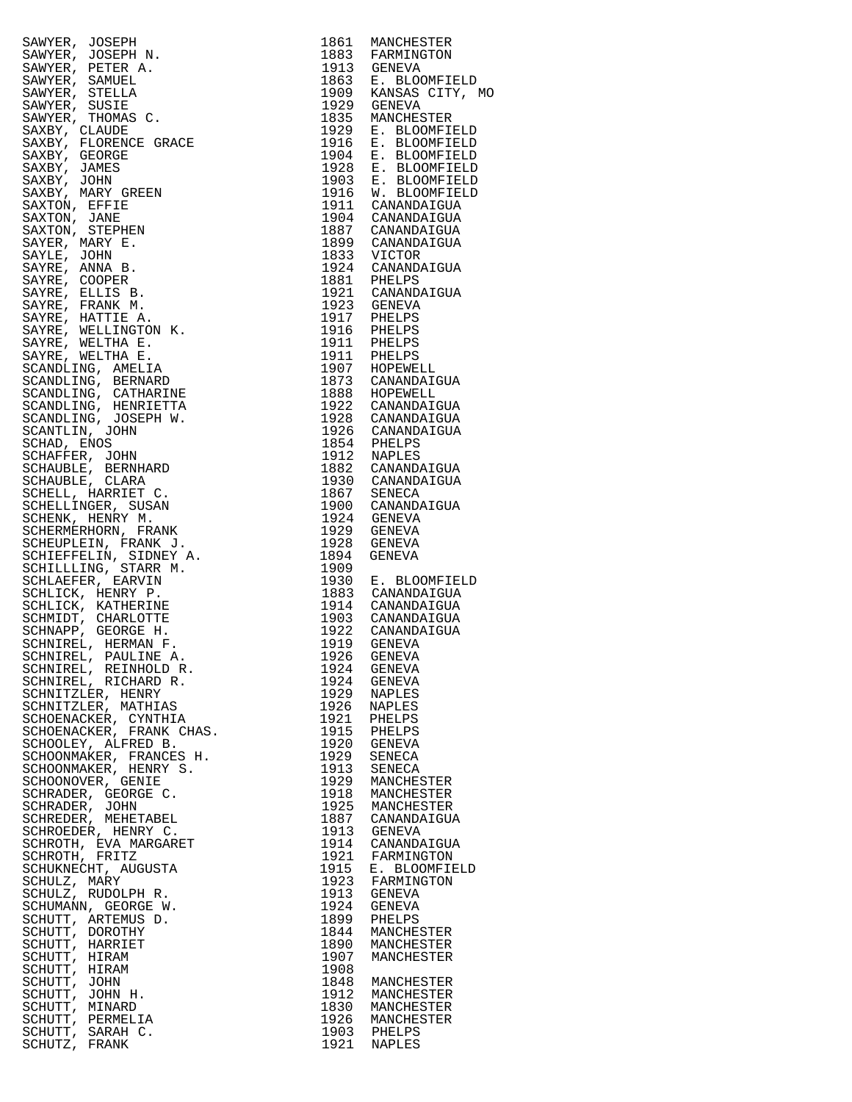| SAWYER, JOSEPH N. 1961 MANUCHES, MANUCHES, ANNER, 1961 MANUCHES, PRETRA ANNER, PEDER ANNER, PRETRA 1973 GENEVAL (1974) ANNER SAWYER, PEDER (1976) ANNER SAWYER, PRENCHE CORRESPONDING (1976) AND CANNABLY CREW (1976) AND CAN |              | 1861 MANCHESTER                                                                                                                                                                                                                                                          |
|-------------------------------------------------------------------------------------------------------------------------------------------------------------------------------------------------------------------------------|--------------|--------------------------------------------------------------------------------------------------------------------------------------------------------------------------------------------------------------------------------------------------------------------------|
|                                                                                                                                                                                                                               |              | 1883 FARMINGTON<br>1913 GENEVA<br>1863 E. BLOOMFIELD<br>1909 KANSAS CITY, MO                                                                                                                                                                                             |
|                                                                                                                                                                                                                               |              |                                                                                                                                                                                                                                                                          |
|                                                                                                                                                                                                                               |              |                                                                                                                                                                                                                                                                          |
|                                                                                                                                                                                                                               |              |                                                                                                                                                                                                                                                                          |
|                                                                                                                                                                                                                               |              | 1835 MANCHESTER                                                                                                                                                                                                                                                          |
|                                                                                                                                                                                                                               |              | 1929 E. BLOOMFIELD                                                                                                                                                                                                                                                       |
|                                                                                                                                                                                                                               |              | 1916 E. BLOOMFIELD                                                                                                                                                                                                                                                       |
|                                                                                                                                                                                                                               |              |                                                                                                                                                                                                                                                                          |
|                                                                                                                                                                                                                               |              | 1904 E. BLOOMFIELD<br>1928 E. BLOOMFIELD                                                                                                                                                                                                                                 |
|                                                                                                                                                                                                                               |              | 1923 E. BLOOMFIELD<br>1903 E. BLOOMFIELD<br>1916 W. BLOOMFIELD<br>1911 CANANDAIGUA<br>1904 CANANDAIGUA<br>1899 CANANDAIGUA                                                                                                                                               |
|                                                                                                                                                                                                                               |              |                                                                                                                                                                                                                                                                          |
|                                                                                                                                                                                                                               |              |                                                                                                                                                                                                                                                                          |
|                                                                                                                                                                                                                               |              |                                                                                                                                                                                                                                                                          |
|                                                                                                                                                                                                                               |              |                                                                                                                                                                                                                                                                          |
|                                                                                                                                                                                                                               |              |                                                                                                                                                                                                                                                                          |
|                                                                                                                                                                                                                               |              | 1833 VICTOR<br>1924 CANANDAIGUA                                                                                                                                                                                                                                          |
|                                                                                                                                                                                                                               |              |                                                                                                                                                                                                                                                                          |
|                                                                                                                                                                                                                               |              | 1924 CANANDAIGUA<br>1821 CANANDAIGUA<br>1921 CANANDAIGUA<br>1923 GENEVA<br>1917 PHELPS<br>1917 PHELPS<br>1916 PHELPS<br>1916 PHELPS<br>1917 HOEWELL<br>1873 CANANDAIGUA<br>1888 HOPEWELL<br>1922 CANANDAIGUA<br>1926 CANANDAIGUA<br>1926 CANANDAIGUA<br>1936 CANANDAIGUA |
|                                                                                                                                                                                                                               |              |                                                                                                                                                                                                                                                                          |
|                                                                                                                                                                                                                               |              |                                                                                                                                                                                                                                                                          |
|                                                                                                                                                                                                                               |              |                                                                                                                                                                                                                                                                          |
|                                                                                                                                                                                                                               |              |                                                                                                                                                                                                                                                                          |
|                                                                                                                                                                                                                               |              |                                                                                                                                                                                                                                                                          |
|                                                                                                                                                                                                                               |              |                                                                                                                                                                                                                                                                          |
|                                                                                                                                                                                                                               |              |                                                                                                                                                                                                                                                                          |
|                                                                                                                                                                                                                               |              |                                                                                                                                                                                                                                                                          |
|                                                                                                                                                                                                                               |              |                                                                                                                                                                                                                                                                          |
|                                                                                                                                                                                                                               |              |                                                                                                                                                                                                                                                                          |
|                                                                                                                                                                                                                               |              |                                                                                                                                                                                                                                                                          |
|                                                                                                                                                                                                                               |              |                                                                                                                                                                                                                                                                          |
|                                                                                                                                                                                                                               |              |                                                                                                                                                                                                                                                                          |
|                                                                                                                                                                                                                               |              |                                                                                                                                                                                                                                                                          |
|                                                                                                                                                                                                                               |              |                                                                                                                                                                                                                                                                          |
|                                                                                                                                                                                                                               |              |                                                                                                                                                                                                                                                                          |
|                                                                                                                                                                                                                               |              |                                                                                                                                                                                                                                                                          |
|                                                                                                                                                                                                                               |              |                                                                                                                                                                                                                                                                          |
|                                                                                                                                                                                                                               |              |                                                                                                                                                                                                                                                                          |
|                                                                                                                                                                                                                               |              |                                                                                                                                                                                                                                                                          |
|                                                                                                                                                                                                                               |              |                                                                                                                                                                                                                                                                          |
|                                                                                                                                                                                                                               |              |                                                                                                                                                                                                                                                                          |
|                                                                                                                                                                                                                               |              | 1930 E. BLOOMFIELD<br>1883 CANANDAIGUA                                                                                                                                                                                                                                   |
|                                                                                                                                                                                                                               |              |                                                                                                                                                                                                                                                                          |
|                                                                                                                                                                                                                               |              |                                                                                                                                                                                                                                                                          |
|                                                                                                                                                                                                                               |              |                                                                                                                                                                                                                                                                          |
|                                                                                                                                                                                                                               |              | 1914 CANANDAIGUA<br>1903 CANANDAIGUA<br>1922 CANANDAIGUA<br>1919 GENEVA                                                                                                                                                                                                  |
|                                                                                                                                                                                                                               |              |                                                                                                                                                                                                                                                                          |
|                                                                                                                                                                                                                               |              |                                                                                                                                                                                                                                                                          |
| SCHNIREL, REINHOLD R.                                                                                                                                                                                                         | 1924         | GENEVA                                                                                                                                                                                                                                                                   |
| SCHNIREL, RICHARD R.                                                                                                                                                                                                          | 1924<br>1929 | GENEVA<br><b>NAPLES</b>                                                                                                                                                                                                                                                  |
| SCHNITZLER, HENRY<br>SCHNITZLER, MATHIAS                                                                                                                                                                                      | 1926         |                                                                                                                                                                                                                                                                          |
| SCHOENACKER, CYNTHIA                                                                                                                                                                                                          | 1921         | NAPLES<br>PHELPS                                                                                                                                                                                                                                                         |
| SCHOENACKER, FRANK CHAS.                                                                                                                                                                                                      | 1915         | PHELPS                                                                                                                                                                                                                                                                   |
| SCHOOLEY, ALFRED B.                                                                                                                                                                                                           | 1920         | GENEVA                                                                                                                                                                                                                                                                   |
| SCHOONMAKER, FRANCES H.                                                                                                                                                                                                       | 1929         | SENECA                                                                                                                                                                                                                                                                   |
| SCHOONMAKER, HENRY S.                                                                                                                                                                                                         | 1913         | SENECA                                                                                                                                                                                                                                                                   |
| SCHOONOVER, GENIE                                                                                                                                                                                                             | 1929         | MANCHESTER                                                                                                                                                                                                                                                               |
| SCHRADER, GEORGE C.                                                                                                                                                                                                           | 1918         | MANCHESTER                                                                                                                                                                                                                                                               |
| SCHRADER, JOHN                                                                                                                                                                                                                | 1925         | MANCHESTER                                                                                                                                                                                                                                                               |
| SCHREDER, MEHETABEL                                                                                                                                                                                                           | 1887         | CANANDAIGUA                                                                                                                                                                                                                                                              |
| SCHROEDER, HENRY C.                                                                                                                                                                                                           | 1913         | GENEVA                                                                                                                                                                                                                                                                   |
| SCHROTH, EVA MARGARET                                                                                                                                                                                                         | 1914         | CANANDAIGUA                                                                                                                                                                                                                                                              |
| SCHROTH, FRITZ                                                                                                                                                                                                                | 1921         | FARMINGTON                                                                                                                                                                                                                                                               |
| SCHUKNECHT, AUGUSTA                                                                                                                                                                                                           | 1915         | E. BLOOMFIELD                                                                                                                                                                                                                                                            |
| SCHULZ, MARY                                                                                                                                                                                                                  | 1923         | FARMINGTON                                                                                                                                                                                                                                                               |
| SCHULZ, RUDOLPH R.                                                                                                                                                                                                            | 1913         | GENEVA                                                                                                                                                                                                                                                                   |
| SCHUMANN, GEORGE W.                                                                                                                                                                                                           | 1924         | GENEVA                                                                                                                                                                                                                                                                   |
| SCHUTT, ARTEMUS D.                                                                                                                                                                                                            | 1899         | PHELPS                                                                                                                                                                                                                                                                   |
| SCHUTT, DOROTHY                                                                                                                                                                                                               | 1844         | MANCHESTER                                                                                                                                                                                                                                                               |
| SCHUTT, HARRIET                                                                                                                                                                                                               | 1890         | MANCHESTER                                                                                                                                                                                                                                                               |
| SCHUTT, HIRAM                                                                                                                                                                                                                 | 1907         | MANCHESTER                                                                                                                                                                                                                                                               |
| SCHUTT, HIRAM                                                                                                                                                                                                                 |              |                                                                                                                                                                                                                                                                          |
| SCHUTT, JOHN                                                                                                                                                                                                                  | 1908         |                                                                                                                                                                                                                                                                          |
|                                                                                                                                                                                                                               | 1848         | MANCHESTER                                                                                                                                                                                                                                                               |
| SCHUTT, JOHN H.                                                                                                                                                                                                               | 1912         | MANCHESTER                                                                                                                                                                                                                                                               |
| SCHUTT, MINARD                                                                                                                                                                                                                | 1830         | MANCHESTER                                                                                                                                                                                                                                                               |
| SCHUTT, PERMELIA<br>SCHUTT, SARAH C.                                                                                                                                                                                          | 1926<br>1903 | MANCHESTER<br>PHELPS                                                                                                                                                                                                                                                     |

| 1861         | MANCHESTER                                                  |
|--------------|-------------------------------------------------------------|
| 1883<br>1913 | FARMINGTON<br>GENEVA                                        |
| 1863         | Ε.<br>BLOOMFIELD                                            |
| 1909<br>1929 | KANSAS CITY,<br>M<br><b>GENEVA</b>                          |
| 1835         | MANCHESTER                                                  |
| 1929<br>1916 | <b>BLOOMFIELD</b><br>$E$ .<br>Ε.<br><b>BLOOMFIELD</b>       |
| 1904         |                                                             |
| 1928         | E. BLOOMFIELD<br>E. BLOOMFIELD                              |
| 1903<br>1916 | $\boldsymbol{E}$ .<br>BLOOMFIELD<br>W.<br><b>BLOOMFIELD</b> |
| 1911         | CANANDAIGUA                                                 |
| 1904         | CANANDAIGUA                                                 |
| 1887<br>1899 | CANANDAIGUA<br>CANANDAIGUA                                  |
| 1833         | VICTOR                                                      |
| 1924<br>1881 | CANANDAIGUA<br>PHELPS                                       |
| 1921         | CANANDAIGUA                                                 |
| 1923         | <b>GENEVA</b>                                               |
| 1917<br>1916 | PHELPS<br>PHELPS                                            |
| 1911         | PHELPS                                                      |
| 1911         | PHELPS                                                      |
| 1907<br>1873 | HOPEWELL<br>CANANDAIGUA                                     |
| 1888         | HOPEWELL                                                    |
| 1922<br>1928 | CANANDAIGUA                                                 |
| 1926         | CANANDAIGUA<br>CANANDAIGUA                                  |
| 1854         | PHELPS                                                      |
| 1912<br>1882 | NAPLES<br>CANANDAIGUA                                       |
| 1930         | CANANDAIGUA                                                 |
| 1867         | SENECA                                                      |
| 1900<br>1924 | CANANDAIGUA<br><b>GENEVA</b>                                |
| 1929         | GENEVA                                                      |
| 1928<br>1894 | GENEVA<br>GENEVA                                            |
| 1909         |                                                             |
| 1930         | $E$ .<br><b>BLOOMFIELD</b>                                  |
| 1883<br>1914 | CANANDAIGUA<br>CANANDAIGUA                                  |
| 1903         | CANANDAIGUA                                                 |
| 1922<br>1919 | CANANDAIGUA<br><b>GENEVA</b>                                |
| 1926         | GENEVA                                                      |
| 1924         | GENEVA                                                      |
| 1924<br>1929 | <b>GENEVA</b><br><b>NAPLES</b>                              |
| 1926         | <b>NAPLES</b>                                               |
| 1921         | PHELPS                                                      |
| 1915<br>1920 | PHELPS<br>GENEVA                                            |
| 1929         | SENECA                                                      |
| 1913<br>1929 | SENECA<br>MANCHESTER                                        |
| 1918         | MANCHESTER                                                  |
| 1925         | MANCHESTER                                                  |
| 1887<br>1913 | CANANDAIGUA<br>GENEVA                                       |
| 1914         | CANANDAIGUA                                                 |
| 1921<br>1915 | FARMINGTON                                                  |
| 1923         | E. BLOOMFIELD<br>FARMINGTON                                 |
| 1913         | GENEVA                                                      |
| 1924<br>1899 | GENEVA<br>PHELPS                                            |
| 1844         | MANCHESTER                                                  |
| 1890         | MANCHESTER                                                  |
| 1907<br>1908 | MANCHESTER                                                  |
| 1848         | MANCHESTER                                                  |
| 1912         | MANCHESTER                                                  |
| 1830<br>1926 | MANCHESTER<br>MANCHESTER                                    |
| 1903         | PHELPS                                                      |
| 1921         | NAPLES                                                      |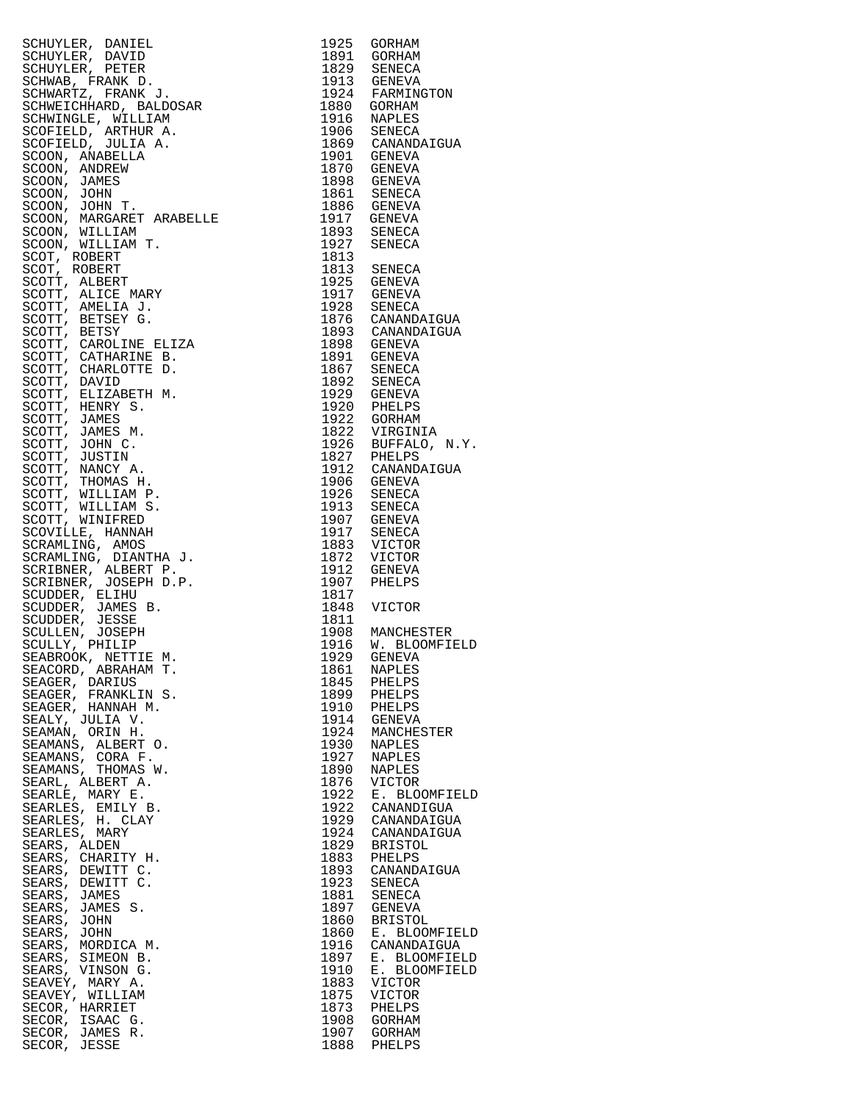| SCHUYLER, DANIEL (1925)<br>SCHUYLER, DAVIED 1925 CORHAM SCHUYLER, DAVIED 1939<br>SCHUYLER, PRIVATER (1939)<br>SCHUYLER, PRIVATER (1939)<br>SCHWAR PRIVATE (1939)<br>SCHWAR PRIVATE (1939)<br>SCHWARE (1941)<br>SCHWARE (1941)<br>SCHUYLER, WI |      |                            |
|-----------------------------------------------------------------------------------------------------------------------------------------------------------------------------------------------------------------------------------------------|------|----------------------------|
|                                                                                                                                                                                                                                               |      |                            |
|                                                                                                                                                                                                                                               |      |                            |
|                                                                                                                                                                                                                                               |      |                            |
|                                                                                                                                                                                                                                               |      |                            |
|                                                                                                                                                                                                                                               |      |                            |
|                                                                                                                                                                                                                                               |      |                            |
|                                                                                                                                                                                                                                               |      |                            |
|                                                                                                                                                                                                                                               |      |                            |
|                                                                                                                                                                                                                                               |      |                            |
|                                                                                                                                                                                                                                               |      |                            |
|                                                                                                                                                                                                                                               |      |                            |
|                                                                                                                                                                                                                                               |      |                            |
|                                                                                                                                                                                                                                               |      |                            |
|                                                                                                                                                                                                                                               |      |                            |
|                                                                                                                                                                                                                                               |      |                            |
|                                                                                                                                                                                                                                               |      |                            |
|                                                                                                                                                                                                                                               |      |                            |
|                                                                                                                                                                                                                                               |      |                            |
|                                                                                                                                                                                                                                               |      |                            |
|                                                                                                                                                                                                                                               |      |                            |
|                                                                                                                                                                                                                                               |      |                            |
|                                                                                                                                                                                                                                               |      |                            |
|                                                                                                                                                                                                                                               |      |                            |
|                                                                                                                                                                                                                                               |      |                            |
|                                                                                                                                                                                                                                               |      |                            |
|                                                                                                                                                                                                                                               |      |                            |
|                                                                                                                                                                                                                                               |      |                            |
|                                                                                                                                                                                                                                               |      |                            |
|                                                                                                                                                                                                                                               |      |                            |
|                                                                                                                                                                                                                                               |      |                            |
|                                                                                                                                                                                                                                               |      |                            |
|                                                                                                                                                                                                                                               |      |                            |
|                                                                                                                                                                                                                                               |      |                            |
|                                                                                                                                                                                                                                               |      |                            |
|                                                                                                                                                                                                                                               |      |                            |
|                                                                                                                                                                                                                                               |      |                            |
|                                                                                                                                                                                                                                               |      |                            |
|                                                                                                                                                                                                                                               |      |                            |
|                                                                                                                                                                                                                                               |      |                            |
|                                                                                                                                                                                                                                               |      |                            |
|                                                                                                                                                                                                                                               |      |                            |
|                                                                                                                                                                                                                                               |      |                            |
|                                                                                                                                                                                                                                               |      |                            |
|                                                                                                                                                                                                                                               |      |                            |
|                                                                                                                                                                                                                                               |      |                            |
|                                                                                                                                                                                                                                               |      |                            |
|                                                                                                                                                                                                                                               |      |                            |
|                                                                                                                                                                                                                                               |      |                            |
|                                                                                                                                                                                                                                               |      |                            |
|                                                                                                                                                                                                                                               |      |                            |
|                                                                                                                                                                                                                                               |      |                            |
|                                                                                                                                                                                                                                               |      |                            |
|                                                                                                                                                                                                                                               |      |                            |
|                                                                                                                                                                                                                                               |      |                            |
| SCULLY, FULLITE M.<br>SEABROOK, NETTIE M.<br>TICOPP ARRAHAM T.                                                                                                                                                                                |      |                            |
|                                                                                                                                                                                                                                               | 1861 | NAPLES                     |
| SEAGER, DARIUS                                                                                                                                                                                                                                |      | 1845 PHELPS                |
|                                                                                                                                                                                                                                               |      |                            |
| SEAGER, FRANKLIN S.                                                                                                                                                                                                                           |      | 1899 PHELPS<br>1910 PHELPS |
| SEAGER, HANNAH M.                                                                                                                                                                                                                             |      |                            |
| SEALY, JULIA V.                                                                                                                                                                                                                               |      | 1914 GENEVA                |
| SEAMAN, ORIN H.                                                                                                                                                                                                                               |      | 1924 MANCHESTER            |
| SEAMANS, ALBERT O.                                                                                                                                                                                                                            |      |                            |
| SEAMANS, CORA F.                                                                                                                                                                                                                              |      | 1930 NAPLES<br>1927 NAPLES |
| SEAMANS, THOMAS W.                                                                                                                                                                                                                            | 1890 | NAPLES                     |
| SEARL, ALBERT A.                                                                                                                                                                                                                              | 1876 | VICTOR                     |
| SEARLE, MARY E.                                                                                                                                                                                                                               |      | 1922 E. BLOOMFIELD         |
|                                                                                                                                                                                                                                               |      | 1922 CANANDIGUA            |
| SEARLES, EMILY B.                                                                                                                                                                                                                             |      |                            |
| SEARLES, H. CLAY                                                                                                                                                                                                                              |      | 1929 CANANDAIGUA           |
| SEARLES, MARY                                                                                                                                                                                                                                 |      | 1924 CANANDAIGUA           |
| SEARS, ALDEN                                                                                                                                                                                                                                  | 1829 | BRISTOL                    |
| SEARS, CHARITY H.                                                                                                                                                                                                                             |      | 1883 PHELPS                |
| SEARS, DEWITT C.                                                                                                                                                                                                                              | 1893 | CANANDAIGUA                |
| SEARS, DEWITT C.                                                                                                                                                                                                                              |      | 1923 SENECA                |
| SEARS, JAMES                                                                                                                                                                                                                                  | 1881 | SENECA                     |
| SEARS, JAMES S.                                                                                                                                                                                                                               |      | 1897 GENEVA                |
|                                                                                                                                                                                                                                               |      |                            |
| SEARS, JOHN                                                                                                                                                                                                                                   | 1860 | BRISTOL                    |
| SEARS, JOHN                                                                                                                                                                                                                                   |      | 1860 E. BLOOMFIELD         |
| SEARS, MORDICA M.                                                                                                                                                                                                                             | 1916 | CANANDAIGUA                |
| SEARS, SIMEON B.                                                                                                                                                                                                                              | 1897 | E. BLOOMFIELD              |
| SEARS, VINSON G.                                                                                                                                                                                                                              | 1910 | E. BLOOMFIELD              |
| SEAVEY, MARY A.                                                                                                                                                                                                                               | 1883 | VICTOR                     |
| SEAVEY, WILLIAM                                                                                                                                                                                                                               | 1875 | VICTOR                     |
| SECOR, HARRIET                                                                                                                                                                                                                                | 1873 | PHELPS                     |
| SECOR, ISAAC G.                                                                                                                                                                                                                               | 1908 | GORHAM                     |
| SECOR, JAMES R.                                                                                                                                                                                                                               |      | 1907 GORHAM                |
|                                                                                                                                                                                                                                               |      |                            |
| SECOR, JESSE                                                                                                                                                                                                                                  |      | 1888 PHELPS                |

| 1925         | GORHAM                       |
|--------------|------------------------------|
| 1891         | GORHAM                       |
| 1829<br>1913 | SENECA<br><b>GENEVA</b>      |
| 1924         | FARMINGTON                   |
| 1880         | GORHAM                       |
| 1916         | NAPLES                       |
| 1906         | SENECA                       |
| 1869         | CANANDAIGUA                  |
| 1901<br>1870 | GENEVA<br>GENEVA             |
| 1898         | GENEVA                       |
| 1861         | SENECA                       |
| 1886         | GENEVA                       |
| 1917         | GENEVA                       |
| 1893<br>1927 | SENECA<br>SENECA             |
| 1813         |                              |
| 1813         | SENECA                       |
| 1925         | GENEVA                       |
| 1917         | GENEVA                       |
| 1928         | SENECA<br>CANANDAIGUA        |
| 1876<br>1893 | CANANDAIGUA                  |
| 1898         | <b>GENEVA</b>                |
| 1891         | <b>GENEVA</b>                |
| 1867         | SENECA                       |
| 1892         | SENECA                       |
| 1929         | GENEVA                       |
| 1920<br>1922 | PHELPS<br>GORHAM             |
| 1822         | VIRGINIA                     |
| 1926         | BUFFALO,<br>N.Y.             |
| 1827         | PHELPS                       |
| 1912         | CANANDAIGUA                  |
| 1906         | <b>GENEVA</b>                |
| 1926<br>1913 | SENECA<br>SENECA             |
| 1907         | <b>GENEVA</b>                |
| 1917         | SENECA                       |
| 1883         | VICTOR                       |
| 1872         | VICTOR                       |
| 1912         | GENEVA                       |
| 1907<br>1817 | PHELPS                       |
| 1848         | VICTOR                       |
| 1811         |                              |
| 1908         | MANCHESTER                   |
| 1916         | <b>BLOOMFIELD</b><br>W.      |
| 1929<br>1861 | GENEVA<br><b>NAPLES</b>      |
| 1845         | PHELPS                       |
| 1899         | PHELPS                       |
| 1910<br>1914 | PHELPS                       |
|              | GENEVA                       |
| 1924         | MANCHESTER                   |
| 1930<br>1927 | <b>NAPLES</b><br>NAPLES      |
| 1890         | NAPLES                       |
| 1876         | VICTOR                       |
| 1922         | Ε.<br><b>BLOOMFIELD</b>      |
| 1922         | CANANDIGUA                   |
| 1929         | CANANDAIGUA                  |
| 1924<br>1829 | CANANDAIGUA                  |
| 1883         | <b>BRISTOL</b><br>PHELPS     |
| 1893         | CANANDAIGUA                  |
| 1923         | SENECA                       |
| 1881         | SENECA                       |
| 1897         | GENEVA                       |
| 1860         | <b>BRISTOL</b>               |
| 1860<br>1916 | E. BLOOMFIELD<br>CANANDAIGUA |
| 1897         | <b>BLOOMFIELD</b><br>Ε.      |
| 1910         | Ε.<br>BLOOMFIELD             |
| 1883         | VICTOR                       |
| 1875         | VICTOR                       |
| 1873         | PHELPS                       |
| 1908<br>1907 | GORHAM<br>GORHAM             |
| 1888         | PHELPS                       |
|              |                              |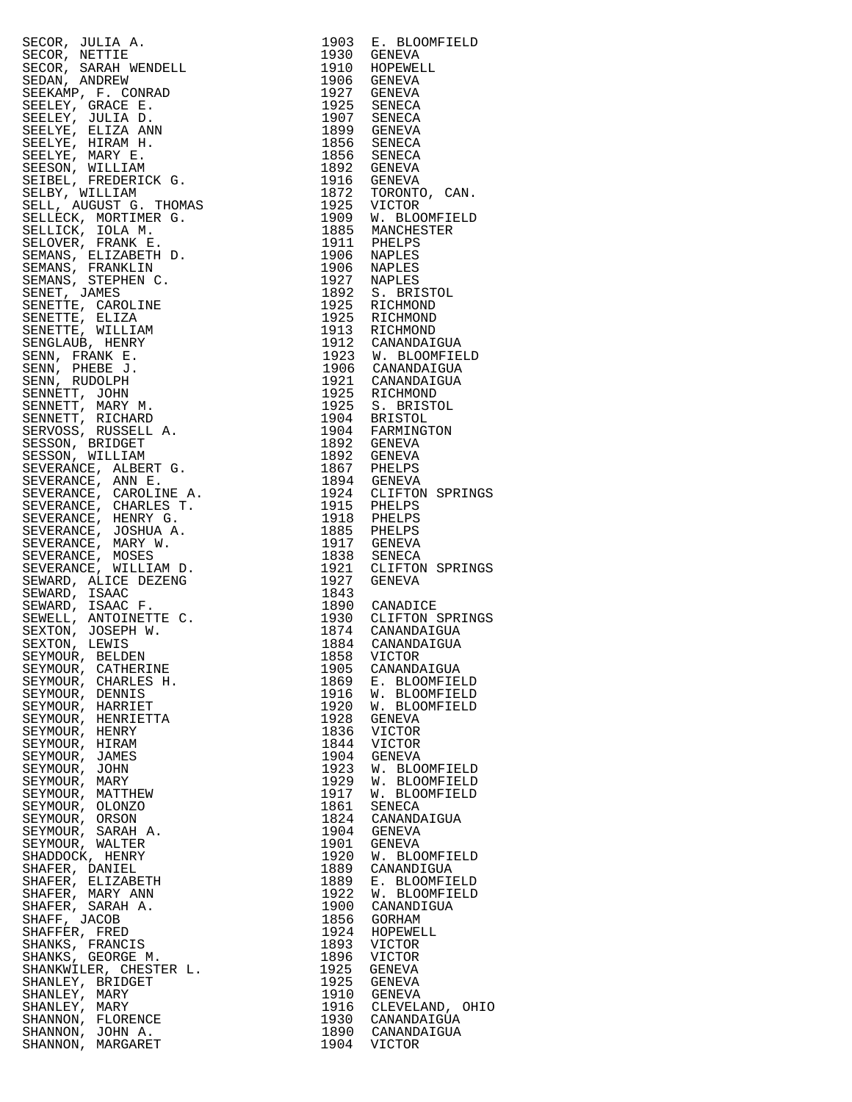| SECOR, JULIA A. 1993 E. BLOOMFIELD<br>SECOR, JENETIR A. 1993 E. BLOOMFIELD<br>SECOR, SRENA WENNELL 1993 GENEVA 1992 GENEVAL STOMA, ANDREW 1992<br>SEEMENT, GRACIN WENNELL 1992 GENEVA<br>SEEMENT, GRACING WALL 1992 GENEVAL SEEMENT ( |      |                                          |
|---------------------------------------------------------------------------------------------------------------------------------------------------------------------------------------------------------------------------------------|------|------------------------------------------|
|                                                                                                                                                                                                                                       |      |                                          |
|                                                                                                                                                                                                                                       |      |                                          |
|                                                                                                                                                                                                                                       |      |                                          |
|                                                                                                                                                                                                                                       |      |                                          |
|                                                                                                                                                                                                                                       |      |                                          |
|                                                                                                                                                                                                                                       |      |                                          |
|                                                                                                                                                                                                                                       |      |                                          |
|                                                                                                                                                                                                                                       |      |                                          |
|                                                                                                                                                                                                                                       |      |                                          |
|                                                                                                                                                                                                                                       |      |                                          |
|                                                                                                                                                                                                                                       |      |                                          |
|                                                                                                                                                                                                                                       |      |                                          |
|                                                                                                                                                                                                                                       |      |                                          |
|                                                                                                                                                                                                                                       |      |                                          |
|                                                                                                                                                                                                                                       |      |                                          |
|                                                                                                                                                                                                                                       |      |                                          |
|                                                                                                                                                                                                                                       |      |                                          |
|                                                                                                                                                                                                                                       |      |                                          |
|                                                                                                                                                                                                                                       |      |                                          |
|                                                                                                                                                                                                                                       |      |                                          |
|                                                                                                                                                                                                                                       |      |                                          |
|                                                                                                                                                                                                                                       |      |                                          |
|                                                                                                                                                                                                                                       |      |                                          |
|                                                                                                                                                                                                                                       |      |                                          |
|                                                                                                                                                                                                                                       |      |                                          |
|                                                                                                                                                                                                                                       |      |                                          |
|                                                                                                                                                                                                                                       |      |                                          |
|                                                                                                                                                                                                                                       |      |                                          |
|                                                                                                                                                                                                                                       |      |                                          |
|                                                                                                                                                                                                                                       |      |                                          |
|                                                                                                                                                                                                                                       |      |                                          |
|                                                                                                                                                                                                                                       |      |                                          |
|                                                                                                                                                                                                                                       |      |                                          |
|                                                                                                                                                                                                                                       |      |                                          |
|                                                                                                                                                                                                                                       |      |                                          |
|                                                                                                                                                                                                                                       |      |                                          |
|                                                                                                                                                                                                                                       |      |                                          |
|                                                                                                                                                                                                                                       |      |                                          |
|                                                                                                                                                                                                                                       |      |                                          |
|                                                                                                                                                                                                                                       |      |                                          |
|                                                                                                                                                                                                                                       |      |                                          |
|                                                                                                                                                                                                                                       |      |                                          |
|                                                                                                                                                                                                                                       |      |                                          |
|                                                                                                                                                                                                                                       |      |                                          |
|                                                                                                                                                                                                                                       |      |                                          |
|                                                                                                                                                                                                                                       |      |                                          |
|                                                                                                                                                                                                                                       |      |                                          |
|                                                                                                                                                                                                                                       |      |                                          |
| SEYMOUR, CATHERINE                                                                                                                                                                                                                    | 1905 | CANANDAIGUA                              |
| SEYMOUR, CHARLES H.                                                                                                                                                                                                                   | 1869 | E. BLOOMFIELD                            |
| SEYMOUR, DENNIS                                                                                                                                                                                                                       |      | 1916 W. BLOOMFIELD<br>1920 W. BLOOMFIELD |
| SEYMOUR, HARRIET                                                                                                                                                                                                                      |      |                                          |
| SEYMOUR, HENRIETTA                                                                                                                                                                                                                    | 1928 | GENEVA                                   |
| SEYMOUR, HENRY                                                                                                                                                                                                                        |      | 1836 VICTOR                              |
| SEYMOUR, HIRAM                                                                                                                                                                                                                        |      | 1844 VICTOR                              |
| SEYMOUR, JAMES                                                                                                                                                                                                                        |      | 1904 GENEVA                              |
| SEYMOUR, JOHN                                                                                                                                                                                                                         | 1923 | W. BLOOMFIELD                            |
| SEYMOUR, MARY                                                                                                                                                                                                                         | 1929 | W. BLOOMFIELD                            |
| SEYMOUR, MATTHEW                                                                                                                                                                                                                      |      | 1917 W. BLOOMFIELD                       |
| SEYMOUR, OLONZO                                                                                                                                                                                                                       | 1861 | SENECA                                   |
| SEYMOUR, ORSON                                                                                                                                                                                                                        | 1824 | CANANDAIGUA                              |
| SEYMOUR, SARAH A.                                                                                                                                                                                                                     |      | 1904 GENEVA                              |
| SEYMOUR, WALTER                                                                                                                                                                                                                       |      | 1901 GENEVA                              |
| SHADDOCK, HENRY                                                                                                                                                                                                                       |      | 1920 W. BLOOMFIELD                       |
| SHAFER, DANIEL                                                                                                                                                                                                                        |      | 1889 CANANDIGUA<br>1889 E. BLOOMFIELD    |
| SHAFER, ELIZABETH                                                                                                                                                                                                                     |      |                                          |
| SHAFER, MARY ANN                                                                                                                                                                                                                      |      | 1922 W. BLOOMFIELD                       |
| SHAFER, SARAH A.                                                                                                                                                                                                                      | 1900 | CANANDIGUA                               |
| SHAFF, JACOB                                                                                                                                                                                                                          | 1856 | GORHAM                                   |
| SHAFFER, FRED                                                                                                                                                                                                                         | 1924 | HOPEWELL                                 |
| SHANKS, FRANCIS                                                                                                                                                                                                                       | 1893 | VICTOR<br>1896 VICTOR                    |
| SHANKS, GEORGE M.                                                                                                                                                                                                                     |      |                                          |
| SHANKWILER, CHESTER L.                                                                                                                                                                                                                | 1925 | GENEVA<br>1925 GENEVA                    |
| SHANLEY, BRIDGET<br>SHANLEY, MARY                                                                                                                                                                                                     |      | 1910 GENEVA                              |
| $R$ L.<br>SHANLEY, MARY                                                                                                                                                                                                               |      | 1916 CLEVELAND, OHI                      |
| SHANNON, FLORENCE                                                                                                                                                                                                                     |      |                                          |
| SHANNON, JOHN A.                                                                                                                                                                                                                      |      | 1930 CANANDAIGUA<br>1890 CANANDAIGUA     |
| SHANNON, MARGARET                                                                                                                                                                                                                     |      | 1904 VICTOR                              |
|                                                                                                                                                                                                                                       |      |                                          |

|                                                                                                                                                                                                                                                            |      | 1924 CLIFTON SPRINGS                                |
|------------------------------------------------------------------------------------------------------------------------------------------------------------------------------------------------------------------------------------------------------------|------|-----------------------------------------------------|
|                                                                                                                                                                                                                                                            |      |                                                     |
|                                                                                                                                                                                                                                                            |      |                                                     |
|                                                                                                                                                                                                                                                            |      |                                                     |
|                                                                                                                                                                                                                                                            |      |                                                     |
|                                                                                                                                                                                                                                                            |      |                                                     |
|                                                                                                                                                                                                                                                            |      |                                                     |
|                                                                                                                                                                                                                                                            |      |                                                     |
|                                                                                                                                                                                                                                                            |      | 1921 CLIFTON SPRINGS<br>1927 GENEVA                 |
|                                                                                                                                                                                                                                                            |      |                                                     |
|                                                                                                                                                                                                                                                            |      |                                                     |
|                                                                                                                                                                                                                                                            |      |                                                     |
|                                                                                                                                                                                                                                                            |      |                                                     |
|                                                                                                                                                                                                                                                            |      | 1930 CLIFTON SPRINGS                                |
|                                                                                                                                                                                                                                                            |      |                                                     |
|                                                                                                                                                                                                                                                            |      |                                                     |
|                                                                                                                                                                                                                                                            |      |                                                     |
|                                                                                                                                                                                                                                                            |      |                                                     |
|                                                                                                                                                                                                                                                            |      |                                                     |
|                                                                                                                                                                                                                                                            |      |                                                     |
|                                                                                                                                                                                                                                                            |      | 1905 CANANDAIGUA                                    |
|                                                                                                                                                                                                                                                            |      | 1869 E. BLOOMFIELD                                  |
|                                                                                                                                                                                                                                                            |      |                                                     |
|                                                                                                                                                                                                                                                            | 1916 | W. BLOOMFIELD                                       |
|                                                                                                                                                                                                                                                            | 1920 | W. BLOOMFIELD                                       |
|                                                                                                                                                                                                                                                            | 1928 | GENEVA                                              |
|                                                                                                                                                                                                                                                            |      | VICTOR                                              |
|                                                                                                                                                                                                                                                            | 1836 |                                                     |
|                                                                                                                                                                                                                                                            | 1844 | VICTOR                                              |
|                                                                                                                                                                                                                                                            | 1904 | GENEVA                                              |
|                                                                                                                                                                                                                                                            | 1923 | W. BLOOMFIELD                                       |
|                                                                                                                                                                                                                                                            |      |                                                     |
|                                                                                                                                                                                                                                                            | 1929 | W. BLOOMFIELD                                       |
|                                                                                                                                                                                                                                                            | 1917 | W. BLOOMFIELD                                       |
|                                                                                                                                                                                                                                                            | 1861 | SENECA                                              |
|                                                                                                                                                                                                                                                            |      |                                                     |
|                                                                                                                                                                                                                                                            | 1824 | CANANDAIGUA                                         |
|                                                                                                                                                                                                                                                            |      | 1904 GENEVA                                         |
|                                                                                                                                                                                                                                                            |      |                                                     |
|                                                                                                                                                                                                                                                            |      |                                                     |
|                                                                                                                                                                                                                                                            |      | 1901 GENEVA<br>1920 W. BLOOMFIELD                   |
|                                                                                                                                                                                                                                                            | 1889 | CANANDIGUA                                          |
|                                                                                                                                                                                                                                                            |      | 1889 E. BLOOMFIELD                                  |
|                                                                                                                                                                                                                                                            | 1922 | W. BLOOMFIELD                                       |
|                                                                                                                                                                                                                                                            |      |                                                     |
|                                                                                                                                                                                                                                                            |      | 1900 CANANDIGUA                                     |
|                                                                                                                                                                                                                                                            | 1856 | GORHAM                                              |
|                                                                                                                                                                                                                                                            | 1924 | HOPEWELL                                            |
|                                                                                                                                                                                                                                                            |      |                                                     |
|                                                                                                                                                                                                                                                            | 1893 | VICTOR                                              |
|                                                                                                                                                                                                                                                            | 1896 | VICTOR                                              |
|                                                                                                                                                                                                                                                            | 1925 | GENEVA                                              |
|                                                                                                                                                                                                                                                            |      |                                                     |
|                                                                                                                                                                                                                                                            |      | 1925 GENEVA                                         |
|                                                                                                                                                                                                                                                            |      | 1910 GENEVA                                         |
|                                                                                                                                                                                                                                                            |      |                                                     |
|                                                                                                                                                                                                                                                            |      | 1916 CLEVELAND, OHIO                                |
|                                                                                                                                                                                                                                                            |      |                                                     |
| ALICE LAND AND MINITE C.<br>ALICE LAND IS A MONDETTE C.<br>JOSEPH W.<br>IS A BELDEN<br>R. CHARLES H.<br>R. CHARLES H.<br>IS R. CATHERINE<br>R. CATHERINE<br>TR. CHARLES H.<br>19 JR. HENRITTA<br>JUR, HENRY<br>JUR, HENRY<br>JUR, HENRY<br>JUR, MARY<br>JO |      | 1930 CANANDAIGUA<br>1890 CANANDAIGUA<br>1904 VICTOR |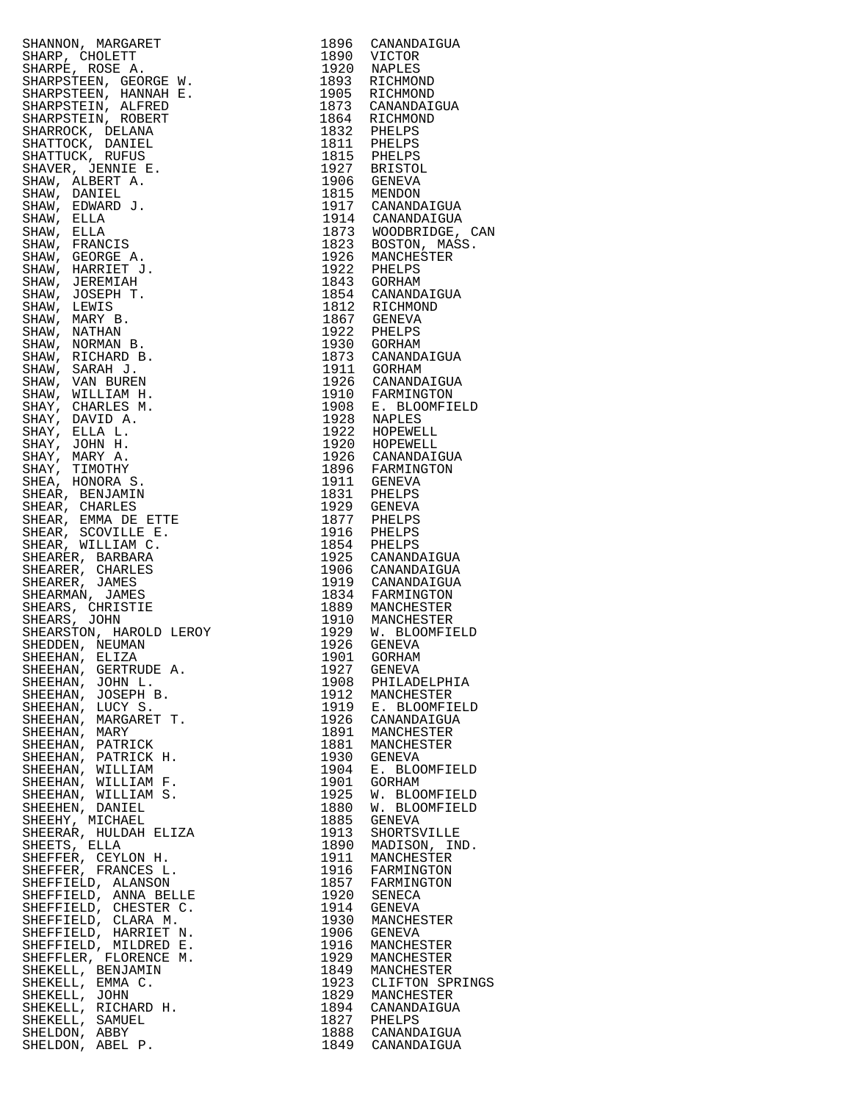| $\begin{array}{cccc} & & & & & 18\\ \text{S}\ \text{W} & & & & & 18\\ \text{S}\ \text{H}\ \text{E} & & & & 18\\ \text{S}\ \text{I}\ \text{E} & & & & 18\\ \text{I}\ \text{I}\ & & & & 18\\ \text{I}\ \text{I}\ & & & & 1\\ \text{I}\ \text{I}\ & & & & 1\\ \text{I}\ \text{I}\ & & & & 1\\ \text{I}\ \text{I}\ & & & & 1\\ \text{I}\ \text{I}\ & & & & 1\\ \text{I}\ \text{I}\ & & & & 1\\ \text{I}\ \text{I}\ & & & & 1\\ \text$<br>SHANNON, MARGARET |      | 1896 CANANDAIGUA                                                                                                                                                                                                                                                            |
|--------------------------------------------------------------------------------------------------------------------------------------------------------------------------------------------------------------------------------------------------------------------------------------------------------------------------------------------------------------------------------------------------------------------------------------------------------|------|-----------------------------------------------------------------------------------------------------------------------------------------------------------------------------------------------------------------------------------------------------------------------------|
|                                                                                                                                                                                                                                                                                                                                                                                                                                                        |      | 1890 VICTOR                                                                                                                                                                                                                                                                 |
| SHARP, CHOLETT                                                                                                                                                                                                                                                                                                                                                                                                                                         |      |                                                                                                                                                                                                                                                                             |
| SHARPE, ROSE A.                                                                                                                                                                                                                                                                                                                                                                                                                                        |      | 1920 NAPLES                                                                                                                                                                                                                                                                 |
| SHARPSTEEN, GEORGE W.                                                                                                                                                                                                                                                                                                                                                                                                                                  |      | 1893 RICHMOND                                                                                                                                                                                                                                                               |
| SHARPSTEEN, HANNAH E.                                                                                                                                                                                                                                                                                                                                                                                                                                  |      | 1905 RICHMOND                                                                                                                                                                                                                                                               |
|                                                                                                                                                                                                                                                                                                                                                                                                                                                        |      |                                                                                                                                                                                                                                                                             |
| SHARPSTEIN, ALFRED                                                                                                                                                                                                                                                                                                                                                                                                                                     |      | 1873 CANANDAIGUA                                                                                                                                                                                                                                                            |
| SHARPSTEIN, ROBERT                                                                                                                                                                                                                                                                                                                                                                                                                                     |      | 1864 RICHMOND                                                                                                                                                                                                                                                               |
| SHARROCK, DELANA                                                                                                                                                                                                                                                                                                                                                                                                                                       |      |                                                                                                                                                                                                                                                                             |
|                                                                                                                                                                                                                                                                                                                                                                                                                                                        |      |                                                                                                                                                                                                                                                                             |
| SHATTOCK, DANIEL                                                                                                                                                                                                                                                                                                                                                                                                                                       |      |                                                                                                                                                                                                                                                                             |
| SHATTUCK, RUFUS                                                                                                                                                                                                                                                                                                                                                                                                                                        |      |                                                                                                                                                                                                                                                                             |
| SHAVER, JENNIE E.                                                                                                                                                                                                                                                                                                                                                                                                                                      |      |                                                                                                                                                                                                                                                                             |
|                                                                                                                                                                                                                                                                                                                                                                                                                                                        |      |                                                                                                                                                                                                                                                                             |
| SHAW, ALBERT A.                                                                                                                                                                                                                                                                                                                                                                                                                                        |      |                                                                                                                                                                                                                                                                             |
| SHAW, DANIEL                                                                                                                                                                                                                                                                                                                                                                                                                                           |      |                                                                                                                                                                                                                                                                             |
| SHAW, EDWARD J.                                                                                                                                                                                                                                                                                                                                                                                                                                        |      |                                                                                                                                                                                                                                                                             |
| SHAW, ELLA                                                                                                                                                                                                                                                                                                                                                                                                                                             |      |                                                                                                                                                                                                                                                                             |
|                                                                                                                                                                                                                                                                                                                                                                                                                                                        |      |                                                                                                                                                                                                                                                                             |
| SHAW, ELLA                                                                                                                                                                                                                                                                                                                                                                                                                                             |      |                                                                                                                                                                                                                                                                             |
| SHAW, FRANCIS                                                                                                                                                                                                                                                                                                                                                                                                                                          |      |                                                                                                                                                                                                                                                                             |
| SHAW, GEORGE A.                                                                                                                                                                                                                                                                                                                                                                                                                                        |      |                                                                                                                                                                                                                                                                             |
| SHAW, HARRIET J.                                                                                                                                                                                                                                                                                                                                                                                                                                       |      | 1864 RICHMOND<br>1832 PHELPS<br>1811 PHELPS<br>1815 PHELPS<br>1906 GENEVA<br>1906 GENEVA<br>1815 MENDON<br>1917 CANANDAIGUA<br>1917 CANANDAIGUA<br>1873 WOODBRIDGE, CA<br>1823 BOSTON, MASS.<br>1926 MANCHESTER<br>1922 PHELPS<br>1943 GORHAM<br>1854 CANANDAIGUA<br>1812 R |
|                                                                                                                                                                                                                                                                                                                                                                                                                                                        |      |                                                                                                                                                                                                                                                                             |
| SHAW, JEREMIAH                                                                                                                                                                                                                                                                                                                                                                                                                                         |      |                                                                                                                                                                                                                                                                             |
| SHAW, JOSEPH T.                                                                                                                                                                                                                                                                                                                                                                                                                                        |      |                                                                                                                                                                                                                                                                             |
| SHAW, LEWIS                                                                                                                                                                                                                                                                                                                                                                                                                                            |      |                                                                                                                                                                                                                                                                             |
|                                                                                                                                                                                                                                                                                                                                                                                                                                                        |      |                                                                                                                                                                                                                                                                             |
| SHAW, MARY B.                                                                                                                                                                                                                                                                                                                                                                                                                                          |      |                                                                                                                                                                                                                                                                             |
| SHAW, NATHAN                                                                                                                                                                                                                                                                                                                                                                                                                                           |      |                                                                                                                                                                                                                                                                             |
| SHAW, NORMAN B.                                                                                                                                                                                                                                                                                                                                                                                                                                        |      |                                                                                                                                                                                                                                                                             |
| SHAW, RICHARD B.                                                                                                                                                                                                                                                                                                                                                                                                                                       |      |                                                                                                                                                                                                                                                                             |
|                                                                                                                                                                                                                                                                                                                                                                                                                                                        |      |                                                                                                                                                                                                                                                                             |
| SHAW, SARAH J.                                                                                                                                                                                                                                                                                                                                                                                                                                         |      |                                                                                                                                                                                                                                                                             |
| SHAW, VAN BUREN                                                                                                                                                                                                                                                                                                                                                                                                                                        |      |                                                                                                                                                                                                                                                                             |
| SHAW, WILLIAM H.                                                                                                                                                                                                                                                                                                                                                                                                                                       |      |                                                                                                                                                                                                                                                                             |
| SHAY, CHARLES M.                                                                                                                                                                                                                                                                                                                                                                                                                                       |      |                                                                                                                                                                                                                                                                             |
|                                                                                                                                                                                                                                                                                                                                                                                                                                                        |      |                                                                                                                                                                                                                                                                             |
| SHAY, DAVID A.                                                                                                                                                                                                                                                                                                                                                                                                                                         |      |                                                                                                                                                                                                                                                                             |
| SHAY, ELLA L.                                                                                                                                                                                                                                                                                                                                                                                                                                          |      |                                                                                                                                                                                                                                                                             |
| SHAY, JOHN H.                                                                                                                                                                                                                                                                                                                                                                                                                                          |      |                                                                                                                                                                                                                                                                             |
|                                                                                                                                                                                                                                                                                                                                                                                                                                                        |      |                                                                                                                                                                                                                                                                             |
| SHAY, MARY A.                                                                                                                                                                                                                                                                                                                                                                                                                                          |      |                                                                                                                                                                                                                                                                             |
| SHAY, TIMOTHY                                                                                                                                                                                                                                                                                                                                                                                                                                          |      |                                                                                                                                                                                                                                                                             |
| SHEA, HONORA S.                                                                                                                                                                                                                                                                                                                                                                                                                                        |      |                                                                                                                                                                                                                                                                             |
| SHEAR, BENJAMIN                                                                                                                                                                                                                                                                                                                                                                                                                                        |      |                                                                                                                                                                                                                                                                             |
|                                                                                                                                                                                                                                                                                                                                                                                                                                                        |      |                                                                                                                                                                                                                                                                             |
| SHEAR, CHARLES                                                                                                                                                                                                                                                                                                                                                                                                                                         |      | 1812 RICHMOND<br>1867 GENEVA<br>1922 PHELPS<br>1930 GORHAM<br>1873 CANANDAIGUA<br>1911 GORHAM<br>1926 CANANDAIGUA<br>1926 CANANDAIGUA<br>1928 NAPLES<br>1922 HOPEWELL<br>1920 HOPEWELL<br>1920 HOPEWELL<br>1920 HOPEWELL<br>1926 CANANDAIGUA<br>1896 FARMINGTON<br>1911 GEN |
| SHEAR, EMMA DE ETTE                                                                                                                                                                                                                                                                                                                                                                                                                                    |      |                                                                                                                                                                                                                                                                             |
| SHEAR, SCOVILLE E.                                                                                                                                                                                                                                                                                                                                                                                                                                     |      |                                                                                                                                                                                                                                                                             |
| SHEAR, WILLIAM C.                                                                                                                                                                                                                                                                                                                                                                                                                                      |      | 1929 PHELPS<br>1916 PHELPS<br>1854 PHELPS<br>1925 CANANDAIGUA                                                                                                                                                                                                               |
| SHEARER, BARBARA                                                                                                                                                                                                                                                                                                                                                                                                                                       |      |                                                                                                                                                                                                                                                                             |
|                                                                                                                                                                                                                                                                                                                                                                                                                                                        |      |                                                                                                                                                                                                                                                                             |
| SHEARER, CHARLES                                                                                                                                                                                                                                                                                                                                                                                                                                       |      |                                                                                                                                                                                                                                                                             |
| SHEARER, JAMES                                                                                                                                                                                                                                                                                                                                                                                                                                         |      | 1923 CANANDAIGUA<br>1919 CANANDAIGUA<br>1919 CANANDAIGUA<br>1834 FARMINGTON<br>1889 MANCHESTER<br>1929 M. BLOOMFIELD<br>1929 M. BLOOMFIELD                                                                                                                                  |
| SHEARMAN, JAMES                                                                                                                                                                                                                                                                                                                                                                                                                                        |      |                                                                                                                                                                                                                                                                             |
| SHEARS, CHRISTIE                                                                                                                                                                                                                                                                                                                                                                                                                                       |      |                                                                                                                                                                                                                                                                             |
| SHEARS, JOHN                                                                                                                                                                                                                                                                                                                                                                                                                                           |      |                                                                                                                                                                                                                                                                             |
|                                                                                                                                                                                                                                                                                                                                                                                                                                                        |      |                                                                                                                                                                                                                                                                             |
| SHEARSTON, HAROLD LEROY                                                                                                                                                                                                                                                                                                                                                                                                                                |      |                                                                                                                                                                                                                                                                             |
| SHEDDEN, NEUMAN                                                                                                                                                                                                                                                                                                                                                                                                                                        | 1926 | <b>GENEVA</b>                                                                                                                                                                                                                                                               |
| SHEEHAN, ELIZA                                                                                                                                                                                                                                                                                                                                                                                                                                         |      | 1901 GORHAM                                                                                                                                                                                                                                                                 |
| SHEEHAN, GERTRUDE A.                                                                                                                                                                                                                                                                                                                                                                                                                                   | 1927 |                                                                                                                                                                                                                                                                             |
|                                                                                                                                                                                                                                                                                                                                                                                                                                                        |      | GENEVA                                                                                                                                                                                                                                                                      |
| SHEEHAN, JOHN L.                                                                                                                                                                                                                                                                                                                                                                                                                                       | 1908 | PHILADELPHIA                                                                                                                                                                                                                                                                |
| SHEEHAN, JOSEPH B.                                                                                                                                                                                                                                                                                                                                                                                                                                     | 1912 | MANCHESTER                                                                                                                                                                                                                                                                  |
| SHEEHAN, LUCY S.                                                                                                                                                                                                                                                                                                                                                                                                                                       |      | 1919 E. BLOOMFIELD                                                                                                                                                                                                                                                          |
| SHEEHAN, MARGARET T.                                                                                                                                                                                                                                                                                                                                                                                                                                   |      | 1926 CANANDAIGUA                                                                                                                                                                                                                                                            |
|                                                                                                                                                                                                                                                                                                                                                                                                                                                        |      |                                                                                                                                                                                                                                                                             |
| SHEEHAN, MARY                                                                                                                                                                                                                                                                                                                                                                                                                                          | 1891 | MANCHESTER                                                                                                                                                                                                                                                                  |
| SHEEHAN, PATRICK                                                                                                                                                                                                                                                                                                                                                                                                                                       | 1881 | MANCHESTER                                                                                                                                                                                                                                                                  |
| SHEEHAN, PATRICK H.                                                                                                                                                                                                                                                                                                                                                                                                                                    | 1930 | GENEVA                                                                                                                                                                                                                                                                      |
| SHEEHAN, WILLIAM                                                                                                                                                                                                                                                                                                                                                                                                                                       | 1904 | E. BLOOMFIELD                                                                                                                                                                                                                                                               |
|                                                                                                                                                                                                                                                                                                                                                                                                                                                        |      |                                                                                                                                                                                                                                                                             |
| SHEEHAN, WILLIAM F.                                                                                                                                                                                                                                                                                                                                                                                                                                    | 1901 | GORHAM                                                                                                                                                                                                                                                                      |
| SHEEHAN, WILLIAM S.                                                                                                                                                                                                                                                                                                                                                                                                                                    | 1925 | W. BLOOMFIELD                                                                                                                                                                                                                                                               |
| SHEEHEN, DANIEL                                                                                                                                                                                                                                                                                                                                                                                                                                        | 1880 | W. BLOOMFIELD                                                                                                                                                                                                                                                               |
| SHEEHY, MICHAEL                                                                                                                                                                                                                                                                                                                                                                                                                                        | 1885 | GENEVA                                                                                                                                                                                                                                                                      |
|                                                                                                                                                                                                                                                                                                                                                                                                                                                        |      |                                                                                                                                                                                                                                                                             |
| SHEERAR, HULDAH ELIZA                                                                                                                                                                                                                                                                                                                                                                                                                                  | 1913 | SHORTSVILLE                                                                                                                                                                                                                                                                 |
| SHEETS, ELLA                                                                                                                                                                                                                                                                                                                                                                                                                                           |      | 1890 MADISON, IND.                                                                                                                                                                                                                                                          |
| SHEFFER, CEYLON H.                                                                                                                                                                                                                                                                                                                                                                                                                                     | 1911 | MANCHESTER                                                                                                                                                                                                                                                                  |
| SHEFFER, FRANCES L.                                                                                                                                                                                                                                                                                                                                                                                                                                    |      | 1916 FARMINGTON                                                                                                                                                                                                                                                             |
|                                                                                                                                                                                                                                                                                                                                                                                                                                                        |      |                                                                                                                                                                                                                                                                             |
| SHEFFIELD, ALANSON                                                                                                                                                                                                                                                                                                                                                                                                                                     |      | 1857 FARMINGTON                                                                                                                                                                                                                                                             |
| SHEFFIELD, ANNA BELLE                                                                                                                                                                                                                                                                                                                                                                                                                                  | 1920 | SENECA                                                                                                                                                                                                                                                                      |
| SHEFFIELD, CHESTER C.                                                                                                                                                                                                                                                                                                                                                                                                                                  | 1914 | GENEVA                                                                                                                                                                                                                                                                      |
| SHEFFIELD, CLARA M.                                                                                                                                                                                                                                                                                                                                                                                                                                    | 1930 | MANCHESTER                                                                                                                                                                                                                                                                  |
|                                                                                                                                                                                                                                                                                                                                                                                                                                                        |      |                                                                                                                                                                                                                                                                             |
| SHEFFIELD, HARRIET N.                                                                                                                                                                                                                                                                                                                                                                                                                                  | 1906 | GENEVA                                                                                                                                                                                                                                                                      |
| SHEFFIELD, MILDRED E.                                                                                                                                                                                                                                                                                                                                                                                                                                  | 1916 | MANCHESTER                                                                                                                                                                                                                                                                  |
| SHEFFLER, FLORENCE M.                                                                                                                                                                                                                                                                                                                                                                                                                                  | 1929 | MANCHESTER                                                                                                                                                                                                                                                                  |
| SHEKELL, BENJAMIN                                                                                                                                                                                                                                                                                                                                                                                                                                      | 1849 | MANCHESTER                                                                                                                                                                                                                                                                  |
|                                                                                                                                                                                                                                                                                                                                                                                                                                                        |      |                                                                                                                                                                                                                                                                             |
| SHEKELL, EMMA C.                                                                                                                                                                                                                                                                                                                                                                                                                                       | 1923 | CLIFTON SPRING                                                                                                                                                                                                                                                              |
| SHEKELL, JOHN                                                                                                                                                                                                                                                                                                                                                                                                                                          |      | 1829 MANCHESTER                                                                                                                                                                                                                                                             |
| SHEKELL, RICHARD H.                                                                                                                                                                                                                                                                                                                                                                                                                                    | 1894 | CANANDAIGUA                                                                                                                                                                                                                                                                 |
| SHEKELL, SAMUEL                                                                                                                                                                                                                                                                                                                                                                                                                                        |      |                                                                                                                                                                                                                                                                             |
| SHELDON, ABBY                                                                                                                                                                                                                                                                                                                                                                                                                                          |      | 1827 PHELPS<br>1888 CANANDAIGUA                                                                                                                                                                                                                                             |
|                                                                                                                                                                                                                                                                                                                                                                                                                                                        |      |                                                                                                                                                                                                                                                                             |
| SHELDON, ABEL P.                                                                                                                                                                                                                                                                                                                                                                                                                                       |      | 1849 CANANDAIGUA                                                                                                                                                                                                                                                            |

| SHANNON, MARGRET 1984<br>SHARP, CHOLEST 1986 CANANDATOIN<br>SHARP, ROORGE M, 1993 NAPLES<br>SHARP, ROORGE M, 1993 NAPLES<br>SHARPSTERN, GRONGE M, 1993 NAPLES<br>SHARPSTERN, DENINI E.<br>SHARPSTERN, NUNDER<br>SHARPSTERN, NUNDER<br>SHATTICK                                                             |      |                                                     |
|------------------------------------------------------------------------------------------------------------------------------------------------------------------------------------------------------------------------------------------------------------------------------------------------------------|------|-----------------------------------------------------|
|                                                                                                                                                                                                                                                                                                            |      |                                                     |
|                                                                                                                                                                                                                                                                                                            |      |                                                     |
|                                                                                                                                                                                                                                                                                                            |      |                                                     |
|                                                                                                                                                                                                                                                                                                            |      |                                                     |
|                                                                                                                                                                                                                                                                                                            |      |                                                     |
|                                                                                                                                                                                                                                                                                                            |      |                                                     |
|                                                                                                                                                                                                                                                                                                            |      |                                                     |
|                                                                                                                                                                                                                                                                                                            |      |                                                     |
|                                                                                                                                                                                                                                                                                                            |      |                                                     |
|                                                                                                                                                                                                                                                                                                            |      |                                                     |
|                                                                                                                                                                                                                                                                                                            |      |                                                     |
|                                                                                                                                                                                                                                                                                                            |      |                                                     |
|                                                                                                                                                                                                                                                                                                            |      |                                                     |
|                                                                                                                                                                                                                                                                                                            |      |                                                     |
|                                                                                                                                                                                                                                                                                                            |      |                                                     |
|                                                                                                                                                                                                                                                                                                            |      |                                                     |
|                                                                                                                                                                                                                                                                                                            |      |                                                     |
|                                                                                                                                                                                                                                                                                                            |      |                                                     |
|                                                                                                                                                                                                                                                                                                            |      |                                                     |
|                                                                                                                                                                                                                                                                                                            |      |                                                     |
|                                                                                                                                                                                                                                                                                                            |      |                                                     |
|                                                                                                                                                                                                                                                                                                            |      |                                                     |
|                                                                                                                                                                                                                                                                                                            |      |                                                     |
|                                                                                                                                                                                                                                                                                                            |      |                                                     |
|                                                                                                                                                                                                                                                                                                            |      |                                                     |
|                                                                                                                                                                                                                                                                                                            |      |                                                     |
|                                                                                                                                                                                                                                                                                                            |      |                                                     |
|                                                                                                                                                                                                                                                                                                            |      |                                                     |
|                                                                                                                                                                                                                                                                                                            |      |                                                     |
|                                                                                                                                                                                                                                                                                                            |      |                                                     |
|                                                                                                                                                                                                                                                                                                            |      |                                                     |
|                                                                                                                                                                                                                                                                                                            |      |                                                     |
|                                                                                                                                                                                                                                                                                                            |      |                                                     |
|                                                                                                                                                                                                                                                                                                            |      |                                                     |
|                                                                                                                                                                                                                                                                                                            |      |                                                     |
|                                                                                                                                                                                                                                                                                                            |      |                                                     |
|                                                                                                                                                                                                                                                                                                            |      |                                                     |
|                                                                                                                                                                                                                                                                                                            |      |                                                     |
|                                                                                                                                                                                                                                                                                                            |      |                                                     |
|                                                                                                                                                                                                                                                                                                            |      |                                                     |
|                                                                                                                                                                                                                                                                                                            |      |                                                     |
|                                                                                                                                                                                                                                                                                                            |      |                                                     |
|                                                                                                                                                                                                                                                                                                            |      |                                                     |
|                                                                                                                                                                                                                                                                                                            |      |                                                     |
|                                                                                                                                                                                                                                                                                                            |      |                                                     |
|                                                                                                                                                                                                                                                                                                            |      |                                                     |
|                                                                                                                                                                                                                                                                                                            |      |                                                     |
|                                                                                                                                                                                                                                                                                                            |      |                                                     |
|                                                                                                                                                                                                                                                                                                            |      |                                                     |
|                                                                                                                                                                                                                                                                                                            |      |                                                     |
|                                                                                                                                                                                                                                                                                                            |      |                                                     |
|                                                                                                                                                                                                                                                                                                            |      |                                                     |
|                                                                                                                                                                                                                                                                                                            |      |                                                     |
|                                                                                                                                                                                                                                                                                                            |      |                                                     |
|                                                                                                                                                                                                                                                                                                            |      |                                                     |
|                                                                                                                                                                                                                                                                                                            |      |                                                     |
|                                                                                                                                                                                                                                                                                                            |      |                                                     |
|                                                                                                                                                                                                                                                                                                            |      |                                                     |
|                                                                                                                                                                                                                                                                                                            |      |                                                     |
|                                                                                                                                                                                                                                                                                                            |      |                                                     |
|                                                                                                                                                                                                                                                                                                            |      |                                                     |
|                                                                                                                                                                                                                                                                                                            |      |                                                     |
|                                                                                                                                                                                                                                                                                                            |      |                                                     |
|                                                                                                                                                                                                                                                                                                            |      |                                                     |
|                                                                                                                                                                                                                                                                                                            |      |                                                     |
|                                                                                                                                                                                                                                                                                                            |      |                                                     |
|                                                                                                                                                                                                                                                                                                            |      |                                                     |
|                                                                                                                                                                                                                                                                                                            |      |                                                     |
|                                                                                                                                                                                                                                                                                                            |      |                                                     |
|                                                                                                                                                                                                                                                                                                            |      |                                                     |
|                                                                                                                                                                                                                                                                                                            |      |                                                     |
|                                                                                                                                                                                                                                                                                                            |      | 1901 GORHAM                                         |
|                                                                                                                                                                                                                                                                                                            |      |                                                     |
|                                                                                                                                                                                                                                                                                                            |      | 1927 GENEVA                                         |
|                                                                                                                                                                                                                                                                                                            |      | 1908 PHILADELPHIA                                   |
|                                                                                                                                                                                                                                                                                                            |      |                                                     |
|                                                                                                                                                                                                                                                                                                            |      | 1912 MANCHESTER<br>1919 E. BLOOMFIELD               |
|                                                                                                                                                                                                                                                                                                            |      |                                                     |
|                                                                                                                                                                                                                                                                                                            |      |                                                     |
|                                                                                                                                                                                                                                                                                                            |      | 1926 CANANDAIGUA                                    |
|                                                                                                                                                                                                                                                                                                            |      | 1891 MANCHESTER                                     |
|                                                                                                                                                                                                                                                                                                            |      |                                                     |
|                                                                                                                                                                                                                                                                                                            |      | 1881 MANCHESTER                                     |
|                                                                                                                                                                                                                                                                                                            |      | 1930 GENEVA                                         |
|                                                                                                                                                                                                                                                                                                            |      |                                                     |
|                                                                                                                                                                                                                                                                                                            |      | 1904 E. BLOOMFIELD                                  |
|                                                                                                                                                                                                                                                                                                            | 1901 | GORHAM                                              |
|                                                                                                                                                                                                                                                                                                            |      |                                                     |
|                                                                                                                                                                                                                                                                                                            | 1925 | W. BLOOMFIELD                                       |
|                                                                                                                                                                                                                                                                                                            |      | 1880 W. BLOOMFIELD                                  |
|                                                                                                                                                                                                                                                                                                            |      |                                                     |
|                                                                                                                                                                                                                                                                                                            | 1885 | GENEVA                                              |
|                                                                                                                                                                                                                                                                                                            |      |                                                     |
|                                                                                                                                                                                                                                                                                                            | 1913 | SHORTSVILLE                                         |
|                                                                                                                                                                                                                                                                                                            |      |                                                     |
|                                                                                                                                                                                                                                                                                                            |      | 1890 MADISON, IND.<br>1911 MANCHESTER               |
|                                                                                                                                                                                                                                                                                                            |      |                                                     |
|                                                                                                                                                                                                                                                                                                            |      | 1916 FARMINGTON<br>1857 FARMINGTON                  |
|                                                                                                                                                                                                                                                                                                            |      |                                                     |
|                                                                                                                                                                                                                                                                                                            |      |                                                     |
|                                                                                                                                                                                                                                                                                                            |      |                                                     |
|                                                                                                                                                                                                                                                                                                            |      | 1920 SENECA<br>1914 GENEVA                          |
|                                                                                                                                                                                                                                                                                                            |      |                                                     |
|                                                                                                                                                                                                                                                                                                            |      | 1930 MANCHESTER                                     |
|                                                                                                                                                                                                                                                                                                            |      |                                                     |
|                                                                                                                                                                                                                                                                                                            | 1906 | GENEVA                                              |
|                                                                                                                                                                                                                                                                                                            |      |                                                     |
|                                                                                                                                                                                                                                                                                                            | 1916 | MANCHESTER                                          |
|                                                                                                                                                                                                                                                                                                            |      | 1929 MANCHESTER                                     |
|                                                                                                                                                                                                                                                                                                            |      |                                                     |
|                                                                                                                                                                                                                                                                                                            |      | 1849 MANCHESTER                                     |
|                                                                                                                                                                                                                                                                                                            |      | 1923 CLIFTON SPRINGS                                |
|                                                                                                                                                                                                                                                                                                            |      |                                                     |
|                                                                                                                                                                                                                                                                                                            |      |                                                     |
|                                                                                                                                                                                                                                                                                                            |      |                                                     |
|                                                                                                                                                                                                                                                                                                            |      |                                                     |
|                                                                                                                                                                                                                                                                                                            |      | 1829 MANCHESTER<br>1894 CANANDAIGUA                 |
|                                                                                                                                                                                                                                                                                                            |      |                                                     |
|                                                                                                                                                                                                                                                                                                            |      |                                                     |
| SHEARNOW, HARVIET<br>SHEDDEN, NEWANN<br>SHEDDEN, NEUTRODE A.<br>SHEBHAN, GUNAN<br>SHEEHAN, JOHN L.<br>SHEEHAN, JOHN L.<br>SHEEHAN, JOHN L.<br>SHEEHAN, JOHN L.<br>SHEEHAN, NARQARET T.<br>SHEEHAN, MARY<br>SHEEHAN, MARY<br>SHEEHAN, MARY<br>SHEEHAN, MILLIAM F.<br>S<br>SHELDON, ABBY<br>SHELDON, ABEL P. |      | 1827 PHELPS<br>1888 CANANDAIGUA<br>1849 CANANDAIGUA |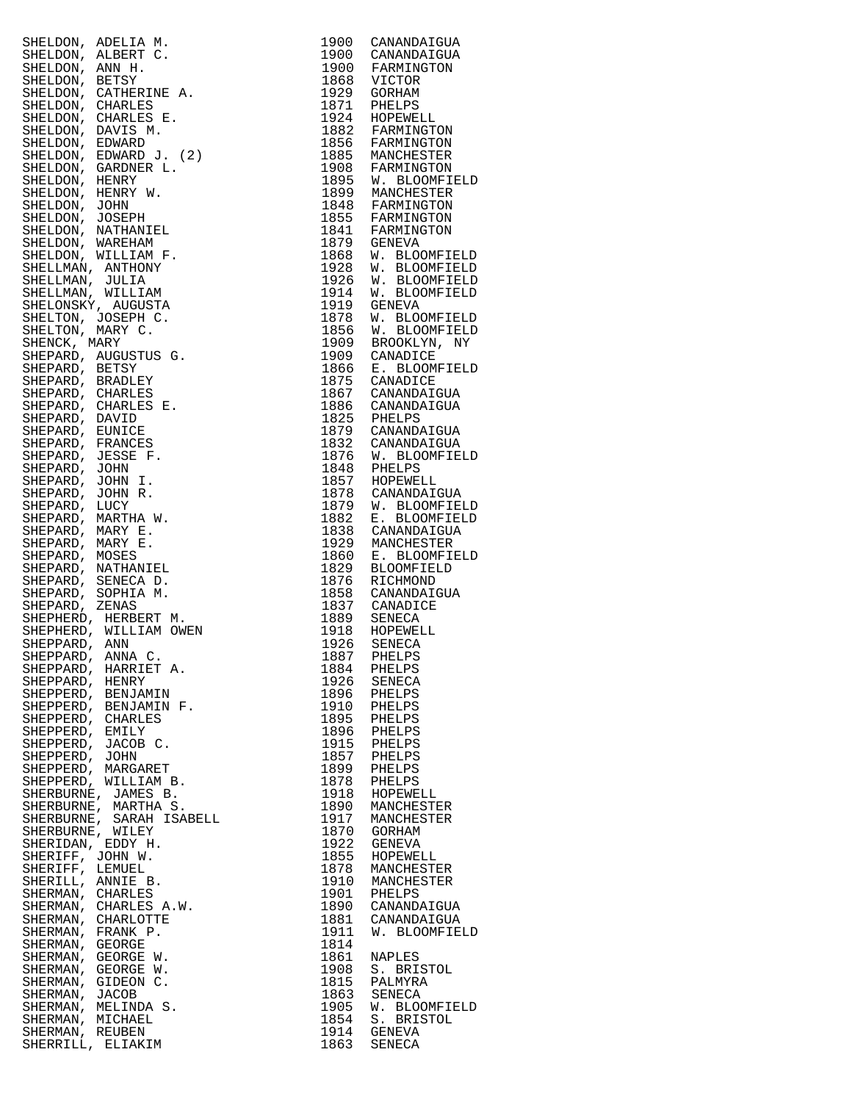| SHELDON, ADELIA M.<br>SHELDON, AINERT C.<br>SHELDON, ANN H.<br>SHELDON, ANN H.<br>SHELDON, CATHERINE A.<br>SHELDON, CHARLES E.<br>SHELDON, CHARLES E.<br>SHELDON, CHARLES E.<br>SHELDON, DEWARD J. (2)<br>SHELDON, EDWARD J. (2)<br>SHELDON, HENRY W.<br>SHELDO         |              |                                                                                                                                                                                                                                                                       |
|-------------------------------------------------------------------------------------------------------------------------------------------------------------------------------------------------------------------------------------------------------------------------|--------------|-----------------------------------------------------------------------------------------------------------------------------------------------------------------------------------------------------------------------------------------------------------------------|
|                                                                                                                                                                                                                                                                         |              | 1900 CANANDAIGUA                                                                                                                                                                                                                                                      |
|                                                                                                                                                                                                                                                                         |              | 1900 CANANDAIGUA                                                                                                                                                                                                                                                      |
|                                                                                                                                                                                                                                                                         |              |                                                                                                                                                                                                                                                                       |
|                                                                                                                                                                                                                                                                         |              |                                                                                                                                                                                                                                                                       |
|                                                                                                                                                                                                                                                                         |              |                                                                                                                                                                                                                                                                       |
|                                                                                                                                                                                                                                                                         |              | 1900 CANANDATGOA<br>1868 VICTOR<br>1868 VICTOR<br>1929 GORHAM<br>1871 PHELPS<br>1924 HOPEWELL<br>1882 FARMINGTON<br>1885 MANCHESTER<br>1885 MANCHESTER<br>1885 MANCHESTER                                                                                             |
|                                                                                                                                                                                                                                                                         |              |                                                                                                                                                                                                                                                                       |
|                                                                                                                                                                                                                                                                         |              |                                                                                                                                                                                                                                                                       |
|                                                                                                                                                                                                                                                                         |              |                                                                                                                                                                                                                                                                       |
|                                                                                                                                                                                                                                                                         |              |                                                                                                                                                                                                                                                                       |
|                                                                                                                                                                                                                                                                         |              |                                                                                                                                                                                                                                                                       |
|                                                                                                                                                                                                                                                                         |              |                                                                                                                                                                                                                                                                       |
|                                                                                                                                                                                                                                                                         |              | 1908 FARMINGTON<br>1908 FARMINGTON<br>1895 W. BLOOMFIELD<br>1899 MANCHESTER<br>1848 FARMINGTON<br>1841 FARMINGTON<br>1841 FARMINGTON                                                                                                                                  |
|                                                                                                                                                                                                                                                                         |              |                                                                                                                                                                                                                                                                       |
|                                                                                                                                                                                                                                                                         |              |                                                                                                                                                                                                                                                                       |
|                                                                                                                                                                                                                                                                         |              |                                                                                                                                                                                                                                                                       |
|                                                                                                                                                                                                                                                                         |              |                                                                                                                                                                                                                                                                       |
|                                                                                                                                                                                                                                                                         |              |                                                                                                                                                                                                                                                                       |
|                                                                                                                                                                                                                                                                         |              |                                                                                                                                                                                                                                                                       |
|                                                                                                                                                                                                                                                                         |              |                                                                                                                                                                                                                                                                       |
|                                                                                                                                                                                                                                                                         |              | 1879 GENEVA                                                                                                                                                                                                                                                           |
|                                                                                                                                                                                                                                                                         |              | 1868 W. BLOOMFIELD                                                                                                                                                                                                                                                    |
|                                                                                                                                                                                                                                                                         |              |                                                                                                                                                                                                                                                                       |
|                                                                                                                                                                                                                                                                         |              | 1928 W. BLOOMFIELD                                                                                                                                                                                                                                                    |
|                                                                                                                                                                                                                                                                         |              | 1926 W. BLOOMFIELD                                                                                                                                                                                                                                                    |
|                                                                                                                                                                                                                                                                         | 1914         | W. BLOOMFIELD                                                                                                                                                                                                                                                         |
|                                                                                                                                                                                                                                                                         |              | 1919 GENEVA                                                                                                                                                                                                                                                           |
|                                                                                                                                                                                                                                                                         |              |                                                                                                                                                                                                                                                                       |
|                                                                                                                                                                                                                                                                         |              | 1878 W. BLOOMFIELD<br>1856 W. BLOOMFIELD<br>1909 BROOKLYN, NY<br>1909 CANADICE                                                                                                                                                                                        |
|                                                                                                                                                                                                                                                                         |              |                                                                                                                                                                                                                                                                       |
|                                                                                                                                                                                                                                                                         |              |                                                                                                                                                                                                                                                                       |
|                                                                                                                                                                                                                                                                         |              |                                                                                                                                                                                                                                                                       |
|                                                                                                                                                                                                                                                                         |              |                                                                                                                                                                                                                                                                       |
|                                                                                                                                                                                                                                                                         |              |                                                                                                                                                                                                                                                                       |
|                                                                                                                                                                                                                                                                         |              | 1966 E. BLOOMFIELD<br>1875 CANADICE<br>1867 CANANDAIGUA<br>1886 CANANDAIGUA                                                                                                                                                                                           |
|                                                                                                                                                                                                                                                                         |              |                                                                                                                                                                                                                                                                       |
|                                                                                                                                                                                                                                                                         |              |                                                                                                                                                                                                                                                                       |
|                                                                                                                                                                                                                                                                         |              |                                                                                                                                                                                                                                                                       |
|                                                                                                                                                                                                                                                                         |              |                                                                                                                                                                                                                                                                       |
|                                                                                                                                                                                                                                                                         |              | 1825 PHELPS<br>1879 CANANDAIGUA                                                                                                                                                                                                                                       |
|                                                                                                                                                                                                                                                                         |              |                                                                                                                                                                                                                                                                       |
|                                                                                                                                                                                                                                                                         |              |                                                                                                                                                                                                                                                                       |
|                                                                                                                                                                                                                                                                         |              |                                                                                                                                                                                                                                                                       |
|                                                                                                                                                                                                                                                                         |              |                                                                                                                                                                                                                                                                       |
|                                                                                                                                                                                                                                                                         |              |                                                                                                                                                                                                                                                                       |
|                                                                                                                                                                                                                                                                         |              |                                                                                                                                                                                                                                                                       |
|                                                                                                                                                                                                                                                                         |              |                                                                                                                                                                                                                                                                       |
|                                                                                                                                                                                                                                                                         |              |                                                                                                                                                                                                                                                                       |
|                                                                                                                                                                                                                                                                         |              |                                                                                                                                                                                                                                                                       |
|                                                                                                                                                                                                                                                                         |              |                                                                                                                                                                                                                                                                       |
|                                                                                                                                                                                                                                                                         |              |                                                                                                                                                                                                                                                                       |
|                                                                                                                                                                                                                                                                         |              |                                                                                                                                                                                                                                                                       |
|                                                                                                                                                                                                                                                                         |              |                                                                                                                                                                                                                                                                       |
|                                                                                                                                                                                                                                                                         |              |                                                                                                                                                                                                                                                                       |
|                                                                                                                                                                                                                                                                         |              | 1879 CANANDAIGUA<br>1832 CANANDAIGUA<br>1876 W. BLOOMFIELD<br>1848 PHELPS<br>1857 HOPEWELL<br>1878 CANANDAIGUA<br>1879 W. BLOOMFIELD<br>1832 E. BLOOMFIELD<br>1838 CANANDAIGUA<br>1929 MANCHESTER<br>1860 E. BLOOMFIELD<br>1876 BLOOMFIELD<br>1876 RICHMOND<br>1858 C |
|                                                                                                                                                                                                                                                                         |              |                                                                                                                                                                                                                                                                       |
|                                                                                                                                                                                                                                                                         |              | 1858 CANANDAIGUA<br>1837 CANADICE                                                                                                                                                                                                                                     |
|                                                                                                                                                                                                                                                                         |              |                                                                                                                                                                                                                                                                       |
|                                                                                                                                                                                                                                                                         |              |                                                                                                                                                                                                                                                                       |
|                                                                                                                                                                                                                                                                         |              |                                                                                                                                                                                                                                                                       |
|                                                                                                                                                                                                                                                                         |              | 1889 SENECA<br>1918 HOPEWELL<br>1926 SENECA                                                                                                                                                                                                                           |
|                                                                                                                                                                                                                                                                         |              |                                                                                                                                                                                                                                                                       |
|                                                                                                                                                                                                                                                                         |              | 1887 PHELPS                                                                                                                                                                                                                                                           |
|                                                                                                                                                                                                                                                                         |              | 1884 PHELPS<br>1926 SENECA                                                                                                                                                                                                                                            |
|                                                                                                                                                                                                                                                                         |              |                                                                                                                                                                                                                                                                       |
|                                                                                                                                                                                                                                                                         |              |                                                                                                                                                                                                                                                                       |
|                                                                                                                                                                                                                                                                         |              |                                                                                                                                                                                                                                                                       |
|                                                                                                                                                                                                                                                                         |              |                                                                                                                                                                                                                                                                       |
|                                                                                                                                                                                                                                                                         |              |                                                                                                                                                                                                                                                                       |
|                                                                                                                                                                                                                                                                         |              | 1896 PHELPS<br>1910 PHELPS                                                                                                                                                                                                                                            |
|                                                                                                                                                                                                                                                                         |              |                                                                                                                                                                                                                                                                       |
|                                                                                                                                                                                                                                                                         |              | 1895 PHELPS<br>1896 PHELPS                                                                                                                                                                                                                                            |
|                                                                                                                                                                                                                                                                         |              |                                                                                                                                                                                                                                                                       |
|                                                                                                                                                                                                                                                                         |              |                                                                                                                                                                                                                                                                       |
|                                                                                                                                                                                                                                                                         |              | 1915 PHELPS<br>1857 PHELPS                                                                                                                                                                                                                                            |
|                                                                                                                                                                                                                                                                         |              | PHELPS                                                                                                                                                                                                                                                                |
|                                                                                                                                                                                                                                                                         | 1899<br>1878 | PHELPS                                                                                                                                                                                                                                                                |
|                                                                                                                                                                                                                                                                         |              |                                                                                                                                                                                                                                                                       |
|                                                                                                                                                                                                                                                                         |              |                                                                                                                                                                                                                                                                       |
|                                                                                                                                                                                                                                                                         |              | 1918 HOPEWELL<br>1890 MANCHESTER                                                                                                                                                                                                                                      |
|                                                                                                                                                                                                                                                                         | 1917         | MANCHESTER                                                                                                                                                                                                                                                            |
|                                                                                                                                                                                                                                                                         |              | 1870 GORHAM                                                                                                                                                                                                                                                           |
|                                                                                                                                                                                                                                                                         |              |                                                                                                                                                                                                                                                                       |
|                                                                                                                                                                                                                                                                         |              |                                                                                                                                                                                                                                                                       |
|                                                                                                                                                                                                                                                                         |              | 1922 GENEVA<br>1855 HOPEWELL                                                                                                                                                                                                                                          |
|                                                                                                                                                                                                                                                                         | 1878         | MANCHESTER                                                                                                                                                                                                                                                            |
|                                                                                                                                                                                                                                                                         |              | 1910 MANCHESTER                                                                                                                                                                                                                                                       |
|                                                                                                                                                                                                                                                                         |              |                                                                                                                                                                                                                                                                       |
|                                                                                                                                                                                                                                                                         |              | 1901 PHELPS                                                                                                                                                                                                                                                           |
|                                                                                                                                                                                                                                                                         |              | 1890 CANANDAIGUA                                                                                                                                                                                                                                                      |
|                                                                                                                                                                                                                                                                         | 1881         | CANANDAIGUA                                                                                                                                                                                                                                                           |
|                                                                                                                                                                                                                                                                         | 1911         | W. BLOOMFIELD                                                                                                                                                                                                                                                         |
|                                                                                                                                                                                                                                                                         | 1814         |                                                                                                                                                                                                                                                                       |
|                                                                                                                                                                                                                                                                         | 1861         | NAPLES                                                                                                                                                                                                                                                                |
|                                                                                                                                                                                                                                                                         |              |                                                                                                                                                                                                                                                                       |
|                                                                                                                                                                                                                                                                         | 1908         | S. BRISTOL                                                                                                                                                                                                                                                            |
|                                                                                                                                                                                                                                                                         | 1815         | PALMYRA                                                                                                                                                                                                                                                               |
|                                                                                                                                                                                                                                                                         |              | SENECA                                                                                                                                                                                                                                                                |
|                                                                                                                                                                                                                                                                         |              | W. BLOOMFIELD                                                                                                                                                                                                                                                         |
|                                                                                                                                                                                                                                                                         | 1863<br>1905 |                                                                                                                                                                                                                                                                       |
|                                                                                                                                                                                                                                                                         | 1854         | S. BRISTOL                                                                                                                                                                                                                                                            |
| SHEPPERD, MILLIAM OWEN<br>SHEPPARD, ANN<br>SHEPPARD, ANN<br>SHEPPARD, HARRIET A.<br>SHEPPARD, HARRIET A.<br>SHEPPARD, HARRIET A.<br>SHEPPERD, BENJAMIN F.<br>SHEPPERD, DENJAMIN F.<br>SHEPPERD, DENJANIN F.<br>SHEPPERD, JANOB C.<br>SHEPPERD, JAN<br>SHERRILL, ELIAKIM | 1914<br>1863 | GENEVA<br>SENECA                                                                                                                                                                                                                                                      |

| 1900              | CANANDAIGUA                              |
|-------------------|------------------------------------------|
| 1900<br>1900      | CANANDAIGUA<br>FARMINGTON                |
| 1868              | VICTOR                                   |
| 1929              | GORHAM                                   |
| 1871              | PHELPS                                   |
| 1924<br>1882      | HOPEWELL<br>FARMINGTON                   |
| 1856              | FARMINGTON                               |
| 1885              | MANCHESTER                               |
| 1908<br>1895      | FARMINGTON                               |
| 1899              | W. BLOOMFIELD<br>MANCHESTER              |
| 1848              | FARMINGTON                               |
| 1855              | FARMINGTON                               |
| 1841<br>1879      | FARMINGTON<br>GENEVA                     |
| 1868              | W. BLOOMFIELD                            |
| 1928              | <b>BLOOMFIELD</b><br>W.                  |
| 1926              | W. BLOOMFIELD                            |
| 1914<br>1919      | W.<br><b>BLOOMFIELD</b><br><b>GENEVA</b> |
| 1878              | W. BLOOMFIELD                            |
| 1856              | W.<br><b>BLOOMFIELD</b>                  |
| 1909              | BROOKLYN,<br>ΝY                          |
| 1909<br>1866      | CANADICE<br>E. BLOOMFIELD                |
| 1875              | CANADICE                                 |
| 1867              | CANANDAIGUA                              |
| 1886              | CANANDAIGUA                              |
| 1825<br>1879      | PHELPS<br>CANANDAIGUA                    |
| 1832              | CANANDAIGUA                              |
| 1876              | BLOOMFIELD<br>W.                         |
| 1848              | PHELPS                                   |
| 1857<br>1878      | HOPEWELL<br>CANANDAIGUA                  |
| 1879              | W. BLOOMFIELD                            |
| 1882              | Е.<br><b>BLOOMFIELD</b>                  |
| 1838<br>1929      | CANANDAIGUA                              |
| 1860              | MANCHESTER<br>E. BLOOMFIELD              |
| 1829              | BLOOMFIELD                               |
| 1876              | RICHMOND                                 |
| 1858<br>1837      | CANANDAIGUA<br>CANADICE                  |
| 1889              | SENECA                                   |
| 1918              | HOPEWELL                                 |
| 1926              | <b>SENECA</b>                            |
| 1887<br>1884      | PHELPS<br>PHELPS                         |
| 1926              | SENECA                                   |
| 1896              | PHELPS                                   |
| 1910              | PHELPS                                   |
| 1895<br>-<br>1896 | PHELPS<br>PHELPS                         |
| 1915              | PHELPS                                   |
| 1857              | PHELPS                                   |
| 1899<br>1878      | PHELPS<br>PHELPS                         |
| 1918              | HOPEWELL                                 |
| 1890              | MANCHESTER                               |
| 1917              | MANCHESTER                               |
| 1870<br>1922      | GORHAM<br><b>GENEVA</b>                  |
| 1855              | HOPEWELL                                 |
| 1878              | MANCHESTER                               |
| 1910              | MANCHESTER                               |
| 1901<br>1890      | PHELPS<br>CANANDAIGUA                    |
| 1881              | CANANDAIGUA                              |
| 1911              | W.<br>BLOOMFIELD                         |
| 1814              |                                          |
| 1861<br>1908      | NAPLES<br>$S$ .<br><b>BRISTOL</b>        |
|                   | PALMYRA                                  |
| 1815<br>1863      | SENECA                                   |
| 1905              | W.<br><b>BLOOMFIELD</b>                  |
| 1854<br>1914      | S.<br><b>BRISTOL</b><br><b>GENEVA</b>    |
| 1863              | SENECA                                   |
|                   |                                          |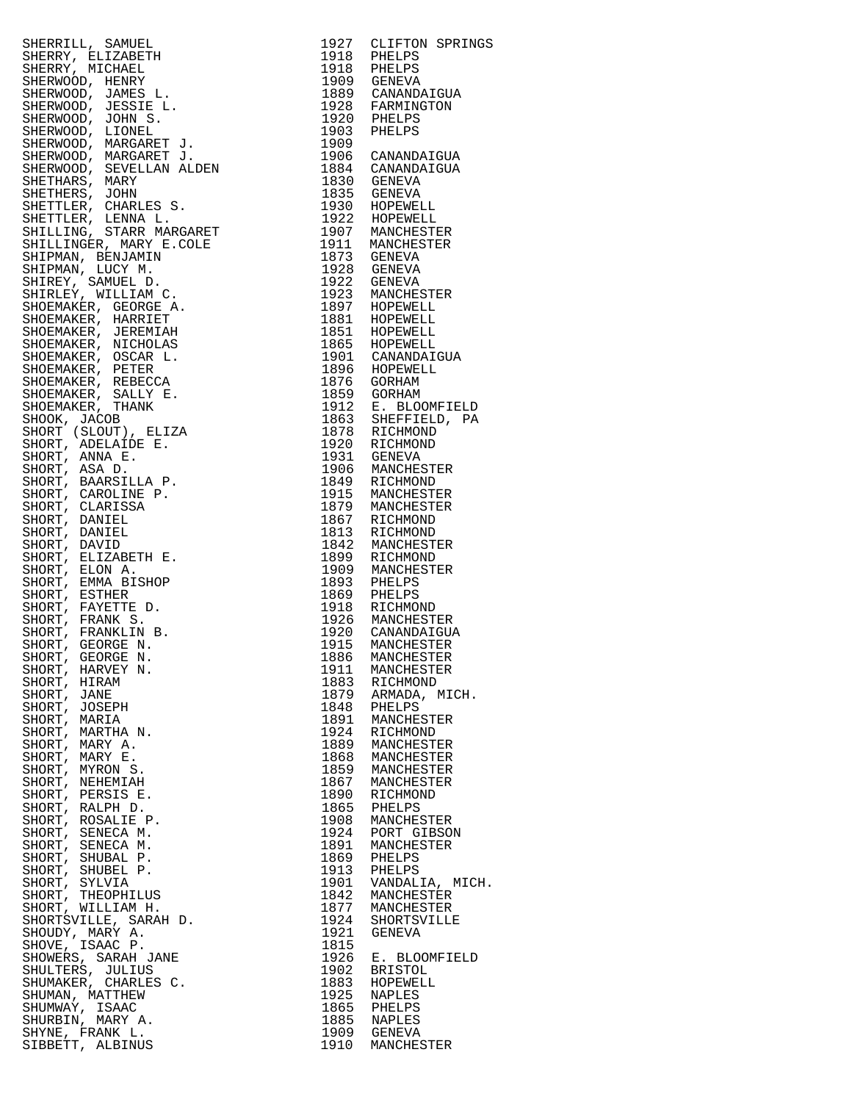|                                                                                                                                                                                                                                                    |      | 1927 CLIFTON SPRINGS<br>1918 PHELPS<br>1918 PHELPS<br>1909 GENEVA |
|----------------------------------------------------------------------------------------------------------------------------------------------------------------------------------------------------------------------------------------------------|------|-------------------------------------------------------------------|
|                                                                                                                                                                                                                                                    |      |                                                                   |
|                                                                                                                                                                                                                                                    |      |                                                                   |
|                                                                                                                                                                                                                                                    |      |                                                                   |
| SHERRILL, SAMUEL 1977 CLIPTON SPRING<br>SHERRY, BLIZABETH<br>SHERRY, BLIZABETH<br>SHERRY, BLIZABETH<br>SHERRY, BLIZABETH<br>SHERRYOD, JENEY<br>SHERRYOD, JENEY<br>SHERRYOD, JENEY<br>SHERRYOD, JENEY<br>SHERRYOD, JENEY<br>SHERRYOD, LIONES L. 199 |      |                                                                   |
|                                                                                                                                                                                                                                                    |      |                                                                   |
|                                                                                                                                                                                                                                                    |      |                                                                   |
|                                                                                                                                                                                                                                                    |      |                                                                   |
|                                                                                                                                                                                                                                                    |      |                                                                   |
|                                                                                                                                                                                                                                                    |      |                                                                   |
|                                                                                                                                                                                                                                                    |      |                                                                   |
|                                                                                                                                                                                                                                                    |      |                                                                   |
|                                                                                                                                                                                                                                                    |      |                                                                   |
|                                                                                                                                                                                                                                                    |      |                                                                   |
|                                                                                                                                                                                                                                                    |      |                                                                   |
|                                                                                                                                                                                                                                                    |      |                                                                   |
|                                                                                                                                                                                                                                                    |      |                                                                   |
|                                                                                                                                                                                                                                                    |      |                                                                   |
|                                                                                                                                                                                                                                                    |      |                                                                   |
|                                                                                                                                                                                                                                                    |      |                                                                   |
|                                                                                                                                                                                                                                                    |      |                                                                   |
|                                                                                                                                                                                                                                                    |      |                                                                   |
|                                                                                                                                                                                                                                                    |      |                                                                   |
|                                                                                                                                                                                                                                                    |      |                                                                   |
|                                                                                                                                                                                                                                                    |      |                                                                   |
|                                                                                                                                                                                                                                                    |      |                                                                   |
|                                                                                                                                                                                                                                                    |      |                                                                   |
|                                                                                                                                                                                                                                                    |      |                                                                   |
|                                                                                                                                                                                                                                                    |      |                                                                   |
|                                                                                                                                                                                                                                                    |      |                                                                   |
|                                                                                                                                                                                                                                                    |      |                                                                   |
|                                                                                                                                                                                                                                                    |      |                                                                   |
|                                                                                                                                                                                                                                                    |      |                                                                   |
|                                                                                                                                                                                                                                                    |      |                                                                   |
|                                                                                                                                                                                                                                                    |      |                                                                   |
|                                                                                                                                                                                                                                                    |      |                                                                   |
|                                                                                                                                                                                                                                                    |      |                                                                   |
|                                                                                                                                                                                                                                                    |      |                                                                   |
|                                                                                                                                                                                                                                                    |      |                                                                   |
|                                                                                                                                                                                                                                                    |      |                                                                   |
|                                                                                                                                                                                                                                                    |      |                                                                   |
|                                                                                                                                                                                                                                                    |      |                                                                   |
|                                                                                                                                                                                                                                                    |      |                                                                   |
|                                                                                                                                                                                                                                                    |      |                                                                   |
|                                                                                                                                                                                                                                                    |      |                                                                   |
|                                                                                                                                                                                                                                                    |      |                                                                   |
|                                                                                                                                                                                                                                                    |      |                                                                   |
|                                                                                                                                                                                                                                                    |      |                                                                   |
| SHORT, GEORGE N.<br>SHORT, HARVEY N.<br>SHORT, HIRAM                                                                                                                                                                                               |      |                                                                   |
|                                                                                                                                                                                                                                                    | 1911 | MANCHESTER                                                        |
| SHORT, HIRAM                                                                                                                                                                                                                                       |      | 1883 RICHMOND                                                     |
| SHORT, JANE                                                                                                                                                                                                                                        | 1879 | ARMADA, MICH.                                                     |
| SHORT, JOSEPH                                                                                                                                                                                                                                      | 1848 | PHELPS                                                            |
| SHORT, MARIA                                                                                                                                                                                                                                       | 1891 | MANCHESTER                                                        |
| SHORT, MARTHA N.                                                                                                                                                                                                                                   | 1924 | RICHMOND                                                          |
| SHORT, MARY A.                                                                                                                                                                                                                                     | 1889 | MANCHESTER                                                        |
| SHORT, MARY E.                                                                                                                                                                                                                                     | 1868 | MANCHESTER                                                        |
| SHORT, MYRON S.                                                                                                                                                                                                                                    | 1859 | MANCHESTER                                                        |
| SHORT, NEHEMIAH                                                                                                                                                                                                                                    | 1867 | MANCHESTER                                                        |
| SHORT, PERSIS E.                                                                                                                                                                                                                                   | 1890 | RICHMOND                                                          |
| SHORT, RALPH D.                                                                                                                                                                                                                                    | 1865 | PHELPS                                                            |
| SHORT, ROSALIE P.                                                                                                                                                                                                                                  | 1908 | MANCHESTER                                                        |
| SHORT, SENECA M.                                                                                                                                                                                                                                   | 1924 | PORT GIBSON                                                       |
| SHORT, SENECA M.                                                                                                                                                                                                                                   | 1891 | MANCHESTER                                                        |
| SHORT, SHUBAL P.                                                                                                                                                                                                                                   | 1869 | PHELPS                                                            |
| SHORT, SHUBEL P.                                                                                                                                                                                                                                   | 1913 | PHELPS                                                            |
| SHORT, SYLVIA                                                                                                                                                                                                                                      | 1901 | VANDALIA, MICH.                                                   |
|                                                                                                                                                                                                                                                    | 1842 | MANCHESTER                                                        |
| SHORT, THEOPHILUS<br>SHORT, WILLIAM H.                                                                                                                                                                                                             | 1877 | MANCHESTER                                                        |
| SHORTSVILLE, SARAH D.                                                                                                                                                                                                                              | 1924 | SHORTSVILLE                                                       |
| SHOUDY, MARY A.                                                                                                                                                                                                                                    | 1921 | GENEVA                                                            |
| D.<br>:<br>:<br>: .<br>SHOVE, ISAAC P.                                                                                                                                                                                                             | 1815 |                                                                   |
| SHOWERS, SARAH JANE                                                                                                                                                                                                                                | 1926 | E. BLOOMFIELD                                                     |
|                                                                                                                                                                                                                                                    | 1902 | <b>BRISTOL</b>                                                    |
| SHULTERS, JULIUS                                                                                                                                                                                                                                   | 1883 | HOPEWELL                                                          |
| SHUMAKER, CHARLES C.<br>SHUMAN, MATTHEW                                                                                                                                                                                                            | 1925 |                                                                   |
|                                                                                                                                                                                                                                                    |      | NAPLES                                                            |
| SHUMWAY, ISAAC                                                                                                                                                                                                                                     | 1865 | PHELPS                                                            |
| SHURBIN, MARY A.                                                                                                                                                                                                                                   | 1885 | NAPLES                                                            |
| SHYNE, FRANK L.                                                                                                                                                                                                                                    | 1909 | וארג<br>GENEVA<br>הירידי                                          |
| SIBBETT, ALBINUS                                                                                                                                                                                                                                   | 1910 | MANCHESTER                                                        |

| 1927<br>1918                 | CLIFTON SPRINGS<br>PHELPS    |
|------------------------------|------------------------------|
| 1918                         | PHELPS                       |
| 1909<br>1889                 | <b>GENEVA</b><br>CANANDAIGUA |
| 1928                         | FARMINGTON                   |
| 1920<br>1903                 | PHELPS<br>PHELPS             |
| 1909<br>1906                 |                              |
| 1884                         | CANANDAIGUA<br>CANANDAIGUA   |
| 1830<br>1835                 | GENEVA<br>GENEVA             |
| 1930                         | HOPEWELL                     |
| 1922<br>1907                 | HOPEWELL<br>MANCHESTER       |
| 1911                         | MANCHESTER                   |
| 1873<br>1928                 | GENEVA<br>GENEVA             |
| 1922                         | GENEVA                       |
| 1923<br>1897                 | MANCHESTER<br>HOPEWELL       |
| 1881                         | HOPEWELL                     |
| 1851<br>1865                 | HOPEWELL                     |
| 1901                         | HOPEWELL<br>CANANDAIGUA      |
| 1896                         | HOPEWELL                     |
| 1876<br>1859                 | GORHAM<br>GORHAM             |
| 1912                         | E. BLOOMFIELD                |
| 1863<br>1878                 | SHEFFIELD, PA<br>RICHMOND    |
| 1920                         | RICHMOND                     |
| 1931<br>1906                 | GENEVA<br>MANCHESTER         |
| 1849                         | RICHMOND                     |
| 1915<br>1879                 | MANCHESTER<br>MANCHESTER     |
| 1867                         | RICHMOND                     |
| 1813<br>1842                 | RICHMOND<br>MANCHESTER       |
| 1899                         | RICHMOND                     |
| 1909<br>1893                 | MANCHESTER<br>PHELPS         |
| 1869<br>1918                 | PHELPS<br>RICHMOND           |
| 1926                         | MANCHESTER                   |
| 1920<br>1915                 | CANANDAIGUA<br>MANCHESTER    |
| 1886                         | MANCHESTER                   |
| 1911                         | MANCHESTER<br>RICHMOND       |
| 1883<br>1879                 | ARMADA, MICH.                |
| 1848<br>1891                 | PHELPS<br>MANCHESTER         |
| 1924                         | RICHMOND                     |
| 1889<br>1868                 | MANCHESTER                   |
| 1859                         | MANCHESTER<br>MANCHESTER     |
| 1867<br>1890                 | MANCHESTER<br>RICHMOND       |
| 1865                         | PHELPS                       |
| 1908<br>1924                 | MANCHESTER<br>PORT GIBSON    |
| 1891                         | MANCHESTER                   |
| 1869<br>1913                 | PHELPS<br>PHELPS             |
| 1901                         | VANDALIA, MICH.              |
| 1842<br>1877                 | MANCHESTER<br>MANCHESTER     |
| 1924                         | SHORTSVILLE                  |
| 1921                         | GENEVA                       |
| 1815<br>1926                 | E. BLOOMFIELD                |
| 1902<br>1883                 | <b>BRISTOL</b><br>HOPEWELL   |
| 1925                         | NAPLES                       |
| 1945<br>1865<br>1885<br>1909 | PHELPS<br>NAPLES             |
|                              | <b>GENEVA</b>                |
| 1910                         | MANCHESTER                   |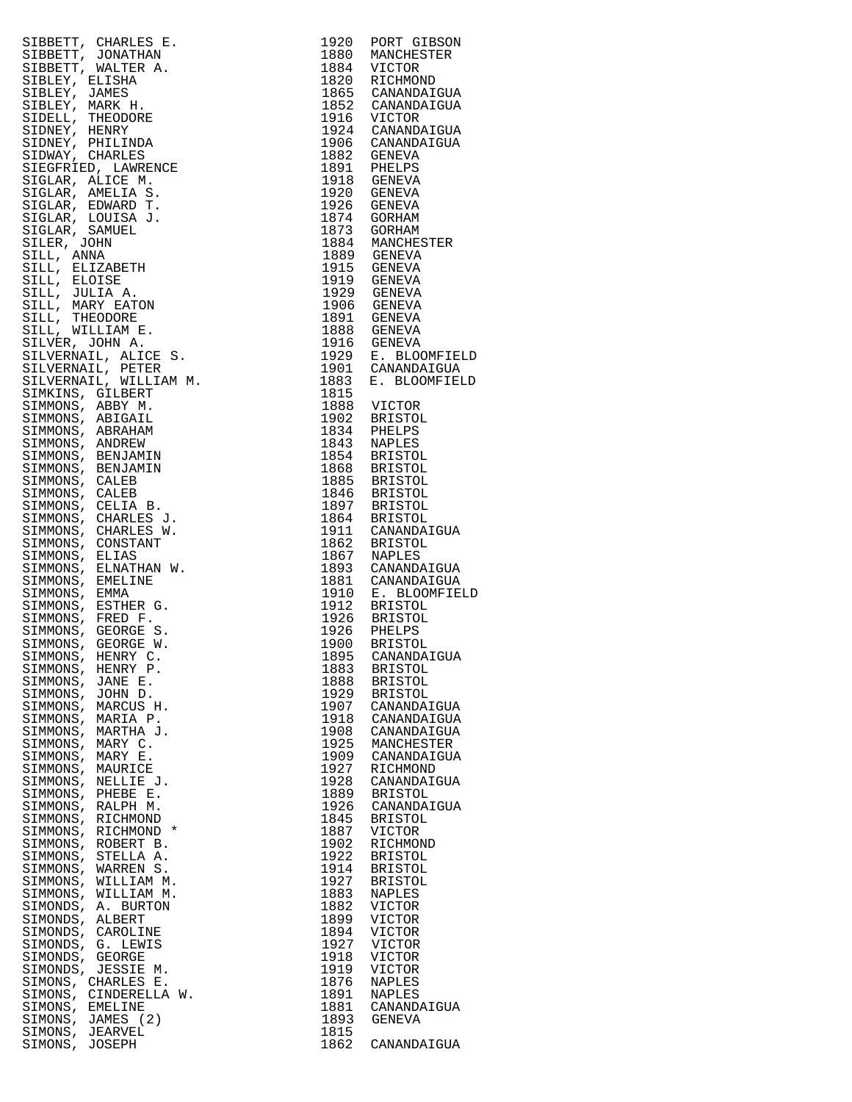|                                                                                                                                                                                                                                                                 |              | 1920 PORT GIBSON                                                                                                                                                                                                                                      |
|-----------------------------------------------------------------------------------------------------------------------------------------------------------------------------------------------------------------------------------------------------------------|--------------|-------------------------------------------------------------------------------------------------------------------------------------------------------------------------------------------------------------------------------------------------------|
|                                                                                                                                                                                                                                                                 |              | 1880 MANCHESTER                                                                                                                                                                                                                                       |
|                                                                                                                                                                                                                                                                 |              |                                                                                                                                                                                                                                                       |
|                                                                                                                                                                                                                                                                 |              |                                                                                                                                                                                                                                                       |
|                                                                                                                                                                                                                                                                 |              | 1884 VICTOR<br>1820 RICHMOND                                                                                                                                                                                                                          |
|                                                                                                                                                                                                                                                                 |              |                                                                                                                                                                                                                                                       |
|                                                                                                                                                                                                                                                                 |              |                                                                                                                                                                                                                                                       |
|                                                                                                                                                                                                                                                                 |              |                                                                                                                                                                                                                                                       |
|                                                                                                                                                                                                                                                                 |              |                                                                                                                                                                                                                                                       |
|                                                                                                                                                                                                                                                                 |              | 1865 CANANDAIGUA<br>1852 CANANDAIGUA<br>1916 VICTOR<br>1924 CANANDAIGUA                                                                                                                                                                               |
|                                                                                                                                                                                                                                                                 |              |                                                                                                                                                                                                                                                       |
|                                                                                                                                                                                                                                                                 |              | 1906 CANANDAIGUA                                                                                                                                                                                                                                      |
|                                                                                                                                                                                                                                                                 |              | 1882 GENEVA                                                                                                                                                                                                                                           |
|                                                                                                                                                                                                                                                                 |              |                                                                                                                                                                                                                                                       |
|                                                                                                                                                                                                                                                                 |              | 1891 PHELPS<br>1918 GENEVA                                                                                                                                                                                                                            |
|                                                                                                                                                                                                                                                                 |              |                                                                                                                                                                                                                                                       |
|                                                                                                                                                                                                                                                                 |              |                                                                                                                                                                                                                                                       |
|                                                                                                                                                                                                                                                                 |              | 1920 GENEVA                                                                                                                                                                                                                                           |
|                                                                                                                                                                                                                                                                 |              | 1926 GENEVA                                                                                                                                                                                                                                           |
|                                                                                                                                                                                                                                                                 |              |                                                                                                                                                                                                                                                       |
|                                                                                                                                                                                                                                                                 |              | 1874 GORHAM<br>1873 GORHAM                                                                                                                                                                                                                            |
|                                                                                                                                                                                                                                                                 |              |                                                                                                                                                                                                                                                       |
|                                                                                                                                                                                                                                                                 |              | 1884 MANCHESTER<br>1889 GENEVA<br>1915 GENEVA<br>1919 GENEVA                                                                                                                                                                                          |
|                                                                                                                                                                                                                                                                 |              |                                                                                                                                                                                                                                                       |
|                                                                                                                                                                                                                                                                 |              |                                                                                                                                                                                                                                                       |
|                                                                                                                                                                                                                                                                 |              |                                                                                                                                                                                                                                                       |
|                                                                                                                                                                                                                                                                 |              |                                                                                                                                                                                                                                                       |
|                                                                                                                                                                                                                                                                 |              |                                                                                                                                                                                                                                                       |
|                                                                                                                                                                                                                                                                 |              |                                                                                                                                                                                                                                                       |
|                                                                                                                                                                                                                                                                 |              |                                                                                                                                                                                                                                                       |
|                                                                                                                                                                                                                                                                 |              |                                                                                                                                                                                                                                                       |
|                                                                                                                                                                                                                                                                 |              |                                                                                                                                                                                                                                                       |
| STBBETT, CHARLES E.<br>SIBBETT, JONATHAN<br>SIBBETT, JONATHAN<br>SIBBETT, JONATHAN<br>SIBLEY, BLISHA, MITER A.<br>SIBLEY, WALTER A.<br>SIBLEY, WARKE H.<br>SIDERI, MARC HEARNER<br>SIDERI, THEODORE SIEGRES<br>SIDERIAR, AMELIA S.<br>SIGLAR, AMELIA S.<br>SIGL |              | 1919 GENEVA<br>1929 GENEVA<br>1906 GENEVA<br>1891 GENEVA<br>1888 GENEVA<br>1916 GENEVA<br>1916 GENEVA<br>1929 E. BLOOMFIELD<br>1901 CANANDAIGUA<br>1983 E. BLOOMFIELD<br>183 E. BLOOMFIELD                                                            |
|                                                                                                                                                                                                                                                                 |              |                                                                                                                                                                                                                                                       |
|                                                                                                                                                                                                                                                                 |              |                                                                                                                                                                                                                                                       |
|                                                                                                                                                                                                                                                                 |              |                                                                                                                                                                                                                                                       |
|                                                                                                                                                                                                                                                                 |              |                                                                                                                                                                                                                                                       |
|                                                                                                                                                                                                                                                                 |              |                                                                                                                                                                                                                                                       |
|                                                                                                                                                                                                                                                                 |              |                                                                                                                                                                                                                                                       |
|                                                                                                                                                                                                                                                                 |              |                                                                                                                                                                                                                                                       |
|                                                                                                                                                                                                                                                                 | 1815         |                                                                                                                                                                                                                                                       |
|                                                                                                                                                                                                                                                                 |              |                                                                                                                                                                                                                                                       |
|                                                                                                                                                                                                                                                                 |              |                                                                                                                                                                                                                                                       |
|                                                                                                                                                                                                                                                                 |              |                                                                                                                                                                                                                                                       |
|                                                                                                                                                                                                                                                                 |              |                                                                                                                                                                                                                                                       |
|                                                                                                                                                                                                                                                                 |              |                                                                                                                                                                                                                                                       |
|                                                                                                                                                                                                                                                                 |              | 1815<br>1888 VICTOR<br>1902 BRISTOL<br>1834 PHELPS<br>1843 NAPLES<br>1854 BRISTOL<br>1868 BRISTOL<br>1885 BRISTOL<br>1846 BRISTOL<br>1897 BRISTOL<br>1894 BRISTOL<br>1864 BRISTOL<br>1864 BRISTOL<br>1864 BRISTOL<br>1911 CANANDAIGUA<br>1862 BRISTOL |
|                                                                                                                                                                                                                                                                 |              |                                                                                                                                                                                                                                                       |
|                                                                                                                                                                                                                                                                 |              |                                                                                                                                                                                                                                                       |
|                                                                                                                                                                                                                                                                 |              |                                                                                                                                                                                                                                                       |
|                                                                                                                                                                                                                                                                 |              |                                                                                                                                                                                                                                                       |
|                                                                                                                                                                                                                                                                 |              |                                                                                                                                                                                                                                                       |
|                                                                                                                                                                                                                                                                 |              |                                                                                                                                                                                                                                                       |
|                                                                                                                                                                                                                                                                 |              |                                                                                                                                                                                                                                                       |
|                                                                                                                                                                                                                                                                 |              |                                                                                                                                                                                                                                                       |
|                                                                                                                                                                                                                                                                 |              |                                                                                                                                                                                                                                                       |
|                                                                                                                                                                                                                                                                 |              |                                                                                                                                                                                                                                                       |
|                                                                                                                                                                                                                                                                 |              |                                                                                                                                                                                                                                                       |
|                                                                                                                                                                                                                                                                 |              | 1862 BRISTOL<br>1867 NAPLES                                                                                                                                                                                                                           |
|                                                                                                                                                                                                                                                                 |              |                                                                                                                                                                                                                                                       |
|                                                                                                                                                                                                                                                                 |              | 1893 CANANDAIGUA<br>1881 CANANDAIGUA                                                                                                                                                                                                                  |
|                                                                                                                                                                                                                                                                 |              |                                                                                                                                                                                                                                                       |
|                                                                                                                                                                                                                                                                 |              |                                                                                                                                                                                                                                                       |
|                                                                                                                                                                                                                                                                 |              |                                                                                                                                                                                                                                                       |
|                                                                                                                                                                                                                                                                 |              |                                                                                                                                                                                                                                                       |
|                                                                                                                                                                                                                                                                 |              |                                                                                                                                                                                                                                                       |
|                                                                                                                                                                                                                                                                 |              |                                                                                                                                                                                                                                                       |
|                                                                                                                                                                                                                                                                 |              |                                                                                                                                                                                                                                                       |
|                                                                                                                                                                                                                                                                 |              | -<br>1910 E. BLOOMFIELD<br>1912 BRISTOL<br>1926 BRISTOL<br>1926 PHELPS<br>1900 BRISTOL<br>1900 BRISTOL                                                                                                                                                |
|                                                                                                                                                                                                                                                                 |              |                                                                                                                                                                                                                                                       |
| SIMMONS, HENRY C                                                                                                                                                                                                                                                |              | 1895 CANANDAIGUA                                                                                                                                                                                                                                      |
| SIMMONS, HENRY P.                                                                                                                                                                                                                                               | 1883         | BRISTOL                                                                                                                                                                                                                                               |
|                                                                                                                                                                                                                                                                 |              | BRISTOL                                                                                                                                                                                                                                               |
|                                                                                                                                                                                                                                                                 |              |                                                                                                                                                                                                                                                       |
| SIMMONS, JANE E.                                                                                                                                                                                                                                                | 1888         |                                                                                                                                                                                                                                                       |
| SIMMONS, JOHN D.                                                                                                                                                                                                                                                | 1929         | BRISTOL                                                                                                                                                                                                                                               |
|                                                                                                                                                                                                                                                                 |              |                                                                                                                                                                                                                                                       |
| SIMMONS, MARCUS H.                                                                                                                                                                                                                                              | 1907         | CANANDAIGUA                                                                                                                                                                                                                                           |
| SIMMONS, MARIA P.                                                                                                                                                                                                                                               | 1918         | CANANDAIGUA                                                                                                                                                                                                                                           |
|                                                                                                                                                                                                                                                                 | 1908         | CANANDAIGUA                                                                                                                                                                                                                                           |
| SIMMONS, MARTHA J.                                                                                                                                                                                                                                              |              |                                                                                                                                                                                                                                                       |
| SIMMONS, MARY C.                                                                                                                                                                                                                                                | 1925         | MANCHESTER                                                                                                                                                                                                                                            |
| SIMMONS, MARY E.                                                                                                                                                                                                                                                |              | 1909 CANANDAIGUA                                                                                                                                                                                                                                      |
|                                                                                                                                                                                                                                                                 |              |                                                                                                                                                                                                                                                       |
| SIMMONS, MAURICE                                                                                                                                                                                                                                                | 1927         | RICHMOND                                                                                                                                                                                                                                              |
| SIMMONS, NELLIE J.                                                                                                                                                                                                                                              | 1928         | CANANDAIGUA                                                                                                                                                                                                                                           |
|                                                                                                                                                                                                                                                                 |              |                                                                                                                                                                                                                                                       |
| SIMMONS, PHEBE E.                                                                                                                                                                                                                                               | 1889         | BRISTOL                                                                                                                                                                                                                                               |
| SIMMONS, RALPH M.                                                                                                                                                                                                                                               | 1926         | CANANDAIGUA                                                                                                                                                                                                                                           |
|                                                                                                                                                                                                                                                                 | 1845         | <b>BRISTOL</b>                                                                                                                                                                                                                                        |
| SIMMONS, RICHMOND                                                                                                                                                                                                                                               |              |                                                                                                                                                                                                                                                       |
| SIMMONS, RICHMOND *                                                                                                                                                                                                                                             | 1887         | VICTOR                                                                                                                                                                                                                                                |
| SIMMONS, ROBERT B.                                                                                                                                                                                                                                              | 1902         | RICHMOND                                                                                                                                                                                                                                              |
|                                                                                                                                                                                                                                                                 |              |                                                                                                                                                                                                                                                       |
| SIMMONS, STELLA A.                                                                                                                                                                                                                                              | 1922         | <b>BRISTOL</b>                                                                                                                                                                                                                                        |
| SIMMONS,<br>WARREN S.                                                                                                                                                                                                                                           | 1914         | <b>BRISTOL</b>                                                                                                                                                                                                                                        |
| SIMMONS, WILLIAM M.                                                                                                                                                                                                                                             | 1927         | BRISTOL                                                                                                                                                                                                                                               |
|                                                                                                                                                                                                                                                                 |              |                                                                                                                                                                                                                                                       |
| SIMMONS,<br>WILLIAM M.                                                                                                                                                                                                                                          | 1883         | NAPLES                                                                                                                                                                                                                                                |
| SIMONDS, A. BURTON                                                                                                                                                                                                                                              | 1882         | VICTOR                                                                                                                                                                                                                                                |
|                                                                                                                                                                                                                                                                 |              |                                                                                                                                                                                                                                                       |
| SIMONDS,<br>ALBERT                                                                                                                                                                                                                                              | 1899         | VICTOR                                                                                                                                                                                                                                                |
| SIMONDS, CAROLINE                                                                                                                                                                                                                                               | 1894         | VICTOR                                                                                                                                                                                                                                                |
|                                                                                                                                                                                                                                                                 | 1927         | VICTOR                                                                                                                                                                                                                                                |
| SIMONDS, G. LEWIS                                                                                                                                                                                                                                               |              |                                                                                                                                                                                                                                                       |
| SIMONDS, GEORGE                                                                                                                                                                                                                                                 | 1918         | VICTOR                                                                                                                                                                                                                                                |
| SIMONDS, JESSIE M.                                                                                                                                                                                                                                              | 1919         | VICTOR                                                                                                                                                                                                                                                |
|                                                                                                                                                                                                                                                                 |              |                                                                                                                                                                                                                                                       |
| SIMONS, CHARLES E.                                                                                                                                                                                                                                              | 1876         | NAPLES                                                                                                                                                                                                                                                |
| SIMONS, CINDERELLA W.                                                                                                                                                                                                                                           | 1891         | NAPLES                                                                                                                                                                                                                                                |
| SIMONS, EMELINE                                                                                                                                                                                                                                                 | 1881         | CANANDAIGUA                                                                                                                                                                                                                                           |
|                                                                                                                                                                                                                                                                 |              |                                                                                                                                                                                                                                                       |
| SIMONS, JAMES (2)                                                                                                                                                                                                                                               | 1893         | GENEVA                                                                                                                                                                                                                                                |
| SIMONS, JEARVEL<br>SIMONS, JOSEPH                                                                                                                                                                                                                               | 1815<br>1862 | CANANDAIGUA                                                                                                                                                                                                                                           |

|                                                                                                                                                                                                                                                                                                                                                                                                                                                                                 |              | 1920 PORT GIBSON                                                                                 |
|---------------------------------------------------------------------------------------------------------------------------------------------------------------------------------------------------------------------------------------------------------------------------------------------------------------------------------------------------------------------------------------------------------------------------------------------------------------------------------|--------------|--------------------------------------------------------------------------------------------------|
|                                                                                                                                                                                                                                                                                                                                                                                                                                                                                 |              | 1880 MANCHESTER                                                                                  |
|                                                                                                                                                                                                                                                                                                                                                                                                                                                                                 |              |                                                                                                  |
|                                                                                                                                                                                                                                                                                                                                                                                                                                                                                 |              | 1884 VICTOR<br>1820 RICHMOND                                                                     |
|                                                                                                                                                                                                                                                                                                                                                                                                                                                                                 |              |                                                                                                  |
|                                                                                                                                                                                                                                                                                                                                                                                                                                                                                 |              | 1865 CANANDAIGUA                                                                                 |
|                                                                                                                                                                                                                                                                                                                                                                                                                                                                                 |              | 1852 CANANDAIGUA                                                                                 |
|                                                                                                                                                                                                                                                                                                                                                                                                                                                                                 |              | 1916 VICTOR<br>1924 CANANDAIGUA                                                                  |
|                                                                                                                                                                                                                                                                                                                                                                                                                                                                                 |              |                                                                                                  |
|                                                                                                                                                                                                                                                                                                                                                                                                                                                                                 |              |                                                                                                  |
|                                                                                                                                                                                                                                                                                                                                                                                                                                                                                 |              | 1906 CANANDAIGUA<br>1882 GENEVA                                                                  |
|                                                                                                                                                                                                                                                                                                                                                                                                                                                                                 |              |                                                                                                  |
|                                                                                                                                                                                                                                                                                                                                                                                                                                                                                 |              | 1891 PHELPS<br>1918 GENEVA                                                                       |
|                                                                                                                                                                                                                                                                                                                                                                                                                                                                                 |              |                                                                                                  |
|                                                                                                                                                                                                                                                                                                                                                                                                                                                                                 |              |                                                                                                  |
|                                                                                                                                                                                                                                                                                                                                                                                                                                                                                 |              | 1920 GENEVA<br>1926 GENEVA                                                                       |
|                                                                                                                                                                                                                                                                                                                                                                                                                                                                                 |              |                                                                                                  |
|                                                                                                                                                                                                                                                                                                                                                                                                                                                                                 |              | 1874 GORHAM<br>1873 GORHAM                                                                       |
|                                                                                                                                                                                                                                                                                                                                                                                                                                                                                 |              |                                                                                                  |
|                                                                                                                                                                                                                                                                                                                                                                                                                                                                                 |              |                                                                                                  |
|                                                                                                                                                                                                                                                                                                                                                                                                                                                                                 |              | 1884 MANCHESTER<br>1889 GENEVA                                                                   |
|                                                                                                                                                                                                                                                                                                                                                                                                                                                                                 |              |                                                                                                  |
|                                                                                                                                                                                                                                                                                                                                                                                                                                                                                 |              | 1915 GENEVA                                                                                      |
|                                                                                                                                                                                                                                                                                                                                                                                                                                                                                 |              | 1919 GENEVA                                                                                      |
|                                                                                                                                                                                                                                                                                                                                                                                                                                                                                 |              |                                                                                                  |
|                                                                                                                                                                                                                                                                                                                                                                                                                                                                                 |              |                                                                                                  |
|                                                                                                                                                                                                                                                                                                                                                                                                                                                                                 |              | 1929 GENEVA<br>1906 GENEVA                                                                       |
|                                                                                                                                                                                                                                                                                                                                                                                                                                                                                 |              | 1891 GENEVA<br>1888 GENEVA                                                                       |
|                                                                                                                                                                                                                                                                                                                                                                                                                                                                                 |              |                                                                                                  |
|                                                                                                                                                                                                                                                                                                                                                                                                                                                                                 |              |                                                                                                  |
|                                                                                                                                                                                                                                                                                                                                                                                                                                                                                 |              |                                                                                                  |
|                                                                                                                                                                                                                                                                                                                                                                                                                                                                                 |              |                                                                                                  |
|                                                                                                                                                                                                                                                                                                                                                                                                                                                                                 |              |                                                                                                  |
| SIBBETT, CHARLES E.<br>SIBBETT, JONATHAN<br>SIBBETT, JONATHAN<br>SIBBETT, WALTER A.<br>SIBLEY, BLISHA<br>SIBLEY, MANEX H.<br>SIBLEY, MANEX H.<br>SIBLEY, MANEX H.<br>SIDNEY, HENRY HEILINDA<br>SIDNEY, HENRY PHILINDA<br>SIDNEY, HENRY PHILINDA<br>SIGLAR, AMEL                                                                                                                                                                                                                 |              | 1916 GENEVA<br>1929 E. BLOOMFIELD<br>1901 CANANDAIGUA<br>1883 E. BLOOMFIELD                      |
|                                                                                                                                                                                                                                                                                                                                                                                                                                                                                 |              |                                                                                                  |
|                                                                                                                                                                                                                                                                                                                                                                                                                                                                                 | 1815         |                                                                                                  |
|                                                                                                                                                                                                                                                                                                                                                                                                                                                                                 |              | 1888 VICTOR                                                                                      |
|                                                                                                                                                                                                                                                                                                                                                                                                                                                                                 |              | 1902 BRISTOL<br>1834 PHELPS                                                                      |
|                                                                                                                                                                                                                                                                                                                                                                                                                                                                                 |              |                                                                                                  |
|                                                                                                                                                                                                                                                                                                                                                                                                                                                                                 |              |                                                                                                  |
|                                                                                                                                                                                                                                                                                                                                                                                                                                                                                 |              |                                                                                                  |
|                                                                                                                                                                                                                                                                                                                                                                                                                                                                                 |              | 1843 NAPLES<br>1854 BRISTOL                                                                      |
|                                                                                                                                                                                                                                                                                                                                                                                                                                                                                 |              |                                                                                                  |
|                                                                                                                                                                                                                                                                                                                                                                                                                                                                                 |              |                                                                                                  |
|                                                                                                                                                                                                                                                                                                                                                                                                                                                                                 |              |                                                                                                  |
|                                                                                                                                                                                                                                                                                                                                                                                                                                                                                 |              |                                                                                                  |
|                                                                                                                                                                                                                                                                                                                                                                                                                                                                                 |              |                                                                                                  |
|                                                                                                                                                                                                                                                                                                                                                                                                                                                                                 |              | 1868 BRISTOL<br>1885 BRISTOL<br>1885 BRISTOL<br>1897 BRISTOL<br>1864 BRISTOL<br>1911 CANANDAIGUA |
|                                                                                                                                                                                                                                                                                                                                                                                                                                                                                 |              |                                                                                                  |
|                                                                                                                                                                                                                                                                                                                                                                                                                                                                                 |              | 1862 BRISTOL<br>1867 NAPLES                                                                      |
|                                                                                                                                                                                                                                                                                                                                                                                                                                                                                 |              |                                                                                                  |
|                                                                                                                                                                                                                                                                                                                                                                                                                                                                                 |              |                                                                                                  |
|                                                                                                                                                                                                                                                                                                                                                                                                                                                                                 |              | 1893 CANANDAIGUA<br>1881 CANANDAIGUA                                                             |
|                                                                                                                                                                                                                                                                                                                                                                                                                                                                                 |              |                                                                                                  |
|                                                                                                                                                                                                                                                                                                                                                                                                                                                                                 |              | 1910 E. BLOOMFIELD<br>1912 BRISTOL                                                               |
|                                                                                                                                                                                                                                                                                                                                                                                                                                                                                 |              |                                                                                                  |
|                                                                                                                                                                                                                                                                                                                                                                                                                                                                                 |              |                                                                                                  |
|                                                                                                                                                                                                                                                                                                                                                                                                                                                                                 |              | 1926 BRISTOL<br>1926 PHELPS                                                                      |
|                                                                                                                                                                                                                                                                                                                                                                                                                                                                                 |              |                                                                                                  |
|                                                                                                                                                                                                                                                                                                                                                                                                                                                                                 |              | 1900 BRISTOL                                                                                     |
| SIMMONS, HENRY C                                                                                                                                                                                                                                                                                                                                                                                                                                                                |              | 1895 CANANDAIGUA                                                                                 |
| SIMMONS, HENRY P.                                                                                                                                                                                                                                                                                                                                                                                                                                                               | 1883         | BRISTOL                                                                                          |
|                                                                                                                                                                                                                                                                                                                                                                                                                                                                                 |              |                                                                                                  |
| SIMMONS, JANE E.                                                                                                                                                                                                                                                                                                                                                                                                                                                                | 1888         | BRISTOL                                                                                          |
| SIMMONS, JOHN D.                                                                                                                                                                                                                                                                                                                                                                                                                                                                | 1929         | BRISTOL                                                                                          |
| SIMMONS, MARCUS H.                                                                                                                                                                                                                                                                                                                                                                                                                                                              | 1907         | CANANDAIGUA                                                                                      |
| SIMMONS, MARIA P.                                                                                                                                                                                                                                                                                                                                                                                                                                                               | 1918         | CANANDAIGUA                                                                                      |
| SIMMONS, MARTHA J.                                                                                                                                                                                                                                                                                                                                                                                                                                                              | 1908         | CANANDAIGUA                                                                                      |
|                                                                                                                                                                                                                                                                                                                                                                                                                                                                                 |              |                                                                                                  |
| SIMMONS, MARY C.                                                                                                                                                                                                                                                                                                                                                                                                                                                                | 1925         | MANCHESTER                                                                                       |
| SIMMONS, MARY E.                                                                                                                                                                                                                                                                                                                                                                                                                                                                |              | 1909 CANANDAIGUA                                                                                 |
| SIMMONS, MAURICE                                                                                                                                                                                                                                                                                                                                                                                                                                                                | 1927         | RICHMOND                                                                                         |
|                                                                                                                                                                                                                                                                                                                                                                                                                                                                                 |              |                                                                                                  |
|                                                                                                                                                                                                                                                                                                                                                                                                                                                                                 |              |                                                                                                  |
|                                                                                                                                                                                                                                                                                                                                                                                                                                                                                 | 1928         | CANANDAIGUA                                                                                      |
|                                                                                                                                                                                                                                                                                                                                                                                                                                                                                 | 1889         | <b>BRISTOL</b>                                                                                   |
|                                                                                                                                                                                                                                                                                                                                                                                                                                                                                 | 1926         | CANANDAIGUA                                                                                      |
|                                                                                                                                                                                                                                                                                                                                                                                                                                                                                 | 1845         | <b>BRISTOL</b>                                                                                   |
|                                                                                                                                                                                                                                                                                                                                                                                                                                                                                 |              |                                                                                                  |
|                                                                                                                                                                                                                                                                                                                                                                                                                                                                                 | 1887         | VICTOR                                                                                           |
|                                                                                                                                                                                                                                                                                                                                                                                                                                                                                 | 1902         | RICHMOND                                                                                         |
|                                                                                                                                                                                                                                                                                                                                                                                                                                                                                 | 1922         | <b>BRISTOL</b>                                                                                   |
|                                                                                                                                                                                                                                                                                                                                                                                                                                                                                 | 1914         | <b>BRISTOL</b>                                                                                   |
|                                                                                                                                                                                                                                                                                                                                                                                                                                                                                 | 1927         | <b>BRISTOL</b>                                                                                   |
|                                                                                                                                                                                                                                                                                                                                                                                                                                                                                 |              |                                                                                                  |
|                                                                                                                                                                                                                                                                                                                                                                                                                                                                                 | 1883         | NAPLES                                                                                           |
|                                                                                                                                                                                                                                                                                                                                                                                                                                                                                 | 1882         | VICTOR                                                                                           |
|                                                                                                                                                                                                                                                                                                                                                                                                                                                                                 | 1899         | VICTOR                                                                                           |
|                                                                                                                                                                                                                                                                                                                                                                                                                                                                                 | 1894         | VICTOR                                                                                           |
|                                                                                                                                                                                                                                                                                                                                                                                                                                                                                 | 1927         | VICTOR                                                                                           |
|                                                                                                                                                                                                                                                                                                                                                                                                                                                                                 |              |                                                                                                  |
|                                                                                                                                                                                                                                                                                                                                                                                                                                                                                 | 1918         | VICTOR                                                                                           |
|                                                                                                                                                                                                                                                                                                                                                                                                                                                                                 | 1919         | VICTOR                                                                                           |
|                                                                                                                                                                                                                                                                                                                                                                                                                                                                                 | 1876         | NAPLES                                                                                           |
|                                                                                                                                                                                                                                                                                                                                                                                                                                                                                 | 1891         | NAPLES                                                                                           |
|                                                                                                                                                                                                                                                                                                                                                                                                                                                                                 | 1881         | CANANDAIGUA                                                                                      |
|                                                                                                                                                                                                                                                                                                                                                                                                                                                                                 |              |                                                                                                  |
|                                                                                                                                                                                                                                                                                                                                                                                                                                                                                 | 1893         | GENEVA                                                                                           |
| $\begin{array}{cccc} & \mathcal{A} & \mathcal{A} \\ & \mathcal{A} & \mathcal{A} \\ & \mathcal{A} & \mathcal{A} \\ & \mathcal{A} & \mathcal{A} \\ & \mathcal{A} & \mathcal{A} \\ & \mathcal{A} & \mathcal{A} \\ & \mathcal{A} & \mathcal{A} \\ & \mathcal{A} & \mathcal{A} \\ & \mathcal{A} & \mathcal{A} \\ & \mathcal{A} & \mathcal{A} \\ & \mathcal{A} & \mathcal{A} \\ & \mathcal{A} & \mathcal{A} \\ & \mathcal{A} & \mathcal{A} \\ & \mathcal{A} & \mathcal{A} \\ & \math$ | 1815<br>1862 | CANANDAIGUA                                                                                      |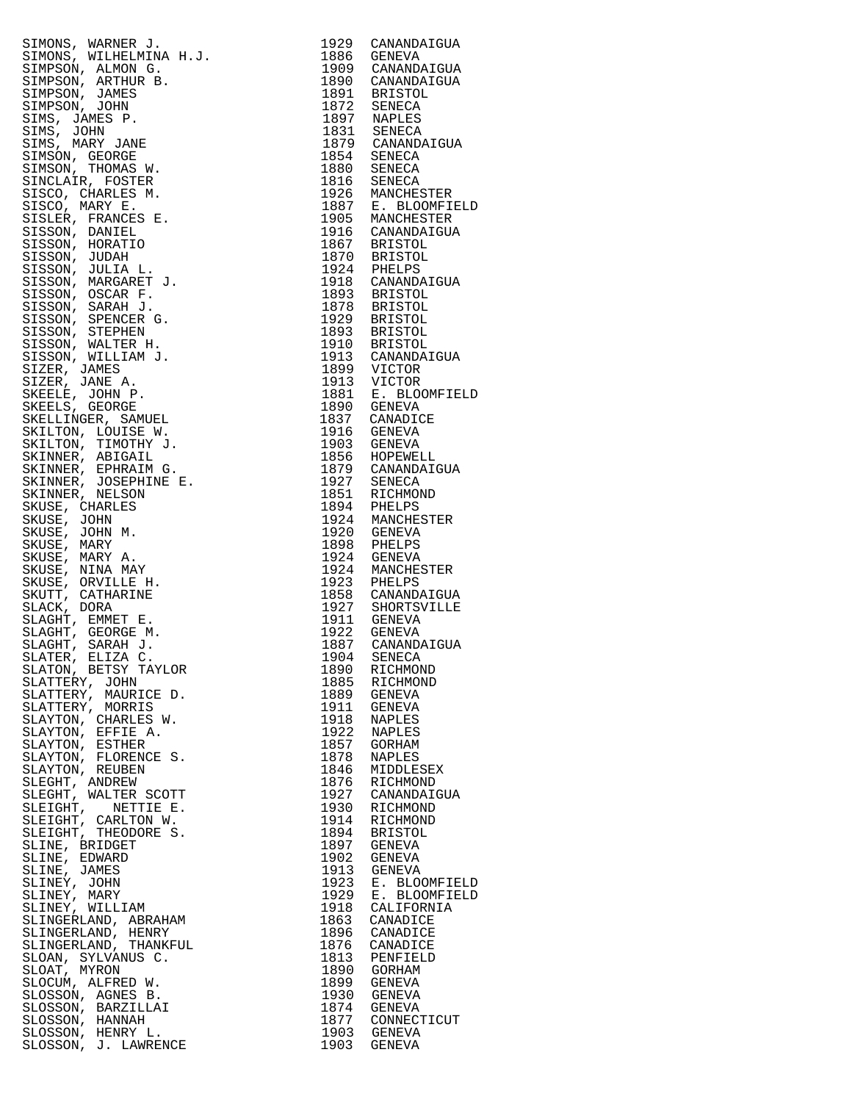| SIMONS, WARNER J. .<br>SIMPSON, ALMELMINA H.J.<br>SIMPSON, ALMELMINA H.J.<br>SIMPSON, ARTHURE B.<br>SIMPSON, JAMES<br>SIMPSON, JOHN<br>SIMS, JAMES P.<br>SIMS, JAMES P.<br>SIMS, JAMES P.<br>SIMS, JAMES P.<br>SIMS, MARY JANES P.<br>SIMSON, GEOGET SIMSON, TH |      | 1929 CANANDAIGUA                                                                                                                                                                                                                                                            |
|-----------------------------------------------------------------------------------------------------------------------------------------------------------------------------------------------------------------------------------------------------------------|------|-----------------------------------------------------------------------------------------------------------------------------------------------------------------------------------------------------------------------------------------------------------------------------|
|                                                                                                                                                                                                                                                                 |      |                                                                                                                                                                                                                                                                             |
|                                                                                                                                                                                                                                                                 |      | 1886 GENEVA                                                                                                                                                                                                                                                                 |
|                                                                                                                                                                                                                                                                 |      |                                                                                                                                                                                                                                                                             |
|                                                                                                                                                                                                                                                                 |      | 1909 CANANDAIGUA<br>1890 CANANDAIGUA                                                                                                                                                                                                                                        |
|                                                                                                                                                                                                                                                                 |      |                                                                                                                                                                                                                                                                             |
|                                                                                                                                                                                                                                                                 |      |                                                                                                                                                                                                                                                                             |
|                                                                                                                                                                                                                                                                 |      |                                                                                                                                                                                                                                                                             |
|                                                                                                                                                                                                                                                                 |      |                                                                                                                                                                                                                                                                             |
|                                                                                                                                                                                                                                                                 |      |                                                                                                                                                                                                                                                                             |
|                                                                                                                                                                                                                                                                 |      |                                                                                                                                                                                                                                                                             |
|                                                                                                                                                                                                                                                                 |      | 1890 CANANDAIGUA<br>1891 BRISTOL<br>1872 SENECA<br>1897 NAPLES<br>1837 SENECA<br>1879 CANANDAIGUA<br>1854 SENECA<br>1880 SENECA<br>1880 SENECA<br>1926 MANCHESTER<br>1926 MANCHESTER<br>1926 MANCHESTER<br>1926 MANCHESTER<br>1926 MANCHESTER<br>1926 MANCHESTER<br>1946 CA |
|                                                                                                                                                                                                                                                                 |      |                                                                                                                                                                                                                                                                             |
|                                                                                                                                                                                                                                                                 |      |                                                                                                                                                                                                                                                                             |
|                                                                                                                                                                                                                                                                 |      |                                                                                                                                                                                                                                                                             |
|                                                                                                                                                                                                                                                                 |      |                                                                                                                                                                                                                                                                             |
|                                                                                                                                                                                                                                                                 |      |                                                                                                                                                                                                                                                                             |
|                                                                                                                                                                                                                                                                 |      |                                                                                                                                                                                                                                                                             |
|                                                                                                                                                                                                                                                                 |      |                                                                                                                                                                                                                                                                             |
|                                                                                                                                                                                                                                                                 |      |                                                                                                                                                                                                                                                                             |
|                                                                                                                                                                                                                                                                 |      |                                                                                                                                                                                                                                                                             |
|                                                                                                                                                                                                                                                                 |      |                                                                                                                                                                                                                                                                             |
|                                                                                                                                                                                                                                                                 |      |                                                                                                                                                                                                                                                                             |
|                                                                                                                                                                                                                                                                 |      |                                                                                                                                                                                                                                                                             |
|                                                                                                                                                                                                                                                                 |      |                                                                                                                                                                                                                                                                             |
|                                                                                                                                                                                                                                                                 |      |                                                                                                                                                                                                                                                                             |
|                                                                                                                                                                                                                                                                 |      |                                                                                                                                                                                                                                                                             |
|                                                                                                                                                                                                                                                                 |      | 1910 CANANDAIGOA<br>1867 BRISTOL<br>1870 BRISTOL<br>1924 PHELPS<br>1918 CANANDAIGUA                                                                                                                                                                                         |
|                                                                                                                                                                                                                                                                 |      |                                                                                                                                                                                                                                                                             |
|                                                                                                                                                                                                                                                                 |      |                                                                                                                                                                                                                                                                             |
|                                                                                                                                                                                                                                                                 |      |                                                                                                                                                                                                                                                                             |
|                                                                                                                                                                                                                                                                 |      |                                                                                                                                                                                                                                                                             |
|                                                                                                                                                                                                                                                                 |      |                                                                                                                                                                                                                                                                             |
|                                                                                                                                                                                                                                                                 |      |                                                                                                                                                                                                                                                                             |
|                                                                                                                                                                                                                                                                 |      |                                                                                                                                                                                                                                                                             |
|                                                                                                                                                                                                                                                                 |      |                                                                                                                                                                                                                                                                             |
|                                                                                                                                                                                                                                                                 |      |                                                                                                                                                                                                                                                                             |
|                                                                                                                                                                                                                                                                 |      | 1918 CANANDAIGUA<br>1893 BRISTOL<br>1878 BRISTOL<br>1929 BRISTOL<br>1893 BRISTOL<br>1910 BRISTOL<br>1913 CANANDAIGUA<br>1899 VICTOR<br>1913 VICTOR<br>1930 GENEVA<br>1881 E. BLOOMFIELD<br>1890 GENEVA                                                                      |
|                                                                                                                                                                                                                                                                 |      |                                                                                                                                                                                                                                                                             |
|                                                                                                                                                                                                                                                                 |      |                                                                                                                                                                                                                                                                             |
|                                                                                                                                                                                                                                                                 |      |                                                                                                                                                                                                                                                                             |
|                                                                                                                                                                                                                                                                 |      |                                                                                                                                                                                                                                                                             |
|                                                                                                                                                                                                                                                                 |      |                                                                                                                                                                                                                                                                             |
|                                                                                                                                                                                                                                                                 |      |                                                                                                                                                                                                                                                                             |
|                                                                                                                                                                                                                                                                 |      |                                                                                                                                                                                                                                                                             |
|                                                                                                                                                                                                                                                                 |      | 1837 CANADICE<br>1916 GENEVA                                                                                                                                                                                                                                                |
|                                                                                                                                                                                                                                                                 |      |                                                                                                                                                                                                                                                                             |
|                                                                                                                                                                                                                                                                 |      |                                                                                                                                                                                                                                                                             |
|                                                                                                                                                                                                                                                                 |      |                                                                                                                                                                                                                                                                             |
|                                                                                                                                                                                                                                                                 |      | 1903 GENEVA                                                                                                                                                                                                                                                                 |
|                                                                                                                                                                                                                                                                 |      |                                                                                                                                                                                                                                                                             |
|                                                                                                                                                                                                                                                                 |      |                                                                                                                                                                                                                                                                             |
|                                                                                                                                                                                                                                                                 |      |                                                                                                                                                                                                                                                                             |
|                                                                                                                                                                                                                                                                 |      |                                                                                                                                                                                                                                                                             |
|                                                                                                                                                                                                                                                                 |      | 1903 GENEVA<br>1856 HOPEWELL<br>1879 CANANDAIGUA<br>1927 SENECA<br>1851 RICHMOND<br>1894 PHELPS<br>1924 MANCHESTER<br>1920 GENEVA<br>1924 GENEVA<br>1924 GENEVA<br>1924 MANCHESTER<br>1923 PHELPS<br>1924 MANCHESTER<br>1923 PHELPS                                         |
|                                                                                                                                                                                                                                                                 |      |                                                                                                                                                                                                                                                                             |
|                                                                                                                                                                                                                                                                 |      |                                                                                                                                                                                                                                                                             |
|                                                                                                                                                                                                                                                                 |      |                                                                                                                                                                                                                                                                             |
|                                                                                                                                                                                                                                                                 |      |                                                                                                                                                                                                                                                                             |
|                                                                                                                                                                                                                                                                 |      |                                                                                                                                                                                                                                                                             |
|                                                                                                                                                                                                                                                                 |      |                                                                                                                                                                                                                                                                             |
|                                                                                                                                                                                                                                                                 |      |                                                                                                                                                                                                                                                                             |
|                                                                                                                                                                                                                                                                 |      |                                                                                                                                                                                                                                                                             |
|                                                                                                                                                                                                                                                                 |      |                                                                                                                                                                                                                                                                             |
|                                                                                                                                                                                                                                                                 |      |                                                                                                                                                                                                                                                                             |
|                                                                                                                                                                                                                                                                 |      |                                                                                                                                                                                                                                                                             |
|                                                                                                                                                                                                                                                                 |      |                                                                                                                                                                                                                                                                             |
|                                                                                                                                                                                                                                                                 |      | 1858 CANANDAIGUA                                                                                                                                                                                                                                                            |
|                                                                                                                                                                                                                                                                 |      | 1927 SHORTSVILLE<br>1911 GENEVA<br>1922 GENEVA                                                                                                                                                                                                                              |
|                                                                                                                                                                                                                                                                 |      |                                                                                                                                                                                                                                                                             |
|                                                                                                                                                                                                                                                                 |      |                                                                                                                                                                                                                                                                             |
|                                                                                                                                                                                                                                                                 |      |                                                                                                                                                                                                                                                                             |
|                                                                                                                                                                                                                                                                 |      |                                                                                                                                                                                                                                                                             |
|                                                                                                                                                                                                                                                                 |      | 1887 CANANDAIGUA                                                                                                                                                                                                                                                            |
| SLATER, ELIZA C.                                                                                                                                                                                                                                                |      | 1904 SENECA                                                                                                                                                                                                                                                                 |
|                                                                                                                                                                                                                                                                 |      |                                                                                                                                                                                                                                                                             |
| SLATON, BETSY TAYLOR                                                                                                                                                                                                                                            |      | 1890 RICHMOND                                                                                                                                                                                                                                                               |
| SLATTERY, JOHN                                                                                                                                                                                                                                                  |      | 1885 RICHMOND                                                                                                                                                                                                                                                               |
|                                                                                                                                                                                                                                                                 |      |                                                                                                                                                                                                                                                                             |
| SLATTERY, MAURICE D.                                                                                                                                                                                                                                            |      | 1889 GENEVA                                                                                                                                                                                                                                                                 |
| SLATTERY, MORRIS                                                                                                                                                                                                                                                |      | 1911 GENEVA                                                                                                                                                                                                                                                                 |
|                                                                                                                                                                                                                                                                 |      |                                                                                                                                                                                                                                                                             |
| SLAYTON, CHARLES W.                                                                                                                                                                                                                                             |      | 1918 NAPLES                                                                                                                                                                                                                                                                 |
| SLAYTON, EFFIE A.                                                                                                                                                                                                                                               |      | 1922 NAPLES                                                                                                                                                                                                                                                                 |
|                                                                                                                                                                                                                                                                 |      | 1857 GORHAM                                                                                                                                                                                                                                                                 |
| SLAYTON, ESTHER                                                                                                                                                                                                                                                 |      |                                                                                                                                                                                                                                                                             |
| SLAYTON, FLORENCE S.                                                                                                                                                                                                                                            | 1878 | NAPLES                                                                                                                                                                                                                                                                      |
| SLAYTON, REUBEN                                                                                                                                                                                                                                                 |      |                                                                                                                                                                                                                                                                             |
|                                                                                                                                                                                                                                                                 | 1846 | MIDDLESEX                                                                                                                                                                                                                                                                   |
| SLEGHT, ANDREW                                                                                                                                                                                                                                                  | 1876 | RICHMOND                                                                                                                                                                                                                                                                    |
| SLEGHT, WALTER SCOTT                                                                                                                                                                                                                                            |      | 1927 CANANDAIGUA                                                                                                                                                                                                                                                            |
|                                                                                                                                                                                                                                                                 |      |                                                                                                                                                                                                                                                                             |
| SLEIGHT, NETTIE E.                                                                                                                                                                                                                                              |      |                                                                                                                                                                                                                                                                             |
| SLEIGHT, CARLTON W.                                                                                                                                                                                                                                             |      |                                                                                                                                                                                                                                                                             |
|                                                                                                                                                                                                                                                                 | 1930 | RICHMOND                                                                                                                                                                                                                                                                    |
|                                                                                                                                                                                                                                                                 |      | 1914 RICHMOND                                                                                                                                                                                                                                                               |
|                                                                                                                                                                                                                                                                 | 1894 | BRISTOL                                                                                                                                                                                                                                                                     |
| SLEIGHT, THEODORE S.                                                                                                                                                                                                                                            |      |                                                                                                                                                                                                                                                                             |
| SLINE, BRIDGET                                                                                                                                                                                                                                                  |      | 1897 GENEVA                                                                                                                                                                                                                                                                 |
|                                                                                                                                                                                                                                                                 |      |                                                                                                                                                                                                                                                                             |
| SLINE, EDWARD                                                                                                                                                                                                                                                   |      | 1902 GENEVA                                                                                                                                                                                                                                                                 |
| SLINE, JAMES                                                                                                                                                                                                                                                    |      | 1913 GENEVA                                                                                                                                                                                                                                                                 |
|                                                                                                                                                                                                                                                                 | 1923 |                                                                                                                                                                                                                                                                             |
| SLINEY, JOHN                                                                                                                                                                                                                                                    |      | E. BLOOMFIELD                                                                                                                                                                                                                                                               |
| SLINEY, MARY                                                                                                                                                                                                                                                    |      | 1929 E. BLOOMFIELD                                                                                                                                                                                                                                                          |
|                                                                                                                                                                                                                                                                 |      |                                                                                                                                                                                                                                                                             |
| SLINEY, WILLIAM                                                                                                                                                                                                                                                 |      | 1918 CALIFORNIA                                                                                                                                                                                                                                                             |
| SLINGERLAND, ABRAHAM                                                                                                                                                                                                                                            |      | 1863 CANADICE                                                                                                                                                                                                                                                               |
|                                                                                                                                                                                                                                                                 |      |                                                                                                                                                                                                                                                                             |
| SLINGERLAND, HENRY                                                                                                                                                                                                                                              |      | 1896 CANADICE                                                                                                                                                                                                                                                               |
| SLINGERLAND, THANKFUL                                                                                                                                                                                                                                           |      | 1876 CANADICE                                                                                                                                                                                                                                                               |
|                                                                                                                                                                                                                                                                 |      |                                                                                                                                                                                                                                                                             |
| SLOAN, SYLVANUS C.                                                                                                                                                                                                                                              |      | 1813 PENFIELD                                                                                                                                                                                                                                                               |
| SLOAT, MYRON                                                                                                                                                                                                                                                    |      | 1890 GORHAM                                                                                                                                                                                                                                                                 |
| SLOCUM, ALFRED W.                                                                                                                                                                                                                                               |      | GENEVA                                                                                                                                                                                                                                                                      |
|                                                                                                                                                                                                                                                                 | 1899 |                                                                                                                                                                                                                                                                             |
| SLOSSON, AGNES B.                                                                                                                                                                                                                                               | 1930 | GENEVA                                                                                                                                                                                                                                                                      |
|                                                                                                                                                                                                                                                                 |      |                                                                                                                                                                                                                                                                             |
| SLOSSON, BARZILLAI                                                                                                                                                                                                                                              |      | 1874 GENEVA                                                                                                                                                                                                                                                                 |
| SLOSSON, HANNAH                                                                                                                                                                                                                                                 |      | 1877 CONNECTICUT                                                                                                                                                                                                                                                            |
| SLOSSON, HENRY L.                                                                                                                                                                                                                                               |      | 1903 GENEVA                                                                                                                                                                                                                                                                 |
| SLOSSON, J. LAWRENCE                                                                                                                                                                                                                                            |      | 1903 GENEVA                                                                                                                                                                                                                                                                 |

| 1929         | CANANDAIGUA                                 |
|--------------|---------------------------------------------|
| 1886<br>1909 | GENEVA<br>CANANDAIGUA                       |
| 1890         | CANANDAIGUA                                 |
| 1891         | <b>BRISTOL</b>                              |
| 1872         | SENECA                                      |
| 1897<br>1831 | <b>NAPLES</b>                               |
| 1879         | SENECA<br>CANANDAIGUA                       |
| 1854         | SENECA                                      |
| 1880         | SENECA                                      |
| 1816         | SENECA                                      |
| 1926<br>1887 | MANCHESTER                                  |
| 1905         | E. BLOOMFIELD<br>MANCHESTER                 |
| 1916         | CANANDAIGUA                                 |
| 1867         | <b>BRISTOL</b>                              |
| 1870         | <b>BRISTOL</b>                              |
| 1924<br>1918 | PHELPS<br>CANANDAIGUA                       |
| 1893         | <b>BRISTOL</b>                              |
| 1878         | <b>BRISTOL</b>                              |
| 1929         | <b>BRISTOL</b>                              |
| 1893         | <b>BRISTOL</b>                              |
| 1910<br>1913 | <b>BRISTOL</b><br>CANANDAIGUA               |
| 1899         | VICTOR                                      |
| 1913         | VICTOR                                      |
| 1881         | Ε.<br><b>BLOOMFIELD</b>                     |
| 1890         | <b>GENEVA</b>                               |
| 1837<br>1916 | CANADICE                                    |
| 1903         | GENEVA<br><b>GENEVA</b>                     |
| 1856         | HOPEWELL                                    |
| 1879         | CANANDAIGUA                                 |
| 1927         | SENECA                                      |
| 1851         | RICHMOND                                    |
| 1894<br>1924 | PHELPS<br>MANCHESTER                        |
| 1920         | GENEVA                                      |
| 1898         | PHELPS                                      |
| 1924         | <b>GENEVA</b>                               |
| 1924<br>1923 | MANCHESTER<br>PHELPS                        |
| 1858         | CANANDAIGUA                                 |
| 1927         | SHORTSVILLE                                 |
| 1911         | <b>GENEVA</b>                               |
| 1922         | <b>GENEVA</b>                               |
| 1887<br>1904 | CANANDAIGUA<br>SENECA                       |
| 1890         | RICHMOND                                    |
| 1885         | RICHMOND                                    |
| 1889         | <b>GENEVA</b>                               |
| 1911         | GENEVA                                      |
| 1918<br>1922 | NAPLES                                      |
| 1857         | <b>NAPLES</b><br>GORHAM                     |
| 1878         | NAPLES                                      |
| 1846         | MIDDLESEX                                   |
| 1876         | RICHMOND                                    |
| 1927         | CANANDAIGUA                                 |
| 1930<br>1914 | RICHMOND<br>RICHMOND                        |
| 1894         | <b>BRISTOL</b>                              |
| 1897         | GENEVA                                      |
| 1902         | GENEVA                                      |
| 1913         | <b>GENEVA</b>                               |
| 1923<br>1929 | BLOOMFIELD<br>Е.<br>Ε.<br><b>BLOOMFIELD</b> |
| 1918         | CALIFORNIA                                  |
| 1863         | CANADICE                                    |
| 1896         | CANADICE                                    |
| 1876         | CANADICE                                    |
| 1813         | PENFIELD                                    |
| 1890<br>1899 | GORHAM<br>GENEVA                            |
| 1930         | <b>GENEVA</b>                               |
| 1874         | GENEVA                                      |
| 1877         | CONNECTICUT                                 |
| 1903         | GENEVA                                      |
| 1903         | GENEVA                                      |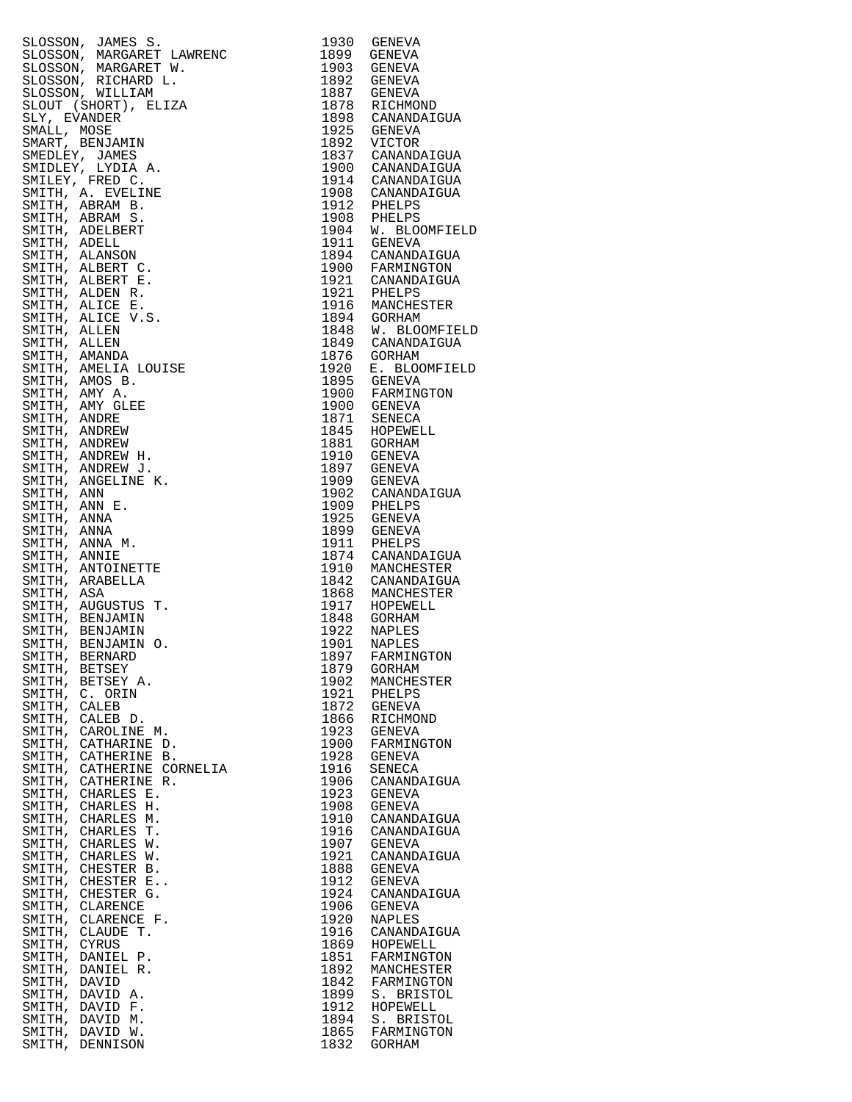|               | SLOSSON, JAMES S.         |      | 1930 GENEVA                                                                                                                                                                                                           |
|---------------|---------------------------|------|-----------------------------------------------------------------------------------------------------------------------------------------------------------------------------------------------------------------------|
|               |                           |      |                                                                                                                                                                                                                       |
|               | SLOSSON, MARGARET LAWRENC | 1899 | GENEVA                                                                                                                                                                                                                |
|               | SLOSSON, MARGARET W.      |      | 1903 GENEVA                                                                                                                                                                                                           |
|               |                           |      |                                                                                                                                                                                                                       |
|               | SLOSSON, RICHARD L.       |      | 1892 GENEVA                                                                                                                                                                                                           |
|               | SLOSSON, WILLIAM          |      | 1887 GENEVA                                                                                                                                                                                                           |
|               |                           |      |                                                                                                                                                                                                                       |
|               | SLOUT (SHORT), ELIZA      |      |                                                                                                                                                                                                                       |
| SLY, EVANDER  |                           |      |                                                                                                                                                                                                                       |
| SMALL, MOSE   |                           |      | 1878 RICHMOND<br>1898 CANANDAIGUA<br>1925 GENEVA                                                                                                                                                                      |
|               |                           |      | 1925 GENEVA<br>1892 VICTOR<br>1837 CANANDAIGUA<br>1900 CANANDAIGUA<br>1914 CANANDAIGUA<br>1908 CANANDAIGUA<br>1912 PHELPS<br>1908 PHELPS<br>1904 W. BLOOMFIELD<br>1911 GENEVA<br>1894 CANANDAIGUA<br>1894 CANANDAIGUA |
|               | SMART, BENJAMIN           |      |                                                                                                                                                                                                                       |
|               | SMEDLEY, JAMES            |      |                                                                                                                                                                                                                       |
|               |                           |      |                                                                                                                                                                                                                       |
|               | SMIDLEY, LYDIA A.         |      |                                                                                                                                                                                                                       |
|               | SMILEY, FRED C.           |      |                                                                                                                                                                                                                       |
|               |                           |      |                                                                                                                                                                                                                       |
|               | SMITH, A. EVELINE         |      |                                                                                                                                                                                                                       |
|               | SMITH, ABRAM B.           |      |                                                                                                                                                                                                                       |
|               |                           |      |                                                                                                                                                                                                                       |
|               | SMITH, ABRAM S.           |      |                                                                                                                                                                                                                       |
|               | SMITH, ADELBERT           |      |                                                                                                                                                                                                                       |
|               |                           |      |                                                                                                                                                                                                                       |
| SMITH, ADELL  |                           |      |                                                                                                                                                                                                                       |
|               | SMITH, ALANSON            |      |                                                                                                                                                                                                                       |
|               |                           |      |                                                                                                                                                                                                                       |
|               | SMITH, ALBERT C.          |      |                                                                                                                                                                                                                       |
|               | SMITH, ALBERT E.          |      | 1900 FARMINGTON<br>1921 CANANDAIGUA                                                                                                                                                                                   |
|               |                           |      |                                                                                                                                                                                                                       |
|               | SMITH, ALDEN R.           |      |                                                                                                                                                                                                                       |
|               | SMITH, ALICE E.           |      |                                                                                                                                                                                                                       |
|               |                           |      | 1721 CANANDAIGUA<br>1921 PHELPS<br>1894 GORHAM<br>1848 W. BLOOMFIELD<br>1849 CANANDAIGUA<br>1849 CANANDAIGUA                                                                                                          |
|               | SMITH, ALICE V.S.         |      |                                                                                                                                                                                                                       |
| SMITH, ALLEN  |                           |      |                                                                                                                                                                                                                       |
|               |                           |      |                                                                                                                                                                                                                       |
| SMITH, ALLEN  |                           |      |                                                                                                                                                                                                                       |
|               | SMITH, AMANDA             |      | 1876 GORHAM                                                                                                                                                                                                           |
|               |                           |      | 1920 E. BLOOMFIELD<br>1920 E. BLOOMFIELD<br>1895 GENEVA<br>1900 FARMINGTON<br>1900 GENEVA<br>1845 HOPEWELL<br>1845 HOPEWELL                                                                                           |
|               | SMITH, AMELIA LOUISE      |      |                                                                                                                                                                                                                       |
|               | SMITH, AMOS B.            |      |                                                                                                                                                                                                                       |
|               |                           |      |                                                                                                                                                                                                                       |
| SMITH, AMY A. |                           |      |                                                                                                                                                                                                                       |
|               | SMITH, AMY GLEE           |      |                                                                                                                                                                                                                       |
| SMITH, ANDRE  |                           |      |                                                                                                                                                                                                                       |
|               |                           |      |                                                                                                                                                                                                                       |
|               | SMITH, ANDREW             |      |                                                                                                                                                                                                                       |
|               | SMITH, ANDREW             |      | 1881 GORHAM                                                                                                                                                                                                           |
|               |                           |      |                                                                                                                                                                                                                       |
|               | SMITH, ANDREW H.          |      | 1910 GENEVA                                                                                                                                                                                                           |
|               | SMITH, ANDREW J.          |      | 1897 GENEVA                                                                                                                                                                                                           |
|               |                           |      |                                                                                                                                                                                                                       |
|               | SMITH, ANGELINE K.        |      | 1909 GENEVA                                                                                                                                                                                                           |
| SMITH, ANN    |                           |      |                                                                                                                                                                                                                       |
|               |                           |      |                                                                                                                                                                                                                       |
| SMITH, ANN E. |                           |      |                                                                                                                                                                                                                       |
| SMITH, ANNA   |                           |      |                                                                                                                                                                                                                       |
|               |                           |      |                                                                                                                                                                                                                       |
| SMITH, ANNA   |                           |      |                                                                                                                                                                                                                       |
|               | SMITH, ANNA M.            |      |                                                                                                                                                                                                                       |
|               |                           |      | 1902 GENANDAIGUA<br>1902 CANANDAIGUA<br>1909 PHELPS<br>1925 GENEVA<br>1899 GENEVA<br>1911 PHELPS<br>1910 MANCHESTER<br>1942 CANANDAIGUA                                                                               |
| SMITH, ANNIE  |                           |      |                                                                                                                                                                                                                       |
|               | SMITH, ANTOINETTE         |      |                                                                                                                                                                                                                       |
|               | SMITH, ARABELLA           |      | 1842 CANANDAIGUA                                                                                                                                                                                                      |
|               |                           |      |                                                                                                                                                                                                                       |
| SMITH, ASA    |                           |      | 1868 MANCHESTER<br>1917 HOPEWELL<br>1848 GORHAM                                                                                                                                                                       |
|               | SMITH, AUGUSTUS T.        |      |                                                                                                                                                                                                                       |
|               |                           |      |                                                                                                                                                                                                                       |
|               | SMITH, BENJAMIN           |      |                                                                                                                                                                                                                       |
|               | SMITH, BENJAMIN           |      | 1922 NAPLES                                                                                                                                                                                                           |
|               |                           |      |                                                                                                                                                                                                                       |
|               | SMITH, BENJAMIN O.        | 1901 | <b>NAPLES</b>                                                                                                                                                                                                         |
|               | SMITH, BERNARD            |      | 1897 FARMINGTON                                                                                                                                                                                                       |
|               |                           |      |                                                                                                                                                                                                                       |
|               | SMITH, BETSEY             | 1879 | GORHAM                                                                                                                                                                                                                |
|               | SMITH, BETSEY A.          | 1902 | MANCHESTER                                                                                                                                                                                                            |
|               | SMITH, C. ORIN            | 1921 |                                                                                                                                                                                                                       |
|               |                           |      | PHELPS                                                                                                                                                                                                                |
| SMITH, CALEB  |                           | 1872 | GENEVA                                                                                                                                                                                                                |
|               | SMITH, CALEB D.           | 1866 | RICHMOND                                                                                                                                                                                                              |
|               |                           |      |                                                                                                                                                                                                                       |
|               | SMITH, CAROLINE M.        | 1923 | GENEVA                                                                                                                                                                                                                |
|               | SMITH, CATHARINE D.       | 1900 | FARMINGTON                                                                                                                                                                                                            |
|               |                           |      |                                                                                                                                                                                                                       |
|               | SMITH, CATHERINE B.       | 1928 | GENEVA                                                                                                                                                                                                                |
|               | SMITH, CATHERINE CORNELIA | 1916 | SENECA                                                                                                                                                                                                                |
|               | SMITH, CATHERINE R.       | 1906 |                                                                                                                                                                                                                       |
|               |                           |      | CANANDAIGUA                                                                                                                                                                                                           |
|               | SMITH, CHARLES E.         | 1923 | GENEVA                                                                                                                                                                                                                |
|               | SMITH, CHARLES H.         | 1908 | GENEVA                                                                                                                                                                                                                |
|               |                           |      |                                                                                                                                                                                                                       |
|               | SMITH, CHARLES M.         | 1910 | CANANDAIGUA                                                                                                                                                                                                           |
|               | SMITH, CHARLES T.         | 1916 | CANANDAIGUA                                                                                                                                                                                                           |
|               |                           |      |                                                                                                                                                                                                                       |
|               | SMITH, CHARLES W.         |      | 1907 GENEVA                                                                                                                                                                                                           |
|               | SMITH, CHARLES W.         | 1921 | CANANDAIGUA                                                                                                                                                                                                           |
|               |                           |      |                                                                                                                                                                                                                       |
|               | SMITH, CHESTER B.         | 1888 | GENEVA                                                                                                                                                                                                                |
|               | SMITH, CHESTER E          | 1912 | GENEVA                                                                                                                                                                                                                |
|               |                           |      |                                                                                                                                                                                                                       |
|               | SMITH, CHESTER G.         | 1924 | CANANDAIGUA                                                                                                                                                                                                           |
|               | SMITH, CLARENCE           | 1906 | GENEVA                                                                                                                                                                                                                |
|               |                           |      |                                                                                                                                                                                                                       |
|               | SMITH, CLARENCE F.        | 1920 | NAPLES                                                                                                                                                                                                                |
|               | SMITH, CLAUDE T.          | 1916 | CANANDAIGUA                                                                                                                                                                                                           |
| SMITH, CYRUS  |                           | 1869 |                                                                                                                                                                                                                       |
|               |                           |      | HOPEWELL                                                                                                                                                                                                              |
|               | SMITH, DANIEL P.          | 1851 | FARMINGTON                                                                                                                                                                                                            |
|               | SMITH, DANIEL R.          | 1892 | MANCHESTER                                                                                                                                                                                                            |
|               |                           |      |                                                                                                                                                                                                                       |
| SMITH, DAVID  |                           | 1842 | FARMINGTON                                                                                                                                                                                                            |
|               | SMITH, DAVID A.           | 1899 | S. BRISTOL                                                                                                                                                                                                            |
|               |                           |      |                                                                                                                                                                                                                       |
|               | SMITH, DAVID F.           | 1912 | HOPEWELL                                                                                                                                                                                                              |
|               | SMITH, DAVID M.           | 1894 | S. BRISTOL                                                                                                                                                                                                            |
|               |                           |      |                                                                                                                                                                                                                       |
|               | SMITH, DAVID W.           | 1865 | FARMINGTON                                                                                                                                                                                                            |
|               | SMITH, DENNISON           | 1832 | GORHAM                                                                                                                                                                                                                |

| 1930         | GENEVA                             |
|--------------|------------------------------------|
| 1899<br>1903 | GENEVA<br>GENEVA                   |
| 1892         | GENEVA                             |
| 1887         | GENEVA                             |
| 1878         | RICHMOND                           |
| 1898<br>1925 | CANANDAIGUA<br>GENEVA              |
| 1892         | VICTOR                             |
| 1837         | CANANDAIGUA                        |
| 1900         | CANANDAIGUA                        |
| 1914         | CANANDAIGUA                        |
| 1908<br>1912 | CANANDAIGUA<br>PHELPS              |
| 1908         | PHELPS                             |
| 1904         | W. BLOOMFIELD                      |
| 1911         | GENEVA                             |
| 1894<br>1900 | CANANDAIGUA                        |
| 1921         | FARMINGTON<br>CANANDAIGUA          |
| 1921         | PHELPS                             |
| 1916         | MANCHESTER                         |
| 1894         | GORHAM                             |
| 1848<br>1849 | W. BLOOMFIELD<br>CANANDAIGUA       |
| 1876         | GORHAM                             |
| 1920         | Е.<br><b>BLOOMFIELD</b>            |
| 1895         | GENEVA                             |
| 1900         | FARMINGTON                         |
| 1900<br>1871 | GENEVA<br>SENECA                   |
| 1845         | HOPEWELL                           |
| 1881         | GORHAM                             |
| 1910         | GENEVA                             |
| 1897<br>1909 | GENEVA<br>GENEVA                   |
| 1902         | CANANDAIGUA                        |
| 1909         | PHELPS                             |
| 1925         | GENEVA                             |
| 1899         | GENEVA                             |
| 1911<br>1874 | PHELPS<br>CANANDAIGUA              |
| 1910         | MANCHESTER                         |
| 1842         | CANANDAIGUA                        |
| 1868         | MANCHESTER                         |
| 1917<br>1848 | HOPEWELL<br>GORHAM                 |
| 1922         | NAPLES                             |
| 1901         | NAPLES                             |
| 1897         | FARMINGTON                         |
| 1879         | GORHAM                             |
| 1902         | MANCHESTER<br>PHELPS               |
| 1921<br>1872 | <b>GENEVA</b>                      |
| 1866         | RICHMOND                           |
| 1923         | GENEVA                             |
| 1900<br>1928 | FARMINGTON<br><b>GENEVA</b>        |
| 1916         | SENECA                             |
| 1906         | CANANDAIGUA                        |
| 1923         | <b>GENEVA</b>                      |
| 1908         | <b>GENEVA</b>                      |
| 1910<br>1916 | CANANDAIGUA<br>CANANDAIGUA         |
| 1907         | <b>GENEVA</b>                      |
| 1921         | CANANDAIGUA                        |
| 1888         | <b>GENEVA</b>                      |
| 1912<br>1924 | <b>GENEVA</b><br>CANANDAIGUA       |
| 1906         | <b>GENEVA</b>                      |
| 1920         | NAPLES                             |
| 1916         | CANANDAIGUA                        |
| 1869<br>1851 | HOPEWELL                           |
| 1892         | FARMINGTON<br>MANCHESTER           |
| 1842         | FARMINGTON                         |
| 1899         | S. BRISTOL                         |
| 1912         | HOPEWELL                           |
| 1894<br>1865 | <b>BRISTOL</b><br>S.<br>FARMINGTON |
| 1832         | GORHAM                             |
|              |                                    |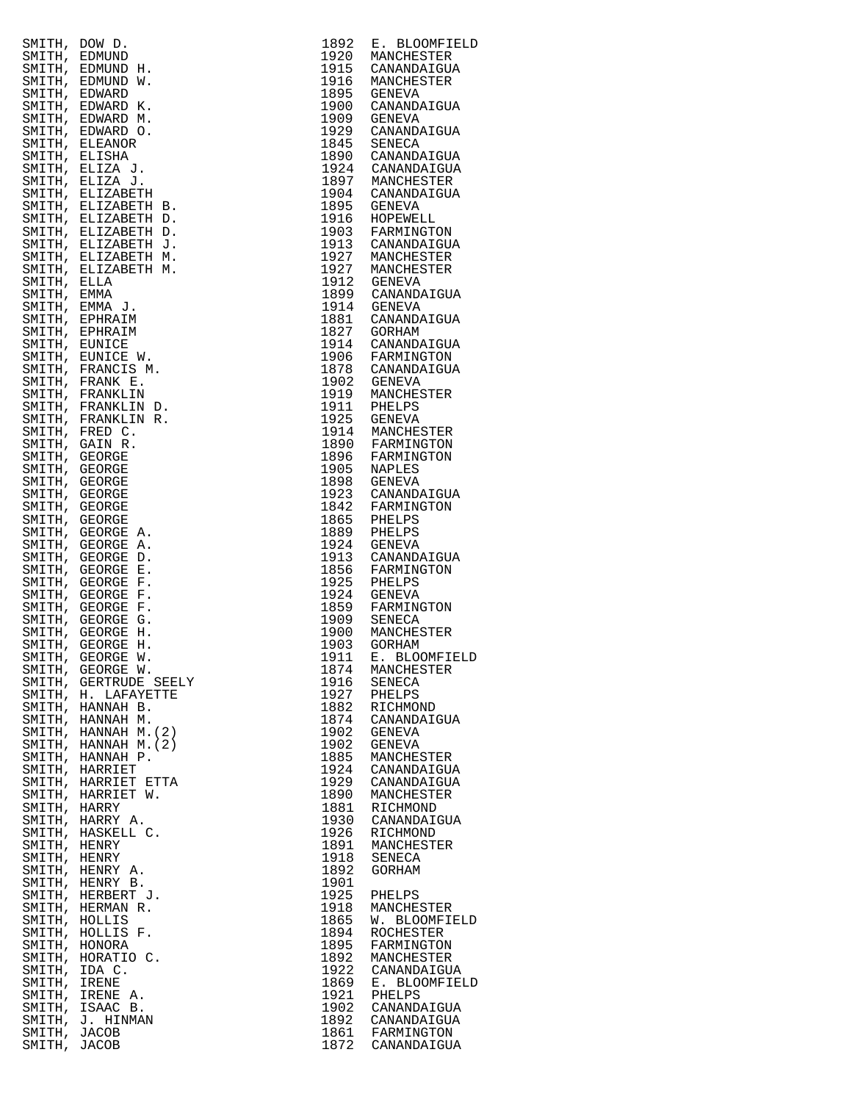|              | SMITH, DOW D.                                | 1892         | E. BLOOMFIEL                                      |
|--------------|----------------------------------------------|--------------|---------------------------------------------------|
| SMITH,       | EDMUND<br>SMITH, EDMUND H.                   | 1920         | MANCHESTER<br>1920 MANCHESTER<br>1915 CANANDAIGUA |
| SMITH,       | EDMUND W.                                    |              | MANCHESTER                                        |
|              | SMITH, EDWARD                                |              | 1916 MANCHES<br>1895 GENEVA                       |
|              | SMITH, EDWARD K.                             | 1900         | CANANDAIGUA                                       |
|              | SMITH, EDWARD M.                             |              | 1909 GENEVA                                       |
|              | SMITH, EDWARD O.<br>SMITH, ELEANOR           | 1929         | CANANDAIGUA<br>1845 SENECA                        |
|              | SMITH, ELISHA                                |              | 1890 CANANDAIGUA                                  |
|              | SMITH, ELIZA J.                              |              | 1924 CANANDAIGUA                                  |
|              | SMITH, ELIZA J.                              |              | 1897 MANCHESTER<br>1904 CANANDAIGUA               |
|              | SMITH, ELIZABETH                             | 1895         | GENEVA                                            |
|              | SMITH, ELIZABETH B.<br>SMITH, ELIZABETH D.   |              | 1916 HOPEWELL                                     |
|              | SMITH, ELIZABETH D.                          |              | 1903 FARMINGTON<br>1913 CANANDAIGUA               |
|              | SMITH, ELIZABETH J.                          |              |                                                   |
|              | SMITH, ELIZABETH M.                          |              | 1927 MANCHESTER<br>1927 MANCHESTER                |
| SMITH, ELLA  | SMITH, ELIZABETH M.                          |              |                                                   |
| SMITH, EMMA  |                                              |              | 1912 GENEVA<br>1899 CANANDAIGUA                   |
|              | SMITH, EMMA J.                               |              | 1914 GENEVA<br>1881 CANANDAIGUA                   |
|              | SMITH, EPHRAIM                               |              |                                                   |
|              | SMITH, EPHRAIM<br>SMITH, EUNICE              | 1827         | GORHAM<br>1914 CANANDAIGUA                        |
|              | SMITH, EUNICE W.                             |              |                                                   |
|              | SMITH, FRANCIS M.                            |              | 1906 FARMINGTON<br>1878 CANANDAIGUA               |
|              | SMITH, FRANK E.                              |              | 1902 GENEVA<br>1919 MANCHESTER                    |
|              | SMITH, FRANKLIN                              |              |                                                   |
|              | SMITH, FRANKLIN D.<br>SMITH, FRANKLIN R.     |              | 1911 PHELPS<br>1925 GENEVA                        |
|              | SMITH, FRED C.                               |              |                                                   |
|              | SMITH, GAIN R.                               |              | 1914 MANCHESTER<br>1890 FARMINGTON                |
|              | SMITH, GEORGE                                |              | 1896 FARMINGTON<br>1905 NAPLES                    |
|              | SMITH, GEORGE<br>SMITH, GEORGE               |              |                                                   |
|              | SMITH, GEORGE                                |              | 1898 GENEVA<br>1923 CANANDAIGUA                   |
|              | SMITH, GEORGE                                |              | 1842 FARMINGTON<br>1865 PHELPS                    |
|              | SMITH, GEORGE                                |              |                                                   |
|              | SMITH, GEORGE A.                             | 1889<br>1924 | PHELPS<br><b>GENEVA</b>                           |
|              | SMITH, GEORGE A.<br>SMITH, GEORGE D.         | 1913         | CANANDAIGUA                                       |
|              | SMITH, GEORGE E.                             |              | 1856 FARMINGTON                                   |
|              | SMITH, GEORGE F.                             | 1925         | PHELPS                                            |
|              | SMITH, GEORGE F.                             |              | 1924 GENEVA                                       |
|              | SMITH, GEORGE F.<br>SMITH, GEORGE G.         |              | 1859 FARMINGTON<br>1909 SENECA                    |
|              | SMITH, GEORGE H.                             |              | 1900 MANCHESTER<br>1903 GORHAM                    |
|              | SMITH, GEORGE H.                             | 1903         |                                                   |
|              | SMITH, GEORGE W.                             | 1911         | Е.<br><b>BLOOMFIEL</b>                            |
|              | SMITH, GEORGE W.<br>SMITH, GERTRUDE SEELY    | 1874<br>1916 | MANCHESTER<br>SENECA                              |
|              | SMITH, H. LAFAYETTE                          | 1927         | PHELPS                                            |
| SMITH,       | HANNAH B.                                    | 1882         | RICHMOND                                          |
|              | SMITH, HANNAH M.                             | 1874         | CANANDAIGUA                                       |
|              | SMITH, HANNAH M. (2)<br>SMITH, HANNAH M. (2) | 1902<br>1902 | GENEVA<br><b>GENEVA</b>                           |
|              | SMITH, HANNAH P.                             | 1885         | MANCHESTER                                        |
|              | SMITH, HARRIET                               | 1924         | CANANDAIGUA                                       |
|              | SMITH, HARRIET ETTA                          | 1929         | CANANDAIGUA                                       |
| SMITH, HARRY | SMITH, HARRIET W.                            | 1890<br>1881 | MANCHESTER<br>RICHMOND                            |
|              | SMITH, HARRY A.                              | 1930         | CANANDAIGUA                                       |
|              | SMITH, HASKELL C.                            | 1926         | RICHMOND                                          |
| SMITH, HENRY |                                              | 1891         | MANCHESTER                                        |
| SMITH, HENRY | SMITH, HENRY A.                              | 1918<br>1892 | SENECA                                            |
|              | SMITH, HENRY B.                              | 1901         | GORHAM                                            |
|              | SMITH, HERBERT J.                            | 1925         | PHELPS                                            |
|              | SMITH, HERMAN R.                             | 1918         | MANCHESTER                                        |
|              | SMITH, HOLLIS                                | 1865         | W. BLOOMFIEL                                      |
|              | SMITH, HOLLIS F.<br>SMITH, HONORA            | 1894<br>1895 | ROCHESTER<br>FARMINGTON                           |
| SMITH,       | HORATIO C.                                   | 1892         | MANCHESTER                                        |
|              | SMITH, IDA C.                                | 1922         | CANANDAIGUA                                       |
| SMITH,       | IRENE                                        | 1869         | E. BLOOMFIEL                                      |
| SMITH,       | SMITH, IRENE A.<br>ISAAC B.                  | 1921<br>1902 | PHELPS<br>CANANDAIGUA                             |
|              | SMITH, J. HINMAN                             | 1892         | CANANDAIGUA                                       |
| SMITH, JACOB |                                              |              | 1861 FARMINGTON                                   |
| SMITH, JACOB |                                              |              | 1872 CANANDAIGUA                                  |

| SMITH, DOW D.                  |                                              | 1892         | E. BLOOMFIELD                      |
|--------------------------------|----------------------------------------------|--------------|------------------------------------|
| SMITH, EDMUND                  |                                              | 1920         | MANCHESTER                         |
|                                | SMITH, EDMUND H.<br>SMITH, EDMUND W.         | 1915<br>1916 | CANANDAIGUA<br>MANCHESTER          |
| SMITH, EDWARD                  |                                              | 1895         | GENEVA                             |
|                                | SMITH, EDWARD K.                             | 1900         | CANANDAIGUA                        |
|                                | SMITH, EDWARD M.                             | 1909         | GENEVA                             |
|                                | SMITH, EDWARD O.                             | 1929         | CANANDAIGUA                        |
|                                | SMITH, ELEANOR                               | 1845         | SENECA                             |
| SMITH, ELISHA                  | SMITH, ELIZA J.                              | 1890<br>1924 | CANANDAIGUA<br>CANANDAIGUA         |
|                                | SMITH, ELIZA J.                              | 1897         | MANCHESTER                         |
|                                | SMITH, ELIZABETH                             | 1904         | CANANDAIGUA                        |
|                                | SMITH, ELIZABETH B.                          | 1895         | GENEVA                             |
|                                | SMITH, ELIZABETH D.                          | 1916         | HOPEWELL                           |
|                                | SMITH, ELIZABETH D.                          | 1903         | FARMINGTON<br>1913 CANANDAIGUA     |
|                                | SMITH, ELIZABETH J.<br>SMITH, ELIZABETH M.   | 1927         | MANCHESTER                         |
|                                | SMITH, ELIZABETH M.                          |              | 1927 MANCHESTER                    |
| SMITH, ELLA                    |                                              | 1912         | GENEVA                             |
| SMITH, EMMA                    |                                              | 1899         | CANANDAIGUA                        |
|                                | SMITH, EMMA J.                               | 1914         | GENEVA                             |
|                                | SMITH, EPHRAIM<br>SMITH, EPHRAIM             | 1881<br>1827 | CANANDAIGUA<br>GORHAM              |
| SMITH, EUNICE                  |                                              | 1914         | CANANDAIGUA                        |
|                                | SMITH, EUNICE W.                             | 1906         | FARMINGTON                         |
|                                | SMITH, FRANCIS M.                            |              | 1878 CANANDAIGUA                   |
|                                | SMITH, FRANK E.                              | 1902         | GENEVA                             |
|                                | SMITH, FRANKLIN                              | 1919<br>1911 | MANCHESTER                         |
|                                | SMITH, FRANKLIN D.<br>SMITH, FRANKLIN R.     | 1925         | PHELPS<br>GENEVA                   |
|                                | SMITH, FRED C.                               |              |                                    |
|                                | SMITH, GAIN R.                               |              | 1914 MANCHESTER<br>1890 FARMINGTON |
| SMITH, GEORGE                  |                                              | 1896         | FARMINGTON                         |
| SMITH, GEORGE                  |                                              | 1905         | NAPLES                             |
| SMITH, GEORGE<br>SMITH, GEORGE |                                              | 1898<br>1923 | GENEVA<br>CANANDAIGUA              |
| SMITH, GEORGE                  |                                              | 1842         | FARMINGTON                         |
| SMITH, GEORGE                  |                                              | 1865         | PHELPS                             |
| SMITH, GEORGE                  | А.                                           | 1889         | PHELPS                             |
|                                | SMITH, GEORGE A.<br>SMITH, GEORGE D.         | 1924<br>1913 | GENEVA<br>CANANDAIGUA              |
| SMITH, GEORGE                  | Е.                                           | 1856         | FARMINGTON                         |
| SMITH, GEORGE                  | $\mathbf F$ .                                | 1925         | PHELPS                             |
| SMITH, GEORGE                  | F.                                           | 1924         | GENEVA                             |
| SMITH, GEORGE                  | F.<br>G.                                     | 1859<br>1909 | FARMINGTON<br>SENECA               |
| SMITH, GEORGE<br>SMITH, GEORGE | н.                                           | 1900         | MANCHESTER                         |
| SMITH, GEORGE                  | н.                                           | 1903         | GORHAM                             |
| SMITH, GEORGE                  | W.                                           | 1911         | E. BLOOMFIELD                      |
|                                | SMITH, GEORGE W.                             | 1874         | MANCHESTER                         |
|                                | SMITH, GERTRUDE SEELY<br>SMITH, H. LAFAYETTE | 1916<br>1927 | SENECA<br>PHELPS                   |
|                                | SMITH, HANNAH B.                             | 1882         | RICHMOND                           |
|                                | SMITH, HANNAH M.                             | 1874         | CANANDAIGUA                        |
|                                | SMITH, HANNAH M. (2)                         | 1902         | GENEVA                             |
|                                | SMITH, HANNAH M. (2)                         | 1902         | <b>GENEVA</b>                      |
|                                | SMITH, HANNAH P.<br>SMITH, HARRIET           | 1885<br>1924 | MANCHESTER<br>CANANDAIGUA          |
|                                | SMITH, HARRIET ETTA                          | 1929         | CANANDAIGUA                        |
|                                | SMITH, HARRIET W.                            | 1890         | MANCHESTER                         |
| SMITH, HARRY                   |                                              | 1881         | RICHMOND                           |
|                                | SMITH, HARRY A.                              | 1930         | CANANDAIGUA                        |
| SMITH, HENRY                   | SMITH, HASKELL C.                            | 1926<br>1891 | RICHMOND<br>MANCHESTER             |
| SMITH, HENRY                   |                                              | 1918         | SENECA                             |
|                                | SMITH, HENRY A.                              | 1892         | GORHAM                             |
|                                | SMITH, HENRY B.                              | 1901         |                                    |
|                                | SMITH, HERBERT J.                            | 1925         | PHELPS                             |
| SMITH, HOLLIS                  | SMITH, HERMAN R.                             | 1918<br>1865 | MANCHESTER<br>W. BLOOMFIELD        |
|                                | SMITH, HOLLIS F.                             | 1894         | ROCHESTER                          |
| SMITH, HONORA                  |                                              | 1895         | FARMINGTON                         |
|                                | SMITH, HORATIO C.                            | 1892         | MANCHESTER                         |
| SMITH, IDA C.                  |                                              | 1922         | CANANDAIGUA                        |
| SMITH, IRENE                   | SMITH, IRENE A.                              | 1869<br>1921 | E. BLOOMFIELD<br>PHELPS            |
|                                | SMITH, ISAAC B.                              | 1902         | CANANDAIGUA                        |
|                                | SMITH, J. HINMAN                             | 1892         | CANANDAIGUA                        |
| SMITH, JACOB                   |                                              | 1861         | FARMINGTON                         |
| SMITH, JACOB                   |                                              | 1872         | CANANDAIGUA                        |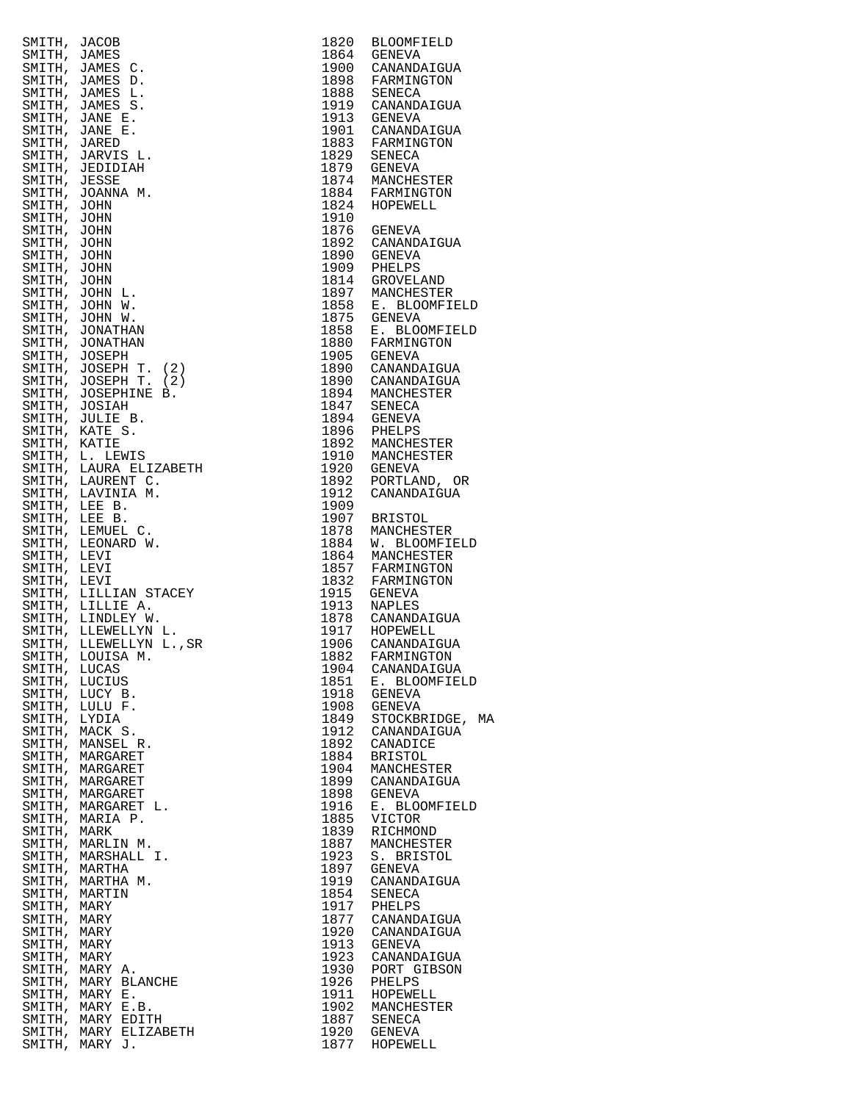|                            | SMITH, JACOB<br>SMITH, JAMES C.<br>SMITH, JAMES C.<br>SMITH, JAMES C.<br>SMITH, JAMES D.<br>SMITH, JAMES D.<br>SMITH, JAMES D.<br>SMITH, JAMES D.<br>SMITH, JAME E.<br>SMITH, JARED.<br>SMITH, JARED.<br>SMITH, JARED.<br>SMITH, JOHN M.<br>SMITH, JOHN M.<br>SMITH, JOH |              | 1820 BLOOMFIELD                                    |
|----------------------------|--------------------------------------------------------------------------------------------------------------------------------------------------------------------------------------------------------------------------------------------------------------------------|--------------|----------------------------------------------------|
|                            |                                                                                                                                                                                                                                                                          |              | 1864 GENEVA<br>1900 CANANDAIGUA                    |
|                            |                                                                                                                                                                                                                                                                          |              |                                                    |
|                            |                                                                                                                                                                                                                                                                          |              | 1898 FARMINGTON<br>1888 SENECA                     |
|                            |                                                                                                                                                                                                                                                                          |              | 1919 CANANDAIGUA                                   |
|                            |                                                                                                                                                                                                                                                                          |              | 1913 GENEVA                                        |
|                            |                                                                                                                                                                                                                                                                          |              | 1901 CANANDAIGUA<br>1883 FARMINGTON                |
|                            |                                                                                                                                                                                                                                                                          |              |                                                    |
|                            |                                                                                                                                                                                                                                                                          |              | 1829 SENECA<br>1879 GENEVA                         |
|                            |                                                                                                                                                                                                                                                                          |              | 1874 MANCHESTER<br>1884 FARMINGTON                 |
|                            |                                                                                                                                                                                                                                                                          |              | 1824 HOPEWELL                                      |
|                            |                                                                                                                                                                                                                                                                          | 1910         |                                                    |
|                            |                                                                                                                                                                                                                                                                          |              | 1876 GENEVA                                        |
|                            |                                                                                                                                                                                                                                                                          |              | 1892 CANANDAIGUA                                   |
|                            |                                                                                                                                                                                                                                                                          |              | 1890 GENEVA<br>1909 PHELPS                         |
|                            |                                                                                                                                                                                                                                                                          |              |                                                    |
|                            |                                                                                                                                                                                                                                                                          |              | 1814 GROVELAND<br>1897 MANCHESTER                  |
|                            |                                                                                                                                                                                                                                                                          |              | 1858 E. BLOOMFIELD                                 |
|                            |                                                                                                                                                                                                                                                                          |              | 1875 GENEVA                                        |
|                            |                                                                                                                                                                                                                                                                          |              | 1858 E. BLOOMFIELD<br>1880 FARMINGTON              |
|                            |                                                                                                                                                                                                                                                                          |              |                                                    |
|                            |                                                                                                                                                                                                                                                                          |              | 1905 GENEVA<br>1890 CANANDAIGUA                    |
|                            |                                                                                                                                                                                                                                                                          |              | 1890 CANANDAIGUA<br>1894 MANCHESTER                |
|                            |                                                                                                                                                                                                                                                                          |              |                                                    |
|                            |                                                                                                                                                                                                                                                                          |              | 1847 SENECA<br>1894 GENEVA                         |
|                            |                                                                                                                                                                                                                                                                          |              |                                                    |
|                            |                                                                                                                                                                                                                                                                          |              | 1896 PHELPS<br>1892 MANCHESTER                     |
|                            |                                                                                                                                                                                                                                                                          |              | 1910 MANCHESTER                                    |
|                            |                                                                                                                                                                                                                                                                          |              | 1920 GENEVA                                        |
|                            |                                                                                                                                                                                                                                                                          | 1892<br>1912 | PORTLAND, OR<br>CANANDAIGUA                        |
|                            |                                                                                                                                                                                                                                                                          | 1909         |                                                    |
|                            |                                                                                                                                                                                                                                                                          |              | 1907 BRISTOL                                       |
|                            |                                                                                                                                                                                                                                                                          | 1878         | MANCHESTER                                         |
|                            |                                                                                                                                                                                                                                                                          |              | 1884 W. BLOOMFIELD                                 |
|                            |                                                                                                                                                                                                                                                                          |              | 1864 MANCHESTER<br>1857 FARMINGTON                 |
|                            |                                                                                                                                                                                                                                                                          |              | 1832 FARMINGTON                                    |
|                            |                                                                                                                                                                                                                                                                          |              | 1915 GENEVA                                        |
|                            |                                                                                                                                                                                                                                                                          |              | 1913 NAPLES<br>1878 CANANDAIGUA                    |
|                            |                                                                                                                                                                                                                                                                          |              |                                                    |
|                            |                                                                                                                                                                                                                                                                          |              | 1917 HOPEWELL<br>1917 HOPEWELL<br>1906 CANANDAIGUA |
|                            |                                                                                                                                                                                                                                                                          | 1882         | FARMINGTON                                         |
| SMITH, LUCAS               |                                                                                                                                                                                                                                                                          | 1904         | CANANDAIGUA                                        |
| SMITH, LUCIUS              |                                                                                                                                                                                                                                                                          | 1851         | E. BLOOMFIELD                                      |
|                            | SMITH, LUCY B.<br>SMITH, LULU F.                                                                                                                                                                                                                                         | 1918<br>1908 | GENEVA<br>GENEVA                                   |
| SMITH, LYDIA               |                                                                                                                                                                                                                                                                          | 1849         | STOCKBRIDGE, MA                                    |
|                            | SMITH, MACK S.                                                                                                                                                                                                                                                           | 1912         | CANANDAIGUA                                        |
|                            | SMITH, MANSEL R.                                                                                                                                                                                                                                                         | 1892         | CANADICE                                           |
|                            | SMITH, MARGARET                                                                                                                                                                                                                                                          | 1884         | <b>BRISTOL</b>                                     |
|                            | SMITH, MARGARET<br>SMITH, MARGARET                                                                                                                                                                                                                                       | 1904<br>1899 | MANCHESTER<br>CANANDAIGUA                          |
|                            | SMITH, MARGARET                                                                                                                                                                                                                                                          | 1898         | <b>GENEVA</b>                                      |
|                            | SMITH, MARGARET L.                                                                                                                                                                                                                                                       | 1916         | E. BLOOMFIELD                                      |
|                            | SMITH, MARIA P.                                                                                                                                                                                                                                                          | 1885         | <b>VICTOR</b>                                      |
| SMITH, MARK                |                                                                                                                                                                                                                                                                          | 1839         | RICHMOND                                           |
|                            | SMITH, MARLIN M.<br>SMITH, MARSHALL I.                                                                                                                                                                                                                                   | 1887<br>1923 | MANCHESTER<br>S. BRISTOL                           |
|                            | SMITH, MARTHA                                                                                                                                                                                                                                                            | 1897         | <b>GENEVA</b>                                      |
|                            | SMITH, MARTHA M.                                                                                                                                                                                                                                                         | 1919         | CANANDAIGUA                                        |
| SMITH, MARTIN              |                                                                                                                                                                                                                                                                          | 1854         | SENECA                                             |
| SMITH, MARY<br>SMITH, MARY |                                                                                                                                                                                                                                                                          | 1917<br>1877 | PHELPS<br>CANANDAIGUA                              |
| SMITH, MARY                |                                                                                                                                                                                                                                                                          | 1920         | CANANDAIGUA                                        |
| SMITH, MARY                |                                                                                                                                                                                                                                                                          | 1913         | GENEVA                                             |
| SMITH, MARY                |                                                                                                                                                                                                                                                                          | 1923         | CANANDAIGUA                                        |
|                            | SMITH, MARY A.                                                                                                                                                                                                                                                           | 1930         | PORT GIBSON                                        |
|                            | SMITH, MARY BLANCHE<br>SMITH, MARY E.                                                                                                                                                                                                                                    | 1926<br>1911 | PHELPS<br>HOPEWELL                                 |
|                            | SMITH, MARY E.B.                                                                                                                                                                                                                                                         | 1902         | MANCHESTER                                         |
|                            | SMITH, MARY EDITH                                                                                                                                                                                                                                                        | 1887         | SENECA                                             |
|                            | SMITH, MARY ELIZABETH                                                                                                                                                                                                                                                    | 1920         | GENEVA                                             |
|                            | SMITH, MARY J.                                                                                                                                                                                                                                                           | 1877         | HOPEWELL                                           |

| 1820         | <b>BLOOMFIELD</b>              |
|--------------|--------------------------------|
| 1864<br>1900 | <b>GENEVA</b><br>CANANDAIGUA   |
| 1898         | FARMINGTON                     |
| 1888         | SENECA                         |
| 1919         | CANANDAIGUA                    |
| 1913<br>1901 | <b>GENEVA</b><br>CANANDAIGUA   |
| 1883         | FARMINGTON                     |
| 1829         | SENECA                         |
| 1879<br>1874 | <b>GENEVA</b>                  |
| 1884         | MANCHESTER<br>FARMINGTON       |
| 1824         | HOPEWELL                       |
| 1910         |                                |
| 1876<br>1892 | <b>GENEVA</b>                  |
| 1890         | CANANDAIGUA<br><b>GENEVA</b>   |
| 1909         | PHELPS                         |
| 1814         | <b>GROVELAND</b>               |
| 1897         | MANCHESTER                     |
| 1858<br>1875 | E. BLOOMFIELD<br><b>GENEVA</b> |
| 1858         | E. BLOOMFIELD                  |
| 1880         | FARMINGTON                     |
| 1905         | <b>GENEVA</b>                  |
| 1890<br>1890 | CANANDAIGUA<br>CANANDAIGUA     |
| 1894         | MANCHESTER                     |
| 1847         | SENECA                         |
| 1894         | <b>GENEVA</b>                  |
| 1896<br>1892 | PHELPS<br>MANCHESTER           |
| 1910         | MANCHESTER                     |
| 1920         | <b>GENEVA</b>                  |
| 1892         | PORTLAND, OR                   |
| 1912<br>1909 | CANANDAIGUA                    |
| 1907         | <b>BRISTOL</b>                 |
| 1878         | MANCHESTER                     |
| 1884         | W. BLOOMFIELD                  |
| 1864<br>1857 | MANCHESTER<br>FARMINGTON       |
| 1832         | FARMINGTON                     |
| 1915         | <b>GENEVA</b>                  |
| 1913         | <b>NAPLES</b>                  |
| 1878<br>1917 | CANANDAIGUA<br>HOPEWELL        |
| 1906         | CANANDAIGUA                    |
| 1882         | FARMINGTON                     |
| 1904         | CANANDAIGUA                    |
| 1851<br>1918 | E. BLOOMFIELD<br><b>GENEVA</b> |
| 1908         | <b>GENEVA</b>                  |
| 1849         | STOCKBRIDGE,<br>M              |
| 1912         | CANANDAIGUA                    |
| 1892<br>1884 | CANADICE<br><b>BRISTOL</b>     |
| 1904         | MANCHESTER                     |
| 1899         | CANANDAIGUA                    |
| 1898         | <b>GENEVA</b>                  |
| 1916<br>1885 | E. BLOOMFIELD<br>VICTOR        |
| 1839         | RICHMOND                       |
| 1887         | MANCHESTER                     |
| 1923         | S. BRISTOL                     |
| 1897<br>1919 | <b>GENEVA</b><br>CANANDAIGUA   |
| 1854         | SENECA                         |
| 1917         | PHELPS                         |
| 1877         | CANANDAIGUA                    |
| 1920<br>1913 | CANANDAIGUA<br><b>GENEVA</b>   |
| 1923         | CANANDAIGUA                    |
| 1930         | PORT GIBSON                    |
| 1926         | PHELPS                         |
| 1911<br>1902 | HOPEWELL<br>MANCHESTER         |
| 1887         | <b>SENECA</b>                  |
| 1920         | <b>GENEVA</b>                  |
| 1877         | HOPEWELL                       |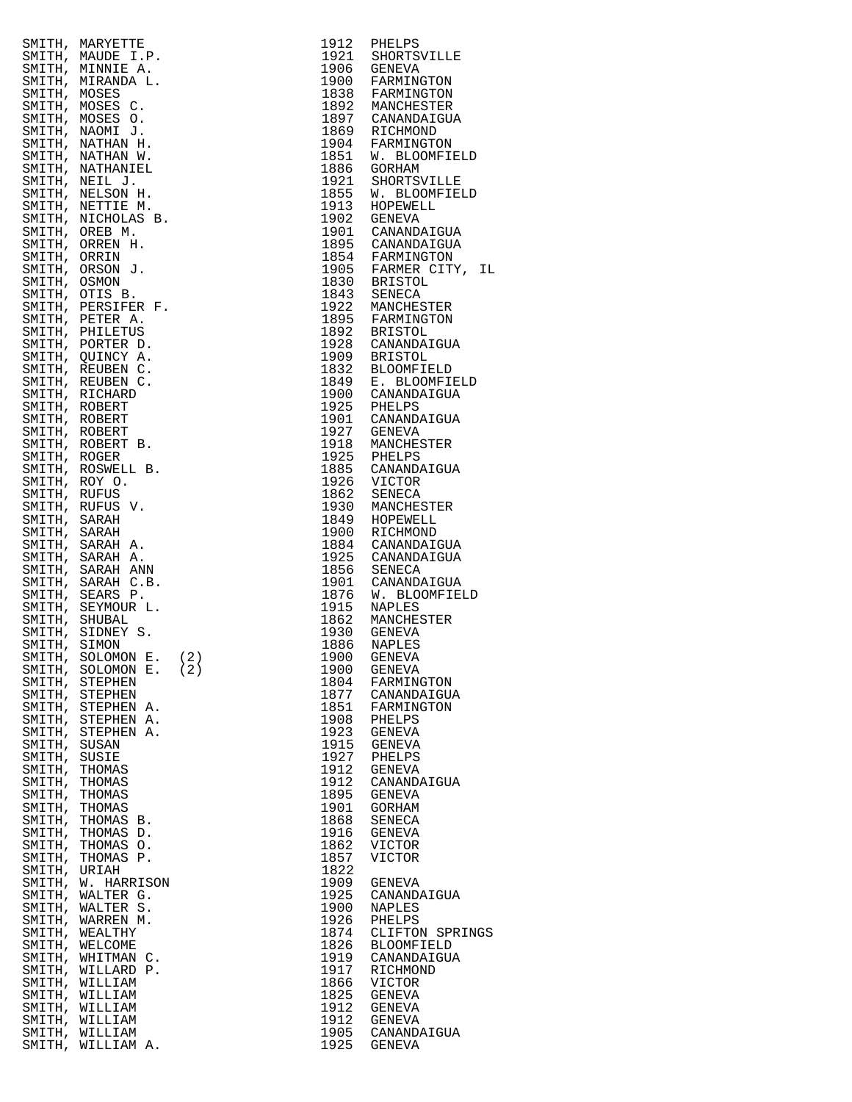|              | SMITH, MARYETTE                      |                                                                                                                                                                                        | 1912         | PHELPS                                                                                                         |
|--------------|--------------------------------------|----------------------------------------------------------------------------------------------------------------------------------------------------------------------------------------|--------------|----------------------------------------------------------------------------------------------------------------|
|              | SMITH, MAUDE I.P.                    |                                                                                                                                                                                        |              | 1921 SHORTSVILLE                                                                                               |
|              | SMITH, MINNIE A.                     |                                                                                                                                                                                        |              | 1906 GENEVA<br>1900 FARMINGTON                                                                                 |
| SMITH, MOSES | SMITH, MIRANDA L.                    |                                                                                                                                                                                        |              |                                                                                                                |
|              | SMITH, MOSES C.                      |                                                                                                                                                                                        |              |                                                                                                                |
|              | SMITH, MOSES O.                      |                                                                                                                                                                                        |              |                                                                                                                |
|              | SMITH, NAOMI J.                      |                                                                                                                                                                                        |              | 1838 FARMINGTON<br>1838 FARMINGTON<br>1892 MANCHESTER<br>1869 RICHMOND<br>1904 FARMINGTON<br>1851 W. BLOOMFIEL |
|              | SMITH, NATHAN H.                     |                                                                                                                                                                                        |              |                                                                                                                |
|              | SMITH, NATHAN W.                     |                                                                                                                                                                                        |              |                                                                                                                |
|              | SMITH, NATHANIEL                     |                                                                                                                                                                                        |              | 1886 GORHAM                                                                                                    |
|              | SMITH, NEIL J.                       |                                                                                                                                                                                        |              | 1921 SHORTSVILLE                                                                                               |
|              | SMITH, NELSON H.                     |                                                                                                                                                                                        |              | 1855 W. BLOOMFIEL<br>1913 HOPEWELL                                                                             |
|              | SMITH, NETTIE M.                     |                                                                                                                                                                                        |              |                                                                                                                |
|              | SMITH, NICHOLAS B.<br>SMITH, OREB M. |                                                                                                                                                                                        |              | 1902 GENEVA<br>1901 CANANDAIGUA                                                                                |
|              | SMITH, ORREN H.                      |                                                                                                                                                                                        |              |                                                                                                                |
| SMITH, ORRIN |                                      |                                                                                                                                                                                        |              |                                                                                                                |
|              | SMITH, ORSON J.                      |                                                                                                                                                                                        |              | 1895 CANANDAIGUA<br>1854 FARMINGTON<br>1905 FARMER CITY,<br>1830 BRISTOL                                       |
| SMITH, OSMON |                                      |                                                                                                                                                                                        |              |                                                                                                                |
|              | SMITH, OTIS B.                       |                                                                                                                                                                                        |              | 1843 SENECA<br>1922 MANCHESTER                                                                                 |
|              | SMITH, PERSIFER F.                   |                                                                                                                                                                                        |              |                                                                                                                |
|              | SMITH, PETER A.                      |                                                                                                                                                                                        |              | 1895 FARMINGTON<br>1892 BRISTOL                                                                                |
|              | SMITH, PHILETUS                      |                                                                                                                                                                                        |              |                                                                                                                |
|              | SMITH, PORTER D.<br>SMITH, QUINCY A. |                                                                                                                                                                                        |              |                                                                                                                |
|              | SMITH, REUBEN C.                     |                                                                                                                                                                                        |              |                                                                                                                |
|              | SMITH, REUBEN C.                     |                                                                                                                                                                                        |              | 1928 CANANDAIGUA<br>1909 BRISTOL<br>1832 BLOOMFIELD<br>1849 E. BLOOMFIEL                                       |
|              | SMITH, RICHARD                       |                                                                                                                                                                                        |              |                                                                                                                |
|              | SMITH, ROBERT                        |                                                                                                                                                                                        |              | 1900 CANANDAIGUA<br>1925 PHELPS                                                                                |
|              | SMITH, ROBERT                        |                                                                                                                                                                                        |              | 1901 CANANDAIGUA<br>1927 GENEVA                                                                                |
|              | SMITH, ROBERT                        |                                                                                                                                                                                        |              |                                                                                                                |
|              | SMITH, ROBERT B.                     |                                                                                                                                                                                        |              | 1918 MANCHESTER<br>1925 PHELPS                                                                                 |
| SMITH, ROGER |                                      |                                                                                                                                                                                        |              |                                                                                                                |
|              | SMITH, ROSWELL B.<br>SMITH, ROY O.   |                                                                                                                                                                                        |              |                                                                                                                |
| SMITH, RUFUS |                                      |                                                                                                                                                                                        |              | 1885 CANANDAIGUA<br>1926 VICTOR<br>1862 SENECA<br>1930 MANCHESTER                                              |
|              | SMITH, RUFUS V.                      |                                                                                                                                                                                        |              |                                                                                                                |
| SMITH, SARAH |                                      |                                                                                                                                                                                        |              |                                                                                                                |
| SMITH, SARAH |                                      |                                                                                                                                                                                        |              | 1849 HOPEWELL<br>1900 RICHMOND                                                                                 |
|              | SMITH, SARAH A.                      |                                                                                                                                                                                        |              | 1884 CANANDAIGUA<br>1925 CANANDAIGUA                                                                           |
|              | SMITH, SARAH A.                      |                                                                                                                                                                                        |              |                                                                                                                |
|              | SMITH, SARAH ANN                     |                                                                                                                                                                                        |              | 1856 SENECA<br>1901 CANANDAIGUA                                                                                |
|              | SMITH, SARAH C.B.                    |                                                                                                                                                                                        |              |                                                                                                                |
|              | SMITH, SEARS P.<br>SMITH, SEYMOUR L. |                                                                                                                                                                                        |              | 1876 W. BLOOMFIEL<br>1915 NAPLES                                                                               |
|              | SMITH, SHUBAL                        |                                                                                                                                                                                        |              |                                                                                                                |
|              | SMITH, SIDNEY S.                     |                                                                                                                                                                                        |              | 1862 MANCHESTER<br>1930 GENEVA                                                                                 |
| SMITH,       | SIMON                                | SMITH, SIMON<br>SMITH, SOLOMON E. (2)<br>SMITH, SOLOMON E. (2)<br>SMITH, STEPHEN<br>SMITH, STEPHEN<br>SMITH, STEPHEN A.<br>SMITH, STEPHEN A.<br>SMITH, STEPHEN A.<br>SMITH, STEPHEN A. | 1886         | NAPLES                                                                                                         |
|              |                                      |                                                                                                                                                                                        |              | 1900 GENEVA                                                                                                    |
|              |                                      |                                                                                                                                                                                        |              | 1900 GENEVA                                                                                                    |
|              |                                      |                                                                                                                                                                                        |              | 1804 FARMINGTON                                                                                                |
|              |                                      |                                                                                                                                                                                        |              | 1877 CANANDAIGUA<br>1851 FARMINGTON                                                                            |
|              |                                      |                                                                                                                                                                                        |              |                                                                                                                |
|              |                                      |                                                                                                                                                                                        | 1908         | PHELPS<br>1923 GENEVA                                                                                          |
|              |                                      |                                                                                                                                                                                        | 1915         | GENEVA                                                                                                         |
| SMITH, SUSIE |                                      |                                                                                                                                                                                        |              | 1927 PHELPS                                                                                                    |
|              | SMITH, THOMAS                        |                                                                                                                                                                                        | 1912         | GENEVA                                                                                                         |
|              | SMITH, THOMAS                        |                                                                                                                                                                                        |              | 1912 CANANDAIGUA                                                                                               |
|              | SMITH, THOMAS                        |                                                                                                                                                                                        | 1895         | GENEVA                                                                                                         |
|              | SMITH, THOMAS                        |                                                                                                                                                                                        | 1901         | GORHAM                                                                                                         |
|              | SMITH, THOMAS B.                     |                                                                                                                                                                                        | 1868         | SENECA                                                                                                         |
|              | SMITH, THOMAS D.                     |                                                                                                                                                                                        | 1916         | GENEVA                                                                                                         |
|              | SMITH, THOMAS O.<br>SMITH, THOMAS P. |                                                                                                                                                                                        | 1862         | VICTOR                                                                                                         |
| SMITH, URIAH |                                      |                                                                                                                                                                                        | 1857<br>1822 | VICTOR                                                                                                         |
|              | SMITH, W. HARRISON                   |                                                                                                                                                                                        |              | 1909 GENEVA                                                                                                    |
|              | SMITH, WALTER G.                     |                                                                                                                                                                                        | 1925         | CANANDAIGUA                                                                                                    |
|              | SMITH, WALTER S.                     |                                                                                                                                                                                        | 1900         | NAPLES                                                                                                         |
|              | SMITH, WARREN M.                     |                                                                                                                                                                                        | 1926         | PHELPS                                                                                                         |
|              | SMITH, WEALTHY                       |                                                                                                                                                                                        |              | 1874 CLIFTON SPRI                                                                                              |
|              | SMITH, WELCOME                       |                                                                                                                                                                                        |              | 1826 BLOOMFIELD<br>1919 CANANDAIGUA                                                                            |
|              | SMITH, WHITMAN C.                    |                                                                                                                                                                                        |              |                                                                                                                |
|              | SMITH, WILLARD P.                    |                                                                                                                                                                                        | 1917         | RICHMOND                                                                                                       |
|              | SMITH, WILLIAM                       |                                                                                                                                                                                        | 1866<br>1825 | VICTOR                                                                                                         |
|              | SMITH, WILLIAM<br>SMITH, WILLIAM     |                                                                                                                                                                                        |              | GENEVA<br>1912 GENEVA                                                                                          |
|              | SMITH, WILLIAM                       |                                                                                                                                                                                        |              | 1912 GENEVA                                                                                                    |
|              | SMITH, WILLIAM                       |                                                                                                                                                                                        |              | 1905 CANANDAIGUA                                                                                               |
|              | SMITH, WILLIAM A.                    |                                                                                                                                                                                        |              | 1925 GENEVA                                                                                                    |

|              | SMITH, MARYETTE                        | ?<br>.<br>.<br>В.<br>.<br>.<br>.<br>.<br>. (2)<br>. | 1912         | PHELPS                                                                    |
|--------------|----------------------------------------|-----------------------------------------------------|--------------|---------------------------------------------------------------------------|
|              | SMITH, MAUDE I.P.                      |                                                     | 1921         | SHORTSVILLE                                                               |
|              | SMITH, MINNIE A.                       |                                                     |              | 1906 GENEVA                                                               |
|              | SMITH, MIRANDA L.                      |                                                     |              |                                                                           |
| SMITH, MOSES | SMITH, MOSES C.                        |                                                     |              |                                                                           |
|              | SMITH, MOSES O.                        |                                                     |              | 1900 FARMINGTON<br>1838 FARMINGTON<br>1892 MANCHESTER<br>1897 CANANDAIGUA |
|              | SMITH, NAOMI J.                        |                                                     |              |                                                                           |
|              | SMITH, NATHAN H.                       |                                                     |              | 1869 RICHMOND<br>1904 FARMINGTON                                          |
|              | SMITH, NATHAN W.                       |                                                     | 1851         | W. BLOOMFIELD                                                             |
|              | SMITH, NATHANIEL                       |                                                     |              | 1886 GORHAM                                                               |
|              | SMITH, NEIL J.                         |                                                     |              | 1921 SHORTSVILLE                                                          |
|              | SMITH, NELSON H.                       |                                                     |              | 1855 W. BLOOMFIELD                                                        |
|              | SMITH, NETTIE M.                       |                                                     |              | 1913 HOPEWELL                                                             |
|              | SMITH, NICHOLAS B.                     |                                                     |              | 1902 GENEVA                                                               |
|              | SMITH, OREB M.                         |                                                     |              | 1901 CANANDAIGUA<br>1895 CANANDAIGUA                                      |
|              | SMITH, ORREN H.                        |                                                     |              |                                                                           |
| SMITH, ORRIN | SMITH, ORSON J.                        |                                                     |              | 1854 FARMINGTON<br>1905 FARMER CITY, IL<br>1830 BRISTOL<br>1843 SENECA    |
| SMITH, OSMON |                                        |                                                     |              |                                                                           |
|              | SMITH, OTIS B.                         |                                                     |              |                                                                           |
|              | SMITH, PERSIFER F.                     |                                                     |              |                                                                           |
|              | SMITH, PETER A.                        |                                                     |              | 1922 MANCHESTER<br>1895 FARMINGTON                                        |
|              | SMITH, PHILETUS                        |                                                     |              | 1892 BRISTOL                                                              |
|              | SMITH, PORTER D.                       |                                                     |              | 1928 CANANDAIGUA                                                          |
|              | SMITH, QUINCY A.                       |                                                     |              | 1909 BRISTOL                                                              |
|              | SMITH, REUBEN C.                       |                                                     |              | 1832 BLOOMFIELD                                                           |
|              | SMITH, REUBEN C.                       |                                                     |              | 1849 E. BLOOMFIELD                                                        |
|              | SMITH, RICHARD                         |                                                     |              | 1900 CANANDAIGUA                                                          |
|              | SMITH, ROBERT                          |                                                     |              | 1925 PHELPS                                                               |
|              | SMITH, ROBERT<br>SMITH, ROBERT         |                                                     |              | 1901 CANANDAIGUA<br>1927 GENEVA                                           |
|              | SMITH, ROBERT B.                       |                                                     |              | 1918 MANCHESTER                                                           |
| SMITH, ROGER |                                        |                                                     |              | 1925 PHELPS                                                               |
|              | SMITH, ROSWELL B.                      |                                                     |              | 1885 CANANDAIGUA                                                          |
|              | SMITH, ROY O.                          |                                                     | 1926         |                                                                           |
| SMITH, RUFUS |                                        |                                                     | 1862         | VICTOR<br>SENECA                                                          |
|              | SMITH, RUFUS V.                        |                                                     |              | 1930 MANCHESTER<br>1849 HOPEWELL                                          |
| SMITH, SARAH |                                        |                                                     |              |                                                                           |
| SMITH, SARAH |                                        |                                                     | 1900         | RICHMOND                                                                  |
|              | SMITH, SARAH A.                        |                                                     | 1884         | CANANDAIGUA                                                               |
|              | SMITH, SARAH A.                        |                                                     | 1925         | CANANDAIGUA                                                               |
|              | SMITH, SARAH ANN                       |                                                     | 1856         | SENECA                                                                    |
|              | SMITH, SARAH C.B.<br>SMITH, SEARS P.   |                                                     | 1901<br>1876 | CANANDAIGUA<br>W. BLOOMFIELD                                              |
|              | SMITH, SEYMOUR L.                      |                                                     | 1915         | <b>NAPLES</b>                                                             |
|              | SMITH, SHUBAL                          |                                                     |              | 1862 MANCHESTER                                                           |
|              | SMITH, SIDNEY S.                       |                                                     | 1930         | GENEVA                                                                    |
| SMITH, SIMON |                                        |                                                     | 1886         | NAPLES                                                                    |
| SMITH,       | SOLOMON E. (2)                         |                                                     | 1900         | <b>GENEVA</b>                                                             |
|              | SMITH, SOLOMON E.                      | (2)                                                 | 1900         | <b>GENEVA</b>                                                             |
|              | SMITH, STEPHEN                         |                                                     | 1804         | FARMINGTON                                                                |
|              | SMITH, STEPHEN                         |                                                     | 1877         | CANANDAIGUA                                                               |
|              | SMITH, STEPHEN A.                      |                                                     | 1851         | FARMINGTON                                                                |
|              | SMITH, STEPHEN A.                      |                                                     | 1908         | PHELPS                                                                    |
| SMITH, SUSAN | SMITH, STEPHEN A.                      |                                                     | 1923<br>1915 | GENEVA<br>GENEVA                                                          |
| SMITH, SUSIE |                                        |                                                     | 1927         | PHELPS                                                                    |
|              | SMITH, THOMAS                          |                                                     | 1912         | GENEVA                                                                    |
|              | SMITH, THOMAS                          |                                                     | 1912         | CANANDAIGUA                                                               |
|              | SMITH, THOMAS                          |                                                     | 1895         | GENEVA                                                                    |
|              | SMITH, THOMAS                          |                                                     | 1901         | GORHAM                                                                    |
|              | SMITH, THOMAS B.                       |                                                     | 1868         | SENECA                                                                    |
|              | SMITH, THOMAS D.                       |                                                     | 1916         | GENEVA                                                                    |
|              | SMITH, THOMAS O.                       |                                                     | 1862         | VICTOR                                                                    |
|              | SMITH, THOMAS P.                       |                                                     | 1857         | VICTOR                                                                    |
| SMITH, URIAH |                                        |                                                     | 1822         |                                                                           |
|              | SMITH, W. HARRISON<br>SMITH, WALTER G. |                                                     | 1909<br>1925 | GENEVA                                                                    |
|              | SMITH, WALTER S.                       |                                                     | 1900         | CANANDAIGUA<br>NAPLES                                                     |
|              | SMITH, WARREN M.                       |                                                     | 1926         | PHELPS                                                                    |
|              | SMITH, WEALTHY                         |                                                     | 1874         | CLIFTON SPRINGS                                                           |
|              | SMITH, WELCOME                         |                                                     | 1826         | <b>BLOOMFIELD</b>                                                         |
|              | SMITH, WHITMAN C.                      |                                                     | 1919         | CANANDAIGUA                                                               |
|              | SMITH, WILLARD P.                      |                                                     | 1917         | RICHMOND                                                                  |
|              | SMITH, WILLIAM                         |                                                     | 1866         | VICTOR                                                                    |
|              | SMITH, WILLIAM                         |                                                     | 1825         | GENEVA                                                                    |
|              | SMITH, WILLIAM                         |                                                     | 1912         | GENEVA                                                                    |
|              | SMITH, WILLIAM                         |                                                     | 1912         | GENEVA                                                                    |
|              | SMITH, WILLIAM                         |                                                     | 1905         | CANANDAIGUA                                                               |
|              | SMITH, WILLIAM A.                      |                                                     | 1925         | GENEVA                                                                    |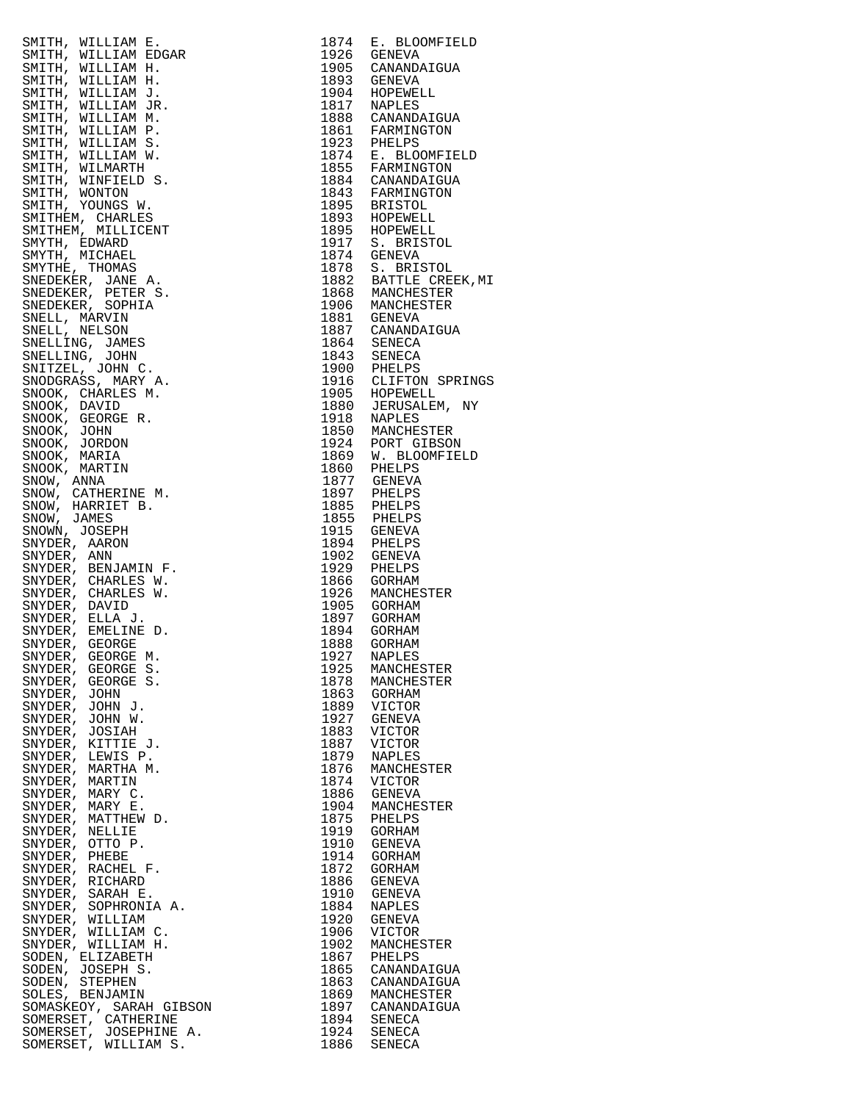| $\begin{tabular}{c c c} \multicolumn{1}{c}{\textbf{5.83}} \multicolumn{1}{c}{\textbf{5.84}} \multicolumn{1}{c}{\textbf{5.85}} \multicolumn{1}{c}{\textbf{5.86}} \multicolumn{1}{c}{\textbf{5.87}} \multicolumn{1}{c}{\textbf{5.88}} \multicolumn{1}{c}{\textbf{5.89}} \multicolumn{1}{c}{\textbf{5.81}} \multicolumn{1}{c}{\textbf{5.81}} \multicolumn{1}{c}{\textbf{5.81}} \multicolumn{1}{c}{\textbf{5.82}} \multicolumn{1}{c}{\$ |              | 1874 E. BLOOMFIELD<br>1926 GENEVA                                          |
|-------------------------------------------------------------------------------------------------------------------------------------------------------------------------------------------------------------------------------------------------------------------------------------------------------------------------------------------------------------------------------------------------------------------------------------|--------------|----------------------------------------------------------------------------|
|                                                                                                                                                                                                                                                                                                                                                                                                                                     |              |                                                                            |
|                                                                                                                                                                                                                                                                                                                                                                                                                                     |              |                                                                            |
|                                                                                                                                                                                                                                                                                                                                                                                                                                     |              |                                                                            |
|                                                                                                                                                                                                                                                                                                                                                                                                                                     |              |                                                                            |
|                                                                                                                                                                                                                                                                                                                                                                                                                                     |              |                                                                            |
|                                                                                                                                                                                                                                                                                                                                                                                                                                     |              |                                                                            |
|                                                                                                                                                                                                                                                                                                                                                                                                                                     |              | 1923 PHELPS<br>1874 E. BLOOMFIELD<br>1855 FARMINGTON<br>1884 CANANDAIGUA   |
|                                                                                                                                                                                                                                                                                                                                                                                                                                     |              |                                                                            |
|                                                                                                                                                                                                                                                                                                                                                                                                                                     |              |                                                                            |
|                                                                                                                                                                                                                                                                                                                                                                                                                                     |              |                                                                            |
|                                                                                                                                                                                                                                                                                                                                                                                                                                     |              |                                                                            |
|                                                                                                                                                                                                                                                                                                                                                                                                                                     |              |                                                                            |
|                                                                                                                                                                                                                                                                                                                                                                                                                                     |              | 1893 HOPEWELL<br>1895 HOPEWELL<br>1917 S. BRISTOL<br>1874 GENEVA           |
|                                                                                                                                                                                                                                                                                                                                                                                                                                     |              |                                                                            |
|                                                                                                                                                                                                                                                                                                                                                                                                                                     |              | 1878 S. BRISTOL<br>1882 BATTLE CREEK, MI                                   |
|                                                                                                                                                                                                                                                                                                                                                                                                                                     |              |                                                                            |
|                                                                                                                                                                                                                                                                                                                                                                                                                                     |              |                                                                            |
|                                                                                                                                                                                                                                                                                                                                                                                                                                     |              |                                                                            |
|                                                                                                                                                                                                                                                                                                                                                                                                                                     |              |                                                                            |
|                                                                                                                                                                                                                                                                                                                                                                                                                                     |              |                                                                            |
|                                                                                                                                                                                                                                                                                                                                                                                                                                     |              |                                                                            |
|                                                                                                                                                                                                                                                                                                                                                                                                                                     |              |                                                                            |
|                                                                                                                                                                                                                                                                                                                                                                                                                                     |              | 1900 PHELPS<br>1916 CLIFTON SPRINGS<br>1905 HOPEWELL<br>1880 JERUSALEM, NY |
|                                                                                                                                                                                                                                                                                                                                                                                                                                     |              |                                                                            |
|                                                                                                                                                                                                                                                                                                                                                                                                                                     |              |                                                                            |
|                                                                                                                                                                                                                                                                                                                                                                                                                                     |              | 1924 PORT GIBSON<br>1869 W. BLOOMFIELD<br>1860 PHELPS<br>1877 GENEVA       |
|                                                                                                                                                                                                                                                                                                                                                                                                                                     |              |                                                                            |
|                                                                                                                                                                                                                                                                                                                                                                                                                                     |              |                                                                            |
|                                                                                                                                                                                                                                                                                                                                                                                                                                     |              |                                                                            |
|                                                                                                                                                                                                                                                                                                                                                                                                                                     |              |                                                                            |
|                                                                                                                                                                                                                                                                                                                                                                                                                                     |              |                                                                            |
|                                                                                                                                                                                                                                                                                                                                                                                                                                     |              |                                                                            |
|                                                                                                                                                                                                                                                                                                                                                                                                                                     |              |                                                                            |
|                                                                                                                                                                                                                                                                                                                                                                                                                                     |              |                                                                            |
|                                                                                                                                                                                                                                                                                                                                                                                                                                     |              |                                                                            |
|                                                                                                                                                                                                                                                                                                                                                                                                                                     |              |                                                                            |
|                                                                                                                                                                                                                                                                                                                                                                                                                                     |              |                                                                            |
|                                                                                                                                                                                                                                                                                                                                                                                                                                     |              |                                                                            |
|                                                                                                                                                                                                                                                                                                                                                                                                                                     |              |                                                                            |
|                                                                                                                                                                                                                                                                                                                                                                                                                                     |              |                                                                            |
|                                                                                                                                                                                                                                                                                                                                                                                                                                     |              |                                                                            |
|                                                                                                                                                                                                                                                                                                                                                                                                                                     |              |                                                                            |
| SNYDER, JOHN J.                                                                                                                                                                                                                                                                                                                                                                                                                     | 1889         | VICTOR                                                                     |
| SNYDER, JOHN W.                                                                                                                                                                                                                                                                                                                                                                                                                     | 1927         | GENEVA                                                                     |
| SNYDER, JOSIAH                                                                                                                                                                                                                                                                                                                                                                                                                      | 1883         | VICTOR                                                                     |
| SNYDER, KITTIE J.<br>SNYDER, LEWIS P.                                                                                                                                                                                                                                                                                                                                                                                               | 1887<br>1879 | VICTOR<br>NAPLES                                                           |
| SNYDER, MARTHA M.                                                                                                                                                                                                                                                                                                                                                                                                                   | 1876         | MANCHESTER                                                                 |
| SNYDER, MARTIN                                                                                                                                                                                                                                                                                                                                                                                                                      | 1874         | VICTOR                                                                     |
| SNYDER, MARY C.                                                                                                                                                                                                                                                                                                                                                                                                                     | 1886         | GENEVA                                                                     |
| SNYDER, MARY E.<br>SNYDER, MATTHEW D.                                                                                                                                                                                                                                                                                                                                                                                               | 1904<br>1875 | MANCHESTER<br>PHELPS                                                       |
| SNYDER, NELLIE                                                                                                                                                                                                                                                                                                                                                                                                                      | 1919         | GORHAM                                                                     |
| SNYDER, OTTO P.                                                                                                                                                                                                                                                                                                                                                                                                                     | 1910         | GENEVA                                                                     |
| SNYDER, PHEBE                                                                                                                                                                                                                                                                                                                                                                                                                       | 1914         | GORHAM                                                                     |
| SNYDER, RACHEL F.<br>SNYDER, RICHARD                                                                                                                                                                                                                                                                                                                                                                                                | 1872<br>1886 | GORHAM                                                                     |
| SNYDER, SARAH E.                                                                                                                                                                                                                                                                                                                                                                                                                    | 1910         | GENEVA<br>GENEVA                                                           |
| SNYDER, SOPHRONIA A.                                                                                                                                                                                                                                                                                                                                                                                                                | 1884         | NAPLES                                                                     |
| SNYDER, WILLIAM                                                                                                                                                                                                                                                                                                                                                                                                                     | 1920         | GENEVA                                                                     |
| SNYDER, WILLIAM C.                                                                                                                                                                                                                                                                                                                                                                                                                  | 1906         | VICTOR                                                                     |
| SNYDER, WILLIAM H.<br>SODEN, ELIZABETH                                                                                                                                                                                                                                                                                                                                                                                              | 1902<br>1867 | MANCHESTER<br>PHELPS                                                       |
| SODEN, JOSEPH S.                                                                                                                                                                                                                                                                                                                                                                                                                    | 1865         | CANANDAIGUA                                                                |
| SODEN, STEPHEN                                                                                                                                                                                                                                                                                                                                                                                                                      | 1863         | CANANDAIGUA                                                                |
| SOLES, BENJAMIN                                                                                                                                                                                                                                                                                                                                                                                                                     | 1869         | MANCHESTER                                                                 |
| SOMASKEOY, SARAH GIBSON<br>SOMERSET, CATHERINE                                                                                                                                                                                                                                                                                                                                                                                      | 1897<br>1894 | CANANDAIGUA<br>SENECA                                                      |
| SOMERSET, JOSEPHINE A.                                                                                                                                                                                                                                                                                                                                                                                                              | 1924         | SENECA                                                                     |
| SOMERSET, WILLIAM S.                                                                                                                                                                                                                                                                                                                                                                                                                | 1886         | SENECA                                                                     |

| 1874         | E. BLOOMFIELD                |
|--------------|------------------------------|
| 1926<br>1905 | <b>GENEVA</b><br>CANANDAIGUA |
| 1893         | GENEVA                       |
| 1904         | HOPEWELL                     |
| 1817<br>1888 | NAPLES<br>CANANDAIGUA        |
| 1861         | FARMINGTON                   |
| 1923         | PHELPS                       |
| 1874         | E. BLOOMFIELD                |
| 1855         | FARMINGTON                   |
| 1884         | CANANDAIGUA                  |
| 1843<br>1895 | FARMINGTON<br><b>BRISTOL</b> |
| 1893         | HOPEWELL                     |
| 1895         | HOPEWELL                     |
| 1917         | S. BRISTOL                   |
| 1874<br>1878 | <b>GENEVA</b><br>S. BRISTOL  |
| 1882         | BATTLE CREEK, MI             |
| 1868         | MANCHESTER                   |
| 1906         | MANCHESTER                   |
| 1881         | GENEVA                       |
| 1887<br>1864 | CANANDAIGUA<br>SENECA        |
| 1843         | SENECA                       |
| 1900         | PHELPS                       |
| 1916         | CLIFTON SPRINGS              |
| 1905<br>1880 | HOPEWELL                     |
| 1918         | JERUSALEM,<br>ΝY<br>NAPLES   |
| 1850         | MANCHESTER                   |
| 1924         | PORT GIBSON                  |
| 1869         | W. BLOOMFIELD                |
| 1860<br>1877 | PHELPS                       |
| 1897         | <b>GENEVA</b><br>PHELPS      |
| 1885         | PHELPS                       |
| 1855         | PHELPS                       |
| 1915         | GENEVA                       |
| 1894<br>1902 | PHELPS<br>GENEVA             |
| 1929         | PHELPS                       |
| 1866         | GORHAM                       |
| 1926         | MANCHESTER                   |
| 1905<br>1897 | GORHAM                       |
| 1894         | GORHAM<br>GORHAM             |
| 1888         | GORHAM                       |
| 1927         | <b>NAPLES</b>                |
| 1925         | MANCHESTER                   |
| 1878<br>1863 | MANCHESTER<br>GORHAM         |
| 1889         | VICTOR                       |
| 1927         | GENEVA                       |
| 1883         | VICTOR                       |
| 1887<br>1879 | VICTOR<br><b>NAPLES</b>      |
| 1876         | MANCHESTER                   |
| 1874         | VICTOR                       |
| 1886         | GENEVA                       |
| 1904         | MANCHESTER                   |
| 1875<br>1919 | PHELPS<br>GORHAM             |
| 1910         | GENEVA                       |
| 1914         | <b>GORHAM</b>                |
| 1872         | GORHAM                       |
| 1886         | <b>GENEVA</b>                |
| 1910<br>1884 | GENEVA<br>NAPLES             |
| 1920         | <b>GENEVA</b>                |
| 1906         | VICTOR                       |
| 1902         | MANCHESTER                   |
| 1867         | PHELPS<br>CANANDAIGUA        |
| 1865<br>1863 | CANANDAIGUA                  |
| 1869         | MANCHESTER                   |
| 1897         | CANANDAIGUA                  |
| 1894         | SENECA                       |
| 1924<br>1886 | SENECA<br>SENECA             |
|              |                              |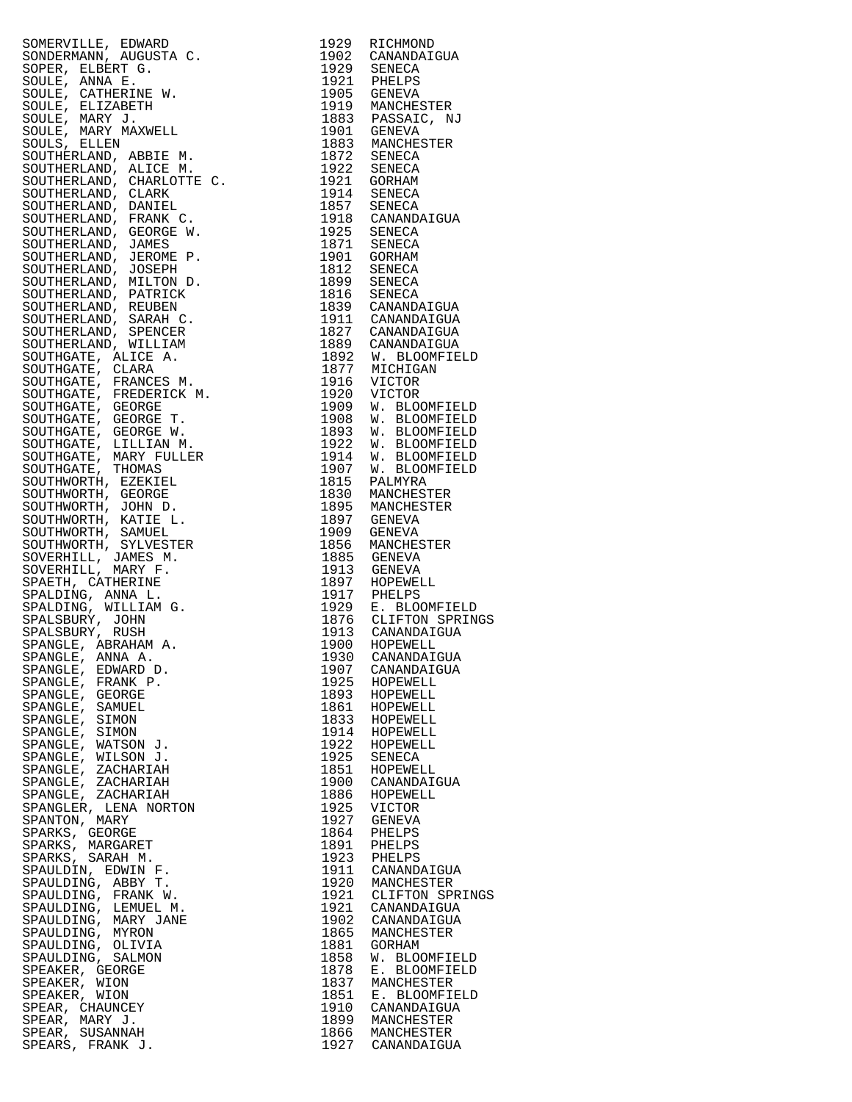|                                                                                                                                                                                                                                                                 | 1929         | RICHMOND                                                                      |
|-----------------------------------------------------------------------------------------------------------------------------------------------------------------------------------------------------------------------------------------------------------------|--------------|-------------------------------------------------------------------------------|
|                                                                                                                                                                                                                                                                 |              | 1902 CANANDAIGUA                                                              |
|                                                                                                                                                                                                                                                                 |              |                                                                               |
|                                                                                                                                                                                                                                                                 |              |                                                                               |
|                                                                                                                                                                                                                                                                 |              | 1929 SENECA<br>1921 PHELPS                                                    |
| SOMERVILLE, EDWARD ACCOSTAC<br>SOPERANNA AUGUSTA C.<br>SOPER, ELBERT G.<br>SOPER, ELERET G.<br>SOULE, ANNA E.<br>SOULE, CATHERINE W.<br>SOULE, MARY MAXWELL<br>SOULE, MARY MAXWELL<br>SOULE, MARY MAXWELL<br>SOUTHERLAND, ABBIE M.<br>SOUTHERLAND, CHARK C.<br> |              | 1905 GENEVA<br>1919 MANCHESTER                                                |
|                                                                                                                                                                                                                                                                 |              |                                                                               |
|                                                                                                                                                                                                                                                                 |              |                                                                               |
|                                                                                                                                                                                                                                                                 |              |                                                                               |
|                                                                                                                                                                                                                                                                 |              | 1883 PASSAIC, NJ<br>1901 GENEVA                                               |
|                                                                                                                                                                                                                                                                 |              |                                                                               |
|                                                                                                                                                                                                                                                                 |              |                                                                               |
|                                                                                                                                                                                                                                                                 |              | 1883 MANCHESTER<br>1872 SENECA                                                |
|                                                                                                                                                                                                                                                                 |              |                                                                               |
|                                                                                                                                                                                                                                                                 |              | 1922 SENECA<br>1921 GORHAM                                                    |
|                                                                                                                                                                                                                                                                 |              |                                                                               |
|                                                                                                                                                                                                                                                                 |              |                                                                               |
|                                                                                                                                                                                                                                                                 |              | 1914 SENECA<br>1857 SENECA                                                    |
|                                                                                                                                                                                                                                                                 |              |                                                                               |
|                                                                                                                                                                                                                                                                 |              | 1918 CANANDAIGUA<br>1925 SENECA                                               |
|                                                                                                                                                                                                                                                                 |              |                                                                               |
|                                                                                                                                                                                                                                                                 |              |                                                                               |
|                                                                                                                                                                                                                                                                 |              | 1871 SENECA<br>1901 GORHAM                                                    |
|                                                                                                                                                                                                                                                                 |              |                                                                               |
|                                                                                                                                                                                                                                                                 |              |                                                                               |
|                                                                                                                                                                                                                                                                 |              | 1812 SENECA                                                                   |
|                                                                                                                                                                                                                                                                 |              | 1899 SENECA                                                                   |
|                                                                                                                                                                                                                                                                 |              | $1816$ SENECA                                                                 |
|                                                                                                                                                                                                                                                                 |              |                                                                               |
|                                                                                                                                                                                                                                                                 |              | 1839 CANANDAIGUA                                                              |
|                                                                                                                                                                                                                                                                 |              | 1911 CANANDAIGUA<br>1827 CANANDAIGUA                                          |
|                                                                                                                                                                                                                                                                 |              |                                                                               |
|                                                                                                                                                                                                                                                                 |              |                                                                               |
|                                                                                                                                                                                                                                                                 |              |                                                                               |
|                                                                                                                                                                                                                                                                 |              | 1889 CANANDAIGUA<br>1892 W. BLOOMFIELD<br>1877 MICHIGAN<br>1916 VICTOR        |
|                                                                                                                                                                                                                                                                 |              |                                                                               |
|                                                                                                                                                                                                                                                                 |              |                                                                               |
|                                                                                                                                                                                                                                                                 |              |                                                                               |
|                                                                                                                                                                                                                                                                 |              |                                                                               |
|                                                                                                                                                                                                                                                                 |              | 1920 VICTOR<br>1909 W. BLOG                                                   |
|                                                                                                                                                                                                                                                                 |              | W. BLOOMFIELD                                                                 |
|                                                                                                                                                                                                                                                                 |              | W. BLOOMFIELD                                                                 |
|                                                                                                                                                                                                                                                                 |              |                                                                               |
|                                                                                                                                                                                                                                                                 | 1908<br>1893 | W. BLOOMFIELD                                                                 |
|                                                                                                                                                                                                                                                                 | 1922         | W. BLOOMFIELD                                                                 |
|                                                                                                                                                                                                                                                                 | 1914         | W. BLOOMFIELD                                                                 |
|                                                                                                                                                                                                                                                                 |              |                                                                               |
|                                                                                                                                                                                                                                                                 | 1907         | W. BLOOMFIELD                                                                 |
|                                                                                                                                                                                                                                                                 |              | 1815 PALMYRA                                                                  |
|                                                                                                                                                                                                                                                                 |              |                                                                               |
|                                                                                                                                                                                                                                                                 |              | 1830 MANCHESTER                                                               |
|                                                                                                                                                                                                                                                                 |              | 1895 MANCHESTER                                                               |
|                                                                                                                                                                                                                                                                 |              | 1897 GENEVA                                                                   |
|                                                                                                                                                                                                                                                                 |              |                                                                               |
|                                                                                                                                                                                                                                                                 |              | 1909 GENEVA                                                                   |
|                                                                                                                                                                                                                                                                 |              | 1856 MANCHESTER                                                               |
|                                                                                                                                                                                                                                                                 |              |                                                                               |
|                                                                                                                                                                                                                                                                 |              | 1885 GENEVA                                                                   |
|                                                                                                                                                                                                                                                                 |              | 1913 GENEVA<br>1897 HOPEWELL                                                  |
|                                                                                                                                                                                                                                                                 |              |                                                                               |
|                                                                                                                                                                                                                                                                 |              |                                                                               |
|                                                                                                                                                                                                                                                                 |              |                                                                               |
|                                                                                                                                                                                                                                                                 |              |                                                                               |
|                                                                                                                                                                                                                                                                 |              |                                                                               |
|                                                                                                                                                                                                                                                                 |              |                                                                               |
|                                                                                                                                                                                                                                                                 |              | 1917 PHELPS<br>1929 E. BLOOMFIELD<br>1876 CLIFTON SPRINGS<br>1913 CANANDAIGUA |
|                                                                                                                                                                                                                                                                 | 1900         | HOPEWELL                                                                      |
|                                                                                                                                                                                                                                                                 |              |                                                                               |
| SPANGLE, ANNA A.                                                                                                                                                                                                                                                |              | 1930 CANANDAIGUA                                                              |
| SPANGLE, EDWARD D.                                                                                                                                                                                                                                              | 1907         | CANANDAIGUA                                                                   |
|                                                                                                                                                                                                                                                                 |              |                                                                               |
| SPANGLE, FRANK P.                                                                                                                                                                                                                                               | 1925         | HOPEWELL                                                                      |
| SPANGLE, GEORGE                                                                                                                                                                                                                                                 | 1893         | HOPEWELL                                                                      |
| SPANGLE, SAMUEL                                                                                                                                                                                                                                                 | 1861         | HOPEWELL                                                                      |
|                                                                                                                                                                                                                                                                 |              |                                                                               |
| SPANGLE, SIMON                                                                                                                                                                                                                                                  | 1833         | HOPEWELL                                                                      |
| SPANGLE, SIMON                                                                                                                                                                                                                                                  | 1914         | HOPEWELL                                                                      |
| SPANGLE, WATSON J.                                                                                                                                                                                                                                              | 1922         | HOPEWELL                                                                      |
|                                                                                                                                                                                                                                                                 |              |                                                                               |
| SPANGLE, WILSON J.                                                                                                                                                                                                                                              | 1925         | SENECA                                                                        |
| SPANGLE, ZACHARIAH                                                                                                                                                                                                                                              | 1851         | HOPEWELL                                                                      |
| SPANGLE, ZACHARIAH                                                                                                                                                                                                                                              | 1900         | CANANDAIGUA                                                                   |
|                                                                                                                                                                                                                                                                 |              |                                                                               |
| SPANGLE, ZACHARIAH                                                                                                                                                                                                                                              | 1886         | HOPEWELL                                                                      |
| SPANGLER, LENA NORTON                                                                                                                                                                                                                                           | 1925         | VICTOR                                                                        |
|                                                                                                                                                                                                                                                                 |              |                                                                               |
| SPANTON, MARY                                                                                                                                                                                                                                                   | 1927         | GENEVA                                                                        |
| SPARKS, GEORGE                                                                                                                                                                                                                                                  | 1864         | PHELPS                                                                        |
| SPARKS, MARGARET                                                                                                                                                                                                                                                | 1891         | PHELPS                                                                        |
|                                                                                                                                                                                                                                                                 |              |                                                                               |
| SPARKS, SARAH M.                                                                                                                                                                                                                                                | 1923         | PHELPS                                                                        |
| SPAULDIN, EDWIN F.                                                                                                                                                                                                                                              | 1911         | CANANDAIGUA                                                                   |
|                                                                                                                                                                                                                                                                 |              |                                                                               |
| SPAULDING, ABBY T.                                                                                                                                                                                                                                              | 1920         | MANCHESTER                                                                    |
| SPAULDING, FRANK W.                                                                                                                                                                                                                                             | 1921         | CLIFTON SPRINGS                                                               |
| SPAULDING, LEMUEL M.                                                                                                                                                                                                                                            | 1921         | CANANDAIGUA                                                                   |
|                                                                                                                                                                                                                                                                 |              |                                                                               |
| SPAULDING, MARY JANE                                                                                                                                                                                                                                            | 1902         | CANANDAIGUA                                                                   |
| SPAULDING, MYRON                                                                                                                                                                                                                                                | 1865         | MANCHESTER                                                                    |
|                                                                                                                                                                                                                                                                 |              |                                                                               |
| SPAULDING, OLIVIA                                                                                                                                                                                                                                               | 1881         | GORHAM                                                                        |
| SPAULDING, SALMON                                                                                                                                                                                                                                               | 1858         | W. BLOOMFIELD                                                                 |
| SPEAKER, GEORGE                                                                                                                                                                                                                                                 |              | E. BLOOMFIELD                                                                 |
|                                                                                                                                                                                                                                                                 |              |                                                                               |
| SPEAKER, WION                                                                                                                                                                                                                                                   | 1878         |                                                                               |
|                                                                                                                                                                                                                                                                 | 1837         | MANCHESTER                                                                    |
|                                                                                                                                                                                                                                                                 |              |                                                                               |
| SPEAKER, WION                                                                                                                                                                                                                                                   | 1851         | E. BLOOMFIELD                                                                 |
| SPEAR, CHAUNCEY                                                                                                                                                                                                                                                 | 1910         | CANANDAIGUA                                                                   |
| SPEAR, MARY J.                                                                                                                                                                                                                                                  | 1899         | MANCHESTER                                                                    |
|                                                                                                                                                                                                                                                                 |              |                                                                               |
| SPEAR, SUSANNAH<br>SPEARS, FRANK J.                                                                                                                                                                                                                             | 1866<br>1927 | MANCHESTER<br>CANANDAIGUA                                                     |

| 1929<br>1902 | RICHMOND<br>CANANDAIGUA                                                           |
|--------------|-----------------------------------------------------------------------------------|
| 1929         | SENECA                                                                            |
| 1921         | PHELPS                                                                            |
| 1905<br>1919 | GENEVA<br>MANCHESTER                                                              |
| 1883         | PASSAIC, NJ                                                                       |
| 1901         | GENEVA                                                                            |
| 1883         | MANCHESTER                                                                        |
| 1872<br>1922 | SENECA<br>SENECA                                                                  |
| 1921         | GORHAM                                                                            |
| 1914         | SENECA                                                                            |
| 1857<br>1918 | SENECA<br>CANANDAIGUA                                                             |
| 1925         | SENECA                                                                            |
| 1871         | <b>SENECA</b>                                                                     |
| 1901<br>1812 | GORHAM<br>SENECA                                                                  |
| 1899         | SENECA                                                                            |
| 1816         | SENECA                                                                            |
| 1839<br>1911 | CANANDAIGUA<br>CANANDAIGUA                                                        |
| 1827         | CANANDAIGUA                                                                       |
| 1889         | CANANDAIGUA                                                                       |
| 1892         | W. BLOOMFIELD                                                                     |
| 1877<br>1916 | MICHIGAN<br>VICTOR                                                                |
| 1920         | VICTOR                                                                            |
| 1909         | W. BLOOMFIELD<br>W. BLOOMFIELD<br>W. BLOOMFIELD<br>W. BLOOMFIELD<br>W. BLOOMFIELD |
| 1908<br>1893 |                                                                                   |
| 1922         |                                                                                   |
| 1914         |                                                                                   |
| 1907         | W. BLOOMFIELD                                                                     |
| 1815<br>1830 | PALMYRA<br>MANCHESTER                                                             |
| 1895         | MANCHESTER                                                                        |
| 1897         | GENEVA                                                                            |
| 1909<br>1856 | GENEVA<br>MANCHESTER                                                              |
| 1885         | GENEVA                                                                            |
| 1913         | GENEVA                                                                            |
| 1897         | HOPEWELL                                                                          |
| 1917<br>1929 | PHELPS<br>E. BLOOMFIELD                                                           |
| 1876         | CLIFTON SPRINGS                                                                   |
| 1913         | CANANDAIGUA                                                                       |
| 1900<br>1930 | HOPEWELL<br>CANANDAIGUA                                                           |
| 1907         | CANANDAIGUA                                                                       |
| 1925         | HOPEWELL                                                                          |
| 1893<br>1861 | HOPEWELL<br>HOPEWELL                                                              |
| 1833         | HOPEWELL                                                                          |
| 1914         | HOPEWELL                                                                          |
| 1922<br>1925 | HOPEWELL<br>SENECA                                                                |
| 1851         | HOPEWELL                                                                          |
| 1900         | CANANDAIGUA                                                                       |
| 1886         | HOPEWELL                                                                          |
| 1925<br>1927 | VICTOR<br>GENEVA                                                                  |
| 1864         | PHELPS                                                                            |
| 1891         | PHELPS                                                                            |
| 1923<br>1911 | PHELPS<br>CANANDAIGUA                                                             |
| 1920         | MANCHESTER                                                                        |
| 1921         | CLIFTON SPRINGS                                                                   |
| 1921         | CANANDAIGUA                                                                       |
| 1902<br>1865 | CANANDAIGUA<br>MANCHESTER                                                         |
| 1881         | GORHAM                                                                            |
| 1858         | W. BLOOMFIELD                                                                     |
| 1878<br>1837 | Ε.<br><b>BLOOMFIELD</b><br>MANCHESTER                                             |
| 1851         | E. BLOOMFIELD                                                                     |
| 1910         | CANANDAIGUA                                                                       |
| 1899<br>1866 | MANCHESTER<br>MANCHESTER                                                          |
| 1927         | CANANDAIGUA                                                                       |
|              |                                                                                   |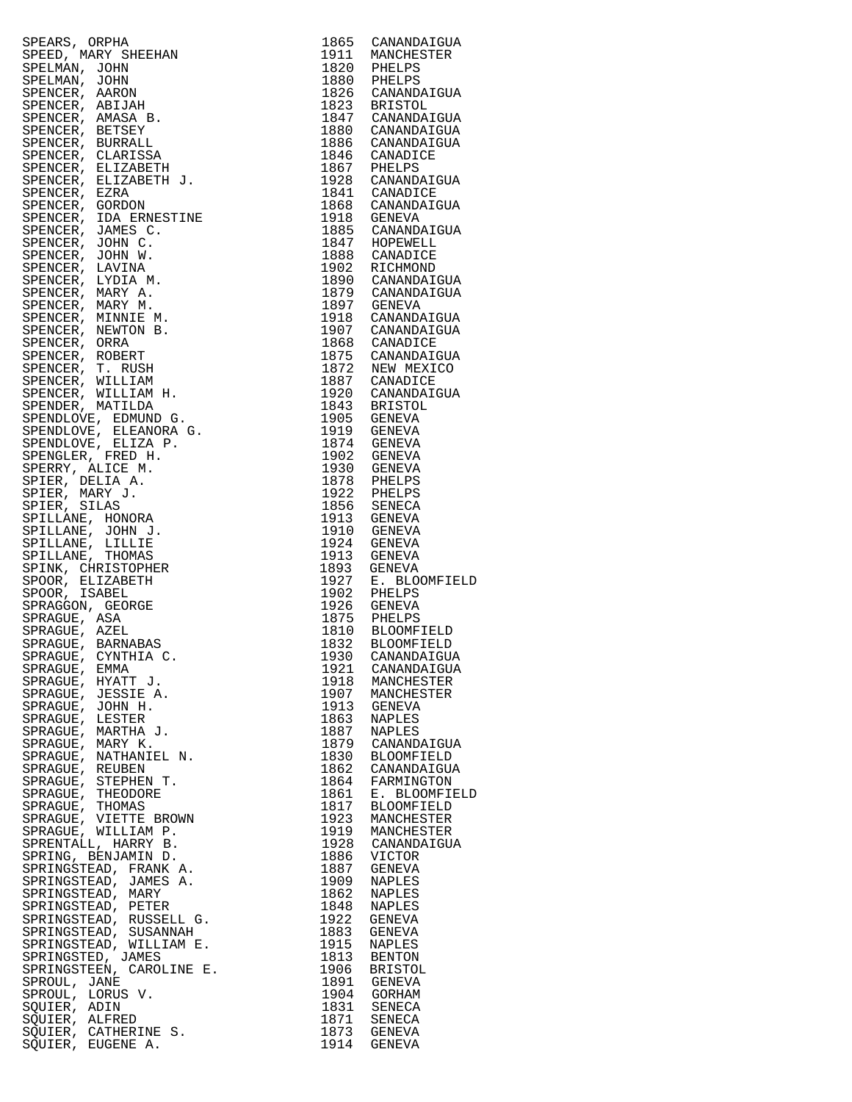| SPEAK , ORPHA 1986<br>SPEAK , ORPHA 1987<br>SPEAK , ARRY SHEEHAN , 1981<br>SPEAK , ARRY SHEEHAN , 1980<br>SPEAK , ARRY SHEEHAN , 1980<br>SPEAKER, ARRY STREET , 1980<br>SPEAKER, PERSENT , 1980<br>SPEAKER, PERSENT , 1980<br>SPEAKER, PERSEN                         |      |                            |
|-----------------------------------------------------------------------------------------------------------------------------------------------------------------------------------------------------------------------------------------------------------------------|------|----------------------------|
|                                                                                                                                                                                                                                                                       |      |                            |
|                                                                                                                                                                                                                                                                       |      |                            |
|                                                                                                                                                                                                                                                                       |      |                            |
|                                                                                                                                                                                                                                                                       |      |                            |
|                                                                                                                                                                                                                                                                       |      |                            |
|                                                                                                                                                                                                                                                                       |      |                            |
|                                                                                                                                                                                                                                                                       |      |                            |
|                                                                                                                                                                                                                                                                       |      |                            |
|                                                                                                                                                                                                                                                                       |      |                            |
|                                                                                                                                                                                                                                                                       |      |                            |
|                                                                                                                                                                                                                                                                       |      |                            |
|                                                                                                                                                                                                                                                                       |      |                            |
|                                                                                                                                                                                                                                                                       |      |                            |
|                                                                                                                                                                                                                                                                       |      |                            |
|                                                                                                                                                                                                                                                                       |      |                            |
|                                                                                                                                                                                                                                                                       |      |                            |
|                                                                                                                                                                                                                                                                       |      |                            |
|                                                                                                                                                                                                                                                                       |      |                            |
|                                                                                                                                                                                                                                                                       |      |                            |
|                                                                                                                                                                                                                                                                       |      |                            |
|                                                                                                                                                                                                                                                                       |      |                            |
|                                                                                                                                                                                                                                                                       |      |                            |
|                                                                                                                                                                                                                                                                       |      |                            |
|                                                                                                                                                                                                                                                                       |      |                            |
|                                                                                                                                                                                                                                                                       |      |                            |
|                                                                                                                                                                                                                                                                       |      |                            |
|                                                                                                                                                                                                                                                                       |      |                            |
|                                                                                                                                                                                                                                                                       |      |                            |
|                                                                                                                                                                                                                                                                       |      |                            |
|                                                                                                                                                                                                                                                                       |      |                            |
|                                                                                                                                                                                                                                                                       |      |                            |
|                                                                                                                                                                                                                                                                       |      |                            |
|                                                                                                                                                                                                                                                                       |      |                            |
|                                                                                                                                                                                                                                                                       |      |                            |
|                                                                                                                                                                                                                                                                       |      |                            |
|                                                                                                                                                                                                                                                                       |      |                            |
|                                                                                                                                                                                                                                                                       |      |                            |
|                                                                                                                                                                                                                                                                       |      |                            |
|                                                                                                                                                                                                                                                                       |      |                            |
|                                                                                                                                                                                                                                                                       |      |                            |
|                                                                                                                                                                                                                                                                       |      |                            |
|                                                                                                                                                                                                                                                                       |      |                            |
|                                                                                                                                                                                                                                                                       |      |                            |
|                                                                                                                                                                                                                                                                       |      |                            |
|                                                                                                                                                                                                                                                                       |      |                            |
|                                                                                                                                                                                                                                                                       |      |                            |
|                                                                                                                                                                                                                                                                       |      |                            |
|                                                                                                                                                                                                                                                                       |      |                            |
|                                                                                                                                                                                                                                                                       |      |                            |
|                                                                                                                                                                                                                                                                       |      |                            |
|                                                                                                                                                                                                                                                                       |      |                            |
|                                                                                                                                                                                                                                                                       |      |                            |
| SPRAGUE, CYNTHIA C.                                                                                                                                                                                                                                                   |      | 1930 CANANDAIGUA           |
|                                                                                                                                                                                                                                                                       | 1921 | CANANDAIGUA                |
|                                                                                                                                                                                                                                                                       |      | 1918 MANCHESTER            |
|                                                                                                                                                                                                                                                                       |      | 1907 MANCHESTER            |
|                                                                                                                                                                                                                                                                       |      | 1913 GENEVA                |
|                                                                                                                                                                                                                                                                       | 1863 | NAPLES                     |
|                                                                                                                                                                                                                                                                       | 1887 | NAPLES                     |
|                                                                                                                                                                                                                                                                       |      | 1879 CANANDAIGUA           |
|                                                                                                                                                                                                                                                                       |      | 1830 BLOOMFIELD            |
|                                                                                                                                                                                                                                                                       |      | 1862 CANANDAIGUA           |
|                                                                                                                                                                                                                                                                       |      | 1864 FARMINGTON            |
|                                                                                                                                                                                                                                                                       | 1861 | E. BLOOMFIELD              |
|                                                                                                                                                                                                                                                                       | 1817 | BLOOMFIELD                 |
|                                                                                                                                                                                                                                                                       | 1923 | MANCHESTER                 |
|                                                                                                                                                                                                                                                                       |      | 1919 MANCHESTER            |
|                                                                                                                                                                                                                                                                       |      |                            |
|                                                                                                                                                                                                                                                                       | 1928 | CANANDAIGUA                |
|                                                                                                                                                                                                                                                                       | 1886 | VICTOR                     |
|                                                                                                                                                                                                                                                                       | 1887 | GENEVA                     |
|                                                                                                                                                                                                                                                                       | 1909 | NAPLES                     |
|                                                                                                                                                                                                                                                                       | 1862 | NAPLES                     |
|                                                                                                                                                                                                                                                                       |      | 1848 NAPLES                |
|                                                                                                                                                                                                                                                                       | 1922 | GENEVA                     |
|                                                                                                                                                                                                                                                                       | 1883 | GENEVA                     |
|                                                                                                                                                                                                                                                                       | 1915 | NAPLES                     |
|                                                                                                                                                                                                                                                                       |      | 1813 BENTON                |
|                                                                                                                                                                                                                                                                       | 1906 | BRISTOL                    |
|                                                                                                                                                                                                                                                                       |      | 1891 GENEVA                |
|                                                                                                                                                                                                                                                                       |      | 1904 GORHAM                |
| SQUIER, ADIN                                                                                                                                                                                                                                                          |      | 1831 SENECA                |
| SPRAGUE, BARNABAS<br>SPRAGUE, EMMA<br>SPRAGUE, CYNTHIA C.<br>SPRAGUE, EMMA<br>SPRAGUE, HYATT J.<br>SPRAGUE, JESSIE A.<br>SPRAGUE, JESSIE A.<br>SPRAGUE, MARTHA J.<br>SPRAGUE, MARTHA J.<br>SPRAGUE, MARY K.<br>SPRAGUE, MARY K.<br>SPRAGUE, STEPHEN<br>SQUIER, ALFRED |      |                            |
| SQUIER, CATHERINE S.                                                                                                                                                                                                                                                  |      | 1871 SENECA<br>1873 GENEVA |
| SQUIER, EUGENE A.                                                                                                                                                                                                                                                     | 1914 | <b>GENEVA</b>              |
|                                                                                                                                                                                                                                                                       |      |                            |

| 1865         | CANANDAIGUA                      |
|--------------|----------------------------------|
| 1911<br>1820 | MANCHESTER<br>PHELPS             |
| 1880         | PHELPS                           |
| 1826<br>1823 | CANANDAIGUA<br>BRISTOL           |
| 1847         | CANANDAIGUA                      |
| 1880         | CANANDAIGUA                      |
| 1886<br>1846 | CANANDAIGUA<br>CANADICE          |
| 1867         | PHELPS                           |
| 1928<br>1841 | CANANDAIGUA<br>CANADICE          |
| 1868         | CANANDAIGUA                      |
| 1918         | GENEVA                           |
| 1885<br>1847 | CANANDAIGUA<br>HOPEWELL          |
| 1888         | CANADICE                         |
| 1902<br>1890 | RICHMOND<br>CANANDAIGUA          |
| 1879         | CANANDAIGUA                      |
| 1897<br>1918 | GENEVA<br>CANANDAIGUA            |
| 1907         | CANANDAIGUA                      |
| 1868         | CANADICE                         |
| 1875<br>1872 | CANANDAIGUA<br>NEW MEXICO        |
| 1887         | CANADICE                         |
| 1920<br>1843 | CANANDAIGUA<br>BRISTOL           |
| 1905         | GENEVA                           |
| 1919         | GENEVA                           |
| 1874<br>1902 | GENEVA<br>GENEVA                 |
| 1930         | GENEVA                           |
| 1878<br>1922 | PHELPS<br>PHELPS                 |
| 1856         | SENECA                           |
| 1913<br>1910 | GENEVA                           |
| 1924         | GENEVA<br>GENEVA                 |
| 1913         | GENEVA                           |
| 1893<br>1927 | GENEVA<br>BLOOMFIELD<br>Ε.       |
| 1902         | PHELPS                           |
| 1926<br>1875 | <b>GENEVA</b><br>PHELPS          |
| 1810         | <b>BLOOMFIELD</b>                |
| 1832<br>1930 | <b>BLOOMFIELD</b><br>CANANDAIGUA |
| 1921         | CANANDAIGUA                      |
| 1918         | MANCHESTER                       |
| 1907<br>1913 | MANCHESTER<br><b>GENEVA</b>      |
| 1863         | NAPLES                           |
| 1887<br>1879 | NAPLES<br>CANANDAIGUA            |
| 1830         | <b>BLOOMFIELD</b>                |
| 1862<br>1864 | CANANDAIGUA                      |
| 1861         | FARMINGTON<br>Ε.<br>BLOOMFIELD   |
| 1817         | <b>BLOOMFIELD</b>                |
| 1923<br>1919 | MANCHESTER<br>MANCHESTER         |
| 1928         | CANANDAIGUA                      |
| 1886<br>1887 | VICTOR<br>GENEVA                 |
| 1909         | NAPLES                           |
| 1862         | NAPLES                           |
| 1848<br>1922 | NAPLES<br>GENEVA                 |
| 1883         | GENEVA                           |
| 1915<br>1813 | NAPLES<br><b>BENTON</b>          |
| 1906         | <b>BRISTOL</b>                   |
| 1891<br>1904 | <b>GENEVA</b><br>GORHAM          |
| 1831         | SENECA                           |
| 1871         | SENECA                           |
| 1873<br>1914 | GENEVA<br>GENEVA                 |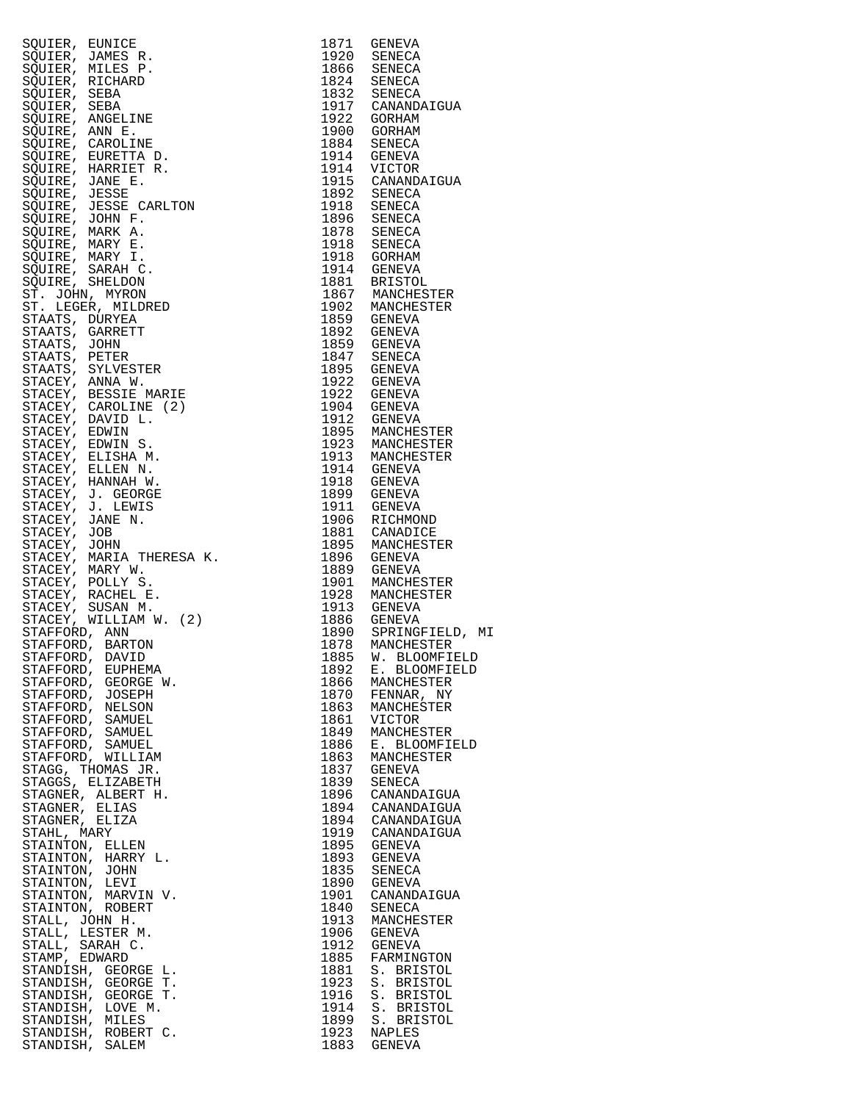| SQUIER, RUNICE BRANCH, 1971 GENEVA<br>SQUIER, JAMES R. (1971 GENEVA<br>SQUIER, MILES R. (1971 GENEVA)<br>SQUIER, MILES R. (1972 1982 GENEVA)<br>SQUIER, ARGELINE 1972 (SENEVA)<br>SQUIER, ARGELINE 1972 GENEVA)<br>SQUIER, ARGELINE 1972 G                            |      |                                         |
|-----------------------------------------------------------------------------------------------------------------------------------------------------------------------------------------------------------------------------------------------------------------------|------|-----------------------------------------|
|                                                                                                                                                                                                                                                                       |      |                                         |
|                                                                                                                                                                                                                                                                       |      |                                         |
|                                                                                                                                                                                                                                                                       |      |                                         |
|                                                                                                                                                                                                                                                                       |      |                                         |
|                                                                                                                                                                                                                                                                       |      |                                         |
|                                                                                                                                                                                                                                                                       |      |                                         |
|                                                                                                                                                                                                                                                                       |      |                                         |
|                                                                                                                                                                                                                                                                       |      |                                         |
|                                                                                                                                                                                                                                                                       |      |                                         |
|                                                                                                                                                                                                                                                                       |      |                                         |
|                                                                                                                                                                                                                                                                       |      |                                         |
|                                                                                                                                                                                                                                                                       |      |                                         |
|                                                                                                                                                                                                                                                                       |      |                                         |
|                                                                                                                                                                                                                                                                       |      |                                         |
|                                                                                                                                                                                                                                                                       |      |                                         |
|                                                                                                                                                                                                                                                                       |      |                                         |
|                                                                                                                                                                                                                                                                       |      |                                         |
|                                                                                                                                                                                                                                                                       |      |                                         |
|                                                                                                                                                                                                                                                                       |      |                                         |
|                                                                                                                                                                                                                                                                       |      |                                         |
|                                                                                                                                                                                                                                                                       |      |                                         |
|                                                                                                                                                                                                                                                                       |      |                                         |
|                                                                                                                                                                                                                                                                       |      |                                         |
|                                                                                                                                                                                                                                                                       |      |                                         |
|                                                                                                                                                                                                                                                                       |      |                                         |
|                                                                                                                                                                                                                                                                       |      |                                         |
|                                                                                                                                                                                                                                                                       |      |                                         |
|                                                                                                                                                                                                                                                                       |      |                                         |
|                                                                                                                                                                                                                                                                       |      |                                         |
|                                                                                                                                                                                                                                                                       |      |                                         |
|                                                                                                                                                                                                                                                                       |      |                                         |
|                                                                                                                                                                                                                                                                       |      |                                         |
|                                                                                                                                                                                                                                                                       |      |                                         |
|                                                                                                                                                                                                                                                                       |      |                                         |
|                                                                                                                                                                                                                                                                       |      |                                         |
|                                                                                                                                                                                                                                                                       |      |                                         |
|                                                                                                                                                                                                                                                                       |      |                                         |
|                                                                                                                                                                                                                                                                       |      |                                         |
|                                                                                                                                                                                                                                                                       |      |                                         |
|                                                                                                                                                                                                                                                                       |      |                                         |
|                                                                                                                                                                                                                                                                       |      |                                         |
|                                                                                                                                                                                                                                                                       |      |                                         |
|                                                                                                                                                                                                                                                                       |      |                                         |
|                                                                                                                                                                                                                                                                       |      |                                         |
|                                                                                                                                                                                                                                                                       |      |                                         |
|                                                                                                                                                                                                                                                                       |      |                                         |
|                                                                                                                                                                                                                                                                       |      |                                         |
|                                                                                                                                                                                                                                                                       |      |                                         |
|                                                                                                                                                                                                                                                                       |      |                                         |
|                                                                                                                                                                                                                                                                       |      |                                         |
|                                                                                                                                                                                                                                                                       |      | 1890 SPRINGFIELD, MI<br>1878 MANCHESTER |
|                                                                                                                                                                                                                                                                       |      | 1885 W. BLOOMFIELD                      |
| STAFFORD, EUPHEMA                                                                                                                                                                                                                                                     | 1892 | E. BLOOMFIELD                           |
| STAFFORD, GEORGE W.                                                                                                                                                                                                                                                   | 1866 | MANCHESTER                              |
| STAFFORD, JOSEPH                                                                                                                                                                                                                                                      | 1870 | FENNAR, NY                              |
| STAFFORD, NELSON                                                                                                                                                                                                                                                      | 1863 | MANCHESTER                              |
|                                                                                                                                                                                                                                                                       |      |                                         |
| STAFFORD, SAMUEL                                                                                                                                                                                                                                                      | 1861 | VICTOR                                  |
| STAFFORD, SAMUEL                                                                                                                                                                                                                                                      | 1849 | MANCHESTER                              |
| STAFFORD, SAMUEL                                                                                                                                                                                                                                                      | 1886 | E. BLOOMFIELD                           |
| STAFFORD, WILLIAM                                                                                                                                                                                                                                                     | 1863 | MANCHESTER                              |
| STAGG, THOMAS JR.                                                                                                                                                                                                                                                     | 1837 | GENEVA                                  |
| STAGGS, ELIZABETH                                                                                                                                                                                                                                                     | 1839 | SENECA                                  |
| STAGNER, ALBERT H.                                                                                                                                                                                                                                                    | 1896 | CANANDAIGUA                             |
| STAGNER, ELIAS                                                                                                                                                                                                                                                        |      | 1894 CANANDAIGUA                        |
| STAGNER, ELIZA                                                                                                                                                                                                                                                        | 1894 | CANANDAIGUA                             |
| STAHL, MARY                                                                                                                                                                                                                                                           | 1919 | CANANDAIGUA                             |
|                                                                                                                                                                                                                                                                       | 1895 | GENEVA                                  |
|                                                                                                                                                                                                                                                                       | 1893 | GENEVA                                  |
|                                                                                                                                                                                                                                                                       | 1835 | SENECA                                  |
|                                                                                                                                                                                                                                                                       | 1890 | GENEVA                                  |
|                                                                                                                                                                                                                                                                       | 1901 | CANANDAIGUA                             |
|                                                                                                                                                                                                                                                                       | 1840 | SENECA                                  |
|                                                                                                                                                                                                                                                                       |      |                                         |
|                                                                                                                                                                                                                                                                       | 1913 | MANCHESTER                              |
|                                                                                                                                                                                                                                                                       | 1906 | GENEVA                                  |
|                                                                                                                                                                                                                                                                       | 1912 | GENEVA                                  |
|                                                                                                                                                                                                                                                                       | 1885 | FARMINGTON                              |
|                                                                                                                                                                                                                                                                       | 1881 | S. BRISTOL                              |
|                                                                                                                                                                                                                                                                       | 1923 | S. BRISTOL                              |
|                                                                                                                                                                                                                                                                       | 1916 | S. BRISTOL                              |
|                                                                                                                                                                                                                                                                       | 1914 | S. BRISTOL                              |
| STAHL, MARY<br>STAINTON, ELLEN<br>STAINTON, HARRY L.<br>STAINTON, JOHN<br>STAINTON, LEVI<br>STAINTON, ROBERT<br>STAINTON, ROBERT<br>STAINTON, ROBERT<br>STAIL, LESTER M.<br>STAIL, SARAH C.<br>STAMDISH, GEORGE L.<br>STANDISH, GEORGE T.<br>STANDISH, GEORGE T.<br>S | 1899 | S. BRISTOL                              |
|                                                                                                                                                                                                                                                                       |      | 1923 NAPLES                             |
| STANDISH, SALEM                                                                                                                                                                                                                                                       |      | 1883 GENEVA                             |

| SQUIER, EUNICE<br>SQUIER, MANES R.<br>SQUIER, MANES R.<br>SQUIER, MILES P.<br>SQUIER, SEBA<br>SQUIER, SEBA<br>SQUIER, SEBA<br>SQUIER, ANNE R.<br>SQUIER, ANNE R.<br>SQUIER, ANNE R.<br>SQUIER, INNE R.<br>SQUIER, MANES R.<br>SQUIER, MANES R.<br>SQUIER, MANES R.<br>SQ |              | 1871 GENEVA                                                                                                       |
|--------------------------------------------------------------------------------------------------------------------------------------------------------------------------------------------------------------------------------------------------------------------------|--------------|-------------------------------------------------------------------------------------------------------------------|
|                                                                                                                                                                                                                                                                          |              | $\begin{array}{cc} 1920 & \text{SENECA} \\ 1866 & \text{SENECA} \\ 1824 & \text{SENECA} \end{array}$              |
|                                                                                                                                                                                                                                                                          |              |                                                                                                                   |
|                                                                                                                                                                                                                                                                          |              |                                                                                                                   |
|                                                                                                                                                                                                                                                                          |              | 1832 SENECA<br>1917 CANANDAIGUA                                                                                   |
|                                                                                                                                                                                                                                                                          |              | 1922 GORHAM                                                                                                       |
|                                                                                                                                                                                                                                                                          |              | 1900 GORHAM                                                                                                       |
|                                                                                                                                                                                                                                                                          |              | 1884 SENECA<br>1914 GENEVA                                                                                        |
|                                                                                                                                                                                                                                                                          |              |                                                                                                                   |
|                                                                                                                                                                                                                                                                          |              | 1914 VICTOR<br>1915 CANANDAIGUA                                                                                   |
|                                                                                                                                                                                                                                                                          |              | 1992 SENECA<br>1918 SENECA<br>1896 SENECA<br>1878 SENECA                                                          |
|                                                                                                                                                                                                                                                                          |              |                                                                                                                   |
|                                                                                                                                                                                                                                                                          |              |                                                                                                                   |
|                                                                                                                                                                                                                                                                          |              |                                                                                                                   |
|                                                                                                                                                                                                                                                                          |              |                                                                                                                   |
|                                                                                                                                                                                                                                                                          |              |                                                                                                                   |
|                                                                                                                                                                                                                                                                          |              | 1878 SENECA<br>1918 SENECA<br>1918 GORHAM<br>1914 GENEVA<br>1867 MANCHESTER<br>1902 MANCHESTER<br>1902 MANCHESTER |
|                                                                                                                                                                                                                                                                          |              |                                                                                                                   |
|                                                                                                                                                                                                                                                                          |              |                                                                                                                   |
|                                                                                                                                                                                                                                                                          |              | 1859 GENEVA                                                                                                       |
|                                                                                                                                                                                                                                                                          |              | 1892 GENEVA                                                                                                       |
|                                                                                                                                                                                                                                                                          |              | 1859 GENEVA<br>1847 SENECA                                                                                        |
|                                                                                                                                                                                                                                                                          |              |                                                                                                                   |
|                                                                                                                                                                                                                                                                          |              | 1895 GENEVA<br>1922 GENEVA                                                                                        |
|                                                                                                                                                                                                                                                                          |              |                                                                                                                   |
|                                                                                                                                                                                                                                                                          |              | 1922 GENEVA<br>1904 GENEVA<br>1904 GENEVA                                                                         |
|                                                                                                                                                                                                                                                                          |              |                                                                                                                   |
|                                                                                                                                                                                                                                                                          |              |                                                                                                                   |
|                                                                                                                                                                                                                                                                          |              | 1912 GENEVA<br>1895 MANCHESTER<br>1923 MANCHESTER<br>1913 MANCHESTER                                              |
|                                                                                                                                                                                                                                                                          |              | 1914 GENEVA<br>1918 GENEVA                                                                                        |
|                                                                                                                                                                                                                                                                          |              |                                                                                                                   |
|                                                                                                                                                                                                                                                                          |              | 1899 GENEVA                                                                                                       |
|                                                                                                                                                                                                                                                                          |              | 1911 GENEVA                                                                                                       |
|                                                                                                                                                                                                                                                                          |              | 1906 RICHMOND<br>1881 CANADICE                                                                                    |
|                                                                                                                                                                                                                                                                          |              |                                                                                                                   |
|                                                                                                                                                                                                                                                                          |              | 1895 MANCHESTER<br>1896 GENEVA                                                                                    |
|                                                                                                                                                                                                                                                                          |              | 1889 GENEVA<br>1901 MANCHESTER                                                                                    |
|                                                                                                                                                                                                                                                                          |              |                                                                                                                   |
|                                                                                                                                                                                                                                                                          |              | 1928 MANCHESTER<br>1913 GENEVA                                                                                    |
|                                                                                                                                                                                                                                                                          |              |                                                                                                                   |
|                                                                                                                                                                                                                                                                          |              | 1886 GENEVA<br>1890 SPRINGFIELD, M<br>1878 MANCHESTER<br>1885 W. BLOOMFIELD                                       |
|                                                                                                                                                                                                                                                                          |              |                                                                                                                   |
|                                                                                                                                                                                                                                                                          |              |                                                                                                                   |
| STAFFORD, EUPHEMA                                                                                                                                                                                                                                                        | 1892         | E. BLOOMFIELD                                                                                                     |
| STAFFORD, GEORGE W.<br>STAFFORD, JOSEPH                                                                                                                                                                                                                                  | 1866<br>1870 | MANCHESTER<br>FENNAR, NY                                                                                          |
| STAFFORD, NELSON                                                                                                                                                                                                                                                         | 1863         | MANCHESTER                                                                                                        |
| STAFFORD, SAMUEL                                                                                                                                                                                                                                                         | 1861         | VICTOR                                                                                                            |
| STAFFORD, SAMUEL                                                                                                                                                                                                                                                         | 1849         | MANCHESTER                                                                                                        |
| STAFFORD, SAMUEL                                                                                                                                                                                                                                                         | 1886         | E. BLOOMFIELD                                                                                                     |
| STAFFORD, WILLIAM                                                                                                                                                                                                                                                        | 1863         | MANCHESTER                                                                                                        |
| STAGG, THOMAS JR.<br>STAGGS, ELIZABETH                                                                                                                                                                                                                                   | 1837<br>1839 | GENEVA<br>SENECA                                                                                                  |
| STAGNER, ALBERT H.                                                                                                                                                                                                                                                       | 1896         | CANANDAIGUA                                                                                                       |
| STAGNER, ELIAS                                                                                                                                                                                                                                                           | 1894         | CANANDAIGUA                                                                                                       |
| STAGNER, ELIZA                                                                                                                                                                                                                                                           | 1894         | CANANDAIGUA                                                                                                       |
| STAHL, MARY                                                                                                                                                                                                                                                              | 1919         | CANANDAIGUA                                                                                                       |
| STAINTON, ELLEN                                                                                                                                                                                                                                                          | 1895         | GENEVA                                                                                                            |
| STAINTON, HARRY L.<br>STAINTON, JOHN                                                                                                                                                                                                                                     | 1893<br>1835 | GENEVA<br>SENECA                                                                                                  |
| STAINTON, LEVI                                                                                                                                                                                                                                                           | 1890         | GENEVA                                                                                                            |
| STAINTON, MARVIN V.                                                                                                                                                                                                                                                      | 1901         | CANANDAIGUA                                                                                                       |
| STAINTON, ROBERT                                                                                                                                                                                                                                                         | 1840         | SENECA                                                                                                            |
| STALL, JOHN H.                                                                                                                                                                                                                                                           | 1913         | MANCHESTER                                                                                                        |
| STALL, LESTER M.                                                                                                                                                                                                                                                         | 1906         | GENEVA                                                                                                            |
| STALL, SARAH C.<br>STAMP, EDWARD                                                                                                                                                                                                                                         | 1912<br>1885 | GENEVA<br>FARMINGTON                                                                                              |
| STANDISH, GEORGE L.                                                                                                                                                                                                                                                      | 1881         | S. BRISTOL                                                                                                        |
| STANDISH, GEORGE T.                                                                                                                                                                                                                                                      | 1923         | S. BRISTOL                                                                                                        |
| STANDISH, GEORGE T.                                                                                                                                                                                                                                                      | 1916         | S. BRISTOL                                                                                                        |
| STANDISH, LOVE M.                                                                                                                                                                                                                                                        | 1914         | S. BRISTOL                                                                                                        |
| STANDISH, MILES                                                                                                                                                                                                                                                          | 1899         | S. BRISTOL                                                                                                        |
| STANDISH, ROBERT C.<br>STANDISH, SALEM                                                                                                                                                                                                                                   | 1923<br>1883 | NAPLES<br>GENEVA                                                                                                  |
|                                                                                                                                                                                                                                                                          |              |                                                                                                                   |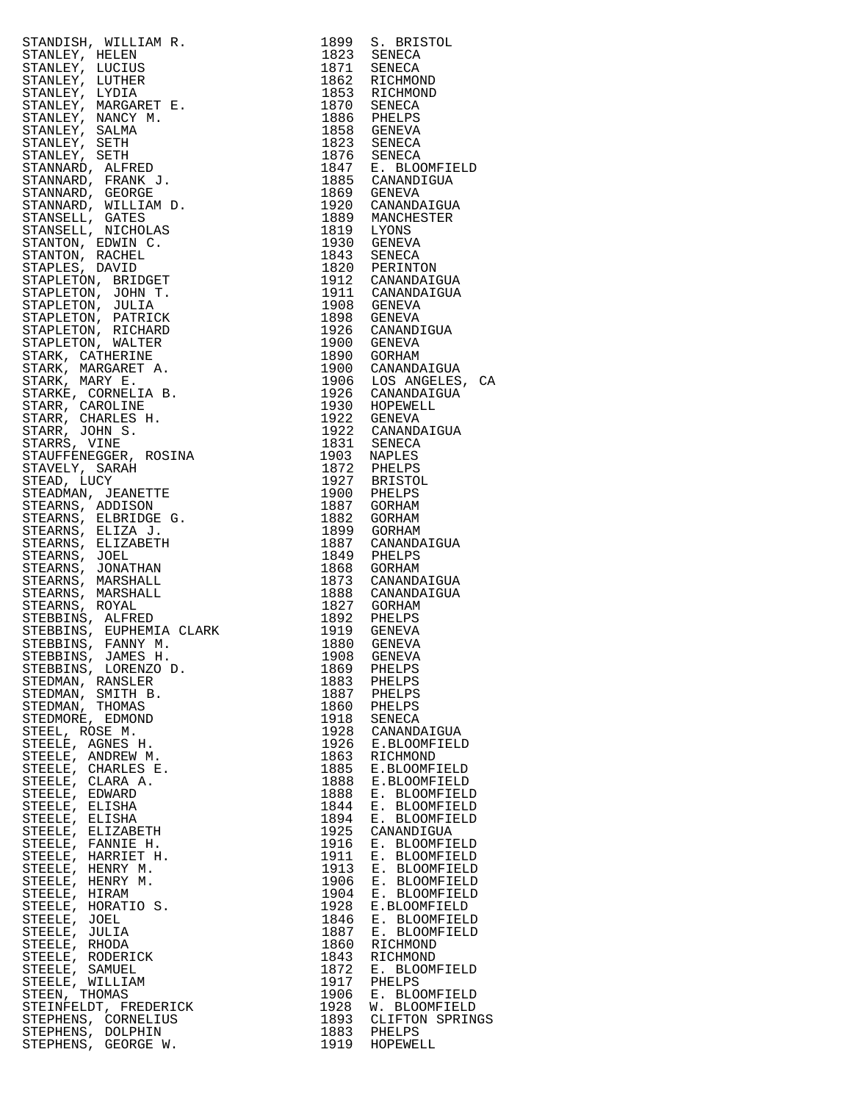| STANDER (WILLIAM R. 1999 S. BRISTON, 1997 S. BRISTON, STANDER (STANDER 1992 S. BRISTON)<br>STANDER (DICIUS CONTROL) 1992 SERIECA<br>STANDER (DICIUS CONTROL)<br>STANDARY MARGARET P. 1993 GENECA<br>STANDARY MARGARET P. 1993 GENECA<br>                              |      |                                        |
|-----------------------------------------------------------------------------------------------------------------------------------------------------------------------------------------------------------------------------------------------------------------------|------|----------------------------------------|
|                                                                                                                                                                                                                                                                       |      |                                        |
|                                                                                                                                                                                                                                                                       |      |                                        |
|                                                                                                                                                                                                                                                                       |      |                                        |
|                                                                                                                                                                                                                                                                       |      |                                        |
|                                                                                                                                                                                                                                                                       |      |                                        |
|                                                                                                                                                                                                                                                                       |      |                                        |
|                                                                                                                                                                                                                                                                       |      |                                        |
|                                                                                                                                                                                                                                                                       |      |                                        |
|                                                                                                                                                                                                                                                                       |      |                                        |
| STEDMAN, SMITH B.                                                                                                                                                                                                                                                     |      |                                        |
|                                                                                                                                                                                                                                                                       |      | 1887 PHELPS<br>1860 PHELPS             |
| STEDMAN, THOMAS                                                                                                                                                                                                                                                       |      |                                        |
| STEDMORE, EDMOND                                                                                                                                                                                                                                                      |      | 1918 SENECA<br>1928 CANANDAIGUA        |
| STEEL, ROSE M.                                                                                                                                                                                                                                                        |      |                                        |
| STEELE, AGNES H.                                                                                                                                                                                                                                                      |      | 1926 E.BLOOMFIELD                      |
|                                                                                                                                                                                                                                                                       |      |                                        |
| STEELE, ANDREW M.                                                                                                                                                                                                                                                     |      | 1863 RICHMOND                          |
| STEELE, CHARLES E.                                                                                                                                                                                                                                                    |      | 1885 E.BLOOMFIELD<br>1888 E.BLOOMFIELD |
| STEELE, CLARA A.                                                                                                                                                                                                                                                      |      |                                        |
| STEELE, EDWARD                                                                                                                                                                                                                                                        | 1888 | E. BLOOMFIELD                          |
|                                                                                                                                                                                                                                                                       |      |                                        |
| STEELE, ELISHA                                                                                                                                                                                                                                                        | 1844 | E. BLOOMFIELD                          |
|                                                                                                                                                                                                                                                                       | 1894 | E. BLOOMFIELD                          |
|                                                                                                                                                                                                                                                                       | 1925 | CANANDIGUA                             |
|                                                                                                                                                                                                                                                                       | 1916 | E. BLOOMFIELD                          |
|                                                                                                                                                                                                                                                                       | 1911 | E. BLOOMFIELD                          |
|                                                                                                                                                                                                                                                                       |      |                                        |
|                                                                                                                                                                                                                                                                       | 1913 | E. BLOOMFIELD                          |
|                                                                                                                                                                                                                                                                       | 1906 | E. BLOOMFIELD                          |
|                                                                                                                                                                                                                                                                       | 1904 | E. BLOOMFIELD                          |
|                                                                                                                                                                                                                                                                       | 1928 | E.BLOOMFIELD                           |
|                                                                                                                                                                                                                                                                       |      |                                        |
|                                                                                                                                                                                                                                                                       | 1846 | E. BLOOMFIELD                          |
|                                                                                                                                                                                                                                                                       |      | 1887 E. BLOOMFIELD                     |
|                                                                                                                                                                                                                                                                       | 1860 | RICHMOND                               |
|                                                                                                                                                                                                                                                                       | 1843 | RICHMOND                               |
|                                                                                                                                                                                                                                                                       | 1872 | E. BLOOMFIELD                          |
|                                                                                                                                                                                                                                                                       | 1917 |                                        |
|                                                                                                                                                                                                                                                                       |      | PHELPS                                 |
|                                                                                                                                                                                                                                                                       |      | 1906 E. BLOOMFIELD                     |
| STEELE, ELISHA<br>STEELE, ELISHA<br>STEELE, ELIZABETH<br>STEELE, FANNIE H.<br>STEELE, HARRIET H.<br>STEELE, HENRY M.<br>STEELE, HENRY M.<br>STEELE, HIRAM<br>STEELE, JOEL<br>STEELE, JOEL<br>STEELE, RODERICK<br>STEELE, RODERICK<br>STEELE, RODERICK<br>STEELE, RODE |      | 1928 W. BLOOMFIELD                     |
| STEPHENS, CORNELIUS                                                                                                                                                                                                                                                   |      | 1893 CLIFTON SPRINGS                   |
| STEPHENS, DOLPHIN                                                                                                                                                                                                                                                     |      | 1883 PHELPS                            |
| STEPHENS, GEORGE W.                                                                                                                                                                                                                                                   |      | 1919 HOPEWELL                          |

| STANDISH, WILLIAM R. 1999 S. BRISTON, MENINDER (MILLIAM R. 1999 S. BRISTON)<br>STANLEY, HELLEN R. 1971 SENECA (1971 SENECA 1972 SENECA 1972 SENECA 1972 SENECA 1973 SENECA 1973 SENECA 1973 SENECA 1973 S. SENECA 1973 S. 1974 S.                                     |              |                                |
|-----------------------------------------------------------------------------------------------------------------------------------------------------------------------------------------------------------------------------------------------------------------------|--------------|--------------------------------|
|                                                                                                                                                                                                                                                                       |              |                                |
|                                                                                                                                                                                                                                                                       |              |                                |
|                                                                                                                                                                                                                                                                       |              |                                |
|                                                                                                                                                                                                                                                                       |              |                                |
|                                                                                                                                                                                                                                                                       |              |                                |
|                                                                                                                                                                                                                                                                       |              |                                |
|                                                                                                                                                                                                                                                                       |              |                                |
|                                                                                                                                                                                                                                                                       |              |                                |
|                                                                                                                                                                                                                                                                       |              |                                |
|                                                                                                                                                                                                                                                                       |              |                                |
|                                                                                                                                                                                                                                                                       |              |                                |
|                                                                                                                                                                                                                                                                       |              |                                |
|                                                                                                                                                                                                                                                                       |              |                                |
|                                                                                                                                                                                                                                                                       |              |                                |
|                                                                                                                                                                                                                                                                       |              |                                |
|                                                                                                                                                                                                                                                                       |              |                                |
|                                                                                                                                                                                                                                                                       |              |                                |
|                                                                                                                                                                                                                                                                       |              |                                |
|                                                                                                                                                                                                                                                                       |              |                                |
|                                                                                                                                                                                                                                                                       |              |                                |
|                                                                                                                                                                                                                                                                       |              |                                |
|                                                                                                                                                                                                                                                                       |              |                                |
|                                                                                                                                                                                                                                                                       |              |                                |
|                                                                                                                                                                                                                                                                       |              |                                |
|                                                                                                                                                                                                                                                                       |              |                                |
|                                                                                                                                                                                                                                                                       |              |                                |
|                                                                                                                                                                                                                                                                       |              |                                |
|                                                                                                                                                                                                                                                                       |              |                                |
|                                                                                                                                                                                                                                                                       |              |                                |
|                                                                                                                                                                                                                                                                       |              |                                |
|                                                                                                                                                                                                                                                                       |              |                                |
|                                                                                                                                                                                                                                                                       |              |                                |
|                                                                                                                                                                                                                                                                       |              |                                |
|                                                                                                                                                                                                                                                                       |              |                                |
|                                                                                                                                                                                                                                                                       |              |                                |
|                                                                                                                                                                                                                                                                       |              |                                |
|                                                                                                                                                                                                                                                                       |              |                                |
|                                                                                                                                                                                                                                                                       |              |                                |
|                                                                                                                                                                                                                                                                       |              |                                |
|                                                                                                                                                                                                                                                                       |              |                                |
|                                                                                                                                                                                                                                                                       | 1887         | PHELPS                         |
|                                                                                                                                                                                                                                                                       | 1860         | PHELPS                         |
|                                                                                                                                                                                                                                                                       | 1918         | SENECA                         |
|                                                                                                                                                                                                                                                                       | 1928<br>1926 | CANANDAIGUA<br>E.BLOOMFIELD    |
|                                                                                                                                                                                                                                                                       | 1863         | RICHMOND                       |
|                                                                                                                                                                                                                                                                       | 1885         | E.BLOOMFIELD                   |
|                                                                                                                                                                                                                                                                       | 1888         | E.BLOOMFIELD                   |
|                                                                                                                                                                                                                                                                       | 1888<br>1844 | E. BLOOMFIELD<br>E. BLOOMFIELD |
|                                                                                                                                                                                                                                                                       | 1894         | E. BLOOMFIELD                  |
|                                                                                                                                                                                                                                                                       | 1925         | CANANDIGUA                     |
|                                                                                                                                                                                                                                                                       | 1916<br>1911 | E. BLOOMFIELD<br>E. BLOOMFIELD |
|                                                                                                                                                                                                                                                                       | 1913         | E. BLOOMFIELD                  |
|                                                                                                                                                                                                                                                                       | 1906         | E. BLOOMFIELD                  |
|                                                                                                                                                                                                                                                                       | 1904         | E. BLOOMFIELD                  |
|                                                                                                                                                                                                                                                                       | 1928<br>1846 | E.BLOOMFIELD<br>E. BLOOMFIELD  |
|                                                                                                                                                                                                                                                                       | 1887         | E. BLOOMFIELD                  |
|                                                                                                                                                                                                                                                                       | 1860         | RICHMOND                       |
|                                                                                                                                                                                                                                                                       | 1843         | RICHMOND                       |
|                                                                                                                                                                                                                                                                       | 1872<br>1917 | E. BLOOMFIELD<br>PHELPS        |
|                                                                                                                                                                                                                                                                       | 1906         | E. BLOOMFIELD                  |
| STEBBINS, LORENZO D.<br>STEDMAN, RANSLER<br>STEDMAN, RANSLER<br>STEDMAN, SMITH B.<br>STEDMORE, EDMOND<br>STEDMORE, EDMOND<br>STEEL, ROSE M.<br>STEELE, AGNES H.<br>STEELE, CLARA A.<br>STEELE, CLARA A.<br>STEELE, ELISHA<br>STEELE, ELISHA<br>STEELE, ELISHA<br>STEE | 1928         | W. BLOOMFIELD                  |
|                                                                                                                                                                                                                                                                       | 1893         | CLIFTON SPRINGS                |
|                                                                                                                                                                                                                                                                       | 1883<br>1919 | PHELPS<br>HOPEWELL             |
|                                                                                                                                                                                                                                                                       |              |                                |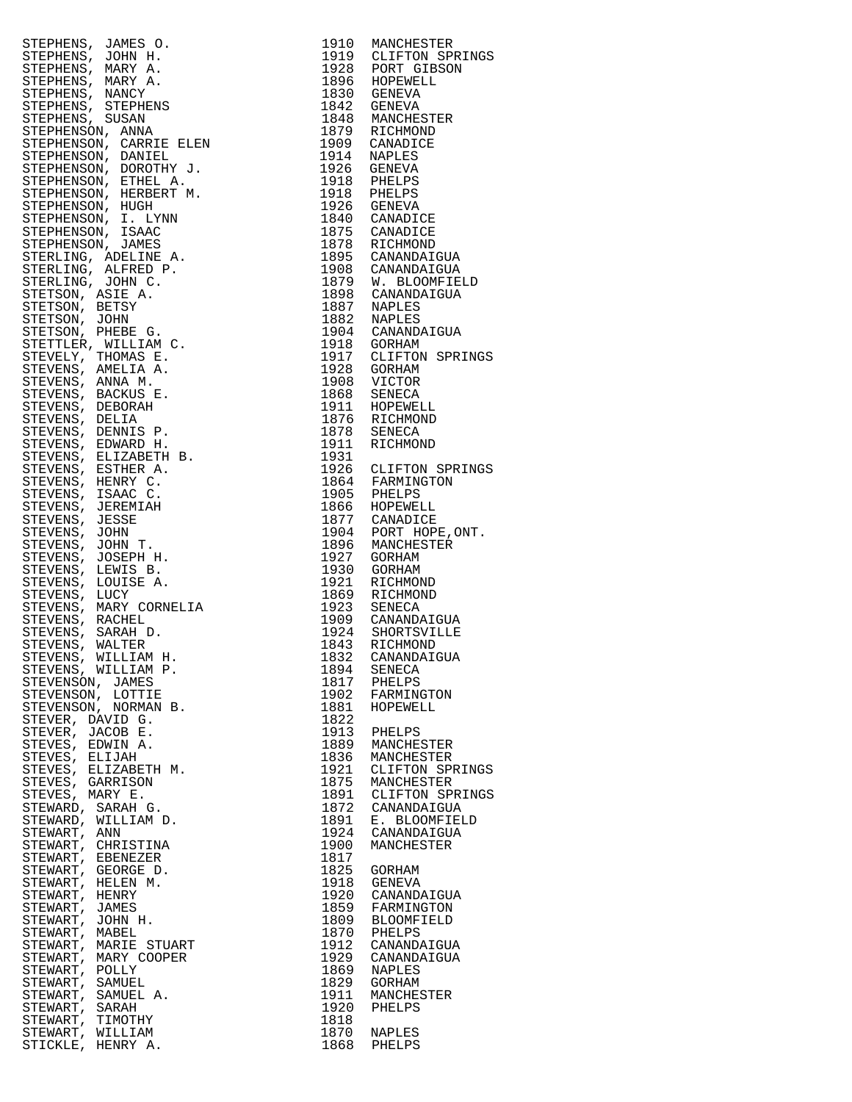| $\begin{tabular}{c c c} \multicolumn{1}{c}{\textbf{1.2.6}} \multicolumn{1}{c}{\textbf{1.2.6}} \multicolumn{1}{c}{\textbf{1.2.6}} \multicolumn{1}{c}{\textbf{1.2.6}} \multicolumn{1}{c}{\textbf{1.2.6}} \multicolumn{1}{c}{\textbf{1.2.6}} \multicolumn{1}{c}{\textbf{1.2.6}} \multicolumn{1}{c}{\textbf{1.2.6}} \multicolumn{1}{c}{\textbf{1.2.6}} \multicolumn{1}{c}{\textbf{1.2.6}} \multicolumn{1}{c}{\textbf{1.2.6$ |              |                                                                          |
|-------------------------------------------------------------------------------------------------------------------------------------------------------------------------------------------------------------------------------------------------------------------------------------------------------------------------------------------------------------------------------------------------------------------------|--------------|--------------------------------------------------------------------------|
|                                                                                                                                                                                                                                                                                                                                                                                                                         |              | 1919 CLIFTON SPRINGS<br>1928 PORT GIBSON<br>1896 HOPEWELL<br>1830 GENEVA |
|                                                                                                                                                                                                                                                                                                                                                                                                                         |              |                                                                          |
|                                                                                                                                                                                                                                                                                                                                                                                                                         |              |                                                                          |
|                                                                                                                                                                                                                                                                                                                                                                                                                         |              |                                                                          |
|                                                                                                                                                                                                                                                                                                                                                                                                                         |              |                                                                          |
|                                                                                                                                                                                                                                                                                                                                                                                                                         |              |                                                                          |
|                                                                                                                                                                                                                                                                                                                                                                                                                         |              |                                                                          |
|                                                                                                                                                                                                                                                                                                                                                                                                                         |              |                                                                          |
|                                                                                                                                                                                                                                                                                                                                                                                                                         |              |                                                                          |
|                                                                                                                                                                                                                                                                                                                                                                                                                         |              |                                                                          |
|                                                                                                                                                                                                                                                                                                                                                                                                                         |              |                                                                          |
|                                                                                                                                                                                                                                                                                                                                                                                                                         |              |                                                                          |
|                                                                                                                                                                                                                                                                                                                                                                                                                         |              |                                                                          |
|                                                                                                                                                                                                                                                                                                                                                                                                                         |              |                                                                          |
|                                                                                                                                                                                                                                                                                                                                                                                                                         |              | 1879 W. BLOOMFIELD<br>1898 CANANDAIGUA                                   |
|                                                                                                                                                                                                                                                                                                                                                                                                                         |              |                                                                          |
|                                                                                                                                                                                                                                                                                                                                                                                                                         |              |                                                                          |
|                                                                                                                                                                                                                                                                                                                                                                                                                         |              |                                                                          |
|                                                                                                                                                                                                                                                                                                                                                                                                                         |              |                                                                          |
|                                                                                                                                                                                                                                                                                                                                                                                                                         |              | 1917 CLIFTON SPRINGS<br>1928 GORHAM                                      |
|                                                                                                                                                                                                                                                                                                                                                                                                                         |              |                                                                          |
|                                                                                                                                                                                                                                                                                                                                                                                                                         |              |                                                                          |
|                                                                                                                                                                                                                                                                                                                                                                                                                         |              |                                                                          |
|                                                                                                                                                                                                                                                                                                                                                                                                                         |              |                                                                          |
|                                                                                                                                                                                                                                                                                                                                                                                                                         |              |                                                                          |
|                                                                                                                                                                                                                                                                                                                                                                                                                         |              | 1931<br>1926 CLIFTON SPRINGS                                             |
|                                                                                                                                                                                                                                                                                                                                                                                                                         |              |                                                                          |
|                                                                                                                                                                                                                                                                                                                                                                                                                         |              |                                                                          |
|                                                                                                                                                                                                                                                                                                                                                                                                                         |              |                                                                          |
|                                                                                                                                                                                                                                                                                                                                                                                                                         |              | 1904 PORT HOPE, ONT.                                                     |
|                                                                                                                                                                                                                                                                                                                                                                                                                         |              |                                                                          |
|                                                                                                                                                                                                                                                                                                                                                                                                                         |              |                                                                          |
|                                                                                                                                                                                                                                                                                                                                                                                                                         |              |                                                                          |
|                                                                                                                                                                                                                                                                                                                                                                                                                         |              |                                                                          |
|                                                                                                                                                                                                                                                                                                                                                                                                                         |              |                                                                          |
|                                                                                                                                                                                                                                                                                                                                                                                                                         |              |                                                                          |
|                                                                                                                                                                                                                                                                                                                                                                                                                         |              |                                                                          |
|                                                                                                                                                                                                                                                                                                                                                                                                                         |              |                                                                          |
|                                                                                                                                                                                                                                                                                                                                                                                                                         |              |                                                                          |
|                                                                                                                                                                                                                                                                                                                                                                                                                         |              |                                                                          |
|                                                                                                                                                                                                                                                                                                                                                                                                                         |              |                                                                          |
|                                                                                                                                                                                                                                                                                                                                                                                                                         |              |                                                                          |
|                                                                                                                                                                                                                                                                                                                                                                                                                         |              |                                                                          |
| STEVES, ELIJAH                                                                                                                                                                                                                                                                                                                                                                                                          | 1836         | MANCHESTER                                                               |
| STEVES, ELIZABETH M.                                                                                                                                                                                                                                                                                                                                                                                                    | 1921         | CLIFTON SPRINGS                                                          |
| STEVES, GARRISON<br>STEVES, MARY E.                                                                                                                                                                                                                                                                                                                                                                                     | 1875         | MANCHESTER                                                               |
| STEWARD, SARAH G.                                                                                                                                                                                                                                                                                                                                                                                                       | 1891<br>1872 | CLIFTON SPRINGS<br>CANANDAIGUA                                           |
| STEWARD, WILLIAM D.                                                                                                                                                                                                                                                                                                                                                                                                     | 1891         | E. BLOOMFIELD                                                            |
| STEWART, ANN                                                                                                                                                                                                                                                                                                                                                                                                            | 1924         | CANANDAIGUA                                                              |
| STEWART, CHRISTINA<br>STEWART, EBENEZER                                                                                                                                                                                                                                                                                                                                                                                 | 1900<br>1817 | MANCHESTER                                                               |
| STEWART, GEORGE D.                                                                                                                                                                                                                                                                                                                                                                                                      | 1825         | GORHAM                                                                   |
| STEWART, HELEN M.                                                                                                                                                                                                                                                                                                                                                                                                       | 1918         | GENEVA                                                                   |
| STEWART, HENRY                                                                                                                                                                                                                                                                                                                                                                                                          | 1920<br>1859 | CANANDAIGUA<br>FARMINGTON                                                |
| STEWART, JAMES<br>STEWART, JOHN H.                                                                                                                                                                                                                                                                                                                                                                                      | 1809         | <b>BLOOMFIELD</b>                                                        |
| STEWART, MABEL                                                                                                                                                                                                                                                                                                                                                                                                          | 1870         | PHELPS                                                                   |
| STEWART, MARIE STUART                                                                                                                                                                                                                                                                                                                                                                                                   | 1912         | CANANDAIGUA                                                              |
| STEWART, MARY COOPER<br>STEWART, POLLY                                                                                                                                                                                                                                                                                                                                                                                  | 1929<br>1869 | CANANDAIGUA<br><b>NAPLES</b>                                             |
| STEWART, SAMUEL                                                                                                                                                                                                                                                                                                                                                                                                         | 1829         | GORHAM                                                                   |
| STEWART, SAMUEL A.                                                                                                                                                                                                                                                                                                                                                                                                      | 1911         | MANCHESTER                                                               |
| STEWART, SARAH<br>STEWART, TIMOTHY                                                                                                                                                                                                                                                                                                                                                                                      | 1920<br>1818 | PHELPS                                                                   |
| STEWART, WILLIAM                                                                                                                                                                                                                                                                                                                                                                                                        | 1870         | NAPLES                                                                   |
| STICKLE, HENRY A.                                                                                                                                                                                                                                                                                                                                                                                                       | 1868         | PHELPS                                                                   |

| 1910         | MANCHESTER                |
|--------------|---------------------------|
| 1919         | CLIFTON SPRINGS           |
| 1928<br>1896 | PORT GIBSON<br>HOPEWELL   |
| 1830         | GENEVA                    |
| 1842         | GENEVA                    |
| 1848         | MANCHESTER                |
| 1879         | RICHMOND                  |
| 1909         | CANADICE                  |
| 1914         | NAPLES                    |
| 1926         | GENEVA                    |
| 1918         | PHELPS                    |
| 1918         | PHELPS                    |
| 1926         | GENEVA                    |
| 1840         | CANADICE                  |
| 1875         | CANADICE                  |
| 1878         | RICHMOND                  |
| 1895         | CANANDAIGUA               |
| 1908         | CANANDAIGUA               |
| 1879         | W. BLOOMFIELD             |
| 1898         | CANANDAIGUA               |
| 1887         | NAPLES                    |
| 1882<br>1904 | <b>NAPLES</b>             |
| 1918         | CANANDAIGUA               |
| 1917         | GORHAM<br>CLIFTON SPRINGS |
| 1928         | GORHAM                    |
| 1908         | VICTOR                    |
| 1868         | SENECA                    |
| 1911         | HOPEWELL                  |
| 1876         | RICHMOND                  |
| 1878         | SENECA                    |
| 1911         | RICHMOND                  |
| 1931         |                           |
| 1926         | CLIFTON SPRINGS           |
| 1864         | FARMINGTON                |
| 1905         | PHELPS                    |
| 1866         | HOPEWELL                  |
| 1877         | CANADICE                  |
| 1904         | PORT HOPE, ONT.           |
| 1896         | MANCHESTER                |
| 1927         | GORHAM                    |
| 1930         | GORHAM                    |
| 1921         | RICHMOND                  |
| 1869         | RICHMOND                  |
| 1923         | SENECA                    |
| 1909         | CANANDAIGUA               |
| 1924         | SHORTSVILLE               |
| 1843<br>1832 | RICHMOND<br>CANANDAIGUA   |
| 1894         | SENECA                    |
| 1817         | PHELPS                    |
| 1902         | FARMINGTON                |
| 1881         | HOPEWELL                  |
| 1822         |                           |
| 1913         | PHELPS                    |
| 1889         | MANCHESTER                |
| 1836         | MANCHESTER                |
| 1921         | CLIFTON SPRINGS           |
| 1875         | MANCHESTER                |
| 1891         | CLIFTON SPRINGS           |
| 1872         | CANANDAIGUA               |
| 1891         | <b>BLOOMFIELD</b><br>Е.   |
| 1924         | CANANDAIGUA               |
| 1900         | MANCHESTER                |
| 1817         |                           |
| 1825         | GORHAM                    |
| 1918         | <b>GENEVA</b>             |
| 1920         | CANANDAIGUA               |
| 1859         | FARMINGTON                |
| 1809         | <b>BLOOMFIELD</b>         |
| 1870         | PHELPS                    |
| 1912         | CANANDAIGUA               |
| 1929         | CANANDAIGUA               |
| 1869         | <b>NAPLES</b>             |
| 1829<br>1911 | GORHAM<br>MANCHESTER      |
| 1920         | PHELPS                    |
| 1818         |                           |
| 1870         | NAPLES                    |
| 1868         | PHELPS                    |
|              |                           |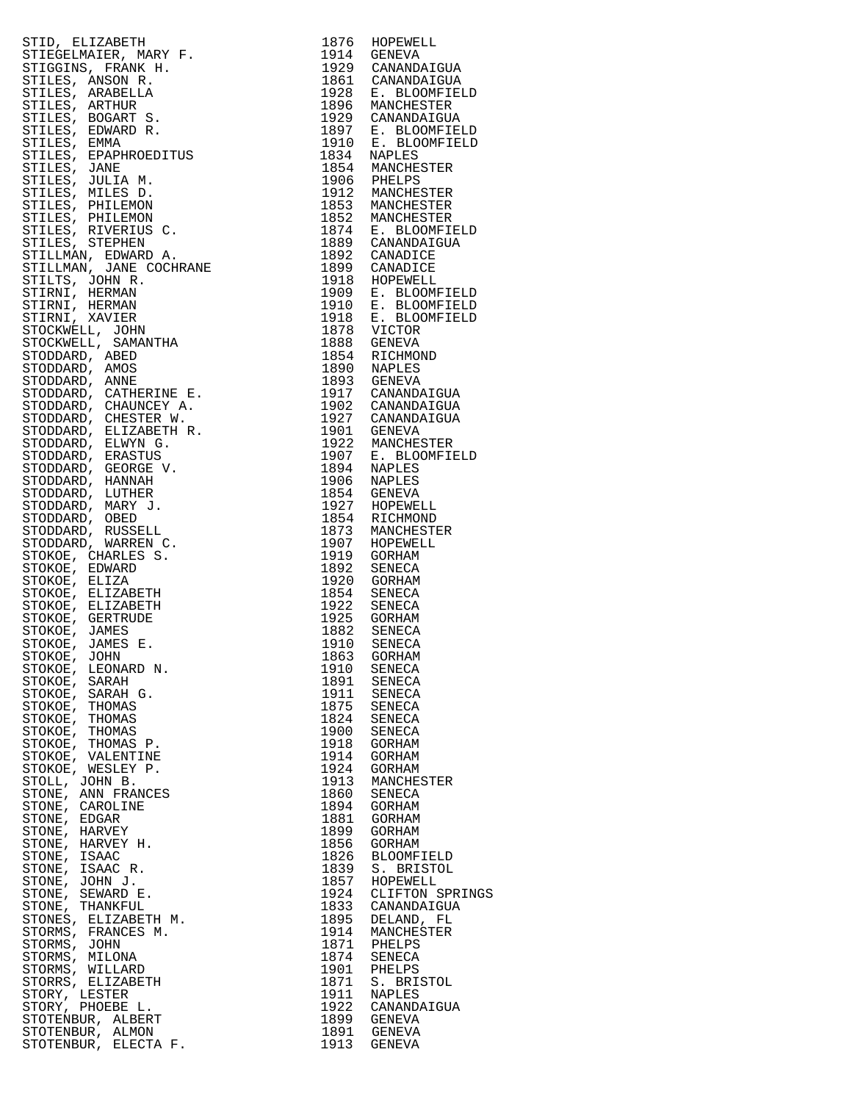| STID, BLIZABETH (MARY 1974)<br>STIDSELLA RENOVATION (SUNDANICULA STIDSELLA RENOVATION)<br>STILLES, ARABIBILA<br>STILLES, ARABIBILA<br>STILLES, ARABIBILA<br>STILLES, ARABIBILA<br>STILLES, ARABIBILA<br>STILLES, ENARGE 5.<br>STILLES, ENARGE |              |                  |
|-----------------------------------------------------------------------------------------------------------------------------------------------------------------------------------------------------------------------------------------------|--------------|------------------|
|                                                                                                                                                                                                                                               |              |                  |
|                                                                                                                                                                                                                                               |              |                  |
|                                                                                                                                                                                                                                               |              |                  |
|                                                                                                                                                                                                                                               |              |                  |
|                                                                                                                                                                                                                                               |              |                  |
|                                                                                                                                                                                                                                               |              |                  |
|                                                                                                                                                                                                                                               |              |                  |
|                                                                                                                                                                                                                                               |              |                  |
|                                                                                                                                                                                                                                               |              |                  |
|                                                                                                                                                                                                                                               |              |                  |
|                                                                                                                                                                                                                                               |              |                  |
|                                                                                                                                                                                                                                               |              |                  |
|                                                                                                                                                                                                                                               |              |                  |
|                                                                                                                                                                                                                                               |              |                  |
|                                                                                                                                                                                                                                               |              |                  |
|                                                                                                                                                                                                                                               |              |                  |
|                                                                                                                                                                                                                                               |              |                  |
|                                                                                                                                                                                                                                               |              |                  |
|                                                                                                                                                                                                                                               |              |                  |
|                                                                                                                                                                                                                                               |              |                  |
|                                                                                                                                                                                                                                               |              |                  |
|                                                                                                                                                                                                                                               |              |                  |
|                                                                                                                                                                                                                                               |              |                  |
|                                                                                                                                                                                                                                               |              |                  |
|                                                                                                                                                                                                                                               |              |                  |
|                                                                                                                                                                                                                                               |              |                  |
|                                                                                                                                                                                                                                               |              |                  |
|                                                                                                                                                                                                                                               |              |                  |
|                                                                                                                                                                                                                                               |              |                  |
|                                                                                                                                                                                                                                               |              |                  |
|                                                                                                                                                                                                                                               |              |                  |
|                                                                                                                                                                                                                                               |              |                  |
|                                                                                                                                                                                                                                               |              |                  |
|                                                                                                                                                                                                                                               |              |                  |
|                                                                                                                                                                                                                                               |              |                  |
|                                                                                                                                                                                                                                               |              |                  |
|                                                                                                                                                                                                                                               |              |                  |
|                                                                                                                                                                                                                                               |              |                  |
|                                                                                                                                                                                                                                               |              |                  |
|                                                                                                                                                                                                                                               |              |                  |
|                                                                                                                                                                                                                                               |              |                  |
|                                                                                                                                                                                                                                               |              |                  |
|                                                                                                                                                                                                                                               |              |                  |
|                                                                                                                                                                                                                                               |              |                  |
|                                                                                                                                                                                                                                               |              |                  |
|                                                                                                                                                                                                                                               |              |                  |
|                                                                                                                                                                                                                                               |              |                  |
|                                                                                                                                                                                                                                               |              |                  |
| STOKOE, JOHN                                                                                                                                                                                                                                  |              | 1863 GORHAM      |
| STOKOE, LEONARD N.                                                                                                                                                                                                                            | 1910         | SENECA           |
| STOKOE, SARAH                                                                                                                                                                                                                                 | 1891         | SENECA           |
| STOKOE,<br>SARAH G.                                                                                                                                                                                                                           | 1911         | SENECA           |
| STOKOE, THOMAS                                                                                                                                                                                                                                | 1875         | SENECA           |
| STOKOE,<br>THOMAS                                                                                                                                                                                                                             | 1824         | SENECA           |
| STOKOE, THOMAS                                                                                                                                                                                                                                | 1900         | SENECA           |
| STOKOE, THOMAS P.                                                                                                                                                                                                                             | 1918         | GORHAM           |
| STOKOE, VALENTINE                                                                                                                                                                                                                             | 1914         | GORHAM           |
| STOKOE, WESLEY P.                                                                                                                                                                                                                             | 1924         | GORHAM           |
| STOLL, JOHN B.                                                                                                                                                                                                                                | 1913         | MANCHESTER       |
| STONE, ANN FRANCES                                                                                                                                                                                                                            | 1860         | SENECA           |
| STONE, CAROLINE                                                                                                                                                                                                                               | 1894         | GORHAM           |
| STONE, EDGAR                                                                                                                                                                                                                                  | 1881         | GORHAM           |
| STONE, HARVEY                                                                                                                                                                                                                                 | 1899         | GORHAM           |
| STONE, HARVEY H.                                                                                                                                                                                                                              | 1856         | GORHAM           |
| STONE, ISAAC                                                                                                                                                                                                                                  | 1826         | BLOOMFIELD       |
| STONE, ISAAC R.                                                                                                                                                                                                                               | 1839         | S. BRISTOL       |
| STONE, JOHN J.                                                                                                                                                                                                                                | 1857         | HOPEWELL         |
| STONE, SEWARD E.                                                                                                                                                                                                                              | 1924         | CLIFTON SPRINGS  |
| STONE, THANKFUL                                                                                                                                                                                                                               | 1833         | CANANDAIGUA      |
| STONES, ELIZABETH M.                                                                                                                                                                                                                          | 1895         | DELAND, FL       |
| STORMS, FRANCES M.                                                                                                                                                                                                                            | 1914         | MANCHESTER       |
| STORMS, JOHN                                                                                                                                                                                                                                  | 1871         | PHELPS           |
| STORMS, MILONA                                                                                                                                                                                                                                | 1874         | SENECA           |
| STORMS, WILLARD                                                                                                                                                                                                                               | 1901         | PHELPS           |
| STORRS, ELIZABETH                                                                                                                                                                                                                             | 1871         | S. BRISTOL       |
| STORY, LESTER<br>STORY, PHOEBE L.                                                                                                                                                                                                             | 1911<br>1922 | NAPLES           |
| STOTENBUR, ALBERT                                                                                                                                                                                                                             | 1899         | CANANDAIGUA      |
| STOTENBUR, ALMON                                                                                                                                                                                                                              | 1891         | GENEVA<br>GENEVA |
| STOTENBUR, ELECTA F.                                                                                                                                                                                                                          | 1913         | GENEVA           |
|                                                                                                                                                                                                                                               |              |                  |

| 1876         | HOPEWELL                                        |
|--------------|-------------------------------------------------|
| 1914<br>1929 | GENEVA                                          |
| 1861         | CANANDAIGUA<br>CANANDAIGUA                      |
| 1928         | E. BLOOMFIELD                                   |
| 1896         | MANCHESTER                                      |
| 1929<br>1897 | CANANDAIGUA                                     |
| 1910         | E. BLOOMFIELD<br>E. BLOOMFIELD                  |
| 1834         | NAPLES                                          |
| 1854         | MANCHESTER                                      |
| 1906<br>1912 | PHELPS<br>MANCHESTER                            |
| 1853         | MANCHESTER                                      |
| 1852         | MANCHESTER                                      |
| 1874         | E. BLOOMFIELD                                   |
| 1889<br>1892 | CANANDAIGUA<br>CANADICE                         |
| 1899         | CANADICE                                        |
| 1918         | HOPEWELL                                        |
| 1909         | E. BLOOMFIELD<br>E. BLOOMFIELD<br>E. BLOOMFIELD |
| 1910<br>1918 |                                                 |
| 1878         | <b>VICTOR</b>                                   |
| 1888         | GENEVA                                          |
| 1854         | RICHMOND                                        |
| 1890<br>1893 | NAPLES<br>GENEVA                                |
| 1917         | CANANDAIGUA                                     |
| 1902         | CANANDAIGUA                                     |
| 1927         | CANANDAIGUA                                     |
| 1901<br>1922 | GENEVA<br>MANCHESTER                            |
| 1907         | E. BLOOMFIELD                                   |
| 1894         | NAPLES                                          |
| 1906<br>1854 | NAPLES<br>GENEVA                                |
| 1927         | HOPEWELL                                        |
| 1854         | RICHMOND                                        |
| 1873         | MANCHESTER                                      |
| 1907<br>1919 | HOPEWELL<br>GORHAM                              |
| 1892         | SENECA                                          |
| 1920         | GORHAM                                          |
| 1854         | SENECA                                          |
| 1922<br>1925 | SENECA<br>GORHAM                                |
| 1882         | SENECA                                          |
| 1910         | SENECA                                          |
| 1863<br>1910 | GORHAM<br>SENECA                                |
| 1891         | SENECA                                          |
| 1911         | SENECA                                          |
| 1875         | SENECA                                          |
| 1824<br>1900 | SENECA<br>SENECA                                |
| 1918         | GORHAM                                          |
| 1914         | GORHAM                                          |
| 1924         | GORHAM                                          |
| 1913<br>1860 | MANCHESTER<br>SENECA                            |
| 1894         | GORHAM                                          |
| 1881         | GORHAM                                          |
| 1899<br>1856 | GORHAM<br>GORHAM                                |
| 1826         | <b>BLOOMFIELD</b>                               |
| 1839         | S. BRISTOL                                      |
| 1857         | HOPEWELL                                        |
| 1924<br>1833 | CLIFTON SPRINGS<br>CANANDAIGUA                  |
| 1895         | DELAND, FL                                      |
| 1914         | MANCHESTER                                      |
| 1871         | PHELPS                                          |
| 1874<br>1901 | SENECA<br>PHELPS                                |
| 1871         | S.<br><b>BRISTOL</b>                            |
| 1911         | NAPLES                                          |
| 1922         | CANANDAIGUA                                     |
| 1899<br>1891 | GENEVA<br>GENEVA                                |
|              | 1913 GENEVA                                     |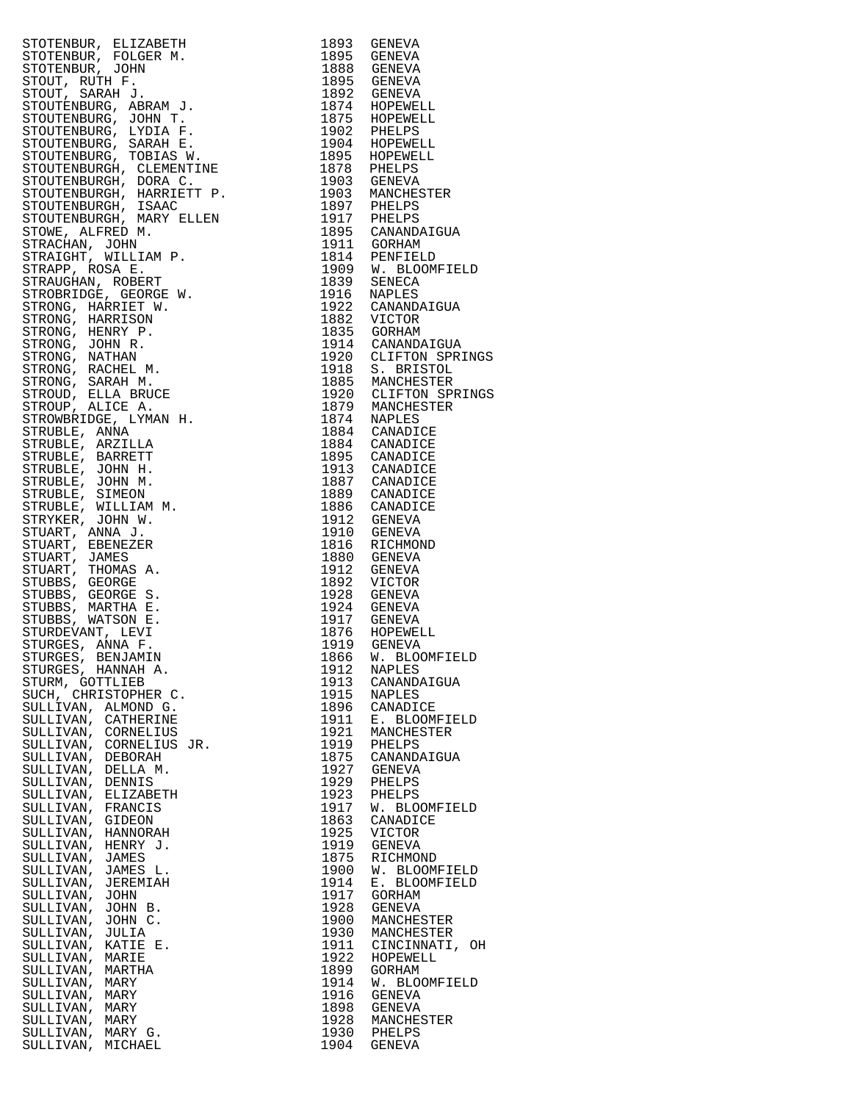| STOTENBUR, ELIZABETHI 1933 GRAMATIKA<br>STOTENBUR, FOLGER M. 1893 GRAMATIK<br>STOTENBUR, FOLGER M. 1895 GRAMATIK<br>STOTENBUR, FOLGER M. 1892 GRAMATIK<br>STOTENBURG, JOHN T. 1971 GRAMATIK<br>STOTENBURG, JOHN T. 1971 GRAMATIKANING (STORE |      |                |
|----------------------------------------------------------------------------------------------------------------------------------------------------------------------------------------------------------------------------------------------|------|----------------|
|                                                                                                                                                                                                                                              |      |                |
|                                                                                                                                                                                                                                              |      |                |
|                                                                                                                                                                                                                                              |      |                |
|                                                                                                                                                                                                                                              |      |                |
|                                                                                                                                                                                                                                              |      |                |
|                                                                                                                                                                                                                                              |      |                |
|                                                                                                                                                                                                                                              |      |                |
|                                                                                                                                                                                                                                              |      |                |
|                                                                                                                                                                                                                                              |      |                |
|                                                                                                                                                                                                                                              |      |                |
|                                                                                                                                                                                                                                              |      |                |
|                                                                                                                                                                                                                                              |      |                |
|                                                                                                                                                                                                                                              |      |                |
|                                                                                                                                                                                                                                              |      |                |
|                                                                                                                                                                                                                                              |      |                |
|                                                                                                                                                                                                                                              |      |                |
|                                                                                                                                                                                                                                              |      |                |
|                                                                                                                                                                                                                                              |      |                |
|                                                                                                                                                                                                                                              |      |                |
|                                                                                                                                                                                                                                              |      |                |
|                                                                                                                                                                                                                                              |      |                |
|                                                                                                                                                                                                                                              |      |                |
|                                                                                                                                                                                                                                              |      |                |
|                                                                                                                                                                                                                                              |      |                |
|                                                                                                                                                                                                                                              |      |                |
|                                                                                                                                                                                                                                              |      |                |
|                                                                                                                                                                                                                                              |      |                |
|                                                                                                                                                                                                                                              |      |                |
|                                                                                                                                                                                                                                              |      |                |
|                                                                                                                                                                                                                                              |      |                |
|                                                                                                                                                                                                                                              |      |                |
|                                                                                                                                                                                                                                              |      |                |
|                                                                                                                                                                                                                                              |      |                |
|                                                                                                                                                                                                                                              |      |                |
|                                                                                                                                                                                                                                              |      |                |
|                                                                                                                                                                                                                                              |      |                |
|                                                                                                                                                                                                                                              |      |                |
|                                                                                                                                                                                                                                              |      |                |
|                                                                                                                                                                                                                                              |      |                |
|                                                                                                                                                                                                                                              |      |                |
|                                                                                                                                                                                                                                              |      |                |
|                                                                                                                                                                                                                                              |      |                |
|                                                                                                                                                                                                                                              |      |                |
|                                                                                                                                                                                                                                              |      |                |
|                                                                                                                                                                                                                                              |      |                |
|                                                                                                                                                                                                                                              |      |                |
|                                                                                                                                                                                                                                              |      |                |
|                                                                                                                                                                                                                                              |      |                |
|                                                                                                                                                                                                                                              |      |                |
|                                                                                                                                                                                                                                              |      |                |
|                                                                                                                                                                                                                                              |      |                |
|                                                                                                                                                                                                                                              |      |                |
|                                                                                                                                                                                                                                              |      |                |
|                                                                                                                                                                                                                                              |      |                |
|                                                                                                                                                                                                                                              |      |                |
|                                                                                                                                                                                                                                              |      |                |
|                                                                                                                                                                                                                                              |      |                |
|                                                                                                                                                                                                                                              |      |                |
|                                                                                                                                                                                                                                              |      |                |
|                                                                                                                                                                                                                                              |      |                |
|                                                                                                                                                                                                                                              |      |                |
|                                                                                                                                                                                                                                              |      |                |
|                                                                                                                                                                                                                                              |      |                |
|                                                                                                                                                                                                                                              |      |                |
|                                                                                                                                                                                                                                              |      |                |
| STURGES, BENJAMIN<br>STURGES, HANNAH A.<br>COMMITTER                                                                                                                                                                                         |      |                |
|                                                                                                                                                                                                                                              |      |                |
|                                                                                                                                                                                                                                              | 1912 | NAPLES         |
| STURM, GOTTLIEB                                                                                                                                                                                                                              | 1913 | CANANDAIGUA    |
| SUCH, CHRISTOPHER C.                                                                                                                                                                                                                         | 1915 | NAPLES         |
|                                                                                                                                                                                                                                              |      |                |
| SULLIVAN, ALMOND G.                                                                                                                                                                                                                          | 1896 | CANADICE       |
| SULLIVAN, CATHERINE                                                                                                                                                                                                                          | 1911 | E. BLOOMFIELD  |
| SULLIVAN, CORNELIUS                                                                                                                                                                                                                          | 1921 | MANCHESTER     |
|                                                                                                                                                                                                                                              |      |                |
| SULLIVAN, CORNELIUS JR.                                                                                                                                                                                                                      | 1919 | PHELPS         |
| SULLIVAN, DEBORAH                                                                                                                                                                                                                            | 1875 | CANANDAIGUA    |
| SULLIVAN, DELLA M.                                                                                                                                                                                                                           | 1927 | GENEVA         |
|                                                                                                                                                                                                                                              |      |                |
| SULLIVAN, DENNIS                                                                                                                                                                                                                             | 1929 | PHELPS         |
| SULLIVAN, ELIZABETH                                                                                                                                                                                                                          | 1923 | PHELPS         |
| SULLIVAN, FRANCIS                                                                                                                                                                                                                            | 1917 | W. BLOOMFIELD  |
|                                                                                                                                                                                                                                              |      |                |
| SULLIVAN, GIDEON                                                                                                                                                                                                                             | 1863 | CANADICE       |
| SULLIVAN, HANNORAH                                                                                                                                                                                                                           | 1925 | <b>VICTOR</b>  |
|                                                                                                                                                                                                                                              |      |                |
| SULLIVAN, HENRY J.                                                                                                                                                                                                                           | 1919 | <b>GENEVA</b>  |
| SULLIVAN, JAMES                                                                                                                                                                                                                              | 1875 | RICHMOND       |
| SULLIVAN, JAMES L.                                                                                                                                                                                                                           | 1900 | W. BLOOMFIELD  |
|                                                                                                                                                                                                                                              |      |                |
| SULLIVAN, JEREMIAH                                                                                                                                                                                                                           | 1914 | E. BLOOMFIELD  |
| SULLIVAN, JOHN                                                                                                                                                                                                                               | 1917 | GORHAM         |
| SULLIVAN, JOHN B.                                                                                                                                                                                                                            | 1928 | GENEVA         |
|                                                                                                                                                                                                                                              |      |                |
| SULLIVAN, JOHN C.                                                                                                                                                                                                                            | 1900 | MANCHESTER     |
| SULLIVAN, JULIA                                                                                                                                                                                                                              | 1930 | MANCHESTER     |
| SULLIVAN, KATIE E.                                                                                                                                                                                                                           | 1911 | CINCINNATI, OH |
|                                                                                                                                                                                                                                              |      |                |
| SULLIVAN, MARIE                                                                                                                                                                                                                              | 1922 | HOPEWELL       |
| SULLIVAN, MARTHA                                                                                                                                                                                                                             | 1899 | GORHAM         |
| SULLIVAN, MARY                                                                                                                                                                                                                               | 1914 | W. BLOOMFIELD  |
|                                                                                                                                                                                                                                              |      |                |
| SULLIVAN, MARY                                                                                                                                                                                                                               | 1916 | GENEVA         |
| SULLIVAN, MARY                                                                                                                                                                                                                               | 1898 | GENEVA         |
|                                                                                                                                                                                                                                              | 1928 |                |
| SULLIVAN, MARY                                                                                                                                                                                                                               |      | MANCHESTER     |
| SULLIVAN, MARY G.                                                                                                                                                                                                                            | 1930 | PHELPS         |
| SIILLITVAN MICHAFL                                                                                                                                                                                                                           | 1904 | <b>CENEVA</b>  |

| FOURISHER (ELEZARENT 1993) GENERA (1993) GENERA (1993) GENERA (1993) GENERA (1993) GENERA (1993) GENERA (1993) GENERA (1993) GENERA (1993) GENERA (1993) GENERA (1993) GENERA (1993) GENERA (1993) GENERA (1993) GENERA (1993<br>SULLIVAN, MARY G.<br>SULLIVAN, MICHAEL | 1930<br>1904 | PHELPS<br>GENEVA |
|-------------------------------------------------------------------------------------------------------------------------------------------------------------------------------------------------------------------------------------------------------------------------|--------------|------------------|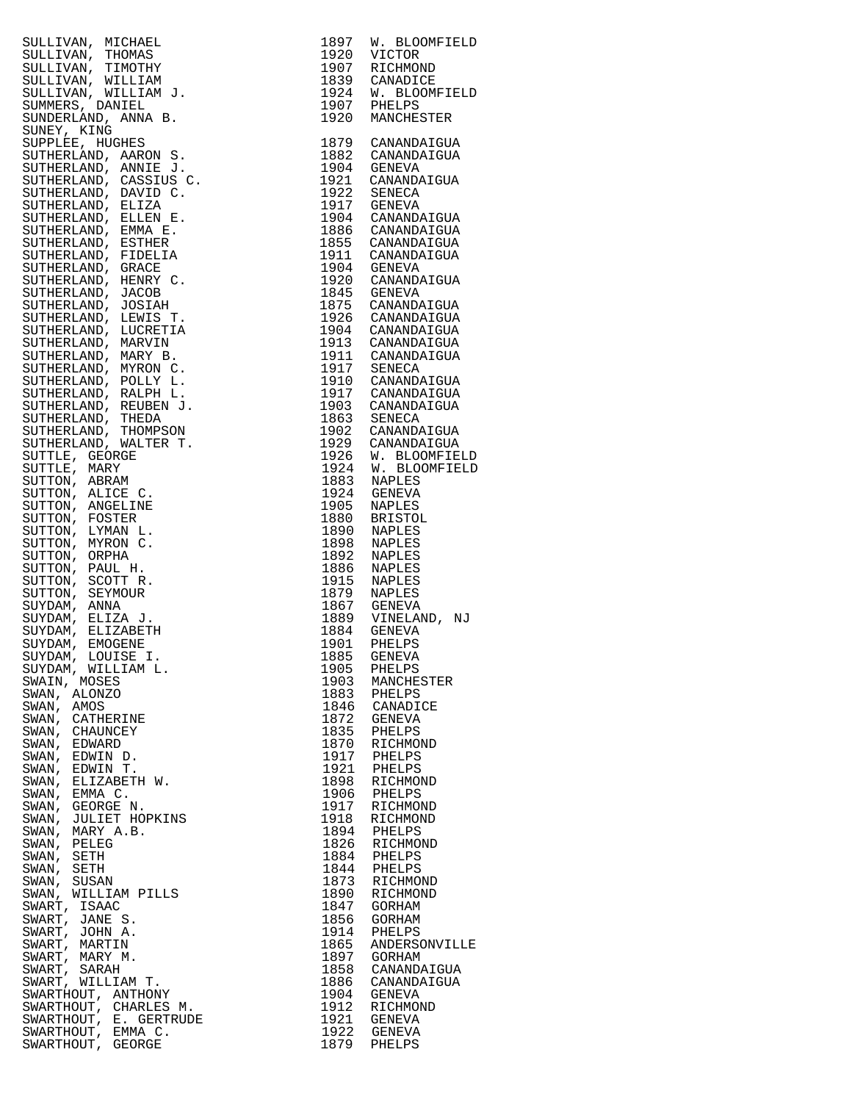|                                                                                                                                                                                                                                                                                     |      | 1897 W. BLOOMFIELD                                                                                                                                                                                                            |
|-------------------------------------------------------------------------------------------------------------------------------------------------------------------------------------------------------------------------------------------------------------------------------------|------|-------------------------------------------------------------------------------------------------------------------------------------------------------------------------------------------------------------------------------|
|                                                                                                                                                                                                                                                                                     |      | 1920 VICTOR                                                                                                                                                                                                                   |
|                                                                                                                                                                                                                                                                                     |      |                                                                                                                                                                                                                               |
|                                                                                                                                                                                                                                                                                     |      | 1907 RICHMOND<br>1839 CANADICE                                                                                                                                                                                                |
|                                                                                                                                                                                                                                                                                     |      |                                                                                                                                                                                                                               |
|                                                                                                                                                                                                                                                                                     |      | 1924 W. BLOOMFIELD<br>1907 PHELPS                                                                                                                                                                                             |
|                                                                                                                                                                                                                                                                                     |      |                                                                                                                                                                                                                               |
|                                                                                                                                                                                                                                                                                     | 1920 | MANCHESTER                                                                                                                                                                                                                    |
|                                                                                                                                                                                                                                                                                     |      |                                                                                                                                                                                                                               |
|                                                                                                                                                                                                                                                                                     |      | 1879 CANANDAIGUA                                                                                                                                                                                                              |
|                                                                                                                                                                                                                                                                                     |      | 1882 CANANDAIGUA                                                                                                                                                                                                              |
|                                                                                                                                                                                                                                                                                     |      | 1904 GENEVA<br>1921 CANANDAIGUA                                                                                                                                                                                               |
|                                                                                                                                                                                                                                                                                     |      |                                                                                                                                                                                                                               |
|                                                                                                                                                                                                                                                                                     |      | 1922 SENECA<br>1917 GENEVA                                                                                                                                                                                                    |
|                                                                                                                                                                                                                                                                                     |      |                                                                                                                                                                                                                               |
|                                                                                                                                                                                                                                                                                     |      | 1904 CANANDAIGUA<br>1886 CANANDAIGUA<br>1855 CANANDAIGUA<br>1911 CANANDAIGUA                                                                                                                                                  |
|                                                                                                                                                                                                                                                                                     |      |                                                                                                                                                                                                                               |
|                                                                                                                                                                                                                                                                                     |      |                                                                                                                                                                                                                               |
|                                                                                                                                                                                                                                                                                     |      |                                                                                                                                                                                                                               |
|                                                                                                                                                                                                                                                                                     |      | 1904 GENEVA<br>1920 CANANDAIGUA                                                                                                                                                                                               |
|                                                                                                                                                                                                                                                                                     |      |                                                                                                                                                                                                                               |
|                                                                                                                                                                                                                                                                                     |      |                                                                                                                                                                                                                               |
|                                                                                                                                                                                                                                                                                     |      | 1845 GENEVA<br>1875 CANANDAIGUA                                                                                                                                                                                               |
|                                                                                                                                                                                                                                                                                     |      | 1926 CANANDAIGUA<br>1904 CANANDAIGUA                                                                                                                                                                                          |
|                                                                                                                                                                                                                                                                                     |      |                                                                                                                                                                                                                               |
|                                                                                                                                                                                                                                                                                     |      |                                                                                                                                                                                                                               |
|                                                                                                                                                                                                                                                                                     |      | 1913 CANANDAIGUA<br>1911 CANANDAIGUA<br>1917 SENECA<br>1910 CANANDAIGUA                                                                                                                                                       |
|                                                                                                                                                                                                                                                                                     |      |                                                                                                                                                                                                                               |
|                                                                                                                                                                                                                                                                                     |      |                                                                                                                                                                                                                               |
|                                                                                                                                                                                                                                                                                     |      |                                                                                                                                                                                                                               |
|                                                                                                                                                                                                                                                                                     |      |                                                                                                                                                                                                                               |
|                                                                                                                                                                                                                                                                                     |      |                                                                                                                                                                                                                               |
|                                                                                                                                                                                                                                                                                     |      |                                                                                                                                                                                                                               |
|                                                                                                                                                                                                                                                                                     |      | 1910 CANANDAIGUA<br>1917 CANANDAIGUA<br>1903 CANANDAIGUA<br>1863 SENECA<br>1902 CANANDAIGUA<br>1929 CANANDAIGUA<br>1926 W. BLOOMFIELD<br>1924 W. BLOOMFIELD<br>1924 M. BLOOMFIELD<br>1924 M. BLOOMFIELD<br>1924 M. BLOOMFIELD |
|                                                                                                                                                                                                                                                                                     |      |                                                                                                                                                                                                                               |
|                                                                                                                                                                                                                                                                                     |      |                                                                                                                                                                                                                               |
|                                                                                                                                                                                                                                                                                     |      |                                                                                                                                                                                                                               |
|                                                                                                                                                                                                                                                                                     |      |                                                                                                                                                                                                                               |
|                                                                                                                                                                                                                                                                                     |      |                                                                                                                                                                                                                               |
|                                                                                                                                                                                                                                                                                     |      |                                                                                                                                                                                                                               |
|                                                                                                                                                                                                                                                                                     |      |                                                                                                                                                                                                                               |
|                                                                                                                                                                                                                                                                                     |      |                                                                                                                                                                                                                               |
|                                                                                                                                                                                                                                                                                     |      | 1883 NAPLES<br>1924 GENEVA<br>1805 NAPLES<br>1880 BRISTOL<br>1890 NAPLES<br>1892 NAPLES<br>1892 NAPLES<br>1865 NAPLES<br>1915 NAPLES<br>1867 GENEVA<br>1889 VINET                                                             |
|                                                                                                                                                                                                                                                                                     |      |                                                                                                                                                                                                                               |
|                                                                                                                                                                                                                                                                                     |      |                                                                                                                                                                                                                               |
|                                                                                                                                                                                                                                                                                     |      |                                                                                                                                                                                                                               |
|                                                                                                                                                                                                                                                                                     |      |                                                                                                                                                                                                                               |
|                                                                                                                                                                                                                                                                                     |      | 1889 VINELAND, NJ<br>1889 VINELAND, NJ                                                                                                                                                                                        |
|                                                                                                                                                                                                                                                                                     |      |                                                                                                                                                                                                                               |
|                                                                                                                                                                                                                                                                                     | 1901 | PHELPS                                                                                                                                                                                                                        |
| SULLIVAN, MICHAEL<br>SULLIVAN, MICHAEL<br>SULLIVAN, THOMAS<br>SULLIVAN, THOVIHY<br>SULLIVAN, NILLIAM J.<br>SUNMERS, DANIED.<br>SUNDEREA, HUGHES<br>SUNDERLAND, ARNON S.<br>SUTHERLAND, ARNON S.<br>SUTHERLAND, ARNON S.<br>SUTHERLAND, ARNON S.<br>SUTHERLAND,<br>SUYDAM, LOUISE I. |      | 1885 GENEVA                                                                                                                                                                                                                   |
| SUYDAM, WILLIAM L.                                                                                                                                                                                                                                                                  |      | 1905 PHELPS<br>1903 MANCHESTER                                                                                                                                                                                                |
| SWAIN, MOSES                                                                                                                                                                                                                                                                        |      |                                                                                                                                                                                                                               |
| SWAN, ALONZO                                                                                                                                                                                                                                                                        |      | 1883 PHELPS<br>1846 CANADICE                                                                                                                                                                                                  |
| SWAN, AMOS                                                                                                                                                                                                                                                                          |      |                                                                                                                                                                                                                               |
| SWAN, CATHERINE                                                                                                                                                                                                                                                                     |      | 1872 GENEVA                                                                                                                                                                                                                   |
| SWAN, CHAUNCEY                                                                                                                                                                                                                                                                      |      | 1835 PHELPS                                                                                                                                                                                                                   |
| SWAN,<br>EDWARD                                                                                                                                                                                                                                                                     |      | 1870 RICHMOND<br>1917 PHELPS                                                                                                                                                                                                  |
| SWAN, EDWIN D.                                                                                                                                                                                                                                                                      |      |                                                                                                                                                                                                                               |
| EDWIN T.<br>SWAN,                                                                                                                                                                                                                                                                   |      | 1921 PHELPS<br>1898 RICHMOND                                                                                                                                                                                                  |
| SWAN, ELIZABETH W.                                                                                                                                                                                                                                                                  |      |                                                                                                                                                                                                                               |
| SWAN, EMMA C.                                                                                                                                                                                                                                                                       |      | 1906 PHELPS<br>1917 RICHMOND                                                                                                                                                                                                  |
| SWAN, GEORGE N.                                                                                                                                                                                                                                                                     |      |                                                                                                                                                                                                                               |
| SWAN, JULIET HOPKINS                                                                                                                                                                                                                                                                | 1918 | RICHMOND                                                                                                                                                                                                                      |
| SWAN, MARY A.B.                                                                                                                                                                                                                                                                     |      | 1894 PHELPS                                                                                                                                                                                                                   |
| SWAN,<br>PELEG                                                                                                                                                                                                                                                                      |      | 1826 RICHMOND<br>1884 PHELPS                                                                                                                                                                                                  |
| SWAN, SETH                                                                                                                                                                                                                                                                          |      |                                                                                                                                                                                                                               |
| SWAN,<br>SETH                                                                                                                                                                                                                                                                       |      | 1844 PHELPS                                                                                                                                                                                                                   |
| SWAN, SUSAN                                                                                                                                                                                                                                                                         |      | 1873 RICHMOND                                                                                                                                                                                                                 |
| SWAN, WILLIAM PILLS                                                                                                                                                                                                                                                                 | 1890 | RICHMOND                                                                                                                                                                                                                      |
| SWART, ISAAC                                                                                                                                                                                                                                                                        | 1847 | GORHAM                                                                                                                                                                                                                        |
| SWART, JANE S.                                                                                                                                                                                                                                                                      | 1856 | GORHAM                                                                                                                                                                                                                        |
| SWART, JOHN A.                                                                                                                                                                                                                                                                      | 1914 | PHELPS                                                                                                                                                                                                                        |
| SWART, MARTIN                                                                                                                                                                                                                                                                       | 1865 | ANDERSONVILLE                                                                                                                                                                                                                 |
| SWART, MARY M.                                                                                                                                                                                                                                                                      |      | 1897 GORHAM                                                                                                                                                                                                                   |
| SWART, SARAH                                                                                                                                                                                                                                                                        | 1858 | CANANDAIGUA                                                                                                                                                                                                                   |
| SWART, WILLIAM T.                                                                                                                                                                                                                                                                   | 1886 | CANANDAIGUA                                                                                                                                                                                                                   |
| SWARTHOUT, ANTHONY                                                                                                                                                                                                                                                                  | 1904 | GENEVA                                                                                                                                                                                                                        |
| SWARTHOUT, CHARLES M.                                                                                                                                                                                                                                                               | 1912 | RICHMOND                                                                                                                                                                                                                      |
| SWARTHOUT, E. GERTRUDE                                                                                                                                                                                                                                                              |      |                                                                                                                                                                                                                               |
| SWARTHOUT, EMMA C.                                                                                                                                                                                                                                                                  |      | 1921 GENEVA<br>1922 GENEVA                                                                                                                                                                                                    |
| SWARTHOUT, GEORGE                                                                                                                                                                                                                                                                   | 1879 | PHELPS                                                                                                                                                                                                                        |

| 1897<br>1920 | BLOOMFIELD<br>W.<br>VICTOR    |
|--------------|-------------------------------|
| 1907         | RICHMOND                      |
| 1839<br>1924 | CANADICE<br>W. BLOOMFIELD     |
| 1907         | PHELPS                        |
| 1920         | MANCHESTER                    |
| 1879<br>1882 | CANANDAIGUA<br>CANANDAIGUA    |
| 1904         | <b>GENEVA</b>                 |
| 1921<br>1922 | CANANDAIGUA<br>SENECA         |
| 1917         | <b>GENEVA</b>                 |
| 1904<br>1886 | CANANDAIGUA<br>CANANDAIGUA    |
| 1855         | CANANDAIGUA                   |
| 1911<br>1904 | CANANDAIGUA<br>GENEVA         |
| 1920         | CANANDAIGUA                   |
| 1845<br>1875 | <b>GENEVA</b><br>CANANDAIGUA  |
| 1926<br>1904 | CANANDAIGUA<br>CANANDAIGUA    |
| 1913         | CANANDAIGUA                   |
| 1911<br>1917 | CANANDAIGUA<br>SENECA         |
| 1910         | CANANDAIGUA                   |
| 1917<br>1903 | CANANDAIGUA<br>CANANDAIGUA    |
| 1863         | SENECA                        |
| 1902<br>1929 | CANANDAIGUA<br>CANANDAIGUA    |
| 1926         | W. BLOOMFIELD                 |
| 1924<br>1883 | W. BLOOMFIELD<br>NAPLES       |
| 1924         | <b>GENEVA</b>                 |
| 1905<br>1880 | NAPLES<br><b>BRISTOL</b>      |
| 1890<br>1898 | NAPLES<br>NAPLES              |
| 1892         | NAPLES                        |
| 1886<br>1915 | NAPLES<br>NAPLES              |
| 1879         | <b>NAPLES</b>                 |
| 1867<br>1889 | <b>GENEVA</b><br>VINELAND, NJ |
| 1884<br>1901 | <b>GENEVA</b><br>PHELPS       |
| 1885         | <b>GENEVA</b>                 |
| 1905<br>1903 | PHELPS<br>MANCHESTER          |
| 1883         | PHELPS                        |
| 1846<br>1872 | CANADICE<br>GENEVA            |
| 1835         | PHELPS                        |
| 1870<br>1917 | RICHMOND<br>PHELPS            |
| 1921<br>1898 | PHELPS                        |
| 1906         | RICHMOND<br>PHELPS            |
| 1917<br>1918 | RICHMOND<br>RICHMOND          |
| 1894<br>1826 | PHELPS                        |
| 1884         | RICHMOND<br>PHELPS            |
| 1844         | PHELPS                        |
| 1873<br>1890 | RICHMOND<br>RICHMOND          |
| 1847         | GORHAM                        |
| 1856<br>1914 | GORHAM<br>PHELPS              |
| 1865         | ANDERSONVILLE                 |
| 1897<br>1858 | GORHAM<br>CANANDAIGUA         |
| 1886<br>1904 | CANANDAIGUA<br>GENEVA         |
| 1912<br>1921 | RICHMOND                      |
| 1922         | GENEVA<br><b>GENEVA</b>       |
| 1879         | PHELPS                        |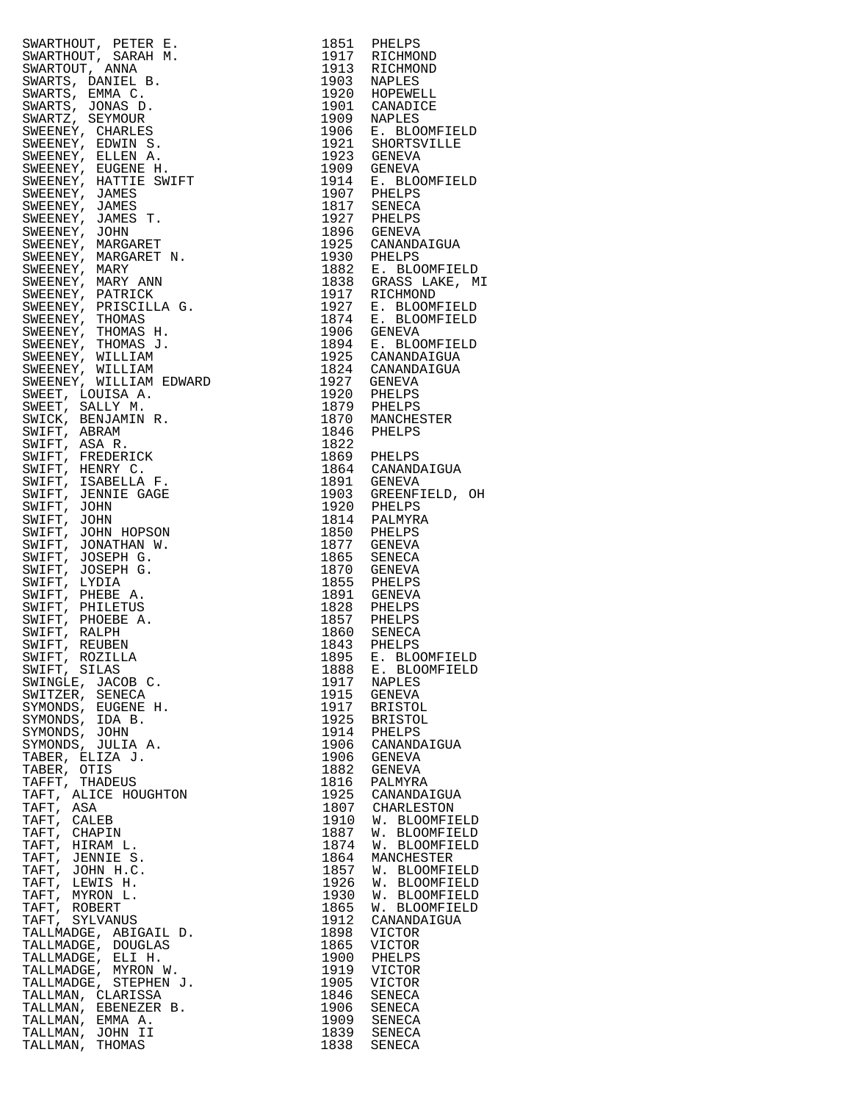| SWARTHOOT, PETER E. 1951 PHELPS<br>SWARTHOOT, SARAH M. 1951 PHELPS<br>SWARTOOT, SARAH M. 1951 PHELPS<br>SWARTOOT, SARAH M. 1951 RICHMOND<br>SWARTS, DAMIRL B. 1953 RAPLES<br>SWARTS, DAMIRL B. 1953 RAPLES<br>SWARTS, DAMIRL B. 1953 RAPLE<br>WIFT, ROZILLA<br>MIFT, SILAS<br>WINGLE, JACOB C.<br>MINGLE, JACOB C.<br>MITZER, SENECA<br>YMONDS, EUGENE H.<br>YMONDS, IDA B.<br>YMONDS, JOHN<br>YMONDS, JOHN<br>YMONDS, JULIA A.<br>TABER, ELIZA J.<br>TABER, OTIS<br>TAFT, THADEUS<br>TAFT, ALICE HOUG |      |                    |
|--------------------------------------------------------------------------------------------------------------------------------------------------------------------------------------------------------------------------------------------------------------------------------------------------------------------------------------------------------------------------------------------------------------------------------------------------------------------------------------------------------|------|--------------------|
|                                                                                                                                                                                                                                                                                                                                                                                                                                                                                                        |      |                    |
|                                                                                                                                                                                                                                                                                                                                                                                                                                                                                                        |      |                    |
|                                                                                                                                                                                                                                                                                                                                                                                                                                                                                                        |      |                    |
|                                                                                                                                                                                                                                                                                                                                                                                                                                                                                                        |      |                    |
|                                                                                                                                                                                                                                                                                                                                                                                                                                                                                                        |      |                    |
|                                                                                                                                                                                                                                                                                                                                                                                                                                                                                                        |      |                    |
|                                                                                                                                                                                                                                                                                                                                                                                                                                                                                                        |      |                    |
|                                                                                                                                                                                                                                                                                                                                                                                                                                                                                                        |      |                    |
|                                                                                                                                                                                                                                                                                                                                                                                                                                                                                                        |      |                    |
|                                                                                                                                                                                                                                                                                                                                                                                                                                                                                                        |      |                    |
|                                                                                                                                                                                                                                                                                                                                                                                                                                                                                                        |      |                    |
|                                                                                                                                                                                                                                                                                                                                                                                                                                                                                                        |      |                    |
|                                                                                                                                                                                                                                                                                                                                                                                                                                                                                                        |      |                    |
|                                                                                                                                                                                                                                                                                                                                                                                                                                                                                                        |      |                    |
|                                                                                                                                                                                                                                                                                                                                                                                                                                                                                                        |      |                    |
|                                                                                                                                                                                                                                                                                                                                                                                                                                                                                                        |      |                    |
|                                                                                                                                                                                                                                                                                                                                                                                                                                                                                                        |      |                    |
|                                                                                                                                                                                                                                                                                                                                                                                                                                                                                                        |      |                    |
|                                                                                                                                                                                                                                                                                                                                                                                                                                                                                                        |      |                    |
|                                                                                                                                                                                                                                                                                                                                                                                                                                                                                                        |      |                    |
|                                                                                                                                                                                                                                                                                                                                                                                                                                                                                                        |      |                    |
|                                                                                                                                                                                                                                                                                                                                                                                                                                                                                                        |      |                    |
|                                                                                                                                                                                                                                                                                                                                                                                                                                                                                                        |      |                    |
|                                                                                                                                                                                                                                                                                                                                                                                                                                                                                                        |      |                    |
|                                                                                                                                                                                                                                                                                                                                                                                                                                                                                                        |      |                    |
|                                                                                                                                                                                                                                                                                                                                                                                                                                                                                                        |      |                    |
|                                                                                                                                                                                                                                                                                                                                                                                                                                                                                                        |      |                    |
|                                                                                                                                                                                                                                                                                                                                                                                                                                                                                                        |      |                    |
|                                                                                                                                                                                                                                                                                                                                                                                                                                                                                                        |      |                    |
|                                                                                                                                                                                                                                                                                                                                                                                                                                                                                                        |      |                    |
|                                                                                                                                                                                                                                                                                                                                                                                                                                                                                                        |      |                    |
|                                                                                                                                                                                                                                                                                                                                                                                                                                                                                                        |      |                    |
|                                                                                                                                                                                                                                                                                                                                                                                                                                                                                                        |      |                    |
|                                                                                                                                                                                                                                                                                                                                                                                                                                                                                                        |      |                    |
|                                                                                                                                                                                                                                                                                                                                                                                                                                                                                                        |      |                    |
|                                                                                                                                                                                                                                                                                                                                                                                                                                                                                                        |      |                    |
|                                                                                                                                                                                                                                                                                                                                                                                                                                                                                                        |      |                    |
|                                                                                                                                                                                                                                                                                                                                                                                                                                                                                                        |      |                    |
|                                                                                                                                                                                                                                                                                                                                                                                                                                                                                                        |      |                    |
|                                                                                                                                                                                                                                                                                                                                                                                                                                                                                                        |      |                    |
|                                                                                                                                                                                                                                                                                                                                                                                                                                                                                                        |      |                    |
|                                                                                                                                                                                                                                                                                                                                                                                                                                                                                                        |      |                    |
|                                                                                                                                                                                                                                                                                                                                                                                                                                                                                                        |      |                    |
|                                                                                                                                                                                                                                                                                                                                                                                                                                                                                                        |      |                    |
|                                                                                                                                                                                                                                                                                                                                                                                                                                                                                                        |      |                    |
|                                                                                                                                                                                                                                                                                                                                                                                                                                                                                                        |      |                    |
|                                                                                                                                                                                                                                                                                                                                                                                                                                                                                                        |      |                    |
|                                                                                                                                                                                                                                                                                                                                                                                                                                                                                                        |      |                    |
|                                                                                                                                                                                                                                                                                                                                                                                                                                                                                                        |      |                    |
|                                                                                                                                                                                                                                                                                                                                                                                                                                                                                                        |      |                    |
|                                                                                                                                                                                                                                                                                                                                                                                                                                                                                                        |      |                    |
|                                                                                                                                                                                                                                                                                                                                                                                                                                                                                                        |      |                    |
|                                                                                                                                                                                                                                                                                                                                                                                                                                                                                                        |      |                    |
|                                                                                                                                                                                                                                                                                                                                                                                                                                                                                                        |      |                    |
|                                                                                                                                                                                                                                                                                                                                                                                                                                                                                                        |      |                    |
|                                                                                                                                                                                                                                                                                                                                                                                                                                                                                                        |      |                    |
|                                                                                                                                                                                                                                                                                                                                                                                                                                                                                                        |      | 1895 E. BLOOMFIELD |
|                                                                                                                                                                                                                                                                                                                                                                                                                                                                                                        | 1888 | E. BLOOMFIELD      |
|                                                                                                                                                                                                                                                                                                                                                                                                                                                                                                        | 1917 | <b>NAPLES</b>      |
|                                                                                                                                                                                                                                                                                                                                                                                                                                                                                                        | 1915 | GENEVA             |
|                                                                                                                                                                                                                                                                                                                                                                                                                                                                                                        |      | 1917 BRISTOL       |
|                                                                                                                                                                                                                                                                                                                                                                                                                                                                                                        |      | 1925 BRISTOL       |
|                                                                                                                                                                                                                                                                                                                                                                                                                                                                                                        |      | 1914 PHELPS        |
|                                                                                                                                                                                                                                                                                                                                                                                                                                                                                                        |      | 1906 CANANDAIGUA   |
|                                                                                                                                                                                                                                                                                                                                                                                                                                                                                                        |      |                    |
|                                                                                                                                                                                                                                                                                                                                                                                                                                                                                                        | 1906 | GENEVA             |
|                                                                                                                                                                                                                                                                                                                                                                                                                                                                                                        | 1882 | GENEVA             |
|                                                                                                                                                                                                                                                                                                                                                                                                                                                                                                        |      | 1816 PALMYRA       |
|                                                                                                                                                                                                                                                                                                                                                                                                                                                                                                        |      | 1925 CANANDAIGUA   |
|                                                                                                                                                                                                                                                                                                                                                                                                                                                                                                        |      | 1807 CHARLESTON    |
|                                                                                                                                                                                                                                                                                                                                                                                                                                                                                                        |      | 1910 W. BLOOMFIELD |
|                                                                                                                                                                                                                                                                                                                                                                                                                                                                                                        | 1887 | W. BLOOMFIELD      |
|                                                                                                                                                                                                                                                                                                                                                                                                                                                                                                        |      | 1874 W. BLOOMFIELD |
|                                                                                                                                                                                                                                                                                                                                                                                                                                                                                                        |      |                    |
|                                                                                                                                                                                                                                                                                                                                                                                                                                                                                                        |      | 1864 MANCHESTER    |
|                                                                                                                                                                                                                                                                                                                                                                                                                                                                                                        |      | 1857 W. BLOOMFIELD |
|                                                                                                                                                                                                                                                                                                                                                                                                                                                                                                        | 1926 | W. BLOOMFIELD      |
|                                                                                                                                                                                                                                                                                                                                                                                                                                                                                                        | 1930 | W. BLOOMFIELD      |
|                                                                                                                                                                                                                                                                                                                                                                                                                                                                                                        | 1865 | W. BLOOMFIELD      |
|                                                                                                                                                                                                                                                                                                                                                                                                                                                                                                        |      | CANANDAIGUA        |
|                                                                                                                                                                                                                                                                                                                                                                                                                                                                                                        | 1912 |                    |
|                                                                                                                                                                                                                                                                                                                                                                                                                                                                                                        |      |                    |
|                                                                                                                                                                                                                                                                                                                                                                                                                                                                                                        | 1898 | <b>VICTOR</b>      |
|                                                                                                                                                                                                                                                                                                                                                                                                                                                                                                        | 1865 | VICTOR             |
|                                                                                                                                                                                                                                                                                                                                                                                                                                                                                                        | 1900 | PHELPS             |
|                                                                                                                                                                                                                                                                                                                                                                                                                                                                                                        | 1919 | VICTOR             |
|                                                                                                                                                                                                                                                                                                                                                                                                                                                                                                        | 1905 | <b>VICTOR</b>      |
|                                                                                                                                                                                                                                                                                                                                                                                                                                                                                                        | 1846 | SENECA             |
|                                                                                                                                                                                                                                                                                                                                                                                                                                                                                                        | 1906 | SENECA             |
|                                                                                                                                                                                                                                                                                                                                                                                                                                                                                                        | 1909 | SENECA             |
| "R, OTILE FOR BUSIC<br>F, ALICE HOUGHTON<br>T, ASA<br>T, CALEB<br>FT, CHAPIN<br>FT, HIRAM L.<br>FT, JENNIE S.<br>FT, JENNIE S.<br>FT, JENNIE S.<br>FT, LEWISH.<br>FT, NYRON L.<br>FT, NYRON L.<br>FT, NYRON L.<br>ALLMADGE, ABIGAIL D.<br>ALLMADGE, ELI H.<br>                                                                                                                                                                                                                                         |      | 1839 SENECA        |

| 1851         | PHELPS                  |
|--------------|-------------------------|
| 1917         | RICHMOND                |
| 1913         | RICHMOND                |
| 1903         | NAPLES                  |
| 1920         | HOPEWELL                |
| 1901         | CANADICE                |
| 1909         | <b>NAPLES</b>           |
| 1906         | E. BLOOMFIELD           |
| 1921         | SHORTSVILLE             |
| 1923         | <b>GENEVA</b>           |
| 1909         | <b>GENEVA</b>           |
| 1914         | E. BLOOMFIELD           |
| 1907         | PHELPS                  |
| 1817         | <b>SENECA</b>           |
| 1927         | PHELPS                  |
| 1896         | <b>GENEVA</b>           |
| 1925         | CANANDAIGUA             |
| 1930         | PHELPS                  |
| 1882         | E. BLOOMFIELD           |
| 1838         | GRASS LAKE, MI          |
| 1917         | RICHMOND                |
| 1927         | E. BLOOMFIELD           |
| 1874         | E. BLOOMFIELD           |
| 1906         | <b>GENEVA</b>           |
| 1894         | E. BLOOMFIELD           |
| 1925         | CANANDAIGUA             |
| 1824         | CANANDAIGUA             |
| 1927         | <b>GENEVA</b>           |
| 1920         | PHELPS                  |
| 1879         | PHELPS                  |
| 1870         | MANCHESTER              |
| 1846         | PHELPS                  |
| 1822         |                         |
|              |                         |
| 1869<br>1864 | PHELPS<br>CANANDAIGUA   |
| 1891         | <b>GENEVA</b>           |
|              |                         |
| 1903         | GREENFIELD, OH          |
| 1920         | PHELPS                  |
| 1814<br>1850 | PALMYRA<br>PHELPS       |
| 1877         |                         |
| 1865         | <b>GENEVA</b><br>SENECA |
| 1870         | <b>GENEVA</b>           |
| 1855         | PHELPS                  |
|              |                         |
| 1891         | <b>GENEVA</b>           |
| 1828<br>1857 | PHELPS                  |
|              | PHELPS                  |
| 1860         | SENECA                  |
| 1843         | PHELPS                  |
| 1895         | E. BLOOMFIELD           |
| 1888         | E. BLOOMFIELD           |
| 1917         | NAPLES                  |
| 1915         | <b>GENEVA</b>           |
| 1917         | <b>BRISTOL</b>          |
| 1925         | <b>BRISTOL</b>          |
| 1914         | PHELPS                  |
| 1906         | CANANDAIGUA             |
| 1906         | <b>GENEVA</b>           |
| 1882         | <b>GENEVA</b>           |
| 1816         | PALMYRA                 |
| 1925         | CANANDAIGUA             |
| 1807         | CHARLESTON              |
| 1910         | W.<br><b>BLOOMFIELD</b> |
| 1887         | W.<br><b>BLOOMFIELD</b> |
| 1874         | W.<br><b>BLOOMFIELD</b> |
| 1864         | MANCHESTER              |
| 1857         | W.<br><b>BLOOMFIELD</b> |
| 1926         | W.<br><b>BLOOMFIELD</b> |
| 1930         | W.<br><b>BLOOMFIELD</b> |
| 1865         | W.<br><b>BLOOMFIELD</b> |
| 1912         | CANANDAIGUA             |
| 1898         | VICTOR                  |
| 1865         | VICTOR                  |
| 1900         | PHELPS                  |
| 1919         | VICTOR                  |
| 1905         | VICTOR                  |
| 1846         | SENECA                  |
| 1906         | SENECA                  |
| 1909         | SENECA                  |
| 1839         | SENECA                  |
| 1838         | SENECA                  |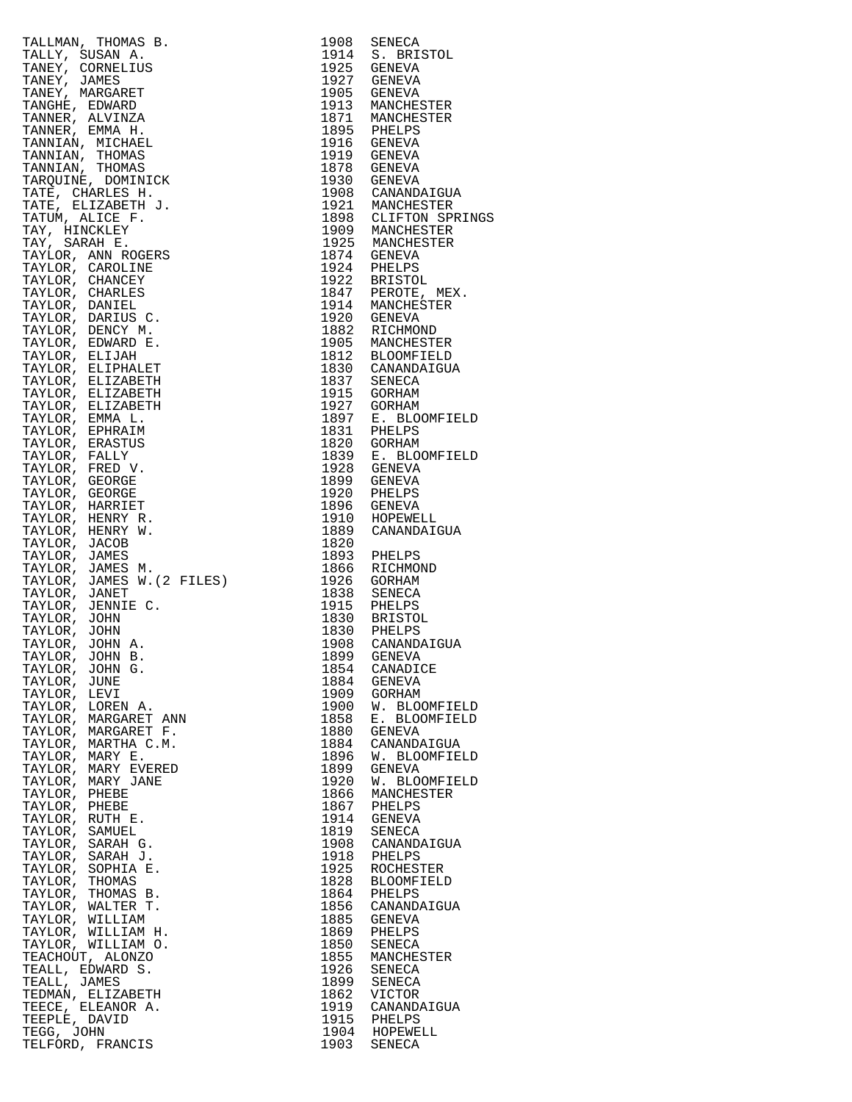| TALLMAN, THOMAS B.<br>TALLMAN, THOMAS B.<br>TALLMY, SUSAN A.<br>TANEY, CORNELIUS<br>TANEY, MARGARET<br>TANEY, MARGARET<br>TANEY, MARGARET<br>TANNER, EMVINZA LICHER<br>TANNER, MATORIA<br>TANNER, MATORIS<br>TANNIAN, THOMAS<br>TANNIAN, THOMAS<br>TANNIAN, THOMAS |              | 1908 SENECA                                                                                                     |
|--------------------------------------------------------------------------------------------------------------------------------------------------------------------------------------------------------------------------------------------------------------------|--------------|-----------------------------------------------------------------------------------------------------------------|
|                                                                                                                                                                                                                                                                    |              | 1914 S. BRISTOL<br>1925 GENEVA                                                                                  |
|                                                                                                                                                                                                                                                                    |              |                                                                                                                 |
|                                                                                                                                                                                                                                                                    |              | 1927 GENEVA<br>1905 GENEVA                                                                                      |
|                                                                                                                                                                                                                                                                    |              |                                                                                                                 |
|                                                                                                                                                                                                                                                                    |              | 1913 MANCHESTER<br>1871 MANCHESTER                                                                              |
|                                                                                                                                                                                                                                                                    |              |                                                                                                                 |
|                                                                                                                                                                                                                                                                    |              | 1895 PHELPS<br>1916 GENEVA                                                                                      |
|                                                                                                                                                                                                                                                                    |              | 1919 GENEVA                                                                                                     |
|                                                                                                                                                                                                                                                                    |              | $1878$ GENEVA<br>$\frac{1878}{1812}$ GENEVA                                                                     |
|                                                                                                                                                                                                                                                                    |              | 1930 GENEVA<br>1908 CANANDAIGUA<br>1921 MANCHESTER<br>1898 CLIFTON SPRING<br>1909 MANCHESTER<br>1925 MANCHESTER |
|                                                                                                                                                                                                                                                                    |              |                                                                                                                 |
|                                                                                                                                                                                                                                                                    |              |                                                                                                                 |
|                                                                                                                                                                                                                                                                    |              |                                                                                                                 |
|                                                                                                                                                                                                                                                                    |              |                                                                                                                 |
|                                                                                                                                                                                                                                                                    |              |                                                                                                                 |
|                                                                                                                                                                                                                                                                    |              | 1874 GENEVA<br>1924 PHELPS                                                                                      |
|                                                                                                                                                                                                                                                                    |              |                                                                                                                 |
|                                                                                                                                                                                                                                                                    |              | 1922 BRISTOL<br>1847 PEROTE, MEX.                                                                               |
|                                                                                                                                                                                                                                                                    |              | 1914 MANCHESTER                                                                                                 |
|                                                                                                                                                                                                                                                                    |              | 1920 GENEVA                                                                                                     |
|                                                                                                                                                                                                                                                                    |              | 1882 RICHMOND<br>1905 MANCHESTER                                                                                |
|                                                                                                                                                                                                                                                                    |              |                                                                                                                 |
|                                                                                                                                                                                                                                                                    |              | 1812 BLOOMFIELD<br>1830 CANANDAIGUA                                                                             |
|                                                                                                                                                                                                                                                                    |              |                                                                                                                 |
|                                                                                                                                                                                                                                                                    |              | 1837 SENECA<br>1915 GORHAM                                                                                      |
|                                                                                                                                                                                                                                                                    |              |                                                                                                                 |
|                                                                                                                                                                                                                                                                    |              | 1927 GORHAM<br>1897 E. BLOOMFIELD<br>1831 PHELPS                                                                |
|                                                                                                                                                                                                                                                                    |              |                                                                                                                 |
|                                                                                                                                                                                                                                                                    |              | 1820 GORHAM                                                                                                     |
|                                                                                                                                                                                                                                                                    |              |                                                                                                                 |
|                                                                                                                                                                                                                                                                    |              | 1839 E. BLOOMFIELD<br>1928 GENEVA                                                                               |
|                                                                                                                                                                                                                                                                    |              | 1899 GENEVA                                                                                                     |
|                                                                                                                                                                                                                                                                    |              | 1920 PHELPS                                                                                                     |
|                                                                                                                                                                                                                                                                    |              | 1896 GENEVA<br>1910 HOPEWELL                                                                                    |
|                                                                                                                                                                                                                                                                    |              |                                                                                                                 |
|                                                                                                                                                                                                                                                                    |              | 1889 CANANDAIGUA                                                                                                |
|                                                                                                                                                                                                                                                                    | 1820         |                                                                                                                 |
|                                                                                                                                                                                                                                                                    |              | 1893 PHELPS<br>1866 RICHMOND                                                                                    |
|                                                                                                                                                                                                                                                                    |              |                                                                                                                 |
|                                                                                                                                                                                                                                                                    |              | 1926 GORHAM<br>1838 SENECA                                                                                      |
|                                                                                                                                                                                                                                                                    |              |                                                                                                                 |
|                                                                                                                                                                                                                                                                    |              |                                                                                                                 |
|                                                                                                                                                                                                                                                                    |              | 1915 PHELPS<br>1830 BRISTOL<br>1830 BRISTOL<br>1908 CANANDAIGUA                                                 |
|                                                                                                                                                                                                                                                                    |              |                                                                                                                 |
|                                                                                                                                                                                                                                                                    |              | 1899 GENEVA                                                                                                     |
| TAYLOR, JOHN G.                                                                                                                                                                                                                                                    | 1854         | CANADICE                                                                                                        |
| TAYLOR, JUNE                                                                                                                                                                                                                                                       | 1884         | GENEVA                                                                                                          |
| TAYLOR, LEVI<br>TAYLOR, LOREN A.                                                                                                                                                                                                                                   | 1909<br>1900 | GORHAM<br>W. BLOOMFIELD                                                                                         |
|                                                                                                                                                                                                                                                                    | 1858         | E. BLOOMFIELD                                                                                                   |
|                                                                                                                                                                                                                                                                    | 1880         | GENEVA                                                                                                          |
|                                                                                                                                                                                                                                                                    | 1884         | CANANDAIGUA                                                                                                     |
|                                                                                                                                                                                                                                                                    | 1896         | W. BLOOMFIELD                                                                                                   |
|                                                                                                                                                                                                                                                                    | 1899         | GENEVA                                                                                                          |
|                                                                                                                                                                                                                                                                    | 1920         | W. BLOOMFIELD                                                                                                   |
|                                                                                                                                                                                                                                                                    | 1866         | MANCHESTER                                                                                                      |
|                                                                                                                                                                                                                                                                    | 1867         | PHELPS                                                                                                          |
|                                                                                                                                                                                                                                                                    | 1914         | GENEVA                                                                                                          |
|                                                                                                                                                                                                                                                                    | 1819<br>1908 | SENECA<br>CANANDAIGUA                                                                                           |
|                                                                                                                                                                                                                                                                    | 1918         | PHELPS                                                                                                          |
|                                                                                                                                                                                                                                                                    | 1925         | ROCHESTER                                                                                                       |
|                                                                                                                                                                                                                                                                    | 1828         | BLOOMFIELD                                                                                                      |
|                                                                                                                                                                                                                                                                    | 1864         | PHELPS                                                                                                          |
|                                                                                                                                                                                                                                                                    | 1856         | CANANDAIGUA                                                                                                     |
|                                                                                                                                                                                                                                                                    | 1885         | GENEVA                                                                                                          |
| TAYLOR, LEVI<br>TAYLOR, LOREN A.<br>TAYLOR, MARGARET ANN<br>TAYLOR, MARGARET F.<br>TAYLOR, MARGARET F.<br>TAYLOR, MARY EVERED<br>TAYLOR, MARY JANE<br>TAYLOR, MARY JANE<br>TAYLOR, MARY JANE<br>TAYLOR, PHEBE<br>TAYLOR, SARAH G.<br>TAYLOR, SARAH G.<br>TAYLOR, S | 1869         | PHELPS                                                                                                          |
|                                                                                                                                                                                                                                                                    | 1850         | SENECA                                                                                                          |
|                                                                                                                                                                                                                                                                    | 1855         | MANCHESTER                                                                                                      |
|                                                                                                                                                                                                                                                                    | 1926         | SENECA                                                                                                          |
|                                                                                                                                                                                                                                                                    | 1899<br>1862 | SENECA<br>VICTOR                                                                                                |
|                                                                                                                                                                                                                                                                    | 1919         | CANANDAIGUA                                                                                                     |
|                                                                                                                                                                                                                                                                    |              | 1915 PHELPS                                                                                                     |
|                                                                                                                                                                                                                                                                    |              | 1904 HOPEWELL                                                                                                   |
|                                                                                                                                                                                                                                                                    |              | 1903 SENECA                                                                                                     |

| TALIMA, THOMAS B. 1908 SENEON<br>TALIMA, SUSAN A. 1908 SENEON<br>TAREY, CORNELIUS 1914 S. BRASTOL<br>TAREY, CORNELIUS 1914 S. BRASTOL<br>TAREY, MARGARET 1927 GENEVA<br>TANNY, MARGARET 1927 GENEVA<br>TANNER, EMAN H. 1908 GENEVA<br>TANNE |              |                                                                |
|---------------------------------------------------------------------------------------------------------------------------------------------------------------------------------------------------------------------------------------------|--------------|----------------------------------------------------------------|
|                                                                                                                                                                                                                                             |              |                                                                |
|                                                                                                                                                                                                                                             |              |                                                                |
|                                                                                                                                                                                                                                             |              |                                                                |
|                                                                                                                                                                                                                                             |              |                                                                |
|                                                                                                                                                                                                                                             |              |                                                                |
|                                                                                                                                                                                                                                             |              |                                                                |
|                                                                                                                                                                                                                                             |              |                                                                |
|                                                                                                                                                                                                                                             |              |                                                                |
|                                                                                                                                                                                                                                             |              |                                                                |
|                                                                                                                                                                                                                                             |              |                                                                |
|                                                                                                                                                                                                                                             |              |                                                                |
|                                                                                                                                                                                                                                             |              |                                                                |
|                                                                                                                                                                                                                                             |              |                                                                |
|                                                                                                                                                                                                                                             |              |                                                                |
|                                                                                                                                                                                                                                             |              |                                                                |
|                                                                                                                                                                                                                                             |              |                                                                |
|                                                                                                                                                                                                                                             |              |                                                                |
|                                                                                                                                                                                                                                             |              |                                                                |
|                                                                                                                                                                                                                                             |              |                                                                |
|                                                                                                                                                                                                                                             |              |                                                                |
|                                                                                                                                                                                                                                             |              |                                                                |
|                                                                                                                                                                                                                                             |              |                                                                |
|                                                                                                                                                                                                                                             |              |                                                                |
|                                                                                                                                                                                                                                             |              |                                                                |
|                                                                                                                                                                                                                                             |              |                                                                |
|                                                                                                                                                                                                                                             |              |                                                                |
|                                                                                                                                                                                                                                             |              |                                                                |
|                                                                                                                                                                                                                                             |              |                                                                |
|                                                                                                                                                                                                                                             |              |                                                                |
|                                                                                                                                                                                                                                             |              |                                                                |
|                                                                                                                                                                                                                                             |              |                                                                |
|                                                                                                                                                                                                                                             |              |                                                                |
|                                                                                                                                                                                                                                             |              |                                                                |
|                                                                                                                                                                                                                                             |              |                                                                |
|                                                                                                                                                                                                                                             |              |                                                                |
|                                                                                                                                                                                                                                             |              |                                                                |
|                                                                                                                                                                                                                                             |              |                                                                |
|                                                                                                                                                                                                                                             |              |                                                                |
|                                                                                                                                                                                                                                             |              |                                                                |
|                                                                                                                                                                                                                                             |              |                                                                |
|                                                                                                                                                                                                                                             |              |                                                                |
|                                                                                                                                                                                                                                             |              |                                                                |
| TAYLOR, JENNIE C.                                                                                                                                                                                                                           |              |                                                                |
| TAYLOR, JOHN                                                                                                                                                                                                                                |              | 1915 PHELPS<br>1830 BRISTOL<br>1830 PHELPS<br>1908 CANANDAIGUA |
| TAYLOR, JOHN                                                                                                                                                                                                                                |              |                                                                |
| TAYLOR, JOHN A.                                                                                                                                                                                                                             |              |                                                                |
|                                                                                                                                                                                                                                             |              | 1899 GENEVA                                                    |
| TAYLOR, JOHN B.<br>TAYLOR, JOHN G.                                                                                                                                                                                                          | 1854         | CANADICE                                                       |
| TAYLOR, JUNE                                                                                                                                                                                                                                | 1884         | GENEVA                                                         |
| TAYLOR, LEVI                                                                                                                                                                                                                                | 1909         | GORHAM                                                         |
|                                                                                                                                                                                                                                             | 1900<br>1858 | W. BLOOMFIELD<br>E. BLOOMFIELD                                 |
| TAYLOR, LOREN A.<br>TAYLOR, MARGARET ANN<br>TAYLOR, MARGARET F.<br>TAYLOR, MARGARET F.<br>TAYLOR, MARTHA C.M.<br>TAYLOR, MARY E.<br>TAYLOR, MARY EVERED<br>TAYLOR, MARY JANE<br>TAYLOR, MARY JANE                                           |              | 1880 GENEVA                                                    |
|                                                                                                                                                                                                                                             | 1884         | CANANDAIGUA                                                    |
|                                                                                                                                                                                                                                             | 1896         | W. BLOOMFIELD                                                  |
|                                                                                                                                                                                                                                             | 1899         | GENEVA                                                         |
|                                                                                                                                                                                                                                             | 1920         | W. BLOOMFIELD                                                  |
|                                                                                                                                                                                                                                             | 1866         | MANCHESTER                                                     |
| TAYLOR, PHEBE                                                                                                                                                                                                                               |              | 1867 PHELPS                                                    |
| TAYLOR, RUTH E.                                                                                                                                                                                                                             |              | 1914 GENEVA                                                    |
| TAYLOR, SAMUEL                                                                                                                                                                                                                              |              | 1819 SENECA                                                    |
| TAYLOR, SARAH G.                                                                                                                                                                                                                            |              | 1908 CANANDAIGUA                                               |
| TAYLOR, SARAH J.                                                                                                                                                                                                                            |              | 1918 PHELPS                                                    |
| TAYLOR, SOPHIA E.                                                                                                                                                                                                                           | 1925         | ROCHESTER                                                      |
| TAYLOR, THOMAS<br>TAYLOR, THOMAS B.                                                                                                                                                                                                         | 1828<br>1864 | BLOOMFIELD<br>PHELPS                                           |
| TAYLOR, WALTER T.                                                                                                                                                                                                                           |              | 1856 CANANDAIGUA                                               |
| TAYLOR, WILLIAM                                                                                                                                                                                                                             | 1885         | GENEVA                                                         |
| TAYLOR, WILLIAM H.                                                                                                                                                                                                                          |              | 1869 PHELPS                                                    |
| TAYLOR, WILLIAM O.                                                                                                                                                                                                                          |              | 1850 SENECA                                                    |
| TEACHOUT, ALONZO                                                                                                                                                                                                                            |              | 1855 MANCHESTER                                                |
| TEALL, EDWARD S.                                                                                                                                                                                                                            |              | 1926 SENECA                                                    |
| TEALL, JAMES                                                                                                                                                                                                                                |              | 1899 SENECA                                                    |
| TEDMAN, ELIZABETH                                                                                                                                                                                                                           | 1862         | VICTOR                                                         |
| TEECE, ELEANOR A.                                                                                                                                                                                                                           |              | 1919 CANANDAIGUA                                               |
| TEEPLE, DAVID                                                                                                                                                                                                                               |              | 1915 PHELPS                                                    |
| TEGG, JOHN                                                                                                                                                                                                                                  |              | 1904 HOPEWELL                                                  |
| TELFORD, FRANCIS                                                                                                                                                                                                                            |              | 1903 SENECA                                                    |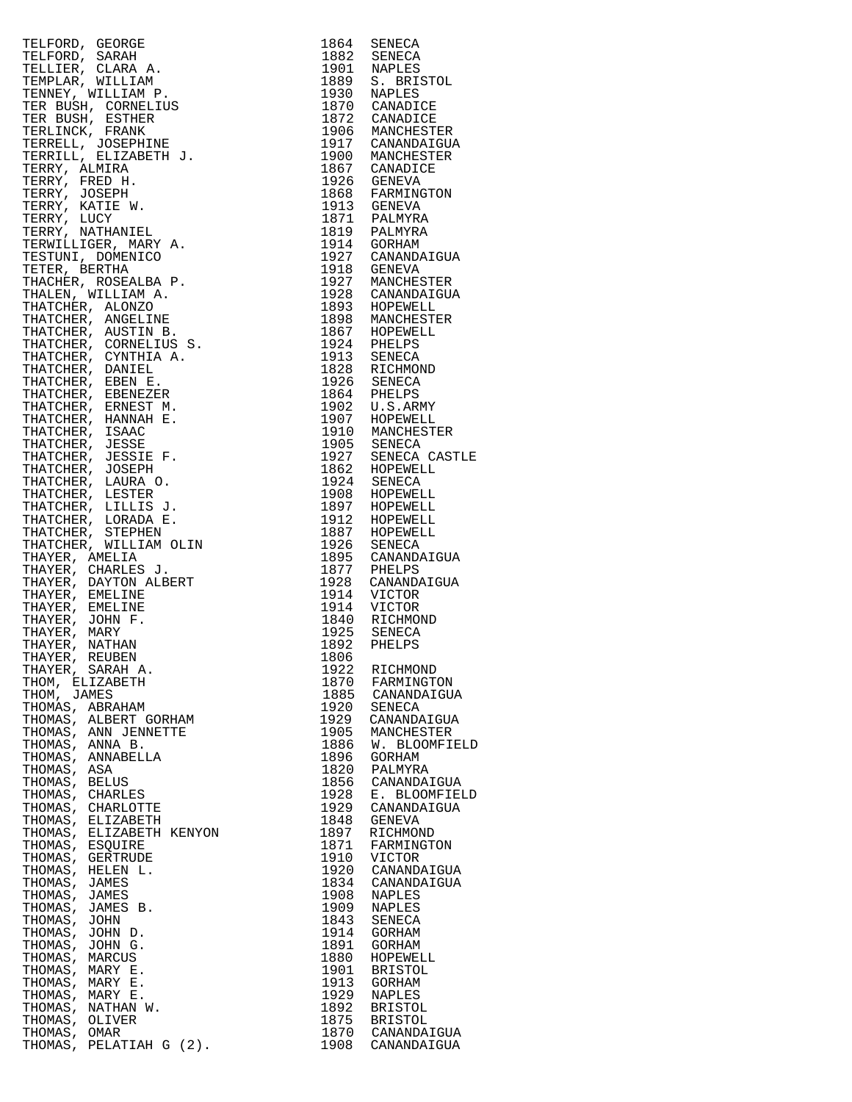|                                    | $\begin{tabular}{c c c} $1664$ & SBRWECA\\ \hline \multicolumn{4}{c}{\begin{tabular}{c} $1664$ & SBRWECA\\ $1603$ & NPRLES\\ $1600$ & NPRLES\\ $1600$ & NPRLES\\ $1600$ & NPRLES\\ $1600$ & NPRLES\\ $1600$ & NPRLES\\ $1600$ & NPRLES\\ $1600$ & NMRNERCT2\\ $1600$ & NMRNERCT2\\ $1600$ & NMRNERCT2\\ $1600$ & NMRNERCT2\\ $1600$ & NMRNERCT2\\ $1600$ & N$ |              |                              |
|------------------------------------|---------------------------------------------------------------------------------------------------------------------------------------------------------------------------------------------------------------------------------------------------------------------------------------------------------------------------------------------------------------|--------------|------------------------------|
|                                    |                                                                                                                                                                                                                                                                                                                                                               |              |                              |
|                                    |                                                                                                                                                                                                                                                                                                                                                               |              |                              |
|                                    |                                                                                                                                                                                                                                                                                                                                                               |              |                              |
|                                    |                                                                                                                                                                                                                                                                                                                                                               |              |                              |
|                                    |                                                                                                                                                                                                                                                                                                                                                               |              |                              |
|                                    |                                                                                                                                                                                                                                                                                                                                                               |              |                              |
|                                    |                                                                                                                                                                                                                                                                                                                                                               |              |                              |
|                                    |                                                                                                                                                                                                                                                                                                                                                               |              |                              |
|                                    |                                                                                                                                                                                                                                                                                                                                                               |              |                              |
|                                    |                                                                                                                                                                                                                                                                                                                                                               |              |                              |
|                                    |                                                                                                                                                                                                                                                                                                                                                               |              |                              |
|                                    |                                                                                                                                                                                                                                                                                                                                                               |              |                              |
| THOMAS, ANNA B.                    |                                                                                                                                                                                                                                                                                                                                                               | 1886         | W. BLOOMFIELD                |
|                                    | THOMAS, ANNABELLA                                                                                                                                                                                                                                                                                                                                             | 1896         | GORHAM                       |
| THOMAS, ASA                        |                                                                                                                                                                                                                                                                                                                                                               | 1820         | PALMYRA                      |
| THOMAS, BELUS<br>THOMAS, CHARLES   |                                                                                                                                                                                                                                                                                                                                                               | 1856<br>1928 | CANANDAIGUA<br>E. BLOOMFIELD |
|                                    | THOMAS, CHARLOTTE                                                                                                                                                                                                                                                                                                                                             | 1929         | CANANDAIGUA                  |
|                                    | THOMAS, ELIZABETH                                                                                                                                                                                                                                                                                                                                             | 1848         | GENEVA                       |
|                                    | THOMAS, ELIZABETH KENYON                                                                                                                                                                                                                                                                                                                                      | 1897         | RICHMOND                     |
| THOMAS, ESQUIRE                    |                                                                                                                                                                                                                                                                                                                                                               | 1871         | FARMINGTON                   |
|                                    | THOMAS, GERTRUDE                                                                                                                                                                                                                                                                                                                                              | 1910         | VICTOR                       |
|                                    | THOMAS, HELEN L.                                                                                                                                                                                                                                                                                                                                              | 1920         | CANANDAIGUA                  |
| THOMAS, JAMES<br>THOMAS, JAMES     |                                                                                                                                                                                                                                                                                                                                                               | 1834<br>1908 | CANANDAIGUA<br>NAPLES        |
|                                    | THOMAS, JAMES B.                                                                                                                                                                                                                                                                                                                                              | 1909         | NAPLES                       |
| THOMAS, JOHN                       |                                                                                                                                                                                                                                                                                                                                                               | 1843         | SENECA                       |
| THOMAS, JOHN D.                    |                                                                                                                                                                                                                                                                                                                                                               | 1914         | GORHAM                       |
| THOMAS, JOHN G.                    |                                                                                                                                                                                                                                                                                                                                                               | 1891         | GORHAM                       |
| THOMAS, MARCUS                     |                                                                                                                                                                                                                                                                                                                                                               | 1880         | HOPEWELL                     |
| THOMAS, MARY E.                    |                                                                                                                                                                                                                                                                                                                                                               | 1901         | <b>BRISTOL</b>               |
| THOMAS, MARY E.<br>THOMAS, MARY E. |                                                                                                                                                                                                                                                                                                                                                               | 1913<br>1929 | GORHAM<br>NAPLES             |
|                                    | THOMAS, NATHAN W.                                                                                                                                                                                                                                                                                                                                             | 1892         | BRISTOL                      |
| THOMAS, OLIVER                     |                                                                                                                                                                                                                                                                                                                                                               | 1875         | <b>BRISTOL</b>               |
| THOMAS, OMAR                       |                                                                                                                                                                                                                                                                                                                                                               |              | 1870 CANANDAIGUA             |
|                                    | THOMAS, PELATIAH G (2).                                                                                                                                                                                                                                                                                                                                       | 1908         | CANANDAIGUA                  |

| 1864                                         | SENECA                                                                          |
|----------------------------------------------|---------------------------------------------------------------------------------|
| 1882                                         | SENECA                                                                          |
| 1901                                         | NAPLES                                                                          |
| 1889                                         | S. BRISTOL                                                                      |
| 1930                                         | NAPLES                                                                          |
| 1870                                         | CANADICE                                                                        |
| 1872                                         | CANADICE                                                                        |
| 1906                                         | MANCHESTER                                                                      |
| 1917                                         | CANANDAIGUA                                                                     |
| 1900                                         | MANCHESTER                                                                      |
| 1867<br>1926<br>1868<br>1913<br>1871<br>1819 | CANADICE<br>GENEVA<br>FARMINGTON<br>GENEVA<br>PALMYRA                           |
| 1914<br>1927<br>1918<br>1927<br>1928         | PALMYRA<br>GORHAM<br>CANANDAIGUA<br>GENEVA<br>MANCHESTER<br>CANANDAIGUA         |
| 1893                                         | HOPEWELL                                                                        |
| 1898                                         | MANCHESTER                                                                      |
| 1867                                         | HOPEWELL                                                                        |
| 1924                                         | PHELPS                                                                          |
| 1913                                         | SENECA                                                                          |
| 1828                                         | RICHMOND                                                                        |
| 1926                                         | SENECA                                                                          |
| 1864                                         | PHELPS                                                                          |
| 1902                                         | U.S.ARMY                                                                        |
| 1907                                         | HOPEWELL                                                                        |
| 1910                                         | MANCHESTER                                                                      |
| 1905<br>1927<br>1862<br>1924<br>1908         | SENECA<br>SENECA CASTLE<br>HOPEWELL<br>SENECA<br>HOPEWELL                       |
| 1897                                         | HOPEWELL                                                                        |
| 1912                                         | HOPEWELL                                                                        |
| 1887                                         | HOPEWELL                                                                        |
| 1926                                         | SENECA                                                                          |
| 1895                                         | CANANDAIGUA                                                                     |
| 1877<br>1928<br>1914<br>1914<br>1840<br>1925 | PHELPS<br>CANANDAIGUA<br>VICTOR<br>VICTOR<br>RICHMOND                           |
| 1892                                         | SENECA                                                                          |
| 1806                                         | PHELPS                                                                          |
| 1922                                         | RICHMOND                                                                        |
| 1870                                         | FARMINGTON                                                                      |
| 1885                                         | CANANDAIGUA                                                                     |
| 1920<br>1929<br>1905<br>1886<br>1896         | SENECA<br>CANANDAIGUA<br>MANCHESTER<br><b>BLOOMFIELD</b><br>W.<br><b>GORHAM</b> |
| 1820                                         | PALMYRA                                                                         |
| 1856                                         | CANANDAIGUA                                                                     |
| 1928                                         | E. BLOOMFIELD                                                                   |
| 1929                                         | CANANDAIGUA                                                                     |
| 1848                                         | <b>GENEVA</b>                                                                   |
| 1897<br>1871<br>1910<br>1920<br>1834<br>1908 | RICHMOND<br>FARMINGTON<br>VICTOR<br>CANANDAIGUA<br>CANANDAIGUA<br>NAPLES        |
| 1909                                         | NAPLES                                                                          |
| 1843                                         | SENECA                                                                          |
| 1914                                         | GORHAM                                                                          |
| 1891                                         | GORHAM                                                                          |
| 1880                                         | HOPEWELL                                                                        |
| 1901<br>1913<br>1929<br>1892<br>1875         | <b>BRISTOL</b><br>GORHAM<br>NAPLES<br><b>BRISTOL</b><br><b>BRISTOL</b>          |
| 1870                                         | CANANDAIGUA                                                                     |
| 1908                                         | CANANDAIGUA                                                                     |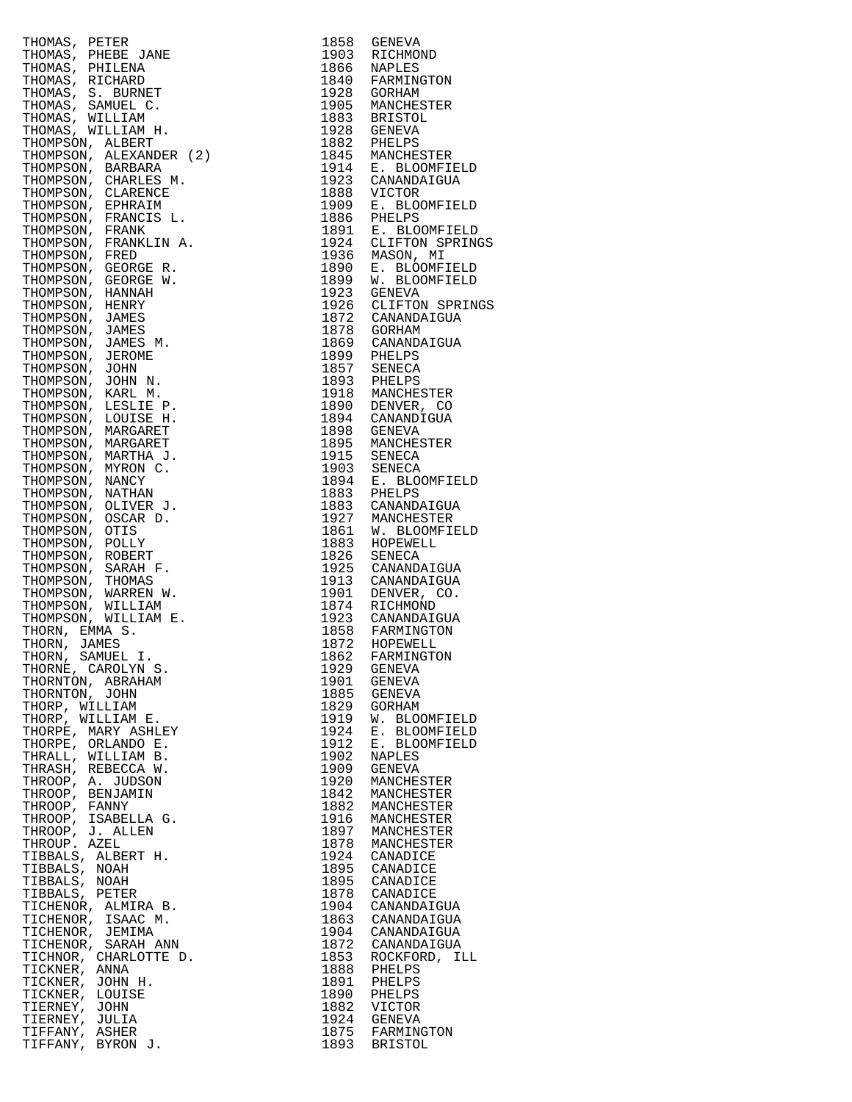|                | THOMAS, PETER<br>THOMAS, PHEDER JANE<br>THOMAS, PHEDER JANE<br>THOMAS, RICHARD<br>THOMAS, S. BURNET<br>THOMAS, S. BURNET<br>THOMAS, MILLIAM H.<br>THOMAS, WILLIAM H.<br>THOMAS, WILLIAM H.<br>THOMPSON, ALEXANDER (2)<br>THOMPSON, CHARLES M.<br>THOMPSON, CHAR | 1858 | GENEVA                                                                                                                      |
|----------------|-----------------------------------------------------------------------------------------------------------------------------------------------------------------------------------------------------------------------------------------------------------------|------|-----------------------------------------------------------------------------------------------------------------------------|
|                |                                                                                                                                                                                                                                                                 |      | 1903 RICHMOND                                                                                                               |
|                |                                                                                                                                                                                                                                                                 |      |                                                                                                                             |
|                |                                                                                                                                                                                                                                                                 |      | 1866 NAPLES<br>1840 FARMINGTON                                                                                              |
|                |                                                                                                                                                                                                                                                                 |      | 1928 GORHAM                                                                                                                 |
|                |                                                                                                                                                                                                                                                                 |      | 1905 MANCHESTER                                                                                                             |
|                |                                                                                                                                                                                                                                                                 |      |                                                                                                                             |
|                |                                                                                                                                                                                                                                                                 |      | 1883 BRISTOL<br>1928 GENEVA                                                                                                 |
|                |                                                                                                                                                                                                                                                                 |      |                                                                                                                             |
|                |                                                                                                                                                                                                                                                                 |      | 1882 PHELPS<br>1845 MANCHESTER                                                                                              |
|                |                                                                                                                                                                                                                                                                 |      |                                                                                                                             |
|                |                                                                                                                                                                                                                                                                 |      | 1914 E. BLOOMFIELD<br>1923 CANANDAIGUA                                                                                      |
|                |                                                                                                                                                                                                                                                                 |      |                                                                                                                             |
|                |                                                                                                                                                                                                                                                                 | 1888 | VICTOR                                                                                                                      |
|                |                                                                                                                                                                                                                                                                 | 1909 | E. BLOOMFIELD                                                                                                               |
|                |                                                                                                                                                                                                                                                                 |      |                                                                                                                             |
|                |                                                                                                                                                                                                                                                                 |      | 1886 PHELPS<br>1891 E. BLOOMFIELD                                                                                           |
|                |                                                                                                                                                                                                                                                                 |      | 1924 CLIFTON SPRINGS                                                                                                        |
|                |                                                                                                                                                                                                                                                                 |      |                                                                                                                             |
|                |                                                                                                                                                                                                                                                                 |      |                                                                                                                             |
|                |                                                                                                                                                                                                                                                                 |      | 1936 MASON, MI<br>1890 E. BLOOMFIELD<br>1899 W. BLOOMFIELD                                                                  |
|                |                                                                                                                                                                                                                                                                 |      |                                                                                                                             |
|                |                                                                                                                                                                                                                                                                 |      | 1923 GENEVA                                                                                                                 |
|                |                                                                                                                                                                                                                                                                 |      | 1926 CLIFTON SPRINGS                                                                                                        |
|                |                                                                                                                                                                                                                                                                 |      | 1872 CANANDAIGUA<br>1878 GORHAM                                                                                             |
|                |                                                                                                                                                                                                                                                                 |      |                                                                                                                             |
|                |                                                                                                                                                                                                                                                                 |      |                                                                                                                             |
|                |                                                                                                                                                                                                                                                                 |      |                                                                                                                             |
|                |                                                                                                                                                                                                                                                                 |      |                                                                                                                             |
|                |                                                                                                                                                                                                                                                                 |      |                                                                                                                             |
|                |                                                                                                                                                                                                                                                                 |      | 1869 CANANDAIGUA<br>1869 CANANDAIGUA<br>1893 PHELPS<br>1893 PHELPS<br>1918 MANCHESTER<br>1890 DENVER, CO<br>1894 CANANDIGUA |
|                |                                                                                                                                                                                                                                                                 |      |                                                                                                                             |
|                |                                                                                                                                                                                                                                                                 |      |                                                                                                                             |
|                |                                                                                                                                                                                                                                                                 |      |                                                                                                                             |
|                |                                                                                                                                                                                                                                                                 |      | 1898 GENEVA                                                                                                                 |
|                |                                                                                                                                                                                                                                                                 |      | 1895 MANCHESTER<br>1915 SENECA                                                                                              |
|                |                                                                                                                                                                                                                                                                 |      |                                                                                                                             |
|                |                                                                                                                                                                                                                                                                 |      | 1903 SENECA<br>1894 E. BLOOMFIELD                                                                                           |
|                |                                                                                                                                                                                                                                                                 |      |                                                                                                                             |
|                |                                                                                                                                                                                                                                                                 |      | 1883 PHELPS<br>1883 CANANDAIGUA                                                                                             |
|                |                                                                                                                                                                                                                                                                 |      |                                                                                                                             |
|                |                                                                                                                                                                                                                                                                 |      |                                                                                                                             |
|                |                                                                                                                                                                                                                                                                 |      | 1927 MANCHESTER<br>1861 W. BLOOMFIELD                                                                                       |
|                |                                                                                                                                                                                                                                                                 |      |                                                                                                                             |
|                |                                                                                                                                                                                                                                                                 |      | 1883 HOPEWELL<br>1826 SENECA                                                                                                |
|                |                                                                                                                                                                                                                                                                 |      |                                                                                                                             |
|                |                                                                                                                                                                                                                                                                 |      | 1925 CANANDAIGUA                                                                                                            |
|                |                                                                                                                                                                                                                                                                 |      | 1913 CANANDAIGUA                                                                                                            |
|                |                                                                                                                                                                                                                                                                 |      | 1901 DENVER, CO.<br>1874 RICHMOND                                                                                           |
|                |                                                                                                                                                                                                                                                                 |      |                                                                                                                             |
|                |                                                                                                                                                                                                                                                                 |      | 1923 CANANDAIGUA                                                                                                            |
|                |                                                                                                                                                                                                                                                                 |      |                                                                                                                             |
|                |                                                                                                                                                                                                                                                                 |      | 1858 FARMINGTON<br>1872 HOPEWELL                                                                                            |
|                |                                                                                                                                                                                                                                                                 |      |                                                                                                                             |
|                |                                                                                                                                                                                                                                                                 |      |                                                                                                                             |
|                |                                                                                                                                                                                                                                                                 |      |                                                                                                                             |
|                |                                                                                                                                                                                                                                                                 |      |                                                                                                                             |
|                |                                                                                                                                                                                                                                                                 |      |                                                                                                                             |
|                |                                                                                                                                                                                                                                                                 |      |                                                                                                                             |
|                |                                                                                                                                                                                                                                                                 |      | W. BLOOMFIELD                                                                                                               |
|                |                                                                                                                                                                                                                                                                 |      | E. BLOOMFIELD                                                                                                               |
|                |                                                                                                                                                                                                                                                                 |      | E. BLOOMFIELD                                                                                                               |
|                |                                                                                                                                                                                                                                                                 |      |                                                                                                                             |
|                |                                                                                                                                                                                                                                                                 |      |                                                                                                                             |
|                |                                                                                                                                                                                                                                                                 |      |                                                                                                                             |
|                |                                                                                                                                                                                                                                                                 |      |                                                                                                                             |
|                |                                                                                                                                                                                                                                                                 |      |                                                                                                                             |
|                |                                                                                                                                                                                                                                                                 |      |                                                                                                                             |
|                |                                                                                                                                                                                                                                                                 |      |                                                                                                                             |
|                |                                                                                                                                                                                                                                                                 |      |                                                                                                                             |
|                |                                                                                                                                                                                                                                                                 |      |                                                                                                                             |
|                |                                                                                                                                                                                                                                                                 |      |                                                                                                                             |
|                |                                                                                                                                                                                                                                                                 |      |                                                                                                                             |
|                |                                                                                                                                                                                                                                                                 |      |                                                                                                                             |
|                |                                                                                                                                                                                                                                                                 |      |                                                                                                                             |
|                |                                                                                                                                                                                                                                                                 |      |                                                                                                                             |
|                |                                                                                                                                                                                                                                                                 |      |                                                                                                                             |
|                |                                                                                                                                                                                                                                                                 |      |                                                                                                                             |
|                |                                                                                                                                                                                                                                                                 |      |                                                                                                                             |
|                |                                                                                                                                                                                                                                                                 |      | 1853 ROCKFORD, ILL                                                                                                          |
|                |                                                                                                                                                                                                                                                                 |      |                                                                                                                             |
|                |                                                                                                                                                                                                                                                                 |      |                                                                                                                             |
|                |                                                                                                                                                                                                                                                                 |      |                                                                                                                             |
|                |                                                                                                                                                                                                                                                                 |      |                                                                                                                             |
| TIERNEY, JULIA |                                                                                                                                                                                                                                                                 |      |                                                                                                                             |
|                | THORN, EMM S, 1988 FARMINGTON<br>THORN, JAMES (MENL I . 1872 HOPEWELL THORN, SAMUEL I . 1872 HOPEWELT<br>THORN S, SAMUEL I . 1872 GENEVATON<br>THORNTON , ABRAHAM 1990 GENEVA<br>THORN MILLIAM 1885 GENEVA<br>THORPE, MALY ASHLEY 1999                          |      | 1924 GENEVA<br>1875 FARMINGTON                                                                                              |
| TIFFANY, ASHER |                                                                                                                                                                                                                                                                 |      |                                                                                                                             |
|                | TIFFANY, BYRON J.                                                                                                                                                                                                                                               |      | 1893 BRISTOL                                                                                                                |

| 1858         | GENEVA                         |
|--------------|--------------------------------|
| 1903         | RICHMOND                       |
| 1866         | NAPLES                         |
| 1840         | FARMINGTON                     |
| 1928         | GORHAM                         |
| 1905         | MANCHESTER                     |
| 1883         | <b>BRISTOL</b>                 |
| 1928         | <b>GENEVA</b>                  |
| 1882<br>1845 | PHELPS                         |
| 1914         | MANCHESTER<br>E. BLOOMFIELD    |
| 1923         | CANANDAIGUA                    |
| 1888         | VICTOR                         |
| 1909         | E. BLOOMFIELD                  |
| 1886         | PHELPS                         |
| 1891         | E. BLOOMFIELD                  |
| 1924         | CLIFTON SPRINGS                |
| 1936         | MASON, MI                      |
| 1890         | E. BLOOMFIELD                  |
| 1899         | W. BLOOMFIELD                  |
| 1923         | GENEVA                         |
| 1926         | CLIFTON SPRINGS                |
| 1872         | CANANDAIGUA                    |
| 1878         | GORHAM                         |
| 1869         | CANANDAIGUA                    |
| 1899<br>1857 | PHELPS<br>SENECA               |
| 1893         | PHELPS                         |
| 1918         | MANCHESTER                     |
| 1890         | DENVER, CO                     |
| 1894         | CANANDIGUA                     |
| 1898         | <b>GENEVA</b>                  |
| 1895         | MANCHESTER                     |
| 1915         | SENECA                         |
| 1903         | SENECA                         |
| 1894         | E. BLOOMFIELD                  |
| 1883         | PHELPS                         |
| 1883         | CANANDAIGUA                    |
| 1927         | MANCHESTER                     |
| 1861         | W. BLOOMFIELD                  |
| 1883         | HOPEWELL                       |
| 1826         | SENECA                         |
| 1925         | CANANDAIGUA                    |
| 1913         | CANANDAIGUA                    |
| 1901<br>1874 | DENVER, CO.                    |
| 1923         | RICHMOND<br>CANANDAIGUA        |
|              |                                |
| 1858<br>1872 | FARMINGTON<br>HOPEWELL         |
| 1862         | FARMINGTON                     |
| 1929         | GENEVA                         |
| 1901         | GENEVA                         |
| 1885         | <b>GENEVA</b>                  |
| 1829         | GORHAM                         |
| 1919         | W. BLOOMFIELD                  |
| 1924         | E. BLOOMFIELD<br>E. BLOOMFIELD |
| 1912         |                                |
| 1902         | NAPLES                         |
| 1909         | <b>GENEVA</b>                  |
| 1920         | MANCHESTER                     |
| 1842         | MANCHESTER                     |
| 1882         | MANCHESTER                     |
| 1916<br>1897 | MANCHESTER                     |
| 1878         | MANCHESTER<br>MANCHESTER       |
| 1924         | CANADICE                       |
| 1895         | CANADICE                       |
| 1895         | CANADICE                       |
| 1878         | CANADICE                       |
| 1904         | CANANDAIGUA                    |
| 1863         | CANANDAIGUA                    |
| 1904         | CANANDAIGUA                    |
| 1872         | CANANDAIGUA                    |
| 1853         | ROCKFORD, ILL                  |
| 1888         | PHELPS                         |
| 1891         | PHELPS                         |
| 1890         | PHELPS                         |
| 1882         | VICTOR                         |
| 1924         | <b>GENEVA</b>                  |
| 1875         | FARMINGTON                     |
| 1893         | <b>BRISTOL</b>                 |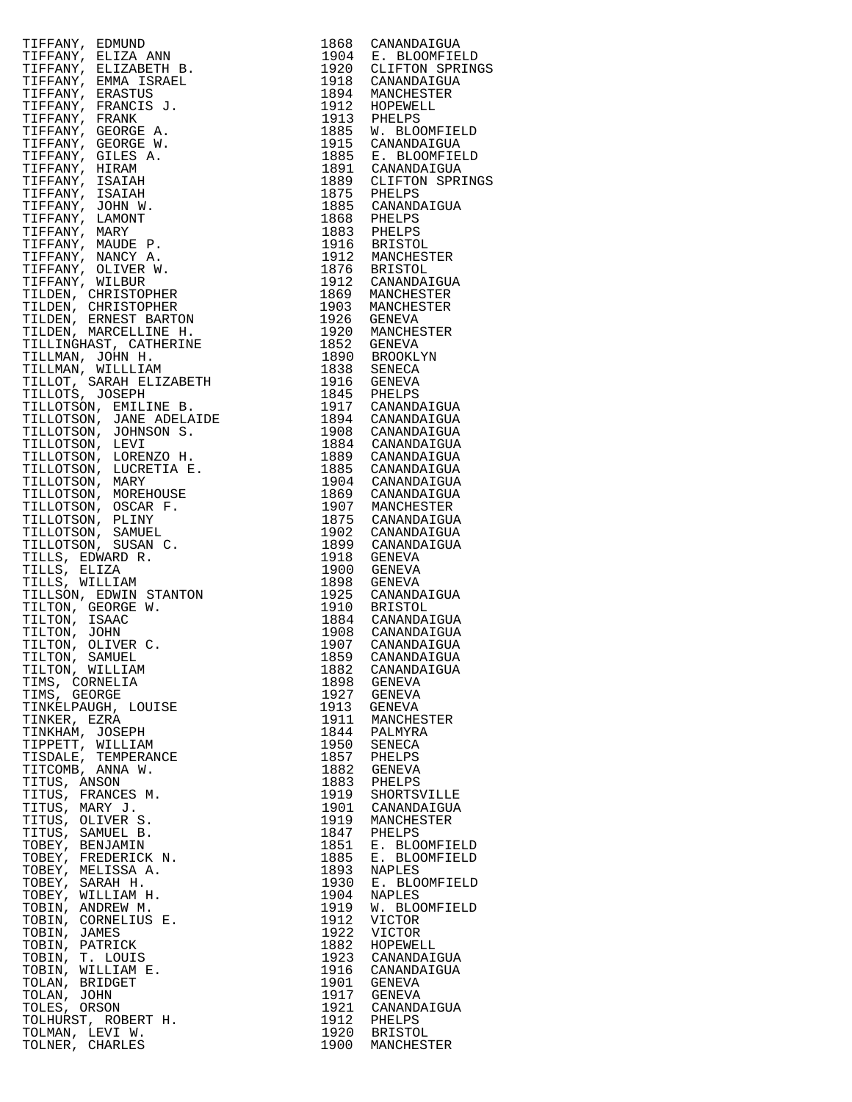| TIFFANY, BENNING RESERVE I 1988 CANANDATOUR<br>TIFFANY, BELIZA ARN 1988 CANANDATOUR<br>TIFFANY, BELIZA ARN 1990 CAPRIMES<br>TIFFANY, BEARCT 3. 1994 CAPRIMES<br>TIFFANY, PRANCIS 3. 1994 CAPRIMES<br>TIFFANY, PRANCIS 3. 1994 CAPRIMES<br>TIFFAN |      |                                 |
|--------------------------------------------------------------------------------------------------------------------------------------------------------------------------------------------------------------------------------------------------|------|---------------------------------|
|                                                                                                                                                                                                                                                  |      |                                 |
|                                                                                                                                                                                                                                                  |      |                                 |
|                                                                                                                                                                                                                                                  |      |                                 |
|                                                                                                                                                                                                                                                  |      |                                 |
|                                                                                                                                                                                                                                                  |      |                                 |
|                                                                                                                                                                                                                                                  |      |                                 |
|                                                                                                                                                                                                                                                  |      |                                 |
|                                                                                                                                                                                                                                                  |      |                                 |
|                                                                                                                                                                                                                                                  |      |                                 |
|                                                                                                                                                                                                                                                  |      |                                 |
|                                                                                                                                                                                                                                                  |      |                                 |
|                                                                                                                                                                                                                                                  |      |                                 |
|                                                                                                                                                                                                                                                  |      |                                 |
|                                                                                                                                                                                                                                                  |      |                                 |
|                                                                                                                                                                                                                                                  |      |                                 |
|                                                                                                                                                                                                                                                  |      |                                 |
|                                                                                                                                                                                                                                                  |      |                                 |
|                                                                                                                                                                                                                                                  |      |                                 |
|                                                                                                                                                                                                                                                  |      |                                 |
|                                                                                                                                                                                                                                                  |      |                                 |
|                                                                                                                                                                                                                                                  |      |                                 |
|                                                                                                                                                                                                                                                  |      |                                 |
|                                                                                                                                                                                                                                                  |      |                                 |
|                                                                                                                                                                                                                                                  |      |                                 |
|                                                                                                                                                                                                                                                  |      |                                 |
|                                                                                                                                                                                                                                                  |      |                                 |
|                                                                                                                                                                                                                                                  |      |                                 |
|                                                                                                                                                                                                                                                  |      |                                 |
|                                                                                                                                                                                                                                                  |      |                                 |
|                                                                                                                                                                                                                                                  |      |                                 |
|                                                                                                                                                                                                                                                  |      |                                 |
|                                                                                                                                                                                                                                                  |      |                                 |
|                                                                                                                                                                                                                                                  |      |                                 |
|                                                                                                                                                                                                                                                  |      |                                 |
|                                                                                                                                                                                                                                                  |      |                                 |
|                                                                                                                                                                                                                                                  |      |                                 |
|                                                                                                                                                                                                                                                  |      |                                 |
|                                                                                                                                                                                                                                                  |      |                                 |
|                                                                                                                                                                                                                                                  |      |                                 |
|                                                                                                                                                                                                                                                  |      |                                 |
|                                                                                                                                                                                                                                                  |      |                                 |
|                                                                                                                                                                                                                                                  |      |                                 |
|                                                                                                                                                                                                                                                  |      |                                 |
|                                                                                                                                                                                                                                                  |      |                                 |
|                                                                                                                                                                                                                                                  |      |                                 |
|                                                                                                                                                                                                                                                  |      |                                 |
|                                                                                                                                                                                                                                                  |      |                                 |
|                                                                                                                                                                                                                                                  |      |                                 |
|                                                                                                                                                                                                                                                  |      |                                 |
|                                                                                                                                                                                                                                                  |      |                                 |
|                                                                                                                                                                                                                                                  |      |                                 |
|                                                                                                                                                                                                                                                  |      |                                 |
|                                                                                                                                                                                                                                                  |      |                                 |
| TIMS, GEORGE                                                                                                                                                                                                                                     | 1927 | GENEVA                          |
| TINKELPAUGH, LOUISE                                                                                                                                                                                                                              | 1913 | GENEVA                          |
| TINKER, EZRA                                                                                                                                                                                                                                     | 1911 | MANCHESTER                      |
| TINKHAM, JOSEPH                                                                                                                                                                                                                                  |      | 1844 PALMYRA                    |
| TIPPETT, WILLIAM                                                                                                                                                                                                                                 | 1950 | SENECA                          |
| TISDALE, TEMPERANCE                                                                                                                                                                                                                              |      | 1857 PHELPS                     |
| TITCOMB, ANNA W.                                                                                                                                                                                                                                 | 1882 | GENEVA                          |
| TITUS, ANSON                                                                                                                                                                                                                                     |      | 1883 PHELPS                     |
| TITUS, FRANCES M.                                                                                                                                                                                                                                | 1919 | SHORTSVILLE                     |
| TITUS, MARY J.                                                                                                                                                                                                                                   | 1901 | CANANDAIGUA                     |
| TITUS, OLIVER S.                                                                                                                                                                                                                                 | 1919 |                                 |
|                                                                                                                                                                                                                                                  |      | MANCHESTER                      |
| TITUS, SAMUEL B.                                                                                                                                                                                                                                 |      | 1847 PHELPS                     |
|                                                                                                                                                                                                                                                  | 1851 | E. BLOOMFIELD                   |
|                                                                                                                                                                                                                                                  | 1885 | E. BLOOMFIELD                   |
|                                                                                                                                                                                                                                                  | 1893 | NAPLES                          |
|                                                                                                                                                                                                                                                  | 1930 | E. BLOOMFIELD                   |
|                                                                                                                                                                                                                                                  | 1904 | NAPLES                          |
|                                                                                                                                                                                                                                                  | 1919 | W. BLOOMFIELD                   |
|                                                                                                                                                                                                                                                  | 1912 | VICTOR                          |
|                                                                                                                                                                                                                                                  | 1922 | VICTOR                          |
|                                                                                                                                                                                                                                                  | 1882 | HOPEWELL                        |
|                                                                                                                                                                                                                                                  | 1923 | CANANDAIGUA                     |
|                                                                                                                                                                                                                                                  | 1916 | CANANDAIGUA                     |
| WELISSA A.<br>TOBEY, MELISSA A.<br>TOBEY, WILLIAM H.<br>TOBIN, ANDREW M.<br>TOBIN, CORNELIUS E.<br>IOBIN, JAMES<br>COBIN, PATRICK<br>COBIN, PATRICK<br>COBIN, T. LOUIS<br>VOBIN, WILLIAM TOLAN.<br>TOLAN, BRIDGET                                |      | 1901 GENEVA                     |
| TOLAN, JOHN                                                                                                                                                                                                                                      |      | 1917 GENEVA                     |
| TOLES, ORSON                                                                                                                                                                                                                                     |      | 1921 CANANDAIGUA                |
| TOLHURST, ROBERT H.                                                                                                                                                                                                                              |      | 1912 PHELPS                     |
| TOLMAN, LEVI W.                                                                                                                                                                                                                                  |      | 1920 BRISTOL<br>1900 MANCHESTER |
| סתוסגעים סתוגורת                                                                                                                                                                                                                                 |      |                                 |

|                                                                                                                                                                                                                                     | 1904 E. BLOOMFIELD<br>1904 E. BLOOMFIELD<br>1920 CLIFTON SPRINGS<br>1918 CANANDAIGUA<br>1894 MANCHESTER<br>1912 HOPEWELL<br>1913 PHELPS |
|-------------------------------------------------------------------------------------------------------------------------------------------------------------------------------------------------------------------------------------|-----------------------------------------------------------------------------------------------------------------------------------------|
|                                                                                                                                                                                                                                     |                                                                                                                                         |
|                                                                                                                                                                                                                                     |                                                                                                                                         |
|                                                                                                                                                                                                                                     |                                                                                                                                         |
|                                                                                                                                                                                                                                     |                                                                                                                                         |
|                                                                                                                                                                                                                                     |                                                                                                                                         |
|                                                                                                                                                                                                                                     |                                                                                                                                         |
|                                                                                                                                                                                                                                     | 1885 E. BLOOMFIELD                                                                                                                      |
|                                                                                                                                                                                                                                     |                                                                                                                                         |
|                                                                                                                                                                                                                                     | 1891 CANANDAIGUA<br>1889 CLIFTON SPRINGS<br>1875 PHELPS                                                                                 |
|                                                                                                                                                                                                                                     |                                                                                                                                         |
|                                                                                                                                                                                                                                     |                                                                                                                                         |
|                                                                                                                                                                                                                                     |                                                                                                                                         |
|                                                                                                                                                                                                                                     |                                                                                                                                         |
|                                                                                                                                                                                                                                     |                                                                                                                                         |
|                                                                                                                                                                                                                                     |                                                                                                                                         |
|                                                                                                                                                                                                                                     |                                                                                                                                         |
|                                                                                                                                                                                                                                     |                                                                                                                                         |
|                                                                                                                                                                                                                                     |                                                                                                                                         |
|                                                                                                                                                                                                                                     |                                                                                                                                         |
|                                                                                                                                                                                                                                     |                                                                                                                                         |
|                                                                                                                                                                                                                                     |                                                                                                                                         |
|                                                                                                                                                                                                                                     |                                                                                                                                         |
|                                                                                                                                                                                                                                     |                                                                                                                                         |
|                                                                                                                                                                                                                                     |                                                                                                                                         |
|                                                                                                                                                                                                                                     |                                                                                                                                         |
|                                                                                                                                                                                                                                     |                                                                                                                                         |
|                                                                                                                                                                                                                                     |                                                                                                                                         |
|                                                                                                                                                                                                                                     |                                                                                                                                         |
|                                                                                                                                                                                                                                     |                                                                                                                                         |
|                                                                                                                                                                                                                                     |                                                                                                                                         |
|                                                                                                                                                                                                                                     |                                                                                                                                         |
|                                                                                                                                                                                                                                     |                                                                                                                                         |
|                                                                                                                                                                                                                                     |                                                                                                                                         |
|                                                                                                                                                                                                                                     |                                                                                                                                         |
|                                                                                                                                                                                                                                     |                                                                                                                                         |
|                                                                                                                                                                                                                                     |                                                                                                                                         |
|                                                                                                                                                                                                                                     |                                                                                                                                         |
|                                                                                                                                                                                                                                     |                                                                                                                                         |
|                                                                                                                                                                                                                                     |                                                                                                                                         |
|                                                                                                                                                                                                                                     |                                                                                                                                         |
|                                                                                                                                                                                                                                     |                                                                                                                                         |
|                                                                                                                                                                                                                                     |                                                                                                                                         |
|                                                                                                                                                                                                                                     |                                                                                                                                         |
|                                                                                                                                                                                                                                     |                                                                                                                                         |
|                                                                                                                                                                                                                                     |                                                                                                                                         |
|                                                                                                                                                                                                                                     |                                                                                                                                         |
|                                                                                                                                                                                                                                     |                                                                                                                                         |
|                                                                                                                                                                                                                                     |                                                                                                                                         |
|                                                                                                                                                                                                                                     |                                                                                                                                         |
|                                                                                                                                                                                                                                     |                                                                                                                                         |
|                                                                                                                                                                                                                                     |                                                                                                                                         |
|                                                                                                                                                                                                                                     |                                                                                                                                         |
|                                                                                                                                                                                                                                     |                                                                                                                                         |
|                                                                                                                                                                                                                                     |                                                                                                                                         |
|                                                                                                                                                                                                                                     |                                                                                                                                         |
|                                                                                                                                                                                                                                     |                                                                                                                                         |
|                                                                                                                                                                                                                                     |                                                                                                                                         |
|                                                                                                                                                                                                                                     |                                                                                                                                         |
|                                                                                                                                                                                                                                     |                                                                                                                                         |
|                                                                                                                                                                                                                                     |                                                                                                                                         |
|                                                                                                                                                                                                                                     |                                                                                                                                         |
|                                                                                                                                                                                                                                     |                                                                                                                                         |
|                                                                                                                                                                                                                                     |                                                                                                                                         |
|                                                                                                                                                                                                                                     |                                                                                                                                         |
|                                                                                                                                                                                                                                     |                                                                                                                                         |
|                                                                                                                                                                                                                                     |                                                                                                                                         |
|                                                                                                                                                                                                                                     |                                                                                                                                         |
|                                                                                                                                                                                                                                     |                                                                                                                                         |
|                                                                                                                                                                                                                                     |                                                                                                                                         |
|                                                                                                                                                                                                                                     |                                                                                                                                         |
| THERMY, INCORRE 1988 CANADIMETRICAN (1988 CANADIMETRICAN INCORRESS)<br>THERMY, INCORRECT PROPERTY (1988 CANADIMETRICAN INCORRESS)<br>THERMY, INCORRECT PROPERTY (1988 CANADIMETRICAN INCORRESS)<br>THERMY, FRANCISCO (1989 CANADIME |                                                                                                                                         |
|                                                                                                                                                                                                                                     |                                                                                                                                         |
| TOLNER, CHARLES                                                                                                                                                                                                                     | MANCHESTER                                                                                                                              |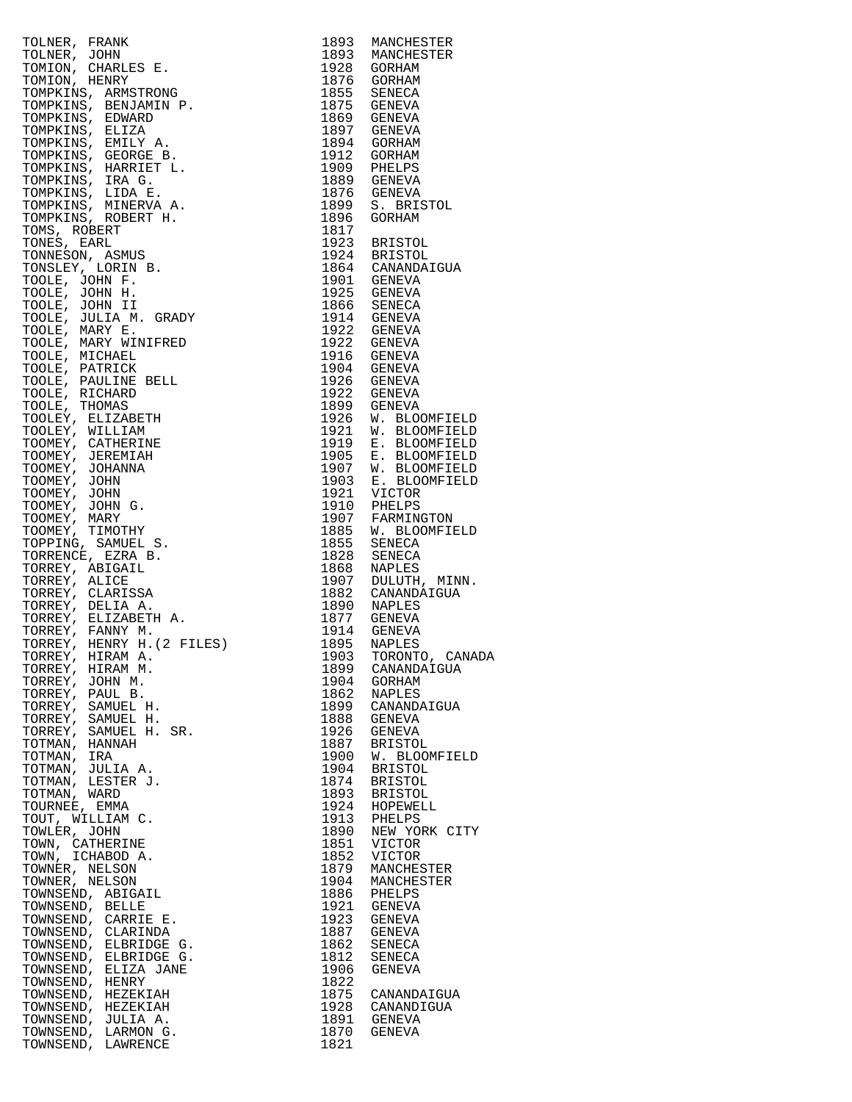| TOLNER, FRANK ERABEN 1993<br>MANCHEST (1993 MANCHEST)<br>TOLNER, JOHN (1982 MANCHEST)<br>TONION, CHRELES E. 1993 MANCHEST (1993 MANCHEST)<br>TONION, CHRELES E. 1993 MANCHEST (1994 GORNEM 1997 GORNEM TONINKINS, BENDIAN<br>TONINKINS, |              | 1893 MANCHESTER                                                                                                                                                                                                                       |
|-----------------------------------------------------------------------------------------------------------------------------------------------------------------------------------------------------------------------------------------|--------------|---------------------------------------------------------------------------------------------------------------------------------------------------------------------------------------------------------------------------------------|
|                                                                                                                                                                                                                                         |              | 1893 MANCHESTER                                                                                                                                                                                                                       |
|                                                                                                                                                                                                                                         |              |                                                                                                                                                                                                                                       |
|                                                                                                                                                                                                                                         |              |                                                                                                                                                                                                                                       |
|                                                                                                                                                                                                                                         |              |                                                                                                                                                                                                                                       |
|                                                                                                                                                                                                                                         |              |                                                                                                                                                                                                                                       |
|                                                                                                                                                                                                                                         |              |                                                                                                                                                                                                                                       |
|                                                                                                                                                                                                                                         |              |                                                                                                                                                                                                                                       |
|                                                                                                                                                                                                                                         |              |                                                                                                                                                                                                                                       |
|                                                                                                                                                                                                                                         |              |                                                                                                                                                                                                                                       |
|                                                                                                                                                                                                                                         |              | 1909 PHELPS<br>1889 GENEVA                                                                                                                                                                                                            |
|                                                                                                                                                                                                                                         |              |                                                                                                                                                                                                                                       |
|                                                                                                                                                                                                                                         |              | 1876 GENEVA<br>1899 S. BRISTOL                                                                                                                                                                                                        |
|                                                                                                                                                                                                                                         |              |                                                                                                                                                                                                                                       |
|                                                                                                                                                                                                                                         |              |                                                                                                                                                                                                                                       |
|                                                                                                                                                                                                                                         |              | 1923 BRISTOL<br>1924 BRISTOL                                                                                                                                                                                                          |
|                                                                                                                                                                                                                                         |              |                                                                                                                                                                                                                                       |
|                                                                                                                                                                                                                                         |              | 1864 CANANDAIGUA<br>1901 GENEVA                                                                                                                                                                                                       |
|                                                                                                                                                                                                                                         |              |                                                                                                                                                                                                                                       |
|                                                                                                                                                                                                                                         |              |                                                                                                                                                                                                                                       |
|                                                                                                                                                                                                                                         |              |                                                                                                                                                                                                                                       |
|                                                                                                                                                                                                                                         |              | 1914 GENEVA<br>1922 GENEVA                                                                                                                                                                                                            |
|                                                                                                                                                                                                                                         |              |                                                                                                                                                                                                                                       |
|                                                                                                                                                                                                                                         |              | 1922 GENEVA<br>1916 GENEVA                                                                                                                                                                                                            |
|                                                                                                                                                                                                                                         |              |                                                                                                                                                                                                                                       |
|                                                                                                                                                                                                                                         |              | 1904 GENEVA<br>1926 GENEVA                                                                                                                                                                                                            |
|                                                                                                                                                                                                                                         |              |                                                                                                                                                                                                                                       |
|                                                                                                                                                                                                                                         |              |                                                                                                                                                                                                                                       |
|                                                                                                                                                                                                                                         |              |                                                                                                                                                                                                                                       |
|                                                                                                                                                                                                                                         |              |                                                                                                                                                                                                                                       |
|                                                                                                                                                                                                                                         |              |                                                                                                                                                                                                                                       |
|                                                                                                                                                                                                                                         |              |                                                                                                                                                                                                                                       |
|                                                                                                                                                                                                                                         |              |                                                                                                                                                                                                                                       |
|                                                                                                                                                                                                                                         |              |                                                                                                                                                                                                                                       |
|                                                                                                                                                                                                                                         |              |                                                                                                                                                                                                                                       |
|                                                                                                                                                                                                                                         |              | 1899 GENEVA<br>1926 W. BLOOMFIELD<br>1919 E. BLOOMFIELD<br>1919 E. BLOOMFIELD<br>1905 E. BLOOMFIELD<br>1907 W. BLOOMFIELD<br>1903 E. BLOOMFIELD<br>1921 VICTOR<br>1910 PHELPS<br>1907 FARMINGTON<br>1855 W. BLOOMFIELD<br>1855 SENECA |
|                                                                                                                                                                                                                                         |              |                                                                                                                                                                                                                                       |
|                                                                                                                                                                                                                                         |              | 1855 SENECA<br>1828 SENECA                                                                                                                                                                                                            |
|                                                                                                                                                                                                                                         |              |                                                                                                                                                                                                                                       |
|                                                                                                                                                                                                                                         |              | 1868 NAPLES<br>1907 DULUTH, MINN.                                                                                                                                                                                                     |
|                                                                                                                                                                                                                                         |              |                                                                                                                                                                                                                                       |
|                                                                                                                                                                                                                                         |              | 1882 CANANDAIGUA<br>1890 NAPLES                                                                                                                                                                                                       |
|                                                                                                                                                                                                                                         |              |                                                                                                                                                                                                                                       |
|                                                                                                                                                                                                                                         |              |                                                                                                                                                                                                                                       |
|                                                                                                                                                                                                                                         |              |                                                                                                                                                                                                                                       |
| TORREY, HIRAM A.                                                                                                                                                                                                                        |              | 1903 TORONTO, CANAD.                                                                                                                                                                                                                  |
| TORREY, HIRAM M.                                                                                                                                                                                                                        | 1899         | CANANDAIGUA                                                                                                                                                                                                                           |
| TORREY, JOHN M.                                                                                                                                                                                                                         | 1904         | GORHAM                                                                                                                                                                                                                                |
| TORREY, PAUL B.                                                                                                                                                                                                                         | 1862         | NAPLES                                                                                                                                                                                                                                |
| TORREY, SAMUEL H.                                                                                                                                                                                                                       | 1899         | CANANDAIGUA                                                                                                                                                                                                                           |
| TORREY, SAMUEL H.                                                                                                                                                                                                                       | 1888         | GENEVA                                                                                                                                                                                                                                |
| TORREY, SAMUEL H. SR.                                                                                                                                                                                                                   | 1926         | GENEVA                                                                                                                                                                                                                                |
| TOTMAN, HANNAH<br>TOTMAN, IRA                                                                                                                                                                                                           | 1887<br>1900 | BRISTOL<br>W. BLOOMFIELD                                                                                                                                                                                                              |
| TOTMAN, JULIA A.                                                                                                                                                                                                                        | 1904         | BRISTOL                                                                                                                                                                                                                               |
| TOTMAN, LESTER J.                                                                                                                                                                                                                       | 1874         | BRISTOL                                                                                                                                                                                                                               |
| TOTMAN, WARD                                                                                                                                                                                                                            | 1893         | BRISTOL                                                                                                                                                                                                                               |
| TOURNEE, EMMA                                                                                                                                                                                                                           | 1924         | HOPEWELL                                                                                                                                                                                                                              |
| TOUT, WILLIAM C.                                                                                                                                                                                                                        | 1913         | PHELPS                                                                                                                                                                                                                                |
| TOWLER, JOHN                                                                                                                                                                                                                            | 1890         | NEW YORK CITY                                                                                                                                                                                                                         |
| TOWN, CATHERINE                                                                                                                                                                                                                         | 1851         | VICTOR                                                                                                                                                                                                                                |
| TOWN, ICHABOD A.                                                                                                                                                                                                                        | 1852         | VICTOR                                                                                                                                                                                                                                |
| TOWNER, NELSON                                                                                                                                                                                                                          | 1879         | MANCHESTER                                                                                                                                                                                                                            |
| TOWNER, NELSON<br>TOWNSEND, ABIGAIL                                                                                                                                                                                                     | 1904<br>1886 | MANCHESTER<br>PHELPS                                                                                                                                                                                                                  |
| TOWNSEND, BELLE                                                                                                                                                                                                                         | 1921         | GENEVA                                                                                                                                                                                                                                |
| TOWNSEND, CARRIE E.                                                                                                                                                                                                                     | 1923         | GENEVA                                                                                                                                                                                                                                |
| TOWNSEND, CLARINDA                                                                                                                                                                                                                      | 1887         | GENEVA                                                                                                                                                                                                                                |
| TOWNSEND, ELBRIDGE G.                                                                                                                                                                                                                   | 1862         | SENECA                                                                                                                                                                                                                                |
| TOWNSEND, ELBRIDGE G.                                                                                                                                                                                                                   | 1812         | SENECA                                                                                                                                                                                                                                |
| TOWNSEND, ELIZA JANE                                                                                                                                                                                                                    | 1906         | GENEVA                                                                                                                                                                                                                                |
| TOWNSEND, HENRY                                                                                                                                                                                                                         | 1822         |                                                                                                                                                                                                                                       |
| TOWNSEND, HEZEKIAH                                                                                                                                                                                                                      |              | 1875 CANANDAIGUA                                                                                                                                                                                                                      |
| TOWNSEND, HEZEKIAH                                                                                                                                                                                                                      |              | 1928 CANANDIGUA                                                                                                                                                                                                                       |
| TOWNSEND, JULIA A.                                                                                                                                                                                                                      | 1891         | GENEVA                                                                                                                                                                                                                                |
| TOWNSEND, LARMON G.<br>TOWNSEND, LAWRENCE                                                                                                                                                                                               | 1870<br>1821 | GENEVA                                                                                                                                                                                                                                |
|                                                                                                                                                                                                                                         |              |                                                                                                                                                                                                                                       |

| 1893         | MANCHESTER                     |
|--------------|--------------------------------|
| 1893<br>1928 | MANCHESTER<br>GORHAM           |
| 1876         | GORHAM                         |
| 1855         | SENECA                         |
| 1875         | GENEVA                         |
| 1869         | GENEVA                         |
| 1897         | <b>GENEVA</b>                  |
| 1894         | GORHAM                         |
| 1912         | GORHAM                         |
| 1909         | PHELPS                         |
| 1889         | <b>GENEVA</b>                  |
| 1876         | GENEVA                         |
| 1899         | S.<br><b>BRISTOL</b>           |
| 1896<br>1817 | GORHAM                         |
| 1923         | <b>BRISTOL</b>                 |
| 1924         | <b>BRISTOL</b>                 |
| 1864         | CANANDAIGUA                    |
| 1901         | GENEVA                         |
| 1925         | GENEVA                         |
| 1866         | SENECA                         |
| 1914         | GENEVA                         |
| 1922         | <b>GENEVA</b>                  |
| 1922         | GENEVA                         |
| 1916         | GENEVA                         |
| 1904         | GENEVA                         |
| 1926<br>1922 | GENEVA<br><b>GENEVA</b>        |
| 1899         | GENEVA                         |
| 1926         |                                |
| 1921         | W. BLOOMFIELD<br>W. BLOOMFIELD |
| 1919         |                                |
| 1905         | E. BLOOMFIELD<br>E. BLOOMFIELD |
| 1907         | W. BLOOMFIELD                  |
| 1903         | Е.<br><b>BLOOMFIELD</b>        |
| 1921         | VICTOR                         |
| 1910         | PHELPS                         |
| 1907         | FARMINGTON                     |
| 1885         | W. BLOOMFIELD                  |
| 1855         | SENECA                         |
| 1828         | SENECA                         |
| 1868<br>1907 | NAPLES<br>DULUTH, MINN.        |
| 1882         | CANANDAIGUA                    |
| 1890         | NAPLES                         |
| 1877         | GENEVA                         |
| 1914         | <b>GENEVA</b>                  |
| 1895         | NAPLES                         |
| 1903         | TORONTO, CANADA                |
| 1899         | CANANDAIGUA                    |
| 1904         | GORHAM                         |
| 1862         | NAPLES                         |
| 1899         | CANANDAIGUA                    |
| 1888<br>1926 | GENEVA                         |
| 1887         | GENEVA<br><b>BRISTOL</b>       |
| 1900         | W. BLOOMFIELD                  |
| 1904         | <b>BRISTOL</b>                 |
| 1874         | BRISTOL                        |
| 1893         | <b>BRISTOL</b>                 |
| 1924         | HOPEWELL                       |
| 1913         | PHELPS                         |
| 1890         | NEW YORK CITY                  |
| 1851         | VICTOR                         |
| 1852         | VICTOR                         |
| 1879         | MANCHESTER                     |
| 1904         | MANCHESTER                     |
| 1886<br>1921 | PHELPS<br>GENEVA               |
| 1923         | GENEVA                         |
| 1887         | GENEVA                         |
| 1862         | SENECA                         |
| 1812         | SENECA                         |
| 1906         | GENEVA                         |
| 1822         |                                |
| 1875         | CANANDAIGUA                    |
| 1928         | CANANDIGUA                     |
| 1891         | <b>GENEVA</b>                  |
| 1870         | GENEVA                         |
| 1821         |                                |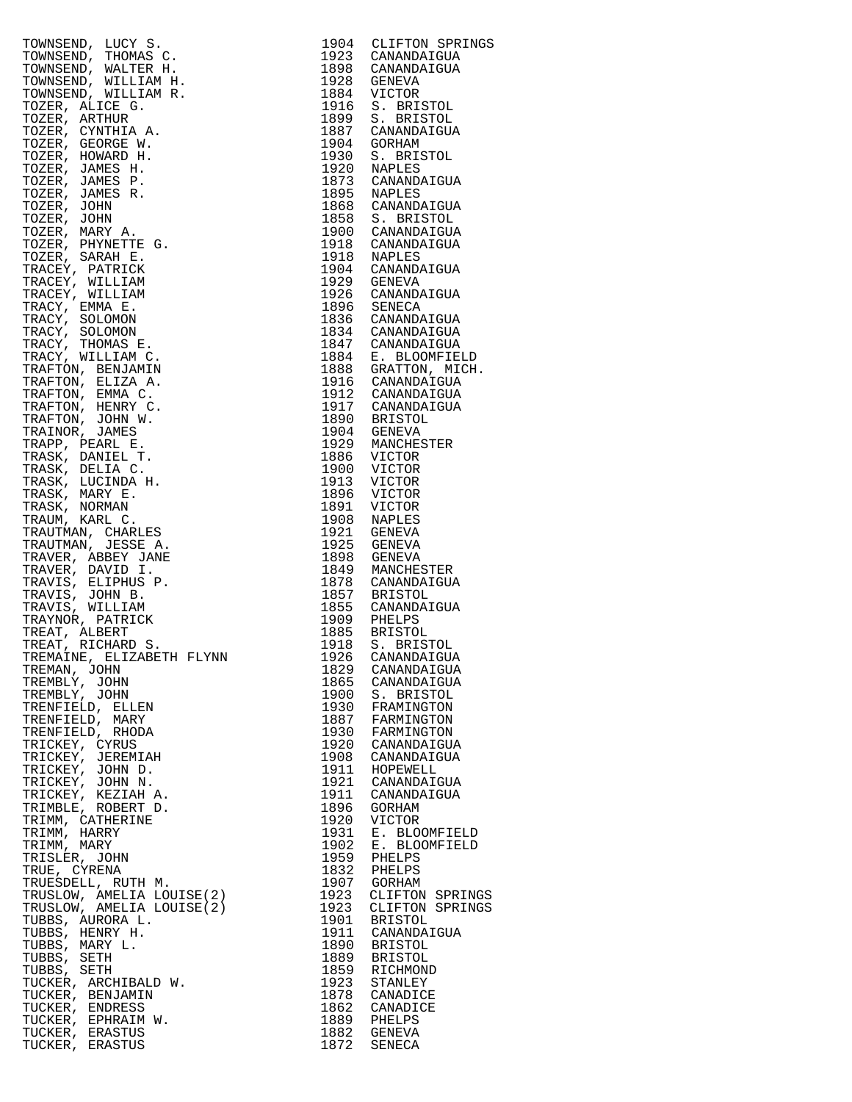| TOWNSEND, LUCY S.         |      | 1904 CLIFTON SPRINGS                    |
|---------------------------|------|-----------------------------------------|
| TOWNSEND, THOMAS C.       |      | 1923 CANANDAIGUA                        |
| TOWNSEND, WALTER H.       |      | 1898 CANANDAIGUA                        |
|                           |      |                                         |
| TOWNSEND, WILLIAM H.      |      | 1928 GENEVA                             |
| TOWNSEND, WILLIAM R.      |      | 1884 VICTOR                             |
| TOZER, ALICE G.           |      | 1916 S. BRISTOL                         |
| TOZER, ARTHUR             |      | 1899 S. BRISTOL                         |
|                           |      |                                         |
| TOZER, CYNTHIA A.         |      | 1887 CANANDAIGUA                        |
| TOZER, GEORGE W.          |      | 1904 GORHAM                             |
| TOZER, HOWARD H.          |      | 1930 S. BRISTOL                         |
| TOZER, JAMES H.           | 1920 | NAPLES                                  |
|                           |      |                                         |
| TOZER, JAMES P.           |      | 1873 CANANDAIGUA                        |
| TOZER, JAMES R.           |      | 1895 NAPLES                             |
| TOZER, JOHN               |      | 1868 CANANDAIGUA                        |
|                           |      |                                         |
| TOZER, JOHN               |      | 1858 S. BRISTOL                         |
| TOZER, MARY A.            |      | 1900 CANANDAIGUA                        |
| TOZER, PHYNETTE G.        |      | 1918 CANANDAIGUA                        |
| TOZER, SARAH E.           |      | 1918 NAPLES                             |
|                           |      |                                         |
| TRACEY, PATRICK           |      |                                         |
| TRACEY, WILLIAM           |      | 1904 CANANDAIGUA<br>1929 GENEVA         |
| TRACEY, WILLIAM           |      | 1926 CANANDAIGUA                        |
| TRACY, EMMA E.            |      | 1896 SENECA                             |
|                           |      |                                         |
| TRACY, SOLOMON            |      | 1836 CANANDAIGUA                        |
| TRACY, SOLOMON            |      | 1834 CANANDAIGUA                        |
| TRACY, THOMAS E.          |      |                                         |
| TRACY, WILLIAM C.         |      | 1847 CANANDAIGUA<br>1884 E. BLOOMFIELD  |
|                           |      |                                         |
| TRAFTON, BENJAMIN         |      | 1888 GRATTON, MICH.<br>1916 CANANDAIGUA |
| TRAFTON, ELIZA A.         |      |                                         |
| TRAFTON, EMMA C.          |      | 1912 CANANDAIGUA                        |
| TRAFTON, HENRY C.         |      | 1917 CANANDAIGUA                        |
|                           |      |                                         |
| TRAFTON, JOHN W.          |      | 1890 BRISTOL                            |
| TRAINOR, JAMES            |      | 1904 GENEVA                             |
| TRAPP, PEARL E.           |      | 1929 MANCHESTER                         |
| TRASK, DANIEL T.          |      | 1886 VICTOR                             |
|                           | 1900 | VICTOR                                  |
| TRASK, DELIA C.           |      |                                         |
| TRASK, LUCINDA H.         | 1913 | VICTOR                                  |
| TRASK, MARY E.            |      | 1896 VICTOR                             |
| TRASK, NORMAN             | 1891 | VICTOR                                  |
| TRAUM, KARL C.            |      | 1908 NAPLES                             |
|                           |      |                                         |
| TRAUTMAN, CHARLES         |      | 1921 GENEVA                             |
| TRAUTMAN, JESSE A.        |      | 1925 GENEVA                             |
| TRAVER, ABBEY JANE        |      | 1898 GENEVA                             |
| TRAVER, DAVID I.          |      | 1849 MANCHESTER                         |
| TRAVIS, ELIPHUS P.        |      | 1878 CANANDAIGUA                        |
|                           |      |                                         |
| TRAVIS, JOHN B.           |      | 1857 BRISTOL<br>1855 CANANDAIGUA        |
| TRAVIS, WILLIAM           |      |                                         |
| TRAYNOR, PATRICK          |      |                                         |
| TREAT, ALBERT             |      | 1909 PHELPS<br>1885 BRISTOL             |
| TREAT, RICHARD S.         | 1918 | S. BRISTOL                              |
|                           |      |                                         |
| TREMAINE, ELIZABETH FLYNN |      | 1926 CANANDAIGUA                        |
| TREMAN, JOHN              |      | 1829 CANANDAIGUA                        |
| TREMBLY, JOHN             |      | 1865 CANANDAIGUA                        |
| TREMBLY, JOHN             |      | 1900 S. BRISTOL                         |
|                           |      |                                         |
| TRENFIELD, ELLEN          |      | 1930 FRAMINGTON                         |
| TRENFIELD, MARY           |      | 1887 FARMINGTON                         |
| TRENFIELD, RHODA          |      | 1930 FARMINGTON                         |
| TRICKEY, CYRUS            |      | 1920 CANANDAIGUA                        |
| TRICKEY, JEREMIAH         |      | 1908 CANANDAIGUA                        |
|                           |      |                                         |
| TRICKEY, JOHN D.          |      | 1911 HOPEWELL                           |
| TRICKEY, JOHN N.          |      | 1921 CANANDAIGUA                        |
| TRICKEY, KEZIAH A.        |      | 1911 CANANDAIGUA                        |
| TRIMBLE, ROBERT D.        | 1896 | GORHAM                                  |
|                           |      |                                         |
| TRIMM, CATHERINE          | 1920 | VICTOR                                  |
| TRIMM, HARRY              | 1931 | E. BLOOMFIELD                           |
| TRIMM, MARY               | 1902 | E. BLOOMFIELD                           |
| TRISLER, JOHN             |      | 1959 PHELPS                             |
| TRUE, CYRENA              |      | 1832 PHELPS                             |
|                           |      |                                         |
| TRUESDELL, RUTH M.        |      | 1907 GORHAM                             |
| TRUSLOW, AMELIA LOUISE(2) | 1923 | CLIFTON SPRINGS                         |
| TRUSLOW, AMELIA LOUISE(2) | 1923 | CLIFTON SPRINGS                         |
| TUBBS, AURORA L.          |      | 1901 BRISTOL                            |
| TUBBS, HENRY H.           |      | 1911 CANANDAIGUA                        |
|                           |      |                                         |
| TUBBS, MARY L.            |      | 1890 BRISTOL                            |
| TUBBS, SETH               |      | 1889 BRISTOL                            |
| TUBBS, SETH               |      | 1859 RICHMOND                           |
| TUCKER, ARCHIBALD W.      | 1923 | STANLEY                                 |
| TUCKER, BENJAMIN          |      | 1878 CANADICE                           |
|                           |      |                                         |
| TUCKER, ENDRESS           | 1862 | CANADICE                                |
| TUCKER, EPHRAIM W.        |      | 1889 PHELPS                             |
| TUCKER, ERASTUS           |      | 1882 GENEVA                             |
| TUCKER, ERASTUS           |      | 1872 SENECA                             |

| 1904         | CLIFTON SPRINGS                    |
|--------------|------------------------------------|
| 1923         | CANANDAIGUA                        |
| 1898<br>1928 | CANANDAIGUA                        |
| 1884         | GENEVA<br>VICTOR                   |
| 1916         | S.<br><b>BRISTOL</b>               |
| 1899         | S. BRISTOL                         |
| 1887         | CANANDAIGUA                        |
| 1904<br>1930 | GORHAM<br>S. BRISTOL               |
| 1920         | NAPLES                             |
| 1873         | CANANDAIGUA                        |
| 1895         | NAPLES                             |
| 1868<br>1858 | CANANDAIGUA                        |
| 1900         | S. BRISTOL<br>CANANDAIGUA          |
| 1918         | CANANDAIGUA                        |
| 1918         | NAPLES                             |
| 1904         | CANANDAIGUA                        |
| 1929<br>1926 | GENEVA<br>CANANDAIGUA              |
| 1896         | SENECA                             |
| 1836         | CANANDAIGUA                        |
| 1834         | CANANDAIGUA                        |
| 1847         | CANANDAIGUA                        |
| 1884<br>1888 | E. BLOOMFIELD<br>GRATTON, MICH.    |
| 1916         | CANANDAIGUA                        |
| 1912         | CANANDAIGUA                        |
| 1917         | CANANDAIGUA                        |
| 1890         | <b>BRISTOL</b>                     |
| 1904<br>1929 | GENEVA<br>MANCHESTER               |
| 1886         | VICTOR                             |
| 1900         | VICTOR                             |
| 1913         | VICTOR                             |
| 1896         | VICTOR                             |
| 1891<br>1908 | VICTOR<br>NAPLES                   |
| 1921         | GENEVA                             |
| 1925         | GENEVA                             |
| 1898         | GENEVA                             |
| 1849<br>1878 | MANCHESTER<br>CANANDAIGUA          |
| 1857         | <b>BRISTOL</b>                     |
| 1855         | CANANDAIGUA                        |
| 1909         | PHELPS                             |
| 1885         | <b>BRISTOL</b>                     |
| 1918<br>1926 | S. BRISTOL<br>'ANANDAIGUA          |
| 1829         | CANANDAIGUA                        |
| 1865         | CANANDAIGUA                        |
| 1900         | S. BRISTOL                         |
| 1930         | FRAMINGTON                         |
| 1887<br>1930 | FARMINGTON<br>FARMINGTON           |
| 1920         | CANANDAIGUA                        |
| 1908         | CANANDAIGUA                        |
| 1911         | HOPEWELL                           |
| 1921<br>1911 | CANANDAIGUA<br>CANANDAIGUA         |
| 1896         | GORHAM                             |
| 1920         | VICTOR                             |
| 1931         | Е.<br>BLOOMFIELD                   |
| 1902         | BLOOMFIELD<br>Ε.                   |
| 1959<br>1832 | PHELPS<br>PHELPS                   |
| 1907         | GORHAM                             |
| 1923         |                                    |
| 1923         | CLIFTON SPRINGS<br>CLIFTON SPRINGS |
| 1901         | BRISTOL                            |
| 1911<br>1890 | CANANDAIGUA<br><b>BRISTOL</b>      |
| 1889         | <b>BRISTOL</b>                     |
| 1859         | RICHMOND                           |
| 1923         | STANLEY                            |
| 1878         | CANADICE                           |
| 1862<br>1889 | CANADICE<br>PHELPS                 |
| 1882         | GENEVA                             |
| 1872         | SENECA                             |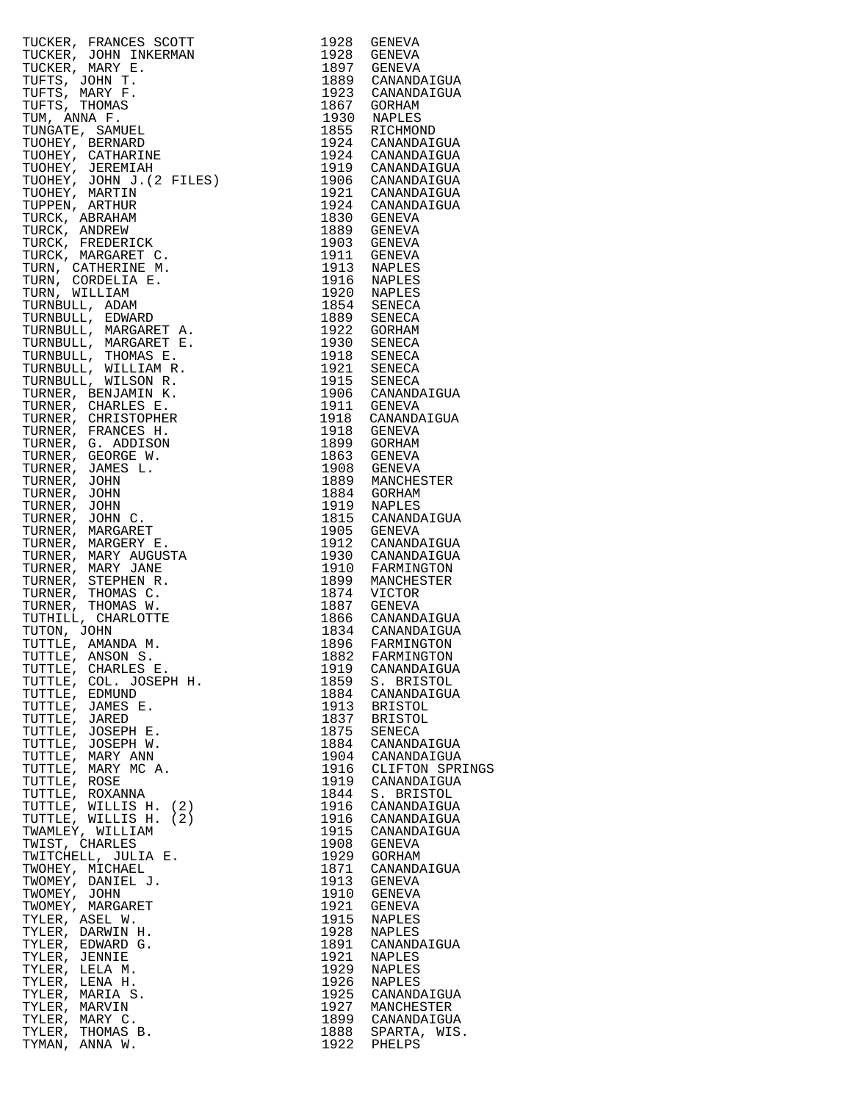| TUCKER, FRANCES SOOTT (1972)<br>TUCKER, JOHN E. 1976 GENEVA<br>TUCKER, JOHN E. 1989 GENEVA<br>TUCKER, MARY E. 1987 GENERATION<br>TUFFS, JOHN F. 1987 GENERATION<br>TUFFS, MARY E. 1987 GENERATION<br>TURE ANNOUNCE TO ANNIFERENCE (1971)<br> |      |                 |
|----------------------------------------------------------------------------------------------------------------------------------------------------------------------------------------------------------------------------------------------|------|-----------------|
|                                                                                                                                                                                                                                              |      |                 |
|                                                                                                                                                                                                                                              |      |                 |
|                                                                                                                                                                                                                                              |      |                 |
|                                                                                                                                                                                                                                              |      |                 |
|                                                                                                                                                                                                                                              |      |                 |
|                                                                                                                                                                                                                                              |      |                 |
|                                                                                                                                                                                                                                              |      |                 |
|                                                                                                                                                                                                                                              |      |                 |
|                                                                                                                                                                                                                                              |      |                 |
|                                                                                                                                                                                                                                              |      |                 |
|                                                                                                                                                                                                                                              |      |                 |
|                                                                                                                                                                                                                                              |      |                 |
|                                                                                                                                                                                                                                              |      |                 |
|                                                                                                                                                                                                                                              |      |                 |
|                                                                                                                                                                                                                                              |      |                 |
|                                                                                                                                                                                                                                              |      |                 |
|                                                                                                                                                                                                                                              |      |                 |
|                                                                                                                                                                                                                                              |      |                 |
|                                                                                                                                                                                                                                              |      |                 |
|                                                                                                                                                                                                                                              |      |                 |
|                                                                                                                                                                                                                                              |      |                 |
|                                                                                                                                                                                                                                              |      |                 |
|                                                                                                                                                                                                                                              |      |                 |
|                                                                                                                                                                                                                                              |      |                 |
|                                                                                                                                                                                                                                              |      |                 |
|                                                                                                                                                                                                                                              |      |                 |
|                                                                                                                                                                                                                                              |      |                 |
|                                                                                                                                                                                                                                              |      |                 |
|                                                                                                                                                                                                                                              |      |                 |
|                                                                                                                                                                                                                                              |      |                 |
|                                                                                                                                                                                                                                              |      |                 |
|                                                                                                                                                                                                                                              |      |                 |
|                                                                                                                                                                                                                                              |      |                 |
|                                                                                                                                                                                                                                              |      |                 |
|                                                                                                                                                                                                                                              |      |                 |
|                                                                                                                                                                                                                                              |      |                 |
|                                                                                                                                                                                                                                              |      |                 |
|                                                                                                                                                                                                                                              |      |                 |
|                                                                                                                                                                                                                                              |      |                 |
|                                                                                                                                                                                                                                              |      |                 |
|                                                                                                                                                                                                                                              |      |                 |
|                                                                                                                                                                                                                                              |      |                 |
|                                                                                                                                                                                                                                              |      |                 |
|                                                                                                                                                                                                                                              |      |                 |
|                                                                                                                                                                                                                                              |      |                 |
|                                                                                                                                                                                                                                              |      |                 |
|                                                                                                                                                                                                                                              |      |                 |
|                                                                                                                                                                                                                                              |      |                 |
|                                                                                                                                                                                                                                              |      |                 |
|                                                                                                                                                                                                                                              |      |                 |
|                                                                                                                                                                                                                                              |      |                 |
| TUTTLE, CHARLES E.                                                                                                                                                                                                                           | 1919 | CANANDAIGUA     |
| TUTTLE,<br>COL. JOSEPH H.                                                                                                                                                                                                                    | 1859 | S. BRISTOL      |
| TUTTLE,<br>EDMUND                                                                                                                                                                                                                            | 1884 | CANANDAIGUA     |
| TUTTLE,<br>JAMES E.                                                                                                                                                                                                                          | 1913 | <b>BRISTOL</b>  |
|                                                                                                                                                                                                                                              |      |                 |
| TUTTLE,<br>JARED                                                                                                                                                                                                                             | 1837 | <b>BRISTOL</b>  |
| TUTTLE, JOSEPH E.                                                                                                                                                                                                                            | 1875 | SENECA          |
| TUTTLE,<br>JOSEPH W.                                                                                                                                                                                                                         | 1884 | CANANDAIGUA     |
| TUTTLE,<br>MARY ANN                                                                                                                                                                                                                          | 1904 | CANANDAIGUA     |
| TUTTLE,<br>MARY MC A.                                                                                                                                                                                                                        | 1916 | CLIFTON SPRINGS |
| TUTTLE, ROSE                                                                                                                                                                                                                                 | 1919 | CANANDAIGUA     |
| TUTTLE,<br>ROXANNA                                                                                                                                                                                                                           | 1844 | S. BRISTOL      |
| TUTTLE, WILLIS H. (2)                                                                                                                                                                                                                        | 1916 | CANANDAIGUA     |
| TUTTLE, WILLIS H. (2)                                                                                                                                                                                                                        | 1916 | CANANDAIGUA     |
| TWAMLEY, WILLIAM                                                                                                                                                                                                                             | 1915 | CANANDAIGUA     |
| TWIST, CHARLES                                                                                                                                                                                                                               | 1908 | GENEVA          |
| TWITCHELL, JULIA E.                                                                                                                                                                                                                          | 1929 | GORHAM          |
| TWOHEY, MICHAEL                                                                                                                                                                                                                              | 1871 | CANANDAIGUA     |
| TWOMEY, DANIEL J.                                                                                                                                                                                                                            | 1913 | <b>GENEVA</b>   |
| TWOMEY, JOHN                                                                                                                                                                                                                                 | 1910 | GENEVA          |
| TWOMEY, MARGARET                                                                                                                                                                                                                             | 1921 | <b>GENEVA</b>   |
| TYLER, ASEL W.                                                                                                                                                                                                                               | 1915 | <b>NAPLES</b>   |
| TYLER, DARWIN H.                                                                                                                                                                                                                             | 1928 | <b>NAPLES</b>   |
| TYLER, EDWARD G.                                                                                                                                                                                                                             | 1891 | CANANDAIGUA     |
| TYLER, JENNIE                                                                                                                                                                                                                                | 1921 | <b>NAPLES</b>   |
| TYLER, LELA M.                                                                                                                                                                                                                               | 1929 | <b>NAPLES</b>   |
| TYLER, LENA H.                                                                                                                                                                                                                               | 1926 | <b>NAPLES</b>   |
| TYLER, MARIA S.                                                                                                                                                                                                                              | 1925 | CANANDAIGUA     |
| TYLER, MARVIN                                                                                                                                                                                                                                | 1927 | MANCHESTER      |
| TYLER, MARY C.                                                                                                                                                                                                                               | 1899 | CANANDAIGUA     |
| TYLER, THOMAS B.                                                                                                                                                                                                                             | 1888 | SPARTA, WIS.    |
| TYMAN, ANNA W.                                                                                                                                                                                                                               | 1922 | PHELPS          |
|                                                                                                                                                                                                                                              |      |                 |

| 1928         | GENEVA                    |
|--------------|---------------------------|
| 1928         | GENEVA                    |
| 1897<br>1889 | GENEVA<br>CANANDAIGUA     |
| 1923         | CANANDAIGUA               |
| 1867         | GORHAM                    |
| 1930         | NAPLES                    |
| 1855<br>1924 | RICHMOND<br>CANANDAIGUA   |
| 1924         | CANANDAIGUA               |
| 1919         | CANANDAIGUA               |
| 1906         | CANANDAIGUA               |
| 1921         | CANANDAIGUA               |
| 1924<br>1830 | CANANDAIGUA<br>GENEVA     |
| 1889         | GENEVA                    |
| 1903         | GENEVA                    |
| 1911         | GENEVA                    |
| 1913         | NAPLES                    |
| 1916<br>1920 | NAPLES<br>NAPLES          |
| 1854         | SENECA                    |
| 1889         | SENECA                    |
| 1922         | GORHAM                    |
| 1930<br>1918 | SENECA                    |
| 1921         | SENECA<br>SENECA          |
| 1915         | SENECA                    |
| 1906         | CANANDAIGUA               |
| 1911         | GENEVA                    |
| 1918         | CANANDAIGUA               |
| 1918<br>1899 | GENEVA<br>GORHAM          |
| 1863         | GENEVA                    |
| 1908         | <b>GENEVA</b>             |
| 1889         | MANCHESTER                |
| 1884<br>1919 | GORHAM                    |
| 1815         | NAPLES<br>CANANDAIGUA     |
| 1905         | GENEVA                    |
| 1912         | CANANDAIGUA               |
| 1930         | CANANDAIGUA               |
| 1910<br>1899 | FARMINGTON<br>MANCHESTER  |
| 1874         | VICTOR                    |
| 1887         | GENEVA                    |
| 1866         | CANANDAIGUA               |
| 1834         | CANANDAIGUA               |
| 1896<br>1882 | FARMINGTON<br>FARMINGTON  |
| 1919         | CANANDAIGUA               |
| 1859         | S. BRISTOL                |
| 1884         | CANANDAIGUA               |
| 1913         | <b>BRISTOL</b>            |
| 1837<br>1875 | <b>BRISTOL</b><br>SENECA  |
| 1884         | CANANDAIGUA               |
| 1904         | CANANDAIGUA               |
| 1916         | CLIFTON SPRING            |
| 1919         | CANANDAIGUA               |
| 1844<br>1916 | S. BRISTOL<br>CANANDAIGUA |
| 1916         | CANANDAIGUA               |
| 1915         | CANANDAIGUA               |
| 1908         | GENEVA                    |
| 1929         | GORHAM                    |
| 1871<br>1913 | CANANDAIGUA               |
| 1910         | GENEVA<br><b>GENEVA</b>   |
| 1921         | GENEVA                    |
| 1915         | NAPLES                    |
| 1928         | NAPLES                    |
| 1891<br>1921 | CANANDAIGUA               |
| 1929         | NAPLES<br>NAPLES          |
| 1926         | NAPLES                    |
| 1925         | CANANDAIGUA               |
| 1927         | MANCHESTER                |
| 1899         | CANANDAIGUA               |
| 1888<br>1022 | SPARTA, WIS.<br>DUTT DC   |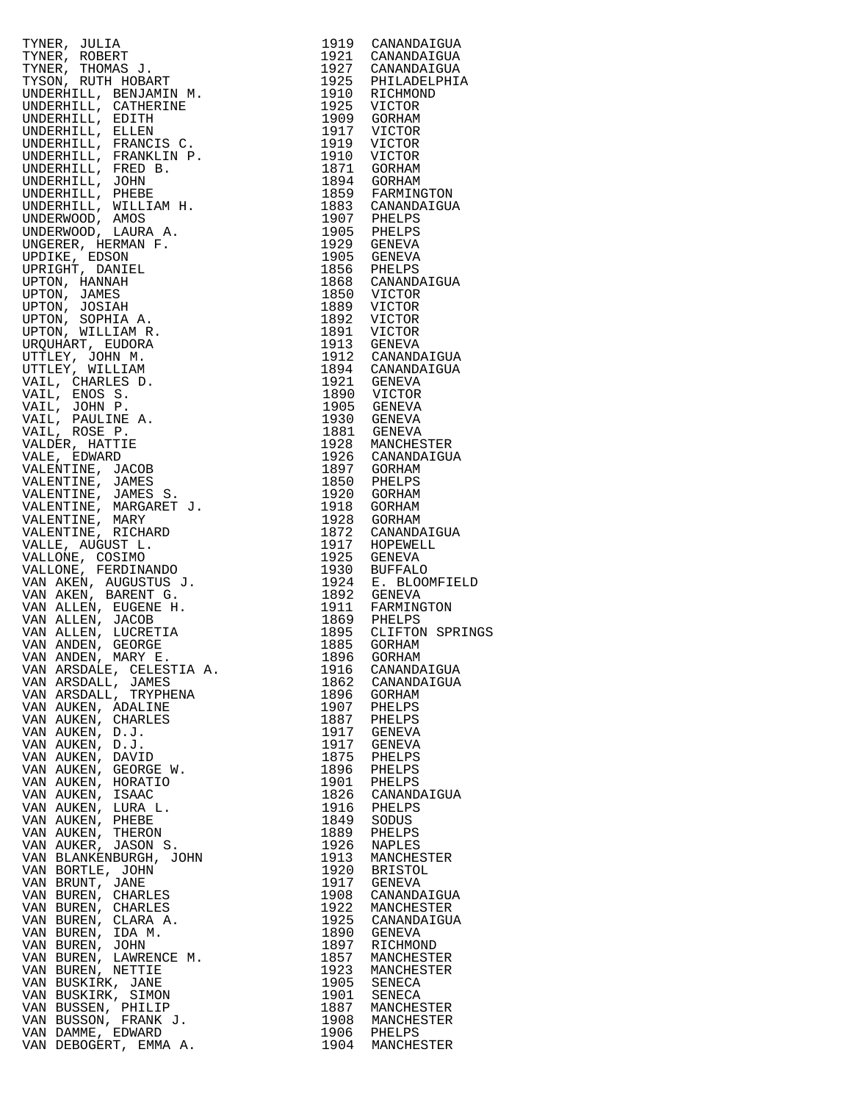| TYNER, JULIA (1915)<br>TYNER, ROBERT (1919)<br>CANANDATGUA<br>TYNER, ROBERT (1920)<br>CANANDATGUA<br>TYNER, ROBERT HOBART (1920)<br>CANANDATGUA<br>UNDERHILL, GENERALMIN M. 1925 PHILLOBERT<br>UNDERHILL, CANANDIN M. 1925 VICTOR<br>UNDERHILL,                 |            |                                |
|-----------------------------------------------------------------------------------------------------------------------------------------------------------------------------------------------------------------------------------------------------------------|------------|--------------------------------|
|                                                                                                                                                                                                                                                                 |            |                                |
|                                                                                                                                                                                                                                                                 |            |                                |
|                                                                                                                                                                                                                                                                 |            |                                |
|                                                                                                                                                                                                                                                                 |            |                                |
|                                                                                                                                                                                                                                                                 |            |                                |
|                                                                                                                                                                                                                                                                 |            |                                |
|                                                                                                                                                                                                                                                                 |            |                                |
|                                                                                                                                                                                                                                                                 |            |                                |
|                                                                                                                                                                                                                                                                 |            |                                |
|                                                                                                                                                                                                                                                                 |            |                                |
|                                                                                                                                                                                                                                                                 |            |                                |
|                                                                                                                                                                                                                                                                 |            |                                |
|                                                                                                                                                                                                                                                                 |            |                                |
|                                                                                                                                                                                                                                                                 |            |                                |
|                                                                                                                                                                                                                                                                 |            |                                |
|                                                                                                                                                                                                                                                                 |            |                                |
|                                                                                                                                                                                                                                                                 |            |                                |
|                                                                                                                                                                                                                                                                 |            |                                |
|                                                                                                                                                                                                                                                                 |            |                                |
|                                                                                                                                                                                                                                                                 |            |                                |
|                                                                                                                                                                                                                                                                 |            |                                |
|                                                                                                                                                                                                                                                                 |            |                                |
|                                                                                                                                                                                                                                                                 |            |                                |
|                                                                                                                                                                                                                                                                 |            |                                |
|                                                                                                                                                                                                                                                                 |            |                                |
|                                                                                                                                                                                                                                                                 |            |                                |
|                                                                                                                                                                                                                                                                 |            |                                |
|                                                                                                                                                                                                                                                                 |            |                                |
|                                                                                                                                                                                                                                                                 |            |                                |
|                                                                                                                                                                                                                                                                 |            |                                |
|                                                                                                                                                                                                                                                                 |            |                                |
|                                                                                                                                                                                                                                                                 |            |                                |
|                                                                                                                                                                                                                                                                 |            |                                |
|                                                                                                                                                                                                                                                                 |            |                                |
|                                                                                                                                                                                                                                                                 |            |                                |
|                                                                                                                                                                                                                                                                 |            |                                |
|                                                                                                                                                                                                                                                                 |            |                                |
|                                                                                                                                                                                                                                                                 |            |                                |
|                                                                                                                                                                                                                                                                 |            |                                |
|                                                                                                                                                                                                                                                                 |            |                                |
|                                                                                                                                                                                                                                                                 |            |                                |
|                                                                                                                                                                                                                                                                 |            |                                |
|                                                                                                                                                                                                                                                                 |            |                                |
|                                                                                                                                                                                                                                                                 |            |                                |
|                                                                                                                                                                                                                                                                 |            |                                |
|                                                                                                                                                                                                                                                                 |            |                                |
|                                                                                                                                                                                                                                                                 |            |                                |
|                                                                                                                                                                                                                                                                 |            |                                |
|                                                                                                                                                                                                                                                                 |            |                                |
|                                                                                                                                                                                                                                                                 |            |                                |
|                                                                                                                                                                                                                                                                 |            |                                |
|                                                                                                                                                                                                                                                                 |            |                                |
|                                                                                                                                                                                                                                                                 |            |                                |
|                                                                                                                                                                                                                                                                 |            |                                |
|                                                                                                                                                                                                                                                                 |            |                                |
|                                                                                                                                                                                                                                                                 |            |                                |
|                                                                                                                                                                                                                                                                 |            |                                |
|                                                                                                                                                                                                                                                                 |            |                                |
|                                                                                                                                                                                                                                                                 |            |                                |
|                                                                                                                                                                                                                                                                 |            |                                |
|                                                                                                                                                                                                                                                                 |            |                                |
| VAN ANDEN, MARY E.                                                                                                                                                                                                                                              |            | 1896 GORHAM                    |
|                                                                                                                                                                                                                                                                 |            | 1916 CANANDAIGUA               |
|                                                                                                                                                                                                                                                                 |            | 1862 CANANDAIGUA               |
|                                                                                                                                                                                                                                                                 |            |                                |
|                                                                                                                                                                                                                                                                 |            | 1896 GORHAM<br>1907 PHELPS     |
|                                                                                                                                                                                                                                                                 |            |                                |
|                                                                                                                                                                                                                                                                 |            | 1887 PHELPS<br>1917 GENEVA     |
|                                                                                                                                                                                                                                                                 |            |                                |
|                                                                                                                                                                                                                                                                 |            |                                |
|                                                                                                                                                                                                                                                                 |            | 1917 GENEVA                    |
|                                                                                                                                                                                                                                                                 |            | 1875 PHELPS                    |
|                                                                                                                                                                                                                                                                 |            |                                |
|                                                                                                                                                                                                                                                                 |            |                                |
|                                                                                                                                                                                                                                                                 |            | 1896 PHELPS<br>1901 PHELPS     |
|                                                                                                                                                                                                                                                                 |            | 1826 CANANDAIGUA               |
|                                                                                                                                                                                                                                                                 |            |                                |
|                                                                                                                                                                                                                                                                 |            | 1916 PHELPS                    |
|                                                                                                                                                                                                                                                                 | 1849 SODUS |                                |
|                                                                                                                                                                                                                                                                 |            | 1889 PHELPS                    |
|                                                                                                                                                                                                                                                                 |            |                                |
|                                                                                                                                                                                                                                                                 |            | 1926 NAPLES                    |
|                                                                                                                                                                                                                                                                 |            | 1913 MANCHESTER                |
|                                                                                                                                                                                                                                                                 |            | 1920 BRISTOL                   |
|                                                                                                                                                                                                                                                                 |            |                                |
|                                                                                                                                                                                                                                                                 |            | 1917 GENEVA                    |
|                                                                                                                                                                                                                                                                 |            | 1908 CANANDAIGUA               |
|                                                                                                                                                                                                                                                                 |            | 1922 MANCHESTER                |
|                                                                                                                                                                                                                                                                 |            |                                |
|                                                                                                                                                                                                                                                                 |            | 1925 CANANDAIGUA               |
|                                                                                                                                                                                                                                                                 |            | 1890 GENEVA                    |
|                                                                                                                                                                                                                                                                 |            | 1897 RICHMOND                  |
|                                                                                                                                                                                                                                                                 |            |                                |
|                                                                                                                                                                                                                                                                 |            | 1857 MANCHESTER                |
|                                                                                                                                                                                                                                                                 |            | 1923 MANCHESTER<br>1905 SENECA |
|                                                                                                                                                                                                                                                                 |            |                                |
|                                                                                                                                                                                                                                                                 |            |                                |
|                                                                                                                                                                                                                                                                 |            | 1901 SENECA                    |
|                                                                                                                                                                                                                                                                 |            | 1887 MANCHESTER                |
|                                                                                                                                                                                                                                                                 |            |                                |
|                                                                                                                                                                                                                                                                 |            | 1908 MANCHESTER                |
|                                                                                                                                                                                                                                                                 |            | 1906 PHELPS                    |
| VAN ALDEN, LUCKEIHA<br>VAN ANDEN, LUCKEIHA<br>VAN ANDEN, GEORGE<br>VAN ARSDALE, CELESTIA A.<br>VAN ARSDALE, CELESTIA A.<br>VAN ARSDALE, TAMES<br>VAN ARSDALE, TRYPHENA<br>VAN AUKEN, CHARLES<br>VAN AUKEN, D.J.<br>VAN AUKEN, D.J.<br>VAN AUKEN, D.J.<br>VAN AU |            | 1904 MANCHESTER                |
|                                                                                                                                                                                                                                                                 |            |                                |

| 1919                 | CANANDAIGUA                        |
|----------------------|------------------------------------|
| 1921<br>1927         | CANANDAIGUA<br>CANANDAIGUA         |
| 1925                 | PHILADELPHIA                       |
| 1910                 | RICHMOND                           |
| 1925                 | VICTOR                             |
| 1909<br>1917         | GORHAM<br>VICTOR                   |
| 1919                 | VICTOR                             |
| 1910                 | VICTOR                             |
| 1871                 | GORHAM                             |
| 1894                 | GORHAM                             |
| 1859<br>1883         | FARMINGTON<br>CANANDAIGUA          |
| 1907                 | PHELPS                             |
| 1905                 | PHELPS                             |
| 1929                 | GENEVA                             |
| 1905<br>1856         | GENEVA                             |
| 1868                 | PHELPS<br>CANANDAIGUA              |
| 1850                 | VICTOR                             |
| 1889                 | VICTOR                             |
| 1892                 | VICTOR                             |
| 1891                 | VICTOR                             |
| 1913<br>1912         | GENEVA<br>CANANDAIGUA              |
| 1894                 | CANANDAIGUA                        |
| 1921                 | GENEVA                             |
| 1890                 | VICTOR                             |
| 1905                 | <b>GENEVA</b>                      |
| 1930<br>1881         | GENEVA<br>GENEVA                   |
| 1928                 | MANCHESTER                         |
| 1926                 | CANANDAIGUA                        |
| 1897                 | GORHAM                             |
| 1850                 | PHELPS                             |
| 1920<br>1918         | GORHAM<br>GORHAM                   |
| 1928                 | GORHAM                             |
| 1872                 | CANANDAIGUA                        |
| 1917                 | HOPEWELL                           |
| 1925                 | GENEVA                             |
| 1930<br>1924         | <b>BUFFALO</b><br>Е.<br>BLOOMFIELD |
| 1892                 | GENEVA                             |
| 1911                 | FARMINGTON                         |
| 1869                 | PHELPS                             |
| 1895                 | CLIFTON<br>SPRING                  |
| 1885<br>1896         | GORHAM<br>GORHAM                   |
| 1916                 | CANANDAIGUA                        |
| 1862                 | CANANDAIGUA                        |
| 1896                 | GORHAM                             |
| 1907                 | PHELPS<br>PHELPS                   |
| 1887<br>1917<br>1917 | GENEVA                             |
|                      | GENEVA                             |
| 1875                 | PHELPS                             |
| 1896                 | PHELPS                             |
| 1901                 | PHELPS                             |
| 1826<br>1916         | CANANDAIGUA<br>PHELPS              |
| 1849                 | SODUS                              |
| 1889                 | PHELPS                             |
| 1926                 | <b>NAPLES</b>                      |
| 1913                 | MANCHESTER                         |
| 1920<br>1917         | <b>BRISTOL</b><br><b>GENEVA</b>    |
| 1908                 | CANANDAIGUA                        |
| 1922                 | MANCHESTER                         |
| 1925<br>1890         | CANANDAIGUA                        |
|                      | GENEVA                             |
| 1897<br>1857         | RICHMOND<br>MANCHESTER             |
| 1923                 | MANCHESTER                         |
| 1905                 | SENECA                             |
| 1901                 | <b>SENECA</b>                      |
| 1887                 | MANCHESTER                         |
| 1908<br>1906         | MANCHESTER<br>PHELPS               |
| 1904                 | MANCHESTER                         |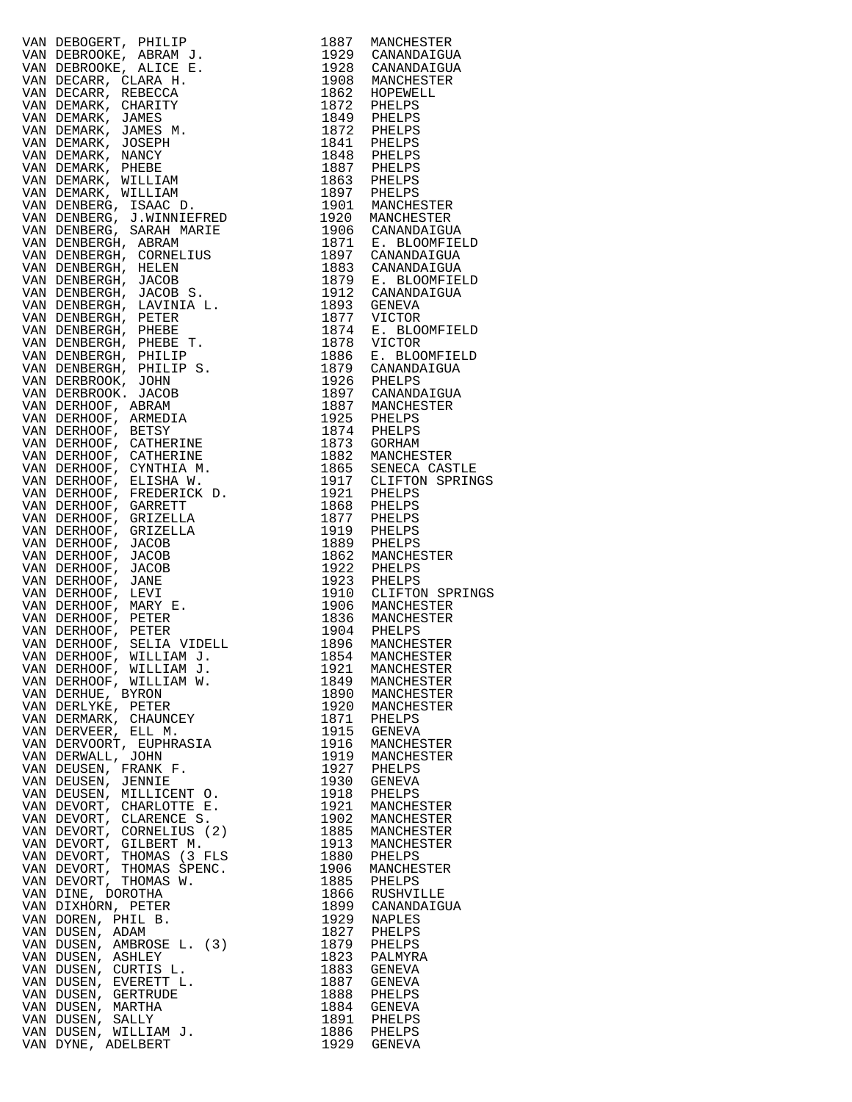| VAN DERIKONE, PRILIP (1913)<br>VAN DERIKONE, PRILIP (1914)<br>VAN DERIKONE, PRILIP (1914)<br>VAN DERIKONE, PRILIP (1914)<br>VAN DERIKONE, PRILIP (1914)<br>VAN DERIKONE, PRILIP (1914)<br>VAN DERIKONE, PRILIP (1914)<br>VAN DERIKONE, PRIL |                                           |
|---------------------------------------------------------------------------------------------------------------------------------------------------------------------------------------------------------------------------------------------|-------------------------------------------|
| VAN DUSEN, WILLIAM J.                                                                                                                                                                                                                       | 1891 PHELPS<br>1886 PHELPS<br>1929 GENEVA |
| VAN DYNE, ADELBERT                                                                                                                                                                                                                          |                                           |

| 1887         | MANCHESTER                        |
|--------------|-----------------------------------|
| 1929<br>1928 | CANANDAIGUA<br>CANANDAIGUA        |
| 1908         | MANCHESTER                        |
| 1862         | HOPEWELL                          |
| 1872         | PHELPS                            |
| 1849<br>1872 | PHELPS<br>PHELPS                  |
| 1841         | PHELPS                            |
| 1848         | PHELPS                            |
| 1887         | PHELPS                            |
| 1863<br>1897 | PHELPS<br>PHELPS                  |
| 1901         | MANCHESTER                        |
| 1920         | MANCHESTER                        |
| 1906         | CANANDAIGUA                       |
| 1871         | E. BLOOMFIELD                     |
| 1897<br>1883 | CANANDAIGUA<br>CANANDAIGUA        |
| 1879         | E. BLOOMFIELD                     |
| 1912         | CANANDAIGUA                       |
| 1893         | GENEVA                            |
| 1877         | VICTOR                            |
| 1874<br>1878 | Е.<br><b>BLOOMFIELD</b><br>VICTOR |
| 1886         | E. BLOOMFIELD                     |
| 1879         | CANANDAIGUA                       |
| 1926         | PHELPS                            |
| 1897         | CANANDAIGUA                       |
| 1887<br>1925 | MANCHESTER<br>PHELPS              |
| 1874         | PHELPS                            |
| 1873         | GORHAM                            |
| 1882         | MANCHESTER                        |
| 1865<br>1917 | SENECA CASTLE<br>CLIFTON SPRINGS  |
| 1921         | PHELPS                            |
| 1868         | PHELPS                            |
| 1877         | PHELPS                            |
| 1919         | PHELPS                            |
| 1889<br>1862 | PHELPS<br>MANCHESTER              |
| 1922         | PHELPS                            |
| 1923         | PHELPS                            |
| 1910         | CLIFTON SPRINGS                   |
| 1906<br>1836 | MANCHESTER<br>MANCHESTER          |
| 1904         | PHELPS                            |
| 1896         | MANCHESTER                        |
| 1854         | MANCHESTER                        |
| 1921<br>1849 | MANCHESTER                        |
| 1890         | MANCHESTER<br>MANCHESTER          |
| 1920         | MANCHESTER                        |
| 1871         | PHELPS                            |
| 1915         | <b>GENEVA</b>                     |
| 1916<br>1919 | MANCHESTER<br>MANCHESTER          |
| 1927         | PHELPS                            |
| 1930         | <b>GENEVA</b>                     |
| 1918         | PHELPS                            |
| 1921<br>1902 | MANCHESTER                        |
| 1885         | MANCHESTER<br>MANCHESTER          |
| 1913         | MANCHESTER                        |
| 1880         | PHELPS                            |
| 1906         | MANCHESTER                        |
| 1885<br>1866 | PHELPS<br>RUSHVILLE               |
| 1899         | CANANDAIGUA                       |
| 1929         | NAPLES                            |
| 1827         | PHELPS                            |
| 1879         | PHELPS                            |
| 1823<br>1883 | PALMYRA<br><b>GENEVA</b>          |
| 1887         | GENEVA                            |
| 1888         | PHELPS                            |
| 1884         | <b>GENEVA</b>                     |
| 1891<br>1886 | PHELPS<br>PHELPS                  |
| 1929         | <b>GENEVA</b>                     |
|              |                                   |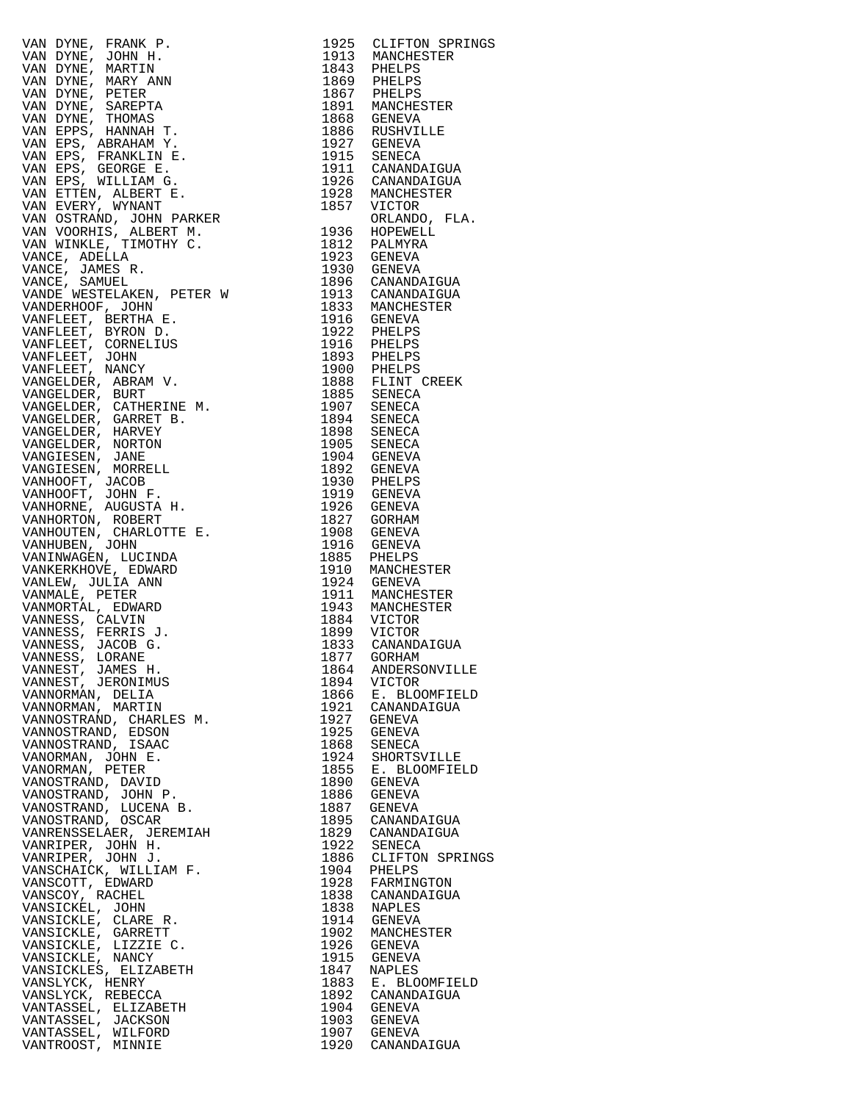VAN DYNE, FRANK P. 1925 CLIFTON SPRINGS VAN DYNE, JOHN H. 1913 MANCHESTER VAN DYNE, MARTIN 1843 PHELPS<br>
VAN DYNE, MARY ANN 1869 PHELPS<br>
VAN DYNE, PETER 1867 PHELPS<br>
1867 PHELPS VAN DYNE, MARY ANN 1869 PHELPS VAN DYNE, PETER 1867 PHELPS VAN DYNE, SAREPTA 1891 MANCHESTER VAN DYNE, THOMAS 1868 GENEVA VAN EPPS, HANNAH T. 1886 RUSHVILLE VAN EPS, ABRAHAM Y. 1927 GENEVA VAN DYNE, PETER<br>
VAN DYNE, SAREPTA 1867 PHELPS<br>
VAN DYNE, THOMAS 1891 MANCHESTER<br>
VAN EPS, HANNAH T. 1886 GENEVA<br>
VAN EPS, ABRAHAM Y. 1927 GENEVA<br>
VAN EPS, FRANKLIN E. 1915 SENECA<br>
VAN EPS, GEORGE E. 1915 SENECA<br>
VAN EPS, VAN EPS, GEORGE E. 1911 CANANDAIGUA VAN EPS, WILLIAM G. 1926 CANANDAIGUA VAN ETTEN, ALBERT E. 1928 MANCHESTER VAN EVERY, WYNANT 1857 VICTOR VAN OSTRAND, JOHN PARKER ORLANDO, FLA. VAN VOORHIS, ALBERT M. 1936 HOPEWELL VAN WINKLE, TIMOTHY C. 1812 PALMYRA VANCE, ADELLA 1923 GENEVA VANCE, JAMES R. 1930 GENEVA VANCE, SAMUEL 1896 CANANDAIGUA VANDE WESTELAKEN, PETER W 1913 CANANDAIGUA VANDERHOOF, JOHN 1833 MANCHESTER VANFLEET, BERTHA E. 1916 GENEVA VANFLEET, BYRON D. 1922 PHELPS VANFLEET, CORNELIUS 1916 PHELPS VANFLEET, JOHN 1893 PHELPS VANFLEET, NANCY 1900 PHELPS VANGELDER, ABRAM V. 1888 FLINT CREEK VANGELDER, BURT 1885 SENECA VANGELDER, CATHERINE M. 1907 SENECA VANGELDER, GARRET B. 1894 SENECA VANGELDER, HARVEY 1898 SENECA VANGELDER, NORTON 1905 SENECA VANGIESEN, JANE 1904 GENEVA VANGIESEN, MORRELL 1892 GENEVA VANHOOFT, JACOB 1930 PHELPS VANHOOFT, JOHN F. 1919 GENEVA VANHORNE, AUGUSTA H. 1926 GENEVA VANHORTON, ROBERT 1827 GORHAM VANHOUTEN, CHARLOTTE E. 1908 GENEVA VANHUBEN, JOHN 1916 GENEVA VANINWAGEN, LUCINDA 1885 PHELPS VANKERKHOVE, EDWARD 1910 MANCHESTER VANLEW, JULIA ANN 1924 GENEVA VANMALE, PETER 1911 MANCHESTER VANMORTAL, EDWARD 1943 MANCHESTER VANNESS, CALVIN 1884 VICTOR VANNESS, FERRIS J. 1899 VICTOR VANNESS, JACOB G. 1833 CANANDAIGUA VANNESS, LORANE 1877 GORHAM VANNEST, JAMES H. 1864 ANDERSONVILLE VANNEST, JERONIMUS 1894 VICTOR VANNORMAN, DELIA 1866 E. BLOOMFIELD VANNORMAN, MARTIN 1921 CANANDAIGUA VANNOSTRAND, CHARLES M. 1927 GENEVA VANNOSTRAND, EDSON 1925 GENEVA VANNOSTRAND, ISAAC 1868 SENECA VANORMAN, JOHN E. 1924 SHORTSVILLE VANORMAN, PETER 1855 E. BLOOMFIELD VANOSTRAND, DAVID 1890 GENEVA VANOSTRAND, JOHN P. 1886 GENEVA VANOSTRAND, LUCENA B. 1887 GENEVA VANOSTRAND, OSCAR 1895 CANANDAIGUA VANRENSSELAER, JEREMIAH 1829 CANANDAIGUA VANRIPER, JOHN H. 1922 SENECA VANRIPER, JOHN J. 1886 CLIFTON SPRINGS VANSCHAICK, WILLIAM F. 1904 PHELPS VANSCOTT, EDWARD 1928 FARMINGTON VANSCOY, RACHEL 1838 CANANDAIGUA VANSICKEL, JOHN 1838 NAPLES VANSICKLE, CLARE R. 1914 GENEVA VANSICKLE, GARRETT 1902 MANCHESTER VANSICKLE, LIZZIE C. 1926 GENEVA VANSICKLE, NANCY 1915 GENEVA VANSICKLES, ELIZABETH 1847 NAPLES VANSLYCK, HENRY 1883 E. BLOOMFIELD VANSLYCK, REBECCA 1892 CANANDAIGUA VANTASSEL, ELIZABETH 1904 GENEVA VANTASSEL, JACKSON 1903 GENEVA VANTASSEL, WILFORD 1907 GENEVA VANTROOST, MINNIE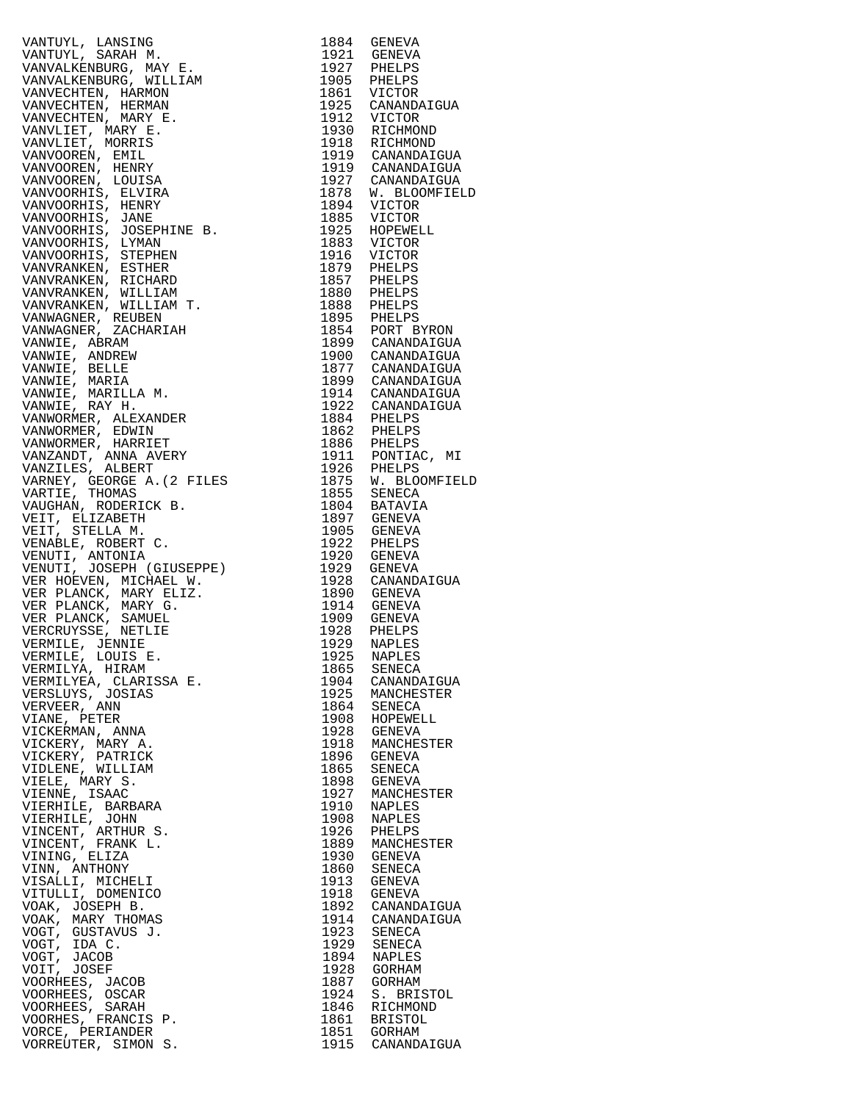VANTUYL, LANSING 1884 GENEVA VANVALKENBURG, MAY E.<br>VANVALKENBURG, WILLIAM VANVALKENBURG, WILLIAM 1905 PHELPS VANVECHTEN, HARMON 1861 VICTOR VANVECHTEN, HERMAN 1925 CANANDAIGUA VANVECHTEN, MARY E. 1912 VICTOR VANVLIET, MARY E. 1930 RICHMOND VANVLIET, MORRIS 1918 RICHMOND VANVOOREN, EMIL 1919 CANANDAIGUA VANVOOREN, HENRY 1919 CANANDAIGUA VANVOOREN, LOUISA 1927 CANANDAIGUA VANVOORHIS, ELVIRA 1878 W. BLOOMFIELD VANVOORHIS, HENRY 1894 VICTOR VANVOORHIS, JANE 1885 VICTOR VANVOORHIS, JOSEPHINE B. 1925 HOPEWELL VANVOORHIS, LYMAN 1883 VICTOR VANVOORHIS, STEPHEN 1916 VICTOR VANVRANKEN, ESTHER 1879 PHELPS VANVRANKEN, RICHARD 1857 PHELPS VANVRANKEN, WILLIAM 1880 PHELPS VANVRANKEN, WILLIAM T. 1888 PHELPS VANWAGNER, REUBEN 1895 PHELPS VANWAGNER, ZACHARIAH 1854 PORT BYRON VANWIE, ABRAM 1899 CANANDAIGUA VANWIE, ANDREW 1900 CANANDAIGUA VANWIE, BELLE 1877 CANANDAIGUA VANWIE, MARIA 1899 CANANDAIGUA VANWIE, MARILLA M. 1914 CANANDAIGUA VANWIE, RAY H. 1922 CANANDAIGUA VANWORMER, ALEXANDER 1884 PHELPS VANWORMER, EDWIN 1862 PHELPS VANWORMER, HARRIET 1886 PHELPS VANZANDT, ANNA AVERY 1911 PONTIAC, MI VANZILES, ALBERT 1926 PHELPS VARNEY, GEORGE A.(2 FILES 1875 W. BLOOMFIELD VARTIE, THOMAS 1855 SENECA VAUGHAN, RODERICK B. 1804 BATAVIA VEIT, ELIZABETH 1897 GENEVA VEIT, STELLA M. 1905 GENEVA VENABLE, ROBERT C. 1922 PHELPS VENUTI, ANTONIA 1920 GENEVA VENUTI, JOSEPH (GIUSEPPE) 1929 GENEVA VER HOEVEN, MICHAEL W. 1928 CANANDAIGUA VER PLANCK, MARY ELIZ. 1890 GENEVA VER PLANCK, MARY G. 1914 GENEVA VER PLANCK, SAMUEL 1909 GENEVA VERCRUYSSE, NETLIE 1928 PHELPS VERMILE, JENNIE 1929 NAPLES VERMILE, LOUIS E. 1925 NAPLES VER PLANCK, MARY G.<br>
VER PLANCK, SAMUEL<br>
VERCRUYSSE, NETLIE 1928 PHELPS<br>
VERCRUYSSE, NETLIE 1928 PHELPS<br>
VERMILE, JENNIE 1929 NAPLES<br>
VERMILYA, HIRAM 1865 SENECA<br>
VERMILYA, HIRAM 1865 SENECA<br>
VERSLUYS, JOSIAS 1925 MANCHEST VERMILITA, HIRAM<br>VERMILYEA, CLARISSA E.<br>VERSIJIVS JOSTAS VERSLUYS, JOSIAS 1925 MANCHESTER VERVEER, ANN 1864 SENECA VIANE, PETER 1908 HOPEWELL VICKERMAN, ANNA 1928 GENEVA VICKERY, MARY A. 1918 MANCHESTER VICKERY, MARY A.<br>VICKERY, PATRICK<br>VIDLENE, WILLIAM VIDLENE, WILLIAM 1865 SENECA VIELE, MARY S. 1898 GENEVA VIENNE, ISAAC 1927 MANCHESTER VIERHILE, BARBARA 1910 NAPLES VIERHILE, JOHN 1908 NAPLES VINCENT, ARTHUR S. 1926 PHELPS VINCENT, FRANK L. 1889 MANCHESTER VINCENT, ARTHUR S.<br>
VINCENT, FRANK L.<br>
VINCENT, FRANK L.<br>
VINING, ELIZA 1930 GENEVA<br>
VININ, ANTHONY 1860 SENECA VINN, ANTHONY 1860 SENECA VISALLI, MICHELI<br>VITULLI, DOMENICO VITULLI, DOMENICO 1918 GENEVA VOAK, JOSEPH B. 1892 CANANDAIGUA VOAK, MARY THOMAS 1914 CANANDAIGUA VOGT, GUSTAVUS J. 1923 SENECA VOGT, IDA C. 1929 SENECA VOGT, JACOB 1894 NAPLES VOIT, JOSEF 1928 GORHAM VOORHEES, JACOB 1887 GORHAM<br>
VOORHEES, OSCAR 1924 S. BRISTOL<br>
VOORHEES, SARAH 1846 RICHMOND<br>
VOORHES, FRANCIS P. 1861 BRISTOL VOORHEES, OSCAR 1924 S. BRISTOL VOORHEES, SARAH 1846 RICHMOND VOORHES, FRANCIS P. 1861 BRISTOL VORCE, PERIANDER 1851 GORHAM VORREUTER, SIMON S.

1921 GENEVA<br>1927 PHELPS<br>1905 PHELPS<br>1861 VICTOR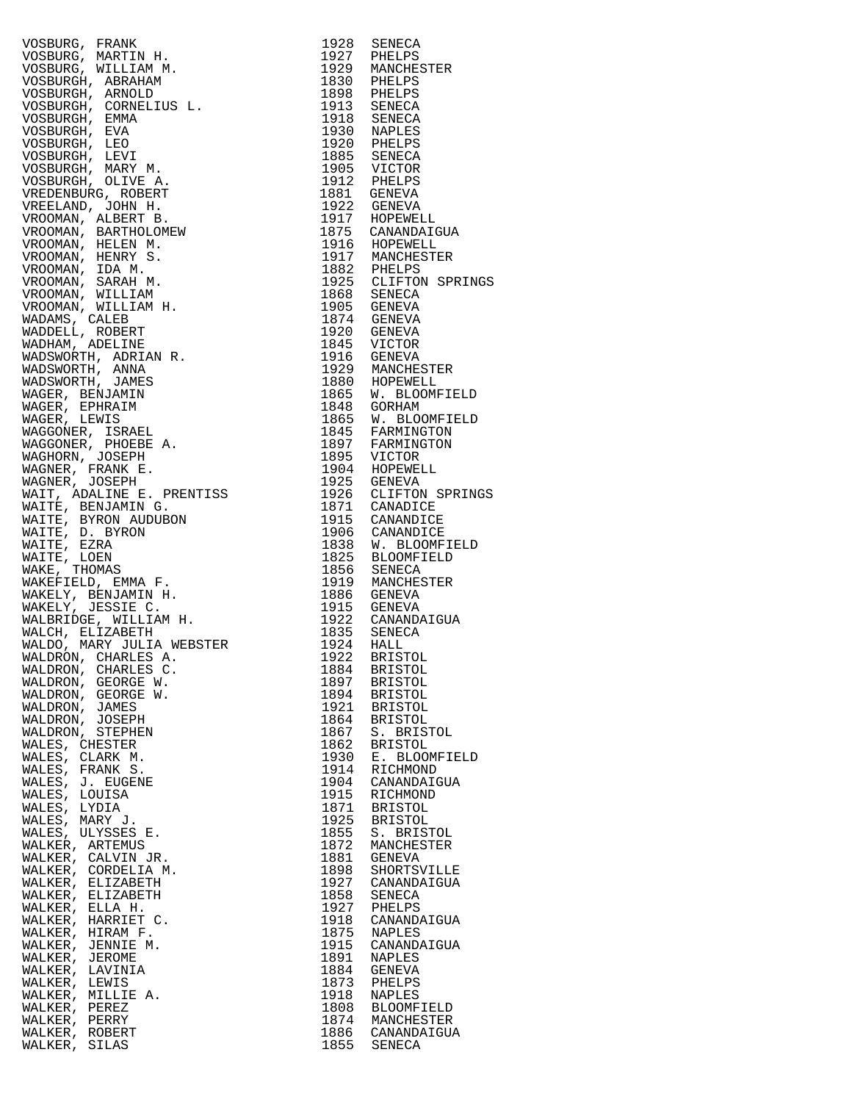| WALDRON, CHARLES C.<br>WALDRON, GEORGE W.                                                                                                                                                                                                                      | 1884<br>1897 | <b>BRISTOL</b><br><b>BRISTOL</b> |
|----------------------------------------------------------------------------------------------------------------------------------------------------------------------------------------------------------------------------------------------------------------|--------------|----------------------------------|
| WALDRON, GEORGE W.                                                                                                                                                                                                                                             | 1894         | <b>BRISTOL</b>                   |
| VOSBURG, FRANK M. 1992 SENECA<br>VOSBURG, MARTIN H. 1992 SENECA<br>VOSBURG, MARTIN H. 1997 PHELPS<br>VOSBURGH, ARNOLD<br>VOSBURGH, GRNADIN<br>VOSBURGH, ENNA M. 1997 PHELPS<br>VOSBURGH, ENNA M. 1997 PHELPS<br>VOSBURGH, ENNA M. 1997 PHELP<br>WALDRON, JAMES | 1921         | <b>BRISTOL</b>                   |
| WALDRON, JOSEPH                                                                                                                                                                                                                                                | 1864         | <b>BRISTOL</b>                   |
| WALDRON, STEPHEN                                                                                                                                                                                                                                               | 1867         | S. BRISTOL                       |
| WALES, CHESTER                                                                                                                                                                                                                                                 | 1862         | <b>BRISTOL</b>                   |
| WALES, CLARK M.                                                                                                                                                                                                                                                | 1930         | E. BLOOMFIELD                    |
| WALES, FRANK S.                                                                                                                                                                                                                                                | 1914         | RICHMOND                         |
| WALES, J. EUGENE                                                                                                                                                                                                                                               | 1904         | CANANDAIGUA                      |
| WALES, LOUISA                                                                                                                                                                                                                                                  | 1915         | RICHMOND                         |
| WALES, LYDIA                                                                                                                                                                                                                                                   | 1871<br>1925 | <b>BRISTOL</b>                   |
| WALES, MARY J.<br>WALES, ULYSSES E.                                                                                                                                                                                                                            | 1855         | <b>BRISTOL</b><br>S. BRISTOL     |
| WALKER, ARTEMUS                                                                                                                                                                                                                                                | 1872         | MANCHESTER                       |
| WALKER, CALVIN JR.                                                                                                                                                                                                                                             | 1881         | GENEVA                           |
| WALKER, CORDELIA M.                                                                                                                                                                                                                                            | 1898         | SHORTSVILLE                      |
| WALKER, ELIZABETH                                                                                                                                                                                                                                              | 1927         | CANANDAIGUA                      |
| WALKER, ELIZABETH                                                                                                                                                                                                                                              | 1858         | SENECA                           |
| WALKER, ELLA H.                                                                                                                                                                                                                                                | 1927         | PHELPS                           |
| WALKER, HARRIET C.                                                                                                                                                                                                                                             | 1918         | CANANDAIGUA                      |
| WALKER, HIRAM F.                                                                                                                                                                                                                                               | 1875<br>1915 | NAPLES                           |
| WALKER, JENNIE M.<br>WALKER, JEROME                                                                                                                                                                                                                            | 1891         | CANANDAIGUA<br>NAPLES            |
| WALKER, LAVINIA                                                                                                                                                                                                                                                | 1884         | GENEVA                           |
| WALKER, LEWIS                                                                                                                                                                                                                                                  | 1873         | PHELPS                           |
| WALKER, MILLIE A.                                                                                                                                                                                                                                              | 1918         | NAPLES                           |
| WALKER, PEREZ                                                                                                                                                                                                                                                  | 1808         | <b>BLOOMFIELD</b>                |
| WALKER, PERRY<br>WALKER, ROBERT                                                                                                                                                                                                                                | 1874<br>1886 | MANCHESTER<br>CANANDAIGUA        |

| VOSBURG, FRANK MANUSIK (1923 SENEGRA 1927 SHERICA 1928 SENEGRA WILLIAM MANUSIK (NEW 1927 PHELIPS VOSBURGH, ARRAHIM MANUSIK (1928 PHELIPS VOSBURGH, ARRAHIM (1928 PHELIPS VOSBURGH, CHANGELIUS L. 1930 SARMACHINES (1938 SENEG |      |                                                                         |
|-------------------------------------------------------------------------------------------------------------------------------------------------------------------------------------------------------------------------------|------|-------------------------------------------------------------------------|
|                                                                                                                                                                                                                               |      |                                                                         |
|                                                                                                                                                                                                                               |      |                                                                         |
|                                                                                                                                                                                                                               |      |                                                                         |
|                                                                                                                                                                                                                               |      |                                                                         |
|                                                                                                                                                                                                                               |      |                                                                         |
|                                                                                                                                                                                                                               |      |                                                                         |
|                                                                                                                                                                                                                               |      |                                                                         |
|                                                                                                                                                                                                                               |      |                                                                         |
|                                                                                                                                                                                                                               |      |                                                                         |
|                                                                                                                                                                                                                               |      |                                                                         |
|                                                                                                                                                                                                                               |      |                                                                         |
|                                                                                                                                                                                                                               |      |                                                                         |
|                                                                                                                                                                                                                               |      |                                                                         |
|                                                                                                                                                                                                                               |      |                                                                         |
|                                                                                                                                                                                                                               |      | 1917 HOPEWELL<br>1917 HOPEWELL<br>1875 CANANDAIGUA                      |
|                                                                                                                                                                                                                               |      |                                                                         |
|                                                                                                                                                                                                                               |      |                                                                         |
|                                                                                                                                                                                                                               |      |                                                                         |
|                                                                                                                                                                                                                               |      | 1882 PHELPS<br>1925 CLIFTON SPRINGS                                     |
|                                                                                                                                                                                                                               |      |                                                                         |
|                                                                                                                                                                                                                               |      |                                                                         |
|                                                                                                                                                                                                                               |      |                                                                         |
|                                                                                                                                                                                                                               |      |                                                                         |
|                                                                                                                                                                                                                               |      |                                                                         |
|                                                                                                                                                                                                                               |      |                                                                         |
|                                                                                                                                                                                                                               |      |                                                                         |
|                                                                                                                                                                                                                               |      |                                                                         |
|                                                                                                                                                                                                                               |      |                                                                         |
|                                                                                                                                                                                                                               |      | 1865 W. BLOOMFIELD<br>1848 GORHAM                                       |
|                                                                                                                                                                                                                               |      |                                                                         |
|                                                                                                                                                                                                                               |      |                                                                         |
|                                                                                                                                                                                                                               |      | 1865 W. BLOOMFIELD<br>1845 FARMINGTON<br>1897 FARMINGTON<br>1895 VICTOR |
|                                                                                                                                                                                                                               |      |                                                                         |
|                                                                                                                                                                                                                               |      |                                                                         |
|                                                                                                                                                                                                                               |      |                                                                         |
|                                                                                                                                                                                                                               |      |                                                                         |
|                                                                                                                                                                                                                               |      | 1926 CLIFTON SPRINGS<br>1871 CANADICE                                   |
|                                                                                                                                                                                                                               |      |                                                                         |
|                                                                                                                                                                                                                               |      |                                                                         |
|                                                                                                                                                                                                                               |      |                                                                         |
|                                                                                                                                                                                                                               |      | 1838 W. BLOOMFIELD<br>1825 BLOOMFIELD                                   |
|                                                                                                                                                                                                                               |      |                                                                         |
|                                                                                                                                                                                                                               |      |                                                                         |
|                                                                                                                                                                                                                               |      |                                                                         |
|                                                                                                                                                                                                                               |      |                                                                         |
|                                                                                                                                                                                                                               |      |                                                                         |
|                                                                                                                                                                                                                               |      |                                                                         |
|                                                                                                                                                                                                                               |      |                                                                         |
|                                                                                                                                                                                                                               |      |                                                                         |
|                                                                                                                                                                                                                               |      |                                                                         |
| WALDRON, CHARLES C.                                                                                                                                                                                                           | 1884 | BRISTOL                                                                 |
| WALDRON, GEORGE W.                                                                                                                                                                                                            |      | 1897 BRISTOL                                                            |
| WALDRON, GEORGE W.                                                                                                                                                                                                            | 1894 | BRISTOL                                                                 |
| WALDRON, JAMES                                                                                                                                                                                                                |      | 1921 BRISTOL                                                            |
| WALDRON, JOSEPH                                                                                                                                                                                                               | 1864 | <b>BRISTOL</b>                                                          |
| WALDRON, STEPHEN                                                                                                                                                                                                              | 1867 | S. BRISTOL                                                              |
| WALES, CHESTER                                                                                                                                                                                                                | 1862 | <b>BRISTOL</b>                                                          |
| WALES, CLARK M.                                                                                                                                                                                                               | 1930 | E. BLOOMFIELD                                                           |
| WALES, FRANK S.                                                                                                                                                                                                               | 1914 | RICHMOND                                                                |
| WALES, J. EUGENE                                                                                                                                                                                                              | 1904 | CANANDAIGUA                                                             |
| WALES, LOUISA                                                                                                                                                                                                                 | 1915 | RICHMOND                                                                |
| WALES, LYDIA                                                                                                                                                                                                                  | 1871 | BRISTOL                                                                 |
| WALES, MARY J.                                                                                                                                                                                                                | 1925 | <b>BRISTOL</b>                                                          |
| WALES, ULYSSES E.                                                                                                                                                                                                             | 1855 | S. BRISTOL                                                              |
| WALKER, ARTEMUS                                                                                                                                                                                                               | 1872 | MANCHESTER                                                              |
| WALKER, CALVIN JR.                                                                                                                                                                                                            | 1881 | GENEVA                                                                  |
| WALKER, CORDELIA M.                                                                                                                                                                                                           | 1898 | SHORTSVILLE                                                             |
| WALKER, ELIZABETH                                                                                                                                                                                                             | 1927 | CANANDAIGUA                                                             |
| WALKER, ELIZABETH                                                                                                                                                                                                             | 1858 | SENECA                                                                  |
| WALKER, ELLA H.                                                                                                                                                                                                               | 1927 | PHELPS                                                                  |
| WALKER, HARRIET C.                                                                                                                                                                                                            | 1918 | CANANDAIGUA                                                             |
| WALKER, HIRAM F.                                                                                                                                                                                                              | 1875 | NAPLES                                                                  |
| WALKER, JENNIE M.                                                                                                                                                                                                             | 1915 | CANANDAIGUA                                                             |
| WALKER, JEROME                                                                                                                                                                                                                | 1891 | NAPLES                                                                  |
| WALKER, LAVINIA                                                                                                                                                                                                               | 1884 | GENEVA                                                                  |
| WALKER, LEWIS                                                                                                                                                                                                                 | 1873 | PHELPS                                                                  |
| WALKER, MILLIE A.                                                                                                                                                                                                             | 1918 | NAPLES                                                                  |
| WALKER, PEREZ                                                                                                                                                                                                                 | 1808 | BLOOMFIELD                                                              |
| WALKER, PERRY                                                                                                                                                                                                                 |      |                                                                         |
|                                                                                                                                                                                                                               | 1874 | MANCHESTER                                                              |
| WALKER, ROBERT<br>WALKER, SILAS                                                                                                                                                                                               | 1855 | 1886 CANANDAIGUA<br>SENECA                                              |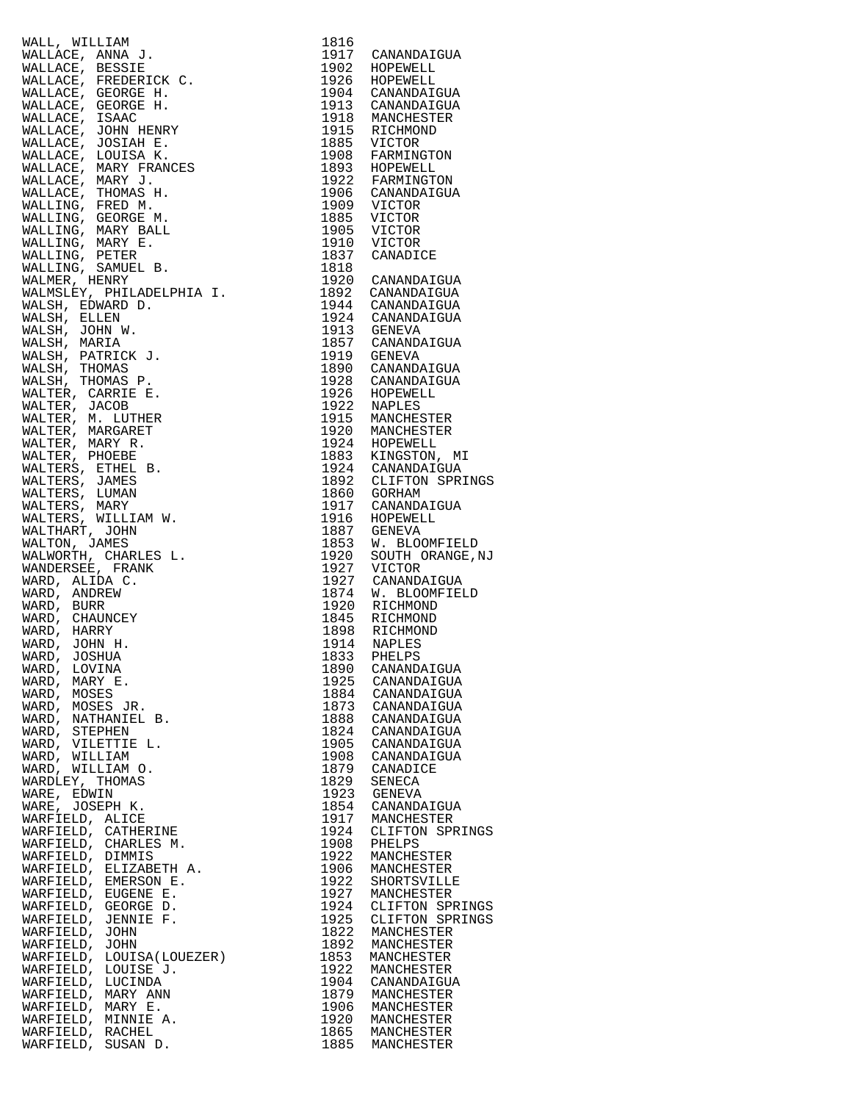| WALL, WILLIAM<br>$[1917 \quad \mathtt{CANANUATION}\ 1902 \quad \mathtt{HOPENELL}\ 1904 \quad \mathtt{CONB\text{MLI}} \quad \mathtt{1904} \quad \mathtt{RODENELL}\ 1904 \quad \mathtt{CANANIDATION}\ 1913 \quad \mathtt{CANANDATION}\ 1913 \quad \mathtt{CANONINDATION}\ 1915 \quad \mathtt{RICHMOND}\ 1985 \quad \mathtt{VICTOR}\ 1986 \quad \mathtt{VATMISTOR}\ 1989 \quad \mathtt{FARMINGTON}\ 1996 \quad \mathtt{VRTOR}\ 1992 \quad \mathtt{PRRMINGTON$ | 1816         |                                                                                                                               |
|------------------------------------------------------------------------------------------------------------------------------------------------------------------------------------------------------------------------------------------------------------------------------------------------------------------------------------------------------------------------------------------------------------------------------------------------------------|--------------|-------------------------------------------------------------------------------------------------------------------------------|
| WALLACE, ANNA J.                                                                                                                                                                                                                                                                                                                                                                                                                                           |              |                                                                                                                               |
| WALLACE, BESSIE                                                                                                                                                                                                                                                                                                                                                                                                                                            |              |                                                                                                                               |
| WALLACE, FREDERICK C.                                                                                                                                                                                                                                                                                                                                                                                                                                      |              |                                                                                                                               |
| WALLACE, GEORGE H.                                                                                                                                                                                                                                                                                                                                                                                                                                         |              |                                                                                                                               |
| WALLACE, GEORGE H.                                                                                                                                                                                                                                                                                                                                                                                                                                         |              |                                                                                                                               |
| WALLACE, ISAAC                                                                                                                                                                                                                                                                                                                                                                                                                                             |              |                                                                                                                               |
| WALLACE, JOHN HENRY                                                                                                                                                                                                                                                                                                                                                                                                                                        |              |                                                                                                                               |
| WALLACE, JOSIAH E.<br>WALLACE, LOUISA K.                                                                                                                                                                                                                                                                                                                                                                                                                   |              |                                                                                                                               |
| WALLACE, MARY FRANCES                                                                                                                                                                                                                                                                                                                                                                                                                                      |              |                                                                                                                               |
| WALLACE, MARY J.                                                                                                                                                                                                                                                                                                                                                                                                                                           |              |                                                                                                                               |
| WALLACE, THOMAS H.                                                                                                                                                                                                                                                                                                                                                                                                                                         |              |                                                                                                                               |
| WALLING, FRED M.                                                                                                                                                                                                                                                                                                                                                                                                                                           |              |                                                                                                                               |
| WALLING, GEORGE M.                                                                                                                                                                                                                                                                                                                                                                                                                                         |              |                                                                                                                               |
| WALLING, MARY BALL                                                                                                                                                                                                                                                                                                                                                                                                                                         |              |                                                                                                                               |
| WALLING, MARY E.                                                                                                                                                                                                                                                                                                                                                                                                                                           |              |                                                                                                                               |
| WALLING, PETER                                                                                                                                                                                                                                                                                                                                                                                                                                             |              |                                                                                                                               |
| WALLING, SAMUEL B.                                                                                                                                                                                                                                                                                                                                                                                                                                         |              |                                                                                                                               |
| WALMER, HENRY                                                                                                                                                                                                                                                                                                                                                                                                                                              |              |                                                                                                                               |
| WALMSLEY, PHILADELPHIA I.                                                                                                                                                                                                                                                                                                                                                                                                                                  |              |                                                                                                                               |
| WALSH, EDWARD D.                                                                                                                                                                                                                                                                                                                                                                                                                                           |              |                                                                                                                               |
| WALSH, ELLEN                                                                                                                                                                                                                                                                                                                                                                                                                                               |              |                                                                                                                               |
| WALSH, JOHN W.                                                                                                                                                                                                                                                                                                                                                                                                                                             |              |                                                                                                                               |
| WALSH, MARIA                                                                                                                                                                                                                                                                                                                                                                                                                                               |              |                                                                                                                               |
| WALSH, PATRICK J.<br>WALSH, THOMAS                                                                                                                                                                                                                                                                                                                                                                                                                         |              |                                                                                                                               |
| WALSH, THOMAS P.                                                                                                                                                                                                                                                                                                                                                                                                                                           |              |                                                                                                                               |
| WALTER, CARRIE E.                                                                                                                                                                                                                                                                                                                                                                                                                                          |              |                                                                                                                               |
| WALTER, JACOB                                                                                                                                                                                                                                                                                                                                                                                                                                              |              |                                                                                                                               |
| WALTER, M. LUTHER                                                                                                                                                                                                                                                                                                                                                                                                                                          |              |                                                                                                                               |
| WALTER, MARGARET                                                                                                                                                                                                                                                                                                                                                                                                                                           |              |                                                                                                                               |
| WALTER, MARY R.                                                                                                                                                                                                                                                                                                                                                                                                                                            |              |                                                                                                                               |
| WALTER, PHOEBE                                                                                                                                                                                                                                                                                                                                                                                                                                             |              |                                                                                                                               |
| WALTERS, ETHEL B.                                                                                                                                                                                                                                                                                                                                                                                                                                          |              |                                                                                                                               |
| WALTERS, JAMES                                                                                                                                                                                                                                                                                                                                                                                                                                             |              | 1892 CLIFTON SPRINGS<br>1860 GORHAM                                                                                           |
| WALTERS, LUMAN                                                                                                                                                                                                                                                                                                                                                                                                                                             |              |                                                                                                                               |
| WALTERS, MARY                                                                                                                                                                                                                                                                                                                                                                                                                                              |              |                                                                                                                               |
| WALTERS, WILLIAM W.                                                                                                                                                                                                                                                                                                                                                                                                                                        |              |                                                                                                                               |
| WALTHART, JOHN                                                                                                                                                                                                                                                                                                                                                                                                                                             |              | 1900 GORMAN<br>1917 CANANDAIGUA<br>1916 HOPEWELL<br>1887 GENEVA<br>1853 W. BLOOMFIELD<br>1920 SOUTH ORANGE, NJ<br>1927 VICTOR |
| WALTON, JAMES                                                                                                                                                                                                                                                                                                                                                                                                                                              |              |                                                                                                                               |
| WALWORTH, CHARLES L.<br>WANDERSEE, FRANK                                                                                                                                                                                                                                                                                                                                                                                                                   |              |                                                                                                                               |
|                                                                                                                                                                                                                                                                                                                                                                                                                                                            |              |                                                                                                                               |
| WARD, ALIDA C.<br>WARD, ANDREW                                                                                                                                                                                                                                                                                                                                                                                                                             |              |                                                                                                                               |
| WARD, BURR                                                                                                                                                                                                                                                                                                                                                                                                                                                 |              |                                                                                                                               |
| WARD, CHAUNCEY                                                                                                                                                                                                                                                                                                                                                                                                                                             |              |                                                                                                                               |
| WARD, HARRY                                                                                                                                                                                                                                                                                                                                                                                                                                                |              |                                                                                                                               |
| WARD, JOHN H.                                                                                                                                                                                                                                                                                                                                                                                                                                              |              |                                                                                                                               |
| WARD, JOSHUA                                                                                                                                                                                                                                                                                                                                                                                                                                               | 1833         | PHELPS                                                                                                                        |
| WARD, LOVINA                                                                                                                                                                                                                                                                                                                                                                                                                                               | 1890         | CANANDAIGUA                                                                                                                   |
| WARD, MARY E.                                                                                                                                                                                                                                                                                                                                                                                                                                              | 1925         | CANANDAIGUA                                                                                                                   |
| WARD, MOSES                                                                                                                                                                                                                                                                                                                                                                                                                                                | 1884         | CANANDAIGUA                                                                                                                   |
| WARD, MOSES JR.                                                                                                                                                                                                                                                                                                                                                                                                                                            | 1873         | CANANDAIGUA                                                                                                                   |
| WARD, NATHANIEL B.                                                                                                                                                                                                                                                                                                                                                                                                                                         | 1888         | CANANDAIGUA                                                                                                                   |
| WARD, STEPHEN                                                                                                                                                                                                                                                                                                                                                                                                                                              | 1824         | CANANDAIGUA                                                                                                                   |
| WARD, VILETTIE L.                                                                                                                                                                                                                                                                                                                                                                                                                                          | 1905         | CANANDAIGUA                                                                                                                   |
| WARD, WILLIAM                                                                                                                                                                                                                                                                                                                                                                                                                                              | 1908         | CANANDAIGUA                                                                                                                   |
| WARD, WILLIAM O.                                                                                                                                                                                                                                                                                                                                                                                                                                           | 1879         | CANADICE                                                                                                                      |
| WARDLEY, THOMAS                                                                                                                                                                                                                                                                                                                                                                                                                                            | 1829         | SENECA                                                                                                                        |
| WARE, EDWIN<br>WARE, JOSEPH K.                                                                                                                                                                                                                                                                                                                                                                                                                             | 1923<br>1854 | GENEVA<br>CANANDAIGUA                                                                                                         |
| WARFIELD, ALICE                                                                                                                                                                                                                                                                                                                                                                                                                                            | 1917         | MANCHESTER                                                                                                                    |
| WARFIELD, CATHERINE                                                                                                                                                                                                                                                                                                                                                                                                                                        | 1924         | CLIFTON SPRINGS                                                                                                               |
| WARFIELD, CHARLES M.                                                                                                                                                                                                                                                                                                                                                                                                                                       | 1908         | PHELPS                                                                                                                        |
| WARFIELD, DIMMIS                                                                                                                                                                                                                                                                                                                                                                                                                                           | 1922         | MANCHESTER                                                                                                                    |
| WARFIELD, ELIZABETH A.                                                                                                                                                                                                                                                                                                                                                                                                                                     | 1906         | MANCHESTER                                                                                                                    |
| WARFIELD, EMERSON E.                                                                                                                                                                                                                                                                                                                                                                                                                                       | 1922         | SHORTSVILLE                                                                                                                   |
| WARFIELD, EUGENE E.                                                                                                                                                                                                                                                                                                                                                                                                                                        | 1927         | MANCHESTER                                                                                                                    |
| WARFIELD, GEORGE D.                                                                                                                                                                                                                                                                                                                                                                                                                                        | 1924         | CLIFTON SPRINGS                                                                                                               |
| WARFIELD, JENNIE F.                                                                                                                                                                                                                                                                                                                                                                                                                                        | 1925         | CLIFTON SPRINGS                                                                                                               |
| WARFIELD, JOHN                                                                                                                                                                                                                                                                                                                                                                                                                                             | 1822         | MANCHESTER                                                                                                                    |
| WARFIELD, JOHN                                                                                                                                                                                                                                                                                                                                                                                                                                             | 1892         | MANCHESTER                                                                                                                    |
| WARFIELD, LOUISA(LOUEZER)                                                                                                                                                                                                                                                                                                                                                                                                                                  | 1853         | MANCHESTER                                                                                                                    |
| WARFIELD, LOUISE J.                                                                                                                                                                                                                                                                                                                                                                                                                                        | 1922         | MANCHESTER                                                                                                                    |
| WARFIELD, LUCINDA                                                                                                                                                                                                                                                                                                                                                                                                                                          | 1904         | CANANDAIGUA                                                                                                                   |
| WARFIELD, MARY ANN                                                                                                                                                                                                                                                                                                                                                                                                                                         | 1879         | MANCHESTER                                                                                                                    |
| WARFIELD, MARY E.<br>WARFIELD, MINNIE A.                                                                                                                                                                                                                                                                                                                                                                                                                   | 1906<br>1920 | MANCHESTER<br>MANCHESTER                                                                                                      |
| WARFIELD, RACHEL                                                                                                                                                                                                                                                                                                                                                                                                                                           | 1865         | MANCHESTER                                                                                                                    |
| CITCANT D<br>ת דה דהות אזו                                                                                                                                                                                                                                                                                                                                                                                                                                 | 100E         | MANOUUR CUURD                                                                                                                 |

|                                                                                                                                                                                                                                                                 | TRTP |                                                                                                                                                                                           |
|-----------------------------------------------------------------------------------------------------------------------------------------------------------------------------------------------------------------------------------------------------------------|------|-------------------------------------------------------------------------------------------------------------------------------------------------------------------------------------------|
| WALLACE, ANNA J.<br>WALLACE, ANNA J.<br>WALLACE, BESSIE<br>WALLACE, FREDERICK C.<br>WALLACE, FREDERICK C.<br>WALLACE, GEORGE H.<br>WALLACE, JOHN HENRY<br>WALLACE, JOHN HENRY<br>WALLACE, JOHN HENRY<br>WALLACE, LOUISA K.<br>WALLACE, MARY FRANCES<br>WALLACE, |      | 1917 CANANDAIGUA                                                                                                                                                                          |
|                                                                                                                                                                                                                                                                 |      | 1902 HOPEWELL<br>1926 HOPEWELL                                                                                                                                                            |
|                                                                                                                                                                                                                                                                 |      |                                                                                                                                                                                           |
|                                                                                                                                                                                                                                                                 |      |                                                                                                                                                                                           |
|                                                                                                                                                                                                                                                                 |      | 1904 CANANDAIGUA<br>1913 CANANDAIGUA                                                                                                                                                      |
|                                                                                                                                                                                                                                                                 |      |                                                                                                                                                                                           |
|                                                                                                                                                                                                                                                                 |      | 1918 MANCHESTER<br>1915 RICHMOND<br>1885 VICTOR<br>1908 FARMINGTON<br>1893 HOPEWELL<br>1922 FARMINGTON                                                                                    |
|                                                                                                                                                                                                                                                                 |      |                                                                                                                                                                                           |
|                                                                                                                                                                                                                                                                 |      |                                                                                                                                                                                           |
|                                                                                                                                                                                                                                                                 |      |                                                                                                                                                                                           |
|                                                                                                                                                                                                                                                                 |      |                                                                                                                                                                                           |
|                                                                                                                                                                                                                                                                 |      |                                                                                                                                                                                           |
|                                                                                                                                                                                                                                                                 |      |                                                                                                                                                                                           |
|                                                                                                                                                                                                                                                                 |      | 1906 CANANDAIGUA<br>1909 VICTOR                                                                                                                                                           |
|                                                                                                                                                                                                                                                                 |      |                                                                                                                                                                                           |
|                                                                                                                                                                                                                                                                 |      |                                                                                                                                                                                           |
|                                                                                                                                                                                                                                                                 |      |                                                                                                                                                                                           |
|                                                                                                                                                                                                                                                                 |      |                                                                                                                                                                                           |
|                                                                                                                                                                                                                                                                 |      | 1985 VICTOR<br>1905 VICTOR<br>1910 VICTOR<br>1837 CANADICE                                                                                                                                |
|                                                                                                                                                                                                                                                                 |      |                                                                                                                                                                                           |
|                                                                                                                                                                                                                                                                 | 1818 |                                                                                                                                                                                           |
|                                                                                                                                                                                                                                                                 |      | 1920 CANANDAIGUA                                                                                                                                                                          |
|                                                                                                                                                                                                                                                                 |      |                                                                                                                                                                                           |
|                                                                                                                                                                                                                                                                 |      |                                                                                                                                                                                           |
| WALSH, EDWARD D.                                                                                                                                                                                                                                                |      | 1892 CANANDAIGUA<br>1944 CANANDAIGUA                                                                                                                                                      |
| WALSH, ELLEN                                                                                                                                                                                                                                                    |      | 1924 CANANDAIGUA<br>1913 GENEVA<br>1857 CANANDAIGUA<br>1919 GENEVA                                                                                                                        |
| WALSH, JOHN W.                                                                                                                                                                                                                                                  |      |                                                                                                                                                                                           |
|                                                                                                                                                                                                                                                                 |      |                                                                                                                                                                                           |
| WALSH, MARIA                                                                                                                                                                                                                                                    |      |                                                                                                                                                                                           |
| WALSH, PATRICK J.                                                                                                                                                                                                                                               |      |                                                                                                                                                                                           |
| WALSH, THOMAS                                                                                                                                                                                                                                                   |      | 1890 CANANDAIGUA<br>1928 CANANDAIGUA                                                                                                                                                      |
| WALSH, THOMAS P.                                                                                                                                                                                                                                                |      |                                                                                                                                                                                           |
| WALTER, CARRIE E.                                                                                                                                                                                                                                               |      | 1926 HOPEWELL<br>1922 NAPLES                                                                                                                                                              |
|                                                                                                                                                                                                                                                                 |      |                                                                                                                                                                                           |
| WALTER, JACOB                                                                                                                                                                                                                                                   |      |                                                                                                                                                                                           |
| WALTER, M. LUTHER                                                                                                                                                                                                                                               |      | 1915 MANCHESTER<br>1920 MANCHESTER                                                                                                                                                        |
| WALTER, MARGARET                                                                                                                                                                                                                                                |      |                                                                                                                                                                                           |
| WALTER, MARY R.                                                                                                                                                                                                                                                 |      | 1920 MANCHESIER<br>1924 HOPEWELL<br>1883 KINGSTON, MI<br>1924 CANANDAIGUA<br>1892 CLIFTON SPRINGS<br>1860 GORHAM<br>1917 CANANDAIGUA<br>1916 HOPEWELL<br>1887 GENEVA<br>1887 M RIOOMETELD |
| WALTER, PHOEBE                                                                                                                                                                                                                                                  |      |                                                                                                                                                                                           |
|                                                                                                                                                                                                                                                                 |      |                                                                                                                                                                                           |
| WALTERS, ETHEL B.                                                                                                                                                                                                                                               |      |                                                                                                                                                                                           |
| WALTERS, JAMES                                                                                                                                                                                                                                                  |      |                                                                                                                                                                                           |
| WALTERS, LUMAN                                                                                                                                                                                                                                                  |      |                                                                                                                                                                                           |
| WALTERS, MARY                                                                                                                                                                                                                                                   |      |                                                                                                                                                                                           |
| WALTERS, WILLIAM W.                                                                                                                                                                                                                                             |      |                                                                                                                                                                                           |
|                                                                                                                                                                                                                                                                 |      |                                                                                                                                                                                           |
| WALTHART, JOHN                                                                                                                                                                                                                                                  |      |                                                                                                                                                                                           |
| WALTON, JAMES                                                                                                                                                                                                                                                   |      | 1853 W. BLOOMFIELD<br>1920 SOUTH ORANGE, NJ                                                                                                                                               |
| WALWORTH, CHARLES L.                                                                                                                                                                                                                                            |      |                                                                                                                                                                                           |
| WANDERSEE, FRANK                                                                                                                                                                                                                                                |      |                                                                                                                                                                                           |
| WARD, ALIDA C.                                                                                                                                                                                                                                                  |      | 1927 VICTOR<br>1927 CANANDAIGUA                                                                                                                                                           |
|                                                                                                                                                                                                                                                                 |      |                                                                                                                                                                                           |
| WARD, ANDREW                                                                                                                                                                                                                                                    |      | 1874 W. BLOOMFIELD<br>1920 RICHMOND                                                                                                                                                       |
| WARD, BURR                                                                                                                                                                                                                                                      |      |                                                                                                                                                                                           |
| WARD, CHAUNCEY                                                                                                                                                                                                                                                  |      | 1845 RICHMOND<br>1898 RICHMOND                                                                                                                                                            |
| WARD, HARRY                                                                                                                                                                                                                                                     |      |                                                                                                                                                                                           |
| WARD, JOHN H.                                                                                                                                                                                                                                                   |      |                                                                                                                                                                                           |
|                                                                                                                                                                                                                                                                 |      | 1914 NAPLES<br>1833 PHELPS                                                                                                                                                                |
| WARD, JOSHUA                                                                                                                                                                                                                                                    |      |                                                                                                                                                                                           |
| WARD, LOVINA                                                                                                                                                                                                                                                    |      | 1890 CANANDAIGUA                                                                                                                                                                          |
| WARD, MARY E.                                                                                                                                                                                                                                                   |      | 1925 CANANDAIGUA                                                                                                                                                                          |
| WARD,<br>MOSES                                                                                                                                                                                                                                                  |      | 1884 CANANDAIGUA                                                                                                                                                                          |
| WARD, MOSES JR.                                                                                                                                                                                                                                                 |      | 1873 CANANDAIGUA                                                                                                                                                                          |
| WARD, NATHANIEL B.                                                                                                                                                                                                                                              |      |                                                                                                                                                                                           |
|                                                                                                                                                                                                                                                                 |      | 1888 CANANDAIGUA<br>1824 CANANDAIGUA                                                                                                                                                      |
| WARD, STEPHEN                                                                                                                                                                                                                                                   |      |                                                                                                                                                                                           |
| WARD, VILETTIE L.                                                                                                                                                                                                                                               | 1905 | CANANDAIGUA                                                                                                                                                                               |
| WARD, WILLIAM                                                                                                                                                                                                                                                   |      | 1908 CANANDAIGUA                                                                                                                                                                          |
| WARD, WILLIAM O.                                                                                                                                                                                                                                                |      |                                                                                                                                                                                           |
| WARDLEY, THOMAS                                                                                                                                                                                                                                                 |      | 1879 CANADICE<br>1829 SENECA                                                                                                                                                              |
|                                                                                                                                                                                                                                                                 |      |                                                                                                                                                                                           |
| WARE, EDWIN                                                                                                                                                                                                                                                     | 1923 | GENEVA                                                                                                                                                                                    |
| WARE, JOSEPH K.                                                                                                                                                                                                                                                 |      | 1854 CANANDAIGUA                                                                                                                                                                          |
| WARFIELD, ALICE                                                                                                                                                                                                                                                 | 1917 | MANCHESTER                                                                                                                                                                                |
| WARFIELD, CATHERINE                                                                                                                                                                                                                                             |      | 1924 CLIFTON SPRINGS                                                                                                                                                                      |
| WARFIELD, CHARLES M.                                                                                                                                                                                                                                            | 1908 | PHELPS                                                                                                                                                                                    |
|                                                                                                                                                                                                                                                                 |      |                                                                                                                                                                                           |
| WARFIELD, DIMMIS                                                                                                                                                                                                                                                |      | 1922 MANCHESTER                                                                                                                                                                           |
| WARFIELD, ELIZABETH A.                                                                                                                                                                                                                                          | 1906 | MANCHESTER                                                                                                                                                                                |
| WARFIELD, EMERSON E.                                                                                                                                                                                                                                            |      | 1922 SHORTSVILLE                                                                                                                                                                          |
| WARFIELD, EUGENE E.                                                                                                                                                                                                                                             |      | 1927 MANCHESTER                                                                                                                                                                           |
| WARFIELD, GEORGE D.                                                                                                                                                                                                                                             |      | 1924 CLIFTON SPRINGS                                                                                                                                                                      |
|                                                                                                                                                                                                                                                                 |      | 1925 CLIFTON SPRINGS                                                                                                                                                                      |
| WARFIELD, JENNIE F.                                                                                                                                                                                                                                             |      |                                                                                                                                                                                           |
| WARFIELD, JOHN                                                                                                                                                                                                                                                  |      |                                                                                                                                                                                           |
| WARFIELD, JOHN                                                                                                                                                                                                                                                  |      | 1822 MANCHESTER                                                                                                                                                                           |
| WARFIELD, LOUISA(LOUEZER)                                                                                                                                                                                                                                       | 1892 | MANCHESTER                                                                                                                                                                                |
|                                                                                                                                                                                                                                                                 | 1853 | MANCHESTER                                                                                                                                                                                |
|                                                                                                                                                                                                                                                                 |      |                                                                                                                                                                                           |
| WARFIELD, LOUISE J.                                                                                                                                                                                                                                             | 1922 | MANCHESTER                                                                                                                                                                                |
| WARFIELD, LUCINDA                                                                                                                                                                                                                                               |      | 1904 CANANDAIGUA                                                                                                                                                                          |
| WARFIELD, MARY ANN                                                                                                                                                                                                                                              | 1879 | MANCHESTER                                                                                                                                                                                |
| WARFIELD, MARY E.                                                                                                                                                                                                                                               |      | 1906 MANCHESTER                                                                                                                                                                           |
| WARFIELD, MINNIE A.                                                                                                                                                                                                                                             |      | 1920 MANCHESTER                                                                                                                                                                           |
|                                                                                                                                                                                                                                                                 |      |                                                                                                                                                                                           |
| WARFIELD, RACHEL<br>WARFIELD, SUSAN D.                                                                                                                                                                                                                          | 1885 | 1865 MANCHESTER<br>MANCHESTER                                                                                                                                                             |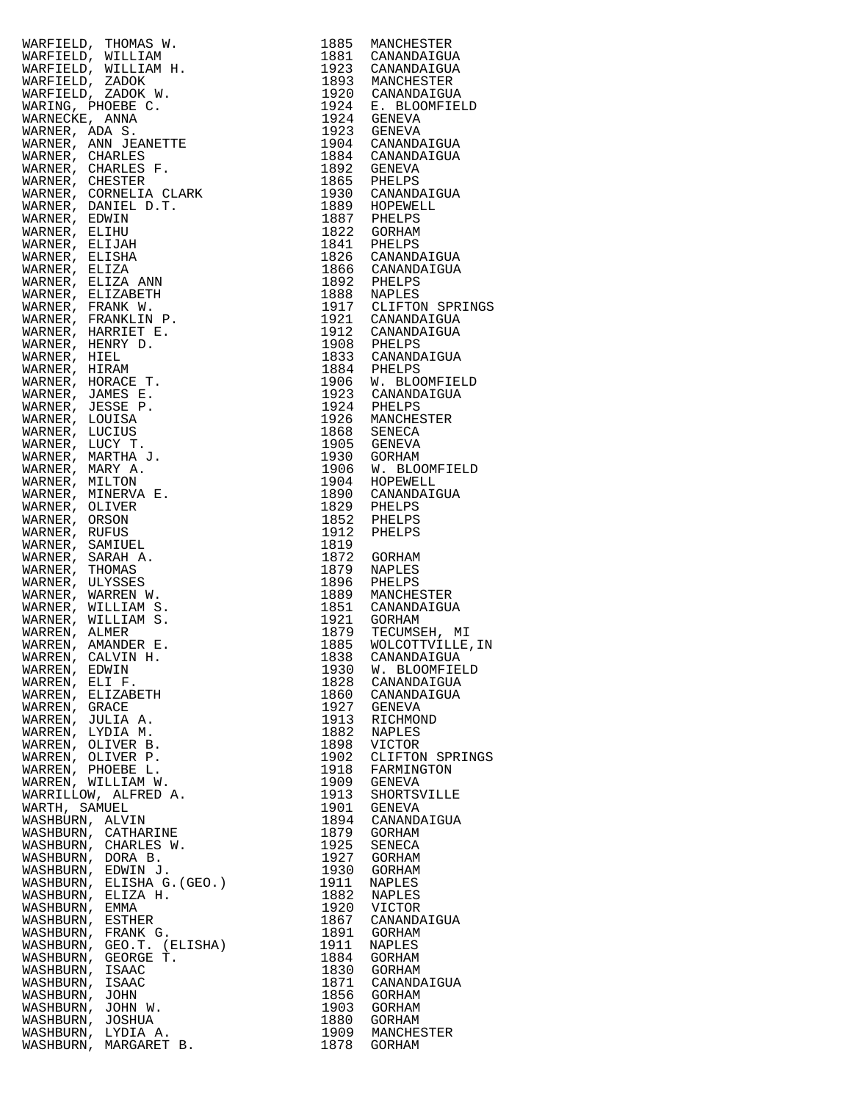|                                                                                                                                                                                                                                                                                                                                                                                                                                   |      | 1888 NAPLES<br>1917 CLIFTON SPRINGS |
|-----------------------------------------------------------------------------------------------------------------------------------------------------------------------------------------------------------------------------------------------------------------------------------------------------------------------------------------------------------------------------------------------------------------------------------|------|-------------------------------------|
|                                                                                                                                                                                                                                                                                                                                                                                                                                   |      |                                     |
|                                                                                                                                                                                                                                                                                                                                                                                                                                   |      |                                     |
|                                                                                                                                                                                                                                                                                                                                                                                                                                   |      |                                     |
|                                                                                                                                                                                                                                                                                                                                                                                                                                   |      |                                     |
|                                                                                                                                                                                                                                                                                                                                                                                                                                   |      |                                     |
|                                                                                                                                                                                                                                                                                                                                                                                                                                   |      |                                     |
|                                                                                                                                                                                                                                                                                                                                                                                                                                   |      |                                     |
|                                                                                                                                                                                                                                                                                                                                                                                                                                   |      |                                     |
|                                                                                                                                                                                                                                                                                                                                                                                                                                   |      |                                     |
|                                                                                                                                                                                                                                                                                                                                                                                                                                   |      |                                     |
|                                                                                                                                                                                                                                                                                                                                                                                                                                   |      |                                     |
|                                                                                                                                                                                                                                                                                                                                                                                                                                   |      |                                     |
|                                                                                                                                                                                                                                                                                                                                                                                                                                   |      |                                     |
|                                                                                                                                                                                                                                                                                                                                                                                                                                   |      |                                     |
|                                                                                                                                                                                                                                                                                                                                                                                                                                   |      |                                     |
|                                                                                                                                                                                                                                                                                                                                                                                                                                   |      |                                     |
|                                                                                                                                                                                                                                                                                                                                                                                                                                   |      |                                     |
|                                                                                                                                                                                                                                                                                                                                                                                                                                   |      |                                     |
|                                                                                                                                                                                                                                                                                                                                                                                                                                   |      |                                     |
|                                                                                                                                                                                                                                                                                                                                                                                                                                   |      |                                     |
|                                                                                                                                                                                                                                                                                                                                                                                                                                   |      |                                     |
|                                                                                                                                                                                                                                                                                                                                                                                                                                   |      |                                     |
|                                                                                                                                                                                                                                                                                                                                                                                                                                   |      |                                     |
|                                                                                                                                                                                                                                                                                                                                                                                                                                   |      |                                     |
|                                                                                                                                                                                                                                                                                                                                                                                                                                   |      |                                     |
|                                                                                                                                                                                                                                                                                                                                                                                                                                   |      |                                     |
| $\begin{tabular}{c} $\mathcal{L} \text{B} \text{B}^{\text{A}}$ $\mathcal{N}$, $ \mathcal{L} \text{B} \text{B}^{\text{A}}$ $\mathcal{N}$, $ \mathcal{L} \text{R} \text{B} \text{B}^{\text{B}}$ $\mathcal{N}$, $ \mathcal{L} \text{R} \text{A} \text{N} \text{B} \text{B} \text{C}$, $ \mathcal{L} \text{R} \text{R} \text{B} \text{B} \text{B} \text{C}$, $ \mathcal{L} \text{R} \text{R} \text{B} \text{B} \text{B} \text{C}$, $$ |      |                                     |
|                                                                                                                                                                                                                                                                                                                                                                                                                                   |      |                                     |
|                                                                                                                                                                                                                                                                                                                                                                                                                                   |      |                                     |
|                                                                                                                                                                                                                                                                                                                                                                                                                                   |      |                                     |
|                                                                                                                                                                                                                                                                                                                                                                                                                                   |      |                                     |
|                                                                                                                                                                                                                                                                                                                                                                                                                                   |      | WOLCOTTVILLE, IN                    |
| WARREN, CALVIN H.                                                                                                                                                                                                                                                                                                                                                                                                                 | 1838 | CANANDAIGUA                         |
| WARREN, EDWIN                                                                                                                                                                                                                                                                                                                                                                                                                     | 1930 | W. BLOOMFIELD                       |
| WARREN, ELI F.                                                                                                                                                                                                                                                                                                                                                                                                                    |      | 1828 CANANDAIGUA                    |
| WARREN, ELIZABETH                                                                                                                                                                                                                                                                                                                                                                                                                 |      | 1860 CANANDAIGUA                    |
| WARREN, GRACE                                                                                                                                                                                                                                                                                                                                                                                                                     | 1927 | GENEVA                              |
| WARREN, JULIA A.                                                                                                                                                                                                                                                                                                                                                                                                                  | 1913 | RICHMOND                            |
| WARREN, LYDIA M.                                                                                                                                                                                                                                                                                                                                                                                                                  | 1882 | NAPLES                              |
|                                                                                                                                                                                                                                                                                                                                                                                                                                   |      |                                     |
| WARREN, OLIVER B.                                                                                                                                                                                                                                                                                                                                                                                                                 | 1898 | VICTOR                              |
| WARREN, OLIVER P.                                                                                                                                                                                                                                                                                                                                                                                                                 | 1902 | CLIFTON SPRINGS                     |
| WARREN, PHOEBE L.                                                                                                                                                                                                                                                                                                                                                                                                                 | 1918 | FARMINGTON                          |
| WARREN, WILLIAM W.                                                                                                                                                                                                                                                                                                                                                                                                                | 1909 | GENEVA                              |
| WARRILLOW, ALFRED A.                                                                                                                                                                                                                                                                                                                                                                                                              | 1913 | SHORTSVILLE                         |
| WARTH, SAMUEL                                                                                                                                                                                                                                                                                                                                                                                                                     | 1901 | GENEVA                              |
| WASHBURN, ALVIN                                                                                                                                                                                                                                                                                                                                                                                                                   | 1894 | CANANDAIGUA                         |
|                                                                                                                                                                                                                                                                                                                                                                                                                                   |      | GORHAM                              |
| WASHBURN, CATHARINE                                                                                                                                                                                                                                                                                                                                                                                                               | 1879 |                                     |
| WASHBURN, CHARLES W.                                                                                                                                                                                                                                                                                                                                                                                                              | 1925 | SENECA                              |
| WASHBURN, DORA B.                                                                                                                                                                                                                                                                                                                                                                                                                 | 1927 | GORHAM                              |
| WASHBURN, EDWIN J.<br>WASHBURN, ELISHA G.(GEO.)                                                                                                                                                                                                                                                                                                                                                                                   | 1930 | GORHAM                              |
|                                                                                                                                                                                                                                                                                                                                                                                                                                   | 1911 | NAPLES                              |
| WASHBURN, ELIZA H.                                                                                                                                                                                                                                                                                                                                                                                                                | 1882 | NAPLES                              |
| WASHBURN, EMMA                                                                                                                                                                                                                                                                                                                                                                                                                    | 1920 | VICTOR                              |
| WASHBURN, ESTHER                                                                                                                                                                                                                                                                                                                                                                                                                  | 1867 | CANANDAIGUA                         |
| WASHBURN, FRANK G.                                                                                                                                                                                                                                                                                                                                                                                                                | 1891 | GORHAM                              |
| WASHBURN, GEO.T. (ELISHA)                                                                                                                                                                                                                                                                                                                                                                                                         | 1911 | NAPLES                              |
| WASHBURN, GEORGE T.                                                                                                                                                                                                                                                                                                                                                                                                               |      |                                     |
|                                                                                                                                                                                                                                                                                                                                                                                                                                   | 1884 | GORHAM                              |
| WASHBURN, ISAAC                                                                                                                                                                                                                                                                                                                                                                                                                   | 1830 | GORHAM                              |
| WASHBURN, ISAAC                                                                                                                                                                                                                                                                                                                                                                                                                   | 1871 | CANANDAIGUA                         |
| WASHBURN, JOHN                                                                                                                                                                                                                                                                                                                                                                                                                    | 1856 | GORHAM                              |
| WASHBURN, JOHN W.                                                                                                                                                                                                                                                                                                                                                                                                                 | 1903 | GORHAM                              |
| WASHBURN, JOSHUA                                                                                                                                                                                                                                                                                                                                                                                                                  | 1880 | GORHAM                              |
| WASHBURN, LYDIA A.                                                                                                                                                                                                                                                                                                                                                                                                                | 1909 | MANCHESTER                          |
| WASHBURN, MARGARET B.                                                                                                                                                                                                                                                                                                                                                                                                             | 1878 | GORHAM                              |
|                                                                                                                                                                                                                                                                                                                                                                                                                                   |      |                                     |

| 1885                                                                                      | MANCHESTER                |
|-------------------------------------------------------------------------------------------|---------------------------|
| 1881                                                                                      | CANANDAIGUA               |
| 1923                                                                                      | CANANDAIGUA<br>MANCHESTER |
| 1893<br>1920                                                                              | CANANDAIGUA               |
| 1924                                                                                      | E. BLOOMFIELD             |
| 1924                                                                                      | GENEVA                    |
| 1923                                                                                      | <b>GENEVA</b>             |
| 1904                                                                                      | CANANDAIGUA               |
| 1884                                                                                      | CANANDAIGUA               |
| 1892                                                                                      | GENEVA                    |
| 1865                                                                                      | PHELPS                    |
| 1930<br>1889                                                                              | CANANDAIGUA<br>HOPEWELL   |
| 1887                                                                                      | PHELPS                    |
| 1822                                                                                      | <b>GORHAM</b>             |
| 1841                                                                                      | PHELPS                    |
| 1826                                                                                      | CANANDAIGUA               |
| 1866                                                                                      | CANANDAIGUA               |
| 1892                                                                                      | PHELPS                    |
| 1888                                                                                      | NAPLES                    |
| 1917                                                                                      | CLIFTON SPRINGS           |
| 1921                                                                                      | CANANDAIGUA               |
| 1912<br>1908                                                                              | CANANDAIGUA               |
| 1833                                                                                      | PHELPS<br>CANANDAIGUA     |
| 1884                                                                                      | PHELPS                    |
| 1906                                                                                      | W. BLOOMFIELD             |
| 1923                                                                                      | CANANDAIGUA               |
| 1924                                                                                      | PHELPS                    |
| 1926                                                                                      | MANCHESTER                |
| 1868                                                                                      | SENECA                    |
| 1905                                                                                      | GENEVA                    |
| 1930                                                                                      | <b>GORHAM</b>             |
| 1906                                                                                      | W. BLOOMFIELD             |
| 1904                                                                                      | HOPEWELL                  |
| 1890<br>1829                                                                              | CANANDAIGUA               |
| 1852                                                                                      | PHELPS<br>PHELPS          |
| 1912                                                                                      | PHELPS                    |
| 1819                                                                                      |                           |
|                                                                                           |                           |
|                                                                                           |                           |
| 1872<br>1879                                                                              | GORHAM<br>NAPLES          |
| 1896                                                                                      | PHELPS                    |
|                                                                                           | MANCHESTER                |
| 1851                                                                                      | CANANDAIGUA               |
|                                                                                           | GORHAM                    |
|                                                                                           | TECUMSEH, MI              |
| 1885                                                                                      | WOLCOTTVILLE, IN          |
| 1838                                                                                      | CANANDAIGUA               |
| 1930                                                                                      | W. BLOOMFIELD             |
| 1828                                                                                      | CANANDAIGUA               |
| 1860                                                                                      | CANANDAIGUA               |
| 1927                                                                                      | <b>GENEVA</b>             |
| 1913<br>1882                                                                              | RICHMOND                  |
| 1898                                                                                      | NAPLES<br>VICTOR          |
| 1902                                                                                      | CLIFTON SPRINGS           |
| 1918                                                                                      | FARMINGTON                |
| 1909                                                                                      | <b>GENEVA</b>             |
| 1913                                                                                      | SHORTSVILLE               |
| 1901                                                                                      | GENEVA                    |
|                                                                                           | CANANDAIGUA               |
| 1879                                                                                      | GORHAM                    |
| 1925                                                                                      | SENECA                    |
| 1927                                                                                      | GORHAM                    |
| 1930                                                                                      | GORHAM<br>NAPLES          |
|                                                                                           | NAPLES                    |
| 1920                                                                                      | VICTOR                    |
| 1867                                                                                      | CANANDAIGUA               |
| 1891                                                                                      | GORHAM                    |
|                                                                                           | NAPLES                    |
| 1884                                                                                      | GORHAM                    |
|                                                                                           | GORHAM                    |
| 1871                                                                                      | CANANDAIGUA               |
|                                                                                           | GORHAM                    |
| 1903                                                                                      | GORHAM                    |
| 1880<br>1909                                                                              | GORHAM<br>MANCHESTER      |
| 1889<br>1921<br>1879<br>1894<br>1911<br>1882<br>1911<br>1830<br>$\frac{1856}{22}$<br>1878 | GORHAM                    |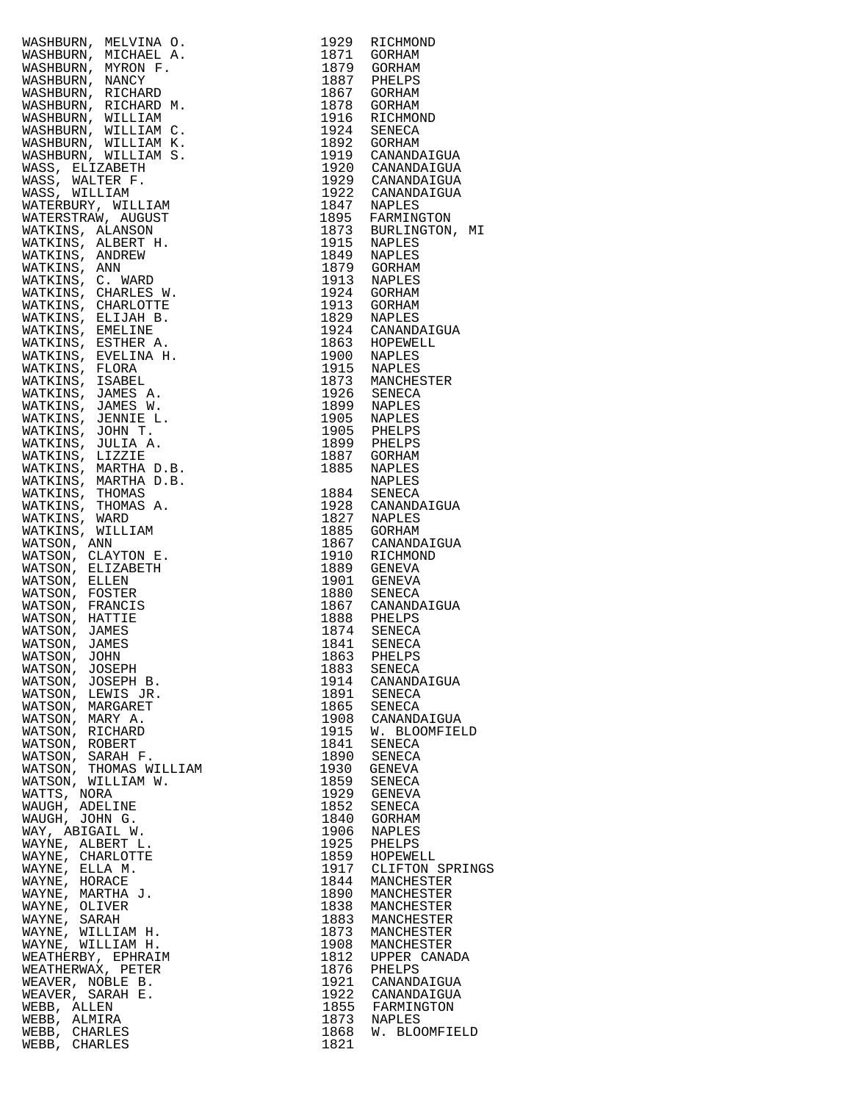|                                                                                                                                                                                                                                                                 | 1929         | RICHMOND                               |
|-----------------------------------------------------------------------------------------------------------------------------------------------------------------------------------------------------------------------------------------------------------------|--------------|----------------------------------------|
|                                                                                                                                                                                                                                                                 | 1871         | GORHAM                                 |
|                                                                                                                                                                                                                                                                 |              |                                        |
|                                                                                                                                                                                                                                                                 |              | 1879 GORHAM<br>1887 PHELPS             |
|                                                                                                                                                                                                                                                                 |              |                                        |
|                                                                                                                                                                                                                                                                 |              | 1867 GORHAM                            |
|                                                                                                                                                                                                                                                                 |              | 1878 GORHAM                            |
|                                                                                                                                                                                                                                                                 |              | 1916 RICHMOND                          |
|                                                                                                                                                                                                                                                                 |              | 1924 SENECA                            |
|                                                                                                                                                                                                                                                                 |              |                                        |
|                                                                                                                                                                                                                                                                 |              | 1892 GORHAM<br>1919 CANANDAIGUA        |
|                                                                                                                                                                                                                                                                 |              |                                        |
|                                                                                                                                                                                                                                                                 |              | 1920 CANANDAIGUA<br>1929 CANANDAIGUA   |
|                                                                                                                                                                                                                                                                 |              |                                        |
|                                                                                                                                                                                                                                                                 |              | 1922 CANANDAIGUA<br>1847 NAPLES        |
|                                                                                                                                                                                                                                                                 |              |                                        |
|                                                                                                                                                                                                                                                                 |              |                                        |
|                                                                                                                                                                                                                                                                 |              | 1895 FARMINGTON<br>1873 BURLINGTON, MI |
|                                                                                                                                                                                                                                                                 |              |                                        |
|                                                                                                                                                                                                                                                                 |              | 1915 NAPLES                            |
|                                                                                                                                                                                                                                                                 |              | 1849 NAPLES                            |
|                                                                                                                                                                                                                                                                 |              | 1879 GORHAM<br>1913 NAPLES             |
|                                                                                                                                                                                                                                                                 |              |                                        |
|                                                                                                                                                                                                                                                                 |              |                                        |
|                                                                                                                                                                                                                                                                 |              | 1924 GORHAM<br>1913 GORHAM             |
|                                                                                                                                                                                                                                                                 |              | 1829 NAPLES                            |
|                                                                                                                                                                                                                                                                 |              | 1924 CANANDAIGUA                       |
|                                                                                                                                                                                                                                                                 |              |                                        |
|                                                                                                                                                                                                                                                                 |              | 1863 HOPEWELL<br>1900 NAPLES           |
|                                                                                                                                                                                                                                                                 |              |                                        |
| WASHBURN, MICHAEL A.<br>RASHBURN, MICHAEL A.<br>RASHBURN, MICHAEL A.<br>RASHBURN, NACY<br>MICHAEL A.<br>RASHBURN, RICHAED M.<br>MASHBURN, RICHAED M.<br>MASHBURN, WILLIAM C.<br>MASHBURN, WILLIAM C.<br>MASHBURN, WILLIAM S.<br>MASHBURN, WILLIAM S.<br>RASS. W |              | 1915 NAPLES<br>1873 MANCHESTER         |
|                                                                                                                                                                                                                                                                 |              |                                        |
|                                                                                                                                                                                                                                                                 |              |                                        |
|                                                                                                                                                                                                                                                                 |              | 1926 SENECA<br>1899 NAPLES             |
|                                                                                                                                                                                                                                                                 |              |                                        |
|                                                                                                                                                                                                                                                                 |              | 1905 NAPLES<br>1905 PHELPS             |
|                                                                                                                                                                                                                                                                 |              |                                        |
|                                                                                                                                                                                                                                                                 |              | 1899 PHELPS<br>1887 GORHAM             |
|                                                                                                                                                                                                                                                                 |              |                                        |
|                                                                                                                                                                                                                                                                 | 1885         | NAPLES                                 |
|                                                                                                                                                                                                                                                                 |              | NAPLES                                 |
|                                                                                                                                                                                                                                                                 |              |                                        |
|                                                                                                                                                                                                                                                                 |              | 1884 SENECA<br>1928 CANANDAIGUA        |
|                                                                                                                                                                                                                                                                 |              |                                        |
|                                                                                                                                                                                                                                                                 |              | 1827 NAPLES<br>1885 GORHAM             |
|                                                                                                                                                                                                                                                                 |              |                                        |
|                                                                                                                                                                                                                                                                 |              | 1867 CANANDAIGUA<br>1910 RICHMOND      |
|                                                                                                                                                                                                                                                                 |              |                                        |
|                                                                                                                                                                                                                                                                 |              | 1889 GENEVA                            |
|                                                                                                                                                                                                                                                                 |              | 1901 GENEVA                            |
|                                                                                                                                                                                                                                                                 |              | 1880 SENECA<br>1867 CANANDAIGUA        |
|                                                                                                                                                                                                                                                                 |              |                                        |
|                                                                                                                                                                                                                                                                 |              |                                        |
|                                                                                                                                                                                                                                                                 |              | 1888 PHELPS<br>1874 SENECA             |
|                                                                                                                                                                                                                                                                 | 1841         | SENECA                                 |
| WATSON, JOHN                                                                                                                                                                                                                                                    |              | 1863 PHELPS                            |
| WATSON, JOSEPH                                                                                                                                                                                                                                                  | 1883         | SENECA                                 |
| WATSON, JOSEPH B.                                                                                                                                                                                                                                               |              | 1914 CANANDAIGUA                       |
| WATSON, LEWIS JR.                                                                                                                                                                                                                                               | 1891         | SENECA                                 |
|                                                                                                                                                                                                                                                                 | 1865         |                                        |
| WATSON, MARGARET                                                                                                                                                                                                                                                |              | SENECA                                 |
| WATSON, MARY A.                                                                                                                                                                                                                                                 | 1908         | CANANDAIGUA                            |
| WATSON, RICHARD                                                                                                                                                                                                                                                 | 1915         | W. BLOOMFIELD                          |
| WATSON, ROBERT                                                                                                                                                                                                                                                  | 1841         | SENECA                                 |
| WATSON, SARAH F.                                                                                                                                                                                                                                                |              | 1890 SENECA                            |
| WATSON, THOMAS WILLIAM                                                                                                                                                                                                                                          | 1930         | GENEVA                                 |
| WATSON, WILLIAM W.                                                                                                                                                                                                                                              | 1859         | SENECA                                 |
| WATTS, NORA                                                                                                                                                                                                                                                     | 1929         | GENEVA                                 |
| WAUGH, ADELINE                                                                                                                                                                                                                                                  | 1852         | SENECA                                 |
| WAUGH, JOHN G.                                                                                                                                                                                                                                                  | 1840         | GORHAM                                 |
| WAY, ABIGAIL W.                                                                                                                                                                                                                                                 | 1906         | NAPLES                                 |
| WAYNE, ALBERT L.                                                                                                                                                                                                                                                | 1925         | PHELPS                                 |
| WAYNE, CHARLOTTE                                                                                                                                                                                                                                                |              | 1859 HOPEWELL                          |
|                                                                                                                                                                                                                                                                 |              | 1917 CLIFTON SPRING                    |
| WAYNE, ELLA M.                                                                                                                                                                                                                                                  |              |                                        |
| WAYNE, HORACE                                                                                                                                                                                                                                                   | 1844         | MANCHESTER                             |
| WAYNE, MARTHA J.                                                                                                                                                                                                                                                | 1890         | MANCHESTER                             |
| WAYNE, OLIVER                                                                                                                                                                                                                                                   |              | 1838 MANCHESTER                        |
| WAYNE, SARAH                                                                                                                                                                                                                                                    | 1883         | MANCHESTER                             |
| WAYNE, WILLIAM H.                                                                                                                                                                                                                                               | 1873         | MANCHESTER                             |
| WAYNE, WILLIAM H.                                                                                                                                                                                                                                               | 1908         | MANCHESTER                             |
| WEATHERBY, EPHRAIM                                                                                                                                                                                                                                              |              | 1812 UPPER CANADA                      |
| WEATHERWAX, PETER                                                                                                                                                                                                                                               | 1876         | PHELPS                                 |
| WEAVER, NOBLE B.                                                                                                                                                                                                                                                |              | 1921 CANANDAIGUA                       |
| WEAVER, SARAH E.                                                                                                                                                                                                                                                |              |                                        |
| WEBB, ALLEN                                                                                                                                                                                                                                                     |              | 1922 CANANDAIGUA<br>1855 FARMINGTON    |
| WEBB, ALMIRA                                                                                                                                                                                                                                                    |              | NAPLES                                 |
| WEBB, CHARLES                                                                                                                                                                                                                                                   | 1873<br>1868 | W. BLOOMFIELD                          |
| WEBB, CHARLES                                                                                                                                                                                                                                                   | 1821         |                                        |
|                                                                                                                                                                                                                                                                 |              |                                        |

| WATHINGRAPH (WEINER A 1929 RICHMOND MATHEMON), MENIDER MATHEMON, MYKONISHONE, MANGERINGRAPH MASSIBIDER), MYKONISHONE, 1871 SORIAM<br>MASSIBIDER), MYKONISHONE 1879 GORHAM MASSIBIDER), MANCHINA WASHIBIDER, MENIDER A REGINAN<br>MAS                               |              |                                   |
|--------------------------------------------------------------------------------------------------------------------------------------------------------------------------------------------------------------------------------------------------------------------|--------------|-----------------------------------|
|                                                                                                                                                                                                                                                                    |              |                                   |
|                                                                                                                                                                                                                                                                    |              |                                   |
|                                                                                                                                                                                                                                                                    |              |                                   |
|                                                                                                                                                                                                                                                                    |              |                                   |
|                                                                                                                                                                                                                                                                    |              |                                   |
|                                                                                                                                                                                                                                                                    |              |                                   |
|                                                                                                                                                                                                                                                                    |              |                                   |
|                                                                                                                                                                                                                                                                    |              |                                   |
|                                                                                                                                                                                                                                                                    |              |                                   |
|                                                                                                                                                                                                                                                                    |              |                                   |
| WATSON, JOHN                                                                                                                                                                                                                                                       |              |                                   |
| WATSON, JOSEPH                                                                                                                                                                                                                                                     |              | 1883 SENECA                       |
|                                                                                                                                                                                                                                                                    |              | 1914 CANANDAIGUA                  |
|                                                                                                                                                                                                                                                                    |              | 1891 SENECA<br>1865 SENECA        |
|                                                                                                                                                                                                                                                                    |              |                                   |
|                                                                                                                                                                                                                                                                    | 1908         |                                   |
|                                                                                                                                                                                                                                                                    | 1908<br>1915 | CANANDAIGUA                       |
|                                                                                                                                                                                                                                                                    |              | W. BLOOMFIELD                     |
|                                                                                                                                                                                                                                                                    | 1841         | SENECA                            |
|                                                                                                                                                                                                                                                                    | 1890         | SENECA                            |
|                                                                                                                                                                                                                                                                    | 1930         | GENEVA                            |
|                                                                                                                                                                                                                                                                    | 1859         | SENECA                            |
|                                                                                                                                                                                                                                                                    | 1929         | GENEVA                            |
|                                                                                                                                                                                                                                                                    | 1852         |                                   |
|                                                                                                                                                                                                                                                                    |              | SENECA                            |
|                                                                                                                                                                                                                                                                    | 1840         | GORHAM                            |
|                                                                                                                                                                                                                                                                    | 1906         | NAPLES                            |
|                                                                                                                                                                                                                                                                    |              | 1925 PHELPS<br>1859 HOPEWELL      |
|                                                                                                                                                                                                                                                                    |              |                                   |
|                                                                                                                                                                                                                                                                    |              | 1917 CLIFTON SPRINGS              |
|                                                                                                                                                                                                                                                                    | 1844         | MANCHESTER                        |
|                                                                                                                                                                                                                                                                    |              |                                   |
|                                                                                                                                                                                                                                                                    | 1890         | MANCHESTER                        |
|                                                                                                                                                                                                                                                                    |              | 1838 MANCHESTER                   |
|                                                                                                                                                                                                                                                                    | 1883         | MANCHESTER                        |
|                                                                                                                                                                                                                                                                    | 1873         | MANCHESTER                        |
|                                                                                                                                                                                                                                                                    |              | MANCHESTER                        |
|                                                                                                                                                                                                                                                                    | 1908<br>1812 | UPPER CANADA                      |
|                                                                                                                                                                                                                                                                    |              |                                   |
|                                                                                                                                                                                                                                                                    |              | 1876 PHELPS<br>1921 CANANDAIGUA   |
|                                                                                                                                                                                                                                                                    |              |                                   |
|                                                                                                                                                                                                                                                                    |              | 1922 CANANDAIGUA                  |
|                                                                                                                                                                                                                                                                    |              | 1855 FARMINGTON                   |
| WATSON, JOSEPH<br>MATSON, JOSEPH B.<br>WATSON, LEWIS JR.<br>WATSON, LEWIS JR.<br>WATSON, LEWIS JR.<br>WATSON, MARCARET<br>WATSON, RICHARD<br>WATSON, RICHARD<br>WATSON, RICHARD<br>WATSON, NILLIAM W.<br>WATSON, MILLIAM W.<br>WATSON, MILLIAM W.<br>WATSON, MILLI |              | 1873 NAPLES<br>1868 W. BLOOMFIELD |
| WEBB, CHARLES                                                                                                                                                                                                                                                      |              |                                   |
| WEBB, CHARLES                                                                                                                                                                                                                                                      | 1821         |                                   |
|                                                                                                                                                                                                                                                                    |              |                                   |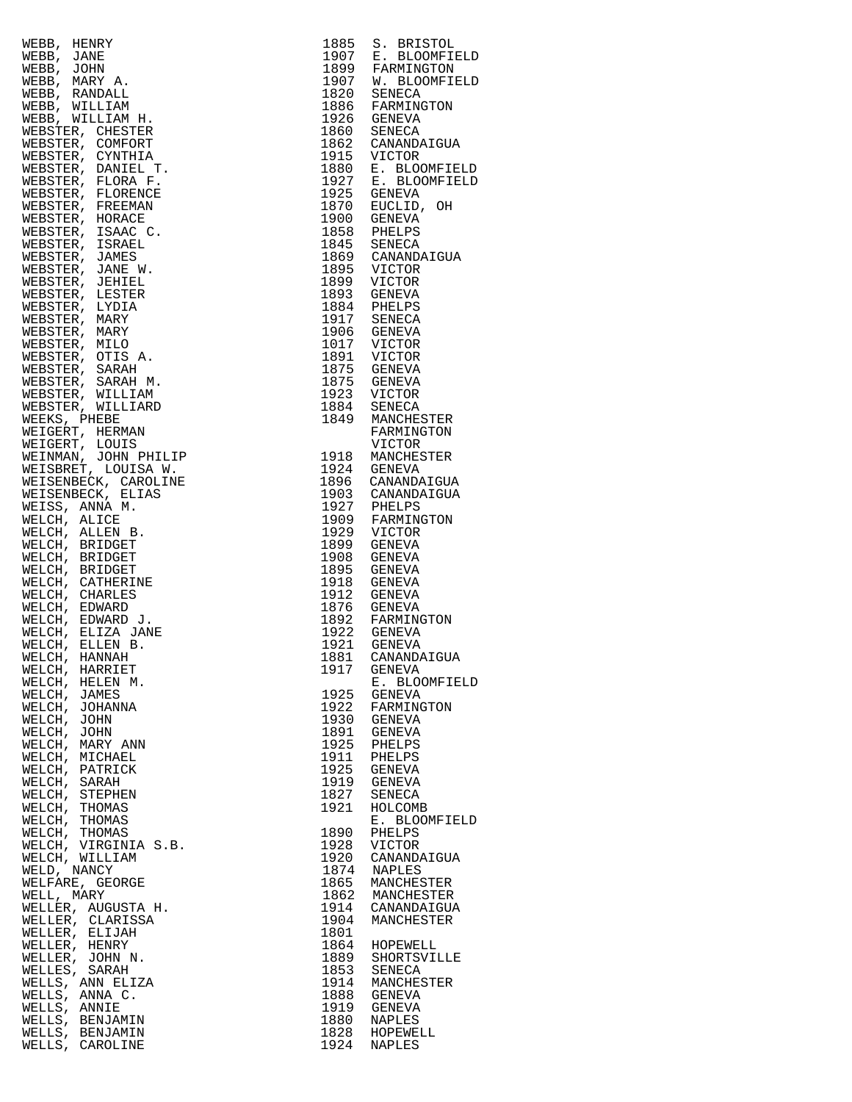| WEBB, HENRY                                                                                                                                                                                                                                                                                                                                                                                                                                                                                           | 1885 | S. BRISTOL                                                               |
|-------------------------------------------------------------------------------------------------------------------------------------------------------------------------------------------------------------------------------------------------------------------------------------------------------------------------------------------------------------------------------------------------------------------------------------------------------------------------------------------------------|------|--------------------------------------------------------------------------|
| WEBB, JANE                                                                                                                                                                                                                                                                                                                                                                                                                                                                                            |      | 1907 E. BLOOMFIEI<br>1899 FARMINGTON<br>1907 W. BLOOMFIEI<br>1820 SENECA |
| WEBB, JOHN                                                                                                                                                                                                                                                                                                                                                                                                                                                                                            |      |                                                                          |
| WEBB, MARY A.                                                                                                                                                                                                                                                                                                                                                                                                                                                                                         |      |                                                                          |
| WEBB, RANDALL                                                                                                                                                                                                                                                                                                                                                                                                                                                                                         |      |                                                                          |
| WEBB, WILLIAM                                                                                                                                                                                                                                                                                                                                                                                                                                                                                         | 1886 |                                                                          |
| $\begin{array}{ll} \begin{array}{ll} \texttt{if} & \texttt{if} \\ \texttt{if} & \texttt{if} \\ \texttt{if} & \texttt{if} \\ \texttt{if} & \texttt{if} \\ \texttt{if} & \texttt{if} \\ \texttt{if} & \texttt{if} \\ \texttt{if} & \texttt{if} \\ \texttt{if} & \texttt{if} \\ \texttt{if} & \texttt{if} \\ \texttt{if} & \texttt{if} \\ \texttt{if} & \texttt{if} \\ \texttt{if} & \texttt{if} \\ \texttt{if} & \texttt{if} \\ \texttt{if} & \texttt{if} \\ \texttt{if} & \texttt$<br>WEBB, WILLIAM H. | 1926 | FARMINGTON<br>GENEVA                                                     |
| WEBSTER, CHESTER                                                                                                                                                                                                                                                                                                                                                                                                                                                                                      |      | 1860 SENECA<br>1862 CANANDAIGUA                                          |
| WEBSTER, COMFORT                                                                                                                                                                                                                                                                                                                                                                                                                                                                                      |      |                                                                          |
|                                                                                                                                                                                                                                                                                                                                                                                                                                                                                                       |      |                                                                          |
| WEBSTER, CYNTHIA                                                                                                                                                                                                                                                                                                                                                                                                                                                                                      |      | 1915 VICTOR                                                              |
| WEBSTER, DANIEL T.                                                                                                                                                                                                                                                                                                                                                                                                                                                                                    | 1880 | E. BLOOMFIEL                                                             |
| WEBSTER, FLORA F.                                                                                                                                                                                                                                                                                                                                                                                                                                                                                     | 1927 | E. BLOOMFIEL                                                             |
| WEBSTER, FLORENCE                                                                                                                                                                                                                                                                                                                                                                                                                                                                                     |      | 1925 GENEVA                                                              |
| WEBSTER, FREEMAN                                                                                                                                                                                                                                                                                                                                                                                                                                                                                      |      | EUCLID, OH<br>1870 EUCLID<br>1900 GENEVA                                 |
| WEBSTER, HORACE                                                                                                                                                                                                                                                                                                                                                                                                                                                                                       |      |                                                                          |
| WEBSTER, ISAAC C.                                                                                                                                                                                                                                                                                                                                                                                                                                                                                     |      | 1858 PHELPS<br>1845 SENECA                                               |
| WEBSTER, ISRAEL                                                                                                                                                                                                                                                                                                                                                                                                                                                                                       |      |                                                                          |
| WEBSTER, JAMES                                                                                                                                                                                                                                                                                                                                                                                                                                                                                        |      | 1869 CANANDAIGUA<br>1895 VICTOR                                          |
| WEBSTER, JANE W.                                                                                                                                                                                                                                                                                                                                                                                                                                                                                      |      |                                                                          |
| WEBSTER, JEHIEL                                                                                                                                                                                                                                                                                                                                                                                                                                                                                       |      | 1899 VICTOR<br>1893 GENEVA                                               |
| WEBSTER, LESTER                                                                                                                                                                                                                                                                                                                                                                                                                                                                                       |      |                                                                          |
| WEBSTER, LYDIA                                                                                                                                                                                                                                                                                                                                                                                                                                                                                        |      |                                                                          |
| WEBSTER, MARY                                                                                                                                                                                                                                                                                                                                                                                                                                                                                         |      | 1884 PHELPS<br>1917 SENECA                                               |
| WEBSTER, MARY                                                                                                                                                                                                                                                                                                                                                                                                                                                                                         |      | 1906 GENEVA<br>1017 VICTOR                                               |
| WEBSTER, MILO                                                                                                                                                                                                                                                                                                                                                                                                                                                                                         |      |                                                                          |
| WEBSTER, OTIS A.                                                                                                                                                                                                                                                                                                                                                                                                                                                                                      |      |                                                                          |
| WEBSTER, SARAH                                                                                                                                                                                                                                                                                                                                                                                                                                                                                        |      | 1891 VICTOR<br>1875 GENEVA                                               |
| WEBSTER, SARAH M.                                                                                                                                                                                                                                                                                                                                                                                                                                                                                     |      |                                                                          |
| WEBSTER, WILLIAM                                                                                                                                                                                                                                                                                                                                                                                                                                                                                      |      | 1875 GENEVA<br>1923 VICTOR                                               |
|                                                                                                                                                                                                                                                                                                                                                                                                                                                                                                       |      |                                                                          |
| WEBSTER, WILLIARD                                                                                                                                                                                                                                                                                                                                                                                                                                                                                     |      | 1884 SENECA                                                              |
| WEEKS, PHEBE                                                                                                                                                                                                                                                                                                                                                                                                                                                                                          |      | 1849 MANCHESTER                                                          |
| WEIGERT, HERMAN                                                                                                                                                                                                                                                                                                                                                                                                                                                                                       |      | FARMINGTON                                                               |
| WEIGERT, LOUIS                                                                                                                                                                                                                                                                                                                                                                                                                                                                                        |      | VICTOR                                                                   |
| WEINMAN, JOHN PHILIP                                                                                                                                                                                                                                                                                                                                                                                                                                                                                  |      | 1918 MANCHES<br>1924 GENEVA<br>MANCHESTER                                |
| WEISBRET, LOUISA W.                                                                                                                                                                                                                                                                                                                                                                                                                                                                                   |      |                                                                          |
| WEISENBECK, CAROLINE                                                                                                                                                                                                                                                                                                                                                                                                                                                                                  |      | 1896 CANANDAIGUA                                                         |
| WEISENBECK, ELIAS                                                                                                                                                                                                                                                                                                                                                                                                                                                                                     |      | 1903 CANANDAIGUA                                                         |
| WEISS, ANNA M.                                                                                                                                                                                                                                                                                                                                                                                                                                                                                        |      | 1927 PHELPS<br>1909 FARMINGTON                                           |
| WELCH, ALICE                                                                                                                                                                                                                                                                                                                                                                                                                                                                                          |      |                                                                          |
| WELCH, ALLEN B.                                                                                                                                                                                                                                                                                                                                                                                                                                                                                       | 1929 | VICTOR                                                                   |
| WELCH, BRIDGET                                                                                                                                                                                                                                                                                                                                                                                                                                                                                        | 1899 | GENEVA                                                                   |
| WELCH, BRIDGET                                                                                                                                                                                                                                                                                                                                                                                                                                                                                        | 1908 |                                                                          |
| WELCH, BRIDGET                                                                                                                                                                                                                                                                                                                                                                                                                                                                                        |      | 1908 GENEVA<br>1895 GENEVA                                               |
| WELCH, CATHERINE                                                                                                                                                                                                                                                                                                                                                                                                                                                                                      |      |                                                                          |
| WELCH, CHARLES                                                                                                                                                                                                                                                                                                                                                                                                                                                                                        |      | 1918 GENEVA<br>1912 GENEVA                                               |
| WELCH, EDWARD                                                                                                                                                                                                                                                                                                                                                                                                                                                                                         |      |                                                                          |
| WELCH, EDWARD J.                                                                                                                                                                                                                                                                                                                                                                                                                                                                                      |      | 1876 GENEVA<br>1892 FARMINGTON                                           |
| WELCH, ELIZA JANE                                                                                                                                                                                                                                                                                                                                                                                                                                                                                     |      |                                                                          |
| WELCH, ELLEN B.                                                                                                                                                                                                                                                                                                                                                                                                                                                                                       |      | 1922 GENEVA<br>1921 GENEVA                                               |
|                                                                                                                                                                                                                                                                                                                                                                                                                                                                                                       |      |                                                                          |
| WELCH,<br>HANNAH                                                                                                                                                                                                                                                                                                                                                                                                                                                                                      | 1881 | CANANDAIGUA                                                              |
| WELCH, HARRIET                                                                                                                                                                                                                                                                                                                                                                                                                                                                                        | 1917 | GENEVA                                                                   |
| WELCH, HELEN M.                                                                                                                                                                                                                                                                                                                                                                                                                                                                                       |      | E. BLOOMFIEL                                                             |
| WELCH, JAMES                                                                                                                                                                                                                                                                                                                                                                                                                                                                                          | 1925 | GENEVA                                                                   |
| WELCH, JOHANNA                                                                                                                                                                                                                                                                                                                                                                                                                                                                                        | 1922 | FARMINGTON                                                               |
| WELCH, JOHN                                                                                                                                                                                                                                                                                                                                                                                                                                                                                           | 1930 | GENEVA                                                                   |
| WELCH, JOHN                                                                                                                                                                                                                                                                                                                                                                                                                                                                                           | 1891 | GENEVA                                                                   |
| WELCH, MARY ANN                                                                                                                                                                                                                                                                                                                                                                                                                                                                                       | 1925 | PHELPS                                                                   |
| WELCH, MICHAEL                                                                                                                                                                                                                                                                                                                                                                                                                                                                                        | 1911 | PHELPS                                                                   |
| WELCH, PATRICK                                                                                                                                                                                                                                                                                                                                                                                                                                                                                        | 1925 | GENEVA                                                                   |
| WELCH, SARAH                                                                                                                                                                                                                                                                                                                                                                                                                                                                                          | 1919 | GENEVA                                                                   |
| WELCH, STEPHEN                                                                                                                                                                                                                                                                                                                                                                                                                                                                                        | 1827 | SENECA                                                                   |
| WELCH, THOMAS                                                                                                                                                                                                                                                                                                                                                                                                                                                                                         | 1921 | HOLCOMB                                                                  |
| WELCH, THOMAS                                                                                                                                                                                                                                                                                                                                                                                                                                                                                         |      | E. BLOOMFIEL                                                             |
| WELCH, THOMAS                                                                                                                                                                                                                                                                                                                                                                                                                                                                                         | 1890 | PHELPS                                                                   |
| WELCH, VIRGINIA S.B.                                                                                                                                                                                                                                                                                                                                                                                                                                                                                  | 1928 | VICTOR                                                                   |
| WELCH, WILLIAM                                                                                                                                                                                                                                                                                                                                                                                                                                                                                        | 1920 | CANANDAIGUA                                                              |
| WELD, NANCY                                                                                                                                                                                                                                                                                                                                                                                                                                                                                           | 1874 | NAPLES                                                                   |
| WELFARE, GEORGE                                                                                                                                                                                                                                                                                                                                                                                                                                                                                       | 1865 | MANCHESTER                                                               |
| WELL, MARY                                                                                                                                                                                                                                                                                                                                                                                                                                                                                            | 1862 | MANCHESTER                                                               |
|                                                                                                                                                                                                                                                                                                                                                                                                                                                                                                       |      |                                                                          |
| WELLER, AUGUSTA H.                                                                                                                                                                                                                                                                                                                                                                                                                                                                                    | 1914 | CANANDAIGUA                                                              |
| WELLER, CLARISSA                                                                                                                                                                                                                                                                                                                                                                                                                                                                                      | 1904 | MANCHESTER                                                               |
| WELLER, ELIJAH                                                                                                                                                                                                                                                                                                                                                                                                                                                                                        | 1801 |                                                                          |
| WELLER, HENRY                                                                                                                                                                                                                                                                                                                                                                                                                                                                                         | 1864 | HOPEWELL                                                                 |
| WELLER, JOHN N.                                                                                                                                                                                                                                                                                                                                                                                                                                                                                       | 1889 | SHORTSVILLE                                                              |
| WELLES, SARAH                                                                                                                                                                                                                                                                                                                                                                                                                                                                                         | 1853 | SENECA                                                                   |
| WELLS, ANN ELIZA                                                                                                                                                                                                                                                                                                                                                                                                                                                                                      | 1914 | MANCHESTER                                                               |
| WELLS, ANNA C.                                                                                                                                                                                                                                                                                                                                                                                                                                                                                        | 1888 | GENEVA                                                                   |
| WELLS, ANNIE                                                                                                                                                                                                                                                                                                                                                                                                                                                                                          | 1919 | GENEVA                                                                   |
| WELLS, BENJAMIN                                                                                                                                                                                                                                                                                                                                                                                                                                                                                       | 1880 | NAPLES                                                                   |
| WELLS, BENJAMIN                                                                                                                                                                                                                                                                                                                                                                                                                                                                                       | 1828 | HOPEWELL                                                                 |
| WELLS, CAROLINE                                                                                                                                                                                                                                                                                                                                                                                                                                                                                       | 1924 | NAPLES                                                                   |

| WEBB, JOHN 1993 PRESIDENT (MENTY 1997 PRESIDENT MENTY 1993 PRESIDENT (MENTY 1993 PRESIDENT CHANNEL AND MENTY IS A SERVET ON MENTY AND MENTY IS A MANUFACT OF THE RESPONSE ON THE CHANNEL AND MENTY IS A MANUFACT OF THE RESPON |      |                                                                                                                                         |
|--------------------------------------------------------------------------------------------------------------------------------------------------------------------------------------------------------------------------------|------|-----------------------------------------------------------------------------------------------------------------------------------------|
|                                                                                                                                                                                                                                |      |                                                                                                                                         |
|                                                                                                                                                                                                                                |      |                                                                                                                                         |
|                                                                                                                                                                                                                                |      | 1907 E. BLOOMFIELD<br>1899 FARMINGTON<br>1907 W. BLOOMFIELD                                                                             |
|                                                                                                                                                                                                                                |      |                                                                                                                                         |
|                                                                                                                                                                                                                                |      |                                                                                                                                         |
|                                                                                                                                                                                                                                |      |                                                                                                                                         |
|                                                                                                                                                                                                                                |      |                                                                                                                                         |
|                                                                                                                                                                                                                                |      |                                                                                                                                         |
|                                                                                                                                                                                                                                |      |                                                                                                                                         |
|                                                                                                                                                                                                                                |      |                                                                                                                                         |
|                                                                                                                                                                                                                                |      | 1862 CANANDAIGUA<br>1915 VICTOR<br>1915 VICTOR<br>1927 E. BLOOMFIELD<br>1927 E. BLOOMFIELD<br>1925 GENEVA<br>1900 GENEVA<br>1900 GENEVA |
|                                                                                                                                                                                                                                |      |                                                                                                                                         |
|                                                                                                                                                                                                                                |      |                                                                                                                                         |
|                                                                                                                                                                                                                                |      |                                                                                                                                         |
|                                                                                                                                                                                                                                |      |                                                                                                                                         |
|                                                                                                                                                                                                                                |      |                                                                                                                                         |
|                                                                                                                                                                                                                                |      |                                                                                                                                         |
|                                                                                                                                                                                                                                |      |                                                                                                                                         |
|                                                                                                                                                                                                                                |      |                                                                                                                                         |
|                                                                                                                                                                                                                                |      |                                                                                                                                         |
|                                                                                                                                                                                                                                |      |                                                                                                                                         |
|                                                                                                                                                                                                                                |      |                                                                                                                                         |
|                                                                                                                                                                                                                                |      |                                                                                                                                         |
|                                                                                                                                                                                                                                |      |                                                                                                                                         |
|                                                                                                                                                                                                                                |      |                                                                                                                                         |
|                                                                                                                                                                                                                                |      |                                                                                                                                         |
|                                                                                                                                                                                                                                |      |                                                                                                                                         |
|                                                                                                                                                                                                                                |      |                                                                                                                                         |
|                                                                                                                                                                                                                                |      |                                                                                                                                         |
|                                                                                                                                                                                                                                |      |                                                                                                                                         |
|                                                                                                                                                                                                                                |      |                                                                                                                                         |
|                                                                                                                                                                                                                                |      |                                                                                                                                         |
|                                                                                                                                                                                                                                |      |                                                                                                                                         |
|                                                                                                                                                                                                                                |      |                                                                                                                                         |
|                                                                                                                                                                                                                                |      |                                                                                                                                         |
|                                                                                                                                                                                                                                |      |                                                                                                                                         |
|                                                                                                                                                                                                                                |      |                                                                                                                                         |
|                                                                                                                                                                                                                                |      |                                                                                                                                         |
|                                                                                                                                                                                                                                |      |                                                                                                                                         |
|                                                                                                                                                                                                                                |      |                                                                                                                                         |
|                                                                                                                                                                                                                                |      |                                                                                                                                         |
|                                                                                                                                                                                                                                |      |                                                                                                                                         |
|                                                                                                                                                                                                                                |      |                                                                                                                                         |
|                                                                                                                                                                                                                                |      |                                                                                                                                         |
|                                                                                                                                                                                                                                |      |                                                                                                                                         |
|                                                                                                                                                                                                                                |      |                                                                                                                                         |
|                                                                                                                                                                                                                                |      |                                                                                                                                         |
|                                                                                                                                                                                                                                |      |                                                                                                                                         |
|                                                                                                                                                                                                                                |      |                                                                                                                                         |
|                                                                                                                                                                                                                                |      |                                                                                                                                         |
|                                                                                                                                                                                                                                |      |                                                                                                                                         |
|                                                                                                                                                                                                                                | 1917 | GENEVA                                                                                                                                  |
|                                                                                                                                                                                                                                |      | E. BLOOMFIELD                                                                                                                           |
|                                                                                                                                                                                                                                |      | GENEVA                                                                                                                                  |
|                                                                                                                                                                                                                                | 1922 | FARMINGTON                                                                                                                              |
|                                                                                                                                                                                                                                | 1930 | GENEVA                                                                                                                                  |
|                                                                                                                                                                                                                                |      | GENEVA                                                                                                                                  |
|                                                                                                                                                                                                                                |      | PHELPS                                                                                                                                  |
|                                                                                                                                                                                                                                | 1911 | PHELPS                                                                                                                                  |
|                                                                                                                                                                                                                                |      | GENEVA                                                                                                                                  |
|                                                                                                                                                                                                                                |      | 1919 GENEVA                                                                                                                             |
|                                                                                                                                                                                                                                | 1827 | SENECA                                                                                                                                  |
|                                                                                                                                                                                                                                | 1921 | HOLCOMB                                                                                                                                 |
|                                                                                                                                                                                                                                |      | E. BLOOMFIELD                                                                                                                           |
|                                                                                                                                                                                                                                | 1890 | PHELPS                                                                                                                                  |
|                                                                                                                                                                                                                                |      | 1928 VICTOR                                                                                                                             |
|                                                                                                                                                                                                                                |      | 1920 CANANDAIGUA                                                                                                                        |
|                                                                                                                                                                                                                                | 1874 | NAPLES                                                                                                                                  |
|                                                                                                                                                                                                                                |      | 1865 MANCHESTER                                                                                                                         |
|                                                                                                                                                                                                                                |      | 1862 MANCHESTER                                                                                                                         |
|                                                                                                                                                                                                                                |      | 1914 CANANDAIGUA                                                                                                                        |
|                                                                                                                                                                                                                                |      |                                                                                                                                         |
|                                                                                                                                                                                                                                | 1904 | MANCHESTER                                                                                                                              |
|                                                                                                                                                                                                                                |      |                                                                                                                                         |
|                                                                                                                                                                                                                                |      | 1864 HOPEWELL                                                                                                                           |
|                                                                                                                                                                                                                                |      | 1889 SHORTSVILLE                                                                                                                        |
|                                                                                                                                                                                                                                | 1853 | SENECA                                                                                                                                  |
|                                                                                                                                                                                                                                |      | 1914 MANCHESTER                                                                                                                         |
|                                                                                                                                                                                                                                |      | 1888 GENEVA                                                                                                                             |
|                                                                                                                                                                                                                                |      | 1919 GENEVA                                                                                                                             |
|                                                                                                                                                                                                                                |      | 1880 NAPLES                                                                                                                             |
|                                                                                                                                                                                                                                |      | 1828 HOPEWELL                                                                                                                           |
|                                                                                                                                                                                                                                |      | 1924 NAPLES                                                                                                                             |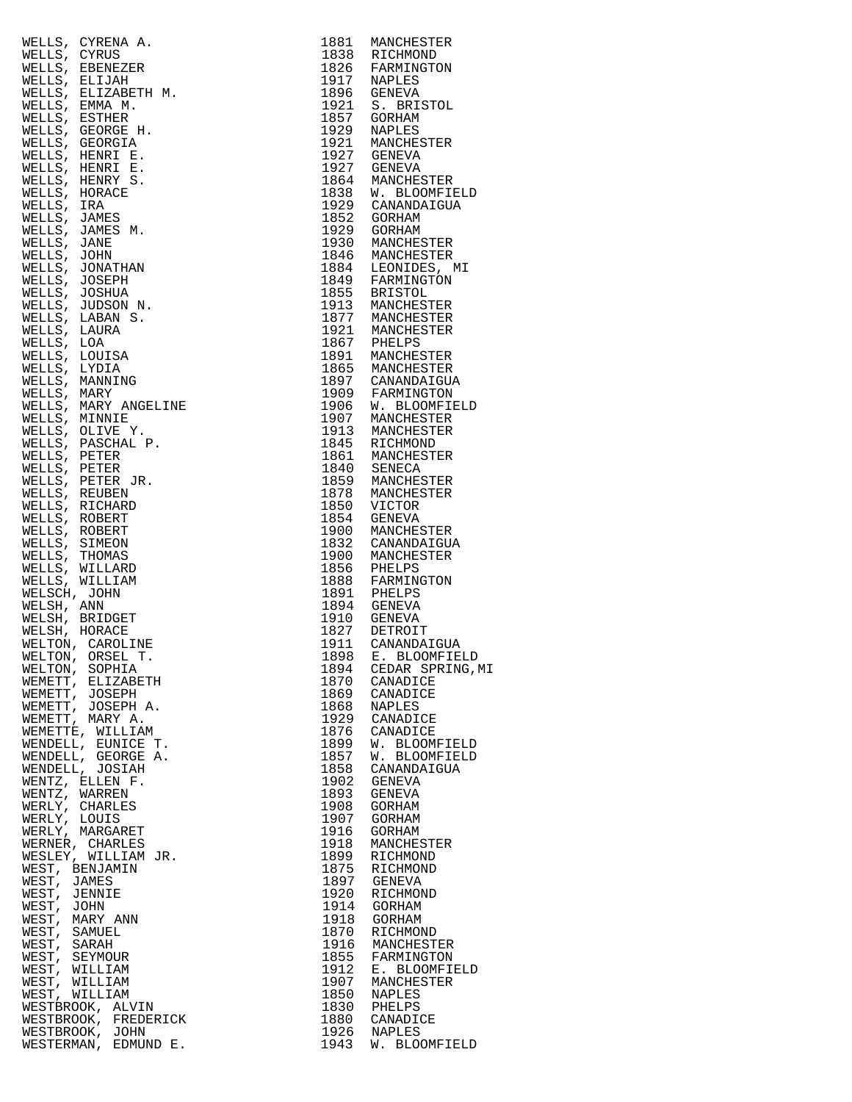| $[19] \centering \begin{tabular}{c} \multicolumn{1}{c}{\begin{tabular}{c} $19$}, \\ $19$}, \\ $19$}, \\ $19$}, \\ $19$}, \\ $19$}, \\ $19$}, \\ $19$}, \\ $19$}, \\ $19$\\ \multicolumn{1}{c}{\begin{tabular}{c} $19$}, \\ $19$}, \\ $19$}, \\ $19$\\ \multicolumn{1}{c}{\begin{tabular}{c} $19$}, \\ $19$}, \\ $19$\\ \end{tabular} \end{tabular} \end{tabular} \begin{tabular}{c} \multicolumn{1}{c}{\begin{tabular}{c} $19$}, \\ $19$}, \\$ |              |                              |
|------------------------------------------------------------------------------------------------------------------------------------------------------------------------------------------------------------------------------------------------------------------------------------------------------------------------------------------------------------------------------------------------------------------------------------------------|--------------|------------------------------|
|                                                                                                                                                                                                                                                                                                                                                                                                                                                |              |                              |
|                                                                                                                                                                                                                                                                                                                                                                                                                                                |              |                              |
|                                                                                                                                                                                                                                                                                                                                                                                                                                                |              |                              |
|                                                                                                                                                                                                                                                                                                                                                                                                                                                |              |                              |
|                                                                                                                                                                                                                                                                                                                                                                                                                                                |              |                              |
|                                                                                                                                                                                                                                                                                                                                                                                                                                                |              |                              |
|                                                                                                                                                                                                                                                                                                                                                                                                                                                |              |                              |
|                                                                                                                                                                                                                                                                                                                                                                                                                                                |              |                              |
|                                                                                                                                                                                                                                                                                                                                                                                                                                                |              |                              |
|                                                                                                                                                                                                                                                                                                                                                                                                                                                |              |                              |
|                                                                                                                                                                                                                                                                                                                                                                                                                                                |              |                              |
|                                                                                                                                                                                                                                                                                                                                                                                                                                                |              |                              |
|                                                                                                                                                                                                                                                                                                                                                                                                                                                |              |                              |
|                                                                                                                                                                                                                                                                                                                                                                                                                                                |              |                              |
|                                                                                                                                                                                                                                                                                                                                                                                                                                                |              |                              |
|                                                                                                                                                                                                                                                                                                                                                                                                                                                |              |                              |
|                                                                                                                                                                                                                                                                                                                                                                                                                                                |              |                              |
|                                                                                                                                                                                                                                                                                                                                                                                                                                                |              |                              |
|                                                                                                                                                                                                                                                                                                                                                                                                                                                |              |                              |
|                                                                                                                                                                                                                                                                                                                                                                                                                                                |              |                              |
|                                                                                                                                                                                                                                                                                                                                                                                                                                                |              |                              |
|                                                                                                                                                                                                                                                                                                                                                                                                                                                |              |                              |
|                                                                                                                                                                                                                                                                                                                                                                                                                                                |              |                              |
|                                                                                                                                                                                                                                                                                                                                                                                                                                                |              |                              |
|                                                                                                                                                                                                                                                                                                                                                                                                                                                |              |                              |
|                                                                                                                                                                                                                                                                                                                                                                                                                                                |              |                              |
|                                                                                                                                                                                                                                                                                                                                                                                                                                                |              |                              |
|                                                                                                                                                                                                                                                                                                                                                                                                                                                |              |                              |
|                                                                                                                                                                                                                                                                                                                                                                                                                                                |              |                              |
|                                                                                                                                                                                                                                                                                                                                                                                                                                                |              |                              |
|                                                                                                                                                                                                                                                                                                                                                                                                                                                |              |                              |
|                                                                                                                                                                                                                                                                                                                                                                                                                                                |              |                              |
|                                                                                                                                                                                                                                                                                                                                                                                                                                                |              |                              |
|                                                                                                                                                                                                                                                                                                                                                                                                                                                |              |                              |
|                                                                                                                                                                                                                                                                                                                                                                                                                                                |              |                              |
|                                                                                                                                                                                                                                                                                                                                                                                                                                                |              |                              |
|                                                                                                                                                                                                                                                                                                                                                                                                                                                |              |                              |
|                                                                                                                                                                                                                                                                                                                                                                                                                                                |              |                              |
|                                                                                                                                                                                                                                                                                                                                                                                                                                                |              |                              |
|                                                                                                                                                                                                                                                                                                                                                                                                                                                |              |                              |
|                                                                                                                                                                                                                                                                                                                                                                                                                                                |              |                              |
|                                                                                                                                                                                                                                                                                                                                                                                                                                                |              |                              |
|                                                                                                                                                                                                                                                                                                                                                                                                                                                |              |                              |
|                                                                                                                                                                                                                                                                                                                                                                                                                                                |              |                              |
| WENDELL, GEORGE A.<br>WENDELL, JOSIAH                                                                                                                                                                                                                                                                                                                                                                                                          | 1857<br>1858 | W. BLOOMFIELD<br>CANANDAIGUA |
| WENTZ, ELLEN F.                                                                                                                                                                                                                                                                                                                                                                                                                                | 1902         | GENEVA                       |
| WENTZ, WARREN                                                                                                                                                                                                                                                                                                                                                                                                                                  | 1893         | GENEVA                       |
| WERLY, CHARLES<br>WERLY, LOUIS                                                                                                                                                                                                                                                                                                                                                                                                                 | 1908<br>1907 | GORHAM<br>GORHAM             |
| WERLY, MARGARET                                                                                                                                                                                                                                                                                                                                                                                                                                | 1916         | GORHAM                       |
| WERNER, CHARLES                                                                                                                                                                                                                                                                                                                                                                                                                                | 1918         | MANCHESTER                   |
| WESLEY, WILLIAM JR.                                                                                                                                                                                                                                                                                                                                                                                                                            | 1899         | RICHMOND                     |
| WEST, BENJAMIN<br>WEST, JAMES                                                                                                                                                                                                                                                                                                                                                                                                                  |              | 1875 RICHMOND<br>1897 GENEVA |
| WEST, JENNIE                                                                                                                                                                                                                                                                                                                                                                                                                                   |              | 1920 RICHMOND                |
| WEST, JOHN                                                                                                                                                                                                                                                                                                                                                                                                                                     | 1914         | GORHAM                       |
| WEST, MARY ANN                                                                                                                                                                                                                                                                                                                                                                                                                                 |              | 1918 GORHAM                  |
| WEST, SAMUEL<br>WEST, SARAH                                                                                                                                                                                                                                                                                                                                                                                                                    | 1870         | RICHMOND<br>1916 MANCHESTER  |
| WEST, SEYMOUR                                                                                                                                                                                                                                                                                                                                                                                                                                  |              | 1855 FARMINGTON              |
| WEST, WILLIAM                                                                                                                                                                                                                                                                                                                                                                                                                                  |              | 1912 E. BLOOMFIELD           |
| WEST, WILLIAM<br>WEST, WILLIAM                                                                                                                                                                                                                                                                                                                                                                                                                 | 1907         | MANCHESTER<br>1850 NAPLES    |
| WESTBROOK, ALVIN                                                                                                                                                                                                                                                                                                                                                                                                                               | 1830         | PHELPS                       |
| WESTBROOK, FREDERICK                                                                                                                                                                                                                                                                                                                                                                                                                           |              | 1880 CANADICE                |
| WESTBROOK, JOHN                                                                                                                                                                                                                                                                                                                                                                                                                                | 1926         | NAPLES                       |
| WESTERMAN, EDMUND E.                                                                                                                                                                                                                                                                                                                                                                                                                           | 1943         | W. BLOOMFIELD                |

| WELLS, CYRENA A.<br>MELLS, CYRENA A.<br>MELLS, CYRENEZER<br>MELLS, EBENEZER<br>MELLS, ELIZABETH M.<br>MELLS, EMAR M.<br>MELLS, ESTHER A.<br>MELLS, GEORGE H.<br>MELLS, HENRY E.<br>MELLS, HENRY E.<br>MELLS, HENRY E.<br>MELLS, HENRY E.<br>MELLS, HENRY E.<br>MELLS, | 1881 | MANCHESTER                                                                 |
|-----------------------------------------------------------------------------------------------------------------------------------------------------------------------------------------------------------------------------------------------------------------------|------|----------------------------------------------------------------------------|
|                                                                                                                                                                                                                                                                       |      | 1838 RICHMOND                                                              |
|                                                                                                                                                                                                                                                                       |      |                                                                            |
|                                                                                                                                                                                                                                                                       |      | 1826 FARMINGTON<br>1917 NAPLES                                             |
|                                                                                                                                                                                                                                                                       |      |                                                                            |
|                                                                                                                                                                                                                                                                       |      | 1896 GENEVA                                                                |
|                                                                                                                                                                                                                                                                       |      | 1921 S. BRISTOL                                                            |
|                                                                                                                                                                                                                                                                       |      | 1857 GORHAM                                                                |
|                                                                                                                                                                                                                                                                       |      | 1929 NAPLES                                                                |
|                                                                                                                                                                                                                                                                       |      | MANCHESTER                                                                 |
|                                                                                                                                                                                                                                                                       |      | 1921 MANCHES<br>1927 GENEVA                                                |
|                                                                                                                                                                                                                                                                       |      |                                                                            |
|                                                                                                                                                                                                                                                                       |      |                                                                            |
|                                                                                                                                                                                                                                                                       |      | 1927 GENEVA<br>1864 MANCHESTER                                             |
|                                                                                                                                                                                                                                                                       |      |                                                                            |
|                                                                                                                                                                                                                                                                       |      | 1838 W. BLOOMFIELD<br>1929 CANANDAIGUA                                     |
|                                                                                                                                                                                                                                                                       |      |                                                                            |
|                                                                                                                                                                                                                                                                       |      | 1852 GORHAM<br>1929 GORHAM                                                 |
|                                                                                                                                                                                                                                                                       |      |                                                                            |
|                                                                                                                                                                                                                                                                       |      | 1930 MANCHESTER<br>1846 MANCHESTER<br>1884 LEONIDES, MI<br>1849 FARMINGTON |
|                                                                                                                                                                                                                                                                       |      |                                                                            |
|                                                                                                                                                                                                                                                                       |      |                                                                            |
|                                                                                                                                                                                                                                                                       |      |                                                                            |
|                                                                                                                                                                                                                                                                       |      |                                                                            |
|                                                                                                                                                                                                                                                                       |      | 1855 BRISTOL<br>1913 MANCHESTER                                            |
|                                                                                                                                                                                                                                                                       |      |                                                                            |
|                                                                                                                                                                                                                                                                       |      | 1877 MANCHESTER<br>1921 MANCHESTER                                         |
|                                                                                                                                                                                                                                                                       |      |                                                                            |
|                                                                                                                                                                                                                                                                       |      |                                                                            |
|                                                                                                                                                                                                                                                                       |      | 1867 PHELPS<br>1891 MANCHESTER                                             |
|                                                                                                                                                                                                                                                                       |      |                                                                            |
|                                                                                                                                                                                                                                                                       |      | 1865 MANCHESTER<br>1897 CANANDAIGUA                                        |
|                                                                                                                                                                                                                                                                       |      |                                                                            |
|                                                                                                                                                                                                                                                                       |      | 1909 FARMINGTON<br>1906 W. BLOOMFIELD                                      |
|                                                                                                                                                                                                                                                                       |      |                                                                            |
|                                                                                                                                                                                                                                                                       |      |                                                                            |
|                                                                                                                                                                                                                                                                       |      | 1907 MANCHESTER<br>1913 MANCHESTER                                         |
|                                                                                                                                                                                                                                                                       |      |                                                                            |
|                                                                                                                                                                                                                                                                       |      | 1845 RICHMOND<br>1861 MANCHESTER                                           |
|                                                                                                                                                                                                                                                                       |      |                                                                            |
|                                                                                                                                                                                                                                                                       |      |                                                                            |
|                                                                                                                                                                                                                                                                       |      | 1840 SENECA<br>1859 MANCHESTER                                             |
|                                                                                                                                                                                                                                                                       |      | 1878 MANCHESTER<br>1850 VICTOR                                             |
|                                                                                                                                                                                                                                                                       |      |                                                                            |
|                                                                                                                                                                                                                                                                       |      | 1854 GENEVA                                                                |
|                                                                                                                                                                                                                                                                       |      | 1900 MANCHESTER                                                            |
|                                                                                                                                                                                                                                                                       |      |                                                                            |
|                                                                                                                                                                                                                                                                       |      | 1832 CANANDAIGUA                                                           |
|                                                                                                                                                                                                                                                                       |      | 1900 MANCHESTER                                                            |
|                                                                                                                                                                                                                                                                       |      |                                                                            |
|                                                                                                                                                                                                                                                                       |      | 1856 PHELPS<br>1888 FARMINGTON                                             |
|                                                                                                                                                                                                                                                                       |      |                                                                            |
|                                                                                                                                                                                                                                                                       |      | 1891 PHELPS<br>1894 GENEVA                                                 |
|                                                                                                                                                                                                                                                                       |      | 1910 GENEVA                                                                |
|                                                                                                                                                                                                                                                                       |      |                                                                            |
|                                                                                                                                                                                                                                                                       |      | 1827 DETROIT                                                               |
|                                                                                                                                                                                                                                                                       | 1911 | CANANDAIGUA                                                                |
|                                                                                                                                                                                                                                                                       |      |                                                                            |
|                                                                                                                                                                                                                                                                       |      | 1894 CEDAR SPRING, MI                                                      |
|                                                                                                                                                                                                                                                                       |      |                                                                            |
|                                                                                                                                                                                                                                                                       |      |                                                                            |
|                                                                                                                                                                                                                                                                       |      |                                                                            |
|                                                                                                                                                                                                                                                                       |      |                                                                            |
|                                                                                                                                                                                                                                                                       |      |                                                                            |
|                                                                                                                                                                                                                                                                       |      |                                                                            |
|                                                                                                                                                                                                                                                                       |      |                                                                            |
|                                                                                                                                                                                                                                                                       |      |                                                                            |
|                                                                                                                                                                                                                                                                       |      |                                                                            |
|                                                                                                                                                                                                                                                                       |      |                                                                            |
|                                                                                                                                                                                                                                                                       |      |                                                                            |
|                                                                                                                                                                                                                                                                       |      |                                                                            |
|                                                                                                                                                                                                                                                                       |      |                                                                            |
|                                                                                                                                                                                                                                                                       |      |                                                                            |
|                                                                                                                                                                                                                                                                       |      |                                                                            |
|                                                                                                                                                                                                                                                                       |      |                                                                            |
|                                                                                                                                                                                                                                                                       |      |                                                                            |
|                                                                                                                                                                                                                                                                       |      |                                                                            |
|                                                                                                                                                                                                                                                                       |      |                                                                            |
|                                                                                                                                                                                                                                                                       |      |                                                                            |
|                                                                                                                                                                                                                                                                       |      |                                                                            |
|                                                                                                                                                                                                                                                                       |      |                                                                            |
|                                                                                                                                                                                                                                                                       |      |                                                                            |
|                                                                                                                                                                                                                                                                       |      |                                                                            |
|                                                                                                                                                                                                                                                                       |      |                                                                            |
|                                                                                                                                                                                                                                                                       |      |                                                                            |
|                                                                                                                                                                                                                                                                       |      |                                                                            |
|                                                                                                                                                                                                                                                                       |      |                                                                            |
|                                                                                                                                                                                                                                                                       |      |                                                                            |
|                                                                                                                                                                                                                                                                       |      |                                                                            |
|                                                                                                                                                                                                                                                                       |      |                                                                            |
|                                                                                                                                                                                                                                                                       |      |                                                                            |
| WEIN'N, GRACE (WEITROTHE 1827 DETROIT IN THE SET AND THE TRANSPORTED NEUTON, OREL TANDALISURE IS ELOOMFIELD NEUTON, OSCEL TRANSPORT (ISONETE, LEIZABETH 1898 CANADICE NEMETT, JOSEPH 1876 CANADICE NEMETT, JOSEPH 1876 CANADIC<br>WESTBROOK, JOHN                     |      | 1926 NAPLES                                                                |
|                                                                                                                                                                                                                                                                       |      |                                                                            |
| WESTERMAN, EDMUND E.                                                                                                                                                                                                                                                  |      | 1943 W. BLOOMFIELD                                                         |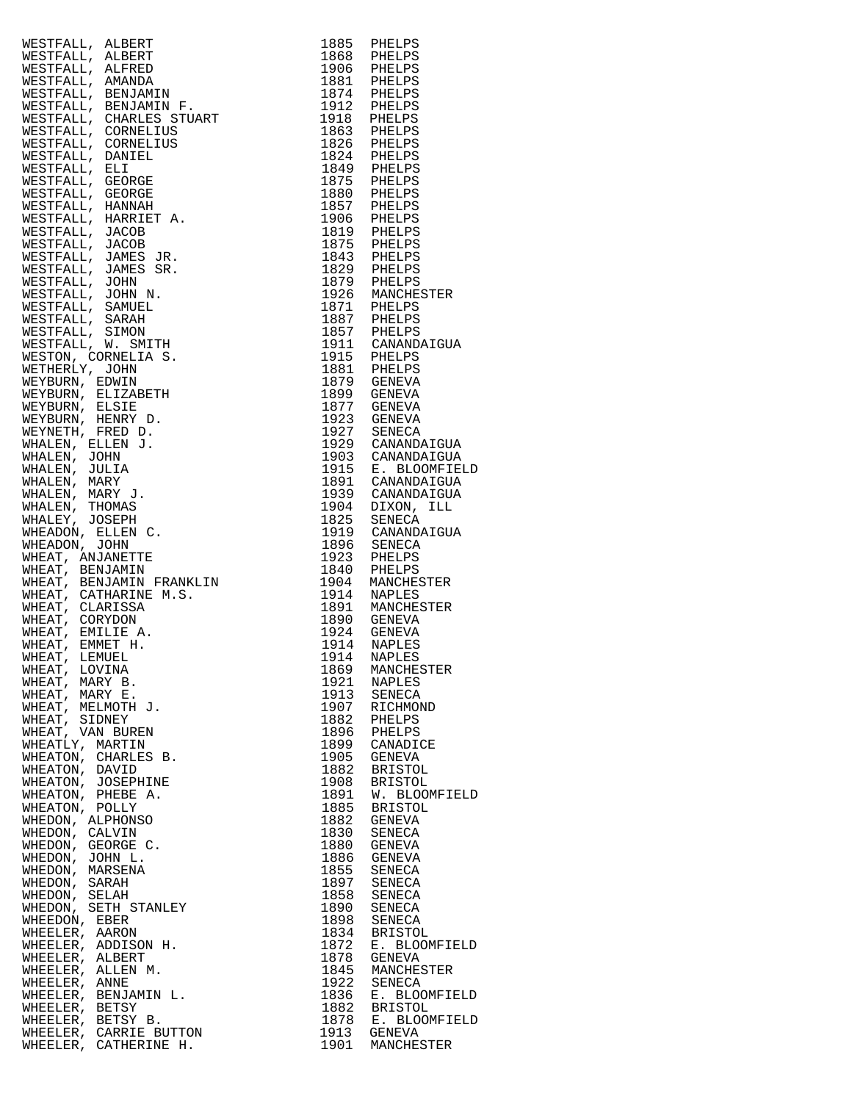|                                                                                                                                                                                                                                                |      | 1915 E. BLOOMFIELD<br>1891 CANANDAIGUA |
|------------------------------------------------------------------------------------------------------------------------------------------------------------------------------------------------------------------------------------------------|------|----------------------------------------|
|                                                                                                                                                                                                                                                |      |                                        |
|                                                                                                                                                                                                                                                |      |                                        |
|                                                                                                                                                                                                                                                |      |                                        |
|                                                                                                                                                                                                                                                |      |                                        |
|                                                                                                                                                                                                                                                |      |                                        |
|                                                                                                                                                                                                                                                |      | 1919 CANANDAIGUA                       |
|                                                                                                                                                                                                                                                |      |                                        |
|                                                                                                                                                                                                                                                |      |                                        |
|                                                                                                                                                                                                                                                |      |                                        |
|                                                                                                                                                                                                                                                |      |                                        |
|                                                                                                                                                                                                                                                |      |                                        |
|                                                                                                                                                                                                                                                |      |                                        |
|                                                                                                                                                                                                                                                |      |                                        |
|                                                                                                                                                                                                                                                |      |                                        |
|                                                                                                                                                                                                                                                |      |                                        |
|                                                                                                                                                                                                                                                |      |                                        |
|                                                                                                                                                                                                                                                |      |                                        |
|                                                                                                                                                                                                                                                |      |                                        |
|                                                                                                                                                                                                                                                |      |                                        |
|                                                                                                                                                                                                                                                |      |                                        |
| WHEAT, LOVINA                                                                                                                                                                                                                                  | 1869 | MANCHESTER                             |
| WHEAT, MARY B.                                                                                                                                                                                                                                 |      | 1921 NAPLES                            |
| WESTFALL, ALBERT 1988<br>WESTFALL, ALBERT 1986 PIELLES<br>WESTFALL, ARABET 1986 PIELLES<br>WESTFALL, ARANDAN<br>WESTFALL, ARANDANIN PRESS 1986 PIELLES<br>WESTFALL, CONNELLES<br>WESTFALL, CONNELLES<br>WESTFALL, CONNELLES<br>WESTFALL, CONNE |      |                                        |
| WHEAT, MARY E.                                                                                                                                                                                                                                 |      |                                        |
| WHEAT, MELMOTH J.                                                                                                                                                                                                                              |      | 1913 SENECA<br>1907 RICHMOND           |
|                                                                                                                                                                                                                                                | 1882 | PHELPS                                 |
| WHEAT, SIDNEY<br>WHEAT, VAN BUREN                                                                                                                                                                                                              |      | 1896 PHELPS                            |
| WHEATLY, MARTIN                                                                                                                                                                                                                                |      | 1899 CANADICE                          |
| WHEATON, CHARLES B.                                                                                                                                                                                                                            |      | 1905 GENEVA                            |
|                                                                                                                                                                                                                                                | 1882 | BRISTOL                                |
| WHEATON, DAVID                                                                                                                                                                                                                                 |      |                                        |
| WHEATON, JOSEPHINE                                                                                                                                                                                                                             | 1908 | <b>BRISTOL</b>                         |
| WHEATON, PHEBE A.                                                                                                                                                                                                                              | 1891 | W. BLOOMFIELD                          |
| WHEATON, POLLY                                                                                                                                                                                                                                 | 1885 | BRISTOL                                |
| WHEDON, ALPHONSO                                                                                                                                                                                                                               | 1882 | GENEVA                                 |
|                                                                                                                                                                                                                                                | 1830 | SENECA                                 |
| WHEDON, CALVIN                                                                                                                                                                                                                                 |      |                                        |
| WHEDON, GEORGE C.                                                                                                                                                                                                                              | 1880 | GENEVA                                 |
| WHEDON, JOHN L.                                                                                                                                                                                                                                |      | 1886 GENEVA                            |
| WHEDON, MARSENA                                                                                                                                                                                                                                |      | 1855 SENECA                            |
| WHEDON, SARAH                                                                                                                                                                                                                                  |      | 1897 SENECA                            |
|                                                                                                                                                                                                                                                |      |                                        |
| WHEDON, SELAH                                                                                                                                                                                                                                  |      | 1858 SENECA                            |
| WHEDON, SETH STANLEY                                                                                                                                                                                                                           | 1890 | SENECA                                 |
| WHEEDON, EBER                                                                                                                                                                                                                                  | 1898 | SENECA                                 |
| WHEELER, AARON                                                                                                                                                                                                                                 | 1834 | <b>BRISTOL</b>                         |
| WHEELER, ADDISON H.                                                                                                                                                                                                                            | 1872 | E. BLOOMFIELD                          |
| WHEELER, ALBERT                                                                                                                                                                                                                                | 1878 | GENEVA                                 |
|                                                                                                                                                                                                                                                |      |                                        |
| WHEELER, ALLEN M.                                                                                                                                                                                                                              |      | 1845 MANCHESTER                        |
| WHEELER, ANNE                                                                                                                                                                                                                                  |      | 1922 SENECA                            |
| WHEELER, BENJAMIN L.                                                                                                                                                                                                                           | 1836 | E. BLOOMFIELD                          |
| WHEELER, BETSY                                                                                                                                                                                                                                 |      | 1882 BRISTOL                           |
|                                                                                                                                                                                                                                                |      |                                        |
| WHEELER, BETSY B.                                                                                                                                                                                                                              |      | 1878 E. BLOOMFIELD                     |
| WHEELER, CARRIE BUTTON<br>WHEELER, CATHERINE H.                                                                                                                                                                                                | 1901 | 1913 GENEVA<br>MANCHESTER              |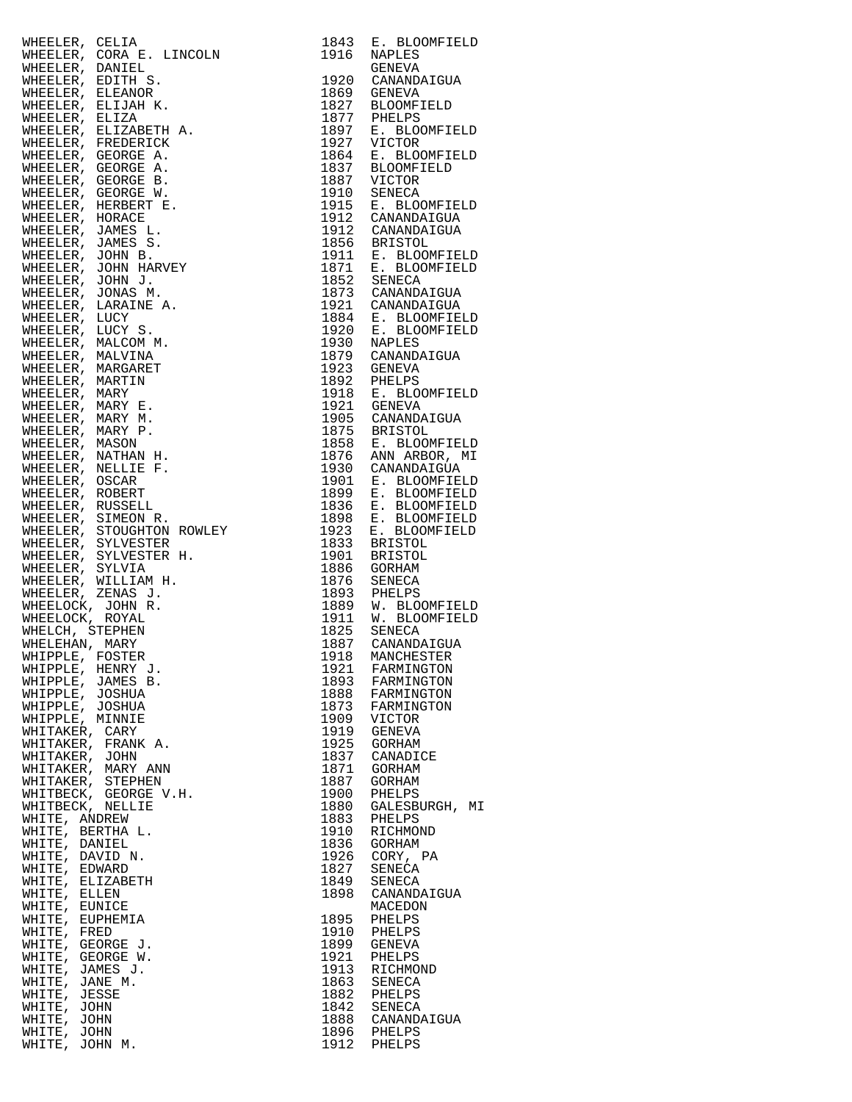|                                                                                                                                                                                                                                                    | 1843         | E. BLOOMFIELD                                                                                                                                                                                                                                                         |
|----------------------------------------------------------------------------------------------------------------------------------------------------------------------------------------------------------------------------------------------------|--------------|-----------------------------------------------------------------------------------------------------------------------------------------------------------------------------------------------------------------------------------------------------------------------|
|                                                                                                                                                                                                                                                    | 1916         | NAPLES                                                                                                                                                                                                                                                                |
|                                                                                                                                                                                                                                                    |              | GENEVA                                                                                                                                                                                                                                                                |
|                                                                                                                                                                                                                                                    |              | 1920 CANANDAIGUA                                                                                                                                                                                                                                                      |
|                                                                                                                                                                                                                                                    |              |                                                                                                                                                                                                                                                                       |
|                                                                                                                                                                                                                                                    |              | 1869 GENEVA<br>1827 BLOOMFIELD                                                                                                                                                                                                                                        |
|                                                                                                                                                                                                                                                    |              |                                                                                                                                                                                                                                                                       |
|                                                                                                                                                                                                                                                    |              |                                                                                                                                                                                                                                                                       |
|                                                                                                                                                                                                                                                    |              |                                                                                                                                                                                                                                                                       |
|                                                                                                                                                                                                                                                    |              |                                                                                                                                                                                                                                                                       |
|                                                                                                                                                                                                                                                    |              |                                                                                                                                                                                                                                                                       |
|                                                                                                                                                                                                                                                    |              |                                                                                                                                                                                                                                                                       |
|                                                                                                                                                                                                                                                    |              |                                                                                                                                                                                                                                                                       |
|                                                                                                                                                                                                                                                    |              |                                                                                                                                                                                                                                                                       |
|                                                                                                                                                                                                                                                    |              |                                                                                                                                                                                                                                                                       |
|                                                                                                                                                                                                                                                    |              |                                                                                                                                                                                                                                                                       |
|                                                                                                                                                                                                                                                    |              |                                                                                                                                                                                                                                                                       |
|                                                                                                                                                                                                                                                    |              |                                                                                                                                                                                                                                                                       |
|                                                                                                                                                                                                                                                    |              | 1827 BLOOMFIELD<br>1877 BLOOMFIELD<br>1877 BLOOMFIELD<br>1927 VICTOR<br>1864 E. BLOOMFIELD<br>1887 BLOOMFIELD<br>1887 BLOOMFIELD<br>1887 VICTOR<br>1910 SENECA<br>1915 E. BLOOMFIELD<br>1912 CANANDAIGUA<br>1912 CANANDAIGUA<br>1912 CANANDAIGUA<br>1912 E. BLOOMFIEL |
|                                                                                                                                                                                                                                                    |              |                                                                                                                                                                                                                                                                       |
|                                                                                                                                                                                                                                                    |              |                                                                                                                                                                                                                                                                       |
|                                                                                                                                                                                                                                                    |              |                                                                                                                                                                                                                                                                       |
|                                                                                                                                                                                                                                                    |              | 1921 CANANDAIGUA<br>1884 E. BLOOMFIELD<br>1920 E. BLOOMFIELD<br>1930 NAPLES<br>1979 CANANDAIGUA<br>1923 GENEVA<br>1922 PHELPS<br>1918 E. BLOOMFIELD<br>1921 GENEVA<br>1921 GENEVA                                                                                     |
|                                                                                                                                                                                                                                                    |              |                                                                                                                                                                                                                                                                       |
|                                                                                                                                                                                                                                                    |              |                                                                                                                                                                                                                                                                       |
|                                                                                                                                                                                                                                                    |              |                                                                                                                                                                                                                                                                       |
|                                                                                                                                                                                                                                                    |              |                                                                                                                                                                                                                                                                       |
|                                                                                                                                                                                                                                                    |              |                                                                                                                                                                                                                                                                       |
|                                                                                                                                                                                                                                                    |              |                                                                                                                                                                                                                                                                       |
|                                                                                                                                                                                                                                                    |              |                                                                                                                                                                                                                                                                       |
|                                                                                                                                                                                                                                                    |              |                                                                                                                                                                                                                                                                       |
|                                                                                                                                                                                                                                                    |              |                                                                                                                                                                                                                                                                       |
|                                                                                                                                                                                                                                                    |              |                                                                                                                                                                                                                                                                       |
|                                                                                                                                                                                                                                                    |              |                                                                                                                                                                                                                                                                       |
|                                                                                                                                                                                                                                                    |              | 1905 CANANDAIGUA<br>1875 BRISTOL<br>1858 E. BLOOMFIELD<br>1876 ANN ARBOR, MI<br>1930 CANANDAIGUA<br>1901 E. BLOOMFIELD<br>1901 E. BLOOMFIELD                                                                                                                          |
|                                                                                                                                                                                                                                                    |              |                                                                                                                                                                                                                                                                       |
|                                                                                                                                                                                                                                                    |              | 1899 E. BLOOMFIELD<br>1836 E. BLOOMFIELD<br>1836 E. BLOOMFIELD<br>1923 E. BLOOMFIELD<br>1933 BRISTOL<br>1901 BRISTOL<br>1906 COUN                                                                                                                                     |
|                                                                                                                                                                                                                                                    |              |                                                                                                                                                                                                                                                                       |
|                                                                                                                                                                                                                                                    |              |                                                                                                                                                                                                                                                                       |
|                                                                                                                                                                                                                                                    |              |                                                                                                                                                                                                                                                                       |
|                                                                                                                                                                                                                                                    |              |                                                                                                                                                                                                                                                                       |
| WHEELER, CELIA<br>MHEELER, CORA E. LINCOLN<br>WHEELER, CORA E. LINCOLN<br>WHEELER, EDITHI S.<br>WHEELER, ELIZANOR<br>WHEELER, ELIZANOR<br>WHEELER, ELIZANOR<br>MHEELER, GEORGE A.<br>MHEELER, GEORGE A.<br>MHEELER, GEORGE B.<br>MHEELER, GEORGE B |              | 1886 GORHAM<br>1876 SENECA                                                                                                                                                                                                                                            |
|                                                                                                                                                                                                                                                    |              | 1893 PHELPS<br>1889 W. BLOOMFIELD<br>1911 W. BLOOMFIELD<br>1825 SENECA<br>1887 CANANDAIGUA                                                                                                                                                                            |
|                                                                                                                                                                                                                                                    |              |                                                                                                                                                                                                                                                                       |
|                                                                                                                                                                                                                                                    |              |                                                                                                                                                                                                                                                                       |
|                                                                                                                                                                                                                                                    |              |                                                                                                                                                                                                                                                                       |
|                                                                                                                                                                                                                                                    |              | CANANDAIGUA                                                                                                                                                                                                                                                           |
| WHIPPLE, FOSTER                                                                                                                                                                                                                                    |              | 1918 MANCHESTER                                                                                                                                                                                                                                                       |
| WHIPPLE, HENRY J.                                                                                                                                                                                                                                  | 1921         | FARMINGTON<br>1921 FARMINGTON<br>1893 FARMINGTON                                                                                                                                                                                                                      |
| WHIPPLE, JAMES B.                                                                                                                                                                                                                                  |              |                                                                                                                                                                                                                                                                       |
| WHIPPLE, JOSHUA<br>WHIPPLE, JOSHUA                                                                                                                                                                                                                 |              | 1888 FARMINGTON<br>1873 FARMINGTON                                                                                                                                                                                                                                    |
| WHIPPLE, MINNIE                                                                                                                                                                                                                                    | 1909         | VICTOR                                                                                                                                                                                                                                                                |
| WHITAKER, CARY                                                                                                                                                                                                                                     | 1919         | <b>GENEVA</b>                                                                                                                                                                                                                                                         |
| WHITAKER, FRANK A.                                                                                                                                                                                                                                 | 1925         | GORHAM                                                                                                                                                                                                                                                                |
| WHITAKER, JOHN                                                                                                                                                                                                                                     |              | 1837 CANADICE                                                                                                                                                                                                                                                         |
| WHITAKER, MARY ANN                                                                                                                                                                                                                                 | 1871         | GORHAM                                                                                                                                                                                                                                                                |
| WHITAKER, STEPHEN                                                                                                                                                                                                                                  | 1887         | GORHAM                                                                                                                                                                                                                                                                |
| WHITBECK, GEORGE V.H.                                                                                                                                                                                                                              | 1900         | PHELPS                                                                                                                                                                                                                                                                |
| WHITBECK, NELLIE                                                                                                                                                                                                                                   | 1880         | GALESBURGH, MI                                                                                                                                                                                                                                                        |
| WHITE, ANDREW                                                                                                                                                                                                                                      | 1883         | PHELPS                                                                                                                                                                                                                                                                |
| WHITE, BERTHA L.                                                                                                                                                                                                                                   | 1910         | RICHMOND                                                                                                                                                                                                                                                              |
| WHITE, DANIEL                                                                                                                                                                                                                                      | 1836         | 1836 GORHAM<br>1926 CORY, PA                                                                                                                                                                                                                                          |
| WHITE, DAVID N.                                                                                                                                                                                                                                    |              |                                                                                                                                                                                                                                                                       |
| WHITE, EDWARD<br>WHITE, ELIZABETH                                                                                                                                                                                                                  | 1827<br>1849 | SENECA<br>SENECA                                                                                                                                                                                                                                                      |
| WHITE, ELLEN                                                                                                                                                                                                                                       | 1898         | CANANDAIGUA                                                                                                                                                                                                                                                           |
| WHITE, EUNICE                                                                                                                                                                                                                                      |              | MACEDON                                                                                                                                                                                                                                                               |
| WHITE, EUPHEMIA                                                                                                                                                                                                                                    | 1895         | PHELPS                                                                                                                                                                                                                                                                |
| WHITE, FRED                                                                                                                                                                                                                                        | 1910         | PHELPS                                                                                                                                                                                                                                                                |
| WHITE, GEORGE J.                                                                                                                                                                                                                                   | 1899         | GENEVA                                                                                                                                                                                                                                                                |
| WHITE, GEORGE W.                                                                                                                                                                                                                                   | 1921         | PHELPS                                                                                                                                                                                                                                                                |
| WHITE, JAMES J.                                                                                                                                                                                                                                    | 1913         | RICHMOND                                                                                                                                                                                                                                                              |
| WHITE, JANE M.                                                                                                                                                                                                                                     | 1863         | SENECA                                                                                                                                                                                                                                                                |
| WHITE, JESSE                                                                                                                                                                                                                                       |              | 1882 PHELPS<br>1842 SENECA                                                                                                                                                                                                                                            |
| WHITE, JOHN<br>WHITE, JOHN                                                                                                                                                                                                                         |              |                                                                                                                                                                                                                                                                       |
| WHITE, JOHN                                                                                                                                                                                                                                        |              | 1888 CANANDAIGUA<br>1896 PHELPS                                                                                                                                                                                                                                       |
| WHITE, JOHN M.                                                                                                                                                                                                                                     | 1912         | PHELPS                                                                                                                                                                                                                                                                |
|                                                                                                                                                                                                                                                    |              |                                                                                                                                                                                                                                                                       |

| 1843<br>1916 | E. BLOOMFIELD<br><b>NAPLES</b>                                   |
|--------------|------------------------------------------------------------------|
|              | GENEVA                                                           |
| 1920<br>1869 | CANANDAIGUA<br>GENEVA                                            |
| 1827         | BLOOMFIELD                                                       |
| 1877         | PHELPS                                                           |
| 1897<br>1927 | E. BLOOMFIELD<br>VICTOR                                          |
| 1864         | E. BLOOMFIELD                                                    |
| 1837         | <b>BLOOMFIELD</b>                                                |
| 1887         | VICTOR                                                           |
| 1910<br>1915 | SENECA<br>E. BLOOMFIELD                                          |
| 1912         | CANANDAIGUA                                                      |
| 1912<br>1856 | CANANDAIGUA<br><b>BRISTOL</b>                                    |
| 1911         | E. BLOOMFIELD                                                    |
| 1871         | E. BLOOMFIELD                                                    |
| 1852<br>1873 | <b>SENECA</b>                                                    |
| 1921         | CANANDAIGUA<br>CANANDAIGUA                                       |
| 1884         | E. BLOOMFIELD                                                    |
| 1920<br>1930 | E. BLOOMFIELD                                                    |
| 1879         | NAPLES<br>CANANDAIGUA                                            |
| 1923         | GENEVA                                                           |
| 1892<br>1918 | PHELPS<br>E. BLOOMFIELD                                          |
| 1921         | GENEVA                                                           |
| 1905         | CANANDAIGUA                                                      |
| 1875<br>1858 | <b>BRISTOL</b><br>E. BLOOMFIELD                                  |
| 1876         | ANN ARBOR, MI                                                    |
| 1930         | CANANDAIGUA                                                      |
| 1901<br>1899 |                                                                  |
| 1836         | E. BLOOMFIELD<br>E. BLOOMFIELD<br>E. BLOOMFIELD<br>E. BLOOMFIELD |
| 1898<br>1923 | E. BLOOMFIELD                                                    |
| 1833         | <b>BRISTOL</b>                                                   |
| 1901         | <b>BRISTOL</b>                                                   |
| 1886<br>1876 | GORHAM<br>SENECA                                                 |
| 1893         | PHELPS                                                           |
| 1889         | W. BLOOMFIELD                                                    |
| 1911<br>1825 | W. BLOOMFIELD<br>SENECA                                          |
| 1887         | CANANDAIGUA                                                      |
| 1918         | MANCHESTER                                                       |
| 1921<br>1893 | FARMINGTON<br>FARMINGTON                                         |
| 1888         | FARMINGTON                                                       |
| 1873         | FARMINGTON                                                       |
| 1909<br>1919 | VICTOR<br>GENEVA                                                 |
| 1925         | GORHAM                                                           |
| 1837<br>1871 | CANADICE                                                         |
| 1887         | GORHAM<br>GORHAM                                                 |
| 1900         | PHELPS                                                           |
| 1880<br>1883 | GALESBURGH,<br>MΙ<br>PHELPS                                      |
| 1910         | RICHMOND                                                         |
| 1836         | GORHAM                                                           |
| 1926<br>1827 | CORY,<br>ΡA<br>SENECA                                            |
| 1849         | SENECA                                                           |
| 1898         | CANANDAIGUA                                                      |
| 1895         | MACEDON<br>PHELPS                                                |
| 1910         | PHELPS                                                           |
| 1899<br>1921 | GENEVA<br>PHELPS                                                 |
| 1913         | RICHMOND                                                         |
| 1863         | SENECA                                                           |
| 1882<br>1842 | PHELPS<br>SENECA                                                 |
| 1888         | CANANDAIGUA                                                      |
| 1896         | PHELPS                                                           |
| 1912         | PHELPS                                                           |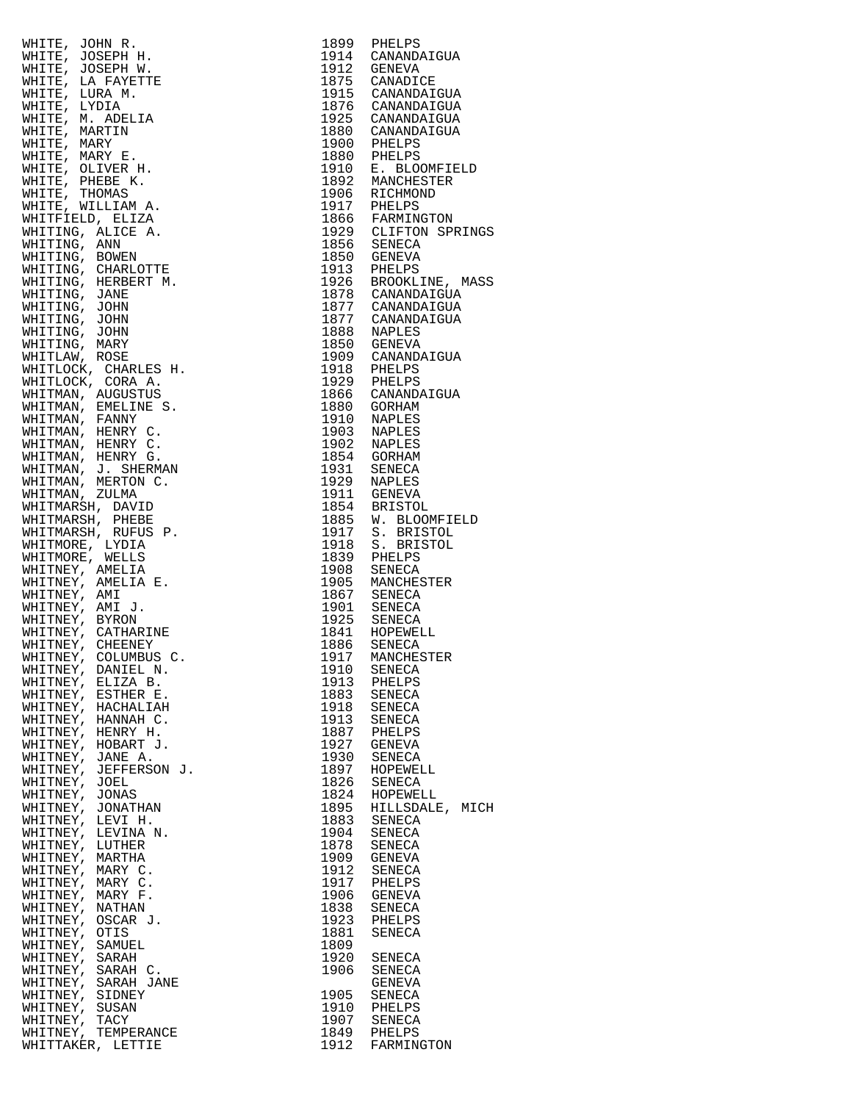|                                                                                                                                                                                                                                                  |      | 1899 PHELPS                                                                                                                                                                                                                                                                 |
|--------------------------------------------------------------------------------------------------------------------------------------------------------------------------------------------------------------------------------------------------|------|-----------------------------------------------------------------------------------------------------------------------------------------------------------------------------------------------------------------------------------------------------------------------------|
|                                                                                                                                                                                                                                                  |      | 1914 CANANDAIGUA                                                                                                                                                                                                                                                            |
|                                                                                                                                                                                                                                                  |      | 1912 GENEVA                                                                                                                                                                                                                                                                 |
|                                                                                                                                                                                                                                                  |      |                                                                                                                                                                                                                                                                             |
|                                                                                                                                                                                                                                                  |      |                                                                                                                                                                                                                                                                             |
|                                                                                                                                                                                                                                                  |      |                                                                                                                                                                                                                                                                             |
|                                                                                                                                                                                                                                                  |      | 1914 CANANDAIGUA<br>1912 GENEVA<br>1875 CANADICE<br>1915 CANADAIGUA<br>1876 CANANDAIGUA<br>1876 CANANDAIGUA<br>1880 CANANDAIGUA<br>1880 CANANDAIGUA<br>1900 PHELPS<br>1880 PHELPS<br>1910 E. BLOOMFIELD<br>1910 E. BLOOMFIELD<br>1917 PHELPS<br>1856 GENEVA<br>1913 PHEL    |
|                                                                                                                                                                                                                                                  |      |                                                                                                                                                                                                                                                                             |
|                                                                                                                                                                                                                                                  |      |                                                                                                                                                                                                                                                                             |
|                                                                                                                                                                                                                                                  |      |                                                                                                                                                                                                                                                                             |
|                                                                                                                                                                                                                                                  |      |                                                                                                                                                                                                                                                                             |
|                                                                                                                                                                                                                                                  |      |                                                                                                                                                                                                                                                                             |
|                                                                                                                                                                                                                                                  |      |                                                                                                                                                                                                                                                                             |
|                                                                                                                                                                                                                                                  |      |                                                                                                                                                                                                                                                                             |
|                                                                                                                                                                                                                                                  |      |                                                                                                                                                                                                                                                                             |
|                                                                                                                                                                                                                                                  |      |                                                                                                                                                                                                                                                                             |
|                                                                                                                                                                                                                                                  |      |                                                                                                                                                                                                                                                                             |
|                                                                                                                                                                                                                                                  |      |                                                                                                                                                                                                                                                                             |
|                                                                                                                                                                                                                                                  |      |                                                                                                                                                                                                                                                                             |
|                                                                                                                                                                                                                                                  |      |                                                                                                                                                                                                                                                                             |
|                                                                                                                                                                                                                                                  |      |                                                                                                                                                                                                                                                                             |
|                                                                                                                                                                                                                                                  |      |                                                                                                                                                                                                                                                                             |
|                                                                                                                                                                                                                                                  |      |                                                                                                                                                                                                                                                                             |
|                                                                                                                                                                                                                                                  |      |                                                                                                                                                                                                                                                                             |
|                                                                                                                                                                                                                                                  |      |                                                                                                                                                                                                                                                                             |
|                                                                                                                                                                                                                                                  |      |                                                                                                                                                                                                                                                                             |
|                                                                                                                                                                                                                                                  |      |                                                                                                                                                                                                                                                                             |
|                                                                                                                                                                                                                                                  |      |                                                                                                                                                                                                                                                                             |
|                                                                                                                                                                                                                                                  |      |                                                                                                                                                                                                                                                                             |
|                                                                                                                                                                                                                                                  |      |                                                                                                                                                                                                                                                                             |
|                                                                                                                                                                                                                                                  |      |                                                                                                                                                                                                                                                                             |
|                                                                                                                                                                                                                                                  |      |                                                                                                                                                                                                                                                                             |
|                                                                                                                                                                                                                                                  |      |                                                                                                                                                                                                                                                                             |
|                                                                                                                                                                                                                                                  |      |                                                                                                                                                                                                                                                                             |
|                                                                                                                                                                                                                                                  |      |                                                                                                                                                                                                                                                                             |
|                                                                                                                                                                                                                                                  |      |                                                                                                                                                                                                                                                                             |
|                                                                                                                                                                                                                                                  |      |                                                                                                                                                                                                                                                                             |
|                                                                                                                                                                                                                                                  |      |                                                                                                                                                                                                                                                                             |
|                                                                                                                                                                                                                                                  |      |                                                                                                                                                                                                                                                                             |
|                                                                                                                                                                                                                                                  |      |                                                                                                                                                                                                                                                                             |
|                                                                                                                                                                                                                                                  |      |                                                                                                                                                                                                                                                                             |
|                                                                                                                                                                                                                                                  |      |                                                                                                                                                                                                                                                                             |
|                                                                                                                                                                                                                                                  |      |                                                                                                                                                                                                                                                                             |
|                                                                                                                                                                                                                                                  |      |                                                                                                                                                                                                                                                                             |
|                                                                                                                                                                                                                                                  |      |                                                                                                                                                                                                                                                                             |
| WHITE, JOHN R. HAPPY MITTER, AND REALLY AND METTE, LA PAYETTE WHITTE, LORA M.<br>WHITE, LA PAYETTE WHITE, LORA M.<br>WHITE, LORA M.<br>WHITE, MARY E. LORA M.<br>WHITE, MARY E.<br>WHITE, MARY E.<br>WHITE, MARY E. WHITE, MARY E. WHITE, MARY E |      | 1866 CANADAIGUA<br>1866 CANADAIGUA<br>1910 NAPLES<br>1903 NAPLES<br>1902 NAPLES<br>1902 NAPLES<br>1929 NAPLES<br>1929 NAPLES<br>1929 NAPLES<br>1929 NAPLES<br>1915 BRISTOL<br>1885 W. BLOOMFIELD<br>1917 S. BRISTOL<br>1917 S. BRISTOL<br>1918 S. BRISTOL<br>1918 S. BRISTO |
|                                                                                                                                                                                                                                                  |      |                                                                                                                                                                                                                                                                             |
|                                                                                                                                                                                                                                                  |      |                                                                                                                                                                                                                                                                             |
|                                                                                                                                                                                                                                                  |      |                                                                                                                                                                                                                                                                             |
|                                                                                                                                                                                                                                                  |      |                                                                                                                                                                                                                                                                             |
|                                                                                                                                                                                                                                                  |      |                                                                                                                                                                                                                                                                             |
|                                                                                                                                                                                                                                                  |      | 1917 MANCHESTER                                                                                                                                                                                                                                                             |
| WHITNEY, DANIEL N.                                                                                                                                                                                                                               | 1910 | SENECA                                                                                                                                                                                                                                                                      |
| WHITNEY, ELIZA B.                                                                                                                                                                                                                                |      | 1913 PHELPS                                                                                                                                                                                                                                                                 |
| WHITNEY, ESTHER E.                                                                                                                                                                                                                               | 1883 | SENECA                                                                                                                                                                                                                                                                      |
| WHITNEY, HACHALIAH                                                                                                                                                                                                                               |      | 1918 SENECA                                                                                                                                                                                                                                                                 |
| WHITNEY, HANNAH C.                                                                                                                                                                                                                               | 1913 | SENECA                                                                                                                                                                                                                                                                      |
| WHITNEY, HENRY H.                                                                                                                                                                                                                                |      | 1887 PHELPS                                                                                                                                                                                                                                                                 |
| WHITNEY, HOBART J.                                                                                                                                                                                                                               |      | 1927 GENEVA                                                                                                                                                                                                                                                                 |
| WHITNEY, JANE A.                                                                                                                                                                                                                                 |      | 1930 SENECA                                                                                                                                                                                                                                                                 |
| WHITNEY, JEFFERSON J.                                                                                                                                                                                                                            |      | 1897 HOPEWELL                                                                                                                                                                                                                                                               |
| WHITNEY, JOEL                                                                                                                                                                                                                                    |      | 1826 SENECA                                                                                                                                                                                                                                                                 |
| WHITNEY, JONAS                                                                                                                                                                                                                                   |      | 1824 HOPEWELL                                                                                                                                                                                                                                                               |
| WHITNEY, JONATHAN                                                                                                                                                                                                                                |      | 1895 HILLSDALE, MIC                                                                                                                                                                                                                                                         |
| WHITNEY, LEVI H.                                                                                                                                                                                                                                 |      | 1883 SENECA                                                                                                                                                                                                                                                                 |
| WHITNEY, LEVINA N.                                                                                                                                                                                                                               |      | 1904 SENECA                                                                                                                                                                                                                                                                 |
| WHITNEY, LUTHER                                                                                                                                                                                                                                  | 1878 | SENECA                                                                                                                                                                                                                                                                      |
| WHITNEY, MARTHA                                                                                                                                                                                                                                  |      | 1909 GENEVA                                                                                                                                                                                                                                                                 |
| WHITNEY, MARY C.                                                                                                                                                                                                                                 |      | 1912 SENECA                                                                                                                                                                                                                                                                 |
| WHITNEY, MARY C.                                                                                                                                                                                                                                 |      | 1917 PHELPS                                                                                                                                                                                                                                                                 |
| WHITNEY, MARY F.                                                                                                                                                                                                                                 |      | 1906 GENEVA                                                                                                                                                                                                                                                                 |
| WHITNEY, NATHAN                                                                                                                                                                                                                                  |      |                                                                                                                                                                                                                                                                             |
|                                                                                                                                                                                                                                                  | 1838 | SENECA                                                                                                                                                                                                                                                                      |
| WHITNEY, OSCAR J.                                                                                                                                                                                                                                | 1923 | PHELPS                                                                                                                                                                                                                                                                      |
| WHITNEY, OTIS                                                                                                                                                                                                                                    | 1881 | SENECA                                                                                                                                                                                                                                                                      |
| WHITNEY, SAMUEL                                                                                                                                                                                                                                  | 1809 |                                                                                                                                                                                                                                                                             |
| WHITNEY, SARAH                                                                                                                                                                                                                                   |      | 1920 SENECA                                                                                                                                                                                                                                                                 |
| WHITNEY, SARAH C.                                                                                                                                                                                                                                | 1906 | SENECA                                                                                                                                                                                                                                                                      |
| WHITNEY, SARAH JANE                                                                                                                                                                                                                              |      | GENEVA                                                                                                                                                                                                                                                                      |
| WHITNEY, SIDNEY                                                                                                                                                                                                                                  | 1905 | SENECA                                                                                                                                                                                                                                                                      |
| WHITNEY, SUSAN                                                                                                                                                                                                                                   |      | 1910 PHELPS<br>1907 SENECA                                                                                                                                                                                                                                                  |
| WHITNEY,<br>TACY                                                                                                                                                                                                                                 |      |                                                                                                                                                                                                                                                                             |
| WHITNEY, TEMPERANCE                                                                                                                                                                                                                              |      | 1849 PHELPS                                                                                                                                                                                                                                                                 |
| WHITTAKER, LETTIE                                                                                                                                                                                                                                |      | 1912 FARMINGTON                                                                                                                                                                                                                                                             |

| $\begin{tabular}{cccccccc} \texttt{Adm} & \texttt{1} & \texttt{1} & \texttt{1} & \texttt{1} & \texttt{1} & \texttt{1} & \texttt{1} & \texttt{1} & \texttt{1} & \texttt{1} & \texttt{1} & \texttt{1} & \texttt{1} & \texttt{1} & \texttt{1} & \texttt{1} & \texttt{1} & \texttt{1} & \texttt{1} & \texttt{1} & \texttt{1} & \texttt{1} & \texttt{1} & \texttt{1} & \texttt{1} & \texttt{1} & \texttt{1} & \texttt{1} & \texttt{1} &$ |                 |
|-------------------------------------------------------------------------------------------------------------------------------------------------------------------------------------------------------------------------------------------------------------------------------------------------------------------------------------------------------------------------------------------------------------------------------------|-----------------|
| WHITTAKER, LETTIE                                                                                                                                                                                                                                                                                                                                                                                                                   | 1912 FARMINGTON |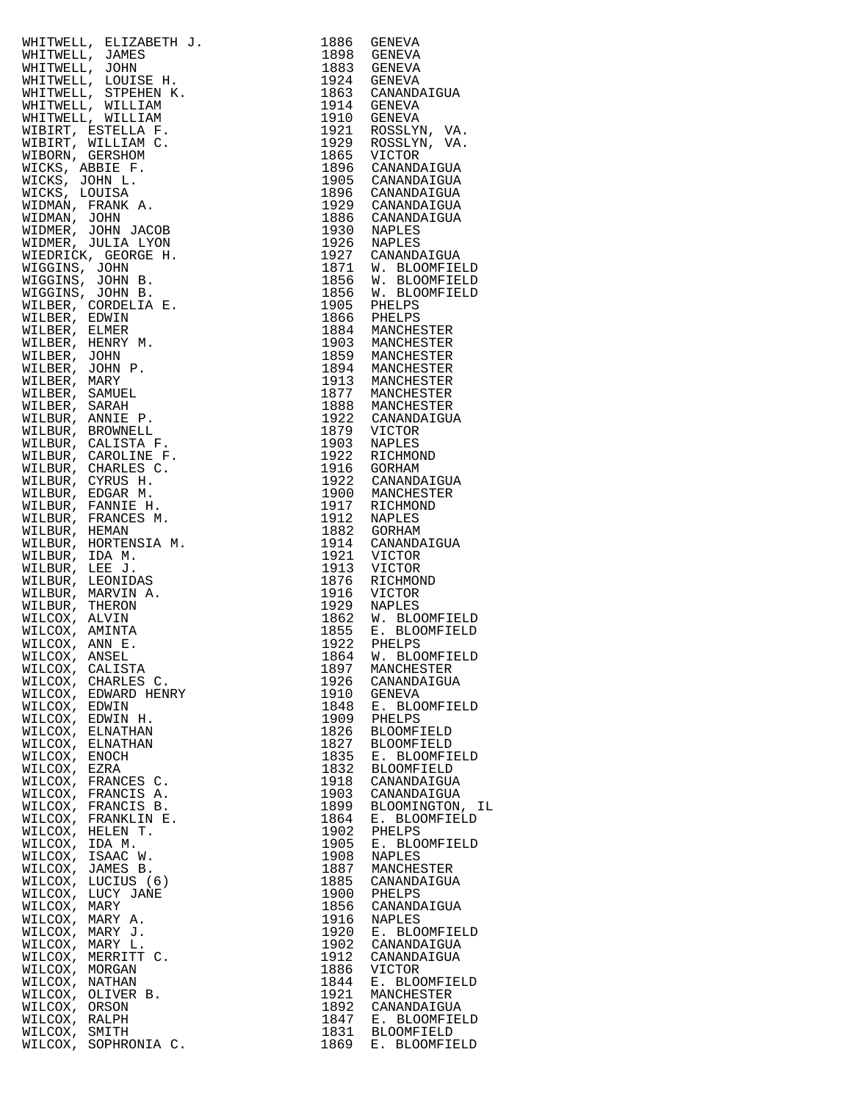| WHITWELL, ELIZABETH J.  | 1886 | GENEVA             |
|-------------------------|------|--------------------|
|                         |      |                    |
| WHITWELL, JAMES         | 1898 | GENEVA             |
| WHITWELL, JOHN          | 1883 | GENEVA             |
| WHITWELL, LOUISE H.     |      | 1924 GENEVA        |
| WHITWELL, STPEHEN K.    |      | 1863 CANANDAIGUA   |
|                         |      |                    |
| WHITWELL, WILLIAM       | 1914 | GENEVA             |
| WHITWELL, WILLIAM       | 1910 | GENEVA             |
| WIBIRT, ESTELLA F.      | 1921 | ROSSLYN, VA.       |
|                         |      |                    |
| WIBIRT, WILLIAM C.      | 1929 | ROSSLYN, VA.       |
| WIBORN, GERSHOM         | 1865 | VICTOR             |
| WICKS, ABBIE F.         | 1896 | CANANDAIGUA        |
| WICKS, JOHN L.          | 1905 |                    |
|                         |      | CANANDAIGUA        |
| WICKS, LOUISA           |      | 1896 CANANDAIGUA   |
| WIDMAN, FRANK A.        |      | 1929 CANANDAIGUA   |
| WIDMAN, JOHN            | 1886 | CANANDAIGUA        |
| WIDMER, JOHN JACOB      |      |                    |
|                         |      | 1930 NAPLES        |
| WIDMER, JULIA LYON      |      | 1926 NAPLES        |
| WIEDRICK, GEORGE H.     |      | 1927 CANANDAIGUA   |
| WIGGINS, JOHN           | 1871 | W. BLOOMFIELD      |
|                         |      |                    |
| WIGGINS, JOHN B.        | 1856 | W. BLOOMFIELD      |
| WIGGINS, JOHN B.        | 1856 | W. BLOOMFIELD      |
| WILBER, CORDELIA E.     | 1905 | PHELPS             |
|                         |      |                    |
| WILBER, EDWIN           | 1866 | PHELPS             |
| WILBER, ELMER           |      | 1884 MANCHESTER    |
| WILBER, HENRY M.        |      | 1903 MANCHESTER    |
| WILBER, JOHN            |      | 1859 MANCHESTER    |
|                         |      |                    |
| WILBER, JOHN P.         | 1894 | MANCHESTER         |
| WILBER, MARY            |      | 1913 MANCHESTER    |
| WILBER, SAMUEL          | 1877 | MANCHESTER         |
|                         |      |                    |
| WILBER, SARAH           |      | 1888 MANCHESTER    |
| WILBUR, ANNIE P.        | 1922 | CANANDAIGUA        |
| WILBUR, BROWNELL        | 1879 | VICTOR             |
|                         |      |                    |
| WILBUR, CALISTA F.      | 1903 | NAPLES             |
| WILBUR, CAROLINE F.     | 1922 | RICHMOND           |
| WILBUR, CHARLES C.      |      | 1916 GORHAM        |
| WILBUR, CYRUS H.        |      | 1922 CANANDAIGUA   |
|                         |      |                    |
| WILBUR, EDGAR M.        | 1900 | MANCHESTER         |
| WILBUR, FANNIE H.       | 1917 | RICHMOND           |
| WILBUR, FRANCES M.      | 1912 | NAPLES             |
| WILBUR, HEMAN           | 1882 | GORHAM             |
|                         |      |                    |
| WILBUR, HORTENSIA M.    | 1914 | CANANDAIGUA        |
| WILBUR, IDA M.          | 1921 | VICTOR             |
| WILBUR, LEE J.          | 1913 | VICTOR             |
| WILBUR, LEONIDAS        | 1876 |                    |
|                         |      | RICHMOND           |
| WILBUR, MARVIN A.       | 1916 | VICTOR             |
| WILBUR, THERON          | 1929 | NAPLES             |
| WILCOX, ALVIN           | 1862 | W. BLOOMFIELD      |
|                         |      |                    |
| WILCOX, AMINTA          |      | 1855 E. BLOOMFIELD |
| WILCOX, ANN E.          | 1922 | PHELPS             |
| WILCOX, ANSEL           |      | 1864 W. BLOOMFIELD |
| WILCOX, CALISTA         | 1897 | MANCHESTER         |
|                         |      |                    |
| WILCOX,<br>CHARLES C.   | 1926 | CANANDAIGUA        |
| WILCOX,<br>EDWARD HENRY | 1910 | GENEVA             |
| WILCOX,<br>EDWIN        | 1848 | E. BLOOMFIELD      |
| WILCOX,<br>EDWIN H.     | 1909 | PHELPS             |
|                         |      |                    |
| WILCOX,<br>ELNATHAN     | 1826 | <b>BLOOMFIELD</b>  |
| WILCOX,<br>ELNATHAN     | 1827 | <b>BLOOMFIELD</b>  |
| WILCOX,<br>ENOCH        | 1835 | E. BLOOMFIELD      |
| WILCOX,<br>EZRA         | 1832 | <b>BLOOMFIELD</b>  |
|                         |      |                    |
| WILCOX,<br>FRANCES C.   | 1918 | CANANDAIGUA        |
| WILCOX,<br>FRANCIS A.   | 1903 | CANANDAIGUA        |
| WILCOX,<br>FRANCIS B.   | 1899 | BLOOMINGTON, IL    |
|                         |      |                    |
| WILCOX, FRANKLIN E.     | 1864 | E. BLOOMFIELD      |
| WILCOX, HELEN T.        | 1902 | PHELPS             |
| WILCOX, IDA M.          | 1905 | E. BLOOMFIELD      |
| WILCOX,<br>ISAAC W.     | 1908 | NAPLES             |
|                         |      |                    |
| WILCOX, JAMES B.        | 1887 | MANCHESTER         |
| WILCOX,<br>LUCIUS (6)   | 1885 | CANANDAIGUA        |
| WILCOX,<br>LUCY JANE    | 1900 | PHELPS             |
| WILCOX,<br>MARY         | 1856 | CANANDAIGUA        |
|                         |      |                    |
| WILCOX,<br>MARY A.      | 1916 | <b>NAPLES</b>      |
| WILCOX,<br>MARY J.      | 1920 | E. BLOOMFIELD      |
| WILCOX,<br>MARY L.      | 1902 | CANANDAIGUA        |
|                         |      |                    |
| WILCOX,<br>MERRITT C.   | 1912 | CANANDAIGUA        |
| WILCOX,<br>MORGAN       | 1886 | VICTOR             |
| WILCOX,<br>NATHAN       | 1844 | E. BLOOMFIELD      |
| WILCOX, OLIVER B.       | 1921 | MANCHESTER         |
|                         |      |                    |
| WILCOX, ORSON           | 1892 | CANANDAIGUA        |
| WILCOX, RALPH           | 1847 | E. BLOOMFIELD      |
| WILCOX,<br>SMITH        | 1831 | <b>BLOOMFIELD</b>  |
| WILCOX, SOPHRONIA C.    | 1869 | E. BLOOMFIELD      |
|                         |      |                    |

| WILCOX, FRANCIS B.<br>WILCOX, FRANKLIN E. | 1899<br>1864 | BLOOMINGTON, II<br>E. BLOOMFIELD |
|-------------------------------------------|--------------|----------------------------------|
| WILCOX, HELEN T.                          | 1902         | PHELPS                           |
| WILCOX, IDA M.                            | 1905         | E. BLOOMFIELD                    |
| WILCOX, ISAAC W.                          | 1908         | NAPLES                           |
| WILCOX, JAMES B.<br>WILCOX, LUCIUS (6)    | 1887<br>1885 | MANCHESTER<br>CANANDAIGUA        |
| WILCOX, LUCY JANE                         | 1900         | PHELPS                           |
| WILCOX,<br>MARY                           | 1856         | CANANDAIGUA                      |
| WILCOX, MARY A.                           | 1916         | NAPLES                           |
| WILCOX,<br>MARY J.<br>WILCOX, MARY L.     | 1920<br>1902 | E. BLOOMFIELD<br>CANANDAIGUA     |
| WILCOX,<br>MERRITT C.                     | 1912         | CANANDAIGUA                      |
| WILCOX, MORGAN                            | 1886         | VICTOR                           |
| WILCOX,<br>NATHAN<br>WILCOX, OLIVER B.    | 1844<br>1921 | E. BLOOMFIELD<br>MANCHESTER      |
| WILCOX, ORSON                             | 1892         | CANANDAIGUA                      |
| WILCOX, RALPH                             | 1847         | E. BLOOMFIELD                    |
| WILCOX, SMITH                             | 1831         | <b>BLOOMFIELD</b>                |
| WILCOX, SOPHRONIA C.                      | 1869         | E. BLOOMFIELD                    |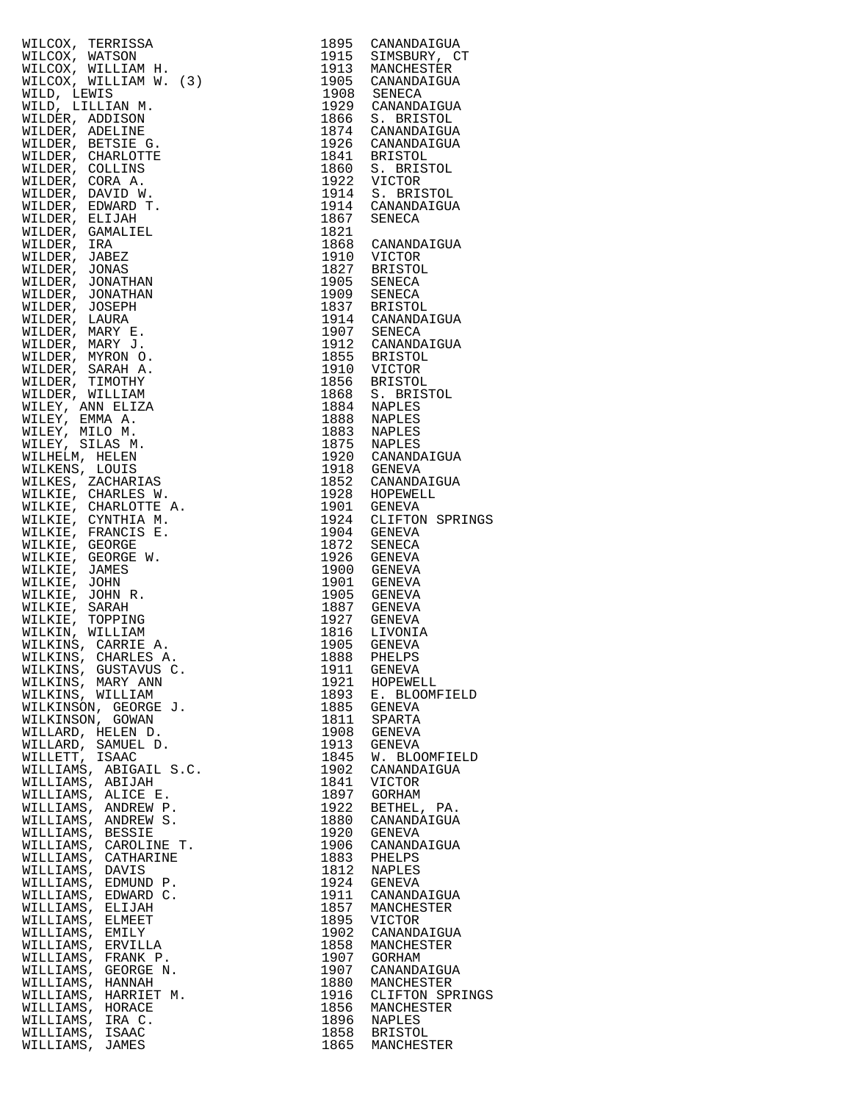| WILCOX, TERRISSA                                                                                                                                                                                                                                                                      |      |                                     |
|---------------------------------------------------------------------------------------------------------------------------------------------------------------------------------------------------------------------------------------------------------------------------------------|------|-------------------------------------|
|                                                                                                                                                                                                                                                                                       |      |                                     |
| WILCOX, WATSON                                                                                                                                                                                                                                                                        |      |                                     |
| WILCOX, WILLIAM H.                                                                                                                                                                                                                                                                    |      |                                     |
| WILCOX, WILLIAM W. (3)                                                                                                                                                                                                                                                                |      |                                     |
|                                                                                                                                                                                                                                                                                       |      |                                     |
| WILD, LEWIS                                                                                                                                                                                                                                                                           |      |                                     |
| WILD, LILLIAN M.                                                                                                                                                                                                                                                                      |      |                                     |
| WILDER, ADDISON                                                                                                                                                                                                                                                                       |      |                                     |
|                                                                                                                                                                                                                                                                                       |      |                                     |
| WILDER, ADELINE                                                                                                                                                                                                                                                                       |      |                                     |
| WILDER, BETSIE G.                                                                                                                                                                                                                                                                     |      |                                     |
| WILDER, CHARLOTTE                                                                                                                                                                                                                                                                     |      |                                     |
|                                                                                                                                                                                                                                                                                       |      |                                     |
| WILDER, COLLINS                                                                                                                                                                                                                                                                       |      |                                     |
| WILDER, CORA A.                                                                                                                                                                                                                                                                       |      |                                     |
|                                                                                                                                                                                                                                                                                       |      |                                     |
| WILDER, DAVID W.                                                                                                                                                                                                                                                                      |      |                                     |
| WILDER, EDWARD T.                                                                                                                                                                                                                                                                     |      |                                     |
| WILDER, ELIJAH                                                                                                                                                                                                                                                                        |      |                                     |
|                                                                                                                                                                                                                                                                                       |      |                                     |
| WILDER, GAMALIEL                                                                                                                                                                                                                                                                      |      |                                     |
| WILDER, IRA                                                                                                                                                                                                                                                                           |      |                                     |
| WILDER, JABEZ                                                                                                                                                                                                                                                                         |      |                                     |
|                                                                                                                                                                                                                                                                                       |      |                                     |
| WILDER, JONAS                                                                                                                                                                                                                                                                         |      |                                     |
| WILDER, JONATHAN                                                                                                                                                                                                                                                                      |      |                                     |
| WILDER, JONATHAN                                                                                                                                                                                                                                                                      |      |                                     |
|                                                                                                                                                                                                                                                                                       |      |                                     |
| WILDER, JOSEPH                                                                                                                                                                                                                                                                        |      |                                     |
| WILDER, LAURA                                                                                                                                                                                                                                                                         |      |                                     |
| WILDER, MARY E.                                                                                                                                                                                                                                                                       |      |                                     |
|                                                                                                                                                                                                                                                                                       |      |                                     |
| WILDER, MARY J.                                                                                                                                                                                                                                                                       |      |                                     |
| WILDER, MYRON O.                                                                                                                                                                                                                                                                      |      |                                     |
|                                                                                                                                                                                                                                                                                       |      |                                     |
| WILDER, SARAH A.                                                                                                                                                                                                                                                                      |      |                                     |
| WILDER, TIMOTHY                                                                                                                                                                                                                                                                       |      |                                     |
| WILDER, WILLIAM                                                                                                                                                                                                                                                                       |      |                                     |
|                                                                                                                                                                                                                                                                                       |      |                                     |
| WILEY, ANN ELIZA                                                                                                                                                                                                                                                                      |      |                                     |
| WILEY, EMMA A.                                                                                                                                                                                                                                                                        |      |                                     |
| WILEY, MILO M.                                                                                                                                                                                                                                                                        |      |                                     |
|                                                                                                                                                                                                                                                                                       |      |                                     |
| WILEY, SILAS M.                                                                                                                                                                                                                                                                       |      |                                     |
| WILHELM, HELEN                                                                                                                                                                                                                                                                        |      |                                     |
| WILKENS, LOUIS                                                                                                                                                                                                                                                                        |      |                                     |
|                                                                                                                                                                                                                                                                                       |      |                                     |
| WILKES, ZACHARIAS                                                                                                                                                                                                                                                                     |      |                                     |
| WILKIE, CHARLES W.                                                                                                                                                                                                                                                                    |      |                                     |
|                                                                                                                                                                                                                                                                                       |      |                                     |
| WILKIE, CHARLOTTE A.                                                                                                                                                                                                                                                                  |      |                                     |
| WILKIE, CYNTHIA M.                                                                                                                                                                                                                                                                    |      | 1901 GENEVA<br>1924 CLIFTON SPRINGS |
| WILKIE, FRANCIS E.                                                                                                                                                                                                                                                                    |      |                                     |
|                                                                                                                                                                                                                                                                                       |      |                                     |
| WILKIE, GEORGE                                                                                                                                                                                                                                                                        |      |                                     |
| WILKIE, GEORGE W.                                                                                                                                                                                                                                                                     |      |                                     |
| WILKIE, JAMES                                                                                                                                                                                                                                                                         |      |                                     |
|                                                                                                                                                                                                                                                                                       |      |                                     |
| WILKIE, JOHN                                                                                                                                                                                                                                                                          |      |                                     |
| WILKIE, JOHN R.                                                                                                                                                                                                                                                                       |      |                                     |
| WILKIE, SARAH                                                                                                                                                                                                                                                                         |      |                                     |
|                                                                                                                                                                                                                                                                                       |      |                                     |
| WILKIE, TOPPING                                                                                                                                                                                                                                                                       |      |                                     |
| WILKIN, WILLIAM                                                                                                                                                                                                                                                                       |      | 1816 LIVONIA<br>1905 GENEVA         |
| WILKINS, CARRIE A.                                                                                                                                                                                                                                                                    |      |                                     |
|                                                                                                                                                                                                                                                                                       |      |                                     |
|                                                                                                                                                                                                                                                                                       | 1888 | <b>PHETPS</b>                       |
|                                                                                                                                                                                                                                                                                       | 1911 | GENEVA                              |
|                                                                                                                                                                                                                                                                                       | 1921 | HOPEWELL                            |
|                                                                                                                                                                                                                                                                                       |      |                                     |
|                                                                                                                                                                                                                                                                                       |      | 1893 E. BLOOMFIELD                  |
|                                                                                                                                                                                                                                                                                       | 1885 | GENEVA                              |
|                                                                                                                                                                                                                                                                                       | 1811 | SPARTA                              |
|                                                                                                                                                                                                                                                                                       |      |                                     |
|                                                                                                                                                                                                                                                                                       | 1908 | GENEVA                              |
|                                                                                                                                                                                                                                                                                       | 1913 | GENEVA                              |
|                                                                                                                                                                                                                                                                                       | 1845 | W. BLOOMFIELD                       |
|                                                                                                                                                                                                                                                                                       |      |                                     |
|                                                                                                                                                                                                                                                                                       | 1902 | CANANDAIGUA                         |
|                                                                                                                                                                                                                                                                                       | 1841 | VICTOR                              |
|                                                                                                                                                                                                                                                                                       |      |                                     |
|                                                                                                                                                                                                                                                                                       | 1897 | GORHAM                              |
|                                                                                                                                                                                                                                                                                       | 1922 | BETHEL, PA.                         |
|                                                                                                                                                                                                                                                                                       | 1880 | CANANDAIGUA                         |
|                                                                                                                                                                                                                                                                                       |      |                                     |
|                                                                                                                                                                                                                                                                                       | 1920 | GENEVA                              |
|                                                                                                                                                                                                                                                                                       | 1906 | CANANDAIGUA                         |
|                                                                                                                                                                                                                                                                                       | 1883 | PHELPS                              |
|                                                                                                                                                                                                                                                                                       |      |                                     |
|                                                                                                                                                                                                                                                                                       | 1812 | NAPLES                              |
|                                                                                                                                                                                                                                                                                       | 1924 | GENEVA                              |
|                                                                                                                                                                                                                                                                                       | 1911 | CANANDAIGUA                         |
|                                                                                                                                                                                                                                                                                       |      |                                     |
|                                                                                                                                                                                                                                                                                       | 1857 | MANCHESTER                          |
|                                                                                                                                                                                                                                                                                       | 1895 | VICTOR                              |
|                                                                                                                                                                                                                                                                                       | 1902 | CANANDAIGUA                         |
|                                                                                                                                                                                                                                                                                       |      |                                     |
|                                                                                                                                                                                                                                                                                       | 1858 | MANCHESTER                          |
|                                                                                                                                                                                                                                                                                       | 1907 | GORHAM                              |
|                                                                                                                                                                                                                                                                                       | 1907 | CANANDAIGUA                         |
|                                                                                                                                                                                                                                                                                       |      |                                     |
|                                                                                                                                                                                                                                                                                       | 1880 | MANCHESTER                          |
|                                                                                                                                                                                                                                                                                       | 1916 | CLIFTON SPRINGS                     |
|                                                                                                                                                                                                                                                                                       |      |                                     |
|                                                                                                                                                                                                                                                                                       |      |                                     |
|                                                                                                                                                                                                                                                                                       | 1856 | MANCHESTER                          |
|                                                                                                                                                                                                                                                                                       |      | 1896 NAPLES                         |
| WILKIN, WILLIAM<br>MILKINS, CARRIE A.<br>MILKINS, CARRIE A.<br>MILKINS, CHRRLES A.<br>MILKINS, MARY ANN<br>WILKINS, MARY ANN<br>WILKINS, MILIAM<br>WILKINSON, GOWAN<br>WILKINSON, GOWAN<br>WILLIARD, SEDRIE D.<br>MILLIARD, SAMUEL D.<br>MILLIARD, SAMUEL D.<br>MI<br>WILLIAMS, ISAAC |      | 1858 BRISTOL                        |

| LCOX, TERRISSA<br>LCOX, WATSON<br>LCOX, WILLIAM W. (3)<br>LCOX, WILLIAM W. (3)<br>LDOX, WILLIAM W. (3)<br>LDOX, MILLIAM M.<br>LDOX, ADDISON<br>LDDER, ADDISON<br>LDDER, COLLINS<br>LDDER, COLLINS<br>LDDER, COLLINS<br>LDDER, COLLINS<br>LDDER, COLLIN          | 1895         | CANANDAIGUA                          |
|-----------------------------------------------------------------------------------------------------------------------------------------------------------------------------------------------------------------------------------------------------------------|--------------|--------------------------------------|
|                                                                                                                                                                                                                                                                 |              | 1915 SIMSBURY, CT<br>1913 MANCHESTER |
|                                                                                                                                                                                                                                                                 |              |                                      |
|                                                                                                                                                                                                                                                                 |              | 1905 CANANDAIGUA<br>1908 SENECA      |
|                                                                                                                                                                                                                                                                 |              | 1929 CANANDAIGUA                     |
|                                                                                                                                                                                                                                                                 |              | 1866 S. BRISTOL                      |
|                                                                                                                                                                                                                                                                 |              | 1874 CANANDAIGUA<br>1926 CANANDAIGUA |
|                                                                                                                                                                                                                                                                 |              |                                      |
|                                                                                                                                                                                                                                                                 |              | 1841 BRISTOL<br>1860 S. BRISTOL      |
|                                                                                                                                                                                                                                                                 |              | 1922 VICTOR<br>1914 S. BRISTOL       |
|                                                                                                                                                                                                                                                                 |              |                                      |
|                                                                                                                                                                                                                                                                 |              | 1914 CANANDAIGUA<br>1867 SENECA      |
|                                                                                                                                                                                                                                                                 | 1821         |                                      |
|                                                                                                                                                                                                                                                                 |              | 1868 CANANDAIGUA                     |
|                                                                                                                                                                                                                                                                 |              | 1910 VICTOR<br>1827 BRISTOL          |
|                                                                                                                                                                                                                                                                 |              |                                      |
|                                                                                                                                                                                                                                                                 | 1905         | SENECA                               |
|                                                                                                                                                                                                                                                                 |              | 1909 SENECA                          |
|                                                                                                                                                                                                                                                                 |              | 1837 BRISTOL<br>1914 CANANDAIGUA     |
|                                                                                                                                                                                                                                                                 |              | 1907 SENECA                          |
|                                                                                                                                                                                                                                                                 |              | 1912 CANANDAIGUA                     |
|                                                                                                                                                                                                                                                                 |              | 1855 BRISTOL<br>1910 VICTOR          |
|                                                                                                                                                                                                                                                                 |              |                                      |
|                                                                                                                                                                                                                                                                 |              | 1856 BRISTOL<br>1868 S. BRISTOL      |
|                                                                                                                                                                                                                                                                 |              | 1884 NAPLES                          |
|                                                                                                                                                                                                                                                                 |              | 1888 NAPLES                          |
|                                                                                                                                                                                                                                                                 |              | 1883 NAPLES<br>1875 NAPLES           |
|                                                                                                                                                                                                                                                                 |              |                                      |
|                                                                                                                                                                                                                                                                 |              | 1920 CANANDAIGUA<br>1918 GENEVA      |
|                                                                                                                                                                                                                                                                 |              | 1852 CANANDAIGUA                     |
|                                                                                                                                                                                                                                                                 |              | 1928 HOPEWELL                        |
|                                                                                                                                                                                                                                                                 |              | 1901 GENEVA<br>1924 CLIFTON SPRINGS  |
|                                                                                                                                                                                                                                                                 |              | 1904 GENEVA                          |
|                                                                                                                                                                                                                                                                 |              | 1872 SENECA                          |
|                                                                                                                                                                                                                                                                 |              | 1926 GENEVA                          |
|                                                                                                                                                                                                                                                                 |              | 1900 GENEVA                          |
|                                                                                                                                                                                                                                                                 |              | 1901 GENEVA<br>1905 GENEVA           |
|                                                                                                                                                                                                                                                                 |              | 1887 GENEVA                          |
|                                                                                                                                                                                                                                                                 |              | 1927 GENEVA                          |
|                                                                                                                                                                                                                                                                 |              | 1816 LIVONIA                         |
|                                                                                                                                                                                                                                                                 |              | 1905 GENEVA<br>PHELPS                |
|                                                                                                                                                                                                                                                                 | 1888<br>1911 | GENEVA                               |
|                                                                                                                                                                                                                                                                 | 1921         | HOPEWELL                             |
|                                                                                                                                                                                                                                                                 | 1893         | E. BLOOMFIELD                        |
|                                                                                                                                                                                                                                                                 | 1885         | GENEVA                               |
|                                                                                                                                                                                                                                                                 | 1811<br>1908 | SPARTA<br>GENEVA                     |
|                                                                                                                                                                                                                                                                 | 1913         | GENEVA                               |
|                                                                                                                                                                                                                                                                 | 1845         | W. BLOOMFIELD                        |
|                                                                                                                                                                                                                                                                 | 1902         | CANANDAIGUA                          |
|                                                                                                                                                                                                                                                                 | 1841<br>1897 | VICTOR<br>GORHAM                     |
|                                                                                                                                                                                                                                                                 | 1922         | BETHEL, PA.                          |
|                                                                                                                                                                                                                                                                 | 1880         | CANANDAIGUA                          |
|                                                                                                                                                                                                                                                                 | 1920         | GENEVA                               |
|                                                                                                                                                                                                                                                                 | 1906<br>1883 | CANANDAIGUA                          |
|                                                                                                                                                                                                                                                                 | 1812         | PHELPS<br>NAPLES                     |
|                                                                                                                                                                                                                                                                 | 1924         | GENEVA                               |
|                                                                                                                                                                                                                                                                 | 1911         | CANANDAIGUA                          |
|                                                                                                                                                                                                                                                                 | 1857         | MANCHESTER                           |
|                                                                                                                                                                                                                                                                 | 1895<br>1902 | VICTOR<br>CANANDAIGUA                |
|                                                                                                                                                                                                                                                                 | 1858         | MANCHESTER                           |
|                                                                                                                                                                                                                                                                 | 1907         | GORHAM                               |
|                                                                                                                                                                                                                                                                 | 1907         | CANANDAIGUA                          |
|                                                                                                                                                                                                                                                                 | 1880<br>1916 | MANCHESTER<br>CLIFTON SPRINGS        |
| WILKINS, CARRIE A.<br>MILKINS, CHARLES A.<br>MILKINS, CHARLES A.<br>MILKINS, MHAY ANN<br>WILKINS, MARY ANN<br>WILKINS, MARY ANN<br>WILKINSON, GOORGE J.<br>MILKINSON, GOORGE J.<br>MILLIAND, HELEN D.<br>MILLIAND, HELEN D.<br>MILLIAND, BANCEL D.<br>MILLIANS, | 1856         | MANCHESTER                           |
|                                                                                                                                                                                                                                                                 | 1896         | NAPLES                               |
| WILLIAMS, ISAAC                                                                                                                                                                                                                                                 | 1858         | BRISTOL                              |
| WILLIAMS, JAMES                                                                                                                                                                                                                                                 | 1865         | MANCHESTER                           |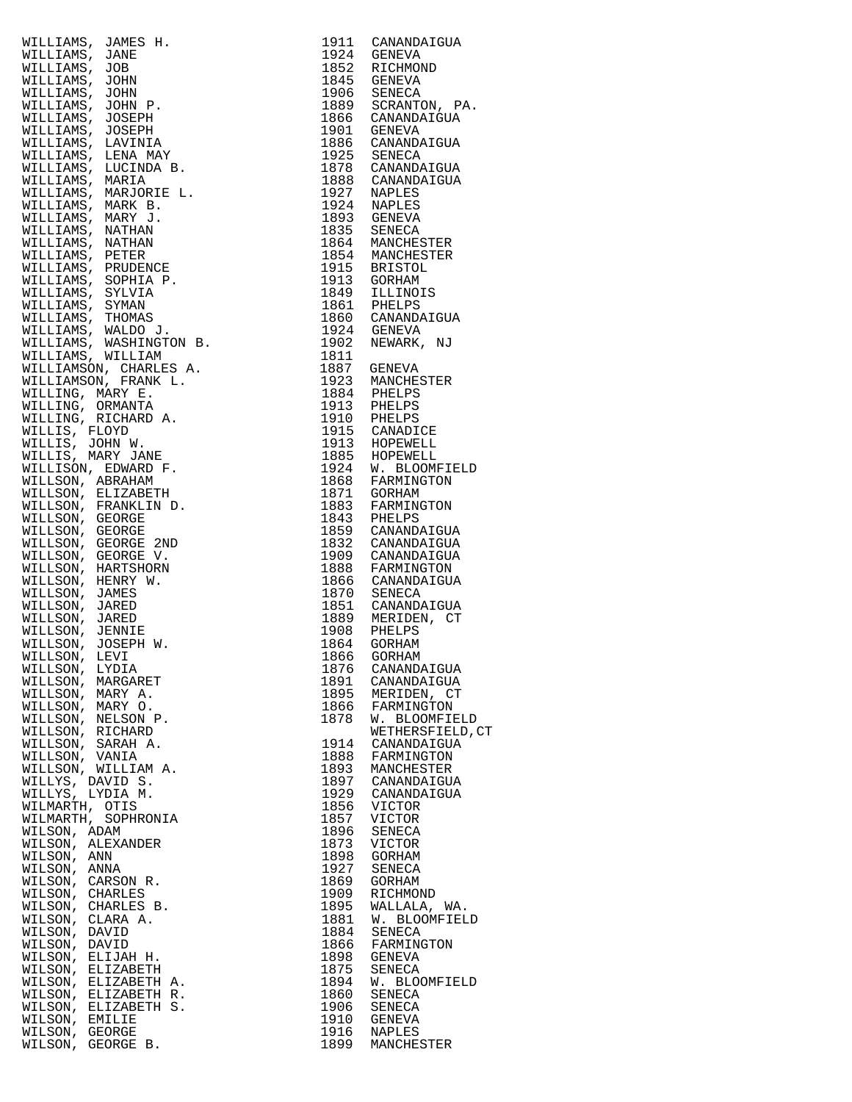| WILLIAMS, JAMES H.<br>MILLIAMS, JAMES H.<br>MILLIAMS, JONN<br>WILLIAMS, JON<br>WILLIAMS, JONN<br>WILLIAMS, JONN<br>WILLIAMS, JONN<br>WILLIAMS, JOSEPH<br>WILLIAMS, LENANY<br>WILLIAMS, LENANY<br>WILLIAMS, LENANY<br>WILLIAMS, MARIA<br>WILLIAMS, MARIA MARY H.<br>MI | 1911         | CANANDAIGUA                          |
|-----------------------------------------------------------------------------------------------------------------------------------------------------------------------------------------------------------------------------------------------------------------------|--------------|--------------------------------------|
|                                                                                                                                                                                                                                                                       |              | 1924 GENEVA<br>1852 RICHMOND         |
|                                                                                                                                                                                                                                                                       |              | 1845 GENEVA                          |
|                                                                                                                                                                                                                                                                       |              | 1906 SENECA                          |
|                                                                                                                                                                                                                                                                       |              | 1889 SCRANTON, PA.                   |
|                                                                                                                                                                                                                                                                       | 1866         | CANANDAIGUA                          |
|                                                                                                                                                                                                                                                                       | 1901         | GENEVA                               |
|                                                                                                                                                                                                                                                                       |              | 1886 CANANDAIGUA                     |
|                                                                                                                                                                                                                                                                       |              | 1925 SENECA                          |
|                                                                                                                                                                                                                                                                       |              | 1878 CANANDAIGUA<br>1888 CANANDAIGUA |
|                                                                                                                                                                                                                                                                       | 1927         | NAPLES                               |
|                                                                                                                                                                                                                                                                       | 1924         | NAPLES                               |
|                                                                                                                                                                                                                                                                       |              | 1893 GENEVA                          |
|                                                                                                                                                                                                                                                                       | 1835         | SENECA                               |
|                                                                                                                                                                                                                                                                       |              | 1864 MANCHESTER                      |
|                                                                                                                                                                                                                                                                       |              | 1854 MANCHESTER                      |
|                                                                                                                                                                                                                                                                       |              | 1915 BRISTOL                         |
|                                                                                                                                                                                                                                                                       |              | 1913 GORHAM<br>1849 ILLINOIS         |
|                                                                                                                                                                                                                                                                       |              |                                      |
|                                                                                                                                                                                                                                                                       |              | 1861 PHELPS<br>1860 CANANDAIGUA      |
|                                                                                                                                                                                                                                                                       |              | 1924 GENEVA                          |
|                                                                                                                                                                                                                                                                       | 1902         | NEWARK, NJ                           |
|                                                                                                                                                                                                                                                                       | 1811         |                                      |
|                                                                                                                                                                                                                                                                       |              | 1887 GENEVA                          |
|                                                                                                                                                                                                                                                                       |              | 1923 MANCHESTER<br>1884 PHELPS       |
|                                                                                                                                                                                                                                                                       |              |                                      |
|                                                                                                                                                                                                                                                                       |              | 1913 PHELPS<br>1910 PHELPS           |
|                                                                                                                                                                                                                                                                       | 1915         | CANADICE                             |
|                                                                                                                                                                                                                                                                       |              | 1913 HOPEWELL                        |
|                                                                                                                                                                                                                                                                       |              | 1885 HOPEWELL                        |
|                                                                                                                                                                                                                                                                       |              | 1924 W. BLOOMFIELD                   |
|                                                                                                                                                                                                                                                                       |              | 1868 FARMINGTON<br>1871 GORHAM       |
|                                                                                                                                                                                                                                                                       | 1883         | FARMINGTON                           |
|                                                                                                                                                                                                                                                                       |              | 1883 FARMING<br>1843 PHELPS          |
|                                                                                                                                                                                                                                                                       |              | 1859 CANANDAIGUA                     |
|                                                                                                                                                                                                                                                                       |              | 1832 CANANDAIGUA                     |
|                                                                                                                                                                                                                                                                       |              | 1909 CANANDAIGUA<br>1888 FARMINGTON  |
|                                                                                                                                                                                                                                                                       |              | 1866 CANANDAIGUA                     |
|                                                                                                                                                                                                                                                                       |              | 1870 SENECA                          |
|                                                                                                                                                                                                                                                                       |              | 1851 CANANDAIGUA                     |
|                                                                                                                                                                                                                                                                       |              | 1889 MERIDEN, CT                     |
|                                                                                                                                                                                                                                                                       | 1908         | PHELPS                               |
|                                                                                                                                                                                                                                                                       | 1864         | GORHAM                               |
| WILLSON, LYDIA                                                                                                                                                                                                                                                        | 1866<br>1876 | GORHAM<br>CANANDAIGUA                |
| WILLSON, MARGARET                                                                                                                                                                                                                                                     | 1891         | CANANDAIGUA                          |
| WILLSON, MARY A.                                                                                                                                                                                                                                                      | 1895         | MERIDEN, CT                          |
| WILLSON, MARY O.                                                                                                                                                                                                                                                      | 1866         | FARMINGTON                           |
| WILLSON, NELSON P.                                                                                                                                                                                                                                                    | 1878         | W. BLOOMFIELD                        |
| WILLSON, RICHARD                                                                                                                                                                                                                                                      |              | WETHERSFIELD, CT                     |
| WILLSON, SARAH A.<br>WILLSON, VANIA                                                                                                                                                                                                                                   | 1914<br>1888 | CANANDAIGUA<br>FARMINGTON            |
| WILLSON, WILLIAM A.                                                                                                                                                                                                                                                   | 1893         | MANCHESTER                           |
| WILLYS, DAVID S.                                                                                                                                                                                                                                                      | 1897         | CANANDAIGUA                          |
| WILLYS, LYDIA M.                                                                                                                                                                                                                                                      | 1929         | CANANDAIGUA                          |
| WILMARTH, OTIS                                                                                                                                                                                                                                                        | 1856         | VICTOR                               |
| WILMARTH,<br>SOPHRONIA                                                                                                                                                                                                                                                | 1857         | <b>VICTOR</b>                        |
| WILSON, ADAM                                                                                                                                                                                                                                                          | 1896         | SENECA                               |
| WILSON, ALEXANDER<br>WILSON,<br>ANN                                                                                                                                                                                                                                   | 1873<br>1898 | VICTOR<br>GORHAM                     |
| WILSON,<br>ANNA                                                                                                                                                                                                                                                       | 1927         | SENECA                               |
| WILSON,<br>CARSON R.                                                                                                                                                                                                                                                  | 1869         | GORHAM                               |
| WILSON,<br>CHARLES                                                                                                                                                                                                                                                    | 1909         | RICHMOND                             |
| WILSON,<br>CHARLES B.                                                                                                                                                                                                                                                 | 1895         | WALLALA, WA.                         |
| WILSON,<br>CLARA A.                                                                                                                                                                                                                                                   | 1881         | W. BLOOMFIELD                        |
| WILSON,<br>DAVID                                                                                                                                                                                                                                                      | 1884         | SENECA                               |
| WILSON,<br>DAVID<br>ELIJAH H.<br>WILSON,                                                                                                                                                                                                                              | 1866<br>1898 | FARMINGTON<br>GENEVA                 |
| WILSON,<br>ELIZABETH                                                                                                                                                                                                                                                  | 1875         | SENECA                               |
| WILSON,<br>ELIZABETH A.                                                                                                                                                                                                                                               | 1894         | W. BLOOMFIELD                        |
| WILSON,<br>ELIZABETH R.                                                                                                                                                                                                                                               | 1860         | SENECA                               |
| WILSON,<br>ELIZABETH S.                                                                                                                                                                                                                                               | 1906         | SENECA                               |
| WILSON,<br>EMILIE                                                                                                                                                                                                                                                     | 1910         | GENEVA                               |
| WILSON, GEORGE<br>WILSON, GEORGE B.                                                                                                                                                                                                                                   | 1916<br>1899 | NAPLES<br>MANCHESTER                 |
|                                                                                                                                                                                                                                                                       |              |                                      |

| 1911         | CANANDAIGUA                     |
|--------------|---------------------------------|
| 1924<br>1852 | GENEVA<br>RICHMOND              |
| 1845         | GENEVA                          |
| 1906         | SENECA                          |
| 1889         | SCRANTON, PA.                   |
| 1866<br>1901 | CANANDAIGUA<br>GENEVA           |
| 1886         | CANANDAIGUA                     |
| 1925         | SENECA                          |
| 1878         | CANANDAIGUA                     |
| 1888         | CANANDAIGUA                     |
| 1927<br>1924 | NAPLES<br><b>NAPLES</b>         |
| 1893         | <b>GENEVA</b>                   |
| 1835         | <b>SENECA</b>                   |
| 1864         | MANCHESTER                      |
| 1854         | MANCHESTER                      |
| 1915<br>1913 | BRISTOL<br><b>GORHAM</b>        |
| 1849         | ILLINOIS                        |
| 1861         | PHELPS                          |
| 1860         | CANANDAIGUA                     |
| 1924         | <b>GENEVA</b>                   |
| 1902<br>1811 | NEWARK, NJ                      |
| 1887         | GENEVA                          |
| 1923         | MANCHESTER                      |
| 1884         | PHELPS                          |
| 1913         | PHELPS                          |
| 1910<br>1915 | PHELPS<br>CANADICE              |
| 1913         | HOPEWELL                        |
| 1885         | HOPEWELL                        |
| 1924         | W. BLOOMFIELD                   |
| 1868         | FARMINGTON                      |
| 1871<br>1883 | GORHAM<br>FARMINGTON            |
| 1843         | PHELPS                          |
| 1859         | CANANDAIGUA                     |
| 1832         | CANANDAIGUA                     |
| 1909         | CANANDAIGUA                     |
| 1888<br>1866 | FARMINGTON<br>CANANDAIGUA       |
| 1870         | SENECA                          |
| 1851         | CANANDAIGUA                     |
| 1889         | MERIDEN, CT                     |
| 1908         | PHELPS                          |
| 1864         | GORHAM                          |
| 1866<br>1876 | <b>GORHAM</b><br>CANANDAIGUA    |
| 1891         | CANANDAIGUA                     |
| 1895         | MERIDEN, CT                     |
| 1866         | FARMINGTON                      |
| 1878         | W. BLOOMFIELD                   |
| 1914         | WETHERSFIELD, CT<br>CANANDAIGUA |
| 1888         | FARMINGTON                      |
| 1893         | MANCHESTER                      |
| 1897         | CANANDAIGUA                     |
| 1929         | CANANDAIGUA                     |
| 1856<br>1857 | VICTOR<br>VICTOR                |
| 1896         | SENECA                          |
| 1873         | VICTOR                          |
| 1898         | <b>GORHAM</b>                   |
| 1927         | <b>SENECA</b>                   |
| 1869<br>1909 | GORHAM<br>RICHMOND              |
| 1895         | WALLALA, WA.                    |
| 1881         | W. BLOOMFIELD                   |
| 1884         | SENECA                          |
| 1866         | FARMINGTON                      |
| 1898<br>1875 | <b>GENEVA</b><br>SENECA         |
| 1894         | W. BLOOMFIELD                   |
| 1860         | SENECA                          |
| 1906         | SENECA                          |
| 1910         | GENEVA                          |
| 1916<br>1899 | <b>NAPLES</b>                   |
|              | MANCHESTER                      |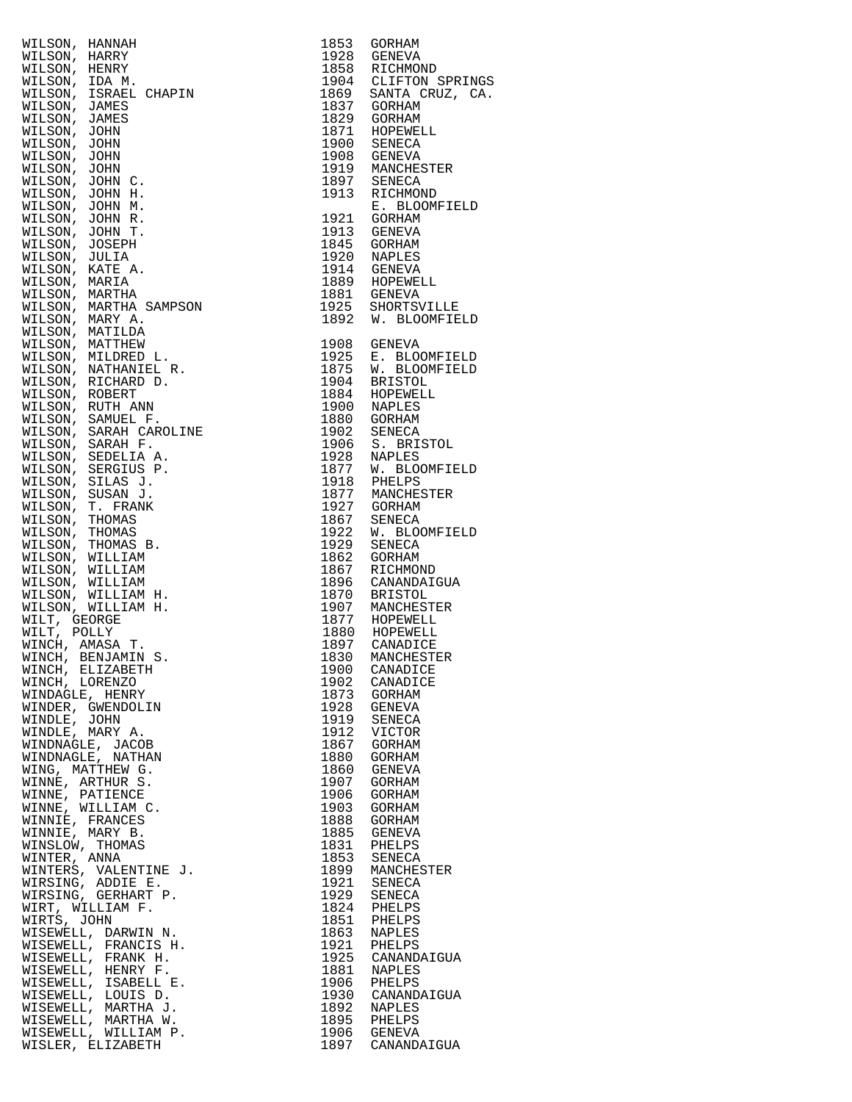| WILSON, HANNAH, 1985<br>WILSON, HANNAH, 1985<br>WILSON, HERRY 1998<br>WILSON, JSRAEL CHAPIN<br>NILSON, JSRAEL CHAPIN<br>NILSON, JSRAEL CHAPIN<br>NILSON, JOHNS 1997<br>WILSON, JOHN<br>WILSON, JOHN C. 1997<br>WILSON, JOHN C. 1997<br>WILSON, JOH                                         |              |                                                                              |
|--------------------------------------------------------------------------------------------------------------------------------------------------------------------------------------------------------------------------------------------------------------------------------------------|--------------|------------------------------------------------------------------------------|
|                                                                                                                                                                                                                                                                                            |              | 1928 GENEVA<br>1858 RICHMOND<br>1904 CLIFTON SPRINGS<br>1869 SANTA CRUZ, CA. |
|                                                                                                                                                                                                                                                                                            |              |                                                                              |
|                                                                                                                                                                                                                                                                                            |              |                                                                              |
|                                                                                                                                                                                                                                                                                            |              |                                                                              |
|                                                                                                                                                                                                                                                                                            |              |                                                                              |
|                                                                                                                                                                                                                                                                                            |              |                                                                              |
|                                                                                                                                                                                                                                                                                            |              |                                                                              |
|                                                                                                                                                                                                                                                                                            |              |                                                                              |
|                                                                                                                                                                                                                                                                                            |              |                                                                              |
|                                                                                                                                                                                                                                                                                            |              |                                                                              |
|                                                                                                                                                                                                                                                                                            |              |                                                                              |
|                                                                                                                                                                                                                                                                                            |              |                                                                              |
|                                                                                                                                                                                                                                                                                            |              |                                                                              |
|                                                                                                                                                                                                                                                                                            |              |                                                                              |
|                                                                                                                                                                                                                                                                                            |              |                                                                              |
|                                                                                                                                                                                                                                                                                            |              |                                                                              |
|                                                                                                                                                                                                                                                                                            |              |                                                                              |
|                                                                                                                                                                                                                                                                                            |              |                                                                              |
|                                                                                                                                                                                                                                                                                            |              |                                                                              |
|                                                                                                                                                                                                                                                                                            |              |                                                                              |
|                                                                                                                                                                                                                                                                                            |              |                                                                              |
|                                                                                                                                                                                                                                                                                            |              |                                                                              |
|                                                                                                                                                                                                                                                                                            |              |                                                                              |
|                                                                                                                                                                                                                                                                                            |              |                                                                              |
|                                                                                                                                                                                                                                                                                            |              |                                                                              |
|                                                                                                                                                                                                                                                                                            |              |                                                                              |
|                                                                                                                                                                                                                                                                                            |              |                                                                              |
|                                                                                                                                                                                                                                                                                            |              |                                                                              |
|                                                                                                                                                                                                                                                                                            |              |                                                                              |
|                                                                                                                                                                                                                                                                                            |              |                                                                              |
|                                                                                                                                                                                                                                                                                            |              |                                                                              |
|                                                                                                                                                                                                                                                                                            |              |                                                                              |
|                                                                                                                                                                                                                                                                                            |              |                                                                              |
|                                                                                                                                                                                                                                                                                            |              |                                                                              |
|                                                                                                                                                                                                                                                                                            |              |                                                                              |
|                                                                                                                                                                                                                                                                                            |              |                                                                              |
|                                                                                                                                                                                                                                                                                            |              |                                                                              |
|                                                                                                                                                                                                                                                                                            |              |                                                                              |
|                                                                                                                                                                                                                                                                                            |              |                                                                              |
|                                                                                                                                                                                                                                                                                            |              |                                                                              |
|                                                                                                                                                                                                                                                                                            |              |                                                                              |
|                                                                                                                                                                                                                                                                                            |              |                                                                              |
|                                                                                                                                                                                                                                                                                            | 1900         | CANADICE                                                                     |
|                                                                                                                                                                                                                                                                                            | 1902         | CANADICE                                                                     |
|                                                                                                                                                                                                                                                                                            |              | 1873 GORHAM                                                                  |
|                                                                                                                                                                                                                                                                                            | 1928         | GENEVA                                                                       |
|                                                                                                                                                                                                                                                                                            | 1919<br>1912 | SENECA<br>VICTOR                                                             |
|                                                                                                                                                                                                                                                                                            | 1867         | GORHAM                                                                       |
|                                                                                                                                                                                                                                                                                            | 1880         | GORHAM                                                                       |
|                                                                                                                                                                                                                                                                                            | 1860         | GENEVA                                                                       |
|                                                                                                                                                                                                                                                                                            | 1907         | GORHAM                                                                       |
|                                                                                                                                                                                                                                                                                            | 1906         | GORHAM                                                                       |
|                                                                                                                                                                                                                                                                                            | 1903<br>1888 | GORHAM<br>GORHAM                                                             |
|                                                                                                                                                                                                                                                                                            | 1885         | GENEVA                                                                       |
|                                                                                                                                                                                                                                                                                            |              | 1831 PHELPS                                                                  |
|                                                                                                                                                                                                                                                                                            | 1853         | SENECA                                                                       |
|                                                                                                                                                                                                                                                                                            |              | 1899 MANCHESTER                                                              |
|                                                                                                                                                                                                                                                                                            | 1921         | SENECA<br>1929 SENECA                                                        |
|                                                                                                                                                                                                                                                                                            | 1824         | PHELPS                                                                       |
|                                                                                                                                                                                                                                                                                            | 1851         | PHELPS                                                                       |
|                                                                                                                                                                                                                                                                                            | 1863         | NAPLES                                                                       |
|                                                                                                                                                                                                                                                                                            |              | 1921 PHELPS                                                                  |
|                                                                                                                                                                                                                                                                                            | 1925         | CANANDAIGUA                                                                  |
|                                                                                                                                                                                                                                                                                            |              | 1881 NAPLES                                                                  |
|                                                                                                                                                                                                                                                                                            | 1906         | PHELPS<br>1930 CANANDAIGUA                                                   |
|                                                                                                                                                                                                                                                                                            | 1892         | NAPLES                                                                       |
|                                                                                                                                                                                                                                                                                            |              | 1895 PHELPS                                                                  |
|                                                                                                                                                                                                                                                                                            | 1906         | GENEVA                                                                       |
| WINCH, AMASA T.<br>WINCH, BENJAMIN S.<br>WINCH, BENJAMIN S.<br>WINCH, BENJAMIN S.<br>WINCH, ELIZABETH<br>WINDER, GWENDOLIN<br>WINDER, GWENDOLIN<br>WINDER, GWENDOLIN<br>WINDIE, JOHN<br>WINDIE, NARY A.<br>WINDIE, MARY A.<br>WINDIE, MARY S.<br>WINNIE, PRANCES<br>W<br>WISLER, ELIZABETH | 1897         | CANANDAIGUA                                                                  |
|                                                                                                                                                                                                                                                                                            |              |                                                                              |

| 1853<br>1928<br>1858<br>1904<br>1869<br>1837<br>1829<br>1871<br>1900<br>1908<br>1919<br>1897<br>1913<br>1921                                                                                                                                                                                                                                                                                                                                                         | GORHAM<br>GENEVA<br>RICHMOND<br>CLIFTON SPRING:<br>SANTA CRUZ, CA<br>GORHAM<br>GORHAM<br>HOPEWELL<br><b>SENECA</b><br>GENEVA<br>MANCHESTER<br>SENECA<br>RICHMOND<br>E. BLOOMFIELD<br><b>GORHAM</b>                                                                                                                                                                                                                                                                                                                                                                                                                                                                                                                                        |
|----------------------------------------------------------------------------------------------------------------------------------------------------------------------------------------------------------------------------------------------------------------------------------------------------------------------------------------------------------------------------------------------------------------------------------------------------------------------|-------------------------------------------------------------------------------------------------------------------------------------------------------------------------------------------------------------------------------------------------------------------------------------------------------------------------------------------------------------------------------------------------------------------------------------------------------------------------------------------------------------------------------------------------------------------------------------------------------------------------------------------------------------------------------------------------------------------------------------------|
| 1913<br>1845<br>1920<br>1914<br>1889<br>1881<br>1925<br>1892                                                                                                                                                                                                                                                                                                                                                                                                         | <b>GENEVA</b><br>GORHAM<br>NAPLES<br>GENEVA<br>HOPEWELL<br>GENEVA<br>SHORTSVILLE<br>W. BLOOMFIELD                                                                                                                                                                                                                                                                                                                                                                                                                                                                                                                                                                                                                                         |
| 1908<br>1925<br>1875<br>1904<br>1884<br>1900<br>1880<br>1902<br>1906<br>1928<br>1877<br>1918<br>1877<br>1927<br>1867<br>1922<br>1929<br>1862<br>1867<br>1896<br>1870<br>1907<br>1877<br>1880<br>1897<br>1830<br>1900<br>1902<br>1873<br>1928<br>1919<br>1912<br>1867<br>1880<br>1860<br>1907<br>1906<br>1903<br>1888<br>1885<br>1831<br>1853<br>1899<br>1921<br>1929<br>1824<br>1851<br>1863<br>1921<br>1925<br>1881<br>1906<br>1930<br>1892<br>1895<br>1906<br>1897 | GENEVA<br>E. BLOOMFIELD<br>W. BLOOMFIELD<br><b>BRISTOL</b><br>HOPEWELL<br>NAPLES<br>GORHAM<br>SENECA<br>S. BRISTOL<br>NAPLES<br>W. BLOOMFIELD<br>PHELPS<br>MANCHESTER<br>GORHAM<br>SENECA<br>W. BLOOMFIELD<br>SENECA<br>GORHAM<br>RICHMOND<br>CANANDAIGUA<br><b>BRISTOL</b><br>MANCHESTER<br>HOPEWELL<br>HOPEWELL<br>CANADICE<br>MANCHESTER<br>CANADICE<br>CANADICE<br>GORHAM<br>GENEVA<br>SENECA<br>VICTOR<br>GORHAM<br>GORHAM<br><b>GENEVA</b><br>GORHAM<br><b>GORHAM</b><br>GORHAM<br>GORHAM<br><b>GENEVA</b><br>PHELPS<br><b>SENECA</b><br>MANCHESTER<br>SENECA<br>SENECA<br>PHELPS<br>PHELPS<br><b>NAPLES</b><br>PHELPS<br>CANANDAIGUA<br><b>NAPLES</b><br>PHELPS<br>CANANDAIGUA<br><b>NAPLES</b><br>PHELPS<br>GENEVA<br>CANANDAIGUA |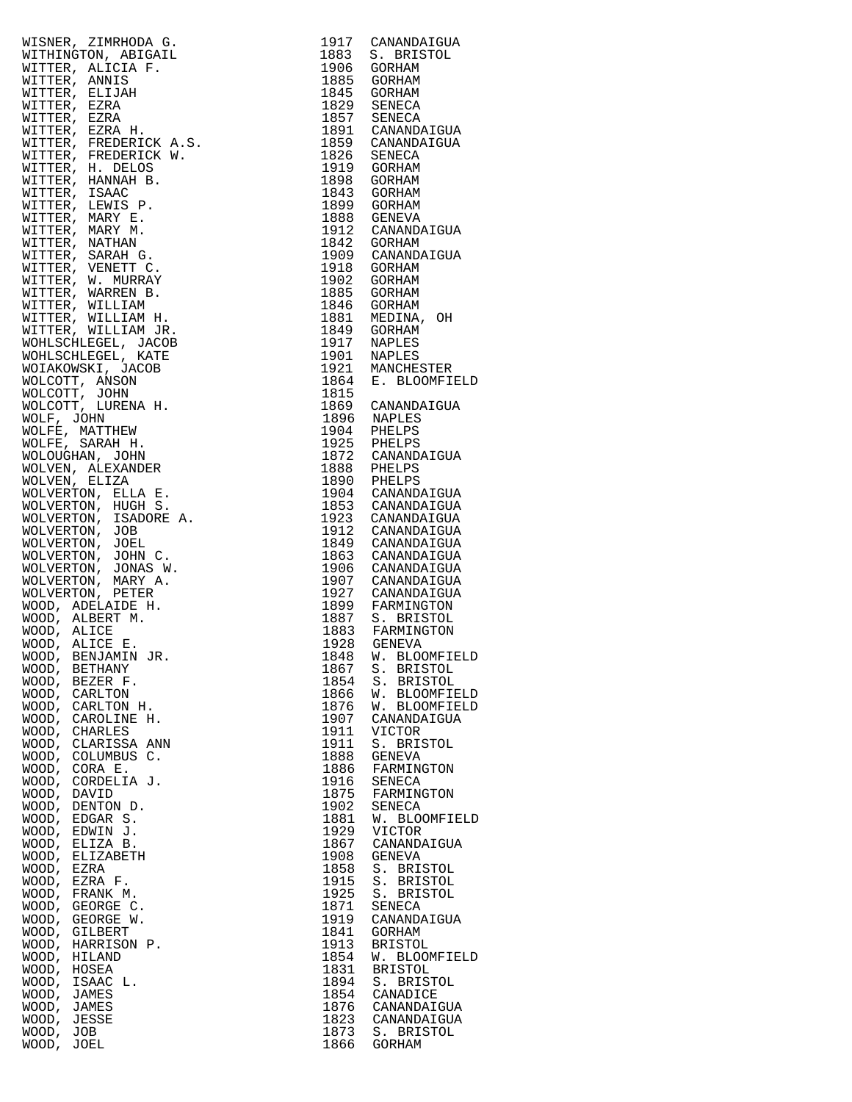|                                                                                                                                                                                                                                                                                         |              | 1917 CANANDAIGUA                                                                          |
|-----------------------------------------------------------------------------------------------------------------------------------------------------------------------------------------------------------------------------------------------------------------------------------------|--------------|-------------------------------------------------------------------------------------------|
|                                                                                                                                                                                                                                                                                         |              | 1883 S. BRISTOL                                                                           |
|                                                                                                                                                                                                                                                                                         |              |                                                                                           |
|                                                                                                                                                                                                                                                                                         |              | 1906 GORHAM<br>1885 GORHAM                                                                |
|                                                                                                                                                                                                                                                                                         |              |                                                                                           |
|                                                                                                                                                                                                                                                                                         |              | 1845 GORHAM<br>1829 SENECA<br>1857 SENECA<br>1891 CANANDAIGUA                             |
|                                                                                                                                                                                                                                                                                         |              |                                                                                           |
|                                                                                                                                                                                                                                                                                         |              |                                                                                           |
|                                                                                                                                                                                                                                                                                         |              |                                                                                           |
|                                                                                                                                                                                                                                                                                         |              |                                                                                           |
|                                                                                                                                                                                                                                                                                         |              | 1859 CANANDAIGUA                                                                          |
|                                                                                                                                                                                                                                                                                         |              |                                                                                           |
|                                                                                                                                                                                                                                                                                         |              | 1826 SENECA                                                                               |
|                                                                                                                                                                                                                                                                                         |              | 1919 GORHAM                                                                               |
|                                                                                                                                                                                                                                                                                         |              | 1898 GORHAM                                                                               |
|                                                                                                                                                                                                                                                                                         |              |                                                                                           |
|                                                                                                                                                                                                                                                                                         |              | 1843 GORHAM                                                                               |
|                                                                                                                                                                                                                                                                                         |              | 1899 GORHAM                                                                               |
|                                                                                                                                                                                                                                                                                         |              |                                                                                           |
|                                                                                                                                                                                                                                                                                         |              | 1888 GENEVA<br>1912 CANANDAIGUA                                                           |
|                                                                                                                                                                                                                                                                                         |              |                                                                                           |
|                                                                                                                                                                                                                                                                                         |              | 1842 GORHAM<br>1909 CANANDAIGUA                                                           |
|                                                                                                                                                                                                                                                                                         |              |                                                                                           |
|                                                                                                                                                                                                                                                                                         |              |                                                                                           |
|                                                                                                                                                                                                                                                                                         |              | 1918 GORHAM                                                                               |
|                                                                                                                                                                                                                                                                                         |              | 1902 GORHAM                                                                               |
|                                                                                                                                                                                                                                                                                         |              |                                                                                           |
|                                                                                                                                                                                                                                                                                         |              |                                                                                           |
|                                                                                                                                                                                                                                                                                         |              | 1885 GORHAM<br>1846 GORHAM                                                                |
|                                                                                                                                                                                                                                                                                         |              | 1881 MEDINA, OH<br>1849 GORHAM                                                            |
|                                                                                                                                                                                                                                                                                         |              |                                                                                           |
|                                                                                                                                                                                                                                                                                         |              |                                                                                           |
|                                                                                                                                                                                                                                                                                         |              |                                                                                           |
|                                                                                                                                                                                                                                                                                         |              | 1917 NAPLES<br>1901 NAPLES                                                                |
|                                                                                                                                                                                                                                                                                         |              |                                                                                           |
|                                                                                                                                                                                                                                                                                         |              | 1921 MANCHESTER<br>1864 E. BLOOMFIELD                                                     |
|                                                                                                                                                                                                                                                                                         |              |                                                                                           |
|                                                                                                                                                                                                                                                                                         |              |                                                                                           |
|                                                                                                                                                                                                                                                                                         |              | 1815<br>1869 CANANDAIGUA                                                                  |
|                                                                                                                                                                                                                                                                                         |              |                                                                                           |
|                                                                                                                                                                                                                                                                                         |              |                                                                                           |
|                                                                                                                                                                                                                                                                                         |              |                                                                                           |
|                                                                                                                                                                                                                                                                                         |              | 1896 NAPLES<br>1904 PHELPS                                                                |
|                                                                                                                                                                                                                                                                                         |              | 1925 PHELPS<br>1872 CANANDAIGUA                                                           |
|                                                                                                                                                                                                                                                                                         |              |                                                                                           |
|                                                                                                                                                                                                                                                                                         |              |                                                                                           |
|                                                                                                                                                                                                                                                                                         |              |                                                                                           |
|                                                                                                                                                                                                                                                                                         |              | 1888 PHELPS<br>1890 PHELPS                                                                |
|                                                                                                                                                                                                                                                                                         |              |                                                                                           |
|                                                                                                                                                                                                                                                                                         |              | 1904 CANANDAIGUA<br>1853 CANANDAIGUA                                                      |
|                                                                                                                                                                                                                                                                                         |              |                                                                                           |
|                                                                                                                                                                                                                                                                                         |              | 1923 CANANDAIGUA<br>1912 CANANDAIGUA                                                      |
|                                                                                                                                                                                                                                                                                         |              |                                                                                           |
|                                                                                                                                                                                                                                                                                         |              |                                                                                           |
|                                                                                                                                                                                                                                                                                         |              | 1849 CANANDAIGUA                                                                          |
|                                                                                                                                                                                                                                                                                         |              | 1863 CANANDAIGUA                                                                          |
|                                                                                                                                                                                                                                                                                         |              |                                                                                           |
|                                                                                                                                                                                                                                                                                         |              |                                                                                           |
|                                                                                                                                                                                                                                                                                         |              |                                                                                           |
|                                                                                                                                                                                                                                                                                         |              | 1906 CANANDAIGUA<br>1907 CANANDAIGUA                                                      |
|                                                                                                                                                                                                                                                                                         |              |                                                                                           |
|                                                                                                                                                                                                                                                                                         |              |                                                                                           |
|                                                                                                                                                                                                                                                                                         |              |                                                                                           |
|                                                                                                                                                                                                                                                                                         |              |                                                                                           |
|                                                                                                                                                                                                                                                                                         |              |                                                                                           |
|                                                                                                                                                                                                                                                                                         |              |                                                                                           |
|                                                                                                                                                                                                                                                                                         |              | 1927 CANANDAIGUA<br>1927 CANANDAIGUA<br>1899 FARMINGTON<br>1883 FARMINGTON<br>1928 GENEVA |
| WOOD, BENJAMIN JR.                                                                                                                                                                                                                                                                      |              | 1848 W. BLOOMFIELD                                                                        |
| BETHANY<br>WOOD,                                                                                                                                                                                                                                                                        | 1867         | S. BRISTOL                                                                                |
|                                                                                                                                                                                                                                                                                         |              |                                                                                           |
| WISNER, ZIWRHODA G.<br>MITHINGTON, ABIGAIL<br>WITTER, ARLICIAR<br>MITTER, ARLICIAR<br>MITTER, ELNJAH<br>WITTER, EERA H.<br>MITTER, EZRA H.<br>MITTER, EZRA H.<br>MITTER, EZRA H.<br>MITTER, EZRA H.<br>MITTER, FREDERICK W.<br>MITTER, FREDERICK W.<br>MITTER, IRA<br>WOOD,<br>BEZER F. | 1854         | S. BRISTOL                                                                                |
| WOOD,<br>CARLTON                                                                                                                                                                                                                                                                        | 1866         | W. BLOOMFIELD                                                                             |
| WOOD,<br>CARLTON H.                                                                                                                                                                                                                                                                     | 1876         |                                                                                           |
|                                                                                                                                                                                                                                                                                         |              | W. BLOOMFIELD                                                                             |
| WOOD,<br>CAROLINE H.                                                                                                                                                                                                                                                                    | 1907         | CANANDAIGUA                                                                               |
| WOOD,<br>CHARLES                                                                                                                                                                                                                                                                        | 1911         | VICTOR                                                                                    |
| WOOD,<br>CLARISSA ANN                                                                                                                                                                                                                                                                   | 1911         | S. BRISTOL                                                                                |
|                                                                                                                                                                                                                                                                                         |              |                                                                                           |
| WOOD,<br>COLUMBUS C.                                                                                                                                                                                                                                                                    | 1888         | GENEVA                                                                                    |
| WOOD,<br>CORA E.                                                                                                                                                                                                                                                                        | 1886         | FARMINGTON                                                                                |
| WOOD,<br>CORDELIA J.                                                                                                                                                                                                                                                                    | 1916         | SENECA                                                                                    |
|                                                                                                                                                                                                                                                                                         |              |                                                                                           |
| WOOD,<br>DAVID                                                                                                                                                                                                                                                                          | 1875         | FARMINGTON                                                                                |
| WOOD,<br>DENTON D.                                                                                                                                                                                                                                                                      | 1902         | SENECA                                                                                    |
| WOOD,<br>EDGAR S.                                                                                                                                                                                                                                                                       | 1881         | W. BLOOMFIELD                                                                             |
|                                                                                                                                                                                                                                                                                         |              |                                                                                           |
| WOOD,<br>EDWIN J.                                                                                                                                                                                                                                                                       | 1929         | <b>VICTOR</b>                                                                             |
| WOOD,<br>ELIZA B.                                                                                                                                                                                                                                                                       | 1867         | CANANDAIGUA                                                                               |
| WOOD,<br>ELIZABETH                                                                                                                                                                                                                                                                      | 1908         | GENEVA                                                                                    |
|                                                                                                                                                                                                                                                                                         |              |                                                                                           |
| WOOD,<br>EZRA                                                                                                                                                                                                                                                                           | 1858         | S. BRISTOL                                                                                |
| WOOD,<br>EZRA F.                                                                                                                                                                                                                                                                        | 1915         | S. BRISTOL                                                                                |
| WOOD,<br>FRANK M.                                                                                                                                                                                                                                                                       | 1925         | S. BRISTOL                                                                                |
|                                                                                                                                                                                                                                                                                         |              |                                                                                           |
| WOOD,<br>GEORGE C.                                                                                                                                                                                                                                                                      | 1871         | SENECA                                                                                    |
| WOOD,<br>GEORGE W.                                                                                                                                                                                                                                                                      | 1919         | CANANDAIGUA                                                                               |
| WOOD,<br>GILBERT                                                                                                                                                                                                                                                                        | 1841         | GORHAM                                                                                    |
|                                                                                                                                                                                                                                                                                         |              |                                                                                           |
| WOOD,<br>HARRISON P.                                                                                                                                                                                                                                                                    | 1913         | <b>BRISTOL</b>                                                                            |
| WOOD,<br>HILAND                                                                                                                                                                                                                                                                         | 1854         | W. BLOOMFIELD                                                                             |
| WOOD,<br>HOSEA                                                                                                                                                                                                                                                                          | 1831         | <b>BRISTOL</b>                                                                            |
|                                                                                                                                                                                                                                                                                         |              |                                                                                           |
| WOOD,<br>ISAAC L.                                                                                                                                                                                                                                                                       | 1894         | S. BRISTOL                                                                                |
| WOOD,<br>JAMES                                                                                                                                                                                                                                                                          | 1854         | CANADICE                                                                                  |
| WOOD,<br>JAMES                                                                                                                                                                                                                                                                          | 1876         | CANANDAIGUA                                                                               |
|                                                                                                                                                                                                                                                                                         |              |                                                                                           |
| WOOD,<br>JESSE                                                                                                                                                                                                                                                                          | 1823         | CANANDAIGUA                                                                               |
| WOOD,<br>JOB<br>WOOD,<br>JOEL                                                                                                                                                                                                                                                           | 1873<br>1866 | S. BRISTOL<br>GORHAM                                                                      |

| 1917         | CANANDAIGUA                         |
|--------------|-------------------------------------|
| 1883         | S.<br><b>BRISTOL</b>                |
| 1906         | GORHAM                              |
| 1885<br>1845 | GORHAM<br>GORHAM                    |
| 1829         | SENECA                              |
| 1857         | SENECA                              |
| 1891         | CANANDAIGUA                         |
| 1859         | CANANDAIGUA                         |
| 1826         | SENECA                              |
| 1919<br>1898 | GORHAM<br>GORHAM                    |
| 1843         | GORHAM                              |
| 1899         | GORHAM                              |
| 1888         | GENEVA                              |
| 1912         | CANANDAIGUA                         |
| 1842         | GORHAM                              |
| 1909<br>1918 | CANANDAIGUA<br>GORHAM               |
| 1902         | GORHAM                              |
| 1885         | GORHAM                              |
| 1846         | GORHAM                              |
| 1881         | MEDINA,<br>OH                       |
| 1849         | GORHAM                              |
| 1917<br>1901 | NAPLES                              |
| 1921         | NAPLES<br>MANCHESTER                |
| 1864         | $E_{\rm{1}}$ .<br><b>BLOOMFIELD</b> |
| 1815         |                                     |
| 1869         | CANANDAIGUA                         |
| 1896         | NAPLES                              |
| 1904         | PHELPS                              |
| 1925<br>1872 | PHELPS<br>CANANDAIGUA               |
| 1888         | PHELPS                              |
| 1890         | PHELPS                              |
| 1904         | CANANDAIGUA                         |
| 1853         | CANANDAIGUA                         |
| 1923         | CANANDAIGUA                         |
| 1912<br>1849 | CANANDAIGUA                         |
| 1863         | CANANDAIGUA<br>CANANDAIGUA          |
| 1906         | CANANDAIGUA                         |
| 1907         | CANANDAIGUA                         |
| 1927         | CANANDAIGUA                         |
| 1899         | FARMINGTON                          |
| 1887         | S. BRISTOL                          |
| 1883<br>1928 | FARMINGTON<br>GENEVA                |
| 1848         | W. BLOOMFIELD                       |
| 1867         |                                     |
| 1854         | S. BRISTOL<br>S. BRISTOL            |
| 1866         | W. BLOOMFIELD<br>W. BLOOMFIELD      |
| 1876         |                                     |
| 1907<br>1911 | CANANDAIGUA<br>VICTOR               |
| 1911         | S. BRISTOL                          |
| 1888         | GENEVA                              |
| 1886         | FARMINGTON                          |
| 1916         | SENECA                              |
| 1875         | FARMINGTON                          |
| 1902         | SENECA<br>W. BLOOMFIELD             |
| 1881<br>1929 | VICTOR                              |
| 1867         | CANANDAIGUA                         |
| 1908         | GENEVA                              |
| 1858         | S. BRISTOL<br>S. BRISTOL            |
| 1915         |                                     |
| 1925         | S. BRISTOL                          |
| 1871<br>1919 | SENECA<br>CANANDAIGUA               |
| 1841         | GORHAM                              |
| 1913         | <b>BRISTOL</b>                      |
| 1854         | W. BLOOMFIELD                       |
| 1831         | <b>BRISTOL</b>                      |
| 1894         | S. BRISTOL                          |
| 1854<br>1876 | CANADICE<br>CANANDAIGUA             |
| 1823         | CANANDAIGUA                         |
| 1873         | S.<br><b>BRISTOL</b>                |
|              |                                     |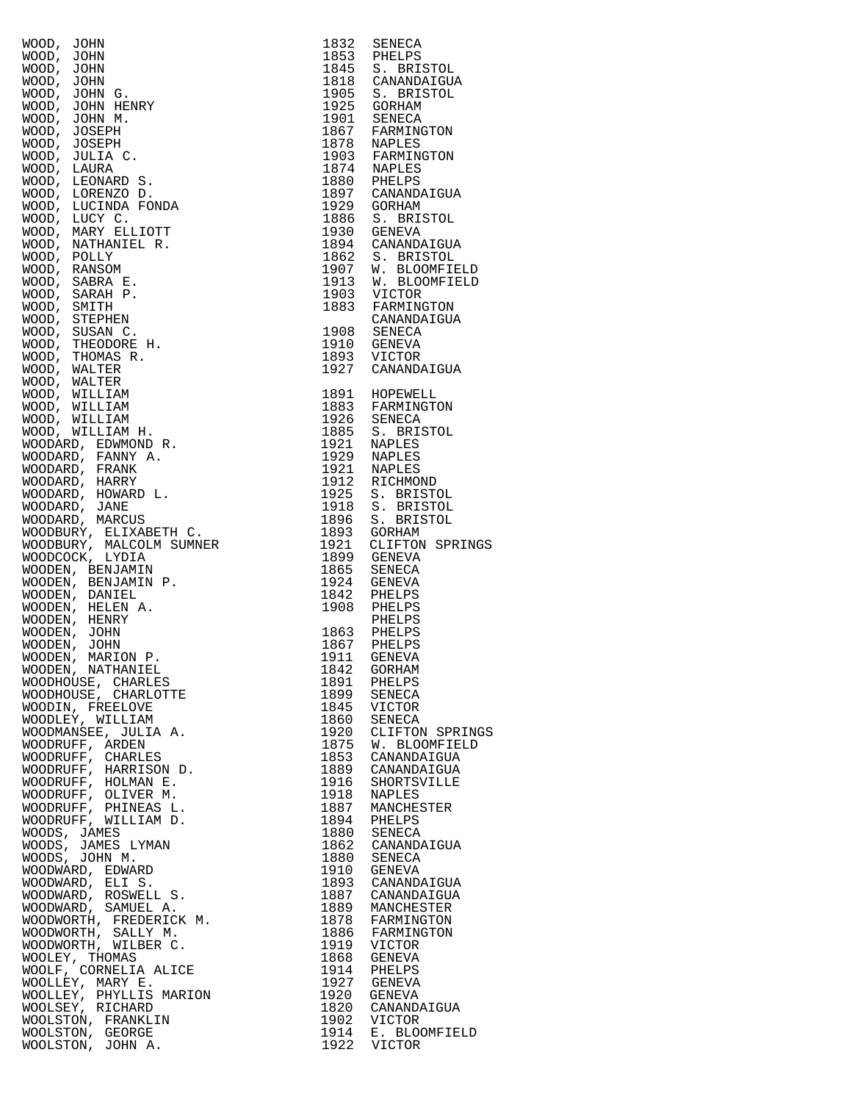| WOOD, JOHN<br>WOOD, JOHN<br>WOOD, JOHN<br>WOOD, JOHN G.<br>WOOD, JOHN G.<br>WOOD, JOHN MENRY<br>WOOD, JOHN MENRY<br>WOOD, JOHN MENRY<br>WOOD, JOHN MENRY<br>WOOD, LICENARD S.<br>WOOD, LICENARD S.<br>WOOD, LICENARD S.<br>WOOD, LICENARD S.<br>WOOD, LICENARD S.<br>WOO | 1832         | SENECA                              |
|--------------------------------------------------------------------------------------------------------------------------------------------------------------------------------------------------------------------------------------------------------------------------|--------------|-------------------------------------|
|                                                                                                                                                                                                                                                                          | 1853         | PHELPS<br>1845 S. BRISTOL           |
|                                                                                                                                                                                                                                                                          | 1818         | CANANDAIGUA                         |
|                                                                                                                                                                                                                                                                          | 1905         | S. BRISTOL                          |
|                                                                                                                                                                                                                                                                          | 1925         | GORHAM                              |
|                                                                                                                                                                                                                                                                          |              | 1901 SENECA                         |
|                                                                                                                                                                                                                                                                          | 1867         | FARMINGTON                          |
|                                                                                                                                                                                                                                                                          | 1878         | NAPLES                              |
|                                                                                                                                                                                                                                                                          |              | 1903 FARMINGTON<br>1874 NAPLES      |
|                                                                                                                                                                                                                                                                          | 1880         | PHELPS                              |
|                                                                                                                                                                                                                                                                          |              | 1897 CANANDAIGUA                    |
|                                                                                                                                                                                                                                                                          | 1929         | GORHAM                              |
|                                                                                                                                                                                                                                                                          | 1886         | S. BRISTOL                          |
|                                                                                                                                                                                                                                                                          | 1930         | GENEVA                              |
|                                                                                                                                                                                                                                                                          |              | 1894 CANANDAIGUA                    |
|                                                                                                                                                                                                                                                                          | 1907         | 1862 S. BRISTOL                     |
|                                                                                                                                                                                                                                                                          |              | W. BLOOMFIELD<br>1913 W. BLOOMFIELD |
|                                                                                                                                                                                                                                                                          |              | 1903 VICTOR                         |
|                                                                                                                                                                                                                                                                          | 1883         | FARMINGTON                          |
|                                                                                                                                                                                                                                                                          |              | CANANDAIGUA                         |
|                                                                                                                                                                                                                                                                          | 1908         | SENECA                              |
|                                                                                                                                                                                                                                                                          |              | 1910 GENEVA                         |
|                                                                                                                                                                                                                                                                          |              | 1893 VICTOR                         |
|                                                                                                                                                                                                                                                                          |              | 1927 CANANDAIGUA                    |
|                                                                                                                                                                                                                                                                          |              | 1891 HOPEWELL                       |
|                                                                                                                                                                                                                                                                          |              | 1883 FARMINGTON                     |
|                                                                                                                                                                                                                                                                          |              | 1926 SENECA                         |
|                                                                                                                                                                                                                                                                          | 1885         | S. BRISTOL                          |
|                                                                                                                                                                                                                                                                          | 1921         | NAPLES                              |
|                                                                                                                                                                                                                                                                          |              | 1929 NAPLES                         |
|                                                                                                                                                                                                                                                                          | 1921         | NAPLES                              |
|                                                                                                                                                                                                                                                                          | 1912         | RICHMOND                            |
|                                                                                                                                                                                                                                                                          | 1925<br>1918 | S. BRISTOL<br>S. BRISTOL            |
|                                                                                                                                                                                                                                                                          | 1896         | S. BRISTOL                          |
|                                                                                                                                                                                                                                                                          | 1893         | GORHAM                              |
|                                                                                                                                                                                                                                                                          | 1921         | CLIFTON SPRINGS                     |
|                                                                                                                                                                                                                                                                          | 1899         | GENEVA                              |
|                                                                                                                                                                                                                                                                          | 1865         | SENECA                              |
|                                                                                                                                                                                                                                                                          | 1924         | GENEVA                              |
|                                                                                                                                                                                                                                                                          |              | 1842 PHELPS                         |
|                                                                                                                                                                                                                                                                          | 1908         | PHELPS<br>PHELPS                    |
|                                                                                                                                                                                                                                                                          |              | 1863 PHELPS                         |
|                                                                                                                                                                                                                                                                          |              | 1867 PHELPS                         |
|                                                                                                                                                                                                                                                                          | 1911         | GENEVA                              |
| WOODEN, NATHANIEL                                                                                                                                                                                                                                                        | 1842         | GORHAM                              |
| WOODHOUSE, CHARLES                                                                                                                                                                                                                                                       | 1891         | PHELPS                              |
| WOODHOUSE, CHARLOTTE                                                                                                                                                                                                                                                     | 1899         | SENECA                              |
| WOODIN, FREELOVE<br>WOODLEY, WILLIAM                                                                                                                                                                                                                                     | 1845<br>1860 | VICTOR<br>SENECA                    |
| WOODMANSEE, JULIA A.                                                                                                                                                                                                                                                     | 1920         | CLIFTON SPRINGS                     |
| WOODRUFF, ARDEN                                                                                                                                                                                                                                                          | 1875         | W. BLOOMFIELD                       |
| WOODRUFF, CHARLES                                                                                                                                                                                                                                                        | 1853         | CANANDAIGUA                         |
| WOODRUFF, HARRISON D.                                                                                                                                                                                                                                                    | 1889         | CANANDAIGUA                         |
| WOODRUFF, HOLMAN E.                                                                                                                                                                                                                                                      | 1916         | SHORTSVILLE                         |
| WOODRUFF, OLIVER M.                                                                                                                                                                                                                                                      | 1918         | <b>NAPLES</b>                       |
| WOODRUFF, PHINEAS L.                                                                                                                                                                                                                                                     | 1887         | MANCHESTER                          |
| WOODRUFF, WILLIAM D.<br>WOODS, JAMES                                                                                                                                                                                                                                     | 1894<br>1880 | PHELPS<br>SENECA                    |
| WOODS, JAMES LYMAN                                                                                                                                                                                                                                                       | 1862         | CANANDAIGUA                         |
| WOODS, JOHN M.                                                                                                                                                                                                                                                           | 1880         | SENECA                              |
| WOODWARD, EDWARD                                                                                                                                                                                                                                                         | 1910         | GENEVA                              |
| WOODWARD, ELI S.                                                                                                                                                                                                                                                         | 1893         | CANANDAIGUA                         |
| WOODWARD, ROSWELL S.                                                                                                                                                                                                                                                     | 1887         | CANANDAIGUA                         |
| WOODWARD, SAMUEL A.                                                                                                                                                                                                                                                      | 1889         | MANCHESTER                          |
| WOODWORTH, FREDERICK M.<br>WOODWORTH, SALLY M.                                                                                                                                                                                                                           | 1878         | FARMINGTON                          |
| WOODWORTH, WILBER C.                                                                                                                                                                                                                                                     | 1886<br>1919 | FARMINGTON                          |
| $\mathbf{R}$<br>WOOLEY, THOMAS                                                                                                                                                                                                                                           | 1868         | VICTOR<br>GENEVA                    |
| WOOLF, CORNELIA ALICE                                                                                                                                                                                                                                                    | 1914         | PHELPS                              |
| WOOLLEY, MARY E.                                                                                                                                                                                                                                                         | 1927         | GENEVA                              |
| WOOLLEY, PHYLLIS MARION                                                                                                                                                                                                                                                  | 1920         | GENEVA                              |
| WOOLSEY, RICHARD                                                                                                                                                                                                                                                         | 1820         | CANANDAIGUA                         |
| WOOLSTON, FRANKLIN                                                                                                                                                                                                                                                       | 1902         | VICTOR                              |
| WOOLSTON, GEORGE<br>WOOLSTON, JOHN A.                                                                                                                                                                                                                                    | 1914<br>1922 | E. BLOOMFIELD<br>VICTOR             |
|                                                                                                                                                                                                                                                                          |              |                                     |

| 1832<br>1853<br>1845<br>1818<br>1905<br>1925<br>1901<br>1867<br>1878<br>1903<br>1874<br>1880<br>1897<br>1929<br>1886<br>1930<br>1894<br>1862<br>1907<br>1913<br>1903<br>1883<br>1908<br>1910<br>1893<br>1927                                                                 | SENECA<br>PHELPS<br>S. BRISTOL<br>CANANDAIGUA<br>S. BRISTOL<br>GORHAM<br>SENECA<br>FARMINGTON<br>NAPLES<br>FARMINGTON<br>NAPLES<br>PHELPS<br>CANANDAIGUA<br>GORHAM<br>S. BRISTOL<br><b>GENEVA</b><br>CANANDAIGUA<br>S. BRISTOL<br>W. BLOOMFIELD<br>W. BLOOMFIELD<br>VICTOR<br>FARMINGTON<br>CANANDAIGUA<br>SENECA<br>GENEVA<br>VICTOR<br>CANANDAIGUA                                                                                        |
|------------------------------------------------------------------------------------------------------------------------------------------------------------------------------------------------------------------------------------------------------------------------------|---------------------------------------------------------------------------------------------------------------------------------------------------------------------------------------------------------------------------------------------------------------------------------------------------------------------------------------------------------------------------------------------------------------------------------------------|
| 1891<br>1883<br>1926<br>1885<br>1921<br>1929<br>1921<br>1912<br>1925<br>1918<br>1896<br>1893<br>1921<br>1899<br>1865<br>1924<br>1842<br>1908                                                                                                                                 | HOPEWELL<br>FARMINGTON<br>SENECA<br>S. BRISTOL<br>NAPLES<br>NAPLES<br>NAPLES<br>RICHMOND<br>S. BRISTOL<br>S.<br><b>BRISTOL</b><br>S. BRISTOL<br>GORHAM<br>CLIFTON SPRINGS<br>GENEVA<br>SENECA<br>GENEVA<br>PHELPS<br>PHELPS                                                                                                                                                                                                                 |
| 1863<br>1867<br>1911<br>1842<br>1891<br>1899<br>1845<br>1860<br>1920<br>1875<br>1853<br>1889<br>1916<br>1918<br>1887<br>1894<br>1880<br>1862<br>1880<br>1910<br>1893<br>1887<br>1889<br>1878<br>1886<br>1919<br>1868<br>1914<br>1927<br>1920<br>1820<br>1902<br>1914<br>1922 | PHELPS<br>PHELPS<br>PHELPS<br>GENEVA<br>GORHAM<br>PHELPS<br>SENECA<br>VICTOR<br>SENECA<br>CLIFTON SPRINGS<br>W. BLOOMFIELD<br>CANANDAIGUA<br>CANANDAIGUA<br>SHORTSVILLE<br>NAPLES<br>MANCHESTER<br>PHELPS<br>SENECA<br>CANANDAIGUA<br>SENECA<br>GENEVA<br>CANANDAIGUA<br>CANANDAIGUA<br>MANCHESTER<br>FARMINGTON<br>FARMINGTON<br>VICTOR<br>GENEVA<br>PHELPS<br>GENEVA<br>GENEVA<br>CANANDAIGUA<br>VICTOR<br>E. BLOOMFIELD<br><b>VICTOR</b> |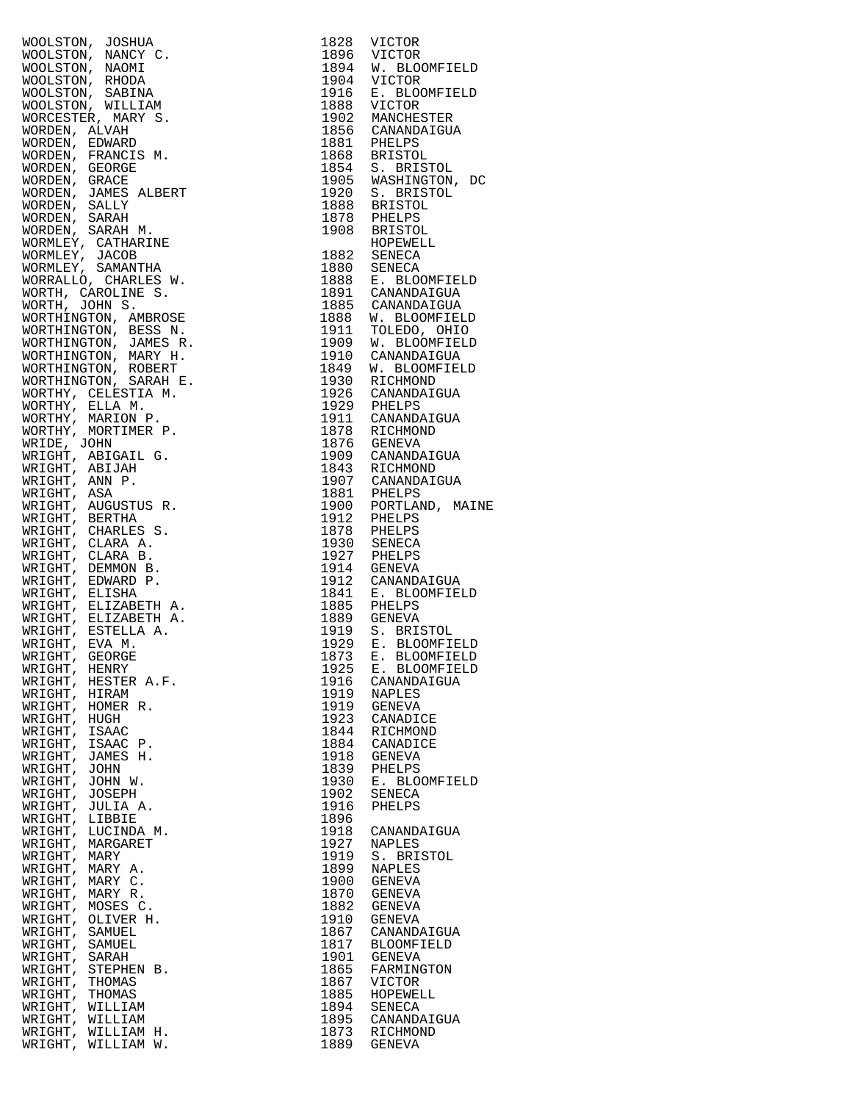|                    |                                                                                                                                                                                                                                                                    | 1828 | VICTOR                                                                    |
|--------------------|--------------------------------------------------------------------------------------------------------------------------------------------------------------------------------------------------------------------------------------------------------------------|------|---------------------------------------------------------------------------|
|                    |                                                                                                                                                                                                                                                                    |      |                                                                           |
|                    |                                                                                                                                                                                                                                                                    |      | 1896 VICTOR<br>1894 W. BLOOMFIELD                                         |
|                    |                                                                                                                                                                                                                                                                    |      | 1904 VICTOR<br>1916 E. BLOC                                               |
|                    |                                                                                                                                                                                                                                                                    |      |                                                                           |
|                    |                                                                                                                                                                                                                                                                    |      | E. BLOOMFIELD                                                             |
|                    |                                                                                                                                                                                                                                                                    |      |                                                                           |
|                    |                                                                                                                                                                                                                                                                    |      | 1888 VICTOR<br>1902 MANCHESTER<br>1856 CANANDAIGUA<br>1881 PHELPS         |
|                    |                                                                                                                                                                                                                                                                    |      |                                                                           |
|                    |                                                                                                                                                                                                                                                                    |      |                                                                           |
|                    |                                                                                                                                                                                                                                                                    |      |                                                                           |
|                    |                                                                                                                                                                                                                                                                    |      |                                                                           |
|                    |                                                                                                                                                                                                                                                                    |      | 1868 BRISTOL<br>1854 S. BRISTOL<br>1905 WASHINGTON, DC<br>1920 S. BRISTOL |
|                    |                                                                                                                                                                                                                                                                    |      |                                                                           |
|                    |                                                                                                                                                                                                                                                                    |      | 1888 BRISTOL<br>1878 PHELPS                                               |
|                    |                                                                                                                                                                                                                                                                    |      |                                                                           |
|                    |                                                                                                                                                                                                                                                                    |      |                                                                           |
|                    |                                                                                                                                                                                                                                                                    |      | 1908 BRISTOL<br>HOPEWELL<br>HOPEWELL                                      |
|                    |                                                                                                                                                                                                                                                                    |      |                                                                           |
|                    |                                                                                                                                                                                                                                                                    |      | 1882 SENECA<br>1880 SENECA                                                |
|                    |                                                                                                                                                                                                                                                                    |      |                                                                           |
|                    |                                                                                                                                                                                                                                                                    |      | 1888 E. BLOOMFIELD<br>1891 CANANDAIGUA                                    |
|                    |                                                                                                                                                                                                                                                                    |      |                                                                           |
|                    |                                                                                                                                                                                                                                                                    |      | 1885 CANANDAIGUA                                                          |
|                    |                                                                                                                                                                                                                                                                    |      | 1888 W. BLOOMFIELD<br>1911 TOLEDO, OHIO<br>1909 W. BLOOMFIELD             |
|                    |                                                                                                                                                                                                                                                                    |      |                                                                           |
|                    |                                                                                                                                                                                                                                                                    |      |                                                                           |
|                    |                                                                                                                                                                                                                                                                    |      | 1910 CANANDAIGUA                                                          |
|                    |                                                                                                                                                                                                                                                                    |      | 1849 W. BLOOMFIELD                                                        |
|                    |                                                                                                                                                                                                                                                                    |      | 1930 RICHMOND                                                             |
|                    |                                                                                                                                                                                                                                                                    |      | 1926 CANANDAIGUA                                                          |
|                    |                                                                                                                                                                                                                                                                    |      | 1929 PHELPS<br>1911 CANANDAIGUA                                           |
|                    |                                                                                                                                                                                                                                                                    |      |                                                                           |
|                    |                                                                                                                                                                                                                                                                    |      |                                                                           |
|                    |                                                                                                                                                                                                                                                                    |      | 1878 RICHMOND<br>1876 GENEVA                                              |
|                    |                                                                                                                                                                                                                                                                    |      | 1909 CANANDAIGUA                                                          |
|                    |                                                                                                                                                                                                                                                                    |      |                                                                           |
|                    |                                                                                                                                                                                                                                                                    |      | 1843 RICHMOND                                                             |
|                    |                                                                                                                                                                                                                                                                    |      |                                                                           |
|                    |                                                                                                                                                                                                                                                                    |      |                                                                           |
|                    |                                                                                                                                                                                                                                                                    |      |                                                                           |
|                    | WOOLSTON, JOSHUA<br>WOOLSTON, NAMNY C.<br>WOOLSTON, NAMNY C.<br>WOOLSTON, NAMNY C.<br>WOOLSTON, NAMNY MEDIA<br>WOOLSTON, NILILIAM<br>WORCESTER, MARY S.<br>WORDEN, SENARD<br>WORDEN, GENARD<br>WORDEN, GENARD<br>WORDEN, GENARD<br>WORDEN, GENARD<br>WORDEN, SAMES |      | 1907 CANANDAIGUA<br>1881 PHELPS<br>1900 PORTLAND, MAIN<br>1912 PHELPS     |
|                    |                                                                                                                                                                                                                                                                    |      | 1878 PHELPS<br>1930 SENECA                                                |
|                    |                                                                                                                                                                                                                                                                    |      |                                                                           |
|                    |                                                                                                                                                                                                                                                                    |      | 1927 PHELPS<br>1914 GENEVA                                                |
|                    |                                                                                                                                                                                                                                                                    |      |                                                                           |
|                    |                                                                                                                                                                                                                                                                    |      | 1912 CANANDAIGUA                                                          |
|                    |                                                                                                                                                                                                                                                                    |      |                                                                           |
|                    |                                                                                                                                                                                                                                                                    |      | 1841 E. BLOOMFIELD<br>1885 PHELPS                                         |
|                    |                                                                                                                                                                                                                                                                    |      | 1889 GENEVA                                                               |
|                    |                                                                                                                                                                                                                                                                    |      |                                                                           |
|                    |                                                                                                                                                                                                                                                                    |      | 1919 S. BRISTOL<br>1929 E. BLOOMFIELD                                     |
|                    |                                                                                                                                                                                                                                                                    |      | 1873 E. BLOOMFIELD                                                        |
| WRIGHT, HENRY      |                                                                                                                                                                                                                                                                    | 1925 | E. BLOOMFIELD                                                             |
|                    | WRIGHT, HESTER A.F.                                                                                                                                                                                                                                                | 1916 |                                                                           |
| WRIGHT,            |                                                                                                                                                                                                                                                                    | 1919 | CANANDAIGUA                                                               |
|                    | HIRAM                                                                                                                                                                                                                                                              |      | NAPLES                                                                    |
| WRIGHT,            | HOMER R.                                                                                                                                                                                                                                                           | 1919 | GENEVA                                                                    |
| WRIGHT,            | HUGH                                                                                                                                                                                                                                                               | 1923 | CANADICE                                                                  |
| WRIGHT,            | <b>ISAAC</b>                                                                                                                                                                                                                                                       | 1844 | RICHMOND                                                                  |
| WRIGHT,            | ISAAC P.                                                                                                                                                                                                                                                           | 1884 | CANADICE                                                                  |
| WRIGHT,            | JAMES H.                                                                                                                                                                                                                                                           | 1918 | <b>GENEVA</b>                                                             |
| WRIGHT,            | JOHN                                                                                                                                                                                                                                                               | 1839 | PHELPS                                                                    |
| WRIGHT, JOHN W.    |                                                                                                                                                                                                                                                                    | 1930 | E. BLOOMFIELD                                                             |
| WRIGHT,            | JOSEPH                                                                                                                                                                                                                                                             | 1902 | SENECA                                                                    |
| WRIGHT, JULIA A.   |                                                                                                                                                                                                                                                                    | 1916 | PHELPS                                                                    |
| WRIGHT,            | LIBBIE                                                                                                                                                                                                                                                             | 1896 |                                                                           |
| WRIGHT, LUCINDA M. |                                                                                                                                                                                                                                                                    | 1918 | CANANDAIGUA                                                               |
| WRIGHT,            | MARGARET                                                                                                                                                                                                                                                           | 1927 | NAPLES                                                                    |
| WRIGHT, MARY       |                                                                                                                                                                                                                                                                    | 1919 | S. BRISTOL                                                                |
| WRIGHT, MARY A.    |                                                                                                                                                                                                                                                                    | 1899 | NAPLES                                                                    |
| WRIGHT, MARY C.    |                                                                                                                                                                                                                                                                    | 1900 | GENEVA                                                                    |
| WRIGHT, MARY R.    |                                                                                                                                                                                                                                                                    | 1870 | GENEVA                                                                    |
| WRIGHT, MOSES C.   |                                                                                                                                                                                                                                                                    | 1882 | GENEVA                                                                    |
| WRIGHT, OLIVER H.  |                                                                                                                                                                                                                                                                    | 1910 | GENEVA                                                                    |
| WRIGHT, SAMUEL     |                                                                                                                                                                                                                                                                    | 1867 |                                                                           |
|                    |                                                                                                                                                                                                                                                                    |      | CANANDAIGUA                                                               |
| WRIGHT, SAMUEL     |                                                                                                                                                                                                                                                                    | 1817 | <b>BLOOMFIELD</b>                                                         |
| WRIGHT, SARAH      |                                                                                                                                                                                                                                                                    | 1901 | GENEVA                                                                    |
| WRIGHT,            | STEPHEN B.                                                                                                                                                                                                                                                         | 1865 | FARMINGTON                                                                |
| WRIGHT,            | THOMAS                                                                                                                                                                                                                                                             | 1867 | <b>VICTOR</b>                                                             |
| WRIGHT,            | THOMAS                                                                                                                                                                                                                                                             | 1885 | HOPEWELL                                                                  |
| WRIGHT,            | WILLIAM                                                                                                                                                                                                                                                            | 1894 | SENECA                                                                    |
| WRIGHT,            | WILLIAM                                                                                                                                                                                                                                                            | 1895 | CANANDAIGUA                                                               |
| WRIGHT, WILLIAM H. |                                                                                                                                                                                                                                                                    | 1873 | RICHMOND                                                                  |
| WRIGHT,            | WILLIAM W.                                                                                                                                                                                                                                                         | 1889 | GENEVA                                                                    |

| WOOLSTON, JOSHUA (1923 VICTOR<br>ROOLSTON, NAMCY C. 1829 VICTOR<br>ROOLSTON, NAMCY C. 1820 VICTOR<br>MOOLSTON, NAMCY C. 1820 VICTOR<br>MOOLSTON, SABINA<br>1998 VICTOR (1920 VICTOR 1999 VICTOR<br>WOOLSTON, SABINA<br>1998 NAMCHINE (1936 CANANDAT |              |                                |
|-----------------------------------------------------------------------------------------------------------------------------------------------------------------------------------------------------------------------------------------------------|--------------|--------------------------------|
|                                                                                                                                                                                                                                                     |              |                                |
|                                                                                                                                                                                                                                                     |              |                                |
|                                                                                                                                                                                                                                                     |              |                                |
|                                                                                                                                                                                                                                                     |              |                                |
|                                                                                                                                                                                                                                                     |              |                                |
|                                                                                                                                                                                                                                                     |              |                                |
|                                                                                                                                                                                                                                                     |              |                                |
|                                                                                                                                                                                                                                                     |              |                                |
|                                                                                                                                                                                                                                                     |              |                                |
|                                                                                                                                                                                                                                                     |              |                                |
|                                                                                                                                                                                                                                                     |              |                                |
|                                                                                                                                                                                                                                                     |              |                                |
|                                                                                                                                                                                                                                                     |              |                                |
|                                                                                                                                                                                                                                                     |              |                                |
|                                                                                                                                                                                                                                                     |              |                                |
|                                                                                                                                                                                                                                                     |              |                                |
|                                                                                                                                                                                                                                                     |              |                                |
|                                                                                                                                                                                                                                                     |              |                                |
|                                                                                                                                                                                                                                                     |              |                                |
|                                                                                                                                                                                                                                                     |              |                                |
|                                                                                                                                                                                                                                                     |              |                                |
|                                                                                                                                                                                                                                                     |              |                                |
|                                                                                                                                                                                                                                                     |              |                                |
|                                                                                                                                                                                                                                                     |              |                                |
|                                                                                                                                                                                                                                                     |              |                                |
|                                                                                                                                                                                                                                                     |              |                                |
|                                                                                                                                                                                                                                                     |              |                                |
|                                                                                                                                                                                                                                                     |              |                                |
|                                                                                                                                                                                                                                                     |              |                                |
|                                                                                                                                                                                                                                                     |              |                                |
|                                                                                                                                                                                                                                                     |              |                                |
|                                                                                                                                                                                                                                                     |              |                                |
|                                                                                                                                                                                                                                                     |              |                                |
|                                                                                                                                                                                                                                                     |              |                                |
|                                                                                                                                                                                                                                                     |              |                                |
|                                                                                                                                                                                                                                                     |              |                                |
|                                                                                                                                                                                                                                                     |              |                                |
|                                                                                                                                                                                                                                                     |              |                                |
|                                                                                                                                                                                                                                                     |              |                                |
|                                                                                                                                                                                                                                                     |              |                                |
|                                                                                                                                                                                                                                                     |              |                                |
|                                                                                                                                                                                                                                                     |              |                                |
|                                                                                                                                                                                                                                                     |              |                                |
|                                                                                                                                                                                                                                                     |              |                                |
|                                                                                                                                                                                                                                                     |              | E. BLOOMFIELD<br>E. BLOOMFIELD |
| WRIGHT, HENRY<br>WRIGHT, HESTER A.F.                                                                                                                                                                                                                | 1925<br>1916 | CANANDAIGUA                    |
| WRIGHT, HIRAM                                                                                                                                                                                                                                       | 1919         | <b>NAPLES</b>                  |
| WRIGHT, HOMER R.                                                                                                                                                                                                                                    | 1919         | GENEVA                         |
| WRIGHT, HUGH                                                                                                                                                                                                                                        | 1923         | CANADICE                       |
| WRIGHT, ISAAC                                                                                                                                                                                                                                       | 1844         | RICHMOND                       |
| WRIGHT, ISAAC P.                                                                                                                                                                                                                                    | 1884         | CANADICE                       |
| WRIGHT, JAMES H.                                                                                                                                                                                                                                    | 1918         | GENEVA                         |
| WRIGHT, JOHN                                                                                                                                                                                                                                        | 1839         | PHELPS                         |
| WRIGHT, JOHN W.                                                                                                                                                                                                                                     | 1930         | E. BLOOMFIELD                  |
| WRIGHT, JOSEPH                                                                                                                                                                                                                                      | 1902         | SENECA                         |
| WRIGHT, JULIA A.<br>WRIGHT, LIBBIE                                                                                                                                                                                                                  | 1916<br>1896 | PHELPS                         |
| WRIGHT, LUCINDA M.                                                                                                                                                                                                                                  | 1918         | CANANDAIGUA                    |
| WRIGHT, MARGARET                                                                                                                                                                                                                                    | 1927         | NAPLES                         |
| WRIGHT, MARY                                                                                                                                                                                                                                        | 1919         | S. BRISTOL                     |
| WRIGHT, MARY A.                                                                                                                                                                                                                                     | 1899         | <b>NAPLES</b>                  |
| WRIGHT, MARY C.                                                                                                                                                                                                                                     | 1900         | GENEVA                         |
| WRIGHT, MARY R.                                                                                                                                                                                                                                     | 1870         | GENEVA                         |
| WRIGHT, MOSES C.                                                                                                                                                                                                                                    | 1882         | GENEVA                         |
| WRIGHT, OLIVER H.                                                                                                                                                                                                                                   | 1910         | GENEVA                         |
| WRIGHT, SAMUEL                                                                                                                                                                                                                                      | 1867         | CANANDAIGUA                    |
| WRIGHT, SAMUEL<br>WRIGHT, SARAH                                                                                                                                                                                                                     | 1817<br>1901 | BLOOMFIELD<br>GENEVA           |
| WRIGHT, STEPHEN B.                                                                                                                                                                                                                                  | 1865         | FARMINGTON                     |
| WRIGHT, THOMAS                                                                                                                                                                                                                                      | 1867         | <b>VICTOR</b>                  |
| WRIGHT, THOMAS                                                                                                                                                                                                                                      | 1885         | HOPEWELL                       |
| WRIGHT, WILLIAM                                                                                                                                                                                                                                     | 1894         | SENECA                         |
| WRIGHT, WILLIAM                                                                                                                                                                                                                                     | 1895         | CANANDAIGUA                    |
| WRIGHT, WILLIAM H.                                                                                                                                                                                                                                  | 1873         | RICHMOND                       |
| WRIGHT, WILLIAM W.                                                                                                                                                                                                                                  | 1889         | GENEVA                         |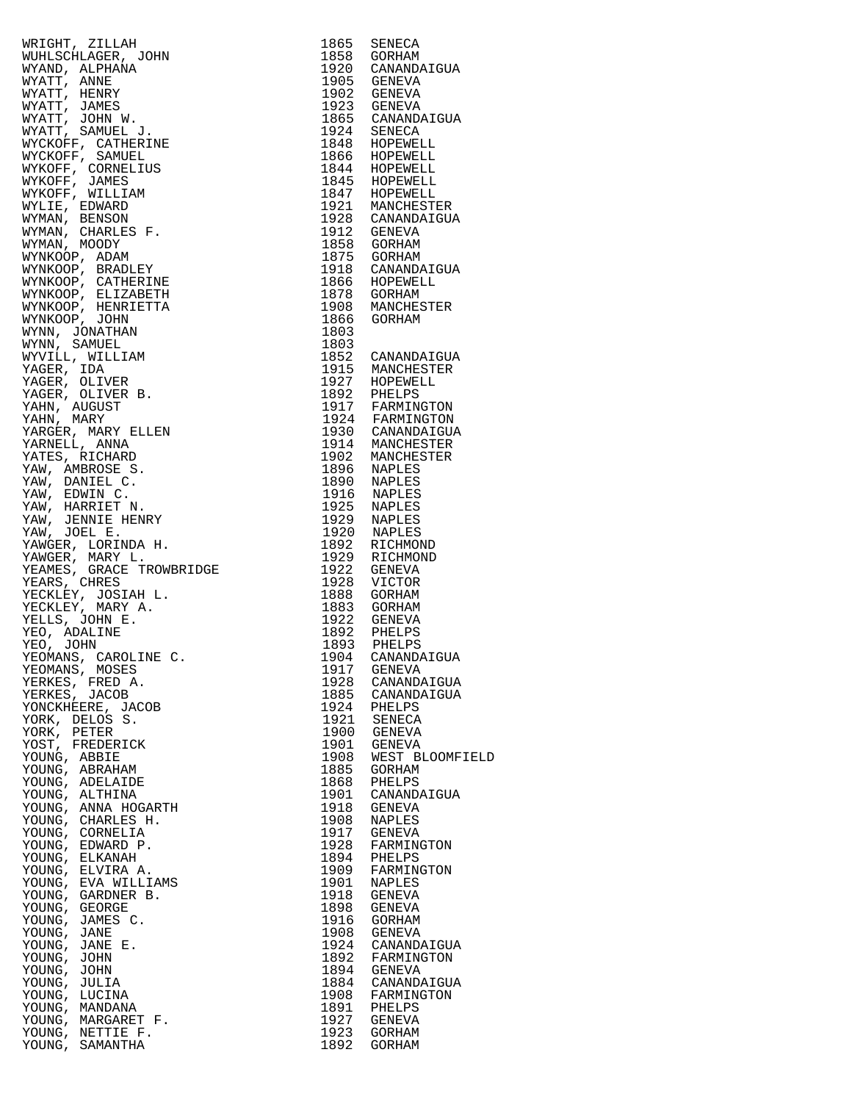| YEOMANS, MOSES                           | 1917         | <b>GENEVA</b>                |
|------------------------------------------|--------------|------------------------------|
| YERKES, FRED A.                          | 1928         | CANANDAIGUA                  |
| YERKES, JACOB                            | 1885         | CANANDAIGUA                  |
| YONCKHEERE, JACOB                        | 1924         | PHELPS                       |
| YORK, DELOS S.                           | 1921         | SENECA                       |
| YORK, PETER                              | 1900         | GENEVA                       |
| YOST, FREDERICK                          | 1901         | <b>GENEVA</b>                |
| YOUNG, ABBIE                             | 1908         | WEST BLOOMFIELD              |
| YOUNG, ABRAHAM                           | 1885         | GORHAM                       |
| YOUNG, ADELAIDE                          | 1868         | PHELPS                       |
| YOUNG, ALTHINA                           | 1901<br>1918 | CANANDAIGUA<br><b>GENEVA</b> |
| YOUNG, ANNA HOGARTH<br>YOUNG, CHARLES H. | 1908         | <b>NAPLES</b>                |
| YOUNG, CORNELIA                          | 1917         | GENEVA                       |
| YOUNG, EDWARD P.                         | 1928         | FARMINGTON                   |
| YOUNG, ELKANAH                           | 1894         | PHELPS                       |
| YOUNG, ELVIRA A.                         | 1909         | FARMINGTON                   |
| YOUNG, EVA WILLIAMS                      | 1901         | <b>NAPLES</b>                |
| YOUNG, GARDNER B.                        | 1918         | GENEVA                       |
| YOUNG, GEORGE                            | 1898         | GENEVA                       |
| YOUNG, JAMES C.                          | 1916         | GORHAM                       |
| YOUNG, JANE                              | 1908         | GENEVA                       |
| YOUNG, JANE E.                           | 1924         | CANANDAIGUA                  |
| YOUNG, JOHN<br>YOUNG, JOHN               | 1892<br>1894 | FARMINGTON<br><b>GENEVA</b>  |
| YOUNG, JULIA                             | 1884         | CANANDAIGUA                  |
| YOUNG, LUCINA                            | 1908         | FARMINGTON                   |
| YOUNG, MANDANA                           | 1891         | PHELPS                       |
| YOUNG, MARGARET F.                       | 1927         | GENEVA                       |
| YOUNG, NETTIE F.                         | 1923         | GORHAM                       |
| YOUNG, SAMANTHA                          | 1892         | GORHAM                       |

| 1865<br>1858 | SENECA<br>GORHAM               |
|--------------|--------------------------------|
| 1920         | CANANDAIGUA                    |
| 1905<br>1902 | <b>GENEVA</b><br>GENEVA        |
| 1923         | GENEVA                         |
| 1865<br>1924 | CANANDAIGUA<br>SENECA          |
| 1848         | HOPEWELL                       |
| 1866<br>1844 | HOPEWELL<br>HOPEWELL           |
| 1845         | HOPEWELL                       |
| 1847<br>1921 | HOPEWELL<br>MANCHESTER         |
| 1928<br>1912 | CANANDAIGUA                    |
| 1858         | GENEVA<br>GORHAM               |
| 1875<br>1918 | GORHAM<br>CANANDAIGUA          |
| 1866         | HOPEWELL                       |
| 1878<br>1908 | GORHAM<br>MANCHESTER           |
| 1866         | GORHAM                         |
| 1803<br>1803 |                                |
| 1852         | CANANDAIGUA                    |
| 1915<br>1927 | MANCHESTER<br>HOPEWELL         |
| 1892         | PHELPS                         |
| 1917<br>1924 | FARMINGTON<br>FARMINGTON       |
| 1930         | CANANDAIGUA                    |
| 1914<br>1902 | MANCHESTER<br>MANCHESTER       |
| 1896<br>1890 | NAPLES                         |
| 1916         | NAPLES<br>NAPLES               |
| 1925<br>1929 | <b>NAPLES</b><br>NAPLES        |
| 1920         | <b>NAPLES</b>                  |
| 1892<br>1929 | RICHMOND<br>RICHMOND           |
| 1922         | GENEVA                         |
| 1928<br>1888 | VICTOR<br>GORHAM               |
| 1883         | GORHAM                         |
| 1922<br>1892 | <b>GENEVA</b><br>PHELPS        |
| 1893<br>1904 | PHELPS                         |
| 1917         | CANANDAIGUA<br><b>GENEVA</b>   |
| 1928<br>1885 | CANANDAIGUA<br>CANANDAIGUA     |
| 1924         | PHELPS                         |
| 1921<br>1900 | SENECA<br><b>GENEVA</b>        |
| 1901         | <b>GENEVA</b>                  |
| 1908<br>1885 | WEST BLOOMFIEI<br>GORHAM       |
| 1868         | PHELPS                         |
| 1901<br>1918 | CANANDAIGUA<br>GENEVA          |
| 1908<br>1917 | <b>NAPLES</b><br><b>GENEVA</b> |
| 1928         | FARMINGTON                     |
| 1894<br>1909 | PHELPS<br>FARMINGTON           |
| 1901         | <b>NAPLES</b>                  |
| 1918<br>1898 | GENEVA<br>GENEVA               |
| 1916         | GORHAM                         |
| 1908<br>1924 | GENEVA<br>CANANDAIGUA          |
| 1892         | FARMINGTON                     |
| 1894<br>1884 | <b>GENEVA</b><br>CANANDAIGUA   |
| 1908<br>1891 | FARMINGTON<br>PHELPS           |
| 1927         | <b>GENEVA</b>                  |
| 1923<br>1892 | GORHAM<br><b>GORHAM</b>        |
|              |                                |